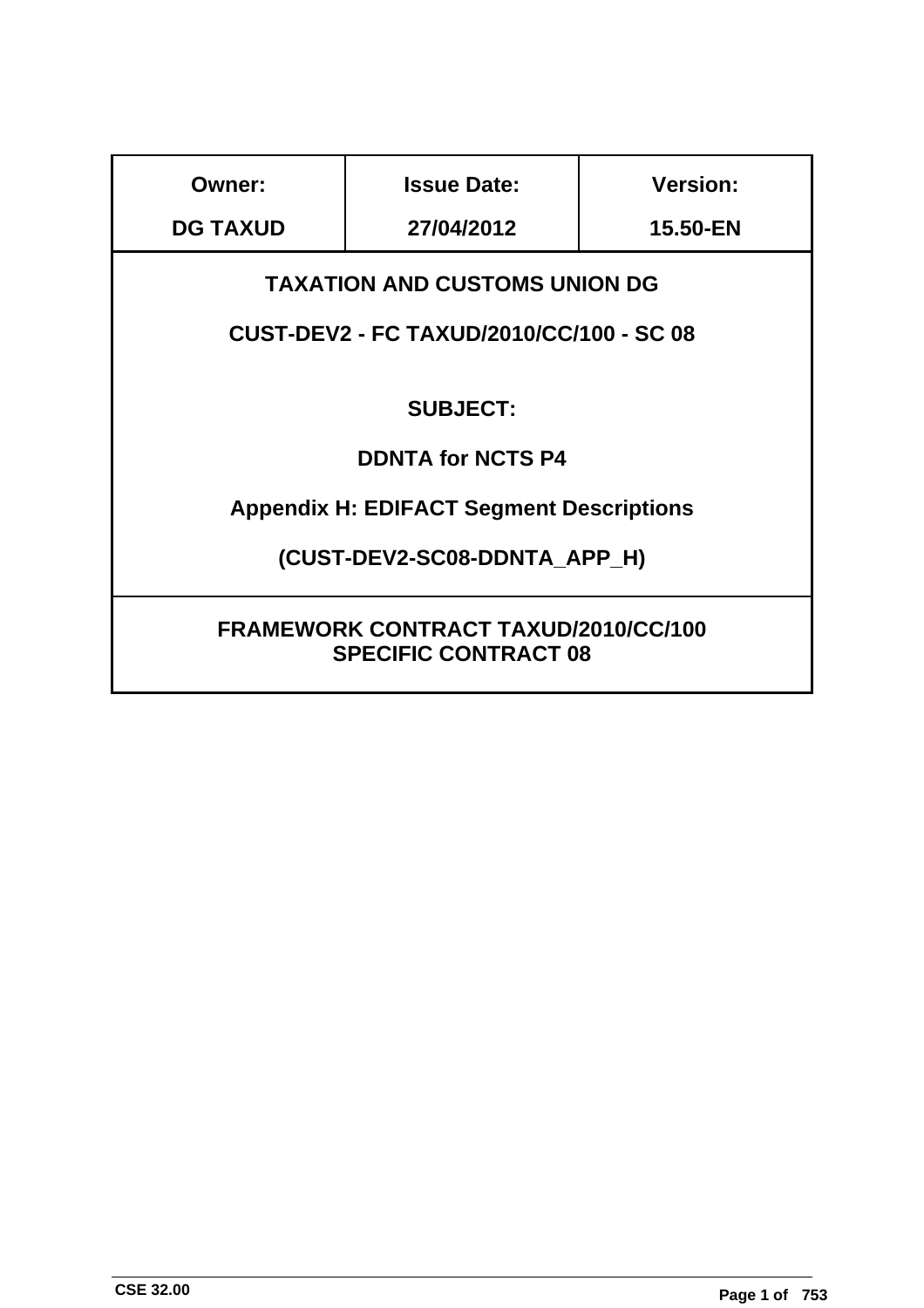| Owner:                                                                     | <b>Issue Date:</b>                              | <b>Version:</b> |  |  |
|----------------------------------------------------------------------------|-------------------------------------------------|-----------------|--|--|
| <b>DG TAXUD</b>                                                            | 27/04/2012                                      | 15.50-EN        |  |  |
|                                                                            | <b>TAXATION AND CUSTOMS UNION DG</b>            |                 |  |  |
|                                                                            | <b>CUST-DEV2 - FC TAXUD/2010/CC/100 - SC 08</b> |                 |  |  |
|                                                                            |                                                 |                 |  |  |
|                                                                            | <b>SUBJECT:</b>                                 |                 |  |  |
|                                                                            | <b>DDNTA for NCTS P4</b>                        |                 |  |  |
|                                                                            | <b>Appendix H: EDIFACT Segment Descriptions</b> |                 |  |  |
| (CUST-DEV2-SC08-DDNTA APP H)                                               |                                                 |                 |  |  |
| <b>FRAMEWORK CONTRACT TAXUD/2010/CC/100</b><br><b>SPECIFIC CONTRACT 08</b> |                                                 |                 |  |  |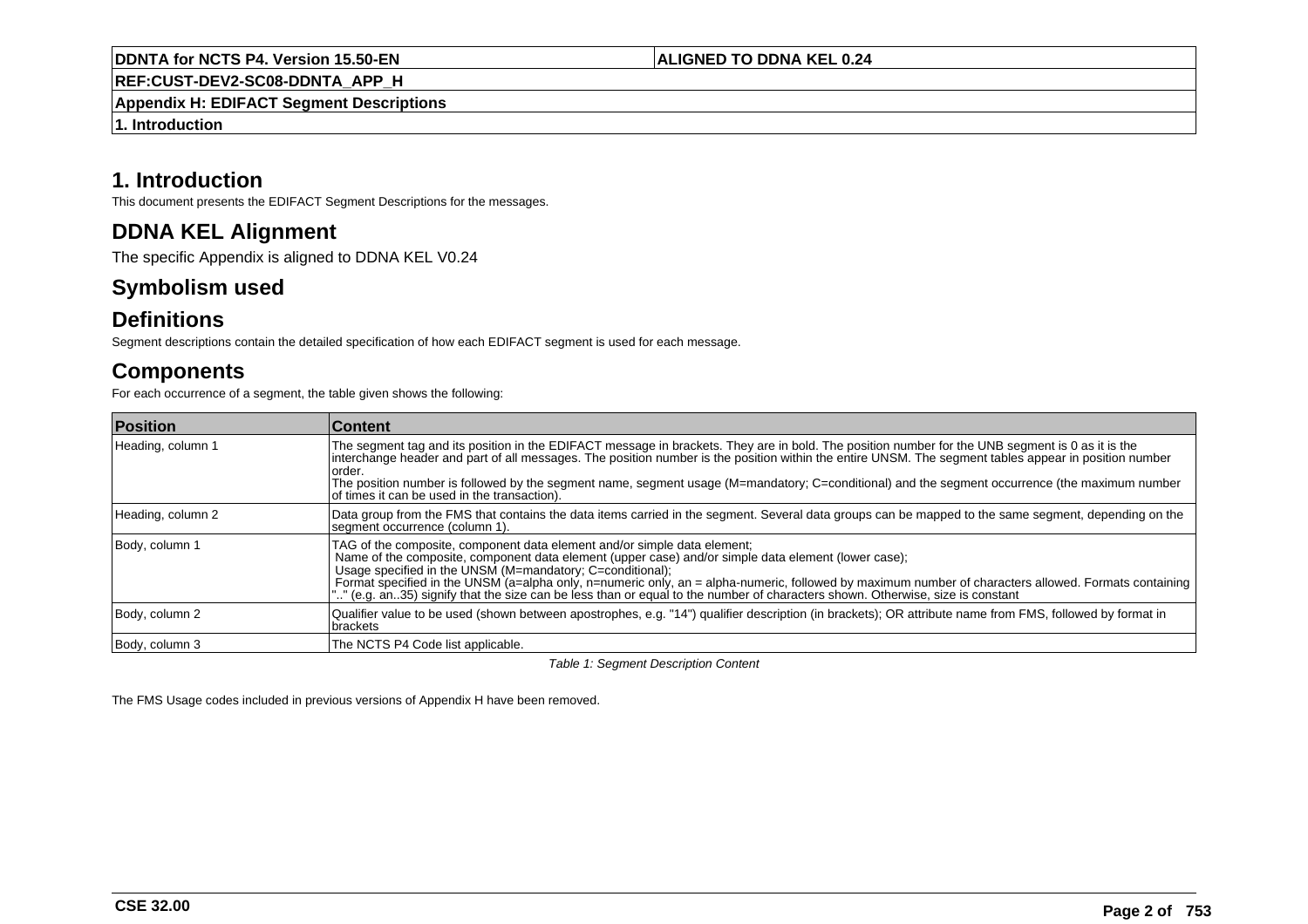**REF:CUST-DEV2-SC08-DDNTA\_APP\_H**

**Appendix H: EDIFACT Segment Descriptions**

**1. Introduction**

# **1. Introduction**

This document presents the EDIFACT Segment Descriptions for the messages.

# **DDNA KEL Alignment**

The specific Appendix is aligned to DDNA KEL V0.24

# **Symbolism used**

# **Definitions**

Segment descriptions contain the detailed specification of how each EDIFACT segment is used for each message.

# **Components**

For each occurrence of a segment, the table given shows the following:

| <b>Position</b>   | <b>∣Content</b>                                                                                                                                                                                                                                                                                                                                                                                                                                                                                                                         |
|-------------------|-----------------------------------------------------------------------------------------------------------------------------------------------------------------------------------------------------------------------------------------------------------------------------------------------------------------------------------------------------------------------------------------------------------------------------------------------------------------------------------------------------------------------------------------|
| Heading, column 1 | The segment tag and its position in the EDIFACT message in brackets. They are in bold. The position number for the UNB segment is 0 as it is the<br>interchange header and part of all messages. The position number is the position within the entire UNSM. The segment tables appear in position number<br>order.<br>The position number is followed by the segment name, segment usage (M=mandatory; C=conditional) and the segment occurrence (the maximum number<br>of times it can be used in the transaction).                   |
| Heading, column 2 | Data group from the FMS that contains the data items carried in the segment. Several data groups can be mapped to the same segment, depending on the<br>segment occurrence (column 1).                                                                                                                                                                                                                                                                                                                                                  |
| Body, column 1    | TAG of the composite, component data element and/or simple data element;<br>Name of the composite, component data element (upper case) and/or simple data element (lower case);<br>Usage specified in the UNSM (M=mandatory: C=conditional);<br>Format specified in the UNSM (a=alpha only, n=numeric only, an = alpha-numeric, followed by maximum number of characters allowed. Formats containing<br>"" (e.g. an. 35) signify that the size can be less than or equal to the number of characters shown. Otherwise, size is constant |
| Body, column 2    | Qualifier value to be used (shown between apostrophes, e.g. "14") qualifier description (in brackets); OR attribute name from FMS, followed by format in<br>brackets                                                                                                                                                                                                                                                                                                                                                                    |
| Body, column 3    | The NCTS P4 Code list applicable.                                                                                                                                                                                                                                                                                                                                                                                                                                                                                                       |

Table 1: Segment Description Content

The FMS Usage codes included in previous versions of Appendix H have been removed.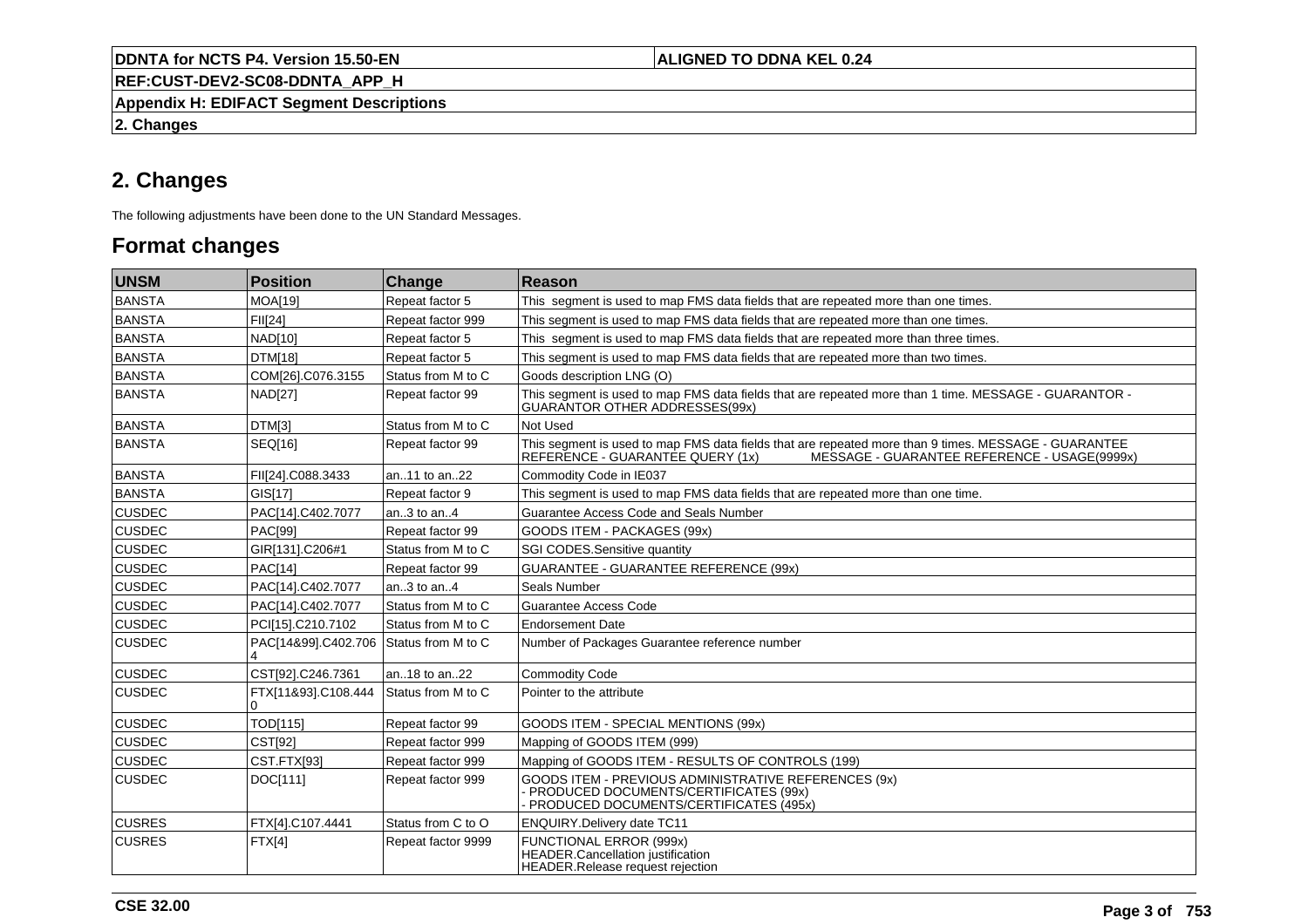**REF:CUST-DEV2-SC08-DDNTA\_APP\_H**

**Appendix H: EDIFACT Segment Descriptions**

**2. Changes**

# **2. Changes**

The following adjustments have been done to the UN Standard Messages.

# **Format changes**

| <b>UNSM</b>   | <b>Position</b>          | Change             | Reason                                                                                                                                                                                   |
|---------------|--------------------------|--------------------|------------------------------------------------------------------------------------------------------------------------------------------------------------------------------------------|
| BANSTA        | <b>MOA[19]</b>           | Repeat factor 5    | This segment is used to map FMS data fields that are repeated more than one times.                                                                                                       |
| <b>BANSTA</b> | <b>FII[24]</b>           | Repeat factor 999  | This segment is used to map FMS data fields that are repeated more than one times.                                                                                                       |
| BANSTA        | NAD[10]                  | Repeat factor 5    | This segment is used to map FMS data fields that are repeated more than three times.                                                                                                     |
| <b>BANSTA</b> | DTM[18]                  | Repeat factor 5    | This segment is used to map FMS data fields that are repeated more than two times.                                                                                                       |
| <b>BANSTA</b> | COM[26].C076.3155        | Status from M to C | Goods description LNG (O)                                                                                                                                                                |
| BANSTA        | <b>NAD[27]</b>           | Repeat factor 99   | This segment is used to map FMS data fields that are repeated more than 1 time. MESSAGE - GUARANTOR -<br>GUARANTOR OTHER ADDRESSES(99x)                                                  |
| BANSTA        | DTM[3]                   | Status from M to C | Not Used                                                                                                                                                                                 |
| BANSTA        | SEQ[16]                  | Repeat factor 99   | This segment is used to map FMS data fields that are repeated more than 9 times. MESSAGE - GUARANTEE<br>REFERENCE - GUARANTEE QUERY (1x)<br>MESSAGE - GUARANTEE REFERENCE - USAGE(9999x) |
| BANSTA        | FII[24].C088.3433        | an11 to an22       | Commodity Code in IE037                                                                                                                                                                  |
| BANSTA        | GIS[17]                  | Repeat factor 9    | This segment is used to map FMS data fields that are repeated more than one time.                                                                                                        |
| <b>CUSDEC</b> | PAC[14].C402.7077        | an3 to an4         | Guarantee Access Code and Seals Number                                                                                                                                                   |
| <b>CUSDEC</b> | <b>PAC[99]</b>           | Repeat factor 99   | GOODS ITEM - PACKAGES (99x)                                                                                                                                                              |
| <b>CUSDEC</b> | GIR[131].C206#1          | Status from M to C | SGI CODES.Sensitive quantity                                                                                                                                                             |
| <b>CUSDEC</b> | <b>PAC[14]</b>           | Repeat factor 99   | <b>GUARANTEE - GUARANTEE REFERENCE (99x)</b>                                                                                                                                             |
| <b>CUSDEC</b> | PAC[14].C402.7077        | an3 to an4         | Seals Number                                                                                                                                                                             |
| <b>CUSDEC</b> | PAC[14].C402.7077        | Status from M to C | Guarantee Access Code                                                                                                                                                                    |
| <b>CUSDEC</b> | PCI[15].C210.7102        | Status from M to C | <b>Endorsement Date</b>                                                                                                                                                                  |
| <b>CUSDEC</b> | PAC[14&99].C402.706      | Status from M to C | Number of Packages Guarantee reference number                                                                                                                                            |
| <b>CUSDEC</b> | CST[92].C246.7361        | an18 to an22       | <b>Commodity Code</b>                                                                                                                                                                    |
| <b>CUSDEC</b> | FTX[11&93].C108.444<br>0 | Status from M to C | Pointer to the attribute                                                                                                                                                                 |
| <b>CUSDEC</b> | <b>TOD[115]</b>          | Repeat factor 99   | GOODS ITEM - SPECIAL MENTIONS (99x)                                                                                                                                                      |
| <b>CUSDEC</b> | CST[92]                  | Repeat factor 999  | Mapping of GOODS ITEM (999)                                                                                                                                                              |
| <b>CUSDEC</b> | CST.FTX[93]              | Repeat factor 999  | Mapping of GOODS ITEM - RESULTS OF CONTROLS (199)                                                                                                                                        |
| <b>CUSDEC</b> | DOC[111]                 | Repeat factor 999  | GOODS ITEM - PREVIOUS ADMINISTRATIVE REFERENCES (9x)<br>PRODUCED DOCUMENTS/CERTIFICATES (99x)<br>PRODUCED DOCUMENTS/CERTIFICATES (495x)                                                  |
| <b>CUSRES</b> | FTX[4].C107.4441         | Status from C to O | ENQUIRY.Delivery date TC11                                                                                                                                                               |
| <b>CUSRES</b> | FTX[4]                   | Repeat factor 9999 | <b>FUNCTIONAL ERROR (999x)</b><br><b>HEADER.Cancellation justification</b><br>HEADER.Release request rejection                                                                           |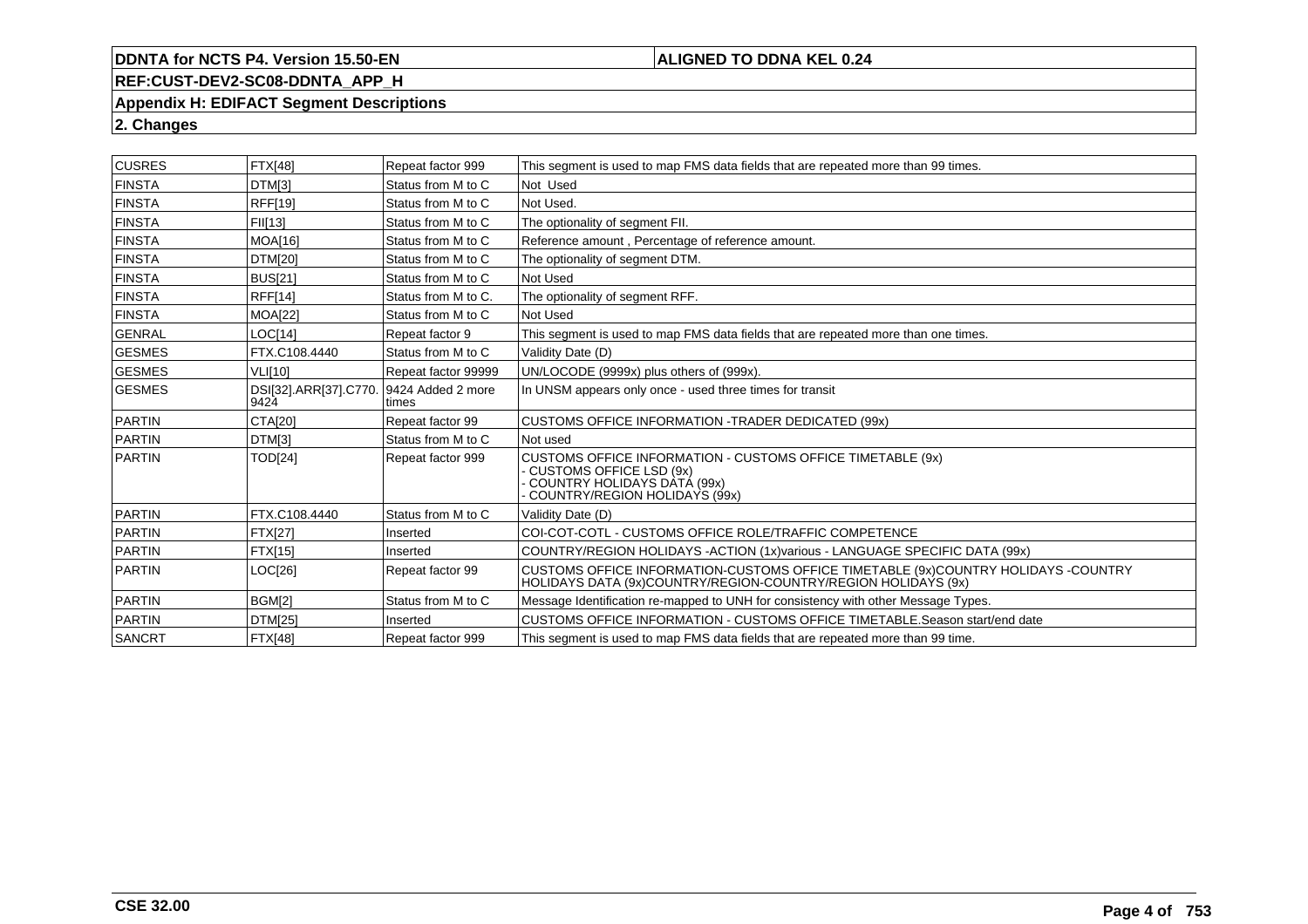# **ALIGNED TO DDNA KEL 0.24**

# **REF:CUST-DEV2-SC08-DDNTA\_APP\_H**

#### **Appendix H: EDIFACT Segment Descriptions**

# **2. Changes**

| <b>CUSRES</b> | <b>FTX[48]</b>                | Repeat factor 999          | This segment is used to map FMS data fields that are repeated more than 99 times.                                                                                   |
|---------------|-------------------------------|----------------------------|---------------------------------------------------------------------------------------------------------------------------------------------------------------------|
| <b>FINSTA</b> | DTM[3]                        | Status from M to C         | Not Used                                                                                                                                                            |
| <b>FINSTA</b> | <b>RFF[19]</b>                | Status from M to C         | Not Used.                                                                                                                                                           |
| <b>FINSTA</b> | FII[13]                       | Status from M to C         | The optionality of segment FII.                                                                                                                                     |
| <b>FINSTA</b> | <b>MOA[16]</b>                | Status from M to C         | Reference amount, Percentage of reference amount.                                                                                                                   |
| <b>FINSTA</b> | <b>DTM[20]</b>                | Status from M to C         | The optionality of segment DTM.                                                                                                                                     |
| <b>FINSTA</b> | <b>BUS[21]</b>                | Status from M to C         | Not Used                                                                                                                                                            |
| <b>FINSTA</b> | <b>RFF[14]</b>                | Status from M to C.        | The optionality of segment RFF.                                                                                                                                     |
| <b>FINSTA</b> | <b>MOA[22]</b>                | Status from M to C         | Not Used                                                                                                                                                            |
| <b>GENRAL</b> | LOCI141                       | Repeat factor 9            | This segment is used to map FMS data fields that are repeated more than one times.                                                                                  |
| <b>GESMES</b> | FTX.C108.4440                 | Status from M to C         | Validity Date (D)                                                                                                                                                   |
| <b>GESMES</b> | <b>VLI[10]</b>                | Repeat factor 99999        | UN/LOCODE (9999x) plus others of (999x).                                                                                                                            |
| <b>GESMES</b> | DSI[32].ARR[37].C770.<br>9424 | 9424 Added 2 more<br>times | In UNSM appears only once - used three times for transit                                                                                                            |
| PARTIN        | <b>CTA[20]</b>                | Repeat factor 99           | CUSTOMS OFFICE INFORMATION -TRADER DEDICATED (99x)                                                                                                                  |
| PARTIN        | DTM[3]                        | Status from M to C         | Not used                                                                                                                                                            |
| PARTIN        | <b>TOD[24]</b>                | Repeat factor 999          | <b>CUSTOMS OFFICE INFORMATION - CUSTOMS OFFICE TIMETABLE (9x)</b><br><b>CUSTOMS OFFICE LSD (9x)</b><br>COUNTRY HOLIDAYS DATÁ (99x)<br>COUNTRY/REGION HOLIDAYS (99x) |
| PARTIN        | FTX.C108.4440                 | Status from M to C         | Validity Date (D)                                                                                                                                                   |
| <b>PARTIN</b> | <b>FTX[27]</b>                | Inserted                   | COI-COT-COTL - CUSTOMS OFFICE ROLE/TRAFFIC COMPETENCE                                                                                                               |
| PARTIN        | <b>FTX[15]</b>                | Inserted                   | COUNTRY/REGION HOLIDAYS - ACTION (1x)various - LANGUAGE SPECIFIC DATA (99x)                                                                                         |
| <b>PARTIN</b> | LOC[26]                       | Repeat factor 99           | CUSTOMS OFFICE INFORMATION-CUSTOMS OFFICE TIMETABLE (9x)COUNTRY HOLIDAYS -COUNTRY<br>HOLIDAYS DATA (9x)COUNTRY/REGION-COUNTRY/REGION HOLIDAYS (9x)                  |
| PARTIN        | BGM[2]                        | Status from M to C         | Message Identification re-mapped to UNH for consistency with other Message Types.                                                                                   |
| <b>PARTIN</b> | DTM[25]                       | Inserted                   | CUSTOMS OFFICE INFORMATION - CUSTOMS OFFICE TIMETABLE. Season start/end date                                                                                        |
| SANCRT        | FTX[48]                       | Repeat factor 999          | This segment is used to map FMS data fields that are repeated more than 99 time.                                                                                    |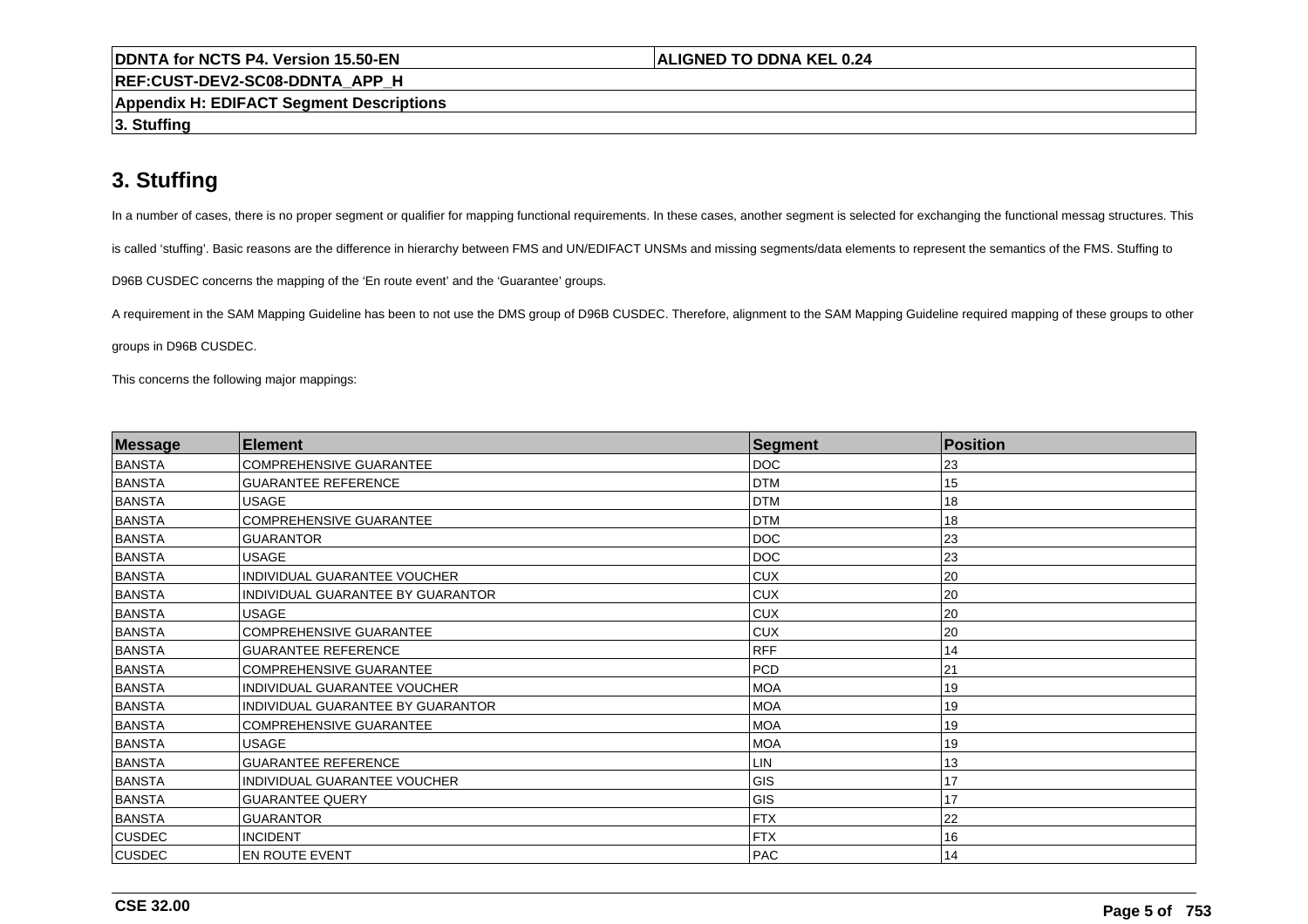**REF:CUST-DEV2-SC08-DDNTA\_APP\_H**

**Appendix H: EDIFACT Segment Descriptions**

**3. Stuffing**

# **3. Stuffing**

In a number of cases, there is no proper segment or qualifier for mapping functional requirements. In these cases, another segment is selected for exchanging the functional messag structures. This

is called 'stuffing'. Basic reasons are the difference in hierarchy between FMS and UN/EDIFACT UNSMs and missing segments/data elements to represent the semantics of the FMS. Stuffing to

D96B CUSDEC concerns the mapping of the 'En route event' and the 'Guarantee' groups.

A requirement in the SAM Mapping Guideline has been to not use the DMS group of D96B CUSDEC. Therefore, alignment to the SAM Mapping Guideline required mapping of these groups to other

groups in D96B CUSDEC.

This concerns the following major mappings:

| Message       | <b>Element</b>                           | Segment    | Position |  |
|---------------|------------------------------------------|------------|----------|--|
| BANSTA        | <b>COMPREHENSIVE GUARANTEE</b>           | <b>DOC</b> | 23       |  |
| BANSTA        | <b>GUARANTEE REFERENCE</b>               | <b>DTM</b> | 15       |  |
| BANSTA        | <b>USAGE</b>                             | <b>DTM</b> | 18       |  |
| BANSTA        | <b>COMPREHENSIVE GUARANTEE</b>           | <b>DTM</b> | 18       |  |
| BANSTA        | <b>GUARANTOR</b>                         | <b>DOC</b> | 23       |  |
| BANSTA        | <b>USAGE</b>                             | <b>DOC</b> | 23       |  |
| BANSTA        | INDIVIDUAL GUARANTEE VOUCHER             | <b>CUX</b> | 20       |  |
| BANSTA        | INDIVIDUAL GUARANTEE BY GUARANTOR        | <b>CUX</b> | 20       |  |
| BANSTA        | <b>USAGE</b>                             | <b>CUX</b> | 20       |  |
| BANSTA        | <b>COMPREHENSIVE GUARANTEE</b>           | <b>CUX</b> | 20       |  |
| BANSTA        | <b>GUARANTEE REFERENCE</b>               | <b>RFF</b> | 14       |  |
| BANSTA        | <b>COMPREHENSIVE GUARANTEE</b>           | <b>PCD</b> | 21       |  |
| <b>BANSTA</b> | INDIVIDUAL GUARANTEE VOUCHER             | <b>MOA</b> | 19       |  |
| BANSTA        | <b>INDIVIDUAL GUARANTEE BY GUARANTOR</b> | <b>MOA</b> | 19       |  |
| BANSTA        | <b>COMPREHENSIVE GUARANTEE</b>           | <b>MOA</b> | 19       |  |
| BANSTA        | <b>USAGE</b>                             | MOA        | 19       |  |
| BANSTA        | <b>GUARANTEE REFERENCE</b>               | ILIN       | 13       |  |
| BANSTA        | INDIVIDUAL GUARANTEE VOUCHER             | GIS        | 17       |  |
| BANSTA        | <b>GUARANTEE QUERY</b>                   | GIS        | 17       |  |
| BANSTA        | <b>GUARANTOR</b>                         | FTX        | 22       |  |
| <b>CUSDEC</b> | <b>INCIDENT</b>                          | <b>FTX</b> | 16       |  |
| <b>CUSDEC</b> | EN ROUTE EVENT                           | PAC        | 14       |  |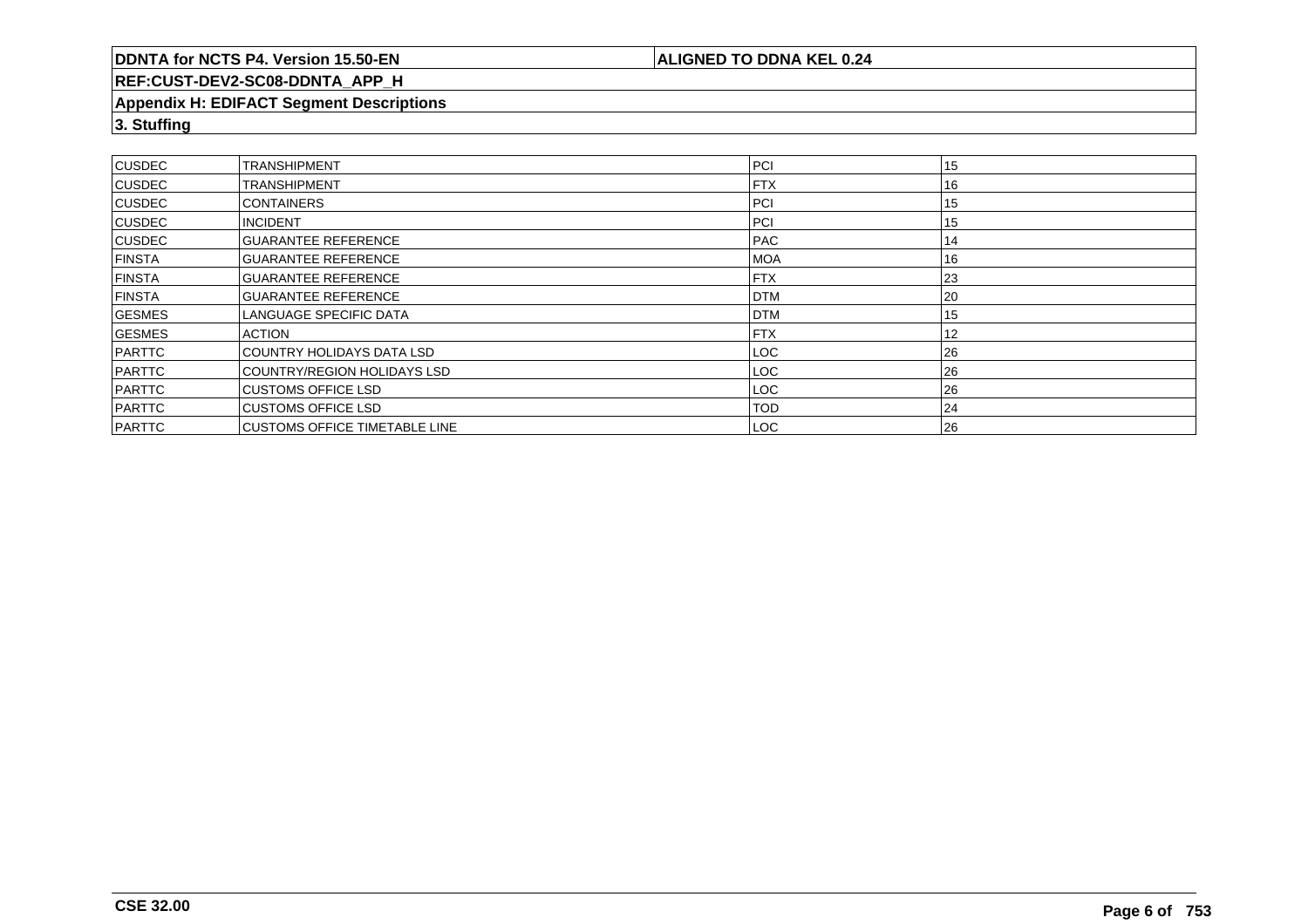# **ALIGNED TO DDNA KEL 0.24**

# **REF:CUST-DEV2-SC08-DDNTA\_APP\_H**

#### **Appendix H: EDIFACT Segment Descriptions**

**3. Stuffing**

| <b>CUSDEC</b> | ITRANSHIPMENT                         | PCI        | 15 |
|---------------|---------------------------------------|------------|----|
| <b>CUSDEC</b> | <b>ITRANSHIPMENT</b>                  | <b>FTX</b> | 16 |
| <b>CUSDEC</b> | <b>CONTAINERS</b>                     | <b>PCI</b> | 15 |
| <b>CUSDEC</b> | <b>INCIDENT</b>                       | PCI        | 15 |
| <b>CUSDEC</b> | <b>IGUARANTEE REFERENCE</b>           | <b>PAC</b> | 14 |
| <b>FINSTA</b> | <b>IGUARANTEE REFERENCE</b>           | <b>MOA</b> | 16 |
| <b>FINSTA</b> | <b>IGUARANTEE REFERENCE</b>           | <b>FTX</b> | 23 |
| <b>FINSTA</b> | <b>IGUARANTEE REFERENCE</b>           | <b>DTM</b> | 20 |
| <b>GESMES</b> | ILANGUAGE SPECIFIC DATA               | <b>DTM</b> | 15 |
| GESMES        | <b>ACTION</b>                         | <b>FTX</b> | 12 |
| PARTTC        | <b>ICOUNTRY HOLIDAYS DATA LSD</b>     | LOC.       | 26 |
| PARTTC        | COUNTRY/REGION HOLIDAYS LSD           | LOC        | 26 |
| PARTTC        | <b>ICUSTOMS OFFICE LSD</b>            | LOC.       | 26 |
| PARTTC        | <b>CUSTOMS OFFICE LSD</b>             | <b>TOD</b> | 24 |
| PARTTC        | <b>ICUSTOMS OFFICE TIMETABLE LINE</b> | LOC        | 26 |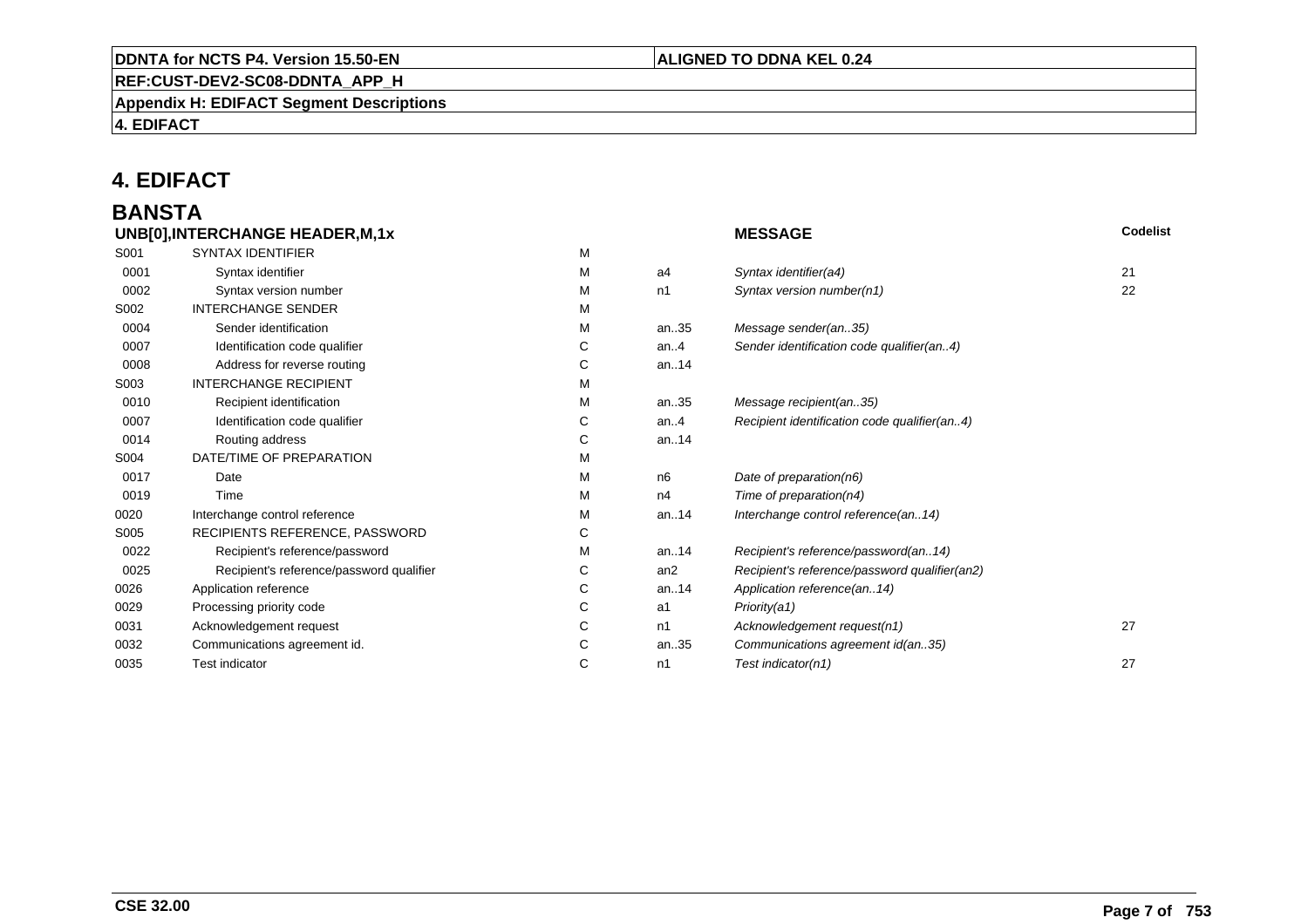# **REF:CUST-DEV2-SC08-DDNTA\_APP\_H**

**Appendix H: EDIFACT Segment Descriptions**

**4. EDIFACT**

# **4. EDIFACT**

# **BANSTA**

|      | UNB[0], INTERCHANGE HEADER, M, 1x        |   |         | <b>MESSAGE</b>                                | <b>Codelist</b> |
|------|------------------------------------------|---|---------|-----------------------------------------------|-----------------|
| S001 | <b>SYNTAX IDENTIFIER</b>                 | M |         |                                               |                 |
| 0001 | Syntax identifier                        | М | a4      | Syntax identifier(a4)                         | 21              |
| 0002 | Syntax version number                    | м | n1      | Syntax version number(n1)                     | 22              |
| S002 | <b>INTERCHANGE SENDER</b>                | М |         |                                               |                 |
| 0004 | Sender identification                    | М | an35    | Message sender(an35)                          |                 |
| 0007 | Identification code qualifier            | С | an. $4$ | Sender identification code qualifier(an4)     |                 |
| 0008 | Address for reverse routing              | С | an14    |                                               |                 |
| S003 | <b>INTERCHANGE RECIPIENT</b>             | М |         |                                               |                 |
| 0010 | Recipient identification                 | М | an35    | Message recipient(an35)                       |                 |
| 0007 | Identification code qualifier            | С | an. $4$ | Recipient identification code qualifier(an4)  |                 |
| 0014 | Routing address                          | С | an14    |                                               |                 |
| S004 | DATE/TIME OF PREPARATION                 | М |         |                                               |                 |
| 0017 | Date                                     | М | n6      | Date of preparation(n6)                       |                 |
| 0019 | Time                                     | М | n4      | Time of preparation(n4)                       |                 |
| 0020 | Interchange control reference            | М | an14    | Interchange control reference(an14)           |                 |
| S005 | RECIPIENTS REFERENCE, PASSWORD           | С |         |                                               |                 |
| 0022 | Recipient's reference/password           | М | an14    | Recipient's reference/password(an14)          |                 |
| 0025 | Recipient's reference/password qualifier | С | an2     | Recipient's reference/password qualifier(an2) |                 |
| 0026 | Application reference                    | С | an14    | Application reference(an14)                   |                 |
| 0029 | Processing priority code                 | С | a1      | Priority(a1)                                  |                 |
| 0031 | Acknowledgement request                  | С | n1      | Acknowledgement request(n1)                   | 27              |
| 0032 | Communications agreement id.             | С | an35    | Communications agreement id(an35)             |                 |
| 0035 | <b>Test indicator</b>                    | С | n1      | Test indicator(n1)                            | 27              |
|      |                                          |   |         |                                               |                 |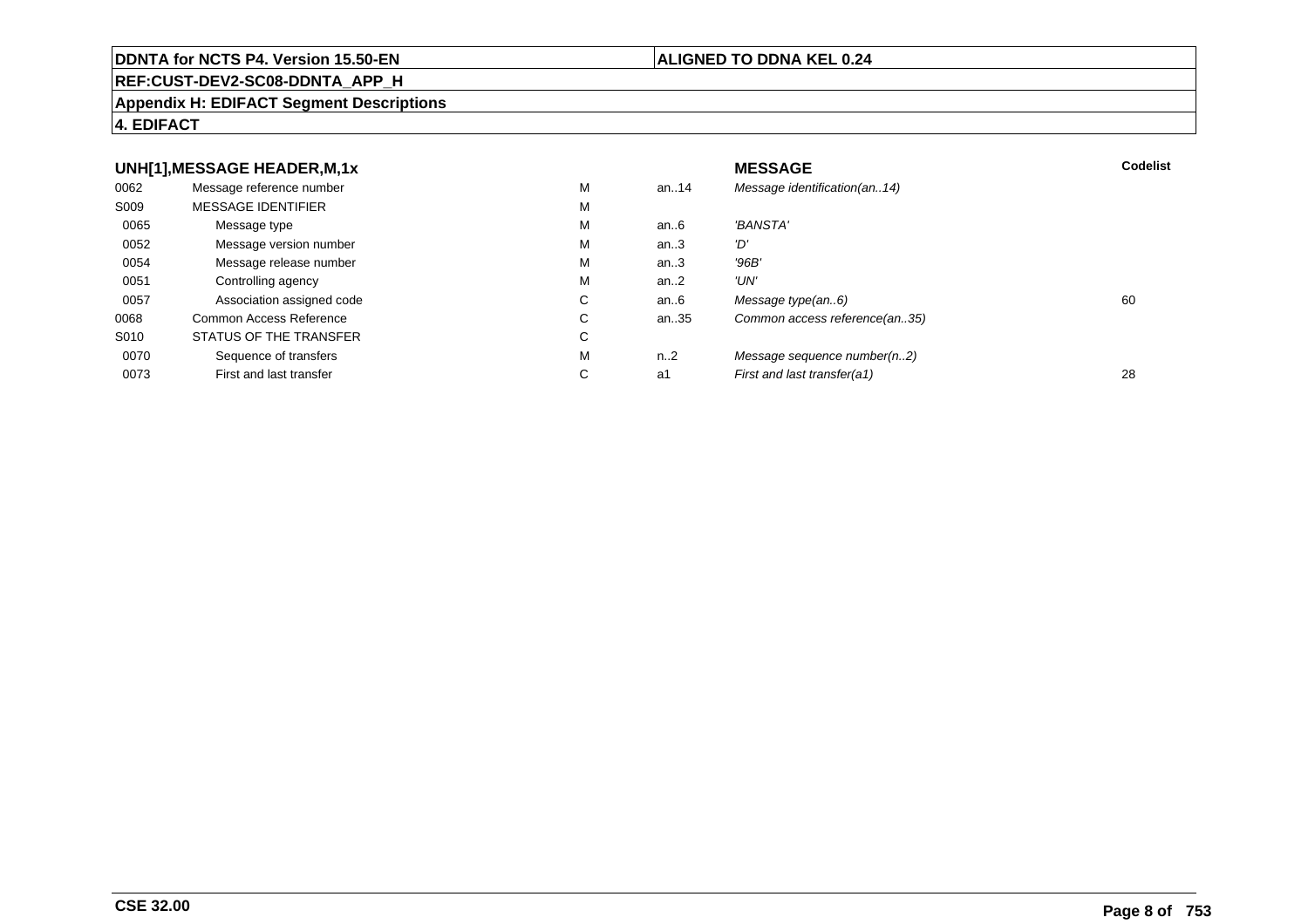#### **REF:CUST-DEV2-SC08-DDNTA\_APP\_H**

#### **Appendix H: EDIFACT Segment Descriptions**

# **4. EDIFACT**

#### **UNH[1],MESSAGE HEADER,M,1xx** MESSAGE **Codelist** Codelist 0062 Message reference number <sup>M</sup> an..14 Message identification(an..14) S009 MESSAGE IDENTIFIERR M M 0065Message type Message version number and the Message version number and the Message of Message Message Message M an..6 'BANSTA'<br>an..3 'D' 0052 Message version number <sup>M</sup>an..3 '*D'*<br>an..3 '96*B'* 0054Message release number Message release number Message of the Message of the Message of Message of Message of Me<br>
Message release number of Message of Message of Message of Message of Message of Message of Message of Messag an..3 '96B'<br>an..2 'UN' 0051Controlling agency<br>
Association assigned code<br>
C an..2<br>an..6 0057Association assigned code **C** C<br>
mmon Access Reference **C** C an..6 Message type(an..6)<br>an..35 Common access reference(an..35) 0068Common Access Reference C<br>
STATUS OF THE TRANSFER
C Common access reference(an..35) S010 STATUS OF THE TRANSFERR C 0070Sequence of transfers M<br>
First and last transfer C n..2 Message sequence number(n..2)<br>a1 First and last transfer(a1) 0073First and last transfer First and last transfer(a1) 28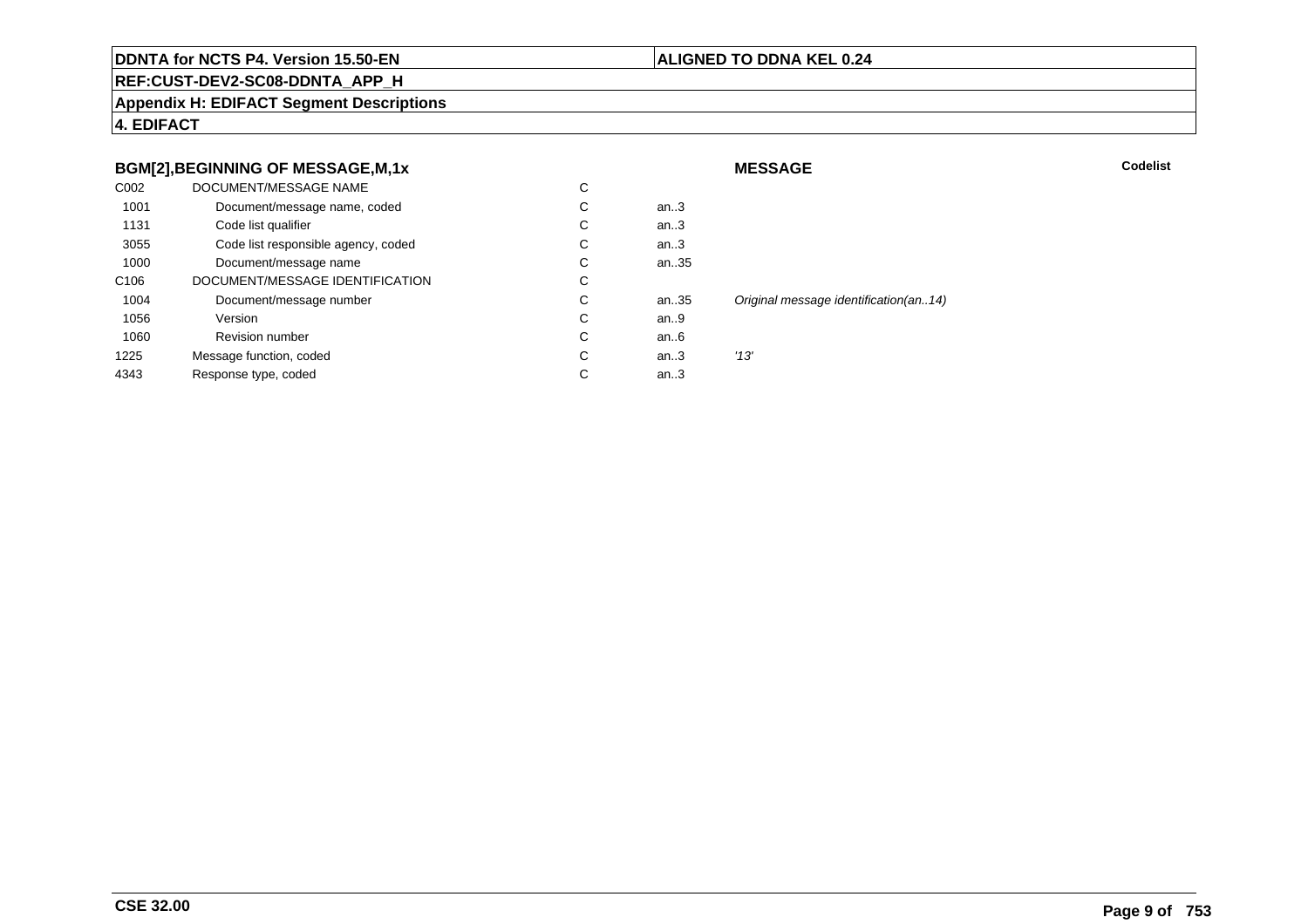#### **ALIGNED TO DDNA KEL 0.24**

**MESSAGE**

**REF:CUST-DEV2-SC08-DDNTA\_APP\_H**

**Appendix H: EDIFACT Segment Descriptions**

**4. EDIFACT**

# **BGM[2],BEGINNING OF MESSAGE,M,1x**

|                  | <b>BGM[2], BEGINNING OF MESSAGE, M, 1x</b> |    |      | <b>MESSAGE</b>                        | Codelist |
|------------------|--------------------------------------------|----|------|---------------------------------------|----------|
| C002             | DOCUMENT/MESSAGE NAME                      | C  |      |                                       |          |
| 1001             | Document/message name, coded               | C. | an.3 |                                       |          |
| 1131             | Code list qualifier                        | ◡  | an.3 |                                       |          |
| 3055             | Code list responsible agency, coded        | Ü  | an.3 |                                       |          |
| 1000             | Document/message name                      | С  | an35 |                                       |          |
| C <sub>106</sub> | DOCUMENT/MESSAGE IDENTIFICATION            | С  |      |                                       |          |
| 1004             | Document/message number                    | C  | an35 | Original message identification(an14) |          |
| 1056             | Version                                    | C  | an.9 |                                       |          |
| 1060             | <b>Revision number</b>                     | C  | an.6 |                                       |          |
| 1225             | Message function, coded                    | C  | an.3 | '13'                                  |          |
| 4343             | Response type, coded                       | C  | an.3 |                                       |          |
|                  |                                            |    |      |                                       |          |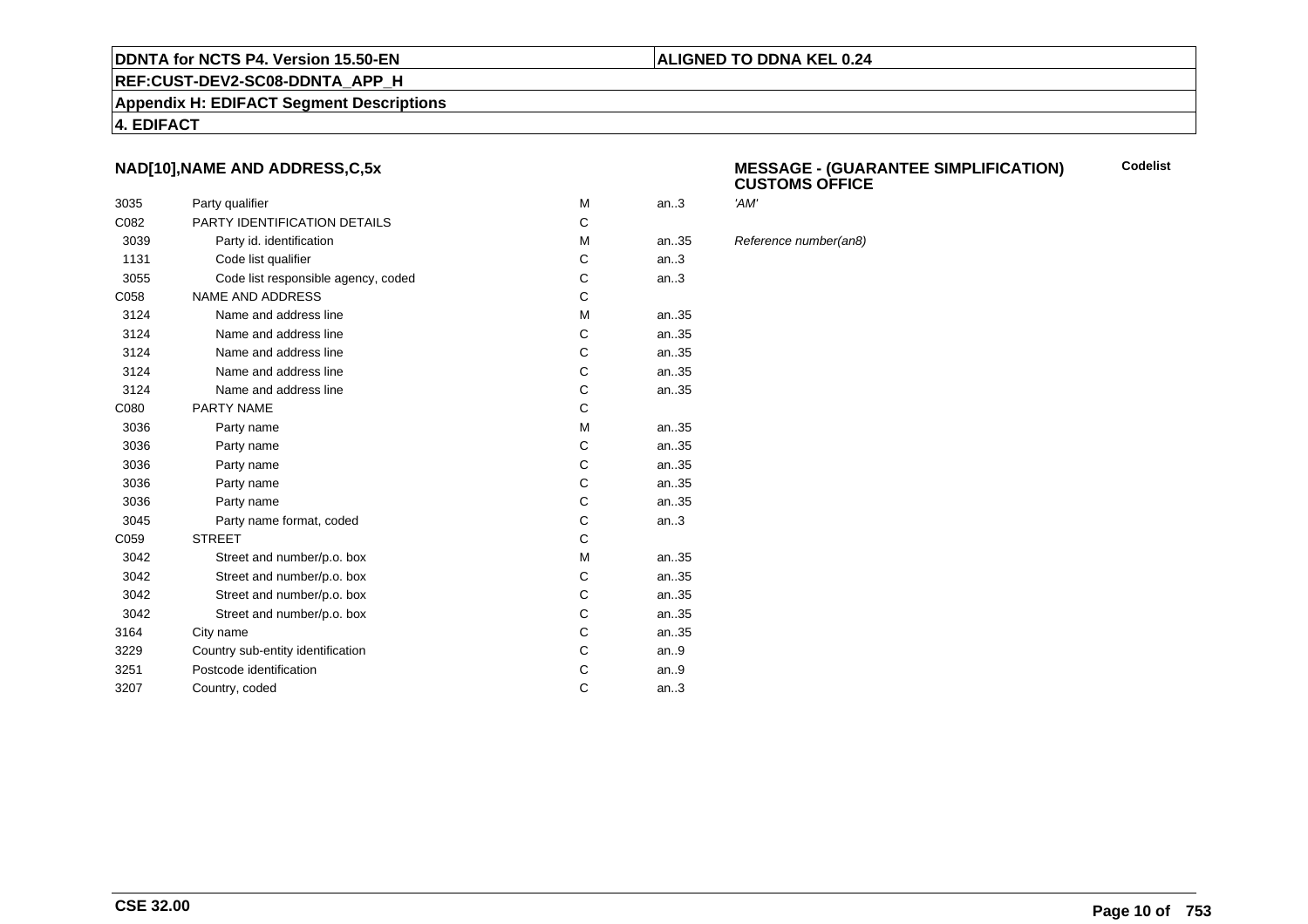#### **REF:CUST-DEV2-SC08-DDNTA\_APP\_H**

**Appendix H: EDIFACT Segment Descriptions**

#### **4. EDIFACT**

# **NAD[10],NAME AND ADDRESS,C,5x**

| 3035 | Party qualifier                     | M | an.3  | 'AM' |
|------|-------------------------------------|---|-------|------|
| C082 | PARTY IDENTIFICATION DETAILS        | C |       |      |
| 3039 | Party id. identification            | М | an.35 | Refe |
| 1131 | Code list qualifier                 | C | an.3  |      |
| 3055 | Code list responsible agency, coded | С | an.3  |      |
| C058 | <b>NAME AND ADDRESS</b>             | C |       |      |
| 3124 | Name and address line               | M | an.35 |      |
| 3124 | Name and address line               | C | an35  |      |
| 3124 | Name and address line               | C | an35  |      |
| 3124 | Name and address line               | C | an35  |      |
| 3124 | Name and address line               | С | an35  |      |
| C080 | PARTY NAME                          | C |       |      |
| 3036 | Party name                          | M | an35  |      |
| 3036 | Party name                          | C | an35  |      |
| 3036 | Party name                          | C | an35  |      |
| 3036 | Party name                          | C | an35  |      |
| 3036 | Party name                          | С | an35  |      |
| 3045 | Party name format, coded            | C | an.3  |      |
| C059 | <b>STREET</b>                       | C |       |      |
| 3042 | Street and number/p.o. box          | M | an35  |      |
| 3042 | Street and number/p.o. box          | C | an35  |      |
| 3042 | Street and number/p.o. box          | С | an35  |      |
| 3042 | Street and number/p.o. box          | C | an35  |      |
| 3164 | City name                           | С | an35  |      |
| 3229 | Country sub-entity identification   | C | an.9  |      |
| 3251 | Postcode identification             | С | an.9  |      |
| 3207 | Country, coded                      | C | an.3  |      |
|      |                                     |   |       |      |

#### **MESSAGE - (GUARANTEE SIMPLIFICATION) CUSTOMS OFFICECodelist**

Reference number(an8)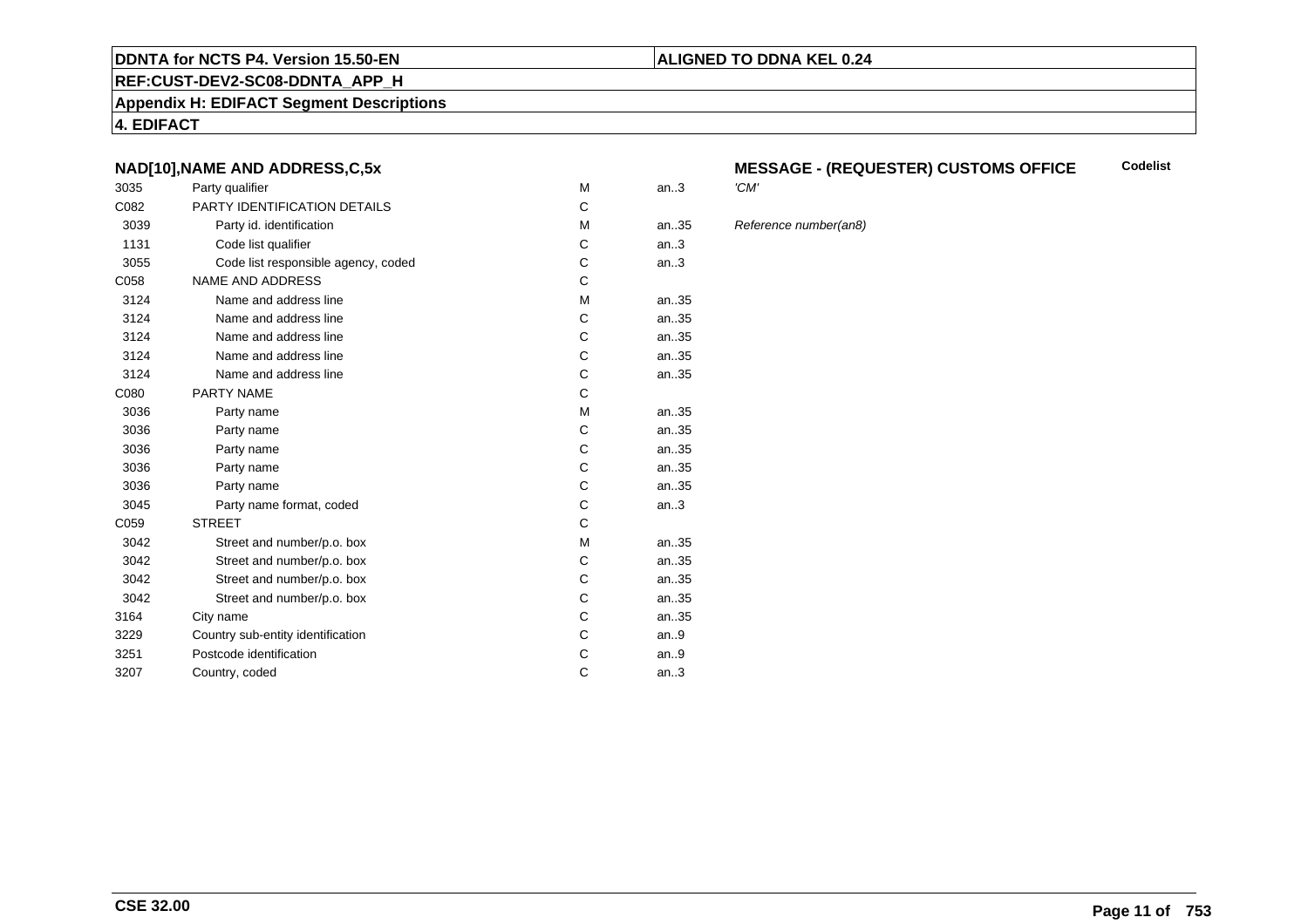#### **REF:CUST-DEV2-SC08-DDNTA\_APP\_H**

#### **Appendix H: EDIFACT Segment Descriptions**

**4. EDIFACT**

# **NAD[10],NAME AND ADDRESS,C,5x**

| 3035 | Party qualifier                     | M | an.3  | 'CM' |
|------|-------------------------------------|---|-------|------|
| C082 | <b>PARTY IDENTIFICATION DETAILS</b> | C |       |      |
| 3039 | Party id. identification            | M | an.35 | Refe |
| 1131 | Code list qualifier                 | С | an.3  |      |
| 3055 | Code list responsible agency, coded | С | an.3  |      |
| C058 | <b>NAME AND ADDRESS</b>             | C |       |      |
| 3124 | Name and address line               | M | an35  |      |
| 3124 | Name and address line               | C | an.35 |      |
| 3124 | Name and address line               | C | an.35 |      |
| 3124 | Name and address line               | C | an.35 |      |
| 3124 | Name and address line               | C | an35  |      |
| C080 | <b>PARTY NAME</b>                   | C |       |      |
| 3036 | Party name                          | M | an35  |      |
| 3036 | Party name                          | C | an.35 |      |
| 3036 | Party name                          | C | an35  |      |
| 3036 | Party name                          | С | an35  |      |
| 3036 | Party name                          | C | an35  |      |
| 3045 | Party name format, coded            | C | an.3  |      |
| C059 | <b>STREET</b>                       | C |       |      |
| 3042 | Street and number/p.o. box          | M | an.35 |      |
| 3042 | Street and number/p.o. box          | C | an.35 |      |
| 3042 | Street and number/p.o. box          | С | an35  |      |
| 3042 | Street and number/p.o. box          | C | an35  |      |
| 3164 | City name                           | С | an35  |      |
| 3229 | Country sub-entity identification   | C | an.9  |      |
| 3251 | Postcode identification             | С | an.9  |      |
| 3207 | Country, coded                      | C | an.3  |      |
|      |                                     |   |       |      |

#### **MESSAGE - (REQUESTER) CUSTOMS OFFICE Codelist**

#### Reference number(an8)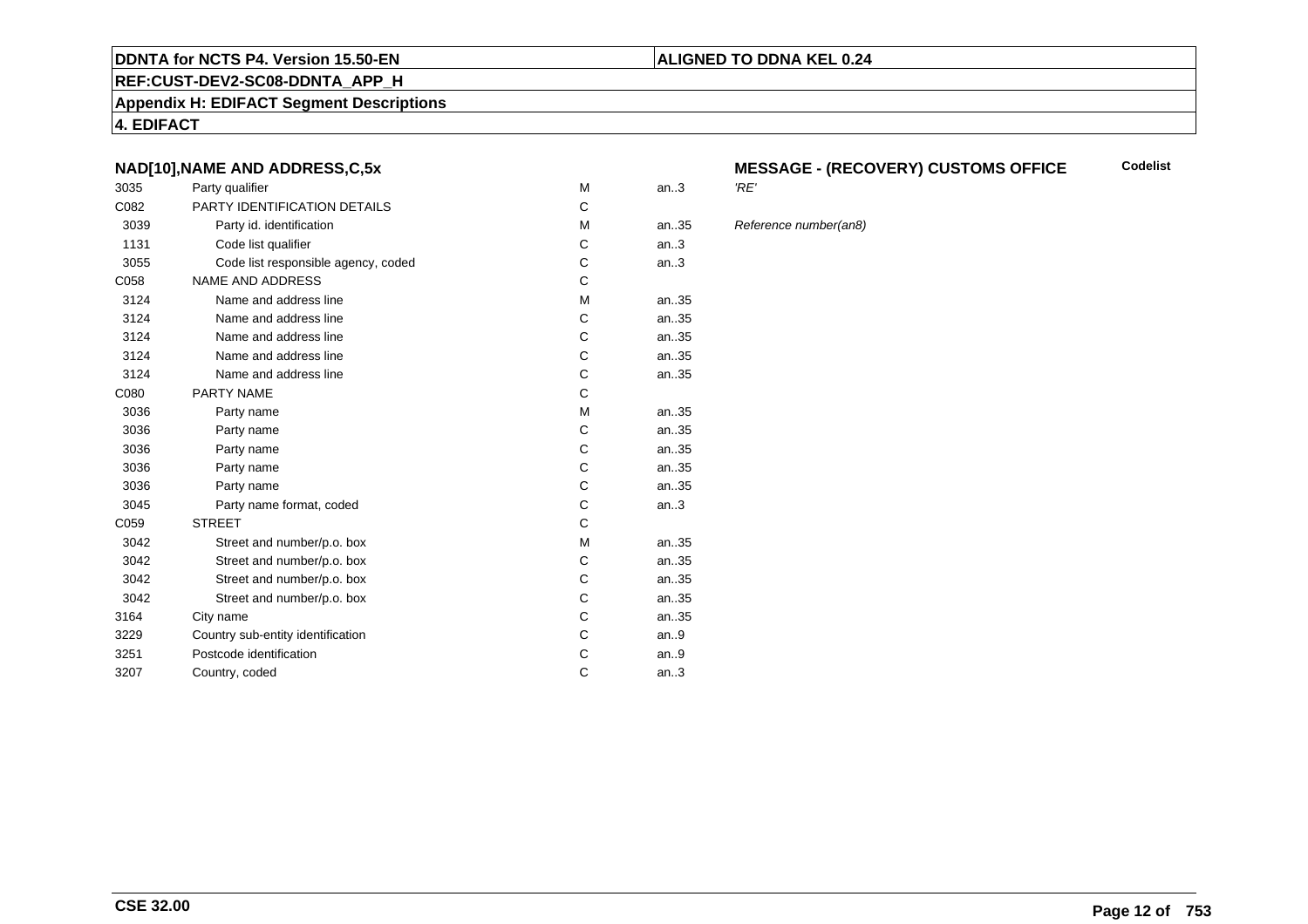#### **REF:CUST-DEV2-SC08-DDNTA\_APP\_H**

#### **Appendix H: EDIFACT Segment Descriptions**

**4. EDIFACT**

# **NAD[10],NAME AND ADDRESS,C,5x**

| 3035 | Party qualifier                     | M | an.3  | 'RE' |
|------|-------------------------------------|---|-------|------|
| C082 | <b>PARTY IDENTIFICATION DETAILS</b> | C |       |      |
| 3039 | Party id. identification            | M | an35  | Refe |
| 1131 | Code list qualifier                 | С | an.3  |      |
| 3055 | Code list responsible agency, coded | С | an.3  |      |
| C058 | <b>NAME AND ADDRESS</b>             | C |       |      |
| 3124 | Name and address line               | M | an35  |      |
| 3124 | Name and address line               | C | an.35 |      |
| 3124 | Name and address line               | C | an35  |      |
| 3124 | Name and address line               | C | an.35 |      |
| 3124 | Name and address line               | C | an35  |      |
| C080 | <b>PARTY NAME</b>                   | C |       |      |
| 3036 | Party name                          | M | an35  |      |
| 3036 | Party name                          | C | an35  |      |
| 3036 | Party name                          | C | an35  |      |
| 3036 | Party name                          | С | an35  |      |
| 3036 | Party name                          | C | an35  |      |
| 3045 | Party name format, coded            | С | an.3  |      |
| C059 | <b>STREET</b>                       | C |       |      |
| 3042 | Street and number/p.o. box          | M | an35  |      |
| 3042 | Street and number/p.o. box          | C | an35  |      |
| 3042 | Street and number/p.o. box          | С | an35  |      |
| 3042 | Street and number/p.o. box          | C | an35  |      |
| 3164 | City name                           | С | an35  |      |
| 3229 | Country sub-entity identification   | C | an.9  |      |
| 3251 | Postcode identification             | С | an.9  |      |
| 3207 | Country, coded                      | C | an.3  |      |
|      |                                     |   |       |      |

#### **MESSAGE - (RECOVERY) CUSTOMS OFFICECodelist**

#### Reference number(an8)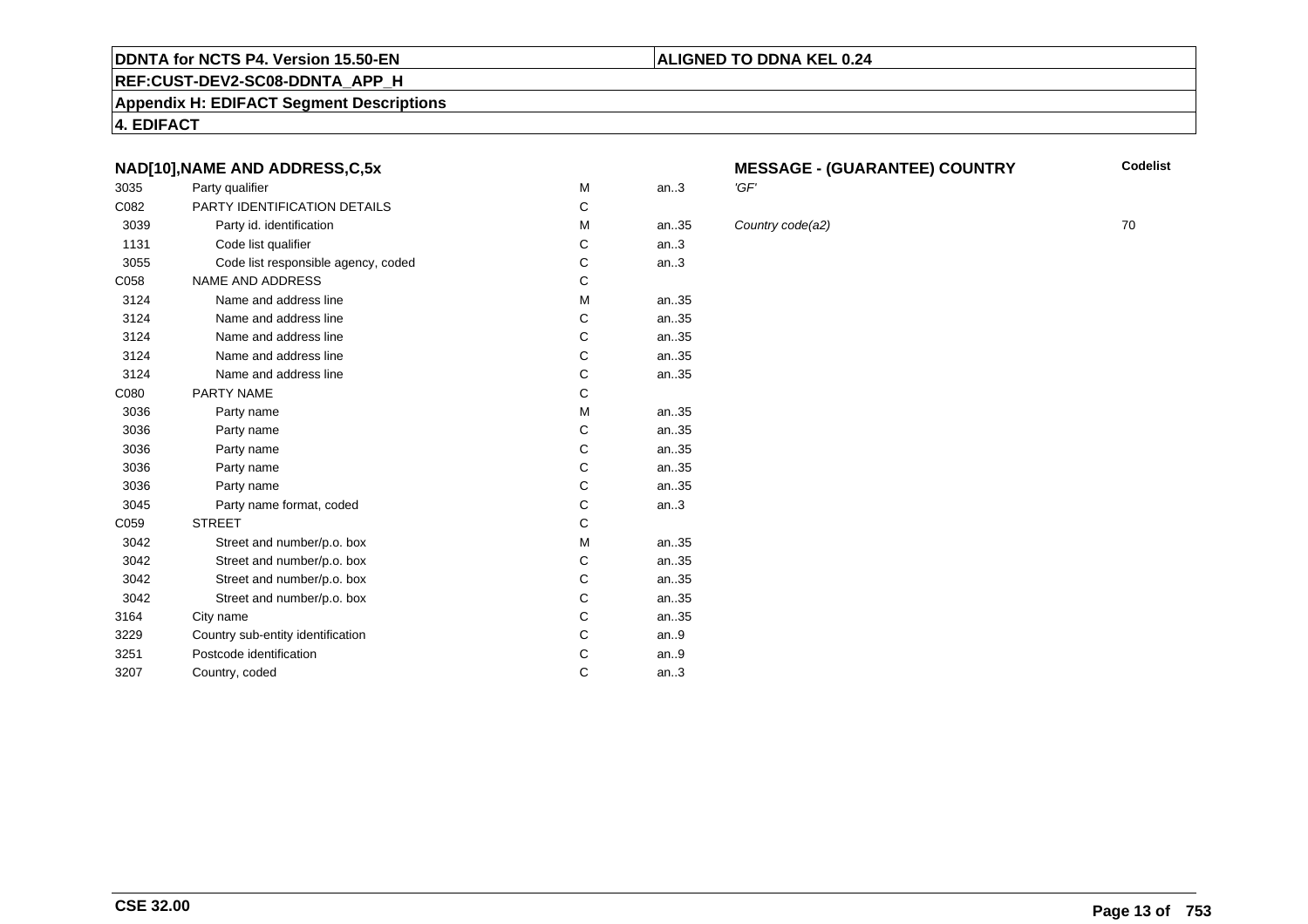# **REF:CUST-DEV2-SC08-DDNTA\_APP\_H**

**Appendix H: EDIFACT Segment Descriptions**

**4. EDIFACT**

# **NAD[10],NAME AND ADDRESS,C,5x**

| 3035 | Party qualifier                     | M | an.3  | 'GF' |
|------|-------------------------------------|---|-------|------|
| C082 | <b>PARTY IDENTIFICATION DETAILS</b> | C |       |      |
| 3039 | Party id. identification            | м | an.35 | Cou  |
| 1131 | Code list qualifier                 | C | an.3  |      |
| 3055 | Code list responsible agency, coded | C | an.3  |      |
| C058 | <b>NAME AND ADDRESS</b>             | C |       |      |
| 3124 | Name and address line               | M | an35  |      |
| 3124 | Name and address line               | C | an35  |      |
| 3124 | Name and address line               | C | an35  |      |
| 3124 | Name and address line               | C | an35  |      |
| 3124 | Name and address line               | C | an35  |      |
| C080 | PARTY NAME                          | C |       |      |
| 3036 | Party name                          | M | an35  |      |
| 3036 | Party name                          | C | an35  |      |
| 3036 | Party name                          | C | an35  |      |
| 3036 | Party name                          | C | an35  |      |
| 3036 | Party name                          | C | an35  |      |
| 3045 | Party name format, coded            | C | an.3  |      |
| C059 | <b>STREET</b>                       | C |       |      |
| 3042 | Street and number/p.o. box          | M | an35  |      |
| 3042 | Street and number/p.o. box          | C | an35  |      |
| 3042 | Street and number/p.o. box          | C | an35  |      |
| 3042 | Street and number/p.o. box          | C | an35  |      |
| 3164 | City name                           | C | an35  |      |
| 3229 | Country sub-entity identification   | C | an.9  |      |
| 3251 | Postcode identification             | C | an.9  |      |
| 3207 | Country, coded                      | C | an.3  |      |
|      |                                     |   |       |      |

# **MESSAGE - (GUARANTEE) COUNTRY**

**ALIGNED TO DDNA KEL 0.24**

**Country code(a2)** 70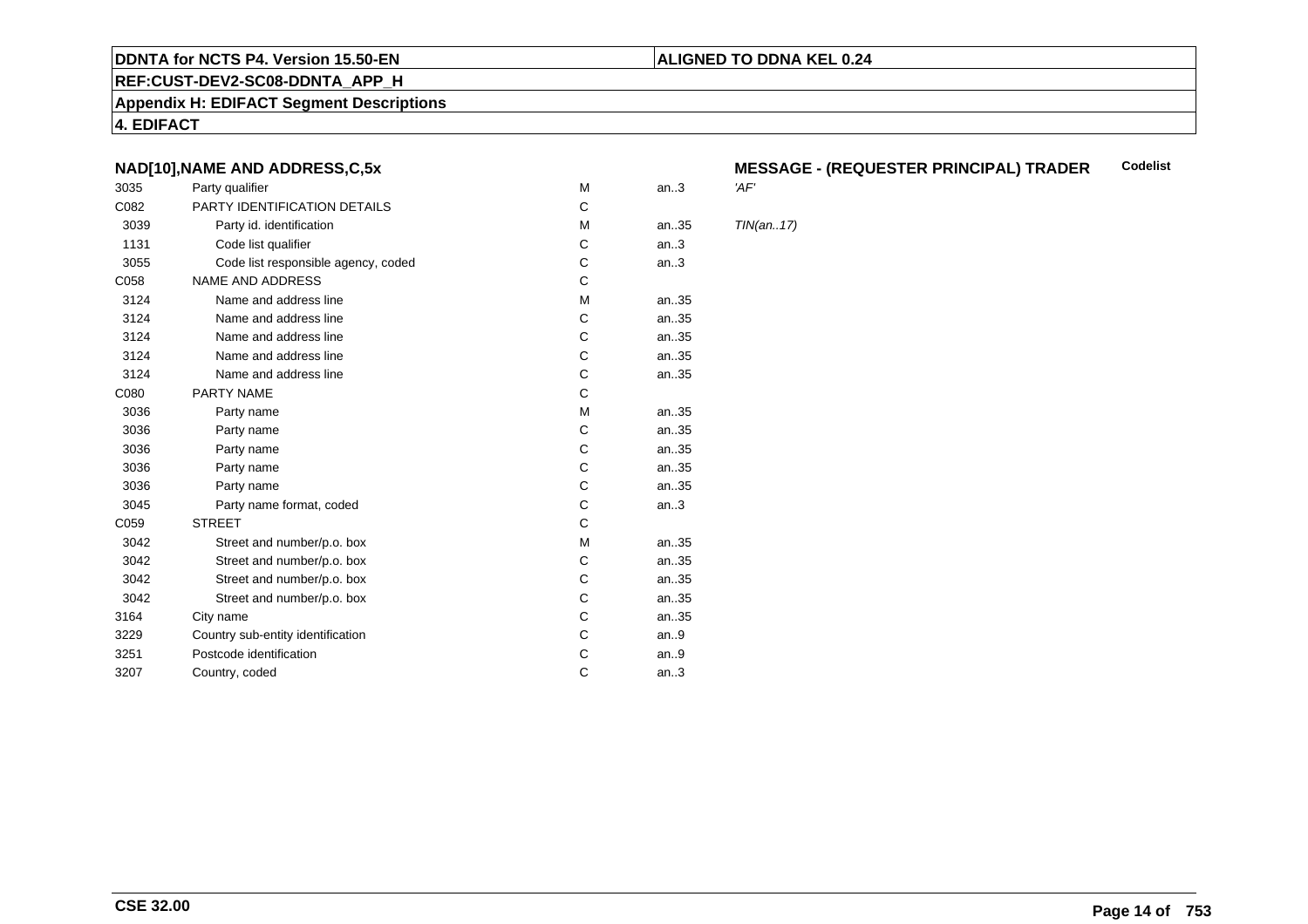#### **REF:CUST-DEV2-SC08-DDNTA\_APP\_H**

**Appendix H: EDIFACT Segment Descriptions**

**4. EDIFACT**

# **NAD[10],NAME AND ADDRESS,C,5x**

| 3035 | Party qualifier                     | M | an.3 | 'AF'       |
|------|-------------------------------------|---|------|------------|
| C082 | PARTY IDENTIFICATION DETAILS        | C |      |            |
| 3039 | Party id. identification            | M | an35 | <b>TIN</b> |
| 1131 | Code list qualifier                 | C | an.3 |            |
| 3055 | Code list responsible agency, coded | C | an.3 |            |
| C058 | <b>NAME AND ADDRESS</b>             | C |      |            |
| 3124 | Name and address line               | M | an35 |            |
| 3124 | Name and address line               | C | an35 |            |
| 3124 | Name and address line               | C | an35 |            |
| 3124 | Name and address line               | C | an35 |            |
| 3124 | Name and address line               | C | an35 |            |
| C080 | <b>PARTY NAME</b>                   | C |      |            |
| 3036 | Party name                          | M | an35 |            |
| 3036 | Party name                          | С | an35 |            |
| 3036 | Party name                          | C | an35 |            |
| 3036 | Party name                          | C | an35 |            |
| 3036 | Party name                          | C | an35 |            |
| 3045 | Party name format, coded            | C | an.3 |            |
| C059 | <b>STREET</b>                       | C |      |            |
| 3042 | Street and number/p.o. box          | M | an35 |            |
| 3042 | Street and number/p.o. box          | C | an35 |            |
| 3042 | Street and number/p.o. box          | C | an35 |            |
| 3042 | Street and number/p.o. box          | C | an35 |            |
| 3164 | City name                           | С | an35 |            |
| 3229 | Country sub-entity identification   | C | an.9 |            |
| 3251 | Postcode identification             | С | an.9 |            |
| 3207 | Country, coded                      | C | an.3 |            |
|      |                                     |   |      |            |

#### **MESSAGE - (REQUESTER PRINCIPAL) TRADERCodelist**

**ALIGNED TO DDNA KEL 0.24**

 $TIN(an..17)$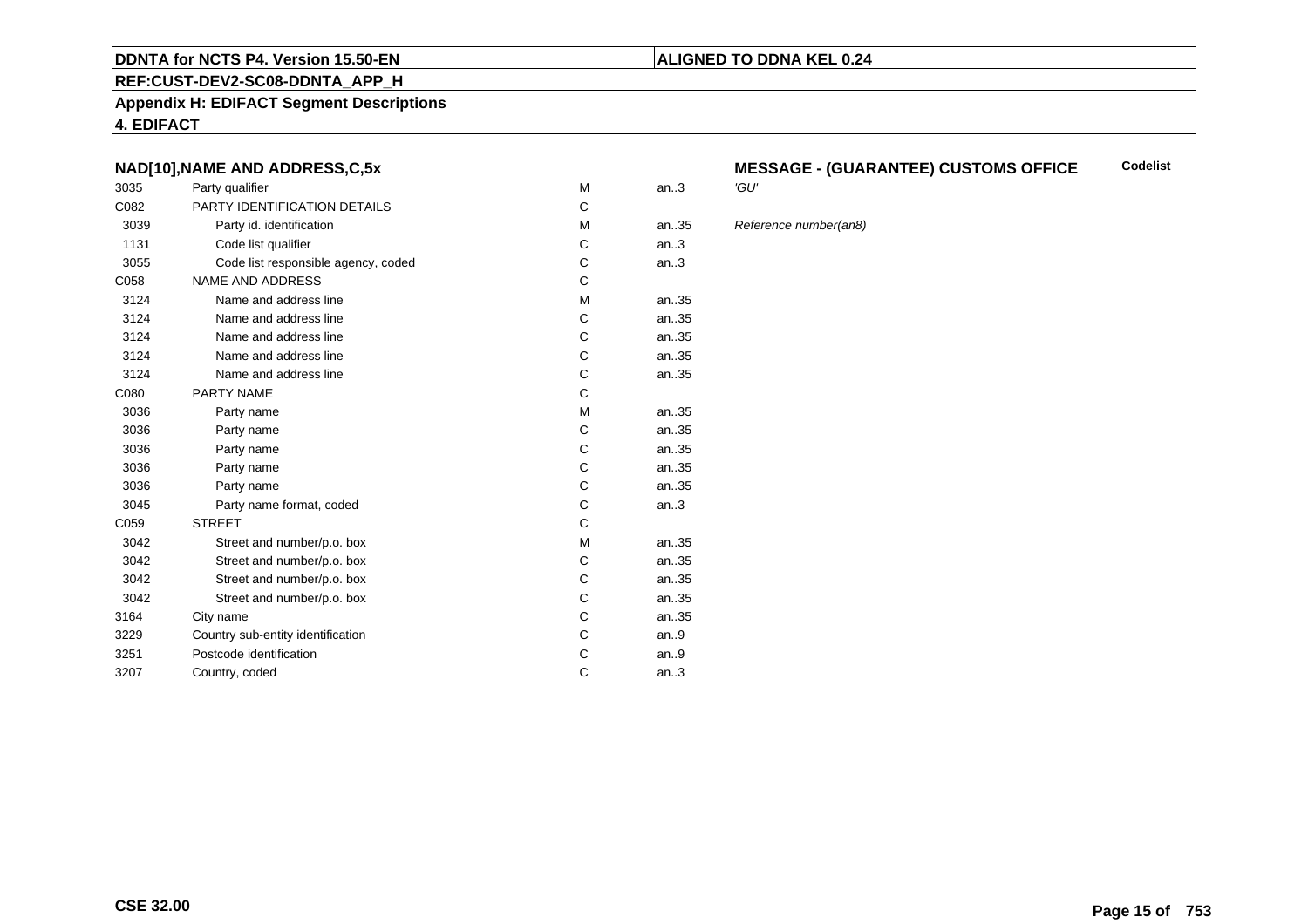#### **REF:CUST-DEV2-SC08-DDNTA\_APP\_H**

#### **Appendix H: EDIFACT Segment Descriptions**

**4. EDIFACT**

# **NAD[10],NAME AND ADDRESS,C,5x**

| 3035 | Party qualifier                     | M | an.3  | 'GU' |
|------|-------------------------------------|---|-------|------|
| C082 | PARTY IDENTIFICATION DETAILS        | C |       |      |
| 3039 | Party id. identification            | M | an.35 | Refe |
| 1131 | Code list qualifier                 | C | an.3  |      |
| 3055 | Code list responsible agency, coded | С | an.3  |      |
| C058 | <b>NAME AND ADDRESS</b>             | C |       |      |
| 3124 | Name and address line               | M | an35  |      |
| 3124 | Name and address line               | C | an35  |      |
| 3124 | Name and address line               | C | an35  |      |
| 3124 | Name and address line               | С | an35  |      |
| 3124 | Name and address line               | С | an35  |      |
| C080 | PARTY NAME                          | C |       |      |
| 3036 | Party name                          | M | an35  |      |
| 3036 | Party name                          | С | an35  |      |
| 3036 | Party name                          | Ċ | an.35 |      |
| 3036 | Party name                          | C | an.35 |      |
| 3036 | Party name                          | C | an35  |      |
| 3045 | Party name format, coded            | С | an.3  |      |
| C059 | <b>STREET</b>                       | C |       |      |
| 3042 | Street and number/p.o. box          | M | an35  |      |
| 3042 | Street and number/p.o. box          | C | an35  |      |
| 3042 | Street and number/p.o. box          | С | an35  |      |
| 3042 | Street and number/p.o. box          | C | an.35 |      |
| 3164 | City name                           | С | an.35 |      |
| 3229 | Country sub-entity identification   | С | an.9  |      |
| 3251 | Postcode identification             | С | an.9  |      |
| 3207 | Country, coded                      | C | an.3  |      |
|      |                                     |   |       |      |

#### **MESSAGE - (GUARANTEE) CUSTOMS OFFICE Codelist**

#### Reference number(an8)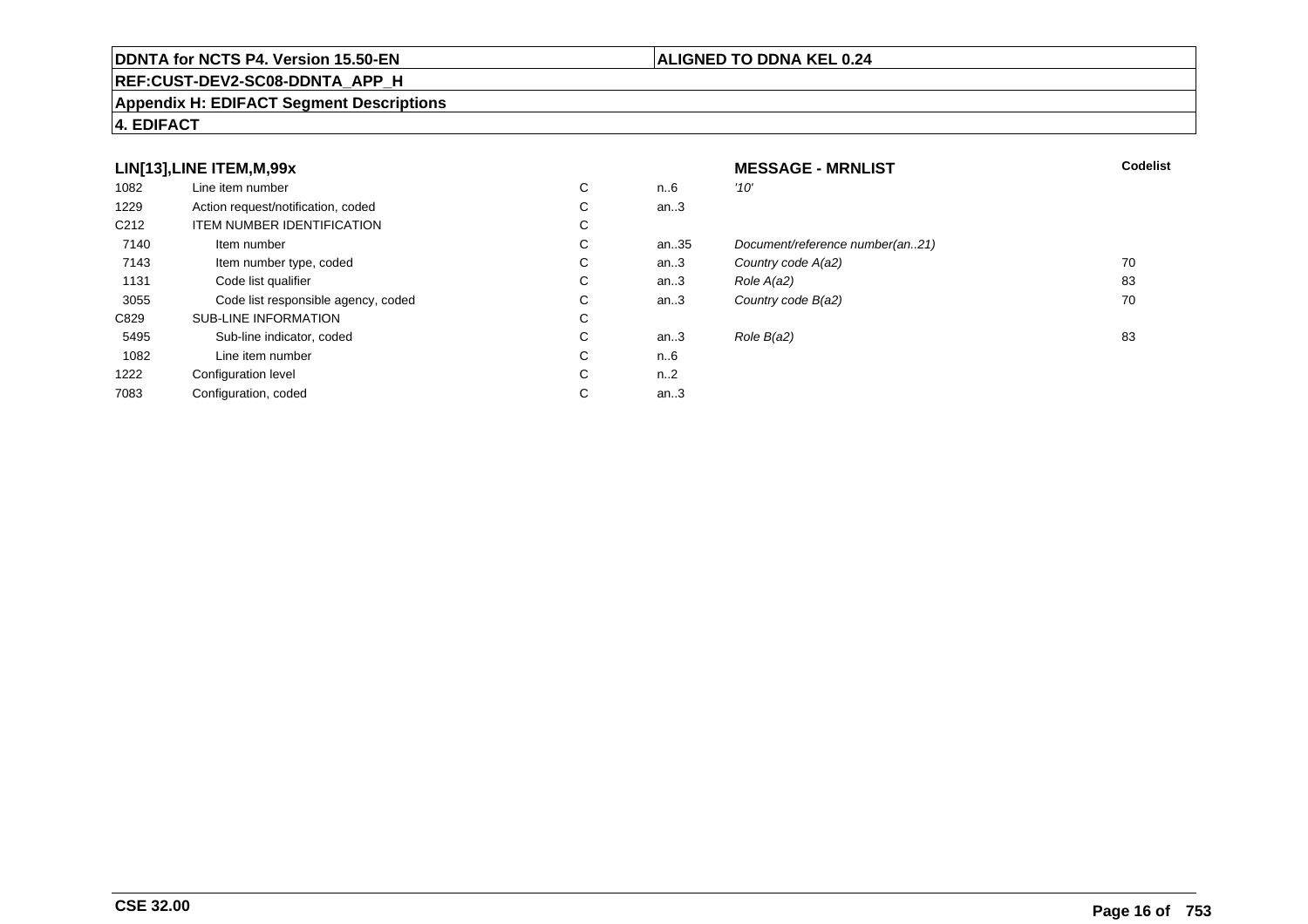# **REF:CUST-DEV2-SC08-DDNTA\_APP\_H**

#### **Appendix H: EDIFACT Segment Descriptions**

# **4. EDIFACT**

# **LIN[13],LINE ITEM,M,99x**

| 1082             | Line item number                    | С | n6        | '10' |
|------------------|-------------------------------------|---|-----------|------|
| 1229             | Action request/notification, coded  | С | an3       |      |
| C <sub>212</sub> | <b>ITEM NUMBER IDENTIFICATION</b>   | C |           |      |
| 7140             | Item number                         | C | an35      | Doo  |
| 7143             | Item number type, coded             | С | an.3      | Col  |
| 1131             | Code list qualifier                 | С | an.3      | Rol  |
| 3055             | Code list responsible agency, coded | C | an.3      | Col  |
| C829             | <b>SUB-LINE INFORMATION</b>         | С |           |      |
| 5495             | Sub-line indicator, coded           | С | an.3      | Rol  |
| 1082             | Line item number                    | C | n6        |      |
| 1222             | Configuration level                 | C | $n_{.}.2$ |      |
| 7083             | Configuration, coded                | С | an.3      |      |

# **MESSAGE - MRNLIST**<br>n.6  $10'$ **T** Codelist an..3 an..35 Document/reference number(an..21)<br>an..3 Country code A(a2) an..3 Country code  $A(a2)$  70<br>an..3 Role  $A(a2)$  83 C an..3 Role  $A(a2)$  83  $a_n = 3$  Country code  $B(a2)$  70 C an..3 Role  $B(a2)$  83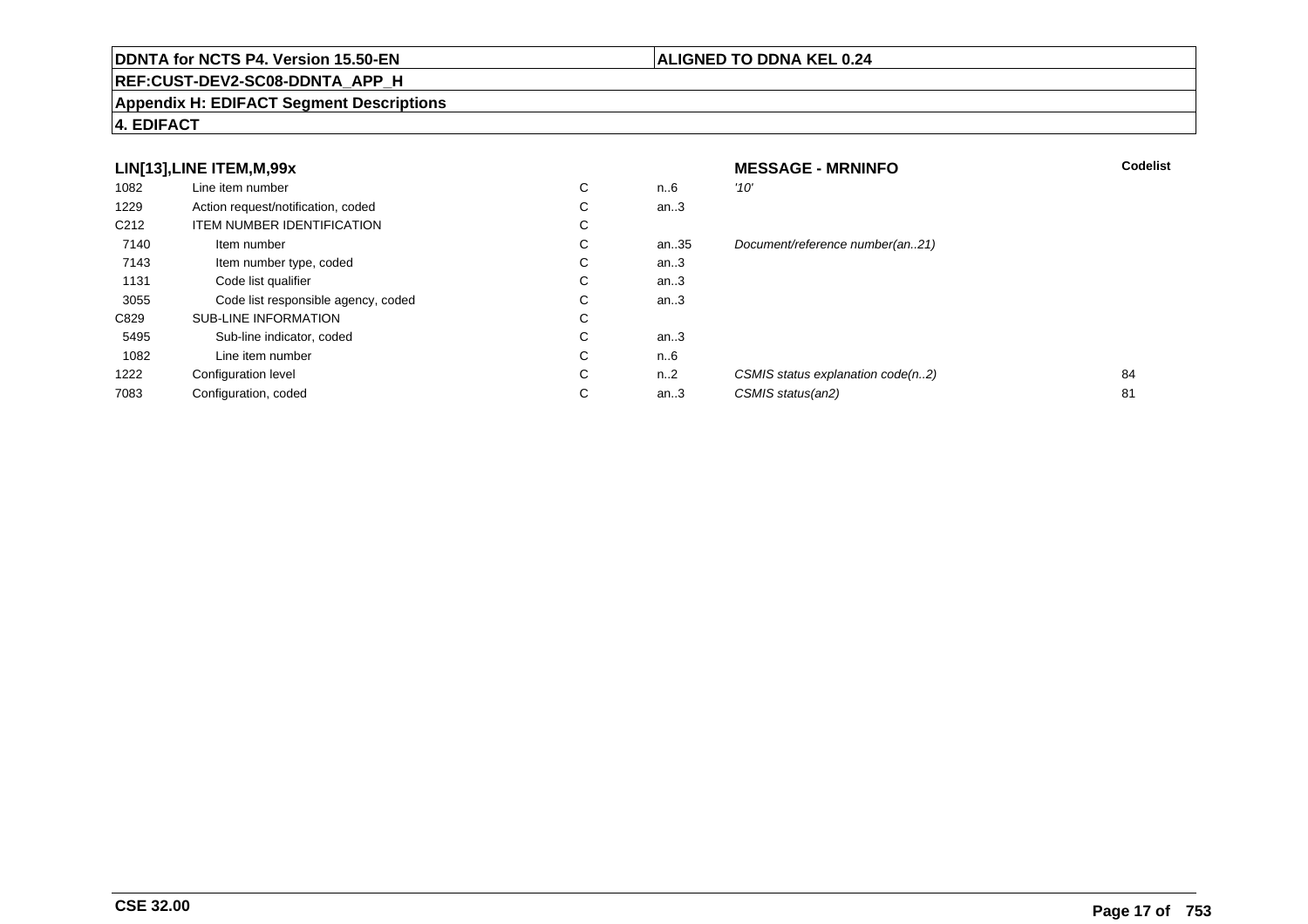# **REF:CUST-DEV2-SC08-DDNTA\_APP\_H**

# **ALIGNED TO DDNA KEL 0.24**

**Appendix H: EDIFACT Segment Descriptions**

# **4. EDIFACT**

|                  | LIN[13], LINE ITEM, M, 99x          |   |      | <b>MESSAGE - MRNINFO</b>          | <b>Codelist</b> |
|------------------|-------------------------------------|---|------|-----------------------------------|-----------------|
| 1082             | Line item number                    | C | n.6  | '10'                              |                 |
| 1229             | Action request/notification, coded  | С | an.3 |                                   |                 |
| C <sub>212</sub> | <b>ITEM NUMBER IDENTIFICATION</b>   | С |      |                                   |                 |
| 7140             | Item number                         | C | an35 | Document/reference number(an21)   |                 |
| 7143             | Item number type, coded             | C | an.3 |                                   |                 |
| 1131             | Code list qualifier                 | C | an.3 |                                   |                 |
| 3055             | Code list responsible agency, coded | С | an.3 |                                   |                 |
| C829             | <b>SUB-LINE INFORMATION</b>         | C |      |                                   |                 |
| 5495             | Sub-line indicator, coded           | C | an.3 |                                   |                 |
| 1082             | Line item number                    | C | n.6  |                                   |                 |
| 1222             | <b>Configuration level</b>          | С | n2   | CSMIS status explanation code(n2) | 84              |
| 7083             | Configuration, coded                | С | an.3 | CSMIS status(an2)                 | 81              |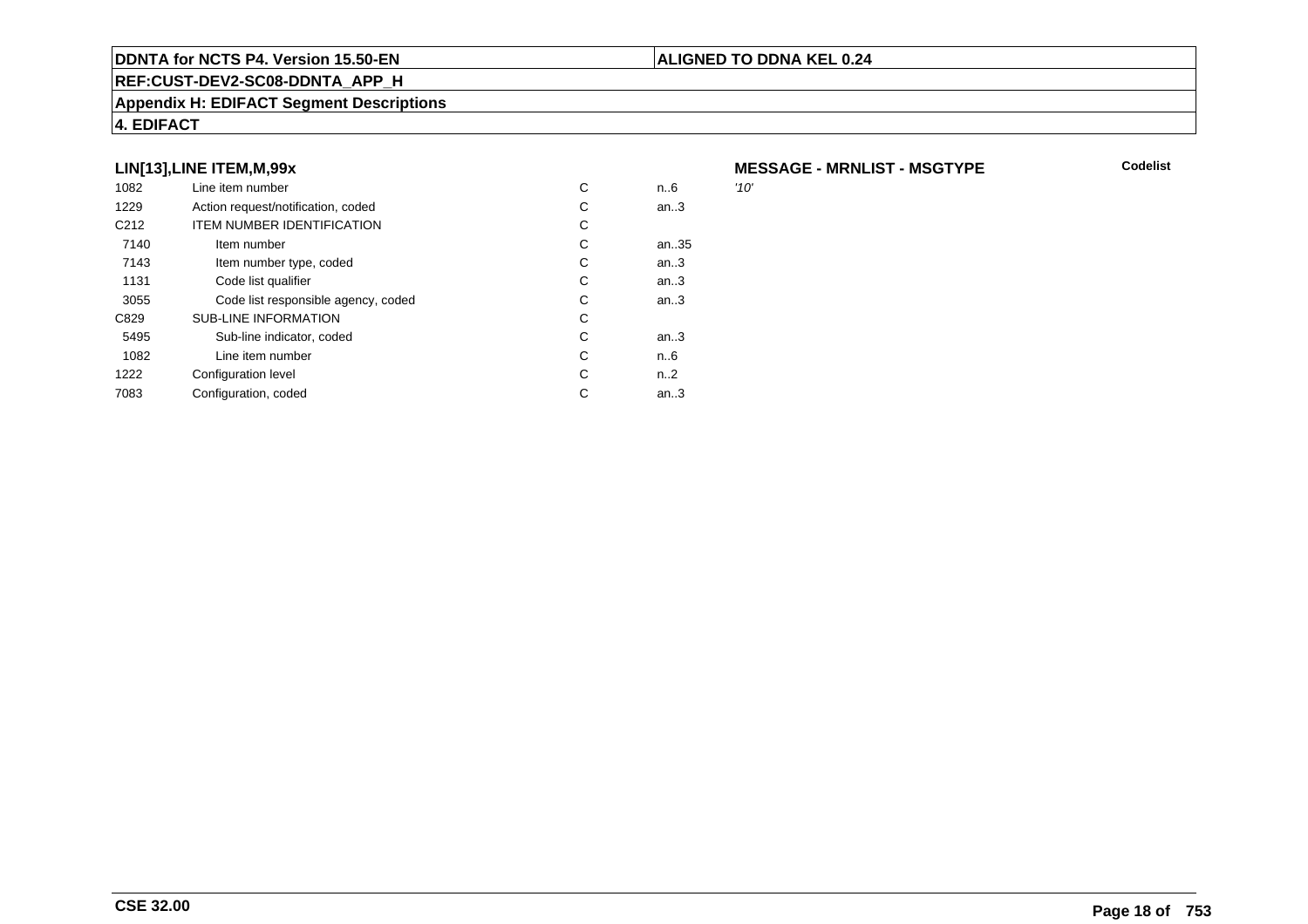#### **REF:CUST-DEV2-SC08-DDNTA\_APP\_H**

#### **Appendix H: EDIFACT Segment Descriptions**

# **4. EDIFACT**

# **LIN[13],LINE ITEM,M,99x**

| 1082             | Line item number                    | С | n6   | '10' |
|------------------|-------------------------------------|---|------|------|
| 1229             | Action request/notification, coded  | С | an.3 |      |
| C <sub>212</sub> | <b>ITEM NUMBER IDENTIFICATION</b>   | С |      |      |
| 7140             | Item number                         | С | an35 |      |
| 7143             | Item number type, coded             | С | an.3 |      |
| 1131             | Code list qualifier                 | С | an.3 |      |
| 3055             | Code list responsible agency, coded | С | an.3 |      |
| C829             | <b>SUB-LINE INFORMATION</b>         | С |      |      |
| 5495             | Sub-line indicator, coded           | С | an.3 |      |
| 1082             | Line item number                    | С | n6   |      |
| 1222             | Configuration level                 | С | n2   |      |
| 7083             | Configuration, coded                | С | an.3 |      |
|                  |                                     |   |      |      |

**MESSAGE - MRNLIST - MSGTYPE**

**ALIGNED TO DDNA KEL 0.24**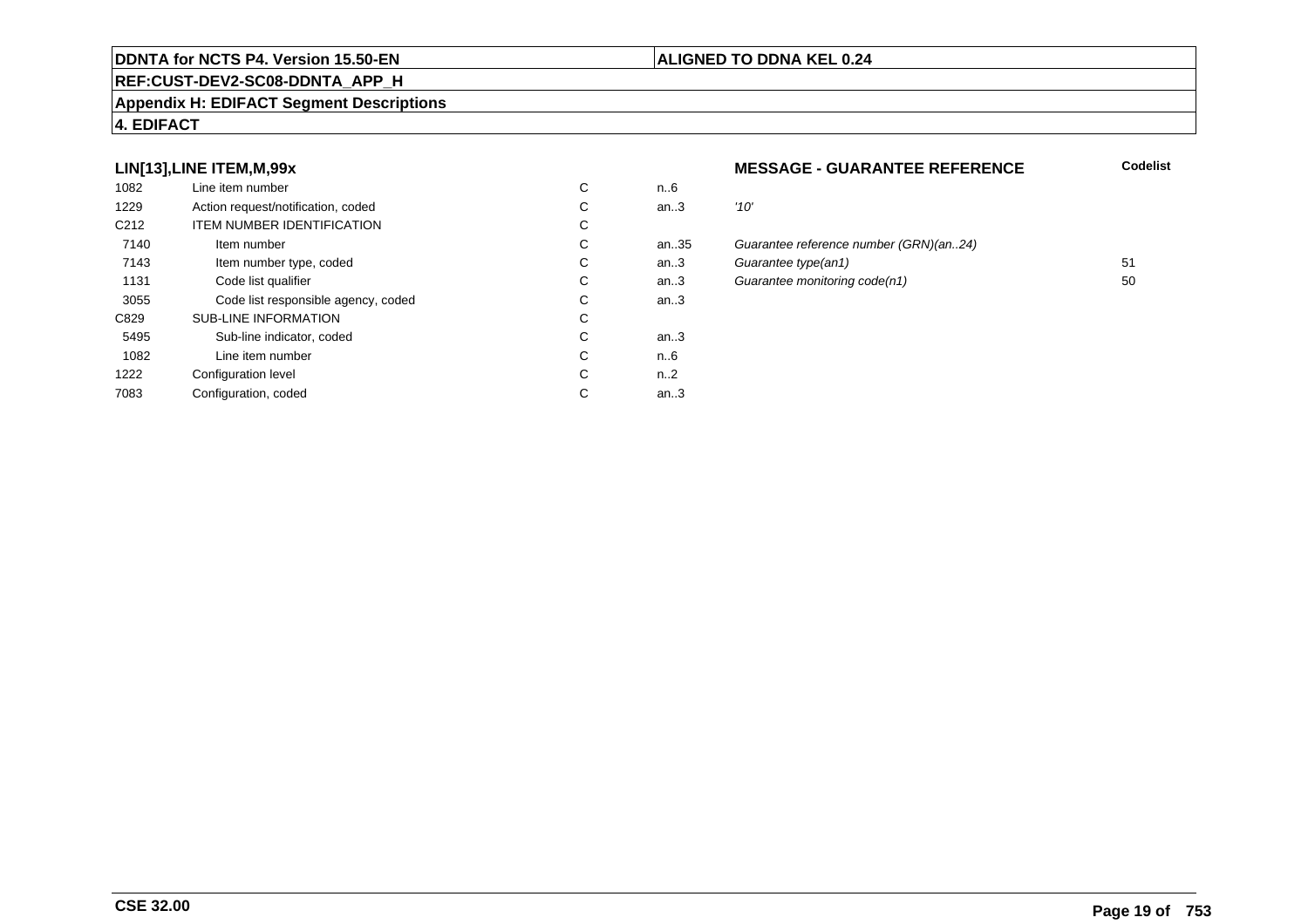#### **REF:CUST-DEV2-SC08-DDNTA\_APP\_H**

#### **Appendix H: EDIFACT Segment Descriptions**

# **4. EDIFACT**

# **LIN[13],LINE ITEM,M,99x**

| 1082             | Line item number                    | С | n6   |      |
|------------------|-------------------------------------|---|------|------|
| 1229             | Action request/notification, coded  | С | an.3 | '10' |
| C <sub>212</sub> | <b>ITEM NUMBER IDENTIFICATION</b>   | С |      |      |
| 7140             | Item number                         | С | an35 | Gu   |
| 7143             | Item number type, coded             | С | an.3 | Gu   |
| 1131             | Code list qualifier                 | С | an.3 | Gu   |
| 3055             | Code list responsible agency, coded | С | an.3 |      |
| C829             | <b>SUB-LINE INFORMATION</b>         | C |      |      |
| 5495             | Sub-line indicator, coded           | C | an.3 |      |
| 1082             | Line item number                    | C | n6   |      |
| 1222             | Configuration level                 | C | n2   |      |
| 7083             | Configuration, coded                | C | an.3 |      |
|                  |                                     |   |      |      |

#### **MESSAGE - GUARANTEE REFERENCE**

#### **Codelist**

| ີ  | 11U  |                                        |    |
|----|------|----------------------------------------|----|
| С  | an.3 | '10'                                   |    |
| C. |      |                                        |    |
| С  | an35 | Guarantee reference number (GRN)(an24) |    |
| С  | an.3 | Guarantee type(an1)                    | 51 |
| С  | an.3 | Guarantee monitoring code(n1)          | 50 |
| C  | an.3 |                                        |    |
|    |      |                                        |    |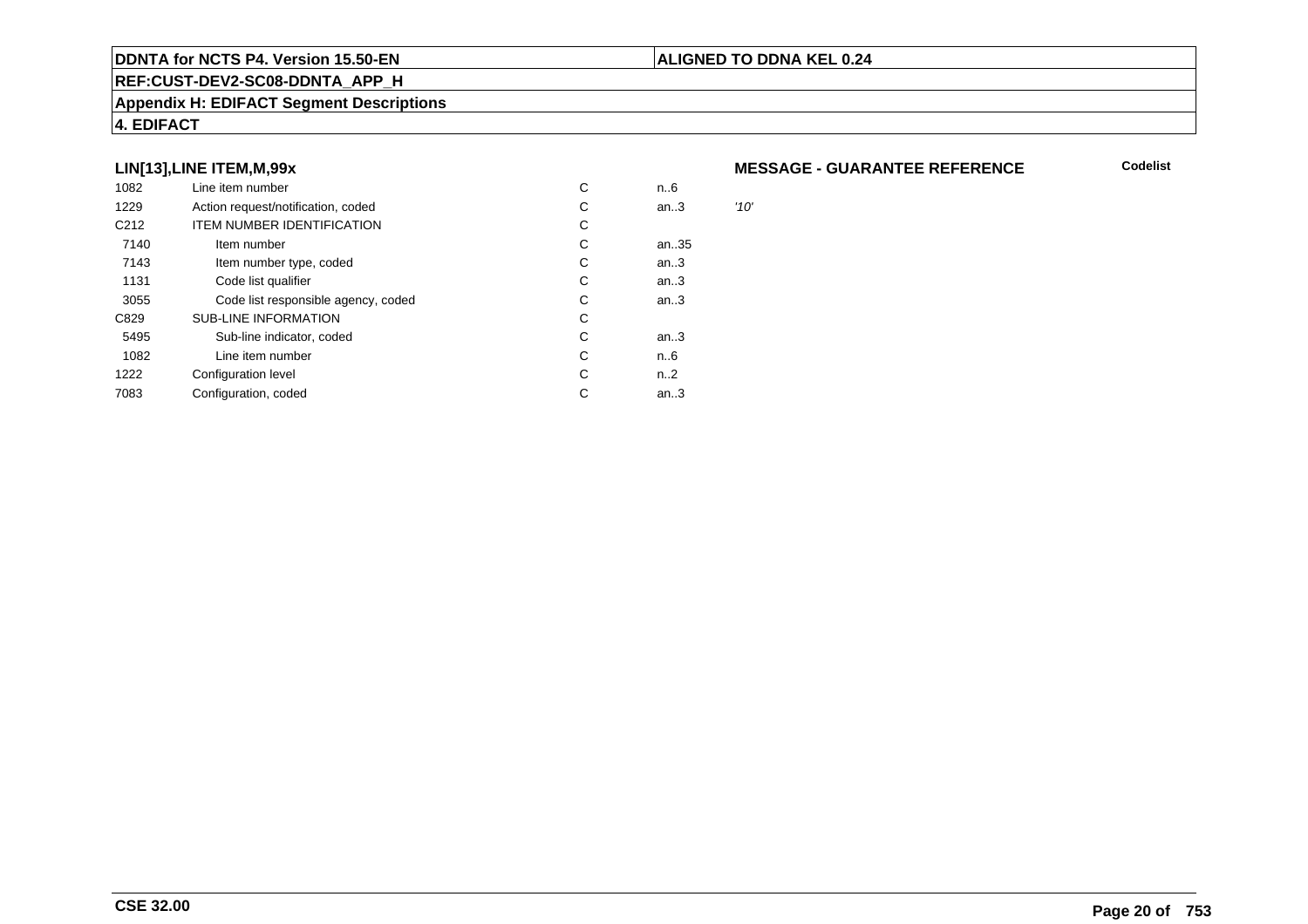#### **REF:CUST-DEV2-SC08-DDNTA\_APP\_H**

#### **Appendix H: EDIFACT Segment Descriptions**

# **4. EDIFACT**

# **LIN[13],LINE ITEM,M,99x**

| 1082             | Line item number                    | С | n6   |      |
|------------------|-------------------------------------|---|------|------|
| 1229             | Action request/notification, coded  | С | an.3 | '10' |
| C <sub>212</sub> | <b>ITEM NUMBER IDENTIFICATION</b>   | С |      |      |
| 7140             | Item number                         | С | an35 |      |
| 7143             | Item number type, coded             | С | an.3 |      |
| 1131             | Code list qualifier                 | С | an.3 |      |
| 3055             | Code list responsible agency, coded | С | an.3 |      |
| C829             | <b>SUB-LINE INFORMATION</b>         | С |      |      |
| 5495             | Sub-line indicator, coded           | С | an.3 |      |
| 1082             | Line item number                    | С | n6   |      |
| 1222             | Configuration level                 | С | n2   |      |
| 7083             | Configuration, coded                | С | an.3 |      |
|                  |                                     |   |      |      |

#### **MESSAGE - GUARANTEE REFERENCE**

**Codelist**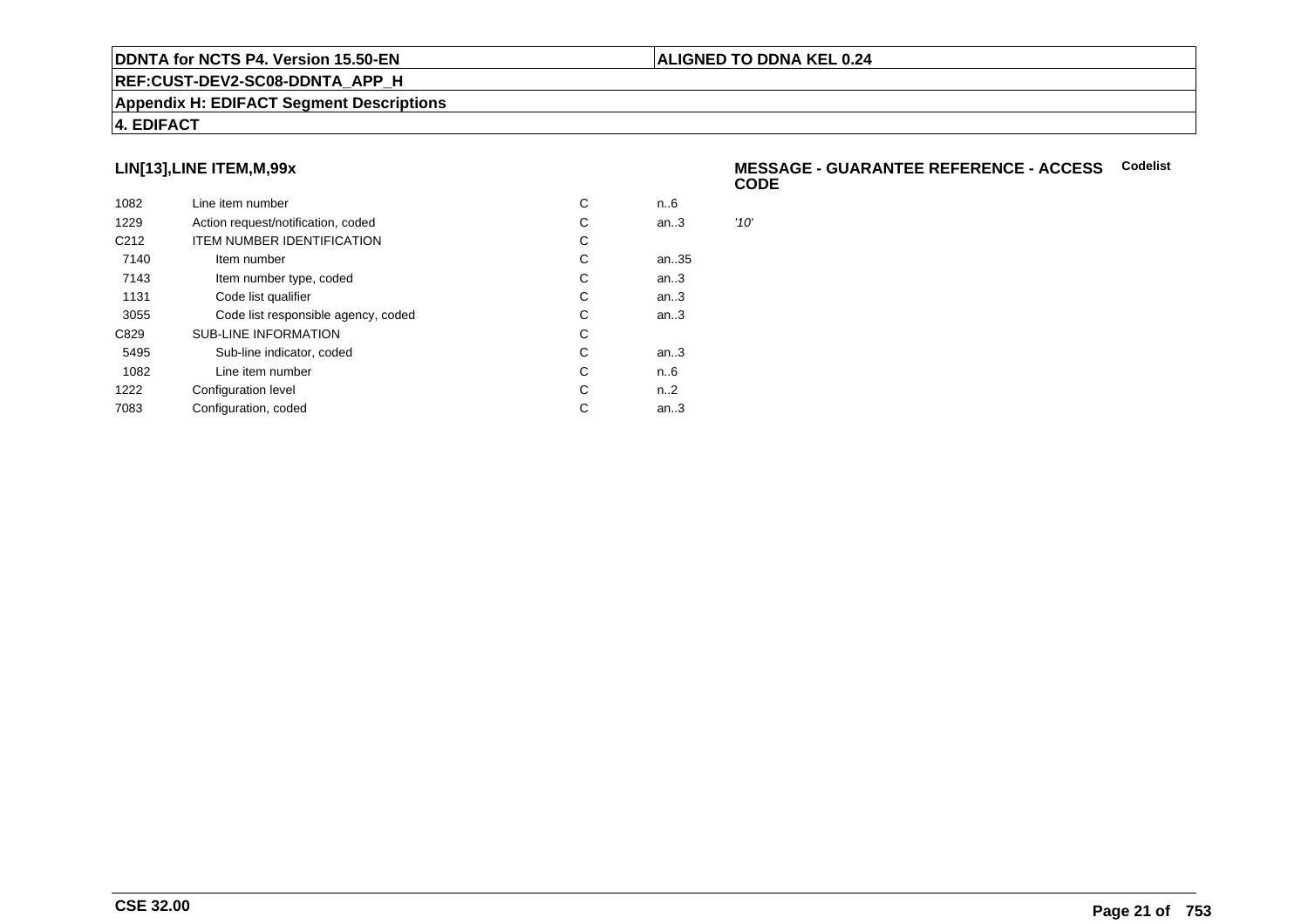#### **REF:CUST-DEV2-SC08-DDNTA\_APP\_H**

#### **Appendix H: EDIFACT Segment Descriptions**

# **4. EDIFACT**

# **LIN[13],LINE ITEM,M,99x**

| 1082             | Line item number                    | С | n.6  |      |
|------------------|-------------------------------------|---|------|------|
| 1229             | Action request/notification, coded  | C | an.3 | '10' |
| C <sub>212</sub> | <b>ITEM NUMBER IDENTIFICATION</b>   | С |      |      |
| 7140             | Item number                         | C | an35 |      |
| 7143             | Item number type, coded             | С | an.3 |      |
| 1131             | Code list qualifier                 | C | an.3 |      |
| 3055             | Code list responsible agency, coded | C | an.3 |      |
| C829             | <b>SUB-LINE INFORMATION</b>         | C |      |      |
| 5495             | Sub-line indicator, coded           | C | an.3 |      |
| 1082             | Line item number                    | C | n6   |      |
| 1222             | Configuration level                 | C | n2   |      |
| 7083             | Configuration, coded                | C | an.3 |      |
|                  |                                     |   |      |      |

#### **MESSAGE - GUARANTEE REFERENCE - ACCESSCodelistCODE**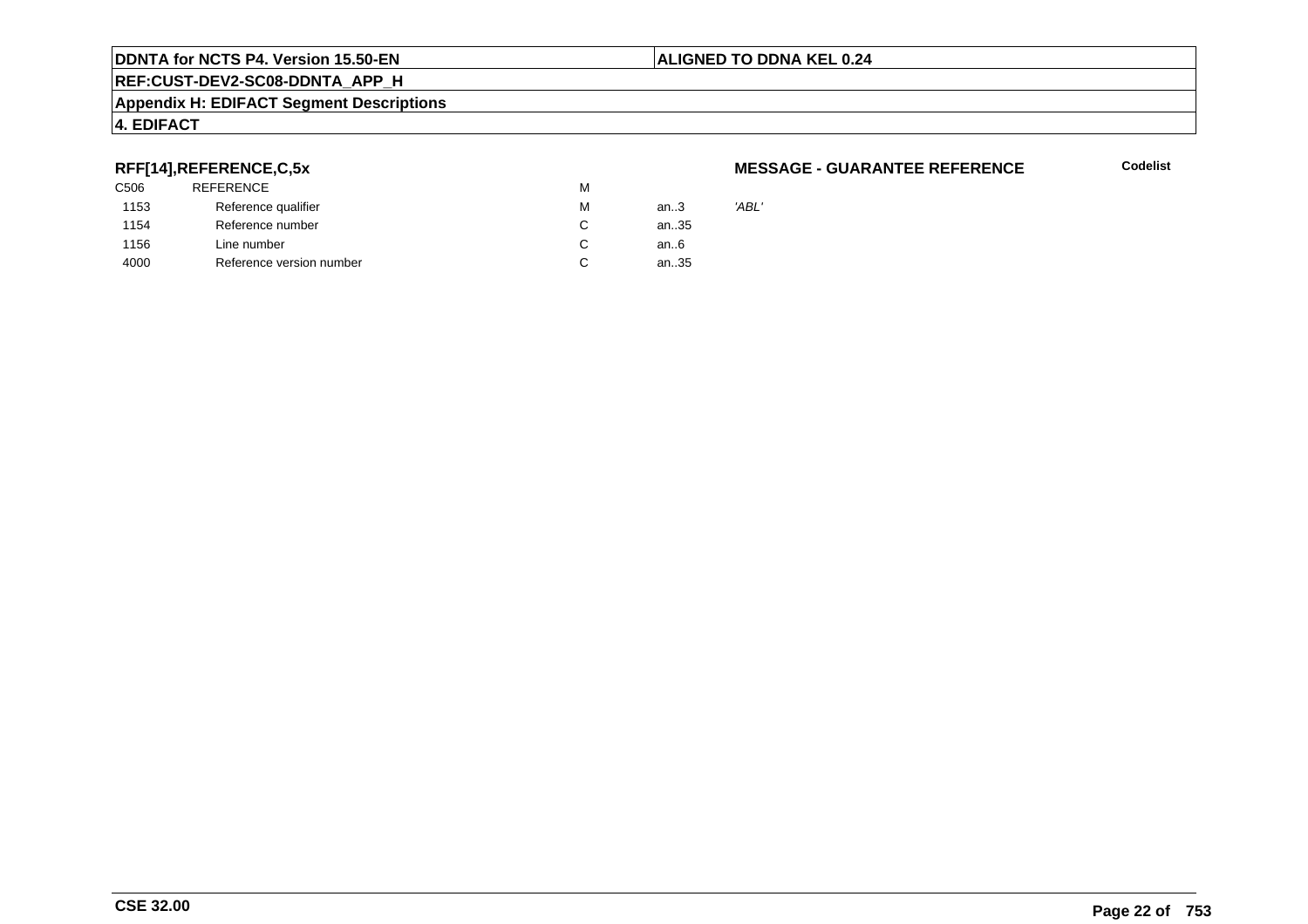# **REF:CUST-DEV2-SC08-DDNTA\_APP\_H**

#### **Appendix H: EDIFACT Segment Descriptions**

# **4. EDIFACT**

# **RFF[14],REFERENCE,C,5x**

| C506 | <b>REFERENCE</b>         | М |      |       |
|------|--------------------------|---|------|-------|
| 1153 | Reference qualifier      | М | an.3 | 'ABL' |
| 1154 | Reference number         | C | an35 |       |
| 1156 | Line number              | C | an6  |       |
| 4000 | Reference version number | С | an35 |       |
|      |                          |   |      |       |

#### **MESSAGE - GUARANTEE REFERENCE**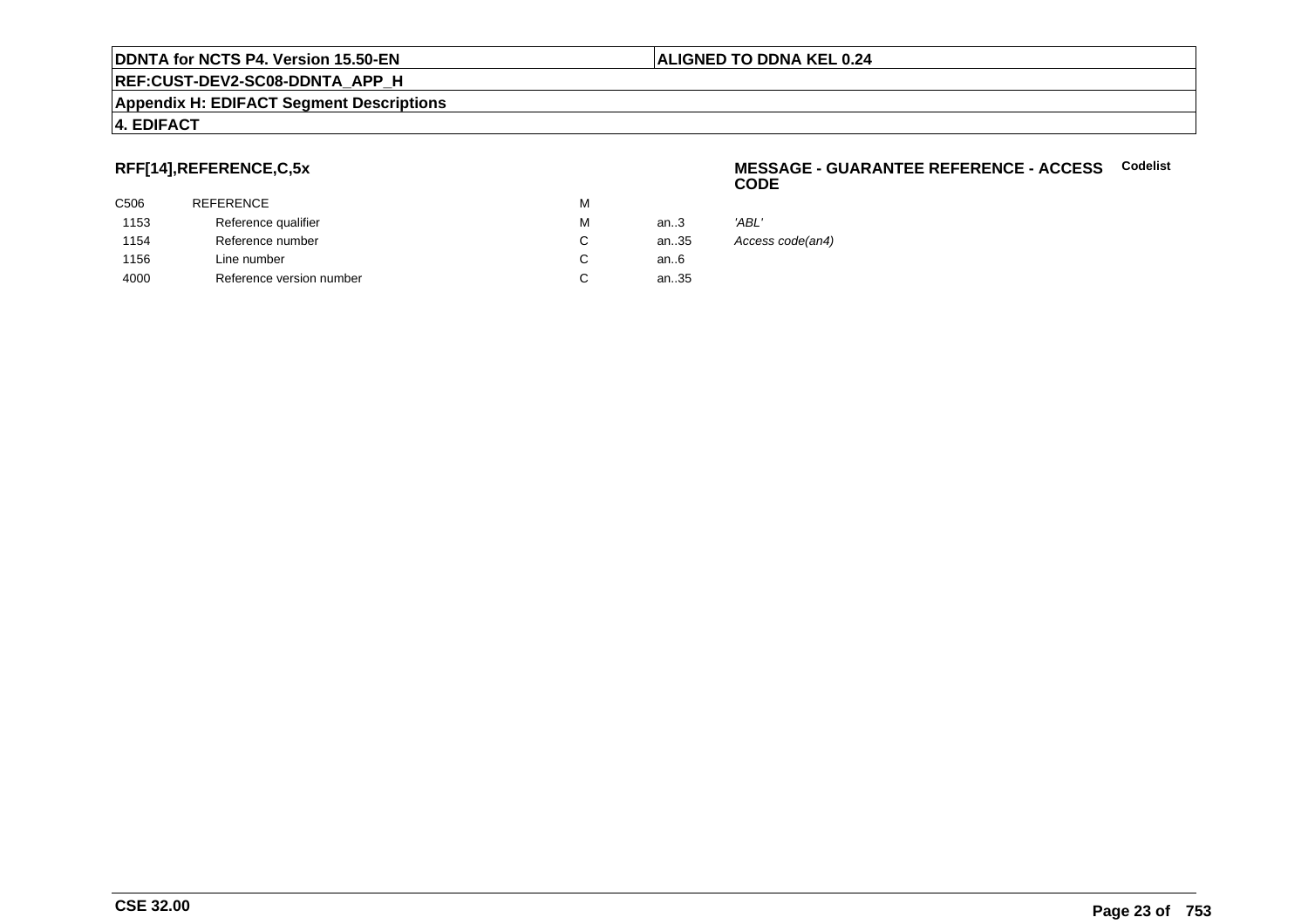**REF:CUST-DEV2-SC08-DDNTA\_APP\_H**

#### **Appendix H: EDIFACT Segment Descriptions**

# **4. EDIFACT**

# **RFF[14],REFERENCE,C,5x**

| C506 | <b>REFERENCE</b>         | M |      |                  |
|------|--------------------------|---|------|------------------|
| 1153 | Reference qualifier      | м | an.3 | 'ABL'            |
| 1154 | Reference number         |   | an35 | Access code(an4) |
| 1156 | Line number              |   | an6  |                  |
| 4000 | Reference version number |   | an35 |                  |
|      |                          |   |      |                  |

#### **MESSAGE - GUARANTEE REFERENCE - ACCESSCodelistCODE**

|    | 'ABL'       |
|----|-------------|
| :5 | Access code |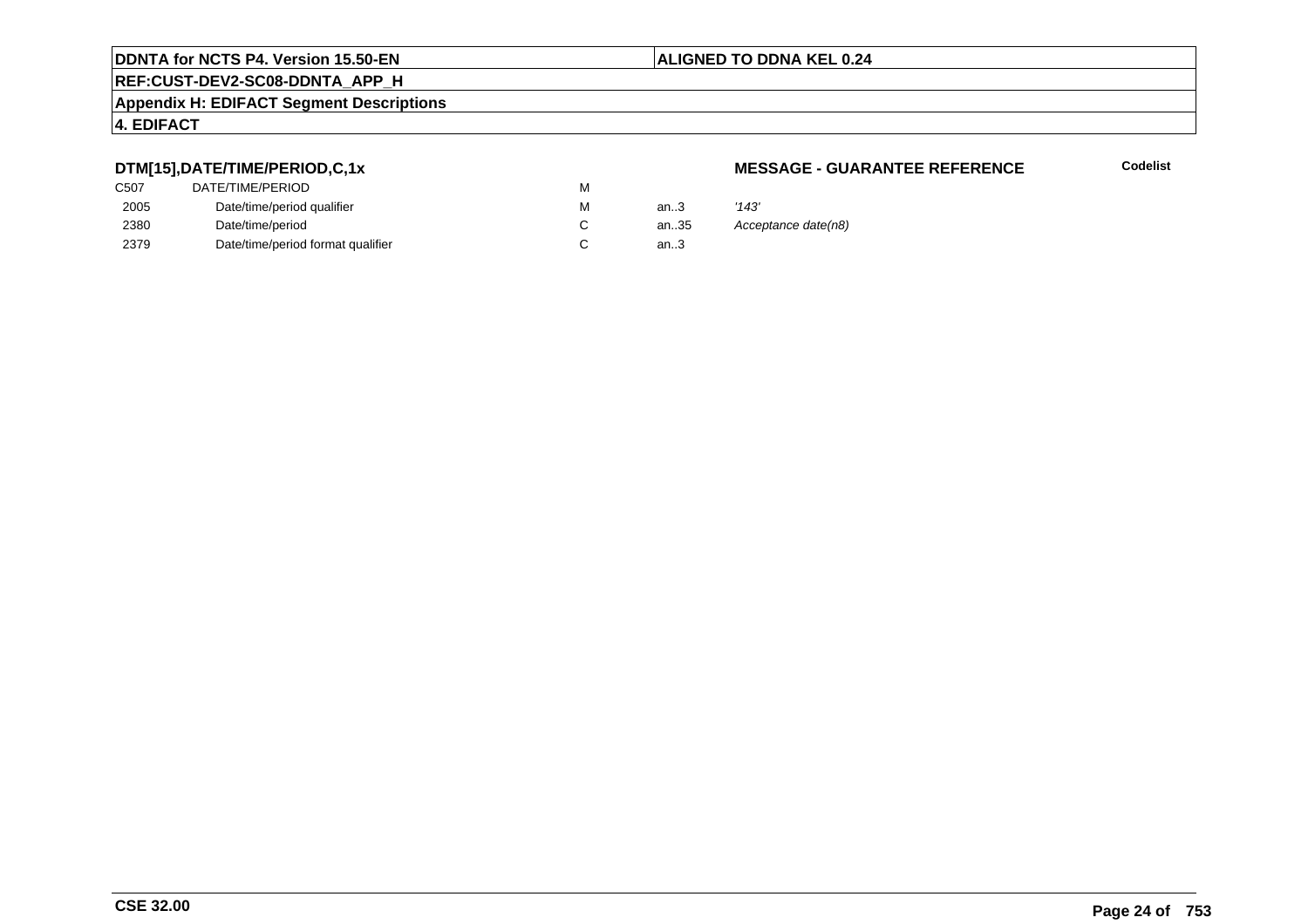# **REF:CUST-DEV2-SC08-DDNTA\_APP\_H**

#### **Appendix H: EDIFACT Segment Descriptions**

# **4. EDIFACT**

# **DTM[15],DATE/TIME/PERIOD,C,1x**

| DATE/TIME/PERIOD                  | М |          |       |
|-----------------------------------|---|----------|-------|
| Date/time/period qualifier        | М | an $3$   | '143' |
| Date/time/period                  |   | an $.35$ | Ассе  |
| Date/time/period format qualifier |   | an.3     |       |
|                                   |   |          |       |

#### **MESSAGE - GUARANTEE REFERENCE**

**Codelist**

an.35 Acceptance date(n8)<br>3.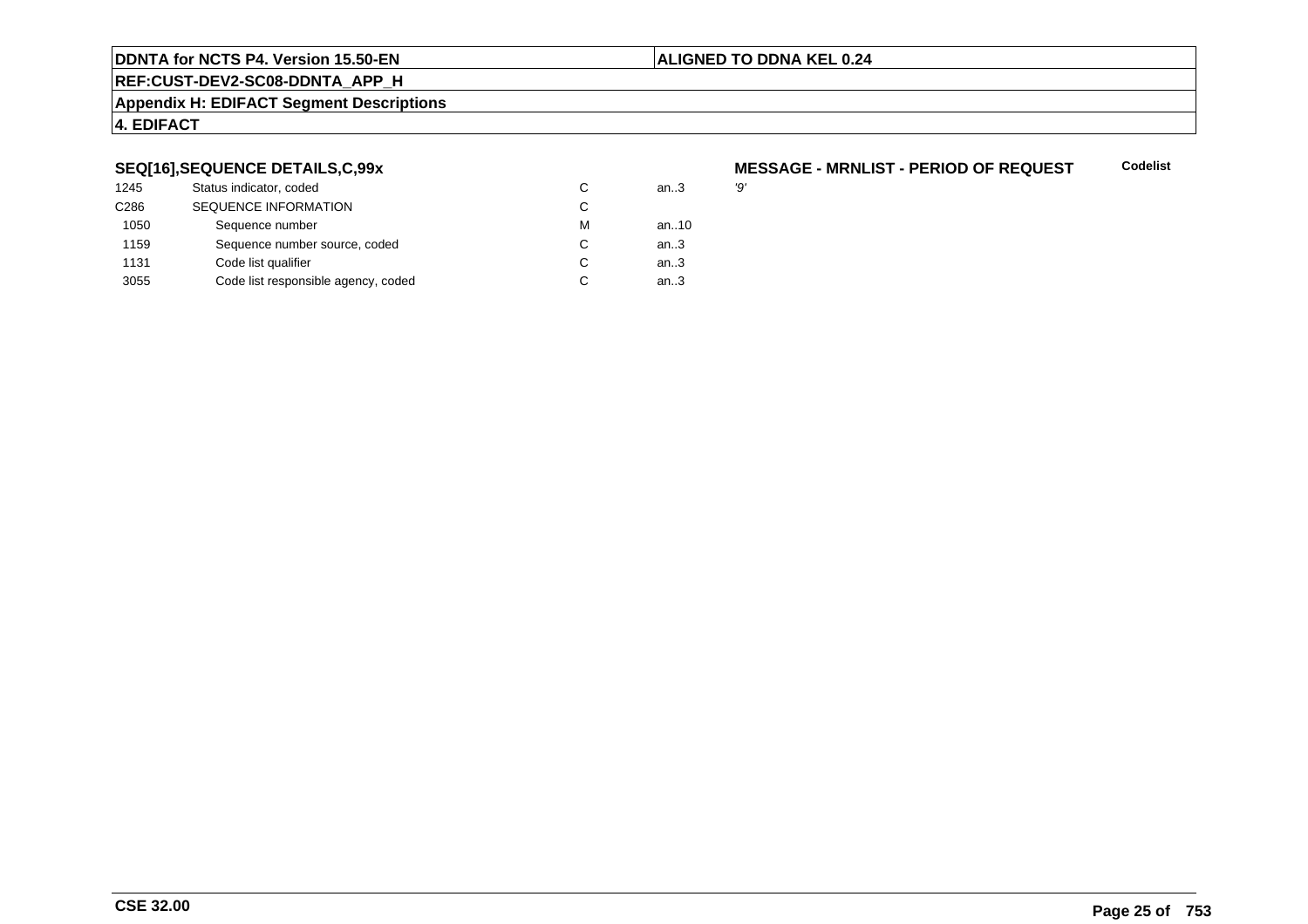### **ALIGNED TO DDNA KEL 0.24**

**REF:CUST-DEV2-SC08-DDNTA\_APP\_H**

#### **Appendix H: EDIFACT Segment Descriptions**

# **4. EDIFACT**

# **SEQ[16],SEQUENCE DETAILS,C,99x**

| 1245 | Status indicator, coded             | C | an.3 | פי |
|------|-------------------------------------|---|------|----|
| C286 | <b>SEQUENCE INFORMATION</b>         | С |      |    |
| 1050 | Sequence number                     | м | an10 |    |
| 1159 | Sequence number source, coded       | C | an.3 |    |
| 1131 | Code list qualifier                 | C | an.3 |    |
| 3055 | Code list responsible agency, coded | C | an.3 |    |

#### **MESSAGE - MRNLIST - PERIOD OF REQUESTCodelist**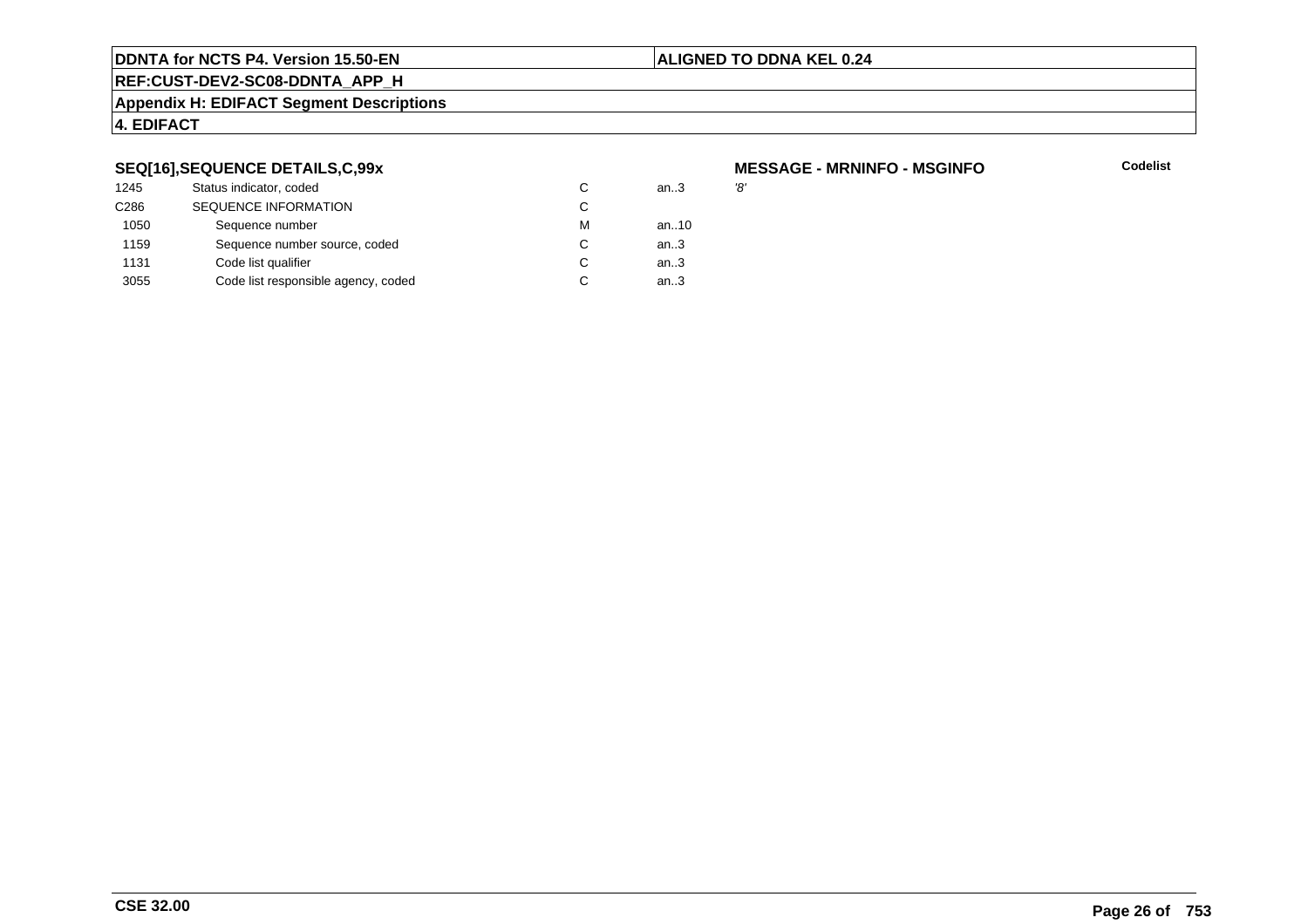# **ALIGNED TO DDNA KEL 0.24**

**REF:CUST-DEV2-SC08-DDNTA\_APP\_H**

#### **Appendix H: EDIFACT Segment Descriptions**

# **4. EDIFACT**

# **SEQ[16],SEQUENCE DETAILS,C,99x**

| 1245             | Status indicator, coded             | C | an.3 | '8' |
|------------------|-------------------------------------|---|------|-----|
| C <sub>286</sub> | <b>SEQUENCE INFORMATION</b>         | C |      |     |
| 1050             | Sequence number                     | м | an10 |     |
| 1159             | Sequence number source, coded       | C | an.3 |     |
| 1131             | Code list qualifier                 | C | an.3 |     |
| 3055             | Code list responsible agency, coded | C | an.3 |     |
|                  |                                     |   |      |     |

# **MESSAGE - MRNINFO - MSGINFO**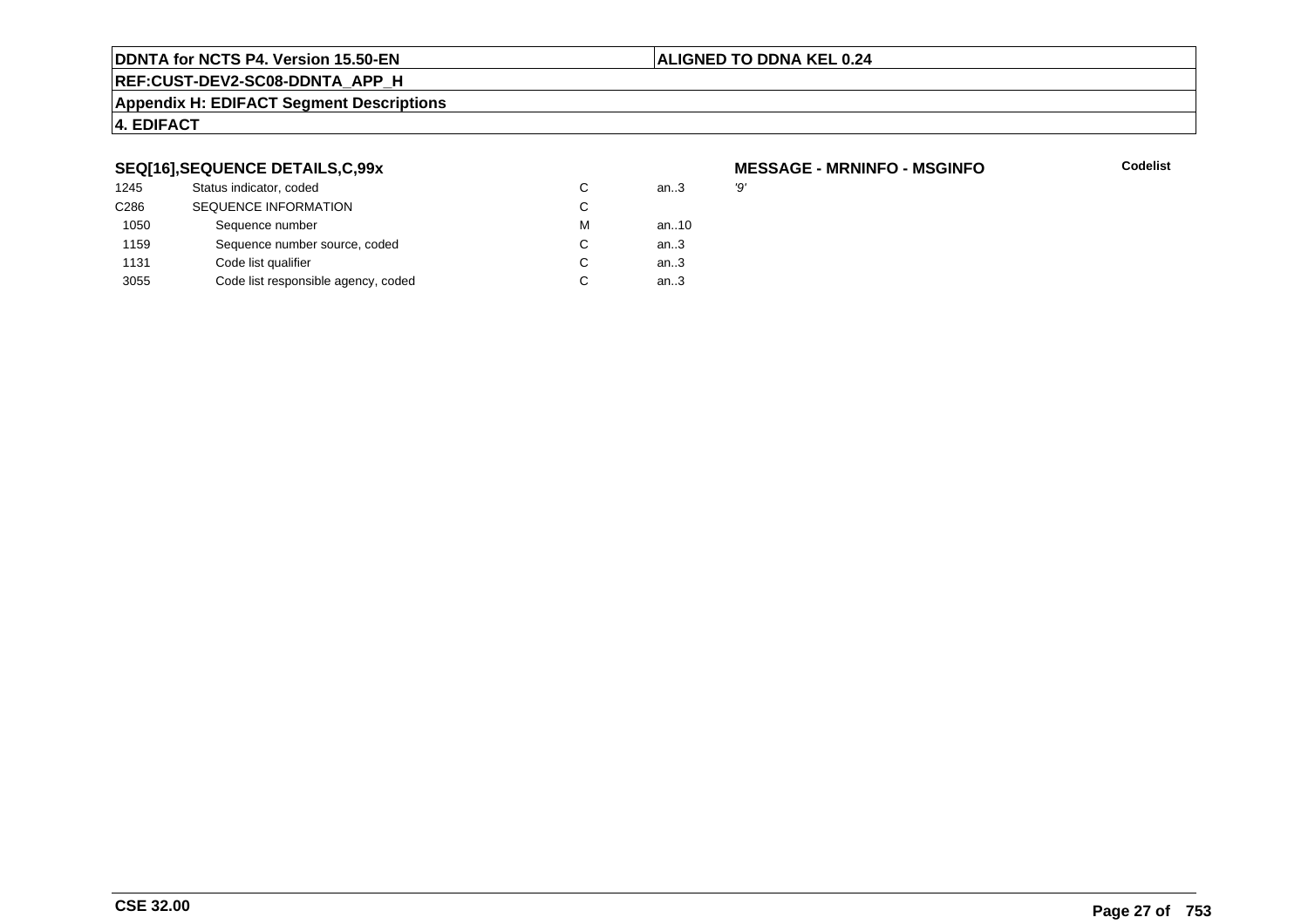# **ALIGNED TO DDNA KEL 0.24**

**REF:CUST-DEV2-SC08-DDNTA\_APP\_H**

#### **Appendix H: EDIFACT Segment Descriptions**

# **4. EDIFACT**

# **SEQ[16],SEQUENCE DETAILS,C,99x**

| 1245             | Status indicator, coded             | C | an.3 | פי |
|------------------|-------------------------------------|---|------|----|
| C <sub>286</sub> | <b>SEQUENCE INFORMATION</b>         | C |      |    |
| 1050             | Sequence number                     | м | an10 |    |
| 1159             | Sequence number source, coded       | C | an.3 |    |
| 1131             | Code list qualifier                 | C | an.3 |    |
| 3055             | Code list responsible agency, coded | C | an.3 |    |

# **MESSAGE - MRNINFO - MSGINFO**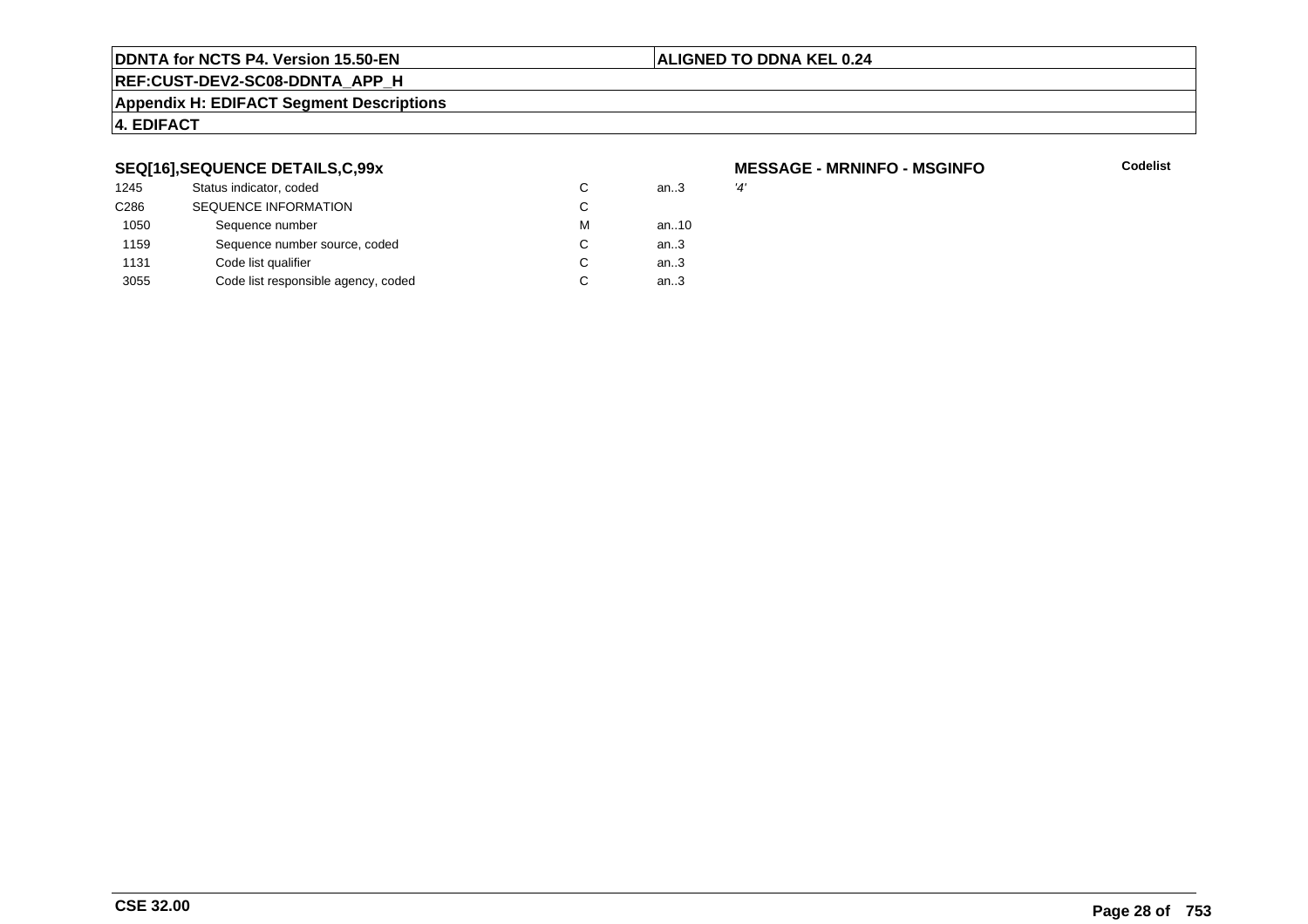# **ALIGNED TO DDNA KEL 0.24**

**REF:CUST-DEV2-SC08-DDNTA\_APP\_H**

#### **Appendix H: EDIFACT Segment Descriptions**

# **4. EDIFACT**

# **SEQ[16],SEQUENCE DETAILS,C,99x**

| 1245             | Status indicator, coded             | C | an.3 | '4' |
|------------------|-------------------------------------|---|------|-----|
| C <sub>286</sub> | <b>SEQUENCE INFORMATION</b>         | C |      |     |
| 1050             | Sequence number                     | м | an10 |     |
| 1159             | Sequence number source, coded       | C | an.3 |     |
| 1131             | Code list qualifier                 | C | an.3 |     |
| 3055             | Code list responsible agency, coded | C | an.3 |     |

# **MESSAGE - MRNINFO - MSGINFO**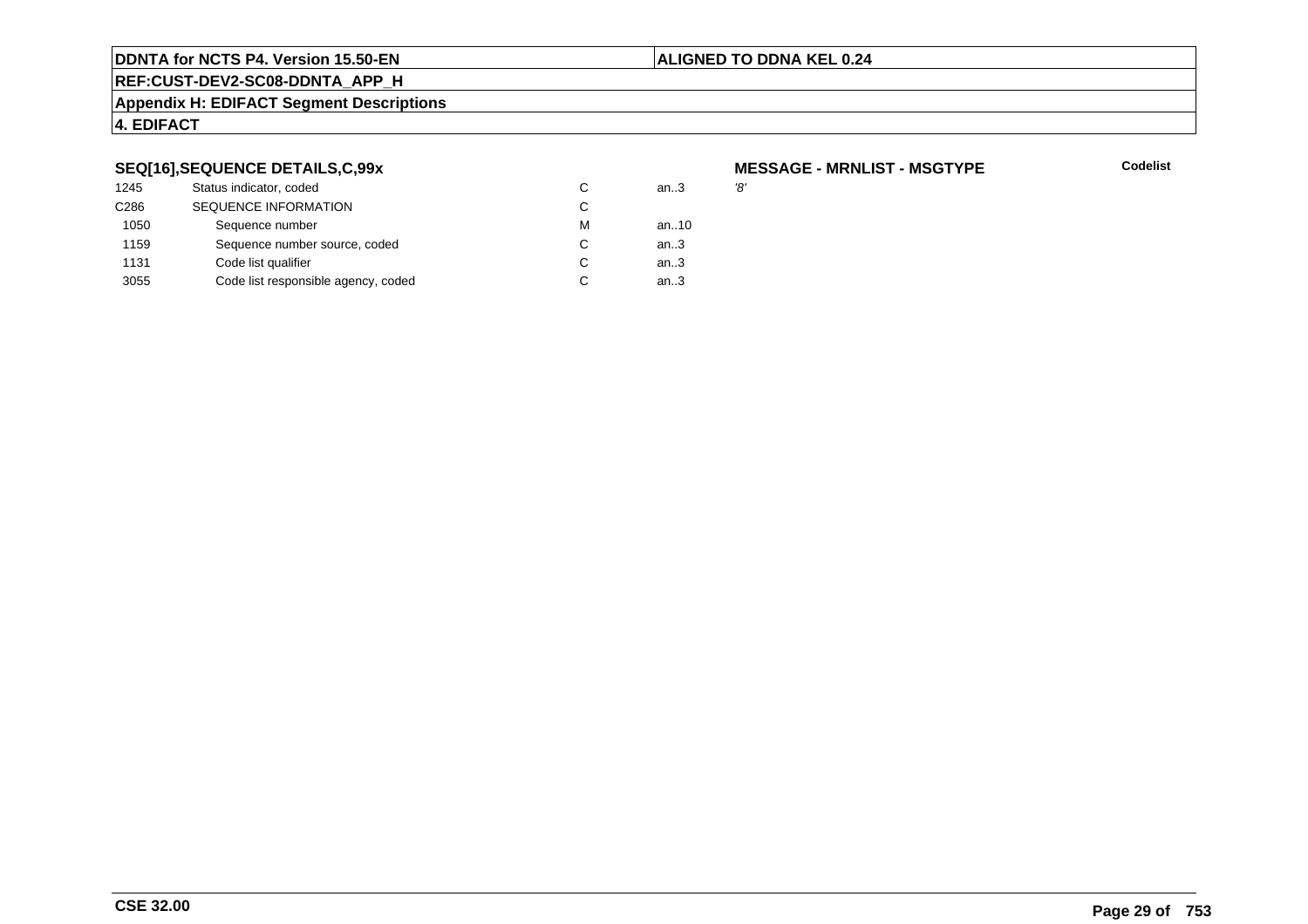# **ALIGNED TO DDNA KEL 0.24**

**REF:CUST-DEV2-SC08-DDNTA\_APP\_H**

#### **Appendix H: EDIFACT Segment Descriptions**

# **4. EDIFACT**

# **SEQ[16],SEQUENCE DETAILS,C,99x**

| 1245             | Status indicator, coded             | C | an.3 | '8' |
|------------------|-------------------------------------|---|------|-----|
| C <sub>286</sub> | <b>SEQUENCE INFORMATION</b>         | C |      |     |
| 1050             | Sequence number                     | м | an10 |     |
| 1159             | Sequence number source, coded       | C | an.3 |     |
| 1131             | Code list qualifier                 | C | an.3 |     |
| 3055             | Code list responsible agency, coded | C | an.3 |     |

# **MESSAGE - MRNLIST - MSGTYPE**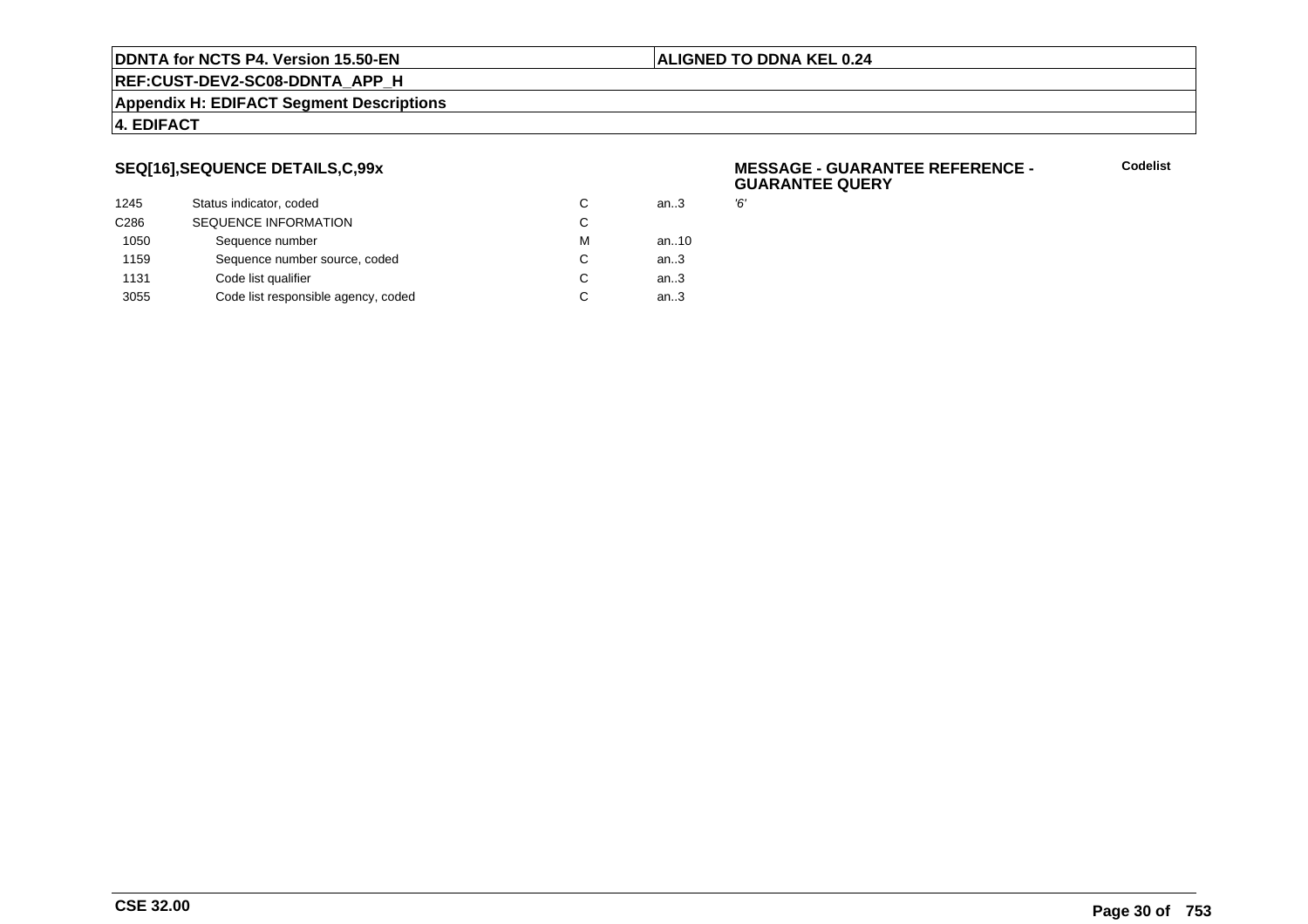#### **ALIGNED TO DDNA KEL 0.24**

**REF:CUST-DEV2-SC08-DDNTA\_APP\_H**

#### **Appendix H: EDIFACT Segment Descriptions**

# **4. EDIFACT**

# **SEQ[16],SEQUENCE DETAILS,C,99x**

| 1245             | Status indicator, coded             | С | an.3   | Έ, |
|------------------|-------------------------------------|---|--------|----|
| C <sub>286</sub> | <b>SEQUENCE INFORMATION</b>         | С |        |    |
| 1050             | Sequence number                     | м | an10   |    |
| 1159             | Sequence number source, coded       | С | an $3$ |    |
| 1131             | Code list qualifier                 | С | an.3   |    |
| 3055             | Code list responsible agency, coded | С | an.3   |    |
|                  |                                     |   |        |    |

#### **MESSAGE - GUARANTEE REFERENCE - GUARANTEE QUERY**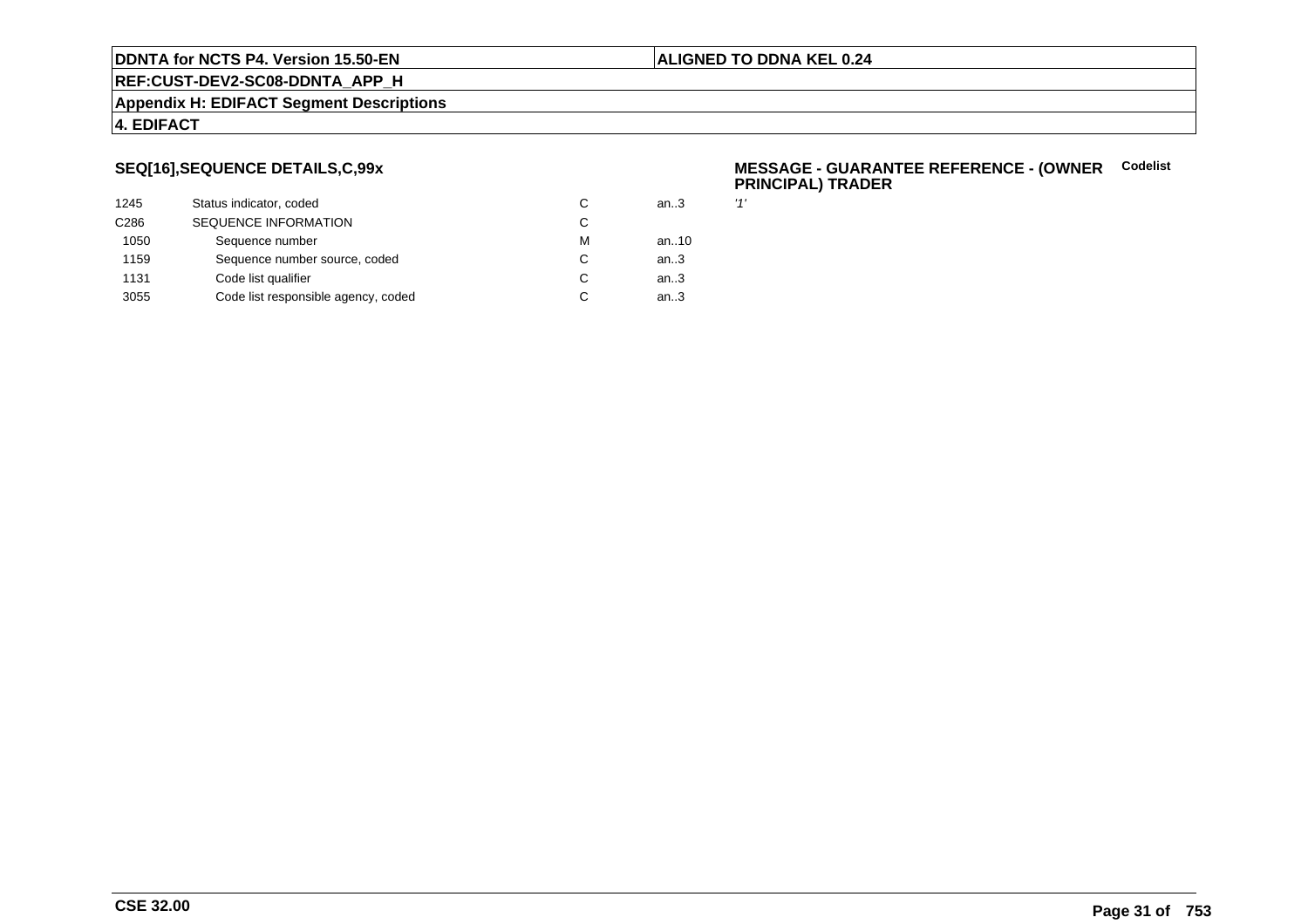#### **ALIGNED TO DDNA KEL 0.24**

**REF:CUST-DEV2-SC08-DDNTA\_APP\_H**

#### **Appendix H: EDIFACT Segment Descriptions**

# **4. EDIFACT**

# **SEQ[16],SEQUENCE DETAILS,C,99x**

| 1245             | Status indicator, coded             | C | an.3 | 11' |
|------------------|-------------------------------------|---|------|-----|
| C <sub>286</sub> | <b>SEQUENCE INFORMATION</b>         | C |      |     |
| 1050             | Sequence number                     | м | an10 |     |
| 1159             | Sequence number source, coded       | C | an.3 |     |
| 1131             | Code list qualifier                 | C | an.3 |     |
| 3055             | Code list responsible agency, coded | C | an.3 |     |
|                  |                                     |   |      |     |

#### **MESSAGE - GUARANTEE REFERENCE - (OWNER**<br> **CONNER**<br> **CONNER PRINCIPAL) TRADER**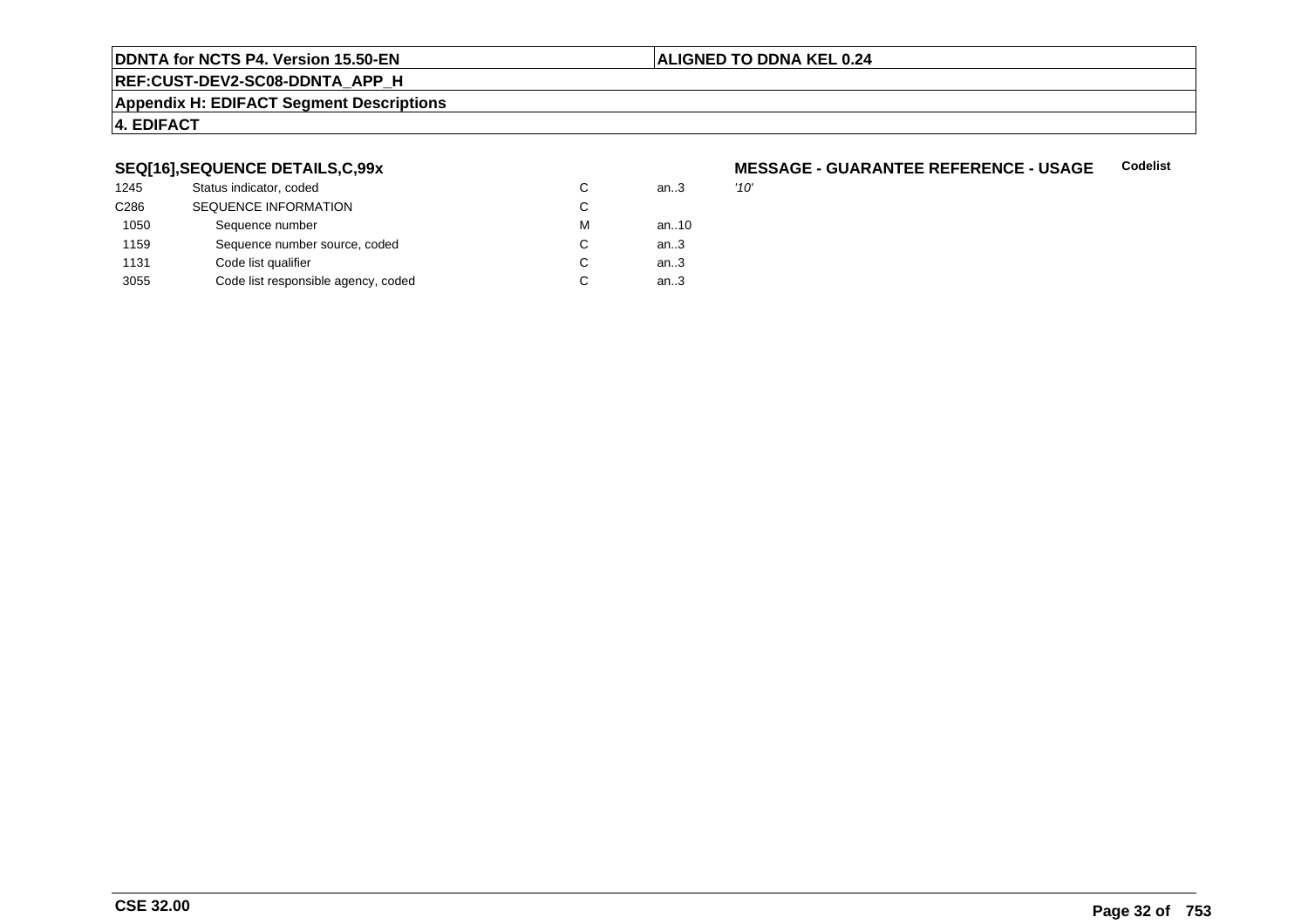# **ALIGNED TO DDNA KEL 0.24**

**REF:CUST-DEV2-SC08-DDNTA\_APP\_H**

#### **Appendix H: EDIFACT Segment Descriptions**

# **4. EDIFACT**

# **SEQ[16],SEQUENCE DETAILS,C,99x**

| 1245             | Status indicator, coded             |   | an3  | '10' |
|------------------|-------------------------------------|---|------|------|
| C <sub>286</sub> | <b>SEQUENCE INFORMATION</b>         | С |      |      |
| 1050             | Sequence number                     | М | an10 |      |
| 1159             | Sequence number source, coded       | С | an3  |      |
| 1131             | Code list qualifier                 | C | an3  |      |
| 3055             | Code list responsible agency, coded | С | an.3 |      |

#### **MESSAGE - GUARANTEE REFERENCE - USAGECodelist**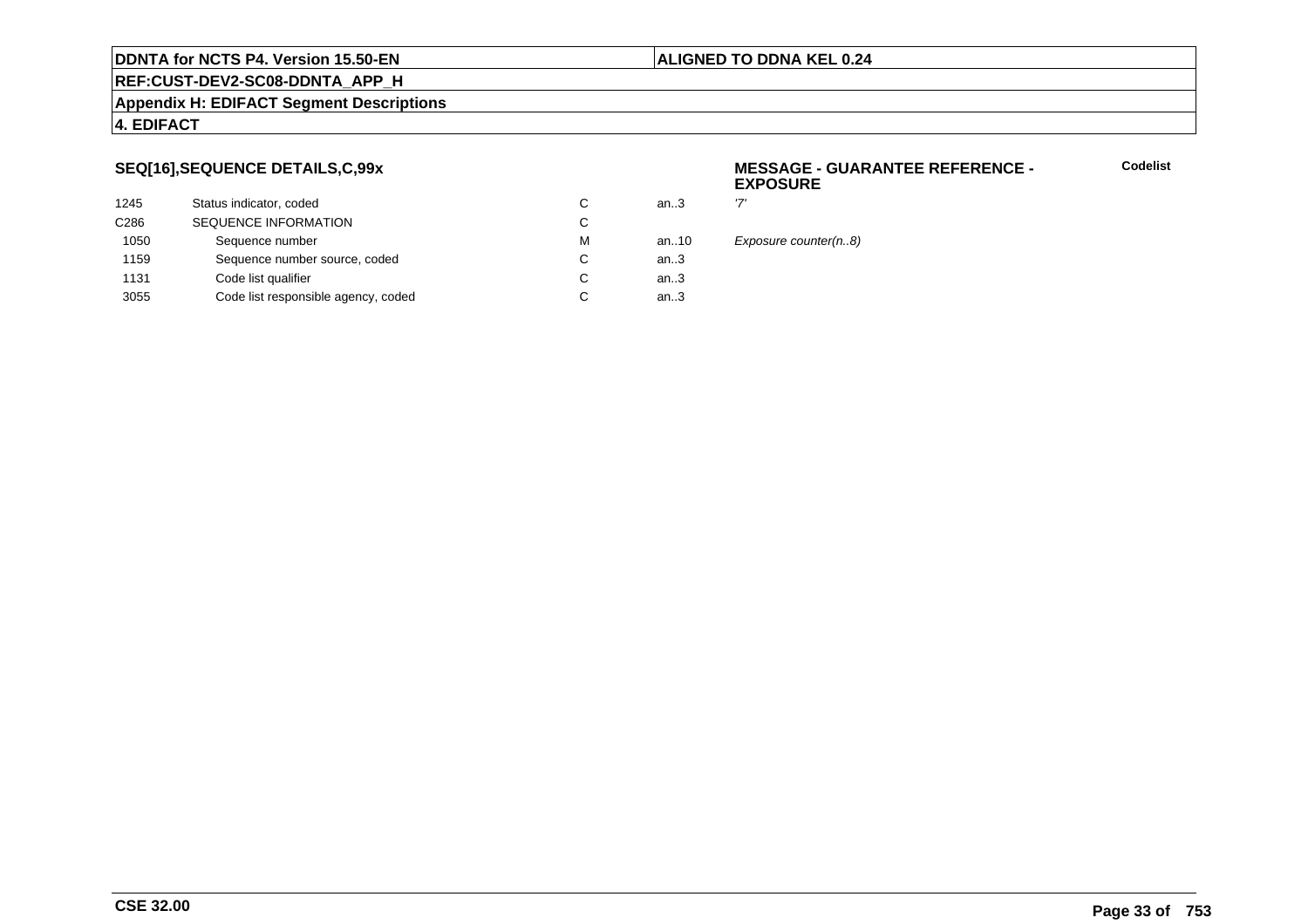#### **ALIGNED TO DDNA KEL 0.24**

# **REF:CUST-DEV2-SC08-DDNTA\_APP\_H**

#### **Appendix H: EDIFACT Segment Descriptions**

# **4. EDIFACT**

# **SEQ[16],SEQUENCE DETAILS,C,99x**

| 1245             | Status indicator, coded             | C | an.3   | ידי |
|------------------|-------------------------------------|---|--------|-----|
| C <sub>286</sub> | <b>SEQUENCE INFORMATION</b>         | С |        |     |
| 1050             | Sequence number                     | м | an10   | F)  |
| 1159             | Sequence number source, coded       | C | an $3$ |     |
| 1131             | Code list qualifier                 | C | an.3   |     |
| 3055             | Code list responsible agency, coded | С | an.3   |     |
|                  |                                     |   |        |     |

#### **MESSAGE - GUARANTEE REFERENCE - EXPOSURE**

**Codelist**

Exposure counter(n..8)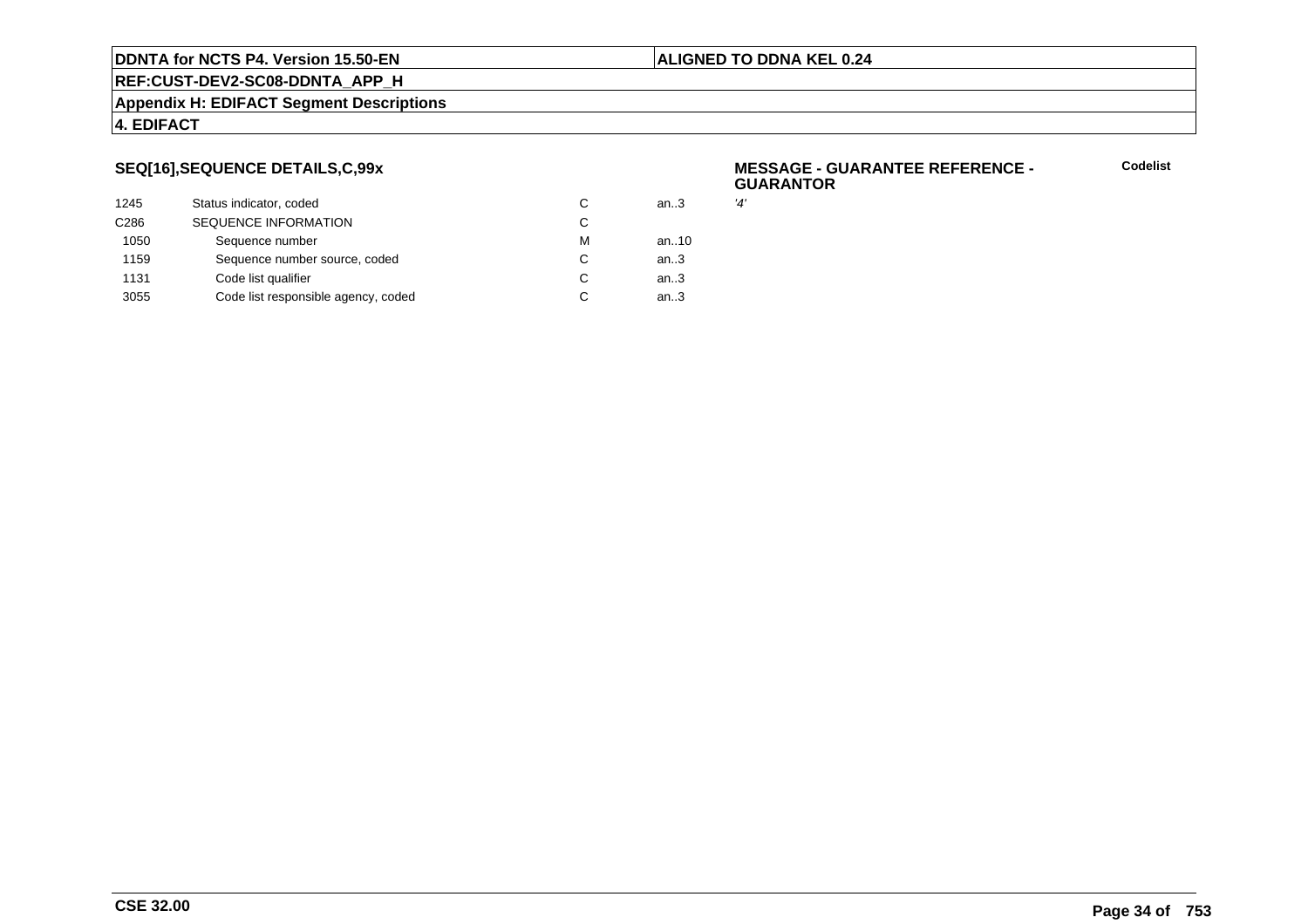### **ALIGNED TO DDNA KEL 0.24**

**REF:CUST-DEV2-SC08-DDNTA\_APP\_H**

#### **Appendix H: EDIFACT Segment Descriptions**

# **4. EDIFACT**

# **SEQ[16],SEQUENCE DETAILS,C,99x**

| 1245             | Status indicator, coded             | С | an.3   | '4' |
|------------------|-------------------------------------|---|--------|-----|
| C <sub>286</sub> | <b>SEQUENCE INFORMATION</b>         | С |        |     |
| 1050             | Sequence number                     | м | an10   |     |
| 1159             | Sequence number source, coded       | С | an $3$ |     |
| 1131             | Code list qualifier                 | С | an.3   |     |
| 3055             | Code list responsible agency, coded | С | an.3   |     |
|                  |                                     |   |        |     |

#### **MESSAGE - GUARANTEE REFERENCE - GUARANTOR**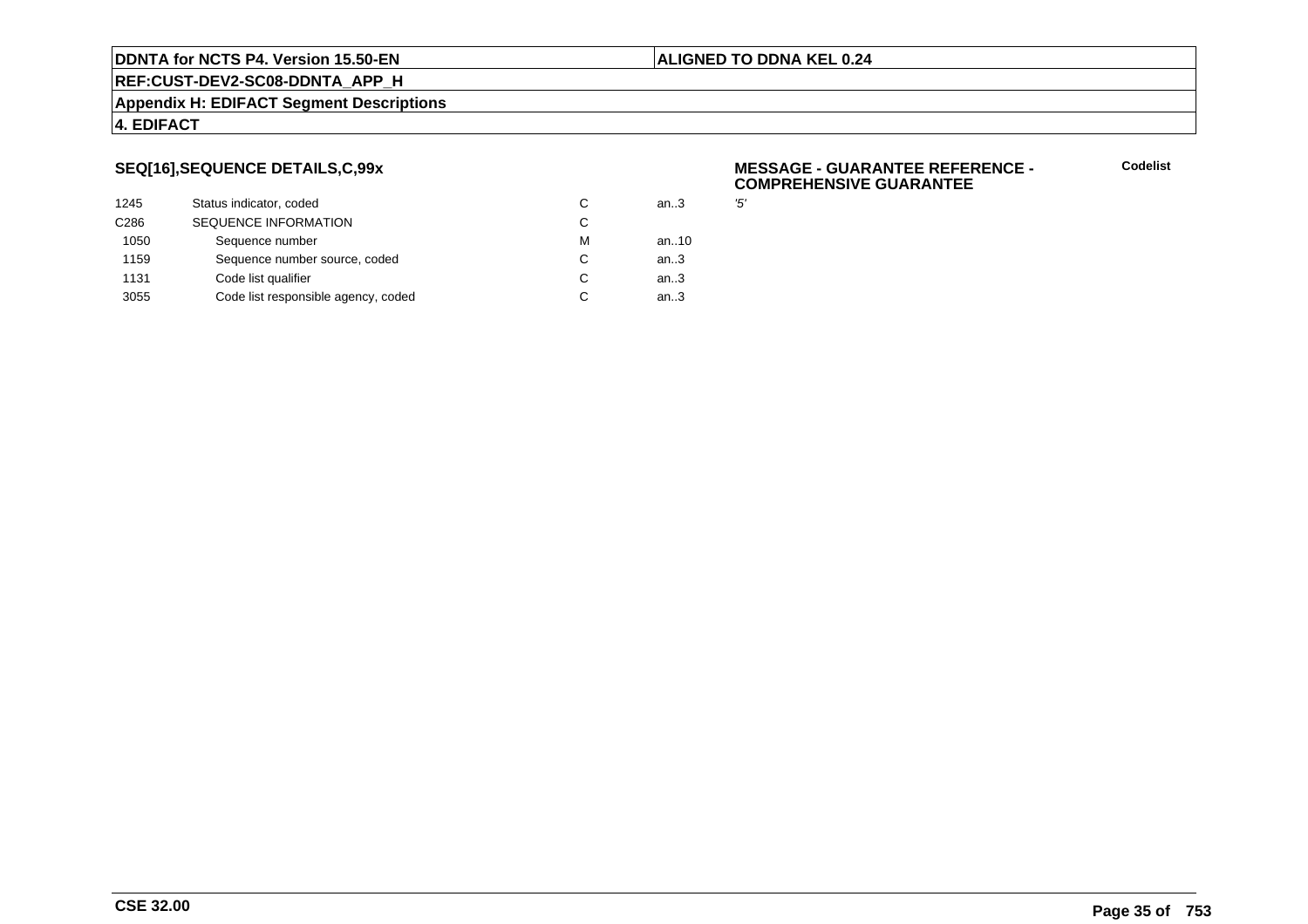#### **ALIGNED TO DDNA KEL 0.24**

**REF:CUST-DEV2-SC08-DDNTA\_APP\_H**

#### **Appendix H: EDIFACT Segment Descriptions**

# **4. EDIFACT**

# **SEQ[16],SEQUENCE DETAILS,C,99x**

| 1245             | Status indicator, coded             | C | an.3 | '5' |
|------------------|-------------------------------------|---|------|-----|
| C <sub>286</sub> | <b>SEQUENCE INFORMATION</b>         | С |      |     |
| 1050             | Sequence number                     | м | an10 |     |
| 1159             | Sequence number source, coded       | С | an.3 |     |
| 1131             | Code list qualifier                 | С | an.3 |     |
| 3055             | Code list responsible agency, coded | С | an.3 |     |
|                  |                                     |   |      |     |

#### **MESSAGE - GUARANTEE REFERENCE - COMPREHENSIVE GUARANTEE**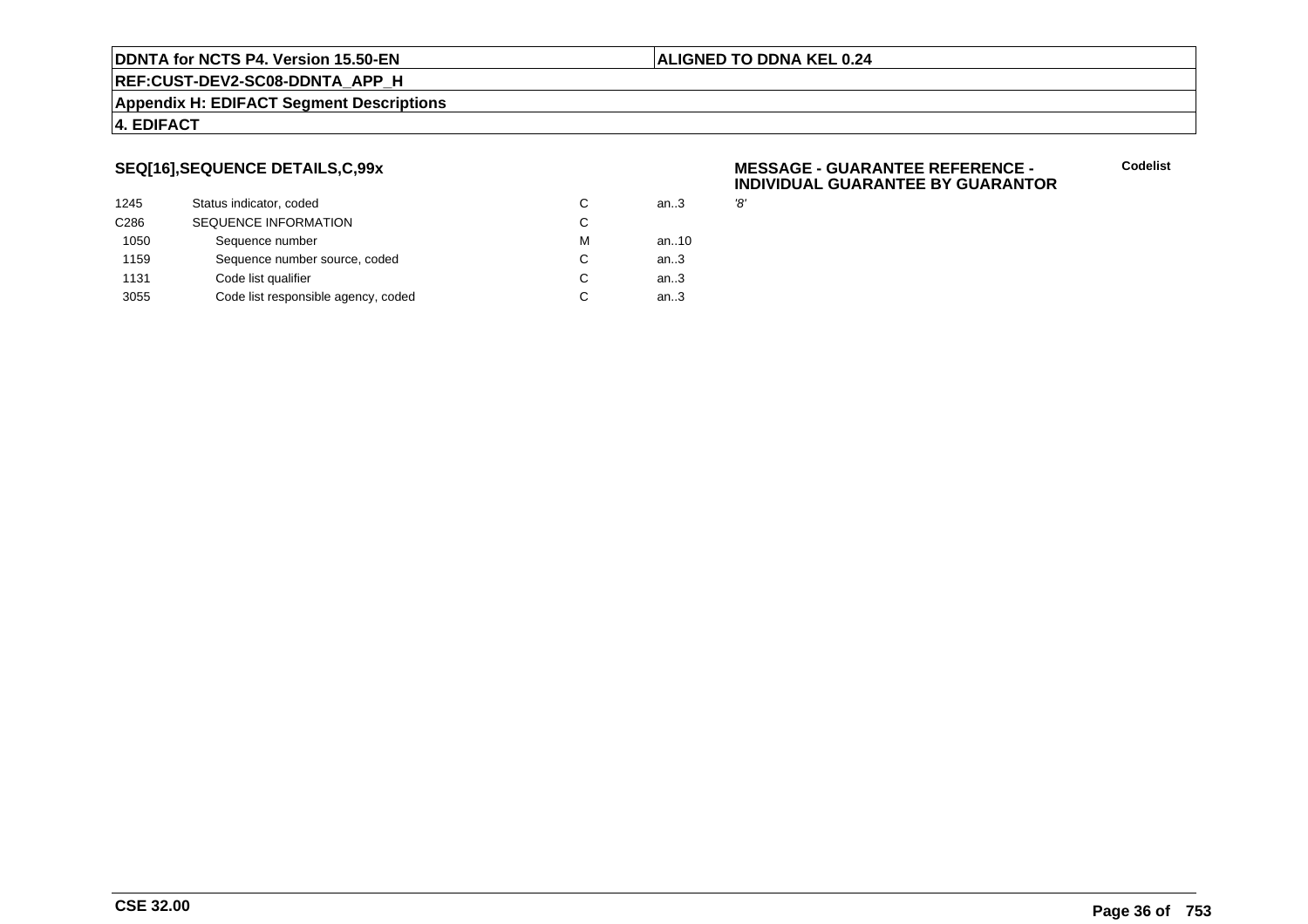#### **ALIGNED TO DDNA KEL 0.24**

**REF:CUST-DEV2-SC08-DDNTA\_APP\_H**

#### **Appendix H: EDIFACT Segment Descriptions**

# **4. EDIFACT**

# **SEQ[16],SEQUENCE DETAILS,C,99x**

| 1245             | Status indicator, coded             | С | an.3 | '8' |
|------------------|-------------------------------------|---|------|-----|
| C <sub>286</sub> | <b>SEQUENCE INFORMATION</b>         | С |      |     |
| 1050             | Sequence number                     | м | an10 |     |
| 1159             | Sequence number source, coded       | С | an.3 |     |
| 1131             | Code list qualifier                 | С | an.3 |     |
| 3055             | Code list responsible agency, coded | С | an.3 |     |
|                  |                                     |   |      |     |

#### **MESSAGE - GUARANTEE REFERENCE - INDIVIDUAL GUARANTEE BY GUARANTOR**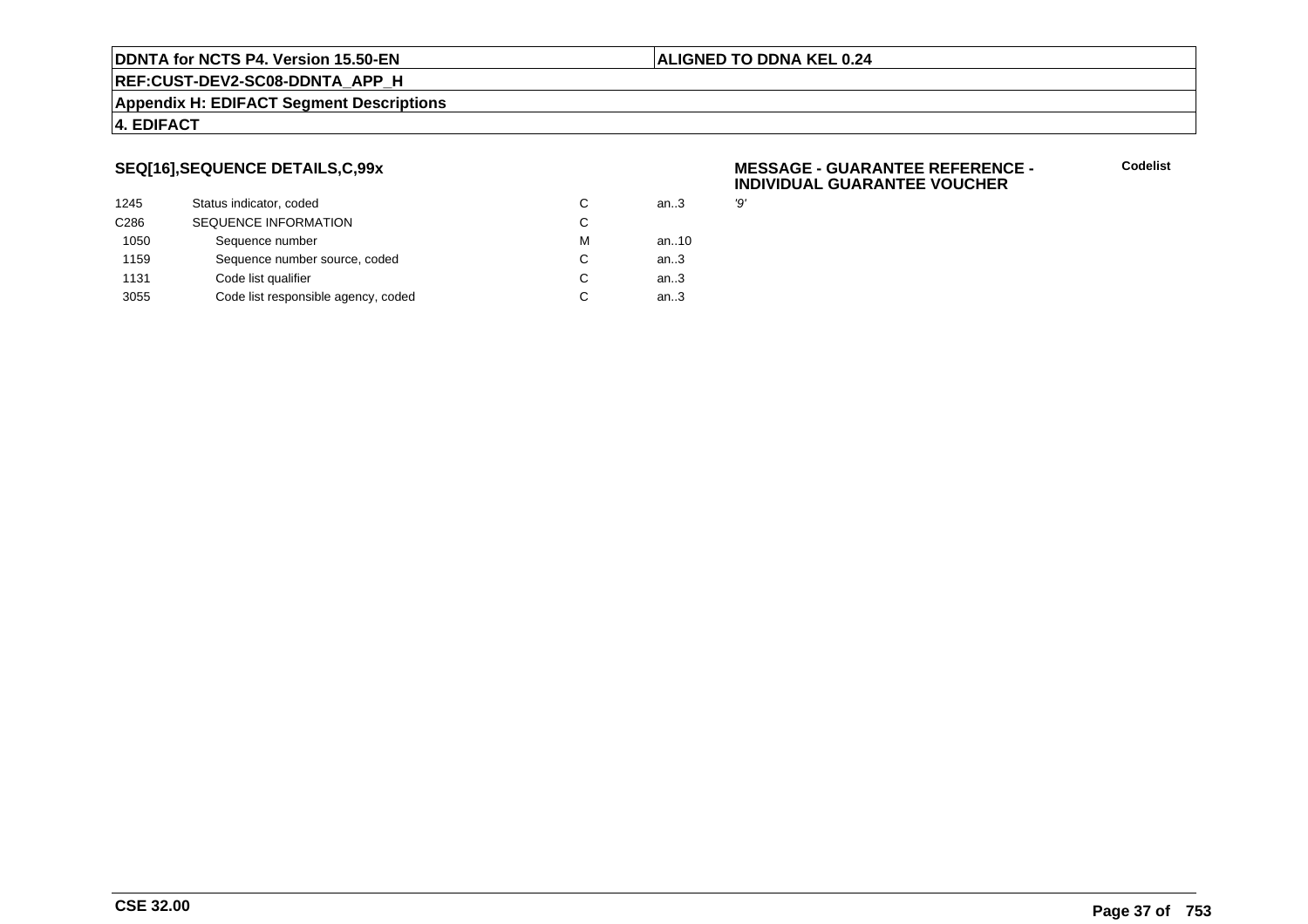### **ALIGNED TO DDNA KEL 0.24**

**REF:CUST-DEV2-SC08-DDNTA\_APP\_H**

### **Appendix H: EDIFACT Segment Descriptions**

### **4. EDIFACT**

# **SEQ[16],SEQUENCE DETAILS,C,99x**

| 1245             | Status indicator, coded             | С | an.3 | פי |
|------------------|-------------------------------------|---|------|----|
| C <sub>286</sub> | <b>SEQUENCE INFORMATION</b>         | С |      |    |
| 1050             | Sequence number                     | м | an10 |    |
| 1159             | Sequence number source, coded       | С | an.3 |    |
| 1131             | Code list qualifier                 | С | an.3 |    |
| 3055             | Code list responsible agency, coded | С | an.3 |    |
|                  |                                     |   |      |    |

### **MESSAGE - GUARANTEE REFERENCE - INDIVIDUAL GUARANTEE VOUCHER**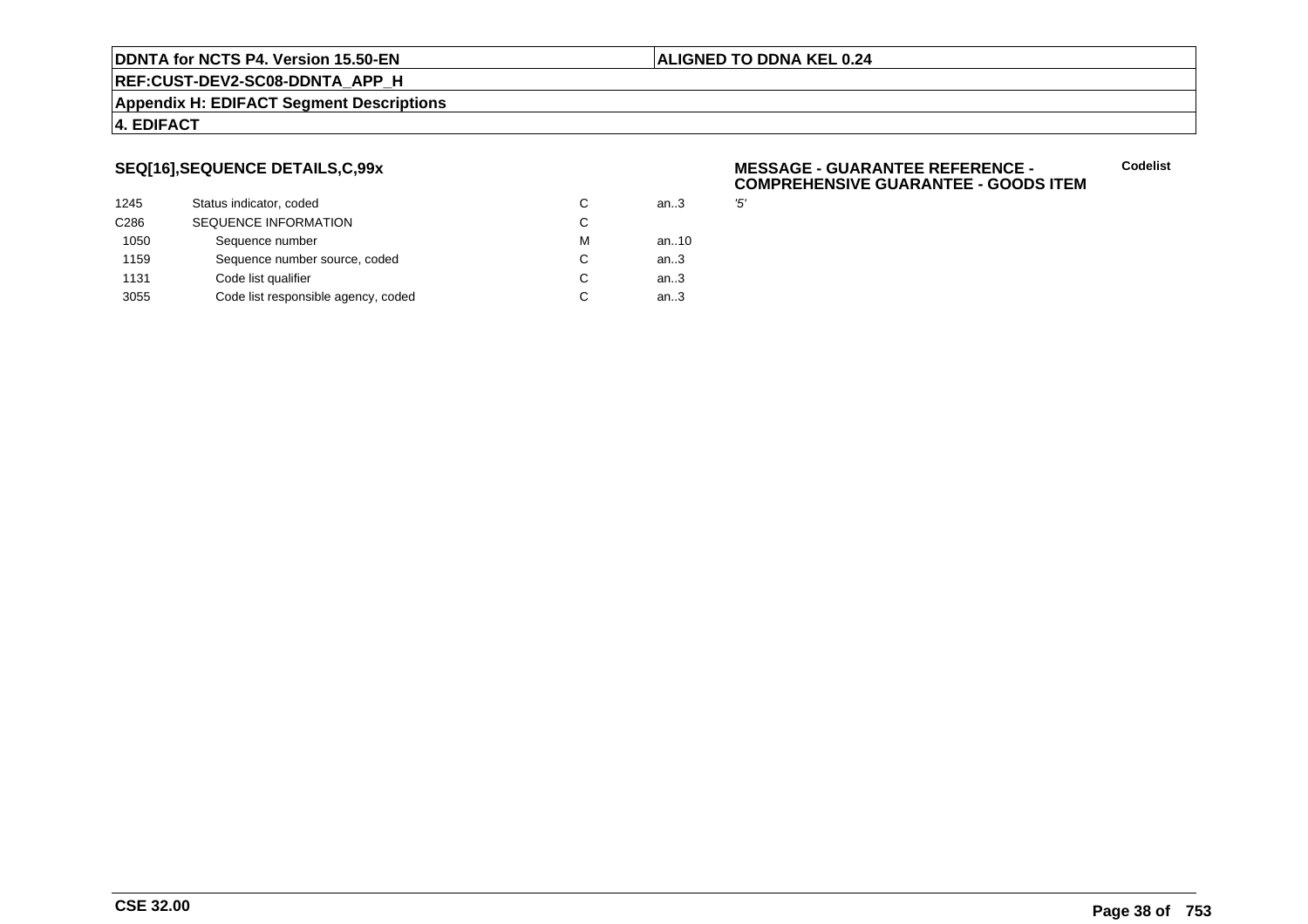### **ALIGNED TO DDNA KEL 0.24**

**REF:CUST-DEV2-SC08-DDNTA\_APP\_H**

### **Appendix H: EDIFACT Segment Descriptions**

### **4. EDIFACT**

# **SEQ[16],SEQUENCE DETAILS,C,99x**

| 1245             | Status indicator, coded             | C | an.3 | '5' |
|------------------|-------------------------------------|---|------|-----|
| C <sub>286</sub> | <b>SEQUENCE INFORMATION</b>         | C |      |     |
| 1050             | Sequence number                     | м | an10 |     |
| 1159             | Sequence number source, coded       | C | an.3 |     |
| 1131             | Code list qualifier                 | C | an.3 |     |
| 3055             | Code list responsible agency, coded | C | an.3 |     |
|                  |                                     |   |      |     |

### **MESSAGE - GUARANTEE REFERENCE - COMPREHENSIVE GUARANTEE - GOODS ITEM**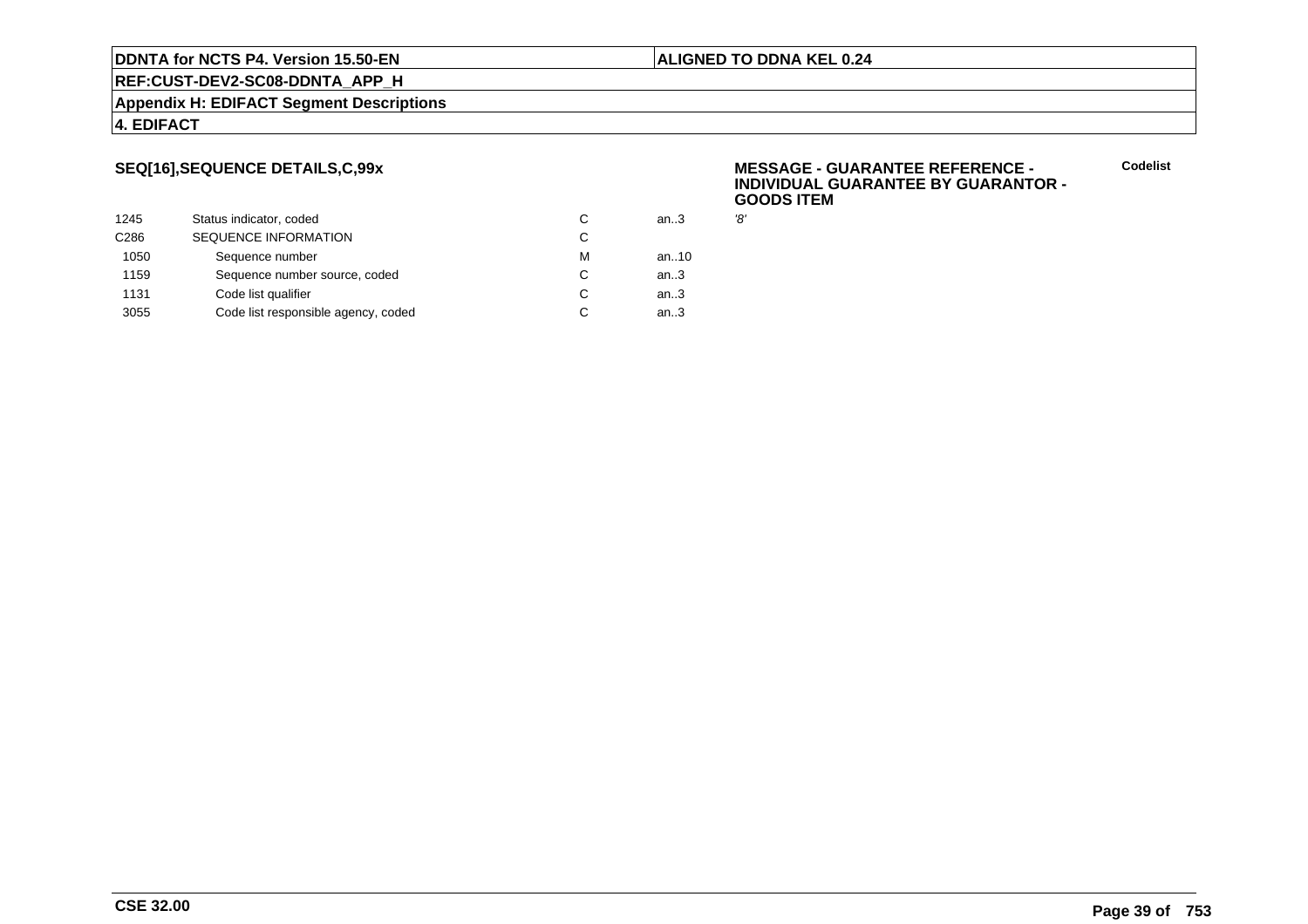# **REF:CUST-DEV2-SC08-DDNTA\_APP\_H**

**Appendix H: EDIFACT Segment Descriptions**

### **4. EDIFACT**

# **SEQ[16],SEQUENCE DETAILS,C,99x**

| 1245             | Status indicator, coded             | C | an.3 | '8' |
|------------------|-------------------------------------|---|------|-----|
| C <sub>286</sub> | <b>SEQUENCE INFORMATION</b>         | С |      |     |
| 1050             | Sequence number                     | м | an10 |     |
| 1159             | Sequence number source, coded       | С | an.3 |     |
| 1131             | Code list qualifier                 | C | an.3 |     |
| 3055             | Code list responsible agency, coded | С | an.3 |     |
|                  |                                     |   |      |     |

### **MESSAGE - GUARANTEE REFERENCE - INDIVIDUAL GUARANTEE BY GUARANTOR -GOODS ITEM**

**Codelist**

**ALIGNED TO DDNA KEL 0.24**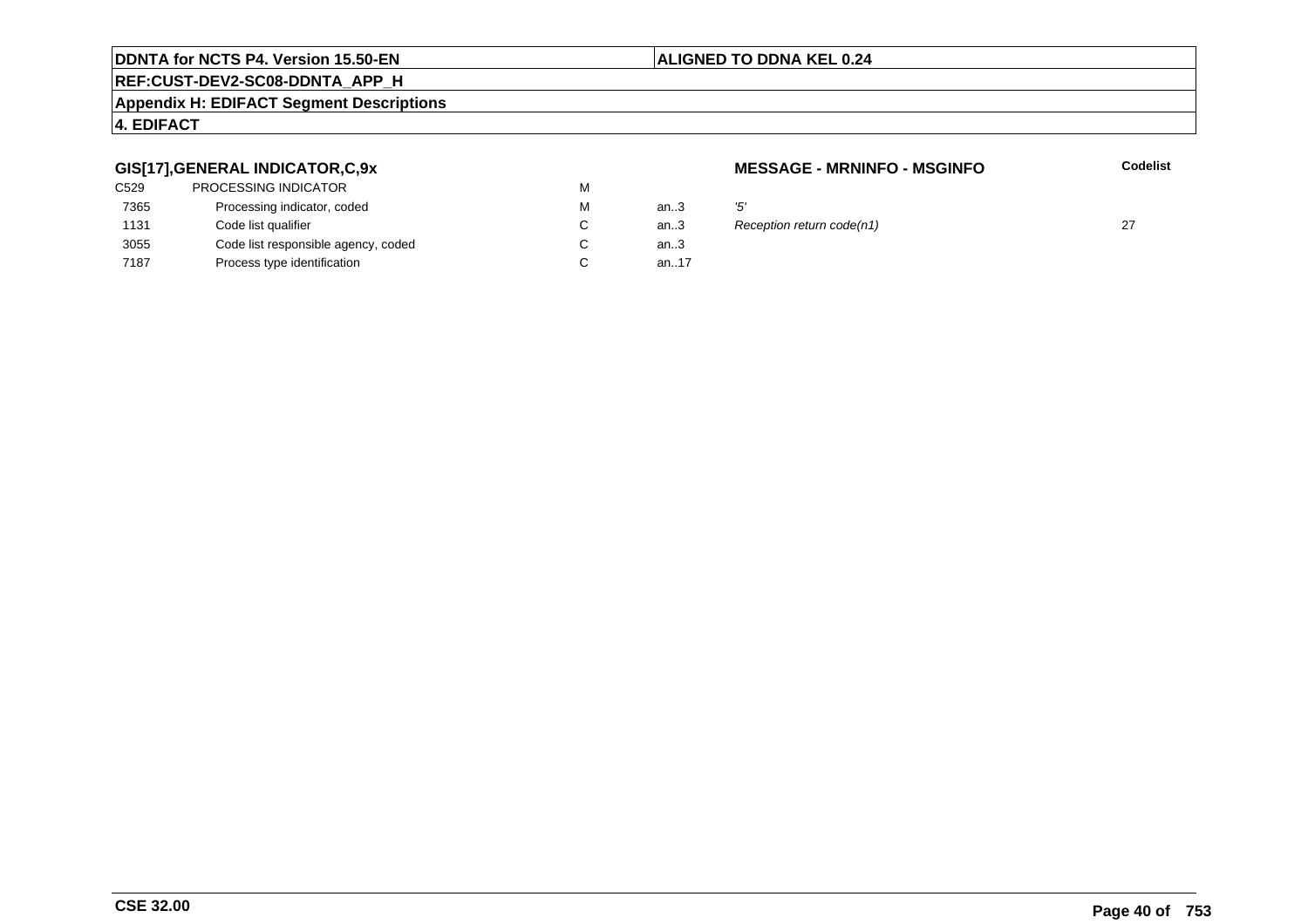# **ALIGNED TO DDNA KEL 0.24**

# **REF:CUST-DEV2-SC08-DDNTA\_APP\_H**

### **Appendix H: EDIFACT Segment Descriptions**

### **4. EDIFACT**

## **GIS[17],GENERAL INDICATOR,C,9x**

| <b>PROCESSING INDICATOR</b>         | м |          |     |
|-------------------------------------|---|----------|-----|
| Processing indicator, coded         | м | an.3     | '5' |
| Code list qualifier                 | C | an.3     | R   |
| Code list responsible agency, coded | C | an $3$   |     |
| Process type identification         |   | an. $17$ |     |
|                                     |   |          |     |

### **MESSAGE - MRNINFO - MSGINFO**

**Codelist**

 $\therefore$  Reception return code(n1) 27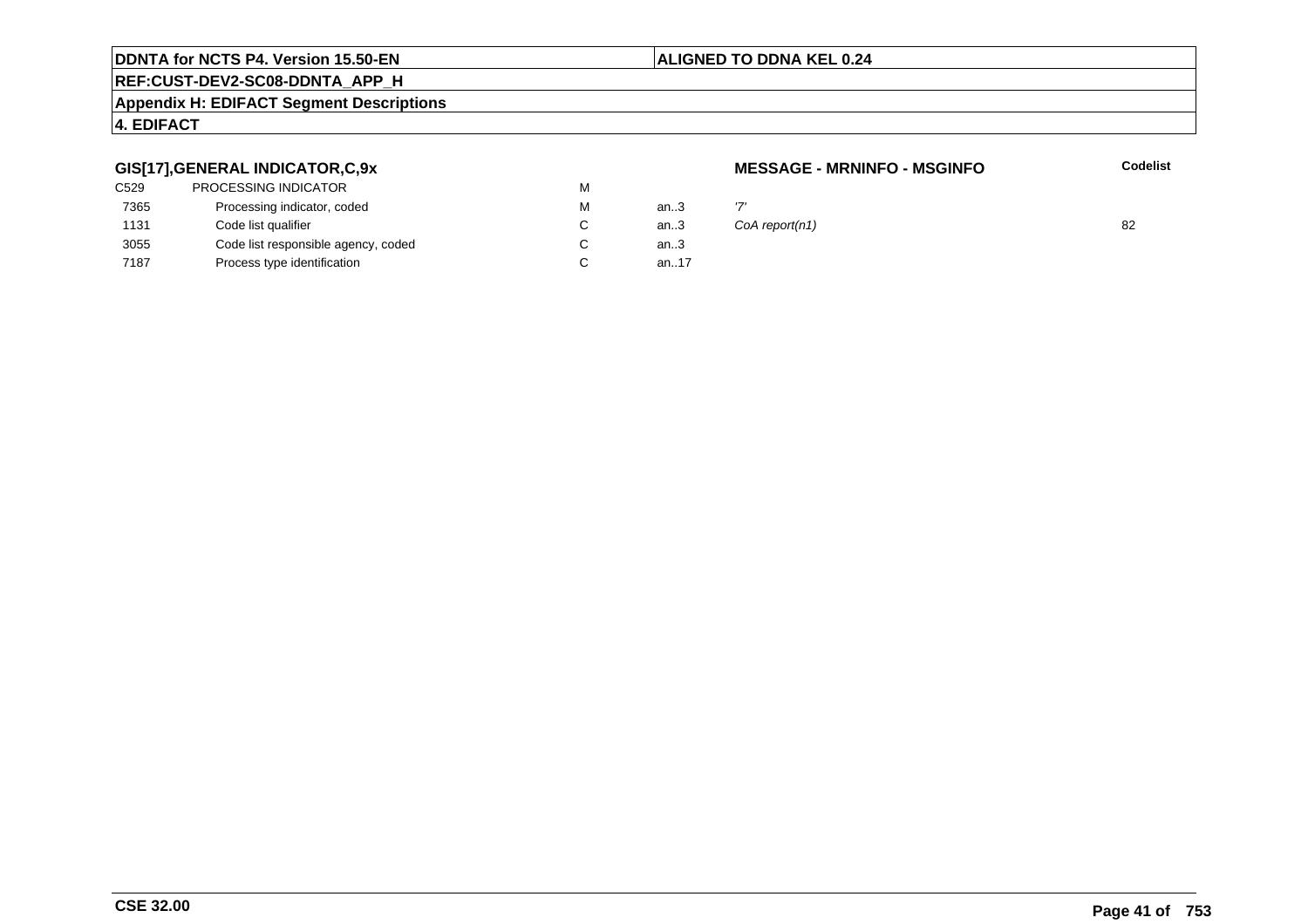### **ALIGNED TO DDNA KEL 0.24**

# **REF:CUST-DEV2-SC08-DDNTA\_APP\_H**

### **Appendix H: EDIFACT Segment Descriptions**

# **4. EDIFACT**

# **GIS[17],GENERAL INDICATOR,C,9x**

| C529 | PROCESSING INDICATOR                | м |        |     |
|------|-------------------------------------|---|--------|-----|
| 7365 | Processing indicator, coded         | м | an.3   | ידי |
| 1131 | Code list qualifier                 | C | an.3   | C(  |
| 3055 | Code list responsible agency, coded | C | an $3$ |     |
| 7187 | Process type identification         |   | an17   |     |
|      |                                     |   |        |     |

### **MESSAGE - MRNINFO - MSGINFO**

| М | an3 |                |    |
|---|-----|----------------|----|
| С | an3 | CoA report(n1) | 82 |
|   |     |                |    |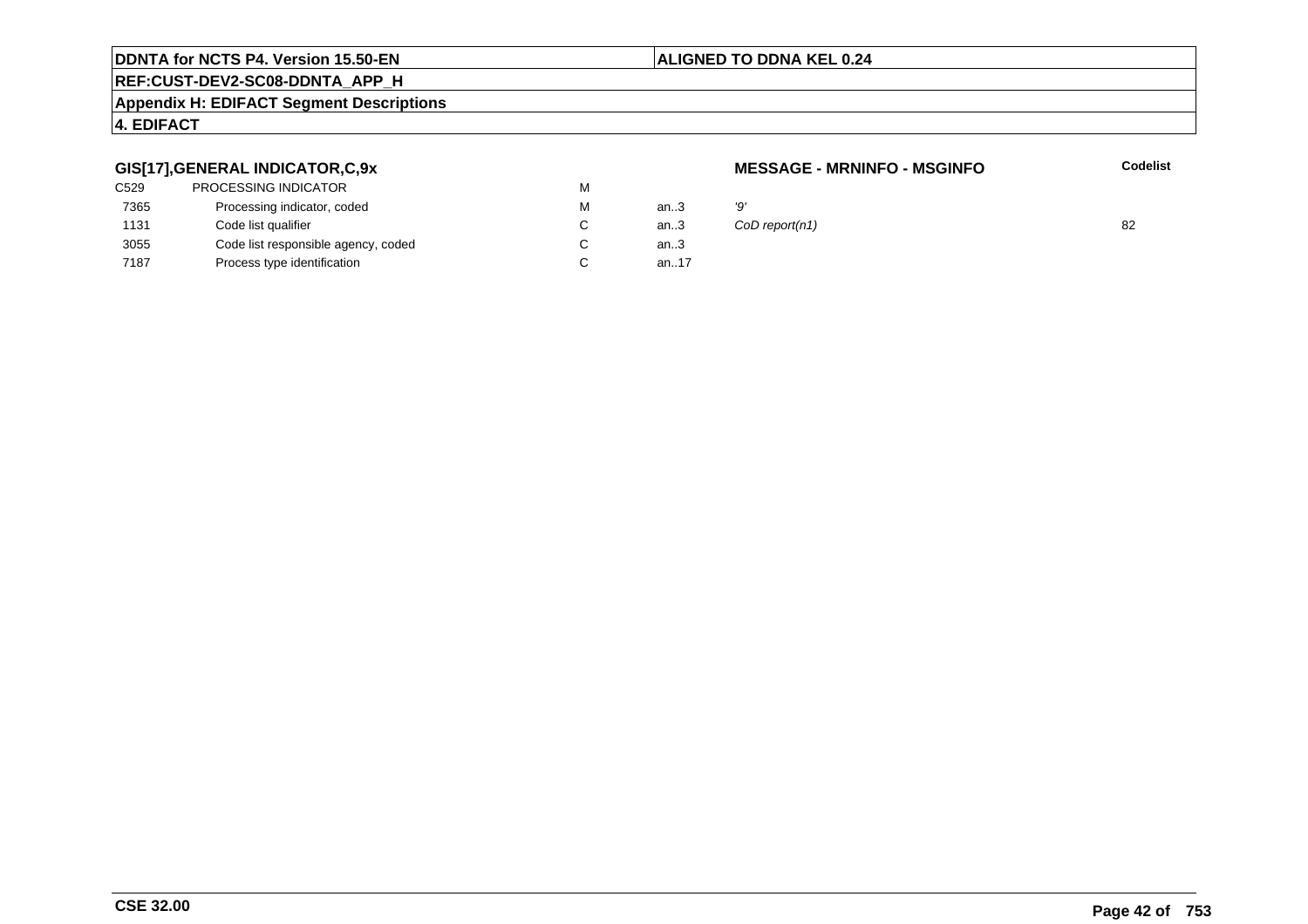### **ALIGNED TO DDNA KEL 0.24**

# **REF:CUST-DEV2-SC08-DDNTA\_APP\_H**

### **Appendix H: EDIFACT Segment Descriptions**

# **4. EDIFACT**

# **GIS[17],GENERAL INDICATOR,C,9x**

| C529 | PROCESSING INDICATOR                | м |        |    |
|------|-------------------------------------|---|--------|----|
| 7365 | Processing indicator, coded         | м | an.3   | פי |
| 1131 | Code list qualifier                 | C | an.3   | C( |
| 3055 | Code list responsible agency, coded |   | an $3$ |    |
| 7187 | Process type identification         |   | an17   |    |
|      |                                     |   |        |    |

### **MESSAGE - MRNINFO - MSGINFO**

| М  | an3         | 'Q'                |    |
|----|-------------|--------------------|----|
| C. |             | an3 CoD report(n1) | 82 |
| ⌒  | <b>AR</b> 2 |                    |    |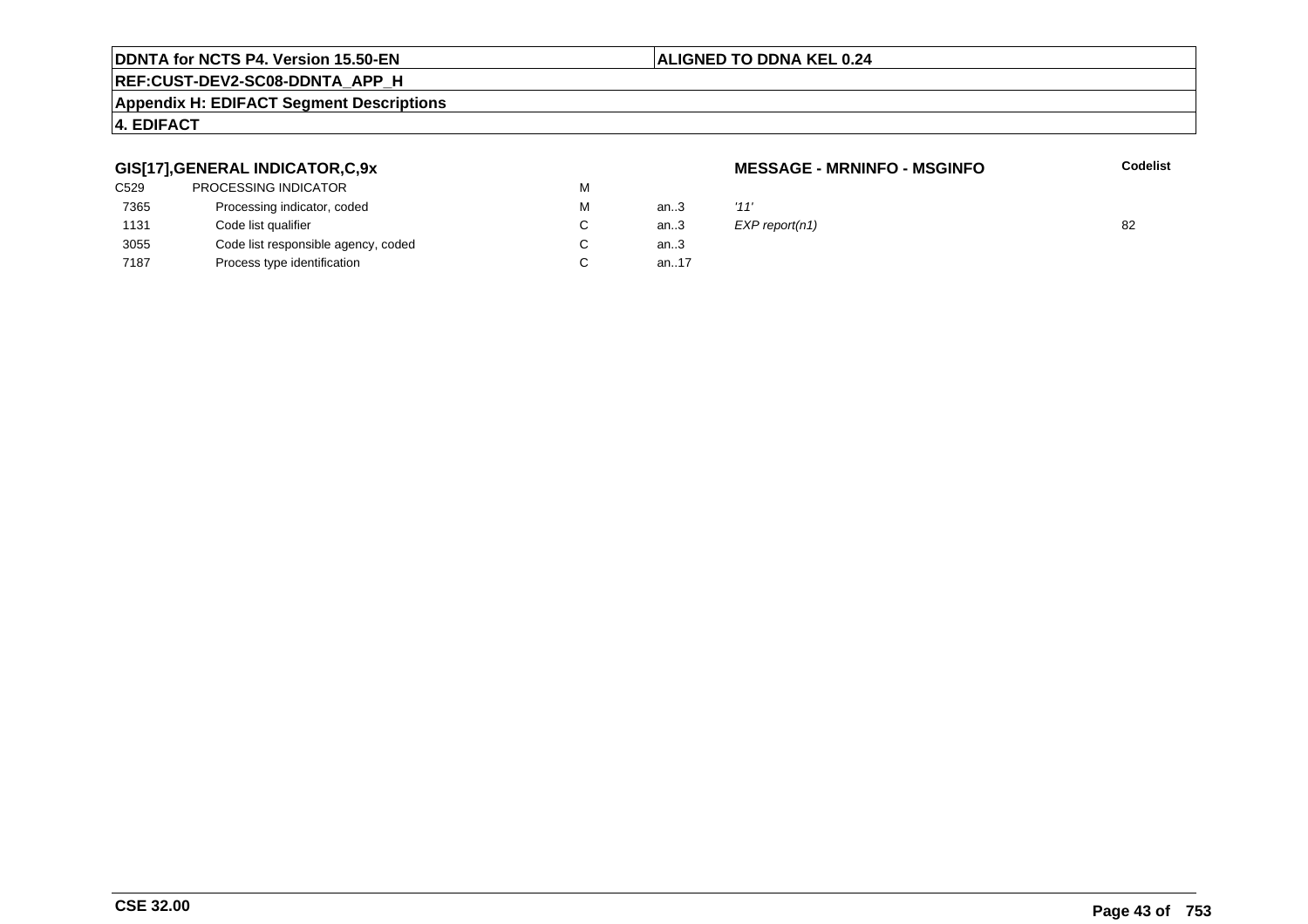### **ALIGNED TO DDNA KEL 0.24**

# **REF:CUST-DEV2-SC08-DDNTA\_APP\_H**

### **Appendix H: EDIFACT Segment Descriptions**

# **4. EDIFACT**

# **GIS[17],GENERAL INDICATOR,C,9x**

| C529 | <b>PROCESSING INDICATOR</b>         | м |          |      |
|------|-------------------------------------|---|----------|------|
| 7365 | Processing indicator, coded         | м | an.3     | '11' |
| 1131 | Code list qualifier                 |   | an.3     | EXI  |
| 3055 | Code list responsible agency, coded |   | an.3     |      |
| 7187 | Process type identification         |   | an. $17$ |      |

### **MESSAGE - MRNINFO - MSGINFO**

| М  | an3         | '11'           |    |
|----|-------------|----------------|----|
| C. | an3         | EXP report(n1) | 82 |
| ⌒  | <b>AR</b> 2 |                |    |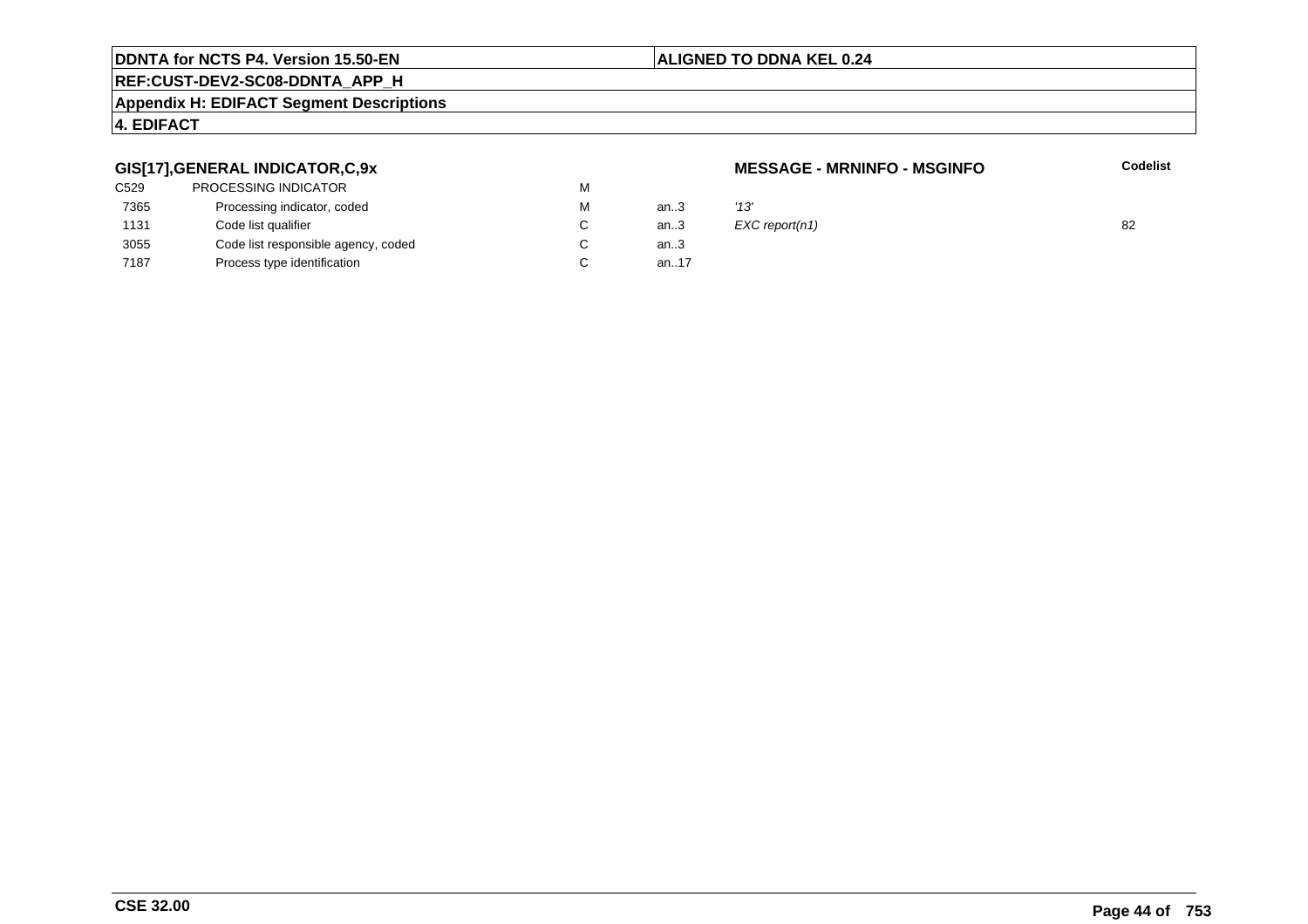### **ALIGNED TO DDNA KEL 0.24**

# **REF:CUST-DEV2-SC08-DDNTA\_APP\_H**

### **Appendix H: EDIFACT Segment Descriptions**

# **4. EDIFACT**

# **GIS[17],GENERAL INDICATOR,C,9x**

| C529 | PROCESSING INDICATOR                | м |      |      |
|------|-------------------------------------|---|------|------|
| 7365 | Processing indicator, coded         | м | an.3 | '13' |
| 1131 | Code list qualifier                 |   | an.3 | EX   |
| 3055 | Code list responsible agency, coded |   | an.3 |      |
| 7187 | Process type identification         |   | an17 |      |
|      |                                     |   |      |      |

### **MESSAGE - MRNINFO - MSGINFO**

**Codelist**

C an..3  $EXC$  report(n1) 82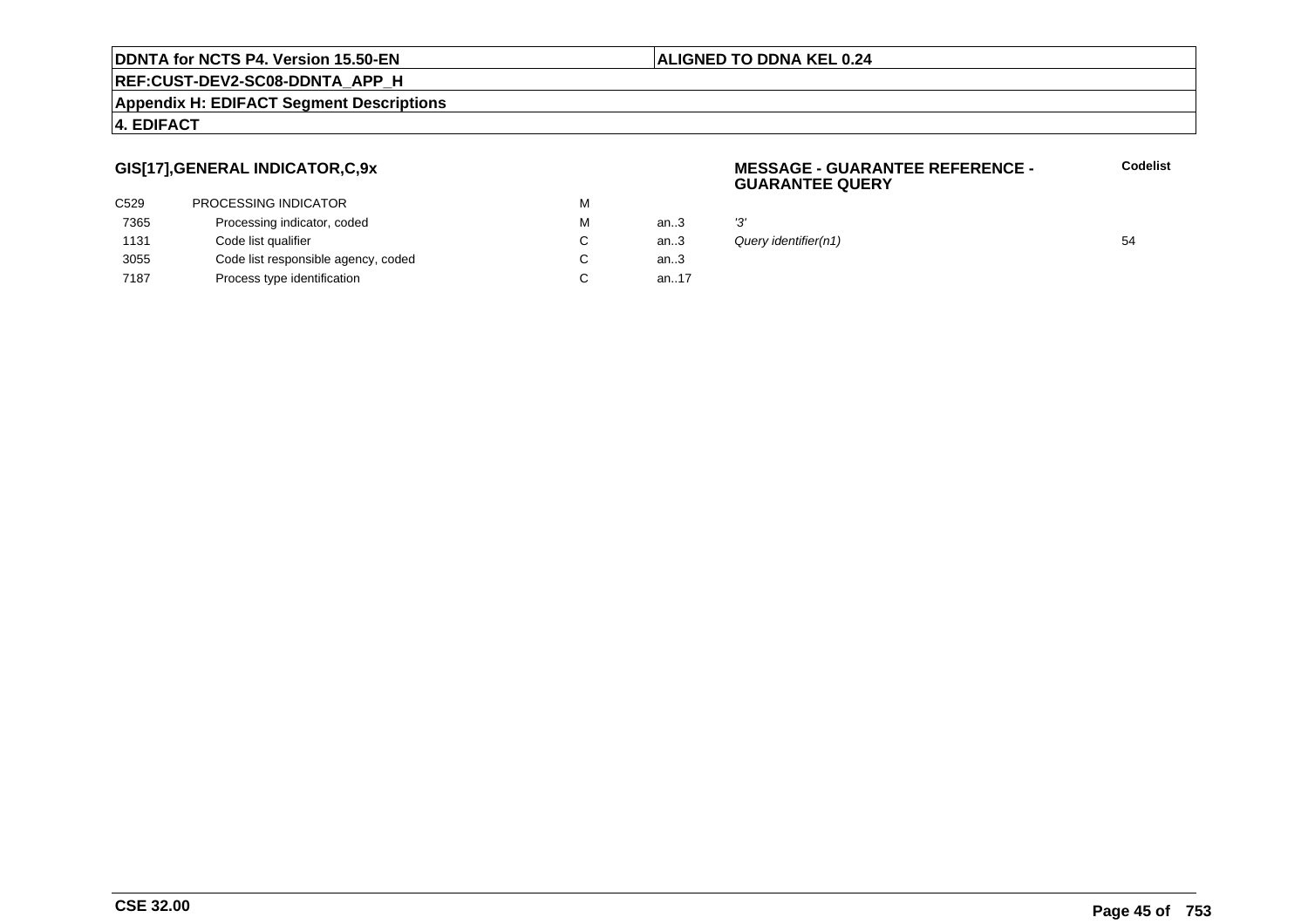### **ALIGNED TO DDNA KEL 0.24**

**REF:CUST-DEV2-SC08-DDNTA\_APP\_H**

### **Appendix H: EDIFACT Segment Descriptions**

### **4. EDIFACT**

# **GIS[17],GENERAL INDICATOR,C,9x**

| C529 | PROCESSING INDICATOR                | м |          |     |
|------|-------------------------------------|---|----------|-----|
| 7365 | Processing indicator, coded         | м | an.3     | '3' |
| 1131 | Code list qualifier                 | C | an.3     | Qı  |
| 3055 | Code list responsible agency, coded | С | an.3     |     |
| 7187 | Process type identification         |   | an. $17$ |     |

### **MESSAGE - GUARANTEE REFERENCE - GUARANTEE QUERY**

| М  | an.3 | יפי                  |    |
|----|------|----------------------|----|
| С  | an.3 | Query identifier(n1) | 54 |
| C. | an 3 |                      |    |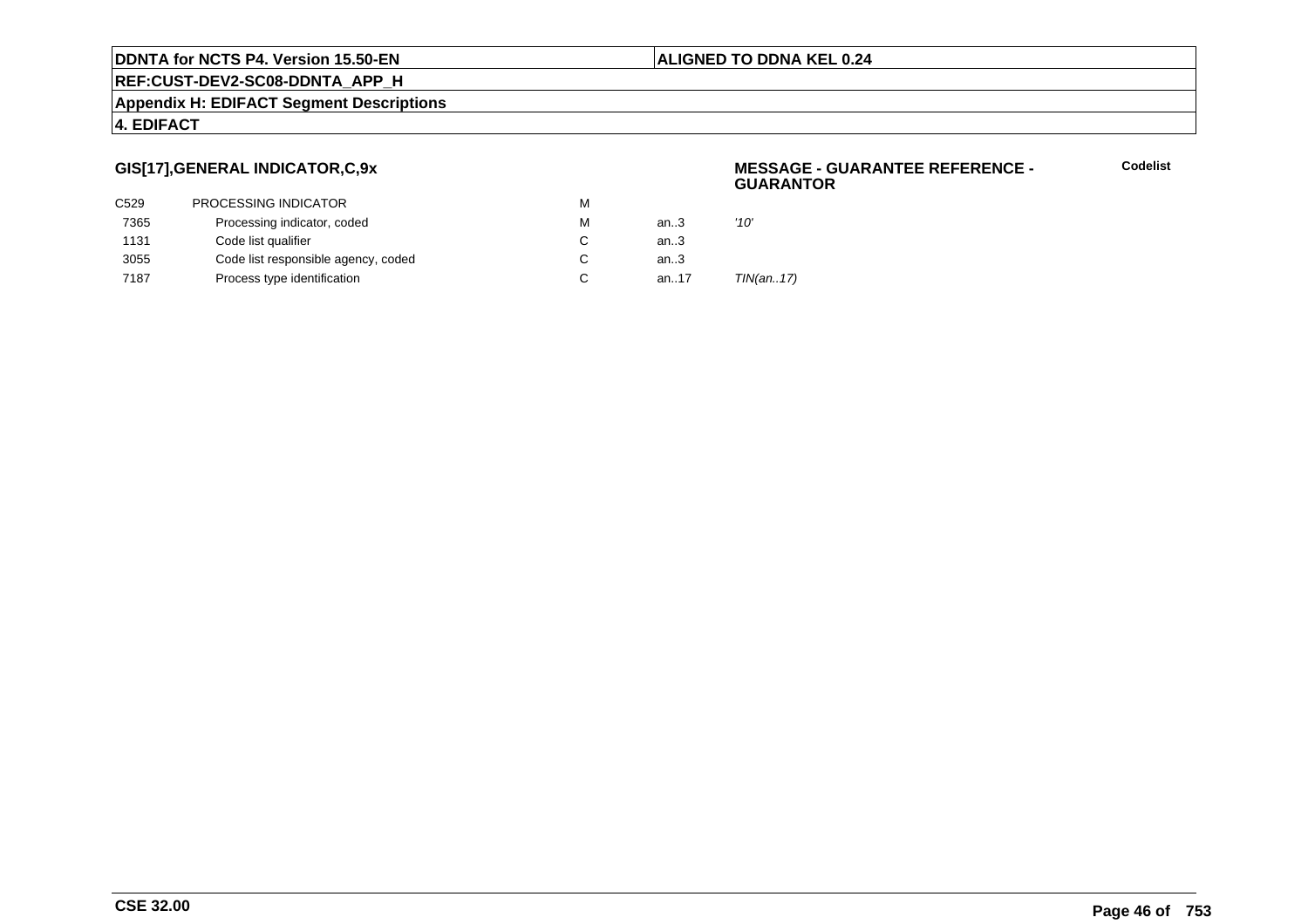### **ALIGNED TO DDNA KEL 0.24**

**REF:CUST-DEV2-SC08-DDNTA\_APP\_H**

### **Appendix H: EDIFACT Segment Descriptions**

### **4. EDIFACT**

# **GIS[17],GENERAL INDICATOR,C,9x**

|      |                                     |   |      | .         |
|------|-------------------------------------|---|------|-----------|
| C529 | PROCESSING INDICATOR                | м |      |           |
| 7365 | Processing indicator, coded         | м | an.3 | '10'      |
| 1131 | Code list qualifier                 | C | an3  |           |
| 3055 | Code list responsible agency, coded |   | an.3 |           |
| 7187 | Process type identification         | C | an17 | TIN(an17) |
|      |                                     |   |      |           |

### **MESSAGE - GUARANTEE REFERENCE - GUARANTOR**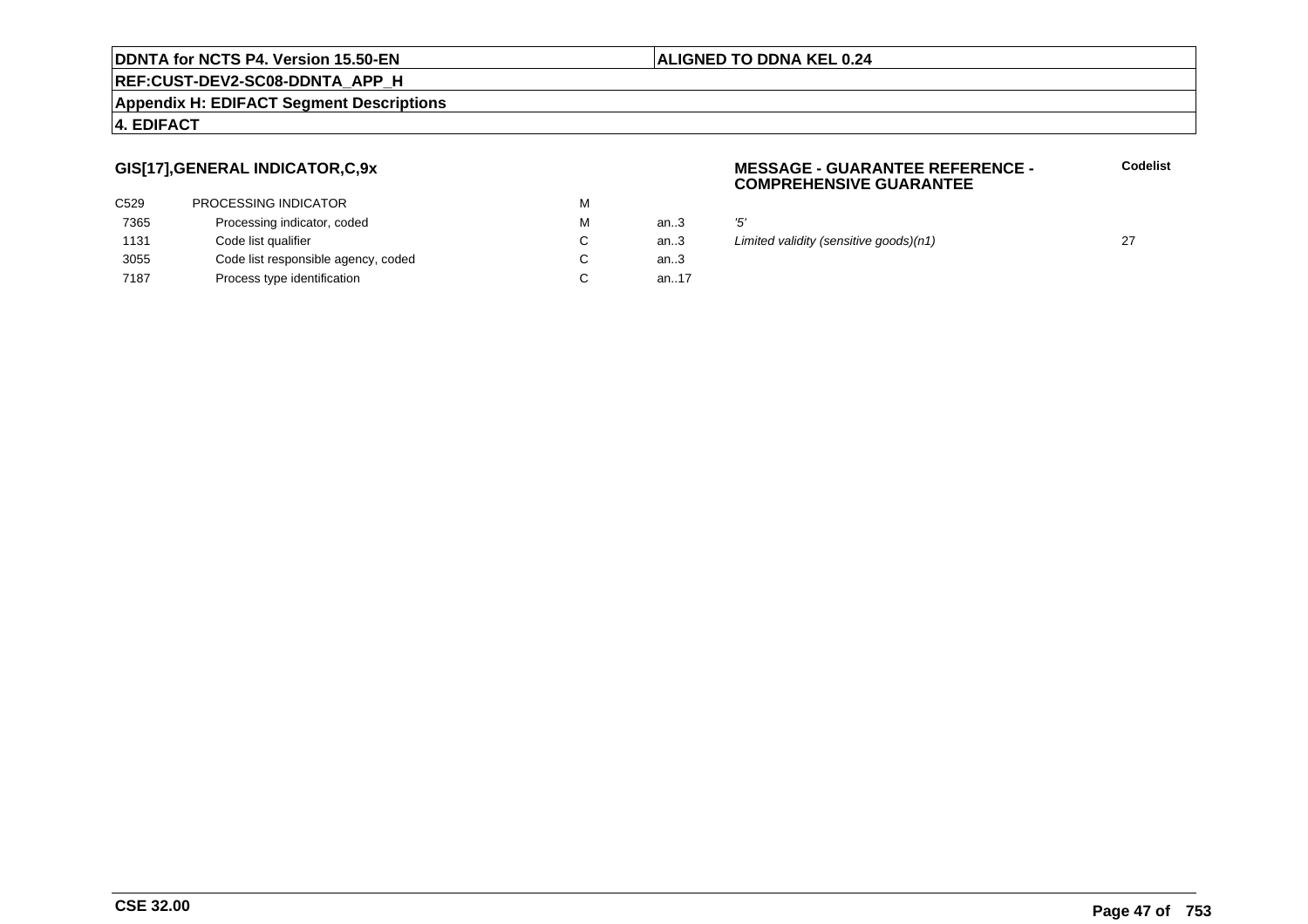### **REF:CUST-DEV2-SC08-DDNTA\_APP\_H**

### **Appendix H: EDIFACT Segment Descriptions**

### **4. EDIFACT**

# **GIS[17],GENERAL INDICATOR,C,9x**

| C <sub>529</sub> | <b>PROCESSING INDICATOR</b>         | м |          |     |
|------------------|-------------------------------------|---|----------|-----|
| 7365             | Processing indicator, coded         | м | an.3     | '5' |
| 1131             | Code list qualifier                 | C | an.3     | Liı |
| 3055             | Code list responsible agency, coded |   | an.3     |     |
| 7187             | Process type identification         |   | an. $17$ |     |

### **MESSAGE - GUARANTEE REFERENCE - COMPREHENSIVE GUARANTEE**

**Codelist**

an... 27<br>an... Limited validity (sensitive goods)(n1) 27<br>3

### **ALIGNED TO DDNA KEL 0.24**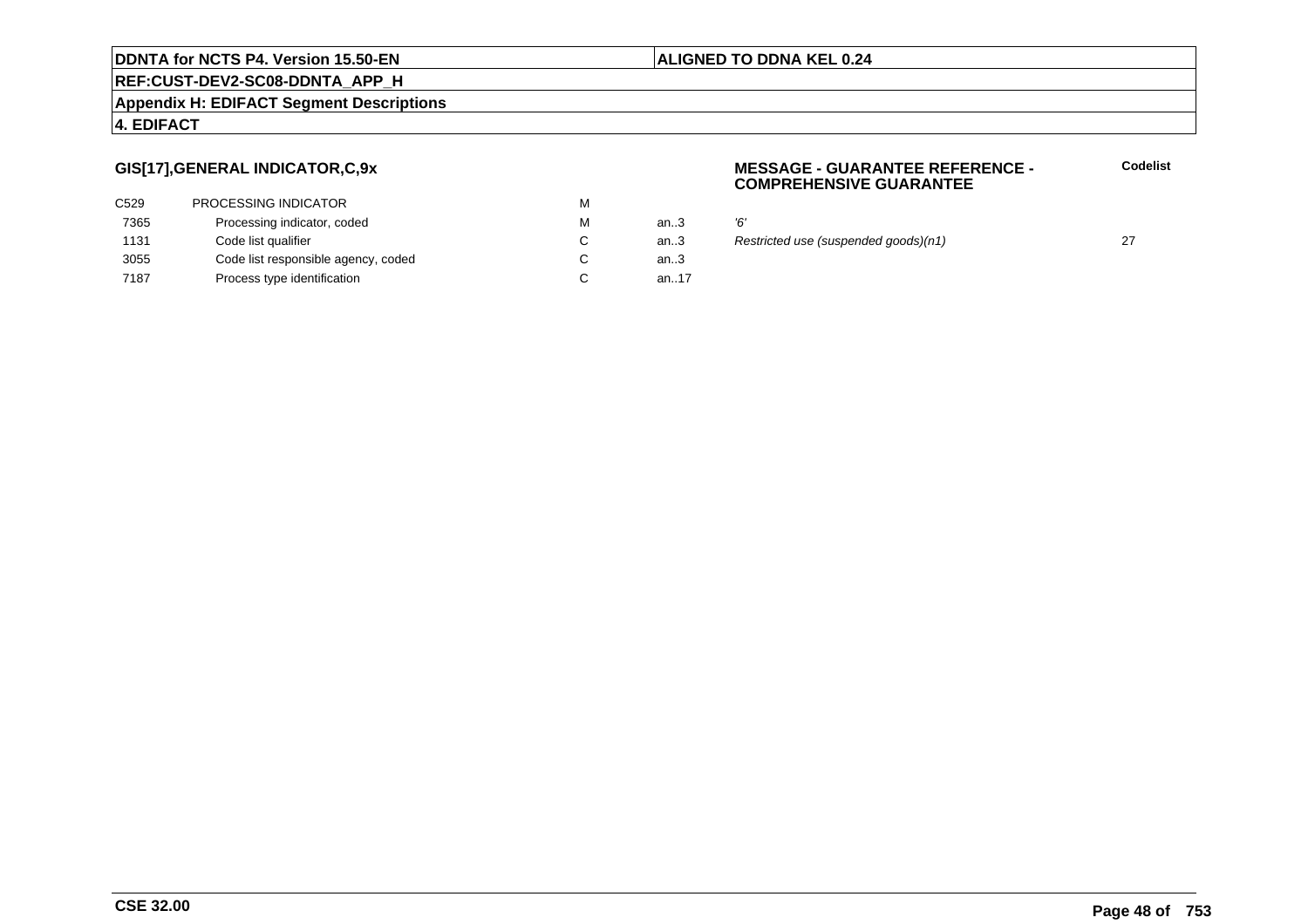### **REF:CUST-DEV2-SC08-DDNTA\_APP\_H**

### **Appendix H: EDIFACT Segment Descriptions**

### **4. EDIFACT**

# **GIS[17],GENERAL INDICATOR,C,9x**

| <b>PROCESSING INDICATOR</b>         | м |          |    |
|-------------------------------------|---|----------|----|
| Processing indicator, coded         | м | an.3     | Έ, |
| Code list qualifier                 |   | an.3     | R  |
| Code list responsible agency, coded | C | an.3     |    |
| Process type identification         |   | an. $17$ |    |
|                                     |   |          |    |

### **MESSAGE - GUARANTEE REFERENCE - COMPREHENSIVE GUARANTEE**

**Codelist**

an...<br>3 Restricted use (suspended goods)(n1) 27

### **ALIGNED TO DDNA KEL 0.24**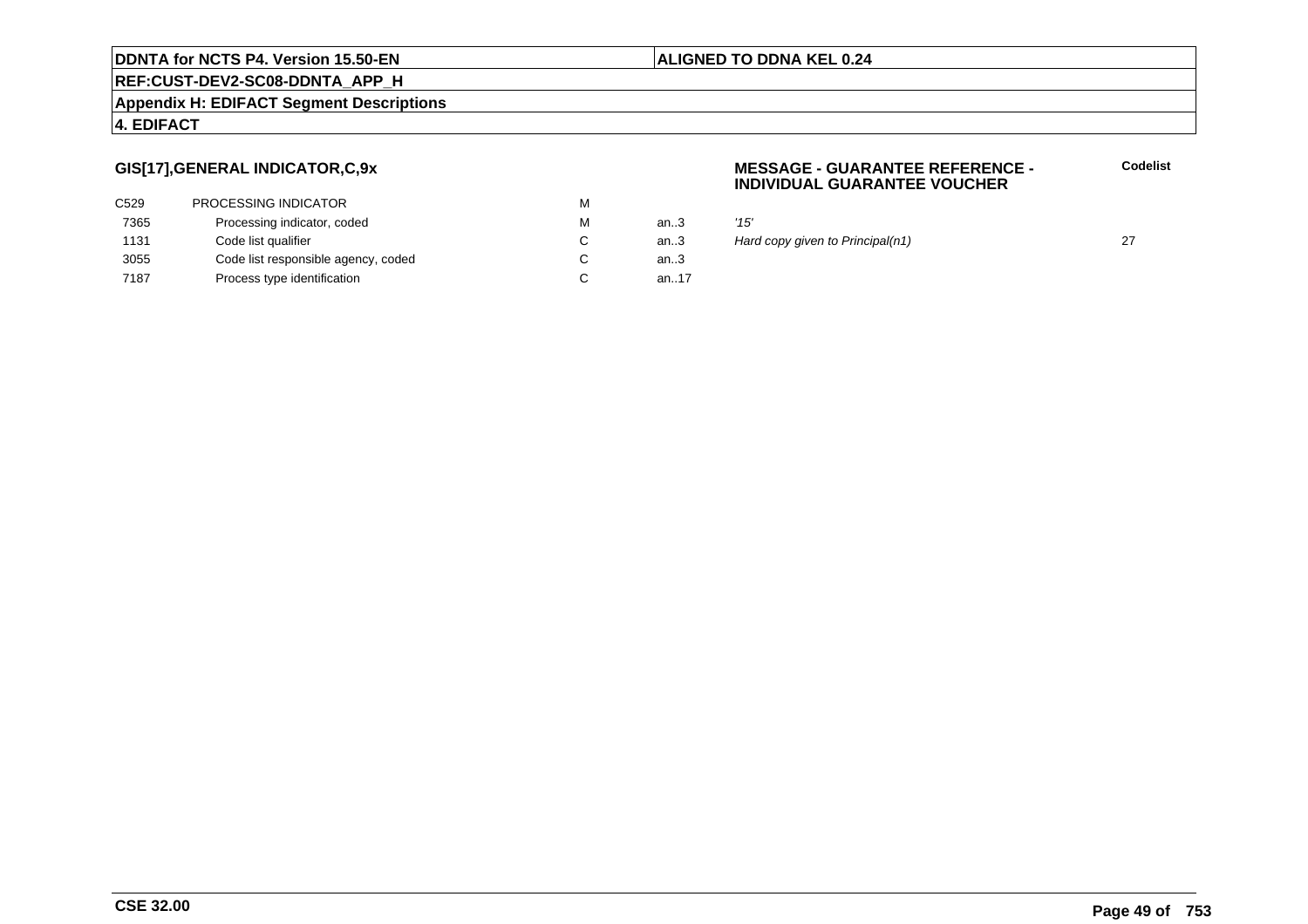# **REF:CUST-DEV2-SC08-DDNTA\_APP\_H**

### **Appendix H: EDIFACT Segment Descriptions**

### **4. EDIFACT**

# **GIS[17],GENERAL INDICATOR,C,9x**

| C <sub>529</sub> | <b>PROCESSING INDICATOR</b>         | м |       |      |
|------------------|-------------------------------------|---|-------|------|
| 7365             | Processing indicator, coded         | М | an.3  | '15' |
| 1131             | Code list qualifier                 |   | an.3  | Haı  |
| 3055             | Code list responsible agency, coded |   | an.3  |      |
| 7187             | Process type identification         |   | an.17 |      |

### **MESSAGE - GUARANTEE REFERENCE - INDIVIDUAL GUARANTEE VOUCHER**

an...<br>3 Hard copy given to Principal(n1) 27

**ALIGNED TO DDNA KEL 0.24**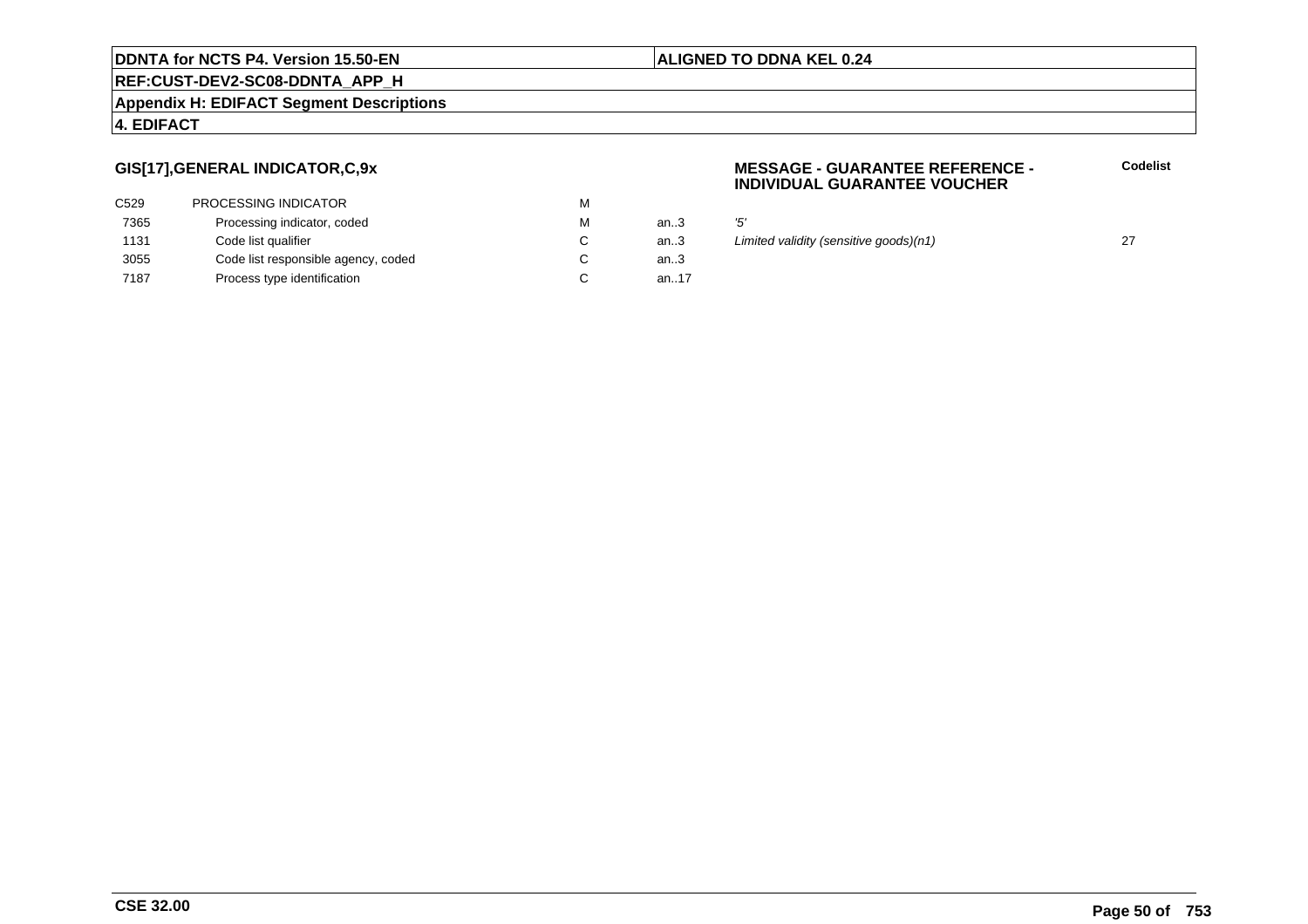### **REF:CUST-DEV2-SC08-DDNTA\_APP\_H**

### **Appendix H: EDIFACT Segment Descriptions**

### **4. EDIFACT**

# **GIS[17],GENERAL INDICATOR,C,9x**

| C <sub>529</sub> | <b>PROCESSING INDICATOR</b>         | м |          |     |
|------------------|-------------------------------------|---|----------|-----|
| 7365             | Processing indicator, coded         | м | an.3     | '5' |
| 1131             | Code list qualifier                 |   | an.3     | Liı |
| 3055             | Code list responsible agency, coded | C | an $3$   |     |
| 7187             | Process type identification         |   | an. $17$ |     |

### **MESSAGE - GUARANTEE REFERENCE - INDIVIDUAL GUARANTEE VOUCHER**

an... 27<br>an... Limited validity (sensitive goods)(n1) 27<br>3

**ALIGNED TO DDNA KEL 0.24**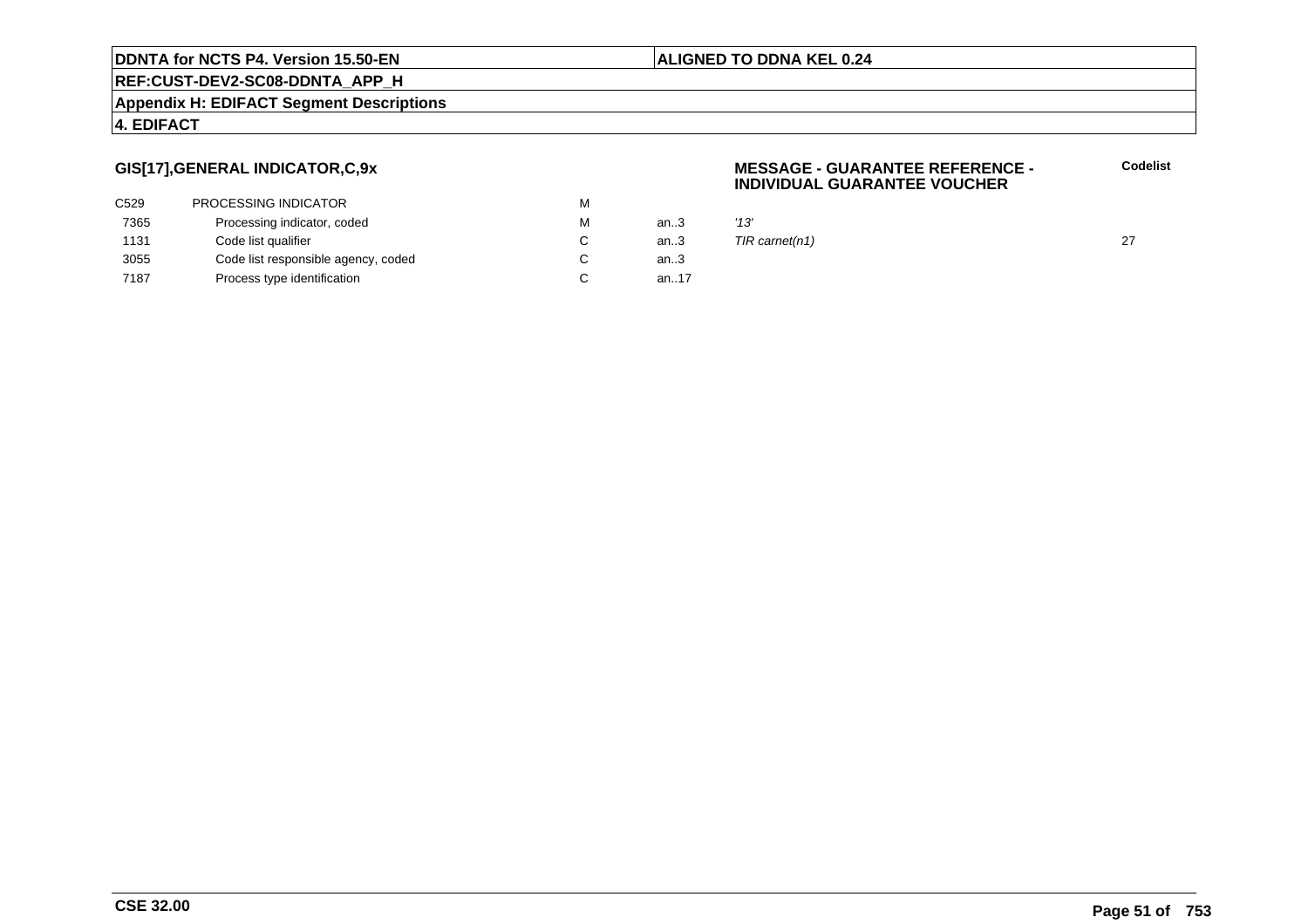# **ALIGNED TO DDNA KEL 0.24**

**REF:CUST-DEV2-SC08-DDNTA\_APP\_H**

### **Appendix H: EDIFACT Segment Descriptions**

### **4. EDIFACT**

# **GIS[17],GENERAL INDICATOR,C,9x**

| PROCESSING INDICATOR                | м |       |      |
|-------------------------------------|---|-------|------|
| Processing indicator, coded         | м | an.3  | '13' |
| Code list qualifier                 |   | an.3  | TIR  |
| Code list responsible agency, coded |   | an.3  |      |
| Process type identification         |   | an.17 |      |
|                                     |   |       |      |

#### **MESSAGE - GUARANTEE REFERENCE - INDIVIDUAL GUARANTEE VOUCHERCodelist**

 $TIR \, \text{carnet}(n1)$  27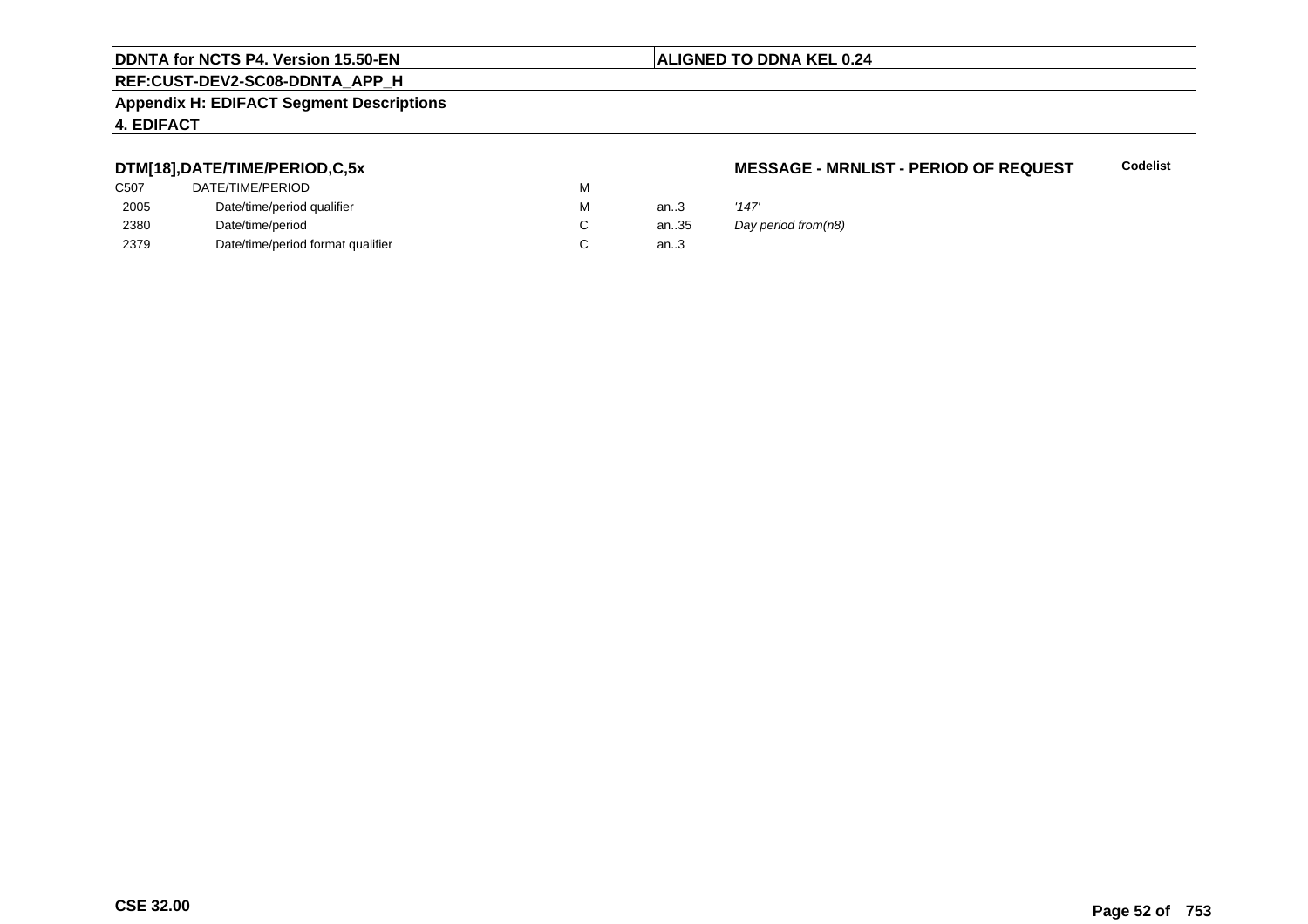# **REF:CUST-DEV2-SC08-DDNTA\_APP\_H**

### **Appendix H: EDIFACT Segment Descriptions**

# **4. EDIFACT**

# **DTM[18],DATE/TIME/PERIOD,C,5x**

| C507 | DATE/TIME/PERIOD                  | М |      |       |
|------|-----------------------------------|---|------|-------|
| 2005 | Date/time/period qualifier        | М | an.3 | '147' |
| 2380 | Date/time/period                  |   | an35 | Day   |
| 2379 | Date/time/period format qualifier |   | an.3 |       |

### **MESSAGE - MRNLIST - PERIOD OF REQUEST**

**Codelist**

Day period from(n8)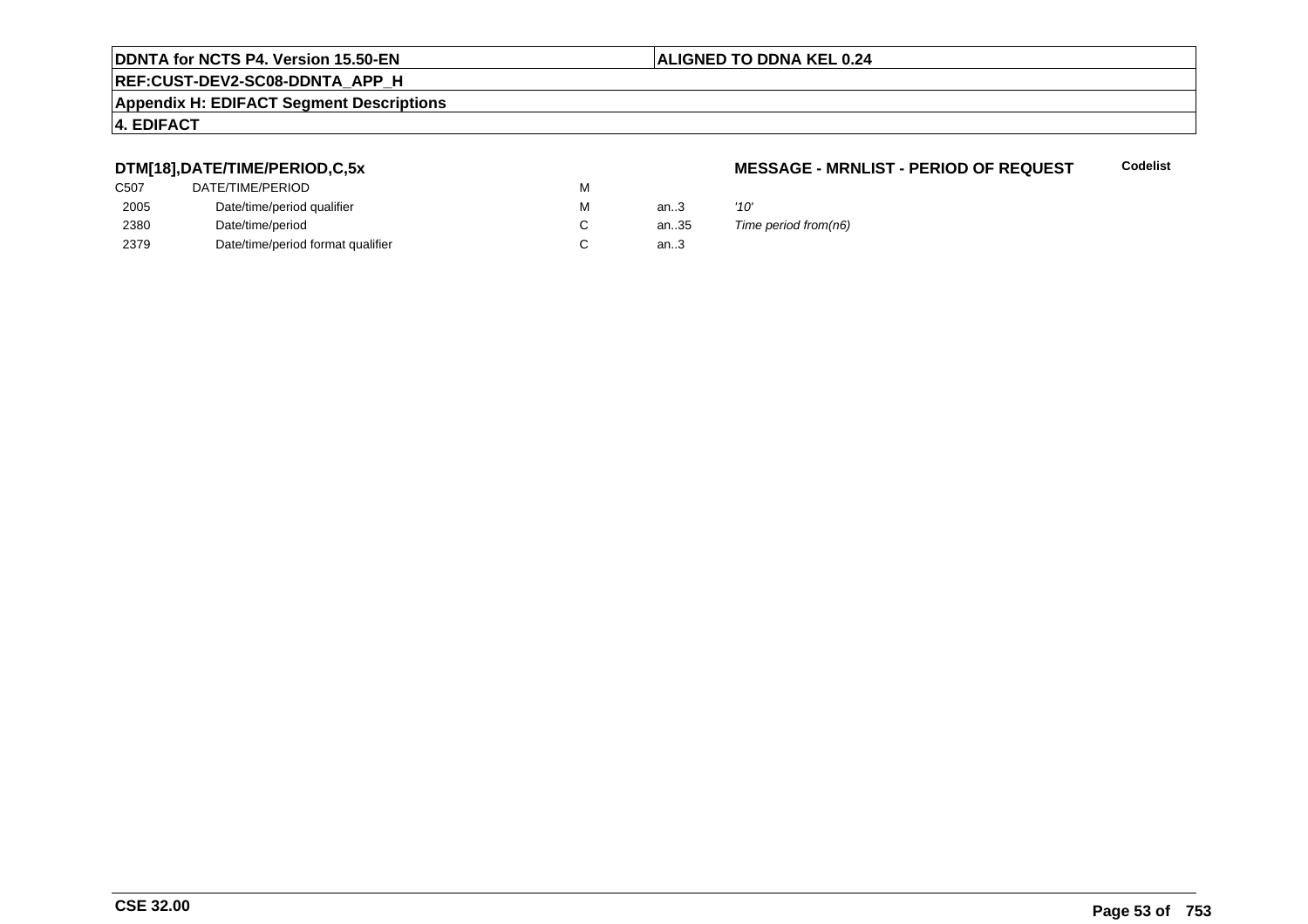# **REF:CUST-DEV2-SC08-DDNTA\_APP\_H**

### **Appendix H: EDIFACT Segment Descriptions**

# **4. EDIFACT**

# **DTM[18],DATE/TIME/PERIOD,C,5x**

| C507 | DATE/TIME/PERIOD                  | м |        |      |
|------|-----------------------------------|---|--------|------|
| 2005 | Date/time/period qualifier        | м | an $3$ | '10' |
| 2380 | Date/time/period                  |   | an35   | Tim  |
| 2379 | Date/time/period format qualifier |   | an.3   |      |

#### **MESSAGE - MRNLIST - PERIOD OF REQUESTCodelist**

35 Time period from(n6)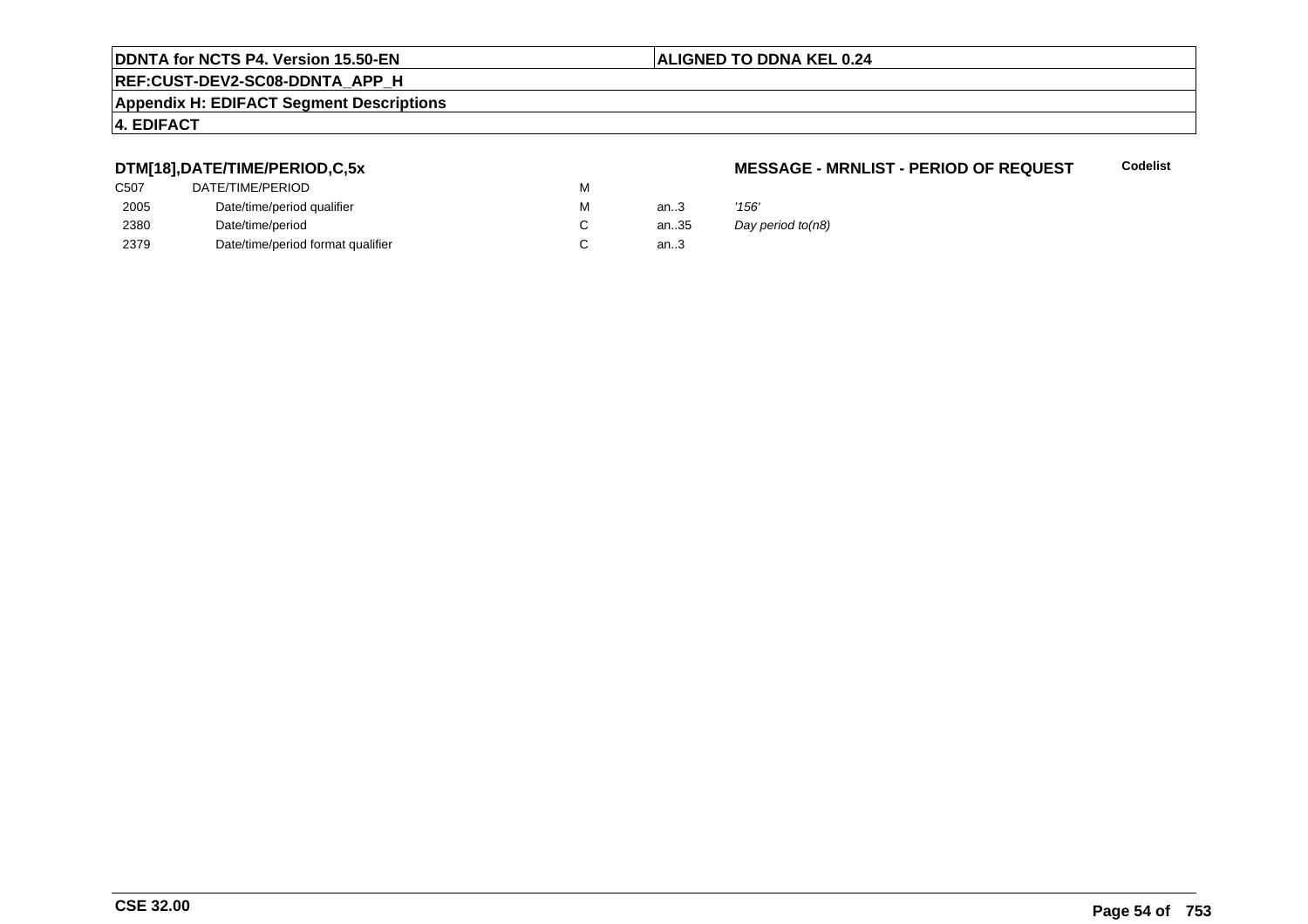# **REF:CUST-DEV2-SC08-DDNTA\_APP\_H**

#### **Appendix H: EDIFACT Segment Descriptions**

### **4. EDIFACT**

# **DTM[18],DATE/TIME/PERIOD,C,5x**

| C507 | DATE/TIME/PERIOD                  | М |        |       |
|------|-----------------------------------|---|--------|-------|
| 2005 | Date/time/period qualifier        | М | an $3$ | '156' |
| 2380 | Date/time/period                  |   | an35   | Day   |
| 2379 | Date/time/period format qualifier |   | an.3   |       |

### **MESSAGE - MRNLIST - PERIOD OF REQUEST**

**Codelist**

Day period to(n8)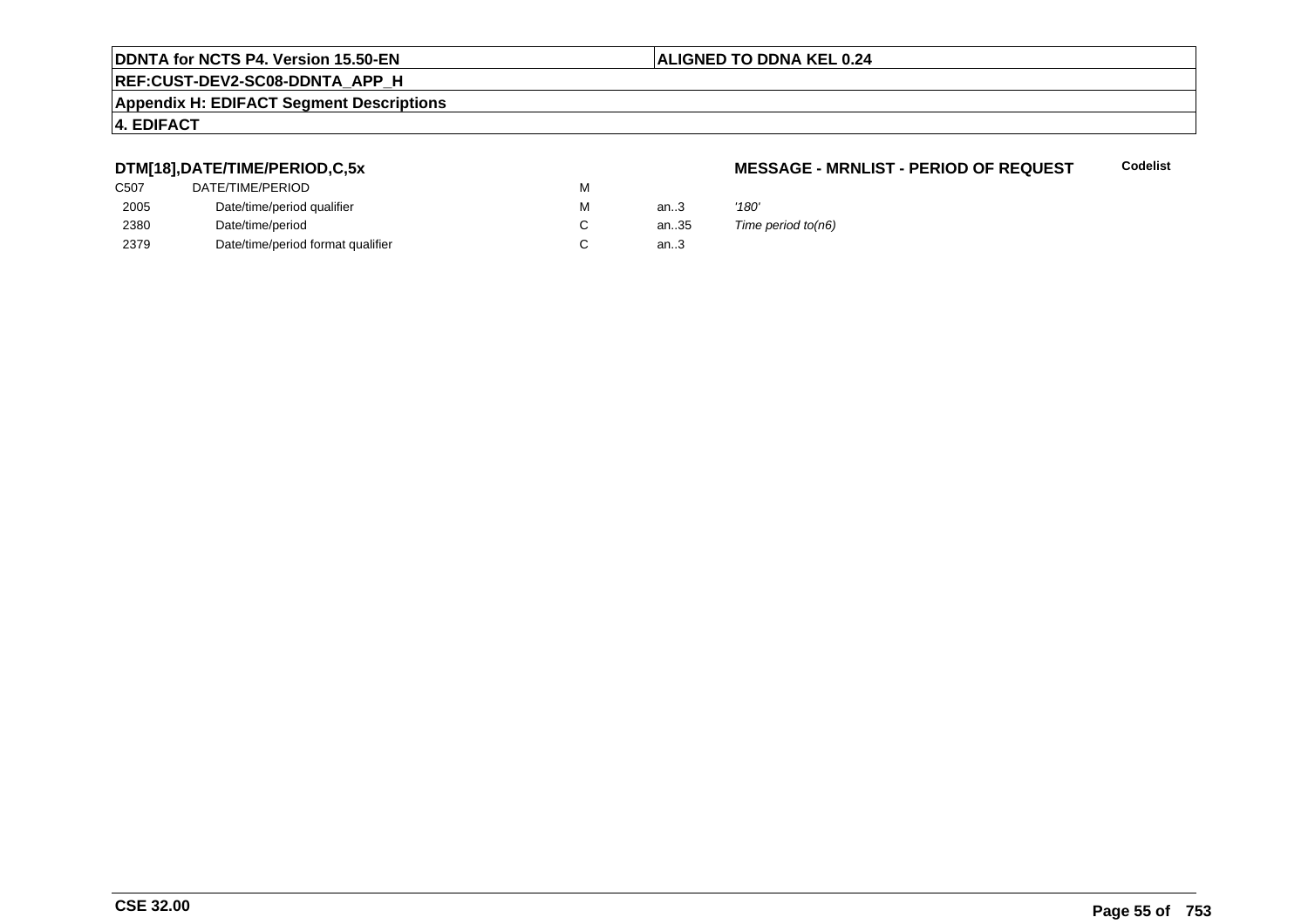# **REF:CUST-DEV2-SC08-DDNTA\_APP\_H**

### **Appendix H: EDIFACT Segment Descriptions**

# **4. EDIFACT**

# **DTM[18],DATE/TIME/PERIOD,C,5x**

| DATE/TIME/PERIOD                  | М |        |       |
|-----------------------------------|---|--------|-------|
| Date/time/period qualifier        | М | an $3$ | '180' |
| Date/time/period                  |   | an35   | Time  |
| Date/time/period format qualifier |   | an.3   |       |
|                                   |   |        |       |

#### **MESSAGE - MRNLIST - PERIOD OF REQUESTCodelist**

 $5$  Time period to(n6)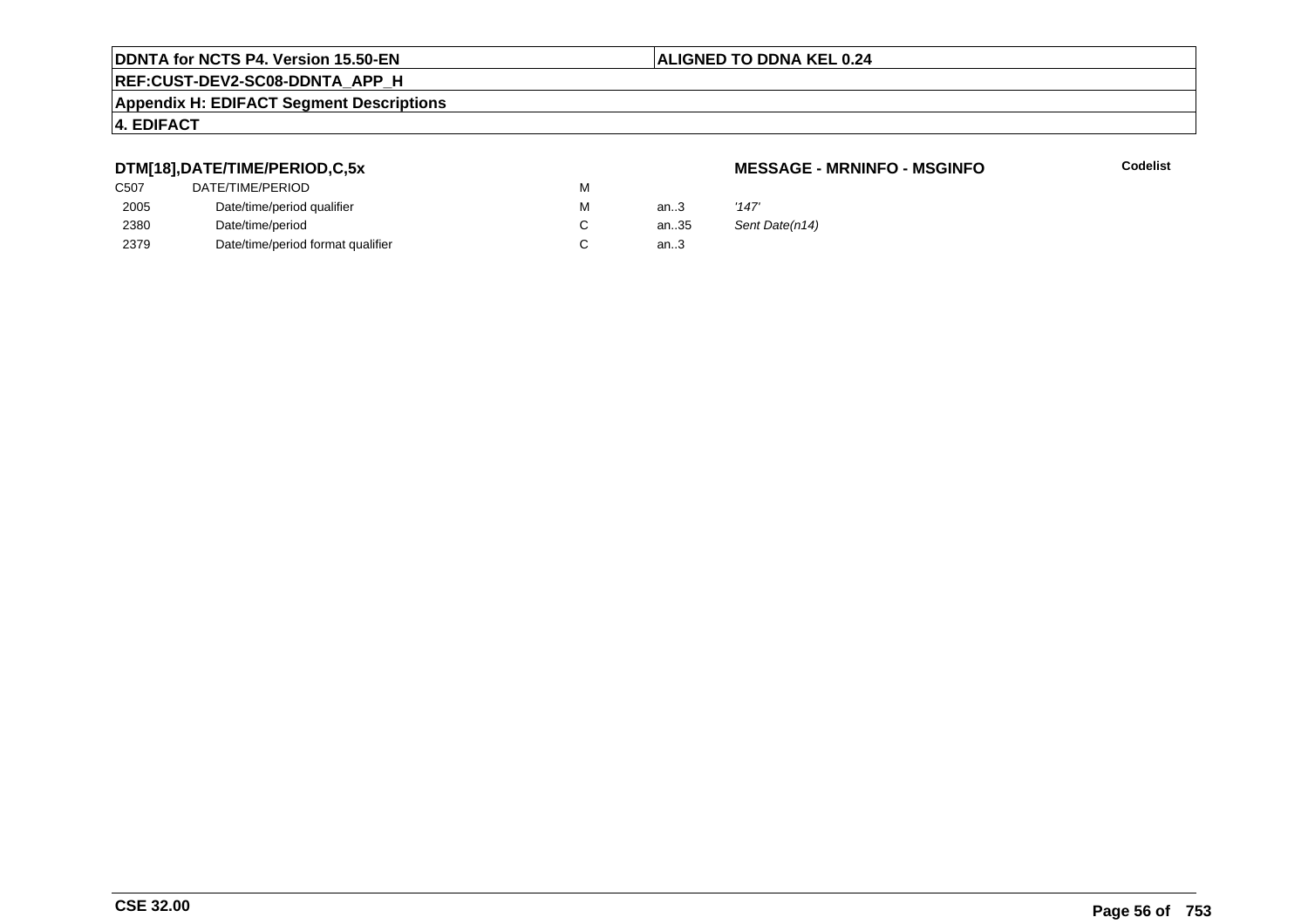# **REF:CUST-DEV2-SC08-DDNTA\_APP\_H**

### **Appendix H: EDIFACT Segment Descriptions**

### **4. EDIFACT**

# **DTM[18],DATE/TIME/PERIOD,C,5x**

| C <sub>50</sub> 7 | DATE/TIME/PERIOD                  | м |        |       |
|-------------------|-----------------------------------|---|--------|-------|
| 2005              | Date/time/period qualifier        | м | an.3   | '147' |
| 2380              | Date/time/period                  |   | an35   | Sent  |
| 2379              | Date/time/period format qualifier |   | an $3$ |       |

### **MESSAGE - MRNINFO - MSGINFO**

**Codelist**

Sent Date(n14)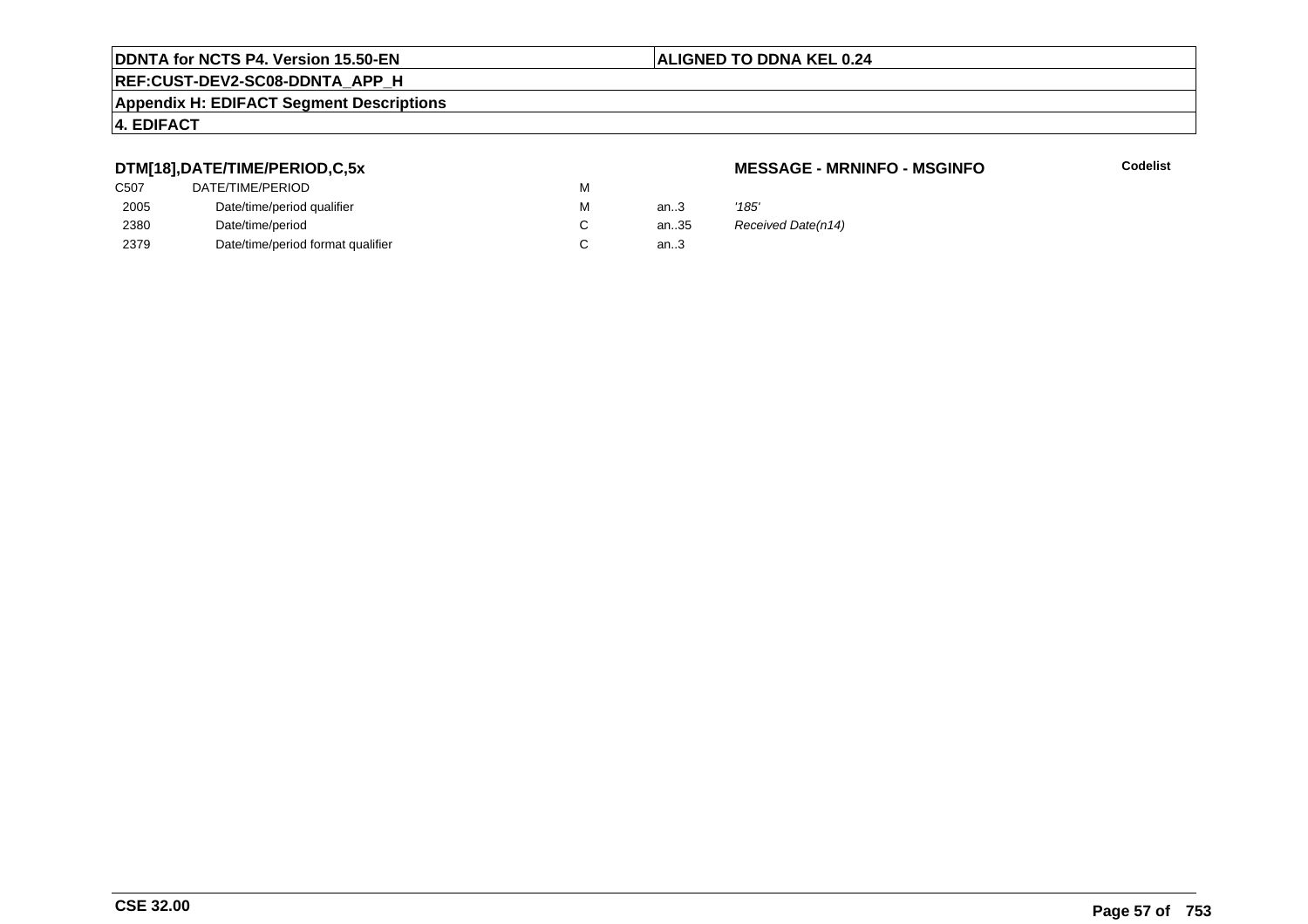# **REF:CUST-DEV2-SC08-DDNTA\_APP\_H**

### **Appendix H: EDIFACT Segment Descriptions**

### **4. EDIFACT**

# **DTM[18],DATE/TIME/PERIOD,C,5x**

| C507 | DATE/TIME/PERIOD                  | М |          |       |
|------|-----------------------------------|---|----------|-------|
| 2005 | Date/time/period qualifier        | М | an $3$   | '185' |
| 2380 | Date/time/period                  |   | an $.35$ | Rece  |
| 2379 | Date/time/period format qualifier |   | an.3     |       |

### **MESSAGE - MRNINFO - MSGINFO**

**Codelist**

35 Received Date(n14)<br>3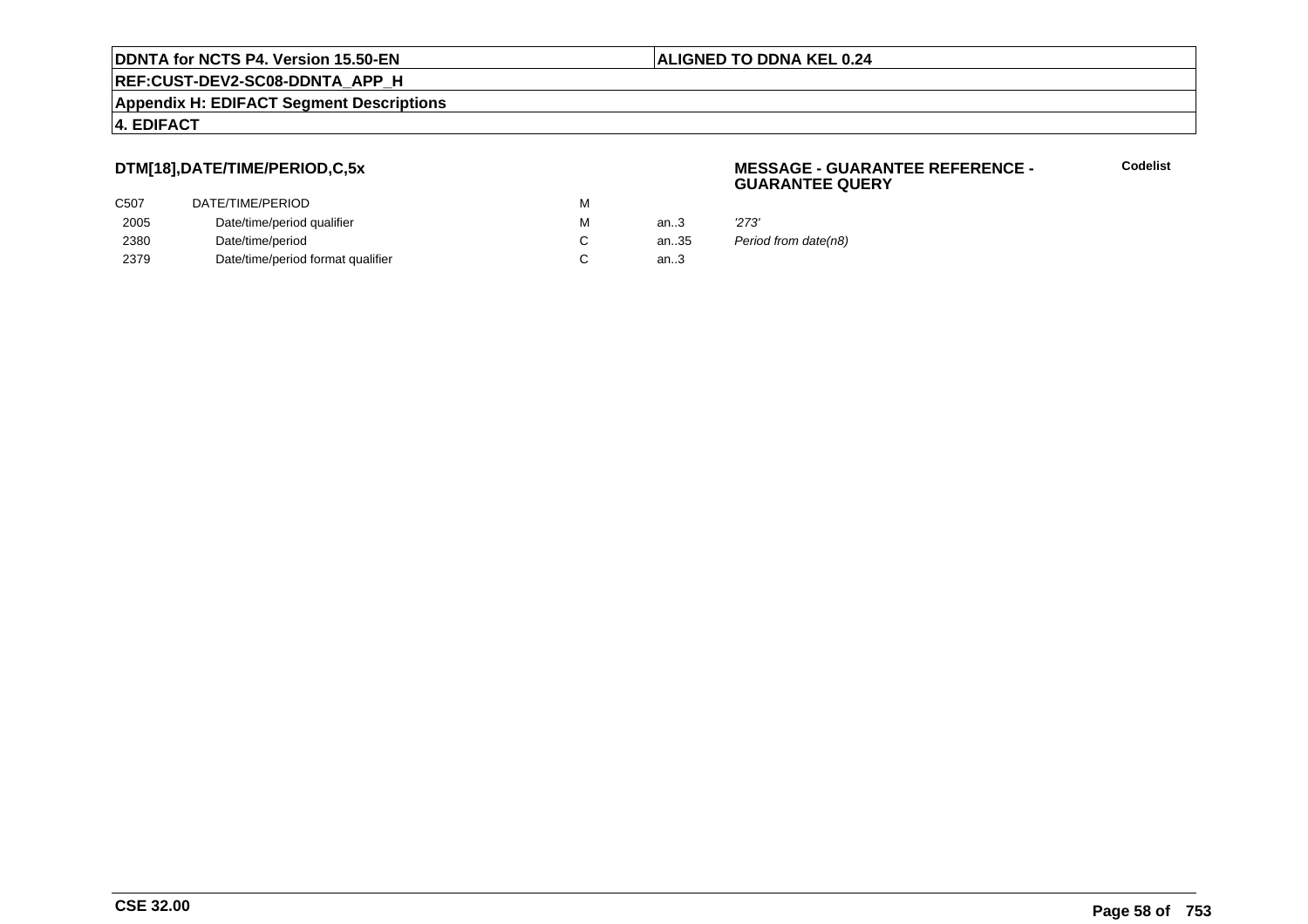**REF:CUST-DEV2-SC08-DDNTA\_APP\_H**

**Appendix H: EDIFACT Segment Descriptions**

## **4. EDIFACT**

# **DTM[18],DATE/TIME/PERIOD,C,5x**

| DATE/TIME/PERIOD                  | M |        |       |
|-----------------------------------|---|--------|-------|
| Date/time/period qualifier        | M | an $3$ | '273' |
| Date/time/period                  |   | an35   | Perio |
| Date/time/period format qualifier |   | an $3$ |       |
|                                   |   |        |       |

### **MESSAGE - GUARANTEE REFERENCE - GUARANTEE QUERY**

**Codelist**

Period from date(n8)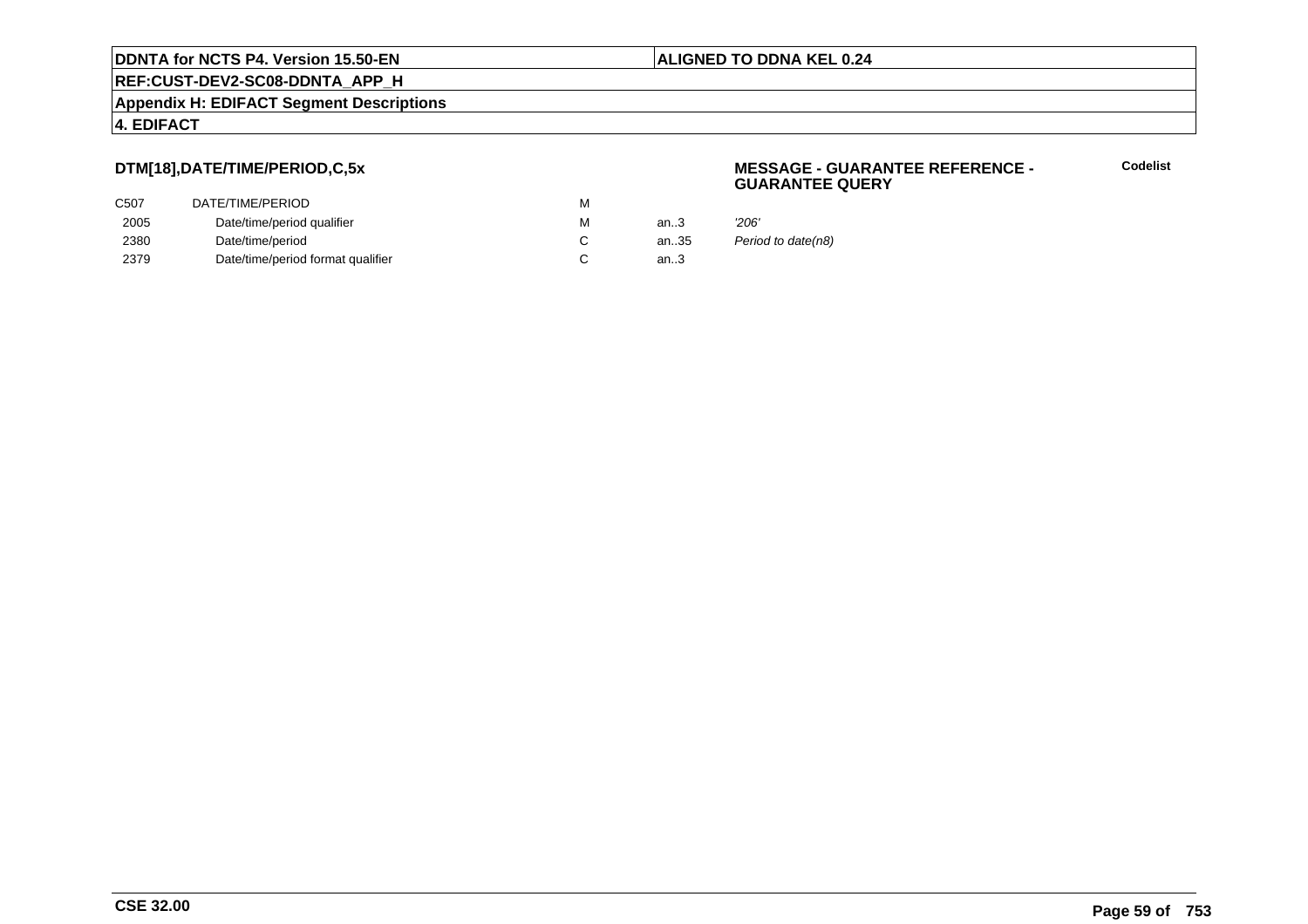**REF:CUST-DEV2-SC08-DDNTA\_APP\_H**

**Appendix H: EDIFACT Segment Descriptions**

## **4. EDIFACT**

# **DTM[18],DATE/TIME/PERIOD,C,5x**

| DATE/TIME/PERIOD                  | М |      |       |
|-----------------------------------|---|------|-------|
| Date/time/period qualifier        | M | an.3 | '206' |
| Date/time/period                  |   | an35 | Perio |
| Date/time/period format qualifier |   | an.3 |       |
|                                   |   |      |       |

### **MESSAGE - GUARANTEE REFERENCE - GUARANTEE QUERY**

**Codelist**

Period to date(n8)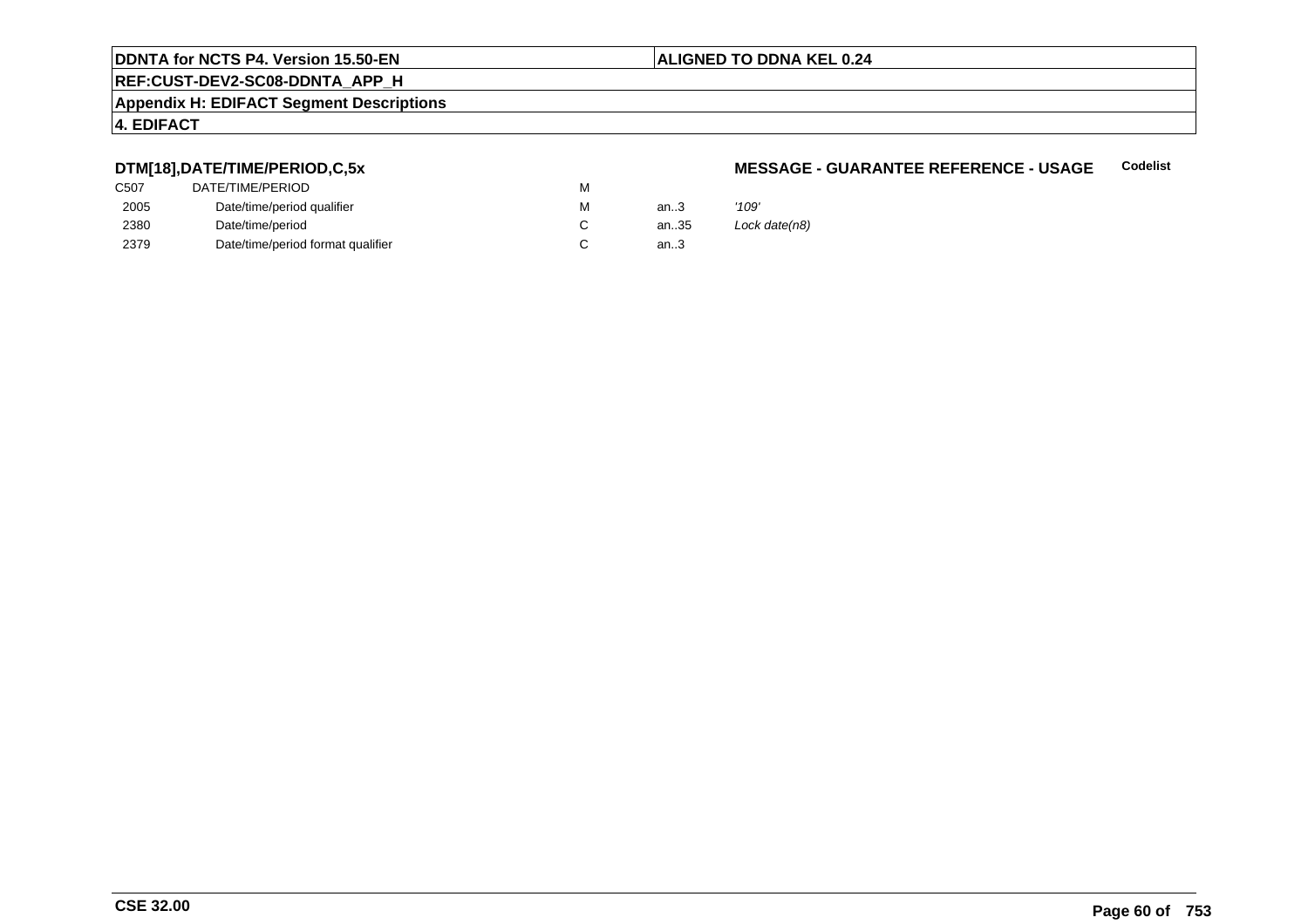# **REF:CUST-DEV2-SC08-DDNTA\_APP\_H**

### **Appendix H: EDIFACT Segment Descriptions**

# **4. EDIFACT**

# **DTM[18],DATE/TIME/PERIOD,C,5x**

| C507 | DATE/TIME/PERIOD                  | М |        |       |
|------|-----------------------------------|---|--------|-------|
| 2005 | Date/time/period qualifier        | М | an.3   | '109' |
| 2380 | Date/time/period                  |   | an35   | Lock  |
| 2379 | Date/time/period format qualifier |   | an $3$ |       |

#### **MESSAGE - GUARANTEE REFERENCE - USAGECodelist**

Lock date(n8)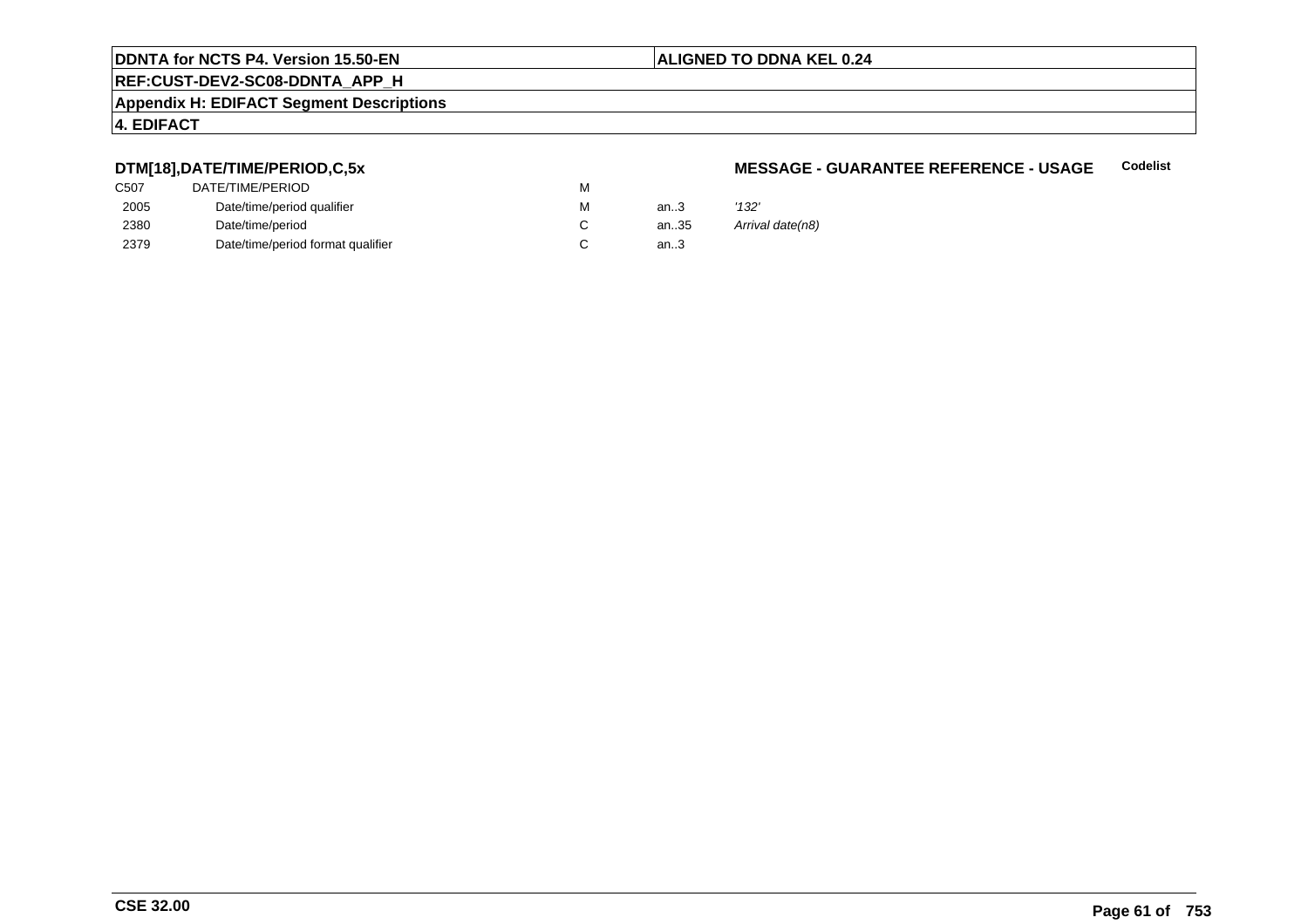# **REF:CUST-DEV2-SC08-DDNTA\_APP\_H**

### **Appendix H: EDIFACT Segment Descriptions**

### **4. EDIFACT**

# **DTM[18],DATE/TIME/PERIOD,C,5x**

| C507 | DATE/TIME/PERIOD                  | М |        |       |
|------|-----------------------------------|---|--------|-------|
| 2005 | Date/time/period qualifier        | М | an $3$ | '132' |
| 2380 | Date/time/period                  |   | an35   | Arriv |
| 2379 | Date/time/period format qualifier |   | an.3   |       |

#### **MESSAGE - GUARANTEE REFERENCE - USAGECodelist**

Arrival date(n8)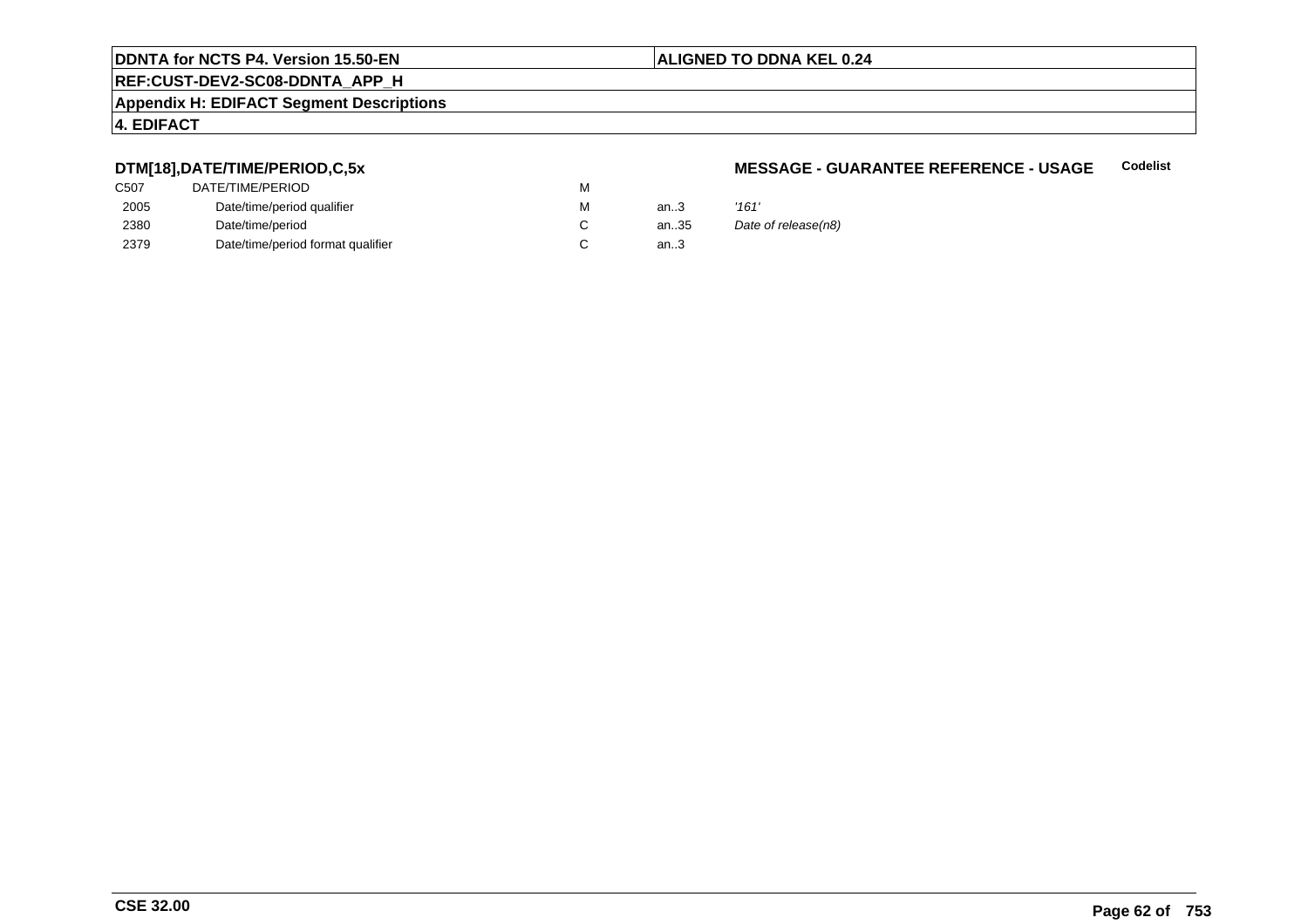# **REF:CUST-DEV2-SC08-DDNTA\_APP\_H**

#### **Appendix H: EDIFACT Segment Descriptions**

# **4. EDIFACT**

# **DTM[18],DATE/TIME/PERIOD,C,5x**

| C507 | DATE/TIME/PERIOD                  | М |          |       |
|------|-----------------------------------|---|----------|-------|
| 2005 | Date/time/period qualifier        | М | an $3$   | '161' |
| 2380 | Date/time/period                  |   | an $.35$ | Date  |
| 2379 | Date/time/period format qualifier |   | an.3     |       |

#### **MESSAGE - GUARANTEE REFERENCE - USAGECodelist**

| м | an.3 | '161'               |
|---|------|---------------------|
| С | an35 | Date of release(n8) |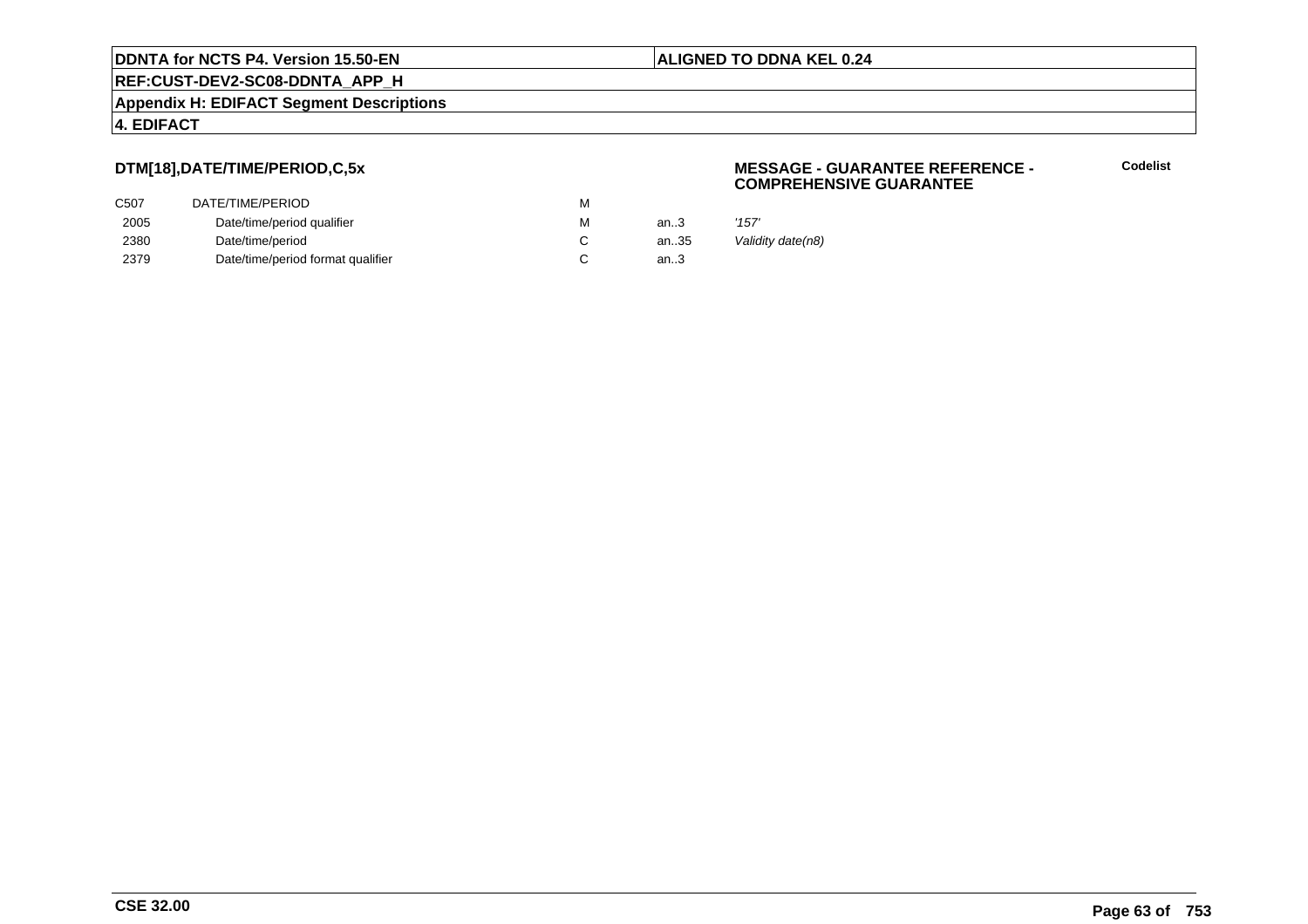**REF:CUST-DEV2-SC08-DDNTA\_APP\_H**

**Appendix H: EDIFACT Segment Descriptions**

### **4. EDIFACT**

# **DTM[18],DATE/TIME/PERIOD,C,5x**

| DATE/TIME/PERIOD                  | M |      |       |
|-----------------------------------|---|------|-------|
| Date/time/period qualifier        | M | an.3 | '157' |
| Date/time/period                  |   | an35 | Valic |
| Date/time/period format qualifier |   | an3  |       |
|                                   |   |      |       |

### **MESSAGE - GUARANTEE REFERENCE - COMPREHENSIVE GUARANTEE**

**Codelist**

Validity date(n8)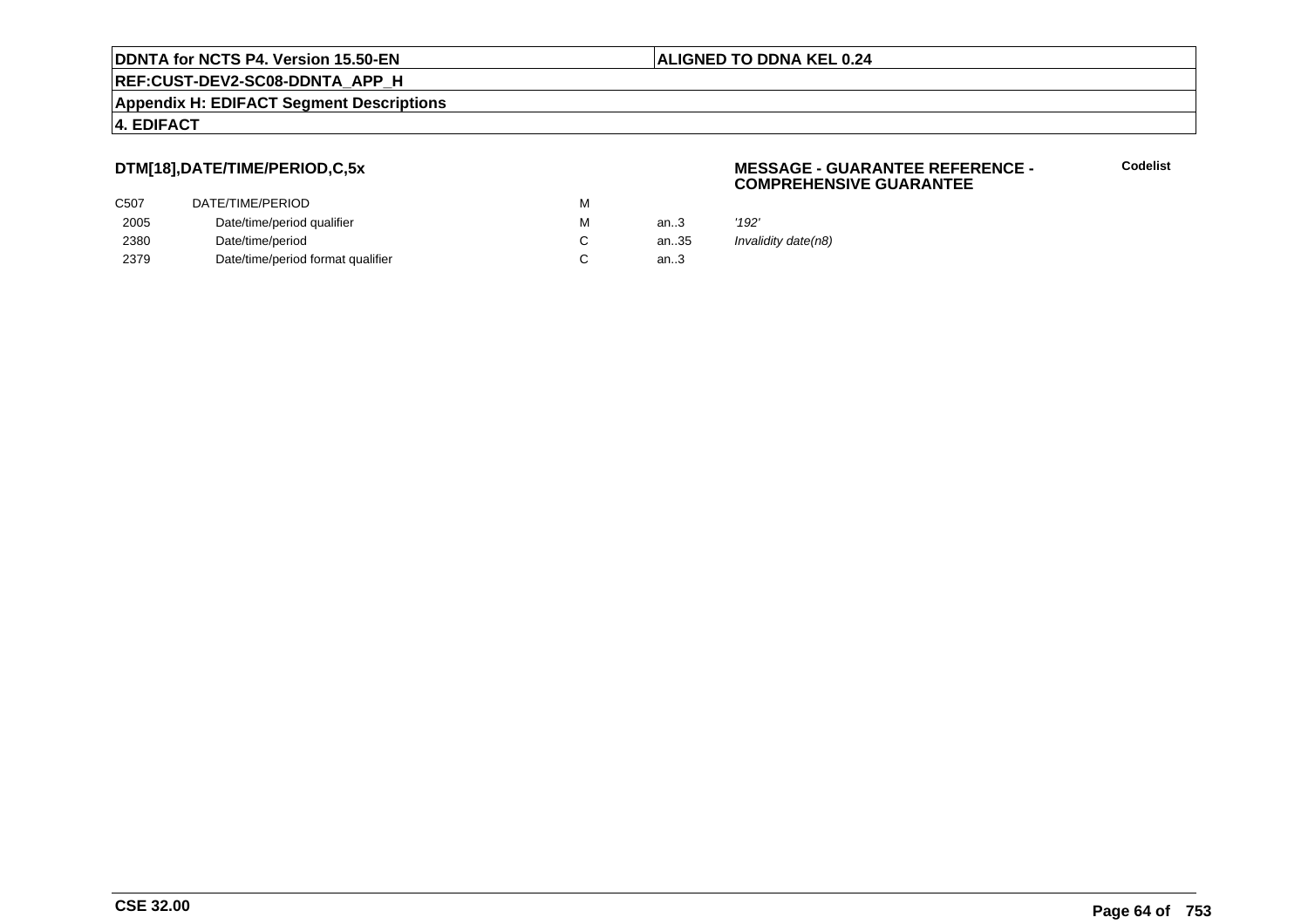**REF:CUST-DEV2-SC08-DDNTA\_APP\_H**

**Appendix H: EDIFACT Segment Descriptions**

## **4. EDIFACT**

# **DTM[18],DATE/TIME/PERIOD,C,5x**

| C507 | DATE/TIME/PERIOD                  | M |        |       |
|------|-----------------------------------|---|--------|-------|
| 2005 | Date/time/period qualifier        | M | an.3   | '192' |
| 2380 | Date/time/period                  |   | an35   | Inval |
| 2379 | Date/time/period format qualifier |   | an $3$ |       |

### **MESSAGE - GUARANTEE REFERENCE - COMPREHENSIVE GUARANTEE**

**Codelist**

Invalidity date(n8)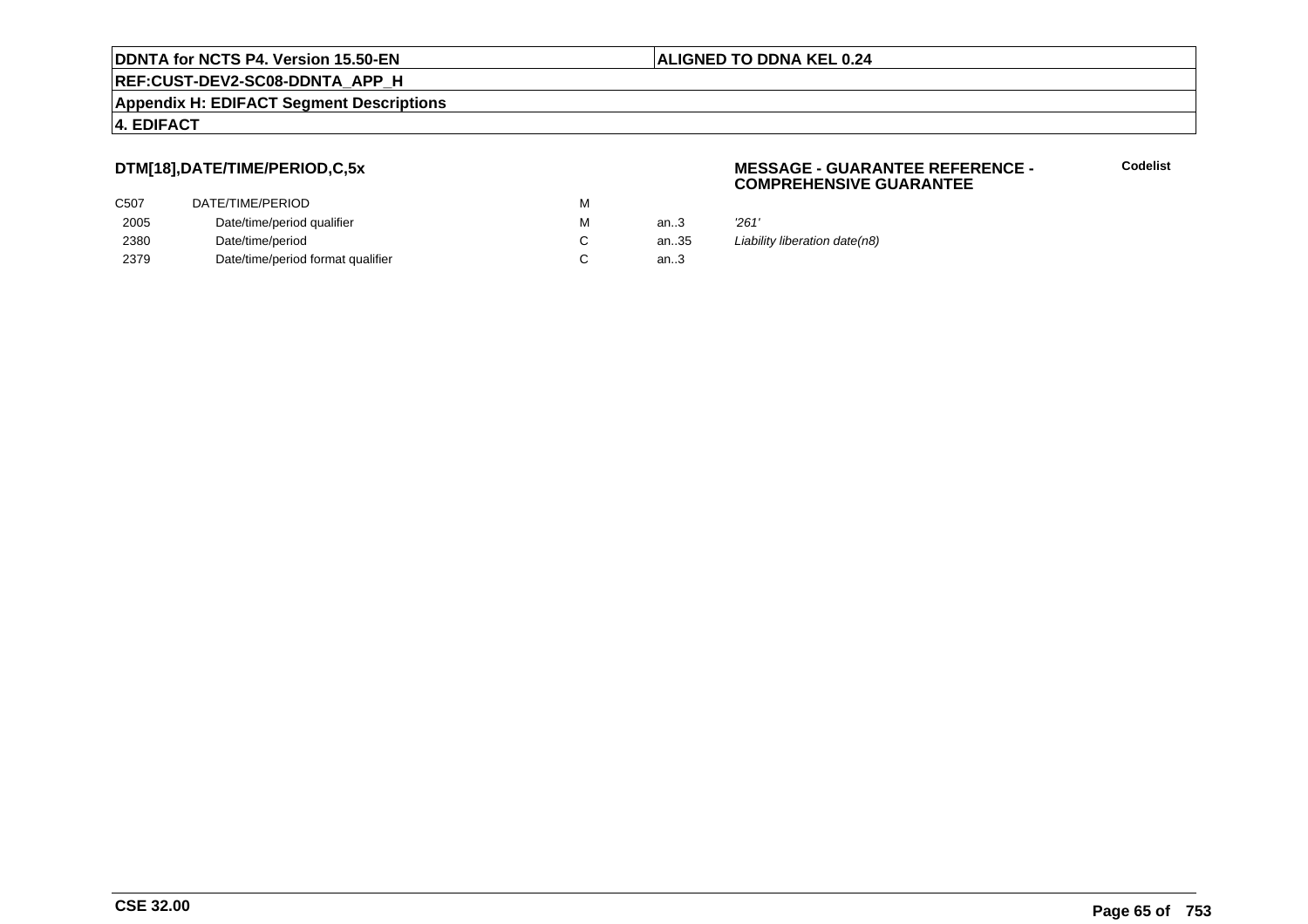**REF:CUST-DEV2-SC08-DDNTA\_APP\_H**

**Appendix H: EDIFACT Segment Descriptions**

# **4. EDIFACT**

# **DTM[18],DATE/TIME/PERIOD,C,5x**

| DATE/TIME/PERIOD                  | M |      |       |
|-----------------------------------|---|------|-------|
| Date/time/period qualifier        | M | an.3 | '261' |
| Date/time/period                  |   | an35 | Liabi |
| Date/time/period format qualifier |   | an3  |       |
|                                   |   |      |       |

### **MESSAGE - GUARANTEE REFERENCE - COMPREHENSIVE GUARANTEE**

**Codelist**

Liability liberation date(n8)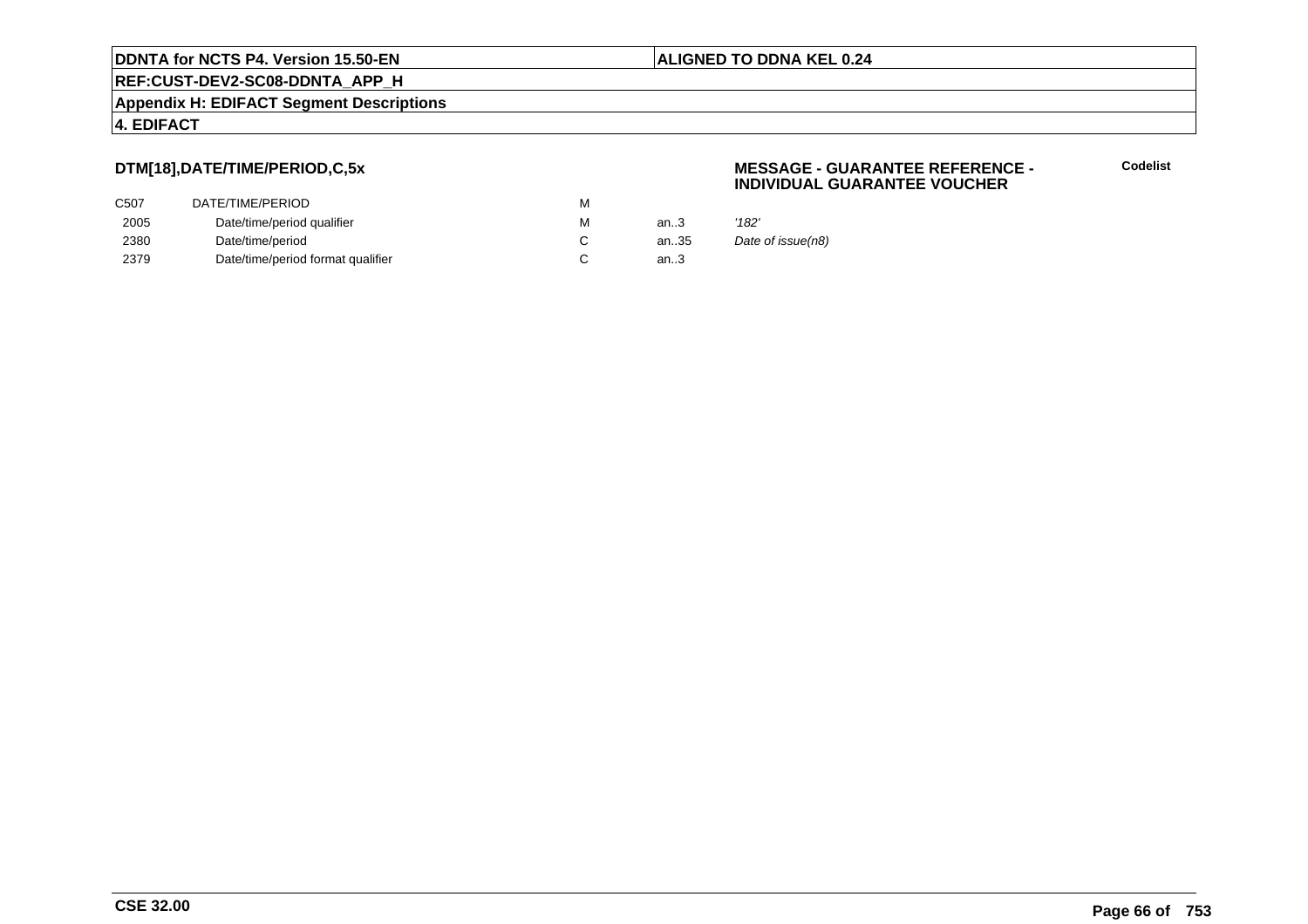**REF:CUST-DEV2-SC08-DDNTA\_APP\_H**

**Appendix H: EDIFACT Segment Descriptions**

## **4. EDIFACT**

# **DTM[18],DATE/TIME/PERIOD,C,5x**

| DATE/TIME/PERIOD                  | М |        |       |
|-----------------------------------|---|--------|-------|
| Date/time/period qualifier        | М | an $3$ | '182' |
| Date/time/period                  |   | an35   | Date  |
| Date/time/period format qualifier |   | an $3$ |       |
|                                   |   |        |       |

### **MESSAGE - GUARANTEE REFERENCE - INDIVIDUAL GUARANTEE VOUCHER**

**Codelist**

Date of issue(n8)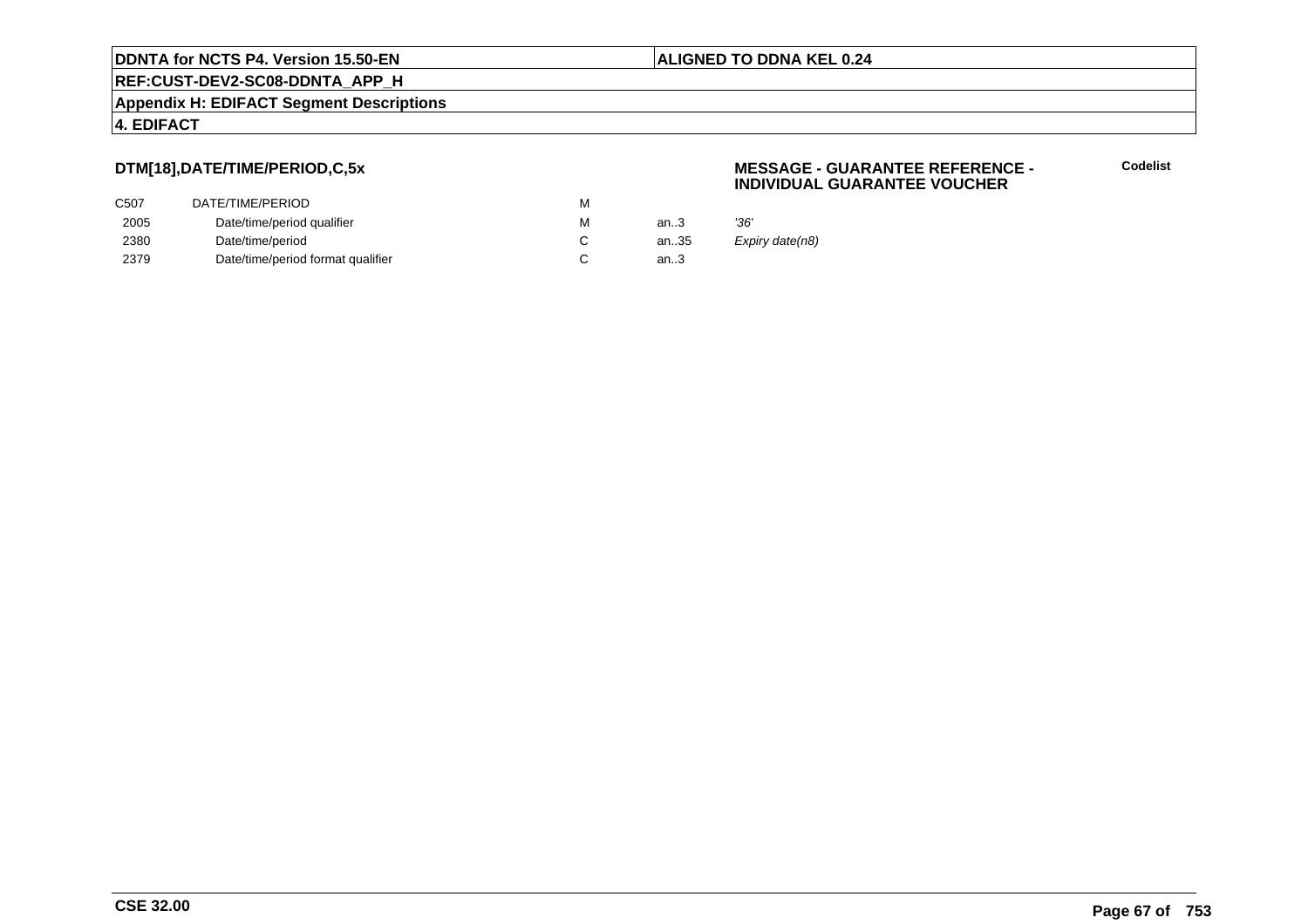**REF:CUST-DEV2-SC08-DDNTA\_APP\_H**

**Appendix H: EDIFACT Segment Descriptions**

### **4. EDIFACT**

# **DTM[18],DATE/TIME/PERIOD,C,5x**

| C507 | DATE/TIME/PERIOD                  | м |      |                 |
|------|-----------------------------------|---|------|-----------------|
| 2005 | Date/time/period qualifier        | м | an.3 | '36'            |
| 2380 | Date/time/period                  |   | an35 | Expiry date(n8) |
| 2379 | Date/time/period format qualifier |   | an.3 |                 |

### **MESSAGE - GUARANTEE REFERENCE - INDIVIDUAL GUARANTEE VOUCHER**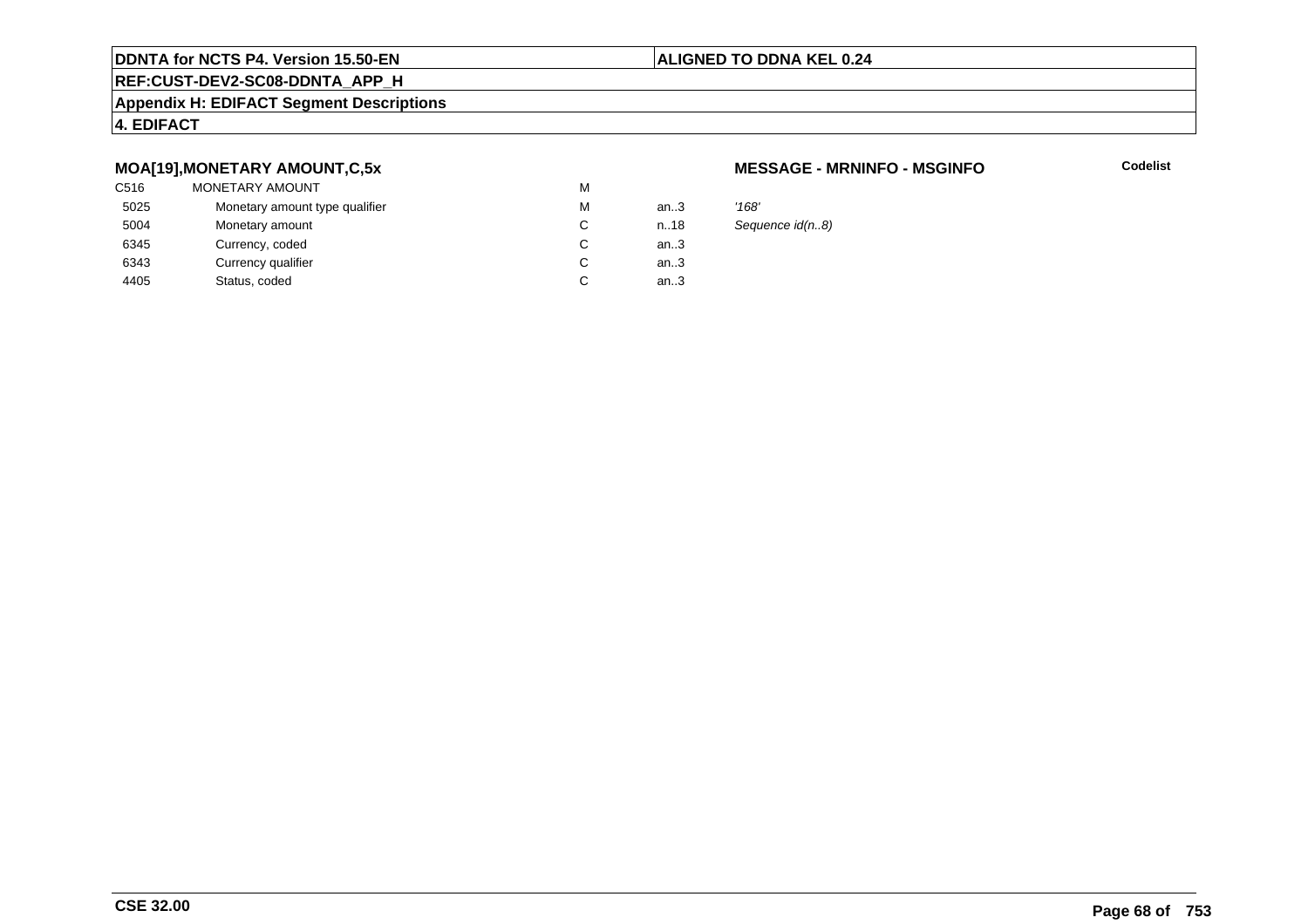### **ALIGNED TO DDNA KEL 0.24**

# **REF:CUST-DEV2-SC08-DDNTA\_APP\_H**

### **Appendix H: EDIFACT Segment Descriptions**

### **4. EDIFACT**

### **MOA[19],MONETARY AMOUNT,C,5x**

| '168' |
|-------|
| Sequ  |
|       |
|       |
|       |
|       |

### **MESSAGE - MRNINFO - MSGINFO**

**Codelist**

Sequence id(n..8)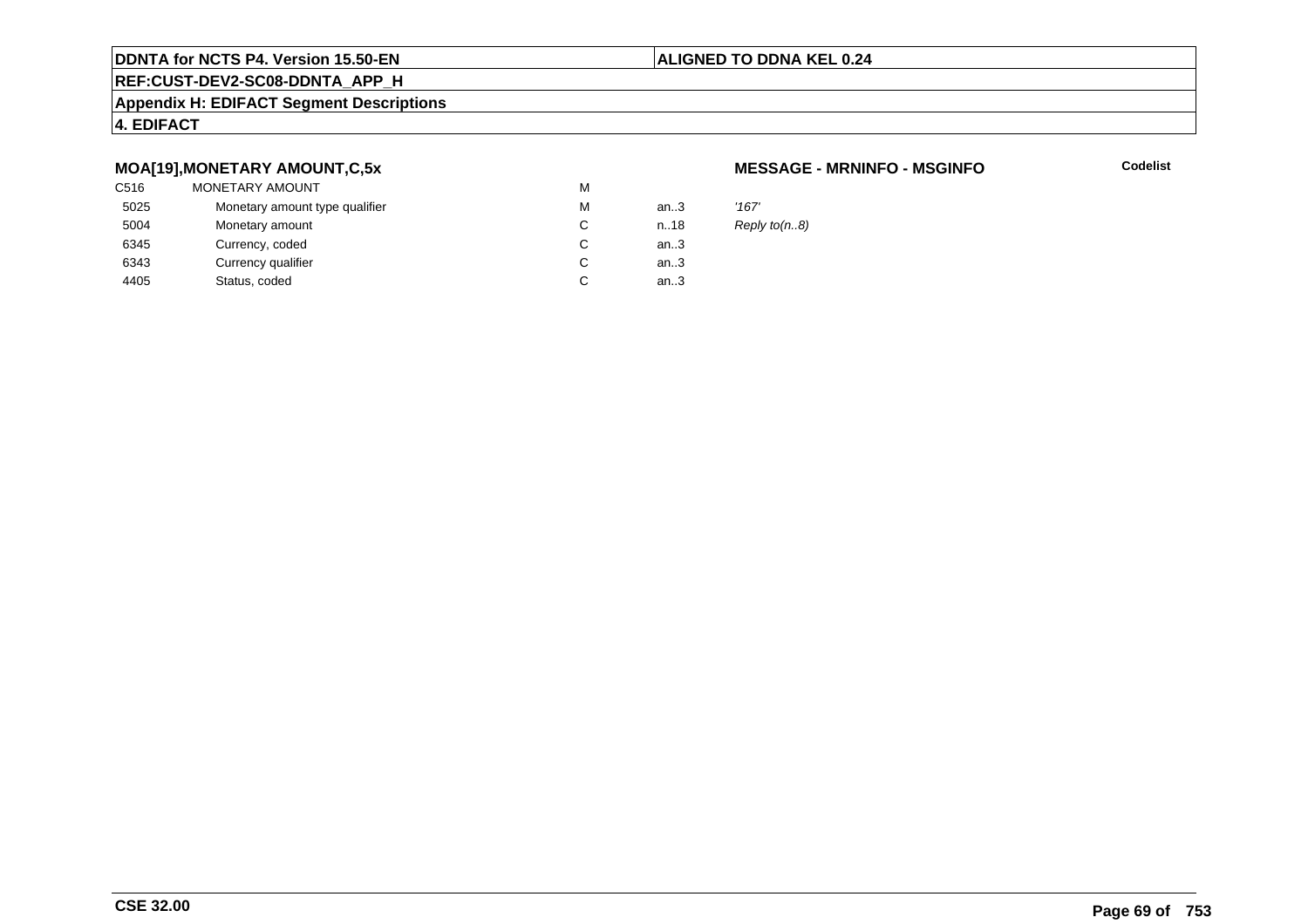### **ALIGNED TO DDNA KEL 0.24**

# **REF:CUST-DEV2-SC08-DDNTA\_APP\_H**

### **Appendix H: EDIFACT Segment Descriptions**

### **4. EDIFACT**

### **MOA[19],MONETARY AMOUNT,C,5x**

| C516 | <b>MONETARY AMOUNT</b>         | M |      |       |
|------|--------------------------------|---|------|-------|
| 5025 | Monetary amount type qualifier | M | an.3 | '167' |
| 5004 | Monetary amount                | C | n.18 | Repl  |
| 6345 | Currency, coded                | C | an.3 |       |
| 6343 | Currency qualifier             | C | an.3 |       |
| 4405 | Status, coded                  | C | an.3 |       |
|      |                                |   |      |       |

### **MESSAGE - MRNINFO - MSGINFO**

**Codelist**

Reply to(n..8)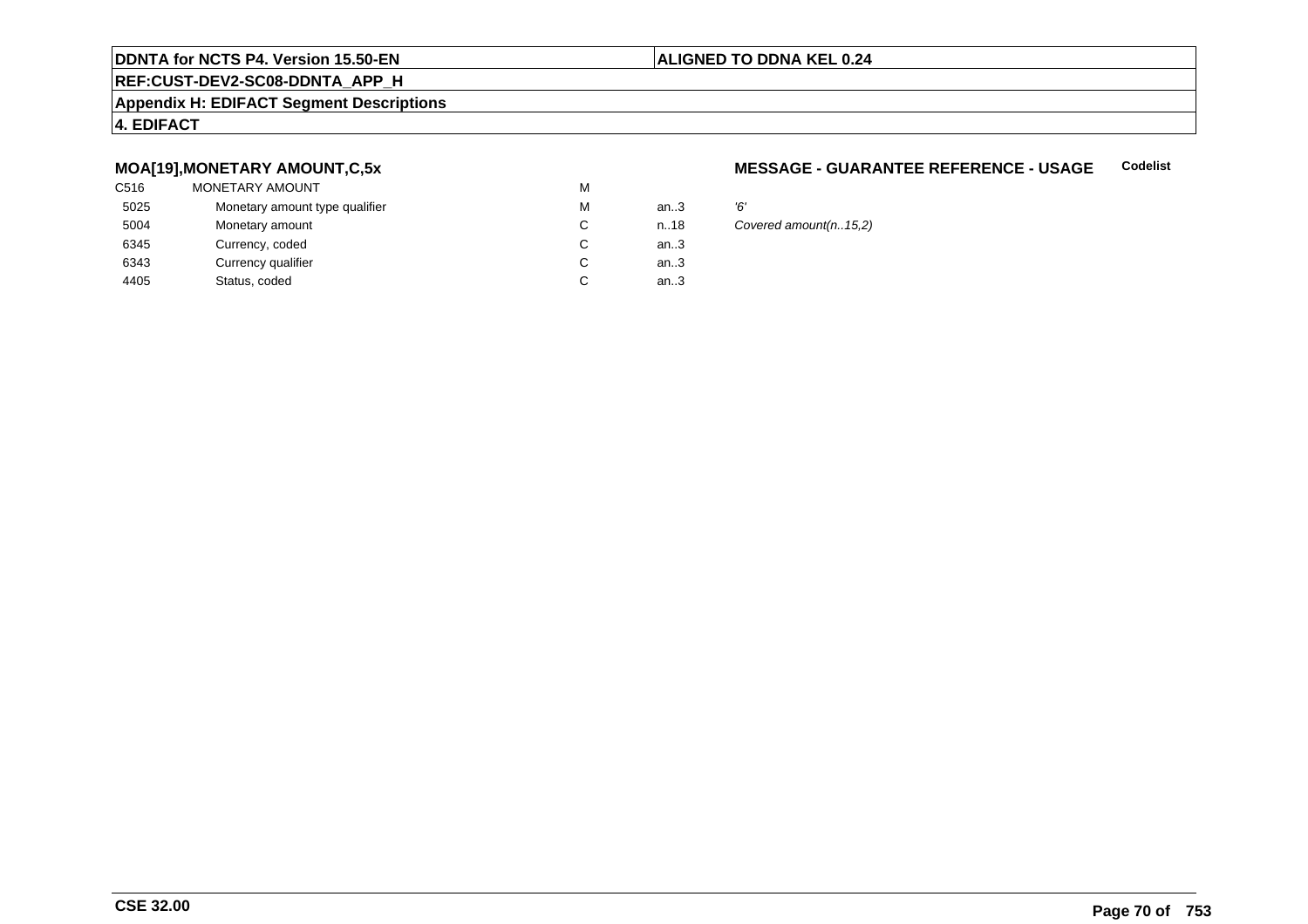### **ALIGNED TO DDNA KEL 0.24**

# **REF:CUST-DEV2-SC08-DDNTA\_APP\_H**

### **Appendix H: EDIFACT Segment Descriptions**

### **4. EDIFACT**

### **MOA[19],MONETARY AMOUNT,C,5x**

| C516 | MONETARY AMOUNT                | M |      |    |
|------|--------------------------------|---|------|----|
| 5025 | Monetary amount type qualifier | M | an.3 | Έ, |
| 5004 | Monetary amount                | C | n.18 | Co |
| 6345 | Currency, coded                | C | an.3 |    |
| 6343 | Currency qualifier             | C | an.3 |    |
| 4405 | Status, coded                  | C | an.3 |    |
|      |                                |   |      |    |

#### **MESSAGE - GUARANTEE REFERENCE - USAGECodelist**

Covered amount(n..15,2)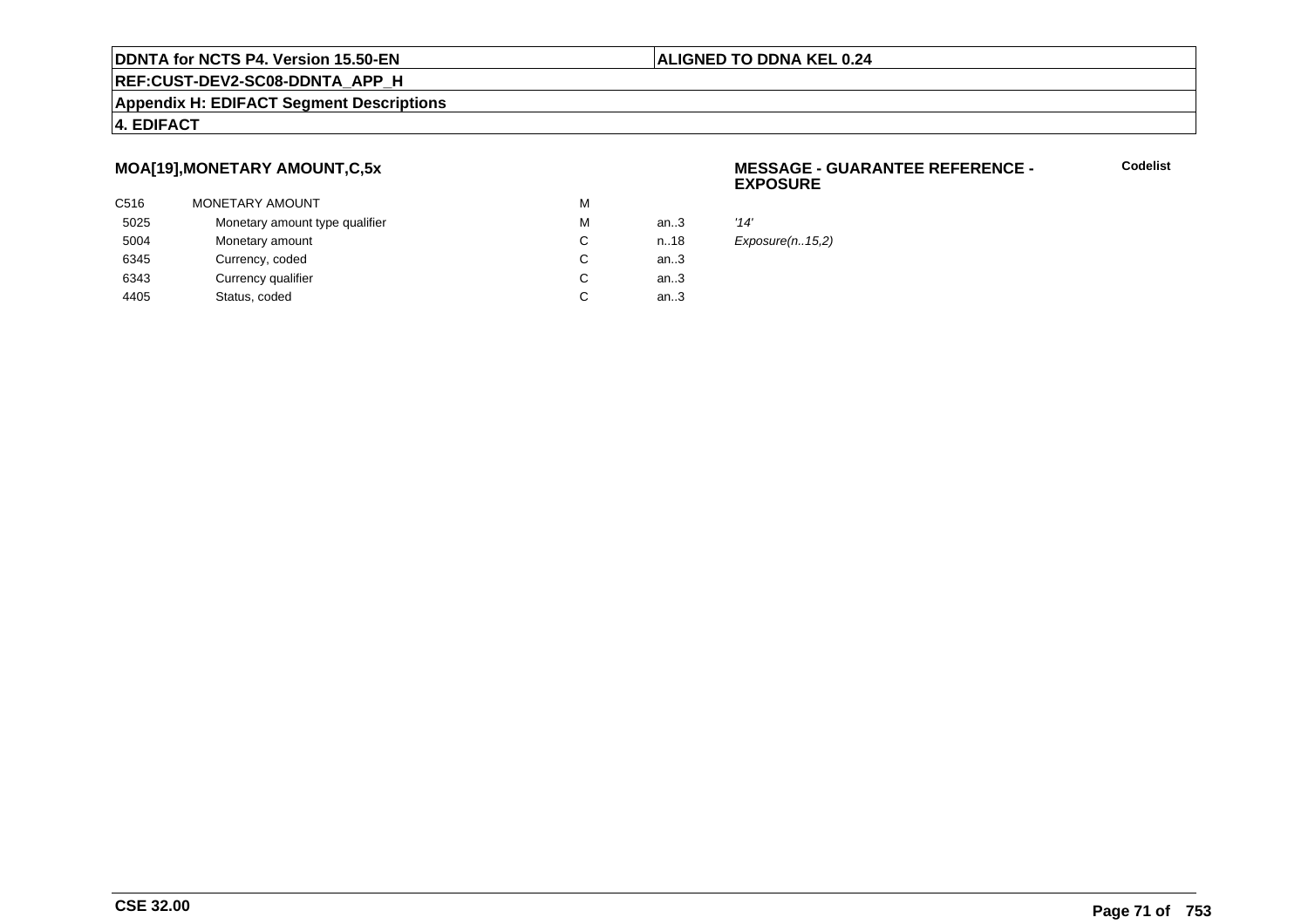### **ALIGNED TO DDNA KEL 0.24**

**REF:CUST-DEV2-SC08-DDNTA\_APP\_H**

### **Appendix H: EDIFACT Segment Descriptions**

### **4. EDIFACT**

# **MOA[19],MONETARY AMOUNT,C,5x**

| C516 | MONETARY AMOUNT                | М |      |      |
|------|--------------------------------|---|------|------|
| 5025 | Monetary amount type qualifier | м | an3  | '14' |
| 5004 | Monetary amount                | C | n.18 | Exp  |
| 6345 | Currency, coded                | C | an3  |      |
| 6343 | Currency qualifier             | C | an3  |      |
| 4405 | Status, coded                  | C | an.3 |      |
|      |                                |   |      |      |

### **MESSAGE - GUARANTEE REFERENCE - EXPOSURE**

**Codelist**

 $Exposure(n..15,2)$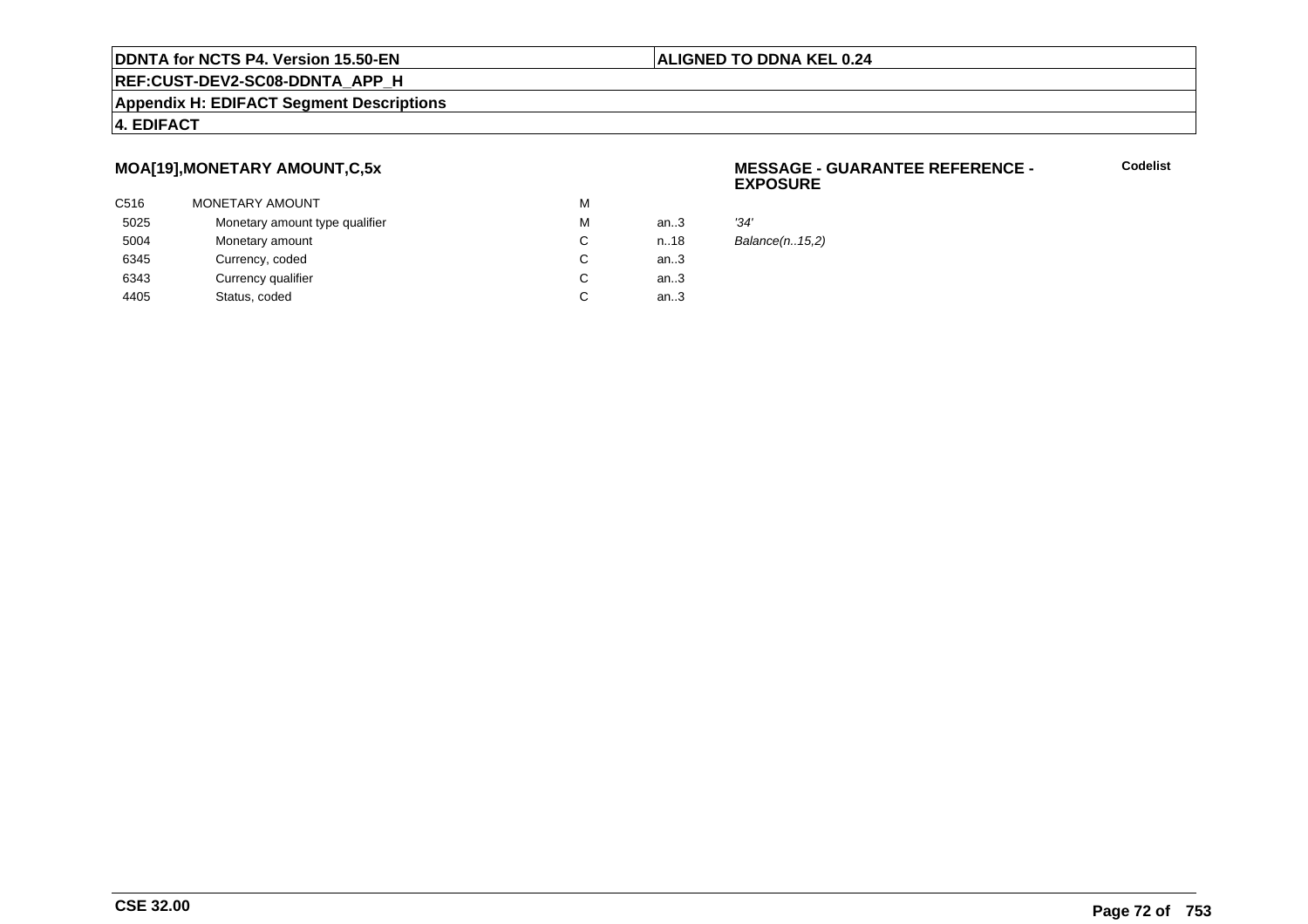### **ALIGNED TO DDNA KEL 0.24**

**REF:CUST-DEV2-SC08-DDNTA\_APP\_H**

### **Appendix H: EDIFACT Segment Descriptions**

### **4. EDIFACT**

# **MOA[19],MONETARY AMOUNT,C,5x**

| C516 | <b>MONETARY AMOUNT</b>         | м |      |      |
|------|--------------------------------|---|------|------|
| 5025 | Monetary amount type qualifier | м | an.3 | '34' |
| 5004 | Monetary amount                | C | n.18 | Bal  |
| 6345 | Currency, coded                |   | an.3 |      |
| 6343 | Currency qualifier             | C | an.3 |      |
| 4405 | Status, coded                  | C | an.3 |      |
|      |                                |   |      |      |

### **MESSAGE - GUARANTEE REFERENCE - EXPOSURE**

**Codelist**

Balance(n..15,2)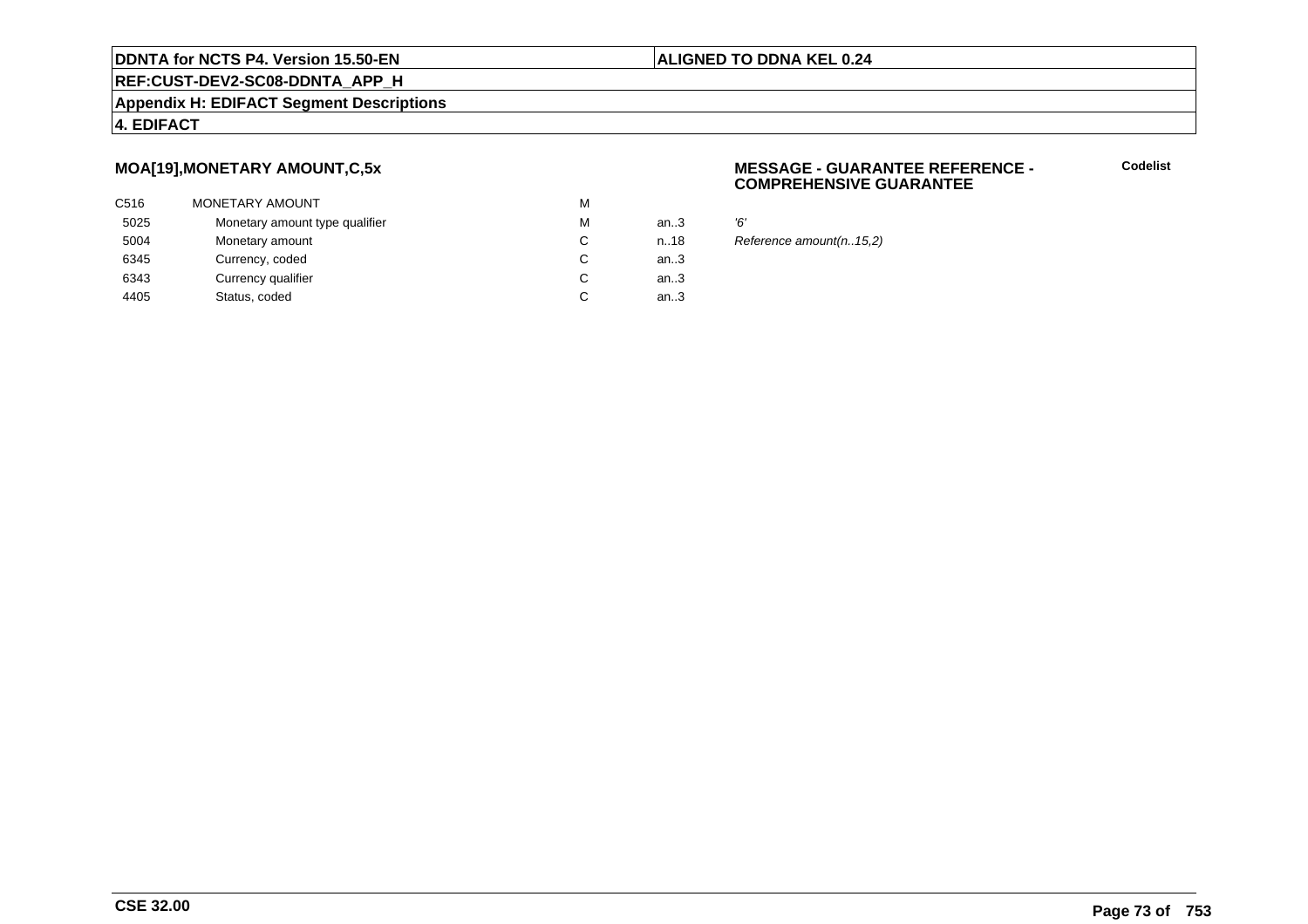#### **ALIGNED TO DDNA KEL 0.24**

# **REF:CUST-DEV2-SC08-DDNTA\_APP\_H**

#### **Appendix H: EDIFACT Segment Descriptions**

#### **4. EDIFACT**

# **MOA[19],MONETARY AMOUNT,C,5x**

| C516 | MONETARY AMOUNT                | M |      |    |
|------|--------------------------------|---|------|----|
| 5025 | Monetary amount type qualifier | M | an.3 | Έ, |
| 5004 | Monetary amount                | С | n.18 | R  |
| 6345 | Currency, coded                | С | an.3 |    |
| 6343 | Currency qualifier             | С | an.3 |    |
| 4405 | Status, coded                  | C | an.3 |    |
|      |                                |   |      |    |

#### **MESSAGE - GUARANTEE REFERENCE - COMPREHENSIVE GUARANTEE**

**Codelist**

8 Reference amount(n..15,2)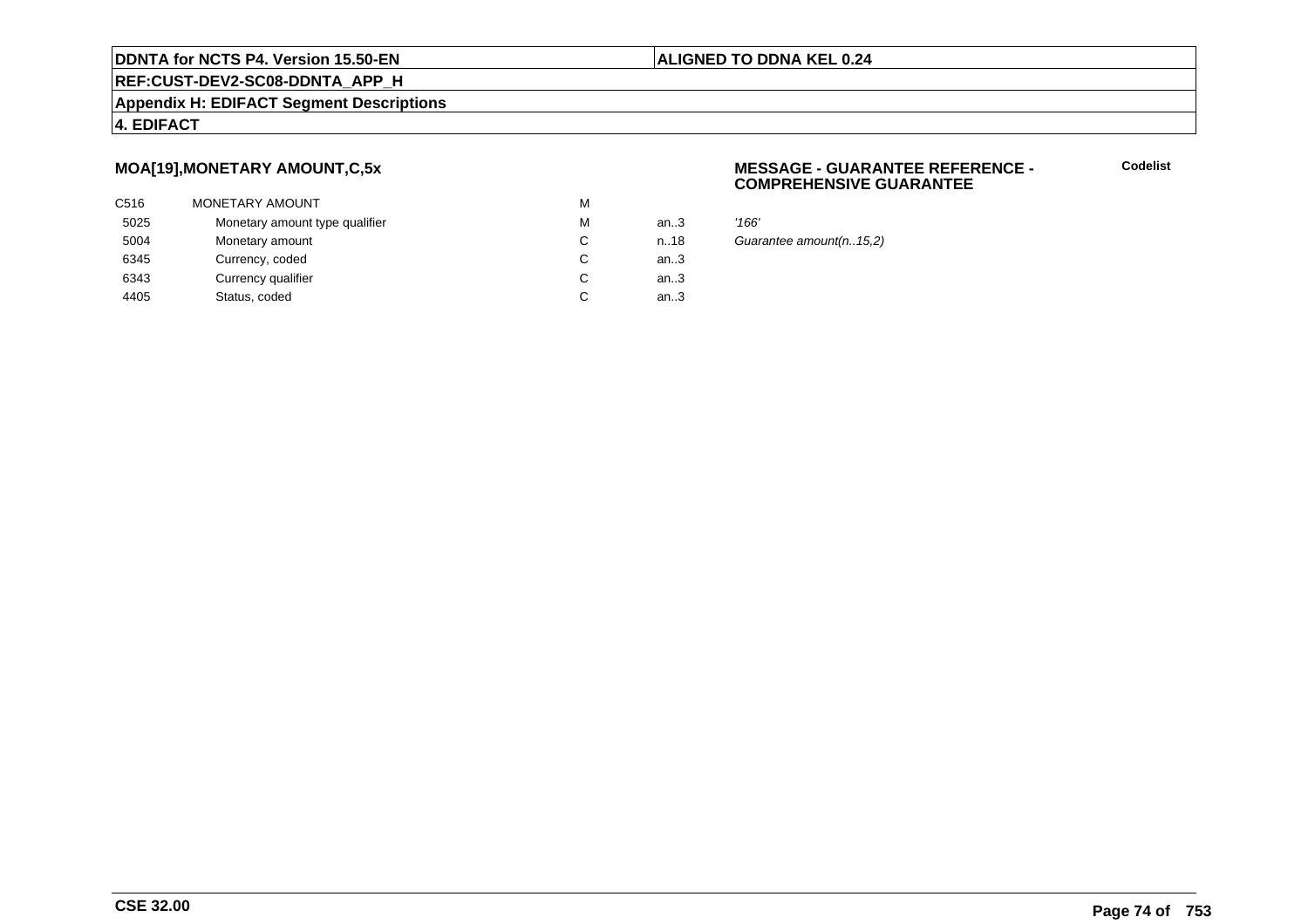# **ALIGNED TO DDNA KEL 0.24**

# **REF:CUST-DEV2-SC08-DDNTA\_APP\_H**

#### **Appendix H: EDIFACT Segment Descriptions**

#### **4. EDIFACT**

# **MOA[19],MONETARY AMOUNT,C,5x**

| C516 | <b>MONETARY AMOUNT</b>         | M |        |       |
|------|--------------------------------|---|--------|-------|
| 5025 | Monetary amount type qualifier | M | an.3   | '166' |
| 5004 | Monetary amount                | C | n.18   | Guai  |
| 6345 | Currency, coded                | C | an $3$ |       |
| 6343 | Currency qualifier             | C | an.3   |       |
| 4405 | Status, coded                  | C | an.3   |       |
|      |                                |   |        |       |

#### **MESSAGE - GUARANTEE REFERENCE - COMPREHENSIVE GUARANTEE**

**Codelist**

Guarantee amount(n..15,2)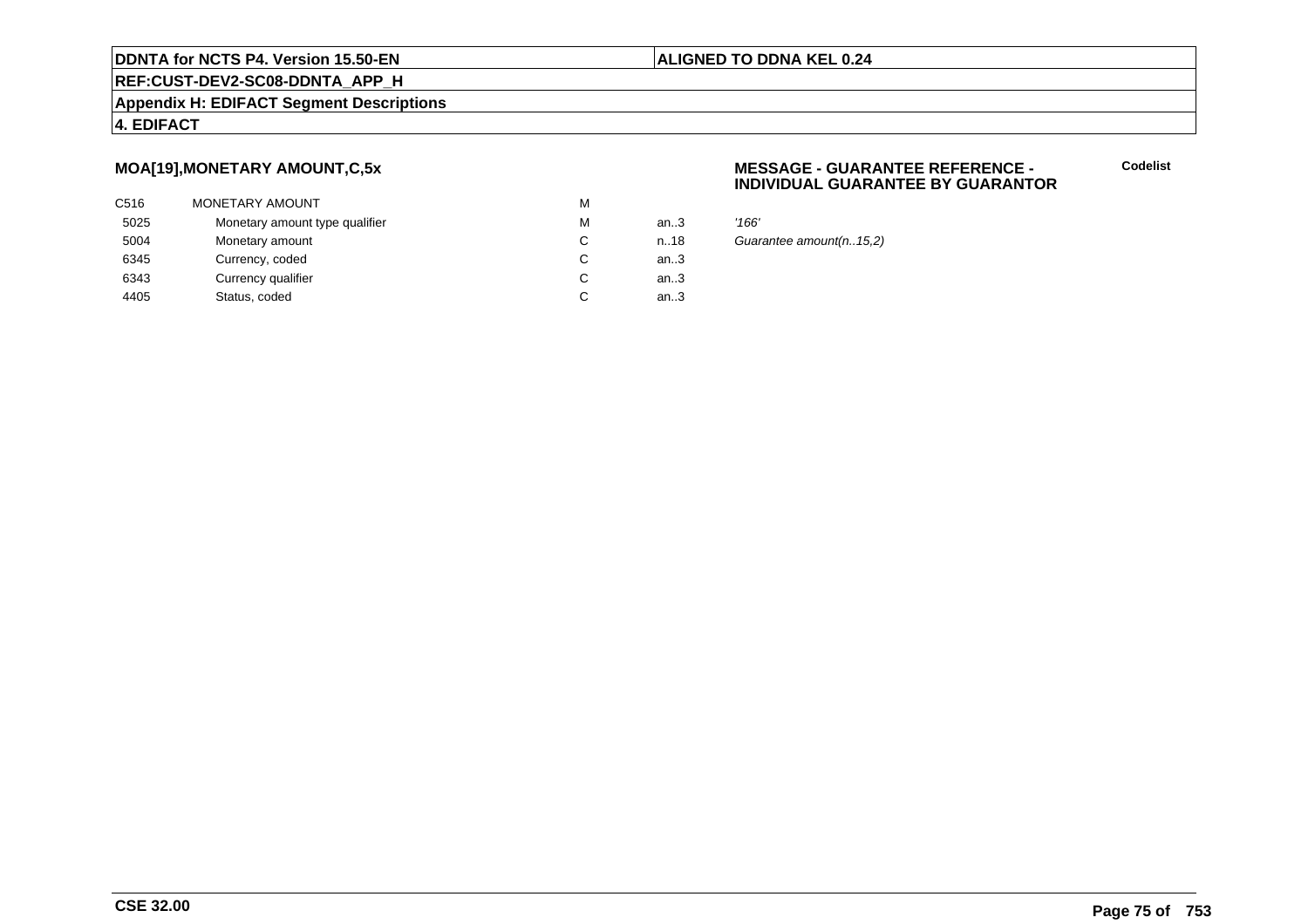#### **ALIGNED TO DDNA KEL 0.24**

**REF:CUST-DEV2-SC08-DDNTA\_APP\_H**

**Appendix H: EDIFACT Segment Descriptions**

# **4. EDIFACT**

# **MOA[19],MONETARY AMOUNT,C,5x**

| C516 | MONETARY AMOUNT                | M |        |       |
|------|--------------------------------|---|--------|-------|
| 5025 | Monetary amount type qualifier | M | an $3$ | '166' |
| 5004 | Monetary amount                | С | n.18   | Guai  |
| 6345 | Currency, coded                | C | an $3$ |       |
| 6343 | Currency qualifier             | C | an $3$ |       |
| 4405 | Status, coded                  | C | an $3$ |       |
|      |                                |   |        |       |

#### **MESSAGE - GUARANTEE REFERENCE - INDIVIDUAL GUARANTEE BY GUARANTOR**

**Codelist**

Guarantee amount(n..15,2)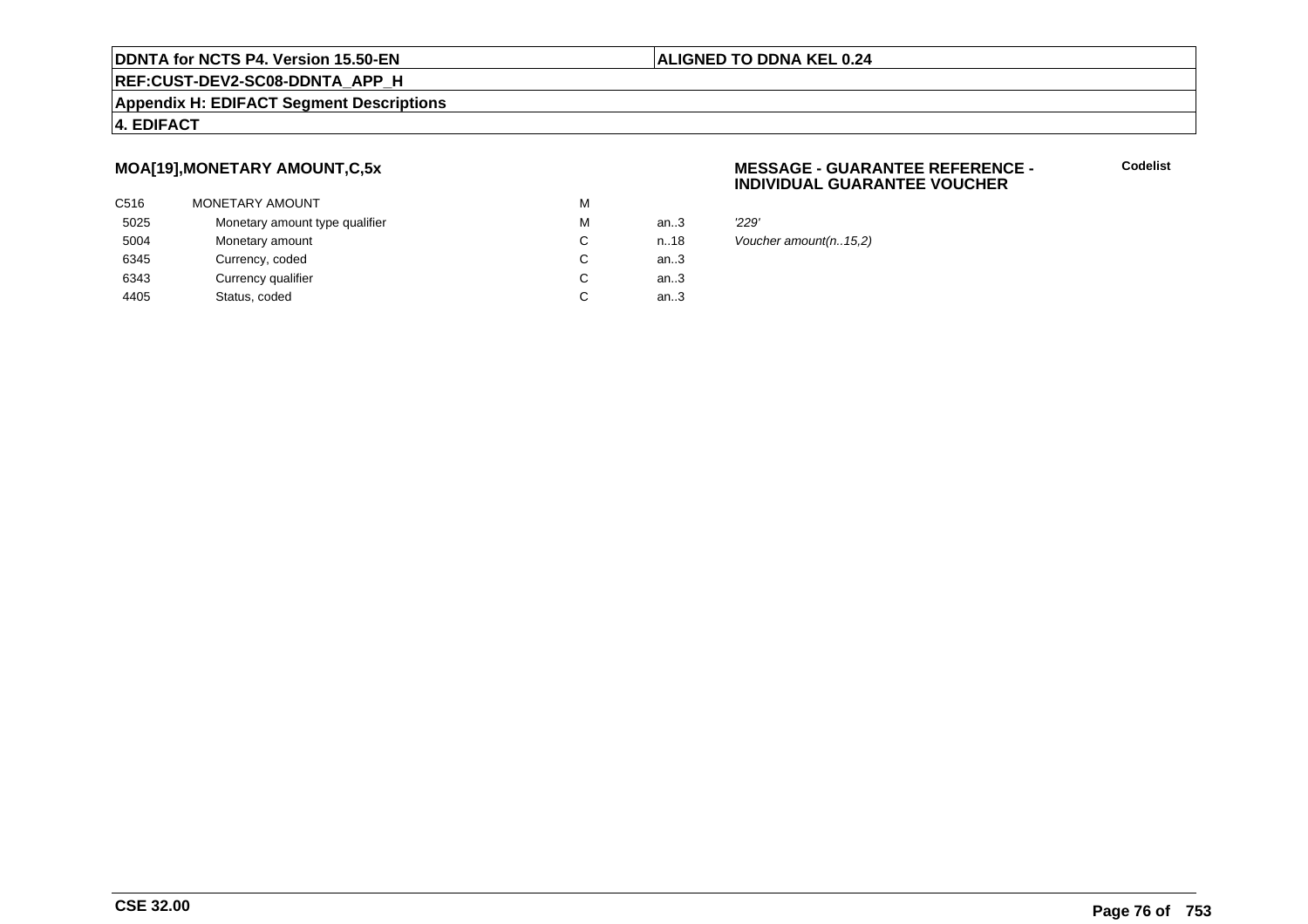### **ALIGNED TO DDNA KEL 0.24**

# **REF:CUST-DEV2-SC08-DDNTA\_APP\_H**

#### **Appendix H: EDIFACT Segment Descriptions**

#### **4. EDIFACT**

# **MOA[19],MONETARY AMOUNT,C,5x**

| C516 | <b>MONETARY AMOUNT</b>         | M |        |       |
|------|--------------------------------|---|--------|-------|
| 5025 | Monetary amount type qualifier | M | an $3$ | '229' |
| 5004 | Monetary amount                | C | n.18   | Vouc  |
| 6345 | Currency, coded                | C | an $3$ |       |
| 6343 | Currency qualifier             | C | an.3   |       |
| 4405 | Status, coded                  | C | an.3   |       |
|      |                                |   |        |       |

#### **MESSAGE - GUARANTEE REFERENCE - INDIVIDUAL GUARANTEE VOUCHER**

**Codelist**

Voucher amount(n..15,2)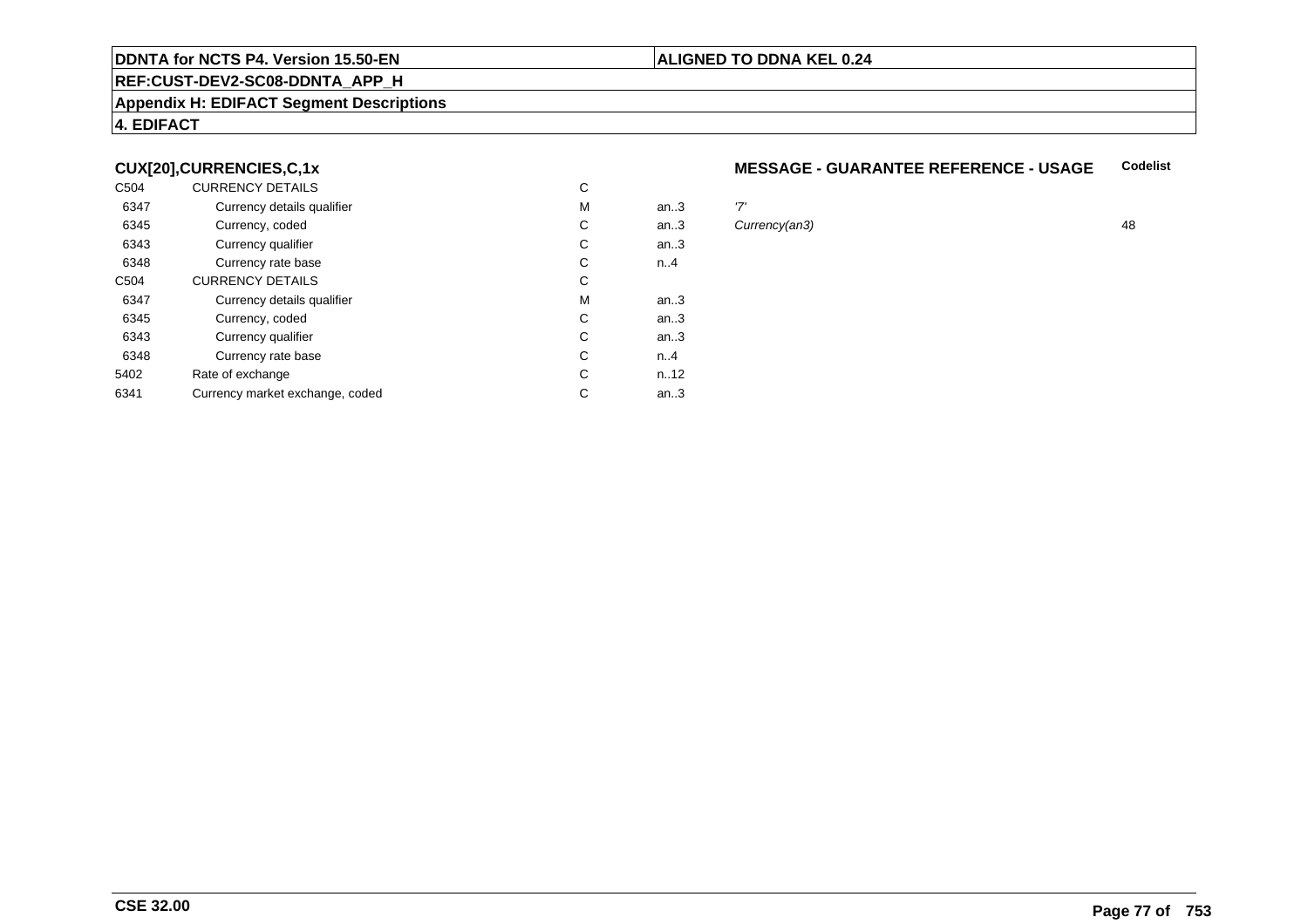## **REF:CUST-DEV2-SC08-DDNTA\_APP\_H**

#### **Appendix H: EDIFACT Segment Descriptions**

## **4. EDIFACT**

## **CUX[20],CURRENCIES,C,1x**

| C504 | <b>CURRENCY DETAILS</b>         | C |      |               |    |
|------|---------------------------------|---|------|---------------|----|
| 6347 | Currency details qualifier      | M | an.3 | '7'           |    |
| 6345 | Currency, coded                 | C | an.3 | Currency(an3) | 48 |
| 6343 | Currency qualifier              | C | an.3 |               |    |
| 6348 | Currency rate base              | C | n.4  |               |    |
| C504 | <b>CURRENCY DETAILS</b>         | C |      |               |    |
| 6347 | Currency details qualifier      | M | an.3 |               |    |
| 6345 | Currency, coded                 | C | an.3 |               |    |
| 6343 | Currency qualifier              | C | an.3 |               |    |
| 6348 | Currency rate base              | C | n.4  |               |    |
| 5402 | Rate of exchange                | C | n.12 |               |    |
| 6341 | Currency market exchange, coded | C | an.3 |               |    |

#### **MESSAGE - GUARANTEE REFERENCE - USAGECodelist**

**ALIGNED TO DDNA KEL 0.24**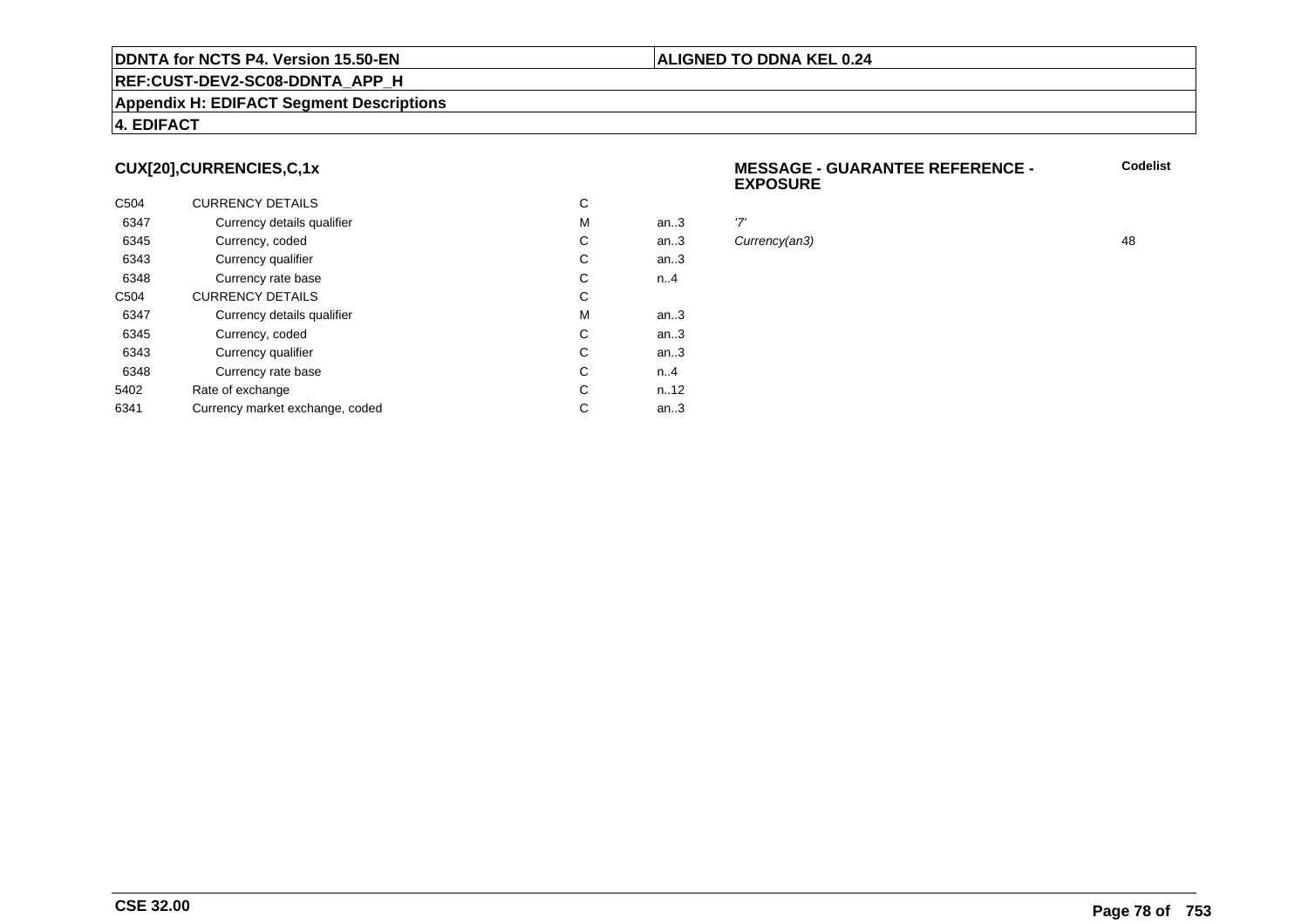#### **Appendix H: EDIFACT Segment Descriptions**

#### **4. EDIFACT**

# **CUX[20],CURRENCIES,C,1x**

| C <sub>504</sub> | <b>CURRENCY DETAILS</b>         | С |      |     |
|------------------|---------------------------------|---|------|-----|
| 6347             | Currency details qualifier      | M | an.3 | '7' |
| 6345             | Currency, coded                 | С | an.3 | Cι  |
| 6343             | Currency qualifier              | С | an.3 |     |
| 6348             | Currency rate base              | С | n.A  |     |
| C <sub>504</sub> | <b>CURRENCY DETAILS</b>         | C |      |     |
| 6347             | Currency details qualifier      | M | an.3 |     |
| 6345             | Currency, coded                 | С | an.3 |     |
| 6343             | Currency qualifier              | C | an.3 |     |
| 6348             | Currency rate base              | С | n.A  |     |
| 5402             | Rate of exchange                | C | n.12 |     |
| 6341             | Currency market exchange, coded | С | an.3 |     |

#### **MESSAGE - GUARANTEE REFERENCE - EXPOSURECodelist**

Currency(an3) 48

**ALIGNED TO DDNA KEL 0.24**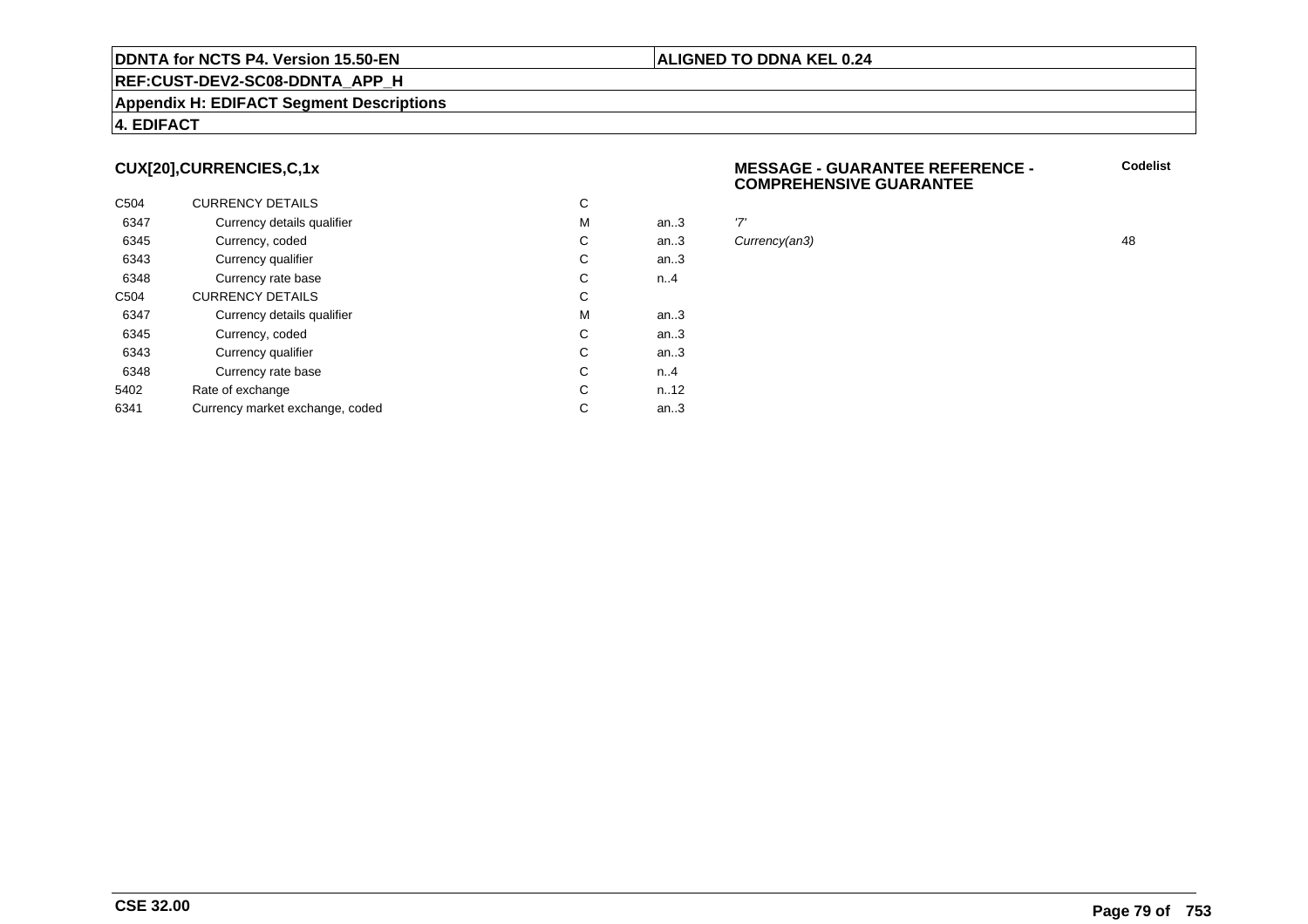#### **Appendix H: EDIFACT Segment Descriptions**

#### **4. EDIFACT**

# **CUX[20],CURRENCIES,C,1x**

| C <sub>504</sub> | <b>CURRENCY DETAILS</b>         | С |        |     |
|------------------|---------------------------------|---|--------|-----|
| 6347             | Currency details qualifier      | M | an.3   | '7' |
| 6345             | Currency, coded                 | С | an.3   | Cι  |
| 6343             | Currency qualifier              | С | an.3   |     |
| 6348             | Currency rate base              | С | n.A    |     |
| C <sub>504</sub> | <b>CURRENCY DETAILS</b>         | С |        |     |
| 6347             | Currency details qualifier      | M | an $3$ |     |
| 6345             | Currency, coded                 | С | an.3   |     |
| 6343             | Currency qualifier              | С | an.3   |     |
| 6348             | Currency rate base              | С | n.A    |     |
| 5402             | Rate of exchange                | С | n.12   |     |
| 6341             | Currency market exchange, coded | С | an.3   |     |

#### **MESSAGE - GUARANTEE REFERENCE - COMPREHENSIVE GUARANTEE**

Currency(an3) 48

**ALIGNED TO DDNA KEL 0.24**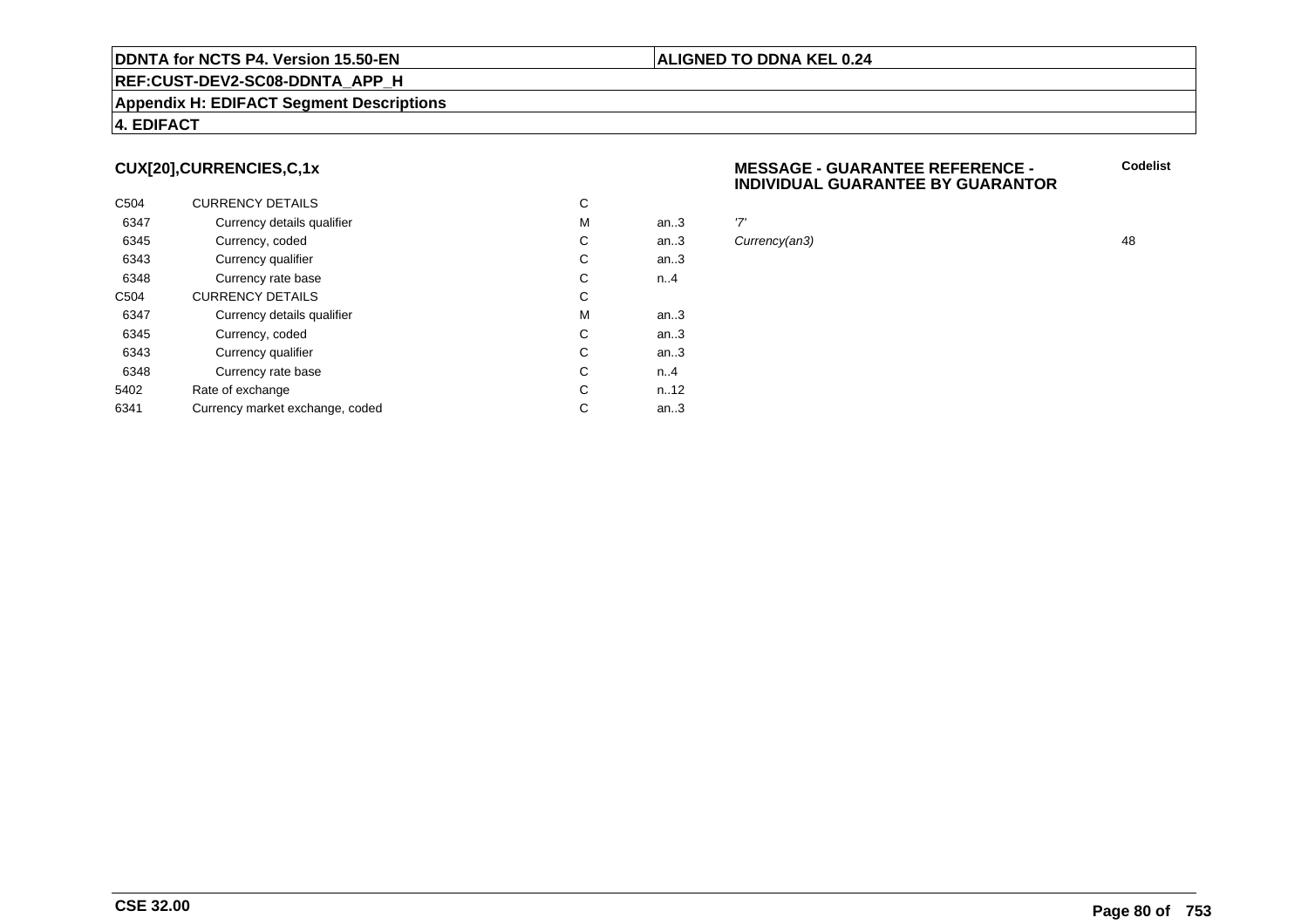#### **Appendix H: EDIFACT Segment Descriptions**

#### **4. EDIFACT**

# **CUX[20],CURRENCIES,C,1x**

| C <sub>504</sub> | <b>CURRENCY DETAILS</b>         | С |        |     |
|------------------|---------------------------------|---|--------|-----|
| 6347             | Currency details qualifier      | M | an.3   | '7' |
| 6345             | Currency, coded                 | С | an.3   | Cι  |
| 6343             | Currency qualifier              | С | an.3   |     |
| 6348             | Currency rate base              | С | n.A    |     |
| C <sub>504</sub> | <b>CURRENCY DETAILS</b>         | С |        |     |
| 6347             | Currency details qualifier      | M | an $3$ |     |
| 6345             | Currency, coded                 | С | an.3   |     |
| 6343             | Currency qualifier              | С | an.3   |     |
| 6348             | Currency rate base              | С | n.A    |     |
| 5402             | Rate of exchange                | С | n.12   |     |
| 6341             | Currency market exchange, coded | С | an.3   |     |

#### **MESSAGE - GUARANTEE REFERENCE - INDIVIDUAL GUARANTEE BY GUARANTOR**

Currency(an3) 48

**ALIGNED TO DDNA KEL 0.24**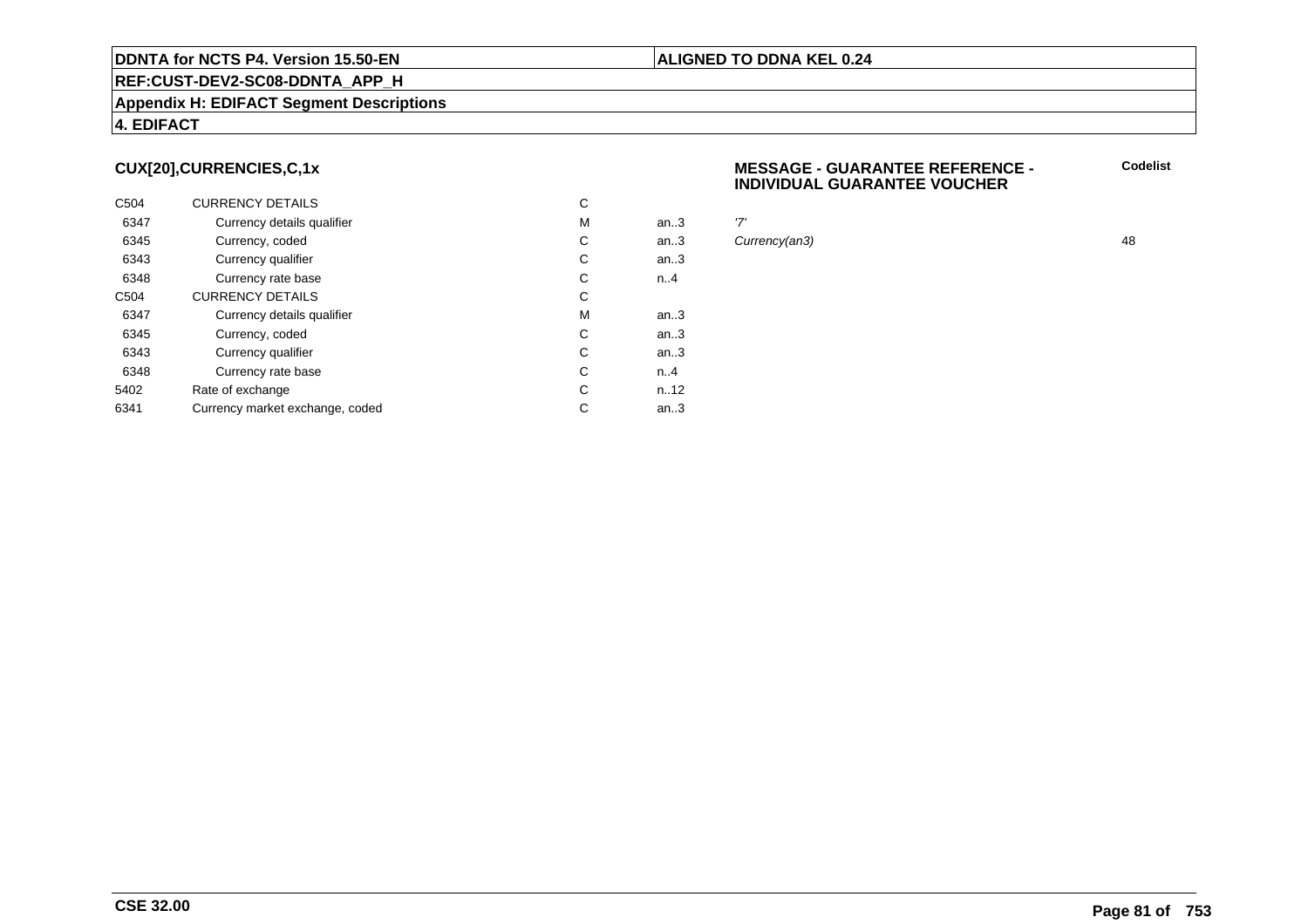#### **Appendix H: EDIFACT Segment Descriptions**

#### **4. EDIFACT**

# **CUX[20],CURRENCIES,C,1x**

| C <sub>504</sub> | <b>CURRENCY DETAILS</b>         | С |      |     |
|------------------|---------------------------------|---|------|-----|
| 6347             | Currency details qualifier      | M | an.3 | '7' |
| 6345             | Currency, coded                 | С | an.3 | Cι  |
| 6343             | Currency qualifier              | С | an.3 |     |
| 6348             | Currency rate base              | С | n.A  |     |
| C <sub>504</sub> | <b>CURRENCY DETAILS</b>         | С |      |     |
| 6347             | Currency details qualifier      | M | an.3 |     |
| 6345             | Currency, coded                 | С | an.3 |     |
| 6343             | Currency qualifier              | C | an.3 |     |
| 6348             | Currency rate base              | C | n.A  |     |
| 5402             | Rate of exchange                | С | n.12 |     |
| 6341             | Currency market exchange, coded | С | an.3 |     |

#### **MESSAGE - GUARANTEE REFERENCE - INDIVIDUAL GUARANTEE VOUCHER**

Currency(an3) 48

**ALIGNED TO DDNA KEL 0.24**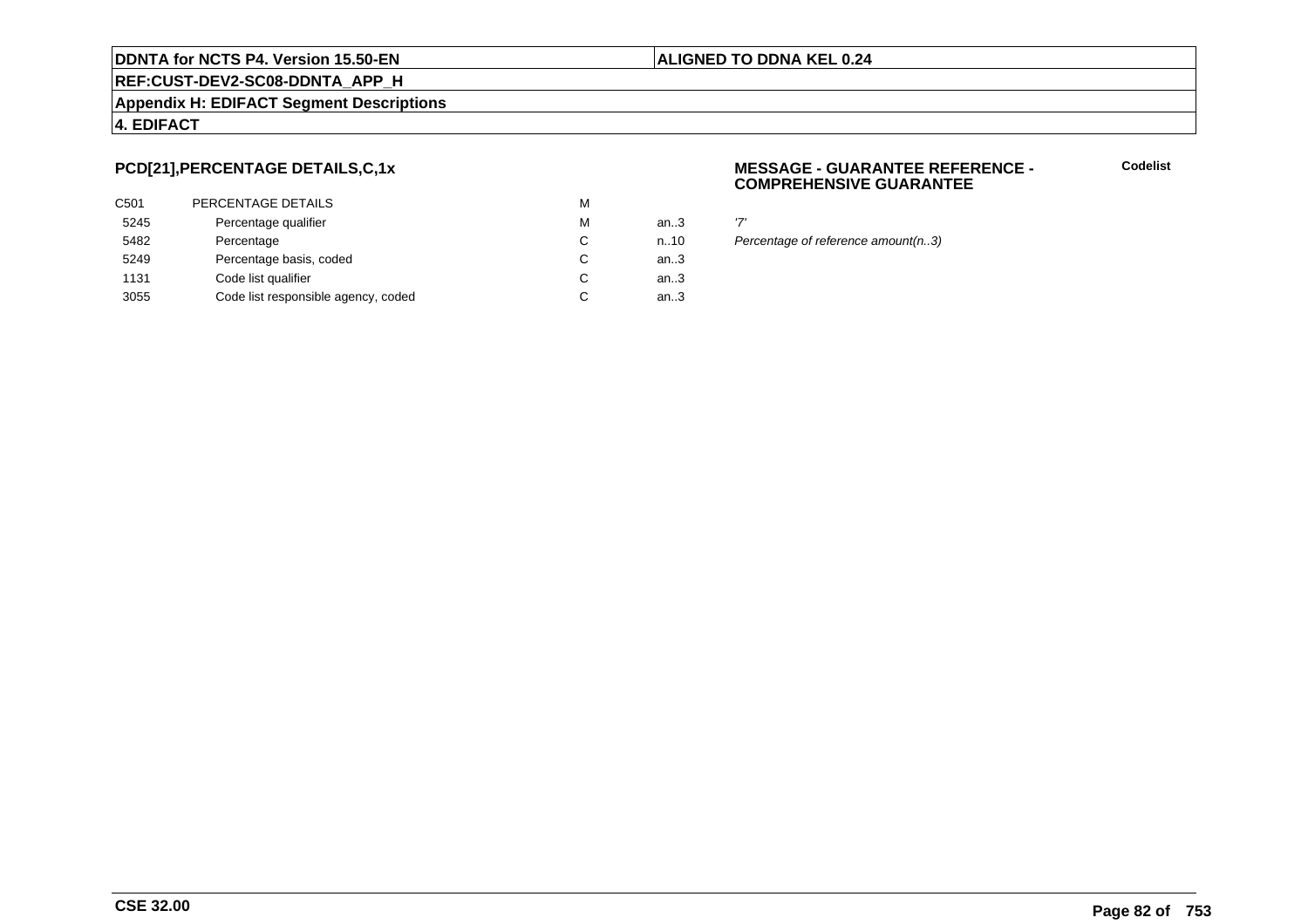#### **REF:CUST-DEV2-SC08-DDNTA\_APP\_H**

#### **Appendix H: EDIFACT Segment Descriptions**

#### **4. EDIFACT**

# **PCD[21],PERCENTAGE DETAILS,C,1x**

| C501 | PERCENTAGE DETAILS                  | M |        |     |
|------|-------------------------------------|---|--------|-----|
| 5245 | Percentage qualifier                | M | an.3   | י7' |
| 5482 | Percentage                          | C | n.10   | Pε  |
| 5249 | Percentage basis, coded             | C | an.3   |     |
| 1131 | Code list qualifier                 | C | an.3   |     |
| 3055 | Code list responsible agency, coded | С | an $3$ |     |
|      |                                     |   |        |     |

#### **MESSAGE - GUARANTEE REFERENCE - COMPREHENSIVE GUARANTEE**

**Codelist**

n..10 Percentage of reference amount(n..3)

**ALIGNED TO DDNA KEL 0.24**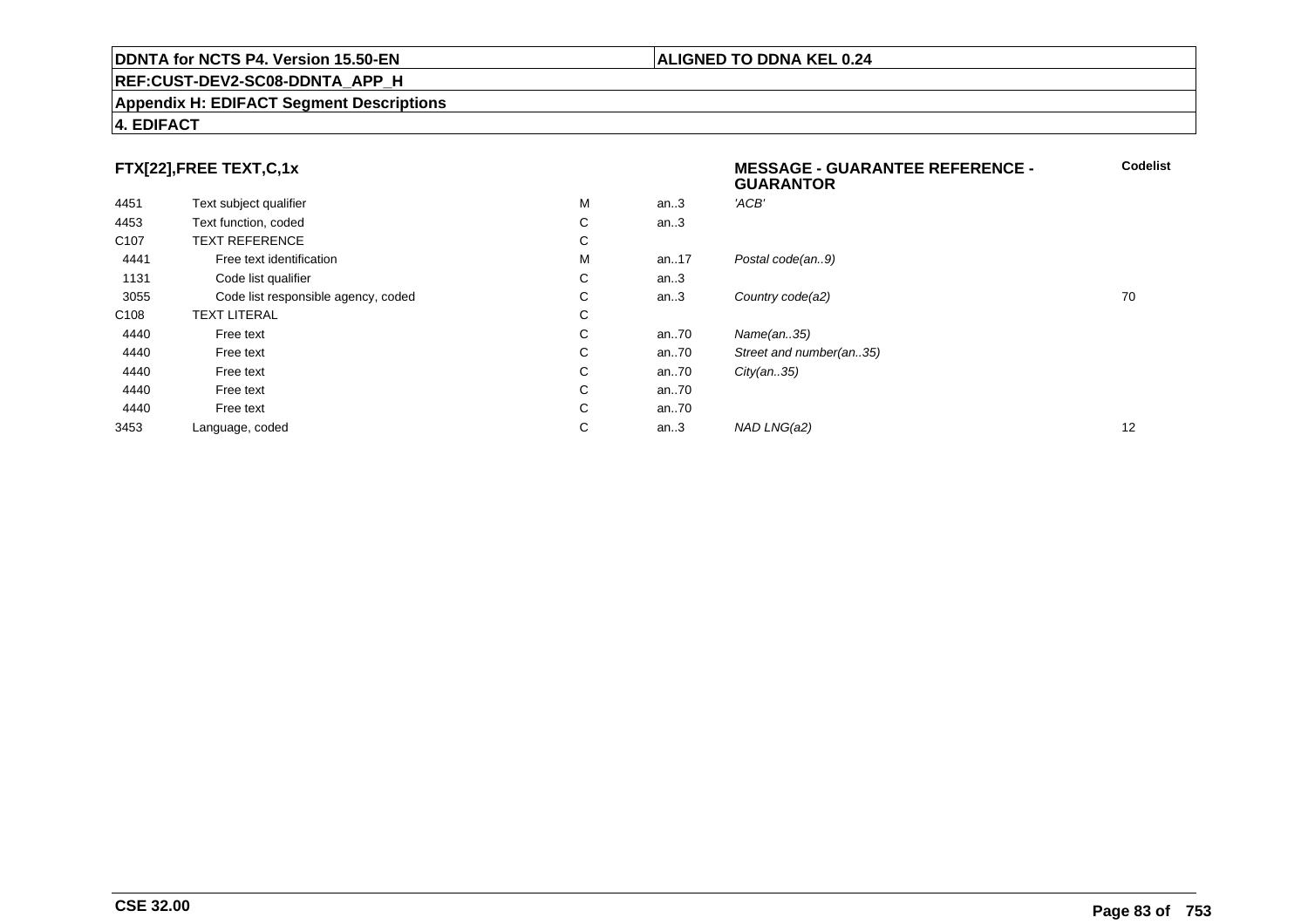#### **Appendix H: EDIFACT Segment Descriptions**

# **4. EDIFACT**

# **FTX[22],FREE TEXT,C,1x**

|                                     |   |      | <b>GUARANTOR</b>        |    |
|-------------------------------------|---|------|-------------------------|----|
| Text subject qualifier              | М | an.3 | 'ACB'                   |    |
| Text function, coded                | С | an.3 |                         |    |
| <b>TEXT REFERENCE</b>               | С |      |                         |    |
| Free text identification            | М | an17 | Postal code(an9)        |    |
| Code list qualifier                 | С | an.3 |                         |    |
| Code list responsible agency, coded | С | an.3 | Country code(a2)        | 70 |
| <b>TEXT LITERAL</b>                 | С |      |                         |    |
| Free text                           | C | an70 | Name(an35)              |    |
| Free text                           | С | an70 | Street and number(an35) |    |
| Free text                           | C | an70 | City(an35)              |    |
| Free text                           | C | an70 |                         |    |
| Free text                           | С | an70 |                         |    |
| Language, coded                     | С | an.3 | NAD LNG(a2)             | 12 |
|                                     |   |      |                         |    |

**Codelist**

# **ALIGNED TO DDNA KEL 0.24**

**MESSAGE - GUARANTEE REFERENCE -**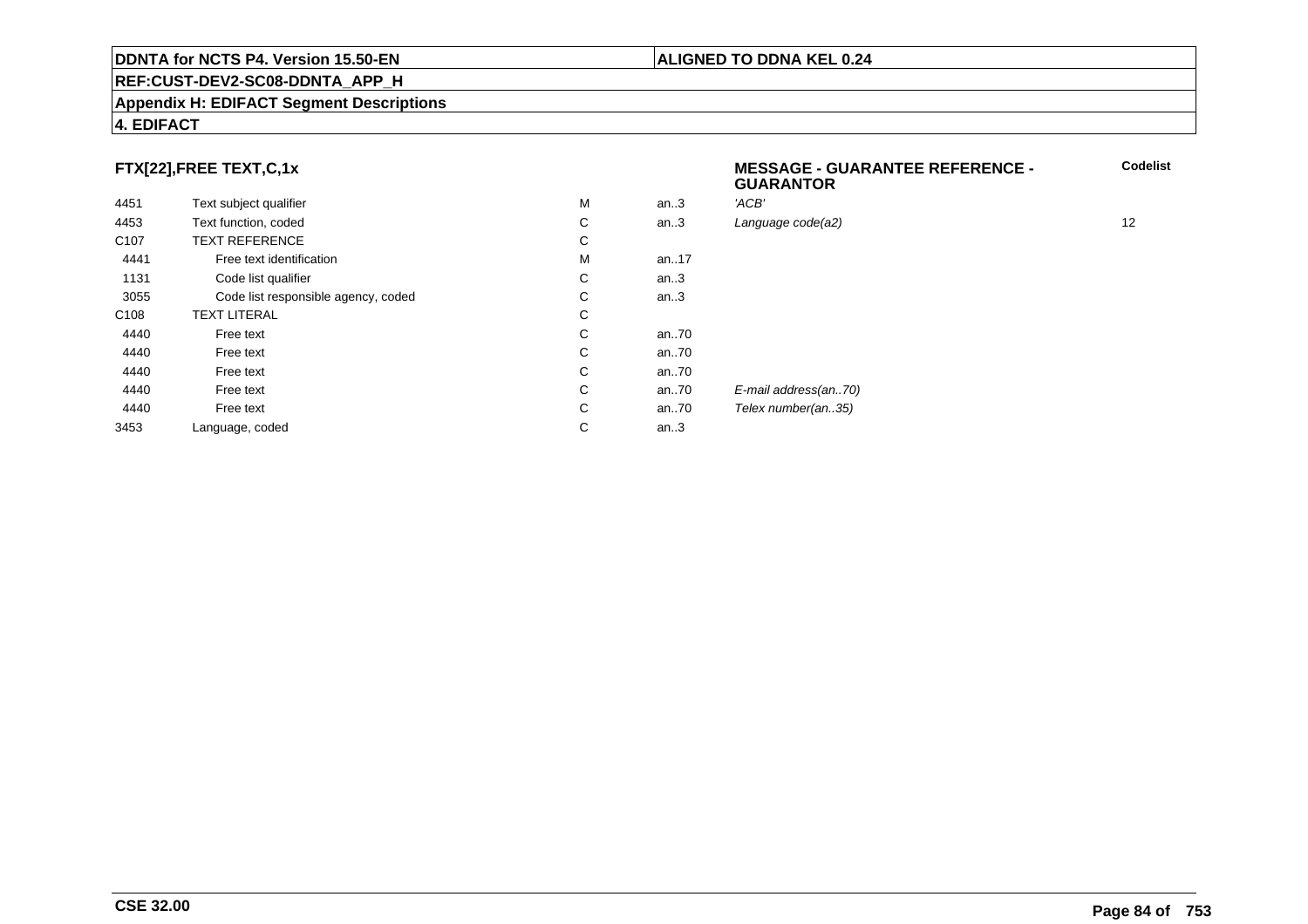#### **Appendix H: EDIFACT Segment Descriptions**

#### **4. EDIFACT**

# **FTX[22],FREE TEXT,C,1x**

| 4451             | Text subject qualifier              | M | an.3      | 'ACB'      |
|------------------|-------------------------------------|---|-----------|------------|
| 4453             | Text function, coded                | С | an.3      | Language   |
| C <sub>107</sub> | <b>TEXT REFERENCE</b>               | С |           |            |
| 4441             | Free text identification            | M | an. $.17$ |            |
| 1131             | Code list qualifier                 | C | an.3      |            |
| 3055             | Code list responsible agency, coded | С | an.3      |            |
| C <sub>108</sub> | <b>TEXT LITERAL</b>                 | С |           |            |
| 4440             | Free text                           | C | an70      |            |
| 4440             | Free text                           | C | an.70     |            |
| 4440             | Free text                           | C | an.70     |            |
| 4440             | Free text                           | С | an70      | E-mail add |
| 4440             | Free text                           | C | an70      | Telex num  |
| 3453             | Language, coded                     | С | an.3      |            |
|                  |                                     |   |           |            |

 **MESSAGE - GUARANTEE REFERENCE - GUARANTORCodelist** $C$  an..3 Language code(a2) and  $12$ dress(an..70) nber(an..35)

#### **CSE 32.00**

#### **ALIGNED TO DDNA KEL 0.24**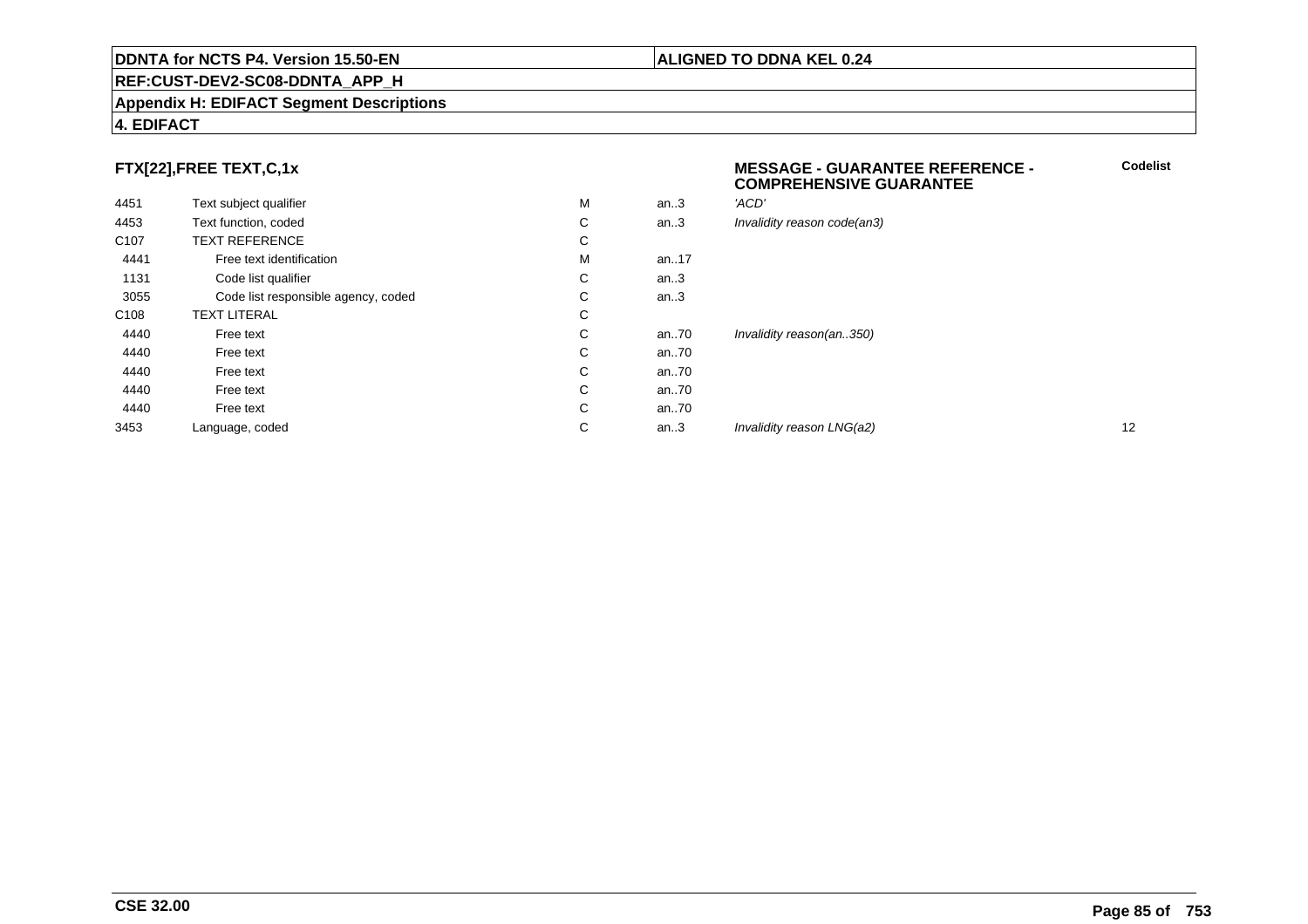#### **Appendix H: EDIFACT Segment Descriptions**

#### **4. EDIFACT**

# **FTX[22],FREE TEXT,C,1x**

|                  |                                     |   |      | <b>COMPREHENSIVE GUARANTEE</b> |    |
|------------------|-------------------------------------|---|------|--------------------------------|----|
| 4451             | Text subject qualifier              | M | an.3 | 'ACD'                          |    |
| 4453             | Text function, coded                | C | an.3 | Invalidity reason code(an3)    |    |
| C <sub>107</sub> | <b>TEXT REFERENCE</b>               | C |      |                                |    |
| 4441             | Free text identification            | M | an17 |                                |    |
| 1131             | Code list qualifier                 | C | an.3 |                                |    |
| 3055             | Code list responsible agency, coded | С | an.3 |                                |    |
| C108             | <b>TEXT LITERAL</b>                 | C |      |                                |    |
| 4440             | Free text                           | C | an70 | Invalidity reason(an350)       |    |
| 4440             | Free text                           | C | an70 |                                |    |
| 4440             | Free text                           | C | an70 |                                |    |
| 4440             | Free text                           | C | an70 |                                |    |
| 4440             | Free text                           | C | an70 |                                |    |
| 3453             | Language, coded                     | С | an.3 | Invalidity reason LNG(a2)      | 12 |
|                  |                                     |   |      |                                |    |

#### **ALIGNED TO DDNA KEL 0.24**

**MESSAGE - GUARANTEE REFERENCE -**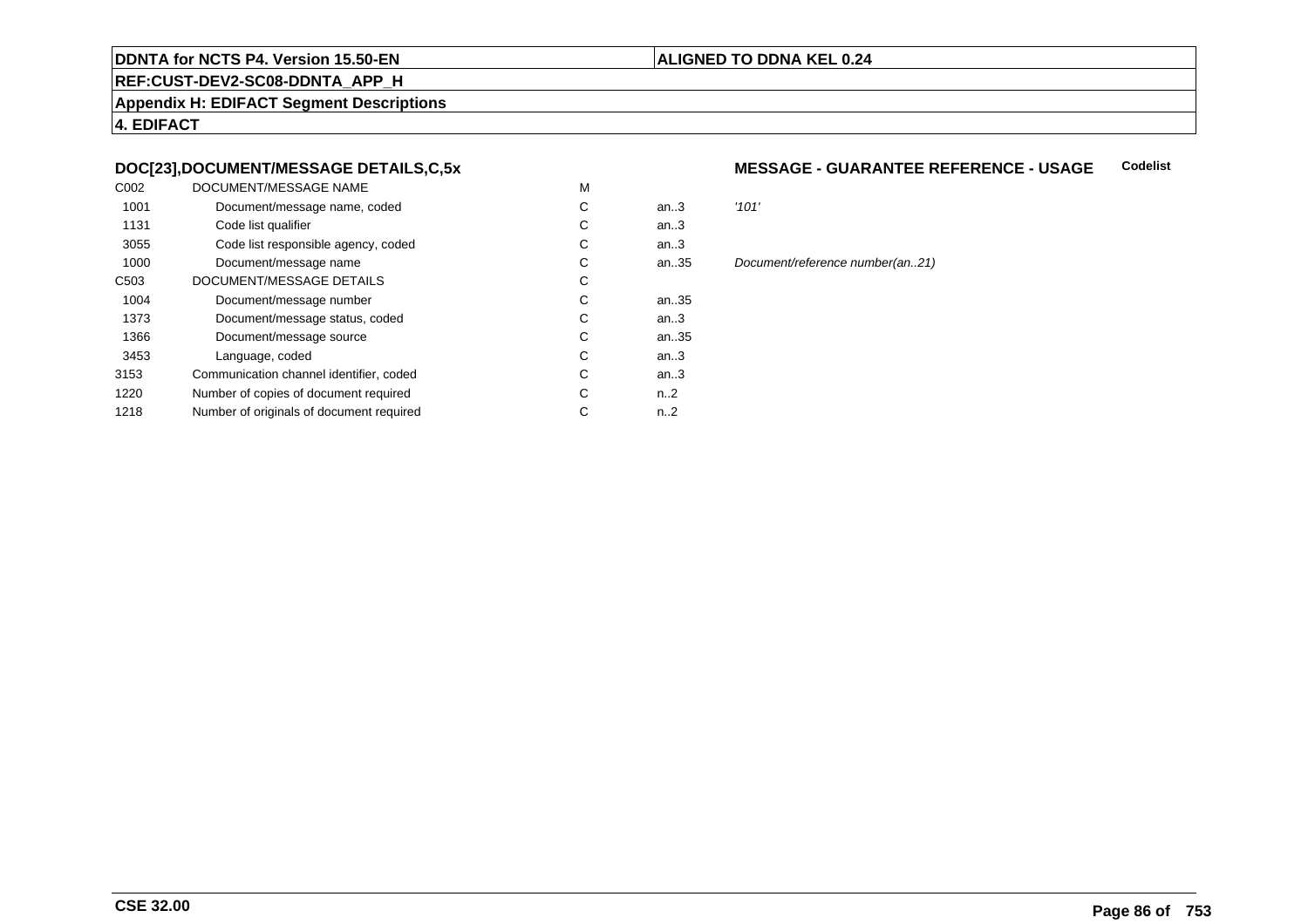#### **REF:CUST-DEV2-SC08-DDNTA\_APP\_H**

**Appendix H: EDIFACT Segment Descriptions**

**4. EDIFACT**

## **DOC[23],DOCUMENT/MESSAGE DETAILS,C,5x**

| C <sub>0</sub> 02 | DOCUMENT/MESSAGE NAME                    | M |                  |       |
|-------------------|------------------------------------------|---|------------------|-------|
| 1001              | Document/message name, coded             | С | an.3             | '101' |
| 1131              | Code list qualifier                      | С | an $3$           |       |
| 3055              | Code list responsible agency, coded      | С | an.3             |       |
| 1000              | Document/message name                    | С | an35             | Docu  |
| C <sub>503</sub>  | DOCUMENT/MESSAGE DETAILS                 | С |                  |       |
| 1004              | Document/message number                  | С | an35             |       |
| 1373              | Document/message status, coded           | С | an.3             |       |
| 1366              | Document/message source                  | С | an35             |       |
| 3453              | Language, coded                          | С | an.3             |       |
| 3153              | Communication channel identifier, coded  | С | an.3             |       |
| 1220              | Number of copies of document required    | С | n <sub>1</sub> 2 |       |
| 1218              | Number of originals of document required | С | $n_{-2}$         |       |
|                   |                                          |   |                  |       |

#### **MESSAGE - GUARANTEE REFERENCE - USAGECodelist**

**ALIGNED TO DDNA KEL 0.24**

Document/reference number(an..21)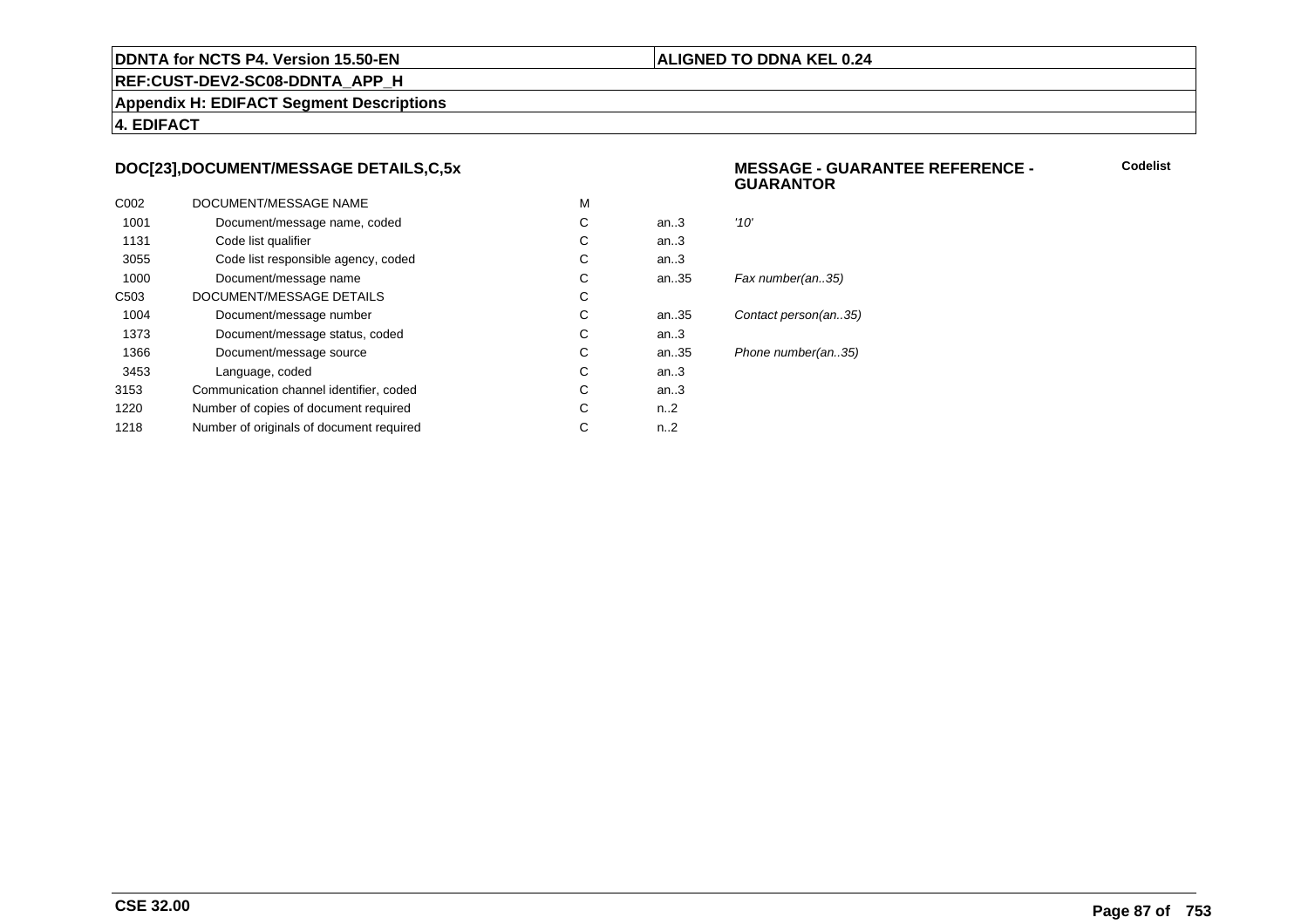#### **ALIGNED TO DDNA KEL 0.24**

**REF:CUST-DEV2-SC08-DDNTA\_APP\_H**

**Appendix H: EDIFACT Segment Descriptions**

**4. EDIFACT**

## **DOC[23],DOCUMENT/MESSAGE DETAILS,C,5x**

| C <sub>0</sub> 02 | DOCUMENT/MESSAGE NAME                    | M |                  |                      |
|-------------------|------------------------------------------|---|------------------|----------------------|
| 1001              | Document/message name, coded             | С | an.3             | '10'                 |
| 1131              | Code list qualifier                      | C | an.3             |                      |
| 3055              | Code list responsible agency, coded      | С | an.3             |                      |
| 1000              | Document/message name                    | С | an.35            | Fax number(an35)     |
| C <sub>503</sub>  | DOCUMENT/MESSAGE DETAILS                 | С |                  |                      |
| 1004              | Document/message number                  | С | an35             | Contact person(an35) |
| 1373              | Document/message status, coded           | С | an.3             |                      |
| 1366              | Document/message source                  | С | an.35            | Phone number(an35)   |
| 3453              | Language, coded                          | C | an.3             |                      |
| 3153              | Communication channel identifier, coded  | С | an.3             |                      |
| 1220              | Number of copies of document required    | С | n <sub>1</sub> 2 |                      |
| 1218              | Number of originals of document required | С | n2               |                      |
|                   |                                          |   |                  |                      |

#### **MESSAGE - GUARANTEE REFERENCE - GUARANTOR**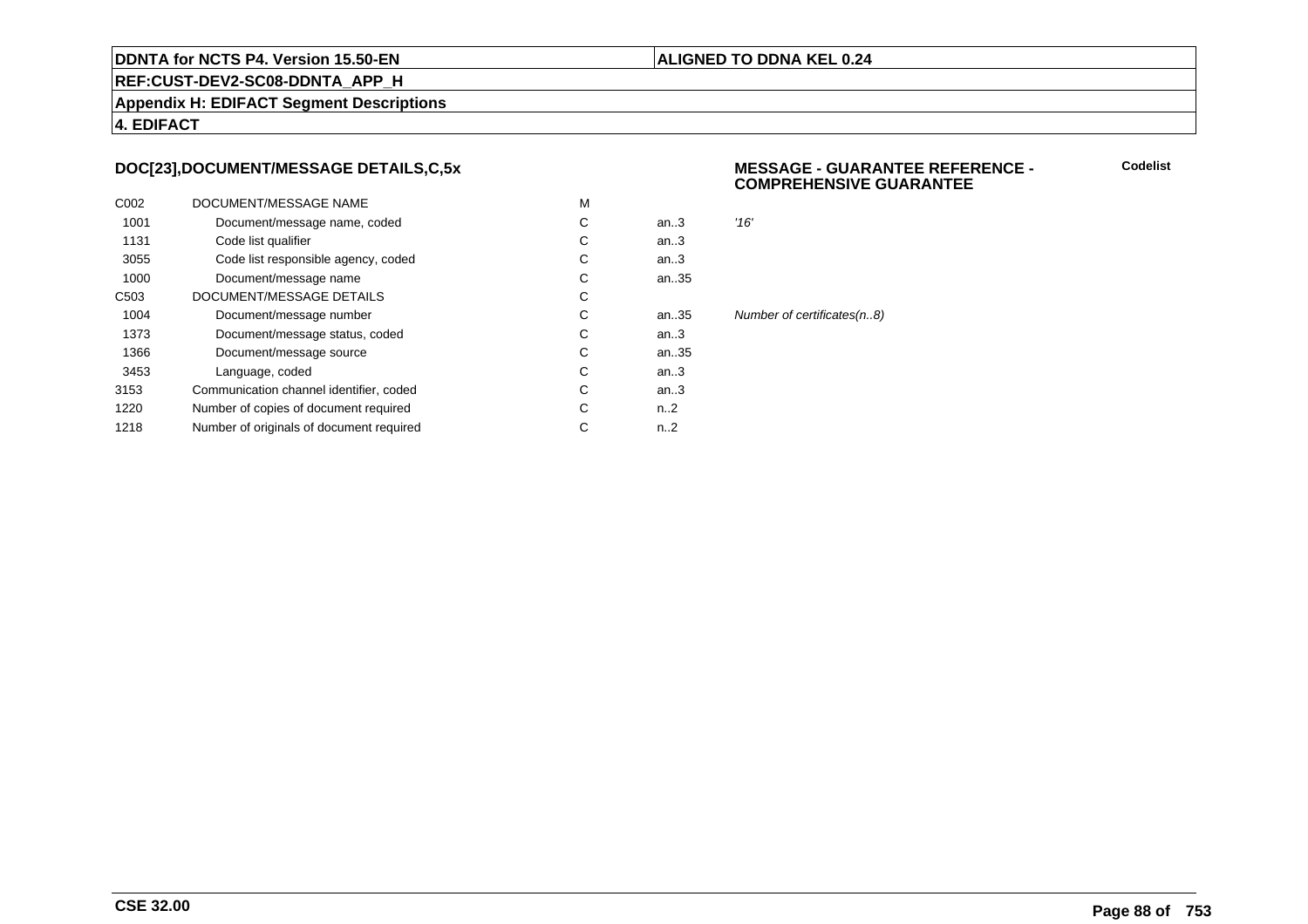#### **ALIGNED TO DDNA KEL 0.24**

**REF:CUST-DEV2-SC08-DDNTA\_APP\_H**

**Appendix H: EDIFACT Segment Descriptions**

**4. EDIFACT**

## **DOC[23],DOCUMENT/MESSAGE DETAILS,C,5x**

| C <sub>0</sub> 02 | DOCUMENT/MESSAGE NAME                    | M |                  |                            |
|-------------------|------------------------------------------|---|------------------|----------------------------|
| 1001              | Document/message name, coded             | C | an.3             | '16'                       |
| 1131              | Code list qualifier                      | C | an.3             |                            |
| 3055              | Code list responsible agency, coded      | С | an.3             |                            |
| 1000              | Document/message name                    | C | an35             |                            |
| C <sub>503</sub>  | DOCUMENT/MESSAGE DETAILS                 | C |                  |                            |
| 1004              | Document/message number                  | C | an35             | Number of certificates(n8) |
| 1373              | Document/message status, coded           | С | an.3             |                            |
| 1366              | Document/message source                  | C | an35             |                            |
| 3453              | Language, coded                          | C | an.3             |                            |
| 3153              | Communication channel identifier, coded  | С | an.3             |                            |
| 1220              | Number of copies of document required    | С | n <sub>1</sub> 2 |                            |
| 1218              | Number of originals of document required | С | n2               |                            |
|                   |                                          |   |                  |                            |

#### **MESSAGE - GUARANTEE REFERENCE - COMPREHENSIVE GUARANTEE**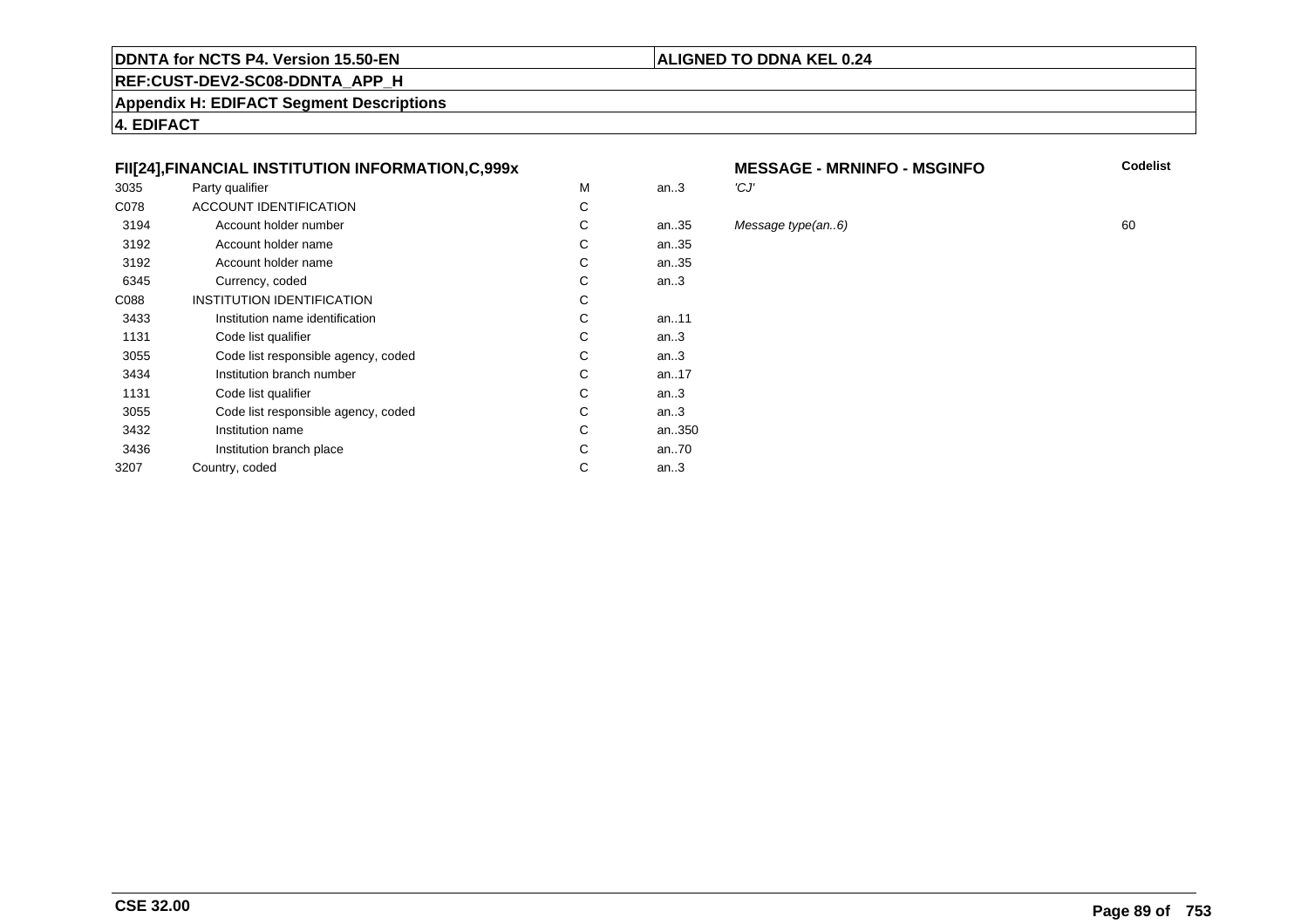# **REF:CUST-DEV2-SC08-DDNTA\_APP\_H**

**Appendix H: EDIFACT Segment Descriptions**

**4. EDIFACT**

## **FII[24],FINANCIAL INSTITUTION INFORMATION,C,999x**

| 3035 | Party qualifier                     | М | an.3   | 'CJ' |
|------|-------------------------------------|---|--------|------|
| C078 | ACCOUNT IDENTIFICATION              | С |        |      |
| 3194 | Account holder number               | С | an35   | Mes  |
| 3192 | Account holder name                 | С | an35   |      |
| 3192 | Account holder name                 | C | an35   |      |
| 6345 | Currency, coded                     | С | an.3   |      |
| C088 | INSTITUTION IDENTIFICATION          | С |        |      |
| 3433 | Institution name identification     | C | an11   |      |
| 1131 | Code list qualifier                 | С | an.3   |      |
| 3055 | Code list responsible agency, coded | С | an $3$ |      |
| 3434 | Institution branch number           | C | an17   |      |
| 1131 | Code list qualifier                 | С | an $3$ |      |
| 3055 | Code list responsible agency, coded | С | an.3   |      |
| 3432 | Institution name                    | С | an350  |      |
| 3436 | Institution branch place            | C | an70   |      |
| 3207 | Country, coded                      | С | an.3   |      |
|      |                                     |   |        |      |

# **MESSAGE - MRNINFO - MSGINFO**<br>3

35 Message type(an..6) 60<br>35

**ALIGNED TO DDNA KEL 0.24**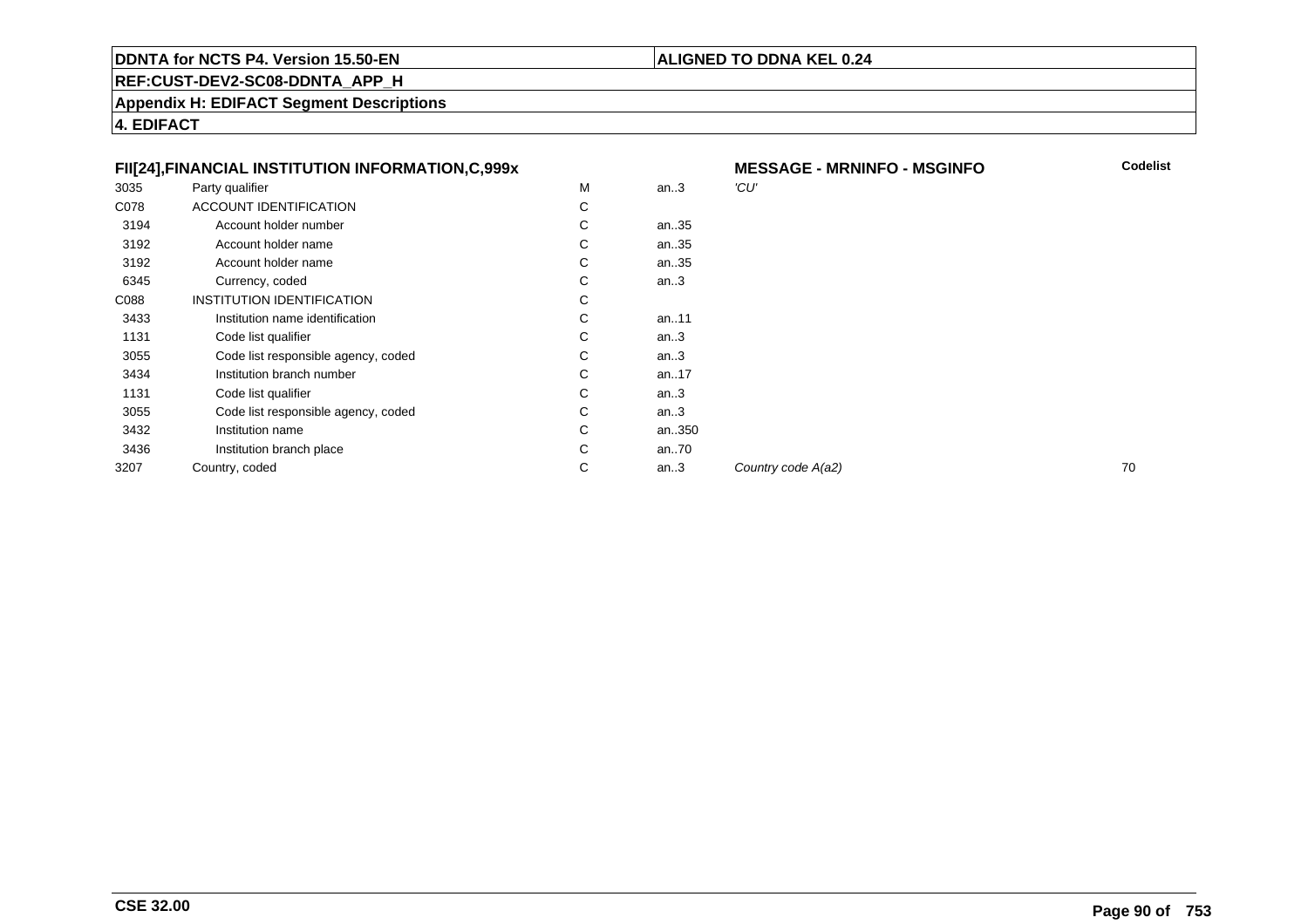# **ALIGNED TO DDNA KEL 0.24**

**REF:CUST-DEV2-SC08-DDNTA\_APP\_H**

**Appendix H: EDIFACT Segment Descriptions**

**4. EDIFACT**

|      | FII[24], FINANCIAL INSTITUTION INFORMATION, C, 999x |   |           | <b>ME</b> |
|------|-----------------------------------------------------|---|-----------|-----------|
| 3035 | Party qualifier                                     | M | an.3      | 'CU'      |
| C078 | ACCOUNT IDENTIFICATION                              | С |           |           |
| 3194 | Account holder number                               | С | an35      |           |
| 3192 | Account holder name                                 | С | an35      |           |
| 3192 | Account holder name                                 | C | an.35     |           |
| 6345 | Currency, coded                                     | С | an.3      |           |
| C088 | INSTITUTION IDENTIFICATION                          | С |           |           |
| 3433 | Institution name identification                     | C | an11      |           |
| 1131 | Code list qualifier                                 | C | an.3      |           |
| 3055 | Code list responsible agency, coded                 | C | an.3      |           |
| 3434 | Institution branch number                           | C | an. $.17$ |           |
| 1131 | Code list qualifier                                 | C | an.3      |           |
| 3055 | Code list responsible agency, coded                 | C | an.3      |           |
| 3432 | Institution name                                    | C | an350     |           |
| 3436 | Institution branch place                            | С | an70      |           |
| 3207 | Country, coded                                      | C | an.3      | Cou       |
|      |                                                     |   |           |           |

| X |   |       | <b>MESSAGE - MRNINFO - MSGINFO</b> | Codelist |
|---|---|-------|------------------------------------|----------|
|   | M | an.3  | 'CU'                               |          |
|   | С |       |                                    |          |
|   | C | an35  |                                    |          |
|   | С | an35  |                                    |          |
|   | С | an35  |                                    |          |
|   | С | an.3  |                                    |          |
|   | C |       |                                    |          |
|   | С | an11  |                                    |          |
|   | С | an.3  |                                    |          |
|   | С | an.3  |                                    |          |
|   | C | an17  |                                    |          |
|   | С | an.3  |                                    |          |
|   | С | an.3  |                                    |          |
|   | С | an350 |                                    |          |
|   | C | an70  |                                    |          |
|   | С | an.3  | Country code A(a2)                 | 70       |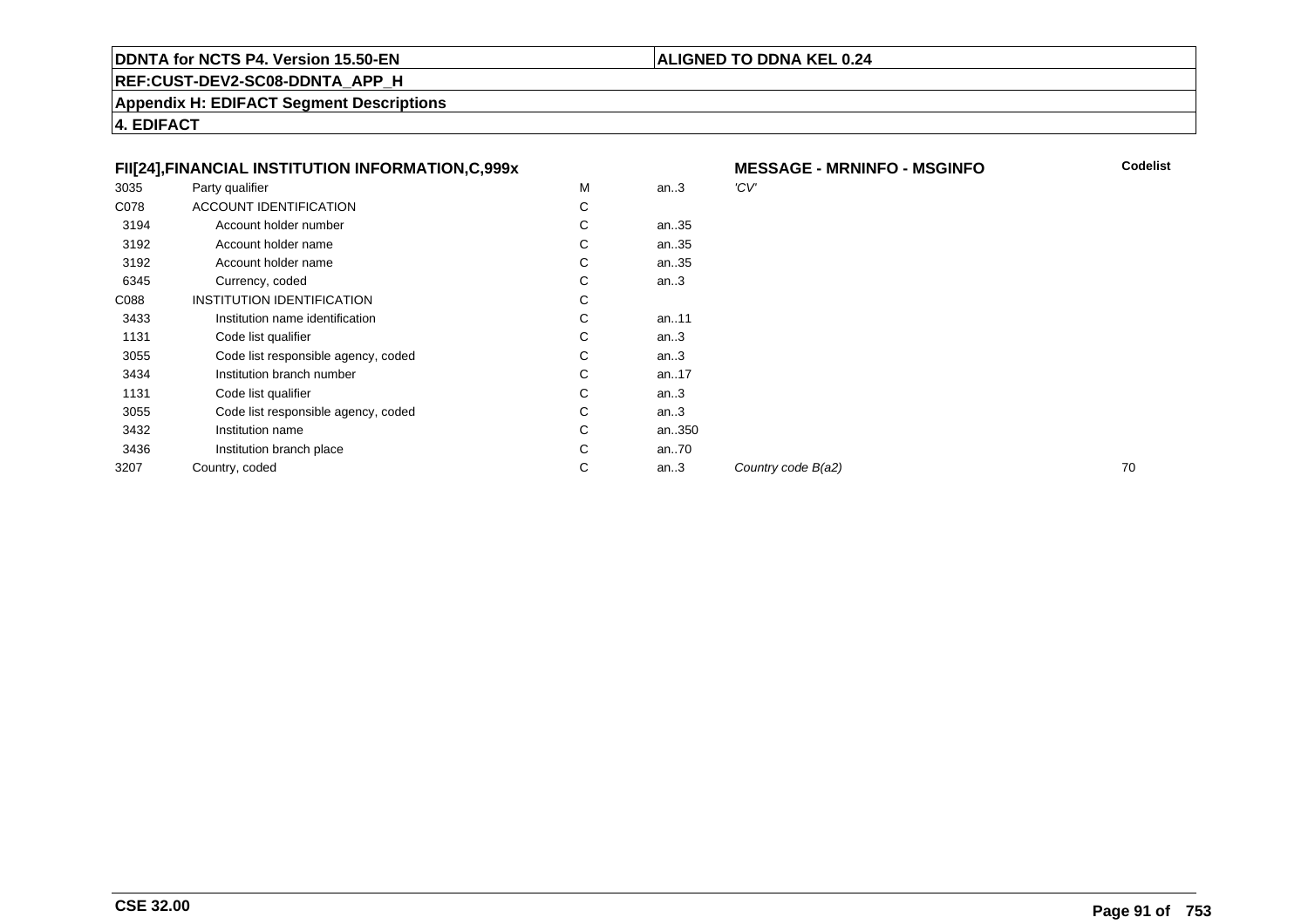# **ALIGNED TO DDNA KEL 0.24**

**REF:CUST-DEV2-SC08-DDNTA\_APP\_H**

**Appendix H: EDIFACT Segment Descriptions**

**4. EDIFACT**

|      | FII[24], FINANCIAL INSTITUTION INFORMATION, C, 999x |   |           | <b>ME</b> |
|------|-----------------------------------------------------|---|-----------|-----------|
| 3035 | Party qualifier                                     | М | an.3      | 'CV'      |
| C078 | <b>ACCOUNT IDENTIFICATION</b>                       | C |           |           |
| 3194 | Account holder number                               | C | an35      |           |
| 3192 | Account holder name                                 | C | an35      |           |
| 3192 | Account holder name                                 | C | an35      |           |
| 6345 | Currency, coded                                     | C | an.3      |           |
| C088 | <b>INSTITUTION IDENTIFICATION</b>                   | C |           |           |
| 3433 | Institution name identification                     | C | an11      |           |
| 1131 | Code list qualifier                                 | C | an.3      |           |
| 3055 | Code list responsible agency, coded                 | C | an.3      |           |
| 3434 | Institution branch number                           | C | an. $.17$ |           |
| 1131 | Code list qualifier                                 | C | an.3      |           |
| 3055 | Code list responsible agency, coded                 | C | an.3      |           |
| 3432 | Institution name                                    | C | an350     |           |
| 3436 | Institution branch place                            | C | an70      |           |
| 3207 | Country, coded                                      | С | an.3      | Cou       |
|      |                                                     |   |           |           |

 **MESSAGE - MRNINFO - MSGINFO Codelist**  $\frac{1}{2}$  Country code  $B(a2)$  70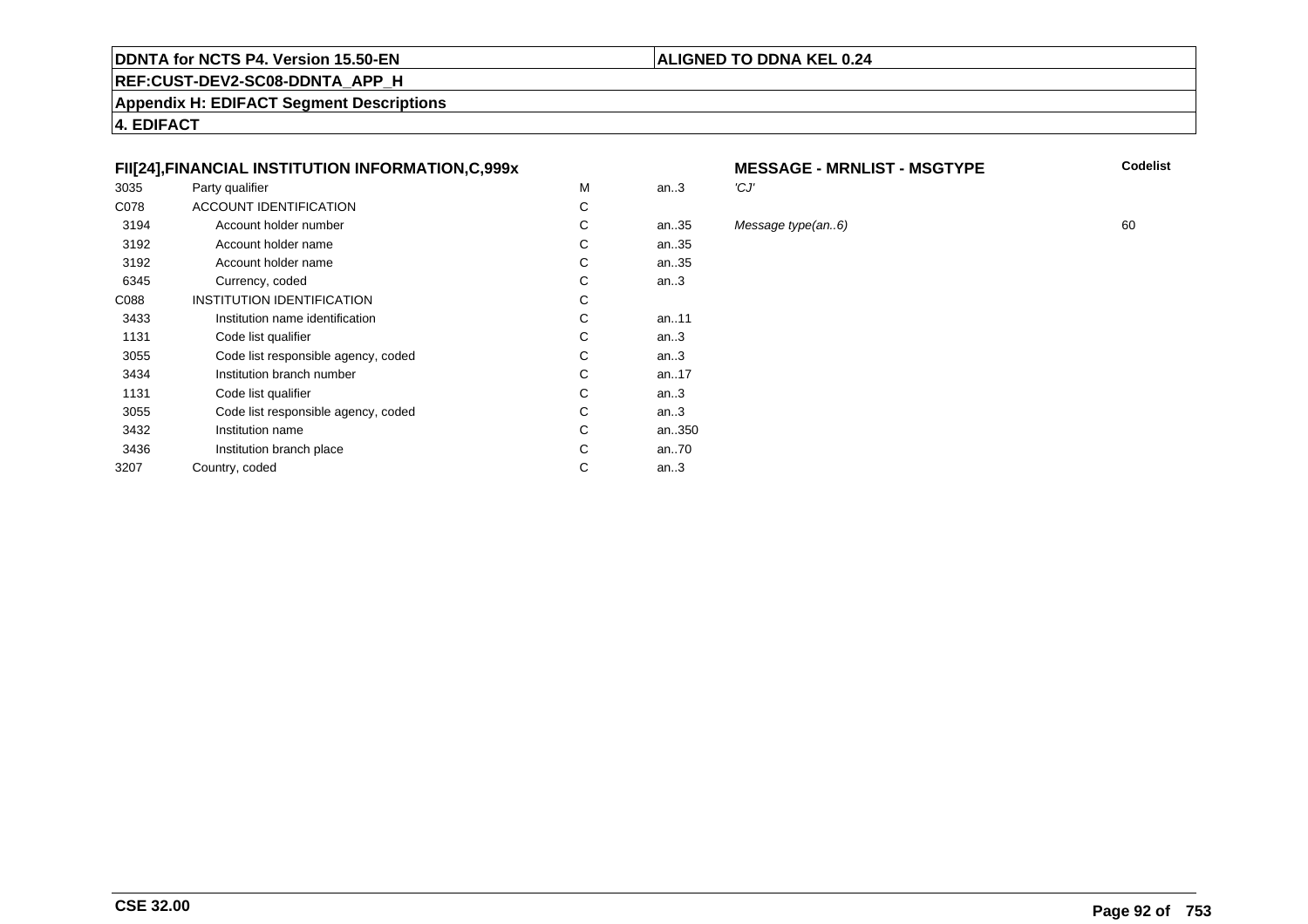# **REF:CUST-DEV2-SC08-DDNTA\_APP\_H**

**Appendix H: EDIFACT Segment Descriptions**

**4. EDIFACT**

## **FII[24],FINANCIAL INSTITUTION INFORMATION,C,999x**

| 3035 | Party qualifier                     | M | an.3  | 'CJ' |
|------|-------------------------------------|---|-------|------|
| C078 | <b>ACCOUNT IDENTIFICATION</b>       | С |       |      |
| 3194 | Account holder number               | С | an35  | Mes  |
| 3192 | Account holder name                 | С | an35  |      |
| 3192 | Account holder name                 | С | an35  |      |
| 6345 | Currency, coded                     | С | an.3  |      |
| C088 | INSTITUTION IDENTIFICATION          | С |       |      |
| 3433 | Institution name identification     | C | an.11 |      |
| 1131 | Code list qualifier                 | С | an.3  |      |
| 3055 | Code list responsible agency, coded | С | an.3  |      |
| 3434 | Institution branch number           | C | an17  |      |
| 1131 | Code list qualifier                 | С | an.3  |      |
| 3055 | Code list responsible agency, coded | С | an.3  |      |
| 3432 | Institution name                    | C | an350 |      |
| 3436 | Institution branch place            | С | an70  |      |
| 3207 | Country, coded                      | С | an.3  |      |
|      |                                     |   |       |      |

# **MESSAGE - MRNLIST - MSGTYPE**<br>3

an..35 Message type(an..6) <sup>60</sup>

**ALIGNED TO DDNA KEL 0.24**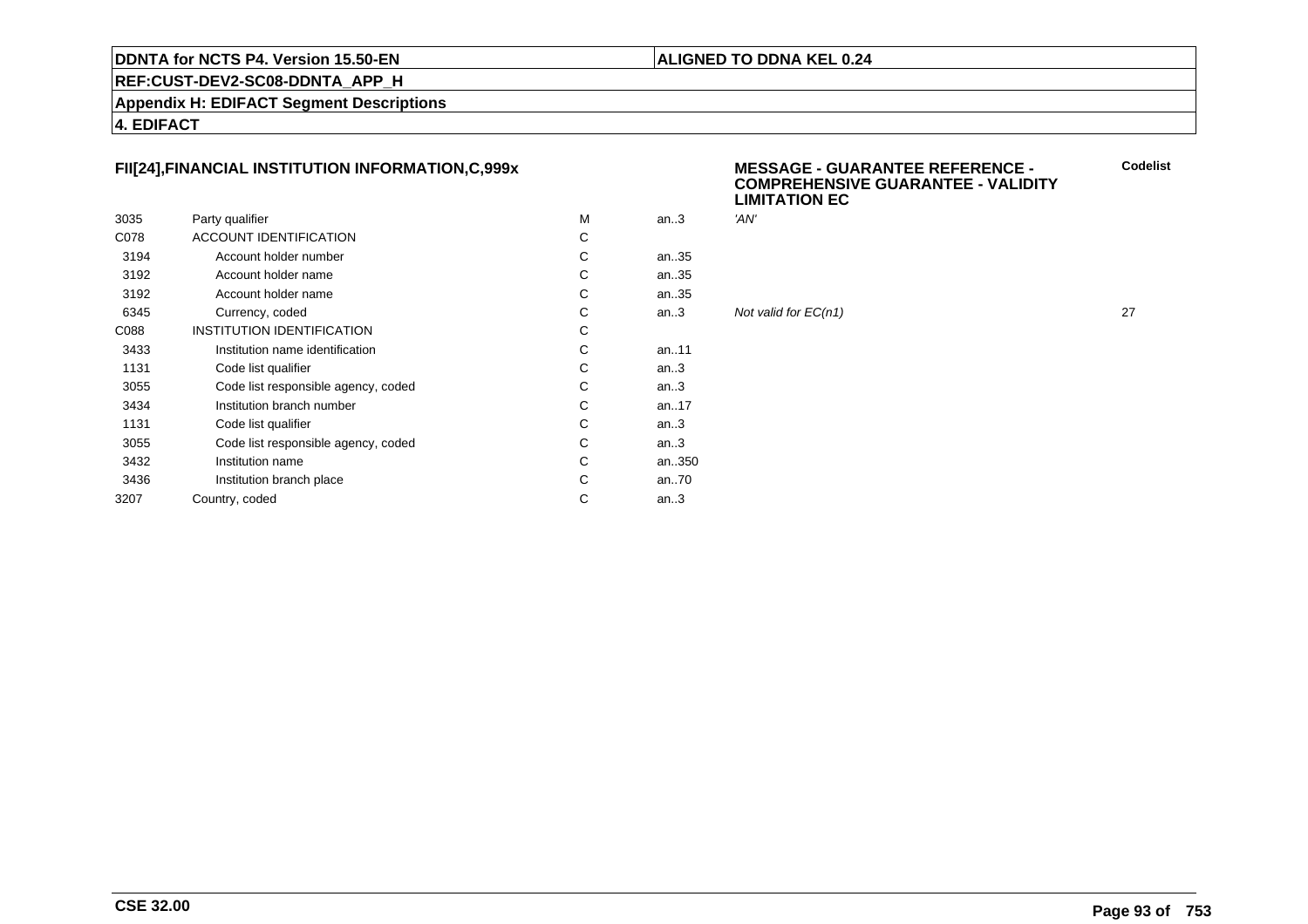#### **ALIGNED TO DDNA KEL 0.24**

**REF:CUST-DEV2-SC08-DDNTA\_APP\_H**

**Appendix H: EDIFACT Segment Descriptions**

**4. EDIFACT**

# **FII[24],FINANCIAL INSTITUTION INFORMATION,C,999x**

|      |                                     |   |           | ---- |
|------|-------------------------------------|---|-----------|------|
| 3035 | Party qualifier                     | м | an $3$    | 'AN' |
| C078 | <b>ACCOUNT IDENTIFICATION</b>       | C |           |      |
| 3194 | Account holder number               | С | an35      |      |
| 3192 | Account holder name                 | С | an35      |      |
| 3192 | Account holder name                 | С | an35      |      |
| 6345 | Currency, coded                     | C | an.3      | Not  |
| C088 | <b>INSTITUTION IDENTIFICATION</b>   | C |           |      |
| 3433 | Institution name identification     | C | an. $.11$ |      |
| 1131 | Code list qualifier                 | С | an.3      |      |
| 3055 | Code list responsible agency, coded | С | an.3      |      |
| 3434 | Institution branch number           | С | an17      |      |
| 1131 | Code list qualifier                 | C | an.3      |      |
| 3055 | Code list responsible agency, coded | С | an.3      |      |
| 3432 | Institution name                    | C | an350     |      |
| 3436 | Institution branch place            | C | an70      |      |
| 3207 | Country, coded                      | С | an.3      |      |
|      |                                     |   |           |      |

#### **MESSAGE - GUARANTEE REFERENCE - COMPREHENSIVE GUARANTEE - VALIDITYLIMITATION EC**

Not valid for  $EC(n1)$  27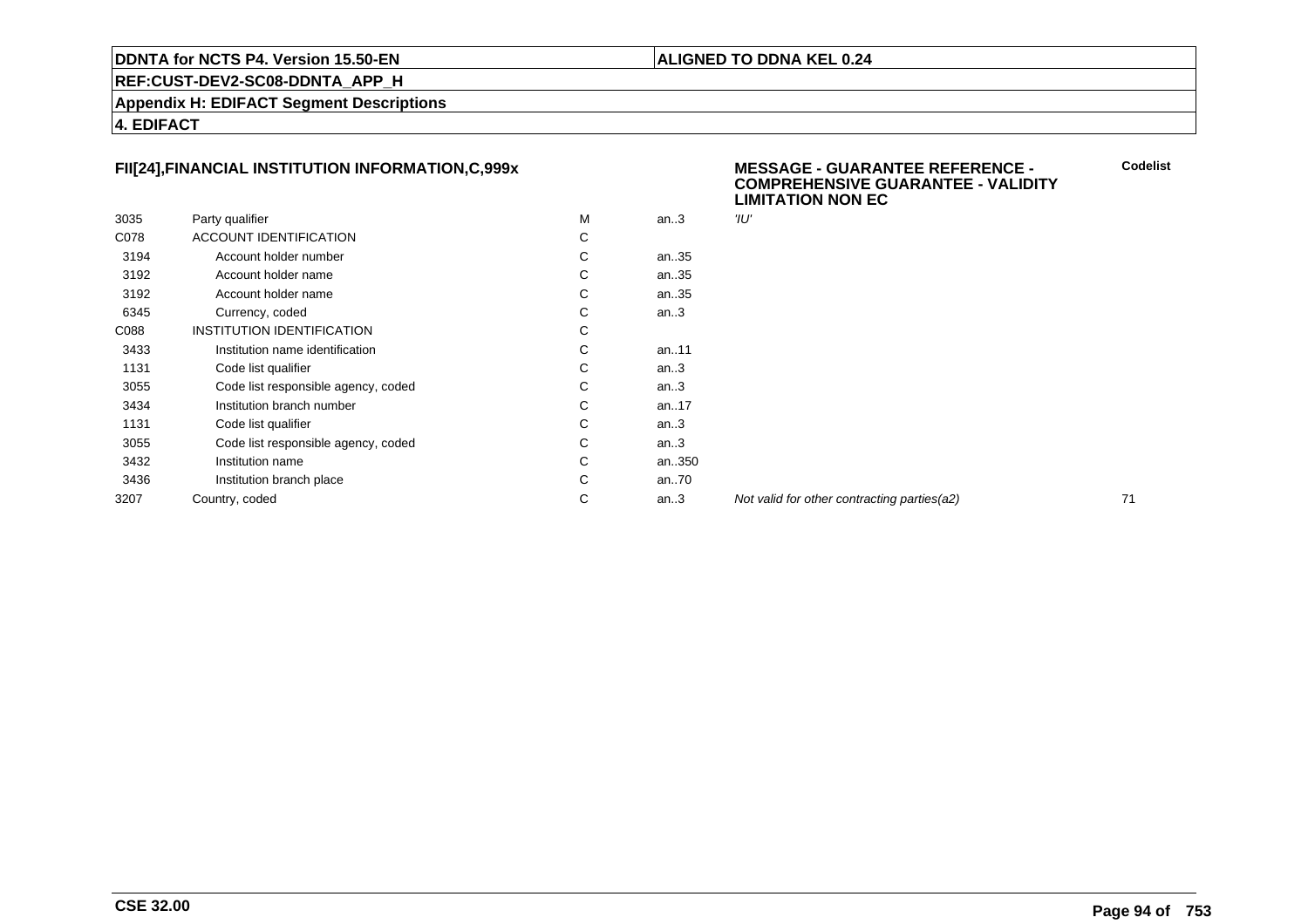#### **ALIGNED TO DDNA KEL 0.24**

**REF:CUST-DEV2-SC08-DDNTA\_APP\_H**

**Appendix H: EDIFACT Segment Descriptions**

**4. EDIFACT**

# **FII[24],FINANCIAL INSTITUTION INFORMATION,C,999x**

|      |                                     |   |        | --   |
|------|-------------------------------------|---|--------|------|
| 3035 | Party qualifier                     | м | an $3$ | 'וע" |
| C078 | <b>ACCOUNT IDENTIFICATION</b>       | С |        |      |
| 3194 | Account holder number               | С | an35   |      |
| 3192 | Account holder name                 | С | an35   |      |
| 3192 | Account holder name                 | С | an35   |      |
| 6345 | Currency, coded                     | C | an.3   |      |
| C088 | INSTITUTION IDENTIFICATION          | С |        |      |
| 3433 | Institution name identification     | С | an11   |      |
| 1131 | Code list qualifier                 | С | an.3   |      |
| 3055 | Code list responsible agency, coded | C | an.3   |      |
| 3434 | Institution branch number           | С | an17   |      |
| 1131 | Code list qualifier                 | С | an.3   |      |
| 3055 | Code list responsible agency, coded | C | an.3   |      |
| 3432 | Institution name                    | C | an350  |      |
| 3436 | Institution branch place            | С | an70   |      |
| 3207 | Country, coded                      | С | an $3$ | Noi  |
|      |                                     |   |        |      |

#### **MESSAGE - GUARANTEE REFERENCE - COMPREHENSIVE GUARANTEE - VALIDITYLIMITATION NON EC**

Not valid for other contracting parties(a2) 71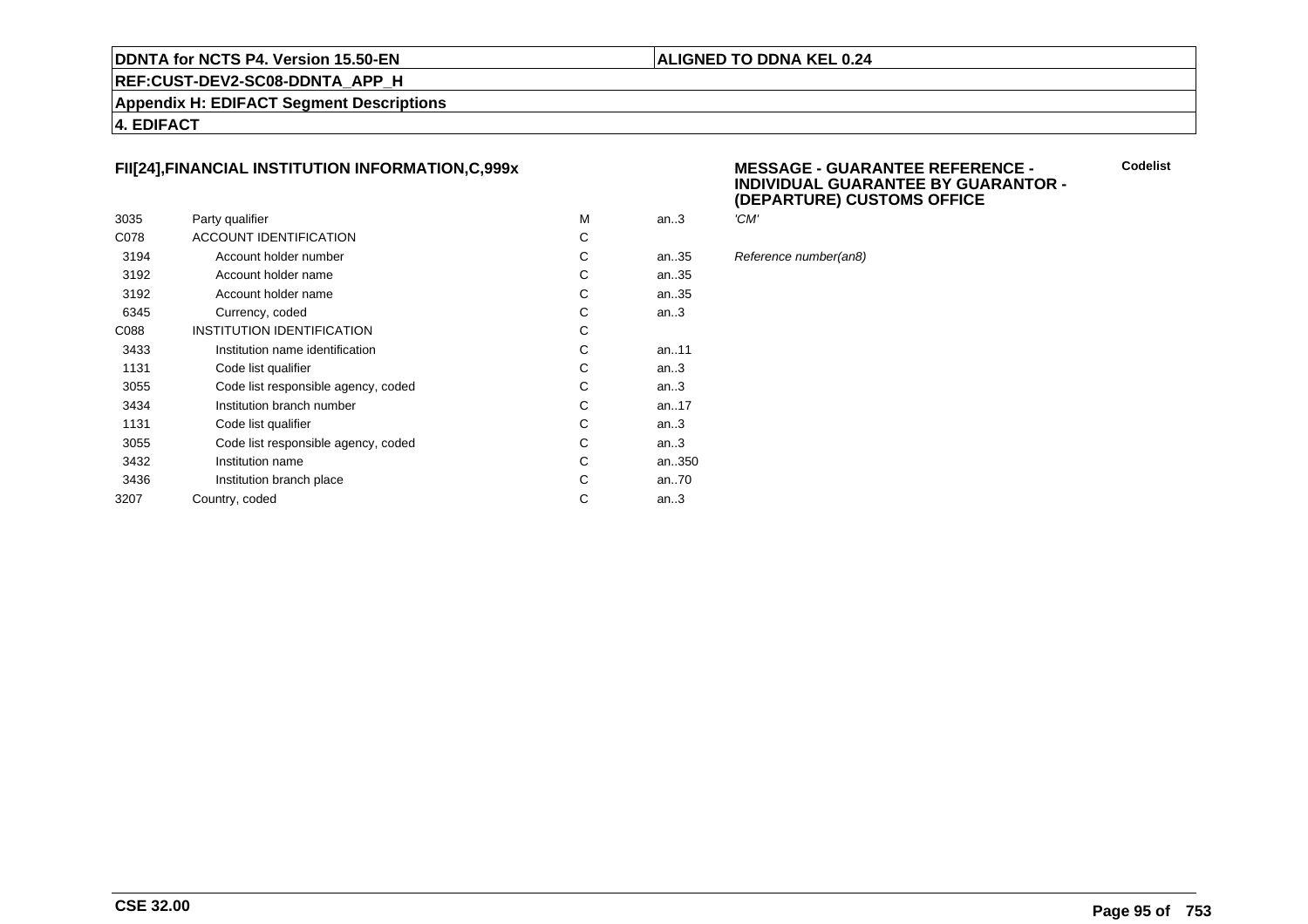#### **ALIGNED TO DDNA KEL 0.24**

**REF:CUST-DEV2-SC08-DDNTA\_APP\_H**

**Appendix H: EDIFACT Segment Descriptions**

**4. EDIFACT**

# **FII[24],FINANCIAL INSTITUTION INFORMATION,C,999x**

|      |                                     |   |           | `    |
|------|-------------------------------------|---|-----------|------|
| 3035 | Party qualifier                     | M | an $3$    | 'CM' |
| C078 | ACCOUNT IDENTIFICATION              | С |           |      |
| 3194 | Account holder number               | С | an35      | Refe |
| 3192 | Account holder name                 | C | an35      |      |
| 3192 | Account holder name                 | С | an35      |      |
| 6345 | Currency, coded                     | С | an.3      |      |
| C088 | INSTITUTION IDENTIFICATION          | С |           |      |
| 3433 | Institution name identification     | C | an11      |      |
| 1131 | Code list qualifier                 | С | an.3      |      |
| 3055 | Code list responsible agency, coded | С | an.3      |      |
| 3434 | Institution branch number           | C | an. $.17$ |      |
| 1131 | Code list qualifier                 | С | an $3$    |      |
| 3055 | Code list responsible agency, coded | С | an.3      |      |
| 3432 | Institution name                    | С | an350     |      |
| 3436 | Institution branch place            | C | an70      |      |
| 3207 | Country, coded                      | С | an.3      |      |
|      |                                     |   |           |      |

#### **MESSAGE - GUARANTEE REFERENCE - INDIVIDUAL GUARANTEE BY GUARANTOR -(DEPARTURE) CUSTOMS OFFICE**

| м | an.3   | 'CM'                  |
|---|--------|-----------------------|
| С |        |                       |
| С | an35   | Reference number(an8) |
| C | an35   |                       |
| C | an. 35 |                       |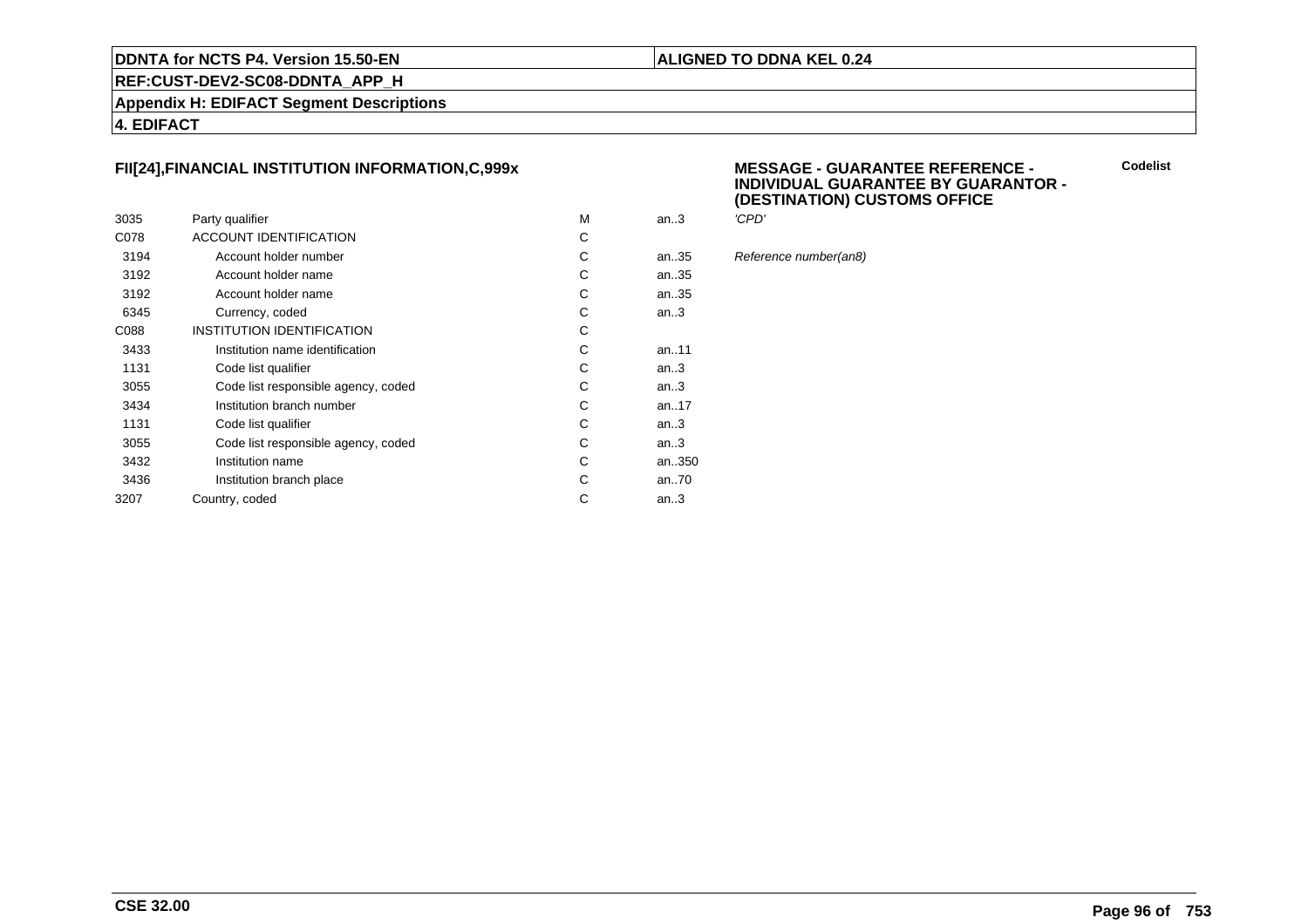#### **ALIGNED TO DDNA KEL 0.24**

**REF:CUST-DEV2-SC08-DDNTA\_APP\_H**

**Appendix H: EDIFACT Segment Descriptions**

**4. EDIFACT**

# **FII[24],FINANCIAL INSTITUTION INFORMATION,C,999x**

|      |                                     |   |           | `     |
|------|-------------------------------------|---|-----------|-------|
| 3035 | Party qualifier                     | M | an.3      | 'CPD' |
| C078 | <b>ACCOUNT IDENTIFICATION</b>       | С |           |       |
| 3194 | Account holder number               | С | an35      | Refer |
| 3192 | Account holder name                 | С | an35      |       |
| 3192 | Account holder name                 | С | an35      |       |
| 6345 | Currency, coded                     | С | an.3      |       |
| C088 | INSTITUTION IDENTIFICATION          | С |           |       |
| 3433 | Institution name identification     | С | an11      |       |
| 1131 | Code list qualifier                 | С | an.3      |       |
| 3055 | Code list responsible agency, coded | С | an.3      |       |
| 3434 | Institution branch number           | С | an. $.17$ |       |
| 1131 | Code list qualifier                 | С | an $3$    |       |
| 3055 | Code list responsible agency, coded | С | an.3      |       |
| 3432 | Institution name                    | С | an350     |       |
| 3436 | Institution branch place            | С | an70      |       |
| 3207 | Country, coded                      | С | an $3$    |       |
|      |                                     |   |           |       |

#### **MESSAGE - GUARANTEE REFERENCE - INDIVIDUAL GUARANTEE BY GUARANTOR -(DESTINATION) CUSTOMS OFFICE**

| м | an.3 | 'CPD'                 |
|---|------|-----------------------|
| С |      |                       |
| C | an35 | Reference number(an8) |
| C | an35 |                       |
| Ć | an35 |                       |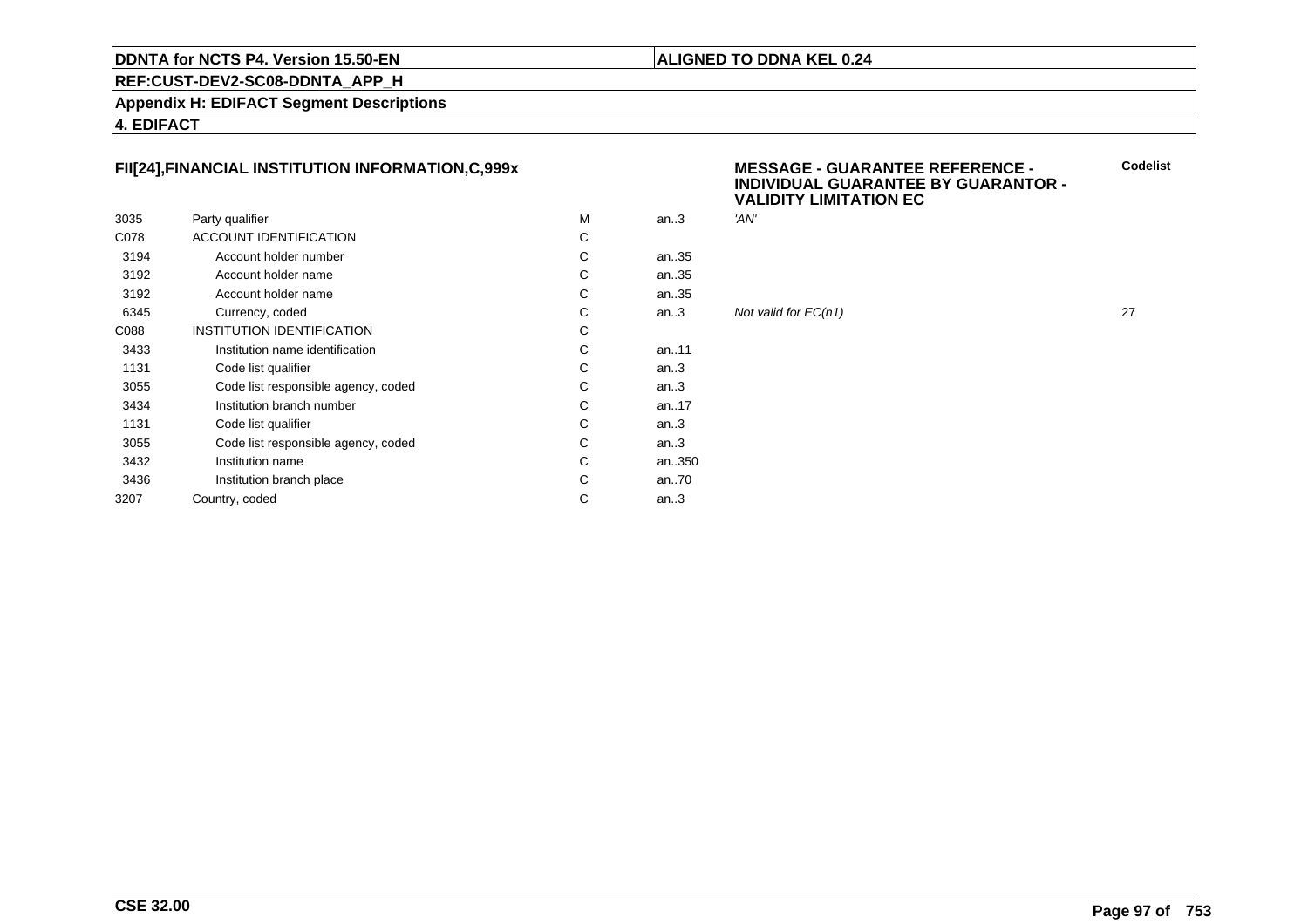#### **ALIGNED TO DDNA KEL 0.24**

**REF:CUST-DEV2-SC08-DDNTA\_APP\_H**

**Appendix H: EDIFACT Segment Descriptions**

**4. EDIFACT**

# **FII[24],FINANCIAL INSTITUTION INFORMATION,C,999x**

|      |                                     |   |           | .    |
|------|-------------------------------------|---|-----------|------|
| 3035 | Party qualifier                     | м | an $3$    | 'AN' |
| C078 | <b>ACCOUNT IDENTIFICATION</b>       | C |           |      |
| 3194 | Account holder number               | С | an35      |      |
| 3192 | Account holder name                 | С | an35      |      |
| 3192 | Account holder name                 | С | an35      |      |
| 6345 | Currency, coded                     | C | an.3      | Not  |
| C088 | <b>INSTITUTION IDENTIFICATION</b>   | C |           |      |
| 3433 | Institution name identification     | C | an. $.11$ |      |
| 1131 | Code list qualifier                 | С | an.3      |      |
| 3055 | Code list responsible agency, coded | С | an.3      |      |
| 3434 | Institution branch number           | С | an17      |      |
| 1131 | Code list qualifier                 | C | an.3      |      |
| 3055 | Code list responsible agency, coded | С | an.3      |      |
| 3432 | Institution name                    | C | an350     |      |
| 3436 | Institution branch place            | C | an70      |      |
| 3207 | Country, coded                      | С | an.3      |      |
|      |                                     |   |           |      |

#### **MESSAGE - GUARANTEE REFERENCE - INDIVIDUAL GUARANTEE BY GUARANTOR -VALIDITY LIMITATION EC**

Not valid for  $EC(n1)$  27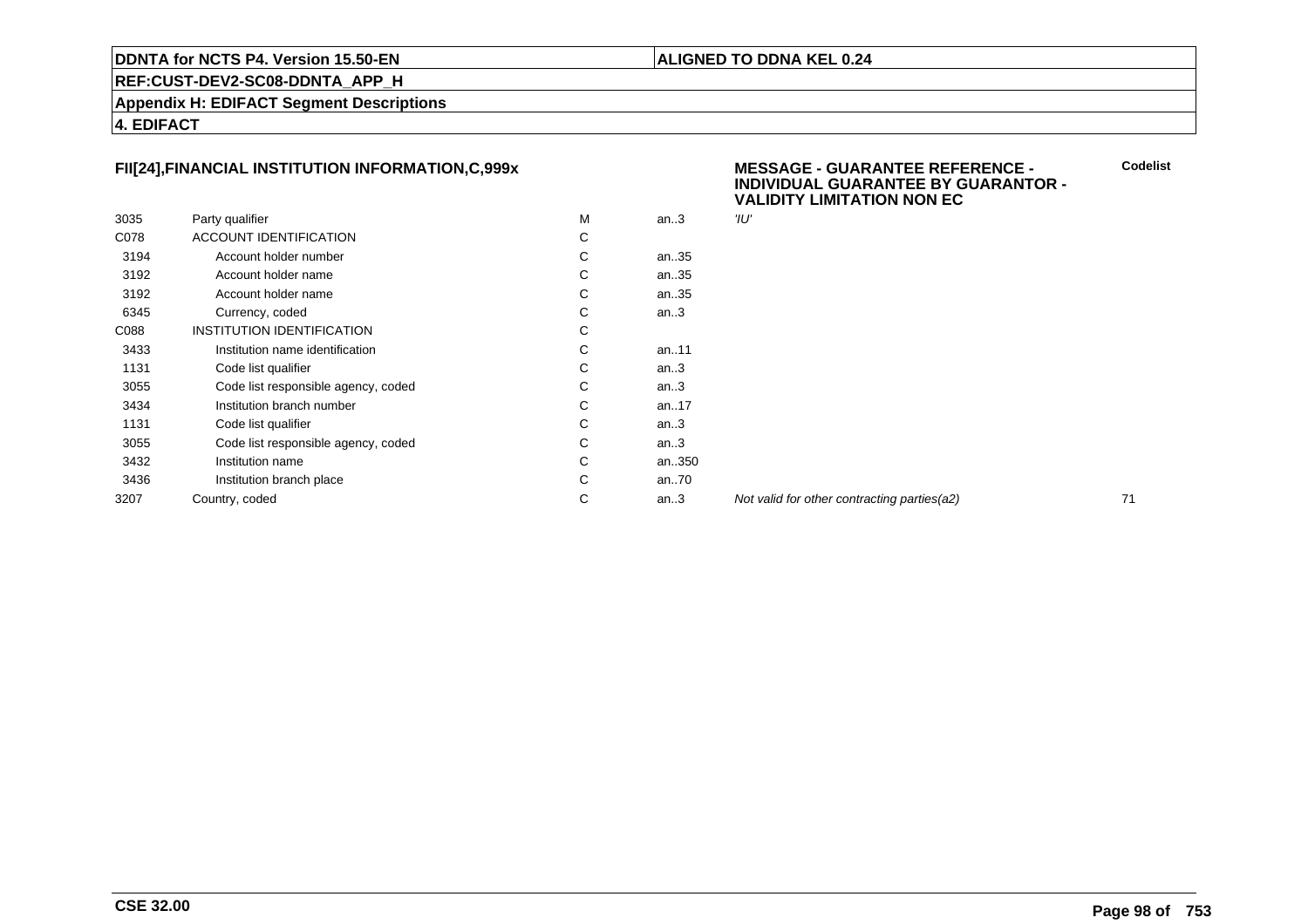#### **ALIGNED TO DDNA KEL 0.24**

**REF:CUST-DEV2-SC08-DDNTA\_APP\_H**

**Appendix H: EDIFACT Segment Descriptions**

**4. EDIFACT**

# **FII[24],FINANCIAL INSTITUTION INFORMATION,C,999x**

|      |                                     |   |       | . <i>.</i> |
|------|-------------------------------------|---|-------|------------|
| 3035 | Party qualifier                     | M | an.3  | 'וע"       |
| C078 | ACCOUNT IDENTIFICATION              | С |       |            |
| 3194 | Account holder number               | C | an35  |            |
| 3192 | Account holder name                 | С | an35  |            |
| 3192 | Account holder name                 | С | an35  |            |
| 6345 | Currency, coded                     | C | an.3  |            |
| C088 | INSTITUTION IDENTIFICATION          | С |       |            |
| 3433 | Institution name identification     | С | an11  |            |
| 1131 | Code list qualifier                 | С | an.3  |            |
| 3055 | Code list responsible agency, coded | C | an.3  |            |
| 3434 | Institution branch number           | С | an17  |            |
| 1131 | Code list qualifier                 | С | an.3  |            |
| 3055 | Code list responsible agency, coded | C | an.3  |            |
| 3432 | Institution name                    | C | an350 |            |
| 3436 | Institution branch place            | C | an70  |            |
| 3207 | Country, coded                      | С | an.3  | Noi        |
|      |                                     |   |       |            |

#### **MESSAGE - GUARANTEE REFERENCE - INDIVIDUAL GUARANTEE BY GUARANTOR -VALIDITY LIMITATION NON EC**

Not valid for other contracting parties(a2) 71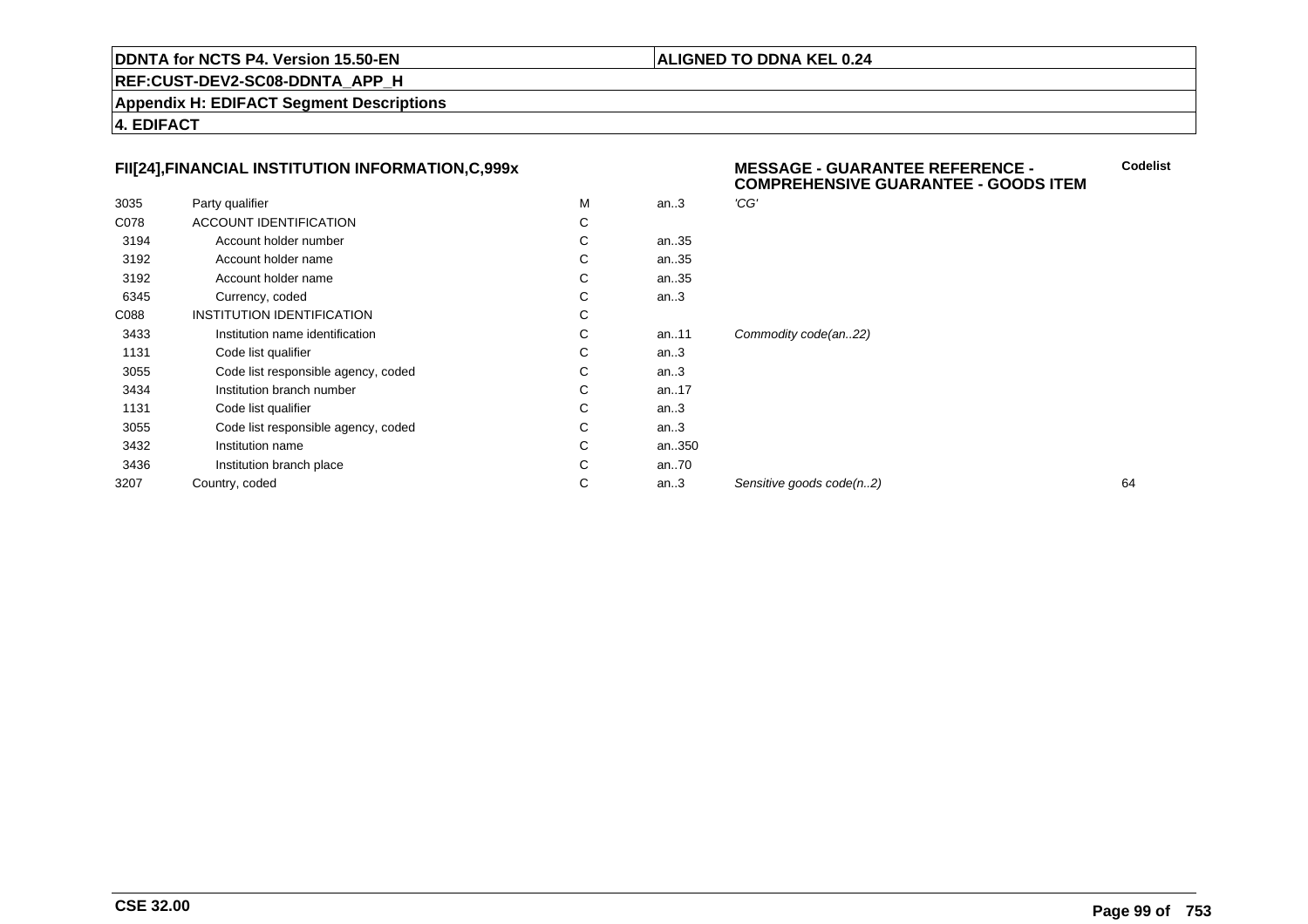#### **ALIGNED TO DDNA KEL 0.24**

**REF:CUST-DEV2-SC08-DDNTA\_APP\_H**

**Appendix H: EDIFACT Segment Descriptions**

**4. EDIFACT**

## **FII[24],FINANCIAL INSTITUTION INFORMATION,C,999x**

|      | FII[24],FINANCIAL INSTITUTION INFORMATION,C,999x |   |          | <b>MESSAGE - GUARANTEE REFERENCE -</b><br><b>COMPREHENSIVE GUARANTEE - GOODS ITEM</b> |    |  |
|------|--------------------------------------------------|---|----------|---------------------------------------------------------------------------------------|----|--|
| 3035 | Party qualifier                                  | M | an.3     | 'CG'                                                                                  |    |  |
| C078 | ACCOUNT IDENTIFICATION                           | С |          |                                                                                       |    |  |
| 3194 | Account holder number                            | С | an35     |                                                                                       |    |  |
| 3192 | Account holder name                              | С | an35     |                                                                                       |    |  |
| 3192 | Account holder name                              | С | an35     |                                                                                       |    |  |
| 6345 | Currency, coded                                  | С | an.3     |                                                                                       |    |  |
| C088 | INSTITUTION IDENTIFICATION                       | С |          |                                                                                       |    |  |
| 3433 | Institution name identification                  | С | an11     | Commodity code(an22)                                                                  |    |  |
| 1131 | Code list qualifier                              | С | an.3     |                                                                                       |    |  |
| 3055 | Code list responsible agency, coded              | С | an.3     |                                                                                       |    |  |
| 3434 | Institution branch number                        | С | an17     |                                                                                       |    |  |
| 1131 | Code list qualifier                              | С | an.3     |                                                                                       |    |  |
| 3055 | Code list responsible agency, coded              | С | an.3     |                                                                                       |    |  |
| 3432 | Institution name                                 | С | an350    |                                                                                       |    |  |
| 3436 | Institution branch place                         | С | an $.70$ |                                                                                       |    |  |
| 3207 | Country, coded                                   | С | an.3     | Sensitive goods code(n2)                                                              | 64 |  |
|      |                                                  |   |          |                                                                                       |    |  |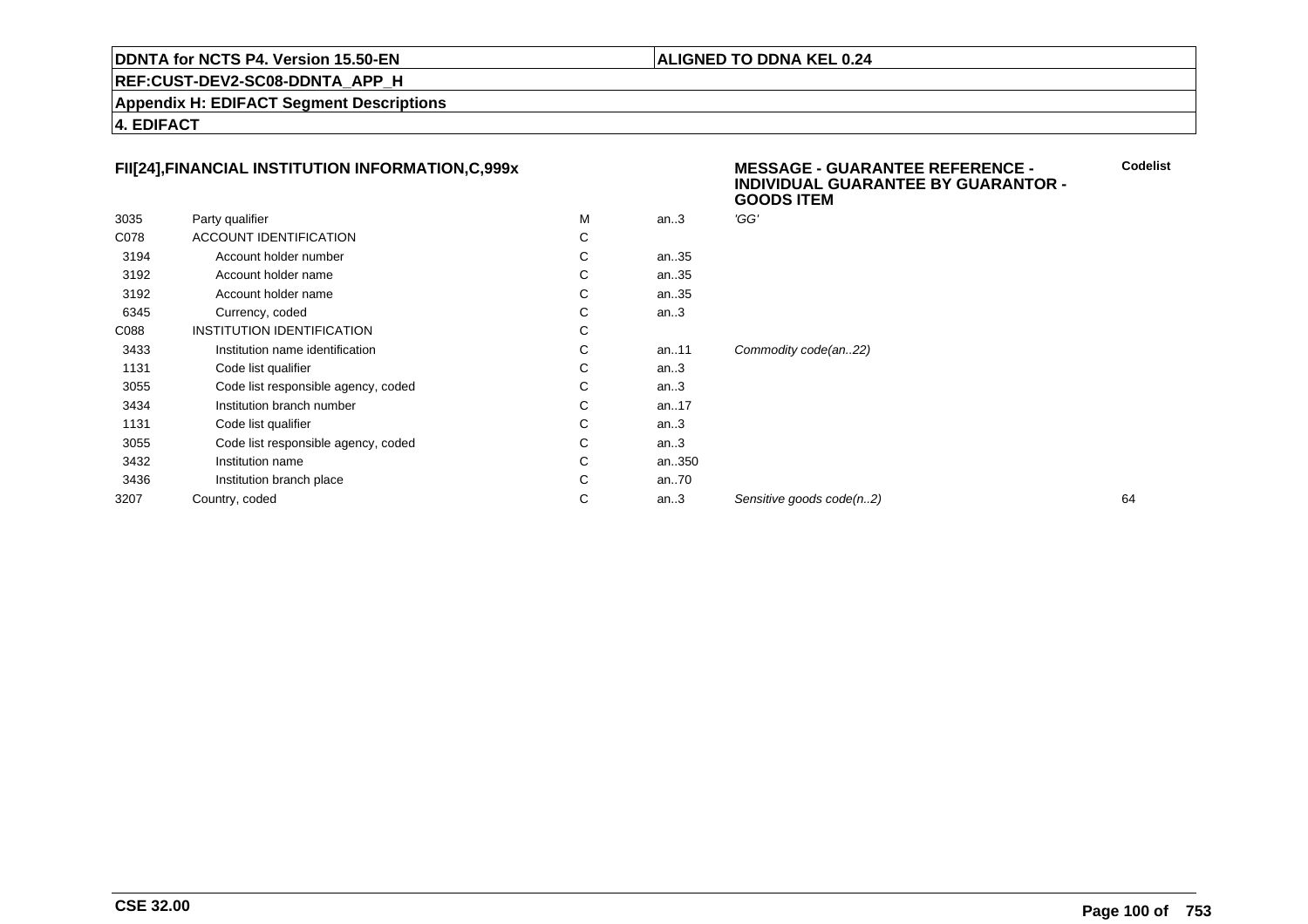#### **ALIGNED TO DDNA KEL 0.24**

**REF:CUST-DEV2-SC08-DDNTA\_APP\_H**

**Appendix H: EDIFACT Segment Descriptions**

**4. EDIFACT**

# **FII[24],FINANCIAL INSTITUTION INFORMATION,C,999x**

|      |                                     |   |          | <b>UUUU II LIVI</b>      |    |
|------|-------------------------------------|---|----------|--------------------------|----|
| 3035 | Party qualifier                     | M | an.3     | 'GG'                     |    |
| C078 | ACCOUNT IDENTIFICATION              | С |          |                          |    |
| 3194 | Account holder number               | С | an35     |                          |    |
| 3192 | Account holder name                 | С | an35     |                          |    |
| 3192 | Account holder name                 | С | an35     |                          |    |
| 6345 | Currency, coded                     | С | an.3     |                          |    |
| C088 | INSTITUTION IDENTIFICATION          | С |          |                          |    |
| 3433 | Institution name identification     | С | an11     | Commodity code(an22)     |    |
| 1131 | Code list qualifier                 | С | an.3     |                          |    |
| 3055 | Code list responsible agency, coded | С | an.3     |                          |    |
| 3434 | Institution branch number           | С | an17     |                          |    |
| 1131 | Code list qualifier                 | С | an.3     |                          |    |
| 3055 | Code list responsible agency, coded | С | an.3     |                          |    |
| 3432 | Institution name                    | С | an350    |                          |    |
| 3436 | Institution branch place            | С | an $.70$ |                          |    |
| 3207 | Country, coded                      | С | an.3     | Sensitive goods code(n2) | 64 |
|      |                                     |   |          |                          |    |

#### **MESSAGE - GUARANTEE REFERENCE - INDIVIDUAL GUARANTEE BY GUARANTOR - GOODS ITEMCodelist**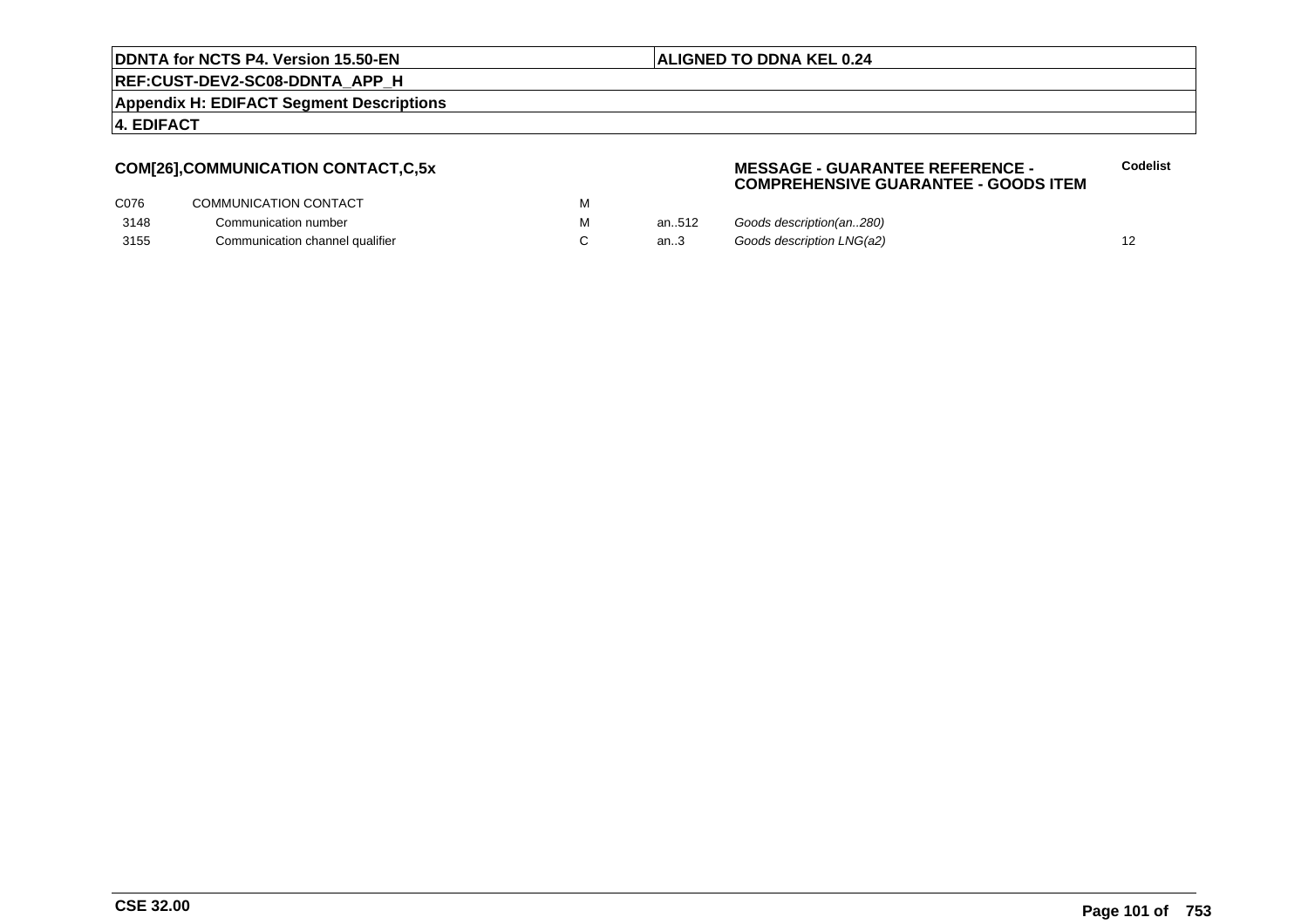#### **ALIGNED TO DDNA KEL 0.24**

**REF:CUST-DEV2-SC08-DDNTA\_APP\_H**

**Appendix H: EDIFACT Segment Descriptions**

**4. EDIFACT**

# **COM[26],COMMUNICATION CONTACT,C,5x**

#### **MESSAGE - GUARANTEE REFERENCE - COMPREHENSIVE GUARANTEE - GOODS ITEMCodelist**

| C076 | COMMUNICATION CONTACT           |       |                           |  |
|------|---------------------------------|-------|---------------------------|--|
| 3148 | Communication number            | an512 | Goods description(an280)  |  |
| 3155 | Communication channel qualifier | an3   | Goods description LNG(a2) |  |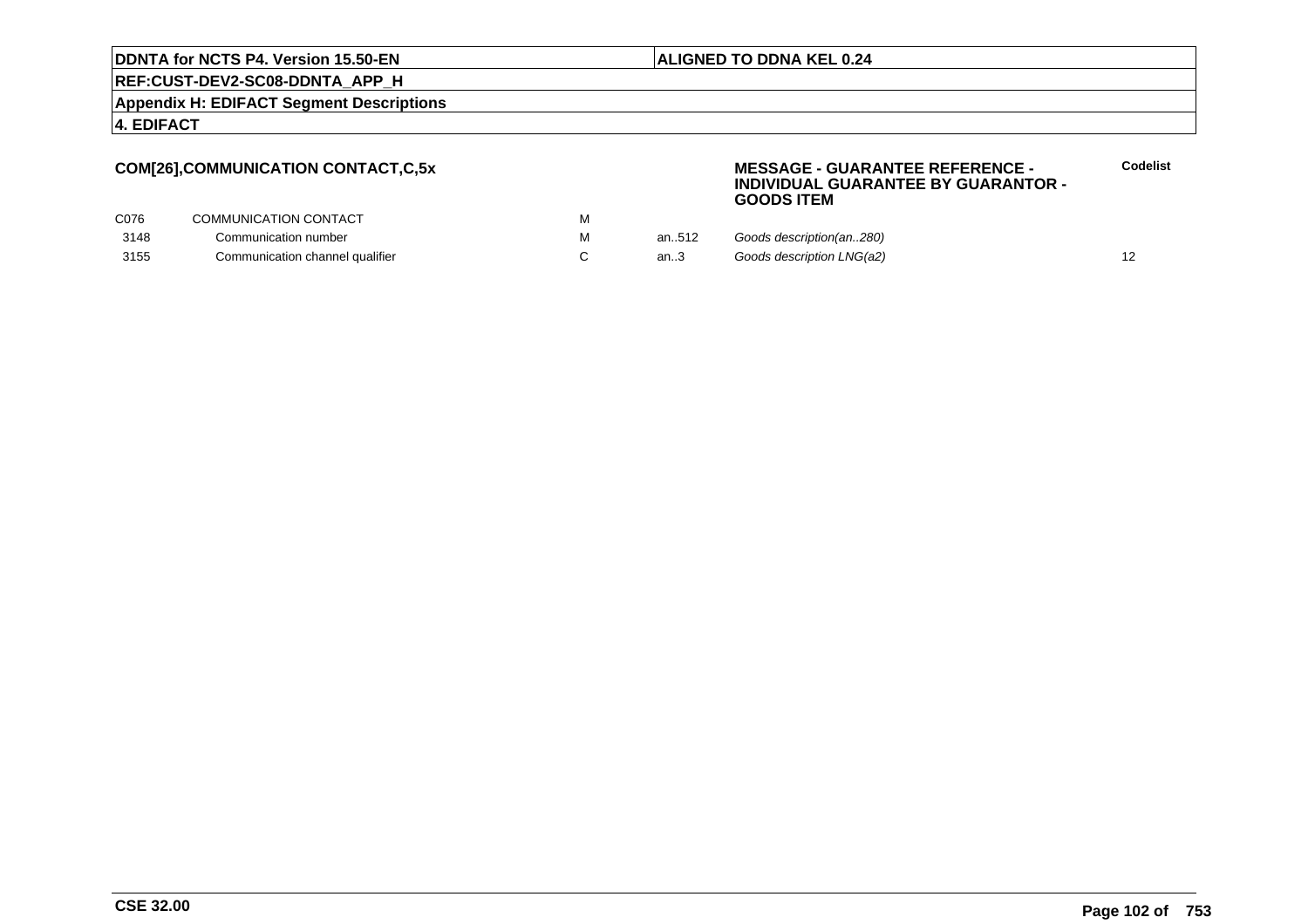#### **ALIGNED TO DDNA KEL 0.24**

**REF:CUST-DEV2-SC08-DDNTA\_APP\_H**

**Appendix H: EDIFACT Segment Descriptions**

#### **4. EDIFACT**

## **COM[26],COMMUNICATION CONTACT,C,5x**

#### **MESSAGE - GUARANTEE REFERENCE - INDIVIDUAL GUARANTEE BY GUARANTOR -GOODS ITEM**

| C076 | COMMUNICATION CONTACT           |       |                           |  |
|------|---------------------------------|-------|---------------------------|--|
| 3148 | Communication number            | an512 | Goods description(an280)  |  |
| 3155 | Communication channel qualifier | an3   | Goods description LNG(a2) |  |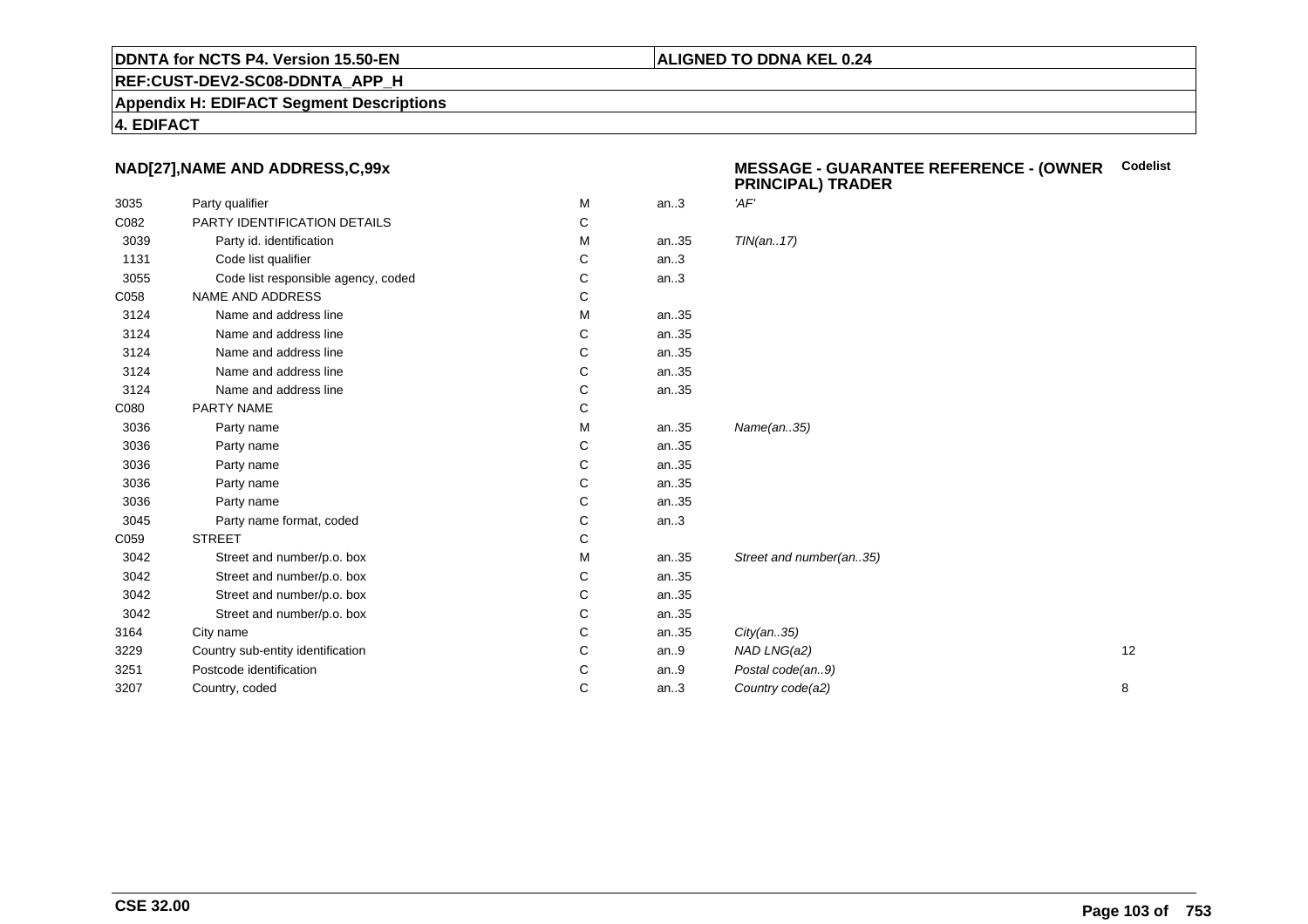#### **REF:CUST-DEV2-SC08-DDNTA\_APP\_H**

**Appendix H: EDIFACT Segment Descriptions**

**4. EDIFACT**

# **NAD[27],NAME AND ADDRESS,C,99x**

|      |                                     |   |         | יישעמייי נשמייש וייטוויי |    |
|------|-------------------------------------|---|---------|--------------------------|----|
| 3035 | Party qualifier                     | М | an $.3$ | 'AF'                     |    |
| C082 | PARTY IDENTIFICATION DETAILS        | С |         |                          |    |
| 3039 | Party id. identification            | M | an35    | TIN(an17)                |    |
| 1131 | Code list qualifier                 | С | an.3    |                          |    |
| 3055 | Code list responsible agency, coded | С | an.3    |                          |    |
| C058 | NAME AND ADDRESS                    | С |         |                          |    |
| 3124 | Name and address line               | М | an35    |                          |    |
| 3124 | Name and address line               | С | an35    |                          |    |
| 3124 | Name and address line               | С | an35    |                          |    |
| 3124 | Name and address line               | С | an35    |                          |    |
| 3124 | Name and address line               | С | an35    |                          |    |
| C080 | PARTY NAME                          | С |         |                          |    |
| 3036 | Party name                          | М | an35    | Name(an35)               |    |
| 3036 | Party name                          | С | an35    |                          |    |
| 3036 | Party name                          | C | an35    |                          |    |
| 3036 | Party name                          | С | an35    |                          |    |
| 3036 | Party name                          | С | an35    |                          |    |
| 3045 | Party name format, coded            | С | an.3    |                          |    |
| C059 | <b>STREET</b>                       | С |         |                          |    |
| 3042 | Street and number/p.o. box          | М | an35    | Street and number(an35)  |    |
| 3042 | Street and number/p.o. box          | С | an35    |                          |    |
| 3042 | Street and number/p.o. box          | C | an35    |                          |    |
| 3042 | Street and number/p.o. box          | С | an35    |                          |    |
| 3164 | City name                           | С | an35    | City(an35)               |    |
| 3229 | Country sub-entity identification   | С | an.9    | NAD LNG(a2)              | 12 |
| 3251 | Postcode identification             | С | an.9    | Postal code(an9)         |    |
| 3207 | Country, coded                      | C | an.3    | Country code(a2)         | 8  |
|      |                                     |   |         |                          |    |

#### **MESSAGE - GUARANTEE REFERENCE - (OWNER PRINCIPAL) TRADERCodelist**

#### **ALIGNED TO DDNA KEL 0.24**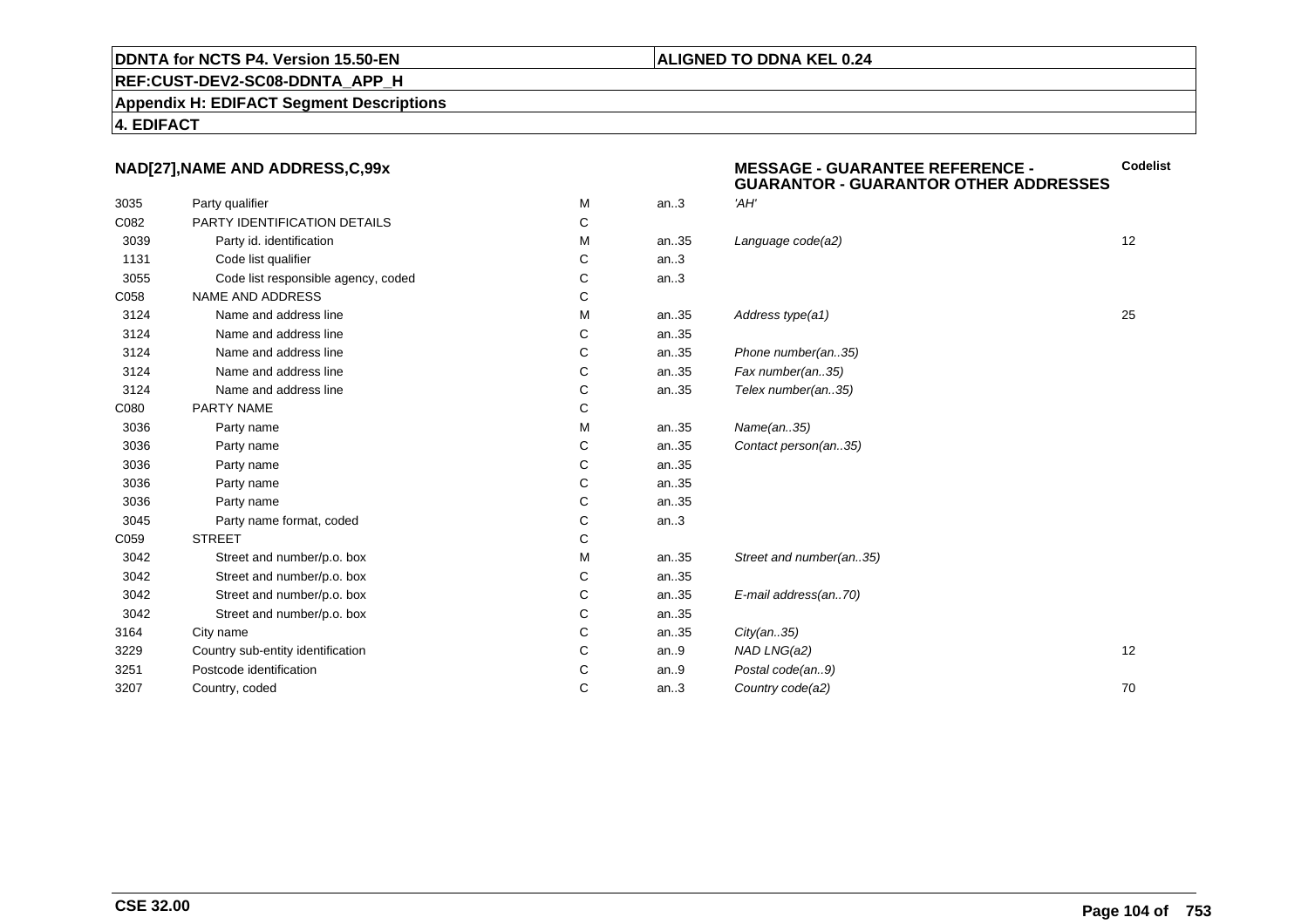#### **REF:CUST-DEV2-SC08-DDNTA\_APP\_H**

**Appendix H: EDIFACT Segment Descriptions**

#### **4. EDIFACT**

## **NAD[27],NAME AND ADDRESS,C,99x**

|      | NAD[27], NAME AND ADDRESS, C, 99x   |   |      | <b>MESSAGE - GUARANTEE REFERENCE -</b><br><b>GUARANTOR - GUARANTOR OTHER ADDRESSES</b> | Codelis |
|------|-------------------------------------|---|------|----------------------------------------------------------------------------------------|---------|
| 3035 | Party qualifier                     | М | an.3 | 'AH'                                                                                   |         |
| C082 | <b>PARTY IDENTIFICATION DETAILS</b> | С |      |                                                                                        |         |
| 3039 | Party id. identification            | М | an35 | Language code(a2)                                                                      | 12      |
| 1131 | Code list qualifier                 | С | an.3 |                                                                                        |         |
| 3055 | Code list responsible agency, coded | C | an.3 |                                                                                        |         |
| C058 | NAME AND ADDRESS                    | С |      |                                                                                        |         |
| 3124 | Name and address line               | М | an35 | Address type(a1)                                                                       | 25      |
| 3124 | Name and address line               | С | an35 |                                                                                        |         |
| 3124 | Name and address line               | C | an35 | Phone number(an35)                                                                     |         |
| 3124 | Name and address line               | C | an35 | Fax number(an35)                                                                       |         |
| 3124 | Name and address line               | C | an35 | Telex number(an35)                                                                     |         |
| C080 | PARTY NAME                          | C |      |                                                                                        |         |
| 3036 | Party name                          | М | an35 | Name(an35)                                                                             |         |
| 3036 | Party name                          | С | an35 | Contact person(an35)                                                                   |         |
| 3036 | Party name                          | C | an35 |                                                                                        |         |
| 3036 | Party name                          | С | an35 |                                                                                        |         |
| 3036 | Party name                          | C | an35 |                                                                                        |         |
| 3045 | Party name format, coded            | С | an.3 |                                                                                        |         |
| C059 | <b>STREET</b>                       | C |      |                                                                                        |         |
| 3042 | Street and number/p.o. box          | М | an35 | Street and number(an35)                                                                |         |
| 3042 | Street and number/p.o. box          | C | an35 |                                                                                        |         |
| 3042 | Street and number/p.o. box          | С | an35 | E-mail address(an70)                                                                   |         |
| 3042 | Street and number/p.o. box          | С | an35 |                                                                                        |         |
| 3164 | City name                           | С | an35 | City(an35)                                                                             |         |
| 3229 | Country sub-entity identification   | C | an.9 | NAD LNG(a2)                                                                            | 12      |
| 3251 | Postcode identification             | С | an.9 | Postal code(an9)                                                                       |         |
| 3207 | Country, coded                      | C | an.3 | Country code(a2)                                                                       | 70      |
|      |                                     |   |      |                                                                                        |         |

#### **ALIGNED TO DDNA KEL 0.24**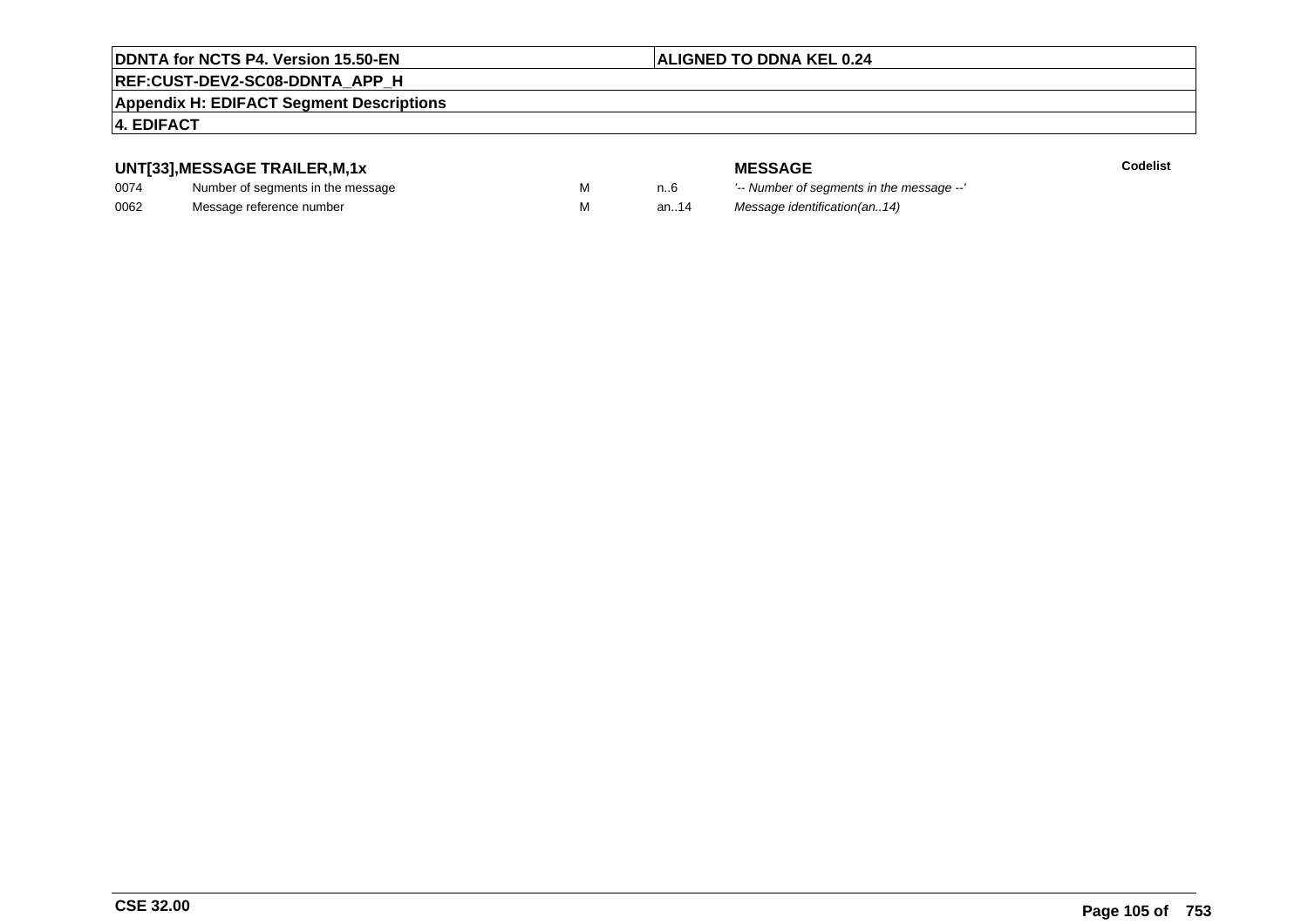# **ALIGNED TO DDNA KEL 0.24**

# **REF:CUST-DEV2-SC08-DDNTA\_APP\_H**

#### **Appendix H: EDIFACT Segment Descriptions**

#### **4. EDIFACT**

# **UNT[33],MESSAGE TRAILER,M,1x**

| 0074 | Number of segments in the message |  |
|------|-----------------------------------|--|
| 0062 | Message reference number          |  |

**MESSAGE**<br>M n.6 <sup>'--</sup> Number of s **Codelist** n..6 '-- Number of segments in the message --' M an..14 Message identification(an..14)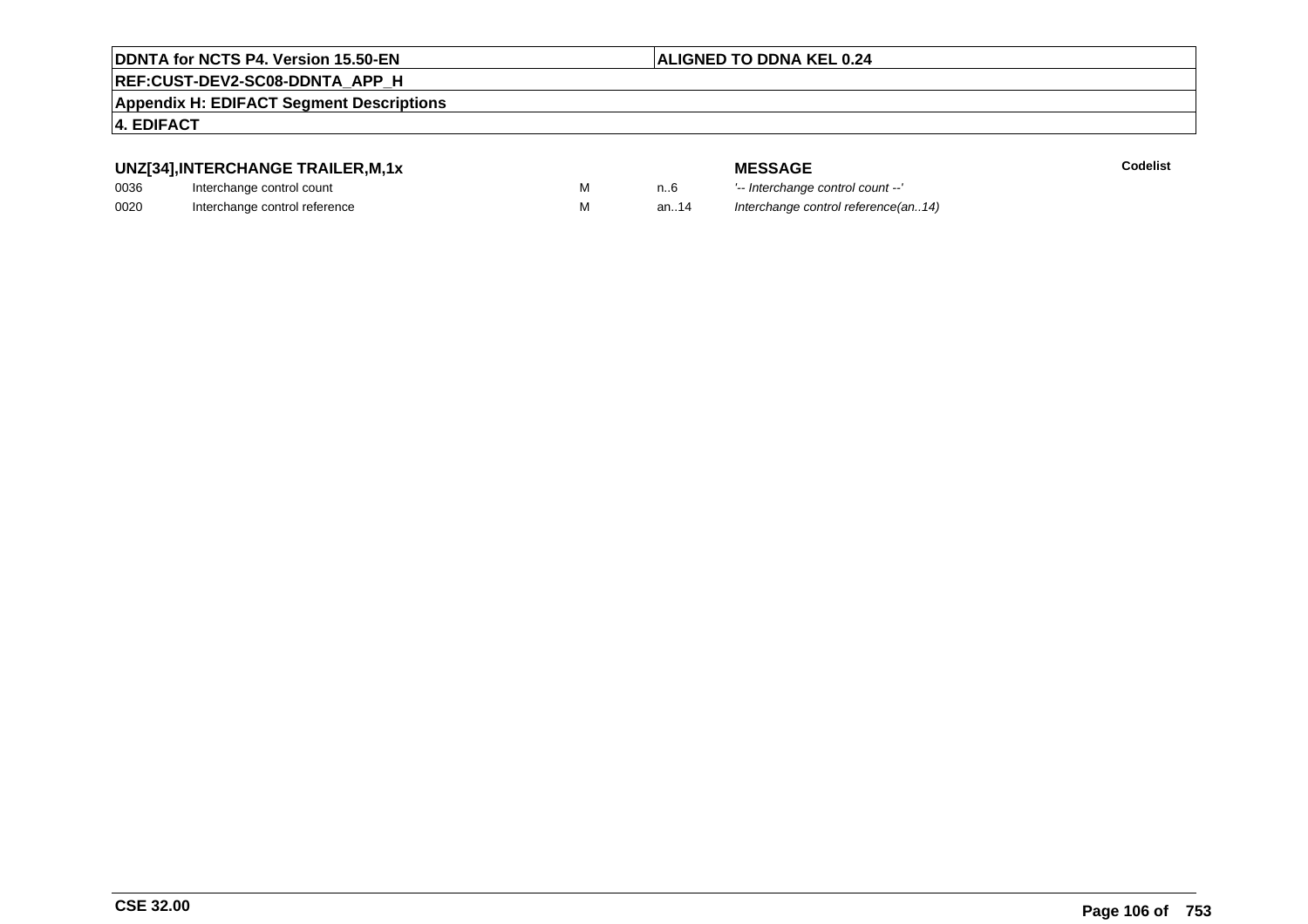#### **ALIGNED TO DDNA KEL 0.24**

# **REF:CUST-DEV2-SC08-DDNTA\_APP\_H**

**Appendix H: EDIFACT Segment Descriptions**

#### **4. EDIFACT**

# **UNZ[34],INTERCHANGE TRAILER,M,1x**

| 0036 | Interchange control count     |  |
|------|-------------------------------|--|
| 0020 | Interchange control reference |  |

**MESSAGE**<br>M n.6 <sup>1-</sup>- Interchange **E** m..6 <sup>1</sup>-- Interchange control count --'<br>
M an..14 Interchange control reference a Interchange control reference(an..14)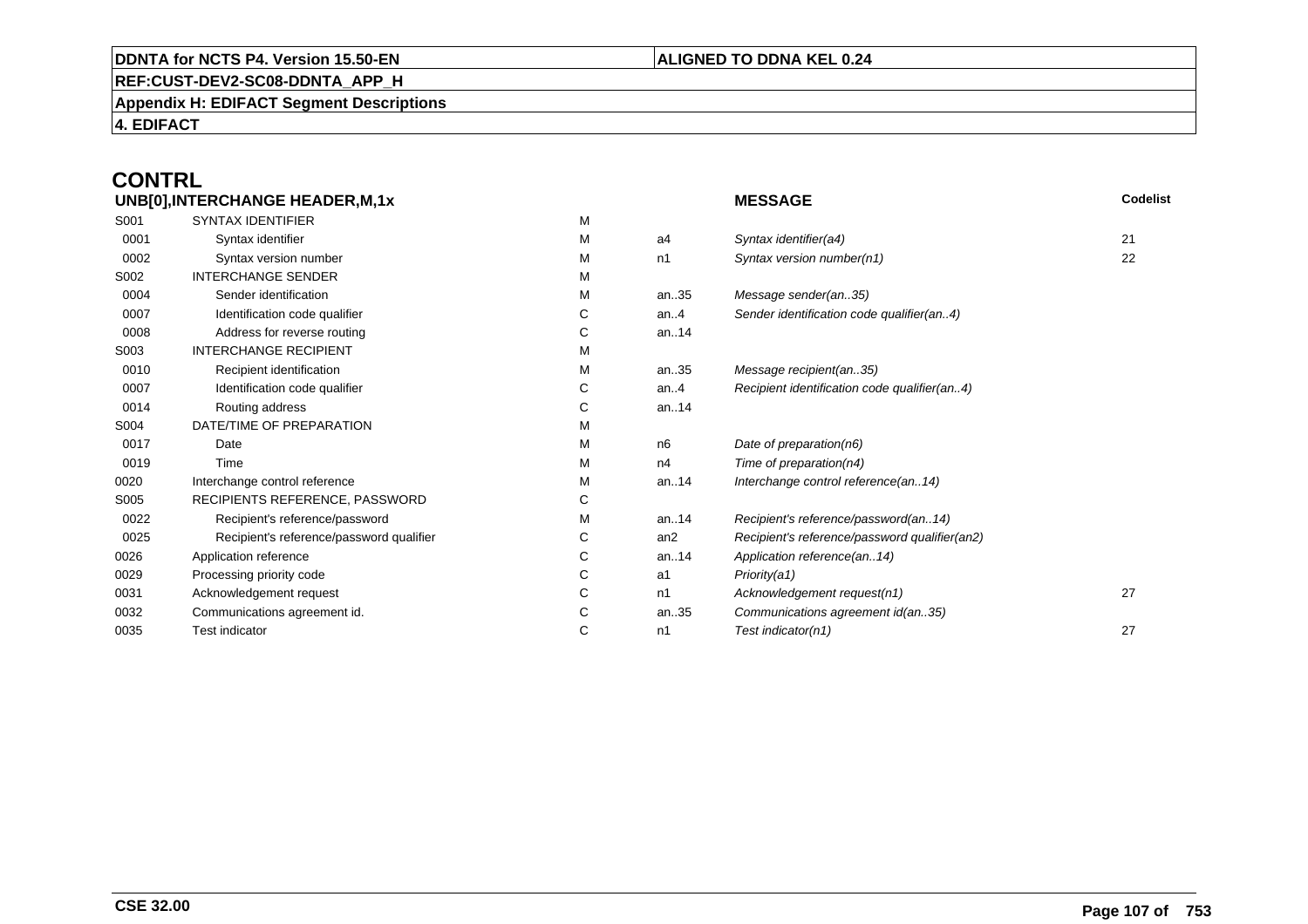## **REF:CUST-DEV2-SC08-DDNTA\_APP\_H**

**Appendix H: EDIFACT Segment Descriptions**

**4. EDIFACT**

# **CONTRL**

| UNB[0], INTERCHANGE HEADER, M, 1x |                                          |   |      | <b>MESSAGE</b>                                | Codelist |
|-----------------------------------|------------------------------------------|---|------|-----------------------------------------------|----------|
| S001                              | <b>SYNTAX IDENTIFIER</b>                 | М |      |                                               |          |
| 0001                              | Syntax identifier                        | М | a4   | Syntax identifier(a4)                         | 21       |
| 0002                              | Syntax version number                    | М | n1   | Syntax version number(n1)                     | 22       |
| S002                              | <b>INTERCHANGE SENDER</b>                | м |      |                                               |          |
| 0004                              | Sender identification                    | М | an35 | Message sender(an35)                          |          |
| 0007                              | Identification code qualifier            | С | an.4 | Sender identification code qualifier(an4)     |          |
| 0008                              | Address for reverse routing              | С | an14 |                                               |          |
| S003                              | <b>INTERCHANGE RECIPIENT</b>             | М |      |                                               |          |
| 0010                              | Recipient identification                 | М | an35 | Message recipient(an35)                       |          |
| 0007                              | Identification code qualifier            | С | an.4 | Recipient identification code qualifier(an4)  |          |
| 0014                              | Routing address                          | С | an14 |                                               |          |
| S004                              | DATE/TIME OF PREPARATION                 | М |      |                                               |          |
| 0017                              | Date                                     | М | n6   | Date of preparation(n6)                       |          |
| 0019                              | Time                                     | м | n4   | Time of preparation(n4)                       |          |
| 0020                              | Interchange control reference            | М | an14 | Interchange control reference(an14)           |          |
| S005                              | RECIPIENTS REFERENCE, PASSWORD           | С |      |                                               |          |
| 0022                              | Recipient's reference/password           | М | an14 | Recipient's reference/password(an14)          |          |
| 0025                              | Recipient's reference/password qualifier | С | an2  | Recipient's reference/password qualifier(an2) |          |
| 0026                              | Application reference                    | С | an14 | Application reference(an14)                   |          |
| 0029                              | Processing priority code                 | С | a1   | Priority(a1)                                  |          |
| 0031                              | Acknowledgement request                  | С | n1   | Acknowledgement request(n1)                   | 27       |
| 0032                              | Communications agreement id.             | С | an35 | Communications agreement id(an35)             |          |
| 0035                              | <b>Test indicator</b>                    | С | n1   | Test indicator(n1)                            | 27       |
|                                   |                                          |   |      |                                               |          |

# **ALIGNED TO DDNA KEL 0.24**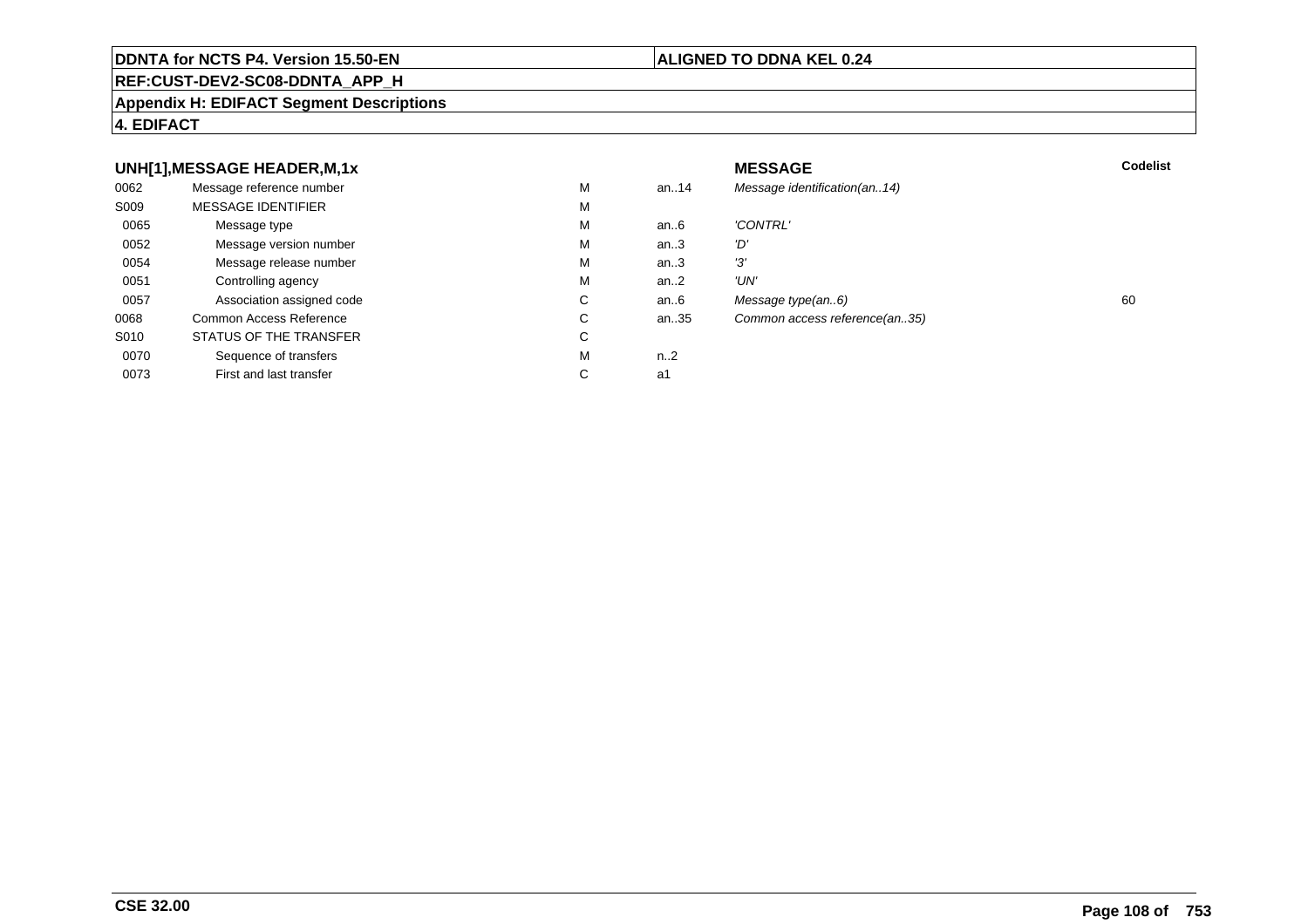#### **REF:CUST-DEV2-SC08-DDNTA\_APP\_H**

#### **Appendix H: EDIFACT Segment Descriptions**

### **4. EDIFACT**

#### **UNH[1],MESSAGE HEADER,M,1xx** MESSAGE **Codelist** Codelist 0062 Message reference number <sup>M</sup> an..14 Message identification(an..14) S009 MESSAGE IDENTIFIERR M M 0065Message type Message version number and the Message version number and the Message of Message Message Message M an..6 'CONTRL'<br>an..3 'D' 0052 Message version number <sup>M</sup>an..3 'D'<br>an..3 '3' 0054Message release number Message release number Message of the Message of the Message of Message of Message of Me<br>
Message release number of Message of Message of Message of Message of Message of Message of Message of Messag an..3 '3'<br>an..2 'UN' 0051 Controlling agency <sup>M</sup>an..2<br>an..6 0057Association assigned code **C** C<br>
mmon Access Reference **C** C an..6 Message type(an..6)<br>an..35 Common access reference(an..35) 0068Common Access Reference C<br>
STATUS OF THE TRANSFER
C Common access reference(an..35) S010 STATUS OF THE TRANSFERR C 0070Sequence of transfers M<br>
First and last transfer C n..2<br>a1 0073First and last transfer  $C \qquad \qquad$  a1

### **ALIGNED TO DDNA KEL 0.24**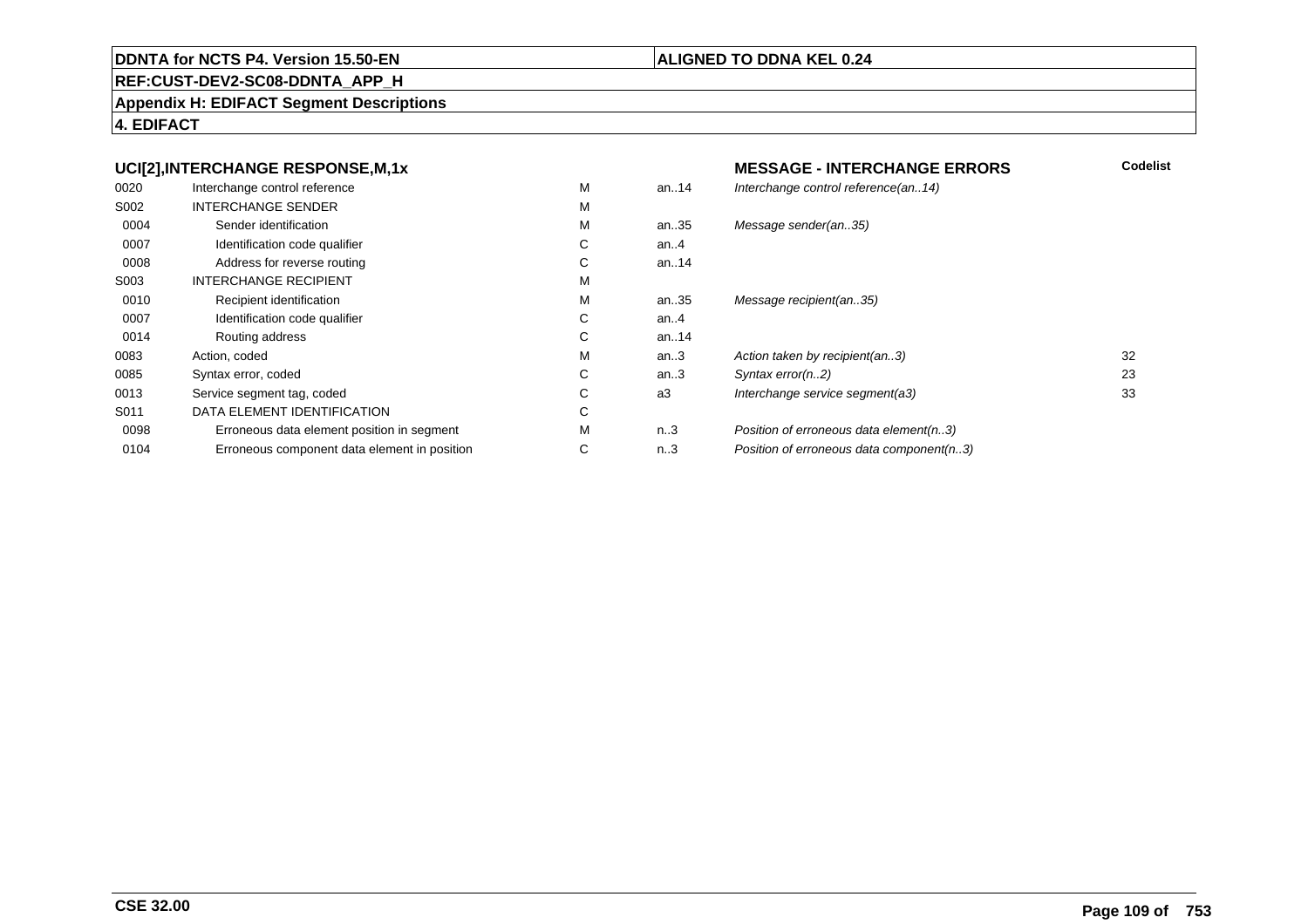#### **REF:CUST-DEV2-SC08-DDNTA\_APP\_H**

#### **Appendix H: EDIFACT Segment Descriptions**

**4. EDIFACT**

#### **UCI[2],INTERCHANGE RESPONSE,M,1xMESSAGE - INTERCHANGE ERRORS**<br>M an..14 *Interchange control reference(an..14)*  **Codelist** 0020Interchange control reference<br>
INTERCHANGE SENDER<br>
M Interchange control reference(an..14) S002 INTERCHANGE SENDERR M M 0004Sender identification M<br>
Identification code qualifier C an..35 Message sender(an..35) 0007Identification code qualifier example of the Control of Control of Control of Control of Control of Control of Control of Control of Control of Control of Control of Control of Control of Control of Control of Control of C an..4 0008Address for reverse routing the control of the Control of Control of Control of Control of Control of Control of Control of Control of Control of Control of Control of Control of Control of Control of Control of Control of an..14 S003 INTERCHANGE RECIPIENTT M M 0010Recipient identification M<br>
Identification code qualifier C an..35 Message recipient(an..35) 0007Identification code qualifier example of the Control of Control of Control of Control of Control of Control of Control of Control of Control of Control of Control of Control of Control of Control of Control of Control of C an..4 0014Routing address Contact Contact Contact Contact Contact Contact Contact Contact Contact Contact Contact Contact Contact Contact Contact Contact Contact Contact Contact Contact Contact Contact Contact Contact Contact Contac an..14<br>an..3 0083Action, coded M<br>
Syntax error. coded C an..3 Action taken by recipient(an..3) 32<br>an..3 Svntax error(n..2) 33 0085Syntax error, coded C<br>
Service seament taa. coded C an..3 Syntax error(n..2) 23<br>a3 Interchange service segment(a3) 23 33 0013Service segment tag, coded C<br>
DATA ELEMENT IDENTIFICATION C Interchange service segment(a3) S011 DATA ELEMENT IDENTIFICATIONN C 0098Erroneous data element position in segment<br>
Erroneous component data element in position C n..3 Position of erroneous data element(n..3)<br>n..3 Position of erroneous data component(n. 0104Erroneous component data element in position Position of erroneous data component(n..3)

#### **ALIGNED TO DDNA KEL 0.24**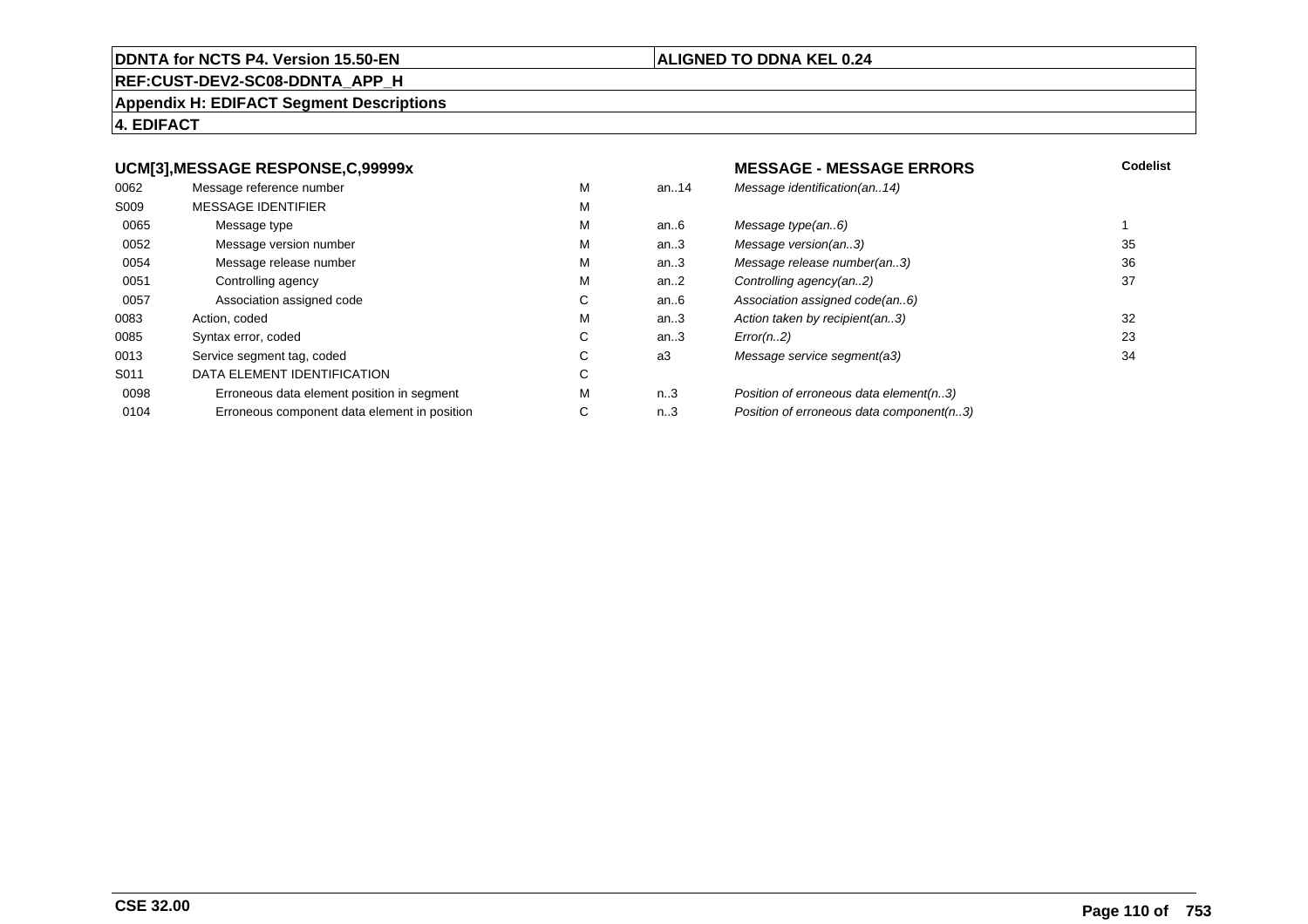#### **REF:CUST-DEV2-SC08-DDNTA\_APP\_H**

#### **Appendix H: EDIFACT Segment Descriptions**

#### **4. EDIFACT**

#### **UCM[3],MESSAGE RESPONSE,C,99999x**

| 0062 | Message reference number                     | М |
|------|----------------------------------------------|---|
| S009 | <b>MESSAGE IDENTIFIER</b>                    | M |
| 0065 | Message type                                 | M |
| 0052 | Message version number                       | М |
| 0054 | Message release number                       | М |
| 0051 | Controlling agency                           | M |
| 0057 | Association assigned code                    | С |
| 0083 | Action, coded                                | M |
| 0085 | Syntax error, coded                          | С |
| 0013 | Service segment tag, coded                   | C |
| S011 | DATA ELEMENT IDENTIFICATION                  | C |
| 0098 | Erroneous data element position in segment   | M |
| 0104 | Erroneous component data element in position | С |
|      |                                              |   |

#### **ALIGNED TO DDNA KEL 0.24**

#### **MESSAGE - MESSAGE ERRORS**<br>an..14 *Message identification(an..14)*  **Codelist** Message identification(an..14) an..6 Message type(an..6)<br>an..3 Message version(an..3) 135 an..3 Message version(an..3)<br>an..3 Message release number(an..3) 36 an..3 Message release number(an..3)<br>an..2 Controlling agency(an..2) 37 an..2 Controlling agency(an..2)<br>an..6 Association assigned code an..6 Association assigned code(an..6)<br>an..3 Action taken by recipient(an..3) an..3 Action taken by recipient(an..3)<br>an..3 Error(n..2) 23 C an..3  $Error(n.2)$  23 a3 Message service segment(a3) 34

#### n..3 Position of erroneous data element(n..3)<br>n..3 Position of erroneous data component(n. Position of erroneous data component(n..3)

#### **CSE 32.00**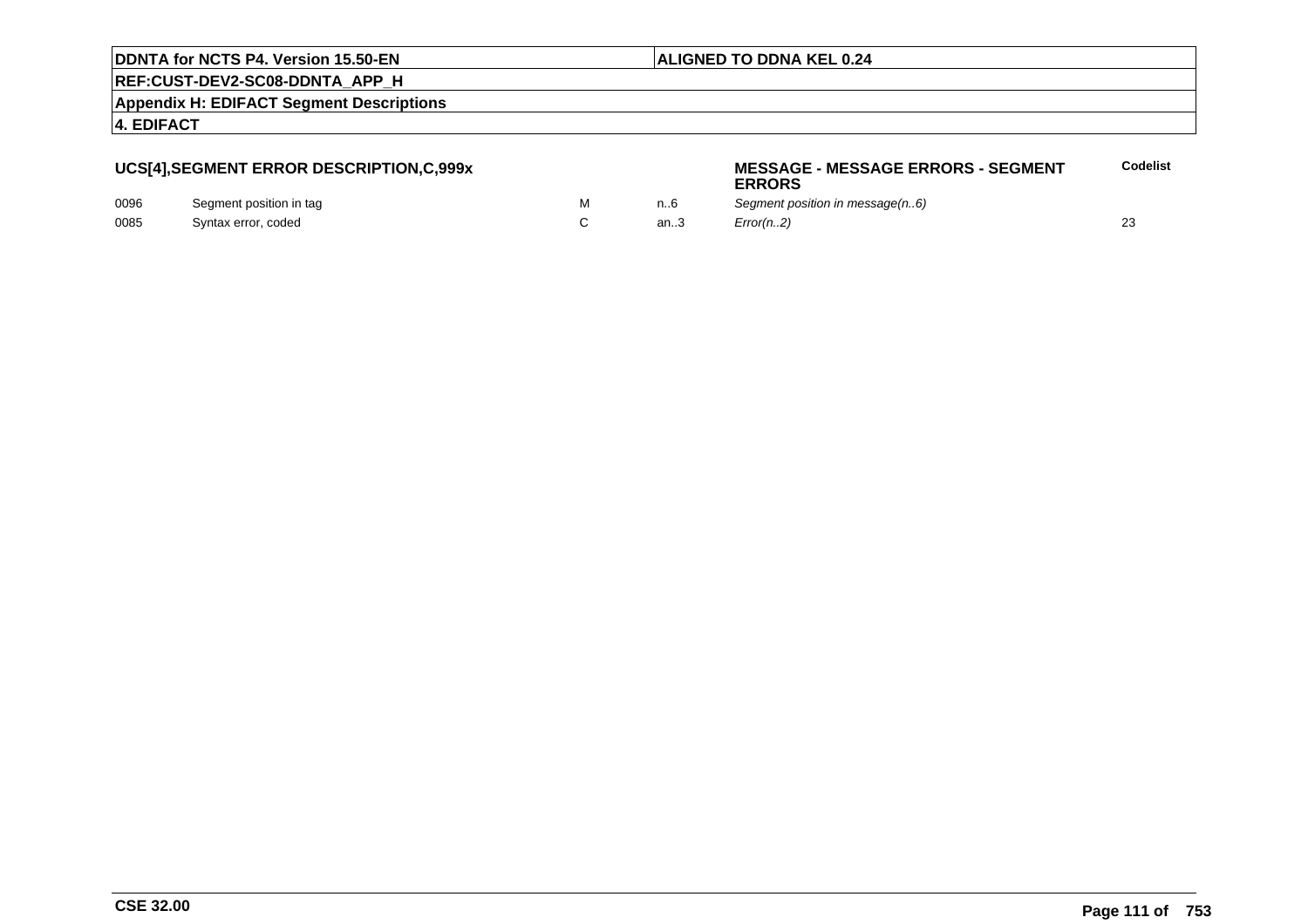#### **ALIGNED TO DDNA KEL 0.24**

**REF:CUST-DEV2-SC08-DDNTA\_APP\_H**

**Appendix H: EDIFACT Segment Descriptions**

**4. EDIFACT**

#### **UCS[4],SEGMENT ERROR DESCRIPTION,C,999x**

| 0096 | Segment position in tag |  |
|------|-------------------------|--|
| 0085 | Syntax error, coded     |  |

#### **MESSAGE - MESSAGE ERRORS - SEGMENTERRORSCodelist**

M m..6 Segment position in message(n..6) C an..3  $Error(n.2)$  23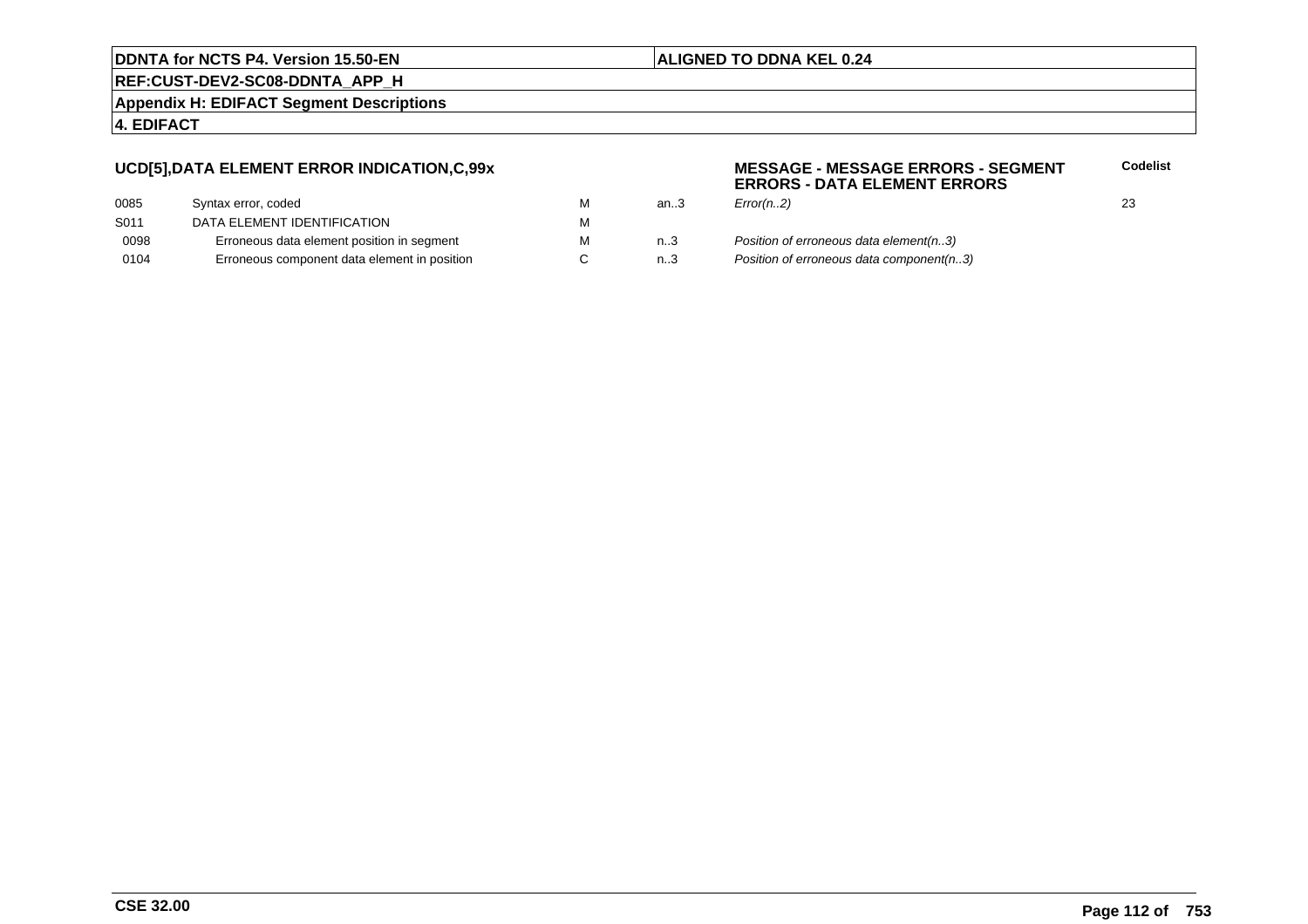#### **ALIGNED TO DDNA KEL 0.24**

**REF:CUST-DEV2-SC08-DDNTA\_APP\_H**

**Appendix H: EDIFACT Segment Descriptions**

#### **4. EDIFACT**

#### **UCD[5],DATA ELEMENT ERROR INDICATION,C,99x**

| Syntax error, coded                          | м |
|----------------------------------------------|---|
| DATA ELEMENT IDENTIFICATION                  | м |
| Erroneous data element position in segment   | м |
| Erroneous component data element in position | C |
|                                              |   |

#### **MESSAGE - MESSAGE ERRORS - SEGMENTERRORS - DATA ELEMENT ERRORSCodelist**

- M an..3 *Error(n..2)* 23 n..3 Position of erroneous data element(n..3)<br>n..3 Position of erroneous data component(n.
	- Position of erroneous data component(n..3)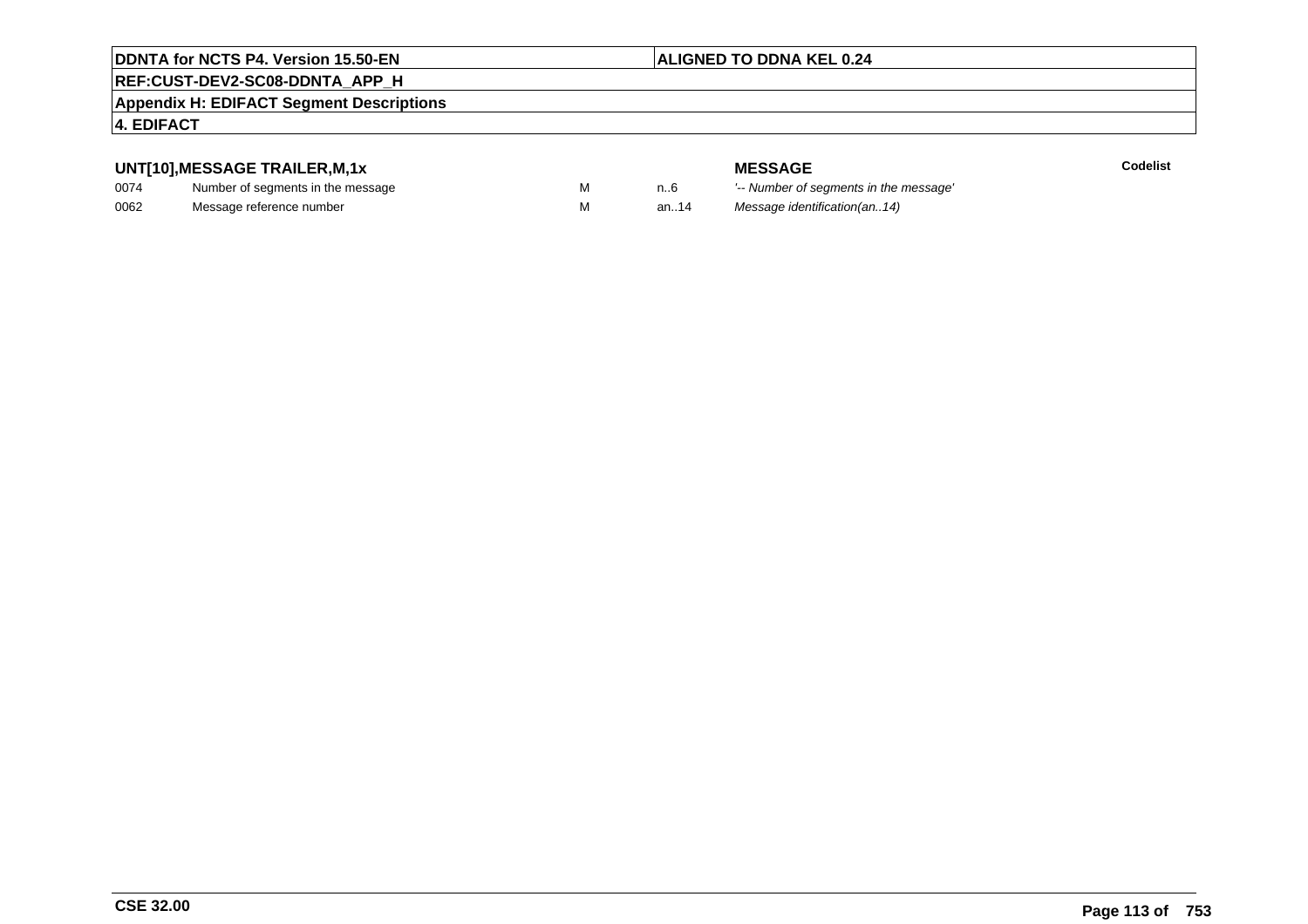#### **ALIGNED TO DDNA KEL 0.24**

### **REF:CUST-DEV2-SC08-DDNTA\_APP\_H**

#### **Appendix H: EDIFACT Segment Descriptions**

#### **4. EDIFACT**

#### **UNT[10],MESSAGE TRAILER,M,1x**

| 0074 | Number of segments in the message |  |
|------|-----------------------------------|--|
| 0062 | Message reference number          |  |

**MESSAGE**<br>M n.6 <sup>'--</sup> Number of s

**Codelist**

M carried manufacturer of segments in the message'<br>Carried manufacturer in the message's M an..14 Message identification(an..14)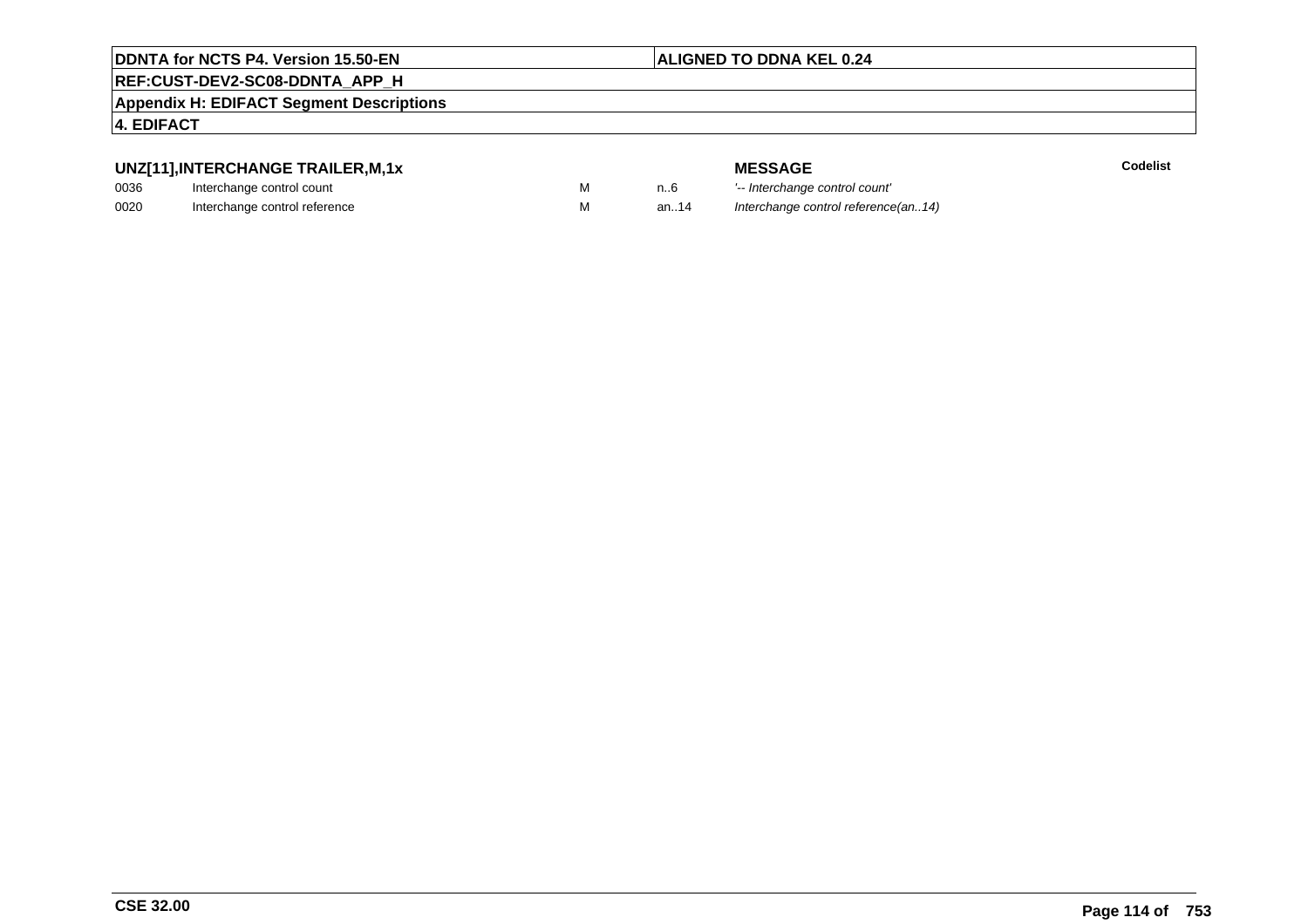#### **ALIGNED TO DDNA KEL 0.24**

### **REF:CUST-DEV2-SC08-DDNTA\_APP\_H**

**Appendix H: EDIFACT Segment Descriptions**

#### **4. EDIFACT**

#### **UNZ[11],INTERCHANGE TRAILER,M,1x**

| 0036 | Interchange control count     |  |
|------|-------------------------------|--|
| 0020 | Interchange control reference |  |

| -             |  |
|---------------|--|
| ol count      |  |
| al roforonco: |  |

|   |      | <b>MESSAGE</b>                      | Codelist |
|---|------|-------------------------------------|----------|
| M | n6   | '-- Interchange control count'      |          |
| M | an14 | Interchange control reference(an14) |          |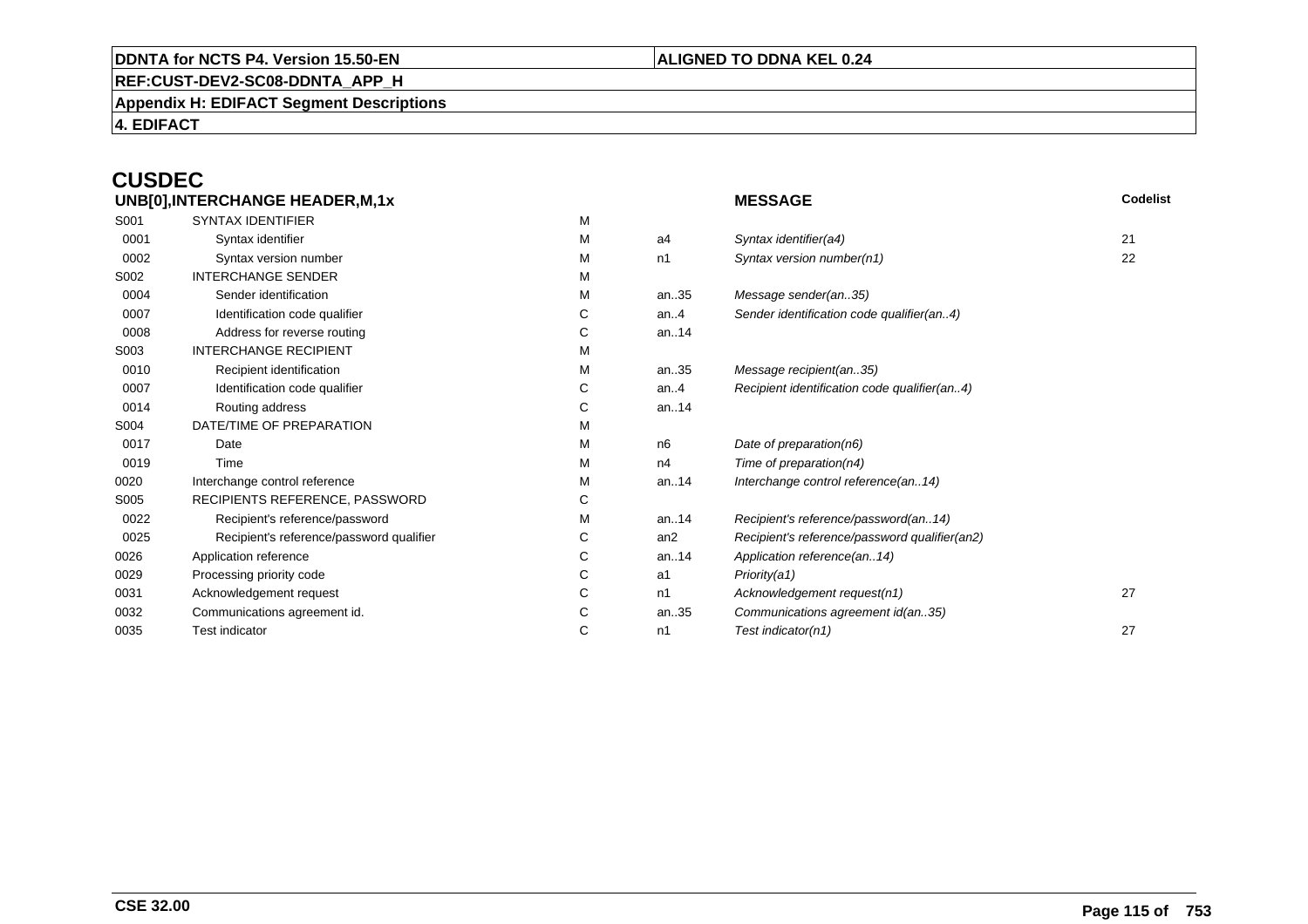#### **REF:CUST-DEV2-SC08-DDNTA\_APP\_H**

**Appendix H: EDIFACT Segment Descriptions**

**4. EDIFACT**

### **CUSDEC**

|      | UNB[0], INTERCHANGE HEADER, M, 1x        |   |         | <b>MESSAGE</b>                                | Codelist |
|------|------------------------------------------|---|---------|-----------------------------------------------|----------|
| S001 | <b>SYNTAX IDENTIFIER</b>                 | M |         |                                               |          |
| 0001 | Syntax identifier                        | М | a4      | Syntax identifier(a4)                         | 21       |
| 0002 | Syntax version number                    | м | n1      | Syntax version number(n1)                     | 22       |
| S002 | <b>INTERCHANGE SENDER</b>                | м |         |                                               |          |
| 0004 | Sender identification                    | М | an35    | Message sender(an35)                          |          |
| 0007 | Identification code qualifier            | С | an. $4$ | Sender identification code qualifier(an4)     |          |
| 0008 | Address for reverse routing              | С | an14    |                                               |          |
| S003 | <b>INTERCHANGE RECIPIENT</b>             | М |         |                                               |          |
| 0010 | Recipient identification                 | м | an35    | Message recipient(an35)                       |          |
| 0007 | Identification code qualifier            | С | an. $4$ | Recipient identification code qualifier(an4)  |          |
| 0014 | Routing address                          | С | an14    |                                               |          |
| S004 | DATE/TIME OF PREPARATION                 | М |         |                                               |          |
| 0017 | Date                                     | м | n6      | Date of preparation(n6)                       |          |
| 0019 | Time                                     | м | n4      | Time of preparation(n4)                       |          |
| 0020 | Interchange control reference            | М | an14    | Interchange control reference(an14)           |          |
| S005 | RECIPIENTS REFERENCE, PASSWORD           | С |         |                                               |          |
| 0022 | Recipient's reference/password           | М | an14    | Recipient's reference/password(an14)          |          |
| 0025 | Recipient's reference/password qualifier | С | an2     | Recipient's reference/password qualifier(an2) |          |
| 0026 | Application reference                    | С | an14    | Application reference(an14)                   |          |
| 0029 | Processing priority code                 | С | a1      | Priority(a1)                                  |          |
| 0031 | Acknowledgement request                  | С | n1      | Acknowledgement request(n1)                   | 27       |
| 0032 | Communications agreement id.             | С | an35    | Communications agreement id(an35)             |          |
| 0035 | <b>Test indicator</b>                    | С | n1      | Test indicator(n1)                            | 27       |
|      |                                          |   |         |                                               |          |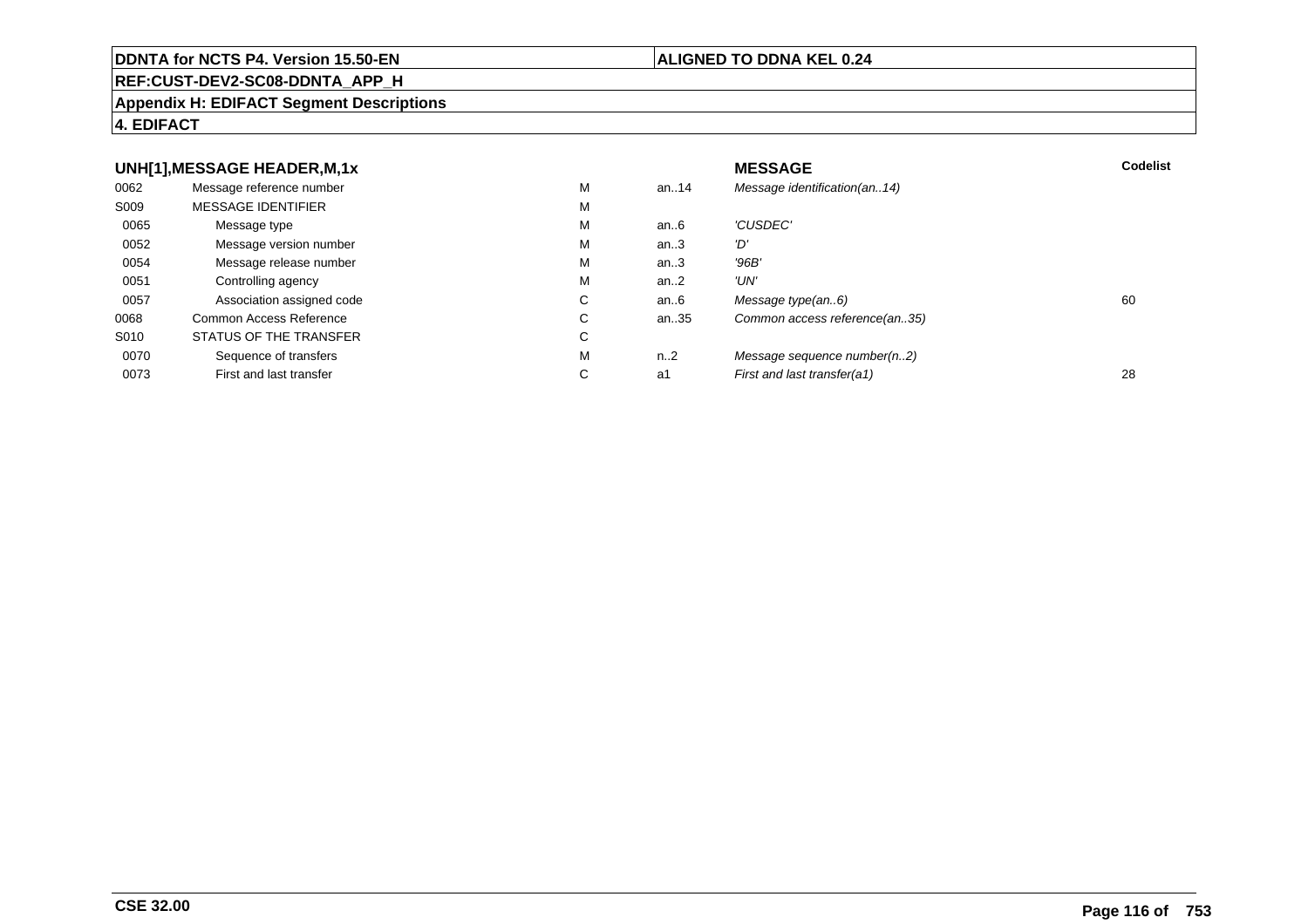#### **REF:CUST-DEV2-SC08-DDNTA\_APP\_H**

#### **Appendix H: EDIFACT Segment Descriptions**

#### **4. EDIFACT**

#### **UNH[1],MESSAGE HEADER,M,1xx** MESSAGE **Codelist** Codelist 0062 Message reference number <sup>M</sup> an..14 Message identification(an..14) S009 MESSAGE IDENTIFIERR M M 0065Message type Message version number and the Message version number and the Message of Message Message Message M an..6 'CUSDEC' 0052 Message version number <sup>M</sup>an..3 '*D'*<br>an..3 '96*B'* 0054Message release number Message release number Message of the Message of the Message of Message of Message of Me<br>
Message release number of Message of Message of Message of Message of Message of Message of Message of Messag an..3 '96B'<br>an..2 'UN' 0051Controlling agency<br>
Association assigned code<br>
C an..2<br>an..6 0057Association assigned code **C** C<br>
mmon Access Reference **C** C an..6 Message type(an..6)<br>an..35 Common access reference(an..35) 0068Common Access Reference C<br>
STATUS OF THE TRANSFER
C Common access reference(an..35) S010 STATUS OF THE TRANSFERR C 0070Sequence of transfers M<br>
First and last transfer C n..2 Message sequence number(n..2)<br>a1 First and last transfer(a1) 0073First and last transfer First and last transfer(a1) 28

#### **ALIGNED TO DDNA KEL 0.24**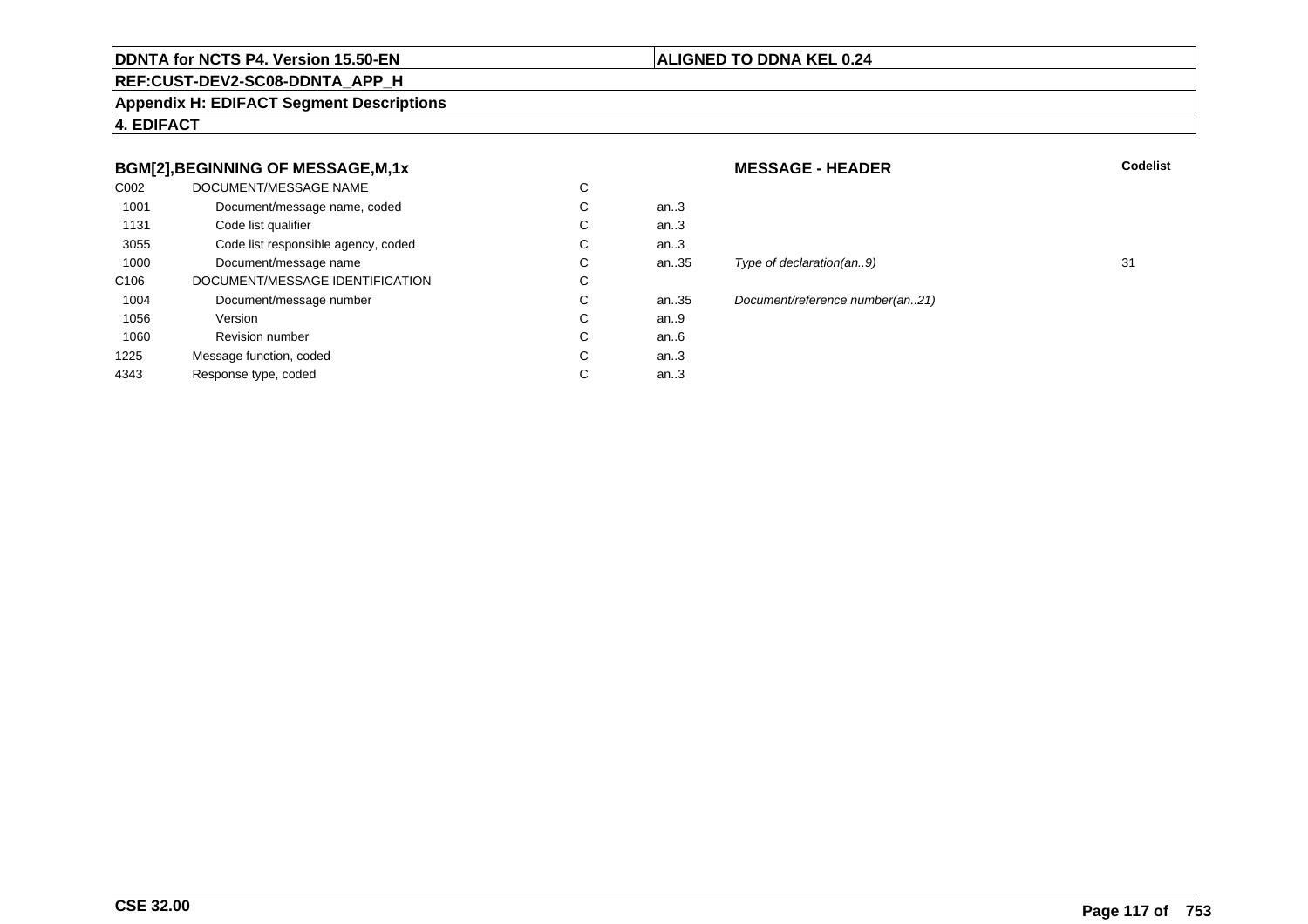#### **ALIGNED TO DDNA KEL 0.24**

### **REF:CUST-DEV2-SC08-DDNTA\_APP\_H**

**Appendix H: EDIFACT Segment Descriptions**

**4. EDIFACT**

#### **BGM[2],BEGINNING OF MESSAGE,M,1x**

| C <sub>0</sub> 02 | DOCUMENT/MESSAGE NAME               | C |        |
|-------------------|-------------------------------------|---|--------|
| 1001              | Document/message name, coded        | С | an $3$ |
| 1131              | Code list qualifier                 | С | an.3   |
| 3055              | Code list responsible agency, coded | С | an3    |
| 1000              | Document/message name               | C | an35   |
| C <sub>106</sub>  | DOCUMENT/MESSAGE IDENTIFICATION     | С |        |
| 1004              | Document/message number             | С | an35   |
| 1056              | Version                             | C | an.9   |
| 1060              | <b>Revision number</b>              | C | an.6   |
| 1225              | Message function, coded             | С | an.3   |
| 4343              | Response type, coded                | C | an.3   |
|                   |                                     |   |        |

#### **MESSAGE - HEADER**

**R** Codelist

# an.35 Type of declaration(an..9) 31

n..35 Document/reference number(an..21)<br>n..9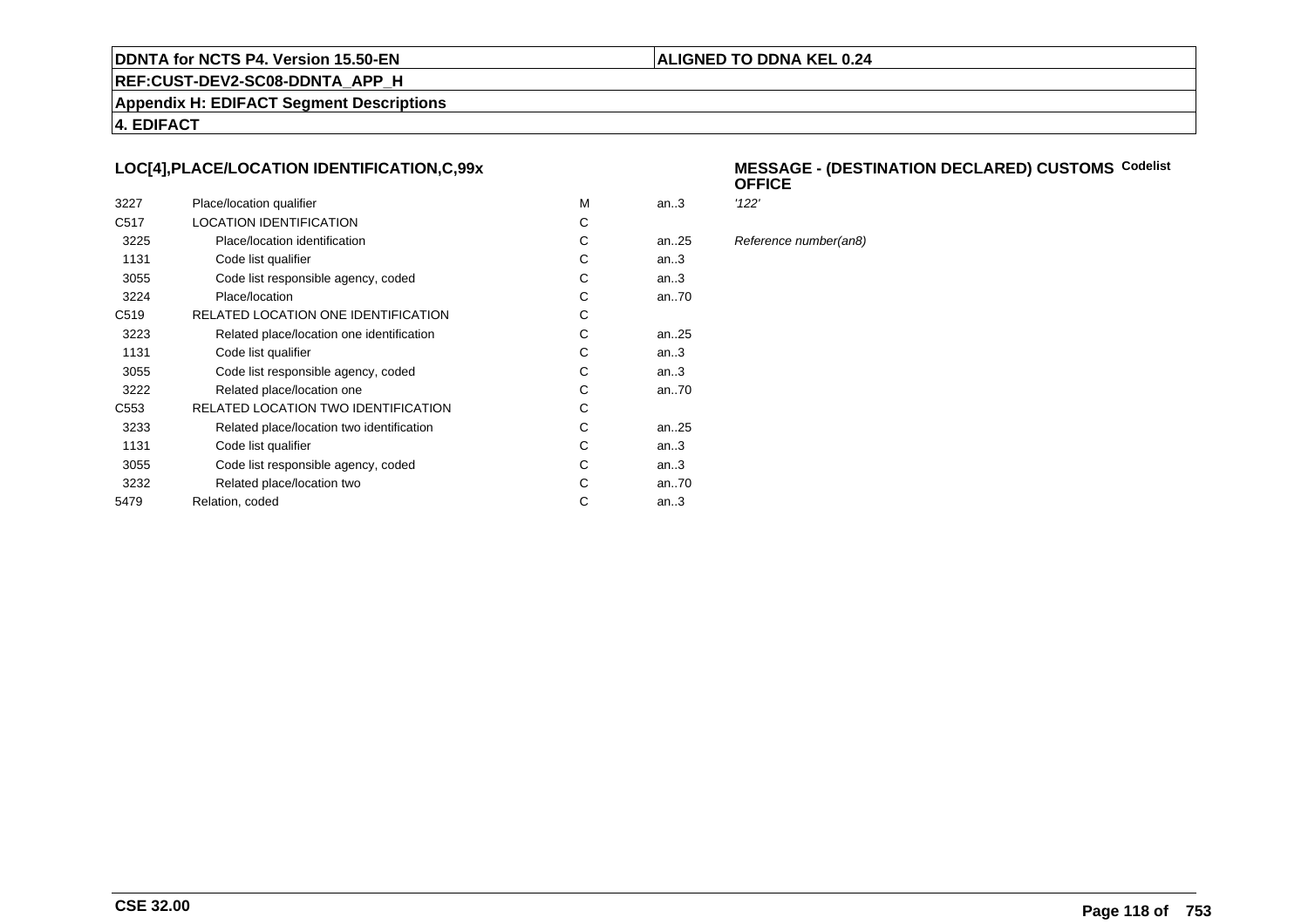#### **ALIGNED TO DDNA KEL 0.24**

**REF:CUST-DEV2-SC08-DDNTA\_APP\_H**

**Appendix H: EDIFACT Segment Descriptions**

**4. EDIFACT**

#### **LOC[4],PLACE/LOCATION IDENTIFICATION,C,99x**

| 3227             | Place/location qualifier                   | M | an $3$    | '122' |
|------------------|--------------------------------------------|---|-----------|-------|
| C <sub>517</sub> | <b>LOCATION IDENTIFICATION</b>             | C |           |       |
| 3225             | Place/location identification              | C | an. $.25$ | Refe  |
| 1131             | Code list qualifier                        | С | an3       |       |
| 3055             | Code list responsible agency, coded        | C | an.3      |       |
| 3224             | Place/location                             | С | an70      |       |
| C <sub>519</sub> | RELATED LOCATION ONE IDENTIFICATION        | С |           |       |
| 3223             | Related place/location one identification  | С | an25      |       |
| 1131             | Code list qualifier                        | С | an.3      |       |
| 3055             | Code list responsible agency, coded        | С | an.3      |       |
| 3222             | Related place/location one                 | С | an70      |       |
| C <sub>553</sub> | <b>RELATED LOCATION TWO IDENTIFICATION</b> | C |           |       |
| 3233             | Related place/location two identification  | С | an. $.25$ |       |
| 1131             | Code list qualifier                        | C | an.3      |       |
| 3055             | Code list responsible agency, coded        | C | an3       |       |
| 3232             | Related place/location two                 | C | an70      |       |
| 5479             | Relation, coded                            | C | an $3$    |       |
|                  |                                            |   |           |       |

#### **MESSAGE - (DESTINATION DECLARED) CUSTOMSCodelist OFFICE**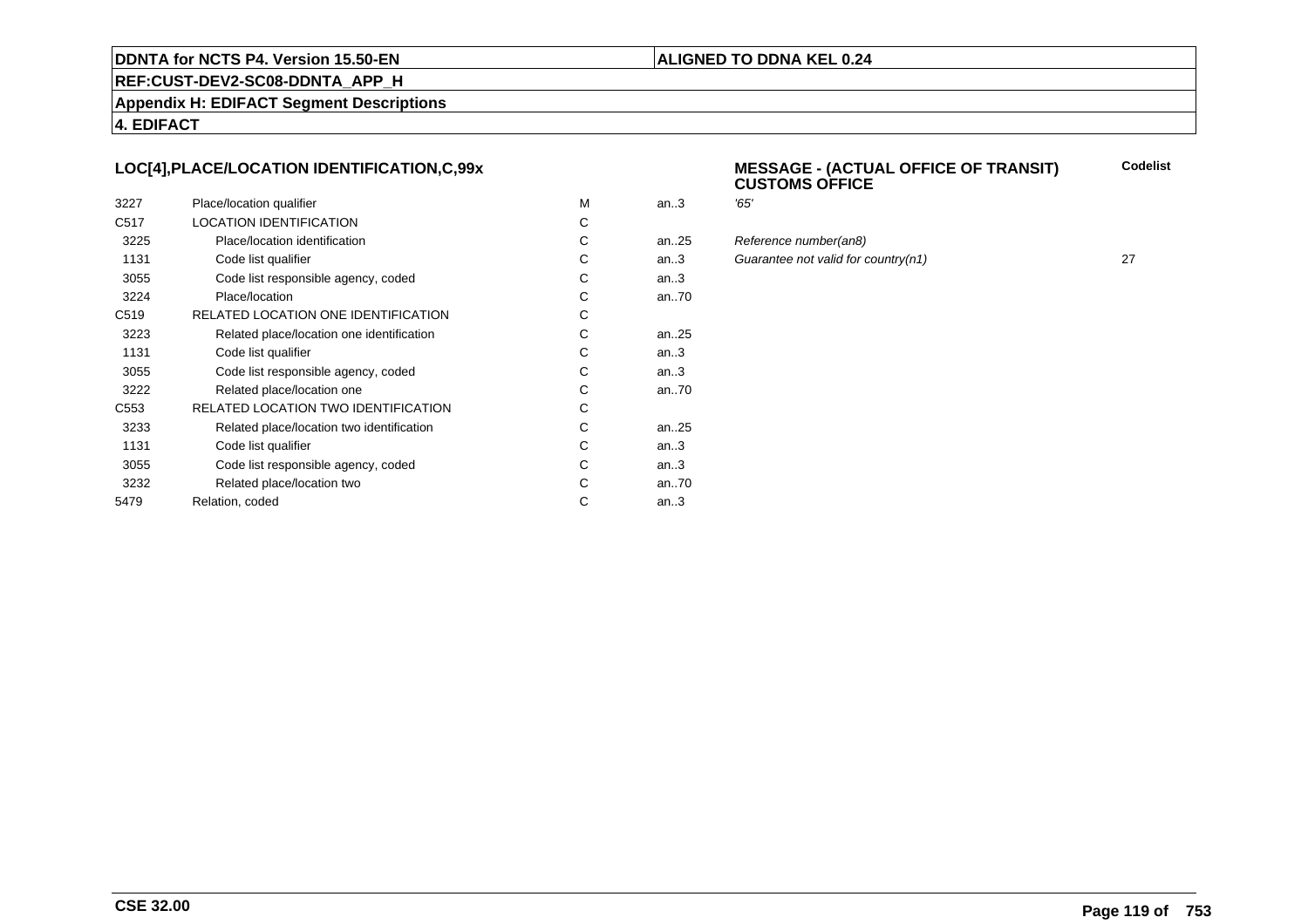#### **ALIGNED TO DDNA KEL 0.24**

**REF:CUST-DEV2-SC08-DDNTA\_APP\_H**

**Appendix H: EDIFACT Segment Descriptions**

**4. EDIFACT**

#### **LOC[4],PLACE/LOCATION IDENTIFICATION,C,99x**

| 3227             | Place/location qualifier                   | м | an.3 | '65' |
|------------------|--------------------------------------------|---|------|------|
| C <sub>517</sub> | <b>LOCATION IDENTIFICATION</b>             | C |      |      |
| 3225             | Place/location identification              | С | an25 | Ref  |
| 1131             | Code list qualifier                        | С | an.3 | Gu   |
| 3055             | Code list responsible agency, coded        | С | an.3 |      |
| 3224             | Place/location                             | С | an70 |      |
| C <sub>519</sub> | RELATED LOCATION ONE IDENTIFICATION        | С |      |      |
| 3223             | Related place/location one identification  | C | an25 |      |
| 1131             | Code list qualifier                        | С | an.3 |      |
| 3055             | Code list responsible agency, coded        | С | an.3 |      |
| 3222             | Related place/location one                 | С | an70 |      |
| C <sub>553</sub> | <b>RELATED LOCATION TWO IDENTIFICATION</b> | С |      |      |
| 3233             | Related place/location two identification  | С | an25 |      |
| 1131             | Code list qualifier                        | C | an.3 |      |
| 3055             | Code list responsible agency, coded        | C | an.3 |      |
| 3232             | Related place/location two                 | C | an70 |      |
| 5479             | Relation, coded                            | С | an.3 |      |
|                  |                                            |   |      |      |

#### **MESSAGE - (ACTUAL OFFICE OF TRANSIT) CUSTOMS OFFICECodelist**

| М  | an.3     | '65'                                |    |
|----|----------|-------------------------------------|----|
| С  |          |                                     |    |
| C. | an25     | Reference number(an8)               |    |
| С  | an.3     | Guarantee not valid for country(n1) | 27 |
| С  | an $.3$  |                                     |    |
| C. | an70     |                                     |    |
| C. |          |                                     |    |
| С  | an $.25$ |                                     |    |
|    |          |                                     |    |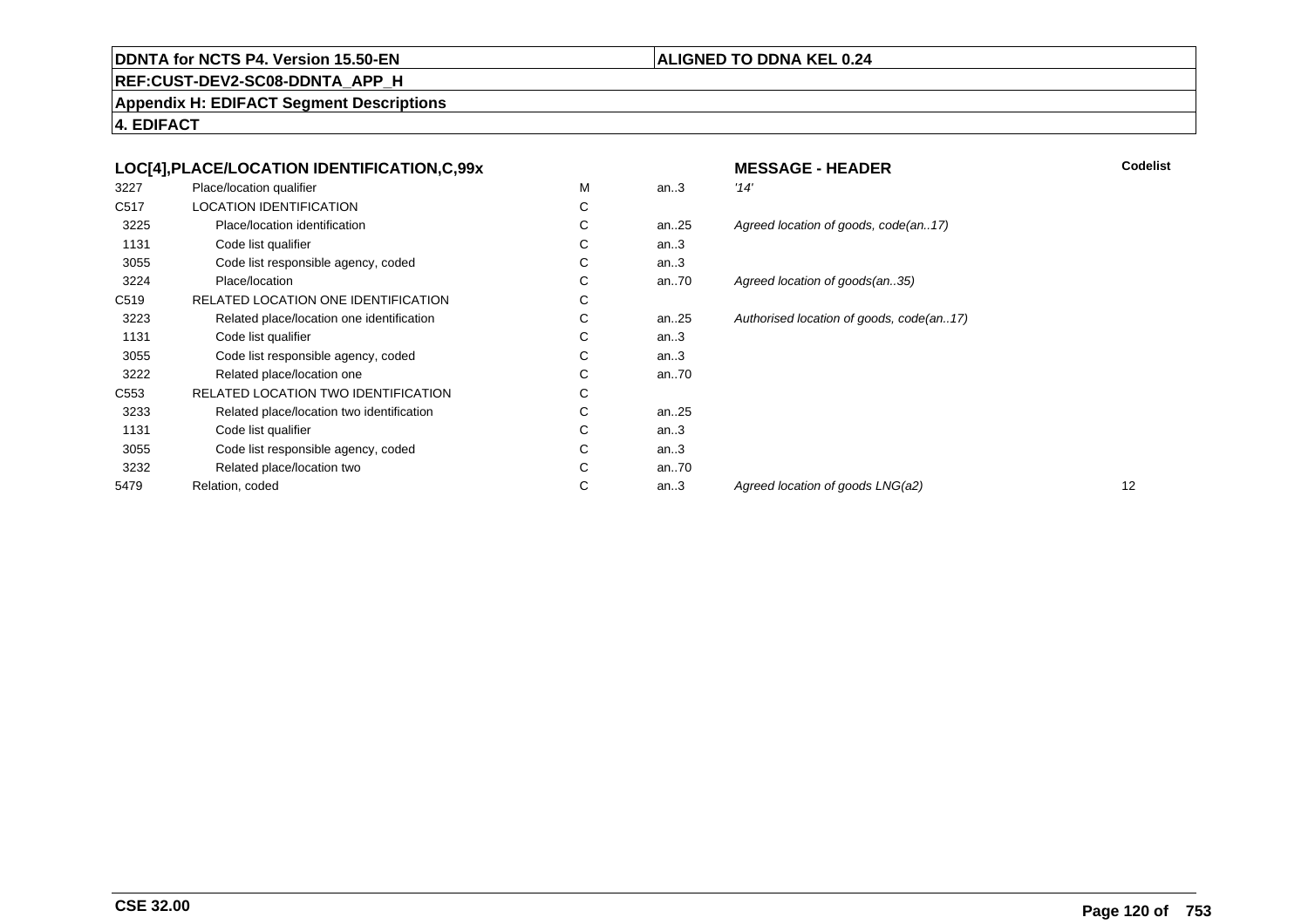#### **ALIGNED TO DDNA KEL 0.24**

**REF:CUST-DEV2-SC08-DDNTA\_APP\_H**

**Appendix H: EDIFACT Segment Descriptions**

|      | LOC[4], PLACE/LOCATION IDENTIFICATION, C, 99x |   |      | <b>MESSAGE - HEADER</b>                  | Codelist |
|------|-----------------------------------------------|---|------|------------------------------------------|----------|
| 3227 | Place/location qualifier                      | M | an.3 | '14'                                     |          |
| C517 | <b>LOCATION IDENTIFICATION</b>                | С |      |                                          |          |
| 3225 | Place/location identification                 | С | an25 | Agreed location of goods, code(an17)     |          |
| 1131 | Code list qualifier                           | С | an.3 |                                          |          |
| 3055 | Code list responsible agency, coded           | С | an.3 |                                          |          |
| 3224 | Place/location                                | C | an70 | Agreed location of goods(an35)           |          |
| C519 | RELATED LOCATION ONE IDENTIFICATION           | С |      |                                          |          |
| 3223 | Related place/location one identification     | С | an25 | Authorised location of goods, code(an17) |          |
| 1131 | Code list qualifier                           | С | an.3 |                                          |          |
| 3055 | Code list responsible agency, coded           | С | an.3 |                                          |          |
| 3222 | Related place/location one                    | С | an70 |                                          |          |
| C553 | RELATED LOCATION TWO IDENTIFICATION           | С |      |                                          |          |
| 3233 | Related place/location two identification     | С | an25 |                                          |          |
| 1131 | Code list qualifier                           | С | an.3 |                                          |          |
| 3055 | Code list responsible agency, coded           | С | an.3 |                                          |          |
| 3232 | Related place/location two                    | С | an70 |                                          |          |
| 5479 | Relation, coded                               | С | an.3 | Agreed location of goods LNG(a2)         | 12       |
|      |                                               |   |      |                                          |          |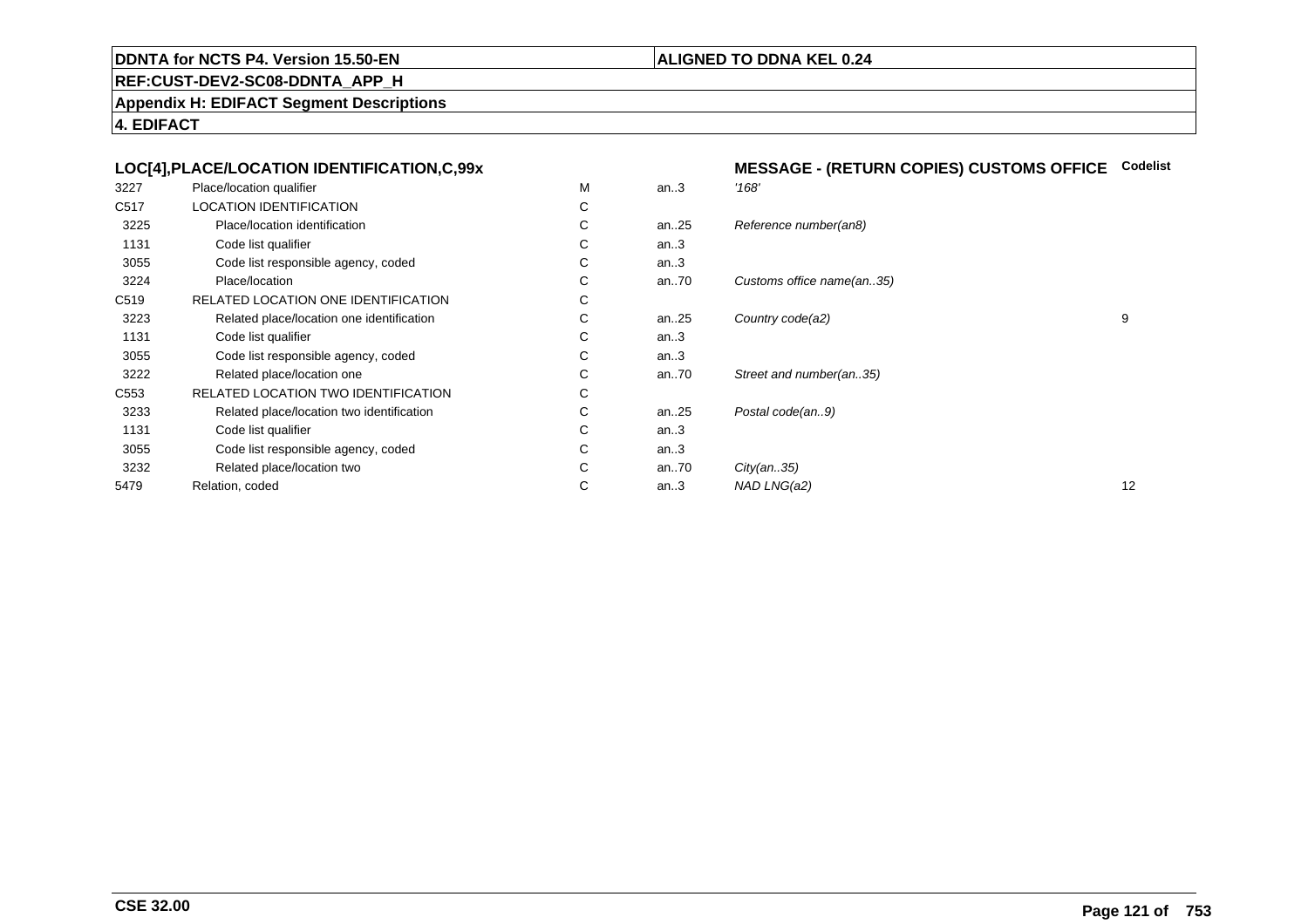#### **ALIGNED TO DDNA KEL 0.24**

**REF:CUST-DEV2-SC08-DDNTA\_APP\_H**

**Appendix H: EDIFACT Segment Descriptions**

|                  | LOC[4], PLACE/LOCATION IDENTIFICATION, C, 99x |   |      | <b>MESSAGE - (RETURN COPIES) CUSTOMS OFFICE</b> | Codelist |
|------------------|-----------------------------------------------|---|------|-------------------------------------------------|----------|
| 3227             | Place/location qualifier                      | M | an.3 | '168'                                           |          |
| C517             | <b>LOCATION IDENTIFICATION</b>                | C |      |                                                 |          |
| 3225             | Place/location identification                 | C | an25 | Reference number(an8)                           |          |
| 1131             | Code list qualifier                           | C | an.3 |                                                 |          |
| 3055             | Code list responsible agency, coded           | С | an.3 |                                                 |          |
| 3224             | Place/location                                | С | an70 | Customs office name(an35)                       |          |
| C519             | RELATED LOCATION ONE IDENTIFICATION           | С |      |                                                 |          |
| 3223             | Related place/location one identification     | С | an25 | Country code(a2)                                | 9        |
| 1131             | Code list qualifier                           | С | an.3 |                                                 |          |
| 3055             | Code list responsible agency, coded           | С | an.3 |                                                 |          |
| 3222             | Related place/location one                    | С | an70 | Street and number(an35)                         |          |
| C <sub>553</sub> | RELATED LOCATION TWO IDENTIFICATION           | С |      |                                                 |          |
| 3233             | Related place/location two identification     | C | an25 | Postal code(an9)                                |          |
| 1131             | Code list qualifier                           | C | an.3 |                                                 |          |
| 3055             | Code list responsible agency, coded           | C | an.3 |                                                 |          |
| 3232             | Related place/location two                    | C | an70 | City(an35)                                      |          |
| 5479             | Relation, coded                               | С | an.3 | NAD LNG(a2)                                     | 12       |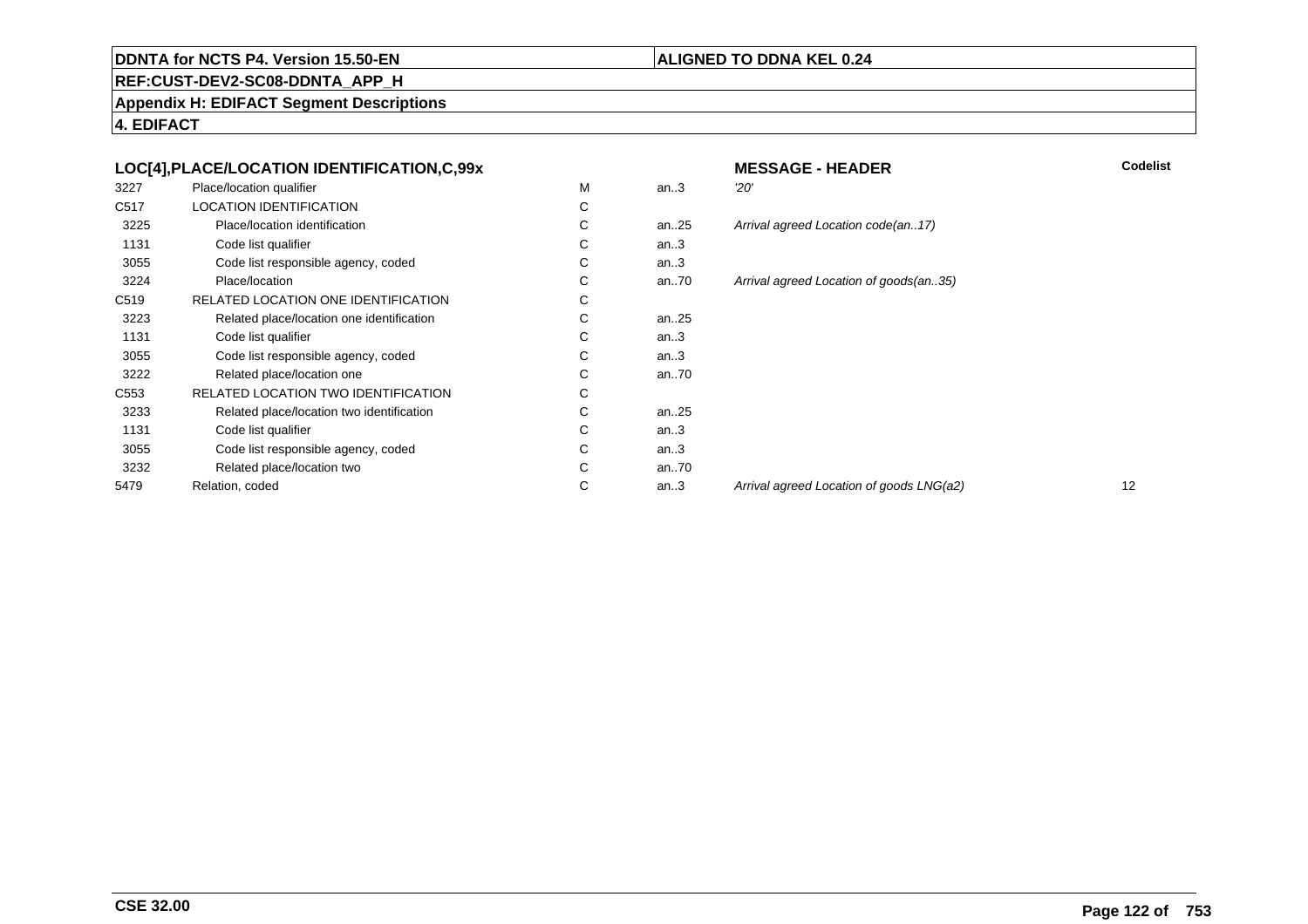#### **ALIGNED TO DDNA KEL 0.24**

**REF:CUST-DEV2-SC08-DDNTA\_APP\_H**

**Appendix H: EDIFACT Segment Descriptions**

|                  | LOC[4], PLACE/LOCATION IDENTIFICATION, C, 99x |   |           | <b>MESSAGE - HEADER</b>       |
|------------------|-----------------------------------------------|---|-----------|-------------------------------|
| 3227             | Place/location qualifier                      | M | an.3      | 20'                           |
| C517             | <b>LOCATION IDENTIFICATION</b>                | C |           |                               |
| 3225             | Place/location identification                 | C | an25      | Arrival agreed Location code  |
| 1131             | Code list qualifier                           | C | an.3      |                               |
| 3055             | Code list responsible agency, coded           | C | an.3      |                               |
| 3224             | Place/location                                | C | an70      | Arrival agreed Location of go |
| C <sub>519</sub> | RELATED LOCATION ONE IDENTIFICATION           | С |           |                               |
| 3223             | Related place/location one identification     | С | an. $.25$ |                               |
| 1131             | Code list qualifier                           | С | an.3      |                               |
| 3055             | Code list responsible agency, coded           | С | an.3      |                               |
| 3222             | Related place/location one                    | C | an70      |                               |
| C <sub>553</sub> | RELATED LOCATION TWO IDENTIFICATION           | С |           |                               |
| 3233             | Related place/location two identification     | С | an $.25$  |                               |
| 1131             | Code list qualifier                           | С | an.3      |                               |
| 3055             | Code list responsible agency, coded           | C | an.3      |                               |
| 3232             | Related place/location two                    | C | an70      |                               |
| 5479             | Relation, coded                               | С | an.3      | Arrival agreed Location of go |
|                  |                                               |   |           |                               |

|   |      | <b>MESSAGE - HEADER</b>                  | <b>Codelist</b> |
|---|------|------------------------------------------|-----------------|
| М | an.3 | 20'                                      |                 |
| С |      |                                          |                 |
| С | an25 | Arrival agreed Location code(an17)       |                 |
| С | an.3 |                                          |                 |
| С | an.3 |                                          |                 |
| С | an70 | Arrival agreed Location of goods(an35)   |                 |
| С |      |                                          |                 |
| С | an25 |                                          |                 |
| С | an.3 |                                          |                 |
| С | an.3 |                                          |                 |
| С | an70 |                                          |                 |
| С |      |                                          |                 |
| С | an25 |                                          |                 |
| С | an.3 |                                          |                 |
| С | an.3 |                                          |                 |
| С | an70 |                                          |                 |
| С | an.3 | Arrival agreed Location of goods LNG(a2) | 12              |
|   |      |                                          |                 |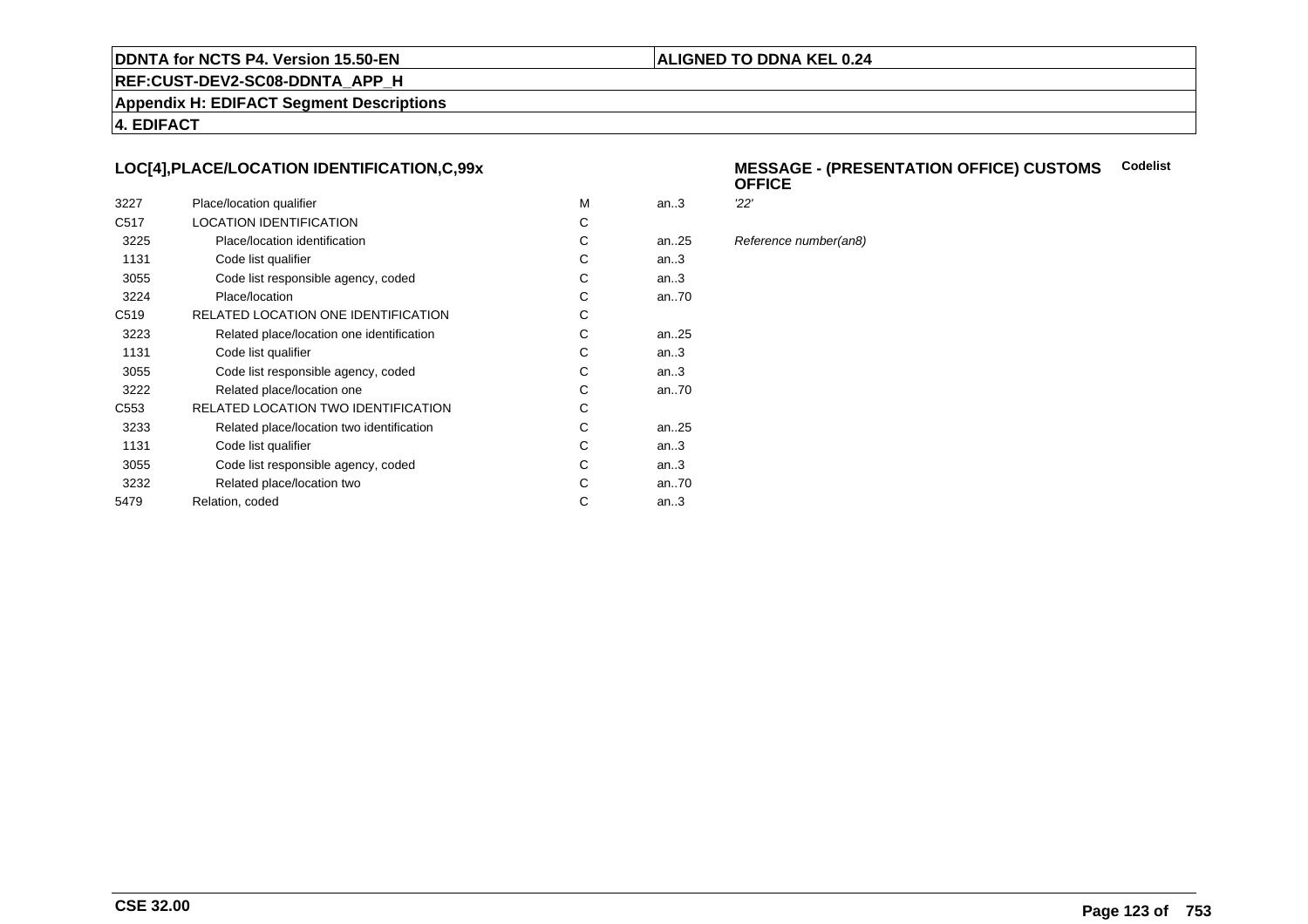#### **ALIGNED TO DDNA KEL 0.24**

**REF:CUST-DEV2-SC08-DDNTA\_APP\_H**

**Appendix H: EDIFACT Segment Descriptions**

**4. EDIFACT**

#### **LOC[4],PLACE/LOCATION IDENTIFICATION,C,99x**

| 3227             | Place/location qualifier                   | м | an.3      | 22' |
|------------------|--------------------------------------------|---|-----------|-----|
| C <sub>517</sub> | <b>LOCATION IDENTIFICATION</b>             | С |           |     |
| 3225             | Place/location identification              | С | an25      | Ref |
| 1131             | Code list qualifier                        | С | an.3      |     |
| 3055             | Code list responsible agency, coded        | С | an.3      |     |
| 3224             | Place/location                             | С | an70      |     |
| C <sub>519</sub> | RELATED LOCATION ONE IDENTIFICATION        | С |           |     |
| 3223             | Related place/location one identification  | С | an25      |     |
| 1131             | Code list qualifier                        | С | an.3      |     |
| 3055             | Code list responsible agency, coded        | С | an.3      |     |
| 3222             | Related place/location one                 | С | an70      |     |
| C <sub>553</sub> | <b>RELATED LOCATION TWO IDENTIFICATION</b> | С |           |     |
| 3233             | Related place/location two identification  | С | an. $.25$ |     |
| 1131             | Code list qualifier                        | C | an.3      |     |
| 3055             | Code list responsible agency, coded        | С | an.3      |     |
| 3232             | Related place/location two                 | С | an70      |     |
| 5479             | Relation, coded                            | С | an.3      |     |
|                  |                                            |   |           |     |

#### **MESSAGE - (PRESENTATION OFFICE) CUSTOMSCodelist OFFICE**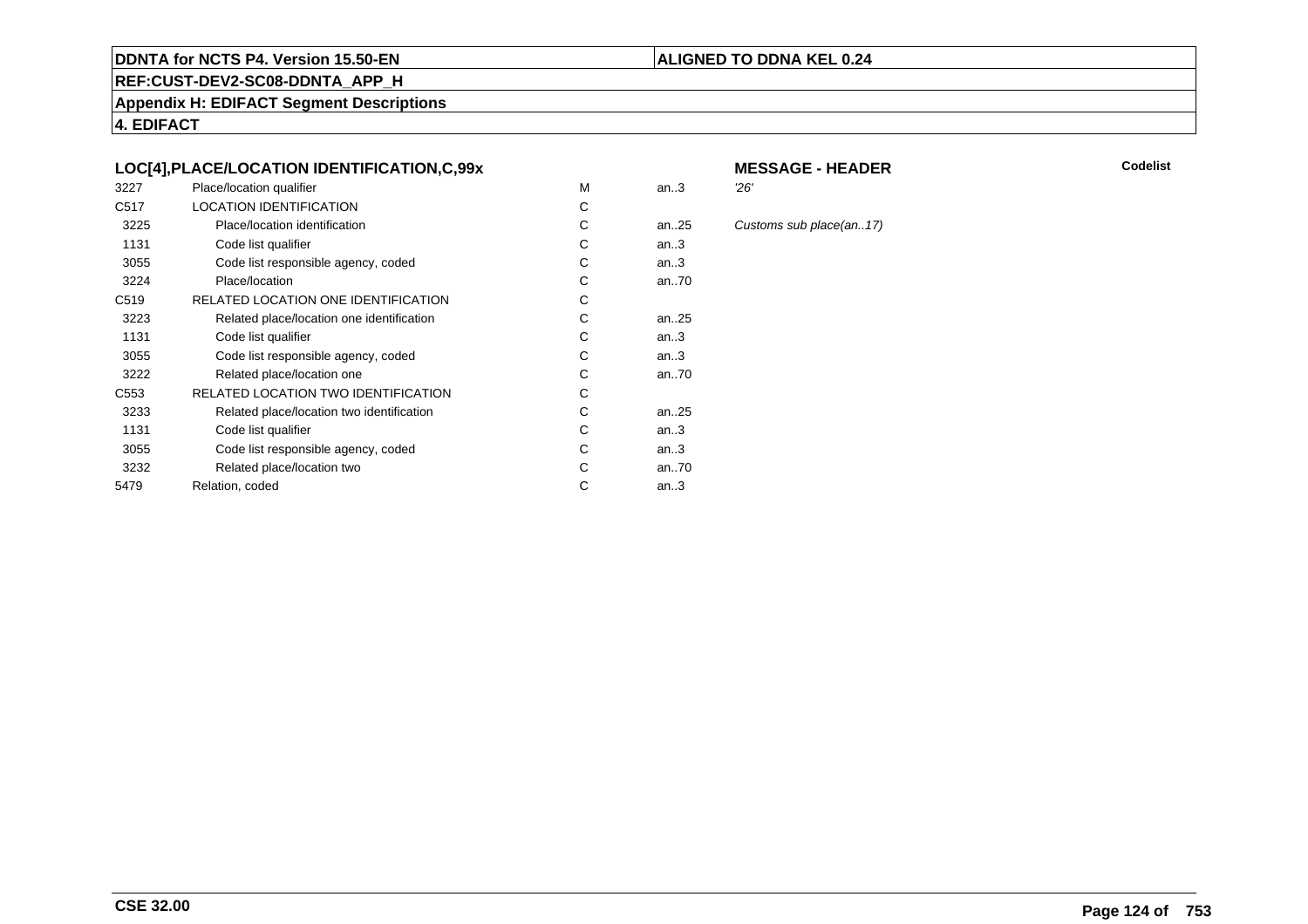#### **REF:CUST-DEV2-SC08-DDNTA\_APP\_H**

**Appendix H: EDIFACT Segment Descriptions**

**4. EDIFACT**

#### **LOC[4],PLACE/LOCATION IDENTIFICATION,C,99x**

| 3227             | Place/location qualifier                   | М | an.3      | 26' |
|------------------|--------------------------------------------|---|-----------|-----|
| C <sub>517</sub> | <b>LOCATION IDENTIFICATION</b>             | С |           |     |
| 3225             | Place/location identification              | С | an25      | Cus |
| 1131             | Code list qualifier                        | С | an.3      |     |
| 3055             | Code list responsible agency, coded        | С | an.3      |     |
| 3224             | Place/location                             | С | an70      |     |
| C <sub>519</sub> | RELATED LOCATION ONE IDENTIFICATION        | С |           |     |
| 3223             | Related place/location one identification  | С | an25      |     |
| 1131             | Code list qualifier                        | С | an.3      |     |
| 3055             | Code list responsible agency, coded        | С | an.3      |     |
| 3222             | Related place/location one                 | С | an70      |     |
| C <sub>553</sub> | <b>RELATED LOCATION TWO IDENTIFICATION</b> | С |           |     |
| 3233             | Related place/location two identification  | С | an. $.25$ |     |
| 1131             | Code list qualifier                        | C | an.3      |     |
| 3055             | Code list responsible agency, coded        | С | an.3      |     |
| 3232             | Related place/location two                 | С | an70      |     |
| 5479             | Relation, coded                            | С | an.3      |     |
|                  |                                            |   |           |     |

# **MESSAGE - HEADER**

**ALIGNED TO DDNA KEL 0.24**

**R** Codelist

Customs sub place(an..17)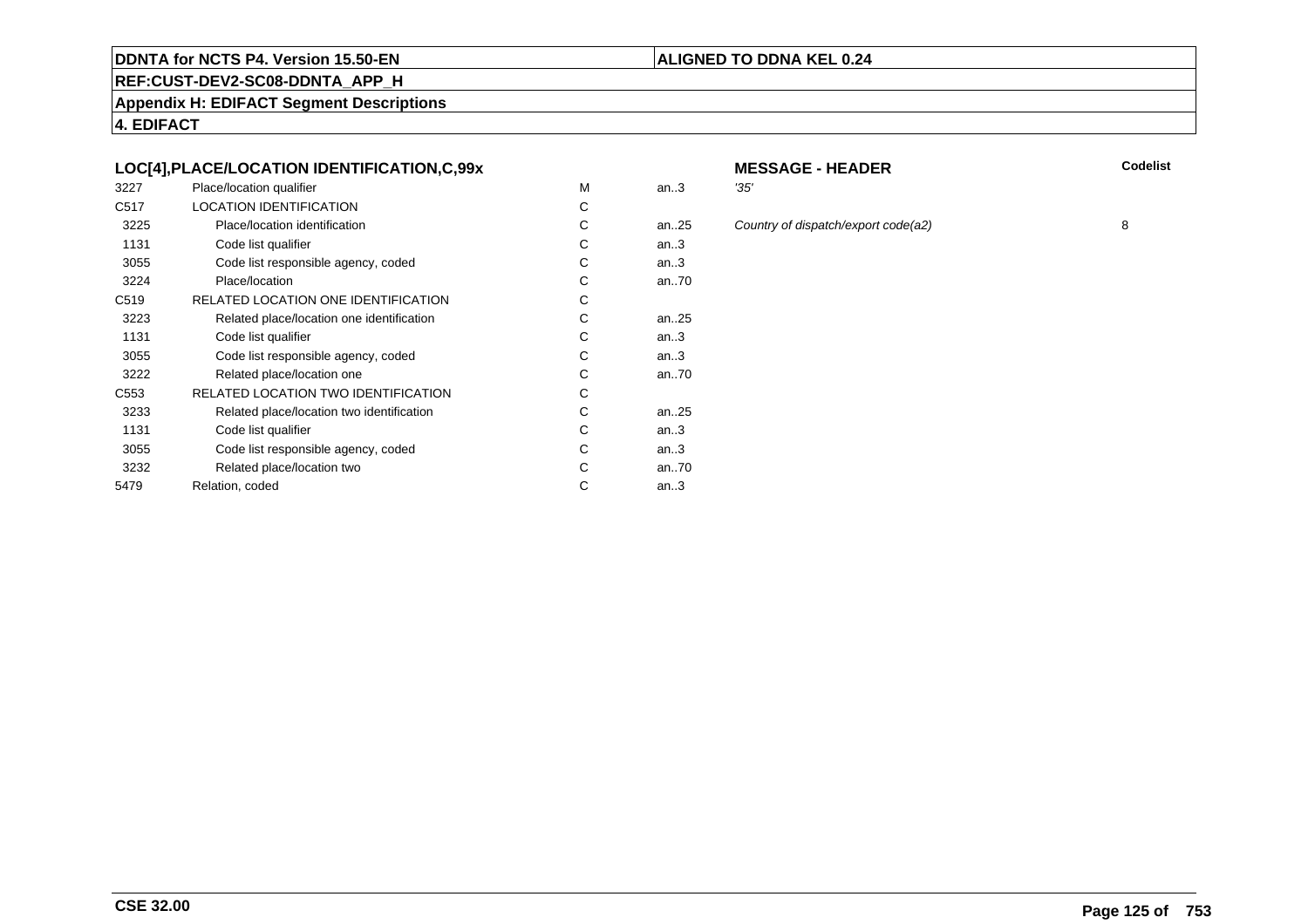#### **REF:CUST-DEV2-SC08-DDNTA\_APP\_H**

**Appendix H: EDIFACT Segment Descriptions**

**4. EDIFACT**

#### **LOC[4],PLACE/LOCATION IDENTIFICATION,C,99x**

| 3227             | Place/location qualifier                  | м | an.3      | '35' |
|------------------|-------------------------------------------|---|-----------|------|
| C <sub>517</sub> | <b>LOCATION IDENTIFICATION</b>            | C |           |      |
| 3225             | Place/location identification             | С | an25      | Col  |
| 1131             | Code list qualifier                       | С | an.3      |      |
| 3055             | Code list responsible agency, coded       | С | an.3      |      |
| 3224             | Place/location                            | С | an70      |      |
| C <sub>519</sub> | RELATED LOCATION ONE IDENTIFICATION       | С |           |      |
| 3223             | Related place/location one identification | С | an25      |      |
| 1131             | Code list qualifier                       | С | an.3      |      |
| 3055             | Code list responsible agency, coded       | С | an.3      |      |
| 3222             | Related place/location one                | С | an70      |      |
| C553             | RELATED LOCATION TWO IDENTIFICATION       | С |           |      |
| 3233             | Related place/location two identification | С | an. $.25$ |      |
| 1131             | Code list qualifier                       | C | an.3      |      |
| 3055             | Code list responsible agency, coded       | С | an.3      |      |
| 3232             | Related place/location two                | C | an70      |      |
| 5479             | Relation, coded                           | С | an.3      |      |
|                  |                                           |   |           |      |

# **MESSAGE - HEADER**

**R** Codelist

**ALIGNED TO DDNA KEL 0.24**

an...<br>25 Country of dispatch/export code(a2) 8

**Page 125 of753**

- 
- 
-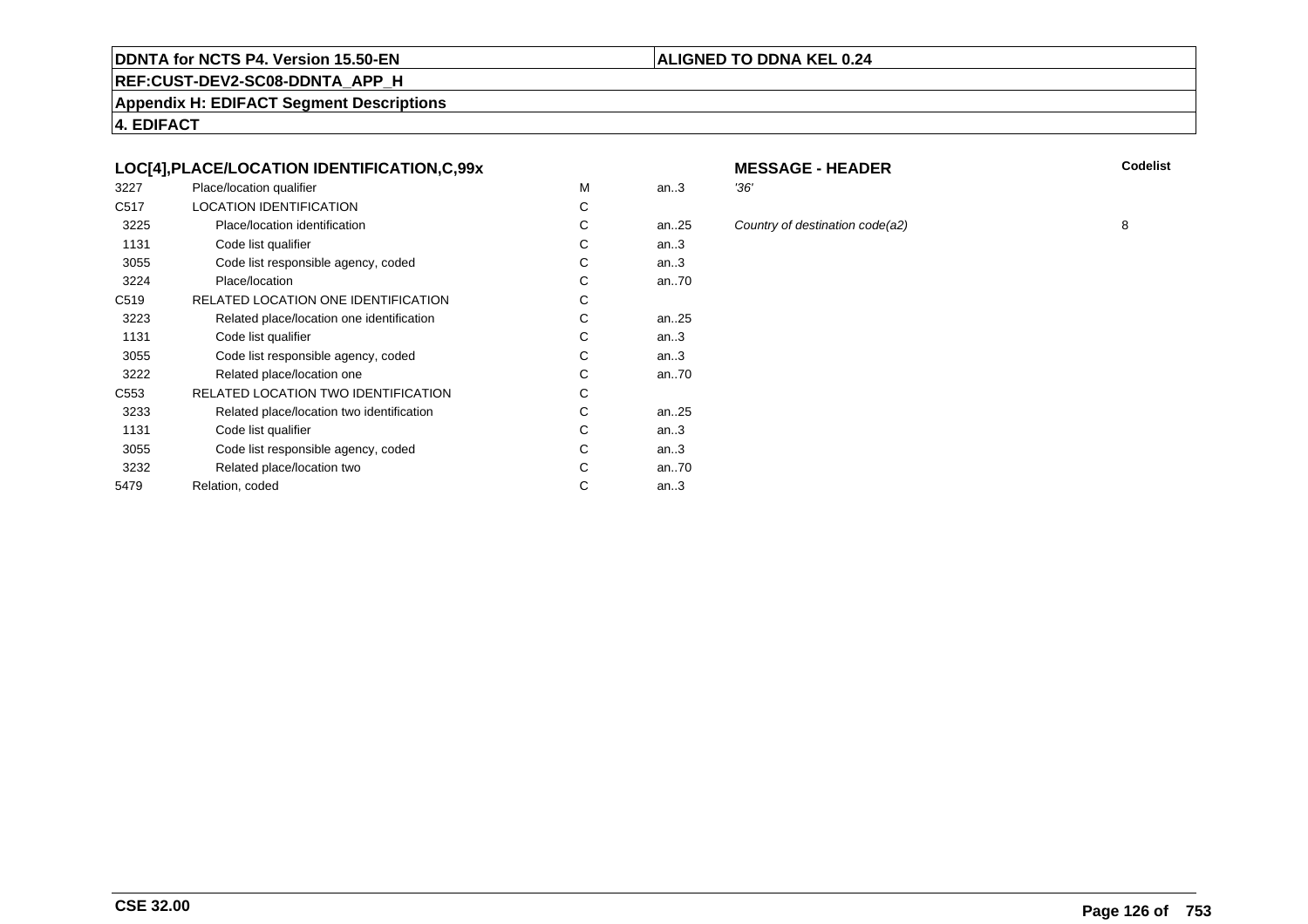#### **REF:CUST-DEV2-SC08-DDNTA\_APP\_H**

**Appendix H: EDIFACT Segment Descriptions**

**4. EDIFACT**

#### **LOC[4],PLACE/LOCATION IDENTIFICATION,C,99x**

| 3227             | Place/location qualifier                  | M | an.3 | '36' |
|------------------|-------------------------------------------|---|------|------|
| C <sub>517</sub> | <b>LOCATION IDENTIFICATION</b>            | C |      |      |
| 3225             | Place/location identification             | С | an25 | Col  |
| 1131             | Code list qualifier                       | С | an.3 |      |
| 3055             | Code list responsible agency, coded       | C | an.3 |      |
| 3224             | Place/location                            | С | an70 |      |
| C <sub>519</sub> | RELATED LOCATION ONE IDENTIFICATION       | С |      |      |
| 3223             | Related place/location one identification | C | an25 |      |
| 1131             | Code list qualifier                       | С | an.3 |      |
| 3055             | Code list responsible agency, coded       | С | an.3 |      |
| 3222             | Related place/location one                | C | an70 |      |
| C553             | RELATED LOCATION TWO IDENTIFICATION       | С |      |      |
| 3233             | Related place/location two identification | С | an25 |      |
| 1131             | Code list qualifier                       | C | an.3 |      |
| 3055             | Code list responsible agency, coded       | С | an.3 |      |
| 3232             | Related place/location two                | C | an70 |      |
| 5479             | Relation, coded                           | С | an.3 |      |
|                  |                                           |   |      |      |

# **MESSAGE - HEADER**

**R** Codelist

an...<br>25 Country of destination code(a2) 8

**ALIGNED TO DDNA KEL 0.24**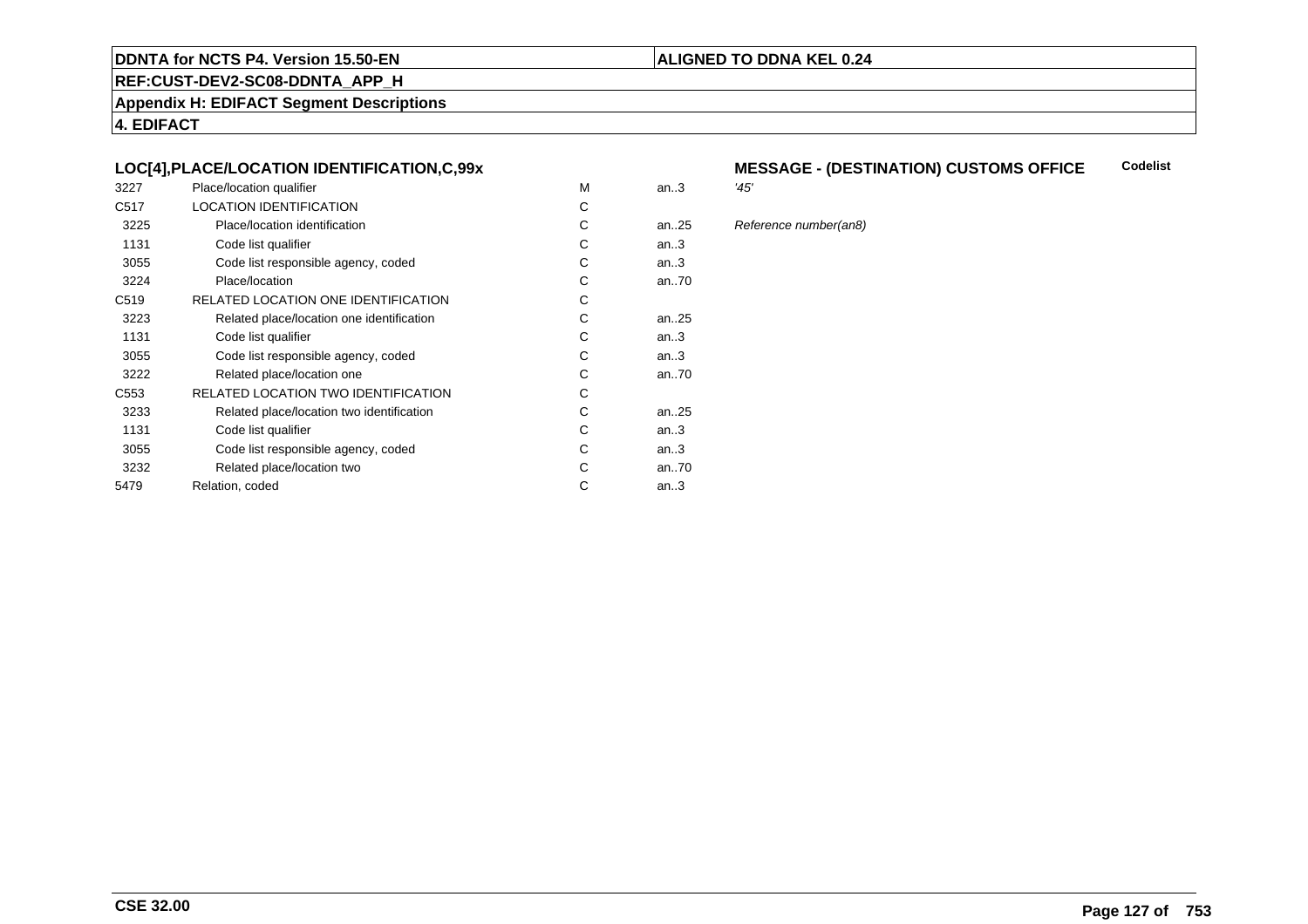#### **REF:CUST-DEV2-SC08-DDNTA\_APP\_H**

**Appendix H: EDIFACT Segment Descriptions**

**4. EDIFACT**

#### **LOC[4],PLACE/LOCATION IDENTIFICATION,C,99x**

| 3227             | Place/location qualifier                   | М | an.3      | '45' |
|------------------|--------------------------------------------|---|-----------|------|
| C <sub>517</sub> | <b>LOCATION IDENTIFICATION</b>             | С |           |      |
| 3225             | Place/location identification              | С | an25      | Ref  |
| 1131             | Code list qualifier                        | С | an.3      |      |
| 3055             | Code list responsible agency, coded        | С | an.3      |      |
| 3224             | Place/location                             | С | an70      |      |
| C <sub>519</sub> | RELATED LOCATION ONE IDENTIFICATION        | С |           |      |
| 3223             | Related place/location one identification  | С | an25      |      |
| 1131             | Code list qualifier                        | С | an.3      |      |
| 3055             | Code list responsible agency, coded        | С | an.3      |      |
| 3222             | Related place/location one                 | С | an70      |      |
| C <sub>553</sub> | <b>RELATED LOCATION TWO IDENTIFICATION</b> | С |           |      |
| 3233             | Related place/location two identification  | С | an. $.25$ |      |
| 1131             | Code list qualifier                        | C | an.3      |      |
| 3055             | Code list responsible agency, coded        | С | an.3      |      |
| 3232             | Related place/location two                 | С | an70      |      |
| 5479             | Relation, coded                            | С | an.3      |      |
|                  |                                            |   |           |      |

#### **MESSAGE - (DESTINATION) CUSTOMS OFFICE Codelist**

**ALIGNED TO DDNA KEL 0.24**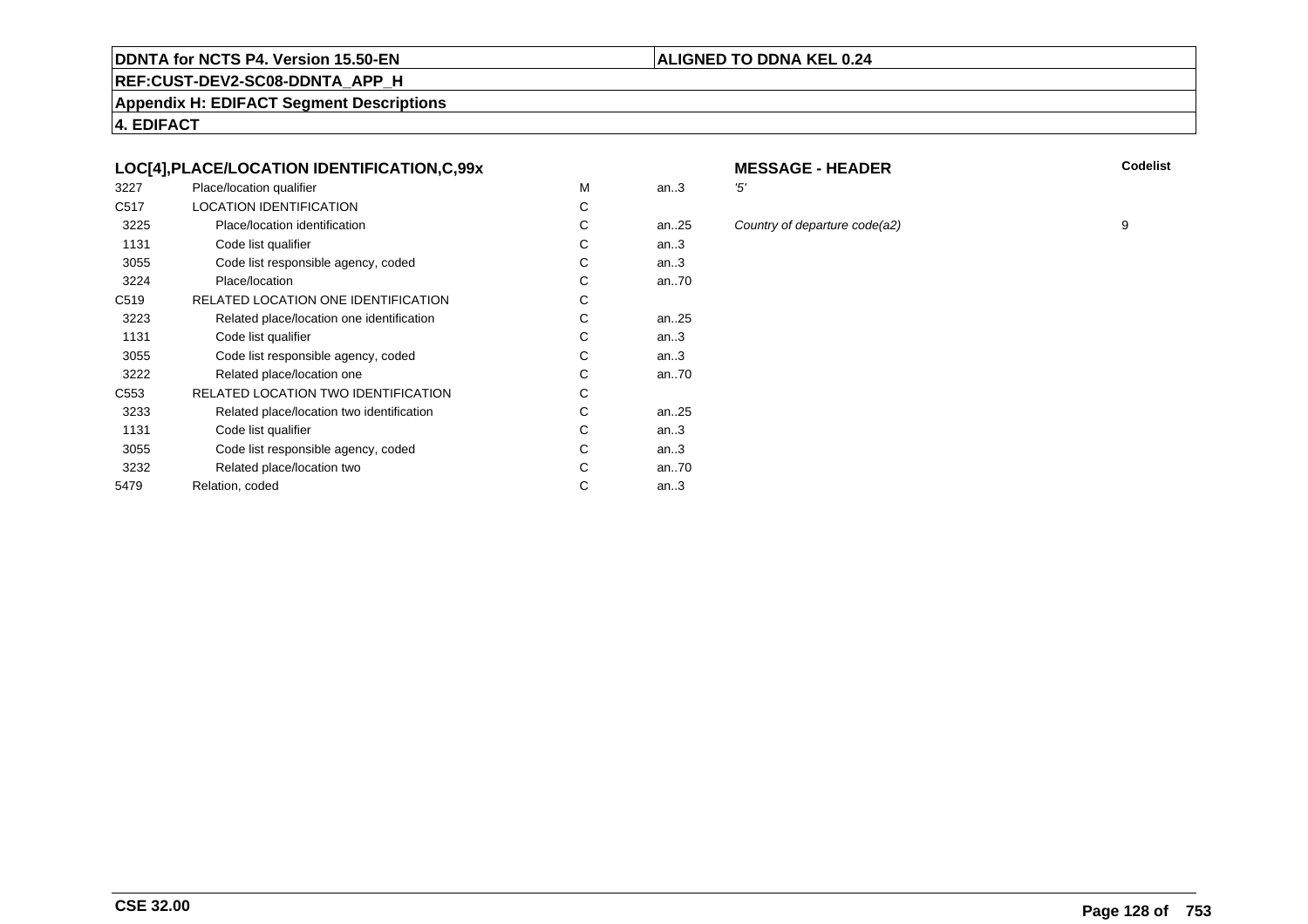#### **REF:CUST-DEV2-SC08-DDNTA\_APP\_H**

**Appendix H: EDIFACT Segment Descriptions**

**4. EDIFACT**

#### **LOC[4],PLACE/LOCATION IDENTIFICATION,C,99x**

| 3227             | Place/location qualifier                   | M | an.3      | '5' |
|------------------|--------------------------------------------|---|-----------|-----|
| C <sub>517</sub> | <b>LOCATION IDENTIFICATION</b>             | С |           |     |
| 3225             | Place/location identification              | С | an. $.25$ | Co  |
| 1131             | Code list qualifier                        | С | an.3      |     |
| 3055             | Code list responsible agency, coded        | С | an.3      |     |
| 3224             | Place/location                             | C | an70      |     |
| C <sub>519</sub> | RELATED LOCATION ONE IDENTIFICATION        | С |           |     |
| 3223             | Related place/location one identification  | С | an. $.25$ |     |
| 1131             | Code list qualifier                        | C | an.3      |     |
| 3055             | Code list responsible agency, coded        | С | an.3      |     |
| 3222             | Related place/location one                 | С | an70      |     |
| C553             | <b>RELATED LOCATION TWO IDENTIFICATION</b> | С |           |     |
| 3233             | Related place/location two identification  | С | an. $.25$ |     |
| 1131             | Code list qualifier                        | С | an.3      |     |
| 3055             | Code list responsible agency, coded        | С | an.3      |     |
| 3232             | Related place/location two                 | С | an70      |     |
| 5479             | Relation, coded                            | С | an $3$    |     |
|                  |                                            |   |           |     |

# **MESSAGE - HEADER**

**R** Codelist

an...<br>25 Country of departure code(a2) 9

**ALIGNED TO DDNA KEL 0.24**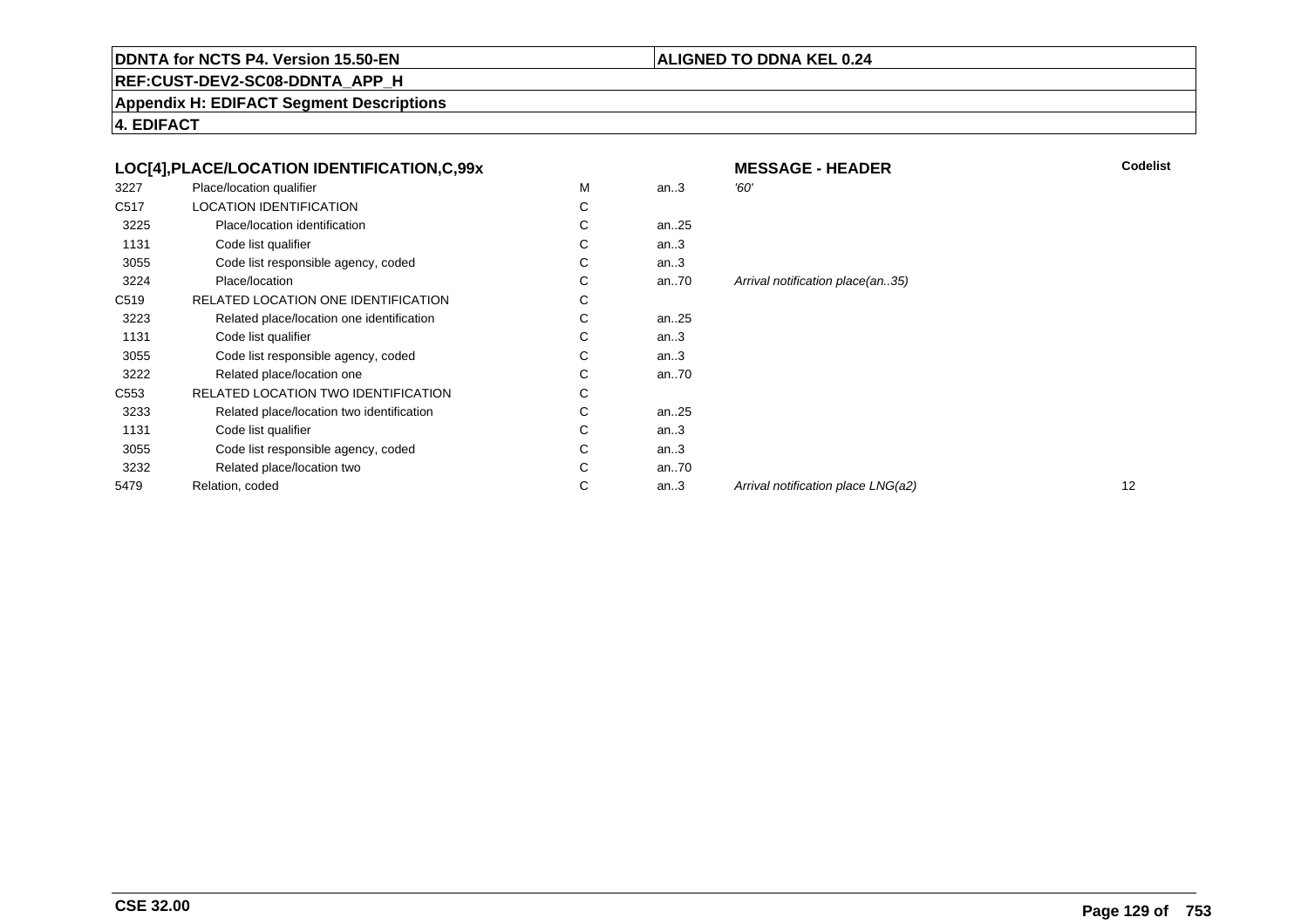#### **ALIGNED TO DDNA KEL 0.24**

**REF:CUST-DEV2-SC08-DDNTA\_APP\_H**

**Appendix H: EDIFACT Segment Descriptions**

|                  | LOC[4], PLACE/LOCATION IDENTIFICATION, C, 99x |   |          | <b>MESSAGE - HEADER</b>            | Codelist |
|------------------|-----------------------------------------------|---|----------|------------------------------------|----------|
| 3227             | Place/location qualifier                      | M | an.3     | '60'                               |          |
| C517             | <b>LOCATION IDENTIFICATION</b>                | С |          |                                    |          |
| 3225             | Place/location identification                 | С | an $.25$ |                                    |          |
| 1131             | Code list qualifier                           | С | an.3     |                                    |          |
| 3055             | Code list responsible agency, coded           | С | an.3     |                                    |          |
| 3224             | Place/location                                | С | an $.70$ | Arrival notification place(an35)   |          |
| C <sub>519</sub> | RELATED LOCATION ONE IDENTIFICATION           | С |          |                                    |          |
| 3223             | Related place/location one identification     | С | an $.25$ |                                    |          |
| 1131             | Code list qualifier                           | С | an.3     |                                    |          |
| 3055             | Code list responsible agency, coded           | С | an.3     |                                    |          |
| 3222             | Related place/location one                    | С | an $.70$ |                                    |          |
| C <sub>553</sub> | RELATED LOCATION TWO IDENTIFICATION           | С |          |                                    |          |
| 3233             | Related place/location two identification     | С | an $.25$ |                                    |          |
| 1131             | Code list qualifier                           | С | an.3     |                                    |          |
| 3055             | Code list responsible agency, coded           | С | an.3     |                                    |          |
| 3232             | Related place/location two                    | С | an $.70$ |                                    |          |
| 5479             | Relation, coded                               | С | an.3     | Arrival notification place LNG(a2) | 12       |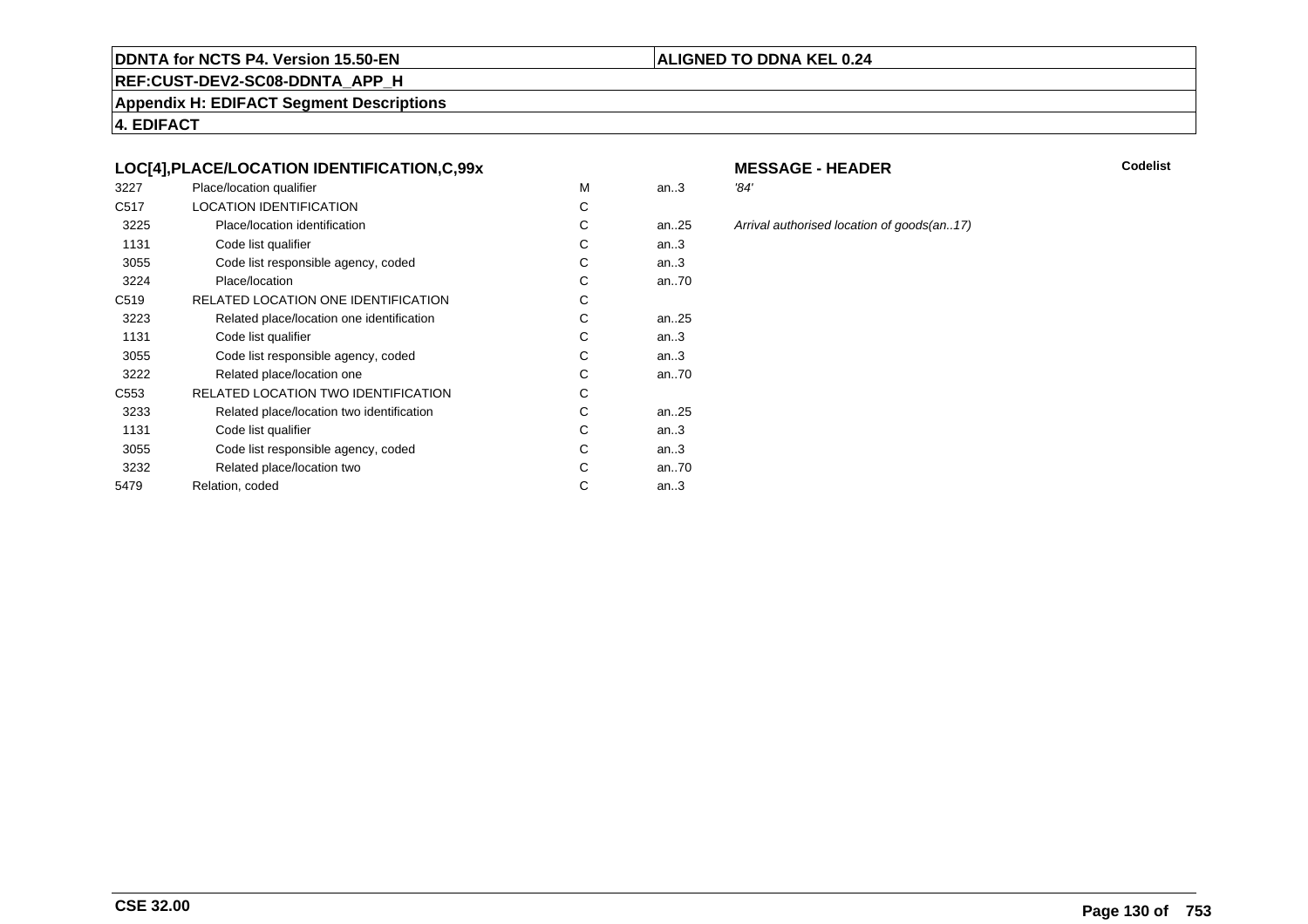#### **REF:CUST-DEV2-SC08-DDNTA\_APP\_H**

**Appendix H: EDIFACT Segment Descriptions**

**4. EDIFACT**

#### **LOC[4],PLACE/LOCATION IDENTIFICATION,C,99x**

| 3227             | Place/location qualifier                  | M | an.3 | '84' |
|------------------|-------------------------------------------|---|------|------|
| C <sub>517</sub> | <b>LOCATION IDENTIFICATION</b>            | C |      |      |
| 3225             | Place/location identification             | С | an25 | Arri |
| 1131             | Code list qualifier                       | С | an.3 |      |
| 3055             | Code list responsible agency, coded       | C | an.3 |      |
| 3224             | Place/location                            | С | an70 |      |
| C <sub>519</sub> | RELATED LOCATION ONE IDENTIFICATION       | С |      |      |
| 3223             | Related place/location one identification | C | an25 |      |
| 1131             | Code list qualifier                       | С | an.3 |      |
| 3055             | Code list responsible agency, coded       | С | an.3 |      |
| 3222             | Related place/location one                | C | an70 |      |
| C553             | RELATED LOCATION TWO IDENTIFICATION       | С |      |      |
| 3233             | Related place/location two identification | С | an25 |      |
| 1131             | Code list qualifier                       | C | an.3 |      |
| 3055             | Code list responsible agency, coded       | С | an.3 |      |
| 3232             | Related place/location two                | C | an70 |      |
| 5479             | Relation, coded                           | С | an.3 |      |
|                  |                                           |   |      |      |

### **MESSAGE - HEADER**

**R** Codelist

25 Arrival authorised location of goods(an..17)

**ALIGNED TO DDNA KEL 0.24**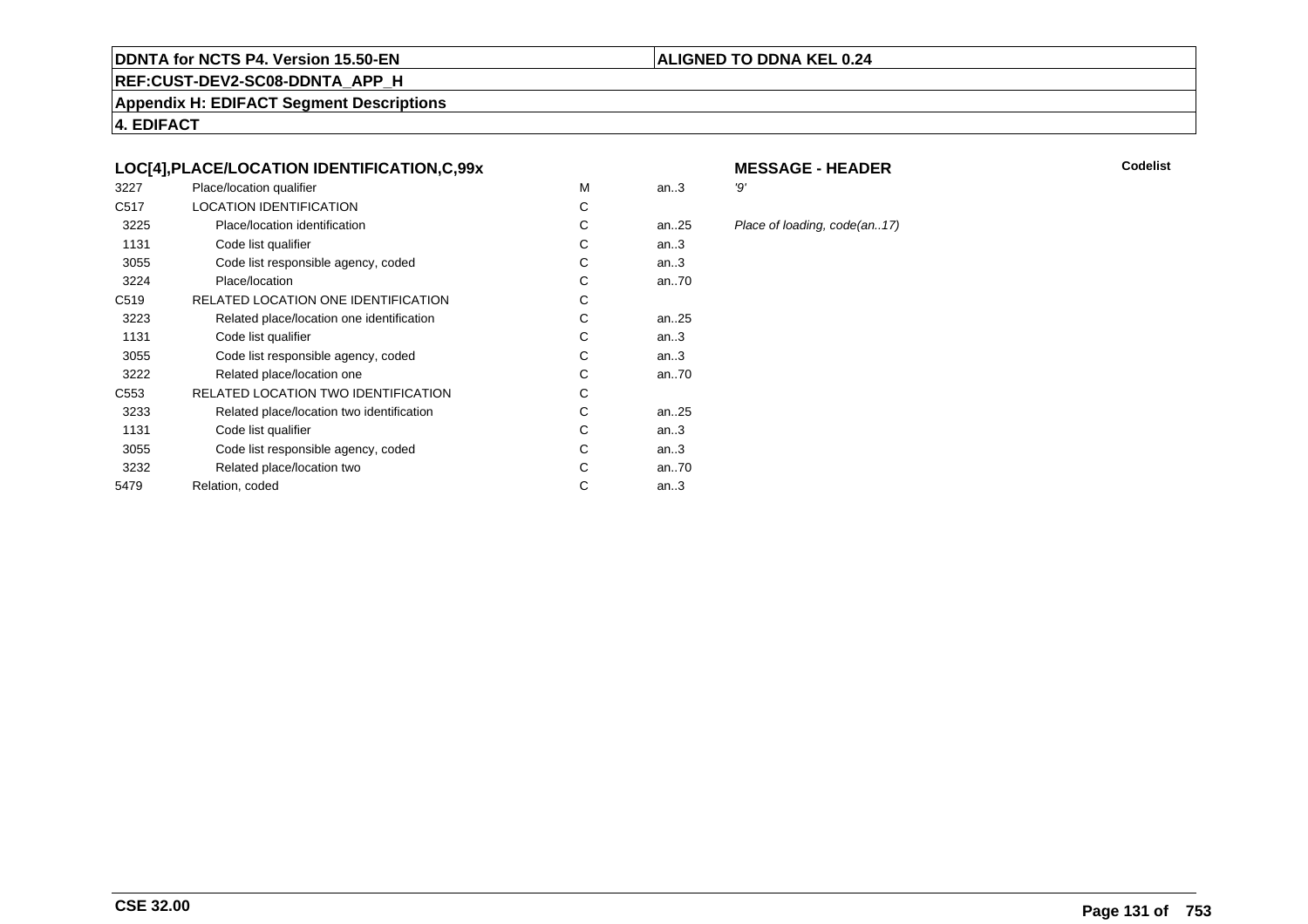#### **REF:CUST-DEV2-SC08-DDNTA\_APP\_H**

**Appendix H: EDIFACT Segment Descriptions**

**4. EDIFACT**

#### **LOC[4],PLACE/LOCATION IDENTIFICATION,C,99x**

| 3227             | Place/location qualifier                  | M | an.3      | יפי |
|------------------|-------------------------------------------|---|-----------|-----|
| C <sub>517</sub> | <b>LOCATION IDENTIFICATION</b>            | C |           |     |
| 3225             | Place/location identification             | C | an. $.25$ | PI  |
| 1131             | Code list qualifier                       | C | an.3      |     |
| 3055             | Code list responsible agency, coded       | С | an.3      |     |
| 3224             | Place/location                            | С | an70      |     |
| C <sub>519</sub> | RELATED LOCATION ONE IDENTIFICATION       | C |           |     |
| 3223             | Related place/location one identification | C | an25      |     |
| 1131             | Code list qualifier                       | С | an.3      |     |
| 3055             | Code list responsible agency, coded       | С | an.3      |     |
| 3222             | Related place/location one                | С | an70      |     |
| C <sub>553</sub> | RELATED LOCATION TWO IDENTIFICATION       | С |           |     |
| 3233             | Related place/location two identification | C | an25      |     |
| 1131             | Code list qualifier                       | C | an.3      |     |
| 3055             | Code list responsible agency, coded       | С | an.3      |     |
| 3232             | Related place/location two                | С | an70      |     |
| 5479             | Relation, coded                           | С | an.3      |     |
|                  |                                           |   |           |     |

### **MESSAGE - HEADER**

**ALIGNED TO DDNA KEL 0.24**

**R** Codelist

25 Place of loading, code(an..17)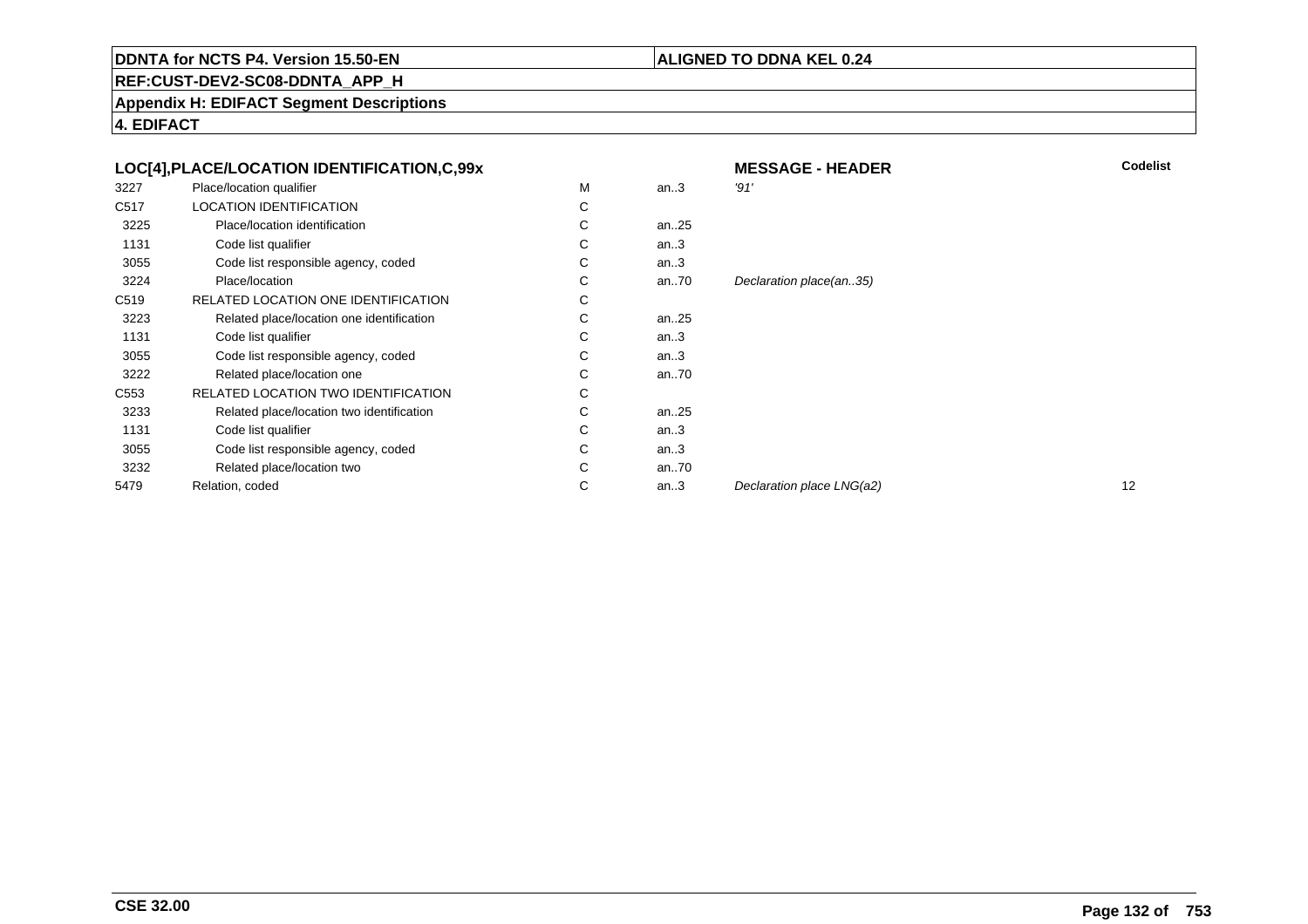#### **ALIGNED TO DDNA KEL 0.24**

**REF:CUST-DEV2-SC08-DDNTA\_APP\_H**

**Appendix H: EDIFACT Segment Descriptions**

|                  | LOC[4], PLACE/LOCATION IDENTIFICATION, C, 99x |             |          | <b>MESSAGE - HEADER</b>   | C  |
|------------------|-----------------------------------------------|-------------|----------|---------------------------|----|
| 3227             | Place/location qualifier                      | М           | an.3     | '91'                      |    |
| C517             | <b>LOCATION IDENTIFICATION</b>                | C           |          |                           |    |
| 3225             | Place/location identification                 | C           | an25     |                           |    |
| 1131             | Code list qualifier                           | C           | an.3     |                           |    |
| 3055             | Code list responsible agency, coded           | C           | an.3     |                           |    |
| 3224             | Place/location                                | C           | an $.70$ | Declaration place(an35)   |    |
| C519             | RELATED LOCATION ONE IDENTIFICATION           | $\sim$<br>◡ |          |                           |    |
| 3223             | Related place/location one identification     | C           | an25     |                           |    |
| 1131             | Code list qualifier                           | С           | an.3     |                           |    |
| 3055             | Code list responsible agency, coded           | С           | an.3     |                           |    |
| 3222             | Related place/location one                    | C           | an70     |                           |    |
| C <sub>553</sub> | RELATED LOCATION TWO IDENTIFICATION           | C           |          |                           |    |
| 3233             | Related place/location two identification     | C           | an $.25$ |                           |    |
| 1131             | Code list qualifier                           | C           | an.3     |                           |    |
| 3055             | Code list responsible agency, coded           | C           | an.3     |                           |    |
| 3232             | Related place/location two                    | С           | an $.70$ |                           |    |
| 5479             | Relation, coded                               | C           | an.3     | Declaration place LNG(a2) | 12 |
|                  |                                               |             |          |                           |    |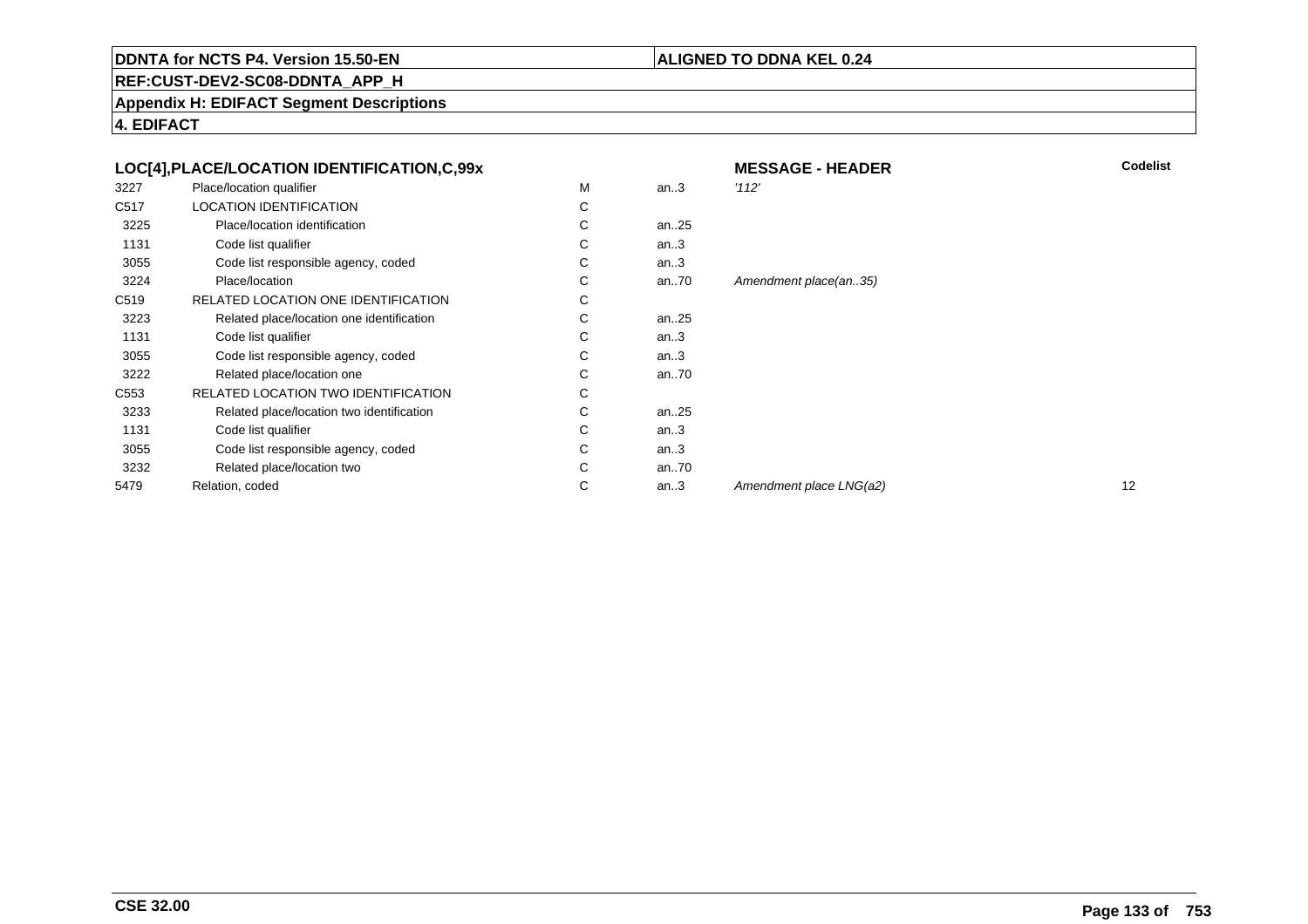#### **ALIGNED TO DDNA KEL 0.24**

**REF:CUST-DEV2-SC08-DDNTA\_APP\_H**

**Appendix H: EDIFACT Segment Descriptions**

|                  | LOC[4], PLACE/LOCATION IDENTIFICATION, C, 99x |   |          | <b>MESSAGE - HEADER</b> | Codelist |
|------------------|-----------------------------------------------|---|----------|-------------------------|----------|
| 3227             | Place/location qualifier                      | М | an.3     | '112'                   |          |
| C <sub>517</sub> | <b>LOCATION IDENTIFICATION</b>                | С |          |                         |          |
| 3225             | Place/location identification                 | С | an $.25$ |                         |          |
| 1131             | Code list qualifier                           | С | an.3     |                         |          |
| 3055             | Code list responsible agency, coded           | С | an.3     |                         |          |
| 3224             | Place/location                                | С | an70     | Amendment place(an35)   |          |
| C519             | RELATED LOCATION ONE IDENTIFICATION           | C |          |                         |          |
| 3223             | Related place/location one identification     | C | an25     |                         |          |
| 1131             | Code list qualifier                           | С | an.3     |                         |          |
| 3055             | Code list responsible agency, coded           | С | an.3     |                         |          |
| 3222             | Related place/location one                    | С | an $.70$ |                         |          |
| C <sub>553</sub> | RELATED LOCATION TWO IDENTIFICATION           | С |          |                         |          |
| 3233             | Related place/location two identification     | С | an25     |                         |          |
| 1131             | Code list qualifier                           | С | an.3     |                         |          |
| 3055             | Code list responsible agency, coded           | С | an.3     |                         |          |
| 3232             | Related place/location two                    | C | an $.70$ |                         |          |
| 5479             | Relation, coded                               | С | an.3     | Amendment place LNG(a2) | 12       |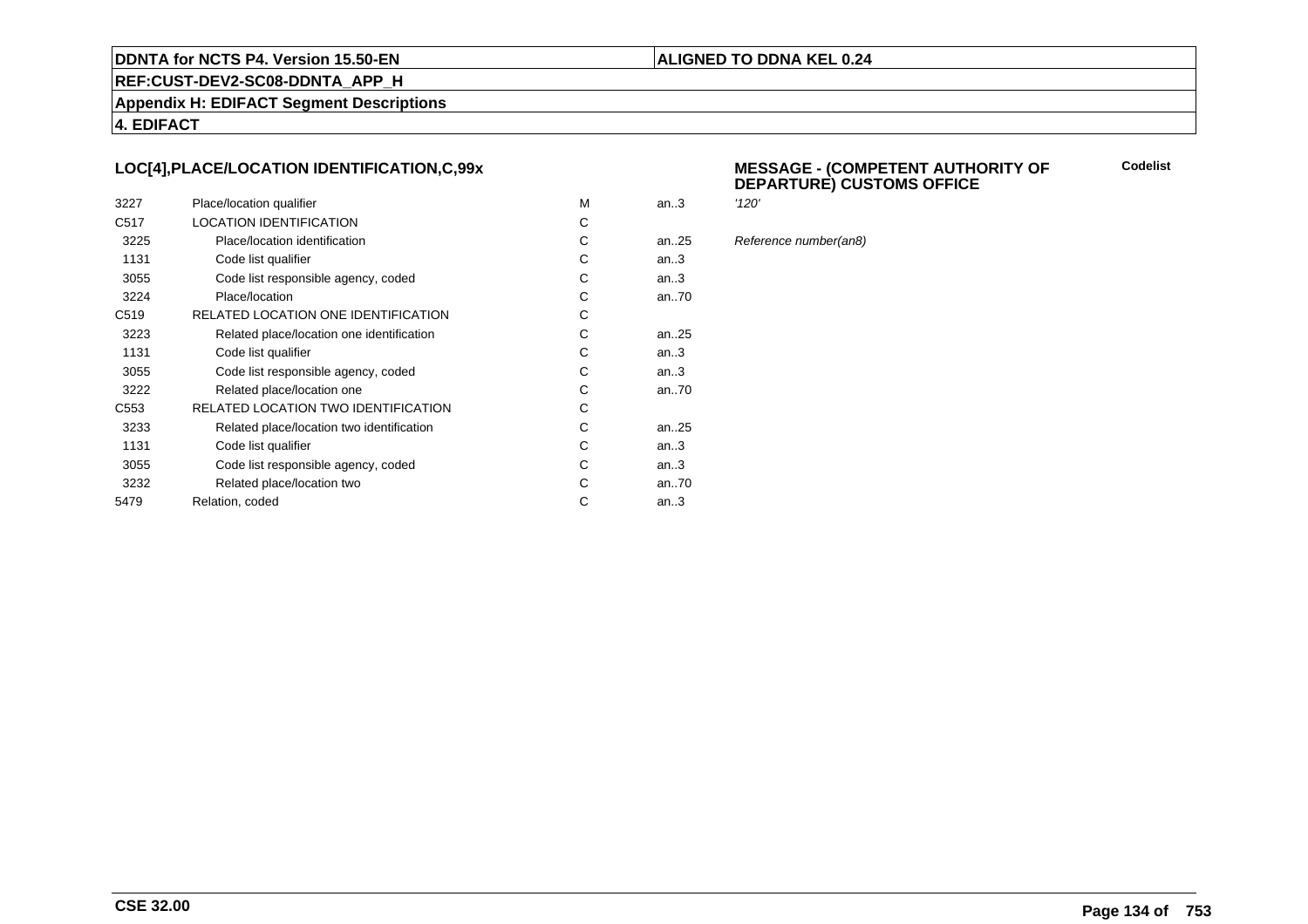#### **ALIGNED TO DDNA KEL 0.24**

**REF:CUST-DEV2-SC08-DDNTA\_APP\_H**

**Appendix H: EDIFACT Segment Descriptions**

**4. EDIFACT**

#### **LOC[4],PLACE/LOCATION IDENTIFICATION,C,99x**

| 3227             | Place/location qualifier                   | M | an.3 | '120' |
|------------------|--------------------------------------------|---|------|-------|
| C <sub>517</sub> | <b>LOCATION IDENTIFICATION</b>             | С |      |       |
| 3225             | Place/location identification              | C | an25 | Refe  |
| 1131             | Code list qualifier                        | C | an.3 |       |
| 3055             | Code list responsible agency, coded        | С | an.3 |       |
| 3224             | Place/location                             | С | an70 |       |
| C <sub>519</sub> | RELATED LOCATION ONE IDENTIFICATION        | С |      |       |
| 3223             | Related place/location one identification  | C | an25 |       |
| 1131             | Code list qualifier                        | C | an.3 |       |
| 3055             | Code list responsible agency, coded        | C | an.3 |       |
| 3222             | Related place/location one                 | C | an70 |       |
| C <sub>553</sub> | <b>RELATED LOCATION TWO IDENTIFICATION</b> | С |      |       |
| 3233             | Related place/location two identification  | C | an25 |       |
| 1131             | Code list qualifier                        | C | an.3 |       |
| 3055             | Code list responsible agency, coded        | C | an.3 |       |
| 3232             | Related place/location two                 | С | an70 |       |
| 5479             | Relation, coded                            | C | an.3 |       |
|                  |                                            |   |      |       |

#### **MESSAGE - (COMPETENT AUTHORITY OFDEPARTURE) CUSTOMS OFFICE**

**Codelist**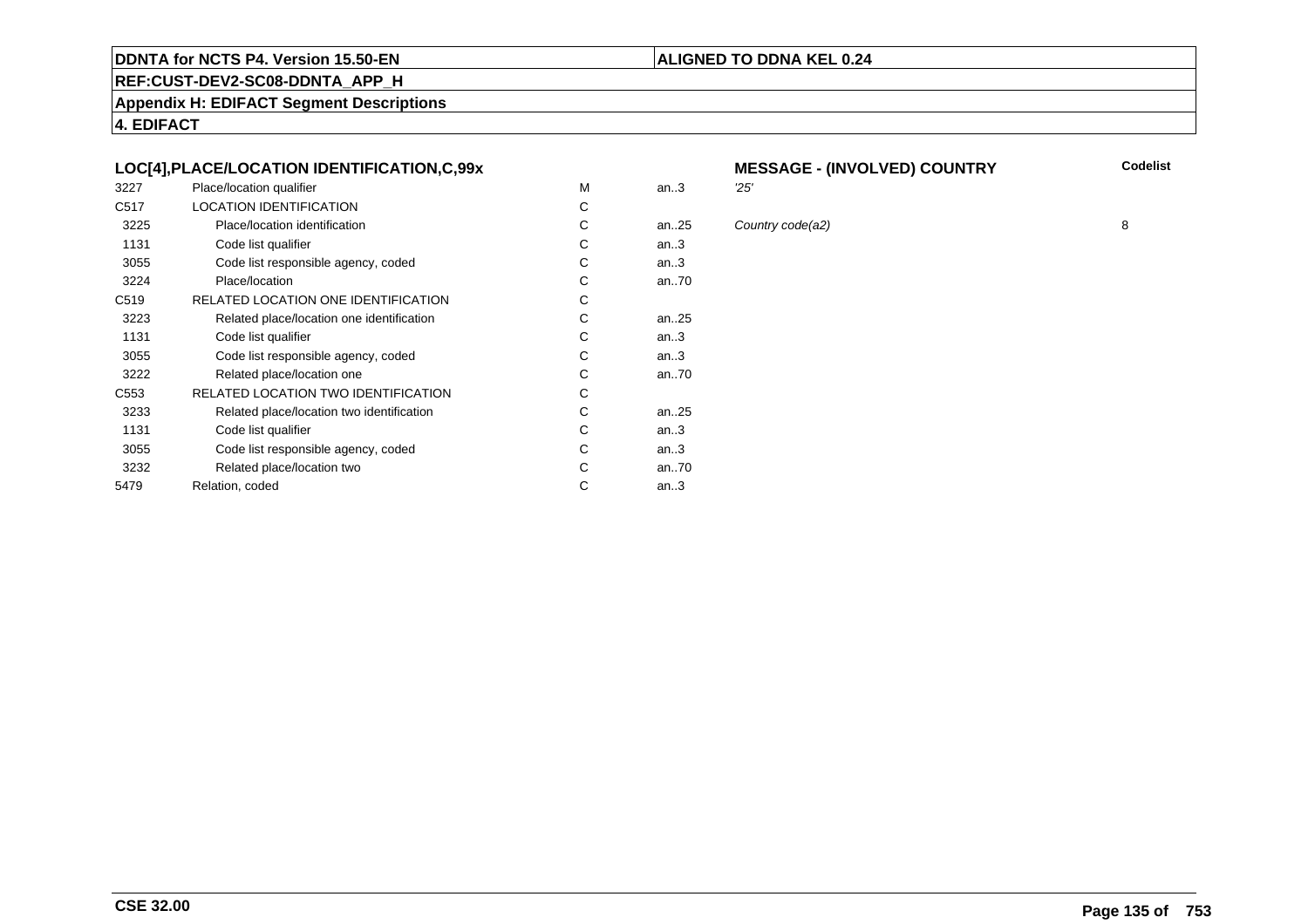#### **REF:CUST-DEV2-SC08-DDNTA\_APP\_H**

**Appendix H: EDIFACT Segment Descriptions**

**4. EDIFACT**

#### **LOC[4],PLACE/LOCATION IDENTIFICATION,C,99x**

| 3227             | Place/location qualifier                   | м | an.3      | 25' |
|------------------|--------------------------------------------|---|-----------|-----|
| C <sub>517</sub> | <b>LOCATION IDENTIFICATION</b>             | С |           |     |
| 3225             | Place/location identification              | С | an25      | Col |
| 1131             | Code list qualifier                        | С | an.3      |     |
| 3055             | Code list responsible agency, coded        | С | an.3      |     |
| 3224             | Place/location                             | С | an70      |     |
| C <sub>519</sub> | RELATED LOCATION ONE IDENTIFICATION        | С |           |     |
| 3223             | Related place/location one identification  | C | an. $.25$ |     |
| 1131             | Code list qualifier                        | С | an.3      |     |
| 3055             | Code list responsible agency, coded        | С | an.3      |     |
| 3222             | Related place/location one                 | С | an70      |     |
| C553             | <b>RELATED LOCATION TWO IDENTIFICATION</b> | С |           |     |
| 3233             | Related place/location two identification  | С | an. $.25$ |     |
| 1131             | Code list qualifier                        | C | an.3      |     |
| 3055             | Code list responsible agency, coded        | С | an.3      |     |
| 3232             | Related place/location two                 | С | an70      |     |
| 5479             | Relation, coded                            | С | an.3      |     |
|                  |                                            |   |           |     |

# **MESSAGE - (INVOLVED) COUNTRY**

**ALIGNED TO DDNA KEL 0.24**

 $25$  Country code(a2) 8

**Codelist**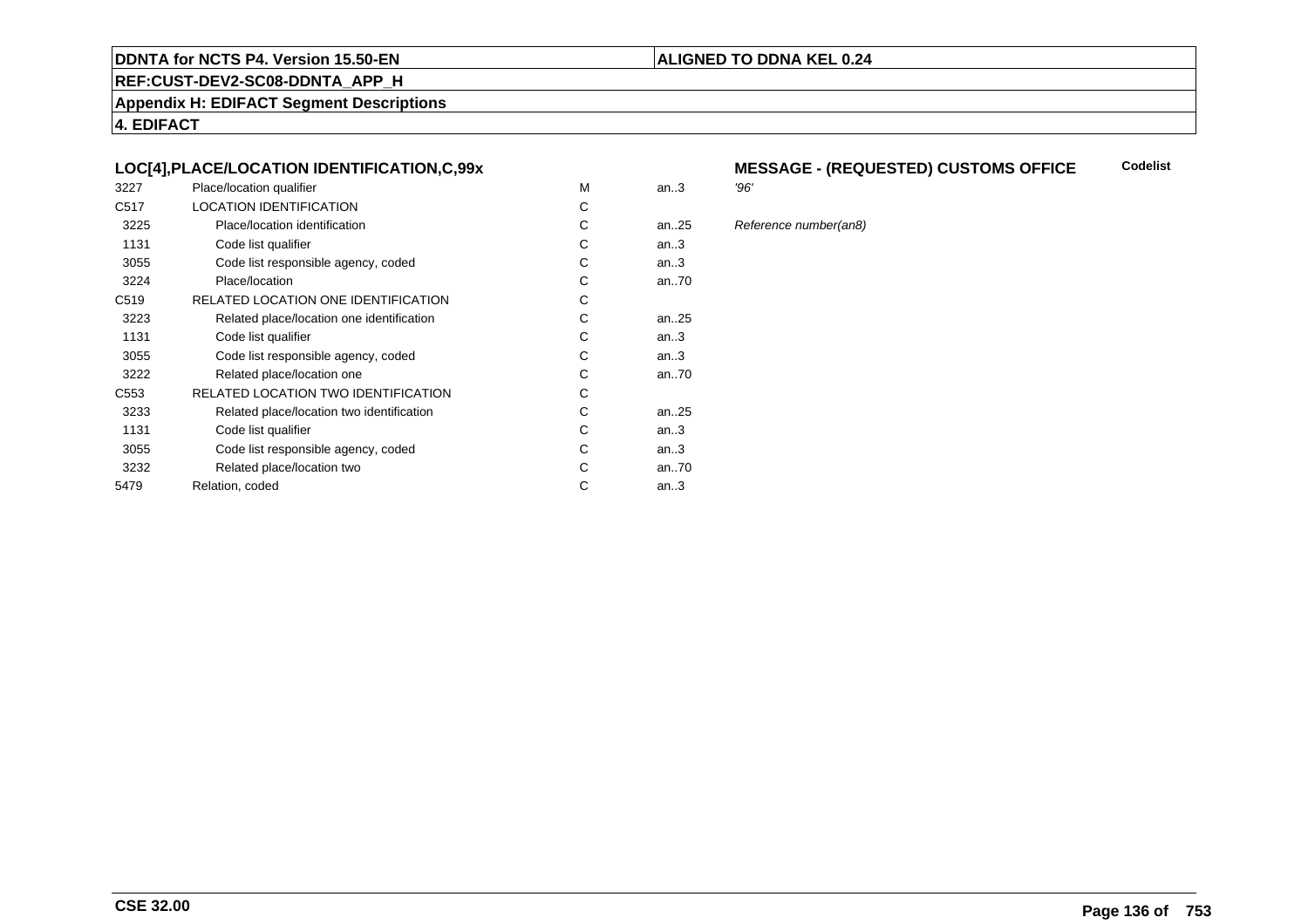#### **REF:CUST-DEV2-SC08-DDNTA\_APP\_H**

**Appendix H: EDIFACT Segment Descriptions**

**4. EDIFACT**

#### **LOC[4],PLACE/LOCATION IDENTIFICATION,C,99x**

| 3227             | Place/location qualifier                   | М | an.3      | '96' |
|------------------|--------------------------------------------|---|-----------|------|
| C <sub>517</sub> | <b>LOCATION IDENTIFICATION</b>             | С |           |      |
| 3225             | Place/location identification              | С | an25      | Ref  |
| 1131             | Code list qualifier                        | С | an.3      |      |
| 3055             | Code list responsible agency, coded        | С | an.3      |      |
| 3224             | Place/location                             | С | an70      |      |
| C <sub>519</sub> | RELATED LOCATION ONE IDENTIFICATION        | С |           |      |
| 3223             | Related place/location one identification  | С | an25      |      |
| 1131             | Code list qualifier                        | С | an.3      |      |
| 3055             | Code list responsible agency, coded        | С | an.3      |      |
| 3222             | Related place/location one                 | С | an70      |      |
| C <sub>553</sub> | <b>RELATED LOCATION TWO IDENTIFICATION</b> | С |           |      |
| 3233             | Related place/location two identification  | С | an. $.25$ |      |
| 1131             | Code list qualifier                        | C | an.3      |      |
| 3055             | Code list responsible agency, coded        | С | an.3      |      |
| 3232             | Related place/location two                 | С | an70      |      |
| 5479             | Relation, coded                            | С | an.3      |      |
|                  |                                            |   |           |      |

#### **MESSAGE - (REQUESTED) CUSTOMS OFFICE**<br>'96' **Codelist**

**ALIGNED TO DDNA KEL 0.24**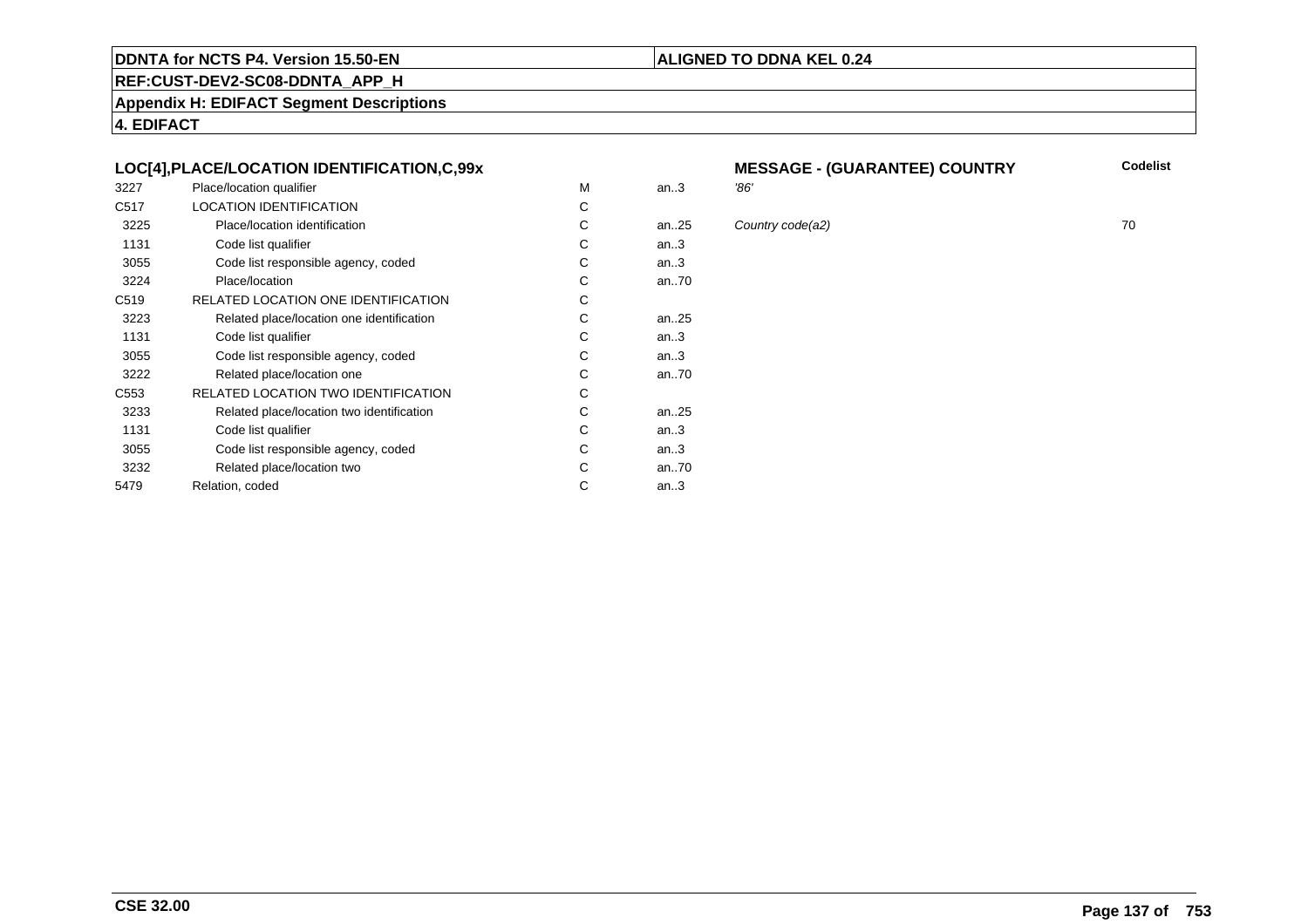#### **REF:CUST-DEV2-SC08-DDNTA\_APP\_H**

**Appendix H: EDIFACT Segment Descriptions**

**4. EDIFACT**

#### **LOC[4],PLACE/LOCATION IDENTIFICATION,C,99x**

| 3227             | Place/location qualifier                  | М | an.3      | '86' |
|------------------|-------------------------------------------|---|-----------|------|
| C <sub>517</sub> | <b>LOCATION IDENTIFICATION</b>            | С |           |      |
| 3225             | Place/location identification             | С | an25      | Col  |
| 1131             | Code list qualifier                       | С | an.3      |      |
| 3055             | Code list responsible agency, coded       | С | an.3      |      |
| 3224             | Place/location                            | С | an70      |      |
| C <sub>519</sub> | RELATED LOCATION ONE IDENTIFICATION       | С |           |      |
| 3223             | Related place/location one identification | С | an25      |      |
| 1131             | Code list qualifier                       | С | an.3      |      |
| 3055             | Code list responsible agency, coded       | С | an.3      |      |
| 3222             | Related place/location one                | С | an70      |      |
| C <sub>553</sub> | RELATED LOCATION TWO IDENTIFICATION       | С |           |      |
| 3233             | Related place/location two identification | С | an. $.25$ |      |
| 1131             | Code list qualifier                       | C | an.3      |      |
| 3055             | Code list responsible agency, coded       | С | an.3      |      |
| 3232             | Related place/location two                | С | an70      |      |
| 5479             | Relation, coded                           | С | an.3      |      |
|                  |                                           |   |           |      |

# **MESSAGE - (GUARANTEE) COUNTRY**

**ALIGNED TO DDNA KEL 0.24**

 $25$  Country code(a2)  $25$  70

**CSE 32.00**

**Codelist**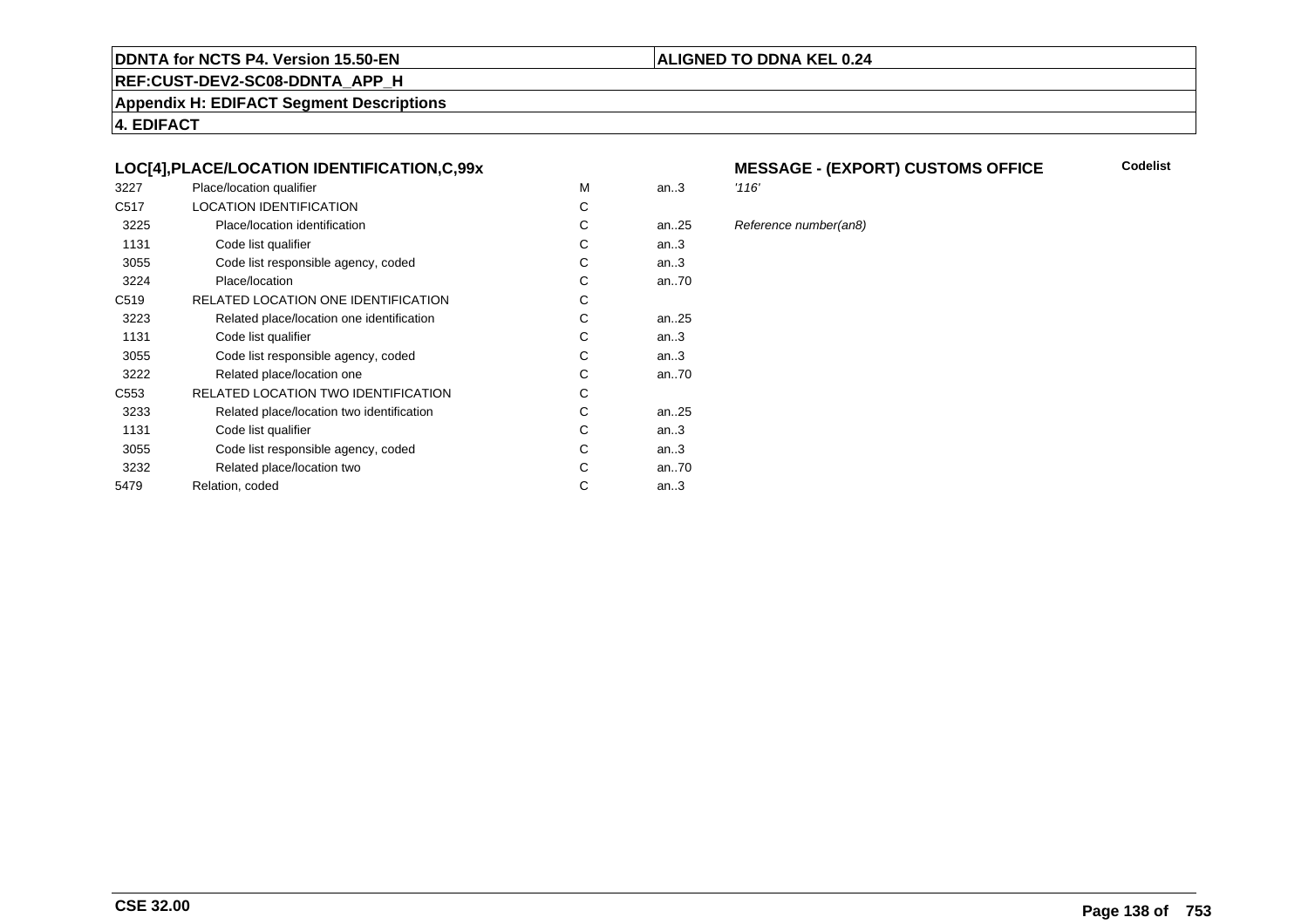#### **REF:CUST-DEV2-SC08-DDNTA\_APP\_H**

**Appendix H: EDIFACT Segment Descriptions**

**4. EDIFACT**

#### **LOC[4],PLACE/LOCATION IDENTIFICATION,C,99x**

| 3227             | Place/location qualifier                   | M | an.3 | '116' |
|------------------|--------------------------------------------|---|------|-------|
| C <sub>517</sub> | <b>LOCATION IDENTIFICATION</b>             | C |      |       |
| 3225             | Place/location identification              | C | an25 | Refe  |
| 1131             | Code list qualifier                        | С | an.3 |       |
| 3055             | Code list responsible agency, coded        | С | an.3 |       |
| 3224             | Place/location                             | C | an70 |       |
| C <sub>519</sub> | RELATED LOCATION ONE IDENTIFICATION        | С |      |       |
| 3223             | Related place/location one identification  | C | an25 |       |
| 1131             | Code list qualifier                        | C | an.3 |       |
| 3055             | Code list responsible agency, coded        | С | an.3 |       |
| 3222             | Related place/location one                 | C | an70 |       |
| C <sub>553</sub> | <b>RELATED LOCATION TWO IDENTIFICATION</b> | C |      |       |
| 3233             | Related place/location two identification  | С | an25 |       |
| 1131             | Code list qualifier                        | C | an.3 |       |
| 3055             | Code list responsible agency, coded        | C | an.3 |       |
| 3232             | Related place/location two                 | С | an70 |       |
| 5479             | Relation, coded                            | С | an.3 |       |
|                  |                                            |   |      |       |

# **MESSAGE - (EXPORT) CUSTOMS OFFICE**

#### 25 Reference number(an8)

**Codelist**

#### **ALIGNED TO DDNA KEL 0.24**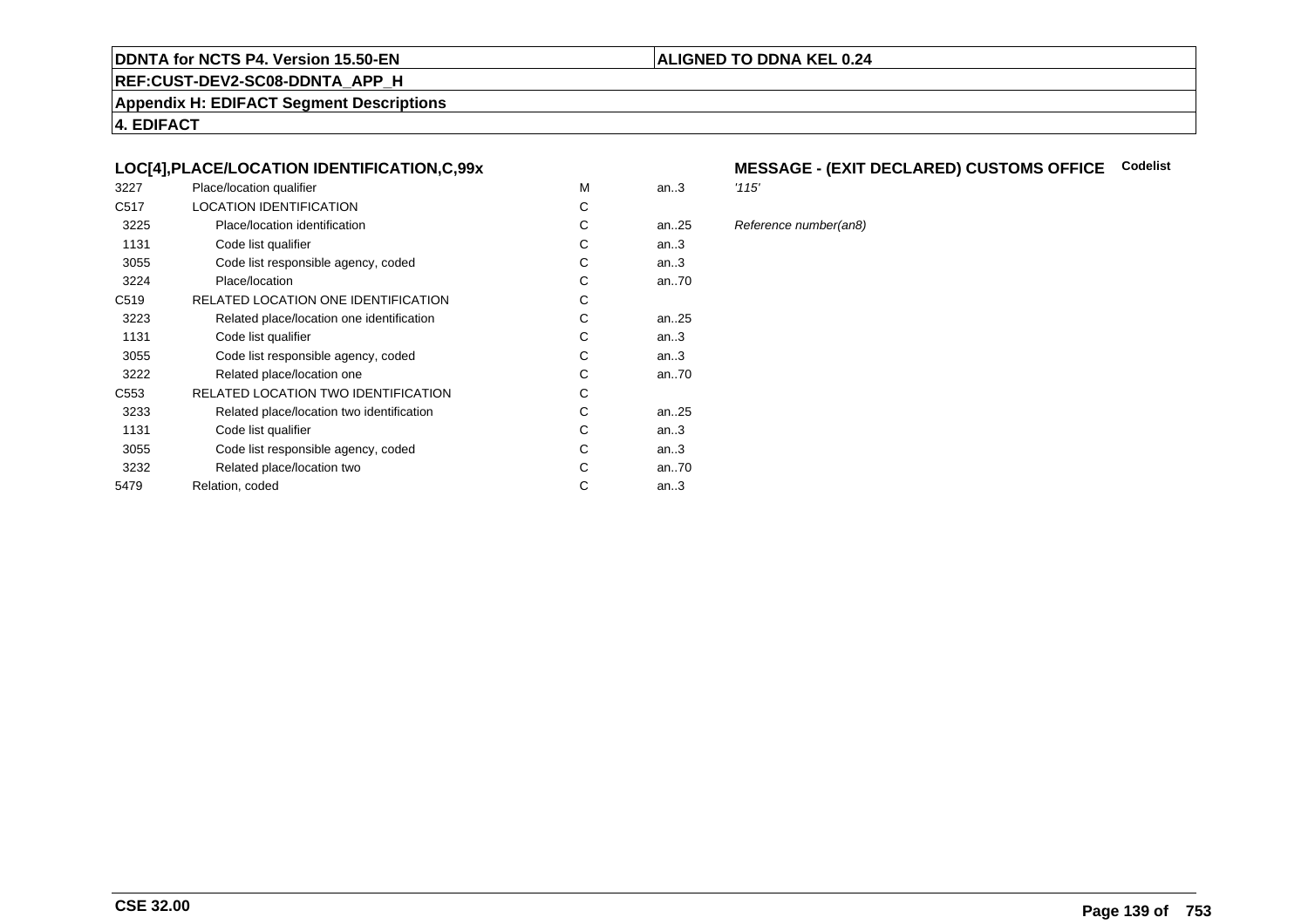### **REF:CUST-DEV2-SC08-DDNTA\_APP\_H**

**Appendix H: EDIFACT Segment Descriptions**

**4. EDIFACT**

#### **LOC[4],PLACE/LOCATION IDENTIFICATION,C,99x**

| 3227             | Place/location qualifier                   | M | an.3 | '115' |
|------------------|--------------------------------------------|---|------|-------|
| C <sub>517</sub> | <b>LOCATION IDENTIFICATION</b>             | C |      |       |
| 3225             | Place/location identification              | C | an25 | Refe  |
| 1131             | Code list qualifier                        | C | an.3 |       |
| 3055             | Code list responsible agency, coded        | С | an.3 |       |
| 3224             | Place/location                             | C | an70 |       |
| C <sub>519</sub> | RELATED LOCATION ONE IDENTIFICATION        | C |      |       |
| 3223             | Related place/location one identification  | C | an25 |       |
| 1131             | Code list qualifier                        | C | an.3 |       |
| 3055             | Code list responsible agency, coded        | С | an.3 |       |
| 3222             | Related place/location one                 | С | an70 |       |
| C <sub>553</sub> | <b>RELATED LOCATION TWO IDENTIFICATION</b> | C |      |       |
| 3233             | Related place/location two identification  | С | an25 |       |
| 1131             | Code list qualifier                        | C | an.3 |       |
| 3055             | Code list responsible agency, coded        | C | an.3 |       |
| 3232             | Related place/location two                 | С | an70 |       |
| 5479             | Relation, coded                            | С | an.3 |       |
|                  |                                            |   |      |       |

### **MESSAGE - (EXIT DECLARED) CUSTOMS OFFICE Codelist**

**ALIGNED TO DDNA KEL 0.24**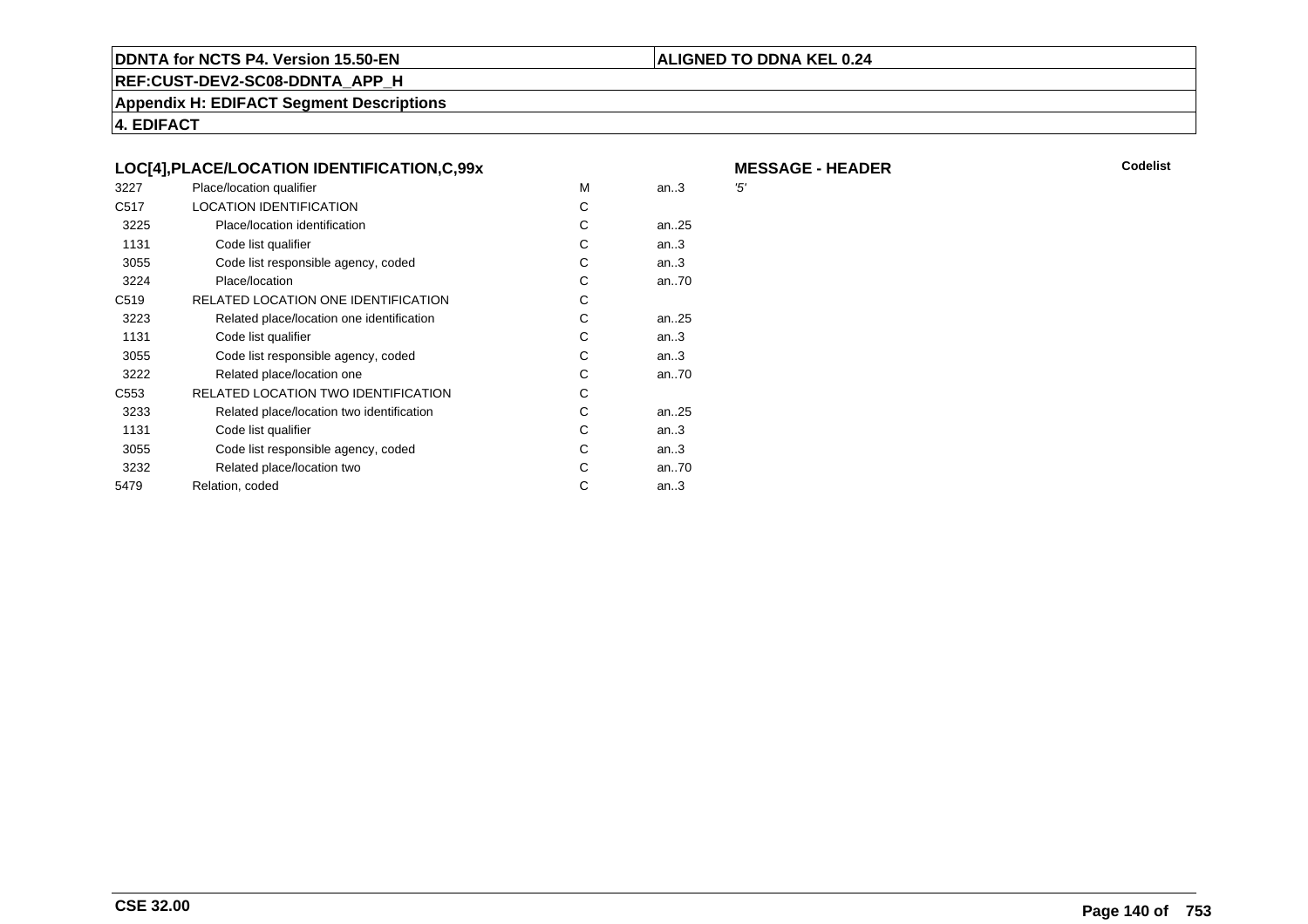#### **ALIGNED TO DDNA KEL 0.24**

**REF:CUST-DEV2-SC08-DDNTA\_APP\_H**

**Appendix H: EDIFACT Segment Descriptions**

**4. EDIFACT**

|                  | LOC[4], PLACE/LOCATION IDENTIFICATION, C, 99x |   |      | M   |
|------------------|-----------------------------------------------|---|------|-----|
| 3227             | Place/location qualifier                      | M | an.3 | '5' |
| C <sub>517</sub> | <b>LOCATION IDENTIFICATION</b>                | C |      |     |
| 3225             | Place/location identification                 | C | an25 |     |
| 1131             | Code list qualifier                           | С | an.3 |     |
| 3055             | Code list responsible agency, coded           | С | an.3 |     |
| 3224             | Place/location                                | C | an70 |     |
| C <sub>519</sub> | RELATED LOCATION ONE IDENTIFICATION           | C |      |     |
| 3223             | Related place/location one identification     | C | an25 |     |
| 1131             | Code list qualifier                           | C | an.3 |     |
| 3055             | Code list responsible agency, coded           | C | an.3 |     |
| 3222             | Related place/location one                    | С | an70 |     |
| C <sub>553</sub> | RELATED LOCATION TWO IDENTIFICATION           | С |      |     |
| 3233             | Related place/location two identification     | C | an25 |     |
| 1131             | Code list qualifier                           | C | an.3 |     |
| 3055             | Code list responsible agency, coded           | C | an.3 |     |
| 3232             | Related place/location two                    | С | an70 |     |
| 5479             | Relation, coded                               | C | an.3 |     |
|                  |                                               |   |      |     |

**R** Codelist

**MESSAGE - HEADER**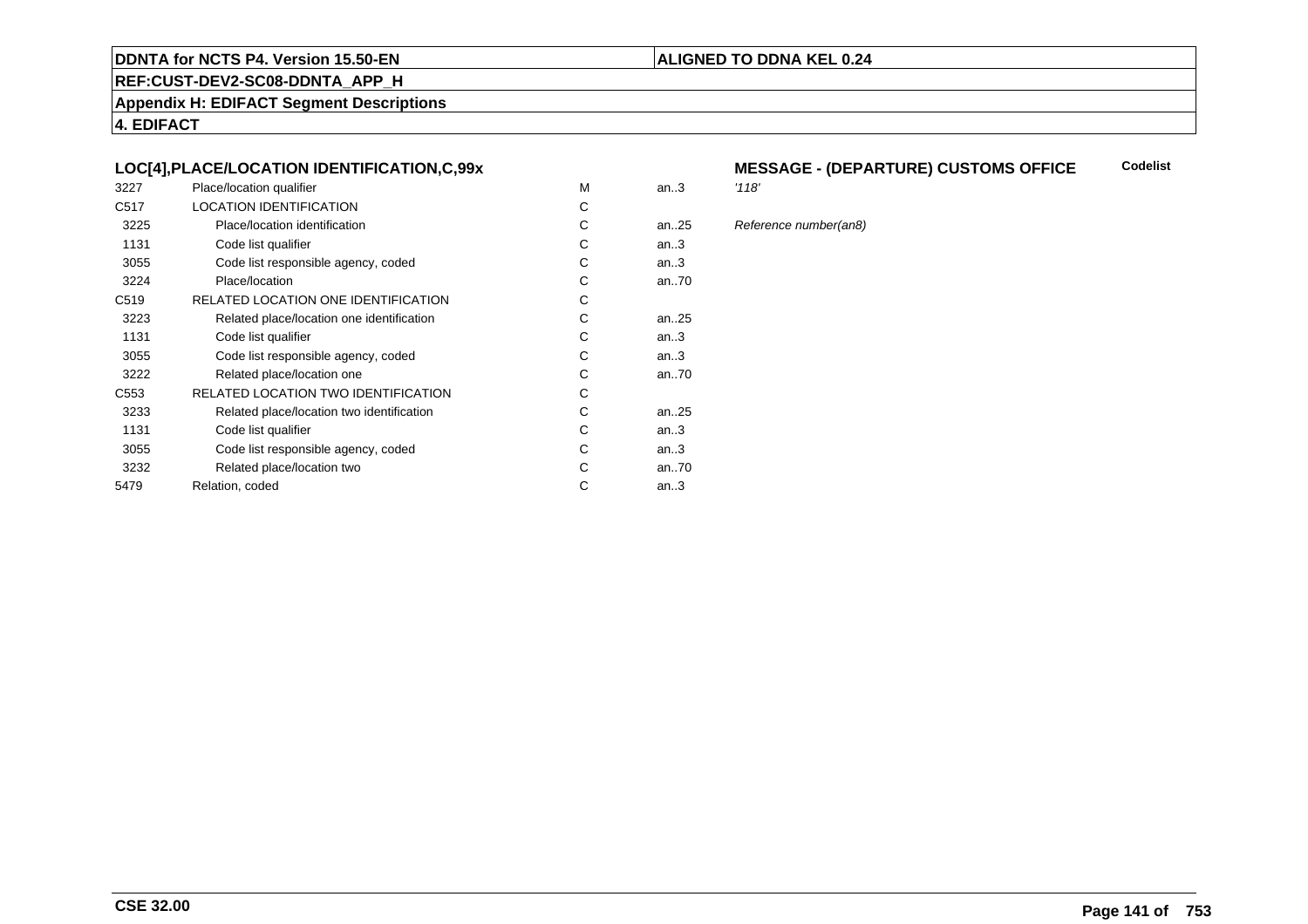#### **REF:CUST-DEV2-SC08-DDNTA\_APP\_H**

**Appendix H: EDIFACT Segment Descriptions**

**4. EDIFACT**

#### **LOC[4],PLACE/LOCATION IDENTIFICATION,C,99x**

| 3227             | Place/location qualifier                   | M | an.3 | '118' |
|------------------|--------------------------------------------|---|------|-------|
| C <sub>517</sub> | <b>LOCATION IDENTIFICATION</b>             | C |      |       |
| 3225             | Place/location identification              | C | an25 | Refe  |
| 1131             | Code list qualifier                        | С | an.3 |       |
| 3055             | Code list responsible agency, coded        | С | an.3 |       |
| 3224             | Place/location                             | C | an70 |       |
| C <sub>519</sub> | RELATED LOCATION ONE IDENTIFICATION        | С |      |       |
| 3223             | Related place/location one identification  | C | an25 |       |
| 1131             | Code list qualifier                        | C | an.3 |       |
| 3055             | Code list responsible agency, coded        | С | an.3 |       |
| 3222             | Related place/location one                 | C | an70 |       |
| C <sub>553</sub> | <b>RELATED LOCATION TWO IDENTIFICATION</b> | C |      |       |
| 3233             | Related place/location two identification  | С | an25 |       |
| 1131             | Code list qualifier                        | C | an.3 |       |
| 3055             | Code list responsible agency, coded        | C | an.3 |       |
| 3232             | Related place/location two                 | С | an70 |       |
| 5479             | Relation, coded                            | С | an.3 |       |
|                  |                                            |   |      |       |

#### **MESSAGE - (DEPARTURE) CUSTOMS OFFICECodelist**

**ALIGNED TO DDNA KEL 0.24**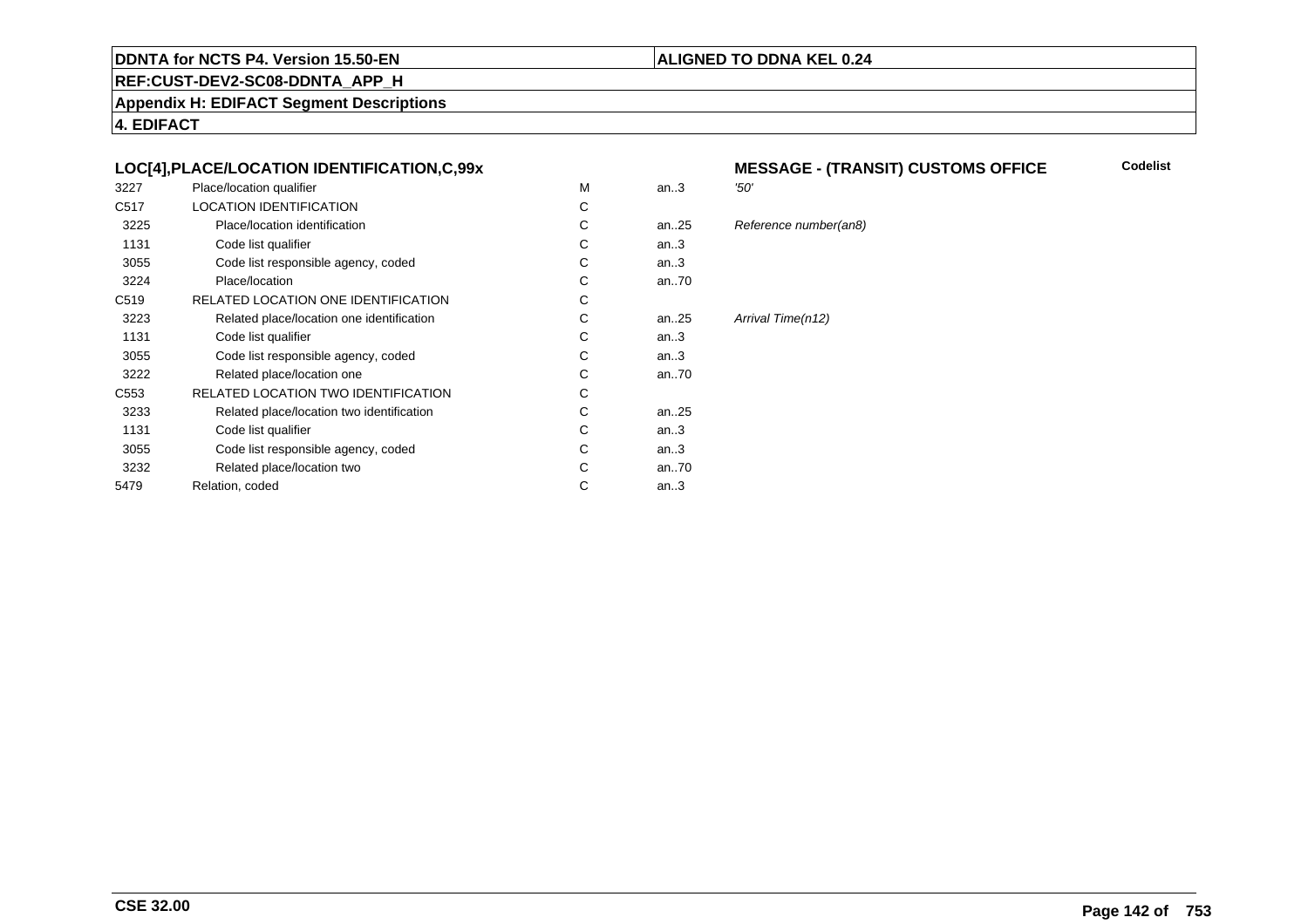### **ALIGNED TO DDNA KEL 0.24**

**REF:CUST-DEV2-SC08-DDNTA\_APP\_H**

**Appendix H: EDIFACT Segment Descriptions**

**4. EDIFACT**

#### **LOC[4],PLACE/LOCATION IDENTIFICATION,C,99x**

| 3227             | Place/location qualifier                  | M | an.3      | '50'              |
|------------------|-------------------------------------------|---|-----------|-------------------|
| C <sub>517</sub> | LOCATION IDENTIFICATION                   | C |           |                   |
| 3225             | Place/location identification             | C | an25      | Reference numbe   |
| 1131             | Code list qualifier                       | C | an.3      |                   |
| 3055             | Code list responsible agency, coded       | C | an.3      |                   |
| 3224             | Place/location                            | C | an.70     |                   |
| C <sub>519</sub> | RELATED LOCATION ONE IDENTIFICATION       | C |           |                   |
| 3223             | Related place/location one identification | C | an25      | Arrival Time(n12) |
| 1131             | Code list qualifier                       | C | an.3      |                   |
| 3055             | Code list responsible agency, coded       | C | an.3      |                   |
| 3222             | Related place/location one                | C | an $.70$  |                   |
| C553             | RELATED LOCATION TWO IDENTIFICATION       | C |           |                   |
| 3233             | Related place/location two identification | C | an. $.25$ |                   |
| 1131             | Code list qualifier                       | C | an.3      |                   |
| 3055             | Code list responsible agency, coded       | C | an.3      |                   |
| 3232             | Related place/location two                | C | an70      |                   |
| 5479             | Relation, coded                           | C | an $.3$   |                   |
|                  |                                           |   |           |                   |

#### **MESSAGE - (TRANSIT) CUSTOMS OFFICE Codelist**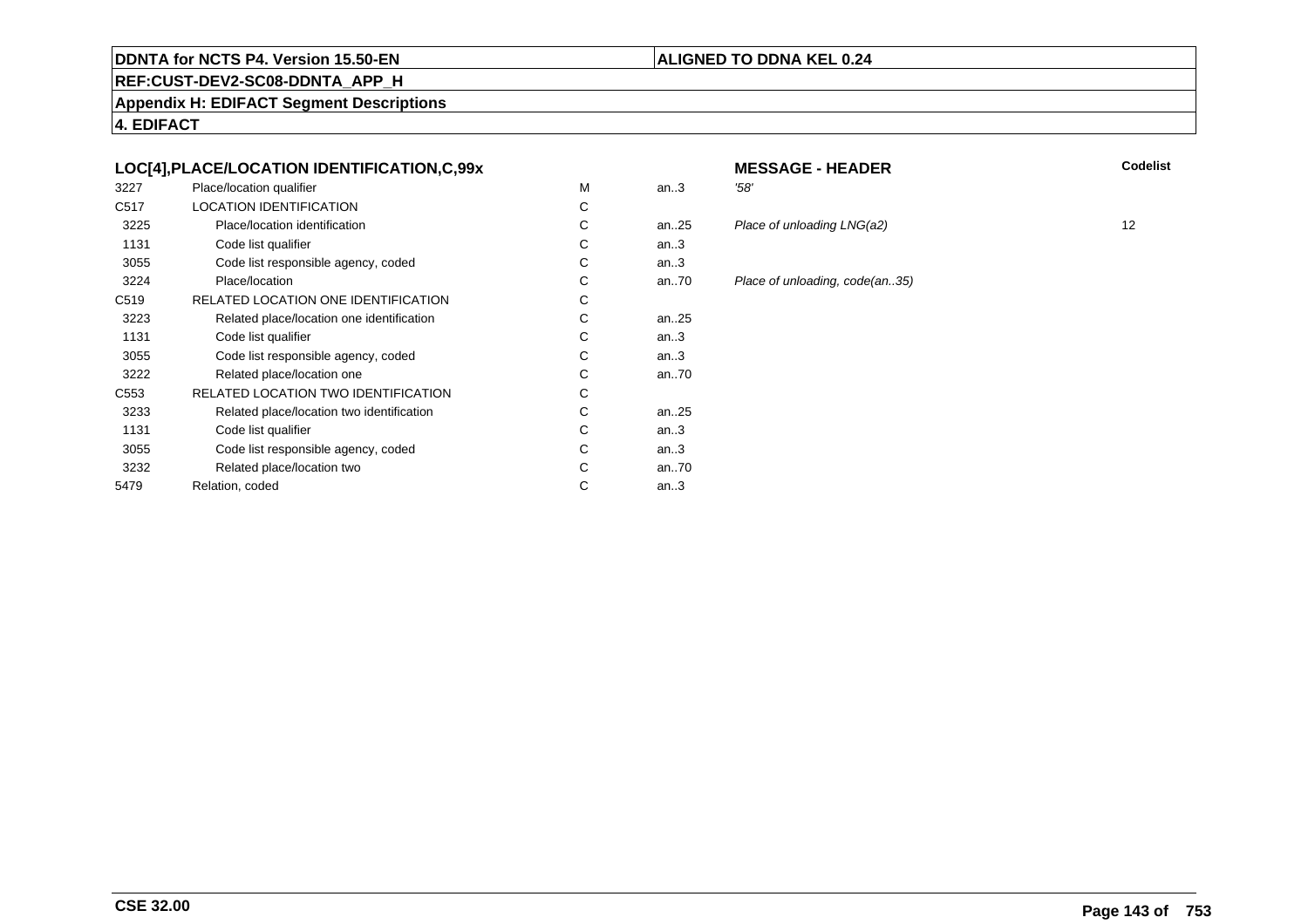#### **REF:CUST-DEV2-SC08-DDNTA\_APP\_H**

**Appendix H: EDIFACT Segment Descriptions**

**4. EDIFACT**

#### **LOC[4],PLACE/LOCATION IDENTIFICATION,C,99x**

| 3227             | Place/location qualifier                   | М | an.3 | '58' |
|------------------|--------------------------------------------|---|------|------|
| C <sub>517</sub> | <b>LOCATION IDENTIFICATION</b>             | С |      |      |
| 3225             | Place/location identification              | C | an25 | Pla  |
| 1131             | Code list qualifier                        | С | an.3 |      |
| 3055             | Code list responsible agency, coded        | С | an.3 |      |
| 3224             | Place/location                             | C | an70 | Pla  |
| C <sub>519</sub> | RELATED LOCATION ONE IDENTIFICATION        | С |      |      |
| 3223             | Related place/location one identification  | C | an25 |      |
| 1131             | Code list qualifier                        | С | an.3 |      |
| 3055             | Code list responsible agency, coded        | С | an.3 |      |
| 3222             | Related place/location one                 | C | an70 |      |
| C553             | <b>RELATED LOCATION TWO IDENTIFICATION</b> | С |      |      |
| 3233             | Related place/location two identification  | С | an25 |      |
| 1131             | Code list qualifier                        | C | an.3 |      |
| 3055             | Code list responsible agency, coded        | С | an.3 |      |
| 3232             | Related place/location two                 | С | an70 |      |
| 5479             | Relation, coded                            | С | an.3 |      |
|                  |                                            |   |      |      |

**ALIGNED TO DDNA KEL 0.24**

#### **MESSAGE - HEADER**<br>3 58' **R** Codelist

25 Place of unloading LNG(a2) 12<br>3

70 Place of unloading, code(an..35)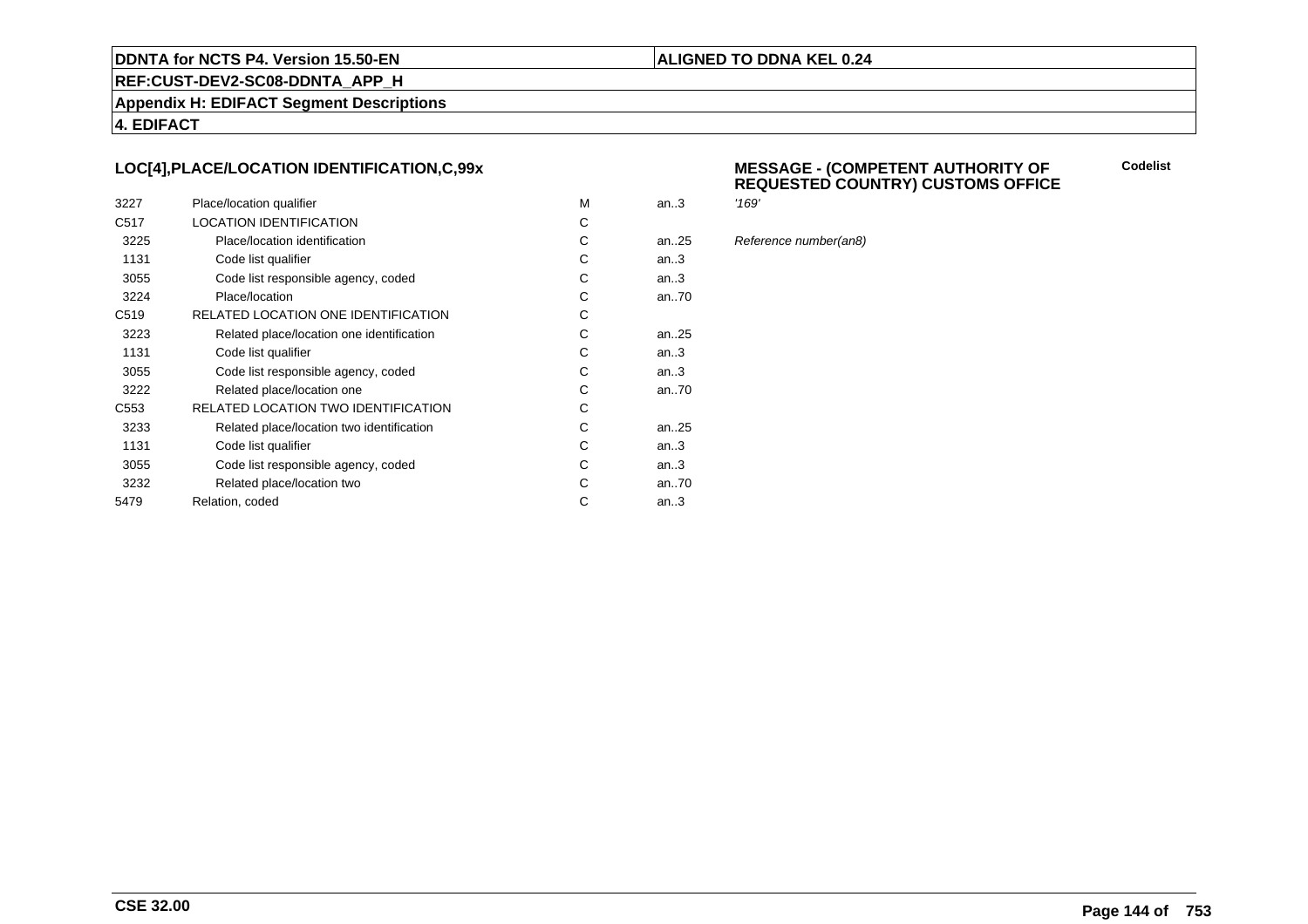#### **ALIGNED TO DDNA KEL 0.24**

**REF:CUST-DEV2-SC08-DDNTA\_APP\_H**

**Appendix H: EDIFACT Segment Descriptions**

**4. EDIFACT**

#### **LOC[4],PLACE/LOCATION IDENTIFICATION,C,99x**

| 3227             | Place/location qualifier                   | M | an.3 | '169' |
|------------------|--------------------------------------------|---|------|-------|
| C <sub>517</sub> | <b>LOCATION IDENTIFICATION</b>             | С |      |       |
| 3225             | Place/location identification              | C | an25 | Refe  |
| 1131             | Code list qualifier                        | C | an.3 |       |
| 3055             | Code list responsible agency, coded        | С | an.3 |       |
| 3224             | Place/location                             | С | an70 |       |
| C <sub>519</sub> | RELATED LOCATION ONE IDENTIFICATION        | С |      |       |
| 3223             | Related place/location one identification  | C | an25 |       |
| 1131             | Code list qualifier                        | C | an.3 |       |
| 3055             | Code list responsible agency, coded        | C | an.3 |       |
| 3222             | Related place/location one                 | C | an70 |       |
| C <sub>553</sub> | <b>RELATED LOCATION TWO IDENTIFICATION</b> | С |      |       |
| 3233             | Related place/location two identification  | C | an25 |       |
| 1131             | Code list qualifier                        | C | an.3 |       |
| 3055             | Code list responsible agency, coded        | C | an.3 |       |
| 3232             | Related place/location two                 | С | an70 |       |
| 5479             | Relation, coded                            | C | an.3 |       |
|                  |                                            |   |      |       |

#### **MESSAGE - (COMPETENT AUTHORITY OFREQUESTED COUNTRY) CUSTOMS OFFICE**

**Codelist**

Reference number(an8)

**CSE 32.00**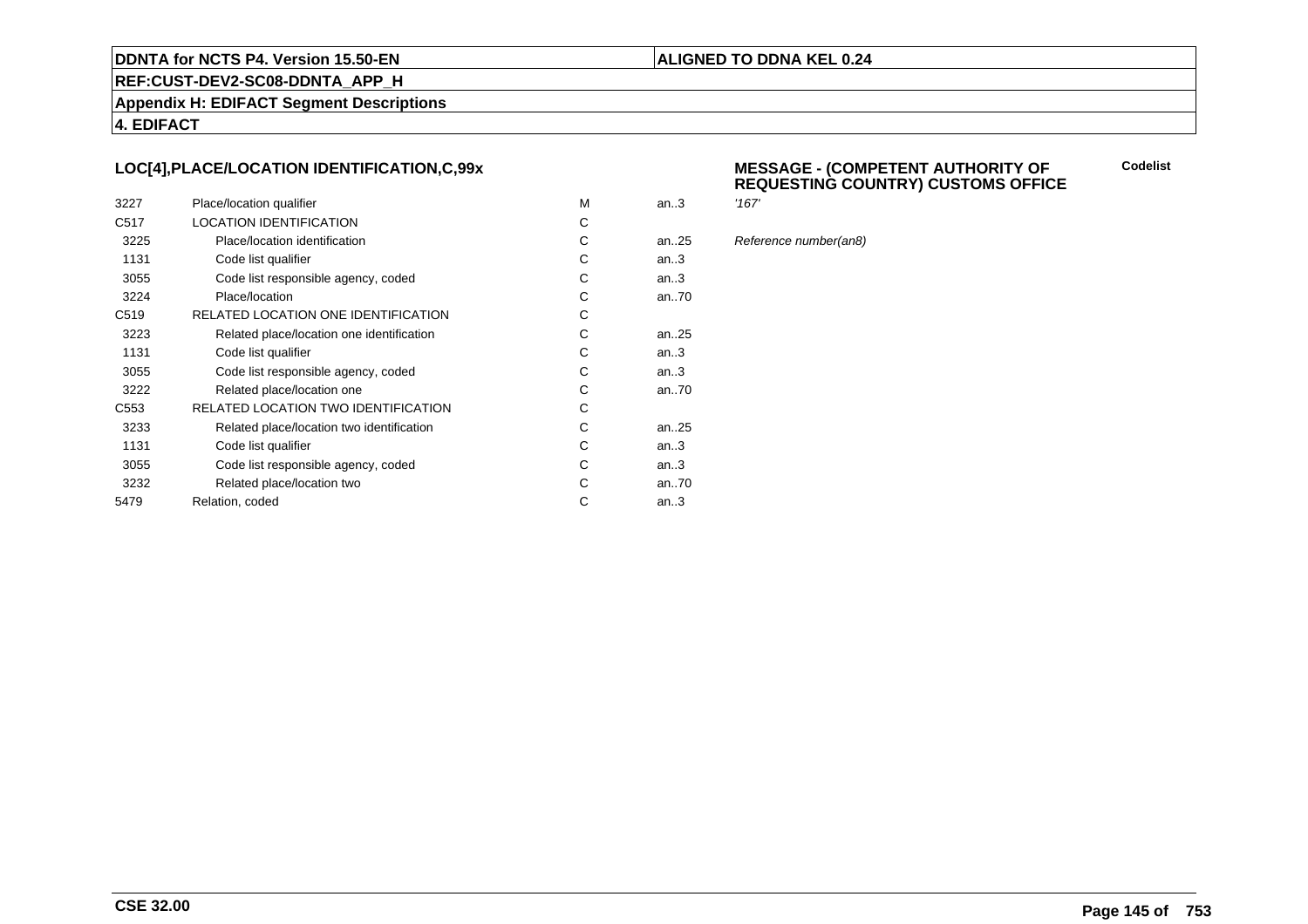#### **ALIGNED TO DDNA KEL 0.24**

**REF:CUST-DEV2-SC08-DDNTA\_APP\_H**

**Appendix H: EDIFACT Segment Descriptions**

**4. EDIFACT**

#### **LOC[4],PLACE/LOCATION IDENTIFICATION,C,99x**

| 3227             | Place/location qualifier                  | M | an.3      | '167' |
|------------------|-------------------------------------------|---|-----------|-------|
| C <sub>517</sub> | <b>LOCATION IDENTIFICATION</b>            | C |           |       |
| 3225             | Place/location identification             | C | an. $.25$ | Refe  |
| 1131             | Code list qualifier                       | C | an.3      |       |
| 3055             | Code list responsible agency, coded       | C | an3       |       |
| 3224             | Place/location                            | C | an70      |       |
| C <sub>519</sub> | RELATED LOCATION ONE IDENTIFICATION       | C |           |       |
| 3223             | Related place/location one identification | C | an25      |       |
| 1131             | Code list qualifier                       | C | an.3      |       |
| 3055             | Code list responsible agency, coded       | C | an.3      |       |
| 3222             | Related place/location one                | C | an70      |       |
| C <sub>553</sub> | RELATED LOCATION TWO IDENTIFICATION       | C |           |       |
| 3233             | Related place/location two identification | C | an25      |       |
| 1131             | Code list qualifier                       | C | an.3      |       |
| 3055             | Code list responsible agency, coded       | C | an.3      |       |
| 3232             | Related place/location two                | C | an70      |       |
| 5479             | Relation, coded                           | C | an.3      |       |
|                  |                                           |   |           |       |

#### **MESSAGE - (COMPETENT AUTHORITY OFREQUESTING COUNTRY) CUSTOMS OFFICE**

**Codelist**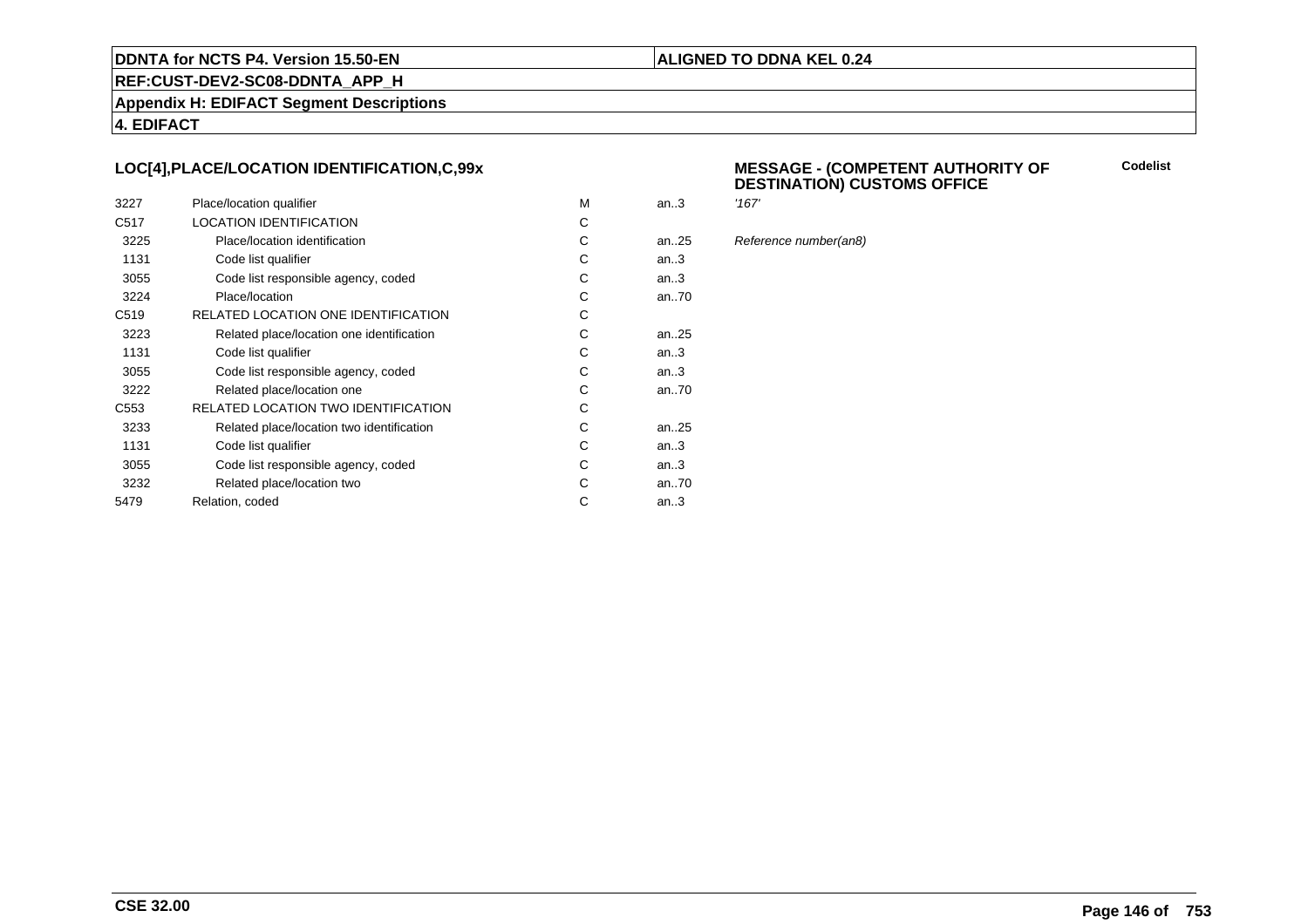#### **ALIGNED TO DDNA KEL 0.24**

**REF:CUST-DEV2-SC08-DDNTA\_APP\_H**

**Appendix H: EDIFACT Segment Descriptions**

**4. EDIFACT**

#### **LOC[4],PLACE/LOCATION IDENTIFICATION,C,99x**

| 3227             | Place/location qualifier                   | M | an.3      | '167' |
|------------------|--------------------------------------------|---|-----------|-------|
| C <sub>517</sub> | <b>LOCATION IDENTIFICATION</b>             | С |           |       |
| 3225             | Place/location identification              | C | an. $.25$ | Refe  |
| 1131             | Code list qualifier                        | C | an.3      |       |
| 3055             | Code list responsible agency, coded        | С | an.3      |       |
| 3224             | Place/location                             | С | an70      |       |
| C <sub>519</sub> | RELATED LOCATION ONE IDENTIFICATION        | С |           |       |
| 3223             | Related place/location one identification  | C | an25      |       |
| 1131             | Code list qualifier                        | C | an.3      |       |
| 3055             | Code list responsible agency, coded        | C | an.3      |       |
| 3222             | Related place/location one                 | C | an70      |       |
| C <sub>553</sub> | <b>RELATED LOCATION TWO IDENTIFICATION</b> | С |           |       |
| 3233             | Related place/location two identification  | C | an25      |       |
| 1131             | Code list qualifier                        | C | an.3      |       |
| 3055             | Code list responsible agency, coded        | C | an.3      |       |
| 3232             | Related place/location two                 | С | an70      |       |
| 5479             | Relation, coded                            | C | an.3      |       |
|                  |                                            |   |           |       |

#### **MESSAGE - (COMPETENT AUTHORITY OFDESTINATION) CUSTOMS OFFICE**

**Codelist**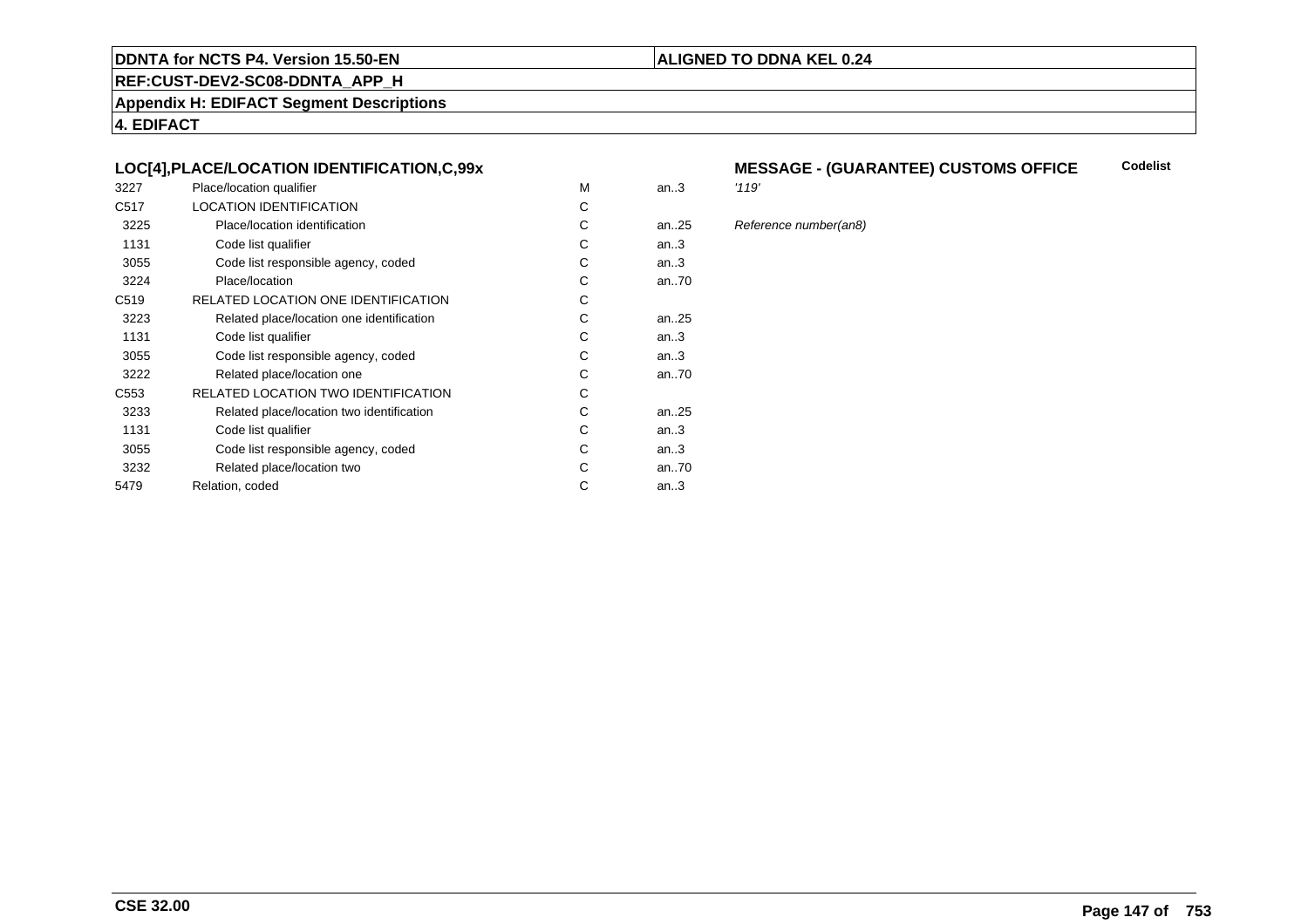#### **REF:CUST-DEV2-SC08-DDNTA\_APP\_H**

**Appendix H: EDIFACT Segment Descriptions**

**4. EDIFACT**

#### **LOC[4],PLACE/LOCATION IDENTIFICATION,C,99x**

| 3227             | Place/location qualifier                   | M | an.3      | '119' |
|------------------|--------------------------------------------|---|-----------|-------|
| C <sub>517</sub> | <b>LOCATION IDENTIFICATION</b>             | C |           |       |
| 3225             | Place/location identification              | C | an. $.25$ | Refe  |
| 1131             | Code list qualifier                        | С | an.3      |       |
| 3055             | Code list responsible agency, coded        | С | an.3      |       |
| 3224             | Place/location                             | C | an70      |       |
| C <sub>519</sub> | RELATED LOCATION ONE IDENTIFICATION        | С |           |       |
| 3223             | Related place/location one identification  | C | an25      |       |
| 1131             | Code list qualifier                        | C | an.3      |       |
| 3055             | Code list responsible agency, coded        | С | an.3      |       |
| 3222             | Related place/location one                 | C | an70      |       |
| C <sub>553</sub> | <b>RELATED LOCATION TWO IDENTIFICATION</b> | C |           |       |
| 3233             | Related place/location two identification  | С | an25      |       |
| 1131             | Code list qualifier                        | C | an.3      |       |
| 3055             | Code list responsible agency, coded        | C | an.3      |       |
| 3232             | Related place/location two                 | С | an70      |       |
| 5479             | Relation, coded                            | С | an.3      |       |
|                  |                                            |   |           |       |

#### **MESSAGE - (GUARANTEE) CUSTOMS OFFICE Codelist**

**ALIGNED TO DDNA KEL 0.24**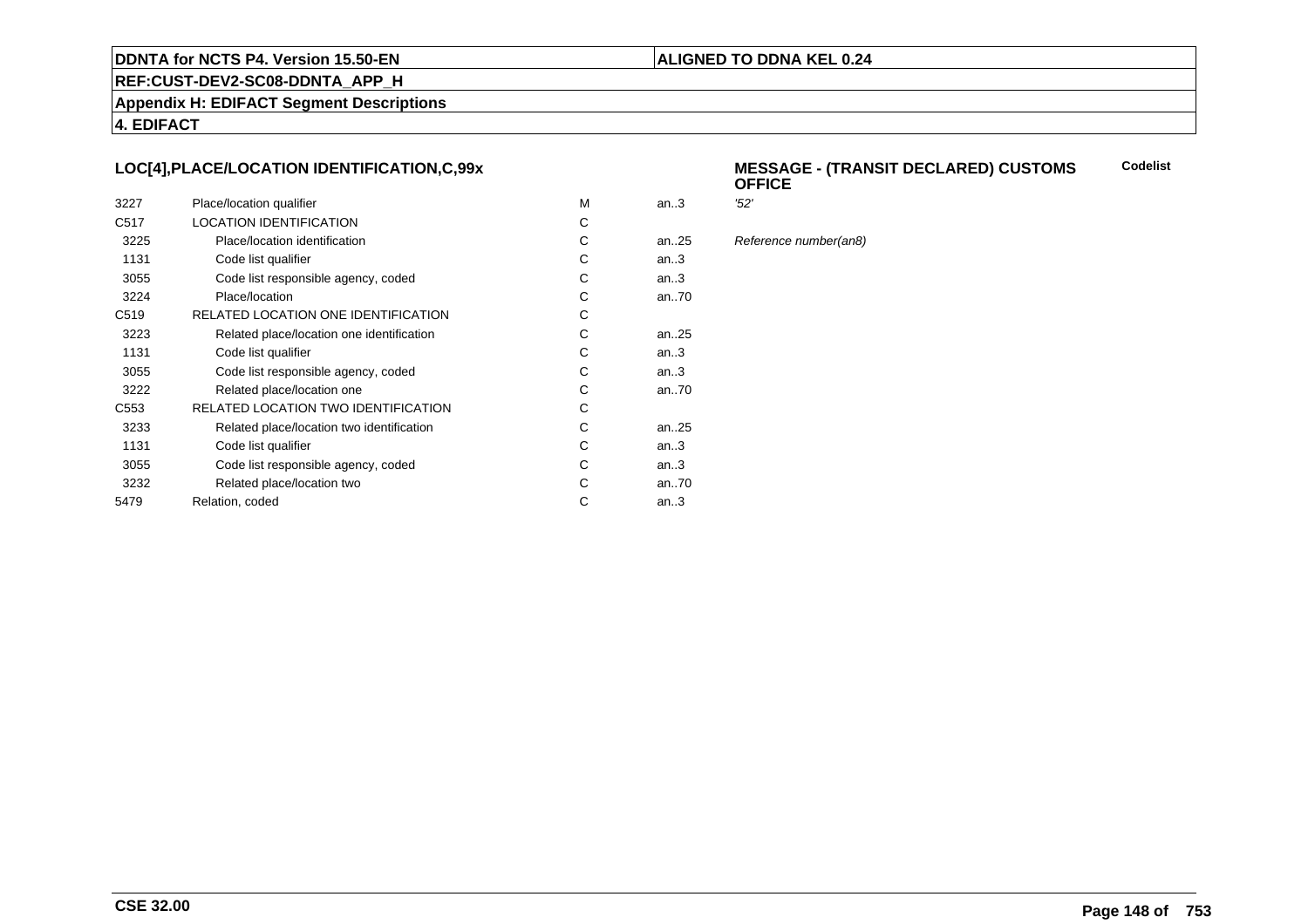#### **ALIGNED TO DDNA KEL 0.24**

**REF:CUST-DEV2-SC08-DDNTA\_APP\_H**

**Appendix H: EDIFACT Segment Descriptions**

**4. EDIFACT**

#### **LOC[4],PLACE/LOCATION IDENTIFICATION,C,99x**

| 3227             | Place/location qualifier                   | м | an.3      | '52' |
|------------------|--------------------------------------------|---|-----------|------|
| C <sub>517</sub> | <b>LOCATION IDENTIFICATION</b>             | С |           |      |
| 3225             | Place/location identification              | С | an. $.25$ | Ref  |
| 1131             | Code list qualifier                        | С | an.3      |      |
| 3055             | Code list responsible agency, coded        | С | an.3      |      |
| 3224             | Place/location                             | С | an70      |      |
| C <sub>519</sub> | RELATED LOCATION ONE IDENTIFICATION        | С |           |      |
| 3223             | Related place/location one identification  | С | an25      |      |
| 1131             | Code list qualifier                        | С | an.3      |      |
| 3055             | Code list responsible agency, coded        | С | an.3      |      |
| 3222             | Related place/location one                 | С | an70      |      |
| C <sub>553</sub> | <b>RELATED LOCATION TWO IDENTIFICATION</b> | С |           |      |
| 3233             | Related place/location two identification  | С | an. $.25$ |      |
| 1131             | Code list qualifier                        | C | an.3      |      |
| 3055             | Code list responsible agency, coded        | С | an.3      |      |
| 3232             | Related place/location two                 | С | an70      |      |
| 5479             | Relation, coded                            | С | an.3      |      |
|                  |                                            |   |           |      |

#### **MESSAGE - (TRANSIT DECLARED) CUSTOMSOFFICECodelist**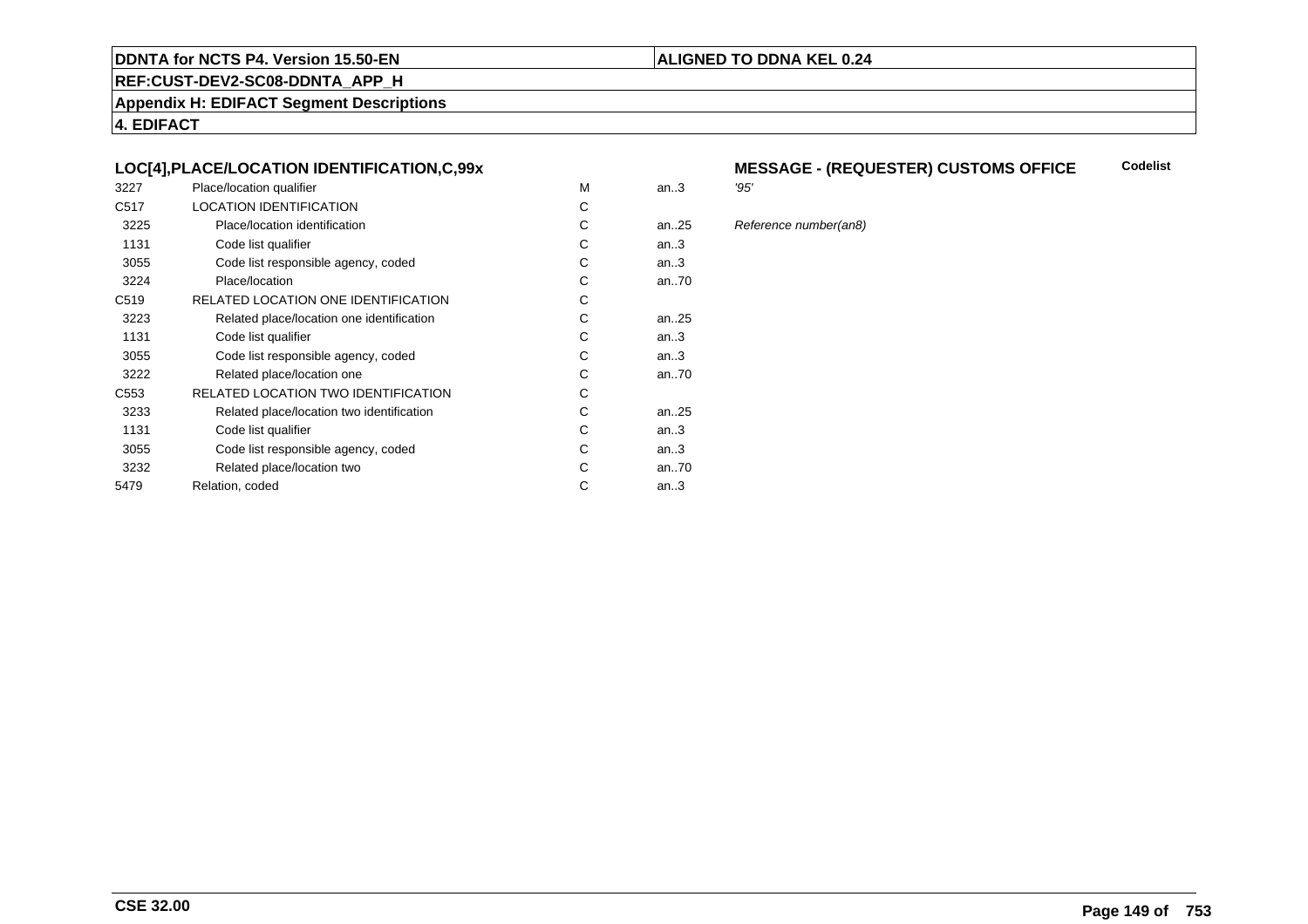## **REF:CUST-DEV2-SC08-DDNTA\_APP\_H**

**Appendix H: EDIFACT Segment Descriptions**

**4. EDIFACT**

#### **LOC[4],PLACE/LOCATION IDENTIFICATION,C,99x**

| 3227             | Place/location qualifier                   | м | an.3 | '95' |
|------------------|--------------------------------------------|---|------|------|
| C <sub>517</sub> | <b>LOCATION IDENTIFICATION</b>             | С |      |      |
| 3225             | Place/location identification              | С | an25 | Ref  |
| 1131             | Code list qualifier                        | С | an.3 |      |
| 3055             | Code list responsible agency, coded        | С | an.3 |      |
| 3224             | Place/location                             | С | an70 |      |
| C <sub>519</sub> | RELATED LOCATION ONE IDENTIFICATION        | С |      |      |
| 3223             | Related place/location one identification  | С | an25 |      |
| 1131             | Code list qualifier                        | С | an.3 |      |
| 3055             | Code list responsible agency, coded        | С | an.3 |      |
| 3222             | Related place/location one                 | С | an70 |      |
| C <sub>553</sub> | <b>RELATED LOCATION TWO IDENTIFICATION</b> | С |      |      |
| 3233             | Related place/location two identification  | С | an25 |      |
| 1131             | Code list qualifier                        | C | an.3 |      |
| 3055             | Code list responsible agency, coded        | С | an.3 |      |
| 3232             | Related place/location two                 | С | an70 |      |
| 5479             | Relation, coded                            | С | an.3 |      |
|                  |                                            |   |      |      |

#### **MESSAGE - (REQUESTER) CUSTOMS OFFICECodelist**

**ALIGNED TO DDNA KEL 0.24**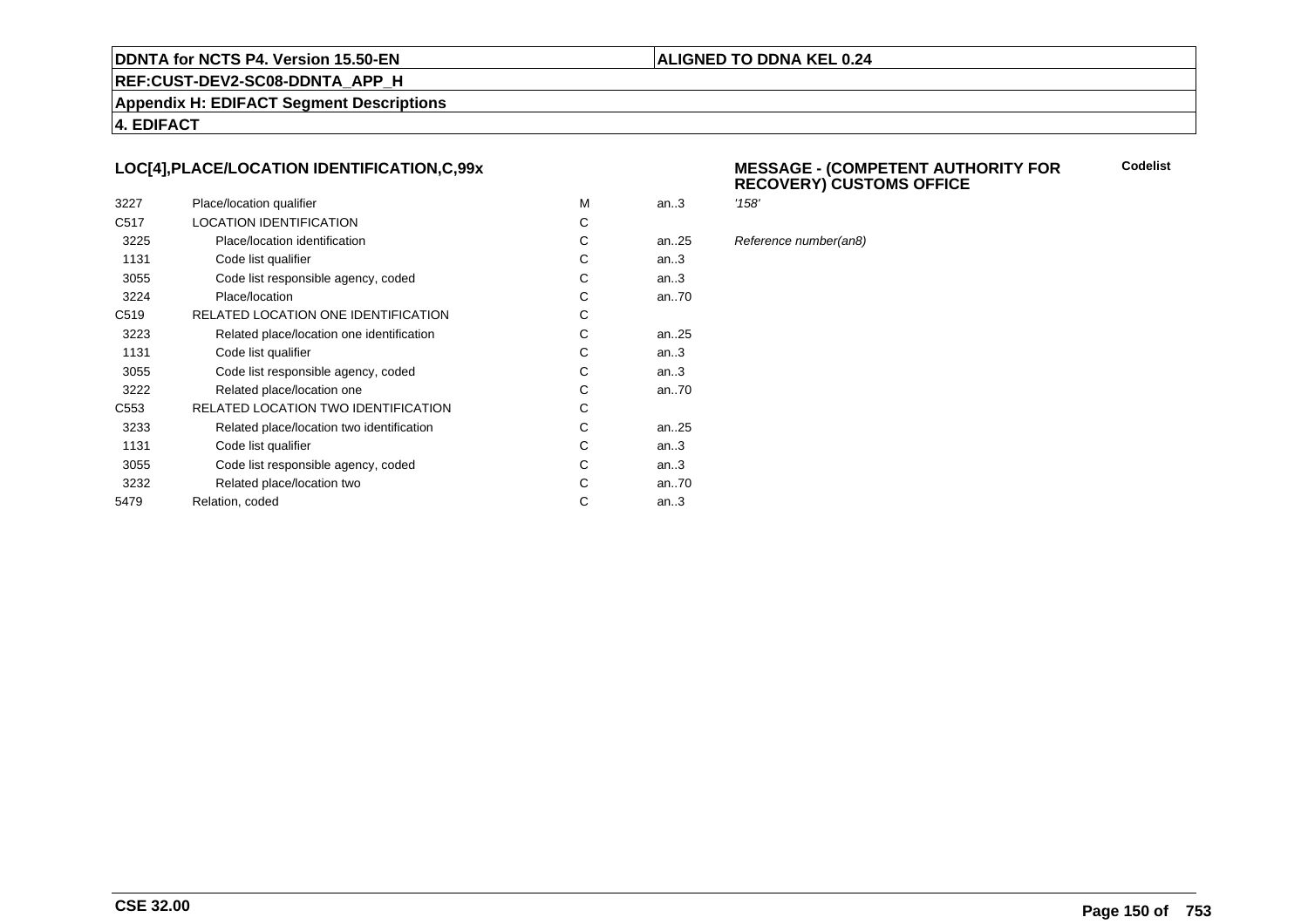#### **ALIGNED TO DDNA KEL 0.24**

**REF:CUST-DEV2-SC08-DDNTA\_APP\_H**

**Appendix H: EDIFACT Segment Descriptions**

**4. EDIFACT**

#### **LOC[4],PLACE/LOCATION IDENTIFICATION,C,99x**

| 3227             | Place/location qualifier                   | M | an.3      | '158' |
|------------------|--------------------------------------------|---|-----------|-------|
| C <sub>517</sub> | <b>LOCATION IDENTIFICATION</b>             | С |           |       |
| 3225             | Place/location identification              | C | an. $.25$ | Refe  |
| 1131             | Code list qualifier                        | C | an.3      |       |
| 3055             | Code list responsible agency, coded        | С | an.3      |       |
| 3224             | Place/location                             | С | an70      |       |
| C <sub>519</sub> | RELATED LOCATION ONE IDENTIFICATION        | С |           |       |
| 3223             | Related place/location one identification  | C | an25      |       |
| 1131             | Code list qualifier                        | C | an.3      |       |
| 3055             | Code list responsible agency, coded        | C | an.3      |       |
| 3222             | Related place/location one                 | C | an70      |       |
| C <sub>553</sub> | <b>RELATED LOCATION TWO IDENTIFICATION</b> | С |           |       |
| 3233             | Related place/location two identification  | C | an25      |       |
| 1131             | Code list qualifier                        | C | an.3      |       |
| 3055             | Code list responsible agency, coded        | C | an.3      |       |
| 3232             | Related place/location two                 | С | an70      |       |
| 5479             | Relation, coded                            | C | an.3      |       |
|                  |                                            |   |           |       |

#### **MESSAGE - (COMPETENT AUTHORITY FORRECOVERY) CUSTOMS OFFICE**

**Codelist**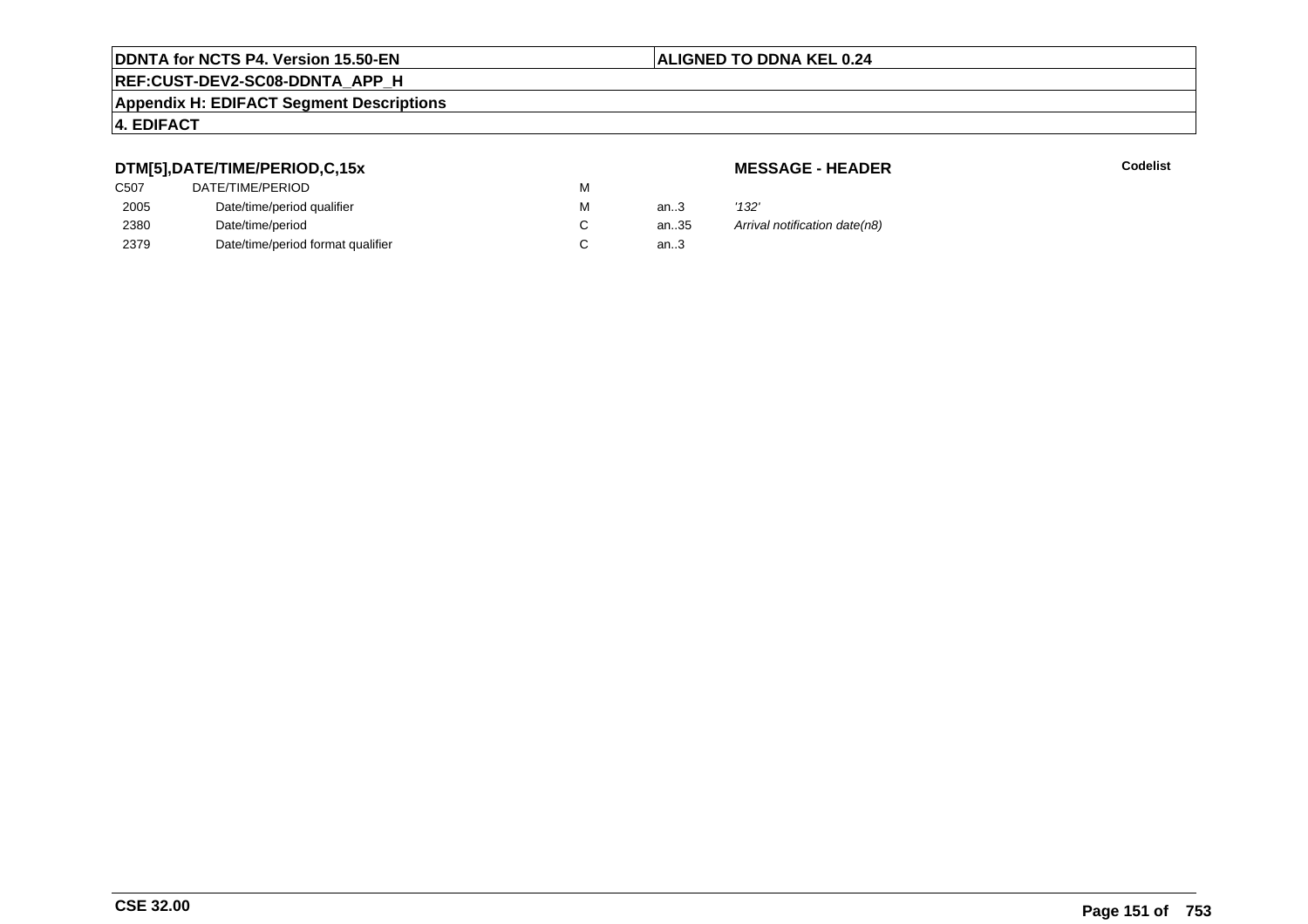# **REF:CUST-DEV2-SC08-DDNTA\_APP\_H**

#### **Appendix H: EDIFACT Segment Descriptions**

#### **4. EDIFACT**

## **DTM[5],DATE/TIME/PERIOD,C,15x**

| C <sub>50</sub> 7 | DATE/TIME/PERIOD                  | м |          |       |
|-------------------|-----------------------------------|---|----------|-------|
| 2005              | Date/time/period qualifier        | м | an $3$   | '132' |
| 2380              | Date/time/period                  |   | an $.35$ | Arriv |
| 2379              | Date/time/period format qualifier |   | an3      |       |
|                   |                                   |   |          |       |

#### **MESSAGE - HEADER**

**R** Codelist

an.35 Arrival notification date(n8)<br>.3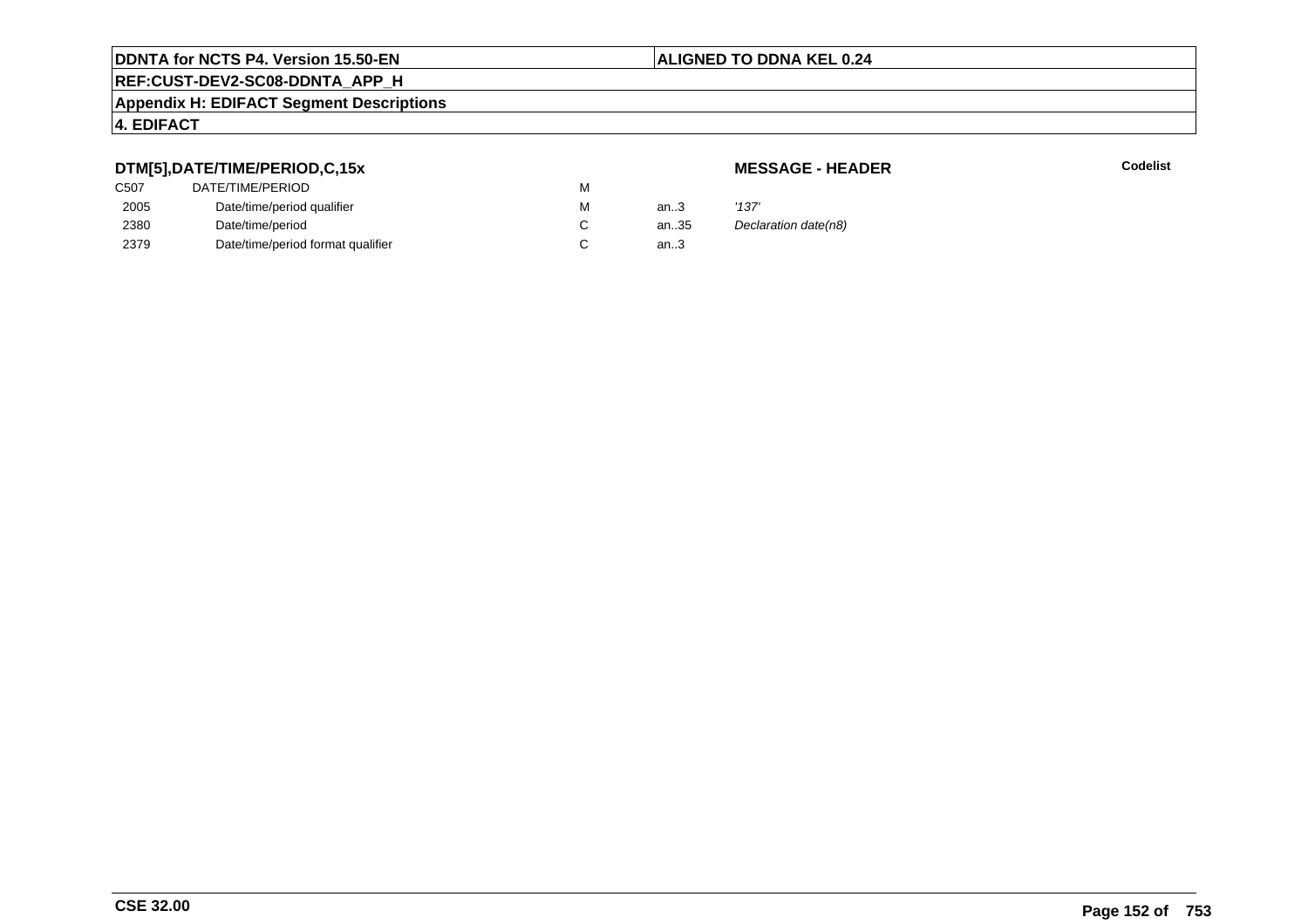# **REF:CUST-DEV2-SC08-DDNTA\_APP\_H**

#### **Appendix H: EDIFACT Segment Descriptions**

#### **4. EDIFACT**

## **DTM[5],DATE/TIME/PERIOD,C,15x**

## **MESSAGE - HEADER**

| C <sub>507</sub> | DATE/TIME/PERIOD                  | м |        |                      |
|------------------|-----------------------------------|---|--------|----------------------|
| 2005             | Date/time/period qualifier        | м | an $3$ | '137'                |
| 2380             | Date/time/period                  |   | an35   | Declaration date(n8) |
| 2379             | Date/time/period format qualifier |   | an.3   |                      |
|                  |                                   |   |        |                      |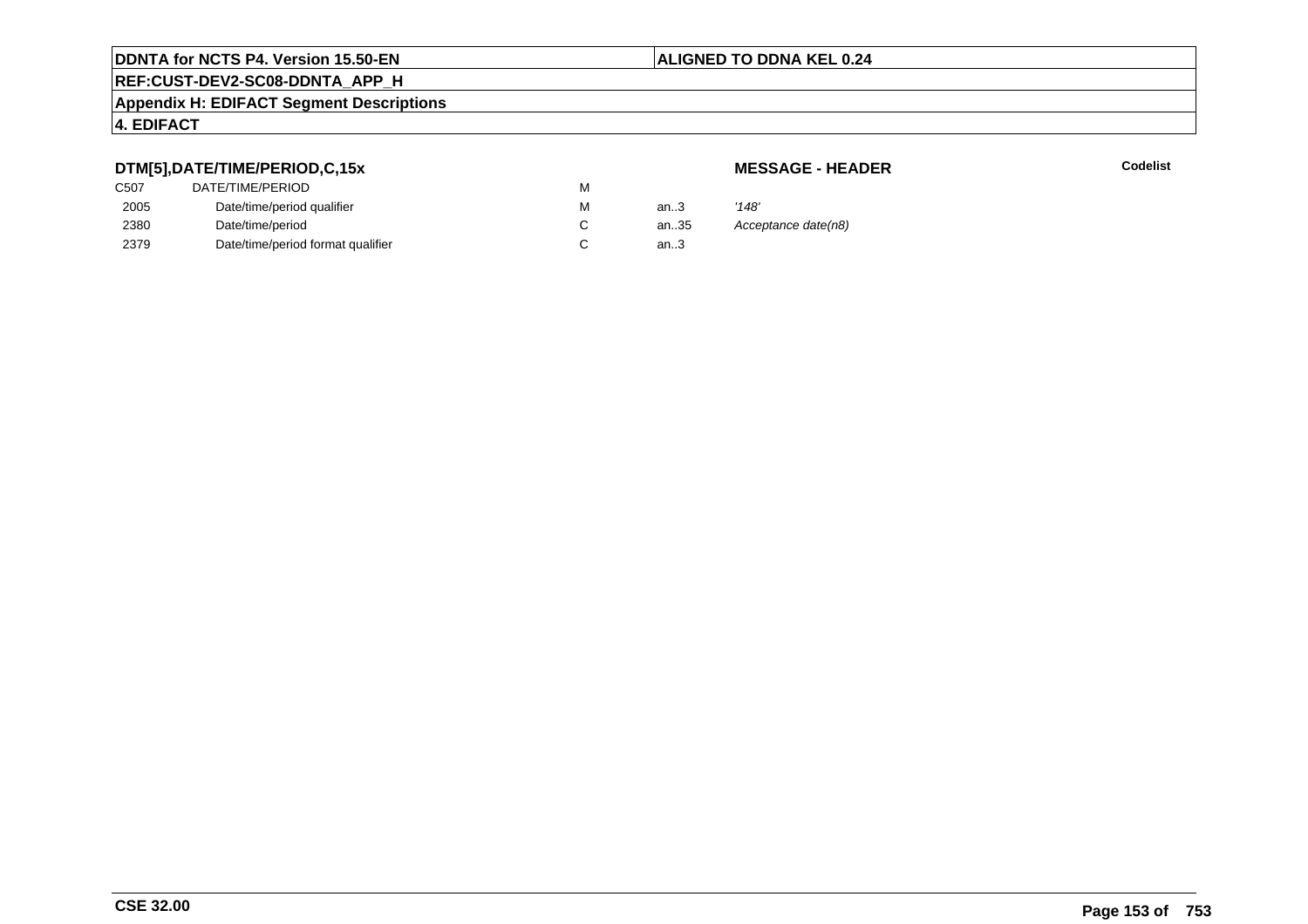# **REF:CUST-DEV2-SC08-DDNTA\_APP\_H**

#### **Appendix H: EDIFACT Segment Descriptions**

## **4. EDIFACT**

## **DTM[5],DATE/TIME/PERIOD,C,15x**

| <b>MESSAGE - HEADER</b> |  |
|-------------------------|--|
|-------------------------|--|

|      | DTM[5],DATE/TIME/PERIOD,C,15x     |    |      | <b>MESSAGE - HEADER</b> |
|------|-----------------------------------|----|------|-------------------------|
| C507 | DATE/TIME/PERIOD                  | м  |      |                         |
| 2005 | Date/time/period qualifier        | М  | an.3 | '148'                   |
| 2380 | Date/time/period                  | C. | an35 | Acceptance date(n8)     |
| 2379 | Date/time/period format qualifier |    | an.3 |                         |
|      |                                   |    |      |                         |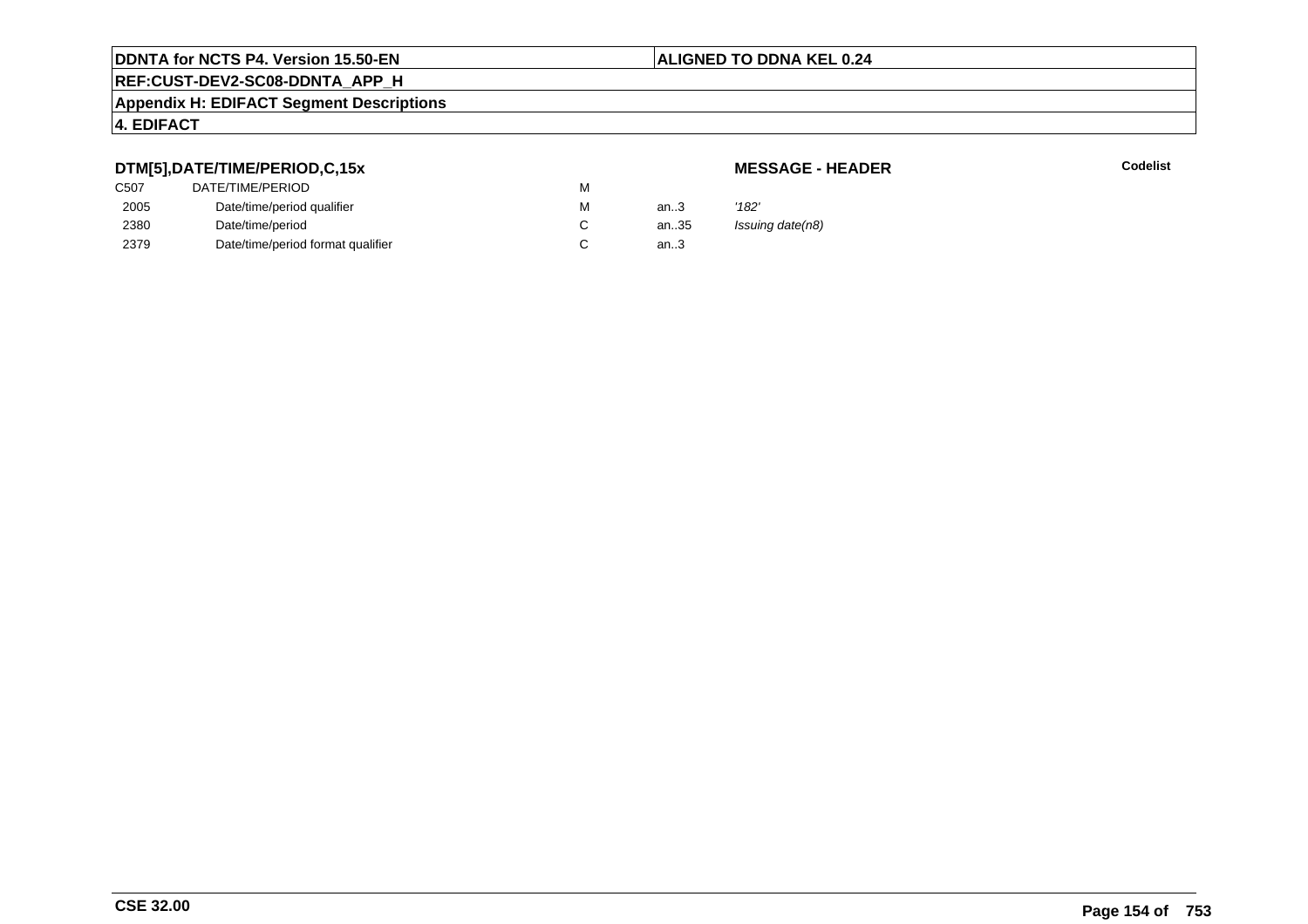# **REF:CUST-DEV2-SC08-DDNTA\_APP\_H**

#### **Appendix H: EDIFACT Segment Descriptions**

## **4. EDIFACT**

## **DTM[5],DATE/TIME/PERIOD,C,15x**

## **MESSAGE - HEADER**

| C507 | DATE/TIME/PERIOD                  | М |        |                  |
|------|-----------------------------------|---|--------|------------------|
| 2005 | Date/time/period qualifier        | М | an $3$ | '182'            |
| 2380 | Date/time/period                  |   | an35   | Issuing date(n8) |
| 2379 | Date/time/period format qualifier |   | an3    |                  |
|      |                                   |   |        |                  |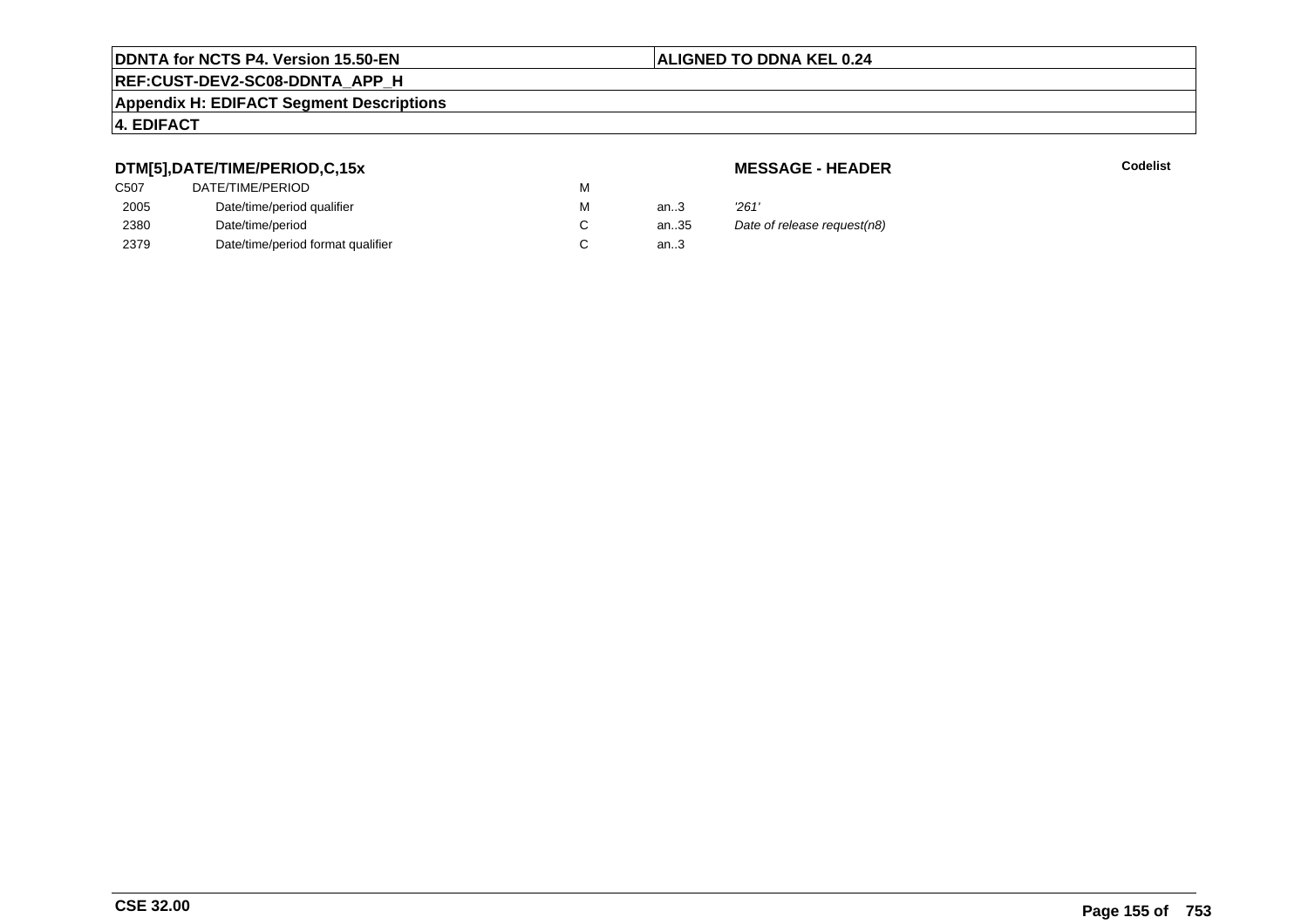## **REF:CUST-DEV2-SC08-DDNTA\_APP\_H**

#### **Appendix H: EDIFACT Segment Descriptions**

#### **4. EDIFACT**

C507

2005

2380

2379

### **DTM[5],DATE/TIME/PERIOD,C,15x**

|    | DATE/TIME/PERIOD                  | M |      |       |
|----|-----------------------------------|---|------|-------|
| 05 | Date/time/period qualifier        | м | an3  | '261' |
| 80 | Date/time/period                  |   | an35 | Date  |
| 79 | Date/time/period format qualifier |   | an3  |       |

#### **MESSAGE - HEADER**

**R** Codelist

C an..35 Date of release request(n8)<br>C an..3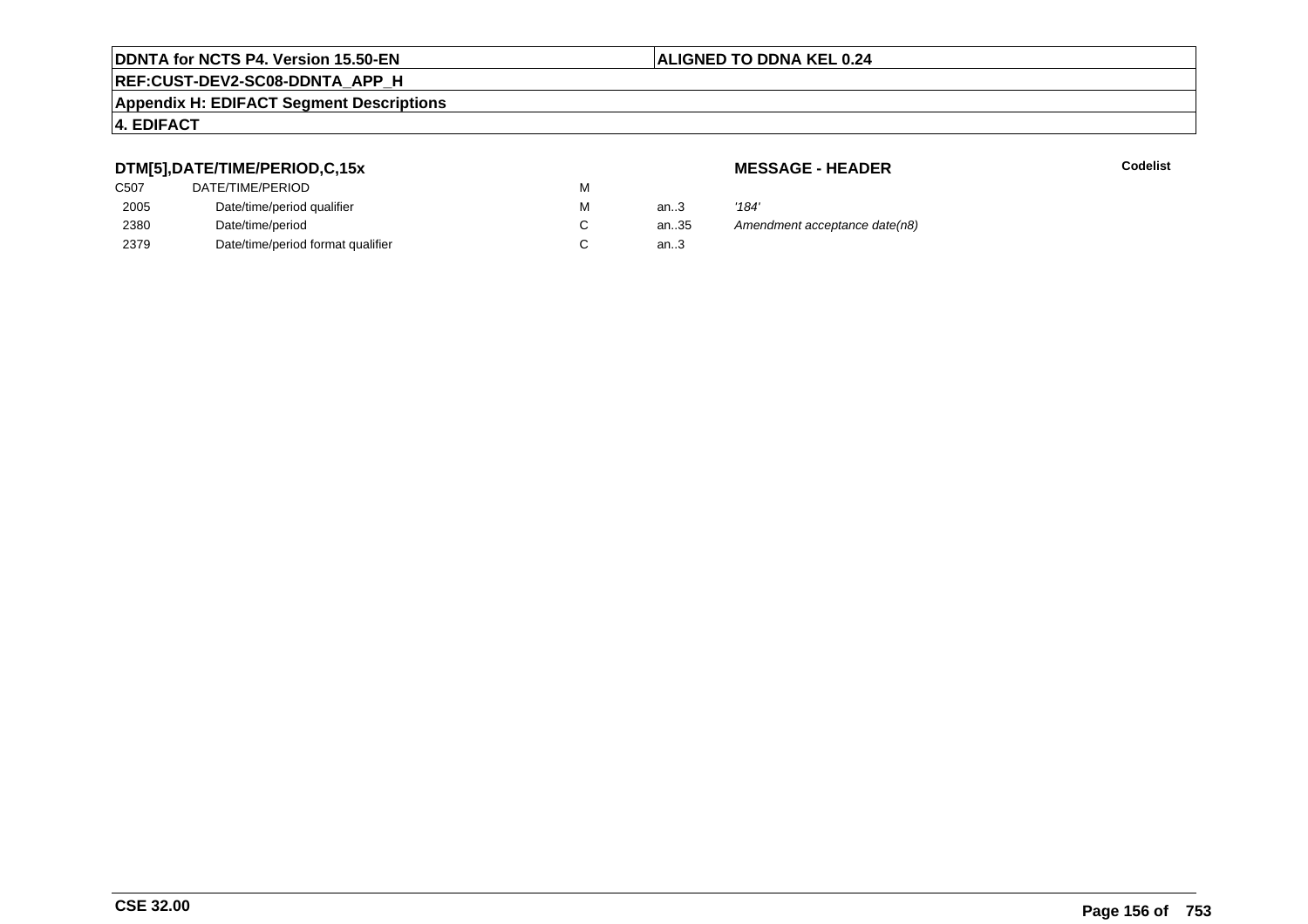## **REF:CUST-DEV2-SC08-DDNTA\_APP\_H**

#### **Appendix H: EDIFACT Segment Descriptions**

#### **4. EDIFACT**

## **DTM[5],DATE/TIME/PERIOD,C,15x**

| C <sub>50</sub> 7 | DATE/TIME/PERIOD                  | м |        |       |
|-------------------|-----------------------------------|---|--------|-------|
| 2005              | Date/time/period qualifier        | м | an.3   | '184' |
| 2380              | Date/time/period                  |   | an35   | Ame   |
| 2379              | Date/time/period format qualifier |   | an $3$ |       |

**MESSAGE - HEADER**

**R** Codelist

andment acceptance date(n8)<br>..3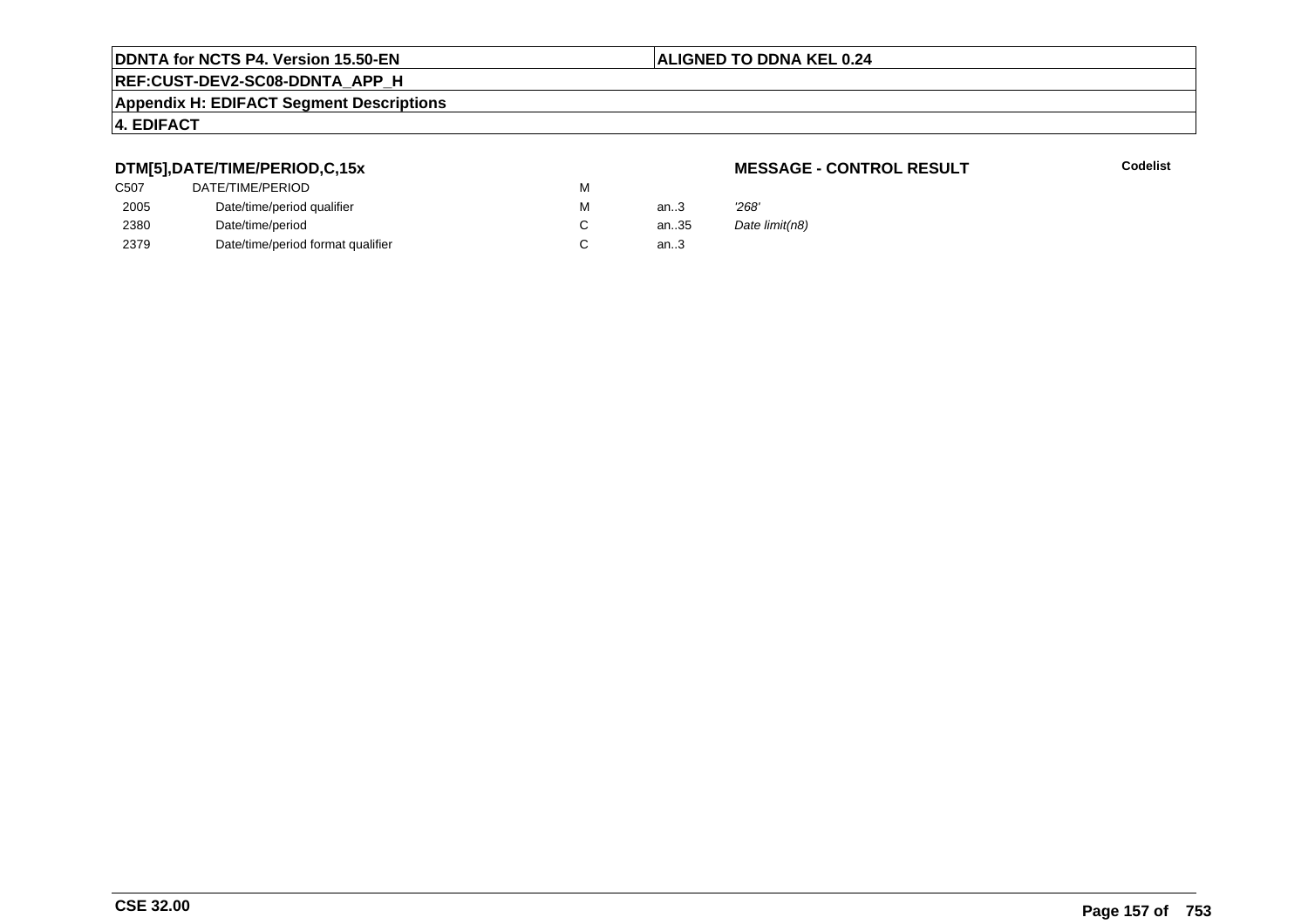#### **ALIGNED TO DDNA KEL 0.24**

**REF:CUST-DEV2-SC08-DDNTA\_APP\_H**

#### **Appendix H: EDIFACT Segment Descriptions**

#### **4. EDIFACT**

## **DTM[5],DATE/TIME/PERIOD,C,15x**

| C <sub>50</sub> 7 | DATE/TIME/PERIOD                  | м |        |       |
|-------------------|-----------------------------------|---|--------|-------|
| 2005              | Date/time/period qualifier        | м | an.3   | '268' |
| 2380              | Date/time/period                  |   | an.35  | Date  |
| 2379              | Date/time/period format qualifier |   | an $3$ |       |

#### **MESSAGE - CONTROL RESULT**

**Codelist**

Date limit(n8)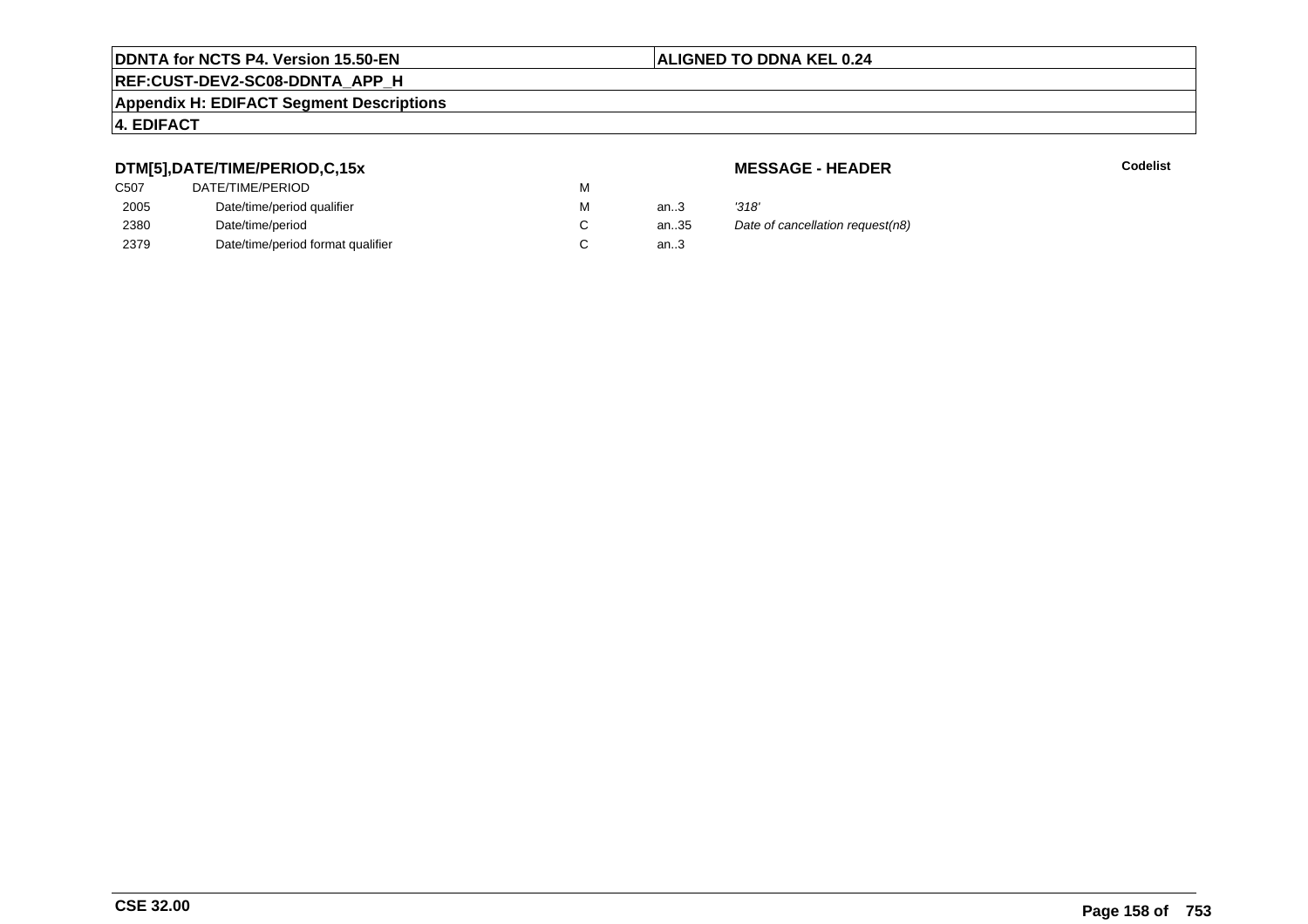## **REF:CUST-DEV2-SC08-DDNTA\_APP\_H**

#### **Appendix H: EDIFACT Segment Descriptions**

#### **4. EDIFACT**

### **DTM[5],DATE/TIME/PERIOD,C,15x**

| C <sub>50</sub> 7 | DATE/TIME/PERIOD                  | м |        |       |
|-------------------|-----------------------------------|---|--------|-------|
| 2005              | Date/time/period qualifier        | м | an.3   | '318' |
| 2380              | Date/time/period                  |   | an.35  | Date  |
| 2379              | Date/time/period format qualifier |   | an $3$ |       |

#### **MESSAGE - HEADER**

**R** Codelist

an...<br>35 Date of cancellation request(n8)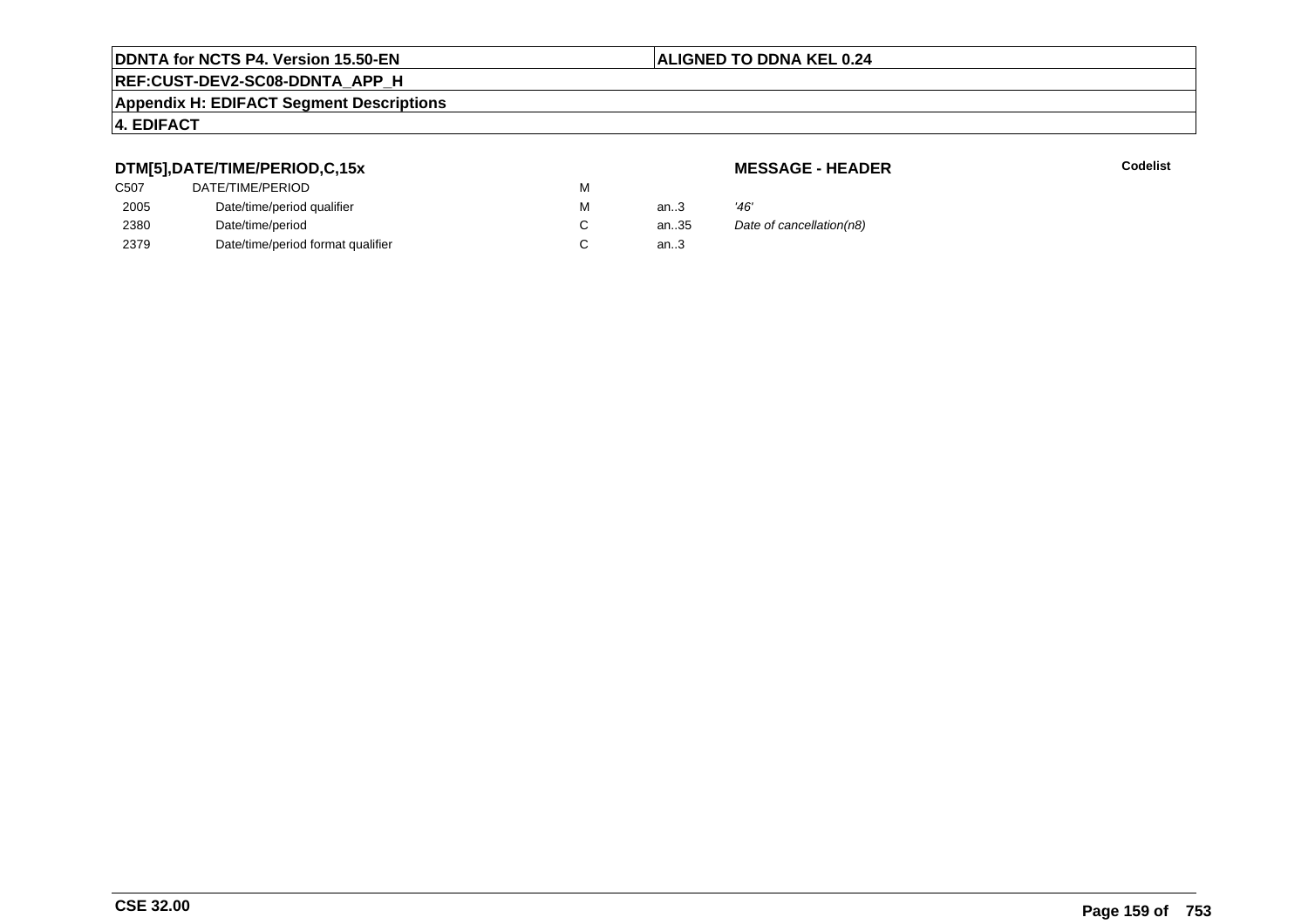# **REF:CUST-DEV2-SC08-DDNTA\_APP\_H**

#### **Appendix H: EDIFACT Segment Descriptions**

#### **4. EDIFACT**

## **DTM[5],DATE/TIME/PERIOD,C,15x**

## **MESSAGE - HEADER**

| ---               |                                   |   |        |                          |
|-------------------|-----------------------------------|---|--------|--------------------------|
| C <sub>50</sub> 7 | DATE/TIME/PERIOD                  | М |        |                          |
| 2005              | Date/time/period qualifier        | М | an $3$ | '46'                     |
| 2380              | Date/time/period                  |   | an35   | Date of cancellation(n8) |
| 2379              | Date/time/period format qualifier |   | an.3   |                          |
|                   |                                   |   |        |                          |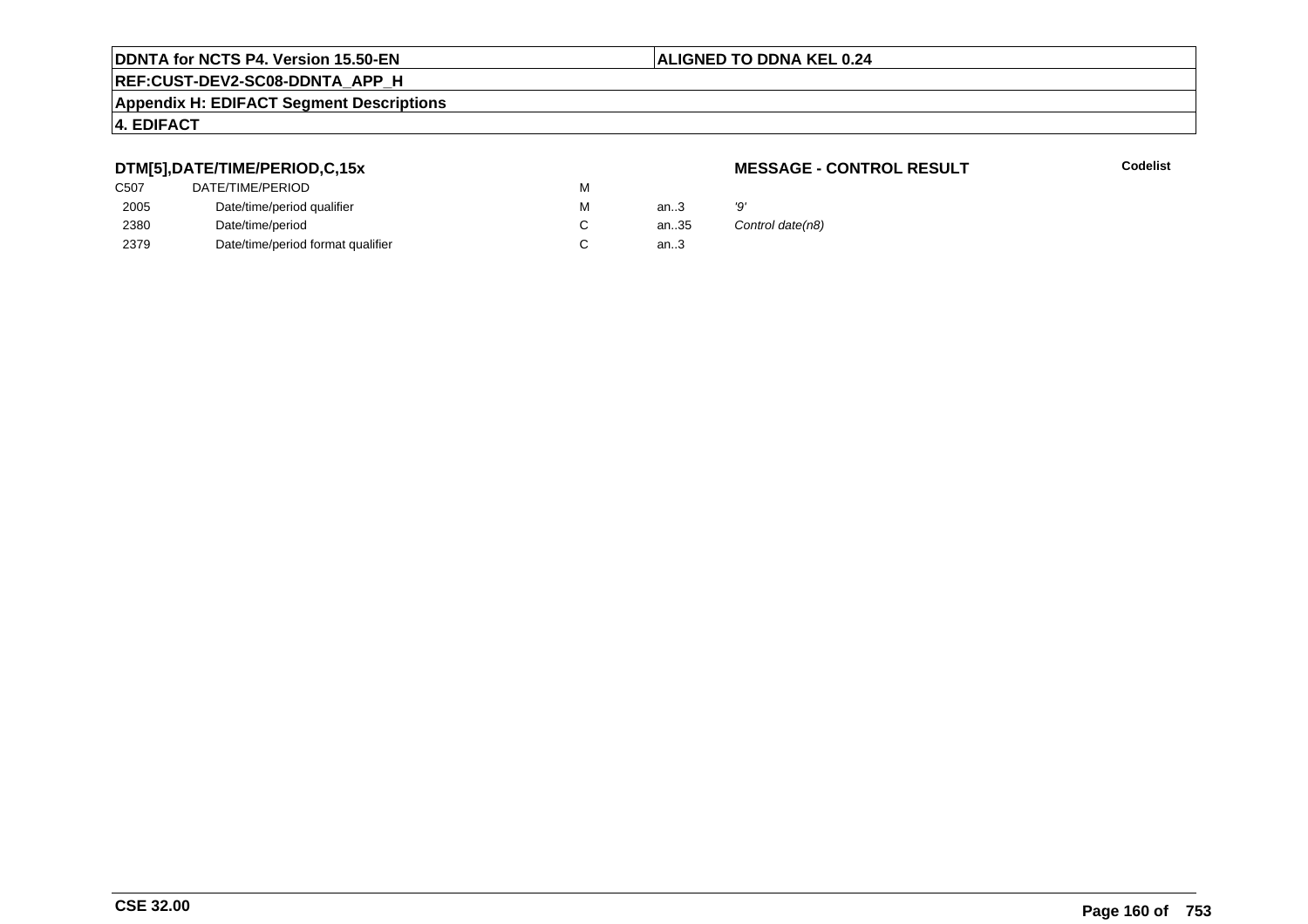## **REF:CUST-DEV2-SC08-DDNTA\_APP\_H**

#### **Appendix H: EDIFACT Segment Descriptions**

#### **4. EDIFACT**

#### **DTM[5],DATE/TIME/PERIOD,C,15x**

| C <sub>50</sub> 7 | DATE/TIME/PERIOD                  | м |      |    |
|-------------------|-----------------------------------|---|------|----|
| 2005              | Date/time/period qualifier        | м | an.3 | פי |
| 2380              | Date/time/period                  |   | an35 | C  |
| 2379              | Date/time/period format qualifier |   | an.3 |    |

#### **MESSAGE - CONTROL RESULT**

**Codelist**

Control date(n8)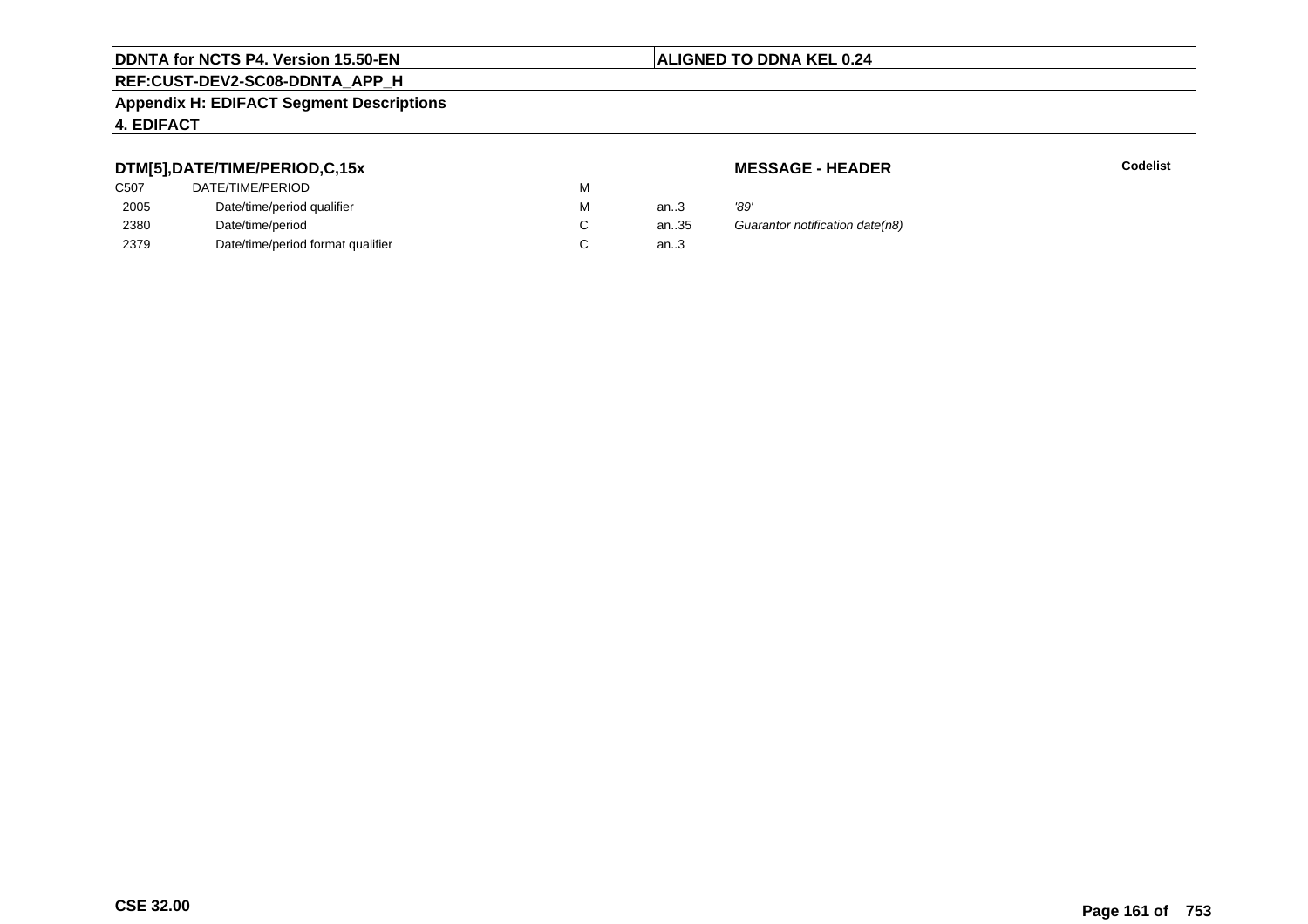# **REF:CUST-DEV2-SC08-DDNTA\_APP\_H**

#### **Appendix H: EDIFACT Segment Descriptions**

#### **4. EDIFACT**

## **DTM[5],DATE/TIME/PERIOD,C,15x**

| C <sub>50</sub> 7 | DATE/TIME/PERIOD                  | м |        |      |
|-------------------|-----------------------------------|---|--------|------|
| 2005              | Date/time/period qualifier        | М | an.3   | '89' |
| 2380              | Date/time/period                  |   | an.35  | Gu   |
| 2379              | Date/time/period format qualifier |   | an $3$ |      |

#### **MESSAGE - HEADER**

**R** Codelist

85 Guarantor notification date(n8)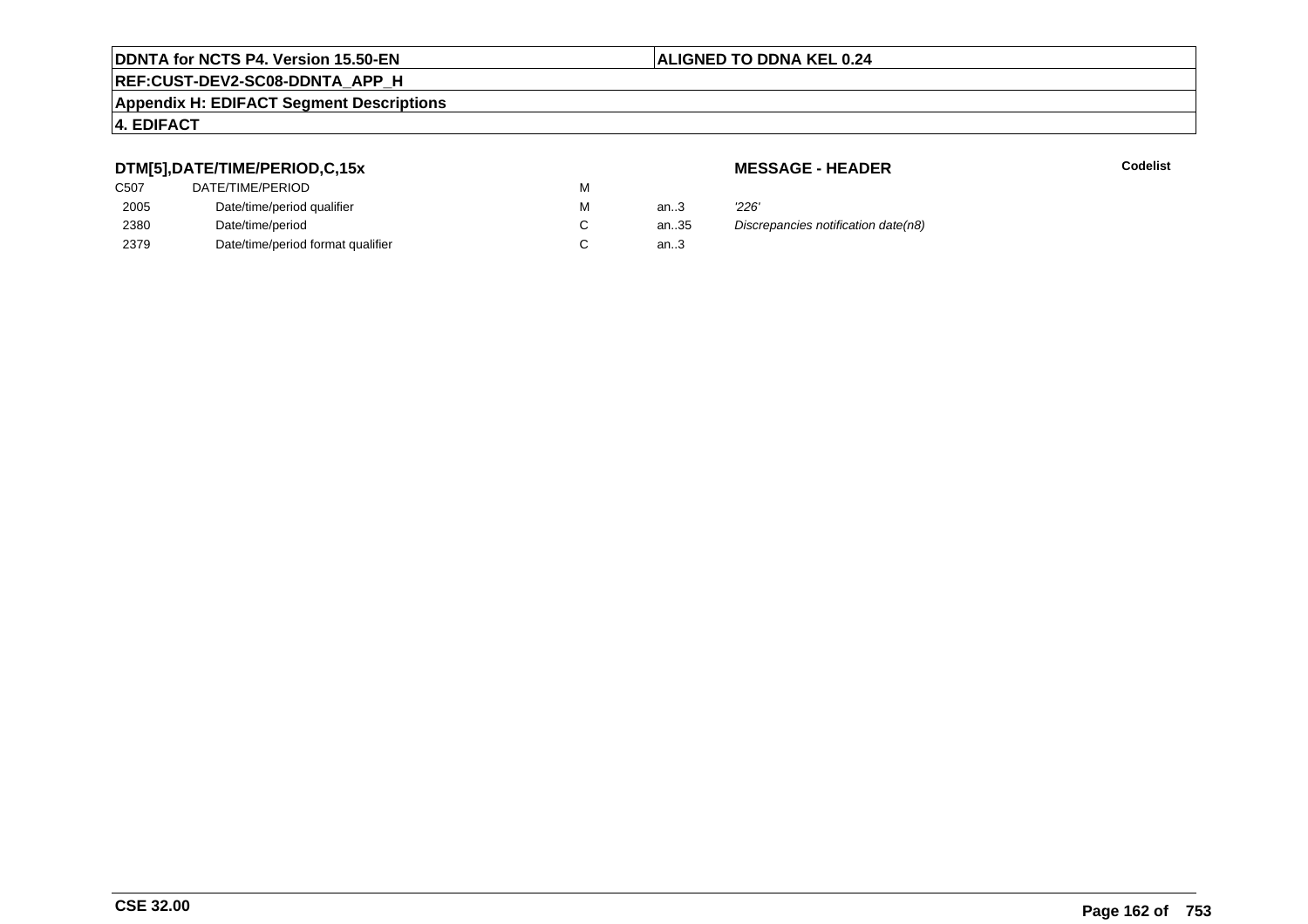## **REF:CUST-DEV2-SC08-DDNTA\_APP\_H**

#### **Appendix H: EDIFACT Segment Descriptions**

#### **4. EDIFACT**

### **DTM[5],DATE/TIME/PERIOD,C,15x**

| C507 | DATE/TIME/PERIOD                  | М |        |       |
|------|-----------------------------------|---|--------|-------|
| 2005 | Date/time/period qualifier        | М | an $3$ | '226' |
| 2380 | Date/time/period                  |   | an35   | Disci |
| 2379 | Date/time/period format qualifier |   | an.3   |       |

**MESSAGE - HEADER**

**R** Codelist

an.35 Discrepancies notification date(n8)<br>3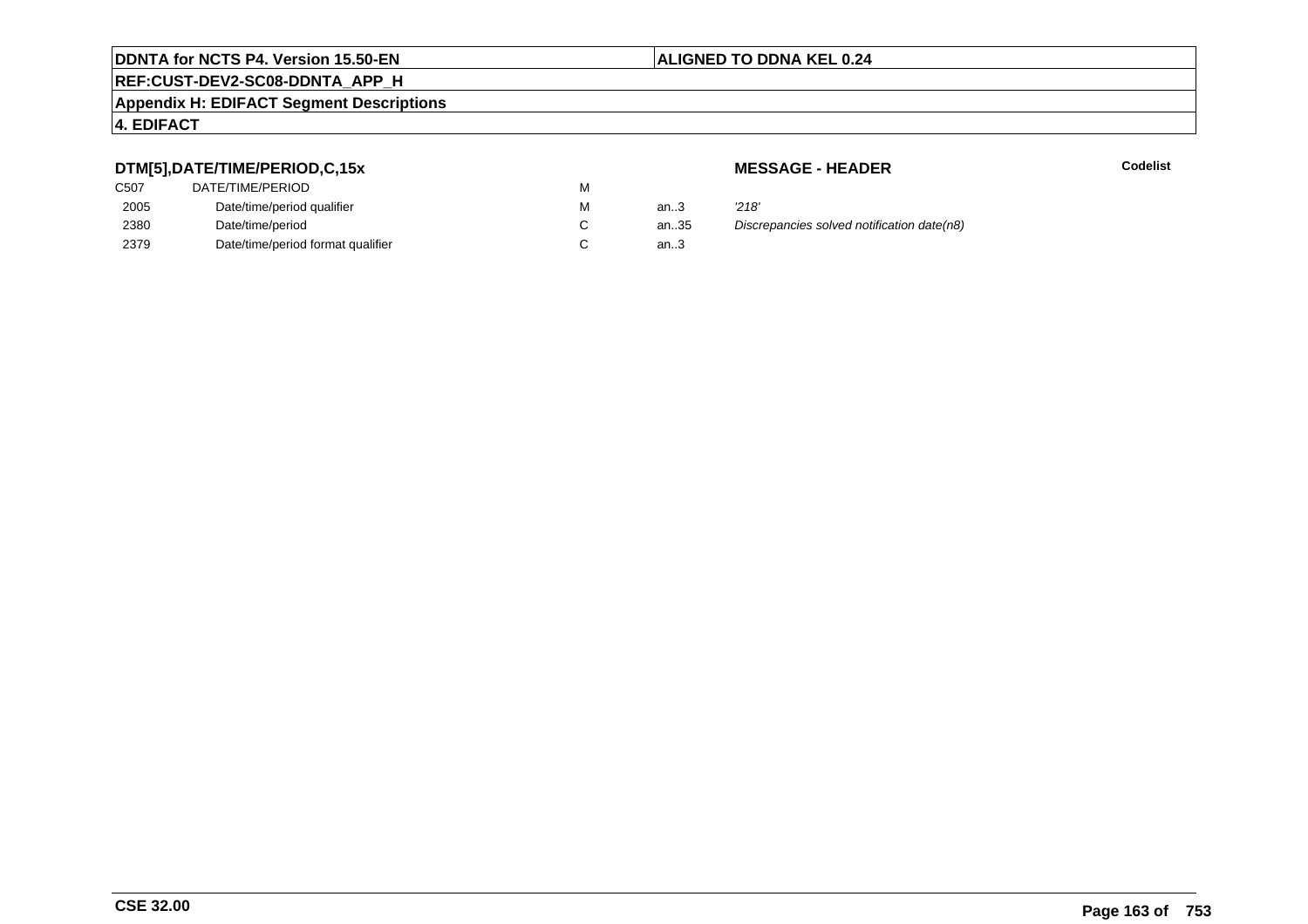## **REF:CUST-DEV2-SC08-DDNTA\_APP\_H**

#### **Appendix H: EDIFACT Segment Descriptions**

#### **4. EDIFACT**

### **DTM[5],DATE/TIME/PERIOD,C,15x**

| DATE/TIME/PERIOD                  | М |          |       |
|-----------------------------------|---|----------|-------|
| Date/time/period qualifier        | М | an $3$   | '218' |
| Date/time/period                  |   | an $.35$ | Disci |
| Date/time/period format qualifier |   | an.3     |       |
|                                   |   |          |       |

**MESSAGE - HEADER**

**R** Codelist

n..35 Discrepancies solved notification date(n8)<br>n..3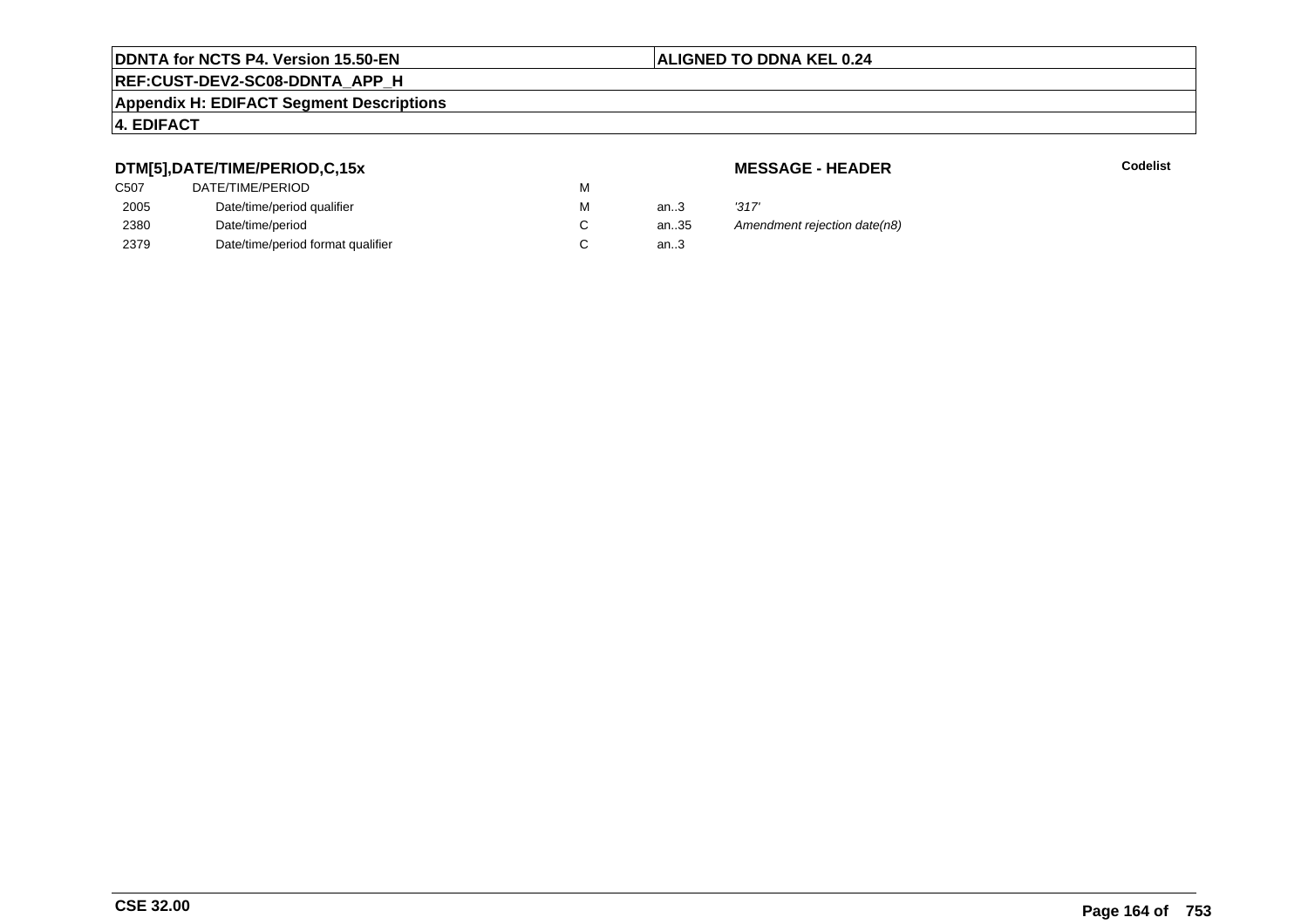# **REF:CUST-DEV2-SC08-DDNTA\_APP\_H**

#### **Appendix H: EDIFACT Segment Descriptions**

#### **4. EDIFACT**

## **DTM[5],DATE/TIME/PERIOD,C,15x**

| C <sub>50</sub> 7 | DATE/TIME/PERIOD                  | м |        |       |
|-------------------|-----------------------------------|---|--------|-------|
| 2005              | Date/time/period qualifier        | м | an.3   | '317' |
| 2380              | Date/time/period                  |   | an35   | Ame   |
| 2379              | Date/time/period format qualifier |   | an $3$ |       |

#### **MESSAGE - HEADER**

**R** Codelist

an.35 Amendment rejection date(n8)<br>..3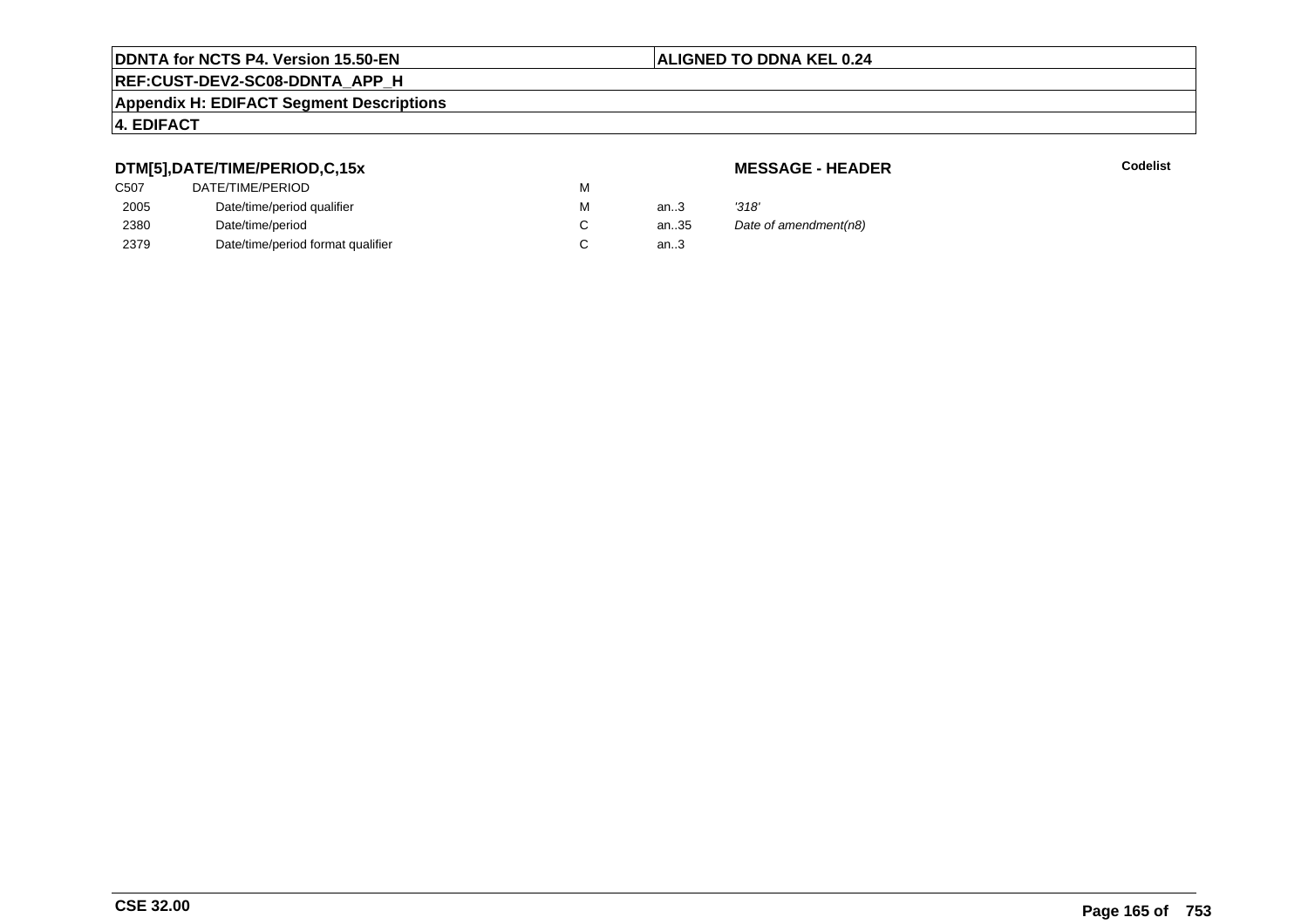# **REF:CUST-DEV2-SC08-DDNTA\_APP\_H**

#### **Appendix H: EDIFACT Segment Descriptions**

#### **4. EDIFACT**

## **DTM[5],DATE/TIME/PERIOD,C,15x**

## **MESSAGE - HEADER**

| ---               |                                   |   |        |                       |
|-------------------|-----------------------------------|---|--------|-----------------------|
| C <sub>50</sub> 7 | DATE/TIME/PERIOD                  | М |        |                       |
| 2005              | Date/time/period qualifier        | М | an $3$ | '318'                 |
| 2380              | Date/time/period                  |   | an35   | Date of amendment(n8) |
| 2379              | Date/time/period format qualifier |   | an.3   |                       |
|                   |                                   |   |        |                       |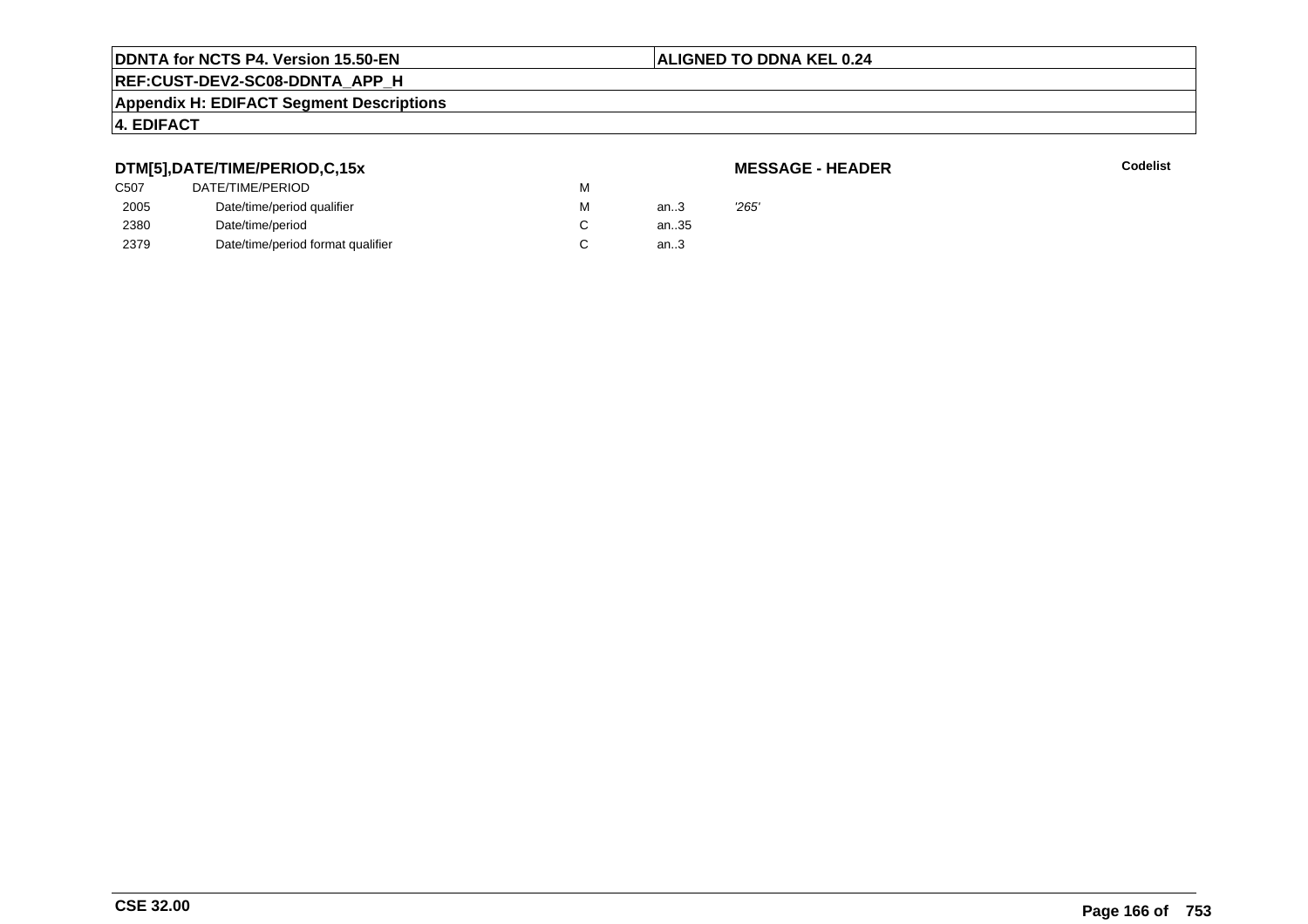#### **ALIGNED TO DDNA KEL 0.24**

## **REF:CUST-DEV2-SC08-DDNTA\_APP\_H**

#### **Appendix H: EDIFACT Segment Descriptions**

#### **4. EDIFACT**

#### **DTM[5],DATE/TIME/PERIOD,C,15x**

#### **MESSAGE - HEADER**

| C507 | DATE/TIME/PERIOD                  | M |      |       |
|------|-----------------------------------|---|------|-------|
| 2005 | Date/time/period qualifier        | M | an.3 | '265' |
| 2380 | Date/time/period                  |   | an35 |       |
| 2379 | Date/time/period format qualifier | C | an.3 |       |
|      |                                   |   |      |       |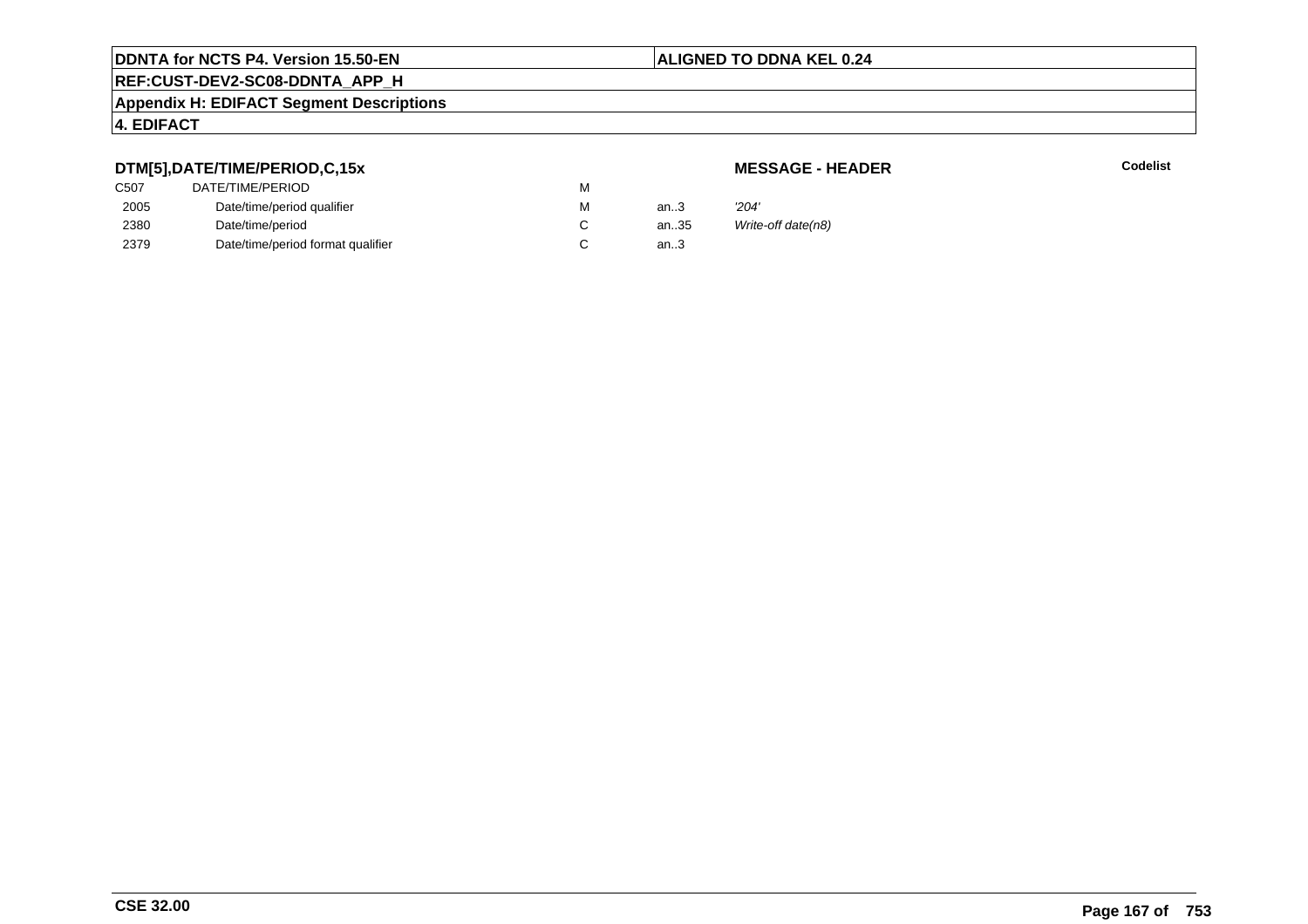# **REF:CUST-DEV2-SC08-DDNTA\_APP\_H**

#### **Appendix H: EDIFACT Segment Descriptions**

## **4. EDIFACT**

## **DTM[5],DATE/TIME/PERIOD,C,15x**

## **MESSAGE - HEADER**

| C507 | DATE/TIME/PERIOD                  | м |      |                    |
|------|-----------------------------------|---|------|--------------------|
| 2005 | Date/time/period qualifier        | м | an.3 | 204'               |
| 2380 | Date/time/period                  |   | an35 | Write-off date(n8) |
| 2379 | Date/time/period format qualifier |   | an.3 |                    |
|      |                                   |   |      |                    |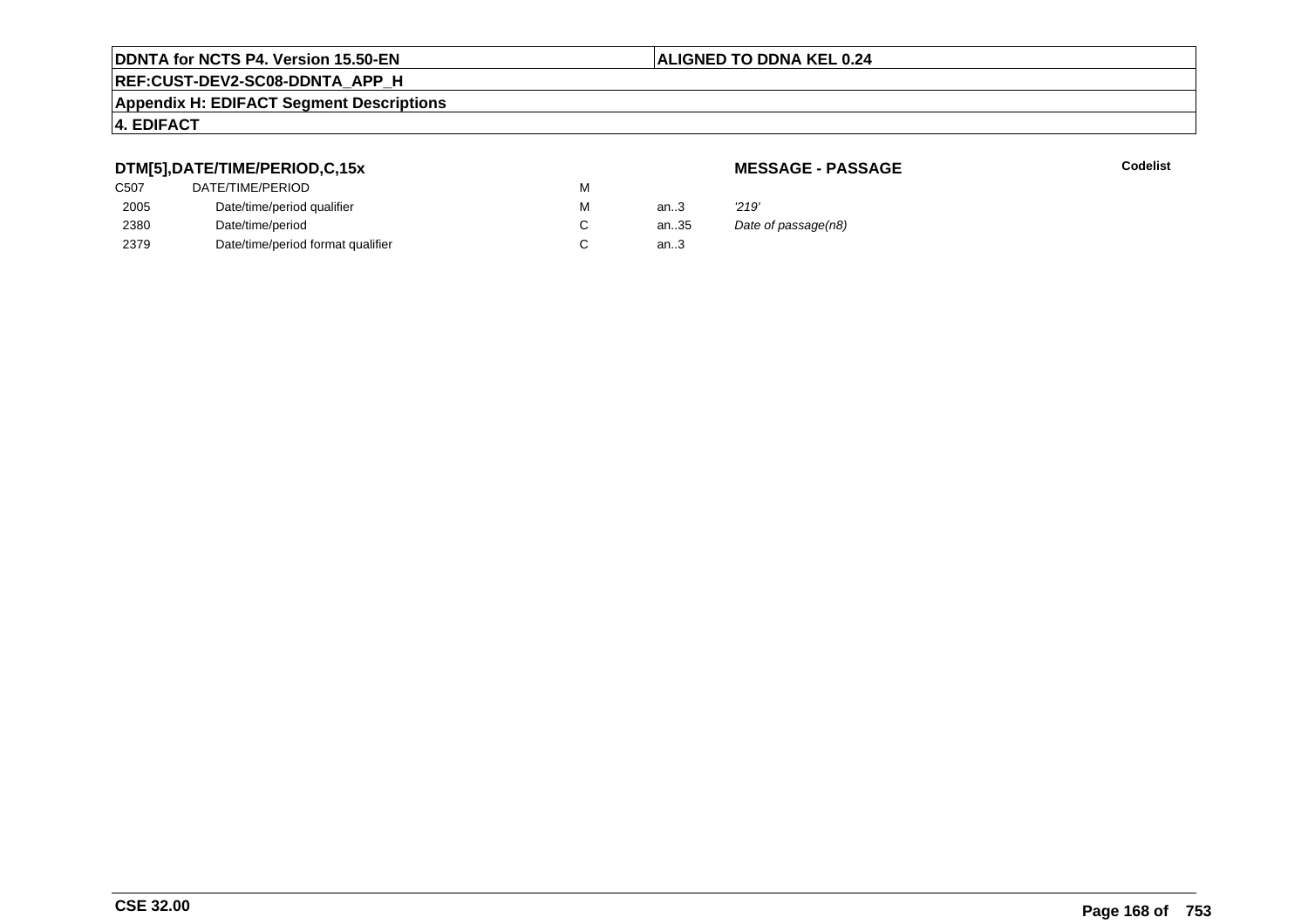# **REF:CUST-DEV2-SC08-DDNTA\_APP\_H**

#### **Appendix H: EDIFACT Segment Descriptions**

## **4. EDIFACT**

#### **DTM[5],DATE/TIME/PERIOD,C,15x**

## **MESSAGE - PASSAGE**

**Codelist** Codelist

| C <sub>507</sub> | DATE/TIME/PERIOD                  | м |        |                     |
|------------------|-----------------------------------|---|--------|---------------------|
| 2005             | Date/time/period qualifier        | м | an $3$ | '219'               |
| 2380             | Date/time/period                  |   | an35   | Date of passage(n8) |
| 2379             | Date/time/period format qualifier |   | an3    |                     |
|                  |                                   |   |        |                     |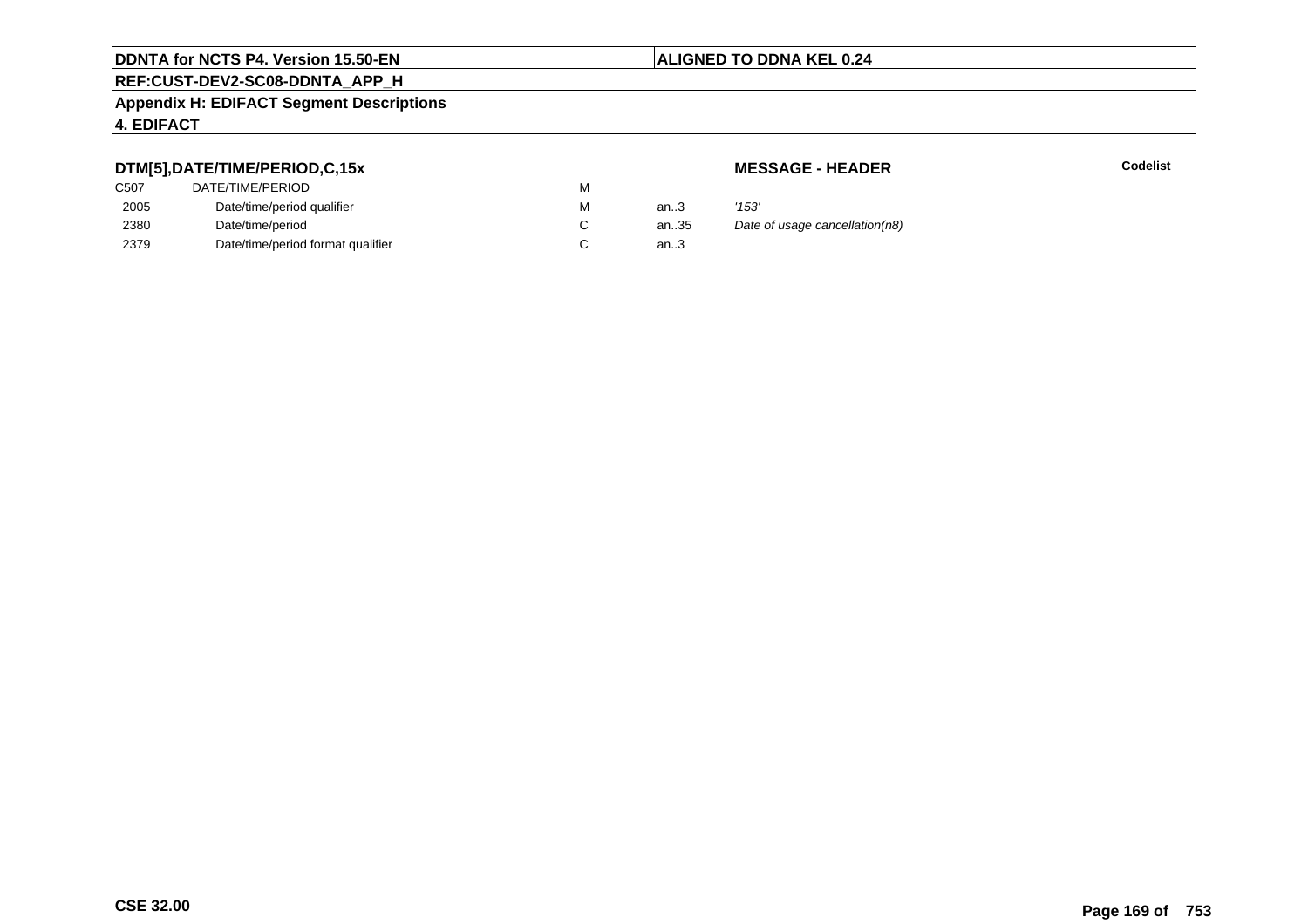# **REF:CUST-DEV2-SC08-DDNTA\_APP\_H**

#### **Appendix H: EDIFACT Segment Descriptions**

### **4. EDIFACT**

## **DTM[5],DATE/TIME/PERIOD,C,15x**

| C <sub>50</sub> 7 | DATE/TIME/PERIOD                  | м |        |       |
|-------------------|-----------------------------------|---|--------|-------|
| 2005              | Date/time/period qualifier        | м | an.3   | '153' |
| 2380              | Date/time/period                  |   | an.35  | Date  |
| 2379              | Date/time/period format qualifier |   | an $3$ |       |
|                   |                                   |   |        |       |

**MESSAGE - HEADER**

**R** Codelist

35 Date of usage cancellation(n8)<br>3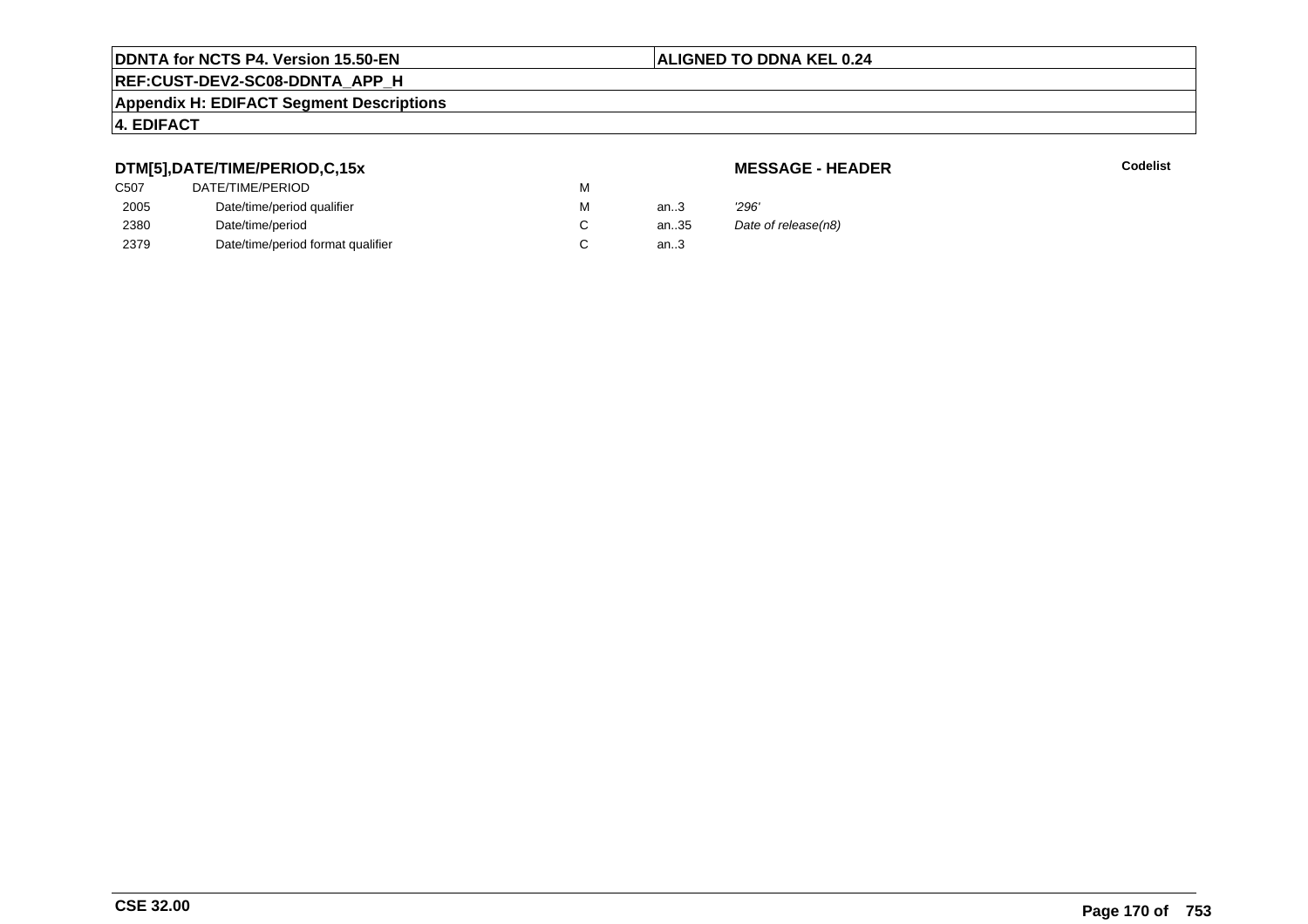# **REF:CUST-DEV2-SC08-DDNTA\_APP\_H**

#### **Appendix H: EDIFACT Segment Descriptions**

#### **4. EDIFACT**

## **DTM[5],DATE/TIME/PERIOD,C,15x**

## **MESSAGE - HEADER**

| ---               |                                   |   |      |                     |
|-------------------|-----------------------------------|---|------|---------------------|
| C <sub>50</sub> 7 | DATE/TIME/PERIOD                  | м |      |                     |
| 2005              | Date/time/period qualifier        | м | an3  | 296'                |
| 2380              | Date/time/period                  |   | an35 | Date of release(n8) |
| 2379              | Date/time/period format qualifier |   | an3  |                     |
|                   |                                   |   |      |                     |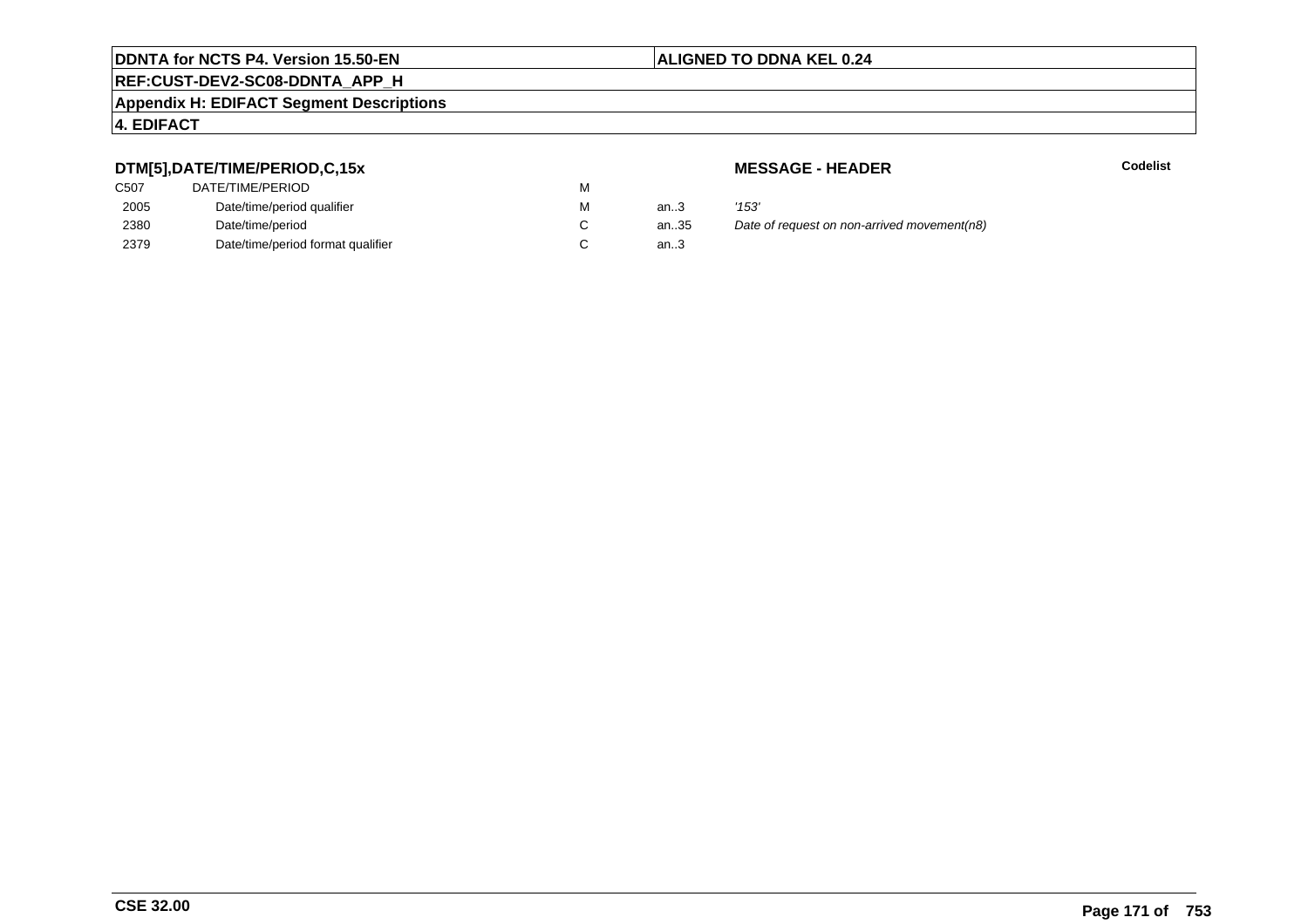## **REF:CUST-DEV2-SC08-DDNTA\_APP\_H**

#### **Appendix H: EDIFACT Segment Descriptions**

#### **4. EDIFACT**

## **DTM[5],DATE/TIME/PERIOD,C,15x**

| C507 | DATE/TIME/PERIOD                  | М |          |       |
|------|-----------------------------------|---|----------|-------|
| 2005 | Date/time/period qualifier        | М | an $3$   | '153' |
| 2380 | Date/time/period                  |   | an $.35$ | Date  |
| 2379 | Date/time/period format qualifier |   | an.3     |       |

**MESSAGE - HEADER**

**R** Codelist

antian.35 Date of request on non-arrived movement(n8)...3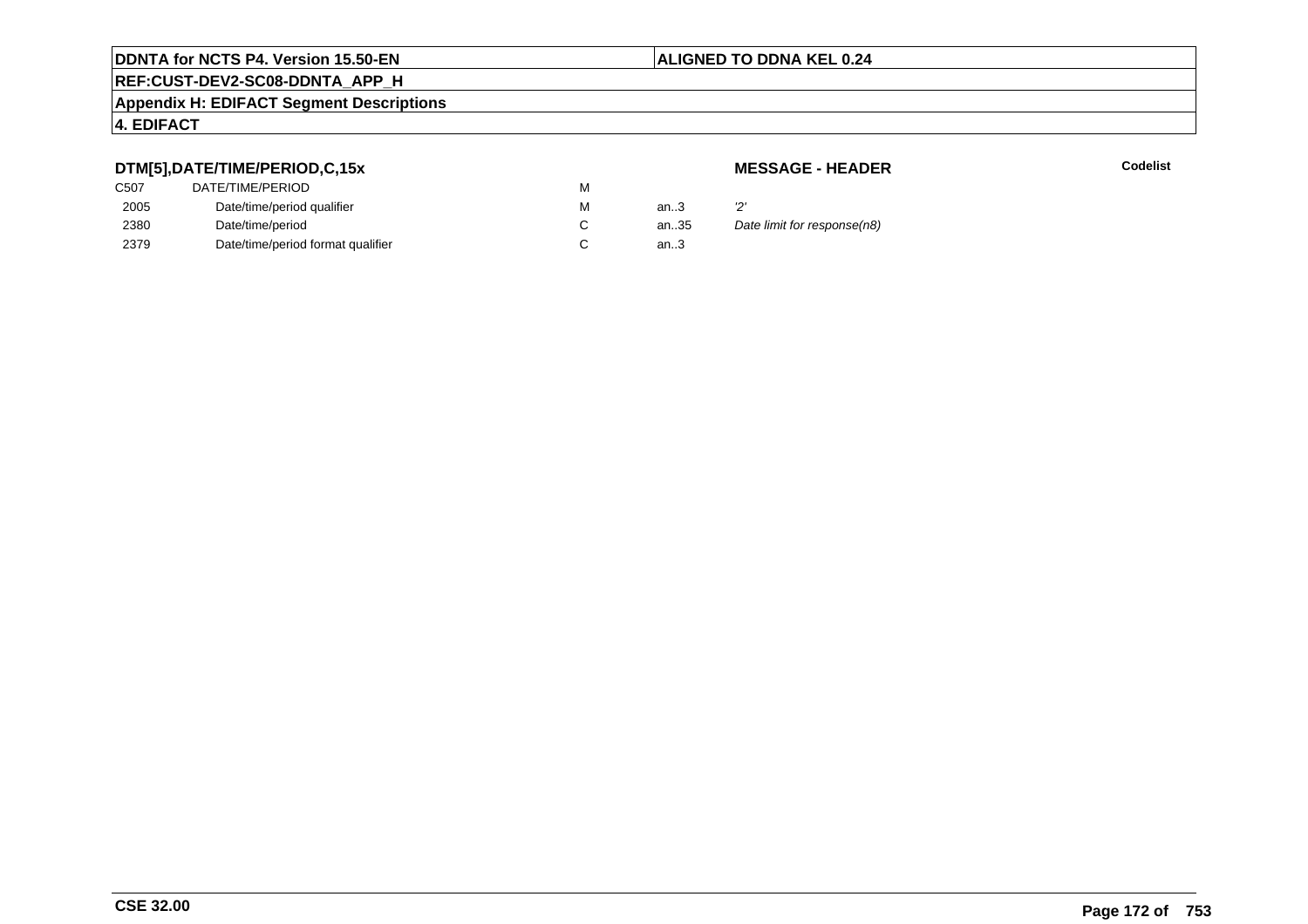# **REF:CUST-DEV2-SC08-DDNTA\_APP\_H**

#### **Appendix H: EDIFACT Segment Descriptions**

#### **4. EDIFACT**

## **DTM[5],DATE/TIME/PERIOD,C,15x**

## **MESSAGE - HEADER**

| .                 |                                   |   |      |                             |
|-------------------|-----------------------------------|---|------|-----------------------------|
| C <sub>50</sub> 7 | DATE/TIME/PERIOD                  | м |      |                             |
| 2005              | Date/time/period qualifier        | м | an.3 |                             |
| 2380              | Date/time/period                  |   | an35 | Date limit for response(n8) |
| 2379              | Date/time/period format qualifier |   | an.3 |                             |
|                   |                                   |   |      |                             |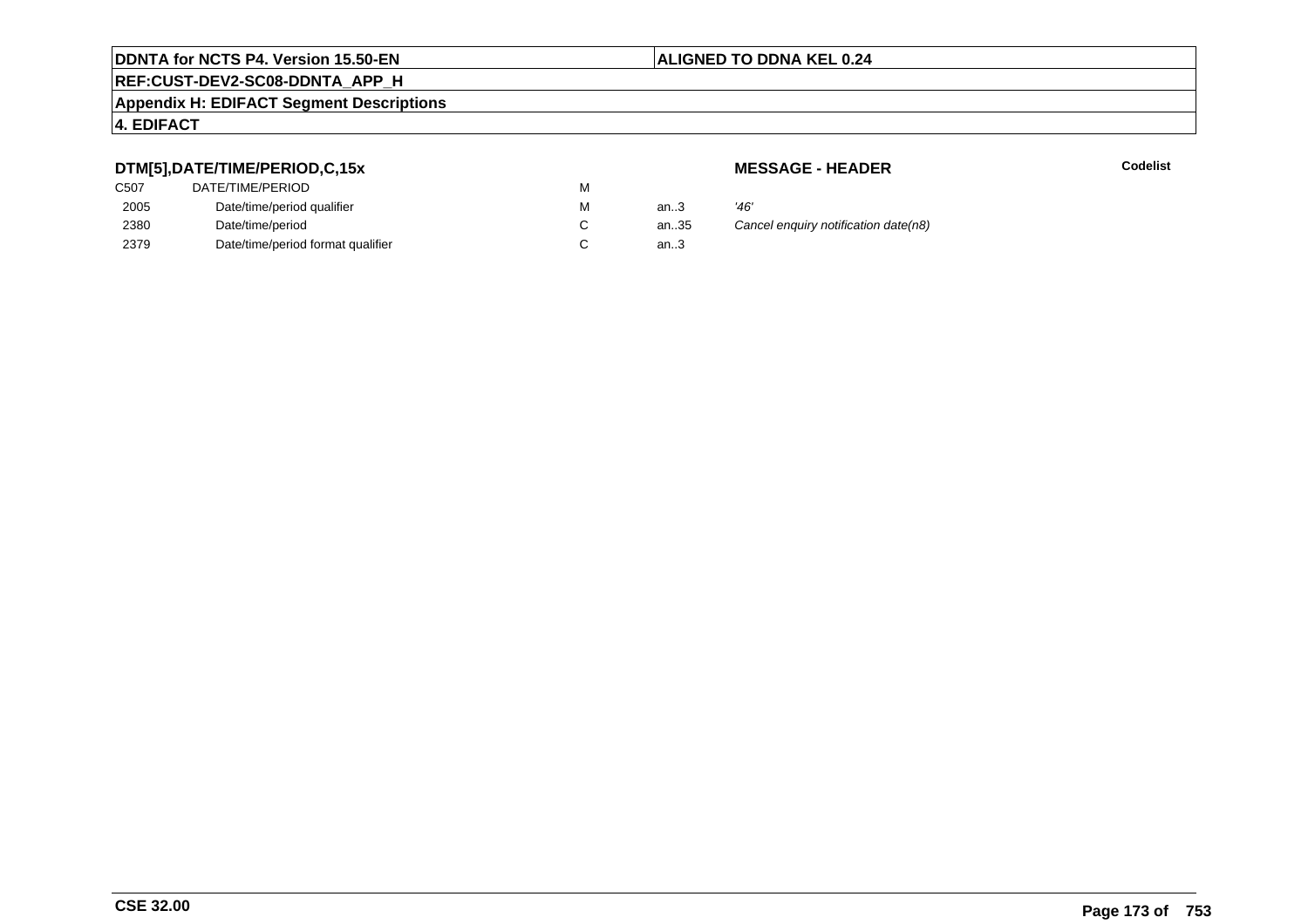## **REF:CUST-DEV2-SC08-DDNTA\_APP\_H**

#### **Appendix H: EDIFACT Segment Descriptions**

#### **4. EDIFACT**

## **DTM[5],DATE/TIME/PERIOD,C,15x**

| C <sub>50</sub> 7 | DATE/TIME/PERIOD                  | м |        |      |
|-------------------|-----------------------------------|---|--------|------|
| 2005              | Date/time/period qualifier        | М | an.3   | '46' |
| 2380              | Date/time/period                  |   | an.35  | Caı  |
| 2379              | Date/time/period format qualifier |   | an $3$ |      |

**MESSAGE - HEADER**

**R** Codelist

althrow Cancel enquiry notification date(n8)<br>3.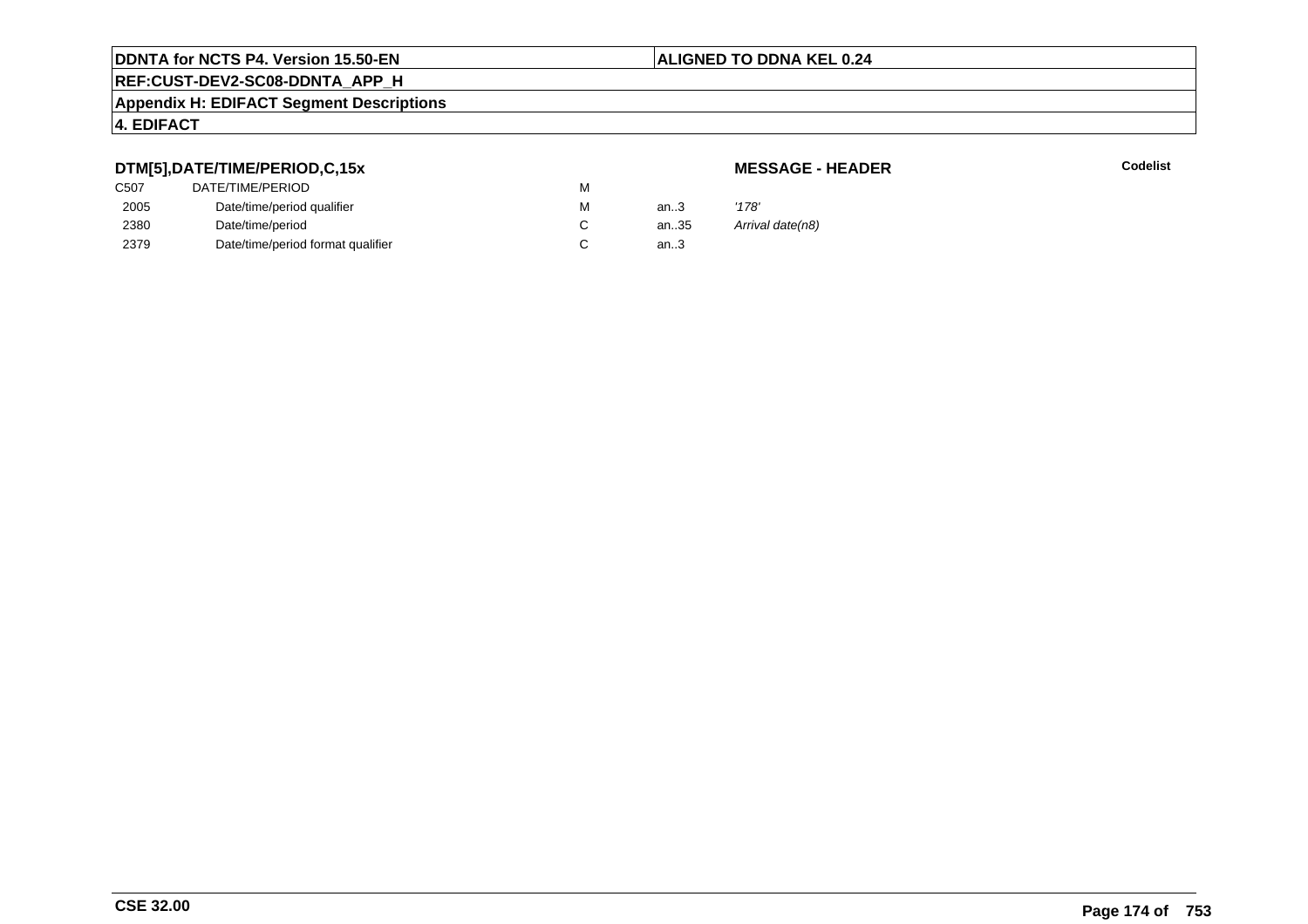# **REF:CUST-DEV2-SC08-DDNTA\_APP\_H**

#### **Appendix H: EDIFACT Segment Descriptions**

#### **4. EDIFACT**

## **DTM[5],DATE/TIME/PERIOD,C,15x**

#### **MESSAGE - HEADER**

| C507 | DATE/TIME/PERIOD                  | М |      |                  |
|------|-----------------------------------|---|------|------------------|
| 2005 | Date/time/period qualifier        | м | an.3 | '178'            |
| 2380 | Date/time/period                  |   | an35 | Arrival date(n8) |
| 2379 | Date/time/period format qualifier |   | an.3 |                  |
|      |                                   |   |      |                  |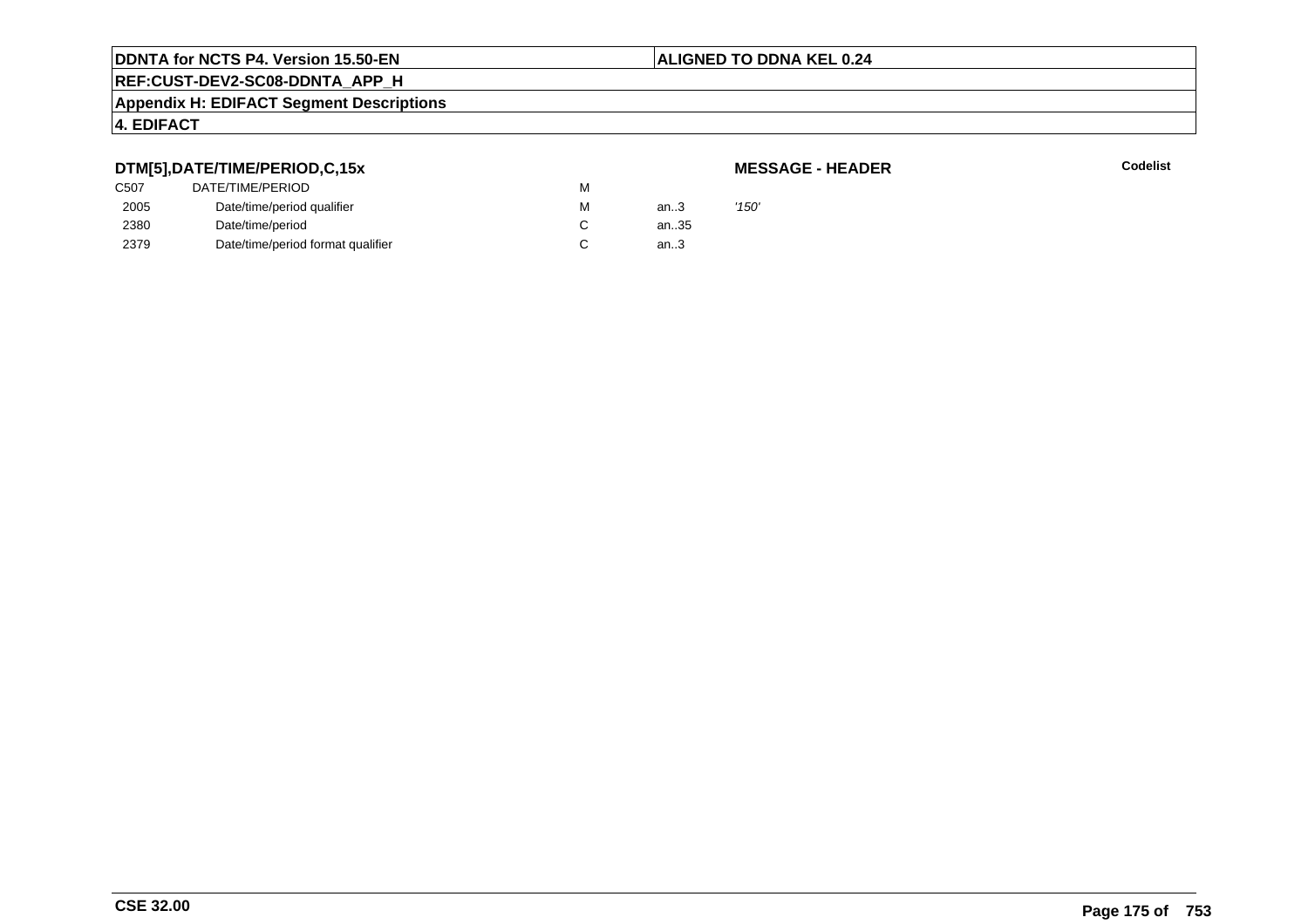### **ALIGNED TO DDNA KEL 0.24**

## **REF:CUST-DEV2-SC08-DDNTA\_APP\_H**

#### **Appendix H: EDIFACT Segment Descriptions**

## **4. EDIFACT**

### **DTM[5],DATE/TIME/PERIOD,C,15x**

| <b>MESSAGE - HEADER</b> |  |
|-------------------------|--|
|-------------------------|--|

|      | DTM[5],DATE/TIME/PERIOD,C,15x     |   |      | <b>MESSAGE - HEADER</b> |
|------|-----------------------------------|---|------|-------------------------|
| C507 | DATE/TIME/PERIOD                  | м |      |                         |
| 2005 | Date/time/period qualifier        | М | an.3 | '150'                   |
| 2380 | Date/time/period                  |   | an35 |                         |
| 2379 | Date/time/period format qualifier |   | an.3 |                         |
|      |                                   |   |      |                         |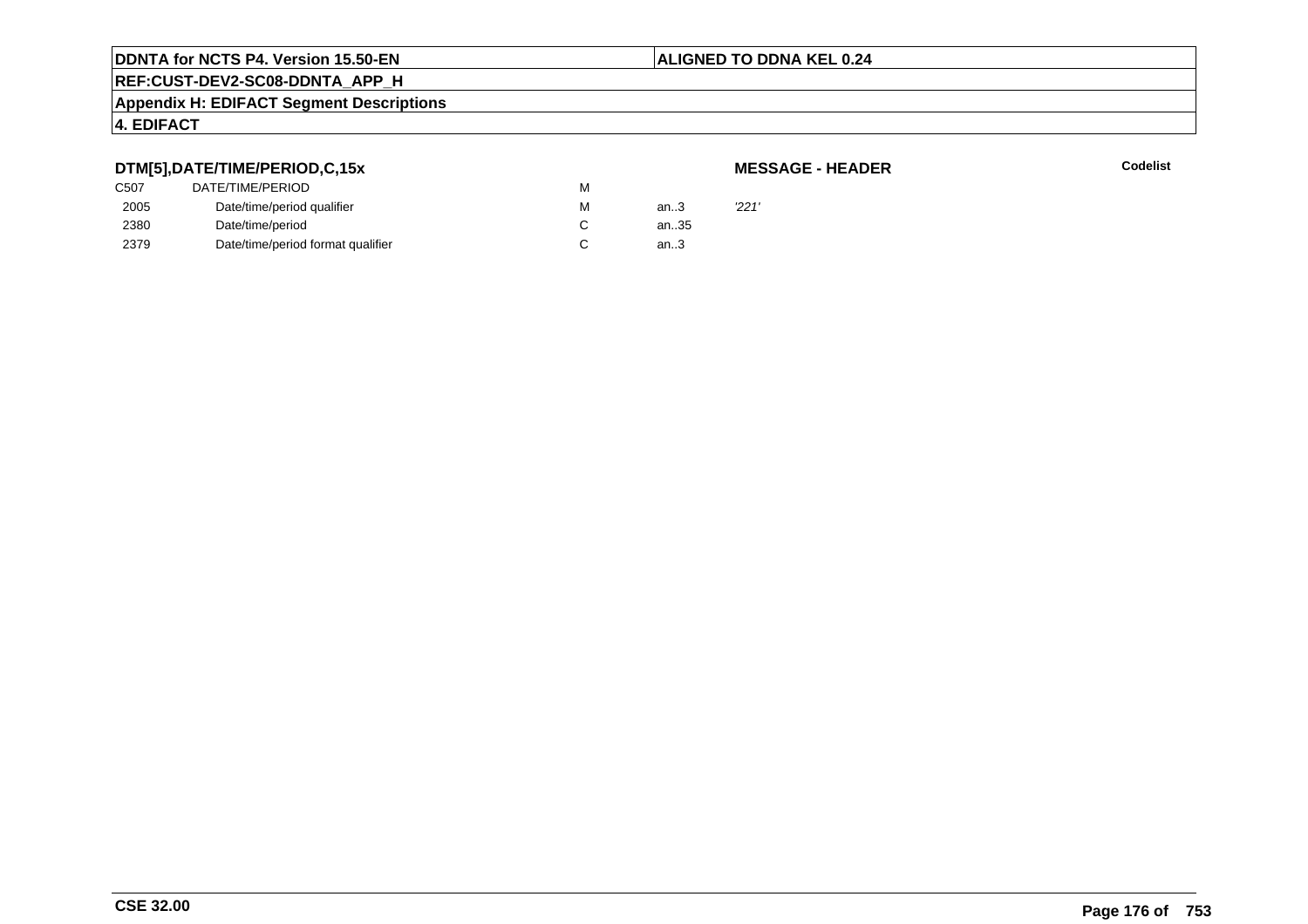#### **ALIGNED TO DDNA KEL 0.24**

# **REF:CUST-DEV2-SC08-DDNTA\_APP\_H**

#### **Appendix H: EDIFACT Segment Descriptions**

## **4. EDIFACT**

## **DTM[5],DATE/TIME/PERIOD,C,15x**

| <b>MESSAGE - HEADER</b> |  |  |
|-------------------------|--|--|
|-------------------------|--|--|

|      | DTM[5],DATE/TIME/PERIOD,C,15x     |   |      | <b>MESSAGE - HEADER</b> |
|------|-----------------------------------|---|------|-------------------------|
| C507 | DATE/TIME/PERIOD                  | м |      |                         |
| 2005 | Date/time/period qualifier        | М | an.3 | '221'                   |
| 2380 | Date/time/period                  |   | an35 |                         |
| 2379 | Date/time/period format qualifier |   | an.3 |                         |
|      |                                   |   |      |                         |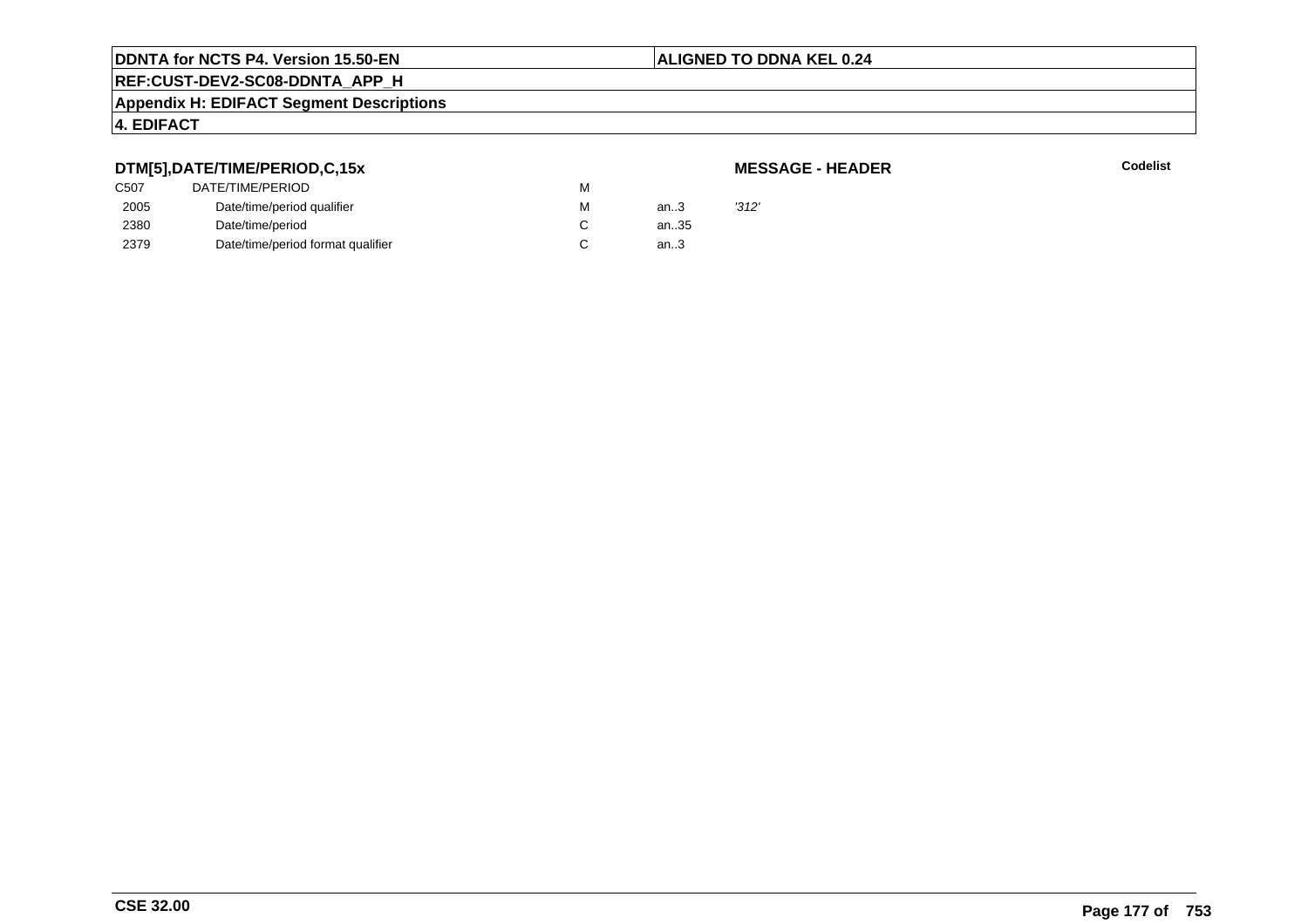#### **ALIGNED TO DDNA KEL 0.24**

## **REF:CUST-DEV2-SC08-DDNTA\_APP\_H**

#### **Appendix H: EDIFACT Segment Descriptions**

#### **4. EDIFACT**

#### **DTM[5],DATE/TIME/PERIOD,C,15x**

#### **MESSAGE - HEADER**

| .    |                                   |   |      |       |
|------|-----------------------------------|---|------|-------|
| C507 | DATE/TIME/PERIOD                  | M |      |       |
| 2005 | Date/time/period qualifier        | M | an.3 | '312' |
| 2380 | Date/time/period                  |   | an35 |       |
| 2379 | Date/time/period format qualifier |   | an.3 |       |
|      |                                   |   |      |       |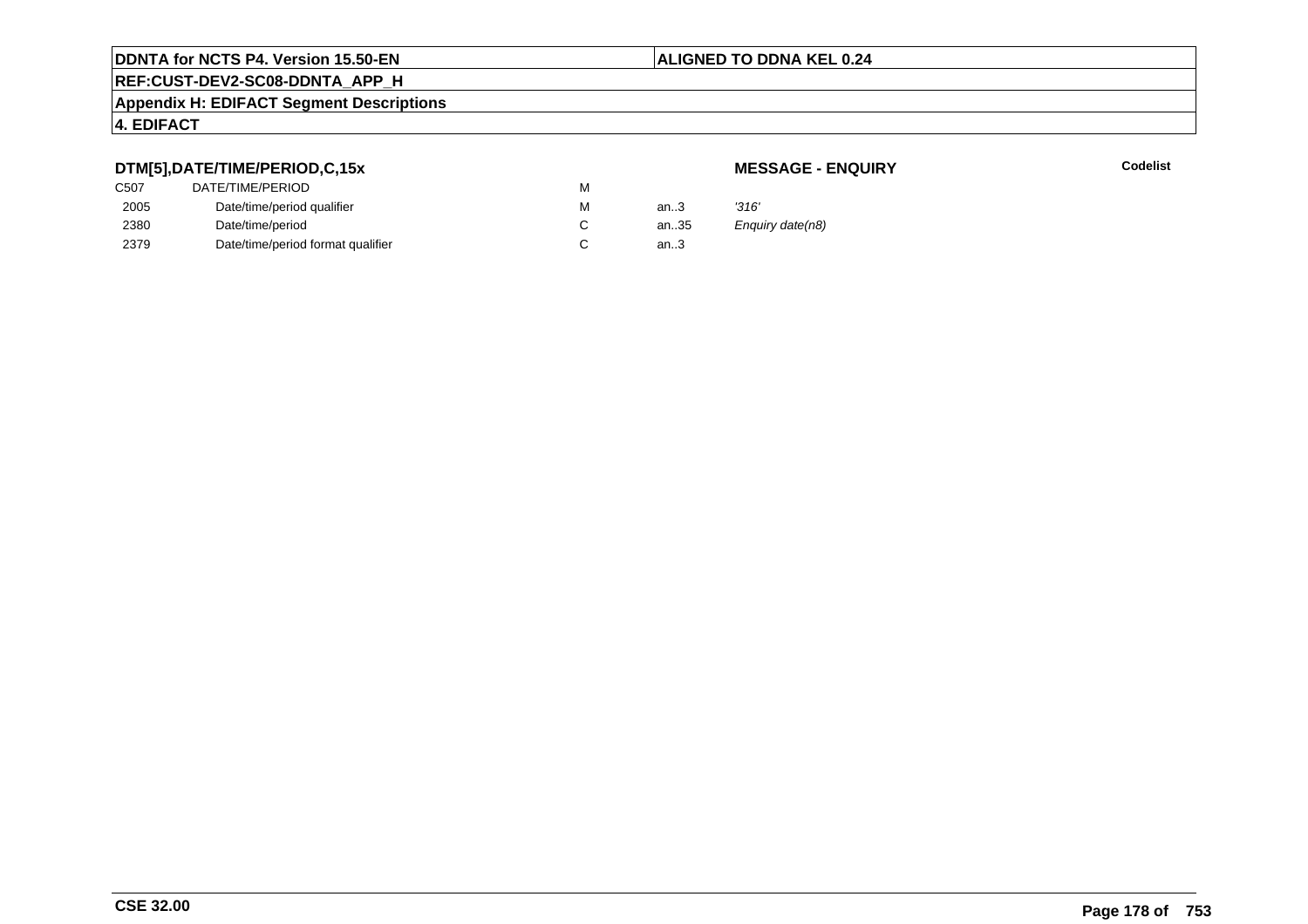## **REF:CUST-DEV2-SC08-DDNTA\_APP\_H**

#### **Appendix H: EDIFACT Segment Descriptions**

### **4. EDIFACT**

## **DTM[5],DATE/TIME/PERIOD,C,15x**

## **MESSAGE - ENQUIRY**

**Latter School** School Codelist

| C507 | DATE/TIME/PERIOD                  | м |          |                  |
|------|-----------------------------------|---|----------|------------------|
| 2005 | Date/time/period qualifier        | М | an.3     | '316'            |
| 2380 | Date/time/period                  |   | an $.35$ | Enquiry date(n8) |
| 2379 | Date/time/period format qualifier |   | an.3     |                  |
|      |                                   |   |          |                  |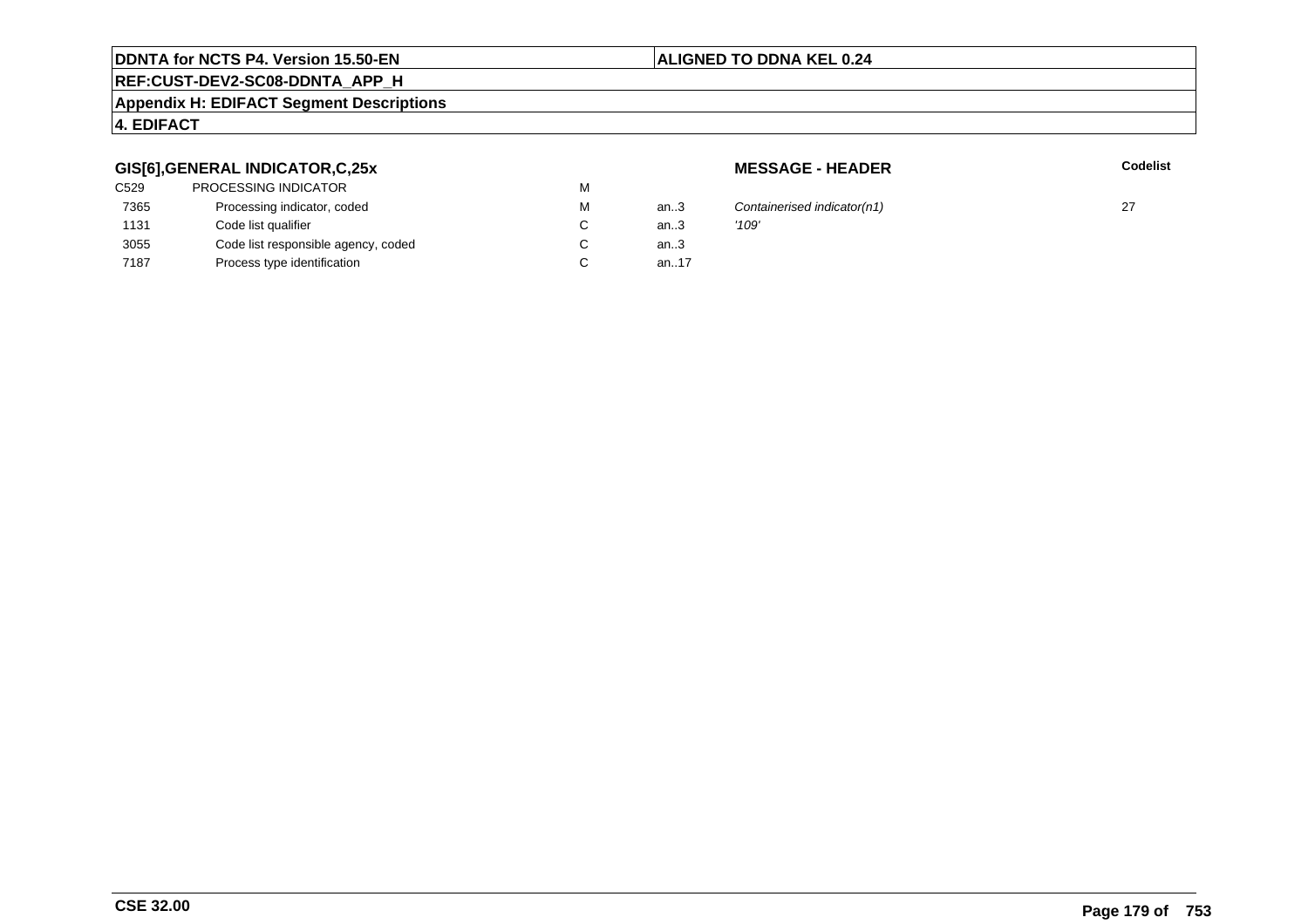#### **ALIGNED TO DDNA KEL 0.24**

# **REF:CUST-DEV2-SC08-DDNTA\_APP\_H**

#### **Appendix H: EDIFACT Segment Descriptions**

## **4. EDIFACT**

## **GIS[6],GENERAL INDICATOR,C,25x**

| C529 | <b>PROCESSING INDICATOR</b>         | M |      |       |
|------|-------------------------------------|---|------|-------|
| 7365 | Processing indicator, coded         | M | an.3 | Cont  |
| 1131 | Code list qualifier                 | C | an.3 | '109' |
| 3055 | Code list responsible agency, coded | С | an.3 |       |
| 7187 | Process type identification         | C | an17 |       |

**MESSAGE - HEADER**

**R** Codelist

Containerised indicator(n1) 27<br> $'109'$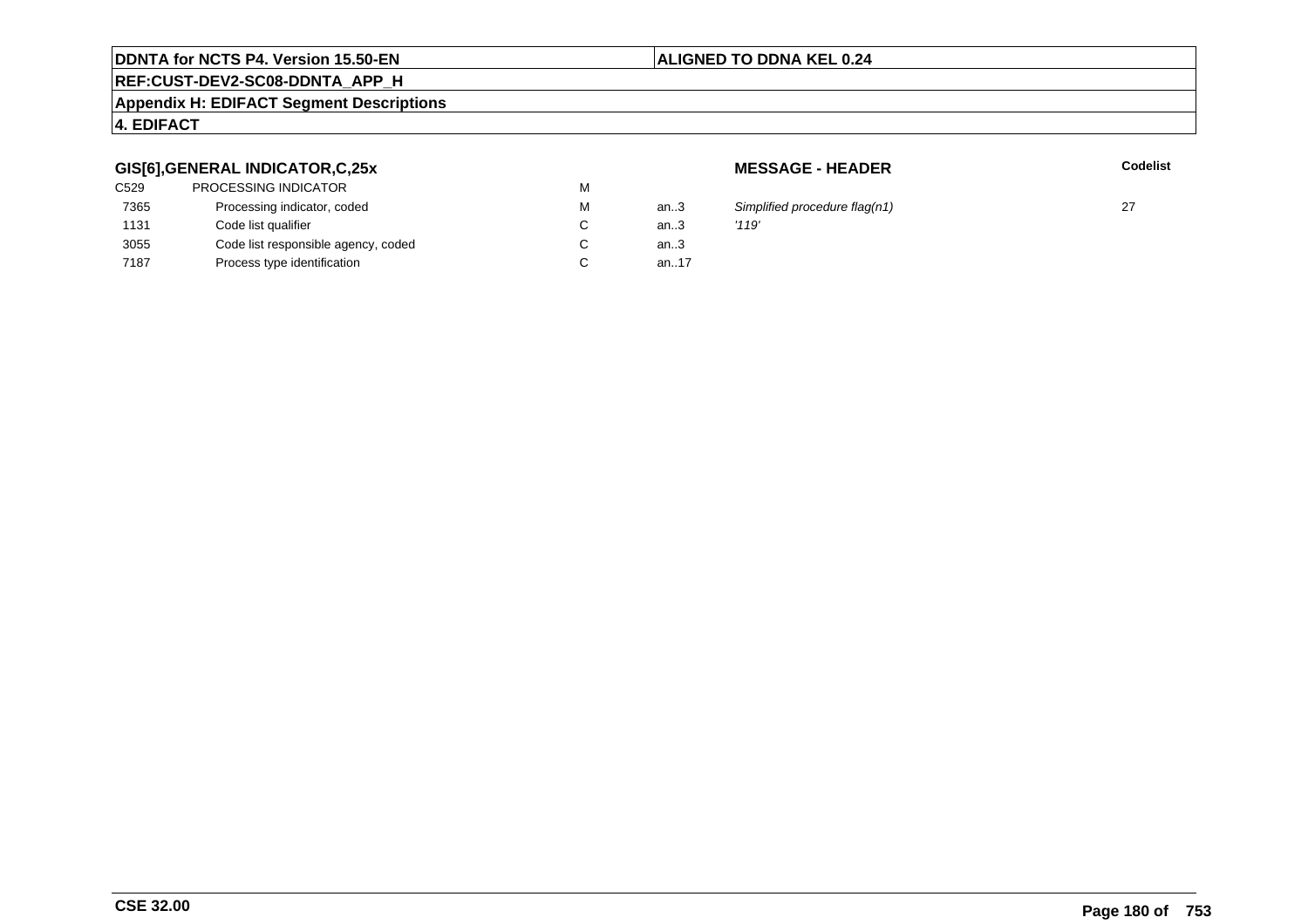## **ALIGNED TO DDNA KEL 0.24**

# **REF:CUST-DEV2-SC08-DDNTA\_APP\_H**

#### **Appendix H: EDIFACT Segment Descriptions**

## **4. EDIFACT**

#### **GIS[6],GENERAL INDICATOR,C,25x**

| C529 | <b>PROCESSING INDICATOR</b>         | M |      |       |
|------|-------------------------------------|---|------|-------|
| 7365 | Processing indicator, coded         | M | an.3 | Simp  |
| 1131 | Code list qualifier                 | C | an.3 | '119' |
| 3055 | Code list responsible agency, coded | C | an.3 |       |
| 7187 | Process type identification         |   | an17 |       |
|      |                                     |   |      |       |

**MESSAGE - HEADER**

**R** Codelist

Simplified procedure flag(n1)  $27$ <br>'119'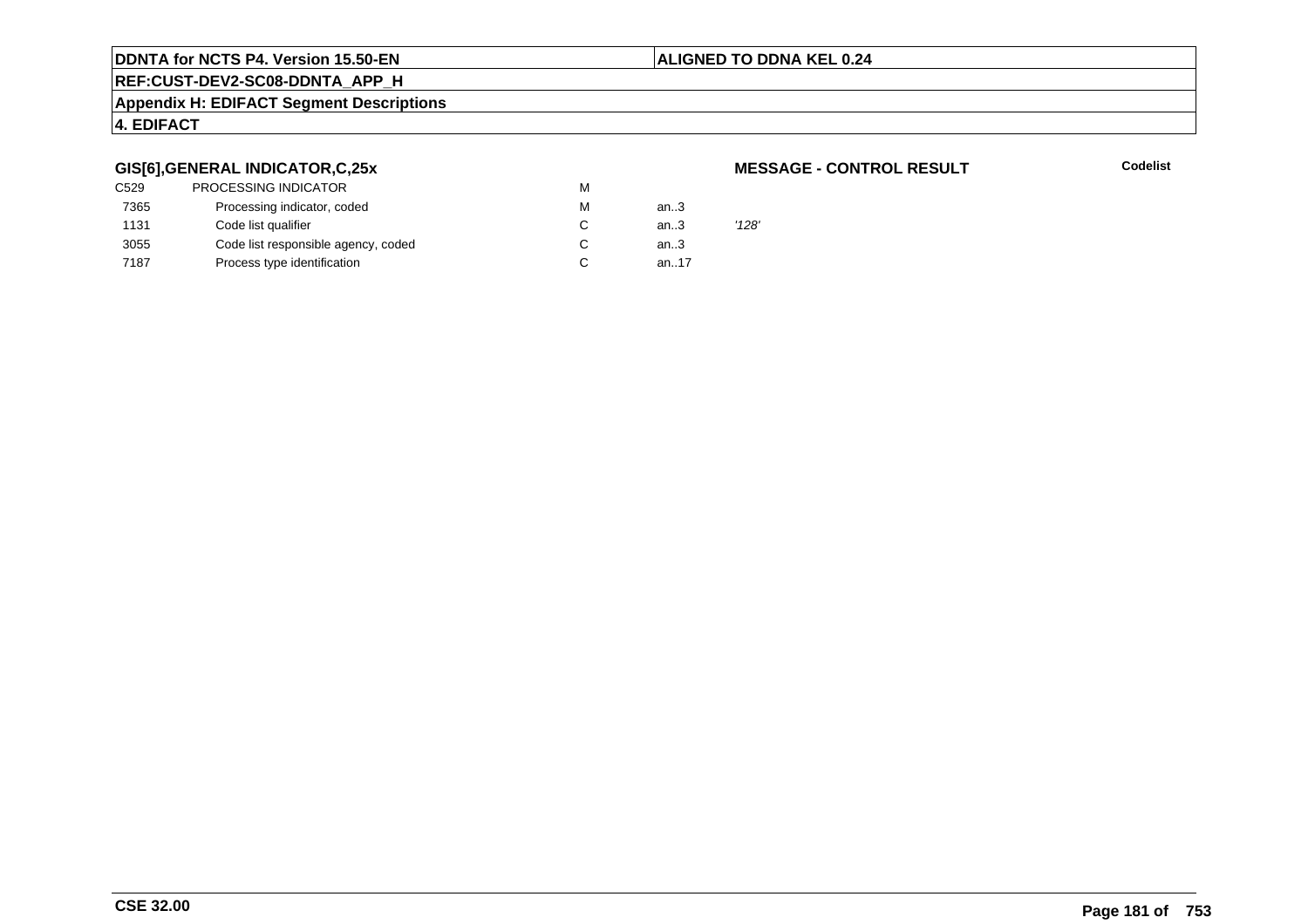# **ALIGNED TO DDNA KEL 0.24**

**REF:CUST-DEV2-SC08-DDNTA\_APP\_H**

**Appendix H: EDIFACT Segment Descriptions**

# **4. EDIFACT**

# **GIS[6],GENERAL INDICATOR,C,25x**

| <b>PROCESSING INDICATOR</b>         | M |      |       |
|-------------------------------------|---|------|-------|
| Processing indicator, coded         | M | an.3 |       |
| Code list qualifier                 | C | an.3 | '128' |
| Code list responsible agency, coded | C | an.3 |       |
| Process type identification         | C | an17 |       |
|                                     |   |      |       |

### **MESSAGE - CONTROL RESULT**

**Codelist**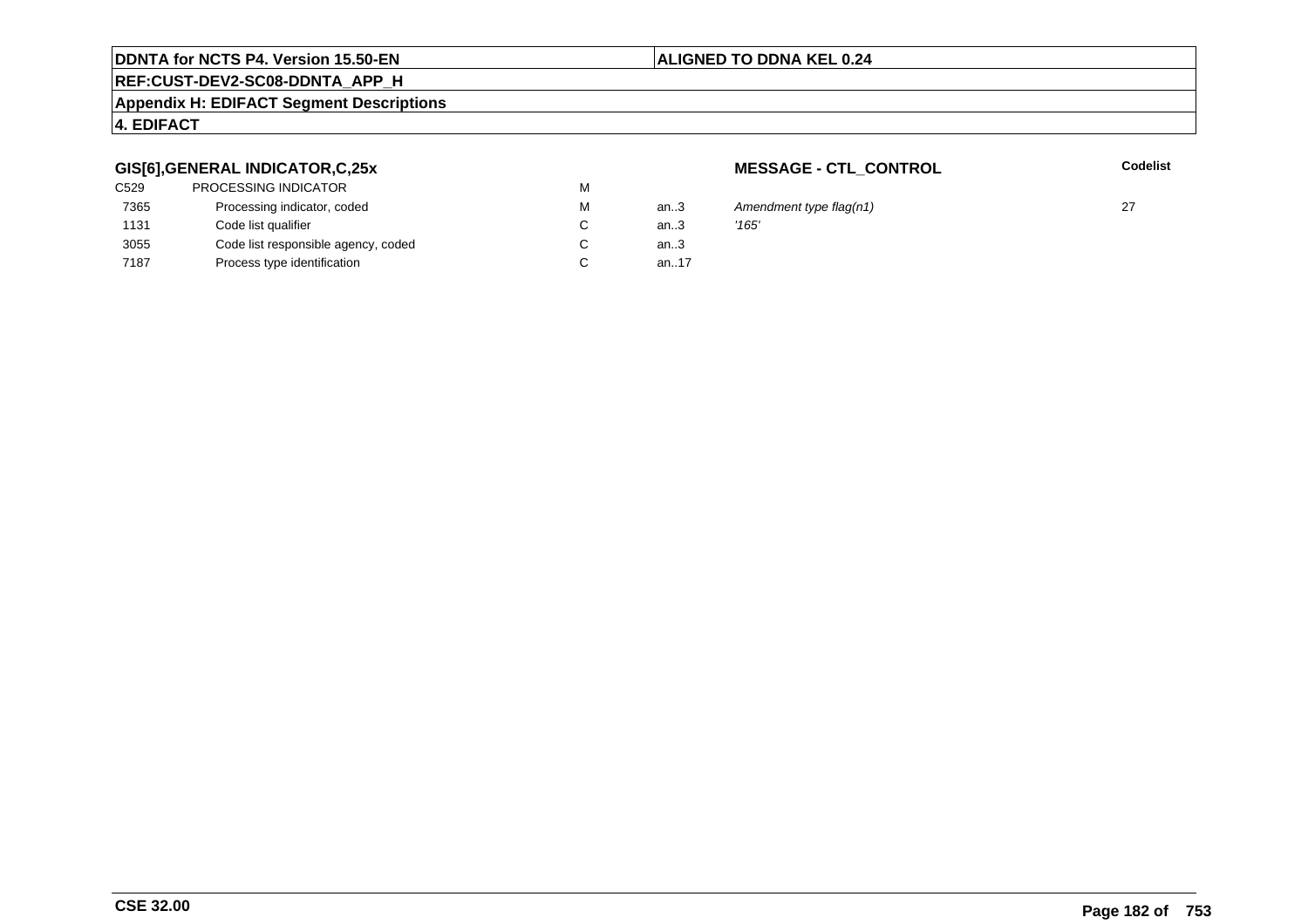# **Appendix H: EDIFACT Segment Descriptions**

# **4. EDIFACT**

# **GIS[6],GENERAL INDICATOR,C,25x**

| <b>PROCESSING INDICATOR</b>         | м |        |       |
|-------------------------------------|---|--------|-------|
| Processing indicator, coded         | м | an.3   | Ame   |
| Code list qualifier                 | C | an.3   | '165' |
| Code list responsible agency, coded | С | an $3$ |       |
| Process type identification         | С | an17   |       |
|                                     |   |        |       |

**MESSAGE - CTL\_CONTROL**

**Codelist**

**ALIGNED TO DDNA KEL 0.24**

# **REF:CUST-DEV2-SC08-DDNTA\_APP\_H**

3 Amendment type flag(n1) 27<br>3  $'165'$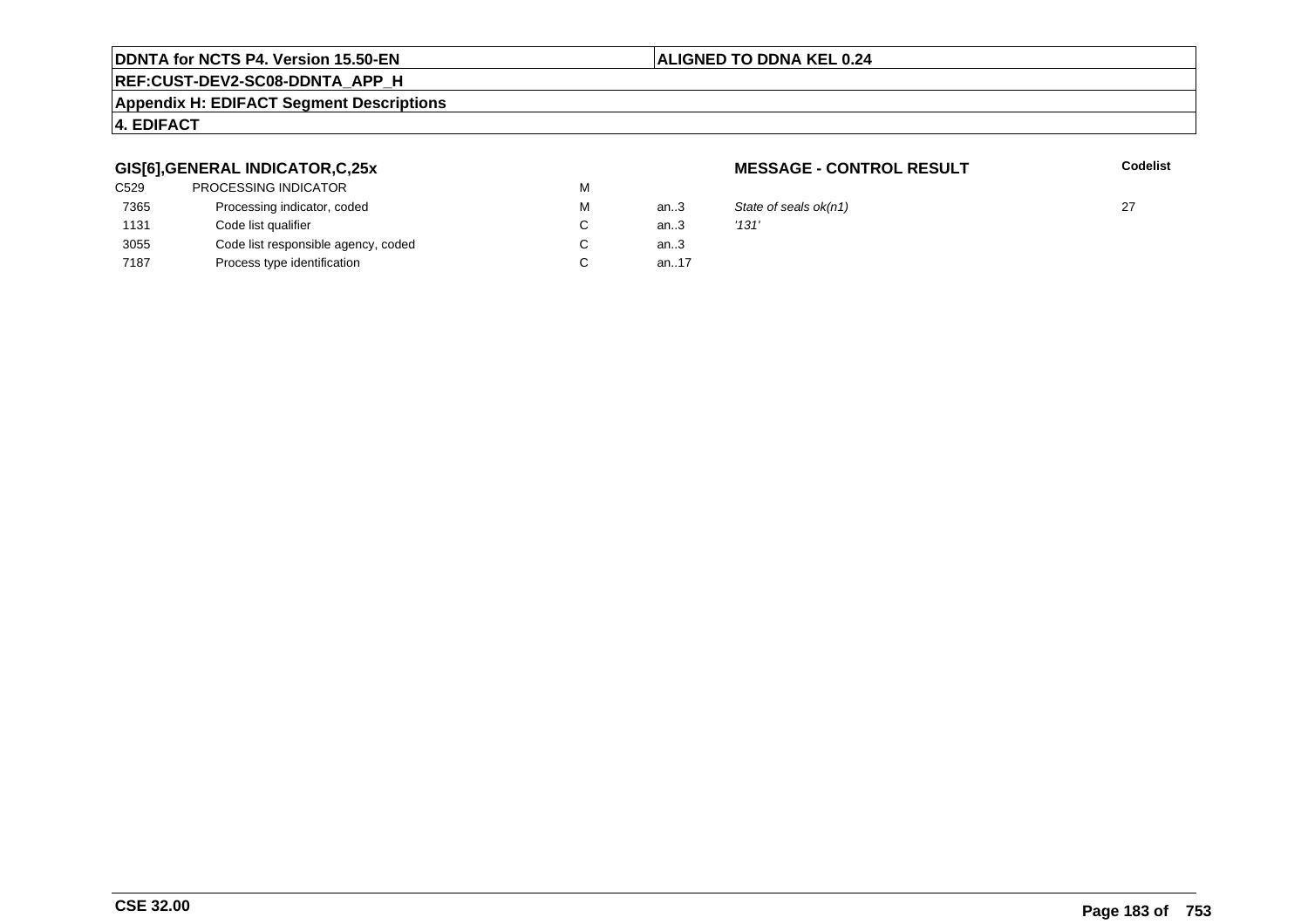# **ALIGNED TO DDNA KEL 0.24**

# **REF:CUST-DEV2-SC08-DDNTA\_APP\_H**

### **Appendix H: EDIFACT Segment Descriptions**

# **4. EDIFACT**

# **GIS[6],GENERAL INDICATOR,C,25x**

| C <sub>529</sub> | <b>PROCESSING INDICATOR</b>         | м |           |       |
|------------------|-------------------------------------|---|-----------|-------|
| 7365             | Processing indicator, coded         | м | an $3$    | State |
| 1131             | Code list qualifier                 | C | an.3      | '131' |
| 3055             | Code list responsible agency, coded | C | an $3$    |       |
| 7187             | Process type identification         |   | an. $.17$ |       |

# **MESSAGE - CONTROL RESULT**

**Codelist**

3 State of seals  $ok(n1)$  27<br>3  $'131'$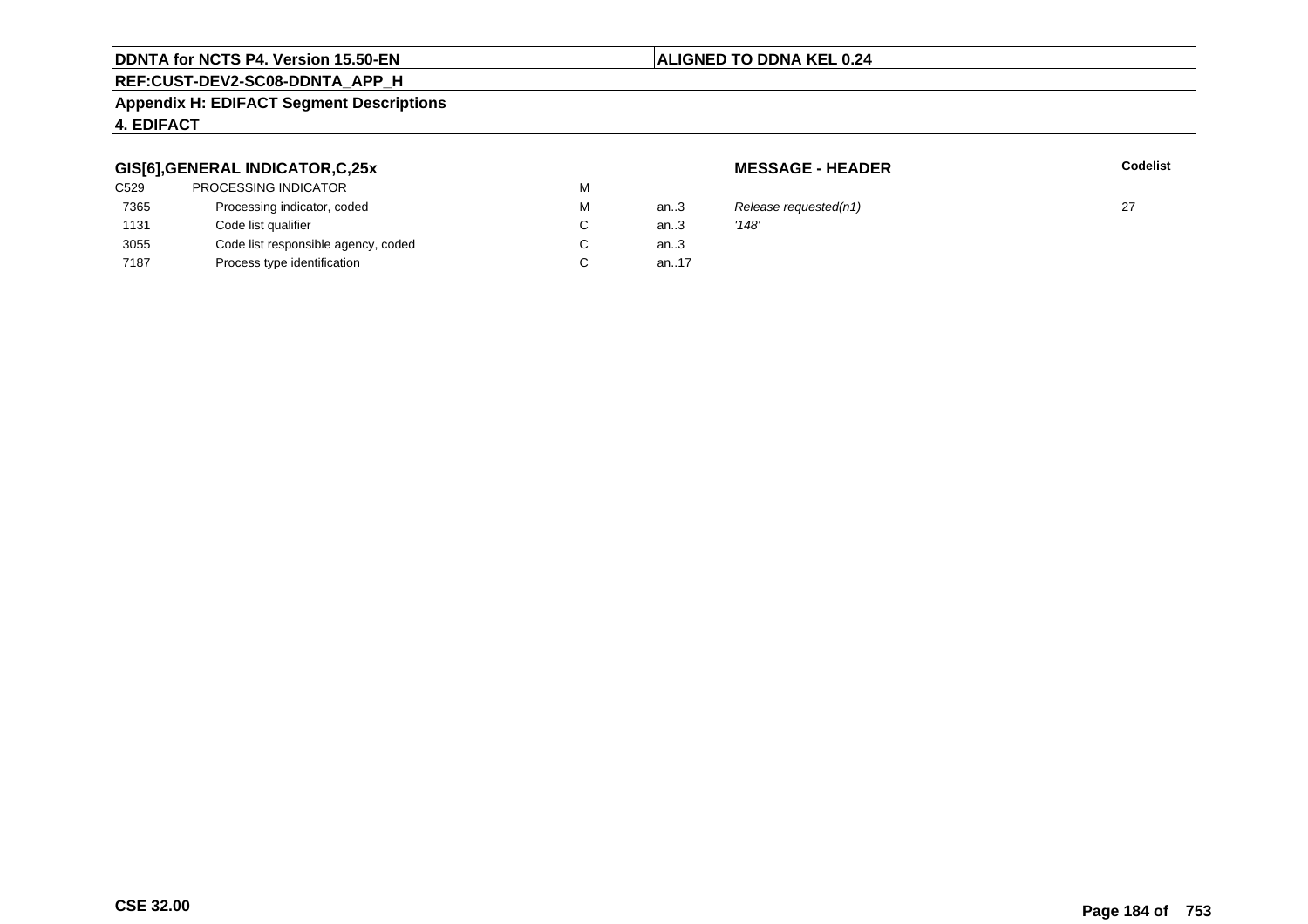# **ALIGNED TO DDNA KEL 0.24**

# **REF:CUST-DEV2-SC08-DDNTA\_APP\_H**

### **Appendix H: EDIFACT Segment Descriptions**

# **4. EDIFACT**

# **GIS[6],GENERAL INDICATOR,C,25x**

| <b>PROCESSING INDICATOR</b>         | M |      |       |
|-------------------------------------|---|------|-------|
| Processing indicator, coded         | M | an3  | Rele  |
| Code list qualifier                 | C | an.3 | '148' |
| Code list responsible agency, coded | С | an.3 |       |
| Process type identification         | C | an17 |       |
|                                     |   |      |       |

**MESSAGE - HEADER**

**R** Codelist

3 Release requested(n1)  $27$ <br>3  $'148'$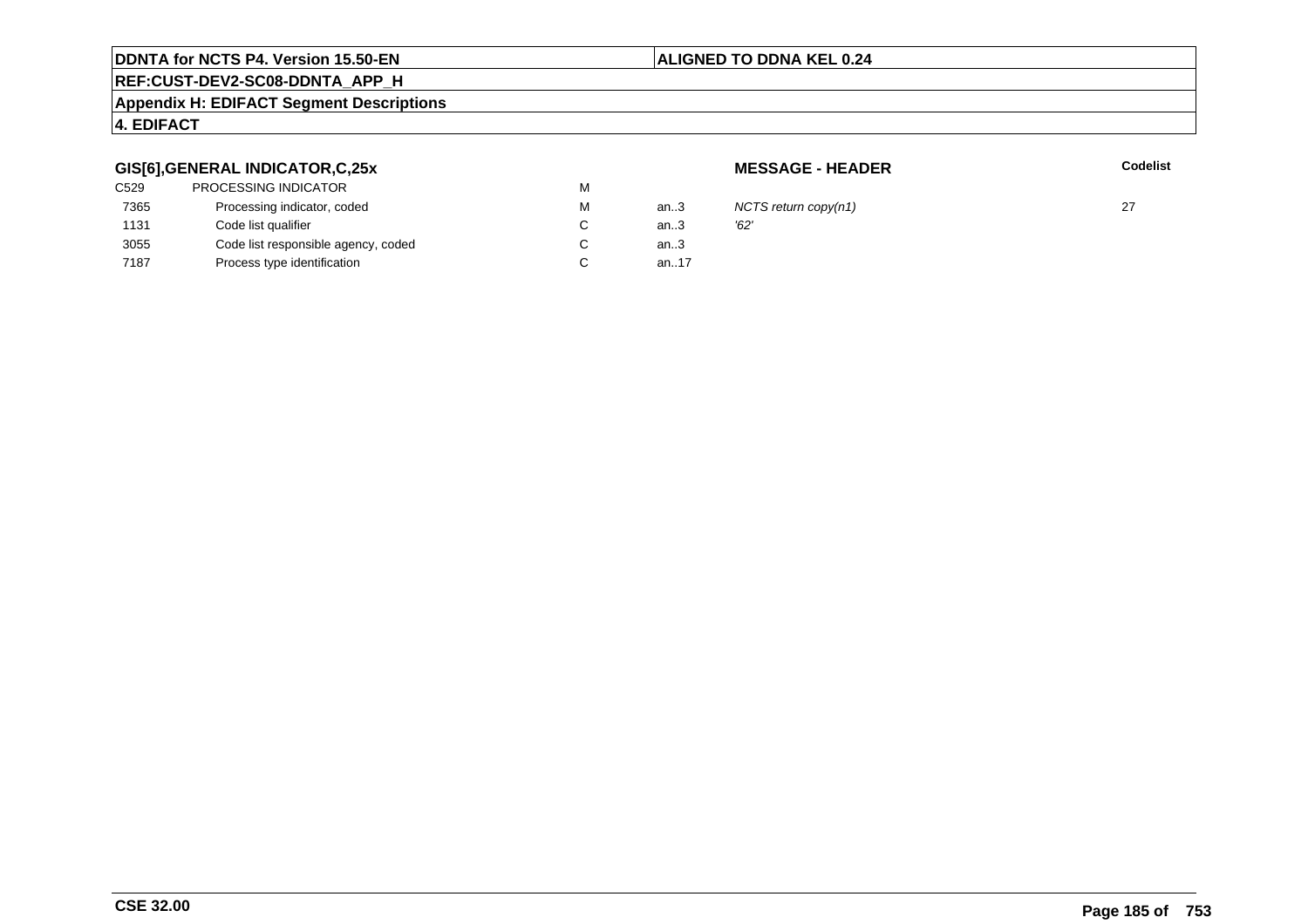### **ALIGNED TO DDNA KEL 0.24**

# **REF:CUST-DEV2-SC08-DDNTA\_APP\_H**

### **Appendix H: EDIFACT Segment Descriptions**

# **4. EDIFACT**

# **GIS[6],GENERAL INDICATOR,C,25x**

| C529 | <b>PROCESSING INDICATOR</b>         | м |      |      |
|------|-------------------------------------|---|------|------|
| 7365 | Processing indicator, coded         | м | an.3 | ΝC   |
| 1131 | Code list qualifier                 |   | an.3 | '62' |
| 3055 | Code list responsible agency, coded |   | an.3 |      |
| 7187 | Process type identification         |   | an17 |      |
|      |                                     |   |      |      |

**MESSAGE - HEADER**

**R** Codelist

NCTS return copy(n1)  $27$ <br>'62'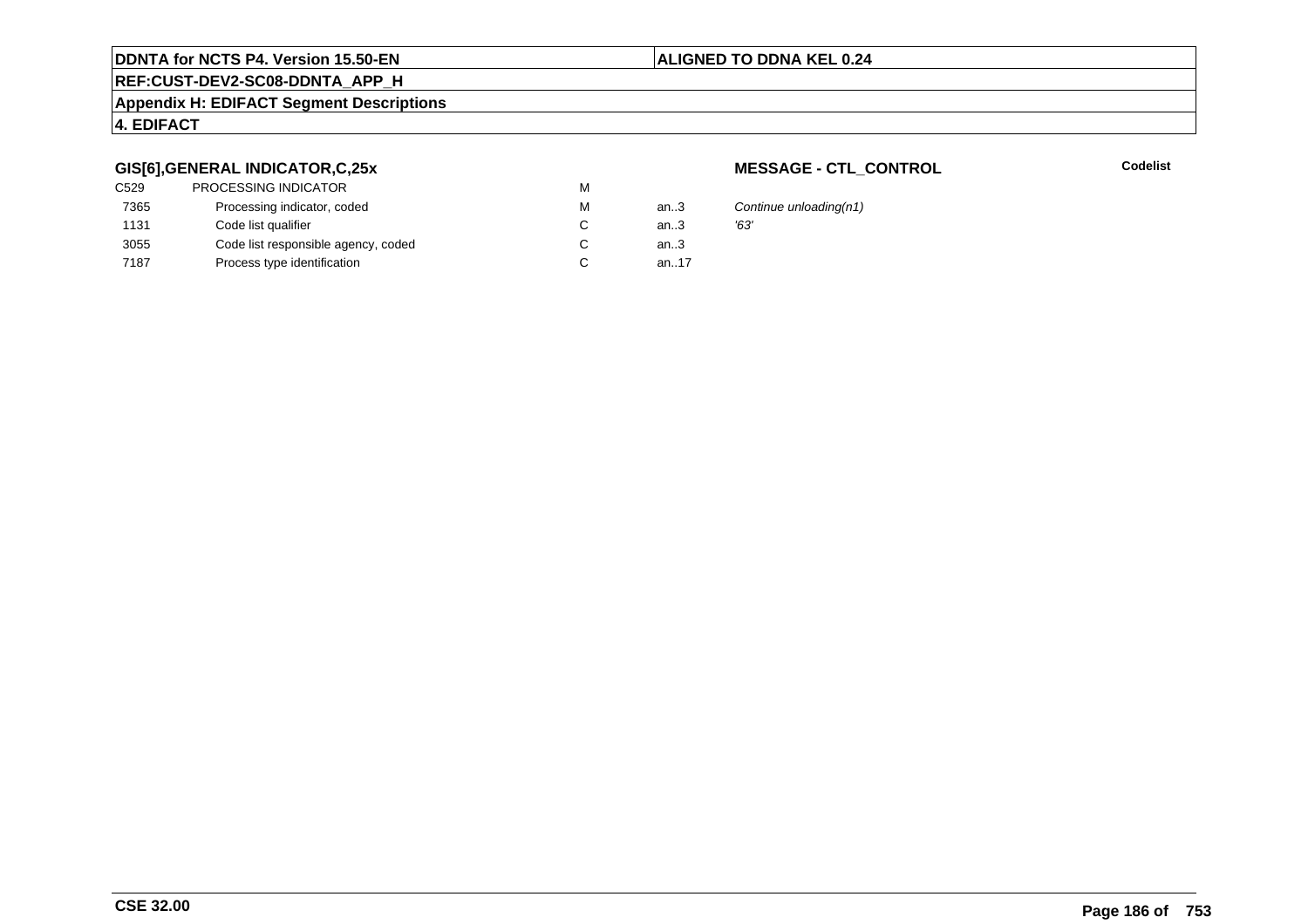# **REF:CUST-DEV2-SC08-DDNTA\_APP\_H**

### **Appendix H: EDIFACT Segment Descriptions**

# **4. EDIFACT**

# **GIS[6],GENERAL INDICATOR,C,25x**

| <b>PROCESSING INDICATOR</b>         | м |      |      |
|-------------------------------------|---|------|------|
| Processing indicator, coded         | м | an3  | Cor  |
| Code list qualifier                 |   | an.3 | '63' |
| Code list responsible agency, coded |   | an.3 |      |
| Process type identification         |   | an17 |      |
|                                     |   |      |      |

# **MESSAGE - CTL\_CONTROL**

**Codelist**

Continue unloading(n1)<br>'63'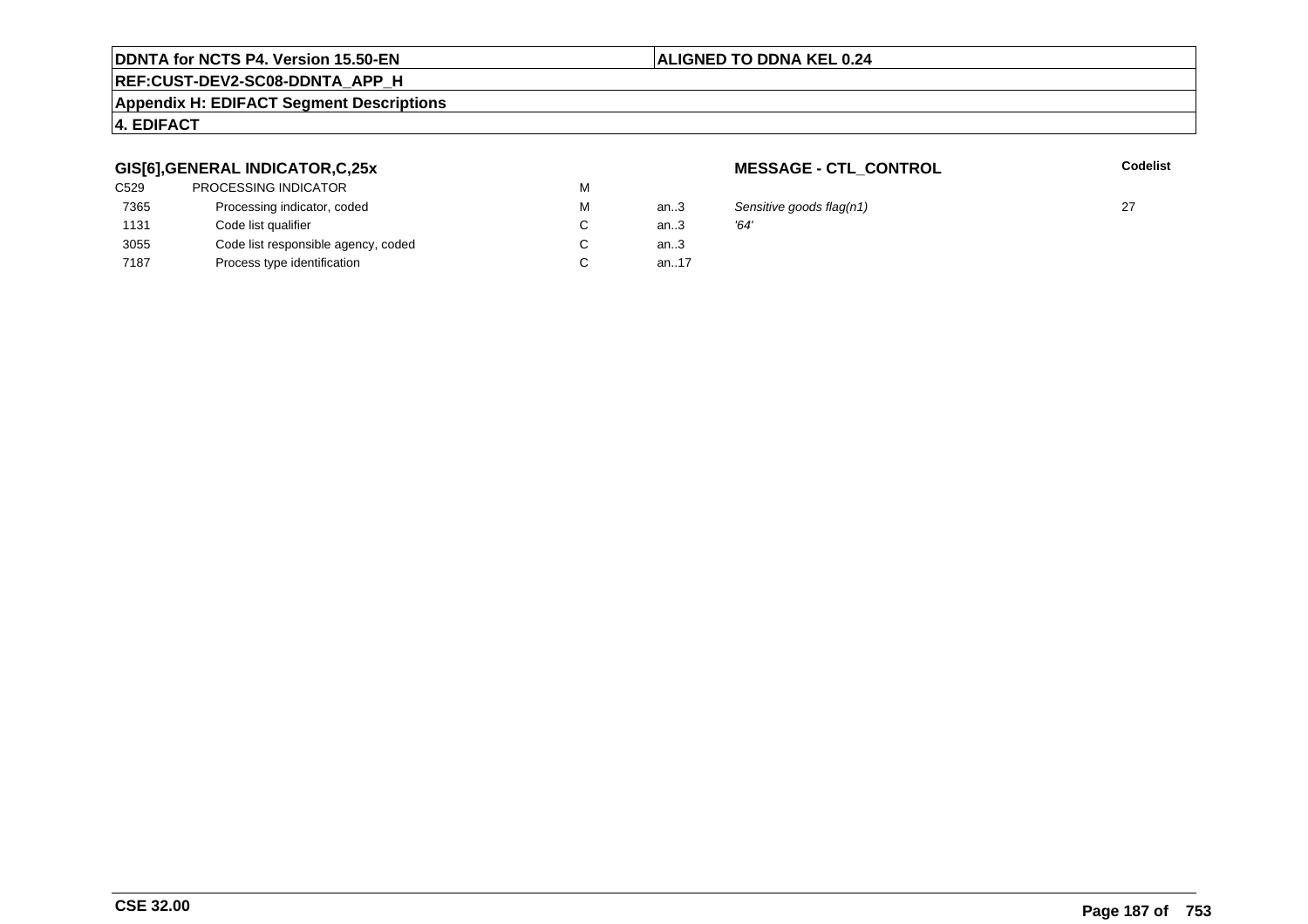# **REF:CUST-DEV2-SC08-DDNTA\_APP\_H**

### **Appendix H: EDIFACT Segment Descriptions**

# **4. EDIFACT**

# **GIS[6],GENERAL INDICATOR,C,25x**

| <b>PROCESSING INDICATOR</b>         | М |      |      |
|-------------------------------------|---|------|------|
| Processing indicator, coded         | м | an3  | Ser  |
| Code list qualifier                 |   | an.3 | '64' |
| Code list responsible agency, coded |   | an.3 |      |
| Process type identification         |   | an17 |      |
|                                     |   |      |      |

**MESSAGE - CTL\_CONTROL**

**Codelist**

an..3 Sensitive goods flag(n1) <sup>27</sup>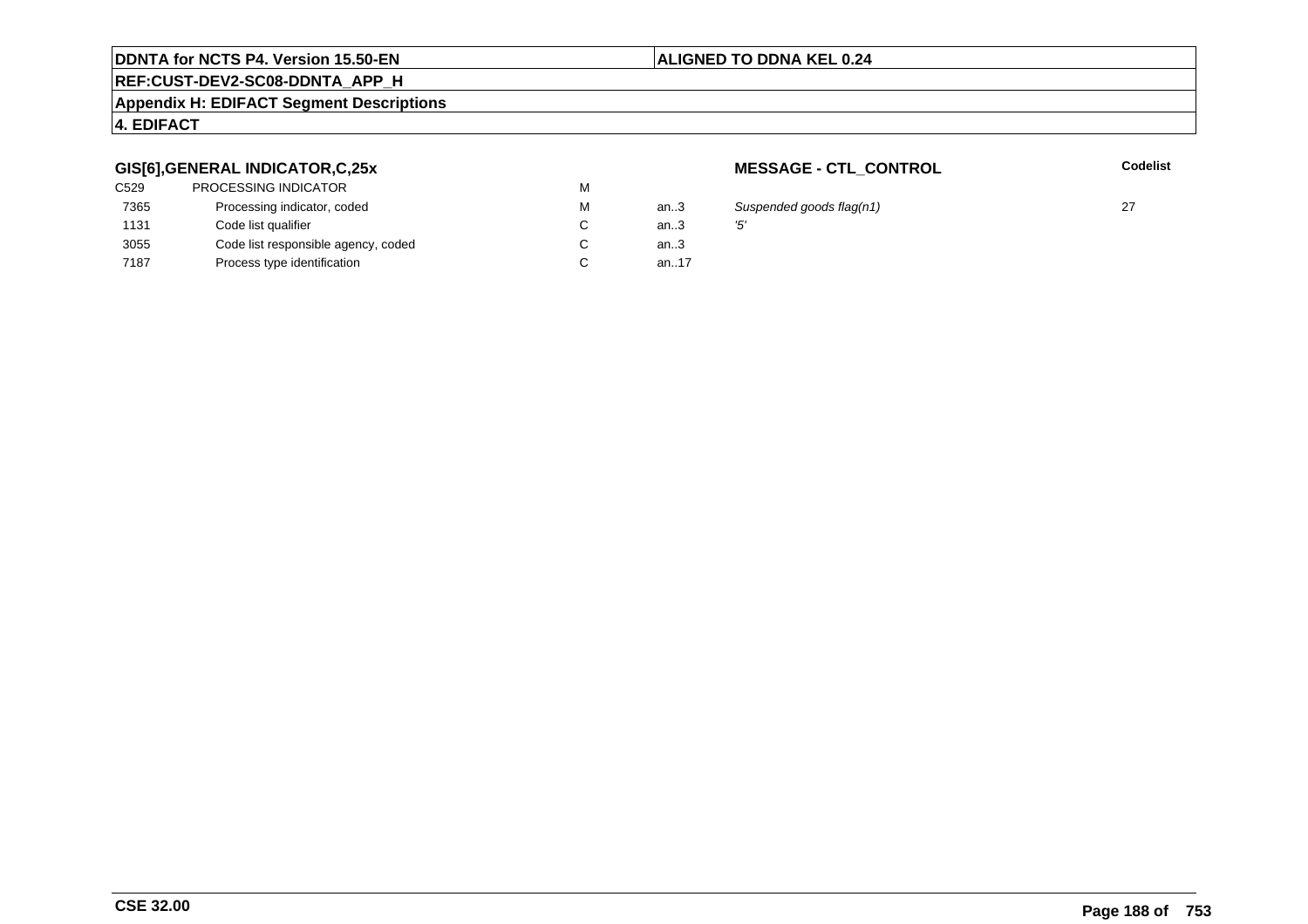# **REF:CUST-DEV2-SC08-DDNTA\_APP\_H**

### **Appendix H: EDIFACT Segment Descriptions**

# **4. EDIFACT**

# **GIS[6],GENERAL INDICATOR,C,25x**

| <b>PROCESSING INDICATOR</b>         | м |          |     |
|-------------------------------------|---|----------|-----|
| Processing indicator, coded         | м | an.3     | Sι  |
| Code list qualifier                 | C | an.3     | '5' |
| Code list responsible agency, coded | C | an $3$   |     |
| Process type identification         |   | an. $17$ |     |
|                                     |   |          |     |

**MESSAGE - CTL\_CONTROL**

**Codelist**

an..3 Suspended goods flag(n1) <sup>27</sup>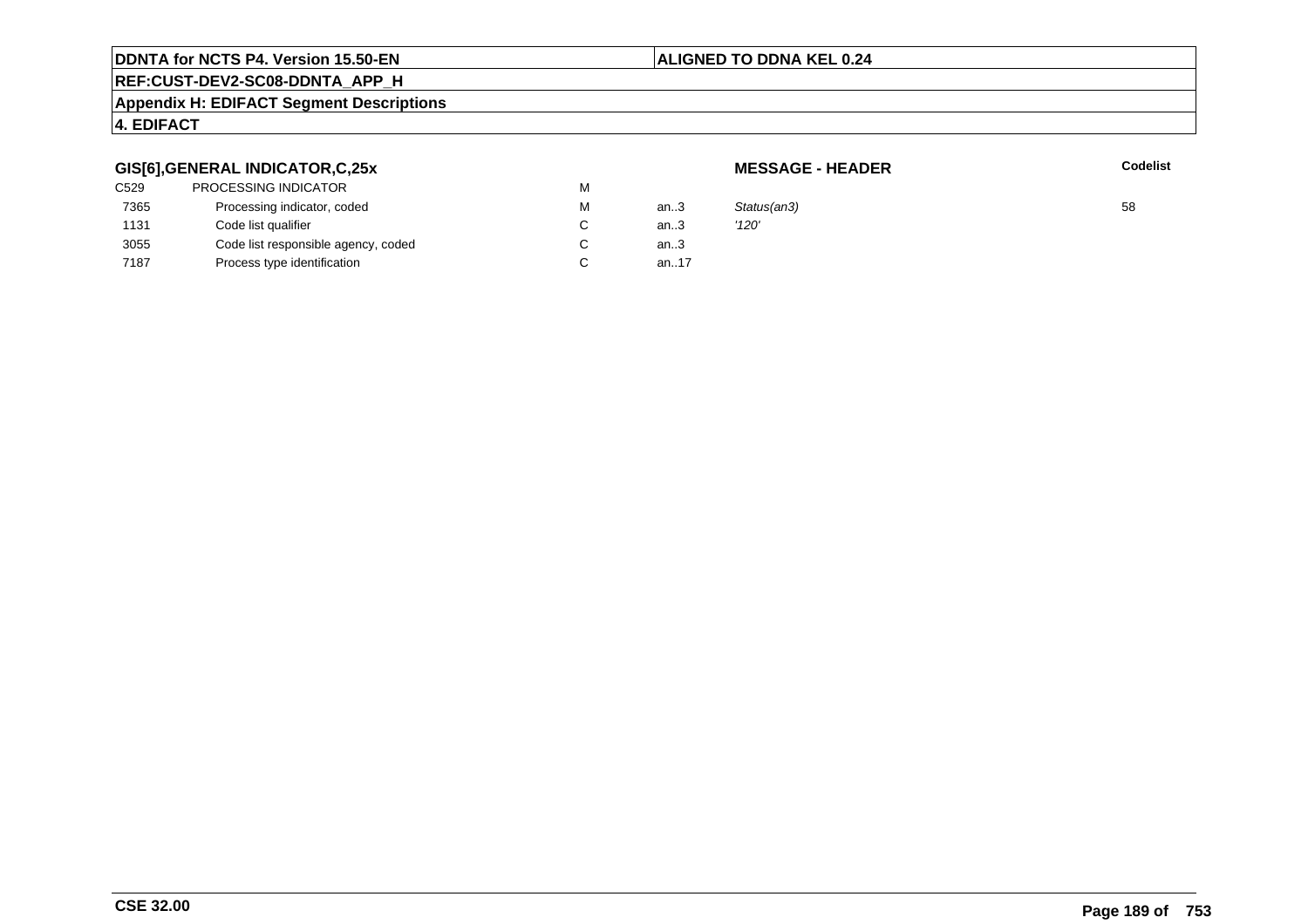### **ALIGNED TO DDNA KEL 0.24**

# **REF:CUST-DEV2-SC08-DDNTA\_APP\_H**

### **Appendix H: EDIFACT Segment Descriptions**

# **4. EDIFACT**

# **GIS[6],GENERAL INDICATOR,C,25x**

| C529 | PROCESSING INDICATOR                | М      |         |             |    |
|------|-------------------------------------|--------|---------|-------------|----|
| 7365 | Processing indicator, coded         | М      | an $.3$ | Status(an3) | 58 |
| 1131 | Code list qualifier                 | $\sim$ | an.3    | '120'       |    |
| 3055 | Code list responsible agency, coded | $\sim$ | an $.3$ |             |    |
| 7187 | Process type identification         | $\sim$ | an.17   |             |    |
|      |                                     |        |         |             |    |

**MESSAGE - HEADER**

**R** Codelist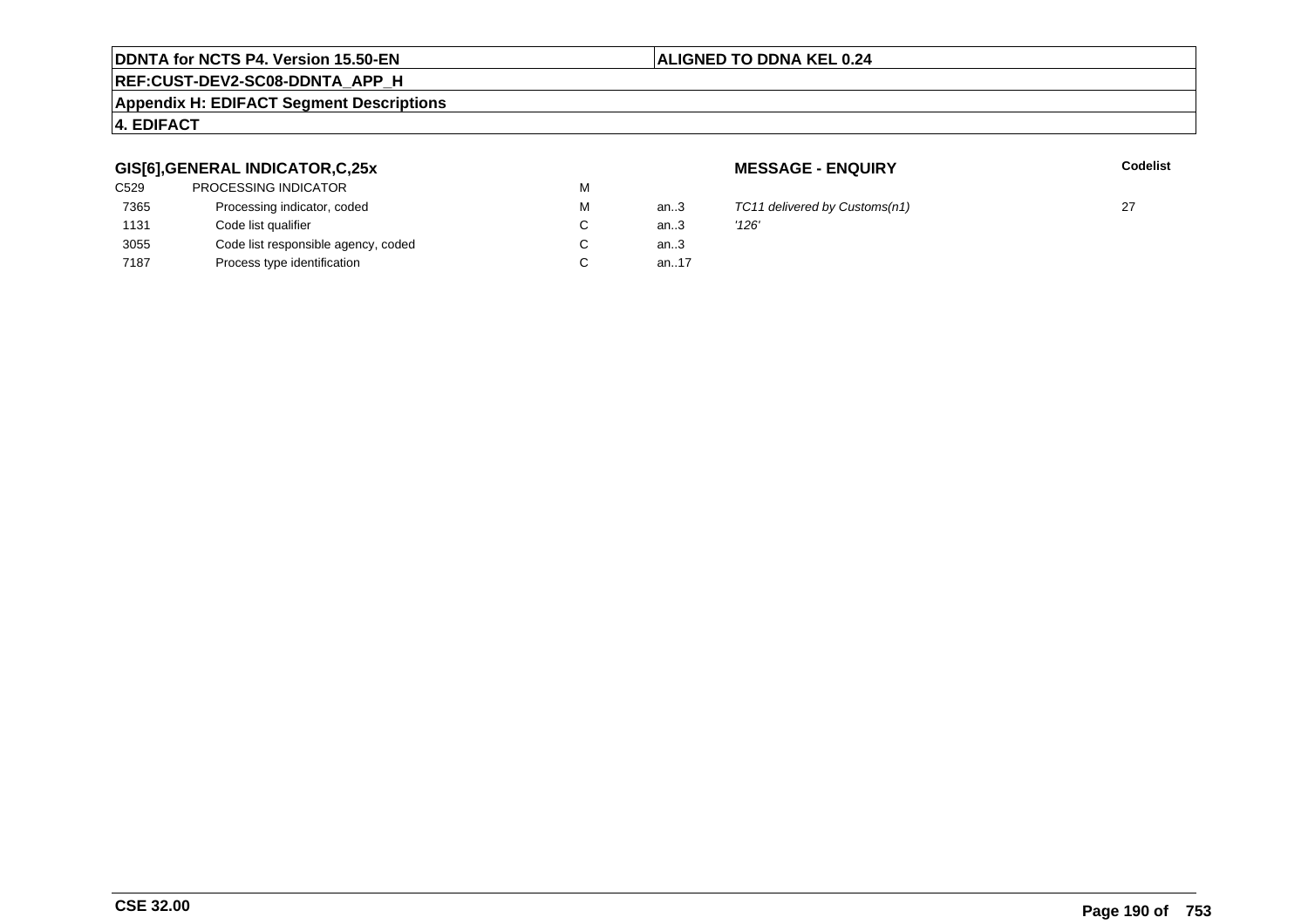# **REF:CUST-DEV2-SC08-DDNTA\_APP\_H**

### **Appendix H: EDIFACT Segment Descriptions**

# **4. EDIFACT**

# **GIS[6],GENERAL INDICATOR,C,25x**

| C529 | <b>PROCESSING INDICATOR</b>         | М |      |       |
|------|-------------------------------------|---|------|-------|
| 7365 | Processing indicator, coded         | М | an.3 | TC1:  |
| 1131 | Code list qualifier                 | C | an.3 | '126' |
| 3055 | Code list responsible agency, coded | С | an.3 |       |
| 7187 | Process type identification         |   | an17 |       |
|      |                                     |   |      |       |

**MESSAGE - ENQUIRY**

 $TC11$  delivered by Customs(n1) 27<br> $'126'$ 

**ALIGNED TO DDNA KEL 0.24**

**Latter School** School Codelist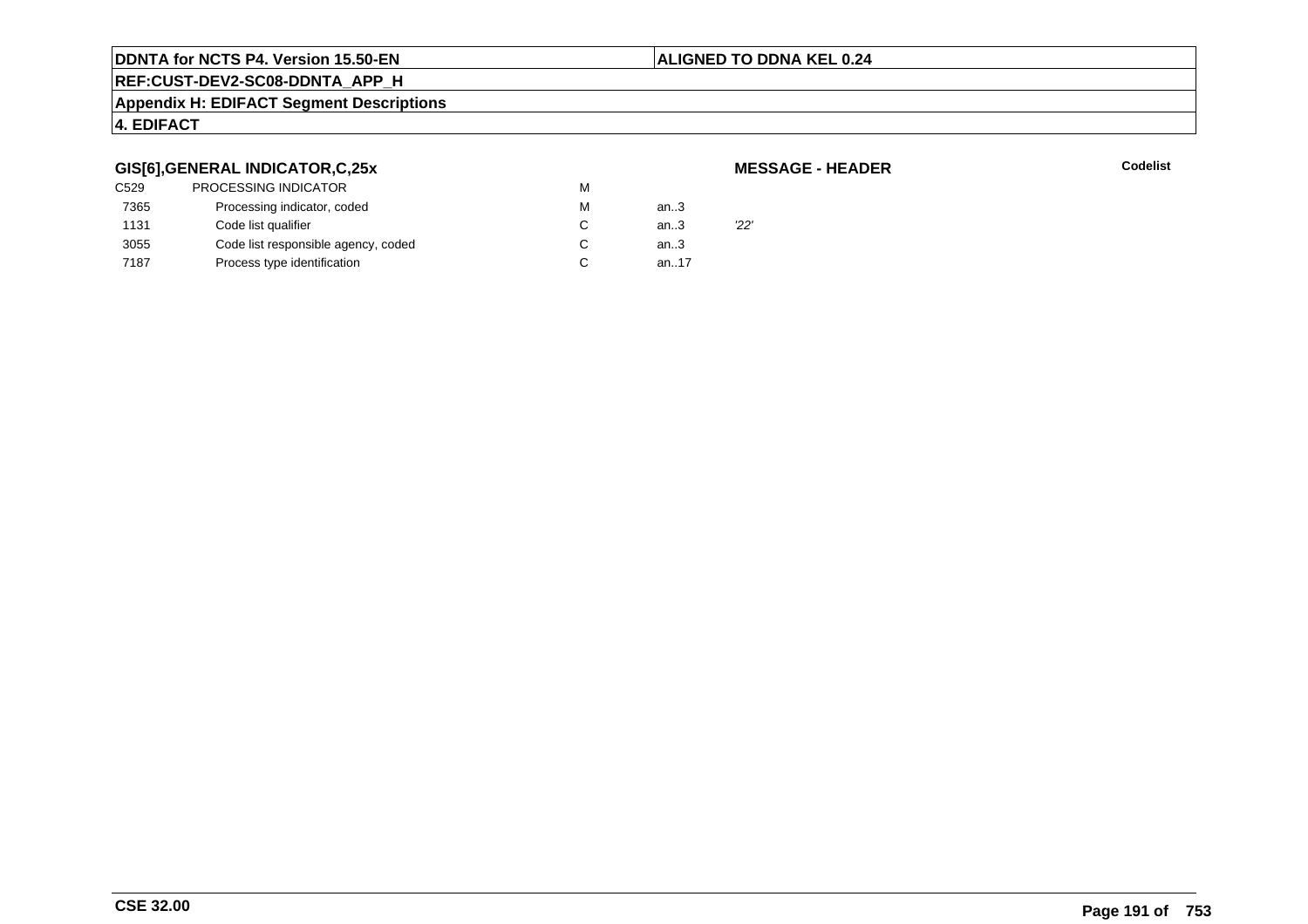### **ALIGNED TO DDNA KEL 0.24**

# **REF:CUST-DEV2-SC08-DDNTA\_APP\_H**

#### **Appendix H: EDIFACT Segment Descriptions**

# **4. EDIFACT**

# **GIS[6],GENERAL INDICATOR,C,25x**

| C529 | <b>PROCESSING INDICATOR</b>         | м |      |     |
|------|-------------------------------------|---|------|-----|
| 7365 | Processing indicator, coded         | м | an.3 |     |
| 1131 | Code list qualifier                 |   | an.3 | 22' |
| 3055 | Code list responsible agency, coded |   | an.3 |     |
| 7187 | Process type identification         |   | an17 |     |
|      |                                     |   |      |     |

**MESSAGE - HEADER**

**R** Codelist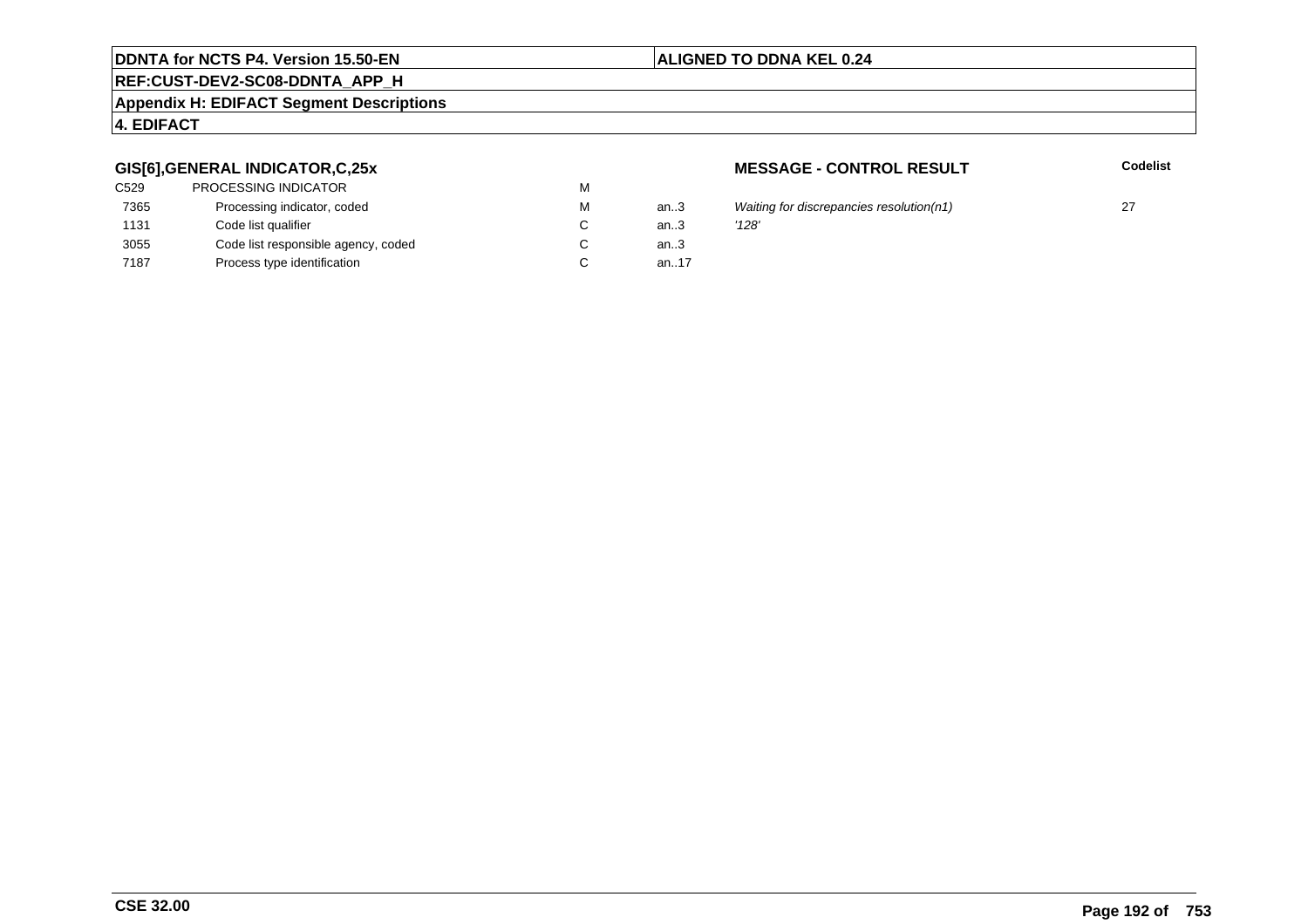# **REF:CUST-DEV2-SC08-DDNTA\_APP\_H**

### **Appendix H: EDIFACT Segment Descriptions**

# **4. EDIFACT**

# **GIS[6],GENERAL INDICATOR,C,25x**

| <b>PROCESSING INDICATOR</b>         | M |      |       |
|-------------------------------------|---|------|-------|
| Processing indicator, coded         | M | an3  | Wait  |
| Code list qualifier                 | C | an.3 | '128' |
| Code list responsible agency, coded | С | an.3 |       |
| Process type identification         | C | an17 |       |
|                                     |   |      |       |

**MESSAGE - CONTROL RESULT**

**Codelist**

an.3 Waiting for discrepancies resolution(n1)  $27$ <br>  $\frac{128'}{128'}$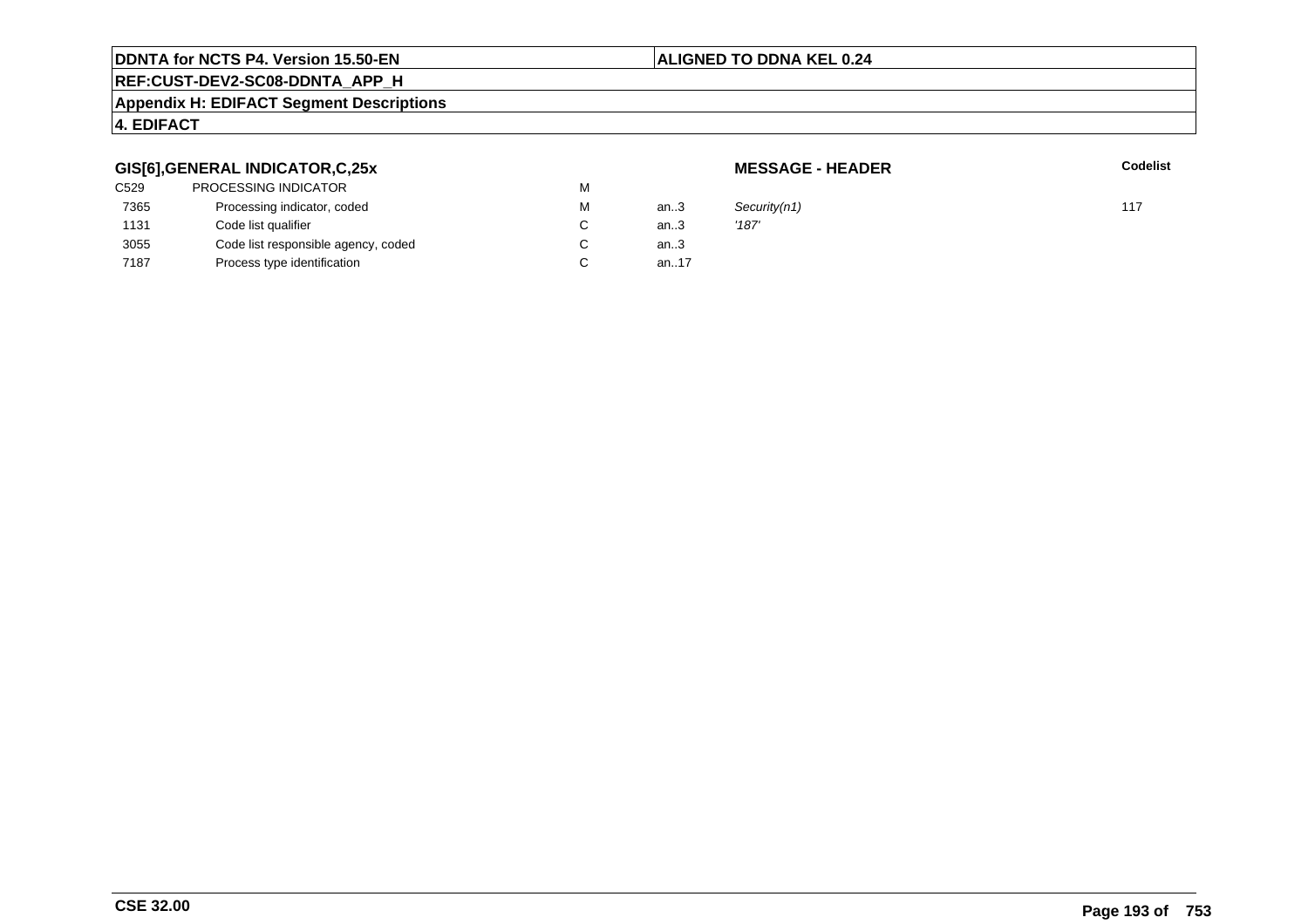# **ALIGNED TO DDNA KEL 0.24**

# **REF:CUST-DEV2-SC08-DDNTA\_APP\_H**

### **Appendix H: EDIFACT Segment Descriptions**

# **4. EDIFACT**

# **GIS[6],GENERAL INDICATOR,C,25x**

| C529 | PROCESSING INDICATOR                | М |      |       |
|------|-------------------------------------|---|------|-------|
| 7365 | Processing indicator, coded         | М | an.3 | Secu  |
| 1131 | Code list qualifier                 | C | an.3 | '187' |
| 3055 | Code list responsible agency, coded | C | an.3 |       |
| 7187 | Process type identification         |   | an17 |       |
|      |                                     |   |      |       |

**MESSAGE - HEADER**

**R** Codelist

M an..3 Security(n1) 117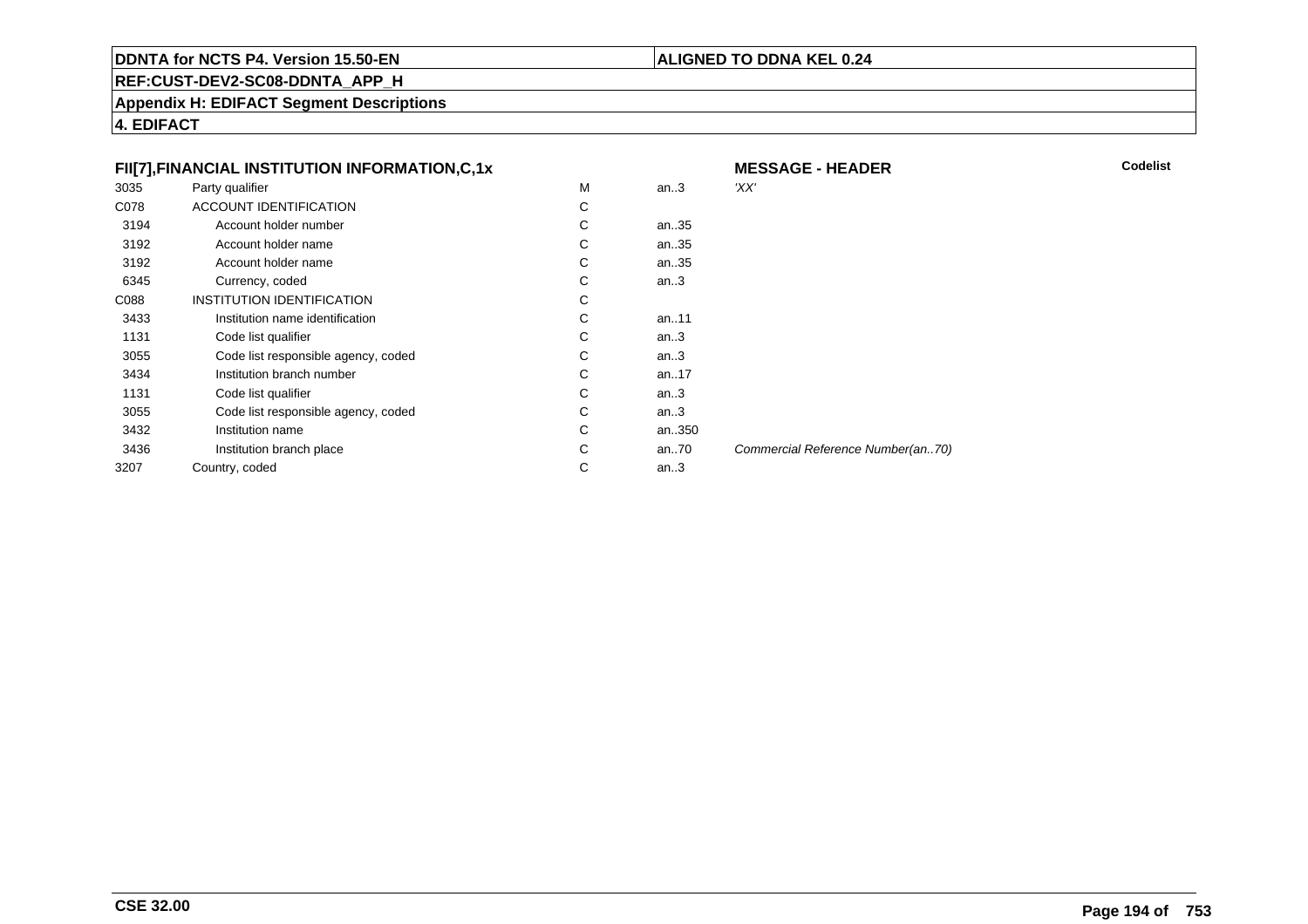# **ALIGNED TO DDNA KEL 0.24**

**REF:CUST-DEV2-SC08-DDNTA\_APP\_H**

**Appendix H: EDIFACT Segment Descriptions**

**4. EDIFACT**

|      | FII[7], FINANCIAL INSTITUTION INFORMATION, C, 1x |   |       | <b>MESSAGE - HEADER</b>           | Codelist |
|------|--------------------------------------------------|---|-------|-----------------------------------|----------|
| 3035 | Party qualifier                                  | M | an.3  | 'XX'                              |          |
| C078 | ACCOUNT IDENTIFICATION                           | С |       |                                   |          |
| 3194 | Account holder number                            | C | an35  |                                   |          |
| 3192 | Account holder name                              | С | an35  |                                   |          |
| 3192 | Account holder name                              | С | an35  |                                   |          |
| 6345 | Currency, coded                                  | С | an.3  |                                   |          |
| C088 | INSTITUTION IDENTIFICATION                       | С |       |                                   |          |
| 3433 | Institution name identification                  | C | an11  |                                   |          |
| 1131 | Code list qualifier                              | С | an.3  |                                   |          |
| 3055 | Code list responsible agency, coded              | С | an.3  |                                   |          |
| 3434 | Institution branch number                        | C | an17  |                                   |          |
| 1131 | Code list qualifier                              | С | an.3  |                                   |          |
| 3055 | Code list responsible agency, coded              | C | an.3  |                                   |          |
| 3432 | Institution name                                 | С | an350 |                                   |          |
| 3436 | Institution branch place                         | С | an70  | Commercial Reference Number(an70) |          |
| 3207 | Country, coded                                   | С | an.3  |                                   |          |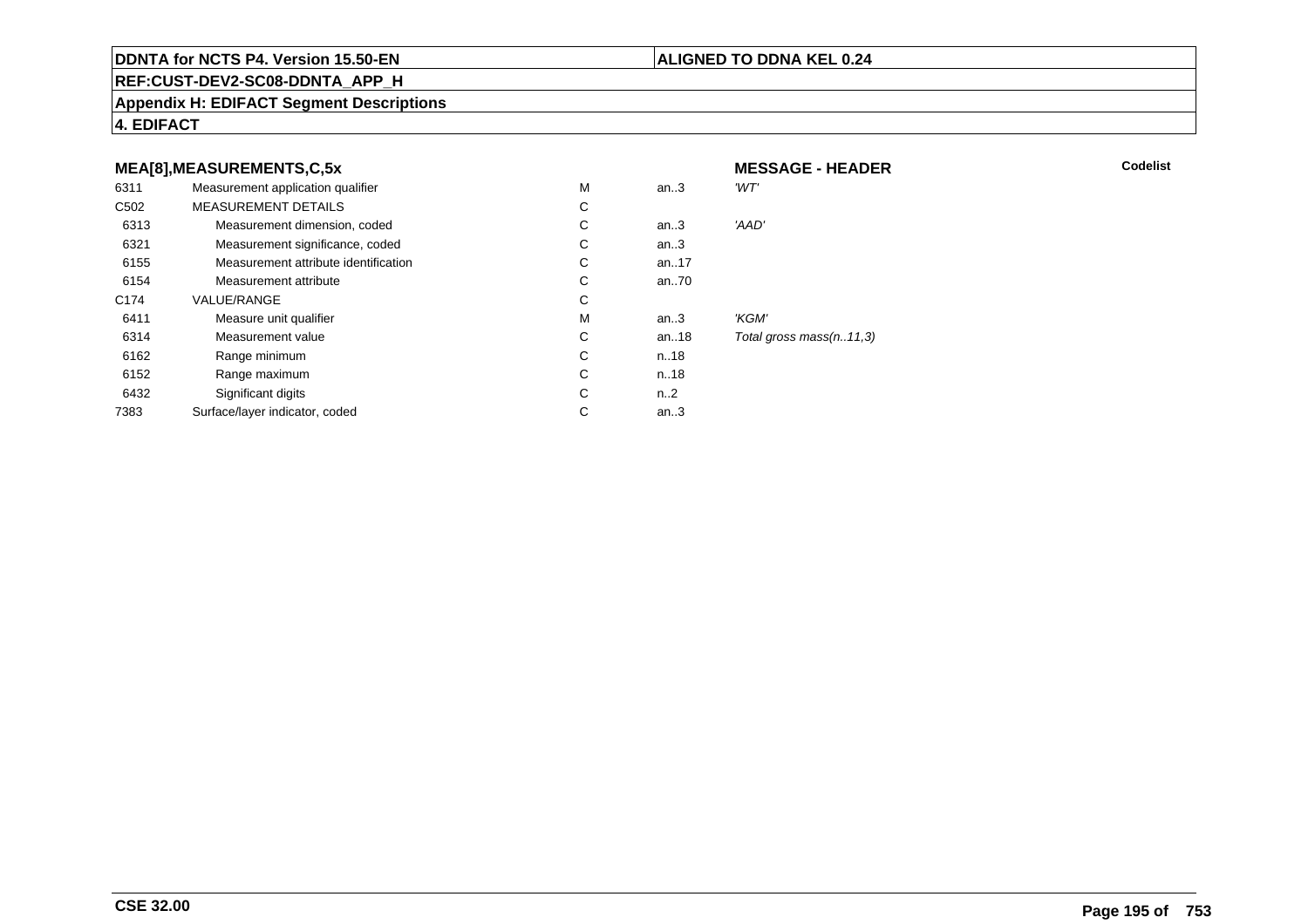### **ALIGNED TO DDNA KEL 0.24**

**REF:CUST-DEV2-SC08-DDNTA\_APP\_H**

### **Appendix H: EDIFACT Segment Descriptions**

**4. EDIFACT**

#### **MEA[8],MEASUREMENTS,C,5xMESSAGE - HEADER**<br>M an..3 'WT' 6311Measurement application qualifier  $M$ <br>MEASUREMENT DETAILS M an..3 *'WT'* C<sub>502</sub> MEASUREMENT DETAILSs c  $\mathsf{C}$ 6313Measurement dimension, coded<br>
Measurement significance, coded<br>
C C an..3 'AAD' 6321Measurement significance, coded C<br>
Measurement attribute identification<br>
C an..3 6155Measurement attribute identification  $\begin{array}{ccc} \text{C} \\ \text{C} \end{array}$  an..17 6154Measurement attribute C<br>COLLE/RANGE C an..70 C174 VALUE/RANGEE C  $\mathsf{M}% _{T}=\mathsf{M}_{T}\!\left( a,b\right) ,\ \mathsf{M}_{T}=\mathsf{M}_{T}$ 6411Measure unit qualifier the matrix of the matrix of the Measurement value of the Measurement value of the Measurement value of the Measurement value of the Measurement value of the Measurement value of the Measurement value an..3 *'KGM'*<br>an..18 *Total g* 6314Measurement value C<br>
Range minimum C<br>
C an..18 Total gross mass(n..11,3)<br>n..18 6162 Range minimum <sup>C</sup> n..18 6152 Range maximum <sup>C</sup> n..18 6432Significant digits C<br>
Face/laver indicator. coded n..2 7383Surface/layer indicator, coded an..3

**R** Codelist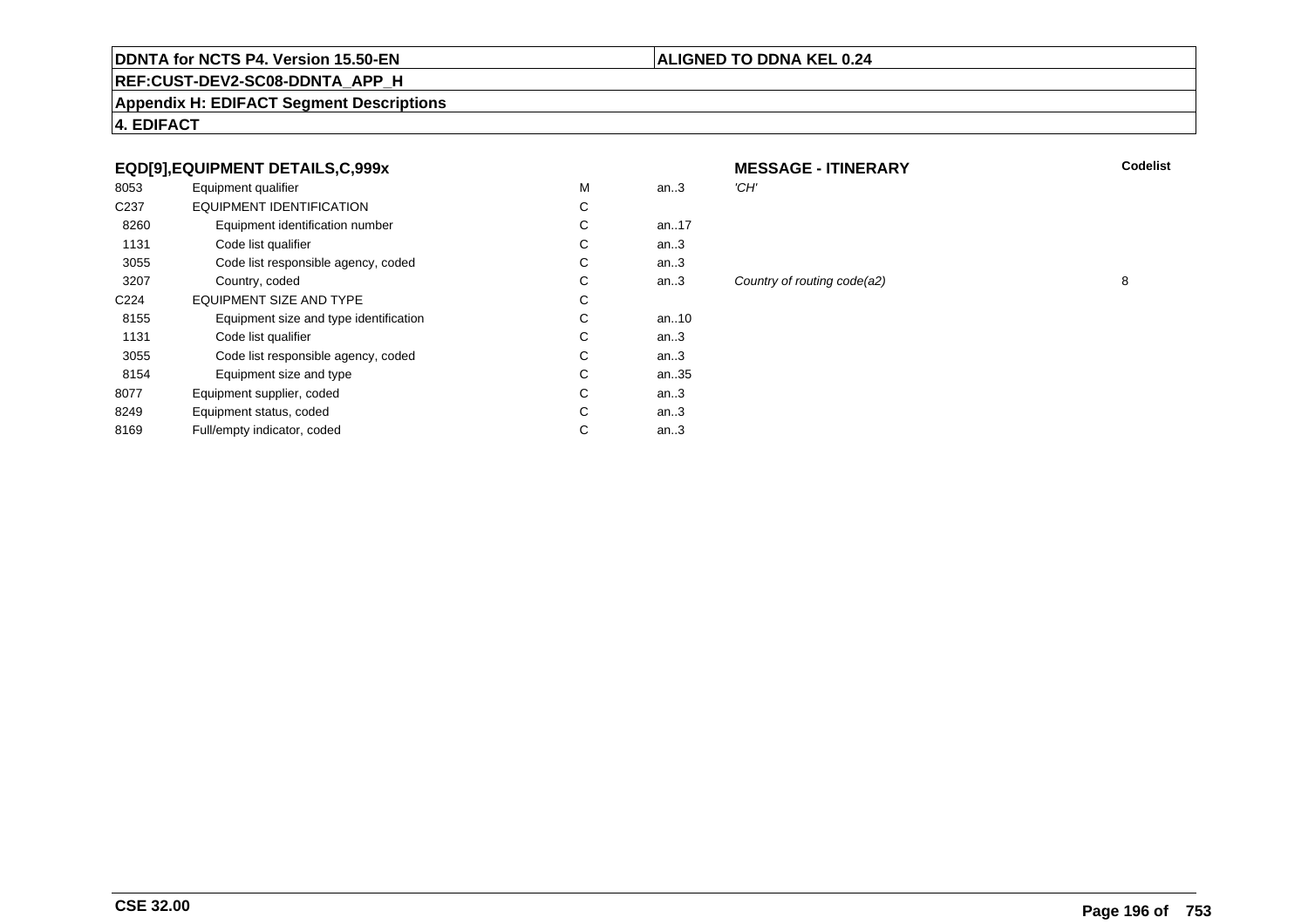# **ALIGNED TO DDNA KEL 0.24**

**REF:CUST-DEV2-SC08-DDNTA\_APP\_H**

**Appendix H: EDIFACT Segment Descriptions**

**4. EDIFACT**

# **EQD[9],EQUIPMENT DETAILS,C,999x**

| 8053             | Equipment qualifier                    | M | an.3      | 'CH' |
|------------------|----------------------------------------|---|-----------|------|
| C <sub>237</sub> | EQUIPMENT IDENTIFICATION               | C |           |      |
| 8260             | Equipment identification number        | C | an. $.17$ |      |
| 1131             | Code list qualifier                    | C | an $3$    |      |
| 3055             | Code list responsible agency, coded    | C | an.3      |      |
| 3207             | Country, coded                         | C | an.3      | Cou  |
| C <sub>224</sub> | <b>EQUIPMENT SIZE AND TYPE</b>         | C |           |      |
| 8155             | Equipment size and type identification | C | an. $.10$ |      |
| 1131             | Code list qualifier                    | C | an $3$    |      |
| 3055             | Code list responsible agency, coded    | C | an $3$    |      |
| 8154             | Equipment size and type                | C | an35      |      |
| 8077             | Equipment supplier, coded              | C | an.3      |      |
| 8249             | Equipment status, coded                | C | an.3      |      |
| 8169             | Full/empty indicator, coded            | C | an $3$    |      |
|                  |                                        |   |           |      |

| x         |   |          | <b>MESSAGE - ITINERARY</b>  | <b>Codelist</b> |
|-----------|---|----------|-----------------------------|-----------------|
|           | м | an.3     | 'CH'                        |                 |
|           | C |          |                             |                 |
| er        | C | an17     |                             |                 |
|           | C | an.3     |                             |                 |
| coded     | C | an.3     |                             |                 |
|           | C | an $.3$  | Country of routing code(a2) | 8               |
|           | C |          |                             |                 |
| ification | С | an $.10$ |                             |                 |
|           |   |          |                             |                 |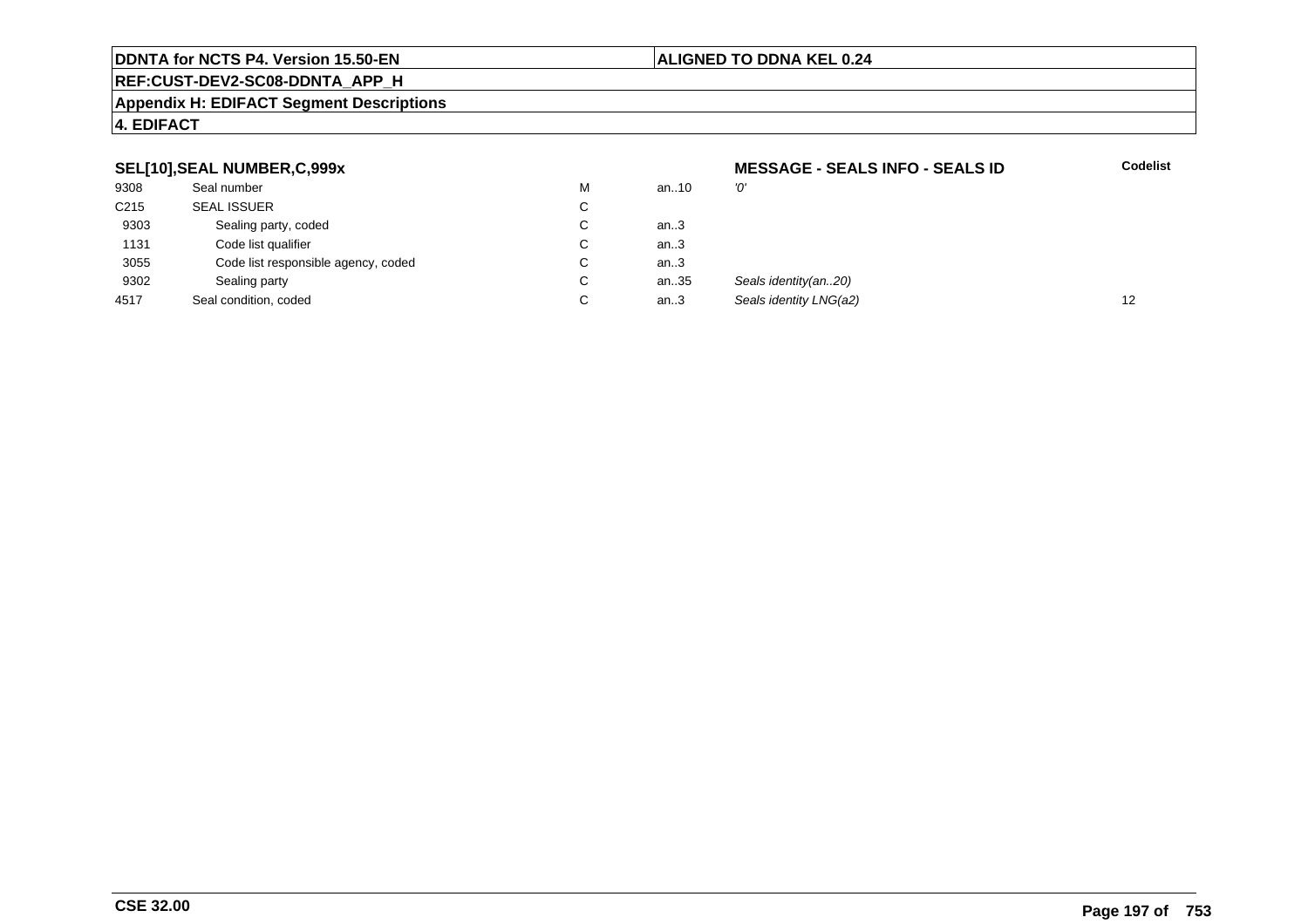### **ALIGNED TO DDNA KEL 0.24**

# **REF:CUST-DEV2-SC08-DDNTA\_APP\_H**

### **Appendix H: EDIFACT Segment Descriptions**

# **4. EDIFACT**

### **SEL[10],SEAL NUMBER,C,999x**

|                  | SEL[10], SEAL NUMBER, C, 999x       |             |        | <b>MESSAGE - SEALS INFO - SEALS ID</b> | <b>Codelist</b> |
|------------------|-------------------------------------|-------------|--------|----------------------------------------|-----------------|
| 9308             | Seal number                         | M           | an10   | '0'                                    |                 |
| C <sub>215</sub> | <b>SEAL ISSUER</b>                  | C           |        |                                        |                 |
| 9303             | Sealing party, coded                | ◡           | an3    |                                        |                 |
| 1131             | Code list qualifier                 | Ü           | an3    |                                        |                 |
| 3055             | Code list responsible agency, coded | $\sim$<br>◡ | an.3   |                                        |                 |
| 9302             | Sealing party                       | $\sim$<br>◡ | an35   | Seals identity(an20)                   |                 |
| 4517             | Seal condition, coded               | $\sim$<br>◡ | an $3$ | Seals identity LNG(a2)                 | 12              |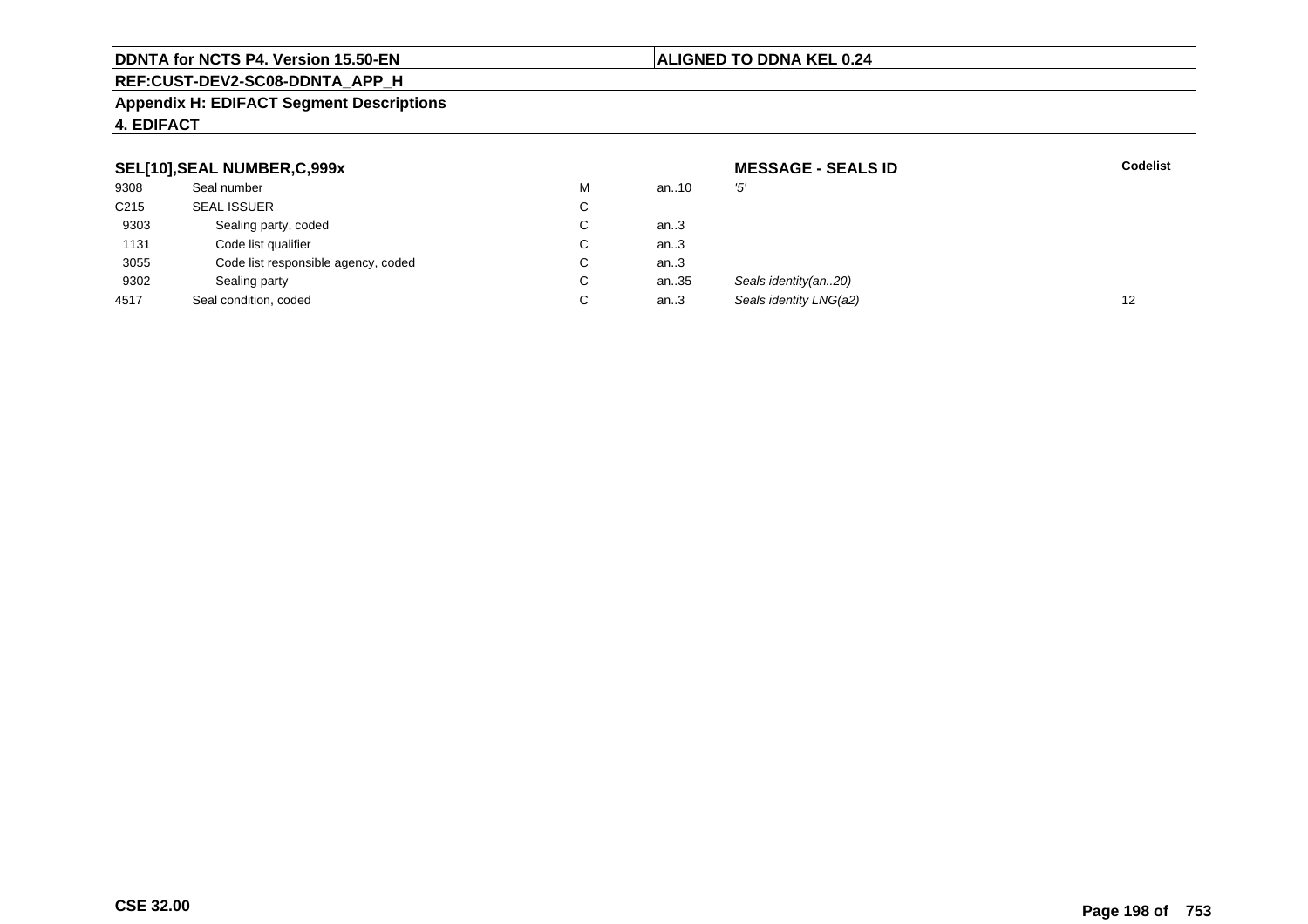# **ALIGNED TO DDNA KEL 0.24**

# **REF:CUST-DEV2-SC08-DDNTA\_APP\_H**

### **Appendix H: EDIFACT Segment Descriptions**

# **4. EDIFACT**

| SEL[10], SEAL NUMBER, C, 999x |                                     |                      | <b>MESSAGE - SEALS ID</b> | <b>Codelist</b>        |    |
|-------------------------------|-------------------------------------|----------------------|---------------------------|------------------------|----|
| 9308                          | Seal number                         | M                    | an10                      | '5'                    |    |
| C <sub>215</sub>              | <b>SEAL ISSUER</b>                  | $\mathbf{\tilde{v}}$ |                           |                        |    |
| 9303                          | Sealing party, coded                |                      | an.3                      |                        |    |
| 1131                          | Code list qualifier                 |                      | an.3                      |                        |    |
| 3055                          | Code list responsible agency, coded | ◡                    | an.3                      |                        |    |
| 9302                          | Sealing party                       | ◡                    | an35                      | Seals identity(an20)   |    |
| 4517                          | Seal condition, coded               |                      | an.3                      | Seals identity LNG(a2) | 12 |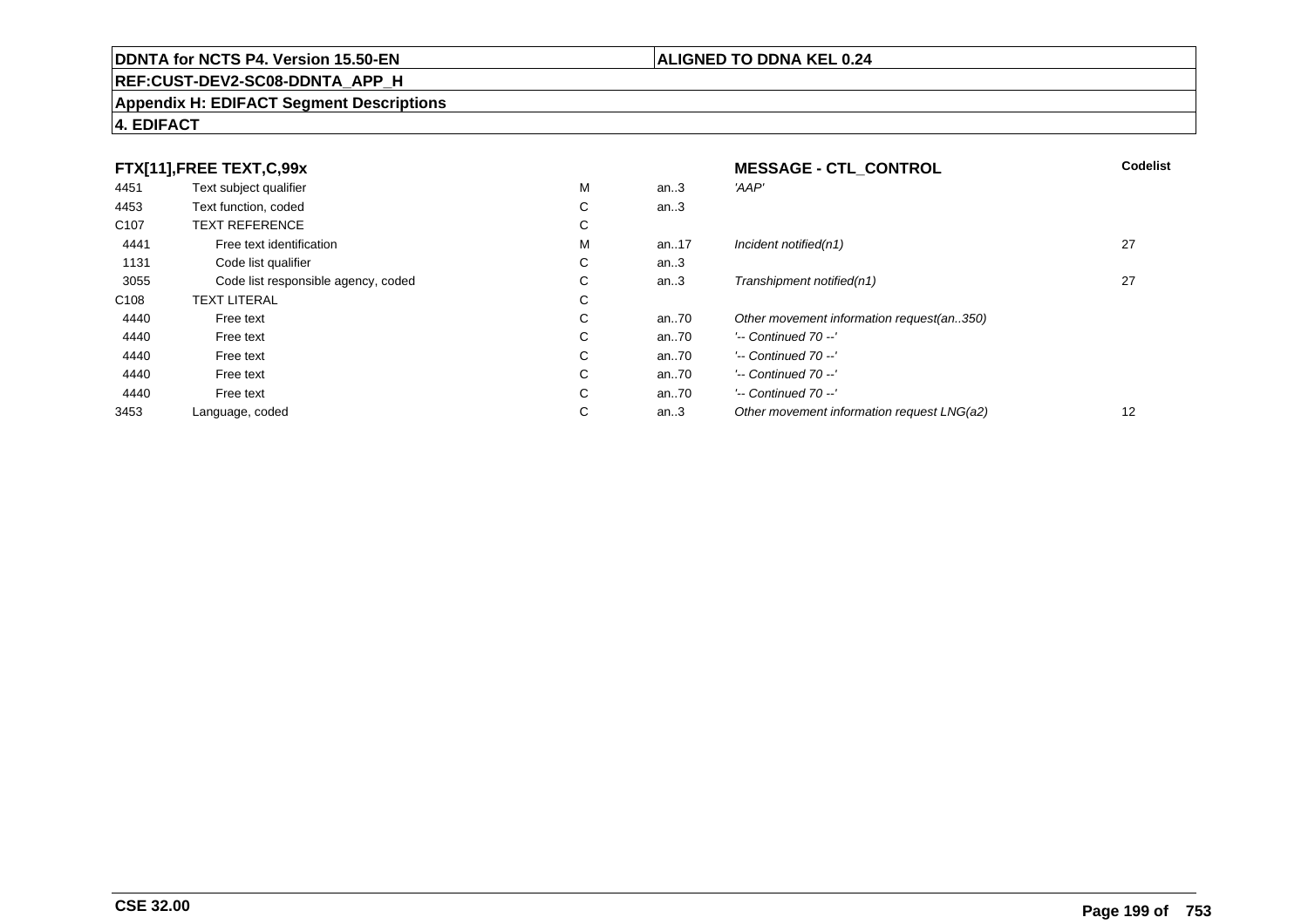# **REF:CUST-DEV2-SC08-DDNTA\_APP\_H**

### **Appendix H: EDIFACT Segment Descriptions**

# **4. EDIFACT**

|                  | FTX[11],FREE TEXT,C,99x             |   |          | <b>MESSAGE - CTL CONTROL</b>               | <b>Codelist</b> |
|------------------|-------------------------------------|---|----------|--------------------------------------------|-----------------|
| 4451             | Text subject qualifier              | М | an.3     | 'AAP'                                      |                 |
| 4453             | Text function, coded                | C | an.3     |                                            |                 |
| C <sub>107</sub> | <b>TEXT REFERENCE</b>               | С |          |                                            |                 |
| 4441             | Free text identification            | М | an17     | Incident notified(n1)                      | 27              |
| 1131             | Code list qualifier                 | C | an.3     |                                            |                 |
| 3055             | Code list responsible agency, coded | С | an.3     | Transhipment notified(n1)                  | 27              |
| C <sub>108</sub> | <b>TEXT LITERAL</b>                 | C |          |                                            |                 |
| 4440             | Free text                           | C | an70     | Other movement information request(an350)  |                 |
| 4440             | Free text                           | C | an $.70$ | $'-$ Continued 70 $-$ '                    |                 |
| 4440             | Free text                           | C | an $.70$ | $'-$ Continued 70 $-$ '                    |                 |
| 4440             | Free text                           | С | an $.70$ | $'-$ Continued 70 $-$ '                    |                 |
| 4440             | Free text                           | C | an $.70$ | $'-$ Continued 70 $-$ '                    |                 |
| 3453             | Language, coded                     | C | an.3     | Other movement information request LNG(a2) | 12              |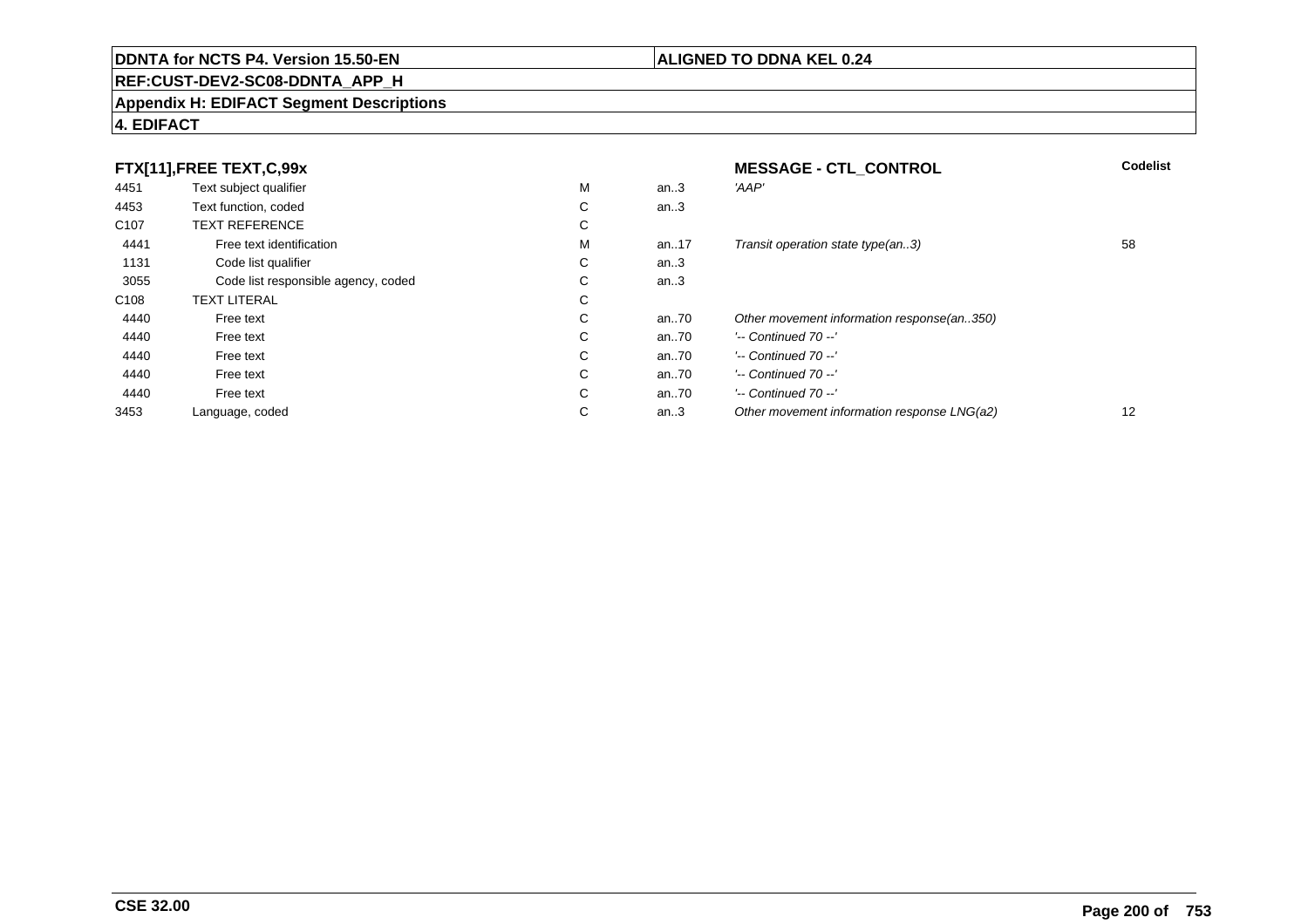# **REF:CUST-DEV2-SC08-DDNTA\_APP\_H**

### **Appendix H: EDIFACT Segment Descriptions**

# **4. EDIFACT**

|                  | FTX[11],FREE TEXT,C,99x             |             |      | <b>MESSAGE - CTL CONTROL</b>                | <b>Codelist</b>   |
|------------------|-------------------------------------|-------------|------|---------------------------------------------|-------------------|
| 4451             | Text subject qualifier              | м           | an.3 | 'AAP'                                       |                   |
| 4453             | Text function, coded                | $\sim$<br>Ü | an.3 |                                             |                   |
| C <sub>107</sub> | <b>TEXT REFERENCE</b>               | $\sim$<br>◡ |      |                                             |                   |
| 4441             | Free text identification            | м           | an17 | Transit operation state type(an3)           | 58                |
| 1131             | Code list qualifier                 | С           | an.3 |                                             |                   |
| 3055             | Code list responsible agency, coded | $\sim$<br>◡ | an.3 |                                             |                   |
| C <sub>108</sub> | <b>TEXT LITERAL</b>                 | $\sim$<br>Ü |      |                                             |                   |
| 4440             | Free text                           | $\sim$<br>◡ | an70 | Other movement information response(an350)  |                   |
| 4440             | Free text                           | $\sim$<br>◡ | an70 | $'-$ Continued 70 $-$ '                     |                   |
| 4440             | Free text                           | С           | an70 | $'-$ Continued 70 $-$ '                     |                   |
| 4440             | Free text                           | С           | an70 | $'-$ Continued 70 $-$ '                     |                   |
| 4440             | Free text                           | $\sim$<br>Ü | an70 | $'-$ Continued 70 $-$ '                     |                   |
| 3453             | Language, coded                     | $\sim$<br>◡ | an.3 | Other movement information response LNG(a2) | $12 \overline{ }$ |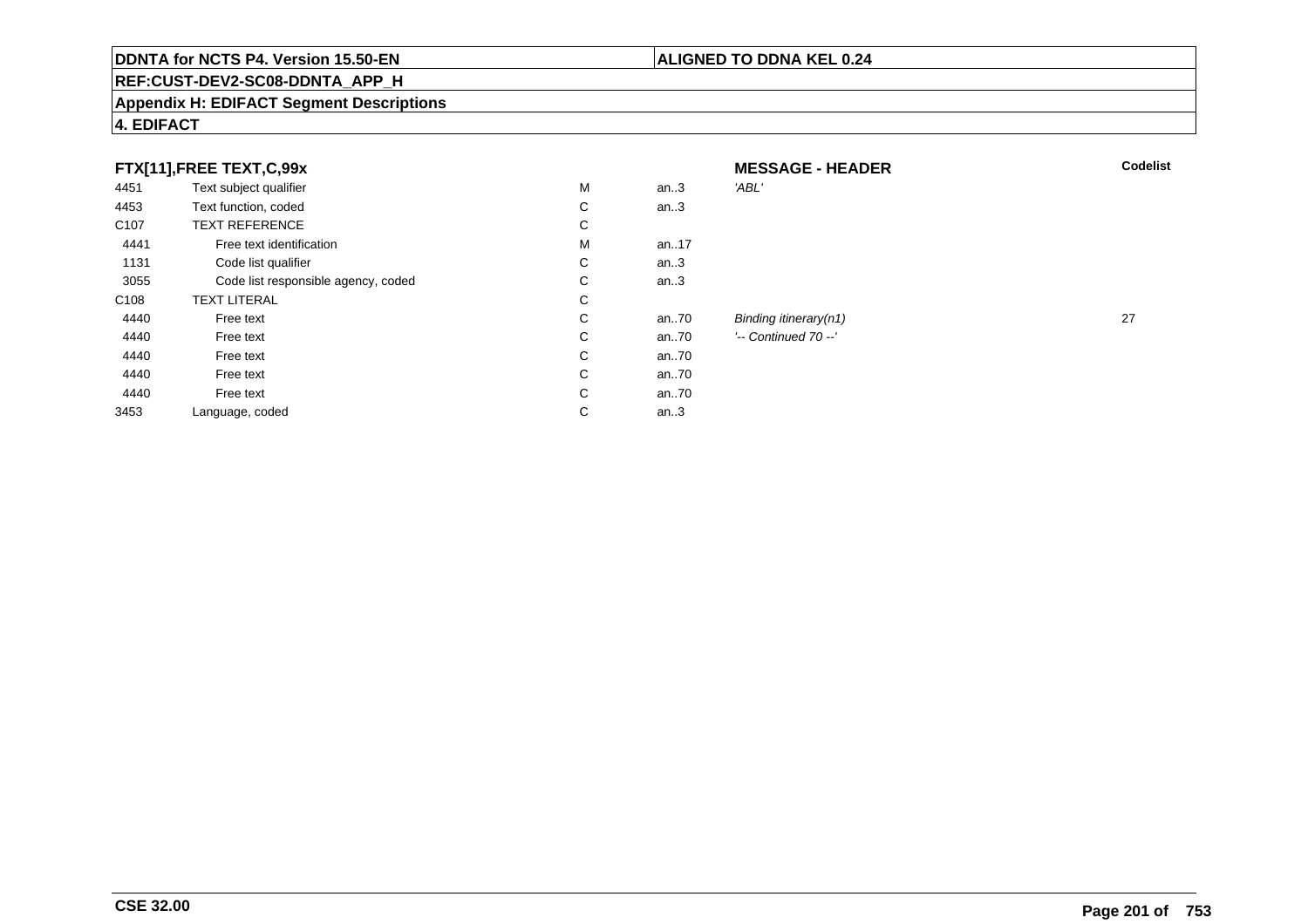# **REF:CUST-DEV2-SC08-DDNTA\_APP\_H**

### **Appendix H: EDIFACT Segment Descriptions**

| FTX[11],FREE TEXT,C,99x |                                     |             | <b>MESSAGE - HEADER</b> | <b>Codelist</b>          |    |
|-------------------------|-------------------------------------|-------------|-------------------------|--------------------------|----|
| 4451                    | Text subject qualifier              | M           | an.3                    | 'ABL'                    |    |
| 4453                    | Text function, coded                | С           | an.3                    |                          |    |
| C <sub>107</sub>        | <b>TEXT REFERENCE</b>               | С           |                         |                          |    |
| 4441                    | Free text identification            | М           | an17                    |                          |    |
| 1131                    | Code list qualifier                 | С           | an.3                    |                          |    |
| 3055                    | Code list responsible agency, coded | С           | an.3                    |                          |    |
| C <sub>108</sub>        | <b>TEXT LITERAL</b>                 | С           |                         |                          |    |
| 4440                    | Free text                           | С           | an70                    | Binding itinerary $(n1)$ | 27 |
| 4440                    | Free text                           | C           | an.70                   | $'-$ Continued 70 $-$ '  |    |
| 4440                    | Free text                           | С           | an70                    |                          |    |
| 4440                    | Free text                           | C           | an70                    |                          |    |
| 4440                    | Free text                           | С           | an70                    |                          |    |
| 3453                    | Language, coded                     | $\sim$<br>Ü | an. $3$                 |                          |    |

# **4. EDIFACT**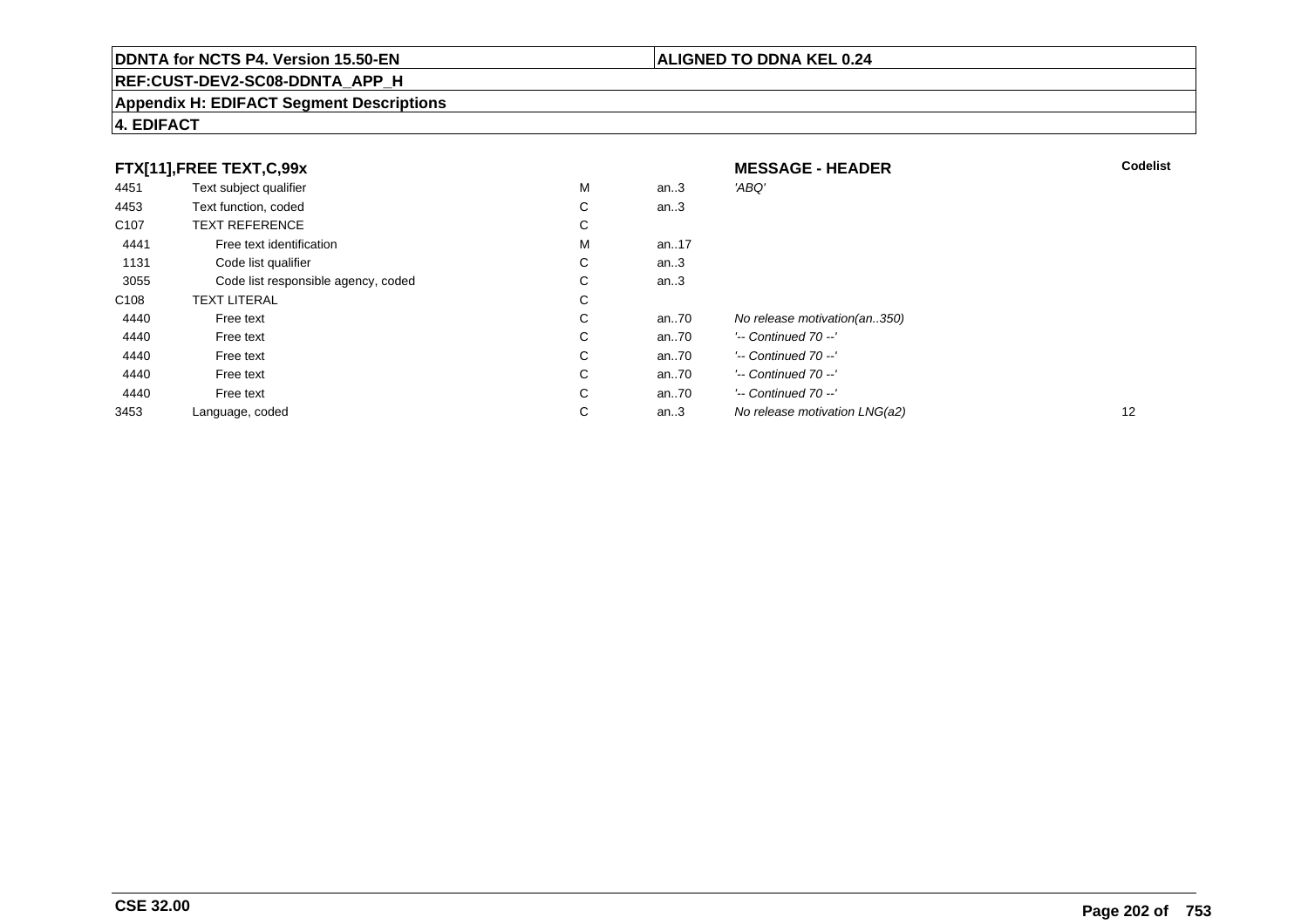# **REF:CUST-DEV2-SC08-DDNTA\_APP\_H**

### **Appendix H: EDIFACT Segment Descriptions**

# **4. EDIFACT**

| FTX[11], FREE TEXT, C, 99x |                                     |    | <b>MESSAGE - HEADER</b> | <b>Codelist</b>               |    |
|----------------------------|-------------------------------------|----|-------------------------|-------------------------------|----|
| 4451                       | Text subject qualifier              | M  | an $.3$                 | 'ABQ'                         |    |
| 4453                       | Text function, coded                | C  | an $.3$                 |                               |    |
| C <sub>107</sub>           | <b>TEXT REFERENCE</b>               | C  |                         |                               |    |
| 4441                       | Free text identification            | M  | an17                    |                               |    |
| 1131                       | Code list qualifier                 | C. | an $3$                  |                               |    |
| 3055                       | Code list responsible agency, coded | C  | an $3$                  |                               |    |
| C <sub>108</sub>           | <b>TEXT LITERAL</b>                 | C  |                         |                               |    |
| 4440                       | Free text                           | C  | an70                    | No release motivation(an350)  |    |
| 4440                       | Free text                           | C  | an70                    | $'-$ Continued 70 $-$ '       |    |
| 4440                       | Free text                           | C  | an70                    | $'-$ Continued 70 $-$ '       |    |
| 4440                       | Free text                           | C  | an70                    | $'-$ Continued 70 $-$ '       |    |
| 4440                       | Free text                           | C. | an70                    | $'-$ Continued 70 $-$ '       |    |
| 3453                       | Language, coded                     | C  | an $3$                  | No release motivation LNG(a2) | 12 |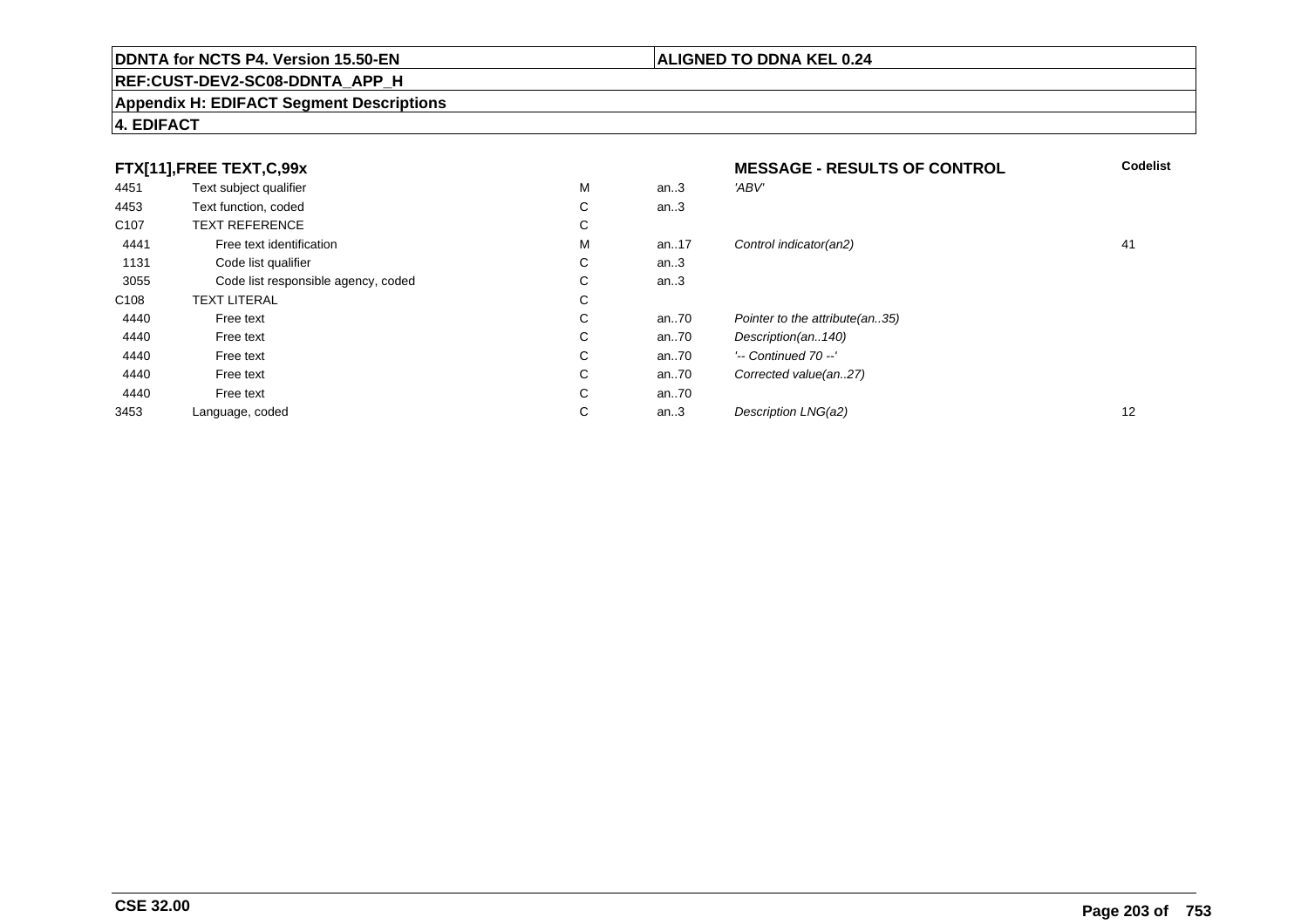# **REF:CUST-DEV2-SC08-DDNTA\_APP\_H**

### **Appendix H: EDIFACT Segment Descriptions**

# **4. EDIFACT**

|                  | FTX[11],FREE TEXT,C,99x             |             |      | <b>MESSAGE - RESULTS OF CONTROL</b> | <b>Codelist</b> |
|------------------|-------------------------------------|-------------|------|-------------------------------------|-----------------|
| 4451             | Text subject qualifier              | м           | an.3 | 'ABV'                               |                 |
| 4453             | Text function, coded                | $\sim$<br>Ü | an.3 |                                     |                 |
| C <sub>107</sub> | <b>TEXT REFERENCE</b>               | ⌒<br>Ü      |      |                                     |                 |
| 4441             | Free text identification            | м           | an17 | Control indicator(an2)              | 41              |
| 1131             | Code list qualifier                 | С           | an.3 |                                     |                 |
| 3055             | Code list responsible agency, coded | $\sim$<br>◡ | an.3 |                                     |                 |
| C <sub>108</sub> | <b>TEXT LITERAL</b>                 | $\sim$<br>Ü |      |                                     |                 |
| 4440             | Free text                           | ⌒<br>Ü      | an70 | Pointer to the attribute (an35)     |                 |
| 4440             | Free text                           | $\sim$<br>Ü | an70 | Description(an140)                  |                 |
| 4440             | Free text                           | C           | an70 | $'-$ Continued 70 $-$ '             |                 |
| 4440             | Free text                           | C           | an70 | Corrected value(an27)               |                 |
| 4440             | Free text                           | C           | an70 |                                     |                 |
| 3453             | Language, coded                     | ⌒<br>◡      | an.3 | Description LNG(a2)                 | 12              |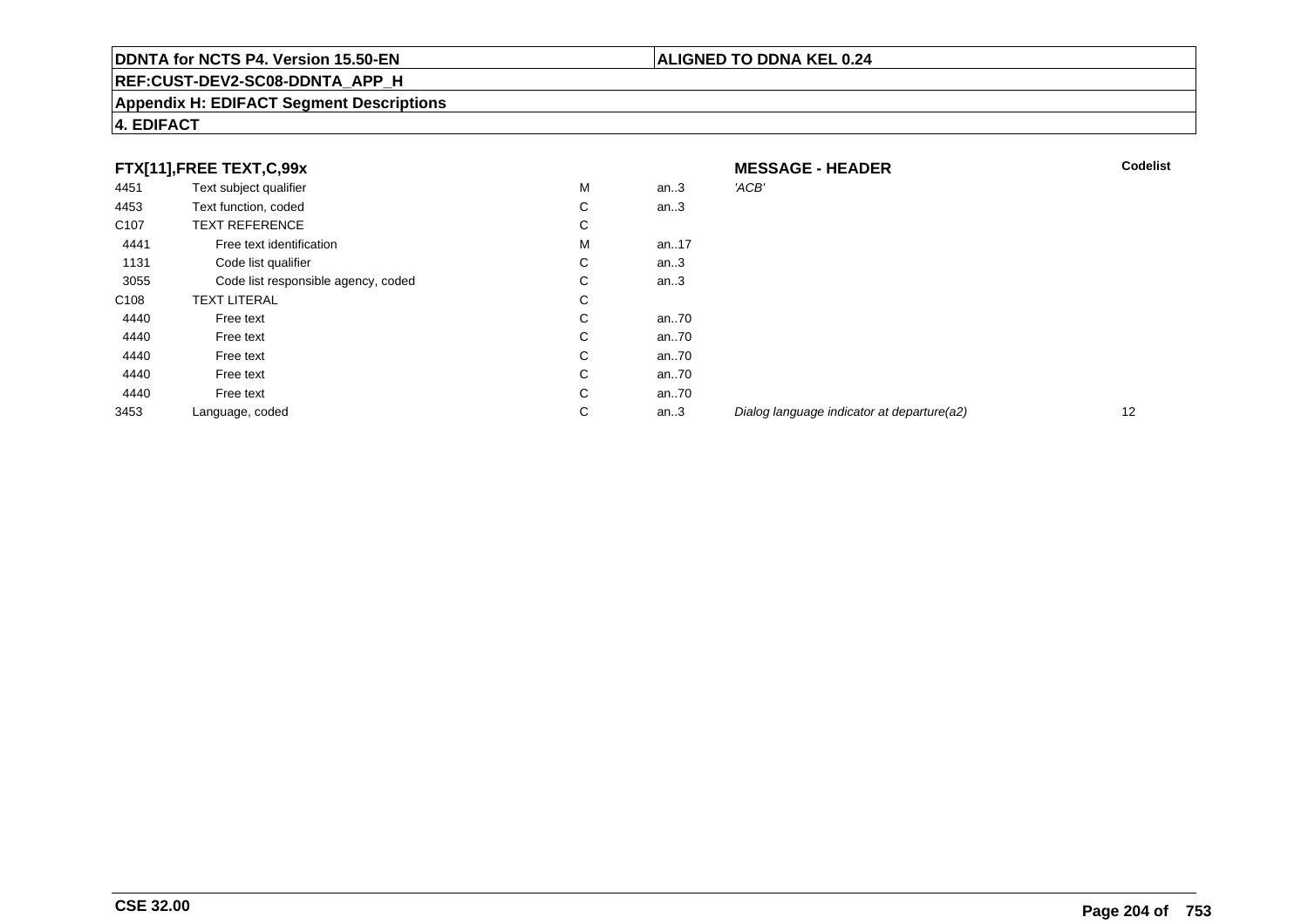# **REF:CUST-DEV2-SC08-DDNTA\_APP\_H**

### **Appendix H: EDIFACT Segment Descriptions**

# **4. EDIFACT**

|                  | FTX[11],FREE TEXT,C,99x             |              |      | <b>MESSAGE - HEADER</b>                    | <b>Codelist</b> |
|------------------|-------------------------------------|--------------|------|--------------------------------------------|-----------------|
| 4451             | Text subject qualifier              | м            | an.3 | 'ACB'                                      |                 |
| 4453             | Text function, coded                | C            | an.3 |                                            |                 |
| C <sub>107</sub> | <b>TEXT REFERENCE</b>               | С            |      |                                            |                 |
| 4441             | Free text identification            | м            | an17 |                                            |                 |
| 1131             | Code list qualifier                 | С            | an.3 |                                            |                 |
| 3055             | Code list responsible agency, coded | C            | an.3 |                                            |                 |
| C108             | <b>TEXT LITERAL</b>                 | C            |      |                                            |                 |
| 4440             | Free text                           | C            | an70 |                                            |                 |
| 4440             | Free text                           | $\mathsf{C}$ | an70 |                                            |                 |
| 4440             | Free text                           | C            | an70 |                                            |                 |
| 4440             | Free text                           | C            | an70 |                                            |                 |
| 4440             | Free text                           | C            | an70 |                                            |                 |
| 3453             | Language, coded                     | C            | an.3 | Dialog language indicator at departure(a2) | 12              |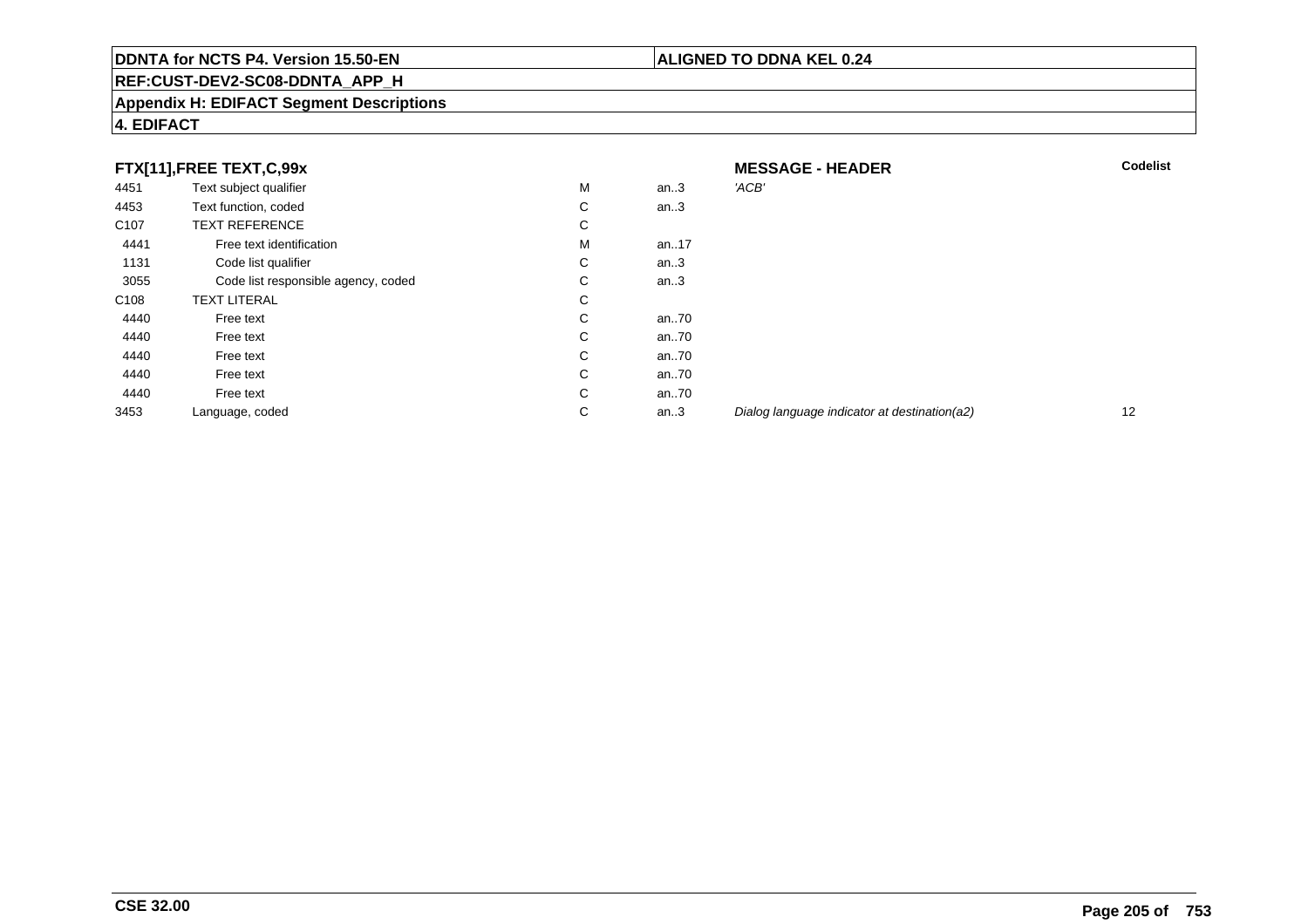# **REF:CUST-DEV2-SC08-DDNTA\_APP\_H**

### **Appendix H: EDIFACT Segment Descriptions**

# **4. EDIFACT**

| FTX[11],FREE TEXT,C,99x |                                     | <b>MESSAGE - HEADER</b> | <b>Codelist</b> |                                              |    |
|-------------------------|-------------------------------------|-------------------------|-----------------|----------------------------------------------|----|
| 4451                    | Text subject qualifier              | М                       | an $3$          | 'ACB'                                        |    |
| 4453                    | Text function, coded                | С                       | an $3$          |                                              |    |
| C <sub>107</sub>        | <b>TEXT REFERENCE</b>               | $\sim$<br>Ü             |                 |                                              |    |
| 4441                    | Free text identification            | М                       | an17            |                                              |    |
| 1131                    | Code list qualifier                 | С                       | an $3$          |                                              |    |
| 3055                    | Code list responsible agency, coded | $\sim$<br>Ü             | an $.3$         |                                              |    |
| C <sub>108</sub>        | <b>TEXT LITERAL</b>                 | $\sim$<br>Ü             |                 |                                              |    |
| 4440                    | Free text                           | С                       | an70            |                                              |    |
| 4440                    | Free text                           | С                       | an70            |                                              |    |
| 4440                    | Free text                           | С                       | an70            |                                              |    |
| 4440                    | Free text                           | $\sim$<br>Ü             | an70            |                                              |    |
| 4440                    | Free text                           | C                       | an70            |                                              |    |
| 3453                    | Language, coded                     | С                       | an.3            | Dialog language indicator at destination(a2) | 12 |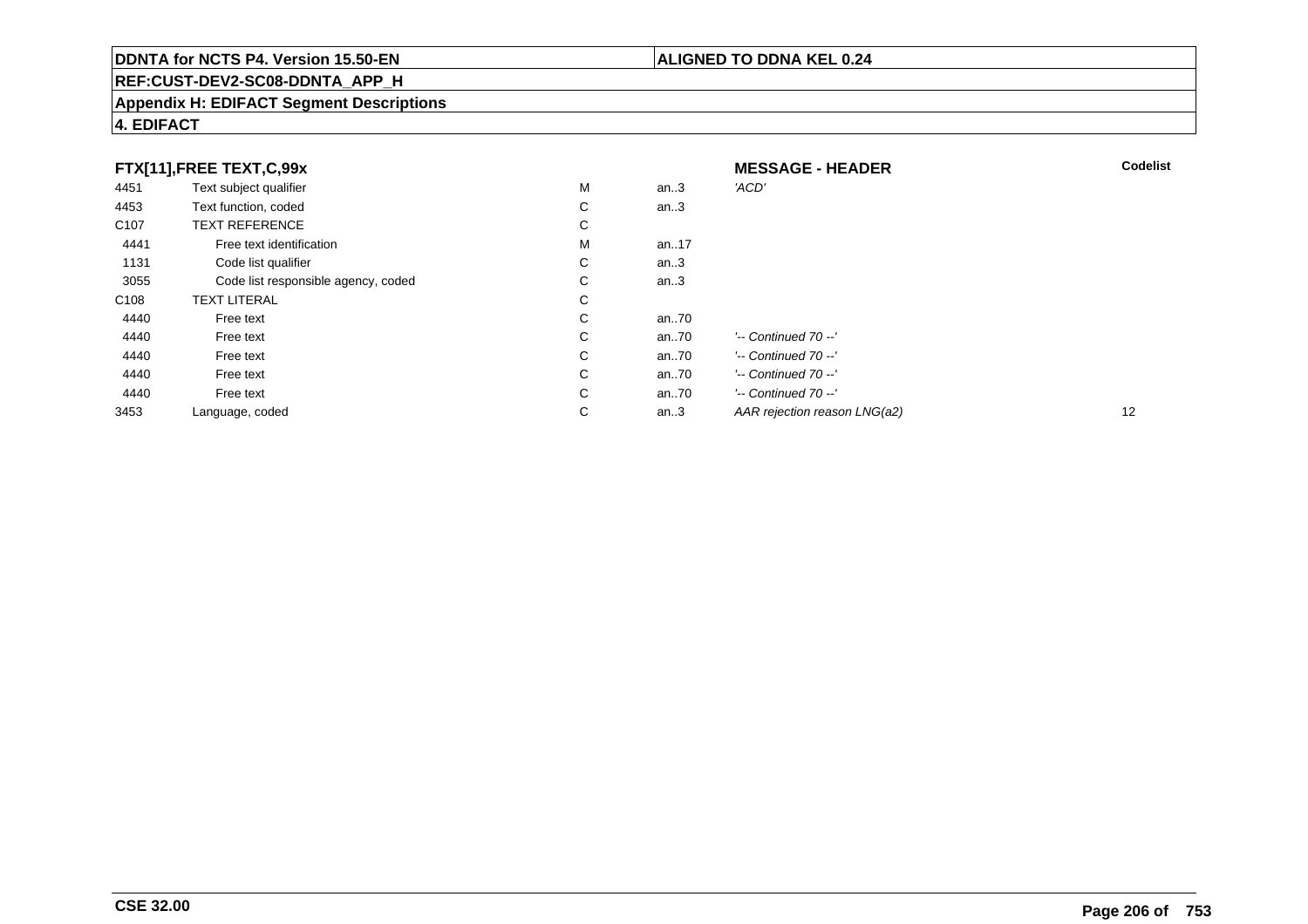# **REF:CUST-DEV2-SC08-DDNTA\_APP\_H**

### **Appendix H: EDIFACT Segment Descriptions**

# **4. EDIFACT**

| FTX[11],FREE TEXT,C,99x |                                     |   | <b>MESSAGE - HEADER</b> | <b>Codelist</b>              |                   |
|-------------------------|-------------------------------------|---|-------------------------|------------------------------|-------------------|
| 4451                    | Text subject qualifier              | M | an.3                    | 'ACD'                        |                   |
| 4453                    | Text function, coded                | С | an.3                    |                              |                   |
| C <sub>107</sub>        | <b>TEXT REFERENCE</b>               | С |                         |                              |                   |
| 4441                    | Free text identification            | M | an17                    |                              |                   |
| 1131                    | Code list qualifier                 | C | an.3                    |                              |                   |
| 3055                    | Code list responsible agency, coded | С | an.3                    |                              |                   |
| C108                    | <b>TEXT LITERAL</b>                 | С |                         |                              |                   |
| 4440                    | Free text                           | С | an70                    |                              |                   |
| 4440                    | Free text                           | С | an70                    | $'-$ Continued 70 $-$ '      |                   |
| 4440                    | Free text                           | C | an70                    | $'-$ Continued 70 $-$ '      |                   |
| 4440                    | Free text                           | C | an70                    | $'-$ Continued 70 $-$ '      |                   |
| 4440                    | Free text                           | С | an70                    | $'-$ Continued 70 $-$ '      |                   |
| 3453                    | Language, coded                     | С | an.3                    | AAR rejection reason LNG(a2) | $12 \overline{ }$ |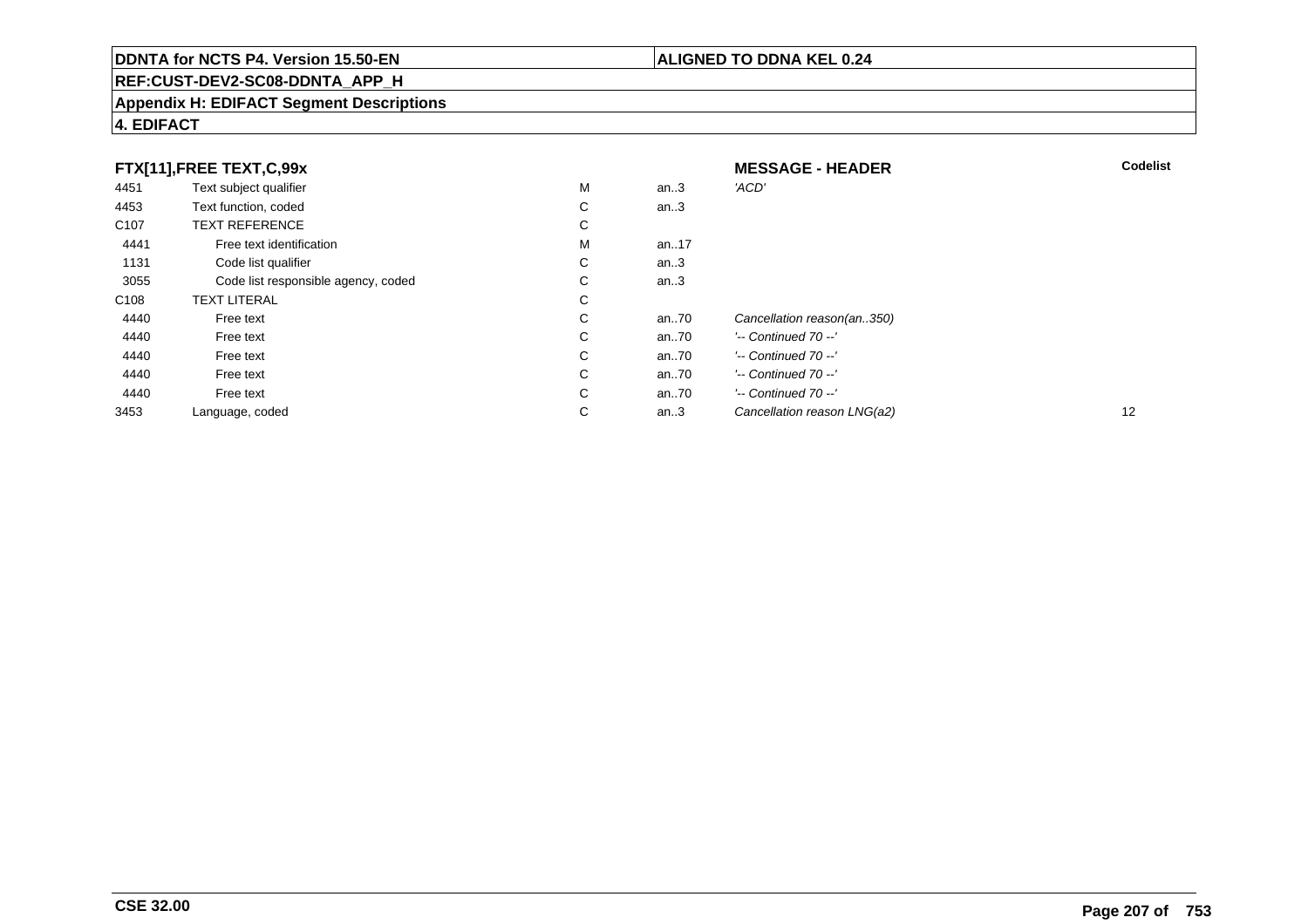# **REF:CUST-DEV2-SC08-DDNTA\_APP\_H**

### **Appendix H: EDIFACT Segment Descriptions**

# **4. EDIFACT**

| FTX[11],FREE TEXT,C,99x |                                     |    | <b>MESSAGE - HEADER</b> | <b>Codelist</b>             |    |
|-------------------------|-------------------------------------|----|-------------------------|-----------------------------|----|
| 4451                    | Text subject qualifier              | M  | an $.3$                 | 'ACD'                       |    |
| 4453                    | Text function, coded                | C  | an.3                    |                             |    |
| C <sub>107</sub>        | <b>TEXT REFERENCE</b>               | C  |                         |                             |    |
| 4441                    | Free text identification            | M  | an17                    |                             |    |
| 1131                    | Code list qualifier                 | C  | an.3                    |                             |    |
| 3055                    | Code list responsible agency, coded | C  | an.3                    |                             |    |
| C <sub>108</sub>        | <b>TEXT LITERAL</b>                 | C  |                         |                             |    |
| 4440                    | Free text                           | C  | an70                    | Cancellation reason(an350)  |    |
| 4440                    | Free text                           | C  | an70                    | $'-$ Continued 70 $-$ '     |    |
| 4440                    | Free text                           | C  | an70                    | $'-$ Continued $70 -'$      |    |
| 4440                    | Free text                           | C. | an70                    | $'-$ Continued 70 $-$ '     |    |
| 4440                    | Free text                           | C  | an70                    | $'-$ Continued 70 $-$ '     |    |
| 3453                    | Language, coded                     | C  | an. $3$                 | Cancellation reason LNG(a2) | 12 |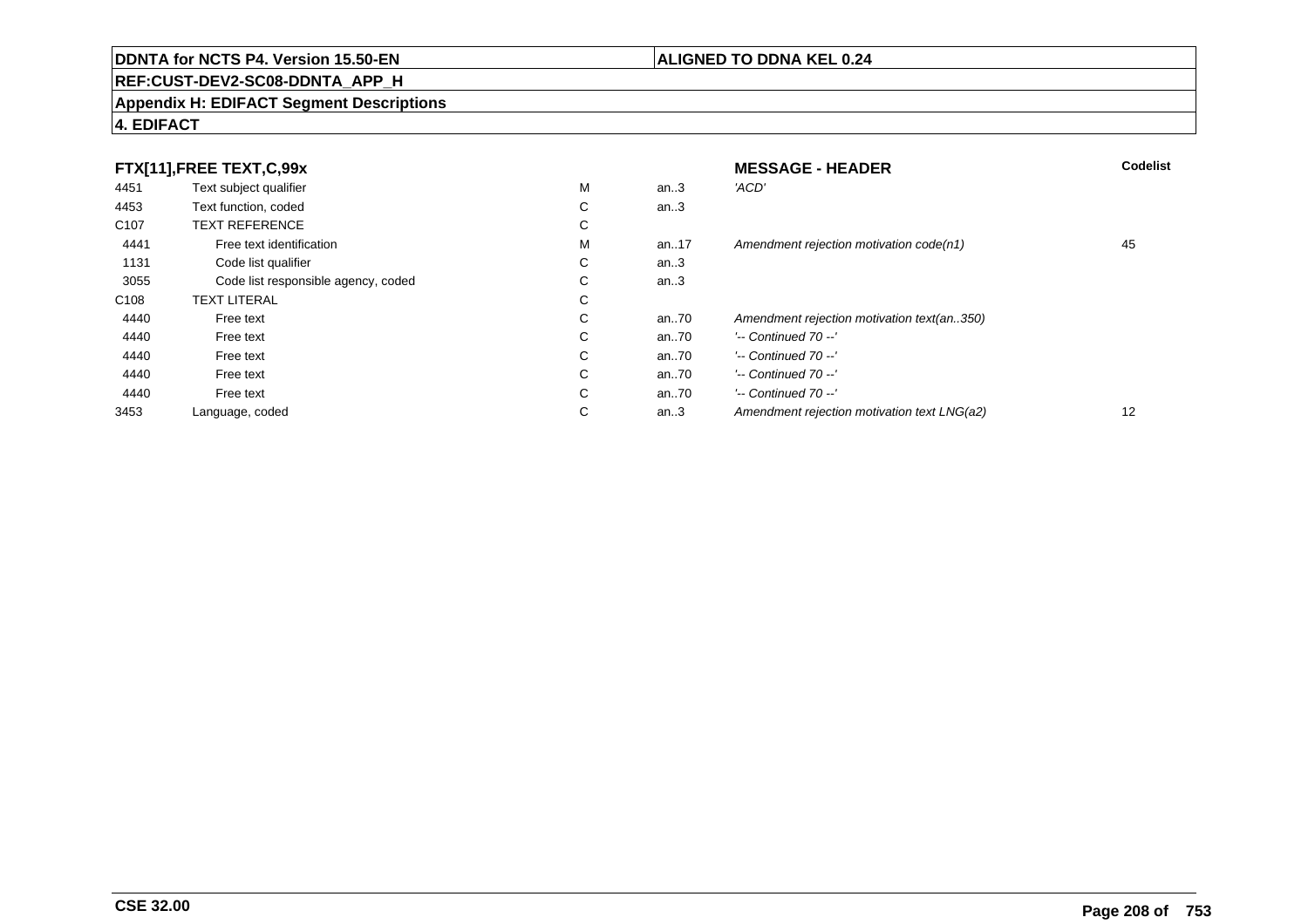# **REF:CUST-DEV2-SC08-DDNTA\_APP\_H**

### **Appendix H: EDIFACT Segment Descriptions**

# **4. EDIFACT**

| FTX[11],FREE TEXT,C,99x |                                     |             | <b>MESSAGE - HEADER</b> | <b>Codelist</b>                             |    |
|-------------------------|-------------------------------------|-------------|-------------------------|---------------------------------------------|----|
| 4451                    | Text subject qualifier              | M           | an.3                    | 'ACD'                                       |    |
| 4453                    | Text function, coded                | ⌒<br>Ü      | an.3                    |                                             |    |
| C <sub>107</sub>        | <b>TEXT REFERENCE</b>               | ⌒<br>◡      |                         |                                             |    |
| 4441                    | Free text identification            | M           | an17                    | Amendment rejection motivation code(n1)     | 45 |
| 1131                    | Code list qualifier                 | ⌒<br>◡      | an.3                    |                                             |    |
| 3055                    | Code list responsible agency, coded | ⌒<br>◡      | an.3                    |                                             |    |
| C <sub>108</sub>        | <b>TEXT LITERAL</b>                 | С           |                         |                                             |    |
| 4440                    | Free text                           | ⌒<br>◡      | an70                    | Amendment rejection motivation text(an350)  |    |
| 4440                    | Free text                           | $\sim$<br>Ü | an70                    | $'-$ Continued 70 $-$ '                     |    |
| 4440                    | Free text                           | C           | an70                    | $'-$ Continued 70 $-$ '                     |    |
| 4440                    | Free text                           | С           | an70                    | $'-$ Continued 70 $-$ '                     |    |
| 4440                    | Free text                           | С           | an70                    | $'-$ Continued 70 $-$ '                     |    |
| 3453                    | Language, coded                     | ⌒<br>◡      | an.3                    | Amendment rejection motivation text LNG(a2) | 12 |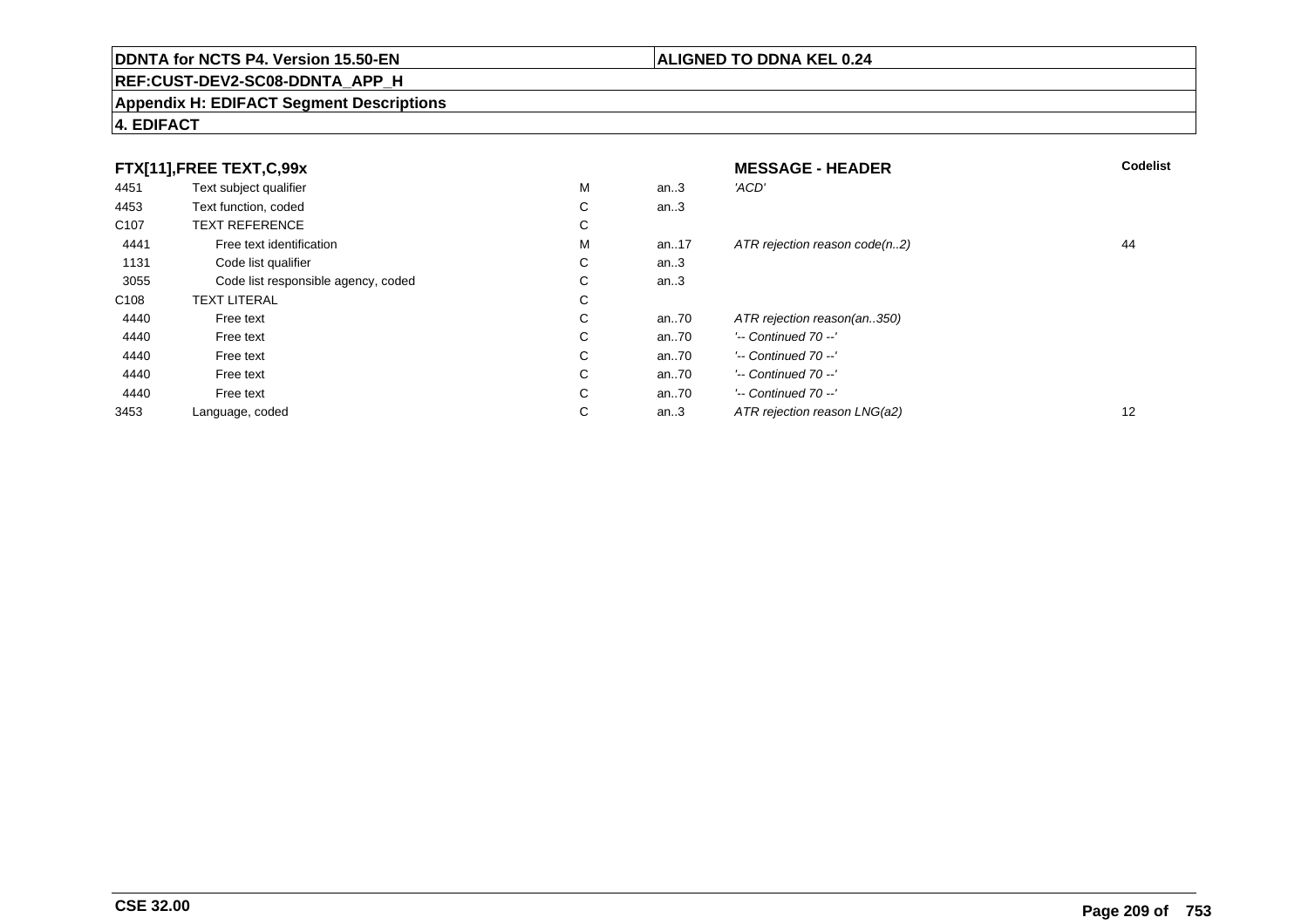# **REF:CUST-DEV2-SC08-DDNTA\_APP\_H**

### **Appendix H: EDIFACT Segment Descriptions**

# **4. EDIFACT**

| FTX[11],FREE TEXT,C,99x |                                     |             | <b>MESSAGE - HEADER</b> | Codelist                      |                   |
|-------------------------|-------------------------------------|-------------|-------------------------|-------------------------------|-------------------|
| 4451                    | Text subject qualifier              | М           | an.3                    | 'ACD'                         |                   |
| 4453                    | Text function, coded                | ⌒<br>◡      | an.3                    |                               |                   |
| C <sub>107</sub>        | <b>TEXT REFERENCE</b>               | $\sim$<br>Ü |                         |                               |                   |
| 4441                    | Free text identification            | М           | an17                    | ATR rejection reason code(n2) | 44                |
| 1131                    | Code list qualifier                 | С           | an.3                    |                               |                   |
| 3055                    | Code list responsible agency, coded | $\sim$<br>Ü | an.3                    |                               |                   |
| C <sub>108</sub>        | <b>TEXT LITERAL</b>                 | $\sim$<br>◡ |                         |                               |                   |
| 4440                    | Free text                           | $\sim$<br>◡ | an70                    | ATR rejection reason(an350)   |                   |
| 4440                    | Free text                           | С           | an70                    | $'-$ Continued 70 $-$ '       |                   |
| 4440                    | Free text                           | C           | an70                    | $'-$ Continued 70 $-$ '       |                   |
| 4440                    | Free text                           | С           | an70                    | $'-$ Continued 70 $-$ '       |                   |
| 4440                    | Free text                           | С           | an.70                   | $'-$ Continued 70 $-$ '       |                   |
| 3453                    | Language, coded                     | $\sim$<br>◡ | an.3                    | ATR rejection reason LNG(a2)  | $12 \overline{ }$ |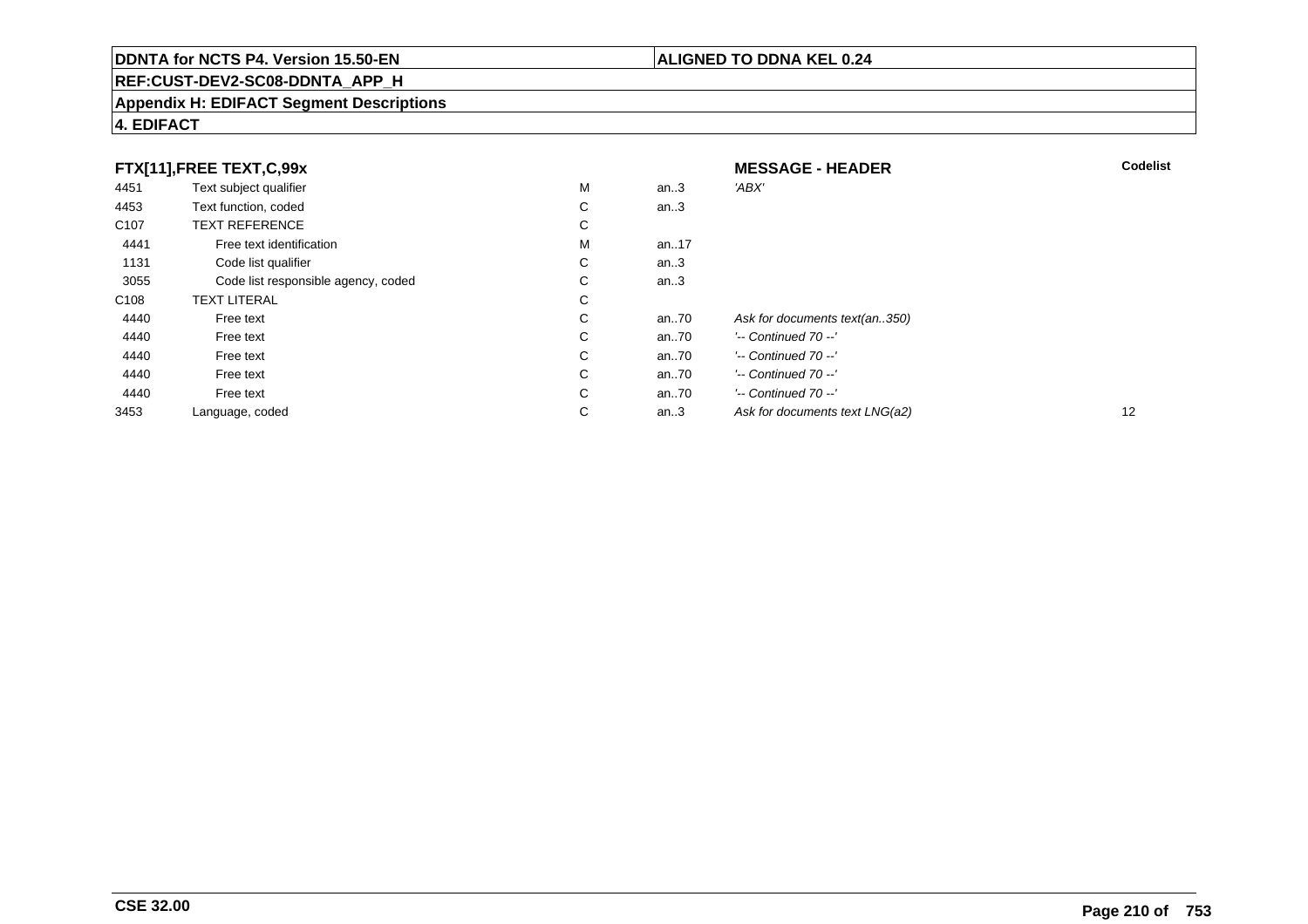# **REF:CUST-DEV2-SC08-DDNTA\_APP\_H**

### **Appendix H: EDIFACT Segment Descriptions**

# **4. EDIFACT**

| FTX[11],FREE TEXT,C,99x |                                     |    | <b>MESSAGE - HEADER</b> | <b>Codelist</b>                |    |
|-------------------------|-------------------------------------|----|-------------------------|--------------------------------|----|
| 4451                    | Text subject qualifier              | M  | an $.3$                 | 'ABX'                          |    |
| 4453                    | Text function, coded                | C  | an.3                    |                                |    |
| C <sub>107</sub>        | <b>TEXT REFERENCE</b>               | C  |                         |                                |    |
| 4441                    | Free text identification            | M  | an17                    |                                |    |
| 1131                    | Code list qualifier                 | C  | an.3                    |                                |    |
| 3055                    | Code list responsible agency, coded | C  | an.3                    |                                |    |
| C <sub>108</sub>        | <b>TEXT LITERAL</b>                 | C  |                         |                                |    |
| 4440                    | Free text                           | C  | an70                    | Ask for documents text(an350)  |    |
| 4440                    | Free text                           | C  | an70                    | $'-$ Continued 70 $-$ '        |    |
| 4440                    | Free text                           | C  | an70                    | $'-$ Continued $70 -'$         |    |
| 4440                    | Free text                           | C. | an70                    | $'-$ Continued 70 $-$ '        |    |
| 4440                    | Free text                           | C  | an70                    | $'-$ Continued 70 $-$ '        |    |
| 3453                    | Language, coded                     | C  | an. $3$                 | Ask for documents text LNG(a2) | 12 |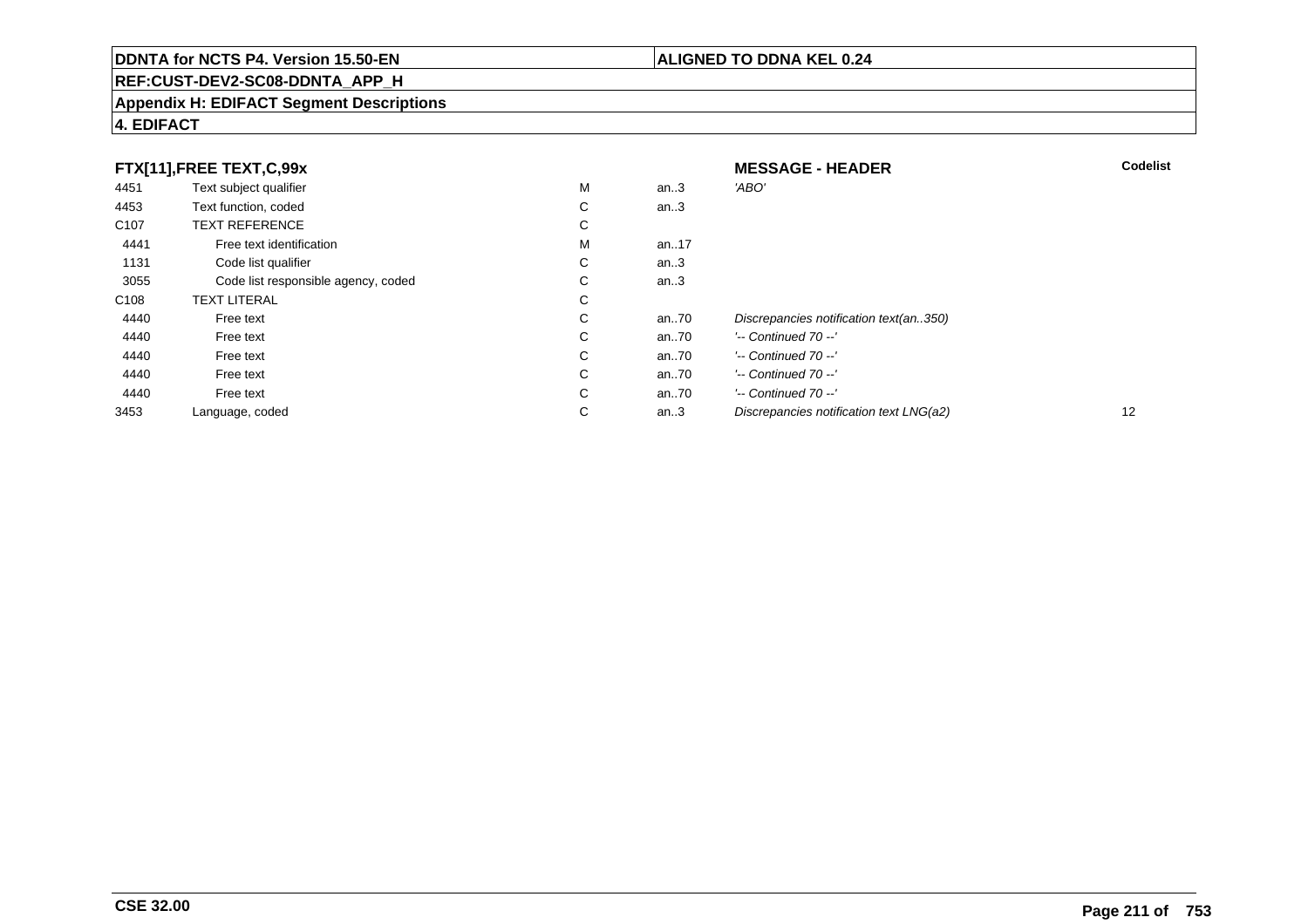# **REF:CUST-DEV2-SC08-DDNTA\_APP\_H**

### **Appendix H: EDIFACT Segment Descriptions**

# **4. EDIFACT**

| FTX[11],FREE TEXT,C,99x |                                     |   | <b>MESSAGE - HEADER</b> | <b>Codelist</b>                         |    |
|-------------------------|-------------------------------------|---|-------------------------|-----------------------------------------|----|
| 4451                    | Text subject qualifier              | М | an.3                    | 'ABO                                    |    |
| 4453                    | Text function, coded                | С | an.3                    |                                         |    |
| C <sub>107</sub>        | <b>TEXT REFERENCE</b>               | С |                         |                                         |    |
| 4441                    | Free text identification            | М | an17                    |                                         |    |
| 1131                    | Code list qualifier                 | С | an.3                    |                                         |    |
| 3055                    | Code list responsible agency, coded | С | an.3                    |                                         |    |
| C <sub>108</sub>        | <b>TEXT LITERAL</b>                 | С |                         |                                         |    |
| 4440                    | Free text                           | С | an70                    | Discrepancies notification text(an350)  |    |
| 4440                    | Free text                           | С | an70                    | $'-$ Continued 70 $-$ '                 |    |
| 4440                    | Free text                           | С | an70                    | $'-$ Continued 70 $-$ '                 |    |
| 4440                    | Free text                           | С | an70                    | $'-$ Continued 70 $-$ '                 |    |
| 4440                    | Free text                           | С | an70                    | $'-$ Continued 70 $-$ '                 |    |
| 3453                    | Language, coded                     | С | an.3                    | Discrepancies notification text LNG(a2) | 12 |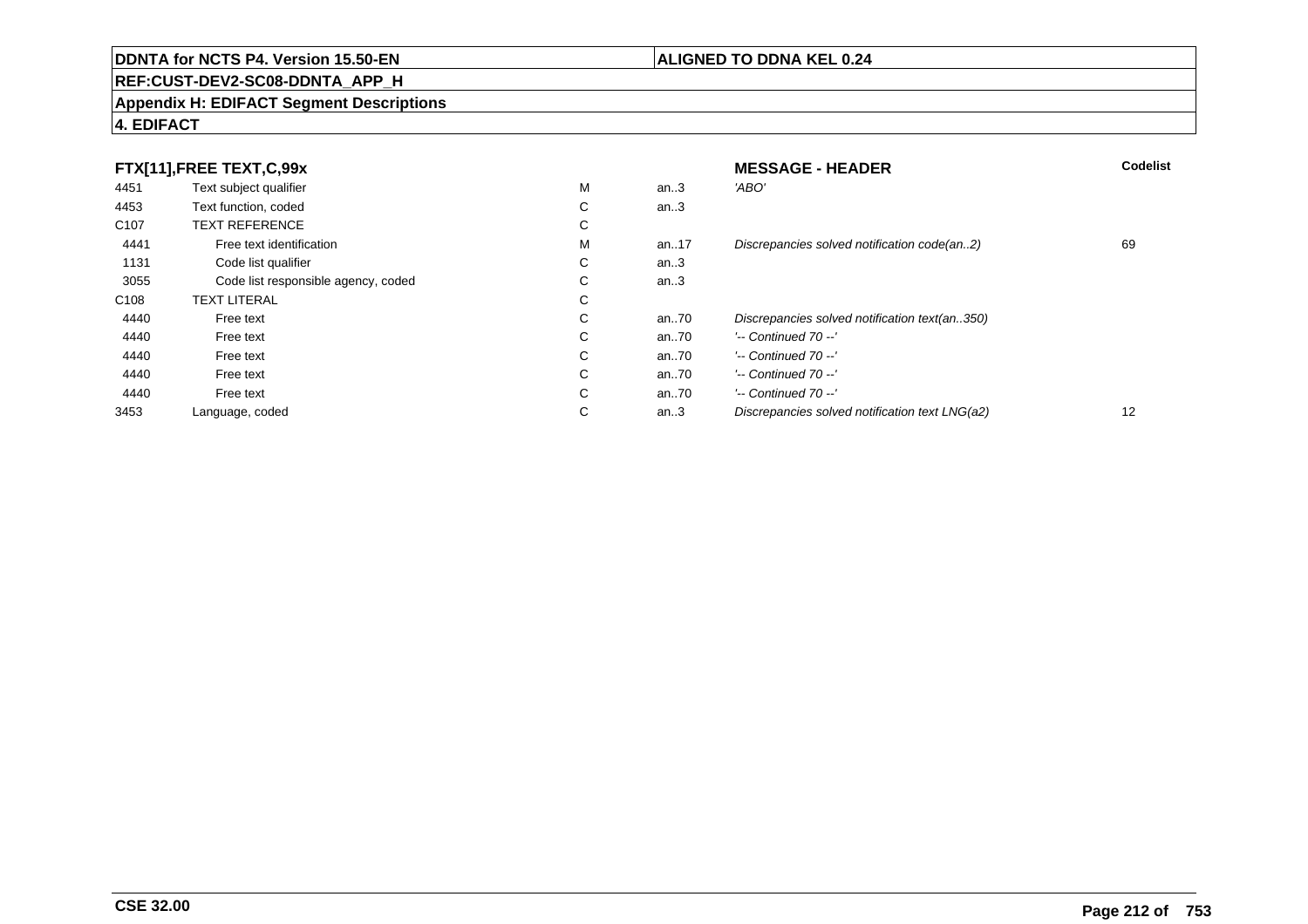# **REF:CUST-DEV2-SC08-DDNTA\_APP\_H**

### **Appendix H: EDIFACT Segment Descriptions**

# **4. EDIFACT**

| FTX[11],FREE TEXT,C,99x |                                     |             | <b>MESSAGE - HEADER</b> | <b>Codelist</b>                                |    |
|-------------------------|-------------------------------------|-------------|-------------------------|------------------------------------------------|----|
| 4451                    | Text subject qualifier              | М           | an.3                    | 'ABO'                                          |    |
| 4453                    | Text function, coded                | С           | an.3                    |                                                |    |
| C <sub>107</sub>        | <b>TEXT REFERENCE</b>               | С           |                         |                                                |    |
| 4441                    | Free text identification            | М           | an17                    | Discrepancies solved notification code(an2)    | 69 |
| 1131                    | Code list qualifier                 | С           | an.3                    |                                                |    |
| 3055                    | Code list responsible agency, coded | С           | an.3                    |                                                |    |
| C <sub>108</sub>        | <b>TEXT LITERAL</b>                 | С           |                         |                                                |    |
| 4440                    | Free text                           | $\sim$<br>Ü | an70                    | Discrepancies solved notification text(an350)  |    |
| 4440                    | Free text                           | С           | an70                    | $'-$ Continued 70 $-$ '                        |    |
| 4440                    | Free text                           | С           | an70                    | $'-$ Continued 70 $-$ '                        |    |
| 4440                    | Free text                           | С           | an70                    | $'-$ Continued 70 $-$ '                        |    |
| 4440                    | Free text                           | C           | an70                    | $'-$ Continued 70 $-$ '                        |    |
| 3453                    | Language, coded                     | С           | an.3                    | Discrepancies solved notification text LNG(a2) | 12 |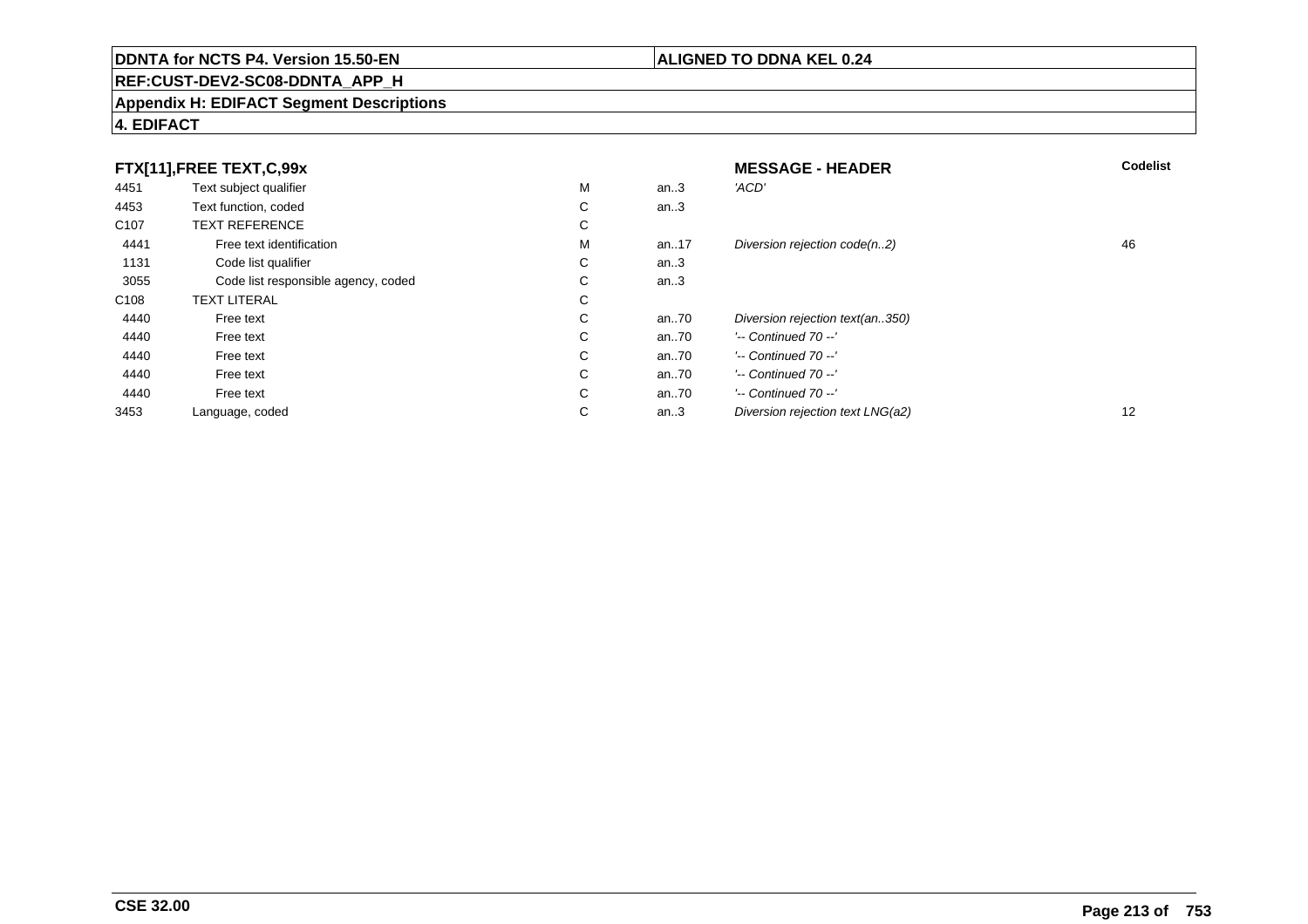# **REF:CUST-DEV2-SC08-DDNTA\_APP\_H**

### **Appendix H: EDIFACT Segment Descriptions**

# **4. EDIFACT**

| FTX[11],FREE TEXT,C,99x |                                     |             | <b>MESSAGE - HEADER</b> | Codelist                         |    |
|-------------------------|-------------------------------------|-------------|-------------------------|----------------------------------|----|
| 4451                    | Text subject qualifier              | М           | an.3                    | 'ACD'                            |    |
| 4453                    | Text function, coded                | ⌒<br>◡      | an.3                    |                                  |    |
| C <sub>107</sub>        | <b>TEXT REFERENCE</b>               | $\sim$<br>Ü |                         |                                  |    |
| 4441                    | Free text identification            | М           | an17                    | Diversion rejection code(n2)     | 46 |
| 1131                    | Code list qualifier                 | С           | an.3                    |                                  |    |
| 3055                    | Code list responsible agency, coded | $\sim$<br>Ü | an.3                    |                                  |    |
| C <sub>108</sub>        | <b>TEXT LITERAL</b>                 | $\sim$<br>◡ |                         |                                  |    |
| 4440                    | Free text                           | $\sim$<br>◡ | an70                    | Diversion rejection text(an350)  |    |
| 4440                    | Free text                           | С           | an70                    | $'-$ Continued 70 $-$ '          |    |
| 4440                    | Free text                           | C           | an70                    | $'-$ Continued 70 $-$ '          |    |
| 4440                    | Free text                           | С           | an70                    | $'-$ Continued 70 $-$ '          |    |
| 4440                    | Free text                           | $\sim$<br>Ü | an.70                   | $'-$ Continued 70 $-$ '          |    |
| 3453                    | Language, coded                     | $\sim$<br>◡ | an.3                    | Diversion rejection text LNG(a2) | 12 |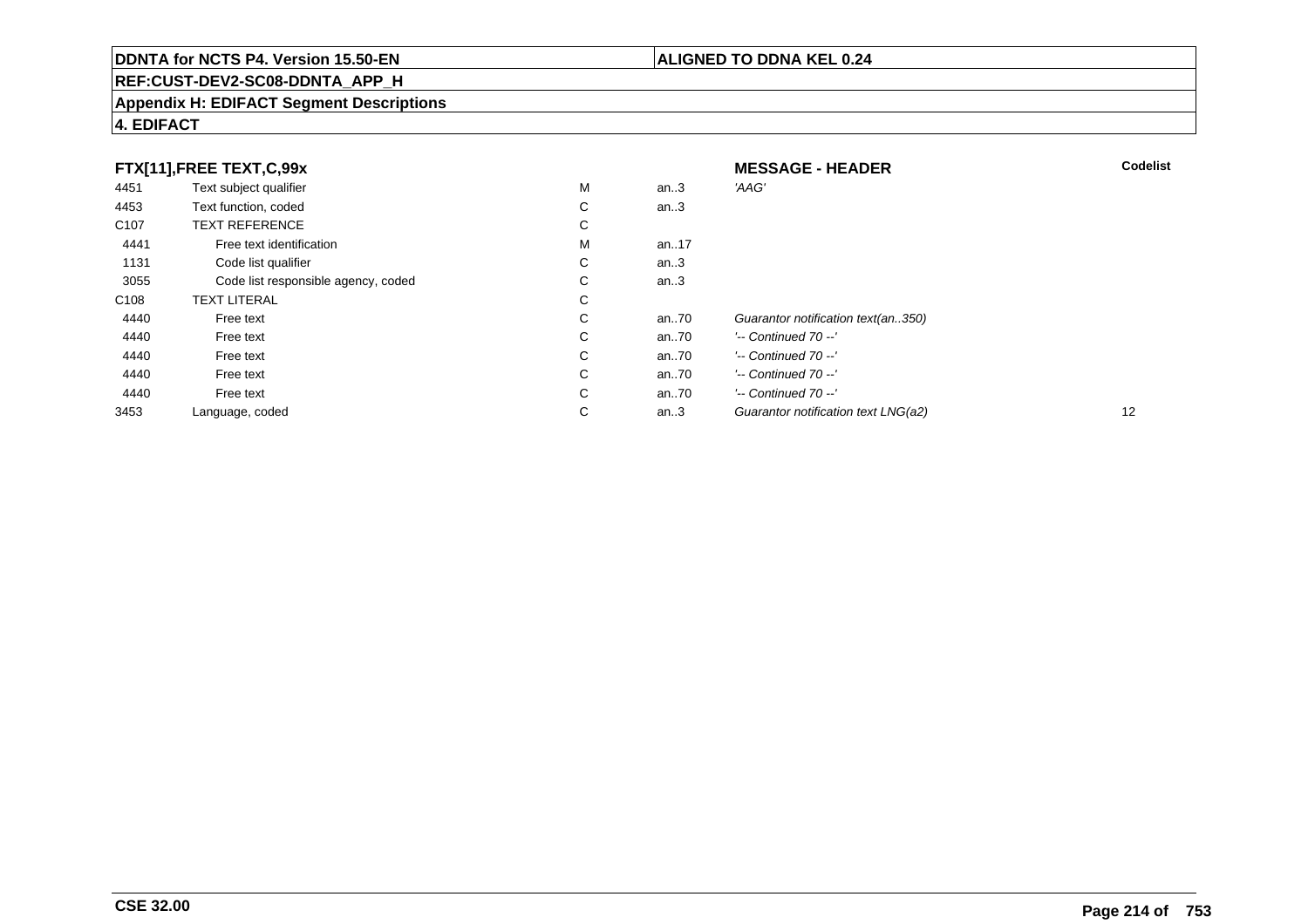# **REF:CUST-DEV2-SC08-DDNTA\_APP\_H**

### **Appendix H: EDIFACT Segment Descriptions**

# **4. EDIFACT**

| FTX[11],FREE TEXT,C,99x |                                     | <b>MESSAGE - HEADER</b> | <b>Codelist</b> |                                     |    |
|-------------------------|-------------------------------------|-------------------------|-----------------|-------------------------------------|----|
| 4451                    | Text subject qualifier              | М                       | an.3            | 'AAG'                               |    |
| 4453                    | Text function, coded                | ⌒<br>Ü                  | an.3            |                                     |    |
| C <sub>107</sub>        | <b>TEXT REFERENCE</b>               | С                       |                 |                                     |    |
| 4441                    | Free text identification            | м                       | an17            |                                     |    |
| 1131                    | Code list qualifier                 | С                       | an $.3$         |                                     |    |
| 3055                    | Code list responsible agency, coded | C.                      | an.3            |                                     |    |
| C <sub>108</sub>        | <b>TEXT LITERAL</b>                 | C                       |                 |                                     |    |
| 4440                    | Free text                           | ⌒<br>Ü                  | an70            | Guarantor notification text(an350)  |    |
| 4440                    | Free text                           | C                       | an70            | $'-$ Continued 70 $-$ '             |    |
| 4440                    | Free text                           | C                       | an70            | $'-$ Continued 70 $-$ '             |    |
| 4440                    | Free text                           | C                       | an70            | $'-$ Continued 70 $-$ '             |    |
| 4440                    | Free text                           | C                       | an70            | $'-$ Continued 70 $-$ '             |    |
| 3453                    | Language, coded                     | С                       | an. $3$         | Guarantor notification text LNG(a2) | 12 |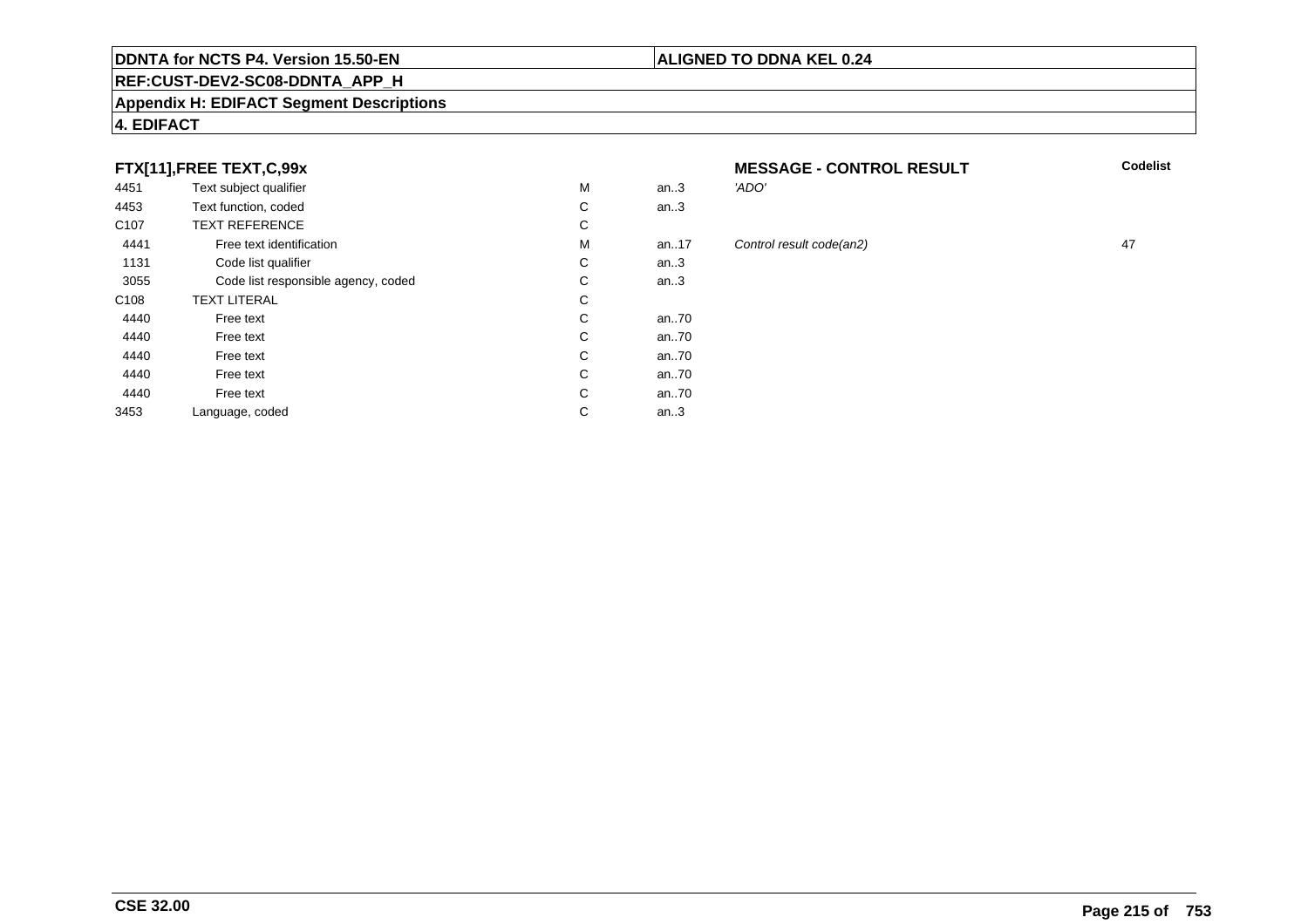### **REF:CUST-DEV2-SC08-DDNTA\_APP\_H**

### **Appendix H: EDIFACT Segment Descriptions**

# **4. EDIFACT**

# **FTX[11],FREE TEXT,C,99x**

| 4451             | Text subject qualifier              | М | an.3  |
|------------------|-------------------------------------|---|-------|
| 4453             | Text function, coded                | С | an.3  |
| C <sub>107</sub> | <b>TEXT REFERENCE</b>               | С |       |
| 4441             | Free text identification            | М | an17  |
| 1131             | Code list qualifier                 | С | an.3  |
| 3055             | Code list responsible agency, coded | С | an.3  |
| C <sub>108</sub> | <b>TEXT LITERAL</b>                 | С |       |
| 4440             | Free text                           | C | an.70 |
| 4440             | Free text                           | С | an70  |
| 4440             | Free text                           | C | an.70 |
| 4440             | Free text                           | С | an.70 |
| 4440             | Free text                           | С | an70  |
| 3453             | Language, coded                     | C | an.3  |
|                  |                                     |   |       |

### **MESSAGE - CONTROL RESULT**<br>3 *ADO'* **Codelist**

# 17 Control result code(an2) 47<br>3

### **ALIGNED TO DDNA KEL 0.24**

# an..3 'ADO' an..3 an..3 an..3 an..70 an..70 an..70 an..70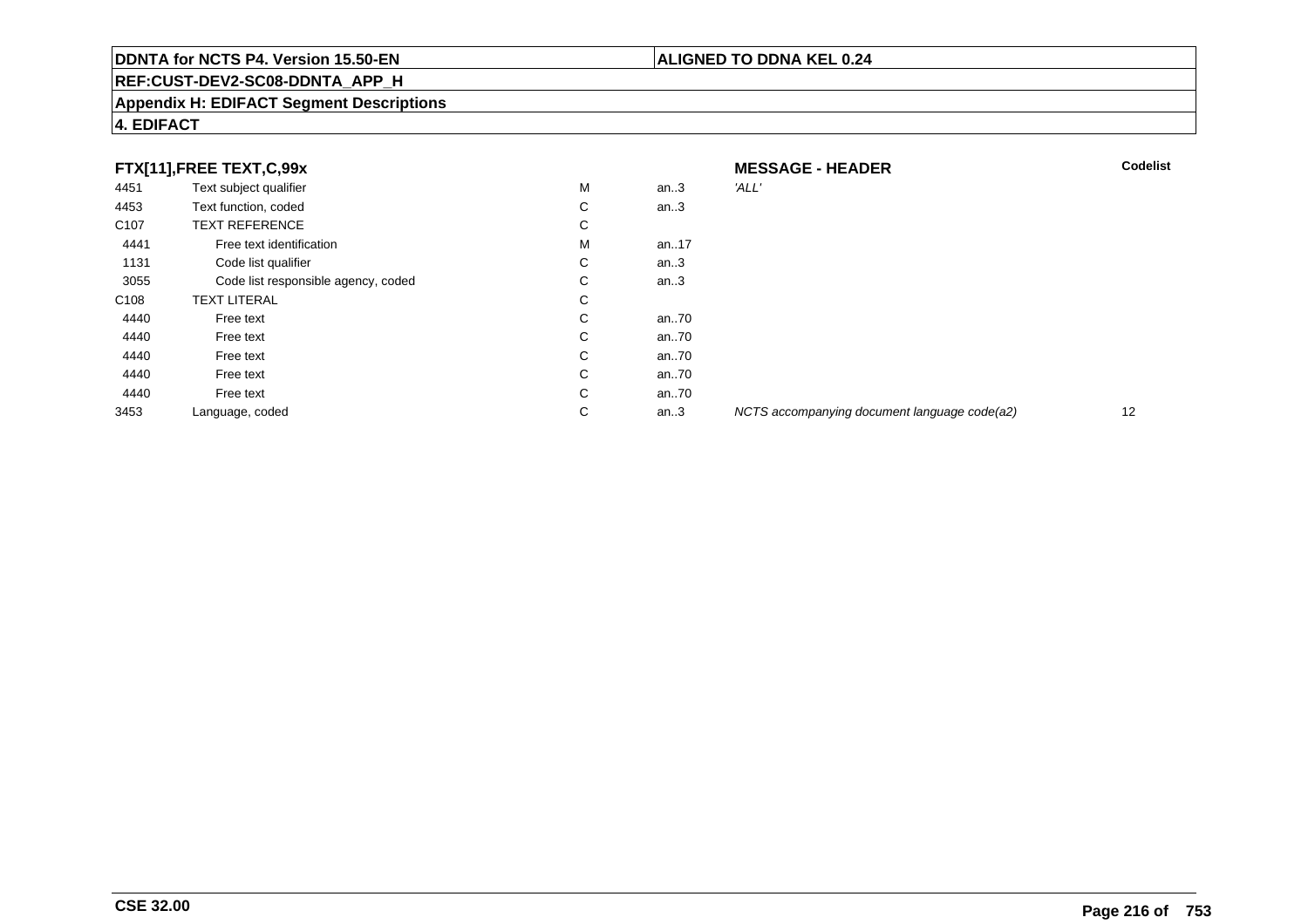# **REF:CUST-DEV2-SC08-DDNTA\_APP\_H**

### **Appendix H: EDIFACT Segment Descriptions**

# **4. EDIFACT**

| FTX[11],FREE TEXT,C,99x |                                     |   | <b>MESSAGE - HEADER</b> | <b>Codelist</b>                              |    |
|-------------------------|-------------------------------------|---|-------------------------|----------------------------------------------|----|
| 4451                    | Text subject qualifier              | М | an.3                    | 'ALL'                                        |    |
| 4453                    | Text function, coded                | С | an.3                    |                                              |    |
| C <sub>107</sub>        | <b>TEXT REFERENCE</b>               | С |                         |                                              |    |
| 4441                    | Free text identification            | М | an17                    |                                              |    |
| 1131                    | Code list qualifier                 | С | an.3                    |                                              |    |
| 3055                    | Code list responsible agency, coded | С | an.3                    |                                              |    |
| C <sub>108</sub>        | <b>TEXT LITERAL</b>                 | С |                         |                                              |    |
| 4440                    | Free text                           | С | an70                    |                                              |    |
| 4440                    | Free text                           | С | an70                    |                                              |    |
| 4440                    | Free text                           | С | an70                    |                                              |    |
| 4440                    | Free text                           | С | an70                    |                                              |    |
| 4440                    | Free text                           | C | an70                    |                                              |    |
| 3453                    | Language, coded                     | С | an.3                    | NCTS accompanying document language code(a2) | 12 |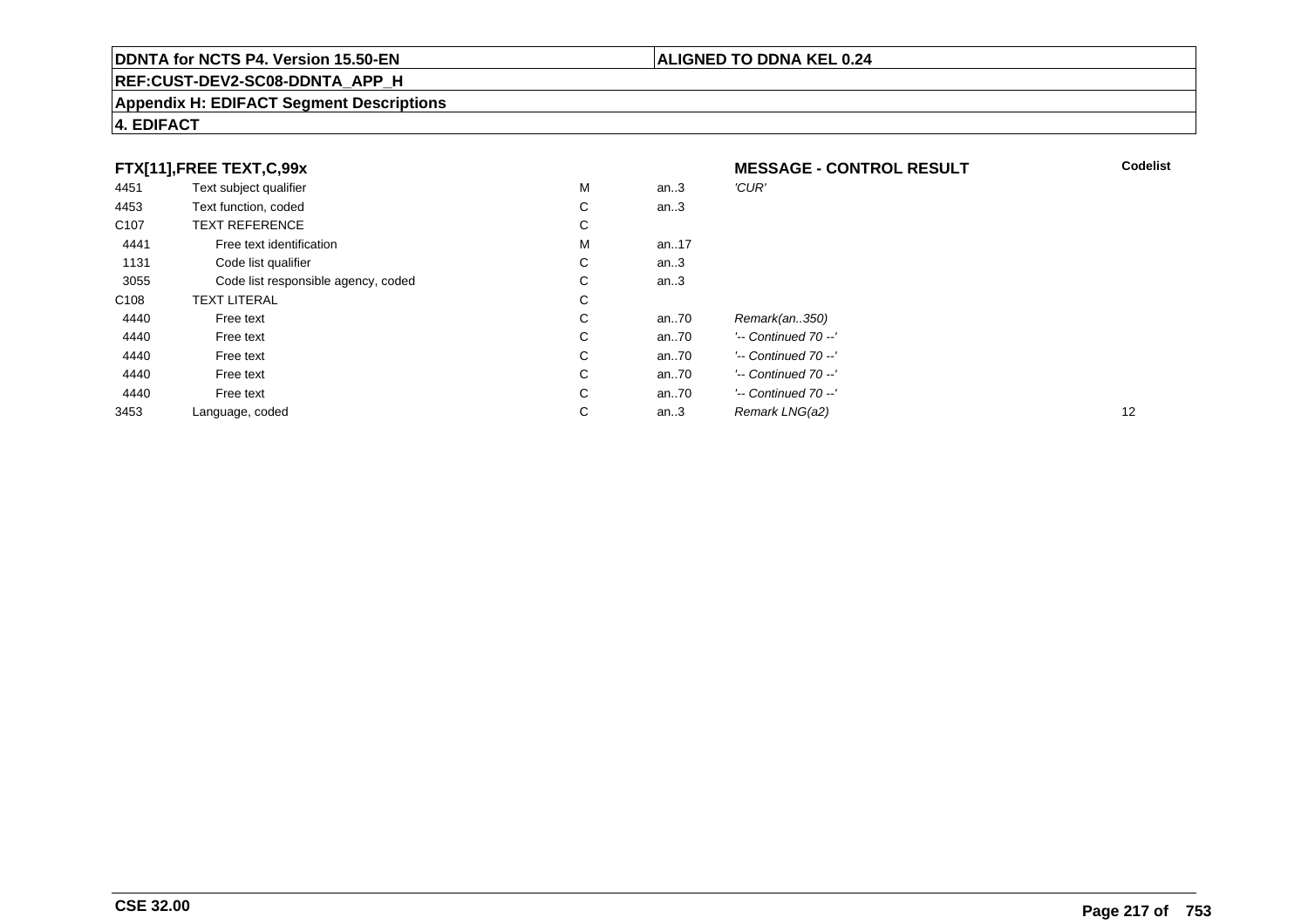### **REF:CUST-DEV2-SC08-DDNTA\_APP\_H**

#### **Appendix H: EDIFACT Segment Descriptions**

#### **4. EDIFACT**

| FTX[11],FREE TEXT,C,99x |                                     |             | <b>MESSAGE - CONTROL RESULT</b> | <b>Codelist</b>         |    |
|-------------------------|-------------------------------------|-------------|---------------------------------|-------------------------|----|
| 4451                    | Text subject qualifier              | М           | an.3                            | 'CUR'                   |    |
| 4453                    | Text function, coded                | $\sim$<br>Ü | an.3                            |                         |    |
| C <sub>107</sub>        | <b>TEXT REFERENCE</b>               | $\sim$<br>Ü |                                 |                         |    |
| 4441                    | Free text identification            | м           | an17                            |                         |    |
| 1131                    | Code list qualifier                 | С           | an.3                            |                         |    |
| 3055                    | Code list responsible agency, coded | С           | an.3                            |                         |    |
| C <sub>108</sub>        | <b>TEXT LITERAL</b>                 | С           |                                 |                         |    |
| 4440                    | Free text                           | С           | an70                            | Remark(an350)           |    |
| 4440                    | Free text                           | C           | an70                            | $'-$ Continued 70 $-$ ' |    |
| 4440                    | Free text                           | С           | an70                            | $'-$ Continued 70 $-$ ' |    |
| 4440                    | Free text                           | C           | an70                            | $'-$ Continued 70 $-$ ' |    |
| 4440                    | Free text                           | C           | an70                            | $'-$ Continued 70 $-$ ' |    |
| 3453                    | Language, coded                     | С           | an.3                            | Remark LNG(a2)          | 12 |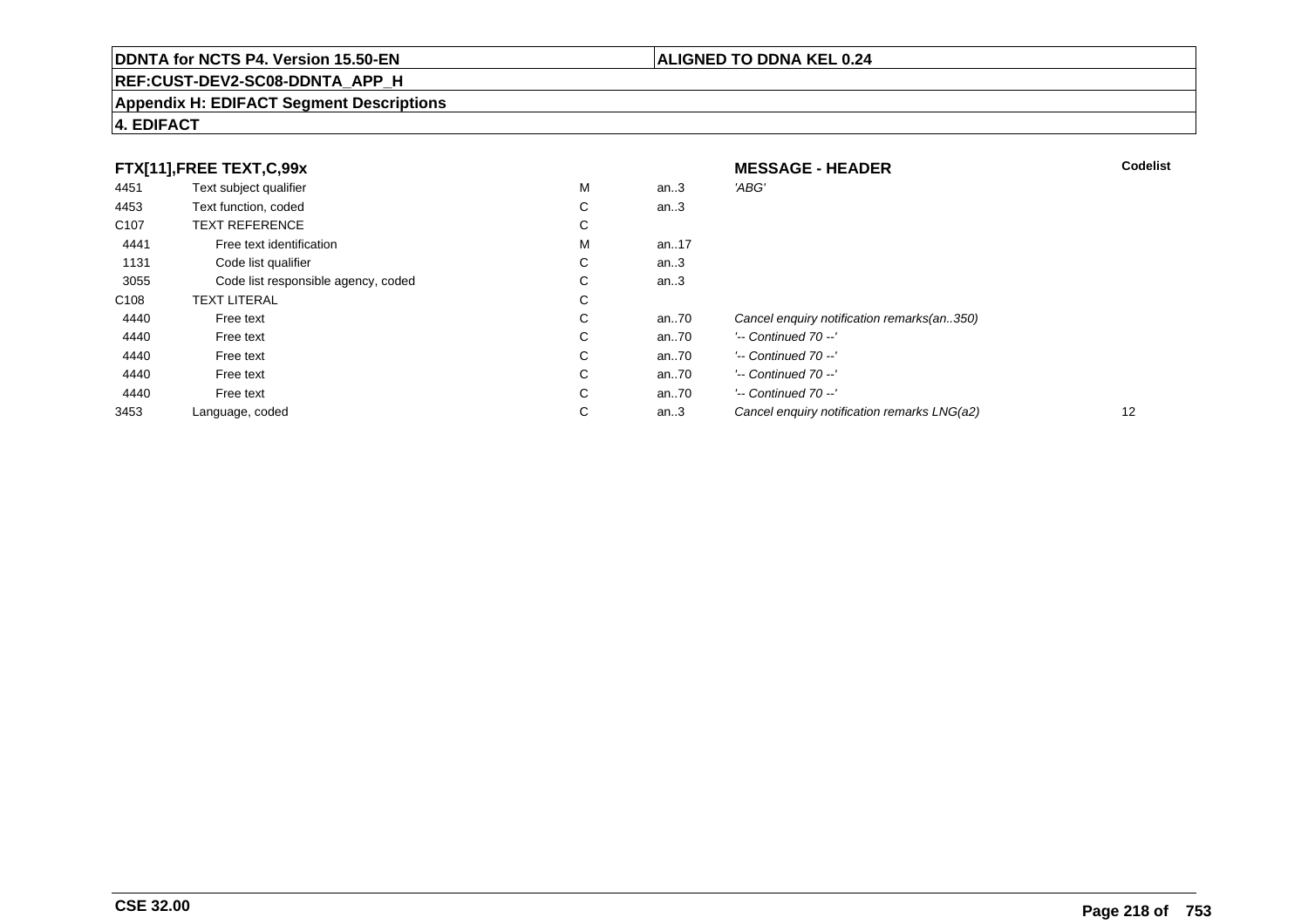### **REF:CUST-DEV2-SC08-DDNTA\_APP\_H**

#### **Appendix H: EDIFACT Segment Descriptions**

#### **4. EDIFACT**

|                  | FTX[11],FREE TEXT,C,99x             |   |      | <b>MESSAGE - HEADER</b>                     | <b>Codelist</b> |
|------------------|-------------------------------------|---|------|---------------------------------------------|-----------------|
| 4451             | Text subject qualifier              | M | an.3 | 'ABG'                                       |                 |
| 4453             | Text function, coded                | С | an.3 |                                             |                 |
| C <sub>107</sub> | <b>TEXT REFERENCE</b>               | С |      |                                             |                 |
| 4441             | Free text identification            | M | an17 |                                             |                 |
| 1131             | Code list qualifier                 | C | an.3 |                                             |                 |
| 3055             | Code list responsible agency, coded | С | an.3 |                                             |                 |
| C <sub>108</sub> | <b>TEXT LITERAL</b>                 | С |      |                                             |                 |
| 4440             | Free text                           | C | an70 | Cancel enquiry notification remarks(an350)  |                 |
| 4440             | Free text                           | С | an70 | $'-$ Continued 70 $-$ '                     |                 |
| 4440             | Free text                           | C | an70 | $'-$ Continued 70 $-$ '                     |                 |
| 4440             | Free text                           | С | an70 | $'-$ Continued 70 $-$ '                     |                 |
| 4440             | Free text                           | С | an70 | $'-$ Continued 70 $-$ '                     |                 |
| 3453             | Language, coded                     | С | an.3 | Cancel enquiry notification remarks LNG(a2) | 12              |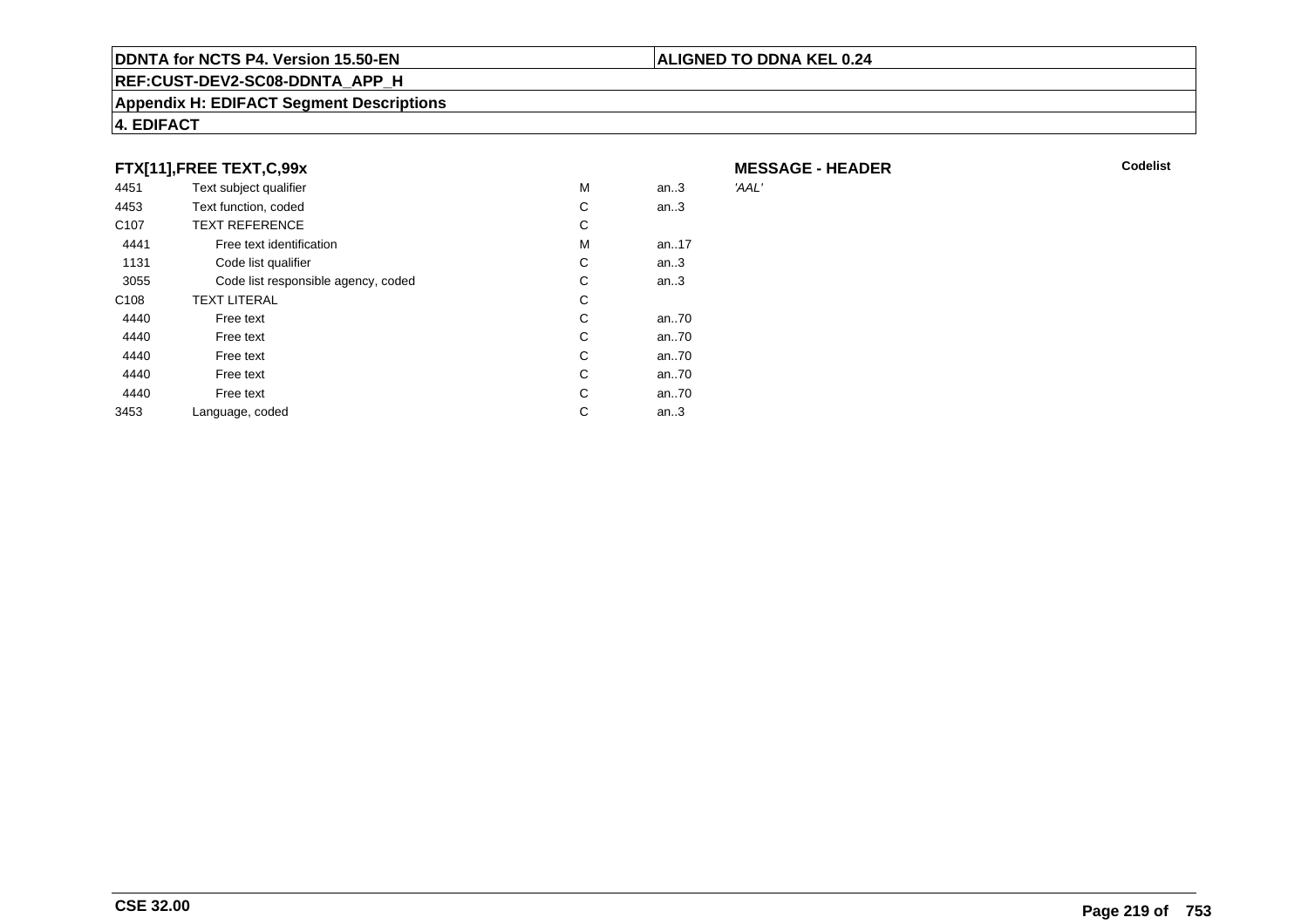#### **REF:CUST-DEV2-SC08-DDNTA\_APP\_H**

#### **Appendix H: EDIFACT Segment Descriptions**

#### **4. EDIFACT**

#### **FTX[11],FREE TEXT,C,99x**

| 4451             | Text subject qualifier              | М | an.3 | 'AAL' |
|------------------|-------------------------------------|---|------|-------|
| 4453             | Text function, coded                | C | an.3 |       |
| C <sub>107</sub> | <b>TEXT REFERENCE</b>               | C |      |       |
| 4441             | Free text identification            | M | an17 |       |
| 1131             | Code list qualifier                 | С | an.3 |       |
| 3055             | Code list responsible agency, coded | C | an.3 |       |
| C <sub>108</sub> | <b>TEXT LITERAL</b>                 | С |      |       |
| 4440             | Free text                           | C | an70 |       |
| 4440             | Free text                           | C | an70 |       |
| 4440             | Free text                           | C | an70 |       |
| 4440             | Free text                           | C | an70 |       |
| 4440             | Free text                           | C | an70 |       |
| 3453             | Language, coded                     | С | an.3 |       |
|                  |                                     |   |      |       |

**MESSAGE - HEADER**

**ALIGNED TO DDNA KEL 0.24**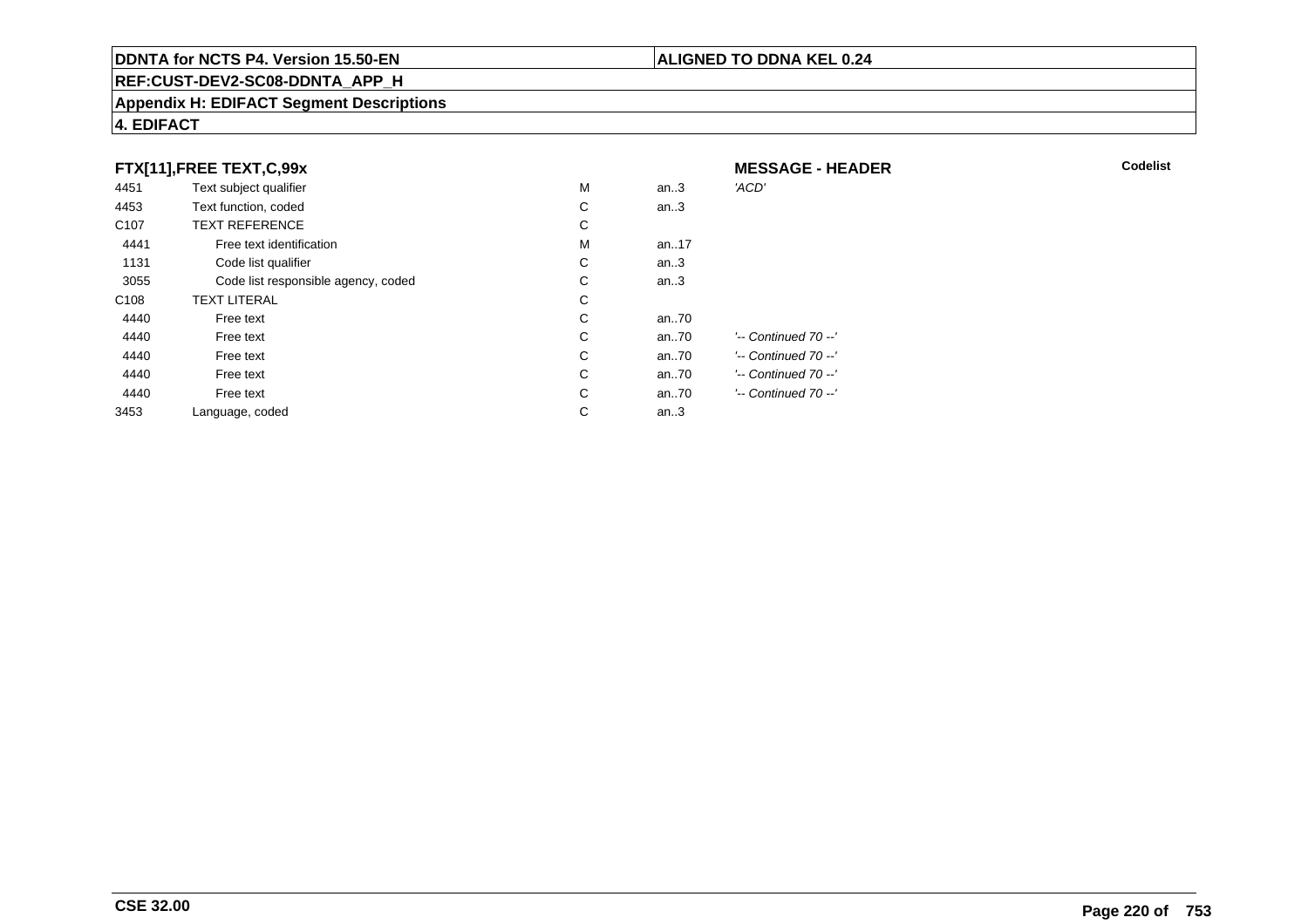#### **REF:CUST-DEV2-SC08-DDNTA\_APP\_H**

#### **Appendix H: EDIFACT Segment Descriptions**

#### **4. EDIFACT**

|                  | FTX[11], FREE TEXT, C, 99x          |   |       | <b>MESSAGE - HEADER</b> |
|------------------|-------------------------------------|---|-------|-------------------------|
| 4451             | Text subject qualifier              | M | an.3  | 'ACD'                   |
| 4453             | Text function, coded                | С | an.3  |                         |
| C <sub>107</sub> | <b>TEXT REFERENCE</b>               | С |       |                         |
| 4441             | Free text identification            | M | an17  |                         |
| 1131             | Code list qualifier                 | С | an.3  |                         |
| 3055             | Code list responsible agency, coded | С | an.3  |                         |
| C <sub>108</sub> | <b>TEXT LITERAL</b>                 | С |       |                         |
| 4440             | Free text                           | С | an70  |                         |
| 4440             | Free text                           | С | an70  | '-- Continued 70 --'    |
| 4440             | Free text                           | С | an70  | '-- Continued 70 --'    |
| 4440             | Free text                           | С | an.70 | '-- Continued 70 --'    |
| 4440             | Free text                           | С | an.70 | '-- Continued 70 --'    |
| 3453             | Language, coded                     | С | an.3  |                         |

#### **ALIGNED TO DDNA KEL 0.24**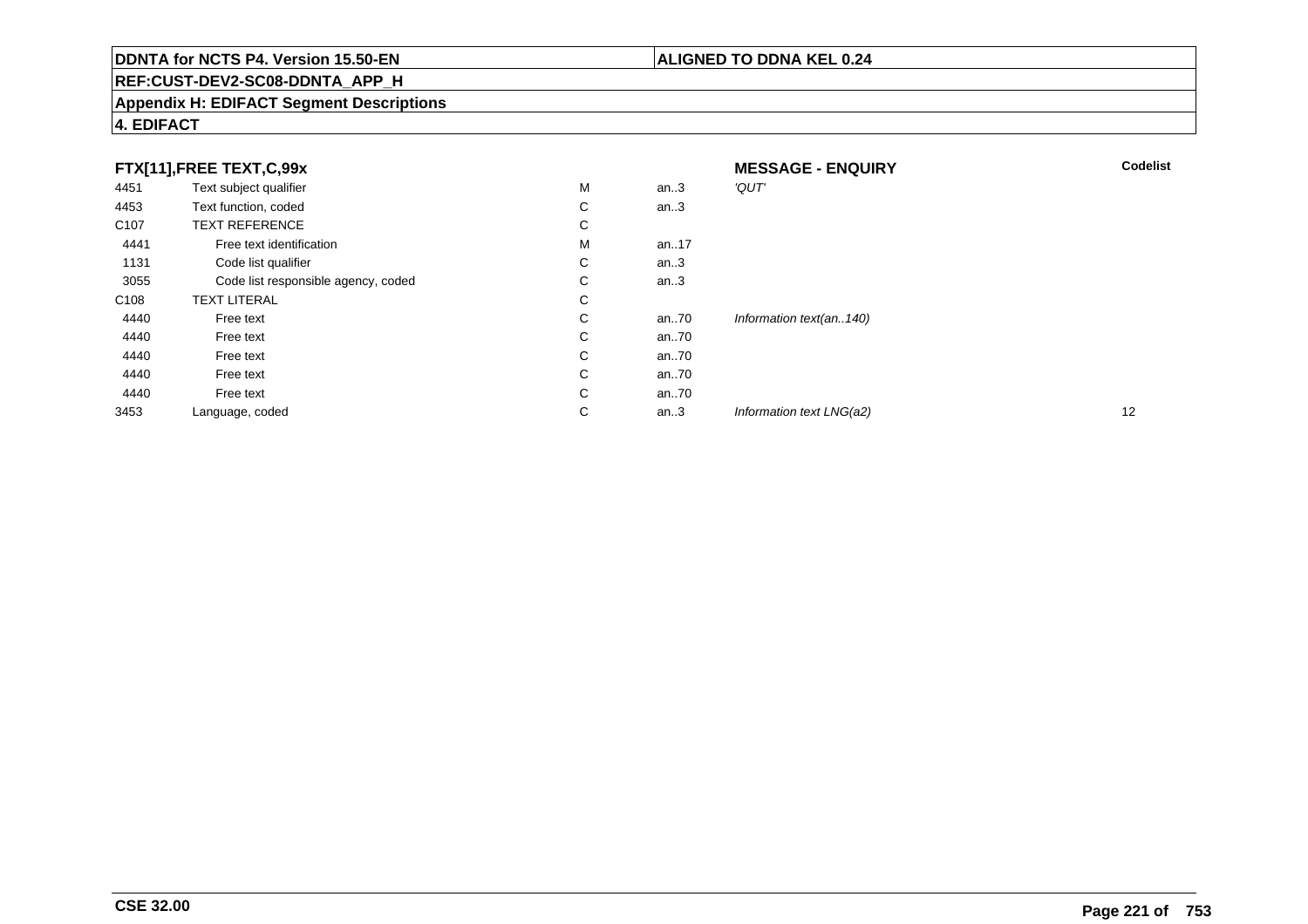### **REF:CUST-DEV2-SC08-DDNTA\_APP\_H**

#### **Appendix H: EDIFACT Segment Descriptions**

#### **4. EDIFACT**

|                  | FTX[11],FREE TEXT,C,99x             |   |      | <b>MESSAGE - ENQUIRY</b> | <b>Codelist</b> |
|------------------|-------------------------------------|---|------|--------------------------|-----------------|
| 4451             | Text subject qualifier              | M | an.3 | 'QUT'                    |                 |
| 4453             | Text function, coded                | С | an.3 |                          |                 |
| C <sub>107</sub> | <b>TEXT REFERENCE</b>               | С |      |                          |                 |
| 4441             | Free text identification            | M | an17 |                          |                 |
| 1131             | Code list qualifier                 | С | an.3 |                          |                 |
| 3055             | Code list responsible agency, coded | С | an.3 |                          |                 |
| C <sub>108</sub> | <b>TEXT LITERAL</b>                 | С |      |                          |                 |
| 4440             | Free text                           | С | an70 | Information text(an140)  |                 |
| 4440             | Free text                           | C | an70 |                          |                 |
| 4440             | Free text                           | С | an70 |                          |                 |
| 4440             | Free text                           | C | an70 |                          |                 |
| 4440             | Free text                           | С | an70 |                          |                 |
| 3453             | Language, coded                     | С | an.3 | Information text LNG(a2) | 12              |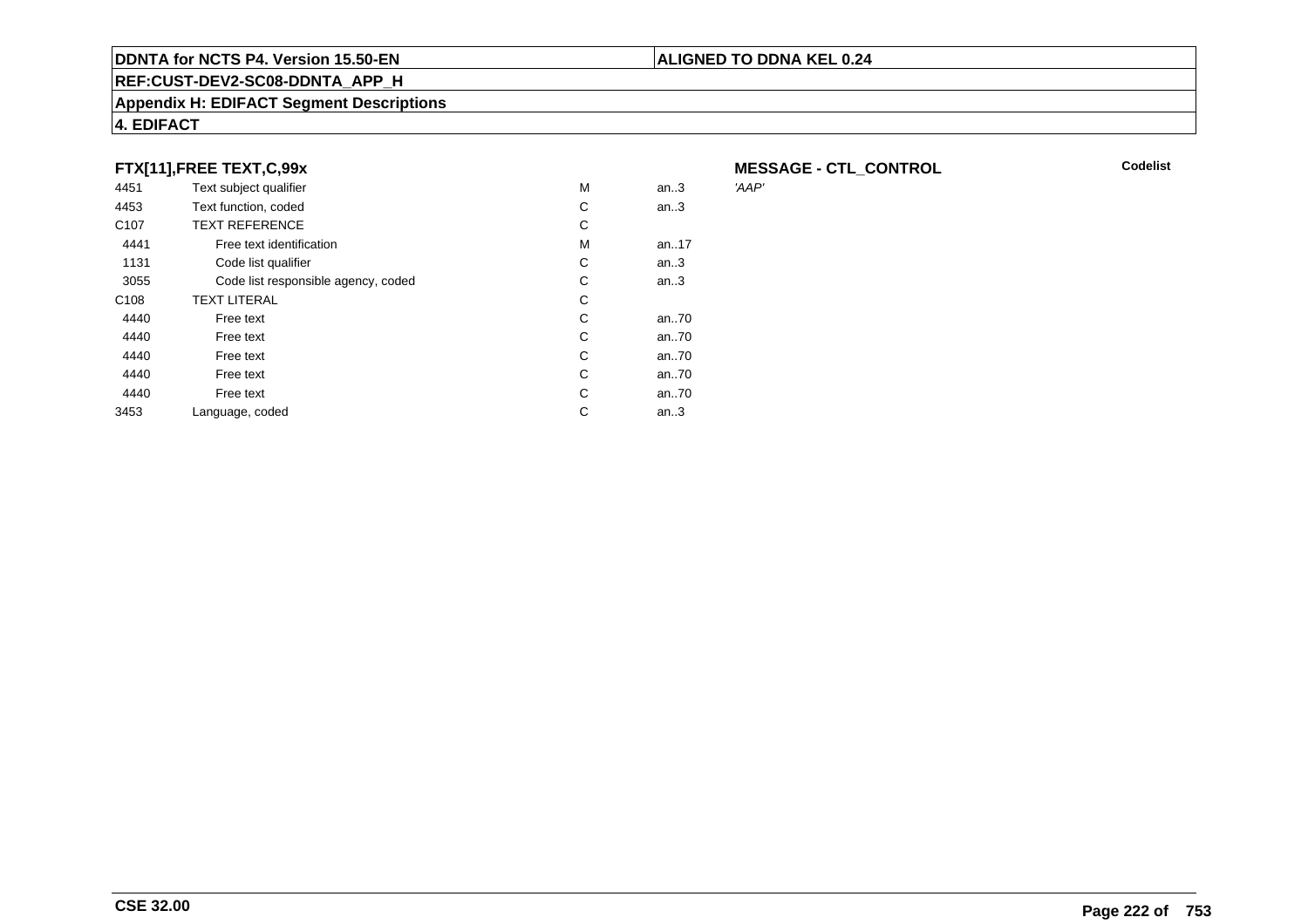#### **REF:CUST-DEV2-SC08-DDNTA\_APP\_H**

#### **Appendix H: EDIFACT Segment Descriptions**

#### **4. EDIFACT**

#### **FTX[11],FREE TEXT,C,99x**

| 4451             | Text subject qualifier              | М | an.3 | 'AAP' |
|------------------|-------------------------------------|---|------|-------|
| 4453             | Text function, coded                | C | an.3 |       |
| C <sub>107</sub> | <b>TEXT REFERENCE</b>               | С |      |       |
| 4441             | Free text identification            | М | an17 |       |
| 1131             | Code list qualifier                 | С | an.3 |       |
| 3055             | Code list responsible agency, coded | С | an.3 |       |
| C <sub>108</sub> | <b>TEXT LITERAL</b>                 | С |      |       |
| 4440             | Free text                           | С | an70 |       |
| 4440             | Free text                           | С | an70 |       |
| 4440             | Free text                           | C | an70 |       |
| 4440             | Free text                           | C | an70 |       |
| 4440             | Free text                           | C | an70 |       |
| 3453             | Language, coded                     | С | an.3 |       |
|                  |                                     |   |      |       |

**MESSAGE - CTL\_CONTROL**<br>'AAP'

**Codelist**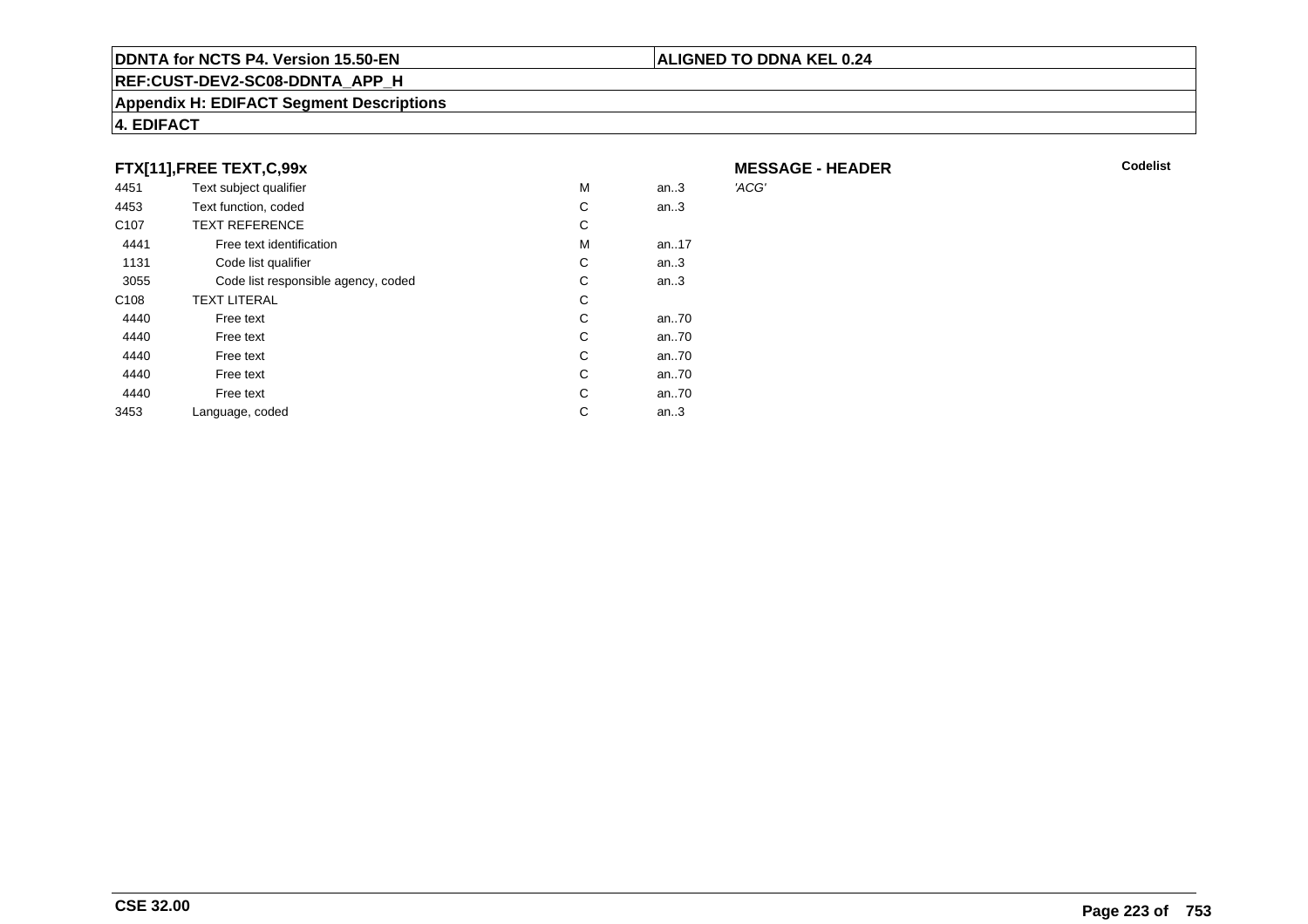#### **REF:CUST-DEV2-SC08-DDNTA\_APP\_H**

#### **Appendix H: EDIFACT Segment Descriptions**

#### **4. EDIFACT**

#### **FTX[11],FREE TEXT,C,99x**

| 4451             | Text subject qualifier              | М | an.3 | 'ACG' |
|------------------|-------------------------------------|---|------|-------|
| 4453             | Text function, coded                | С | an.3 |       |
| C <sub>107</sub> | <b>TEXT REFERENCE</b>               | С |      |       |
| 4441             | Free text identification            | М | an17 |       |
| 1131             | Code list qualifier                 | С | an.3 |       |
| 3055             | Code list responsible agency, coded | С | an.3 |       |
| C <sub>108</sub> | <b>TEXT LITERAL</b>                 | С |      |       |
| 4440             | Free text                           | С | an70 |       |
| 4440             | Free text                           | С | an70 |       |
| 4440             | Free text                           | C | an70 |       |
| 4440             | Free text                           | С | an70 |       |
| 4440             | Free text                           | C | an70 |       |
| 3453             | Language, coded                     | С | an.3 |       |
|                  |                                     |   |      |       |

**MESSAGE - HEADER**

**ALIGNED TO DDNA KEL 0.24**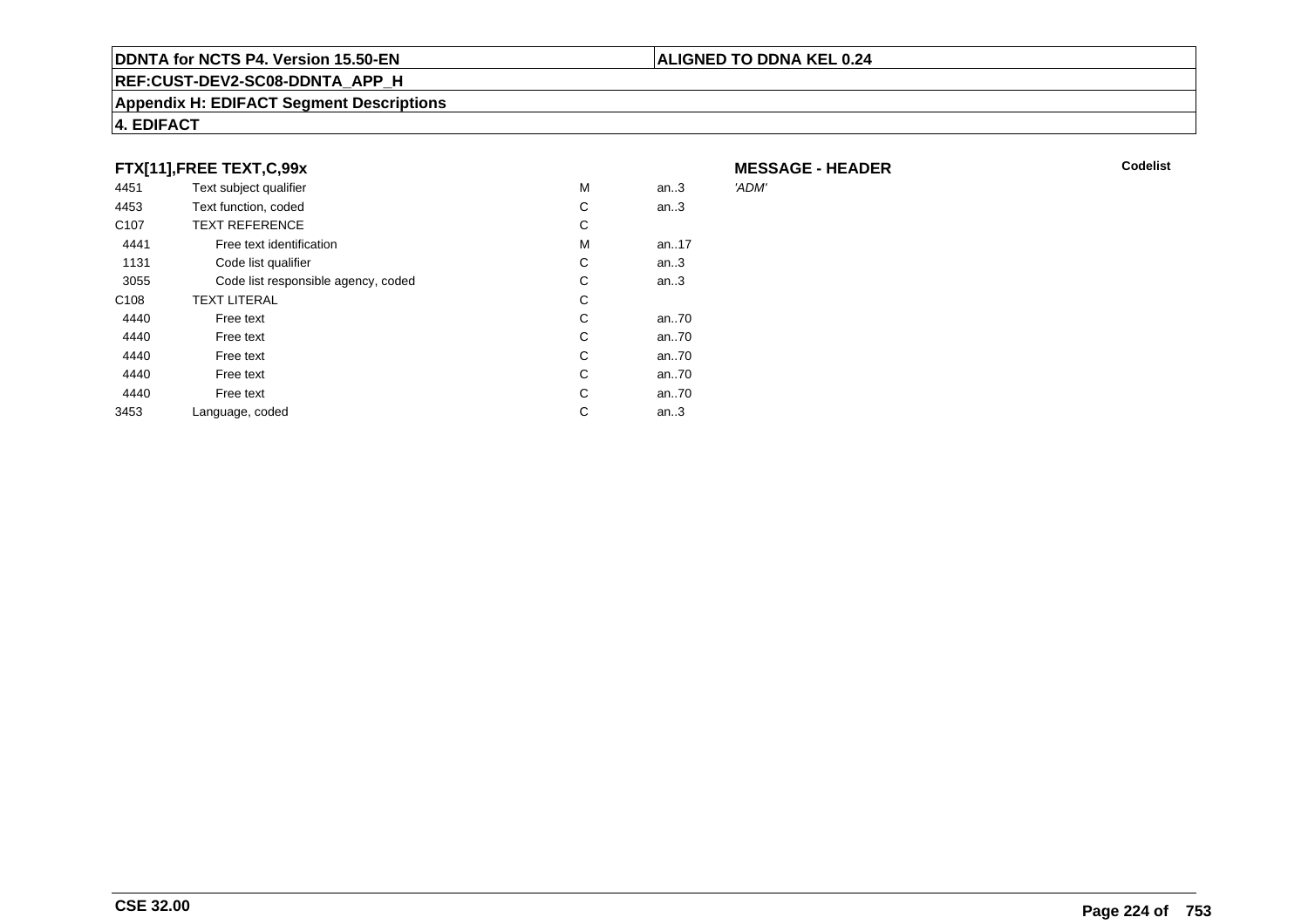#### **REF:CUST-DEV2-SC08-DDNTA\_APP\_H**

#### **Appendix H: EDIFACT Segment Descriptions**

#### **4. EDIFACT**

#### **FTX[11],FREE TEXT,C,99x**

| 4451             | Text subject qualifier              | М | an.3 | 'ADM' |
|------------------|-------------------------------------|---|------|-------|
| 4453             | Text function, coded                | C | an.3 |       |
| C <sub>107</sub> | <b>TEXT REFERENCE</b>               | С |      |       |
| 4441             | Free text identification            | М | an17 |       |
| 1131             | Code list qualifier                 | C | an.3 |       |
| 3055             | Code list responsible agency, coded | С | an.3 |       |
| C <sub>108</sub> | <b>TEXT LITERAL</b>                 | С |      |       |
| 4440             | Free text                           | С | an70 |       |
| 4440             | Free text                           | C | an70 |       |
| 4440             | Free text                           | C | an70 |       |
| 4440             | Free text                           | C | an70 |       |
| 4440             | Free text                           | C | an70 |       |
| 3453             | Language, coded                     | С | an.3 |       |
|                  |                                     |   |      |       |

**MESSAGE - HEADER**

**ALIGNED TO DDNA KEL 0.24**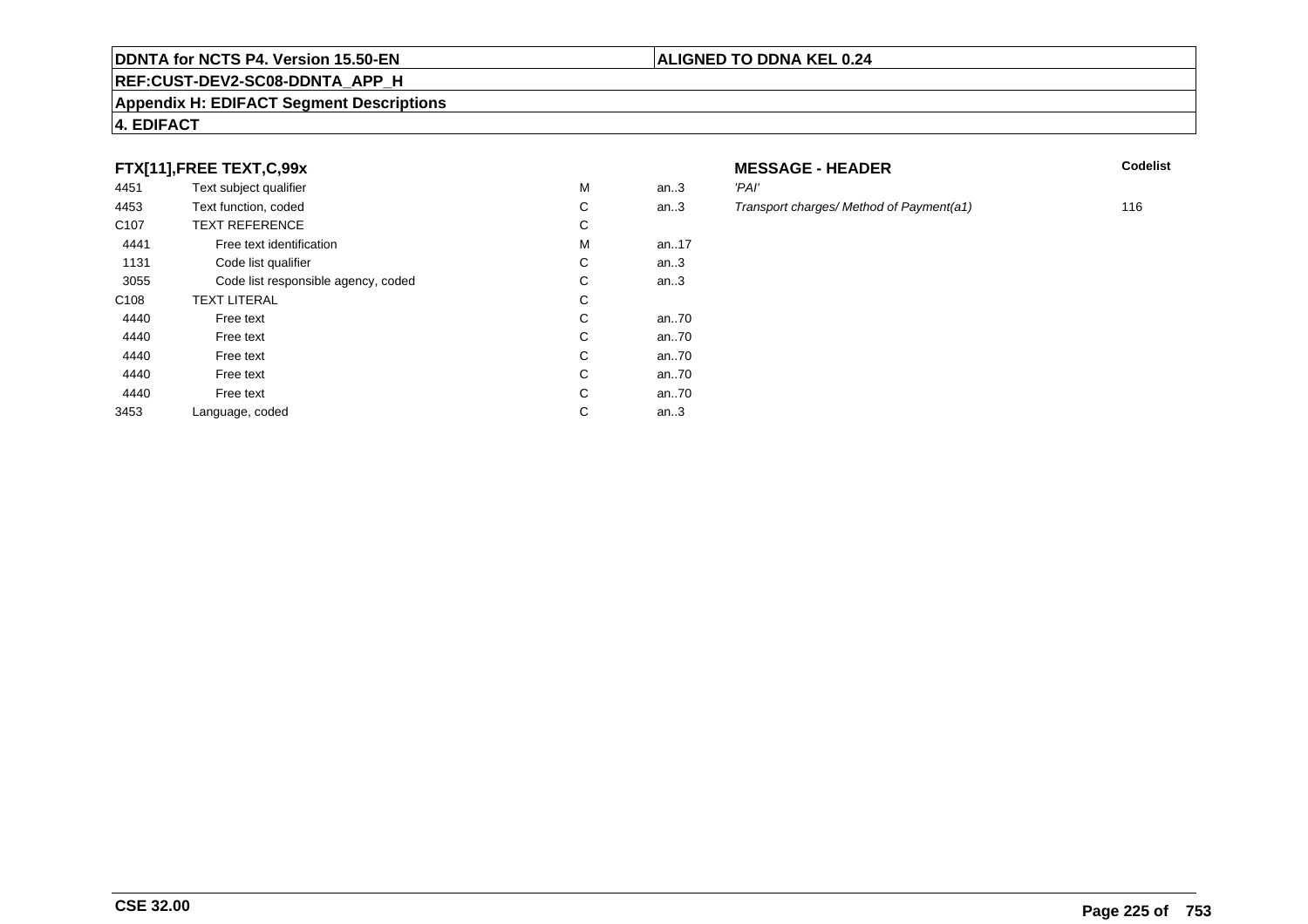#### **REF:CUST-DEV2-SC08-DDNTA\_APP\_H**

#### **Appendix H: EDIFACT Segment Descriptions**

#### **4. EDIFACT**

#### **FTX[11],FREE TEXT,C,99x**

| 4451             | Text subject qualifier              | M | an.3     | 'PAI' |
|------------------|-------------------------------------|---|----------|-------|
| 4453             | Text function, coded                | С | an.3     | Tran  |
| C <sub>107</sub> | <b>TEXT REFERENCE</b>               | С |          |       |
| 4441             | Free text identification            | M | an. $17$ |       |
| 1131             | Code list qualifier                 | С | an.3     |       |
| 3055             | Code list responsible agency, coded | С | an.3     |       |
| C <sub>108</sub> | <b>TEXT LITERAL</b>                 | C |          |       |
| 4440             | Free text                           | C | an70     |       |
| 4440             | Free text                           | C | an70     |       |
| 4440             | Free text                           | C | an70     |       |
| 4440             | Free text                           | C | an70     |       |
| 4440             | Free text                           | C | an70     |       |
| 3453             | Language, coded                     | С | an.3     |       |
|                  |                                     |   |          |       |

# **MESSAGE - HEADER**

**ALIGNED TO DDNA KEL 0.24**

- Transport charges/ Method of Payment(a1) 116
-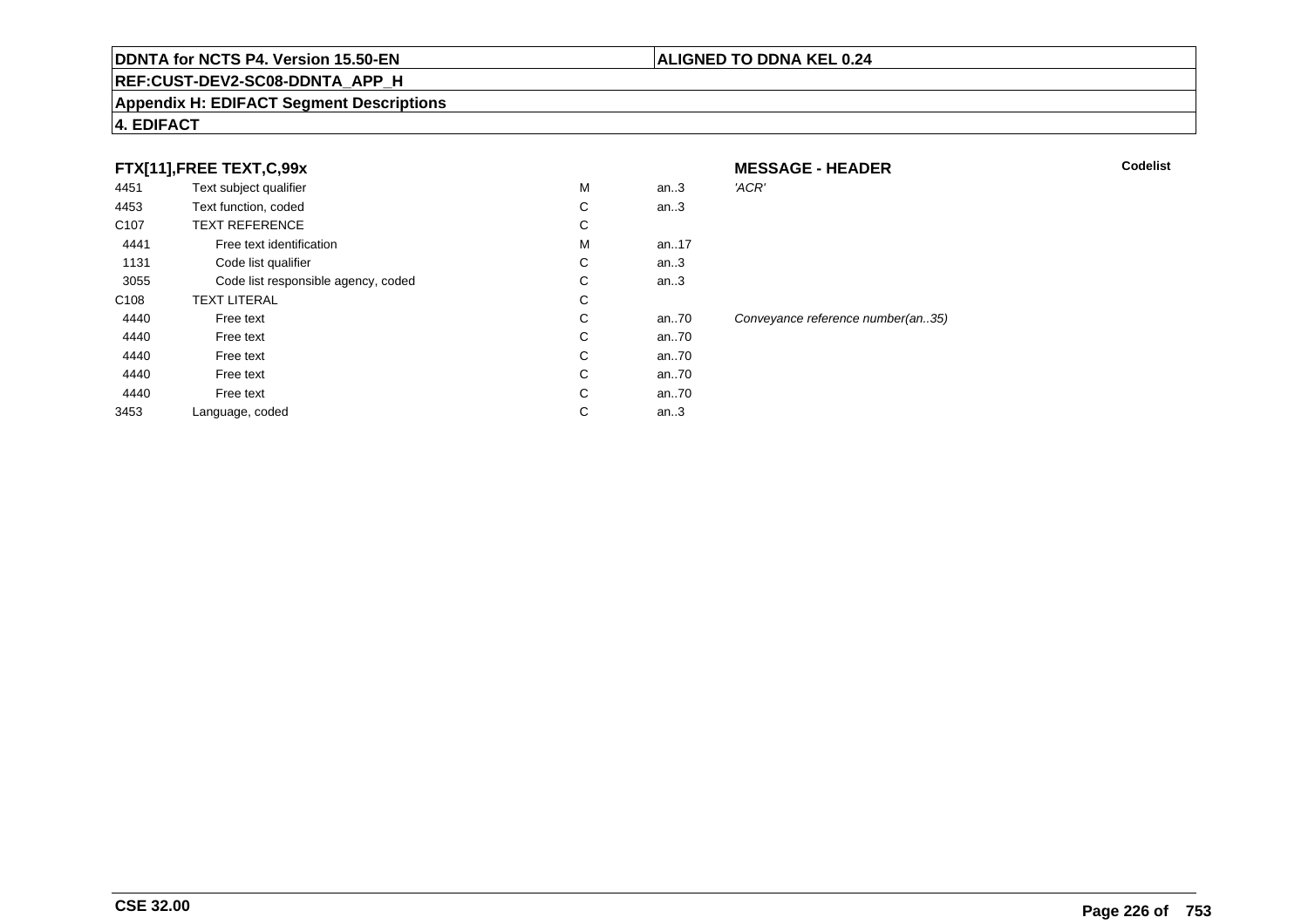#### **REF:CUST-DEV2-SC08-DDNTA\_APP\_H**

#### **Appendix H: EDIFACT Segment Descriptions**

#### **4. EDIFACT**

| FTX[11],FREE TEXT,C,99x |  |
|-------------------------|--|
|                         |  |

|                  | FTX[11], FREE TEXT, C, 99x          |   |          | <b>MESSAGE - HEADER</b>           | Codelist |
|------------------|-------------------------------------|---|----------|-----------------------------------|----------|
| 4451             | Text subject qualifier              | M | an.3     | 'ACR'                             |          |
| 4453             | Text function, coded                | С | an.3     |                                   |          |
| C <sub>107</sub> | <b>TEXT REFERENCE</b>               | С |          |                                   |          |
| 4441             | Free text identification            | м | an17     |                                   |          |
| 1131             | Code list qualifier                 | С | an.3     |                                   |          |
| 3055             | Code list responsible agency, coded | C | an.3     |                                   |          |
| C <sub>108</sub> | <b>TEXT LITERAL</b>                 | С |          |                                   |          |
| 4440             | Free text                           | С | an $.70$ | Conveyance reference number(an35) |          |
| 4440             | Free text                           | С | an $.70$ |                                   |          |
| 4440             | Free text                           | C | an70     |                                   |          |
| 4440             | Free text                           | C | an70     |                                   |          |
| 4440             | Free text                           | C | an70     |                                   |          |
| 3453             | Language, coded                     | С | an.3     |                                   |          |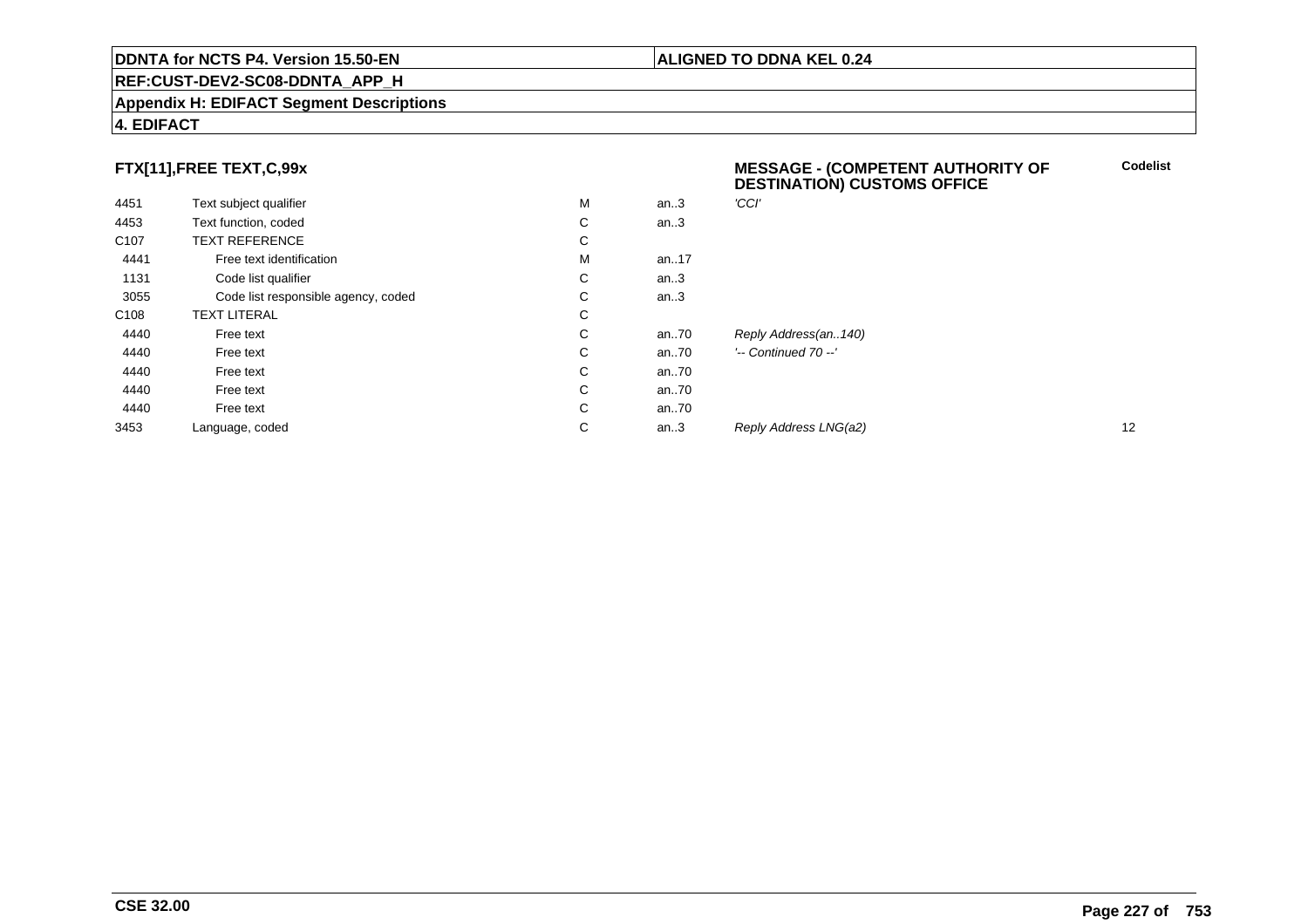#### **REF:CUST-DEV2-SC08-DDNTA\_APP\_H**

#### **Appendix H: EDIFACT Segment Descriptions**

#### **4. EDIFACT**

#### **FTX[11],FREE TEXT,C,99x**

| FTX[11],FREE TEXT,C,99x |                                     |   |          | <b>MESSAGE - (COMPETENT AUTHORITY OF</b><br><b>DESTINATION) CUSTOMS OFFICE</b> |    |
|-------------------------|-------------------------------------|---|----------|--------------------------------------------------------------------------------|----|
| 4451                    | Text subject qualifier              | M | an.3     | 'CCI'                                                                          |    |
| 4453                    | Text function, coded                | С | an.3     |                                                                                |    |
| C <sub>107</sub>        | <b>TEXT REFERENCE</b>               | С |          |                                                                                |    |
| 4441                    | Free text identification            | M | an. $17$ |                                                                                |    |
| 1131                    | Code list qualifier                 | С | an.3     |                                                                                |    |
| 3055                    | Code list responsible agency, coded | С | an.3     |                                                                                |    |
| C108                    | <b>TEXT LITERAL</b>                 | С |          |                                                                                |    |
| 4440                    | Free text                           | С | an70     | Reply Address(an140)                                                           |    |
| 4440                    | Free text                           | С | an70     | $'-$ Continued 70 $-$ '                                                        |    |
| 4440                    | Free text                           | С | an70     |                                                                                |    |
| 4440                    | Free text                           | С | an70     |                                                                                |    |
| 4440                    | Free text                           | С | an70     |                                                                                |    |
| 3453                    | Language, coded                     | С | an.3     | Reply Address LNG(a2)                                                          | 12 |
|                         |                                     |   |          |                                                                                |    |

**Codelist**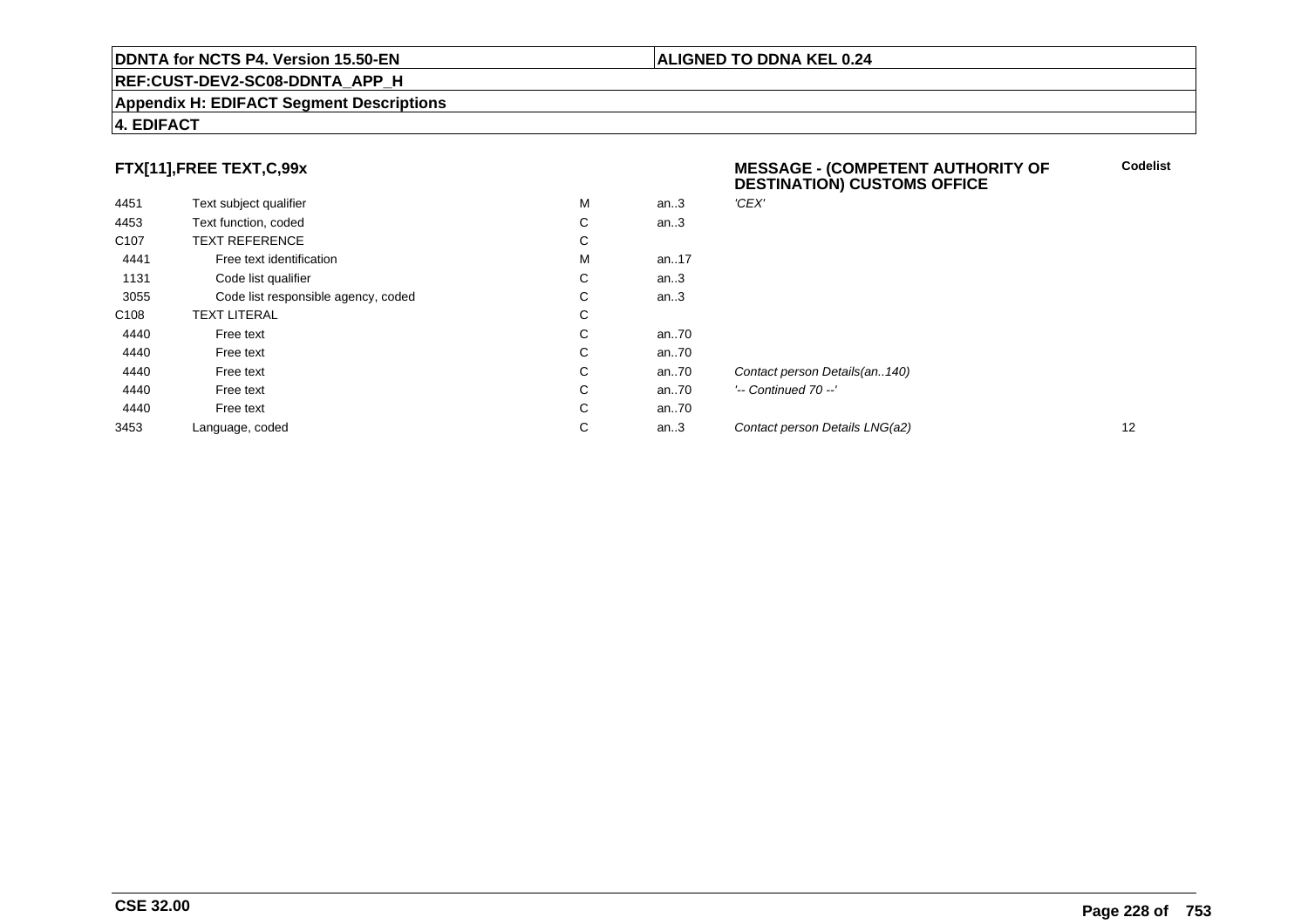#### **REF:CUST-DEV2-SC08-DDNTA\_APP\_H**

#### **Appendix H: EDIFACT Segment Descriptions**

#### **4. EDIFACT**

#### **FTX[11],FREE TEXT,C,99x**

| 4451             | Text subject qualifier              | M | an.3  | 'CEX'   |
|------------------|-------------------------------------|---|-------|---------|
| 4453             | Text function, coded                | C | an.3  |         |
| C <sub>107</sub> | <b>TEXT REFERENCE</b>               | С |       |         |
| 4441             | Free text identification            | M | an17  |         |
| 1131             | Code list qualifier                 | С | an.3  |         |
| 3055             | Code list responsible agency, coded | С | an.3  |         |
| C <sub>108</sub> | <b>TEXT LITERAL</b>                 | C |       |         |
| 4440             | Free text                           | C | an70  |         |
| 4440             | Free text                           | C | an70  |         |
| 4440             | Free text                           | C | an70  | Conta   |
| 4440             | Free text                           | C | an.70 | '-- Co. |
| 4440             | Free text                           | C | an70  |         |
| 3453             | Language, coded                     | С | an.3  | Conta   |
|                  |                                     |   |       |         |

#### **MESSAGE - (COMPETENT AUTHORITY OFDESTINATION) CUSTOMS OFFICE**

**ALIGNED TO DDNA KEL 0.24**

**Codelist**

act person Details(an..140) ntinued 70 --' act person Details LNG(a2) 12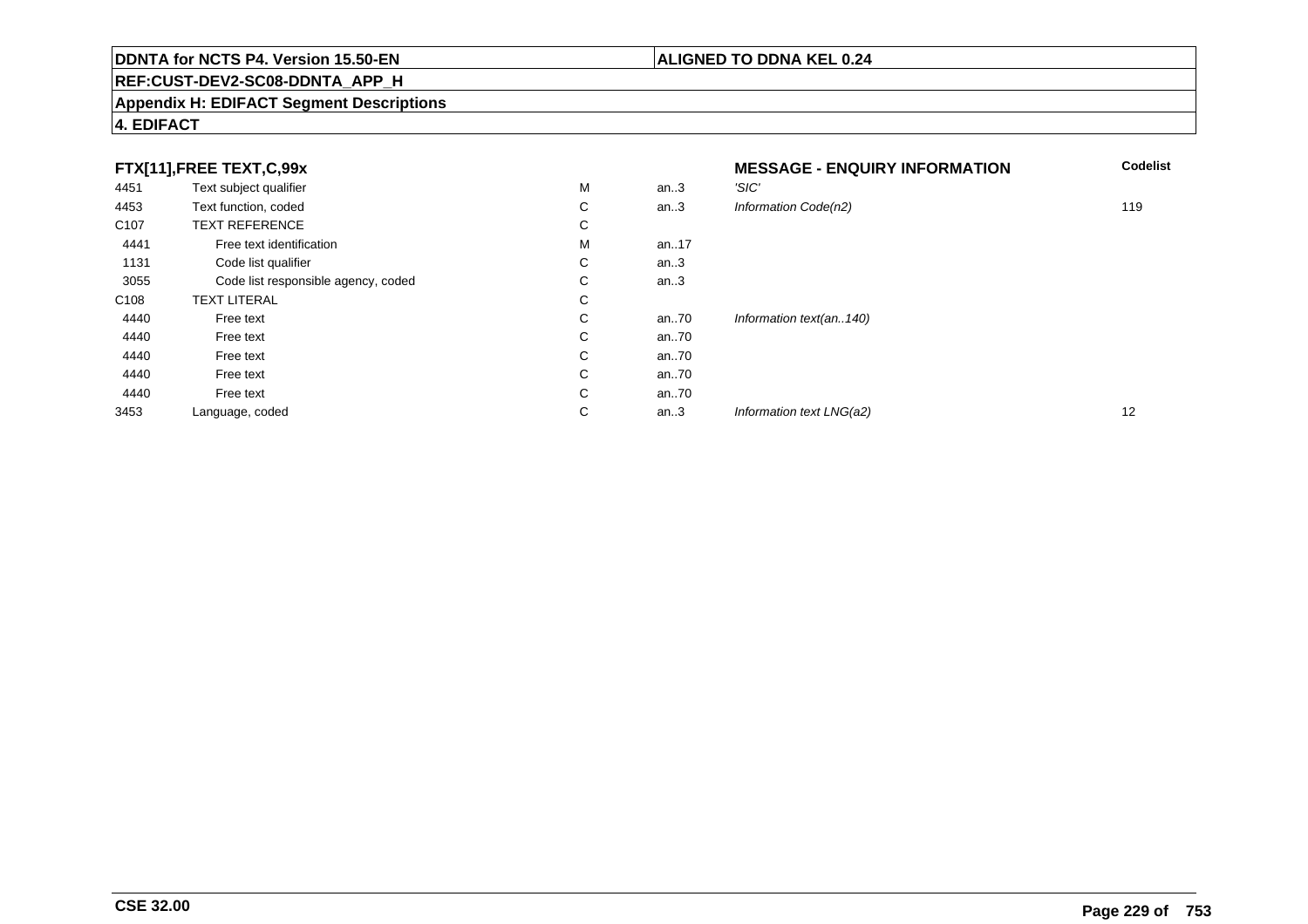### **REF:CUST-DEV2-SC08-DDNTA\_APP\_H**

#### **Appendix H: EDIFACT Segment Descriptions**

#### **4. EDIFACT**

|                  | FTX[11],FREE TEXT,C,99x             |   |      | <b>MESSAGE - ENQUIRY INFORMATION</b> | <b>Codelist</b> |
|------------------|-------------------------------------|---|------|--------------------------------------|-----------------|
| 4451             | Text subject qualifier              | М | an.3 | 'SIC'                                |                 |
| 4453             | Text function, coded                | C | an.3 | Information Code(n2)                 | 119             |
| C <sub>107</sub> | <b>TEXT REFERENCE</b>               | C |      |                                      |                 |
| 4441             | Free text identification            | М | an17 |                                      |                 |
| 1131             | Code list qualifier                 | C | an.3 |                                      |                 |
| 3055             | Code list responsible agency, coded | C | an.3 |                                      |                 |
| C <sub>108</sub> | <b>TEXT LITERAL</b>                 | C |      |                                      |                 |
| 4440             | Free text                           | C | an70 | Information text(an140)              |                 |
| 4440             | Free text                           | C | an70 |                                      |                 |
| 4440             | Free text                           | C | an70 |                                      |                 |
| 4440             | Free text                           | C | an70 |                                      |                 |
| 4440             | Free text                           | C | an70 |                                      |                 |
| 3453             | Language, coded                     | С | an.3 | Information text LNG(a2)             | 12              |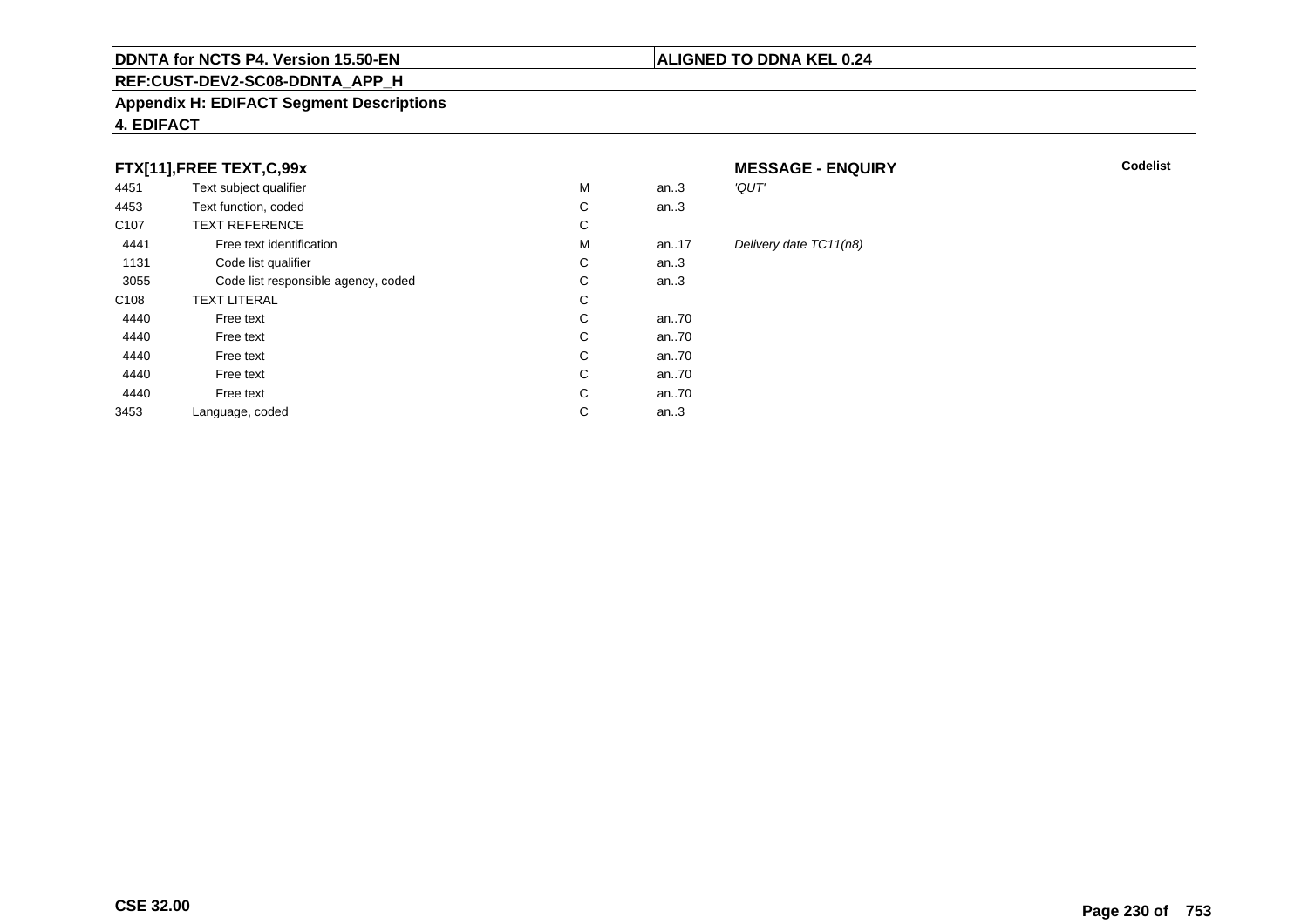#### **REF:CUST-DEV2-SC08-DDNTA\_APP\_H**

#### **Appendix H: EDIFACT Segment Descriptions**

#### **4. EDIFACT**

#### **FTX[11],FREE TEXT,C,99x**

| 4451             | Text subject qualifier              | М | an.3  | 'QUT'  |
|------------------|-------------------------------------|---|-------|--------|
|                  |                                     |   |       |        |
| 4453             | Text function, coded                | С | an.3  |        |
| C <sub>107</sub> | <b>TEXT REFERENCE</b>               | С |       |        |
| 4441             | Free text identification            | M | an.17 | Delive |
| 1131             | Code list qualifier                 | С | an.3  |        |
| 3055             | Code list responsible agency, coded | С | an.3  |        |
| C <sub>108</sub> | <b>TEXT LITERAL</b>                 | С |       |        |
| 4440             | Free text                           | С | an70  |        |
| 4440             | Free text                           | С | an70  |        |
| 4440             | Free text                           | C | an70  |        |
| 4440             | Free text                           | C | an70  |        |
| 4440             | Free text                           | C | an70  |        |
| 3453             | Language, coded                     | С | an.3  |        |
|                  |                                     |   |       |        |

# **MESSAGE - ENQUIRY**

**Latter School** School Codelist

#### Delivery date TC11(n8)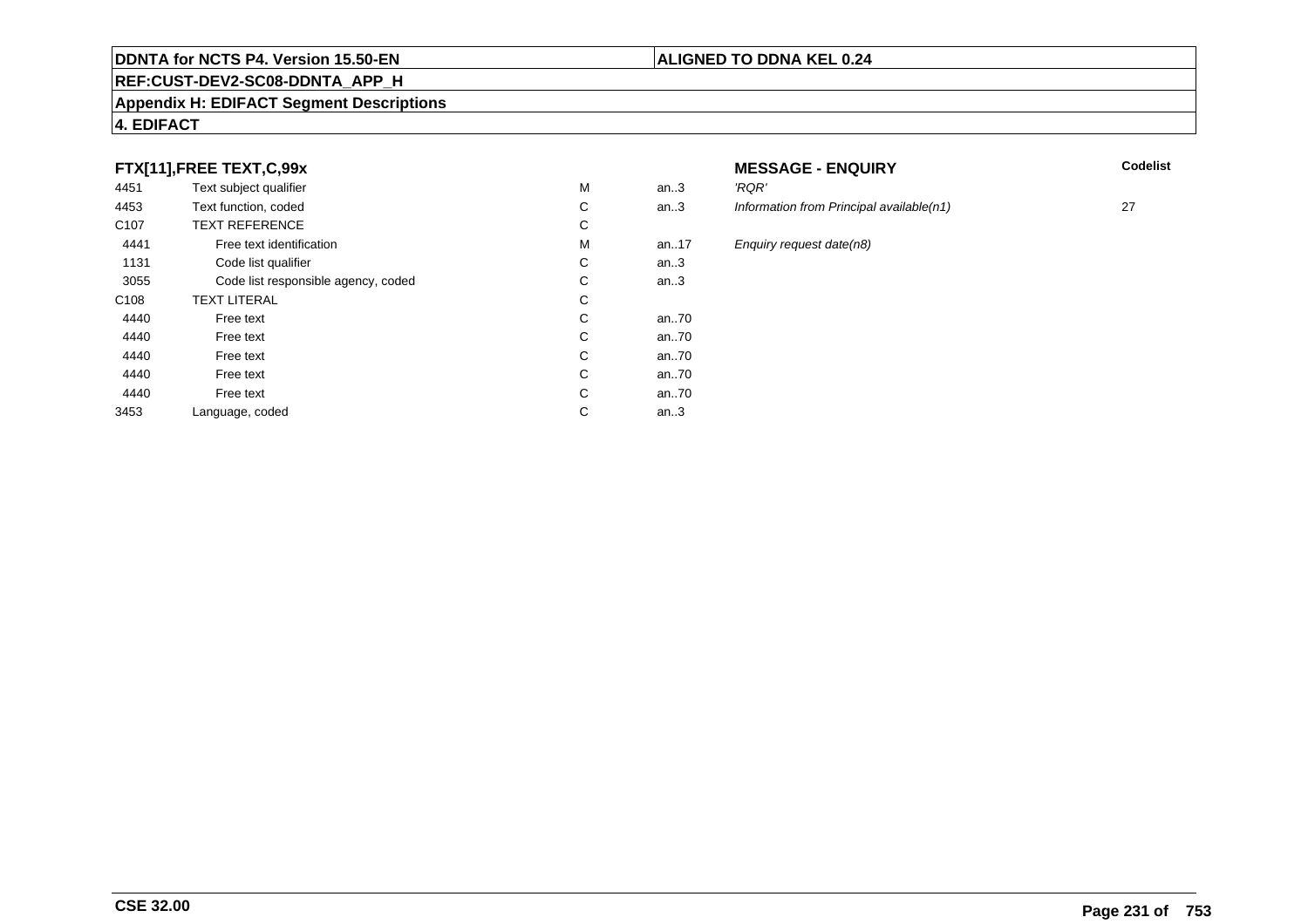#### **REF:CUST-DEV2-SC08-DDNTA\_APP\_H**

#### **Appendix H: EDIFACT Segment Descriptions**

#### **4. EDIFACT**

#### **FTX[11],FREE TEXT,C,99x**

| 4451             | Text subject qualifier              | М | an.3  | 'RQR'         |
|------------------|-------------------------------------|---|-------|---------------|
| 4453             | Text function, coded                | C | an.3  | <b>Inform</b> |
| C <sub>107</sub> | <b>TEXT REFERENCE</b>               | С |       |               |
| 4441             | Free text identification            | М | an.17 | Enqui         |
| 1131             | Code list qualifier                 | C | an.3  |               |
| 3055             | Code list responsible agency, coded | С | an.3  |               |
| C <sub>108</sub> | <b>TEXT LITERAL</b>                 | С |       |               |
| 4440             | Free text                           | С | an70  |               |
| 4440             | Free text                           | C | an70  |               |
| 4440             | Free text                           | C | an70  |               |
| 4440             | Free text                           | C | an70  |               |
| 4440             | Free text                           | C | an70  |               |
| 3453             | Language, coded                     | С | an.3  |               |
|                  |                                     |   |       |               |

# **MESSAGE - ENQUIRY**<br>3 RQR'

**Latter School** School Codelist

- an.3 Information from Principal available(n1) 27 an.17 Enquiry request date(n8)<br>.3
- an..70 an..70 an..70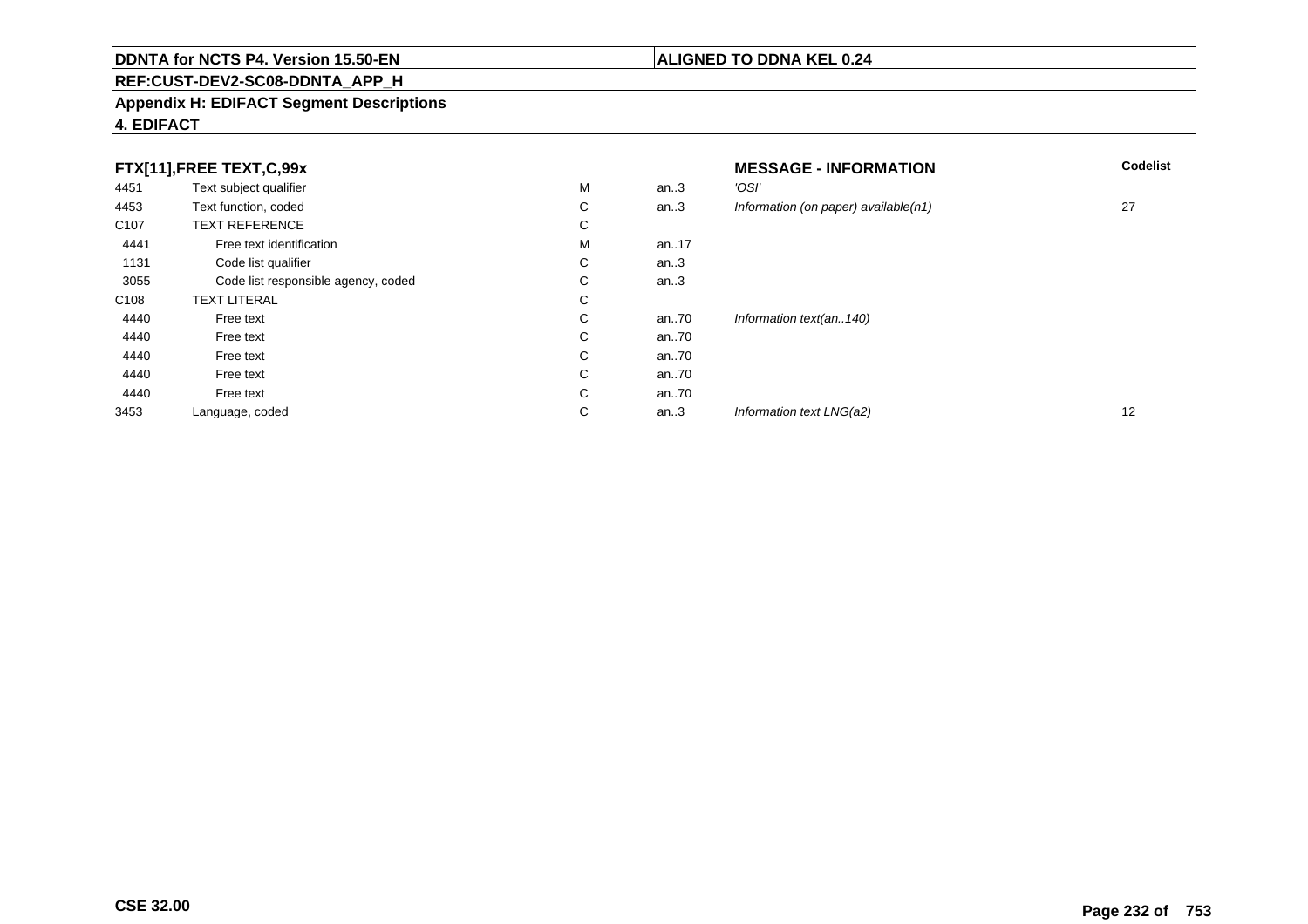### **REF:CUST-DEV2-SC08-DDNTA\_APP\_H**

#### **Appendix H: EDIFACT Segment Descriptions**

#### **4. EDIFACT**

|                  | FTX[11],FREE TEXT,C,99x             |             |      | <b>MESSAGE - INFORMATION</b>         | <b>Codelist</b>   |
|------------------|-------------------------------------|-------------|------|--------------------------------------|-------------------|
| 4451             | Text subject qualifier              | М           | an.3 | 'OSI'                                |                   |
| 4453             | Text function, coded                | С           | an.3 | Information (on paper) available(n1) | 27                |
| C <sub>107</sub> | <b>TEXT REFERENCE</b>               | С           |      |                                      |                   |
| 4441             | Free text identification            | M           | an17 |                                      |                   |
| 1131             | Code list qualifier                 | $\sim$<br>◡ | an.3 |                                      |                   |
| 3055             | Code list responsible agency, coded | $\sim$<br>◡ | an.3 |                                      |                   |
| C108             | <b>TEXT LITERAL</b>                 | С           |      |                                      |                   |
| 4440             | Free text                           | С           | an70 | Information text(an140)              |                   |
| 4440             | Free text                           | С           | an70 |                                      |                   |
| 4440             | Free text                           | С           | an70 |                                      |                   |
| 4440             | Free text                           | С           | an70 |                                      |                   |
| 4440             | Free text                           | С           | an70 |                                      |                   |
| 3453             | Language, coded                     | С           | an.3 | Information text LNG(a2)             | $12 \overline{ }$ |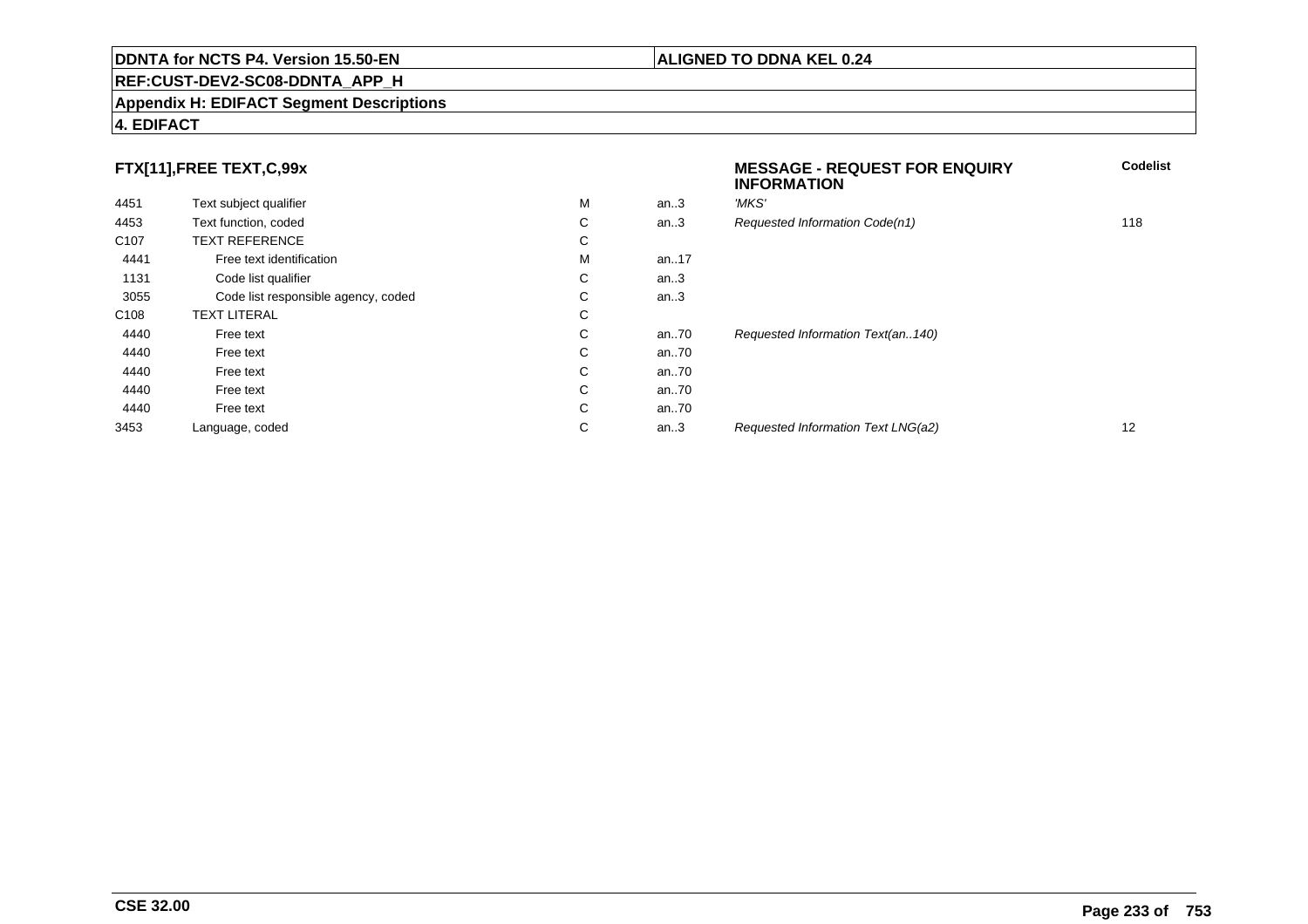#### **Appendix H: EDIFACT Segment Descriptions**

#### **4. EDIFACT**

#### **FTX[11],FREE TEXT,C,99x**

| 4451             | Text subject qualifier              | M | an.3     | 'MKS' |
|------------------|-------------------------------------|---|----------|-------|
| 4453             | Text function, coded                | С | an.3     | Reque |
| C <sub>107</sub> | <b>TEXT REFERENCE</b>               | С |          |       |
| 4441             | Free text identification            | M | an. $17$ |       |
| 1131             | Code list qualifier                 | С | an.3     |       |
| 3055             | Code list responsible agency, coded | С | an.3     |       |
| C <sub>108</sub> | <b>TEXT LITERAL</b>                 | C |          |       |
| 4440             | Free text                           | С | an70     | Reque |
| 4440             | Free text                           | С | an70     |       |
| 4440             | Free text                           | С | an70     |       |
| 4440             | Free text                           | С | an70     |       |
| 4440             | Free text                           | С | an70     |       |
| 3453             | Language, coded                     | С | an.3     | Reque |
|                  |                                     |   |          |       |

# **MESSAGE - REQUEST FOR ENQUIRYINFORMATIONCodelist**quested Information Code(n1) 118 quested Information Text(an..140) an...<br>and the method of the method is a set of the method is a set of the method is a set of the method is a set of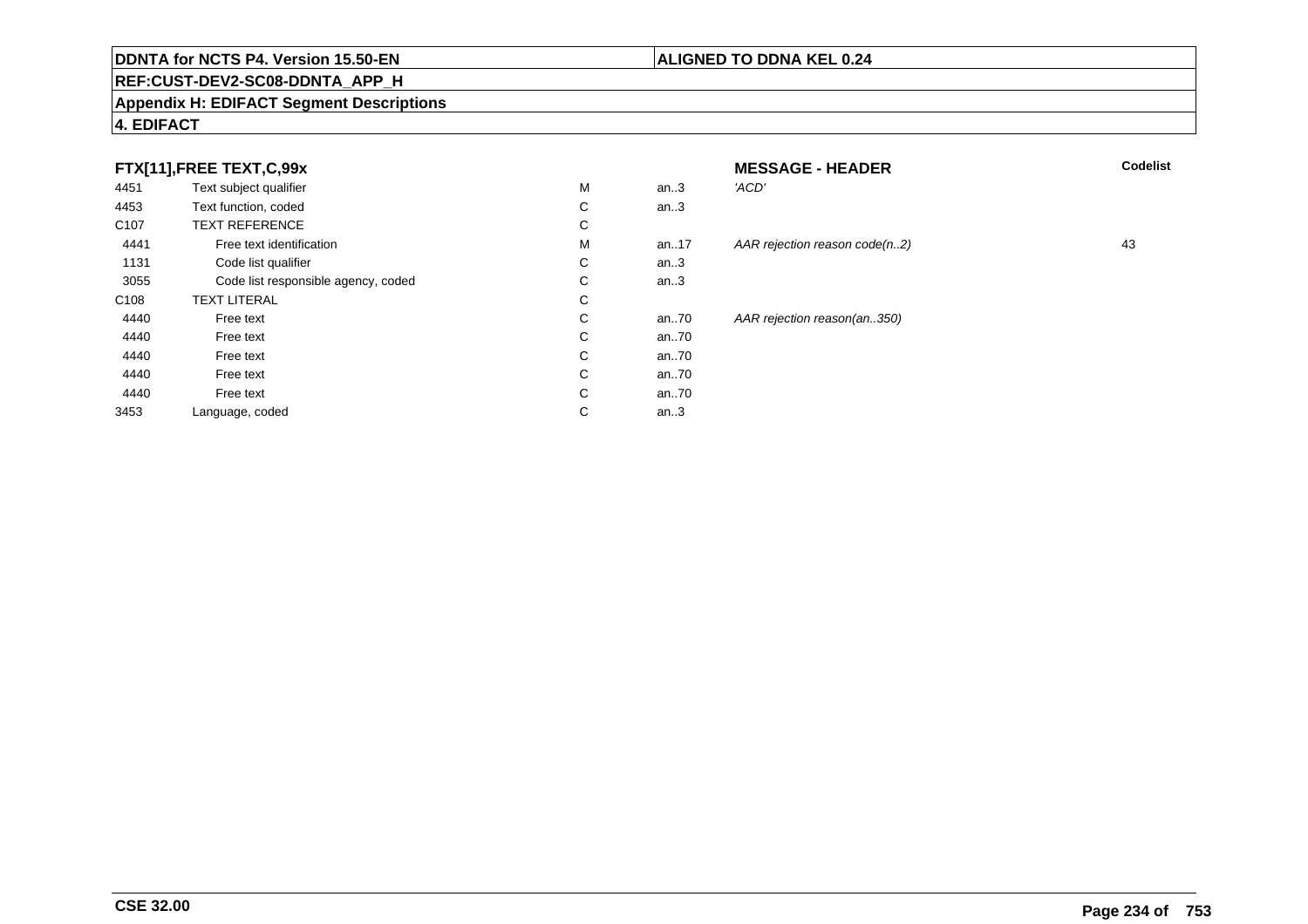### **REF:CUST-DEV2-SC08-DDNTA\_APP\_H**

#### **Appendix H: EDIFACT Segment Descriptions**

#### **FTX[11],FREE TEXT,C,99x**

| 4451             | Text subject qualifier              | M | an.3     | 'ACD' |
|------------------|-------------------------------------|---|----------|-------|
| 4453             | Text function, coded                | С | an.3     |       |
| C <sub>107</sub> | <b>TEXT REFERENCE</b>               | С |          |       |
| 4441             | Free text identification            | M | an. $17$ | AAR I |
| 1131             | Code list qualifier                 | С | an.3     |       |
| 3055             | Code list responsible agency, coded | С | an.3     |       |
| C <sub>108</sub> | <b>TEXT LITERAL</b>                 | С |          |       |
| 4440             | Free text                           | С | an.70    | AAR I |
| 4440             | Free text                           | С | an70     |       |
| 4440             | Free text                           | С | an70     |       |
| 4440             | Free text                           | С | an70     |       |
| 4440             | Free text                           | C | an70     |       |
| 3453             | Language, coded                     | С | an.3     |       |
|                  |                                     |   |          |       |

| X                    |   |          | <b>MESSAGE - HEADER</b>       | Codelist |
|----------------------|---|----------|-------------------------------|----------|
| эr                   | M | an.3     | 'ACD'                         |          |
|                      | С | an.3     |                               |          |
|                      | С |          |                               |          |
| fication             | M | an17     | AAR rejection reason code(n2) | 43       |
| ier                  | С | an.3     |                               |          |
| nsible agency, coded | С | an.3     |                               |          |
|                      | C |          |                               |          |
|                      | C | an70     | AAR rejection reason(an350)   |          |
|                      | С | an $.70$ |                               |          |
|                      | C | an $.70$ |                               |          |
|                      | C | an $.70$ |                               |          |
|                      | С | an70     |                               |          |
|                      |   |          |                               |          |

# **4. EDIFACT**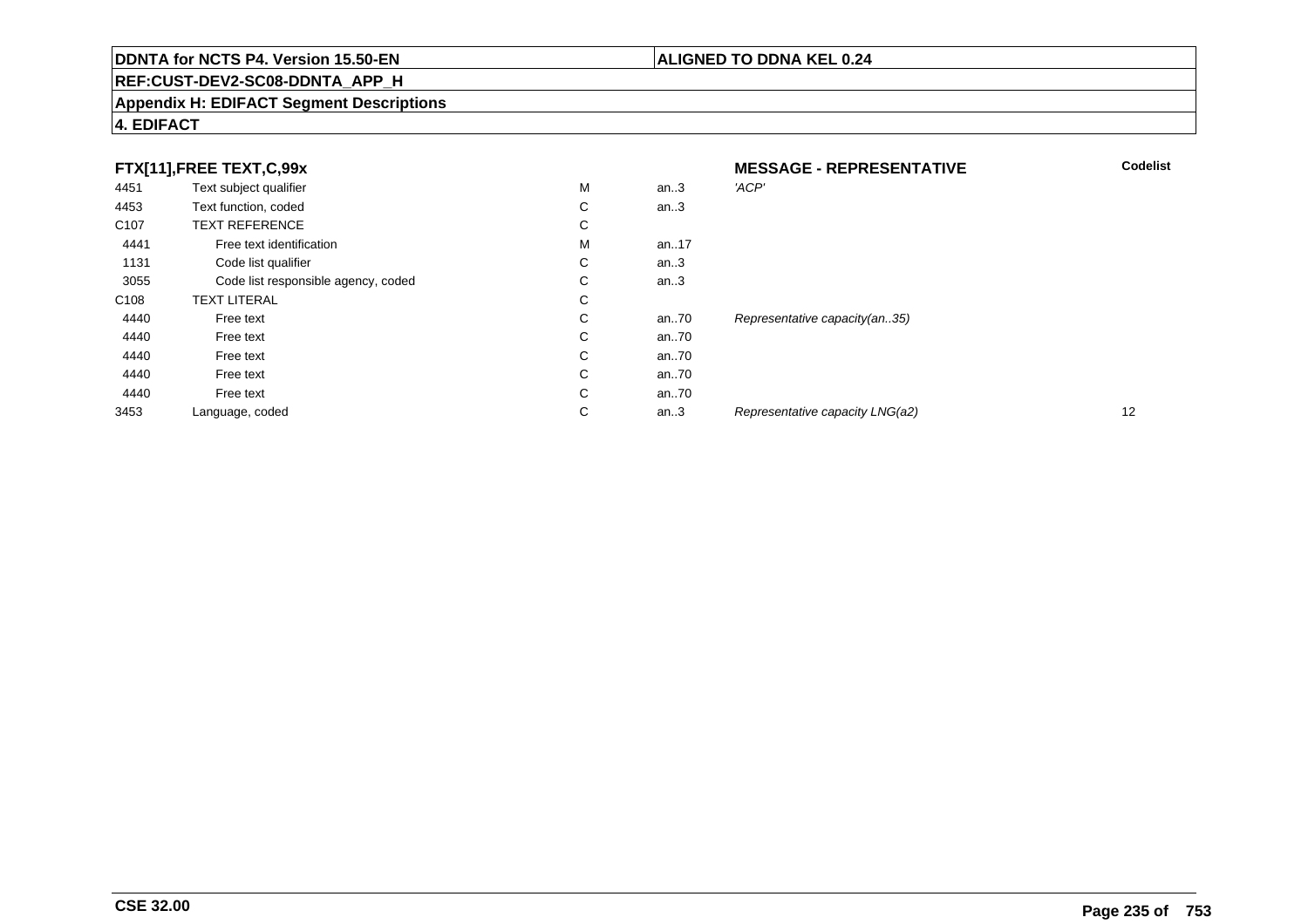### **REF:CUST-DEV2-SC08-DDNTA\_APP\_H**

#### **Appendix H: EDIFACT Segment Descriptions**

#### **4. EDIFACT**

|                  | FTX[11],FREE TEXT,C,99x             |   |      | <b>MESSAGE - REPRESENTATIVE</b> | <b>Codelist</b> |
|------------------|-------------------------------------|---|------|---------------------------------|-----------------|
| 4451             | Text subject qualifier              | М | an.3 | 'ACP'                           |                 |
| 4453             | Text function, coded                | С | an.3 |                                 |                 |
| C <sub>107</sub> | <b>TEXT REFERENCE</b>               | С |      |                                 |                 |
| 4441             | Free text identification            | М | an17 |                                 |                 |
| 1131             | Code list qualifier                 | C | an.3 |                                 |                 |
| 3055             | Code list responsible agency, coded | С | an.3 |                                 |                 |
| C <sub>108</sub> | <b>TEXT LITERAL</b>                 | С |      |                                 |                 |
| 4440             | Free text                           | С | an70 | Representative capacity(an35)   |                 |
| 4440             | Free text                           | С | an70 |                                 |                 |
| 4440             | Free text                           | С | an70 |                                 |                 |
| 4440             | Free text                           | C | an70 |                                 |                 |
| 4440             | Free text                           | С | an70 |                                 |                 |
| 3453             | Language, coded                     | С | an.3 | Representative capacity LNG(a2) | 12              |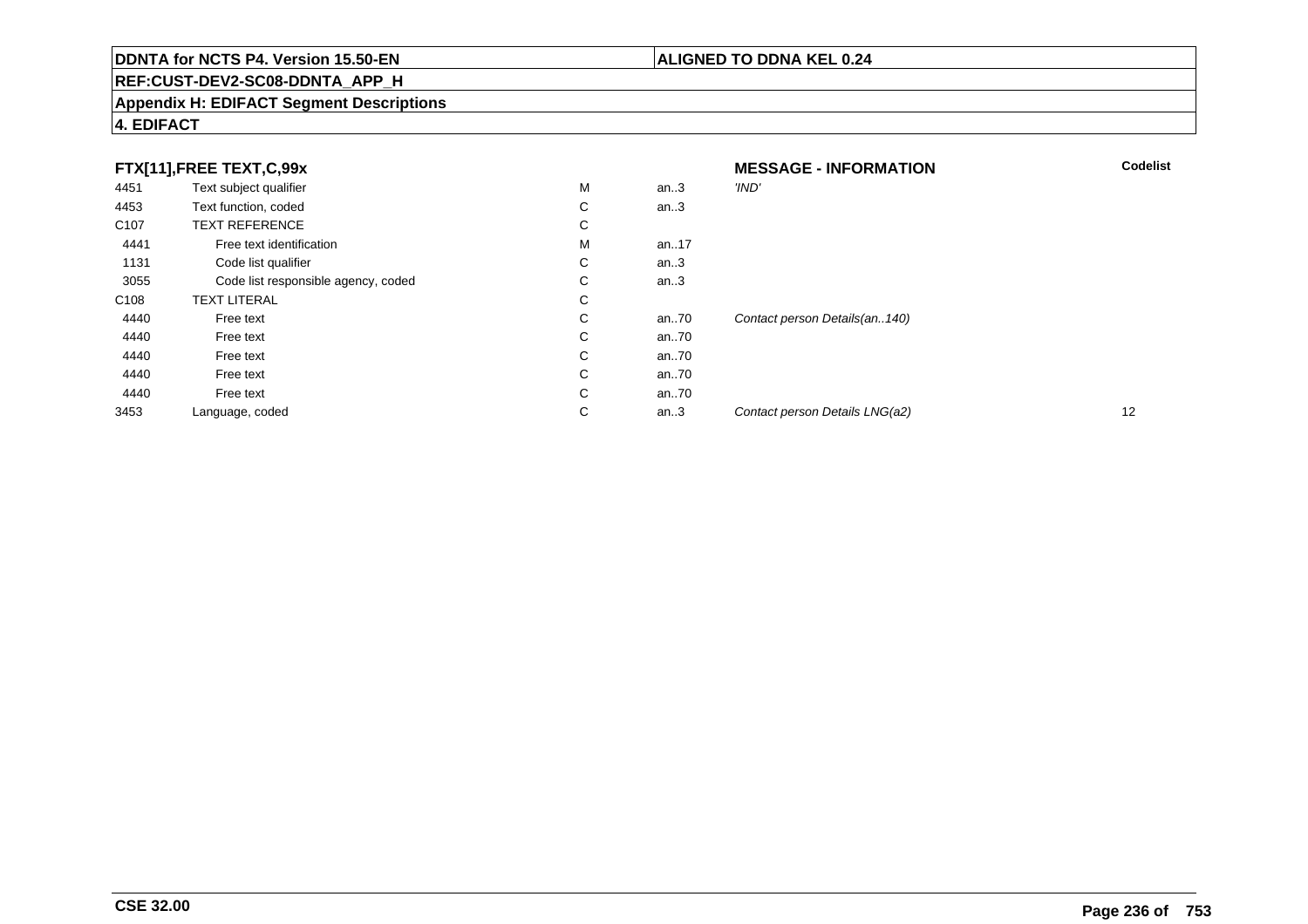### **REF:CUST-DEV2-SC08-DDNTA\_APP\_H**

#### **Appendix H: EDIFACT Segment Descriptions**

#### **4. EDIFACT**

|                  | FTX[11],FREE TEXT,C,99x             |   |      | <b>MESSAGE - INFORMATION</b>   | <b>Codelist</b> |
|------------------|-------------------------------------|---|------|--------------------------------|-----------------|
| 4451             | Text subject qualifier              | M | an.3 | 'IND'                          |                 |
| 4453             | Text function, coded                | С | an.3 |                                |                 |
| C <sub>107</sub> | <b>TEXT REFERENCE</b>               | С |      |                                |                 |
| 4441             | Free text identification            | M | an17 |                                |                 |
| 1131             | Code list qualifier                 | С | an.3 |                                |                 |
| 3055             | Code list responsible agency, coded | С | an.3 |                                |                 |
| C <sub>108</sub> | <b>TEXT LITERAL</b>                 | С |      |                                |                 |
| 4440             | Free text                           | С | an70 | Contact person Details(an140)  |                 |
| 4440             | Free text                           | С | an70 |                                |                 |
| 4440             | Free text                           | C | an70 |                                |                 |
| 4440             | Free text                           | С | an70 |                                |                 |
| 4440             | Free text                           | C | an70 |                                |                 |
| 3453             | Language, coded                     | С | an.3 | Contact person Details LNG(a2) | 12              |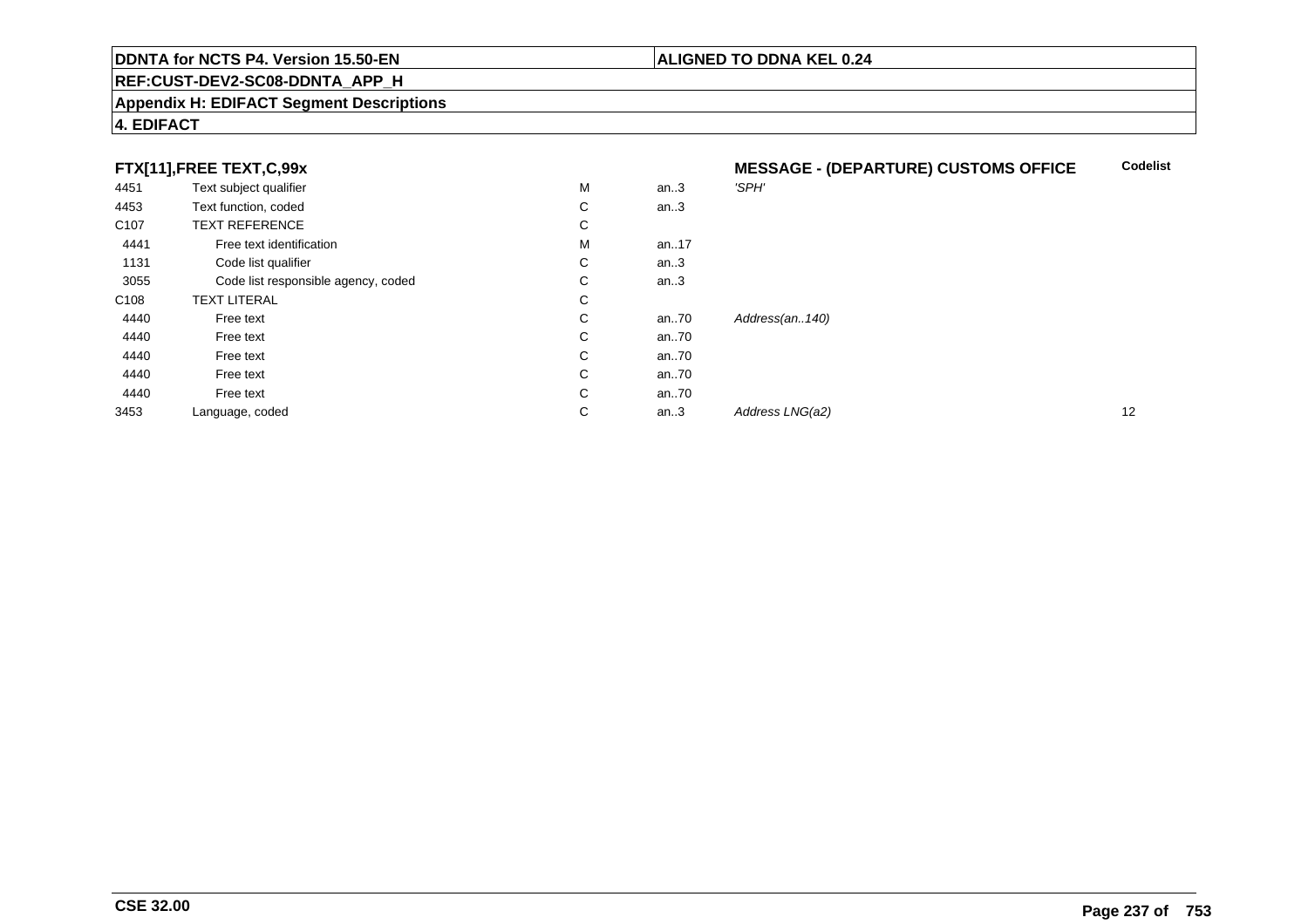#### **REF:CUST-DEV2-SC08-DDNTA\_APP\_H**

#### **Appendix H: EDIFACT Segment Descriptions**

#### **4. EDIFACT**

#### **FTX[11],FREE TEXT,C,99x**

|                  | FTX[11],FREE TEXT,C,99x             |   |      | <b>MESSAGE - (DEPARTURE) CUSTOMS OFFICE</b> | Coo               |
|------------------|-------------------------------------|---|------|---------------------------------------------|-------------------|
| 4451             | Text subject qualifier              | М | an.3 | 'SPH'                                       |                   |
| 4453             | Text function, coded                | С | an.3 |                                             |                   |
| C <sub>107</sub> | <b>TEXT REFERENCE</b>               | С |      |                                             |                   |
| 4441             | Free text identification            | M | an17 |                                             |                   |
| 1131             | Code list qualifier                 | С | an.3 |                                             |                   |
| 3055             | Code list responsible agency, coded | С | an.3 |                                             |                   |
| C <sub>108</sub> | <b>TEXT LITERAL</b>                 | С |      |                                             |                   |
| 4440             | Free text                           | С | an70 | Address(an140)                              |                   |
| 4440             | Free text                           | С | an70 |                                             |                   |
| 4440             | Free text                           | С | an70 |                                             |                   |
| 4440             | Free text                           | С | an70 |                                             |                   |
| 4440             | Free text                           | С | an70 |                                             |                   |
| 3453             | Language, coded                     | С | an.3 | Address LNG(a2)                             | $12 \overline{ }$ |

**Codelist**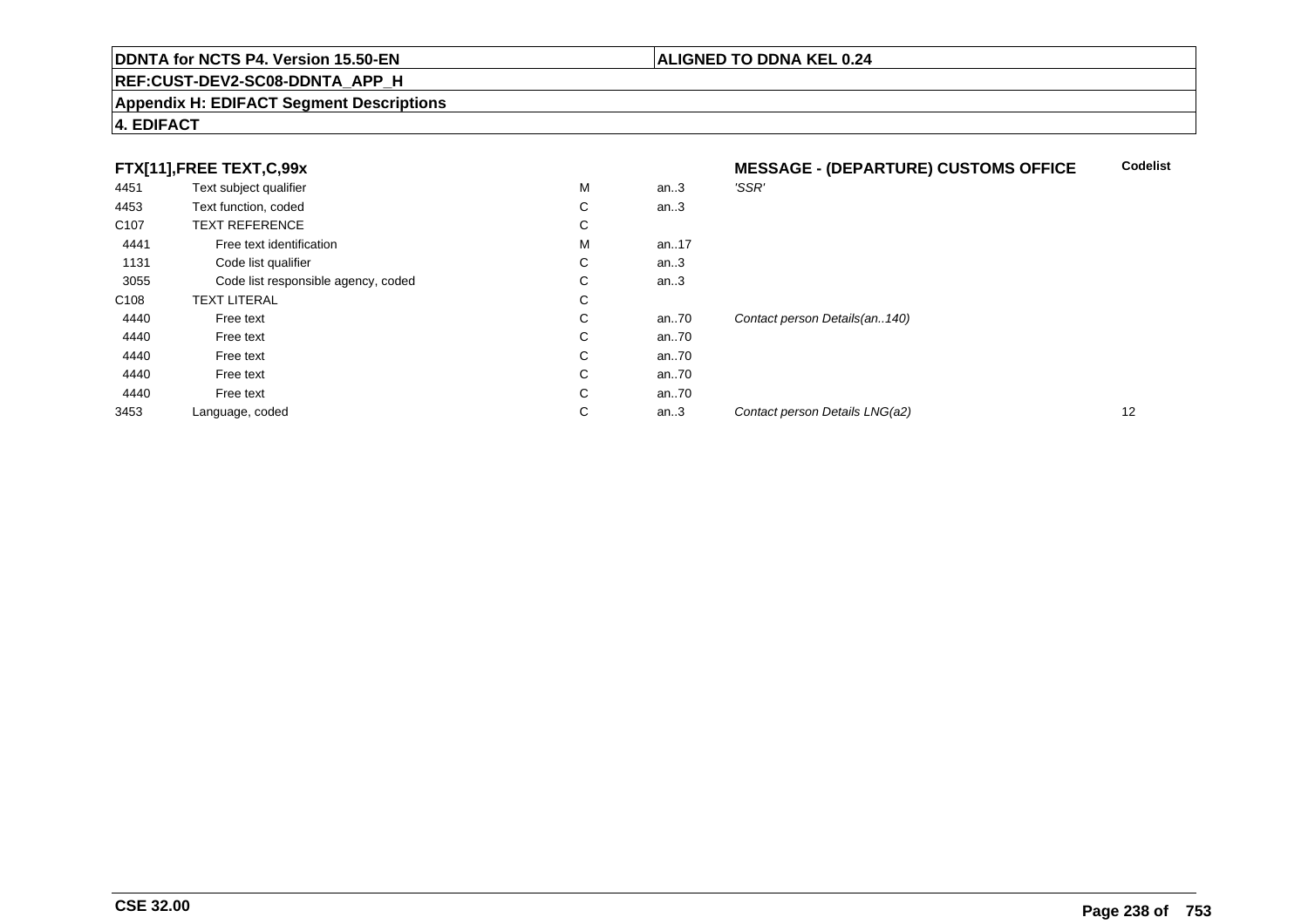#### **REF:CUST-DEV2-SC08-DDNTA\_APP\_H**

#### **Appendix H: EDIFACT Segment Descriptions**

#### **4. EDIFACT**

#### **FTX[11],FREE TEXT,C,99x**

| 4451 | Text subject qualifier              | M            | an.3 | 'SSR'                            |    |
|------|-------------------------------------|--------------|------|----------------------------------|----|
| 4453 | Text function, coded                | C            | an.3 |                                  |    |
| C107 | <b>TEXT REFERENCE</b>               | С            |      |                                  |    |
| 4441 | Free text identification            | M            | an17 |                                  |    |
| 1131 | Code list qualifier                 | C            | an.3 |                                  |    |
| 3055 | Code list responsible agency, coded | С            | an.3 |                                  |    |
| C108 | <b>TEXT LITERAL</b>                 | C            |      |                                  |    |
| 4440 | Free text                           | C            | an70 | Contact person Details(an., 140) |    |
| 4440 | Free text                           | C            | an70 |                                  |    |
| 4440 | Free text                           | C            | an70 |                                  |    |
| 4440 | Free text                           | $\mathsf{C}$ | an70 |                                  |    |
| 4440 | Free text                           | C            | an70 |                                  |    |
| 3453 | Language, coded                     | С            | an.3 | Contact person Details LNG(a2)   | 12 |
|      |                                     |              |      |                                  |    |

## **MESSAGE - (DEPARTURE) CUSTOMS OFFICECodelist**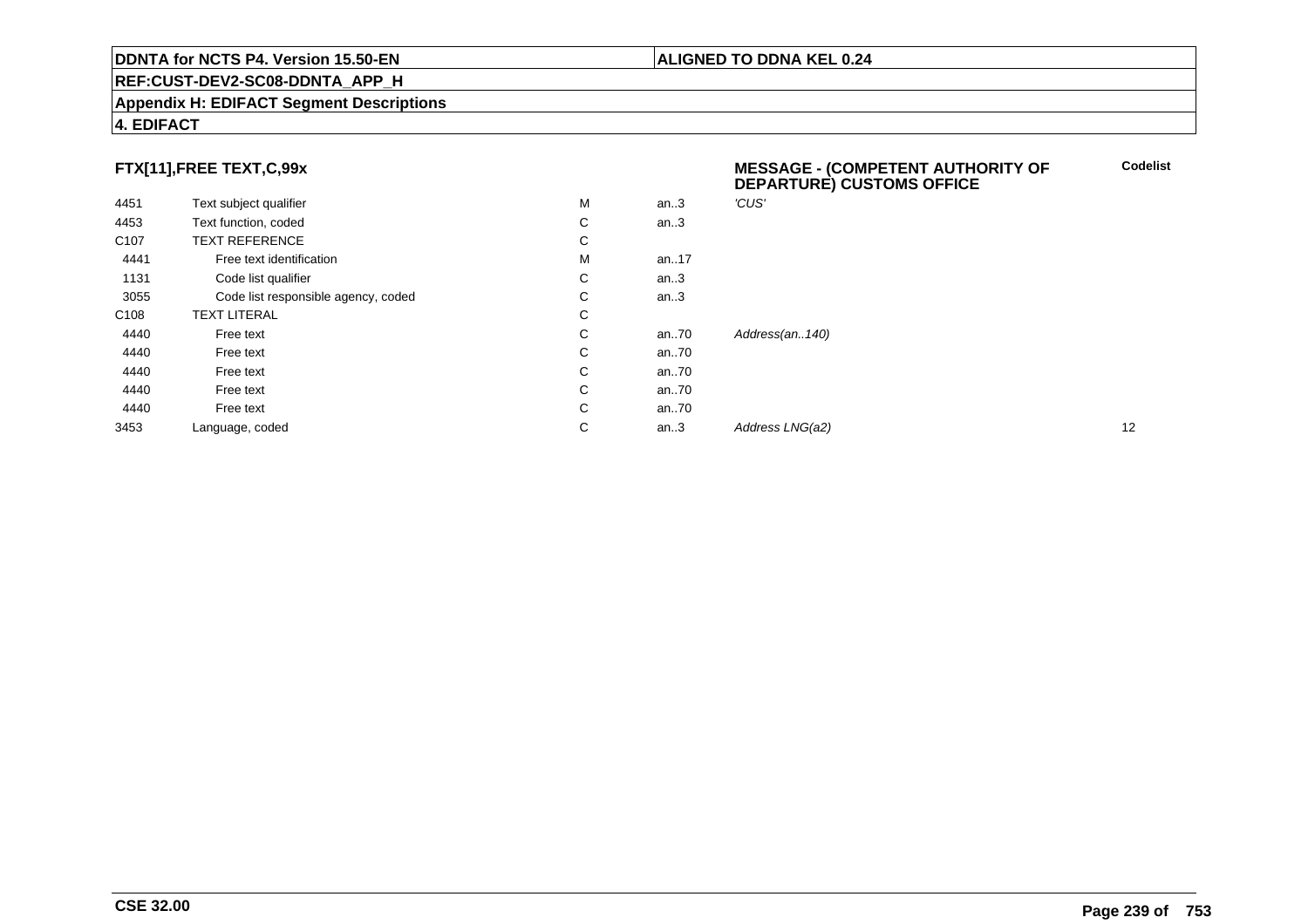#### **REF:CUST-DEV2-SC08-DDNTA\_APP\_H**

#### **Appendix H: EDIFACT Segment Descriptions**

#### **4. EDIFACT**

#### **FTX[11],FREE TEXT,C,99x**

|                  | FTX[11],FREE TEXT,C,99x             |   |          | <b>MESSAGE - (COMPETENT AUTHORITY OF</b><br><b>DEPARTURE) CUSTOMS OFFICE</b> | <b>Codelis</b> |  |
|------------------|-------------------------------------|---|----------|------------------------------------------------------------------------------|----------------|--|
| 4451             | Text subject qualifier              | M | an.3     | 'CUS'                                                                        |                |  |
| 4453             | Text function, coded                | C | an.3     |                                                                              |                |  |
| C <sub>107</sub> | <b>TEXT REFERENCE</b>               | C |          |                                                                              |                |  |
| 4441             | Free text identification            | м | an17     |                                                                              |                |  |
| 1131             | Code list qualifier                 | С | an.3     |                                                                              |                |  |
| 3055             | Code list responsible agency, coded | C | an.3     |                                                                              |                |  |
| C <sub>108</sub> | <b>TEXT LITERAL</b>                 | C |          |                                                                              |                |  |
| 4440             | Free text                           | C | an $.70$ | Address(an140)                                                               |                |  |
| 4440             | Free text                           | C | an $.70$ |                                                                              |                |  |
| 4440             | Free text                           | C | an $.70$ |                                                                              |                |  |
| 4440             | Free text                           | C | an $.70$ |                                                                              |                |  |
| 4440             | Free text                           | C | an.70    |                                                                              |                |  |
| 3453             | Language, coded                     | С | an.3     | Address LNG(a2)                                                              | 12             |  |
|                  |                                     |   |          |                                                                              |                |  |

**Codelist**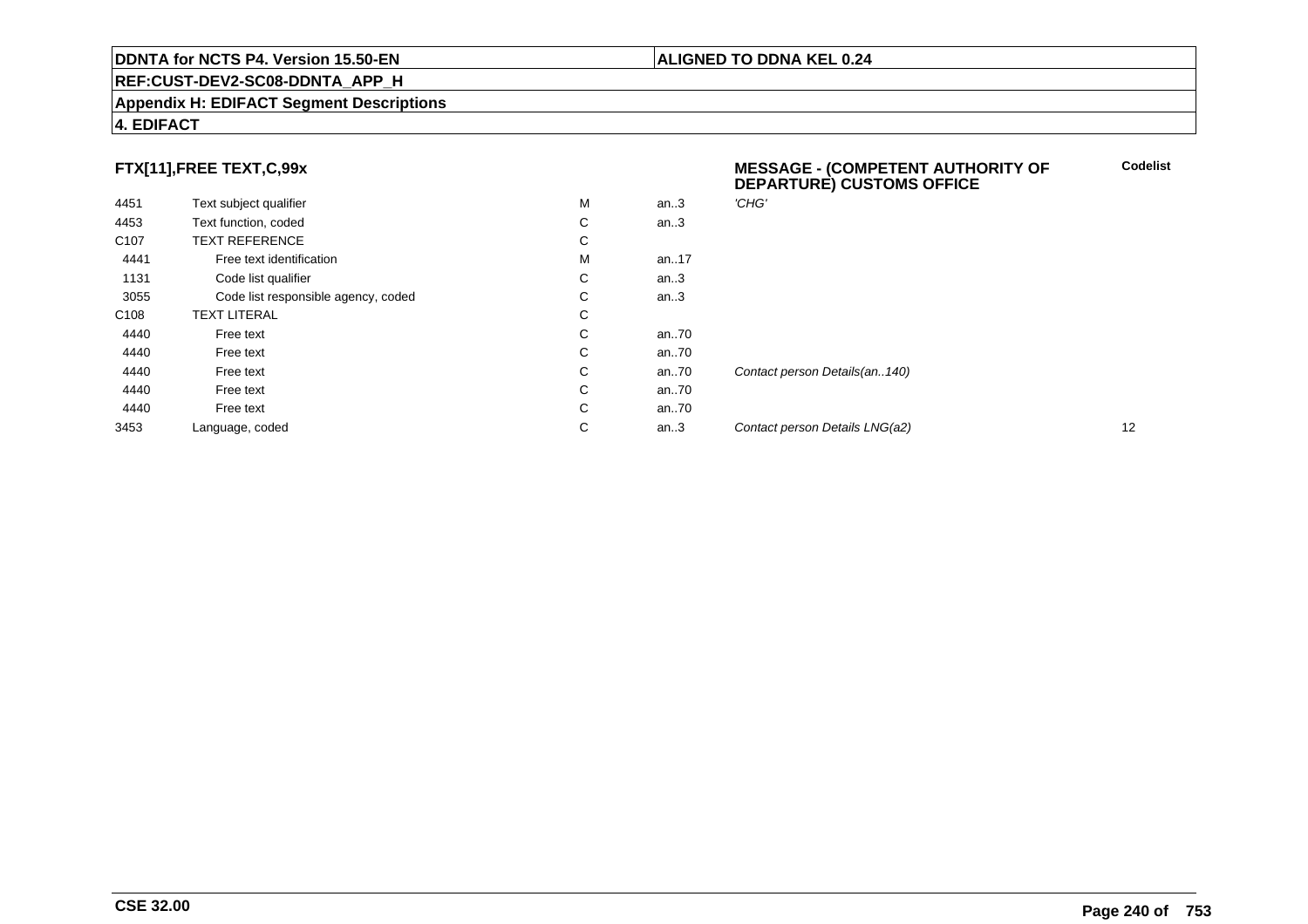#### **REF:CUST-DEV2-SC08-DDNTA\_APP\_H**

#### **Appendix H: EDIFACT Segment Descriptions**

#### **4. EDIFACT**

#### **FTX[11],FREE TEXT,C,99x**

| 4451             | Text subject qualifier              | М | an.3     | 'CHG'   |
|------------------|-------------------------------------|---|----------|---------|
| 4453             | Text function, coded                | C | an.3     |         |
| C <sub>107</sub> | <b>TEXT REFERENCE</b>               | C |          |         |
| 4441             | Free text identification            | М | an. $17$ |         |
| 1131             | Code list qualifier                 | C | an $3$   |         |
| 3055             | Code list responsible agency, coded | C | an.3     |         |
| C <sub>108</sub> | <b>TEXT LITERAL</b>                 | С |          |         |
| 4440             | Free text                           | C | an70     |         |
| 4440             | Free text                           | C | an70     |         |
| 4440             | Free text                           | C | an70     | Contact |
| 4440             | Free text                           | C | an70     |         |
| 4440             | Free text                           | C | an70     |         |
| 3453             | Language, coded                     | С | an.3     | Contact |

#### **MESSAGE - (COMPETENT AUTHORITY OFDEPARTURE) CUSTOMS OFFICECodelist**

t person Details(an..140) an...<br>2 Contact person Details LNG(a2) 12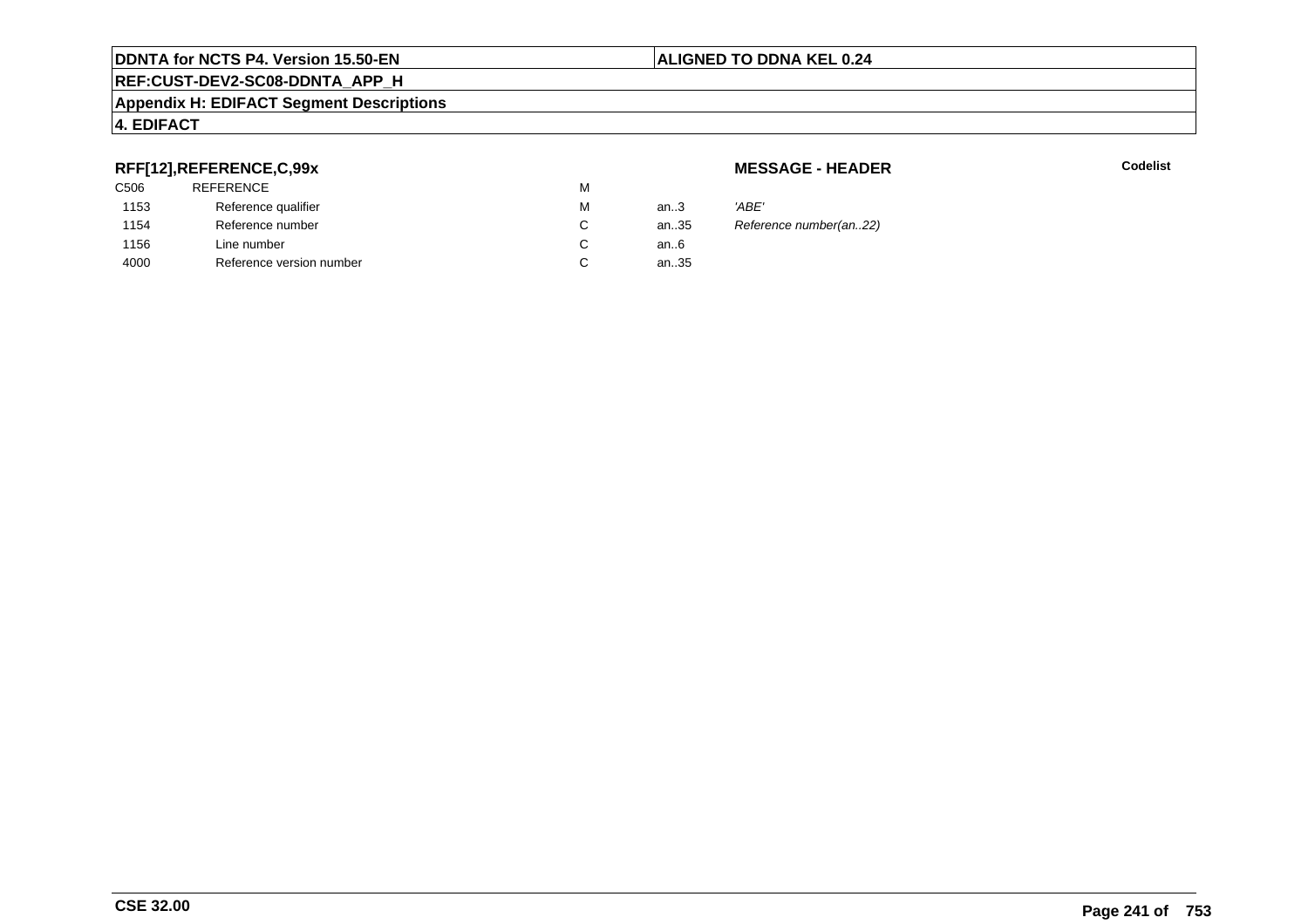#### **Appendix H: EDIFACT Segment Descriptions**

#### **4. EDIFACT**

#### **RFF[12],REFERENCE,C,99x**

| C506 | <b>REFERENCE</b>         | м  |        |       |
|------|--------------------------|----|--------|-------|
| 1153 | Reference qualifier      | М  | an $3$ | 'ABE' |
| 1154 | Reference number         | С  | an35   | Refer |
| 1156 | Line number              | С  | an6    |       |
| 4000 | Reference version number | C. | an35   |       |
|      |                          |    |        |       |

**MESSAGE - HEADER**

**R** Codelist

Reference number(an..22)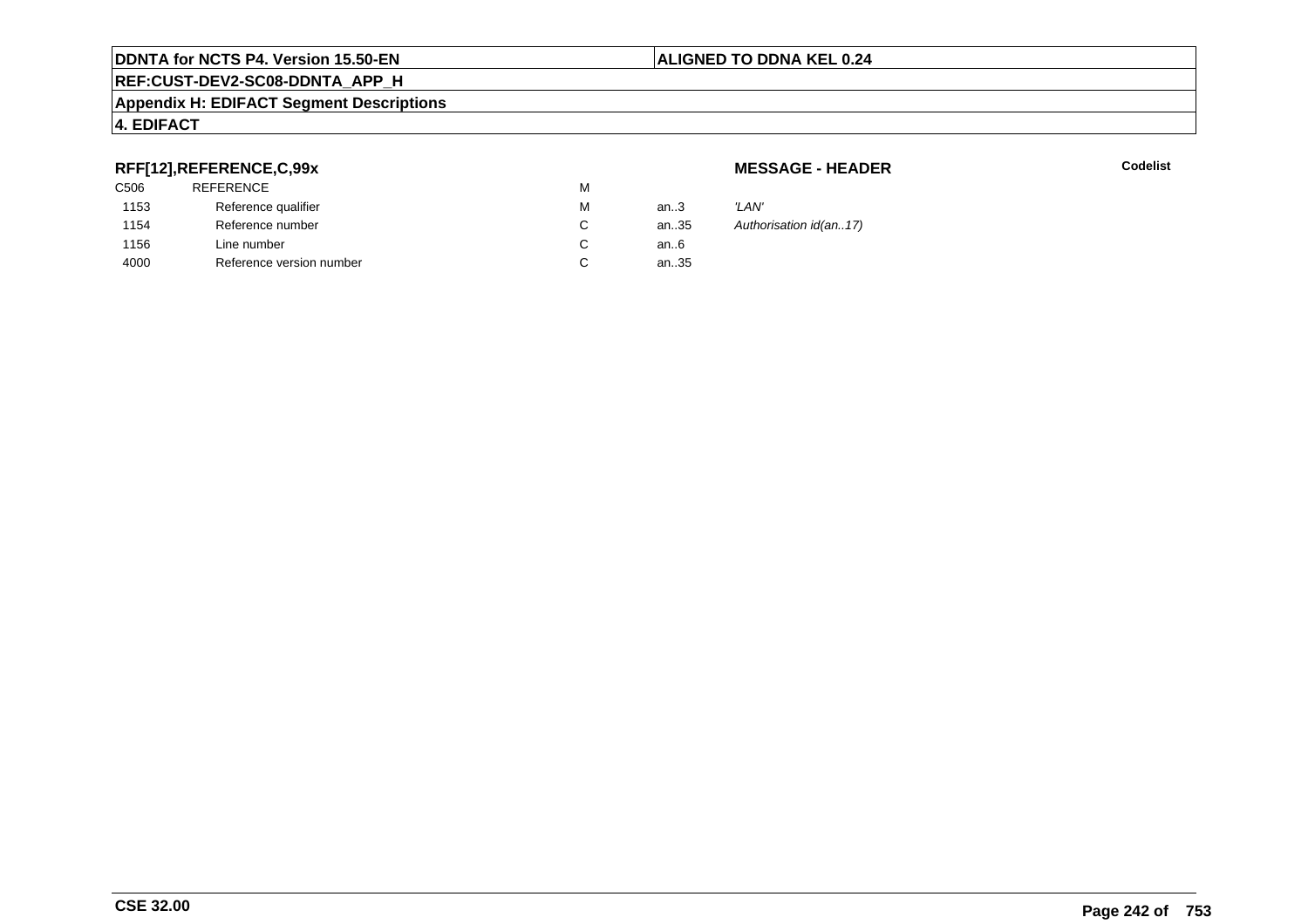#### **Appendix H: EDIFACT Segment Descriptions**

#### **4. EDIFACT**

#### **RFF[12],REFERENCE,C,99x**

| C506 | <b>REFERENCE</b>         | м |      |       |
|------|--------------------------|---|------|-------|
| 1153 | Reference qualifier      | М | an.3 | 'LAN' |
| 1154 | Reference number         | C | an35 | Autho |
| 1156 | Line number              |   | an6  |       |
| 4000 | Reference version number | С | an35 |       |
|      |                          |   |      |       |

**MESSAGE - HEADER**

**R** Codelist

Authorisation id(an..17)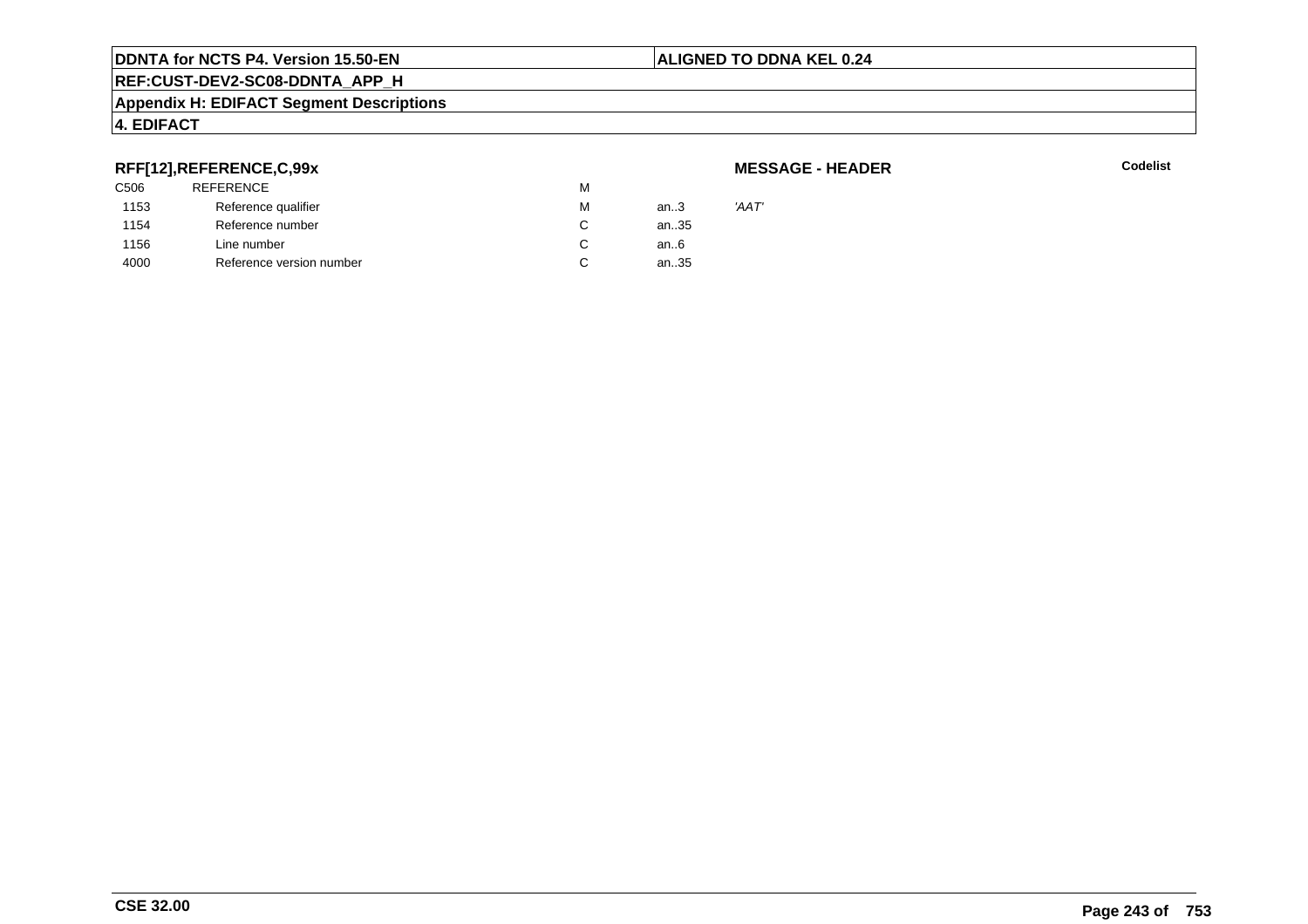#### **ALIGNED TO DDNA KEL 0.24**

### **REF:CUST-DEV2-SC08-DDNTA\_APP\_H**

#### **Appendix H: EDIFACT Segment Descriptions**

#### **4. EDIFACT**

#### **RFF[12],REFERENCE,C,99x**

| C506 | <b>REFERENCE</b>         | M |        |       |
|------|--------------------------|---|--------|-------|
| 1153 | Reference qualifier      | М | an $3$ | 'AAT' |
| 1154 | Reference number         | C | an35   |       |
| 1156 | Line number              | C | an6    |       |
| 4000 | Reference version number | С | an35   |       |
|      |                          |   |        |       |

#### **MESSAGE - HEADER**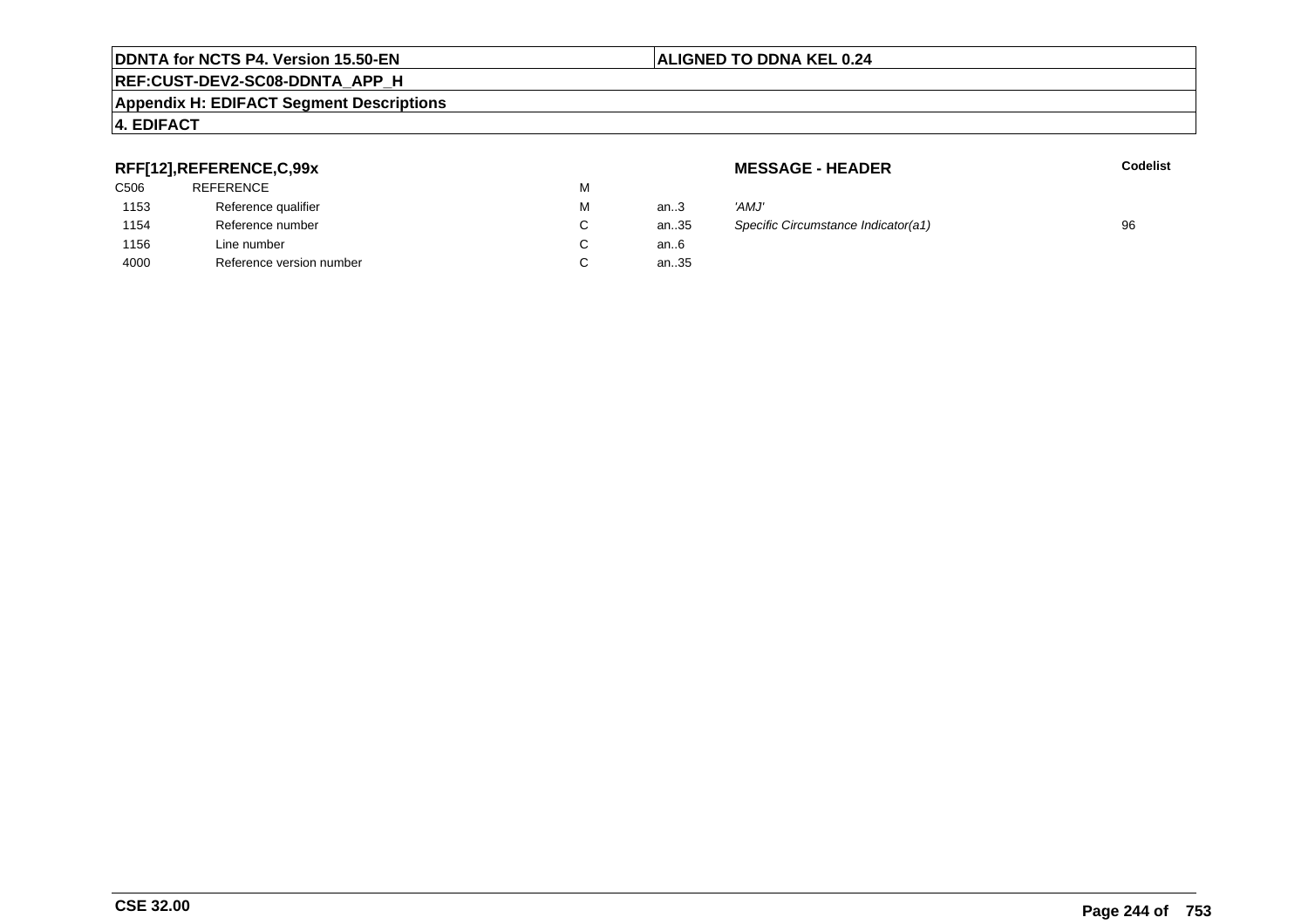#### **Appendix H: EDIFACT Segment Descriptions**

#### **4. EDIFACT**

#### **RFF[12],REFERENCE,C,99x**

| C506 | <b>REFERENCE</b>         | м |        |       |
|------|--------------------------|---|--------|-------|
| 1153 | Reference qualifier      | М | an $3$ | 'AMJ' |
| 1154 | Reference number         | С | an35   | Speci |
| 1156 | Line number              | С | an6    |       |
| 4000 | Reference version number | С | an35   |       |

**MESSAGE - HEADER**

**R** Codelist

| М  | an $3$ | 'AMJ'                               |    |
|----|--------|-------------------------------------|----|
| С  | an35   | Specific Circumstance Indicator(a1) | 96 |
| C. | an6    |                                     |    |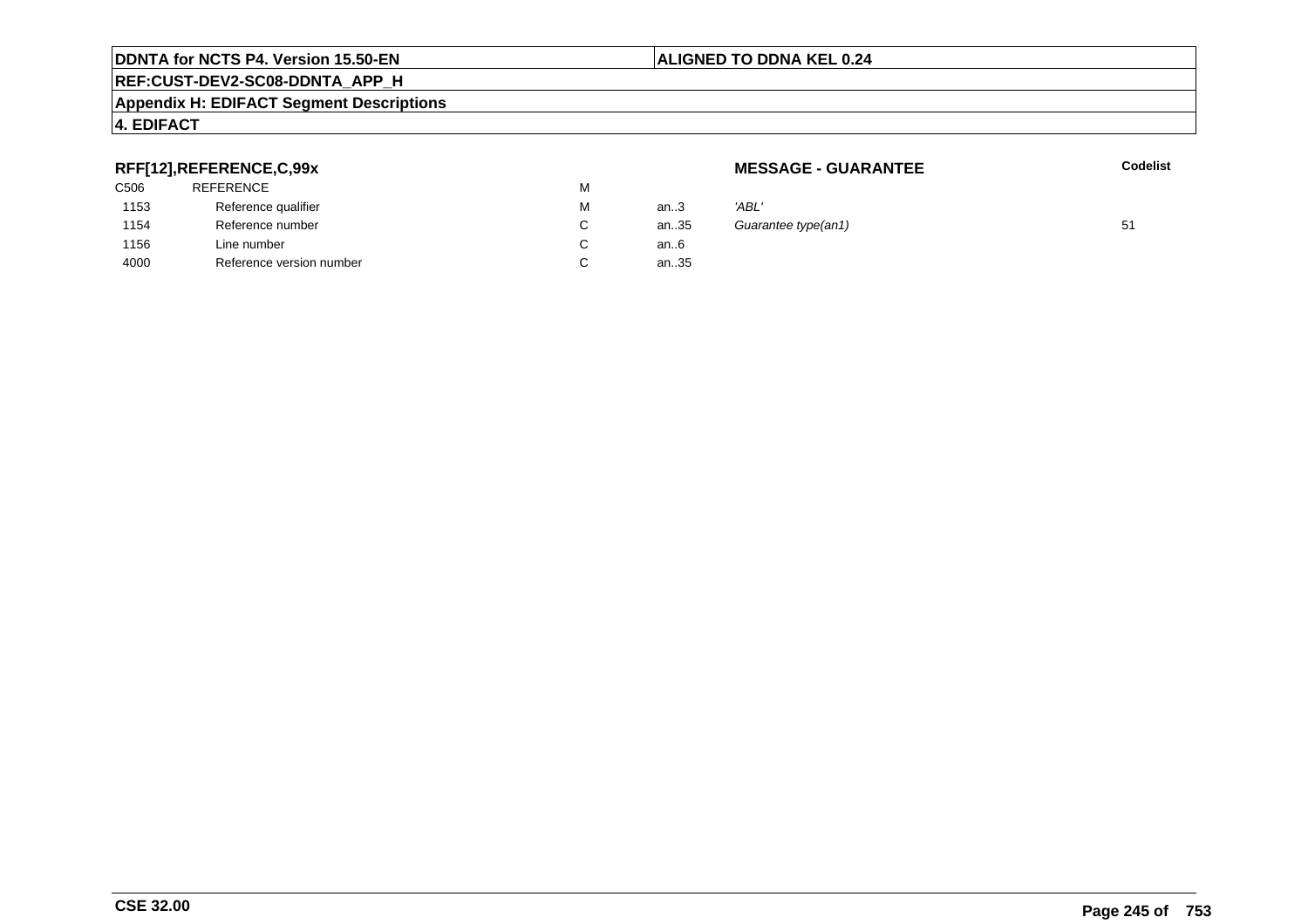#### **Appendix H: EDIFACT Segment Descriptions**

#### **4. EDIFACT**

#### **RFF[12],REFERENCE,C,99x**

| C506 | <b>REFERENCE</b>         | M |      |       |
|------|--------------------------|---|------|-------|
| 1153 | Reference qualifier      | М | an.3 | 'ABL' |
| 1154 | Reference number         | C | an35 | Guar  |
| 1156 | Line number              | C | an6  |       |
| 4000 | Reference version number | С | an35 |       |

**MESSAGE - GUARANTEE**

**Codelist**

| М | an.3 | 'ABL'               |    |
|---|------|---------------------|----|
| С | an35 | Guarantee type(an1) | 51 |
| С | an6  |                     |    |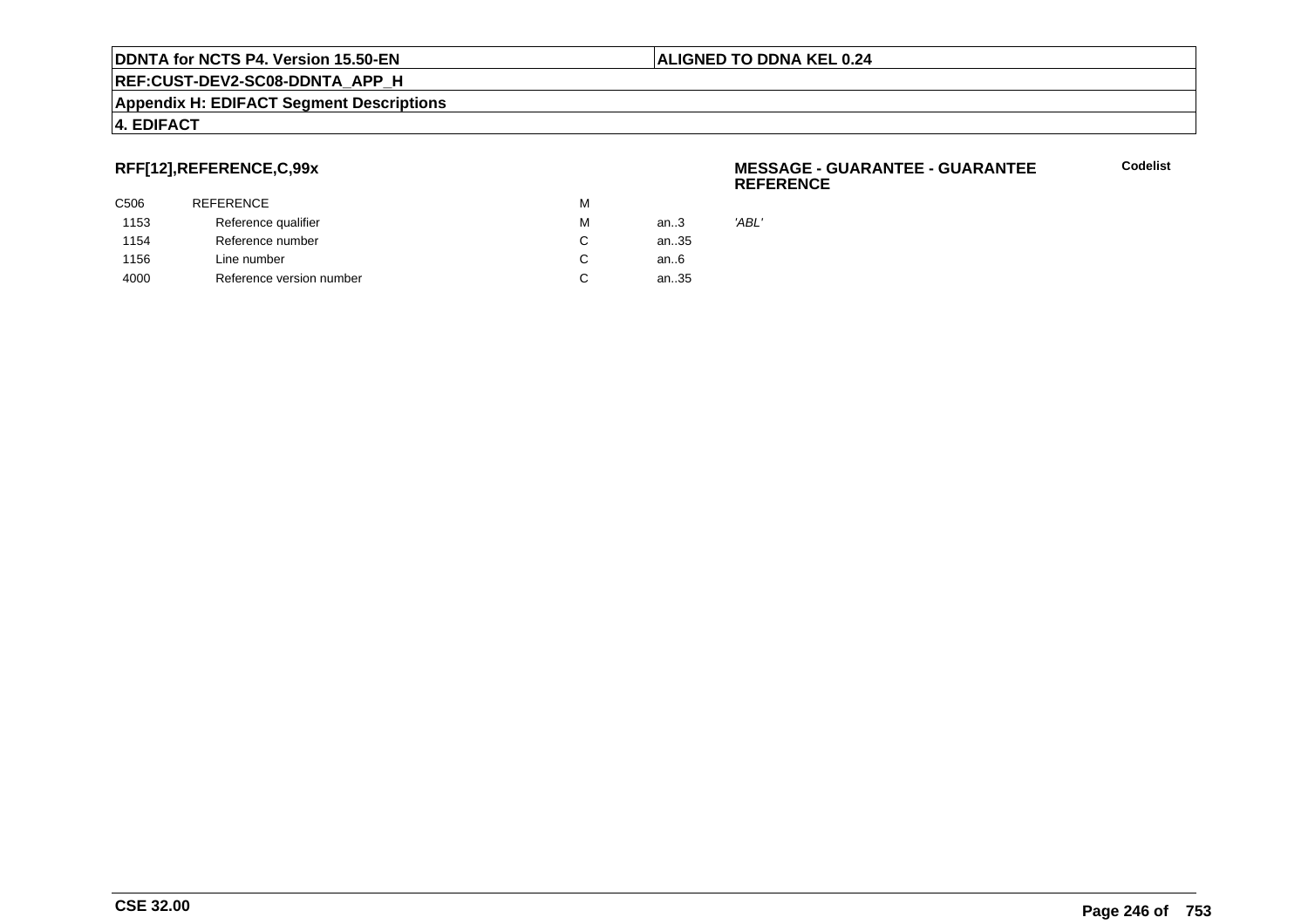#### **Appendix H: EDIFACT Segment Descriptions**

#### **4. EDIFACT**

#### **RFF[12],REFERENCE,C,99x**

| C506 | <b>REFERENCE</b>         | M |      |       |
|------|--------------------------|---|------|-------|
| 1153 | Reference qualifier      | М | an.3 | 'ABL' |
| 1154 | Reference number         | C | an35 |       |
| 1156 | Line number              | C | an6  |       |
| 4000 | Reference version number | C | an35 |       |
|      |                          |   |      |       |

#### **MESSAGE - GUARANTEE - GUARANTEEREFERENCE**

**Codelist**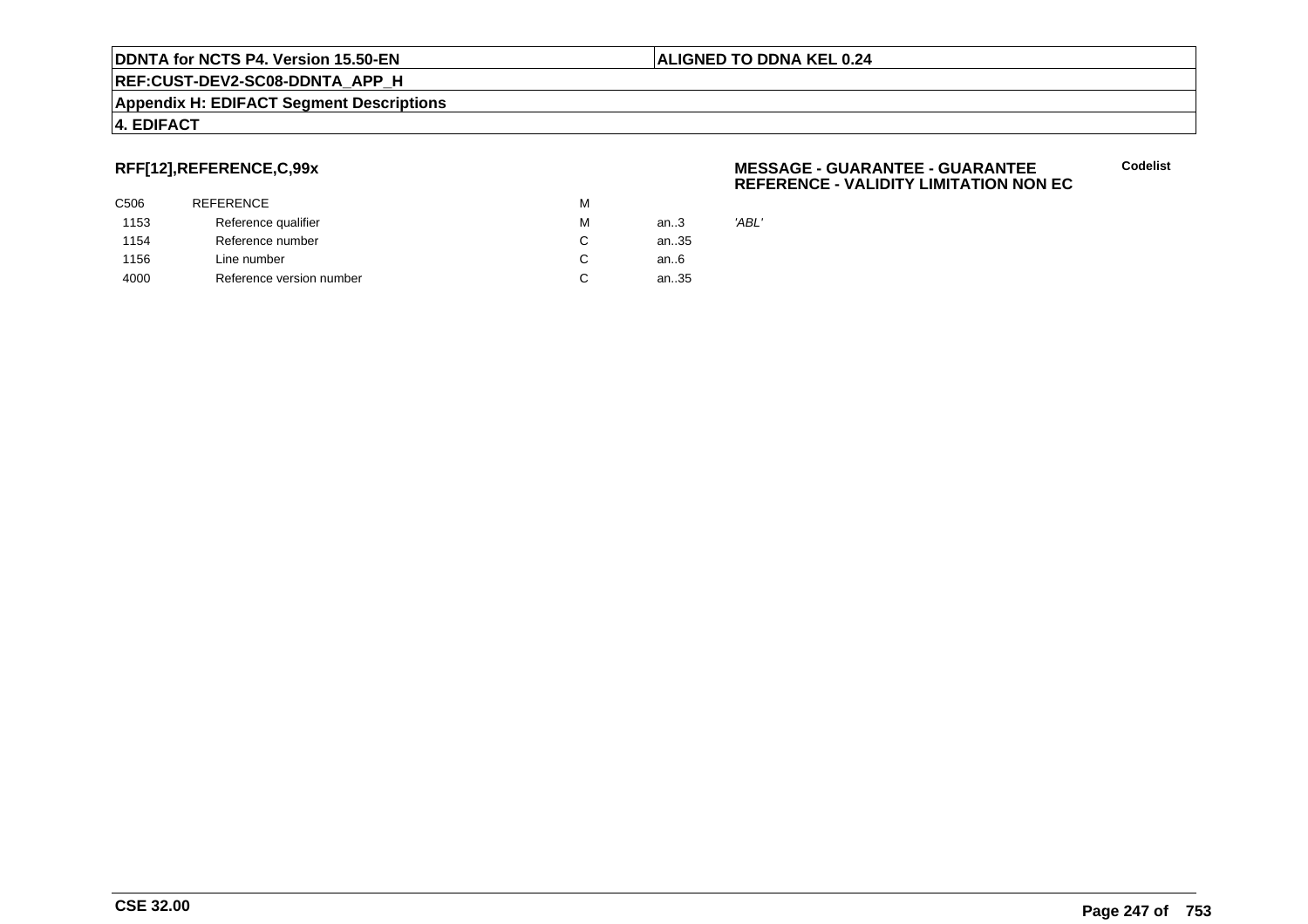#### **Appendix H: EDIFACT Segment Descriptions**

#### **4. EDIFACT**

#### **RFF[12],REFERENCE,C,99x**

| C506 | <b>REFERENCE</b>         | M |      |       |
|------|--------------------------|---|------|-------|
| 1153 | Reference qualifier      | M | an.3 | 'ABL' |
| 1154 | Reference number         | C | an35 |       |
| 1156 | Line number              | C | an6  |       |
| 4000 | Reference version number | C | an35 |       |
|      |                          |   |      |       |

#### **MESSAGE - GUARANTEE - GUARANTEEREFERENCE - VALIDITY LIMITATION NON EC**

**Codelist**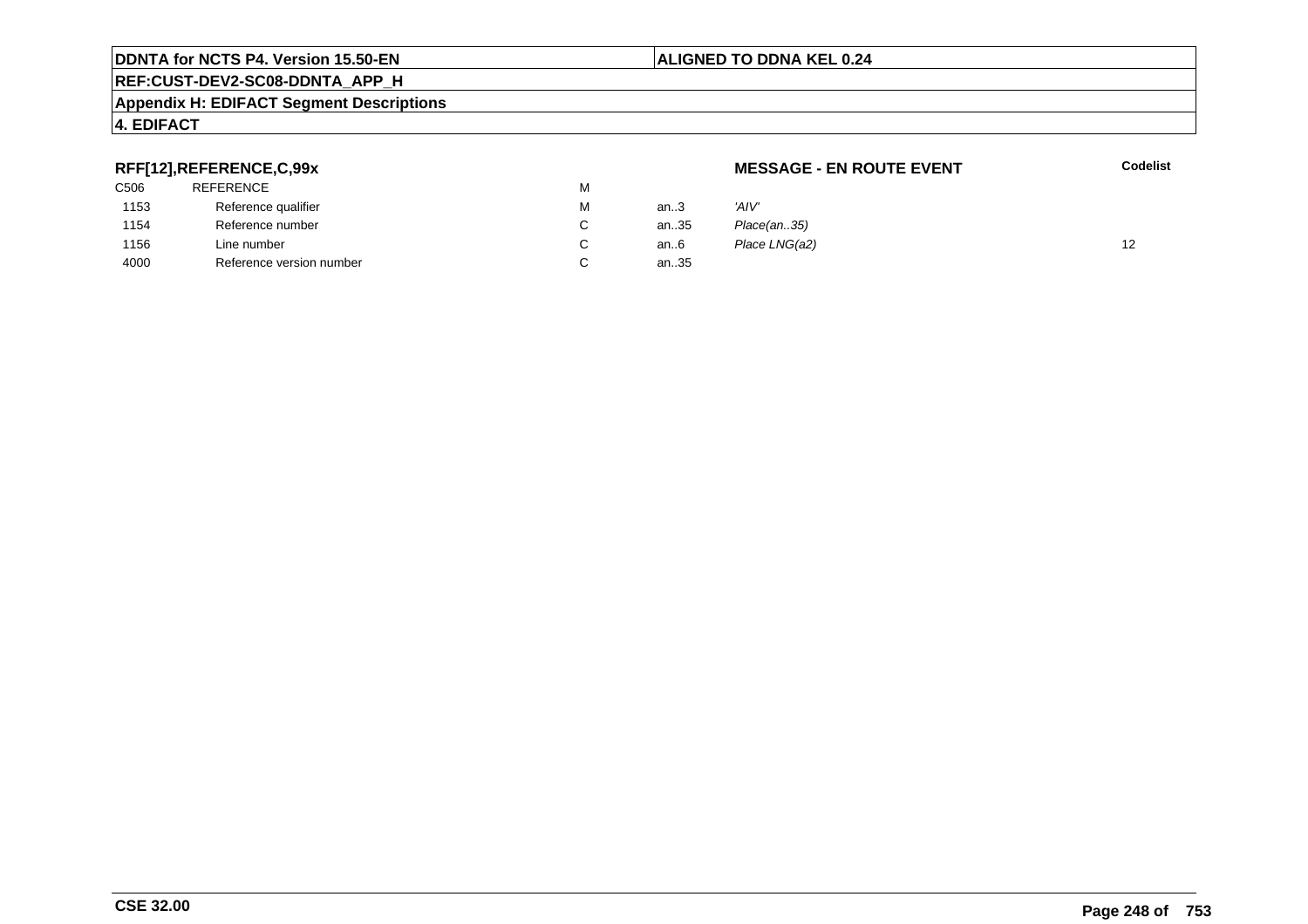#### **Appendix H: EDIFACT Segment Descriptions**

#### **4. EDIFACT**

#### **RFF[12],REFERENCE,C,99x**

| . .  |                          |   |      |               |    |
|------|--------------------------|---|------|---------------|----|
| C506 | REFERENCE                |   |      |               |    |
| 1153 | Reference qualifier      | М | an3  | 'AIV'         |    |
| 1154 | Reference number         |   | an35 | Place(an35)   |    |
| 1156 | Line number              |   | an6  | Place LNG(a2) | 12 |
| 4000 | Reference version number |   | an35 |               |    |
|      |                          |   |      |               |    |

#### **ALIGNED TO DDNA KEL 0.24**

**MESSAGE - EN ROUTE EVENT**

**Codelist**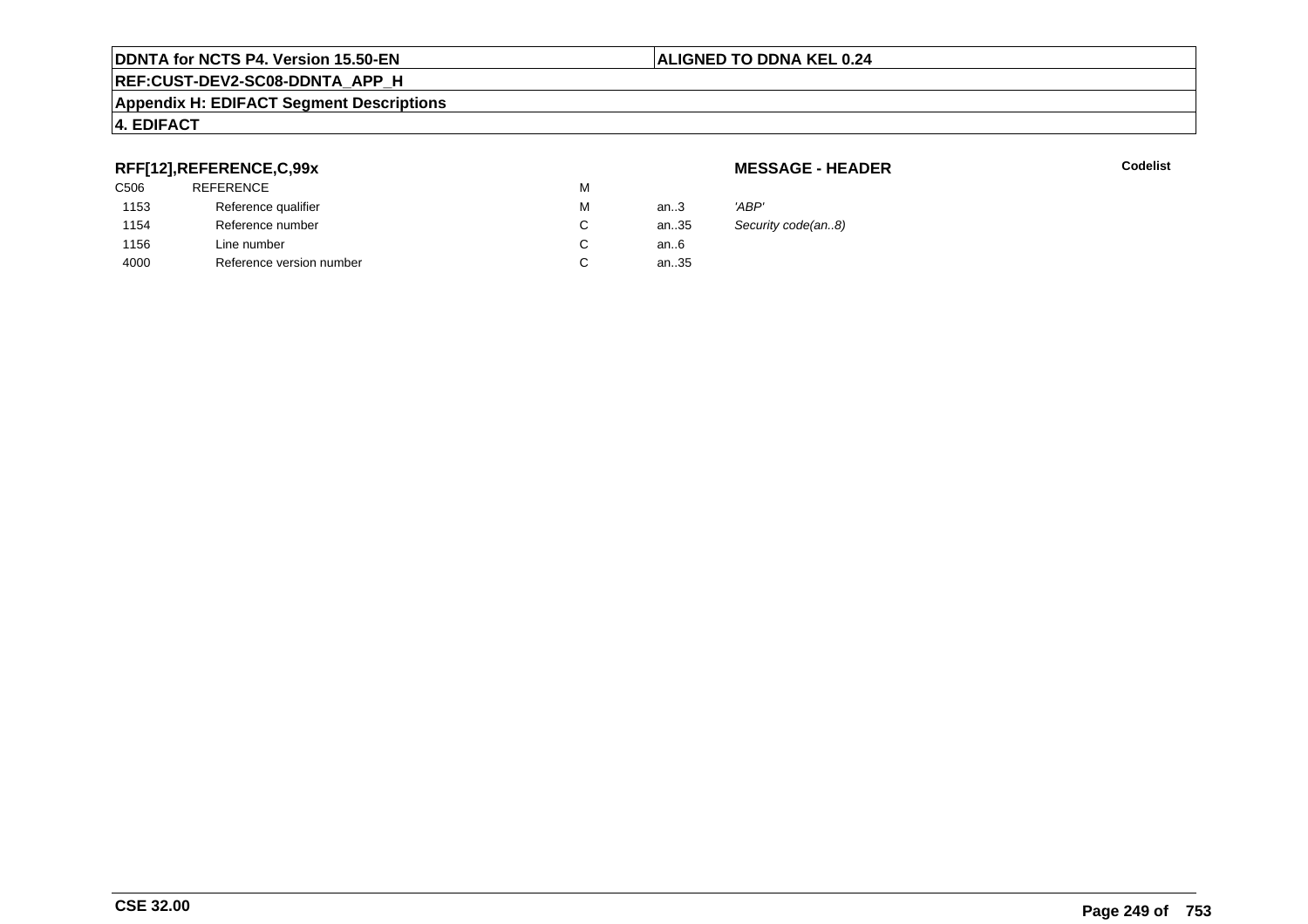#### **Appendix H: EDIFACT Segment Descriptions**

#### **4. EDIFACT**

#### **RFF[12],REFERENCE,C,99x**

| 'ABP' |
|-------|
| Secu  |
|       |
|       |
|       |

**MESSAGE - HEADER**

**R** Codelist

Security code(an..8)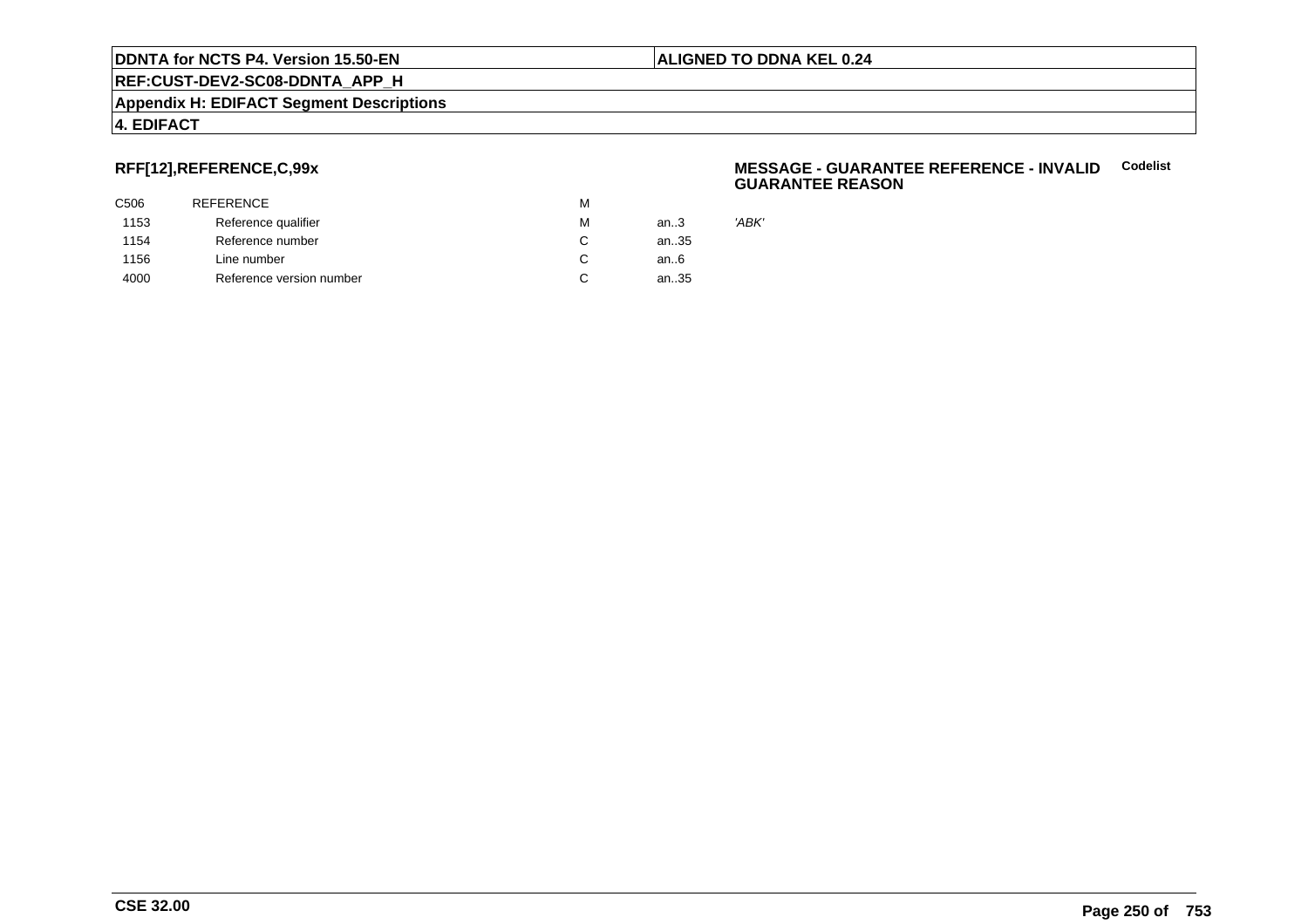#### **Appendix H: EDIFACT Segment Descriptions**

#### **4. EDIFACT**

#### **RFF[12],REFERENCE,C,99x**

| C506 | REFERENCE                | М |        |
|------|--------------------------|---|--------|
| 1153 | Reference qualifier      | М | an $3$ |
| 1154 | Reference number         | С | an35   |
| 1156 | Line number              | C | an6    |
| 4000 | Reference version number |   | an35   |

#### **MESSAGE - GUARANTEE REFERENCE - INVALIDCodelist GUARANTEE REASON**

'ABK'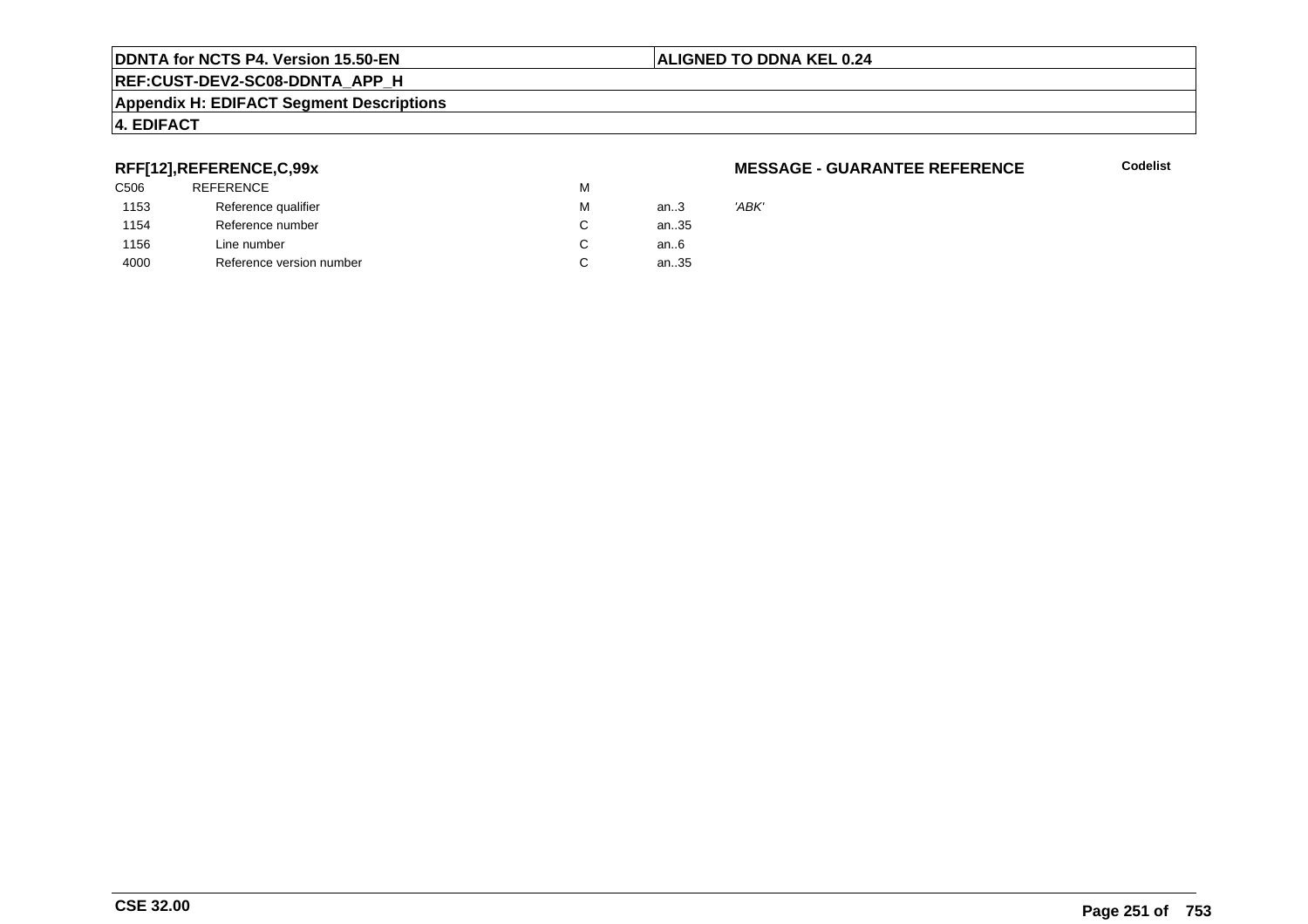#### **ALIGNED TO DDNA KEL 0.24**

### **REF:CUST-DEV2-SC08-DDNTA\_APP\_H**

#### **Appendix H: EDIFACT Segment Descriptions**

#### **4. EDIFACT**

#### **RFF[12],REFERENCE,C,99x**

| 'ABK' |
|-------|
|       |
|       |
|       |
|       |

#### **MESSAGE - GUARANTEE REFERENCE**

**Codelist**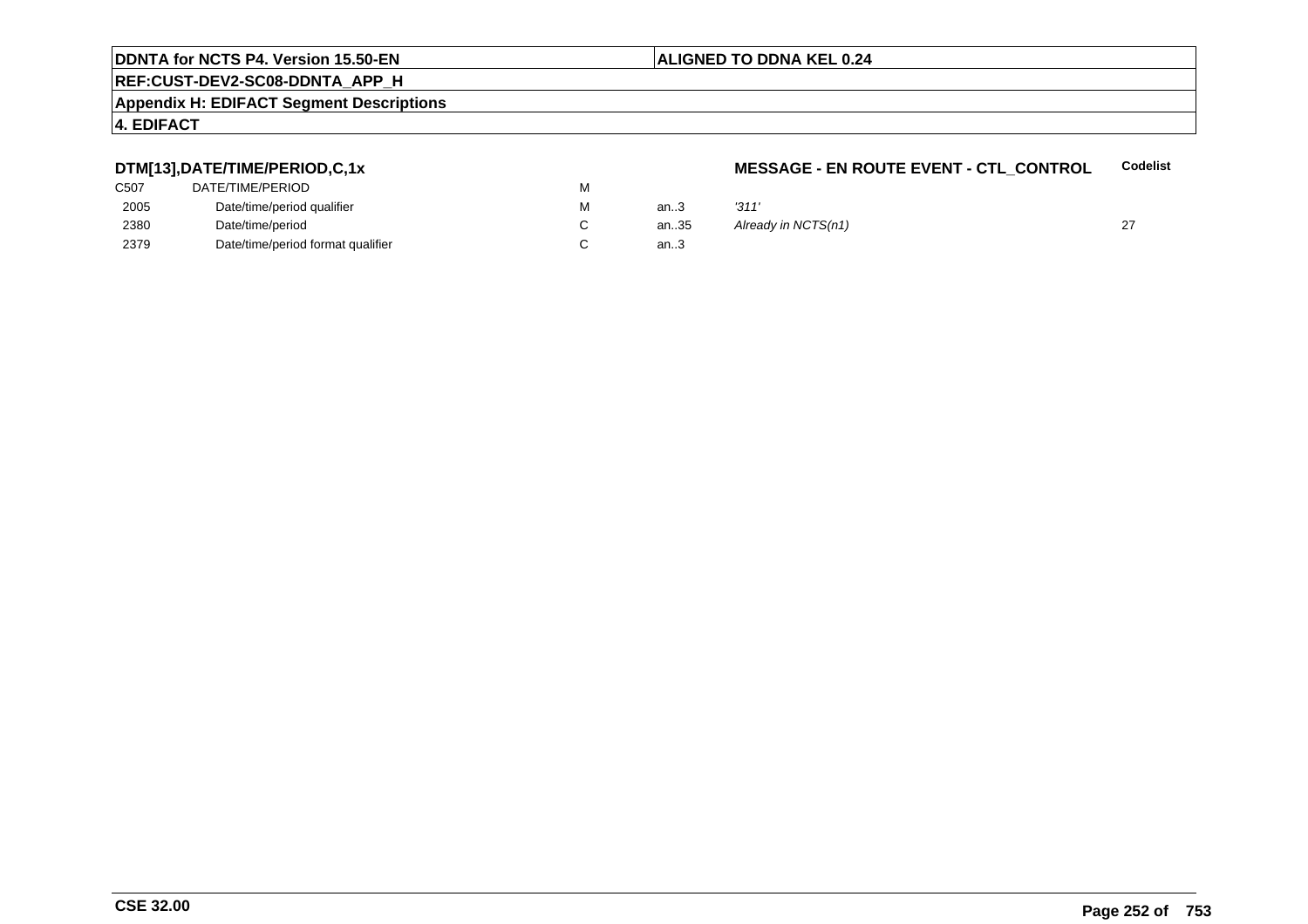#### **ALIGNED TO DDNA KEL 0.24**

### **REF:CUST-DEV2-SC08-DDNTA\_APP\_H**

#### **Appendix H: EDIFACT Segment Descriptions**

#### **4. EDIFACT**

#### **DTM[13],DATE/TIME/PERIOD,C,1x**

| C507 | DATE/TIME/PERIOD                  | M |
|------|-----------------------------------|---|
| 2005 | Date/time/period qualifier        | м |
| 2380 | Date/time/period                  |   |
| 2379 | Date/time/period format qualifier |   |

#### **MESSAGE - EN ROUTE EVENT - CTL\_CONTROLCodelist**

| М | an.3 | '311'               |  |
|---|------|---------------------|--|
| С | an35 | Already in NCTS(n1) |  |
| С | an.3 |                     |  |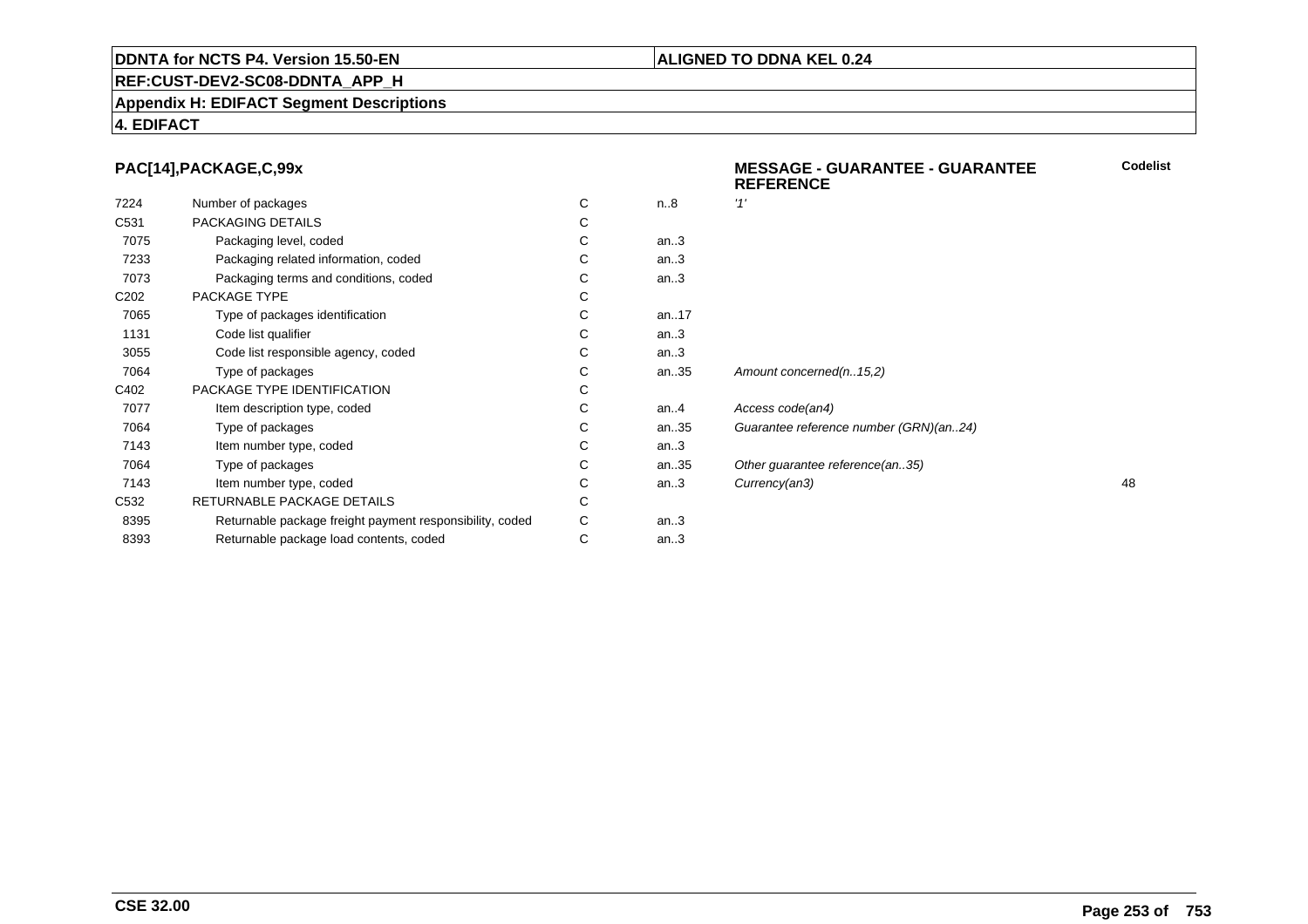### **REF:CUST-DEV2-SC08-DDNTA\_APP\_H**

#### **Appendix H: EDIFACT Segment Descriptions**

#### **4. EDIFACT**

#### **PAC[14],PACKAGE,C,99x**

|                  | PAC[14], PACKAGE, C, 99x                                 |   |         | <b>MESSAGE - GUARANTEE - GUARANTEE</b><br><b>REFERENCE</b> | Codeli: |
|------------------|----------------------------------------------------------|---|---------|------------------------------------------------------------|---------|
| 7224             | Number of packages                                       | C | n.8     | '1'                                                        |         |
| C531             | PACKAGING DETAILS                                        | С |         |                                                            |         |
| 7075             | Packaging level, coded                                   | С | an.3    |                                                            |         |
| 7233             | Packaging related information, coded                     |   | an.3    |                                                            |         |
| 7073             | Packaging terms and conditions, coded                    | С | an.3    |                                                            |         |
| C <sub>202</sub> | PACKAGE TYPE                                             | С |         |                                                            |         |
| 7065             | Type of packages identification                          | С | an17    |                                                            |         |
| 1131             | Code list qualifier                                      | С | an.3    |                                                            |         |
| 3055             | Code list responsible agency, coded                      |   | an.3    |                                                            |         |
| 7064             | Type of packages                                         | С | an35    | Amount concerned(n15,2)                                    |         |
| C402             | PACKAGE TYPE IDENTIFICATION                              |   |         |                                                            |         |
| 7077             | Item description type, coded                             | С | an. $4$ | Access code(an4)                                           |         |
| 7064             | Type of packages                                         | С | an35    | Guarantee reference number (GRN)(an24)                     |         |
| 7143             | Item number type, coded                                  | С | an.3    |                                                            |         |
| 7064             | Type of packages                                         | С | an35    | Other guarantee reference(an35)                            |         |
| 7143             | Item number type, coded                                  | С | an.3    | Currency(an3)                                              | 48      |
| C <sub>532</sub> | RETURNABLE PACKAGE DETAILS                               | С |         |                                                            |         |
| 8395             | Returnable package freight payment responsibility, coded | C | an.3    |                                                            |         |
| 8393             | Returnable package load contents, coded                  | С | an.3    |                                                            |         |
|                  |                                                          |   |         |                                                            |         |

# **ALIGNED TO DDNA KEL 0.24**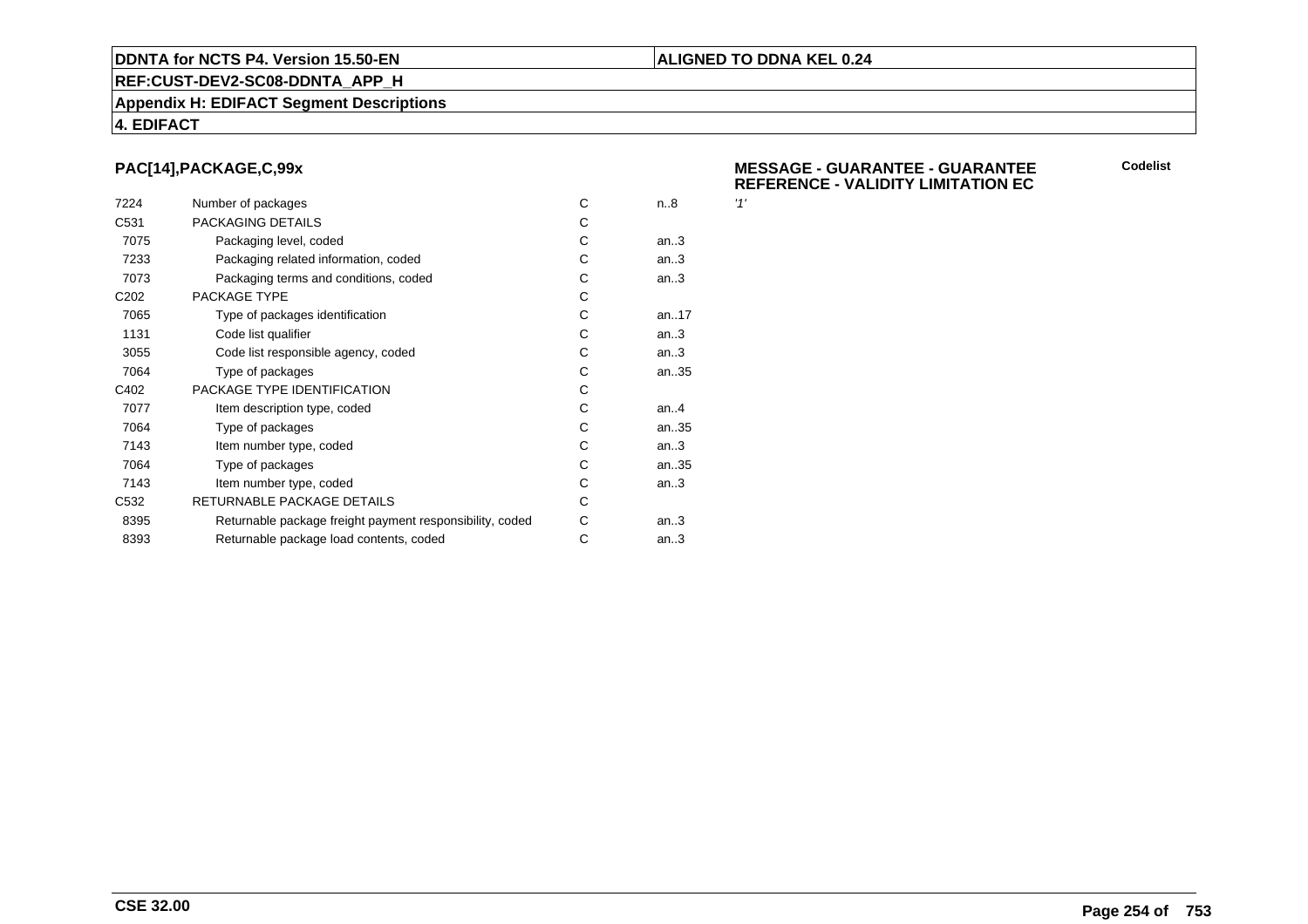#### **REF:CUST-DEV2-SC08-DDNTA\_APP\_H**

#### **Appendix H: EDIFACT Segment Descriptions**

#### **4. EDIFACT**

### **PAC[14],PACKAGE,C,99x**

| 7224             | Number of packages                                       | C | n.8     | '1' |
|------------------|----------------------------------------------------------|---|---------|-----|
| C <sub>531</sub> | PACKAGING DETAILS                                        | C |         |     |
| 7075             | Packaging level, coded                                   | С | an.3    |     |
| 7233             | Packaging related information, coded                     | C | an.3    |     |
| 7073             | Packaging terms and conditions, coded                    | С | an.3    |     |
| C <sub>202</sub> | PACKAGE TYPE                                             | C |         |     |
| 7065             | Type of packages identification                          | C | an17    |     |
| 1131             | Code list qualifier                                      | C | an.3    |     |
| 3055             | Code list responsible agency, coded                      | C | an.3    |     |
| 7064             | Type of packages                                         | С | an35    |     |
| C402             | PACKAGE TYPE IDENTIFICATION                              | C |         |     |
| 7077             | Item description type, coded                             | C | an. $4$ |     |
| 7064             | Type of packages                                         | C | an35    |     |
| 7143             | Item number type, coded                                  | C | an.3    |     |
| 7064             | Type of packages                                         | C | an35    |     |
| 7143             | Item number type, coded                                  | C | an.3    |     |
| C <sub>532</sub> | RETURNABLE PACKAGE DETAILS                               | C |         |     |
| 8395             | Returnable package freight payment responsibility, coded | С | an.3    |     |
| 8393             | Returnable package load contents, coded                  | С | an.3    |     |
|                  |                                                          |   |         |     |

#### **MESSAGE - GUARANTEE - GUARANTEEREFERENCE - VALIDITY LIMITATION EC**

**ALIGNED TO DDNA KEL 0.24**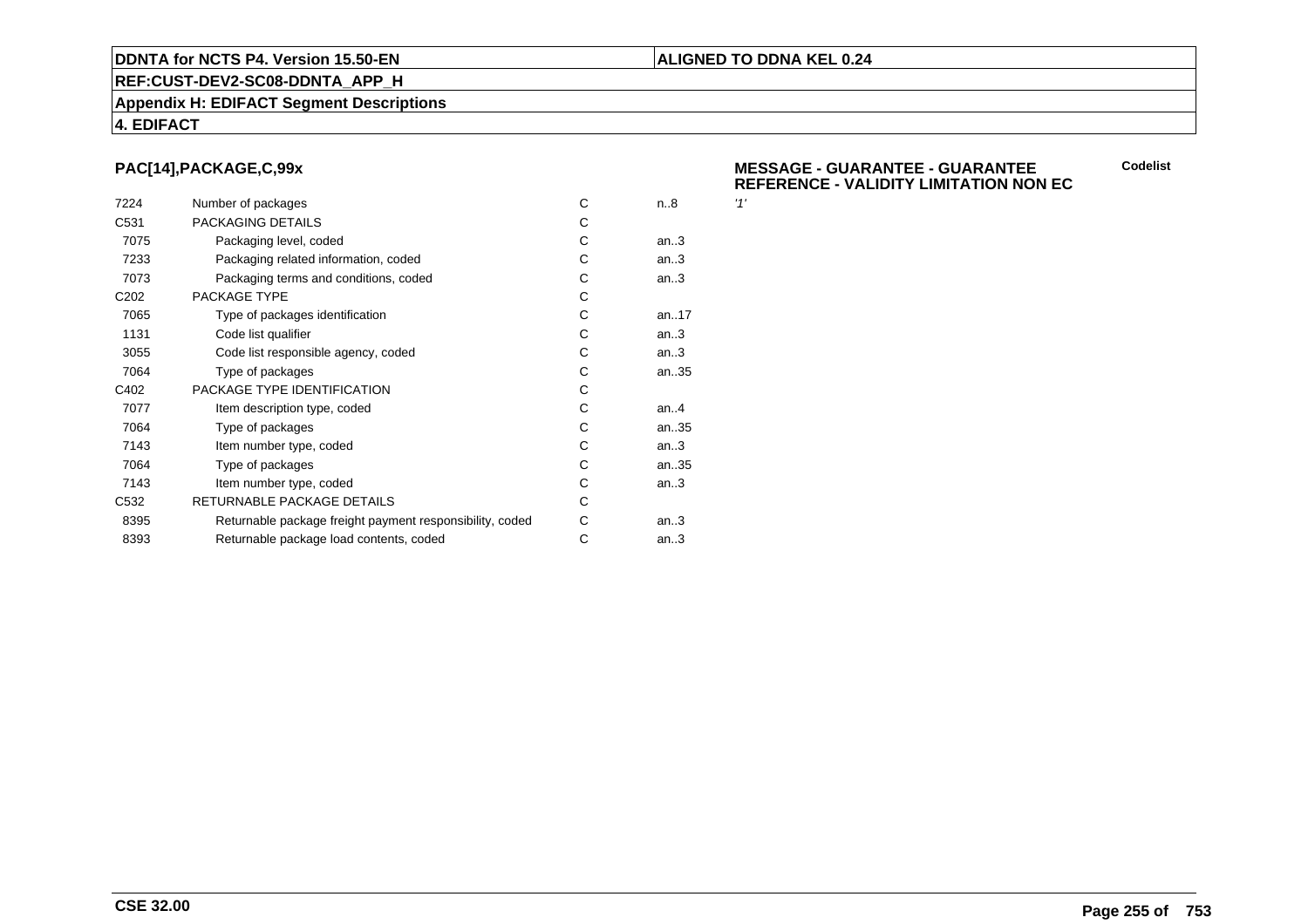#### **REF:CUST-DEV2-SC08-DDNTA\_APP\_H**

#### **Appendix H: EDIFACT Segment Descriptions**

#### **4. EDIFACT**

### **PAC[14],PACKAGE,C,99x**

| 7224             | Number of packages                                       | C | n.8     | '1' |
|------------------|----------------------------------------------------------|---|---------|-----|
| C <sub>531</sub> | PACKAGING DETAILS                                        | C |         |     |
| 7075             | Packaging level, coded                                   | С | an.3    |     |
| 7233             | Packaging related information, coded                     | C | an.3    |     |
| 7073             | Packaging terms and conditions, coded                    | С | an.3    |     |
| C <sub>202</sub> | PACKAGE TYPE                                             | C |         |     |
| 7065             | Type of packages identification                          | C | an17    |     |
| 1131             | Code list qualifier                                      | C | an.3    |     |
| 3055             | Code list responsible agency, coded                      | C | an.3    |     |
| 7064             | Type of packages                                         | С | an35    |     |
| C402             | PACKAGE TYPE IDENTIFICATION                              | C |         |     |
| 7077             | Item description type, coded                             | C | an. $4$ |     |
| 7064             | Type of packages                                         | C | an35    |     |
| 7143             | Item number type, coded                                  | C | an.3    |     |
| 7064             | Type of packages                                         | C | an35    |     |
| 7143             | Item number type, coded                                  | C | an.3    |     |
| C <sub>532</sub> | RETURNABLE PACKAGE DETAILS                               | C |         |     |
| 8395             | Returnable package freight payment responsibility, coded | С | an.3    |     |
| 8393             | Returnable package load contents, coded                  | С | an.3    |     |
|                  |                                                          |   |         |     |

#### **MESSAGE - GUARANTEE - GUARANTEEREFERENCE - VALIDITY LIMITATION NON EC**

**ALIGNED TO DDNA KEL 0.24**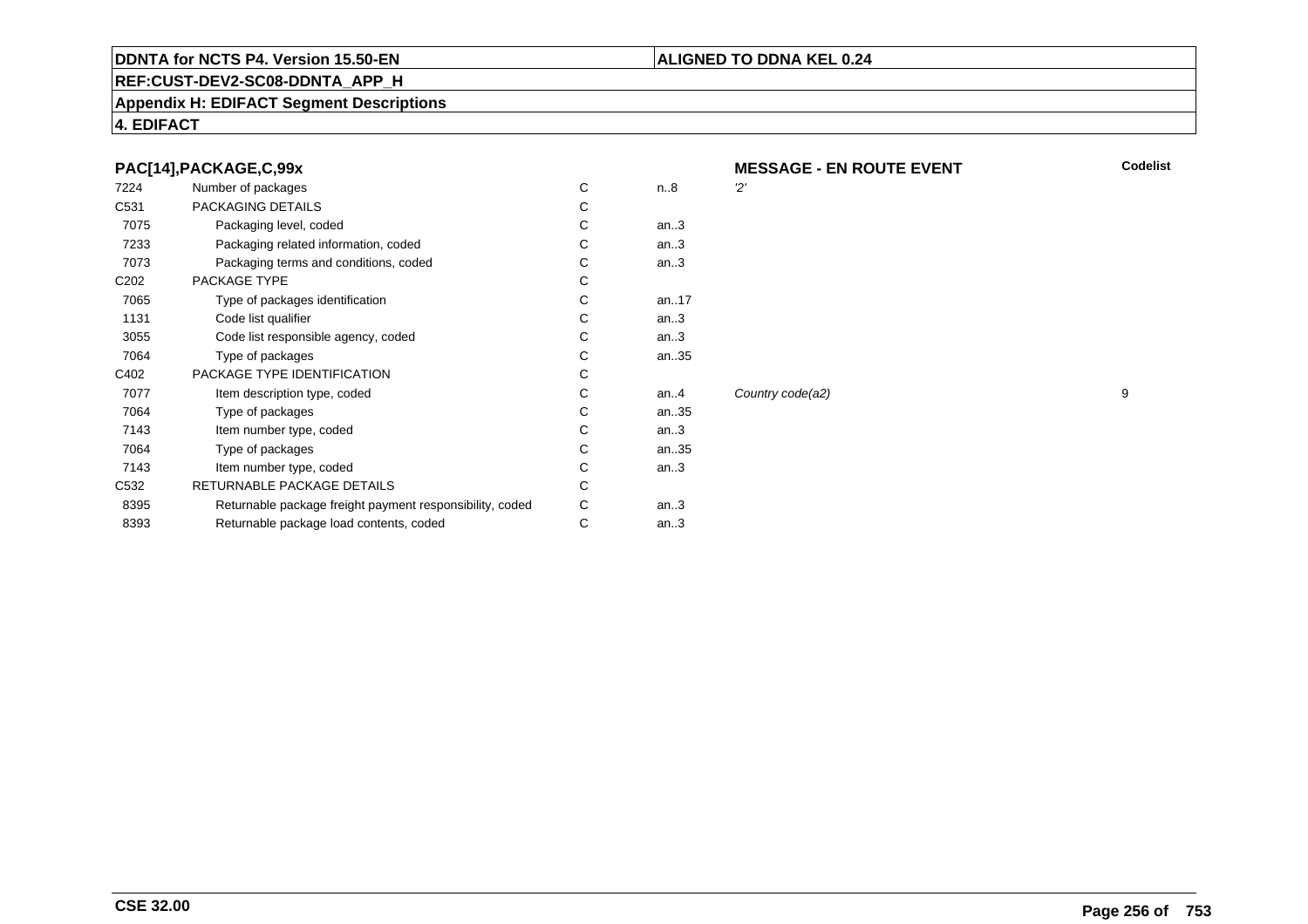#### **REF:CUST-DEV2-SC08-DDNTA\_APP\_H**

#### **Appendix H: EDIFACT Segment Descriptions**

**4. EDIFACT**

#### **PAC[14],PACKAGE,C,99x**

| 7224             | Number of packages                                       | С | n.8     | יכי |
|------------------|----------------------------------------------------------|---|---------|-----|
| C <sub>531</sub> | PACKAGING DETAILS                                        | С |         |     |
| 7075             | Packaging level, coded                                   | С | an.3    |     |
| 7233             | Packaging related information, coded                     | С | an.3    |     |
| 7073             | Packaging terms and conditions, coded                    | С | an.3    |     |
| C <sub>202</sub> | PACKAGE TYPE                                             | С |         |     |
| 7065             | Type of packages identification                          | С | an17    |     |
| 1131             | Code list qualifier                                      | С | an.3    |     |
| 3055             | Code list responsible agency, coded                      | С | an.3    |     |
| 7064             | Type of packages                                         | С | an35    |     |
| C402             | PACKAGE TYPE IDENTIFICATION                              | С |         |     |
| 7077             | Item description type, coded                             | С | an. $4$ | Co  |
| 7064             | Type of packages                                         | C | an35    |     |
| 7143             | Item number type, coded                                  | С | an.3    |     |
| 7064             | Type of packages                                         | С | an35    |     |
| 7143             | Item number type, coded                                  | С | an.3    |     |
| C <sub>532</sub> | RETURNABLE PACKAGE DETAILS                               | С |         |     |
| 8395             | Returnable package freight payment responsibility, coded | С | an.3    |     |
| 8393             | Returnable package load contents, coded                  | С | an.3    |     |
|                  |                                                          |   |         |     |

**MESSAGE - EN ROUTE EVENT**

Country code(a2) 9

**ALIGNED TO DDNA KEL 0.24**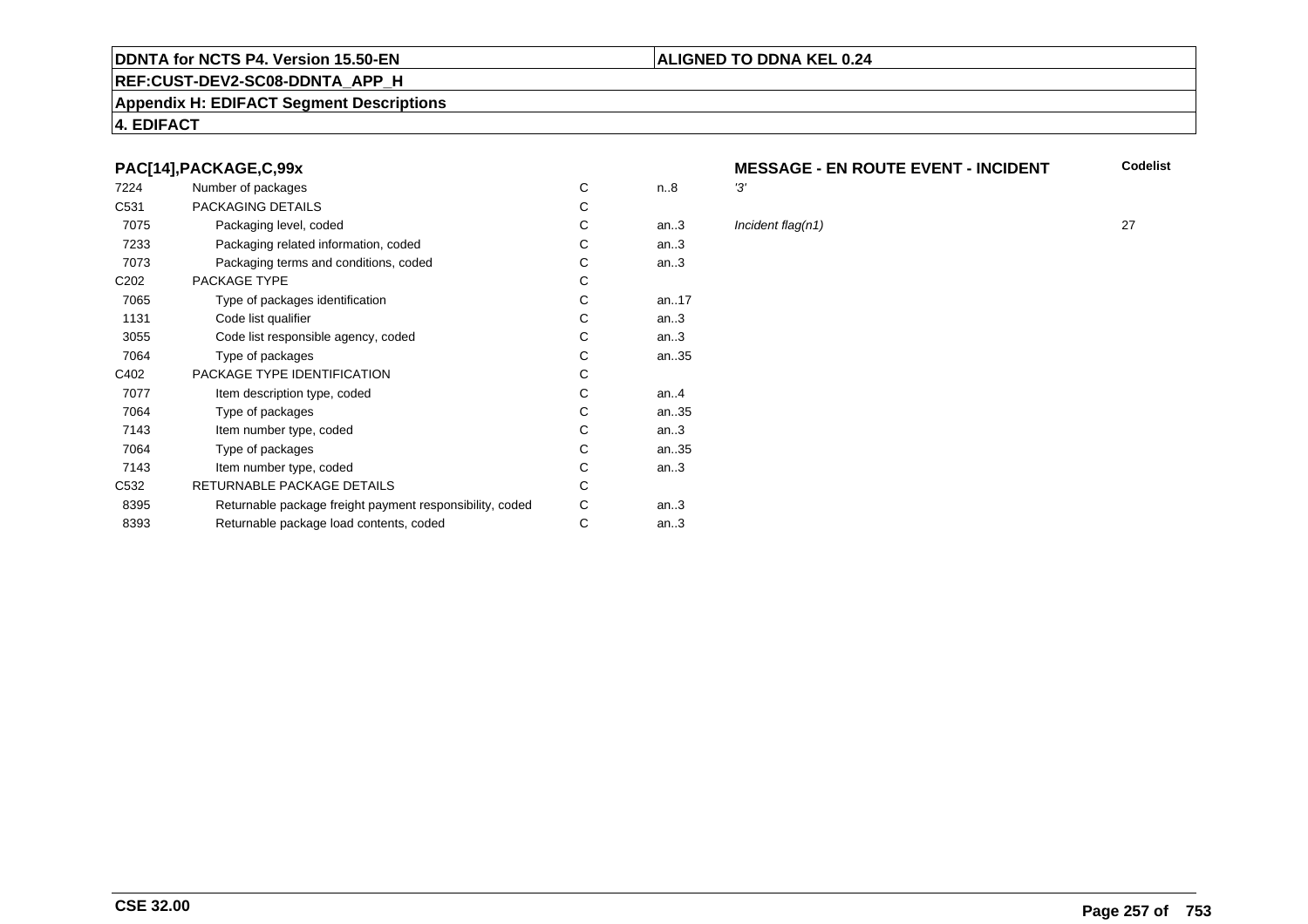#### **REF:CUST-DEV2-SC08-DDNTA\_APP\_H**

#### **Appendix H: EDIFACT Segment Descriptions**

#### **4. EDIFACT**

#### **PAC[14],PACKAGE,C,99x**

| 7224             | Number of packages                                       | C | n.8     | '3' |
|------------------|----------------------------------------------------------|---|---------|-----|
| C <sub>531</sub> | PACKAGING DETAILS                                        | С |         |     |
| 7075             | Packaging level, coded                                   | С | an.3    | In  |
| 7233             | Packaging related information, coded                     | С | an.3    |     |
| 7073             | Packaging terms and conditions, coded                    | С | an.3    |     |
| C <sub>202</sub> | PACKAGE TYPE                                             | C |         |     |
| 7065             | Type of packages identification                          | C | an17    |     |
| 1131             | Code list qualifier                                      | C | an.3    |     |
| 3055             | Code list responsible agency, coded                      | C | an.3    |     |
| 7064             | Type of packages                                         | C | an35    |     |
| C402             | PACKAGE TYPE IDENTIFICATION                              | C |         |     |
| 7077             | Item description type, coded                             | C | an. $4$ |     |
| 7064             | Type of packages                                         | C | an35    |     |
| 7143             | Item number type, coded                                  | C | an.3    |     |
| 7064             | Type of packages                                         | C | an35    |     |
| 7143             | Item number type, coded                                  | С | an.3    |     |
| C <sub>532</sub> | RETURNABLE PACKAGE DETAILS                               | C |         |     |
| 8395             | Returnable package freight payment responsibility, coded | С | an.3    |     |
| 8393             | Returnable package load contents, coded                  | С | an.3    |     |
|                  |                                                          |   |         |     |

#### **MESSAGE - EN ROUTE EVENT - INCIDENT Codelist**

**ALIGNED TO DDNA KEL 0.24**

 $\ln$ *an.* Incident flag(n1) 27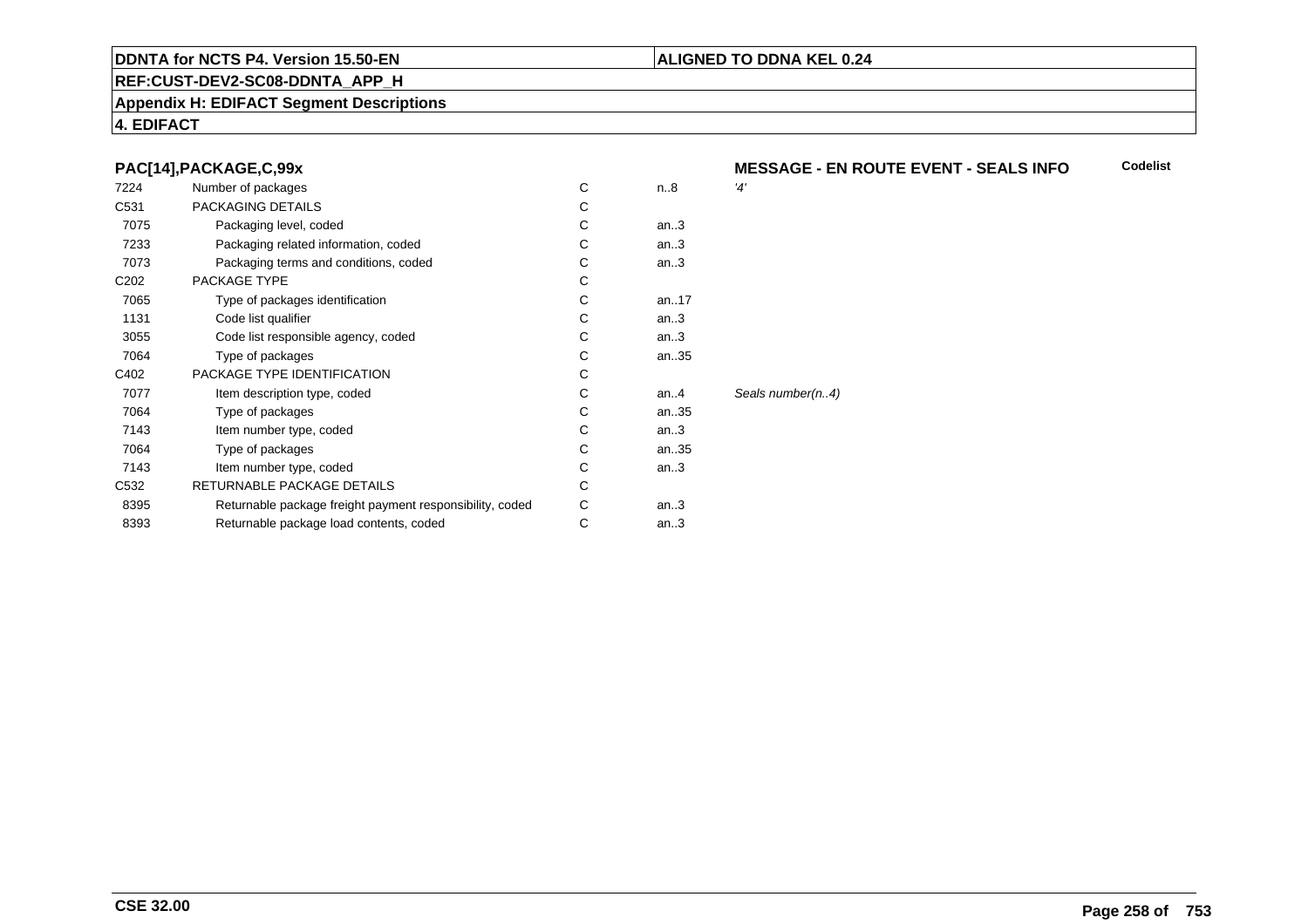#### **REF:CUST-DEV2-SC08-DDNTA\_APP\_H**

#### **Appendix H: EDIFACT Segment Descriptions**

#### **4. EDIFACT**

#### **PAC[14],PACKAGE,C,99x**

| 7224             | Number of packages                                       | С | n.8    | '4'              |
|------------------|----------------------------------------------------------|---|--------|------------------|
| C <sub>531</sub> | PACKAGING DETAILS                                        | С |        |                  |
| 7075             | Packaging level, coded                                   | С | an.3   |                  |
| 7233             | Packaging related information, coded                     | С | an.3   |                  |
| 7073             | Packaging terms and conditions, coded                    | С | an.3   |                  |
| C <sub>202</sub> | PACKAGE TYPE                                             | С |        |                  |
| 7065             | Type of packages identification                          | С | an17   |                  |
| 1131             | Code list qualifier                                      | С | an.3   |                  |
| 3055             | Code list responsible agency, coded                      | С | an.3   |                  |
| 7064             | Type of packages                                         | C | an35   |                  |
| C402             | PACKAGE TYPE IDENTIFICATION                              | C |        |                  |
| 7077             | Item description type, coded                             | С | an $4$ | Seals number(n4) |
| 7064             | Type of packages                                         | С | an35   |                  |
| 7143             | Item number type, coded                                  | С | an.3   |                  |
| 7064             | Type of packages                                         | С | an35   |                  |
| 7143             | Item number type, coded                                  | С | an.3   |                  |
| C <sub>532</sub> | RETURNABLE PACKAGE DETAILS                               | C |        |                  |
| 8395             | Returnable package freight payment responsibility, coded | С | an.3   |                  |
| 8393             | Returnable package load contents, coded                  | С | an.3   |                  |
|                  |                                                          |   |        |                  |

#### **MESSAGE - EN ROUTE EVENT - SEALS INFOCodelist**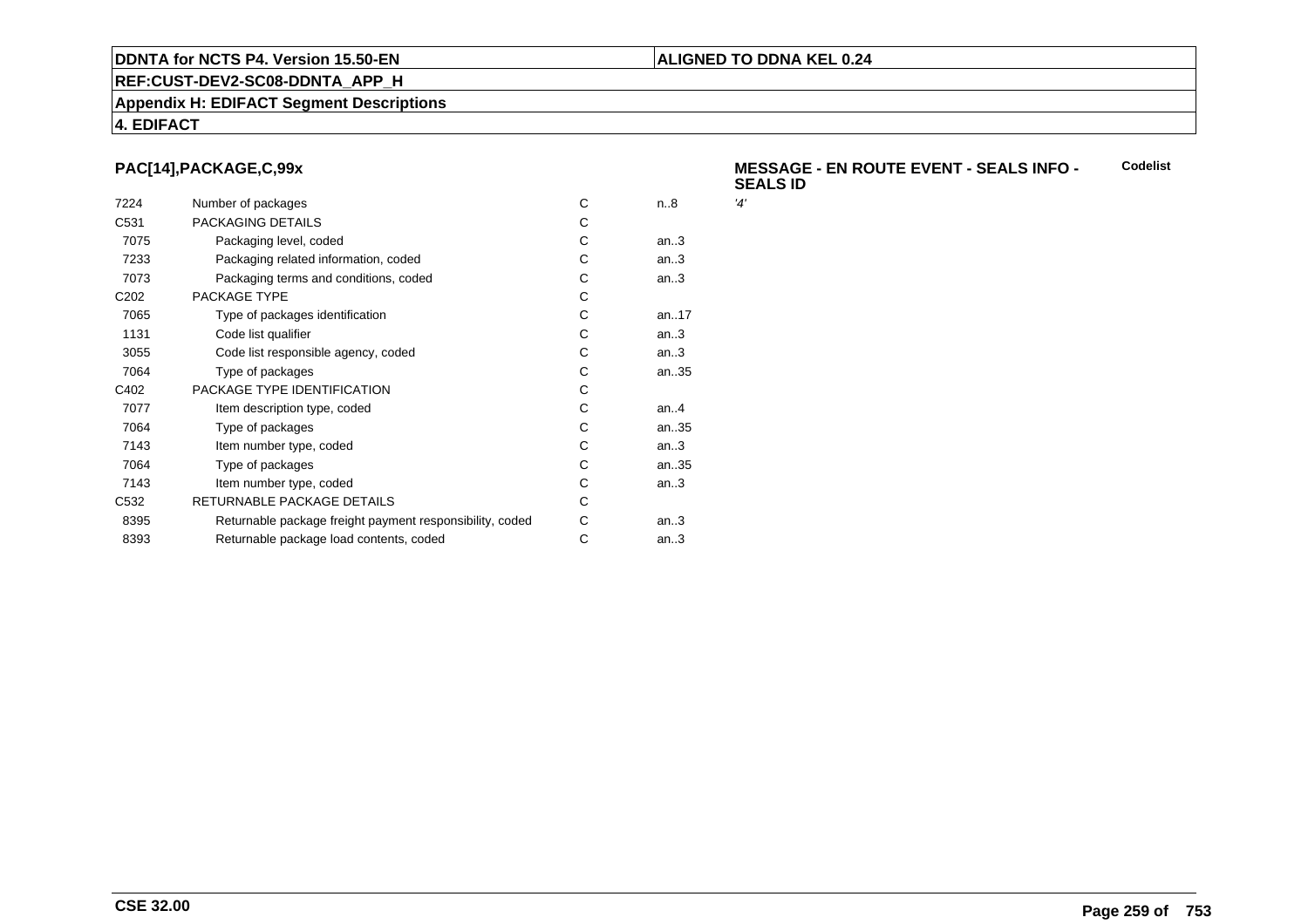#### **REF:CUST-DEV2-SC08-DDNTA\_APP\_H**

#### **Appendix H: EDIFACT Segment Descriptions**

### **4. EDIFACT**

### **PAC[14],PACKAGE,C,99x**

| 7224             | Number of packages                                       | C | n.8  | '4' |
|------------------|----------------------------------------------------------|---|------|-----|
| C <sub>531</sub> | PACKAGING DETAILS                                        | C |      |     |
| 7075             | Packaging level, coded                                   | C | an.3 |     |
| 7233             | Packaging related information, coded                     | С | an.3 |     |
| 7073             | Packaging terms and conditions, coded                    | С | an.3 |     |
| C <sub>202</sub> | PACKAGE TYPE                                             | C |      |     |
| 7065             | Type of packages identification                          | C | an17 |     |
| 1131             | Code list qualifier                                      | C | an.3 |     |
| 3055             | Code list responsible agency, coded                      | C | an.3 |     |
| 7064             | Type of packages                                         | С | an35 |     |
| C402             | PACKAGE TYPE IDENTIFICATION                              | C |      |     |
| 7077             | Item description type, coded                             | C | an.A |     |
| 7064             | Type of packages                                         | C | an35 |     |
| 7143             | Item number type, coded                                  | C | an.3 |     |
| 7064             | Type of packages                                         | C | an35 |     |
| 7143             | Item number type, coded                                  | C | an.3 |     |
| C <sub>532</sub> | RETURNABLE PACKAGE DETAILS                               | C |      |     |
| 8395             | Returnable package freight payment responsibility, coded | С | an.3 |     |
| 8393             | Returnable package load contents, coded                  | С | an.3 |     |
|                  |                                                          |   |      |     |

#### **MESSAGE - EN ROUTE EVENT - SEALS INFO - SEALS IDCodelist**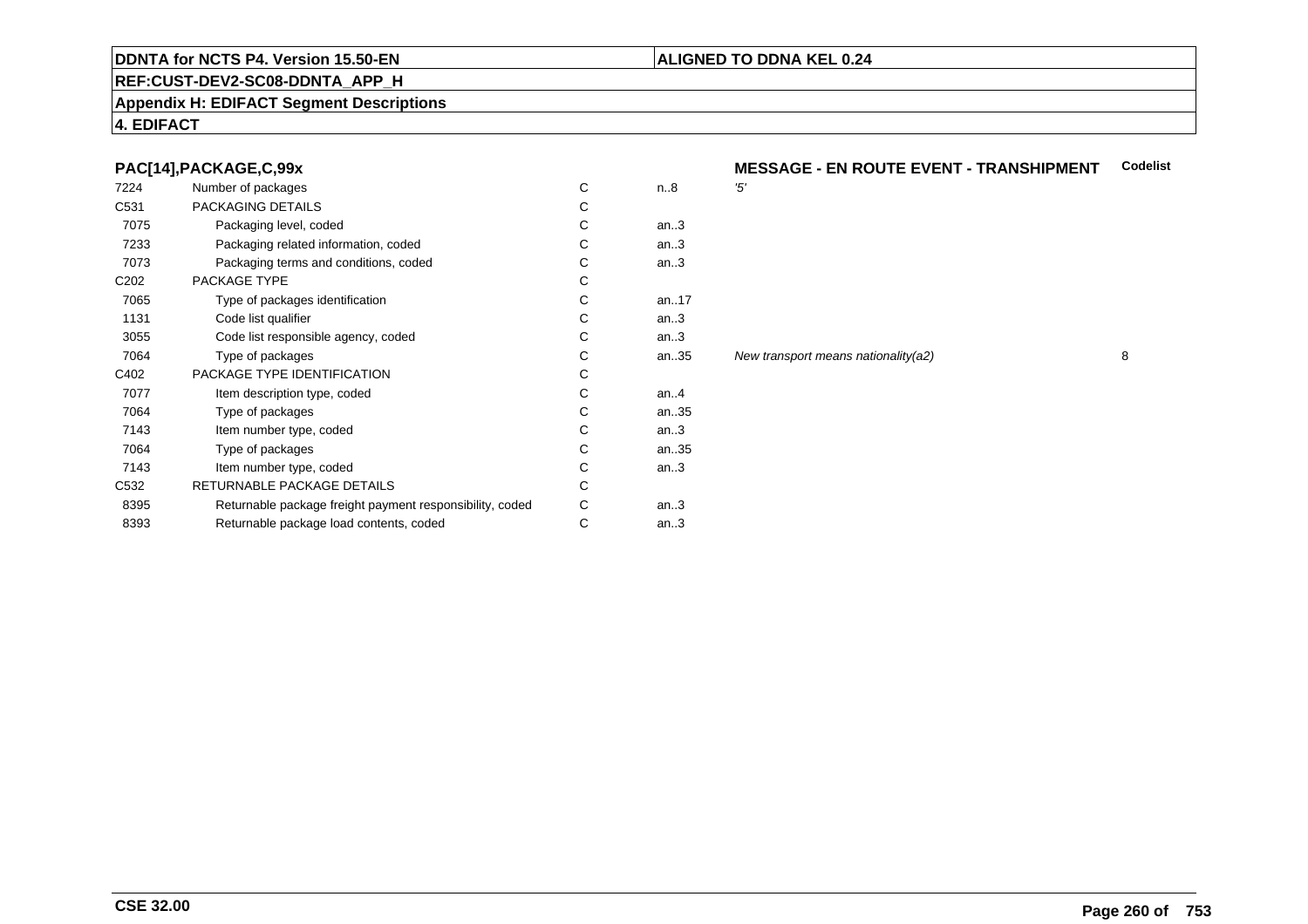#### **REF:CUST-DEV2-SC08-DDNTA\_APP\_H**

#### **Appendix H: EDIFACT Segment Descriptions**

#### **4. EDIFACT**

#### **PAC[14],PACKAGE,C,99x**

| 7224             | Number of packages                                       | C | n.8     | '5'            |
|------------------|----------------------------------------------------------|---|---------|----------------|
| C <sub>531</sub> | PACKAGING DETAILS                                        | С |         |                |
| 7075             | Packaging level, coded                                   | С | an.3    |                |
| 7233             | Packaging related information, coded                     | С | an.3    |                |
| 7073             | Packaging terms and conditions, coded                    | C | an.3    |                |
| C <sub>202</sub> | PACKAGE TYPE                                             | C |         |                |
| 7065             | Type of packages identification                          | C | an17    |                |
| 1131             | Code list qualifier                                      | C | an.3    |                |
| 3055             | Code list responsible agency, coded                      | C | an.3    |                |
| 7064             | Type of packages                                         | C | an35    | N <sub>6</sub> |
| C402             | PACKAGE TYPE IDENTIFICATION                              | C |         |                |
| 7077             | Item description type, coded                             | C | an. $4$ |                |
| 7064             | Type of packages                                         | C | an35    |                |
| 7143             | Item number type, coded                                  | C | an.3    |                |
| 7064             | Type of packages                                         | C | an35    |                |
| 7143             | Item number type, coded                                  | C | an.3    |                |
| C <sub>532</sub> | RETURNABLE PACKAGE DETAILS                               | C |         |                |
| 8395             | Returnable package freight payment responsibility, coded | С | an.3    |                |
| 8393             | Returnable package load contents, coded                  | С | an.3    |                |
|                  |                                                          |   |         |                |

# **MESSAGE - EN ROUTE EVENT - TRANSHIPMENT** Codelist

an...<br>35 New transport means nationality(a2) 8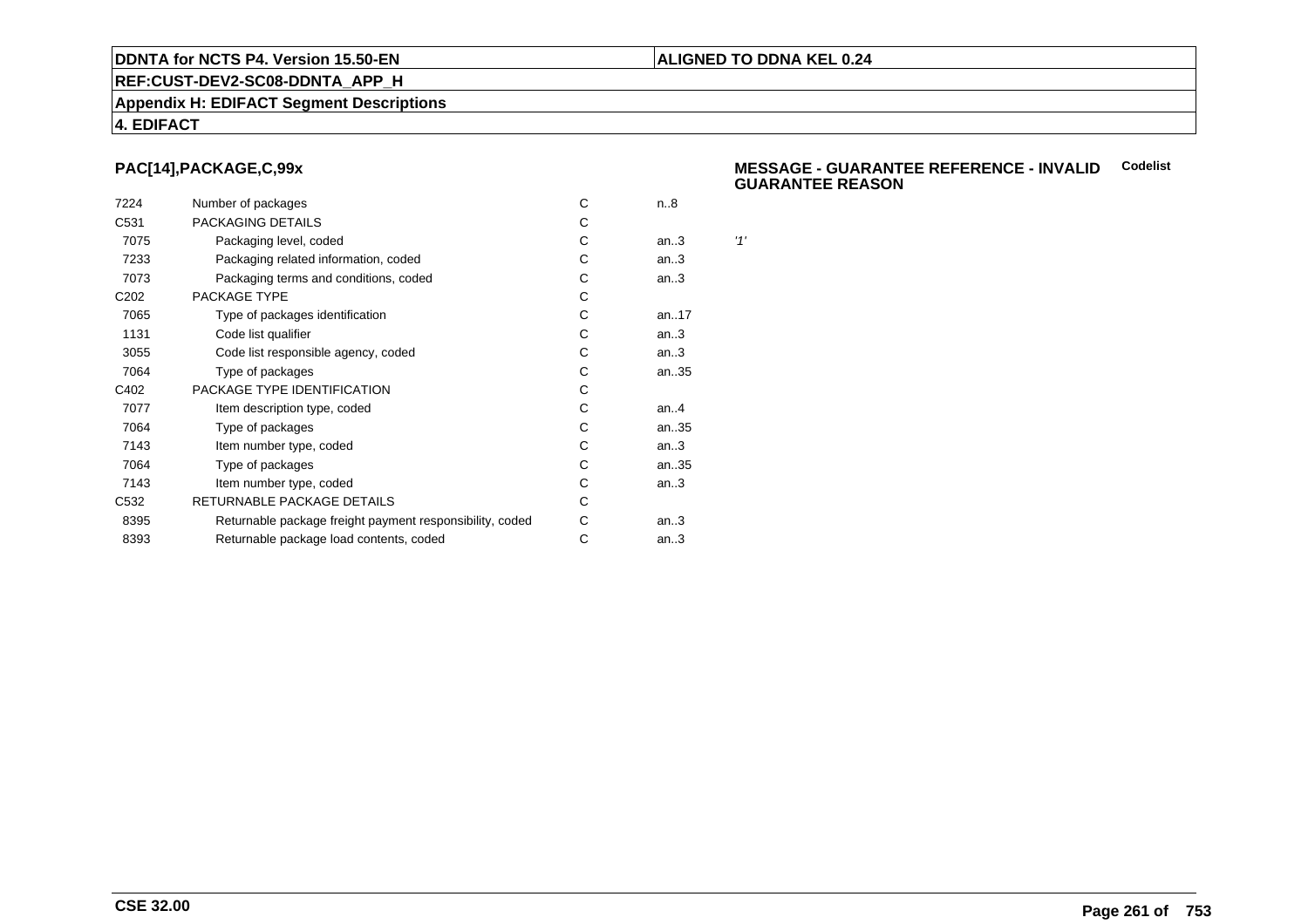#### **ALIGNED TO DDNA KEL 0.24**

**REF:CUST-DEV2-SC08-DDNTA\_APP\_H**

#### **Appendix H: EDIFACT Segment Descriptions**

#### **4. EDIFACT**

#### **PAC[14],PACKAGE,C,99x**

| 7224             | Number of packages                                       | С | n.8     |     |
|------------------|----------------------------------------------------------|---|---------|-----|
| C <sub>531</sub> | PACKAGING DETAILS                                        | С |         |     |
| 7075             | Packaging level, coded                                   | C | an.3    | '1' |
| 7233             | Packaging related information, coded                     | C | an.3    |     |
| 7073             | Packaging terms and conditions, coded                    | C | an.3    |     |
| C <sub>202</sub> | PACKAGE TYPE                                             | C |         |     |
| 7065             | Type of packages identification                          | C | an17    |     |
| 1131             | Code list qualifier                                      | С | an.3    |     |
| 3055             | Code list responsible agency, coded                      | С | an.3    |     |
| 7064             | Type of packages                                         | С | an35    |     |
| C402             | PACKAGE TYPE IDENTIFICATION                              | С |         |     |
| 7077             | Item description type, coded                             | С | an. $4$ |     |
| 7064             | Type of packages                                         | С | an35    |     |
| 7143             | Item number type, coded                                  | С | an.3    |     |
| 7064             | Type of packages                                         | C | an35    |     |
| 7143             | Item number type, coded                                  | С | an.3    |     |
| C <sub>532</sub> | RETURNABLE PACKAGE DETAILS                               | С |         |     |
| 8395             | Returnable package freight payment responsibility, coded | С | an.3    |     |
| 8393             | Returnable package load contents, coded                  | С | an.3    |     |
|                  |                                                          |   |         |     |

#### **MESSAGE - GUARANTEE REFERENCE - INVALIDCodelist GUARANTEE REASON**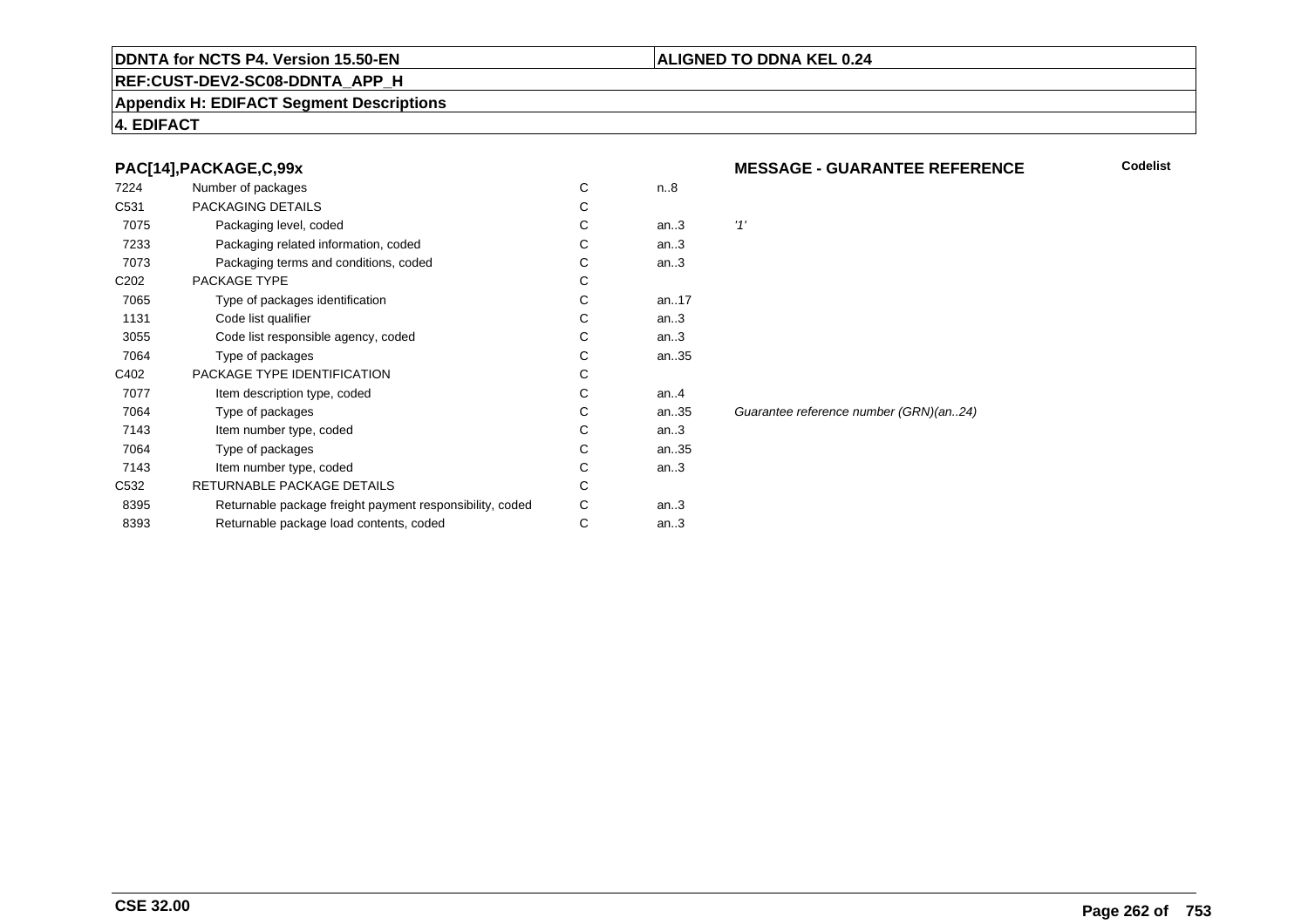#### **REF:CUST-DEV2-SC08-DDNTA\_APP\_H**

#### **Appendix H: EDIFACT Segment Descriptions**

#### **4. EDIFACT**

#### **PAC[14],PACKAGE,C,99x**

| 7224             | Number of packages                                       | C | n.8     |       |
|------------------|----------------------------------------------------------|---|---------|-------|
| C531             | PACKAGING DETAILS                                        | С |         |       |
| 7075             | Packaging level, coded                                   | С | an.3    | '1'   |
| 7233             | Packaging related information, coded                     | С | an.3    |       |
| 7073             | Packaging terms and conditions, coded                    | C | an.3    |       |
| C <sub>202</sub> | PACKAGE TYPE                                             | С |         |       |
| 7065             | Type of packages identification                          | С | an17    |       |
| 1131             | Code list qualifier                                      | С | an.3    |       |
| 3055             | Code list responsible agency, coded                      | С | an.3    |       |
| 7064             | Type of packages                                         | С | an35    |       |
| C402             | PACKAGE TYPE IDENTIFICATION                              | С |         |       |
| 7077             | Item description type, coded                             | C | an. $4$ |       |
| 7064             | Type of packages                                         | C | an35    | Guara |
| 7143             | Item number type, coded                                  | C | an.3    |       |
| 7064             | Type of packages                                         | C | an35    |       |
| 7143             | Item number type, coded                                  | С | an.3    |       |
| C <sub>532</sub> | RETURNABLE PACKAGE DETAILS                               | C |         |       |
| 8395             | Returnable package freight payment responsibility, coded | C | an.3    |       |
| 8393             | Returnable package load contents, coded                  | С | an.3    |       |
|                  |                                                          |   |         |       |

#### **MESSAGE - GUARANTEE REFERENCE**

**ALIGNED TO DDNA KEL 0.24**

**Codelist**

antee reference number (GRN)(an..24)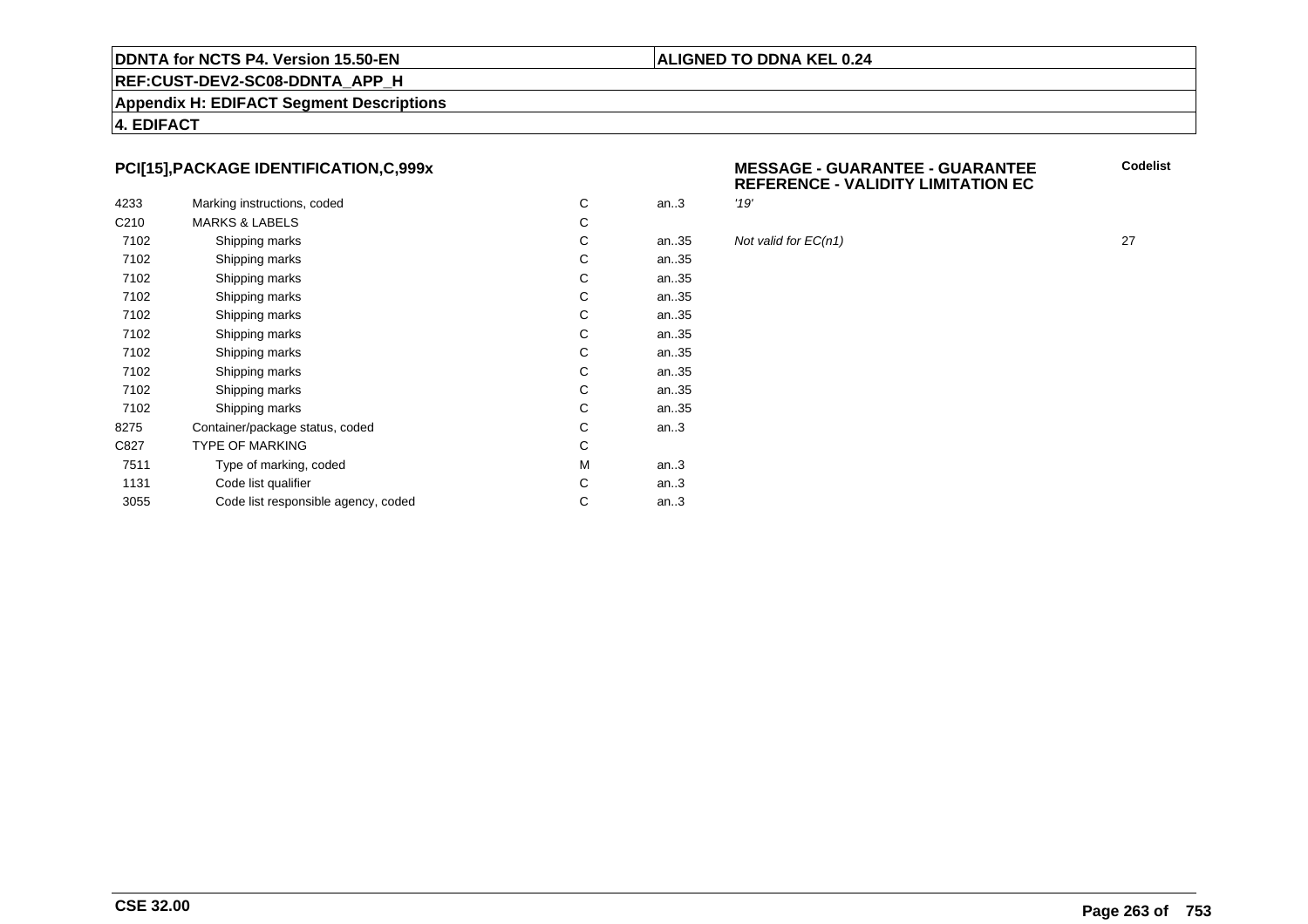#### **ALIGNED TO DDNA KEL 0.24**

# **REF:CUST-DEV2-SC08-DDNTA\_APP\_H**

**Appendix H: EDIFACT Segment Descriptions**

**4. EDIFACT**

#### **PCI[15],PACKAGE IDENTIFICATION,C,999x**

|                  |                                     |   |      | '19' |
|------------------|-------------------------------------|---|------|------|
| 4233             | Marking instructions, coded         | C | an.3 |      |
| C <sub>210</sub> | <b>MARKS &amp; LABELS</b>           | С |      |      |
| 7102             | Shipping marks                      | С | an35 | Not  |
| 7102             | Shipping marks                      | С | an35 |      |
| 7102             | Shipping marks                      | С | an35 |      |
| 7102             | Shipping marks                      | С | an35 |      |
| 7102             | Shipping marks                      | С | an35 |      |
| 7102             | Shipping marks                      | С | an35 |      |
| 7102             | Shipping marks                      | С | an35 |      |
| 7102             | Shipping marks                      | С | an35 |      |
| 7102             | Shipping marks                      | С | an35 |      |
| 7102             | Shipping marks                      | С | an35 |      |
| 8275             | Container/package status, coded     | С | an.3 |      |
| C827             | <b>TYPE OF MARKING</b>              | C |      |      |
| 7511             | Type of marking, coded              | М | an.3 |      |
| 1131             | Code list qualifier                 | С | an.3 |      |
| 3055             | Code list responsible agency, coded | С | an.3 |      |
|                  |                                     |   |      |      |

| v<br>^ | <b>MESSAGE - GUARANTEE - GUARANTEE</b>    |
|--------|-------------------------------------------|
|        | <b>REFERENCE - VALIDITY LIMITATION EC</b> |

Not valid for  $EC(n1)$  27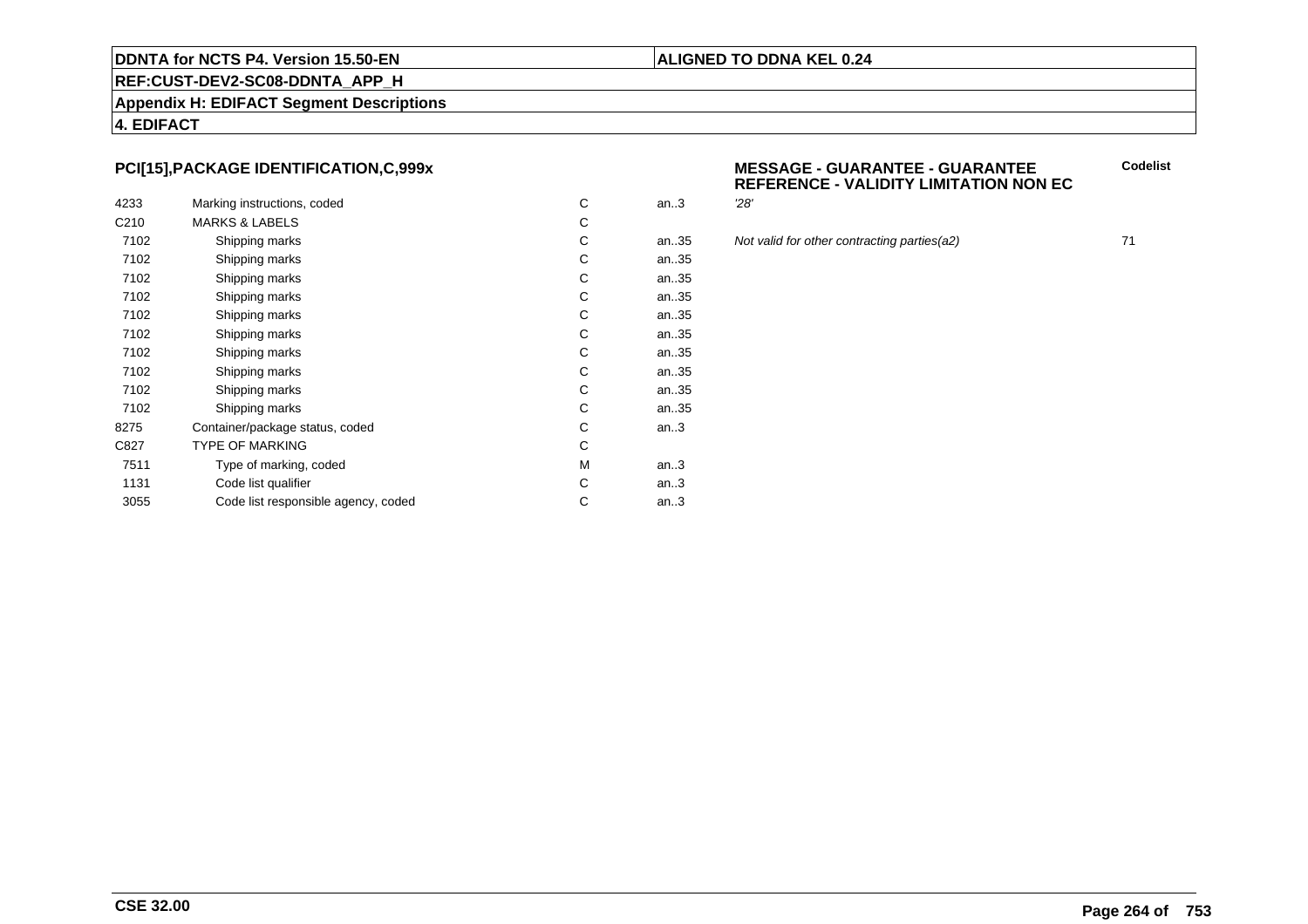## **REF:CUST-DEV2-SC08-DDNTA\_APP\_H**

**Appendix H: EDIFACT Segment Descriptions**

**4. EDIFACT**

#### **PCI[15],PACKAGE IDENTIFICATION,C,999x**

| 4233             | Marking instructions, coded         | C | an.3 | 28' |
|------------------|-------------------------------------|---|------|-----|
| C <sub>210</sub> | <b>MARKS &amp; LABELS</b>           | С |      |     |
| 7102             | Shipping marks                      | C | an35 | Not |
| 7102             | Shipping marks                      | С | an35 |     |
| 7102             | Shipping marks                      | С | an35 |     |
| 7102             | Shipping marks                      | С | an35 |     |
| 7102             | Shipping marks                      | С | an35 |     |
| 7102             | Shipping marks                      | С | an35 |     |
| 7102             | Shipping marks                      | C | an35 |     |
| 7102             | Shipping marks                      | С | an35 |     |
| 7102             | Shipping marks                      | С | an35 |     |
| 7102             | Shipping marks                      | С | an35 |     |
| 8275             | Container/package status, coded     | С | an.3 |     |
| C827             | <b>TYPE OF MARKING</b>              | С |      |     |
| 7511             | Type of marking, coded              | М | an.3 |     |
| 1131             | Code list qualifier                 | C | an.3 |     |
| 3055             | Code list responsible agency, coded | С | an.3 |     |
|                  |                                     |   |      |     |

#### **MESSAGE - GUARANTEE - GUARANTEEREFERENCE - VALIDITY LIMITATION NON EC**

an...<br>35 Not valid for other contracting parties(a2) 71

**Codelist**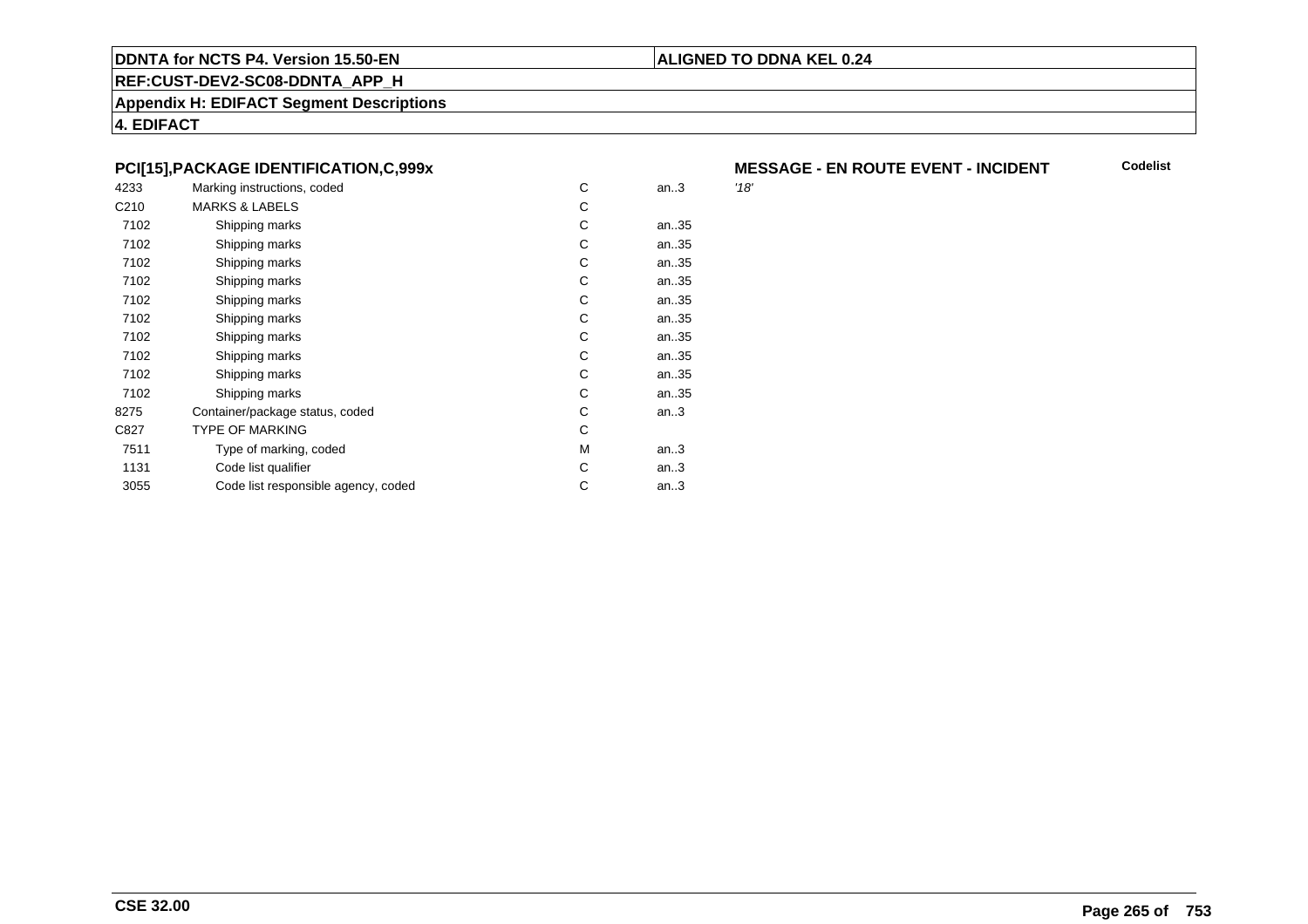#### **ALIGNED TO DDNA KEL 0.24**

**REF:CUST-DEV2-SC08-DDNTA\_APP\_H**

**Appendix H: EDIFACT Segment Descriptions**

**4. EDIFACT**

#### **PCI[15],PACKAGE IDENTIFICATION,C,999x**

| 4233             | Marking instructions, coded         | C | an.3 | '18' |
|------------------|-------------------------------------|---|------|------|
| C <sub>210</sub> | <b>MARKS &amp; LABELS</b>           | C |      |      |
| 7102             | Shipping marks                      | C | an35 |      |
| 7102             | Shipping marks                      | C | an35 |      |
| 7102             | Shipping marks                      | C | an35 |      |
| 7102             | Shipping marks                      | C | an35 |      |
| 7102             | Shipping marks                      | C | an35 |      |
| 7102             | Shipping marks                      | C | an35 |      |
| 7102             | Shipping marks                      | C | an35 |      |
| 7102             | Shipping marks                      | C | an35 |      |
| 7102             | Shipping marks                      | C | an35 |      |
| 7102             | Shipping marks                      | C | an35 |      |
| 8275             | Container/package status, coded     | C | an.3 |      |
| C827             | <b>TYPE OF MARKING</b>              | C |      |      |
| 7511             | Type of marking, coded              | M | an.3 |      |
| 1131             | Code list qualifier                 | C | an.3 |      |
| 3055             | Code list responsible agency, coded | C | an.3 |      |
|                  |                                     |   |      |      |

# **MESSAGE - EN ROUTE EVENT - INCIDENT**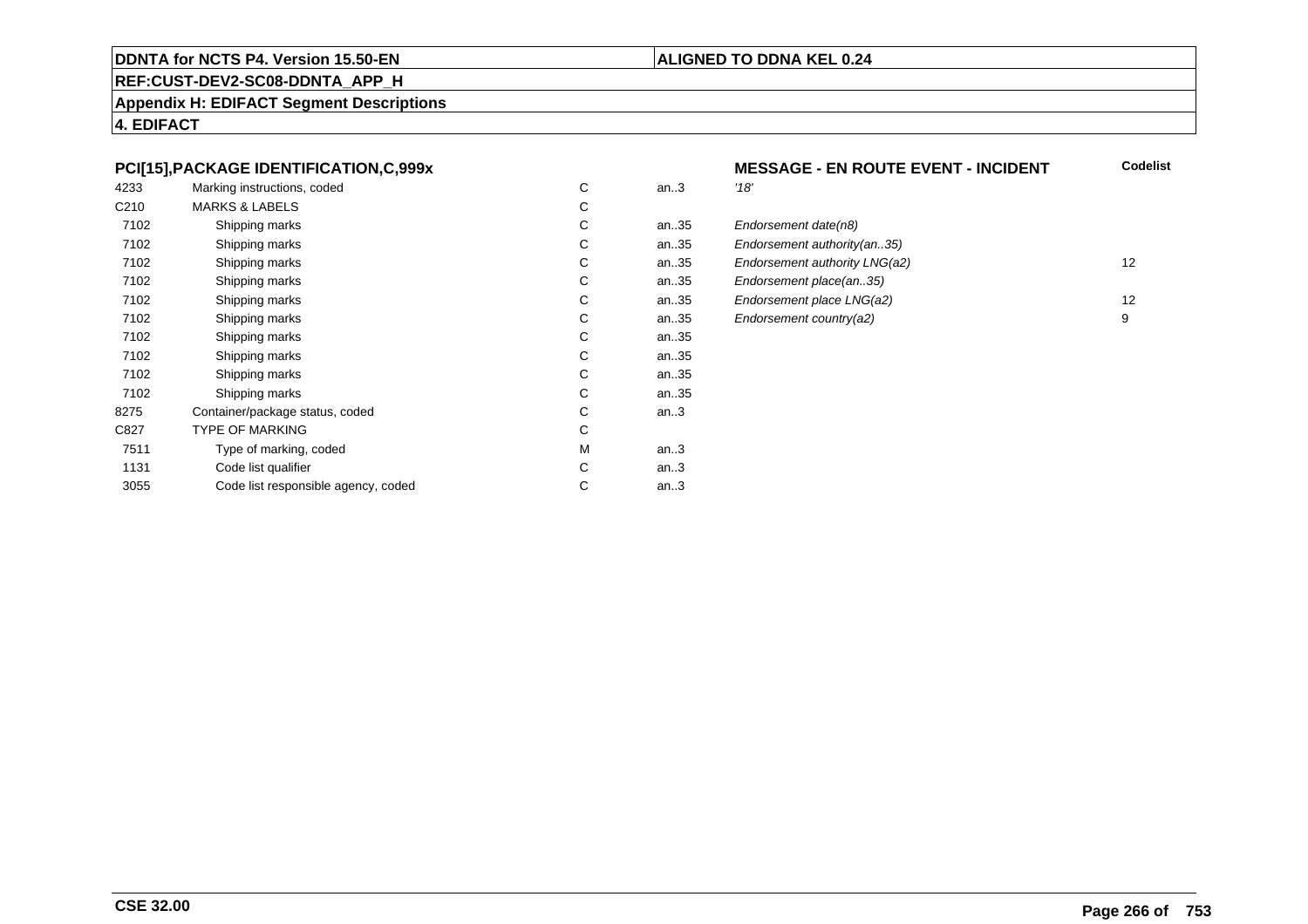#### **REF:CUST-DEV2-SC08-DDNTA\_APP\_H**

**Appendix H: EDIFACT Segment Descriptions**

**4. EDIFACT**

#### **PCI[15],PACKAGE IDENTIFICATION,C,999x**

| 4233             | Marking instructions, coded         | C | an.3 | '18' |
|------------------|-------------------------------------|---|------|------|
| C <sub>210</sub> | <b>MARKS &amp; LABELS</b>           | С |      |      |
| 7102             | Shipping marks                      | С | an35 | Eno  |
| 7102             | Shipping marks                      | С | an35 | Eno  |
| 7102             | Shipping marks                      | С | an35 | Eno  |
| 7102             | Shipping marks                      | С | an35 | Eno  |
| 7102             | Shipping marks                      | С | an35 | Eno  |
| 7102             | Shipping marks                      | С | an35 | Eno  |
| 7102             | Shipping marks                      | С | an35 |      |
| 7102             | Shipping marks                      | С | an35 |      |
| 7102             | Shipping marks                      | С | an35 |      |
| 7102             | Shipping marks                      | С | an35 |      |
| 8275             | Container/package status, coded     | С | an.3 |      |
| C827             | <b>TYPE OF MARKING</b>              | C |      |      |
| 7511             | Type of marking, coded              | М | an.3 |      |
| 1131             | Code list qualifier                 | С | an.3 |      |
| 3055             | Code list responsible agency, coded | С | an.3 |      |
|                  |                                     |   |      |      |

#### **ALIGNED TO DDNA KEL 0.24**

#### **MESSAGE - EN ROUTE EVENT - INCIDENT**<br>3 **Codelist**

| C. | an35 | Endorsement date(n8)          |    |
|----|------|-------------------------------|----|
| C. | an35 | Endorsement authority (an35)  |    |
| C. | an35 | Endorsement authority LNG(a2) | 12 |
| C. | an35 | Endorsement place(an35)       |    |
| C. | an35 | Endorsement place LNG(a2)     | 12 |
| C  | an35 | Endorsement country(a2)       | 9  |
|    |      |                               |    |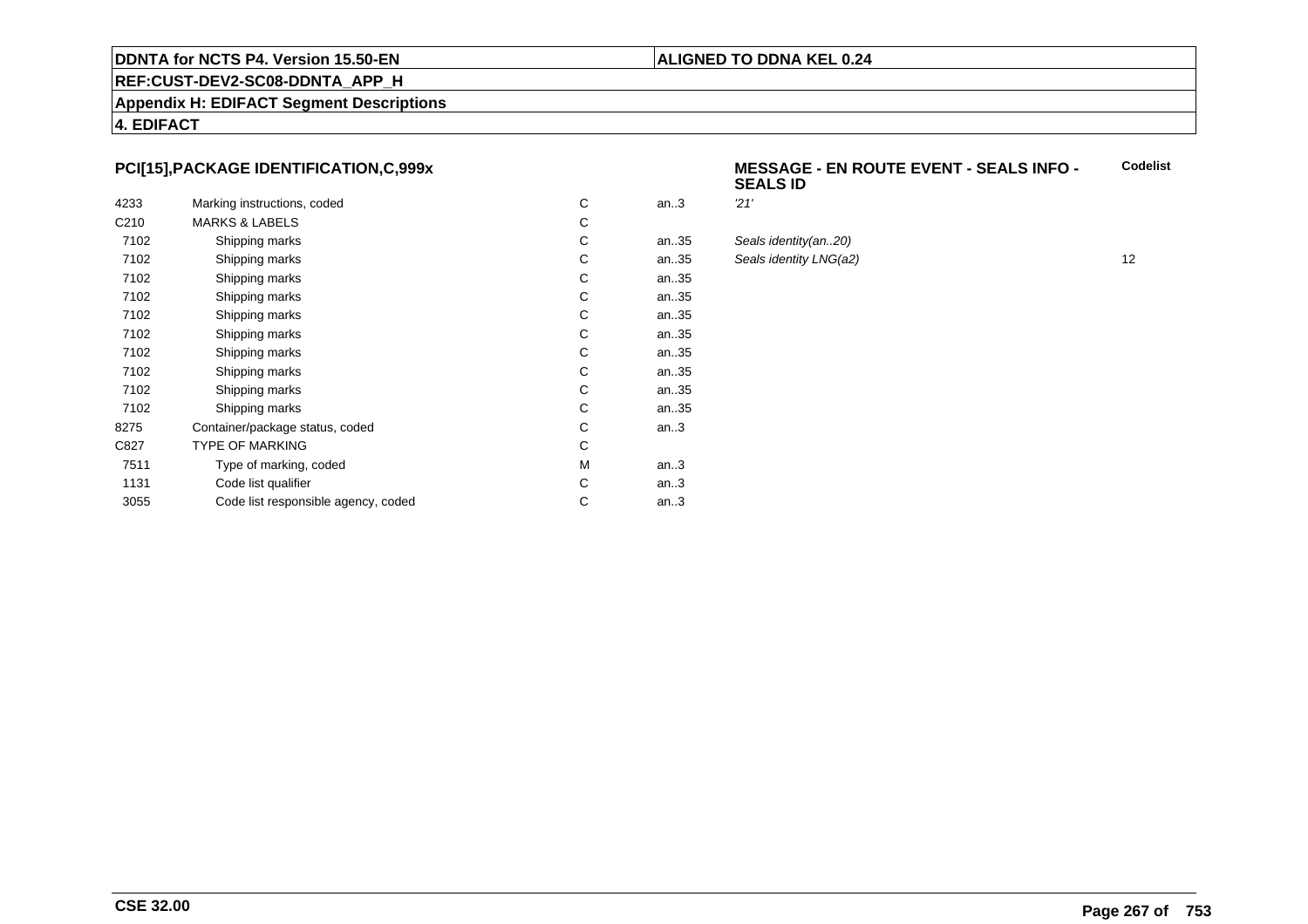#### **ALIGNED TO DDNA KEL 0.24**

## **REF:CUST-DEV2-SC08-DDNTA\_APP\_H**

**Appendix H: EDIFACT Segment Descriptions**

**4. EDIFACT**

#### **PCI[15],PACKAGE IDENTIFICATION,C,999x**

| 4233             | Marking instructions, coded         | C | an.3 | 21' |
|------------------|-------------------------------------|---|------|-----|
| C <sub>210</sub> | <b>MARKS &amp; LABELS</b>           | С |      |     |
| 7102             | Shipping marks                      | С | an35 | Sea |
| 7102             | Shipping marks                      | С | an35 | Sea |
| 7102             | Shipping marks                      | С | an35 |     |
| 7102             | Shipping marks                      | С | an35 |     |
| 7102             | Shipping marks                      | С | an35 |     |
| 7102             | Shipping marks                      | С | an35 |     |
| 7102             | Shipping marks                      | C | an35 |     |
| 7102             | Shipping marks                      | С | an35 |     |
| 7102             | Shipping marks                      | С | an35 |     |
| 7102             | Shipping marks                      | С | an35 |     |
| 8275             | Container/package status, coded     | С | an.3 |     |
| C827             | <b>TYPE OF MARKING</b>              | C |      |     |
| 7511             | Type of marking, coded              | М | an.3 |     |
| 1131             | Code list qualifier                 | C | an.3 |     |
| 3055             | Code list responsible agency, coded | С | an.3 |     |
|                  |                                     |   |      |     |

#### **MESSAGE - EN ROUTE EVENT - SEALS INFO - SEALS IDCodelist**

| С  | an.3 | 21'                    |    |
|----|------|------------------------|----|
| C. |      |                        |    |
| C. | an35 | Seals identity(an20)   |    |
| C. | an35 | Seals identity LNG(a2) | 12 |
| C. | an35 |                        |    |
| С  | an35 |                        |    |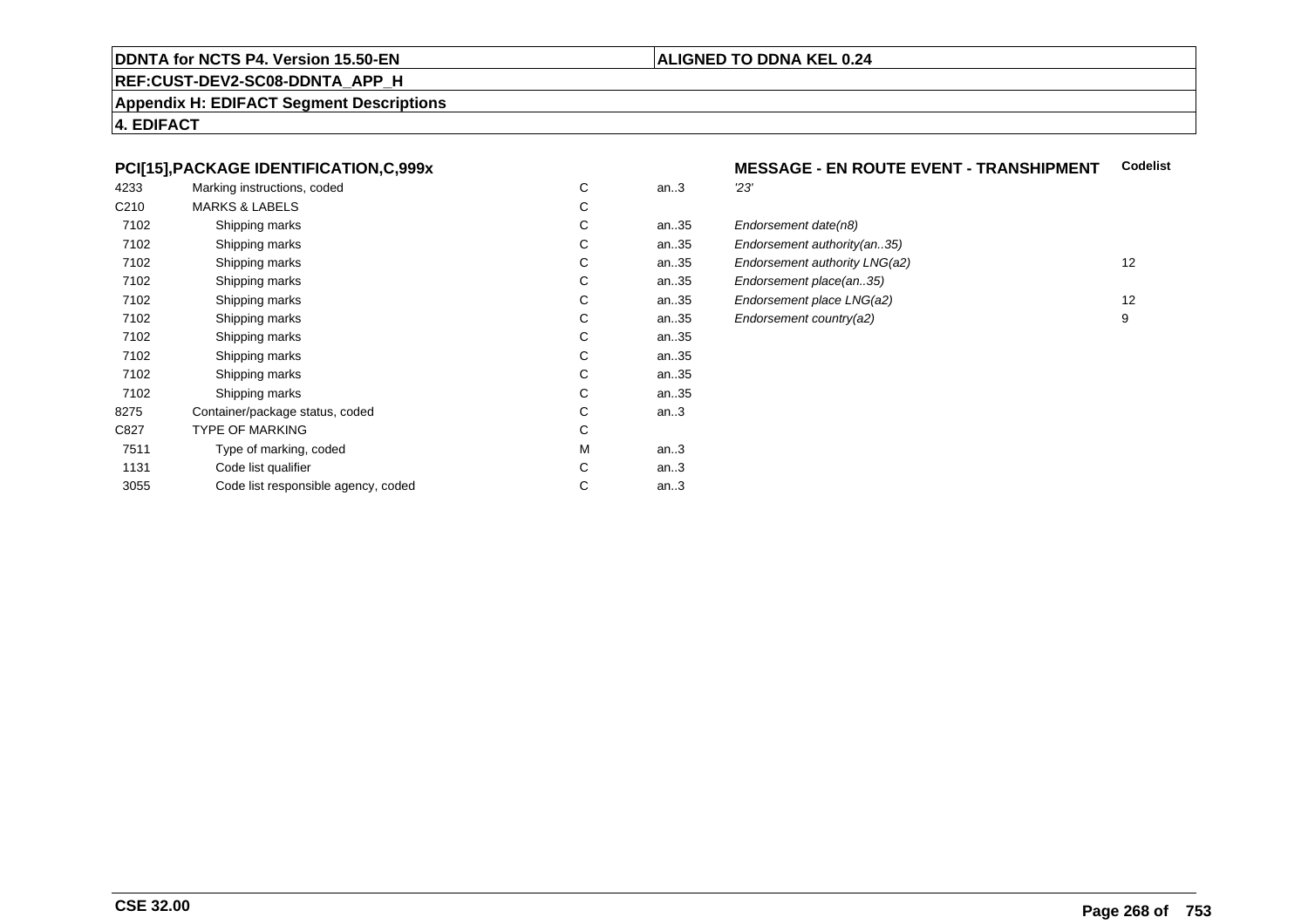#### **REF:CUST-DEV2-SC08-DDNTA\_APP\_H**

**Appendix H: EDIFACT Segment Descriptions**

**4. EDIFACT**

#### **PCI[15],PACKAGE IDENTIFICATION,C,999x**

| 4233             | Marking instructions, coded         | C | an.3 | 23' |
|------------------|-------------------------------------|---|------|-----|
| C <sub>210</sub> | <b>MARKS &amp; LABELS</b>           | С |      |     |
| 7102             | Shipping marks                      | С | an35 | Eno |
| 7102             | Shipping marks                      | С | an35 | Eno |
| 7102             | Shipping marks                      | С | an35 | Eno |
| 7102             | Shipping marks                      | С | an35 | Eno |
| 7102             | Shipping marks                      | С | an35 | Eno |
| 7102             | Shipping marks                      | С | an35 | Eno |
| 7102             | Shipping marks                      | С | an35 |     |
| 7102             | Shipping marks                      | С | an35 |     |
| 7102             | Shipping marks                      | С | an35 |     |
| 7102             | Shipping marks                      | С | an35 |     |
| 8275             | Container/package status, coded     | С | an.3 |     |
| C827             | <b>TYPE OF MARKING</b>              | C |      |     |
| 7511             | Type of marking, coded              | М | an.3 |     |
| 1131             | Code list qualifier                 | С | an.3 |     |
| 3055             | Code list responsible agency, coded | С | an.3 |     |
|                  |                                     |   |      |     |

# **MESSAGE - EN ROUTE EVENT - TRANSHIPMENT Codelist**

| C. | an35 | Endorsement date(n8)          |    |
|----|------|-------------------------------|----|
| C. | an35 | Endorsement authority (an35)  |    |
| C. | an35 | Endorsement authority LNG(a2) | 12 |
| C. | an35 | Endorsement place(an35)       |    |
| C. | an35 | Endorsement place LNG(a2)     | 12 |
| C. | an35 | Endorsement country(a2)       | 9  |
|    |      |                               |    |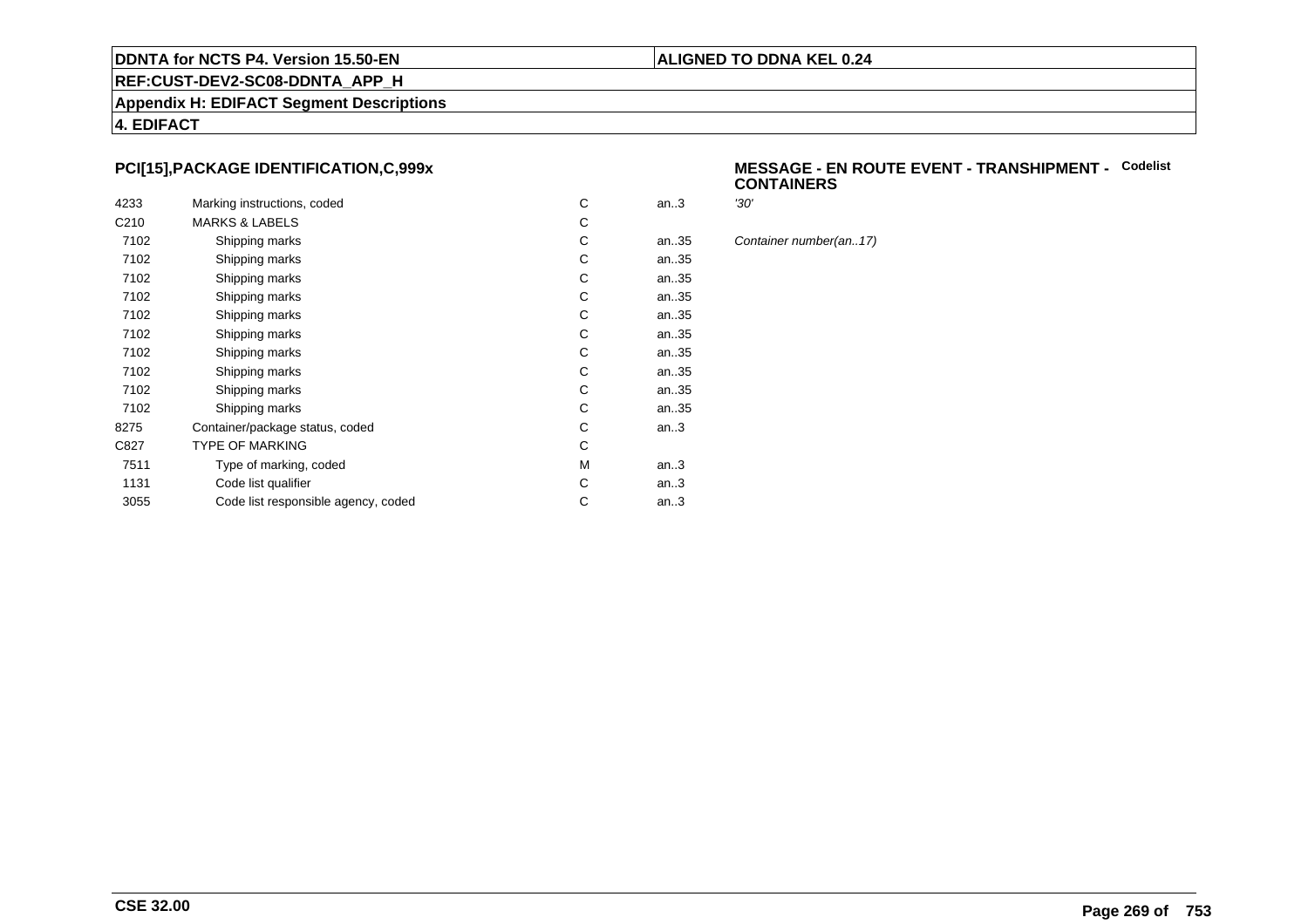#### **ALIGNED TO DDNA KEL 0.24**

# **REF:CUST-DEV2-SC08-DDNTA\_APP\_H**

**Appendix H: EDIFACT Segment Descriptions**

**4. EDIFACT**

#### **PCI[15],PACKAGE IDENTIFICATION,C,999x**

| 4233             | Marking instructions, coded         | C | an.3 | '30' |
|------------------|-------------------------------------|---|------|------|
| C <sub>210</sub> | <b>MARKS &amp; LABELS</b>           | C |      |      |
| 7102             | Shipping marks                      | C | an35 | Cor  |
| 7102             | Shipping marks                      | C | an35 |      |
| 7102             | Shipping marks                      | С | an35 |      |
| 7102             | Shipping marks                      | С | an35 |      |
| 7102             | Shipping marks                      | С | an35 |      |
| 7102             | Shipping marks                      | C | an35 |      |
| 7102             | Shipping marks                      | C | an35 |      |
| 7102             | Shipping marks                      | С | an35 |      |
| 7102             | Shipping marks                      | C | an35 |      |
| 7102             | Shipping marks                      | C | an35 |      |
| 8275             | Container/package status, coded     | С | an.3 |      |
| C827             | <b>TYPE OF MARKING</b>              | C |      |      |
| 7511             | Type of marking, coded              | M | an.3 |      |
| 1131             | Code list qualifier                 | C | an.3 |      |
| 3055             | Code list responsible agency, coded | С | an.3 |      |
|                  |                                     |   |      |      |

#### **MESSAGE - EN ROUTE EVENT - TRANSHIPMENT -** Codelist<br>CONTAINERS **CONTAINERS**

Container number(an..17)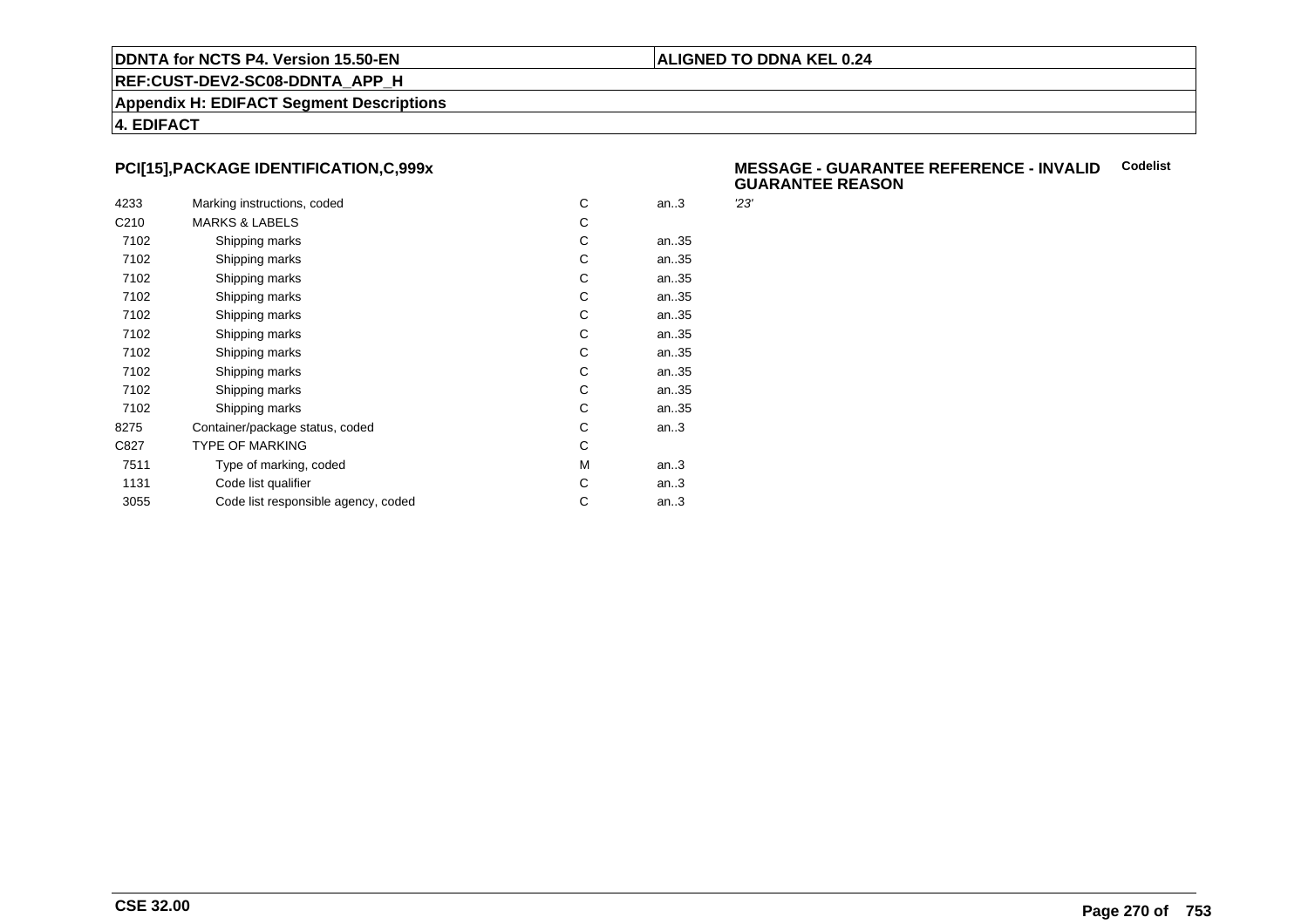#### **ALIGNED TO DDNA KEL 0.24**

**REF:CUST-DEV2-SC08-DDNTA\_APP\_H**

**Appendix H: EDIFACT Segment Descriptions**

**4. EDIFACT**

#### **PCI[15],PACKAGE IDENTIFICATION,C,999x**

| 4233             | Marking instructions, coded         | C | an.3 | 23' |
|------------------|-------------------------------------|---|------|-----|
|                  |                                     |   |      |     |
| C <sub>210</sub> | <b>MARKS &amp; LABELS</b>           | С |      |     |
| 7102             | Shipping marks                      | C | an35 |     |
| 7102             | Shipping marks                      | С | an35 |     |
| 7102             | Shipping marks                      | С | an35 |     |
| 7102             | Shipping marks                      | С | an35 |     |
| 7102             | Shipping marks                      | С | an35 |     |
| 7102             | Shipping marks                      | С | an35 |     |
| 7102             | Shipping marks                      | C | an35 |     |
| 7102             | Shipping marks                      | С | an35 |     |
| 7102             | Shipping marks                      | С | an35 |     |
| 7102             | Shipping marks                      | С | an35 |     |
| 8275             | Container/package status, coded     | С | an.3 |     |
| C827             | <b>TYPE OF MARKING</b>              | С |      |     |
| 7511             | Type of marking, coded              | М | an.3 |     |
| 1131             | Code list qualifier                 | C | an.3 |     |
| 3055             | Code list responsible agency, coded | С | an.3 |     |
|                  |                                     |   |      |     |

#### **MESSAGE - GUARANTEE REFERENCE - INVALIDCodelist GUARANTEE REASON**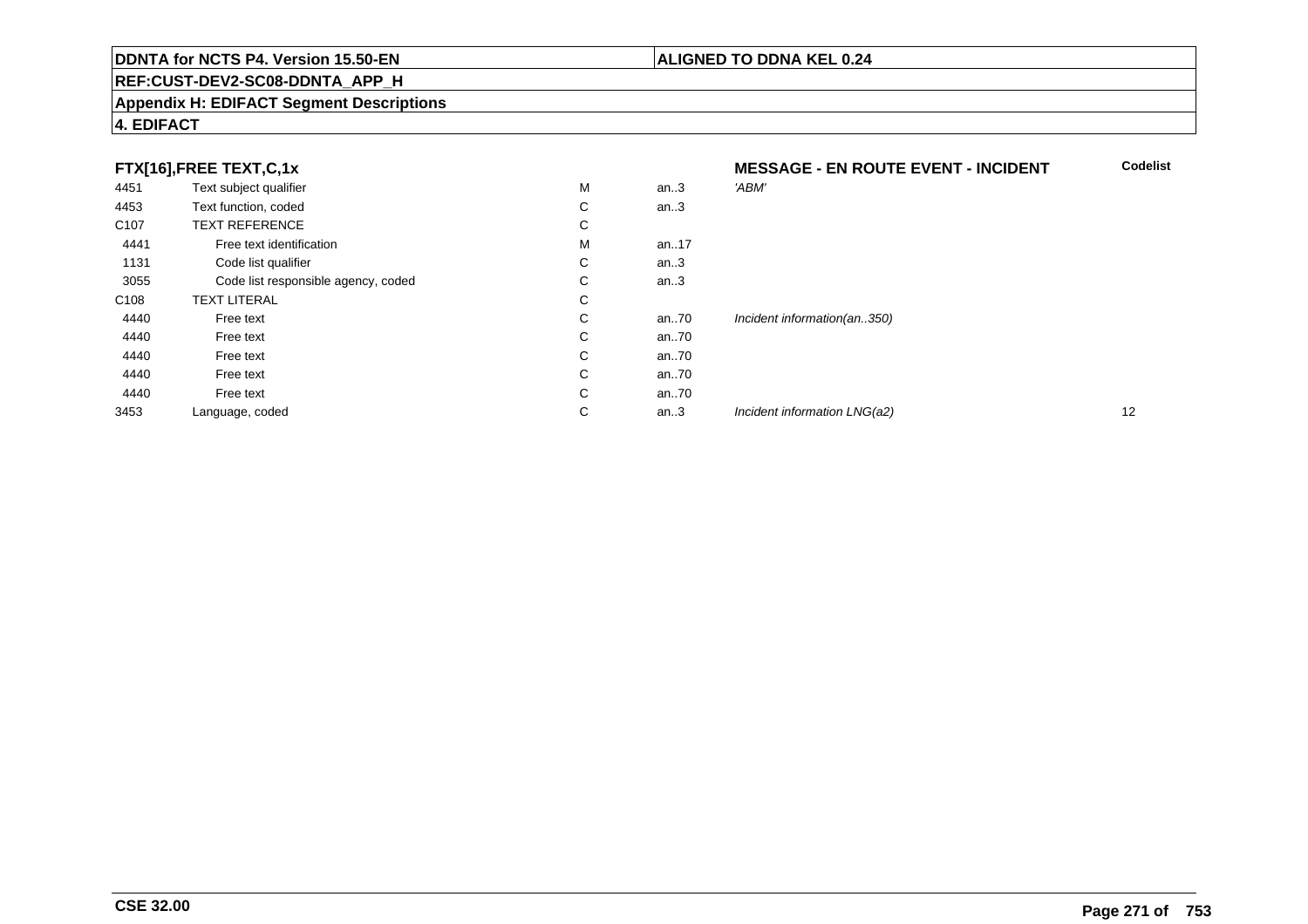#### **REF:CUST-DEV2-SC08-DDNTA\_APP\_H**

#### **Appendix H: EDIFACT Segment Descriptions**

#### **4. EDIFACT**

### **FTX[16],FREE TEXT,C,1x**

|                  | FTX[16],FREE TEXT,C,1x              |   |      | <b>MESSAGE - EN ROUTE EVENT - INCIDENT</b> |    |
|------------------|-------------------------------------|---|------|--------------------------------------------|----|
| 4451             | Text subject qualifier              | M | an.3 | 'ABM'                                      |    |
| 4453             | Text function, coded                | С | an.3 |                                            |    |
| C <sub>107</sub> | <b>TEXT REFERENCE</b>               | С |      |                                            |    |
| 4441             | Free text identification            | м | an17 |                                            |    |
| 1131             | Code list qualifier                 | С | an.3 |                                            |    |
| 3055             | Code list responsible agency, coded | С | an.3 |                                            |    |
| C <sub>108</sub> | <b>TEXT LITERAL</b>                 | С |      |                                            |    |
| 4440             | Free text                           | С | an70 | Incident information(an350)                |    |
| 4440             | Free text                           | С | an70 |                                            |    |
| 4440             | Free text                           | С | an70 |                                            |    |
| 4440             | Free text                           | С | an70 |                                            |    |
| 4440             | Free text                           | С | an70 |                                            |    |
| 3453             | Language, coded                     | С | an.3 | Incident information LNG(a2)               | 12 |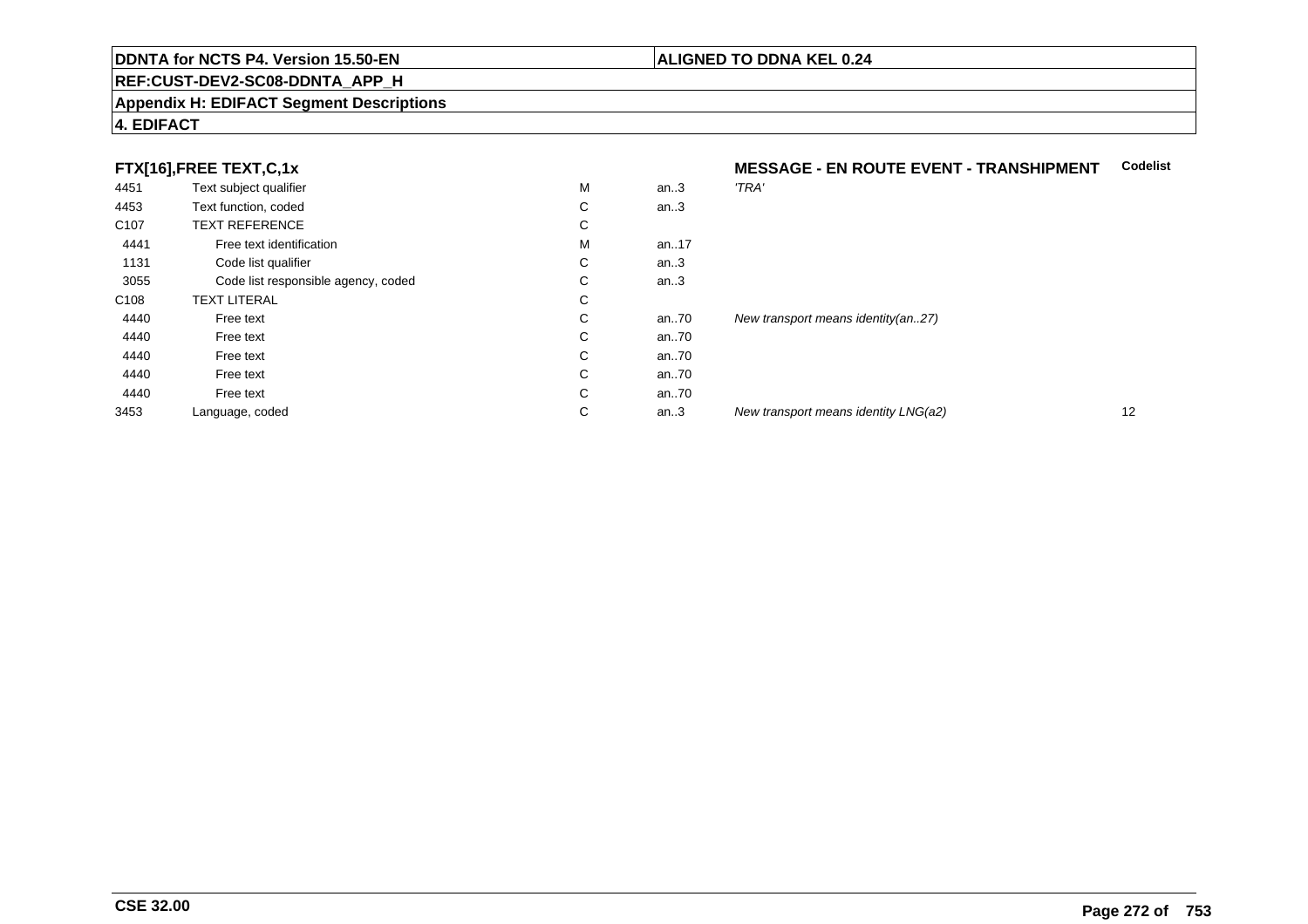#### **REF:CUST-DEV2-SC08-DDNTA\_APP\_H**

#### **Appendix H: EDIFACT Segment Descriptions**

#### **4. EDIFACT**

#### **FTX[16] FREE TEXT C.1x**

|                  | FTX[16],FREE TEXT,C,1x              |    |      | <b>MESSAGE - EN ROUTE EVENT - TRANSHIPMENT</b> |    |
|------------------|-------------------------------------|----|------|------------------------------------------------|----|
| 4451             | Text subject qualifier              | M  | an.3 | 'TRA'                                          |    |
| 4453             | Text function, coded                | C  | an.3 |                                                |    |
| C <sub>107</sub> | <b>TEXT REFERENCE</b>               | С  |      |                                                |    |
| 4441             | Free text identification            | M  | an17 |                                                |    |
| 1131             | Code list qualifier                 | C  | an.3 |                                                |    |
| 3055             | Code list responsible agency, coded | C  | an.3 |                                                |    |
| C <sub>108</sub> | <b>TEXT LITERAL</b>                 | С  |      |                                                |    |
| 4440             | Free text                           | C. | an70 | New transport means identity $(an.27)$         |    |
| 4440             | Free text                           | C  | an70 |                                                |    |
| 4440             | Free text                           | С  | an70 |                                                |    |
| 4440             | Free text                           | C  | an70 |                                                |    |
| 4440             | Free text                           | C. | an70 |                                                |    |
| 3453             | Language, coded                     | С  | an.3 | New transport means identity LNG(a2)           | 12 |
|                  |                                     |    |      |                                                |    |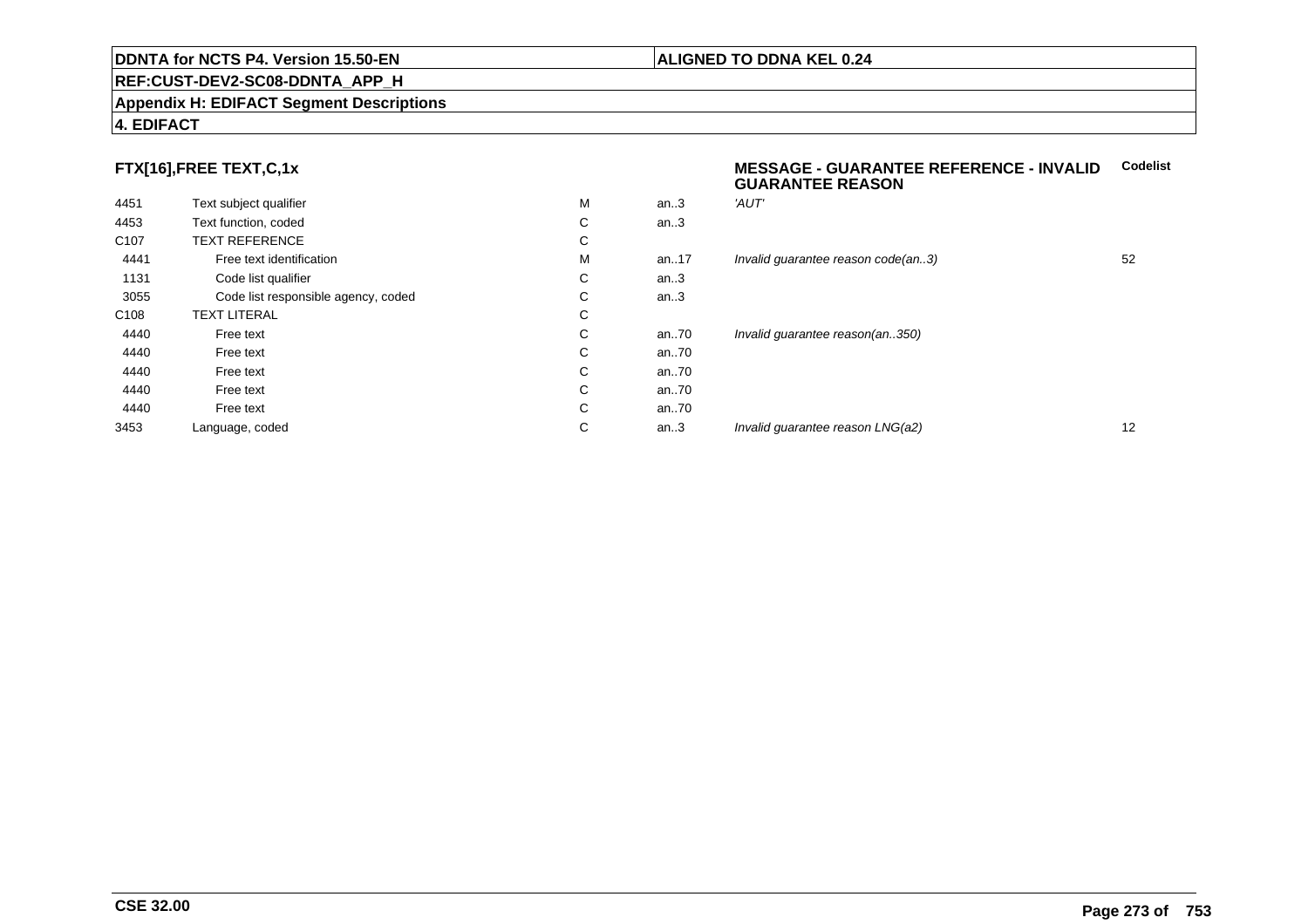#### **REF:CUST-DEV2-SC08-DDNTA\_APP\_H**

#### **Appendix H: EDIFACT Segment Descriptions**

#### **4. EDIFACT**

## **FTX[16],FREE TEXT,C,1x**

| 4451             | Text subject qualifier              | М | an.3  | 'AUT'  |
|------------------|-------------------------------------|---|-------|--------|
| 4453             | Text function, coded                | C | an.3  |        |
| C <sub>107</sub> | <b>TEXT REFERENCE</b>               | С |       |        |
| 4441             | Free text identification            | М | an.17 | Invali |
| 1131             | Code list qualifier                 | С | an.3  |        |
| 3055             | Code list responsible agency, coded | С | an.3  |        |
| C <sub>108</sub> | <b>TEXT LITERAL</b>                 | С |       |        |
| 4440             | Free text                           | C | an70  | Invali |
| 4440             | Free text                           | C | an70  |        |
| 4440             | Free text                           | C | an70  |        |
| 4440             | Free text                           | C | an70  |        |
| 4440             | Free text                           | C | an70  |        |
| 3453             | Language, coded                     | C | an.3  | Invali |
|                  |                                     |   |       |        |

#### **MESSAGE - GUARANTEE REFERENCE - INVALIDCodelistGUARANTEE REASON**

| M | an.3 | 'AUT'                              |    |
|---|------|------------------------------------|----|
| C | an.3 |                                    |    |
| C |      |                                    |    |
| M | an17 | Invalid guarantee reason code(an3) | 52 |
| C | an.3 |                                    |    |
| C | an.3 |                                    |    |
| C |      |                                    |    |
| C | an70 | Invalid guarantee reason(an350)    |    |
| C | an70 |                                    |    |
| C | an70 |                                    |    |
| C | an70 |                                    |    |
| C | an70 |                                    |    |
| C | an.3 | Invalid guarantee reason LNG(a2)   | 12 |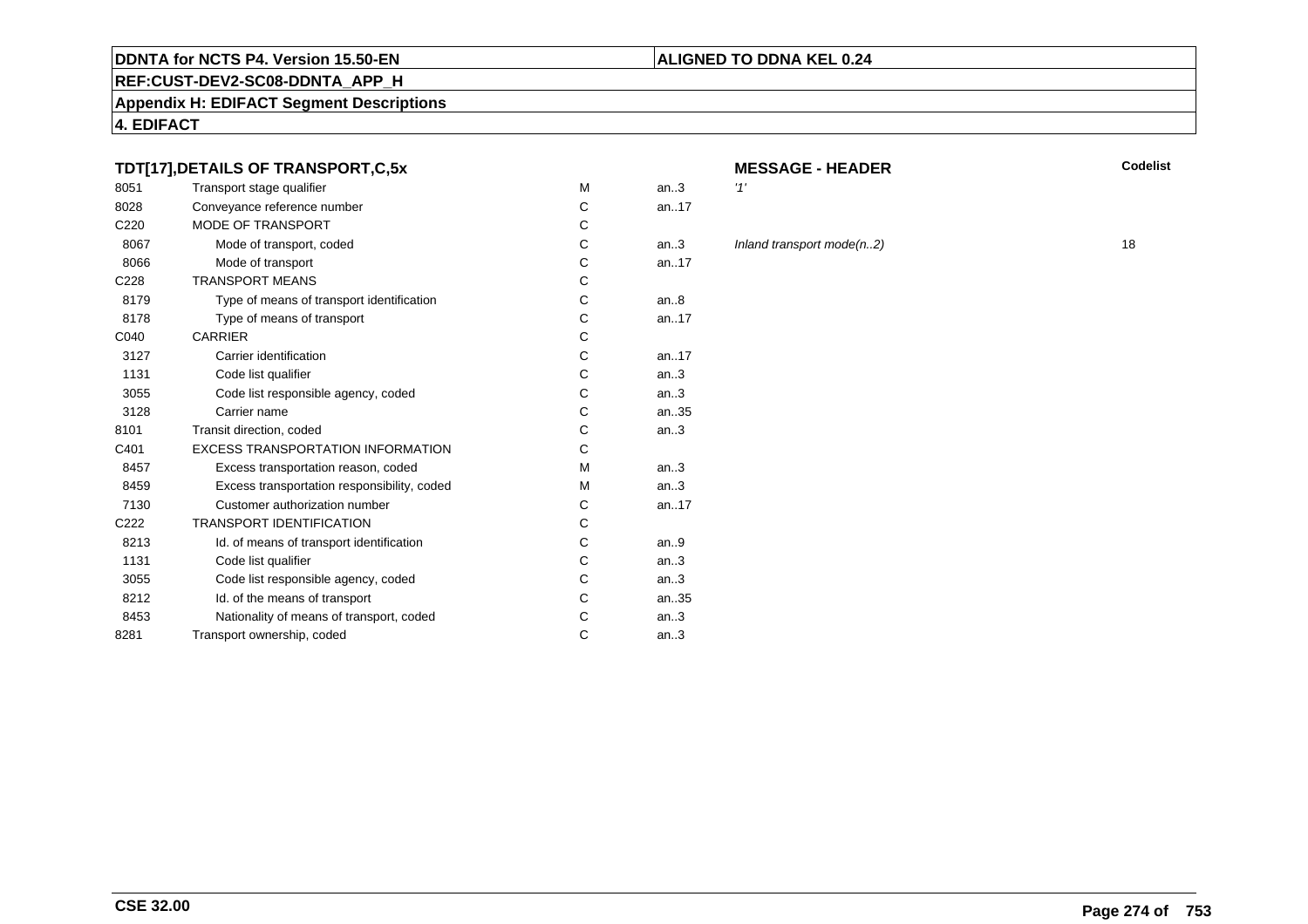#### **REF:CUST-DEV2-SC08-DDNTA\_APP\_H**

**Appendix H: EDIFACT Segment Descriptions**

**4. EDIFACT**

#### **TDT[17],DETAILS OF TRANSPORT,C,5x**

| 8051             | Transport stage qualifier                   | M | an.3  | '1' |
|------------------|---------------------------------------------|---|-------|-----|
| 8028             | Conveyance reference number                 | C | an17  |     |
| C <sub>220</sub> | <b>MODE OF TRANSPORT</b>                    | C |       |     |
| 8067             | Mode of transport, coded                    | C | an.3  | In  |
| 8066             | Mode of transport                           | C | an.17 |     |
| C228             | <b>TRANSPORT MEANS</b>                      | C |       |     |
| 8179             | Type of means of transport identification   | C | an.8  |     |
| 8178             | Type of means of transport                  | C | an.17 |     |
| C040             | <b>CARRIER</b>                              | C |       |     |
| 3127             | Carrier identification                      | C | an.17 |     |
| 1131             | Code list qualifier                         | C | an.3  |     |
| 3055             | Code list responsible agency, coded         | C | an.3  |     |
| 3128             | Carrier name                                | C | an.35 |     |
| 8101             | Transit direction, coded                    | C | an.3  |     |
| C401             | <b>EXCESS TRANSPORTATION INFORMATION</b>    | C |       |     |
| 8457             | Excess transportation reason, coded         | M | an.3  |     |
| 8459             | Excess transportation responsibility, coded | M | an.3  |     |
| 7130             | Customer authorization number               | C | an.17 |     |
| C222             | <b>TRANSPORT IDENTIFICATION</b>             | C |       |     |
| 8213             | Id. of means of transport identification    | C | an.9  |     |
| 1131             | Code list qualifier                         | C | an.3  |     |
| 3055             | Code list responsible agency, coded         | C | an.3  |     |
| 8212             | Id. of the means of transport               | C | an.35 |     |
| 8453             | Nationality of means of transport, coded    | C | an.3  |     |
| 8281             | Transport ownership, coded                  | C | an.3  |     |
|                  |                                             |   |       |     |

# **MESSAGE - HEADER**

**ALIGNED TO DDNA KEL 0.24**

**R** Codelist

# Inland transport mode(n..2) 18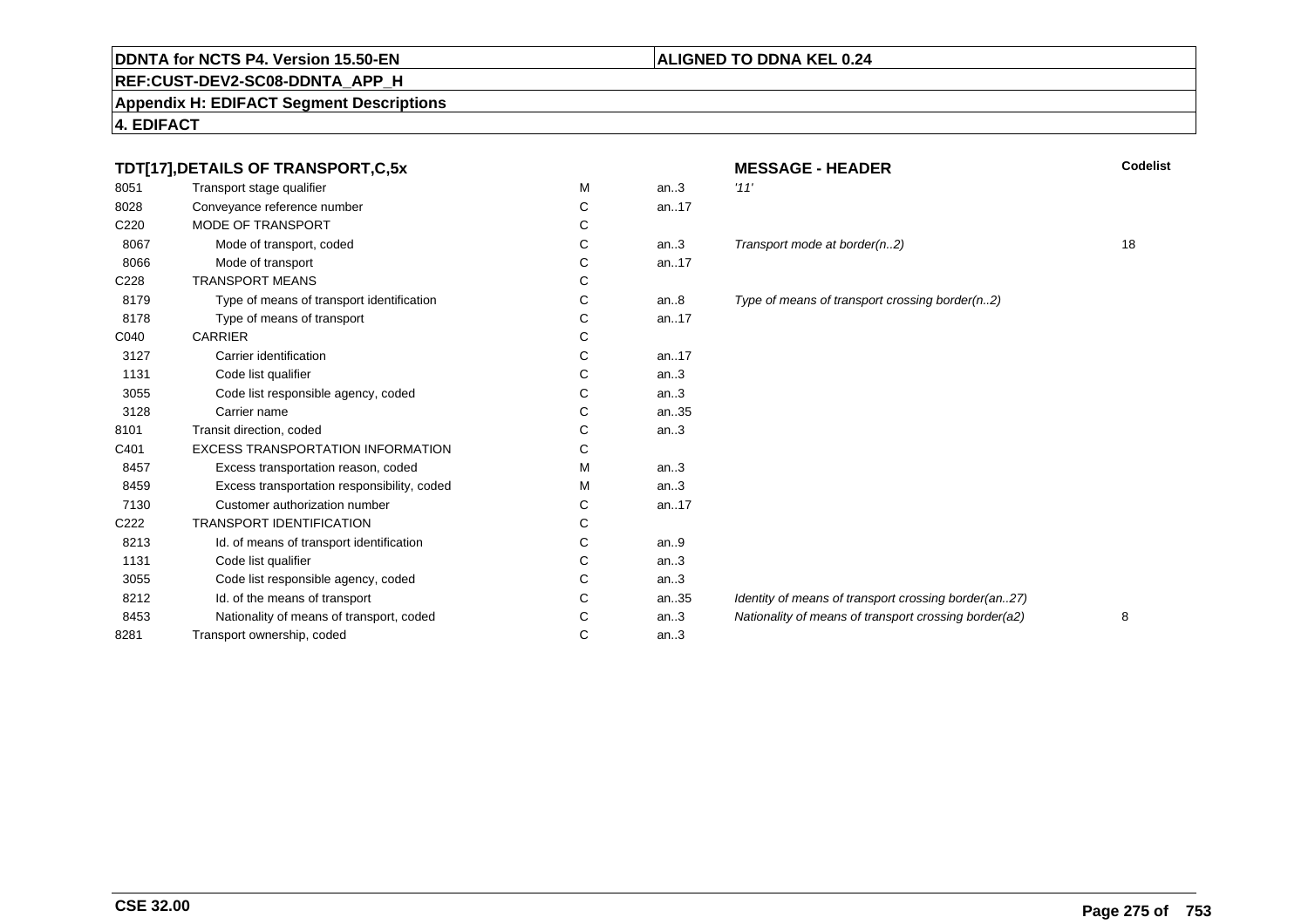# **REF:CUST-DEV2-SC08-DDNTA\_APP\_H**

**Appendix H: EDIFACT Segment Descriptions**

|      | TDT[17], DETAILS OF TRANSPORT, C, 5x        |   |       | <b>MESSAGE - HEADER</b>                               | <b>Codelist</b> |
|------|---------------------------------------------|---|-------|-------------------------------------------------------|-----------------|
| 8051 | Transport stage qualifier                   | M | an.3  | '11'                                                  |                 |
| 8028 | Conveyance reference number                 | C | an17  |                                                       |                 |
| C220 | MODE OF TRANSPORT                           | С |       |                                                       |                 |
| 8067 | Mode of transport, coded                    | С | an.3  | Transport mode at border(n2)                          | 18              |
| 8066 | Mode of transport                           | C | an17  |                                                       |                 |
| C228 | <b>TRANSPORT MEANS</b>                      | C |       |                                                       |                 |
| 8179 | Type of means of transport identification   | C | an.8  | Type of means of transport crossing border(n2)        |                 |
| 8178 | Type of means of transport                  | С | an.17 |                                                       |                 |
| C040 | <b>CARRIER</b>                              | С |       |                                                       |                 |
| 3127 | Carrier identification                      | C | an.17 |                                                       |                 |
| 1131 | Code list qualifier                         | C | an.3  |                                                       |                 |
| 3055 | Code list responsible agency, coded         | C | an.3  |                                                       |                 |
| 3128 | Carrier name                                | C | an35  |                                                       |                 |
| 8101 | Transit direction, coded                    | С | an.3  |                                                       |                 |
| C401 | <b>EXCESS TRANSPORTATION INFORMATION</b>    | C |       |                                                       |                 |
| 8457 | Excess transportation reason, coded         | M | an.3  |                                                       |                 |
| 8459 | Excess transportation responsibility, coded | м | an.3  |                                                       |                 |
| 7130 | Customer authorization number               | C | an17  |                                                       |                 |
| C222 | <b>TRANSPORT IDENTIFICATION</b>             | C |       |                                                       |                 |
| 8213 | Id. of means of transport identification    | С | an.9  |                                                       |                 |
| 1131 | Code list qualifier                         | С | an.3  |                                                       |                 |
| 3055 | Code list responsible agency, coded         | C | an.3  |                                                       |                 |
| 8212 | Id. of the means of transport               | C | an35  | Identity of means of transport crossing border(an27)  |                 |
| 8453 | Nationality of means of transport, coded    | C | an.3  | Nationality of means of transport crossing border(a2) | 8               |
| 8281 | Transport ownership, coded                  | C | an.3  |                                                       |                 |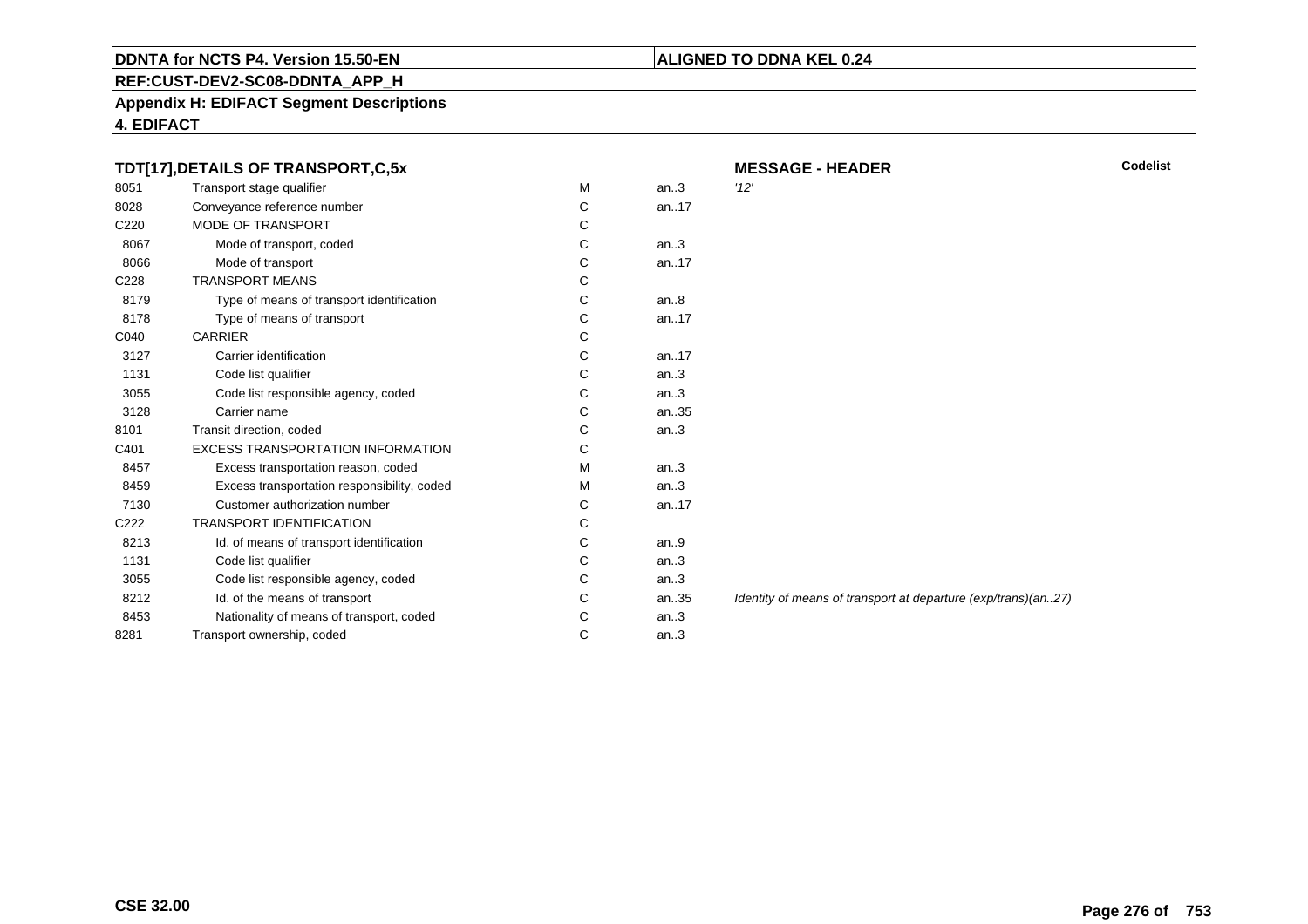# **ALIGNED TO DDNA KEL 0.24**

**REF:CUST-DEV2-SC08-DDNTA\_APP\_H**

**Appendix H: EDIFACT Segment Descriptions**

|                  | TDT[17], DETAILS OF TRANSPORT, C, 5x        |   |      | <b>MESSAGE - HEADER</b>                                       | <b>Codelist</b> |
|------------------|---------------------------------------------|---|------|---------------------------------------------------------------|-----------------|
| 8051             | Transport stage qualifier                   | м | an.3 | '12'                                                          |                 |
| 8028             | Conveyance reference number                 | C | an17 |                                                               |                 |
| C <sub>220</sub> | <b>MODE OF TRANSPORT</b>                    | С |      |                                                               |                 |
| 8067             | Mode of transport, coded                    | C | an.3 |                                                               |                 |
| 8066             | Mode of transport                           | С | an17 |                                                               |                 |
| C228             | <b>TRANSPORT MEANS</b>                      | С |      |                                                               |                 |
| 8179             | Type of means of transport identification   | С | an.8 |                                                               |                 |
| 8178             | Type of means of transport                  | С | an17 |                                                               |                 |
| C040             | <b>CARRIER</b>                              |   |      |                                                               |                 |
| 3127             | Carrier identification                      | С | an17 |                                                               |                 |
| 1131             | Code list qualifier                         | С | an.3 |                                                               |                 |
| 3055             | Code list responsible agency, coded         | С | an.3 |                                                               |                 |
| 3128             | Carrier name                                | С | an35 |                                                               |                 |
| 8101             | Transit direction, coded                    | С | an.3 |                                                               |                 |
| C401             | <b>EXCESS TRANSPORTATION INFORMATION</b>    | С |      |                                                               |                 |
| 8457             | Excess transportation reason, coded         | M | an.3 |                                                               |                 |
| 8459             | Excess transportation responsibility, coded | M | an.3 |                                                               |                 |
| 7130             | Customer authorization number               | С | an17 |                                                               |                 |
| C222             | <b>TRANSPORT IDENTIFICATION</b>             | С |      |                                                               |                 |
| 8213             | Id. of means of transport identification    | С | an.9 |                                                               |                 |
| 1131             | Code list qualifier                         | С | an.3 |                                                               |                 |
| 3055             | Code list responsible agency, coded         |   | an.3 |                                                               |                 |
| 8212             | Id. of the means of transport               | С | an35 | Identity of means of transport at departure (exp/trans)(an27) |                 |
| 8453             | Nationality of means of transport, coded    | С | an.3 |                                                               |                 |
| 8281             | Transport ownership, coded                  | С | an.3 |                                                               |                 |
|                  |                                             |   |      |                                                               |                 |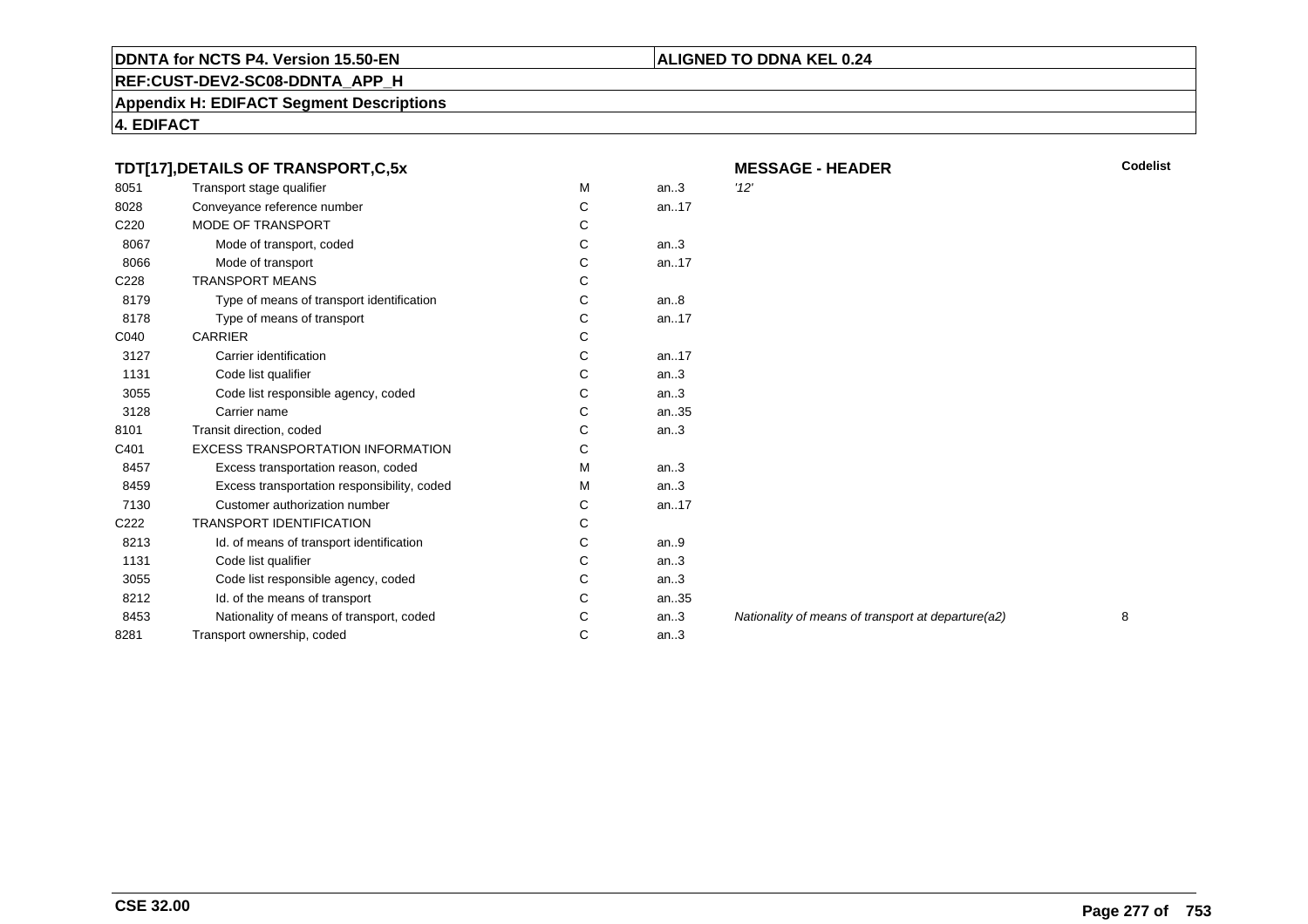# **ALIGNED TO DDNA KEL 0.24**

**REF:CUST-DEV2-SC08-DDNTA\_APP\_H**

**Appendix H: EDIFACT Segment Descriptions**

| TDT[17], DETAILS OF TRANSPORT, C, 5x |                                             |    | <b>MESSAGE - HEADER</b> | <b>Codelist</b>                                    |   |
|--------------------------------------|---------------------------------------------|----|-------------------------|----------------------------------------------------|---|
| 8051                                 | Transport stage qualifier                   | М  | an.3                    | '12'                                               |   |
| 8028                                 | Conveyance reference number                 | С  | an17                    |                                                    |   |
| C <sub>220</sub>                     | <b>MODE OF TRANSPORT</b>                    | С  |                         |                                                    |   |
| 8067                                 | Mode of transport, coded                    | C  | an.3                    |                                                    |   |
| 8066                                 | Mode of transport                           | C  | an17                    |                                                    |   |
| C228                                 | <b>TRANSPORT MEANS</b>                      | С  |                         |                                                    |   |
| 8179                                 | Type of means of transport identification   | C  | an.8                    |                                                    |   |
| 8178                                 | Type of means of transport                  | С  | an17                    |                                                    |   |
| C040                                 | <b>CARRIER</b>                              | С  |                         |                                                    |   |
| 3127                                 | Carrier identification                      | С  | an17                    |                                                    |   |
| 1131                                 | Code list qualifier                         | С  | an.3                    |                                                    |   |
| 3055                                 | Code list responsible agency, coded         | С  | an.3                    |                                                    |   |
| 3128                                 | Carrier name                                | С  | an35                    |                                                    |   |
| 8101                                 | Transit direction, coded                    | С  | an.3                    |                                                    |   |
| C401                                 | <b>EXCESS TRANSPORTATION INFORMATION</b>    | C  |                         |                                                    |   |
| 8457                                 | Excess transportation reason, coded         | м  | an.3                    |                                                    |   |
| 8459                                 | Excess transportation responsibility, coded | м  | an.3                    |                                                    |   |
| 7130                                 | Customer authorization number               | C. | an17                    |                                                    |   |
| C222                                 | <b>TRANSPORT IDENTIFICATION</b>             | С  |                         |                                                    |   |
| 8213                                 | Id. of means of transport identification    | С  | an.9                    |                                                    |   |
| 1131                                 | Code list qualifier                         | С  | an.3                    |                                                    |   |
| 3055                                 | Code list responsible agency, coded         | С  | an.3                    |                                                    |   |
| 8212                                 | Id. of the means of transport               | С  | an35                    |                                                    |   |
| 8453                                 | Nationality of means of transport, coded    | C  | an.3                    | Nationality of means of transport at departure(a2) | 8 |
| 8281                                 | Transport ownership, coded                  | C  | an.3                    |                                                    |   |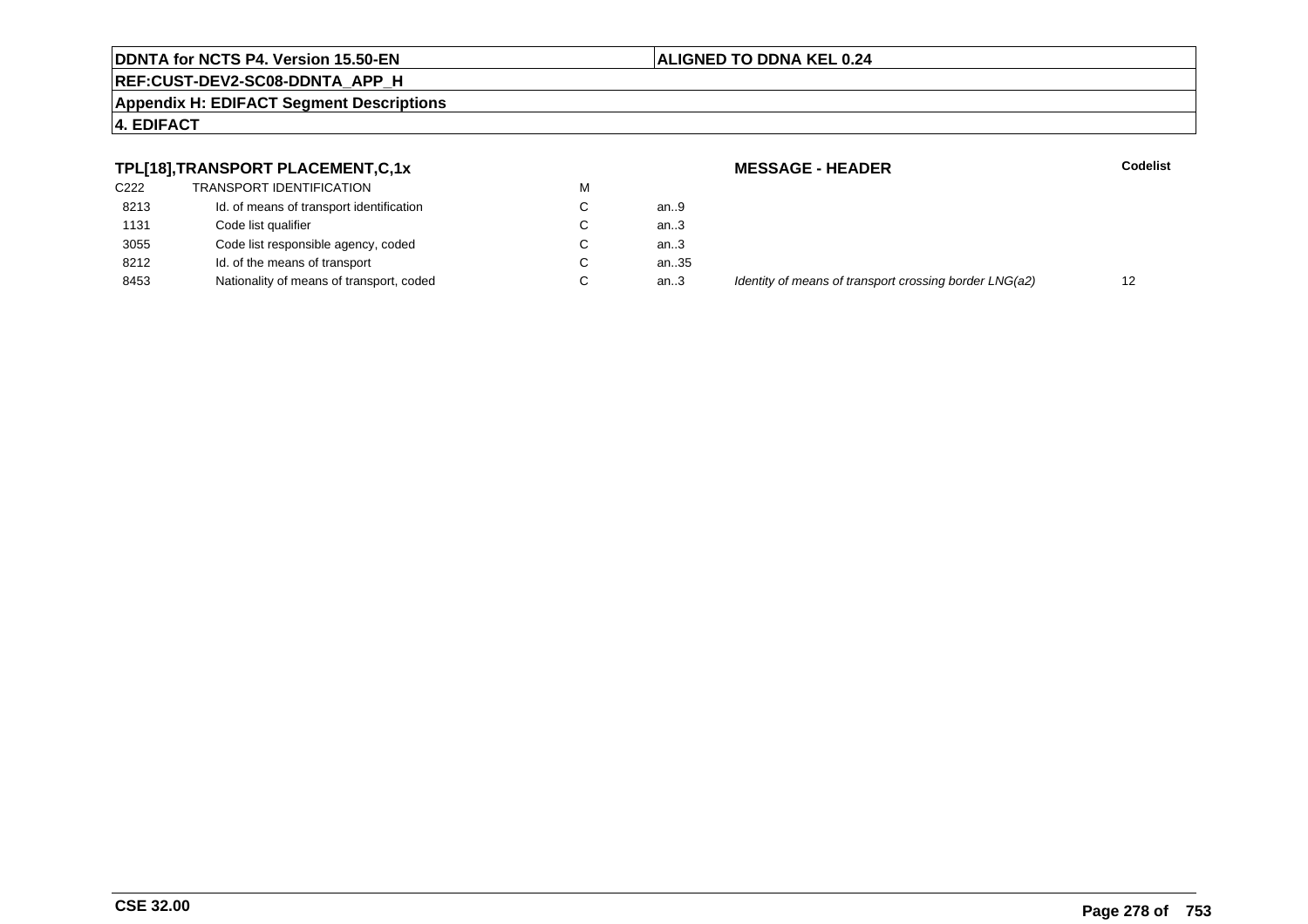#### **ALIGNED TO DDNA KEL 0.24**

# **REF:CUST-DEV2-SC08-DDNTA\_APP\_H**

**Appendix H: EDIFACT Segment Descriptions**

#### **4. EDIFACT**

#### **TPL[18],TRANSPORT PLACEMENT,C,1x**

| C <sub>222</sub> | TRANSPORT IDENTIFICATION                 | М |      |
|------------------|------------------------------------------|---|------|
| 8213             | Id. of means of transport identification | C | an.9 |
| 1131             | Code list qualifier                      | C | an.3 |
| 3055             | Code list responsible agency, coded      | C | an.3 |
| 8212             | Id. of the means of transport            | C | an.3 |
| 8453             | Nationality of means of transport, coded | C | an3  |

 **MESSAGE - HEADERR** Codelist ..35<br>..3 Identity of means of transport crossing border LNG(a2) 12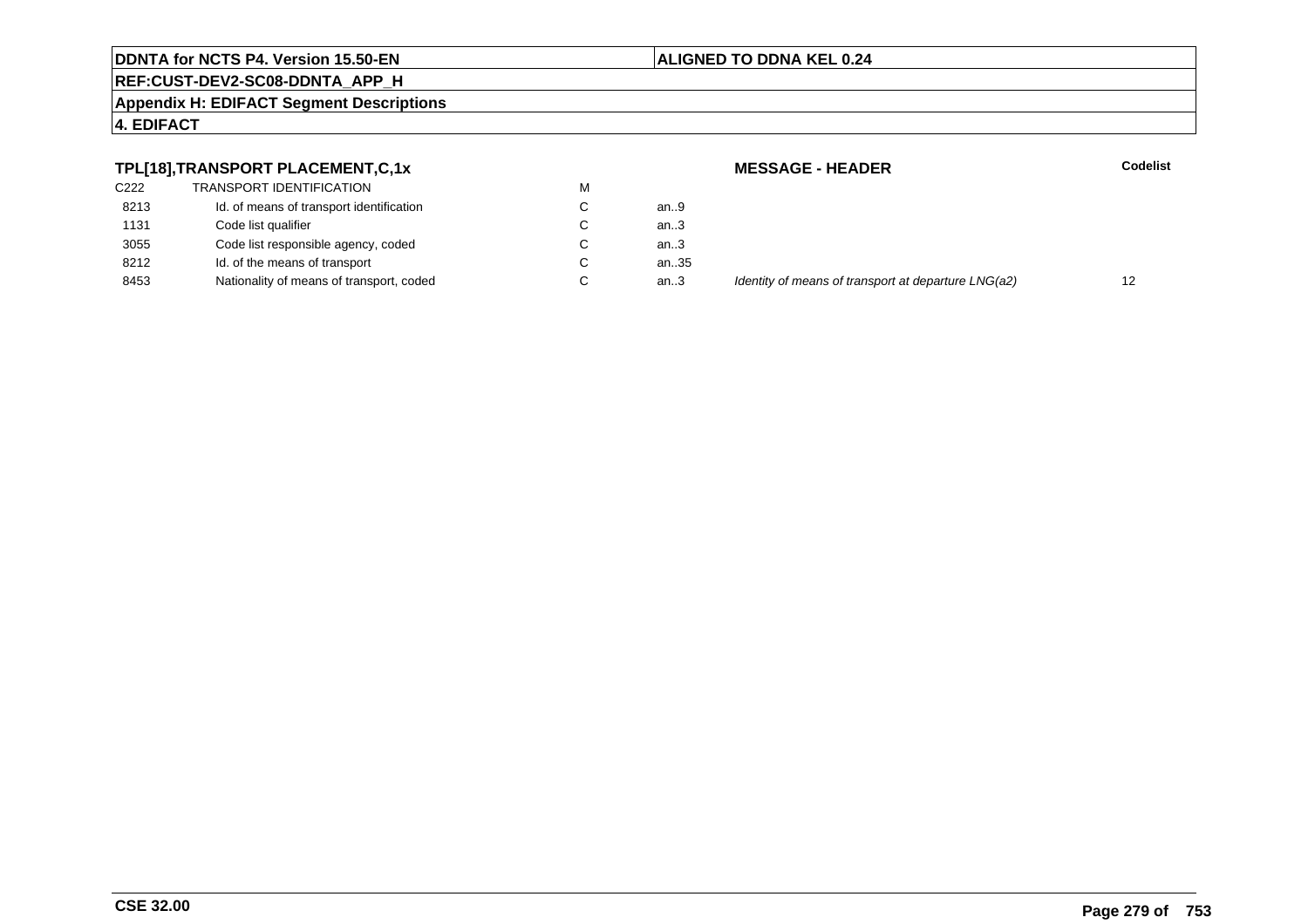#### **ALIGNED TO DDNA KEL 0.24**

# **REF:CUST-DEV2-SC08-DDNTA\_APP\_H**

**Appendix H: EDIFACT Segment Descriptions**

#### **4. EDIFACT**

#### **TPL[18],TRANSPORT PLACEMENT,C,1x**

| C222 | <b>TRANSPORT IDENTIFICATION</b>          | м |      |
|------|------------------------------------------|---|------|
| 8213 | Id. of means of transport identification | C | an.9 |
| 1131 | Code list qualifier                      | C | an.3 |
| 3055 | Code list responsible agency, coded      | C | an.3 |
| 8212 | Id. of the means of transport            | C | an.3 |
| 8453 | Nationality of means of transport, coded | C | an3  |

 **MESSAGE - HEADERR** Codelist ..35<br>..3 Identity of means of transport at departure LNG(a2) 12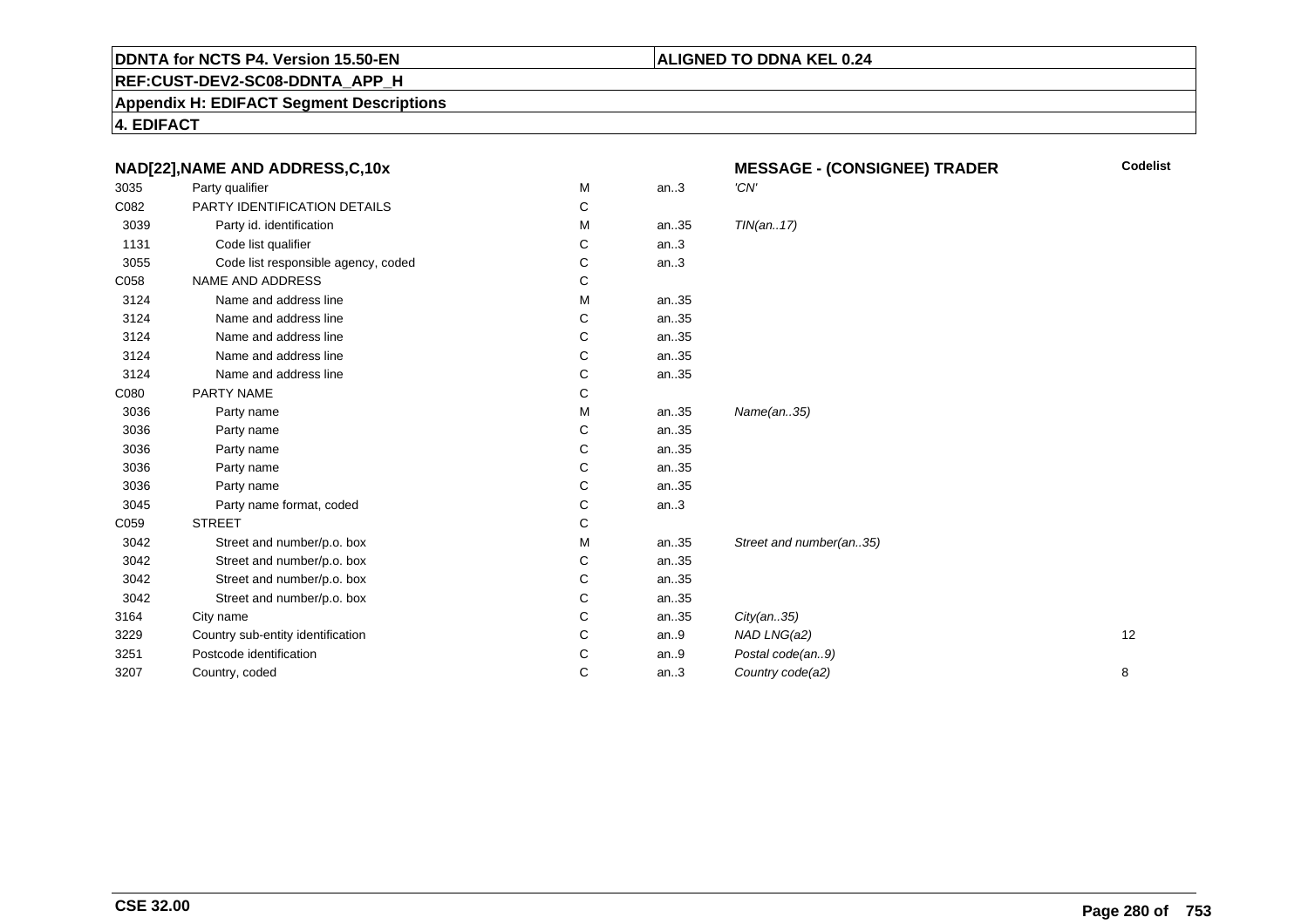# **ALIGNED TO DDNA KEL 0.24**

**REF:CUST-DEV2-SC08-DDNTA\_APP\_H**

**Appendix H: EDIFACT Segment Descriptions**

| NAD[22], NAME AND ADDRESS, C, 10x |                                     |   | <b>MESSAGE - (CONSIGNEE) TRADER</b> | <b>Codelist</b>         |    |
|-----------------------------------|-------------------------------------|---|-------------------------------------|-------------------------|----|
| 3035                              | Party qualifier                     | М | an.3                                | 'CN'                    |    |
| C082                              | PARTY IDENTIFICATION DETAILS        | C |                                     |                         |    |
| 3039                              | Party id. identification            | М | an35                                | TIN(an17)               |    |
| 1131                              | Code list qualifier                 | С | an.3                                |                         |    |
| 3055                              | Code list responsible agency, coded | С | an.3                                |                         |    |
| C058                              | NAME AND ADDRESS                    | С |                                     |                         |    |
| 3124                              | Name and address line               | М | an35                                |                         |    |
| 3124                              | Name and address line               | C | an35                                |                         |    |
| 3124                              | Name and address line               | С | an35                                |                         |    |
| 3124                              | Name and address line               | С | an35                                |                         |    |
| 3124                              | Name and address line               | С | an35                                |                         |    |
| C080                              | PARTY NAME                          | С |                                     |                         |    |
| 3036                              | Party name                          | м | an35                                | Name(an35)              |    |
| 3036                              | Party name                          | С | an35                                |                         |    |
| 3036                              | Party name                          | С | an35                                |                         |    |
| 3036                              | Party name                          | С | an35                                |                         |    |
| 3036                              | Party name                          | С | an35                                |                         |    |
| 3045                              | Party name format, coded            | С | an.3                                |                         |    |
| C059                              | <b>STREET</b>                       | С |                                     |                         |    |
| 3042                              | Street and number/p.o. box          | М | an35                                | Street and number(an35) |    |
| 3042                              | Street and number/p.o. box          | С | an35                                |                         |    |
| 3042                              | Street and number/p.o. box          | С | an35                                |                         |    |
| 3042                              | Street and number/p.o. box          | С | an35                                |                         |    |
| 3164                              | City name                           | C | an35                                | City(an35)              |    |
| 3229                              | Country sub-entity identification   | С | an.9                                | NAD LNG(a2)             | 12 |
| 3251                              | Postcode identification             | С | an.9                                | Postal code(an9)        |    |
| 3207                              | Country, coded                      | C | an.3                                | Country code(a2)        | 8  |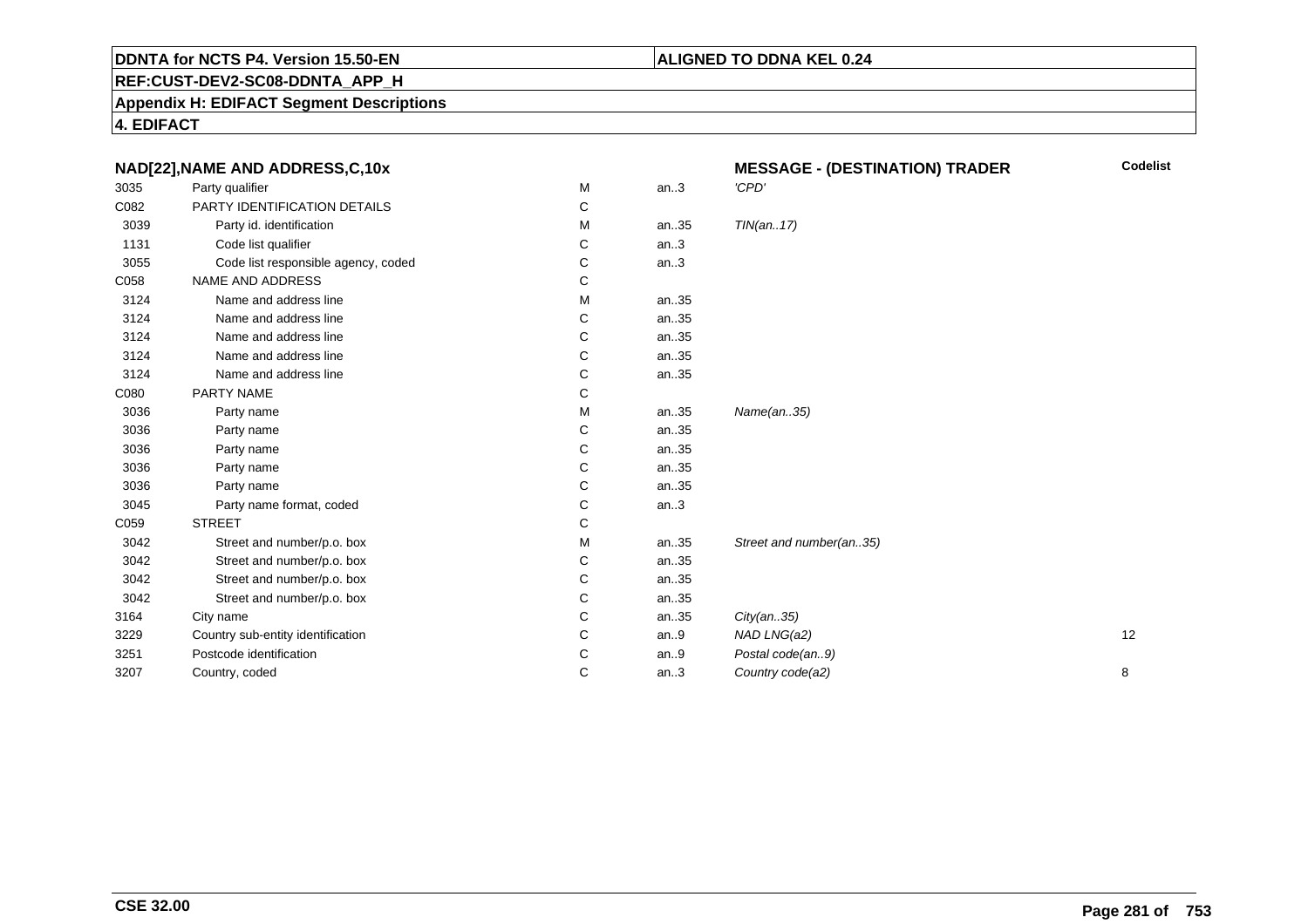# **REF:CUST-DEV2-SC08-DDNTA\_APP\_H**

**Appendix H: EDIFACT Segment Descriptions**

| NAD[22], NAME AND ADDRESS, C, 10x |                                     | <b>MESSAGE - (DESTINATION) TRADER</b> | <b>Codelist</b> |                         |    |
|-----------------------------------|-------------------------------------|---------------------------------------|-----------------|-------------------------|----|
| 3035                              | Party qualifier                     | M                                     | an.3            | 'CPD'                   |    |
| C082                              | PARTY IDENTIFICATION DETAILS        | C                                     |                 |                         |    |
| 3039                              | Party id. identification            | м                                     | an35            | TIN(an17)               |    |
| 1131                              | Code list qualifier                 | C                                     | an.3            |                         |    |
| 3055                              | Code list responsible agency, coded | C                                     | an.3            |                         |    |
| C058                              | <b>NAME AND ADDRESS</b>             | C                                     |                 |                         |    |
| 3124                              | Name and address line               | М                                     | an35            |                         |    |
| 3124                              | Name and address line               | C                                     | an35            |                         |    |
| 3124                              | Name and address line               | C                                     | an35            |                         |    |
| 3124                              | Name and address line               | C                                     | an35            |                         |    |
| 3124                              | Name and address line               | С                                     | an35            |                         |    |
| C080                              | PARTY NAME                          | C                                     |                 |                         |    |
| 3036                              | Party name                          | M                                     | an35            | Name(an35)              |    |
| 3036                              | Party name                          | C                                     | an35            |                         |    |
| 3036                              | Party name                          | C                                     | an35            |                         |    |
| 3036                              | Party name                          | C                                     | an35            |                         |    |
| 3036                              | Party name                          | C                                     | an35            |                         |    |
| 3045                              | Party name format, coded            | C                                     | an.3            |                         |    |
| C059                              | <b>STREET</b>                       | C                                     |                 |                         |    |
| 3042                              | Street and number/p.o. box          | M                                     | an35            | Street and number(an35) |    |
| 3042                              | Street and number/p.o. box          | C                                     | an35            |                         |    |
| 3042                              | Street and number/p.o. box          | C                                     | an35            |                         |    |
| 3042                              | Street and number/p.o. box          | C                                     | an35            |                         |    |
| 3164                              | City name                           | C                                     | an35            | City(an35)              |    |
| 3229                              | Country sub-entity identification   | C                                     | an.9            | NAD LNG(a2)             | 12 |
| 3251                              | Postcode identification             | C                                     | an.9            | Postal code(an9)        |    |
| 3207                              | Country, coded                      | C                                     | an.3            | Country code(a2)        | 8  |
|                                   |                                     |                                       |                 |                         |    |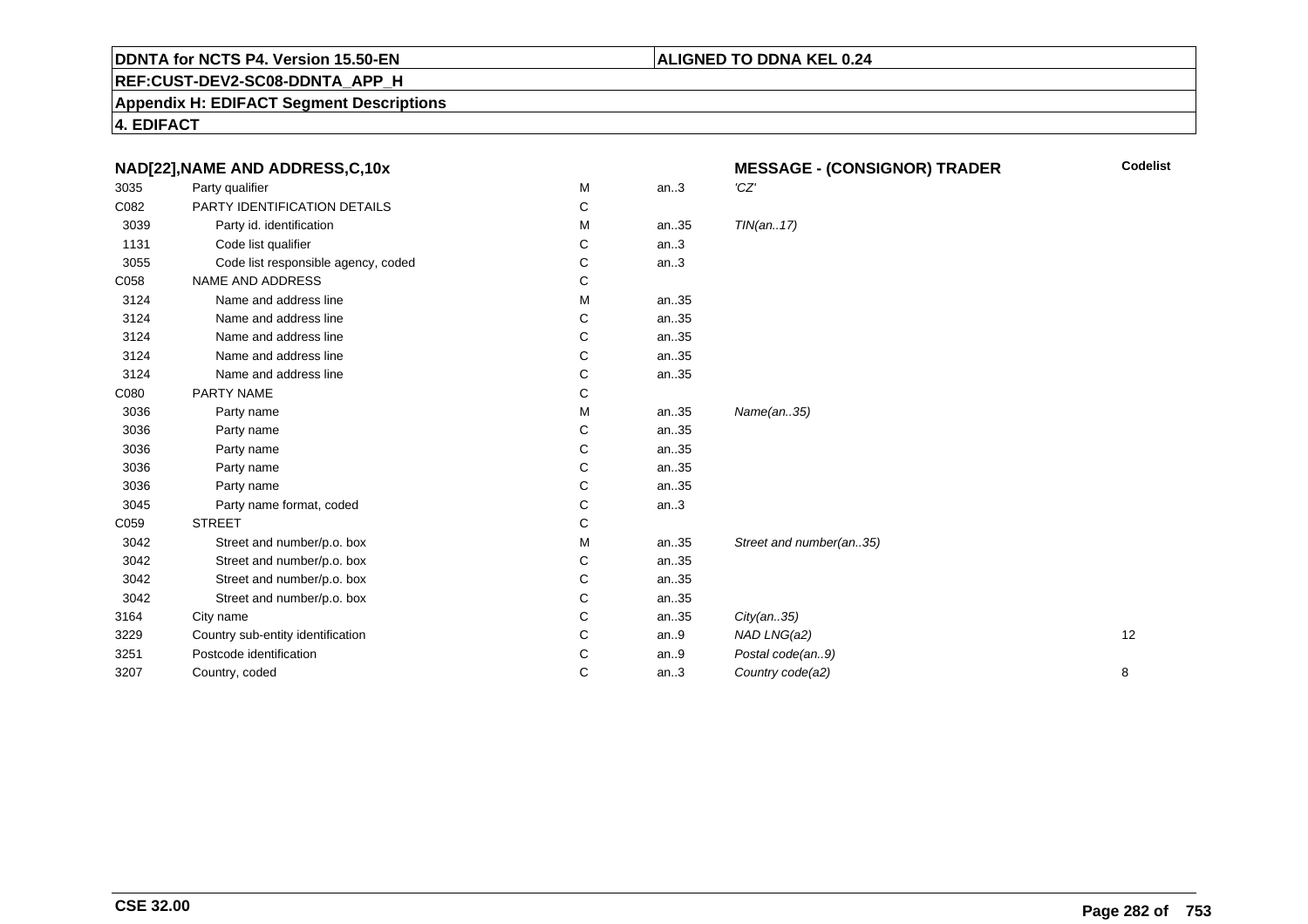# **ALIGNED TO DDNA KEL 0.24**

**REF:CUST-DEV2-SC08-DDNTA\_APP\_H**

**Appendix H: EDIFACT Segment Descriptions**

|      | NAD[22], NAME AND ADDRESS, C, 10x   |   |      | <b>MESSAGE - (CONSIGNOR) TRADER</b> | <b>Codelist</b> |
|------|-------------------------------------|---|------|-------------------------------------|-----------------|
| 3035 | Party qualifier                     | М | an.3 | 'CZ'                                |                 |
| C082 | PARTY IDENTIFICATION DETAILS        | C |      |                                     |                 |
| 3039 | Party id. identification            | М | an35 | TIN(an17)                           |                 |
| 1131 | Code list qualifier                 | С | an.3 |                                     |                 |
| 3055 | Code list responsible agency, coded | C | an.3 |                                     |                 |
| C058 | NAME AND ADDRESS                    | С |      |                                     |                 |
| 3124 | Name and address line               | М | an35 |                                     |                 |
| 3124 | Name and address line               | C | an35 |                                     |                 |
| 3124 | Name and address line               | С | an35 |                                     |                 |
| 3124 | Name and address line               | C | an35 |                                     |                 |
| 3124 | Name and address line               | С | an35 |                                     |                 |
| C080 | PARTY NAME                          | С |      |                                     |                 |
| 3036 | Party name                          | М | an35 | Name(an35)                          |                 |
| 3036 | Party name                          | С | an35 |                                     |                 |
| 3036 | Party name                          | С | an35 |                                     |                 |
| 3036 | Party name                          | С | an35 |                                     |                 |
| 3036 | Party name                          | C | an35 |                                     |                 |
| 3045 | Party name format, coded            | С | an.3 |                                     |                 |
| C059 | <b>STREET</b>                       | C |      |                                     |                 |
| 3042 | Street and number/p.o. box          | М | an35 | Street and number(an35)             |                 |
| 3042 | Street and number/p.o. box          | C | an35 |                                     |                 |
| 3042 | Street and number/p.o. box          | С | an35 |                                     |                 |
| 3042 | Street and number/p.o. box          | С | an35 |                                     |                 |
| 3164 | City name                           | C | an35 | City(an35)                          |                 |
| 3229 | Country sub-entity identification   | С | an.9 | NAD LNG(a2)                         | 12              |
| 3251 | Postcode identification             | С | an.9 | Postal code(an9)                    |                 |
| 3207 | Country, coded                      | С | an.3 | Country code(a2)                    | 8               |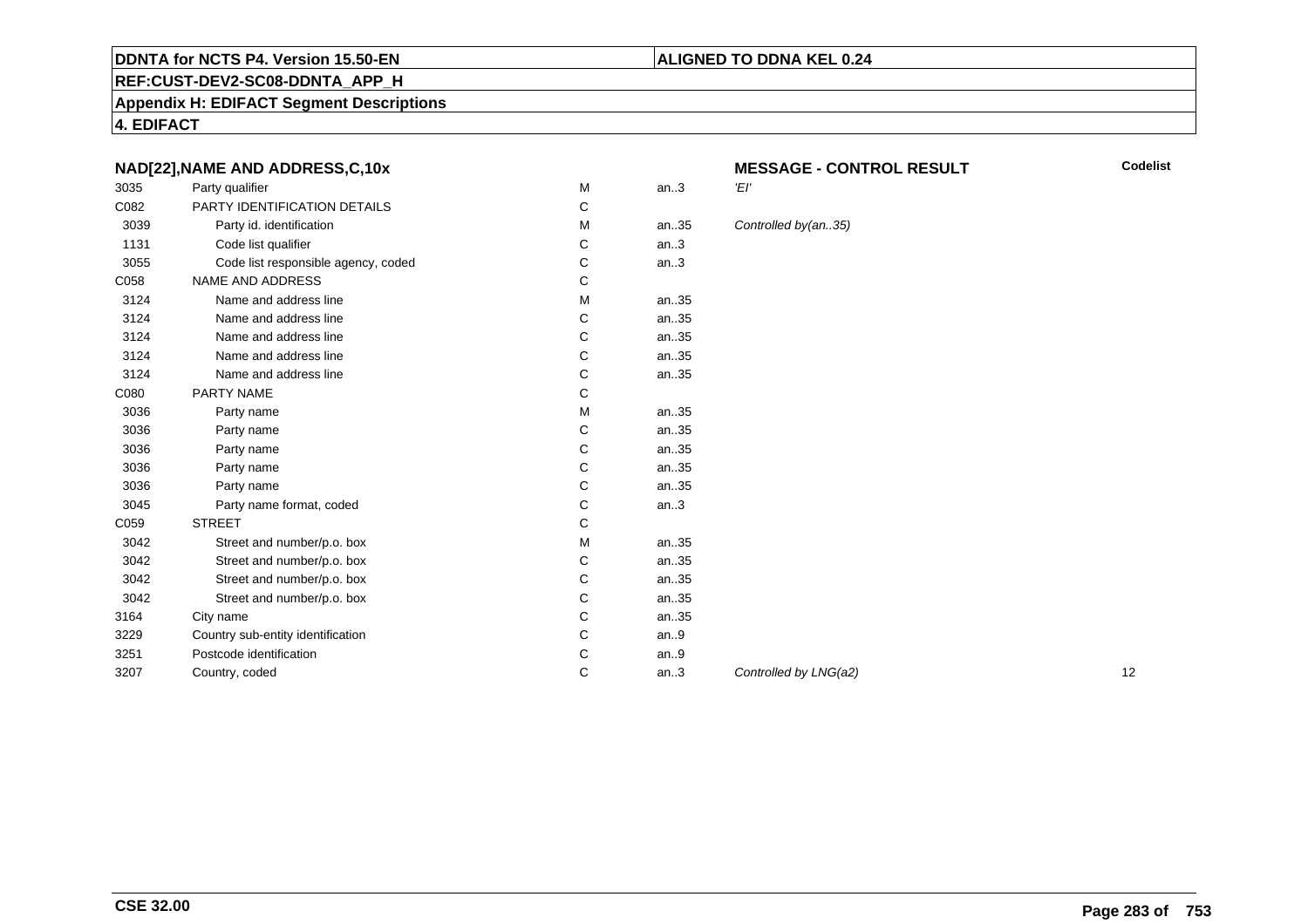#### **REF:CUST-DEV2-SC08-DDNTA\_APP\_H**

**Appendix H: EDIFACT Segment Descriptions**

**4. EDIFACT**

#### **NAD[22],NAME AND ADDRESS,C,10x**

| 3035 | Party qualifier                     | M | an.3 | 'El'  |
|------|-------------------------------------|---|------|-------|
| C082 | PARTY IDENTIFICATION DETAILS        | C |      |       |
| 3039 | Party id. identification            | M | an35 | Conti |
| 1131 | Code list qualifier                 | C | an.3 |       |
| 3055 | Code list responsible agency, coded | C | an.3 |       |
| C058 | <b>NAME AND ADDRESS</b>             | C |      |       |
| 3124 | Name and address line               | M | an35 |       |
| 3124 | Name and address line               | C | an35 |       |
| 3124 | Name and address line               | C | an35 |       |
| 3124 | Name and address line               | C | an35 |       |
| 3124 | Name and address line               | C | an35 |       |
| C080 | PARTY NAME                          | C |      |       |
| 3036 | Party name                          | М | an35 |       |
| 3036 | Party name                          | C | an35 |       |
| 3036 | Party name                          | C | an35 |       |
| 3036 | Party name                          | С | an35 |       |
| 3036 | Party name                          | C | an35 |       |
| 3045 | Party name format, coded            | C | an.3 |       |
| C059 | <b>STREET</b>                       | C |      |       |
| 3042 | Street and number/p.o. box          | M | an35 |       |
| 3042 | Street and number/p.o. box          | C | an35 |       |
| 3042 | Street and number/p.o. box          | С | an35 |       |
| 3042 | Street and number/p.o. box          | C | an35 |       |
| 3164 | City name                           | С | an35 |       |
| 3229 | Country sub-entity identification   | C | an.9 |       |
| 3251 | Postcode identification             | С | an.9 |       |
| 3207 | Country, coded                      | C | an.3 | Conti |
|      |                                     |   |      |       |

# **MESSAGE - CONTROL RESULT**

**Codelist**

#### trolled by(an..35)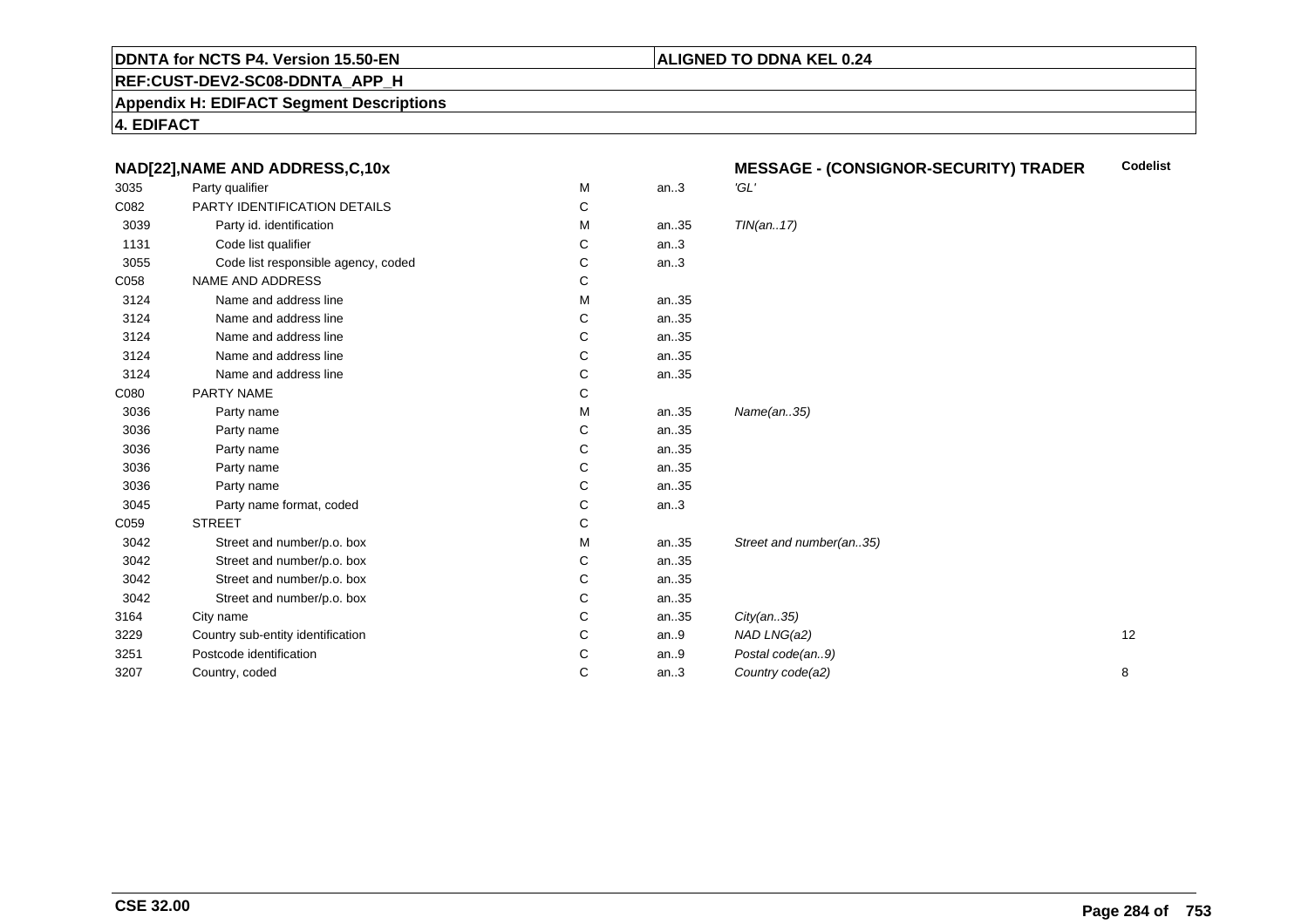#### **ALIGNED TO DDNA KEL 0.24**

**REF:CUST-DEV2-SC08-DDNTA\_APP\_H**

**Appendix H: EDIFACT Segment Descriptions**

| NAD[22], NAME AND ADDRESS, C, 10x |                                     |   | <b>Codelist</b><br><b>MESSAGE - (CONSIGNOR-SECURITY) TRADER</b> |                         |    |
|-----------------------------------|-------------------------------------|---|-----------------------------------------------------------------|-------------------------|----|
| 3035                              | Party qualifier                     | M | an.3                                                            | 'GL'                    |    |
| C082                              | PARTY IDENTIFICATION DETAILS        | C |                                                                 |                         |    |
| 3039                              | Party id. identification            | M | an35                                                            | TIN(an17)               |    |
| 1131                              | Code list qualifier                 | C | an.3                                                            |                         |    |
| 3055                              | Code list responsible agency, coded | C | an.3                                                            |                         |    |
| C058                              | NAME AND ADDRESS                    | C |                                                                 |                         |    |
| 3124                              | Name and address line               | M | an35                                                            |                         |    |
| 3124                              | Name and address line               | С | an35                                                            |                         |    |
| 3124                              | Name and address line               | C | an35                                                            |                         |    |
| 3124                              | Name and address line               | C | an35                                                            |                         |    |
| 3124                              | Name and address line               | C | an35                                                            |                         |    |
| C080                              | PARTY NAME                          | C |                                                                 |                         |    |
| 3036                              | Party name                          | M | an35                                                            | Name(an35)              |    |
| 3036                              | Party name                          | C | an35                                                            |                         |    |
| 3036                              | Party name                          | C | an35                                                            |                         |    |
| 3036                              | Party name                          | C | an35                                                            |                         |    |
| 3036                              | Party name                          | C | an35                                                            |                         |    |
| 3045                              | Party name format, coded            | C | an.3                                                            |                         |    |
| C059                              | <b>STREET</b>                       | C |                                                                 |                         |    |
| 3042                              | Street and number/p.o. box          | M | an35                                                            | Street and number(an35) |    |
| 3042                              | Street and number/p.o. box          | C | an35                                                            |                         |    |
| 3042                              | Street and number/p.o. box          | C | an35                                                            |                         |    |
| 3042                              | Street and number/p.o. box          | C | an35                                                            |                         |    |
| 3164                              | City name                           | C | an35                                                            | City(an35)              |    |
| 3229                              | Country sub-entity identification   | C | an.9                                                            | NAD LNG(a2)             | 12 |
| 3251                              | Postcode identification             | C | an.9                                                            | Postal code(an9)        |    |
| 3207                              | Country, coded                      | C | an.3                                                            | Country code(a2)        | 8  |
|                                   |                                     |   |                                                                 |                         |    |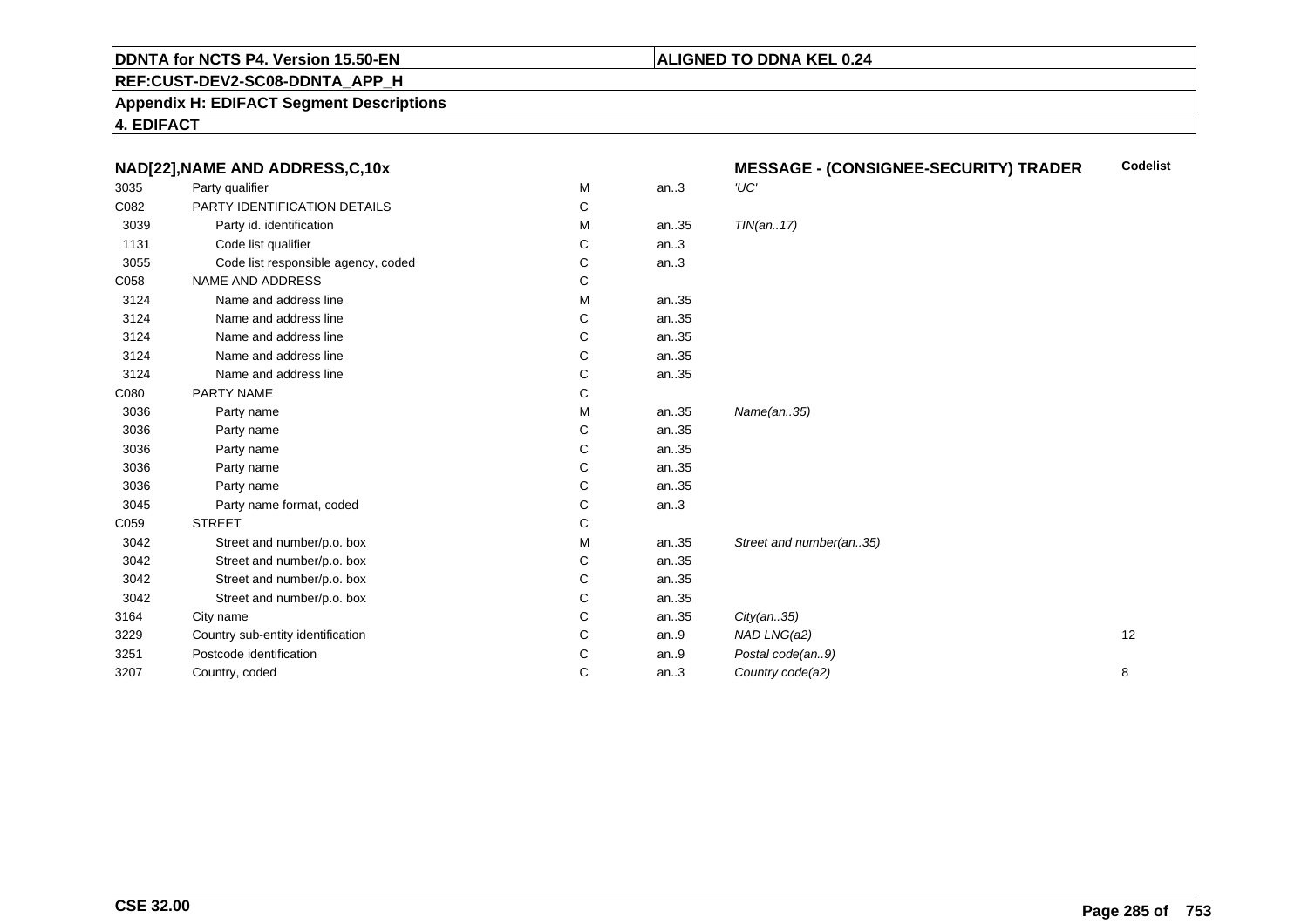## **ALIGNED TO DDNA KEL 0.24**

**REF:CUST-DEV2-SC08-DDNTA\_APP\_H**

**Appendix H: EDIFACT Segment Descriptions**

| NAD[22], NAME AND ADDRESS, C, 10x |                                     |   | <b>Codelist</b><br><b>MESSAGE - (CONSIGNEE-SECURITY) TRADER</b> |                         |    |
|-----------------------------------|-------------------------------------|---|-----------------------------------------------------------------|-------------------------|----|
| 3035                              | Party qualifier                     | M | an.3                                                            | 'UC'                    |    |
| C082                              | PARTY IDENTIFICATION DETAILS        | С |                                                                 |                         |    |
| 3039                              | Party id. identification            | М | an35                                                            | TIN(an17)               |    |
| 1131                              | Code list qualifier                 | С | an.3                                                            |                         |    |
| 3055                              | Code list responsible agency, coded | С | an.3                                                            |                         |    |
| C058                              | NAME AND ADDRESS                    | С |                                                                 |                         |    |
| 3124                              | Name and address line               | М | an35                                                            |                         |    |
| 3124                              | Name and address line               | С | an35                                                            |                         |    |
| 3124                              | Name and address line               | С | an35                                                            |                         |    |
| 3124                              | Name and address line               | С | an35                                                            |                         |    |
| 3124                              | Name and address line               | C | an35                                                            |                         |    |
| C080                              | PARTY NAME                          | С |                                                                 |                         |    |
| 3036                              | Party name                          | М | an35                                                            | Name(an35)              |    |
| 3036                              | Party name                          | С | an35                                                            |                         |    |
| 3036                              | Party name                          | С | an35                                                            |                         |    |
| 3036                              | Party name                          | C | an35                                                            |                         |    |
| 3036                              | Party name                          | С | an35                                                            |                         |    |
| 3045                              | Party name format, coded            | С | an.3                                                            |                         |    |
| C059                              | <b>STREET</b>                       | С |                                                                 |                         |    |
| 3042                              | Street and number/p.o. box          | М | an35                                                            | Street and number(an35) |    |
| 3042                              | Street and number/p.o. box          | С | an35                                                            |                         |    |
| 3042                              | Street and number/p.o. box          | С | an35                                                            |                         |    |
| 3042                              | Street and number/p.o. box          | С | an35                                                            |                         |    |
| 3164                              | City name                           | С | an35                                                            | City(an35)              |    |
| 3229                              | Country sub-entity identification   | С | an.9                                                            | NAD LNG(a2)             | 12 |
| 3251                              | Postcode identification             | С | an.9                                                            | Postal code(an9)        |    |
| 3207                              | Country, coded                      | C | an.3                                                            | Country code(a2)        | 8  |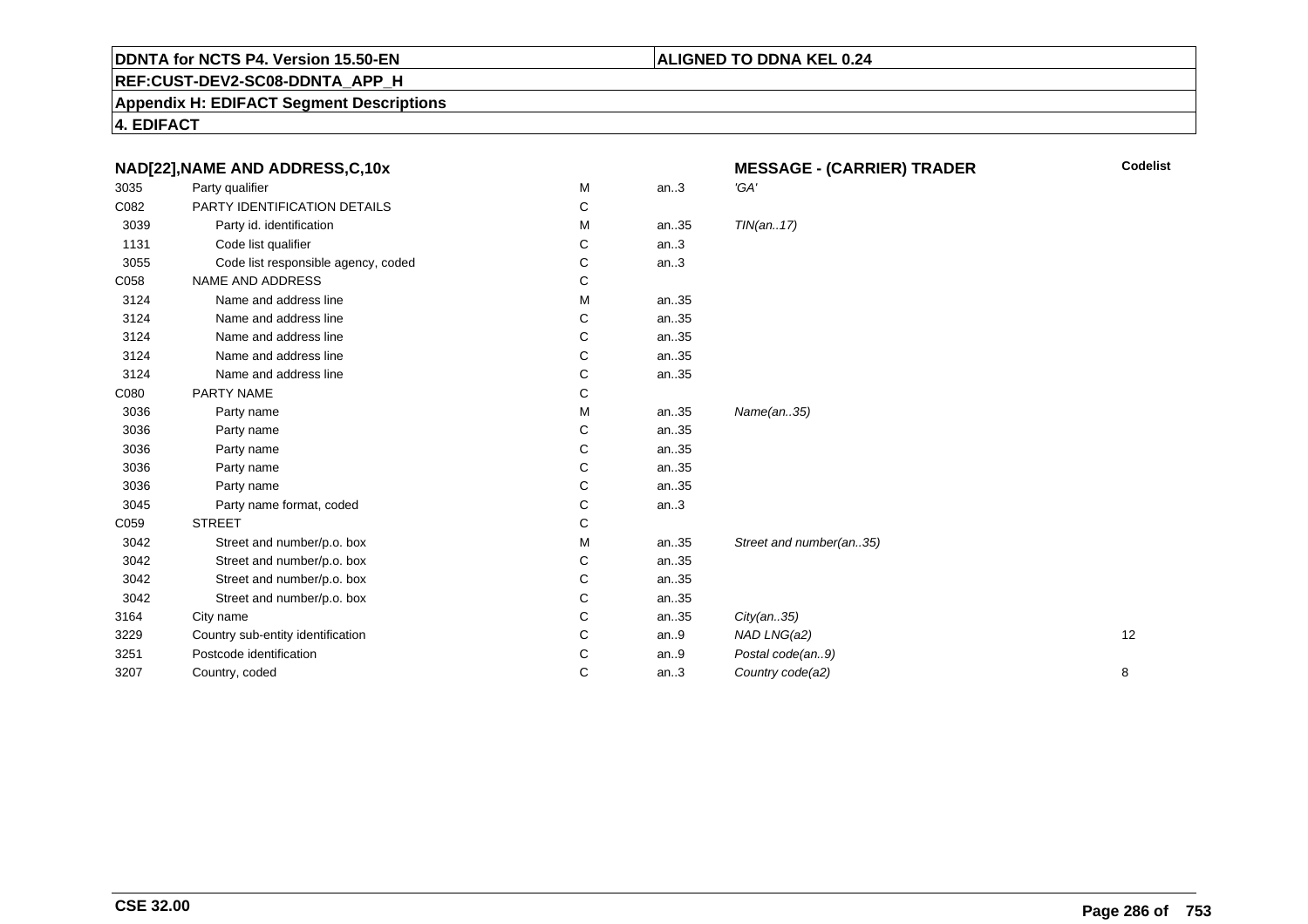# **ALIGNED TO DDNA KEL 0.24**

**REF:CUST-DEV2-SC08-DDNTA\_APP\_H**

**Appendix H: EDIFACT Segment Descriptions**

| NAD[22], NAME AND ADDRESS, C, 10x |                                     |   | <b>MESSAGE - (CARRIER) TRADER</b> | <b>Codelist</b>         |    |
|-----------------------------------|-------------------------------------|---|-----------------------------------|-------------------------|----|
| 3035                              | Party qualifier                     | М | an.3                              | 'GA'                    |    |
| C082                              | PARTY IDENTIFICATION DETAILS        | C |                                   |                         |    |
| 3039                              | Party id. identification            | М | an35                              | TIN(an17)               |    |
| 1131                              | Code list qualifier                 | С | an.3                              |                         |    |
| 3055                              | Code list responsible agency, coded | С | an.3                              |                         |    |
| C058                              | NAME AND ADDRESS                    | С |                                   |                         |    |
| 3124                              | Name and address line               | М | an35                              |                         |    |
| 3124                              | Name and address line               | С | an35                              |                         |    |
| 3124                              | Name and address line               | С | an35                              |                         |    |
| 3124                              | Name and address line               | С | an35                              |                         |    |
| 3124                              | Name and address line               | С | an35                              |                         |    |
| C080                              | PARTY NAME                          | С |                                   |                         |    |
| 3036                              | Party name                          | м | an35                              | Name(an35)              |    |
| 3036                              | Party name                          | С | an35                              |                         |    |
| 3036                              | Party name                          | C | an35                              |                         |    |
| 3036                              | Party name                          | C | an35                              |                         |    |
| 3036                              | Party name                          | С | an35                              |                         |    |
| 3045                              | Party name format, coded            | C | an.3                              |                         |    |
| C059                              | <b>STREET</b>                       | С |                                   |                         |    |
| 3042                              | Street and number/p.o. box          | м | an35                              | Street and number(an35) |    |
| 3042                              | Street and number/p.o. box          | C | an35                              |                         |    |
| 3042                              | Street and number/p.o. box          | С | an35                              |                         |    |
| 3042                              | Street and number/p.o. box          | С | an35                              |                         |    |
| 3164                              | City name                           | C | an35                              | City(an35)              |    |
| 3229                              | Country sub-entity identification   | С | an.9                              | NAD LNG(a2)             | 12 |
| 3251                              | Postcode identification             | С | an.9                              | Postal code(an9)        |    |
| 3207                              | Country, coded                      | C | an.3                              | Country code(a2)        | 8  |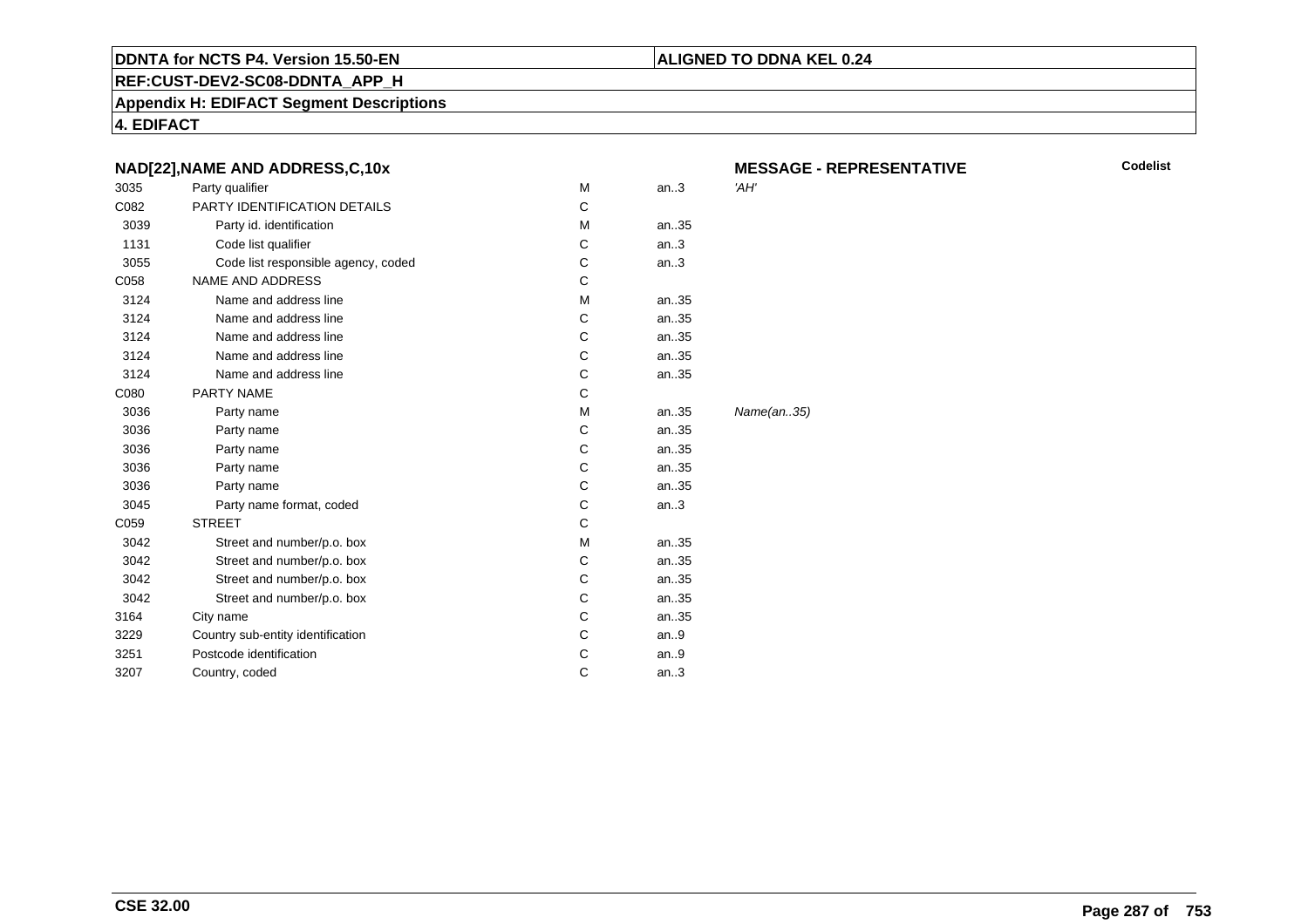#### **REF:CUST-DEV2-SC08-DDNTA\_APP\_H**

**Appendix H: EDIFACT Segment Descriptions**

**4. EDIFACT**

|      | NAD[22], NAME AND ADDRESS, C, 10x   |   |       | <b>MESSAGE</b> |
|------|-------------------------------------|---|-------|----------------|
| 3035 | Party qualifier                     | M | an.3  | 'AH'           |
| C082 | PARTY IDENTIFICATION DETAILS        | C |       |                |
| 3039 | Party id. identification            | M | an35  |                |
| 1131 | Code list qualifier                 | С | an.3  |                |
| 3055 | Code list responsible agency, coded | С | an.3  |                |
| C058 | <b>NAME AND ADDRESS</b>             | C |       |                |
| 3124 | Name and address line               | M | an.35 |                |
| 3124 | Name and address line               | С | an35  |                |
| 3124 | Name and address line               | C | an35  |                |
| 3124 | Name and address line               | C | an35  |                |
| 3124 | Name and address line               | С | an35  |                |
| C080 | <b>PARTY NAME</b>                   | C |       |                |
| 3036 | Party name                          | М | an35  | Name(an35)     |
| 3036 | Party name                          | C | an35  |                |
| 3036 | Party name                          | C | an35  |                |
| 3036 | Party name                          | С | an35  |                |
| 3036 | Party name                          | C | an35  |                |
| 3045 | Party name format, coded            | С | an.3  |                |
| C059 | <b>STREET</b>                       | C |       |                |
| 3042 | Street and number/p.o. box          | M | an35  |                |
| 3042 | Street and number/p.o. box          | C | an.35 |                |
| 3042 | Street and number/p.o. box          | С | an35  |                |
| 3042 | Street and number/p.o. box          | C | an35  |                |
| 3164 | City name                           | C | an35  |                |
| 3229 | Country sub-entity identification   | С | an.9  |                |
| 3251 | Postcode identification             | С | an.9  |                |
| 3207 | Country, coded                      | C | an.3  |                |
|      |                                     |   |       |                |

# **ALIGNED TO DDNA KEL 0.24**

**GE - REPRESENTATIVE**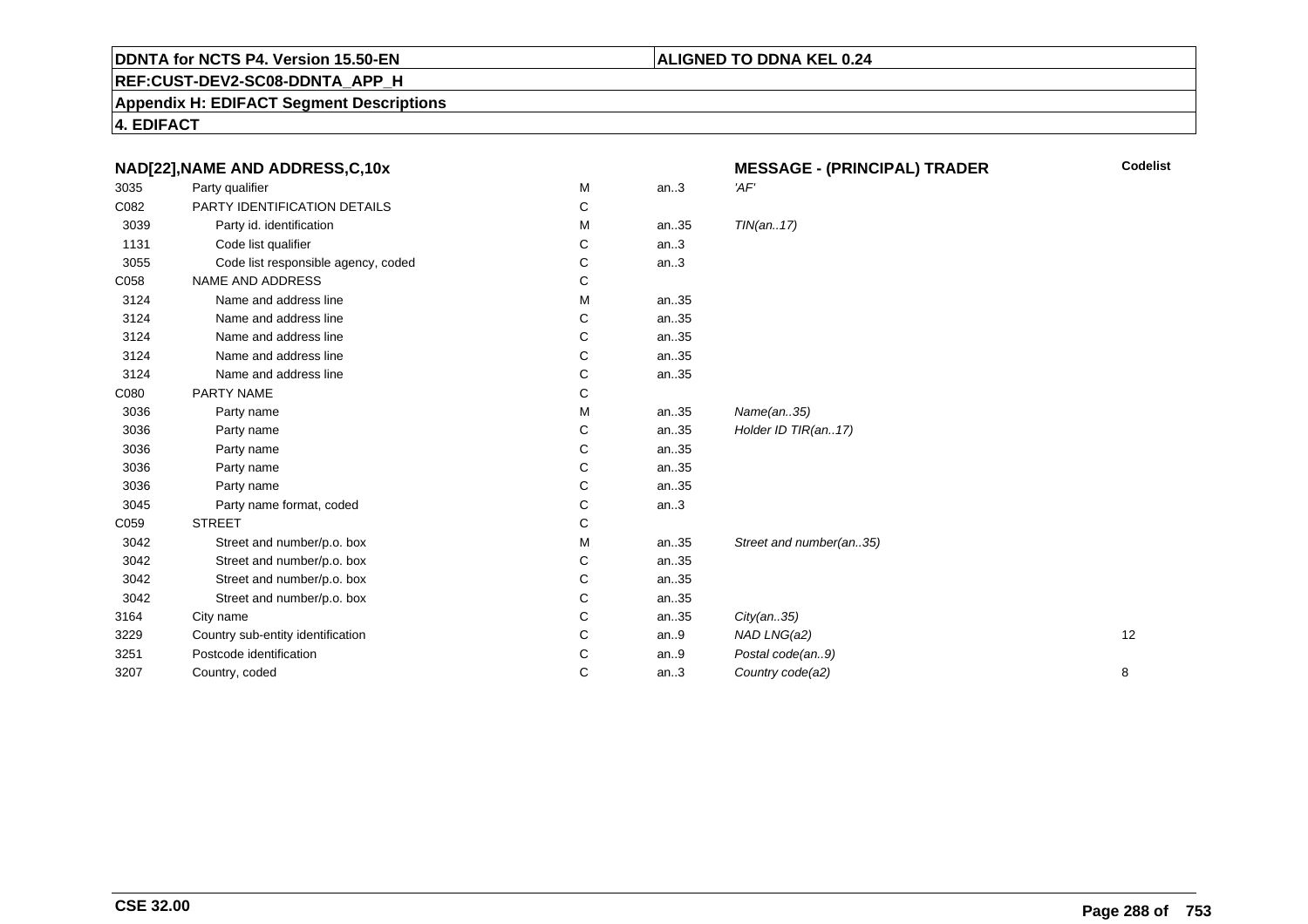# **REF:CUST-DEV2-SC08-DDNTA\_APP\_H**

### **Appendix H: EDIFACT Segment Descriptions**

| NAD[22], NAME AND ADDRESS, C, 10x |                                     |   | <b>MESSAGE - (PRINCIPAL) TRADER</b> | <b>Codelist</b>         |    |
|-----------------------------------|-------------------------------------|---|-------------------------------------|-------------------------|----|
| 3035                              | Party qualifier                     | M | an.3                                | 'AF'                    |    |
| C082                              | PARTY IDENTIFICATION DETAILS        | С |                                     |                         |    |
| 3039                              | Party id. identification            | M | an35                                | TIN(an17)               |    |
| 1131                              | Code list qualifier                 | C | an.3                                |                         |    |
| 3055                              | Code list responsible agency, coded | С | an.3                                |                         |    |
| C058                              | <b>NAME AND ADDRESS</b>             | С |                                     |                         |    |
| 3124                              | Name and address line               | м | an35                                |                         |    |
| 3124                              | Name and address line               | С | an35                                |                         |    |
| 3124                              | Name and address line               | С | an35                                |                         |    |
| 3124                              | Name and address line               | С | an35                                |                         |    |
| 3124                              | Name and address line               | С | an35                                |                         |    |
| C080                              | PARTY NAME                          | С |                                     |                         |    |
| 3036                              | Party name                          | м | an35                                | Name(an35)              |    |
| 3036                              | Party name                          | С | an35                                | Holder ID TIR(an17)     |    |
| 3036                              | Party name                          | С | an35                                |                         |    |
| 3036                              | Party name                          | С | an35                                |                         |    |
| 3036                              | Party name                          | С | an35                                |                         |    |
| 3045                              | Party name format, coded            | С | an.3                                |                         |    |
| C059                              | <b>STREET</b>                       | С |                                     |                         |    |
| 3042                              | Street and number/p.o. box          | м | an35                                | Street and number(an35) |    |
| 3042                              | Street and number/p.o. box          | С | an35                                |                         |    |
| 3042                              | Street and number/p.o. box          | С | an35                                |                         |    |
| 3042                              | Street and number/p.o. box          | С | an35                                |                         |    |
| 3164                              | City name                           | C | an35                                | City(an35)              |    |
| 3229                              | Country sub-entity identification   | С | an.9                                | NAD LNG(a2)             | 12 |
| 3251                              | Postcode identification             | С | an.9                                | Postal code(an9)        |    |
| 3207                              | Country, coded                      | С | an.3                                | Country code(a2)        | 8  |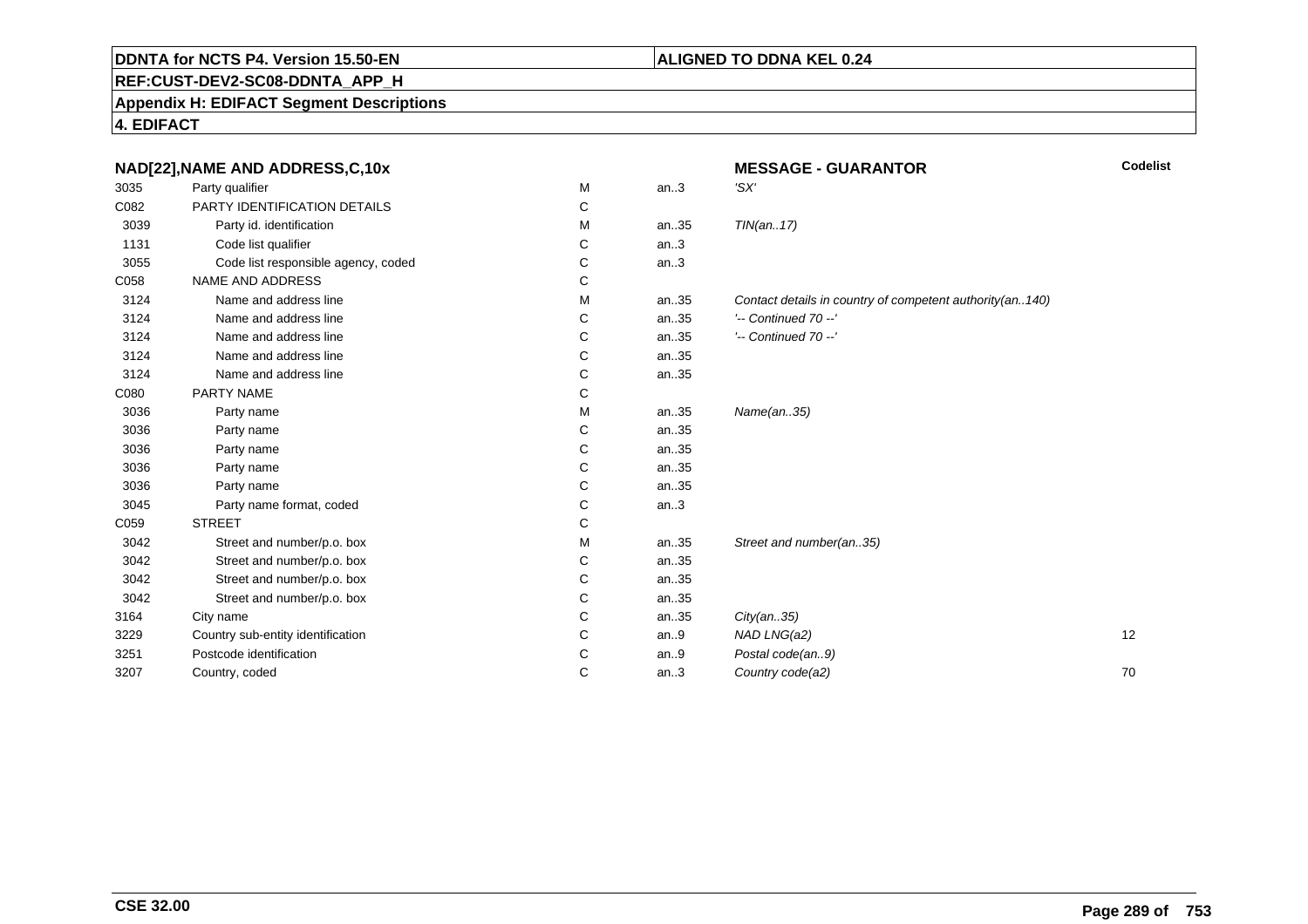## **REF:CUST-DEV2-SC08-DDNTA\_APP\_H**

**Appendix H: EDIFACT Segment Descriptions**

**4. EDIFACT**

|      | NAD[22], NAME AND ADDRESS, C, 10x   |   |      | <b>MESSAGE - GUARANTOR</b>                               | Codelist |
|------|-------------------------------------|---|------|----------------------------------------------------------|----------|
| 3035 | Party qualifier                     | М | an.3 | 'SX'                                                     |          |
| C082 | PARTY IDENTIFICATION DETAILS        | C |      |                                                          |          |
| 3039 | Party id. identification            | м | an35 | TIN(an17)                                                |          |
| 1131 | Code list qualifier                 | C | an.3 |                                                          |          |
| 3055 | Code list responsible agency, coded | C | an.3 |                                                          |          |
| C058 | NAME AND ADDRESS                    | С |      |                                                          |          |
| 3124 | Name and address line               | M | an35 | Contact details in country of competent authority(an140) |          |
| 3124 | Name and address line               | C | an35 | '-- Continued 70 --'                                     |          |
| 3124 | Name and address line               | C | an35 | $'-$ Continued 70 $-$ '                                  |          |
| 3124 | Name and address line               | C | an35 |                                                          |          |
| 3124 | Name and address line               | C | an35 |                                                          |          |
| C080 | PARTY NAME                          | C |      |                                                          |          |
| 3036 | Party name                          | M | an35 | Name(an35)                                               |          |
| 3036 | Party name                          | C | an35 |                                                          |          |
| 3036 | Party name                          | C | an35 |                                                          |          |
| 3036 | Party name                          | C | an35 |                                                          |          |
| 3036 | Party name                          | C | an35 |                                                          |          |
| 3045 | Party name format, coded            | C | an.3 |                                                          |          |
| C059 | <b>STREET</b>                       | C |      |                                                          |          |
| 3042 | Street and number/p.o. box          | м | an35 | Street and number(an35)                                  |          |
| 3042 | Street and number/p.o. box          | C | an35 |                                                          |          |
| 3042 | Street and number/p.o. box          | С | an35 |                                                          |          |
| 3042 | Street and number/p.o. box          | С | an35 |                                                          |          |
| 3164 | City name                           | C | an35 | City(an35)                                               |          |
| 3229 | Country sub-entity identification   | C | an.9 | NAD LNG(a2)                                              | 12       |
| 3251 | Postcode identification             | C | an.9 | Postal code(an9)                                         |          |
| 3207 | Country, coded                      | C | an.3 | Country code(a2)                                         | 70       |
|      |                                     |   |      |                                                          |          |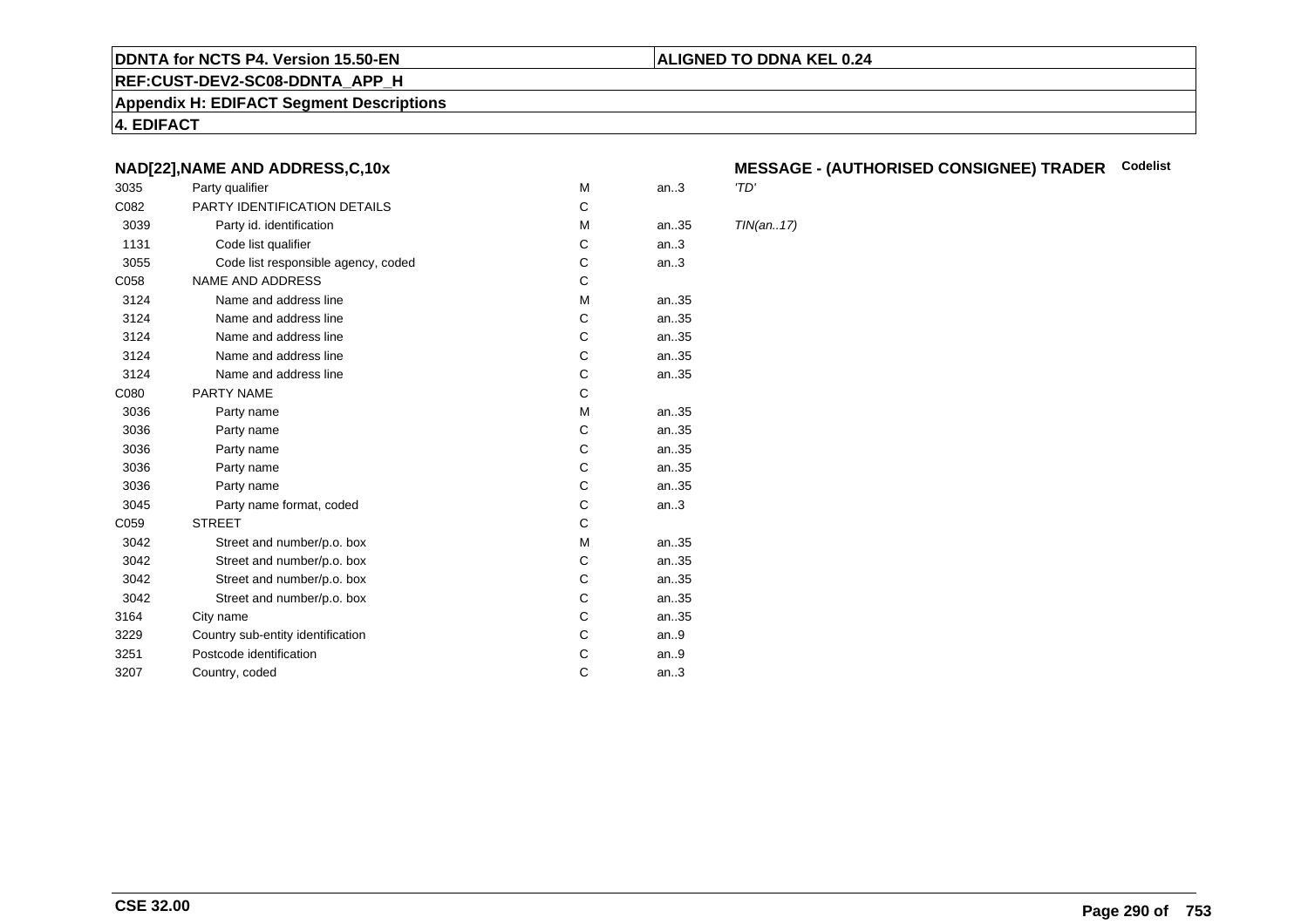#### **REF:CUST-DEV2-SC08-DDNTA\_APP\_H**

**Appendix H: EDIFACT Segment Descriptions**

**4. EDIFACT**

#### **NAD[22],NAME AND ADDRESS,C,10x**

| 3035 | Party qualifier                     | M | an.3  | 'TD'       |
|------|-------------------------------------|---|-------|------------|
| C082 | PARTY IDENTIFICATION DETAILS        | С |       |            |
| 3039 | Party id. identification            | M | an.35 | <b>TIN</b> |
| 1131 | Code list qualifier                 | С | an.3  |            |
| 3055 | Code list responsible agency, coded | С | an.3  |            |
| C058 | <b>NAME AND ADDRESS</b>             | C |       |            |
| 3124 | Name and address line               | M | an35  |            |
| 3124 | Name and address line               | С | an.35 |            |
| 3124 | Name and address line               | C | an35  |            |
| 3124 | Name and address line               | С | an35  |            |
| 3124 | Name and address line               | C | an35  |            |
| C080 | <b>PARTY NAME</b>                   | C |       |            |
| 3036 | Party name                          | М | an.35 |            |
| 3036 | Party name                          | С | an35  |            |
| 3036 | Party name                          | C | an35  |            |
| 3036 | Party name                          | С | an.35 |            |
| 3036 | Party name                          | C | an35  |            |
| 3045 | Party name format, coded            | С | an.3  |            |
| C059 | <b>STREET</b>                       | C |       |            |
| 3042 | Street and number/p.o. box          | M | an35  |            |
| 3042 | Street and number/p.o. box          | C | an35  |            |
| 3042 | Street and number/p.o. box          | C | an35  |            |
| 3042 | Street and number/p.o. box          | С | an35  |            |
| 3164 | City name                           | С | an35  |            |
| 3229 | Country sub-entity identification   | С | an.9  |            |
| 3251 | Postcode identification             | С | an.9  |            |
| 3207 | Country, coded                      | C | an.3  |            |
|      |                                     |   |       |            |

## **MESSAGE - (AUTHORISED CONSIGNEE) TRADER Codelist**

 $TIN(an..17)$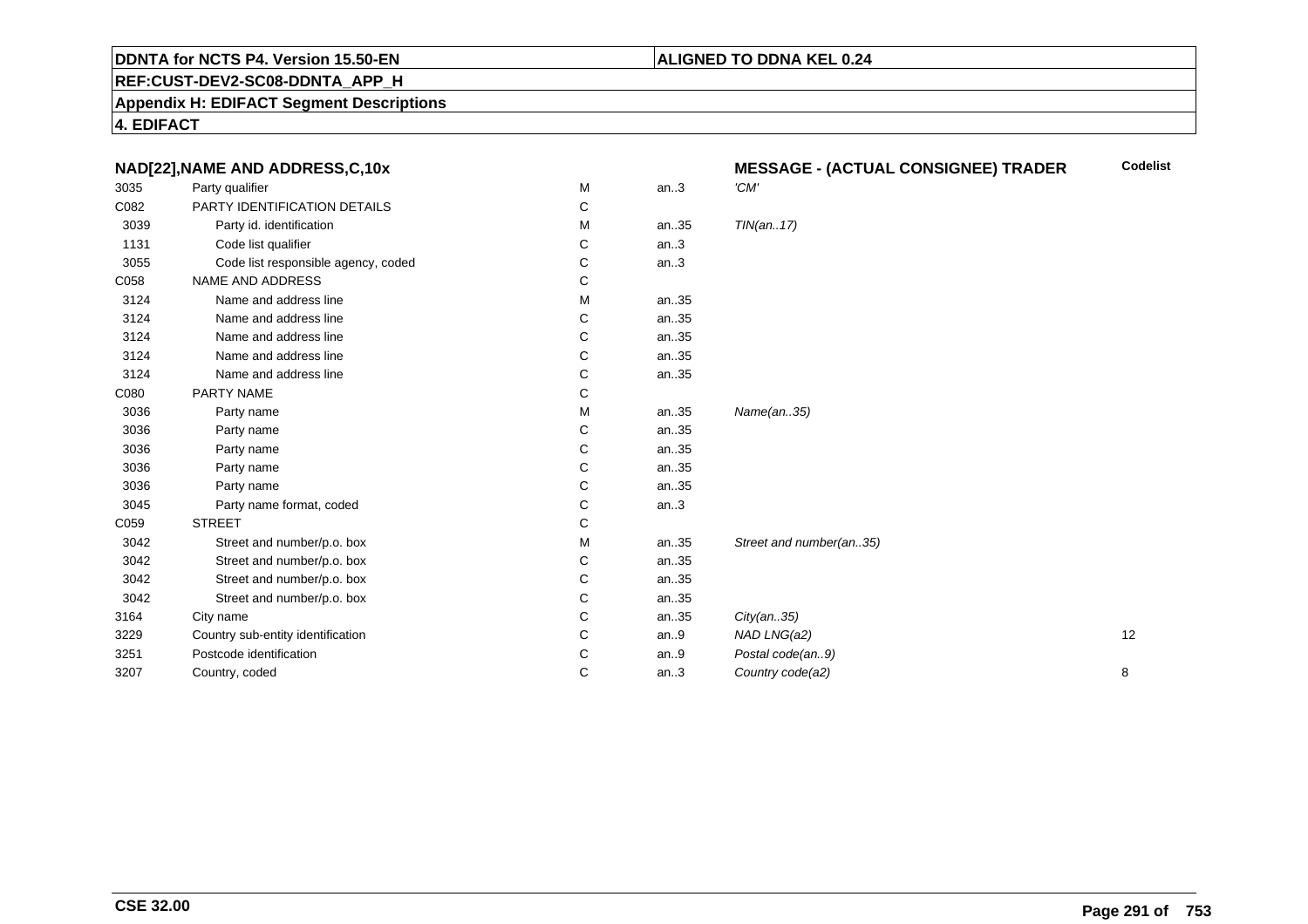## **REF:CUST-DEV2-SC08-DDNTA\_APP\_H**

#### **Appendix H: EDIFACT Segment Descriptions**

**4. EDIFACT**

| M<br>'CM'<br>3035<br>Party qualifier<br>an.3<br>C082<br>PARTY IDENTIFICATION DETAILS<br>С<br>3039<br>Party id. identification<br>TIN(an17)<br>М<br>an35<br>1131<br>Code list qualifier<br>an.3<br>С |    |
|-----------------------------------------------------------------------------------------------------------------------------------------------------------------------------------------------------|----|
|                                                                                                                                                                                                     |    |
|                                                                                                                                                                                                     |    |
|                                                                                                                                                                                                     |    |
|                                                                                                                                                                                                     |    |
| 3055<br>Code list responsible agency, coded<br>an.3<br>С                                                                                                                                            |    |
| C058<br>NAME AND ADDRESS<br>С                                                                                                                                                                       |    |
| 3124<br>Name and address line<br>an35<br>М                                                                                                                                                          |    |
| 3124<br>Name and address line<br>an35<br>С                                                                                                                                                          |    |
| 3124<br>Name and address line<br>an35<br>С                                                                                                                                                          |    |
| 3124<br>Name and address line<br>C<br>an35                                                                                                                                                          |    |
| 3124<br>Name and address line<br>С<br>an35                                                                                                                                                          |    |
| C080<br>PARTY NAME<br>С                                                                                                                                                                             |    |
| Name(an35)<br>3036<br>М<br>an35<br>Party name                                                                                                                                                       |    |
| С<br>3036<br>an35<br>Party name                                                                                                                                                                     |    |
| 3036<br>an35<br>Party name<br>С                                                                                                                                                                     |    |
| 3036<br>С<br>an35<br>Party name                                                                                                                                                                     |    |
| 3036<br>Party name<br>С<br>an35                                                                                                                                                                     |    |
| an.3<br>3045<br>Party name format, coded<br>С                                                                                                                                                       |    |
| C059<br><b>STREET</b><br>С                                                                                                                                                                          |    |
| 3042<br>Street and number/p.o. box<br>an35<br>Street and number(an35)<br>м                                                                                                                          |    |
| Street and number/p.o. box<br>3042<br>an35<br>С                                                                                                                                                     |    |
| 3042<br>Street and number/p.o. box<br>С<br>an35                                                                                                                                                     |    |
| 3042<br>an35<br>Street and number/p.o. box<br>С                                                                                                                                                     |    |
| 3164<br>City name<br>С<br>an35<br>City(an35)                                                                                                                                                        |    |
| Country sub-entity identification<br>3229<br>С<br>an.9<br>NAD LNG(a2)                                                                                                                               | 12 |
| Postcode identification<br>C<br>Postal code(an9)<br>3251<br>an.9                                                                                                                                    |    |
| C<br>Country code(a2)<br>3207<br>Country, coded<br>an.3                                                                                                                                             | 8  |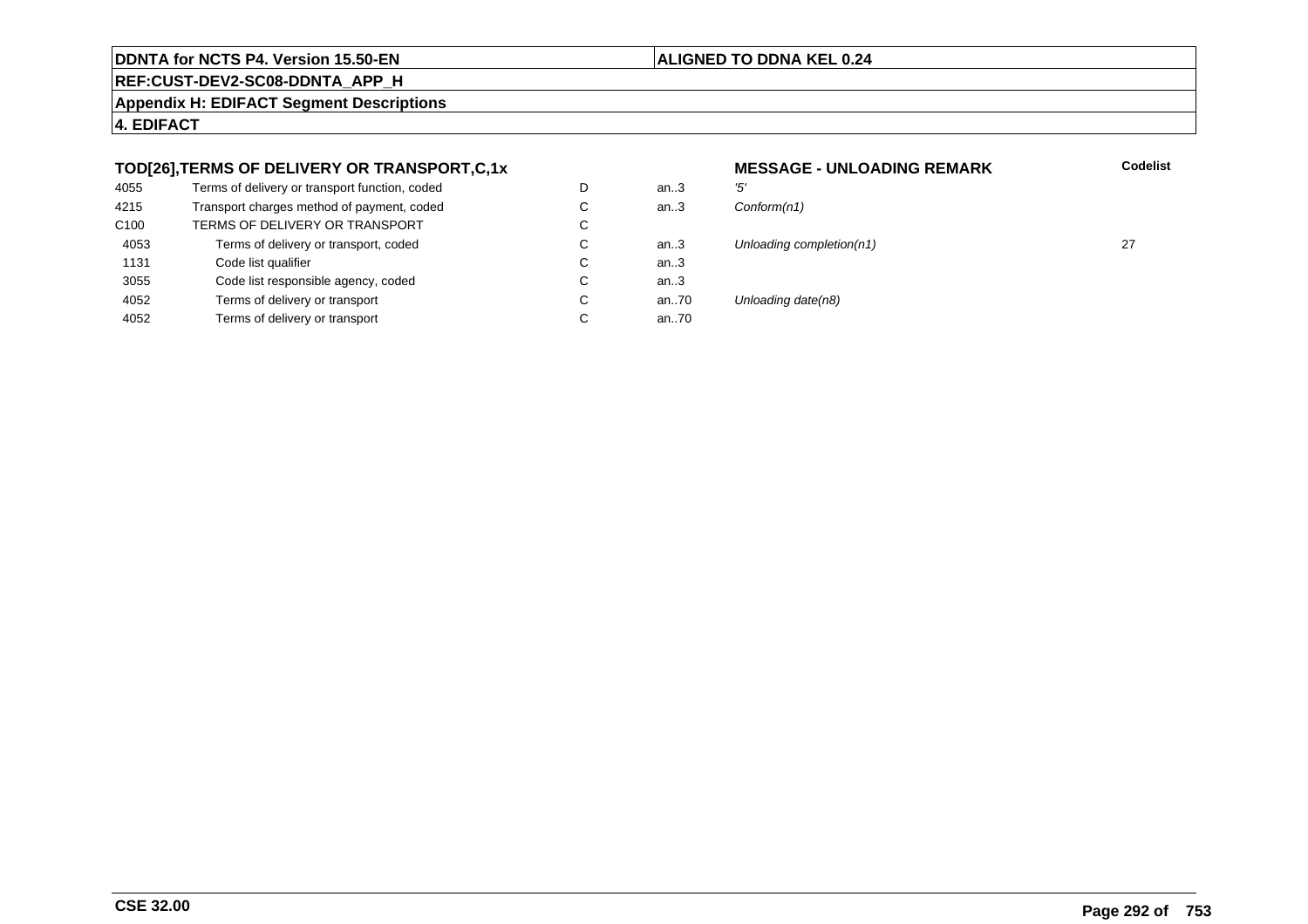#### **ALIGNED TO DDNA KEL 0.24**

an.. $3$ <br>an.. $3$ 

an..3

an..3<br>an..70

an..70

**REF:CUST-DEV2-SC08-DDNTA\_APP\_H**

**Appendix H: EDIFACT Segment Descriptions**

**4. EDIFACT**

#### **TOD[26],TERMS OF DELIVERY OR TRANSPORT,C,1x**

| 4055             | Terms of delivery or transport function, coded | D |
|------------------|------------------------------------------------|---|
| 4215             | Transport charges method of payment, coded     | С |
| C <sub>100</sub> | TERMS OF DELIVERY OR TRANSPORT                 | С |
| 4053             | Terms of delivery or transport, coded          | C |
| 1131             | Code list qualifier                            | C |
| 3055             | Code list responsible agency, coded            | С |
| 4052             | Terms of delivery or transport                 | С |
| 4052             | Terms of delivery or transport                 | С |

## **MESSAGE - UNLOADING REMARK Codelist**  $Conform(n1)$ an..3 Unloading completion(n1) 27 Unloading date(n8)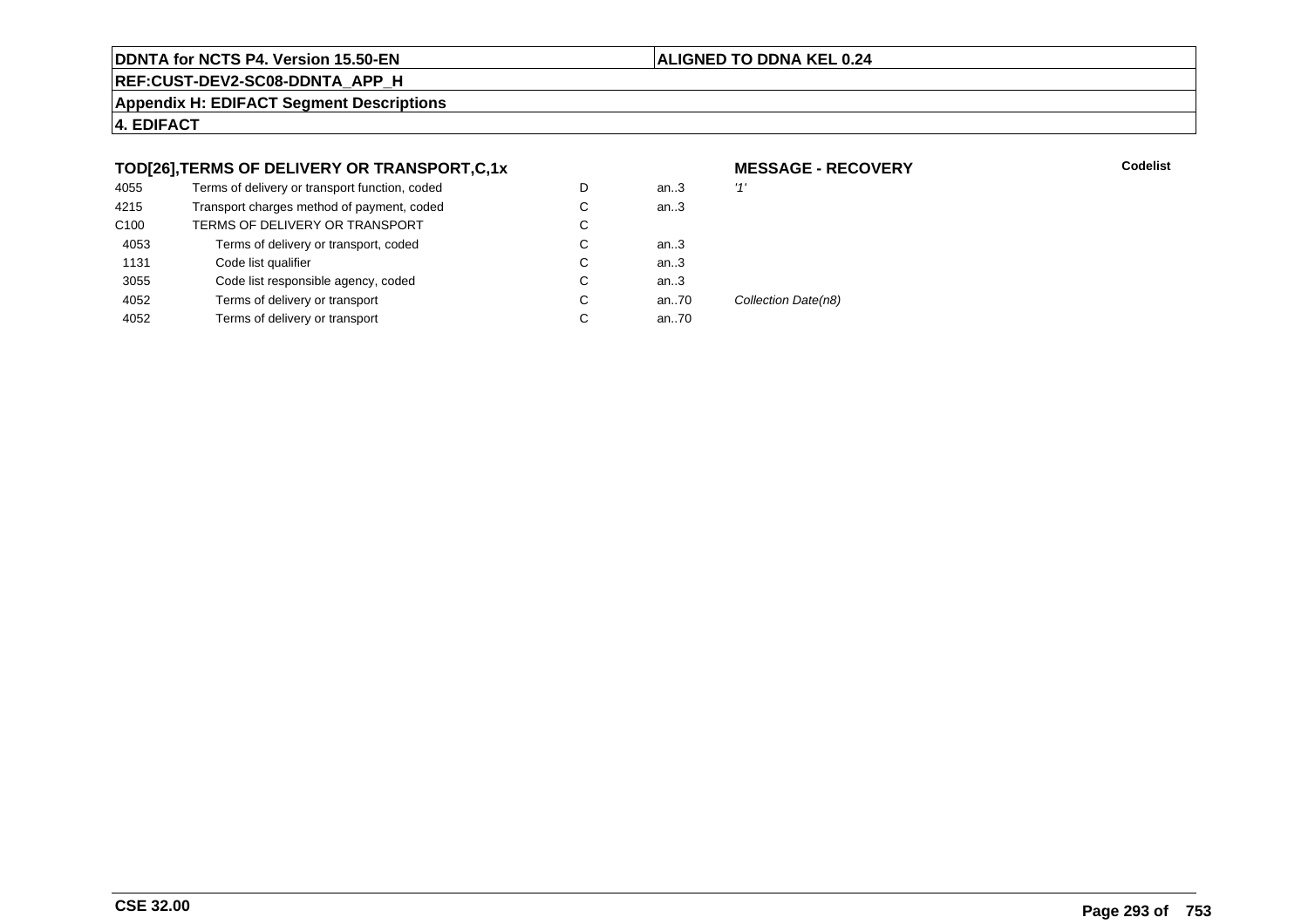#### **ALIGNED TO DDNA KEL 0.24**

**REF:CUST-DEV2-SC08-DDNTA\_APP\_H**

**Appendix H: EDIFACT Segment Descriptions**

**4. EDIFACT**

#### **TOD[26],TERMS OF DELIVERY OR TRANSPORT,C,1x**

| 4055             | Terms of delivery or transport function, coded | D | an.3 | '1'                 |
|------------------|------------------------------------------------|---|------|---------------------|
| 4215             | Transport charges method of payment, coded     | С | an.3 |                     |
| C <sub>100</sub> | TERMS OF DELIVERY OR TRANSPORT                 | С |      |                     |
| 4053             | Terms of delivery or transport, coded          | С | an3  |                     |
| 1131             | Code list qualifier                            | С | an.3 |                     |
| 3055             | Code list responsible agency, coded            | С | an.3 |                     |
| 4052             | Terms of delivery or transport                 | С | an70 | Collection Date(n8) |
| 4052             | Terms of delivery or transport                 | C | an70 |                     |
|                  |                                                |   |      |                     |

#### **MESSAGE - RECOVERY**

**Lackson Codelist** Codelist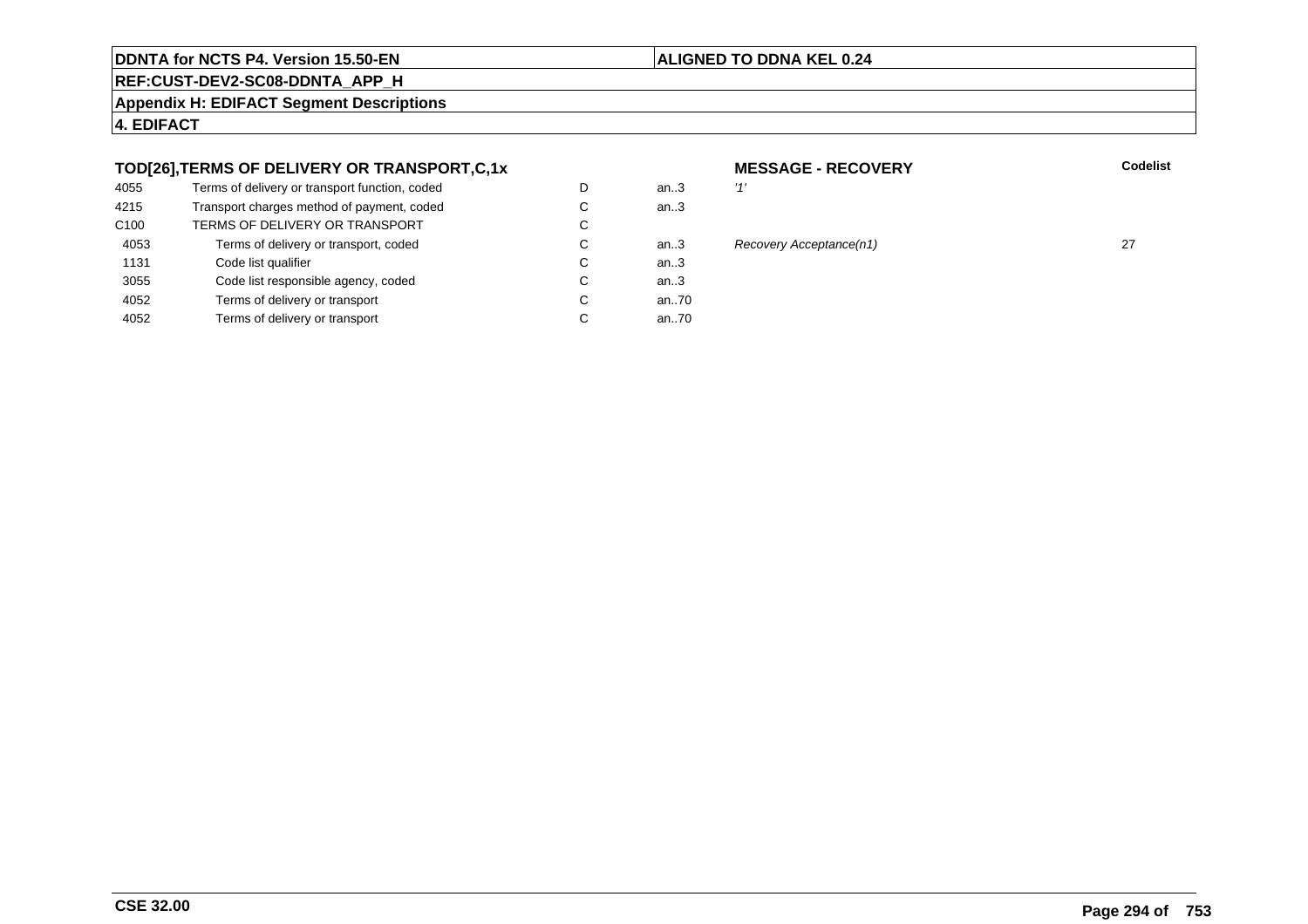#### **ALIGNED TO DDNA KEL 0.24**

**REF:CUST-DEV2-SC08-DDNTA\_APP\_H**

**Appendix H: EDIFACT Segment Descriptions**

**4. EDIFACT**

#### **TOD[26],TERMS OF DELIVERY OR TRANSPORT,C,1x**

| 4055             | Terms of delivery or transport function, coded | D | an.3 | '1' |
|------------------|------------------------------------------------|---|------|-----|
| 4215             | Transport charges method of payment, coded     | С | an.3 |     |
| C <sub>100</sub> | TERMS OF DELIVERY OR TRANSPORT                 | С |      |     |
| 4053             | Terms of delivery or transport, coded          | С | an3  | R   |
| 1131             | Code list qualifier                            | C | an.3 |     |
| 3055             | Code list responsible agency, coded            | С | an.3 |     |
| 4052             | Terms of delivery or transport                 | С | an70 |     |
| 4052             | Terms of delivery or transport                 | С | an70 |     |
|                  |                                                |   |      |     |

#### **MESSAGE - RECOVERY**<br>m..3  $'$ **Lackson Codelist** Codelist

#### n..3 Recovery Acceptance(n1) 27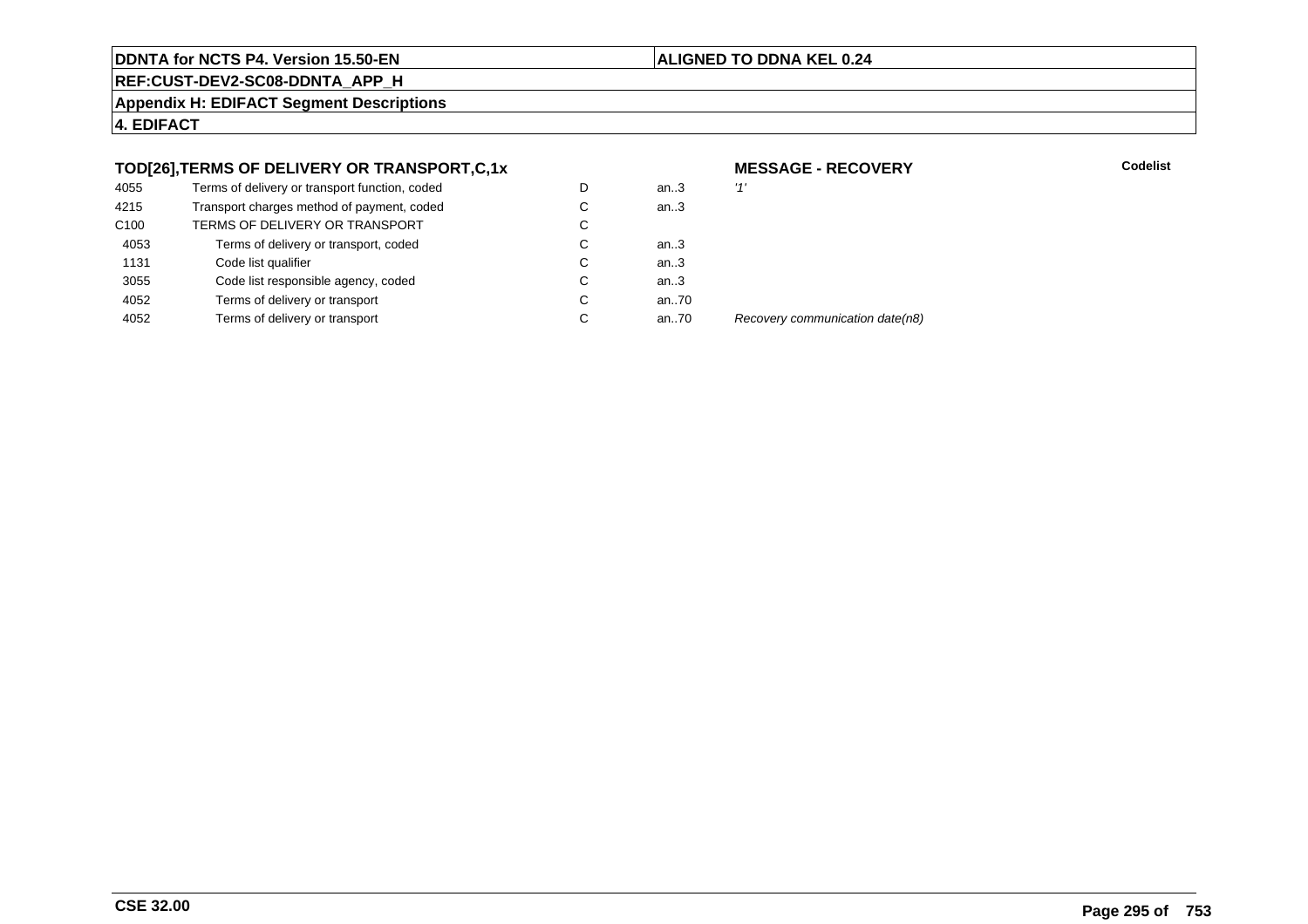#### **ALIGNED TO DDNA KEL 0.24**

**REF:CUST-DEV2-SC08-DDNTA\_APP\_H**

**Appendix H: EDIFACT Segment Descriptions**

**4. EDIFACT**

#### **TOD[26],TERMS OF DELIVERY OR TRANSPORT,C,1x**

| 4055             | Terms of delivery or transport function, coded | D | an $3$ | '1' |
|------------------|------------------------------------------------|---|--------|-----|
| 4215             | Transport charges method of payment, coded     | С | an.3   |     |
| C <sub>100</sub> | TERMS OF DELIVERY OR TRANSPORT                 | C |        |     |
| 4053             | Terms of delivery or transport, coded          | С | an $3$ |     |
| 1131             | Code list qualifier                            | C | an.3   |     |
| 3055             | Code list responsible agency, coded            | С | an.3   |     |
| 4052             | Terms of delivery or transport                 | С | an70   |     |
| 4052             | Terms of delivery or transport                 | С | an70   | R   |
|                  |                                                |   |        |     |

**MESSAGE - RECOVERY**

**Lackson Codelist** Codelist

Recovery communication date(n8)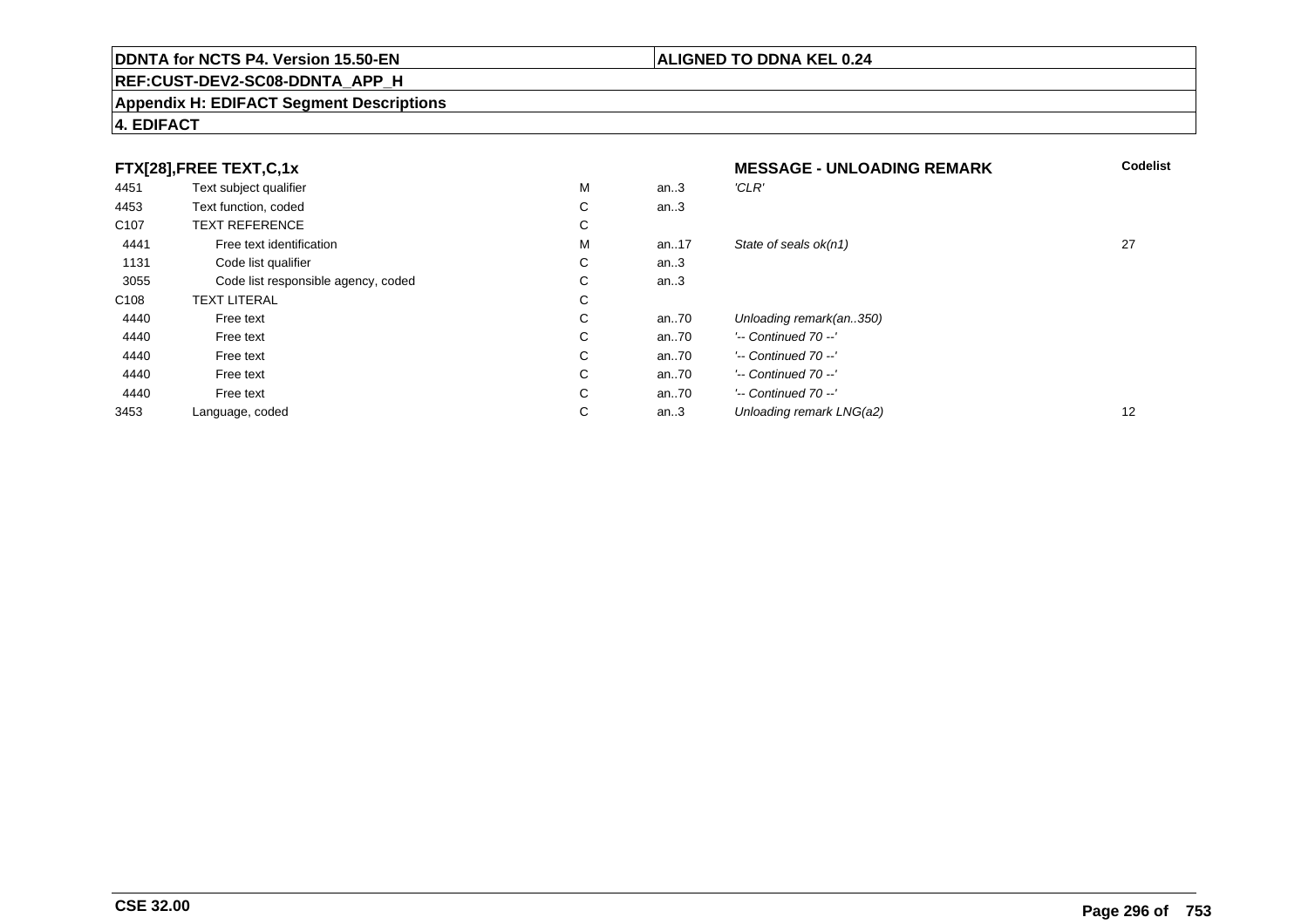## **REF:CUST-DEV2-SC08-DDNTA\_APP\_H**

#### **Appendix H: EDIFACT Segment Descriptions**

#### **4. EDIFACT**

|                  | FTX[28], FREE TEXT, C, 1x           |             |       | <b>MESSAGE - UNLOADING REMARK</b> | <b>Codelist</b> |
|------------------|-------------------------------------|-------------|-------|-----------------------------------|-----------------|
| 4451             | Text subject qualifier              | М           | an.3  | 'CLR'                             |                 |
| 4453             | Text function, coded                | ⌒<br>Ü      | an.3  |                                   |                 |
| C <sub>107</sub> | <b>TEXT REFERENCE</b>               | С           |       |                                   |                 |
| 4441             | Free text identification            | M           | an17  | State of seals ok(n1)             | 27              |
| 1131             | Code list qualifier                 | С           | an.3  |                                   |                 |
| 3055             | Code list responsible agency, coded | ⌒<br>◡      | an.3  |                                   |                 |
| C <sub>108</sub> | <b>TEXT LITERAL</b>                 | $\sim$<br>Ü |       |                                   |                 |
| 4440             | Free text                           | $\sim$<br>Ü | an70  | Unloading remark(an350)           |                 |
| 4440             | Free text                           | С           | an.70 | $'-$ Continued 70 $-$ '           |                 |
| 4440             | Free text                           | С           | an70  | $'-$ Continued 70 $-$ '           |                 |
| 4440             | Free text                           | С           | an70  | $'-$ Continued 70 $-$ '           |                 |
| 4440             | Free text                           | $\sim$<br>Ü | an70  | $'-$ Continued 70 $-$ '           |                 |
| 3453             | Language, coded                     | $\sim$<br>◡ | an.3  | Unloading remark LNG(a2)          | 12              |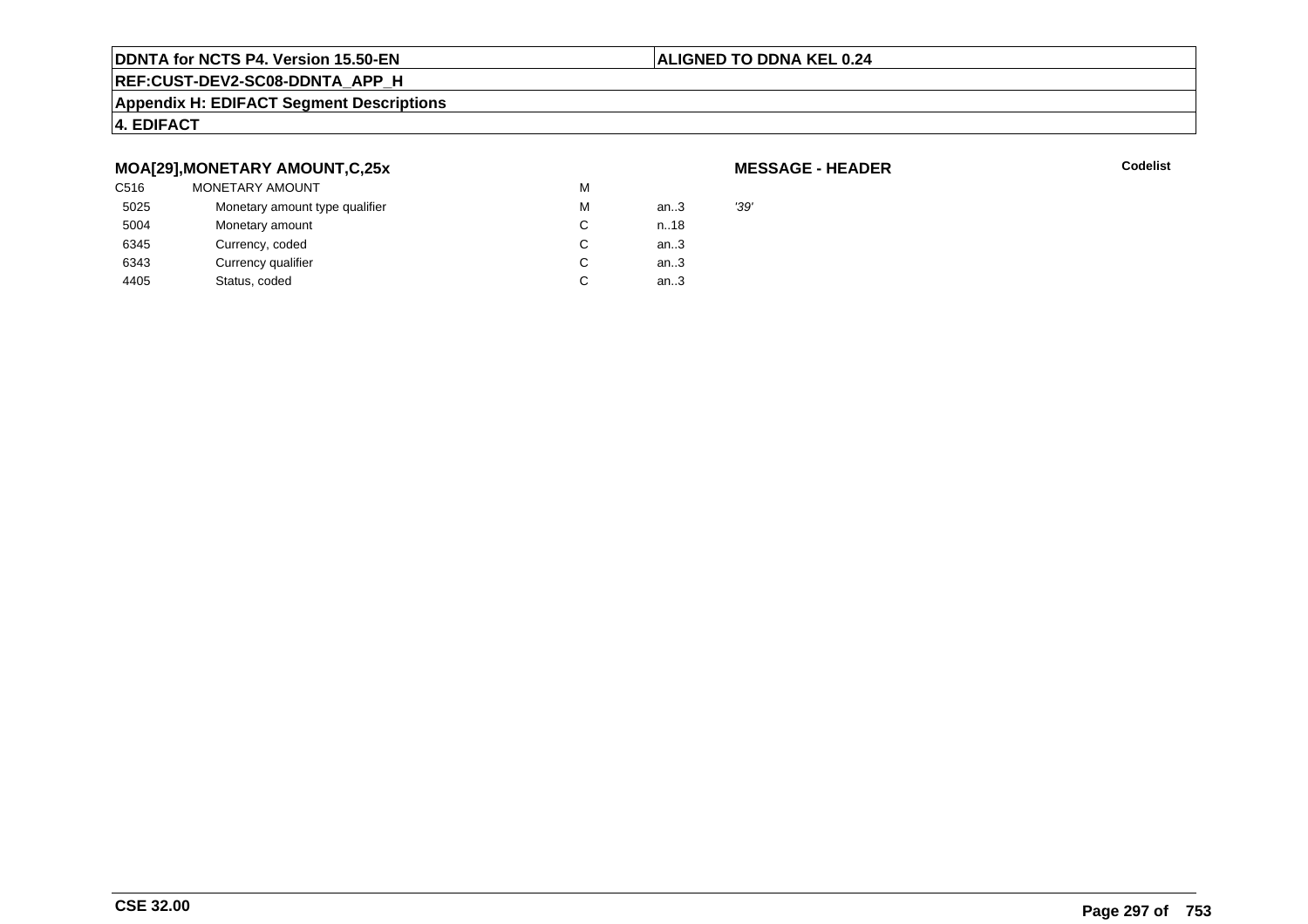#### **ALIGNED TO DDNA KEL 0.24**

## **REF:CUST-DEV2-SC08-DDNTA\_APP\_H**

#### **Appendix H: EDIFACT Segment Descriptions**

#### **4. EDIFACT**

#### **MOA[29],MONETARY AMOUNT,C,25x**

| C516 | <b>MONETARY AMOUNT</b>         | м |        |      |
|------|--------------------------------|---|--------|------|
| 5025 | Monetary amount type qualifier | м | an $3$ | '39' |
| 5004 | Monetary amount                |   | n.18   |      |
| 6345 | Currency, coded                |   | an.3   |      |
| 6343 | Currency qualifier             |   | an.3   |      |
| 4405 | Status, coded                  |   | an.3   |      |

#### **MESSAGE - HEADER**

**R** Codelist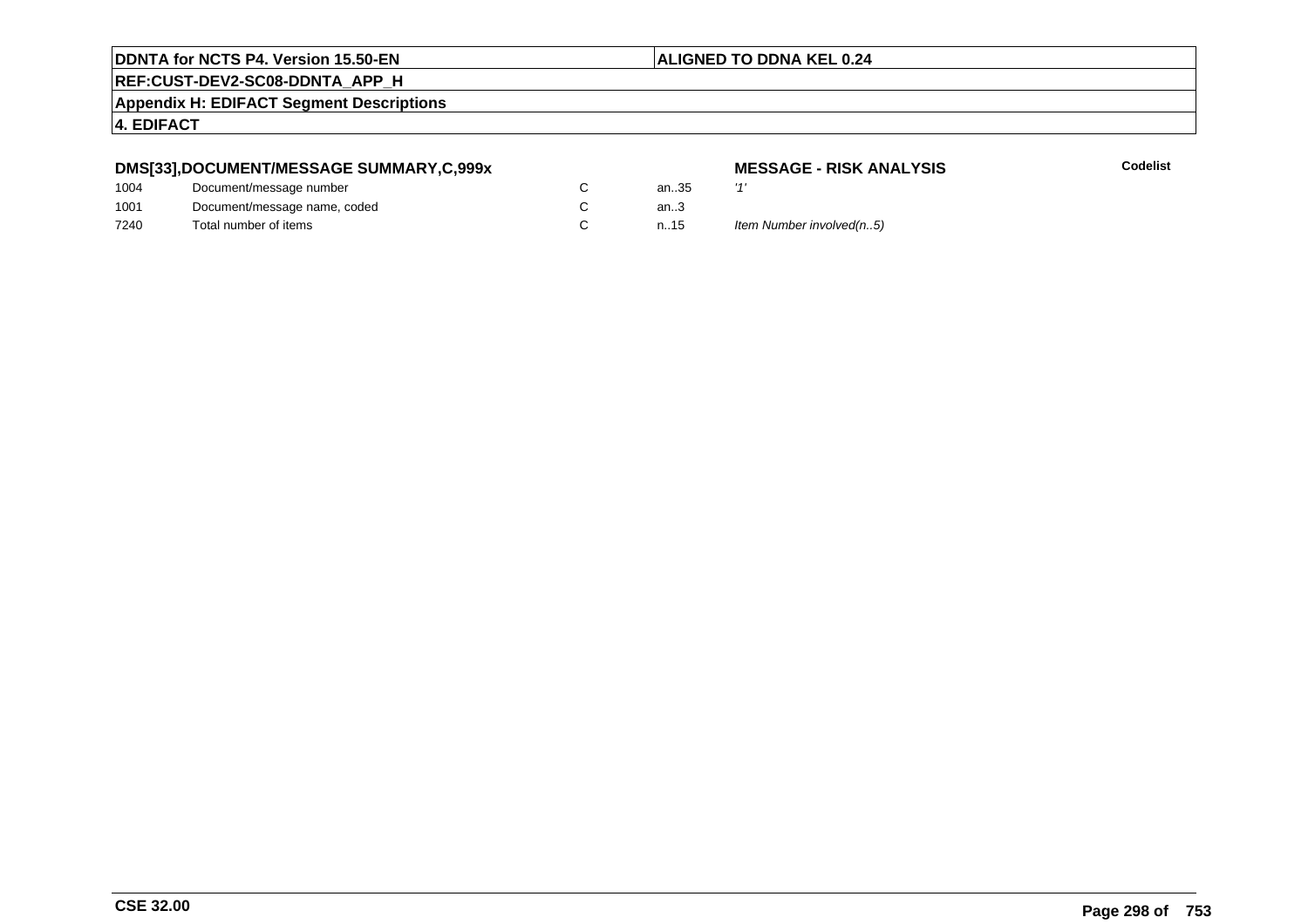#### **ALIGNED TO DDNA KEL 0.24**

**REF:CUST-DEV2-SC08-DDNTA\_APP\_H**

**Appendix H: EDIFACT Segment Descriptions**

**4. EDIFACT**

#### **DMS[33],DOCUMENT/MESSAGE SUMMARY,C,999x**

| 1004 | Document/message number      | an3 |
|------|------------------------------|-----|
| 1001 | Document/message name, coded | an3 |
| 7240 | Total number of items        | n15 |

# **MESSAGE - RISK ANALYSIS**

**Codelist**

า..35<br>า..3

n.15 Item Number involved(n..5)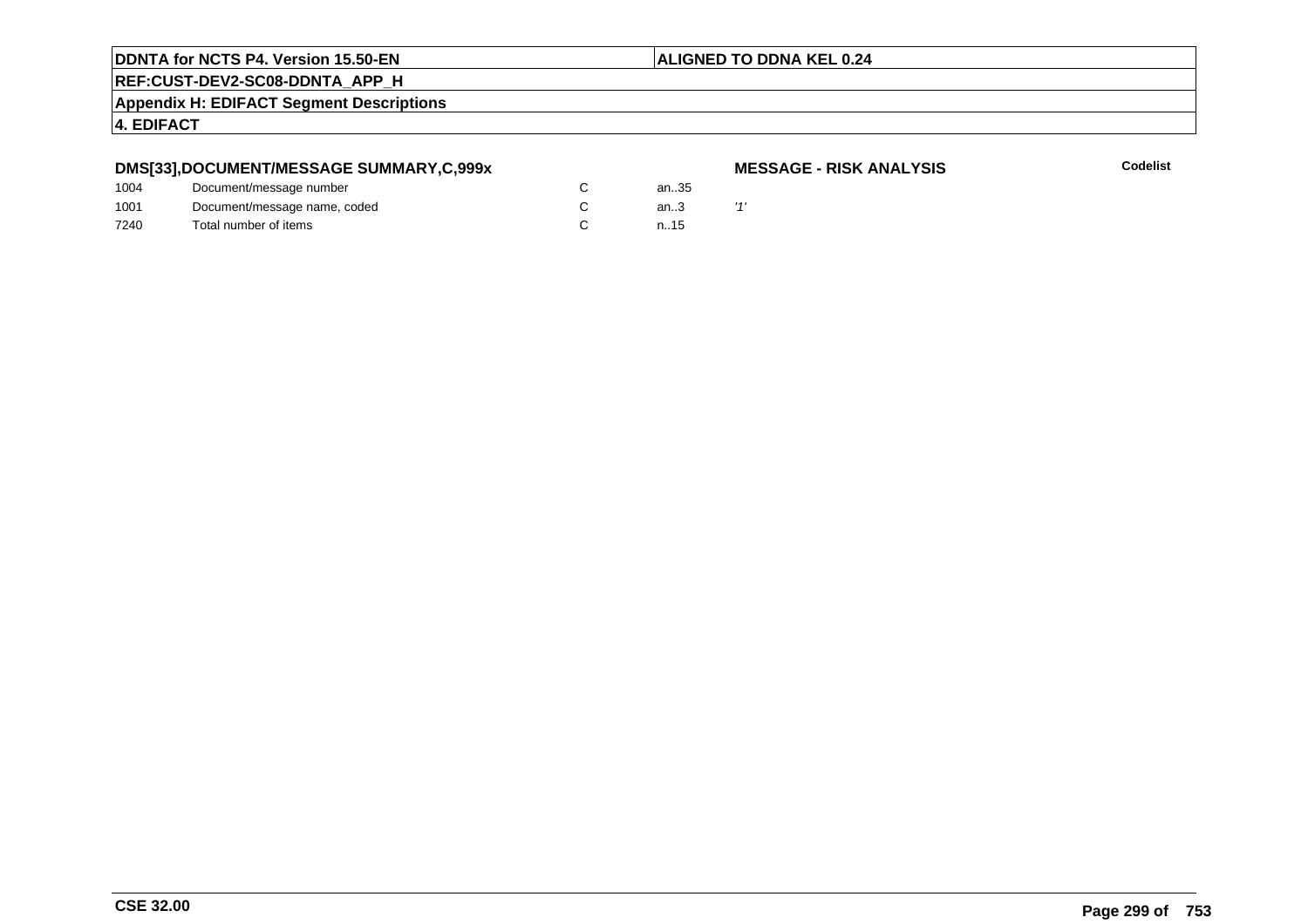#### **ALIGNED TO DDNA KEL 0.24**

**REF:CUST-DEV2-SC08-DDNTA\_APP\_H**

**Appendix H: EDIFACT Segment Descriptions**

**4. EDIFACT**

#### **DMS[33],DOCUMENT/MESSAGE SUMMARY,C,999x**

#### **MESSAGE - RISK ANALYSIS**

| 1004 | Document/message number      |  | an35 |  |
|------|------------------------------|--|------|--|
| 1001 | Document/message name, coded |  | an.3 |  |
| 7240 | Total number of items        |  | n.15 |  |
|      |                              |  |      |  |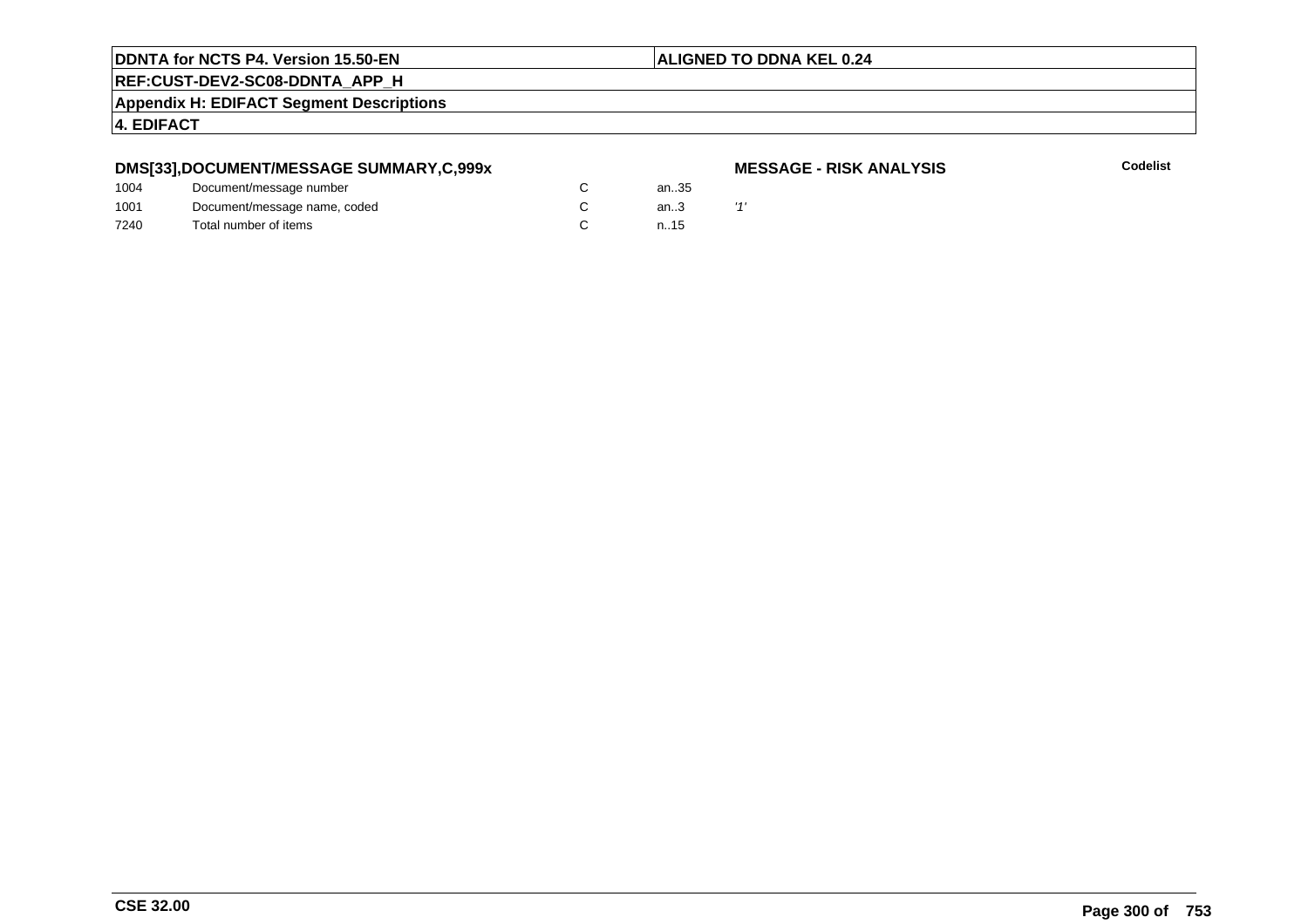#### **ALIGNED TO DDNA KEL 0.24**

**REF:CUST-DEV2-SC08-DDNTA\_APP\_H**

**Appendix H: EDIFACT Segment Descriptions**

**4. EDIFACT**

#### **DMS[33],DOCUMENT/MESSAGE SUMMARY,C,999x**

#### **MESSAGE - RISK ANALYSIS**

| 1004 | Document/message number      |  | an35 |  |
|------|------------------------------|--|------|--|
| 1001 | Document/message name, coded |  | an.3 |  |
| 7240 | Total number of items        |  | n.15 |  |
|      |                              |  |      |  |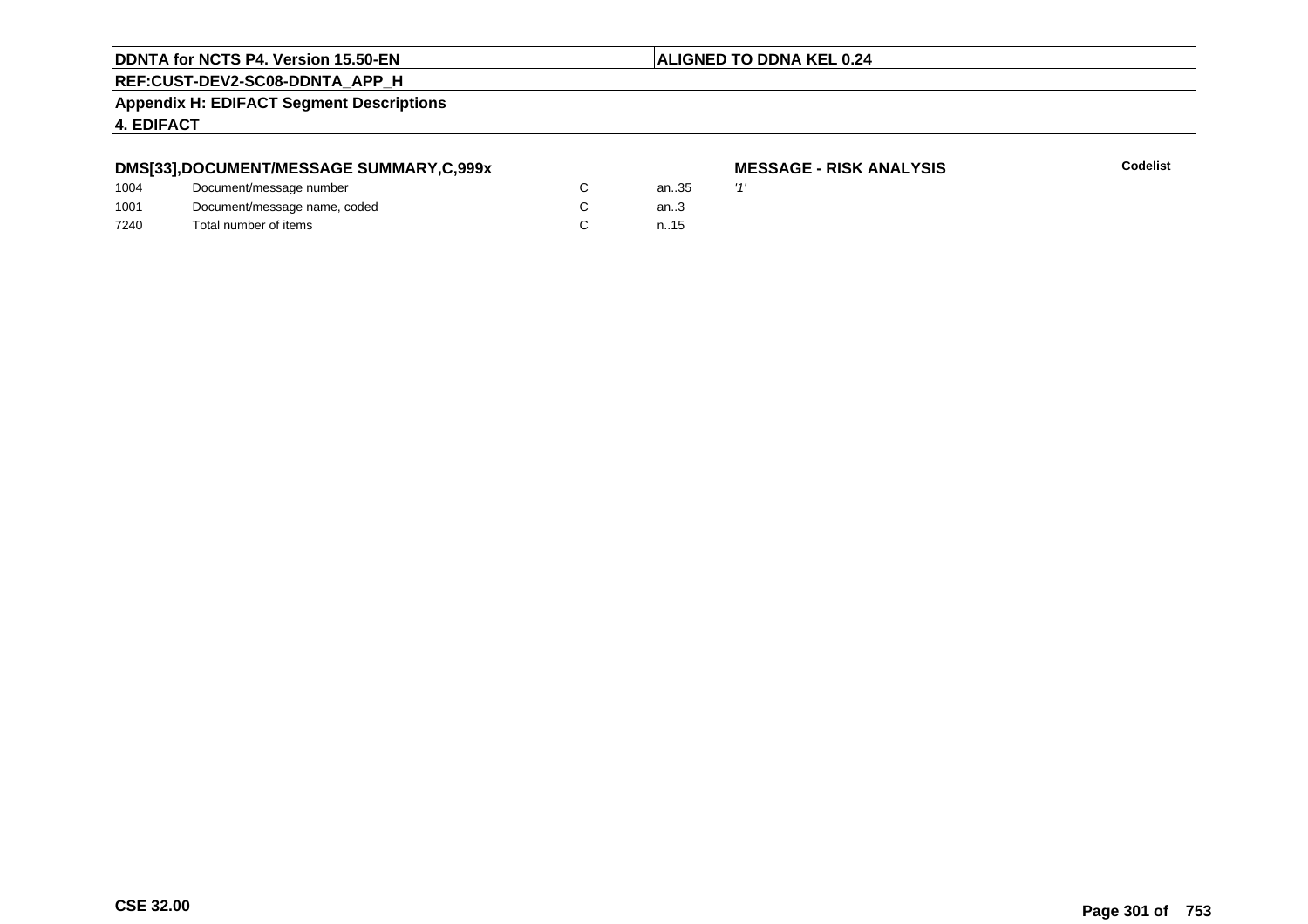#### **ALIGNED TO DDNA KEL 0.24**

**REF:CUST-DEV2-SC08-DDNTA\_APP\_H**

**Appendix H: EDIFACT Segment Descriptions**

**4. EDIFACT**

#### **DMS[33],DOCUMENT/MESSAGE SUMMARY,C,999x**

| 1004 | Document/message number      | an35   | $\overline{1}$ |
|------|------------------------------|--------|----------------|
| 1001 | Document/message name, coded | an $3$ |                |
| 7240 | Total number of items        | n.15   |                |

# **MESSAGE - RISK ANALYSIS**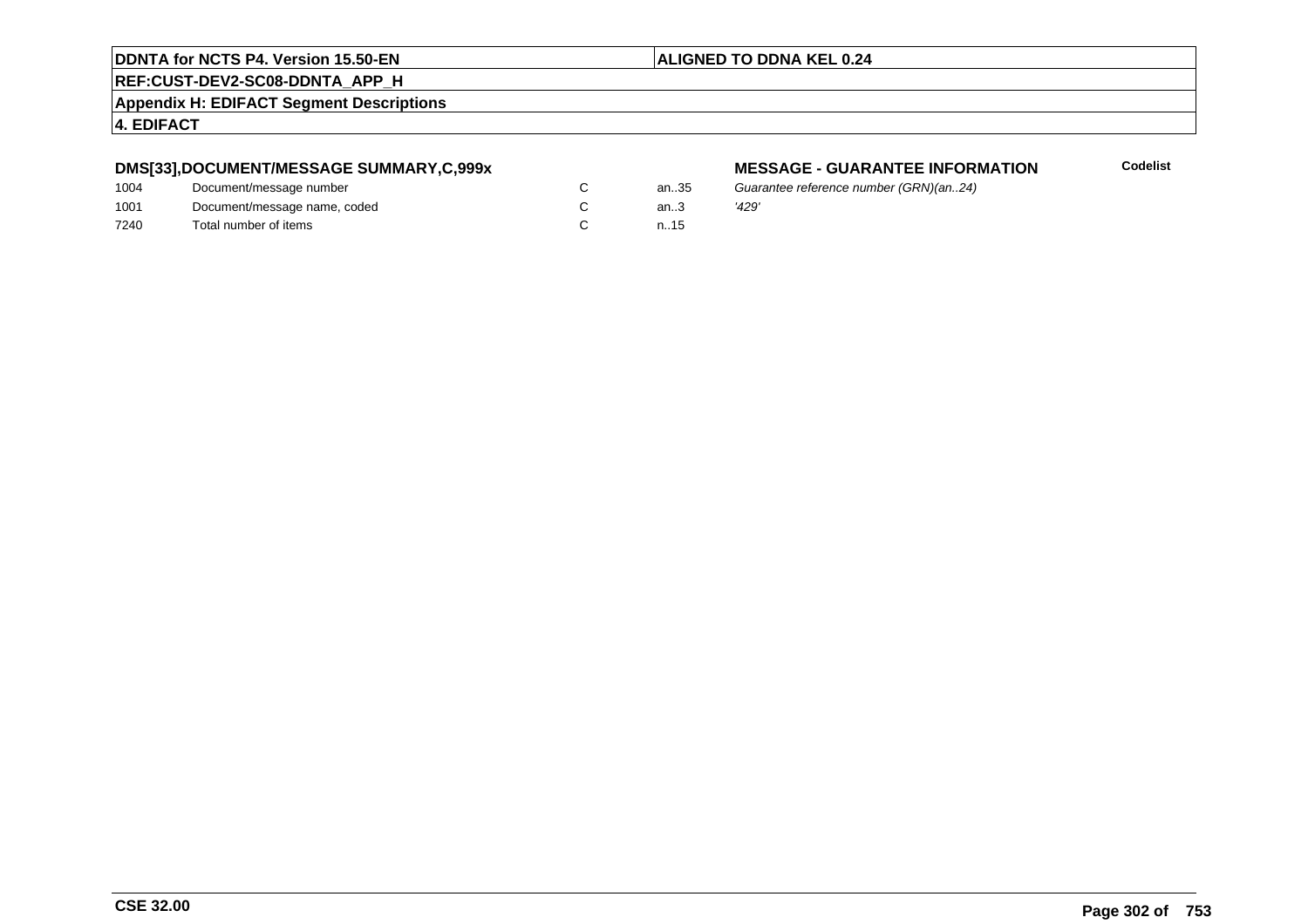#### **REF:CUST-DEV2-SC08-DDNTA\_APP\_H**

**Appendix H: EDIFACT Segment Descriptions**

#### **4. EDIFACT**

#### **DMS[33],DOCUMENT/MESSAGE SUMMARY,C,999x**

| 1004 | Document/message number      | an.35  | Guai  |
|------|------------------------------|--------|-------|
| 1001 | Document/message name, coded | an $3$ | '429' |
| 7240 | Total number of items        | n.15   |       |

#### **MESSAGE - GUARANTEE INFORMATION**

Guarantee reference number (GRN)(an..24)<br>'429'

**ALIGNED TO DDNA KEL 0.24**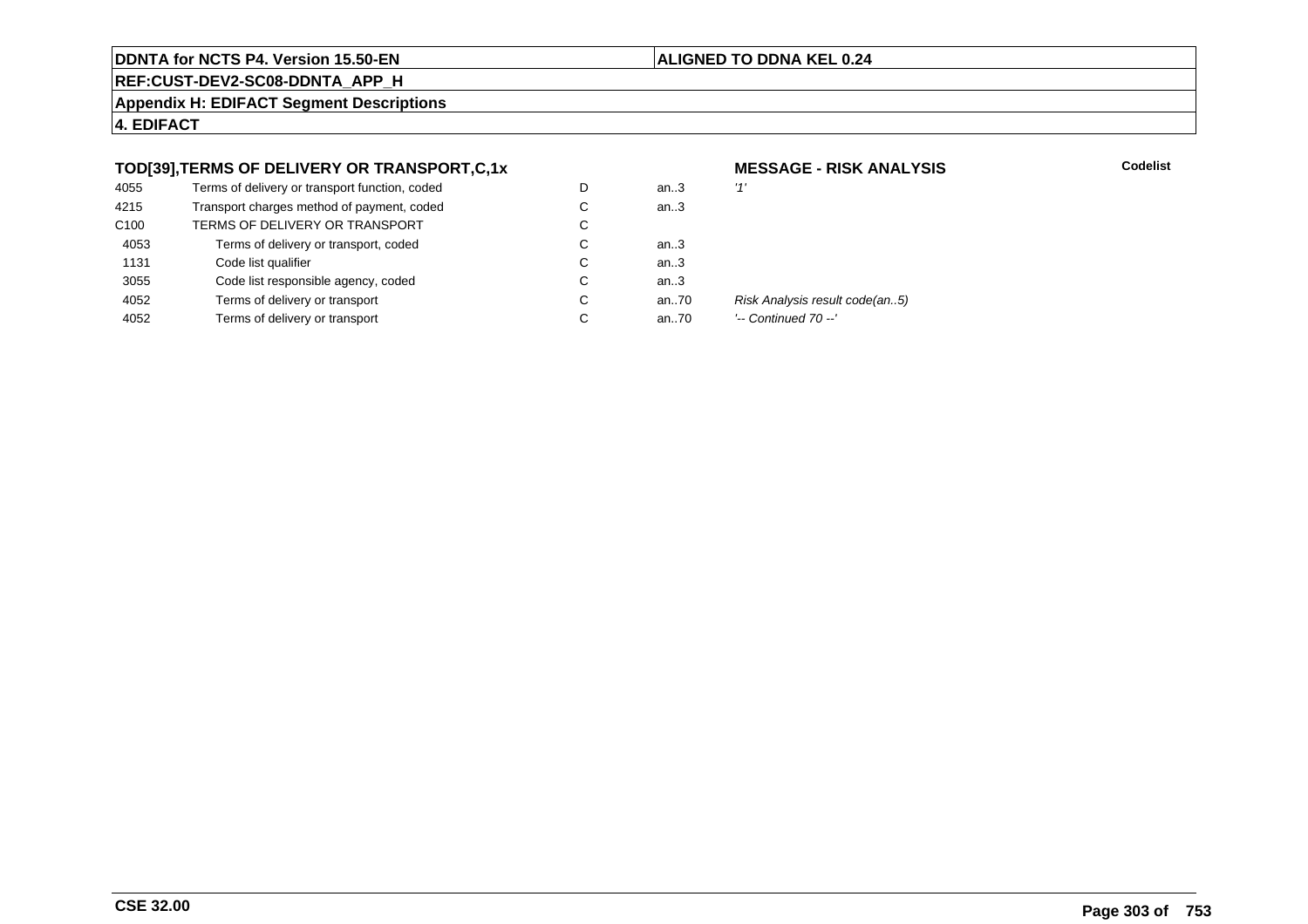#### **ALIGNED TO DDNA KEL 0.24**

**REF:CUST-DEV2-SC08-DDNTA\_APP\_H**

**Appendix H: EDIFACT Segment Descriptions**

**4. EDIFACT**

#### **TOD[39],TERMS OF DELIVERY OR TRANSPORT,C,1x**

| 4055             | Terms of delivery or transport function, coded | D | an $3$ | '1'    |
|------------------|------------------------------------------------|---|--------|--------|
| 4215             | Transport charges method of payment, coded     | С | an.3   |        |
| C <sub>100</sub> | TERMS OF DELIVERY OR TRANSPORT                 | C |        |        |
| 4053             | Terms of delivery or transport, coded          | С | an $3$ |        |
| 1131             | Code list qualifier                            | C | an.3   |        |
| 3055             | Code list responsible agency, coded            | С | an.3   |        |
| 4052             | Terms of delivery or transport                 | С | an70   | Ri     |
| 4052             | Terms of delivery or transport                 | C | an70   | $\sim$ |
|                  |                                                |   |        |        |

# **MESSAGE - RISK ANALYSIS**

**Codelist**

Risk Analysis result code(an..5)

'-- Continued 70 --'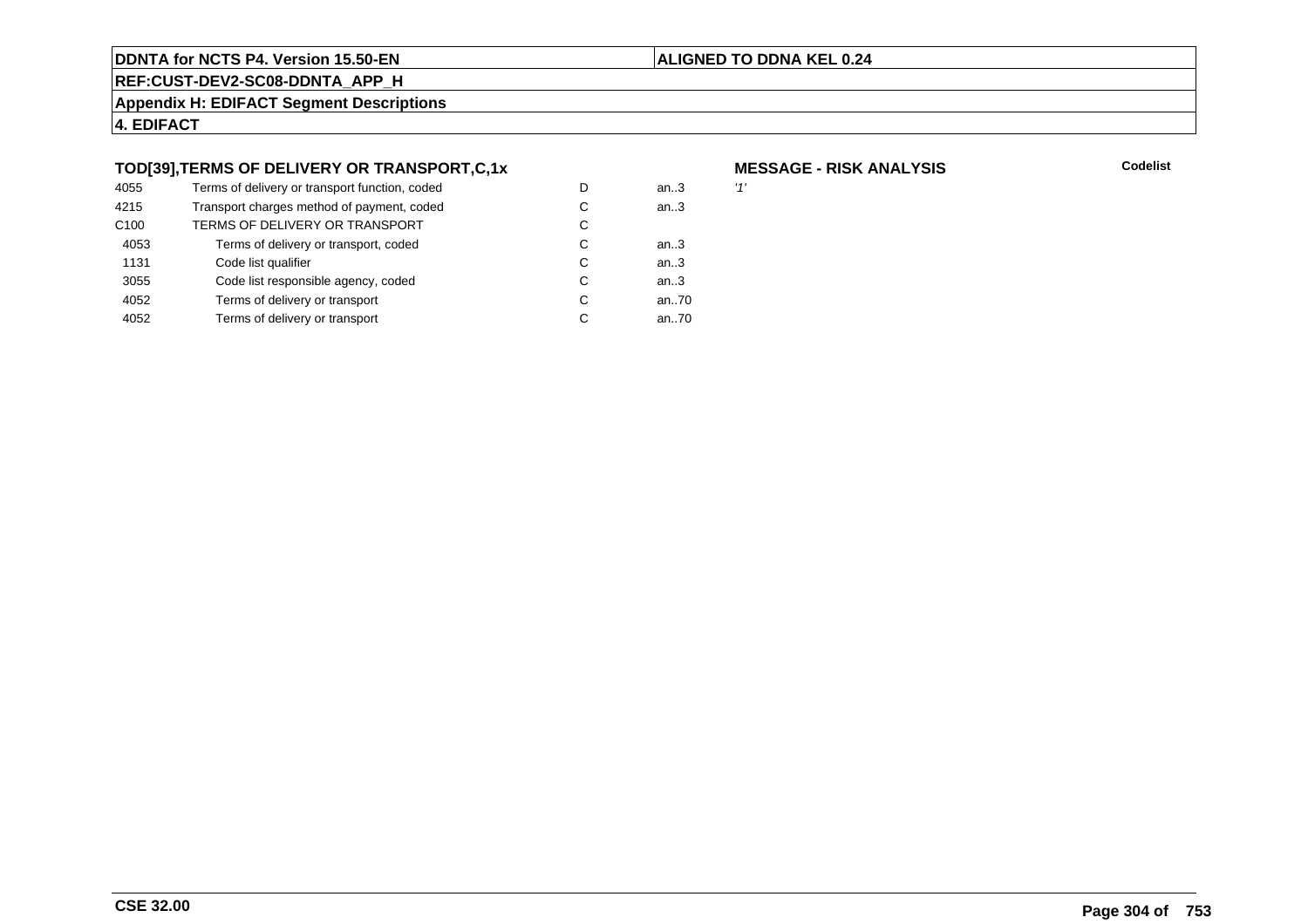#### **ALIGNED TO DDNA KEL 0.24**

**REF:CUST-DEV2-SC08-DDNTA\_APP\_H**

**Appendix H: EDIFACT Segment Descriptions**

**4. EDIFACT**

#### **TOD[39],TERMS OF DELIVERY OR TRANSPORT,C,1x**

| 4055             | Terms of delivery or transport function, coded | D | an $3$ | '1' |
|------------------|------------------------------------------------|---|--------|-----|
| 4215             | Transport charges method of payment, coded     | С | an.3   |     |
| C <sub>100</sub> | TERMS OF DELIVERY OR TRANSPORT                 | С |        |     |
| 4053             | Terms of delivery or transport, coded          | С | an3    |     |
| 1131             | Code list qualifier                            | C | an.3   |     |
| 3055             | Code list responsible agency, coded            | С | an.3   |     |
| 4052             | Terms of delivery or transport                 | C | an70   |     |
| 4052             | Terms of delivery or transport                 | С | an70   |     |
|                  |                                                |   |        |     |

# **MESSAGE - RISK ANALYSIS**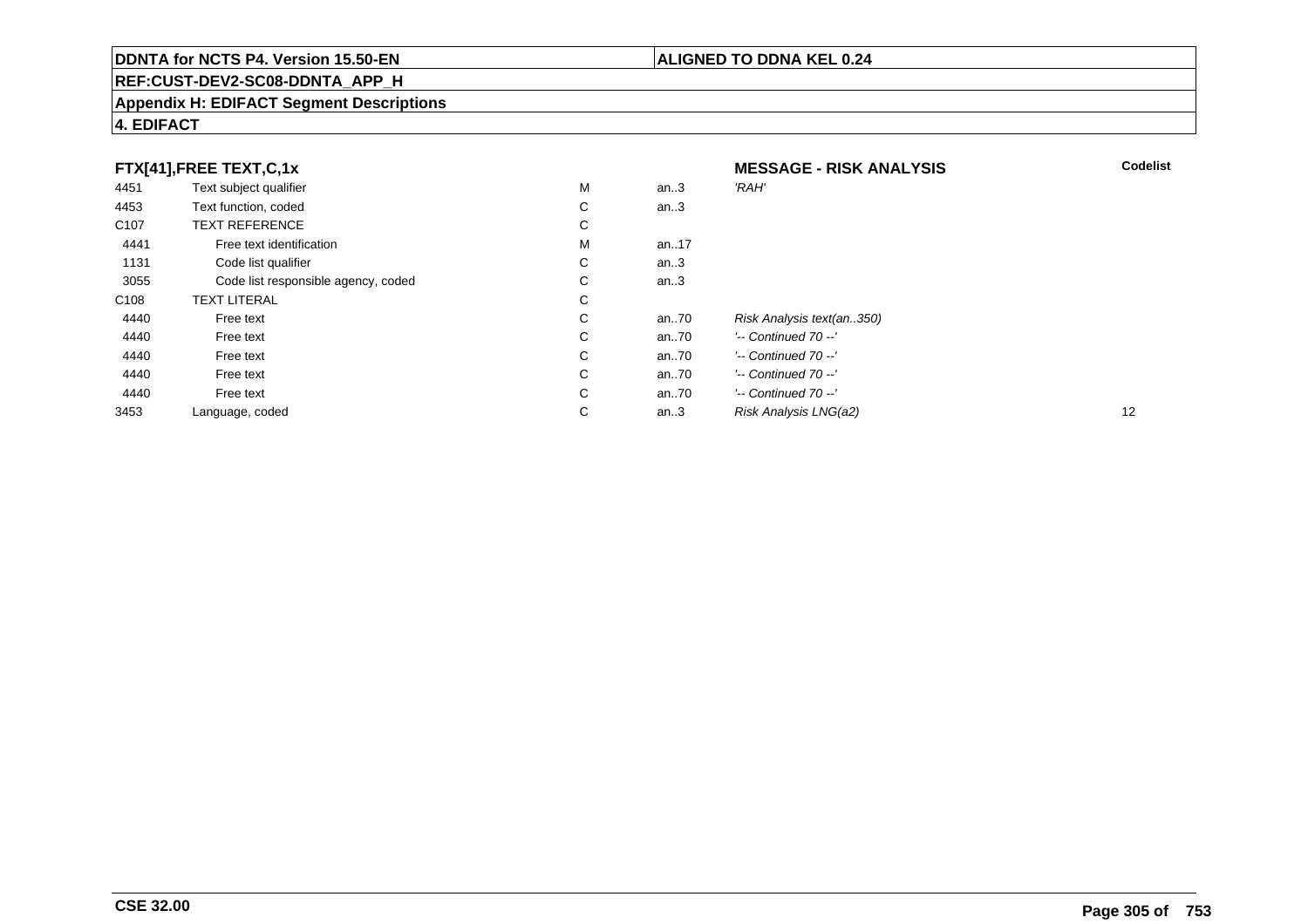#### **REF:CUST-DEV2-SC08-DDNTA\_APP\_H**

#### **Appendix H: EDIFACT Segment Descriptions**

#### **4. EDIFACT**

| FTX[41],FREE TEXT,C,1x |                                     |   | <b>MESSAGE - RISK ANALYSIS</b> | <b>Codelist</b>           |    |
|------------------------|-------------------------------------|---|--------------------------------|---------------------------|----|
| 4451                   | Text subject qualifier              | М | an.3                           | 'RAH'                     |    |
| 4453                   | Text function, coded                | С | an.3                           |                           |    |
| C <sub>107</sub>       | <b>TEXT REFERENCE</b>               | С |                                |                           |    |
| 4441                   | Free text identification            | М | an17                           |                           |    |
| 1131                   | Code list qualifier                 | С | an.3                           |                           |    |
| 3055                   | Code list responsible agency, coded | С | an.3                           |                           |    |
| C <sub>108</sub>       | <b>TEXT LITERAL</b>                 | С |                                |                           |    |
| 4440                   | Free text                           | С | an70                           | Risk Analysis text(an350) |    |
| 4440                   | Free text                           | С | an70                           | $'-$ Continued 70 $-$ '   |    |
| 4440                   | Free text                           | С | an70                           | $'-$ Continued 70 $-$ '   |    |
| 4440                   | Free text                           | С | an70                           | $'-$ Continued 70 $-$ '   |    |
| 4440                   | Free text                           | С | an70                           | $'-$ Continued 70 $-$ '   |    |
| 3453                   | Language, coded                     | С | an.3                           | Risk Analysis LNG(a2)     | 12 |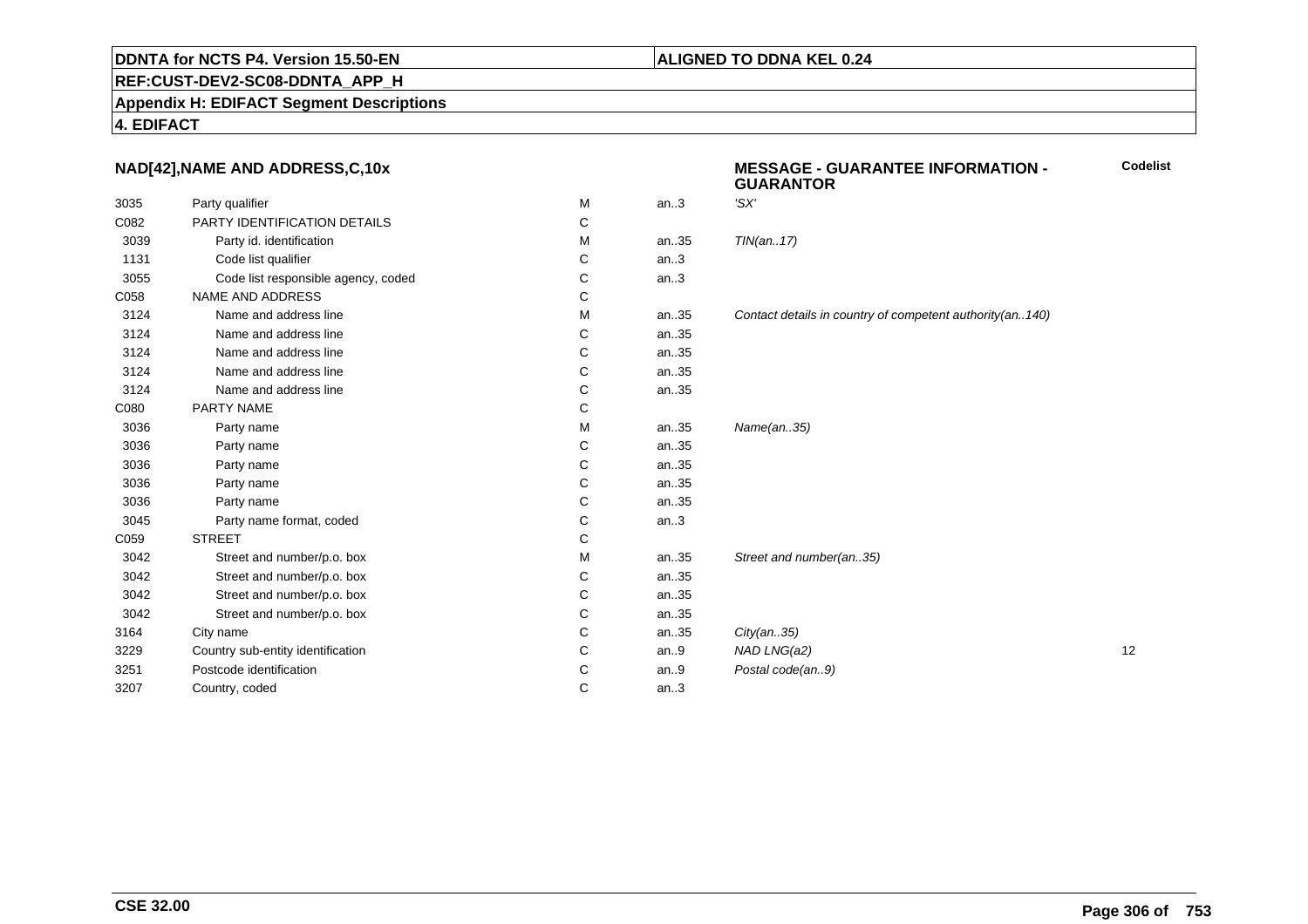#### **ALIGNED TO DDNA KEL 0.24**

**REF:CUST-DEV2-SC08-DDNTA\_APP\_H**

**Appendix H: EDIFACT Segment Descriptions**

**4. EDIFACT**

#### **NAD[42],NAME AND ADDRESS,C,10x**

| 3035 | Party qualifier                     | M | an.3 | 'SX'                                                     |    |
|------|-------------------------------------|---|------|----------------------------------------------------------|----|
| C082 | PARTY IDENTIFICATION DETAILS        | С |      |                                                          |    |
| 3039 | Party id. identification            | M | an35 | TIN(an17)                                                |    |
| 1131 | Code list qualifier                 | С | an.3 |                                                          |    |
| 3055 | Code list responsible agency, coded | С | an.3 |                                                          |    |
| C058 | <b>NAME AND ADDRESS</b>             | С |      |                                                          |    |
| 3124 | Name and address line               | M | an35 | Contact details in country of competent authority(an140) |    |
| 3124 | Name and address line               | С | an35 |                                                          |    |
| 3124 | Name and address line               | C | an35 |                                                          |    |
| 3124 | Name and address line               | С | an35 |                                                          |    |
| 3124 | Name and address line               | С | an35 |                                                          |    |
| C080 | PARTY NAME                          | C |      |                                                          |    |
| 3036 | Party name                          | M | an35 | Name(an35)                                               |    |
| 3036 | Party name                          | С | an35 |                                                          |    |
| 3036 | Party name                          | C | an35 |                                                          |    |
| 3036 | Party name                          | C | an35 |                                                          |    |
| 3036 | Party name                          | С | an35 |                                                          |    |
| 3045 | Party name format, coded            | С | an.3 |                                                          |    |
| C059 | <b>STREET</b>                       | С |      |                                                          |    |
| 3042 | Street and number/p.o. box          | M | an35 | Street and number(an35)                                  |    |
| 3042 | Street and number/p.o. box          | С | an35 |                                                          |    |
| 3042 | Street and number/p.o. box          | С | an35 |                                                          |    |
| 3042 | Street and number/p.o. box          | C | an35 |                                                          |    |
| 3164 | City name                           | C | an35 | City(an35)                                               |    |
| 3229 | Country sub-entity identification   | С | an.9 | NAD LNG(a2)                                              | 12 |
| 3251 | Postcode identification             | С | an.9 | Postal code(an9)                                         |    |
| 3207 | Country, coded                      | C | an.3 |                                                          |    |
|      |                                     |   |      |                                                          |    |

#### **MESSAGE - GUARANTEE INFORMATION - GUARANTORCodelist**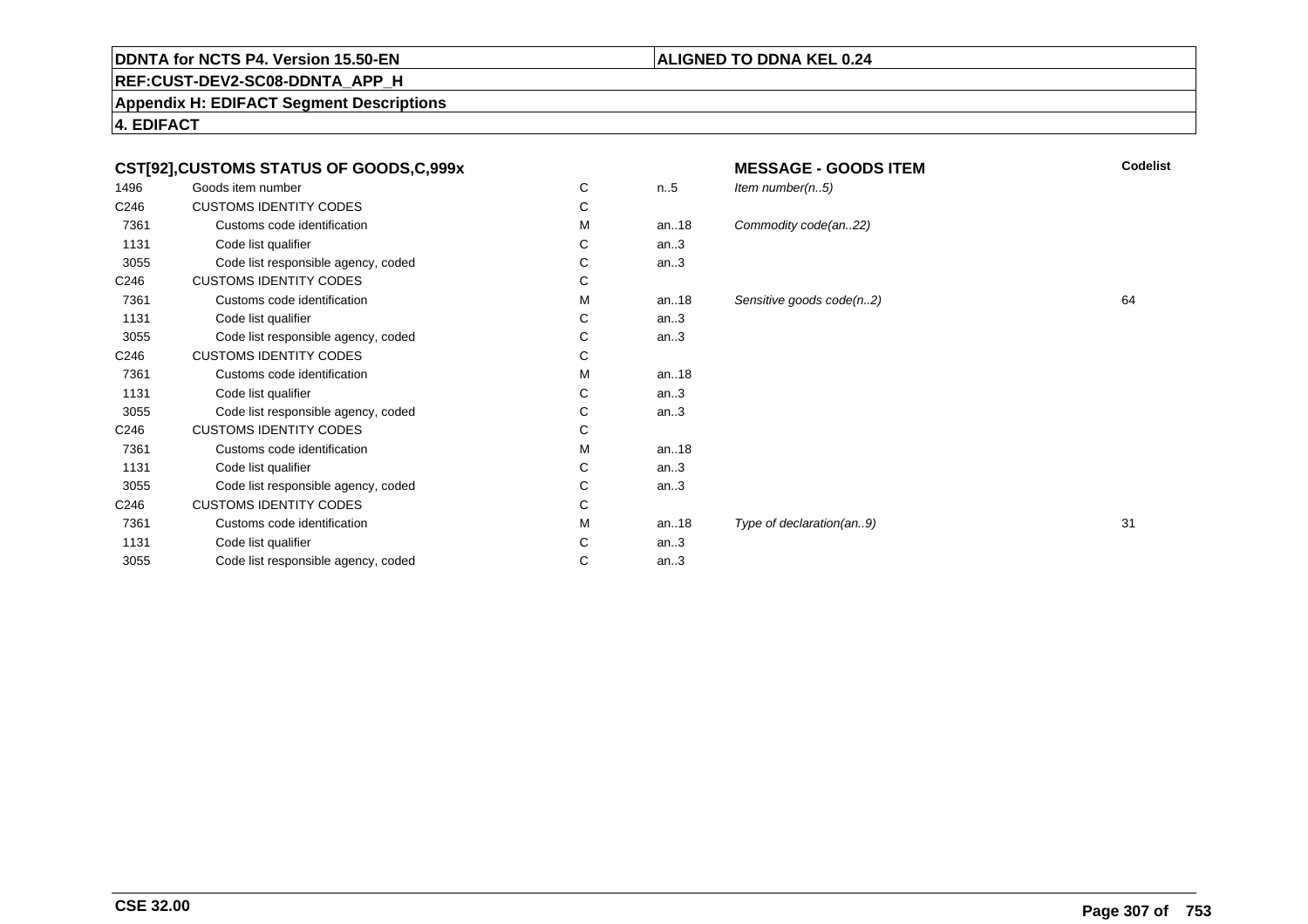#### **ALIGNED TO DDNA KEL 0.24**

**REF:CUST-DEV2-SC08-DDNTA\_APP\_H**

**Appendix H: EDIFACT Segment Descriptions**

**4. EDIFACT**

| CST[92],CUSTOMS STATUS OF GOODS,C,999x |                                     |   | <b>Codelist</b><br><b>MESSAGE - GOODS ITEM</b> |                          |    |
|----------------------------------------|-------------------------------------|---|------------------------------------------------|--------------------------|----|
| 1496                                   | Goods item number                   | С | n.5                                            | Item number $(n.5)$      |    |
| C246                                   | <b>CUSTOMS IDENTITY CODES</b>       | С |                                                |                          |    |
| 7361                                   | Customs code identification         | м | an18                                           | Commodity code(an22)     |    |
| 1131                                   | Code list qualifier                 | С | an.3                                           |                          |    |
| 3055                                   | Code list responsible agency, coded | С | an.3                                           |                          |    |
| C246                                   | <b>CUSTOMS IDENTITY CODES</b>       | С |                                                |                          |    |
| 7361                                   | Customs code identification         | м | an.18                                          | Sensitive goods code(n2) | 64 |
| 1131                                   | Code list qualifier                 | C | an.3                                           |                          |    |
| 3055                                   | Code list responsible agency, coded | С | an.3                                           |                          |    |
| C246                                   | <b>CUSTOMS IDENTITY CODES</b>       | С |                                                |                          |    |
| 7361                                   | Customs code identification         | М | an18                                           |                          |    |
| 1131                                   | Code list qualifier                 | С | an.3                                           |                          |    |
| 3055                                   | Code list responsible agency, coded | С | an.3                                           |                          |    |
| C246                                   | <b>CUSTOMS IDENTITY CODES</b>       | С |                                                |                          |    |
| 7361                                   | Customs code identification         | м | an $.18$                                       |                          |    |
| 1131                                   | Code list qualifier                 | С | an.3                                           |                          |    |
| 3055                                   | Code list responsible agency, coded | С | an.3                                           |                          |    |
| C246                                   | <b>CUSTOMS IDENTITY CODES</b>       | С |                                                |                          |    |
| 7361                                   | Customs code identification         | м | an18                                           | Type of declaration(an9) | 31 |
| 1131                                   | Code list qualifier                 | С | an.3                                           |                          |    |
| 3055                                   | Code list responsible agency, coded | С | an.3                                           |                          |    |
|                                        |                                     |   |                                                |                          |    |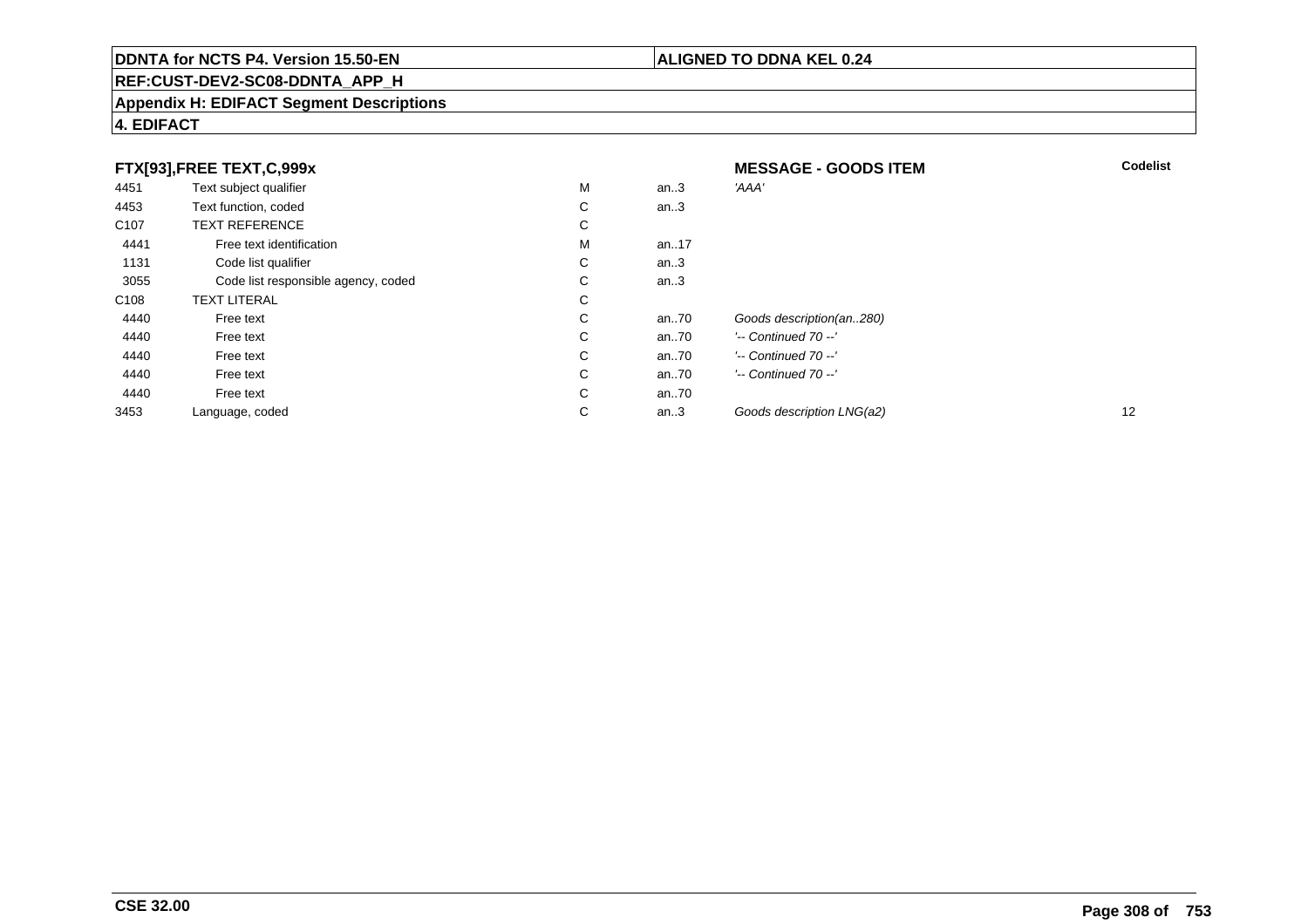## **REF:CUST-DEV2-SC08-DDNTA\_APP\_H**

#### **Appendix H: EDIFACT Segment Descriptions**

#### **4. EDIFACT**

| FTX[93],FREE TEXT,C,999x |                                     |   | <b>MESSAGE - GOODS ITEM</b> | <b>Codelist</b>           |    |
|--------------------------|-------------------------------------|---|-----------------------------|---------------------------|----|
| 4451                     | Text subject qualifier              | M | an.3                        | 'AAA'                     |    |
| 4453                     | Text function, coded                | С | an.3                        |                           |    |
| C <sub>107</sub>         | <b>TEXT REFERENCE</b>               | С |                             |                           |    |
| 4441                     | Free text identification            | M | an17                        |                           |    |
| 1131                     | Code list qualifier                 | C | an.3                        |                           |    |
| 3055                     | Code list responsible agency, coded | С | an.3                        |                           |    |
| C <sub>108</sub>         | <b>TEXT LITERAL</b>                 | С |                             |                           |    |
| 4440                     | Free text                           | С | an70                        | Goods description(an280)  |    |
| 4440                     | Free text                           | С | an70                        | $'-$ Continued 70 $-$ '   |    |
| 4440                     | Free text                           | C | an70                        | $'-$ Continued 70 $-$ '   |    |
| 4440                     | Free text                           | С | an70                        | $'-$ Continued 70 $-$ '   |    |
| 4440                     | Free text                           | С | an70                        |                           |    |
| 3453                     | Language, coded                     | С | an.3                        | Goods description LNG(a2) | 12 |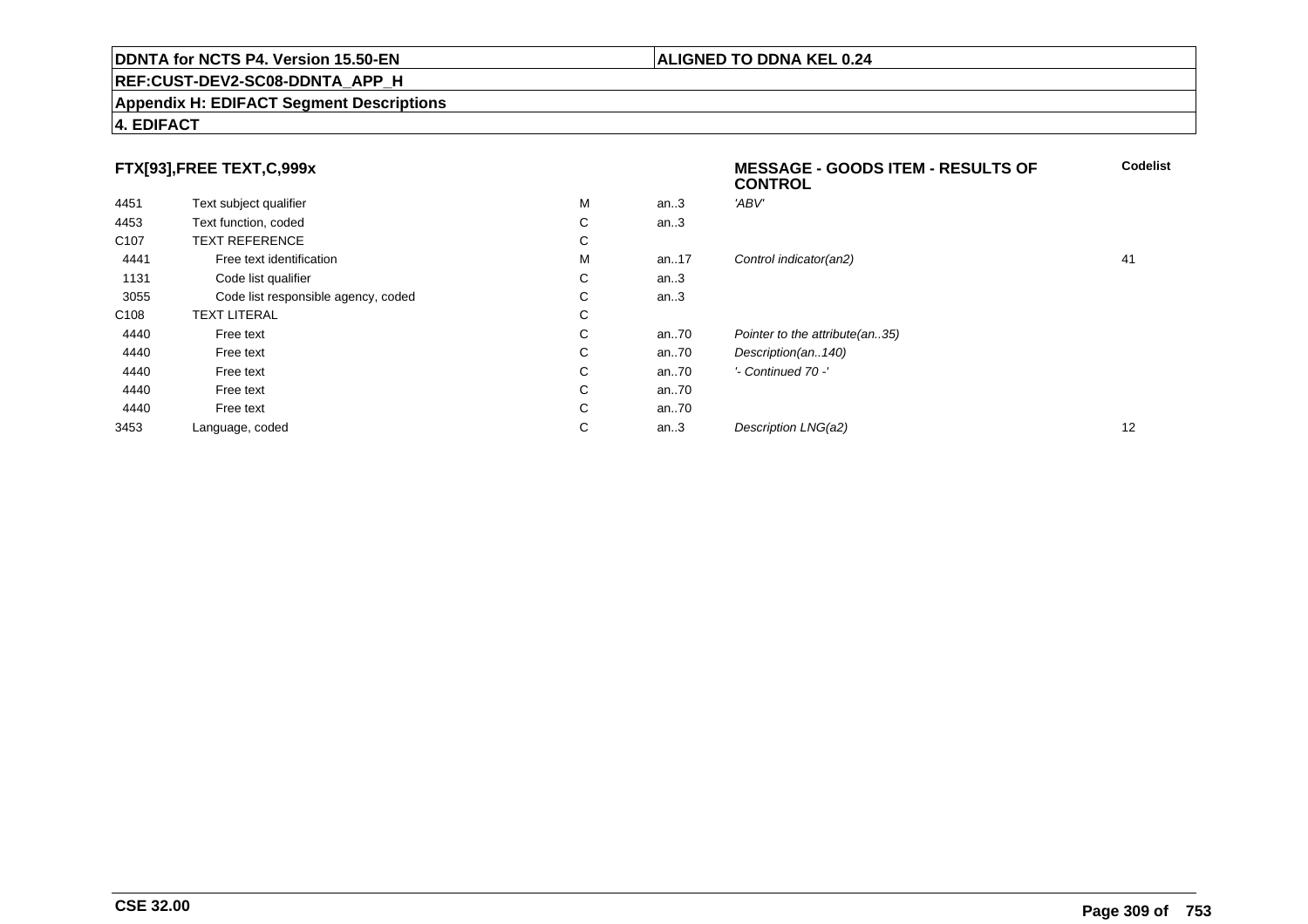#### **REF:CUST-DEV2-SC08-DDNTA\_APP\_H**

#### **Appendix H: EDIFACT Segment Descriptions**

#### **4. EDIFACT**

#### **FTX[93],FREE TEXT,C,999x**

|                  |                                     |   |      | <b>CONTROL</b>                 |    |
|------------------|-------------------------------------|---|------|--------------------------------|----|
| 4451             | Text subject qualifier              | М | an.3 | 'ABV'                          |    |
| 4453             | Text function, coded                | C | an.3 |                                |    |
| C <sub>107</sub> | <b>TEXT REFERENCE</b>               | С |      |                                |    |
| 4441             | Free text identification            | м | an17 | Control indicator(an2)         | 41 |
| 1131             | Code list qualifier                 | С | an.3 |                                |    |
| 3055             | Code list responsible agency, coded | C | an.3 |                                |    |
| C <sub>108</sub> | <b>TEXT LITERAL</b>                 | С |      |                                |    |
| 4440             | Free text                           | C | an70 | Pointer to the attribute(an35) |    |
| 4440             | Free text                           | C | an70 | Description(an140)             |    |
| 4440             | Free text                           | C | an70 | '- Continued 70 -'             |    |
| 4440             | Free text                           | C | an70 |                                |    |
| 4440             | Free text                           | С | an70 |                                |    |
| 3453             | Language, coded                     | С | an.3 | Description LNG(a2)            | 12 |

#### **ALIGNED TO DDNA KEL 0.24**

**Codelist**

**MESSAGE - GOODS ITEM - RESULTS OF**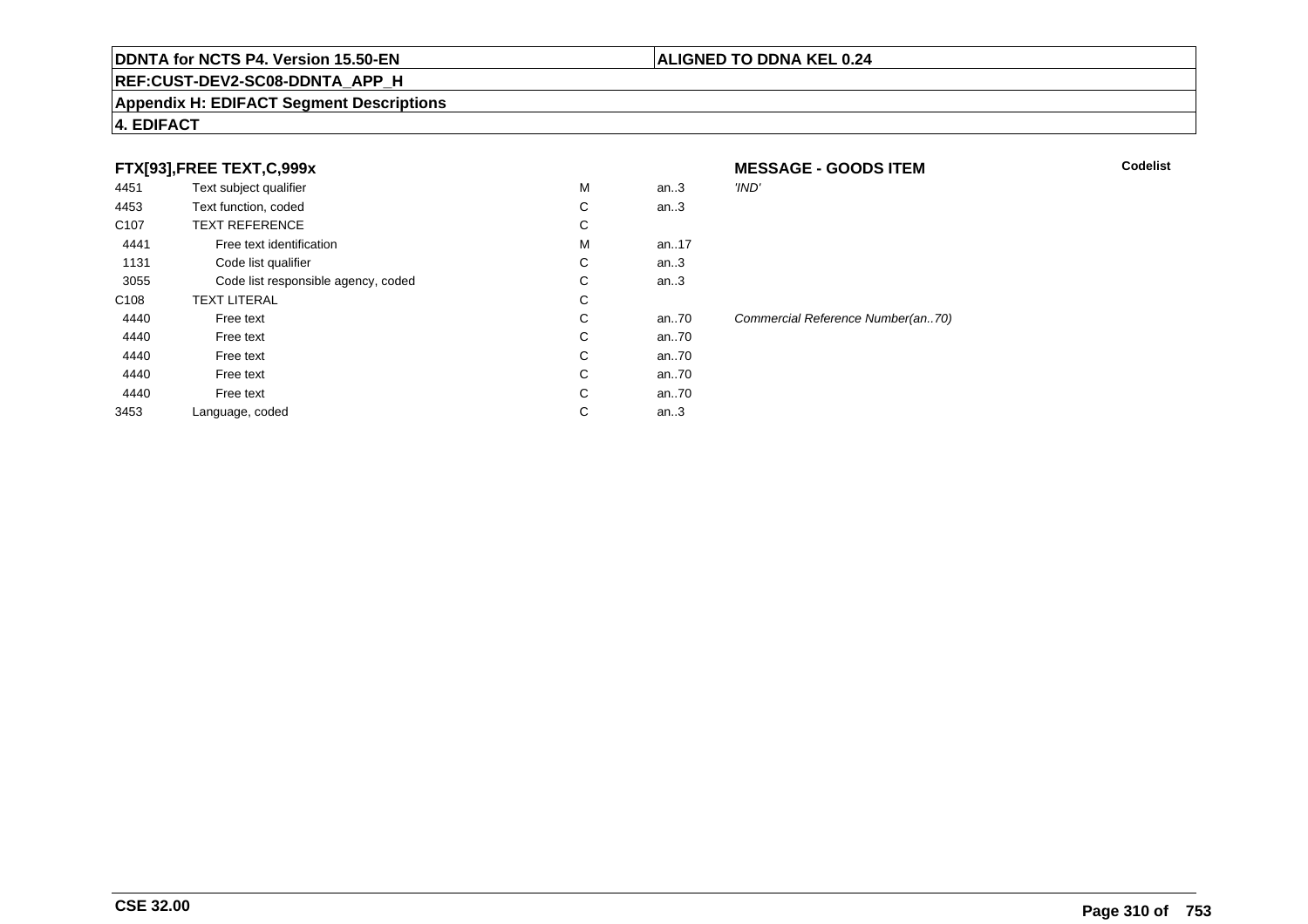#### **REF:CUST-DEV2-SC08-DDNTA\_APP\_H**

#### **Appendix H: EDIFACT Segment Descriptions**

#### **4. EDIFACT**

#### **FTX[93],FREE TEXT,C,999x**

| 4451             | Text subject qualifier              | M | an.3     | 'IND'                      |
|------------------|-------------------------------------|---|----------|----------------------------|
| 4453             | Text function, coded                | С | an.3     |                            |
| C <sub>107</sub> | <b>TEXT REFERENCE</b>               | C |          |                            |
| 4441             | Free text identification            | M | an17     |                            |
| 1131             | Code list qualifier                 | C | an.3     |                            |
| 3055             | Code list responsible agency, coded | С | an.3     |                            |
| C <sub>108</sub> | <b>TEXT LITERAL</b>                 | C |          |                            |
| 4440             | Free text                           | C | an $.70$ | <b>Commercial Referenc</b> |
| 4440             | Free text                           | C | an70     |                            |
| 4440             | Free text                           | С | an70     |                            |
| 4440             | Free text                           | C | an70     |                            |
| 4440             | Free text                           | C | an70     |                            |
| 3453             | Language, coded                     | С | an.3     |                            |
|                  |                                     |   |          |                            |

 **MESSAGE - GOODS ITEMM** Codelist ce Number(an..70)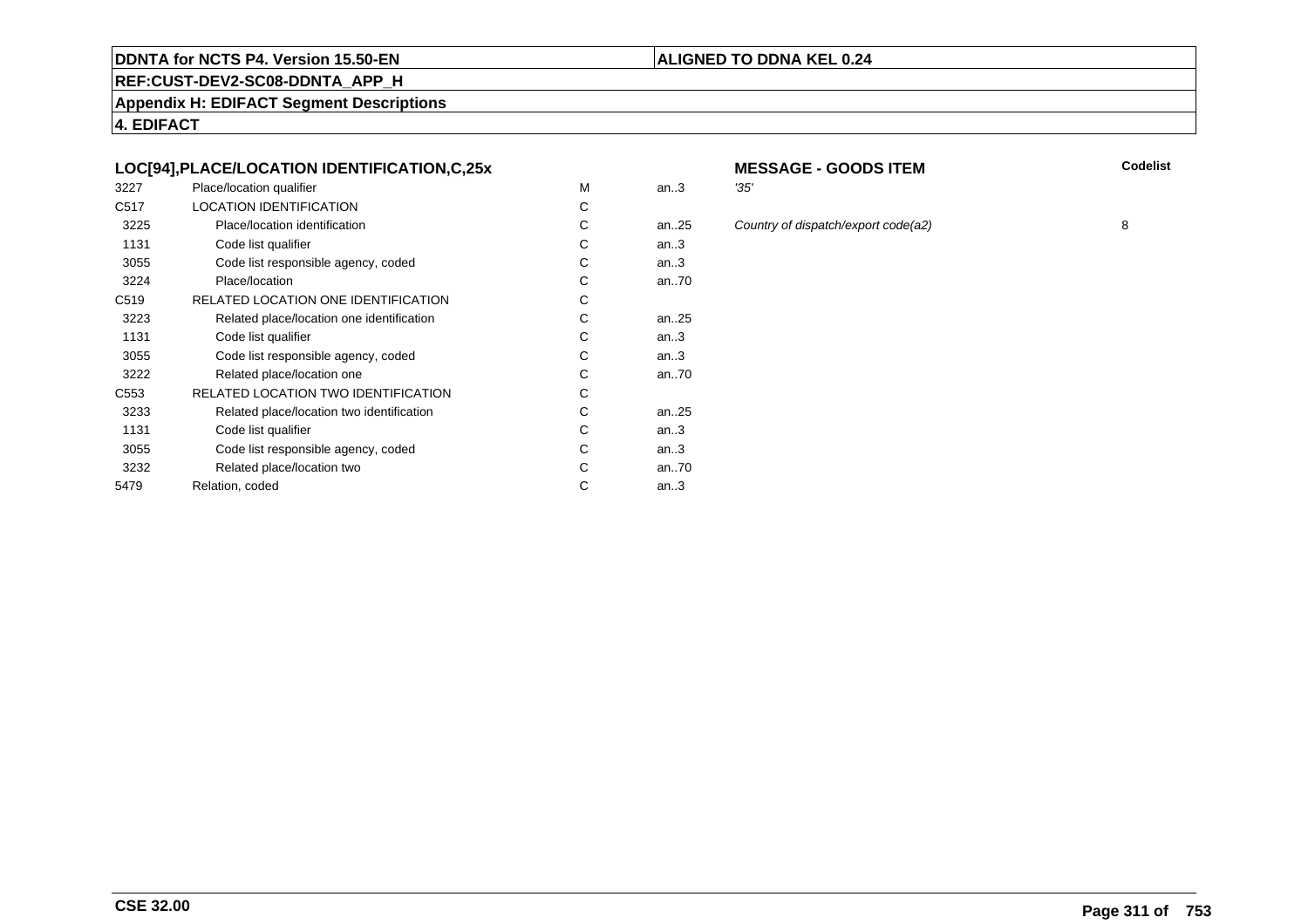#### **REF:CUST-DEV2-SC08-DDNTA\_APP\_H**

**Appendix H: EDIFACT Segment Descriptions**

**4. EDIFACT**

#### **LOC[94],PLACE/LOCATION IDENTIFICATION,C,25x**

| 3227             | Place/location qualifier                  | м | an.3      | '35' |
|------------------|-------------------------------------------|---|-----------|------|
| C <sub>517</sub> | <b>LOCATION IDENTIFICATION</b>            | C |           |      |
| 3225             | Place/location identification             | С | an25      | Col  |
| 1131             | Code list qualifier                       | С | an.3      |      |
| 3055             | Code list responsible agency, coded       | С | an.3      |      |
| 3224             | Place/location                            | С | an70      |      |
| C <sub>519</sub> | RELATED LOCATION ONE IDENTIFICATION       | С |           |      |
| 3223             | Related place/location one identification | С | an. $.25$ |      |
| 1131             | Code list qualifier                       | С | an.3      |      |
| 3055             | Code list responsible agency, coded       | С | an.3      |      |
| 3222             | Related place/location one                | С | an70      |      |
| C553             | RELATED LOCATION TWO IDENTIFICATION       | С |           |      |
| 3233             | Related place/location two identification | С | an. $.25$ |      |
| 1131             | Code list qualifier                       | C | an.3      |      |
| 3055             | Code list responsible agency, coded       | С | an.3      |      |
| 3232             | Related place/location two                | C | an70      |      |
| 5479             | Relation, coded                           | С | an.3      |      |
|                  |                                           |   |           |      |

# **MESSAGE - GOODS ITEM**

**M** Codelist

**ALIGNED TO DDNA KEL 0.24**

an...<br>25 Country of dispatch/export code(a2) 8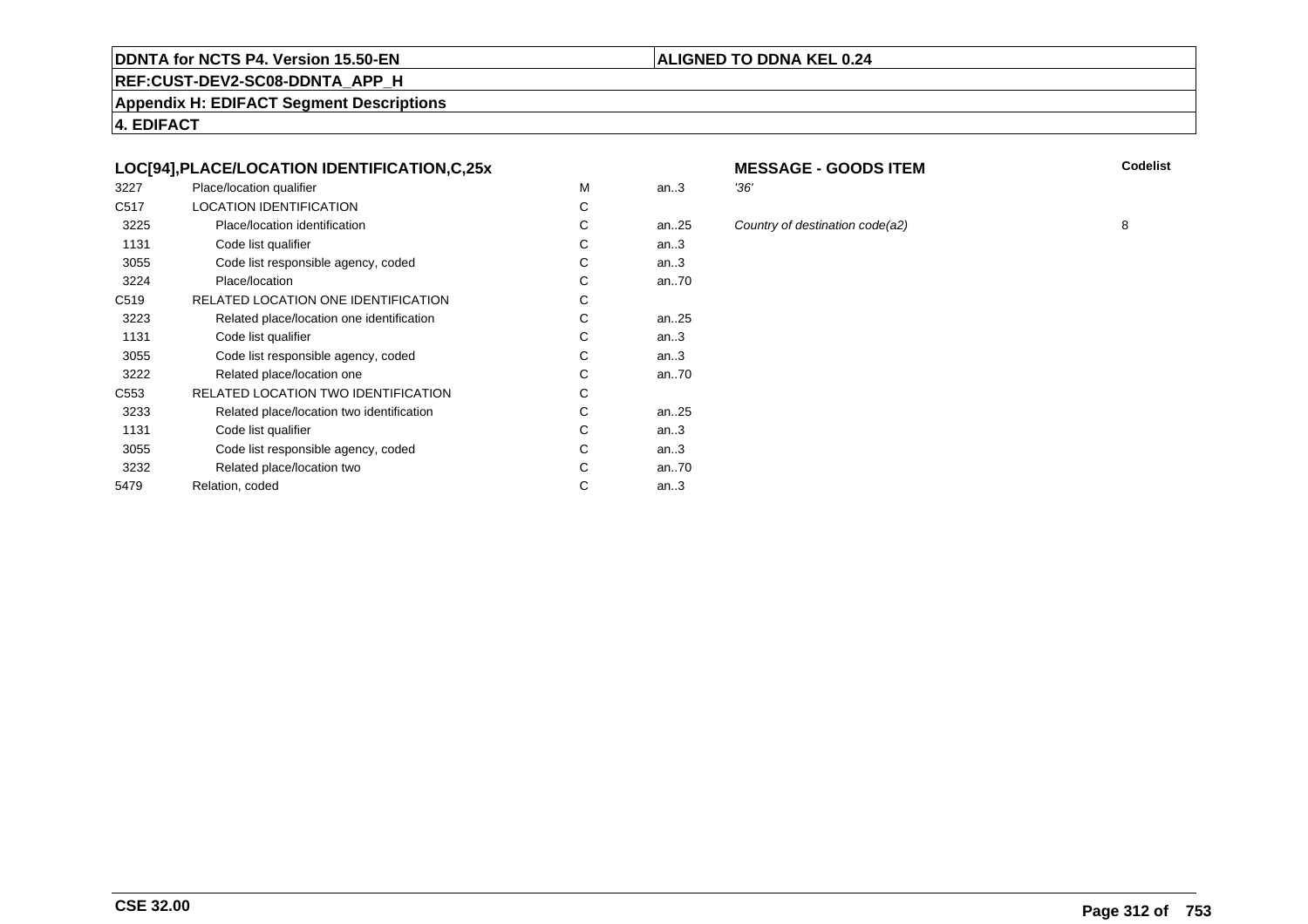#### **REF:CUST-DEV2-SC08-DDNTA\_APP\_H**

**Appendix H: EDIFACT Segment Descriptions**

**4. EDIFACT**

#### **LOC[94],PLACE/LOCATION IDENTIFICATION,C,25x**

| 3227             | Place/location qualifier                   | м | an.3      | '36' |
|------------------|--------------------------------------------|---|-----------|------|
| C <sub>517</sub> | <b>LOCATION IDENTIFICATION</b>             | С |           |      |
| 3225             | Place/location identification              | С | an. $.25$ | Col  |
| 1131             | Code list qualifier                        | C | an.3      |      |
| 3055             | Code list responsible agency, coded        | С | an.3      |      |
| 3224             | Place/location                             | С | an70      |      |
| C <sub>519</sub> | RELATED LOCATION ONE IDENTIFICATION        | С |           |      |
| 3223             | Related place/location one identification  | C | an. $.25$ |      |
| 1131             | Code list qualifier                        | С | an.3      |      |
| 3055             | Code list responsible agency, coded        | С | an.3      |      |
| 3222             | Related place/location one                 | С | an70      |      |
| C553             | <b>RELATED LOCATION TWO IDENTIFICATION</b> | С |           |      |
| 3233             | Related place/location two identification  | С | an. $.25$ |      |
| 1131             | Code list qualifier                        | C | an.3      |      |
| 3055             | Code list responsible agency, coded        | С | an.3      |      |
| 3232             | Related place/location two                 | С | an70      |      |
| 5479             | Relation, coded                            | С | an.3      |      |
|                  |                                            |   |           |      |

# **MESSAGE - GOODS ITEM**

**M** Codelist

**ALIGNED TO DDNA KEL 0.24**

an...<br>25 Country of destination code(a2) 8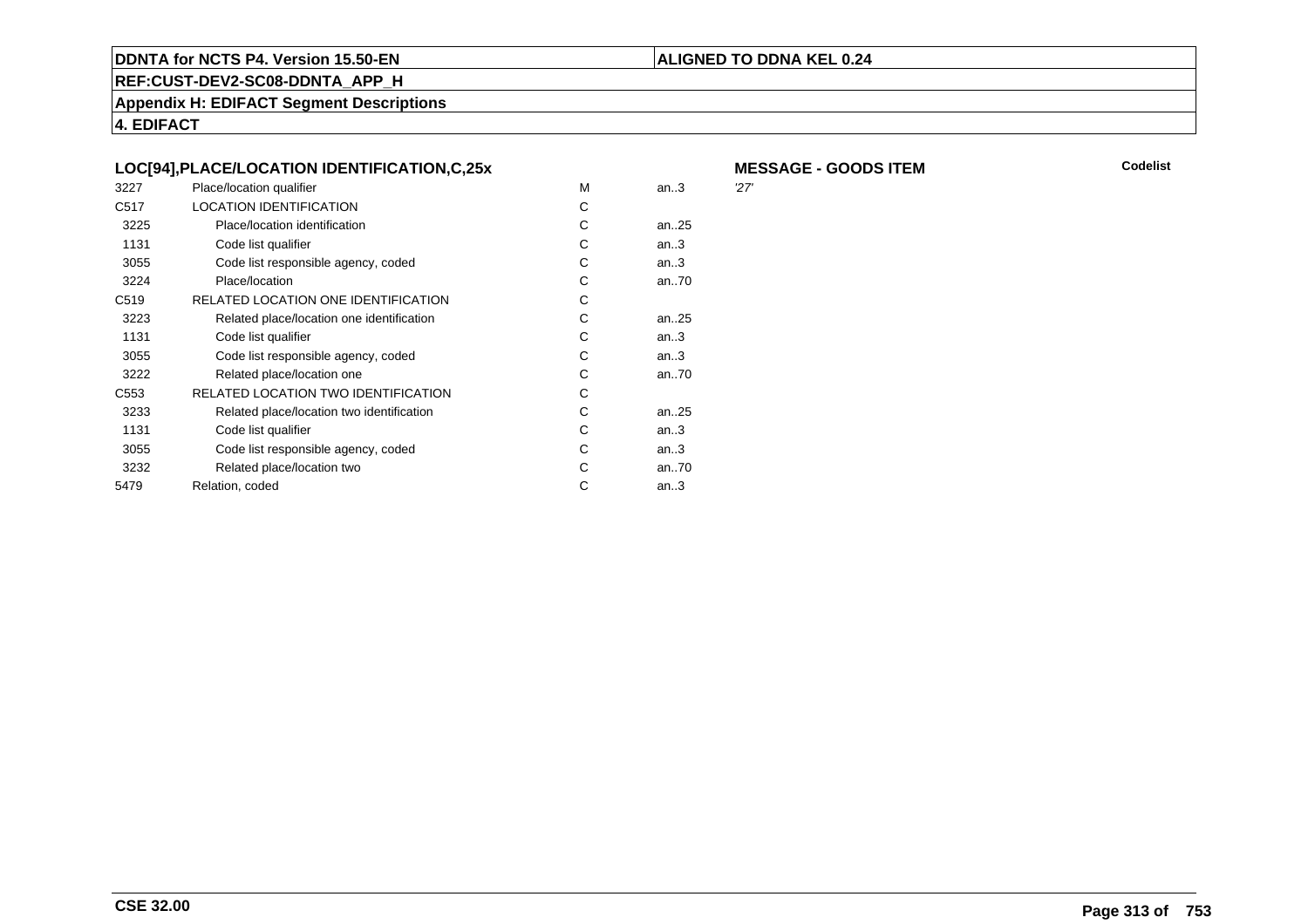#### **ALIGNED TO DDNA KEL 0.24**

**REF:CUST-DEV2-SC08-DDNTA\_APP\_H**

**Appendix H: EDIFACT Segment Descriptions**

**4. EDIFACT**

|  | LOC[94], PLACE/LOCATION IDENTIFICATION, C, 25x |  |  |
|--|------------------------------------------------|--|--|
|  |                                                |  |  |

| 3227             | Place/location qualifier                  | м | an.3      | 27' |
|------------------|-------------------------------------------|---|-----------|-----|
| C <sub>517</sub> | <b>LOCATION IDENTIFICATION</b>            | С |           |     |
| 3225             | Place/location identification             | C | an25      |     |
| 1131             | Code list qualifier                       | С | an.3      |     |
| 3055             | Code list responsible agency, coded       | С | an.3      |     |
| 3224             | Place/location                            | С | an70      |     |
| C <sub>519</sub> | RELATED LOCATION ONE IDENTIFICATION       | С |           |     |
| 3223             | Related place/location one identification | С | an. $.25$ |     |
| 1131             | Code list qualifier                       | C | an.3      |     |
| 3055             | Code list responsible agency, coded       | С | an.3      |     |
| 3222             | Related place/location one                | С | an70      |     |
| C <sub>553</sub> | RELATED LOCATION TWO IDENTIFICATION       | С |           |     |
| 3233             | Related place/location two identification | С | an25      |     |
| 1131             | Code list qualifier                       | C | an.3      |     |
| 3055             | Code list responsible agency, coded       | С | an.3      |     |
| 3232             | Related place/location two                | С | an70      |     |
| 5479             | Relation, coded                           | С | an.3      |     |
|                  |                                           |   |           |     |

**MESSAGE - GOODS ITEM**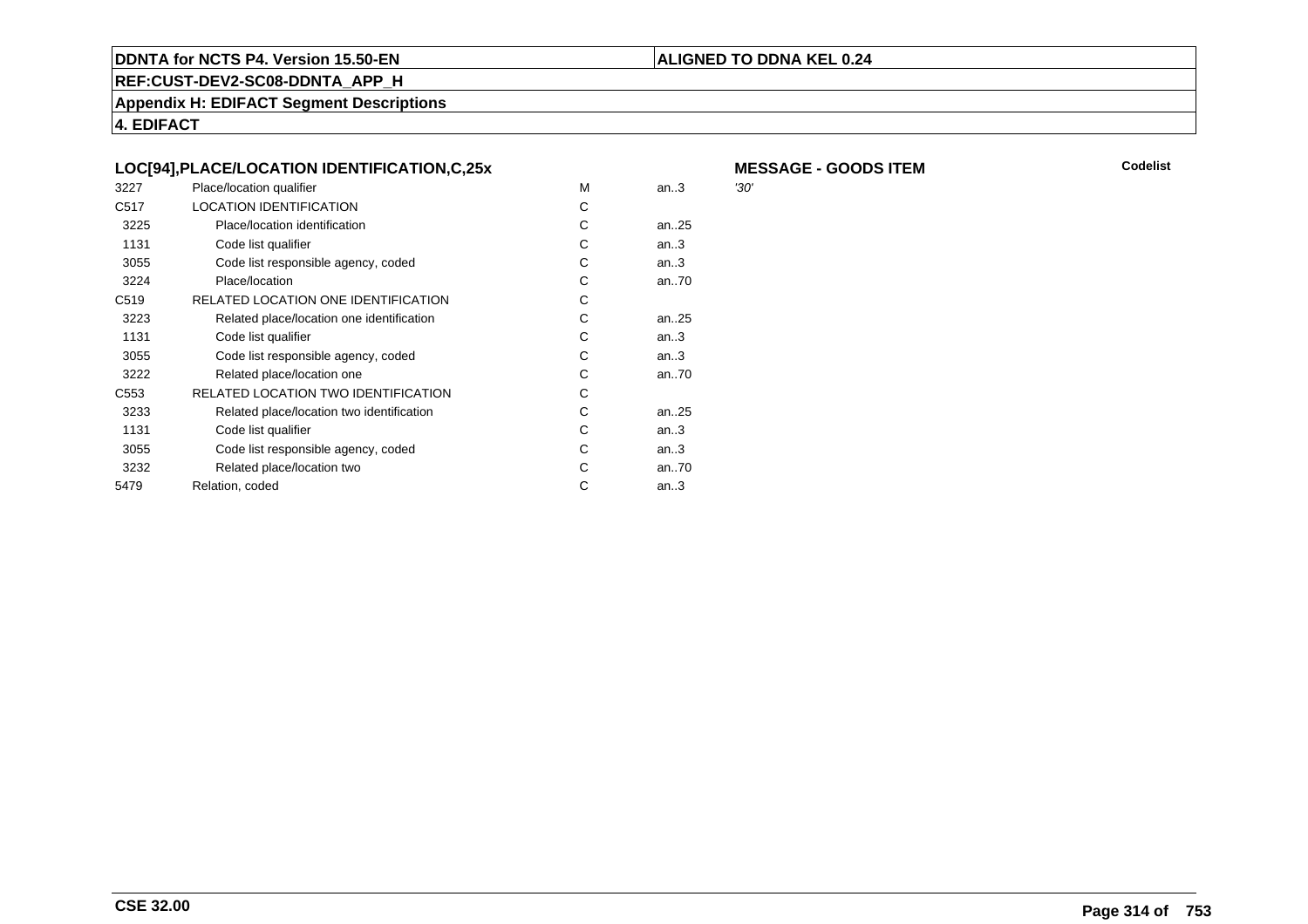#### **ALIGNED TO DDNA KEL 0.24**

M an..3

**REF:CUST-DEV2-SC08-DDNTA\_APP\_H**

**Appendix H: EDIFACT Segment Descriptions**

**4. EDIFACT**

| LOC[94],PLACE/LOCATION IDENTIFICATION,C,25x |                               |  |  |  |  |
|---------------------------------------------|-------------------------------|--|--|--|--|
| 3227                                        | Place/location qualifier      |  |  |  |  |
| C517                                        | LOCATION IDENTIFICATION       |  |  |  |  |
| 3225                                        | Place/location identification |  |  |  |  |

| 3225             | Place/location identification             | C | an25   |
|------------------|-------------------------------------------|---|--------|
| 1131             | Code list qualifier                       | C | an3    |
| 3055             | Code list responsible agency, coded       | C | an3    |
| 3224             | Place/location                            | С | an70   |
| C <sub>519</sub> | RELATED LOCATION ONE IDENTIFICATION       | C |        |
| 3223             | Related place/location one identification | C | an25   |
| 1131             | Code list qualifier                       | C | an3    |
| 3055             | Code list responsible agency, coded       | C | an3    |
| 3222             | Related place/location one                | C | an70   |
| C <sub>553</sub> | RELATED LOCATION TWO IDENTIFICATION       | C |        |
| 3233             | Related place/location two identification | C | an25   |
| 1131             | Code list qualifier                       | C | an $3$ |
| 3055             | Code list responsible agency, coded       | C | an3    |
| 3232             | Related place/location two                | C | an70   |
| 5479             | Relation, coded                           | С | an $3$ |

**MESSAGE - GOODS ITEM**<br>M an..3 '30'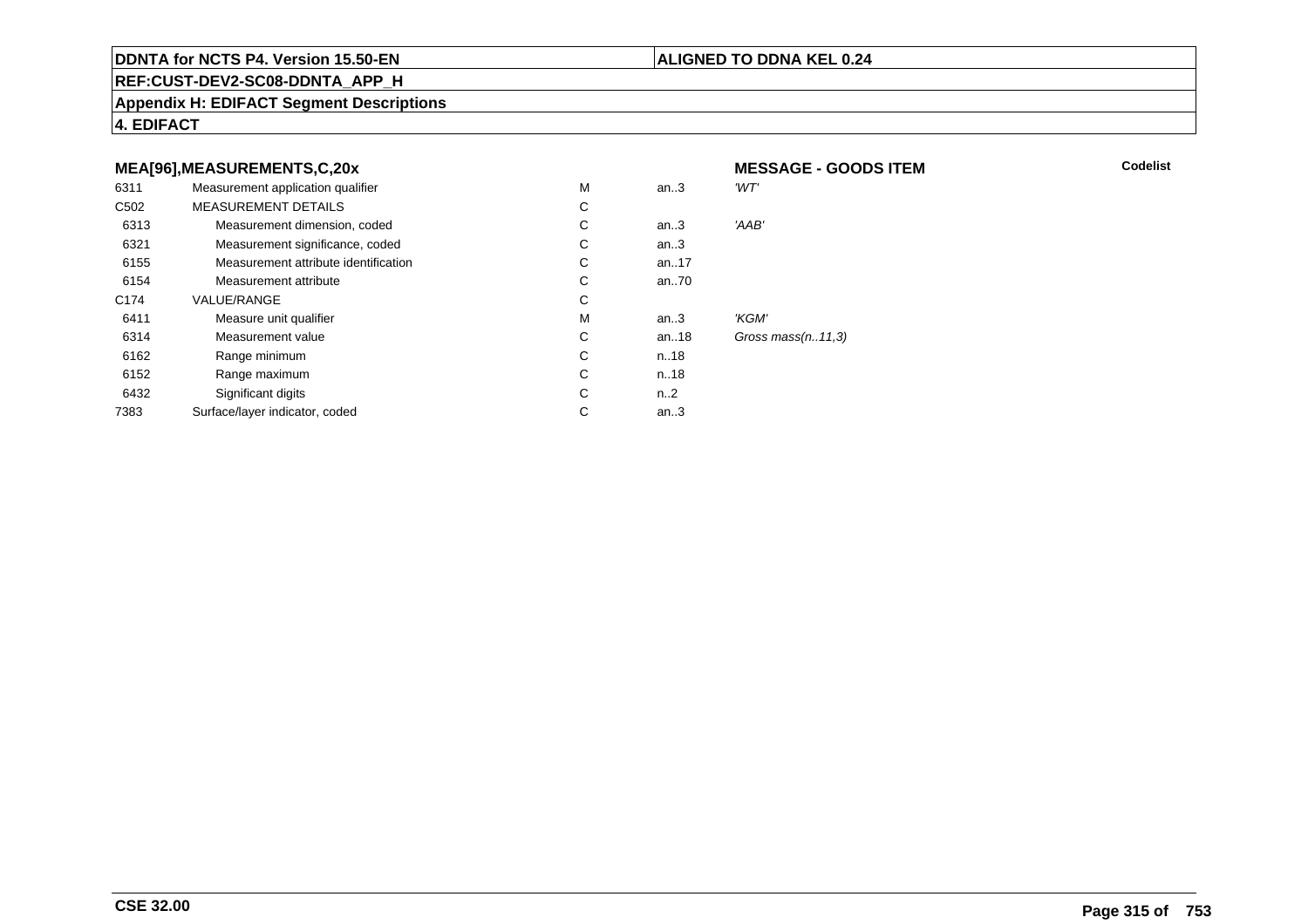#### **ALIGNED TO DDNA KEL 0.24**

**REF:CUST-DEV2-SC08-DDNTA\_APP\_H**

**Appendix H: EDIFACT Segment Descriptions**

**4. EDIFACT**

#### **MEA[96],MEASUREMENTS,C,20xMESSAGE - GOODS ITEM**<br>M an..3 *'WT'* 6311Measurement application qualifier  $M$ <br>MEASUREMENT DETAILS M an..3 *'WT'* C<sub>502</sub> MEASUREMENT DETAILSs c  $\mathsf{C}$ 6313Measurement dimension, coded<br>
Measurement significance, coded<br>
C an..3 'AAB' 6321Measurement significance, coded C<br>
Measurement attribute identification<br>
C an..3 6155Measurement attribute identification  $\begin{array}{ccc} \text{C} \\ \text{C} \end{array}$  an..17 6154Measurement attribute C<br>COLLE/RANGE C an..70 C174 VALUE/RANGEE C  ${\sf M}$ 6411Measure unit qualifier the matrix of the matrix of the Measurement value of the Measurement value of the Measurement value of the Measurement value of the Measurement value of the Measurement value of the Measurement value an..3 *'KGM'*<br>an..18 *Gross* 6314Measurement value C<br>
Range minimum C<br>
C an..18 Gross mass(n..11,3)<br>n..18 6162 Range minimum <sup>C</sup> n..18 6152 Range maximum <sup>C</sup> n..18 6432Significant digits C<br>
Face/laver indicator. coded n..2 7383Surface/layer indicator, coded an..3

**CSE 32.00**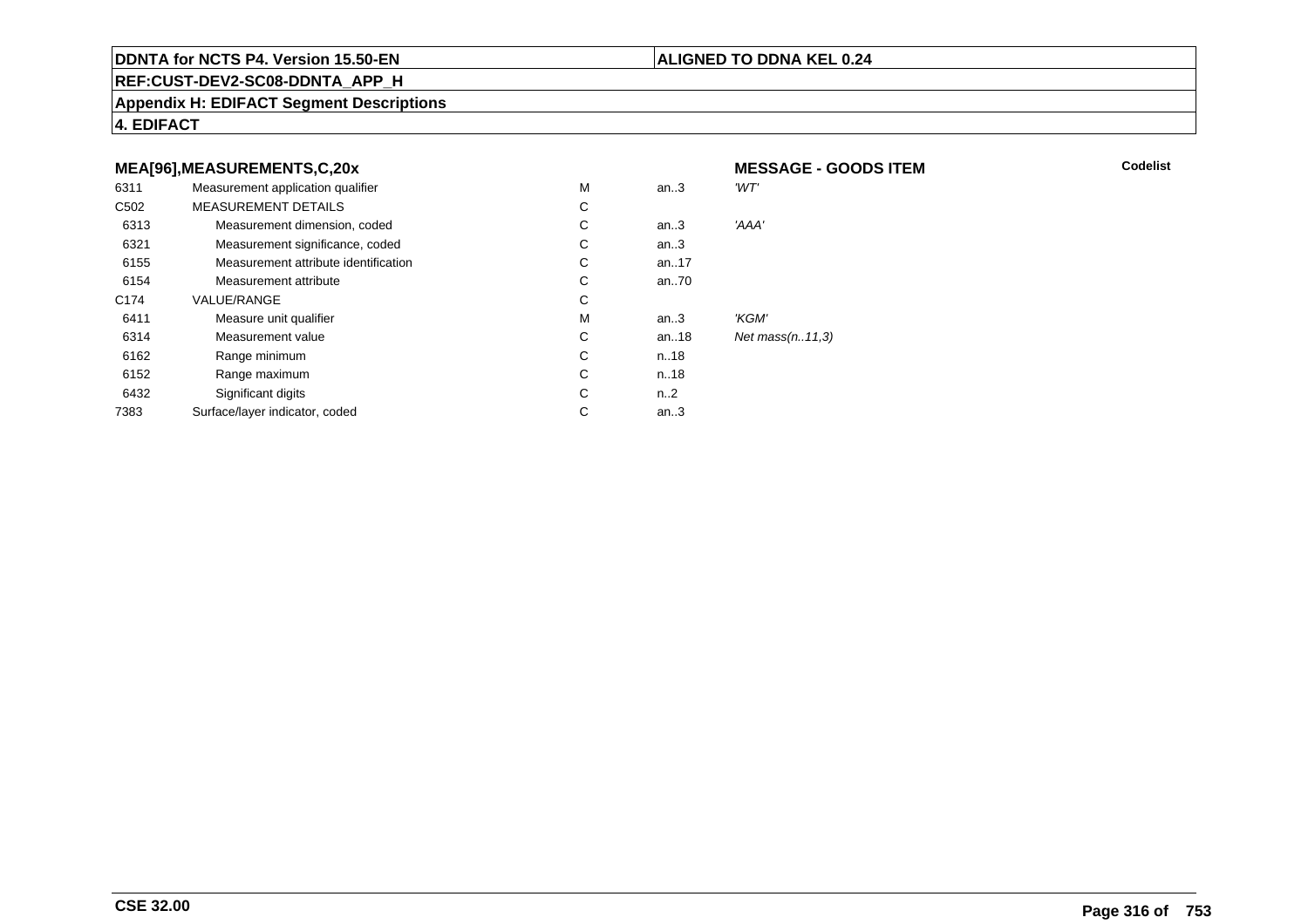#### **ALIGNED TO DDNA KEL 0.24**

**MESSAGE - GOODS ITEM**

**REF:CUST-DEV2-SC08-DDNTA\_APP\_H**

**Appendix H: EDIFACT Segment Descriptions**

**4. EDIFACT**

#### **MEA[96],MEASUREMENTS,C,20x**

| 6311             | Measurement application qualifier    | M | an.3             | 'WT'               |
|------------------|--------------------------------------|---|------------------|--------------------|
| C <sub>502</sub> | <b>MEASUREMENT DETAILS</b>           | С |                  |                    |
| 6313             | Measurement dimension, coded         | C | an.3             | 'AAA'              |
| 6321             | Measurement significance, coded      | C | an.3             |                    |
| 6155             | Measurement attribute identification | C | an17             |                    |
| 6154             | Measurement attribute                | C | an70             |                    |
| C <sub>174</sub> | <b>VALUE/RANGE</b>                   | C |                  |                    |
| 6411             | Measure unit qualifier               | M | an.3             | 'KGM'              |
| 6314             | Measurement value                    | C | an18             | Net $mass(n.11,3)$ |
| 6162             | Range minimum                        | C | n.18             |                    |
| 6152             | Range maximum                        | C | n.18             |                    |
| 6432             | Significant digits                   | C | n <sub>1</sub> 2 |                    |
| 7383             | Surface/layer indicator, coded       | C | an.3             |                    |
|                  |                                      |   |                  |                    |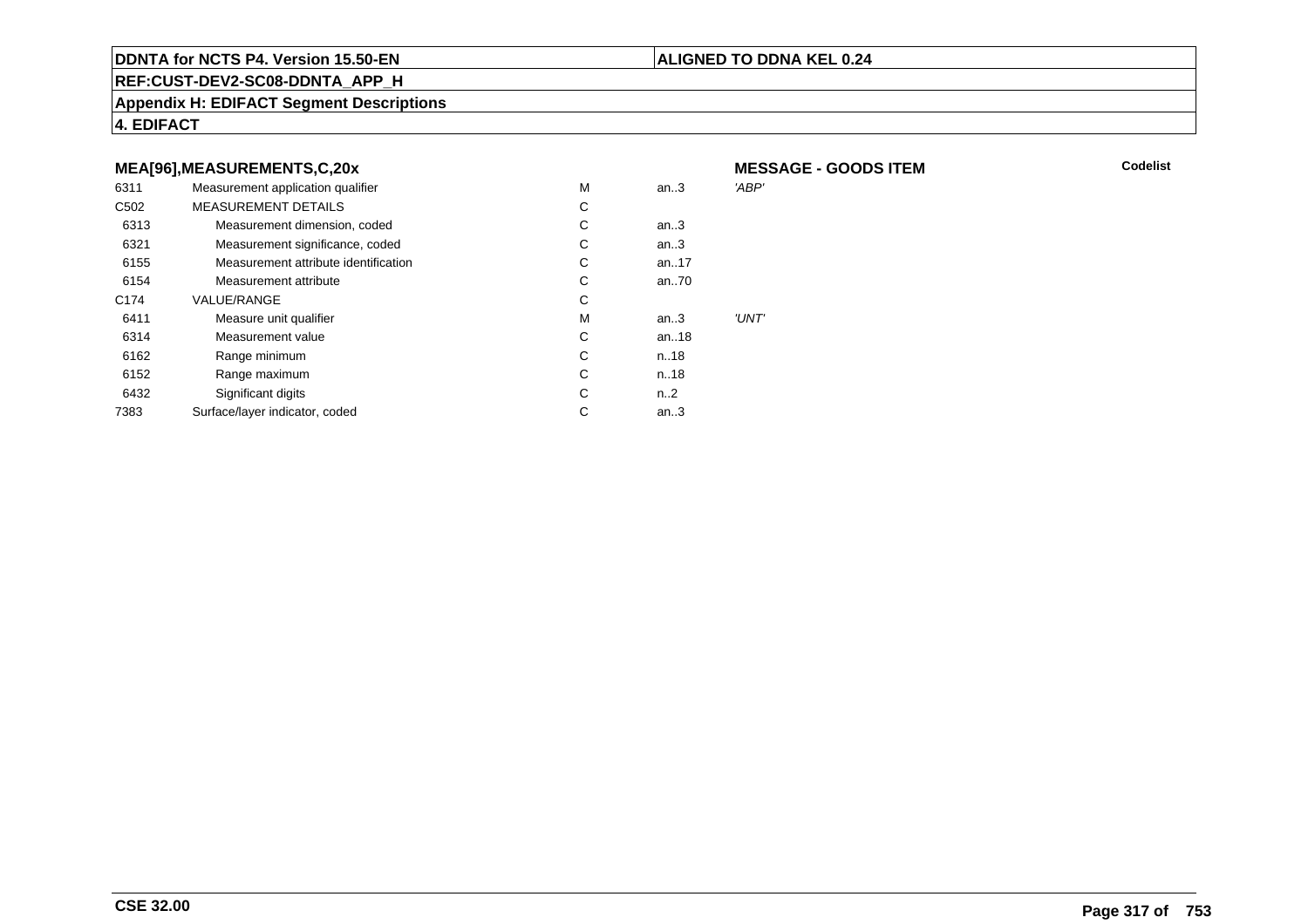#### **ALIGNED TO DDNA KEL 0.24**

**REF:CUST-DEV2-SC08-DDNTA\_APP\_H**

**Appendix H: EDIFACT Segment Descriptions**

**4. EDIFACT**

#### **MEA[96],MEASUREMENTS,C,20x**

| 6311             | Measurement application qualifier    | M | an.3      | 'ABP' |
|------------------|--------------------------------------|---|-----------|-------|
| C <sub>502</sub> | <b>MEASUREMENT DETAILS</b>           | С |           |       |
| 6313             | Measurement dimension, coded         | С | an.3      |       |
| 6321             | Measurement significance, coded      | С | an.3      |       |
| 6155             | Measurement attribute identification | С | an17      |       |
| 6154             | Measurement attribute                | С | an70      |       |
| C <sub>174</sub> | <b>VALUE/RANGE</b>                   | С |           |       |
| 6411             | Measure unit qualifier               | M | an.3      | 'UNT' |
| 6314             | Measurement value                    | С | an18      |       |
| 6162             | Range minimum                        | С | n.18      |       |
| 6152             | Range maximum                        | С | n.18      |       |
| 6432             | Significant digits                   | С | $n_{.}.2$ |       |
| 7383             | Surface/layer indicator, coded       | С | an.3      |       |
|                  |                                      |   |           |       |

 **MESSAGE - GOODS ITEMM** Codelist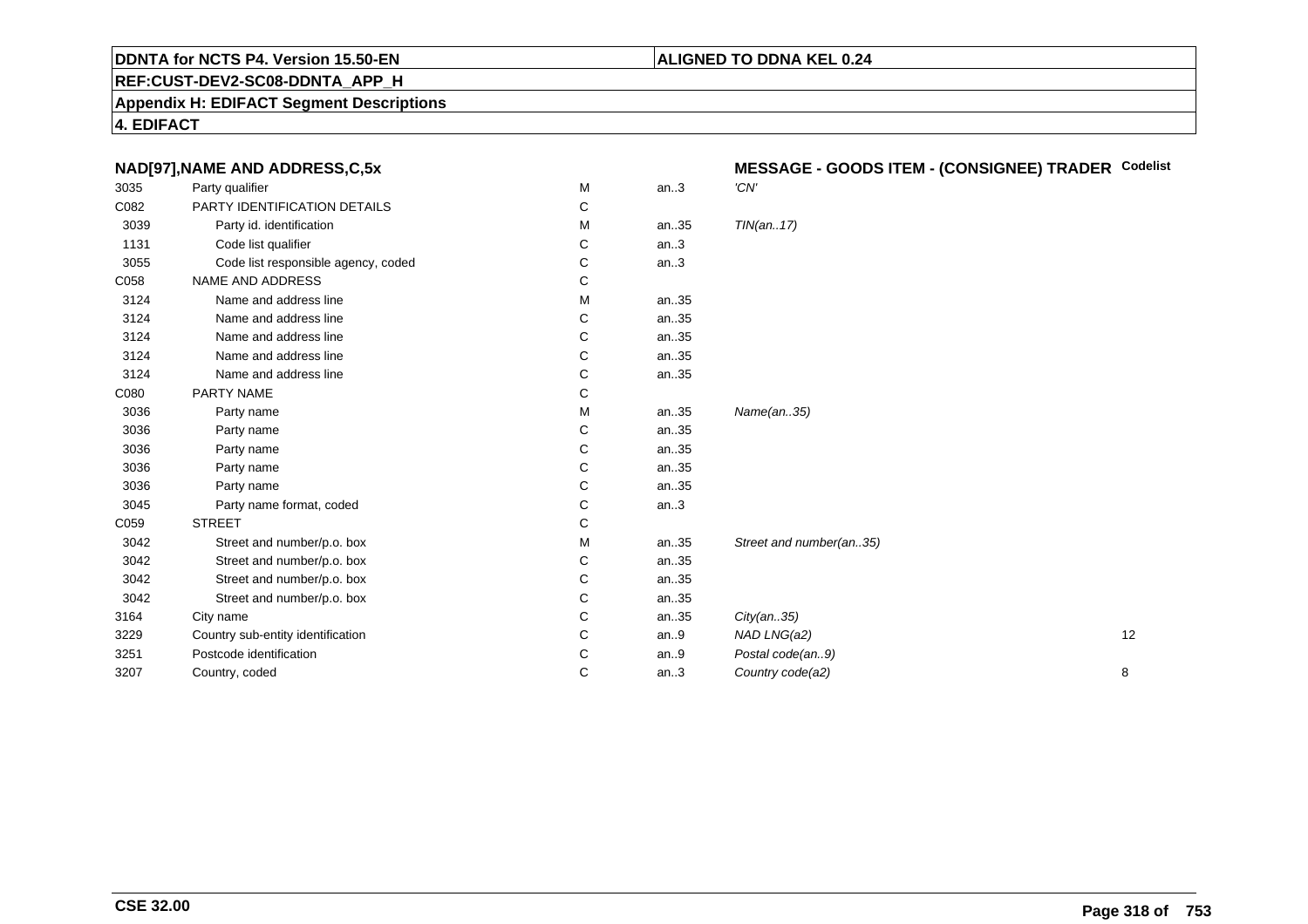#### **ALIGNED TO DDNA KEL 0.24**

**REF:CUST-DEV2-SC08-DDNTA\_APP\_H**

**Appendix H: EDIFACT Segment Descriptions**

**4. EDIFACT**

| NAD[97], NAME AND ADDRESS, C, 5x    |   |      | MESSAGE - GOODS ITEM - (CONSIGNEE) TRADER Codelist |  |  |
|-------------------------------------|---|------|----------------------------------------------------|--|--|
| Party qualifier                     | М | an.3 | 'CN'                                               |  |  |
| PARTY IDENTIFICATION DETAILS        | C |      |                                                    |  |  |
| Party id. identification            | М | an35 | TIN(an17)                                          |  |  |
| Code list qualifier                 | C | an.3 |                                                    |  |  |
| Code list responsible agency, coded | С | an.3 |                                                    |  |  |
| NAME AND ADDRESS                    | C |      |                                                    |  |  |
| Name and address line               | м | an35 |                                                    |  |  |
| Name and address line               | С | an35 |                                                    |  |  |
| Name and address line               | C | an35 |                                                    |  |  |
| Name and address line               | C | an35 |                                                    |  |  |
| Name and address line               | С | an35 |                                                    |  |  |
| PARTY NAME                          | С |      |                                                    |  |  |
| Party name                          | м | an35 | Name(an35)                                         |  |  |
| Party name                          | С | an35 |                                                    |  |  |
| Party name                          | С | an35 |                                                    |  |  |
| Party name                          | C | an35 |                                                    |  |  |
| Party name                          | C | an35 |                                                    |  |  |
| Party name format, coded            | С | an.3 |                                                    |  |  |
| <b>STREET</b>                       | С |      |                                                    |  |  |
| Street and number/p.o. box          | м | an35 | Street and number(an35)                            |  |  |
| Street and number/p.o. box          | C | an35 |                                                    |  |  |
| Street and number/p.o. box          | С | an35 |                                                    |  |  |
| Street and number/p.o. box          | C | an35 |                                                    |  |  |
| City name                           | С | an35 | City(an35)                                         |  |  |
| Country sub-entity identification   | С | an.9 | NAD LNG(a2)<br>12                                  |  |  |
| Postcode identification             | С | an.9 | Postal code(an9)                                   |  |  |
| Country, coded                      | C | an.3 | Country code(a2)<br>8                              |  |  |
|                                     |   |      |                                                    |  |  |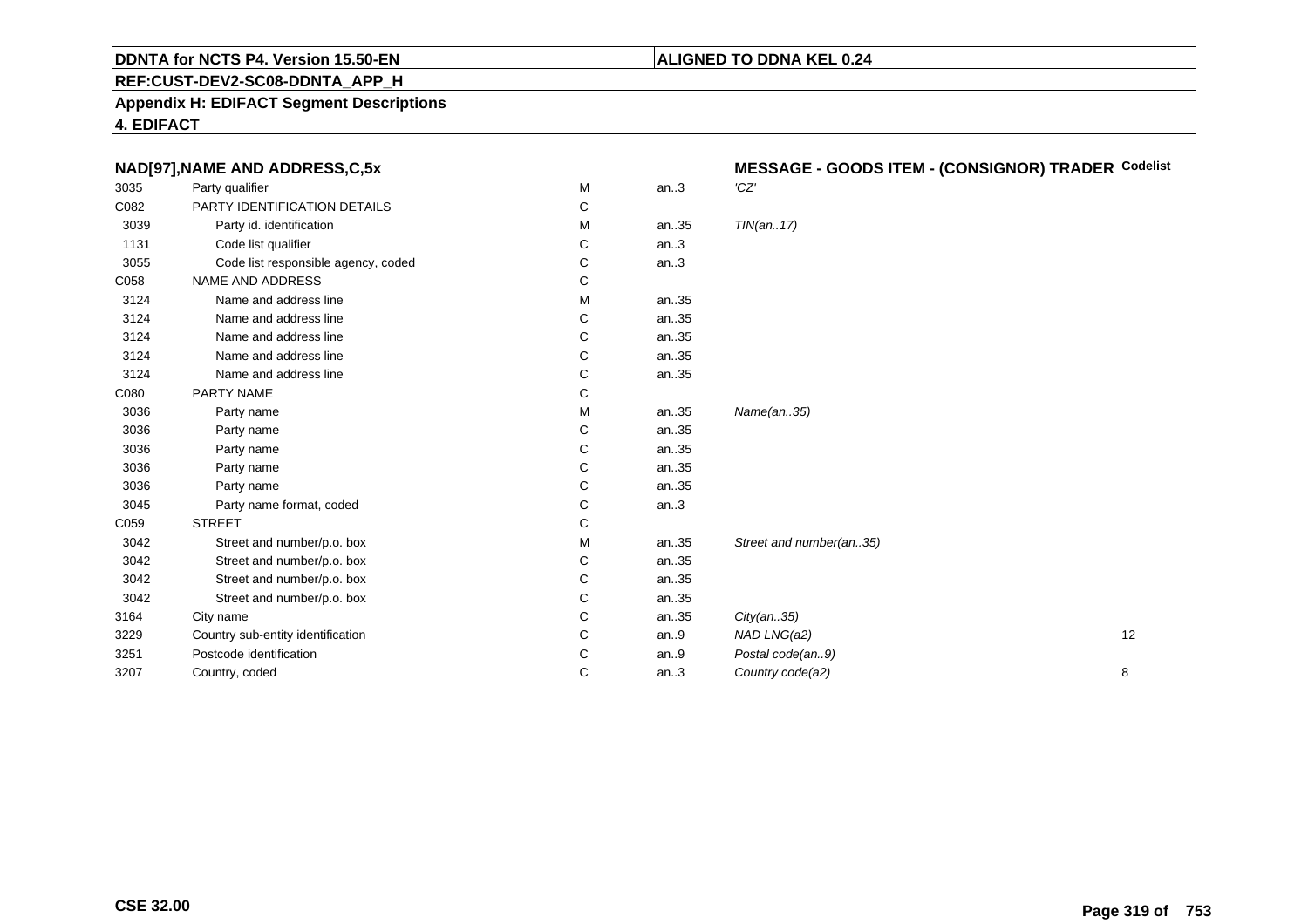#### **ALIGNED TO DDNA KEL 0.24**

**REF:CUST-DEV2-SC08-DDNTA\_APP\_H**

**Appendix H: EDIFACT Segment Descriptions**

**4. EDIFACT**

**CSE 32.00**

| NAD[97], NAME AND ADDRESS, C, 5x    |   |      |                         |                                                    |
|-------------------------------------|---|------|-------------------------|----------------------------------------------------|
| Party qualifier                     | М | an.3 | 'CZ'                    |                                                    |
| PARTY IDENTIFICATION DETAILS        | С |      |                         |                                                    |
| Party id. identification            | М | an35 | TIN(an17)               |                                                    |
| Code list qualifier                 | C | an.3 |                         |                                                    |
| Code list responsible agency, coded | С | an.3 |                         |                                                    |
| NAME AND ADDRESS                    | С |      |                         |                                                    |
| Name and address line               | М | an35 |                         |                                                    |
| Name and address line               | С | an35 |                         |                                                    |
| Name and address line               | C | an35 |                         |                                                    |
| Name and address line               | C | an35 |                         |                                                    |
| Name and address line               | С | an35 |                         |                                                    |
| PARTY NAME                          | С |      |                         |                                                    |
| Party name                          | М | an35 | Name(an35)              |                                                    |
| Party name                          | С | an35 |                         |                                                    |
| Party name                          | С | an35 |                         |                                                    |
| Party name                          | C | an35 |                         |                                                    |
| Party name                          | С | an35 |                         |                                                    |
| Party name format, coded            | С | an.3 |                         |                                                    |
| <b>STREET</b>                       | С |      |                         |                                                    |
| Street and number/p.o. box          | М | an35 | Street and number(an35) |                                                    |
| Street and number/p.o. box          | С | an35 |                         |                                                    |
| Street and number/p.o. box          | С | an35 |                         |                                                    |
| Street and number/p.o. box          | С | an35 |                         |                                                    |
| City name                           | C | an35 | City(an35)              |                                                    |
| Country sub-entity identification   | С | an.9 | NAD LNG(a2)<br>12       |                                                    |
| Postcode identification             | С | an.9 | Postal code(an9)        |                                                    |
| Country, coded                      | С | an.3 | Country code(a2)<br>8   |                                                    |
|                                     |   |      |                         | MESSAGE - GOODS ITEM - (CONSIGNOR) TRADER Codelist |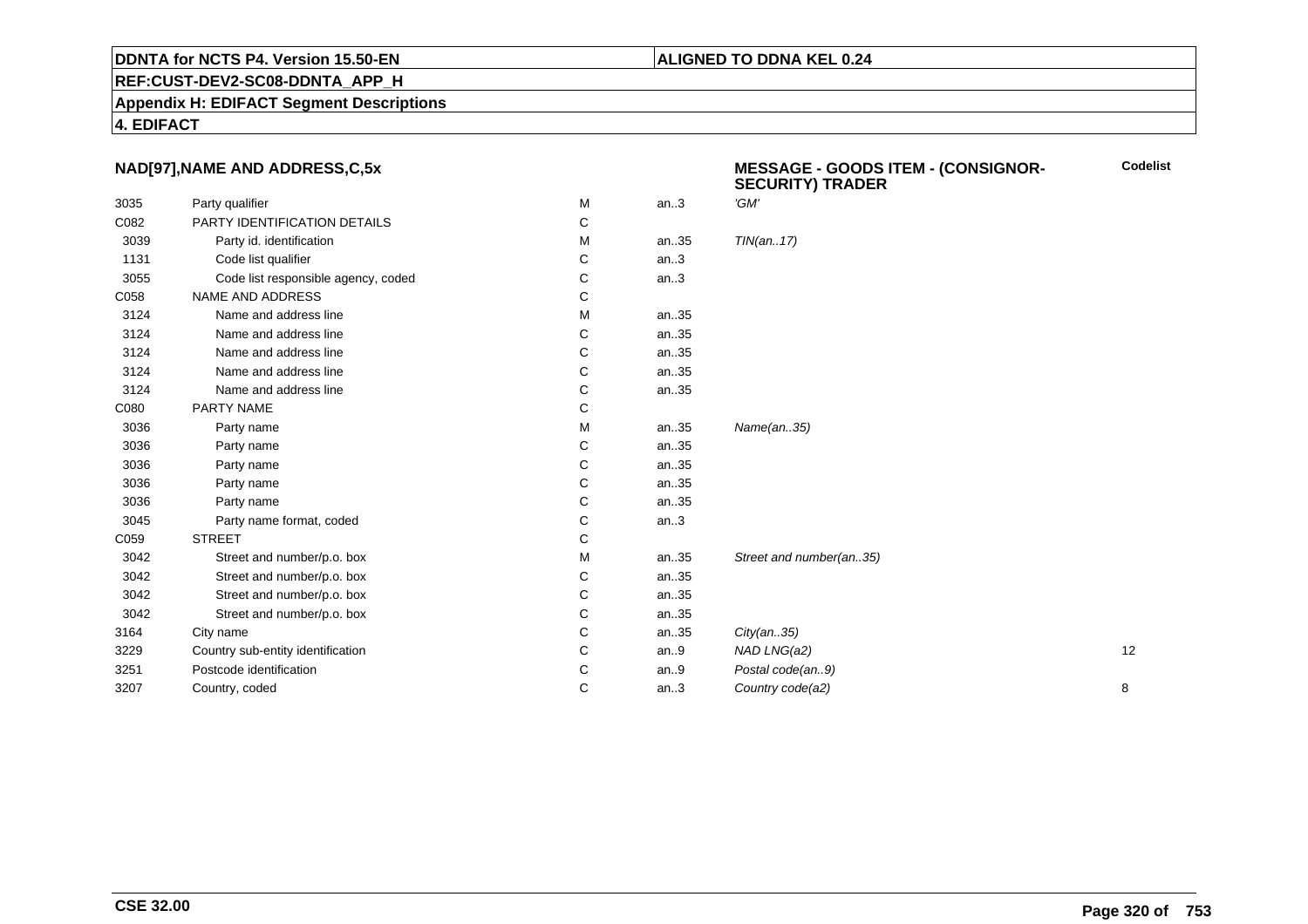#### **REF:CUST-DEV2-SC08-DDNTA\_APP\_H**

**Appendix H: EDIFACT Segment Descriptions**

**4. EDIFACT**

#### **NAD[97],NAME AND ADDRESS,C,5x**

|      | NAD[97], NAME AND ADDRESS, C, 5x    |   |      | <b>MESSAGE - GOODS ITEM - (CONSIGNOR-</b><br><b>SECURITY) TRADER</b> | <b>Codelist</b> |
|------|-------------------------------------|---|------|----------------------------------------------------------------------|-----------------|
| 3035 | Party qualifier                     | М | an.3 | 'GM'                                                                 |                 |
| C082 | PARTY IDENTIFICATION DETAILS        | C |      |                                                                      |                 |
| 3039 | Party id. identification            | M | an35 | TIN(an17)                                                            |                 |
| 1131 | Code list qualifier                 | C | an.3 |                                                                      |                 |
| 3055 | Code list responsible agency, coded | C | an.3 |                                                                      |                 |
| C058 | <b>NAME AND ADDRESS</b>             | С |      |                                                                      |                 |
| 3124 | Name and address line               | М | an35 |                                                                      |                 |
| 3124 | Name and address line               | C | an35 |                                                                      |                 |
| 3124 | Name and address line               | C | an35 |                                                                      |                 |
| 3124 | Name and address line               | C | an35 |                                                                      |                 |
| 3124 | Name and address line               | С | an35 |                                                                      |                 |
| C080 | PARTY NAME                          | C |      |                                                                      |                 |
| 3036 | Party name                          | M | an35 | Name(an35)                                                           |                 |
| 3036 | Party name                          | C | an35 |                                                                      |                 |
| 3036 | Party name                          | C | an35 |                                                                      |                 |
| 3036 | Party name                          | C | an35 |                                                                      |                 |
| 3036 | Party name                          | С | an35 |                                                                      |                 |
| 3045 | Party name format, coded            | C | an.3 |                                                                      |                 |
| C059 | <b>STREET</b>                       | C |      |                                                                      |                 |
| 3042 | Street and number/p.o. box          | M | an35 | Street and number(an35)                                              |                 |
| 3042 | Street and number/p.o. box          | С | an35 |                                                                      |                 |
| 3042 | Street and number/p.o. box          | C | an35 |                                                                      |                 |
| 3042 | Street and number/p.o. box          | C | an35 |                                                                      |                 |
| 3164 | City name                           | С | an35 | City(an35)                                                           |                 |
| 3229 | Country sub-entity identification   | C | an.9 | NAD LNG(a2)                                                          | 12              |
| 3251 | Postcode identification             | С | an.9 | Postal code(an9)                                                     |                 |
| 3207 | Country, coded                      | C | an.3 | Country code(a2)                                                     | 8               |
|      |                                     |   |      |                                                                      |                 |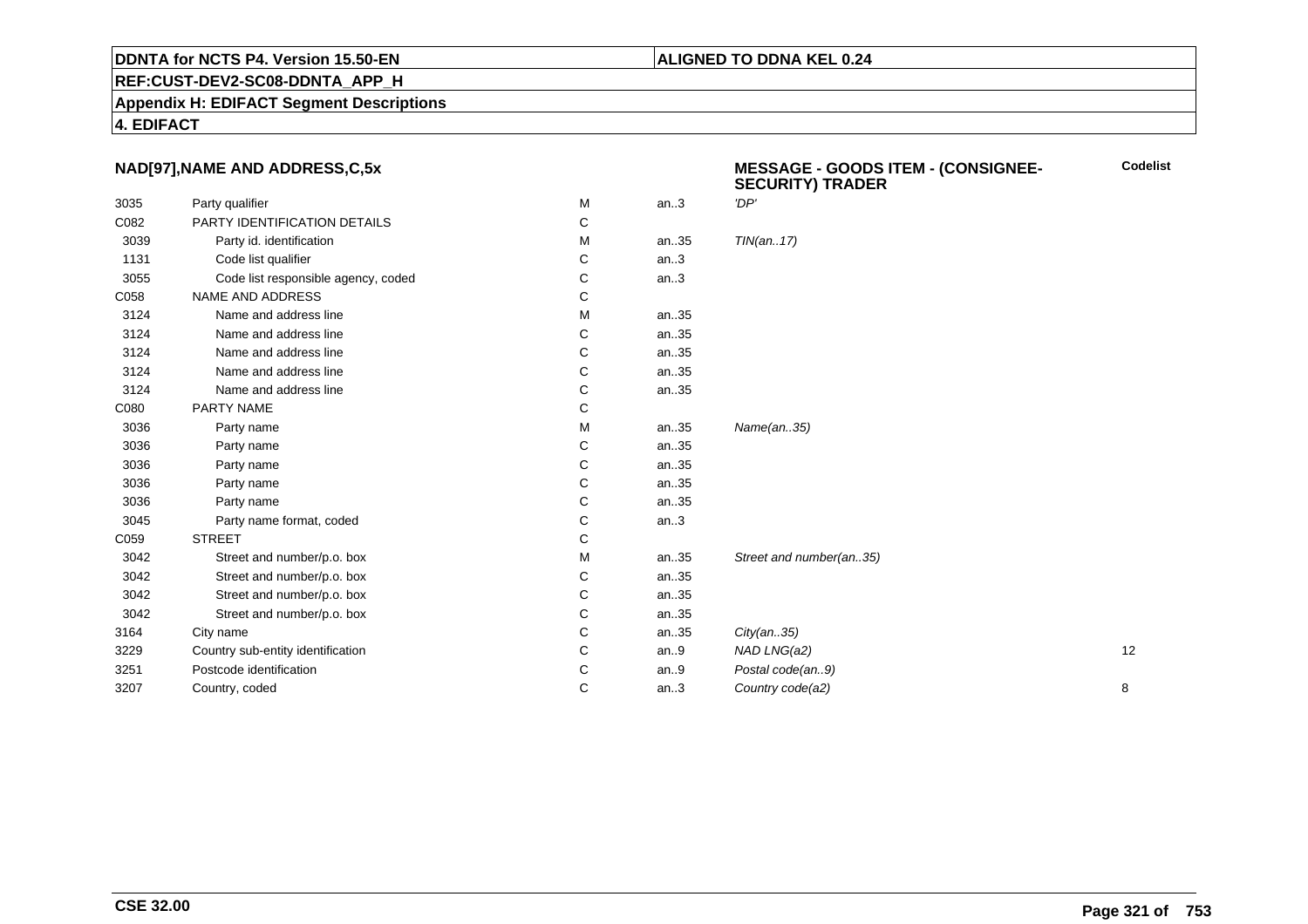#### **REF:CUST-DEV2-SC08-DDNTA\_APP\_H**

**Appendix H: EDIFACT Segment Descriptions**

**4. EDIFACT**

#### **NAD[97],NAME AND ADDRESS,C,5x**

|      | NAD[97], NAME AND ADDRESS, C, 5x    |              |      | <b>MESSAGE - GOODS ITEM - (CONSIGNEE-</b><br><b>SECURITY) TRADER</b> | <b>Codelist</b> |
|------|-------------------------------------|--------------|------|----------------------------------------------------------------------|-----------------|
| 3035 | Party qualifier                     | M            | an.3 | 'DP'                                                                 |                 |
| C082 | PARTY IDENTIFICATION DETAILS        | C            |      |                                                                      |                 |
| 3039 | Party id. identification            | м            | an35 | TIN(an17)                                                            |                 |
| 1131 | Code list qualifier                 | С            | an.3 |                                                                      |                 |
| 3055 | Code list responsible agency, coded | C            | an.3 |                                                                      |                 |
| C058 | NAME AND ADDRESS                    | C            |      |                                                                      |                 |
| 3124 | Name and address line               | M            | an35 |                                                                      |                 |
| 3124 | Name and address line               | С            | an35 |                                                                      |                 |
| 3124 | Name and address line               | C            | an35 |                                                                      |                 |
| 3124 | Name and address line               | С            | an35 |                                                                      |                 |
| 3124 | Name and address line               | C            | an35 |                                                                      |                 |
| C080 | PARTY NAME                          | C            |      |                                                                      |                 |
| 3036 | Party name                          | м            | an35 | Name(an35)                                                           |                 |
| 3036 | Party name                          | C            | an35 |                                                                      |                 |
| 3036 | Party name                          | С            | an35 |                                                                      |                 |
| 3036 | Party name                          | C            | an35 |                                                                      |                 |
| 3036 | Party name                          | С            | an35 |                                                                      |                 |
| 3045 | Party name format, coded            | C            | an.3 |                                                                      |                 |
| C059 | <b>STREET</b>                       | $\mathsf{C}$ |      |                                                                      |                 |
| 3042 | Street and number/p.o. box          | M            | an35 | Street and number(an35)                                              |                 |
| 3042 | Street and number/p.o. box          | С            | an35 |                                                                      |                 |
| 3042 | Street and number/p.o. box          | C            | an35 |                                                                      |                 |
| 3042 | Street and number/p.o. box          | С            | an35 |                                                                      |                 |
| 3164 | City name                           | C            | an35 | City(an35)                                                           |                 |
| 3229 | Country sub-entity identification   | C            | an.9 | NAD LNG(a2)                                                          | 12              |
| 3251 | Postcode identification             | С            | an.9 | Postal code(an9)                                                     |                 |
| 3207 | Country, coded                      | C            | an.3 | Country code(a2)                                                     | 8               |
|      |                                     |              |      |                                                                      |                 |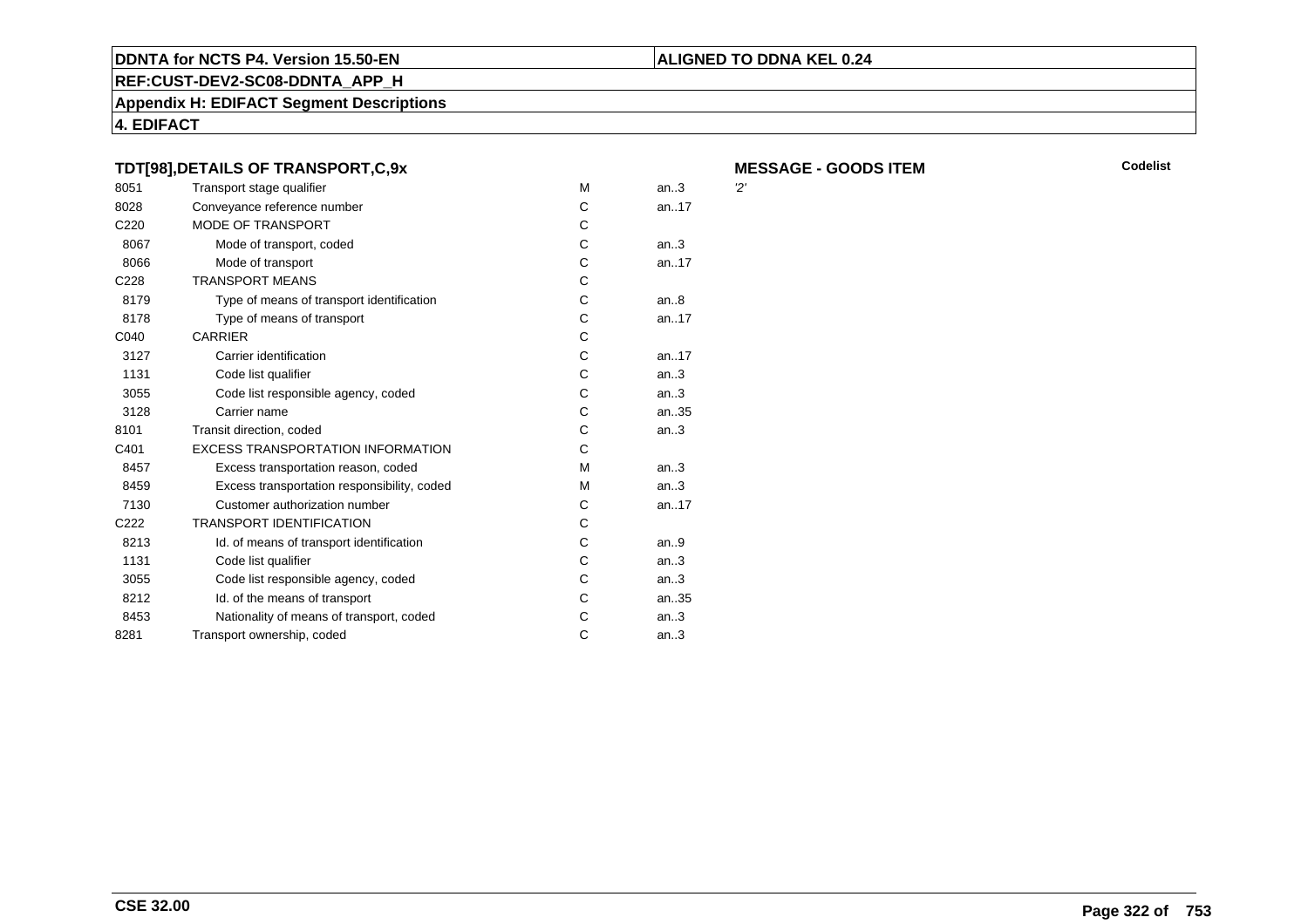#### **REF:CUST-DEV2-SC08-DDNTA\_APP\_H**

**Appendix H: EDIFACT Segment Descriptions**

**4. EDIFACT**

#### **TDT[98],DETAILS OF TRANSPORT,C,9xMESSAGE - GOODS ITEM** 8051Transport stage qualifier methods of the M<br>Conveyance reference number of M M an..3 '2' 8028Conveyance reference number<br>
MODE OF TRANSPORT
C an..17 C<sub>220</sub> MODE OF TRANSPORTT<sub>c</sub>  $\mathbf{C}$ 8067Mode of transport, coded C<br>
Mode of transport C an..3 8066Mode of transport C<br>ANSPORT MEANS an..17 C228 TRANSPORT MEANSs c  $\mathsf{C}$ 8179Type of means of transport identification C<br>
Type of means of transport C an..8 8178Type of means of transport C<br>RRIER C an..17 C040 CARRIERR C 3127Carrier identification C<br>Code list qualifier C an..17 1131Code list qualifier C<br>Code list responsible agency, coded C an..3 3055Code list responsible agency, coded Contract Contract Contract Contract Contract Contract Contract Contract Contract Contract Contract Contract Contract Contract Contract Contract Contract Contract Contract Contract Contra an..3 3128Carrier name C<br>
Scription Contraction Coded<br>
C an..35 8101Transit direction, coded C<br>EXCESS TRANSPORTATION INFORMATION C an..3 C401 EXCESS TRANSPORTATION INFORMATIONN C 8457Excess transportation reason, coded M<br>Excess transportation responsibility, coded M an..3 8459Excess transportation responsibility, coded M<br>Customer authorization number C an..3 7130Customer authorization number  $\begin{array}{ccc} \multicolumn{2}{c} C \\ \multicolumn{2}{c} \multicolumn{2}{c}{} & C \end{array}$  an..17 C222 TRANSPORT IDENTIFICATIONN C 8213Id. of means of transport identification C<br>Code list qualifier C an..9 1131Code list qualifier Code list qualifier Code list responsible agency, coded Code list responsible agency, coded an..3 3055Code list responsible agency, coded C<br>
Id. of the means of transport C an..3 8212Id. of the means of transport<br>
Nationality of means of transport, coded<br>
C an..35 8453Nationality of means of transport, coded C<br>
nsport ownership, coded C an..3 8281 Transport ownership, coded <sup>C</sup>an..3

**ALIGNED TO DDNA KEL 0.24**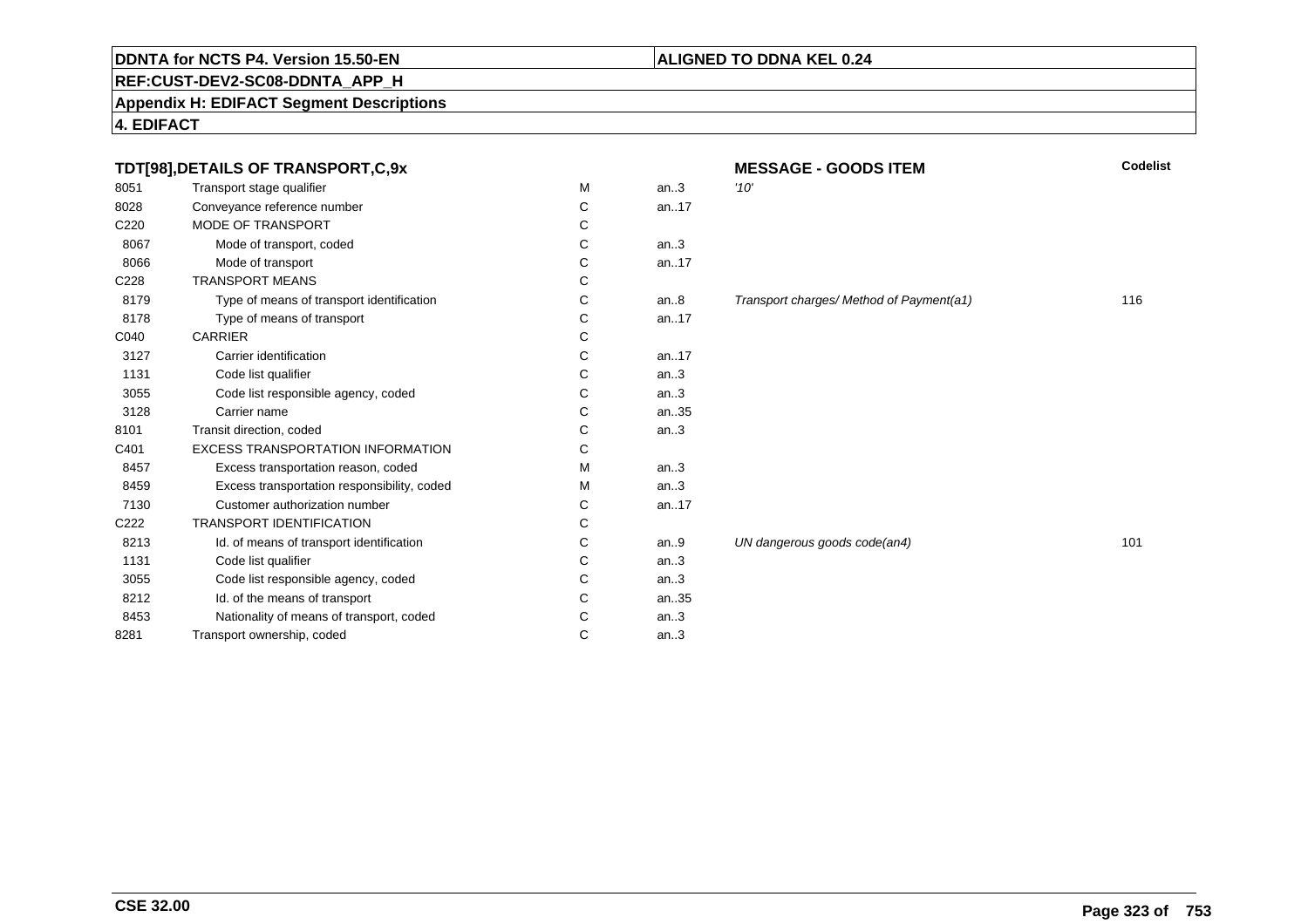## **REF:CUST-DEV2-SC08-DDNTA\_APP\_H**

#### **Appendix H: EDIFACT Segment Descriptions**

**4. EDIFACT**

|                  | TDT[98], DETAILS OF TRANSPORT, C, 9x        |   |      | Codelist<br><b>MESSAGE - GOODS ITEM</b>  |     |  |
|------------------|---------------------------------------------|---|------|------------------------------------------|-----|--|
| 8051             | Transport stage qualifier                   | M | an.3 | '10'                                     |     |  |
| 8028             | Conveyance reference number                 | С | an17 |                                          |     |  |
| C <sub>220</sub> | <b>MODE OF TRANSPORT</b>                    | С |      |                                          |     |  |
| 8067             | Mode of transport, coded                    | С | an.3 |                                          |     |  |
| 8066             | Mode of transport                           | С | an17 |                                          |     |  |
| C228             | <b>TRANSPORT MEANS</b>                      | С |      |                                          |     |  |
| 8179             | Type of means of transport identification   | С | an.8 | Transport charges/ Method of Payment(a1) | 116 |  |
| 8178             | Type of means of transport                  | С | an17 |                                          |     |  |
| C040             | <b>CARRIER</b>                              | С |      |                                          |     |  |
| 3127             | Carrier identification                      | С | an17 |                                          |     |  |
| 1131             | Code list qualifier                         | С | an.3 |                                          |     |  |
| 3055             | Code list responsible agency, coded         | С | an.3 |                                          |     |  |
| 3128             | Carrier name                                | С | an35 |                                          |     |  |
| 8101             | Transit direction, coded                    | С | an.3 |                                          |     |  |
| C401             | <b>EXCESS TRANSPORTATION INFORMATION</b>    | С |      |                                          |     |  |
| 8457             | Excess transportation reason, coded         | M | an.3 |                                          |     |  |
| 8459             | Excess transportation responsibility, coded | м | an.3 |                                          |     |  |
| 7130             | Customer authorization number               | С | an17 |                                          |     |  |
| C <sub>222</sub> | <b>TRANSPORT IDENTIFICATION</b>             | С |      |                                          |     |  |
| 8213             | Id. of means of transport identification    | С | an.9 | UN dangerous goods code(an4)             | 101 |  |
| 1131             | Code list qualifier                         | С | an.3 |                                          |     |  |
| 3055             | Code list responsible agency, coded         | С | an.3 |                                          |     |  |
| 8212             | Id. of the means of transport               | С | an35 |                                          |     |  |
| 8453             | Nationality of means of transport, coded    | С | an.3 |                                          |     |  |
| 8281             | Transport ownership, coded                  | C | an.3 |                                          |     |  |
|                  |                                             |   |      |                                          |     |  |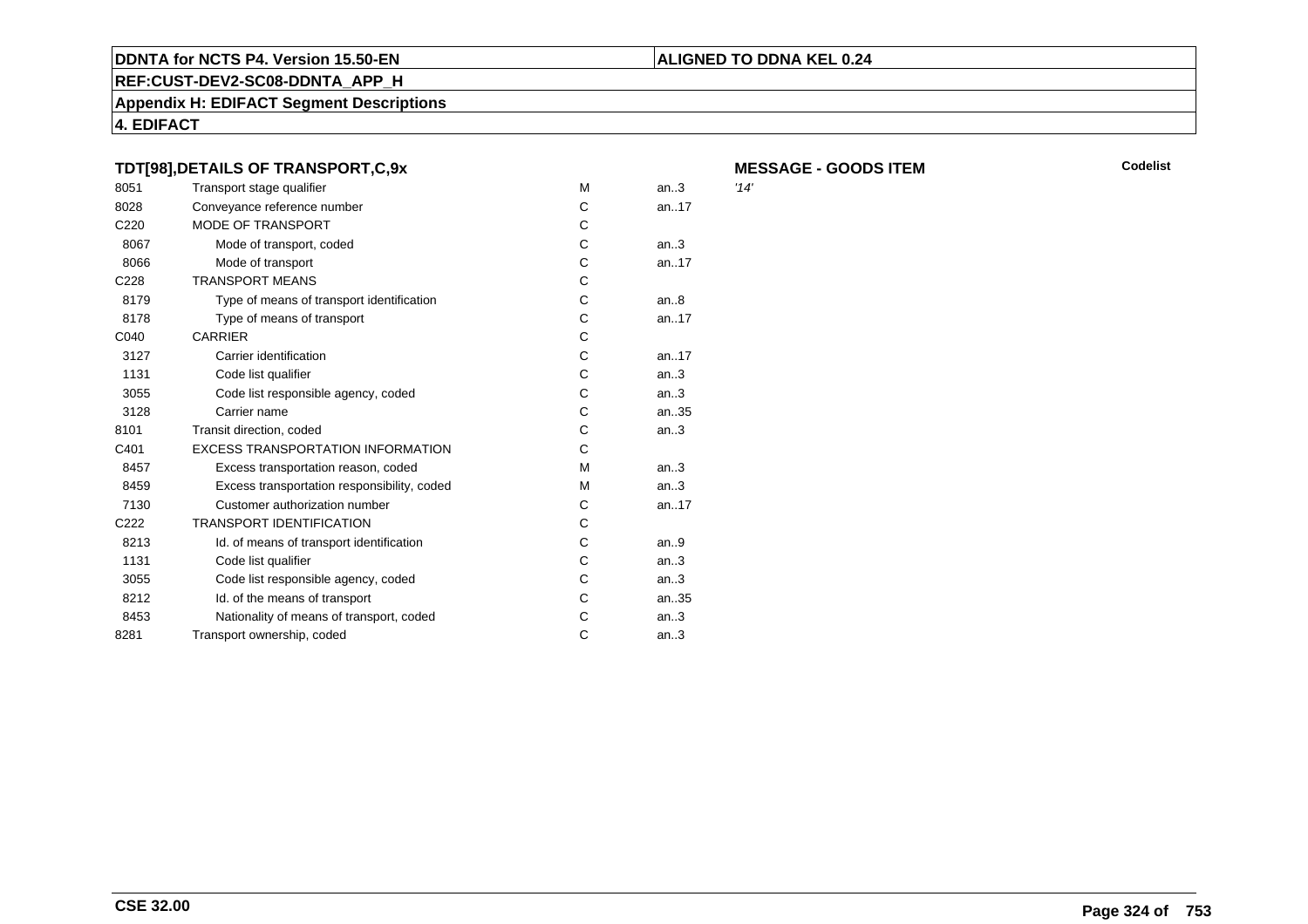#### **REF:CUST-DEV2-SC08-DDNTA\_APP\_H**

**Appendix H: EDIFACT Segment Descriptions**

**4. EDIFACT**

#### **TDT[98],DETAILS OF TRANSPORT,C,9xMESSAGE - GOODS ITEM** 8051Transport stage qualifier methods of the M<br>Conveyance reference number of M an..3 '14' 8028Conveyance reference number<br>
MODE OF TRANSPORT
C an..17 C<sub>220</sub> MODE OF TRANSPORTT<sub>c</sub>  $\mathbf{C}$ 8067Mode of transport, coded C<br>
Mode of transport C an..3 8066Mode of transport C<br>ANSPORT MEANS an..17 C228 TRANSPORT MEANSs c  $\mathsf{C}$ 8179Type of means of transport identification C<br>
Type of means of transport C an..8 8178Type of means of transport C<br>RRIER C an..17 C040 CARRIERR C 3127Carrier identification C<br>Code list qualifier C an..17 1131Code list qualifier C<br>Code list responsible agency, coded C an..3 3055Code list responsible agency, coded Contract Contract Contract Contract Contract Contract Contract Contract Contract Contract Contract Contract Contract Contract Contract Contract Contract Contract Contract Contract Contra an..3 3128Carrier name C<br>
Scription Contraction Coded<br>
C an..35 8101Transit direction, coded C<br>EXCESS TRANSPORTATION INFORMATION C an..3 C401 EXCESS TRANSPORTATION INFORMATIONN C 8457Excess transportation reason, coded M<br>Excess transportation responsibility, coded M an..3 8459Excess transportation responsibility, coded M<br>Customer authorization number C an..3 7130Customer authorization number  $\begin{array}{ccc} \multicolumn{2}{c} C \\ \multicolumn{2}{c} \multicolumn{2}{c}{} & C \end{array}$  an..17 C222 TRANSPORT IDENTIFICATIONN C 8213Id. of means of transport identification C<br>Code list qualifier C an..9 1131Code list qualifier Code list qualifier Code list responsible agency, coded Code list responsible agency, coded an..3 3055Code list responsible agency, coded C<br>
Id. of the means of transport C an..3 8212Id. of the means of transport<br>
Nationality of means of transport, coded<br>
C an..35 8453Nationality of means of transport, coded C<br>
nsport ownership, coded C an..3 8281 Transport ownership, coded <sup>C</sup>an..3

**M** Codelist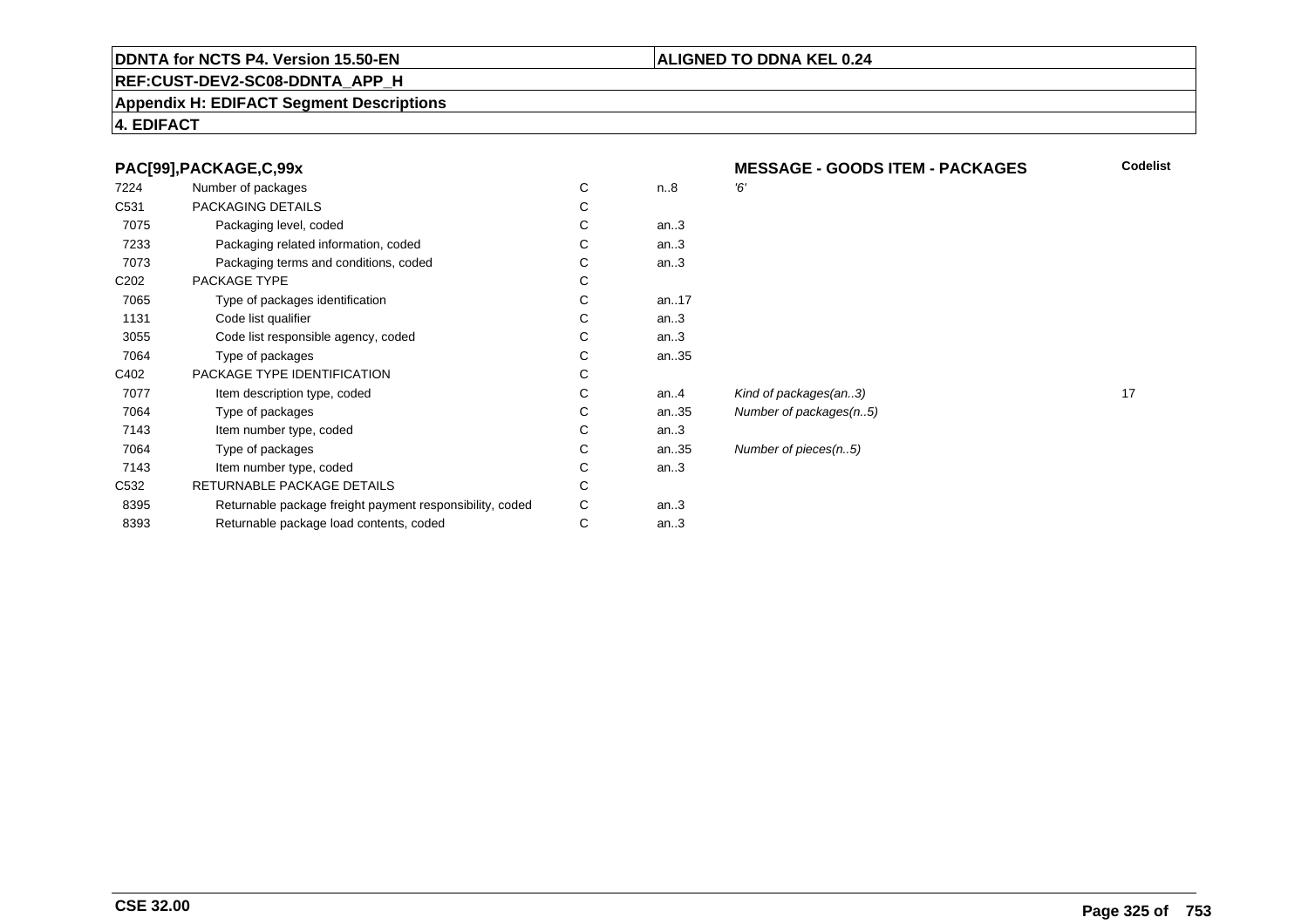#### **REF:CUST-DEV2-SC08-DDNTA\_APP\_H**

#### **Appendix H: EDIFACT Segment Descriptions**

#### **4. EDIFACT**

|  |  | PAC[99], PACKAGE, C, 99x |
|--|--|--------------------------|

| 7224             | Number of packages                                       | C | n.8     | Έ, |
|------------------|----------------------------------------------------------|---|---------|----|
| C <sub>531</sub> | PACKAGING DETAILS                                        | С |         |    |
| 7075             | Packaging level, coded                                   | С | an.3    |    |
| 7233             | Packaging related information, coded                     | С | an.3    |    |
| 7073             | Packaging terms and conditions, coded                    | С | an.3    |    |
| C <sub>202</sub> | PACKAGE TYPE                                             | С |         |    |
| 7065             | Type of packages identification                          | С | an17    |    |
| 1131             | Code list qualifier                                      | С | an.3    |    |
| 3055             | Code list responsible agency, coded                      | C | an.3    |    |
| 7064             | Type of packages                                         | C | an35    |    |
| C402             | PACKAGE TYPE IDENTIFICATION                              | С |         |    |
| 7077             | Item description type, coded                             | С | an. $4$ | Ki |
| 7064             | Type of packages                                         | C | an35    | Nι |
| 7143             | Item number type, coded                                  | С | an.3    |    |
| 7064             | Type of packages                                         | С | an35    | Nι |
| 7143             | Item number type, coded                                  | С | an.3    |    |
| C <sub>532</sub> | RETURNABLE PACKAGE DETAILS                               | C |         |    |
| 8395             | Returnable package freight payment responsibility, coded | С | an.3    |    |
| 8393             | Returnable package load contents, coded                  | С | an.3    |    |
|                  |                                                          |   |         |    |

 **MESSAGE - GOODS ITEM - PACKAGESCodelist**

Number of packages(n..5)

Number of pieces(n..5)

**ALIGNED TO DDNA KEL 0.24**

Kind of packages(an..3) 17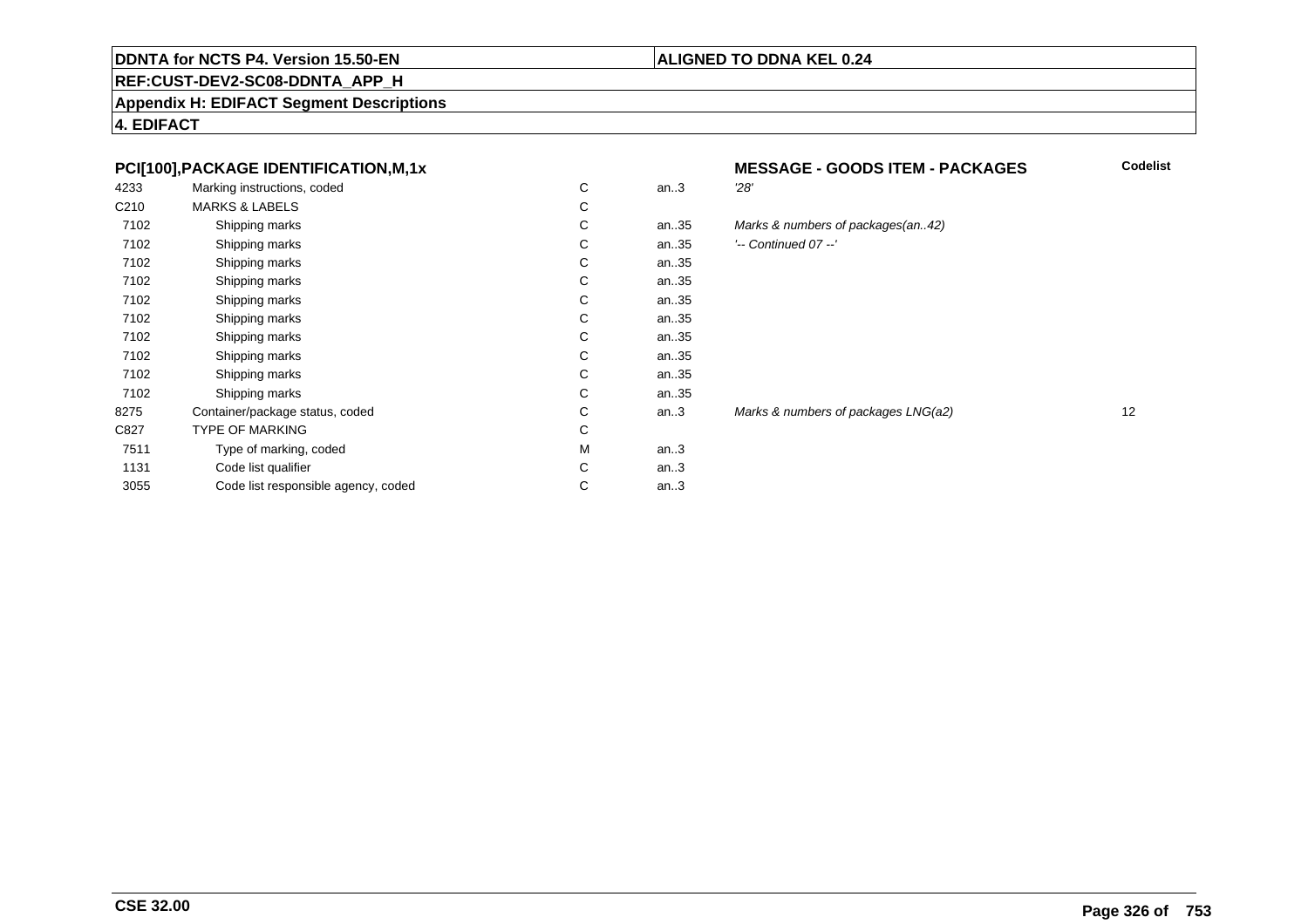#### **ALIGNED TO DDNA KEL 0.24**

## **REF:CUST-DEV2-SC08-DDNTA\_APP\_H**

**Appendix H: EDIFACT Segment Descriptions**

**4. EDIFACT**

#### **PCI[100],PACKAGE IDENTIFICATION,M,1x**

| 4233             | Marking instructions, coded         | C | an.3 | 28'   |
|------------------|-------------------------------------|---|------|-------|
| C <sub>210</sub> | <b>MARKS &amp; LABELS</b>           | C |      |       |
| 7102             | Shipping marks                      | C | an35 | Ma    |
| 7102             | Shipping marks                      | C | an35 | ) --' |
| 7102             | Shipping marks                      | C | an35 |       |
| 7102             | Shipping marks                      | C | an35 |       |
| 7102             | Shipping marks                      | C | an35 |       |
| 7102             | Shipping marks                      | C | an35 |       |
| 7102             | Shipping marks                      | C | an35 |       |
| 7102             | Shipping marks                      | C | an35 |       |
| 7102             | Shipping marks                      | C | an35 |       |
| 7102             | Shipping marks                      | C | an35 |       |
| 8275             | Container/package status, coded     | C | an.3 | Mai   |
| C827             | TYPE OF MARKING                     | C |      |       |
| 7511             | Type of marking, coded              | M | an.3 |       |
| 1131             | Code list qualifier                 | C | an.3 |       |
| 3055             | Code list responsible agency, coded | C | an.3 |       |
|                  |                                     |   |      |       |

# **MESSAGE - GOODS ITEM - PACKAGES**<br>n..3 28'

**Codelist**

# an..35 Marks & numbers of packages(an..42)

| ⌒<br>U | an35 | $'-$ Continued 07 $-$ ' |
|--------|------|-------------------------|
|        |      |                         |

Marks & numbers of packages LNG(a2) 12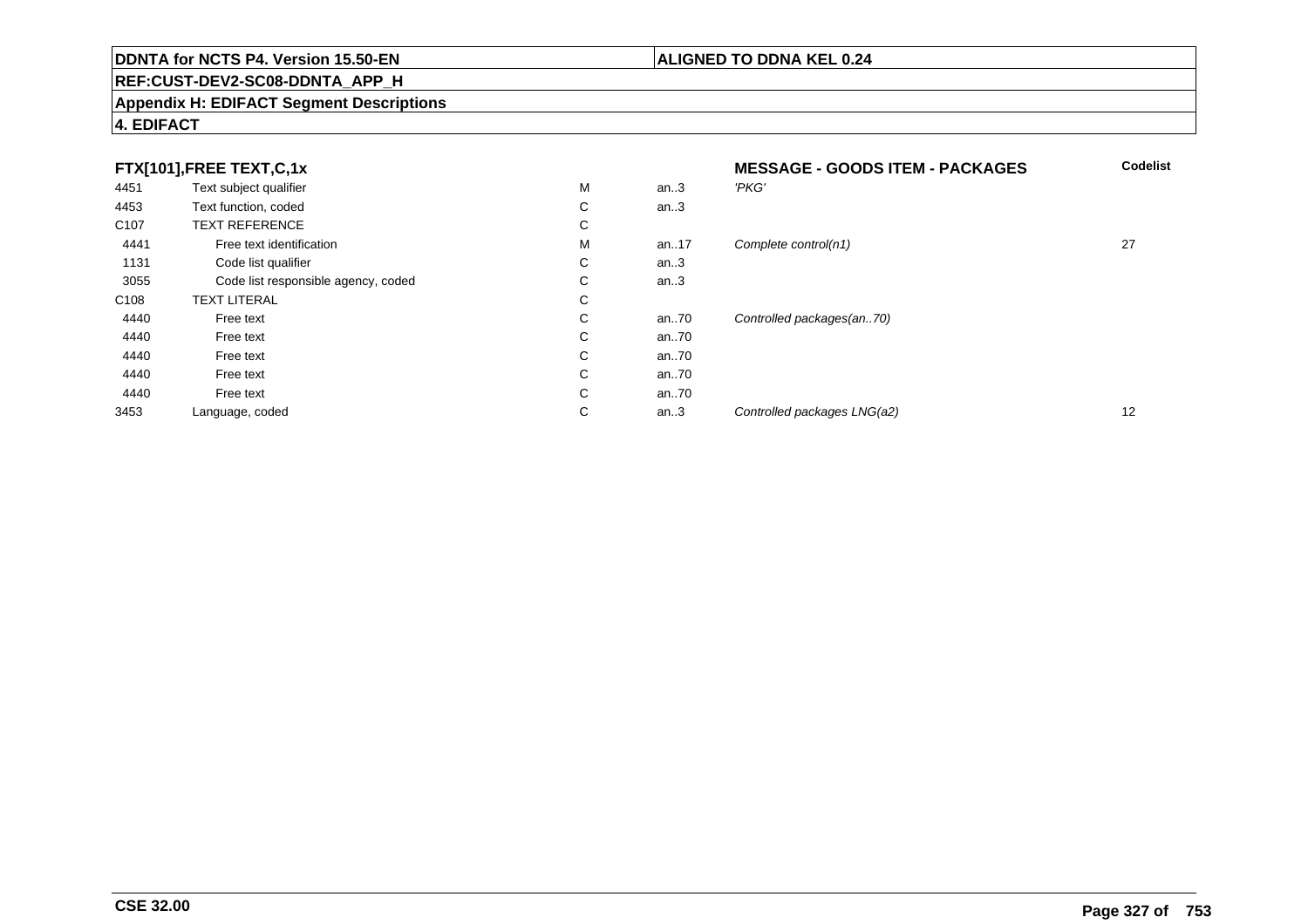## **REF:CUST-DEV2-SC08-DDNTA\_APP\_H**

#### **Appendix H: EDIFACT Segment Descriptions**

#### **4. EDIFACT**

|                  | FTX[101],FREE TEXT,C,1x             |             | <b>MESSAGE - GOODS ITEM - PACKAGES</b> | <b>Codelist</b>             |    |
|------------------|-------------------------------------|-------------|----------------------------------------|-----------------------------|----|
| 4451             | Text subject qualifier              | M           | an.3                                   | 'PKG'                       |    |
| 4453             | Text function, coded                | С           | an.3                                   |                             |    |
| C <sub>107</sub> | <b>TEXT REFERENCE</b>               | С           |                                        |                             |    |
| 4441             | Free text identification            | M           | an17                                   | Complete control(n1)        | 27 |
| 1131             | Code list qualifier                 | С           | an.3                                   |                             |    |
| 3055             | Code list responsible agency, coded | $\sim$<br>Ü | an.3                                   |                             |    |
| C <sub>108</sub> | <b>TEXT LITERAL</b>                 | С           |                                        |                             |    |
| 4440             | Free text                           | С           | an70                                   | Controlled packages(an70)   |    |
| 4440             | Free text                           | C           | an70                                   |                             |    |
| 4440             | Free text                           | C           | an70                                   |                             |    |
| 4440             | Free text                           | С           | an70                                   |                             |    |
| 4440             | Free text                           | C           | an70                                   |                             |    |
| 3453             | Language, coded                     | C           | an.3                                   | Controlled packages LNG(a2) | 12 |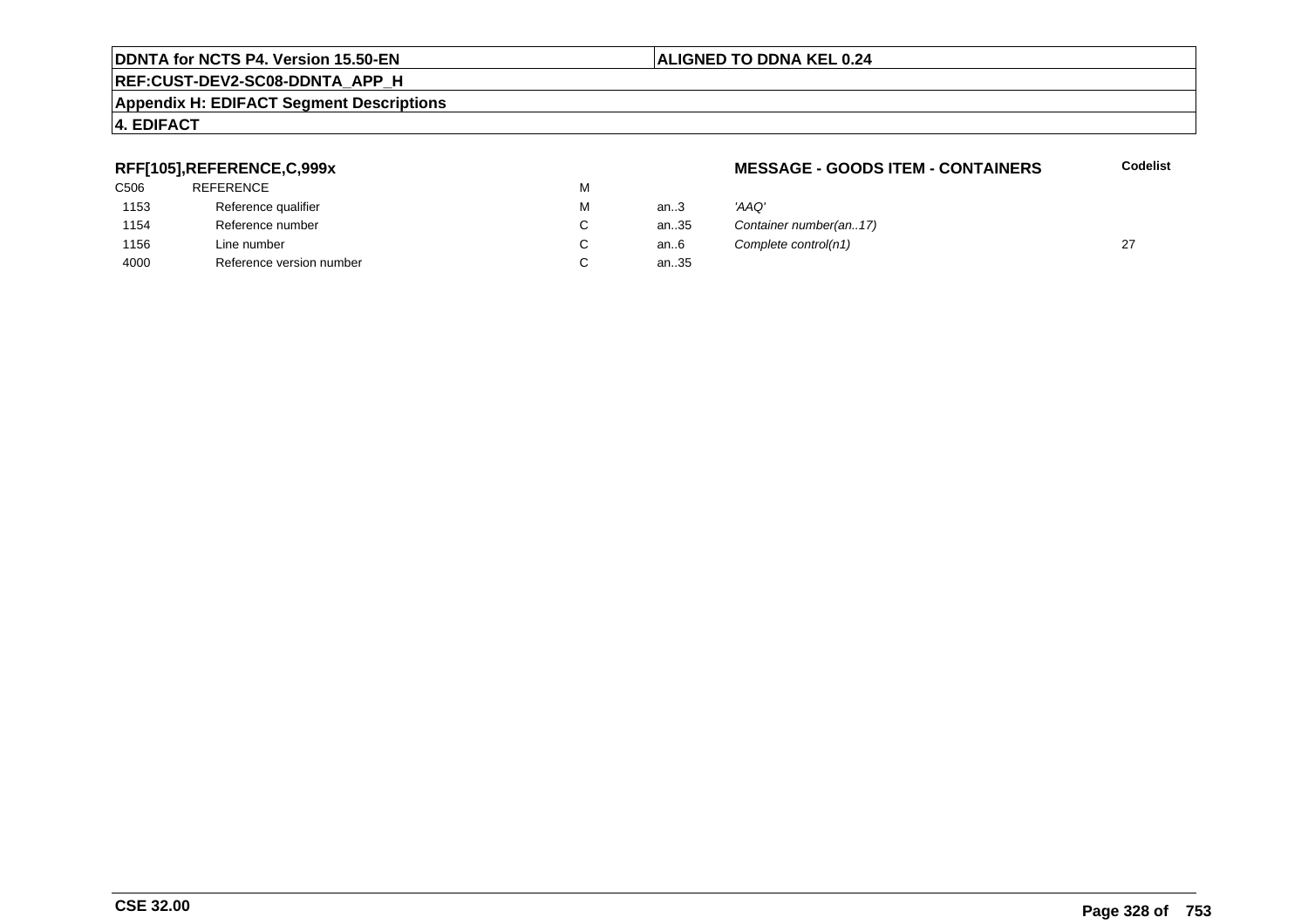#### **REF:CUST-DEV2-SC08-DDNTA\_APP\_H**

#### **Appendix H: EDIFACT Segment Descriptions**

#### **4. EDIFACT**

#### **RFF[105],REFERENCE,C,999x**

| C506 | <b>REFERENCE</b>         | м |
|------|--------------------------|---|
| 1153 | Reference qualifier      | м |
| 1154 | Reference number         | С |
| 1156 | Line number              | С |
| 4000 | Reference version number | С |

#### **MESSAGE - GOODS ITEM - CONTAINERS**

**Codelist**

| М | an $3$ | 'AAO'                  |  |
|---|--------|------------------------|--|
| С | an35   | Container number(an17) |  |
| C | an6    | Complete control(n1)   |  |
| С | an35   |                        |  |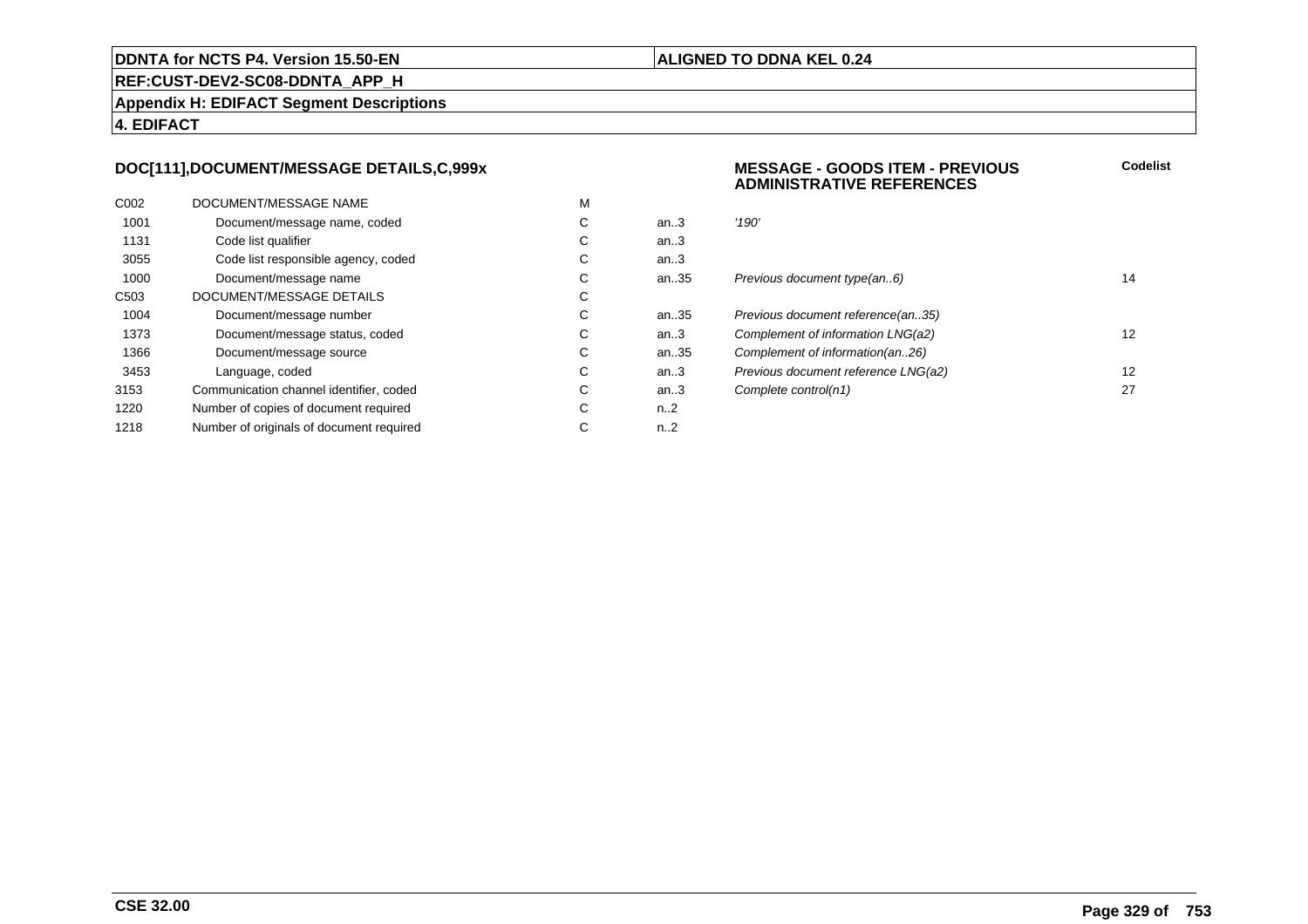#### **ALIGNED TO DDNA KEL 0.24**

**REF:CUST-DEV2-SC08-DDNTA\_APP\_H**

**Appendix H: EDIFACT Segment Descriptions**

**4. EDIFACT**

#### **DOC[111],DOCUMENT/MESSAGE DETAILS,C,999x**

| C <sub>0</sub> 02 | DOCUMENT/MESSAGE NAME                    | M |                  |       |
|-------------------|------------------------------------------|---|------------------|-------|
| 1001              | Document/message name, coded             | С | an.3             | '190' |
| 1131              | Code list qualifier                      | C | an.3             |       |
| 3055              | Code list responsible agency, coded      | C | an $3$           |       |
| 1000              | Document/message name                    | C | an35             | Prev  |
| C <sub>503</sub>  | DOCUMENT/MESSAGE DETAILS                 | С |                  |       |
| 1004              | Document/message number                  | C | an35             | Prev  |
| 1373              | Document/message status, coded           | С | an.3             | Com   |
| 1366              | Document/message source                  | C | an35             | Com   |
| 3453              | Language, coded                          | C | an.3             | Prev  |
| 3153              | Communication channel identifier, coded  | С | an.3             | Com   |
| 1220              | Number of copies of document required    | C | n <sub>1</sub> 2 |       |
| 1218              | Number of originals of document required | С | $n_{-2}$         |       |
|                   |                                          |   |                  |       |

#### **MESSAGE - GOODS ITEM - PREVIOUSADMINISTRATIVE REFERENCES**

| С | an.3 | '190'                               |    |
|---|------|-------------------------------------|----|
| С | an.3 |                                     |    |
| С | an.3 |                                     |    |
| С | an35 | Previous document type(an6)         | 14 |
| С |      |                                     |    |
| С | an35 | Previous document reference(an35)   |    |
| С | an.3 | Complement of information LNG(a2)   | 12 |
| С | an35 | Complement of information(an26)     |    |
| С | an.3 | Previous document reference LNG(a2) | 12 |
| С | an.3 | Complete control(n1)                | 27 |
| C | n 2  |                                     |    |

**Codelist**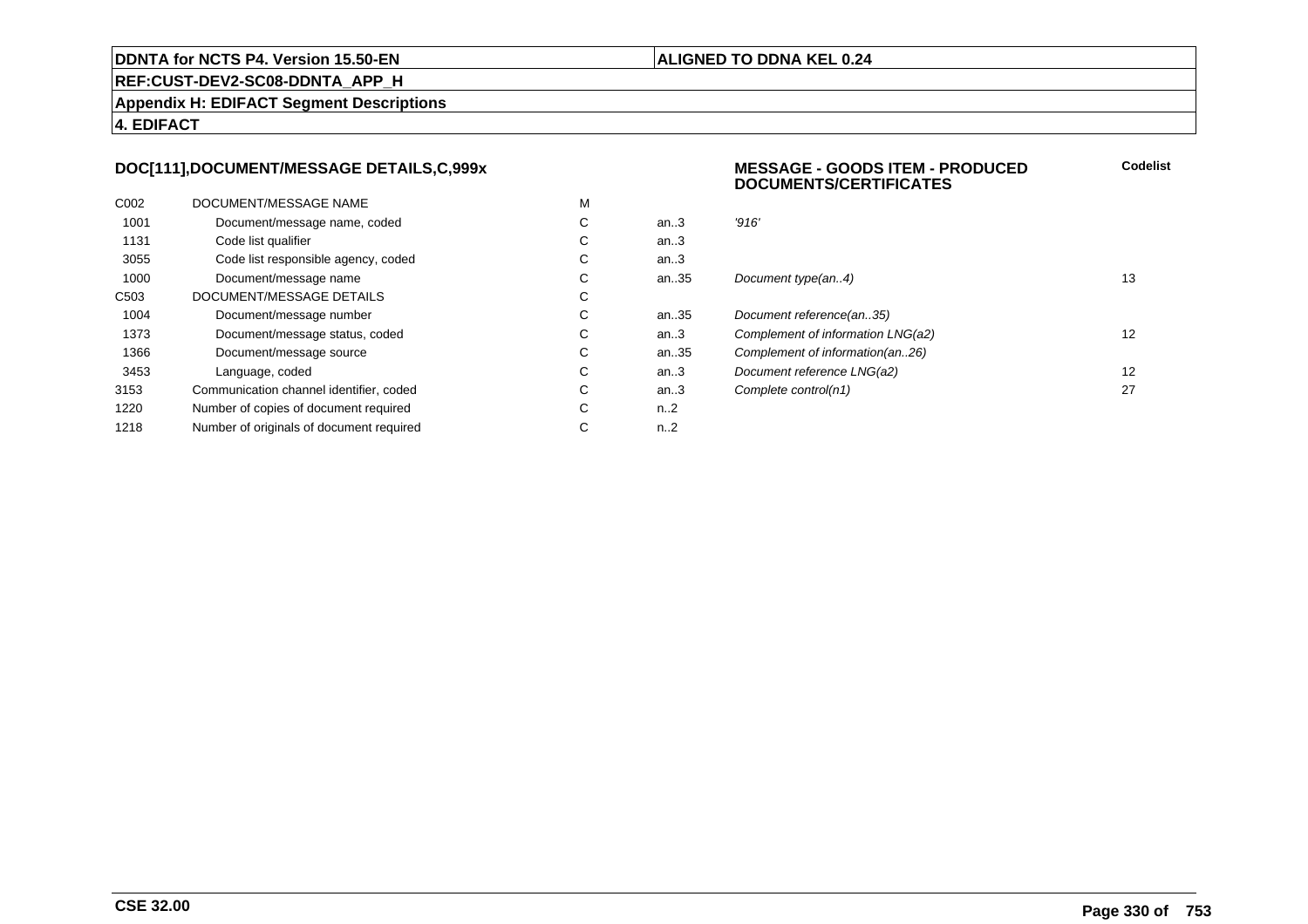#### **ALIGNED TO DDNA KEL 0.24**

**REF:CUST-DEV2-SC08-DDNTA\_APP\_H**

**Appendix H: EDIFACT Segment Descriptions**

**4. EDIFACT**

#### **DOC[111],DOCUMENT/MESSAGE DETAILS,C,999x**

| C <sub>0</sub> 02 | DOCUMENT/MESSAGE NAME                    | M |                  |       |
|-------------------|------------------------------------------|---|------------------|-------|
| 1001              | Document/message name, coded             | С | an.3             | '916' |
| 1131              | Code list qualifier                      | C | an.3             |       |
| 3055              | Code list responsible agency, coded      | C | an $3$           |       |
| 1000              | Document/message name                    | C | an35             | Docu  |
| C <sub>503</sub>  | DOCUMENT/MESSAGE DETAILS                 | С |                  |       |
| 1004              | Document/message number                  | C | an35             | Docu  |
| 1373              | Document/message status, coded           | С | an $3$           | Com   |
| 1366              | Document/message source                  | C | an35             | Com   |
| 3453              | Language, coded                          | C | an.3             | Docu  |
| 3153              | Communication channel identifier, coded  | С | an.3             | Com   |
| 1220              | Number of copies of document required    | C | n <sub>1</sub> 2 |       |
| 1218              | Number of originals of document required | С | n <sub>1</sub> 2 |       |
|                   |                                          |   |                  |       |

#### **MESSAGE - GOODS ITEM - PRODUCEDDOCUMENTS/CERTIFICATESCodelist**

| С  | an.3 | '916'                             |    |
|----|------|-----------------------------------|----|
| С  | an.3 |                                   |    |
| С  | an.3 |                                   |    |
| С  | an35 | Document type(an4)                | 13 |
| С  |      |                                   |    |
| С  | an35 | Document reference(an35)          |    |
| С  | an.3 | Complement of information LNG(a2) | 12 |
| С  | an35 | Complement of information(an26)   |    |
| С  | an.3 | Document reference LNG(a2)        | 12 |
| С  | an.3 | Complete control(n1)              | 27 |
| C. | n 2  |                                   |    |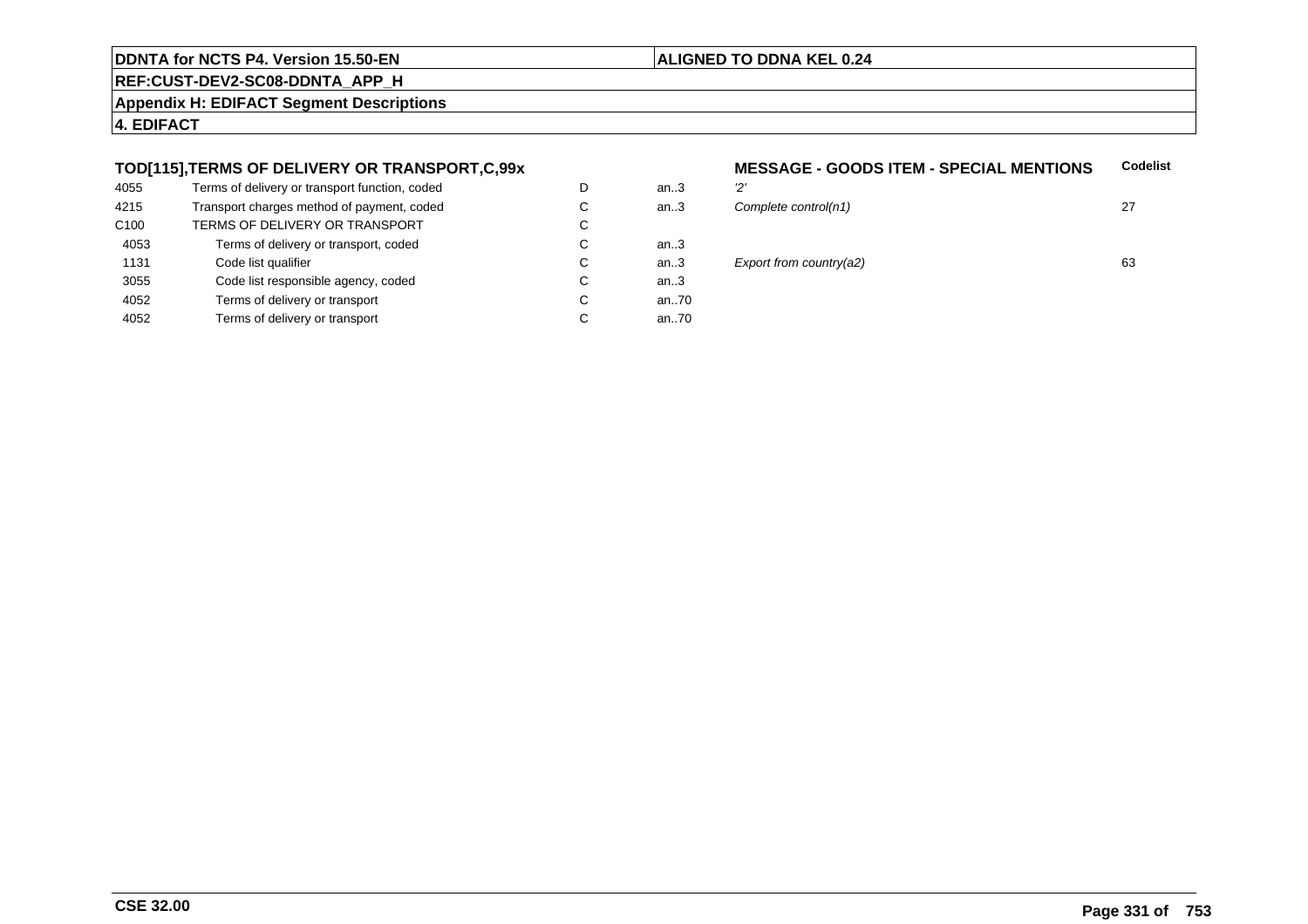#### **ALIGNED TO DDNA KEL 0.24**

**REF:CUST-DEV2-SC08-DDNTA\_APP\_H**

**Appendix H: EDIFACT Segment Descriptions**

**4. EDIFACT**

#### **TOD[115],TERMS OF DELIVERY OR TRANSPORT,C,99x**

| 4055             | Terms of delivery or transport function, coded | D | an $3$ | יכי |
|------------------|------------------------------------------------|---|--------|-----|
| 4215             | Transport charges method of payment, coded     | С | an.3   | Co  |
| C <sub>100</sub> | TERMS OF DELIVERY OR TRANSPORT                 | C |        |     |
| 4053             | Terms of delivery or transport, coded          | С | an3    |     |
| 1131             | Code list qualifier                            | C | an3    | E)  |
| 3055             | Code list responsible agency, coded            | С | an.3   |     |
| 4052             | Terms of delivery or transport                 | С | an70   |     |
| 4052             | Terms of delivery or transport                 | С | an70   |     |
|                  |                                                |   |        |     |

#### **MESSAGE - GOODS ITEM - SPECIAL MENTIONS**<br>m..3 2' **Codelist**

| D | an $.3$ | יכיי                        |    |
|---|---------|-----------------------------|----|
| С | an.3    | Complete control(n1)        | 27 |
| С |         |                             |    |
| С | an.3    |                             |    |
| С | an.3    | Export from country( $a2$ ) | 63 |
| С | an.3    |                             |    |
| С | an70    |                             |    |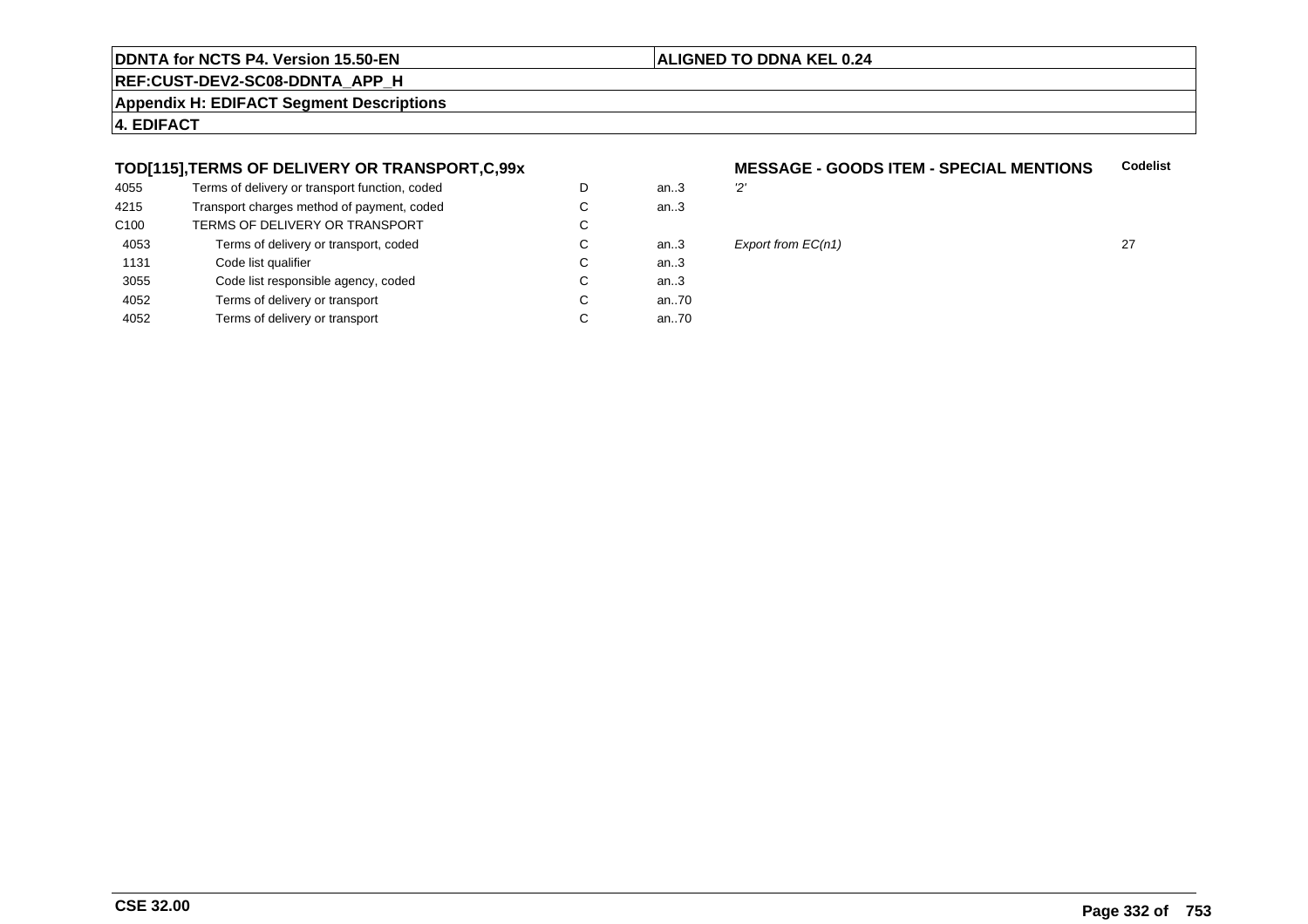#### **ALIGNED TO DDNA KEL 0.24**

**REF:CUST-DEV2-SC08-DDNTA\_APP\_H**

**Appendix H: EDIFACT Segment Descriptions**

**4. EDIFACT**

#### **TOD[115],TERMS OF DELIVERY OR TRANSPORT,C,99x**

| 4055             | Terms of delivery or transport function, coded | D | an3  | יכי |
|------------------|------------------------------------------------|---|------|-----|
| 4215             | Transport charges method of payment, coded     | С | an.3 |     |
| C <sub>100</sub> | TERMS OF DELIVERY OR TRANSPORT                 | C |      |     |
| 4053             | Terms of delivery or transport, coded          | С | an3  | E)  |
| 1131             | Code list qualifier                            | C | an.3 |     |
| 3055             | Code list responsible agency, coded            | С | an.3 |     |
| 4052             | Terms of delivery or transport                 | С | an70 |     |
| 4052             | Terms of delivery or transport                 | С | an70 |     |
|                  |                                                |   |      |     |

#### **MESSAGE - GOODS ITEM - SPECIAL MENTIONS**<br>..3 2' **Codelist**



 $27$ <br> $3$  Export from EC(n1) 27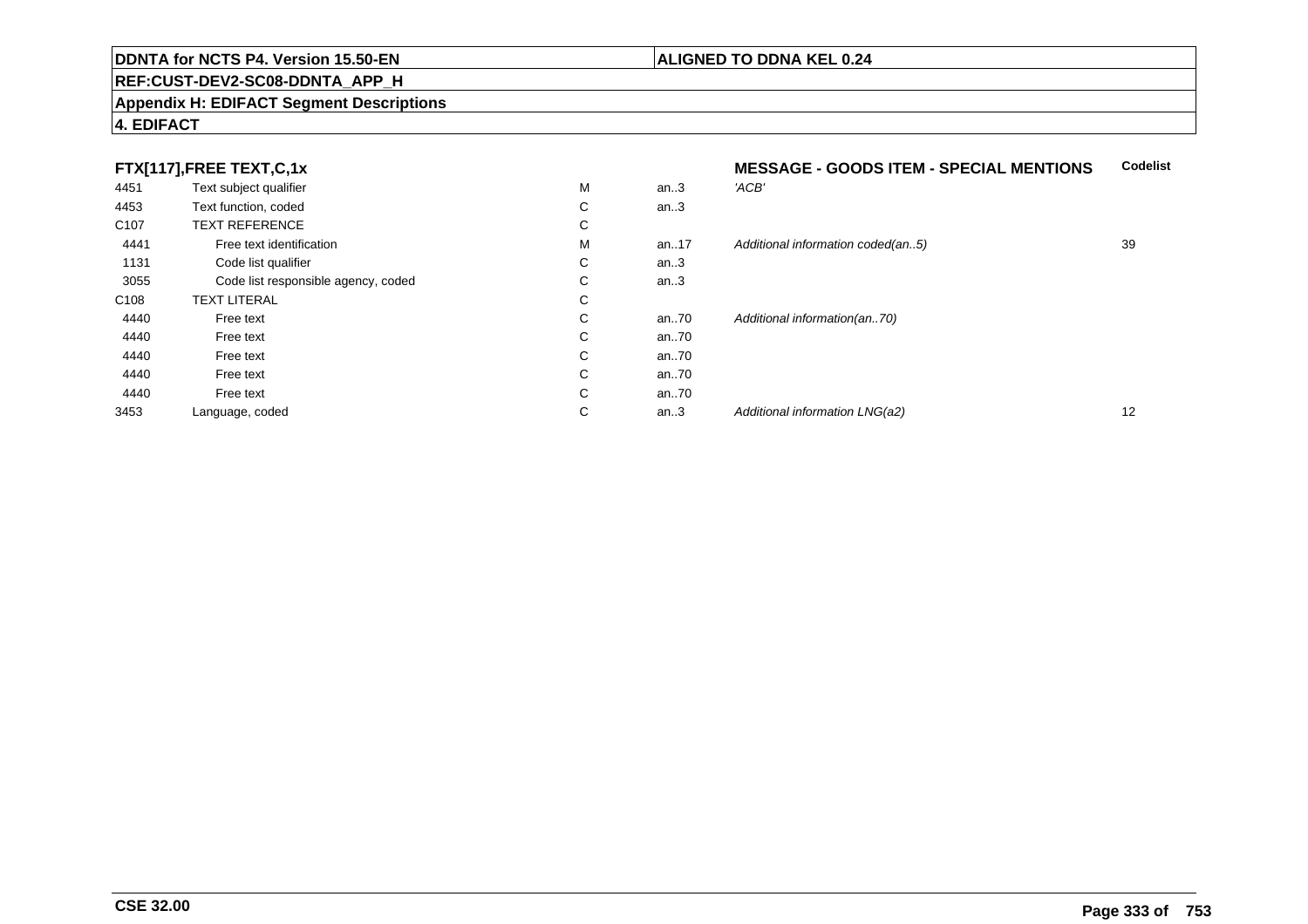#### **REF:CUST-DEV2-SC08-DDNTA\_APP\_H**

#### **Appendix H: EDIFACT Segment Descriptions**

#### **4. EDIFACT**

| 4451             | Text subject qualifier              | M | an.3 | 'ACB'                             |    |
|------------------|-------------------------------------|---|------|-----------------------------------|----|
| 4453             | Text function, coded                | С | an.3 |                                   |    |
| C <sub>107</sub> | <b>TEXT REFERENCE</b>               | С |      |                                   |    |
| 4441             | Free text identification            | M | an17 | Additional information coded(an5) | 39 |
| 1131             | Code list qualifier                 | С | an.3 |                                   |    |
| 3055             | Code list responsible agency, coded | С | an.3 |                                   |    |
| C <sub>108</sub> | <b>TEXT LITERAL</b>                 | C |      |                                   |    |
| 4440             | Free text                           | С | an70 | Additional information(an70)      |    |
| 4440             | Free text                           | С | an70 |                                   |    |
| 4440             | Free text                           | C | an70 |                                   |    |
| 4440             | Free text                           | C | an70 |                                   |    |
| 4440             | Free text                           | С | an70 |                                   |    |
| 3453             | Language, coded                     | С | an.3 | Additional information LNG(a2)    | 12 |

**ALIGNED TO DDNA KEL 0.24**

# **MESSAGE - GOODS ITEM - SPECIAL MENTIONS Codelist** M an..17 Additional information coded(an..5) 39<br>-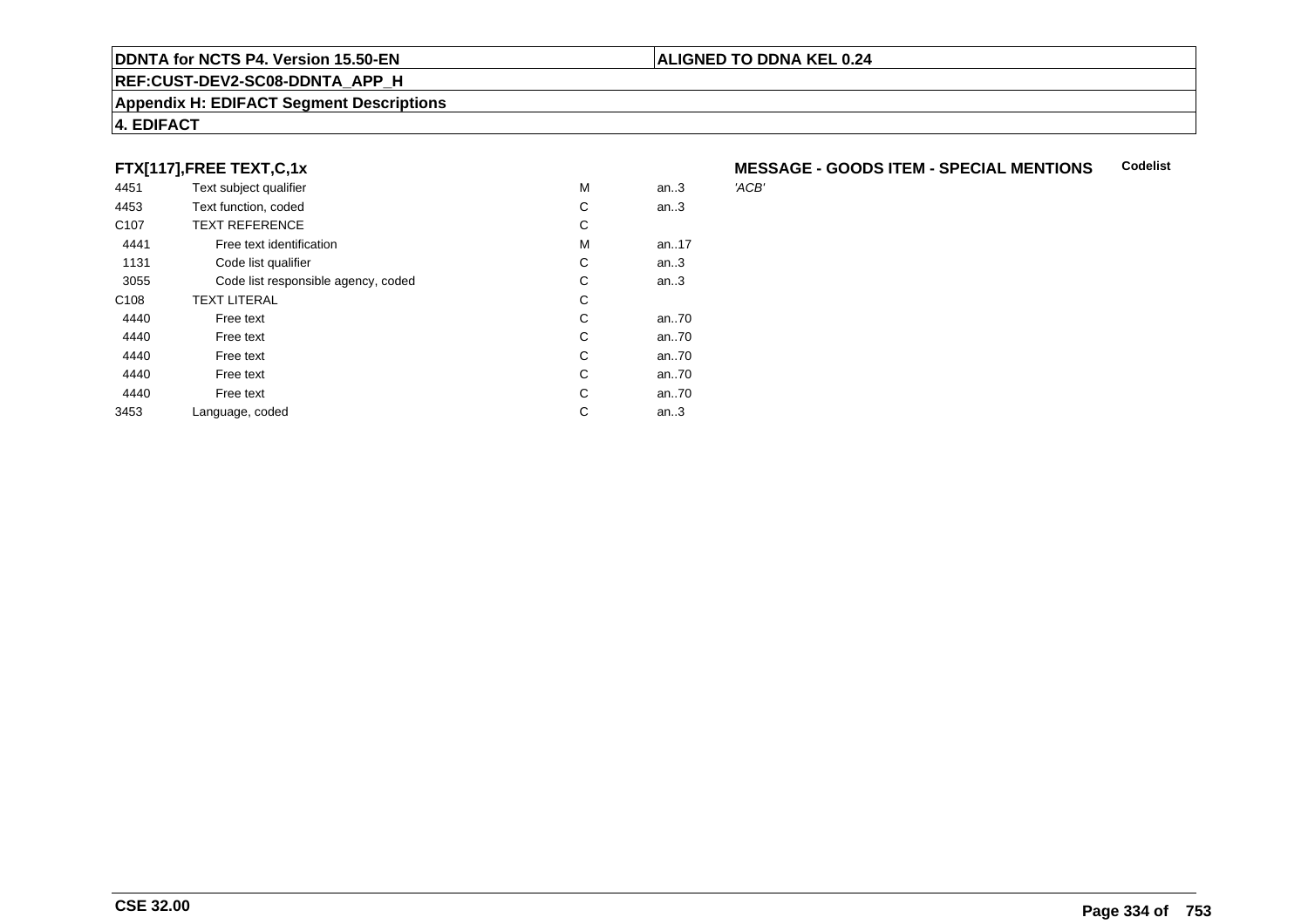#### **REF:CUST-DEV2-SC08-DDNTA\_APP\_H**

#### **Appendix H: EDIFACT Segment Descriptions**

#### **4. EDIFACT**

#### **FTX[117],FREE TEXT,C,1x**

| 4451             | Text subject qualifier              | M | an.3 | 'ACB' |
|------------------|-------------------------------------|---|------|-------|
| 4453             | Text function, coded                | С | an.3 |       |
| C <sub>107</sub> | <b>TEXT REFERENCE</b>               | С |      |       |
| 4441             | Free text identification            | M | an17 |       |
| 1131             | Code list qualifier                 | С | an.3 |       |
| 3055             | Code list responsible agency, coded | С | an.3 |       |
| C <sub>108</sub> | <b>TEXT LITERAL</b>                 | С |      |       |
| 4440             | Free text                           | C | an70 |       |
| 4440             | Free text                           | C | an70 |       |
| 4440             | Free text                           | C | an70 |       |
| 4440             | Free text                           | C | an70 |       |
| 4440             | Free text                           | C | an70 |       |
| 3453             | Language, coded                     | С | an.3 |       |
|                  |                                     |   |      |       |

#### **MESSAGE - GOODS ITEM - SPECIAL MENTIONSCodelist**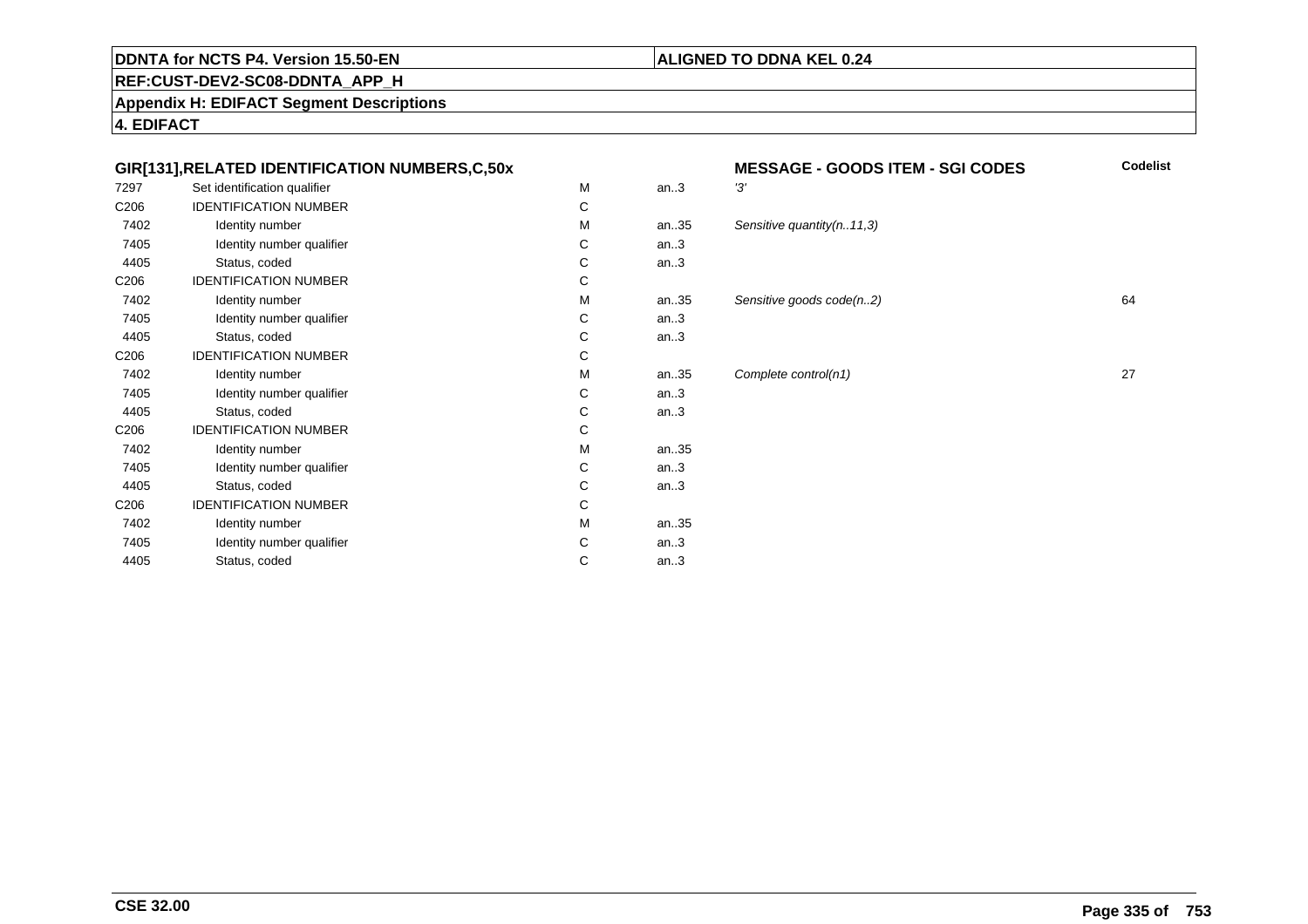#### **ALIGNED TO DDNA KEL 0.24**

**REF:CUST-DEV2-SC08-DDNTA\_APP\_H**

**Appendix H: EDIFACT Segment Descriptions**

**4. EDIFACT**

#### **GIR[131],RELATED IDENTIFICATION NUMBERS,C,50x**

| 7297             | Set identification qualifier | M | an.3 | '3'   |
|------------------|------------------------------|---|------|-------|
| C206             | <b>IDENTIFICATION NUMBER</b> | C |      |       |
| 7402             | Identity number              | M | an35 | $S_6$ |
| 7405             | Identity number qualifier    | C | an.3 |       |
| 4405             | Status, coded                | C | an.3 |       |
| C <sub>206</sub> | <b>IDENTIFICATION NUMBER</b> | C |      |       |
| 7402             | Identity number              | M | an35 | $S_6$ |
| 7405             | Identity number qualifier    | C | an.3 |       |
| 4405             | Status, coded                | C | an.3 |       |
| C <sub>206</sub> | <b>IDENTIFICATION NUMBER</b> | C |      |       |
| 7402             | Identity number              | M | an35 | C     |
| 7405             | Identity number qualifier    | C | an.3 |       |
| 4405             | Status, coded                | C | an.3 |       |
| C206             | <b>IDENTIFICATION NUMBER</b> | C |      |       |
| 7402             | Identity number              | M | an35 |       |
| 7405             | Identity number qualifier    | C | an.3 |       |
| 4405             | Status, coded                | C | an.3 |       |
| C <sub>206</sub> | <b>IDENTIFICATION NUMBER</b> | C |      |       |
| 7402             | Identity number              | M | an35 |       |
| 7405             | Identity number qualifier    | C | an.3 |       |
| 4405             | Status, coded                | C | an.3 |       |
|                  |                              |   |      |       |

# **MESSAGE - GOODS ITEM - SGI CODES Codelist** 35 Sensitive quantity(n..11,3) an...<br>35 Sensitive goods code(n..2) 64  $35$  Complete control(n1) 27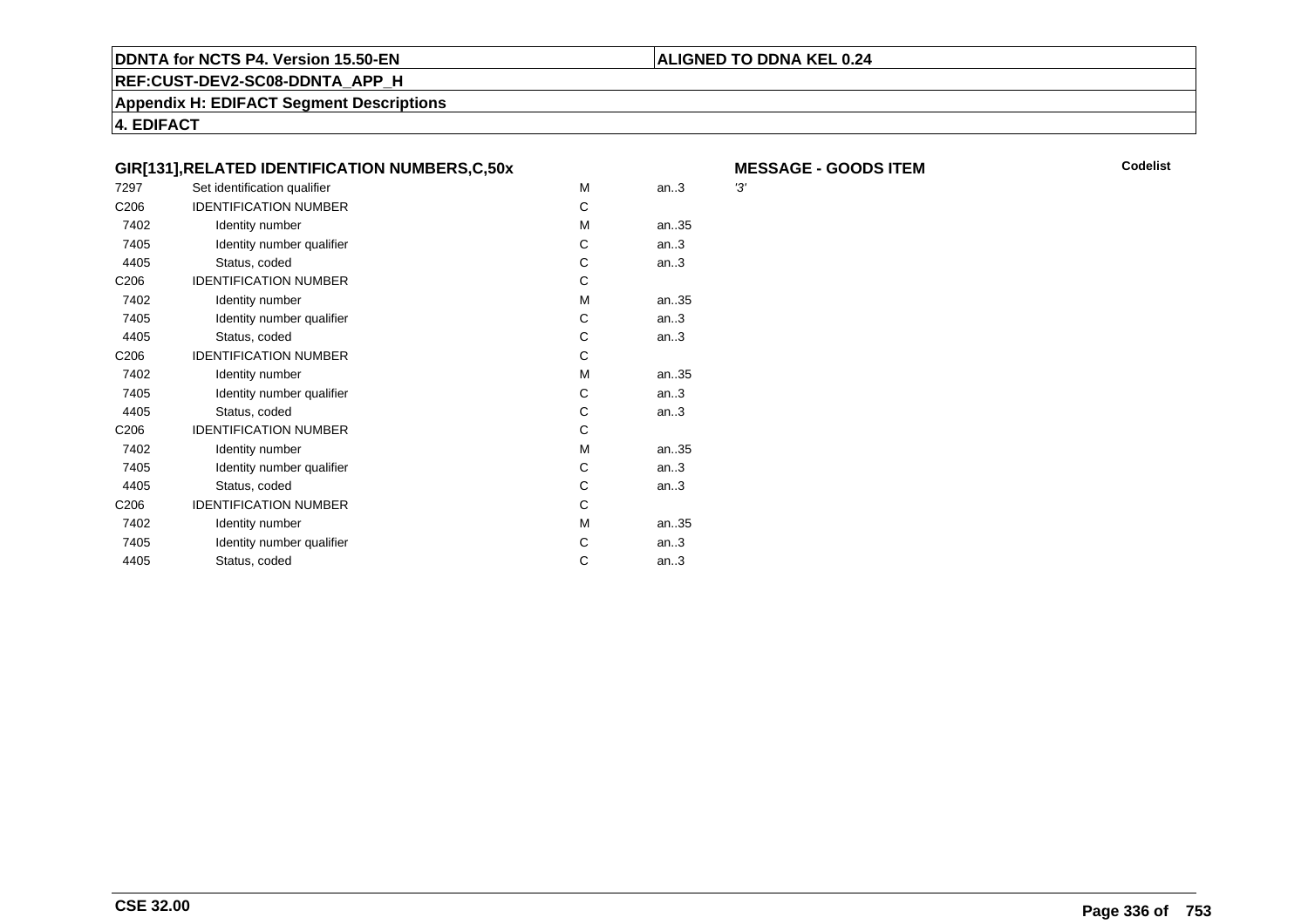#### **ALIGNED TO DDNA KEL 0.24**

**REF:CUST-DEV2-SC08-DDNTA\_APP\_H**

**Appendix H: EDIFACT Segment Descriptions**

**4. EDIFACT**

|                  | GIR[131], RELATED IDENTIFICATION NUMBERS, C, 50x |   |       | M   |
|------------------|--------------------------------------------------|---|-------|-----|
| 7297             | Set identification qualifier                     | M | an.3  | '3' |
| C <sub>206</sub> | <b>IDENTIFICATION NUMBER</b>                     | C |       |     |
| 7402             | Identity number                                  | M | an.35 |     |
| 7405             | Identity number qualifier                        | C | an.3  |     |
| 4405             | Status, coded                                    | C | an.3  |     |
| C <sub>206</sub> | <b>IDENTIFICATION NUMBER</b>                     | C |       |     |
| 7402             | Identity number                                  | M | an35  |     |
| 7405             | Identity number qualifier                        | C | an.3  |     |
| 4405             | Status, coded                                    | C | an.3  |     |
| C <sub>206</sub> | <b>IDENTIFICATION NUMBER</b>                     | C |       |     |
| 7402             | Identity number                                  | M | an35  |     |
| 7405             | Identity number qualifier                        | C | an.3  |     |
| 4405             | Status, coded                                    | C | an.3  |     |
| C <sub>206</sub> | <b>IDENTIFICATION NUMBER</b>                     | C |       |     |
| 7402             | Identity number                                  | M | an.35 |     |
| 7405             | Identity number qualifier                        | C | an.3  |     |
| 4405             | Status, coded                                    | C | an.3  |     |
| C <sub>206</sub> | <b>IDENTIFICATION NUMBER</b>                     | C |       |     |
| 7402             | Identity number                                  | M | an35  |     |
| 7405             | Identity number qualifier                        | C | an.3  |     |
| 4405             | Status, coded                                    | C | an.3  |     |
|                  |                                                  |   |       |     |

 **MESSAGE - GOODS ITEMM** Codelist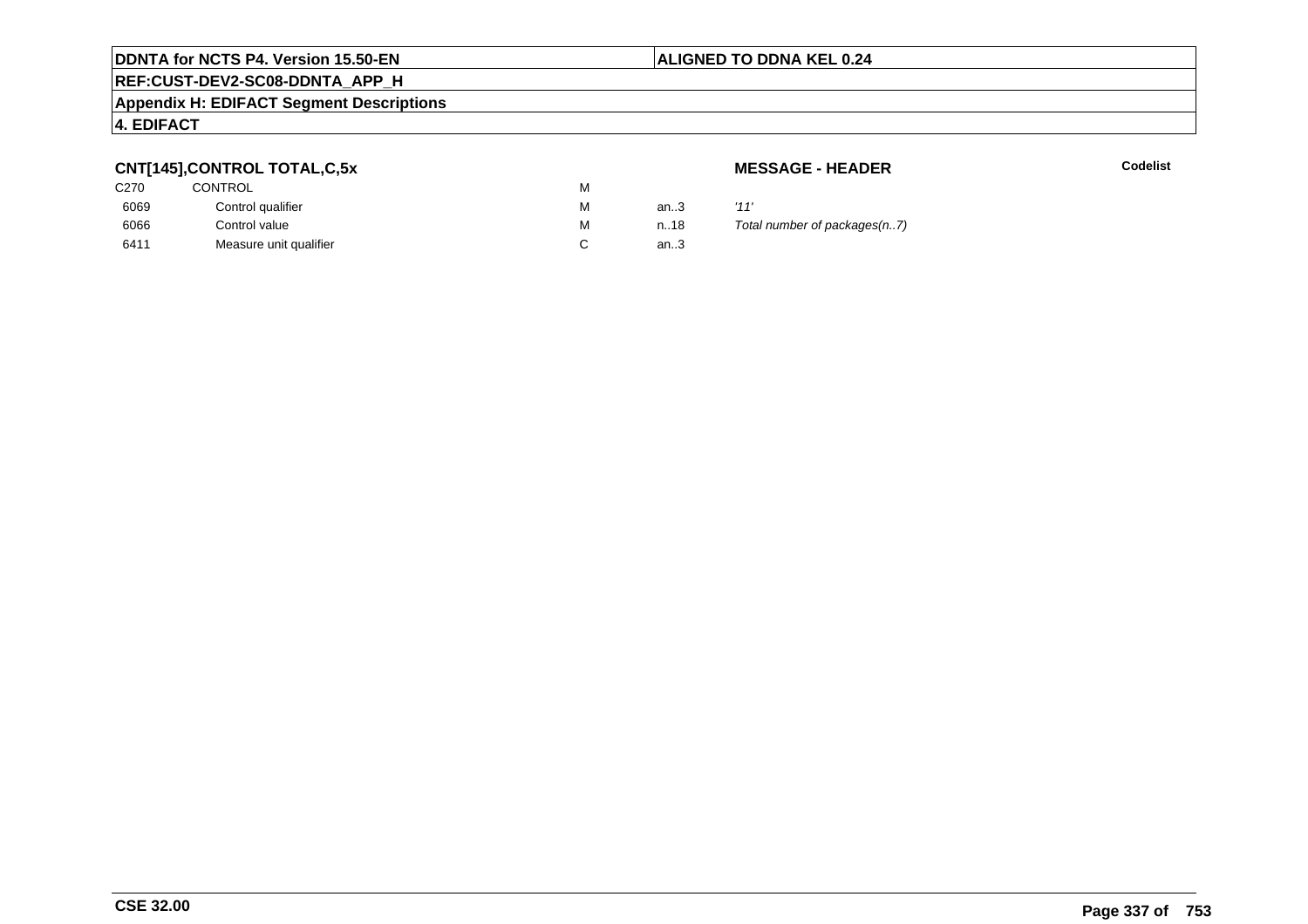#### **REF:CUST-DEV2-SC08-DDNTA\_APP\_H**

#### **Appendix H: EDIFACT Segment Descriptions**

#### **4. EDIFACT**

#### **CNT[145],CONTROL TOTAL,C,5x**

| C270 | CONTROL                | м |      |      |
|------|------------------------|---|------|------|
| 6069 | Control qualifier      | М | an.3 | '11' |
| 6066 | Control value          | м | n.18 | Tot  |
| 6411 | Measure unit qualifier |   | an.3 |      |

**MESSAGE - HEADER**

**R** Codelist

Total number of packages(n..7)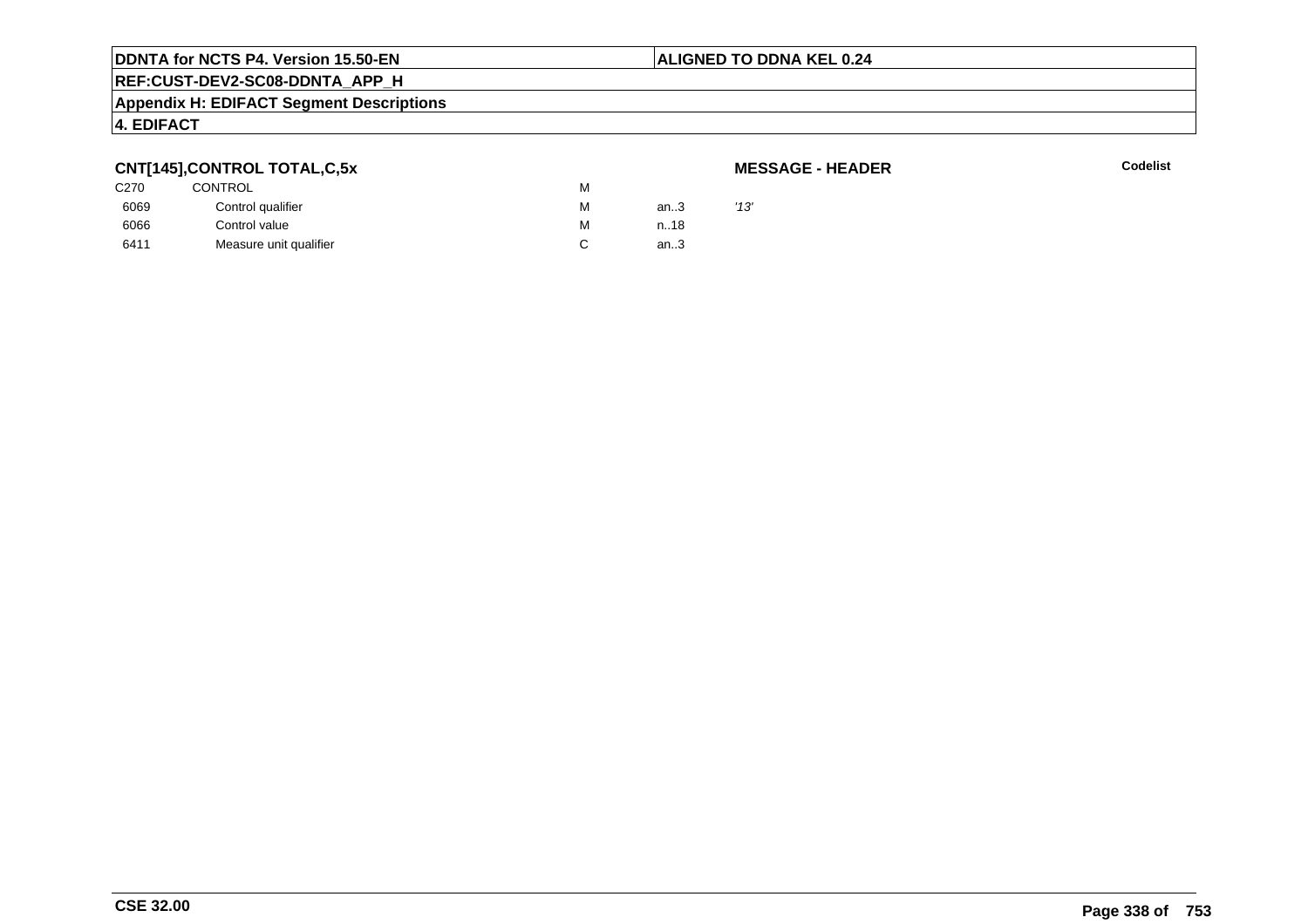#### **ALIGNED TO DDNA KEL 0.24**

## **REF:CUST-DEV2-SC08-DDNTA\_APP\_H**

#### **Appendix H: EDIFACT Segment Descriptions**

#### **4. EDIFACT**

#### **CNT[145],CONTROL TOTAL,C,5x**

#### **MESSAGE - HEADER**

|                  | - - - -                |   |      |      |
|------------------|------------------------|---|------|------|
| C <sub>270</sub> | <b>CONTROL</b><br>м    |   |      |      |
| 6069             | Control qualifier      | м | an.3 | '13' |
| 6066             | Control value          | M | n.18 |      |
| 6411             | Measure unit qualifier |   | an.3 |      |
|                  |                        |   |      |      |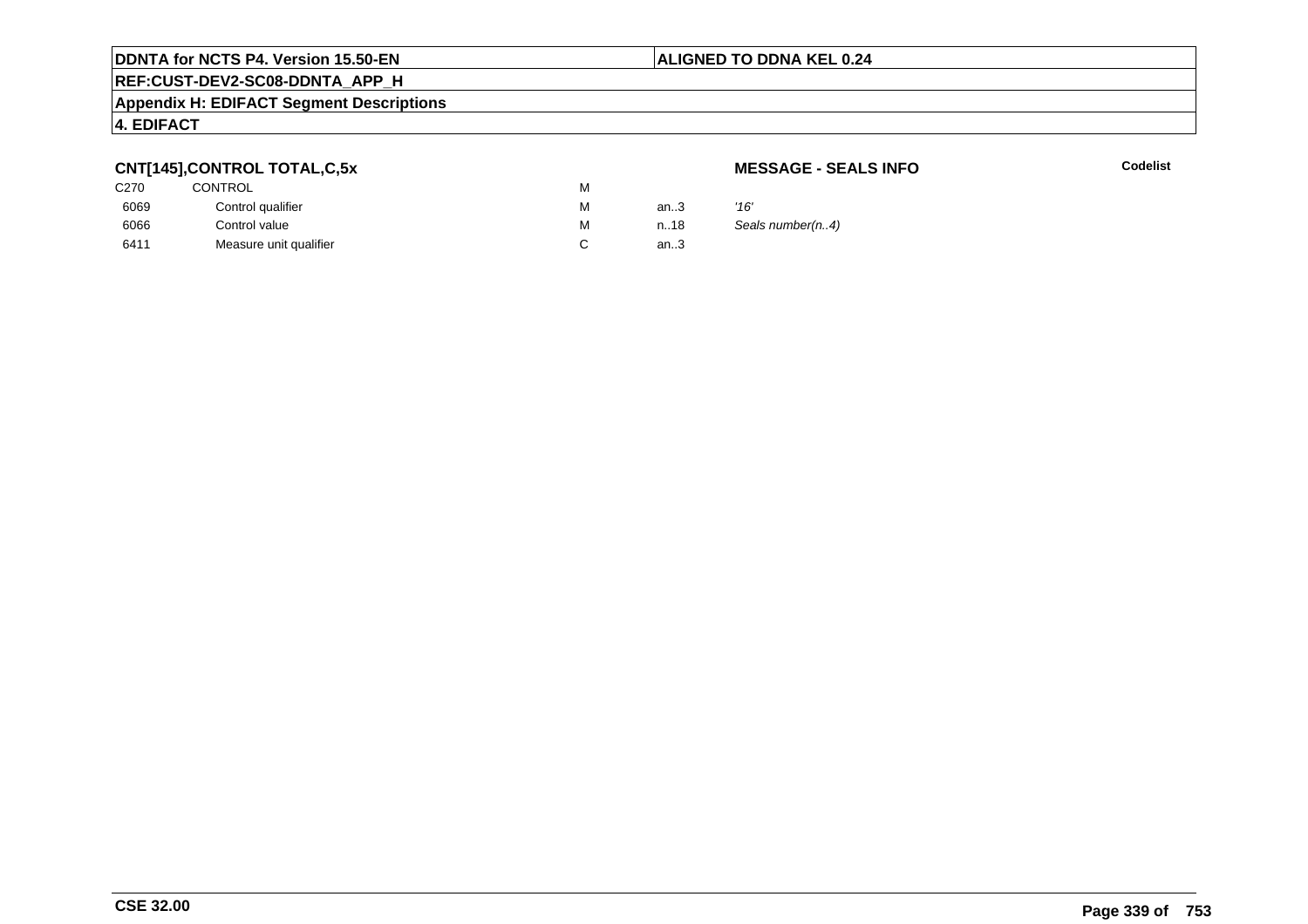## **REF:CUST-DEV2-SC08-DDNTA\_APP\_H**

#### **Appendix H: EDIFACT Segment Descriptions**

#### **4. EDIFACT**

#### **CNT[145],CONTROL TOTAL,C,5x**

| C270 | <b>CONTROL</b>         | м |      |      |
|------|------------------------|---|------|------|
| 6069 | Control qualifier      | М | an.3 | '16' |
| 6066 | Control value          | М | n.18 | Sea  |
| 6411 | Measure unit qualifier |   | an.3 |      |

#### **MESSAGE - SEALS INFO**

**C** Codelist

Seals number(n..4)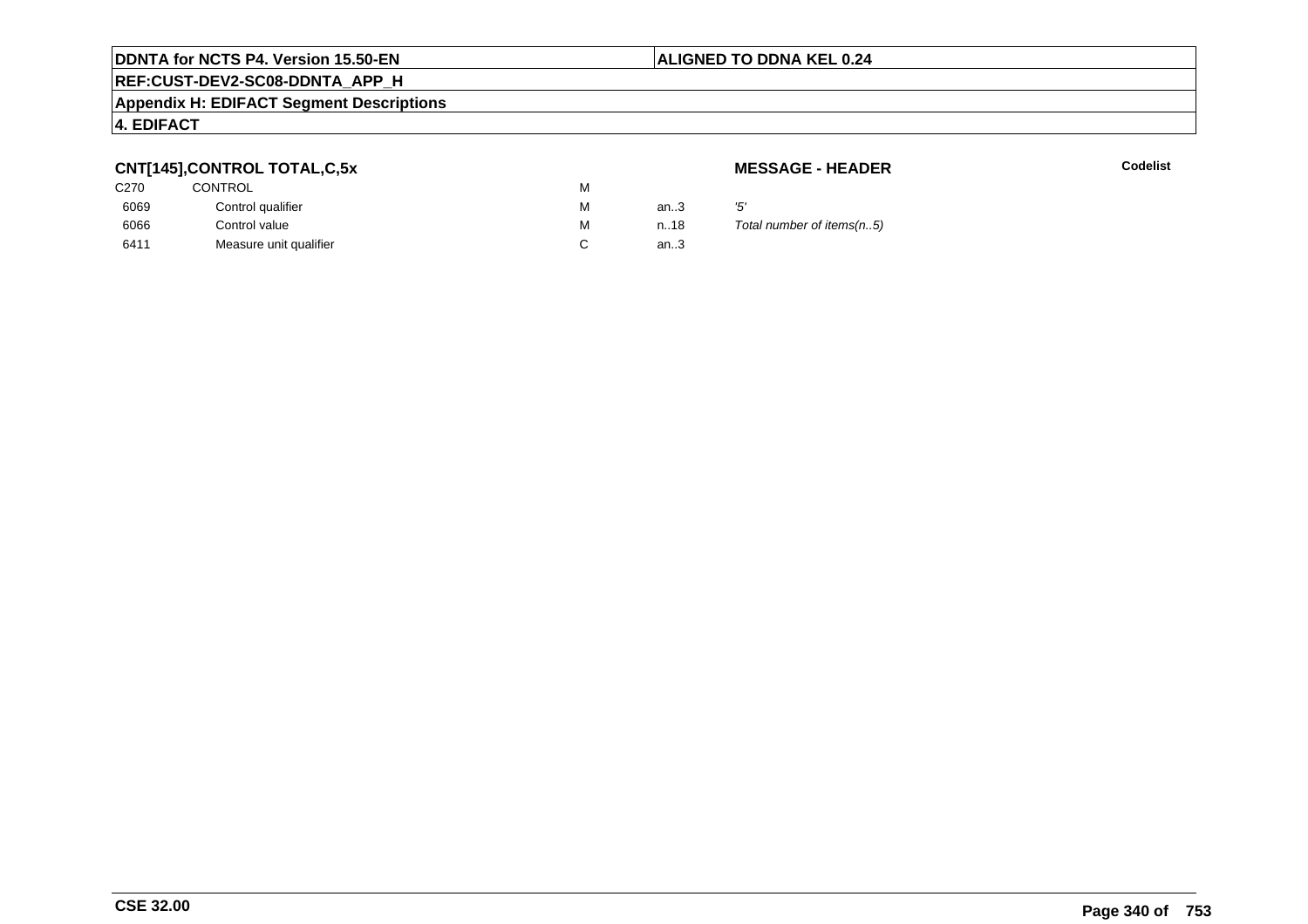## **REF:CUST-DEV2-SC08-DDNTA\_APP\_H**

#### **Appendix H: EDIFACT Segment Descriptions**

#### **4. EDIFACT**

### **CNT[145],CONTROL TOTAL,C,5x**

| <b>CONTROL</b>         | М |        |     |
|------------------------|---|--------|-----|
| Control qualifier      | М | an $3$ | '5' |
| Control value          | М | n18    |     |
| Measure unit qualifier |   | an.3   |     |
|                        |   |        |     |

**MESSAGE - HEADER**

**R** Codelist

Total number of items(n..5)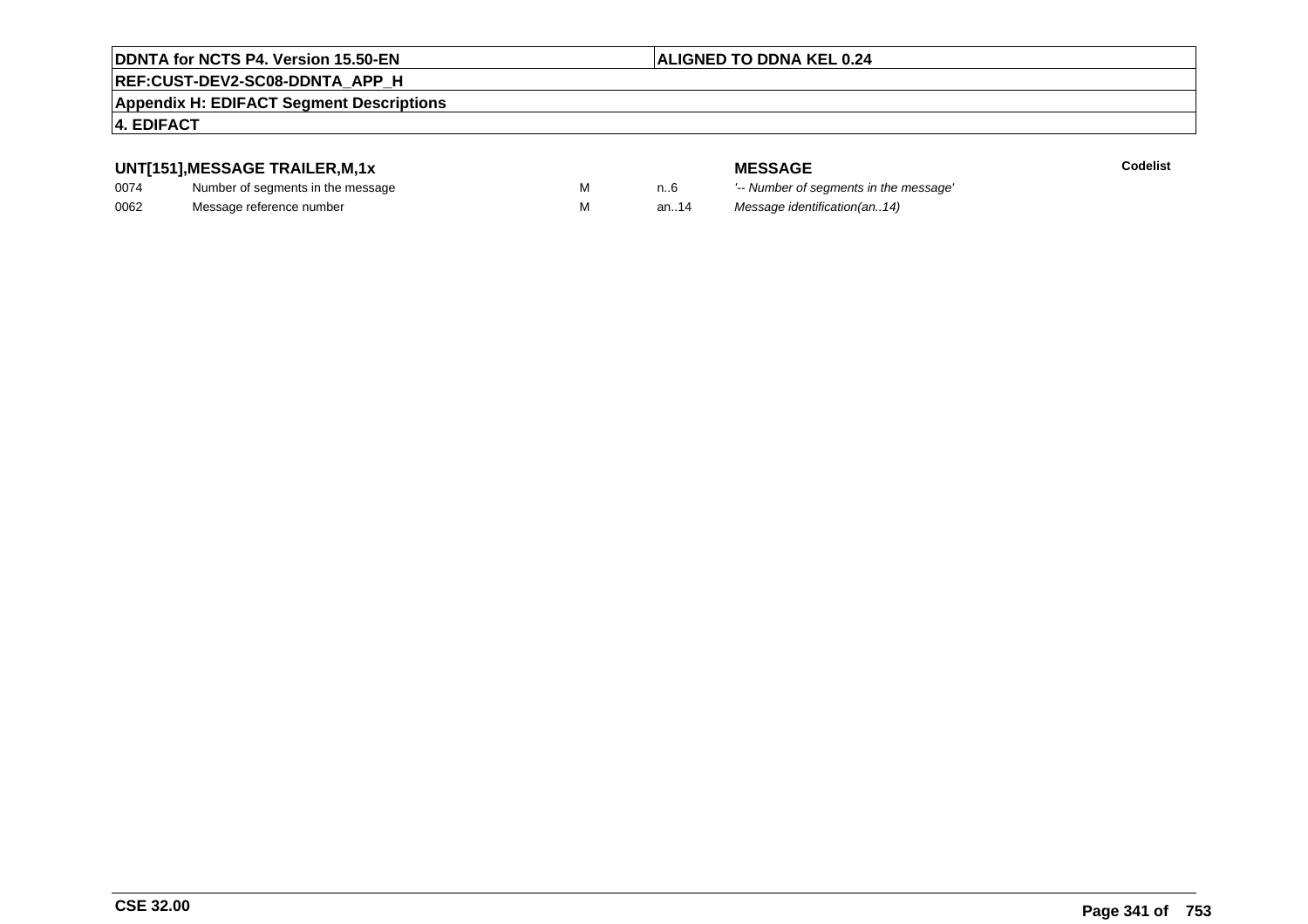#### **ALIGNED TO DDNA KEL 0.24**

## **REF:CUST-DEV2-SC08-DDNTA\_APP\_H**

#### **Appendix H: EDIFACT Segment Descriptions**

#### **4. EDIFACT**

#### **UNT[151],MESSAGE TRAILER,M,1x**

| 0074 | Number of segments in the message |  |
|------|-----------------------------------|--|
| 0062 | Message reference number          |  |

**MESSAGE**<br>M n.6 <sup>'--</sup> Number of s **Codelist** M carried manufacturer of segments in the message'<br>Carried manufacturer in the message's M an..14 Message identification(an..14)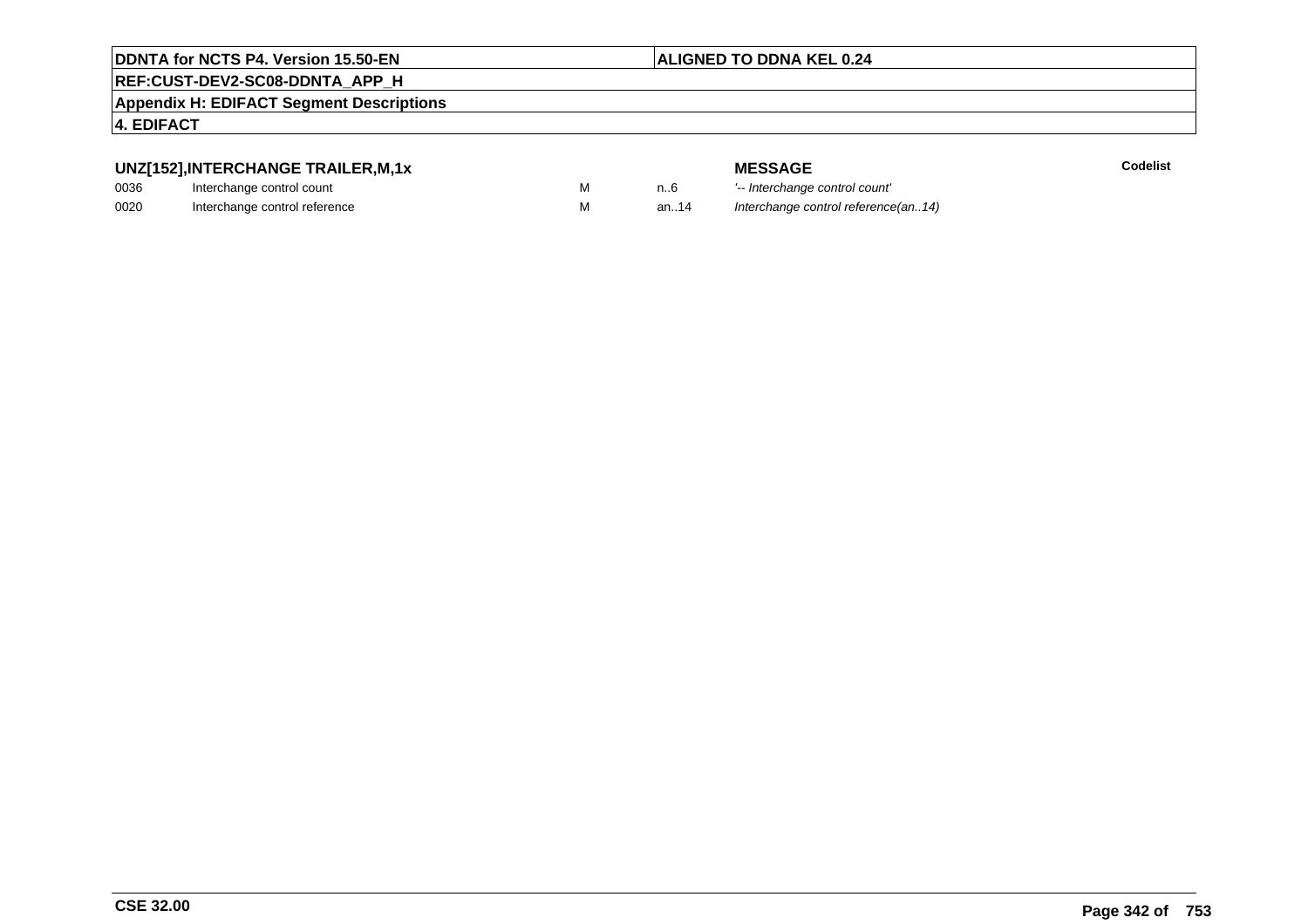#### **ALIGNED TO DDNA KEL 0.24**

## **REF:CUST-DEV2-SC08-DDNTA\_APP\_H**

**Appendix H: EDIFACT Segment Descriptions**

#### **4. EDIFACT**

#### **UNZ[152],INTERCHANGE TRAILER,M,1x**

| 0036 | Interchange control count     |  |
|------|-------------------------------|--|
| 0020 | Interchange control reference |  |

| м |  |
|---|--|
| м |  |

|   |      | <b>MESSAGE</b>                      | Codelist |
|---|------|-------------------------------------|----------|
| М | n6   | '-- Interchange control count'      |          |
| М | an14 | Interchange control reference(an14) |          |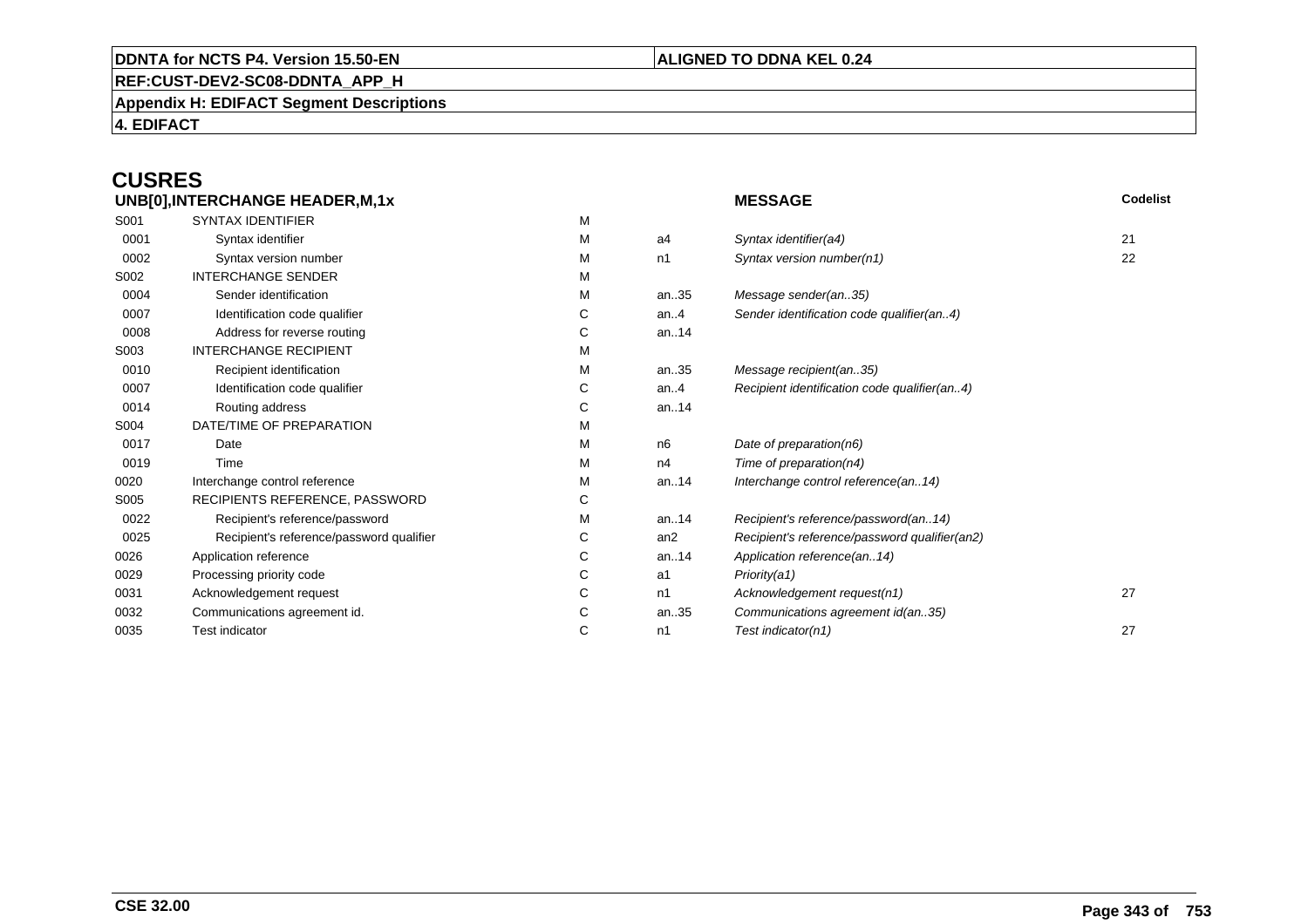#### **REF:CUST-DEV2-SC08-DDNTA\_APP\_H**

**Appendix H: EDIFACT Segment Descriptions**

**4. EDIFACT**

# **CUSRES**

| UNB[0], INTERCHANGE HEADER, M, 1x |                                          |    | <b>MESSAGE</b> | Codelist                                      |    |
|-----------------------------------|------------------------------------------|----|----------------|-----------------------------------------------|----|
| S001                              | <b>SYNTAX IDENTIFIER</b>                 | м  |                |                                               |    |
| 0001                              | Syntax identifier                        | м  | a4             | Syntax identifier(a4)                         | 21 |
| 0002                              | Syntax version number                    | м  | n1             | Syntax version number(n1)                     | 22 |
| S002                              | <b>INTERCHANGE SENDER</b>                | м  |                |                                               |    |
| 0004                              | Sender identification                    | М  | an35           | Message sender(an35)                          |    |
| 0007                              | Identification code qualifier            | С  | an. $4$        | Sender identification code qualifier(an4)     |    |
| 0008                              | Address for reverse routing              | C. | an14           |                                               |    |
| S003                              | <b>INTERCHANGE RECIPIENT</b>             | м  |                |                                               |    |
| 0010                              | Recipient identification                 | м  | an35           | Message recipient(an35)                       |    |
| 0007                              | Identification code qualifier            | С  | an $.4$        | Recipient identification code qualifier(an4)  |    |
| 0014                              | Routing address                          | C  | an14           |                                               |    |
| S004                              | DATE/TIME OF PREPARATION                 | M  |                |                                               |    |
| 0017                              | Date                                     | м  | n <sub>6</sub> | Date of preparation(n6)                       |    |
| 0019                              | Time                                     | м  | n4             | Time of preparation(n4)                       |    |
| 0020                              | Interchange control reference            | M  | an14           | Interchange control reference(an14)           |    |
| S005                              | RECIPIENTS REFERENCE, PASSWORD           | C. |                |                                               |    |
| 0022                              | Recipient's reference/password           | м  | an14           | Recipient's reference/password(an14)          |    |
| 0025                              | Recipient's reference/password qualifier | С  | an2            | Recipient's reference/password qualifier(an2) |    |
| 0026                              | Application reference                    | С  | an14           | Application reference(an14)                   |    |
| 0029                              | Processing priority code                 | C  | a1             | Priority(a1)                                  |    |
| 0031                              | Acknowledgement request                  | С  | n1             | Acknowledgement request(n1)                   | 27 |
| 0032                              | Communications agreement id.             | С  | an35           | Communications agreement id(an35)             |    |
| 0035                              | Test indicator                           | С  | n1             | Test indicator(n1)                            | 27 |
|                                   |                                          |    |                |                                               |    |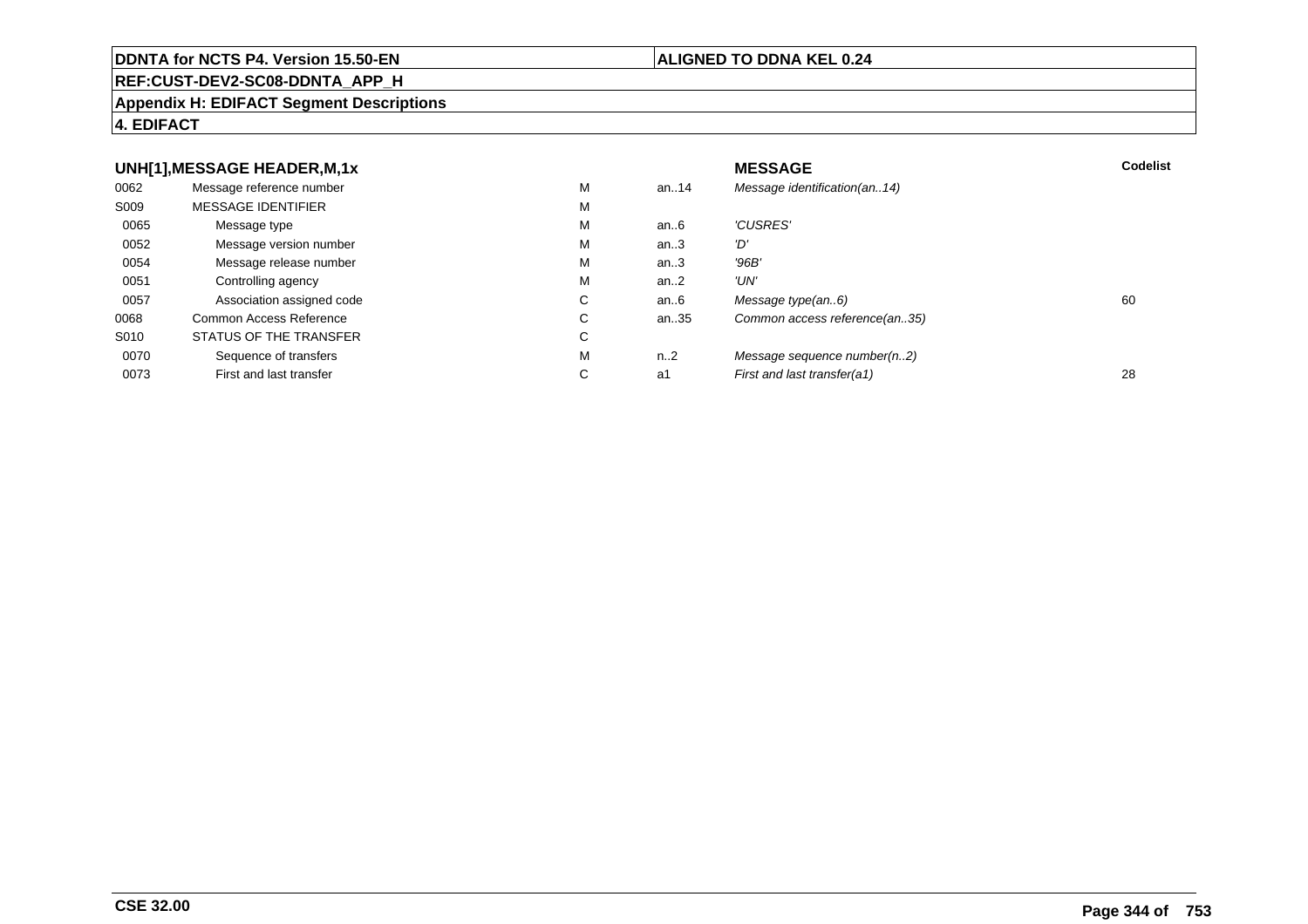#### **REF:CUST-DEV2-SC08-DDNTA\_APP\_H**

#### **Appendix H: EDIFACT Segment Descriptions**

#### **4. EDIFACT**

#### **UNH[1],MESSAGE HEADER,M,1xx** MESSAGE **Codelist** Codelist 0062 Message reference number <sup>M</sup> an..14 Message identification(an..14) S009 MESSAGE IDENTIFIERR M M 0065Message type Message version number and the Message version number and the Message of Message Message Message M an..6  $'CUSRES'$ <br>an..3  $'D'$ 0052 Message version number <sup>M</sup>an..3 '*D'*<br>an..3 '96*B'* 0054Message release number Message release number Message of the Message of the Message of Message of Message of Me<br>
Message release number of Message of Message of Message of Message of Message of Message of Message of Messag an..3 '96B'<br>an..2 'UN' 0051Controlling agency<br>
Association assigned code<br>
C an..2<br>an..6 0057Association assigned code **C** C<br>
mmon Access Reference **C** C an..6 Message type(an..6)<br>an..35 Common access reference(an..35) 0068Common Access Reference C<br>
STATUS OF THE TRANSFER
C Common access reference(an..35) S010 STATUS OF THE TRANSFERR C 0070Sequence of transfers M<br>
First and last transfer C n..2 Message sequence number(n..2)<br>a1 First and last transfer(a1) 0073First and last transfer First and last transfer(a1) 28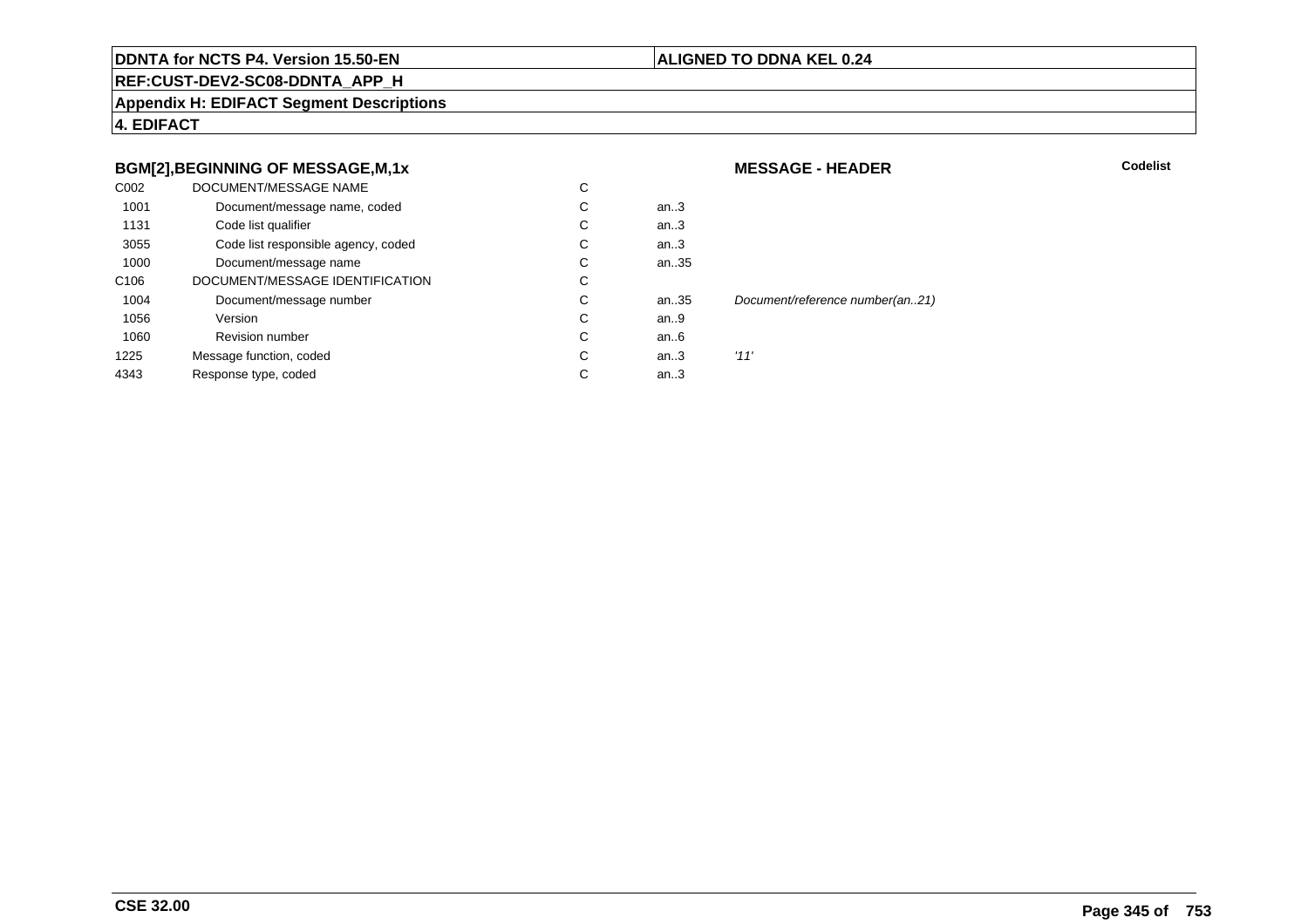#### **ALIGNED TO DDNA KEL 0.24**

**MESSAGE - HEADER**

**REF:CUST-DEV2-SC08-DDNTA\_APP\_H**

**Appendix H: EDIFACT Segment Descriptions**

**4. EDIFACT**

#### **BGM[2],BEGINNING OF MESSAGE,M,1x**

| C002             | DOCUMENT/MESSAGE NAME               | C |      |                                 |
|------------------|-------------------------------------|---|------|---------------------------------|
| 1001             | Document/message name, coded        | C | an.3 |                                 |
| 1131             | Code list qualifier                 | C | an.3 |                                 |
| 3055             | Code list responsible agency, coded | С | an.3 |                                 |
| 1000             | Document/message name               | C | an35 |                                 |
| C <sub>106</sub> | DOCUMENT/MESSAGE IDENTIFICATION     | C |      |                                 |
| 1004             | Document/message number             | C | an35 | Document/reference number(an21) |
| 1056             | Version                             | C | an9  |                                 |
| 1060             | <b>Revision number</b>              | C | an6  |                                 |
| 1225             | Message function, coded             | C | an.3 | '11'                            |
| 4343             | Response type, coded                | C | an.3 |                                 |
|                  |                                     |   |      |                                 |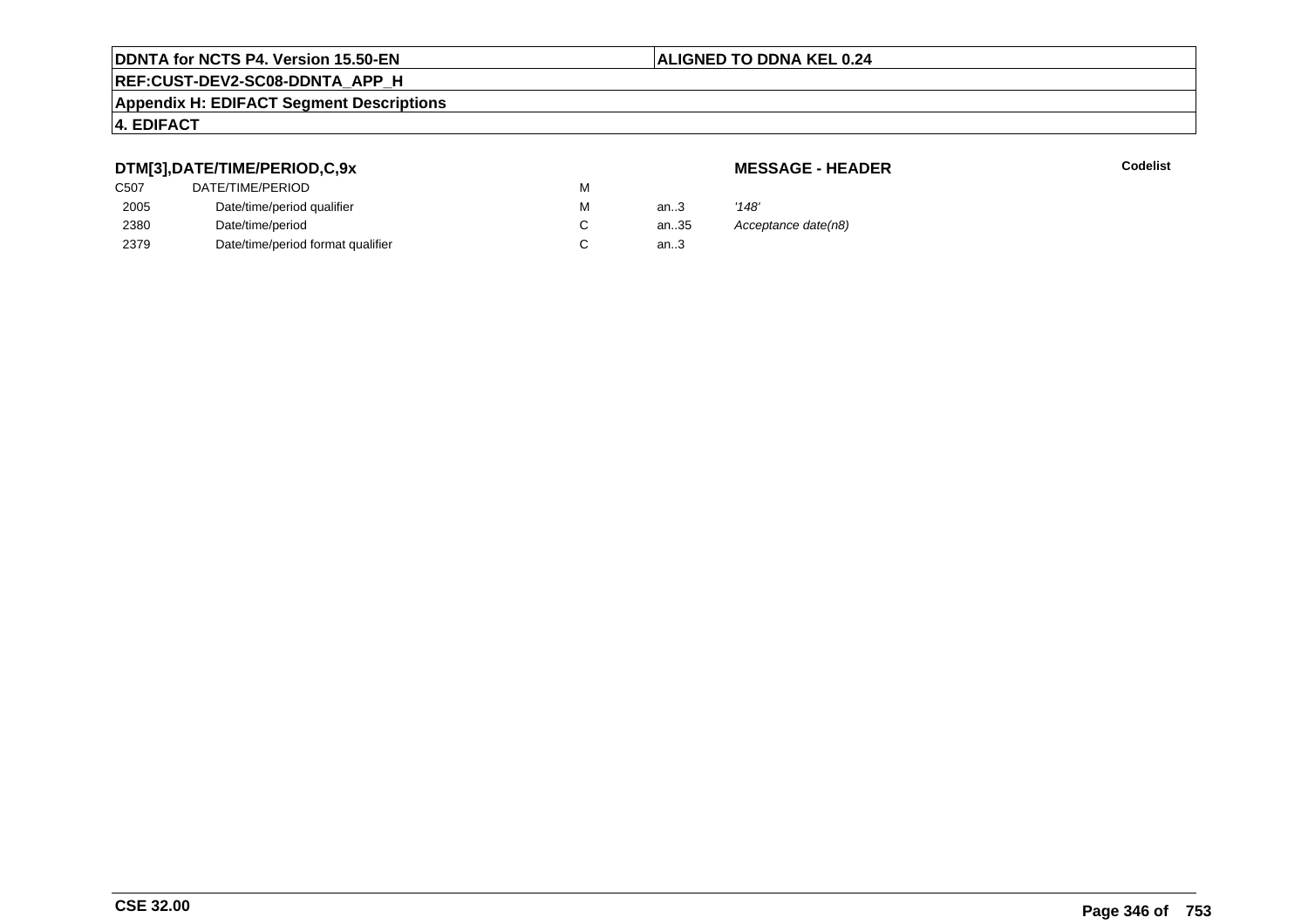## **REF:CUST-DEV2-SC08-DDNTA\_APP\_H**

#### **Appendix H: EDIFACT Segment Descriptions**

#### **4. EDIFACT**

#### **DTM[3],DATE/TIME/PERIOD,C,9x**

| <b>MESSAGE - HEADER</b> |  |
|-------------------------|--|
|-------------------------|--|

| DTM[3],DATE/TIME/PERIOD,C,9x      |                  |      | <b>MESSAGE - HEADER</b> |
|-----------------------------------|------------------|------|-------------------------|
|                                   | м                |      |                         |
| Date/time/period qualifier        | м                | an.3 | '148'                   |
| Date/time/period                  |                  | an35 | Acceptance date(n8)     |
| Date/time/period format qualifier |                  | an.3 |                         |
|                                   | DATE/TIME/PERIOD |      |                         |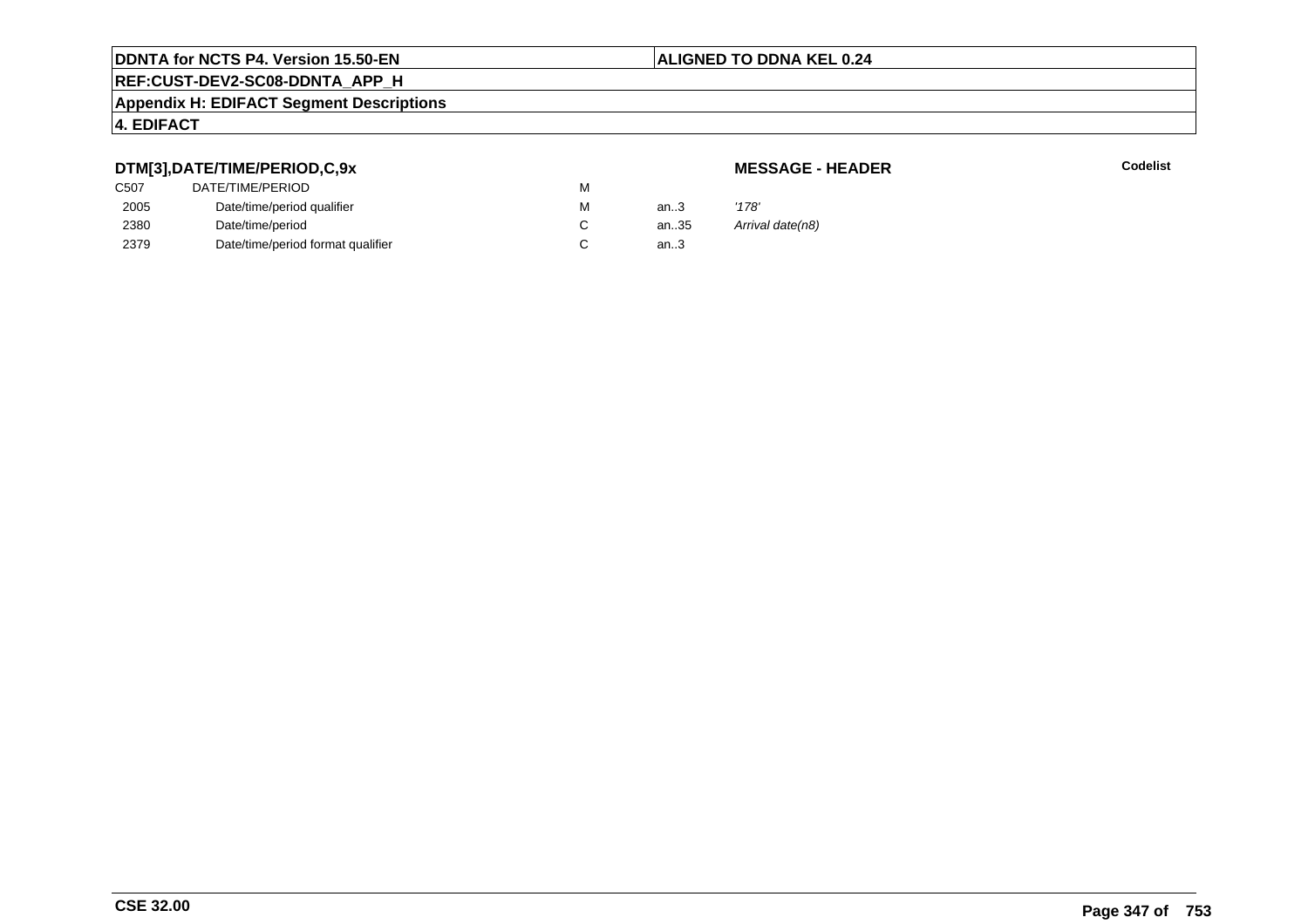## **REF:CUST-DEV2-SC08-DDNTA\_APP\_H**

#### **Appendix H: EDIFACT Segment Descriptions**

#### **4. EDIFACT**

#### **DTM[3],DATE/TIME/PERIOD,C,9x**

#### **MESSAGE - HEADER**

| C507 | DATE/TIME/PERIOD                  | M |      |                  |
|------|-----------------------------------|---|------|------------------|
| 2005 | Date/time/period qualifier        | м | an.3 | '178'            |
| 2380 | Date/time/period                  |   | an35 | Arrival date(n8) |
| 2379 | Date/time/period format qualifier |   | an.3 |                  |
|      |                                   |   |      |                  |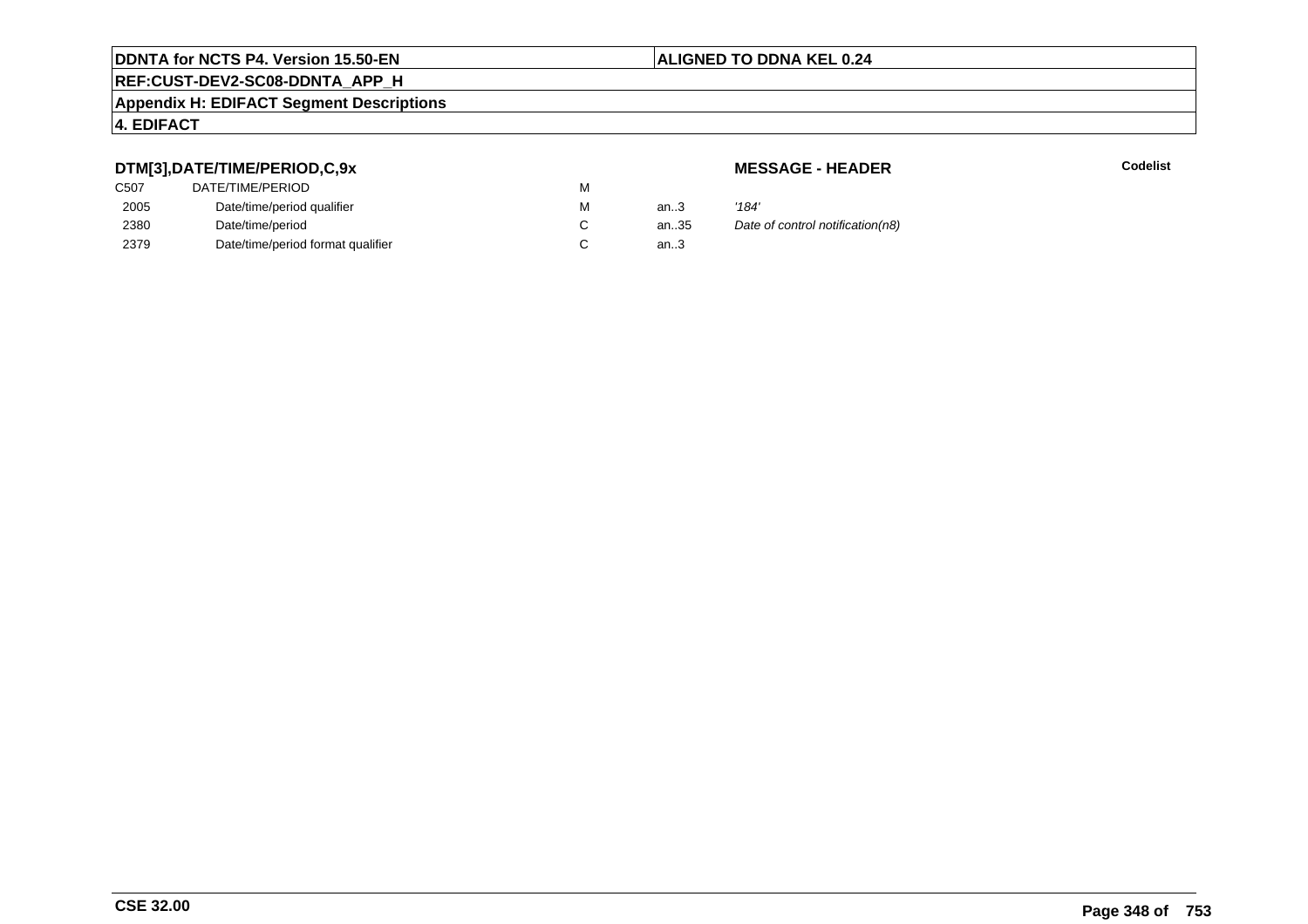## **REF:CUST-DEV2-SC08-DDNTA\_APP\_H**

#### **Appendix H: EDIFACT Segment Descriptions**

#### **4. EDIFACT**

#### **DTM[3],DATE/TIME/PERIOD,C,9x**

| C507 | DATE/TIME/PERIOD                  | М |        |       |
|------|-----------------------------------|---|--------|-------|
| 2005 | Date/time/period qualifier        | М | an $3$ | '184' |
| 2380 | Date/time/period                  |   | an35   | Date  |
| 2379 | Date/time/period format qualifier |   | an.3   |       |

**MESSAGE - HEADER**

**R** Codelist

antian.35 Date of control notification(n8)...3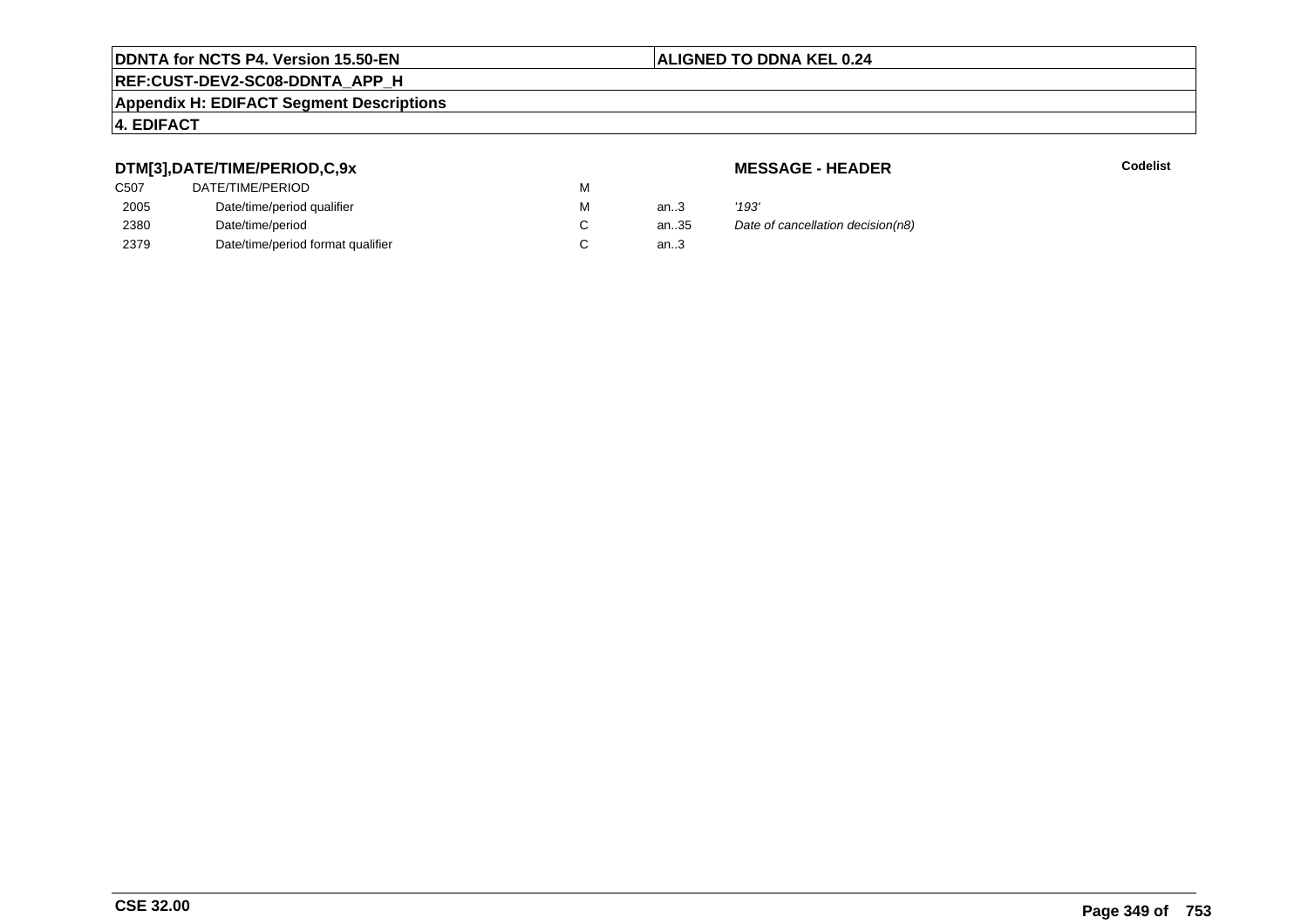## **REF:CUST-DEV2-SC08-DDNTA\_APP\_H**

#### **Appendix H: EDIFACT Segment Descriptions**

#### **4. EDIFACT**

#### **DTM[3],DATE/TIME/PERIOD,C,9x**

| C507 | DATE/TIME/PERIOD                  | М |        |       |
|------|-----------------------------------|---|--------|-------|
| 2005 | Date/time/period qualifier        | М | an $3$ | '193' |
| 2380 | Date/time/period                  |   | an35   | Date  |
| 2379 | Date/time/period format qualifier |   | an.3   |       |

**MESSAGE - HEADER**

**R** Codelist

alte of cancellation decision(n8)<br>3.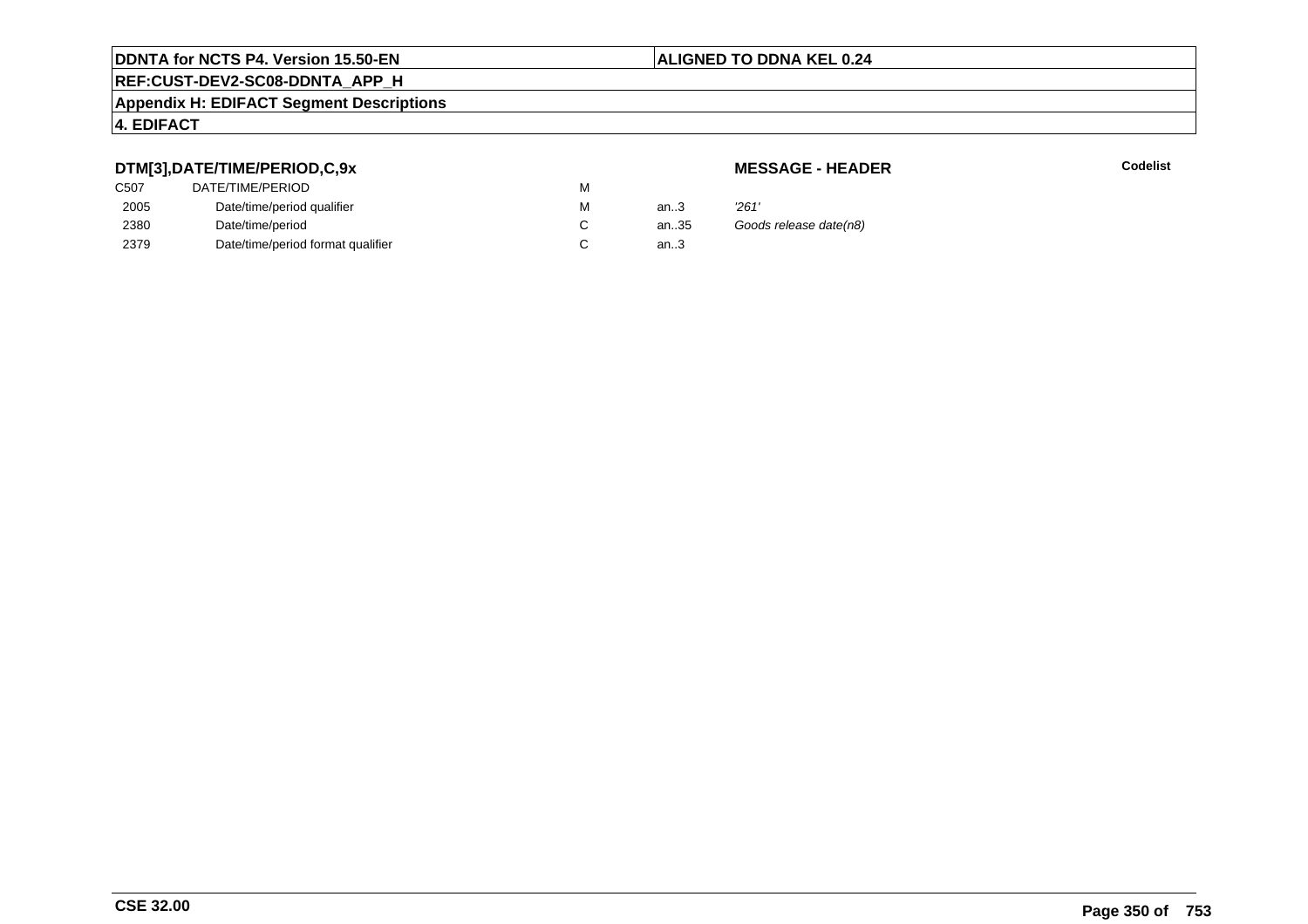## **REF:CUST-DEV2-SC08-DDNTA\_APP\_H**

#### **Appendix H: EDIFACT Segment Descriptions**

#### **4. EDIFACT**

#### **DTM[3],DATE/TIME/PERIOD,C,9x**

#### **MESSAGE - HEADER**

| ---  |                                   |   |      |                        |
|------|-----------------------------------|---|------|------------------------|
| C507 | DATE/TIME/PERIOD                  | М |      |                        |
| 2005 | Date/time/period qualifier        | M | an3  | 261'                   |
| 2380 | Date/time/period                  |   | an35 | Goods release date(n8) |
| 2379 | Date/time/period format qualifier |   | an.3 |                        |
|      |                                   |   |      |                        |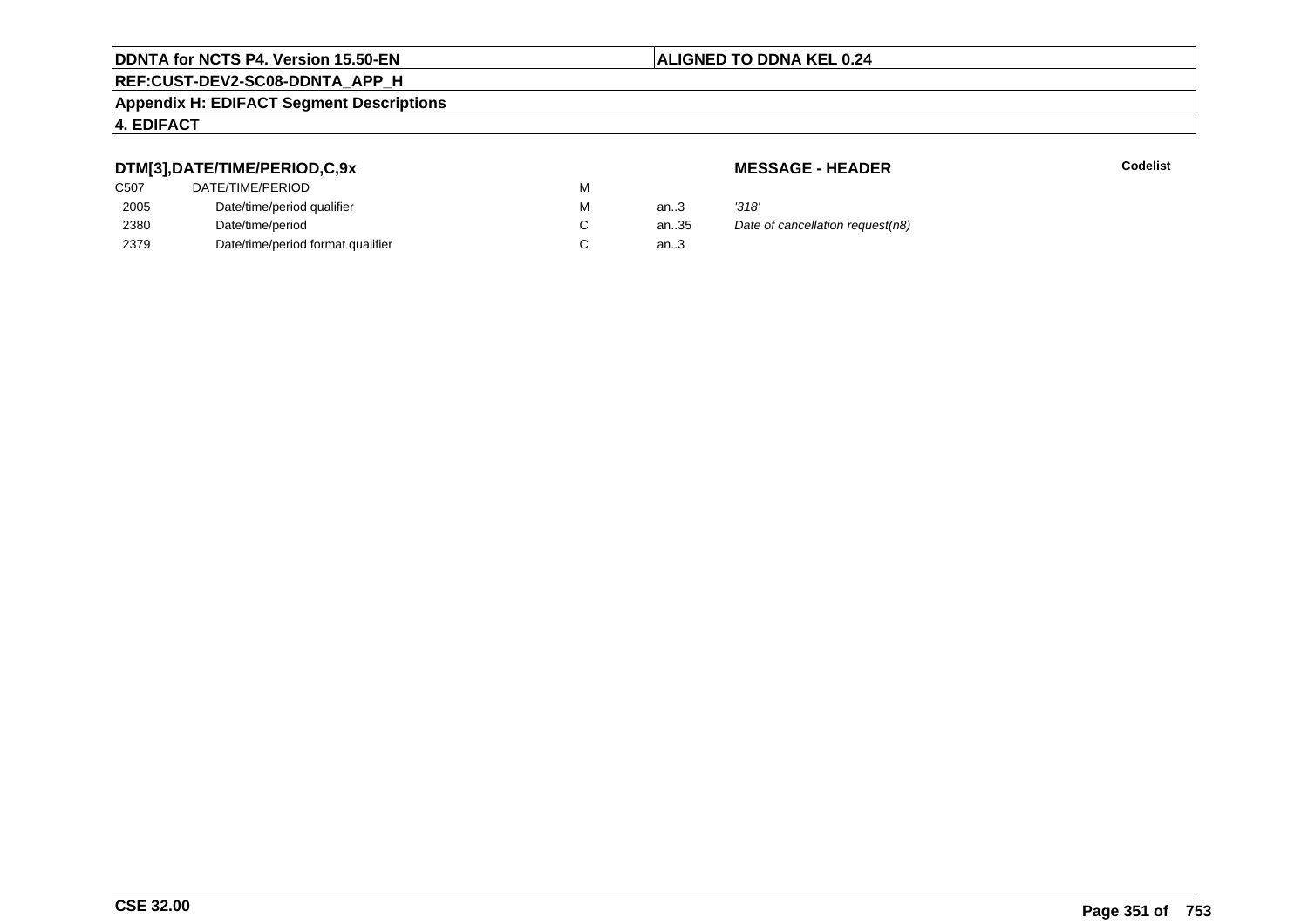## **REF:CUST-DEV2-SC08-DDNTA\_APP\_H**

#### **Appendix H: EDIFACT Segment Descriptions**

#### **4. EDIFACT**

#### **DTM[3],DATE/TIME/PERIOD,C,9x**

| DATE/TIME/PERIOD                  | М |        |       |
|-----------------------------------|---|--------|-------|
| Date/time/period qualifier        | М | an $3$ | '318' |
| Date/time/period                  |   | an35   | Date  |
| Date/time/period format qualifier |   | an.3   |       |
|                                   |   |        |       |

**MESSAGE - HEADER**

**R** Codelist

alte of cancellation request(n8)<br>3.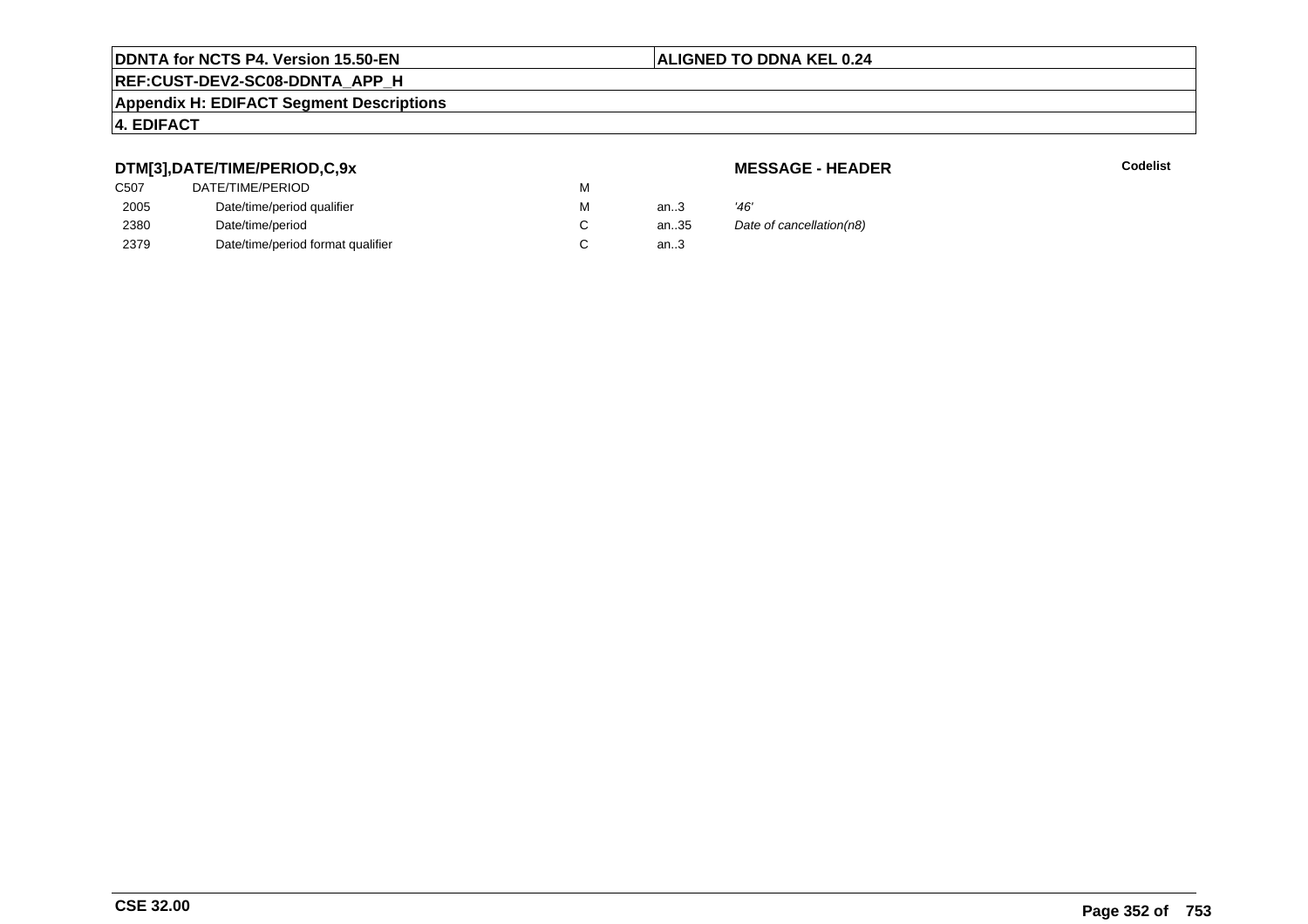## **REF:CUST-DEV2-SC08-DDNTA\_APP\_H**

#### **Appendix H: EDIFACT Segment Descriptions**

#### **4. EDIFACT**

#### **DTM[3],DATE/TIME/PERIOD,C,9x**

#### **MESSAGE - HEADER**

| .                |                                   |   |      |                          |
|------------------|-----------------------------------|---|------|--------------------------|
| C <sub>507</sub> | DATE/TIME/PERIOD                  | М |      |                          |
| 2005             | Date/time/period qualifier        | М | an.3 | '46'                     |
| 2380             | Date/time/period                  |   | an35 | Date of cancellation(n8) |
| 2379             | Date/time/period format qualifier |   | an.3 |                          |
|                  |                                   |   |      |                          |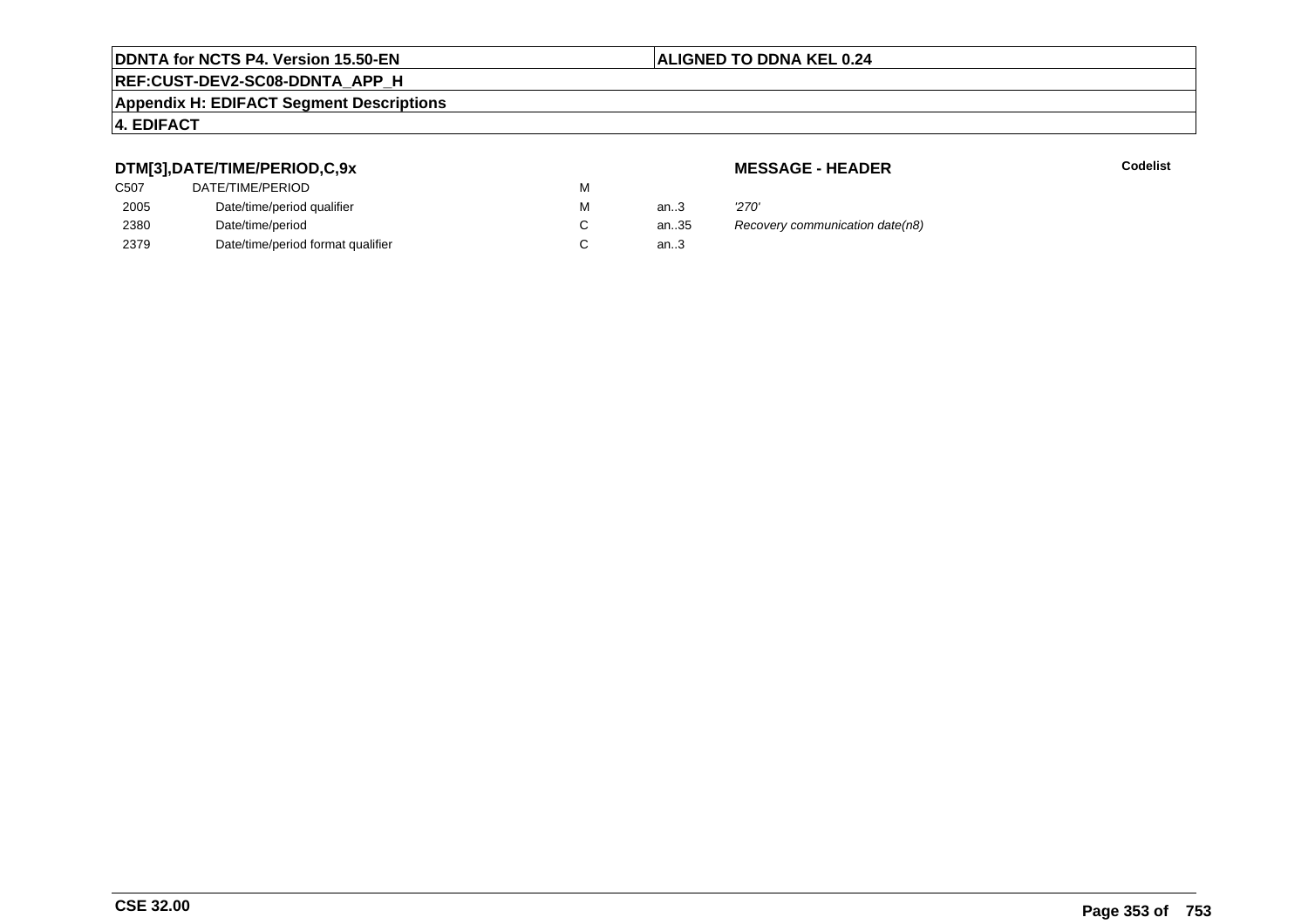## **REF:CUST-DEV2-SC08-DDNTA\_APP\_H**

#### **Appendix H: EDIFACT Segment Descriptions**

#### **4. EDIFACT**

#### **DTM[3],DATE/TIME/PERIOD,C,9x**

| C507 | DATE/TIME/PERIOD                  | М |        |       |
|------|-----------------------------------|---|--------|-------|
| 2005 | Date/time/period qualifier        | М | an $3$ | '270' |
| 2380 | Date/time/period                  |   | an35   | Reco  |
| 2379 | Date/time/period format qualifier |   | an.3   |       |

#### **MESSAGE - HEADER**

**R** Codelist

antism Recovery communication date(n8).<br>..3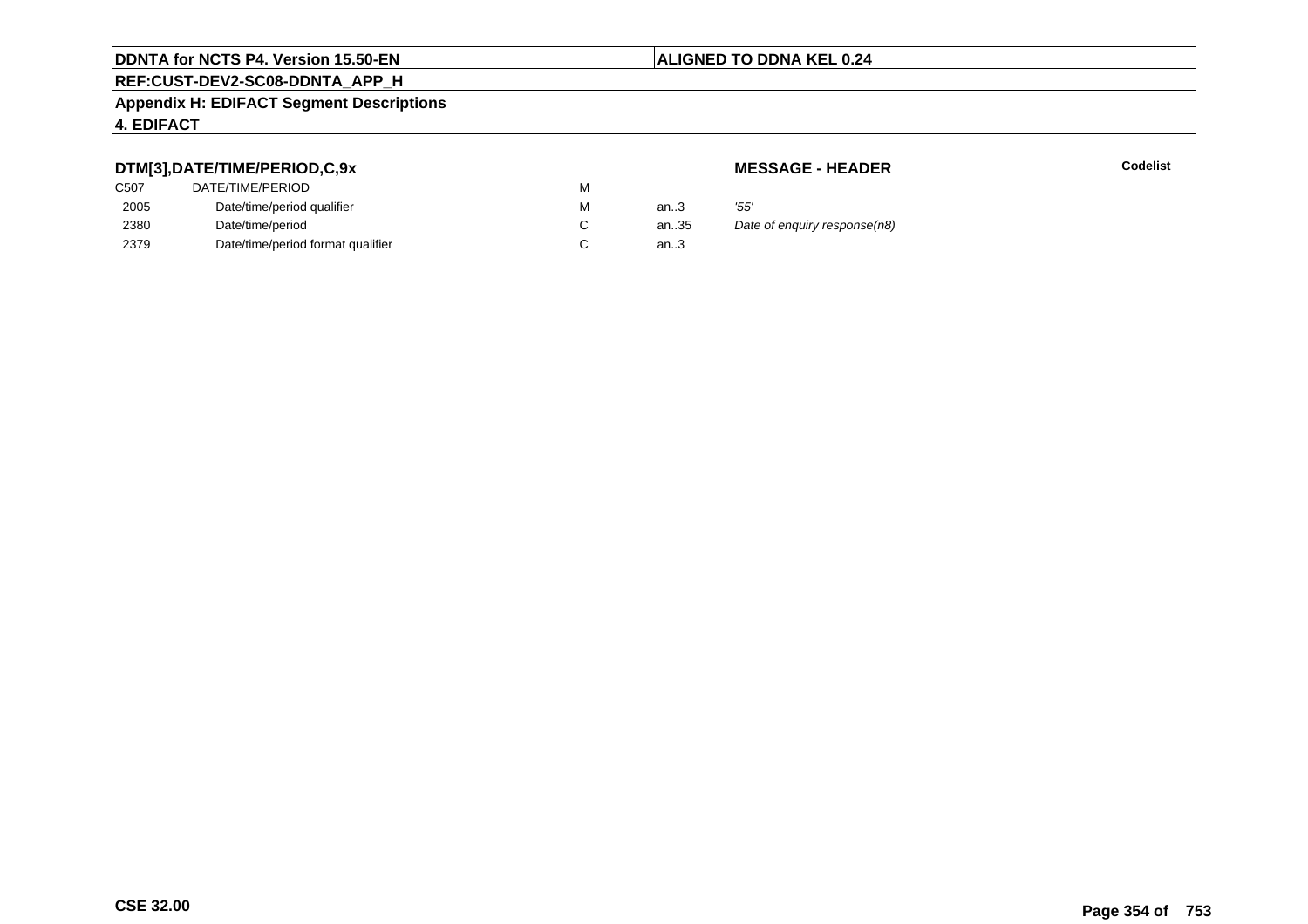## **REF:CUST-DEV2-SC08-DDNTA\_APP\_H**

#### **Appendix H: EDIFACT Segment Descriptions**

#### **4. EDIFACT**

#### **DTM[3],DATE/TIME/PERIOD,C,9x**

| <b>MESSAGE - HEADER</b> |  |
|-------------------------|--|
|-------------------------|--|

| <b>MESSAGE - HEADER</b>              |
|--------------------------------------|
| м                                    |
| '55'<br>м<br>an.3                    |
| Date of enguiry response(n8)<br>an35 |
| an $3$                               |
|                                      |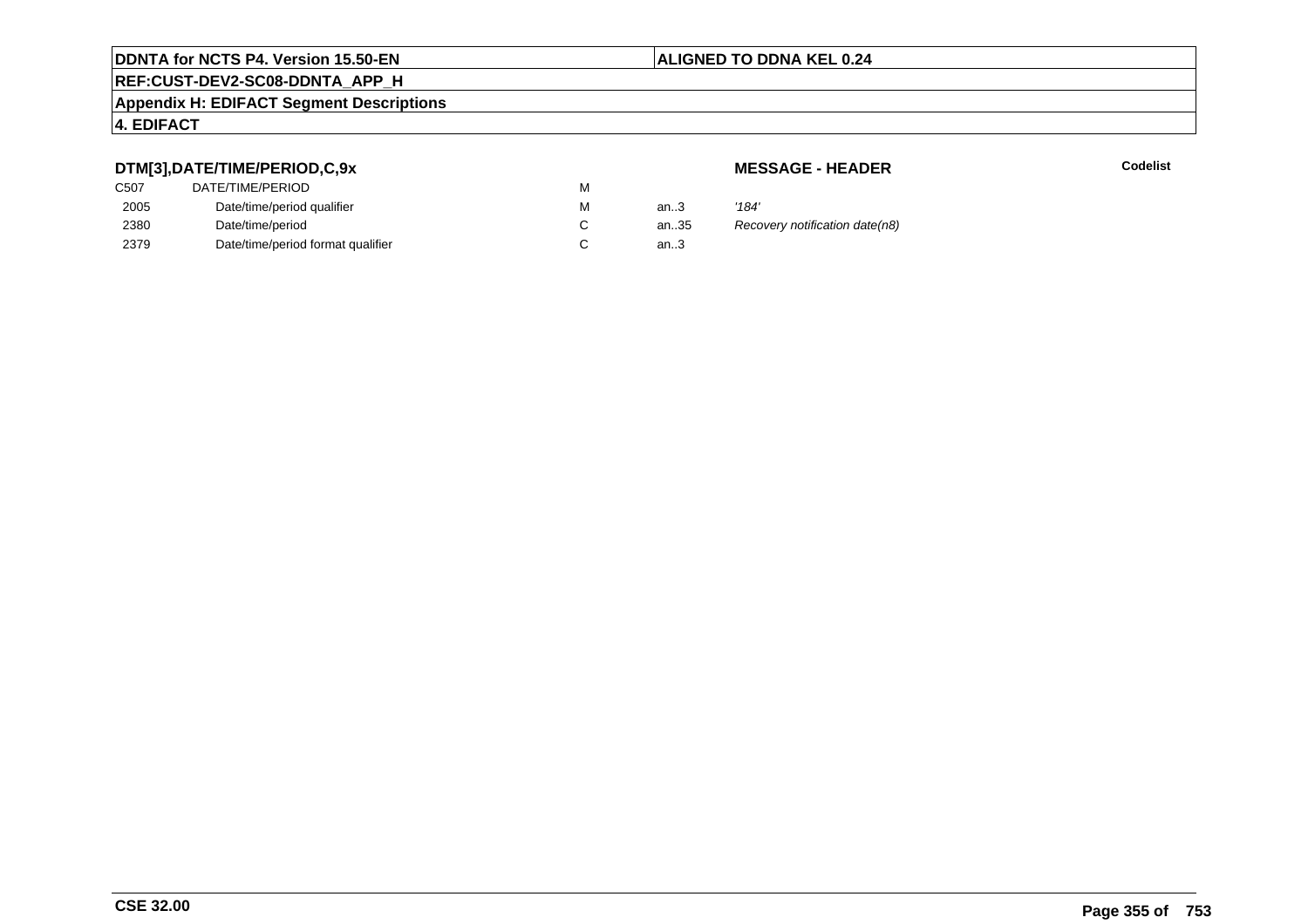# **REF:CUST-DEV2-SC08-DDNTA\_APP\_H**

#### **Appendix H: EDIFACT Segment Descriptions**

#### **4. EDIFACT**

#### **DTM[3],DATE/TIME/PERIOD,C,9x**

| C507 | DATE/TIME/PERIOD                  | М |      |       |
|------|-----------------------------------|---|------|-------|
| 2005 | Date/time/period qualifier        | М | an.3 | '184' |
| 2380 | Date/time/period                  |   | an35 | Reco  |
| 2379 | Date/time/period format qualifier |   | an.3 |       |

**MESSAGE - HEADER**

**R** Codelist

antitication date (n8)<br>..3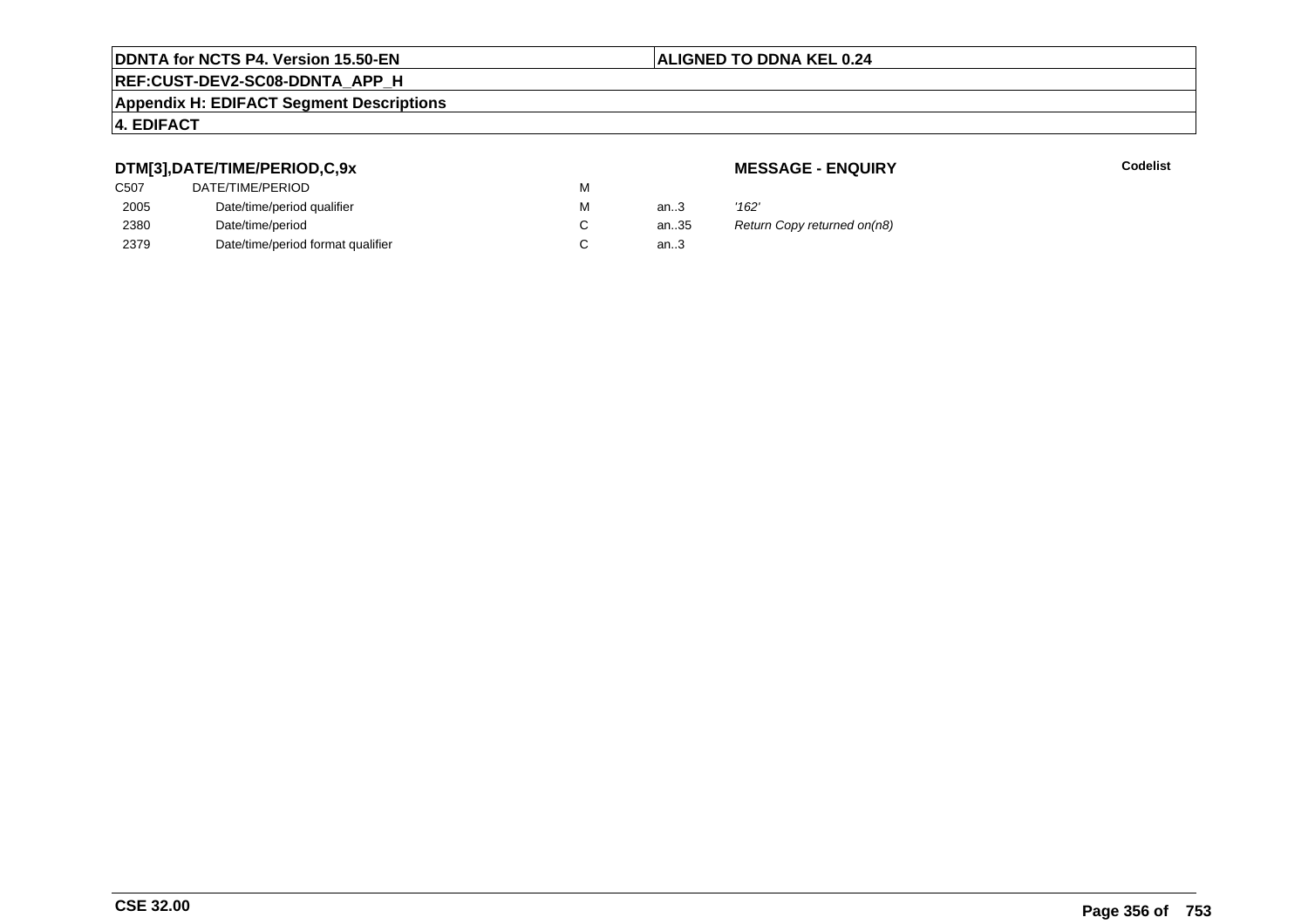# **REF:CUST-DEV2-SC08-DDNTA\_APP\_H**

#### **Appendix H: EDIFACT Segment Descriptions**

#### **4. EDIFACT**

#### **DTM[3],DATE/TIME/PERIOD,C,9x**

| C507 | DATE/TIME/PERIOD                  | М |        |       |
|------|-----------------------------------|---|--------|-------|
| 2005 | Date/time/period qualifier        | М | an $3$ | '162' |
| 2380 | Date/time/period                  |   | an35   | Retu  |
| 2379 | Date/time/period format qualifier |   | an.3   |       |

#### **MESSAGE - ENQUIRY**

**Example 2** Separate Codelist

35 Return Copy returned on(n8)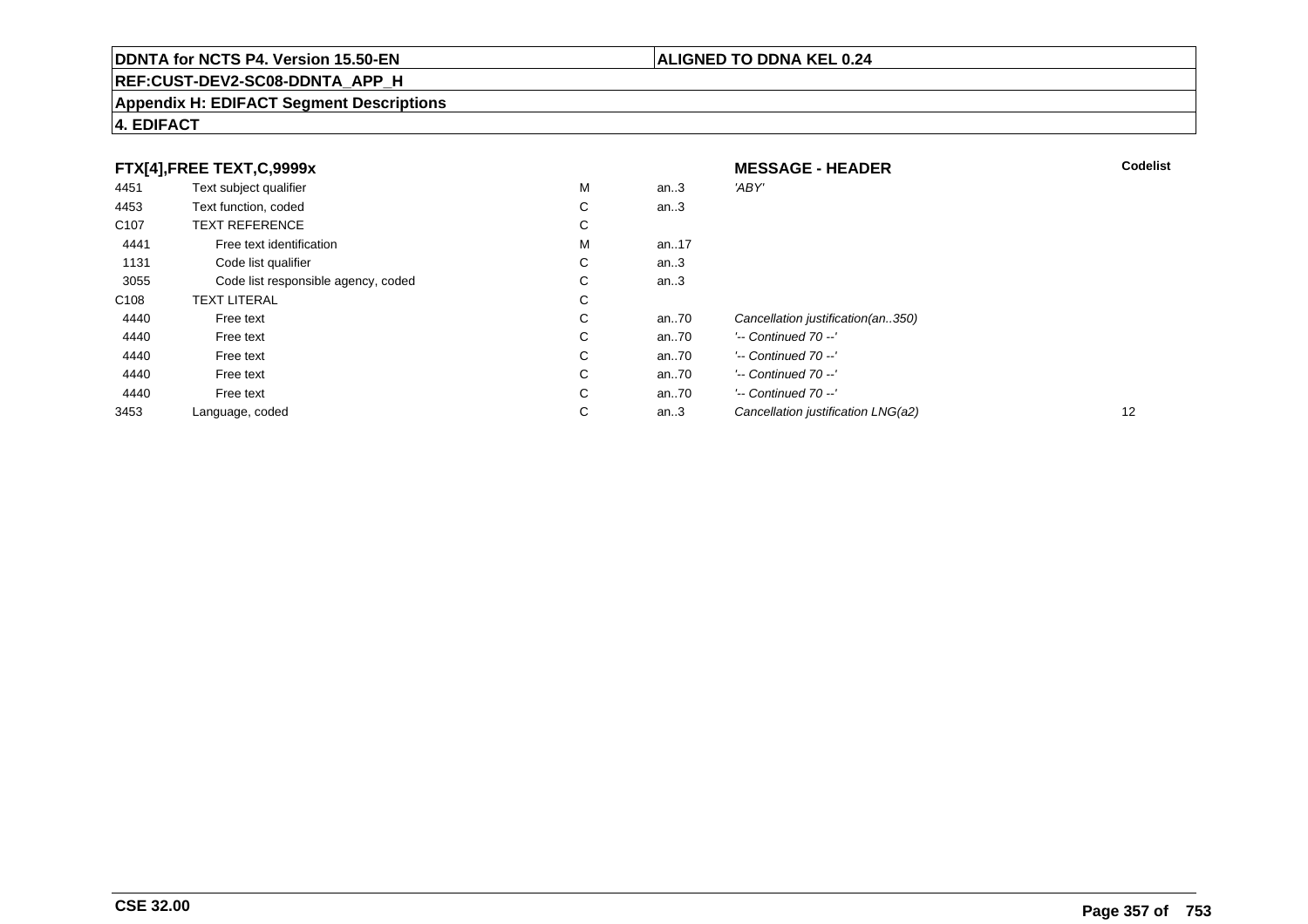## **REF:CUST-DEV2-SC08-DDNTA\_APP\_H**

#### **Appendix H: EDIFACT Segment Descriptions**

| FTX[4],FREE TEXT,C,9999x |                                     | <b>MESSAGE - HEADER</b> | <b>Codelist</b> |                                    |    |
|--------------------------|-------------------------------------|-------------------------|-----------------|------------------------------------|----|
| 4451                     | Text subject qualifier              | M                       | an $.3$         | 'ABY'                              |    |
| 4453                     | Text function, coded                | C                       | an $.3$         |                                    |    |
| C <sub>107</sub>         | <b>TEXT REFERENCE</b>               | C                       |                 |                                    |    |
| 4441                     | Free text identification            | M                       | an17            |                                    |    |
| 1131                     | Code list qualifier                 | C.                      | an $3$          |                                    |    |
| 3055                     | Code list responsible agency, coded | C                       | an $3$          |                                    |    |
| C <sub>108</sub>         | <b>TEXT LITERAL</b>                 | C                       |                 |                                    |    |
| 4440                     | Free text                           | C                       | an70            | Cancellation justification(an350)  |    |
| 4440                     | Free text                           | C                       | an70            | $'-$ Continued 70 $-$ '            |    |
| 4440                     | Free text                           | C                       | an70            | $'-$ Continued 70 $-$ '            |    |
| 4440                     | Free text                           | C                       | an70            | $'-$ Continued 70 $-$ '            |    |
| 4440                     | Free text                           | C                       | an70            | $'-$ Continued 70 $-$ '            |    |
| 3453                     | Language, coded                     | C                       | an. $3$         | Cancellation justification LNG(a2) | 12 |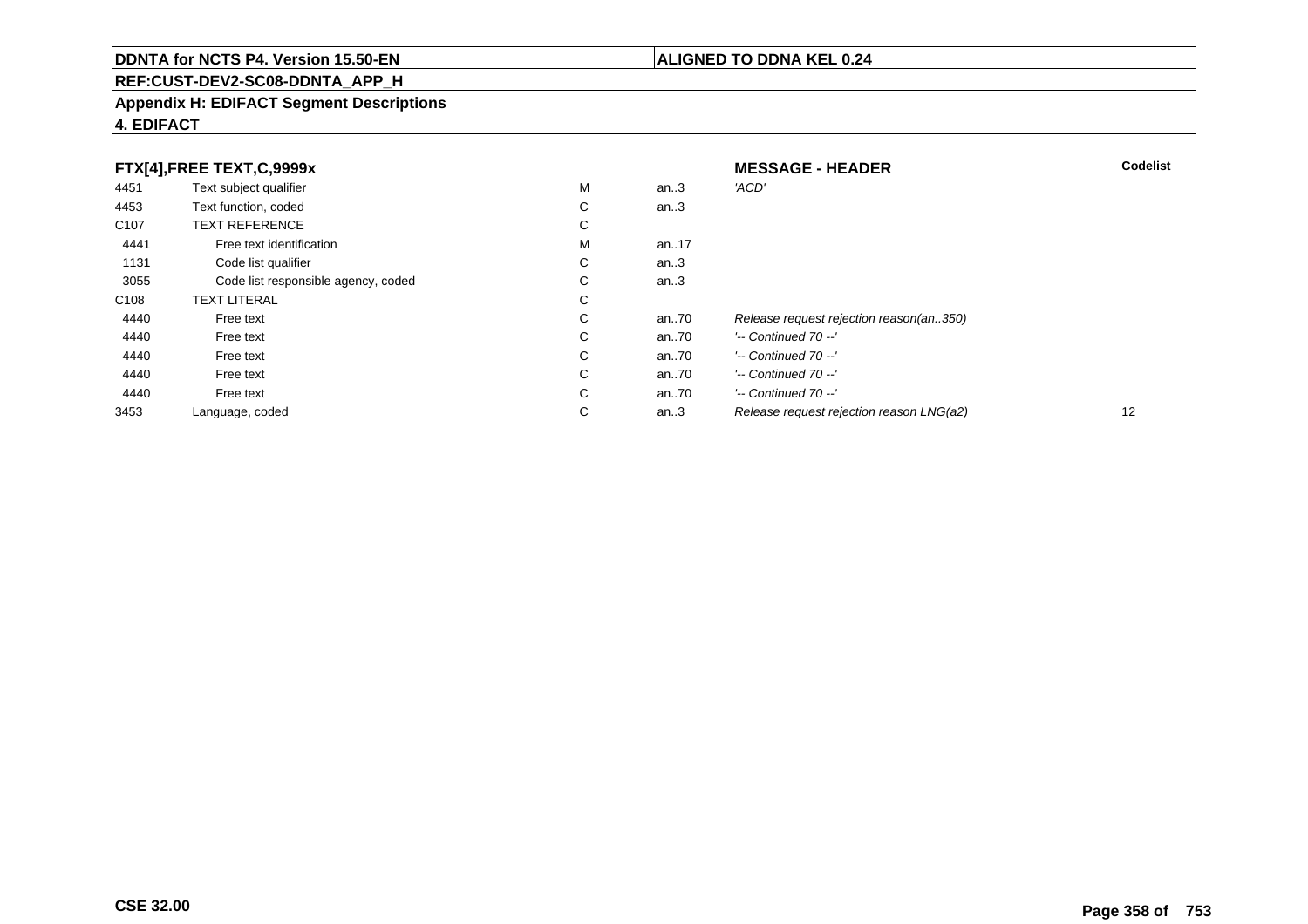## **REF:CUST-DEV2-SC08-DDNTA\_APP\_H**

#### **Appendix H: EDIFACT Segment Descriptions**

#### **4. EDIFACT**

| FTX[4],FREE TEXT,C,9999x |                                     | <b>MESSAGE - HEADER</b> | <b>Codelist</b> |                                          |    |
|--------------------------|-------------------------------------|-------------------------|-----------------|------------------------------------------|----|
| 4451                     | Text subject qualifier              | M                       | an.3            | 'ACD'                                    |    |
| 4453                     | Text function, coded                | С                       | an.3            |                                          |    |
| C <sub>107</sub>         | <b>TEXT REFERENCE</b>               | С                       |                 |                                          |    |
| 4441                     | Free text identification            | M                       | an17            |                                          |    |
| 1131                     | Code list qualifier                 | С                       | an.3            |                                          |    |
| 3055                     | Code list responsible agency, coded | С                       | an.3            |                                          |    |
| C <sub>108</sub>         | <b>TEXT LITERAL</b>                 | С                       |                 |                                          |    |
| 4440                     | Free text                           | С                       | an70            | Release request rejection reason(an350)  |    |
| 4440                     | Free text                           | С                       | an70            | $'-$ Continued 70 $-$ '                  |    |
| 4440                     | Free text                           | C                       | an70            | $'-$ Continued 70 $-$ '                  |    |
| 4440                     | Free text                           | С                       | an70            | $'-$ Continued 70 $-$ '                  |    |
| 4440                     | Free text                           | С                       | an70            | $'-$ Continued 70 $-$ '                  |    |
| 3453                     | Language, coded                     | С                       | an.3            | Release request rejection reason LNG(a2) | 12 |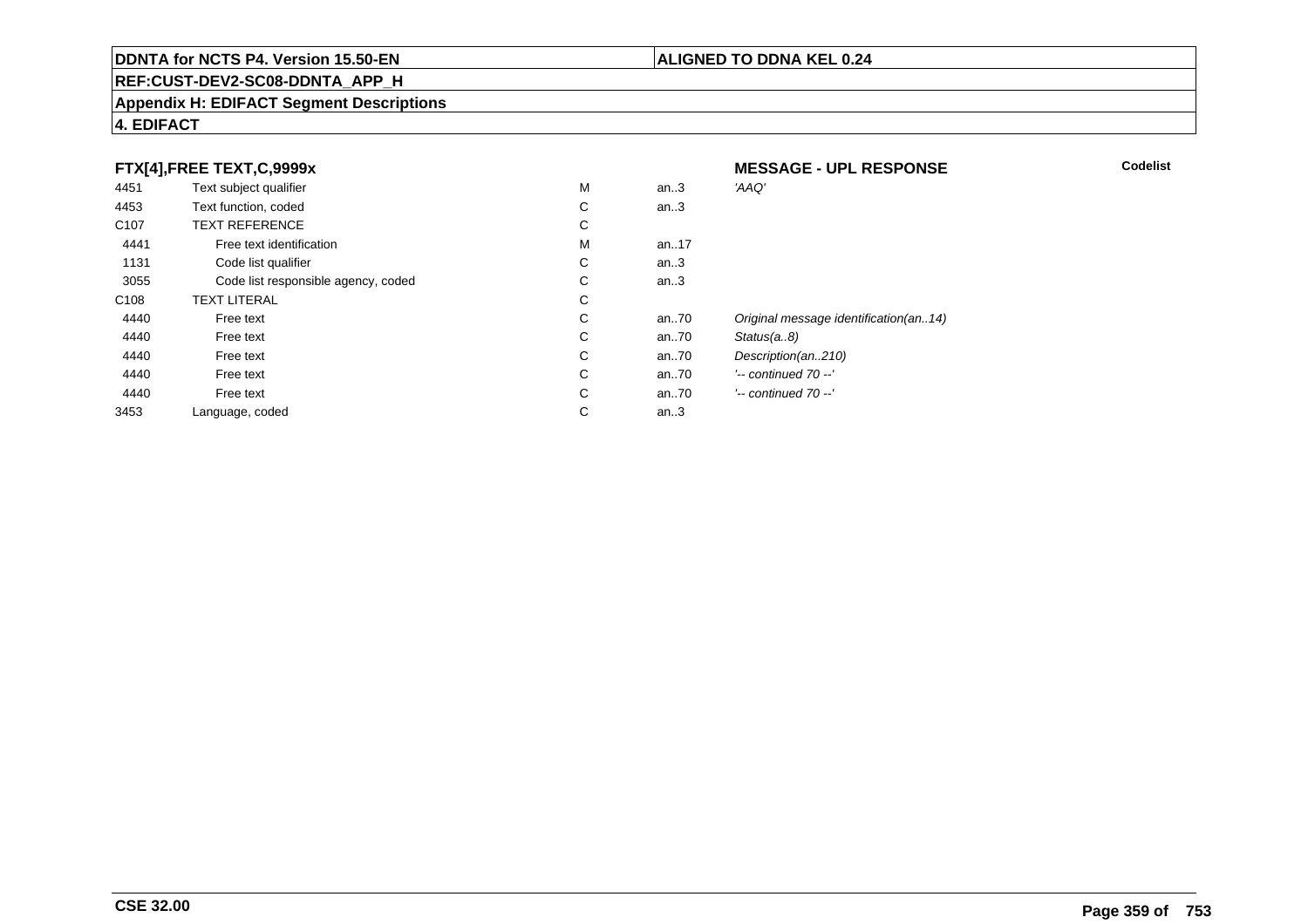#### **REF:CUST-DEV2-SC08-DDNTA\_APP\_H**

#### **Appendix H: EDIFACT Segment Descriptions**

#### **4. EDIFACT**

#### **FTX[4],FREE TEXT,C,9999x**

| 4451             | Text subject qualifier              | M | an.3     | 'AAQ'                                 |
|------------------|-------------------------------------|---|----------|---------------------------------------|
| 4453             | Text function, coded                | С | an.3     |                                       |
| C <sub>107</sub> | <b>TEXT REFERENCE</b>               | С |          |                                       |
| 4441             | Free text identification            | м | an17     |                                       |
| 1131             | Code list qualifier                 | С | an.3     |                                       |
| 3055             | Code list responsible agency, coded | С | an.3     |                                       |
| C <sub>108</sub> | <b>TEXT LITERAL</b>                 | С |          |                                       |
| 4440             | Free text                           | С | an70     | Original message identification(an14) |
| 4440             | Free text                           | С | an70     | Status(a8)                            |
| 4440             | Free text                           | С | an.70    | Description(an210)                    |
| 4440             | Free text                           | С | an70     | $'-$ continued 70 $-$ '               |
| 4440             | Free text                           | С | an $.70$ | $'-$ continued 70 $-$ '               |
| 3453             | Language, coded                     | С | an.3     |                                       |
|                  |                                     |   |          |                                       |

**MESSAGE - UPL RESPONSE**

#### **ALIGNED TO DDNA KEL 0.24**

**Codelist**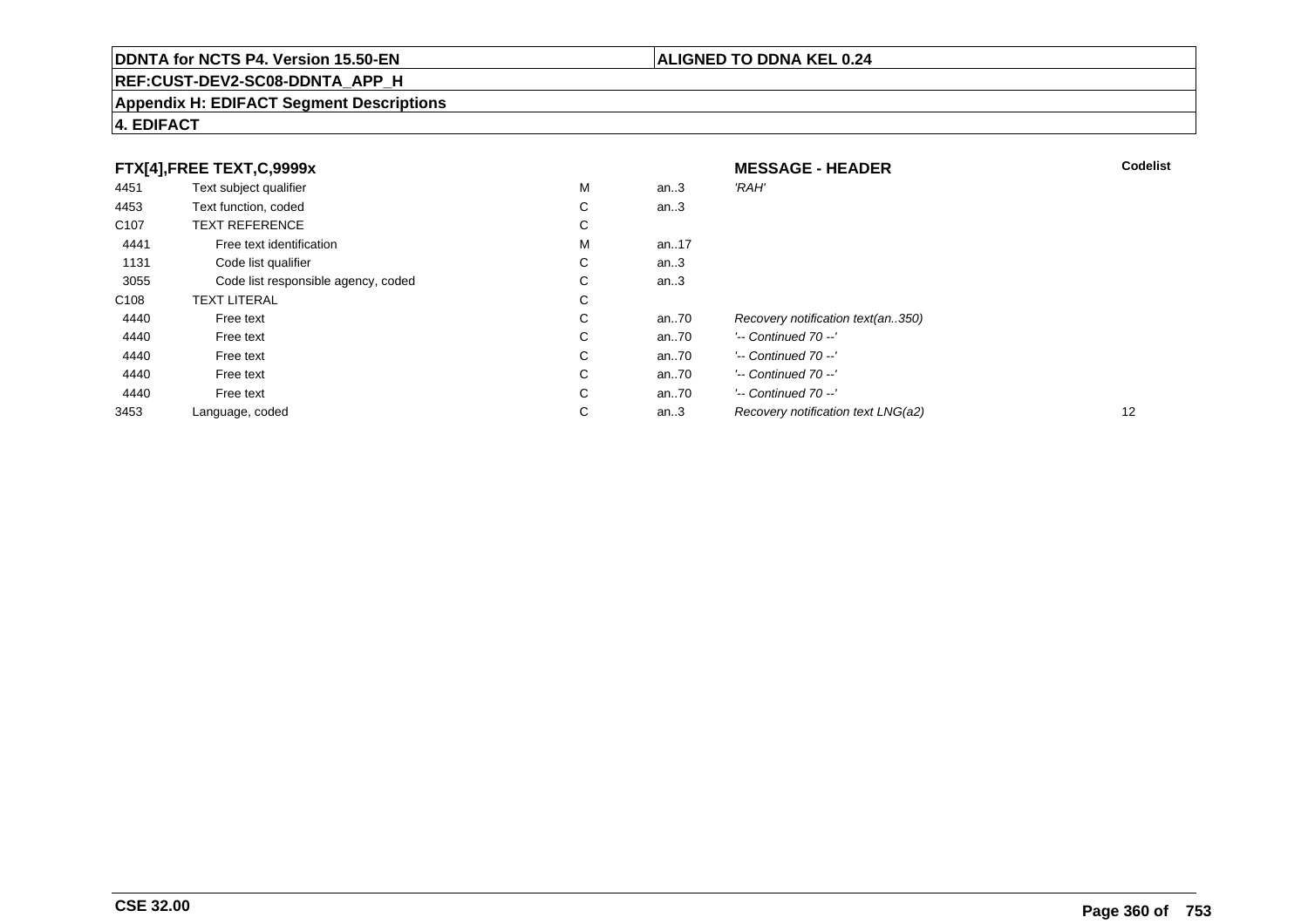#### **REF:CUST-DEV2-SC08-DDNTA\_APP\_H**

#### **Appendix H: EDIFACT Segment Descriptions**

| FTX[4],FREE TEXT,C,9999x |                                     | <b>MESSAGE - HEADER</b> | <b>Codelist</b> |                                    |    |
|--------------------------|-------------------------------------|-------------------------|-----------------|------------------------------------|----|
| 4451                     | Text subject qualifier              | М                       | an.3            | 'RAH'                              |    |
| 4453                     | Text function, coded                | С                       | an.3            |                                    |    |
| C <sub>107</sub>         | <b>TEXT REFERENCE</b>               | С                       |                 |                                    |    |
| 4441                     | Free text identification            | М                       | an17            |                                    |    |
| 1131                     | Code list qualifier                 | С                       | an.3            |                                    |    |
| 3055                     | Code list responsible agency, coded | С                       | an.3            |                                    |    |
| C108                     | <b>TEXT LITERAL</b>                 | С                       |                 |                                    |    |
| 4440                     | Free text                           | С                       | an70            | Recovery notification text(an350)  |    |
| 4440                     | Free text                           | С                       | an70            | $'-$ Continued 70 $-$ '            |    |
| 4440                     | Free text                           | C                       | an70            | $'-$ Continued 70 $-$ '            |    |
| 4440                     | Free text                           | C                       | an70            | $'-$ Continued 70 $-$ '            |    |
| 4440                     | Free text                           | С                       | an70            | $'-$ Continued 70 $-$ '            |    |
| 3453                     | Language, coded                     | С                       | an.3            | Recovery notification text LNG(a2) | 12 |

**4. EDIFACT**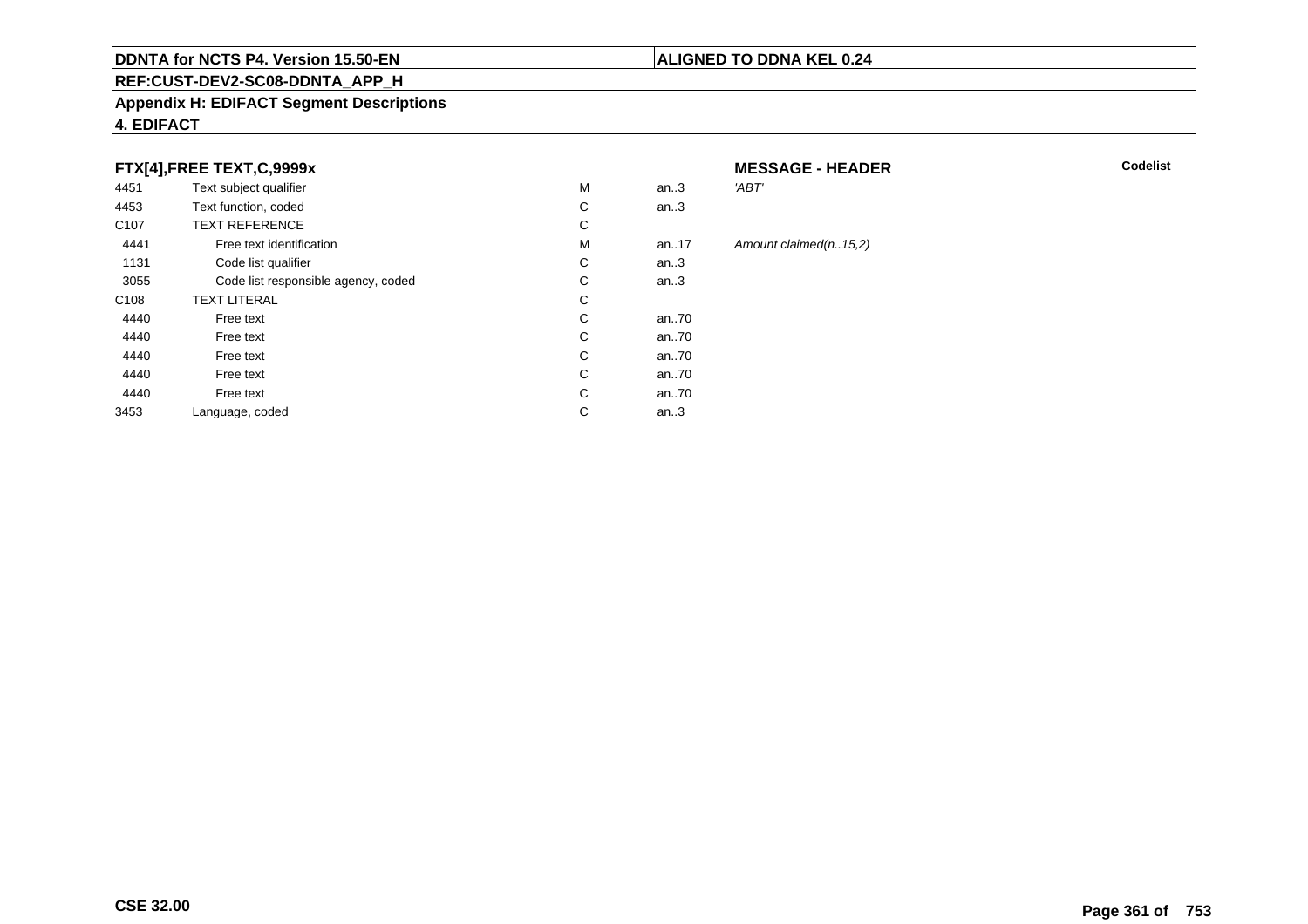#### **REF:CUST-DEV2-SC08-DDNTA\_APP\_H**

#### **Appendix H: EDIFACT Segment Descriptions**

## **4. EDIFACT**

## **FTX[4],FREE TEXT,C,9999x**

| 4451             | Text subject qualifier              | M | an.3  | 'ABT'    |
|------------------|-------------------------------------|---|-------|----------|
| 4453             | Text function, coded                | C | an.3  |          |
| C <sub>107</sub> | <b>TEXT REFERENCE</b>               | С |       |          |
| 4441             | Free text identification            | M | an.17 | Amount o |
| 1131             | Code list qualifier                 | С | an.3  |          |
| 3055             | Code list responsible agency, coded | С | an.3  |          |
| C <sub>108</sub> | <b>TEXT LITERAL</b>                 | C |       |          |
| 4440             | Free text                           | C | an70  |          |
| 4440             | Free text                           | C | an70  |          |
| 4440             | Free text                           | C | an70  |          |
| 4440             | Free text                           | C | an70  |          |
| 4440             | Free text                           | C | an70  |          |
| 3453             | Language, coded                     | С | an.3  |          |

#### **MESSAGE - HEADER**

**R** Codelist

#### $claimed(n..15,2)$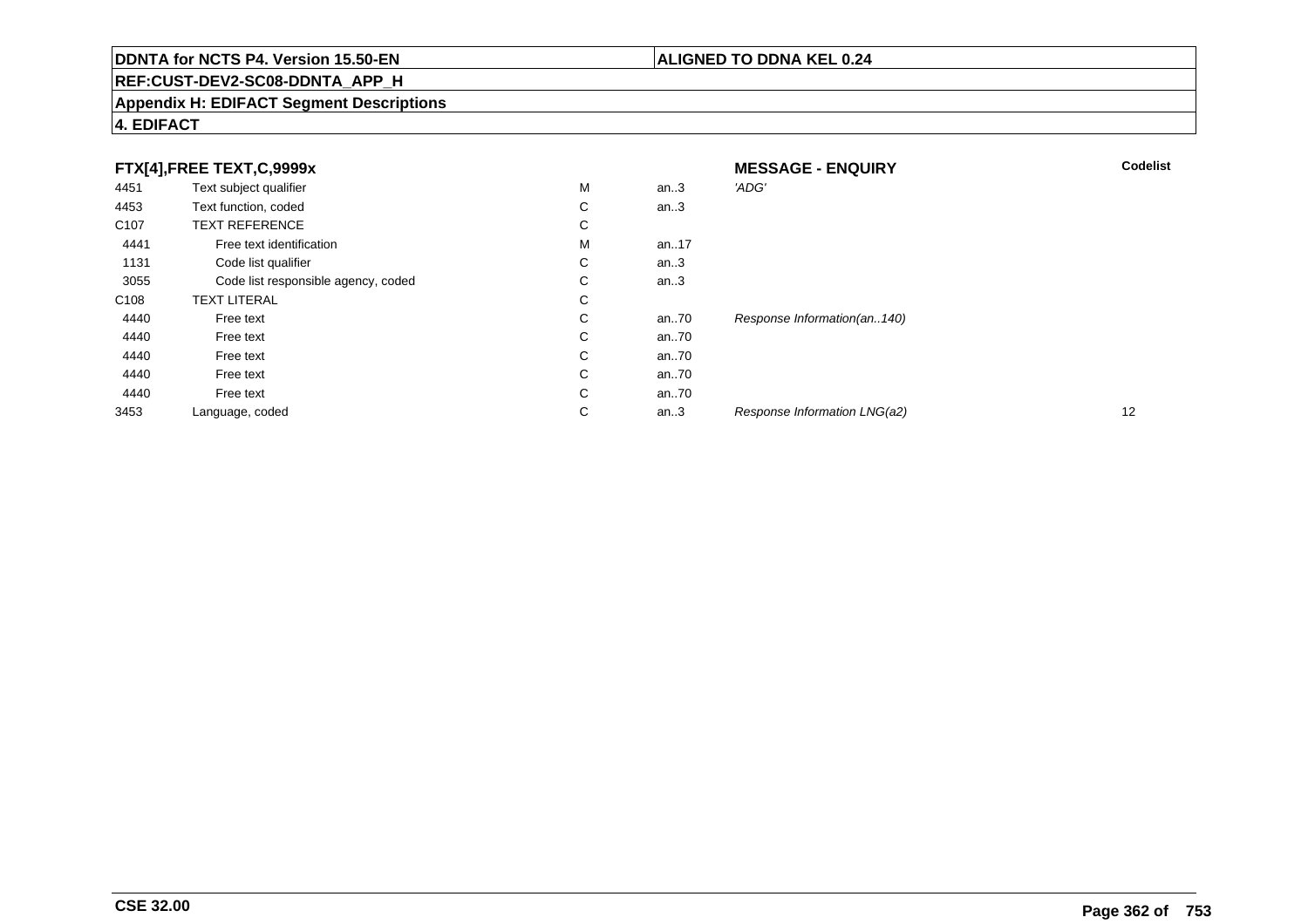## **REF:CUST-DEV2-SC08-DDNTA\_APP\_H**

#### **Appendix H: EDIFACT Segment Descriptions**

## **4. EDIFACT**

|                  | FTX[4],FREE TEXT,C,9999x            |   |      | <b>MESSAGE - ENQUIRY</b>     | <b>Codelist</b> |
|------------------|-------------------------------------|---|------|------------------------------|-----------------|
| 4451             | Text subject qualifier              | M | an.3 | 'ADG'                        |                 |
| 4453             | Text function, coded                | С | an.3 |                              |                 |
| C <sub>107</sub> | <b>TEXT REFERENCE</b>               | С |      |                              |                 |
| 4441             | Free text identification            | M | an17 |                              |                 |
| 1131             | Code list qualifier                 | С | an.3 |                              |                 |
| 3055             | Code list responsible agency, coded | С | an.3 |                              |                 |
| C <sub>108</sub> | <b>TEXT LITERAL</b>                 | С |      |                              |                 |
| 4440             | Free text                           | С | an70 | Response Information(an140)  |                 |
| 4440             | Free text                           | С | an70 |                              |                 |
| 4440             | Free text                           | C | an70 |                              |                 |
| 4440             | Free text                           | C | an70 |                              |                 |
| 4440             | Free text                           | С | an70 |                              |                 |
| 3453             | Language, coded                     | С | an.3 | Response Information LNG(a2) | 12              |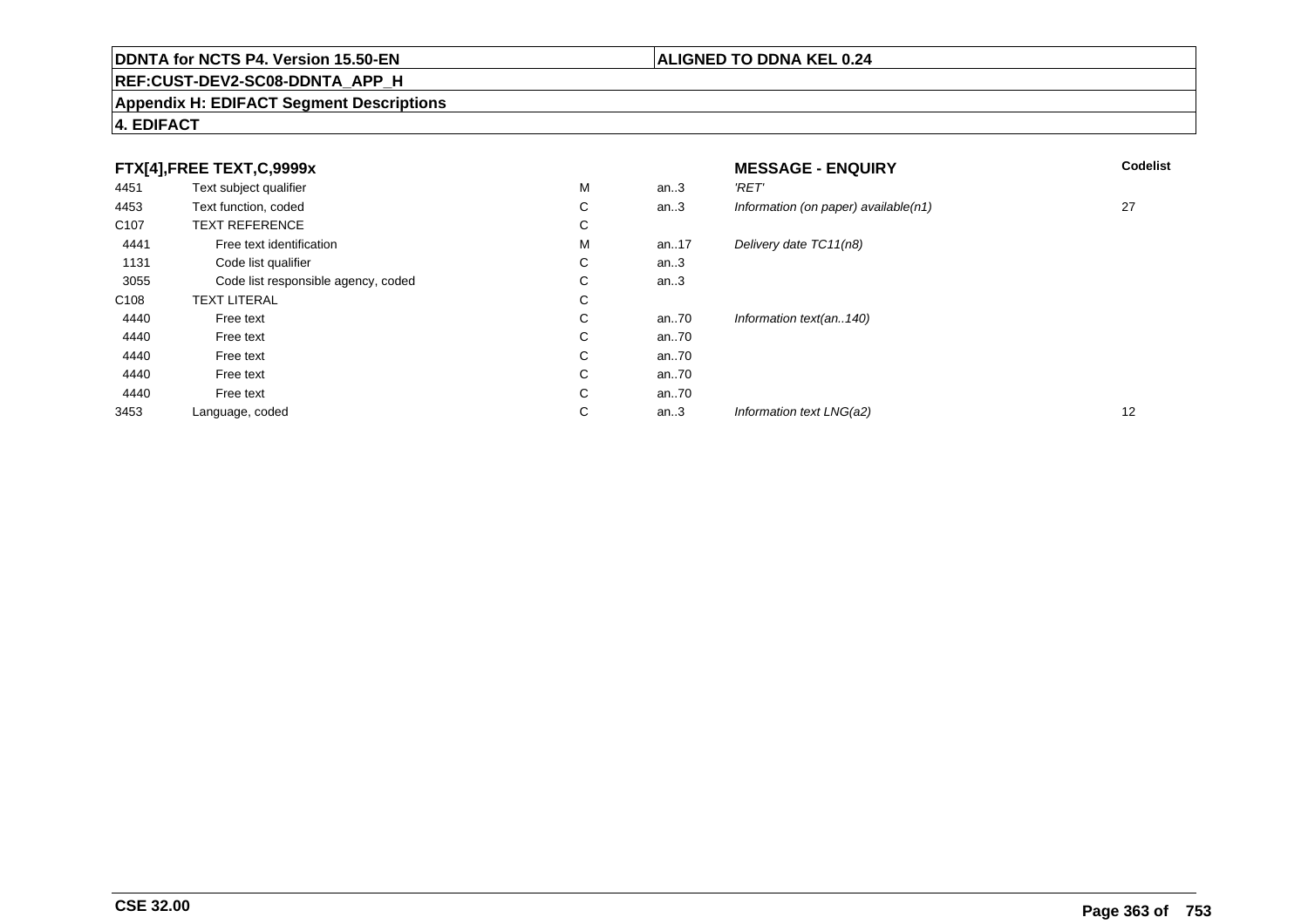## **REF:CUST-DEV2-SC08-DDNTA\_APP\_H**

#### **Appendix H: EDIFACT Segment Descriptions**

## **4. EDIFACT**

|                  | FTX[4],FREE TEXT,C,9999x            |             |      | <b>MESSAGE - ENQUIRY</b>             | <b>Codelist</b> |
|------------------|-------------------------------------|-------------|------|--------------------------------------|-----------------|
| 4451             | Text subject qualifier              | M           | an.3 | 'RET'                                |                 |
| 4453             | Text function, coded                | С           | an.3 | Information (on paper) available(n1) | 27              |
| C <sub>107</sub> | <b>TEXT REFERENCE</b>               | ⌒<br>Ü      |      |                                      |                 |
| 4441             | Free text identification            | M           | an17 | Delivery date TC11(n8)               |                 |
| 1131             | Code list qualifier                 | С           | an.3 |                                      |                 |
| 3055             | Code list responsible agency, coded | $\sim$<br>◡ | an.3 |                                      |                 |
| C108             | <b>TEXT LITERAL</b>                 | С           |      |                                      |                 |
| 4440             | Free text                           | ⌒<br>Ü      | an70 | Information text(an140)              |                 |
| 4440             | Free text                           | С           | an70 |                                      |                 |
| 4440             | Free text                           | С           | an70 |                                      |                 |
| 4440             | Free text                           | С           | an70 |                                      |                 |
| 4440             | Free text                           | С           | an70 |                                      |                 |
| 3453             | Language, coded                     | ⌒<br>◡      | an.3 | Information text LNG(a2)             | 12              |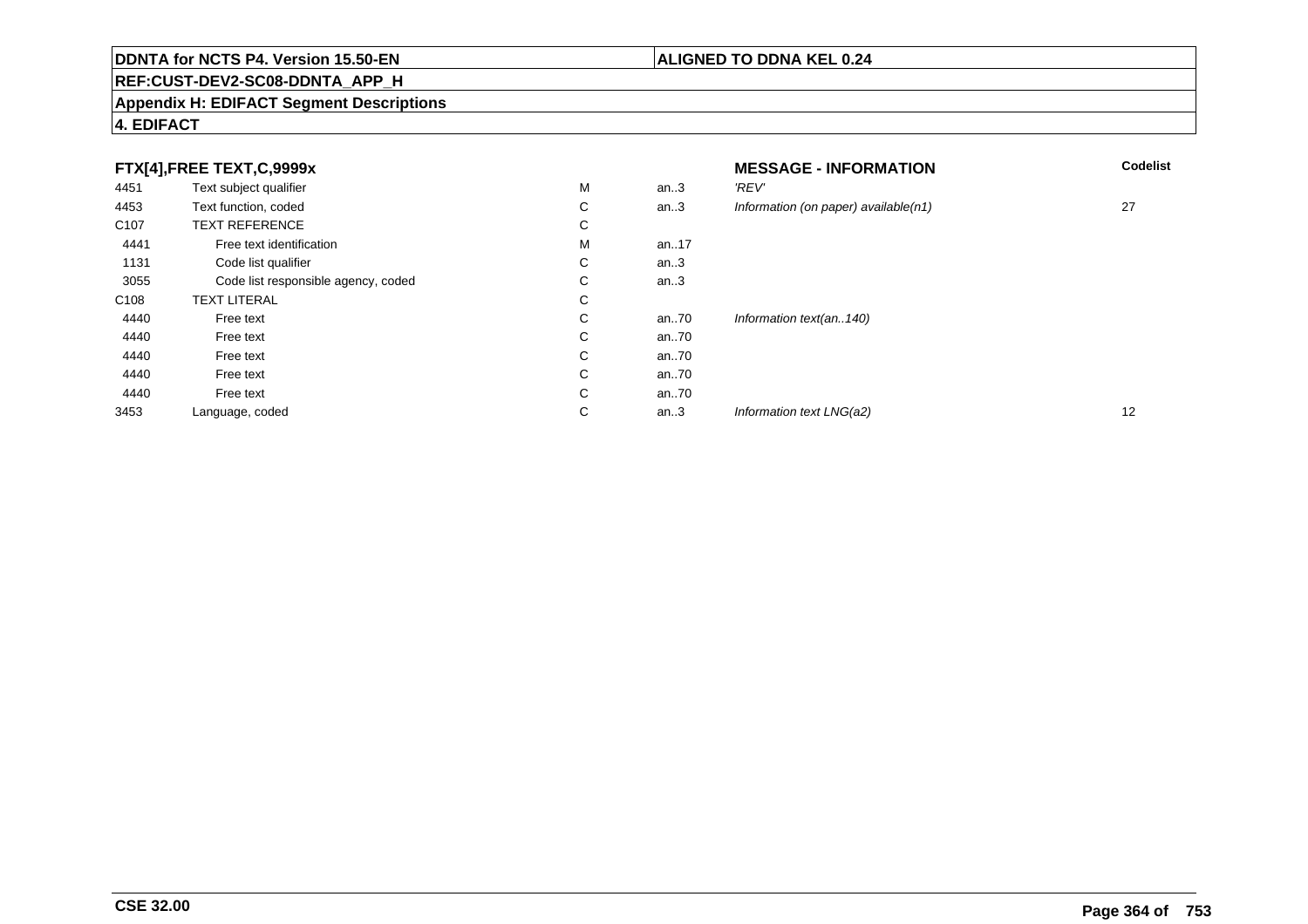## **REF:CUST-DEV2-SC08-DDNTA\_APP\_H**

#### **Appendix H: EDIFACT Segment Descriptions**

## **4. EDIFACT**

|                  | FTX[4],FREE TEXT,C,9999x            |             |      | <b>MESSAGE - INFORMATION</b>            | <b>Codelist</b>   |
|------------------|-------------------------------------|-------------|------|-----------------------------------------|-------------------|
| 4451             | Text subject qualifier              | М           | an.3 | 'REV'                                   |                   |
| 4453             | Text function, coded                | С           | an.3 | Information (on paper) available $(n1)$ | 27                |
| C <sub>107</sub> | <b>TEXT REFERENCE</b>               | С           |      |                                         |                   |
| 4441             | Free text identification            | М           | an17 |                                         |                   |
| 1131             | Code list qualifier                 | $\sim$<br>Ü | an.3 |                                         |                   |
| 3055             | Code list responsible agency, coded | С           | an.3 |                                         |                   |
| C108             | <b>TEXT LITERAL</b>                 | С           |      |                                         |                   |
| 4440             | Free text                           | С           | an70 | Information text(an140)                 |                   |
| 4440             | Free text                           | С           | an70 |                                         |                   |
| 4440             | Free text                           | С           | an70 |                                         |                   |
| 4440             | Free text                           | С           | an70 |                                         |                   |
| 4440             | Free text                           | С           | an70 |                                         |                   |
| 3453             | Language, coded                     | С           | an.3 | Information text LNG(a2)                | $12 \overline{ }$ |

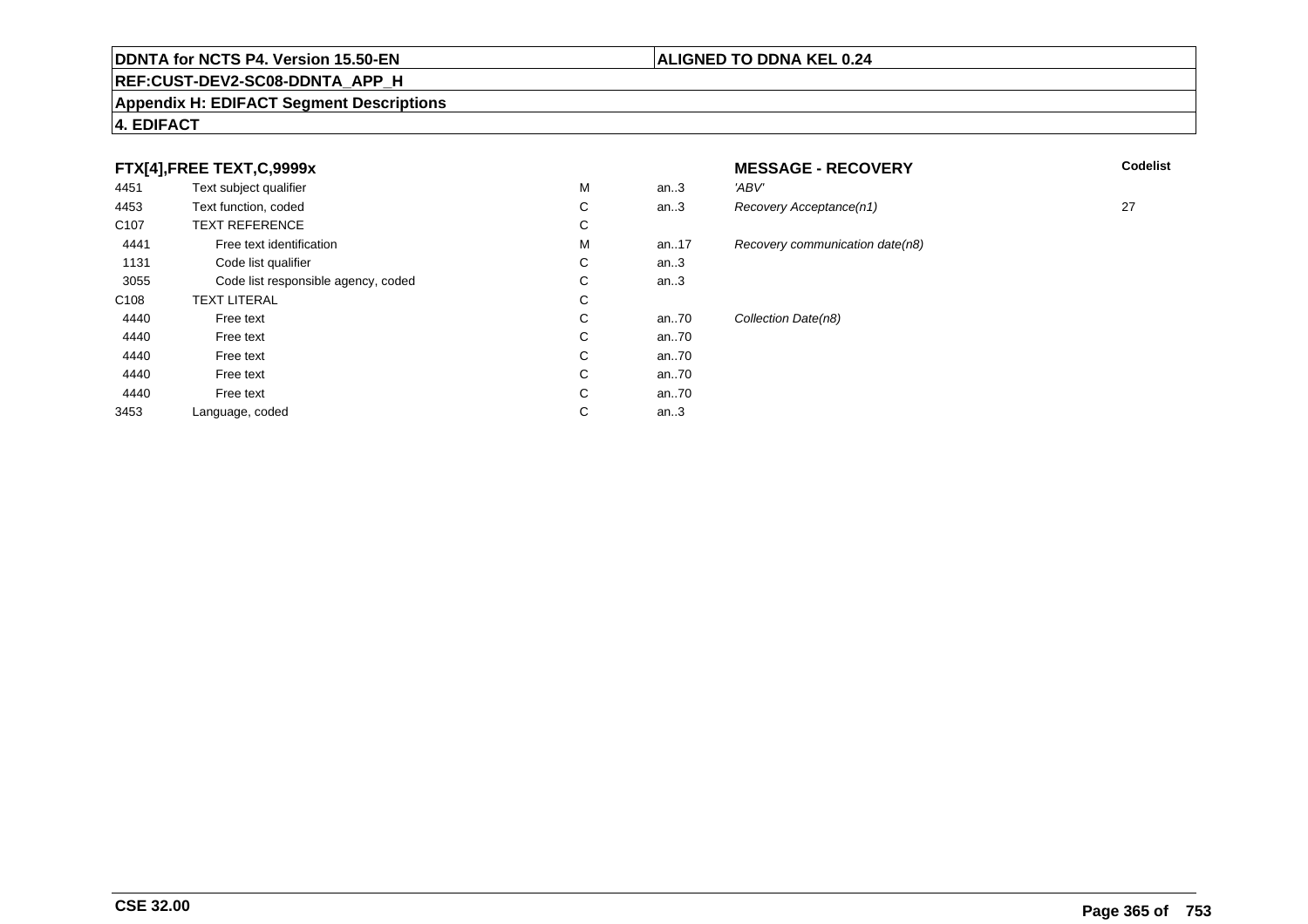#### **REF:CUST-DEV2-SC08-DDNTA\_APP\_H**

#### **Appendix H: EDIFACT Segment Descriptions**

## **4. EDIFACT**

## **FTX[4],FREE TEXT,C,9999x**

| 4451             | Text subject qualifier              | M | an.3  | 'ABV' |
|------------------|-------------------------------------|---|-------|-------|
| 4453             | Text function, coded                | C | an.3  | Reco  |
| C <sub>107</sub> | <b>TEXT REFERENCE</b>               | С |       |       |
| 4441             | Free text identification            | M | an.17 | Reco  |
| 1131             | Code list qualifier                 | C | an.3  |       |
| 3055             | Code list responsible agency, coded | C | an.3  |       |
| C <sub>108</sub> | <b>TEXT LITERAL</b>                 | C |       |       |
| 4440             | Free text                           | C | an.70 | Colle |
| 4440             | Free text                           | C | an70  |       |
| 4440             | Free text                           | C | an70  |       |
| 4440             | Free text                           | C | an70  |       |
| 4440             | Free text                           | C | an70  |       |
| 3453             | Language, coded                     | С | an.3  |       |
|                  |                                     |   |       |       |

## **MESSAGE - RECOVERY**

**Lackson Codelist** Codelist

Recovery Acceptance(n1) 27 Recovery communication date(n8) Collection Date(n8)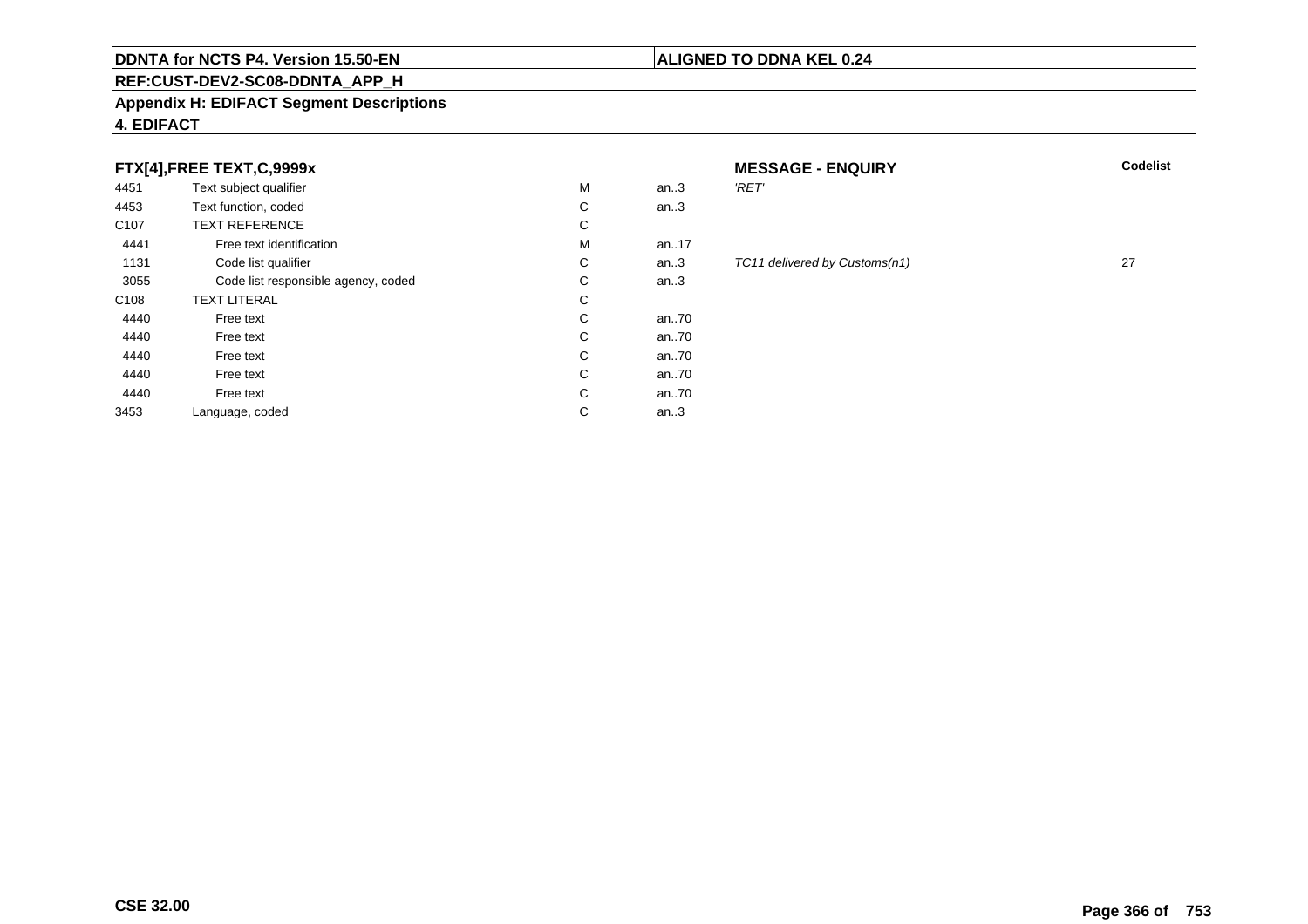## **REF:CUST-DEV2-SC08-DDNTA\_APP\_H**

#### **Appendix H: EDIFACT Segment Descriptions**

## **4. EDIFACT**

## **FTX[4],FREE TEXT,C,9999x**

| 4451             | Text subject qualifier              | М | an.3 | 'RET' |
|------------------|-------------------------------------|---|------|-------|
| 4453             | Text function, coded                | C | an.3 |       |
| C <sub>107</sub> | <b>TEXT REFERENCE</b>               | С |      |       |
| 4441             | Free text identification            | М | an17 |       |
| 1131             | Code list qualifier                 | C | an.3 | TC11  |
| 3055             | Code list responsible agency, coded | С | an.3 |       |
| C <sub>108</sub> | <b>TEXT LITERAL</b>                 | С |      |       |
| 4440             | Free text                           | C | an70 |       |
| 4440             | Free text                           | C | an70 |       |
| 4440             | Free text                           | С | an70 |       |
| 4440             | Free text                           | C | an70 |       |
| 4440             | Free text                           | С | an70 |       |
| 3453             | Language, coded                     | С | an.3 |       |
|                  |                                     |   |      |       |

# **MESSAGE - ENQUIRY**

**ALIGNED TO DDNA KEL 0.24**

#### TC11 delivered by Customs(n1) 27

**Latter School** School Codelist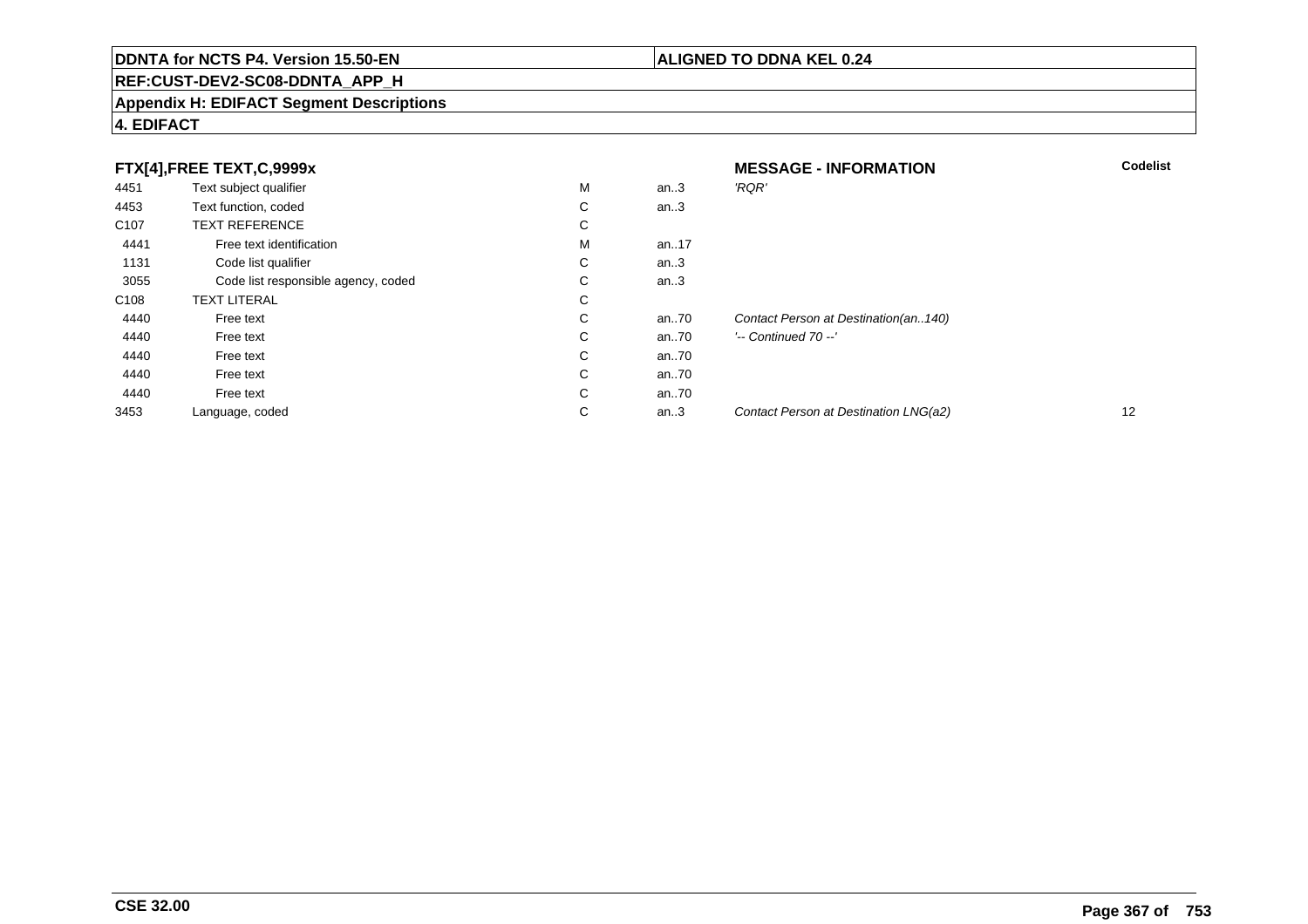## **REF:CUST-DEV2-SC08-DDNTA\_APP\_H**

#### **Appendix H: EDIFACT Segment Descriptions**

## **4. EDIFACT**

|                  | FTX[4],FREE TEXT,C,9999x            |             |      | <b>MESSAGE - INFORMATION</b>          | <b>Codelist</b> |
|------------------|-------------------------------------|-------------|------|---------------------------------------|-----------------|
| 4451             | Text subject qualifier              | м           | an.3 | 'RQR'                                 |                 |
| 4453             | Text function, coded                | $\sim$<br>◡ | an.3 |                                       |                 |
| C <sub>107</sub> | <b>TEXT REFERENCE</b>               | $\sim$<br>Ü |      |                                       |                 |
| 4441             | Free text identification            | м           | an17 |                                       |                 |
| 1131             | Code list qualifier                 | $\sim$<br>◡ | an.3 |                                       |                 |
| 3055             | Code list responsible agency, coded | $\sim$<br>◡ | an.3 |                                       |                 |
| C <sub>108</sub> | <b>TEXT LITERAL</b>                 | $\sim$<br>Ü |      |                                       |                 |
| 4440             | Free text                           | $\sim$<br>Ü | an70 | Contact Person at Destination(an140)  |                 |
| 4440             | Free text                           | C           | an70 | $'-$ Continued 70 $-$ '               |                 |
| 4440             | Free text                           | С           | an70 |                                       |                 |
| 4440             | Free text                           | С           | an70 |                                       |                 |
| 4440             | Free text                           | С           | an70 |                                       |                 |
| 3453             | Language, coded                     | $\sim$<br>◡ | an.3 | Contact Person at Destination LNG(a2) | 12              |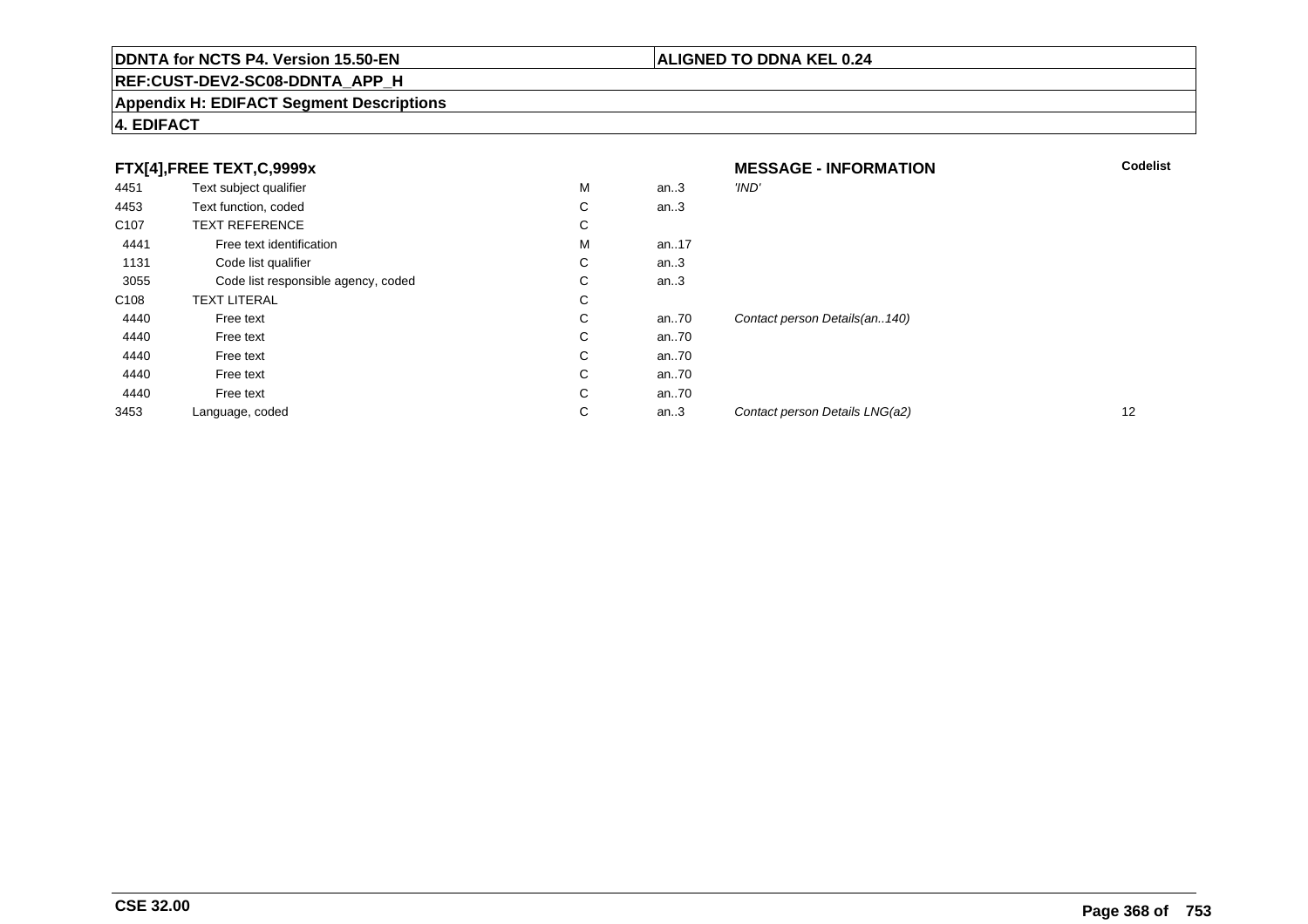## **REF:CUST-DEV2-SC08-DDNTA\_APP\_H**

#### **Appendix H: EDIFACT Segment Descriptions**

## **4. EDIFACT**

|                  | FTX[4],FREE TEXT,C,9999x            |   |      | <b>MESSAGE - INFORMATION</b>    | <b>Codelist</b> |
|------------------|-------------------------------------|---|------|---------------------------------|-----------------|
| 4451             | Text subject qualifier              | M | an.3 | 'IND'                           |                 |
| 4453             | Text function, coded                | С | an.3 |                                 |                 |
| C <sub>107</sub> | <b>TEXT REFERENCE</b>               | С |      |                                 |                 |
| 4441             | Free text identification            | M | an17 |                                 |                 |
| 1131             | Code list qualifier                 | C | an.3 |                                 |                 |
| 3055             | Code list responsible agency, coded | С | an.3 |                                 |                 |
| C <sub>108</sub> | <b>TEXT LITERAL</b>                 | С |      |                                 |                 |
| 4440             | Free text                           | С | an70 | Contact person Details(an. 140) |                 |
| 4440             | Free text                           | С | an70 |                                 |                 |
| 4440             | Free text                           | C | an70 |                                 |                 |
| 4440             | Free text                           | C | an70 |                                 |                 |
| 4440             | Free text                           | С | an70 |                                 |                 |
| 3453             | Language, coded                     | С | an.3 | Contact person Details LNG(a2)  | 12              |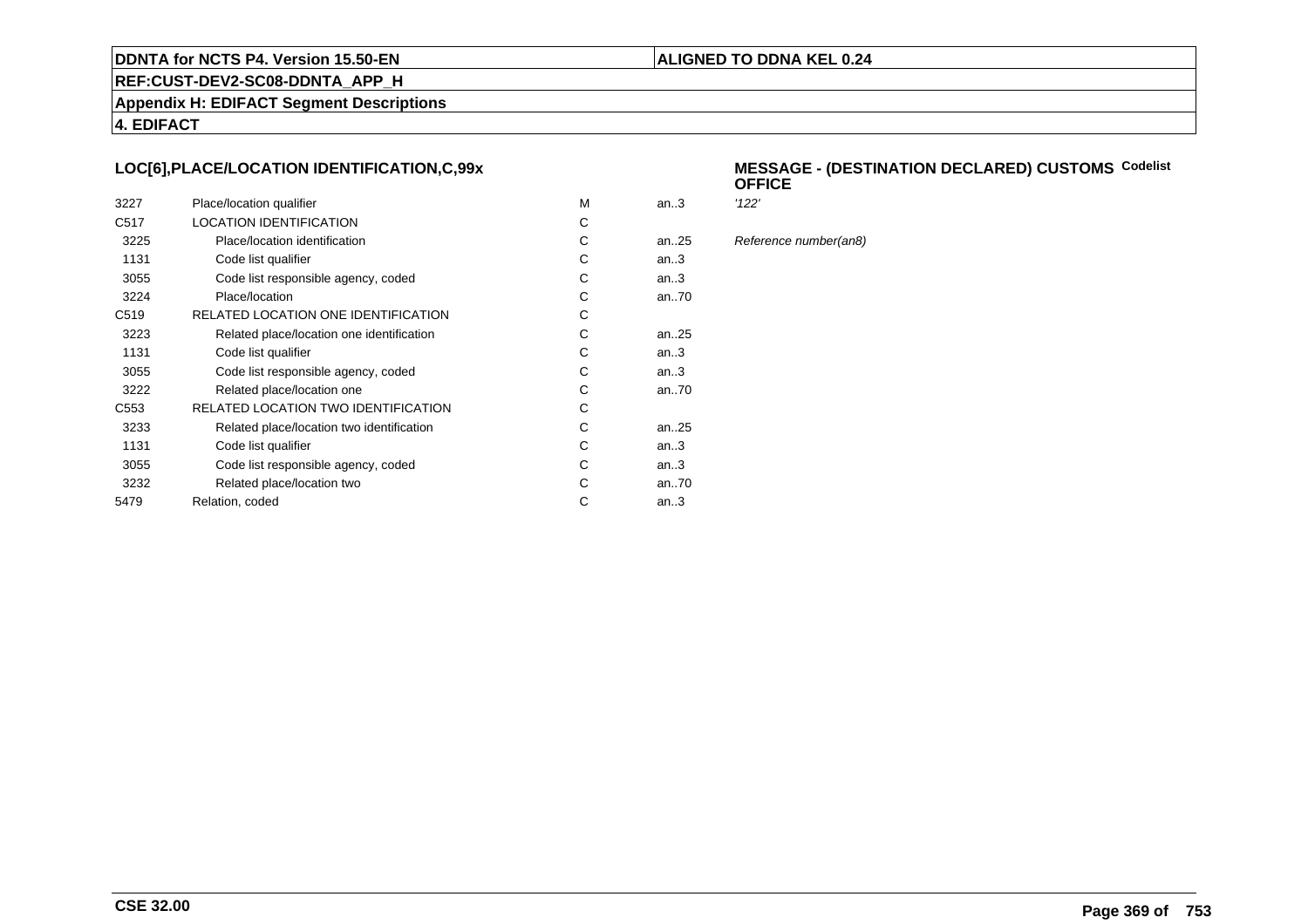#### **ALIGNED TO DDNA KEL 0.24**

**REF:CUST-DEV2-SC08-DDNTA\_APP\_H**

**Appendix H: EDIFACT Segment Descriptions**

**4. EDIFACT**

## **LOC[6],PLACE/LOCATION IDENTIFICATION,C,99x**

| 3227             | Place/location qualifier                  | M | an3       | '122' |
|------------------|-------------------------------------------|---|-----------|-------|
| C <sub>517</sub> | <b>LOCATION IDENTIFICATION</b>            | C |           |       |
| 3225             | Place/location identification             | C | an. $.25$ | Refe  |
| 1131             | Code list qualifier                       | C | an3       |       |
| 3055             | Code list responsible agency, coded       | C | an3       |       |
| 3224             | Place/location                            | C | an70      |       |
| C <sub>519</sub> | RELATED LOCATION ONE IDENTIFICATION       | C |           |       |
| 3223             | Related place/location one identification | C | an25      |       |
| 1131             | Code list qualifier                       | C | an.3      |       |
| 3055             | Code list responsible agency, coded       | C | an.3      |       |
| 3222             | Related place/location one                | C | an70      |       |
| C <sub>553</sub> | RELATED LOCATION TWO IDENTIFICATION       | C |           |       |
| 3233             | Related place/location two identification | C | an. $.25$ |       |
| 1131             | Code list qualifier                       | C | an.3      |       |
| 3055             | Code list responsible agency, coded       | C | an3       |       |
| 3232             | Related place/location two                | C | an70      |       |
| 5479             | Relation, coded                           | C | an $3$    |       |
|                  |                                           |   |           |       |

#### **MESSAGE - (DESTINATION DECLARED) CUSTOMSCodelist OFFICE**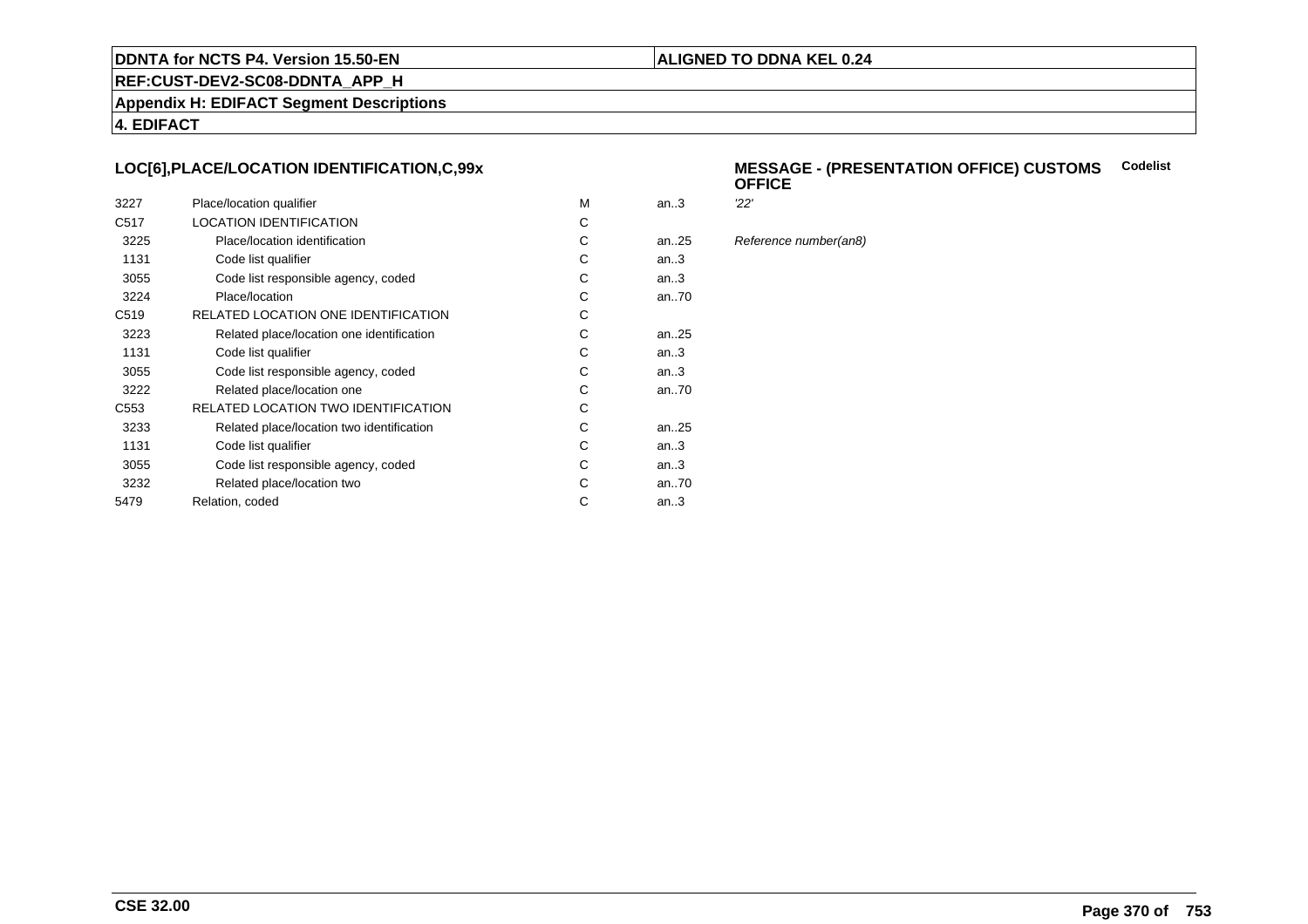#### **ALIGNED TO DDNA KEL 0.24**

**REF:CUST-DEV2-SC08-DDNTA\_APP\_H**

**Appendix H: EDIFACT Segment Descriptions**

**4. EDIFACT**

## **LOC[6],PLACE/LOCATION IDENTIFICATION,C,99x**

| 3227             | Place/location qualifier                  | м | an.3      | 22' |
|------------------|-------------------------------------------|---|-----------|-----|
| C <sub>517</sub> | <b>LOCATION IDENTIFICATION</b>            | С |           |     |
| 3225             | Place/location identification             | С | an. $.25$ | Ref |
| 1131             | Code list qualifier                       | С | an.3      |     |
| 3055             | Code list responsible agency, coded       | С | an.3      |     |
| 3224             | Place/location                            | C | an70      |     |
| C <sub>519</sub> | RELATED LOCATION ONE IDENTIFICATION       | С |           |     |
| 3223             | Related place/location one identification | С | an. $.25$ |     |
| 1131             | Code list qualifier                       | С | an.3      |     |
| 3055             | Code list responsible agency, coded       | С | an.3      |     |
| 3222             | Related place/location one                | С | an70      |     |
| C <sub>553</sub> | RELATED LOCATION TWO IDENTIFICATION       | С |           |     |
| 3233             | Related place/location two identification | C | an. $.25$ |     |
| 1131             | Code list qualifier                       | C | an.3      |     |
| 3055             | Code list responsible agency, coded       | С | an.3      |     |
| 3232             | Related place/location two                | С | an70      |     |
| 5479             | Relation, coded                           | С | an.3      |     |
|                  |                                           |   |           |     |

#### **MESSAGE - (PRESENTATION OFFICE) CUSTOMSCodelist OFFICE**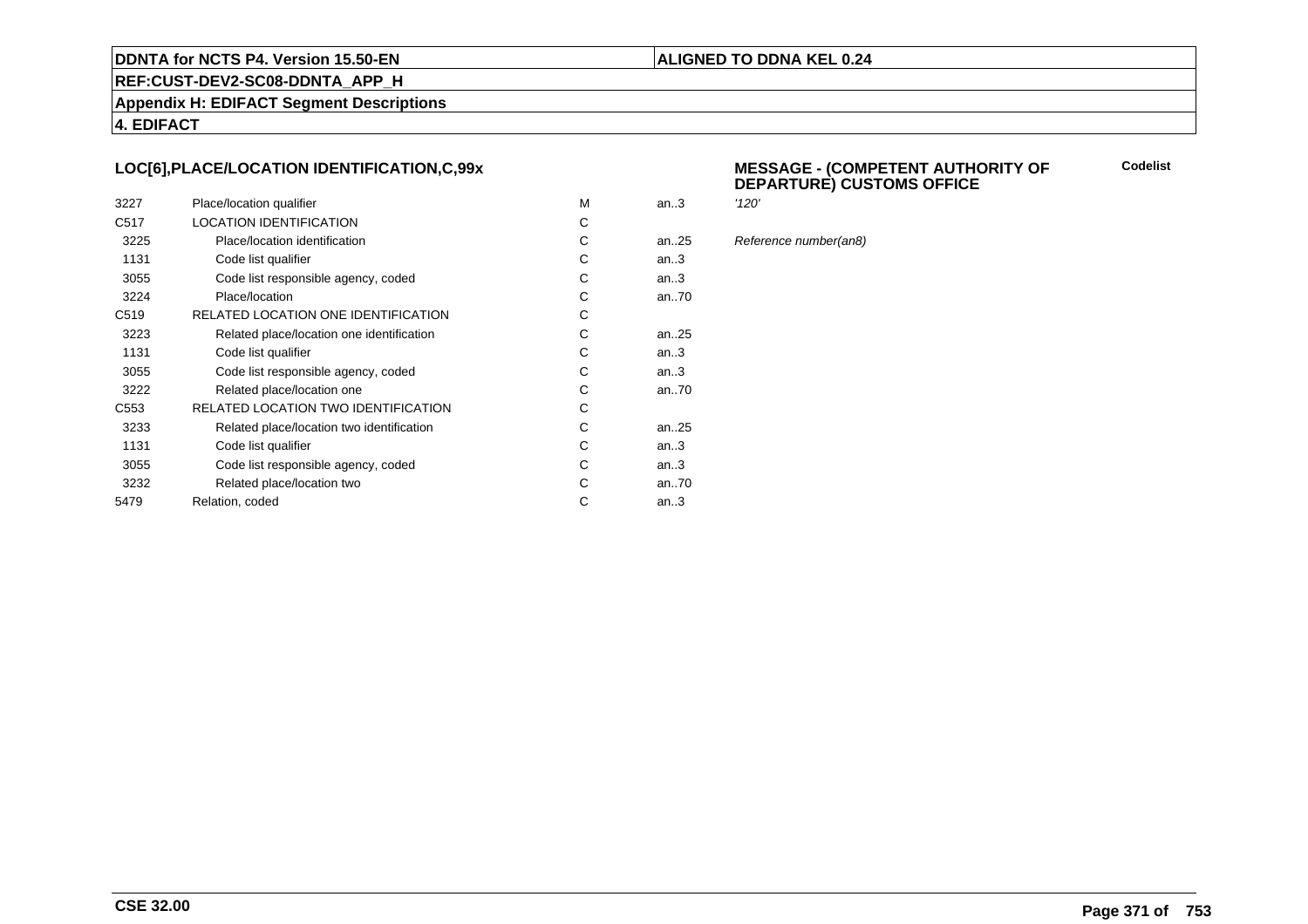#### **ALIGNED TO DDNA KEL 0.24**

**REF:CUST-DEV2-SC08-DDNTA\_APP\_H**

**Appendix H: EDIFACT Segment Descriptions**

**4. EDIFACT**

## **LOC[6],PLACE/LOCATION IDENTIFICATION,C,99x**

| 3227             | Place/location qualifier                   | M | an.3      | '120' |
|------------------|--------------------------------------------|---|-----------|-------|
| C <sub>517</sub> | <b>LOCATION IDENTIFICATION</b>             | С |           |       |
| 3225             | Place/location identification              | С | an25      | Refe  |
| 1131             | Code list qualifier                        | C | an3       |       |
| 3055             | Code list responsible agency, coded        | С | an3       |       |
| 3224             | Place/location                             | C | an70      |       |
| C <sub>519</sub> | RELATED LOCATION ONE IDENTIFICATION        | С |           |       |
| 3223             | Related place/location one identification  | C | an25      |       |
| 1131             | Code list qualifier                        | C | an.3      |       |
| 3055             | Code list responsible agency, coded        | C | an3       |       |
| 3222             | Related place/location one                 | С | an70      |       |
| C <sub>553</sub> | <b>RELATED LOCATION TWO IDENTIFICATION</b> | С |           |       |
| 3233             | Related place/location two identification  | С | an. $.25$ |       |
| 1131             | Code list qualifier                        | C | an.3      |       |
| 3055             | Code list responsible agency, coded        | C | an.3      |       |
| 3232             | Related place/location two                 | С | an70      |       |
| 5479             | Relation, coded                            | C | an.3      |       |
|                  |                                            |   |           |       |

#### **MESSAGE - (COMPETENT AUTHORITY OFDEPARTURE) CUSTOMS OFFICE**

**Codelist**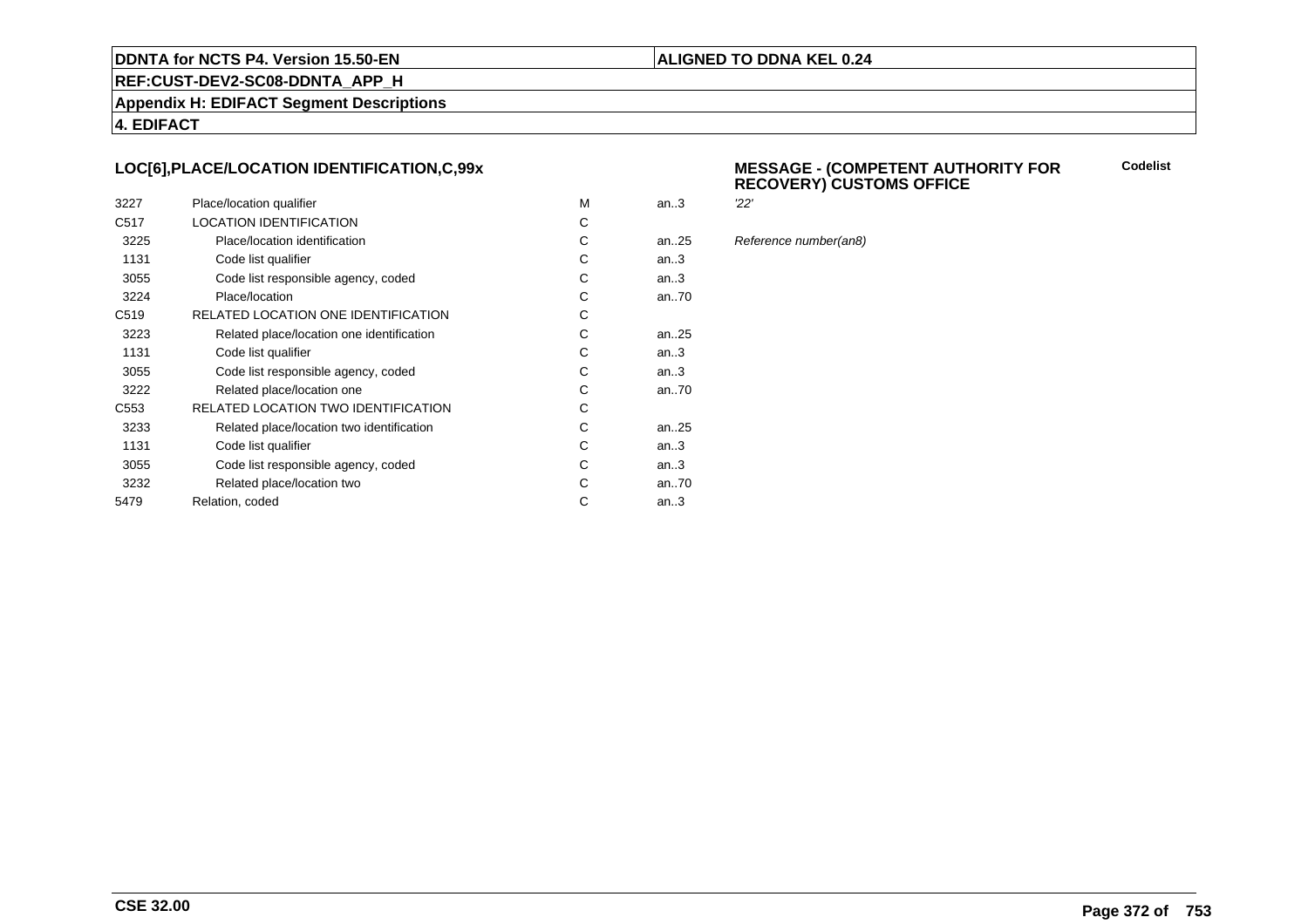#### **ALIGNED TO DDNA KEL 0.24**

**REF:CUST-DEV2-SC08-DDNTA\_APP\_H**

**Appendix H: EDIFACT Segment Descriptions**

**4. EDIFACT**

## **LOC[6],PLACE/LOCATION IDENTIFICATION,C,99x**

| 3227             | Place/location qualifier                  | м | an.3 | 22' |
|------------------|-------------------------------------------|---|------|-----|
| C <sub>517</sub> | <b>LOCATION IDENTIFICATION</b>            | С |      |     |
| 3225             | Place/location identification             | С | an25 | Ref |
| 1131             | Code list qualifier                       | С | an.3 |     |
| 3055             | Code list responsible agency, coded       | С | an.3 |     |
| 3224             | Place/location                            | С | an70 |     |
| C <sub>519</sub> | RELATED LOCATION ONE IDENTIFICATION       | С |      |     |
| 3223             | Related place/location one identification | С | an25 |     |
| 1131             | Code list qualifier                       | С | an.3 |     |
| 3055             | Code list responsible agency, coded       | C | an.3 |     |
| 3222             | Related place/location one                | С | an70 |     |
| C <sub>553</sub> | RELATED LOCATION TWO IDENTIFICATION       | С |      |     |
| 3233             | Related place/location two identification | С | an25 |     |
| 1131             | Code list qualifier                       | C | an.3 |     |
| 3055             | Code list responsible agency, coded       | С | an.3 |     |
| 3232             | Related place/location two                | С | an70 |     |
| 5479             | Relation, coded                           | С | an.3 |     |
|                  |                                           |   |      |     |

## **MESSAGE - (COMPETENT AUTHORITY FOR RECOVERY) CUSTOMS OFFICE**

**Codelist**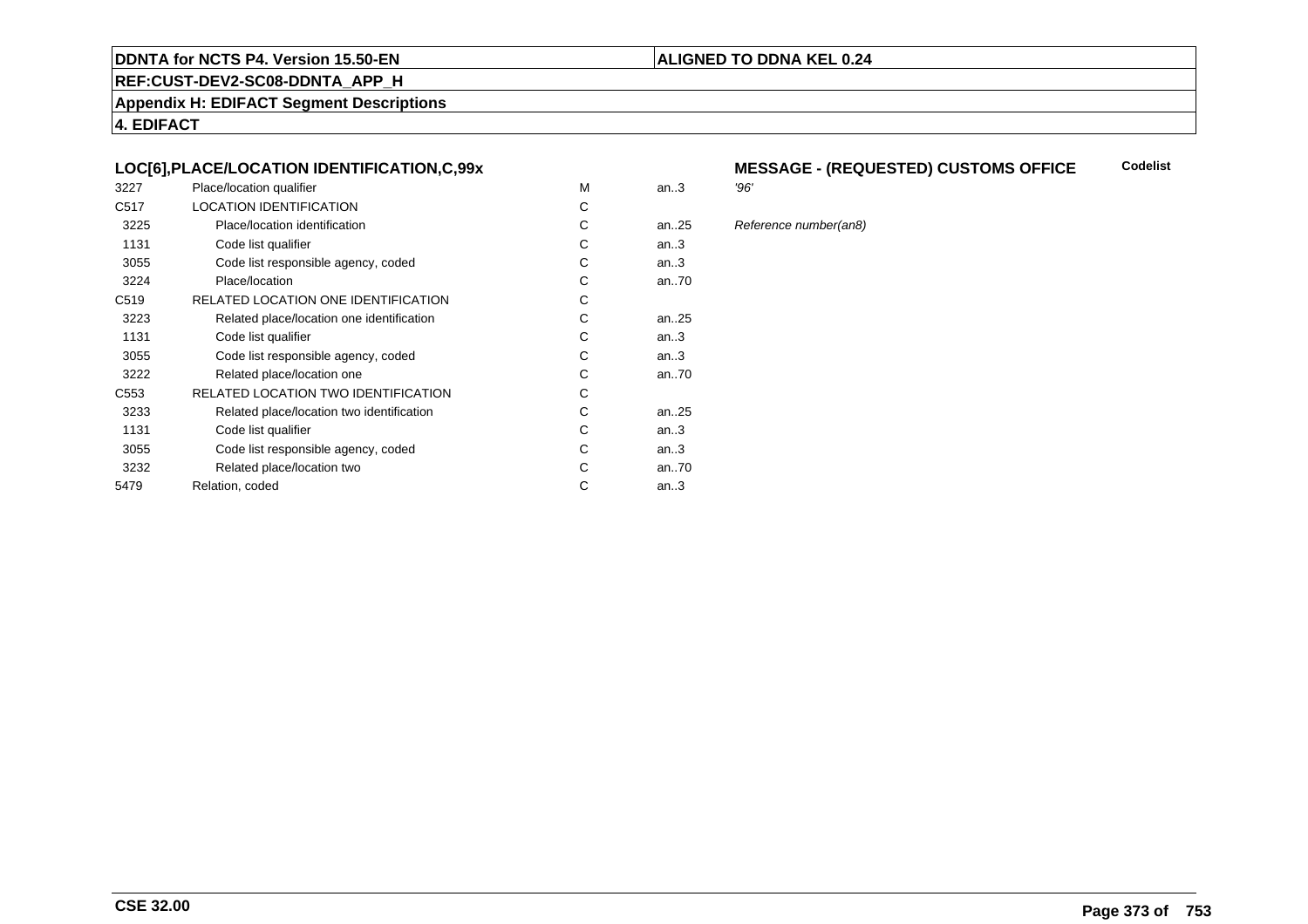## **REF:CUST-DEV2-SC08-DDNTA\_APP\_H**

**Appendix H: EDIFACT Segment Descriptions**

**4. EDIFACT**

## **LOC[6],PLACE/LOCATION IDENTIFICATION,C,99x**

| 3227             | Place/location qualifier                   | М | an.3      | '96' |
|------------------|--------------------------------------------|---|-----------|------|
| C <sub>517</sub> | <b>LOCATION IDENTIFICATION</b>             | С |           |      |
| 3225             | Place/location identification              | С | an25      | Ref  |
| 1131             | Code list qualifier                        | С | an.3      |      |
| 3055             | Code list responsible agency, coded        | С | an.3      |      |
| 3224             | Place/location                             | С | an70      |      |
| C <sub>519</sub> | RELATED LOCATION ONE IDENTIFICATION        | С |           |      |
| 3223             | Related place/location one identification  | С | an25      |      |
| 1131             | Code list qualifier                        | С | an.3      |      |
| 3055             | Code list responsible agency, coded        | С | an.3      |      |
| 3222             | Related place/location one                 | С | an70      |      |
| C <sub>553</sub> | <b>RELATED LOCATION TWO IDENTIFICATION</b> | С |           |      |
| 3233             | Related place/location two identification  | С | an. $.25$ |      |
| 1131             | Code list qualifier                        | C | an.3      |      |
| 3055             | Code list responsible agency, coded        | С | an.3      |      |
| 3232             | Related place/location two                 | С | an70      |      |
| 5479             | Relation, coded                            | С | an.3      |      |
|                  |                                            |   |           |      |

#### **MESSAGE - (REQUESTED) CUSTOMS OFFICE**<br>'96' **Codelist**

**ALIGNED TO DDNA KEL 0.24**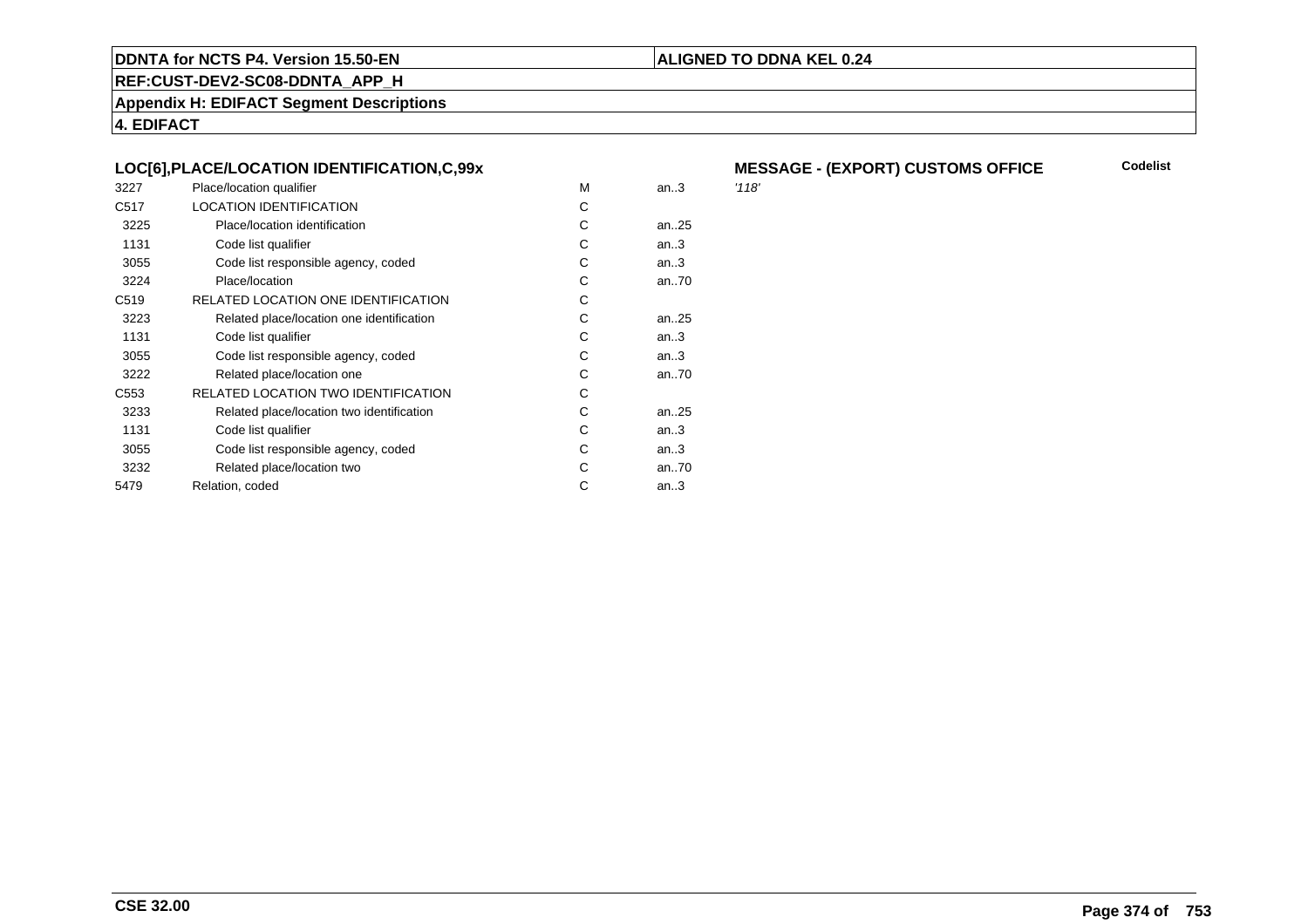## **ALIGNED TO DDNA KEL 0.24**

**REF:CUST-DEV2-SC08-DDNTA\_APP\_H**

**Appendix H: EDIFACT Segment Descriptions**

**4. EDIFACT**

## **LOC[6],PLACE/LOCATION IDENTIFICATION,C,99x**

| 3227             | Place/location qualifier                   | M | an.3 | '118' |
|------------------|--------------------------------------------|---|------|-------|
| C <sub>517</sub> | <b>LOCATION IDENTIFICATION</b>             | C |      |       |
| 3225             | Place/location identification              | C | an25 |       |
| 1131             | Code list qualifier                        | С | an.3 |       |
| 3055             | Code list responsible agency, coded        | С | an.3 |       |
| 3224             | Place/location                             | С | an70 |       |
| C <sub>519</sub> | RELATED LOCATION ONE IDENTIFICATION        | C |      |       |
| 3223             | Related place/location one identification  | C | an25 |       |
| 1131             | Code list qualifier                        | C | an.3 |       |
| 3055             | Code list responsible agency, coded        | С | an3  |       |
| 3222             | Related place/location one                 | С | an70 |       |
| C <sub>553</sub> | <b>RELATED LOCATION TWO IDENTIFICATION</b> | C |      |       |
| 3233             | Related place/location two identification  | С | an25 |       |
| 1131             | Code list qualifier                        | С | an.3 |       |
| 3055             | Code list responsible agency, coded        | С | an3  |       |
| 3232             | Related place/location two                 | С | an70 |       |
| 5479             | Relation, coded                            | C | an.3 |       |
|                  |                                            |   |      |       |

# **MESSAGE - (EXPORT) CUSTOMS OFFICE**

**Codelist**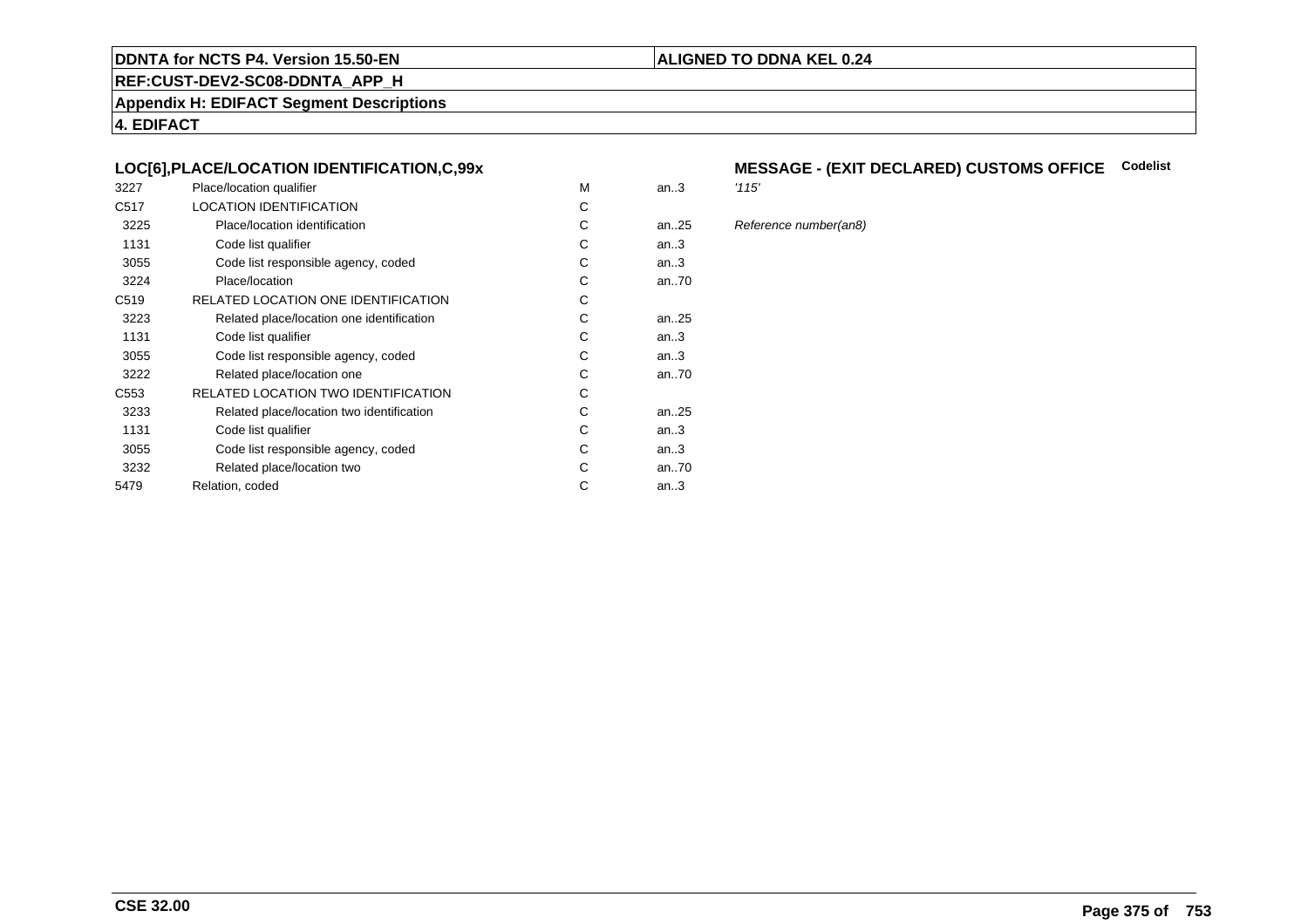## **REF:CUST-DEV2-SC08-DDNTA\_APP\_H**

**Appendix H: EDIFACT Segment Descriptions**

**4. EDIFACT**

## **LOC[6],PLACE/LOCATION IDENTIFICATION,C,99x**

| 3227             | Place/location qualifier                   | M | an.3 | '115' |
|------------------|--------------------------------------------|---|------|-------|
| C <sub>517</sub> | <b>LOCATION IDENTIFICATION</b>             | C |      |       |
| 3225             | Place/location identification              | C | an25 | Refe  |
| 1131             | Code list qualifier                        | С | an.3 |       |
| 3055             | Code list responsible agency, coded        | С | an.3 |       |
| 3224             | Place/location                             | C | an70 |       |
| C <sub>519</sub> | RELATED LOCATION ONE IDENTIFICATION        | С |      |       |
| 3223             | Related place/location one identification  | C | an25 |       |
| 1131             | Code list qualifier                        | C | an.3 |       |
| 3055             | Code list responsible agency, coded        | С | an.3 |       |
| 3222             | Related place/location one                 | C | an70 |       |
| C <sub>553</sub> | <b>RELATED LOCATION TWO IDENTIFICATION</b> | C |      |       |
| 3233             | Related place/location two identification  | С | an25 |       |
| 1131             | Code list qualifier                        | C | an.3 |       |
| 3055             | Code list responsible agency, coded        | C | an.3 |       |
| 3232             | Related place/location two                 | С | an70 |       |
| 5479             | Relation, coded                            | С | an.3 |       |
|                  |                                            |   |      |       |

## **MESSAGE - (EXIT DECLARED) CUSTOMS OFFICE Codelist**

**ALIGNED TO DDNA KEL 0.24**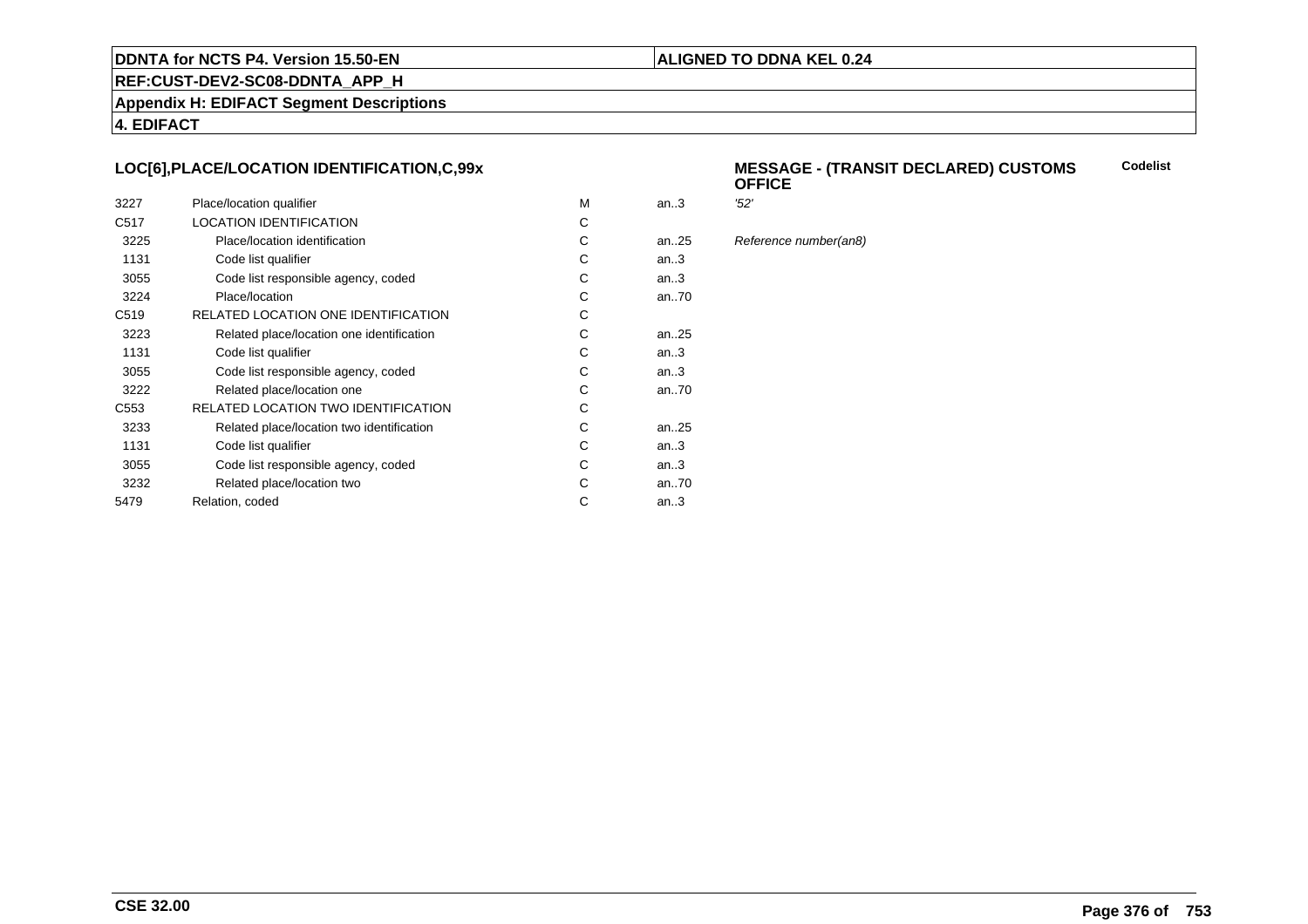#### **ALIGNED TO DDNA KEL 0.24**

**REF:CUST-DEV2-SC08-DDNTA\_APP\_H**

**Appendix H: EDIFACT Segment Descriptions**

**4. EDIFACT**

## **LOC[6],PLACE/LOCATION IDENTIFICATION,C,99x**

| 3227             | Place/location qualifier                   | м | an.3      | '52' |
|------------------|--------------------------------------------|---|-----------|------|
| C <sub>517</sub> | LOCATION IDENTIFICATION                    | С |           |      |
| 3225             | Place/location identification              | С | an25      | Ref  |
| 1131             | Code list qualifier                        | С | an.3      |      |
| 3055             | Code list responsible agency, coded        | С | an.3      |      |
| 3224             | Place/location                             | C | an70      |      |
| C <sub>519</sub> | RELATED LOCATION ONE IDENTIFICATION        | С |           |      |
| 3223             | Related place/location one identification  | С | an25      |      |
| 1131             | Code list qualifier                        | C | an.3      |      |
| 3055             | Code list responsible agency, coded        | С | an.3      |      |
| 3222             | Related place/location one                 | С | an70      |      |
| C <sub>553</sub> | <b>RELATED LOCATION TWO IDENTIFICATION</b> | С |           |      |
| 3233             | Related place/location two identification  | C | an. $.25$ |      |
| 1131             | Code list qualifier                        | C | an.3      |      |
| 3055             | Code list responsible agency, coded        | С | an.3      |      |
| 3232             | Related place/location two                 | C | an70      |      |
| 5479             | Relation, coded                            | С | an.3      |      |
|                  |                                            |   |           |      |

#### **MESSAGE - (TRANSIT DECLARED) CUSTOMSOFFICECodelist**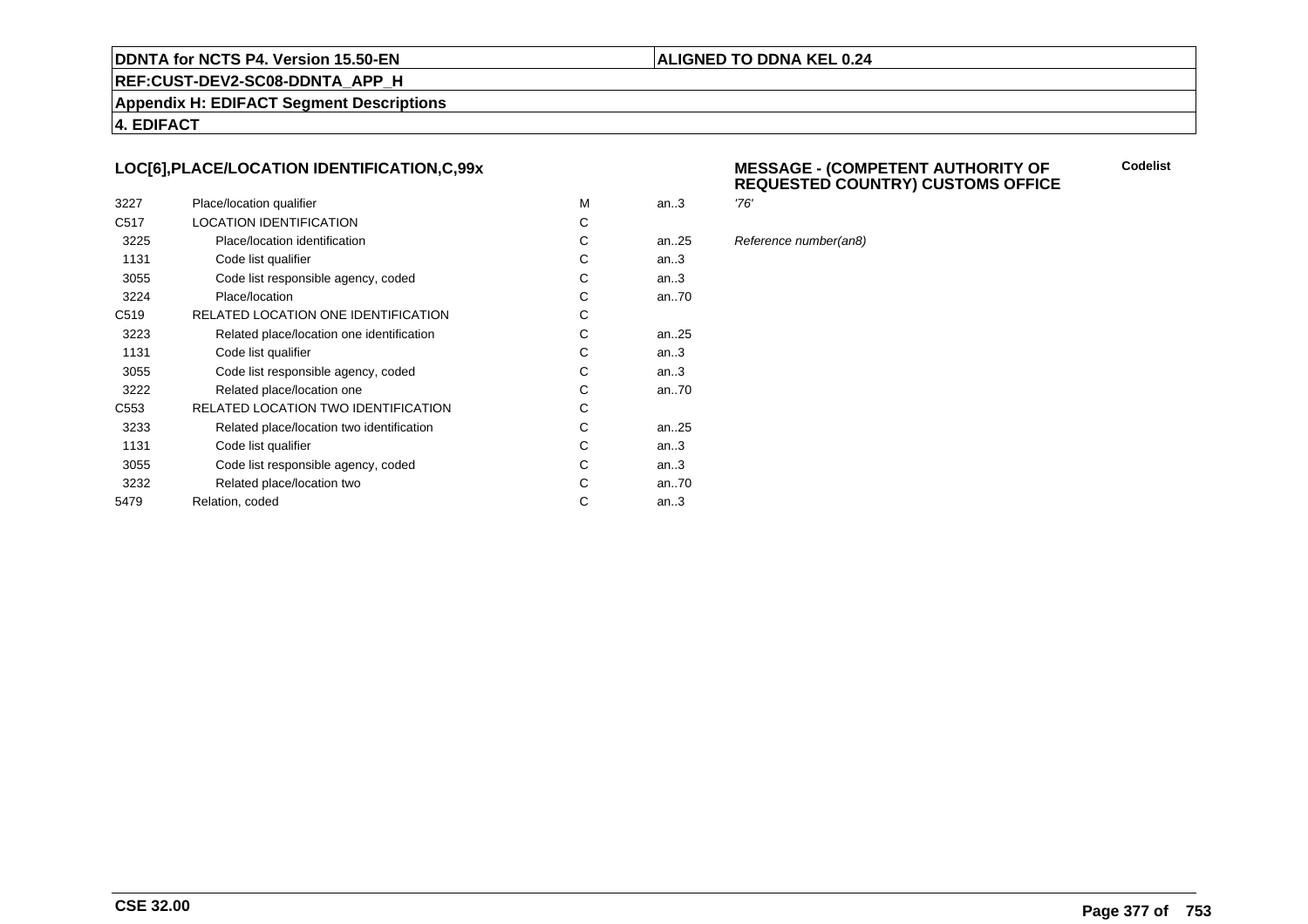#### **ALIGNED TO DDNA KEL 0.24**

**REF:CUST-DEV2-SC08-DDNTA\_APP\_H**

**Appendix H: EDIFACT Segment Descriptions**

**4. EDIFACT**

## **LOC[6],PLACE/LOCATION IDENTIFICATION,C,99x**

| 3227             | Place/location qualifier                  | м | an.3      | '76' |
|------------------|-------------------------------------------|---|-----------|------|
| C <sub>517</sub> | <b>LOCATION IDENTIFICATION</b>            | С |           |      |
| 3225             | Place/location identification             | С | an25      | Ref  |
| 1131             | Code list qualifier                       | С | an.3      |      |
| 3055             | Code list responsible agency, coded       | С | an.3      |      |
| 3224             | Place/location                            | С | an70      |      |
| C <sub>519</sub> | RELATED LOCATION ONE IDENTIFICATION       | С |           |      |
| 3223             | Related place/location one identification | С | an. $.25$ |      |
| 1131             | Code list qualifier                       | С | an.3      |      |
| 3055             | Code list responsible agency, coded       | С | an.3      |      |
| 3222             | Related place/location one                | С | an70      |      |
| C <sub>553</sub> | RELATED LOCATION TWO IDENTIFICATION       | С |           |      |
| 3233             | Related place/location two identification | С | an. $.25$ |      |
| 1131             | Code list qualifier                       | C | an.3      |      |
| 3055             | Code list responsible agency, coded       | С | an.3      |      |
| 3232             | Related place/location two                | С | an70      |      |
| 5479             | Relation, coded                           | С | an.3      |      |
|                  |                                           |   |           |      |

#### **MESSAGE - (COMPETENT AUTHORITY OFREQUESTED COUNTRY) CUSTOMS OFFICE**

**Codelist**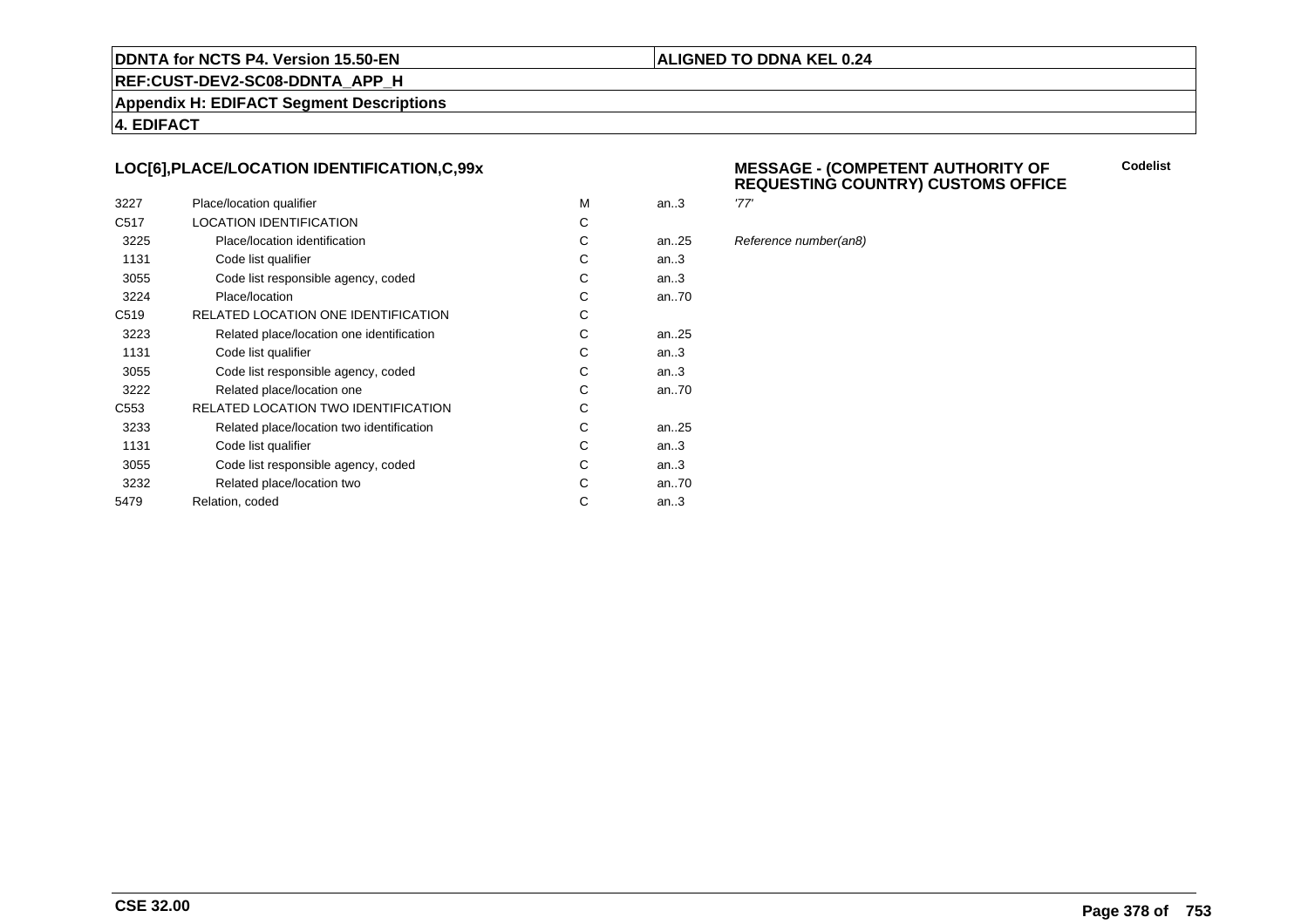#### **ALIGNED TO DDNA KEL 0.24**

**REF:CUST-DEV2-SC08-DDNTA\_APP\_H**

**Appendix H: EDIFACT Segment Descriptions**

**4. EDIFACT**

## **LOC[6],PLACE/LOCATION IDENTIFICATION,C,99x**

| 3227             | Place/location qualifier                  | м | an.3 | '77' |
|------------------|-------------------------------------------|---|------|------|
| C <sub>517</sub> | LOCATION IDENTIFICATION                   | С |      |      |
| 3225             | Place/location identification             | С | an25 | Ref  |
| 1131             | Code list qualifier                       | С | an.3 |      |
| 3055             | Code list responsible agency, coded       | С | an.3 |      |
| 3224             | Place/location                            | С | an70 |      |
| C <sub>519</sub> | RELATED LOCATION ONE IDENTIFICATION       | С |      |      |
| 3223             | Related place/location one identification | C | an25 |      |
| 1131             | Code list qualifier                       | С | an.3 |      |
| 3055             | Code list responsible agency, coded       | С | an.3 |      |
| 3222             | Related place/location one                | С | an70 |      |
| C <sub>553</sub> | RELATED LOCATION TWO IDENTIFICATION       | С |      |      |
| 3233             | Related place/location two identification | С | an25 |      |
| 1131             | Code list qualifier                       | C | an.3 |      |
| 3055             | Code list responsible agency, coded       | С | an.3 |      |
| 3232             | Related place/location two                | С | an70 |      |
| 5479             | Relation, coded                           | С | an.3 |      |
|                  |                                           |   |      |      |

#### **MESSAGE - (COMPETENT AUTHORITY OFREQUESTING COUNTRY) CUSTOMS OFFICE**

**Codelist**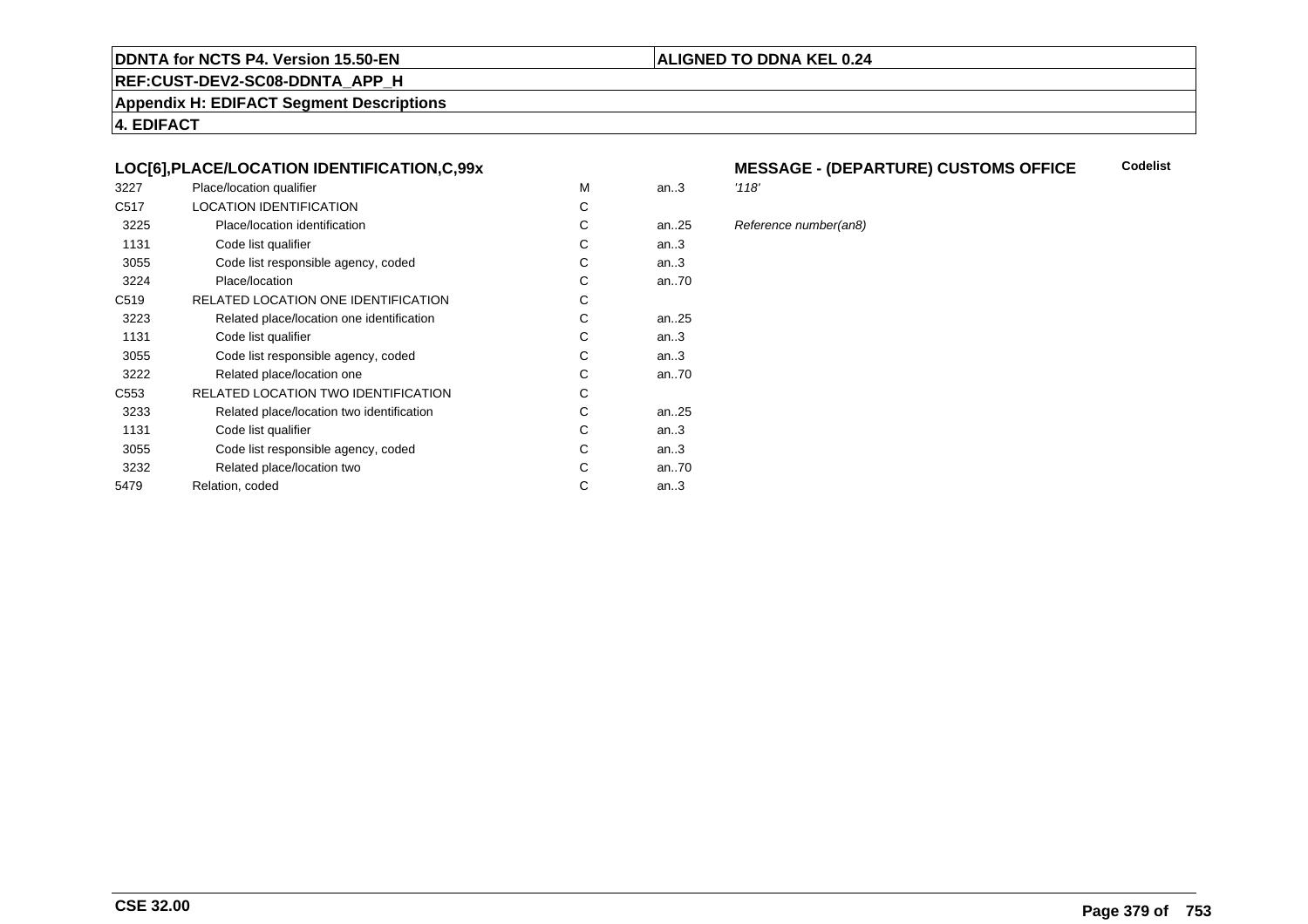## **REF:CUST-DEV2-SC08-DDNTA\_APP\_H**

**Appendix H: EDIFACT Segment Descriptions**

**4. EDIFACT**

## **LOC[6],PLACE/LOCATION IDENTIFICATION,C,99x**

| 3227             | Place/location qualifier                   | M | an.3 | '118' |
|------------------|--------------------------------------------|---|------|-------|
| C <sub>517</sub> | <b>LOCATION IDENTIFICATION</b>             | C |      |       |
| 3225             | Place/location identification              | C | an25 | Refe  |
| 1131             | Code list qualifier                        | С | an.3 |       |
| 3055             | Code list responsible agency, coded        | С | an.3 |       |
| 3224             | Place/location                             | C | an70 |       |
| C <sub>519</sub> | RELATED LOCATION ONE IDENTIFICATION        | С |      |       |
| 3223             | Related place/location one identification  | C | an25 |       |
| 1131             | Code list qualifier                        | C | an.3 |       |
| 3055             | Code list responsible agency, coded        | С | an.3 |       |
| 3222             | Related place/location one                 | C | an70 |       |
| C <sub>553</sub> | <b>RELATED LOCATION TWO IDENTIFICATION</b> | C |      |       |
| 3233             | Related place/location two identification  | С | an25 |       |
| 1131             | Code list qualifier                        | C | an.3 |       |
| 3055             | Code list responsible agency, coded        | C | an.3 |       |
| 3232             | Related place/location two                 | С | an70 |       |
| 5479             | Relation, coded                            | С | an.3 |       |
|                  |                                            |   |      |       |

#### **MESSAGE - (DEPARTURE) CUSTOMS OFFICECodelist**

**ALIGNED TO DDNA KEL 0.24**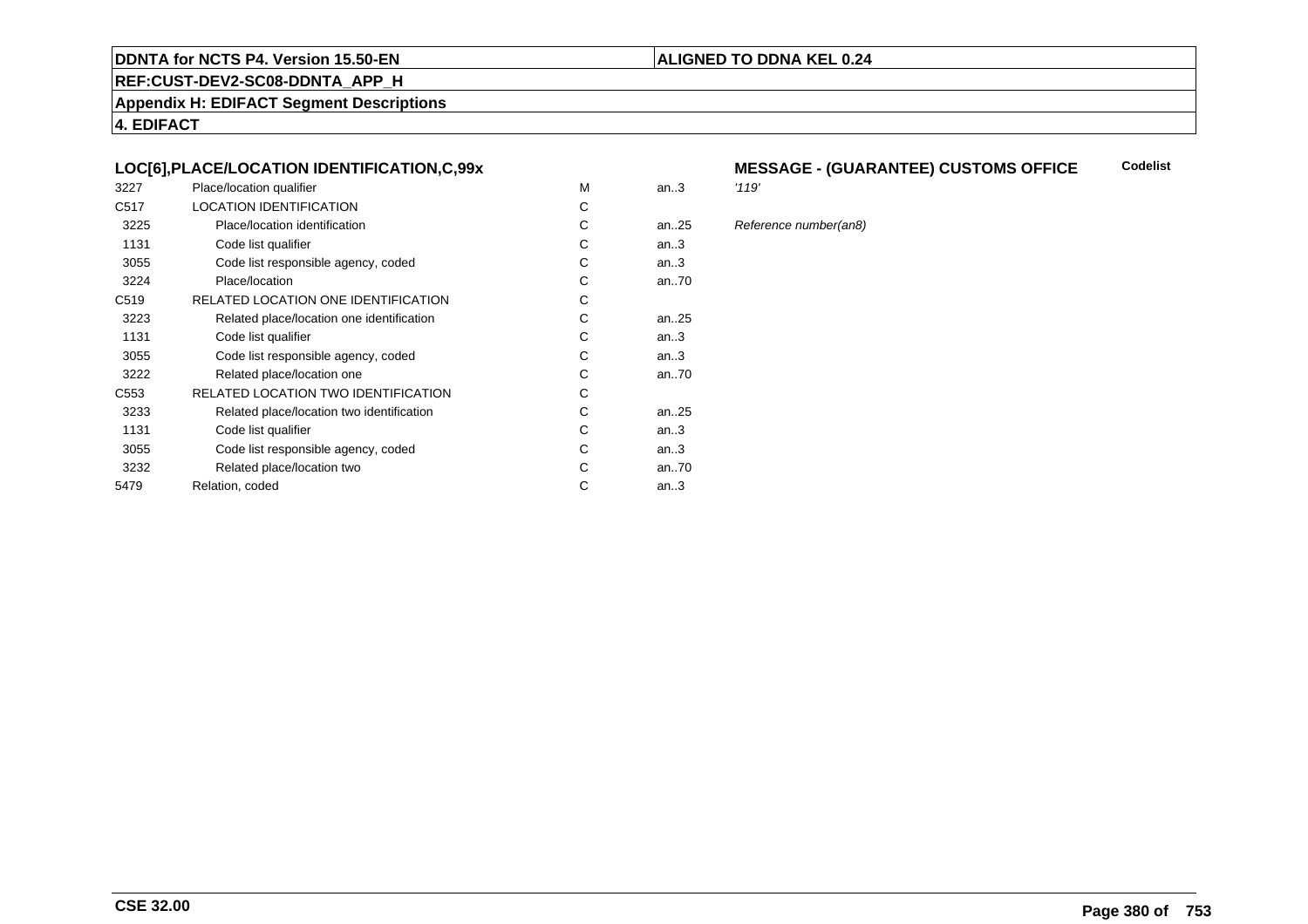## **REF:CUST-DEV2-SC08-DDNTA\_APP\_H**

**Appendix H: EDIFACT Segment Descriptions**

**4. EDIFACT**

## **LOC[6],PLACE/LOCATION IDENTIFICATION,C,99x**

| 3227             | Place/location qualifier                   | M | an.3 | '119' |
|------------------|--------------------------------------------|---|------|-------|
| C <sub>517</sub> | <b>LOCATION IDENTIFICATION</b>             | C |      |       |
| 3225             | Place/location identification              | C | an25 | Refe  |
| 1131             | Code list qualifier                        | С | an.3 |       |
| 3055             | Code list responsible agency, coded        | С | an.3 |       |
| 3224             | Place/location                             | C | an70 |       |
| C <sub>519</sub> | RELATED LOCATION ONE IDENTIFICATION        | С |      |       |
| 3223             | Related place/location one identification  | C | an25 |       |
| 1131             | Code list qualifier                        | C | an.3 |       |
| 3055             | Code list responsible agency, coded        | С | an.3 |       |
| 3222             | Related place/location one                 | C | an70 |       |
| C <sub>553</sub> | <b>RELATED LOCATION TWO IDENTIFICATION</b> | C |      |       |
| 3233             | Related place/location two identification  | С | an25 |       |
| 1131             | Code list qualifier                        | C | an.3 |       |
| 3055             | Code list responsible agency, coded        | C | an.3 |       |
| 3232             | Related place/location two                 | С | an70 |       |
| 5479             | Relation, coded                            | С | an.3 |       |
|                  |                                            |   |      |       |

#### **MESSAGE - (GUARANTEE) CUSTOMS OFFICE Codelist**

**ALIGNED TO DDNA KEL 0.24**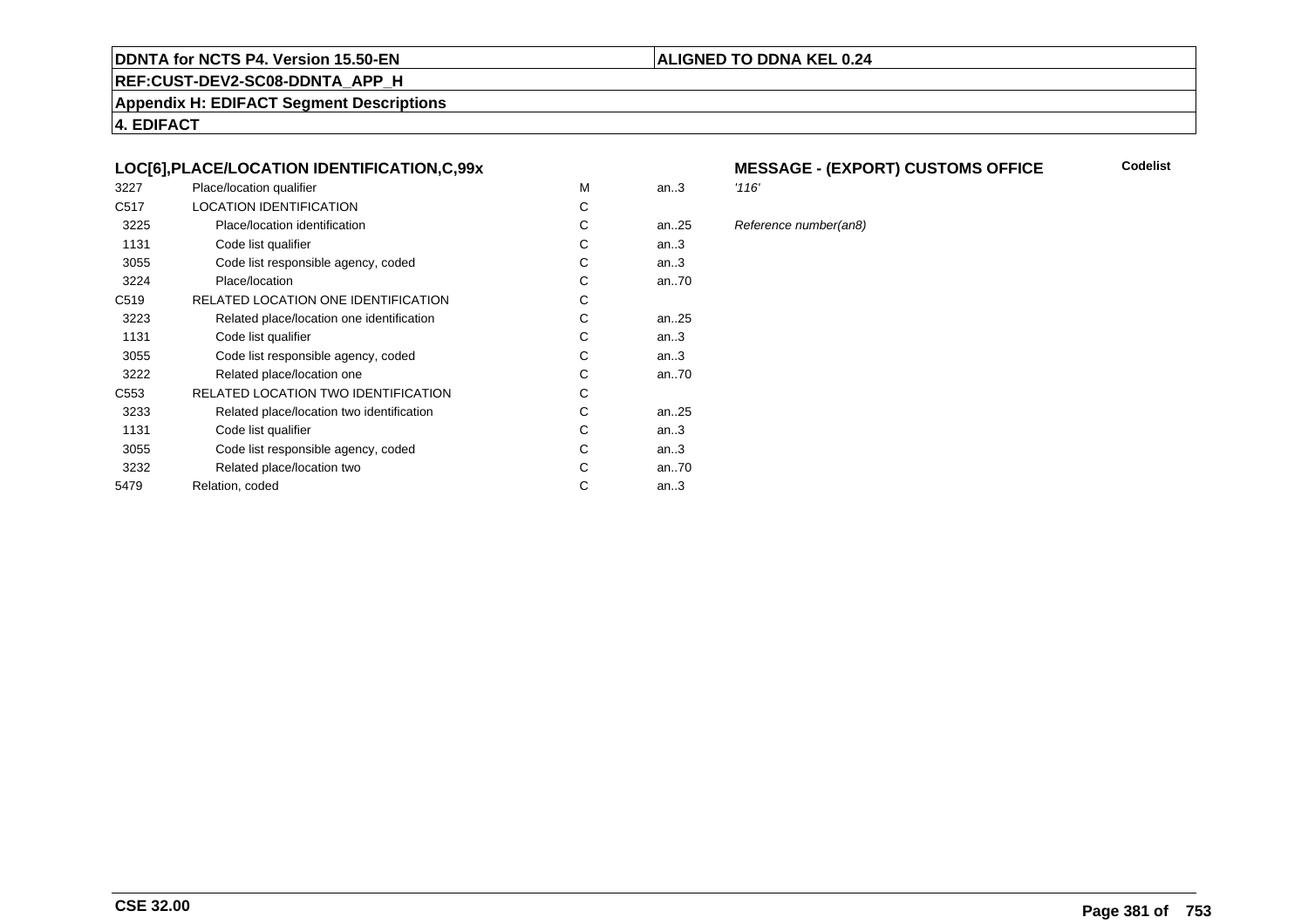## **REF:CUST-DEV2-SC08-DDNTA\_APP\_H**

**Appendix H: EDIFACT Segment Descriptions**

**4. EDIFACT**

## **LOC[6],PLACE/LOCATION IDENTIFICATION,C,99x**

| 3227             | Place/location qualifier                   | M | an.3      | '116' |
|------------------|--------------------------------------------|---|-----------|-------|
| C <sub>517</sub> | <b>LOCATION IDENTIFICATION</b>             | C |           |       |
| 3225             | Place/location identification              | C | an. $.25$ | Refe  |
| 1131             | Code list qualifier                        | С | an.3      |       |
| 3055             | Code list responsible agency, coded        | С | an.3      |       |
| 3224             | Place/location                             | C | an70      |       |
| C <sub>519</sub> | RELATED LOCATION ONE IDENTIFICATION        | С |           |       |
| 3223             | Related place/location one identification  | C | an25      |       |
| 1131             | Code list qualifier                        | C | an.3      |       |
| 3055             | Code list responsible agency, coded        | С | an.3      |       |
| 3222             | Related place/location one                 | C | an70      |       |
| C <sub>553</sub> | <b>RELATED LOCATION TWO IDENTIFICATION</b> | C |           |       |
| 3233             | Related place/location two identification  | С | an25      |       |
| 1131             | Code list qualifier                        | C | an.3      |       |
| 3055             | Code list responsible agency, coded        | C | an.3      |       |
| 3232             | Related place/location two                 | С | an70      |       |
| 5479             | Relation, coded                            | С | an.3      |       |
|                  |                                            |   |           |       |

# **MESSAGE - (EXPORT) CUSTOMS OFFICE**

#### 25 Reference number(an8)

**Codelist**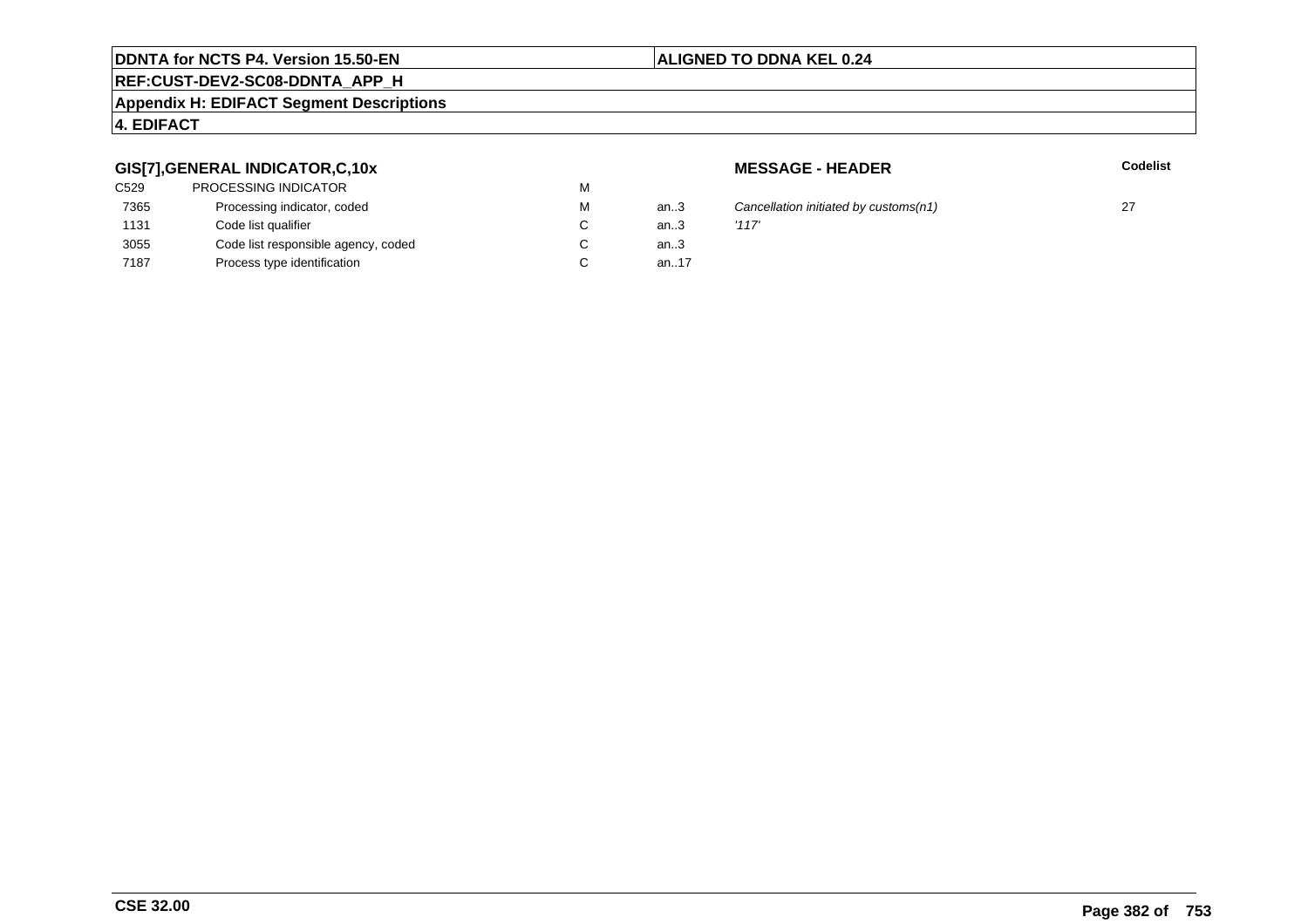## **REF:CUST-DEV2-SC08-DDNTA\_APP\_H**

#### **Appendix H: EDIFACT Segment Descriptions**

## **4. EDIFACT**

## **GIS[7],GENERAL INDICATOR,C,10x**

| C529 | <b>PROCESSING INDICATOR</b>         | M |      |       |
|------|-------------------------------------|---|------|-------|
| 7365 | Processing indicator, coded         | M | an.3 | Cand  |
| 1131 | Code list qualifier                 | C | an.3 | '117' |
| 3055 | Code list responsible agency, coded | C | an.3 |       |
| 7187 | Process type identification         |   | an17 |       |
|      |                                     |   |      |       |

**MESSAGE - HEADER**

**R** Codelist

3 Cancellation initiated by customs(n1) 27  $\frac{1}{3}$  27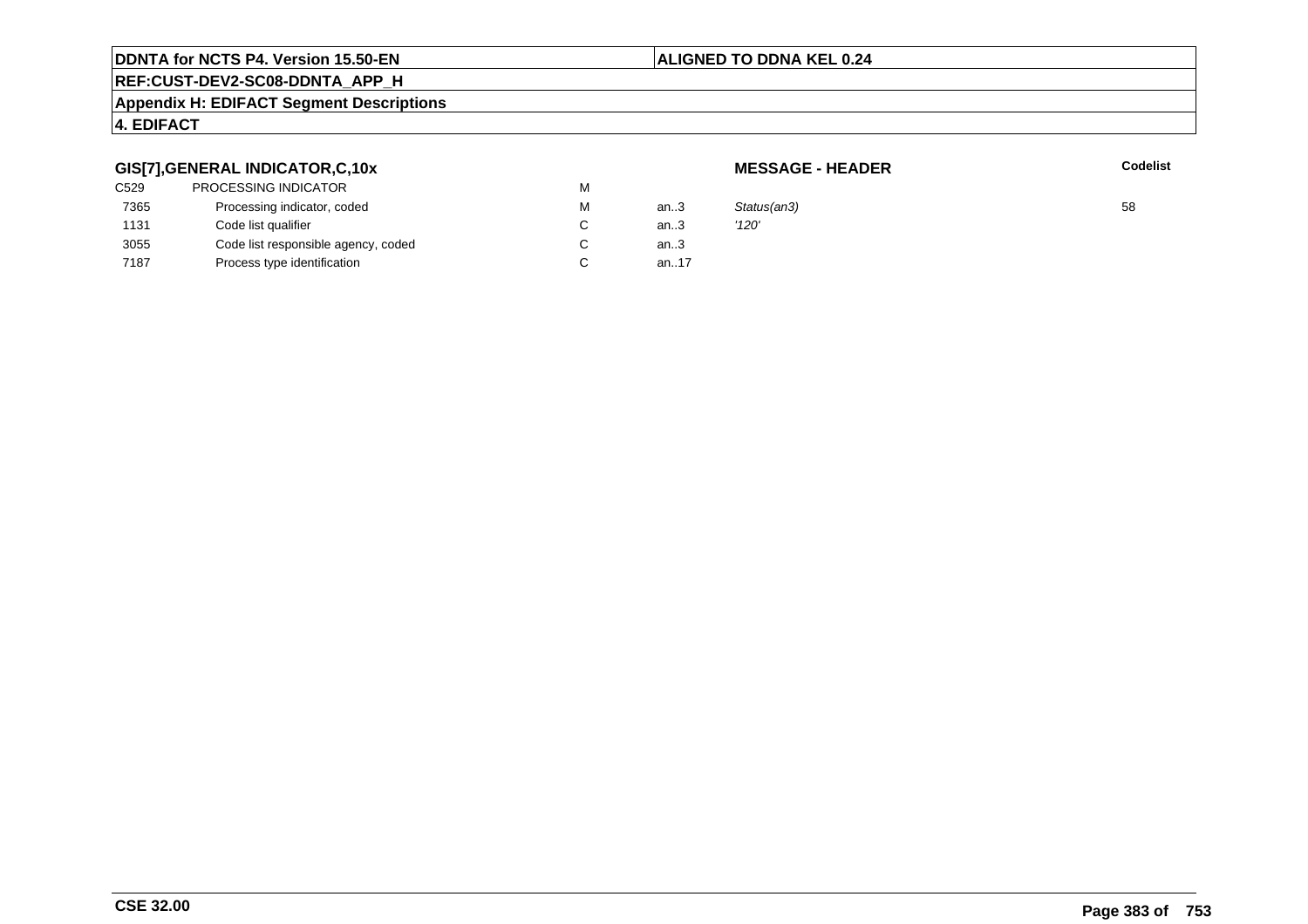## **ALIGNED TO DDNA KEL 0.24**

## **REF:CUST-DEV2-SC08-DDNTA\_APP\_H**

#### **Appendix H: EDIFACT Segment Descriptions**

## **4. EDIFACT**

## **GIS[7],GENERAL INDICATOR,C,10x**

| C529 | PROCESSING INDICATOR                | М      |         |             |    |
|------|-------------------------------------|--------|---------|-------------|----|
| 7365 | Processing indicator, coded         | М      | an $.3$ | Status(an3) | 58 |
| 1131 | Code list qualifier                 | $\sim$ | an.3    | '120'       |    |
| 3055 | Code list responsible agency, coded | $\sim$ | an $.3$ |             |    |
| 7187 | Process type identification         | $\sim$ | an.17   |             |    |
|      |                                     |        |         |             |    |

**MESSAGE - HEADER**

**R** Codelist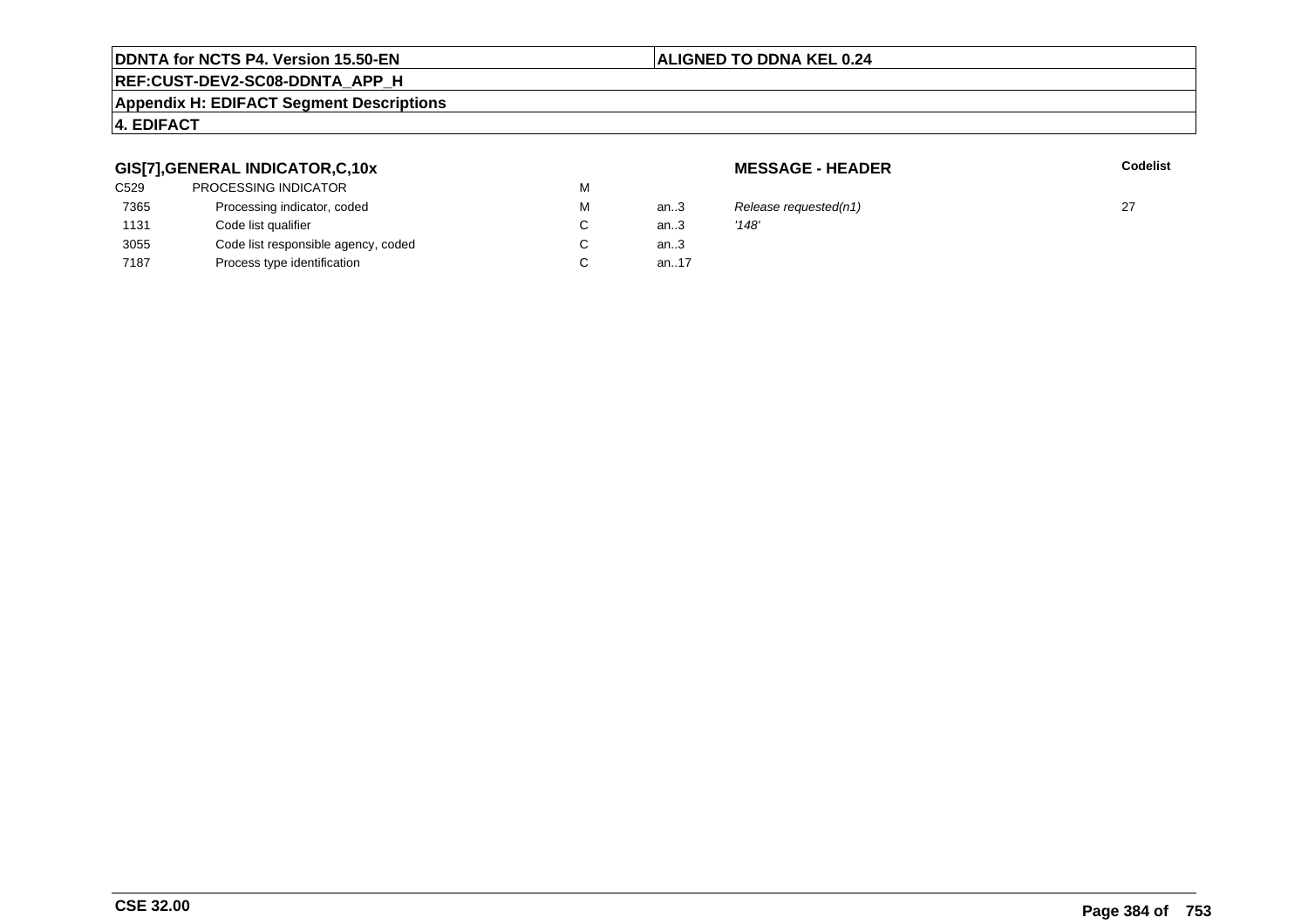## **ALIGNED TO DDNA KEL 0.24**

## **REF:CUST-DEV2-SC08-DDNTA\_APP\_H**

#### **Appendix H: EDIFACT Segment Descriptions**

## **4. EDIFACT**

## **GIS[7],GENERAL INDICATOR,C,10x**

| <b>PROCESSING INDICATOR</b>         | M |      |       |
|-------------------------------------|---|------|-------|
| Processing indicator, coded         | M | an3  | Rele  |
| Code list qualifier                 | C | an.3 | '148' |
| Code list responsible agency, coded | С | an.3 |       |
| Process type identification         | C | an17 |       |
|                                     |   |      |       |

**MESSAGE - HEADER**

**R** Codelist

3 Release requested(n1)  $27$ <br>3  $'148'$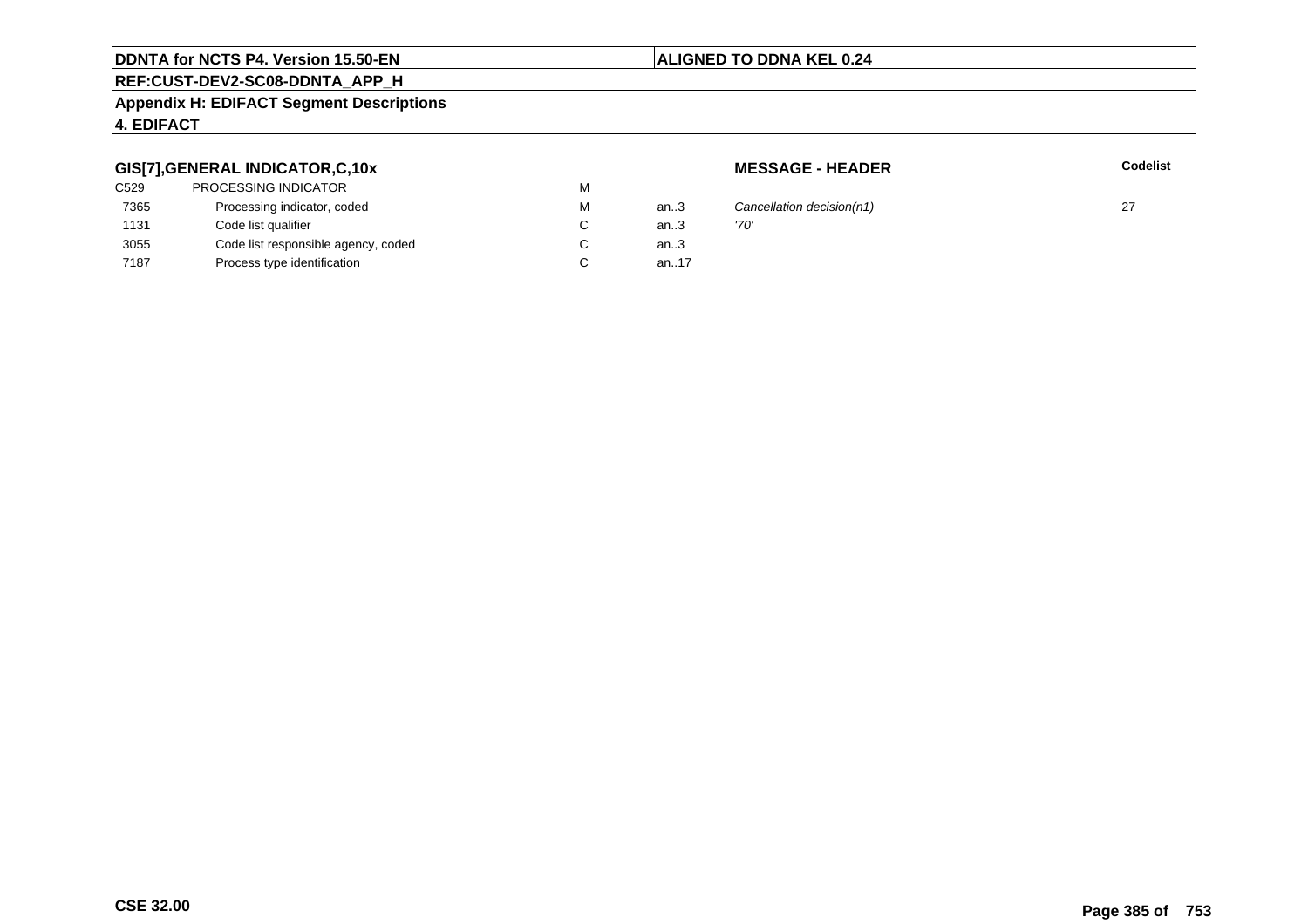## **ALIGNED TO DDNA KEL 0.24**

## **REF:CUST-DEV2-SC08-DDNTA\_APP\_H**

#### **Appendix H: EDIFACT Segment Descriptions**

## **4. EDIFACT**

## **GIS[7],GENERAL INDICATOR,C,10x**

| <b>PROCESSING INDICATOR</b>         | м |      |      |
|-------------------------------------|---|------|------|
| Processing indicator, coded         | м | an3  | Caı  |
| Code list qualifier                 |   | an.3 | '70' |
| Code list responsible agency, coded |   | an.3 |      |
| Process type identification         |   | an17 |      |
|                                     |   |      |      |

**MESSAGE - HEADER**

**R** Codelist

Cancellation decision(n1) 27  $\frac{1}{27}$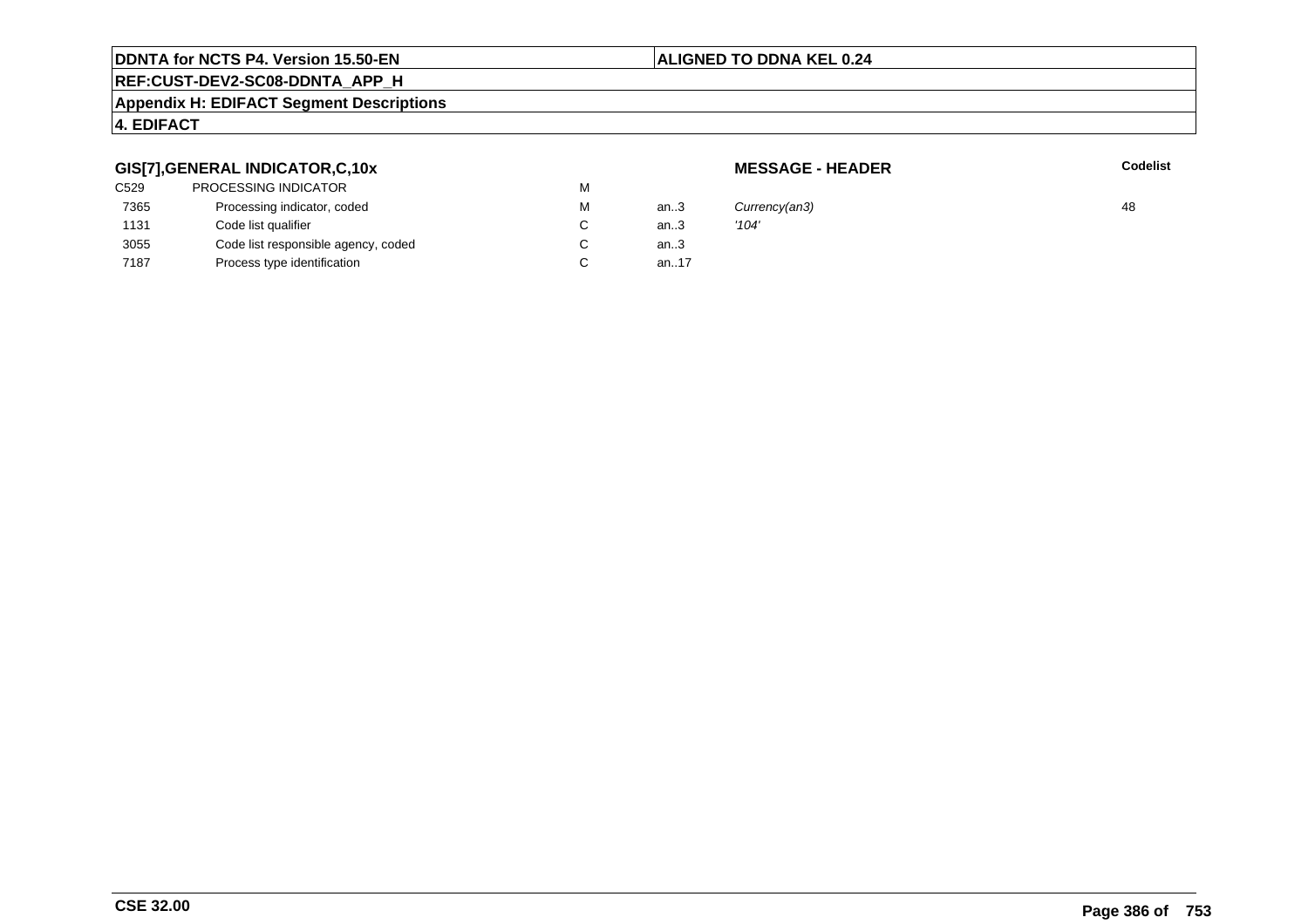## **ALIGNED TO DDNA KEL 0.24**

## **REF:CUST-DEV2-SC08-DDNTA\_APP\_H**

#### **Appendix H: EDIFACT Segment Descriptions**

## **4. EDIFACT**

## **GIS[7],GENERAL INDICATOR,C,10x**

| C529 | PROCESSING INDICATOR                | М |      |       |
|------|-------------------------------------|---|------|-------|
| 7365 | Processing indicator, coded         | М | an.3 | Curn  |
| 1131 | Code list qualifier                 | C | an.3 | '104' |
| 3055 | Code list responsible agency, coded | С | an.3 |       |
| 7187 | Process type identification         |   | an17 |       |
|      |                                     |   |      |       |

**MESSAGE - HEADER**

**R** Codelist

M an..3 Currency(an3) 48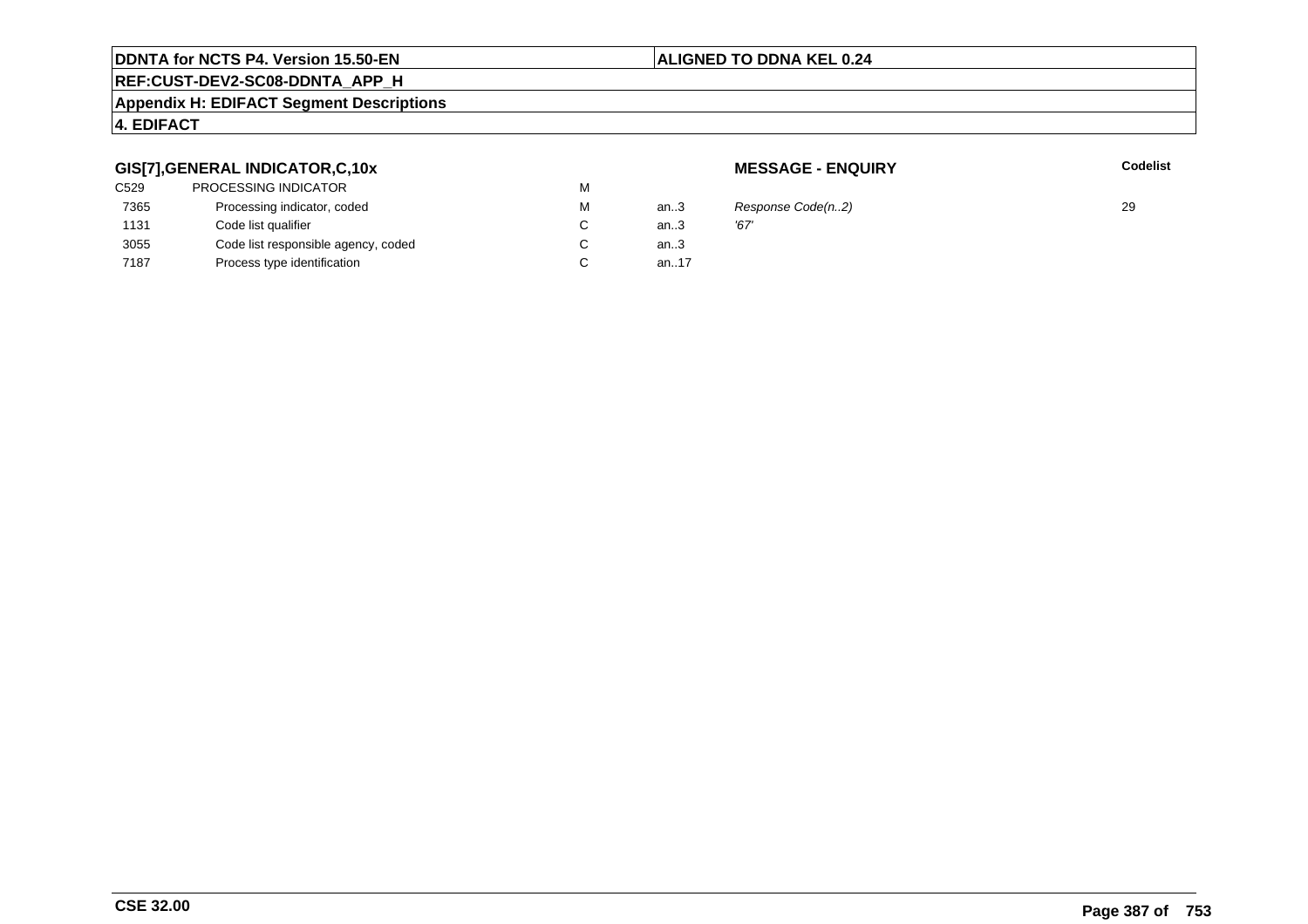### **ALIGNED TO DDNA KEL 0.24**

## **REF:CUST-DEV2-SC08-DDNTA\_APP\_H**

#### **Appendix H: EDIFACT Segment Descriptions**

## **4. EDIFACT**

## **GIS[7],GENERAL INDICATOR,C,10x**

| C529 | <b>PROCESSING INDICATOR</b>         | м |      |      |
|------|-------------------------------------|---|------|------|
| 7365 | Processing indicator, coded         | м | an.3 | Res  |
| 1131 | Code list qualifier                 |   | an.3 | '67' |
| 3055 | Code list responsible agency, coded |   | an.3 |      |
| 7187 | Process type identification         |   | an17 |      |
|      |                                     |   |      |      |

**MESSAGE - ENQUIRY**

**Latter School** School Codelist

 $R$ esponse Code(n..2) 29<br>'67'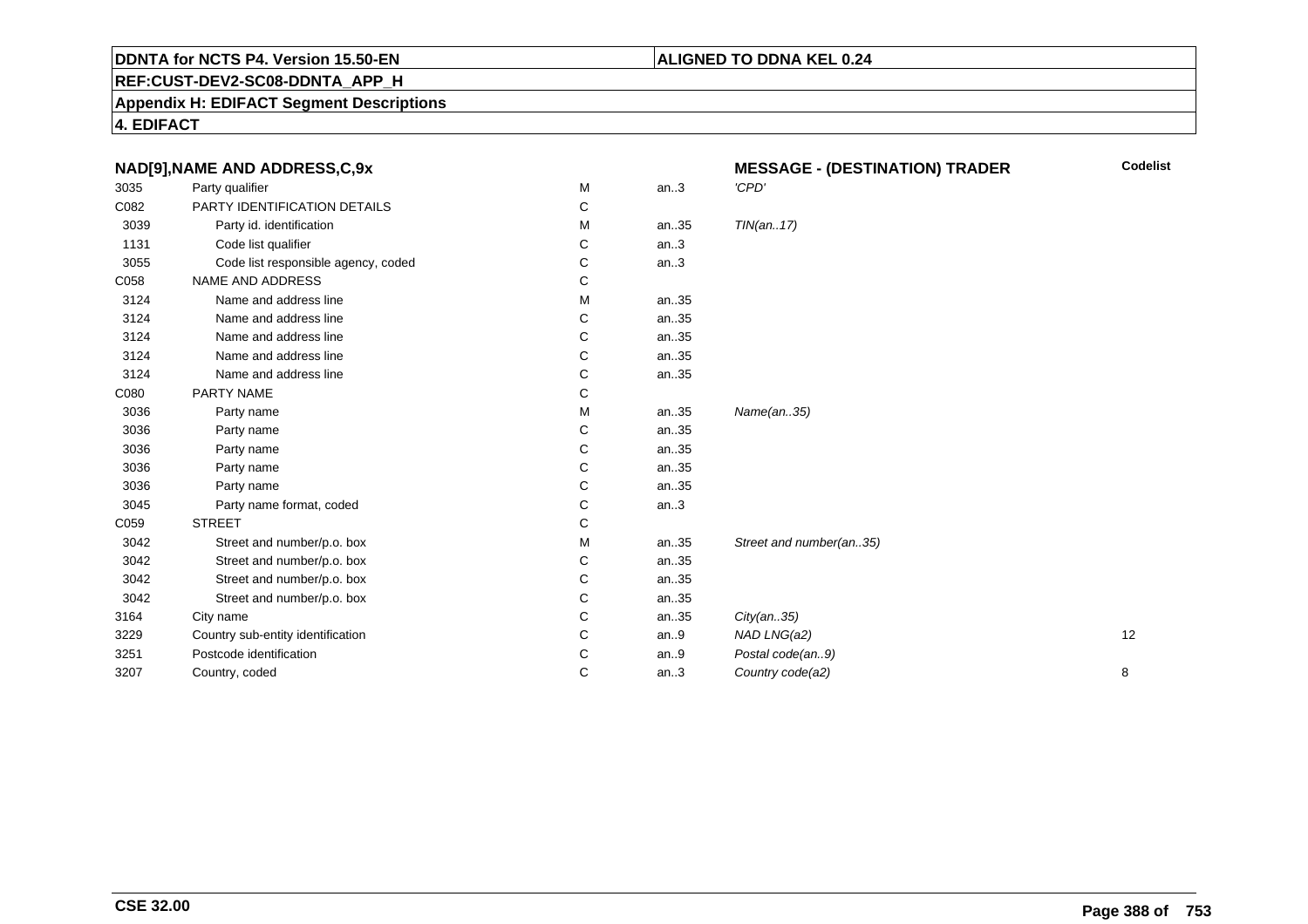## **REF:CUST-DEV2-SC08-DDNTA\_APP\_H**

**Appendix H: EDIFACT Segment Descriptions**

**4. EDIFACT**

|      | NAD[9], NAME AND ADDRESS, C, 9x     |   |      | <b>MESSAGE - (DESTINATION) TRADER</b> | <b>Codelist</b> |
|------|-------------------------------------|---|------|---------------------------------------|-----------------|
| 3035 | Party qualifier                     | М | an.3 | 'CPD'                                 |                 |
| C082 | PARTY IDENTIFICATION DETAILS        | C |      |                                       |                 |
| 3039 | Party id. identification            | м | an35 | TIN(an17)                             |                 |
| 1131 | Code list qualifier                 | C | an.3 |                                       |                 |
| 3055 | Code list responsible agency, coded | C | an.3 |                                       |                 |
| C058 | NAME AND ADDRESS                    | С |      |                                       |                 |
| 3124 | Name and address line               | м | an35 |                                       |                 |
| 3124 | Name and address line               | С | an35 |                                       |                 |
| 3124 | Name and address line               | C | an35 |                                       |                 |
| 3124 | Name and address line               | C | an35 |                                       |                 |
| 3124 | Name and address line               | С | an35 |                                       |                 |
| C080 | PARTY NAME                          | C |      |                                       |                 |
| 3036 | Party name                          | м | an35 | Name(an35)                            |                 |
| 3036 | Party name                          | С | an35 |                                       |                 |
| 3036 | Party name                          | C | an35 |                                       |                 |
| 3036 | Party name                          | C | an35 |                                       |                 |
| 3036 | Party name                          | С | an35 |                                       |                 |
| 3045 | Party name format, coded            | С | an.3 |                                       |                 |
| C059 | <b>STREET</b>                       | С |      |                                       |                 |
| 3042 | Street and number/p.o. box          | м | an35 | Street and number(an35)               |                 |
| 3042 | Street and number/p.o. box          | С | an35 |                                       |                 |
| 3042 | Street and number/p.o. box          | С | an35 |                                       |                 |
| 3042 | Street and number/p.o. box          | С | an35 |                                       |                 |
| 3164 | City name                           | C | an35 | City(an35)                            |                 |
| 3229 | Country sub-entity identification   | C | an.9 | NAD LNG(a2)                           | 12              |
| 3251 | Postcode identification             | C | an.9 | Postal code(an9)                      |                 |
| 3207 | Country, coded                      | C | an.3 | Country code(a2)                      | 8               |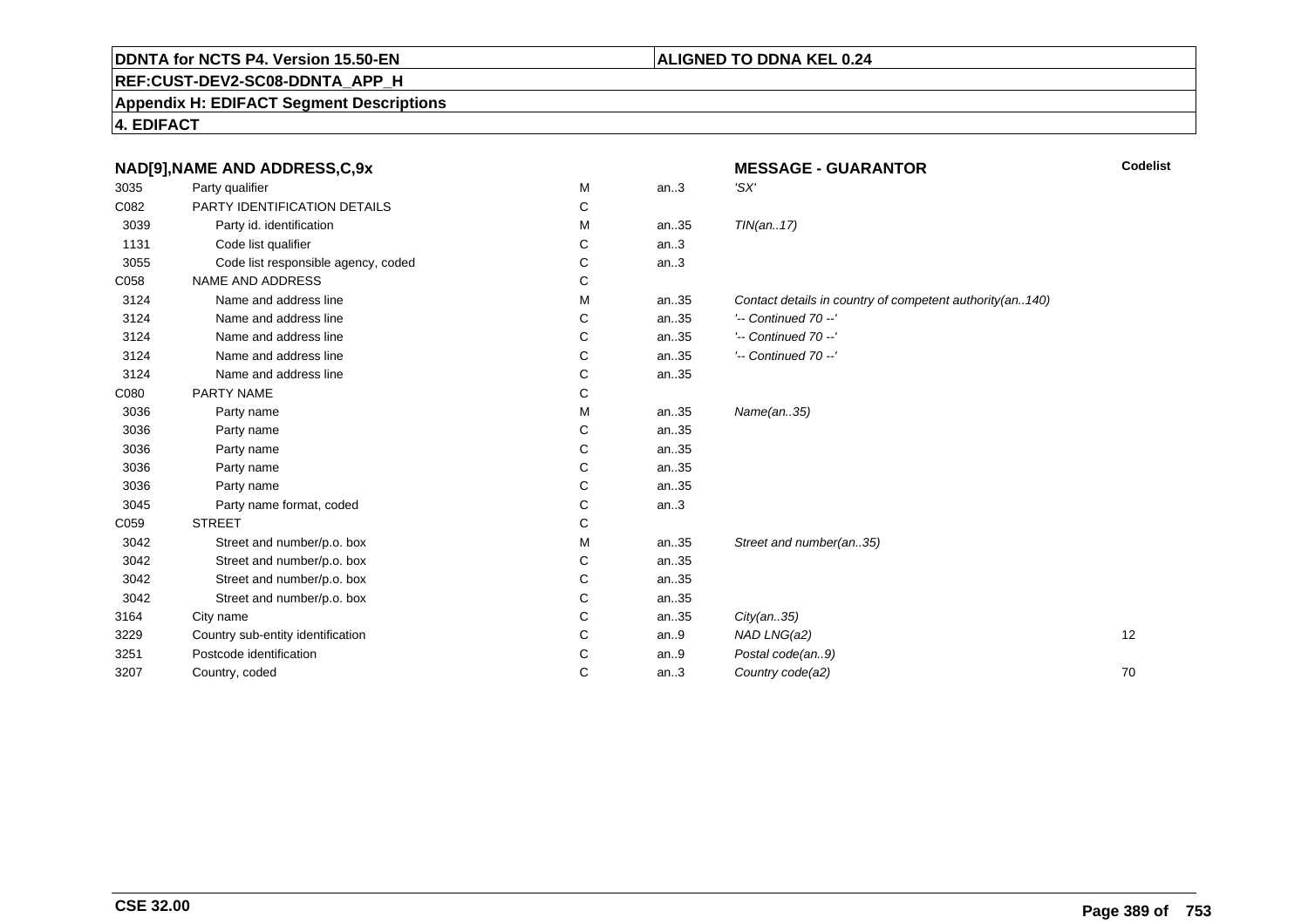## **REF:CUST-DEV2-SC08-DDNTA\_APP\_H**

#### **Appendix H: EDIFACT Segment Descriptions**

**4. EDIFACT**

|      | NAD[9], NAME AND ADDRESS, C, 9x     |   |      | <b>MESSAGE - GUARANTOR</b>                               | Codelist |
|------|-------------------------------------|---|------|----------------------------------------------------------|----------|
| 3035 | Party qualifier                     | M | an.3 | 'SX'                                                     |          |
| C082 | PARTY IDENTIFICATION DETAILS        | C |      |                                                          |          |
| 3039 | Party id. identification            | M | an35 | TIN(an17)                                                |          |
| 1131 | Code list qualifier                 | С | an.3 |                                                          |          |
| 3055 | Code list responsible agency, coded | С | an.3 |                                                          |          |
| C058 | NAME AND ADDRESS                    | C |      |                                                          |          |
| 3124 | Name and address line               | M | an35 | Contact details in country of competent authority(an140) |          |
| 3124 | Name and address line               | С | an35 | $'-$ Continued 70 $-$ '                                  |          |
| 3124 | Name and address line               | C | an35 | $'-$ Continued 70 $-$ '                                  |          |
| 3124 | Name and address line               | C | an35 | $'-$ Continued 70 $-$ '                                  |          |
| 3124 | Name and address line               | С | an35 |                                                          |          |
| C080 | PARTY NAME                          | C |      |                                                          |          |
| 3036 | Party name                          | M | an35 | Name(an35)                                               |          |
| 3036 | Party name                          | C | an35 |                                                          |          |
| 3036 | Party name                          | C | an35 |                                                          |          |
| 3036 | Party name                          | С | an35 |                                                          |          |
| 3036 | Party name                          | C | an35 |                                                          |          |
| 3045 | Party name format, coded            | C | an.3 |                                                          |          |
| C059 | <b>STREET</b>                       | С |      |                                                          |          |
| 3042 | Street and number/p.o. box          | M | an35 | Street and number(an35)                                  |          |
| 3042 | Street and number/p.o. box          | C | an35 |                                                          |          |
| 3042 | Street and number/p.o. box          | С | an35 |                                                          |          |
| 3042 | Street and number/p.o. box          | C | an35 |                                                          |          |
| 3164 | City name                           | C | an35 | City(an35)                                               |          |
| 3229 | Country sub-entity identification   | C | an.9 | NAD LNG(a2)                                              | 12       |
| 3251 | Postcode identification             | C | an.9 | Postal code(an9)                                         |          |
| 3207 | Country, coded                      | C | an.3 | Country code(a2)                                         | 70       |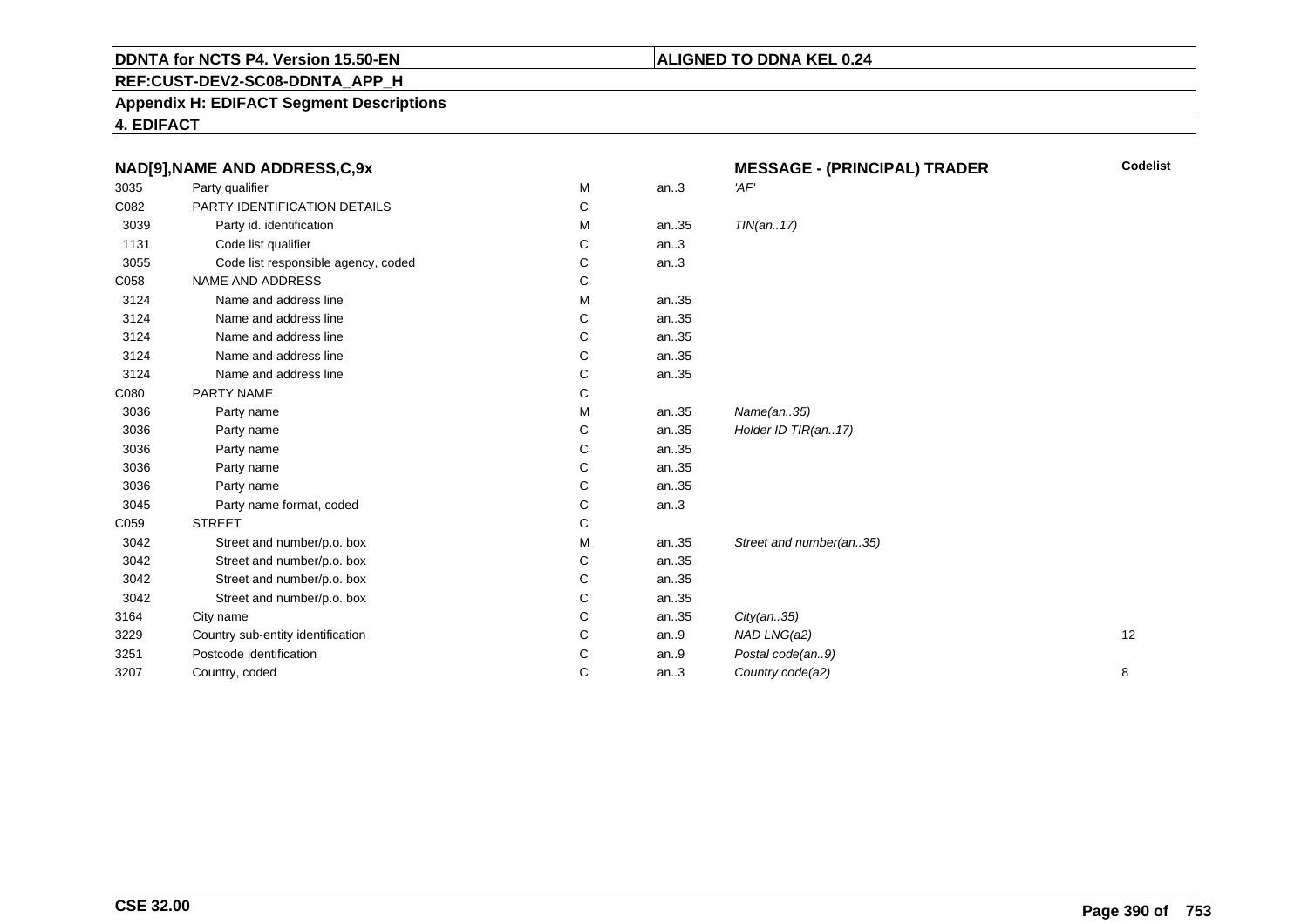## **REF:CUST-DEV2-SC08-DDNTA\_APP\_H**

**Appendix H: EDIFACT Segment Descriptions**

**4. EDIFACT**

|      | NAD[9], NAME AND ADDRESS, C, 9x     |   |         | <b>Codelist</b><br><b>MESSAGE - (PRINCIPAL) TRADER</b> |    |
|------|-------------------------------------|---|---------|--------------------------------------------------------|----|
| 3035 | Party qualifier                     | м | an.3    | 'AF'                                                   |    |
| C082 | PARTY IDENTIFICATION DETAILS        | С |         |                                                        |    |
| 3039 | Party id. identification            | М | an35    | TIN(an17)                                              |    |
| 1131 | Code list qualifier                 | С | an.3    |                                                        |    |
| 3055 | Code list responsible agency, coded | С | an.3    |                                                        |    |
| C058 | <b>NAME AND ADDRESS</b>             | С |         |                                                        |    |
| 3124 | Name and address line               | М | an35    |                                                        |    |
| 3124 | Name and address line               | С | an35    |                                                        |    |
| 3124 | Name and address line               | С | an35    |                                                        |    |
| 3124 | Name and address line               | C | an35    |                                                        |    |
| 3124 | Name and address line               | C | an35    |                                                        |    |
| C080 | PARTY NAME                          | C |         |                                                        |    |
| 3036 | Party name                          | M | an35    | Name(an35)                                             |    |
| 3036 | Party name                          | С | an35    | Holder ID TIR(an17)                                    |    |
| 3036 | Party name                          | C | an35    |                                                        |    |
| 3036 | Party name                          | C | an35    |                                                        |    |
| 3036 | Party name                          | С | an35    |                                                        |    |
| 3045 | Party name format, coded            | C | an.3    |                                                        |    |
| C059 | <b>STREET</b>                       | C |         |                                                        |    |
| 3042 | Street and number/p.o. box          | М | an35    | Street and number(an35)                                |    |
| 3042 | Street and number/p.o. box          | С | an35    |                                                        |    |
| 3042 | Street and number/p.o. box          | C | an35    |                                                        |    |
| 3042 | Street and number/p.o. box          | С | an35    |                                                        |    |
| 3164 | City name                           | C | an35    | City(an35)                                             |    |
| 3229 | Country sub-entity identification   | C | an.9    | NAD LNG(a2)                                            | 12 |
| 3251 | Postcode identification             | C | an. $9$ | Postal code(an9)                                       |    |
| 3207 | Country, coded                      | C | an.3    | Country code(a2)                                       | 8  |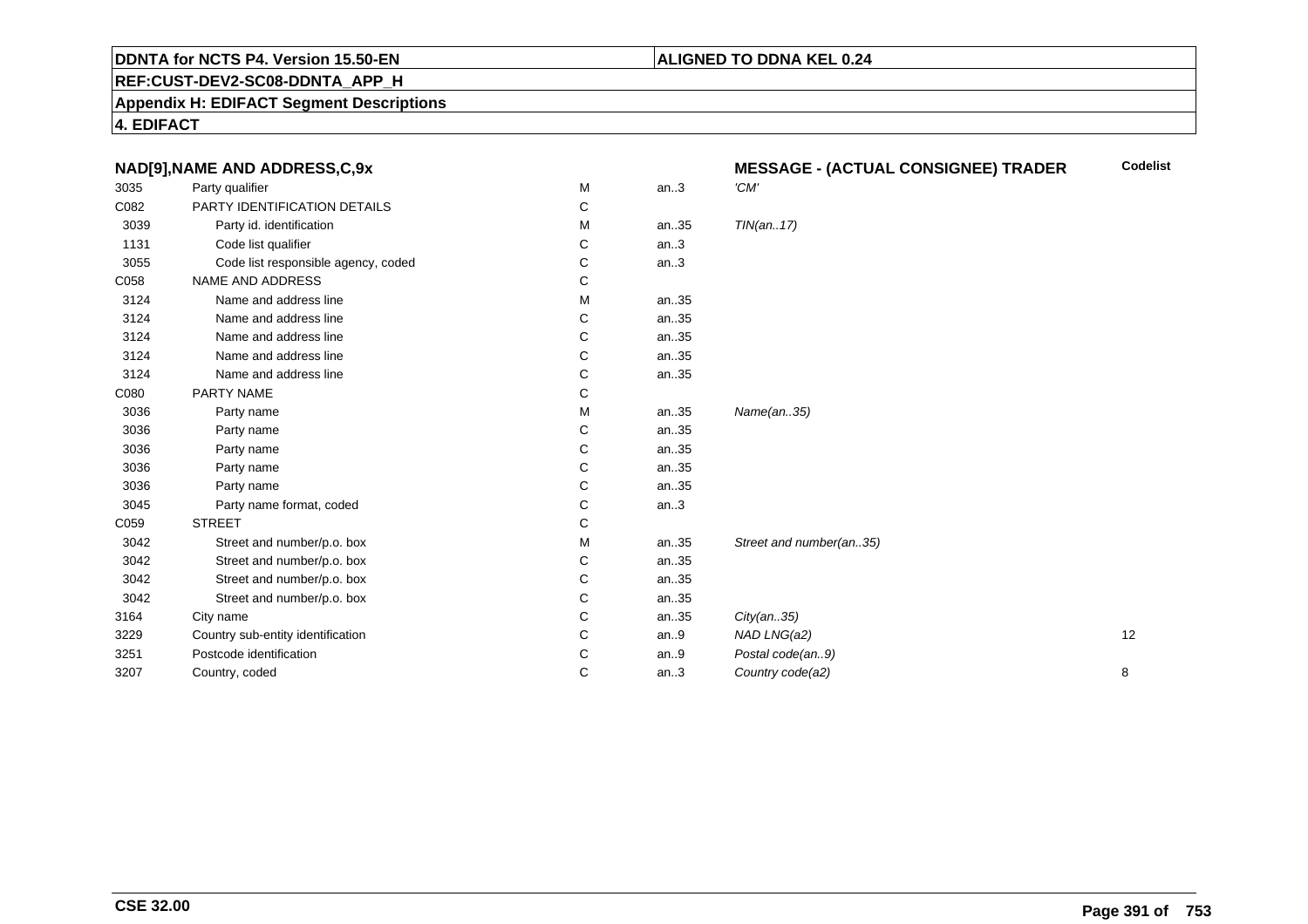## **REF:CUST-DEV2-SC08-DDNTA\_APP\_H**

#### **Appendix H: EDIFACT Segment Descriptions**

**4. EDIFACT**

|      | NAD[9], NAME AND ADDRESS, C, 9x     |   |      | <b>MESSAGE - (ACTUAL CONSIGNEE) TRADER</b> | <b>Codelist</b> |
|------|-------------------------------------|---|------|--------------------------------------------|-----------------|
| 3035 | Party qualifier                     | М | an.3 | 'CM'                                       |                 |
| C082 | PARTY IDENTIFICATION DETAILS        | С |      |                                            |                 |
| 3039 | Party id. identification            | M | an35 | TIN(an17)                                  |                 |
| 1131 | Code list qualifier                 | С | an.3 |                                            |                 |
| 3055 | Code list responsible agency, coded | С | an.3 |                                            |                 |
| C058 | NAME AND ADDRESS                    | С |      |                                            |                 |
| 3124 | Name and address line               | м | an35 |                                            |                 |
| 3124 | Name and address line               | С | an35 |                                            |                 |
| 3124 | Name and address line               | С | an35 |                                            |                 |
| 3124 | Name and address line               | C | an35 |                                            |                 |
| 3124 | Name and address line               | С | an35 |                                            |                 |
| C080 | PARTY NAME                          | С |      |                                            |                 |
| 3036 | Party name                          | М | an35 | Name(an35)                                 |                 |
| 3036 | Party name                          | С | an35 |                                            |                 |
| 3036 | Party name                          | С | an35 |                                            |                 |
| 3036 | Party name                          | C | an35 |                                            |                 |
| 3036 | Party name                          | С | an35 |                                            |                 |
| 3045 | Party name format, coded            | C | an.3 |                                            |                 |
| C059 | <b>STREET</b>                       | C |      |                                            |                 |
| 3042 | Street and number/p.o. box          | М | an35 | Street and number(an35)                    |                 |
| 3042 | Street and number/p.o. box          | С | an35 |                                            |                 |
| 3042 | Street and number/p.o. box          | С | an35 |                                            |                 |
| 3042 | Street and number/p.o. box          | С | an35 |                                            |                 |
| 3164 | City name                           | C | an35 | City(an35)                                 |                 |
| 3229 | Country sub-entity identification   | С | an.9 | NAD LNG(a2)                                | 12              |
| 3251 | Postcode identification             | C | an.9 | Postal code(an9)                           |                 |
| 3207 | Country, coded                      | С | an.3 | Country code(a2)                           | 8               |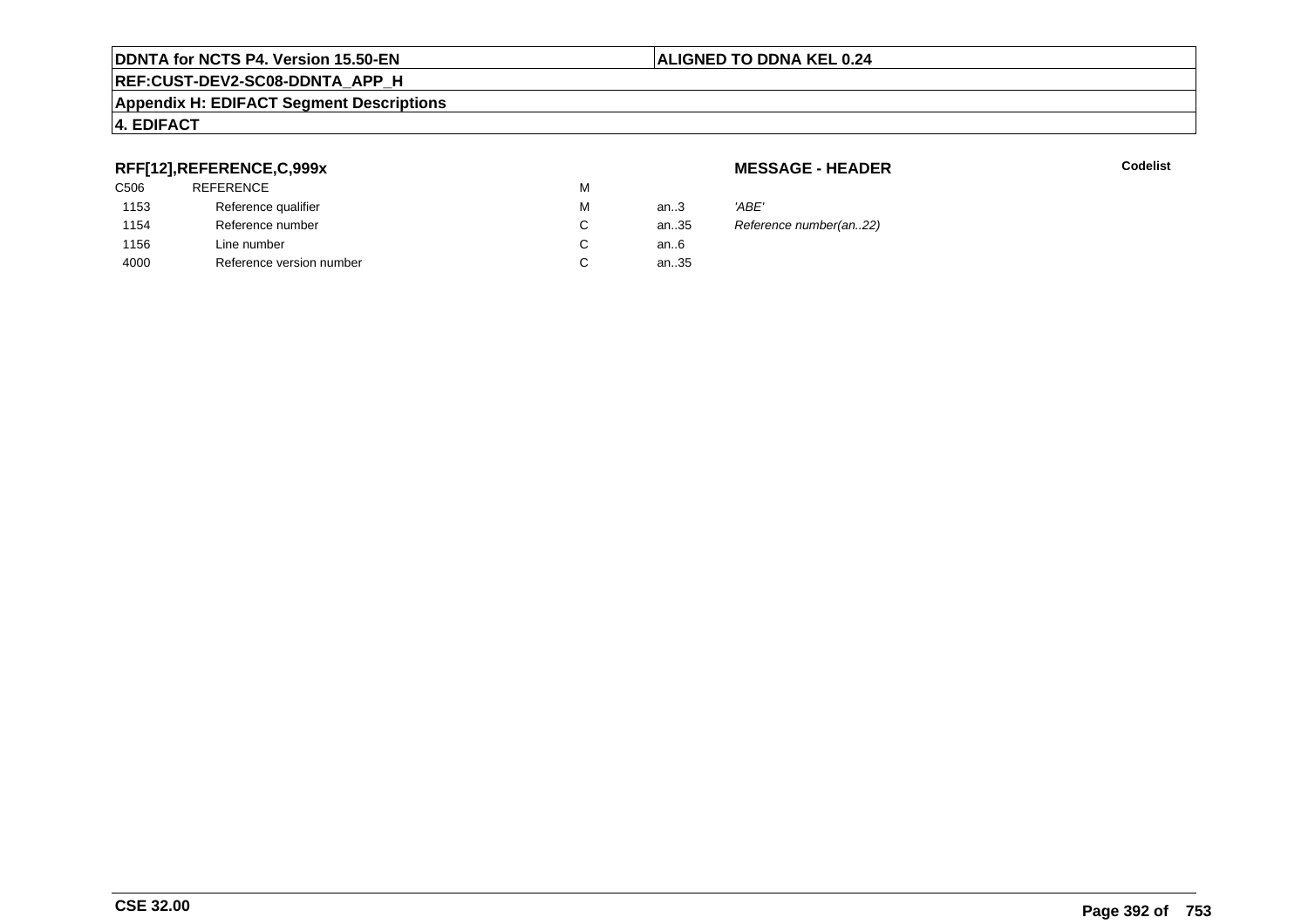#### **REF:CUST-DEV2-SC08-DDNTA\_APP\_H**

#### **Appendix H: EDIFACT Segment Descriptions**

## **4. EDIFACT**

## **RFF[12],REFERENCE,C,999x**

| 'ABE' |
|-------|
| Refer |
|       |
|       |
|       |

**MESSAGE - HEADER**

**R** Codelist

Reference number(an..22)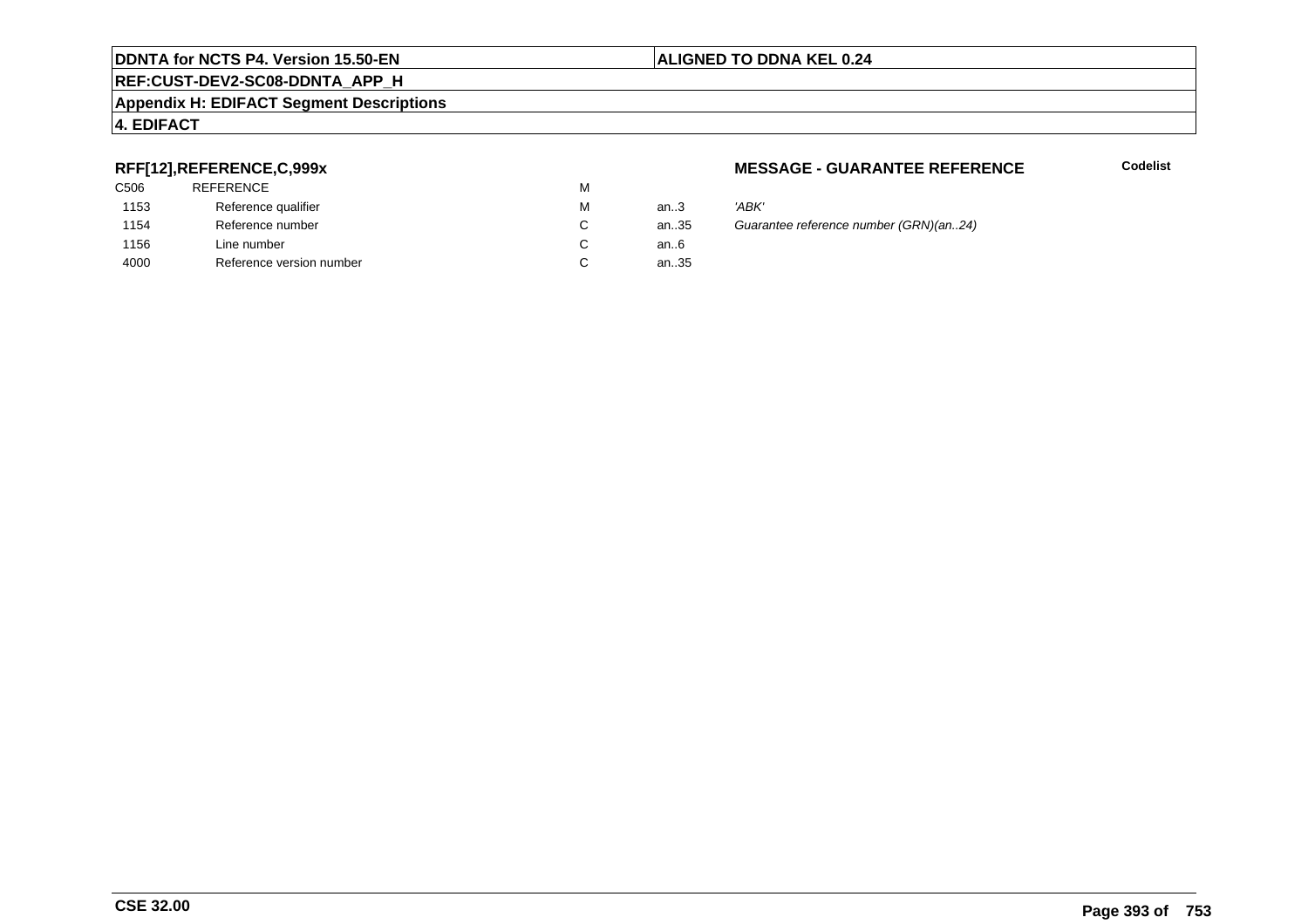#### **REF:CUST-DEV2-SC08-DDNTA\_APP\_H**

#### **Appendix H: EDIFACT Segment Descriptions**

## **4. EDIFACT**

## **RFF[12],REFERENCE,C,999x**

| C <sub>506</sub> | <b>REFERENCE</b>         | M |      |       |
|------------------|--------------------------|---|------|-------|
| 1153             | Reference qualifier      | М | an.3 | 'ABK' |
| 1154             | Reference number         | С | an35 | Guara |
| 1156             | Line number              | С | an6  |       |
| 4000             | Reference version number | С | an35 |       |

#### **MESSAGE - GUARANTEE REFERENCE**

**Codelist**

35 Guarantee reference number (GRN)(an..24)<br>6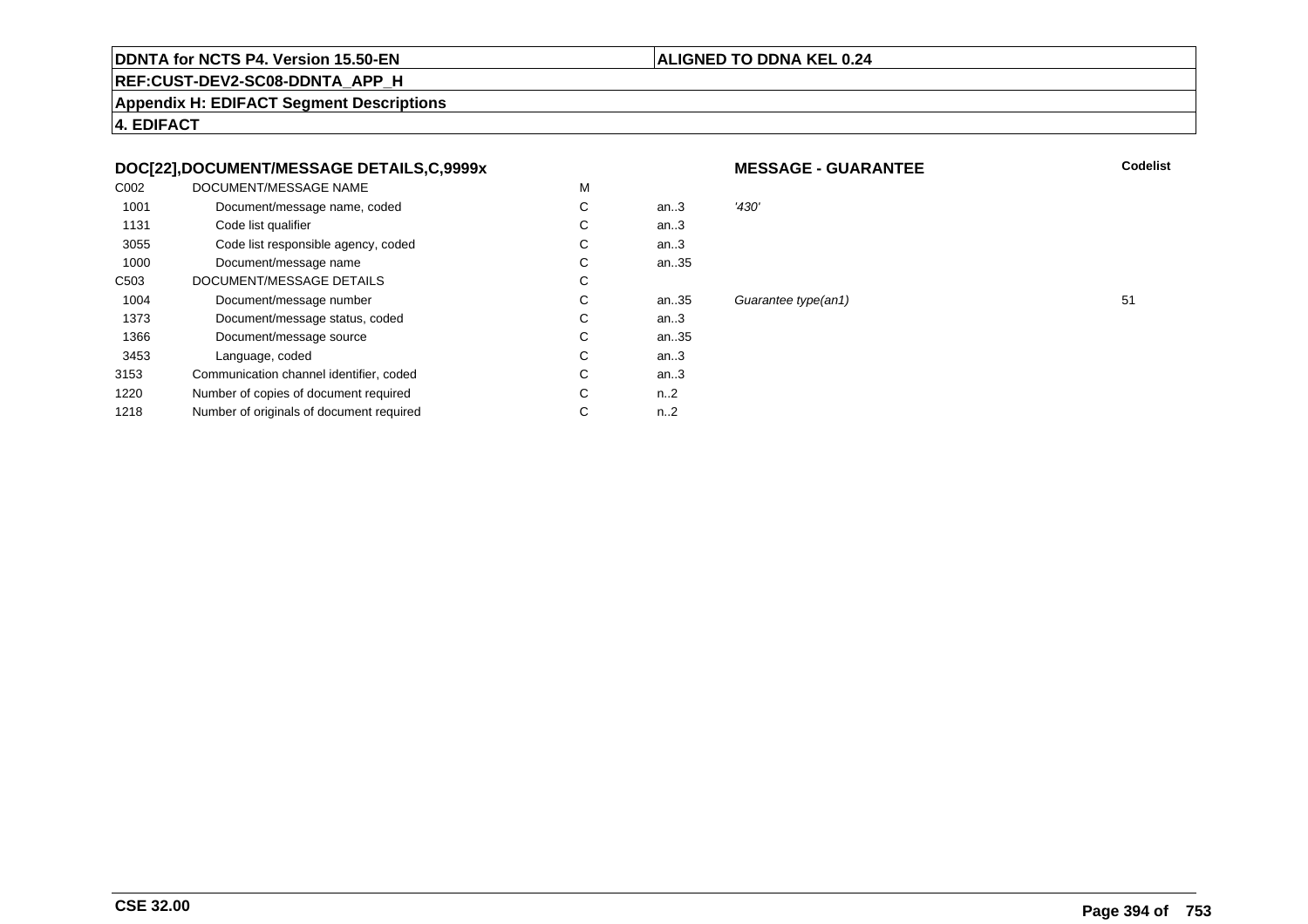#### **ALIGNED TO DDNA KEL 0.24**

**REF:CUST-DEV2-SC08-DDNTA\_APP\_H**

**Appendix H: EDIFACT Segment Descriptions**

**4. EDIFACT**

## **DOC[22],DOCUMENT/MESSAGE DETAILS,C,9999x**

| C <sub>0</sub> 02 | DOCUMENT/MESSAGE NAME                    | M |          |       |
|-------------------|------------------------------------------|---|----------|-------|
| 1001              | Document/message name, coded             | C | an $3$   | '430' |
| 1131              | Code list qualifier                      | C | an.3     |       |
| 3055              | Code list responsible agency, coded      | С | an.3     |       |
| 1000              | Document/message name                    | C | an35     |       |
| C <sub>503</sub>  | DOCUMENT/MESSAGE DETAILS                 | C |          |       |
| 1004              | Document/message number                  | C | an35     | Guai  |
| 1373              | Document/message status, coded           | С | an.3     |       |
| 1366              | Document/message source                  | C | an35     |       |
| 3453              | Language, coded                          | C | an.3     |       |
| 3153              | Communication channel identifier, coded  | С | an.3     |       |
| 1220              | Number of copies of document required    | C | $n_{-2}$ |       |
| 1218              | Number of originals of document required | С | $n_{-2}$ |       |
|                   |                                          |   |          |       |

#### **MESSAGE - GUARANTEE**

**Codelist**

Guarantee type(an1) 51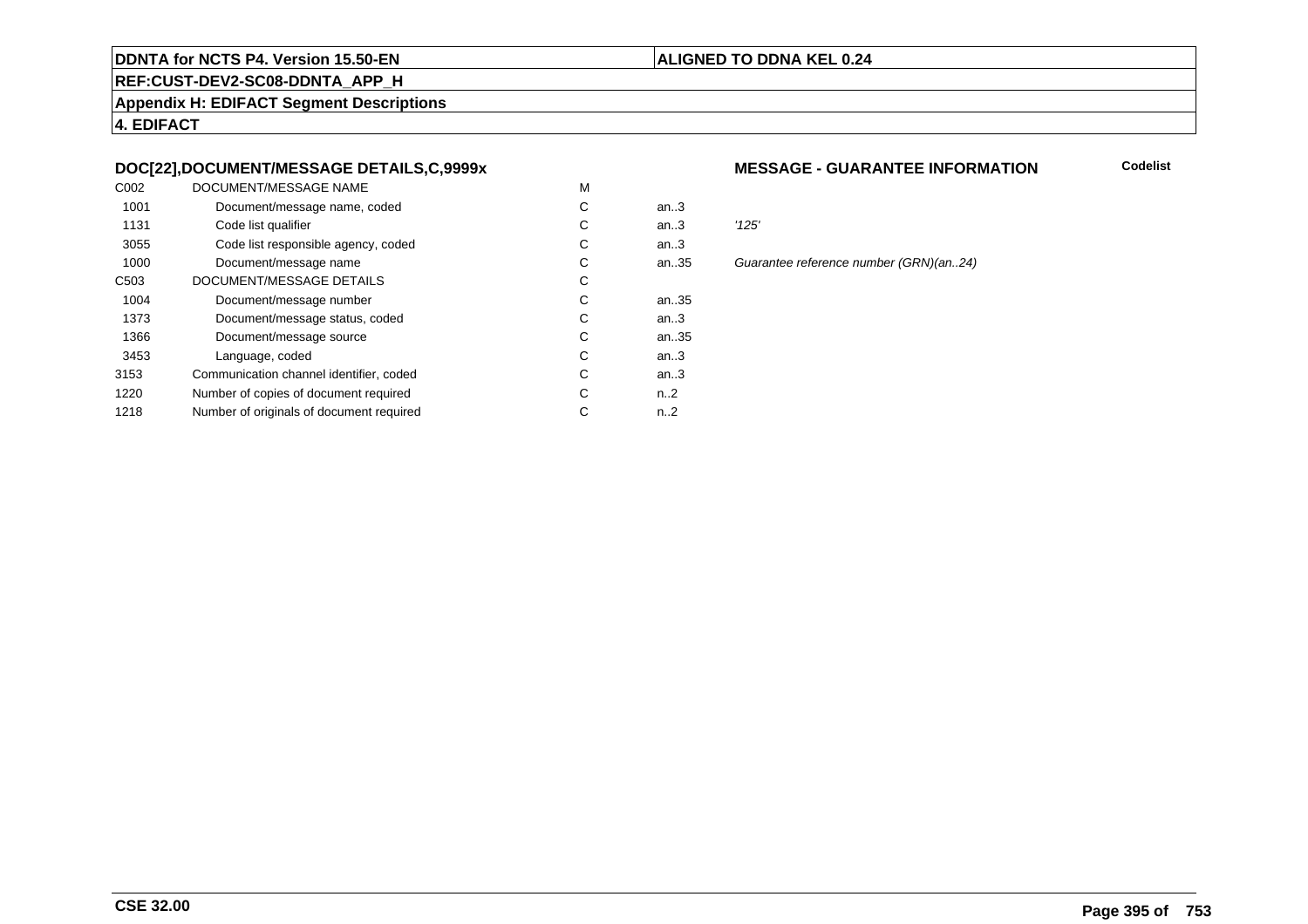#### **REF:CUST-DEV2-SC08-DDNTA\_APP\_H**

**Appendix H: EDIFACT Segment Descriptions**

**4. EDIFACT**

## **DOC[22],DOCUMENT/MESSAGE DETAILS,C,9999x**

| C <sub>0</sub> 02 | DOCUMENT/MESSAGE NAME                    | M |                  |       |
|-------------------|------------------------------------------|---|------------------|-------|
| 1001              | Document/message name, coded             | С | an $3$           |       |
| 1131              | Code list qualifier                      | С | an.3             | '125' |
| 3055              | Code list responsible agency, coded      | C | an.3             |       |
| 1000              | Document/message name                    | C | an35             | Guai  |
| C <sub>503</sub>  | DOCUMENT/MESSAGE DETAILS                 | C |                  |       |
| 1004              | Document/message number                  | C | an35             |       |
| 1373              | Document/message status, coded           | C | an.3             |       |
| 1366              | Document/message source                  | С | an35             |       |
| 3453              | Language, coded                          | C | an.3             |       |
| 3153              | Communication channel identifier, coded  | C | an.3             |       |
| 1220              | Number of copies of document required    | С | n <sub>1</sub> 2 |       |
| 1218              | Number of originals of document required | С | n <sub>1</sub> 2 |       |
|                   |                                          |   |                  |       |

#### **MESSAGE - GUARANTEE INFORMATION**

**Codelist**

**ALIGNED TO DDNA KEL 0.24**

5 Guarantee reference number (GRN)(an..24)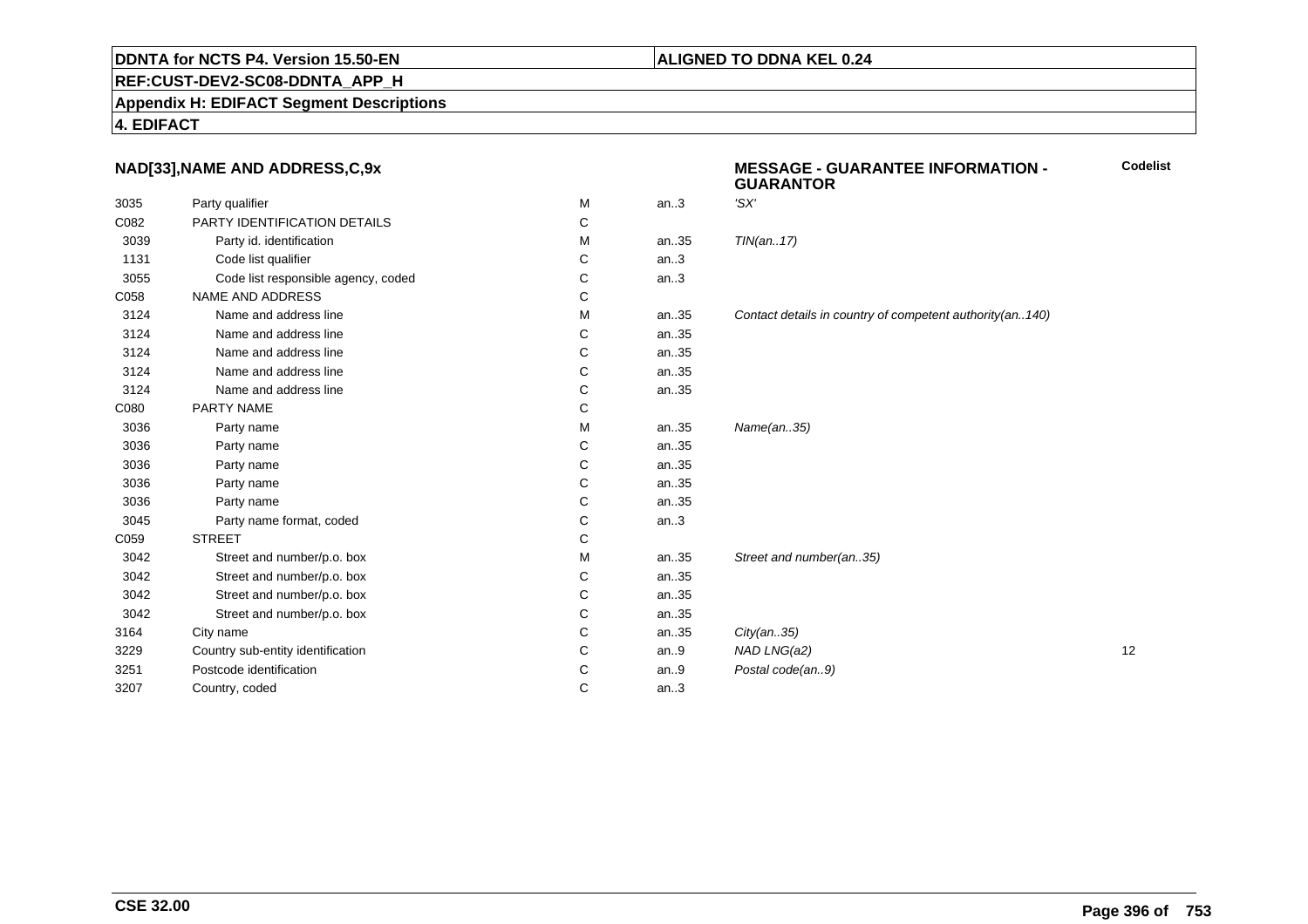## **REF:CUST-DEV2-SC08-DDNTA\_APP\_H**

**Appendix H: EDIFACT Segment Descriptions**

#### **4. EDIFACT**

## **NAD[33],NAME AND ADDRESS,C,9x**

| 3035 | Party qualifier                     | M | an.3 | 'SX'                                                     |    |
|------|-------------------------------------|---|------|----------------------------------------------------------|----|
| C082 | <b>PARTY IDENTIFICATION DETAILS</b> | С |      |                                                          |    |
| 3039 | Party id. identification            | м | an35 | TIN(an17)                                                |    |
| 1131 | Code list qualifier                 | C | an.3 |                                                          |    |
| 3055 | Code list responsible agency, coded | С | an.3 |                                                          |    |
| C058 | <b>NAME AND ADDRESS</b>             | C |      |                                                          |    |
| 3124 | Name and address line               | М | an35 | Contact details in country of competent authority(an140) |    |
| 3124 | Name and address line               | С | an35 |                                                          |    |
| 3124 | Name and address line               | C | an35 |                                                          |    |
| 3124 | Name and address line               | C | an35 |                                                          |    |
| 3124 | Name and address line               | C | an35 |                                                          |    |
| C080 | PARTY NAME                          | C |      |                                                          |    |
| 3036 | Party name                          | M | an35 | Name(an35)                                               |    |
| 3036 | Party name                          | C | an35 |                                                          |    |
| 3036 | Party name                          | C | an35 |                                                          |    |
| 3036 | Party name                          | C | an35 |                                                          |    |
| 3036 | Party name                          | С | an35 |                                                          |    |
| 3045 | Party name format, coded            | C | an.3 |                                                          |    |
| C059 | <b>STREET</b>                       | С |      |                                                          |    |
| 3042 | Street and number/p.o. box          | M | an35 | Street and number(an35)                                  |    |
| 3042 | Street and number/p.o. box          | С | an35 |                                                          |    |
| 3042 | Street and number/p.o. box          | С | an35 |                                                          |    |
| 3042 | Street and number/p.o. box          | C | an35 |                                                          |    |
| 3164 | City name                           | C | an35 | City(an35)                                               |    |
| 3229 | Country sub-entity identification   | С | an.9 | NAD LNG(a2)                                              | 12 |
| 3251 | Postcode identification             | C | an.9 | Postal code(an9)                                         |    |
| 3207 | Country, coded                      | C | an.3 |                                                          |    |
|      |                                     |   |      |                                                          |    |

#### **MESSAGE - GUARANTEE INFORMATION - GUARANTORCodelist**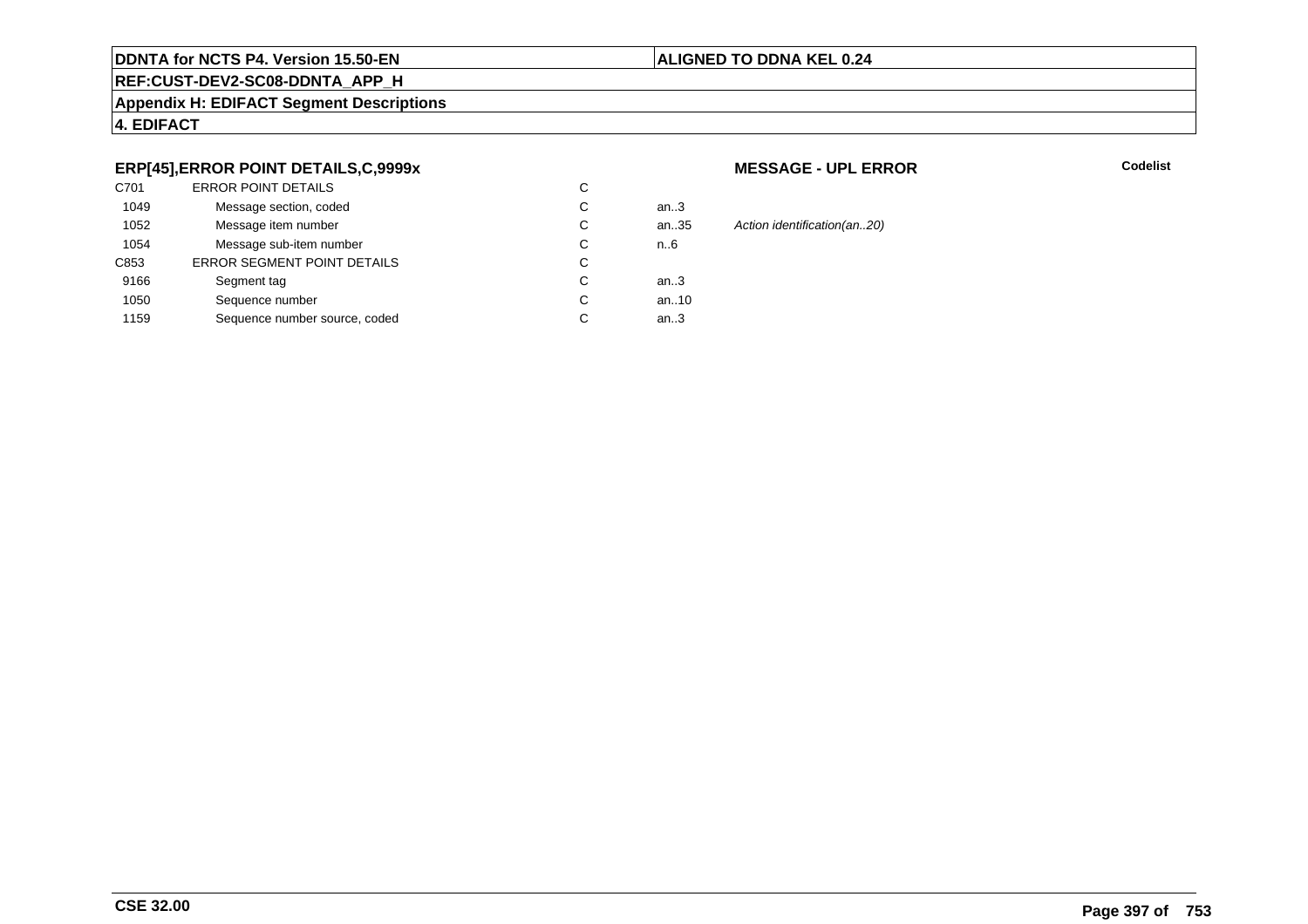#### **ALIGNED TO DDNA KEL 0.24**

## **REF:CUST-DEV2-SC08-DDNTA\_APP\_H**

#### **Appendix H: EDIFACT Segment Descriptions**

#### **4. EDIFACT**

#### **ERP[45],ERROR POINT DETAILS,C,9999x**

| C701 | <b>ERROR POINT DETAILS</b>         | С |      |
|------|------------------------------------|---|------|
| 1049 | Message section, coded             | С | an3  |
| 1052 | Message item number                | С | an35 |
| 1054 | Message sub-item number            | С | n.6  |
| C853 | <b>ERROR SEGMENT POINT DETAILS</b> | С |      |
| 9166 | Segment tag                        | С | an3  |
| 1050 | Sequence number                    | С | an10 |
| 1159 | Sequence number source, coded      | С | an.3 |
|      |                                    |   |      |

#### **MESSAGE - UPL ERROR**

**R** Codelist

35 Action identification(an..20)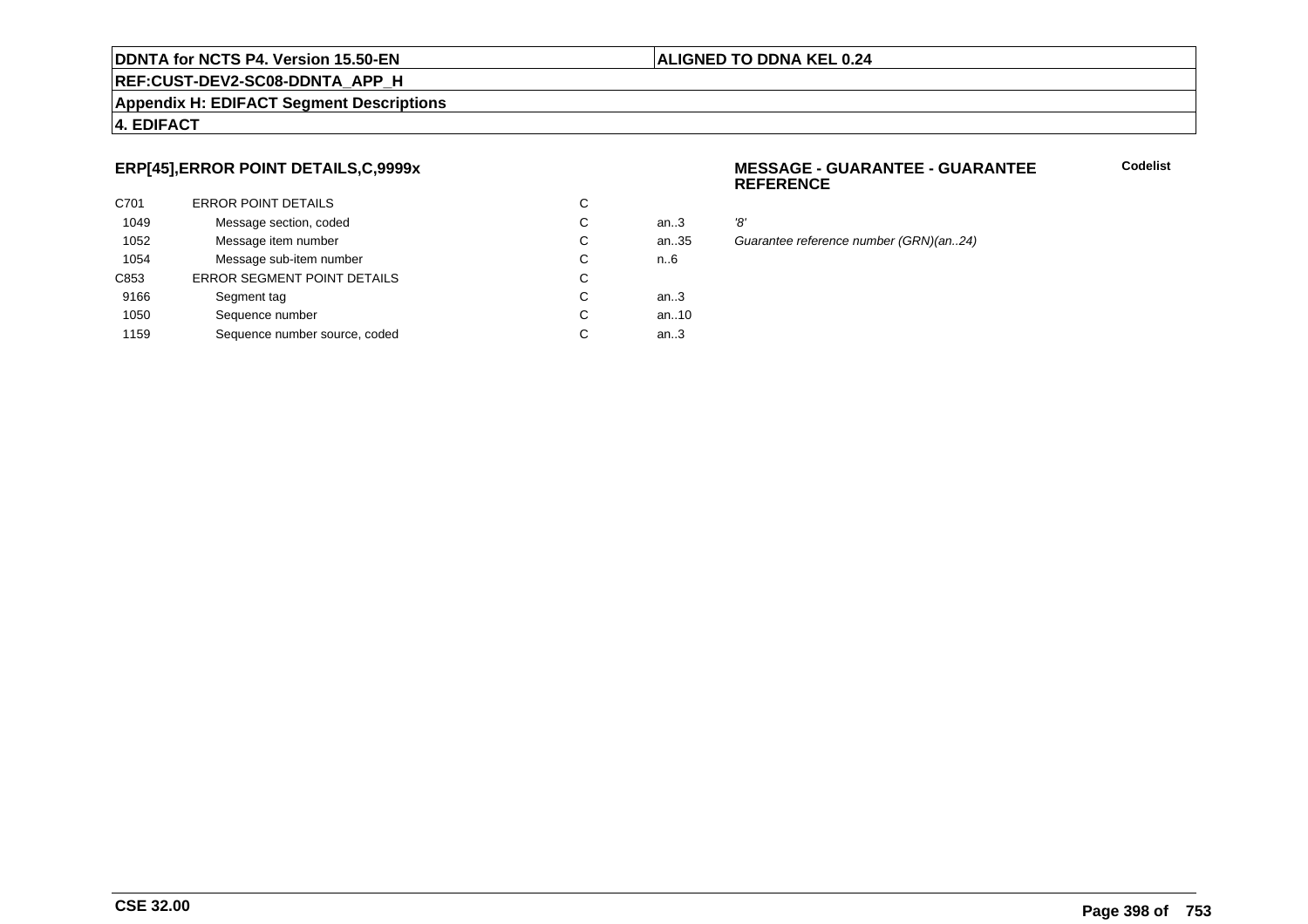#### **ALIGNED TO DDNA KEL 0.24**

**REF:CUST-DEV2-SC08-DDNTA\_APP\_H**

#### **Appendix H: EDIFACT Segment Descriptions**

#### **4. EDIFACT**

#### **ERP[45],ERROR POINT DETAILS,C,9999x**

| C701 | <b>ERROR POINT DETAILS</b>         | С |        |     |
|------|------------------------------------|---|--------|-----|
| 1049 | Message section, coded             | С | an $3$ | '8' |
| 1052 | Message item number                | С | an35   | G١  |
| 1054 | Message sub-item number            | С | n.6    |     |
| C853 | <b>ERROR SEGMENT POINT DETAILS</b> | С |        |     |
| 9166 | Segment tag                        | С | an $3$ |     |
| 1050 | Sequence number                    | С | an10   |     |
| 1159 | Sequence number source, coded      | С | an.3   |     |
|      |                                    |   |        |     |

#### **MESSAGE - GUARANTEE - GUARANTEEREFERENCE**

**Codelist**

..35 Guarantee reference number (GRN)(an..24)<br>6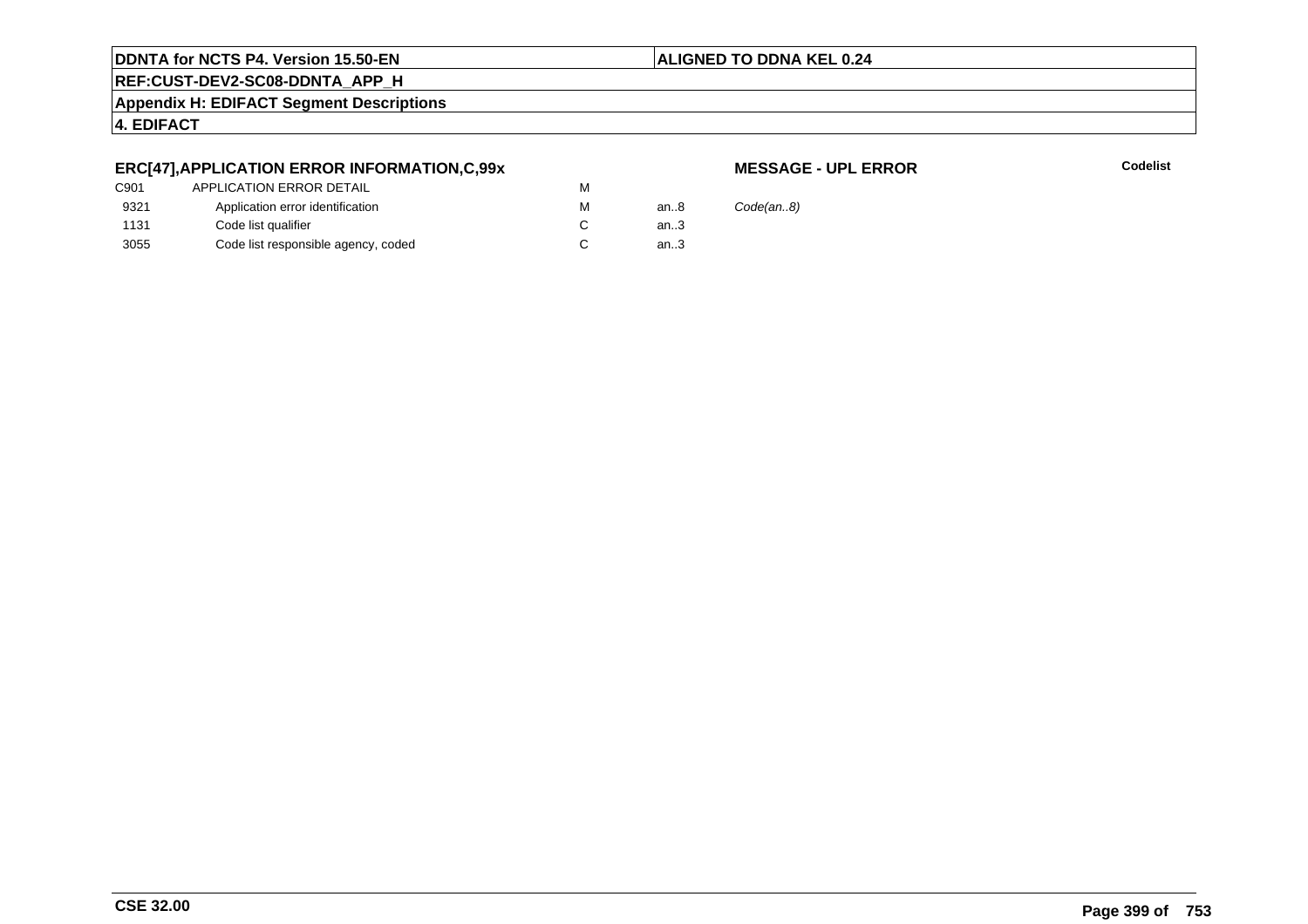#### **ALIGNED TO DDNA KEL 0.24**

**REF:CUST-DEV2-SC08-DDNTA\_APP\_H**

**Appendix H: EDIFACT Segment Descriptions**

#### **4. EDIFACT**

#### **ERC[47],APPLICATION ERROR INFORMATION,C,99x**

#### **MESSAGE - UPL ERROR**

**R** Codelist

| an8    | Code(an.8) |
|--------|------------|
| an.3   |            |
| an $3$ |            |
|        |            |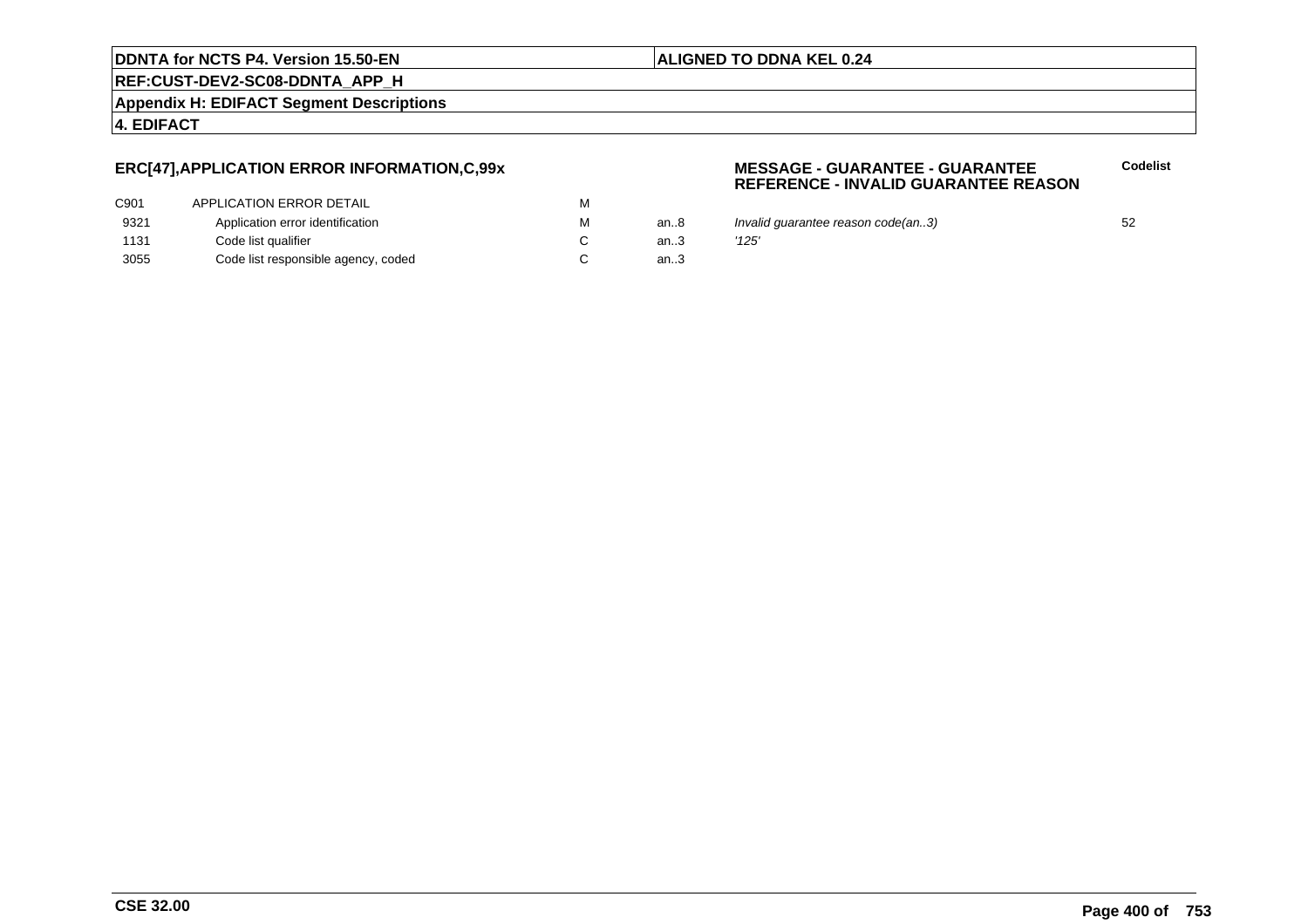#### **ALIGNED TO DDNA KEL 0.24**

**REF:CUST-DEV2-SC08-DDNTA\_APP\_H**

**Appendix H: EDIFACT Segment Descriptions**

**4. EDIFACT**

#### **ERC[47],APPLICATION ERROR INFORMATION,C,99x**

| C901 | APPLICATION ERROR DETAIL            | м |     |
|------|-------------------------------------|---|-----|
| 9321 | Application error identification    | м | an8 |
| 1131 | Code list qualifier                 |   | an3 |
| 3055 | Code list responsible agency, coded |   | an3 |

#### **MESSAGE - GUARANTEE - GUARANTEEREFERENCE - INVALID GUARANTEE REASON**

- an..8 Invalid guarantee reason code(an..3)<br>an..3 '125'
	-

**Codelist**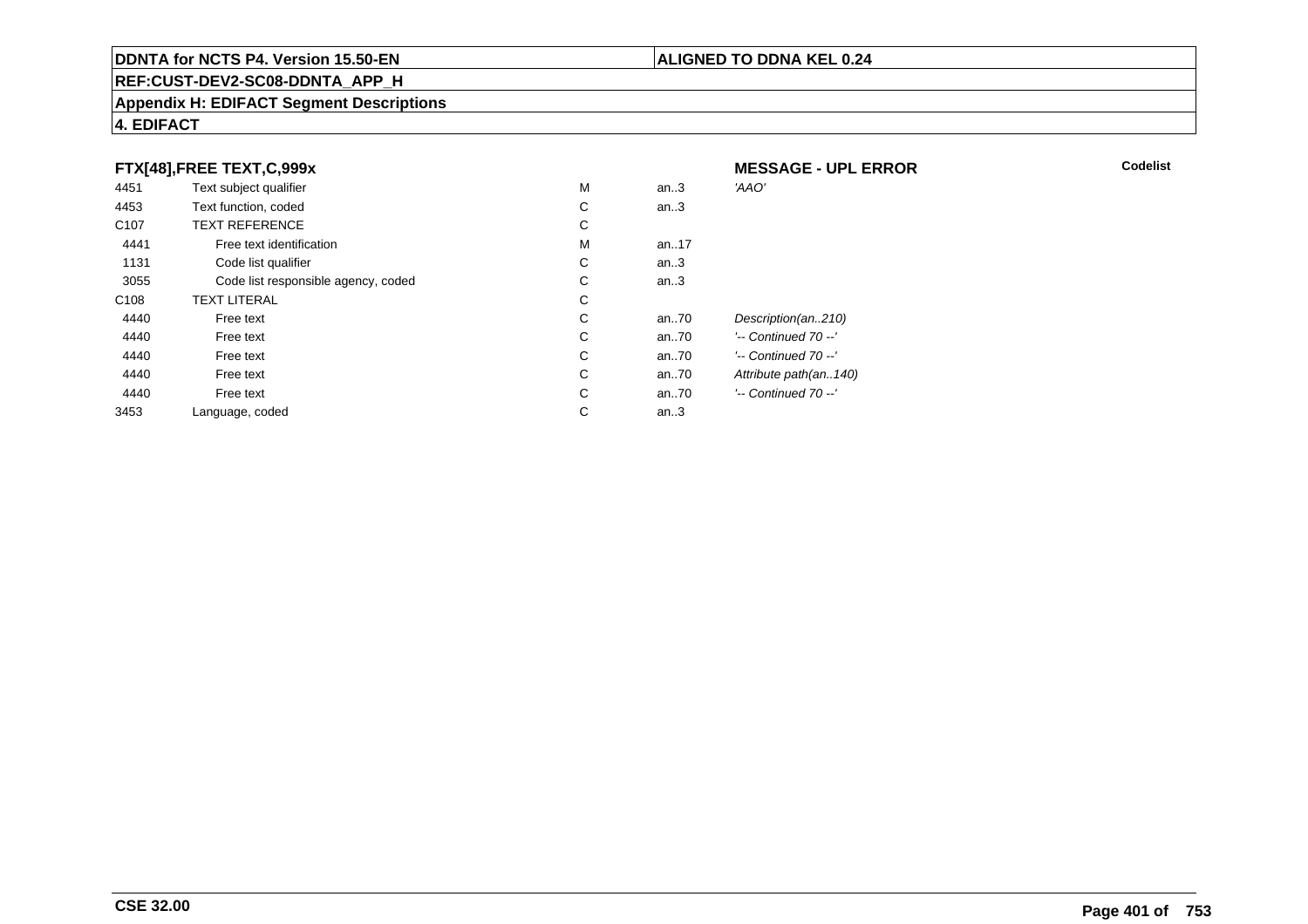#### **REF:CUST-DEV2-SC08-DDNTA\_APP\_H**

#### **Appendix H: EDIFACT Segment Descriptions**

#### **4. EDIFACT**

#### **FTX[48],FREE TEXT,C,999x**

| 4451             | Text subject qualifier              | M | an.3  | 'AAO'                 |
|------------------|-------------------------------------|---|-------|-----------------------|
| 4453             | Text function, coded                | С | an.3  |                       |
| C <sub>107</sub> | <b>TEXT REFERENCE</b>               | С |       |                       |
| 4441             | Free text identification            | M | an.17 |                       |
| 1131             | Code list qualifier                 | С | an.3  |                       |
| 3055             | Code list responsible agency, coded | С | an.3  |                       |
| C <sub>108</sub> | <b>TEXT LITERAL</b>                 | С |       |                       |
| 4440             | Free text                           | С | an70  | Description(an210)    |
| 4440             | Free text                           | С | an.70 | '-- Continued 70 --'  |
| 4440             | Free text                           | С | an70  | '-- Continued 70 --'  |
| 4440             | Free text                           | С | an.70 | Attribute path(an140) |
| 4440             | Free text                           | С | an.70 | '-- Continued 70 --'  |
| 3453             | Language, coded                     | С | an.3  |                       |
|                  |                                     |   |       |                       |

 **MESSAGE - UPL ERRORR** Codelist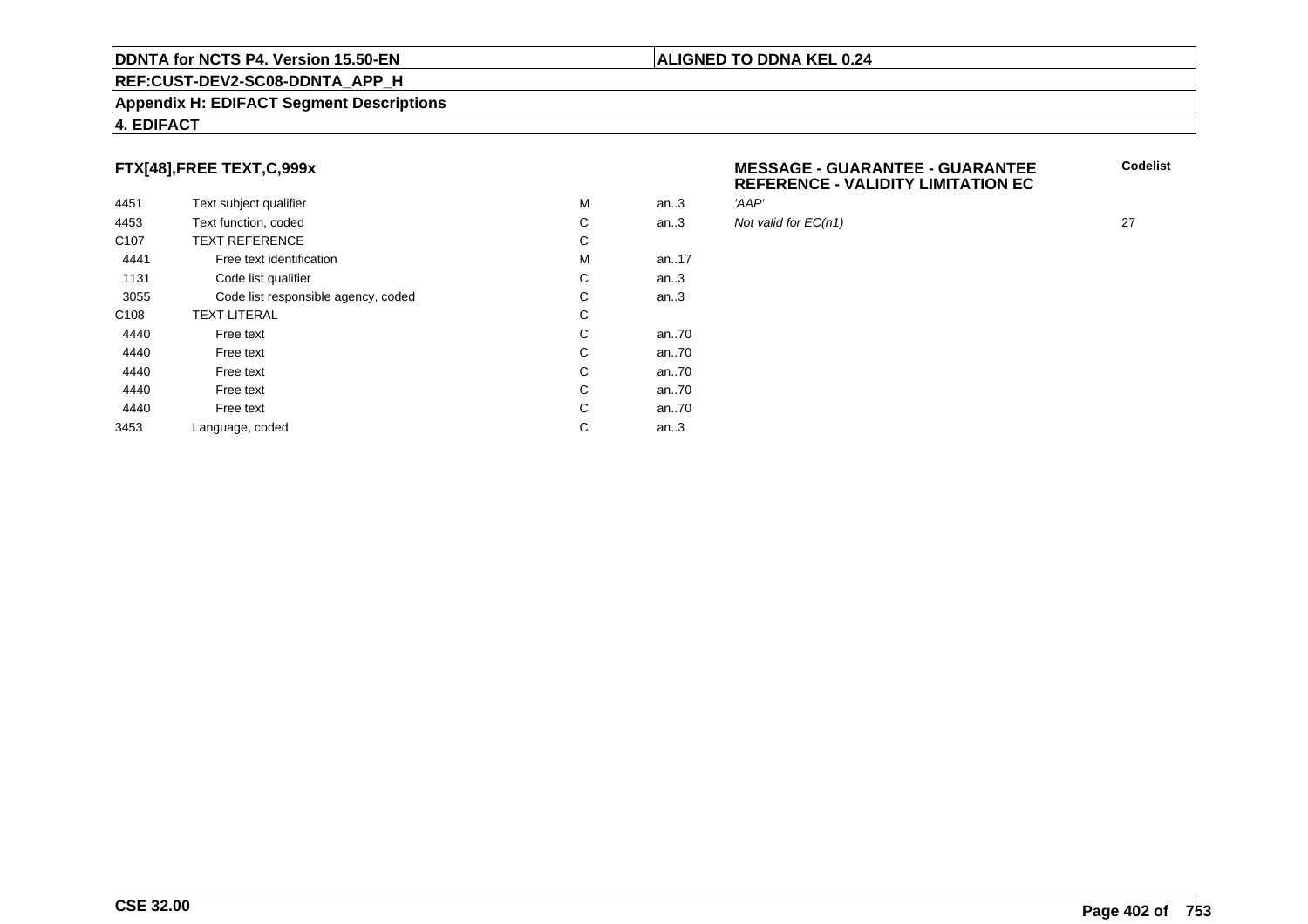#### **REF:CUST-DEV2-SC08-DDNTA\_APP\_H**

#### **Appendix H: EDIFACT Segment Descriptions**

#### **4. EDIFACT**

#### **FTX[48],FREE TEXT,C,999x**

| 4451             | Text subject qualifier              | M | an.3  | 'AAP' |
|------------------|-------------------------------------|---|-------|-------|
| 4453             | Text function, coded                | С | an.3  | Not v |
| C <sub>107</sub> | <b>TEXT REFERENCE</b>               | С |       |       |
| 4441             | Free text identification            | M | an17  |       |
| 1131             | Code list qualifier                 | C | an.3  |       |
| 3055             | Code list responsible agency, coded | C | an.3  |       |
| C <sub>108</sub> | <b>TEXT LITERAL</b>                 | C |       |       |
| 4440             | Free text                           | C | an70  |       |
| 4440             | Free text                           | C | an.70 |       |
| 4440             | Free text                           | C | an70  |       |
| 4440             | Free text                           | C | an70  |       |
| 4440             | Free text                           | С | an70  |       |
| 3453             | Language, coded                     | C | an.3  |       |
|                  |                                     |   |       |       |

| <b>MESSAGE - GUARANTEE - GUARANTEE</b>    | Codelist |
|-------------------------------------------|----------|
| <b>REFERENCE - VALIDITY LIMITATION EC</b> |          |

Not valid for  $EC(n1)$  27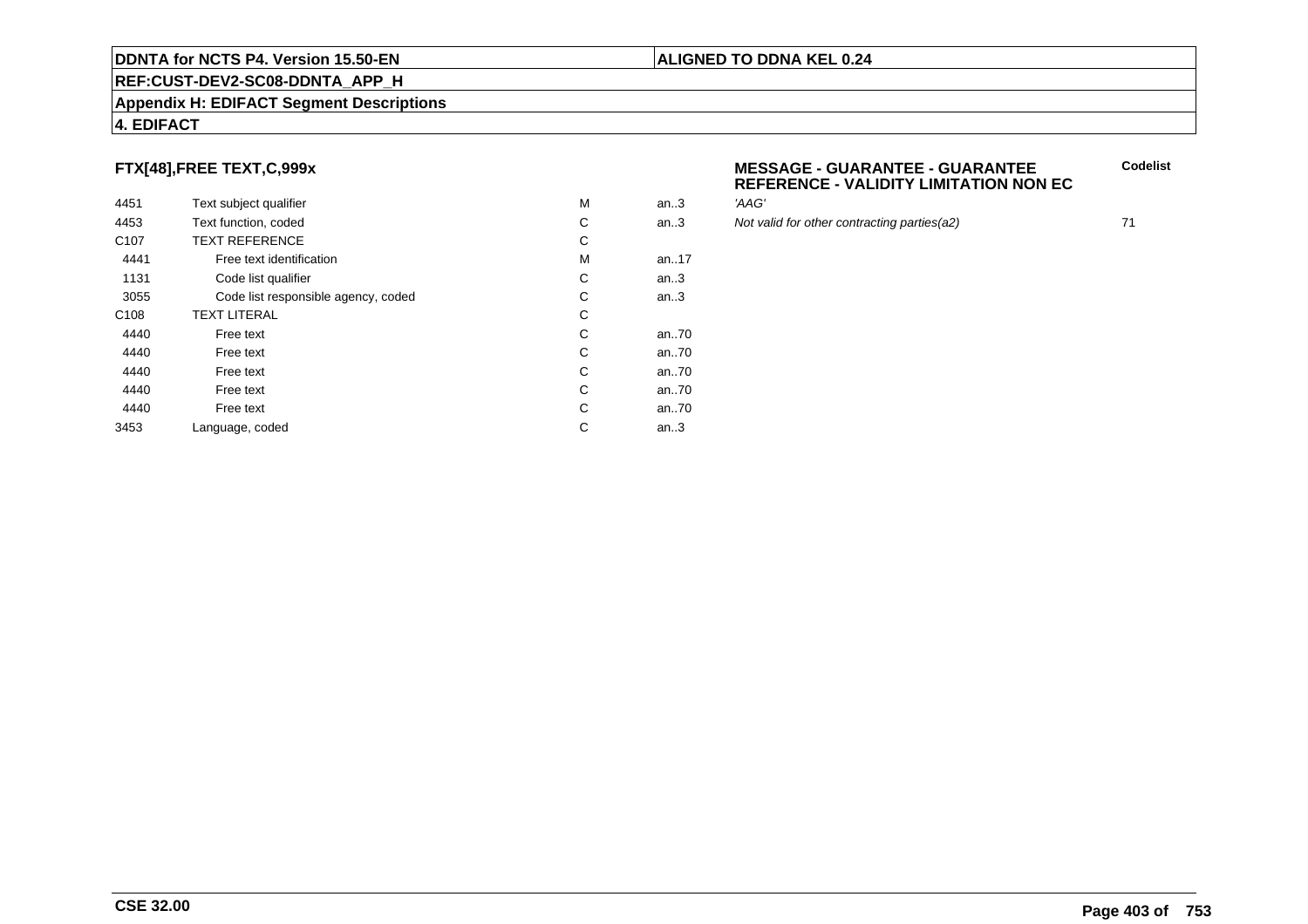#### **REF:CUST-DEV2-SC08-DDNTA\_APP\_H**

#### **Appendix H: EDIFACT Segment Descriptions**

#### **4. EDIFACT**

#### **FTX[48],FREE TEXT,C,999x**

| 4451             | Text subject qualifier              | M | an.3 | 'AAG'  |
|------------------|-------------------------------------|---|------|--------|
| 4453             | Text function, coded                | С | an.3 | Not va |
| C <sub>107</sub> | <b>TEXT REFERENCE</b>               | С |      |        |
| 4441             | Free text identification            | M | an17 |        |
| 1131             | Code list qualifier                 | С | an.3 |        |
| 3055             | Code list responsible agency, coded | С | an.3 |        |
| C <sub>108</sub> | <b>TEXT LITERAL</b>                 | С |      |        |
| 4440             | Free text                           | C | an70 |        |
| 4440             | Free text                           | С | an70 |        |
| 4440             | Free text                           | С | an70 |        |
| 4440             | Free text                           | С | an70 |        |
| 4440             | Free text                           | С | an70 |        |
| 3453             | Language, coded                     | С | an.3 |        |
|                  |                                     |   |      |        |

#### **MESSAGE - GUARANTEE - GUARANTEEREFERENCE - VALIDITY LIMITATION NON EC**

Not valid for other contracting parties(a2) 71

**Codelist**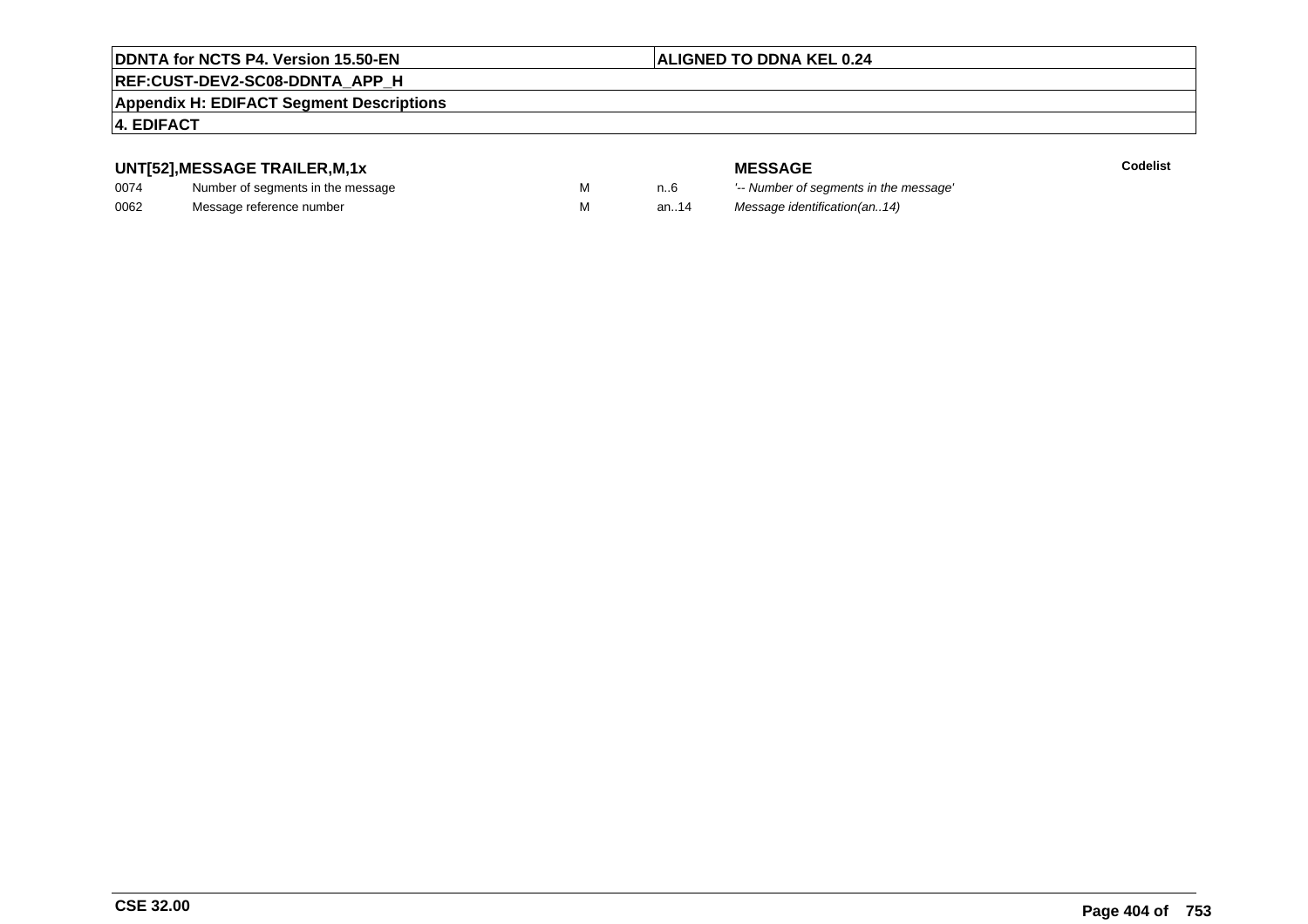#### **ALIGNED TO DDNA KEL 0.24**

#### **REF:CUST-DEV2-SC08-DDNTA\_APP\_H**

#### **Appendix H: EDIFACT Segment Descriptions**

#### **4. EDIFACT**

#### **UNT[52],MESSAGE TRAILER,M,1x**

| 0074 | Number of segments in the message |  |
|------|-----------------------------------|--|
| 0062 | Message reference number          |  |

**MESSAGE**<br>M n.6 <sup>'--</sup> Number of s **Codelist** M carried manufacturer of segments in the message'<br>Carried manufacturer in the message's M an..14 Message identification(an..14)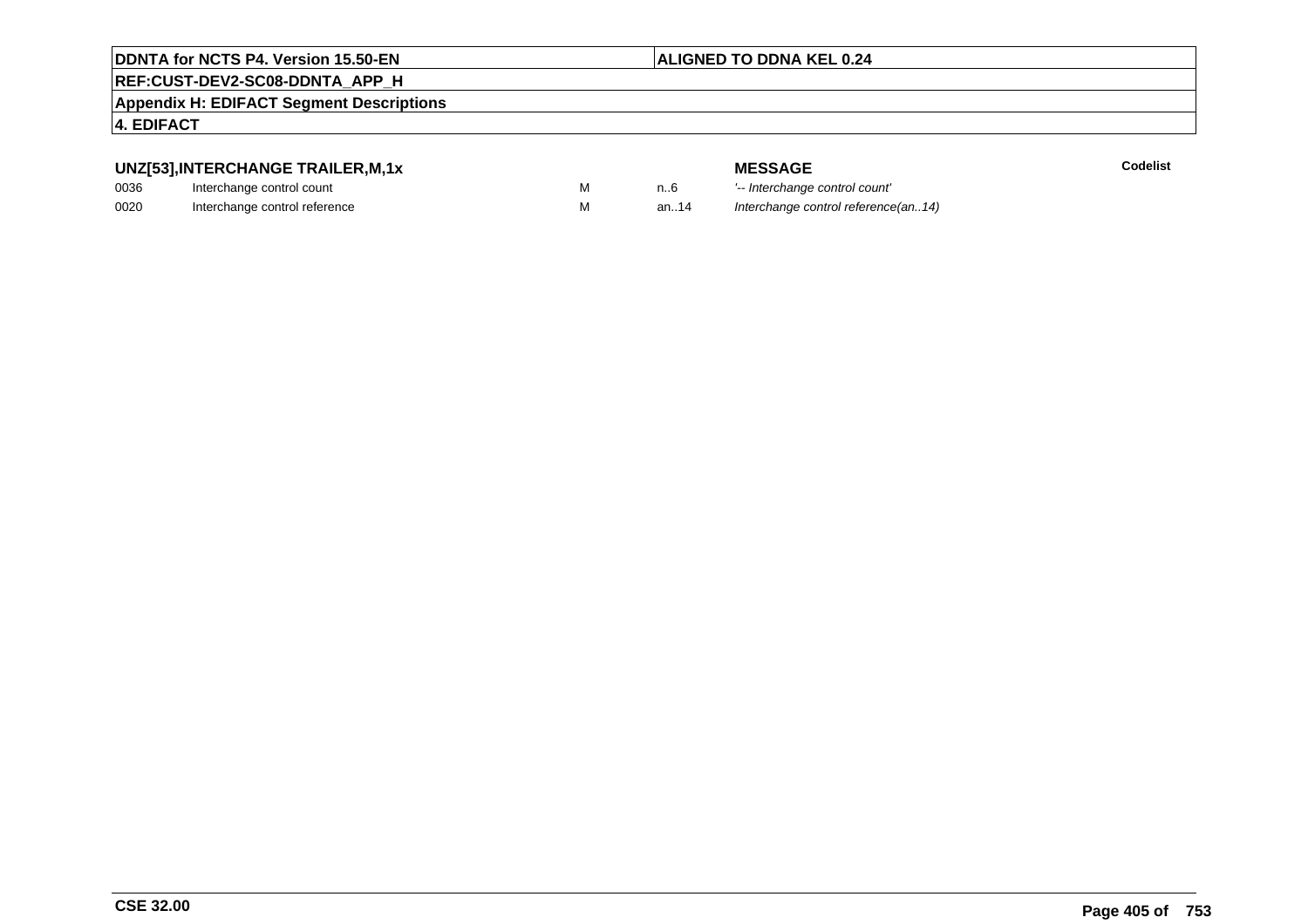#### **ALIGNED TO DDNA KEL 0.24**

#### **REF:CUST-DEV2-SC08-DDNTA\_APP\_H**

**Appendix H: EDIFACT Segment Descriptions**

#### **4. EDIFACT**

#### **UNZ[53],INTERCHANGE TRAILER,M,1x**

| 0036 | Interchange control count     |  |
|------|-------------------------------|--|
| 0020 | Interchange control reference |  |

|   |      | <b>MESSAGE</b>                      | Codelist |
|---|------|-------------------------------------|----------|
| M | n6   | '-- Interchange control count'      |          |
| M | an14 | Interchange control reference(an14) |          |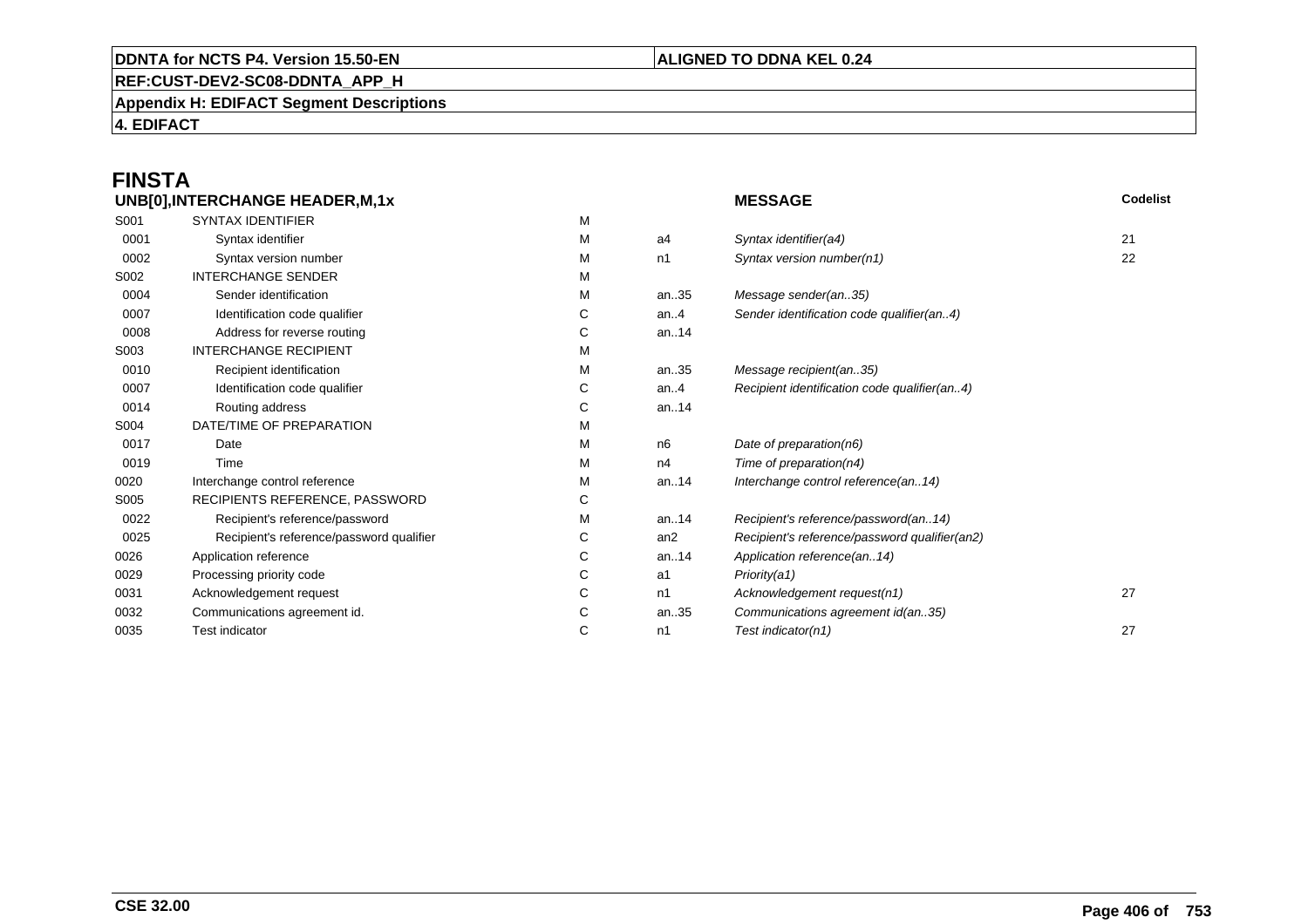#### **REF:CUST-DEV2-SC08-DDNTA\_APP\_H**

**Appendix H: EDIFACT Segment Descriptions**

**4. EDIFACT**

# **FINSTA**

|      | UNB[0], INTERCHANGE HEADER, M, 1x        |   |         | <b>MESSAGE</b>                                | Codelist |
|------|------------------------------------------|---|---------|-----------------------------------------------|----------|
| S001 | <b>SYNTAX IDENTIFIER</b>                 | M |         |                                               |          |
| 0001 | Syntax identifier                        | М | a4      | Syntax identifier(a4)                         | 21       |
| 0002 | Syntax version number                    | м | n1      | Syntax version number(n1)                     | 22       |
| S002 | <b>INTERCHANGE SENDER</b>                | м |         |                                               |          |
| 0004 | Sender identification                    | М | an35    | Message sender(an35)                          |          |
| 0007 | Identification code qualifier            | С | an. $4$ | Sender identification code qualifier(an4)     |          |
| 0008 | Address for reverse routing              | С | an14    |                                               |          |
| S003 | <b>INTERCHANGE RECIPIENT</b>             | М |         |                                               |          |
| 0010 | Recipient identification                 | м | an35    | Message recipient(an35)                       |          |
| 0007 | Identification code qualifier            | С | an. $4$ | Recipient identification code qualifier(an4)  |          |
| 0014 | Routing address                          | С | an14    |                                               |          |
| S004 | DATE/TIME OF PREPARATION                 | М |         |                                               |          |
| 0017 | Date                                     | м | n6      | Date of preparation(n6)                       |          |
| 0019 | Time                                     | М | n4      | Time of preparation(n4)                       |          |
| 0020 | Interchange control reference            | М | an14    | Interchange control reference(an14)           |          |
| S005 | RECIPIENTS REFERENCE, PASSWORD           | С |         |                                               |          |
| 0022 | Recipient's reference/password           | м | an14    | Recipient's reference/password(an14)          |          |
| 0025 | Recipient's reference/password qualifier | С | an2     | Recipient's reference/password qualifier(an2) |          |
| 0026 | Application reference                    | С | an14    | Application reference(an14)                   |          |
| 0029 | Processing priority code                 | С | a1      | Priority(a1)                                  |          |
| 0031 | Acknowledgement request                  | С | n1      | Acknowledgement request(n1)                   | 27       |
| 0032 | Communications agreement id.             | С | an35    | Communications agreement id(an35)             |          |
| 0035 | <b>Test indicator</b>                    | С | n1      | Test indicator(n1)                            | 27       |
|      |                                          |   |         |                                               |          |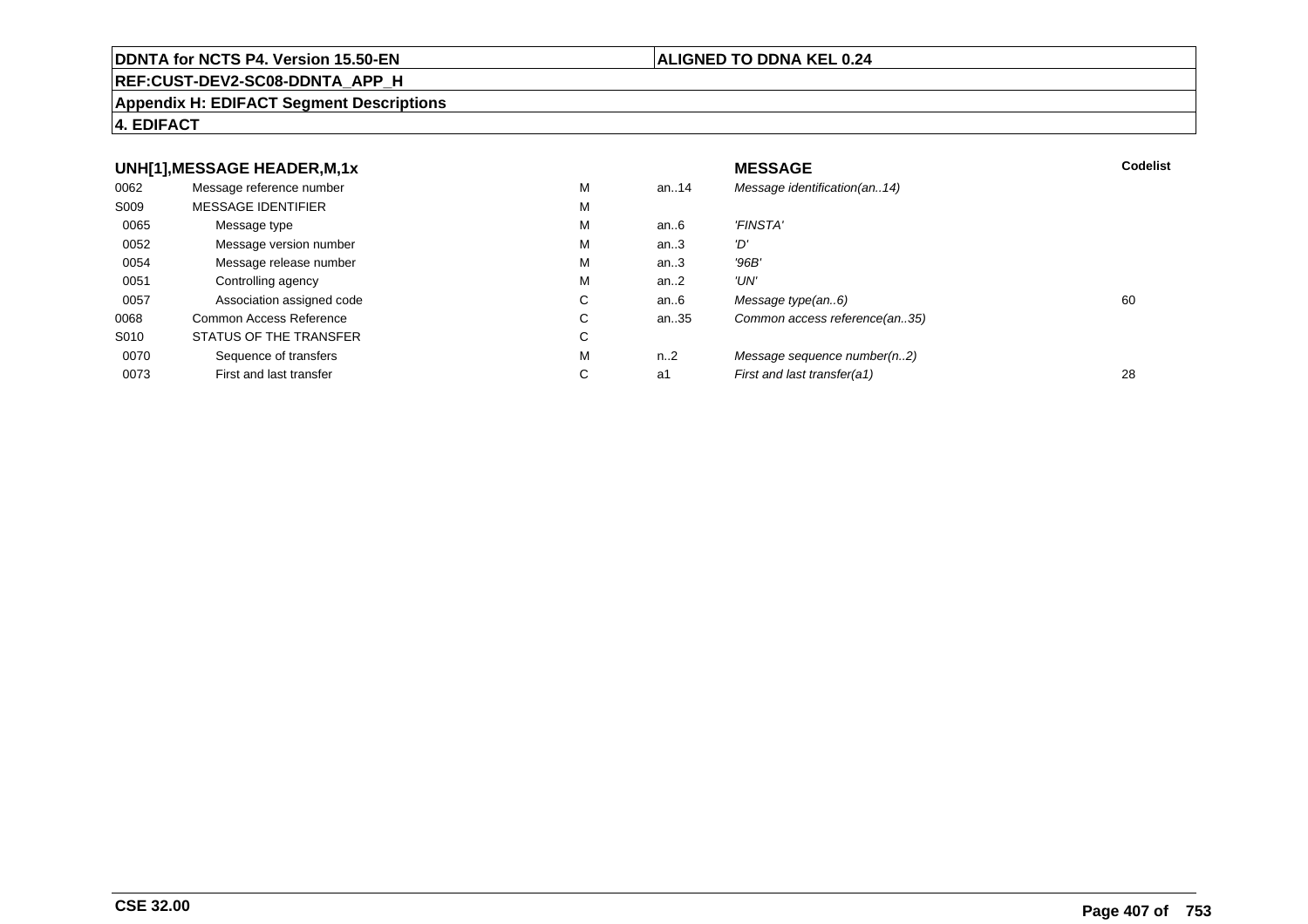#### **REF:CUST-DEV2-SC08-DDNTA\_APP\_H**

#### **Appendix H: EDIFACT Segment Descriptions**

#### **4. EDIFACT**

#### **UNH[1],MESSAGE HEADER,M,1xx** MESSAGE **Codelist** Codelist 0062 Message reference number <sup>M</sup> an..14 Message identification(an..14) S009 MESSAGE IDENTIFIERR M M 0065Message type Message version number and the Message version number and the Message of Message Message Message M an..6 'FINSTA'<br>an..3 'D' 0052 Message version number <sup>M</sup>an..3 '*D'*<br>an..3 '96*B'* 0054Message release number Message release number Message of the Message of the Message of Message of Message of Me<br>
Message release number of Message of Message of Message of Message of Message of Message of Message of Messag an..3 '96B'<br>an..2 'UN' 0051Controlling agency<br>
Association assigned code<br>
C an..2<br>an..6 0057Association assigned code **C** C<br>
mmon Access Reference **C** C an..6 Message type(an..6)<br>an..35 Common access reference(an..35) 0068Common Access Reference C<br>
STATUS OF THE TRANSFER
C Common access reference(an..35) S010 STATUS OF THE TRANSFERR C 0070Sequence of transfers M<br>
First and last transfer C n..2 Message sequence number(n..2)<br>a1 First and last transfer(a1) 0073First and last transfer First and last transfer(a1) 28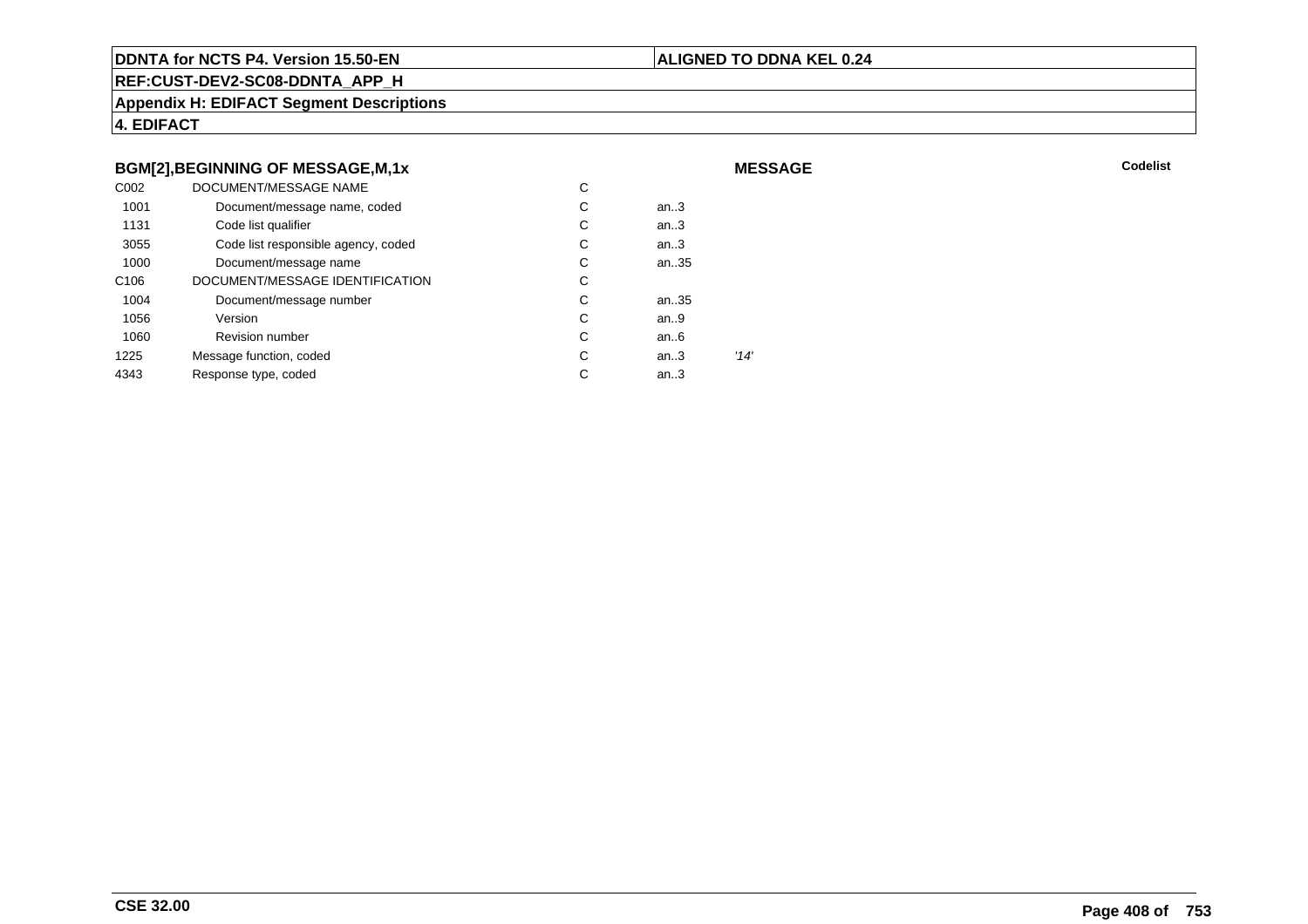#### **ALIGNED TO DDNA KEL 0.24**

**MESSAGE**

**REF:CUST-DEV2-SC08-DDNTA\_APP\_H**

**Appendix H: EDIFACT Segment Descriptions**

**4. EDIFACT**

#### **BGM[2],BEGINNING OF MESSAGE,M,1x**

| C <sub>0</sub> 02 | DOCUMENT/MESSAGE NAME               | С |        |      |
|-------------------|-------------------------------------|---|--------|------|
| 1001              | Document/message name, coded        | С | an $3$ |      |
| 1131              | Code list qualifier                 | С | an.3   |      |
| 3055              | Code list responsible agency, coded | С | an.3   |      |
| 1000              | Document/message name               | С | an35   |      |
| C <sub>106</sub>  | DOCUMENT/MESSAGE IDENTIFICATION     | С |        |      |
| 1004              | Document/message number             | С | an35   |      |
| 1056              | Version                             | С | an.9   |      |
| 1060              | <b>Revision number</b>              | С | an.6   |      |
| 1225              | Message function, coded             | С | an.3   | '14' |
| 4343              | Response type, coded                | С | an.3   |      |
|                   |                                     |   |        |      |

**Codelist** Codelist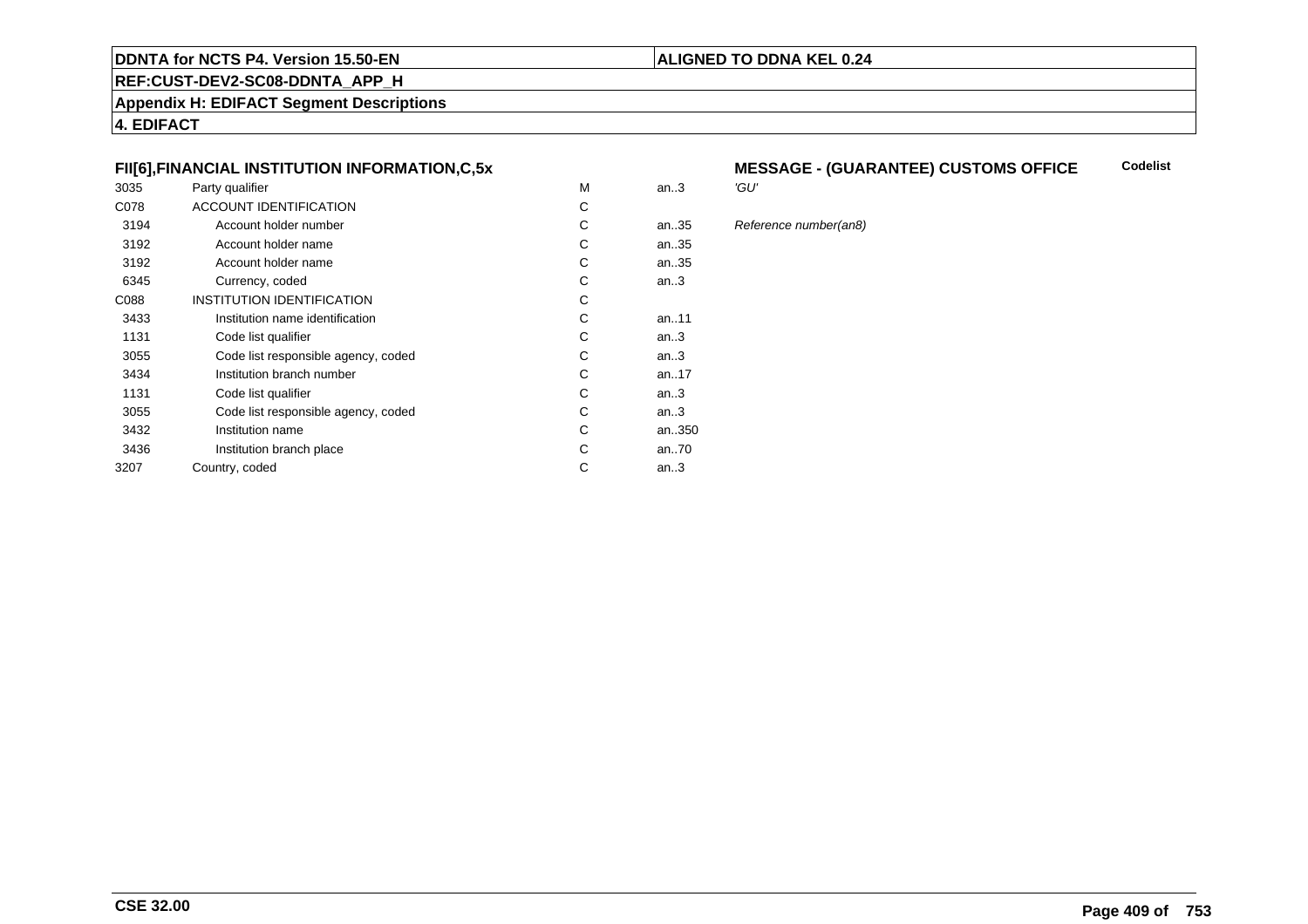#### **REF:CUST-DEV2-SC08-DDNTA\_APP\_H**

**Appendix H: EDIFACT Segment Descriptions**

**4. EDIFACT**

#### **FII[6],FINANCIAL INSTITUTION INFORMATION,C,5x**

| 3035 | Party qualifier                     | M | an.3      | 'GU' |
|------|-------------------------------------|---|-----------|------|
| C078 | <b>ACCOUNT IDENTIFICATION</b>       | С |           |      |
| 3194 | Account holder number               | C | an35      | Refe |
| 3192 | Account holder name                 | C | an35      |      |
| 3192 | Account holder name                 | C | an35      |      |
| 6345 | Currency, coded                     | С | an.3      |      |
| C088 | <b>INSTITUTION IDENTIFICATION</b>   | С |           |      |
| 3433 | Institution name identification     | С | an11      |      |
| 1131 | Code list qualifier                 | С | an.3      |      |
| 3055 | Code list responsible agency, coded | С | an.3      |      |
| 3434 | Institution branch number           | C | an. $.17$ |      |
| 1131 | Code list qualifier                 | C | an $3$    |      |
| 3055 | Code list responsible agency, coded | С | an.3      |      |
| 3432 | Institution name                    | С | an350     |      |
| 3436 | Institution branch place            | C | an70      |      |
| 3207 | Country, coded                      | С | an.3      |      |
|      |                                     |   |           |      |

#### **MESSAGE - (GUARANTEE) CUSTOMS OFFICE Codelist**

**ALIGNED TO DDNA KEL 0.24**

# 35 Reference number(an8)<br>35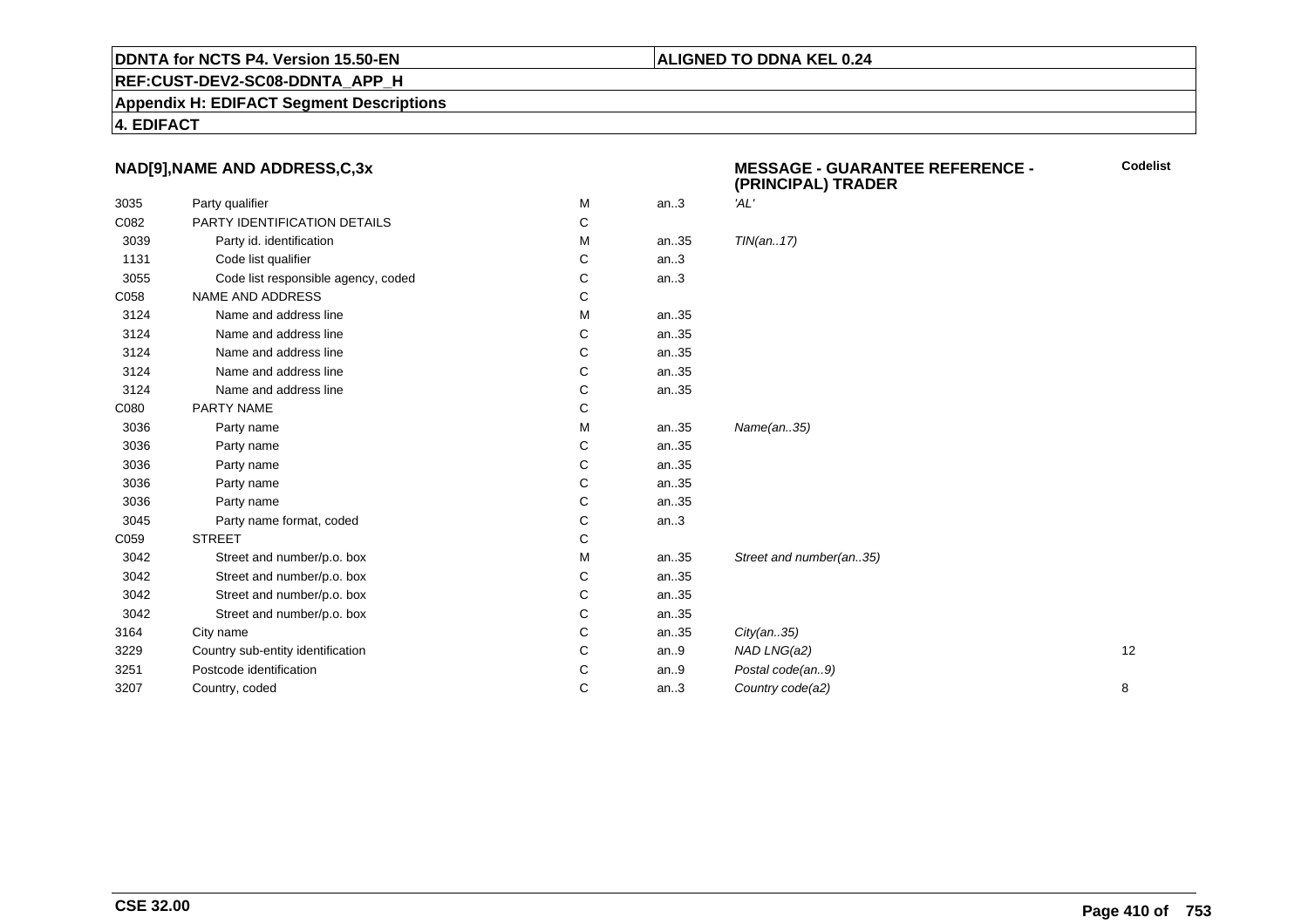#### **REF:CUST-DEV2-SC08-DDNTA\_APP\_H**

**Appendix H: EDIFACT Segment Descriptions**

**4. EDIFACT**

#### **NAD[9],NAME AND ADDRESS,C,3x**

|      |                                     |   |      | (PRINGIPAL) IRADER      |    |
|------|-------------------------------------|---|------|-------------------------|----|
| 3035 | Party qualifier                     | M | an.3 | 'AL'                    |    |
| C082 | PARTY IDENTIFICATION DETAILS        | С |      |                         |    |
| 3039 | Party id. identification            | М | an35 | TIN(an17)               |    |
| 1131 | Code list qualifier                 | С | an.3 |                         |    |
| 3055 | Code list responsible agency, coded | С | an.3 |                         |    |
| C058 | <b>NAME AND ADDRESS</b>             | С |      |                         |    |
| 3124 | Name and address line               | М | an35 |                         |    |
| 3124 | Name and address line               | С | an35 |                         |    |
| 3124 | Name and address line               | С | an35 |                         |    |
| 3124 | Name and address line               | С | an35 |                         |    |
| 3124 | Name and address line               | С | an35 |                         |    |
| C080 | PARTY NAME                          | С |      |                         |    |
| 3036 | Party name                          | М | an35 | Name(an35)              |    |
| 3036 | Party name                          | С | an35 |                         |    |
| 3036 | Party name                          | С | an35 |                         |    |
| 3036 | Party name                          | С | an35 |                         |    |
| 3036 | Party name                          | С | an35 |                         |    |
| 3045 | Party name format, coded            | С | an.3 |                         |    |
| C059 | <b>STREET</b>                       | С |      |                         |    |
| 3042 | Street and number/p.o. box          | М | an35 | Street and number(an35) |    |
| 3042 | Street and number/p.o. box          | С | an35 |                         |    |
| 3042 | Street and number/p.o. box          | С | an35 |                         |    |
| 3042 | Street and number/p.o. box          | С | an35 |                         |    |
| 3164 | City name                           | С | an35 | City(an35)              |    |
| 3229 | Country sub-entity identification   | С | an.9 | NAD LNG(a2)             | 12 |
| 3251 | Postcode identification             | С | an.9 | Postal code(an9)        |    |
| 3207 | Country, coded                      | С | an.3 | Country code(a2)        | 8  |
|      |                                     |   |      |                         |    |

**MESSAGE - GUARANTEE REFERENCE - (PRINCIPAL) TRADER**

**ALIGNED TO DDNA KEL 0.24**

**Codelist**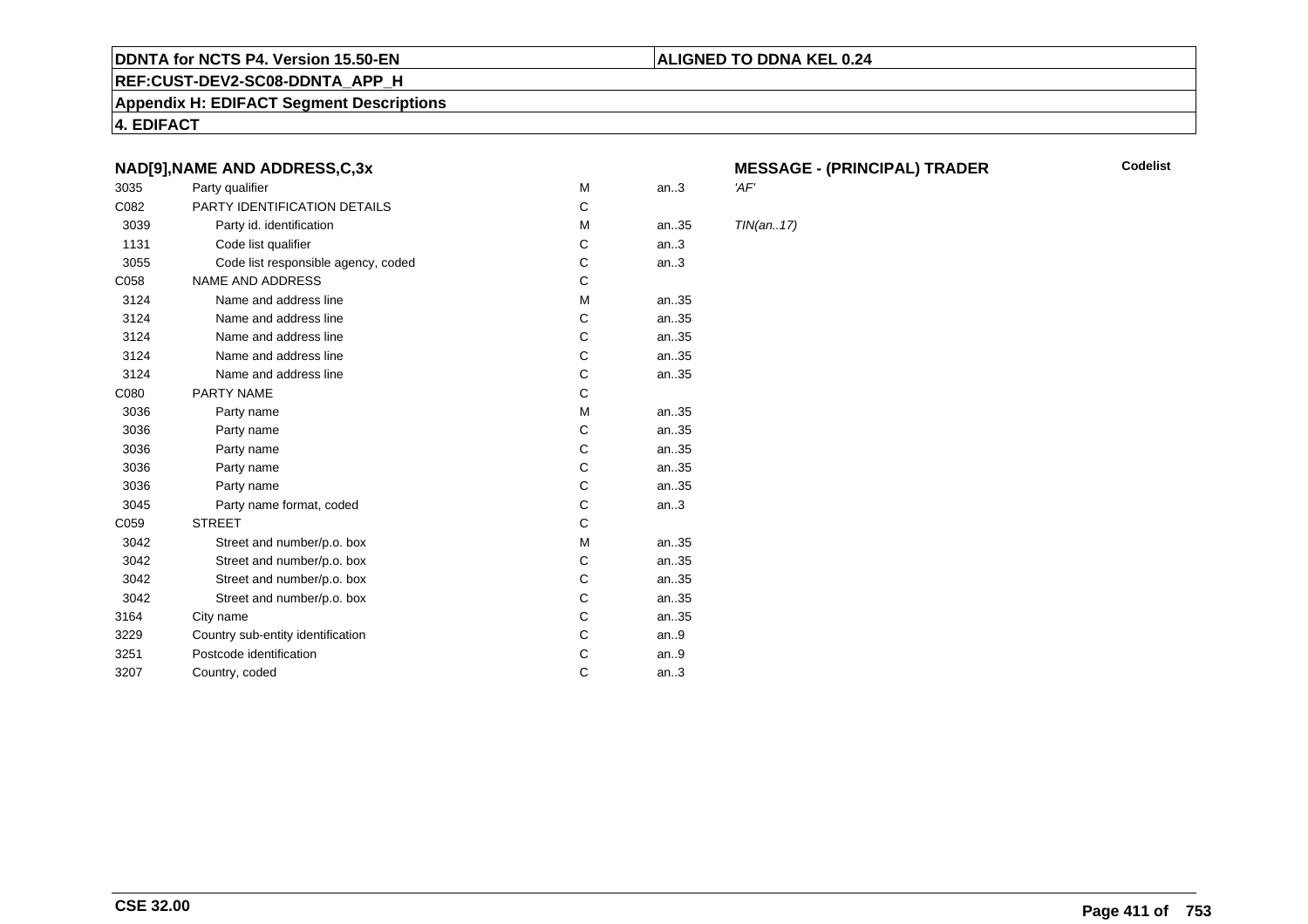#### **REF:CUST-DEV2-SC08-DDNTA\_APP\_H**

**Appendix H: EDIFACT Segment Descriptions**

**4. EDIFACT**

#### **NAD[9],NAME AND ADDRESS,C,3x**

| 3035 | Party qualifier                     | M | an.3 | 'AF'       |
|------|-------------------------------------|---|------|------------|
| C082 | PARTY IDENTIFICATION DETAILS        | C |      |            |
| 3039 | Party id. identification            | м | an35 | <b>TIN</b> |
| 1131 | Code list qualifier                 | C | an.3 |            |
| 3055 | Code list responsible agency, coded | С | an.3 |            |
| C058 | <b>NAME AND ADDRESS</b>             | C |      |            |
| 3124 | Name and address line               | М | an35 |            |
| 3124 | Name and address line               | C | an35 |            |
| 3124 | Name and address line               | С | an35 |            |
| 3124 | Name and address line               | C | an35 |            |
| 3124 | Name and address line               | С | an35 |            |
| C080 | PARTY NAME                          | C |      |            |
| 3036 | Party name                          | м | an35 |            |
| 3036 | Party name                          | C | an35 |            |
| 3036 | Party name                          | С | an35 |            |
| 3036 | Party name                          | C | an35 |            |
| 3036 | Party name                          | C | an35 |            |
| 3045 | Party name format, coded            | C | an.3 |            |
| C059 | <b>STREET</b>                       | C |      |            |
| 3042 | Street and number/p.o. box          | М | an35 |            |
| 3042 | Street and number/p.o. box          | C | an35 |            |
| 3042 | Street and number/p.o. box          | С | an35 |            |
| 3042 | Street and number/p.o. box          | C | an35 |            |
| 3164 | City name                           | С | an35 |            |
| 3229 | Country sub-entity identification   | C | an.9 |            |
| 3251 | Postcode identification             | С | an.9 |            |
| 3207 | Country, coded                      | C | an.3 |            |
|      |                                     |   |      |            |

# **MESSAGE - (PRINCIPAL) TRADER**

**Codelist**

 $TIN(an..17)$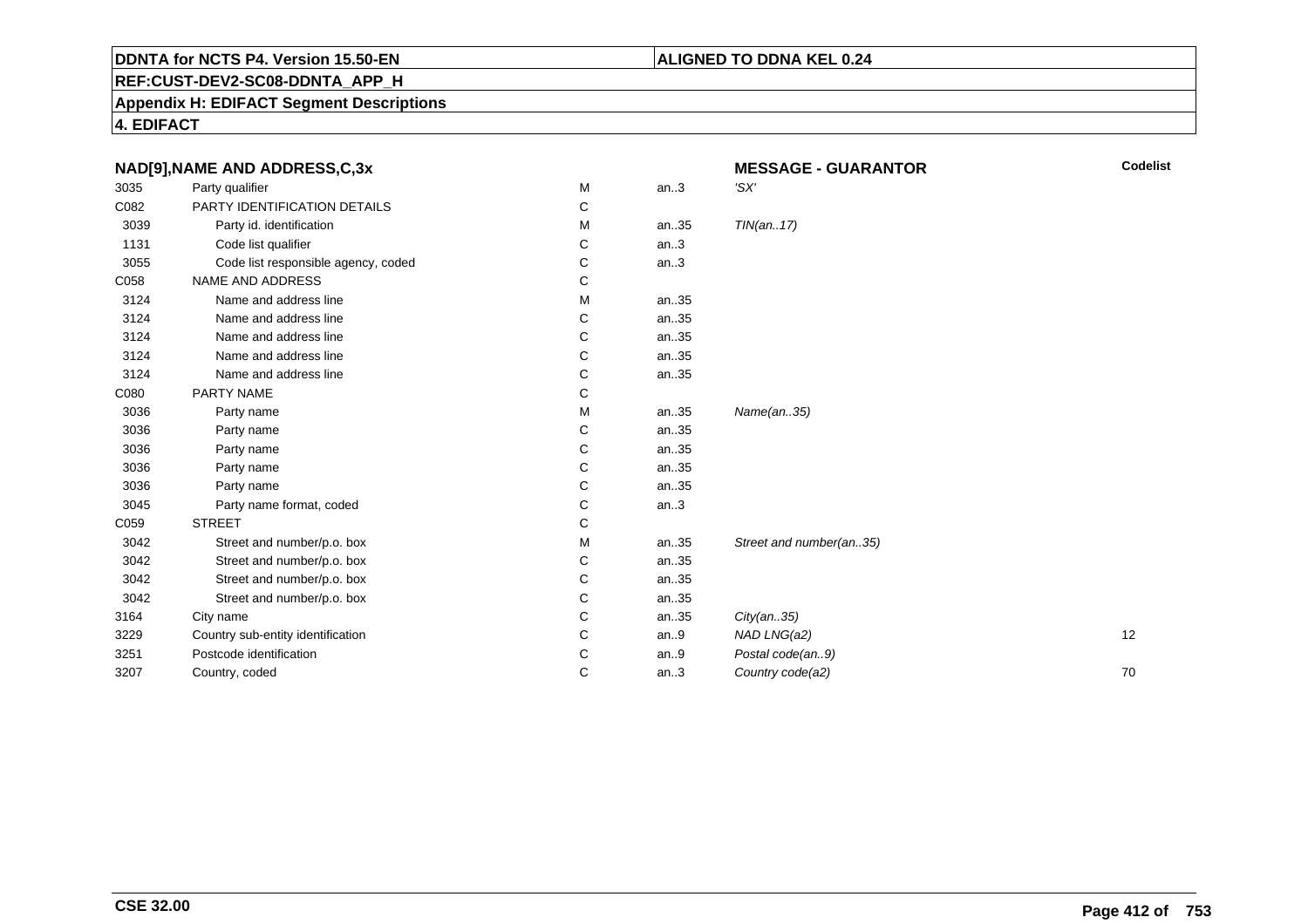#### **ALIGNED TO DDNA KEL 0.24**

**REF:CUST-DEV2-SC08-DDNTA\_APP\_H**

**Appendix H: EDIFACT Segment Descriptions**

**4. EDIFACT**

|      | NAD[9], NAME AND ADDRESS, C, 3x     |   |      | <b>Codelist</b><br><b>MESSAGE - GUARANTOR</b> |    |
|------|-------------------------------------|---|------|-----------------------------------------------|----|
| 3035 | Party qualifier                     | M | an.3 | 'SX'                                          |    |
| C082 | PARTY IDENTIFICATION DETAILS        | С |      |                                               |    |
| 3039 | Party id. identification            | м | an35 | TIN(an17)                                     |    |
| 1131 | Code list qualifier                 | C | an.3 |                                               |    |
| 3055 | Code list responsible agency, coded | С | an.3 |                                               |    |
| C058 | NAME AND ADDRESS                    | С |      |                                               |    |
| 3124 | Name and address line               | м | an35 |                                               |    |
| 3124 | Name and address line               | C | an35 |                                               |    |
| 3124 | Name and address line               | C | an35 |                                               |    |
| 3124 | Name and address line               | C | an35 |                                               |    |
| 3124 | Name and address line               | C | an35 |                                               |    |
| C080 | PARTY NAME                          | С |      |                                               |    |
| 3036 | Party name                          | м | an35 | Name(an35)                                    |    |
| 3036 | Party name                          | C | an35 |                                               |    |
| 3036 | Party name                          | C | an35 |                                               |    |
| 3036 | Party name                          | C | an35 |                                               |    |
| 3036 | Party name                          | С | an35 |                                               |    |
| 3045 | Party name format, coded            | C | an.3 |                                               |    |
| C059 | <b>STREET</b>                       | С |      |                                               |    |
| 3042 | Street and number/p.o. box          | М | an35 | Street and number(an35)                       |    |
| 3042 | Street and number/p.o. box          | С | an35 |                                               |    |
| 3042 | Street and number/p.o. box          | С | an35 |                                               |    |
| 3042 | Street and number/p.o. box          | С | an35 |                                               |    |
| 3164 | City name                           | C | an35 | City(an35)                                    |    |
| 3229 | Country sub-entity identification   | C | an.9 | NAD LNG(a2)                                   | 12 |
| 3251 | Postcode identification             | C | an.9 | Postal code(an9)                              |    |
| 3207 | Country, coded                      | C | an.3 | Country code(a2)                              | 70 |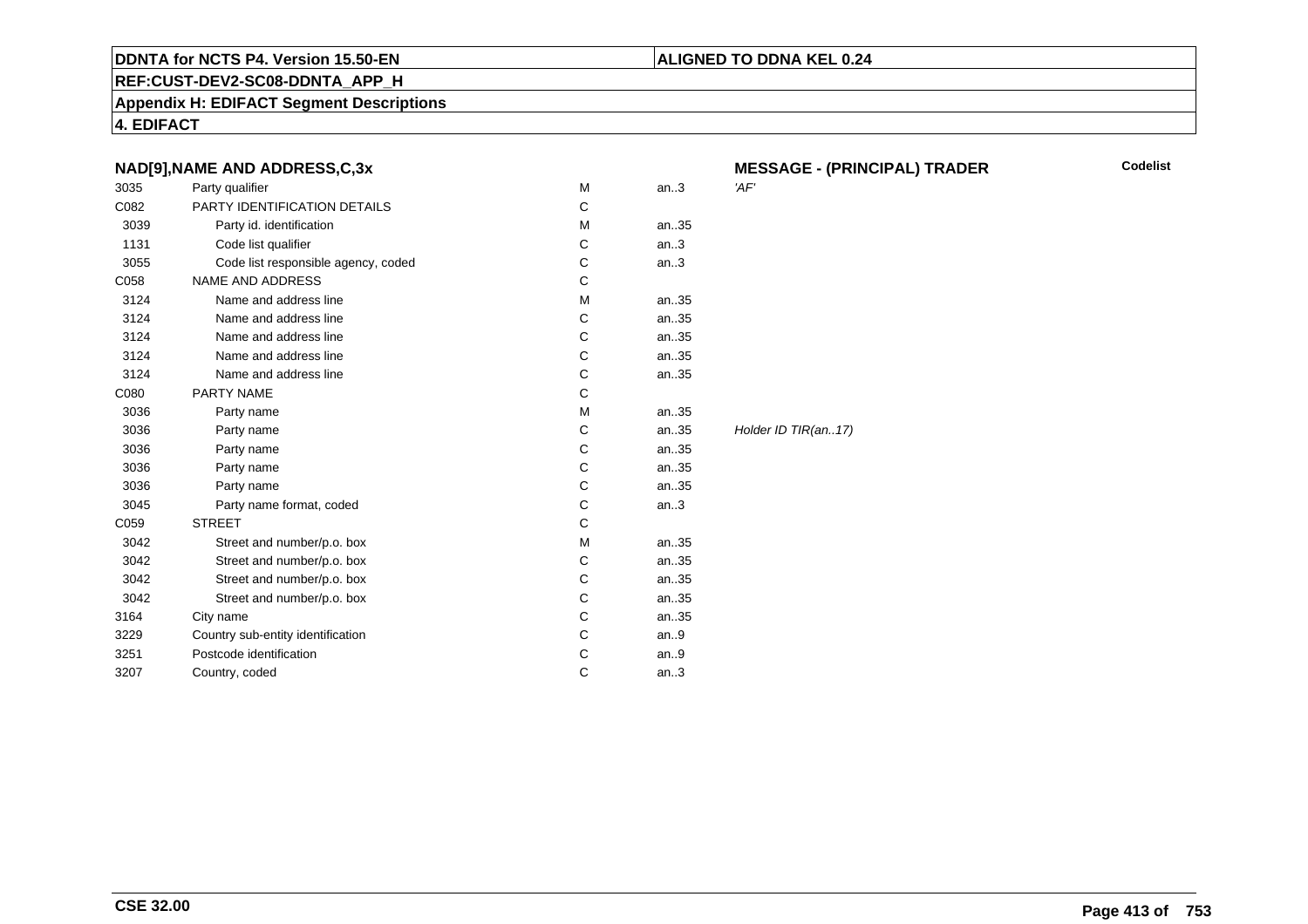#### **REF:CUST-DEV2-SC08-DDNTA\_APP\_H**

**Appendix H: EDIFACT Segment Descriptions**

**4. EDIFACT**

|      | NAD[9], NAME AND ADDRESS, C, 3x     |   |      | <b>MESSAGE - (PRINCIPAL) TRADER</b> |
|------|-------------------------------------|---|------|-------------------------------------|
| 3035 | Party qualifier                     | M | an.3 | 'AF'                                |
| C082 | PARTY IDENTIFICATION DETAILS        | C |      |                                     |
| 3039 | Party id. identification            | M | an35 |                                     |
| 1131 | Code list qualifier                 | C | an.3 |                                     |
| 3055 | Code list responsible agency, coded | C | an.3 |                                     |
| C058 | <b>NAME AND ADDRESS</b>             | C |      |                                     |
| 3124 | Name and address line               | M | an35 |                                     |
| 3124 | Name and address line               | С | an35 |                                     |
| 3124 | Name and address line               | C | an35 |                                     |
| 3124 | Name and address line               | С | an35 |                                     |
| 3124 | Name and address line               | C | an35 |                                     |
| C080 | PARTY NAME                          | C |      |                                     |
| 3036 | Party name                          | М | an35 |                                     |
| 3036 | Party name                          | C | an35 | Holder ID TIR(an17)                 |
| 3036 | Party name                          | C | an35 |                                     |
| 3036 | Party name                          | C | an35 |                                     |
| 3036 | Party name                          | С | an35 |                                     |
| 3045 | Party name format, coded            | C | an.3 |                                     |
| C059 | <b>STREET</b>                       | C |      |                                     |
| 3042 | Street and number/p.o. box          | М | an35 |                                     |
| 3042 | Street and number/p.o. box          | C | an35 |                                     |
| 3042 | Street and number/p.o. box          | С | an35 |                                     |
| 3042 | Street and number/p.o. box          | С | an35 |                                     |
| 3164 | City name                           | С | an35 |                                     |
| 3229 | Country sub-entity identification   | C | an.9 |                                     |
| 3251 | Postcode identification             | C | an.9 |                                     |
| 3207 | Country, coded                      | С | an.3 |                                     |
|      |                                     |   |      |                                     |

**ALIGNED TO DDNA KEL 0.24**

**Codelist**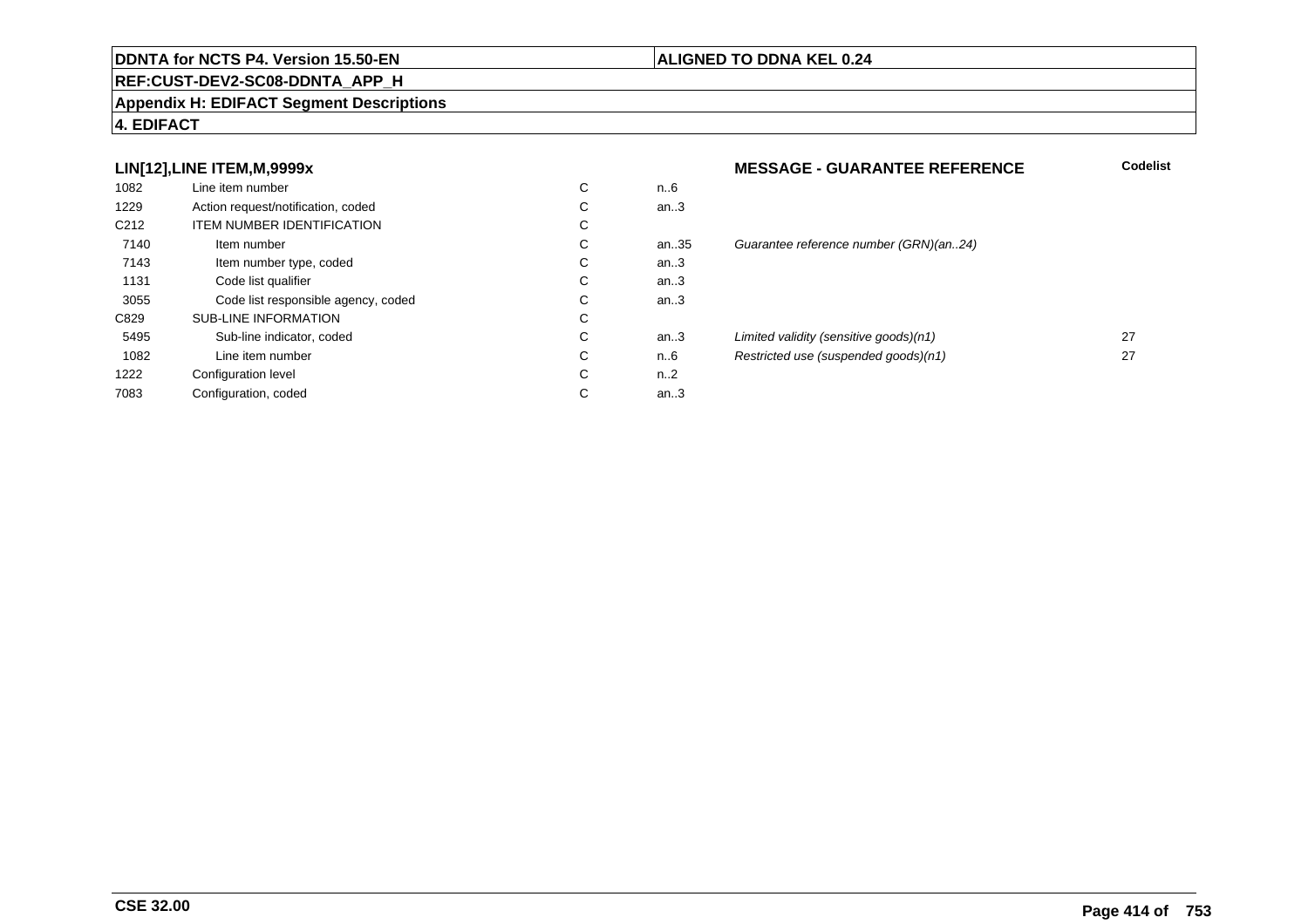#### **REF:CUST-DEV2-SC08-DDNTA\_APP\_H**

#### **Appendix H: EDIFACT Segment Descriptions**

#### **4. EDIFACT**

#### **LIN[12],LINE ITEM,M,9999x**

| 1082             | Line item number                    | С | n6   |
|------------------|-------------------------------------|---|------|
| 1229             | Action request/notification, coded  | C | an.3 |
| C <sub>212</sub> | <b>ITEM NUMBER IDENTIFICATION</b>   | С |      |
| 7140             | Item number                         | С | an.3 |
| 7143             | Item number type, coded             | С | an.3 |
| 1131             | Code list qualifier                 | C | an.3 |
| 3055             | Code list responsible agency, coded | С | an.3 |
| C829             | <b>SUB-LINE INFORMATION</b>         | C |      |
| 5495             | Sub-line indicator, coded           | C | an.3 |
| 1082             | Line item number                    | C | n6   |
| 1222             | Configuration level                 | C | n2   |
| 7083             | Configuration, coded                | С | an.3 |
|                  |                                     |   |      |

#### **ALIGNED TO DDNA KEL 0.24**

# **MESSAGE - GUARANTEE REFERENCE Codelist** an.35 Guarantee reference number (GRN)(an..24)<br>.3 an...<br>and the unit of the sensitive goods)(n1) 27<br>and the sensitive goods)(n1) 27<br>and the sensitive control in the sensitive control of the sensitive control of the sensitive control of the sensitive control of the sensiti n..6 Restricted use (suspended goods)(n1) <sup>27</sup>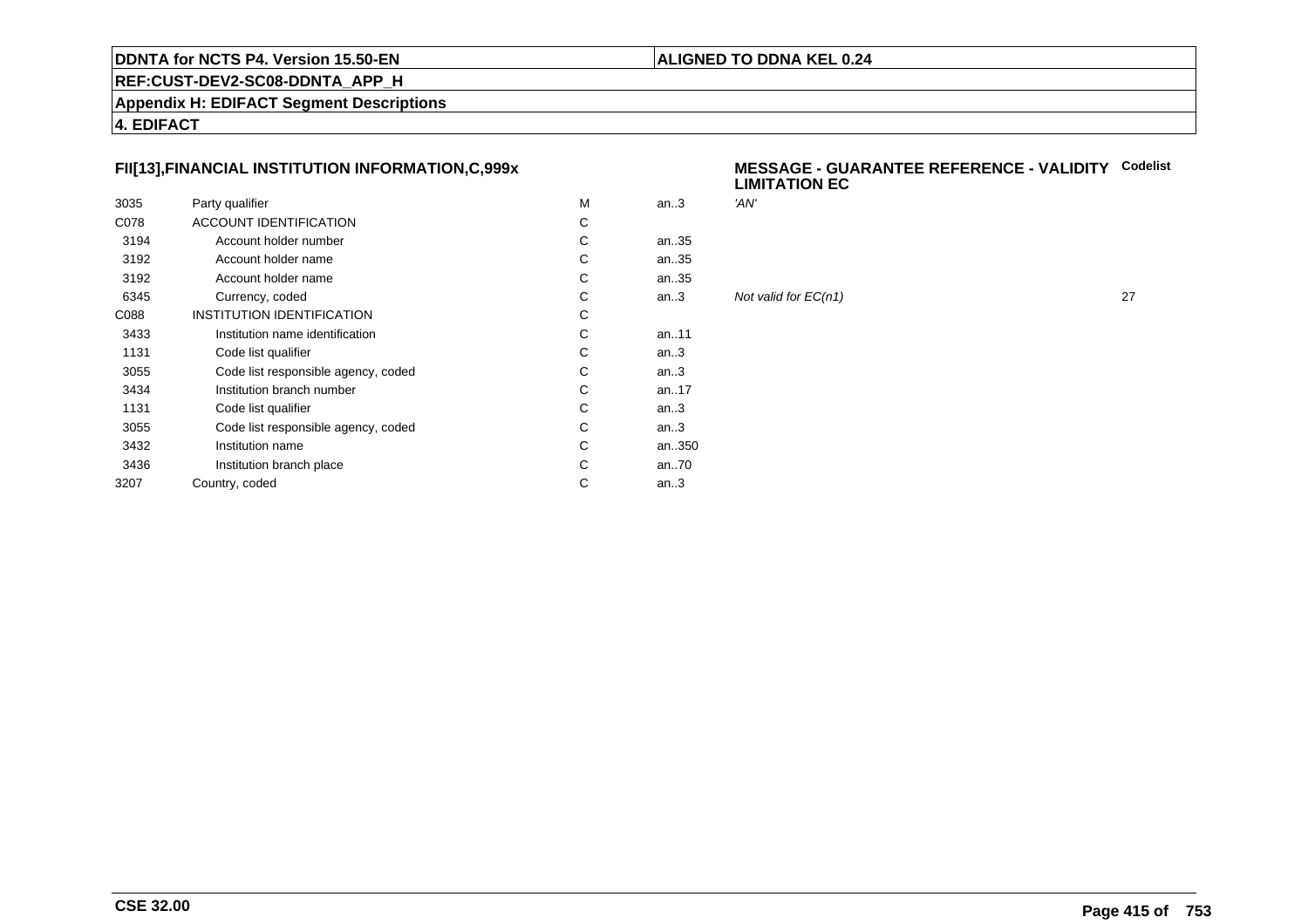#### **ALIGNED TO DDNA KEL 0.24**

**REF:CUST-DEV2-SC08-DDNTA\_APP\_H**

**Appendix H: EDIFACT Segment Descriptions**

**4. EDIFACT**

#### **FII[13],FINANCIAL INSTITUTION INFORMATION,C,999x**

| 3035 | Party qualifier                     | M | an.3      | 'AN'       |
|------|-------------------------------------|---|-----------|------------|
| C078 | ACCOUNT IDENTIFICATION              | С |           |            |
| 3194 | Account holder number               | C | an35      |            |
| 3192 | Account holder name                 | С | an35      |            |
| 3192 | Account holder name                 | С | an35      |            |
| 6345 | Currency, coded                     | C | an.3      | <b>Not</b> |
| C088 | INSTITUTION IDENTIFICATION          | С |           |            |
| 3433 | Institution name identification     | С | an. $.11$ |            |
| 1131 | Code list qualifier                 | С | an.3      |            |
| 3055 | Code list responsible agency, coded | C | an.3      |            |
| 3434 | Institution branch number           | С | an. $.17$ |            |
| 1131 | Code list qualifier                 | С | an.3      |            |
| 3055 | Code list responsible agency, coded | С | an.3      |            |
| 3432 | Institution name                    | С | an350     |            |
| 3436 | Institution branch place            | C | an70      |            |
| 3207 | Country, coded                      | С | an.3      |            |
|      |                                     |   |           |            |

#### **MESSAGE - GUARANTEE REFERENCE - VALIDITYCodelistLIMITATION EC**

| М | an.3 | 'AN'                 |    |
|---|------|----------------------|----|
| C |      |                      |    |
| С | an35 |                      |    |
| C | an35 |                      |    |
| С | an35 |                      |    |
| C | an.3 | Not valid for EC(n1) | 27 |
| С |      |                      |    |
| С | an11 |                      |    |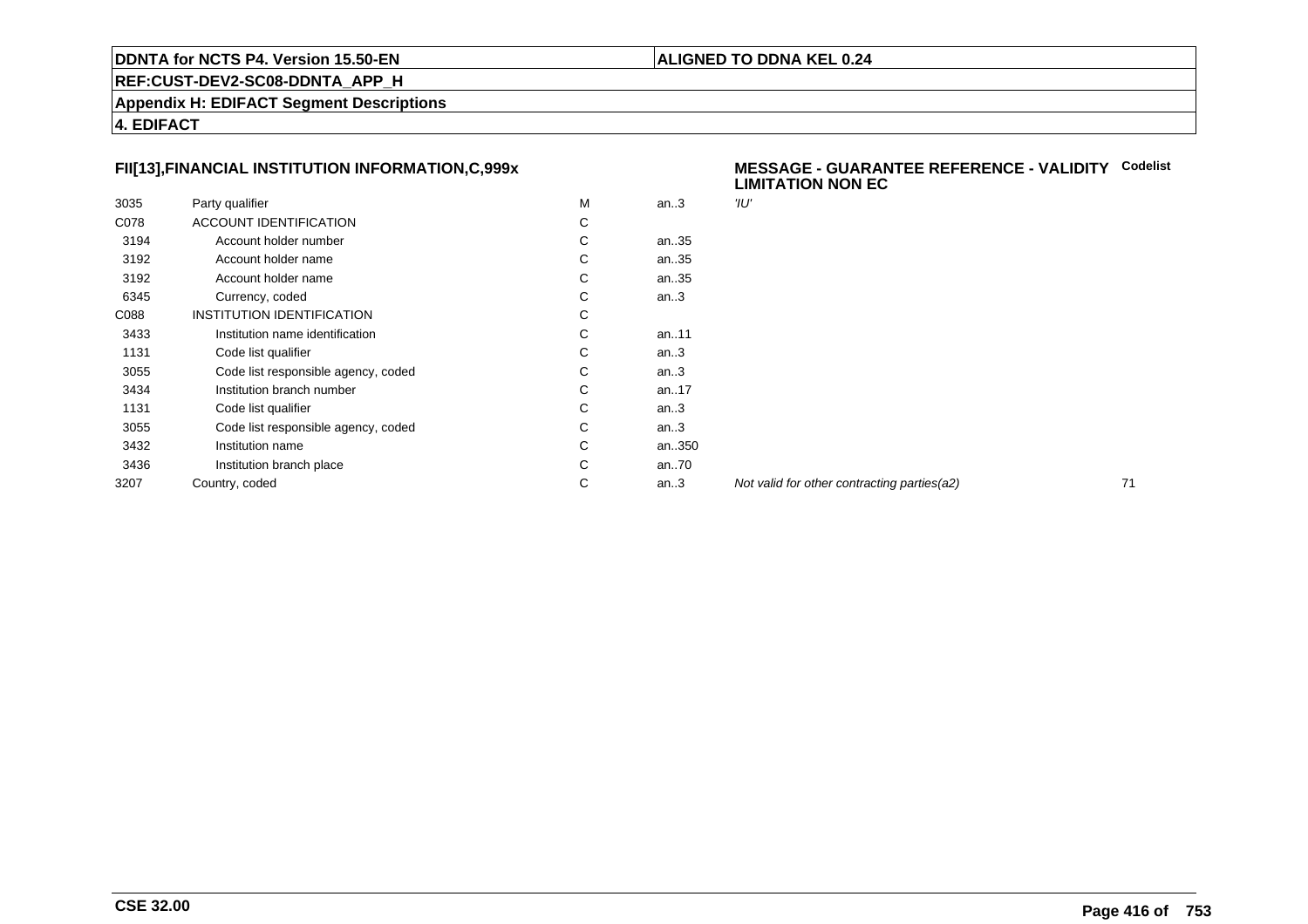#### **ALIGNED TO DDNA KEL 0.24**

**REF:CUST-DEV2-SC08-DDNTA\_APP\_H**

**Appendix H: EDIFACT Segment Descriptions**

**4. EDIFACT**

#### **FII[13],FINANCIAL INSTITUTION INFORMATION,C,999x**

|      |                                     | M |           | 'וע" |
|------|-------------------------------------|---|-----------|------|
| 3035 | Party qualifier                     |   | an.3      |      |
| C078 | <b>ACCOUNT IDENTIFICATION</b>       | С |           |      |
| 3194 | Account holder number               | С | an35      |      |
| 3192 | Account holder name                 | С | an35      |      |
| 3192 | Account holder name                 | С | an35      |      |
| 6345 | Currency, coded                     | С | an.3      |      |
| C088 | INSTITUTION IDENTIFICATION          | C |           |      |
| 3433 | Institution name identification     | С | an11      |      |
| 1131 | Code list qualifier                 | С | an.3      |      |
| 3055 | Code list responsible agency, coded | С | an.3      |      |
| 3434 | Institution branch number           | С | an. $.17$ |      |
| 1131 | Code list qualifier                 | С | an.3      |      |
| 3055 | Code list responsible agency, coded | С | an.3      |      |
| 3432 | Institution name                    | C | an350     |      |
| 3436 | Institution branch place            | С | an70      |      |
| 3207 | Country, coded                      | С | an.3      | Noi  |
|      |                                     |   |           |      |

#### **MESSAGE - GUARANTEE REFERENCE - VALIDITYCodelist LIMITATION NON EC**

Not valid for other contracting parties(a2) 71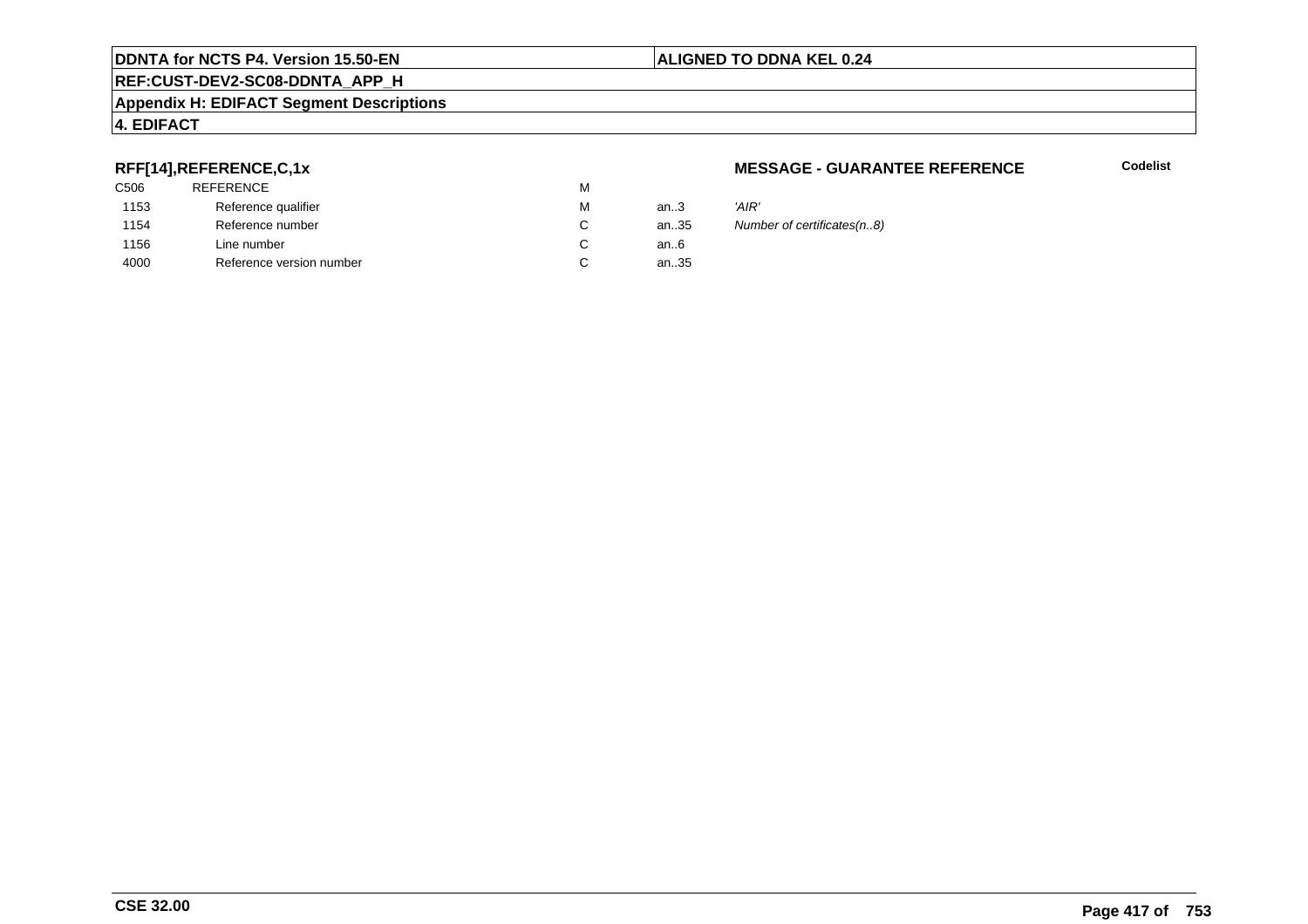#### **REF:CUST-DEV2-SC08-DDNTA\_APP\_H**

#### **Appendix H: EDIFACT Segment Descriptions**

#### **4. EDIFACT**

#### **RFF[14],REFERENCE,C,1x**

| C506 | <b>REFERENCE</b>         | М |      |       |
|------|--------------------------|---|------|-------|
| 1153 | Reference qualifier      | М | an.3 | 'AIR' |
| 1154 | Reference number         | C | an35 | Num   |
| 1156 | Line number              | C | an6  |       |
| 4000 | Reference version number | C | an35 |       |
|      |                          |   |      |       |

#### **MESSAGE - GUARANTEE REFERENCE**

**Codelist**

35 Number of certificates(n..8)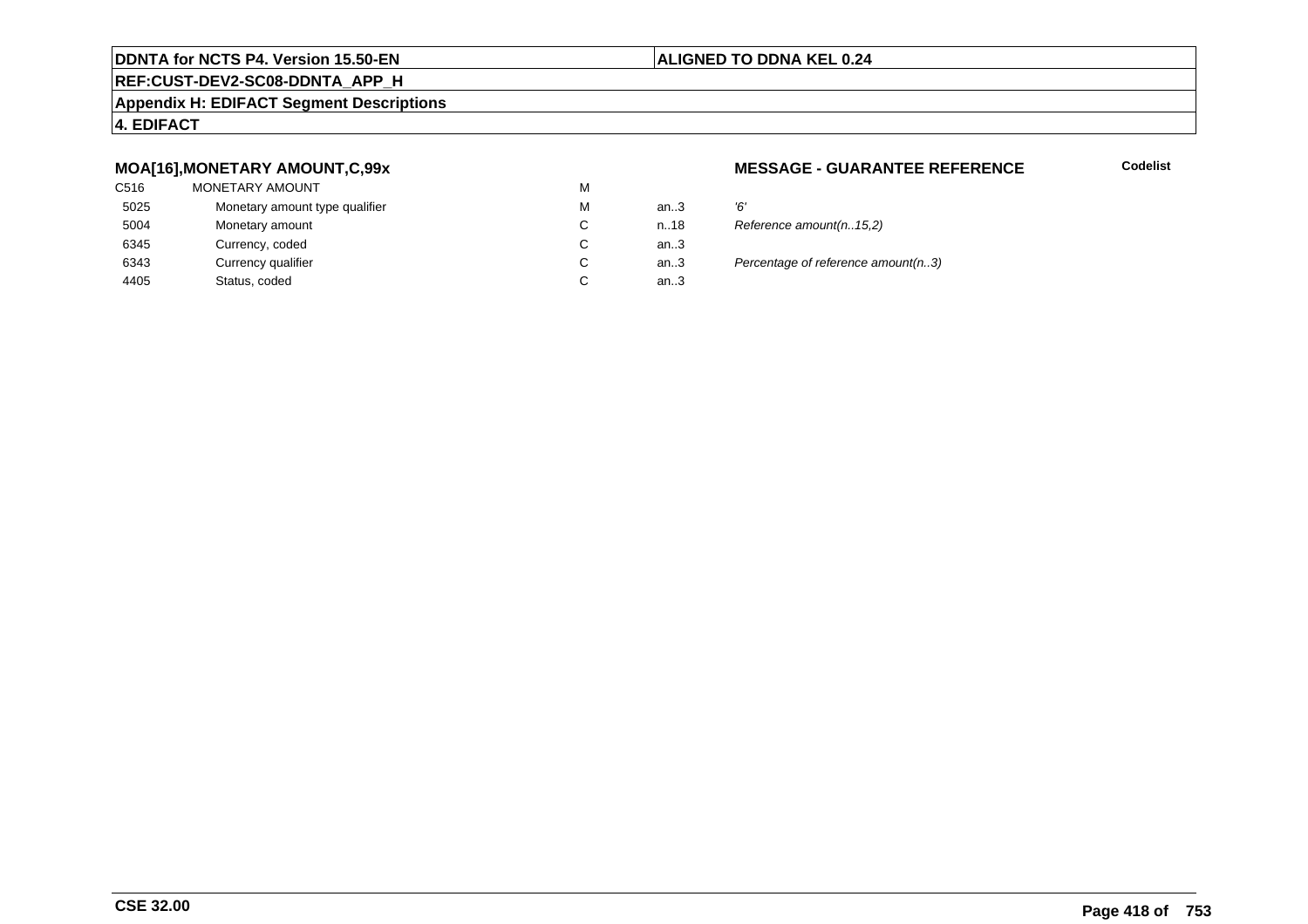#### **ALIGNED TO DDNA KEL 0.24**

#### **REF:CUST-DEV2-SC08-DDNTA\_APP\_H**

#### **Appendix H: EDIFACT Segment Descriptions**

#### **4. EDIFACT**

#### **MOA[16],MONETARY AMOUNT,C,99x**

| C516 | MONETARY AMOUNT                | M |      |    |
|------|--------------------------------|---|------|----|
| 5025 | Monetary amount type qualifier | M | an.3 | Έ  |
| 5004 | Monetary amount                | C | n.18 | R  |
| 6345 | Currency, coded                | C | an.3 |    |
| 6343 | Currency qualifier             | C | an.3 | Pε |
| 4405 | Status, coded                  | С | an.3 |    |
|      |                                |   |      |    |

#### **MESSAGE - GUARANTEE REFERENCE**

**Codelist**

| м | an $3$ | '6'                                |
|---|--------|------------------------------------|
| С | n18    | Reference amount(n15,2)            |
| С | an.3   |                                    |
| С | an.3   | Percentage of reference amount(n3) |
| С | an3    |                                    |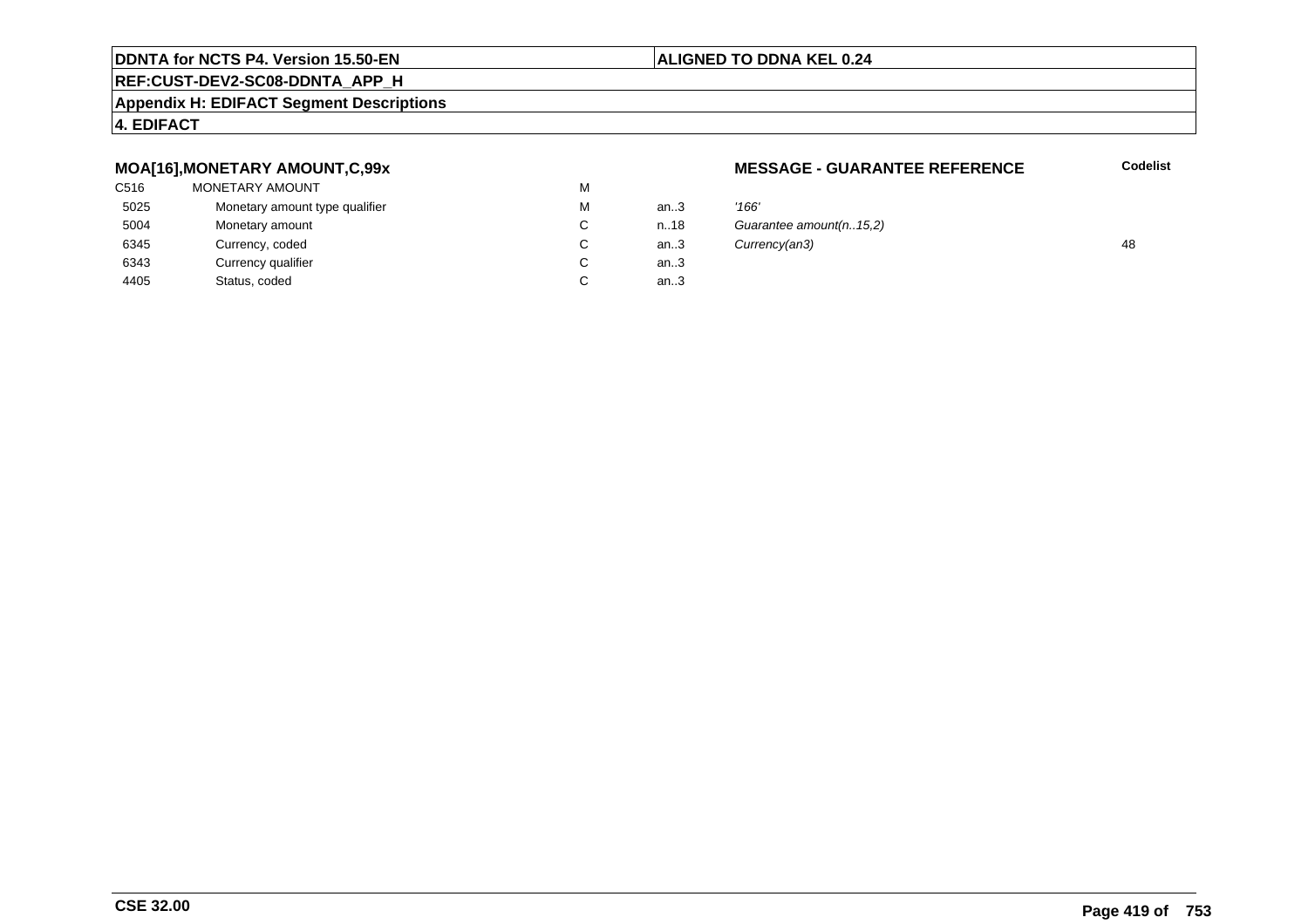#### **REF:CUST-DEV2-SC08-DDNTA\_APP\_H**

#### **Appendix H: EDIFACT Segment Descriptions**

#### **4. EDIFACT**

#### **MOA[16],MONETARY AMOUNT,C,99x**

| C516 | MONETARY AMOUNT                | M |      |       |
|------|--------------------------------|---|------|-------|
| 5025 | Monetary amount type qualifier | M | an.3 | '166' |
| 5004 | Monetary amount                | C | n.18 | Guai  |
| 6345 | Currency, coded                | C | an.3 | Curn  |
| 6343 | Currency qualifier             | C | an.3 |       |
| 4405 | Status, coded                  | С | an.3 |       |
|      |                                |   |      |       |

#### **MESSAGE - GUARANTEE REFERENCE**

**Codelist**

| м  | an.3   | '166'                   |    |
|----|--------|-------------------------|----|
| C. | n.18   | Guarantee amount(n15,2) |    |
| С  | an $3$ | Currency(an3)           | 48 |
| С  | an $3$ |                         |    |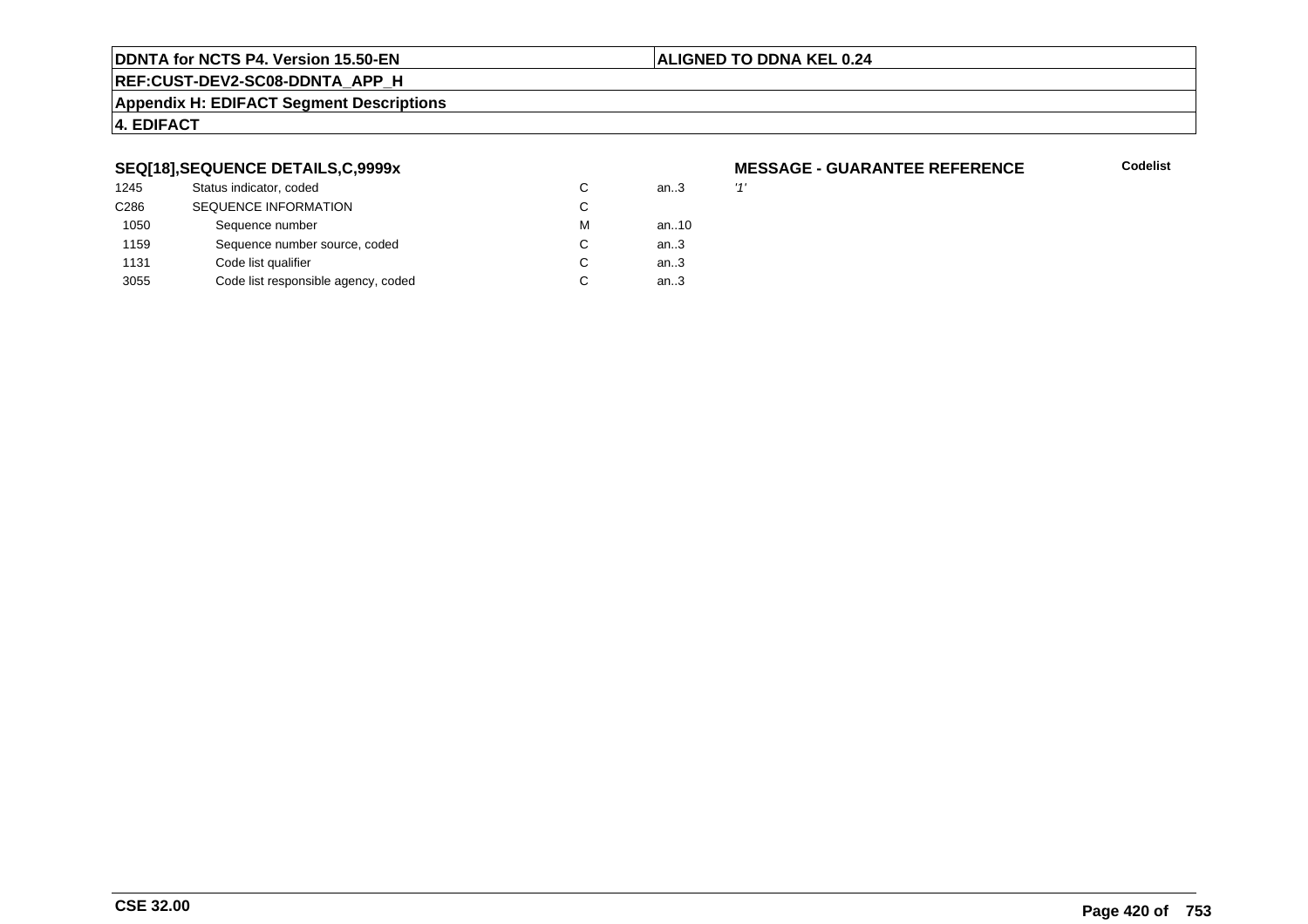#### **ALIGNED TO DDNA KEL 0.24**

**REF:CUST-DEV2-SC08-DDNTA\_APP\_H**

#### **Appendix H: EDIFACT Segment Descriptions**

#### **4. EDIFACT**

#### **SEQ[18],SEQUENCE DETAILS,C,9999x**

| 1245             | Status indicator, coded             |   | an.3   | 11' |
|------------------|-------------------------------------|---|--------|-----|
| C <sub>286</sub> | <b>SEQUENCE INFORMATION</b>         | C |        |     |
| 1050             | Sequence number                     | м | an10   |     |
| 1159             | Sequence number source, coded       | C | an $3$ |     |
| 1131             | Code list qualifier                 | C | an.3   |     |
| 3055             | Code list responsible agency, coded |   | an.3   |     |
|                  |                                     |   |        |     |

# **MESSAGE - GUARANTEE REFERENCE**

**Codelist**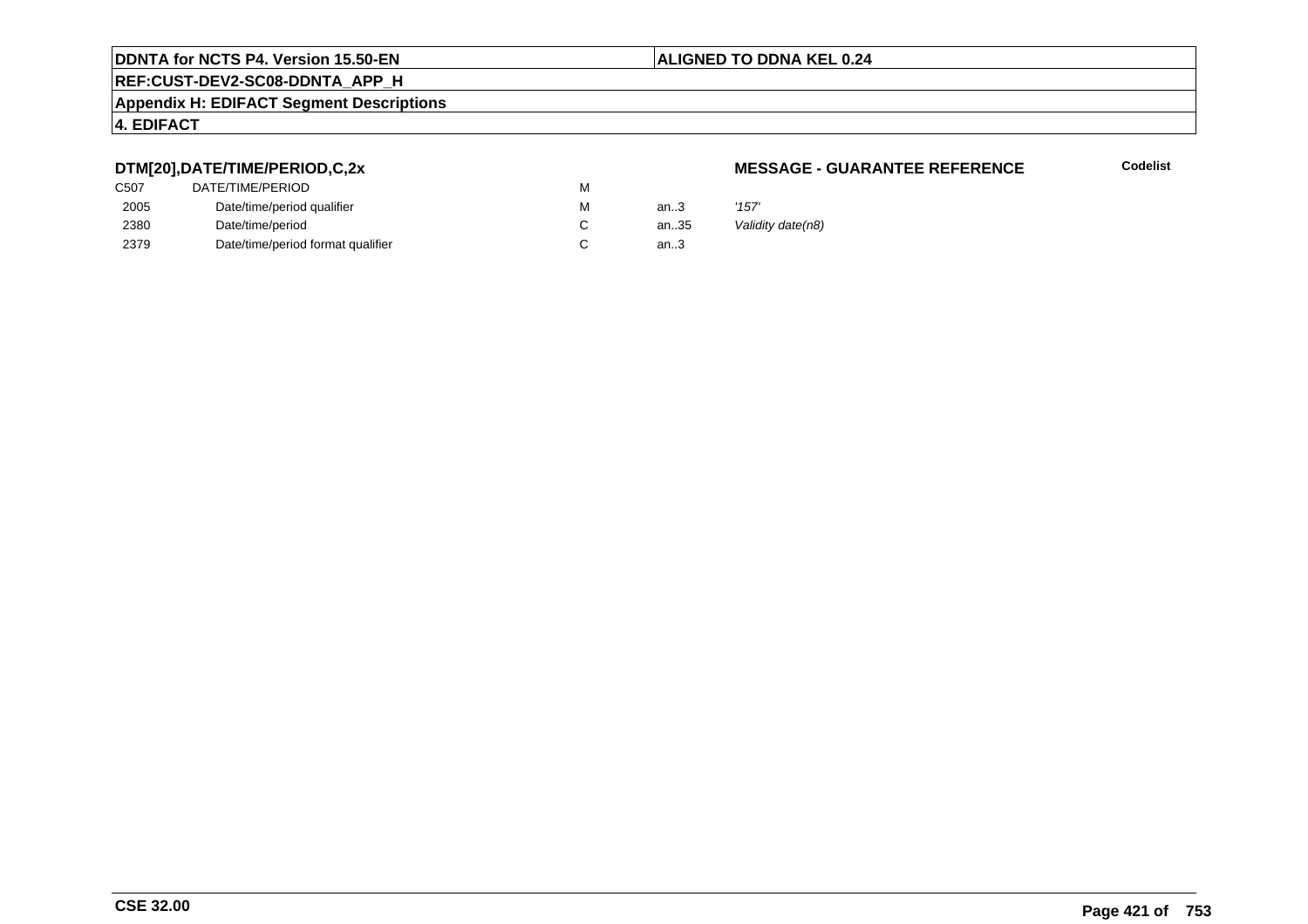## **REF:CUST-DEV2-SC08-DDNTA\_APP\_H**

#### **Appendix H: EDIFACT Segment Descriptions**

#### **4. EDIFACT**

#### **DTM[20],DATE/TIME/PERIOD,C,2x**

| C507 | DATE/TIME/PERIOD                  | М |          |       |
|------|-----------------------------------|---|----------|-------|
| 2005 | Date/time/period qualifier        | М | an $3$   | '157' |
| 2380 | Date/time/period                  |   | an $.35$ | Valic |
| 2379 | Date/time/period format qualifier |   | an.3     |       |

#### **MESSAGE - GUARANTEE REFERENCE**

**Codelist**

Validity date(n8)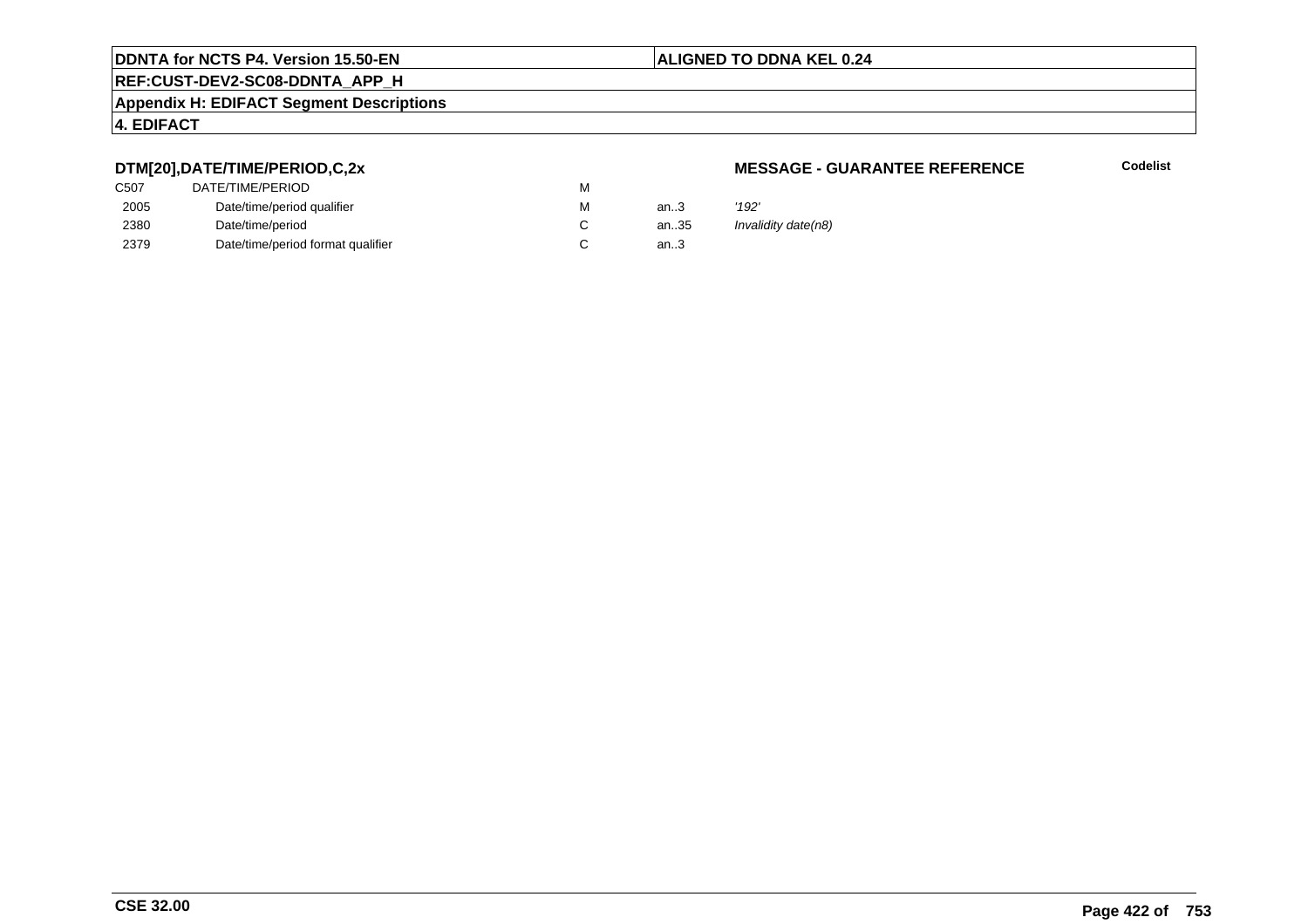#### **REF:CUST-DEV2-SC08-DDNTA\_APP\_H**

#### **Appendix H: EDIFACT Segment Descriptions**

#### **4. EDIFACT**

#### **DTM[20],DATE/TIME/PERIOD,C,2x**

| DATE/TIME/PERIOD                  | М |          |       |
|-----------------------------------|---|----------|-------|
| Date/time/period qualifier        | М | an $3$   | '192' |
| Date/time/period                  |   | an $.35$ | Inval |
| Date/time/period format qualifier |   | an.3     |       |
|                                   |   |          |       |

#### **MESSAGE - GUARANTEE REFERENCE**

**Codelist**

Invalidity date(n8)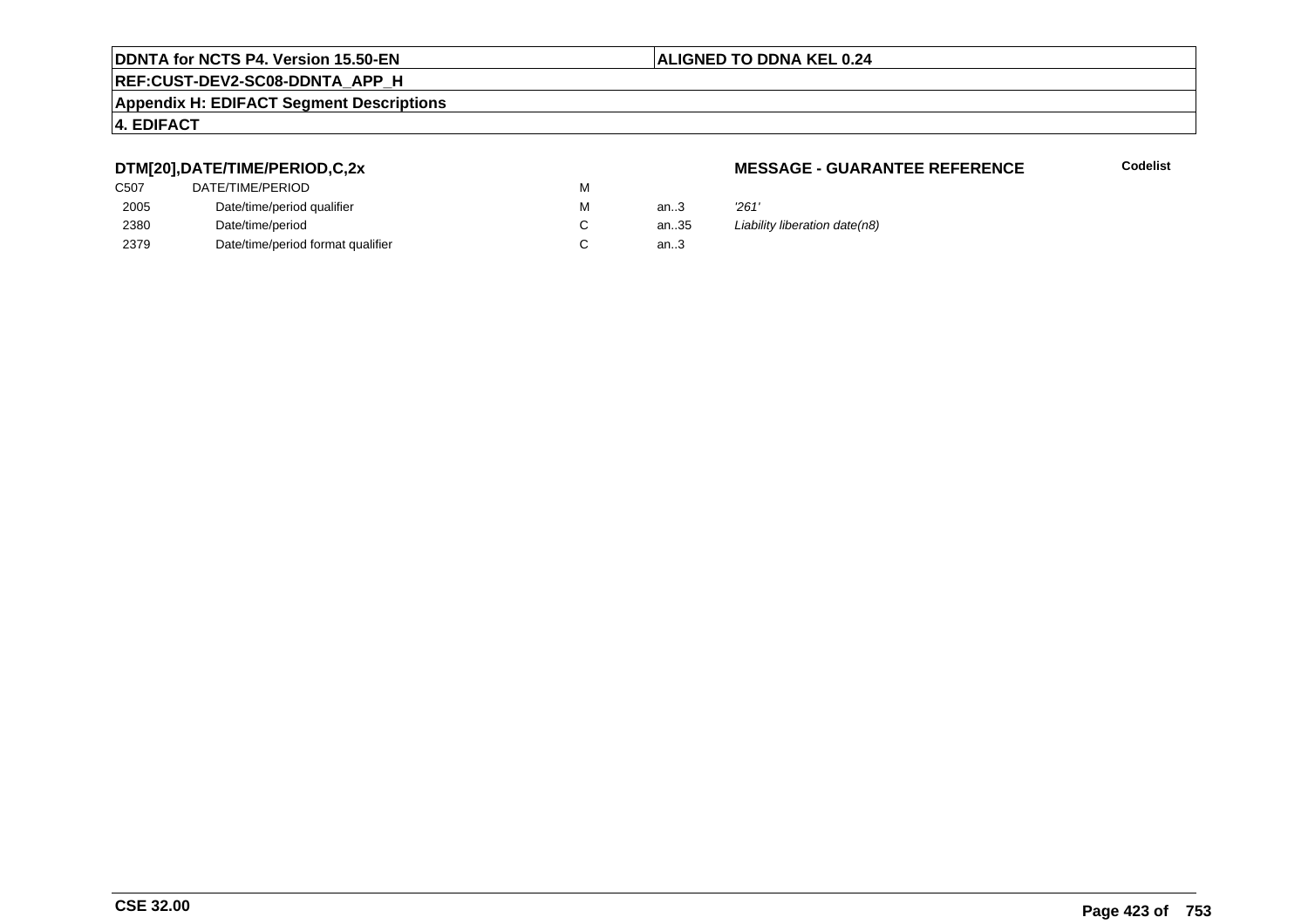#### **REF:CUST-DEV2-SC08-DDNTA\_APP\_H**

#### **Appendix H: EDIFACT Segment Descriptions**

#### **4. EDIFACT**

#### **DTM[20],DATE/TIME/PERIOD,C,2x**

| DATE/TIME/PERIOD                  | М |      |       |
|-----------------------------------|---|------|-------|
| Date/time/period qualifier        | M | an.3 | '261' |
| Date/time/period                  |   | an35 | Liabi |
| Date/time/period format qualifier |   | an.3 |       |
|                                   |   |      |       |

#### **MESSAGE - GUARANTEE REFERENCE**

**Codelist**

an.35 Liability liberation date(n8)<br>.3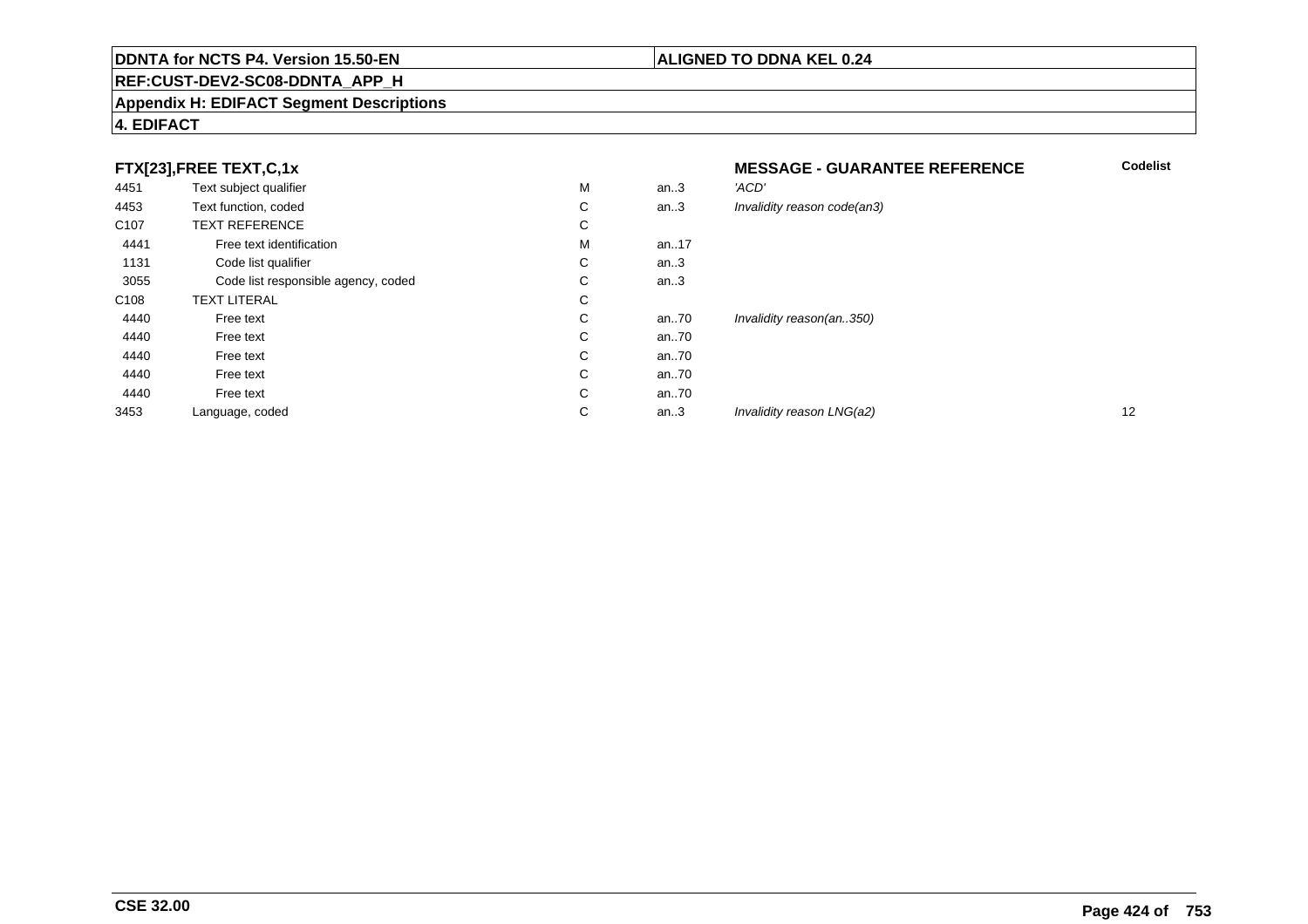#### **REF:CUST-DEV2-SC08-DDNTA\_APP\_H**

#### **Appendix H: EDIFACT Segment Descriptions**

#### **4. EDIFACT**

#### **FTX[23],FREE TEXT,C,1x**

| 4451             | Text subject qualifier              | M | an.3     | 'ACD'                       |
|------------------|-------------------------------------|---|----------|-----------------------------|
| 4453             | Text function, coded                | С | an.3     | Invalidity reason code(an3) |
| C <sub>107</sub> | <b>TEXT REFERENCE</b>               | С |          |                             |
| 4441             | Free text identification            | M | an. $17$ |                             |
| 1131             | Code list qualifier                 | C | an.3     |                             |
| 3055             | Code list responsible agency, coded | C | an.3     |                             |
| C <sub>108</sub> | <b>TEXT LITERAL</b>                 | C |          |                             |
| 4440             | Free text                           | C | an70     | Invalidity reason(an350)    |
| 4440             | Free text                           | C | an70     |                             |
| 4440             | Free text                           | C | an70     |                             |
| 4440             | Free text                           | C | an70     |                             |
| 4440             | Free text                           | C | an70     |                             |
| 3453             | Language, coded                     | C | an.3     | Invalidity reason LNG(a2)   |
|                  |                                     |   |          |                             |

#### **MESSAGE - GUARANTEE REFERENCE**

**ALIGNED TO DDNA KEL 0.24**

| M | an.3    | 'ACD'                       |    |
|---|---------|-----------------------------|----|
| С | an.3    | Invalidity reason code(an3) |    |
| С |         |                             |    |
| М | an17    |                             |    |
| С | an.3    |                             |    |
| С | an.3    |                             |    |
| С |         |                             |    |
| С | an70    | Invalidity reason(an350)    |    |
| С | an70    |                             |    |
| С | an70    |                             |    |
| С | an70    |                             |    |
| С | an70    |                             |    |
| С | an $.3$ | Invalidity reason LNG(a2)   | 12 |
|   |         |                             |    |

**Codelist**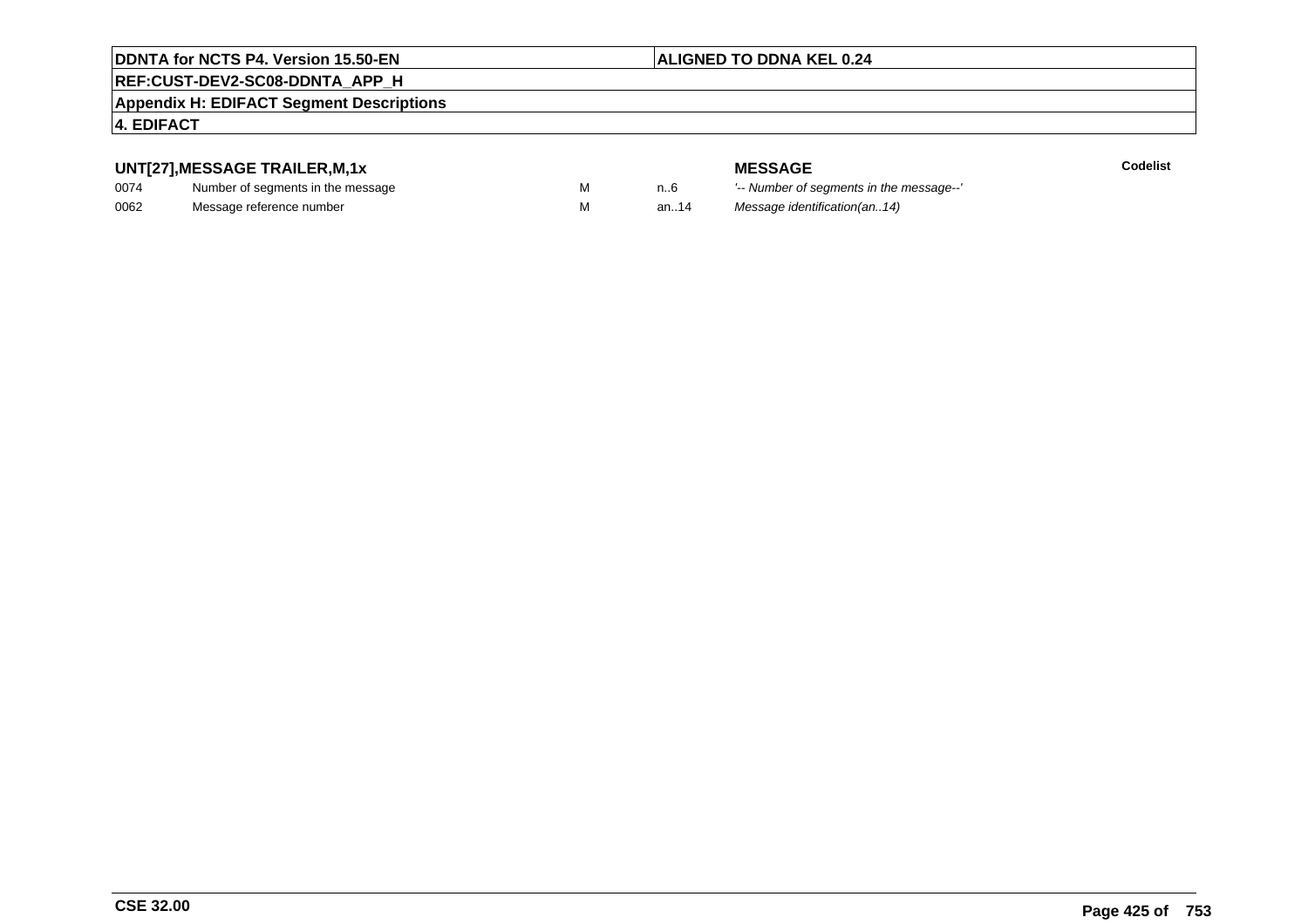#### **ALIGNED TO DDNA KEL 0.24**

#### **REF:CUST-DEV2-SC08-DDNTA\_APP\_H**

#### **Appendix H: EDIFACT Segment Descriptions**

#### **4. EDIFACT**

#### **UNT[27],MESSAGE TRAILER,M,1x**

| 0074 | Number of segments in the message |  |
|------|-----------------------------------|--|
| 0062 | Message reference number          |  |

**MESSAGE**<br>M n.6 <sup>'--</sup> Number of s **Codelist** n..6 '-- Number of segments in the message--' M an..14 Message identification(an..14)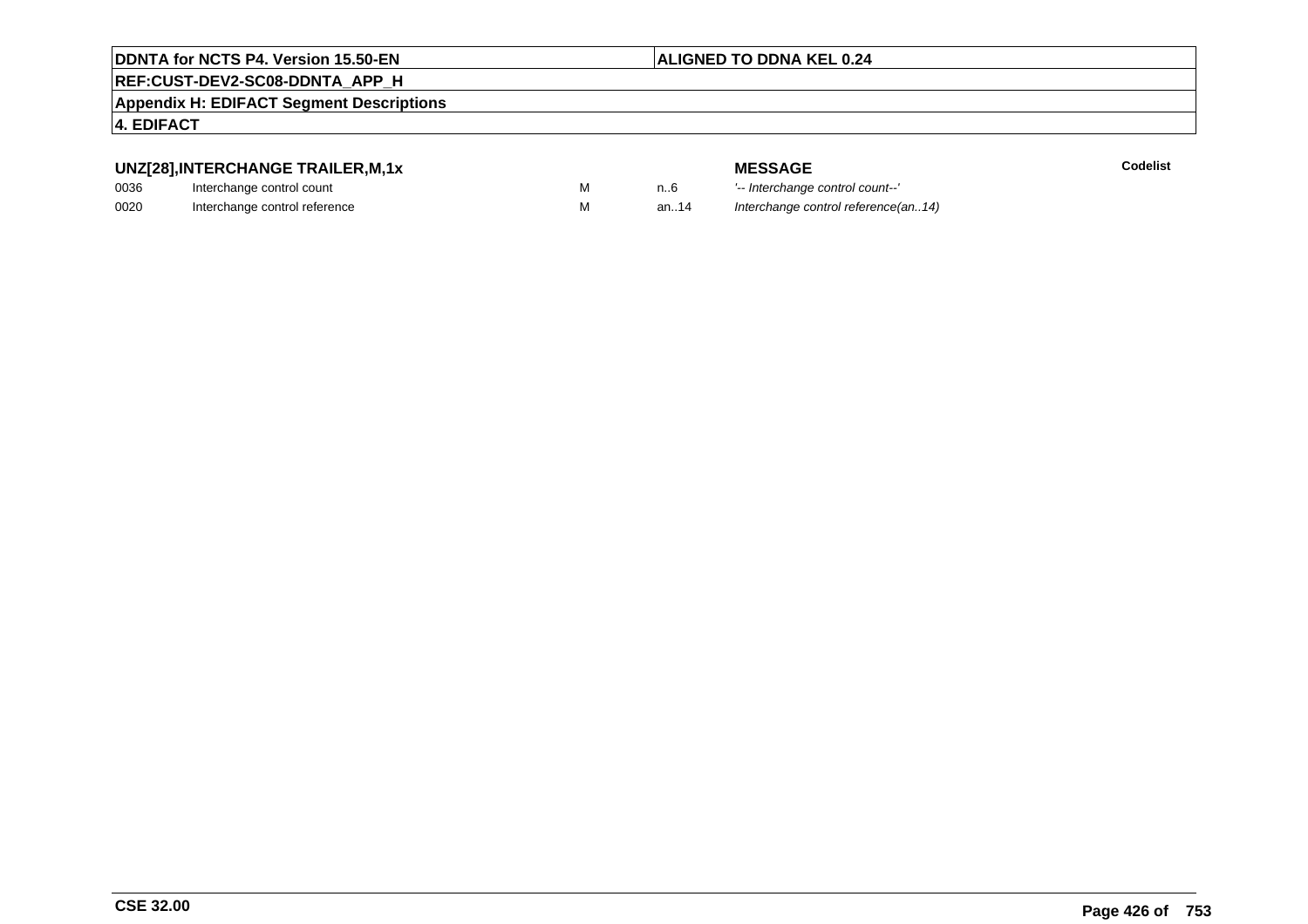#### **ALIGNED TO DDNA KEL 0.24**

#### **REF:CUST-DEV2-SC08-DDNTA\_APP\_H**

**Appendix H: EDIFACT Segment Descriptions**

#### **4. EDIFACT**

#### **UNZ[28],INTERCHANGE TRAILER,M,1x**

| 0036 | Interchange control count     |  |
|------|-------------------------------|--|
| 0020 | Interchange control reference |  |

| או ,וזור ו∟∟ותרוו ∟ש |  |
|----------------------|--|
| ontrol count         |  |
| ntrol roforonoo      |  |

**MESSAGE**<br>M n.6 <sup>1-</sup>- Interchange **E** Codelist M an..6 <sup>'--</sup> Interchange control count--'<br>M an..14 Interchange control reference(a Interchange control reference(an..14)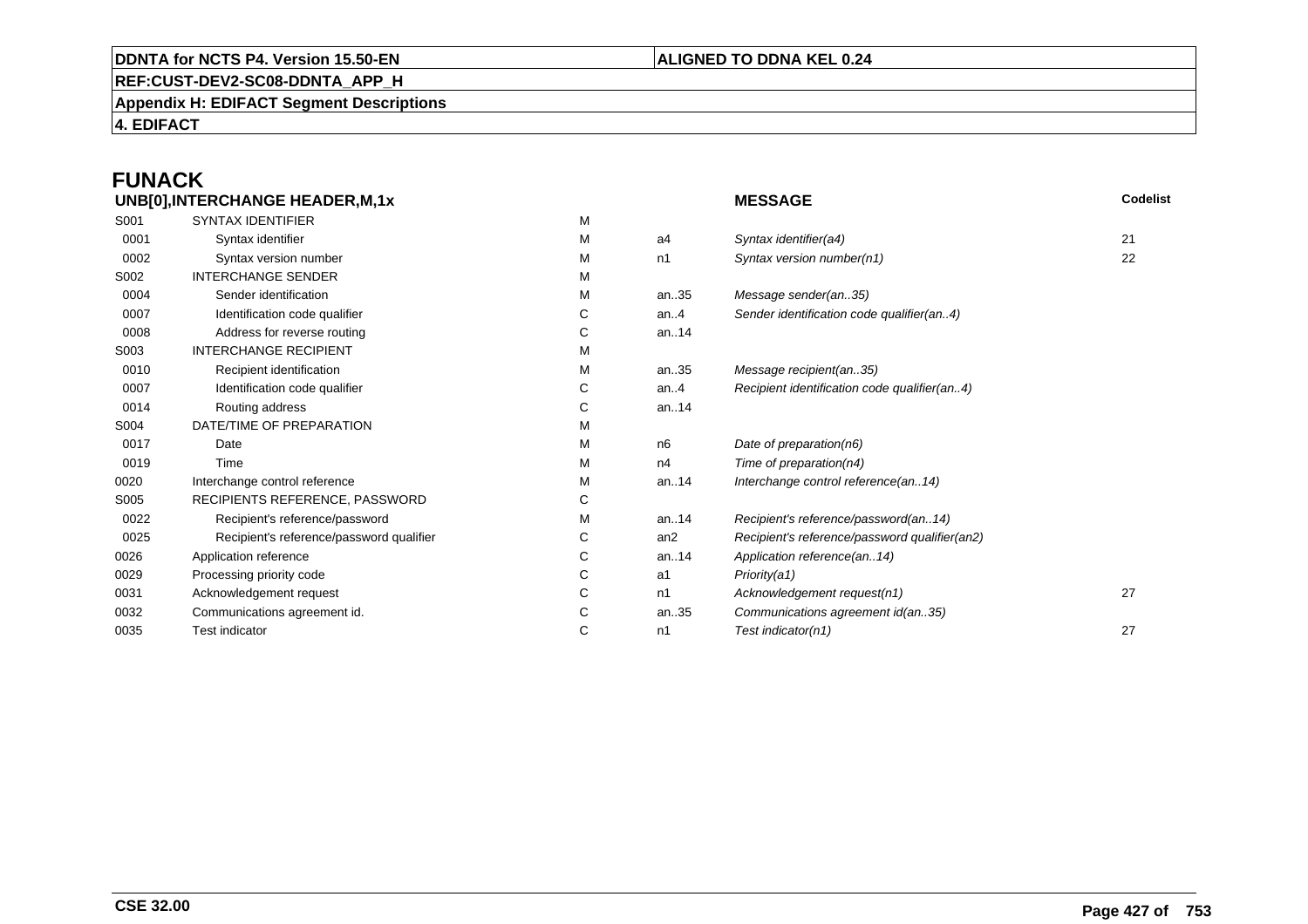#### **REF:CUST-DEV2-SC08-DDNTA\_APP\_H**

**Appendix H: EDIFACT Segment Descriptions**

**4. EDIFACT**

## **FUNACK**

| UNB[0], INTERCHANGE HEADER, M, 1x |                                          |   |                | <b>MESSAGE</b>                                | Codelist |
|-----------------------------------|------------------------------------------|---|----------------|-----------------------------------------------|----------|
| S001                              | <b>SYNTAX IDENTIFIER</b>                 | M |                |                                               |          |
| 0001                              | Syntax identifier                        | M | a4             | Syntax identifier(a4)                         | 21       |
| 0002                              | Syntax version number                    | М | n1             | Syntax version number(n1)                     | 22       |
| S002                              | <b>INTERCHANGE SENDER</b>                | М |                |                                               |          |
| 0004                              | Sender identification                    | M | an35           | Message sender(an35)                          |          |
| 0007                              | Identification code qualifier            | С | an. $4$        | Sender identification code qualifier(an4)     |          |
| 0008                              | Address for reverse routing              | С | an14           |                                               |          |
| S003                              | <b>INTERCHANGE RECIPIENT</b>             | М |                |                                               |          |
| 0010                              | Recipient identification                 | M | an35           | Message recipient(an35)                       |          |
| 0007                              | Identification code qualifier            | С | an.4           | Recipient identification code qualifier(an4)  |          |
| 0014                              | Routing address                          | С | an14           |                                               |          |
| S004                              | DATE/TIME OF PREPARATION                 | М |                |                                               |          |
| 0017                              | Date                                     | М | n <sub>6</sub> | Date of preparation(n6)                       |          |
| 0019                              | Time                                     | М | n4             | Time of preparation(n4)                       |          |
| 0020                              | Interchange control reference            | М | an14           | Interchange control reference(an14)           |          |
| S005                              | RECIPIENTS REFERENCE, PASSWORD           | С |                |                                               |          |
| 0022                              | Recipient's reference/password           | М | an14           | Recipient's reference/password(an14)          |          |
| 0025                              | Recipient's reference/password qualifier | С | an2            | Recipient's reference/password qualifier(an2) |          |
| 0026                              | Application reference                    | С | an14           | Application reference(an14)                   |          |
| 0029                              | Processing priority code                 | С | a1             | Priority(a1)                                  |          |
| 0031                              | Acknowledgement request                  | С | n1             | Acknowledgement request(n1)                   | 27       |
| 0032                              | Communications agreement id.             | С | an35           | Communications agreement id(an35)             |          |
| 0035                              | <b>Test indicator</b>                    | С | n1             | Test indicator(n1)                            | 27       |
|                                   |                                          |   |                |                                               |          |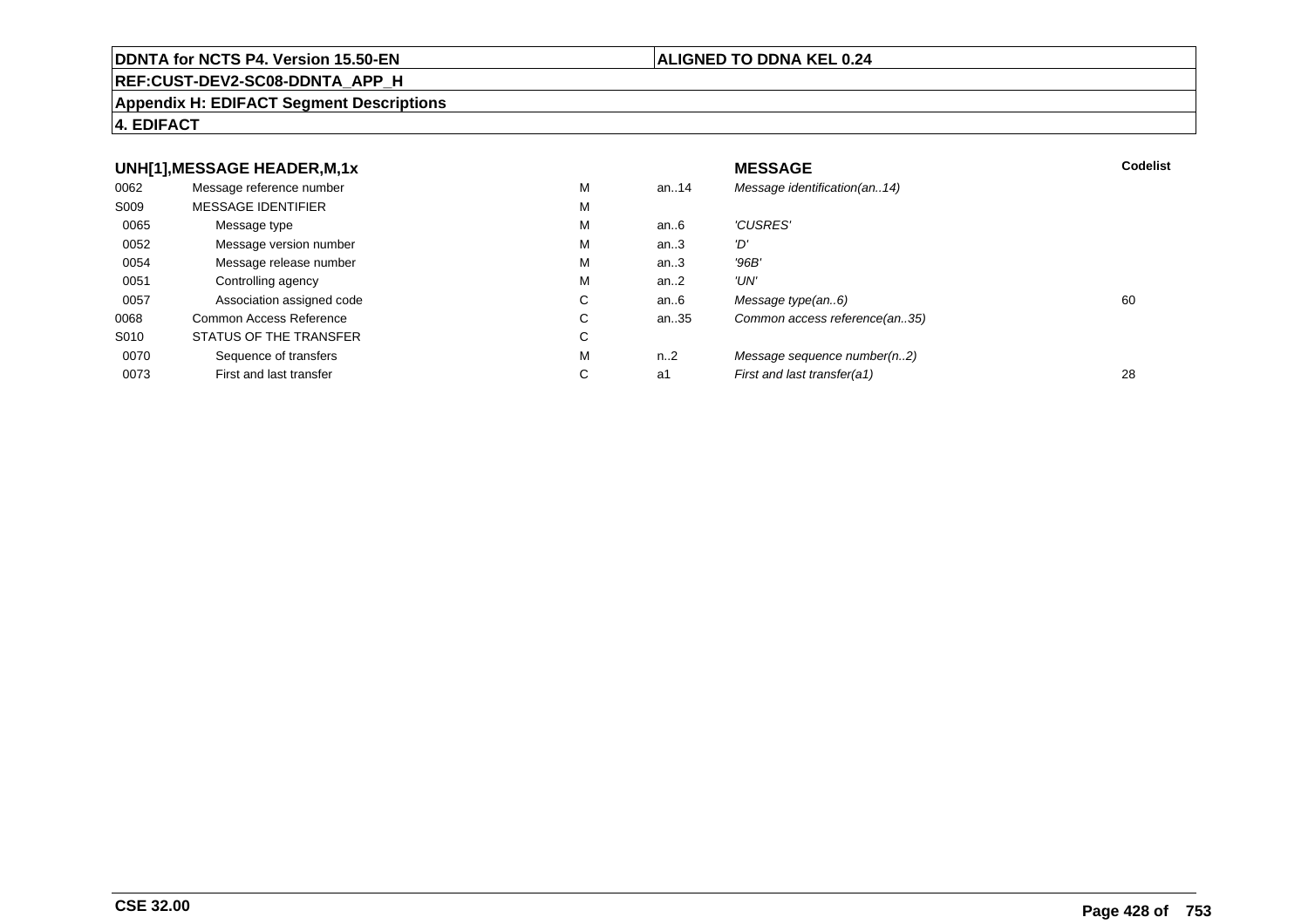#### **REF:CUST-DEV2-SC08-DDNTA\_APP\_H**

#### **Appendix H: EDIFACT Segment Descriptions**

#### **4. EDIFACT**

#### **UNH[1],MESSAGE HEADER,M,1xx** MESSAGE **Codelist** Codelist 0062 Message reference number <sup>M</sup> an..14 Message identification(an..14) S009 MESSAGE IDENTIFIERR M M 0065Message type Message version number and the Message version number and the Message of Message Message Message M an..6  $'CUSRES'$ <br>an..3  $'D'$ 0052 Message version number <sup>M</sup>an..3 '*D'*<br>an..3 '96*B'* 0054Message release number Message release number Message of the Message of the Message of Message of Message of Me<br>
Message release number of Message of Message of Message of Message of Message of Message of Message of Messag an..3 '96B'<br>an..2 'UN' 0051Controlling agency<br>
Association assigned code<br>
C an..2<br>an..6 0057Association assigned code **C** C<br>
mmon Access Reference **C** C an..6 Message type(an..6)<br>an..35 Common access reference(an..35) 0068Common Access Reference C<br>
STATUS OF THE TRANSFER
C Common access reference(an..35) S010 STATUS OF THE TRANSFERR C 0070Sequence of transfers M<br>
First and last transfer C n..2 Message sequence number(n..2)<br>a1 First and last transfer(a1) 0073First and last transfer First and last transfer(a1) 28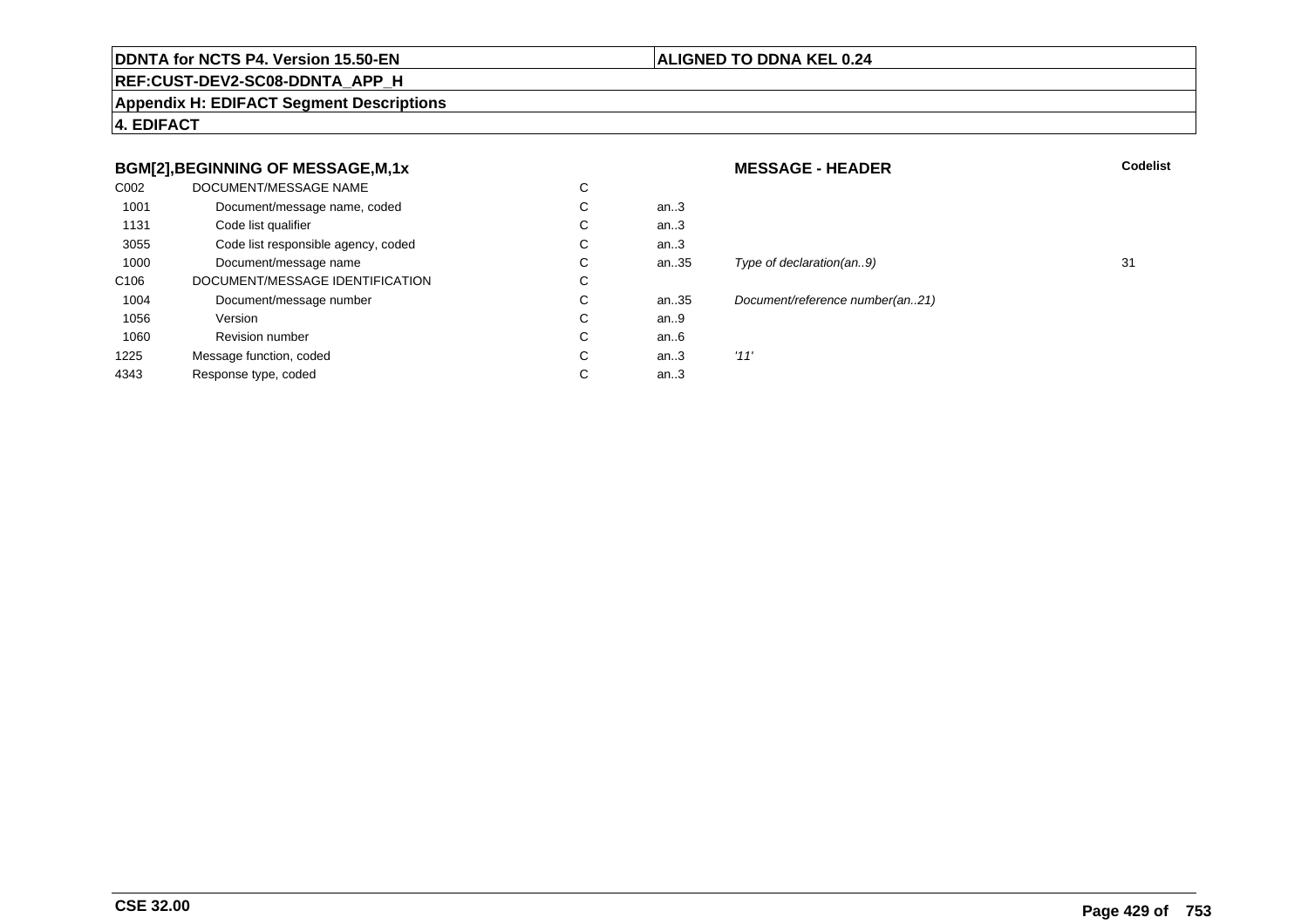#### **ALIGNED TO DDNA KEL 0.24**

**REF:CUST-DEV2-SC08-DDNTA\_APP\_H**

**Appendix H: EDIFACT Segment Descriptions**

**4. EDIFACT**

#### **BGM[2],BEGINNING OF MESSAGE,M,1x**

| C002             | DOCUMENT/MESSAGE NAME               | С |      |      |
|------------------|-------------------------------------|---|------|------|
| 1001             | Document/message name, coded        | С | an.3 |      |
| 1131             | Code list qualifier                 | C | an.3 |      |
| 3055             | Code list responsible agency, coded | C | an.3 |      |
| 1000             | Document/message name               | С | an35 | Tyr  |
| C <sub>106</sub> | DOCUMENT/MESSAGE IDENTIFICATION     | C |      |      |
| 1004             | Document/message number             | C | an35 | Doc  |
| 1056             | Version                             | C | an.9 |      |
| 1060             | <b>Revision number</b>              | C | an6  |      |
| 1225             | Message function, coded             | C | an.3 | '11' |
| 4343             | Response type, coded                | С | an.3 |      |
|                  |                                     |   |      |      |

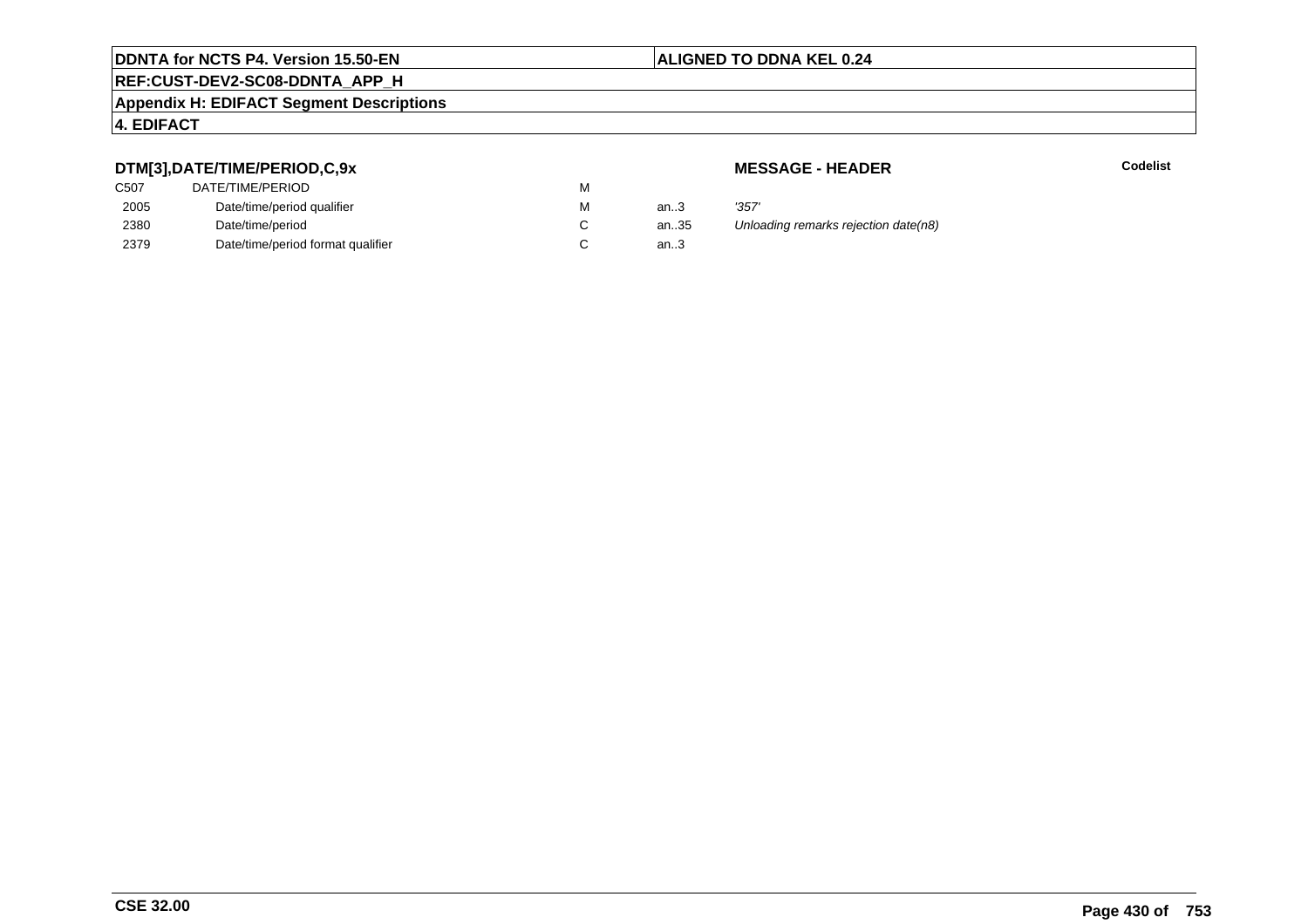## **REF:CUST-DEV2-SC08-DDNTA\_APP\_H**

#### **Appendix H: EDIFACT Segment Descriptions**

#### **4. EDIFACT**

#### **DTM[3],DATE/TIME/PERIOD,C,9x**

| C507 | DATE/TIME/PERIOD                  | М |      |       |
|------|-----------------------------------|---|------|-------|
| 2005 | Date/time/period qualifier        | М | an.3 | '357' |
| 2380 | Date/time/period                  |   | an35 | Unlo  |
| 2379 | Date/time/period format qualifier |   | an.3 |       |

**MESSAGE - HEADER**

**R** Codelist

althanan.35 Unloading remarks rejection date(n8).<br>.3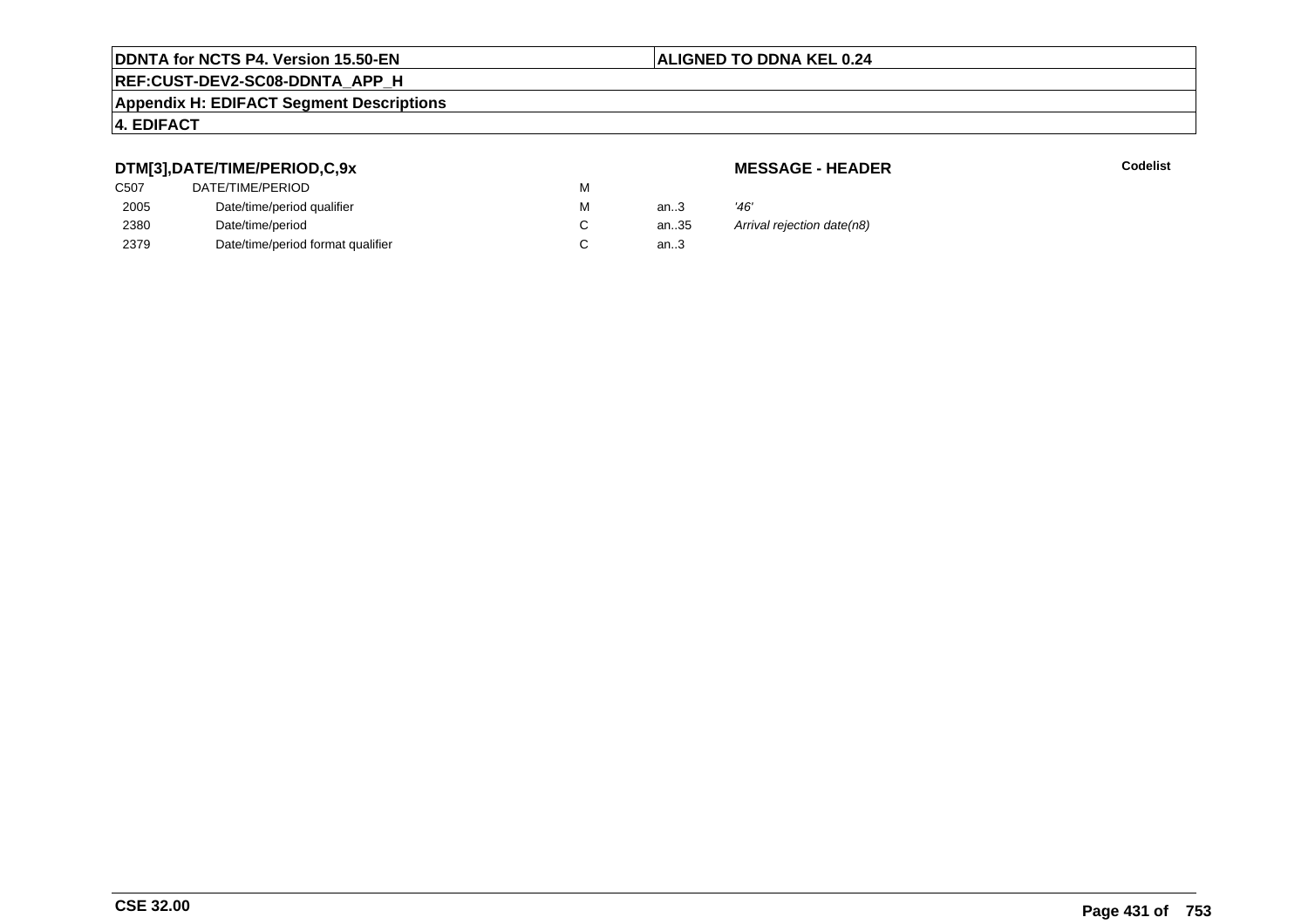## **REF:CUST-DEV2-SC08-DDNTA\_APP\_H**

#### **Appendix H: EDIFACT Segment Descriptions**

#### **4. EDIFACT**

#### **DTM[3],DATE/TIME/PERIOD,C,9x**

#### **MESSAGE - HEADER**

**R** Codelist

| . .  |                                   |   |      |                            |
|------|-----------------------------------|---|------|----------------------------|
| C507 | DATE/TIME/PERIOD                  | M |      |                            |
| 2005 | Date/time/period qualifier        | м | an.3 | '46'                       |
| 2380 | Date/time/period                  |   | an35 | Arrival rejection date(n8) |
| 2379 | Date/time/period format qualifier |   | an.3 |                            |
|      |                                   |   |      |                            |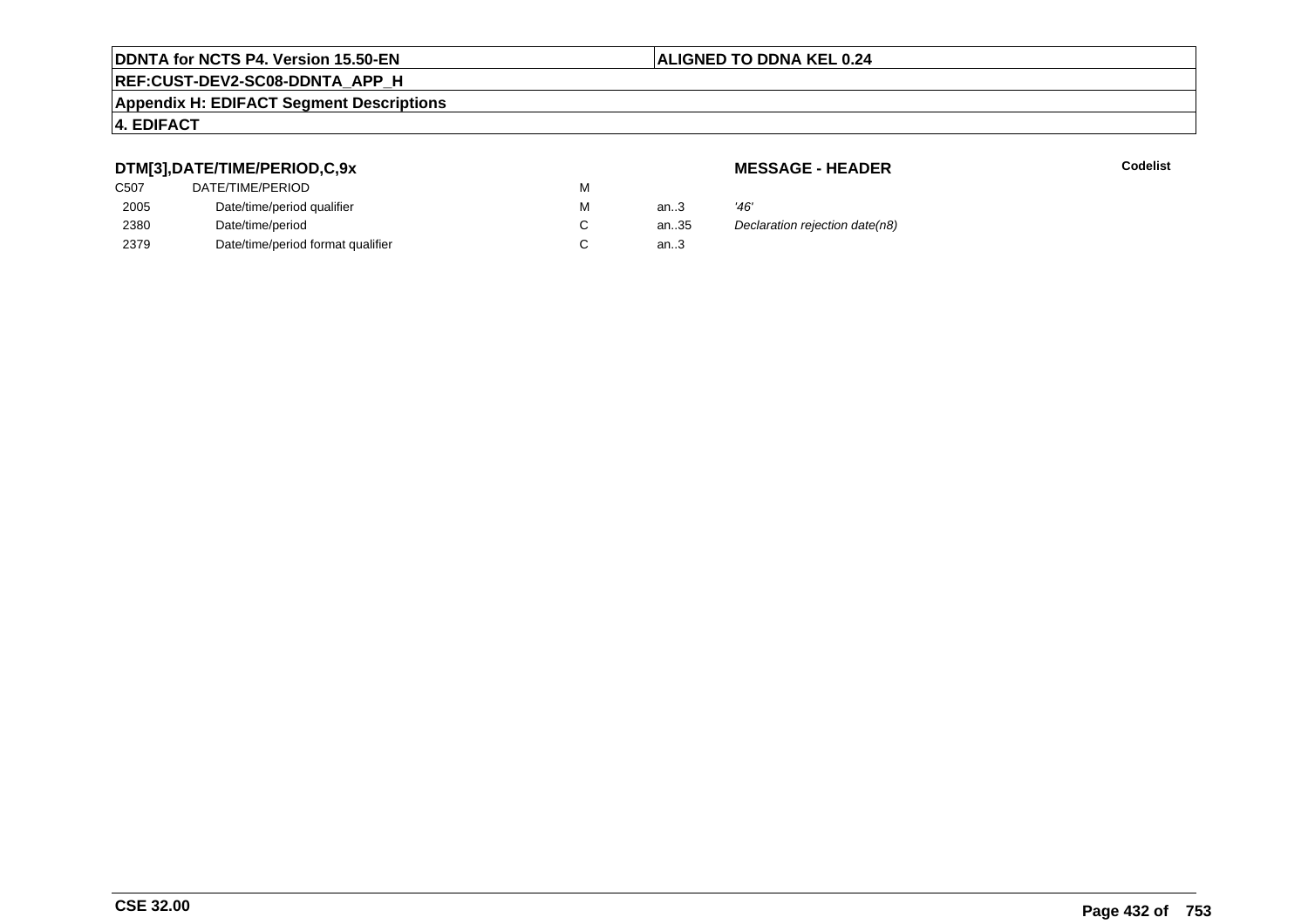## **REF:CUST-DEV2-SC08-DDNTA\_APP\_H**

#### **Appendix H: EDIFACT Segment Descriptions**

#### **4. EDIFACT**

#### **DTM[3],DATE/TIME/PERIOD,C,9x**

| DATE/TIME/PERIOD                  | м |      |      |
|-----------------------------------|---|------|------|
| Date/time/period qualifier        | м | an.3 | '46' |
| Date/time/period                  |   | an35 | Dec  |
| Date/time/period format qualifier |   | an.3 |      |
|                                   |   |      |      |

#### **MESSAGE - HEADER**

**R** Codelist

35 Declaration rejection date(n8)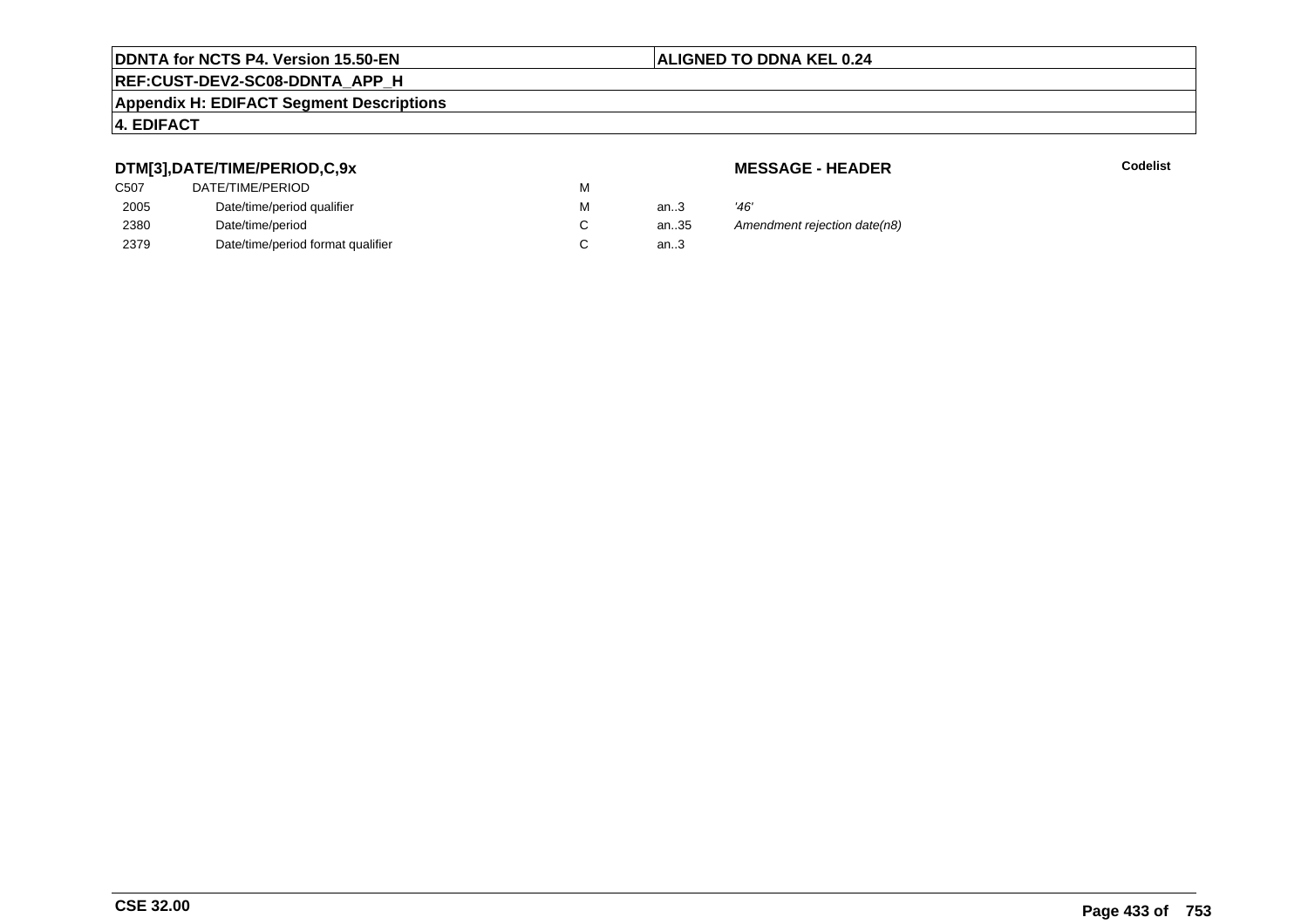# **REF:CUST-DEV2-SC08-DDNTA\_APP\_H**

#### **Appendix H: EDIFACT Segment Descriptions**

### **4. EDIFACT**

## **DTM[3],DATE/TIME/PERIOD,C,9x**

| DATE/TIME/PERIOD                  | м |      |      |
|-----------------------------------|---|------|------|
| Date/time/period qualifier        | м | an.3 | '46' |
| Date/time/period                  |   | an35 | Аm   |
| Date/time/period format qualifier |   | an.3 |      |
|                                   |   |      |      |

**MESSAGE - HEADER**

**R** Codelist

an.35 Amendment rejection date(n8)<br>3.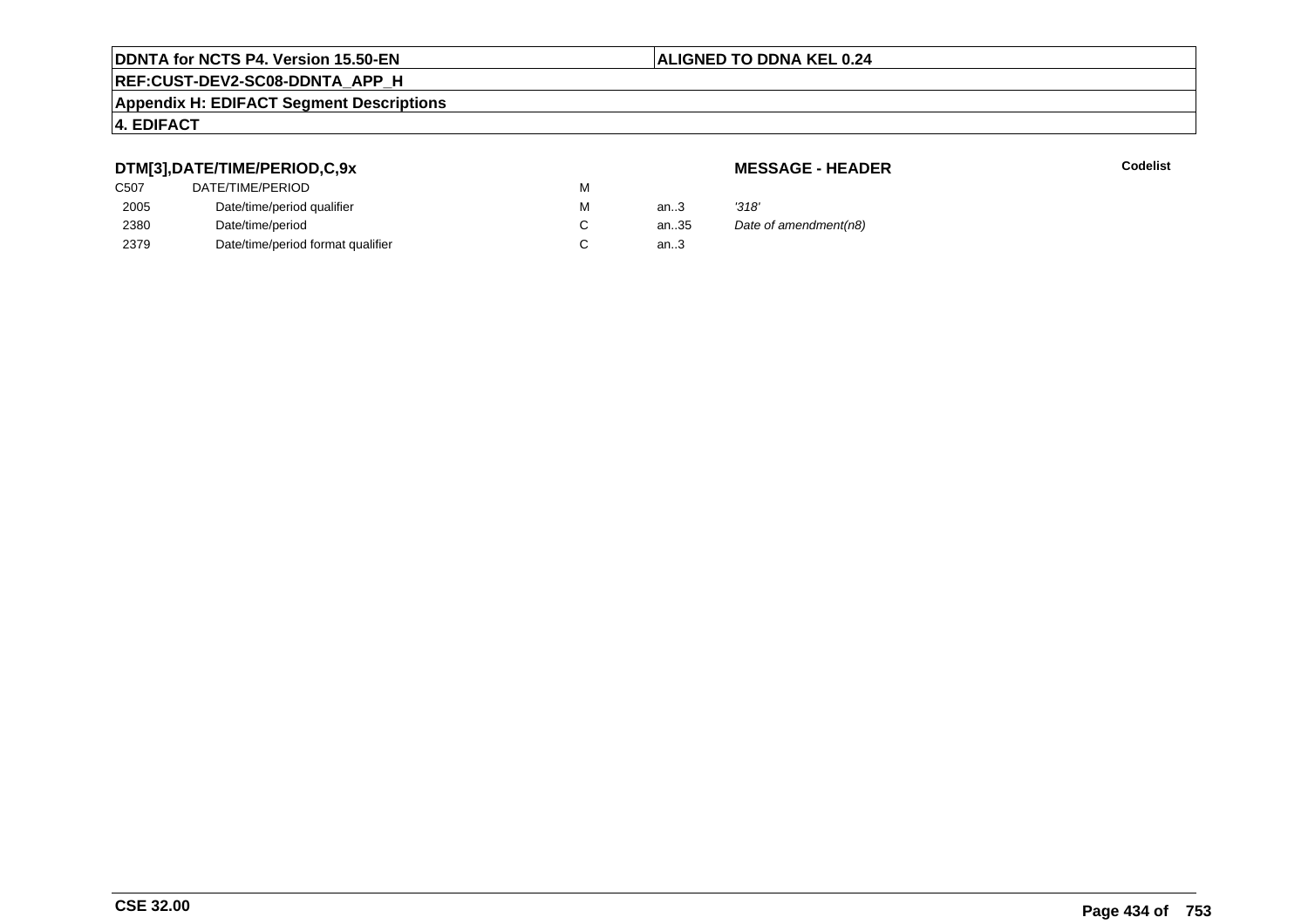# **REF:CUST-DEV2-SC08-DDNTA\_APP\_H**

#### **Appendix H: EDIFACT Segment Descriptions**

#### **4. EDIFACT**

## **DTM[3],DATE/TIME/PERIOD,C,9x**

# **MESSAGE - HEADER**

**R** Codelist

| ---               |                                   |   |        |                       |
|-------------------|-----------------------------------|---|--------|-----------------------|
| C <sub>50</sub> 7 | DATE/TIME/PERIOD                  | М |        |                       |
| 2005              | Date/time/period qualifier        | М | an $3$ | '318'                 |
| 2380              | Date/time/period                  |   | an35   | Date of amendment(n8) |
| 2379              | Date/time/period format qualifier |   | an.3   |                       |
|                   |                                   |   |        |                       |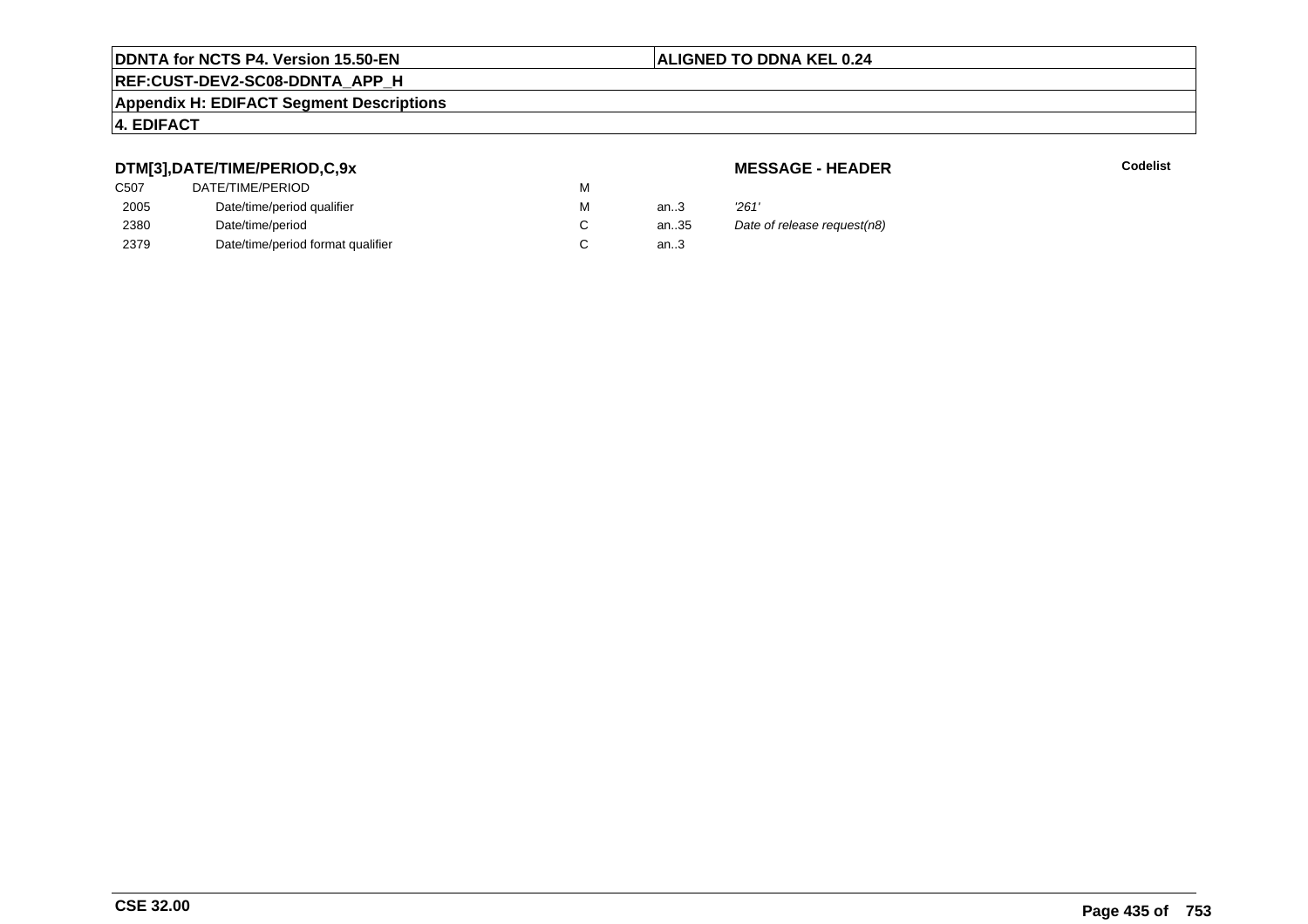# **REF:CUST-DEV2-SC08-DDNTA\_APP\_H**

#### **Appendix H: EDIFACT Segment Descriptions**

#### **4. EDIFACT**

## **DTM[3],DATE/TIME/PERIOD,C,9x**

| C <sub>50</sub> 7 | DATE/TIME/PERIOD                  | м |        |       |
|-------------------|-----------------------------------|---|--------|-------|
| 2005              | Date/time/period qualifier        | м | an.3   | '261' |
| 2380              | Date/time/period                  |   | an35   | Date  |
| 2379              | Date/time/period format qualifier |   | an $3$ |       |

**MESSAGE - HEADER**

**R** Codelist

35 Date of release request(n8)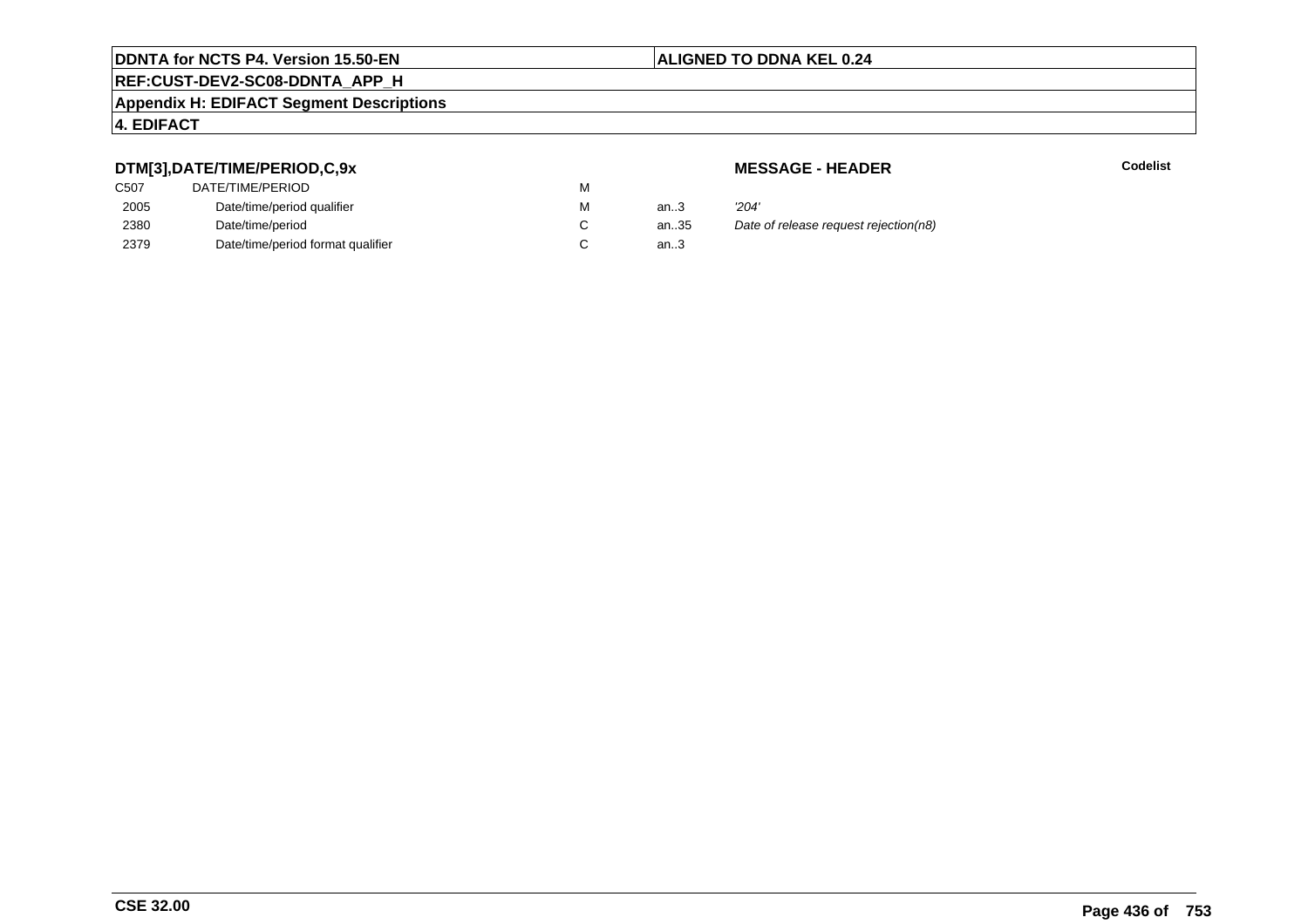# **REF:CUST-DEV2-SC08-DDNTA\_APP\_H**

#### **Appendix H: EDIFACT Segment Descriptions**

### **4. EDIFACT**

## **DTM[3],DATE/TIME/PERIOD,C,9x**

| DATE/TIME/PERIOD                  | M |        |       |
|-----------------------------------|---|--------|-------|
| Date/time/period qualifier        | M | an.3   | '204' |
| Date/time/period                  |   | an35   | Date  |
| Date/time/period format qualifier |   | an $3$ |       |
|                                   |   |        |       |

**MESSAGE - HEADER**

**R** Codelist

an.35 Date of release request rejection(n8)<br>3.3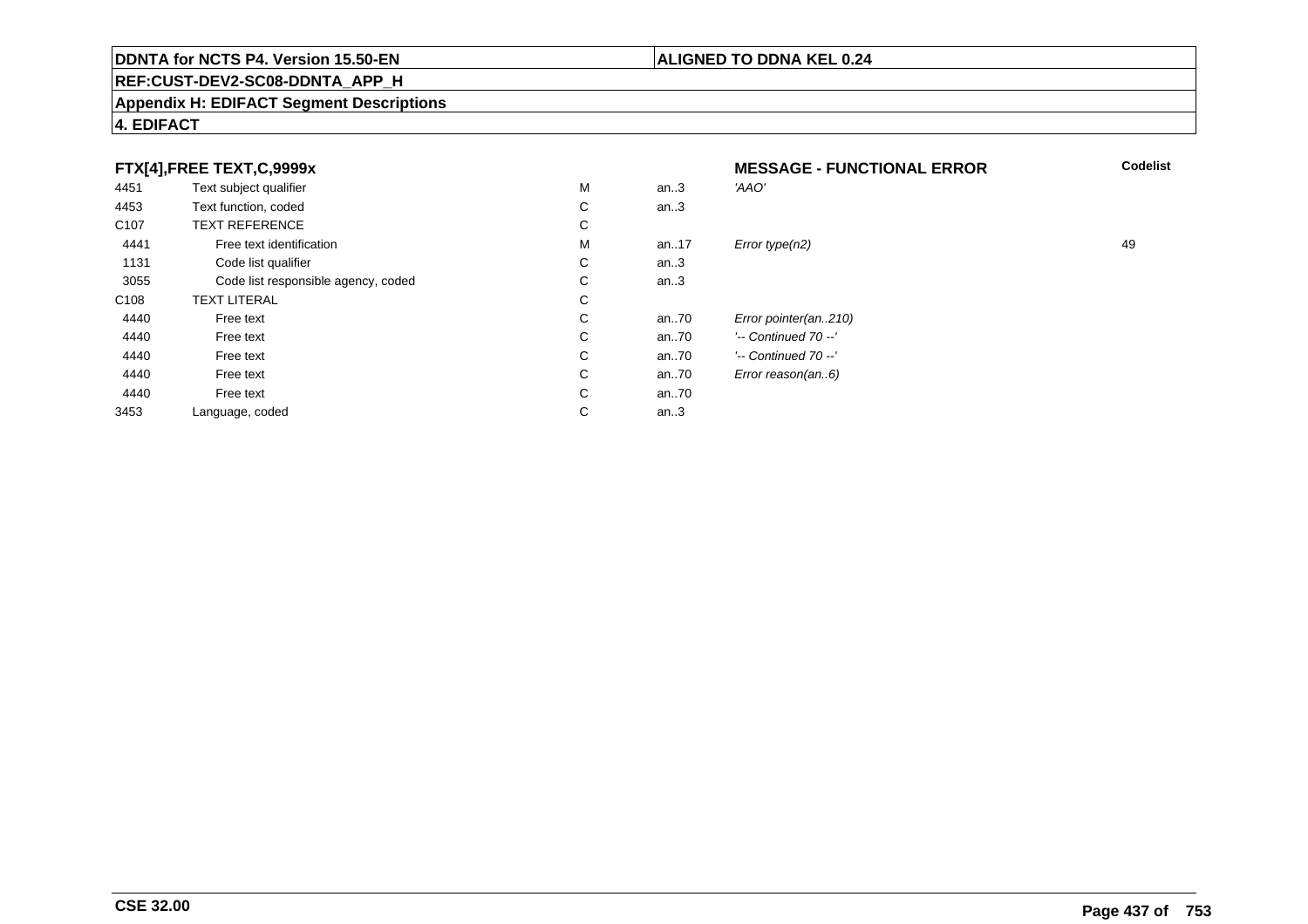#### **REF:CUST-DEV2-SC08-DDNTA\_APP\_H**

#### **Appendix H: EDIFACT Segment Descriptions**

#### **FTX[4],FREE TEXT,C,9999xMESSAGE - FUNCTIONAL ERROR**<br>M an..3 *'AAO'*  **Codelist** 4451Text subject qualifier M<br>
Text function, coded C an..3 'AAO' 4453Text function, coded C<br>
TEXT REFERENCE an..3 C107 TEXT REFERENCEE C  $\mathsf{M}% _{T}=\mathsf{M}_{T}\!\left( a,b\right) ,\ \mathsf{M}_{T}=\mathsf{M}_{T}$ 4441Free text identification M<br>Code list qualifier development of the code list qualifier development of  $\mathbf C$ M an..17  $Error$  type(n2)  $\qquad \qquad$  49 1131Code list qualifier C<br>Code list responsible agency, coded C an..3 3055Code list responsible agency, coded C<br>
XT LITERAL C an..3 C108TEXT LITERAL<br>Free text  $\mathbf C$ 44400 Free text C C an..70 *Error pointer(an..210)*<br>C an..70 <sup>'--</sup> Continued 70 --' 44400 Free text C C an..70 '-- Continued 70 --'<br>C an..70 '-- Continued 70 --' 44400 Free text C C an..70 '-- Continued 70 --'<br>C an..70 Error reason(an..6) 44400 Free text C C an..70 *Error reason(an..6)*<br>C an..70 44400 Free text C C an..70<br>C an..3 3453Language, coded an..3

# **4. EDIFACT**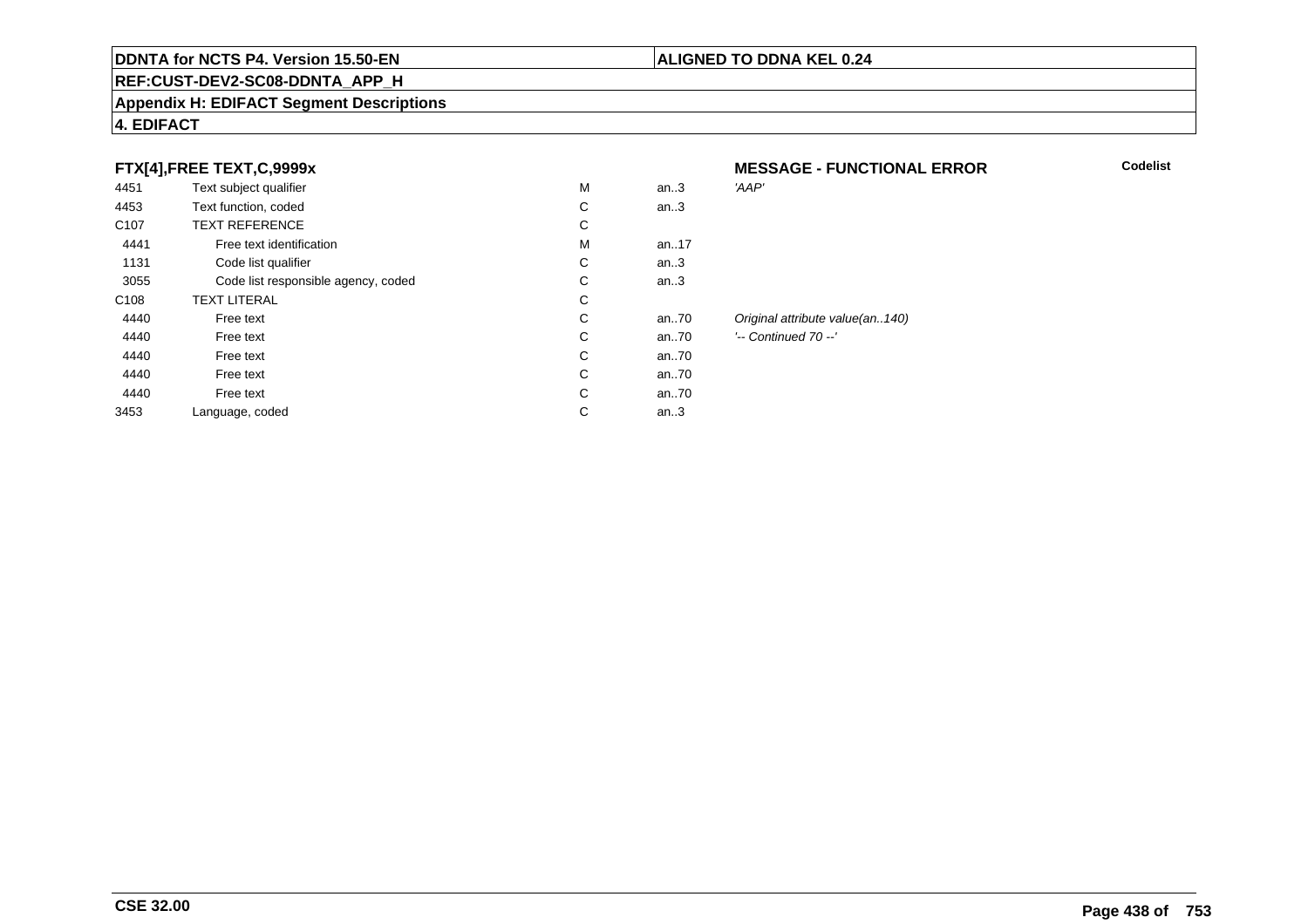#### **REF:CUST-DEV2-SC08-DDNTA\_APP\_H**

#### **Appendix H: EDIFACT Segment Descriptions**

### **4. EDIFACT**

## **FTX[4],FREE TEXT,C,9999x**

| . .              |                                     |   |      |                                 |
|------------------|-------------------------------------|---|------|---------------------------------|
| 4451             | Text subject qualifier              | M | an.3 | 'AAP'                           |
| 4453             | Text function, coded                | С | an.3 |                                 |
| C <sub>107</sub> | <b>TEXT REFERENCE</b>               | С |      |                                 |
| 4441             | Free text identification            | M | an17 |                                 |
| 1131             | Code list qualifier                 | С | an.3 |                                 |
| 3055             | Code list responsible agency, coded | С | an.3 |                                 |
| C <sub>108</sub> | <b>TEXT LITERAL</b>                 | С |      |                                 |
| 4440             | Free text                           | С | an70 | Original attribute value(an140) |
| 4440             | Free text                           | С | an70 | '-- Continued 70 --'            |
| 4440             | Free text                           | С | an70 |                                 |
| 4440             | Free text                           | С | an70 |                                 |
| 4440             | Free text                           | С | an70 |                                 |
| 3453             | Language, coded                     | С | an.3 |                                 |
|                  |                                     |   |      |                                 |

# **MESSAGE - FUNCTIONAL ERROR**

**ALIGNED TO DDNA KEL 0.24**

**Codelist**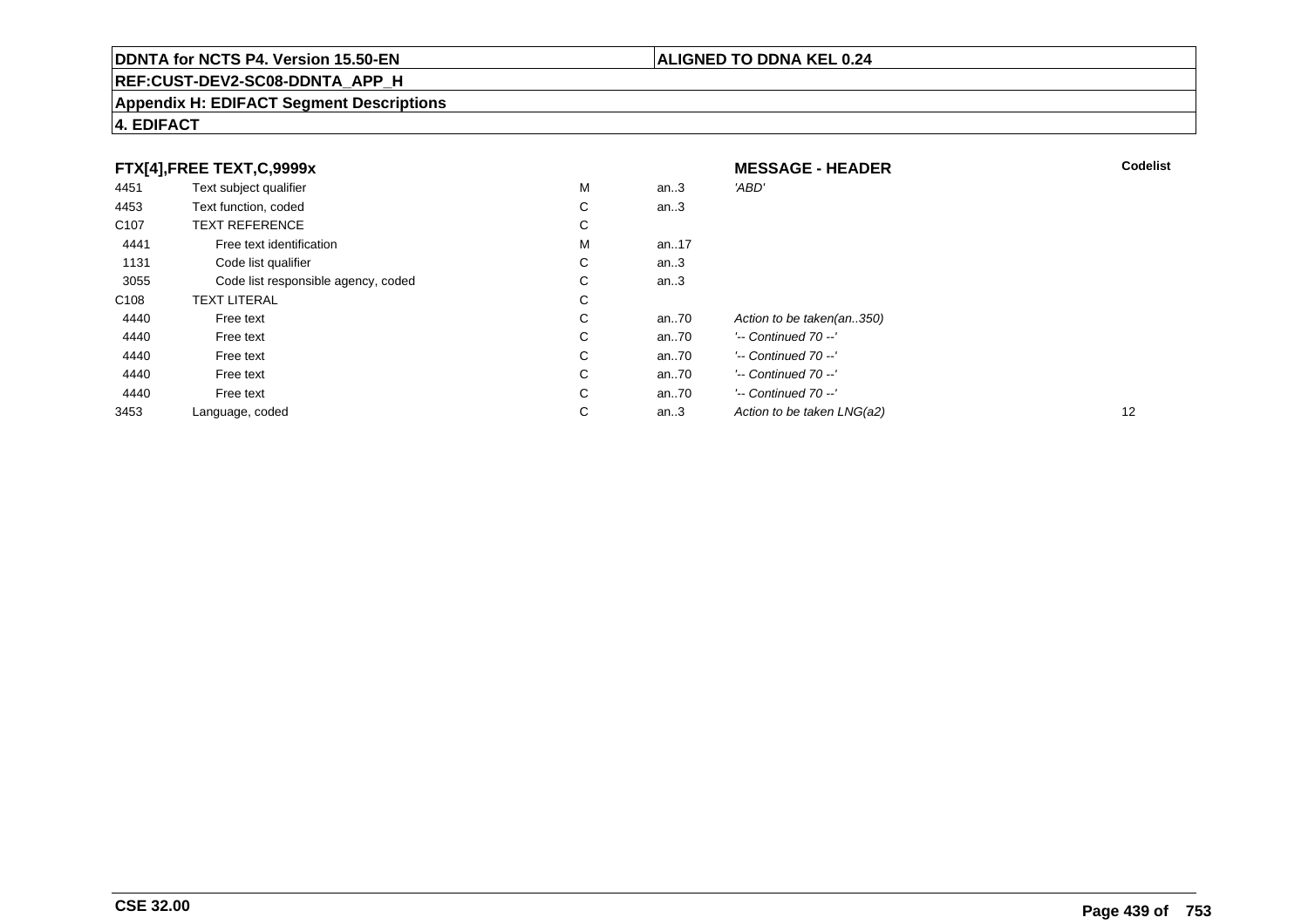# **REF:CUST-DEV2-SC08-DDNTA\_APP\_H**

#### **Appendix H: EDIFACT Segment Descriptions**

# **4. EDIFACT**

|                  | FTX[4],FREE TEXT,C,9999x            |   |         | <b>MESSAGE - HEADER</b>    | <b>Codelist</b> |
|------------------|-------------------------------------|---|---------|----------------------------|-----------------|
| 4451             | Text subject qualifier              | M | an $.3$ | 'ABD'                      |                 |
| 4453             | Text function, coded                | C | an $.3$ |                            |                 |
| C <sub>107</sub> | <b>TEXT REFERENCE</b>               | C |         |                            |                 |
| 4441             | Free text identification            | M | an17    |                            |                 |
| 1131             | Code list qualifier                 | C | an $3$  |                            |                 |
| 3055             | Code list responsible agency, coded | C | an $3$  |                            |                 |
| C <sub>108</sub> | <b>TEXT LITERAL</b>                 | C |         |                            |                 |
| 4440             | Free text                           | C | an70    | Action to be taken(an350)  |                 |
| 4440             | Free text                           | C | an70    | $'-$ Continued 70 $-$ '    |                 |
| 4440             | Free text                           | C | an70    | $'-$ Continued $70 -'$     |                 |
| 4440             | Free text                           | C | an70    | $'-$ Continued $70 -'$     |                 |
| 4440             | Free text                           | C | an70    | $'-$ Continued 70 $-$ '    |                 |
| 3453             | Language, coded                     | C | an $3$  | Action to be taken LNG(a2) | 12              |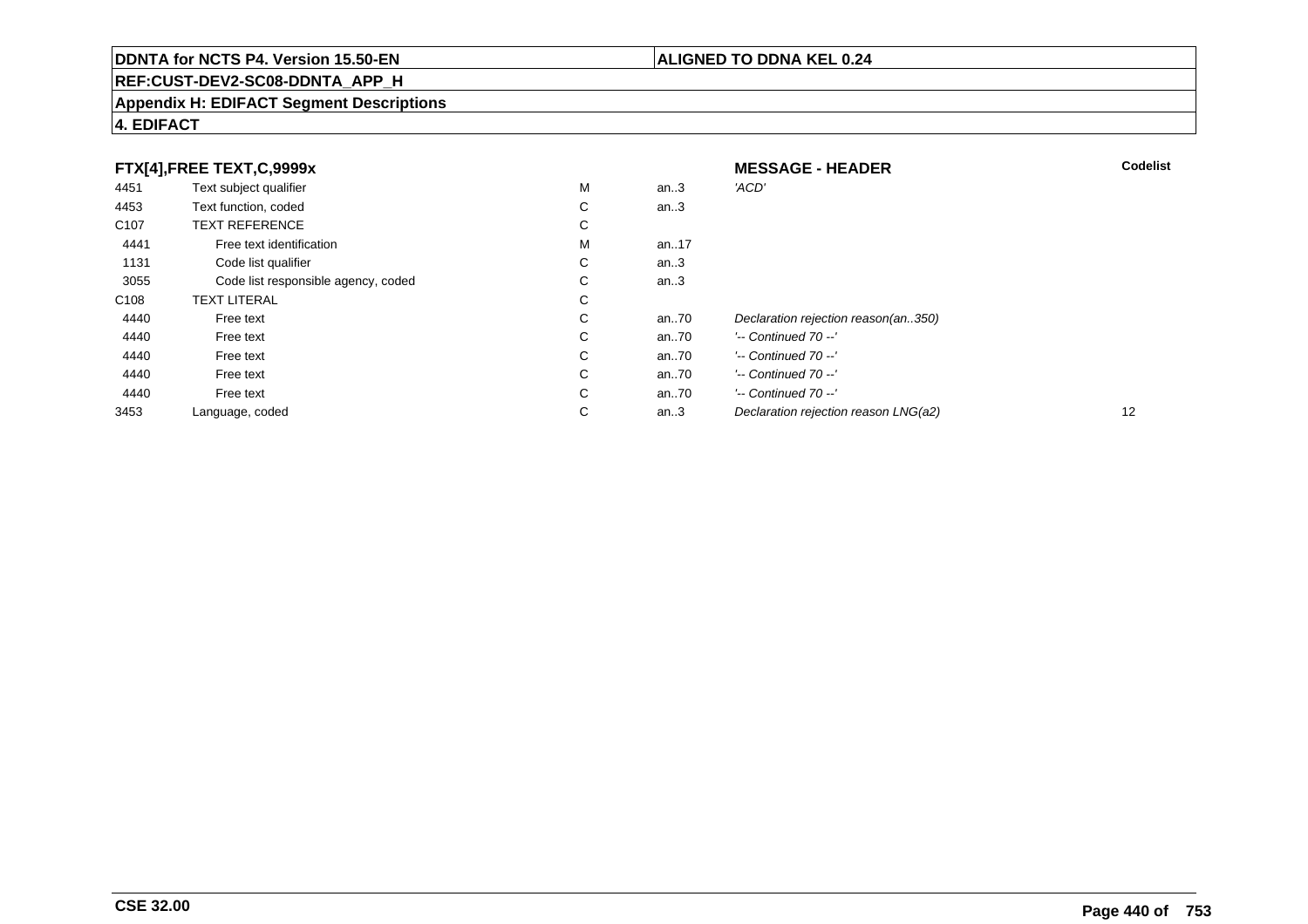# **REF:CUST-DEV2-SC08-DDNTA\_APP\_H**

#### **Appendix H: EDIFACT Segment Descriptions**

| FTX[4],FREE TEXT,C,9999x |                                     |    | <b>MESSAGE - HEADER</b> | <b>Codelist</b>                      |    |
|--------------------------|-------------------------------------|----|-------------------------|--------------------------------------|----|
| 4451                     | Text subject qualifier              | М  | an.3                    | 'ACD'                                |    |
| 4453                     | Text function, coded                | C. | an.3                    |                                      |    |
| C <sub>107</sub>         | <b>TEXT REFERENCE</b>               | С  |                         |                                      |    |
| 4441                     | Free text identification            | М  | an17                    |                                      |    |
| 1131                     | Code list qualifier                 | C. | an.3                    |                                      |    |
| 3055                     | Code list responsible agency, coded | C. | an.3                    |                                      |    |
| C <sub>108</sub>         | <b>TEXT LITERAL</b>                 | C  |                         |                                      |    |
| 4440                     | Free text                           | C  | an70                    | Declaration rejection reason(an350)  |    |
| 4440                     | Free text                           | C  | an70                    | '-- Continued 70 --'                 |    |
| 4440                     | Free text                           | C  | an70                    | $'-$ Continued 70 $-$ '              |    |
| 4440                     | Free text                           | C  | an70                    | $'-$ Continued 70 $-$ '              |    |
| 4440                     | Free text                           | C  | an70                    | $'-$ Continued 70 $-$ '              |    |
| 3453                     | Language, coded                     | С  | an.3                    | Declaration rejection reason LNG(a2) | 12 |

**4. EDIFACT**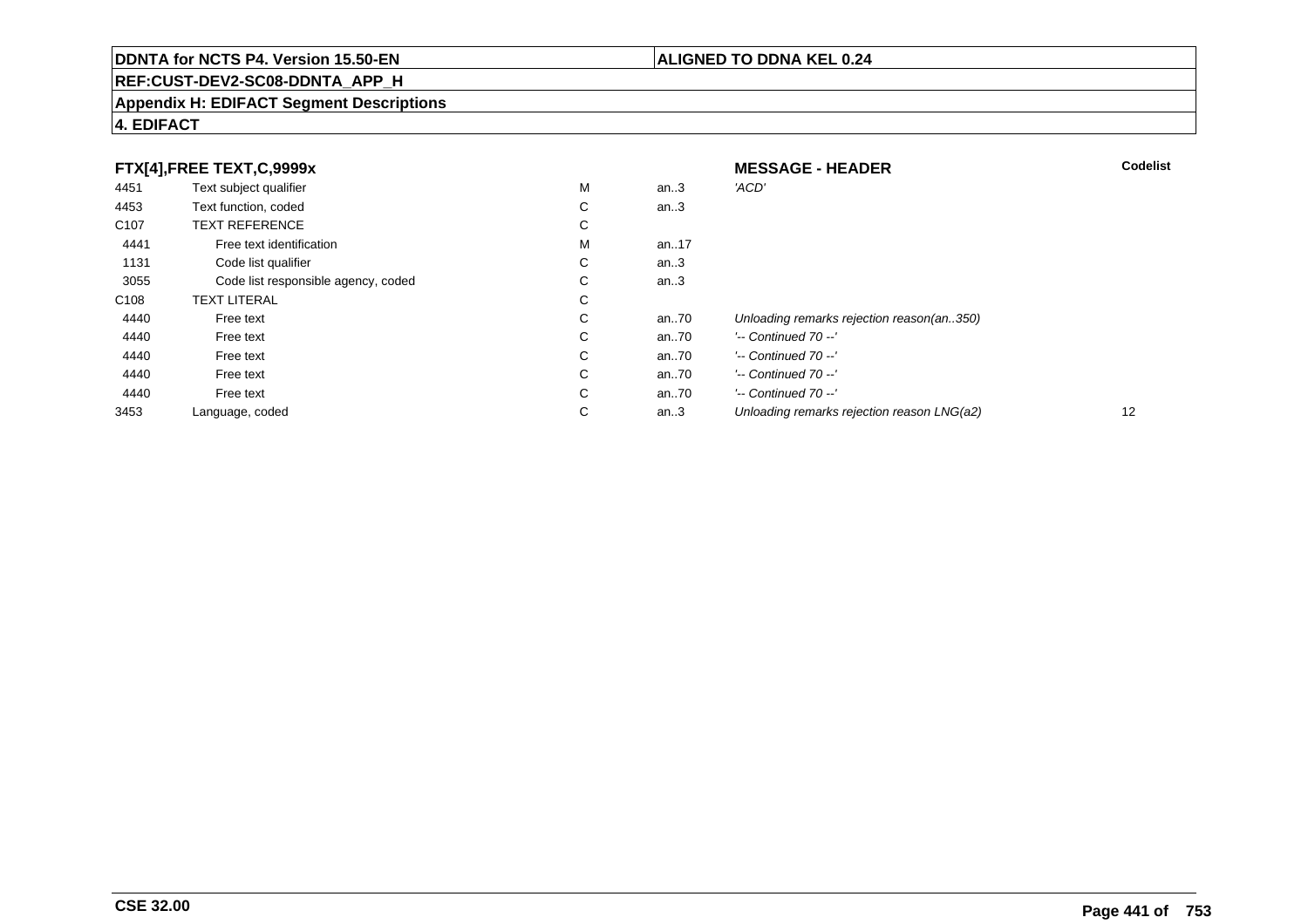# **REF:CUST-DEV2-SC08-DDNTA\_APP\_H**

#### **Appendix H: EDIFACT Segment Descriptions**

## **4. EDIFACT**

| FTX[4],FREE TEXT,C,9999x |                                     | <b>MESSAGE - HEADER</b> | <b>Codelist</b> |                                            |    |
|--------------------------|-------------------------------------|-------------------------|-----------------|--------------------------------------------|----|
| 4451                     | Text subject qualifier              | M                       | an.3            | 'ACD'                                      |    |
| 4453                     | Text function, coded                | С                       | an.3            |                                            |    |
| C <sub>107</sub>         | <b>TEXT REFERENCE</b>               | С                       |                 |                                            |    |
| 4441                     | Free text identification            | M                       | an17            |                                            |    |
| 1131                     | Code list qualifier                 | С                       | an.3            |                                            |    |
| 3055                     | Code list responsible agency, coded | С                       | an.3            |                                            |    |
| C <sub>108</sub>         | <b>TEXT LITERAL</b>                 | С                       |                 |                                            |    |
| 4440                     | Free text                           | С                       | an70            | Unloading remarks rejection reason(an350)  |    |
| 4440                     | Free text                           | С                       | an70            | $'-$ Continued 70 $-$ '                    |    |
| 4440                     | Free text                           | C                       | an70            | $'-$ Continued 70 $-$ '                    |    |
| 4440                     | Free text                           | С                       | an70            | $'-$ Continued 70 $-$ '                    |    |
| 4440                     | Free text                           | C                       | an70            | $'-$ Continued 70 $-$ '                    |    |
| 3453                     | Language, coded                     | С                       | an.3            | Unloading remarks rejection reason LNG(a2) | 12 |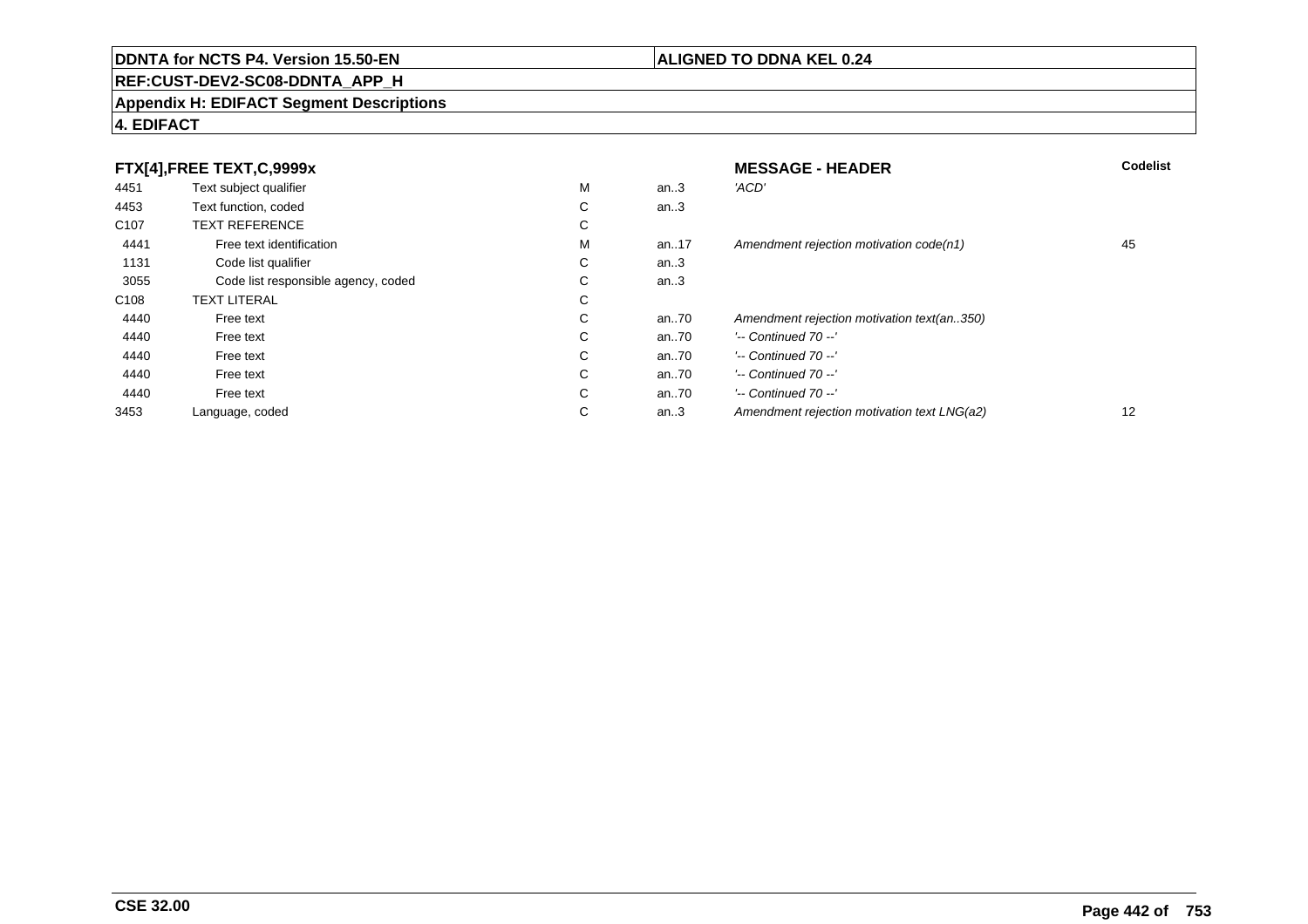# **REF:CUST-DEV2-SC08-DDNTA\_APP\_H**

#### **Appendix H: EDIFACT Segment Descriptions**

## **4. EDIFACT**

| FTX[4], FREE TEXT, C, 9999x |                                     | <b>MESSAGE - HEADER</b> | <b>Codelist</b> |                                             |    |
|-----------------------------|-------------------------------------|-------------------------|-----------------|---------------------------------------------|----|
| 4451                        | Text subject qualifier              | M                       | an.3            | 'ACD'                                       |    |
| 4453                        | Text function, coded                | ⌒<br>Ü                  | an.3            |                                             |    |
| C <sub>107</sub>            | <b>TEXT REFERENCE</b>               | ⌒<br>◡                  |                 |                                             |    |
| 4441                        | Free text identification            | M                       | an17            | Amendment rejection motivation code(n1)     | 45 |
| 1131                        | Code list qualifier                 | ⌒<br>◡                  | an.3            |                                             |    |
| 3055                        | Code list responsible agency, coded | ⌒<br>◡                  | an.3            |                                             |    |
| C <sub>108</sub>            | <b>TEXT LITERAL</b>                 | С                       |                 |                                             |    |
| 4440                        | Free text                           | ⌒<br>◡                  | an70            | Amendment rejection motivation text(an350)  |    |
| 4440                        | Free text                           | $\sim$<br>◡             | an70            | $'-$ Continued 70 $-$ '                     |    |
| 4440                        | Free text                           | C                       | an70            | $'-$ Continued 70 $-$ '                     |    |
| 4440                        | Free text                           | С                       | an70            | $'-$ Continued 70 $-$ '                     |    |
| 4440                        | Free text                           | С                       | an70            | $'-$ Continued 70 $-$ '                     |    |
| 3453                        | Language, coded                     | ⌒<br>◡                  | an.3            | Amendment rejection motivation text LNG(a2) | 12 |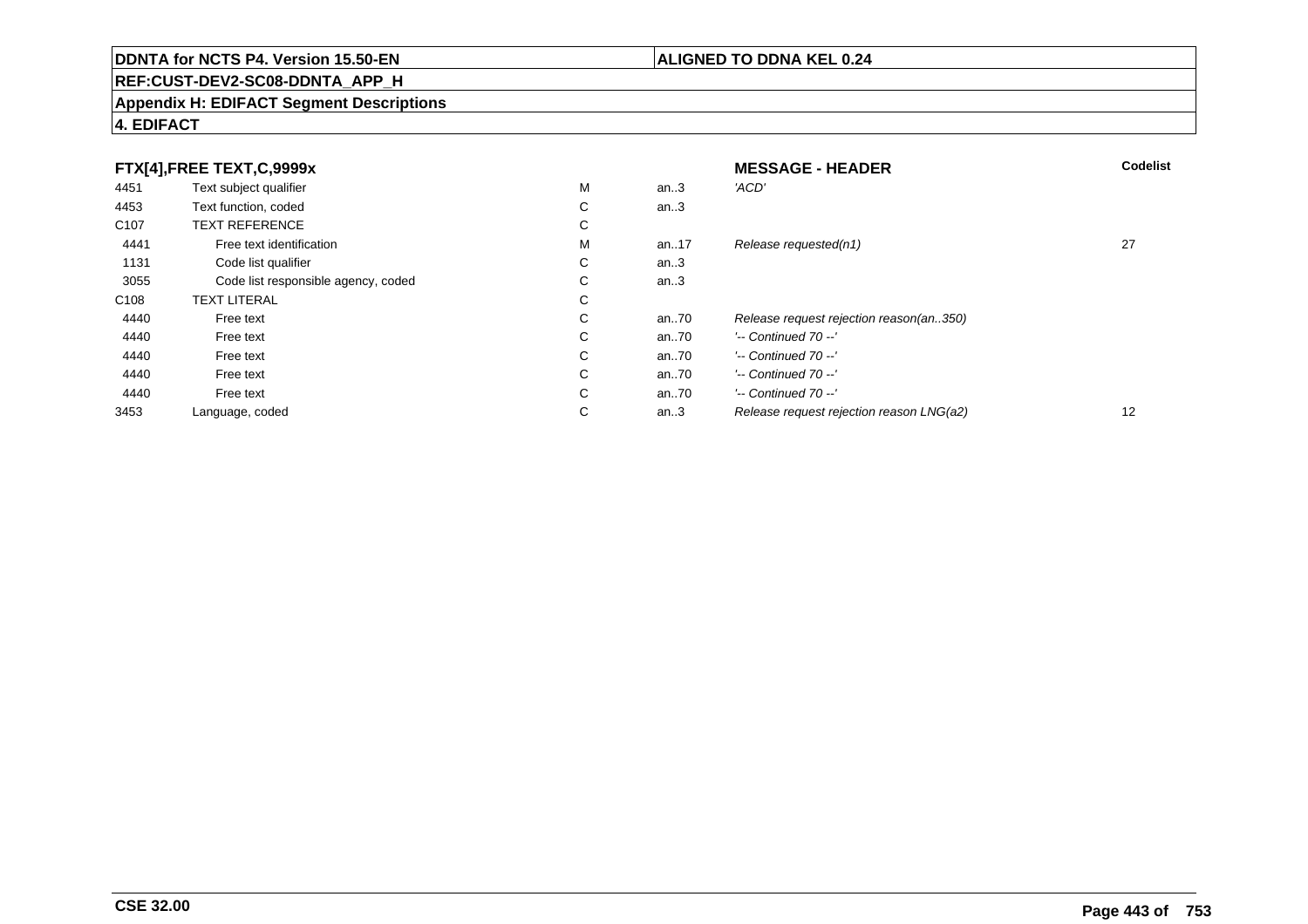# **REF:CUST-DEV2-SC08-DDNTA\_APP\_H**

#### **Appendix H: EDIFACT Segment Descriptions**

## **4. EDIFACT**

| FTX[4],FREE TEXT,C,9999x |                                     | <b>MESSAGE - HEADER</b> | Codelist |                                          |    |
|--------------------------|-------------------------------------|-------------------------|----------|------------------------------------------|----|
| 4451                     | Text subject qualifier              | M                       | an.3     | 'ACD'                                    |    |
| 4453                     | Text function, coded                | ⌒<br>◡                  | an.3     |                                          |    |
| C <sub>107</sub>         | <b>TEXT REFERENCE</b>               | ⌒<br>◡                  |          |                                          |    |
| 4441                     | Free text identification            | M                       | an17     | Release requested(n1)                    | 27 |
| 1131                     | Code list qualifier                 | C                       | an.3     |                                          |    |
| 3055                     | Code list responsible agency, coded | $\sim$<br>Ü             | an.3     |                                          |    |
| C <sub>108</sub>         | <b>TEXT LITERAL</b>                 | ⌒<br>Ü                  |          |                                          |    |
| 4440                     | Free text                           | $\sim$<br>Ü             | an70     | Release request rejection reason(an350)  |    |
| 4440                     | Free text                           | $\sim$<br>Ü             | an70     | $'-$ Continued 70 $-$ '                  |    |
| 4440                     | Free text                           | С                       | an70     | $'-$ Continued 70 $-$ '                  |    |
| 4440                     | Free text                           | С                       | an70     | $'-$ Continued 70 $-$ '                  |    |
| 4440                     | Free text                           | $\sim$<br>Ü             | an $.70$ | $'-$ Continued 70 $-$ '                  |    |
| 3453                     | Language, coded                     | $\sim$<br>◡             | an.3     | Release request rejection reason LNG(a2) | 12 |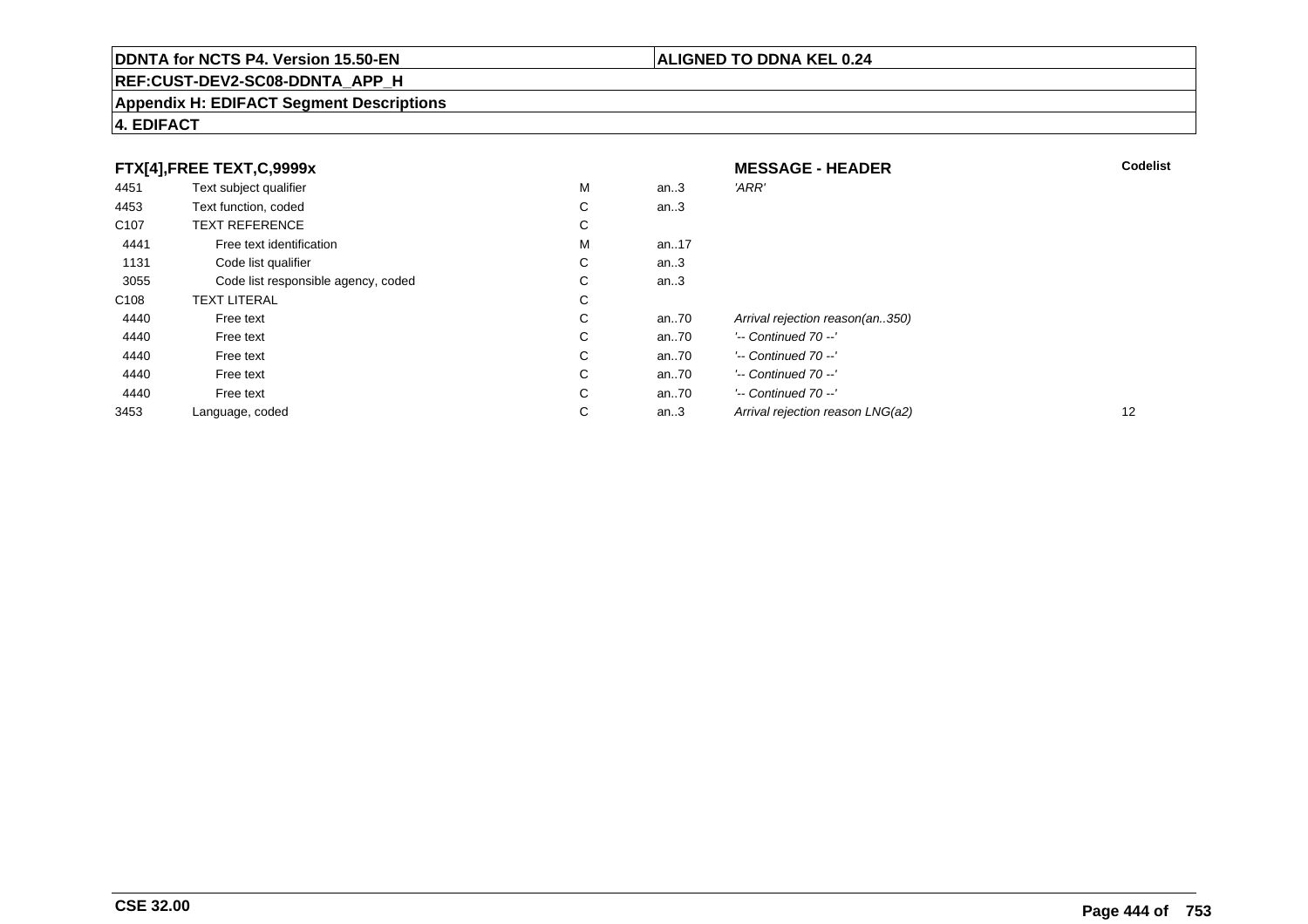# **REF:CUST-DEV2-SC08-DDNTA\_APP\_H**

#### **Appendix H: EDIFACT Segment Descriptions**

# **4. EDIFACT**

| FTX[4],FREE TEXT,C,9999x |                                     | <b>MESSAGE - HEADER</b> | <b>Codelist</b> |                                  |    |
|--------------------------|-------------------------------------|-------------------------|-----------------|----------------------------------|----|
| 4451                     | Text subject qualifier              | М                       | an.3            | 'ARR'                            |    |
| 4453                     | Text function, coded                | С                       | an.3            |                                  |    |
| C <sub>107</sub>         | <b>TEXT REFERENCE</b>               | С                       |                 |                                  |    |
| 4441                     | Free text identification            | М                       | an17            |                                  |    |
| 1131                     | Code list qualifier                 | С                       | an.3            |                                  |    |
| 3055                     | Code list responsible agency, coded | С                       | an. $3$         |                                  |    |
| C108                     | <b>TEXT LITERAL</b>                 | С                       |                 |                                  |    |
| 4440                     | Free text                           | С                       | an70            | Arrival rejection reason(an350)  |    |
| 4440                     | Free text                           | С                       | an70            | $'-$ Continued 70 $-$ '          |    |
| 4440                     | Free text                           | С                       | an70            | $'-$ Continued 70 $-$ '          |    |
| 4440                     | Free text                           | С                       | an70            | $'-$ Continued 70 $-$ '          |    |
| 4440                     | Free text                           | С                       | an70            | $'-$ Continued 70 $-$ '          |    |
| 3453                     | Language, coded                     | С                       | an.3            | Arrival rejection reason LNG(a2) | 12 |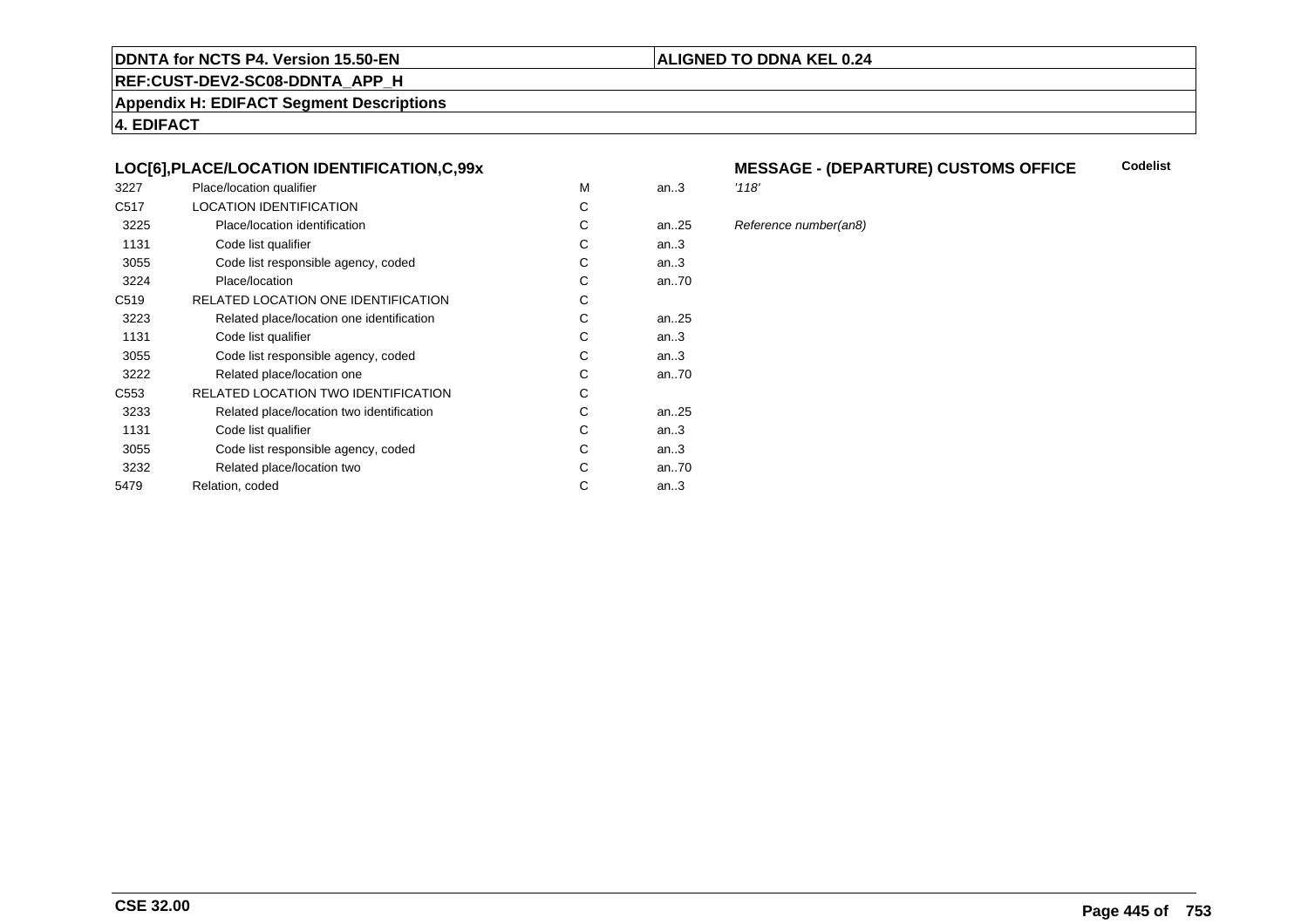## **REF:CUST-DEV2-SC08-DDNTA\_APP\_H**

**Appendix H: EDIFACT Segment Descriptions**

**4. EDIFACT**

### **LOC[6],PLACE/LOCATION IDENTIFICATION,C,99x**

| 3227             | Place/location qualifier                   | M | an.3 | '118' |
|------------------|--------------------------------------------|---|------|-------|
| C <sub>517</sub> | <b>LOCATION IDENTIFICATION</b>             | C |      |       |
| 3225             | Place/location identification              | C | an25 | Refe  |
| 1131             | Code list qualifier                        | С | an.3 |       |
| 3055             | Code list responsible agency, coded        | С | an.3 |       |
| 3224             | Place/location                             | C | an70 |       |
| C <sub>519</sub> | RELATED LOCATION ONE IDENTIFICATION        | С |      |       |
| 3223             | Related place/location one identification  | C | an25 |       |
| 1131             | Code list qualifier                        | C | an.3 |       |
| 3055             | Code list responsible agency, coded        | С | an.3 |       |
| 3222             | Related place/location one                 | C | an70 |       |
| C <sub>553</sub> | <b>RELATED LOCATION TWO IDENTIFICATION</b> | C |      |       |
| 3233             | Related place/location two identification  | С | an25 |       |
| 1131             | Code list qualifier                        | C | an.3 |       |
| 3055             | Code list responsible agency, coded        | C | an.3 |       |
| 3232             | Related place/location two                 | С | an70 |       |
| 5479             | Relation, coded                            | С | an.3 |       |
|                  |                                            |   |      |       |

#### **MESSAGE - (DEPARTURE) CUSTOMS OFFICECodelist**

**ALIGNED TO DDNA KEL 0.24**

#### 25 Reference number(an8)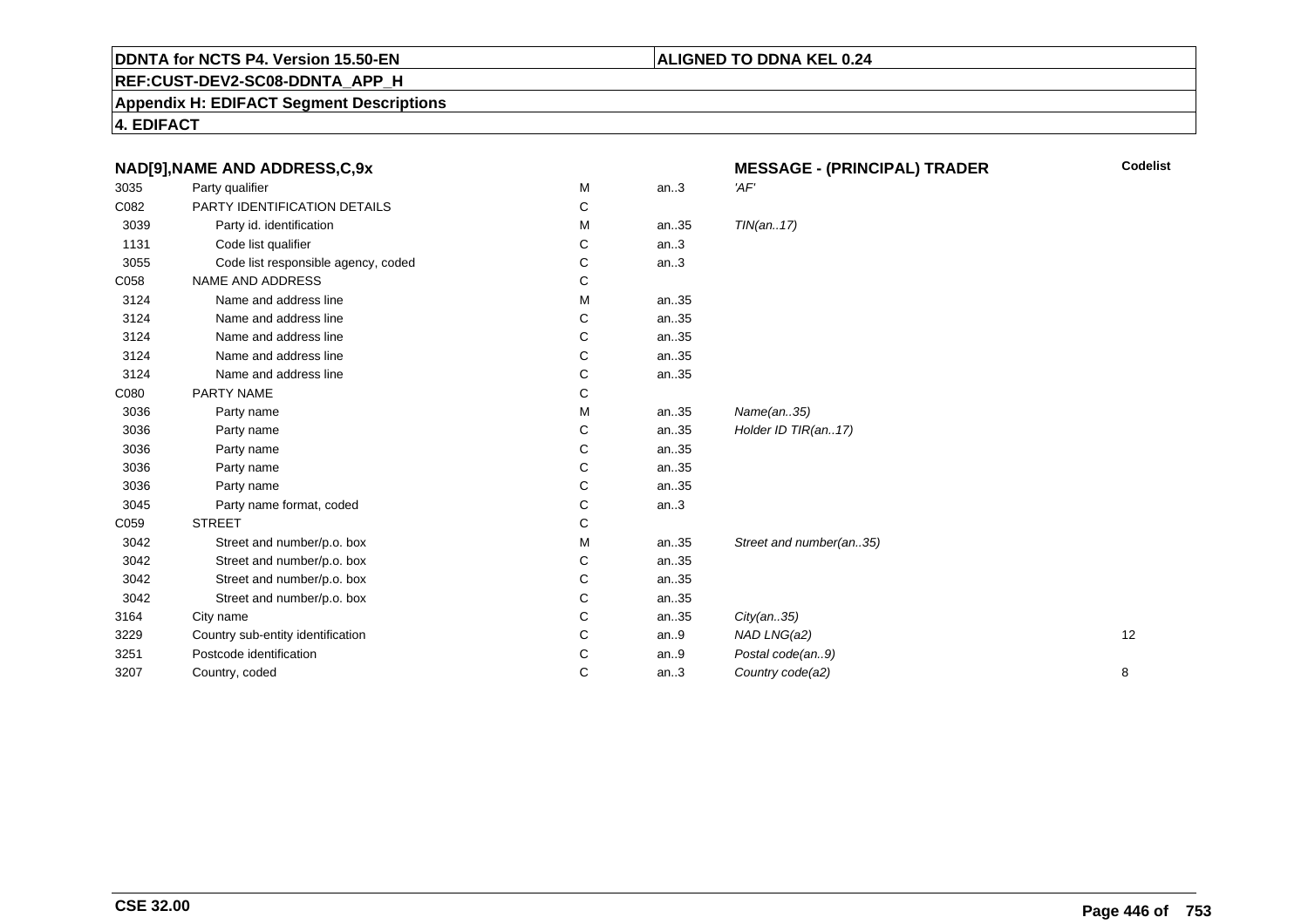# **REF:CUST-DEV2-SC08-DDNTA\_APP\_H**

**Appendix H: EDIFACT Segment Descriptions**

**4. EDIFACT**

| NAD[9], NAME AND ADDRESS, C, 9x |                                     |   |         | <b>MESSAGE - (PRINCIPAL) TRADER</b> | <b>Codelist</b> |
|---------------------------------|-------------------------------------|---|---------|-------------------------------------|-----------------|
| 3035                            | Party qualifier                     | м | an.3    | 'AF'                                |                 |
| C082                            | PARTY IDENTIFICATION DETAILS        | С |         |                                     |                 |
| 3039                            | Party id. identification            | М | an35    | TIN(an17)                           |                 |
| 1131                            | Code list qualifier                 | С | an.3    |                                     |                 |
| 3055                            | Code list responsible agency, coded | С | an.3    |                                     |                 |
| C058                            | <b>NAME AND ADDRESS</b>             | С |         |                                     |                 |
| 3124                            | Name and address line               | М | an35    |                                     |                 |
| 3124                            | Name and address line               | С | an35    |                                     |                 |
| 3124                            | Name and address line               | С | an35    |                                     |                 |
| 3124                            | Name and address line               | C | an35    |                                     |                 |
| 3124                            | Name and address line               | C | an35    |                                     |                 |
| C080                            | PARTY NAME                          | С |         |                                     |                 |
| 3036                            | Party name                          | M | an35    | Name(an35)                          |                 |
| 3036                            | Party name                          | С | an35    | Holder ID TIR(an17)                 |                 |
| 3036                            | Party name                          | C | an35    |                                     |                 |
| 3036                            | Party name                          | C | an35    |                                     |                 |
| 3036                            | Party name                          | С | an35    |                                     |                 |
| 3045                            | Party name format, coded            | C | an.3    |                                     |                 |
| C059                            | <b>STREET</b>                       | C |         |                                     |                 |
| 3042                            | Street and number/p.o. box          | М | an35    | Street and number(an35)             |                 |
| 3042                            | Street and number/p.o. box          | С | an35    |                                     |                 |
| 3042                            | Street and number/p.o. box          | C | an35    |                                     |                 |
| 3042                            | Street and number/p.o. box          | С | an35    |                                     |                 |
| 3164                            | City name                           | C | an35    | City(an35)                          |                 |
| 3229                            | Country sub-entity identification   | C | an.9    | NAD LNG(a2)                         | 12              |
| 3251                            | Postcode identification             | C | an. $9$ | Postal code(an9)                    |                 |
| 3207                            | Country, coded                      | C | an.3    | Country code(a2)                    | 8               |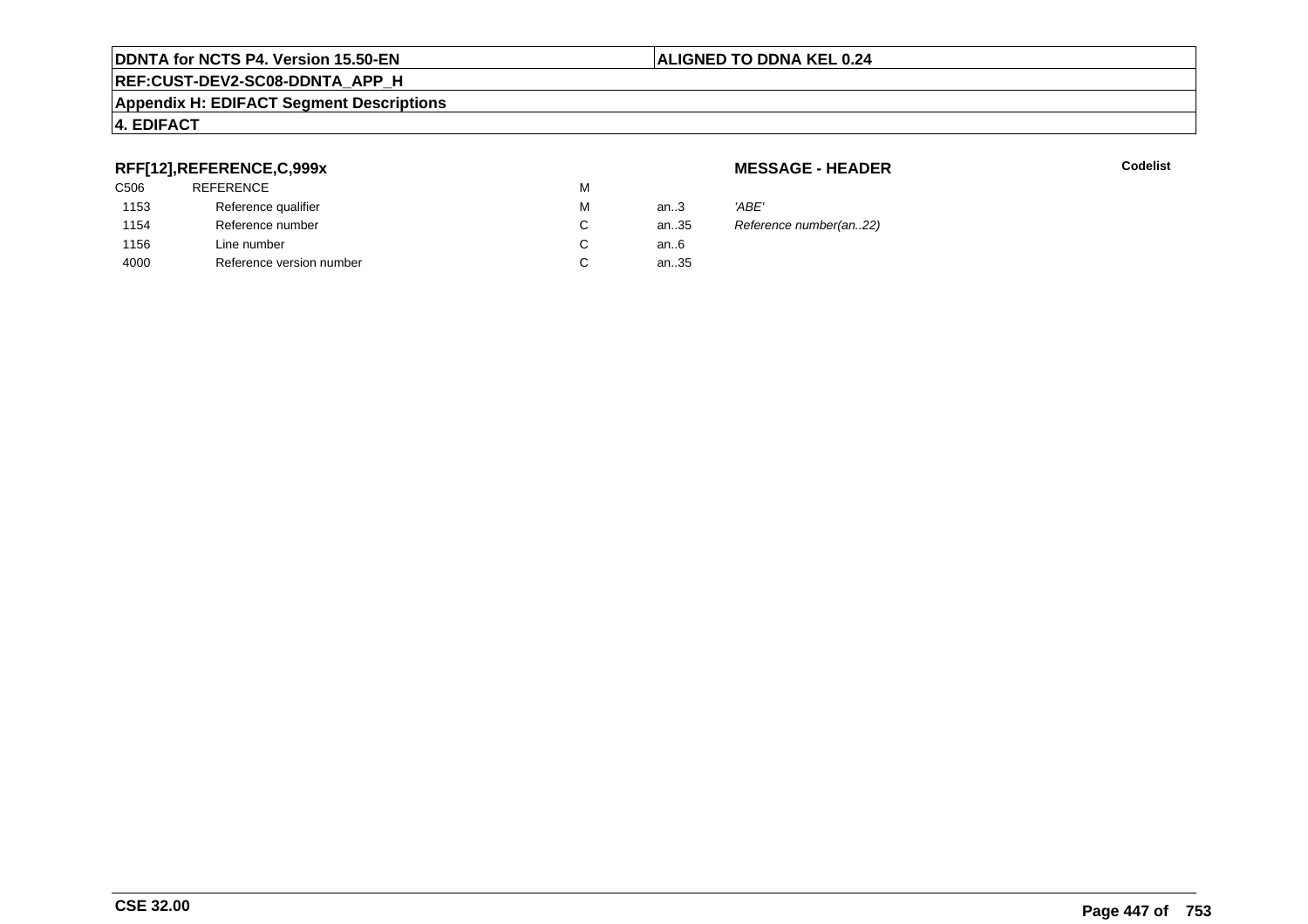#### **REF:CUST-DEV2-SC08-DDNTA\_APP\_H**

#### **Appendix H: EDIFACT Segment Descriptions**

### **4. EDIFACT**

## **RFF[12],REFERENCE,C,999x**

| C506 | <b>REFERENCE</b>         | М |        |       |
|------|--------------------------|---|--------|-------|
| 1153 | Reference qualifier      | М | an $3$ | 'ABE' |
| 1154 | Reference number         | С | an35   | Refer |
| 1156 | Line number              | С | an6    |       |
| 4000 | Reference version number | С | an35   |       |
|      |                          |   |        |       |

**MESSAGE - HEADER**

**R** Codelist

Reference number(an..22)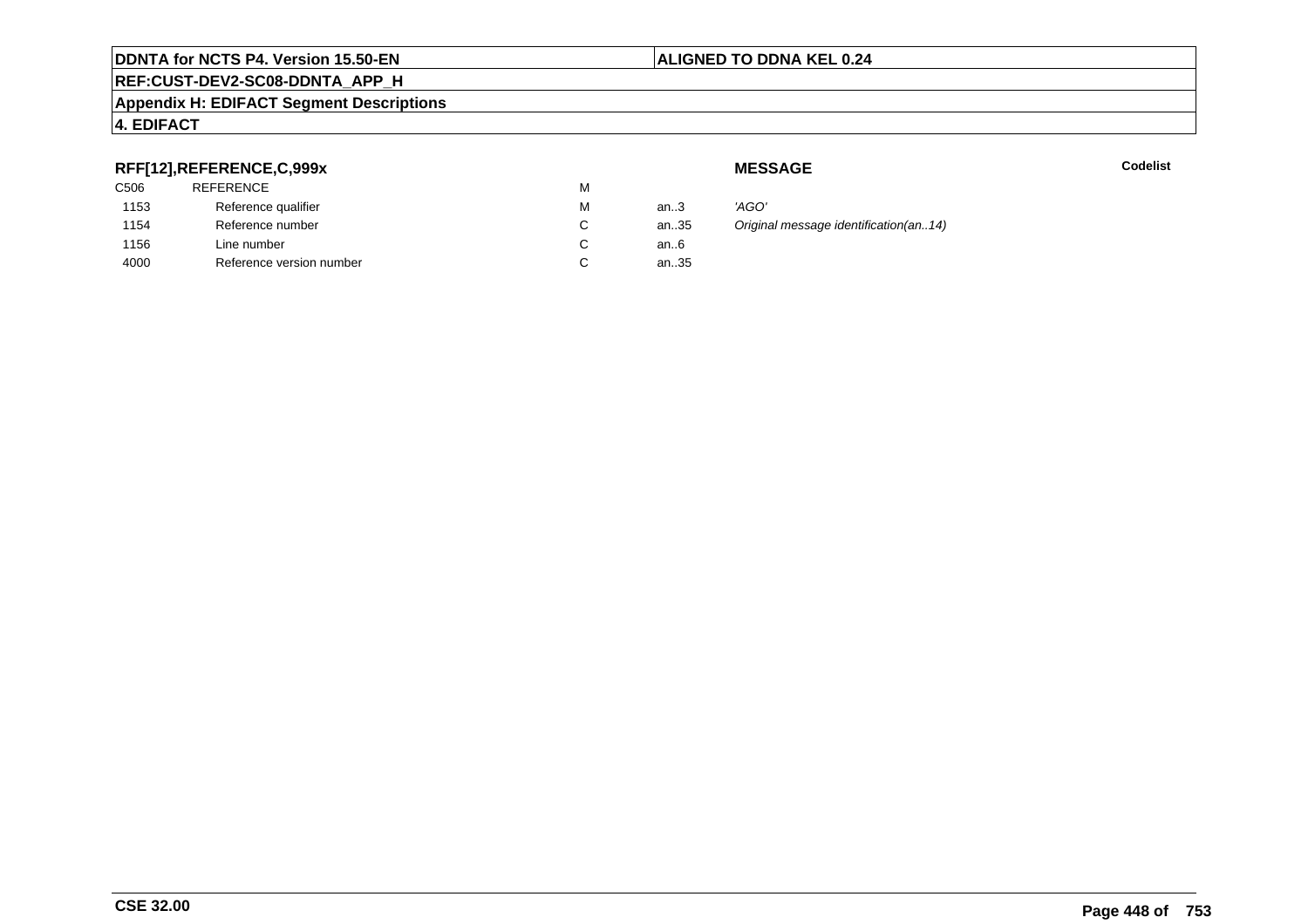### **REF:CUST-DEV2-SC08-DDNTA\_APP\_H**

#### **Appendix H: EDIFACT Segment Descriptions**

## **4. EDIFACT**

## **RFF[12],REFERENCE,C,999x**

| C506 | REFERENCE                | M |        |
|------|--------------------------|---|--------|
| 1153 | Reference qualifier      | М | an $3$ |
| 1154 | Reference number         |   | an35   |
| 1156 | Line number              |   | an6    |
| 4000 | Reference version number |   | an35   |
|      |                          |   |        |

**MESSAGE**

**Codelist** Codelist

 an..3 'AGO' Original message identification(an..14)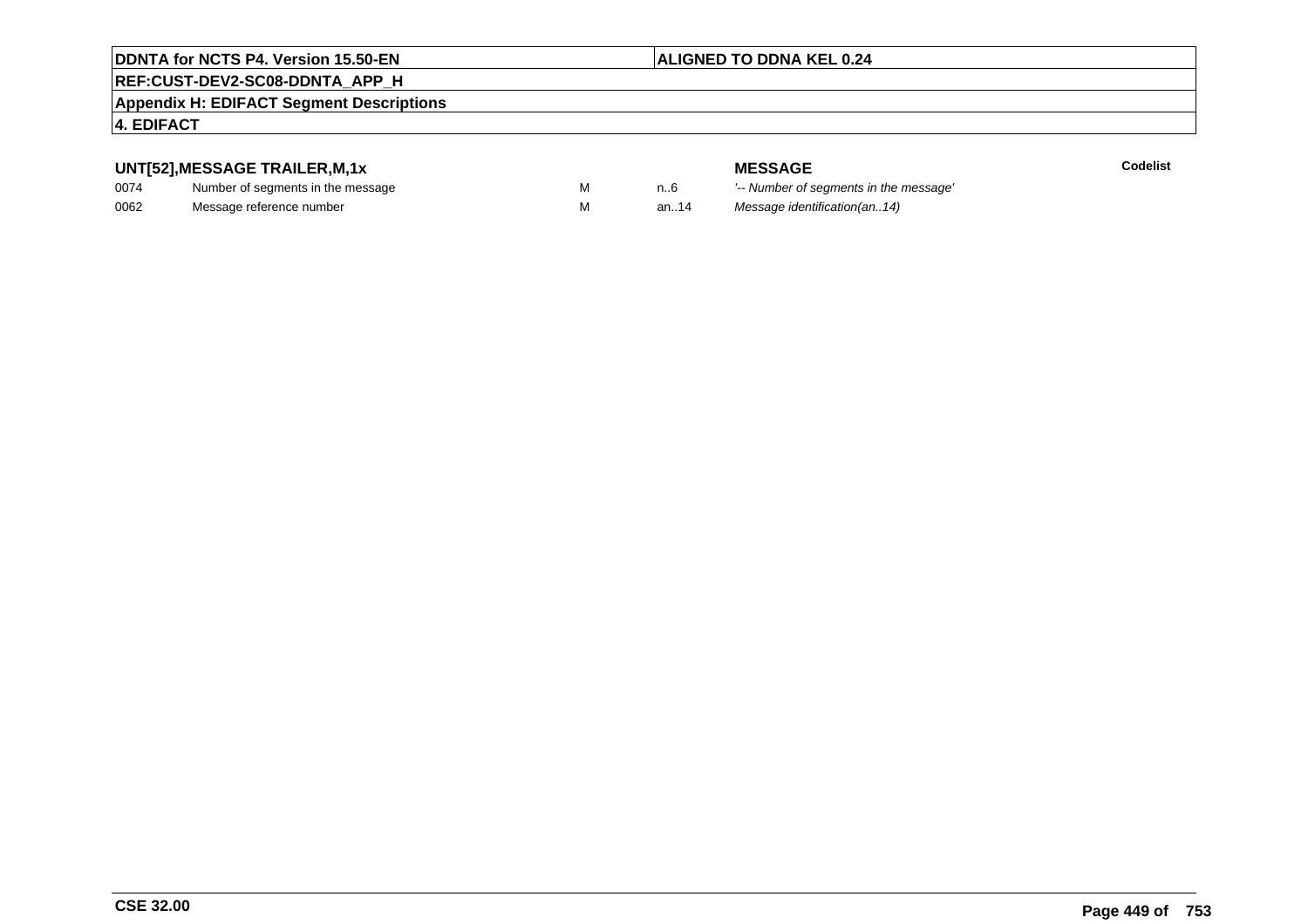## **ALIGNED TO DDNA KEL 0.24**

# **REF:CUST-DEV2-SC08-DDNTA\_APP\_H**

#### **Appendix H: EDIFACT Segment Descriptions**

#### **4. EDIFACT**

## **UNT[52],MESSAGE TRAILER,M,1x**

| 0074 | Number of segments in the message |  |
|------|-----------------------------------|--|
| 0062 | Message reference number          |  |

**MESSAGE**<br>M n.6 <sup>'--</sup> Number of s **Codelist** M carried manufacturer of segments in the message'<br>Carried manufacturer in the message's M an..14 Message identification(an..14)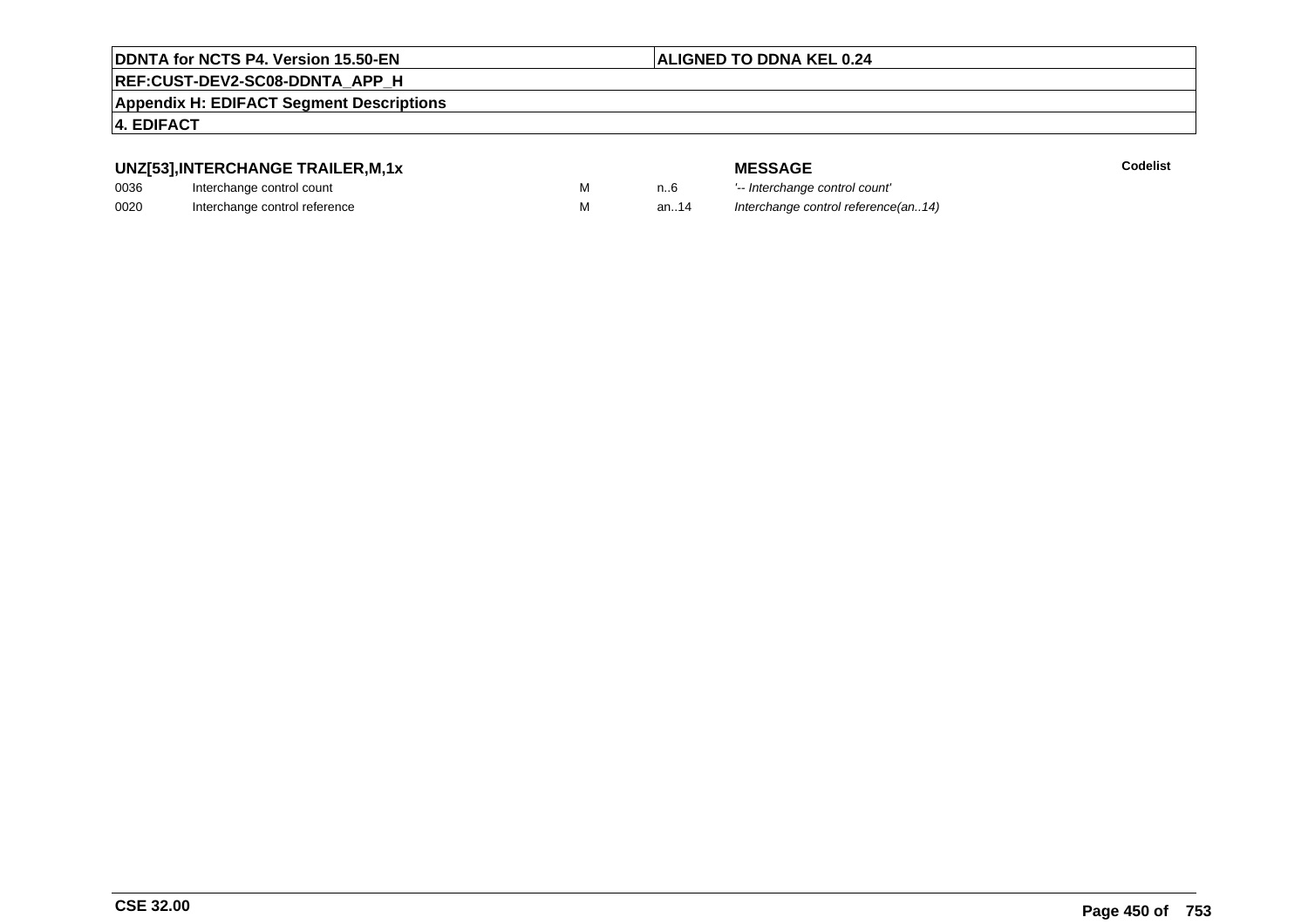#### **ALIGNED TO DDNA KEL 0.24**

# **REF:CUST-DEV2-SC08-DDNTA\_APP\_H**

**Appendix H: EDIFACT Segment Descriptions**

### **4. EDIFACT**

## **UNZ[53],INTERCHANGE TRAILER,M,1x**

| 0036 | Interchange control count     |  |
|------|-------------------------------|--|
| 0020 | Interchange control reference |  |

**MESSAGE**<br>M n.6 <sup>1-</sup>- Interchange

M 1..6 <sup>'--</sup> Interchange control count'<br>M 3n..14 Interchange control reference Interchange control reference(an..14)

**E** Codelist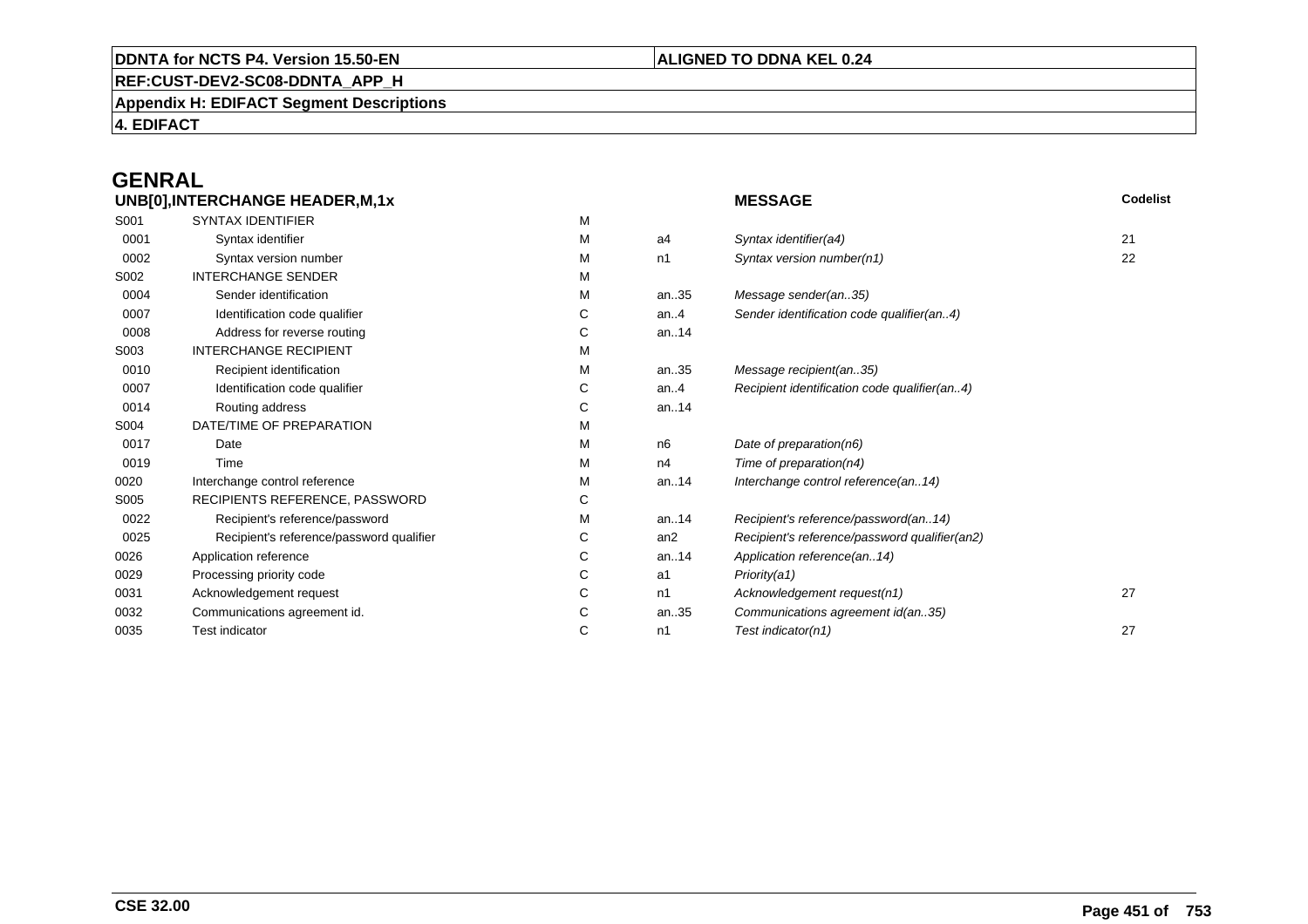# **REF:CUST-DEV2-SC08-DDNTA\_APP\_H**

**Appendix H: EDIFACT Segment Descriptions**

**4. EDIFACT**

# **GENRAL**

|      | UNB[0], INTERCHANGE HEADER, M, 1x        |    |         | <b>MESSAGE</b>                                | Codelist |
|------|------------------------------------------|----|---------|-----------------------------------------------|----------|
| S001 | <b>SYNTAX IDENTIFIER</b>                 | М  |         |                                               |          |
| 0001 | Syntax identifier                        | м  | a4      | Syntax identifier(a4)                         | 21       |
| 0002 | Syntax version number                    | М  | n1      | Syntax version number(n1)                     | 22       |
| S002 | <b>INTERCHANGE SENDER</b>                | М  |         |                                               |          |
| 0004 | Sender identification                    | м  | an35    | Message sender(an35)                          |          |
| 0007 | Identification code qualifier            | С  | an.4    | Sender identification code qualifier(an4)     |          |
| 0008 | Address for reverse routing              | C  | an14    |                                               |          |
| S003 | <b>INTERCHANGE RECIPIENT</b>             | м  |         |                                               |          |
| 0010 | Recipient identification                 | М  | an35    | Message recipient(an35)                       |          |
| 0007 | Identification code qualifier            | C  | an. $4$ | Recipient identification code qualifier(an4)  |          |
| 0014 | Routing address                          | С  | an14    |                                               |          |
| S004 | DATE/TIME OF PREPARATION                 | М  |         |                                               |          |
| 0017 | Date                                     | м  | n6      | Date of preparation(n6)                       |          |
| 0019 | Time                                     | м  | n4      | Time of preparation( $n4$ )                   |          |
| 0020 | Interchange control reference            | М  | an14    | Interchange control reference(an14)           |          |
| S005 | RECIPIENTS REFERENCE, PASSWORD           | C  |         |                                               |          |
| 0022 | Recipient's reference/password           | м  | an14    | Recipient's reference/password(an14)          |          |
| 0025 | Recipient's reference/password qualifier | C. | an2     | Recipient's reference/password qualifier(an2) |          |
| 0026 | Application reference                    | C  | an14    | Application reference(an14)                   |          |
| 0029 | Processing priority code                 | C  | a1      | Priority(a1)                                  |          |
| 0031 | Acknowledgement request                  | C  | n1      | Acknowledgement request(n1)                   | 27       |
| 0032 | Communications agreement id.             | С  | an35    | Communications agreement id(an35)             |          |
| 0035 | <b>Test indicator</b>                    | С  | n1      | Test indicator(n1)                            | 27       |
|      |                                          |    |         |                                               |          |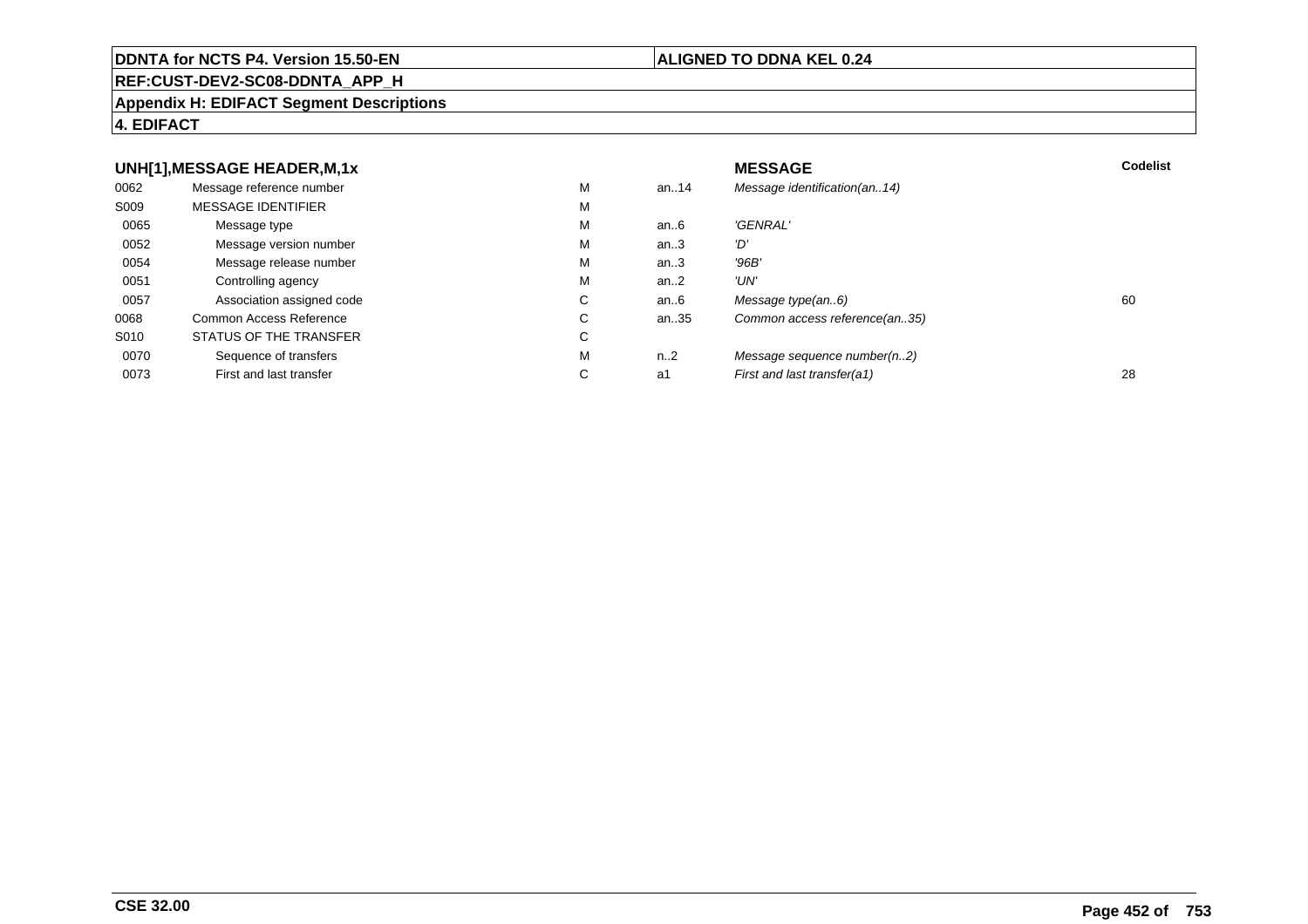#### **REF:CUST-DEV2-SC08-DDNTA\_APP\_H**

#### **Appendix H: EDIFACT Segment Descriptions**

#### **4. EDIFACT**

#### **UNH[1],MESSAGE HEADER,M,1xx** MESSAGE **Codelist** Codelist 0062 Message reference number <sup>M</sup> an..14 Message identification(an..14) S009 MESSAGE IDENTIFIERR M M 0065Message type Message version number and the Message version number and the Message of Message Message Message M an..6 'GENRAL'<br>an..3 'D' 0052 Message version number <sup>M</sup>an..3 '*D'*<br>an..3 '96*B'* 0054Message release number Message release number Message of the Message of the Message of Message of Message of Me<br>
Message release number of Message of Message of Message of Message of Message of Message of Message of Messag an..3 '96B'<br>an..2 'UN' 0051Controlling agency<br>
Association assigned code<br>
C an..2<br>an..6 0057Association assigned code **C** C<br>
mmon Access Reference **C** C an..6 Message type(an..6)<br>an..35 Common access reference(an..35) 0068Common Access Reference C<br>
STATUS OF THE TRANSFER
C Common access reference(an..35) S010 STATUS OF THE TRANSFERR C 0070Sequence of transfers M<br>
First and last transfer C n..2 Message sequence number(n..2)<br>a1 First and last transfer(a1) 0073First and last transfer First and last transfer(a1) 28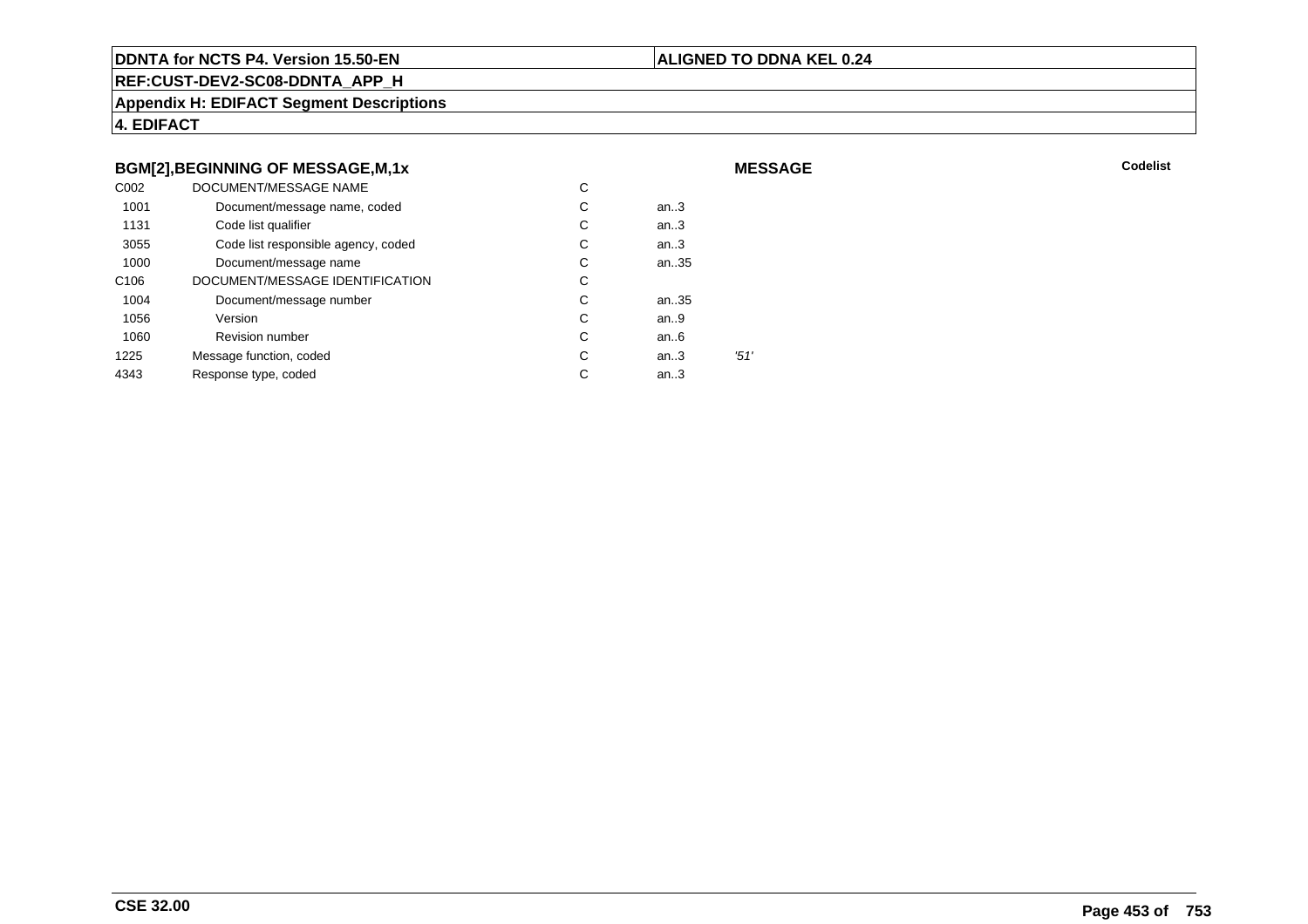#### **ALIGNED TO DDNA KEL 0.24**

**MESSAGE**

**REF:CUST-DEV2-SC08-DDNTA\_APP\_H**

**Appendix H: EDIFACT Segment Descriptions**

**4. EDIFACT**

### **BGM[2],BEGINNING OF MESSAGE,M,1x**

| C <sub>0</sub> 02 | DOCUMENT/MESSAGE NAME               | С |        |      |
|-------------------|-------------------------------------|---|--------|------|
| 1001              | Document/message name, coded        | С | an $3$ |      |
| 1131              | Code list qualifier                 | С | an.3   |      |
| 3055              | Code list responsible agency, coded | С | an.3   |      |
| 1000              | Document/message name               | С | an35   |      |
| C <sub>106</sub>  | DOCUMENT/MESSAGE IDENTIFICATION     | С |        |      |
| 1004              | Document/message number             | С | an35   |      |
| 1056              | Version                             | С | an.9   |      |
| 1060              | <b>Revision number</b>              | С | an.6   |      |
| 1225              | Message function, coded             | С | an.3   | '51' |
| 4343              | Response type, coded                | С | an.3   |      |
|                   |                                     |   |        |      |

**Codelist** Codelist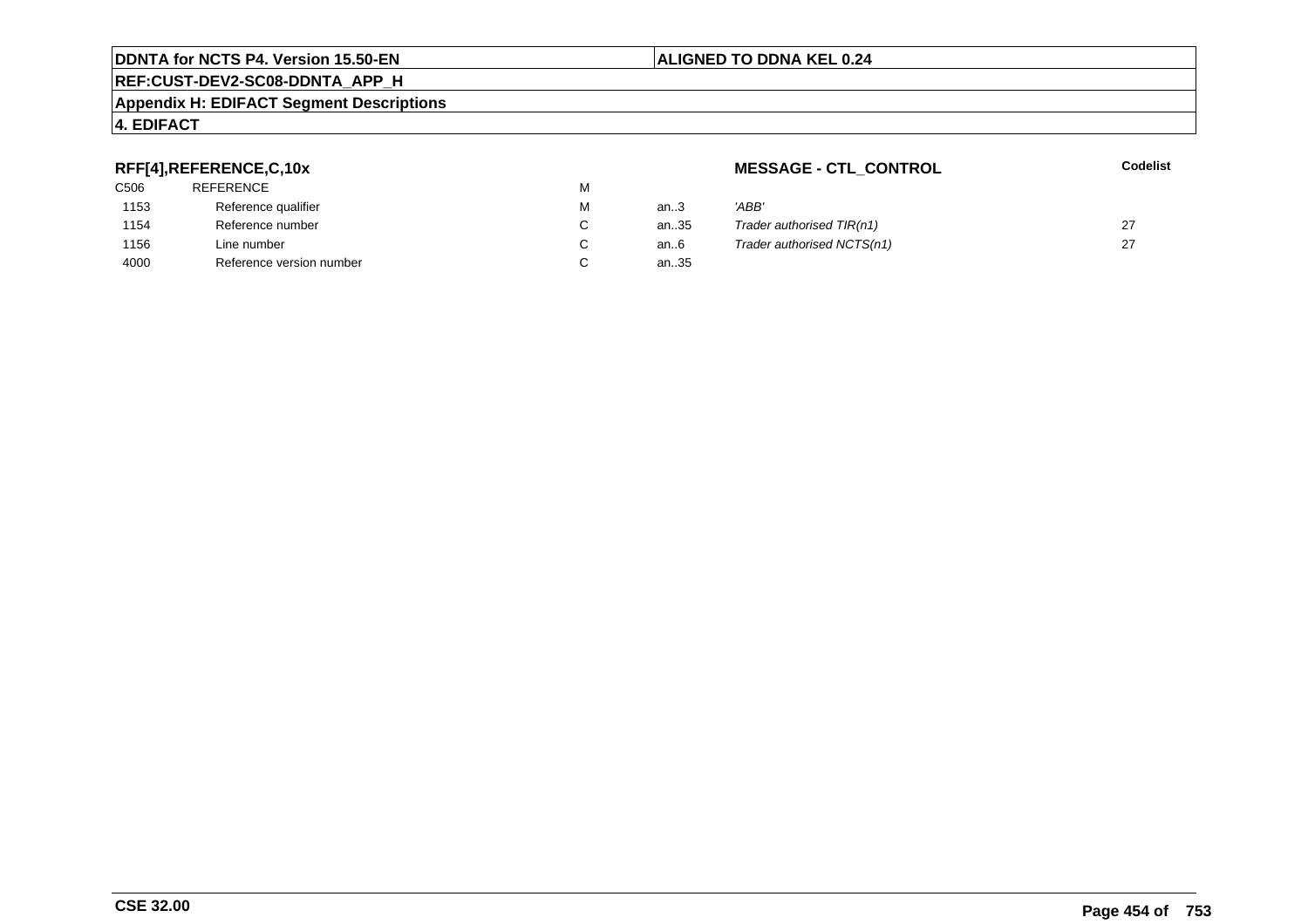#### **REF:CUST-DEV2-SC08-DDNTA\_APP\_H**

#### **Appendix H: EDIFACT Segment Descriptions**

# **4. EDIFACT**

## **RFF[4],REFERENCE,C,10x**

| 'ABB' |
|-------|
| Trade |
| Trade |
|       |
|       |

# **MESSAGE - CTL\_CONTROL**

**Codelist**

| М                        | an3           | 'ABB'                      |  |
|--------------------------|---------------|----------------------------|--|
| C                        | an35          | Trader authorised TIR(n1)  |  |
| C.                       | an6           | Trader authorised NCTS(n1) |  |
| $\overline{\phantom{0}}$ | $\sim$ $\sim$ |                            |  |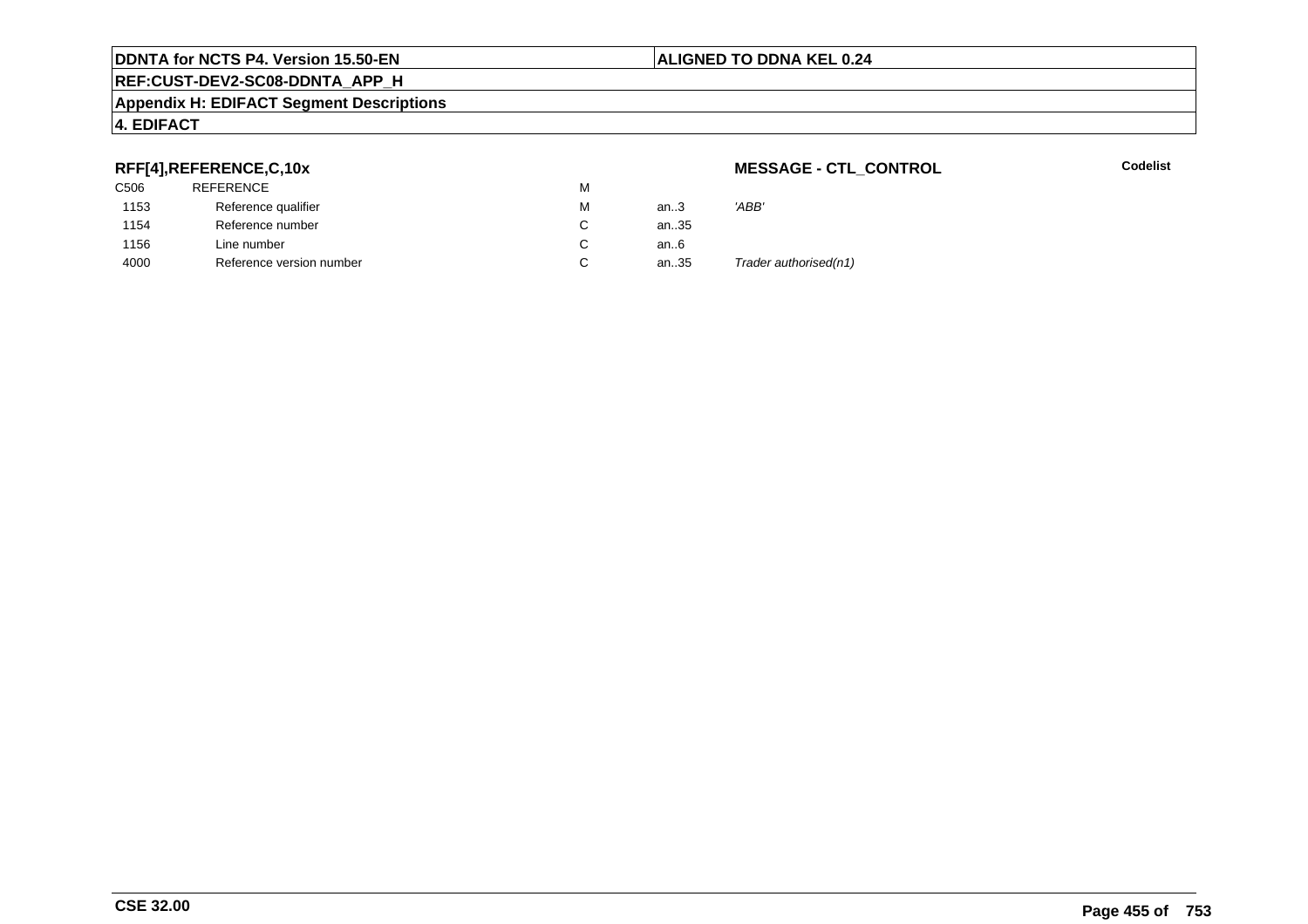# **REF:CUST-DEV2-SC08-DDNTA\_APP\_H**

#### **Appendix H: EDIFACT Segment Descriptions**

# **4. EDIFACT**

## **RFF[4],REFERENCE,C,10x**

| C506 | REFERENCE                | м |      |                       |
|------|--------------------------|---|------|-----------------------|
| 1153 | Reference qualifier      | M | an.3 | 'ABB'                 |
| 1154 | Reference number         |   | an35 |                       |
| 1156 | Line number              |   | an6  |                       |
| 4000 | Reference version number | ັ | an35 | Trader authorised(n1) |

## **MESSAGE - CTL\_CONTROL**

**Codelist**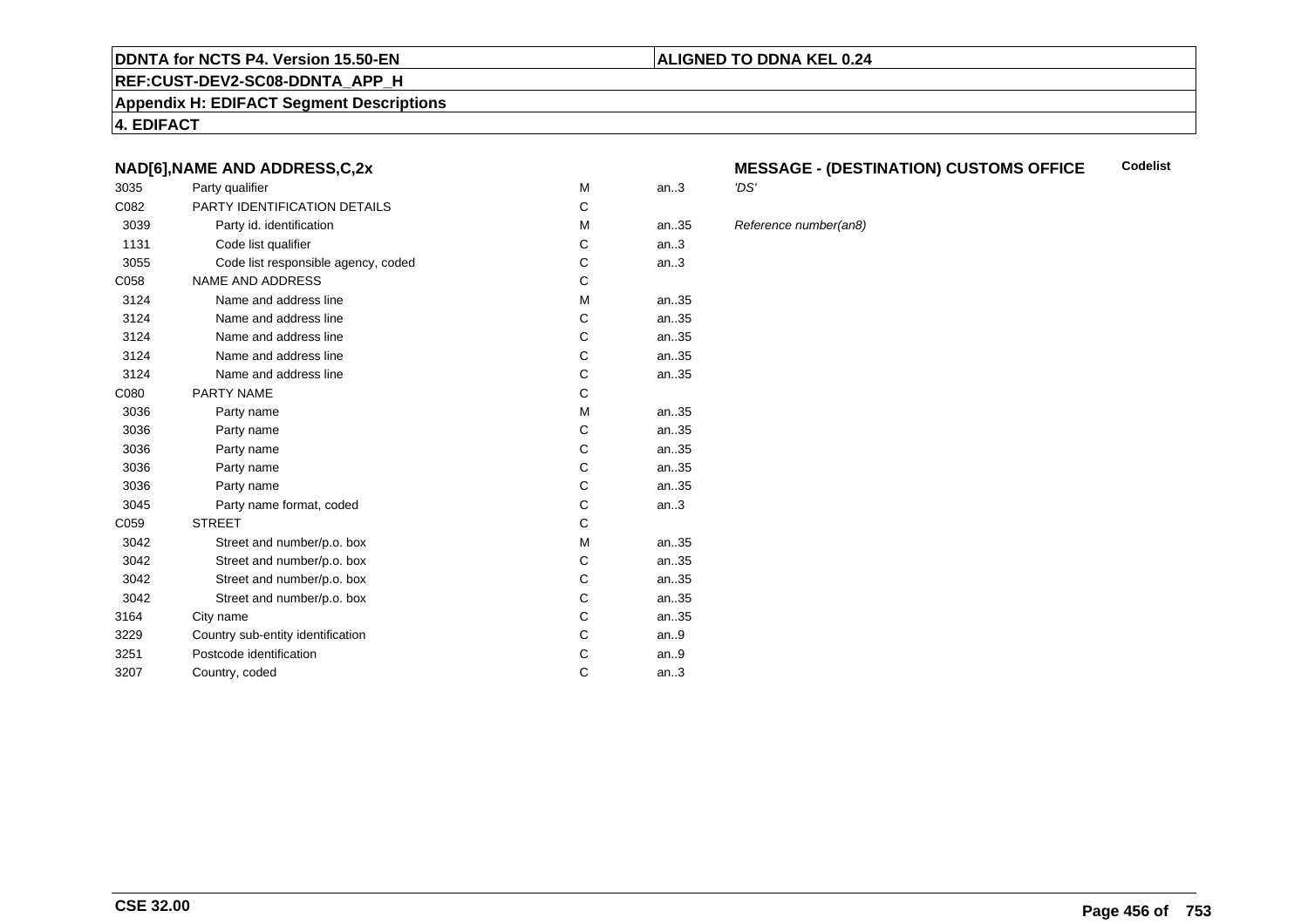#### **REF:CUST-DEV2-SC08-DDNTA\_APP\_H**

**Appendix H: EDIFACT Segment Descriptions**

**4. EDIFACT**

### **NAD[6],NAME AND ADDRESS,C,2x**

| 3035 | Party qualifier                     | M | an.3 | 'DS' |
|------|-------------------------------------|---|------|------|
| C082 | <b>PARTY IDENTIFICATION DETAILS</b> | C |      |      |
| 3039 | Party id. identification            | M | an35 | Refe |
| 1131 | Code list qualifier                 | C | an.3 |      |
| 3055 | Code list responsible agency, coded | C | an.3 |      |
| C058 | <b>NAME AND ADDRESS</b>             | C |      |      |
| 3124 | Name and address line               | M | an35 |      |
| 3124 | Name and address line               | C | an35 |      |
| 3124 | Name and address line               | C | an35 |      |
| 3124 | Name and address line               | C | an35 |      |
| 3124 | Name and address line               | C | an35 |      |
| C080 | <b>PARTY NAME</b>                   | C |      |      |
| 3036 | Party name                          | M | an35 |      |
| 3036 | Party name                          | C | an35 |      |
| 3036 | Party name                          | C | an35 |      |
| 3036 | Party name                          | C | an35 |      |
| 3036 | Party name                          | C | an35 |      |
| 3045 | Party name format, coded            | C | an.3 |      |
| C059 | <b>STREET</b>                       | C |      |      |
| 3042 | Street and number/p.o. box          | M | an35 |      |
| 3042 | Street and number/p.o. box          | C | an35 |      |
| 3042 | Street and number/p.o. box          | C | an35 |      |
| 3042 | Street and number/p.o. box          | C | an35 |      |
| 3164 | City name                           | C | an35 |      |
| 3229 | Country sub-entity identification   | C | an.9 |      |
| 3251 | Postcode identification             | C | an.9 |      |
| 3207 | Country, coded                      | C | an.3 |      |
|      |                                     |   |      |      |

#### **MESSAGE - (DESTINATION) CUSTOMS OFFICE**<br>'DS' **Codelist**

**ALIGNED TO DDNA KEL 0.24**

Reference number(an8)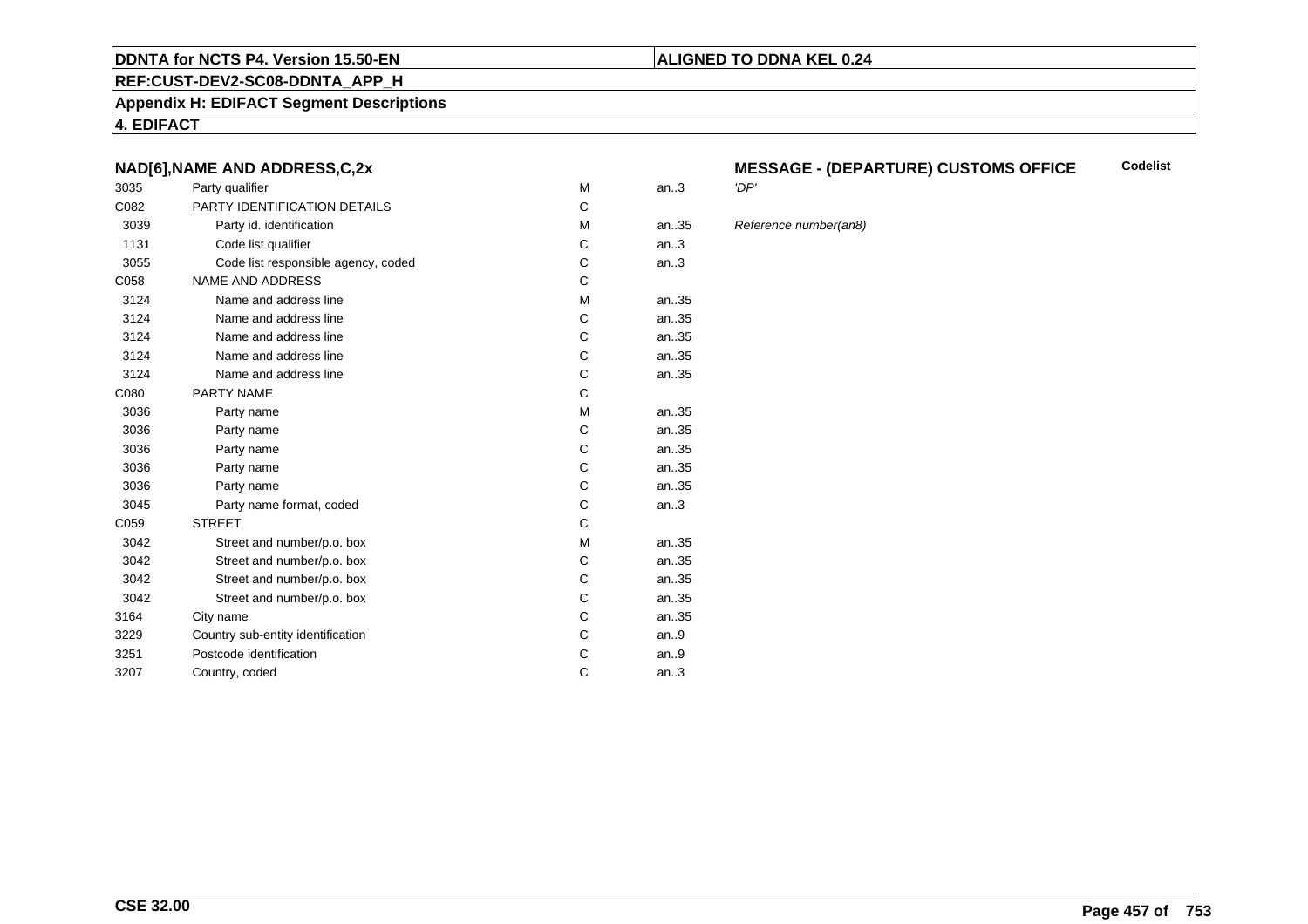#### **REF:CUST-DEV2-SC08-DDNTA\_APP\_H**

**Appendix H: EDIFACT Segment Descriptions**

**4. EDIFACT**

### **NAD[6],NAME AND ADDRESS,C,2x**

| 3035 | Party qualifier                     | M | an.3  | 'DP' |
|------|-------------------------------------|---|-------|------|
| C082 | PARTY IDENTIFICATION DETAILS        | C |       |      |
| 3039 | Party id. identification            | M | an.35 | Refe |
| 1131 | Code list qualifier                 | C | an.3  |      |
| 3055 | Code list responsible agency, coded | C | an.3  |      |
| C058 | <b>NAME AND ADDRESS</b>             | C |       |      |
| 3124 | Name and address line               | M | an35  |      |
| 3124 | Name and address line               | C | an.35 |      |
| 3124 | Name and address line               | C | an35  |      |
| 3124 | Name and address line               | C | an35  |      |
| 3124 | Name and address line               | C | an35  |      |
| C080 | <b>PARTY NAME</b>                   | C |       |      |
| 3036 | Party name                          | М | an35  |      |
| 3036 | Party name                          | C | an35  |      |
| 3036 | Party name                          | C | an35  |      |
| 3036 | Party name                          | C | an35  |      |
| 3036 | Party name                          | C | an35  |      |
| 3045 | Party name format, coded            | C | an.3  |      |
| C059 | <b>STREET</b>                       | C |       |      |
| 3042 | Street and number/p.o. box          | м | an35  |      |
| 3042 | Street and number/p.o. box          | C | an35  |      |
| 3042 | Street and number/p.o. box          | C | an35  |      |
| 3042 | Street and number/p.o. box          | C | an35  |      |
| 3164 | City name                           | C | an35  |      |
| 3229 | Country sub-entity identification   | C | an.9  |      |
| 3251 | Postcode identification             | C | an.9  |      |
| 3207 | Country, coded                      | C | an.3  |      |
|      |                                     |   |       |      |

#### **MESSAGE - (DEPARTURE) CUSTOMS OFFICECodelist**

**ALIGNED TO DDNA KEL 0.24**

Reference number(an8)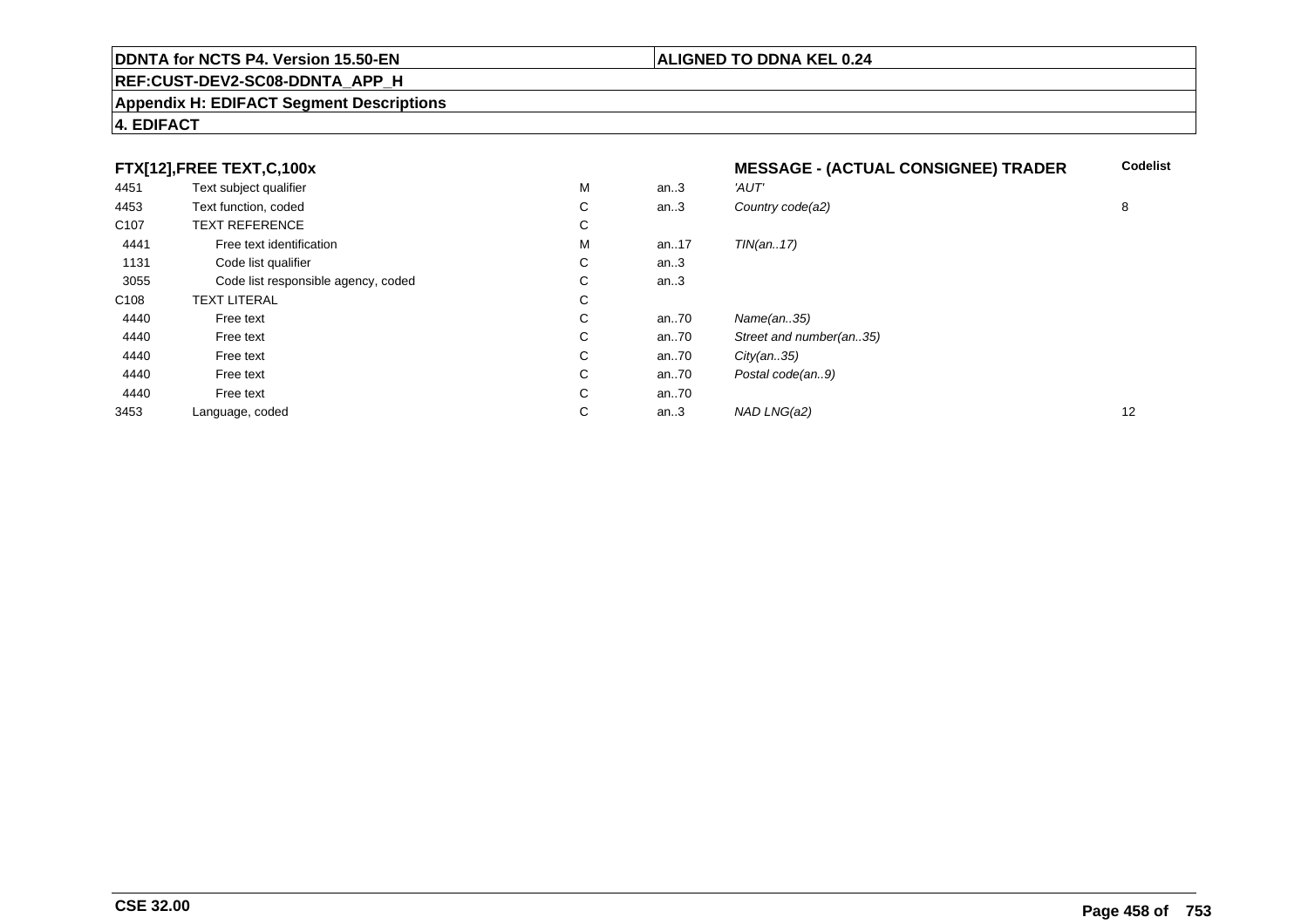# **REF:CUST-DEV2-SC08-DDNTA\_APP\_H**

#### **Appendix H: EDIFACT Segment Descriptions**

|                  | FTX[12], FREE TEXT, C, 100x         |    |      | <b>MESSAGE - (ACTUAL CONSIGNEE) TRADER</b> | <b>Codelist</b> |
|------------------|-------------------------------------|----|------|--------------------------------------------|-----------------|
| 4451             | Text subject qualifier              | м  | an.3 | 'AUT'                                      |                 |
| 4453             | Text function, coded                | С  | an.3 | Country code(a2)                           | 8               |
| C <sub>107</sub> | <b>TEXT REFERENCE</b>               | С  |      |                                            |                 |
| 4441             | Free text identification            | М  | an17 | TIN(an17)                                  |                 |
| 1131             | Code list qualifier                 | С  | an.3 |                                            |                 |
| 3055             | Code list responsible agency, coded | C  | an.3 |                                            |                 |
| C108             | <b>TEXT LITERAL</b>                 | С  |      |                                            |                 |
| 4440             | Free text                           | C. | an70 | Name(an35)                                 |                 |
| 4440             | Free text                           | C. | an70 | Street and number(an35)                    |                 |
| 4440             | Free text                           | C  | an70 | City(an35)                                 |                 |
| 4440             | Free text                           | C  | an70 | Postal code(an9)                           |                 |
| 4440             | Free text                           | C  | an70 |                                            |                 |
| 3453             | Language, coded                     | С  | an.3 | NAD LNG(a2)                                | 12              |

# **4. EDIFACT**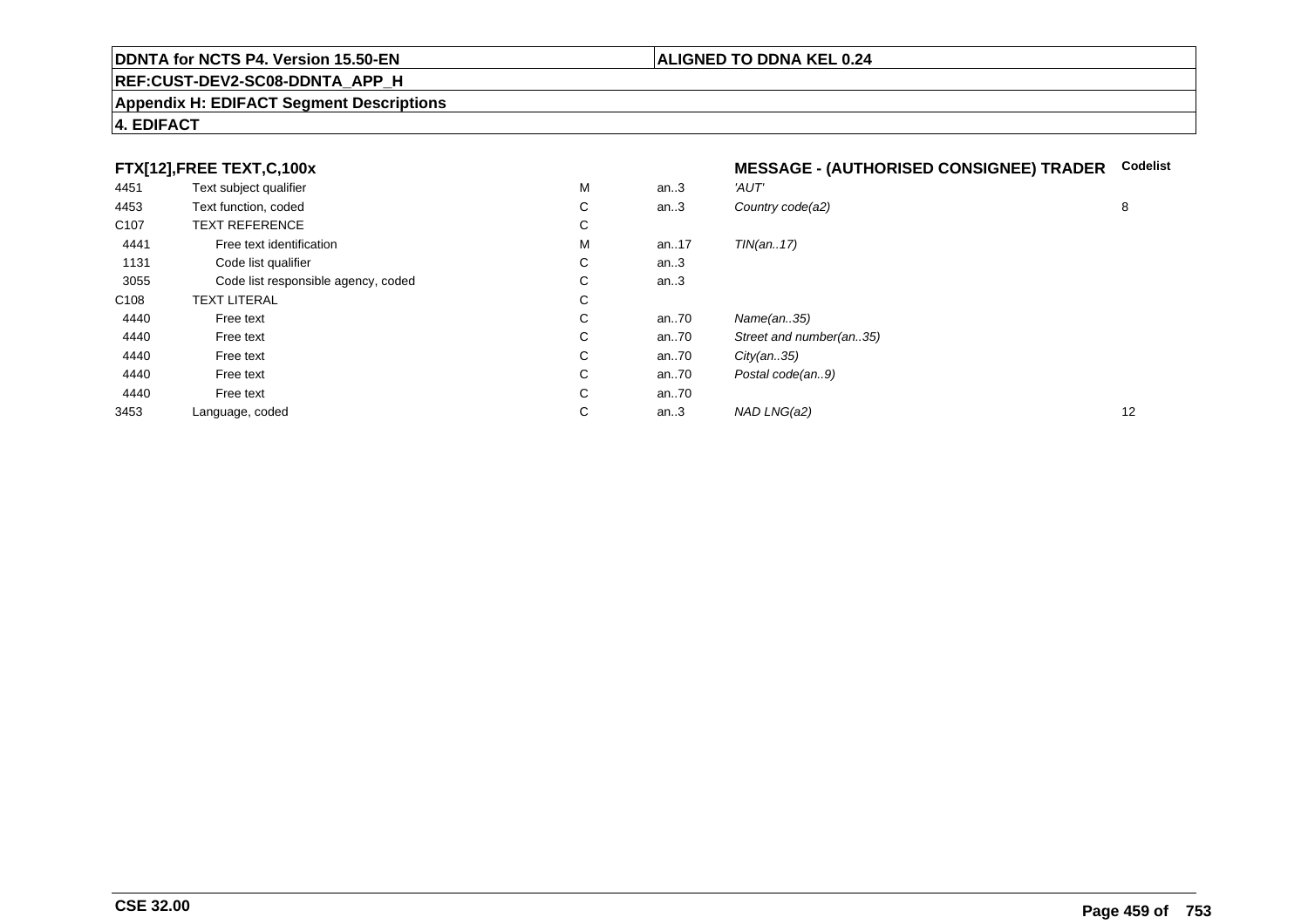# **REF:CUST-DEV2-SC08-DDNTA\_APP\_H**

#### **Appendix H: EDIFACT Segment Descriptions**

# **4. EDIFACT**

## **FTX[12],FREE TEXT,C,100x**

|  | MESSAGE - (AUTHORISED CONSIGNEE) TRADER Codelist |  |
|--|--------------------------------------------------|--|
|  |                                                  |  |

| 4451             | Text subject qualifier              | M            | an.3 | 'AUT'                   |    |
|------------------|-------------------------------------|--------------|------|-------------------------|----|
| 4453             | Text function, coded                | C            | an.3 | Country code(a2)        | 8  |
| C <sub>107</sub> | <b>TEXT REFERENCE</b>               | C            |      |                         |    |
| 4441             | Free text identification            | м            | an17 | TIN(an17)               |    |
| 1131             | Code list qualifier                 | C            | an.3 |                         |    |
| 3055             | Code list responsible agency, coded | C.           | an.3 |                         |    |
| C108             | <b>TEXT LITERAL</b>                 | C            |      |                         |    |
| 4440             | Free text                           | $\mathsf{C}$ | an70 | Name(an35)              |    |
| 4440             | Free text                           | C            | an70 | Street and number(an35) |    |
| 4440             | Free text                           | C            | an70 | City(an35)              |    |
| 4440             | Free text                           | $\mathsf{C}$ | an70 | Postal code(an9)        |    |
| 4440             | Free text                           | $\mathsf{C}$ | an70 |                         |    |
| 3453             | Language, coded                     | С            | an.3 | NAD LNG(a2)             | 12 |
|                  |                                     |              |      |                         |    |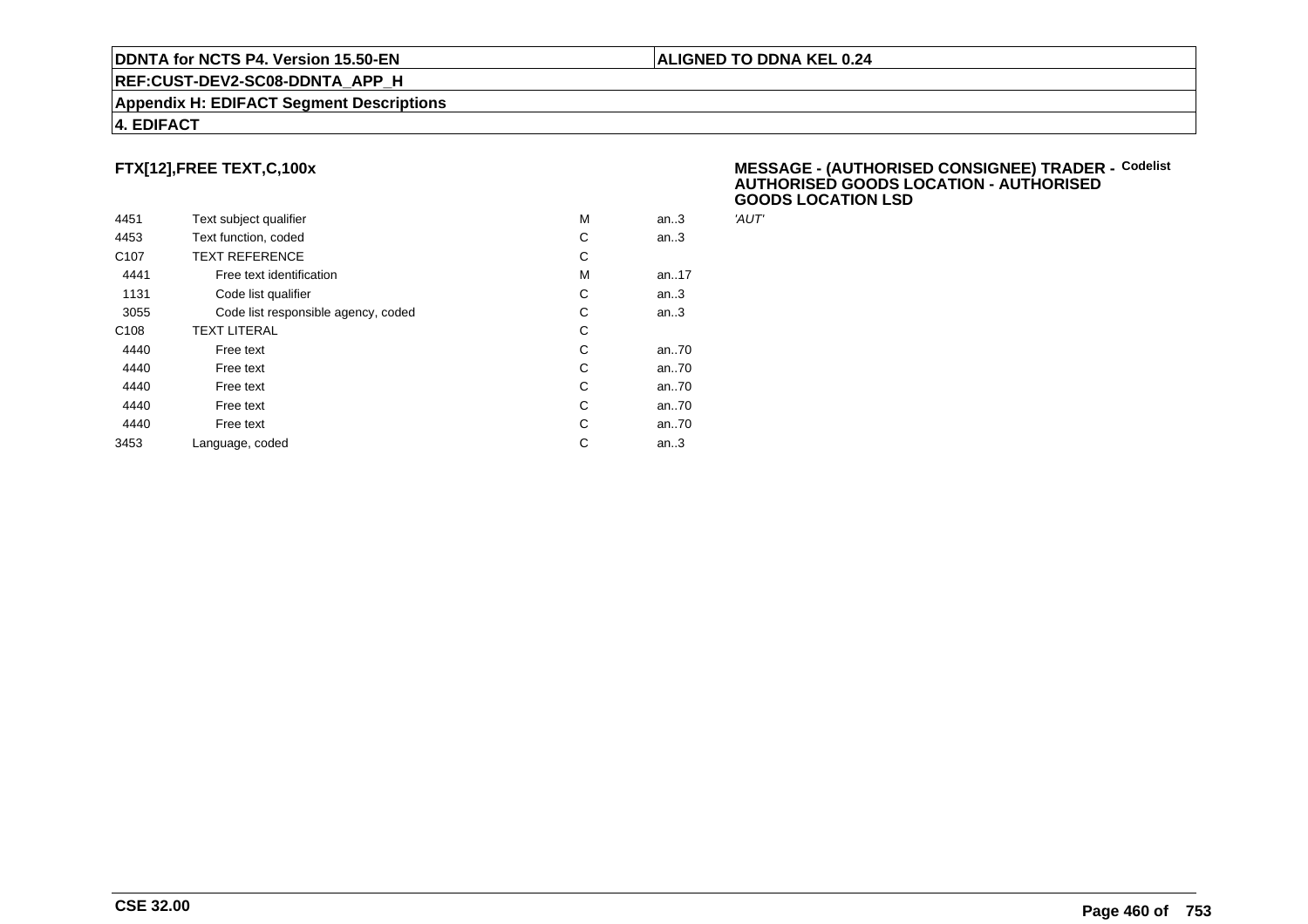#### **REF:CUST-DEV2-SC08-DDNTA\_APP\_H**

#### **Appendix H: EDIFACT Segment Descriptions**

#### **4. EDIFACT**

# **FTX[12],FREE TEXT,C,100x**

| 4451             | Text subject qualifier              | M | an.3 | 'AUT' |
|------------------|-------------------------------------|---|------|-------|
| 4453             | Text function, coded                | С | an.3 |       |
| C <sub>107</sub> | <b>TEXT REFERENCE</b>               | С |      |       |
| 4441             | Free text identification            | M | an17 |       |
| 1131             | Code list qualifier                 | C | an.3 |       |
| 3055             | Code list responsible agency, coded | C | an.3 |       |
| C <sub>108</sub> | <b>TEXT LITERAL</b>                 | С |      |       |
| 4440             | Free text                           | C | an70 |       |
| 4440             | Free text                           | C | an70 |       |
| 4440             | Free text                           | C | an70 |       |
| 4440             | Free text                           | C | an70 |       |
| 4440             | Free text                           | C | an70 |       |
| 3453             | Language, coded                     | C | an.3 |       |
|                  |                                     |   |      |       |

#### **MESSAGE - (AUTHORISED CONSIGNEE) TRADER - AUTHORISED GOODS LOCATION - AUTHORISEDGOODS LOCATION LSDCodelist**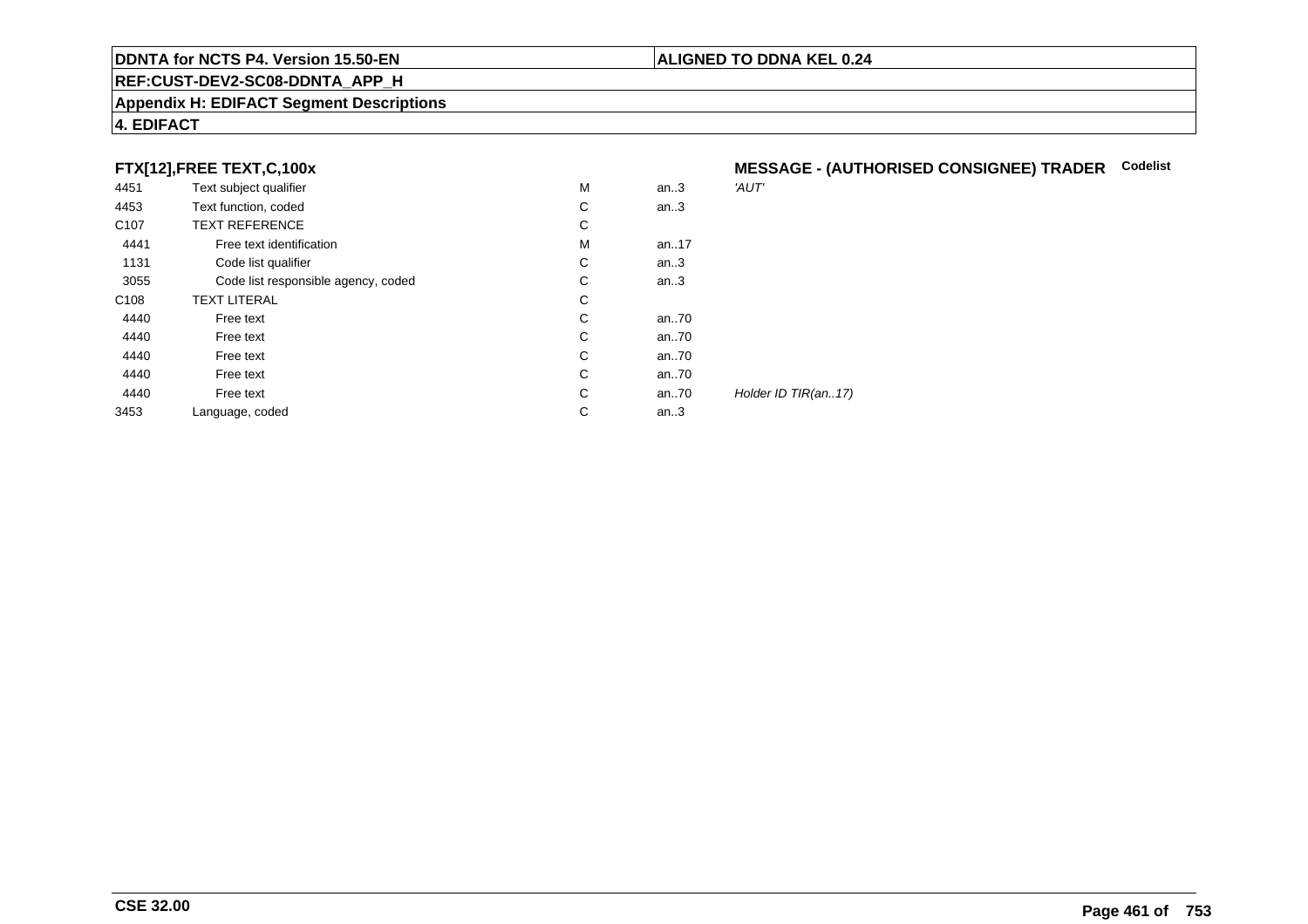#### **REF:CUST-DEV2-SC08-DDNTA\_APP\_H**

#### **Appendix H: EDIFACT Segment Descriptions**

## **4. EDIFACT**

## **FTX[12],FREE TEXT,C,100x**

| 4451             | Text subject qualifier              | M | an.3 | 'AUT'               |
|------------------|-------------------------------------|---|------|---------------------|
| 4453             | Text function, coded                | C | an.3 |                     |
| C <sub>107</sub> | <b>TEXT REFERENCE</b>               | С |      |                     |
| 4441             | Free text identification            | M | an17 |                     |
| 1131             | Code list qualifier                 | С | an.3 |                     |
| 3055             | Code list responsible agency, coded | С | an.3 |                     |
| C <sub>108</sub> | <b>TEXT LITERAL</b>                 | С |      |                     |
| 4440             | Free text                           | C | an70 |                     |
| 4440             | Free text                           | C | an70 |                     |
| 4440             | Free text                           | C | an70 |                     |
| 4440             | Free text                           | C | an70 |                     |
| 4440             | Free text                           | C | an70 | Holder ID TIR(an17) |
| 3453             | Language, coded                     | C | an.3 |                     |
|                  |                                     |   |      |                     |

# **MESSAGE - (AUTHORISED CONSIGNEE) TRADER Codelist**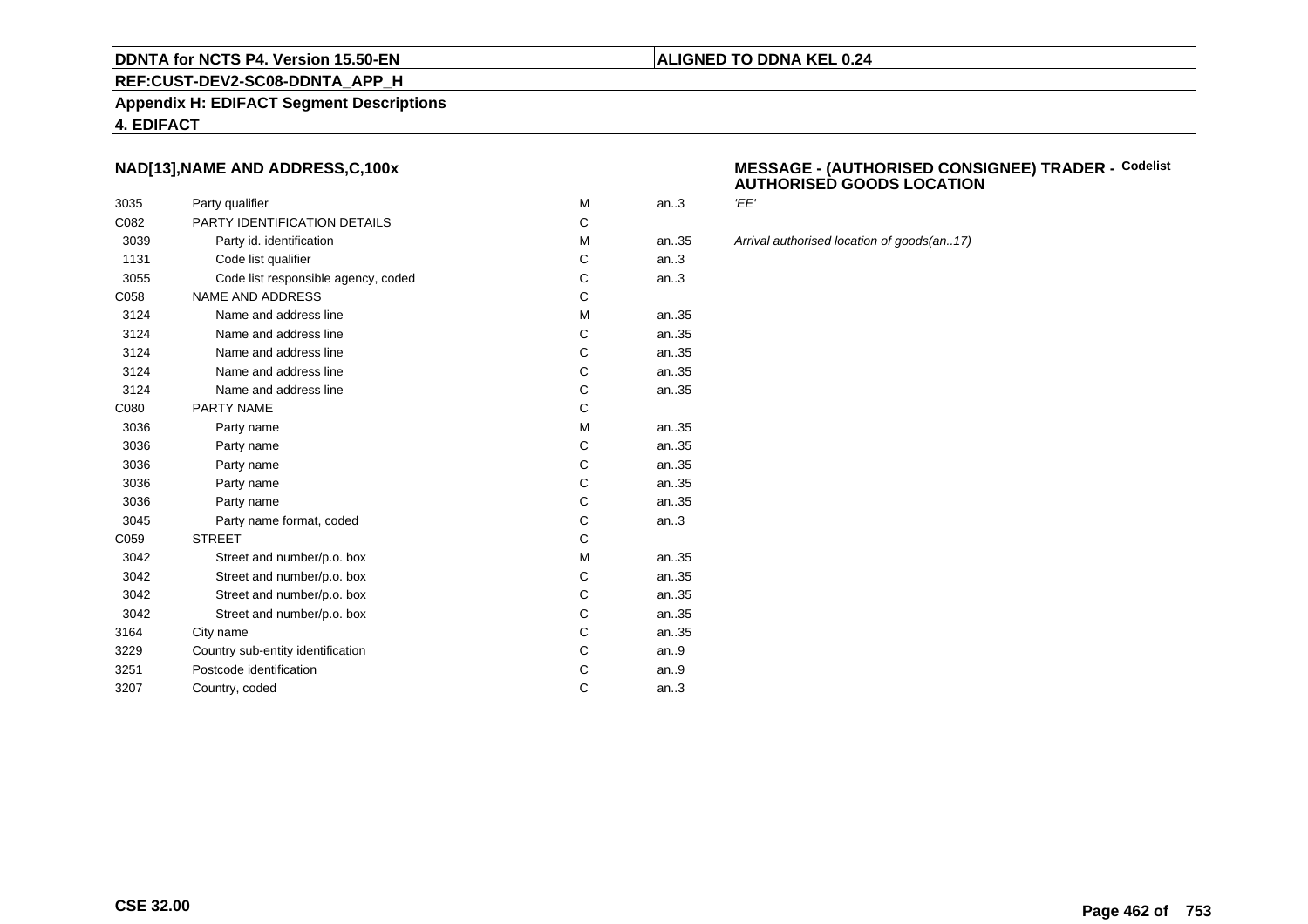#### **REF:CUST-DEV2-SC08-DDNTA\_APP\_H**

**Appendix H: EDIFACT Segment Descriptions**

#### **4. EDIFACT**

### **NAD[13],NAME AND ADDRESS,C,100x**

| 3035 | Party qualifier                     | M | an.3  | 'EE'  |
|------|-------------------------------------|---|-------|-------|
| C082 | PARTY IDENTIFICATION DETAILS        | C |       |       |
| 3039 | Party id. identification            | M | an.35 | Arriv |
| 1131 | Code list qualifier                 | C | an.3  |       |
| 3055 | Code list responsible agency, coded | C | an.3  |       |
| C058 | <b>NAME AND ADDRESS</b>             | C |       |       |
| 3124 | Name and address line               | M | an35  |       |
| 3124 | Name and address line               | C | an35  |       |
| 3124 | Name and address line               | C | an35  |       |
| 3124 | Name and address line               | C | an35  |       |
| 3124 | Name and address line               | C | an35  |       |
| C080 | PARTY NAME                          | C |       |       |
| 3036 | Party name                          | M | an35  |       |
| 3036 | Party name                          | C | an35  |       |
| 3036 | Party name                          | C | an35  |       |
| 3036 | Party name                          | C | an35  |       |
| 3036 | Party name                          | C | an35  |       |
| 3045 | Party name format, coded            | C | an.3  |       |
| C059 | <b>STREET</b>                       | C |       |       |
| 3042 | Street and number/p.o. box          | M | an35  |       |
| 3042 | Street and number/p.o. box          | C | an35  |       |
| 3042 | Street and number/p.o. box          | C | an35  |       |
| 3042 | Street and number/p.o. box          | C | an35  |       |
| 3164 | City name                           | C | an35  |       |
| 3229 | Country sub-entity identification   | C | an.9  |       |
| 3251 | Postcode identification             | С | an.9  |       |
| 3207 | Country, coded                      | C | an.3  |       |
|      |                                     |   |       |       |

#### **MESSAGE - (AUTHORISED CONSIGNEE) TRADER - AUTHORISED GOODS LOCATIONCodelist**

**ALIGNED TO DDNA KEL 0.24**

Arrival authorised location of goods(an..17)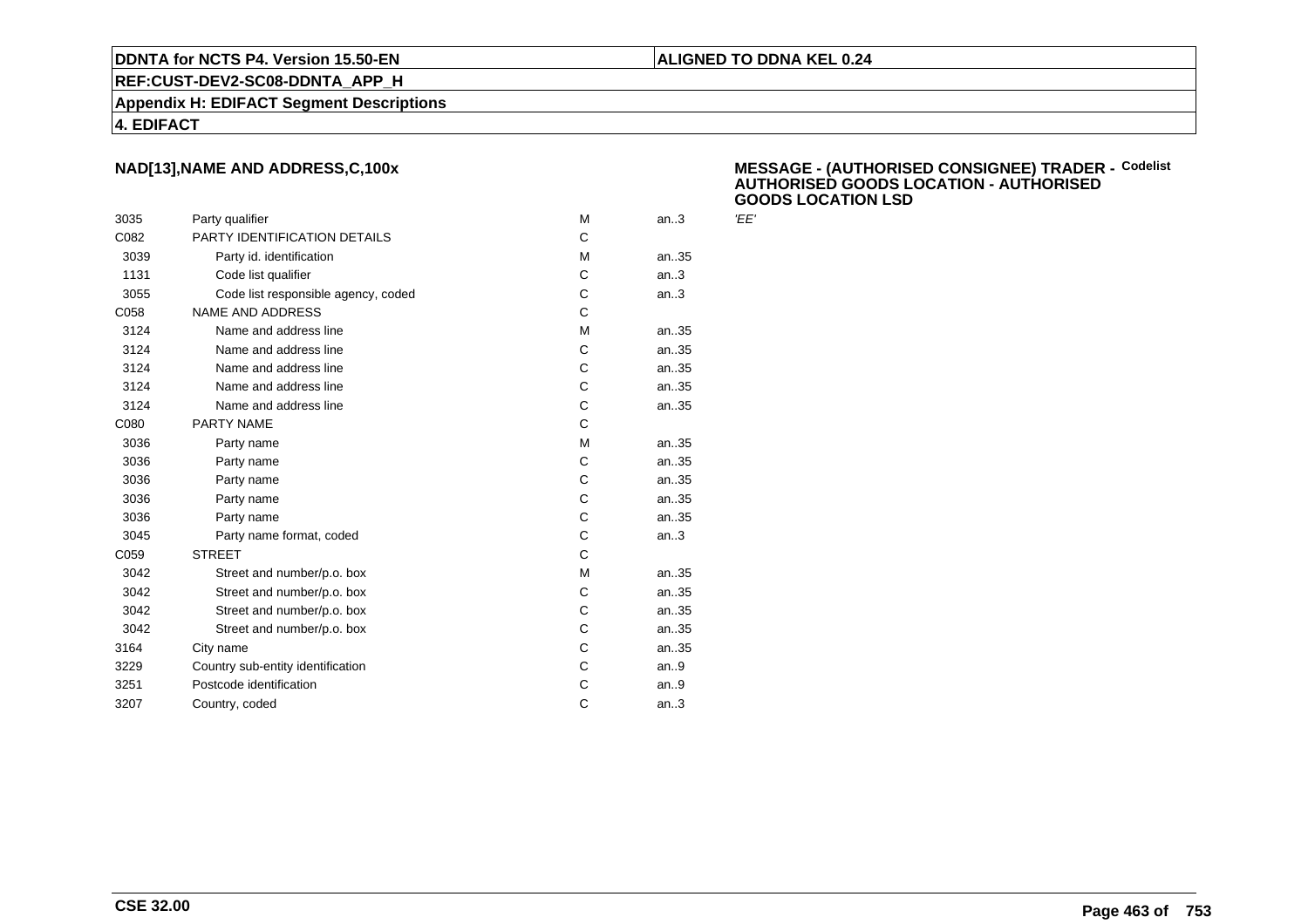#### **REF:CUST-DEV2-SC08-DDNTA\_APP\_H**

**Appendix H: EDIFACT Segment Descriptions**

#### **4. EDIFACT**

## **NAD[13],NAME AND ADDRESS,C,100x**

| 3035 | Party qualifier                     | м | an.3 | 'EE' |
|------|-------------------------------------|---|------|------|
| C082 | PARTY IDENTIFICATION DETAILS        | C |      |      |
| 3039 | Party id. identification            | м | an35 |      |
| 1131 | Code list qualifier                 | C | an.3 |      |
| 3055 | Code list responsible agency, coded | C | an.3 |      |
| C058 | <b>NAME AND ADDRESS</b>             | C |      |      |
| 3124 | Name and address line               | М | an35 |      |
| 3124 | Name and address line               | C | an35 |      |
| 3124 | Name and address line               | C | an35 |      |
| 3124 | Name and address line               | C | an35 |      |
| 3124 | Name and address line               | C | an35 |      |
| C080 | PARTY NAME                          | C |      |      |
| 3036 | Party name                          | M | an35 |      |
| 3036 | Party name                          | C | an35 |      |
| 3036 | Party name                          | C | an35 |      |
| 3036 | Party name                          | C | an35 |      |
| 3036 | Party name                          | C | an35 |      |
| 3045 | Party name format, coded            | C | an.3 |      |
| C059 | <b>STREET</b>                       | C |      |      |
| 3042 | Street and number/p.o. box          | M | an35 |      |
| 3042 | Street and number/p.o. box          | C | an35 |      |
| 3042 | Street and number/p.o. box          | C | an35 |      |
| 3042 | Street and number/p.o. box          | C | an35 |      |
| 3164 | City name                           | C | an35 |      |
| 3229 | Country sub-entity identification   | C | an.9 |      |
| 3251 | Postcode identification             | C | an.9 |      |
| 3207 | Country, coded                      | C | an.3 |      |
|      |                                     |   |      |      |

#### **MESSAGE - (AUTHORISED CONSIGNEE) TRADER - AUTHORISED GOODS LOCATION - AUTHORISEDGOODS LOCATION LSDCodelist**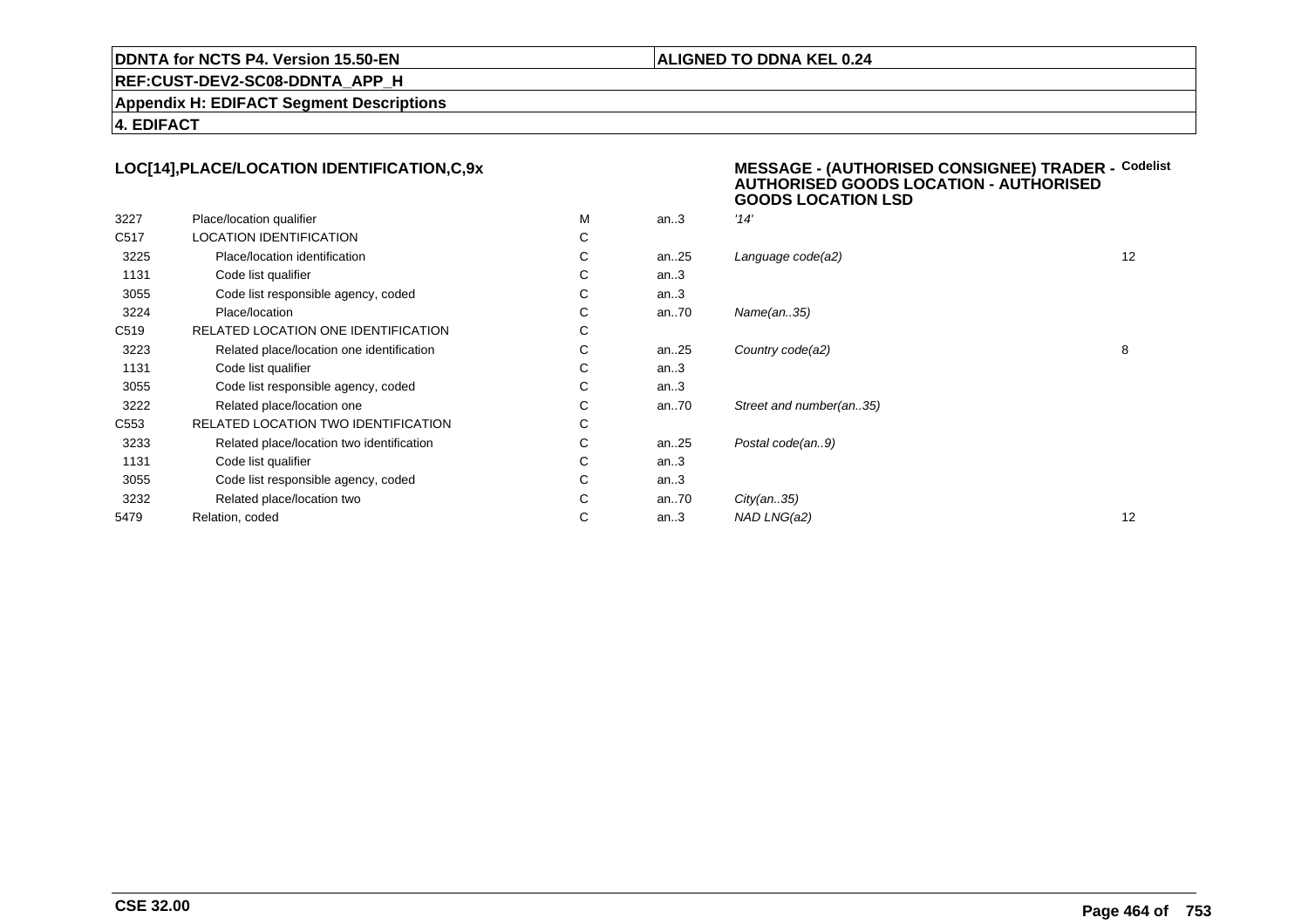#### **ALIGNED TO DDNA KEL 0.24**

**REF:CUST-DEV2-SC08-DDNTA\_APP\_H**

**Appendix H: EDIFACT Segment Descriptions**

**4. EDIFACT**

#### **LOC[14],PLACE/LOCATION IDENTIFICATION,C,9xMESSAGE - (AUTHORISED CONSIGNEE) TRADER - AUTHORISED GOODS LOCATION - AUTHORISED**

|                  |                                           |   |          | <b>GOODS LOCATION LSD</b> |    |
|------------------|-------------------------------------------|---|----------|---------------------------|----|
| 3227             | Place/location qualifier                  | M | an.3     | '14'                      |    |
| C517             | <b>LOCATION IDENTIFICATION</b>            | C |          |                           |    |
| 3225             | Place/location identification             | С | an25     | Language code(a2)         | 12 |
| 1131             | Code list qualifier                       | C | an.3     |                           |    |
| 3055             | Code list responsible agency, coded       | С | an.3     |                           |    |
| 3224             | Place/location                            | C | an $.70$ | Name(an35)                |    |
| C519             | RELATED LOCATION ONE IDENTIFICATION       | С |          |                           |    |
| 3223             | Related place/location one identification | C | an $.25$ | Country code(a2)          | 8  |
| 1131             | Code list qualifier                       | C | an.3     |                           |    |
| 3055             | Code list responsible agency, coded       | C | an.3     |                           |    |
| 3222             | Related place/location one                | C | an $.70$ | Street and number(an35)   |    |
| C <sub>553</sub> | RELATED LOCATION TWO IDENTIFICATION       | С |          |                           |    |
| 3233             | Related place/location two identification | C | an $.25$ | Postal code(an9)          |    |
| 1131             | Code list qualifier                       | С | an.3     |                           |    |
| 3055             | Code list responsible agency, coded       | С | an.3     |                           |    |
| 3232             | Related place/location two                | С | an $.70$ | City(an35)                |    |
| 5479             | Relation, coded                           | С | an.3     | NAD LNG(a2)               | 12 |
|                  |                                           |   |          |                           |    |

**Codelist**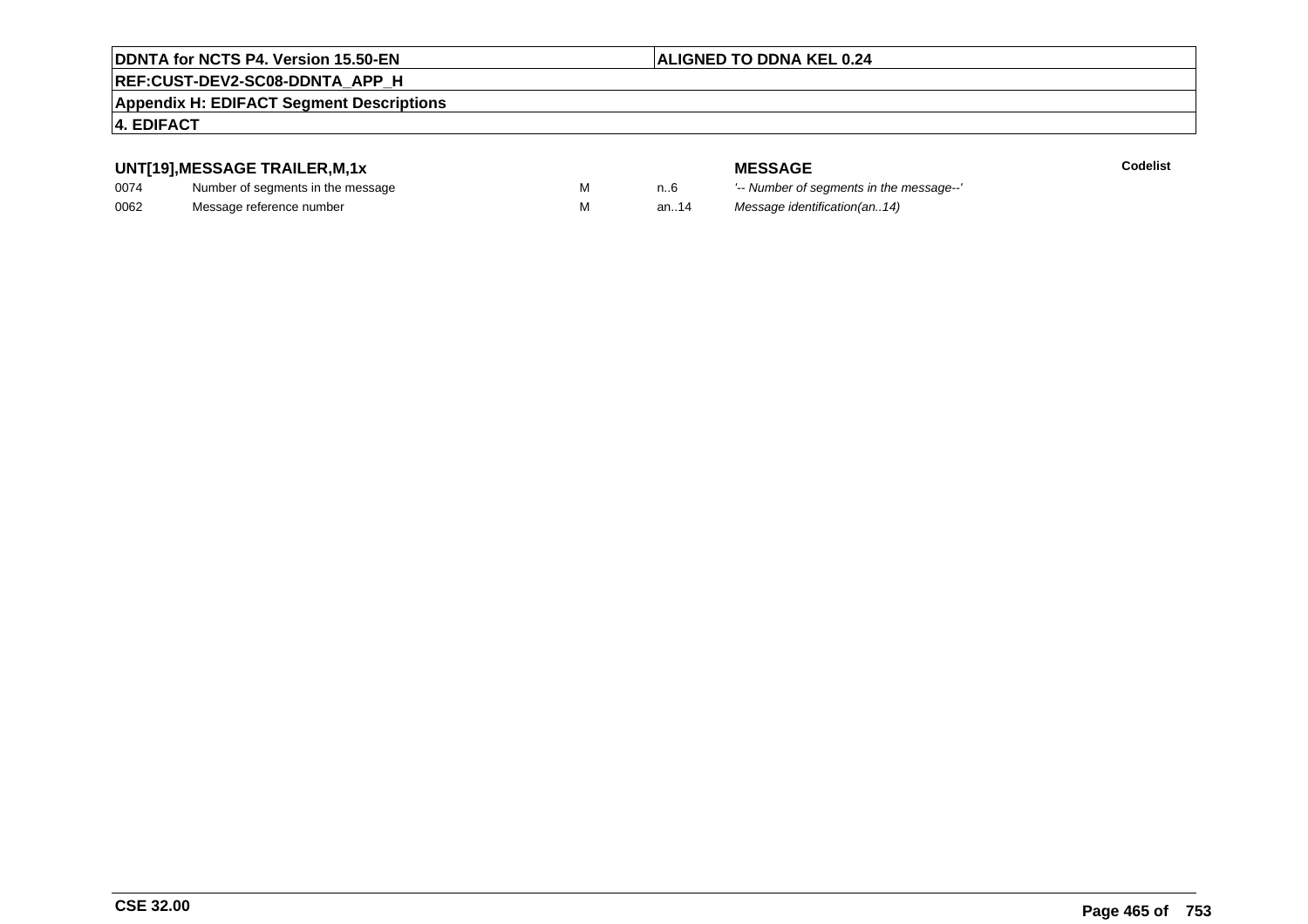## **ALIGNED TO DDNA KEL 0.24**

# **REF:CUST-DEV2-SC08-DDNTA\_APP\_H**

#### **Appendix H: EDIFACT Segment Descriptions**

#### **4. EDIFACT**

## **UNT[19],MESSAGE TRAILER,M,1x**

| 0074 | Number of segments in the message |  |
|------|-----------------------------------|--|
| 0062 | Message reference number          |  |

**MESSAGE**<br>M n.6 <sup>'--</sup> Number of s **Codelist** n..6 '-- Number of segments in the message--' M an..14 Message identification(an..14)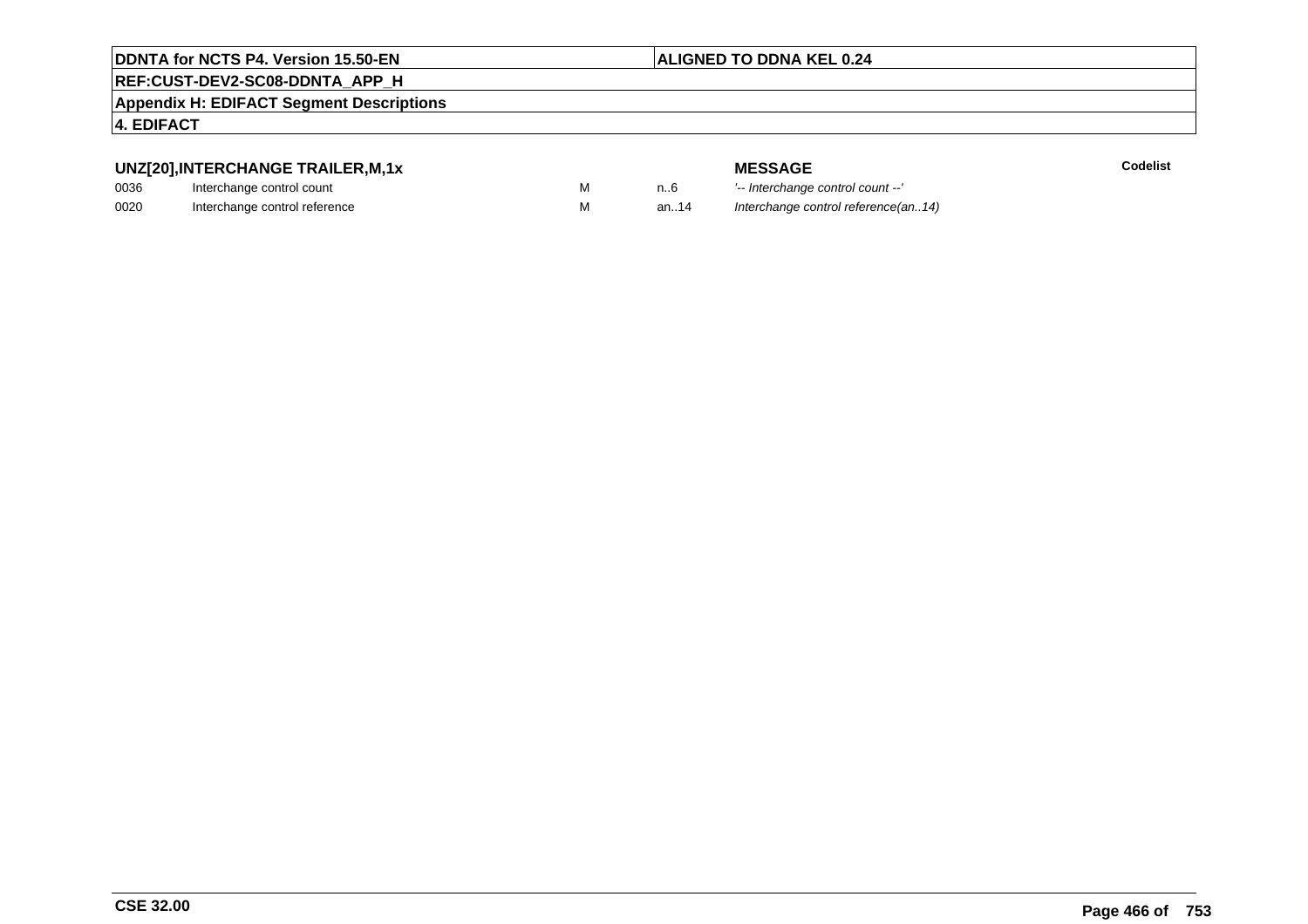## **ALIGNED TO DDNA KEL 0.24**

# **REF:CUST-DEV2-SC08-DDNTA\_APP\_H**

**Appendix H: EDIFACT Segment Descriptions**

### **4. EDIFACT**

# **UNZ[20],INTERCHANGE TRAILER,M,1x**

| 0036 | Interchange control count     |  |
|------|-------------------------------|--|
| 0020 | Interchange control reference |  |

| ^י וועווירו⊣−דורו חה |  |
|----------------------|--|
| ntrol count          |  |
| ntrol roforongo      |  |

|   |      | <b>MESSAGE</b>                      | <b>Codelist</b> |
|---|------|-------------------------------------|-----------------|
| M | n6   | '-- Interchange control count --'   |                 |
| M | an14 | Interchange control reference(an14) |                 |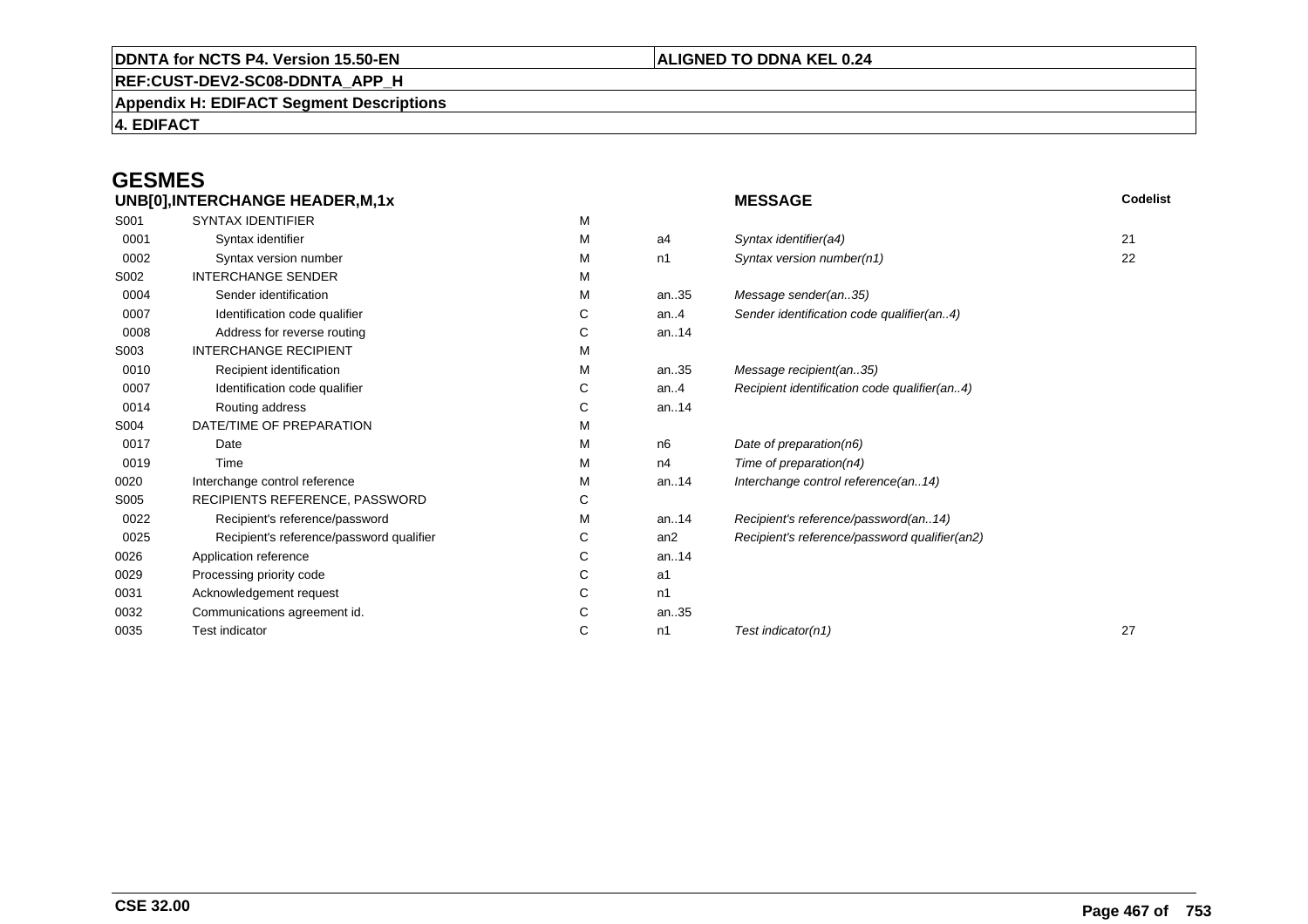# **REF:CUST-DEV2-SC08-DDNTA\_APP\_H**

**Appendix H: EDIFACT Segment Descriptions**

**4. EDIFACT**

# **GESMES**

| UNB[0], INTERCHANGE HEADER, M, 1x |                                          |   | <b>MESSAGE</b> | <b>Codelist</b>                               |    |
|-----------------------------------|------------------------------------------|---|----------------|-----------------------------------------------|----|
| S001                              | <b>SYNTAX IDENTIFIER</b>                 | M |                |                                               |    |
| 0001                              | Syntax identifier                        | М | a4             | Syntax identifier(a4)                         | 21 |
| 0002                              | Syntax version number                    | М | n1             | Syntax version number(n1)                     | 22 |
| S002                              | <b>INTERCHANGE SENDER</b>                | М |                |                                               |    |
| 0004                              | Sender identification                    | М | an35           | Message sender(an35)                          |    |
| 0007                              | Identification code qualifier            | С | an. $4$        | Sender identification code qualifier(an4)     |    |
| 0008                              | Address for reverse routing              | С | an14           |                                               |    |
| S003                              | <b>INTERCHANGE RECIPIENT</b>             | М |                |                                               |    |
| 0010                              | Recipient identification                 | M | an35           | Message recipient(an35)                       |    |
| 0007                              | Identification code qualifier            | С | an. $4$        | Recipient identification code qualifier(an4)  |    |
| 0014                              | Routing address                          | С | an14           |                                               |    |
| S004                              | DATE/TIME OF PREPARATION                 | M |                |                                               |    |
| 0017                              | Date                                     | М | n6             | Date of preparation(n6)                       |    |
| 0019                              | Time                                     | м | n4             | Time of preparation(n4)                       |    |
| 0020                              | Interchange control reference            | М | an14           | Interchange control reference(an14)           |    |
| S005                              | RECIPIENTS REFERENCE, PASSWORD           | С |                |                                               |    |
| 0022                              | Recipient's reference/password           | М | an14           | Recipient's reference/password(an14)          |    |
| 0025                              | Recipient's reference/password qualifier | С | an2            | Recipient's reference/password qualifier(an2) |    |
| 0026                              | Application reference                    | С | an14           |                                               |    |
| 0029                              | Processing priority code                 | С | a1             |                                               |    |
| 0031                              | Acknowledgement request                  | С | n1             |                                               |    |
| 0032                              | Communications agreement id.             | С | an35           |                                               |    |
| 0035                              | <b>Test indicator</b>                    | С | n1             | Test indicator(n1)                            | 27 |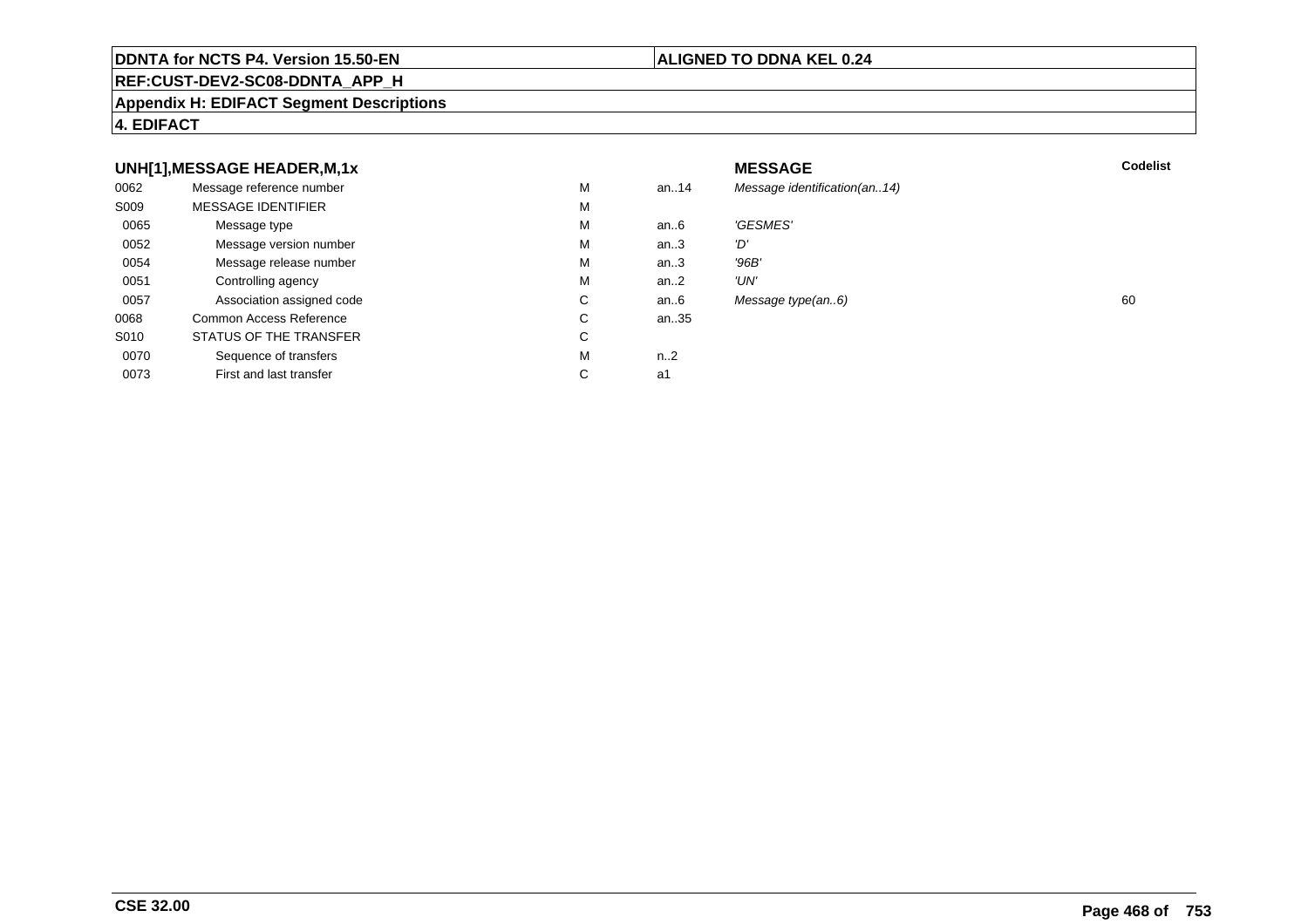#### **REF:CUST-DEV2-SC08-DDNTA\_APP\_H**

#### **Appendix H: EDIFACT Segment Descriptions**

#### **4. EDIFACT**

#### **UNH[1],MESSAGE HEADER,M,1xx** MESSAGE **Codelist** Codelist 0062 Message reference number <sup>M</sup> an..14 Message identification(an..14) S009 MESSAGE IDENTIFIERR M M 0065Message type Message version number and the Message version number and the Message of Message Message Message M an..6 'GESMES'<br>an..3 'D' 0052 Message version number <sup>M</sup>an..3 'D'<br>an..3 '96B' 0054Message release number Market and the Market Market Market Market Market Market Market Market Market Market Ma<br>
Market Market Market Market Market Market Market Market Market Market Market Market Market Market Market Marke an..3 '96B'<br>an..2 'UN' 0051 Controlling agency <sup>M</sup>an..2<br>an..6 0057Association assigned code **C** C<br>
mmon Access Reference **C** C Message type(an..6) 60 0068Common Access Reference C<br>
STATUS OF THE TRANSFER
C an..35 S010 STATUS OF THE TRANSFERR C 0070Sequence of transfers M<br>
First and last transfer C n..2<br>a1 0073First and last transfer  $C \qquad \qquad$  a1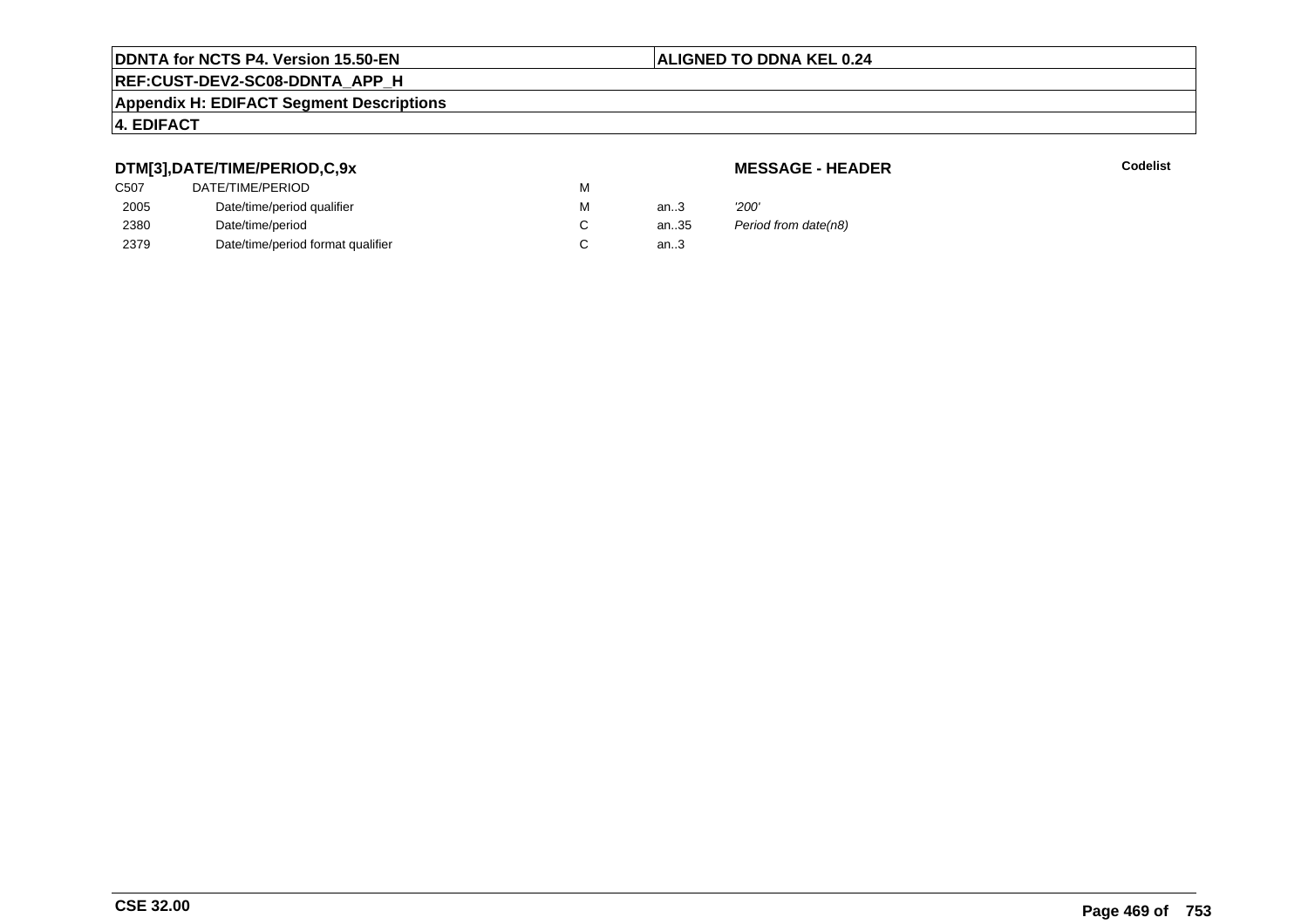# **ALIGNED TO DDNA KEL 0.24**

# **REF:CUST-DEV2-SC08-DDNTA\_APP\_H**

#### **Appendix H: EDIFACT Segment Descriptions**

# **4. EDIFACT**

# **DTM[3],DATE/TIME/PERIOD,C,9x**

# **MESSAGE - HEADER**

**R** Codelist

| C <sub>50</sub> 7 | DATE/TIME/PERIOD                  | М |      |                      |
|-------------------|-----------------------------------|---|------|----------------------|
| 2005              | Date/time/period qualifier        | М | an.3 | '200'                |
| 2380              | Date/time/period                  |   | an35 | Period from date(n8) |
| 2379              | Date/time/period format qualifier |   | an.3 |                      |
|                   |                                   |   |      |                      |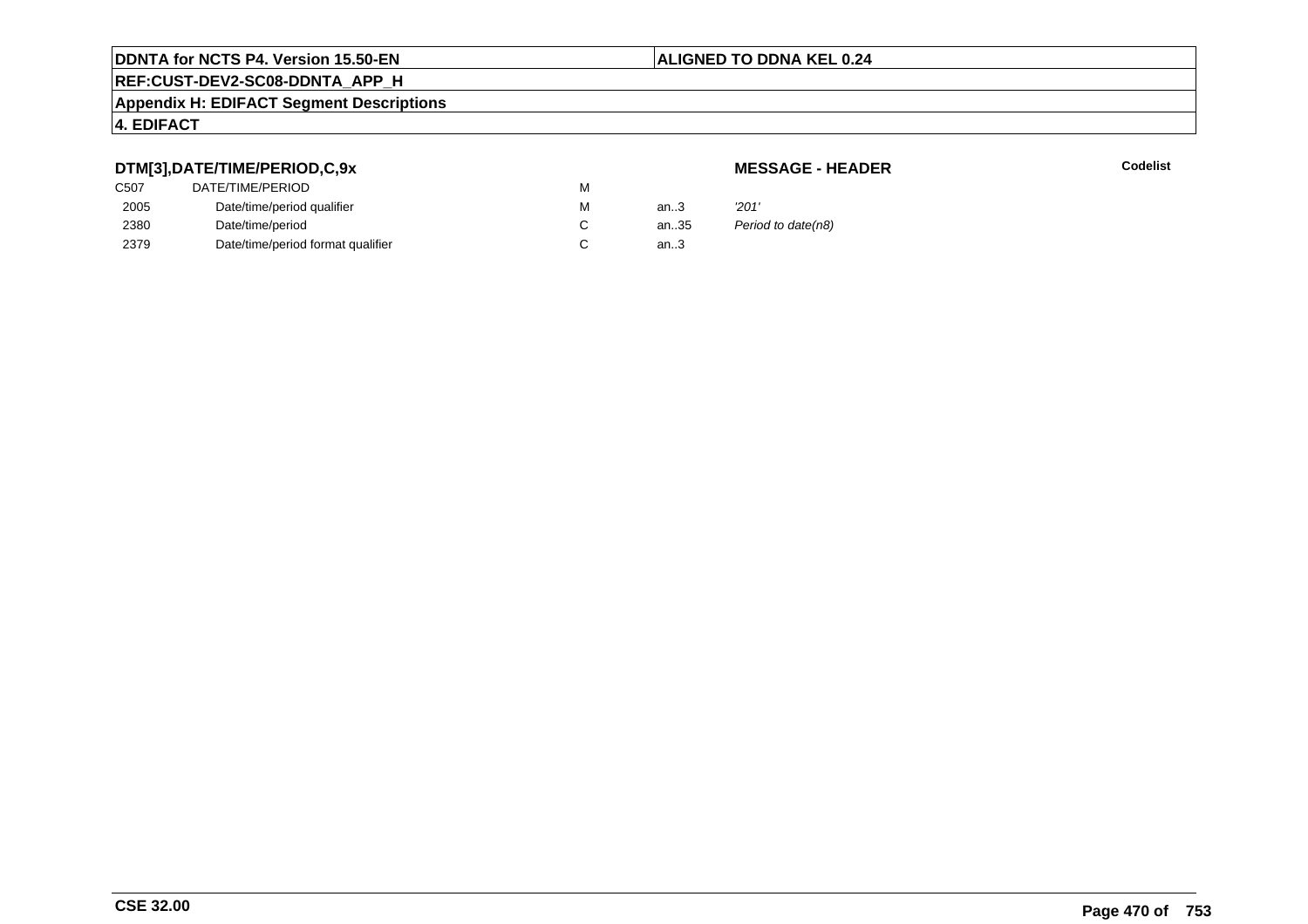# **ALIGNED TO DDNA KEL 0.24**

# **REF:CUST-DEV2-SC08-DDNTA\_APP\_H**

#### **Appendix H: EDIFACT Segment Descriptions**

# **4. EDIFACT**

# **DTM[3],DATE/TIME/PERIOD,C,9x**

# **MESSAGE - HEADER**

**R** Codelist

| C507 | DATE/TIME/PERIOD                  | M |      |                    |
|------|-----------------------------------|---|------|--------------------|
| 2005 | Date/time/period qualifier        | M | an.3 | '201'              |
| 2380 | Date/time/period                  |   | an35 | Period to date(n8) |
| 2379 | Date/time/period format qualifier |   | an.3 |                    |
|      |                                   |   |      |                    |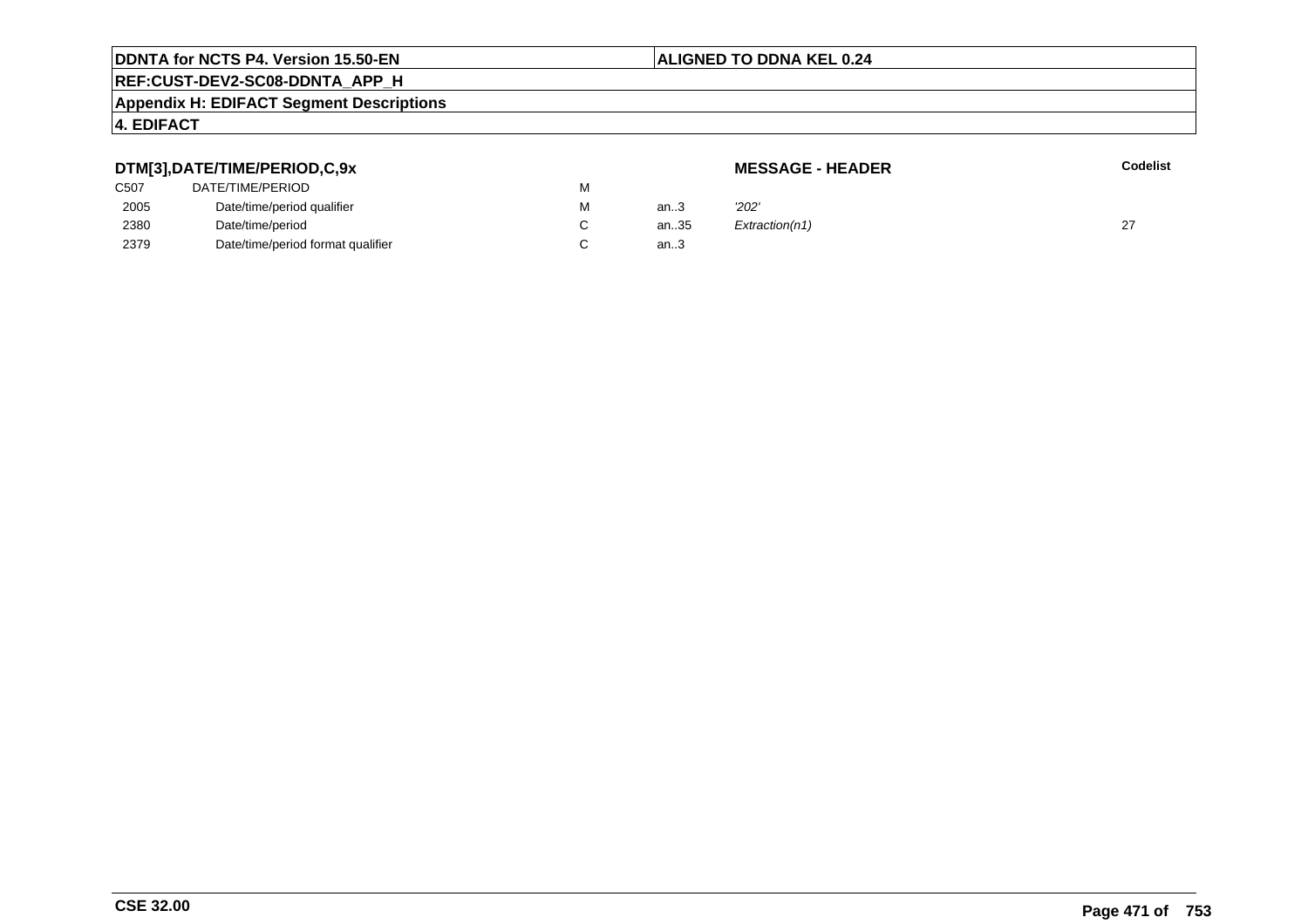# **ALIGNED TO DDNA KEL 0.24**

# **REF:CUST-DEV2-SC08-DDNTA\_APP\_H**

#### **Appendix H: EDIFACT Segment Descriptions**

# **4. EDIFACT**

#### **DTM[3],DATE/TIME/PERIOD,C,9xMESSAGE - HEADER R** Codelist C507 DATE/TIME/PERIODD<sub>N</sub> M 2005Date/time/period qualifier metals of the Material Material of the Material Material Material Material Material Material Material Material Material Material Material Material Material Material Material Material Material Mat M an..3 '2*02'* 2380Date/time/period<br>Date/time/period format qualifier example and contact C C an..35  $Extraction(n1)$  27 2379Date/time/period format qualifier an..3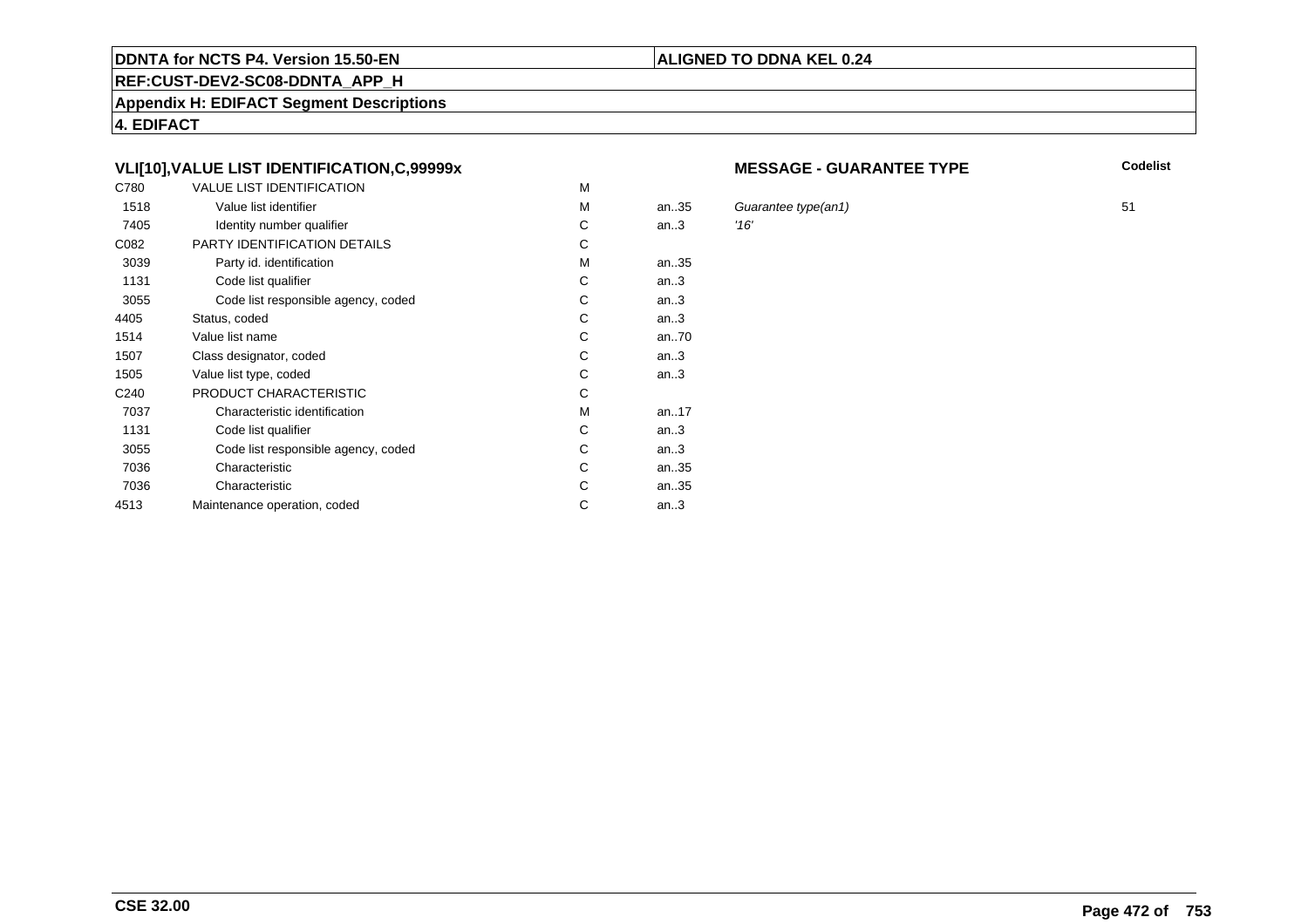#### **REF:CUST-DEV2-SC08-DDNTA\_APP\_H**

**Appendix H: EDIFACT Segment Descriptions**

**4. EDIFACT**

# **VLI[10],VALUE LIST IDENTIFICATION,C,99999x**

| C780             | <b>VALUE LIST IDENTIFICATION</b>    | M |           |      |
|------------------|-------------------------------------|---|-----------|------|
| 1518             | Value list identifier               | M | an.35     | Gu   |
| 7405             | Identity number qualifier           | С | an.3      | '16' |
| C082             | PARTY IDENTIFICATION DETAILS        | С |           |      |
| 3039             | Party id. identification            | М | an35      |      |
| 1131             | Code list qualifier                 | C | an.3      |      |
| 3055             | Code list responsible agency, coded | C | an.3      |      |
| 4405             | Status, coded                       | C | an.3      |      |
| 1514             | Value list name                     | C | an70      |      |
| 1507             | Class designator, coded             | C | an.3      |      |
| 1505             | Value list type, coded              | С | an.3      |      |
| C <sub>240</sub> | PRODUCT CHARACTERISTIC              | С |           |      |
| 7037             | Characteristic identification       | М | an. $.17$ |      |
| 1131             | Code list qualifier                 | С | an.3      |      |
| 3055             | Code list responsible agency, coded | С | an.3      |      |
| 7036             | Characteristic                      | C | an35      |      |
| 7036             | Characteristic                      | C | an35      |      |
| 4513             | Maintenance operation, coded        | С | an.3      |      |
|                  |                                     |   |           |      |

#### **MESSAGE - GUARANTEE TYPE**

**ALIGNED TO DDNA KEL 0.24**

**Codelist**

Guarantee type(an1) 51<br>16'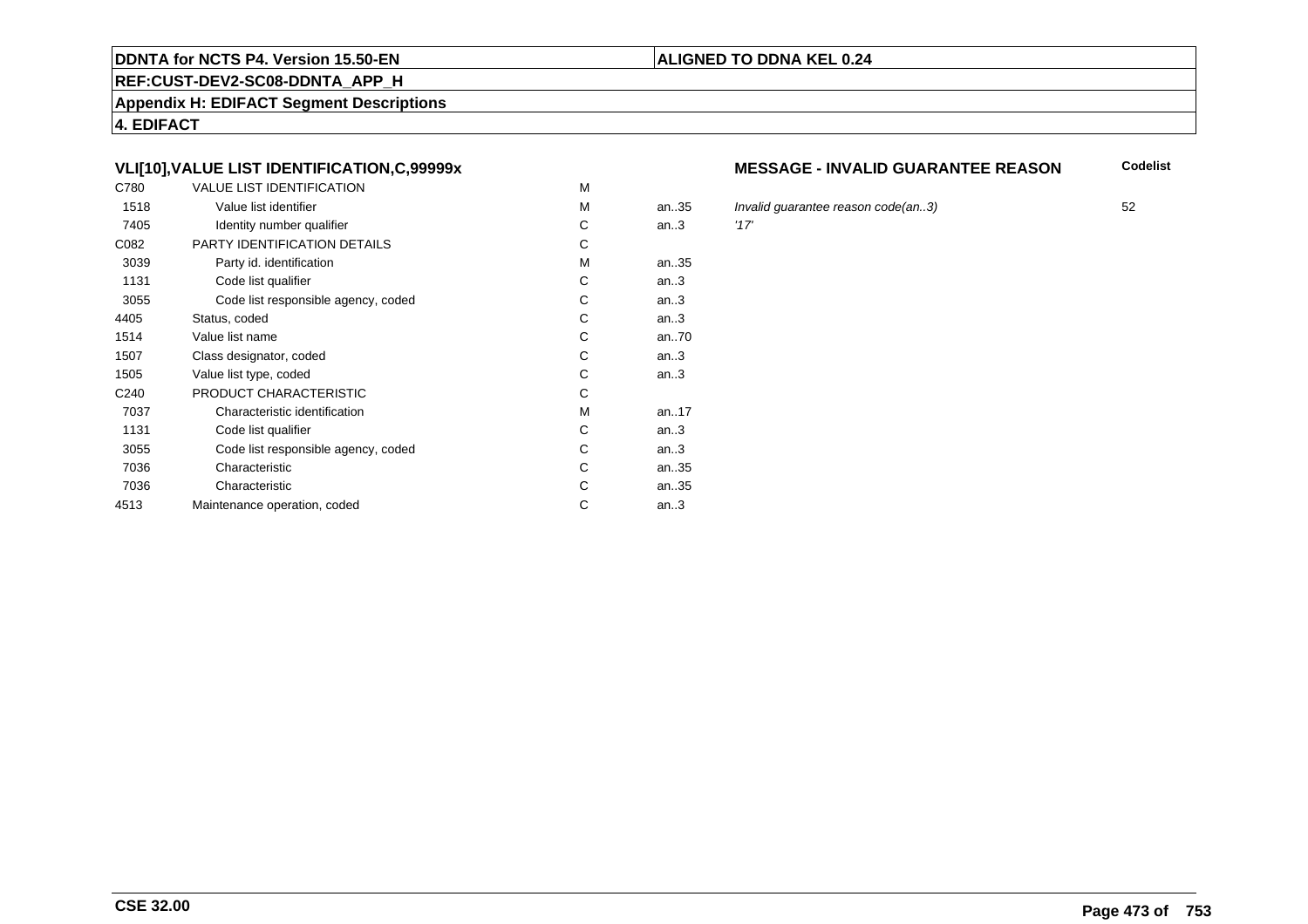# **REF:CUST-DEV2-SC08-DDNTA\_APP\_H**

**Appendix H: EDIFACT Segment Descriptions**

**4. EDIFACT**

# **VLI[10],VALUE LIST IDENTIFICATION,C,99999x**

| C780             | <b>VALUE LIST IDENTIFICATION</b>    | M |           |      |
|------------------|-------------------------------------|---|-----------|------|
| 1518             | Value list identifier               | M | an.35     | Inva |
| 7405             | Identity number qualifier           | С | an.3      | '17' |
| C082             | PARTY IDENTIFICATION DETAILS        | С |           |      |
| 3039             | Party id. identification            | м | an35      |      |
| 1131             | Code list qualifier                 | C | an.3      |      |
| 3055             | Code list responsible agency, coded | C | an.3      |      |
| 4405             | Status, coded                       | С | an.3      |      |
| 1514             | Value list name                     | C | an70      |      |
| 1507             | Class designator, coded             | C | an.3      |      |
| 1505             | Value list type, coded              | С | an.3      |      |
| C <sub>240</sub> | PRODUCT CHARACTERISTIC              | С |           |      |
| 7037             | Characteristic identification       | м | an. $.17$ |      |
| 1131             | Code list qualifier                 | С | an.3      |      |
| 3055             | Code list responsible agency, coded | С | an.3      |      |
| 7036             | Characteristic                      | C | an35      |      |
| 7036             | Characteristic                      | C | an35      |      |
| 4513             | Maintenance operation, coded        | С | an.3      |      |
|                  |                                     |   |           |      |

#### **MESSAGE - INVALID GUARANTEE REASON**

**Codelist**

5 Invalid guarantee reason code(an..3) 52<br>117'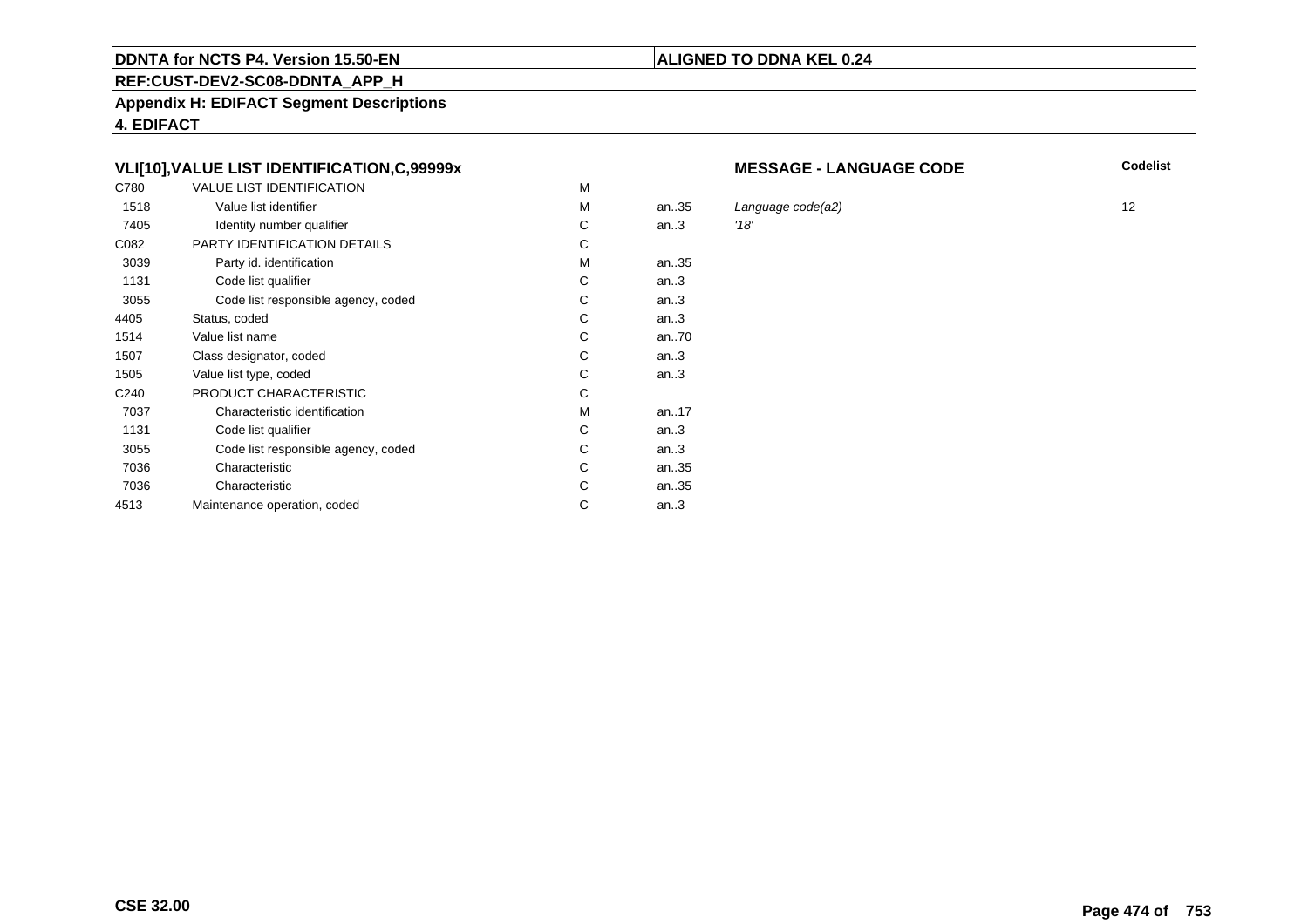# **REF:CUST-DEV2-SC08-DDNTA\_APP\_H**

**Appendix H: EDIFACT Segment Descriptions**

**4. EDIFACT**

# **VLI[10],VALUE LIST IDENTIFICATION,C,99999x**

| C780             | <b>VALUE LIST IDENTIFICATION</b>    | M |           |      |
|------------------|-------------------------------------|---|-----------|------|
| 1518             | Value list identifier               | M | an.35     | Lar  |
| 7405             | Identity number qualifier           | С | an.3      | '18' |
| C082             | PARTY IDENTIFICATION DETAILS        | С |           |      |
| 3039             | Party id. identification            | м | an35      |      |
| 1131             | Code list qualifier                 | C | an.3      |      |
| 3055             | Code list responsible agency, coded | C | an.3      |      |
| 4405             | Status, coded                       | С | an.3      |      |
| 1514             | Value list name                     | C | an70      |      |
| 1507             | Class designator, coded             | C | an.3      |      |
| 1505             | Value list type, coded              | С | an.3      |      |
| C <sub>240</sub> | PRODUCT CHARACTERISTIC              | С |           |      |
| 7037             | Characteristic identification       | м | an. $.17$ |      |
| 1131             | Code list qualifier                 | С | an.3      |      |
| 3055             | Code list responsible agency, coded | С | an.3      |      |
| 7036             | Characteristic                      | C | an35      |      |
| 7036             | Characteristic                      | C | an35      |      |
| 4513             | Maintenance operation, coded        | С | an.3      |      |
|                  |                                     |   |           |      |

#### **MESSAGE - LANGUAGE CODE**

**Codelist**

Language code(a2) 12<br>12<br>'18'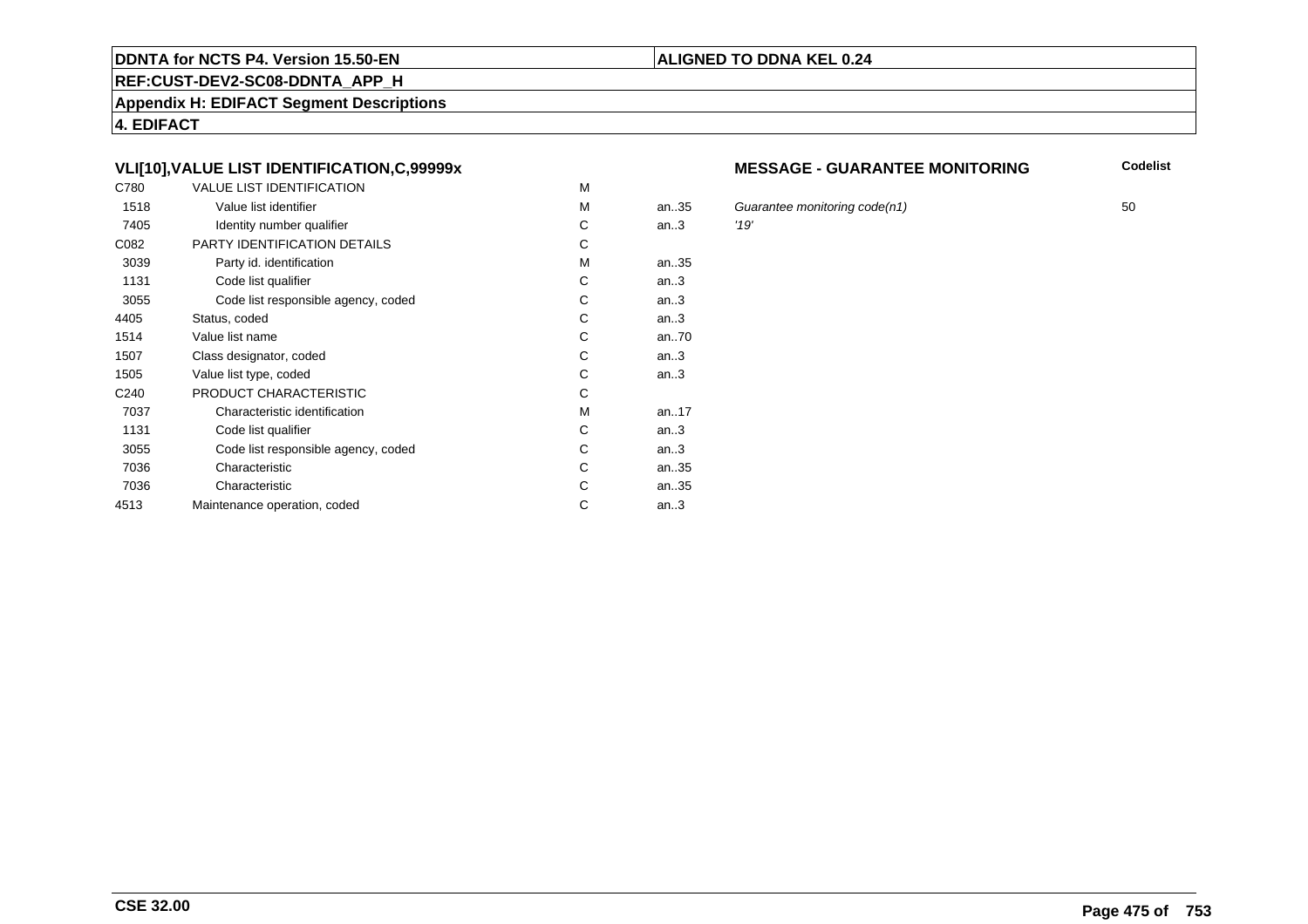#### **REF:CUST-DEV2-SC08-DDNTA\_APP\_H**

**Appendix H: EDIFACT Segment Descriptions**

**4. EDIFACT**

# **VLI[10],VALUE LIST IDENTIFICATION,C,99999x**

| C780             | <b>VALUE LIST IDENTIFICATION</b>    | M |           |      |
|------------------|-------------------------------------|---|-----------|------|
| 1518             | Value list identifier               | M | an.35     | Gu   |
| 7405             | Identity number qualifier           | С | an.3      | '19' |
| C082             | PARTY IDENTIFICATION DETAILS        | С |           |      |
| 3039             | Party id. identification            | м | an35      |      |
| 1131             | Code list qualifier                 | C | an.3      |      |
| 3055             | Code list responsible agency, coded | C | an.3      |      |
| 4405             | Status, coded                       | С | an.3      |      |
| 1514             | Value list name                     | C | an70      |      |
| 1507             | Class designator, coded             | C | an.3      |      |
| 1505             | Value list type, coded              | С | an.3      |      |
| C <sub>240</sub> | PRODUCT CHARACTERISTIC              | С |           |      |
| 7037             | Characteristic identification       | м | an. $.17$ |      |
| 1131             | Code list qualifier                 | С | an.3      |      |
| 3055             | Code list responsible agency, coded | С | an.3      |      |
| 7036             | Characteristic                      | C | an35      |      |
| 7036             | Characteristic                      | C | an35      |      |
| 4513             | Maintenance operation, coded        | С | an.3      |      |
|                  |                                     |   |           |      |

#### **MESSAGE - GUARANTEE MONITORING**

**Codelist**

Guarantee monitoring code(n1)  $50$ <br>'19'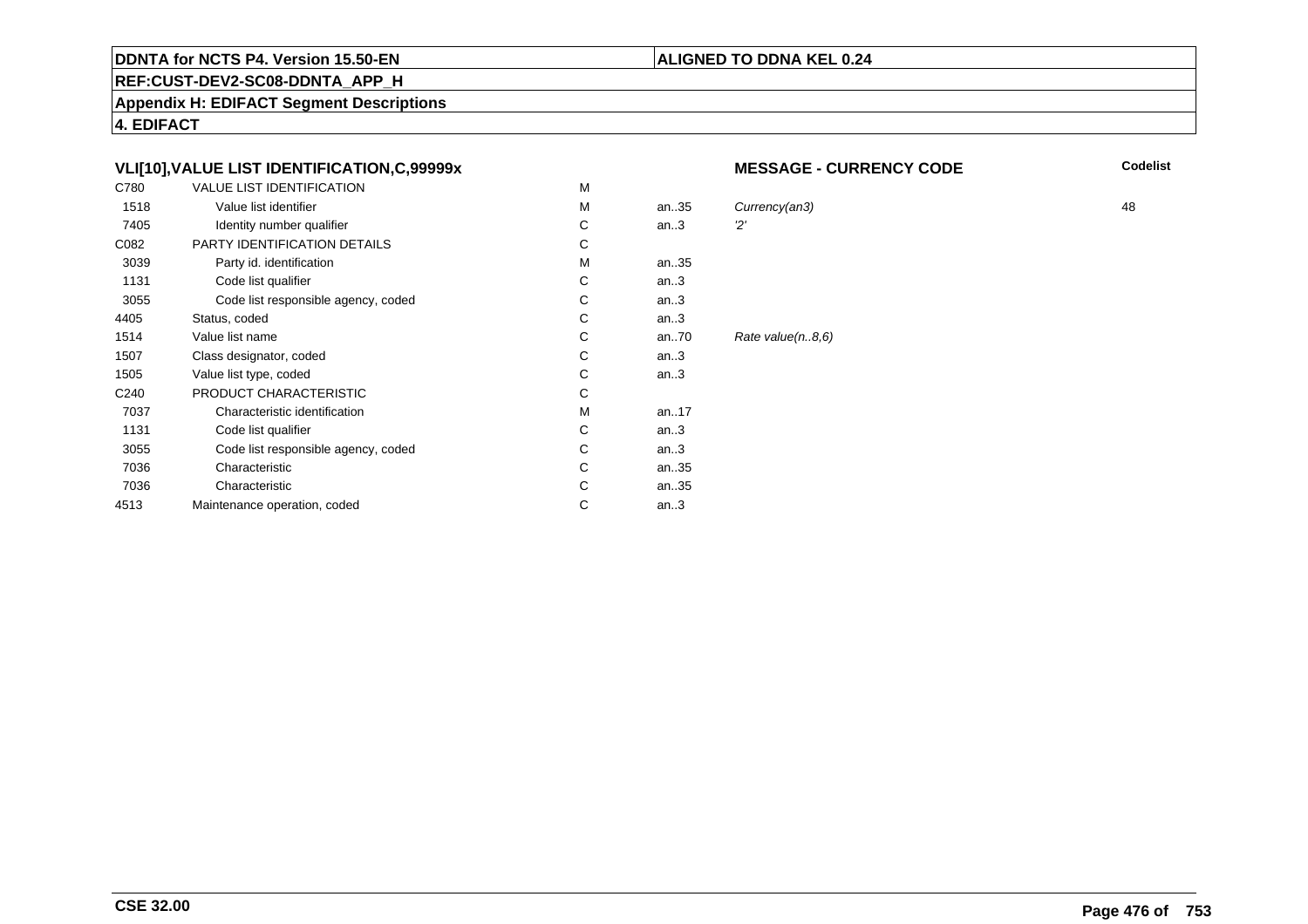#### **REF:CUST-DEV2-SC08-DDNTA\_APP\_H**

**Appendix H: EDIFACT Segment Descriptions**

**4. EDIFACT**

# **VLI[10],VALUE LIST IDENTIFICATION,C,99999x**

| C780             | <b>VALUE LIST IDENTIFICATION</b>    | М |      |        |
|------------------|-------------------------------------|---|------|--------|
| 1518             | Value list identifier               | M | an35 | Currer |
| 7405             | Identity number qualifier           | C | an.3 | 2'     |
| C082             | <b>PARTY IDENTIFICATION DETAILS</b> | С |      |        |
| 3039             | Party id. identification            | M | an35 |        |
| 1131             | Code list qualifier                 | C | an.3 |        |
| 3055             | Code list responsible agency, coded | С | an.3 |        |
| 4405             | Status, coded                       | C | an.3 |        |
| 1514             | Value list name                     | C | an70 | Rate v |
| 1507             | Class designator, coded             | C | an.3 |        |
| 1505             | Value list type, coded              | C | an.3 |        |
| C <sub>240</sub> | PRODUCT CHARACTERISTIC              | C |      |        |
| 7037             | Characteristic identification       | M | an17 |        |
| 1131             | Code list qualifier                 | C | an.3 |        |
| 3055             | Code list responsible agency, coded | C | an.3 |        |
| 7036             | Characteristic                      | C | an35 |        |
| 7036             | Characteristic                      | C | an35 |        |
| 4513             | Maintenance operation, coded        | С | an.3 |        |
|                  |                                     |   |      |        |

#### **MESSAGE - CURRENCY CODE**

**Codelist**

M an..35 Currency(an3) 48  $value(n..8,6)$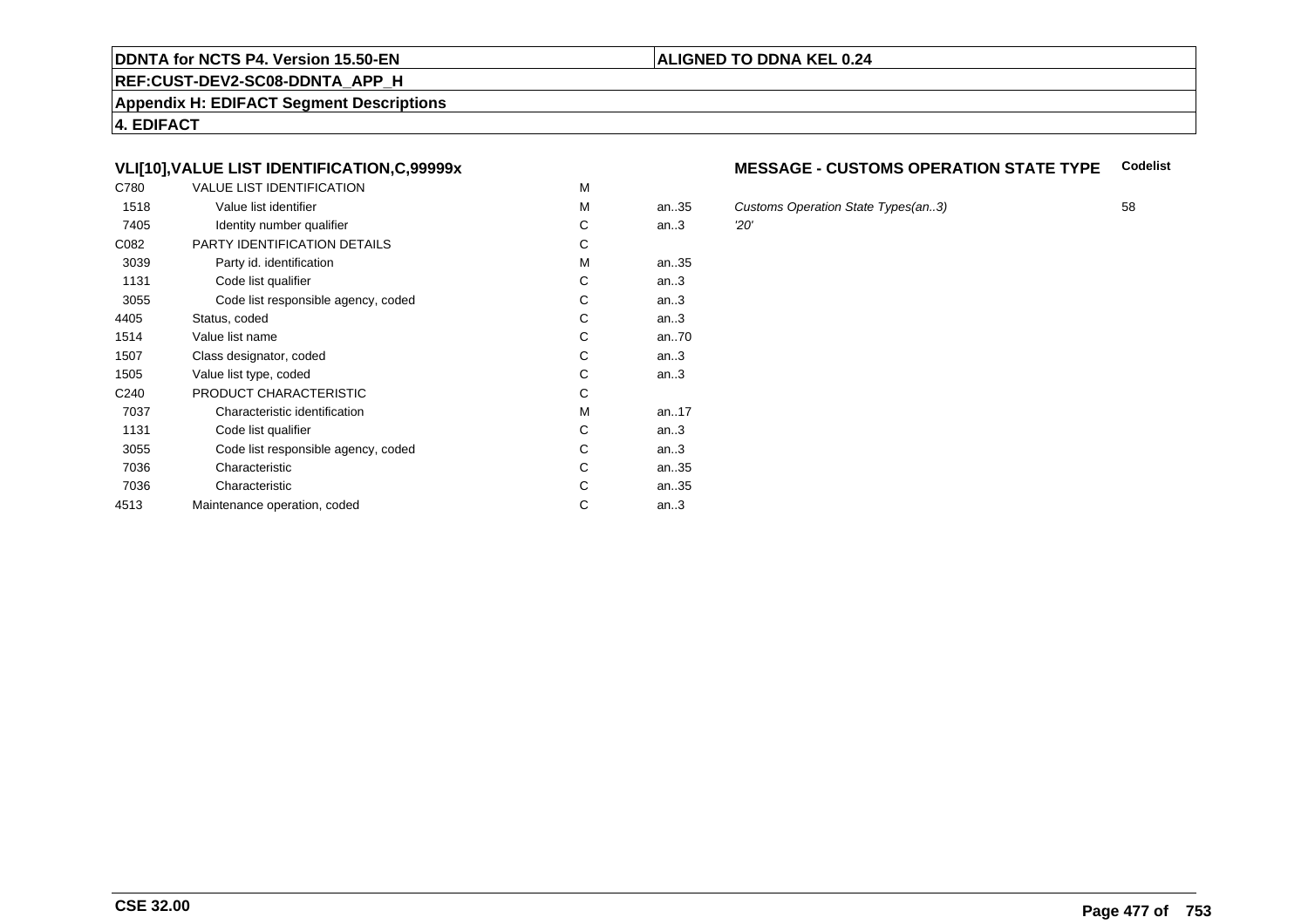#### **REF:CUST-DEV2-SC08-DDNTA\_APP\_H**

**Appendix H: EDIFACT Segment Descriptions**

**4. EDIFACT**

# **VLI[10],VALUE LIST IDENTIFICATION,C,99999x**

| C780             | <b>VALUE LIST IDENTIFICATION</b>    | M |           |     |
|------------------|-------------------------------------|---|-----------|-----|
| 1518             | Value list identifier               | M | an.35     | Cus |
| 7405             | Identity number qualifier           | С | an.3      | 20' |
| C082             | PARTY IDENTIFICATION DETAILS        | С |           |     |
| 3039             | Party id. identification            | м | an35      |     |
| 1131             | Code list qualifier                 | C | an.3      |     |
| 3055             | Code list responsible agency, coded | C | an.3      |     |
| 4405             | Status, coded                       | С | an.3      |     |
| 1514             | Value list name                     | C | an70      |     |
| 1507             | Class designator, coded             | C | an.3      |     |
| 1505             | Value list type, coded              | С | an.3      |     |
| C <sub>240</sub> | PRODUCT CHARACTERISTIC              | С |           |     |
| 7037             | Characteristic identification       | м | an. $.17$ |     |
| 1131             | Code list qualifier                 | С | an.3      |     |
| 3055             | Code list responsible agency, coded | С | an.3      |     |
| 7036             | Characteristic                      | C | an35      |     |
| 7036             | Characteristic                      | C | an35      |     |
| 4513             | Maintenance operation, coded        | С | an.3      |     |
|                  |                                     |   |           |     |

#### **MESSAGE - CUSTOMS OPERATION STATE TYPECodelist**

Customs Operation State Types(an..3) 58<br>
20'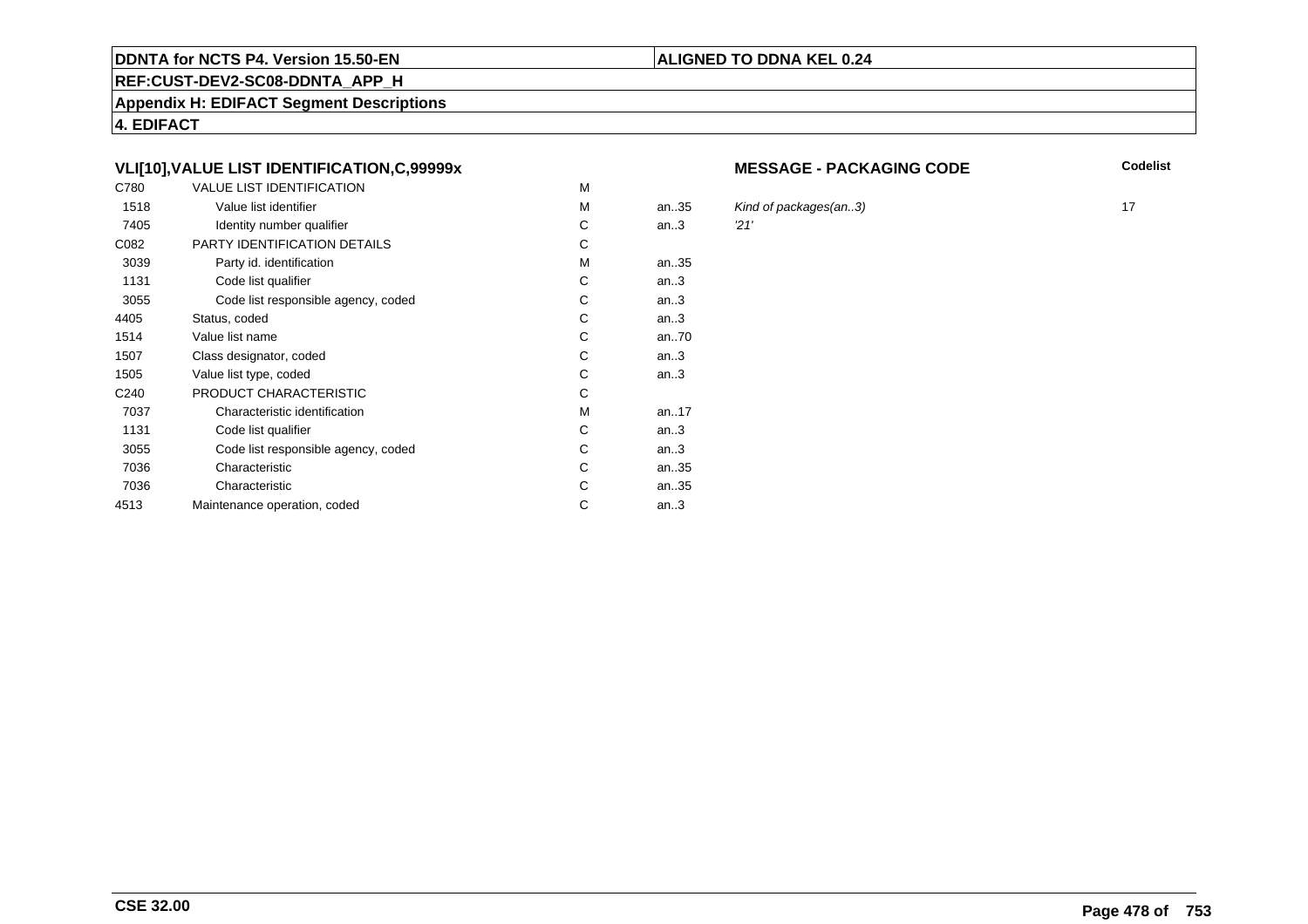#### **REF:CUST-DEV2-SC08-DDNTA\_APP\_H**

**Appendix H: EDIFACT Segment Descriptions**

**4. EDIFACT**

# **VLI[10],VALUE LIST IDENTIFICATION,C,99999x**

| C780             | <b>VALUE LIST IDENTIFICATION</b>    | M |           |      |
|------------------|-------------------------------------|---|-----------|------|
| 1518             | Value list identifier               | M | an.35     | Kin  |
| 7405             | Identity number qualifier           | С | an.3      | '21' |
| C082             | PARTY IDENTIFICATION DETAILS        | С |           |      |
| 3039             | Party id. identification            | м | an35      |      |
| 1131             | Code list qualifier                 | C | an.3      |      |
| 3055             | Code list responsible agency, coded | C | an.3      |      |
| 4405             | Status, coded                       | С | an.3      |      |
| 1514             | Value list name                     | C | an70      |      |
| 1507             | Class designator, coded             | C | an.3      |      |
| 1505             | Value list type, coded              | С | an.3      |      |
| C <sub>240</sub> | PRODUCT CHARACTERISTIC              | С |           |      |
| 7037             | Characteristic identification       | м | an. $.17$ |      |
| 1131             | Code list qualifier                 | С | an.3      |      |
| 3055             | Code list responsible agency, coded | С | an.3      |      |
| 7036             | Characteristic                      | C | an35      |      |
| 7036             | Characteristic                      | С | an35      |      |
| 4513             | Maintenance operation, coded        | С | an.3      |      |
|                  |                                     |   |           |      |

#### **MESSAGE - PACKAGING CODE**

**Codelist**

Kind of packages(an..3) 17<br>21'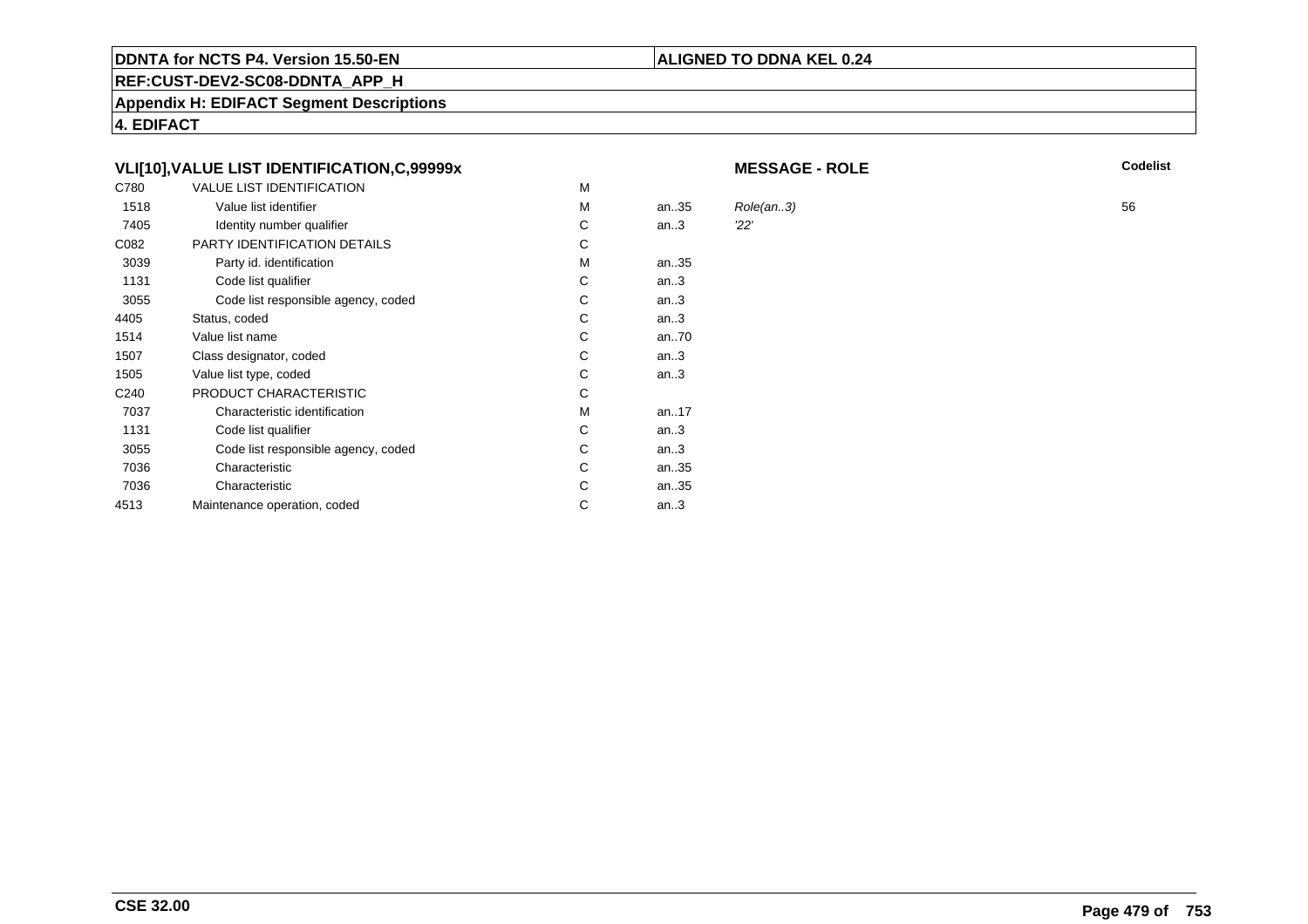# **REF:CUST-DEV2-SC08-DDNTA\_APP\_H**

**Appendix H: EDIFACT Segment Descriptions**

**4. EDIFACT**

# **VLI[10],VALUE LIST IDENTIFICATION,C,99999x**

| C780 | <b>VALUE LIST IDENTIFICATION</b>    | M |      |           |    |
|------|-------------------------------------|---|------|-----------|----|
| 1518 | Value list identifier               | M | an35 | Role(an3) | 56 |
| 7405 | Identity number qualifier           | С | an.3 | 22'       |    |
| C082 | PARTY IDENTIFICATION DETAILS        | С |      |           |    |
| 3039 | Party id. identification            | M | an35 |           |    |
| 1131 | Code list qualifier                 | С | an.3 |           |    |
| 3055 | Code list responsible agency, coded | С | an.3 |           |    |
| 4405 | Status, coded                       | С | an.3 |           |    |
| 1514 | Value list name                     | С | an70 |           |    |
| 1507 | Class designator, coded             | С | an.3 |           |    |
| 1505 | Value list type, coded              | C | an.3 |           |    |
| C240 | PRODUCT CHARACTERISTIC              | C |      |           |    |
| 7037 | Characteristic identification       | M | an17 |           |    |
| 1131 | Code list qualifier                 | С | an.3 |           |    |
| 3055 | Code list responsible agency, coded | С | an.3 |           |    |
| 7036 | Characteristic                      | С | an35 |           |    |
| 7036 | Characteristic                      | С | an35 |           |    |
| 4513 | Maintenance operation, coded        | C | an.3 |           |    |
|      |                                     |   |      |           |    |

**MESSAGE - ROLE**

**ALIGNED TO DDNA KEL 0.24**

**Codelist**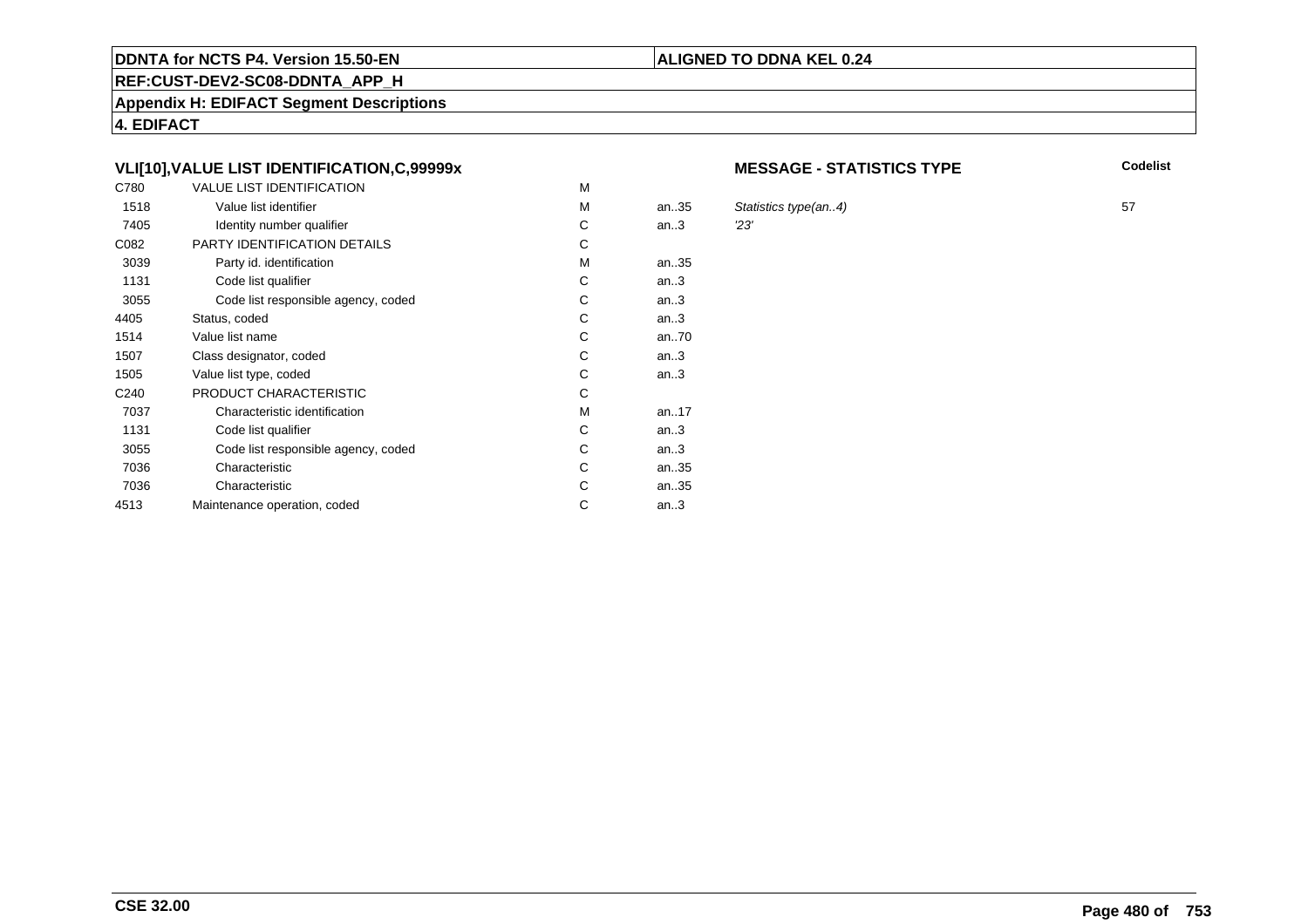#### **REF:CUST-DEV2-SC08-DDNTA\_APP\_H**

**Appendix H: EDIFACT Segment Descriptions**

**4. EDIFACT**

# **VLI[10],VALUE LIST IDENTIFICATION,C,99999x**

| C780             | <b>VALUE LIST IDENTIFICATION</b>    | M |      |     |
|------------------|-------------------------------------|---|------|-----|
| 1518             | Value list identifier               | м | an35 | Sta |
| 7405             | Identity number qualifier           | С | an.3 | 23' |
| C082             | PARTY IDENTIFICATION DETAILS        | С |      |     |
| 3039             | Party id. identification            | М | an35 |     |
| 1131             | Code list qualifier                 | С | an.3 |     |
| 3055             | Code list responsible agency, coded | C | an.3 |     |
| 4405             | Status, coded                       | C | an.3 |     |
| 1514             | Value list name                     | C | an70 |     |
| 1507             | Class designator, coded             | C | an.3 |     |
| 1505             | Value list type, coded              | С | an.3 |     |
| C <sub>240</sub> | PRODUCT CHARACTERISTIC              | С |      |     |
| 7037             | Characteristic identification       | м | an17 |     |
| 1131             | Code list qualifier                 | С | an.3 |     |
| 3055             | Code list responsible agency, coded | С | an.3 |     |
| 7036             | Characteristic                      | C | an35 |     |
| 7036             | Characteristic                      | С | an35 |     |
| 4513             | Maintenance operation, coded        | С | an.3 |     |
|                  |                                     |   |      |     |

#### **MESSAGE - STATISTICS TYPE**

**Codelist**

Statistics type(an..4) 57<br>
23'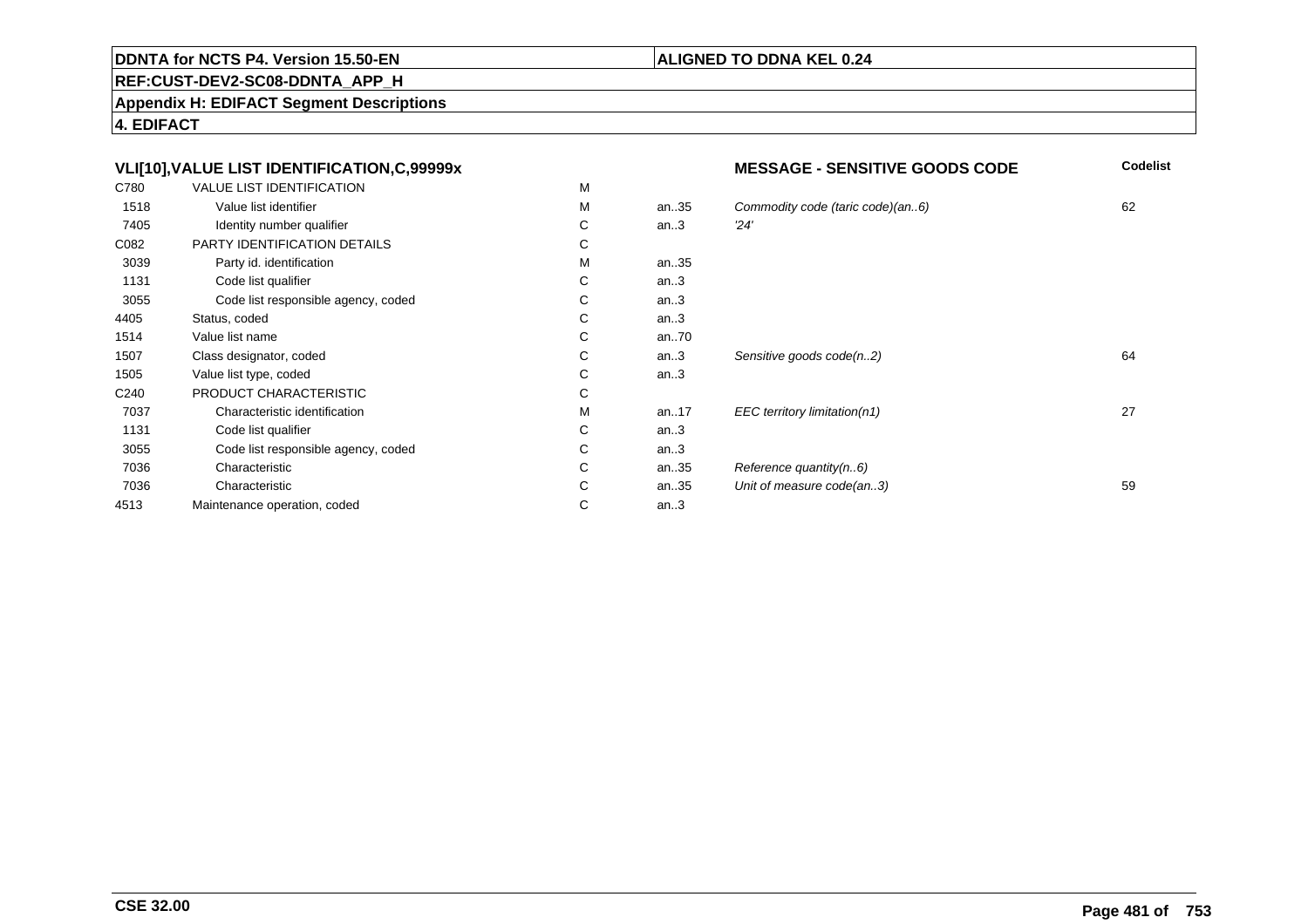#### **REF:CUST-DEV2-SC08-DDNTA\_APP\_H**

**Appendix H: EDIFACT Segment Descriptions**

Maintenance operation, coded

Characteristic C<br>
Intenance operation. coded<br>
C

**4. EDIFACT**

7036

4513

#### **VLI[10],VALUE LIST IDENTIFICATION,C,99999xMESSAGE - SENSITIVE GOODS CODE**<br>M **Codelist** C780 VALUE LIST IDENTIFICATIONN M M 1518Value list identifier metals of the Marine Marine Marine Marine Marine Marine Marine Marine Marine Marine Marine M<br>Marine Marine Marine Marine Marine Marine Marine Marine Marine Marine Marine Marine Marine Marine Marine Ma an..35 Commodity code (taric code)(an..6) 62<br>an..3  $\frac{24}{3}$ 7405Identity number qualifier  $\begin{array}{ccc} \text{I} & \text{I} & \text{I} \\ \text{I} & \text{I} & \text{I} \\ \text{I} & \text{I} & \text{I} \end{array}$ C an..3 '24' C082 PARTY IDENTIFICATION DETAILSs c M 3039Party id. identification M<br>Code list qualifier and the code list qualifier and the code list of code list of code list of code list of co an..35 1131Code list qualifier C<br>Code list responsible agency, coded C an..3 3055Code list responsible agency, coded C<br>
tus. coded C an..3 4405Status, coded C<br>
Value list name C an..3 1514Value list name C<br>Class designator, coded C an..70<br>an..3 1507Class designator, coded C<br>
Value list type. coded C Sensitive goods code(n..2) 64 1505Value list type, coded C<br>
PRODUCT CHARACTERISTIC C an..3 C240 PRODUCT CHARACTERISTICc c 7037Characteristic identification M<br>Code list qualifier C an..17 EEC territory limitation(n1) 27 1131Code list qualifier Code list responsible agency, coded Code list responsible agency, coded C an..3 3055Code list responsible agency, coded C<br>Characteristic C an..3<br>an..35 7036Characteristic Characteristic Characteristic Characteristic C an..35 Reference quantity(n..6)<br>an..35 Unit of measure code(an

an..3

**ALIGNED TO DDNA KEL 0.24**

Unit of measure code(an..3) 59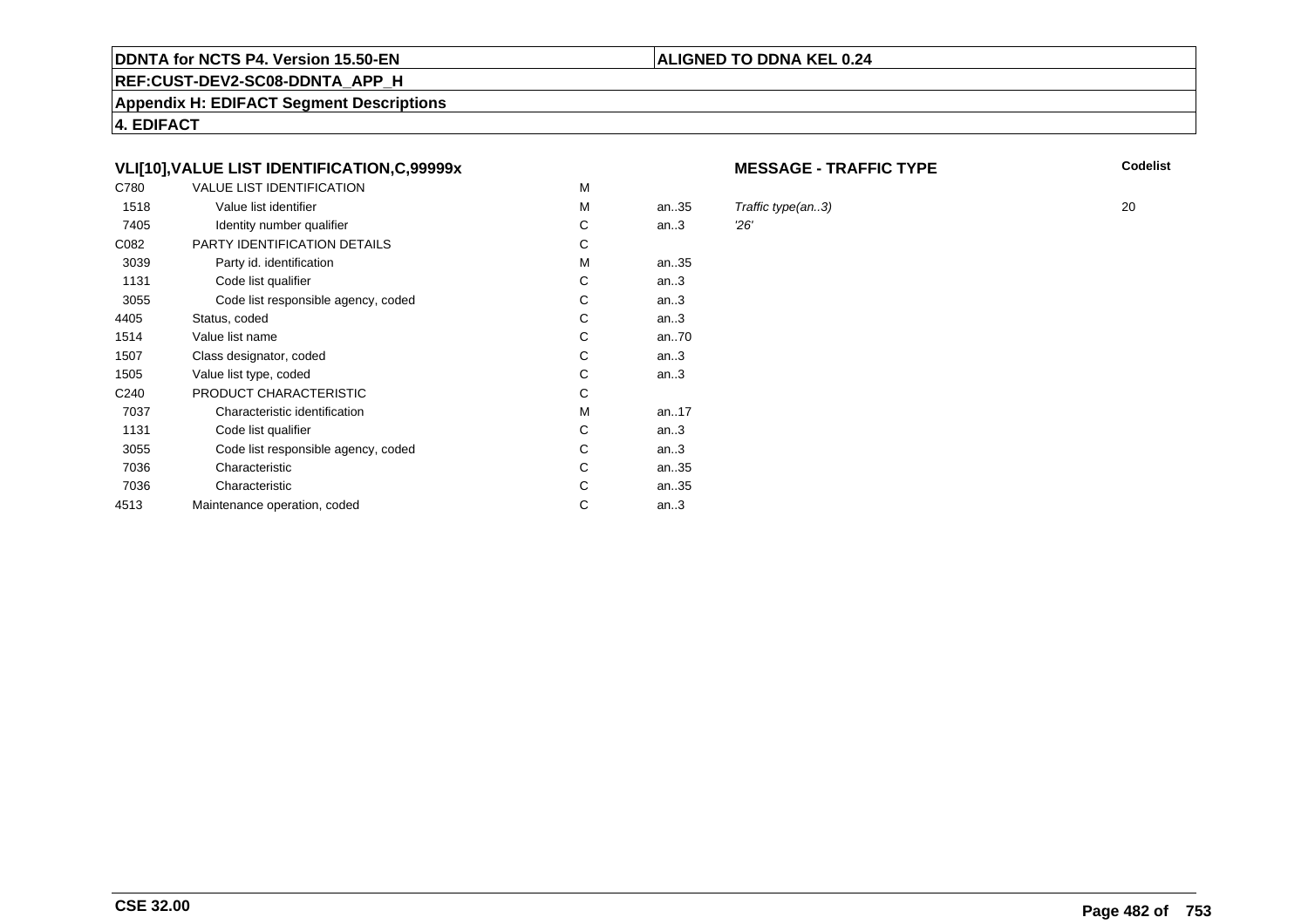# **REF:CUST-DEV2-SC08-DDNTA\_APP\_H**

**Appendix H: EDIFACT Segment Descriptions**

**4. EDIFACT**

# **VLI[10],VALUE LIST IDENTIFICATION,C,99999x**

| C780             | <b>VALUE LIST IDENTIFICATION</b>    | M |      |     |
|------------------|-------------------------------------|---|------|-----|
| 1518             | Value list identifier               | м | an35 | Tra |
| 7405             | Identity number qualifier           | С | an.3 | 26' |
| C082             | PARTY IDENTIFICATION DETAILS        | С |      |     |
| 3039             | Party id. identification            | М | an35 |     |
| 1131             | Code list qualifier                 | С | an.3 |     |
| 3055             | Code list responsible agency, coded | C | an.3 |     |
| 4405             | Status, coded                       | C | an.3 |     |
| 1514             | Value list name                     | C | an70 |     |
| 1507             | Class designator, coded             | C | an.3 |     |
| 1505             | Value list type, coded              | С | an.3 |     |
| C <sub>240</sub> | PRODUCT CHARACTERISTIC              | С |      |     |
| 7037             | Characteristic identification       | м | an17 |     |
| 1131             | Code list qualifier                 | С | an.3 |     |
| 3055             | Code list responsible agency, coded | С | an.3 |     |
| 7036             | Characteristic                      | C | an35 |     |
| 7036             | Characteristic                      | С | an35 |     |
| 4513             | Maintenance operation, coded        | С | an.3 |     |
|                  |                                     |   |      |     |

#### **MESSAGE - TRAFFIC TYPE**

**Codelist**

Traffic type(an..3)  $20$ <br> $26'$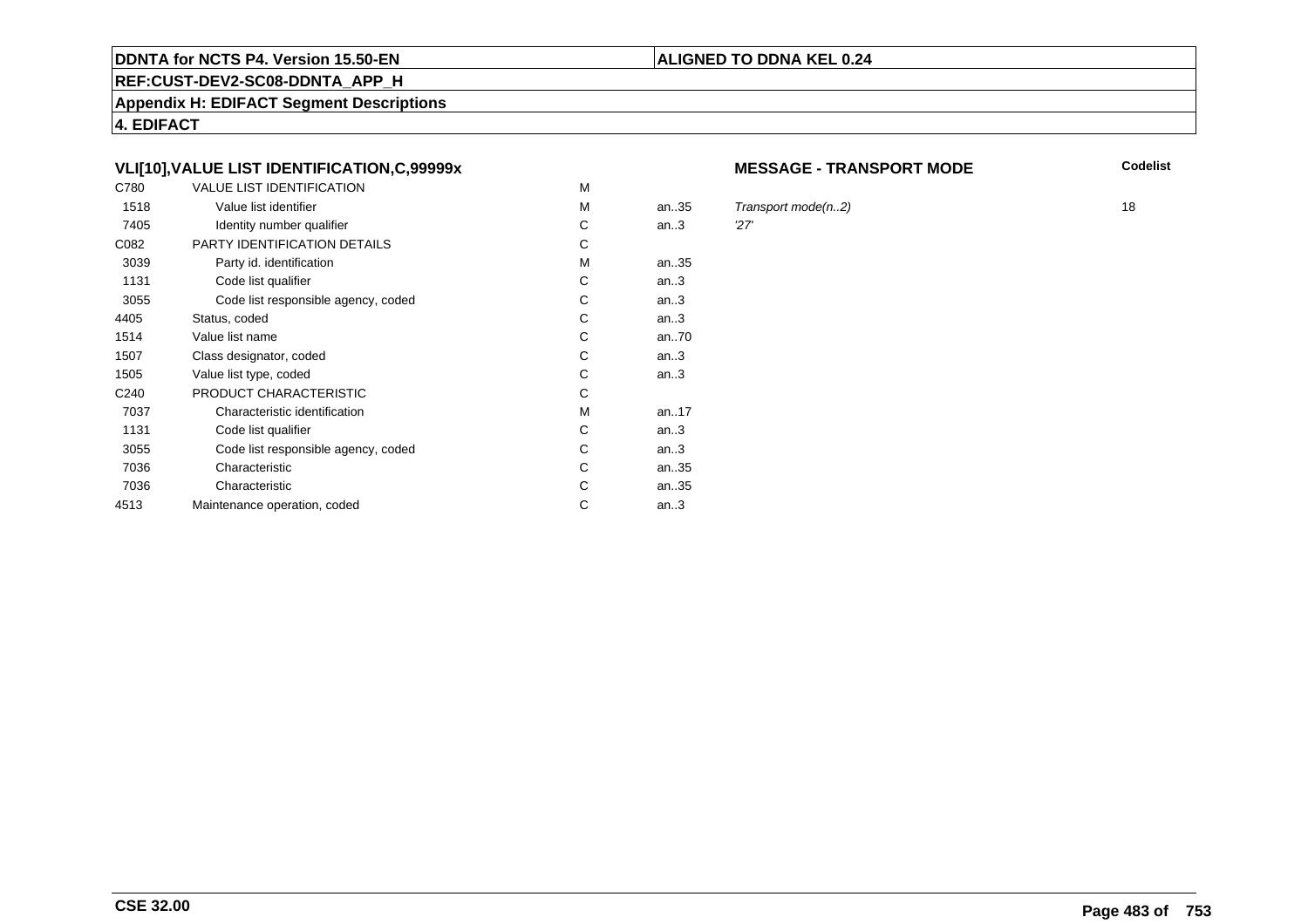#### **REF:CUST-DEV2-SC08-DDNTA\_APP\_H**

**Appendix H: EDIFACT Segment Descriptions**

**4. EDIFACT**

# **VLI[10],VALUE LIST IDENTIFICATION,C,99999x**

| C780             | <b>VALUE LIST IDENTIFICATION</b>    | M |           |     |
|------------------|-------------------------------------|---|-----------|-----|
| 1518             | Value list identifier               | M | an.35     | Tra |
| 7405             | Identity number qualifier           | С | an.3      | 27' |
| C082             | PARTY IDENTIFICATION DETAILS        | С |           |     |
| 3039             | Party id. identification            | м | an35      |     |
| 1131             | Code list qualifier                 | C | an.3      |     |
| 3055             | Code list responsible agency, coded | C | an.3      |     |
| 4405             | Status, coded                       | С | an.3      |     |
| 1514             | Value list name                     | C | an70      |     |
| 1507             | Class designator, coded             | C | an.3      |     |
| 1505             | Value list type, coded              | С | an.3      |     |
| C <sub>240</sub> | PRODUCT CHARACTERISTIC              | С |           |     |
| 7037             | Characteristic identification       | м | an. $.17$ |     |
| 1131             | Code list qualifier                 | С | an.3      |     |
| 3055             | Code list responsible agency, coded | С | an.3      |     |
| 7036             | Characteristic                      | C | an35      |     |
| 7036             | Characteristic                      | С | an35      |     |
| 4513             | Maintenance operation, coded        | С | an.3      |     |
|                  |                                     |   |           |     |

#### **MESSAGE - TRANSPORT MODE**

**Codelist**

 $Transport\ mode(n..2)$  18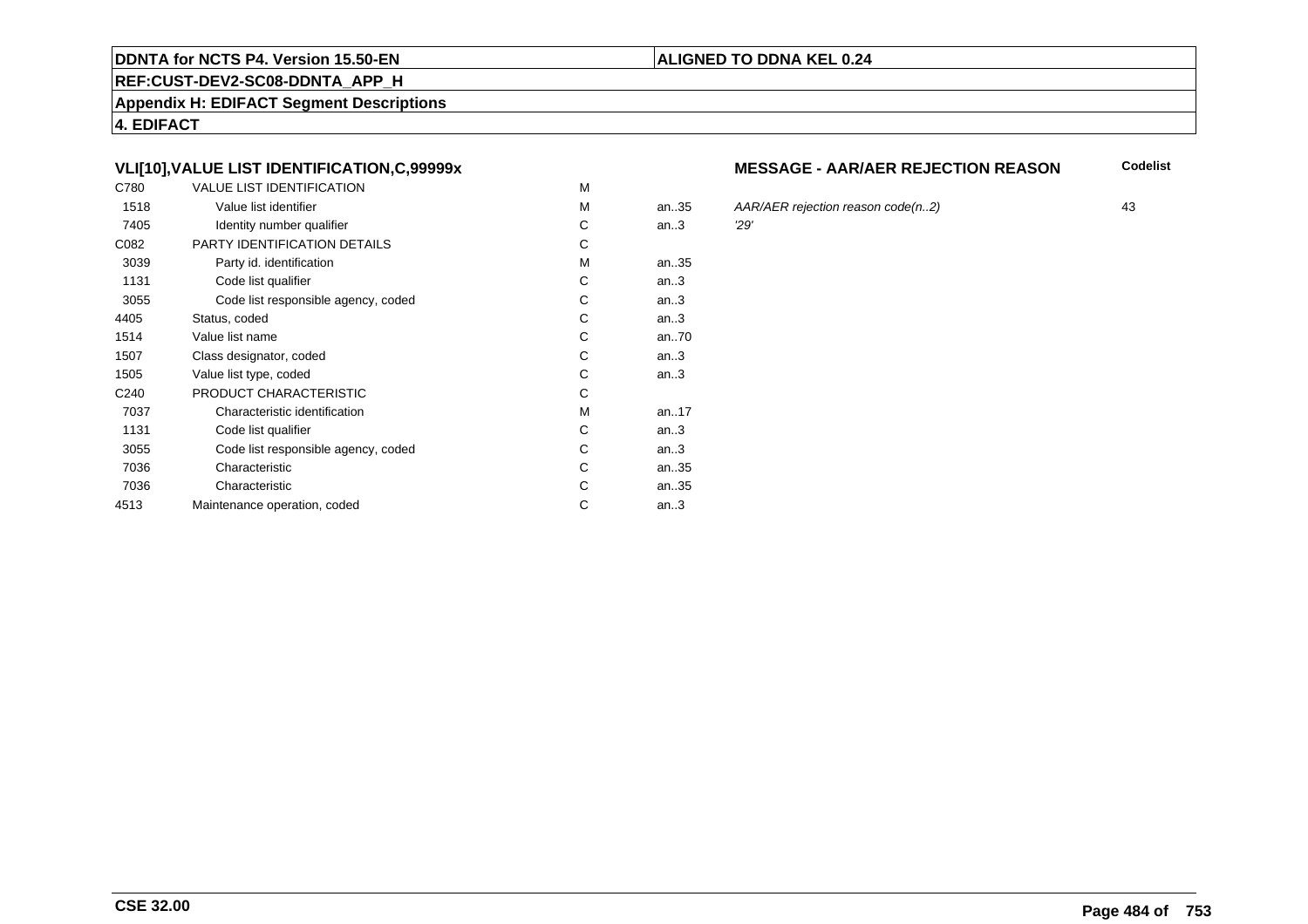#### **REF:CUST-DEV2-SC08-DDNTA\_APP\_H**

**Appendix H: EDIFACT Segment Descriptions**

**4. EDIFACT**

# **VLI[10],VALUE LIST IDENTIFICATION,C,99999x**

| C780             | <b>VALUE LIST IDENTIFICATION</b>    | M |           |     |
|------------------|-------------------------------------|---|-----------|-----|
| 1518             | Value list identifier               | M | an.35     | AA  |
| 7405             | Identity number qualifier           | С | an.3      | 29' |
| C082             | PARTY IDENTIFICATION DETAILS        | С |           |     |
| 3039             | Party id. identification            | м | an35      |     |
| 1131             | Code list qualifier                 | C | an.3      |     |
| 3055             | Code list responsible agency, coded | C | an.3      |     |
| 4405             | Status, coded                       | С | an.3      |     |
| 1514             | Value list name                     | C | an70      |     |
| 1507             | Class designator, coded             | C | an.3      |     |
| 1505             | Value list type, coded              | С | an.3      |     |
| C <sub>240</sub> | PRODUCT CHARACTERISTIC              | С |           |     |
| 7037             | Characteristic identification       | м | an. $.17$ |     |
| 1131             | Code list qualifier                 | С | an.3      |     |
| 3055             | Code list responsible agency, coded | С | an.3      |     |
| 7036             | Characteristic                      | C | an35      |     |
| 7036             | Characteristic                      | С | an35      |     |
| 4513             | Maintenance operation, coded        | С | an.3      |     |
|                  |                                     |   |           |     |

## **MESSAGE - AAR/AER REJECTION REASON**

**Codelist**

an..35 AAR/AER rejection reason code(n..2) <sup>43</sup>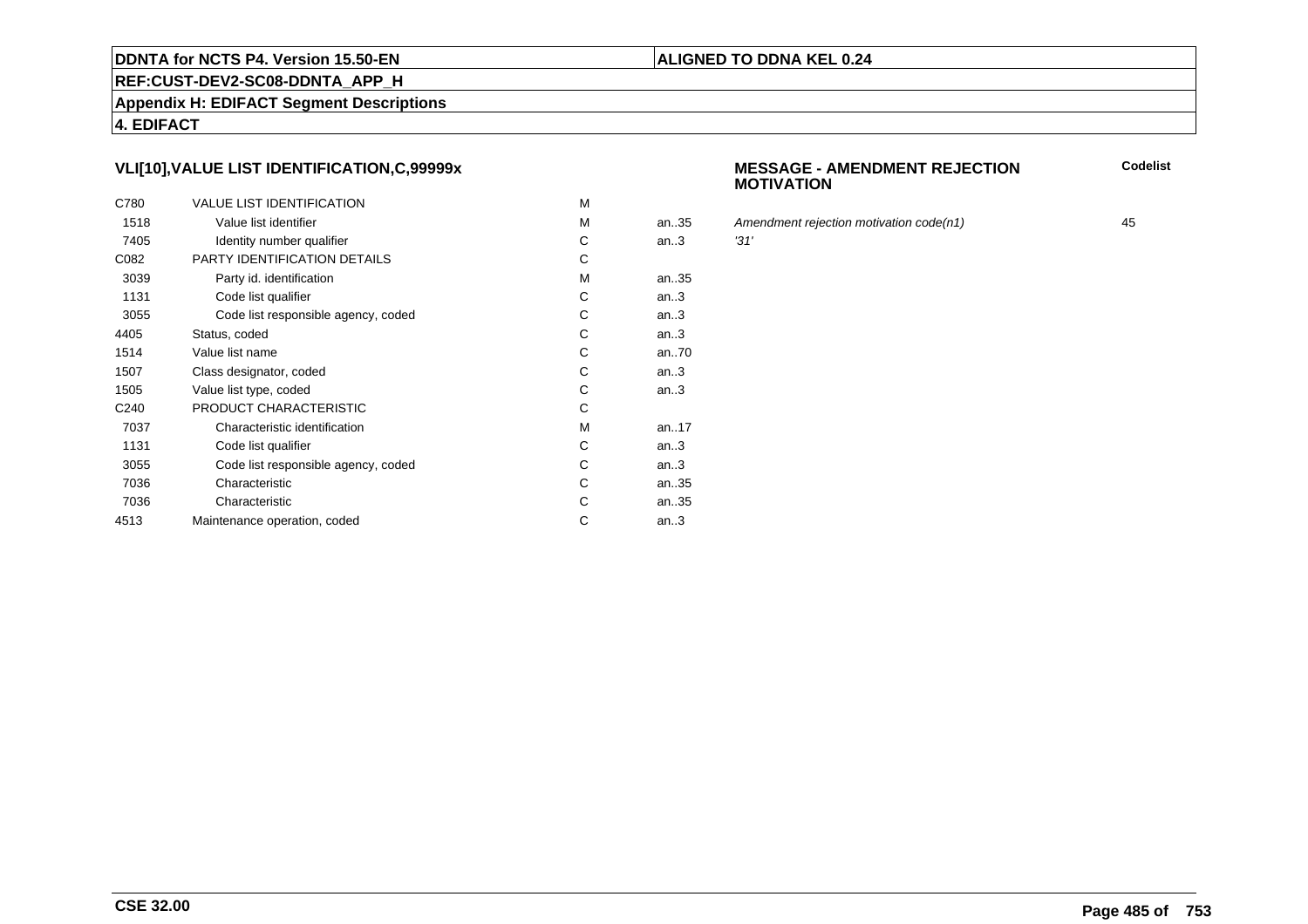#### **REF:CUST-DEV2-SC08-DDNTA\_APP\_H**

**Appendix H: EDIFACT Segment Descriptions**

**4. EDIFACT**

# **VLI[10],VALUE LIST IDENTIFICATION,C,99999x**

| C780             | <b>VALUE LIST IDENTIFICATION</b>    | M |      |      |
|------------------|-------------------------------------|---|------|------|
| 1518             | Value list identifier               | M | an35 | Аm   |
| 7405             | Identity number qualifier           | С | an.3 | '31' |
| C082             | PARTY IDENTIFICATION DETAILS        | С |      |      |
| 3039             | Party id. identification            | м | an35 |      |
| 1131             | Code list qualifier                 | C | an.3 |      |
| 3055             | Code list responsible agency, coded | C | an.3 |      |
| 4405             | Status, coded                       | C | an.3 |      |
| 1514             | Value list name                     | C | an70 |      |
| 1507             | Class designator, coded             | C | an.3 |      |
| 1505             | Value list type, coded              | С | an.3 |      |
| C <sub>240</sub> | PRODUCT CHARACTERISTIC              | С |      |      |
| 7037             | Characteristic identification       | м | an17 |      |
| 1131             | Code list qualifier                 | С | an.3 |      |
| 3055             | Code list responsible agency, coded | С | an.3 |      |
| 7036             | Characteristic                      | C | an35 |      |
| 7036             | Characteristic                      | С | an35 |      |
| 4513             | Maintenance operation, coded        | С | an.3 |      |
|                  |                                     |   |      |      |

#### **MESSAGE - AMENDMENT REJECTIONMOTIVATION**

**Codelist**

Amendment rejection motivation code(n1) 45<br>
31'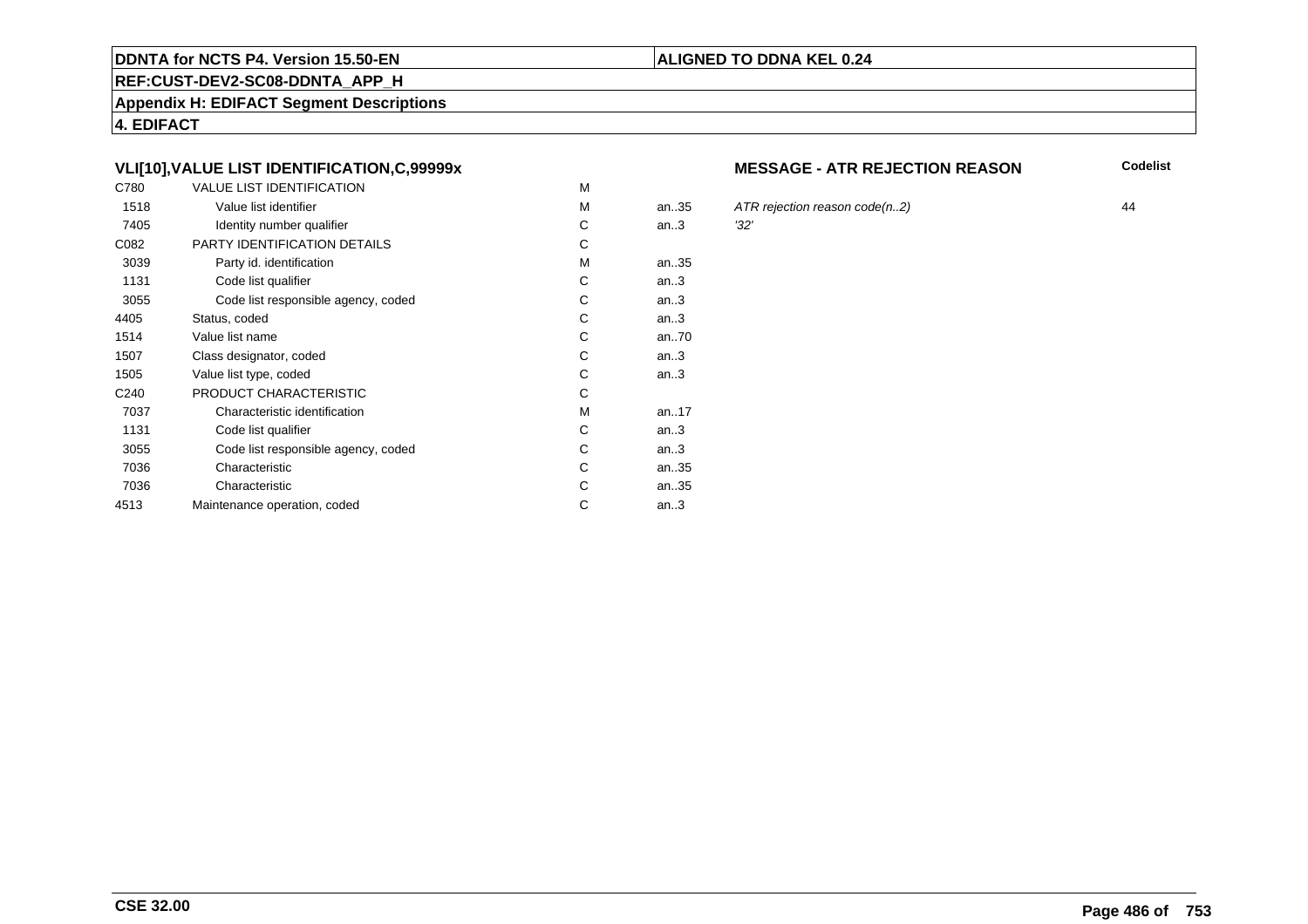#### **REF:CUST-DEV2-SC08-DDNTA\_APP\_H**

**Appendix H: EDIFACT Segment Descriptions**

**4. EDIFACT**

# **VLI[10],VALUE LIST IDENTIFICATION,C,99999x**

| C780             | <b>VALUE LIST IDENTIFICATION</b>    | M |           |      |
|------------------|-------------------------------------|---|-----------|------|
| 1518             | Value list identifier               | M | an.35     | ATI  |
| 7405             | Identity number qualifier           | С | an.3      | '32' |
| C082             | PARTY IDENTIFICATION DETAILS        | С |           |      |
| 3039             | Party id. identification            | М | an35      |      |
| 1131             | Code list qualifier                 | C | an.3      |      |
| 3055             | Code list responsible agency, coded | C | an.3      |      |
| 4405             | Status, coded                       | C | an.3      |      |
| 1514             | Value list name                     | C | an70      |      |
| 1507             | Class designator, coded             | C | an.3      |      |
| 1505             | Value list type, coded              | С | an.3      |      |
| C <sub>240</sub> | PRODUCT CHARACTERISTIC              | С |           |      |
| 7037             | Characteristic identification       | М | an. $.17$ |      |
| 1131             | Code list qualifier                 | С | an.3      |      |
| 3055             | Code list responsible agency, coded | С | an.3      |      |
| 7036             | Characteristic                      | C | an35      |      |
| 7036             | Characteristic                      | C | an35      |      |
| 4513             | Maintenance operation, coded        | С | an.3      |      |
|                  |                                     |   |           |      |

#### **MESSAGE - ATR REJECTION REASON**

**Codelist**

ATR rejection reason code(n..2)  $44$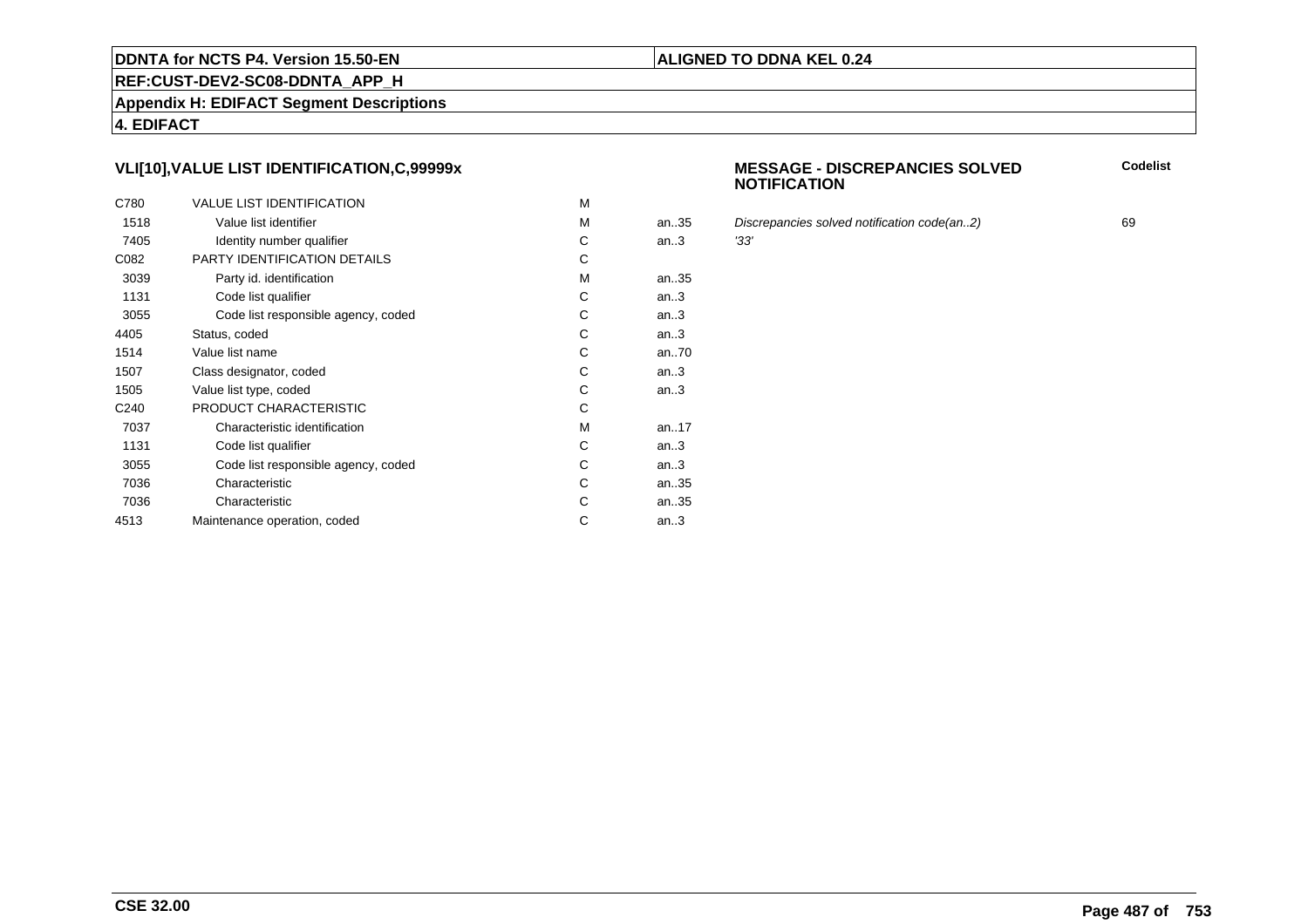#### **REF:CUST-DEV2-SC08-DDNTA\_APP\_H**

**Appendix H: EDIFACT Segment Descriptions**

**4. EDIFACT**

# **VLI[10],VALUE LIST IDENTIFICATION,C,99999x**

| C780             | <b>VALUE LIST IDENTIFICATION</b>    | M |      |      |
|------------------|-------------------------------------|---|------|------|
| 1518             | Value list identifier               | M | an35 | Dis  |
| 7405             | Identity number qualifier           | С | an.3 | '33' |
| C082             | PARTY IDENTIFICATION DETAILS        | С |      |      |
| 3039             | Party id. identification            | м | an35 |      |
| 1131             | Code list qualifier                 | C | an.3 |      |
| 3055             | Code list responsible agency, coded | C | an.3 |      |
| 4405             | Status, coded                       | C | an.3 |      |
| 1514             | Value list name                     | C | an70 |      |
| 1507             | Class designator, coded             | C | an.3 |      |
| 1505             | Value list type, coded              | С | an.3 |      |
| C <sub>240</sub> | PRODUCT CHARACTERISTIC              | С |      |      |
| 7037             | Characteristic identification       | м | an17 |      |
| 1131             | Code list qualifier                 | С | an.3 |      |
| 3055             | Code list responsible agency, coded | С | an.3 |      |
| 7036             | Characteristic                      | C | an35 |      |
| 7036             | Characteristic                      | С | an35 |      |
| 4513             | Maintenance operation, coded        | С | an.3 |      |
|                  |                                     |   |      |      |

#### **MESSAGE - DISCREPANCIES SOLVEDNOTIFICATION**

**Codelist**

Discrepancies solved notification code(an..2) 69<br>
'33'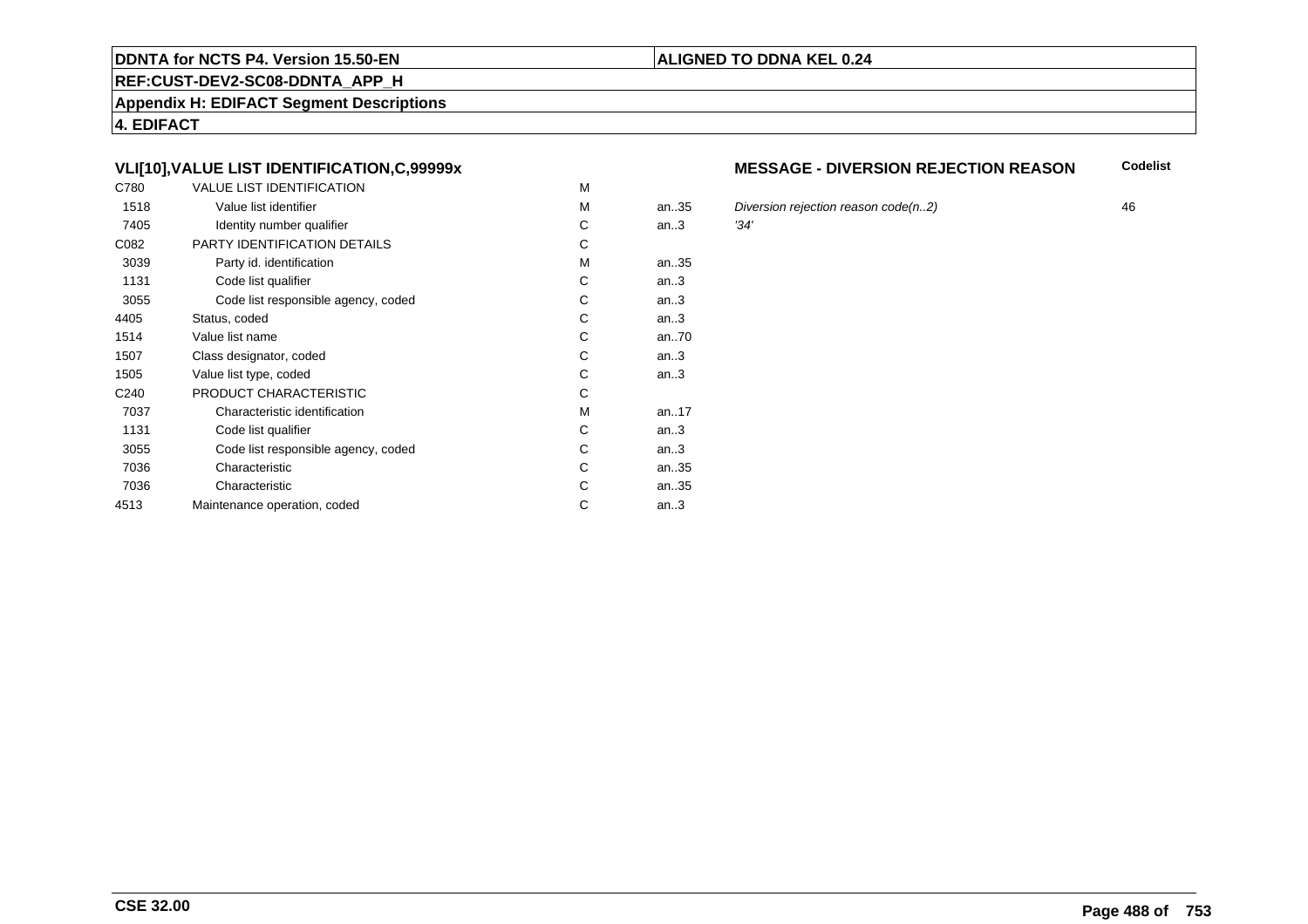#### **REF:CUST-DEV2-SC08-DDNTA\_APP\_H**

**Appendix H: EDIFACT Segment Descriptions**

**4. EDIFACT**

# **VLI[10],VALUE LIST IDENTIFICATION,C,99999x**

| C780             | <b>VALUE LIST IDENTIFICATION</b>    | M |           |      |
|------------------|-------------------------------------|---|-----------|------|
| 1518             | Value list identifier               | M | an.35     | Div  |
| 7405             | Identity number qualifier           | С | an.3      | '34' |
| C082             | PARTY IDENTIFICATION DETAILS        | С |           |      |
| 3039             | Party id. identification            | м | an35      |      |
| 1131             | Code list qualifier                 | C | an.3      |      |
| 3055             | Code list responsible agency, coded | C | an.3      |      |
| 4405             | Status, coded                       | С | an.3      |      |
| 1514             | Value list name                     | C | an70      |      |
| 1507             | Class designator, coded             | C | an.3      |      |
| 1505             | Value list type, coded              | С | an.3      |      |
| C <sub>240</sub> | PRODUCT CHARACTERISTIC              | С |           |      |
| 7037             | Characteristic identification       | м | an. $.17$ |      |
| 1131             | Code list qualifier                 | С | an.3      |      |
| 3055             | Code list responsible agency, coded | С | an.3      |      |
| 7036             | Characteristic                      | C | an35      |      |
| 7036             | Characteristic                      | С | an35      |      |
| 4513             | Maintenance operation, coded        | С | an.3      |      |
|                  |                                     |   |           |      |

#### **MESSAGE - DIVERSION REJECTION REASONCodelist**

5 Diversion rejection reason code(n..2)  $\frac{34'}{2}$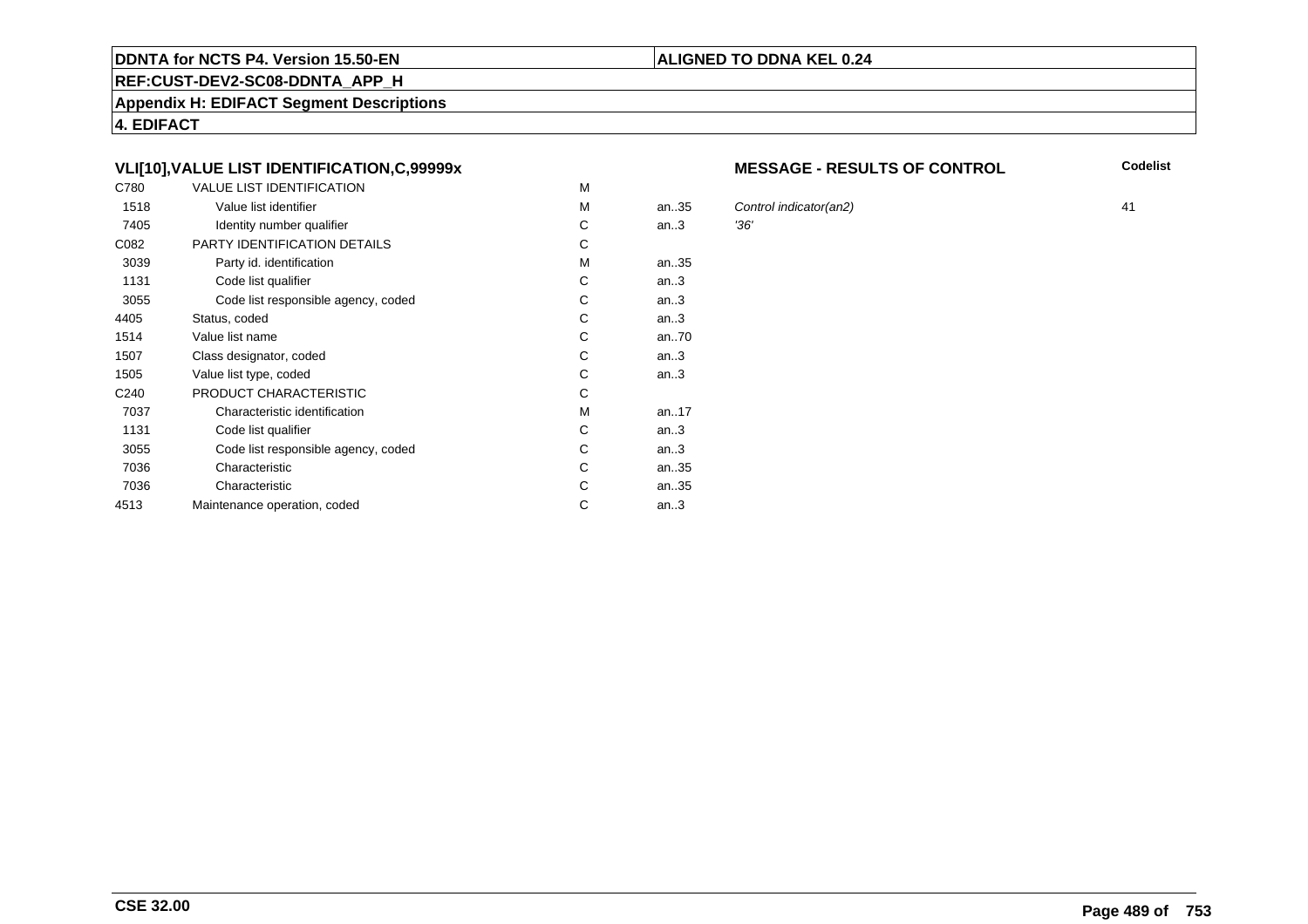#### **REF:CUST-DEV2-SC08-DDNTA\_APP\_H**

**Appendix H: EDIFACT Segment Descriptions**

**4. EDIFACT**

# **VLI[10],VALUE LIST IDENTIFICATION,C,99999x**

| C780             | <b>VALUE LIST IDENTIFICATION</b>    | M |           |      |
|------------------|-------------------------------------|---|-----------|------|
| 1518             | Value list identifier               | M | an.35     | Cor  |
| 7405             | Identity number qualifier           | С | an.3      | '36' |
| C082             | PARTY IDENTIFICATION DETAILS        | С |           |      |
| 3039             | Party id. identification            | м | an35      |      |
| 1131             | Code list qualifier                 | C | an.3      |      |
| 3055             | Code list responsible agency, coded | C | an.3      |      |
| 4405             | Status, coded                       | С | an.3      |      |
| 1514             | Value list name                     | C | an70      |      |
| 1507             | Class designator, coded             | C | an.3      |      |
| 1505             | Value list type, coded              | С | an.3      |      |
| C <sub>240</sub> | PRODUCT CHARACTERISTIC              | С |           |      |
| 7037             | Characteristic identification       | м | an. $.17$ |      |
| 1131             | Code list qualifier                 | С | an.3      |      |
| 3055             | Code list responsible agency, coded | С | an.3      |      |
| 7036             | Characteristic                      | C | an35      |      |
| 7036             | Characteristic                      | С | an35      |      |
| 4513             | Maintenance operation, coded        | С | an.3      |      |
|                  |                                     |   |           |      |

#### **MESSAGE - RESULTS OF CONTROL**

**Codelist**

Control indicator(an2) 41<br>136'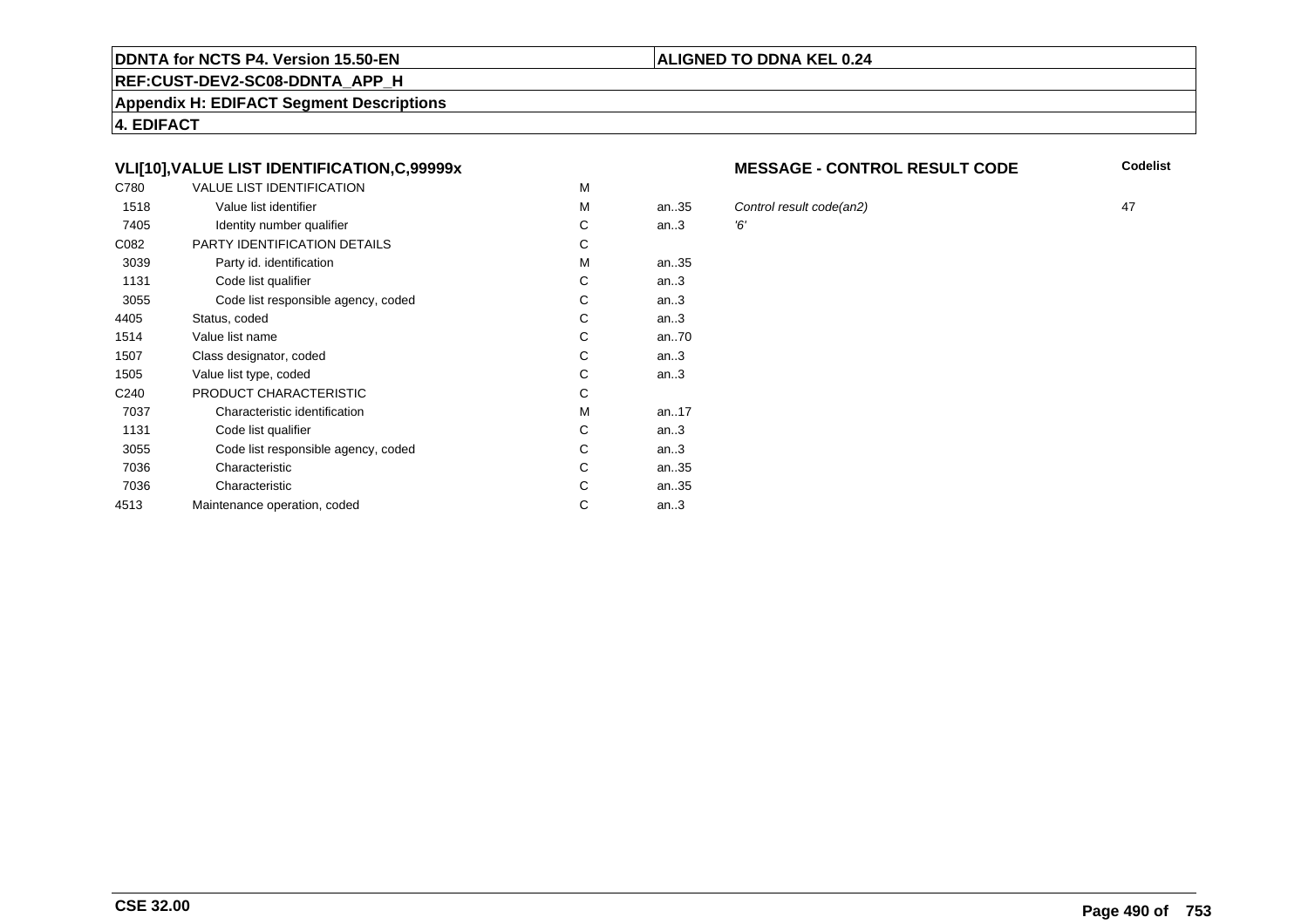#### **REF:CUST-DEV2-SC08-DDNTA\_APP\_H**

**Appendix H: EDIFACT Segment Descriptions**

**4. EDIFACT**

# **VLI[10],VALUE LIST IDENTIFICATION,C,99999x**

| C780             | <b>VALUE LIST IDENTIFICATION</b>    | M |           |    |
|------------------|-------------------------------------|---|-----------|----|
| 1518             | Value list identifier               | M | an35      | C  |
| 7405             | Identity number qualifier           | С | an.3      | Έ, |
| C082             | PARTY IDENTIFICATION DETAILS        | С |           |    |
| 3039             | Party id. identification            | M | an35      |    |
| 1131             | Code list qualifier                 | С | an.3      |    |
| 3055             | Code list responsible agency, coded | С | an.3      |    |
| 4405             | Status, coded                       | С | an.3      |    |
| 1514             | Value list name                     | C | an70      |    |
| 1507             | Class designator, coded             | C | an.3      |    |
| 1505             | Value list type, coded              | С | an.3      |    |
| C <sub>240</sub> | PRODUCT CHARACTERISTIC              | C |           |    |
| 7037             | Characteristic identification       | M | an. $.17$ |    |
| 1131             | Code list qualifier                 | C | an.3      |    |
| 3055             | Code list responsible agency, coded | C | an.3      |    |
| 7036             | Characteristic                      | C | an35      |    |
| 7036             | Characteristic                      | С | an35      |    |
| 4513             | Maintenance operation, coded        | С | an.3      |    |
|                  |                                     |   |           |    |

#### **MESSAGE - CONTROL RESULT CODE**

**Codelist**

Control result code(an2) 47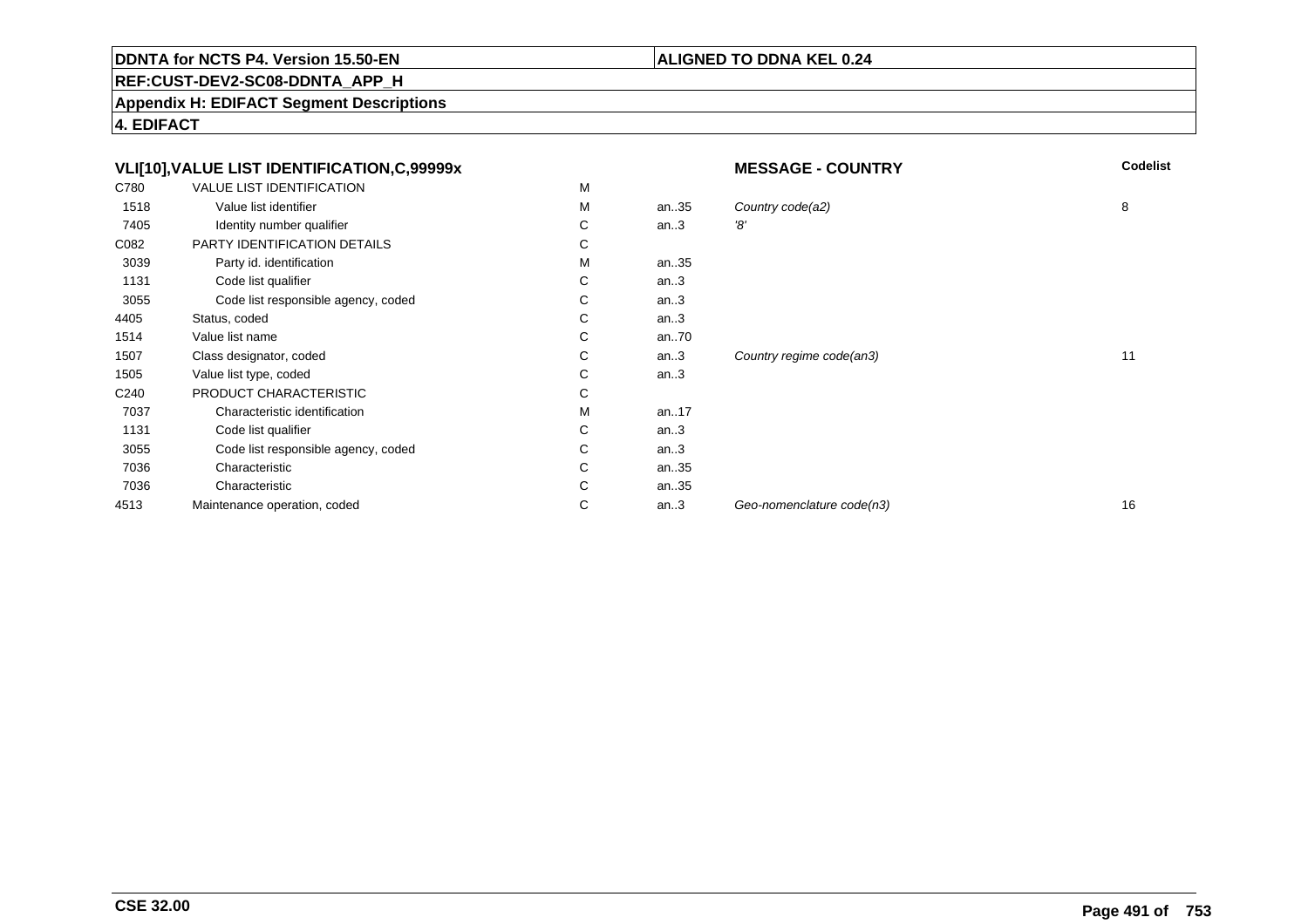# **ALIGNED TO DDNA KEL 0.24**

**REF:CUST-DEV2-SC08-DDNTA\_APP\_H**

**Appendix H: EDIFACT Segment Descriptions**

**4. EDIFACT**

|      | VLI[10], VALUE LIST IDENTIFICATION, C, 99999x |    |       | <b>MESSAGE - COUNTRY</b>  | <b>Codelist</b> |
|------|-----------------------------------------------|----|-------|---------------------------|-----------------|
| C780 | VALUE LIST IDENTIFICATION                     | M  |       |                           |                 |
| 1518 | Value list identifier                         | м  | an35  | Country code(a2)          | 8               |
| 7405 | Identity number qualifier                     | С  | an.3  | '8'                       |                 |
| C082 | PARTY IDENTIFICATION DETAILS                  | С  |       |                           |                 |
| 3039 | Party id. identification                      | м  | an35  |                           |                 |
| 1131 | Code list qualifier                           | С  | an.3  |                           |                 |
| 3055 | Code list responsible agency, coded           | С  | an.3  |                           |                 |
| 4405 | Status, coded                                 | С  | an.3  |                           |                 |
| 1514 | Value list name                               | С  | an.70 |                           |                 |
| 1507 | Class designator, coded                       | C. | an.3  | Country regime code(an3)  | 11              |
| 1505 | Value list type, coded                        | C  | an.3  |                           |                 |
| C240 | PRODUCT CHARACTERISTIC                        | С  |       |                           |                 |
| 7037 | Characteristic identification                 | м  | an17  |                           |                 |
| 1131 | Code list qualifier                           | С  | an.3  |                           |                 |
| 3055 | Code list responsible agency, coded           | С  | an.3  |                           |                 |
| 7036 | Characteristic                                | С  | an35  |                           |                 |
| 7036 | Characteristic                                | С  | an35  |                           |                 |
| 4513 | Maintenance operation, coded                  | С  | an.3  | Geo-nomenclature code(n3) | 16              |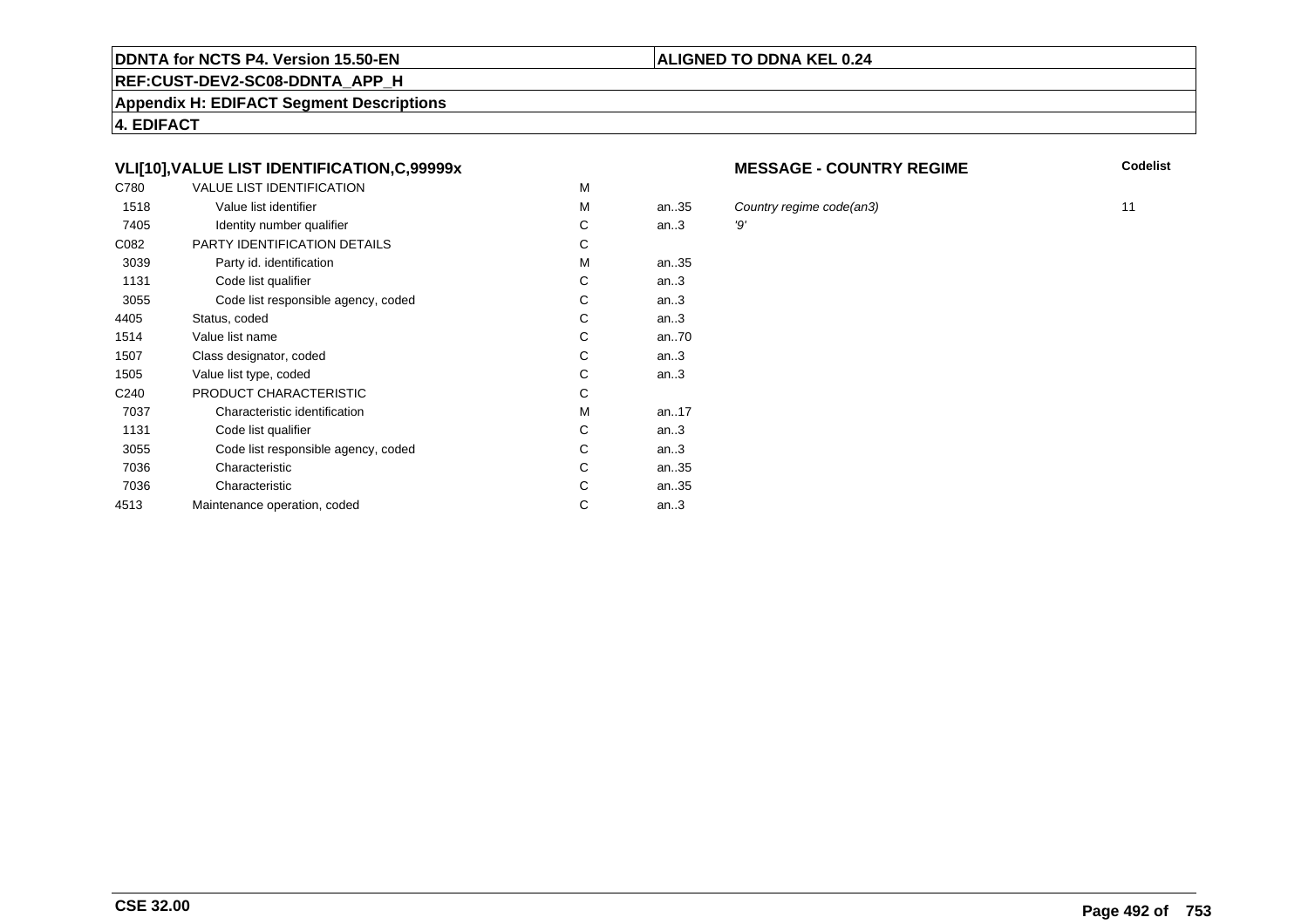#### **REF:CUST-DEV2-SC08-DDNTA\_APP\_H**

**Appendix H: EDIFACT Segment Descriptions**

**4. EDIFACT**

# **VLI[10],VALUE LIST IDENTIFICATION,C,99999x**

| C780             | <b>VALUE LIST IDENTIFICATION</b>    | M |      |     |
|------------------|-------------------------------------|---|------|-----|
| 1518             | Value list identifier               | M | an35 | C   |
| 7405             | Identity number qualifier           | С | an.3 | '9' |
| C082             | PARTY IDENTIFICATION DETAILS        | С |      |     |
| 3039             | Party id. identification            | M | an35 |     |
| 1131             | Code list qualifier                 | C | an.3 |     |
| 3055             | Code list responsible agency, coded | C | an.3 |     |
| 4405             | Status, coded                       | С | an.3 |     |
| 1514             | Value list name                     | С | an70 |     |
| 1507             | Class designator, coded             | C | an.3 |     |
| 1505             | Value list type, coded              | C | an.3 |     |
| C <sub>240</sub> | PRODUCT CHARACTERISTIC              | C |      |     |
| 7037             | Characteristic identification       | M | an17 |     |
| 1131             | Code list qualifier                 | C | an.3 |     |
| 3055             | Code list responsible agency, coded | С | an.3 |     |
| 7036             | Characteristic                      | С | an35 |     |
| 7036             | Characteristic                      | С | an35 |     |
| 4513             | Maintenance operation, coded        | С | an.3 |     |
|                  |                                     |   |      |     |

#### **MESSAGE - COUNTRY REGIME**

**Codelist**

country regime code(an3) 11<br>
11<br>
19'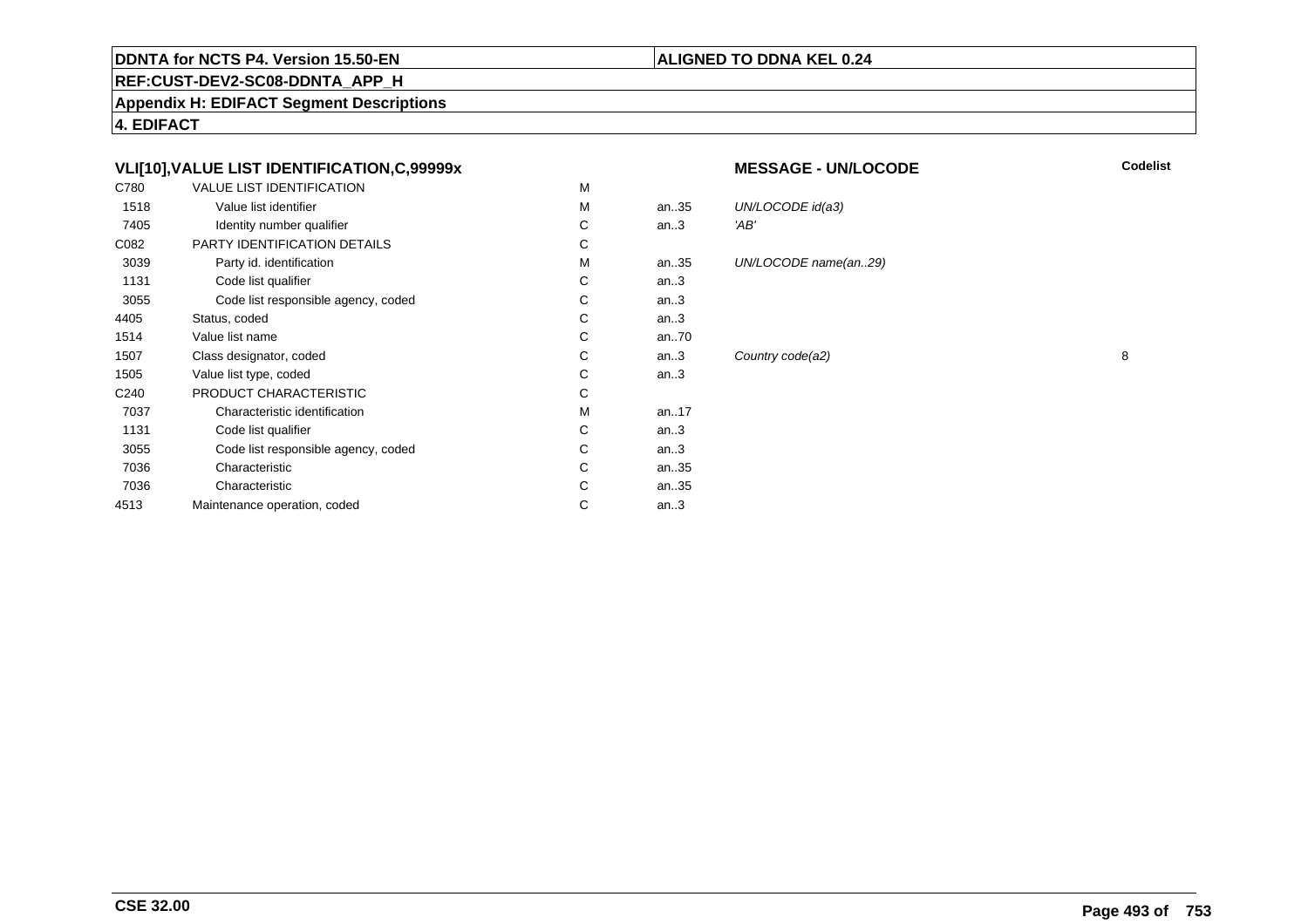#### **REF:CUST-DEV2-SC08-DDNTA\_APP\_H**

**Appendix H: EDIFACT Segment Descriptions**

**4. EDIFACT**

# **VLI[10],VALUE LIST IDENTIFICATION,C,99999x**

| C780             | <b>VALUE LIST IDENTIFICATION</b>    | М |        |      |
|------------------|-------------------------------------|---|--------|------|
| 1518             | Value list identifier               | М | an35   | UN/  |
| 7405             | Identity number qualifier           | C | an.3   | 'AB' |
| C082             | PARTY IDENTIFICATION DETAILS        | C |        |      |
| 3039             | Party id. identification            | M | an35   | UN/  |
| 1131             | Code list qualifier                 | C | an.3   |      |
| 3055             | Code list responsible agency, coded | C | an.3   |      |
| 4405             | Status, coded                       | C | an $3$ |      |
| 1514             | Value list name                     | C | an70   |      |
| 1507             | Class designator, coded             | C | an.3   | Cou  |
| 1505             | Value list type, coded              | C | an.3   |      |
| C <sub>240</sub> | PRODUCT CHARACTERISTIC              | C |        |      |
| 7037             | Characteristic identification       | М | an17   |      |
| 1131             | Code list qualifier                 | C | an.3   |      |
| 3055             | Code list responsible agency, coded | C | an.3   |      |
| 7036             | Characteristic                      | C | an35   |      |
| 7036             | Characteristic                      | C | an35   |      |
| 4513             | Maintenance operation, coded        | С | an.3   |      |
|                  |                                     |   |        |      |

#### **MESSAGE - UN/LOCODE**

**Codelist**

# UN/LOCODE name(an..29)

UN/LOCODE id(a3)

**ALIGNED TO DDNA KEL 0.24**

Country code(a2) 8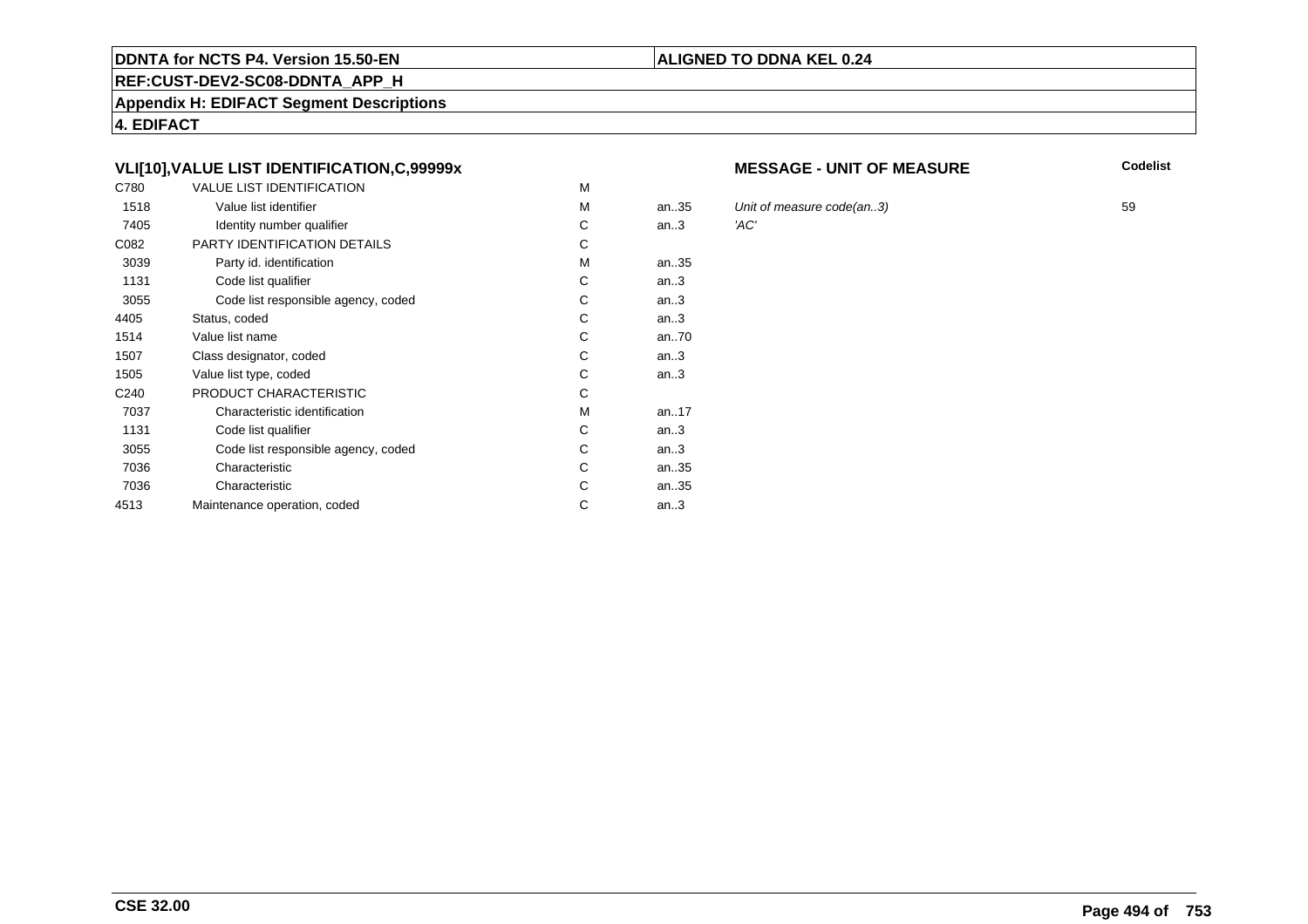#### **REF:CUST-DEV2-SC08-DDNTA\_APP\_H**

**Appendix H: EDIFACT Segment Descriptions**

**4. EDIFACT**

# **VLI[10],VALUE LIST IDENTIFICATION,C,99999x**

| C780             | <b>VALUE LIST IDENTIFICATION</b>    | M |       |      |
|------------------|-------------------------------------|---|-------|------|
| 1518             | Value list identifier               | M | an.35 | Unit |
| 7405             | Identity number qualifier           | С | an.3  | 'AC' |
| C082             | PARTY IDENTIFICATION DETAILS        | C |       |      |
| 3039             | Party id. identification            | M | an35  |      |
| 1131             | Code list qualifier                 | C | an.3  |      |
| 3055             | Code list responsible agency, coded | С | an.3  |      |
| 4405             | Status, coded                       | C | an.3  |      |
| 1514             | Value list name                     | C | an70  |      |
| 1507             | Class designator, coded             | C | an.3  |      |
| 1505             | Value list type, coded              | С | an.3  |      |
| C <sub>240</sub> | PRODUCT CHARACTERISTIC              | C |       |      |
| 7037             | Characteristic identification       | M | an17  |      |
| 1131             | Code list qualifier                 | C | an.3  |      |
| 3055             | Code list responsible agency, coded | C | an.3  |      |
| 7036             | Characteristic                      | C | an35  |      |
| 7036             | Characteristic                      | С | an35  |      |
| 4513             | Maintenance operation, coded        | С | an.3  |      |
|                  |                                     |   |       |      |

#### **MESSAGE - UNIT OF MEASURE**

**Codelist**

Unit of measure code(an..3) 59<br>'AC'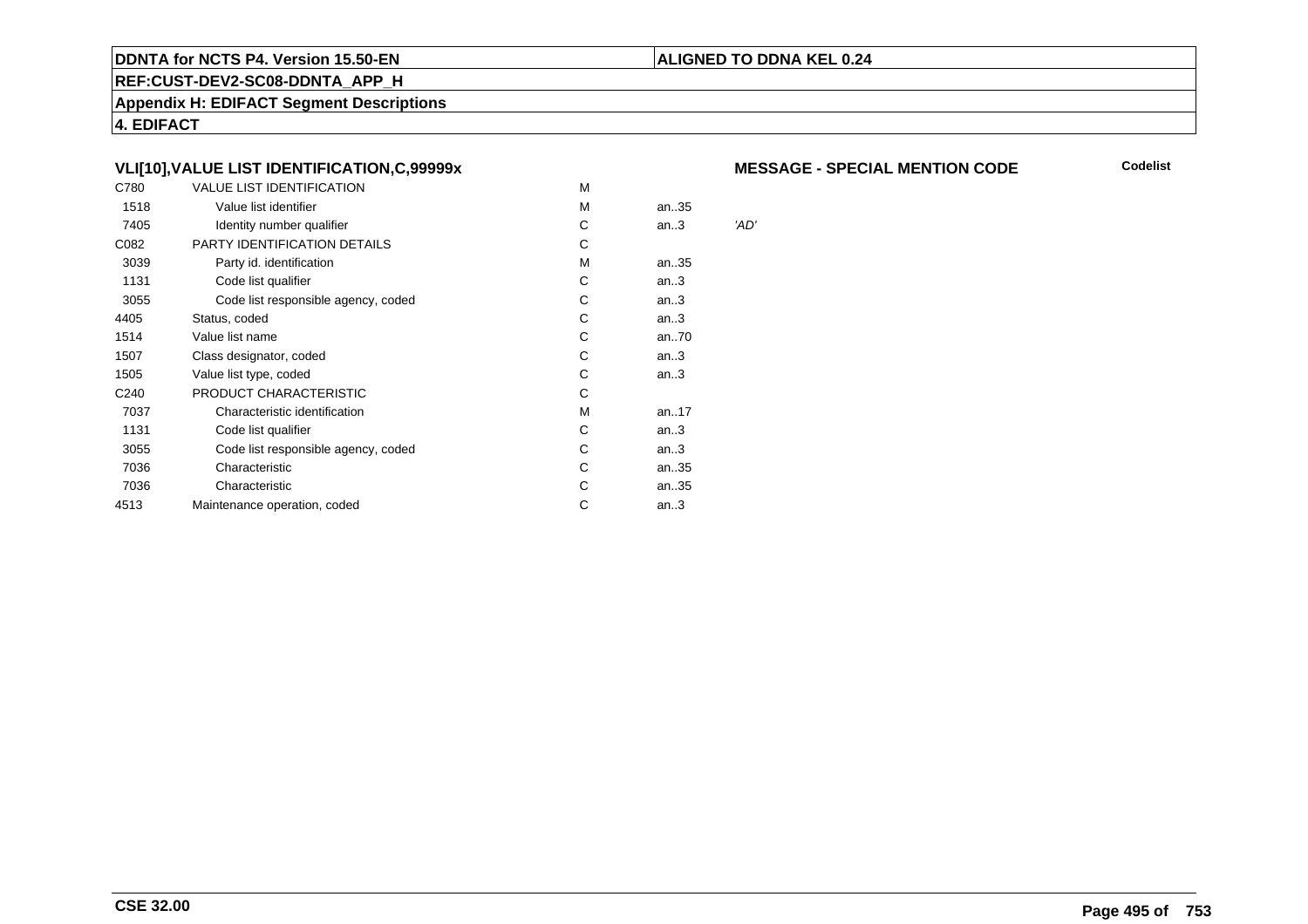#### **REF:CUST-DEV2-SC08-DDNTA\_APP\_H**

**Appendix H: EDIFACT Segment Descriptions**

**4. EDIFACT**

# **VLI[10],VALUE LIST IDENTIFICATION,C,99999x**

| C780             | <b>VALUE LIST IDENTIFICATION</b>    | M |        |      |
|------------------|-------------------------------------|---|--------|------|
| 1518             | Value list identifier               | M | an35   |      |
| 7405             | Identity number qualifier           | С | an.3   | 'AD' |
| C082             | <b>PARTY IDENTIFICATION DETAILS</b> | C |        |      |
| 3039             | Party id. identification            | M | an35   |      |
| 1131             | Code list qualifier                 | С | an.3   |      |
| 3055             | Code list responsible agency, coded | С | an.3   |      |
| 4405             | Status, coded                       | С | an.3   |      |
| 1514             | Value list name                     | C | an70   |      |
| 1507             | Class designator, coded             | C | an.3   |      |
| 1505             | Value list type, coded              | С | an.3   |      |
| C <sub>240</sub> | PRODUCT CHARACTERISTIC              | C |        |      |
| 7037             | Characteristic identification       | M | an17   |      |
| 1131             | Code list qualifier                 | C | an.3   |      |
| 3055             | Code list responsible agency, coded | С | an.3   |      |
| 7036             | Characteristic                      | C | an35   |      |
| 7036             | Characteristic                      | С | an35   |      |
| 4513             | Maintenance operation, coded        | С | an $3$ |      |
|                  |                                     |   |        |      |

## **MESSAGE - SPECIAL MENTION CODE**

**Codelist**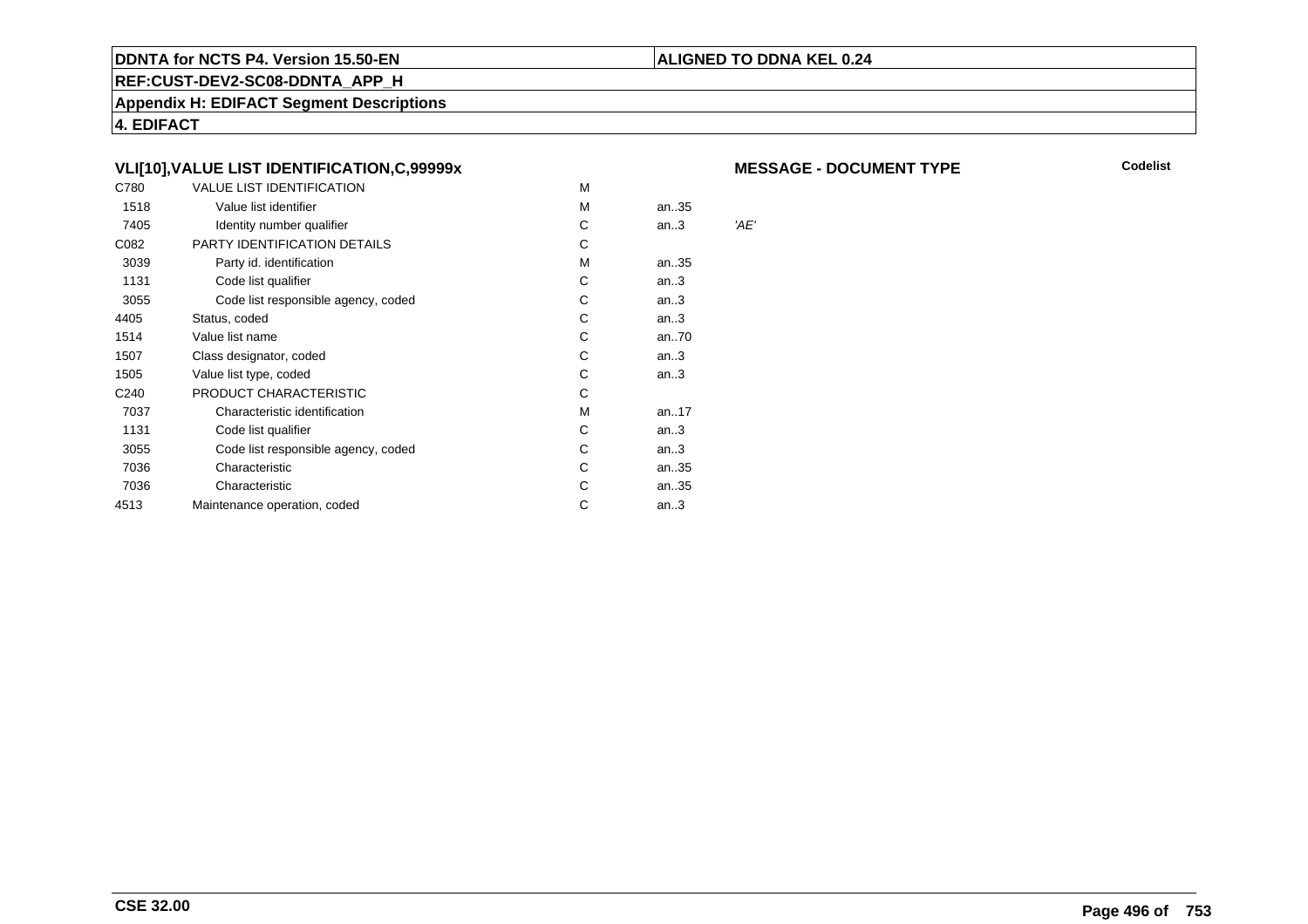#### **REF:CUST-DEV2-SC08-DDNTA\_APP\_H**

**Appendix H: EDIFACT Segment Descriptions**

**4. EDIFACT**

# **VLI[10],VALUE LIST IDENTIFICATION,C,99999x**

| C780             | <b>VALUE LIST IDENTIFICATION</b>    | M |        |      |
|------------------|-------------------------------------|---|--------|------|
| 1518             | Value list identifier               | M | an35   |      |
| 7405             | Identity number qualifier           | С | an.3   | 'AE' |
| C082             | <b>PARTY IDENTIFICATION DETAILS</b> | С |        |      |
| 3039             | Party id. identification            | м | an35   |      |
| 1131             | Code list qualifier                 | С | an.3   |      |
| 3055             | Code list responsible agency, coded | С | an.3   |      |
| 4405             | Status, coded                       | С | an.3   |      |
| 1514             | Value list name                     | C | an70   |      |
| 1507             | Class designator, coded             | C | an.3   |      |
| 1505             | Value list type, coded              | C | an.3   |      |
| C <sub>240</sub> | PRODUCT CHARACTERISTIC              | С |        |      |
| 7037             | Characteristic identification       | M | an17   |      |
| 1131             | Code list qualifier                 | C | an.3   |      |
| 3055             | Code list responsible agency, coded | С | an.3   |      |
| 7036             | Characteristic                      | С | an35   |      |
| 7036             | Characteristic                      | С | an35   |      |
| 4513             | Maintenance operation, coded        | С | an $3$ |      |
|                  |                                     |   |        |      |

#### **MESSAGE - DOCUMENT TYPE**

**Codelist**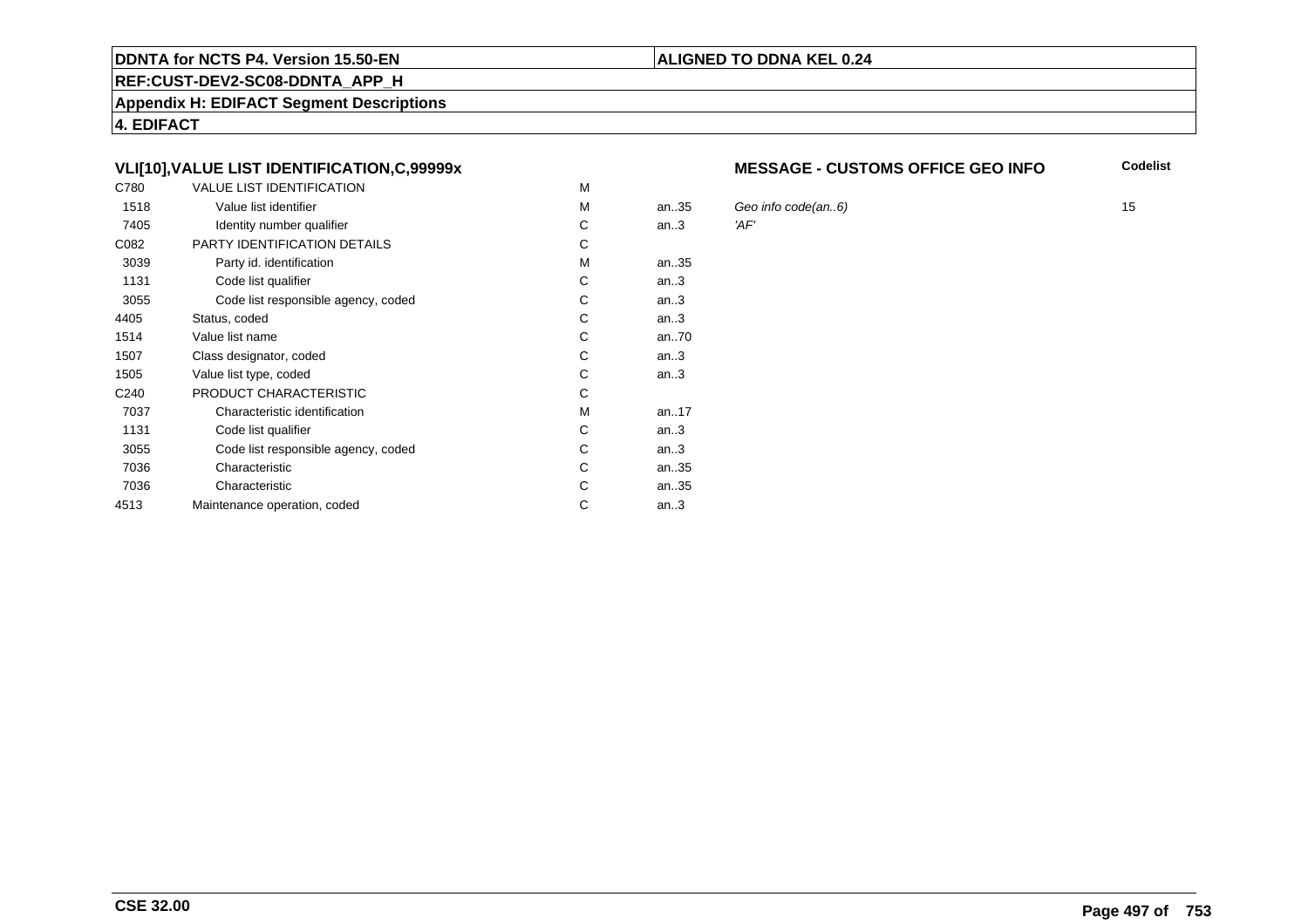#### **REF:CUST-DEV2-SC08-DDNTA\_APP\_H**

**Appendix H: EDIFACT Segment Descriptions**

**4. EDIFACT**

# **VLI[10],VALUE LIST IDENTIFICATION,C,99999x**

| C780             | <b>VALUE LIST IDENTIFICATION</b>    | M |      |      |
|------------------|-------------------------------------|---|------|------|
| 1518             | Value list identifier               | M | an35 | Gec  |
| 7405             | Identity number qualifier           | С | an.3 | 'AF' |
| C082             | PARTY IDENTIFICATION DETAILS        | C |      |      |
| 3039             | Party id. identification            | М | an35 |      |
| 1131             | Code list qualifier                 | C | an.3 |      |
| 3055             | Code list responsible agency, coded | C | an.3 |      |
| 4405             | Status, coded                       | C | an.3 |      |
| 1514             | Value list name                     | C | an70 |      |
| 1507             | Class designator, coded             | C | an.3 |      |
| 1505             | Value list type, coded              | C | an.3 |      |
| C <sub>240</sub> | PRODUCT CHARACTERISTIC              | C |      |      |
| 7037             | Characteristic identification       | М | an17 |      |
| 1131             | Code list qualifier                 | C | an.3 |      |
| 3055             | Code list responsible agency, coded | C | an.3 |      |
| 7036             | Characteristic                      | C | an35 |      |
| 7036             | Characteristic                      | C | an35 |      |
| 4513             | Maintenance operation, coded        | C | an.3 |      |
|                  |                                     |   |      |      |

#### **MESSAGE - CUSTOMS OFFICE GEO INFO**

**Codelist**

Geo info code(an..6)  $\blacksquare$  15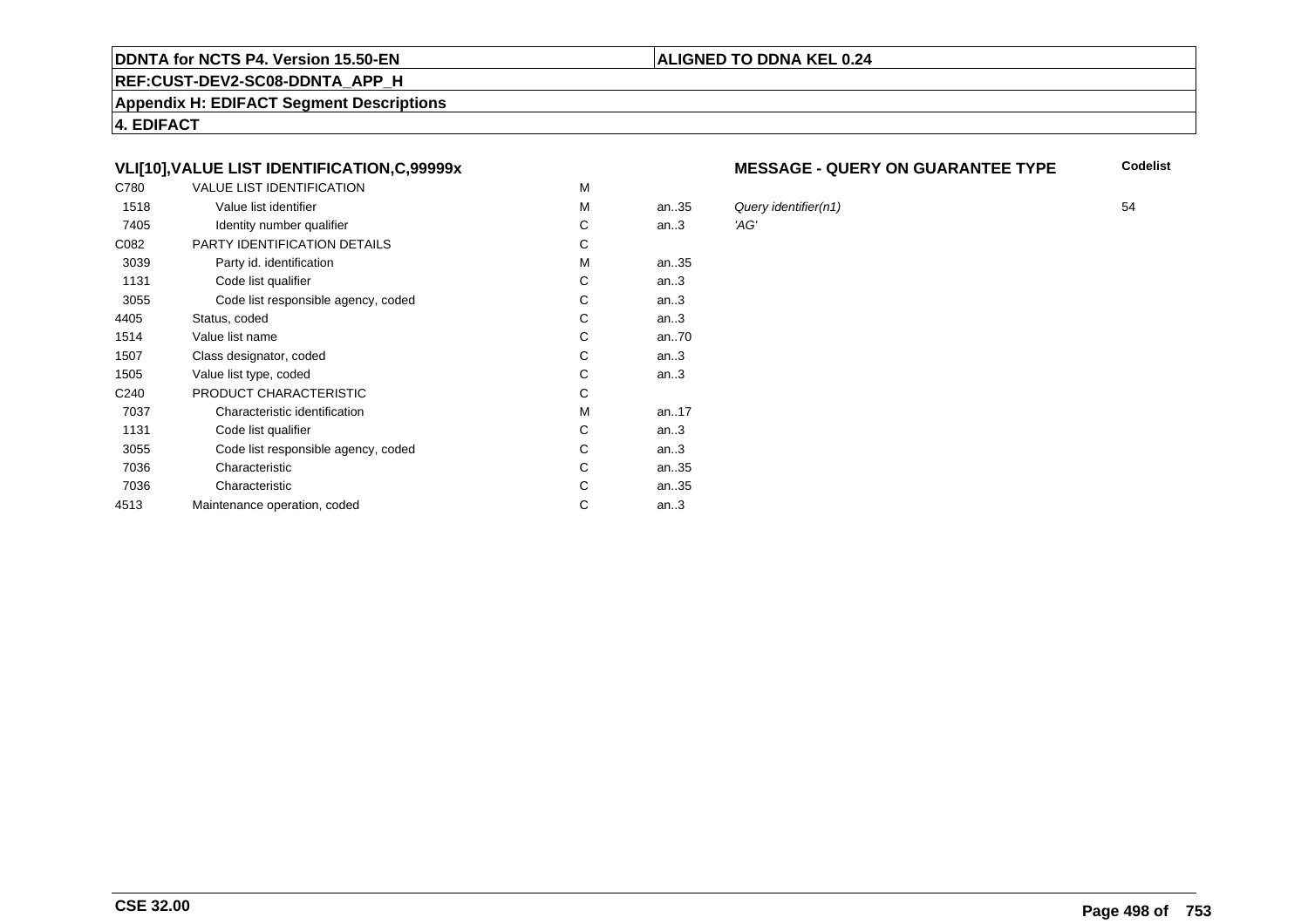#### **REF:CUST-DEV2-SC08-DDNTA\_APP\_H**

**Appendix H: EDIFACT Segment Descriptions**

**4. EDIFACT**

# **VLI[10],VALUE LIST IDENTIFICATION,C,99999x**

| C780             | <b>VALUE LIST IDENTIFICATION</b>    | M |        |      |
|------------------|-------------------------------------|---|--------|------|
| 1518             | Value list identifier               | M | an35   | Que  |
| 7405             | Identity number qualifier           | С | an.3   | 'AG' |
| C082             | PARTY IDENTIFICATION DETAILS        | C |        |      |
| 3039             | Party id. identification            | M | an35   |      |
| 1131             | Code list qualifier                 | C | an.3   |      |
| 3055             | Code list responsible agency, coded | С | an.3   |      |
| 4405             | Status, coded                       | C | an.3   |      |
| 1514             | Value list name                     | С | an70   |      |
| 1507             | Class designator, coded             | С | an.3   |      |
| 1505             | Value list type, coded              | С | an.3   |      |
| C <sub>240</sub> | PRODUCT CHARACTERISTIC              | C |        |      |
| 7037             | Characteristic identification       | M | an17   |      |
| 1131             | Code list qualifier                 | C | an.3   |      |
| 3055             | Code list responsible agency, coded | С | an.3   |      |
| 7036             | Characteristic                      | С | an35   |      |
| 7036             | Characteristic                      | С | an35   |      |
| 4513             | Maintenance operation, coded        | С | an $3$ |      |
|                  |                                     |   |        |      |

#### **MESSAGE - QUERY ON GUARANTEE TYPE**

**Codelist**

Query identifier(n1) 54<br>'AG'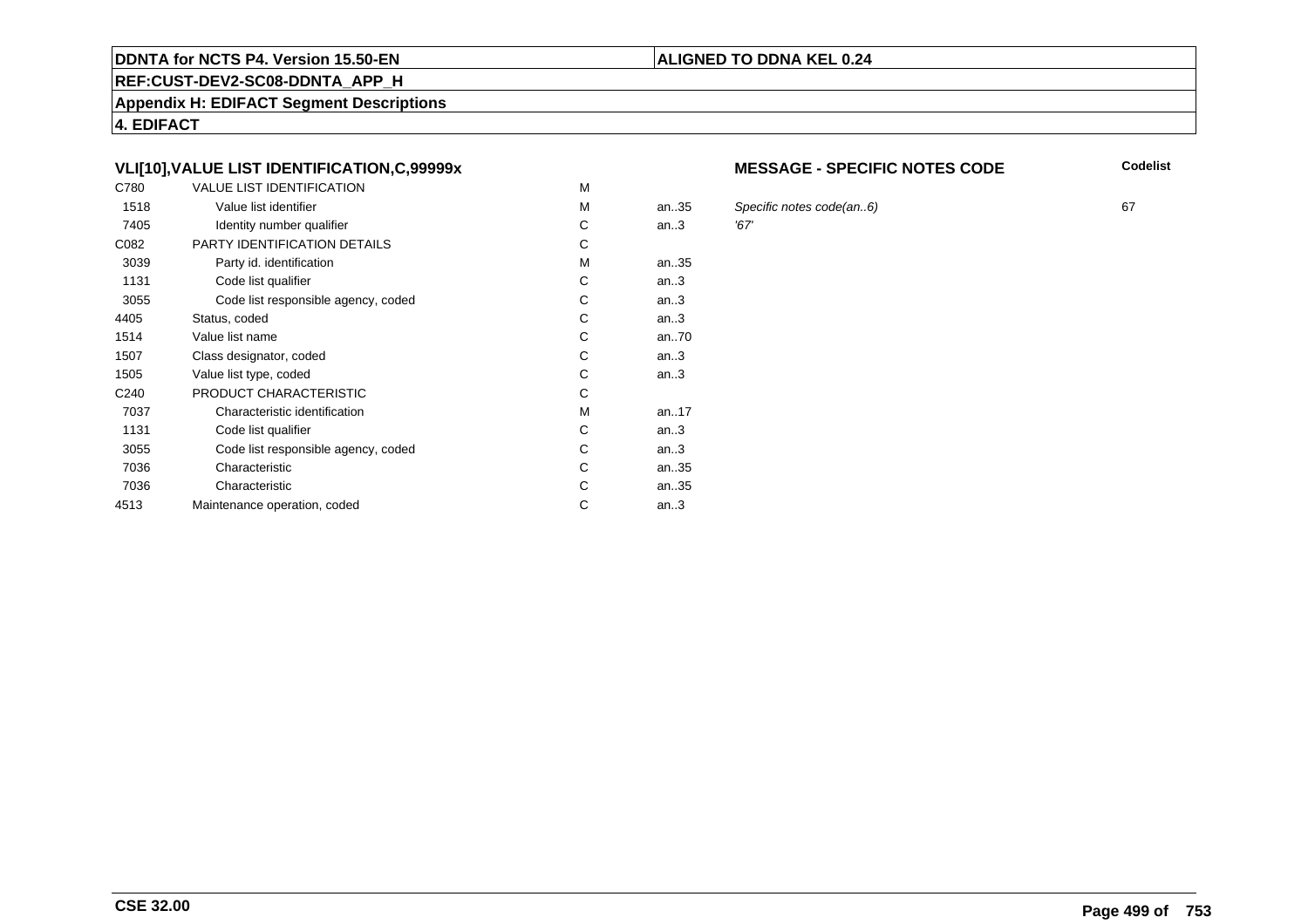#### **REF:CUST-DEV2-SC08-DDNTA\_APP\_H**

**Appendix H: EDIFACT Segment Descriptions**

**4. EDIFACT**

# **VLI[10],VALUE LIST IDENTIFICATION,C,99999x**

| C780             | <b>VALUE LIST IDENTIFICATION</b>    | M |       |      |
|------------------|-------------------------------------|---|-------|------|
| 1518             | Value list identifier               | М | an.35 | Spe  |
| 7405             | Identity number qualifier           | С | an.3  | '67' |
| C082             | <b>PARTY IDENTIFICATION DETAILS</b> | С |       |      |
| 3039             | Party id. identification            | М | an35  |      |
| 1131             | Code list qualifier                 | C | an.3  |      |
| 3055             | Code list responsible agency, coded | C | an.3  |      |
| 4405             | Status, coded                       | C | an.3  |      |
| 1514             | Value list name                     | C | an70  |      |
| 1507             | Class designator, coded             | C | an.3  |      |
| 1505             | Value list type, coded              | С | an.3  |      |
| C <sub>240</sub> | PRODUCT CHARACTERISTIC              | С |       |      |
| 7037             | Characteristic identification       | М | an17  |      |
| 1131             | Code list qualifier                 | С | an.3  |      |
| 3055             | Code list responsible agency, coded | С | an.3  |      |
| 7036             | Characteristic                      | C | an35  |      |
| 7036             | Characteristic                      | C | an35  |      |
| 4513             | Maintenance operation, coded        | С | an.3  |      |
|                  |                                     |   |       |      |

#### **MESSAGE - SPECIFIC NOTES CODE**

**Codelist**

Specific notes code(an..6) 67<br>'67'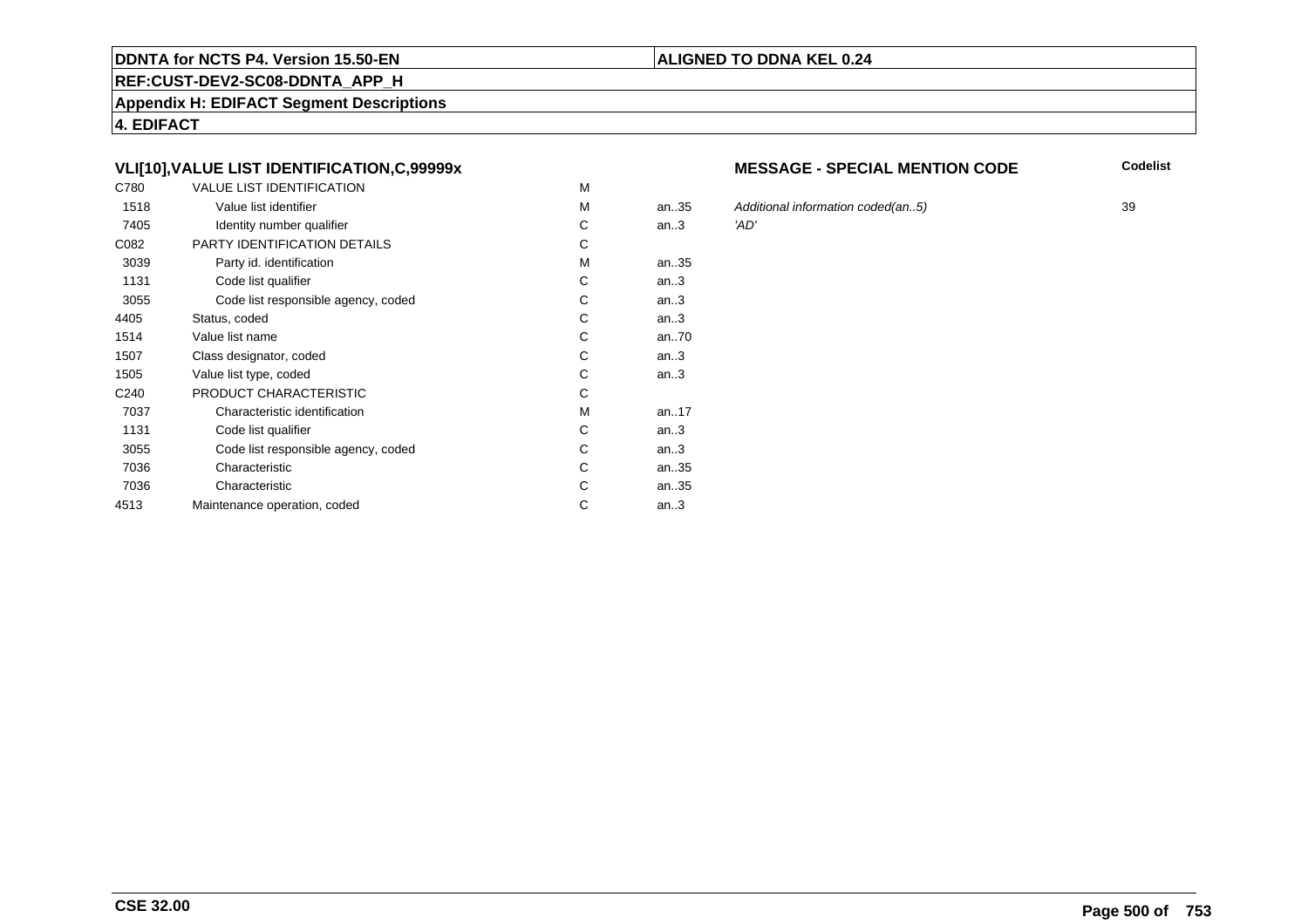#### **REF:CUST-DEV2-SC08-DDNTA\_APP\_H**

**Appendix H: EDIFACT Segment Descriptions**

**4. EDIFACT**

# **VLI[10],VALUE LIST IDENTIFICATION,C,99999x**

| C780             | <b>VALUE LIST IDENTIFICATION</b>    | M |           |      |
|------------------|-------------------------------------|---|-----------|------|
| 1518             | Value list identifier               | M | an35      | Add  |
| 7405             | Identity number qualifier           | С | an.3      | 'AD' |
| C082             | PARTY IDENTIFICATION DETAILS        | С |           |      |
| 3039             | Party id. identification            | M | an35      |      |
| 1131             | Code list qualifier                 | C | an.3      |      |
| 3055             | Code list responsible agency, coded | С | an.3      |      |
| 4405             | Status, coded                       | С | an.3      |      |
| 1514             | Value list name                     | С | an70      |      |
| 1507             | Class designator, coded             | C | an.3      |      |
| 1505             | Value list type, coded              | C | an.3      |      |
| C <sub>240</sub> | PRODUCT CHARACTERISTIC              | C |           |      |
| 7037             | Characteristic identification       | M | an. $.17$ |      |
| 1131             | Code list qualifier                 | C | an.3      |      |
| 3055             | Code list responsible agency, coded | С | an.3      |      |
| 7036             | Characteristic                      | C | an35      |      |
| 7036             | Characteristic                      | С | an35      |      |
| 4513             | Maintenance operation, coded        | С | an.3      |      |
|                  |                                     |   |           |      |

#### **MESSAGE - SPECIAL MENTION CODE**

**Codelist**

5 Additional information coded(an..5) 39<br>'AD'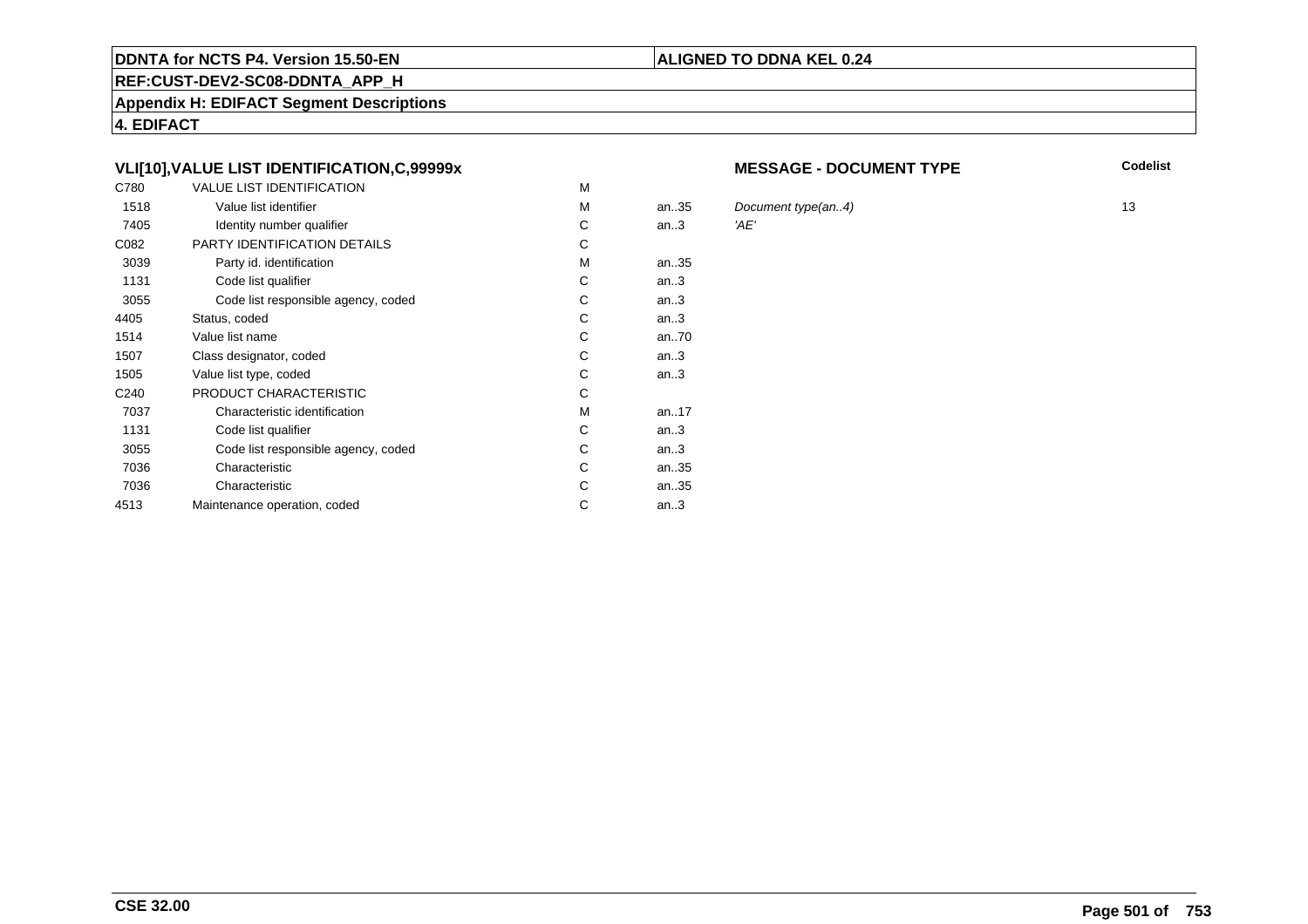#### **REF:CUST-DEV2-SC08-DDNTA\_APP\_H**

**Appendix H: EDIFACT Segment Descriptions**

**4. EDIFACT**

# **VLI[10],VALUE LIST IDENTIFICATION,C,99999x**

| C780             | <b>VALUE LIST IDENTIFICATION</b>    | M |      |      |
|------------------|-------------------------------------|---|------|------|
| 1518             | Value list identifier               | м | an35 | Doc  |
| 7405             | Identity number qualifier           | С | an.3 | 'AE' |
| C082             | PARTY IDENTIFICATION DETAILS        | C |      |      |
| 3039             | Party id. identification            | м | an35 |      |
| 1131             | Code list qualifier                 | C | an.3 |      |
| 3055             | Code list responsible agency, coded | C | an.3 |      |
| 4405             | Status, coded                       | C | an.3 |      |
| 1514             | Value list name                     | C | an70 |      |
| 1507             | Class designator, coded             | C | an.3 |      |
| 1505             | Value list type, coded              | C | an.3 |      |
| C <sub>240</sub> | PRODUCT CHARACTERISTIC              | C |      |      |
| 7037             | Characteristic identification       | М | an17 |      |
| 1131             | Code list qualifier                 | C | an.3 |      |
| 3055             | Code list responsible agency, coded | C | an.3 |      |
| 7036             | Characteristic                      | C | an35 |      |
| 7036             | Characteristic                      | C | an35 |      |
| 4513             | Maintenance operation, coded        | С | an.3 |      |
|                  |                                     |   |      |      |

#### **MESSAGE - DOCUMENT TYPE**

**Codelist**

Document type(an..4) 13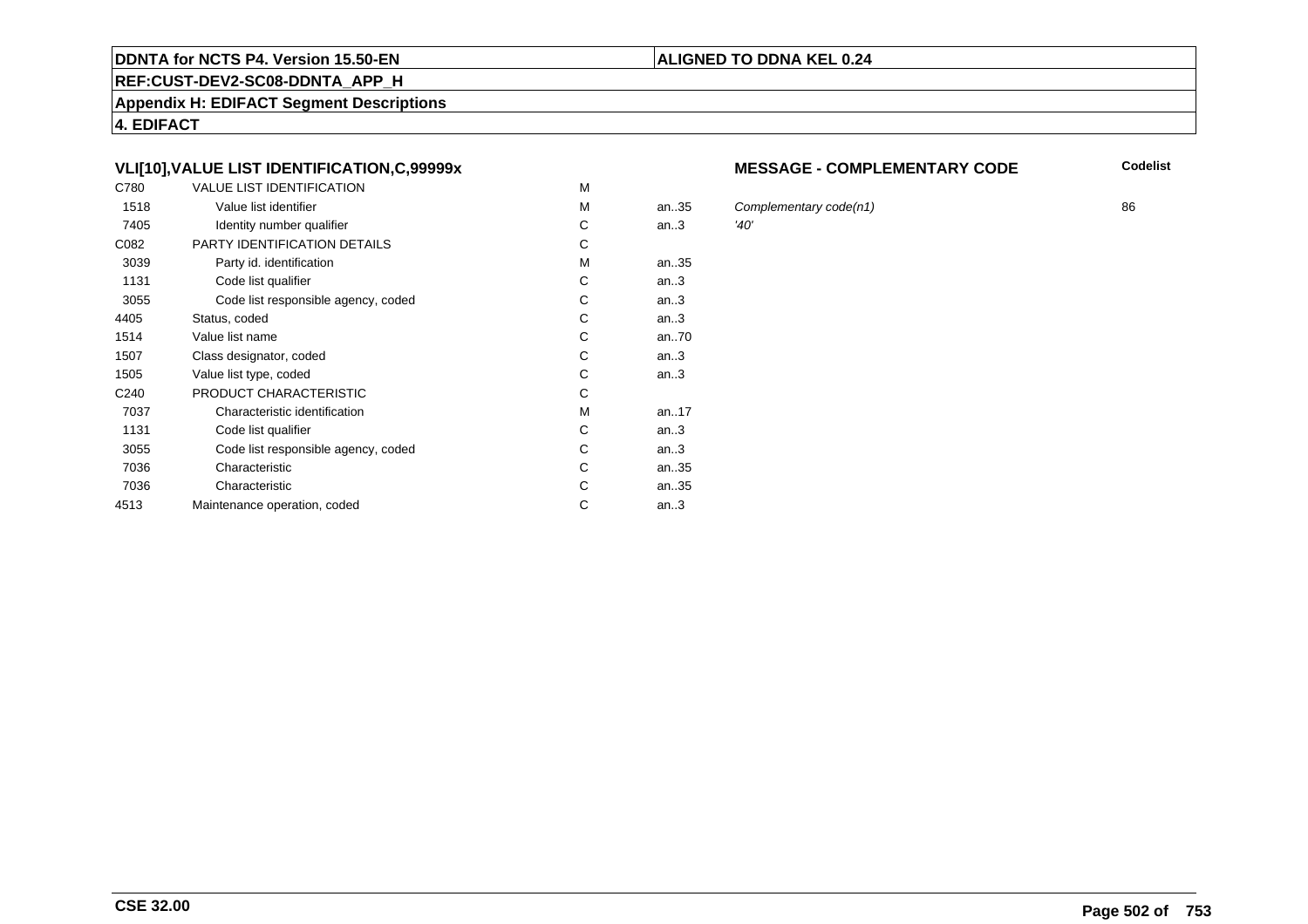#### **REF:CUST-DEV2-SC08-DDNTA\_APP\_H**

**Appendix H: EDIFACT Segment Descriptions**

**4. EDIFACT**

# **VLI[10],VALUE LIST IDENTIFICATION,C,99999x**

| C780             | <b>VALUE LIST IDENTIFICATION</b>    | M |           |      |
|------------------|-------------------------------------|---|-----------|------|
| 1518             | Value list identifier               | M | an.35     | Cor  |
| 7405             | Identity number qualifier           | С | an.3      | '40' |
| C082             | PARTY IDENTIFICATION DETAILS        | С |           |      |
| 3039             | Party id. identification            | М | an35      |      |
| 1131             | Code list qualifier                 | C | an.3      |      |
| 3055             | Code list responsible agency, coded | C | an.3      |      |
| 4405             | Status, coded                       | C | an.3      |      |
| 1514             | Value list name                     | C | an70      |      |
| 1507             | Class designator, coded             | C | an.3      |      |
| 1505             | Value list type, coded              | С | an.3      |      |
| C <sub>240</sub> | PRODUCT CHARACTERISTIC              | С |           |      |
| 7037             | Characteristic identification       | М | an. $.17$ |      |
| 1131             | Code list qualifier                 | С | an.3      |      |
| 3055             | Code list responsible agency, coded | С | an.3      |      |
| 7036             | Characteristic                      | C | an35      |      |
| 7036             | Characteristic                      | C | an35      |      |
| 4513             | Maintenance operation, coded        | С | an.3      |      |
|                  |                                     |   |           |      |

#### **MESSAGE - COMPLEMENTARY CODE**

**Codelist**

Complementary code(n1)  $36$ <br> $(40)$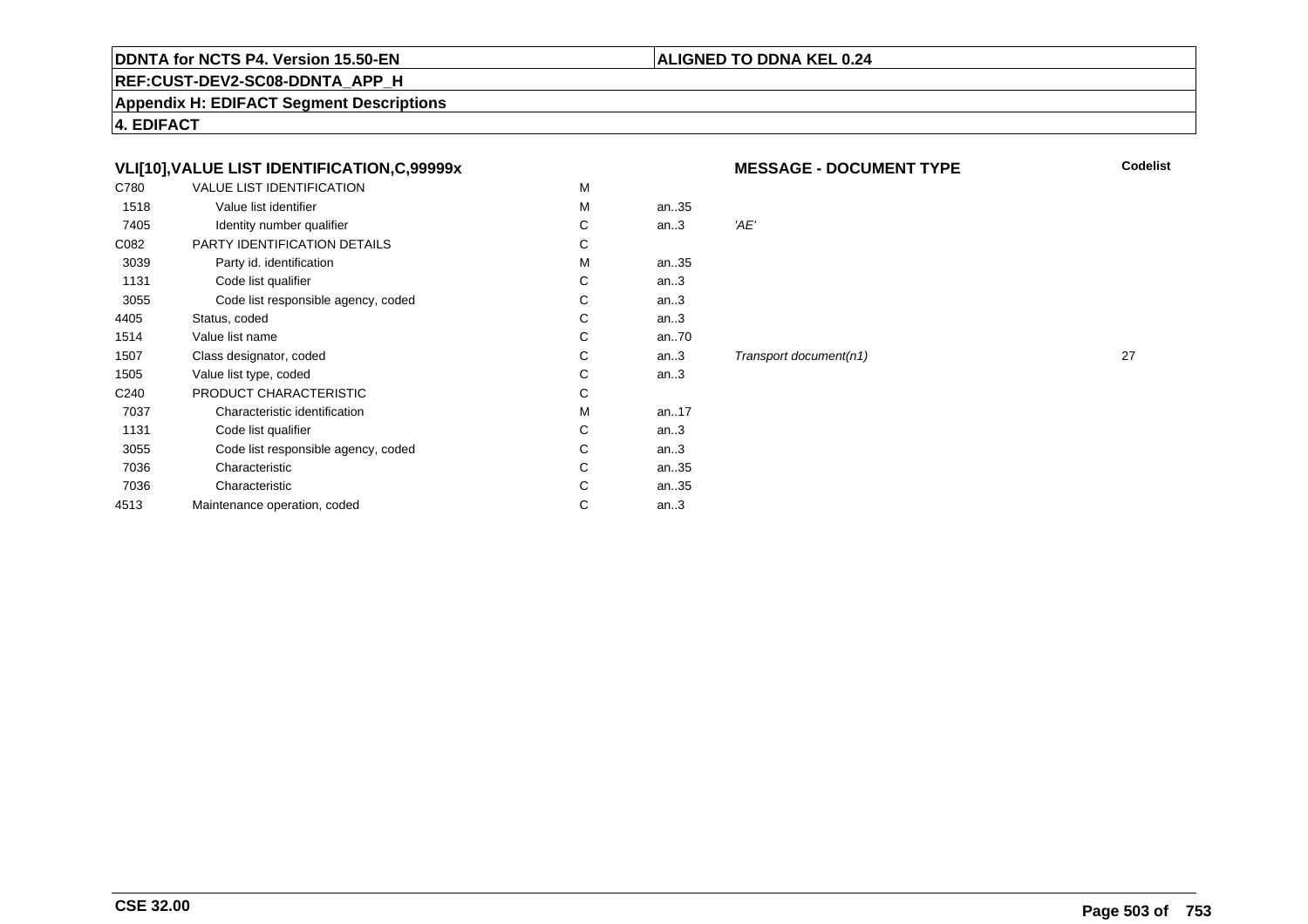#### **REF:CUST-DEV2-SC08-DDNTA\_APP\_H**

**Appendix H: EDIFACT Segment Descriptions**

**4. EDIFACT**

# **VLI[10],VALUE LIST IDENTIFICATION,C,99999x**

| C780             | <b>VALUE LIST IDENTIFICATION</b>    | M |           |      |
|------------------|-------------------------------------|---|-----------|------|
| 1518             | Value list identifier               | M | an35      |      |
| 7405             | Identity number qualifier           | С | an.3      | 'AE' |
| C082             | PARTY IDENTIFICATION DETAILS        | C |           |      |
| 3039             | Party id. identification            | M | an35      |      |
| 1131             | Code list qualifier                 | C | an.3      |      |
| 3055             | Code list responsible agency, coded | C | an.3      |      |
| 4405             | Status, coded                       | C | an.3      |      |
| 1514             | Value list name                     | C | an70      |      |
| 1507             | Class designator, coded             | C | an.3      | Trai |
| 1505             | Value list type, coded              | C | an.3      |      |
| C <sub>240</sub> | PRODUCT CHARACTERISTIC              | C |           |      |
| 7037             | Characteristic identification       | М | an. $.17$ |      |
| 1131             | Code list qualifier                 | C | an.3      |      |
| 3055             | Code list responsible agency, coded | C | an.3      |      |
| 7036             | Characteristic                      | C | an35      |      |
| 7036             | Characteristic                      | C | an35      |      |
| 4513             | Maintenance operation, coded        | С | an.3      |      |
|                  |                                     |   |           |      |

**MESSAGE - DOCUMENT TYPE**

**Codelist**

**ALIGNED TO DDNA KEL 0.24**

 $Transport document(n1)$  27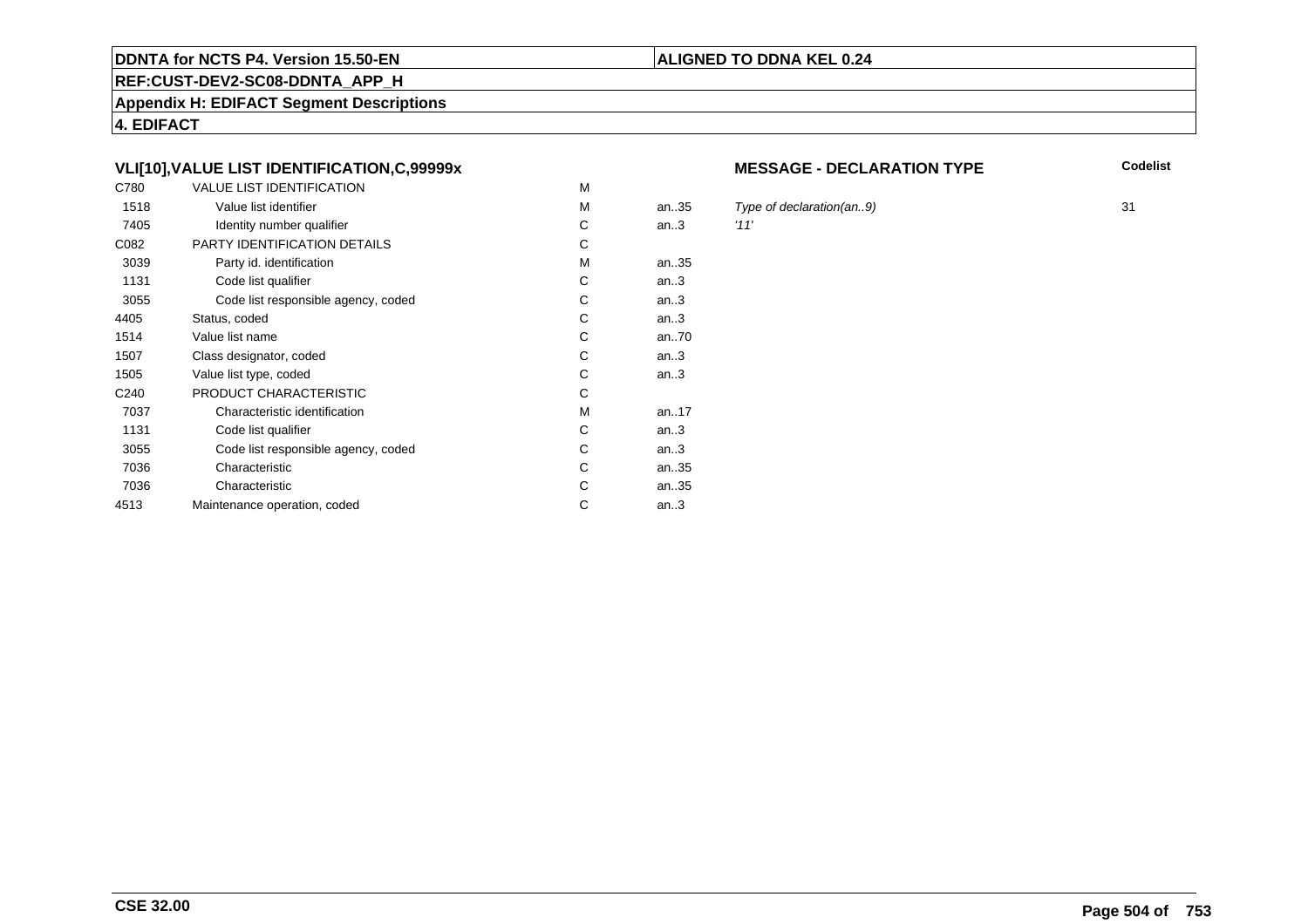# **REF:CUST-DEV2-SC08-DDNTA\_APP\_H**

**Appendix H: EDIFACT Segment Descriptions**

**4. EDIFACT**

# **VLI[10],VALUE LIST IDENTIFICATION,C,99999x**

| C780             | <b>VALUE LIST IDENTIFICATION</b>    | M |       |      |
|------------------|-------------------------------------|---|-------|------|
| 1518             | Value list identifier               | M | an.35 | Typ  |
| 7405             | Identity number qualifier           | С | an.3  | '11' |
| C082             | <b>PARTY IDENTIFICATION DETAILS</b> | С |       |      |
| 3039             | Party id. identification            | М | an35  |      |
| 1131             | Code list qualifier                 | C | an.3  |      |
| 3055             | Code list responsible agency, coded | C | an.3  |      |
| 4405             | Status, coded                       | C | an.3  |      |
| 1514             | Value list name                     | C | an70  |      |
| 1507             | Class designator, coded             | C | an.3  |      |
| 1505             | Value list type, coded              | С | an.3  |      |
| C <sub>240</sub> | PRODUCT CHARACTERISTIC              | С |       |      |
| 7037             | Characteristic identification       | М | an17  |      |
| 1131             | Code list qualifier                 | С | an.3  |      |
| 3055             | Code list responsible agency, coded | С | an.3  |      |
| 7036             | Characteristic                      | C | an35  |      |
| 7036             | Characteristic                      | C | an35  |      |
| 4513             | Maintenance operation, coded        | С | an.3  |      |
|                  |                                     |   |       |      |

#### **MESSAGE - DECLARATION TYPE**

**Codelist**

5 Type of declaration(an..9) 31<br>31 31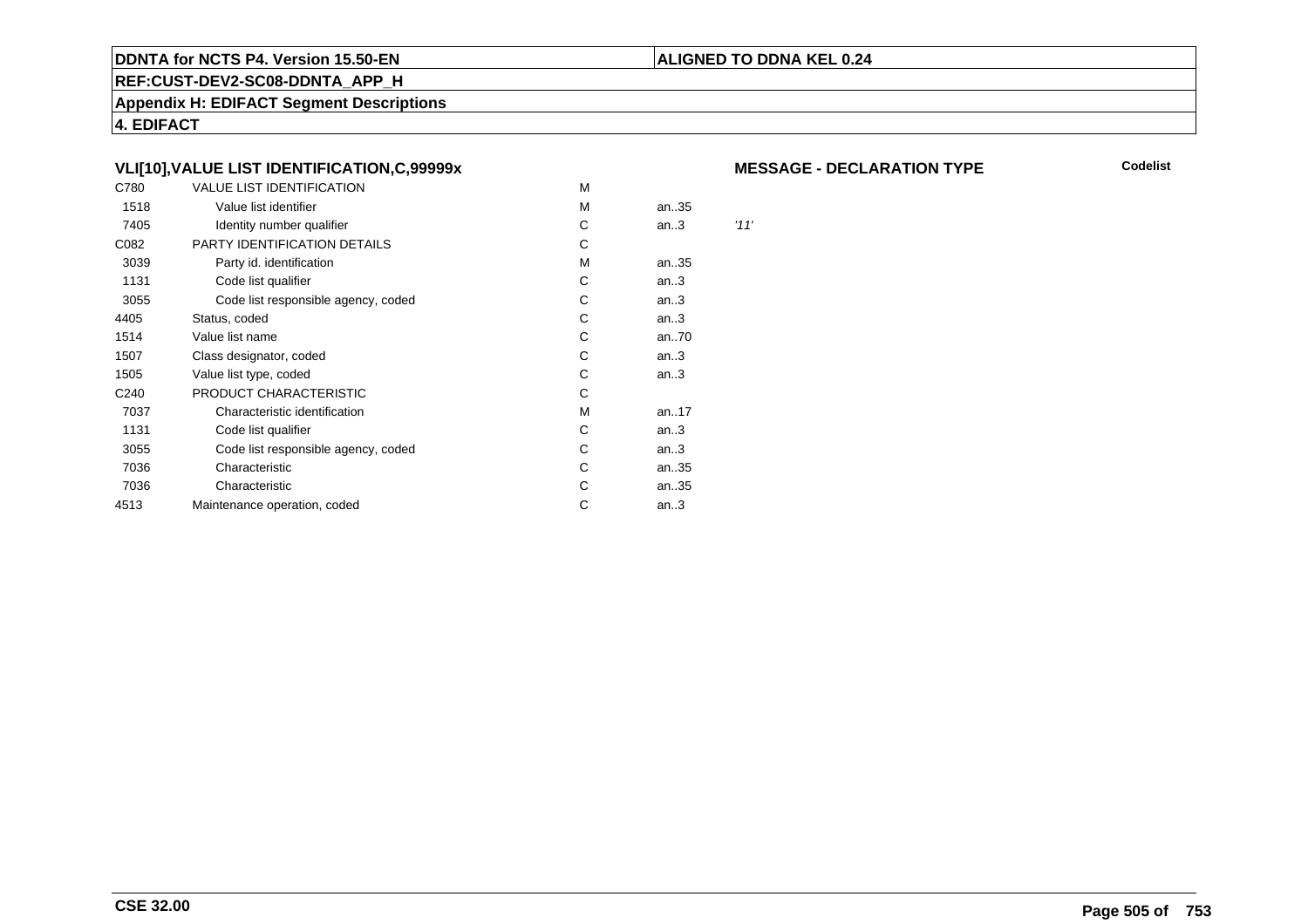#### **REF:CUST-DEV2-SC08-DDNTA\_APP\_H**

**Appendix H: EDIFACT Segment Descriptions**

**4. EDIFACT**

# **VLI[10],VALUE LIST IDENTIFICATION,C,99999x**

| C780             | VALUE LIST IDENTIFICATION           | M |      |      |
|------------------|-------------------------------------|---|------|------|
| 1518             | Value list identifier               | M | an35 |      |
| 7405             | Identity number qualifier           | С | an.3 | '11' |
| C082             | PARTY IDENTIFICATION DETAILS        | С |      |      |
| 3039             | Party id. identification            | м | an35 |      |
| 1131             | Code list qualifier                 | С | an.3 |      |
| 3055             | Code list responsible agency, coded | С | an.3 |      |
| 4405             | Status, coded                       | С | an.3 |      |
| 1514             | Value list name                     | C | an70 |      |
| 1507             | Class designator, coded             | C | an.3 |      |
| 1505             | Value list type, coded              | C | an.3 |      |
| C <sub>240</sub> | PRODUCT CHARACTERISTIC              | С |      |      |
| 7037             | Characteristic identification       | М | an17 |      |
| 1131             | Code list qualifier                 | С | an.3 |      |
| 3055             | Code list responsible agency, coded | С | an.3 |      |
| 7036             | Characteristic                      | С | an35 |      |
| 7036             | Characteristic                      | С | an35 |      |
| 4513             | Maintenance operation, coded        | С | an.3 |      |
|                  |                                     |   |      |      |

#### **MESSAGE - DECLARATION TYPE**

**Codelist**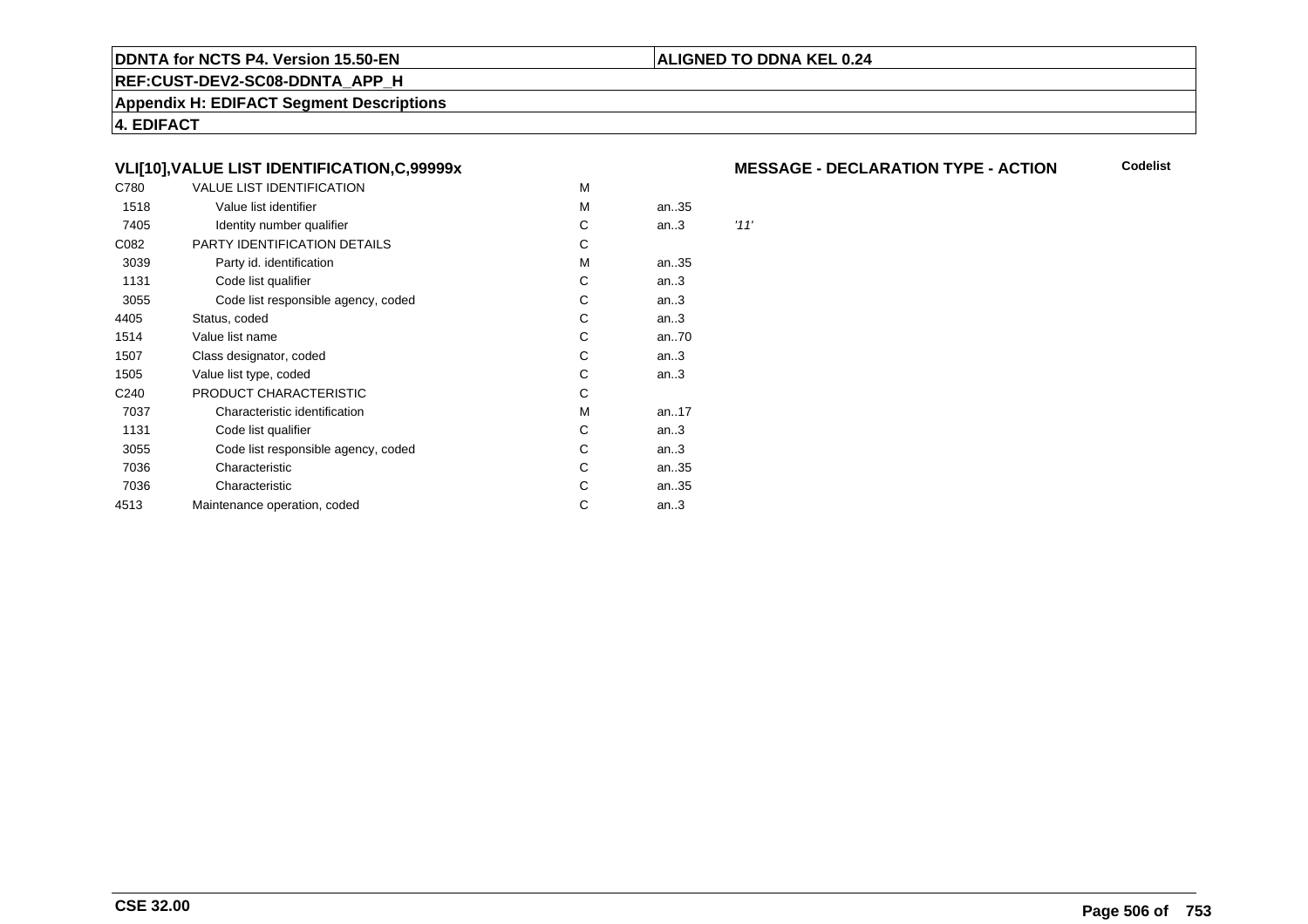#### **REF:CUST-DEV2-SC08-DDNTA\_APP\_H**

**Appendix H: EDIFACT Segment Descriptions**

**4. EDIFACT**

# **VLI[10],VALUE LIST IDENTIFICATION,C,99999x**

| C780             | <b>VALUE LIST IDENTIFICATION</b>    | M |      |      |
|------------------|-------------------------------------|---|------|------|
| 1518             | Value list identifier               | M | an35 |      |
| 7405             | Identity number qualifier           | С | an.3 | '11' |
| C082             | PARTY IDENTIFICATION DETAILS        | С |      |      |
| 3039             | Party id. identification            | М | an35 |      |
| 1131             | Code list qualifier                 | С | an.3 |      |
| 3055             | Code list responsible agency, coded | С | an.3 |      |
| 4405             | Status, coded                       | C | an.3 |      |
| 1514             | Value list name                     | C | an70 |      |
| 1507             | Class designator, coded             | C | an.3 |      |
| 1505             | Value list type, coded              | C | an.3 |      |
| C <sub>240</sub> | PRODUCT CHARACTERISTIC              | С |      |      |
| 7037             | Characteristic identification       | М | an17 |      |
| 1131             | Code list qualifier                 | С | an.3 |      |
| 3055             | Code list responsible agency, coded | С | an.3 |      |
| 7036             | Characteristic                      | С | an35 |      |
| 7036             | Characteristic                      | С | an35 |      |
| 4513             | Maintenance operation, coded        | С | an.3 |      |
|                  |                                     |   |      |      |

### **MESSAGE - DECLARATION TYPE - ACTION**

**Codelist**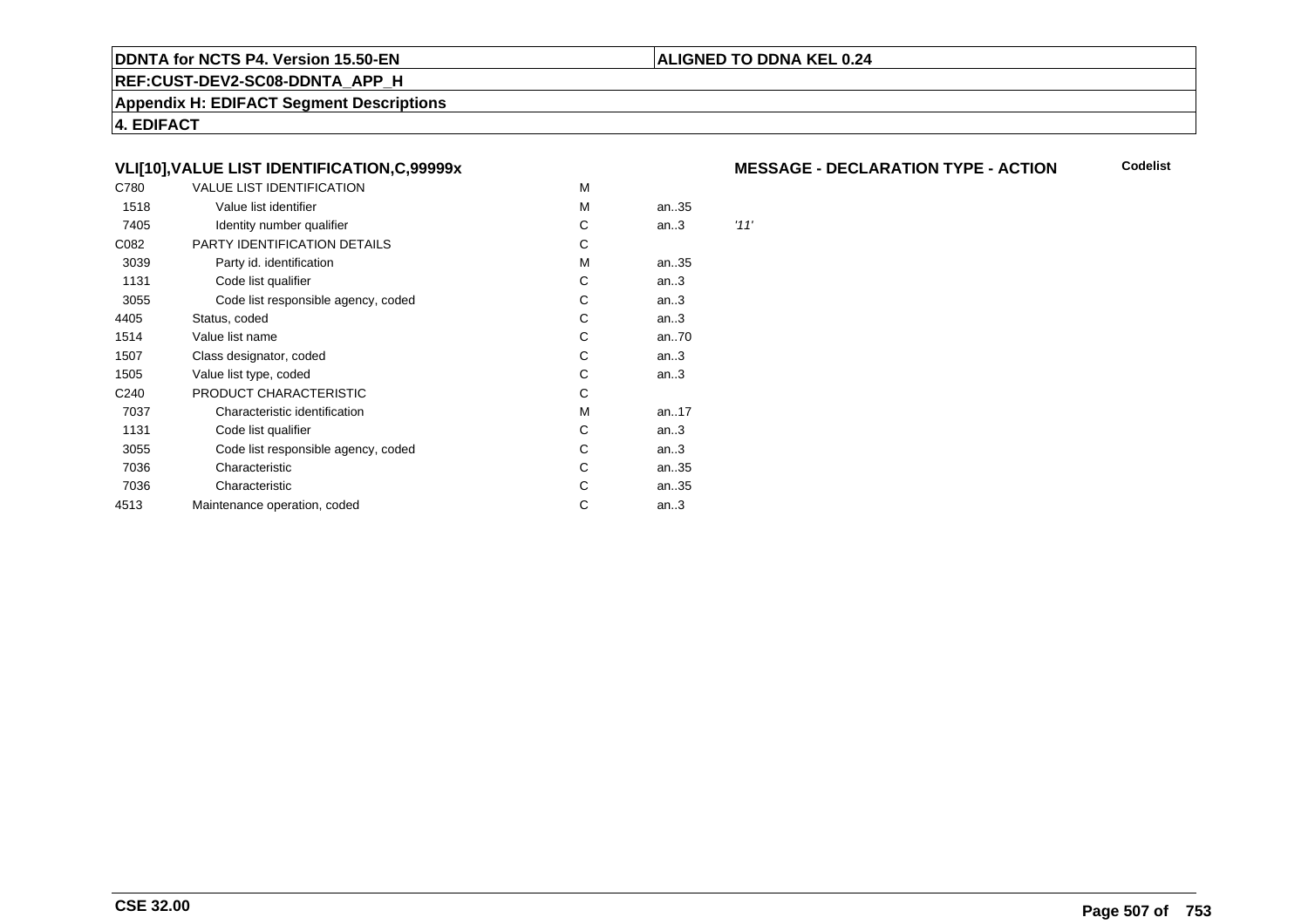#### **REF:CUST-DEV2-SC08-DDNTA\_APP\_H**

**Appendix H: EDIFACT Segment Descriptions**

**4. EDIFACT**

# **VLI[10],VALUE LIST IDENTIFICATION,C,99999x**

| C780             | <b>VALUE LIST IDENTIFICATION</b>    | M |      |      |
|------------------|-------------------------------------|---|------|------|
| 1518             | Value list identifier               | M | an35 |      |
| 7405             | Identity number qualifier           | С | an.3 | '11' |
| C082             | PARTY IDENTIFICATION DETAILS        | С |      |      |
| 3039             | Party id. identification            | М | an35 |      |
| 1131             | Code list qualifier                 | С | an.3 |      |
| 3055             | Code list responsible agency, coded | С | an.3 |      |
| 4405             | Status, coded                       | C | an.3 |      |
| 1514             | Value list name                     | C | an70 |      |
| 1507             | Class designator, coded             | C | an.3 |      |
| 1505             | Value list type, coded              | C | an.3 |      |
| C <sub>240</sub> | PRODUCT CHARACTERISTIC              | С |      |      |
| 7037             | Characteristic identification       | М | an17 |      |
| 1131             | Code list qualifier                 | С | an.3 |      |
| 3055             | Code list responsible agency, coded | С | an.3 |      |
| 7036             | Characteristic                      | С | an35 |      |
| 7036             | Characteristic                      | С | an35 |      |
| 4513             | Maintenance operation, coded        | С | an.3 |      |
|                  |                                     |   |      |      |

## **MESSAGE - DECLARATION TYPE - ACTION**

**Codelist**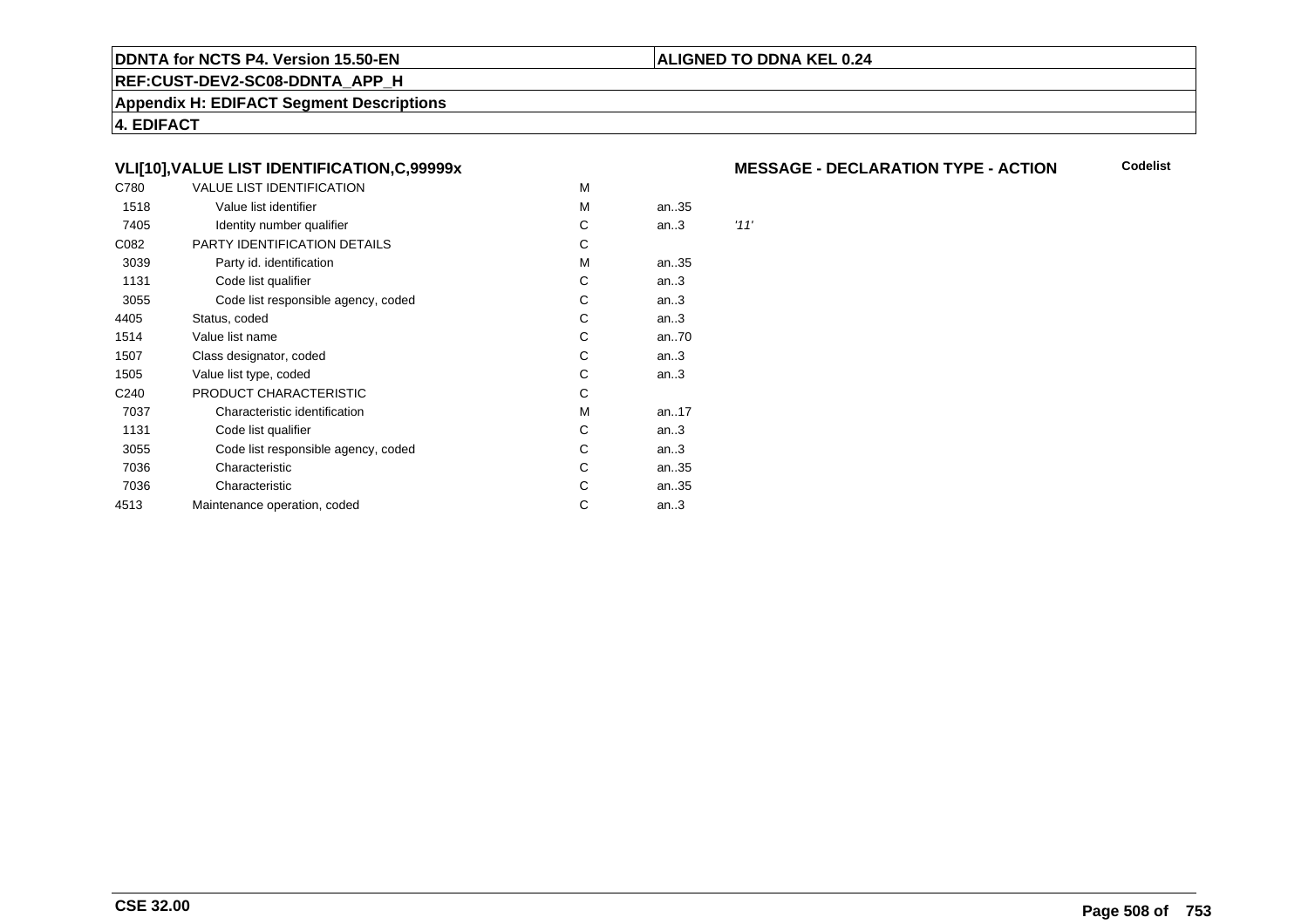#### **REF:CUST-DEV2-SC08-DDNTA\_APP\_H**

**Appendix H: EDIFACT Segment Descriptions**

**4. EDIFACT**

# **VLI[10],VALUE LIST IDENTIFICATION,C,99999x**

| C780             | <b>VALUE LIST IDENTIFICATION</b>    | M |      |      |
|------------------|-------------------------------------|---|------|------|
| 1518             | Value list identifier               | M | an35 |      |
| 7405             | Identity number qualifier           | С | an.3 | '11' |
| C082             | PARTY IDENTIFICATION DETAILS        | С |      |      |
| 3039             | Party id. identification            | M | an35 |      |
| 1131             | Code list qualifier                 | С | an.3 |      |
| 3055             | Code list responsible agency, coded | С | an.3 |      |
| 4405             | Status, coded                       | С | an.3 |      |
| 1514             | Value list name                     | C | an70 |      |
| 1507             | Class designator, coded             | C | an.3 |      |
| 1505             | Value list type, coded              | C | an.3 |      |
| C <sub>240</sub> | PRODUCT CHARACTERISTIC              | С |      |      |
| 7037             | Characteristic identification       | М | an17 |      |
| 1131             | Code list qualifier                 | С | an.3 |      |
| 3055             | Code list responsible agency, coded | С | an.3 |      |
| 7036             | Characteristic                      | С | an35 |      |
| 7036             | Characteristic                      | С | an35 |      |
| 4513             | Maintenance operation, coded        | С | an.3 |      |
|                  |                                     |   |      |      |

## **MESSAGE - DECLARATION TYPE - ACTION**

**Codelist**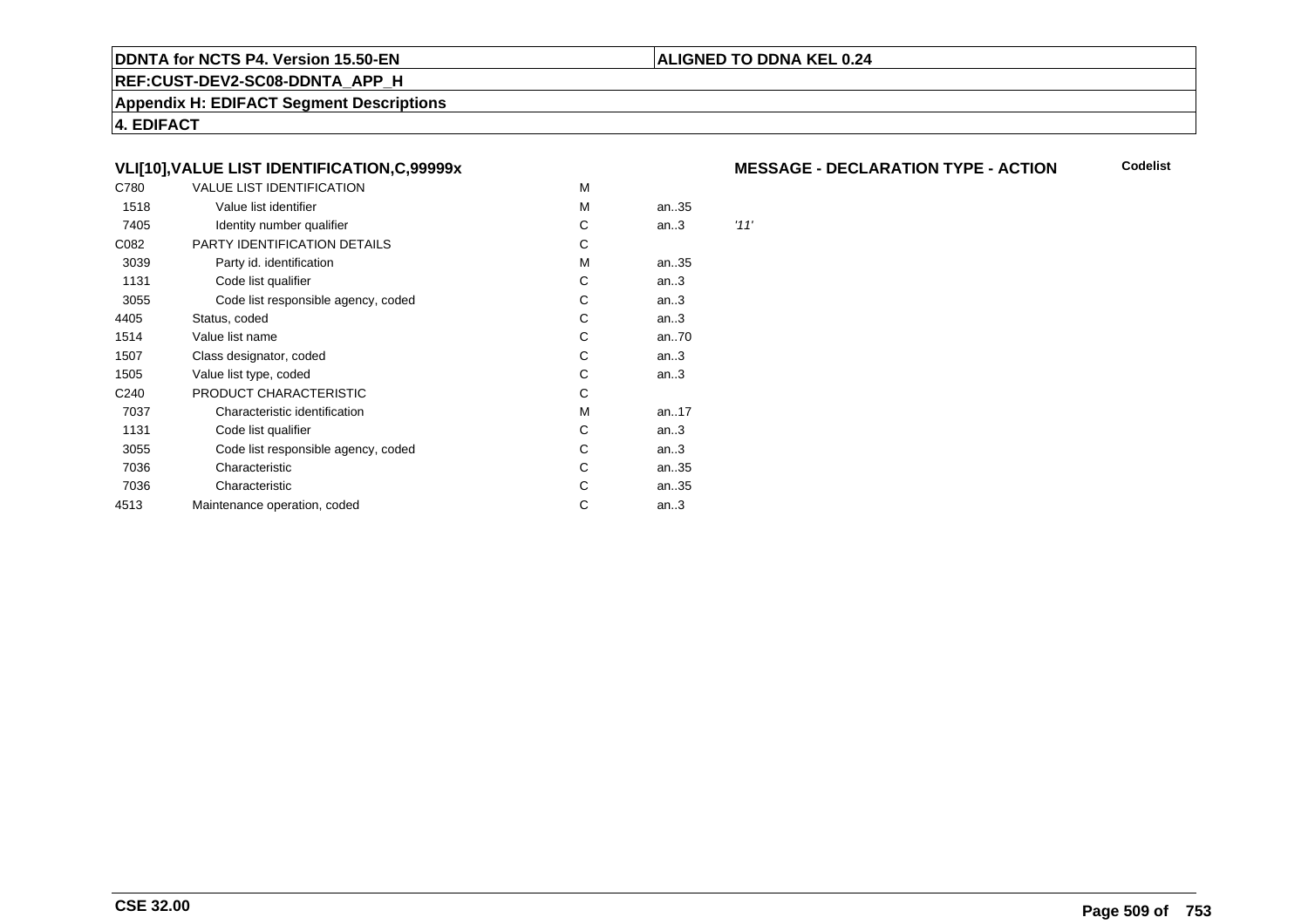#### **REF:CUST-DEV2-SC08-DDNTA\_APP\_H**

**Appendix H: EDIFACT Segment Descriptions**

**4. EDIFACT**

# **VLI[10],VALUE LIST IDENTIFICATION,C,99999x**

| C780             | <b>VALUE LIST IDENTIFICATION</b>    | M |      |      |
|------------------|-------------------------------------|---|------|------|
| 1518             | Value list identifier               | м | an35 |      |
| 7405             | Identity number qualifier           | С | an.3 | '11' |
| C082             | PARTY IDENTIFICATION DETAILS        | С |      |      |
| 3039             | Party id. identification            | М | an35 |      |
| 1131             | Code list qualifier                 | С | an.3 |      |
| 3055             | Code list responsible agency, coded | С | an.3 |      |
| 4405             | Status, coded                       | C | an.3 |      |
| 1514             | Value list name                     | C | an70 |      |
| 1507             | Class designator, coded             | C | an.3 |      |
| 1505             | Value list type, coded              | С | an.3 |      |
| C <sub>240</sub> | PRODUCT CHARACTERISTIC              | С |      |      |
| 7037             | Characteristic identification       | М | an17 |      |
| 1131             | Code list qualifier                 | С | an.3 |      |
| 3055             | Code list responsible agency, coded | С | an.3 |      |
| 7036             | Characteristic                      | С | an35 |      |
| 7036             | Characteristic                      | С | an35 |      |
| 4513             | Maintenance operation, coded        | С | an.3 |      |
|                  |                                     |   |      |      |

### **MESSAGE - DECLARATION TYPE - ACTION**

**Codelist**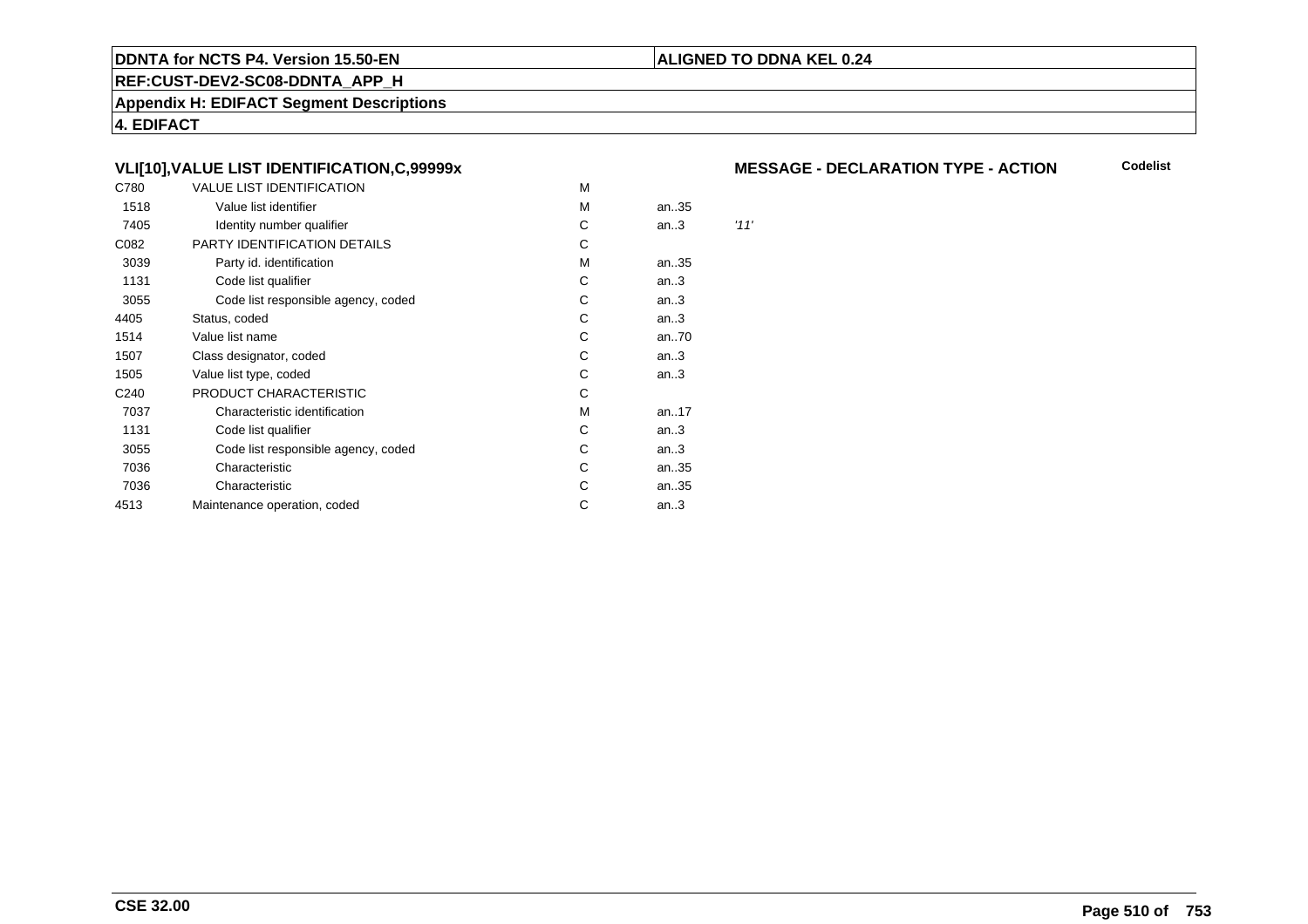#### **REF:CUST-DEV2-SC08-DDNTA\_APP\_H**

**Appendix H: EDIFACT Segment Descriptions**

**4. EDIFACT**

# **VLI[10],VALUE LIST IDENTIFICATION,C,99999x**

| C780             | <b>VALUE LIST IDENTIFICATION</b>    | M |      |      |
|------------------|-------------------------------------|---|------|------|
| 1518             | Value list identifier               | M | an35 |      |
| 7405             | Identity number qualifier           | С | an.3 | '11' |
| C082             | PARTY IDENTIFICATION DETAILS        | С |      |      |
| 3039             | Party id. identification            | M | an35 |      |
| 1131             | Code list qualifier                 | С | an.3 |      |
| 3055             | Code list responsible agency, coded | С | an.3 |      |
| 4405             | Status, coded                       | С | an.3 |      |
| 1514             | Value list name                     | C | an70 |      |
| 1507             | Class designator, coded             | C | an.3 |      |
| 1505             | Value list type, coded              | C | an.3 |      |
| C <sub>240</sub> | PRODUCT CHARACTERISTIC              | С |      |      |
| 7037             | Characteristic identification       | М | an17 |      |
| 1131             | Code list qualifier                 | С | an.3 |      |
| 3055             | Code list responsible agency, coded | С | an.3 |      |
| 7036             | Characteristic                      | С | an35 |      |
| 7036             | Characteristic                      | С | an35 |      |
| 4513             | Maintenance operation, coded        | С | an.3 |      |
|                  |                                     |   |      |      |

## **MESSAGE - DECLARATION TYPE - ACTION**

**Codelist**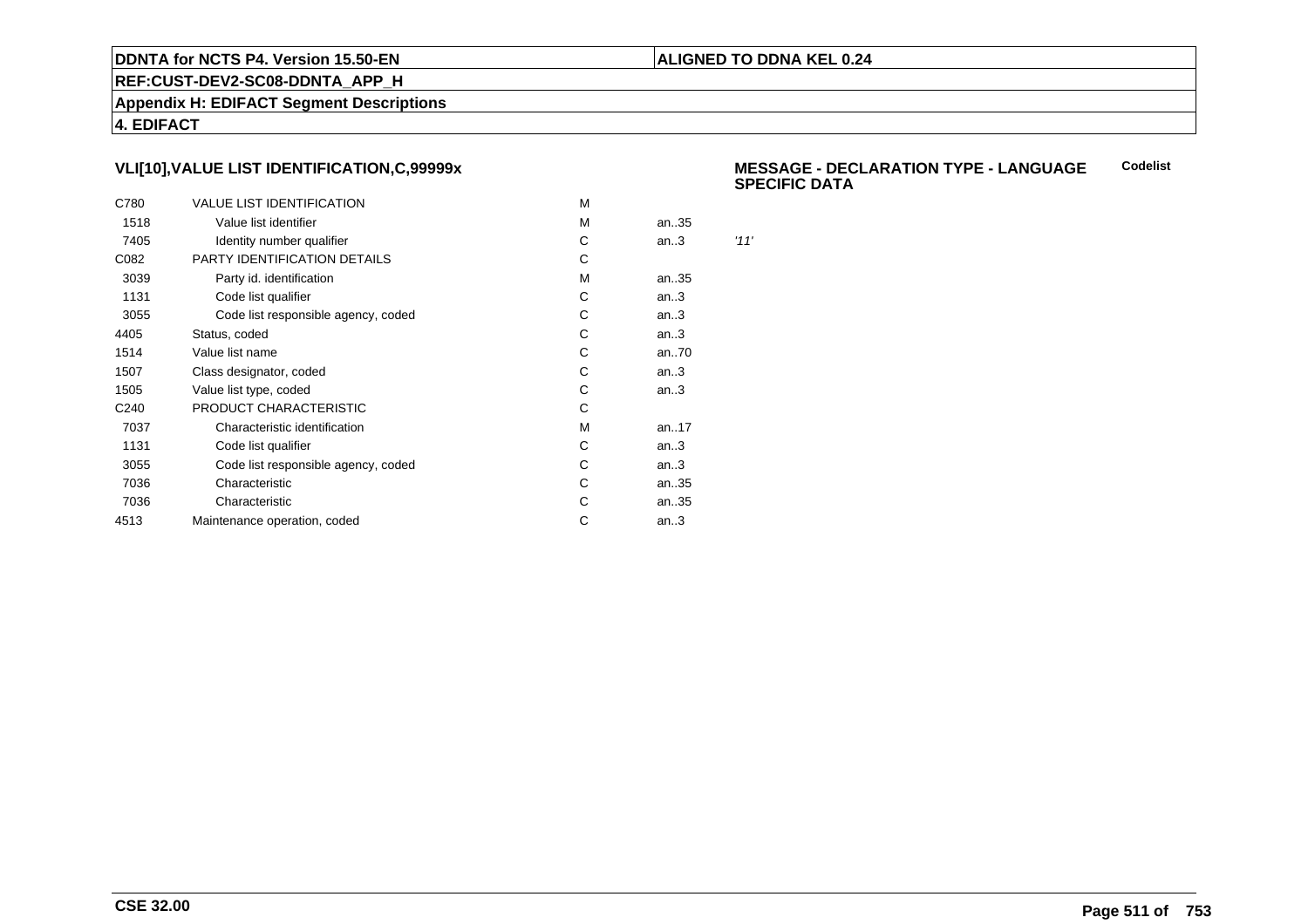## **ALIGNED TO DDNA KEL 0.24**

**REF:CUST-DEV2-SC08-DDNTA\_APP\_H**

**Appendix H: EDIFACT Segment Descriptions**

**4. EDIFACT**

# **VLI[10],VALUE LIST IDENTIFICATION,C,99999x**

| C780             | <b>VALUE LIST IDENTIFICATION</b>    | M |      |      |
|------------------|-------------------------------------|---|------|------|
| 1518             | Value list identifier               | M | an35 |      |
| 7405             | Identity number qualifier           | С | an.3 | '11' |
| C082             | PARTY IDENTIFICATION DETAILS        | С |      |      |
| 3039             | Party id. identification            | м | an35 |      |
| 1131             | Code list qualifier                 | С | an.3 |      |
| 3055             | Code list responsible agency, coded | С | an.3 |      |
| 4405             | Status, coded                       | С | an.3 |      |
| 1514             | Value list name                     | C | an70 |      |
| 1507             | Class designator, coded             | С | an.3 |      |
| 1505             | Value list type, coded              | С | an.3 |      |
| C <sub>240</sub> | PRODUCT CHARACTERISTIC              | С |      |      |
| 7037             | Characteristic identification       | м | an17 |      |
| 1131             | Code list qualifier                 | С | an.3 |      |
| 3055             | Code list responsible agency, coded | С | an.3 |      |
| 7036             | Characteristic                      | C | an35 |      |
| 7036             | Characteristic                      | С | an35 |      |
| 4513             | Maintenance operation, coded        | С | an.3 |      |
|                  |                                     |   |      |      |

#### **MESSAGE - DECLARATION TYPE - LANGUAGESPECIFIC DATACodelist**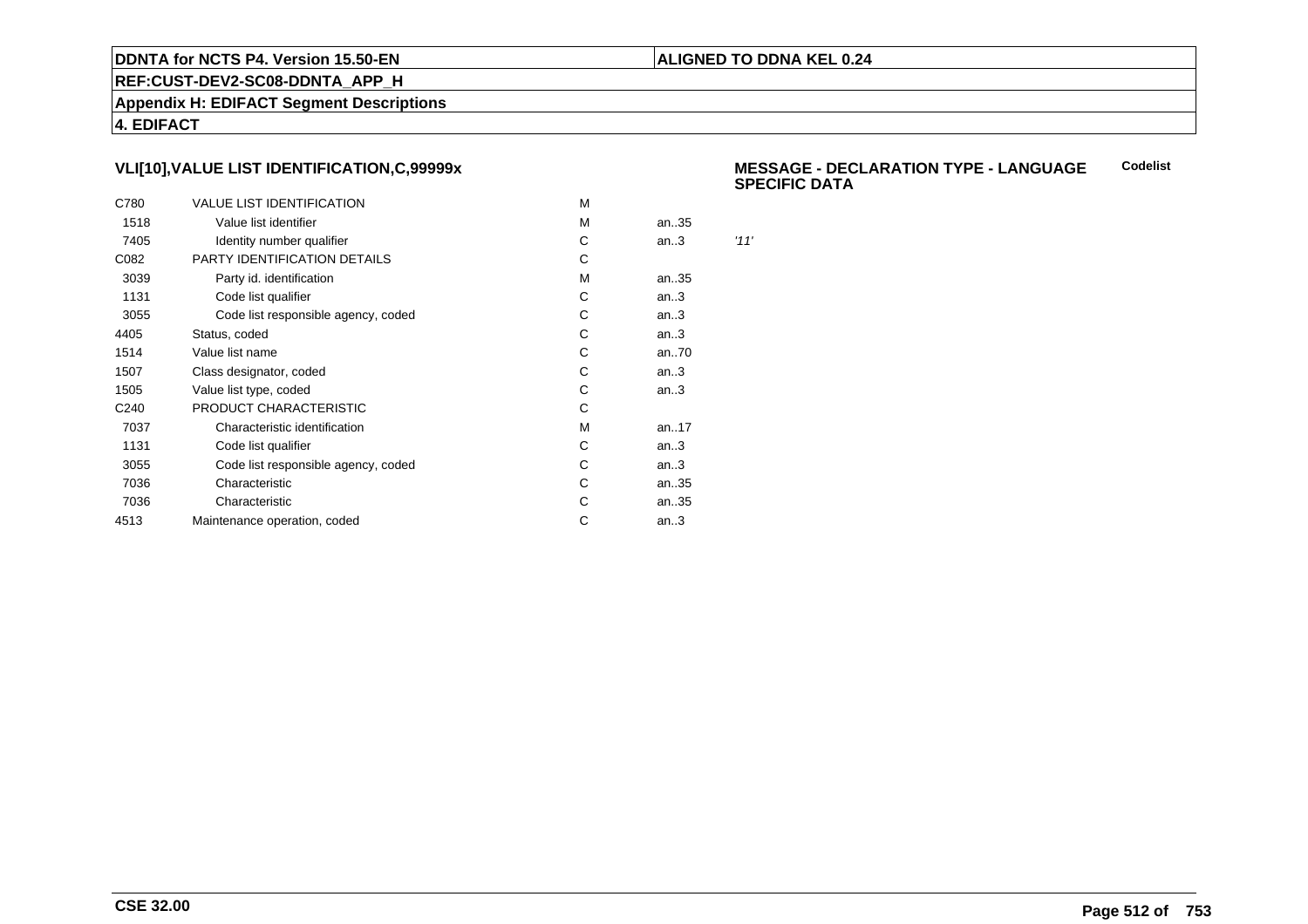## **ALIGNED TO DDNA KEL 0.24**

**REF:CUST-DEV2-SC08-DDNTA\_APP\_H**

**Appendix H: EDIFACT Segment Descriptions**

**4. EDIFACT**

# **VLI[10],VALUE LIST IDENTIFICATION,C,99999x**

| C780             | <b>VALUE LIST IDENTIFICATION</b>    | M |      |      |
|------------------|-------------------------------------|---|------|------|
| 1518             | Value list identifier               | M | an35 |      |
| 7405             | Identity number qualifier           | С | an.3 | '11' |
| C082             | PARTY IDENTIFICATION DETAILS        | С |      |      |
| 3039             | Party id. identification            | м | an35 |      |
| 1131             | Code list qualifier                 | С | an.3 |      |
| 3055             | Code list responsible agency, coded | С | an.3 |      |
| 4405             | Status, coded                       | С | an.3 |      |
| 1514             | Value list name                     | C | an70 |      |
| 1507             | Class designator, coded             | С | an.3 |      |
| 1505             | Value list type, coded              | С | an.3 |      |
| C <sub>240</sub> | PRODUCT CHARACTERISTIC              | С |      |      |
| 7037             | Characteristic identification       | м | an17 |      |
| 1131             | Code list qualifier                 | С | an.3 |      |
| 3055             | Code list responsible agency, coded | С | an.3 |      |
| 7036             | Characteristic                      | C | an35 |      |
| 7036             | Characteristic                      | С | an35 |      |
| 4513             | Maintenance operation, coded        | С | an.3 |      |
|                  |                                     |   |      |      |

#### **MESSAGE - DECLARATION TYPE - LANGUAGESPECIFIC DATACodelist**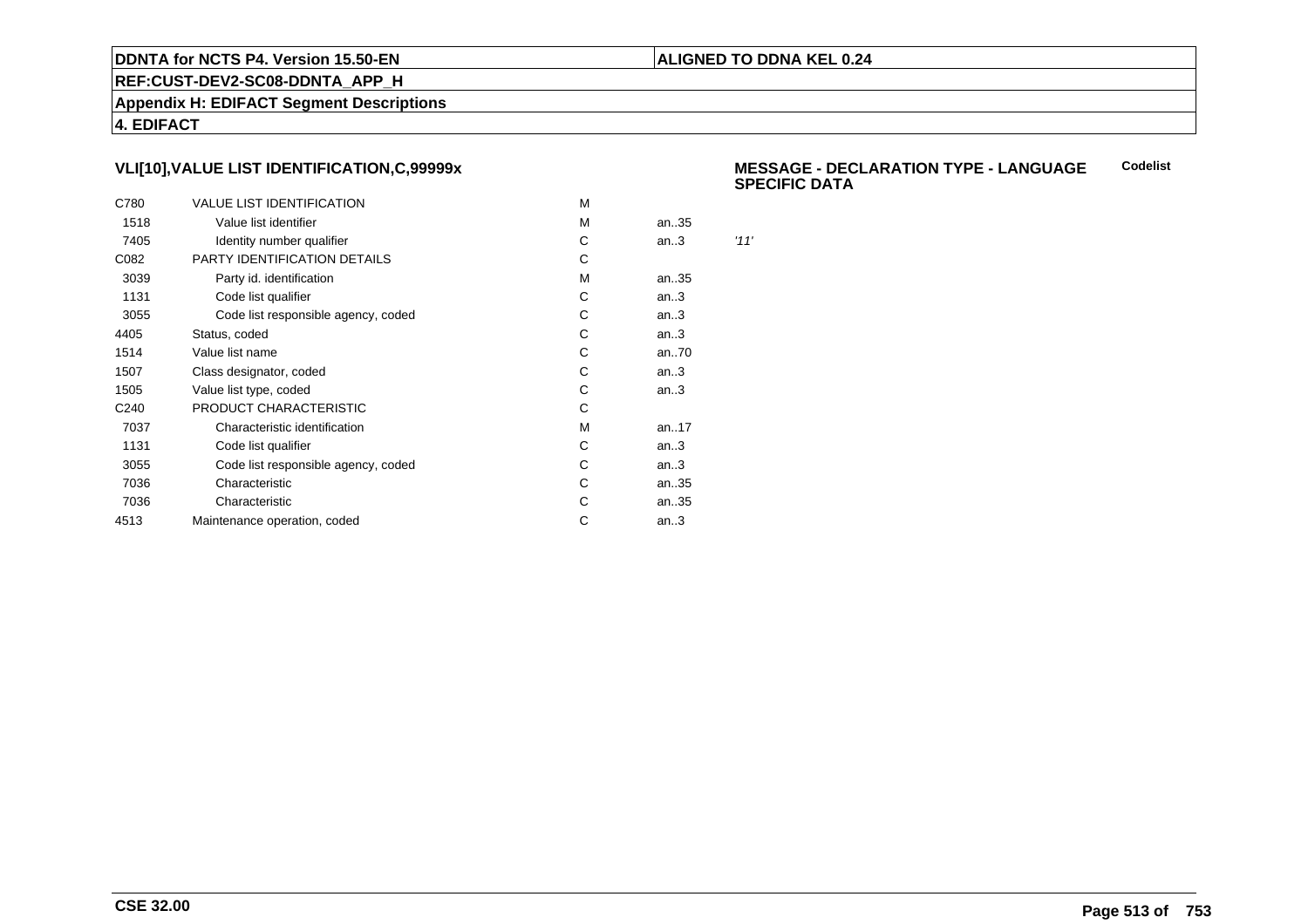## **ALIGNED TO DDNA KEL 0.24**

**REF:CUST-DEV2-SC08-DDNTA\_APP\_H**

**Appendix H: EDIFACT Segment Descriptions**

**4. EDIFACT**

# **VLI[10],VALUE LIST IDENTIFICATION,C,99999x**

| C780             | <b>VALUE LIST IDENTIFICATION</b>    | M |      |      |
|------------------|-------------------------------------|---|------|------|
| 1518             | Value list identifier               | M | an35 |      |
| 7405             | Identity number qualifier           | С | an.3 | '11' |
| C082             | PARTY IDENTIFICATION DETAILS        | С |      |      |
| 3039             | Party id. identification            | м | an35 |      |
| 1131             | Code list qualifier                 | С | an.3 |      |
| 3055             | Code list responsible agency, coded | С | an.3 |      |
| 4405             | Status, coded                       | С | an.3 |      |
| 1514             | Value list name                     | C | an70 |      |
| 1507             | Class designator, coded             | С | an.3 |      |
| 1505             | Value list type, coded              | С | an.3 |      |
| C <sub>240</sub> | PRODUCT CHARACTERISTIC              | С |      |      |
| 7037             | Characteristic identification       | м | an17 |      |
| 1131             | Code list qualifier                 | С | an.3 |      |
| 3055             | Code list responsible agency, coded | С | an.3 |      |
| 7036             | Characteristic                      | C | an35 |      |
| 7036             | Characteristic                      | С | an35 |      |
| 4513             | Maintenance operation, coded        | С | an.3 |      |
|                  |                                     |   |      |      |

#### **MESSAGE - DECLARATION TYPE - LANGUAGESPECIFIC DATACodelist**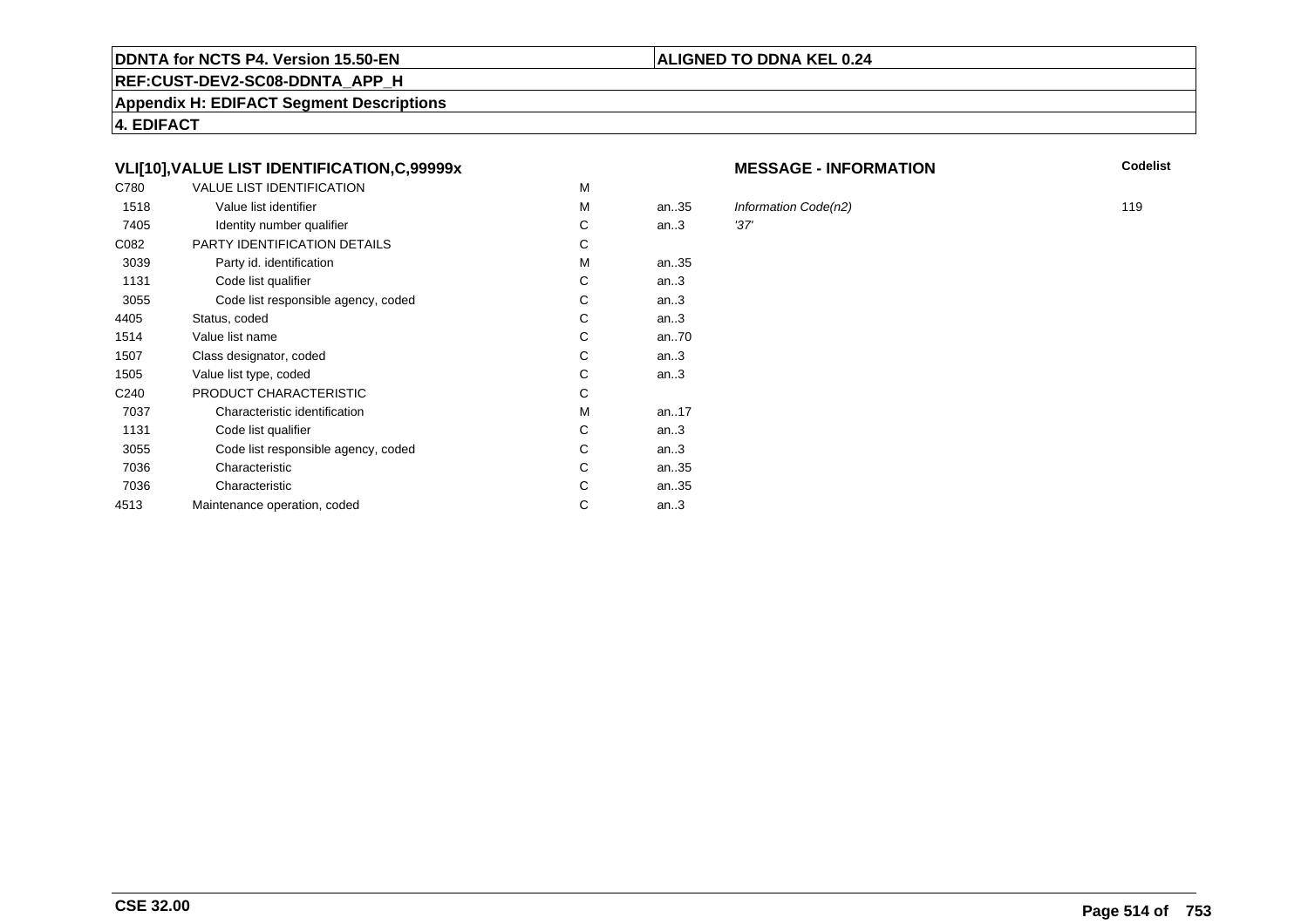#### **REF:CUST-DEV2-SC08-DDNTA\_APP\_H**

**Appendix H: EDIFACT Segment Descriptions**

**4. EDIFACT**

# **VLI[10],VALUE LIST IDENTIFICATION,C,99999x**

| C780             | <b>VALUE LIST IDENTIFICATION</b>    | M |           |      |
|------------------|-------------------------------------|---|-----------|------|
| 1518             | Value list identifier               | M | an.35     | Infc |
| 7405             | Identity number qualifier           | С | an.3      | '37' |
| C082             | PARTY IDENTIFICATION DETAILS        | С |           |      |
| 3039             | Party id. identification            | м | an35      |      |
| 1131             | Code list qualifier                 | C | an.3      |      |
| 3055             | Code list responsible agency, coded | C | an.3      |      |
| 4405             | Status, coded                       | С | an.3      |      |
| 1514             | Value list name                     | C | an70      |      |
| 1507             | Class designator, coded             | C | an.3      |      |
| 1505             | Value list type, coded              | С | an.3      |      |
| C <sub>240</sub> | PRODUCT CHARACTERISTIC              | С |           |      |
| 7037             | Characteristic identification       | м | an. $.17$ |      |
| 1131             | Code list qualifier                 | С | an.3      |      |
| 3055             | Code list responsible agency, coded | С | an.3      |      |
| 7036             | Characteristic                      | C | an35      |      |
| 7036             | Characteristic                      | С | an35      |      |
| 4513             | Maintenance operation, coded        | С | an.3      |      |
|                  |                                     |   |           |      |

#### **MESSAGE - INFORMATION**

**N** Codelist

Information Code(n2) 119<br>.37' 119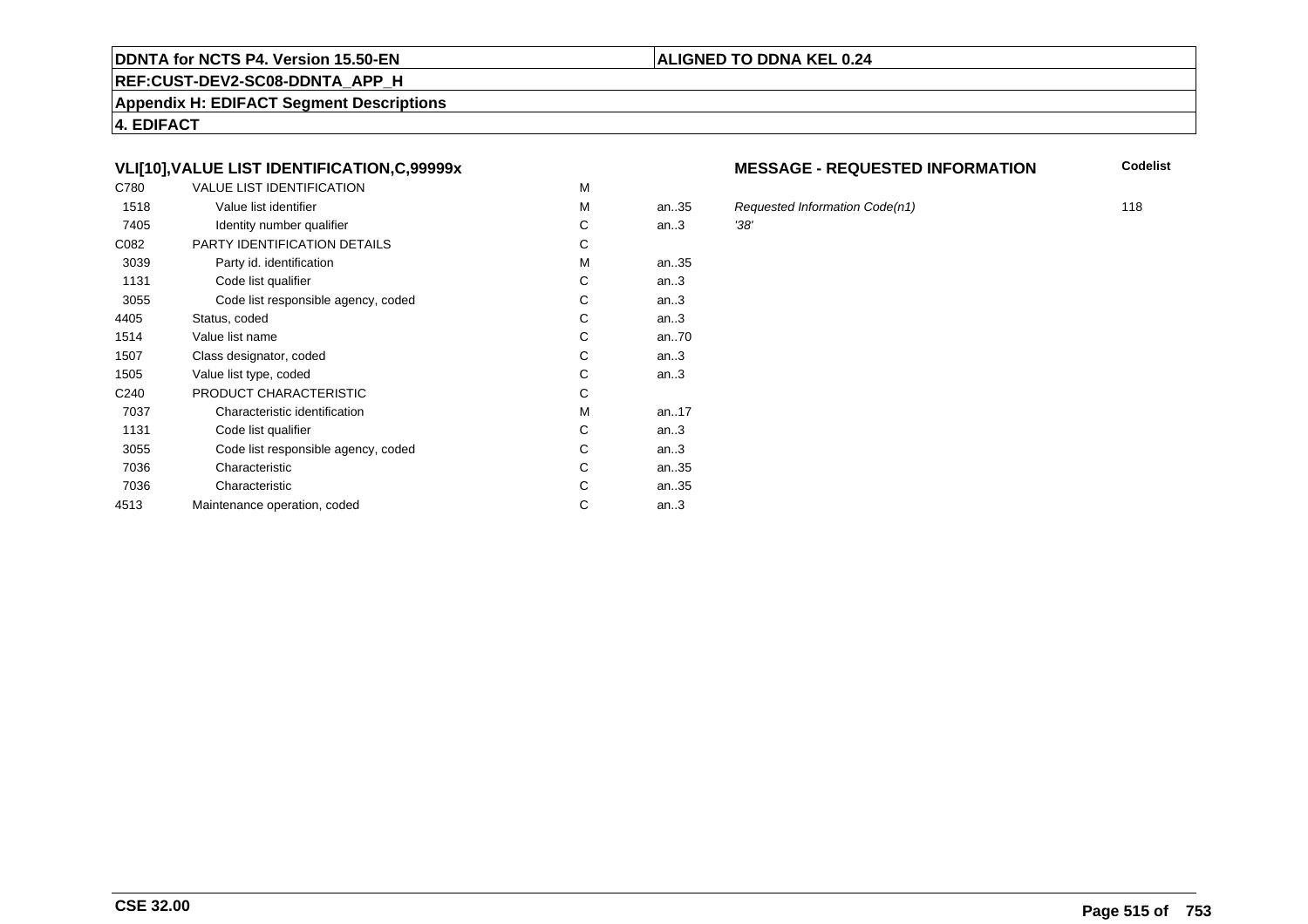#### **REF:CUST-DEV2-SC08-DDNTA\_APP\_H**

**Appendix H: EDIFACT Segment Descriptions**

**4. EDIFACT**

# **VLI[10],VALUE LIST IDENTIFICATION,C,99999x**

| C780             | <b>VALUE LIST IDENTIFICATION</b>    | M |      |      |
|------------------|-------------------------------------|---|------|------|
| 1518             | Value list identifier               | M | an35 | Red  |
| 7405             | Identity number qualifier           | С | an.3 | '38' |
| C082             | PARTY IDENTIFICATION DETAILS        | C |      |      |
| 3039             | Party id. identification            | м | an35 |      |
| 1131             | Code list qualifier                 | C | an.3 |      |
| 3055             | Code list responsible agency, coded | С | an.3 |      |
| 4405             | Status, coded                       | С | an.3 |      |
| 1514             | Value list name                     | С | an70 |      |
| 1507             | Class designator, coded             | C | an.3 |      |
| 1505             | Value list type, coded              | С | an.3 |      |
| C <sub>240</sub> | PRODUCT CHARACTERISTIC              | С |      |      |
| 7037             | Characteristic identification       | М | an17 |      |
| 1131             | Code list qualifier                 | С | an.3 |      |
| 3055             | Code list responsible agency, coded | С | an.3 |      |
| 7036             | Characteristic                      | C | an35 |      |
| 7036             | Characteristic                      | C | an35 |      |
| 4513             | Maintenance operation, coded        | С | an.3 |      |
|                  |                                     |   |      |      |

#### **MESSAGE - REQUESTED INFORMATION**

**Codelist**

Requested Information Code(n1) 118<br>.38'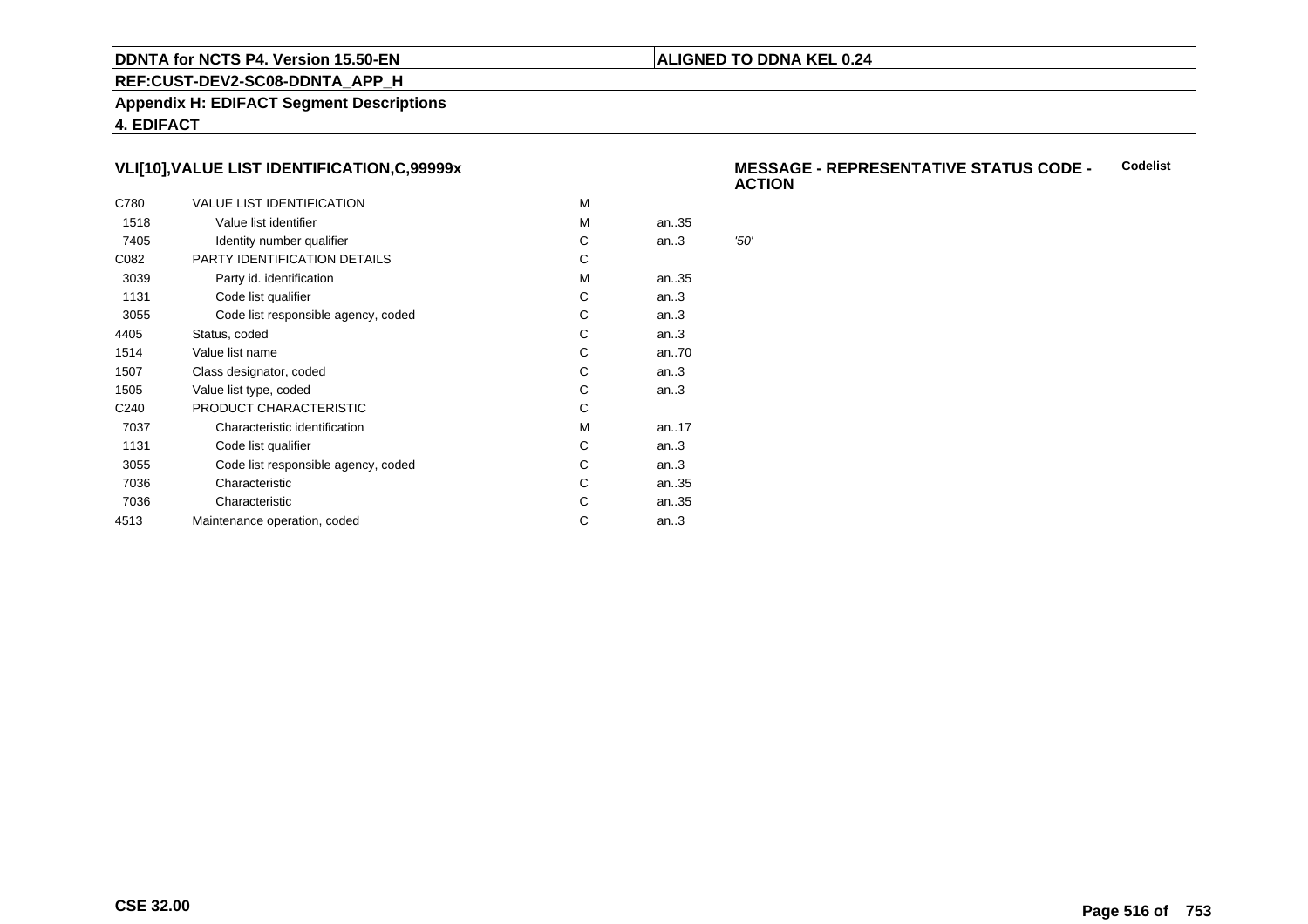## **ALIGNED TO DDNA KEL 0.24**

**REF:CUST-DEV2-SC08-DDNTA\_APP\_H**

**Appendix H: EDIFACT Segment Descriptions**

**4. EDIFACT**

# **VLI[10],VALUE LIST IDENTIFICATION,C,99999x**

| C780             | <b>VALUE LIST IDENTIFICATION</b>    | м |      |      |
|------------------|-------------------------------------|---|------|------|
| 1518             | Value list identifier               | м | an35 |      |
| 7405             | Identity number qualifier           | С | an.3 | '50' |
| C082             | PARTY IDENTIFICATION DETAILS        | С |      |      |
| 3039             | Party id. identification            | м | an35 |      |
| 1131             | Code list qualifier                 | C | an.3 |      |
| 3055             | Code list responsible agency, coded | С | an.3 |      |
| 4405             | Status, coded                       | C | an.3 |      |
| 1514             | Value list name                     | С | an70 |      |
| 1507             | Class designator, coded             | С | an.3 |      |
| 1505             | Value list type, coded              | С | an.3 |      |
| C <sub>240</sub> | PRODUCT CHARACTERISTIC              | С |      |      |
| 7037             | Characteristic identification       | м | an17 |      |
| 1131             | Code list qualifier                 | С | an.3 |      |
| 3055             | Code list responsible agency, coded | С | an.3 |      |
| 7036             | Characteristic                      | C | an35 |      |
| 7036             | Characteristic                      | С | an35 |      |
| 4513             | Maintenance operation, coded        | С | an.3 |      |
|                  |                                     |   |      |      |

#### **MESSAGE - REPRESENTATIVE STATUS CODE - ACTIONCodelist**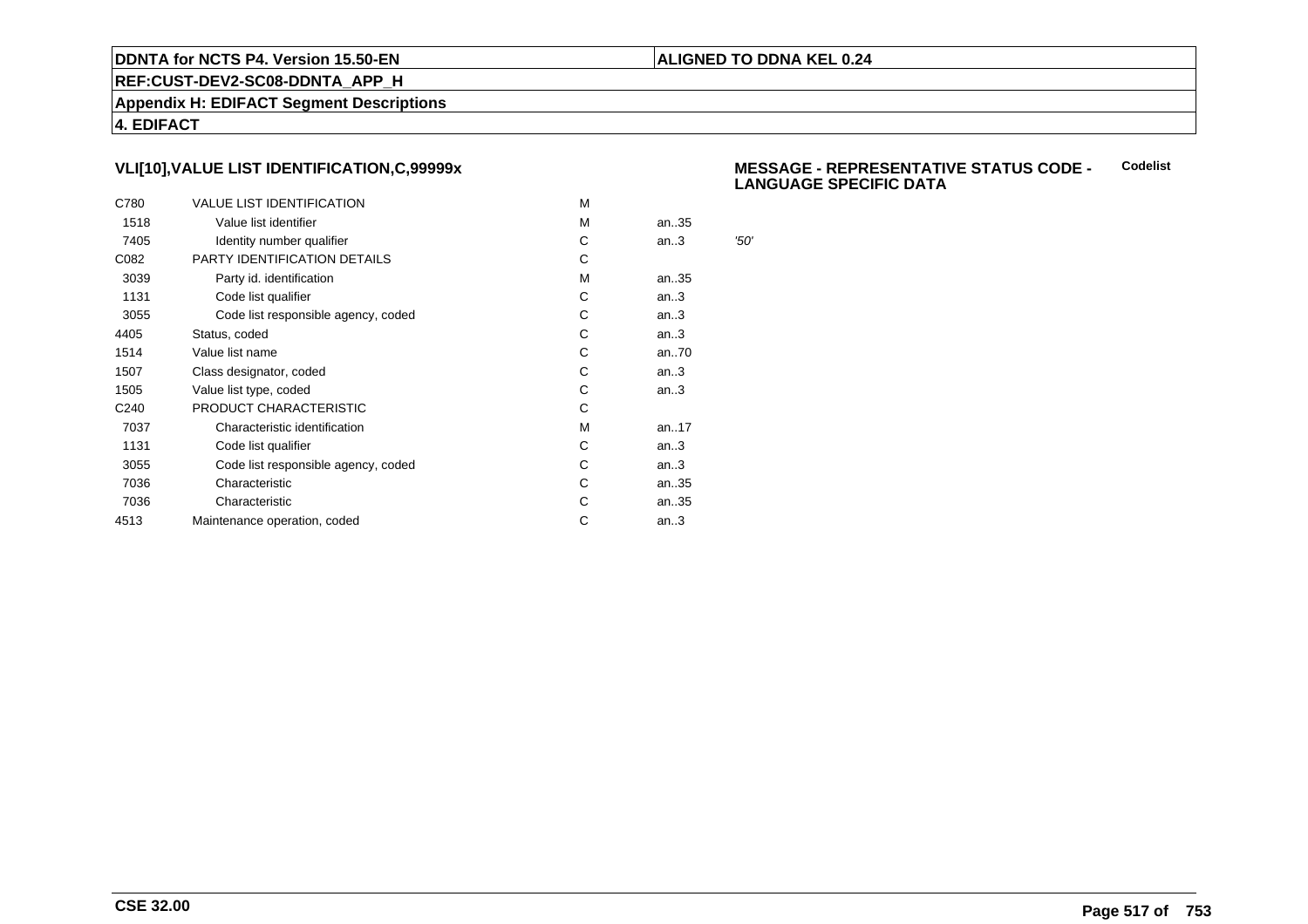## **ALIGNED TO DDNA KEL 0.24**

**REF:CUST-DEV2-SC08-DDNTA\_APP\_H**

**Appendix H: EDIFACT Segment Descriptions**

**4. EDIFACT**

# **VLI[10],VALUE LIST IDENTIFICATION,C,99999x**

| C780             | <b>VALUE LIST IDENTIFICATION</b>    | M |      |      |
|------------------|-------------------------------------|---|------|------|
| 1518             | Value list identifier               | M | an35 |      |
| 7405             | Identity number qualifier           | С | an.3 | '50' |
| C082             | PARTY IDENTIFICATION DETAILS        | С |      |      |
| 3039             | Party id. identification            | м | an35 |      |
| 1131             | Code list qualifier                 | С | an.3 |      |
| 3055             | Code list responsible agency, coded | С | an.3 |      |
| 4405             | Status, coded                       | С | an.3 |      |
| 1514             | Value list name                     | C | an70 |      |
| 1507             | Class designator, coded             | С | an.3 |      |
| 1505             | Value list type, coded              | С | an.3 |      |
| C <sub>240</sub> | PRODUCT CHARACTERISTIC              | С |      |      |
| 7037             | Characteristic identification       | м | an17 |      |
| 1131             | Code list qualifier                 | С | an.3 |      |
| 3055             | Code list responsible agency, coded | С | an.3 |      |
| 7036             | Characteristic                      | C | an35 |      |
| 7036             | Characteristic                      | С | an35 |      |
| 4513             | Maintenance operation, coded        | С | an.3 |      |
|                  |                                     |   |      |      |

#### **MESSAGE - REPRESENTATIVE STATUS CODE - LANGUAGE SPECIFIC DATACodelist**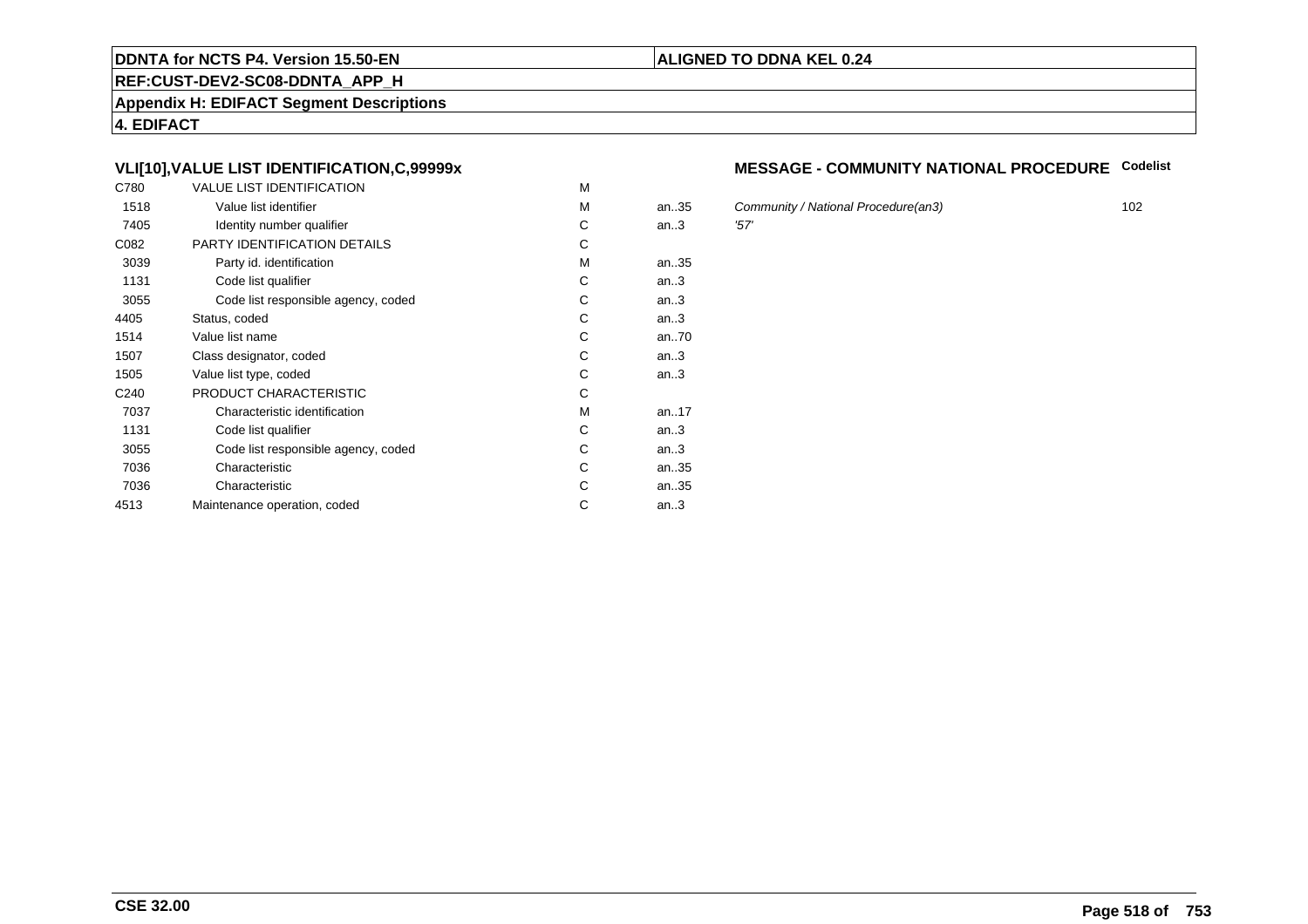#### **REF:CUST-DEV2-SC08-DDNTA\_APP\_H**

**Appendix H: EDIFACT Segment Descriptions**

**4. EDIFACT**

# **VLI[10],VALUE LIST IDENTIFICATION,C,99999x**

| C780             | <b>VALUE LIST IDENTIFICATION</b>    | M |           |      |
|------------------|-------------------------------------|---|-----------|------|
| 1518             | Value list identifier               | M | an.35     | Cor  |
| 7405             | Identity number qualifier           | С | an.3      | '57' |
| C082             | PARTY IDENTIFICATION DETAILS        | С |           |      |
| 3039             | Party id. identification            | м | an35      |      |
| 1131             | Code list qualifier                 | C | an.3      |      |
| 3055             | Code list responsible agency, coded | C | an.3      |      |
| 4405             | Status, coded                       | С | an.3      |      |
| 1514             | Value list name                     | C | an70      |      |
| 1507             | Class designator, coded             | C | an.3      |      |
| 1505             | Value list type, coded              | С | an.3      |      |
| C <sub>240</sub> | PRODUCT CHARACTERISTIC              | С |           |      |
| 7037             | Characteristic identification       | м | an. $.17$ |      |
| 1131             | Code list qualifier                 | С | an.3      |      |
| 3055             | Code list responsible agency, coded | С | an.3      |      |
| 7036             | Characteristic                      | C | an35      |      |
| 7036             | Characteristic                      | C | an35      |      |
| 4513             | Maintenance operation, coded        | С | an.3      |      |
|                  |                                     |   |           |      |

# **MESSAGE - COMMUNITY NATIONAL PROCEDURE Codelist**

Community / National Procedure(an3) 102<br>157'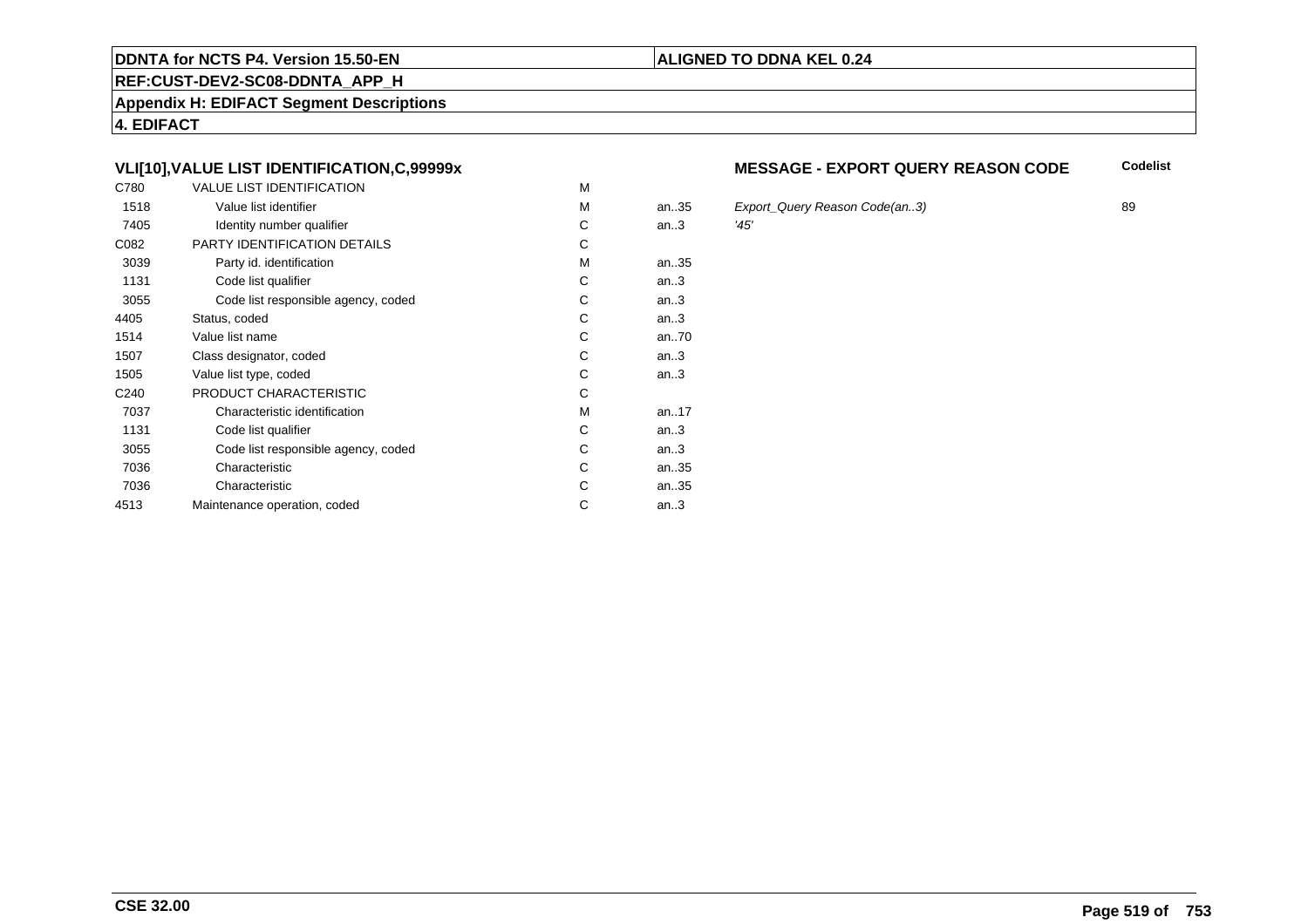#### **REF:CUST-DEV2-SC08-DDNTA\_APP\_H**

**Appendix H: EDIFACT Segment Descriptions**

**4. EDIFACT**

# **VLI[10],VALUE LIST IDENTIFICATION,C,99999x**

| C780             | <b>VALUE LIST IDENTIFICATION</b>    | M |           |      |
|------------------|-------------------------------------|---|-----------|------|
| 1518             | Value list identifier               | M | an.35     | Exp  |
| 7405             | Identity number qualifier           | С | an.3      | '45' |
| C082             | PARTY IDENTIFICATION DETAILS        | С |           |      |
| 3039             | Party id. identification            | М | an35      |      |
| 1131             | Code list qualifier                 | C | an.3      |      |
| 3055             | Code list responsible agency, coded | C | an.3      |      |
| 4405             | Status, coded                       | C | an.3      |      |
| 1514             | Value list name                     | C | an70      |      |
| 1507             | Class designator, coded             | C | an.3      |      |
| 1505             | Value list type, coded              | С | an.3      |      |
| C <sub>240</sub> | PRODUCT CHARACTERISTIC              | С |           |      |
| 7037             | Characteristic identification       | М | an. $.17$ |      |
| 1131             | Code list qualifier                 | С | an.3      |      |
| 3055             | Code list responsible agency, coded | С | an.3      |      |
| 7036             | Characteristic                      | C | an35      |      |
| 7036             | Characteristic                      | C | an35      |      |
| 4513             | Maintenance operation, coded        | С | an.3      |      |
|                  |                                     |   |           |      |

#### **MESSAGE - EXPORT QUERY REASON CODECodelist**

5 Export\_Query Reason Code(an..3) 89<br>145'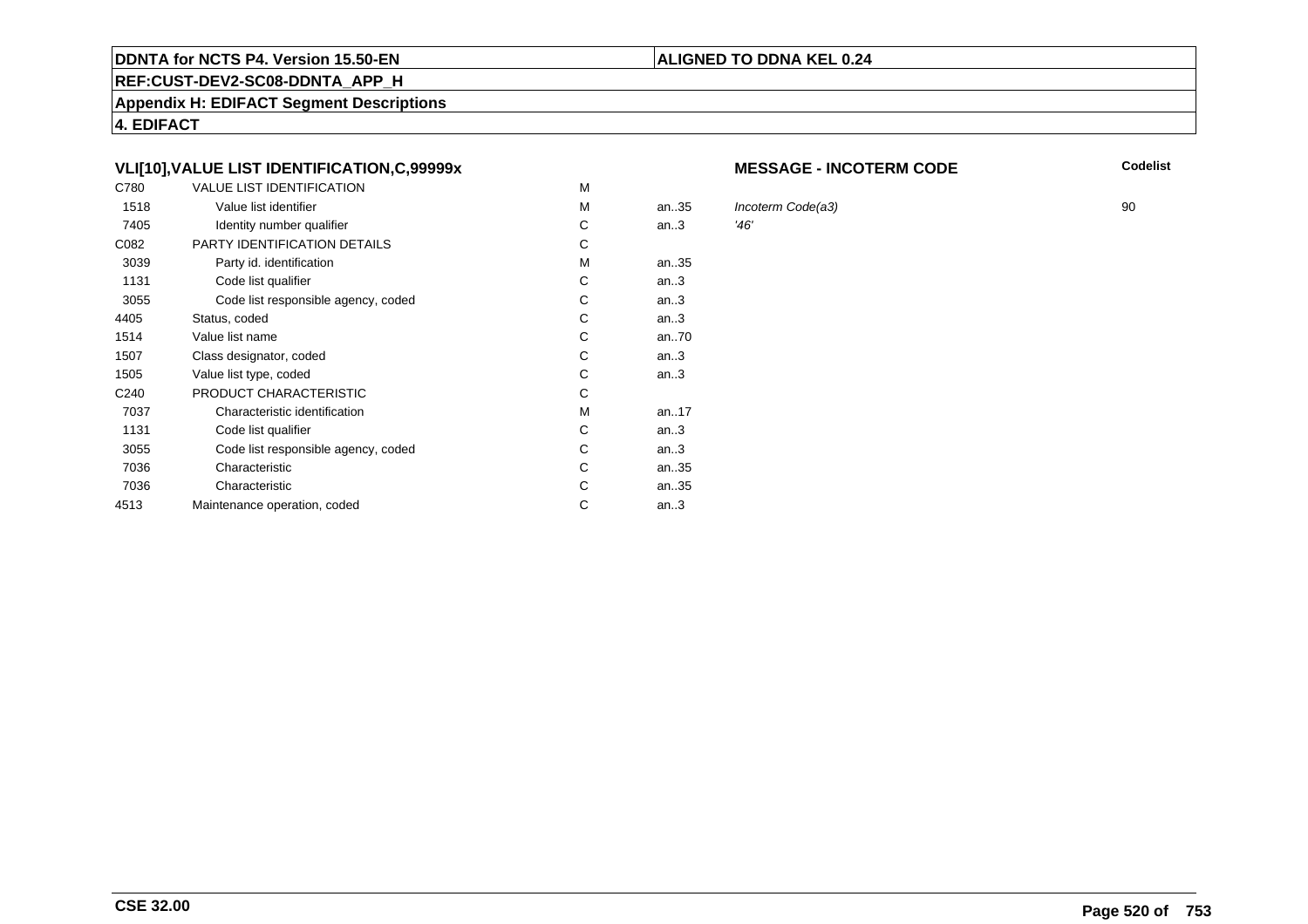#### **REF:CUST-DEV2-SC08-DDNTA\_APP\_H**

**Appendix H: EDIFACT Segment Descriptions**

**4. EDIFACT**

# **VLI[10],VALUE LIST IDENTIFICATION,C,99999x**

| C780             | <b>VALUE LIST IDENTIFICATION</b>    | M |      |            |
|------------------|-------------------------------------|---|------|------------|
| 1518             | Value list identifier               | м | an35 | <b>Inc</b> |
| 7405             | Identity number qualifier           | С | an.3 | '46'       |
| C082             | PARTY IDENTIFICATION DETAILS        | С |      |            |
| 3039             | Party id. identification            | М | an35 |            |
| 1131             | Code list qualifier                 | С | an.3 |            |
| 3055             | Code list responsible agency, coded | C | an.3 |            |
| 4405             | Status, coded                       | C | an.3 |            |
| 1514             | Value list name                     | C | an70 |            |
| 1507             | Class designator, coded             | C | an.3 |            |
| 1505             | Value list type, coded              | С | an.3 |            |
| C <sub>240</sub> | PRODUCT CHARACTERISTIC              | С |      |            |
| 7037             | Characteristic identification       | м | an17 |            |
| 1131             | Code list qualifier                 | С | an.3 |            |
| 3055             | Code list responsible agency, coded | С | an.3 |            |
| 7036             | Characteristic                      | C | an35 |            |
| 7036             | Characteristic                      | С | an35 |            |
| 4513             | Maintenance operation, coded        | С | an.3 |            |
|                  |                                     |   |      |            |

#### **MESSAGE - INCOTERM CODE**

**ALIGNED TO DDNA KEL 0.24**

**Codelist**

 $\frac{1}{46}$ <br>  $\frac{1}{46}$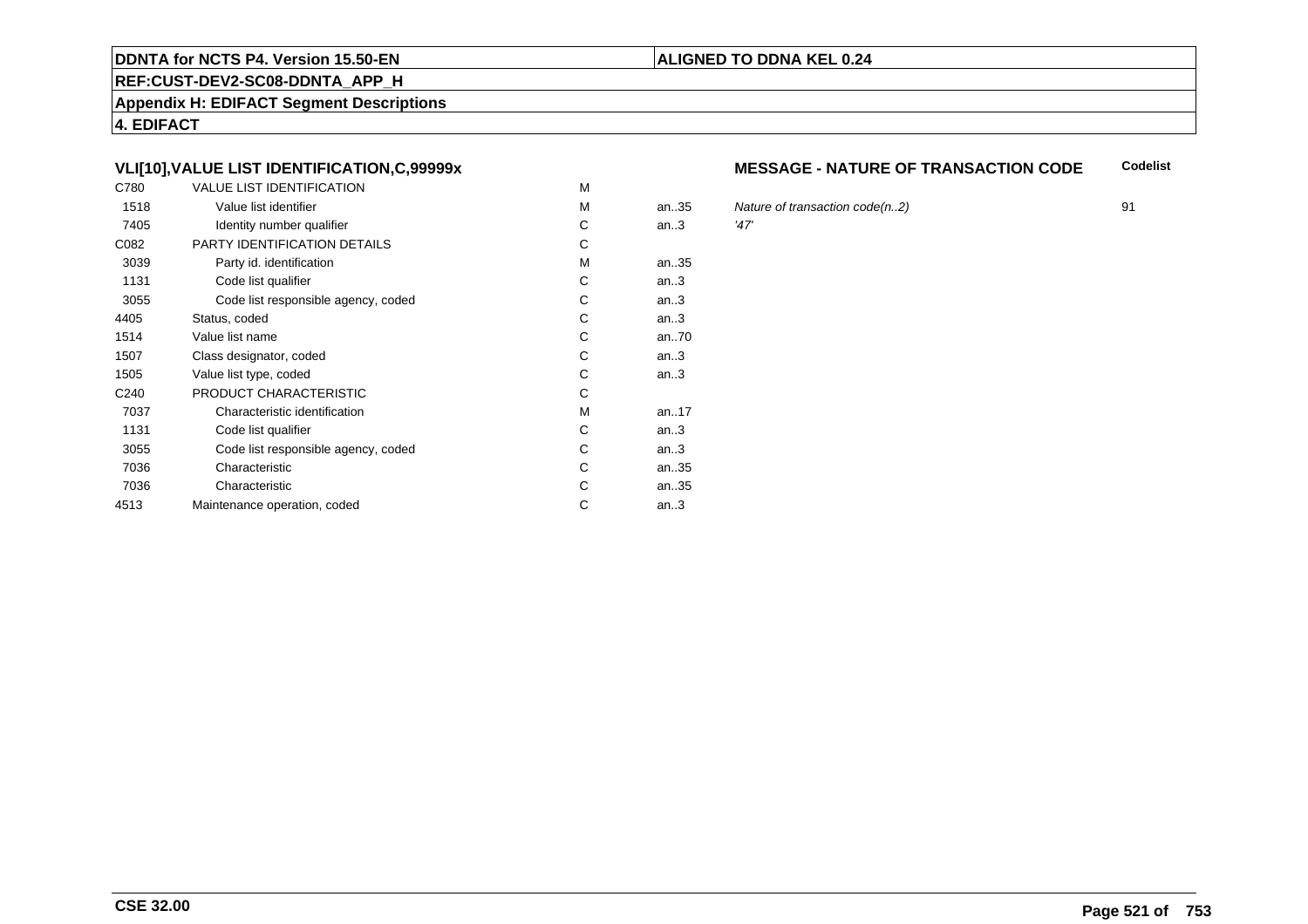#### **REF:CUST-DEV2-SC08-DDNTA\_APP\_H**

**Appendix H: EDIFACT Segment Descriptions**

**4. EDIFACT**

# **VLI[10],VALUE LIST IDENTIFICATION,C,99999x**

| C780             | <b>VALUE LIST IDENTIFICATION</b>    | M |           |      |
|------------------|-------------------------------------|---|-----------|------|
| 1518             | Value list identifier               | M | an.35     | Nat  |
| 7405             | Identity number qualifier           | С | an.3      | '47' |
| C082             | PARTY IDENTIFICATION DETAILS        | С |           |      |
| 3039             | Party id. identification            | М | an35      |      |
| 1131             | Code list qualifier                 | C | an.3      |      |
| 3055             | Code list responsible agency, coded | C | an.3      |      |
| 4405             | Status, coded                       | C | an.3      |      |
| 1514             | Value list name                     | C | an70      |      |
| 1507             | Class designator, coded             | C | an.3      |      |
| 1505             | Value list type, coded              | С | an.3      |      |
| C <sub>240</sub> | PRODUCT CHARACTERISTIC              | С |           |      |
| 7037             | Characteristic identification       | М | an. $.17$ |      |
| 1131             | Code list qualifier                 | С | an.3      |      |
| 3055             | Code list responsible agency, coded | С | an.3      |      |
| 7036             | Characteristic                      | C | an35      |      |
| 7036             | Characteristic                      | C | an35      |      |
| 4513             | Maintenance operation, coded        | С | an.3      |      |
|                  |                                     |   |           |      |

#### **MESSAGE - NATURE OF TRANSACTION CODECodelist**

Nature of transaction code(n..2) 91<br>  $27'$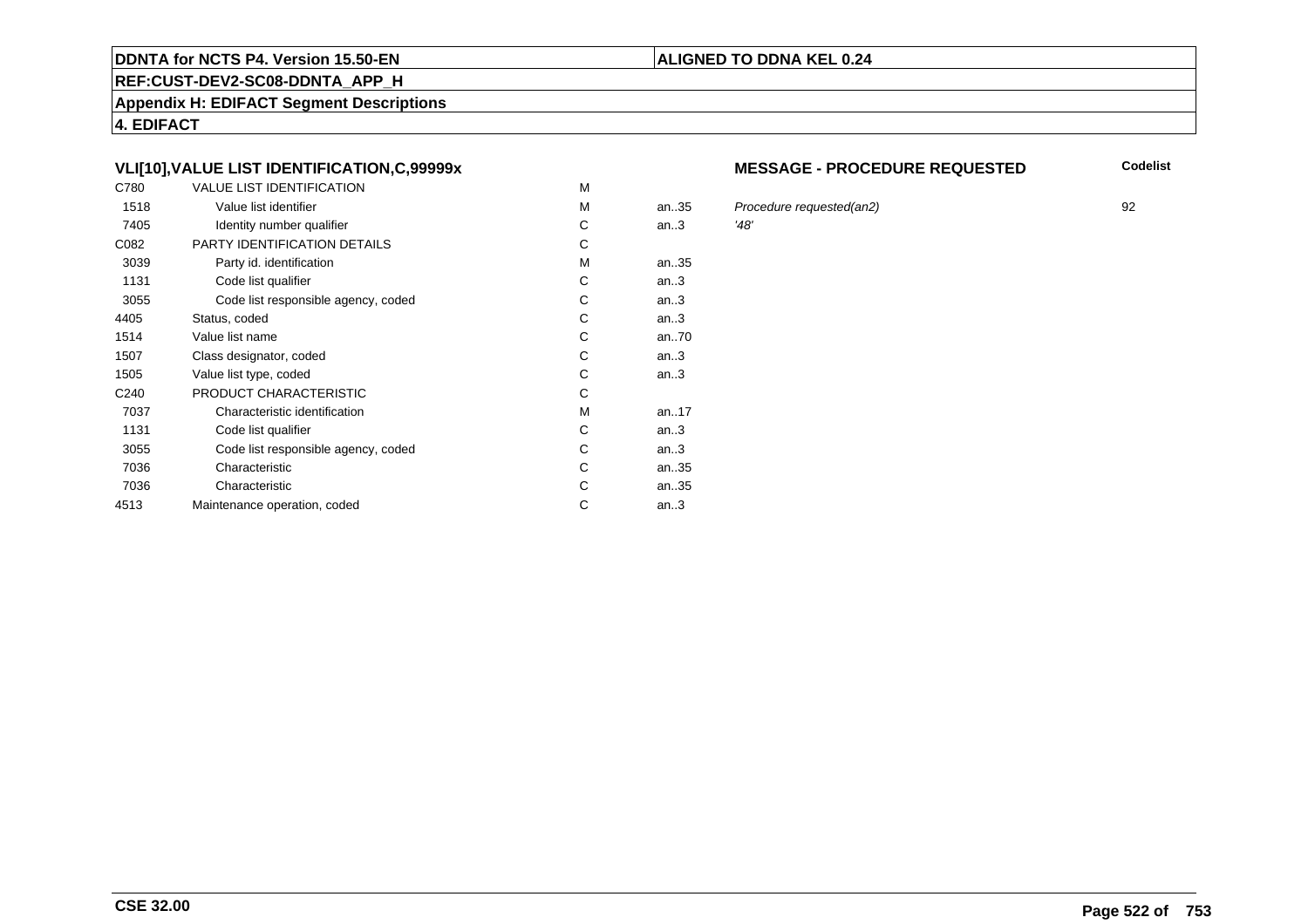#### **REF:CUST-DEV2-SC08-DDNTA\_APP\_H**

**Appendix H: EDIFACT Segment Descriptions**

**4. EDIFACT**

# **VLI[10],VALUE LIST IDENTIFICATION,C,99999x**

| C780             | <b>VALUE LIST IDENTIFICATION</b>    | M |           |      |
|------------------|-------------------------------------|---|-----------|------|
| 1518             | Value list identifier               | M | an.35     | Pro  |
| 7405             | Identity number qualifier           | С | an.3      | '48' |
| C082             | PARTY IDENTIFICATION DETAILS        | С |           |      |
| 3039             | Party id. identification            | м | an35      |      |
| 1131             | Code list qualifier                 | C | an.3      |      |
| 3055             | Code list responsible agency, coded | C | an.3      |      |
| 4405             | Status, coded                       | С | an.3      |      |
| 1514             | Value list name                     | C | an70      |      |
| 1507             | Class designator, coded             | C | an.3      |      |
| 1505             | Value list type, coded              | С | an.3      |      |
| C <sub>240</sub> | PRODUCT CHARACTERISTIC              | С |           |      |
| 7037             | Characteristic identification       | м | an. $.17$ |      |
| 1131             | Code list qualifier                 | С | an.3      |      |
| 3055             | Code list responsible agency, coded | С | an.3      |      |
| 7036             | Characteristic                      | C | an35      |      |
| 7036             | Characteristic                      | C | an35      |      |
| 4513             | Maintenance operation, coded        | С | an.3      |      |
|                  |                                     |   |           |      |

#### **MESSAGE - PROCEDURE REQUESTED**

**Codelist**

an..35 Procedure requested(an2) <sup>92</sup>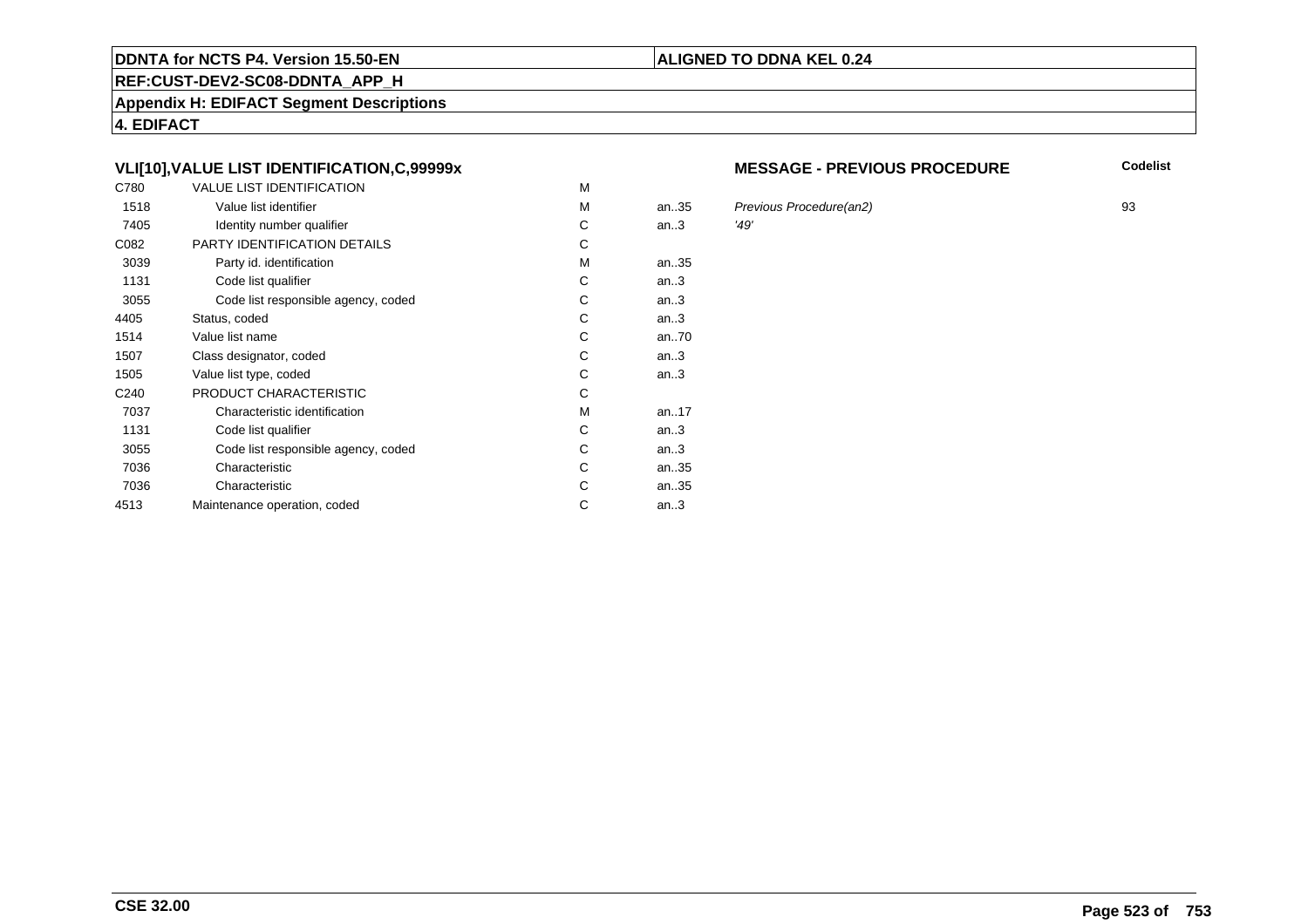#### **REF:CUST-DEV2-SC08-DDNTA\_APP\_H**

**Appendix H: EDIFACT Segment Descriptions**

**4. EDIFACT**

# **VLI[10],VALUE LIST IDENTIFICATION,C,99999x**

| C780             | <b>VALUE LIST IDENTIFICATION</b>    | M |           |      |
|------------------|-------------------------------------|---|-----------|------|
| 1518             | Value list identifier               | M | an.35     | Pre  |
| 7405             | Identity number qualifier           | С | an.3      | '49' |
| C082             | PARTY IDENTIFICATION DETAILS        | С |           |      |
| 3039             | Party id. identification            | М | an35      |      |
| 1131             | Code list qualifier                 | C | an.3      |      |
| 3055             | Code list responsible agency, coded | C | an.3      |      |
| 4405             | Status, coded                       | C | an.3      |      |
| 1514             | Value list name                     | C | an70      |      |
| 1507             | Class designator, coded             | C | an.3      |      |
| 1505             | Value list type, coded              | С | an.3      |      |
| C <sub>240</sub> | PRODUCT CHARACTERISTIC              | С |           |      |
| 7037             | Characteristic identification       | М | an. $.17$ |      |
| 1131             | Code list qualifier                 | С | an.3      |      |
| 3055             | Code list responsible agency, coded | С | an.3      |      |
| 7036             | Characteristic                      | C | an35      |      |
| 7036             | Characteristic                      | C | an35      |      |
| 4513             | Maintenance operation, coded        | С | an.3      |      |
|                  |                                     |   |           |      |

#### **MESSAGE - PREVIOUS PROCEDURE**

**Codelist**

an..35 Previous Procedure(an2) <sup>93</sup>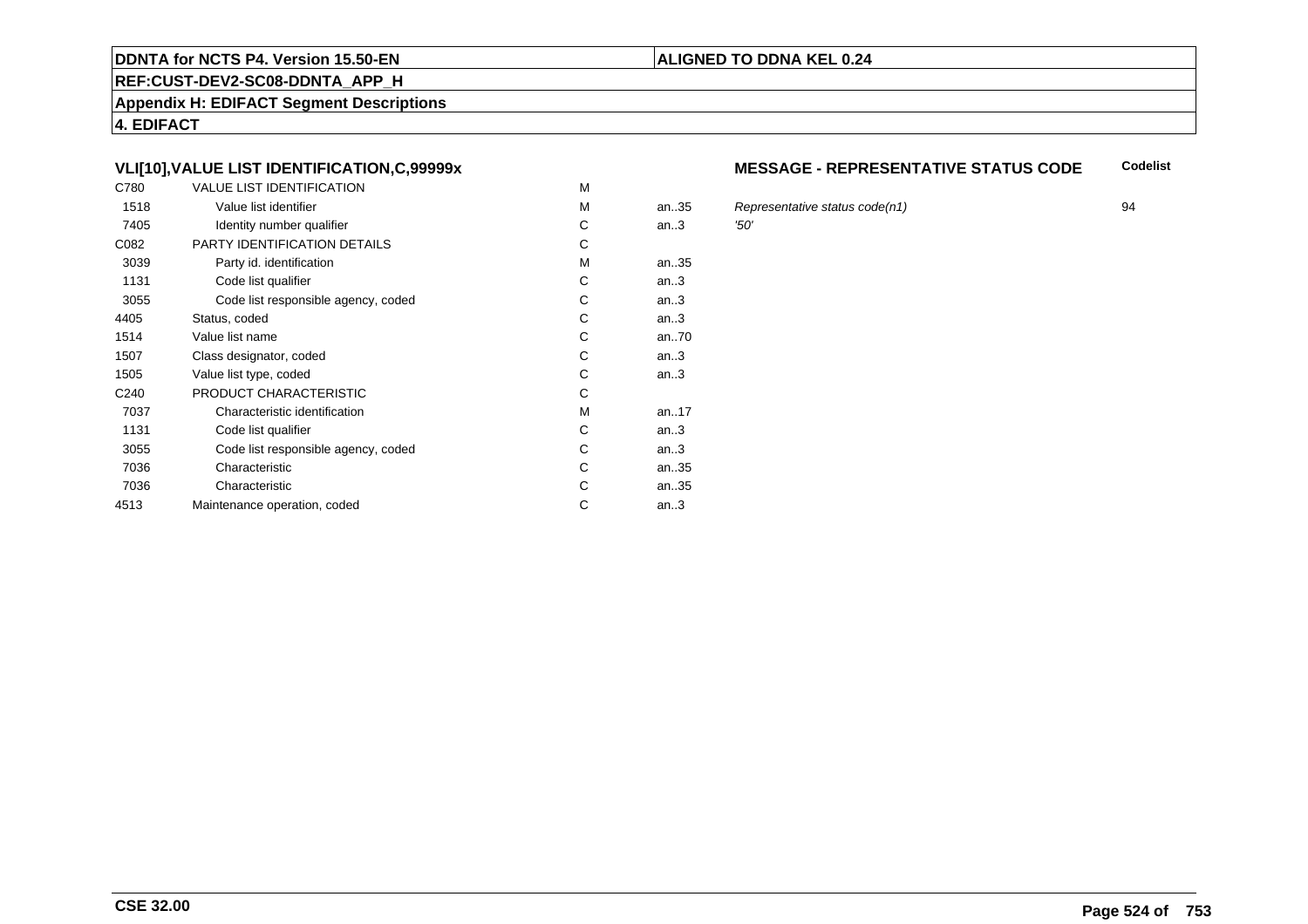#### **REF:CUST-DEV2-SC08-DDNTA\_APP\_H**

**Appendix H: EDIFACT Segment Descriptions**

**4. EDIFACT**

# **VLI[10],VALUE LIST IDENTIFICATION,C,99999x**

| C780             | <b>VALUE LIST IDENTIFICATION</b>    | M |           |      |
|------------------|-------------------------------------|---|-----------|------|
| 1518             | Value list identifier               | M | an35      | Re   |
| 7405             | Identity number qualifier           | С | an.3      | '50' |
| C082             | PARTY IDENTIFICATION DETAILS        | С |           |      |
| 3039             | Party id. identification            | М | an35      |      |
| 1131             | Code list qualifier                 | C | an.3      |      |
| 3055             | Code list responsible agency, coded | C | an.3      |      |
| 4405             | Status, coded                       | C | an.3      |      |
| 1514             | Value list name                     | C | an70      |      |
| 1507             | Class designator, coded             | C | an.3      |      |
| 1505             | Value list type, coded              | С | an.3      |      |
| C <sub>240</sub> | PRODUCT CHARACTERISTIC              | С |           |      |
| 7037             | Characteristic identification       | М | an. $.17$ |      |
| 1131             | Code list qualifier                 | С | an.3      |      |
| 3055             | Code list responsible agency, coded | С | an.3      |      |
| 7036             | Characteristic                      | C | an35      |      |
| 7036             | Characteristic                      | C | an35      |      |
| 4513             | Maintenance operation, coded        | С | an.3      |      |
|                  |                                     |   |           |      |

#### **MESSAGE - REPRESENTATIVE STATUS CODECodelist**

Representative status code(n1) 94<br> $294$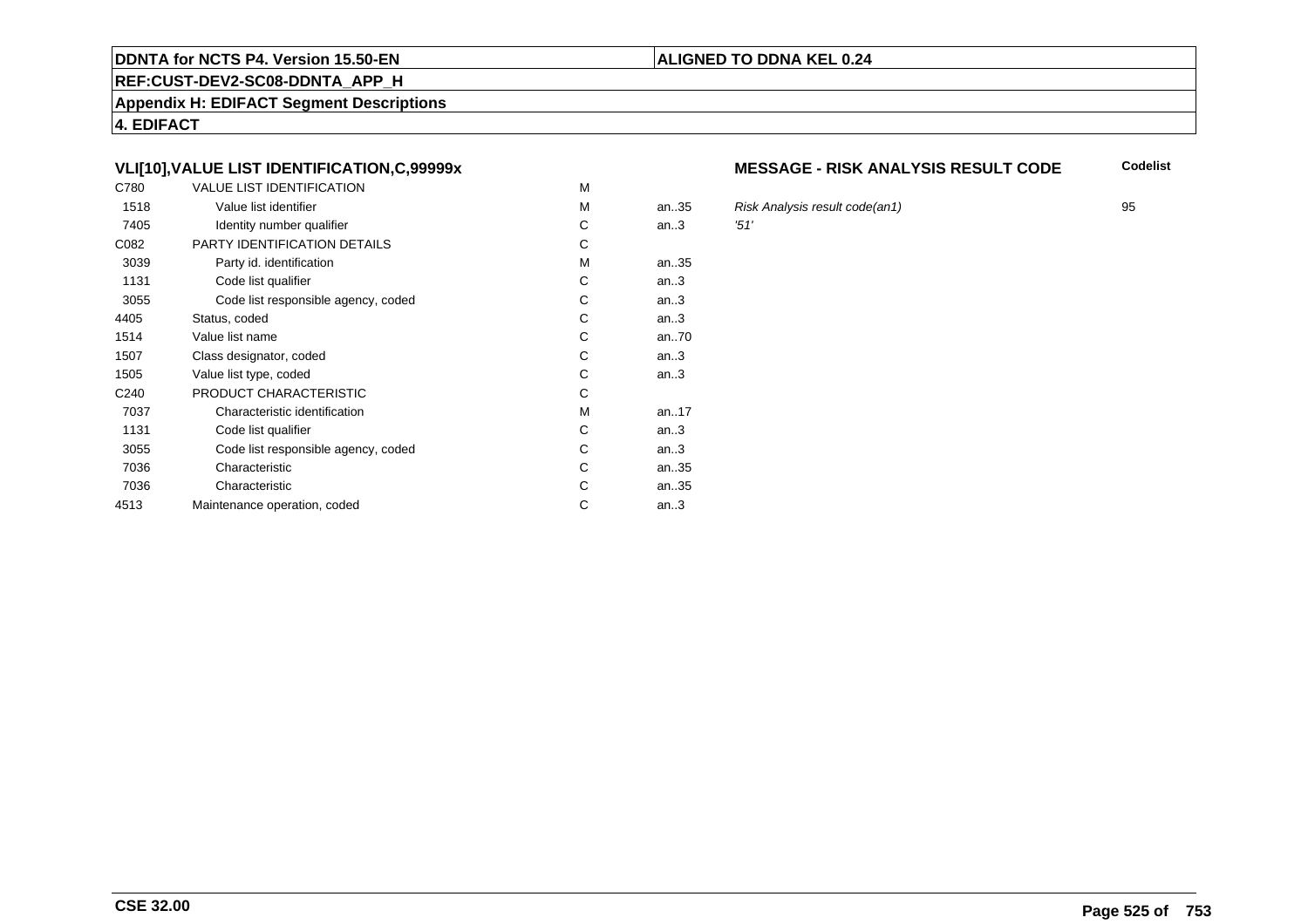#### **REF:CUST-DEV2-SC08-DDNTA\_APP\_H**

**Appendix H: EDIFACT Segment Descriptions**

**4. EDIFACT**

# **VLI[10],VALUE LIST IDENTIFICATION,C,99999x**

| C780             | <b>VALUE LIST IDENTIFICATION</b>    | M |      |            |
|------------------|-------------------------------------|---|------|------------|
| 1518             | Value list identifier               | M | an35 | <b>Ris</b> |
| 7405             | Identity number qualifier           | С | an.3 | '51'       |
| C082             | PARTY IDENTIFICATION DETAILS        | C |      |            |
| 3039             | Party id. identification            | М | an35 |            |
| 1131             | Code list qualifier                 | C | an.3 |            |
| 3055             | Code list responsible agency, coded | С | an.3 |            |
| 4405             | Status, coded                       | C | an.3 |            |
| 1514             | Value list name                     | C | an70 |            |
| 1507             | Class designator, coded             | C | an.3 |            |
| 1505             | Value list type, coded              | С | an.3 |            |
| C <sub>240</sub> | PRODUCT CHARACTERISTIC              | С |      |            |
| 7037             | Characteristic identification       | М | an17 |            |
| 1131             | Code list qualifier                 | С | an.3 |            |
| 3055             | Code list responsible agency, coded | С | an.3 |            |
| 7036             | Characteristic                      | C | an35 |            |
| 7036             | Characteristic                      | C | an35 |            |
| 4513             | Maintenance operation, coded        | С | an.3 |            |
|                  |                                     |   |      |            |

#### **MESSAGE - RISK ANALYSIS RESULT CODE**

**Codelist**

an..35 Risk Analysis result code(an1) <sup>95</sup>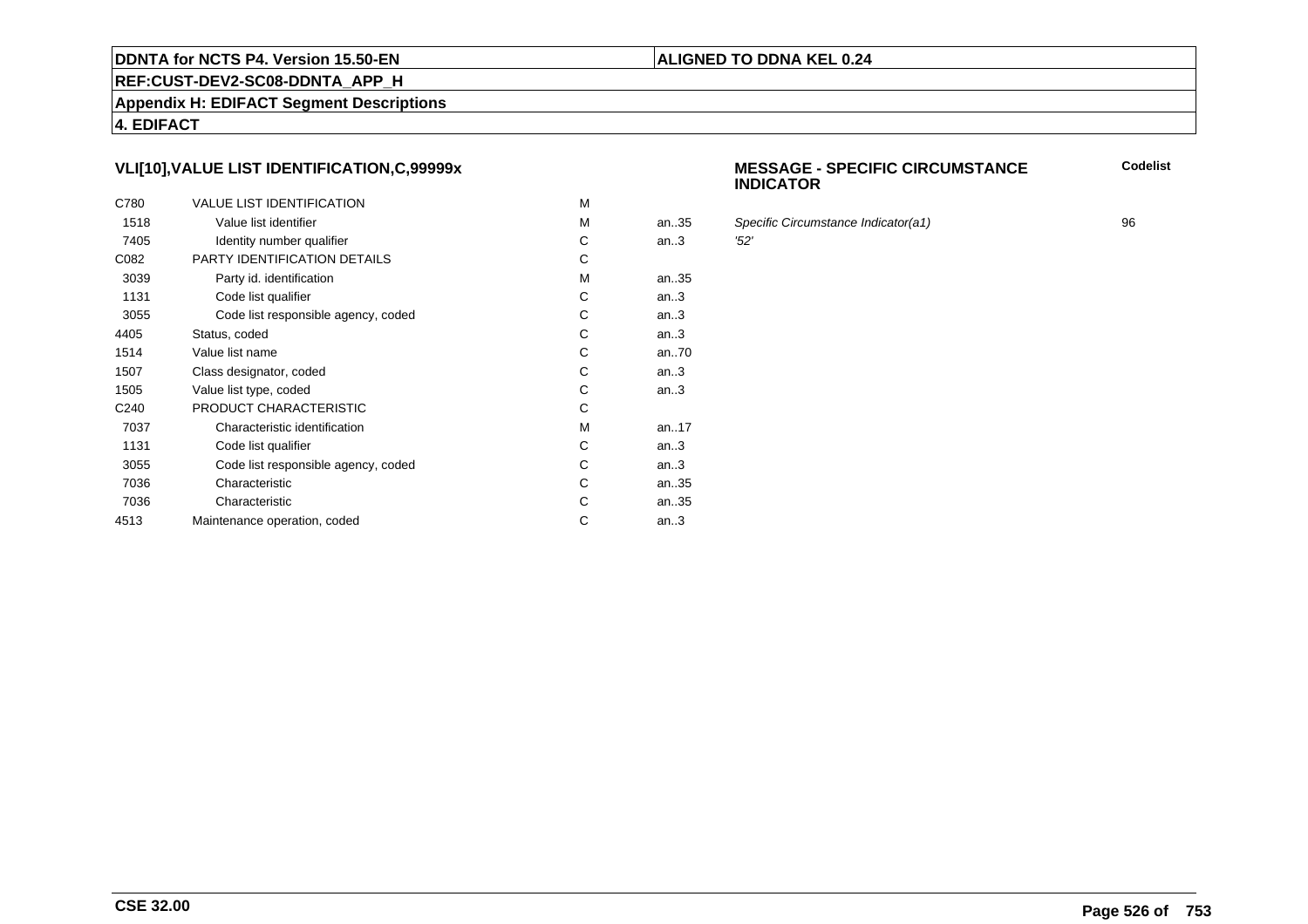#### **REF:CUST-DEV2-SC08-DDNTA\_APP\_H**

**Appendix H: EDIFACT Segment Descriptions**

**4. EDIFACT**

# **VLI[10],VALUE LIST IDENTIFICATION,C,99999x**

| C780             | <b>VALUE LIST IDENTIFICATION</b>    | M |      |      |
|------------------|-------------------------------------|---|------|------|
| 1518             | Value list identifier               | M | an35 | Spe  |
| 7405             | Identity number qualifier           | С | an.3 | '52' |
| C082             | PARTY IDENTIFICATION DETAILS        | С |      |      |
| 3039             | Party id. identification            | М | an35 |      |
| 1131             | Code list qualifier                 | C | an.3 |      |
| 3055             | Code list responsible agency, coded | C | an.3 |      |
| 4405             | Status, coded                       | C | an.3 |      |
| 1514             | Value list name                     | C | an70 |      |
| 1507             | Class designator, coded             | C | an.3 |      |
| 1505             | Value list type, coded              | С | an.3 |      |
| C <sub>240</sub> | PRODUCT CHARACTERISTIC              | C |      |      |
| 7037             | Characteristic identification       | м | an17 |      |
| 1131             | Code list qualifier                 | С | an.3 |      |
| 3055             | Code list responsible agency, coded | С | an.3 |      |
| 7036             | Characteristic                      | C | an35 |      |
| 7036             | Characteristic                      | C | an35 |      |
| 4513             | Maintenance operation, coded        | С | an.3 |      |
|                  |                                     |   |      |      |

#### **MESSAGE - SPECIFIC CIRCUMSTANCEINDICATORCodelist**

Specific Circumstance Indicator(a1) 96<br>152'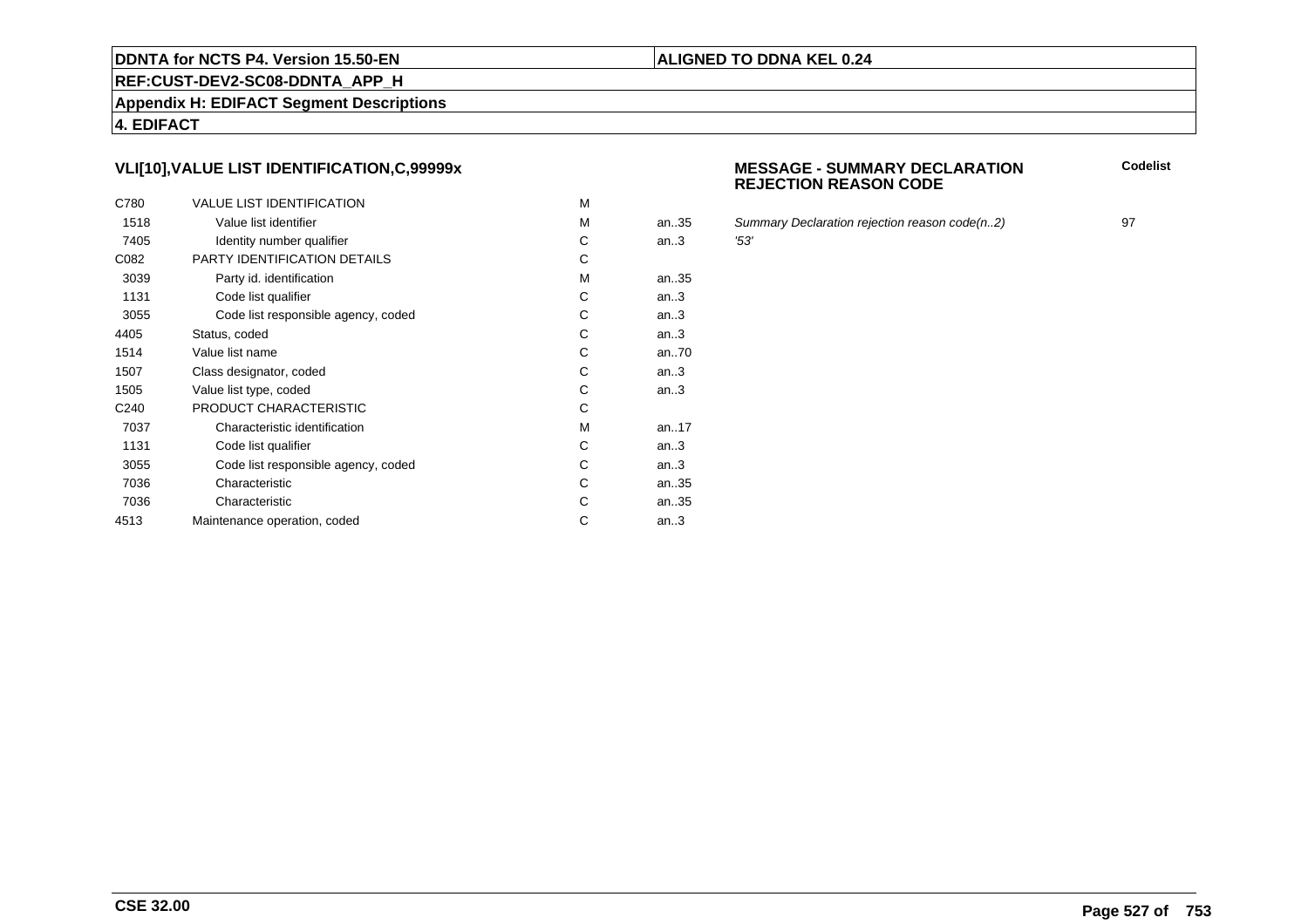#### **REF:CUST-DEV2-SC08-DDNTA\_APP\_H**

**Appendix H: EDIFACT Segment Descriptions**

**4. EDIFACT**

# **VLI[10],VALUE LIST IDENTIFICATION,C,99999x**

| C780             | <b>VALUE LIST IDENTIFICATION</b>    | M |      |      |
|------------------|-------------------------------------|---|------|------|
| 1518             | Value list identifier               | M | an35 | Sur  |
| 7405             | Identity number qualifier           | С | an.3 | '53' |
| C082             | PARTY IDENTIFICATION DETAILS        | С |      |      |
| 3039             | Party id. identification            | M | an35 |      |
| 1131             | Code list qualifier                 | С | an.3 |      |
| 3055             | Code list responsible agency, coded | C | an.3 |      |
| 4405             | Status, coded                       | C | an.3 |      |
| 1514             | Value list name                     | С | an70 |      |
| 1507             | Class designator, coded             | C | an.3 |      |
| 1505             | Value list type, coded              | С | an.3 |      |
| C <sub>240</sub> | PRODUCT CHARACTERISTIC              | С |      |      |
| 7037             | Characteristic identification       | М | an17 |      |
| 1131             | Code list qualifier                 | С | an.3 |      |
| 3055             | Code list responsible agency, coded | С | an.3 |      |
| 7036             | Characteristic                      | C | an35 |      |
| 7036             | Characteristic                      | С | an35 |      |
| 4513             | Maintenance operation, coded        | С | an.3 |      |
|                  |                                     |   |      |      |

#### **MESSAGE - SUMMARY DECLARATIONREJECTION REASON CODE**

**Codelist**

Summary Declaration rejection reason code(n..2) 97<br>'53'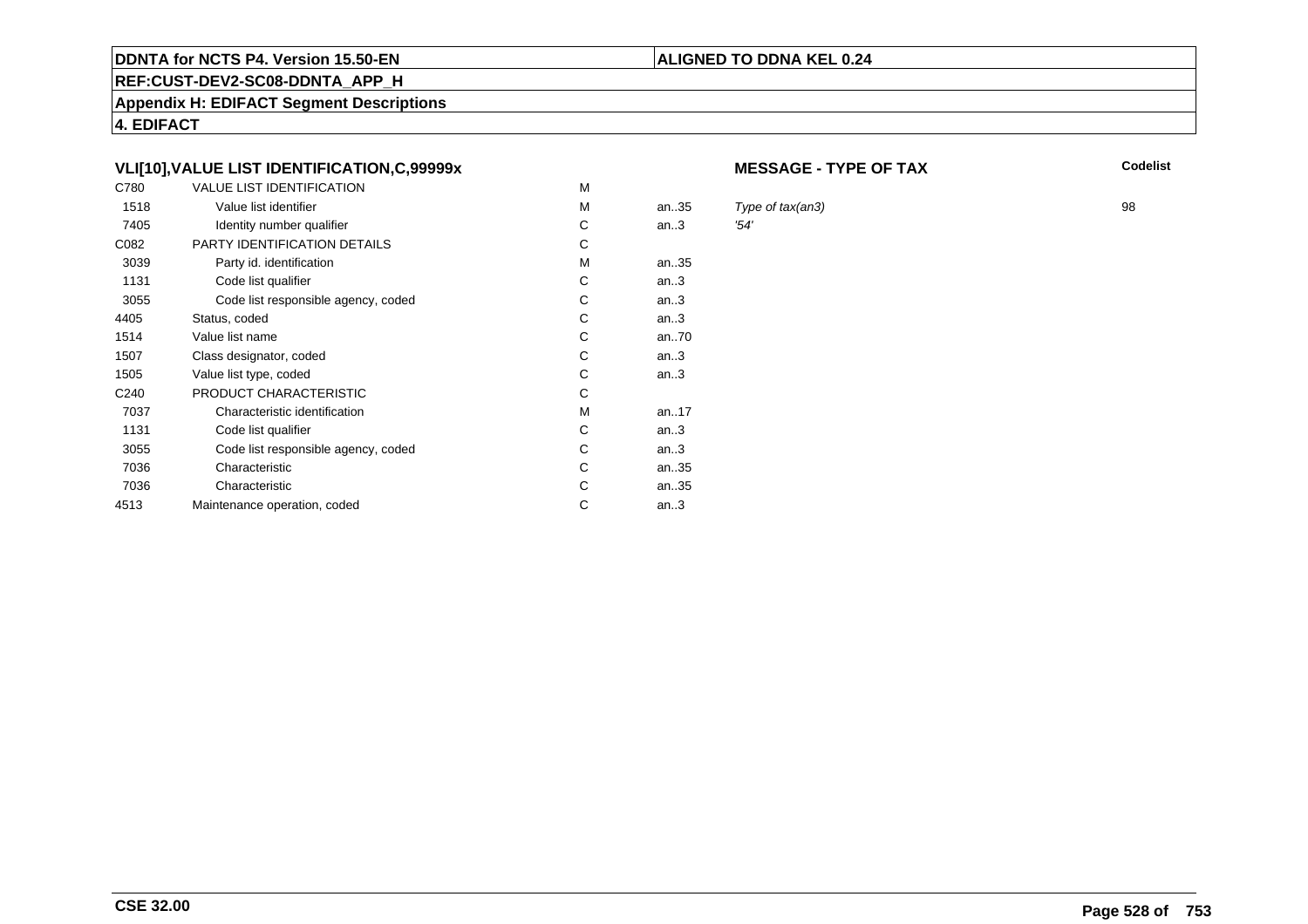# **REF:CUST-DEV2-SC08-DDNTA\_APP\_H**

**Appendix H: EDIFACT Segment Descriptions**

**4. EDIFACT**

# **VLI[10],VALUE LIST IDENTIFICATION,C,99999x**

| C780             | <b>VALUE LIST IDENTIFICATION</b>    | M |       |      |
|------------------|-------------------------------------|---|-------|------|
| 1518             | Value list identifier               | M | an.35 | Typ  |
| 7405             | Identity number qualifier           | С | an.3  | '54' |
| C082             | <b>PARTY IDENTIFICATION DETAILS</b> | С |       |      |
| 3039             | Party id. identification            | М | an35  |      |
| 1131             | Code list qualifier                 | C | an.3  |      |
| 3055             | Code list responsible agency, coded | C | an.3  |      |
| 4405             | Status, coded                       | C | an.3  |      |
| 1514             | Value list name                     | C | an70  |      |
| 1507             | Class designator, coded             | C | an.3  |      |
| 1505             | Value list type, coded              | С | an.3  |      |
| C <sub>240</sub> | PRODUCT CHARACTERISTIC              | С |       |      |
| 7037             | Characteristic identification       | М | an17  |      |
| 1131             | Code list qualifier                 | С | an.3  |      |
| 3055             | Code list responsible agency, coded | С | an.3  |      |
| 7036             | Characteristic                      | C | an35  |      |
| 7036             | Characteristic                      | C | an35  |      |
| 4513             | Maintenance operation, coded        | С | an.3  |      |
|                  |                                     |   |       |      |

#### **MESSAGE - TYPE OF TAX**

**ALIGNED TO DDNA KEL 0.24**

**X** Codelist

Type of tax(an3) 98<br> $254'$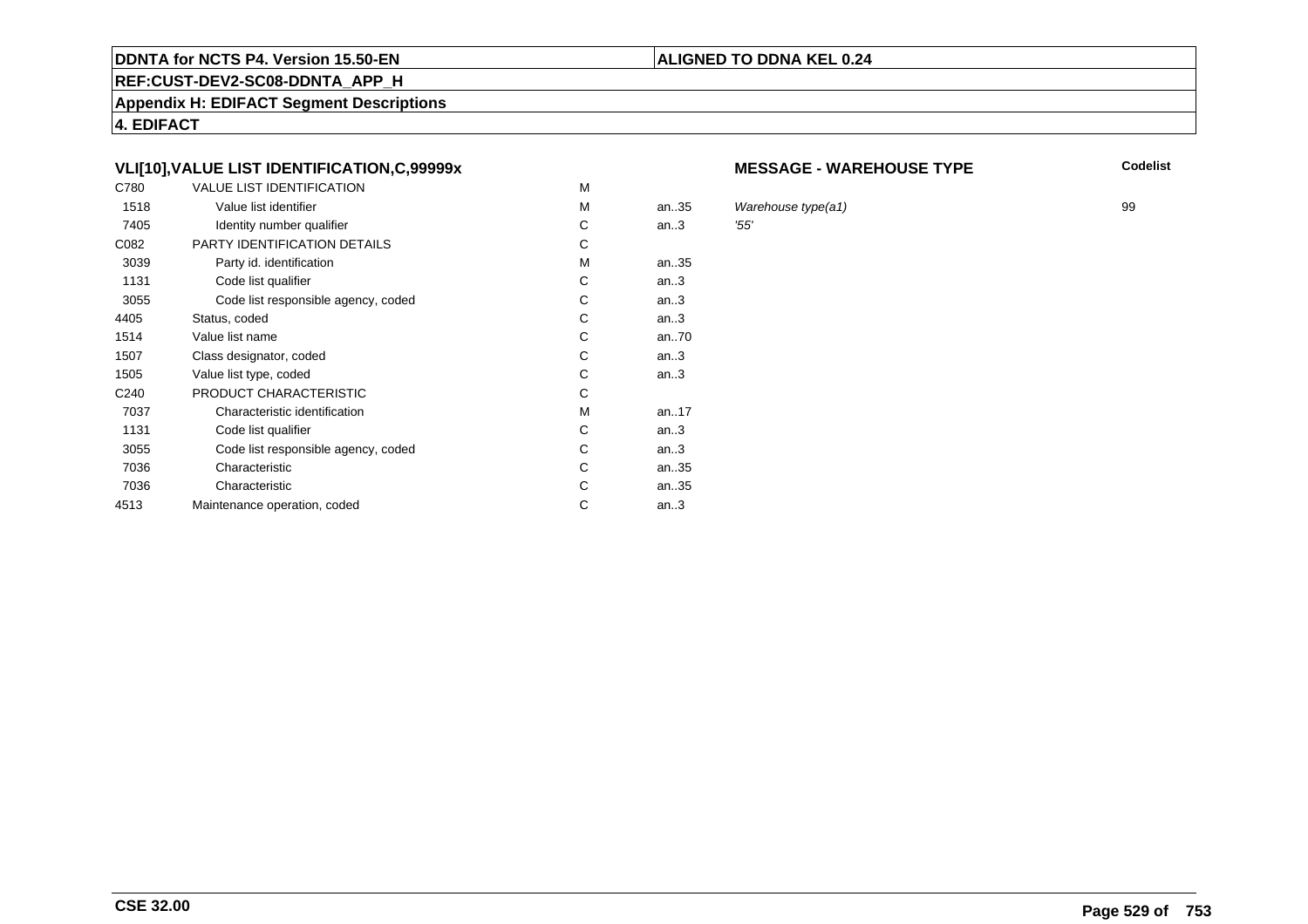#### **REF:CUST-DEV2-SC08-DDNTA\_APP\_H**

**Appendix H: EDIFACT Segment Descriptions**

**4. EDIFACT**

# **VLI[10],VALUE LIST IDENTIFICATION,C,99999x**

| C780             | <b>VALUE LIST IDENTIFICATION</b>    | M |       |     |
|------------------|-------------------------------------|---|-------|-----|
| 1518             | Value list identifier               | M | an.35 | Wa  |
| 7405             | Identity number qualifier           | С | an.3  | 55' |
| C082             | PARTY IDENTIFICATION DETAILS        | С |       |     |
| 3039             | Party id. identification            | м | an35  |     |
| 1131             | Code list qualifier                 | C | an.3  |     |
| 3055             | Code list responsible agency, coded | C | an.3  |     |
| 4405             | Status, coded                       | С | an.3  |     |
| 1514             | Value list name                     | C | an70  |     |
| 1507             | Class designator, coded             | C | an.3  |     |
| 1505             | Value list type, coded              | С | an.3  |     |
| C <sub>240</sub> | PRODUCT CHARACTERISTIC              | С |       |     |
| 7037             | Characteristic identification       | м | an17  |     |
| 1131             | Code list qualifier                 | С | an.3  |     |
| 3055             | Code list responsible agency, coded | С | an.3  |     |
| 7036             | Characteristic                      | C | an35  |     |
| 7036             | Characteristic                      | С | an35  |     |
| 4513             | Maintenance operation, coded        | С | an.3  |     |
|                  |                                     |   |       |     |

#### **MESSAGE - WAREHOUSE TYPE**

**Codelist**

Warehouse type(a1)  $\qquad$  99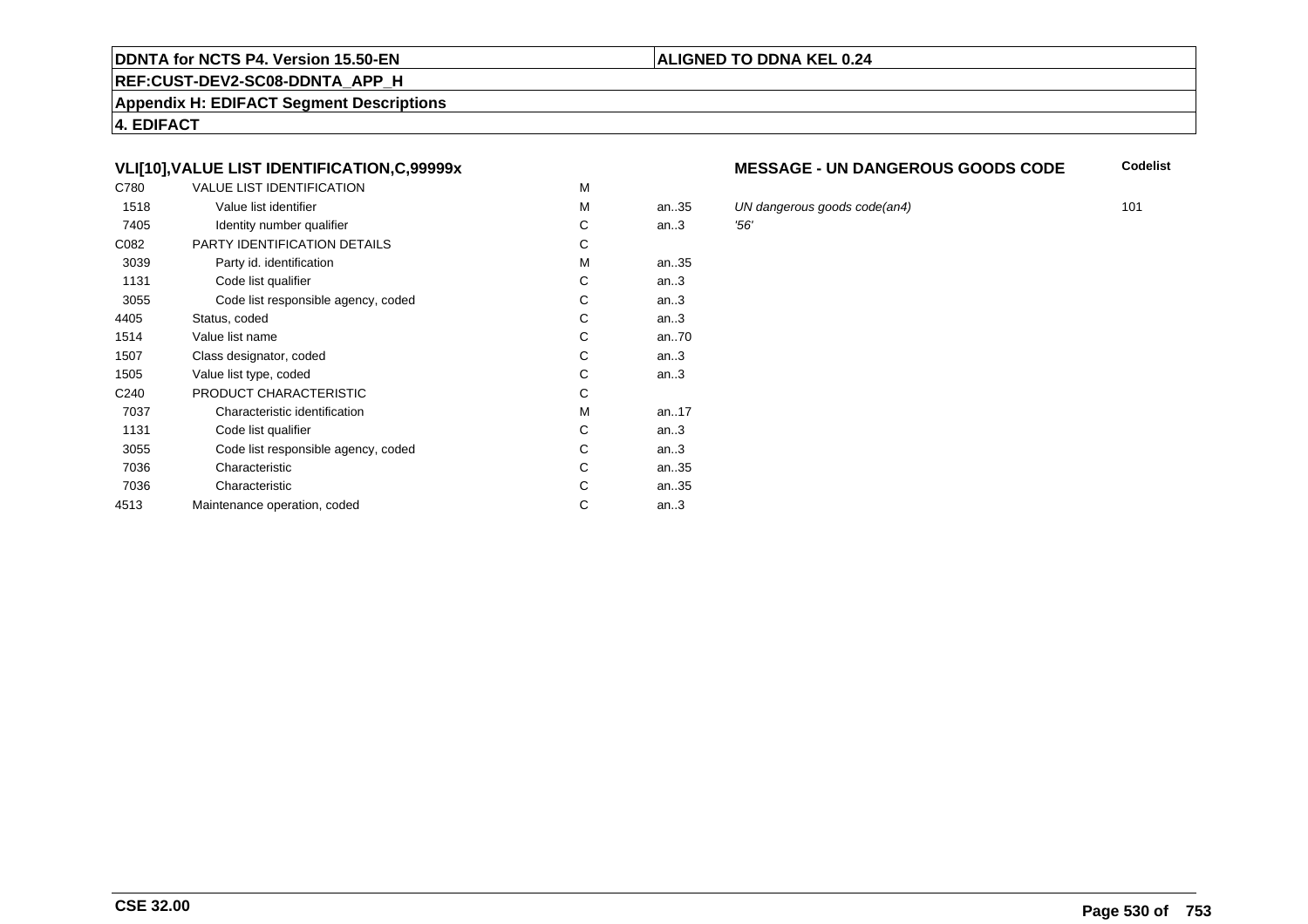#### **REF:CUST-DEV2-SC08-DDNTA\_APP\_H**

**Appendix H: EDIFACT Segment Descriptions**

**4. EDIFACT**

# **VLI[10],VALUE LIST IDENTIFICATION,C,99999x**

| C780             | <b>VALUE LIST IDENTIFICATION</b>    | M |      |     |
|------------------|-------------------------------------|---|------|-----|
| 1518             | Value list identifier               | M | an35 | UN  |
| 7405             | Identity number qualifier           | С | an.3 | 56' |
| C082             | PARTY IDENTIFICATION DETAILS        | C |      |     |
| 3039             | Party id. identification            | м | an35 |     |
| 1131             | Code list qualifier                 | С | an.3 |     |
| 3055             | Code list responsible agency, coded | С | an.3 |     |
| 4405             | Status, coded                       | С | an.3 |     |
| 1514             | Value list name                     | С | an70 |     |
| 1507             | Class designator, coded             | C | an.3 |     |
| 1505             | Value list type, coded              | С | an.3 |     |
| C <sub>240</sub> | PRODUCT CHARACTERISTIC              | С |      |     |
| 7037             | Characteristic identification       | М | an17 |     |
| 1131             | Code list qualifier                 | С | an.3 |     |
| 3055             | Code list responsible agency, coded | С | an.3 |     |
| 7036             | Characteristic                      | C | an35 |     |
| 7036             | Characteristic                      | C | an35 |     |
| 4513             | Maintenance operation, coded        | С | an.3 |     |
|                  |                                     |   |      |     |

#### **MESSAGE - UN DANGEROUS GOODS CODE**

**Codelist**

UN dangerous goods code(an4) 101<br>156'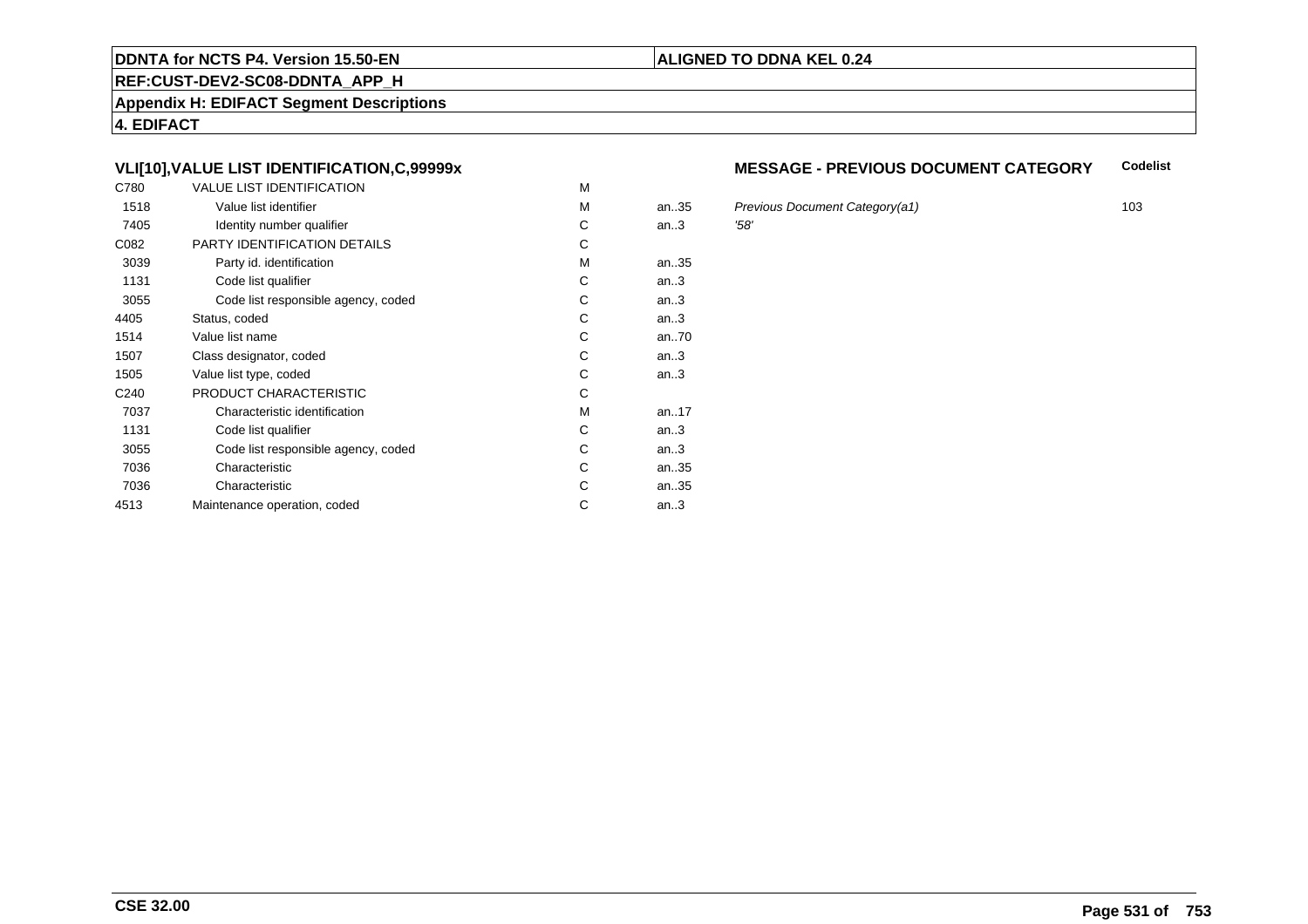#### **REF:CUST-DEV2-SC08-DDNTA\_APP\_H**

**Appendix H: EDIFACT Segment Descriptions**

**4. EDIFACT**

# **VLI[10],VALUE LIST IDENTIFICATION,C,99999x**

| C780             | <b>VALUE LIST IDENTIFICATION</b>    | M |           |      |
|------------------|-------------------------------------|---|-----------|------|
| 1518             | Value list identifier               | M | an.35     | Pre  |
| 7405             | Identity number qualifier           | С | an.3      | '58' |
| C082             | PARTY IDENTIFICATION DETAILS        | С |           |      |
| 3039             | Party id. identification            | М | an35      |      |
| 1131             | Code list qualifier                 | C | an.3      |      |
| 3055             | Code list responsible agency, coded | C | an.3      |      |
| 4405             | Status, coded                       | C | an.3      |      |
| 1514             | Value list name                     | C | an70      |      |
| 1507             | Class designator, coded             | C | an.3      |      |
| 1505             | Value list type, coded              | С | an.3      |      |
| C <sub>240</sub> | PRODUCT CHARACTERISTIC              | С |           |      |
| 7037             | Characteristic identification       | М | an. $.17$ |      |
| 1131             | Code list qualifier                 | С | an.3      |      |
| 3055             | Code list responsible agency, coded | С | an.3      |      |
| 7036             | Characteristic                      | C | an35      |      |
| 7036             | Characteristic                      | C | an35      |      |
| 4513             | Maintenance operation, coded        | С | an.3      |      |
|                  |                                     |   |           |      |

#### **MESSAGE - PREVIOUS DOCUMENT CATEGORYCodelist**

Previous Document Category(a1) 103<br>158'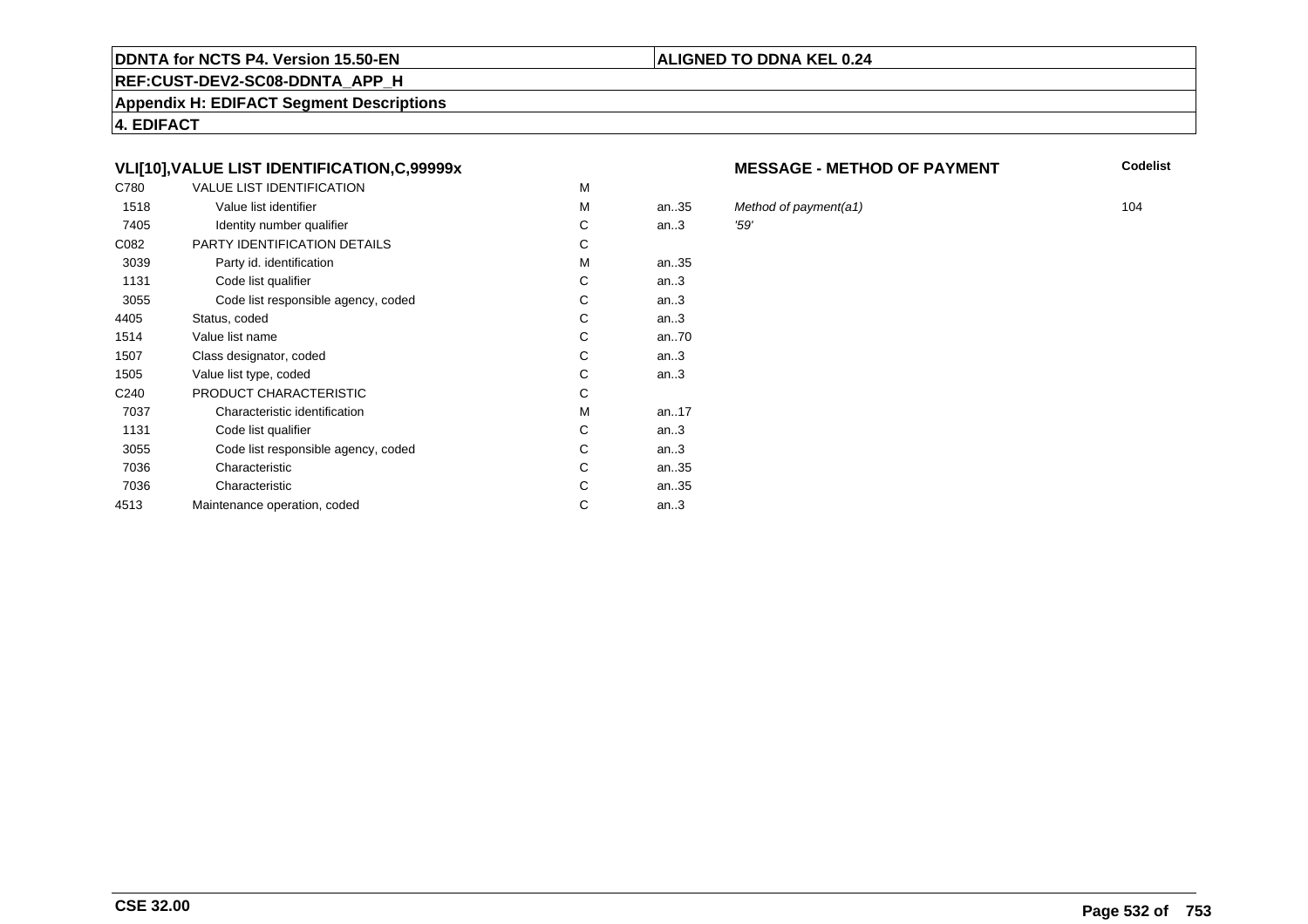#### **REF:CUST-DEV2-SC08-DDNTA\_APP\_H**

**Appendix H: EDIFACT Segment Descriptions**

**4. EDIFACT**

# **VLI[10],VALUE LIST IDENTIFICATION,C,99999x**

| C780             | <b>VALUE LIST IDENTIFICATION</b>    | M |           |      |
|------------------|-------------------------------------|---|-----------|------|
| 1518             | Value list identifier               | M | an.35     | Mei  |
| 7405             | Identity number qualifier           | С | an.3      | '59' |
| C082             | PARTY IDENTIFICATION DETAILS        | С |           |      |
| 3039             | Party id. identification            | М | an35      |      |
| 1131             | Code list qualifier                 | C | an.3      |      |
| 3055             | Code list responsible agency, coded | C | an.3      |      |
| 4405             | Status, coded                       | C | an.3      |      |
| 1514             | Value list name                     | C | an70      |      |
| 1507             | Class designator, coded             | C | an.3      |      |
| 1505             | Value list type, coded              | С | an.3      |      |
| C <sub>240</sub> | PRODUCT CHARACTERISTIC              | С |           |      |
| 7037             | Characteristic identification       | М | an. $.17$ |      |
| 1131             | Code list qualifier                 | С | an.3      |      |
| 3055             | Code list responsible agency, coded | С | an.3      |      |
| 7036             | Characteristic                      | C | an35      |      |
| 7036             | Characteristic                      | C | an35      |      |
| 4513             | Maintenance operation, coded        | С | an.3      |      |
|                  |                                     |   |           |      |

#### **MESSAGE - METHOD OF PAYMENT**

**Codelist**

Method of payment(a1) 104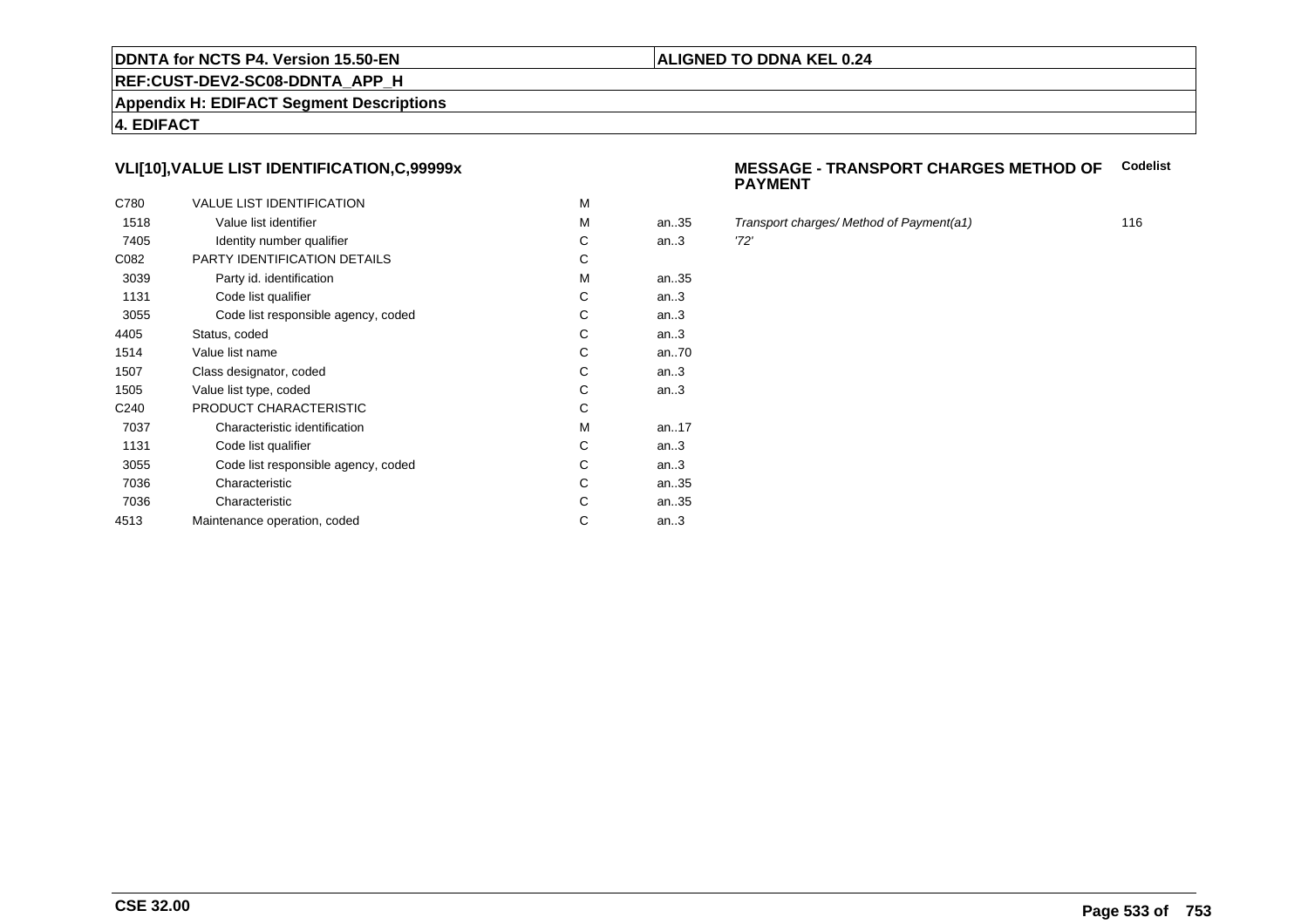#### **REF:CUST-DEV2-SC08-DDNTA\_APP\_H**

**Appendix H: EDIFACT Segment Descriptions**

**4. EDIFACT**

# **VLI[10],VALUE LIST IDENTIFICATION,C,99999x**

| C780             | <b>VALUE LIST IDENTIFICATION</b>    | M |      |      |
|------------------|-------------------------------------|---|------|------|
| 1518             | Value list identifier               | M | an35 | Tra  |
| 7405             | Identity number qualifier           | С | an.3 | '72' |
| C082             | PARTY IDENTIFICATION DETAILS        | С |      |      |
| 3039             | Party id. identification            | M | an35 |      |
| 1131             | Code list qualifier                 | С | an.3 |      |
| 3055             | Code list responsible agency, coded | C | an.3 |      |
| 4405             | Status, coded                       | C | an.3 |      |
| 1514             | Value list name                     | C | an70 |      |
| 1507             | Class designator, coded             | C | an.3 |      |
| 1505             | Value list type, coded              | С | an.3 |      |
| C <sub>240</sub> | PRODUCT CHARACTERISTIC              | С |      |      |
| 7037             | Characteristic identification       | M | an17 |      |
| 1131             | Code list qualifier                 | С | an.3 |      |
| 3055             | Code list responsible agency, coded | С | an.3 |      |
| 7036             | Characteristic                      | C | an35 |      |
| 7036             | Characteristic                      | С | an35 |      |
| 4513             | Maintenance operation, coded        | С | an.3 |      |
|                  |                                     |   |      |      |

#### **MESSAGE - TRANSPORT CHARGES METHOD OFCodelist PAYMENT**

Transport charges/ Method of Payment(a1) 116<br>116<br>'72'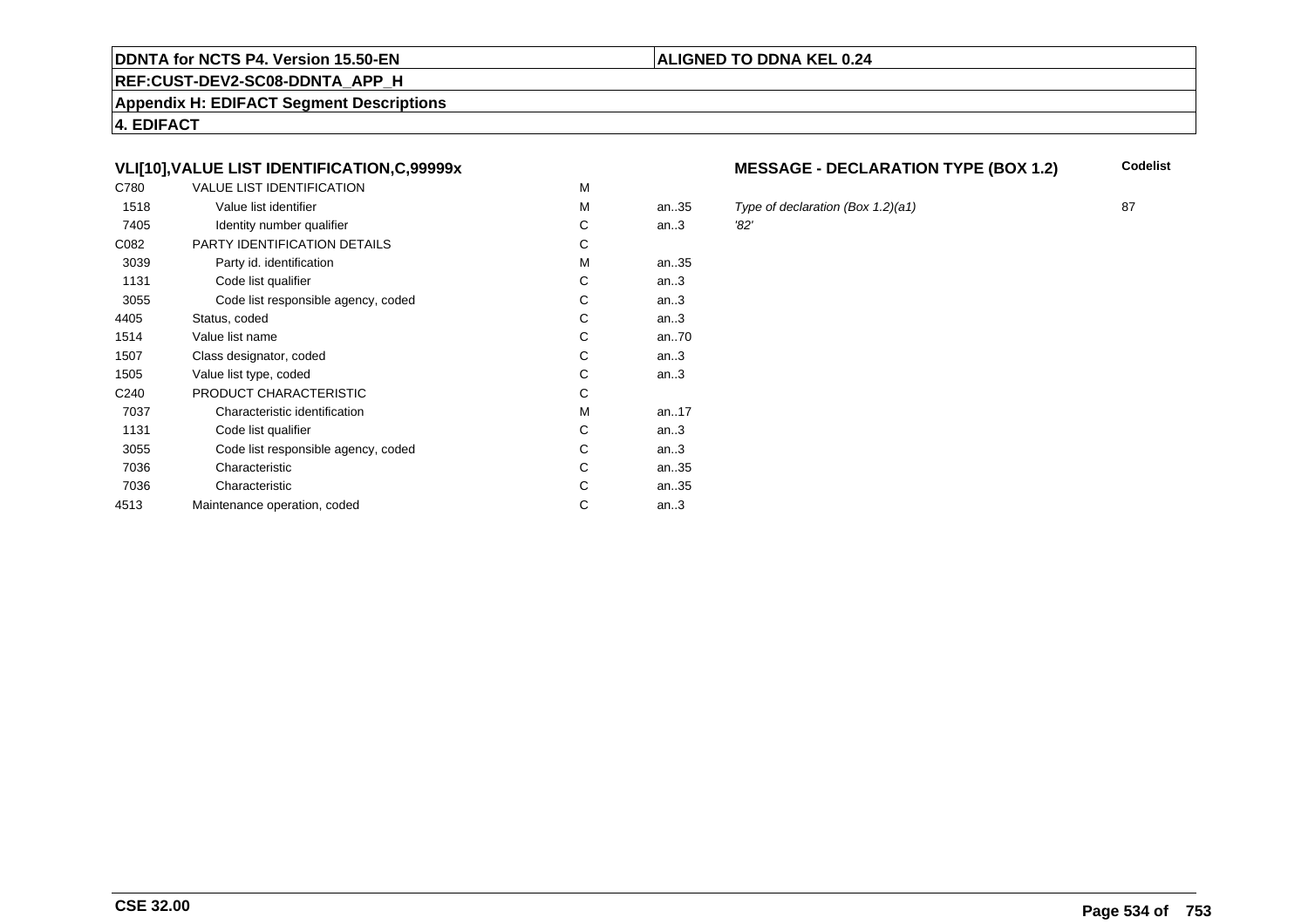#### **REF:CUST-DEV2-SC08-DDNTA\_APP\_H**

**Appendix H: EDIFACT Segment Descriptions**

**4. EDIFACT**

# **VLI[10],VALUE LIST IDENTIFICATION,C,99999x**

| C780             | <b>VALUE LIST IDENTIFICATION</b>    | M |      |      |
|------------------|-------------------------------------|---|------|------|
| 1518             | Value list identifier               | M | an35 | Typ  |
| 7405             | Identity number qualifier           | С | an.3 | '82' |
| C082             | PARTY IDENTIFICATION DETAILS        | C |      |      |
| 3039             | Party id. identification            | М | an35 |      |
| 1131             | Code list qualifier                 | C | an.3 |      |
| 3055             | Code list responsible agency, coded | С | an.3 |      |
| 4405             | Status, coded                       | C | an.3 |      |
| 1514             | Value list name                     | C | an70 |      |
| 1507             | Class designator, coded             | C | an.3 |      |
| 1505             | Value list type, coded              | С | an.3 |      |
| C <sub>240</sub> | PRODUCT CHARACTERISTIC              | С |      |      |
| 7037             | Characteristic identification       | М | an17 |      |
| 1131             | Code list qualifier                 | С | an.3 |      |
| 3055             | Code list responsible agency, coded | C | an.3 |      |
| 7036             | Characteristic                      | C | an35 |      |
| 7036             | Characteristic                      | C | an35 |      |
| 4513             | Maintenance operation, coded        | С | an.3 |      |
|                  |                                     |   |      |      |

# **MESSAGE - DECLARATION TYPE (BOX 1.2)** Codelist

5 Type of declaration (Box 1.2)(a1) 87<br>32'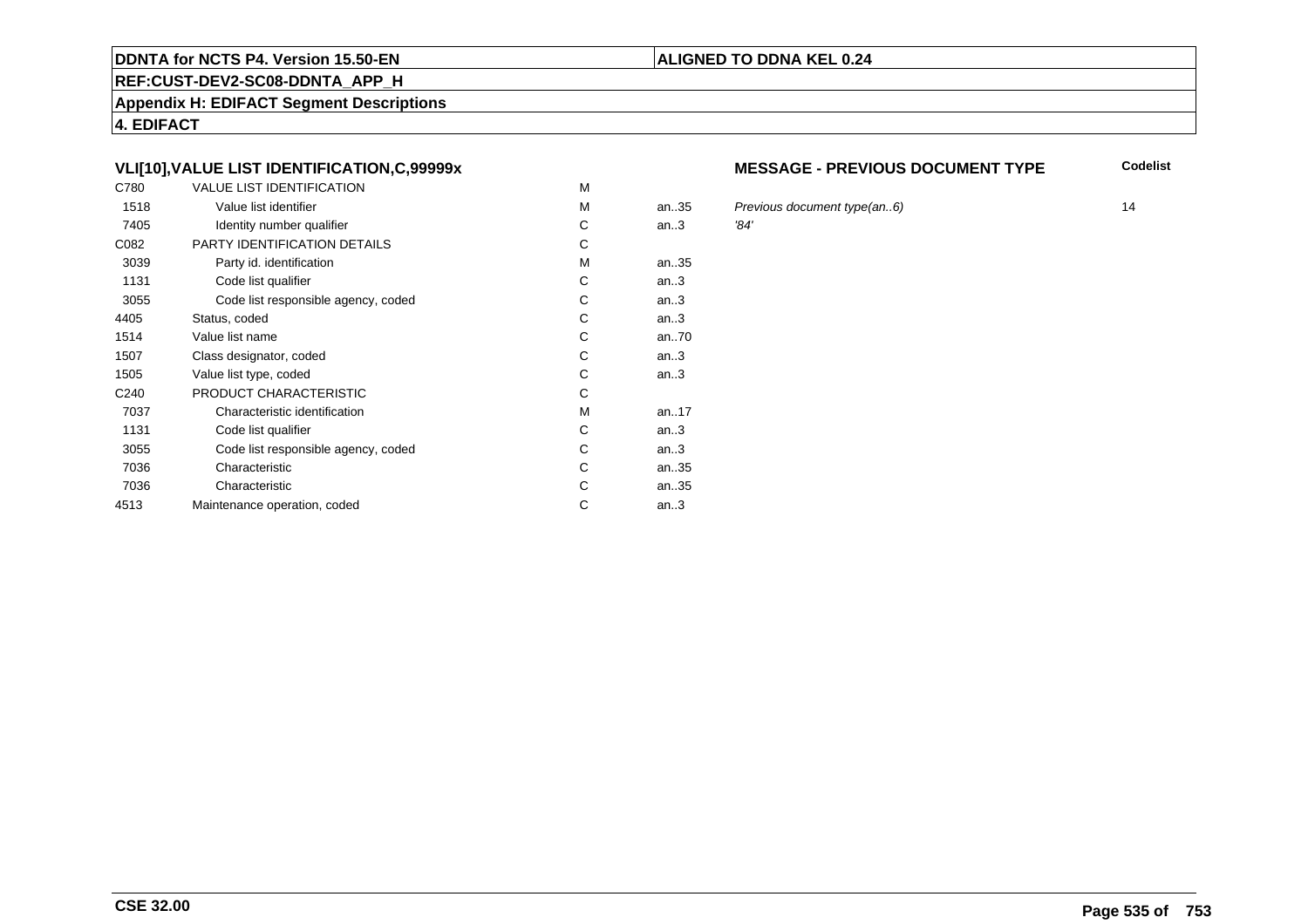#### **REF:CUST-DEV2-SC08-DDNTA\_APP\_H**

**Appendix H: EDIFACT Segment Descriptions**

**4. EDIFACT**

# **VLI[10],VALUE LIST IDENTIFICATION,C,99999x**

| C780             | <b>VALUE LIST IDENTIFICATION</b>    | M |      |      |
|------------------|-------------------------------------|---|------|------|
| 1518             | Value list identifier               | M | an35 | Pre  |
| 7405             | Identity number qualifier           | С | an.3 | '84' |
| C082             | PARTY IDENTIFICATION DETAILS        | C |      |      |
| 3039             | Party id. identification            | М | an35 |      |
| 1131             | Code list qualifier                 | C | an.3 |      |
| 3055             | Code list responsible agency, coded | С | an.3 |      |
| 4405             | Status, coded                       | C | an.3 |      |
| 1514             | Value list name                     | C | an70 |      |
| 1507             | Class designator, coded             | C | an.3 |      |
| 1505             | Value list type, coded              | С | an.3 |      |
| C <sub>240</sub> | PRODUCT CHARACTERISTIC              | С |      |      |
| 7037             | Characteristic identification       | М | an17 |      |
| 1131             | Code list qualifier                 | С | an.3 |      |
| 3055             | Code list responsible agency, coded | С | an.3 |      |
| 7036             | Characteristic                      | C | an35 |      |
| 7036             | Characteristic                      | C | an35 |      |
| 4513             | Maintenance operation, coded        | С | an.3 |      |
|                  |                                     |   |      |      |

#### **MESSAGE - PREVIOUS DOCUMENT TYPE**

**Codelist**

5 Previous document type(an..6) 14<br>14 and 14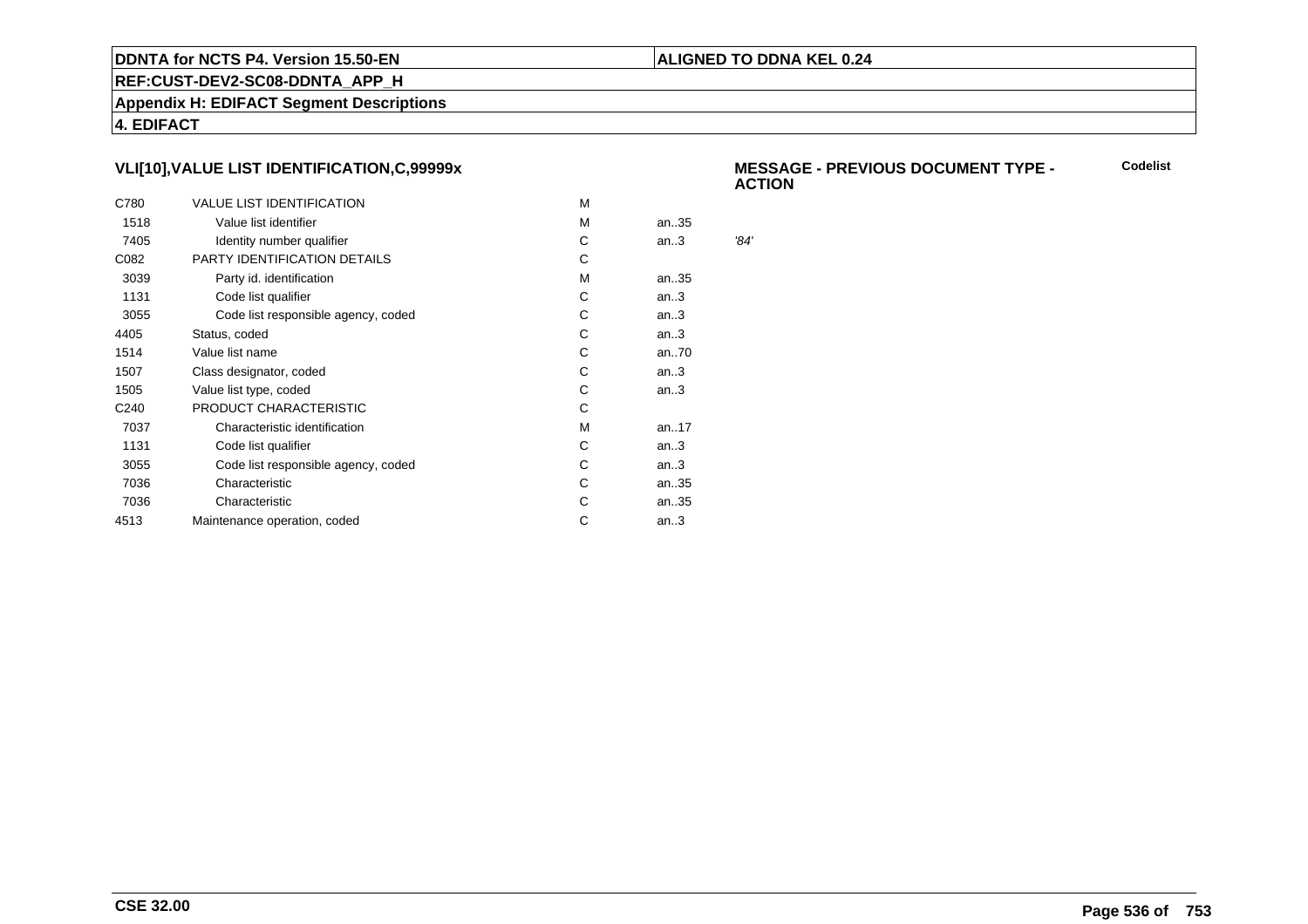## **ALIGNED TO DDNA KEL 0.24**

**REF:CUST-DEV2-SC08-DDNTA\_APP\_H**

**Appendix H: EDIFACT Segment Descriptions**

**4. EDIFACT**

# **VLI[10],VALUE LIST IDENTIFICATION,C,99999x**

| C780             | <b>VALUE LIST IDENTIFICATION</b>    | м |           |      |
|------------------|-------------------------------------|---|-----------|------|
| 1518             | Value list identifier               | м | an35      |      |
| 7405             | Identity number qualifier           | С | an.3      | '84' |
| C082             | PARTY IDENTIFICATION DETAILS        | С |           |      |
| 3039             | Party id. identification            | м | an35      |      |
| 1131             | Code list qualifier                 | C | an.3      |      |
| 3055             | Code list responsible agency, coded | С | an.3      |      |
| 4405             | Status, coded                       | С | an.3      |      |
| 1514             | Value list name                     | С | an70      |      |
| 1507             | Class designator, coded             | С | an.3      |      |
| 1505             | Value list type, coded              | С | an.3      |      |
| C <sub>240</sub> | PRODUCT CHARACTERISTIC              | С |           |      |
| 7037             | Characteristic identification       | м | an. $.17$ |      |
| 1131             | Code list qualifier                 | С | an.3      |      |
| 3055             | Code list responsible agency, coded | С | an.3      |      |
| 7036             | Characteristic                      | C | an35      |      |
| 7036             | Characteristic                      | С | an35      |      |
| 4513             | Maintenance operation, coded        | С | an.3      |      |
|                  |                                     |   |           |      |

#### **MESSAGE - PREVIOUS DOCUMENT TYPE - ACTIONCodelist**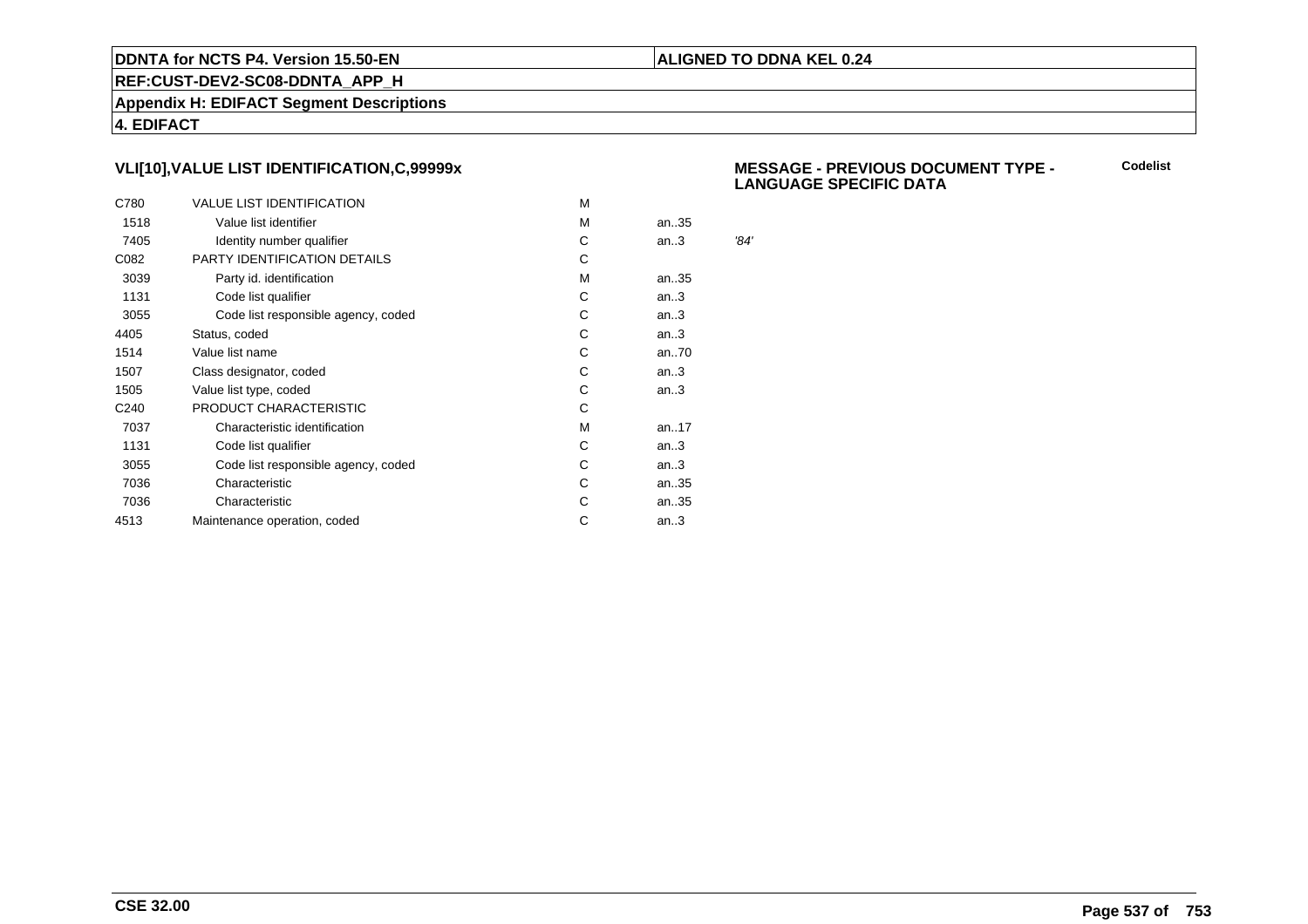## **ALIGNED TO DDNA KEL 0.24**

**REF:CUST-DEV2-SC08-DDNTA\_APP\_H**

**Appendix H: EDIFACT Segment Descriptions**

**4. EDIFACT**

# **VLI[10],VALUE LIST IDENTIFICATION,C,99999x**

| C780             | <b>VALUE LIST IDENTIFICATION</b>    | м |      |      |
|------------------|-------------------------------------|---|------|------|
| 1518             | Value list identifier               | м | an35 |      |
| 7405             | Identity number qualifier           | С | an.3 | '84' |
| C082             | PARTY IDENTIFICATION DETAILS        | С |      |      |
| 3039             | Party id. identification            | м | an35 |      |
| 1131             | Code list qualifier                 | C | an.3 |      |
| 3055             | Code list responsible agency, coded | С | an.3 |      |
| 4405             | Status, coded                       | C | an.3 |      |
| 1514             | Value list name                     | С | an70 |      |
| 1507             | Class designator, coded             | С | an.3 |      |
| 1505             | Value list type, coded              | С | an.3 |      |
| C <sub>240</sub> | PRODUCT CHARACTERISTIC              | С |      |      |
| 7037             | Characteristic identification       | м | an17 |      |
| 1131             | Code list qualifier                 | С | an.3 |      |
| 3055             | Code list responsible agency, coded | С | an.3 |      |
| 7036             | Characteristic                      | C | an35 |      |
| 7036             | Characteristic                      | С | an35 |      |
| 4513             | Maintenance operation, coded        | С | an.3 |      |
|                  |                                     |   |      |      |

#### **MESSAGE - PREVIOUS DOCUMENT TYPE - LANGUAGE SPECIFIC DATACodelist**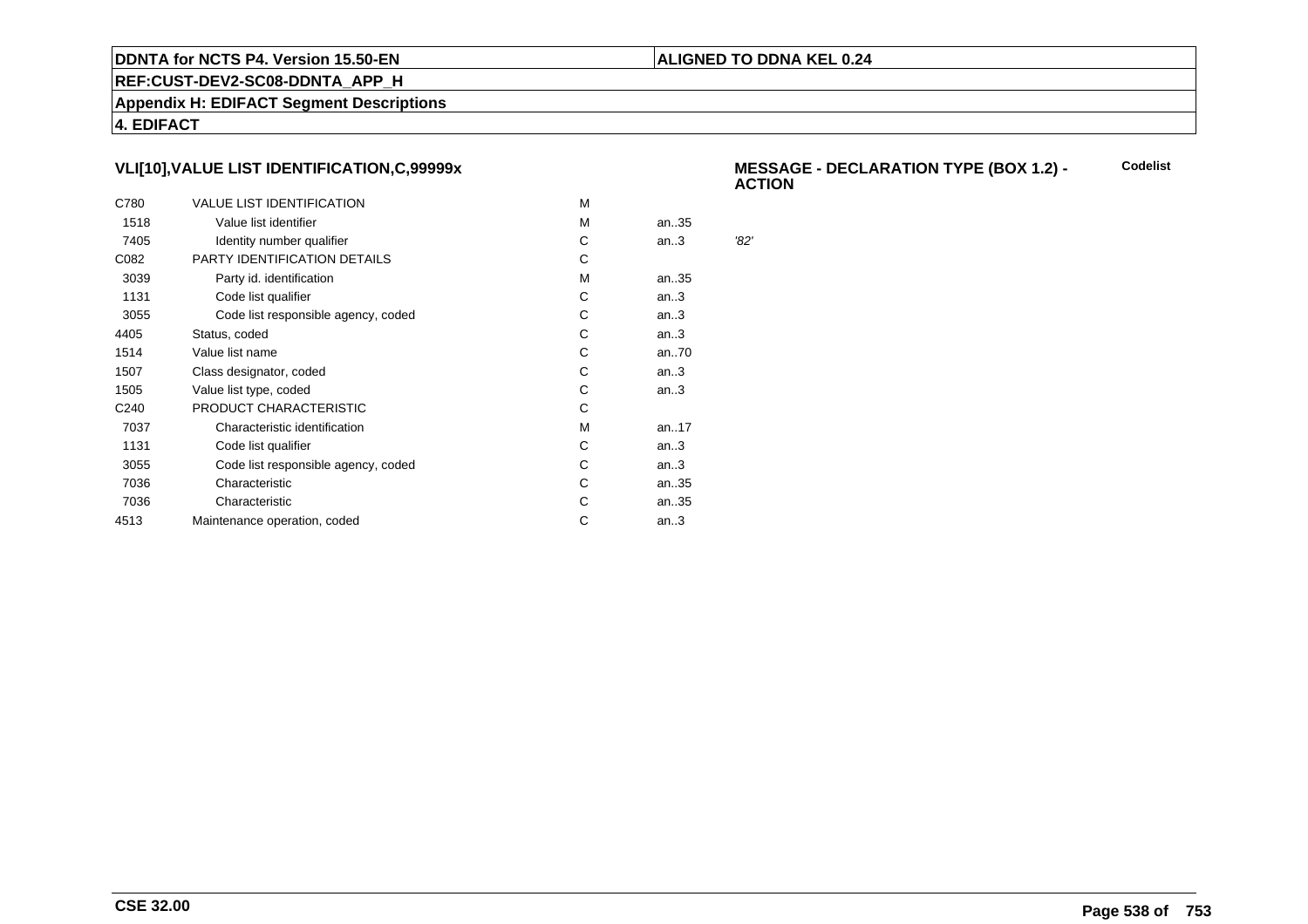## **ALIGNED TO DDNA KEL 0.24**

**REF:CUST-DEV2-SC08-DDNTA\_APP\_H**

**Appendix H: EDIFACT Segment Descriptions**

**4. EDIFACT**

# **VLI[10],VALUE LIST IDENTIFICATION,C,99999x**

| C780             | <b>VALUE LIST IDENTIFICATION</b>    | м |           |      |
|------------------|-------------------------------------|---|-----------|------|
| 1518             | Value list identifier               | м | an35      |      |
| 7405             | Identity number qualifier           | C | an.3      | '82' |
| C082             | PARTY IDENTIFICATION DETAILS        | C |           |      |
| 3039             | Party id. identification            | м | an35      |      |
| 1131             | Code list qualifier                 | C | an.3      |      |
| 3055             | Code list responsible agency, coded | С | an.3      |      |
| 4405             | Status, coded                       | С | an.3      |      |
| 1514             | Value list name                     | С | an70      |      |
| 1507             | Class designator, coded             | С | an.3      |      |
| 1505             | Value list type, coded              | C | an.3      |      |
| C <sub>240</sub> | PRODUCT CHARACTERISTIC              | С |           |      |
| 7037             | Characteristic identification       | м | an. $.17$ |      |
| 1131             | Code list qualifier                 | С | an.3      |      |
| 3055             | Code list responsible agency, coded | С | an.3      |      |
| 7036             | Characteristic                      | C | an35      |      |
| 7036             | Characteristic                      | С | an35      |      |
| 4513             | Maintenance operation, coded        | С | an.3      |      |
|                  |                                     |   |           |      |

#### **MESSAGE - DECLARATION TYPE (BOX 1.2) - ACTIONCodelist**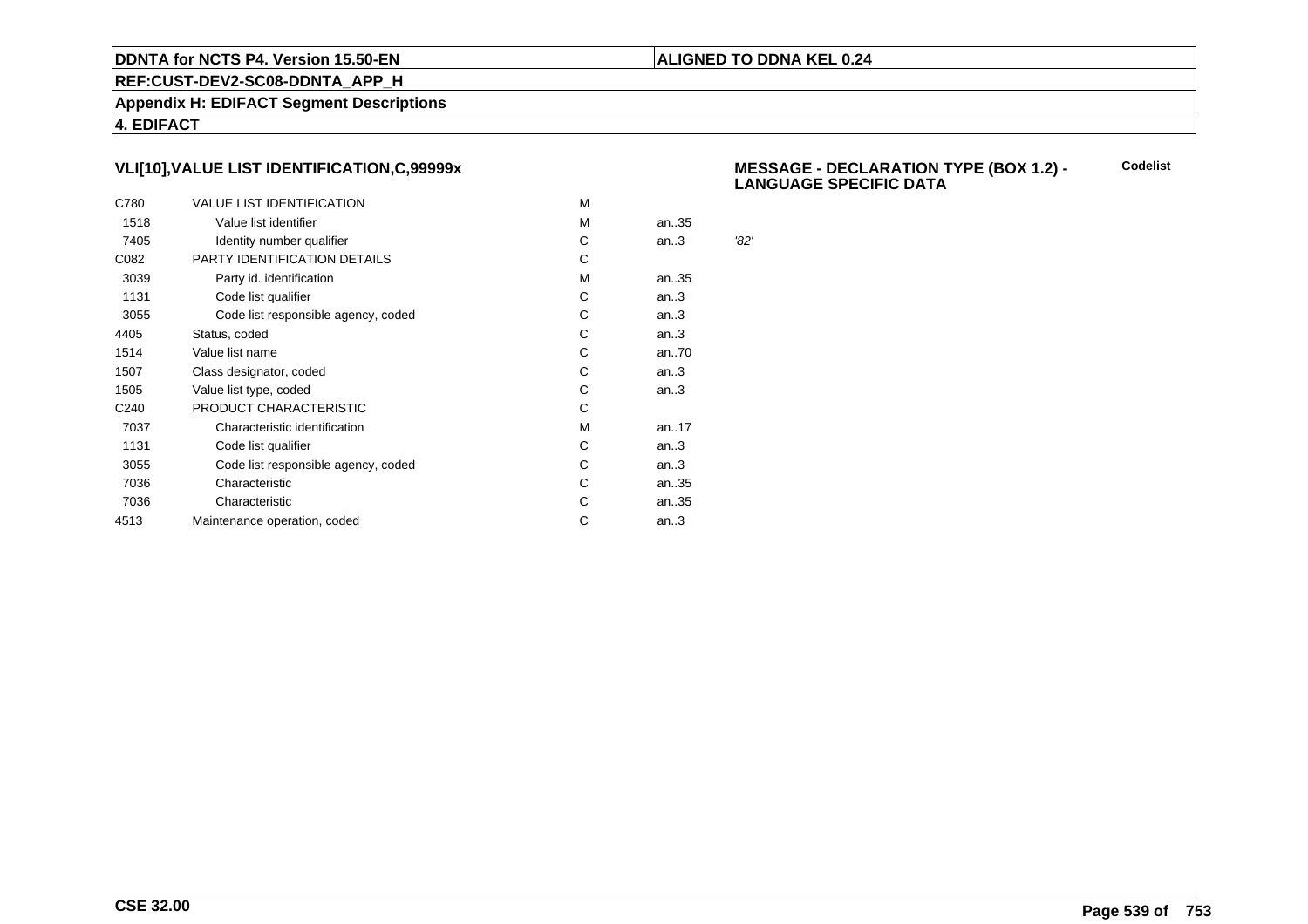## **ALIGNED TO DDNA KEL 0.24**

**REF:CUST-DEV2-SC08-DDNTA\_APP\_H**

**Appendix H: EDIFACT Segment Descriptions**

**4. EDIFACT**

# **VLI[10],VALUE LIST IDENTIFICATION,C,99999x**

| C780             | <b>VALUE LIST IDENTIFICATION</b>    | м |      |      |
|------------------|-------------------------------------|---|------|------|
| 1518             | Value list identifier               | м | an35 |      |
| 7405             | Identity number qualifier           | С | an.3 | '82' |
| C082             | PARTY IDENTIFICATION DETAILS        | С |      |      |
| 3039             | Party id. identification            | м | an35 |      |
| 1131             | Code list qualifier                 | C | an.3 |      |
| 3055             | Code list responsible agency, coded | С | an.3 |      |
| 4405             | Status, coded                       | C | an.3 |      |
| 1514             | Value list name                     | С | an70 |      |
| 1507             | Class designator, coded             | С | an.3 |      |
| 1505             | Value list type, coded              | С | an.3 |      |
| C <sub>240</sub> | PRODUCT CHARACTERISTIC              | С |      |      |
| 7037             | Characteristic identification       | м | an17 |      |
| 1131             | Code list qualifier                 | С | an.3 |      |
| 3055             | Code list responsible agency, coded | С | an.3 |      |
| 7036             | Characteristic                      | C | an35 |      |
| 7036             | Characteristic                      | С | an35 |      |
| 4513             | Maintenance operation, coded        | С | an.3 |      |
|                  |                                     |   |      |      |

#### **MESSAGE - DECLARATION TYPE (BOX 1.2) - LANGUAGE SPECIFIC DATACodelist**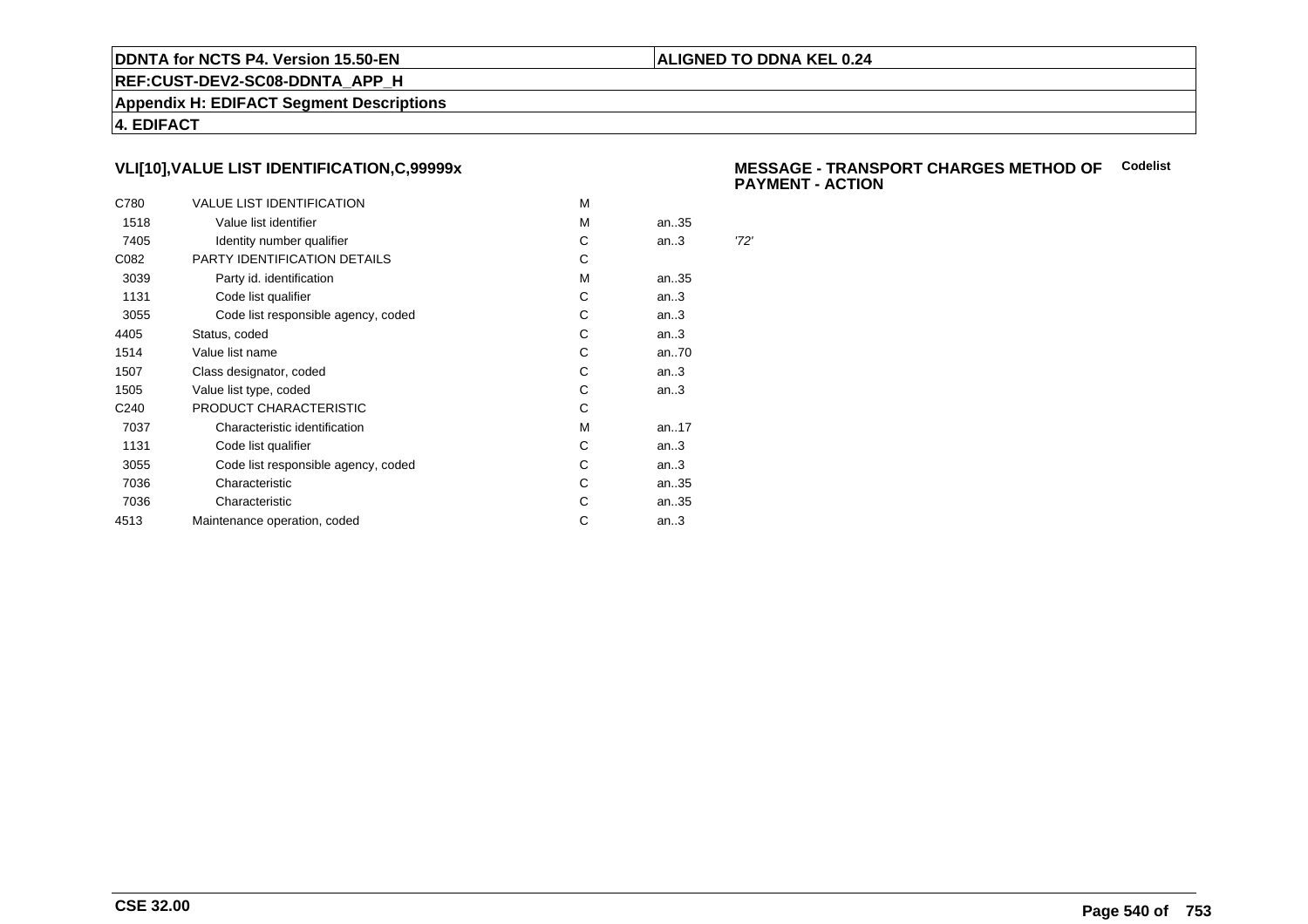## **ALIGNED TO DDNA KEL 0.24**

**REF:CUST-DEV2-SC08-DDNTA\_APP\_H**

**Appendix H: EDIFACT Segment Descriptions**

**4. EDIFACT**

# **VLI[10],VALUE LIST IDENTIFICATION,C,99999x**

| C780             | <b>VALUE LIST IDENTIFICATION</b>    | м |      |      |
|------------------|-------------------------------------|---|------|------|
| 1518             | Value list identifier               | м | an35 |      |
| 7405             | Identity number qualifier           | С | an.3 | '72' |
| C082             | PARTY IDENTIFICATION DETAILS        | С |      |      |
| 3039             | Party id. identification            | м | an35 |      |
| 1131             | Code list qualifier                 | C | an.3 |      |
| 3055             | Code list responsible agency, coded | С | an.3 |      |
| 4405             | Status, coded                       | C | an.3 |      |
| 1514             | Value list name                     | С | an70 |      |
| 1507             | Class designator, coded             | С | an.3 |      |
| 1505             | Value list type, coded              | С | an.3 |      |
| C <sub>240</sub> | PRODUCT CHARACTERISTIC              | С |      |      |
| 7037             | Characteristic identification       | м | an17 |      |
| 1131             | Code list qualifier                 | С | an.3 |      |
| 3055             | Code list responsible agency, coded | С | an.3 |      |
| 7036             | Characteristic                      | C | an35 |      |
| 7036             | Characteristic                      | С | an35 |      |
| 4513             | Maintenance operation, coded        | С | an.3 |      |
|                  |                                     |   |      |      |

#### **MESSAGE - TRANSPORT CHARGES METHOD OFCodelistPAYMENT - ACTION**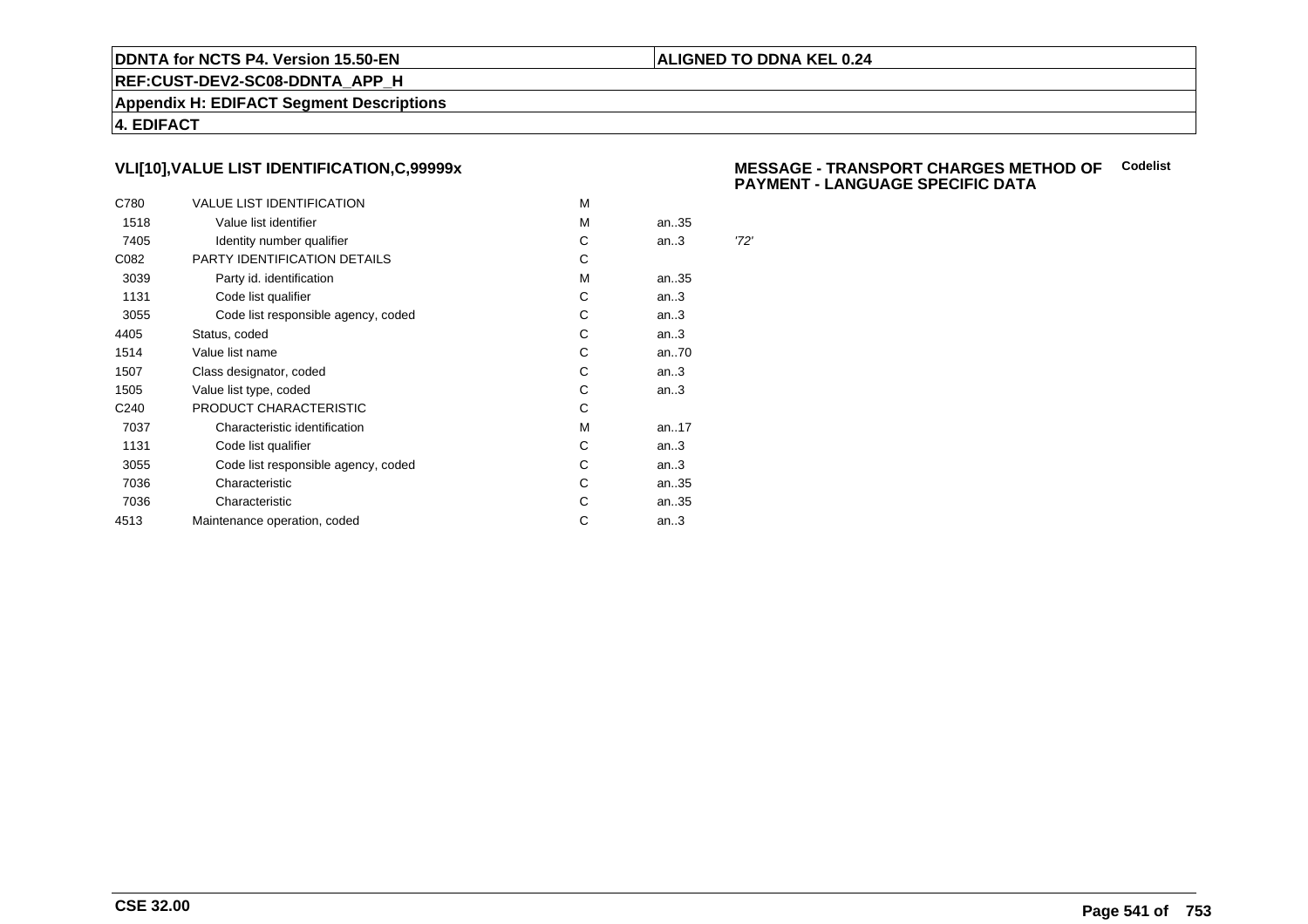### **ALIGNED TO DDNA KEL 0.24**

**REF:CUST-DEV2-SC08-DDNTA\_APP\_H**

**Appendix H: EDIFACT Segment Descriptions**

**4. EDIFACT**

# **VLI[10],VALUE LIST IDENTIFICATION,C,99999x**

| C780             | <b>VALUE LIST IDENTIFICATION</b>    | м |      |      |
|------------------|-------------------------------------|---|------|------|
| 1518             | Value list identifier               | м | an35 |      |
| 7405             | Identity number qualifier           | С | an.3 | '72' |
| C082             | PARTY IDENTIFICATION DETAILS        | C |      |      |
| 3039             | Party id. identification            | м | an35 |      |
| 1131             | Code list qualifier                 | C | an.3 |      |
| 3055             | Code list responsible agency, coded | С | an.3 |      |
| 4405             | Status, coded                       | С | an.3 |      |
| 1514             | Value list name                     | С | an70 |      |
| 1507             | Class designator, coded             | С | an.3 |      |
| 1505             | Value list type, coded              | С | an.3 |      |
| C <sub>240</sub> | PRODUCT CHARACTERISTIC              | С |      |      |
| 7037             | Characteristic identification       | M | an17 |      |
| 1131             | Code list qualifier                 | С | an.3 |      |
| 3055             | Code list responsible agency, coded | С | an.3 |      |
| 7036             | Characteristic                      | С | an35 |      |
| 7036             | Characteristic                      | С | an35 |      |
| 4513             | Maintenance operation, coded        | С | an.3 |      |
|                  |                                     |   |      |      |

### **MESSAGE - TRANSPORT CHARGES METHOD OFCodelist PAYMENT - LANGUAGE SPECIFIC DATA**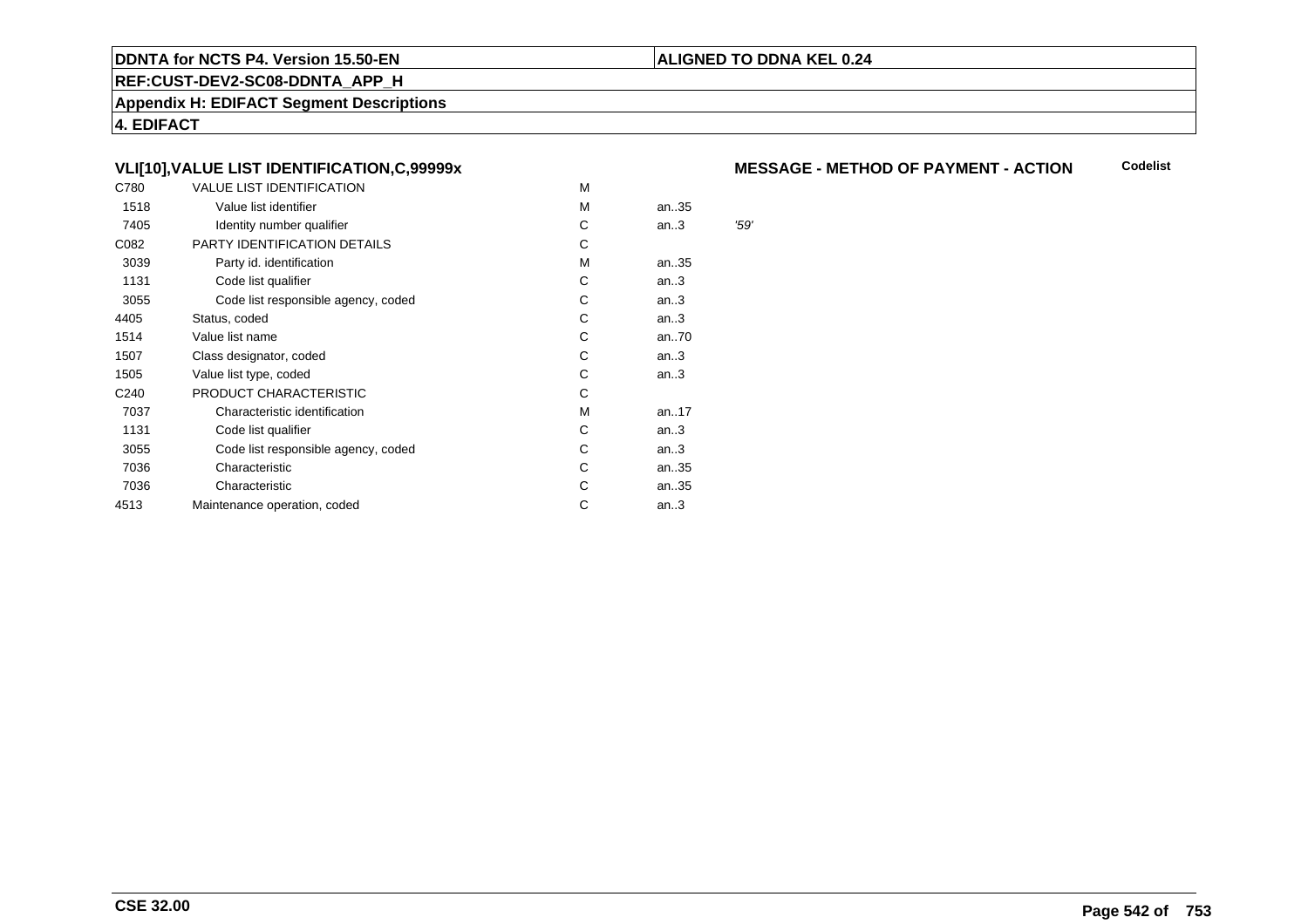### **REF:CUST-DEV2-SC08-DDNTA\_APP\_H**

**Appendix H: EDIFACT Segment Descriptions**

**4. EDIFACT**

# **VLI[10],VALUE LIST IDENTIFICATION,C,99999x**

| C780             | <b>VALUE LIST IDENTIFICATION</b>    | M |      |      |
|------------------|-------------------------------------|---|------|------|
| 1518             | Value list identifier               | M | an35 |      |
| 7405             | Identity number qualifier           | С | an.3 | '59' |
| C082             | PARTY IDENTIFICATION DETAILS        | С |      |      |
| 3039             | Party id. identification            | M | an35 |      |
| 1131             | Code list qualifier                 | С | an.3 |      |
| 3055             | Code list responsible agency, coded | С | an.3 |      |
| 4405             | Status, coded                       | C | an.3 |      |
| 1514             | Value list name                     | C | an70 |      |
| 1507             | Class designator, coded             | C | an.3 |      |
| 1505             | Value list type, coded              | C | an.3 |      |
| C <sub>240</sub> | PRODUCT CHARACTERISTIC              | С |      |      |
| 7037             | Characteristic identification       | м | an17 |      |
| 1131             | Code list qualifier                 | С | an.3 |      |
| 3055             | Code list responsible agency, coded | С | an.3 |      |
| 7036             | Characteristic                      | C | an35 |      |
| 7036             | Characteristic                      | C | an35 |      |
| 4513             | Maintenance operation, coded        | С | an.3 |      |
|                  |                                     |   |      |      |

#### **MESSAGE - METHOD OF PAYMENT - ACTIONCodelist**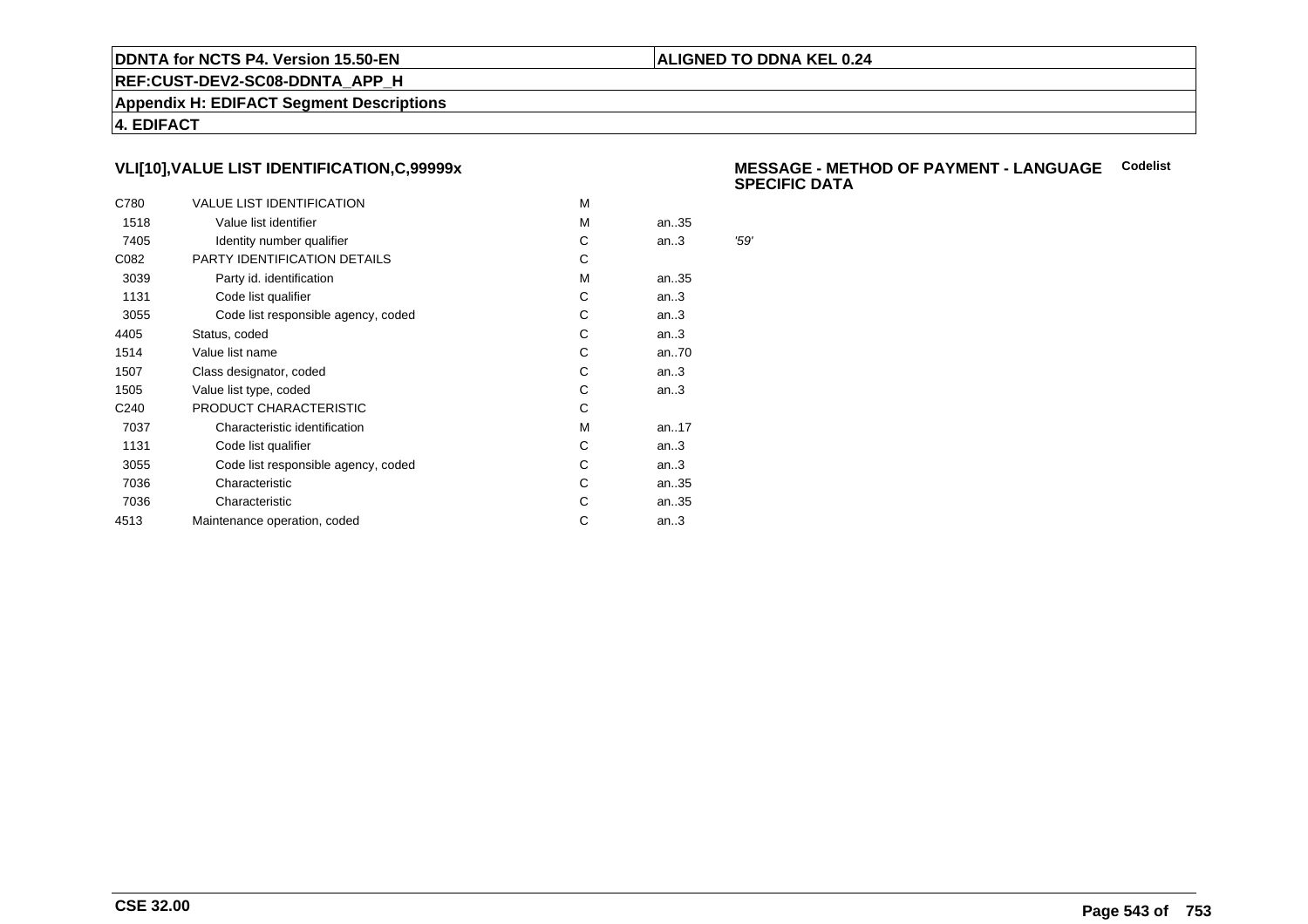### **ALIGNED TO DDNA KEL 0.24**

**REF:CUST-DEV2-SC08-DDNTA\_APP\_H**

**Appendix H: EDIFACT Segment Descriptions**

**4. EDIFACT**

# **VLI[10],VALUE LIST IDENTIFICATION,C,99999x**

| C780             | <b>VALUE LIST IDENTIFICATION</b>    | M |      |      |
|------------------|-------------------------------------|---|------|------|
| 1518             | Value list identifier               | M | an35 |      |
| 7405             | Identity number qualifier           | С | an.3 | '59' |
| C082             | PARTY IDENTIFICATION DETAILS        | С |      |      |
| 3039             | Party id. identification            | м | an35 |      |
| 1131             | Code list qualifier                 | С | an.3 |      |
| 3055             | Code list responsible agency, coded | С | an.3 |      |
| 4405             | Status, coded                       | С | an.3 |      |
| 1514             | Value list name                     | C | an70 |      |
| 1507             | Class designator, coded             | С | an.3 |      |
| 1505             | Value list type, coded              | С | an.3 |      |
| C <sub>240</sub> | PRODUCT CHARACTERISTIC              | С |      |      |
| 7037             | Characteristic identification       | м | an17 |      |
| 1131             | Code list qualifier                 | С | an.3 |      |
| 3055             | Code list responsible agency, coded | С | an.3 |      |
| 7036             | Characteristic                      | C | an35 |      |
| 7036             | Characteristic                      | С | an35 |      |
| 4513             | Maintenance operation, coded        | С | an.3 |      |
|                  |                                     |   |      |      |

### **MESSAGE - METHOD OF PAYMENT - LANGUAGECodelistSPECIFIC DATA**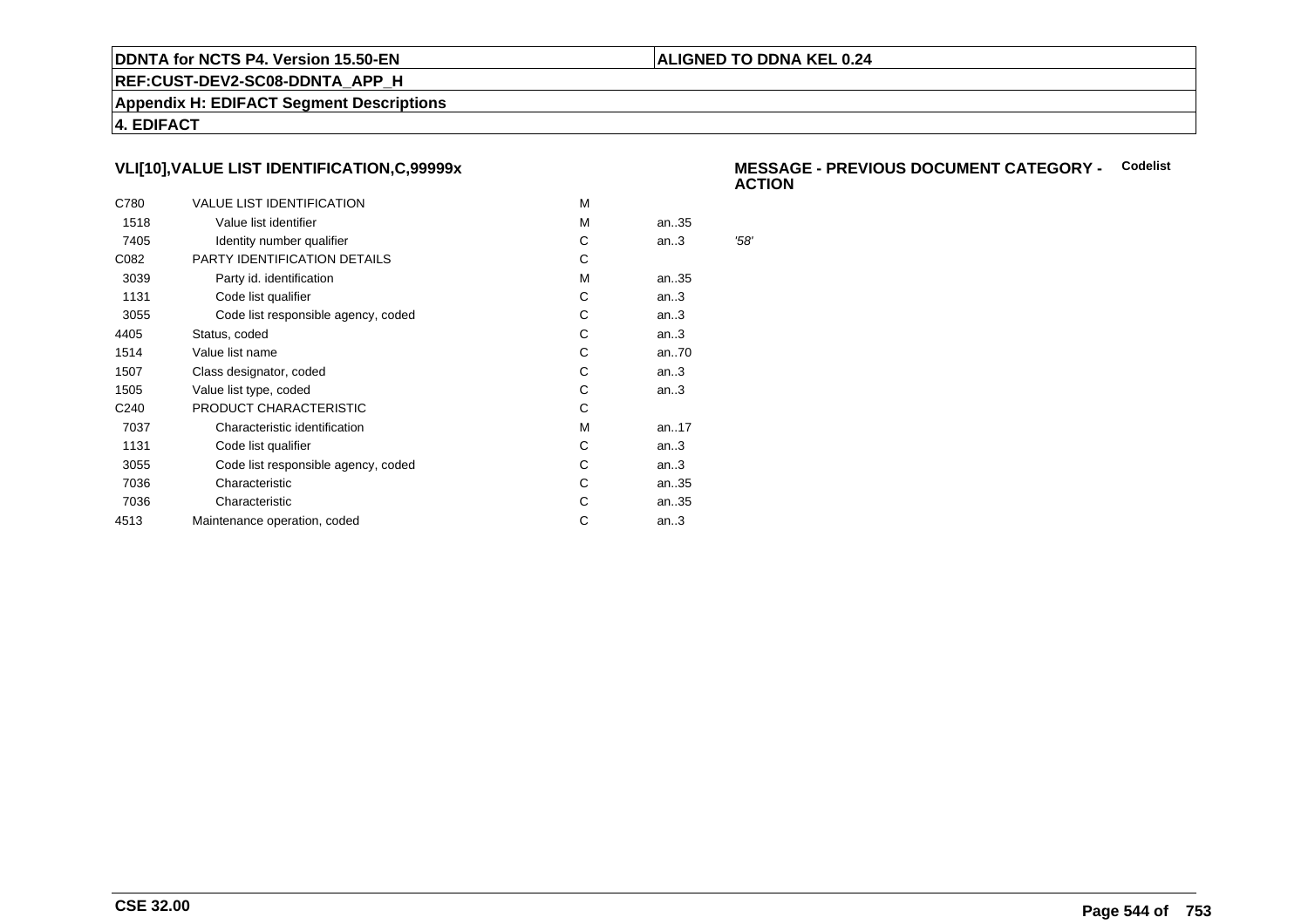### **ALIGNED TO DDNA KEL 0.24**

**REF:CUST-DEV2-SC08-DDNTA\_APP\_H**

**Appendix H: EDIFACT Segment Descriptions**

**4. EDIFACT**

# **VLI[10],VALUE LIST IDENTIFICATION,C,99999x**

| C780             | <b>VALUE LIST IDENTIFICATION</b>    | м |      |      |
|------------------|-------------------------------------|---|------|------|
| 1518             | Value list identifier               | м | an35 |      |
| 7405             | Identity number qualifier           | С | an.3 | '58' |
| C082             | PARTY IDENTIFICATION DETAILS        | C |      |      |
| 3039             | Party id. identification            | м | an35 |      |
| 1131             | Code list qualifier                 | C | an.3 |      |
| 3055             | Code list responsible agency, coded | С | an.3 |      |
| 4405             | Status, coded                       | С | an.3 |      |
| 1514             | Value list name                     | С | an70 |      |
| 1507             | Class designator, coded             | С | an.3 |      |
| 1505             | Value list type, coded              | С | an.3 |      |
| C <sub>240</sub> | PRODUCT CHARACTERISTIC              | С |      |      |
| 7037             | Characteristic identification       | M | an17 |      |
| 1131             | Code list qualifier                 | С | an.3 |      |
| 3055             | Code list responsible agency, coded | С | an.3 |      |
| 7036             | Characteristic                      | С | an35 |      |
| 7036             | Characteristic                      | С | an35 |      |
| 4513             | Maintenance operation, coded        | С | an.3 |      |
|                  |                                     |   |      |      |

### **MESSAGE - PREVIOUS DOCUMENT CATEGORY -** Codelist<br>ACTION **ACTION**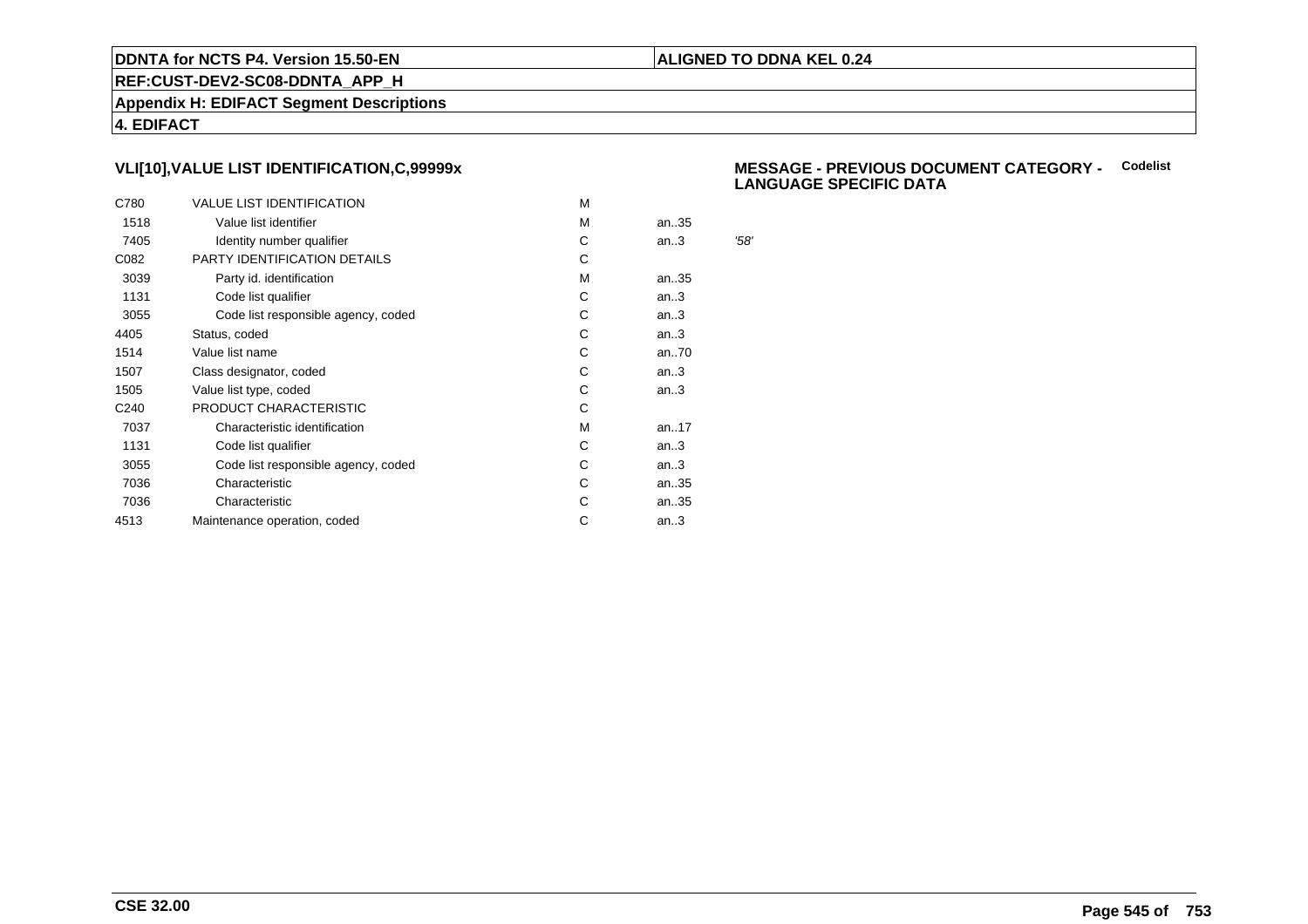### **ALIGNED TO DDNA KEL 0.24**

**REF:CUST-DEV2-SC08-DDNTA\_APP\_H**

**Appendix H: EDIFACT Segment Descriptions**

**4. EDIFACT**

# **VLI[10],VALUE LIST IDENTIFICATION,C,99999x**

| C780             | <b>VALUE LIST IDENTIFICATION</b>    | M |      |      |
|------------------|-------------------------------------|---|------|------|
| 1518             | Value list identifier               | M | an35 |      |
| 7405             | Identity number qualifier           | С | an.3 | '58' |
| C082             | PARTY IDENTIFICATION DETAILS        | С |      |      |
| 3039             | Party id. identification            | м | an35 |      |
| 1131             | Code list qualifier                 | С | an.3 |      |
| 3055             | Code list responsible agency, coded | С | an.3 |      |
| 4405             | Status, coded                       | С | an.3 |      |
| 1514             | Value list name                     | C | an70 |      |
| 1507             | Class designator, coded             | С | an.3 |      |
| 1505             | Value list type, coded              | С | an.3 |      |
| C <sub>240</sub> | PRODUCT CHARACTERISTIC              | С |      |      |
| 7037             | Characteristic identification       | м | an17 |      |
| 1131             | Code list qualifier                 | С | an.3 |      |
| 3055             | Code list responsible agency, coded | С | an.3 |      |
| 7036             | Characteristic                      | C | an35 |      |
| 7036             | Characteristic                      | С | an35 |      |
| 4513             | Maintenance operation, coded        | С | an.3 |      |
|                  |                                     |   |      |      |

### **MESSAGE - PREVIOUS DOCUMENT CATEGORY -** Codelist<br>
LANGUAGE SPECIELS DATA **LANGUAGE SPECIFIC DATA**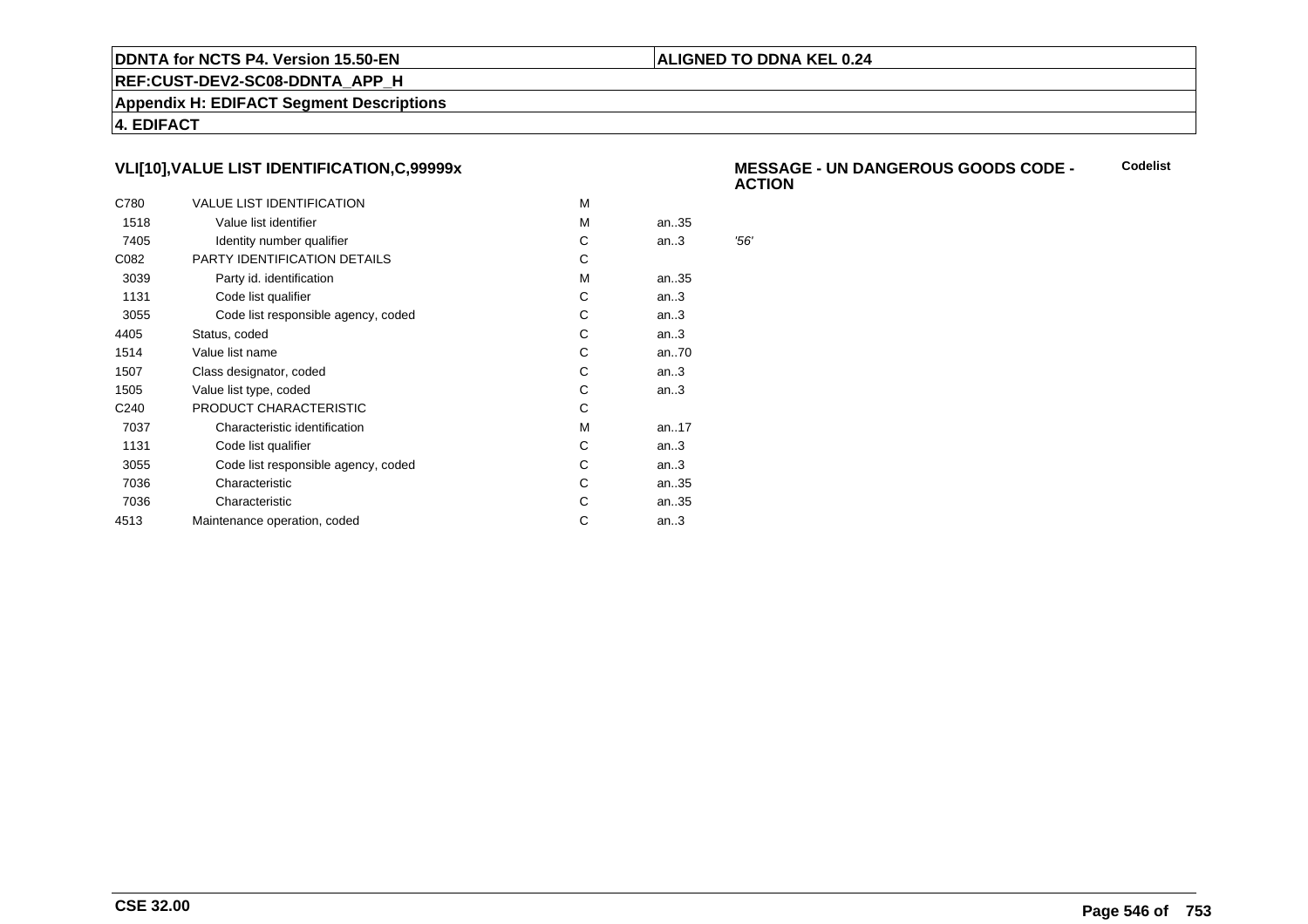### **ALIGNED TO DDNA KEL 0.24**

**REF:CUST-DEV2-SC08-DDNTA\_APP\_H**

**Appendix H: EDIFACT Segment Descriptions**

**4. EDIFACT**

# **VLI[10],VALUE LIST IDENTIFICATION,C,99999x**

| C780             | <b>VALUE LIST IDENTIFICATION</b>    | м |      |     |
|------------------|-------------------------------------|---|------|-----|
| 1518             | Value list identifier               | м | an35 |     |
| 7405             | Identity number qualifier           | С | an.3 | 56' |
| C082             | PARTY IDENTIFICATION DETAILS        | С |      |     |
| 3039             | Party id. identification            | м | an35 |     |
| 1131             | Code list qualifier                 | C | an.3 |     |
| 3055             | Code list responsible agency, coded | С | an.3 |     |
| 4405             | Status, coded                       | C | an.3 |     |
| 1514             | Value list name                     | С | an70 |     |
| 1507             | Class designator, coded             | С | an.3 |     |
| 1505             | Value list type, coded              | С | an.3 |     |
| C <sub>240</sub> | PRODUCT CHARACTERISTIC              | С |      |     |
| 7037             | Characteristic identification       | м | an17 |     |
| 1131             | Code list qualifier                 | С | an.3 |     |
| 3055             | Code list responsible agency, coded | С | an.3 |     |
| 7036             | Characteristic                      | C | an35 |     |
| 7036             | Characteristic                      | С | an35 |     |
| 4513             | Maintenance operation, coded        | С | an.3 |     |
|                  |                                     |   |      |     |

 **MESSAGE - UN DANGEROUS GOODS CODE - ACTIONCodelist**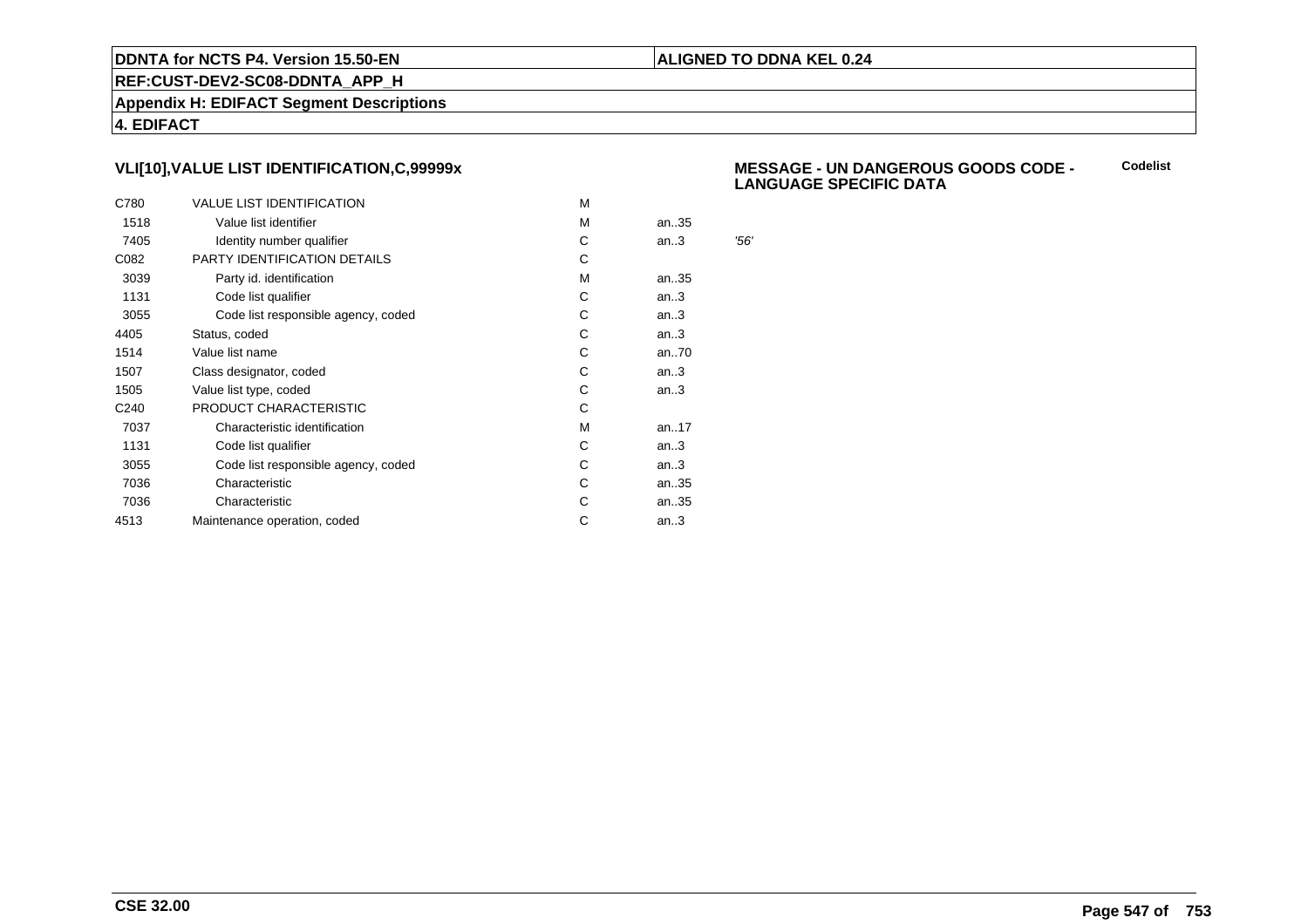### **ALIGNED TO DDNA KEL 0.24**

**REF:CUST-DEV2-SC08-DDNTA\_APP\_H**

**Appendix H: EDIFACT Segment Descriptions**

**4. EDIFACT**

# **VLI[10],VALUE LIST IDENTIFICATION,C,99999x**

| C780             | <b>VALUE LIST IDENTIFICATION</b>    | м |      |     |
|------------------|-------------------------------------|---|------|-----|
| 1518             | Value list identifier               | м | an35 |     |
| 7405             | Identity number qualifier           | С | an.3 | 56' |
| C082             | PARTY IDENTIFICATION DETAILS        | С |      |     |
| 3039             | Party id. identification            | м | an35 |     |
| 1131             | Code list qualifier                 | C | an.3 |     |
| 3055             | Code list responsible agency, coded | С | an.3 |     |
| 4405             | Status, coded                       | C | an.3 |     |
| 1514             | Value list name                     | С | an70 |     |
| 1507             | Class designator, coded             | С | an.3 |     |
| 1505             | Value list type, coded              | С | an.3 |     |
| C <sub>240</sub> | PRODUCT CHARACTERISTIC              | С |      |     |
| 7037             | Characteristic identification       | м | an17 |     |
| 1131             | Code list qualifier                 | С | an.3 |     |
| 3055             | Code list responsible agency, coded | С | an.3 |     |
| 7036             | Characteristic                      | C | an35 |     |
| 7036             | Characteristic                      | С | an35 |     |
| 4513             | Maintenance operation, coded        | С | an.3 |     |
|                  |                                     |   |      |     |

#### **MESSAGE - UN DANGEROUS GOODS CODE - LANGUAGE SPECIFIC DATACodelist**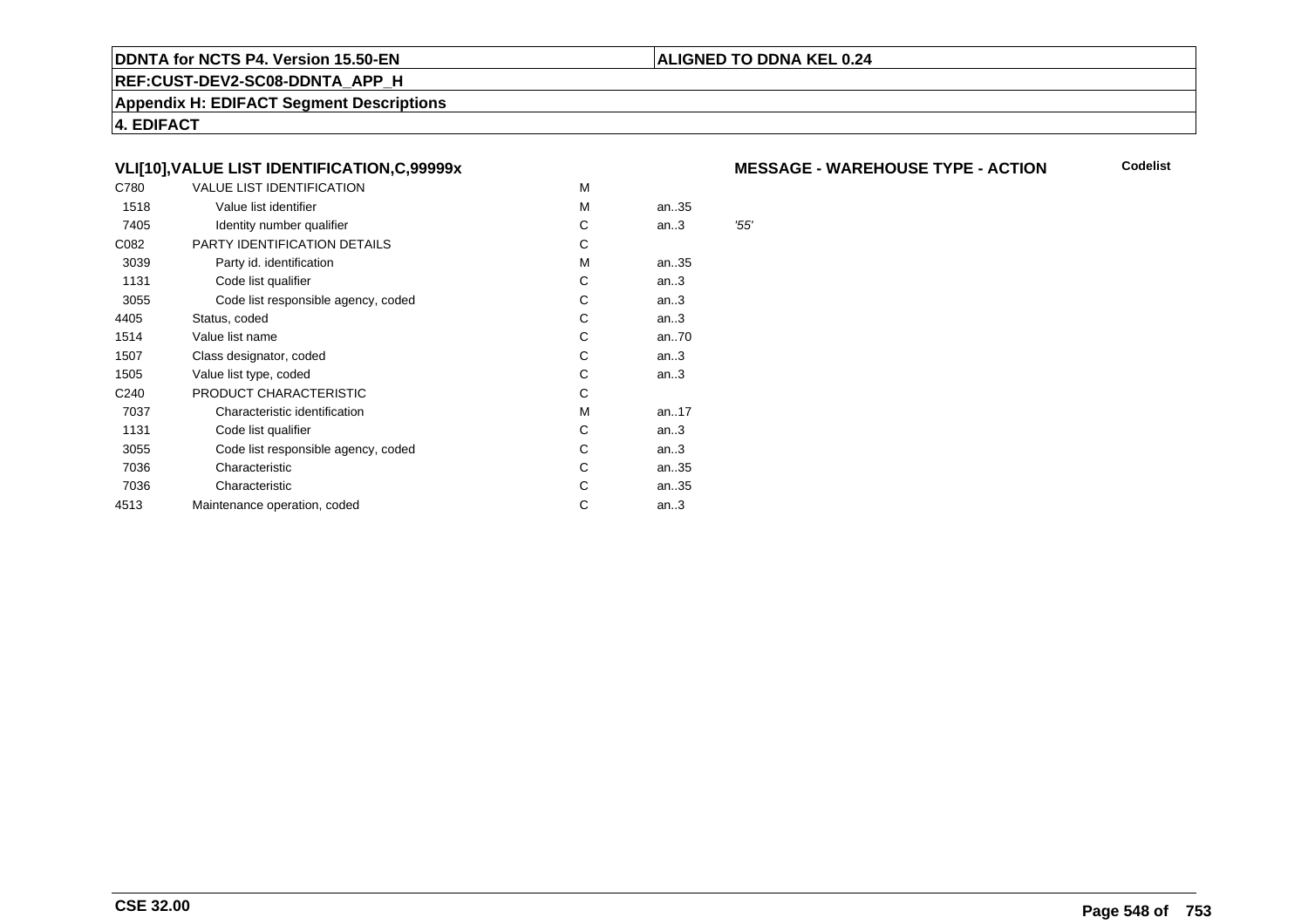### **REF:CUST-DEV2-SC08-DDNTA\_APP\_H**

**Appendix H: EDIFACT Segment Descriptions**

**4. EDIFACT**

# **VLI[10],VALUE LIST IDENTIFICATION,C,99999x**

| C780             | <b>VALUE LIST IDENTIFICATION</b>    | M |      |                        |
|------------------|-------------------------------------|---|------|------------------------|
| 1518             | Value list identifier               | M | an35 |                        |
| 7405             | Identity number qualifier           | С | an.3 | $^{\prime}55^{\prime}$ |
| C082             | PARTY IDENTIFICATION DETAILS        | С |      |                        |
| 3039             | Party id. identification            | М | an35 |                        |
| 1131             | Code list qualifier                 | С | an.3 |                        |
| 3055             | Code list responsible agency, coded | С | an.3 |                        |
| 4405             | Status, coded                       | C | an.3 |                        |
| 1514             | Value list name                     | C | an70 |                        |
| 1507             | Class designator, coded             | C | an.3 |                        |
| 1505             | Value list type, coded              | C | an.3 |                        |
| C <sub>240</sub> | PRODUCT CHARACTERISTIC              | С |      |                        |
| 7037             | Characteristic identification       | М | an17 |                        |
| 1131             | Code list qualifier                 | С | an.3 |                        |
| 3055             | Code list responsible agency, coded | С | an.3 |                        |
| 7036             | Characteristic                      | С | an35 |                        |
| 7036             | Characteristic                      | С | an35 |                        |
| 4513             | Maintenance operation, coded        | С | an.3 |                        |
|                  |                                     |   |      |                        |

### **MESSAGE - WAREHOUSE TYPE - ACTION**

**Codelist**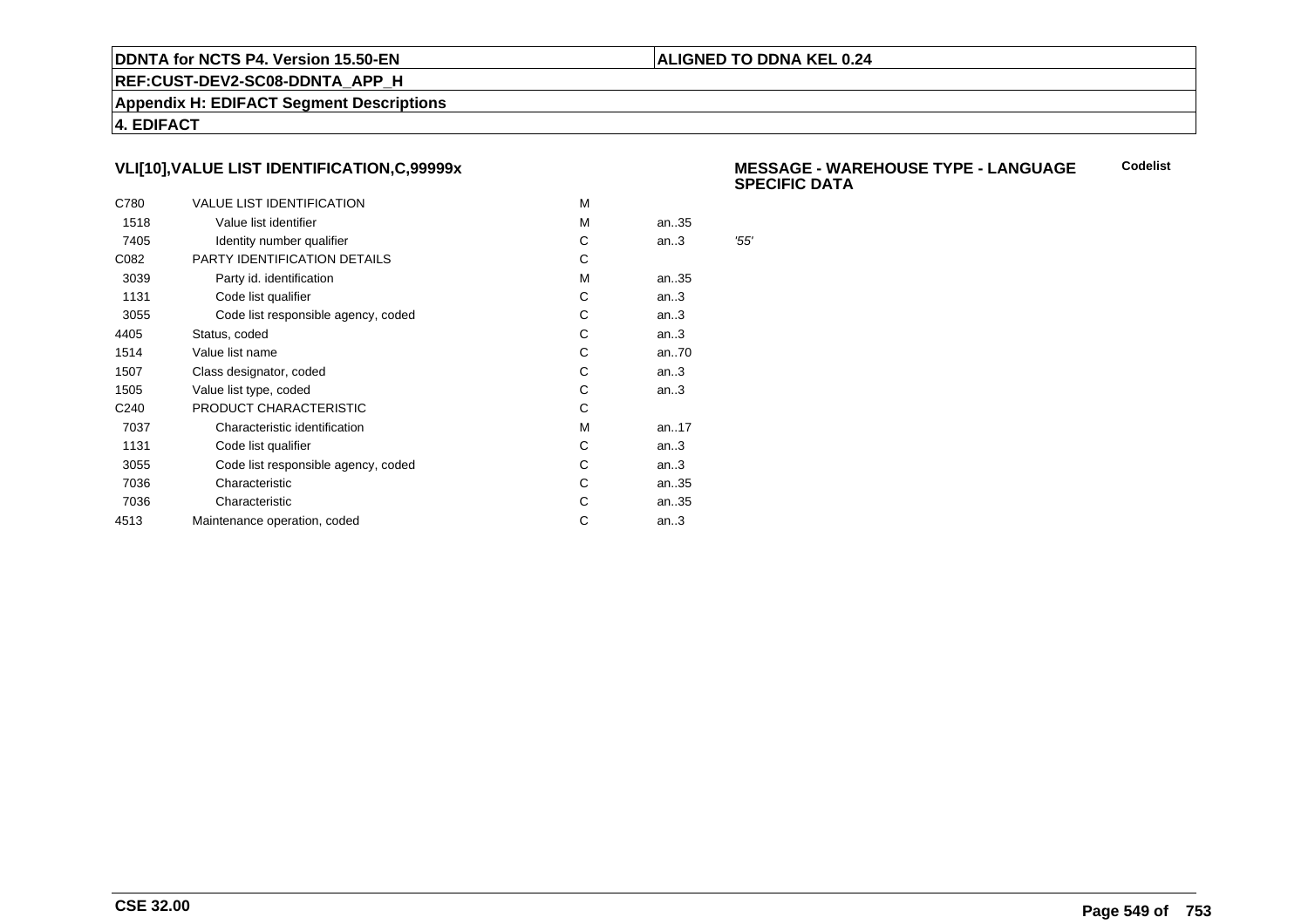### **ALIGNED TO DDNA KEL 0.24**

**REF:CUST-DEV2-SC08-DDNTA\_APP\_H**

**Appendix H: EDIFACT Segment Descriptions**

**4. EDIFACT**

# **VLI[10],VALUE LIST IDENTIFICATION,C,99999x**

| C780             | <b>VALUE LIST IDENTIFICATION</b>    | м |      |     |
|------------------|-------------------------------------|---|------|-----|
| 1518             | Value list identifier               | м | an35 |     |
| 7405             | Identity number qualifier           | С | an.3 | 55' |
| C082             | PARTY IDENTIFICATION DETAILS        | С |      |     |
| 3039             | Party id. identification            | м | an35 |     |
| 1131             | Code list qualifier                 | C | an.3 |     |
| 3055             | Code list responsible agency, coded | С | an.3 |     |
| 4405             | Status, coded                       | C | an.3 |     |
| 1514             | Value list name                     | С | an70 |     |
| 1507             | Class designator, coded             | С | an.3 |     |
| 1505             | Value list type, coded              | С | an.3 |     |
| C <sub>240</sub> | PRODUCT CHARACTERISTIC              | С |      |     |
| 7037             | Characteristic identification       | м | an17 |     |
| 1131             | Code list qualifier                 | С | an.3 |     |
| 3055             | Code list responsible agency, coded | С | an.3 |     |
| 7036             | Characteristic                      | C | an35 |     |
| 7036             | Characteristic                      | С | an35 |     |
| 4513             | Maintenance operation, coded        | С | an.3 |     |
|                  |                                     |   |      |     |

#### **MESSAGE - WAREHOUSE TYPE - LANGUAGESPECIFIC DATACodelist**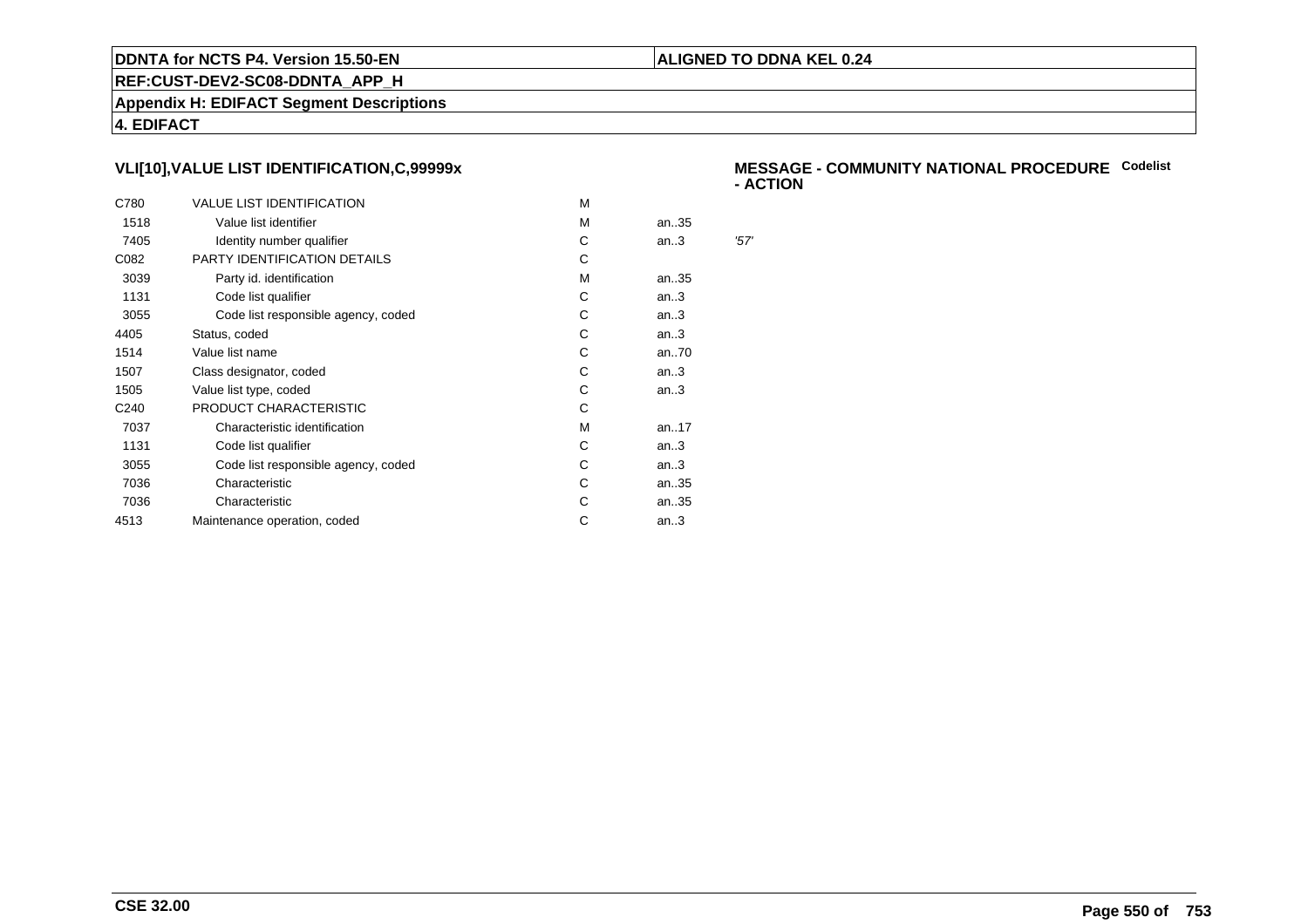### **ALIGNED TO DDNA KEL 0.24**

**REF:CUST-DEV2-SC08-DDNTA\_APP\_H**

**Appendix H: EDIFACT Segment Descriptions**

**4. EDIFACT**

# **VLI[10],VALUE LIST IDENTIFICATION,C,99999x**

| C780             | <b>VALUE LIST IDENTIFICATION</b>    | м |      |      |
|------------------|-------------------------------------|---|------|------|
| 1518             | Value list identifier               | M | an35 |      |
| 7405             | Identity number qualifier           | С | an.3 | '57' |
| C082             | PARTY IDENTIFICATION DETAILS        | С |      |      |
| 3039             | Party id. identification            | м | an35 |      |
| 1131             | Code list qualifier                 | C | an.3 |      |
| 3055             | Code list responsible agency, coded | С | an.3 |      |
| 4405             | Status, coded                       | C | an.3 |      |
| 1514             | Value list name                     | C | an70 |      |
| 1507             | Class designator, coded             | С | an.3 |      |
| 1505             | Value list type, coded              | C | an.3 |      |
| C <sub>240</sub> | PRODUCT CHARACTERISTIC              | С |      |      |
| 7037             | Characteristic identification       | м | an17 |      |
| 1131             | Code list qualifier                 | С | an.3 |      |
| 3055             | Code list responsible agency, coded | С | an.3 |      |
| 7036             | Characteristic                      | С | an35 |      |
| 7036             | Characteristic                      | С | an35 |      |
| 4513             | Maintenance operation, coded        | С | an.3 |      |
|                  |                                     |   |      |      |

### **MESSAGE - COMMUNITY NATIONAL PROCEDURECodelist- ACTION**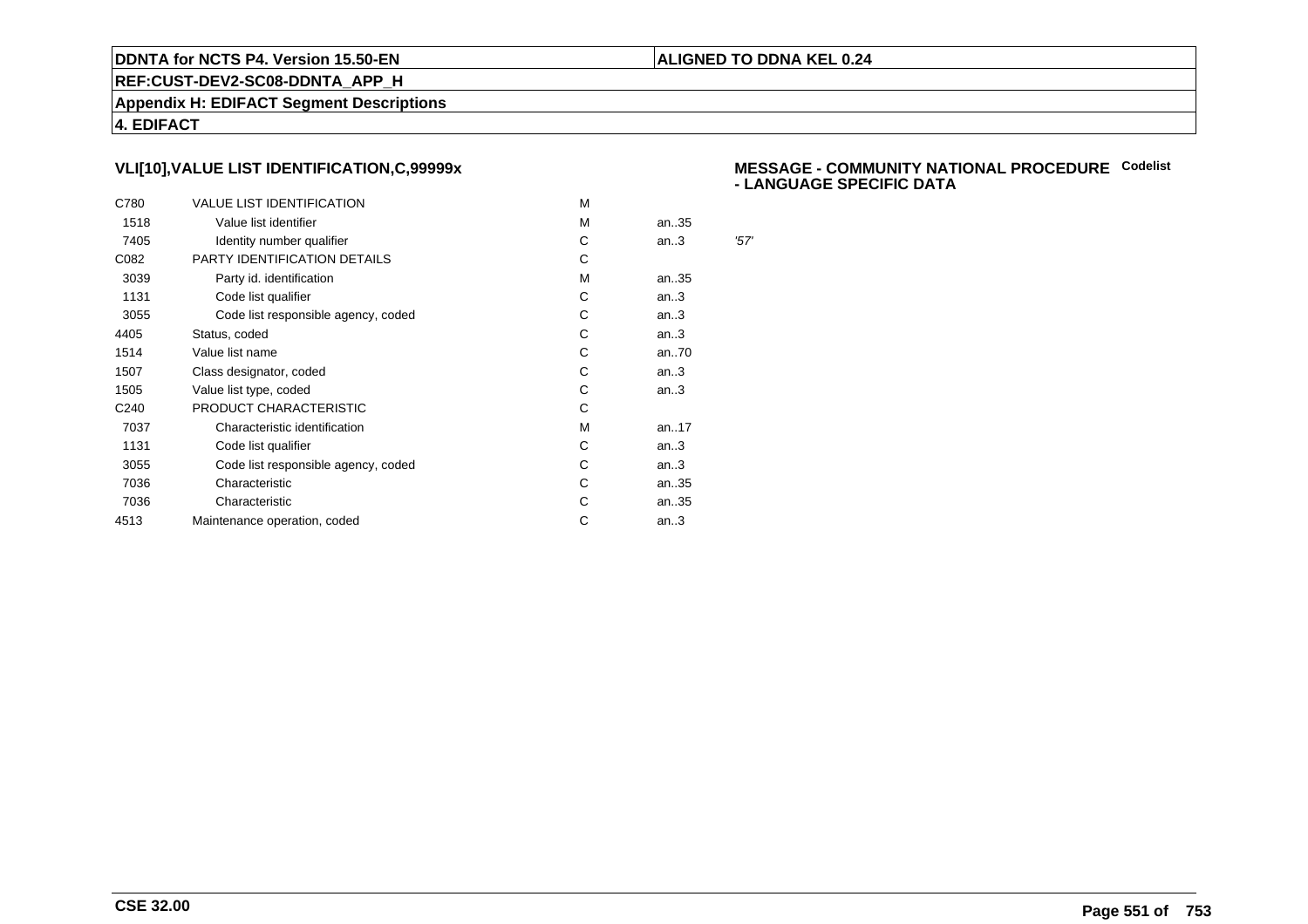### **ALIGNED TO DDNA KEL 0.24**

**REF:CUST-DEV2-SC08-DDNTA\_APP\_H**

**Appendix H: EDIFACT Segment Descriptions**

**4. EDIFACT**

# **VLI[10],VALUE LIST IDENTIFICATION,C,99999x**

| C780             | <b>VALUE LIST IDENTIFICATION</b>    | м |      |      |
|------------------|-------------------------------------|---|------|------|
| 1518             | Value list identifier               | м | an35 |      |
| 7405             | Identity number qualifier           | С | an.3 | '57' |
| C082             | PARTY IDENTIFICATION DETAILS        | С |      |      |
| 3039             | Party id. identification            | м | an35 |      |
| 1131             | Code list qualifier                 | C | an.3 |      |
| 3055             | Code list responsible agency, coded | С | an.3 |      |
| 4405             | Status, coded                       | C | an.3 |      |
| 1514             | Value list name                     | С | an70 |      |
| 1507             | Class designator, coded             | С | an.3 |      |
| 1505             | Value list type, coded              | С | an.3 |      |
| C <sub>240</sub> | PRODUCT CHARACTERISTIC              | С |      |      |
| 7037             | Characteristic identification       | м | an17 |      |
| 1131             | Code list qualifier                 | С | an.3 |      |
| 3055             | Code list responsible agency, coded | С | an.3 |      |
| 7036             | Characteristic                      | C | an35 |      |
| 7036             | Characteristic                      | С | an35 |      |
| 4513             | Maintenance operation, coded        | С | an.3 |      |
|                  |                                     |   |      |      |

### **MESSAGE - COMMUNITY NATIONAL PROCEDURECodelist - LANGUAGE SPECIFIC DATA**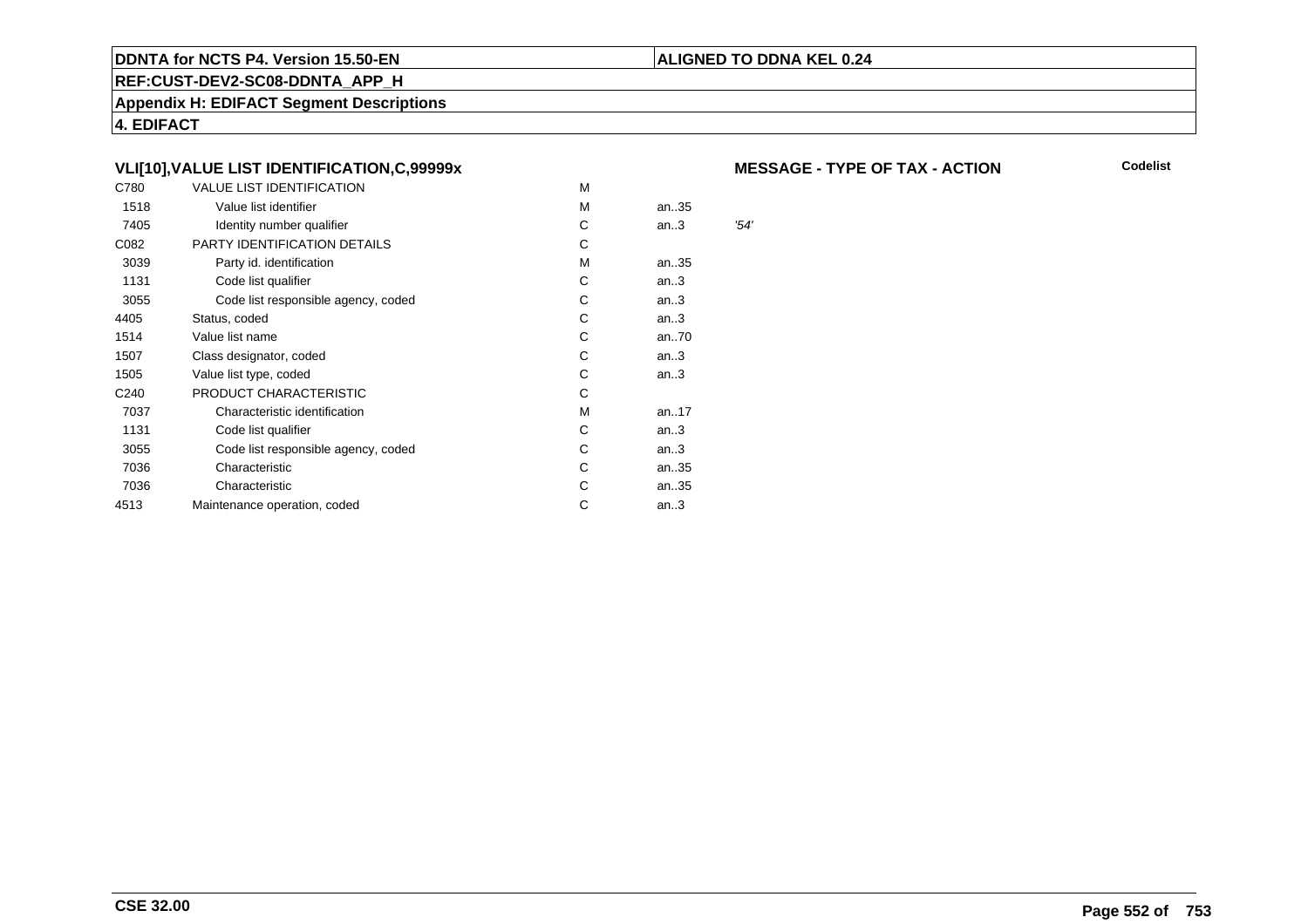### **REF:CUST-DEV2-SC08-DDNTA\_APP\_H**

**Appendix H: EDIFACT Segment Descriptions**

**4. EDIFACT**

# **VLI[10],VALUE LIST IDENTIFICATION,C,99999x**

| C780             | <b>VALUE LIST IDENTIFICATION</b>    | M |      |      |
|------------------|-------------------------------------|---|------|------|
| 1518             | Value list identifier               | M | an35 |      |
| 7405             | Identity number qualifier           | С | an.3 | '54' |
| C082             | PARTY IDENTIFICATION DETAILS        | С |      |      |
| 3039             | Party id. identification            | М | an35 |      |
| 1131             | Code list qualifier                 | С | an.3 |      |
| 3055             | Code list responsible agency, coded | С | an.3 |      |
| 4405             | Status, coded                       | C | an.3 |      |
| 1514             | Value list name                     | C | an70 |      |
| 1507             | Class designator, coded             | C | an.3 |      |
| 1505             | Value list type, coded              | C | an.3 |      |
| C <sub>240</sub> | PRODUCT CHARACTERISTIC              | С |      |      |
| 7037             | Characteristic identification       | М | an17 |      |
| 1131             | Code list qualifier                 | С | an.3 |      |
| 3055             | Code list responsible agency, coded | С | an.3 |      |
| 7036             | Characteristic                      | С | an35 |      |
| 7036             | Characteristic                      | С | an35 |      |
| 4513             | Maintenance operation, coded        | С | an.3 |      |
|                  |                                     |   |      |      |

### **MESSAGE - TYPE OF TAX - ACTION**

**Codelist**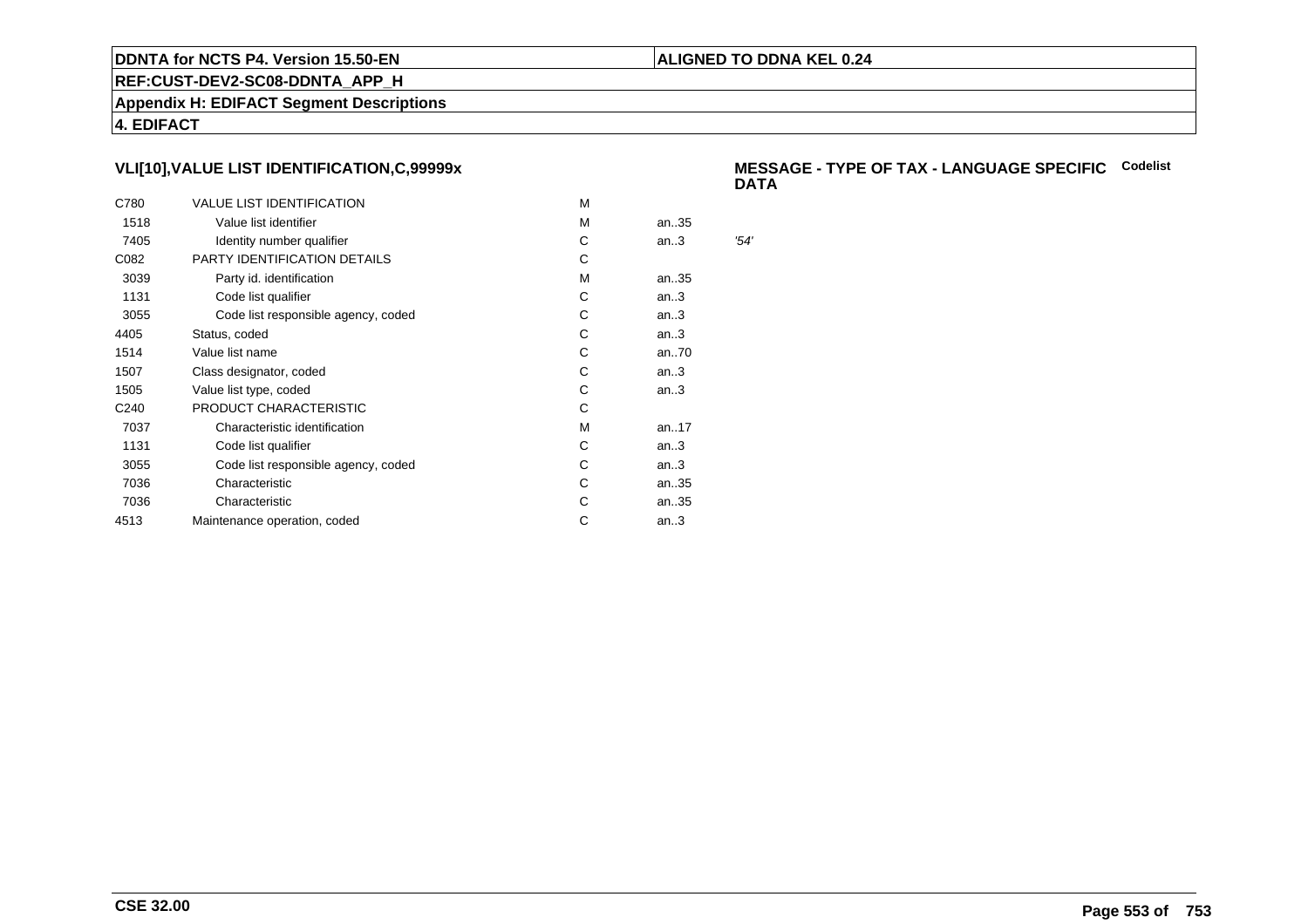### **ALIGNED TO DDNA KEL 0.24**

**REF:CUST-DEV2-SC08-DDNTA\_APP\_H**

**Appendix H: EDIFACT Segment Descriptions**

**4. EDIFACT**

# **VLI[10],VALUE LIST IDENTIFICATION,C,99999x**

| C780             | <b>VALUE LIST IDENTIFICATION</b>    | м |      |      |
|------------------|-------------------------------------|---|------|------|
| 1518             | Value list identifier               | м | an35 |      |
| 7405             | Identity number qualifier           | С | an.3 | '54' |
| C082             | PARTY IDENTIFICATION DETAILS        | С |      |      |
| 3039             | Party id. identification            | м | an35 |      |
| 1131             | Code list qualifier                 | C | an.3 |      |
| 3055             | Code list responsible agency, coded | С | an.3 |      |
| 4405             | Status, coded                       | C | an.3 |      |
| 1514             | Value list name                     | С | an70 |      |
| 1507             | Class designator, coded             | С | an.3 |      |
| 1505             | Value list type, coded              | С | an.3 |      |
| C <sub>240</sub> | PRODUCT CHARACTERISTIC              | С |      |      |
| 7037             | Characteristic identification       | м | an17 |      |
| 1131             | Code list qualifier                 | С | an.3 |      |
| 3055             | Code list responsible agency, coded | С | an.3 |      |
| 7036             | Characteristic                      | C | an35 |      |
| 7036             | Characteristic                      | С | an35 |      |
| 4513             | Maintenance operation, coded        | С | an.3 |      |
|                  |                                     |   |      |      |

### **MESSAGE - TYPE OF TAX - LANGUAGE SPECIFICCodelistDATA**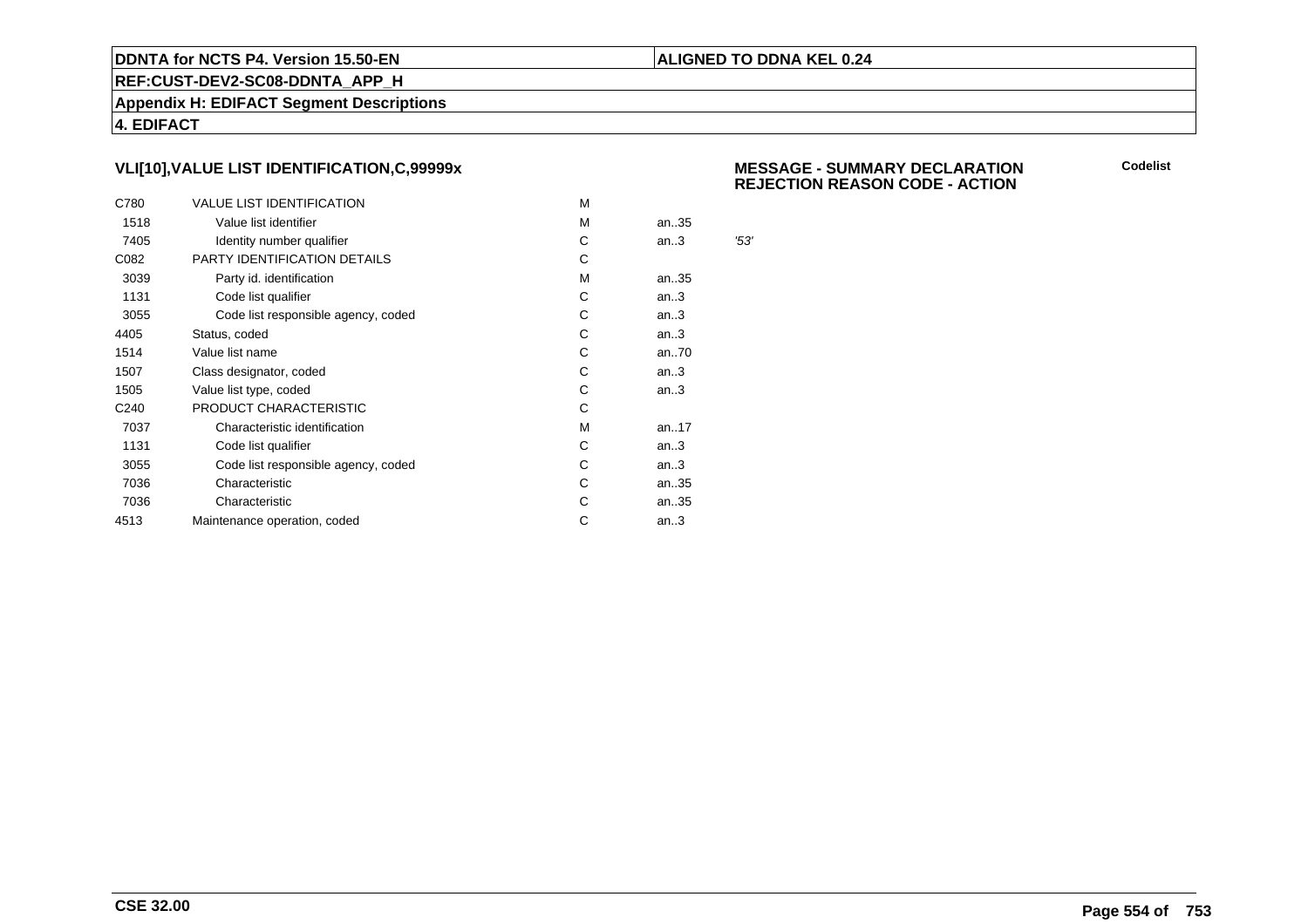### **ALIGNED TO DDNA KEL 0.24**

**REF:CUST-DEV2-SC08-DDNTA\_APP\_H**

**Appendix H: EDIFACT Segment Descriptions**

**4. EDIFACT**

# **VLI[10],VALUE LIST IDENTIFICATION,C,99999x**

| C780             | <b>VALUE LIST IDENTIFICATION</b>    | м |      |      |
|------------------|-------------------------------------|---|------|------|
| 1518             | Value list identifier               | м | an35 |      |
| 7405             | Identity number qualifier           | С | an.3 | '53' |
| C082             | PARTY IDENTIFICATION DETAILS        | С |      |      |
| 3039             | Party id. identification            | м | an35 |      |
| 1131             | Code list qualifier                 | C | an.3 |      |
| 3055             | Code list responsible agency, coded | С | an.3 |      |
| 4405             | Status, coded                       | C | an.3 |      |
| 1514             | Value list name                     | С | an70 |      |
| 1507             | Class designator, coded             | С | an.3 |      |
| 1505             | Value list type, coded              | С | an.3 |      |
| C <sub>240</sub> | PRODUCT CHARACTERISTIC              | С |      |      |
| 7037             | Characteristic identification       | м | an17 |      |
| 1131             | Code list qualifier                 | С | an.3 |      |
| 3055             | Code list responsible agency, coded | С | an.3 |      |
| 7036             | Characteristic                      | C | an35 |      |
| 7036             | Characteristic                      | С | an35 |      |
| 4513             | Maintenance operation, coded        | С | an.3 |      |
|                  |                                     |   |      |      |

 **MESSAGE - SUMMARY DECLARATIONREJECTION REASON CODE - ACTION**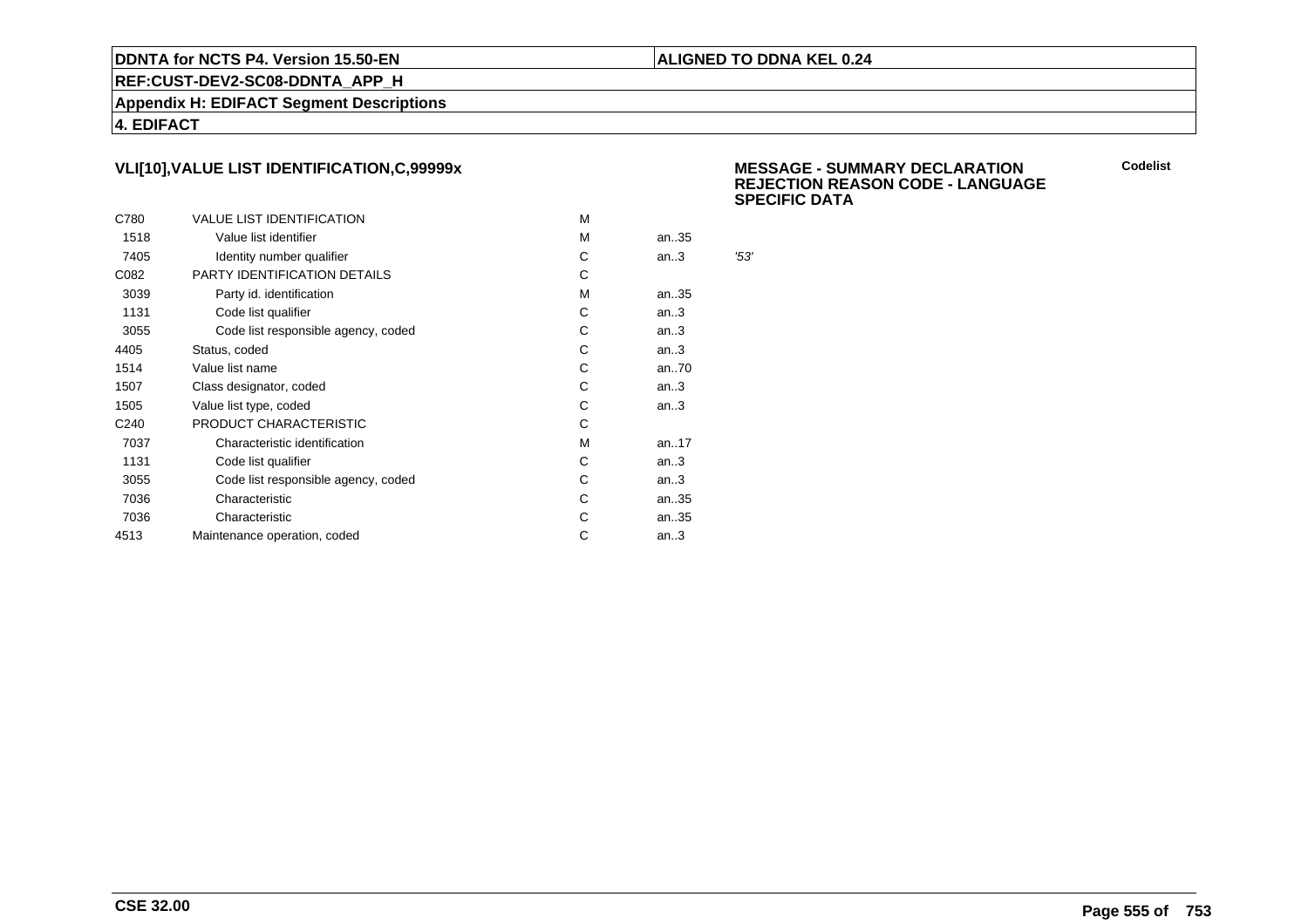### **ALIGNED TO DDNA KEL 0.24**

**REF:CUST-DEV2-SC08-DDNTA\_APP\_H**

**Appendix H: EDIFACT Segment Descriptions**

**4. EDIFACT**

# **VLI[10],VALUE LIST IDENTIFICATION,C,99999x**

| C780             | <b>VALUE LIST IDENTIFICATION</b>    | M |           |      |
|------------------|-------------------------------------|---|-----------|------|
| 1518             | Value list identifier               | м | an35      |      |
| 7405             | Identity number qualifier           | С | an.3      | '53' |
| C082             | <b>PARTY IDENTIFICATION DETAILS</b> | С |           |      |
| 3039             | Party id. identification            | М | an35      |      |
| 1131             | Code list qualifier                 | С | an.3      |      |
| 3055             | Code list responsible agency, coded | С | an.3      |      |
| 4405             | Status, coded                       | С | an.3      |      |
| 1514             | Value list name                     | С | an70      |      |
| 1507             | Class designator, coded             | С | an.3      |      |
| 1505             | Value list type, coded              | C | an.3      |      |
| C <sub>240</sub> | PRODUCT CHARACTERISTIC              | C |           |      |
| 7037             | Characteristic identification       | м | an. $.17$ |      |
| 1131             | Code list qualifier                 | C | an.3      |      |
| 3055             | Code list responsible agency, coded | С | an.3      |      |
| 7036             | Characteristic                      | C | an35      |      |
| 7036             | Characteristic                      | C | an35      |      |
| 4513             | Maintenance operation, coded        | С | an.3      |      |
|                  |                                     |   |           |      |

 **MESSAGE - SUMMARY DECLARATION REJECTION REASON CODE - LANGUAGESPECIFIC DATA**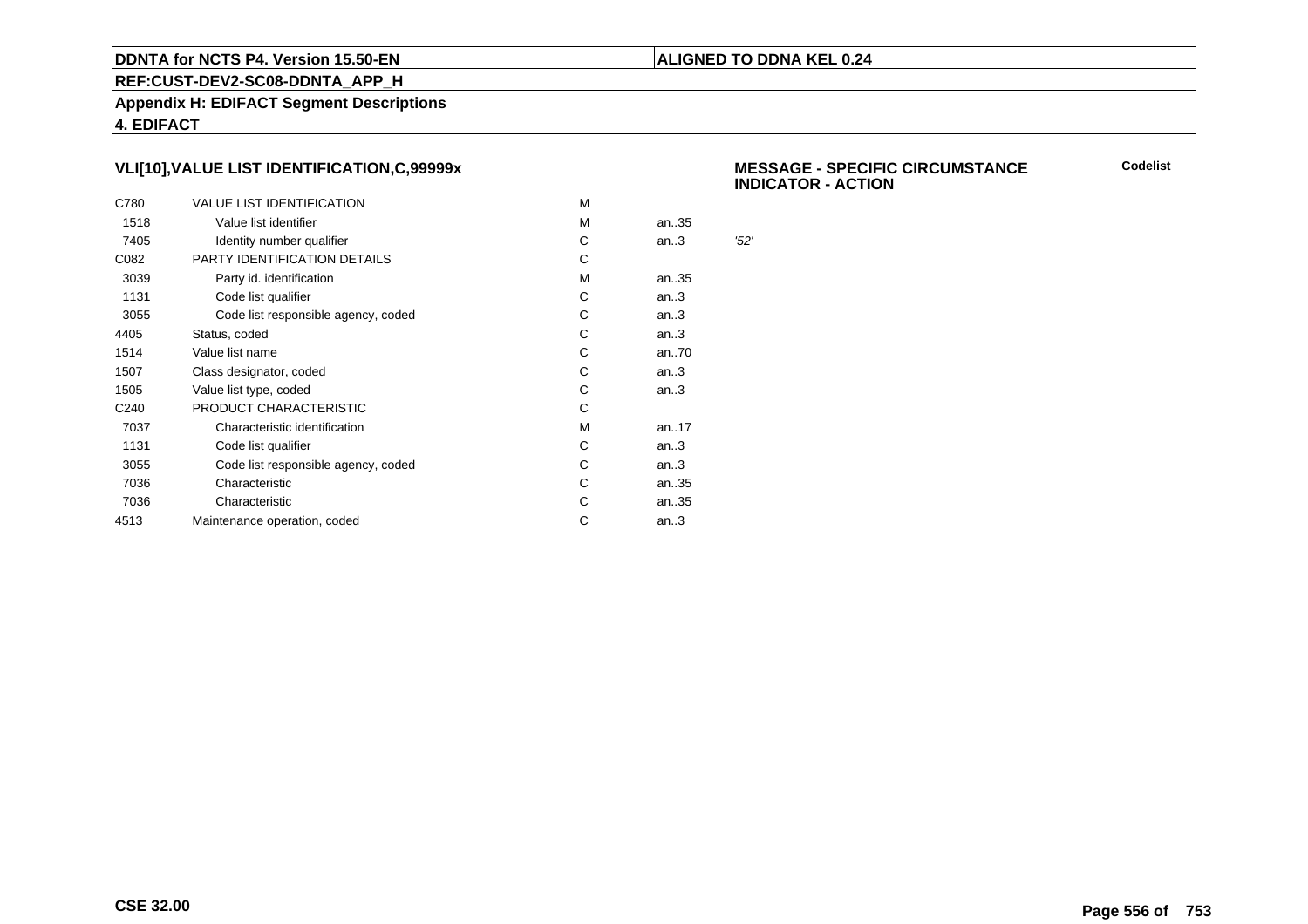### **ALIGNED TO DDNA KEL 0.24**

**REF:CUST-DEV2-SC08-DDNTA\_APP\_H**

**Appendix H: EDIFACT Segment Descriptions**

**4. EDIFACT**

# **VLI[10],VALUE LIST IDENTIFICATION,C,99999x**

| C780             | <b>VALUE LIST IDENTIFICATION</b>    | M |      |      |
|------------------|-------------------------------------|---|------|------|
| 1518             | Value list identifier               | М | an35 |      |
| 7405             | Identity number qualifier           | С | an.3 | '52' |
| C082             | PARTY IDENTIFICATION DETAILS        | C |      |      |
| 3039             | Party id. identification            | М | an35 |      |
| 1131             | Code list qualifier                 | C | an.3 |      |
| 3055             | Code list responsible agency, coded | С | an.3 |      |
| 4405             | Status, coded                       | C | an.3 |      |
| 1514             | Value list name                     | С | an70 |      |
| 1507             | Class designator, coded             | С | an.3 |      |
| 1505             | Value list type, coded              | C | an.3 |      |
| C <sub>240</sub> | PRODUCT CHARACTERISTIC              | С |      |      |
| 7037             | Characteristic identification       | M | an17 |      |
| 1131             | Code list qualifier                 | C | an.3 |      |
| 3055             | Code list responsible agency, coded | С | an.3 |      |
| 7036             | Characteristic                      | С | an35 |      |
| 7036             | Characteristic                      | С | an35 |      |
| 4513             | Maintenance operation, coded        | С | an.3 |      |
|                  |                                     |   |      |      |

 **MESSAGE - SPECIFIC CIRCUMSTANCEINDICATOR - ACTION**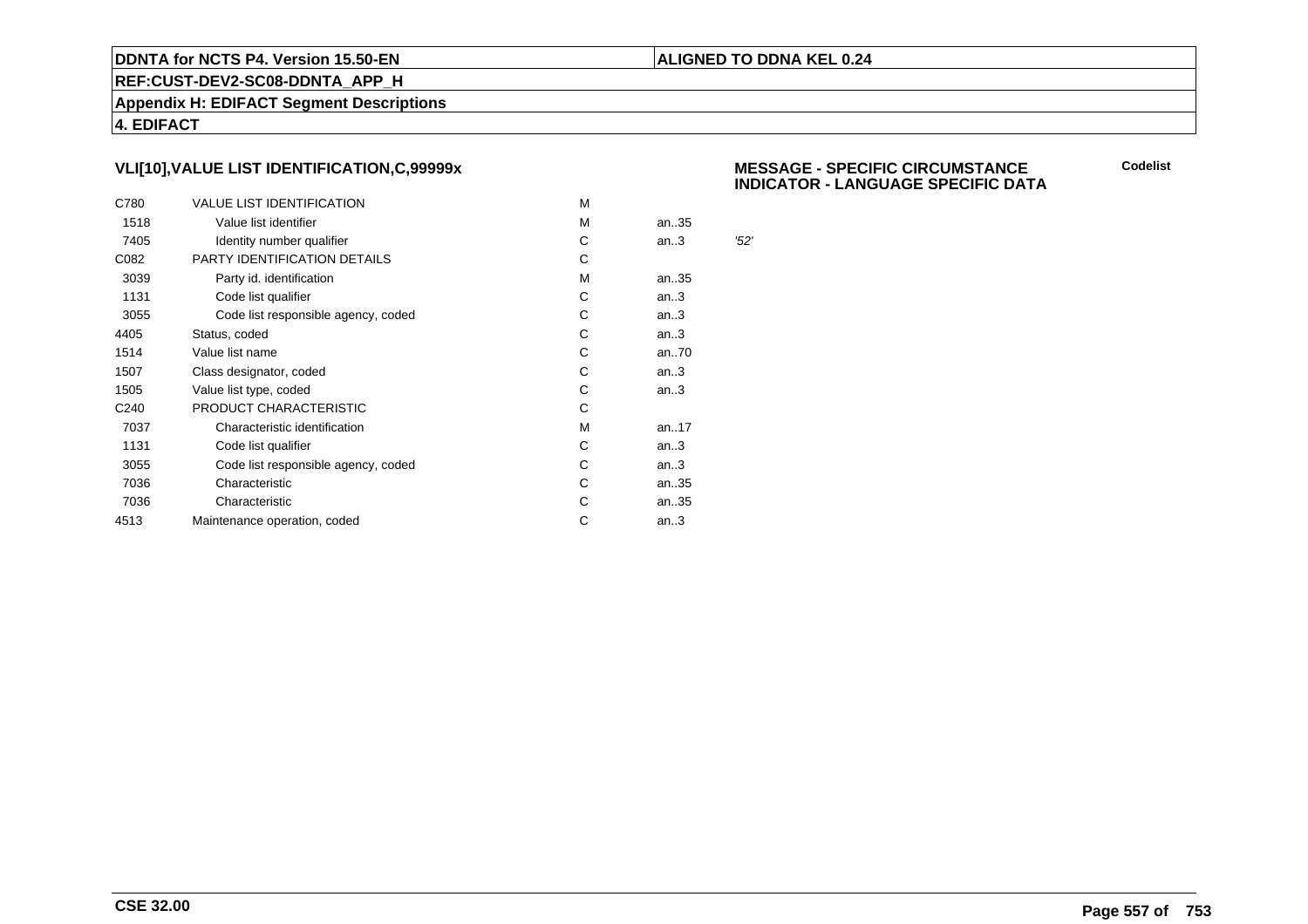### **ALIGNED TO DDNA KEL 0.24**

**REF:CUST-DEV2-SC08-DDNTA\_APP\_H**

**Appendix H: EDIFACT Segment Descriptions**

**4. EDIFACT**

# **VLI[10],VALUE LIST IDENTIFICATION,C,99999x**

| C780             | <b>VALUE LIST IDENTIFICATION</b>    | м |           |      |
|------------------|-------------------------------------|---|-----------|------|
| 1518             | Value list identifier               | м | an35      |      |
| 7405             | Identity number qualifier           | C | an.3      | '52' |
| C082             | PARTY IDENTIFICATION DETAILS        | C |           |      |
| 3039             | Party id. identification            | м | an35      |      |
| 1131             | Code list qualifier                 | C | an.3      |      |
| 3055             | Code list responsible agency, coded | С | an.3      |      |
| 4405             | Status, coded                       | С | an.3      |      |
| 1514             | Value list name                     | С | an70      |      |
| 1507             | Class designator, coded             | С | an.3      |      |
| 1505             | Value list type, coded              | C | an.3      |      |
| C <sub>240</sub> | PRODUCT CHARACTERISTIC              | С |           |      |
| 7037             | Characteristic identification       | м | an. $.17$ |      |
| 1131             | Code list qualifier                 | С | an.3      |      |
| 3055             | Code list responsible agency, coded | С | an.3      |      |
| 7036             | Characteristic                      | C | an35      |      |
| 7036             | Characteristic                      | С | an35      |      |
| 4513             | Maintenance operation, coded        | С | an.3      |      |
|                  |                                     |   |           |      |

### **MESSAGE - SPECIFIC CIRCUMSTANCEINDICATOR - LANGUAGE SPECIFIC DATA**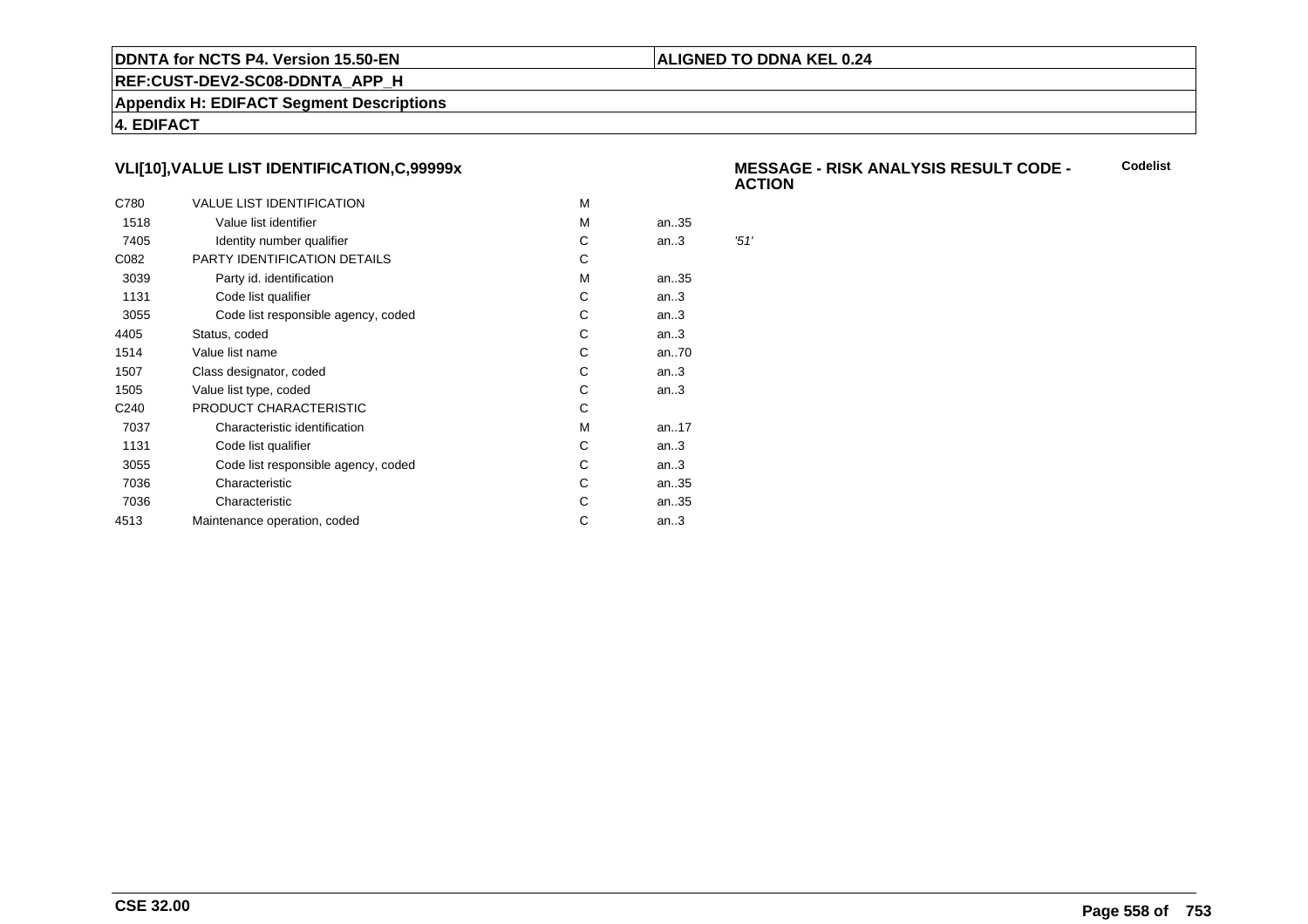### **ALIGNED TO DDNA KEL 0.24**

**REF:CUST-DEV2-SC08-DDNTA\_APP\_H**

**Appendix H: EDIFACT Segment Descriptions**

**4. EDIFACT**

# **VLI[10],VALUE LIST IDENTIFICATION,C,99999x**

| C780             | <b>VALUE LIST IDENTIFICATION</b>    | м |      |      |
|------------------|-------------------------------------|---|------|------|
| 1518             | Value list identifier               | м | an35 |      |
| 7405             | Identity number qualifier           | С | an.3 | '51' |
| C082             | PARTY IDENTIFICATION DETAILS        | С |      |      |
| 3039             | Party id. identification            | м | an35 |      |
| 1131             | Code list qualifier                 | C | an.3 |      |
| 3055             | Code list responsible agency, coded | С | an.3 |      |
| 4405             | Status, coded                       | C | an.3 |      |
| 1514             | Value list name                     | С | an70 |      |
| 1507             | Class designator, coded             | С | an.3 |      |
| 1505             | Value list type, coded              | С | an.3 |      |
| C <sub>240</sub> | PRODUCT CHARACTERISTIC              | С |      |      |
| 7037             | Characteristic identification       | м | an17 |      |
| 1131             | Code list qualifier                 | С | an.3 |      |
| 3055             | Code list responsible agency, coded | С | an.3 |      |
| 7036             | Characteristic                      | C | an35 |      |
| 7036             | Characteristic                      | С | an35 |      |
| 4513             | Maintenance operation, coded        | С | an.3 |      |
|                  |                                     |   |      |      |

#### **MESSAGE - RISK ANALYSIS RESULT CODE - ACTIONCodelist**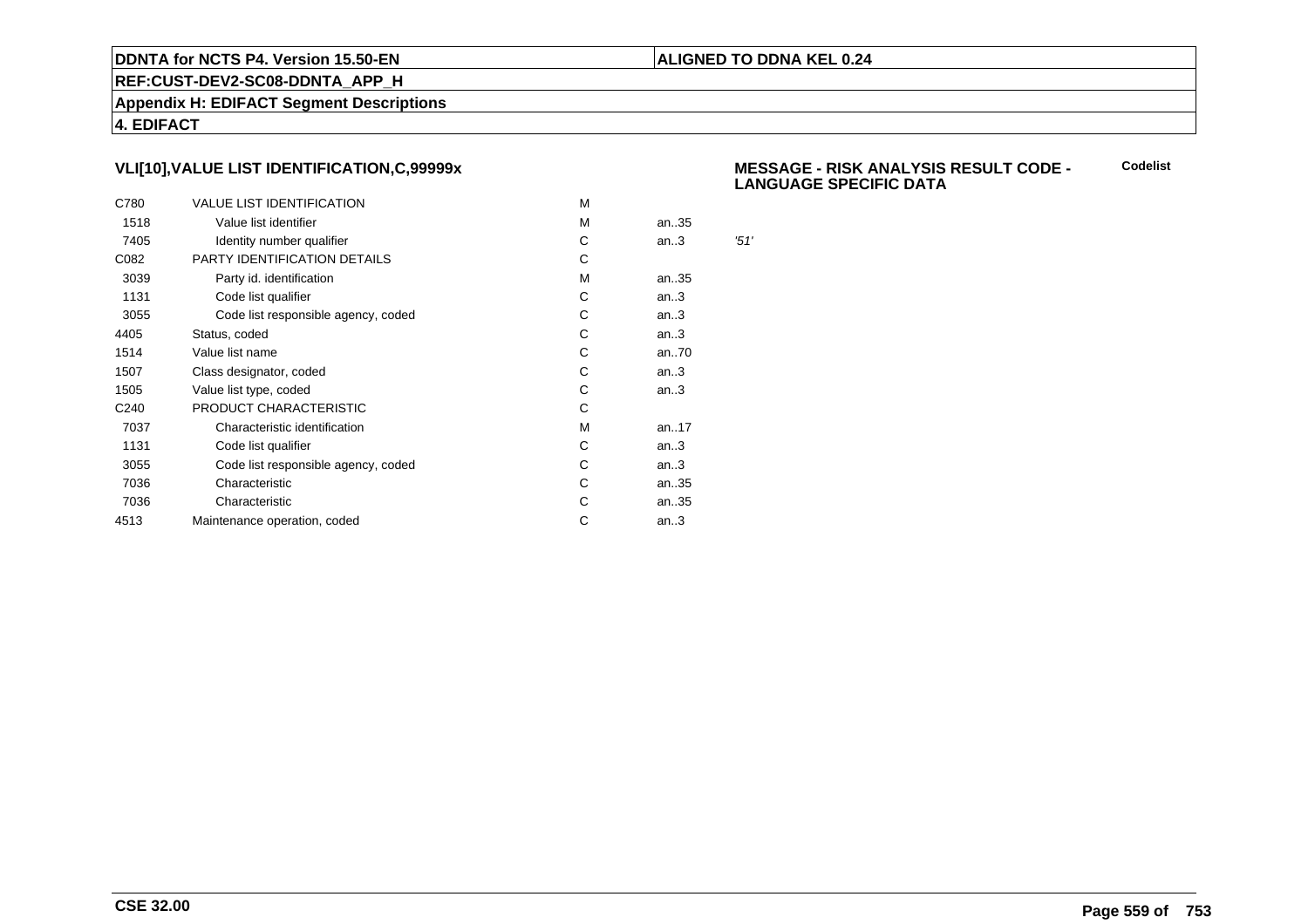### **ALIGNED TO DDNA KEL 0.24**

**REF:CUST-DEV2-SC08-DDNTA\_APP\_H**

**Appendix H: EDIFACT Segment Descriptions**

**4. EDIFACT**

# **VLI[10],VALUE LIST IDENTIFICATION,C,99999x**

| C780             | <b>VALUE LIST IDENTIFICATION</b>    | M |      |      |
|------------------|-------------------------------------|---|------|------|
| 1518             | Value list identifier               | M | an35 |      |
| 7405             | Identity number qualifier           | С | an.3 | '51' |
| C082             | PARTY IDENTIFICATION DETAILS        | С |      |      |
| 3039             | Party id. identification            | м | an35 |      |
| 1131             | Code list qualifier                 | С | an.3 |      |
| 3055             | Code list responsible agency, coded | С | an.3 |      |
| 4405             | Status, coded                       | С | an.3 |      |
| 1514             | Value list name                     | C | an70 |      |
| 1507             | Class designator, coded             | С | an.3 |      |
| 1505             | Value list type, coded              | С | an.3 |      |
| C <sub>240</sub> | PRODUCT CHARACTERISTIC              | С |      |      |
| 7037             | Characteristic identification       | м | an17 |      |
| 1131             | Code list qualifier                 | С | an.3 |      |
| 3055             | Code list responsible agency, coded | С | an.3 |      |
| 7036             | Characteristic                      | C | an35 |      |
| 7036             | Characteristic                      | С | an35 |      |
| 4513             | Maintenance operation, coded        | С | an.3 |      |
|                  |                                     |   |      |      |

#### **MESSAGE - RISK ANALYSIS RESULT CODE - LANGUAGE SPECIFIC DATACodelist**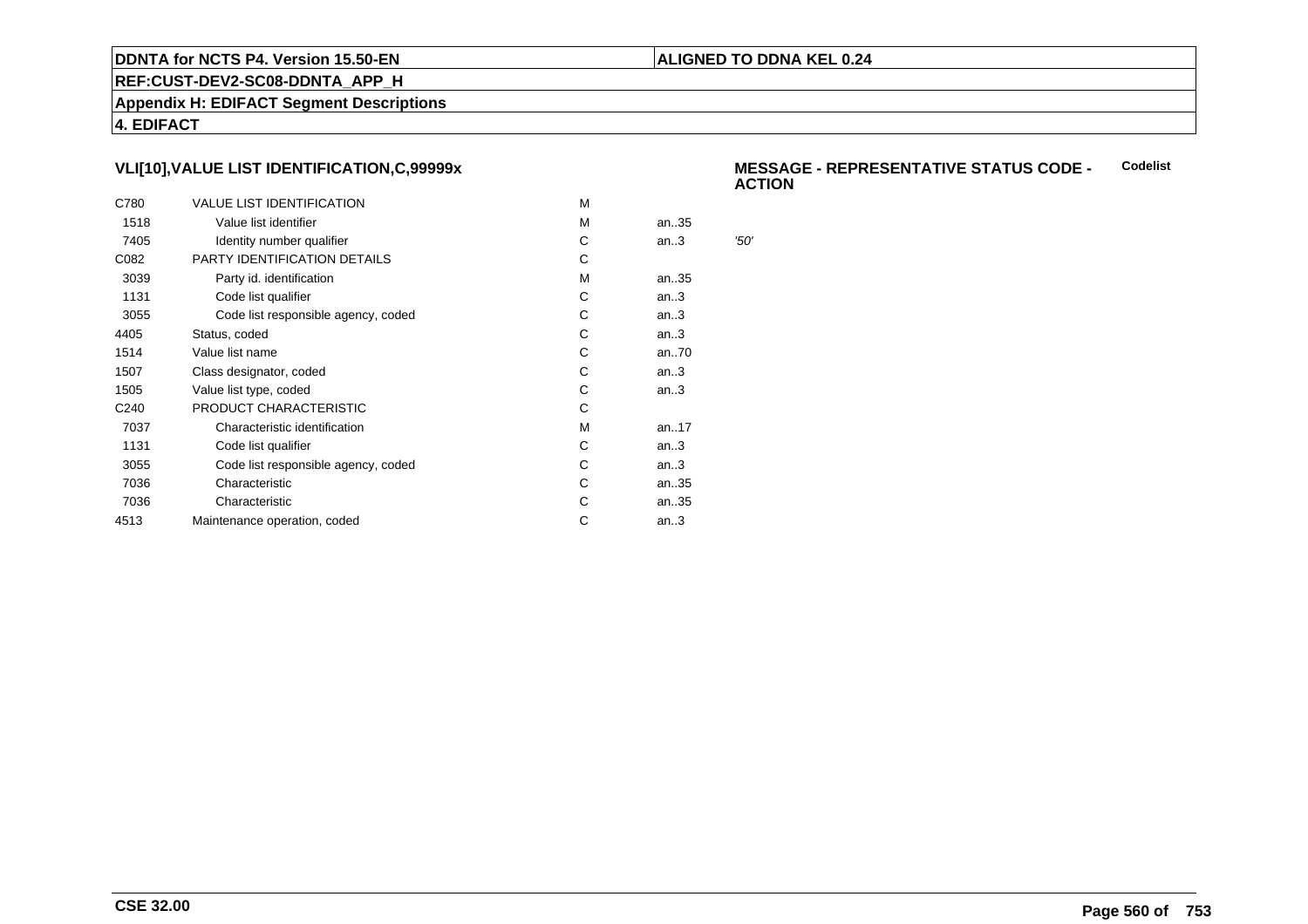### **ALIGNED TO DDNA KEL 0.24**

**REF:CUST-DEV2-SC08-DDNTA\_APP\_H**

**Appendix H: EDIFACT Segment Descriptions**

**4. EDIFACT**

# **VLI[10],VALUE LIST IDENTIFICATION,C,99999x**

| C780             | <b>VALUE LIST IDENTIFICATION</b>    | м |      |      |
|------------------|-------------------------------------|---|------|------|
| 1518             | Value list identifier               | м | an35 |      |
| 7405             | Identity number qualifier           | С | an.3 | '50' |
| C082             | PARTY IDENTIFICATION DETAILS        | С |      |      |
| 3039             | Party id. identification            | м | an35 |      |
| 1131             | Code list qualifier                 | C | an.3 |      |
| 3055             | Code list responsible agency, coded | С | an.3 |      |
| 4405             | Status, coded                       | C | an.3 |      |
| 1514             | Value list name                     | С | an70 |      |
| 1507             | Class designator, coded             | С | an.3 |      |
| 1505             | Value list type, coded              | С | an.3 |      |
| C <sub>240</sub> | PRODUCT CHARACTERISTIC              | С |      |      |
| 7037             | Characteristic identification       | м | an17 |      |
| 1131             | Code list qualifier                 | С | an.3 |      |
| 3055             | Code list responsible agency, coded | С | an.3 |      |
| 7036             | Characteristic                      | C | an35 |      |
| 7036             | Characteristic                      | С | an35 |      |
| 4513             | Maintenance operation, coded        | С | an.3 |      |
|                  |                                     |   |      |      |

#### **MESSAGE - REPRESENTATIVE STATUS CODE - ACTIONCodelist**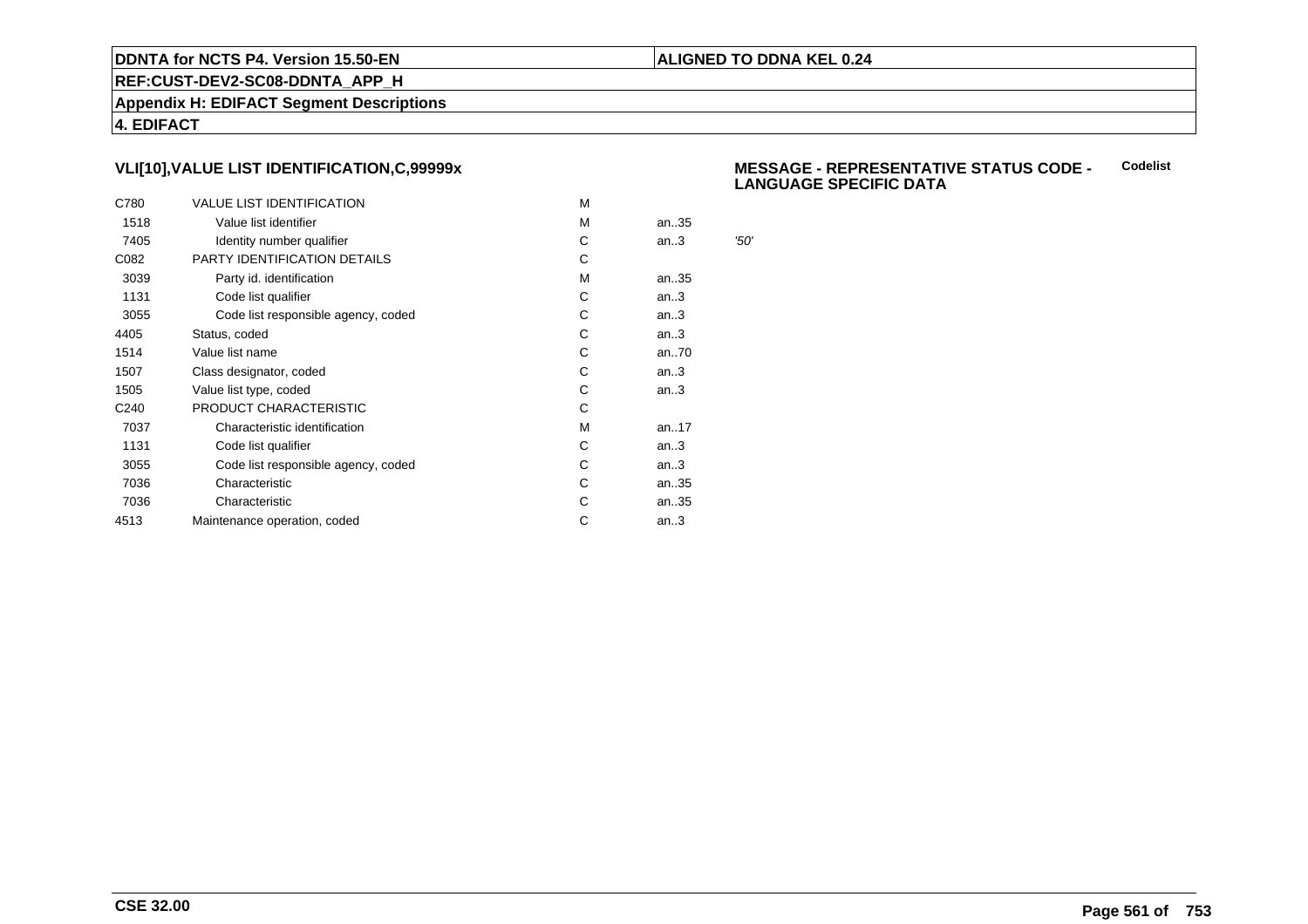### **ALIGNED TO DDNA KEL 0.24**

**REF:CUST-DEV2-SC08-DDNTA\_APP\_H**

**Appendix H: EDIFACT Segment Descriptions**

**4. EDIFACT**

# **VLI[10],VALUE LIST IDENTIFICATION,C,99999x**

| C780             | <b>VALUE LIST IDENTIFICATION</b>    | M |      |      |
|------------------|-------------------------------------|---|------|------|
| 1518             | Value list identifier               | M | an35 |      |
| 7405             | Identity number qualifier           | С | an.3 | '50' |
| C082             | PARTY IDENTIFICATION DETAILS        | С |      |      |
| 3039             | Party id. identification            | м | an35 |      |
| 1131             | Code list qualifier                 | С | an.3 |      |
| 3055             | Code list responsible agency, coded | С | an.3 |      |
| 4405             | Status, coded                       | С | an.3 |      |
| 1514             | Value list name                     | C | an70 |      |
| 1507             | Class designator, coded             | С | an.3 |      |
| 1505             | Value list type, coded              | С | an.3 |      |
| C <sub>240</sub> | PRODUCT CHARACTERISTIC              | С |      |      |
| 7037             | Characteristic identification       | м | an17 |      |
| 1131             | Code list qualifier                 | С | an.3 |      |
| 3055             | Code list responsible agency, coded | С | an.3 |      |
| 7036             | Characteristic                      | C | an35 |      |
| 7036             | Characteristic                      | С | an35 |      |
| 4513             | Maintenance operation, coded        | С | an.3 |      |
|                  |                                     |   |      |      |

#### **MESSAGE - REPRESENTATIVE STATUS CODE - LANGUAGE SPECIFIC DATACodelist**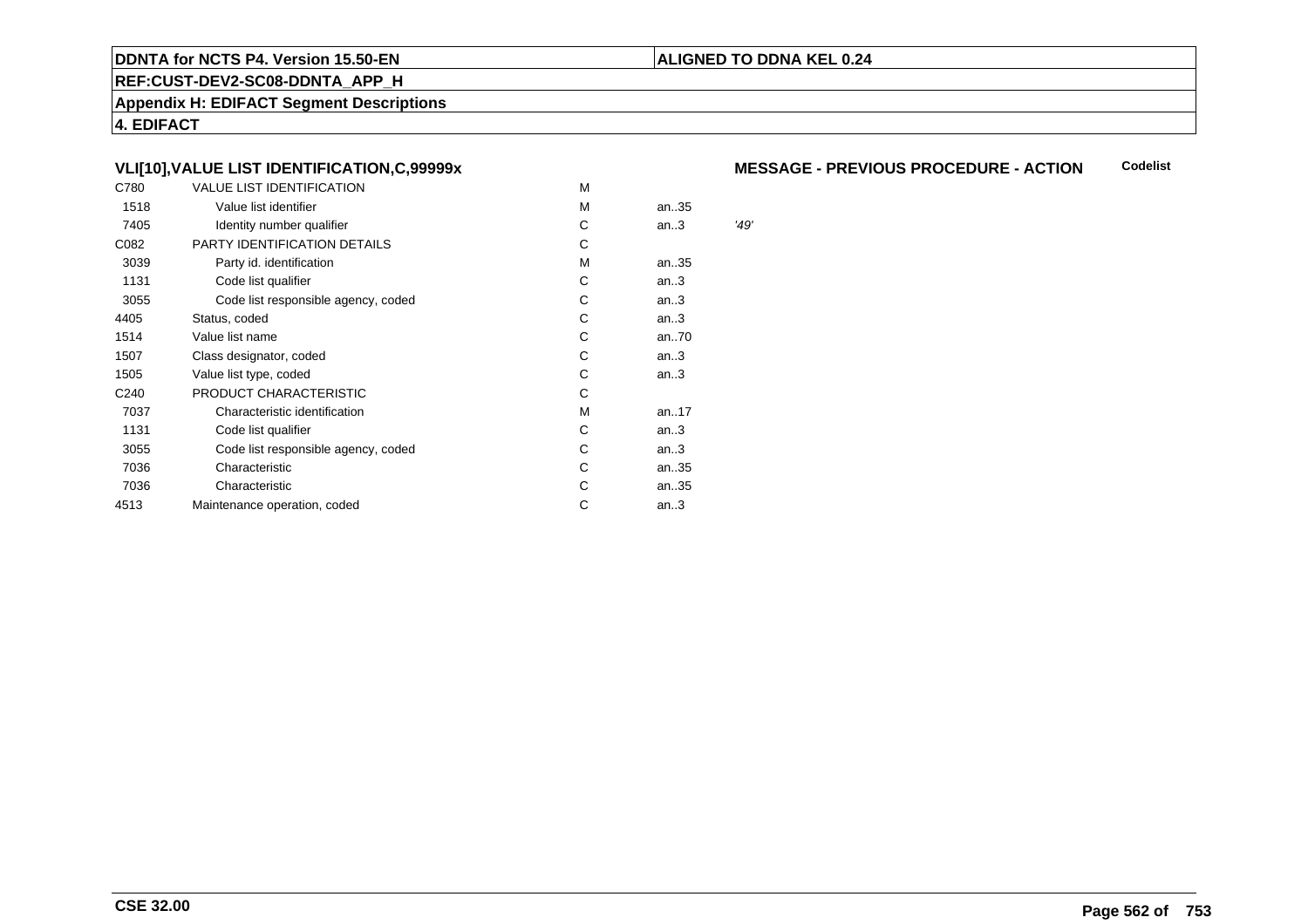### **REF:CUST-DEV2-SC08-DDNTA\_APP\_H**

**Appendix H: EDIFACT Segment Descriptions**

**4. EDIFACT**

# **VLI[10],VALUE LIST IDENTIFICATION,C,99999x**

| C780             | <b>VALUE LIST IDENTIFICATION</b>    | M |      |      |
|------------------|-------------------------------------|---|------|------|
| 1518             | Value list identifier               | M | an35 |      |
| 7405             | Identity number qualifier           | С | an.3 | '49' |
| C082             | PARTY IDENTIFICATION DETAILS        | С |      |      |
| 3039             | Party id. identification            | М | an35 |      |
| 1131             | Code list qualifier                 | С | an.3 |      |
| 3055             | Code list responsible agency, coded | С | an.3 |      |
| 4405             | Status, coded                       | C | an.3 |      |
| 1514             | Value list name                     | C | an70 |      |
| 1507             | Class designator, coded             | C | an.3 |      |
| 1505             | Value list type, coded              | C | an.3 |      |
| C <sub>240</sub> | PRODUCT CHARACTERISTIC              | С |      |      |
| 7037             | Characteristic identification       | М | an17 |      |
| 1131             | Code list qualifier                 | С | an.3 |      |
| 3055             | Code list responsible agency, coded | С | an.3 |      |
| 7036             | Characteristic                      | С | an35 |      |
| 7036             | Characteristic                      | С | an35 |      |
| 4513             | Maintenance operation, coded        | С | an.3 |      |
|                  |                                     |   |      |      |

#### **MESSAGE - PREVIOUS PROCEDURE - ACTIONCodelist**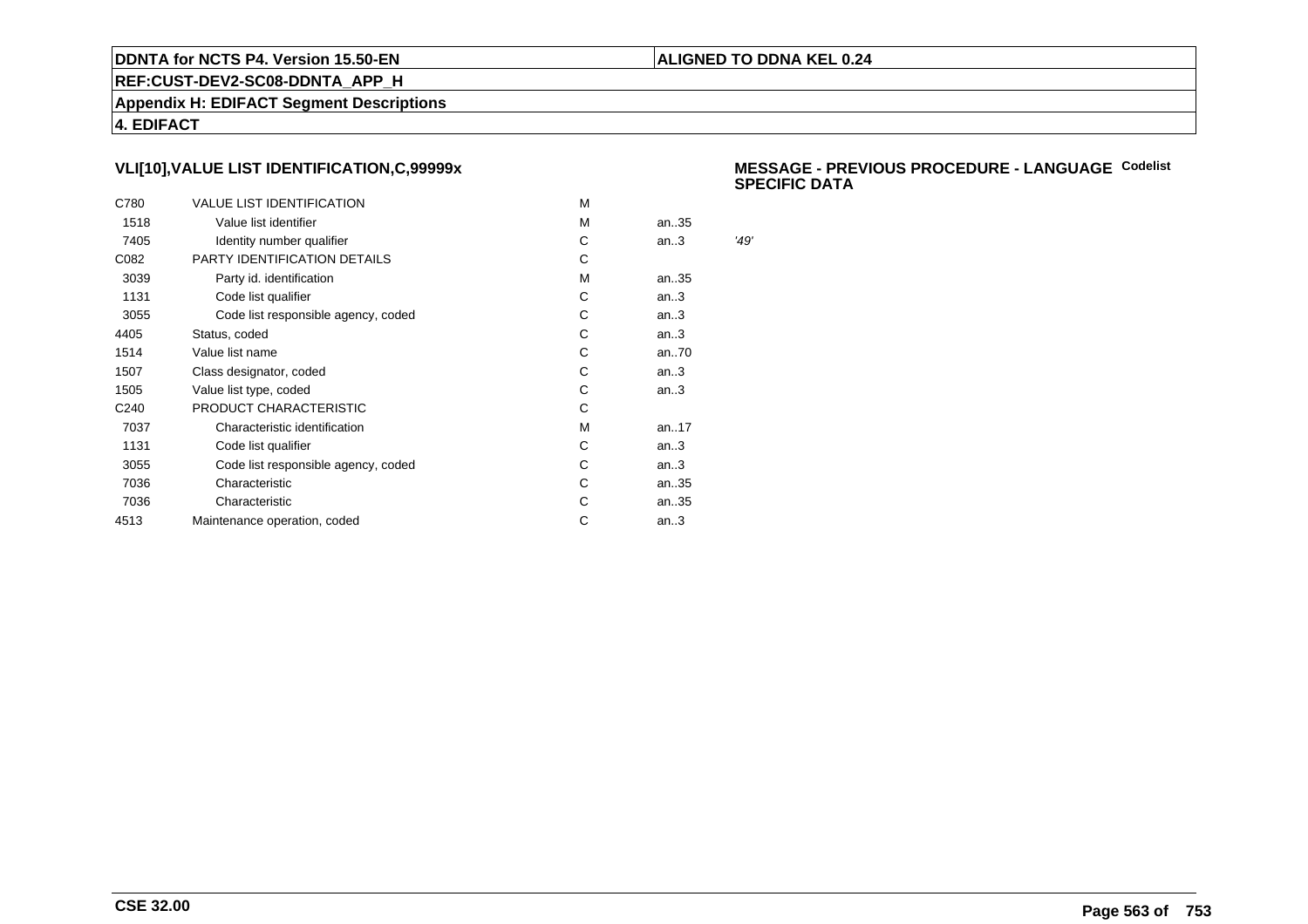### **ALIGNED TO DDNA KEL 0.24**

**REF:CUST-DEV2-SC08-DDNTA\_APP\_H**

**Appendix H: EDIFACT Segment Descriptions**

**4. EDIFACT**

# **VLI[10],VALUE LIST IDENTIFICATION,C,99999x**

| C780             | <b>VALUE LIST IDENTIFICATION</b>    | M |      |      |
|------------------|-------------------------------------|---|------|------|
| 1518             | Value list identifier               | M | an35 |      |
| 7405             | Identity number qualifier           | С | an.3 | '49' |
| C082             | PARTY IDENTIFICATION DETAILS        | С |      |      |
| 3039             | Party id. identification            | м | an35 |      |
| 1131             | Code list qualifier                 | С | an.3 |      |
| 3055             | Code list responsible agency, coded | С | an.3 |      |
| 4405             | Status, coded                       | С | an.3 |      |
| 1514             | Value list name                     | C | an70 |      |
| 1507             | Class designator, coded             | С | an.3 |      |
| 1505             | Value list type, coded              | С | an.3 |      |
| C <sub>240</sub> | PRODUCT CHARACTERISTIC              | С |      |      |
| 7037             | Characteristic identification       | м | an17 |      |
| 1131             | Code list qualifier                 | С | an.3 |      |
| 3055             | Code list responsible agency, coded | С | an.3 |      |
| 7036             | Characteristic                      | C | an35 |      |
| 7036             | Characteristic                      | С | an35 |      |
| 4513             | Maintenance operation, coded        | С | an.3 |      |
|                  |                                     |   |      |      |

### **MESSAGE - PREVIOUS PROCEDURE - LANGUAGECodelistSPECIFIC DATA**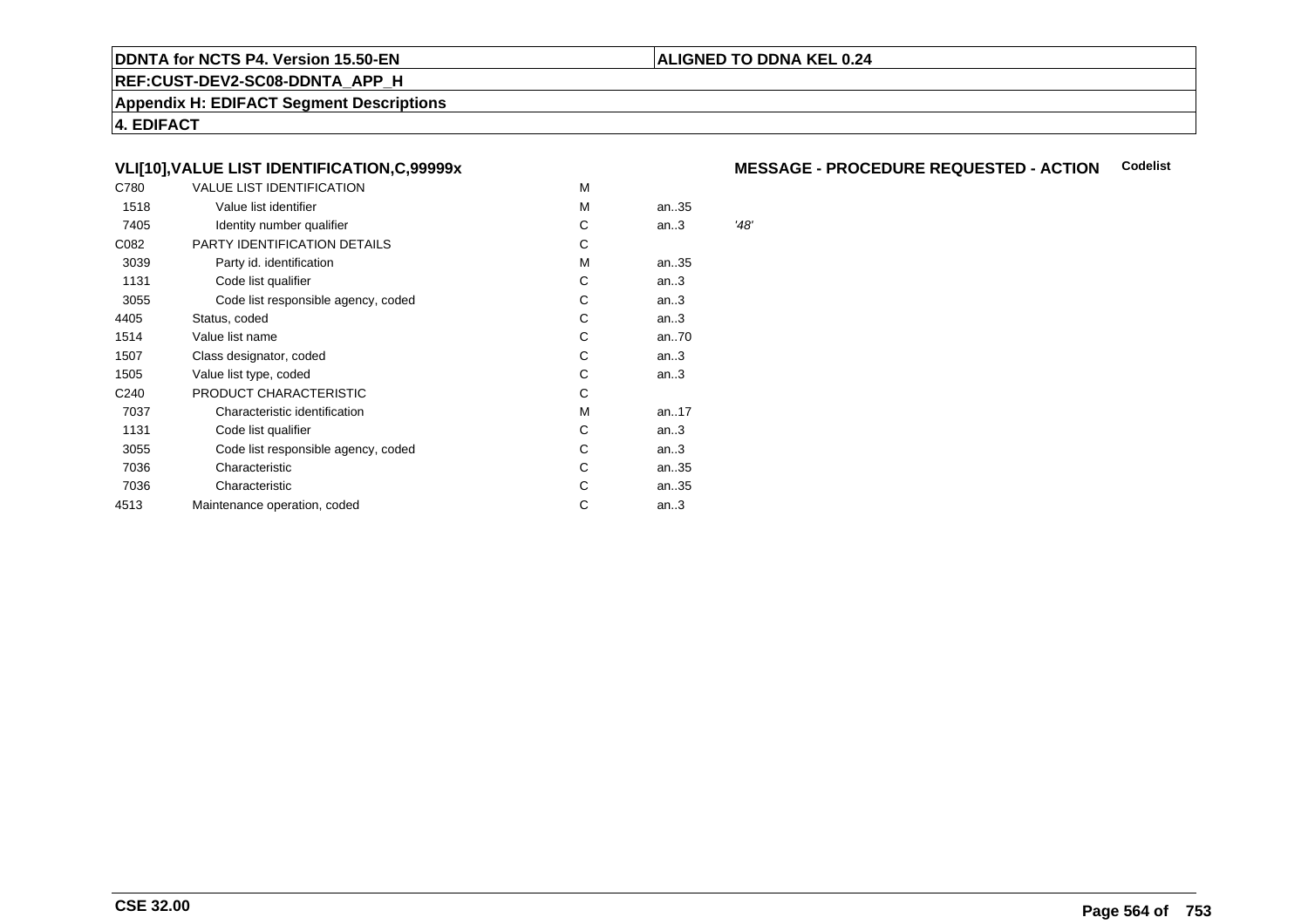### **REF:CUST-DEV2-SC08-DDNTA\_APP\_H**

**Appendix H: EDIFACT Segment Descriptions**

**4. EDIFACT**

# **VLI[10],VALUE LIST IDENTIFICATION,C,99999x**

| C780             | VALUE LIST IDENTIFICATION           | M |      |      |
|------------------|-------------------------------------|---|------|------|
| 1518             | Value list identifier               | M | an35 |      |
| 7405             | Identity number qualifier           | С | an.3 | '48' |
| C082             | PARTY IDENTIFICATION DETAILS        | С |      |      |
| 3039             | Party id. identification            | м | an35 |      |
| 1131             | Code list qualifier                 | С | an.3 |      |
| 3055             | Code list responsible agency, coded | С | an.3 |      |
| 4405             | Status, coded                       | С | an.3 |      |
| 1514             | Value list name                     | C | an70 |      |
| 1507             | Class designator, coded             | C | an.3 |      |
| 1505             | Value list type, coded              | C | an.3 |      |
| C <sub>240</sub> | PRODUCT CHARACTERISTIC              | С |      |      |
| 7037             | Characteristic identification       | М | an17 |      |
| 1131             | Code list qualifier                 | С | an.3 |      |
| 3055             | Code list responsible agency, coded | С | an.3 |      |
| 7036             | Characteristic                      | С | an35 |      |
| 7036             | Characteristic                      | С | an35 |      |
| 4513             | Maintenance operation, coded        | С | an.3 |      |
|                  |                                     |   |      |      |

# **MESSAGE - PROCEDURE REQUESTED - ACTION Codelist**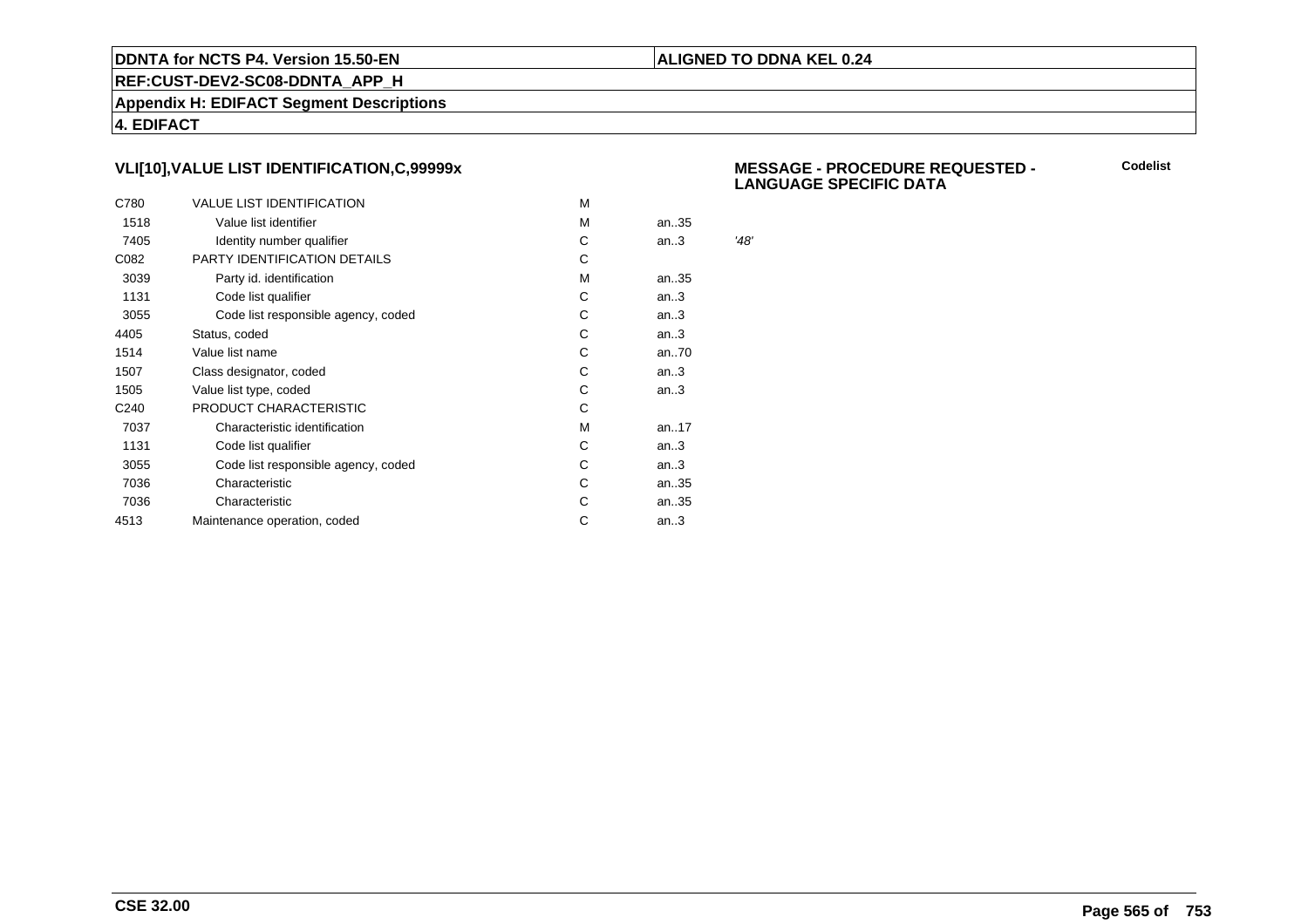### **ALIGNED TO DDNA KEL 0.24**

**REF:CUST-DEV2-SC08-DDNTA\_APP\_H**

**Appendix H: EDIFACT Segment Descriptions**

**4. EDIFACT**

# **VLI[10],VALUE LIST IDENTIFICATION,C,99999x**

| C780             | <b>VALUE LIST IDENTIFICATION</b>    | м |      |      |
|------------------|-------------------------------------|---|------|------|
| 1518             | Value list identifier               | м | an35 |      |
| 7405             | Identity number qualifier           | С | an.3 | '48' |
| C082             | PARTY IDENTIFICATION DETAILS        | С |      |      |
| 3039             | Party id. identification            | м | an35 |      |
| 1131             | Code list qualifier                 | C | an.3 |      |
| 3055             | Code list responsible agency, coded | С | an.3 |      |
| 4405             | Status, coded                       | C | an.3 |      |
| 1514             | Value list name                     | С | an70 |      |
| 1507             | Class designator, coded             | С | an.3 |      |
| 1505             | Value list type, coded              | С | an.3 |      |
| C <sub>240</sub> | PRODUCT CHARACTERISTIC              | С |      |      |
| 7037             | Characteristic identification       | м | an17 |      |
| 1131             | Code list qualifier                 | С | an.3 |      |
| 3055             | Code list responsible agency, coded | С | an.3 |      |
| 7036             | Characteristic                      | C | an35 |      |
| 7036             | Characteristic                      | С | an35 |      |
| 4513             | Maintenance operation, coded        | С | an.3 |      |
|                  |                                     |   |      |      |

### **MESSAGE - PROCEDURE REQUESTED - LANGUAGE SPECIFIC DATA**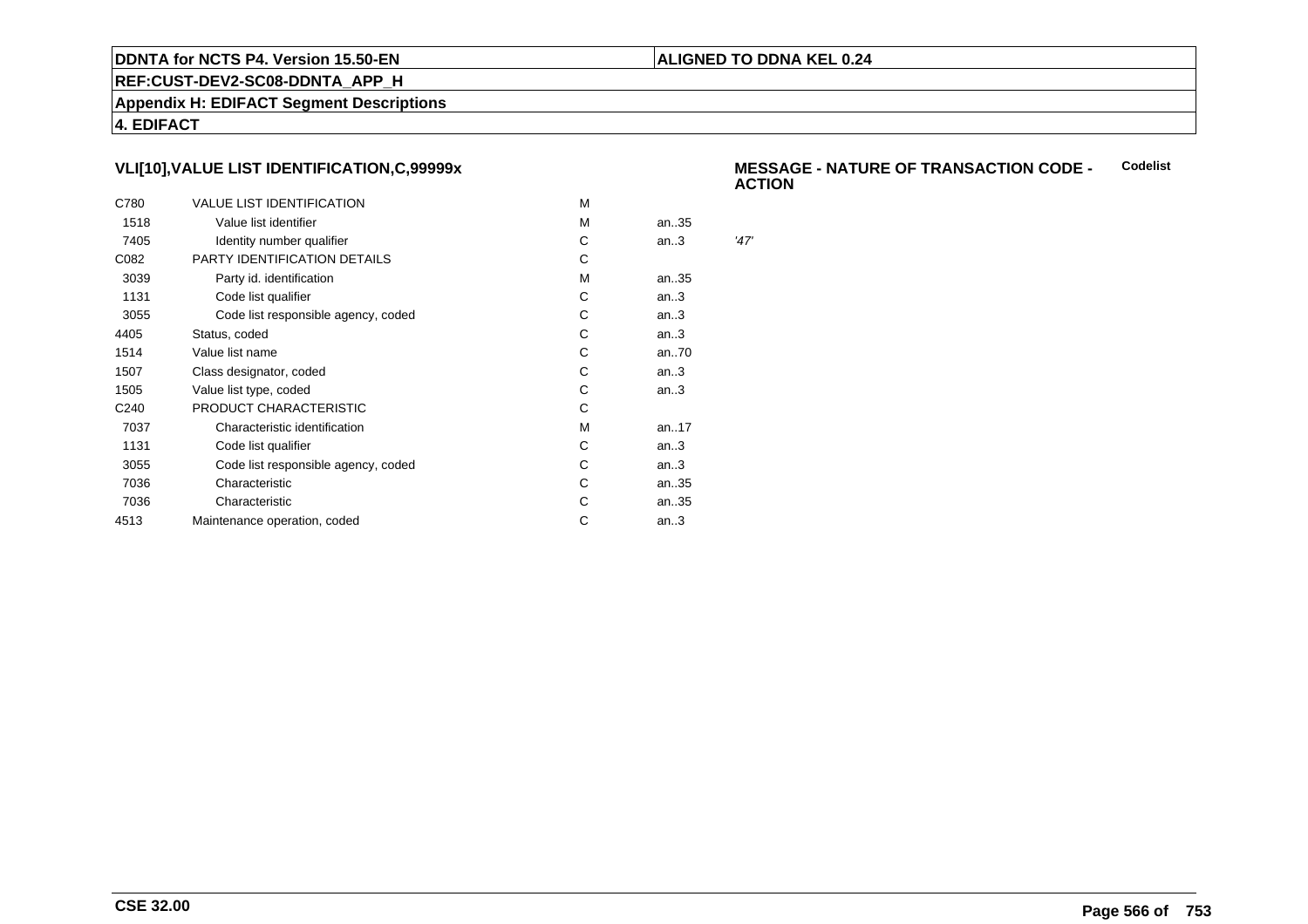### **ALIGNED TO DDNA KEL 0.24**

**REF:CUST-DEV2-SC08-DDNTA\_APP\_H**

**Appendix H: EDIFACT Segment Descriptions**

**4. EDIFACT**

# **VLI[10],VALUE LIST IDENTIFICATION,C,99999x**

| C780             | <b>VALUE LIST IDENTIFICATION</b>    | м |      |      |
|------------------|-------------------------------------|---|------|------|
| 1518             | Value list identifier               | м | an35 |      |
| 7405             | Identity number qualifier           | С | an.3 | '47' |
| C082             | PARTY IDENTIFICATION DETAILS        | С |      |      |
| 3039             | Party id. identification            | м | an35 |      |
| 1131             | Code list qualifier                 | C | an.3 |      |
| 3055             | Code list responsible agency, coded | С | an.3 |      |
| 4405             | Status, coded                       | C | an.3 |      |
| 1514             | Value list name                     | С | an70 |      |
| 1507             | Class designator, coded             | С | an.3 |      |
| 1505             | Value list type, coded              | С | an.3 |      |
| C <sub>240</sub> | PRODUCT CHARACTERISTIC              | С |      |      |
| 7037             | Characteristic identification       | м | an17 |      |
| 1131             | Code list qualifier                 | С | an.3 |      |
| 3055             | Code list responsible agency, coded | С | an.3 |      |
| 7036             | Characteristic                      | C | an35 |      |
| 7036             | Characteristic                      | С | an35 |      |
| 4513             | Maintenance operation, coded        | С | an.3 |      |
|                  |                                     |   |      |      |

#### **MESSAGE - NATURE OF TRANSACTION CODE - ACTIONCodelist**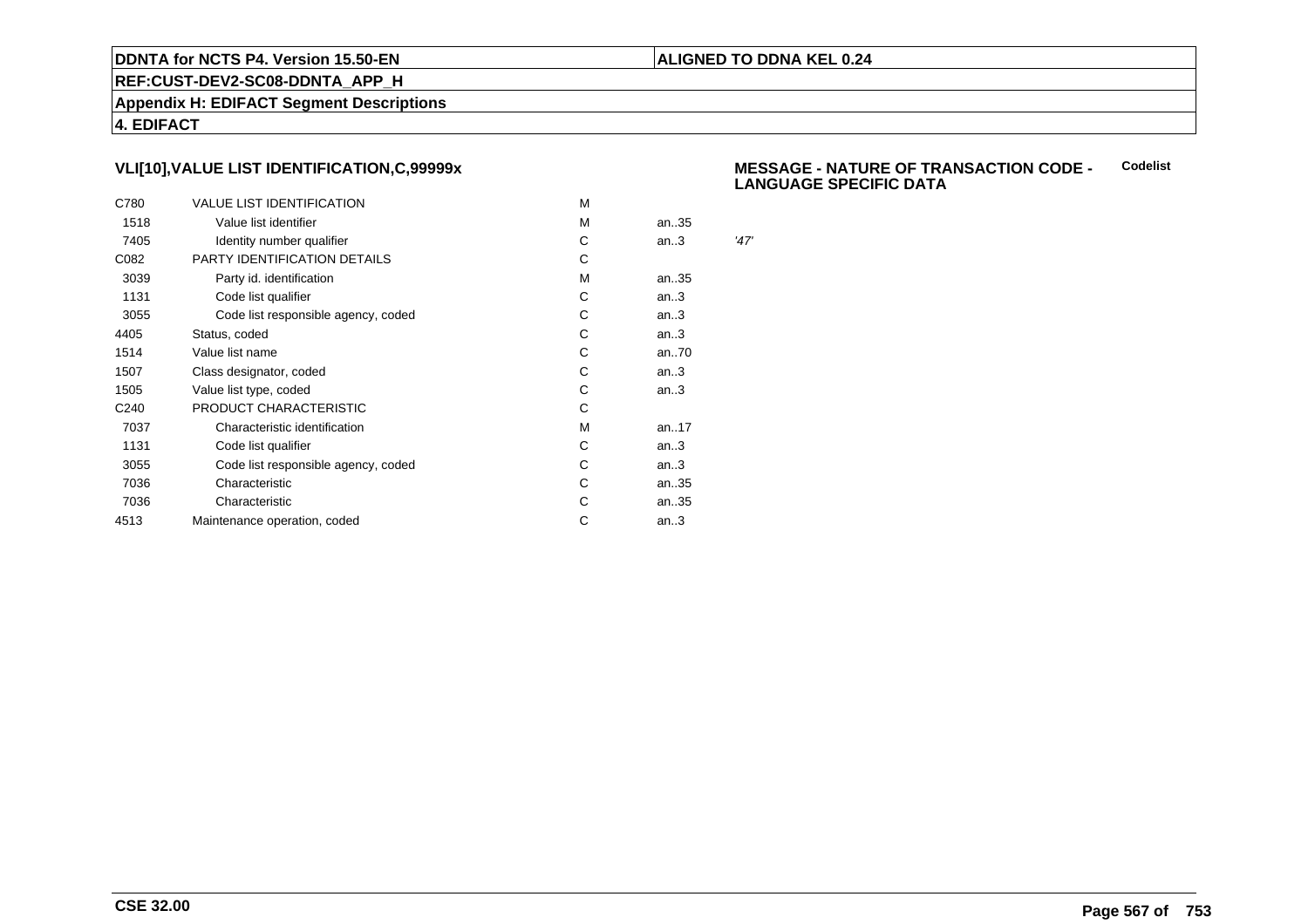### **ALIGNED TO DDNA KEL 0.24**

**REF:CUST-DEV2-SC08-DDNTA\_APP\_H**

**Appendix H: EDIFACT Segment Descriptions**

**4. EDIFACT**

# **VLI[10],VALUE LIST IDENTIFICATION,C,99999x**

| C780             | <b>VALUE LIST IDENTIFICATION</b>    | M |      |      |
|------------------|-------------------------------------|---|------|------|
| 1518             | Value list identifier               | M | an35 |      |
| 7405             | Identity number qualifier           | С | an.3 | '47' |
| C082             | PARTY IDENTIFICATION DETAILS        | С |      |      |
| 3039             | Party id. identification            | м | an35 |      |
| 1131             | Code list qualifier                 | С | an.3 |      |
| 3055             | Code list responsible agency, coded | С | an.3 |      |
| 4405             | Status, coded                       | С | an.3 |      |
| 1514             | Value list name                     | C | an70 |      |
| 1507             | Class designator, coded             | С | an.3 |      |
| 1505             | Value list type, coded              | С | an.3 |      |
| C <sub>240</sub> | PRODUCT CHARACTERISTIC              | С |      |      |
| 7037             | Characteristic identification       | м | an17 |      |
| 1131             | Code list qualifier                 | С | an.3 |      |
| 3055             | Code list responsible agency, coded | С | an.3 |      |
| 7036             | Characteristic                      | C | an35 |      |
| 7036             | Characteristic                      | С | an35 |      |
| 4513             | Maintenance operation, coded        | С | an.3 |      |
|                  |                                     |   |      |      |

#### **MESSAGE - NATURE OF TRANSACTION CODE - LANGUAGE SPECIFIC DATACodelist**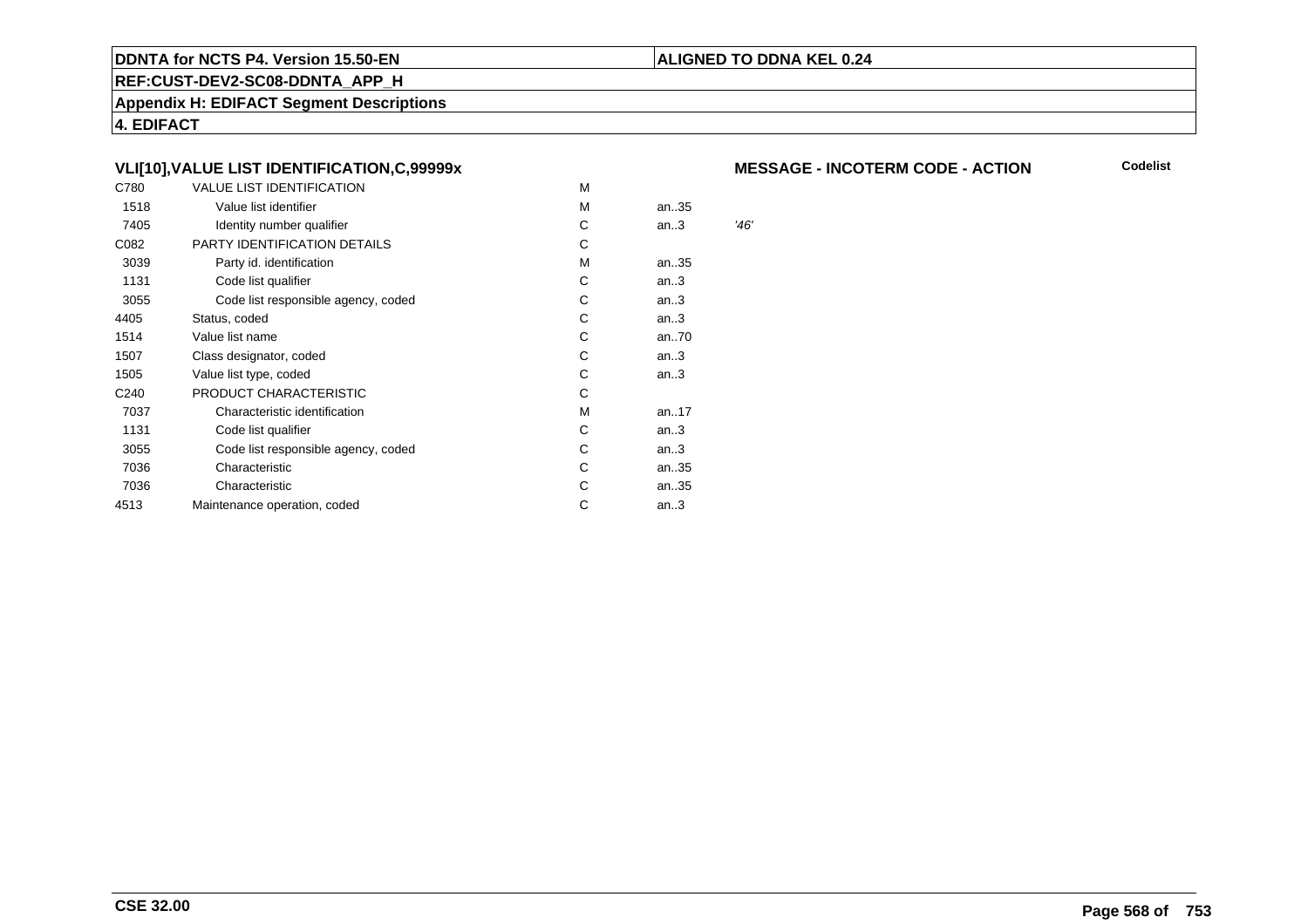### **REF:CUST-DEV2-SC08-DDNTA\_APP\_H**

**Appendix H: EDIFACT Segment Descriptions**

**4. EDIFACT**

# **VLI[10],VALUE LIST IDENTIFICATION,C,99999x**

| C780             | VALUE LIST IDENTIFICATION           | M |      |      |
|------------------|-------------------------------------|---|------|------|
| 1518             | Value list identifier               | M | an35 |      |
| 7405             | Identity number qualifier           | С | an.3 | '46' |
| C082             | PARTY IDENTIFICATION DETAILS        | С |      |      |
| 3039             | Party id. identification            | м | an35 |      |
| 1131             | Code list qualifier                 | С | an.3 |      |
| 3055             | Code list responsible agency, coded | С | an.3 |      |
| 4405             | Status, coded                       | С | an.3 |      |
| 1514             | Value list name                     | C | an70 |      |
| 1507             | Class designator, coded             | C | an.3 |      |
| 1505             | Value list type, coded              | C | an.3 |      |
| C <sub>240</sub> | PRODUCT CHARACTERISTIC              | С |      |      |
| 7037             | Characteristic identification       | М | an17 |      |
| 1131             | Code list qualifier                 | С | an.3 |      |
| 3055             | Code list responsible agency, coded | С | an.3 |      |
| 7036             | Characteristic                      | С | an35 |      |
| 7036             | Characteristic                      | С | an35 |      |
| 4513             | Maintenance operation, coded        | С | an.3 |      |
|                  |                                     |   |      |      |

### **MESSAGE - INCOTERM CODE - ACTION**

**Codelist**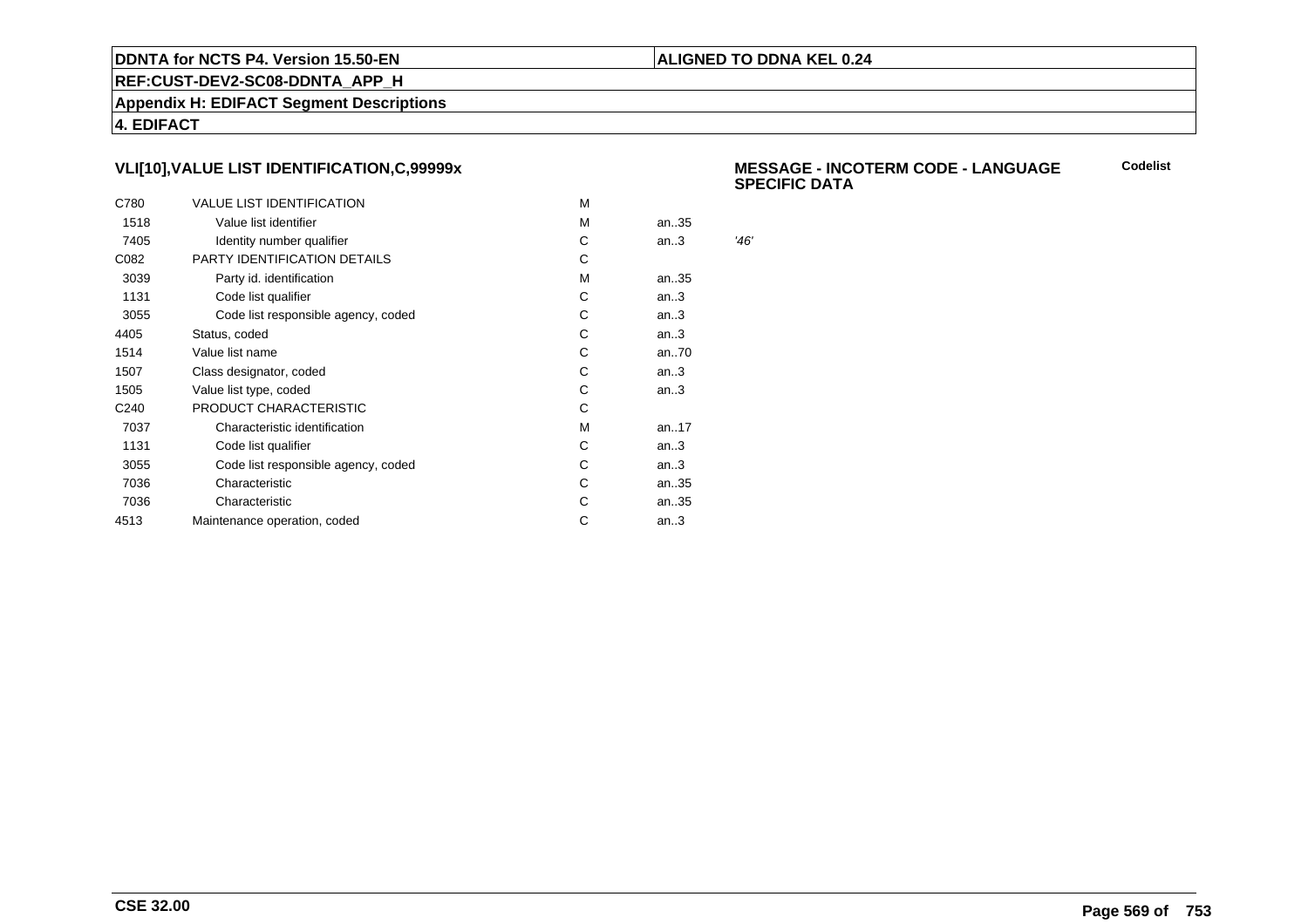### **ALIGNED TO DDNA KEL 0.24**

**REF:CUST-DEV2-SC08-DDNTA\_APP\_H**

**Appendix H: EDIFACT Segment Descriptions**

**4. EDIFACT**

# **VLI[10],VALUE LIST IDENTIFICATION,C,99999x**

| C780             | <b>VALUE LIST IDENTIFICATION</b>    | м |      |      |
|------------------|-------------------------------------|---|------|------|
| 1518             | Value list identifier               | м | an35 |      |
| 7405             | Identity number qualifier           | С | an.3 | '46' |
| C082             | PARTY IDENTIFICATION DETAILS        | С |      |      |
| 3039             | Party id. identification            | м | an35 |      |
| 1131             | Code list qualifier                 | C | an.3 |      |
| 3055             | Code list responsible agency, coded | С | an.3 |      |
| 4405             | Status, coded                       | C | an.3 |      |
| 1514             | Value list name                     | С | an70 |      |
| 1507             | Class designator, coded             | С | an.3 |      |
| 1505             | Value list type, coded              | С | an.3 |      |
| C <sub>240</sub> | PRODUCT CHARACTERISTIC              | С |      |      |
| 7037             | Characteristic identification       | м | an17 |      |
| 1131             | Code list qualifier                 | С | an.3 |      |
| 3055             | Code list responsible agency, coded | С | an.3 |      |
| 7036             | Characteristic                      | C | an35 |      |
| 7036             | Characteristic                      | С | an35 |      |
| 4513             | Maintenance operation, coded        | С | an.3 |      |
|                  |                                     |   |      |      |

#### **MESSAGE - INCOTERM CODE - LANGUAGESPECIFIC DATACodelist**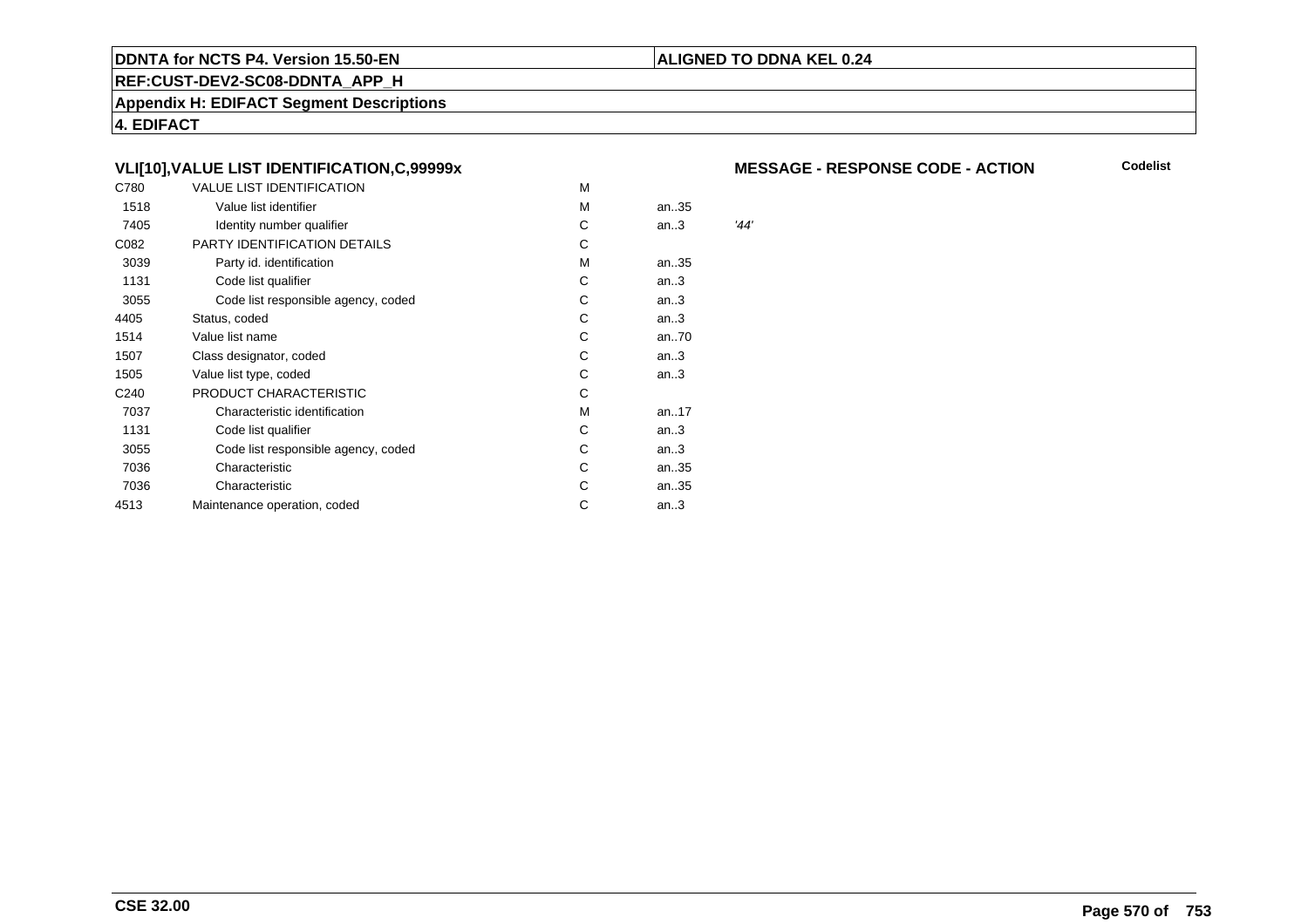### **REF:CUST-DEV2-SC08-DDNTA\_APP\_H**

**Appendix H: EDIFACT Segment Descriptions**

**4. EDIFACT**

# **VLI[10],VALUE LIST IDENTIFICATION,C,99999x**

| C780             | <b>VALUE LIST IDENTIFICATION</b>    | M |      |      |
|------------------|-------------------------------------|---|------|------|
| 1518             | Value list identifier               | м | an35 |      |
| 7405             | Identity number qualifier           | С | an.3 | '44' |
| C082             | PARTY IDENTIFICATION DETAILS        | С |      |      |
| 3039             | Party id. identification            | М | an35 |      |
| 1131             | Code list qualifier                 | С | an.3 |      |
| 3055             | Code list responsible agency, coded | С | an.3 |      |
| 4405             | Status, coded                       | C | an.3 |      |
| 1514             | Value list name                     | C | an70 |      |
| 1507             | Class designator, coded             | C | an.3 |      |
| 1505             | Value list type, coded              | С | an.3 |      |
| C <sub>240</sub> | PRODUCT CHARACTERISTIC              | С |      |      |
| 7037             | Characteristic identification       | М | an17 |      |
| 1131             | Code list qualifier                 | С | an.3 |      |
| 3055             | Code list responsible agency, coded | С | an.3 |      |
| 7036             | Characteristic                      | С | an35 |      |
| 7036             | Characteristic                      | С | an35 |      |
| 4513             | Maintenance operation, coded        | С | an.3 |      |
|                  |                                     |   |      |      |

### **MESSAGE - RESPONSE CODE - ACTION**

**Codelist**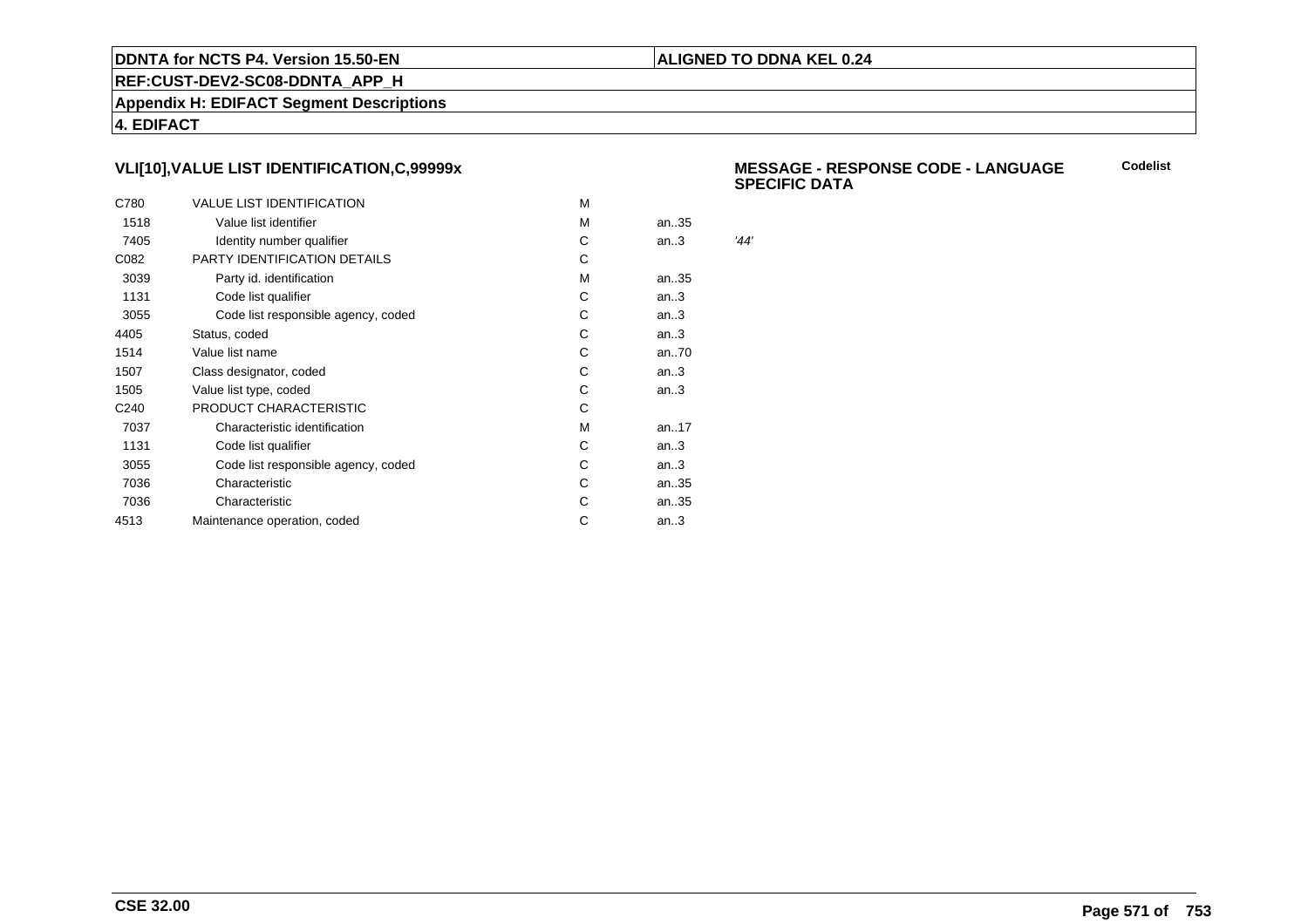### **ALIGNED TO DDNA KEL 0.24**

**REF:CUST-DEV2-SC08-DDNTA\_APP\_H**

**Appendix H: EDIFACT Segment Descriptions**

**4. EDIFACT**

# **VLI[10],VALUE LIST IDENTIFICATION,C,99999x**

| C780             | <b>VALUE LIST IDENTIFICATION</b>    | м |      |      |
|------------------|-------------------------------------|---|------|------|
| 1518             | Value list identifier               | м | an35 |      |
| 7405             | Identity number qualifier           | С | an.3 | '44' |
| C082             | PARTY IDENTIFICATION DETAILS        | C |      |      |
| 3039             | Party id. identification            | м | an35 |      |
| 1131             | Code list qualifier                 | C | an.3 |      |
| 3055             | Code list responsible agency, coded | С | an.3 |      |
| 4405             | Status, coded                       | C | an.3 |      |
| 1514             | Value list name                     | С | an70 |      |
| 1507             | Class designator, coded             | С | an.3 |      |
| 1505             | Value list type, coded              | С | an.3 |      |
| C <sub>240</sub> | PRODUCT CHARACTERISTIC              | С |      |      |
| 7037             | Characteristic identification       | M | an17 |      |
| 1131             | Code list qualifier                 | С | an.3 |      |
| 3055             | Code list responsible agency, coded | С | an.3 |      |
| 7036             | Characteristic                      | С | an35 |      |
| 7036             | Characteristic                      | С | an35 |      |
| 4513             | Maintenance operation, coded        | С | an.3 |      |
|                  |                                     |   |      |      |

 **MESSAGE - RESPONSE CODE - LANGUAGESPECIFIC DATACodelist**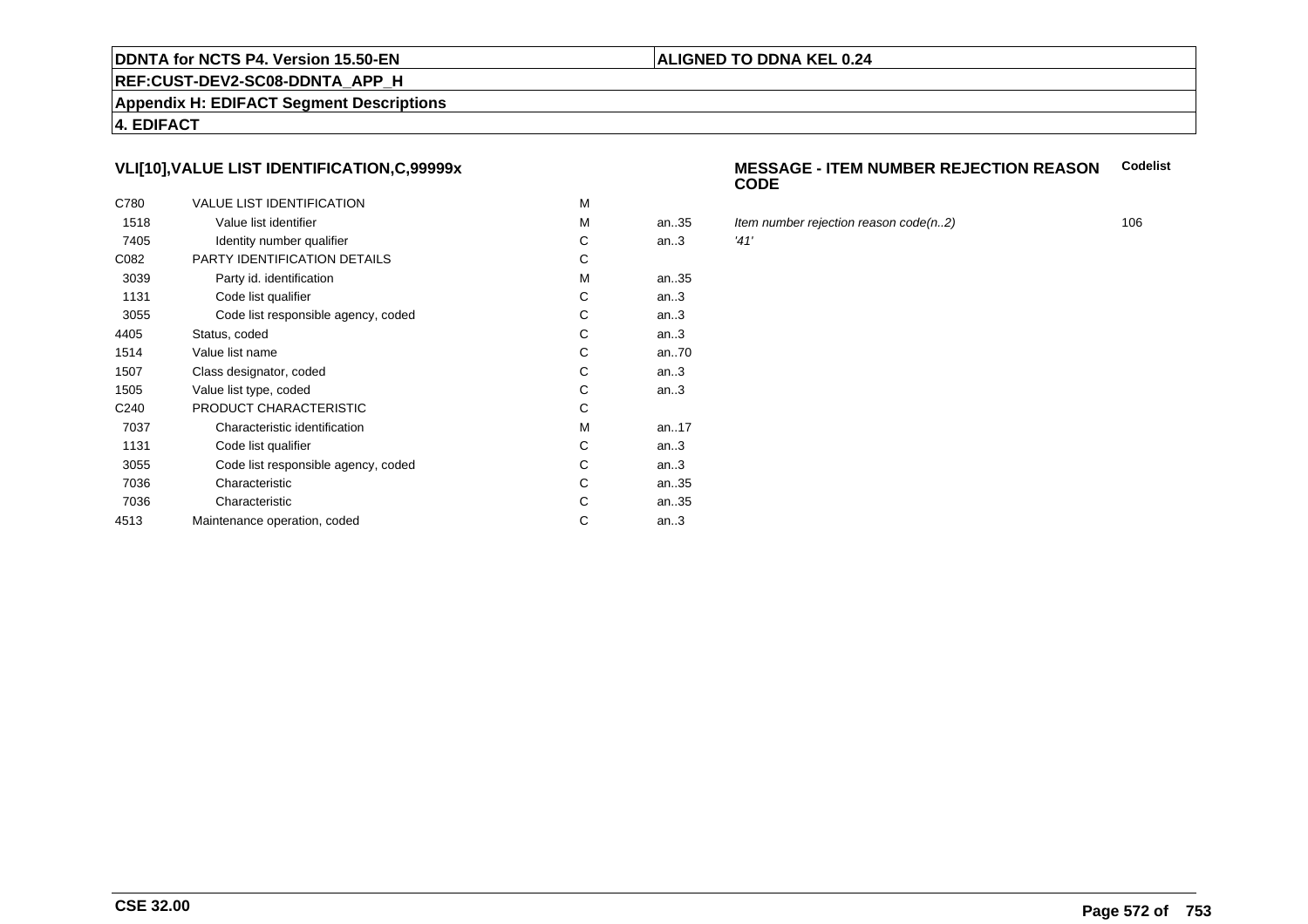### **REF:CUST-DEV2-SC08-DDNTA\_APP\_H**

**Appendix H: EDIFACT Segment Descriptions**

**4. EDIFACT**

# **VLI[10],VALUE LIST IDENTIFICATION,C,99999x**

| C780             | <b>VALUE LIST IDENTIFICATION</b>    | M |      |      |
|------------------|-------------------------------------|---|------|------|
| 1518             | Value list identifier               | M | an35 | Iter |
| 7405             | Identity number qualifier           | С | an.3 | '41' |
| C082             | PARTY IDENTIFICATION DETAILS        | С |      |      |
| 3039             | Party id. identification            | м | an35 |      |
| 1131             | Code list qualifier                 | C | an.3 |      |
| 3055             | Code list responsible agency, coded | C | an.3 |      |
| 4405             | Status, coded                       | C | an.3 |      |
| 1514             | Value list name                     | C | an70 |      |
| 1507             | Class designator, coded             | C | an.3 |      |
| 1505             | Value list type, coded              | С | an.3 |      |
| C <sub>240</sub> | PRODUCT CHARACTERISTIC              | С |      |      |
| 7037             | Characteristic identification       | м | an17 |      |
| 1131             | Code list qualifier                 | С | an.3 |      |
| 3055             | Code list responsible agency, coded | С | an.3 |      |
| 7036             | Characteristic                      | C | an35 |      |
| 7036             | Characteristic                      | С | an35 |      |
| 4513             | Maintenance operation, coded        | С | an.3 |      |
|                  |                                     |   |      |      |

#### **MESSAGE - ITEM NUMBER REJECTION REASONCODECodelist**

- Item number rejection reason code(n..2) 106<br> $41'$ 
	-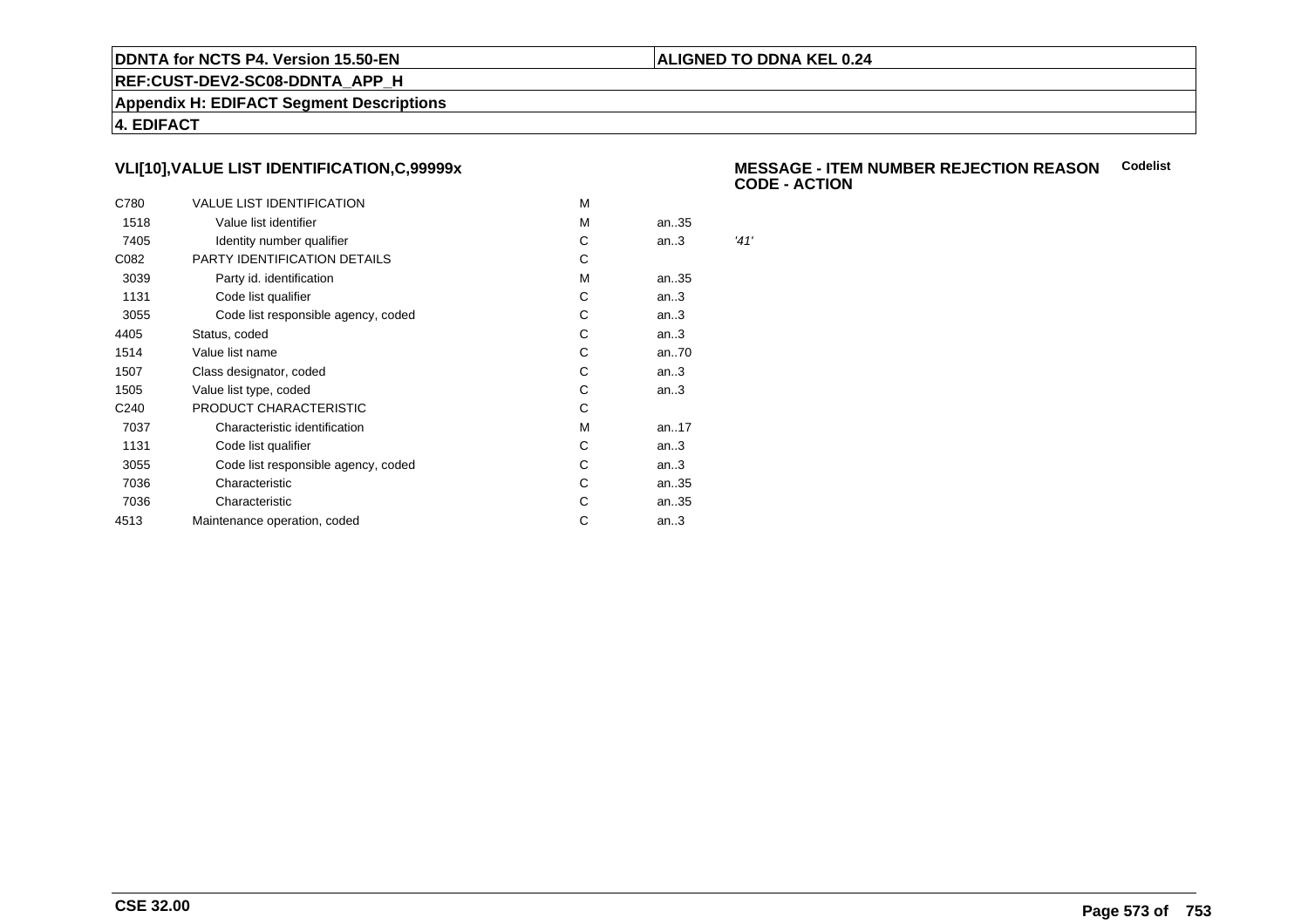### **ALIGNED TO DDNA KEL 0.24**

**REF:CUST-DEV2-SC08-DDNTA\_APP\_H**

**Appendix H: EDIFACT Segment Descriptions**

**4. EDIFACT**

# **VLI[10],VALUE LIST IDENTIFICATION,C,99999x**

| C780             | <b>VALUE LIST IDENTIFICATION</b>    | M |      |      |
|------------------|-------------------------------------|---|------|------|
| 1518             | Value list identifier               | М | an35 |      |
| 7405             | Identity number qualifier           | С | an.3 | '41' |
| C082             | PARTY IDENTIFICATION DETAILS        | C |      |      |
| 3039             | Party id. identification            | М | an35 |      |
| 1131             | Code list qualifier                 | C | an.3 |      |
| 3055             | Code list responsible agency, coded | С | an.3 |      |
| 4405             | Status, coded                       | C | an.3 |      |
| 1514             | Value list name                     | С | an70 |      |
| 1507             | Class designator, coded             | С | an.3 |      |
| 1505             | Value list type, coded              | C | an.3 |      |
| C <sub>240</sub> | PRODUCT CHARACTERISTIC              | С |      |      |
| 7037             | Characteristic identification       | M | an17 |      |
| 1131             | Code list qualifier                 | C | an.3 |      |
| 3055             | Code list responsible agency, coded | С | an.3 |      |
| 7036             | Characteristic                      | С | an35 |      |
| 7036             | Characteristic                      | С | an35 |      |
| 4513             | Maintenance operation, coded        | С | an.3 |      |
|                  |                                     |   |      |      |

### **MESSAGE - ITEM NUMBER REJECTION REASONCodelistCODE - ACTION**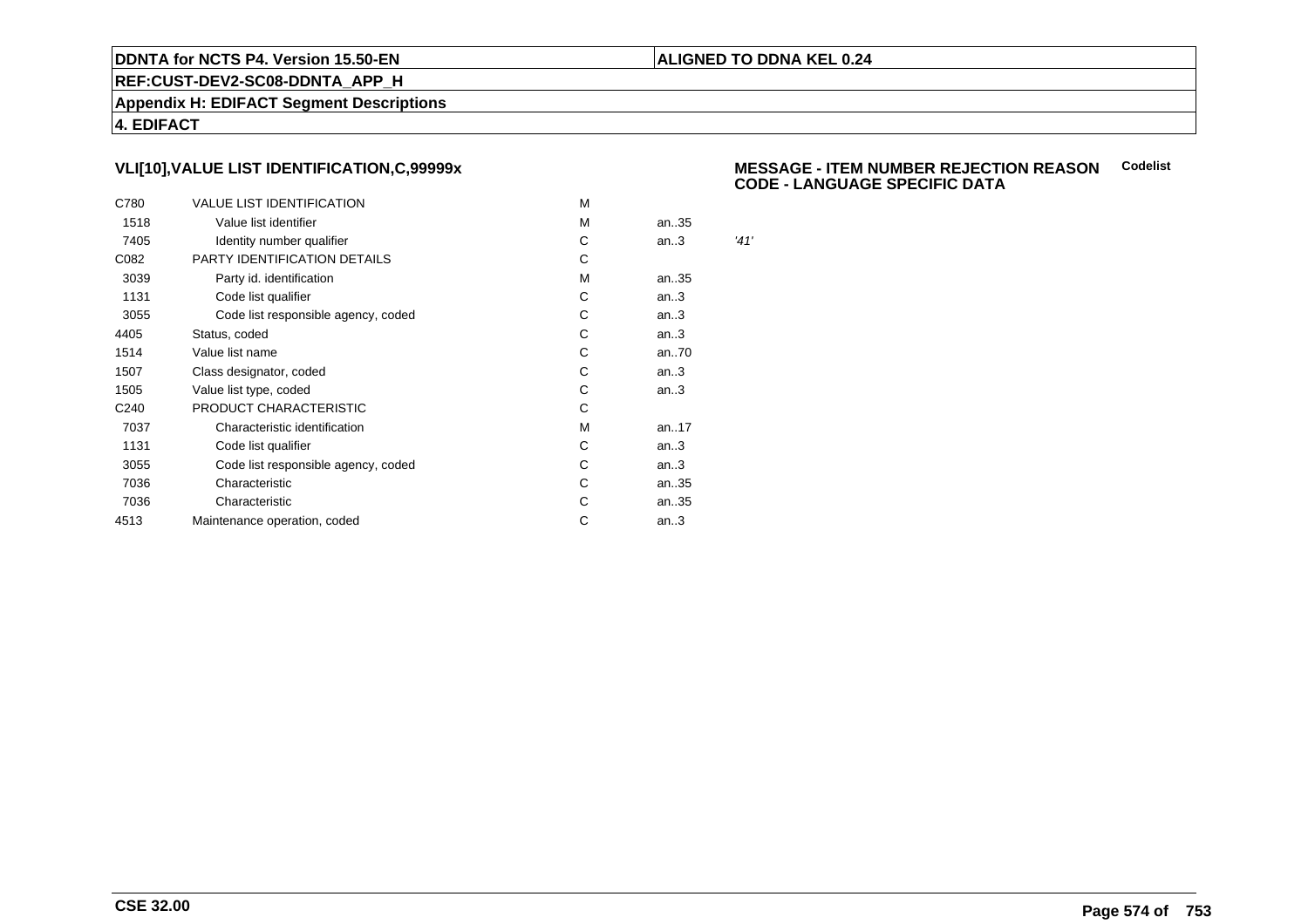### **ALIGNED TO DDNA KEL 0.24**

**REF:CUST-DEV2-SC08-DDNTA\_APP\_H**

**Appendix H: EDIFACT Segment Descriptions**

**4. EDIFACT**

# **VLI[10],VALUE LIST IDENTIFICATION,C,99999x**

| C780             | <b>VALUE LIST IDENTIFICATION</b>    | м |      |      |
|------------------|-------------------------------------|---|------|------|
| 1518             | Value list identifier               | м | an35 |      |
| 7405             | Identity number qualifier           | С | an.3 | '41' |
| C082             | PARTY IDENTIFICATION DETAILS        | С |      |      |
| 3039             | Party id. identification            | м | an35 |      |
| 1131             | Code list qualifier                 | C | an.3 |      |
| 3055             | Code list responsible agency, coded | С | an.3 |      |
| 4405             | Status, coded                       | C | an.3 |      |
| 1514             | Value list name                     | С | an70 |      |
| 1507             | Class designator, coded             | С | an.3 |      |
| 1505             | Value list type, coded              | С | an.3 |      |
| C <sub>240</sub> | PRODUCT CHARACTERISTIC              | С |      |      |
| 7037             | Characteristic identification       | м | an17 |      |
| 1131             | Code list qualifier                 | С | an.3 |      |
| 3055             | Code list responsible agency, coded | С | an.3 |      |
| 7036             | Characteristic                      | C | an35 |      |
| 7036             | Characteristic                      | С | an35 |      |
| 4513             | Maintenance operation, coded        | С | an.3 |      |
|                  |                                     |   |      |      |

### **MESSAGE - ITEM NUMBER REJECTION REASONCodelistCODE - LANGUAGE SPECIFIC DATA**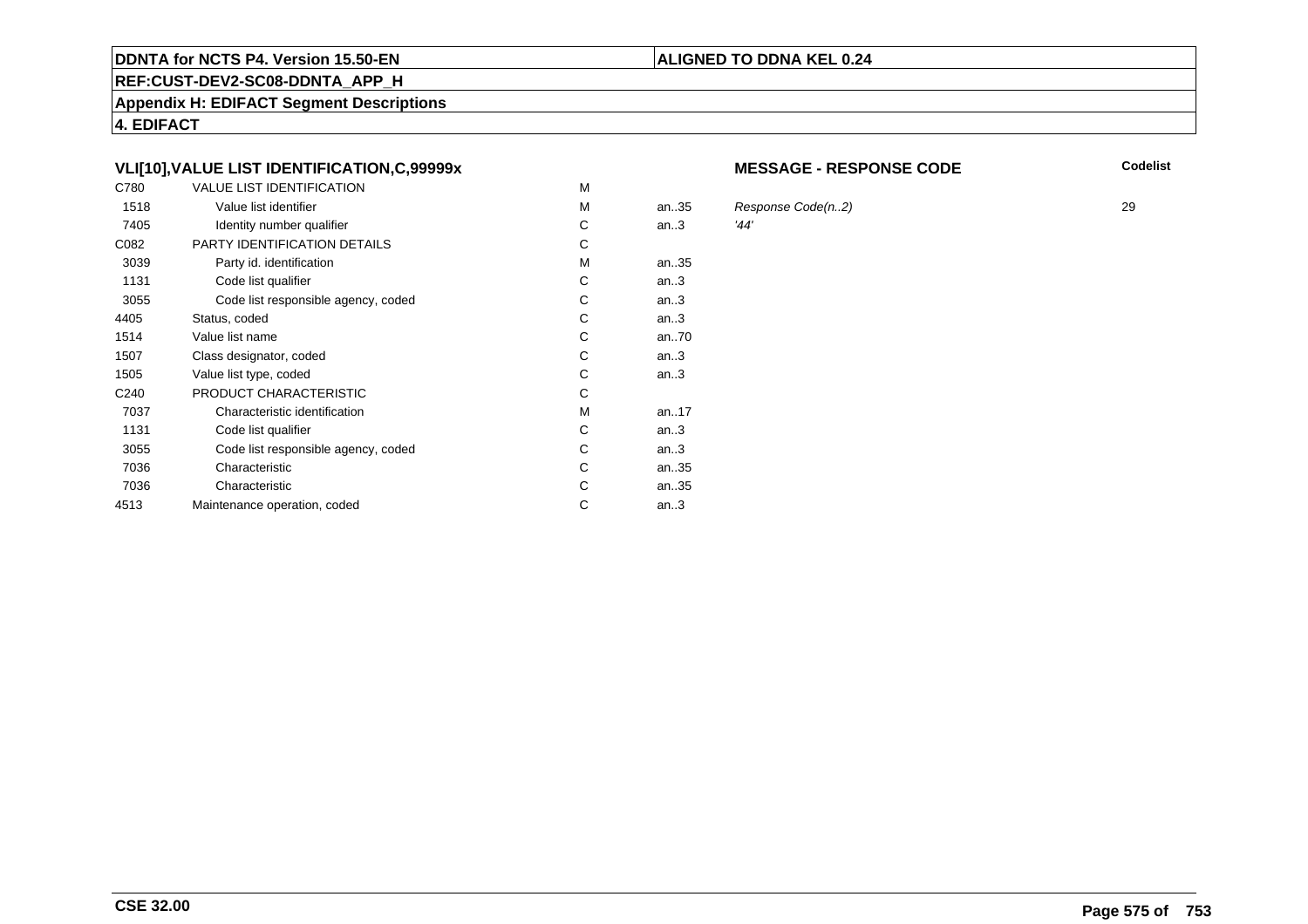### **REF:CUST-DEV2-SC08-DDNTA\_APP\_H**

**Appendix H: EDIFACT Segment Descriptions**

**4. EDIFACT**

# **VLI[10],VALUE LIST IDENTIFICATION,C,99999x**

| C780             | <b>VALUE LIST IDENTIFICATION</b>    | M |      |      |
|------------------|-------------------------------------|---|------|------|
| 1518             | Value list identifier               | м | an35 | Res  |
| 7405             | Identity number qualifier           | С | an.3 | '44' |
| C082             | PARTY IDENTIFICATION DETAILS        | С |      |      |
| 3039             | Party id. identification            | М | an35 |      |
| 1131             | Code list qualifier                 | С | an.3 |      |
| 3055             | Code list responsible agency, coded | C | an.3 |      |
| 4405             | Status, coded                       | C | an.3 |      |
| 1514             | Value list name                     | C | an70 |      |
| 1507             | Class designator, coded             | C | an.3 |      |
| 1505             | Value list type, coded              | С | an.3 |      |
| C <sub>240</sub> | PRODUCT CHARACTERISTIC              | С |      |      |
| 7037             | Characteristic identification       | м | an17 |      |
| 1131             | Code list qualifier                 | С | an.3 |      |
| 3055             | Code list responsible agency, coded | С | an.3 |      |
| 7036             | Characteristic                      | C | an35 |      |
| 7036             | Characteristic                      | С | an35 |      |
| 4513             | Maintenance operation, coded        | С | an.3 |      |
|                  |                                     |   |      |      |

### **MESSAGE - RESPONSE CODE**

**Codelist**

 $R$ esponse Code(n..2) 29<br>29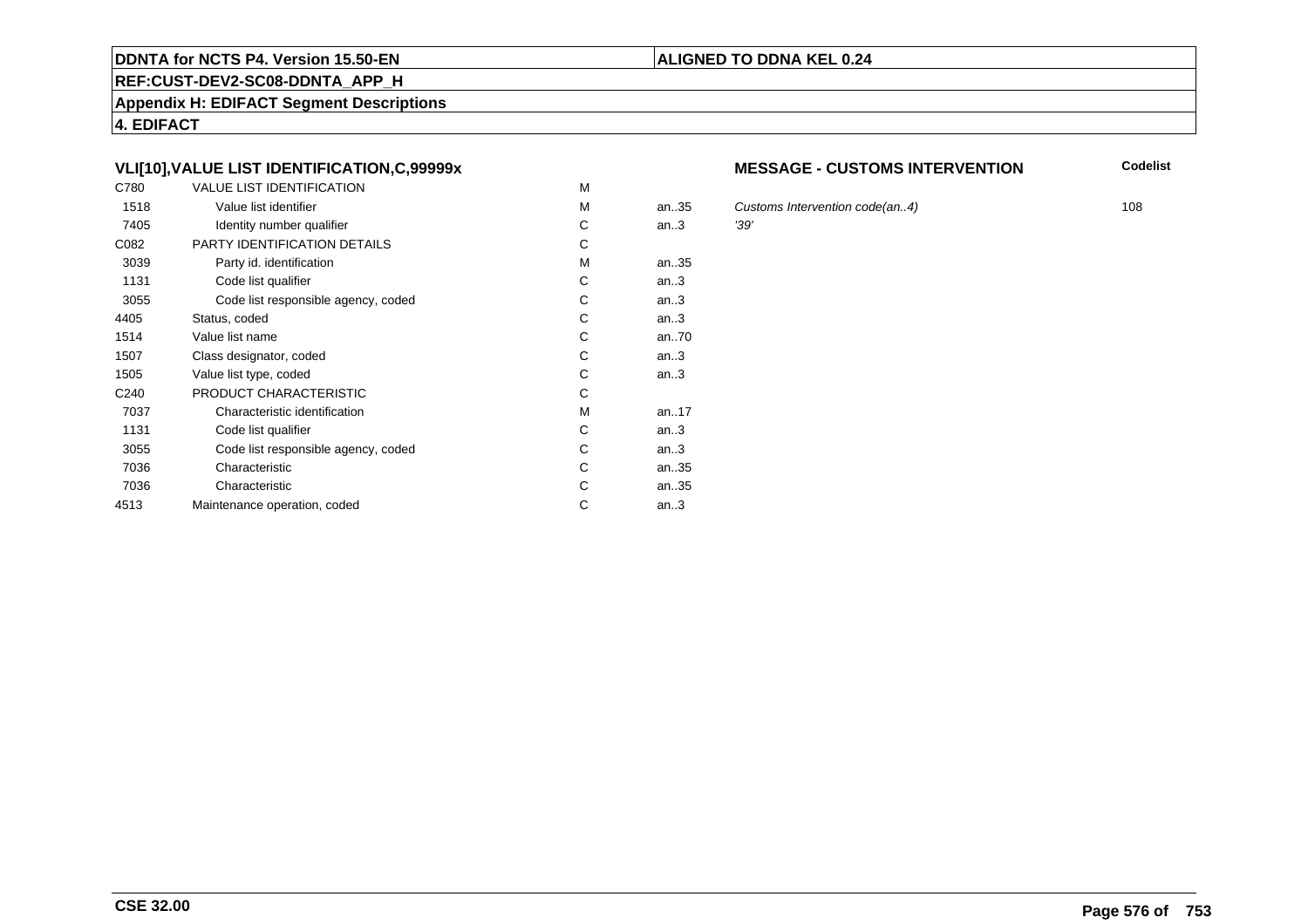### **REF:CUST-DEV2-SC08-DDNTA\_APP\_H**

**Appendix H: EDIFACT Segment Descriptions**

**4. EDIFACT**

# **VLI[10],VALUE LIST IDENTIFICATION,C,99999x**

| C780             | <b>VALUE LIST IDENTIFICATION</b>    | M |      |      |
|------------------|-------------------------------------|---|------|------|
| 1518             | Value list identifier               | M | an35 | Cus  |
| 7405             | Identity number qualifier           | С | an.3 | '39' |
| C082             | PARTY IDENTIFICATION DETAILS        | С |      |      |
| 3039             | Party id. identification            | М | an35 |      |
| 1131             | Code list qualifier                 | С | an.3 |      |
| 3055             | Code list responsible agency, coded | C | an.3 |      |
| 4405             | Status, coded                       | C | an.3 |      |
| 1514             | Value list name                     | C | an70 |      |
| 1507             | Class designator, coded             | C | an.3 |      |
| 1505             | Value list type, coded              | С | an.3 |      |
| C <sub>240</sub> | PRODUCT CHARACTERISTIC              | С |      |      |
| 7037             | Characteristic identification       | м | an17 |      |
| 1131             | Code list qualifier                 | С | an.3 |      |
| 3055             | Code list responsible agency, coded | С | an.3 |      |
| 7036             | Characteristic                      | C | an35 |      |
| 7036             | Characteristic                      | С | an35 |      |
| 4513             | Maintenance operation, coded        | С | an.3 |      |
|                  |                                     |   |      |      |

### **MESSAGE - CUSTOMS INTERVENTION**

**Codelist**

Customs Intervention code(an..4) 108<br>
'39'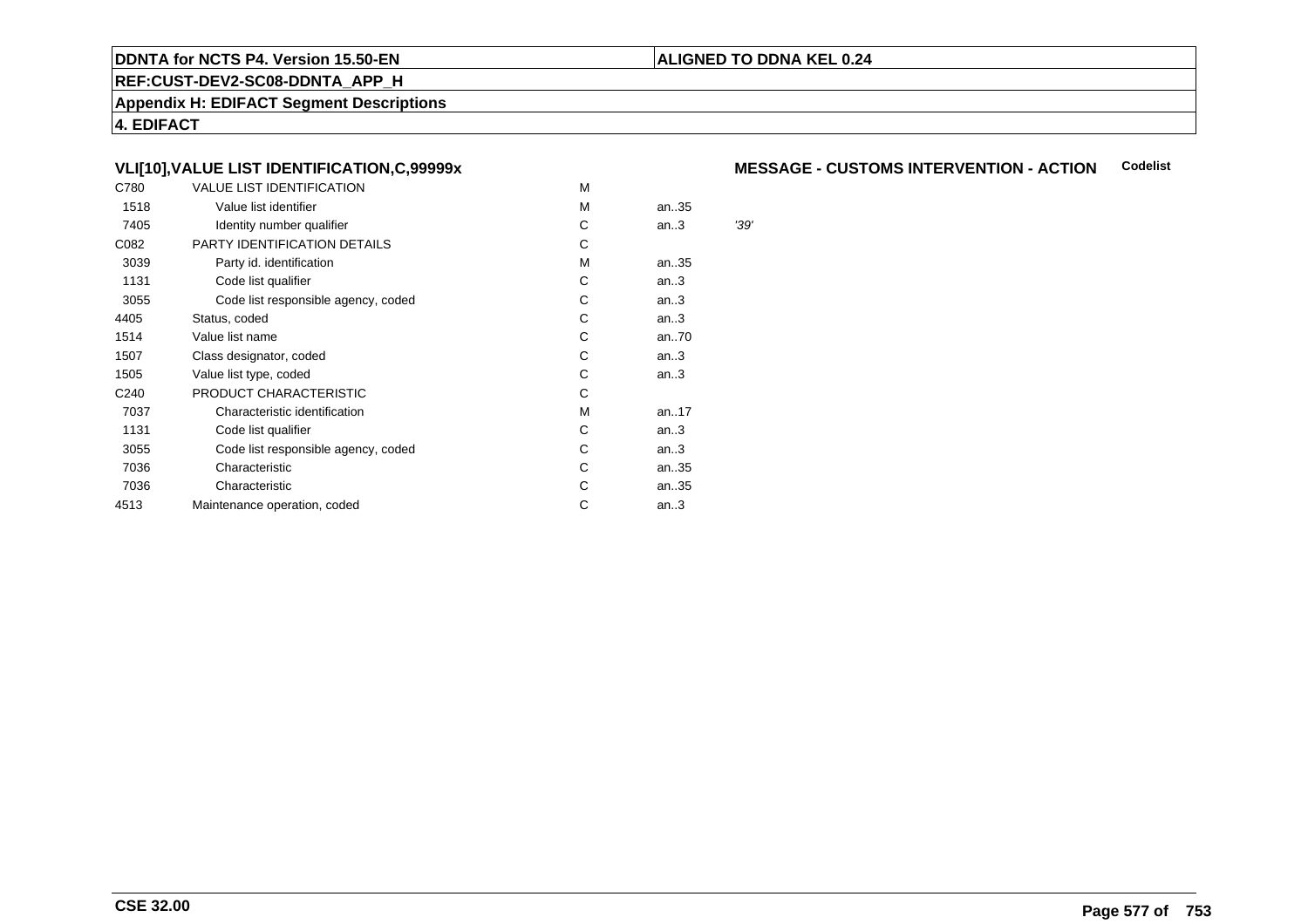#### **REF:CUST-DEV2-SC08-DDNTA\_APP\_H**

**Appendix H: EDIFACT Segment Descriptions**

**4. EDIFACT**

#### **VLI[10],VALUE LIST IDENTIFICATION,C,99999x**

| C780             | <b>VALUE LIST IDENTIFICATION</b>    | M |      |      |
|------------------|-------------------------------------|---|------|------|
| 1518             | Value list identifier               | м | an35 |      |
| 7405             | Identity number qualifier           | С | an.3 | '39' |
| C082             | PARTY IDENTIFICATION DETAILS        | С |      |      |
| 3039             | Party id. identification            | м | an35 |      |
| 1131             | Code list qualifier                 | С | an.3 |      |
| 3055             | Code list responsible agency, coded | С | an.3 |      |
| 4405             | Status, coded                       | C | an.3 |      |
| 1514             | Value list name                     | C | an70 |      |
| 1507             | Class designator, coded             | C | an.3 |      |
| 1505             | Value list type, coded              | С | an.3 |      |
| C <sub>240</sub> | PRODUCT CHARACTERISTIC              | С |      |      |
| 7037             | Characteristic identification       | м | an17 |      |
| 1131             | Code list qualifier                 | С | an.3 |      |
| 3055             | Code list responsible agency, coded | С | an.3 |      |
| 7036             | Characteristic                      | С | an35 |      |
| 7036             | Characteristic                      | С | an35 |      |
| 4513             | Maintenance operation, coded        | С | an.3 |      |
|                  |                                     |   |      |      |

#### **MESSAGE - CUSTOMS INTERVENTION - ACTIONCodelist**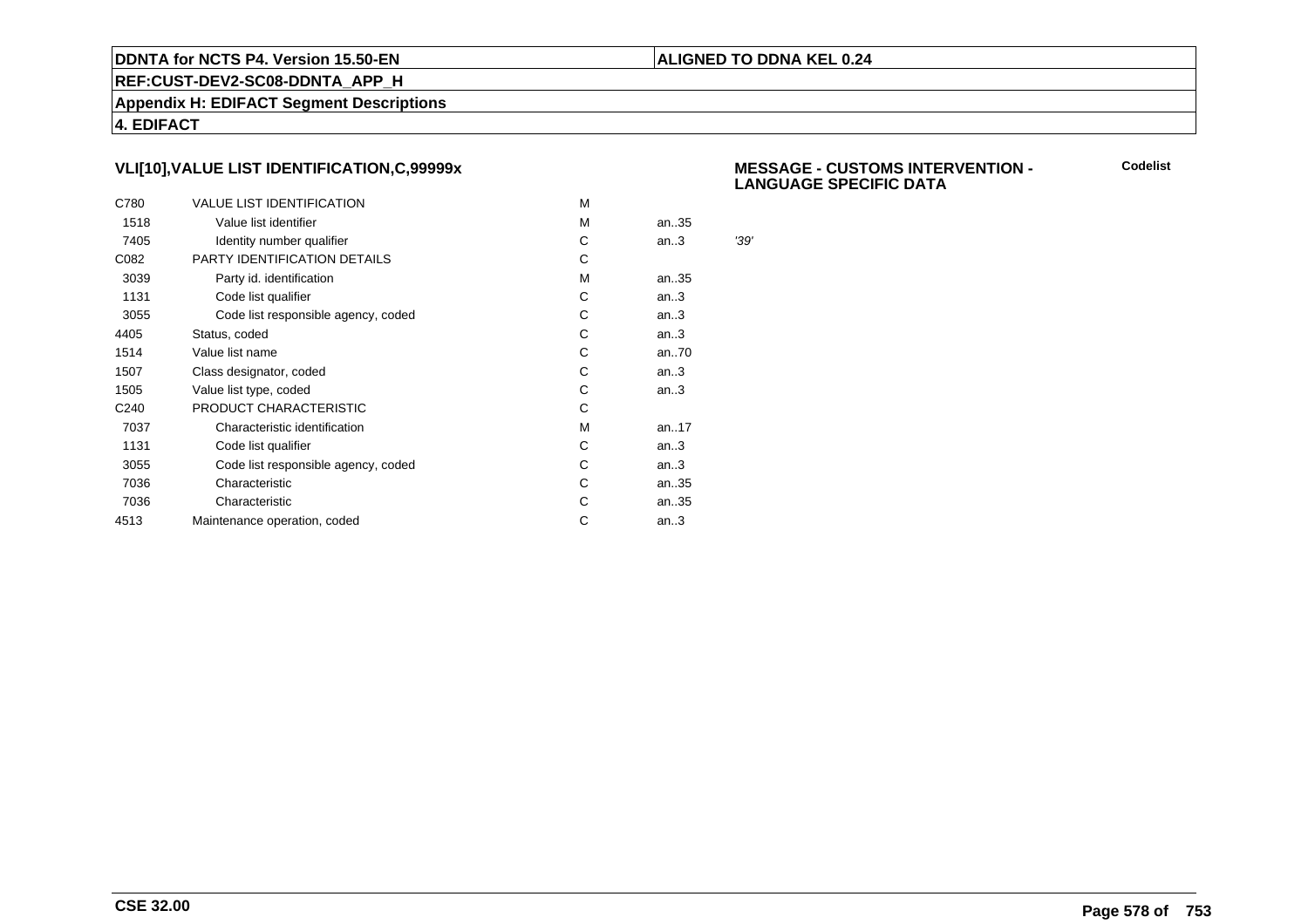#### **ALIGNED TO DDNA KEL 0.24**

**REF:CUST-DEV2-SC08-DDNTA\_APP\_H**

**Appendix H: EDIFACT Segment Descriptions**

**4. EDIFACT**

#### **VLI[10],VALUE LIST IDENTIFICATION,C,99999x**

| C780             | <b>VALUE LIST IDENTIFICATION</b>    | м |      |      |
|------------------|-------------------------------------|---|------|------|
| 1518             | Value list identifier               | м | an35 |      |
| 7405             | Identity number qualifier           | С | an.3 | '39' |
| C082             | PARTY IDENTIFICATION DETAILS        | C |      |      |
| 3039             | Party id. identification            | м | an35 |      |
| 1131             | Code list qualifier                 | C | an.3 |      |
| 3055             | Code list responsible agency, coded | С | an.3 |      |
| 4405             | Status, coded                       | С | an.3 |      |
| 1514             | Value list name                     | С | an70 |      |
| 1507             | Class designator, coded             | С | an.3 |      |
| 1505             | Value list type, coded              | С | an.3 |      |
| C <sub>240</sub> | PRODUCT CHARACTERISTIC              | С |      |      |
| 7037             | Characteristic identification       | м | an17 |      |
| 1131             | Code list qualifier                 | С | an.3 |      |
| 3055             | Code list responsible agency, coded | С | an.3 |      |
| 7036             | Characteristic                      | С | an35 |      |
| 7036             | Characteristic                      | С | an35 |      |
| 4513             | Maintenance operation, coded        | С | an.3 |      |
|                  |                                     |   |      |      |

 **MESSAGE - CUSTOMS INTERVENTION - LANGUAGE SPECIFIC DATA**

**Codelist**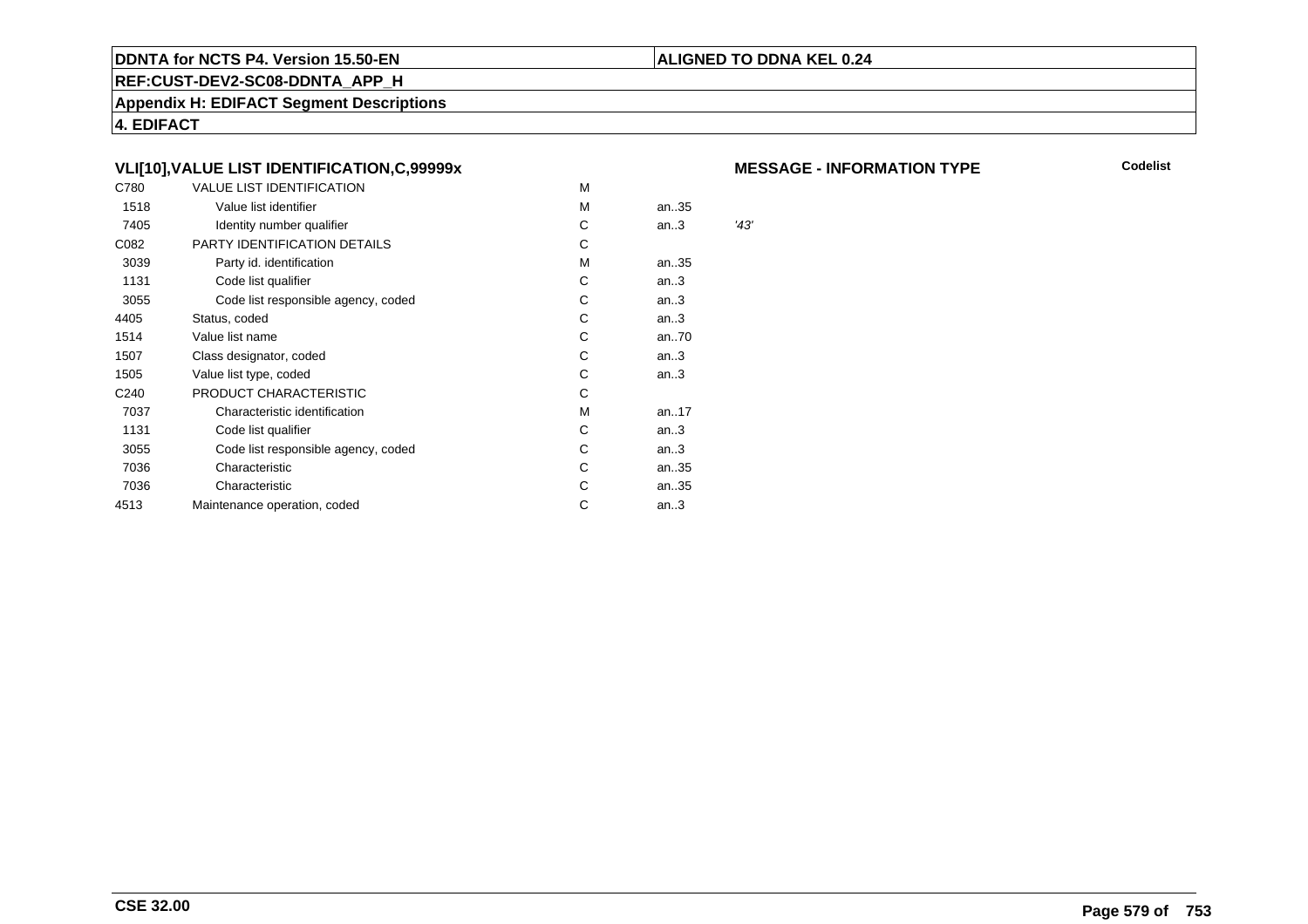#### **REF:CUST-DEV2-SC08-DDNTA\_APP\_H**

**Appendix H: EDIFACT Segment Descriptions**

**4. EDIFACT**

#### **VLI[10],VALUE LIST IDENTIFICATION,C,99999x**

| C780             | VALUE LIST IDENTIFICATION           | M |      |      |
|------------------|-------------------------------------|---|------|------|
| 1518             | Value list identifier               | M | an35 |      |
| 7405             | Identity number qualifier           | С | an.3 | '43' |
| C082             | PARTY IDENTIFICATION DETAILS        | С |      |      |
| 3039             | Party id. identification            | м | an35 |      |
| 1131             | Code list qualifier                 | С | an.3 |      |
| 3055             | Code list responsible agency, coded | С | an.3 |      |
| 4405             | Status, coded                       | С | an.3 |      |
| 1514             | Value list name                     | C | an70 |      |
| 1507             | Class designator, coded             | C | an.3 |      |
| 1505             | Value list type, coded              | C | an.3 |      |
| C <sub>240</sub> | PRODUCT CHARACTERISTIC              | С |      |      |
| 7037             | Characteristic identification       | м | an17 |      |
| 1131             | Code list qualifier                 | С | an.3 |      |
| 3055             | Code list responsible agency, coded | С | an.3 |      |
| 7036             | Characteristic                      | С | an35 |      |
| 7036             | Characteristic                      | С | an35 |      |
| 4513             | Maintenance operation, coded        | С | an.3 |      |
|                  |                                     |   |      |      |

#### **MESSAGE - INFORMATION TYPE**

**Codelist**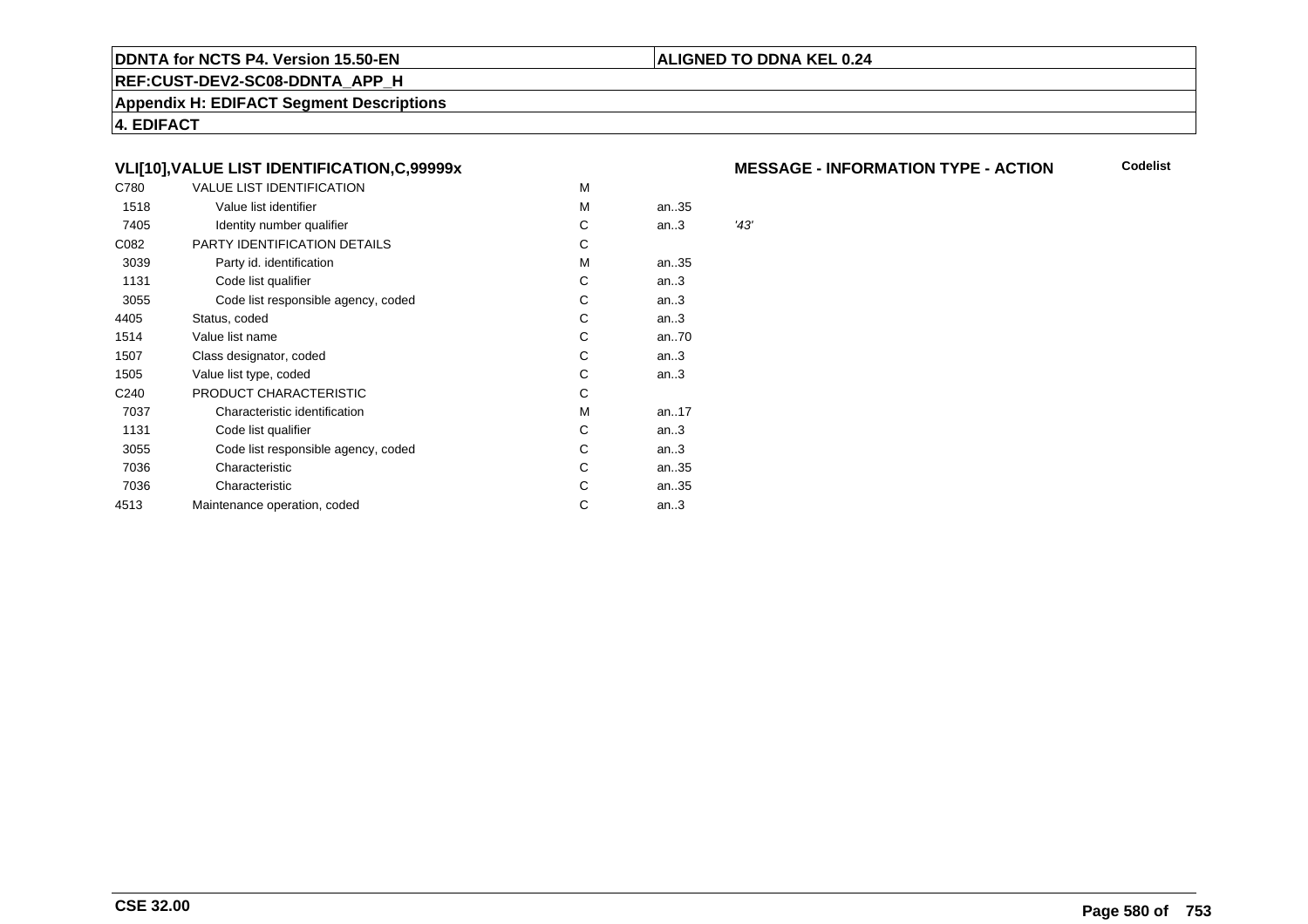#### **REF:CUST-DEV2-SC08-DDNTA\_APP\_H**

**Appendix H: EDIFACT Segment Descriptions**

**4. EDIFACT**

#### **VLI[10],VALUE LIST IDENTIFICATION,C,99999x**

| C780             | VALUE LIST IDENTIFICATION           | M |      |      |
|------------------|-------------------------------------|---|------|------|
| 1518             | Value list identifier               | M | an35 |      |
| 7405             | Identity number qualifier           | С | an.3 | '43' |
| C082             | PARTY IDENTIFICATION DETAILS        | С |      |      |
| 3039             | Party id. identification            | м | an35 |      |
| 1131             | Code list qualifier                 | С | an.3 |      |
| 3055             | Code list responsible agency, coded | С | an.3 |      |
| 4405             | Status, coded                       | С | an.3 |      |
| 1514             | Value list name                     | C | an70 |      |
| 1507             | Class designator, coded             | C | an.3 |      |
| 1505             | Value list type, coded              | C | an.3 |      |
| C <sub>240</sub> | PRODUCT CHARACTERISTIC              | С |      |      |
| 7037             | Characteristic identification       | м | an17 |      |
| 1131             | Code list qualifier                 | С | an.3 |      |
| 3055             | Code list responsible agency, coded | С | an.3 |      |
| 7036             | Characteristic                      | С | an35 |      |
| 7036             | Characteristic                      | С | an35 |      |
| 4513             | Maintenance operation, coded        | С | an.3 |      |
|                  |                                     |   |      |      |

#### **MESSAGE - INFORMATION TYPE - ACTION**

**Codelist**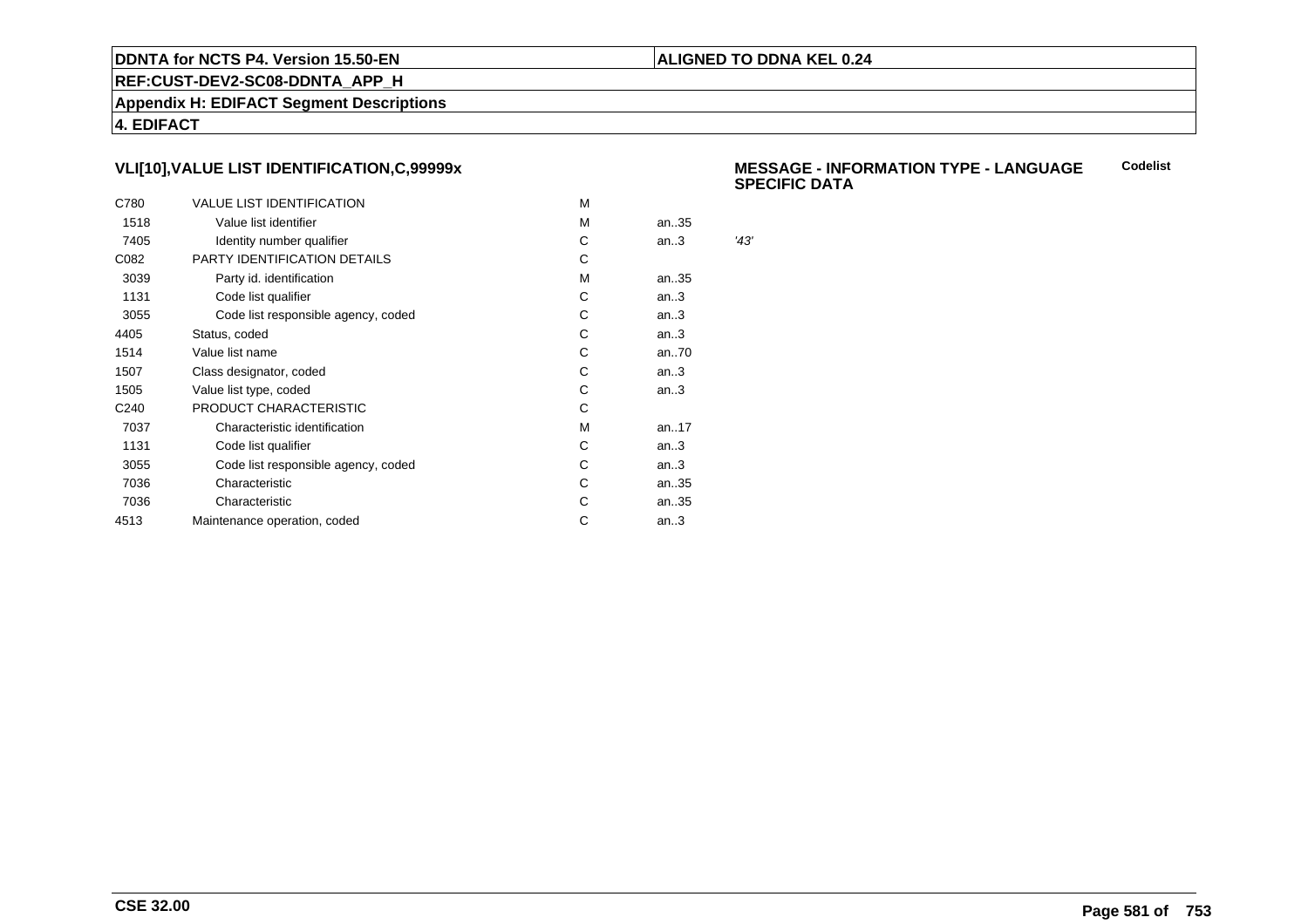#### **ALIGNED TO DDNA KEL 0.24**

**REF:CUST-DEV2-SC08-DDNTA\_APP\_H**

**Appendix H: EDIFACT Segment Descriptions**

**4. EDIFACT**

#### **VLI[10],VALUE LIST IDENTIFICATION,C,99999x**

| C780             | <b>VALUE LIST IDENTIFICATION</b>    | м |      |      |
|------------------|-------------------------------------|---|------|------|
| 1518             | Value list identifier               | м | an35 |      |
| 7405             | Identity number qualifier           | С | an.3 | '43' |
| C082             | PARTY IDENTIFICATION DETAILS        | С |      |      |
| 3039             | Party id. identification            | м | an35 |      |
| 1131             | Code list qualifier                 | C | an.3 |      |
| 3055             | Code list responsible agency, coded | С | an.3 |      |
| 4405             | Status, coded                       | C | an.3 |      |
| 1514             | Value list name                     | С | an70 |      |
| 1507             | Class designator, coded             | С | an.3 |      |
| 1505             | Value list type, coded              | С | an.3 |      |
| C <sub>240</sub> | PRODUCT CHARACTERISTIC              | С |      |      |
| 7037             | Characteristic identification       | м | an17 |      |
| 1131             | Code list qualifier                 | С | an.3 |      |
| 3055             | Code list responsible agency, coded | С | an.3 |      |
| 7036             | Characteristic                      | C | an35 |      |
| 7036             | Characteristic                      | С | an35 |      |
| 4513             | Maintenance operation, coded        | С | an.3 |      |
|                  |                                     |   |      |      |

#### **MESSAGE - INFORMATION TYPE - LANGUAGESPECIFIC DATACodelist**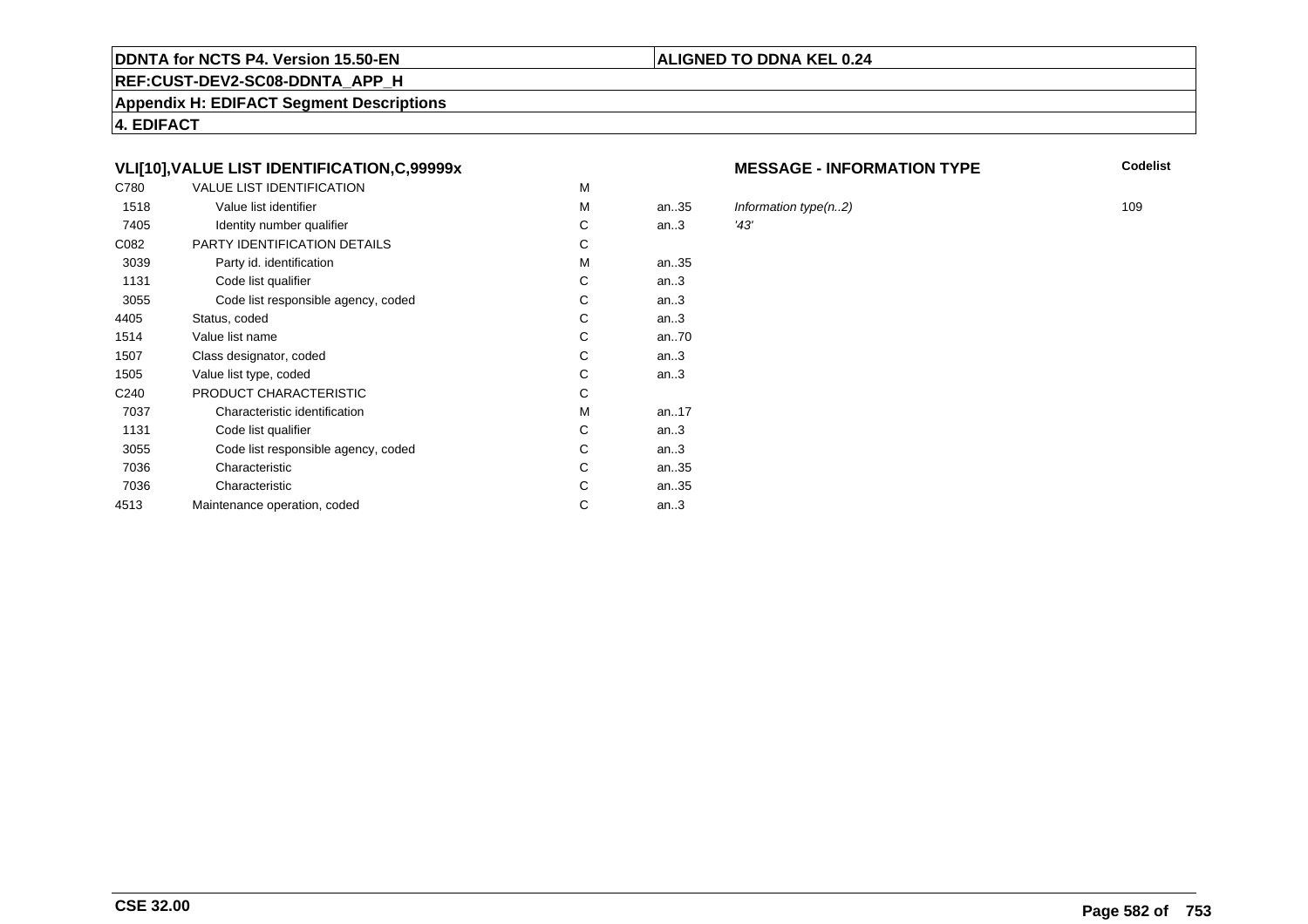#### **REF:CUST-DEV2-SC08-DDNTA\_APP\_H**

**Appendix H: EDIFACT Segment Descriptions**

**4. EDIFACT**

#### **VLI[10],VALUE LIST IDENTIFICATION,C,99999x**

| C780             | <b>VALUE LIST IDENTIFICATION</b>    | M |           |      |
|------------------|-------------------------------------|---|-----------|------|
| 1518             | Value list identifier               | M | an.35     | Infc |
| 7405             | Identity number qualifier           | С | an.3      | '43' |
| C082             | PARTY IDENTIFICATION DETAILS        | С |           |      |
| 3039             | Party id. identification            | м | an35      |      |
| 1131             | Code list qualifier                 | C | an.3      |      |
| 3055             | Code list responsible agency, coded | C | an.3      |      |
| 4405             | Status, coded                       | С | an.3      |      |
| 1514             | Value list name                     | C | an70      |      |
| 1507             | Class designator, coded             | C | an.3      |      |
| 1505             | Value list type, coded              | С | an.3      |      |
| C <sub>240</sub> | PRODUCT CHARACTERISTIC              | С |           |      |
| 7037             | Characteristic identification       | м | an. $.17$ |      |
| 1131             | Code list qualifier                 | С | an.3      |      |
| 3055             | Code list responsible agency, coded | С | an.3      |      |
| 7036             | Characteristic                      | C | an35      |      |
| 7036             | Characteristic                      | C | an35      |      |
| 4513             | Maintenance operation, coded        | С | an.3      |      |
|                  |                                     |   |           |      |

#### **MESSAGE - INFORMATION TYPE**

**Codelist**

Information type(n..2) 109<br>  $\frac{43}{3}$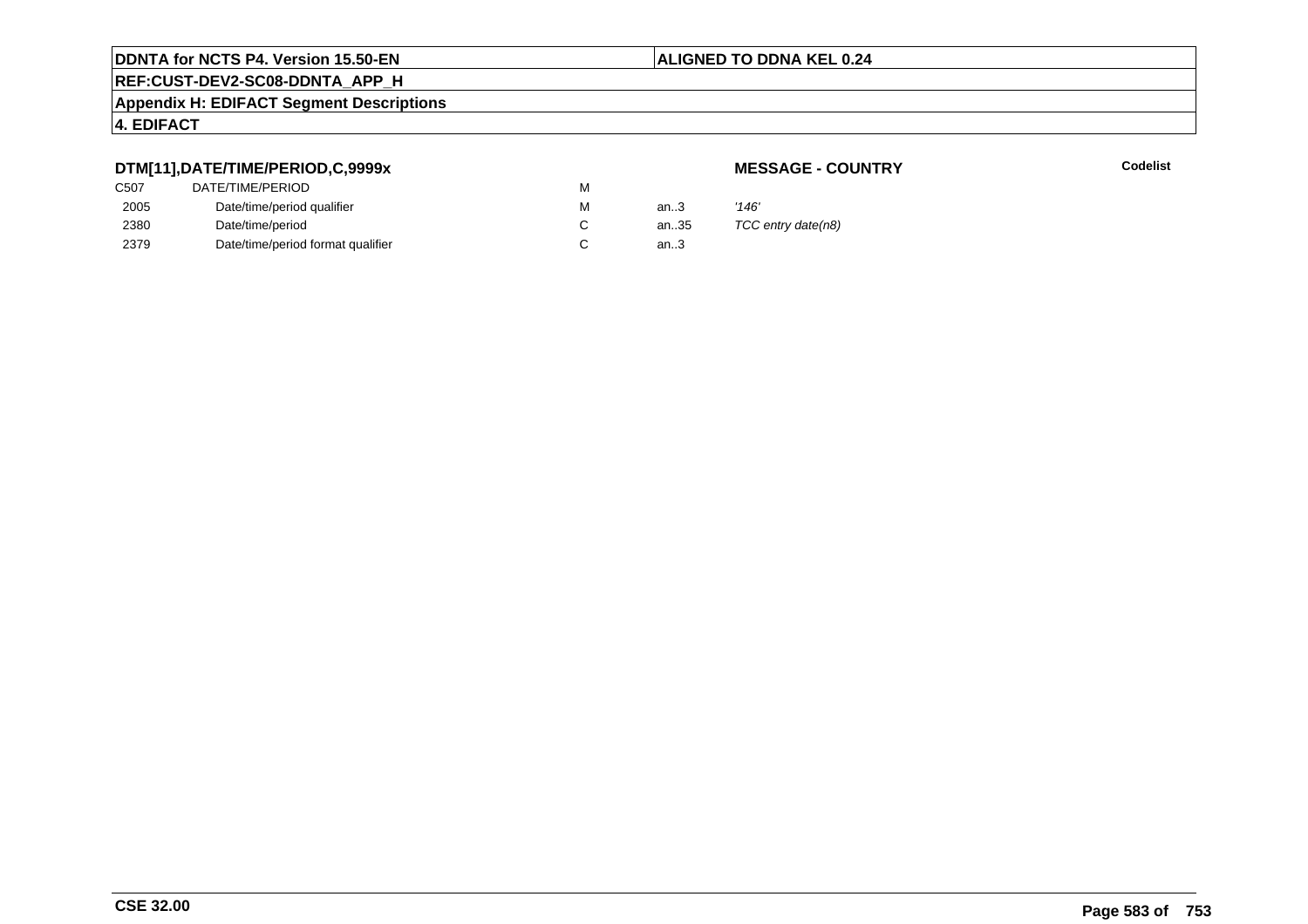#### **ALIGNED TO DDNA KEL 0.24**

## **REF:CUST-DEV2-SC08-DDNTA\_APP\_H**

#### **Appendix H: EDIFACT Segment Descriptions**

### **4. EDIFACT**

### **DTM[11],DATE/TIME/PERIOD,C,9999x**

### **MESSAGE - COUNTRY**

**Lackson Codelist** Codelist

| C <sub>507</sub> | DATE/TIME/PERIOD                  | M |      |                    |
|------------------|-----------------------------------|---|------|--------------------|
| 2005             | Date/time/period qualifier        | м | an3  | '146'              |
| 2380             | Date/time/period                  |   | an35 | TCC entry date(n8) |
| 2379             | Date/time/period format qualifier |   | an.3 |                    |
|                  |                                   |   |      |                    |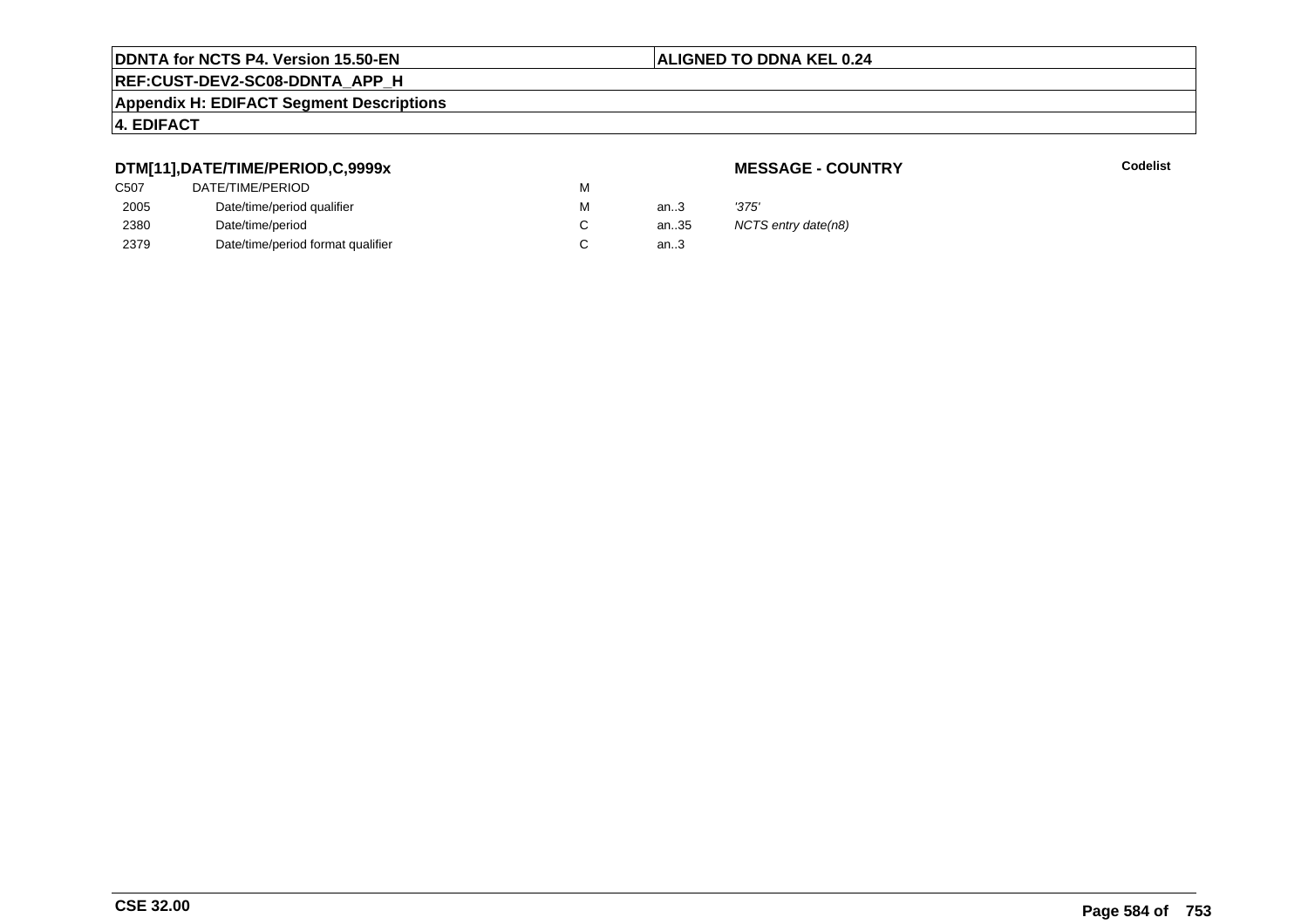#### **ALIGNED TO DDNA KEL 0.24**

## **REF:CUST-DEV2-SC08-DDNTA\_APP\_H**

#### **Appendix H: EDIFACT Segment Descriptions**

### **4. EDIFACT**

### **DTM[11],DATE/TIME/PERIOD,C,9999x**

### **MESSAGE - COUNTRY**

**Lackson Codelist** Codelist

| C <sub>507</sub> | DATE/TIME/PERIOD                  | м |        |                     |
|------------------|-----------------------------------|---|--------|---------------------|
| 2005             | Date/time/period qualifier        | м | an.3   | '375'               |
| 2380             | Date/time/period                  |   | an35   | NCTS entry date(n8) |
| 2379             | Date/time/period format qualifier |   | an $3$ |                     |
|                  |                                   |   |        |                     |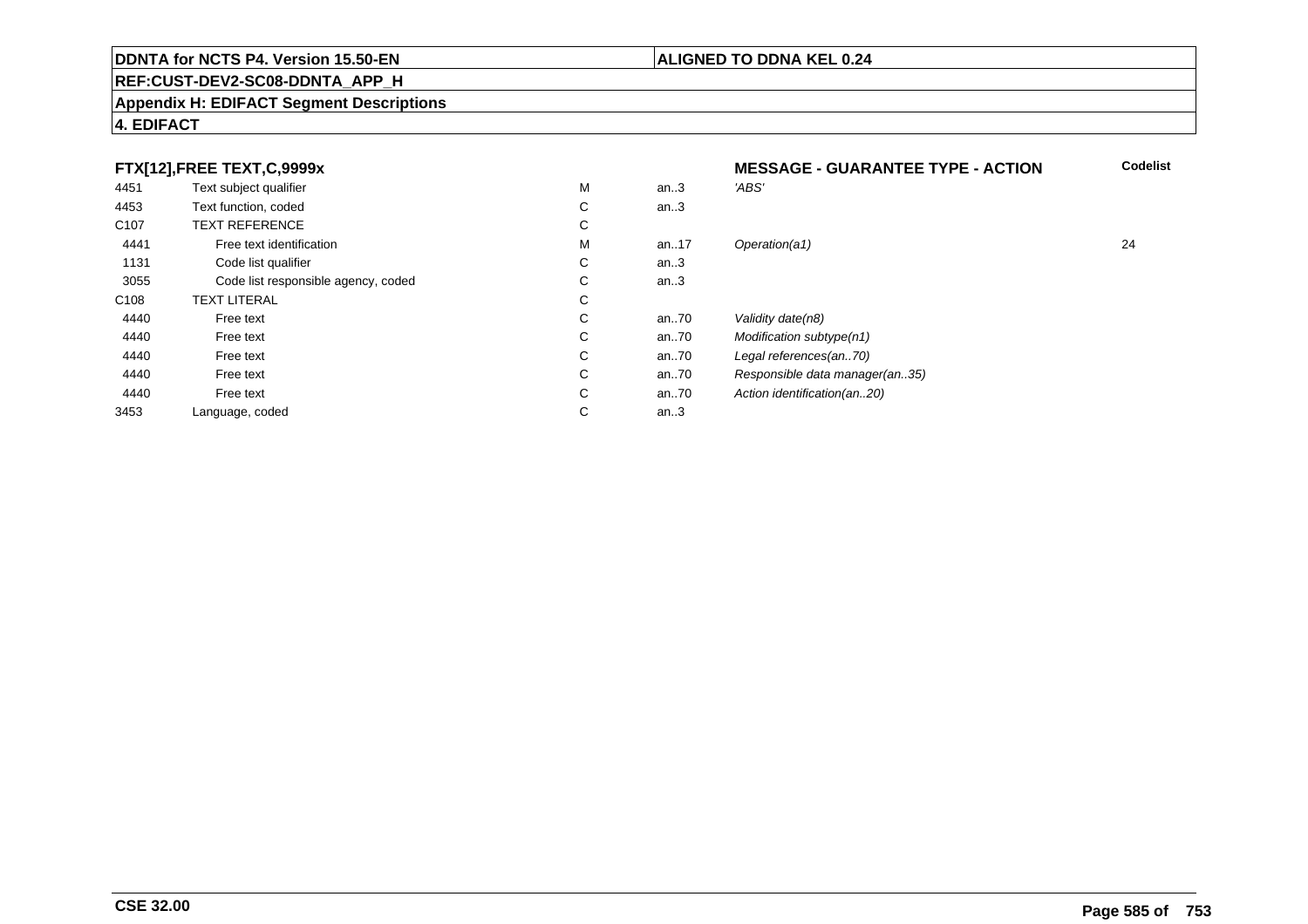#### **REF:CUST-DEV2-SC08-DDNTA\_APP\_H**

#### **Appendix H: EDIFACT Segment Descriptions**

#### **4. EDIFACT**

#### **FTX[12],FREE TEXT,C,9999xMESSAGE - GUARANTEE TYPE - ACTION**<br>M an..3 *'ABS'*  **Codelist** 4451Text subject qualifier M<br>
Text function, coded C M an..3 *'ABS'*<br>-4453Text function, coded C<br>
TEXT REFERENCE an..3 C107 TEXT REFERENCEE C  $\mathsf{M}% _{T}=\mathsf{M}_{T}\!\left( a,b\right) ,\ \mathsf{M}_{T}=\mathsf{M}_{T}$ 4441Free text identification M<br>Code list qualifier development of the code list qualifier development of  $\mathbf C$ M an..17 Operation(a1) 24 1131Code list qualifier C<br>Code list responsible agency, coded C an..3 3055 Code list responsible agency, coded <sup>C</sup> an..3 C108TEXT LITERAL<br>Free text  $\mathbf C$ 44400 Free text C C an..70 Validity date(n8)<br>C an..70 Modification subt 44400 Free text C C an..70 Modification subtype(n1)<br>C an..70 Legal references(an..70) 44400 Free text C C an..70 Legal references(an..70)<br>C an..70 Responsible data manag 44400 Free text C C an..70 Responsible data manager(an..35)<br>C an..70 Action identification(an..20) 44400 Free text C C an..70 Action identification(an..20)<br>C an..3 3453Language, coded an..3

#### **CSE 32.00**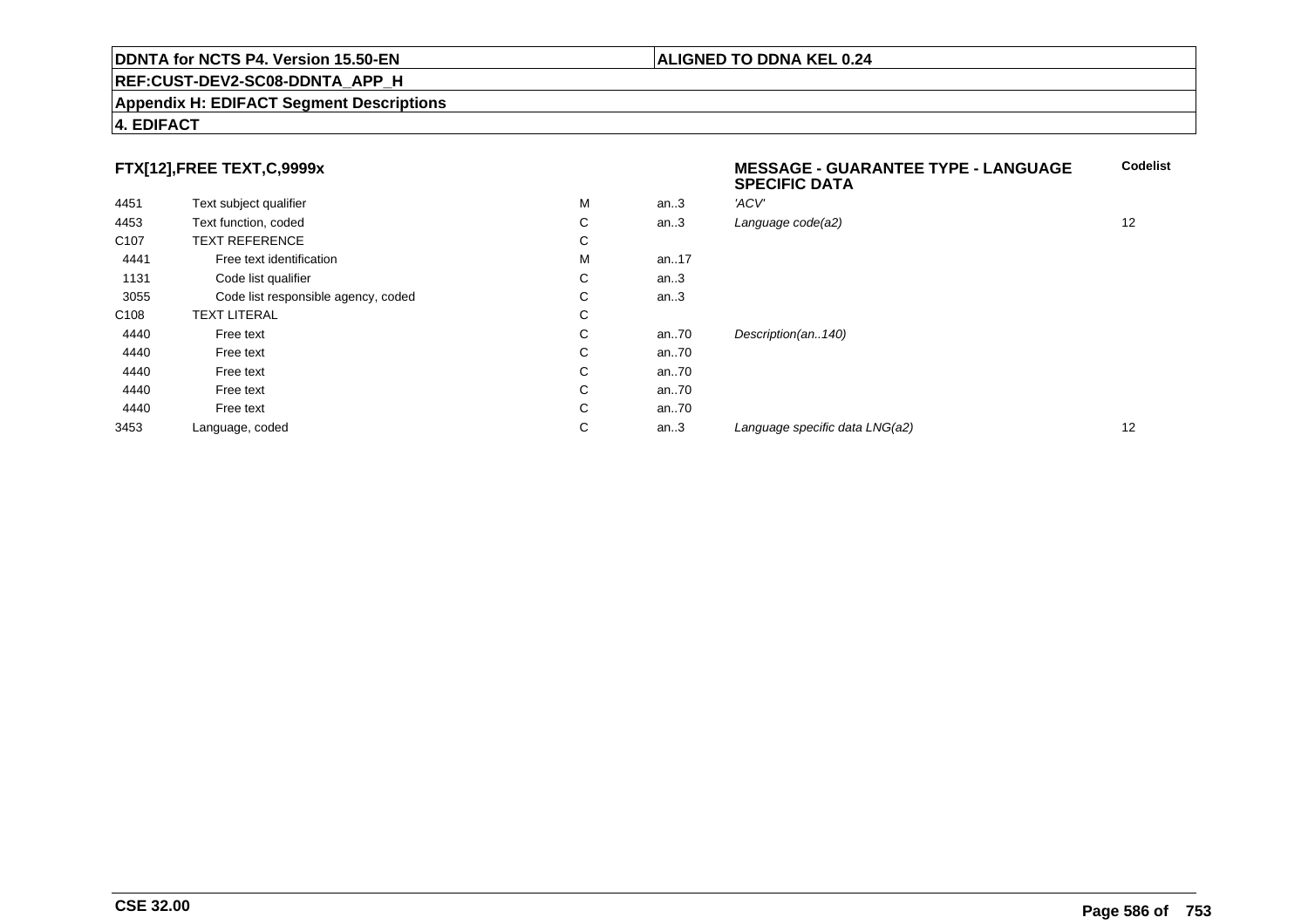#### **REF:CUST-DEV2-SC08-DDNTA\_APP\_H**

#### **Appendix H: EDIFACT Segment Descriptions**

#### **4. EDIFACT**

### **FTX[12],FREE TEXT,C,9999x**

| FTX[12],FREE TEXT,C,9999x |                                     |   |          | <b>MESSAGE - GUARANTEE TYPE - LANGUAGE</b><br><b>SPECIFIC DATA</b> | <b>Codelist</b> |
|---------------------------|-------------------------------------|---|----------|--------------------------------------------------------------------|-----------------|
| 4451                      | Text subject qualifier              | М | an.3     | 'ACV'                                                              |                 |
| 4453                      | Text function, coded                | C | an.3     | Language code(a2)                                                  | 12              |
| C <sub>107</sub>          | <b>TEXT REFERENCE</b>               | C |          |                                                                    |                 |
| 4441                      | Free text identification            | М | an17     |                                                                    |                 |
| 1131                      | Code list qualifier                 | C | an.3     |                                                                    |                 |
| 3055                      | Code list responsible agency, coded | C | an.3     |                                                                    |                 |
| C <sub>108</sub>          | <b>TEXT LITERAL</b>                 | C |          |                                                                    |                 |
| 4440                      | Free text                           | C | an $.70$ | Description(an140)                                                 |                 |
| 4440                      | Free text                           | C | an $.70$ |                                                                    |                 |
| 4440                      | Free text                           | C | an $.70$ |                                                                    |                 |
| 4440                      | Free text                           | C | an $.70$ |                                                                    |                 |
| 4440                      | Free text                           | C | an $.70$ |                                                                    |                 |
| 3453                      | Language, coded                     | C | an.3     | Language specific data LNG(a2)                                     | 12              |
|                           |                                     |   |          |                                                                    |                 |

**Codelist**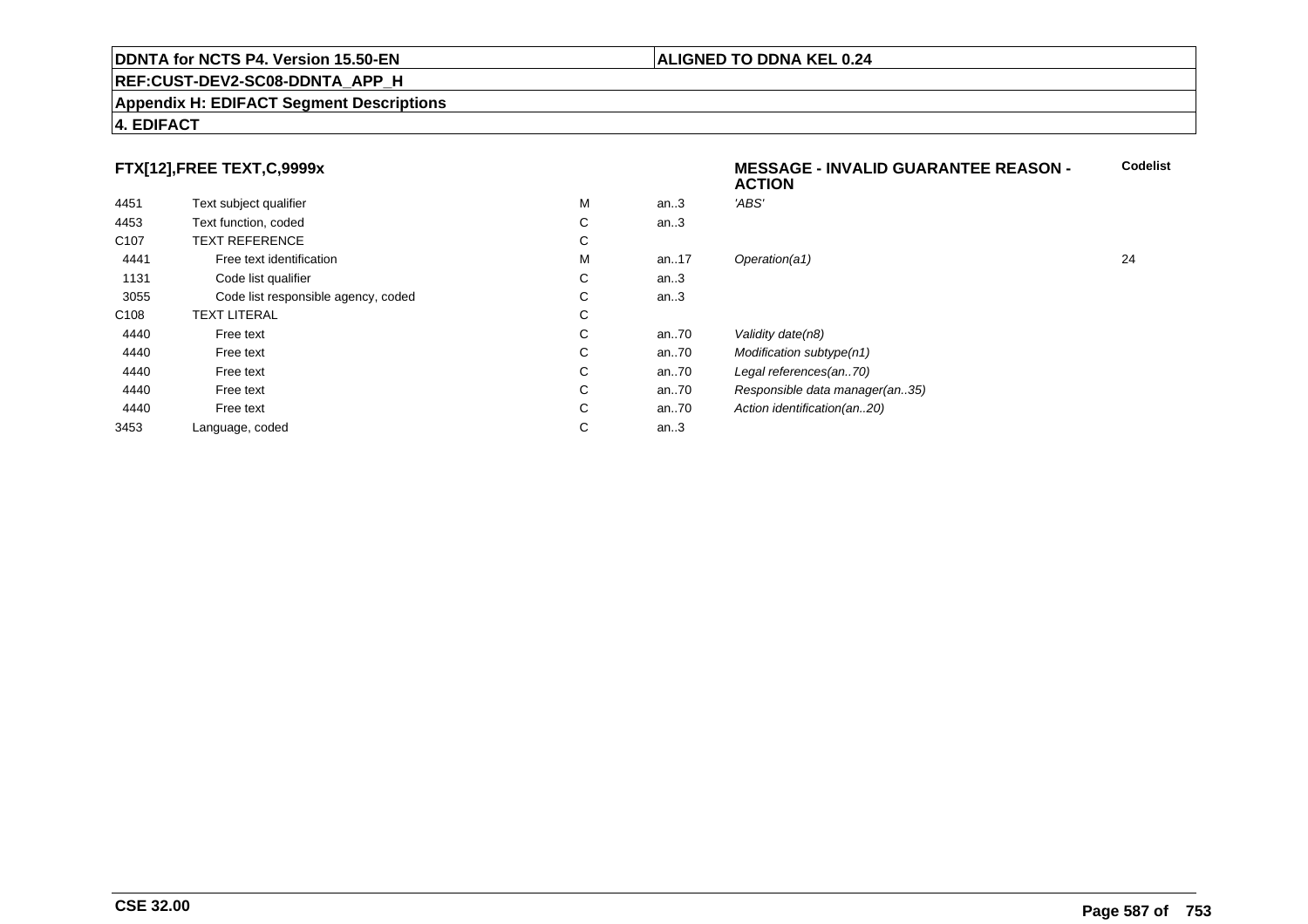#### **REF:CUST-DEV2-SC08-DDNTA\_APP\_H**

#### **Appendix H: EDIFACT Segment Descriptions**

#### **4. EDIFACT**

### **FTX[12],FREE TEXT,C,9999x**

|                  | $\ldots$                            |   |          | <b>ACTION</b>                  |    |
|------------------|-------------------------------------|---|----------|--------------------------------|----|
| 4451             | Text subject qualifier              | M | an.3     | 'ABS'                          |    |
| 4453             | Text function, coded                | С | an.3     |                                |    |
| C <sub>107</sub> | <b>TEXT REFERENCE</b>               | С |          |                                |    |
| 4441             | Free text identification            | M | an17     | Operation(a1)                  | 24 |
| 1131             | Code list qualifier                 | C | an.3     |                                |    |
| 3055             | Code list responsible agency, coded | С | an.3     |                                |    |
| C108             | <b>TEXT LITERAL</b>                 | С |          |                                |    |
| 4440             | Free text                           | С | an.70    | Validity date(n8)              |    |
| 4440             | Free text                           | C | an $.70$ | Modification subtype(n1)       |    |
| 4440             | Free text                           | С | an $.70$ | Legal references(an70)         |    |
| 4440             | Free text                           | C | an.70    | Responsible data manager(an35) |    |
| 4440             | Free text                           | С | an $.70$ | Action identification(an20)    |    |
| 3453             | Language, coded                     | С | an.3     |                                |    |
|                  |                                     |   |          |                                |    |

#### **ALIGNED TO DDNA KEL 0.24**

**MESSAGE - INVALID GUARANTEE REASON -**

**Codelist**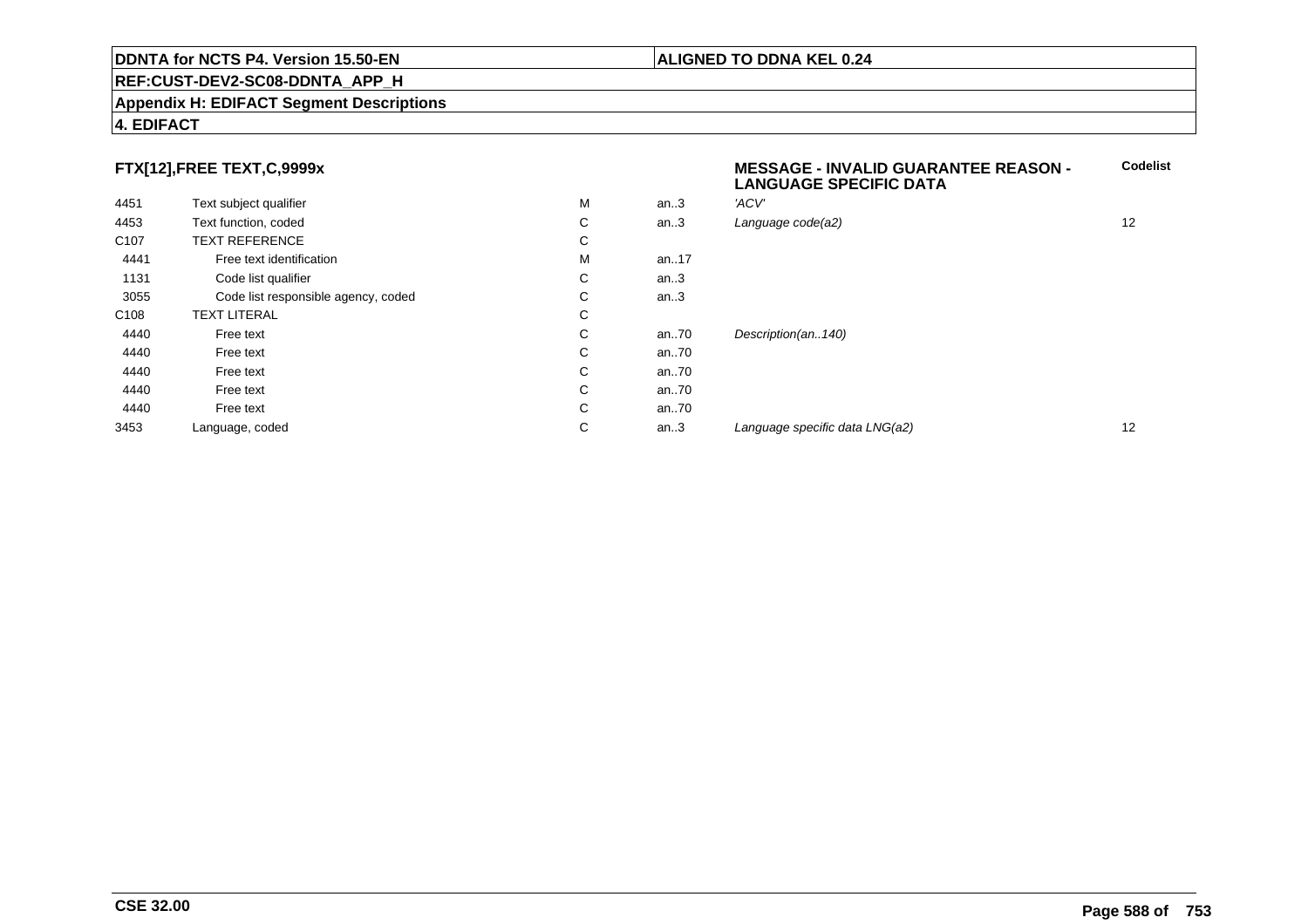#### **REF:CUST-DEV2-SC08-DDNTA\_APP\_H**

#### **Appendix H: EDIFACT Segment Descriptions**

#### **4. EDIFACT**

### **FTX[12],FREE TEXT,C,9999x**

| 4451             | Text subject qualifier              | M | an.3 | 'ACV'       |
|------------------|-------------------------------------|---|------|-------------|
| 4453             | Text function, coded                | C | an.3 | Language    |
| C <sub>107</sub> | <b>TEXT REFERENCE</b>               | С |      |             |
| 4441             | Free text identification            | M | an17 |             |
| 1131             | Code list qualifier                 | C | an.3 |             |
| 3055             | Code list responsible agency, coded | С | an.3 |             |
| C <sub>108</sub> | <b>TEXT LITERAL</b>                 | С |      |             |
| 4440             | Free text                           | С | an70 | Description |
| 4440             | Free text                           | C | an70 |             |
| 4440             | Free text                           | C | an70 |             |
| 4440             | Free text                           | C | an70 |             |
| 4440             | Free text                           | C | an70 |             |
| 3453             | Language, coded                     | C | an.3 | Language    |
|                  |                                     |   |      |             |

# **MESSAGE - INVALID GUARANTEE REASON - LANGUAGE SPECIFIC DATACodelist** $C$  an..3 Language code(a2) and  $12$ on(an..140) an...<br>and the specific data LNG(a2) 12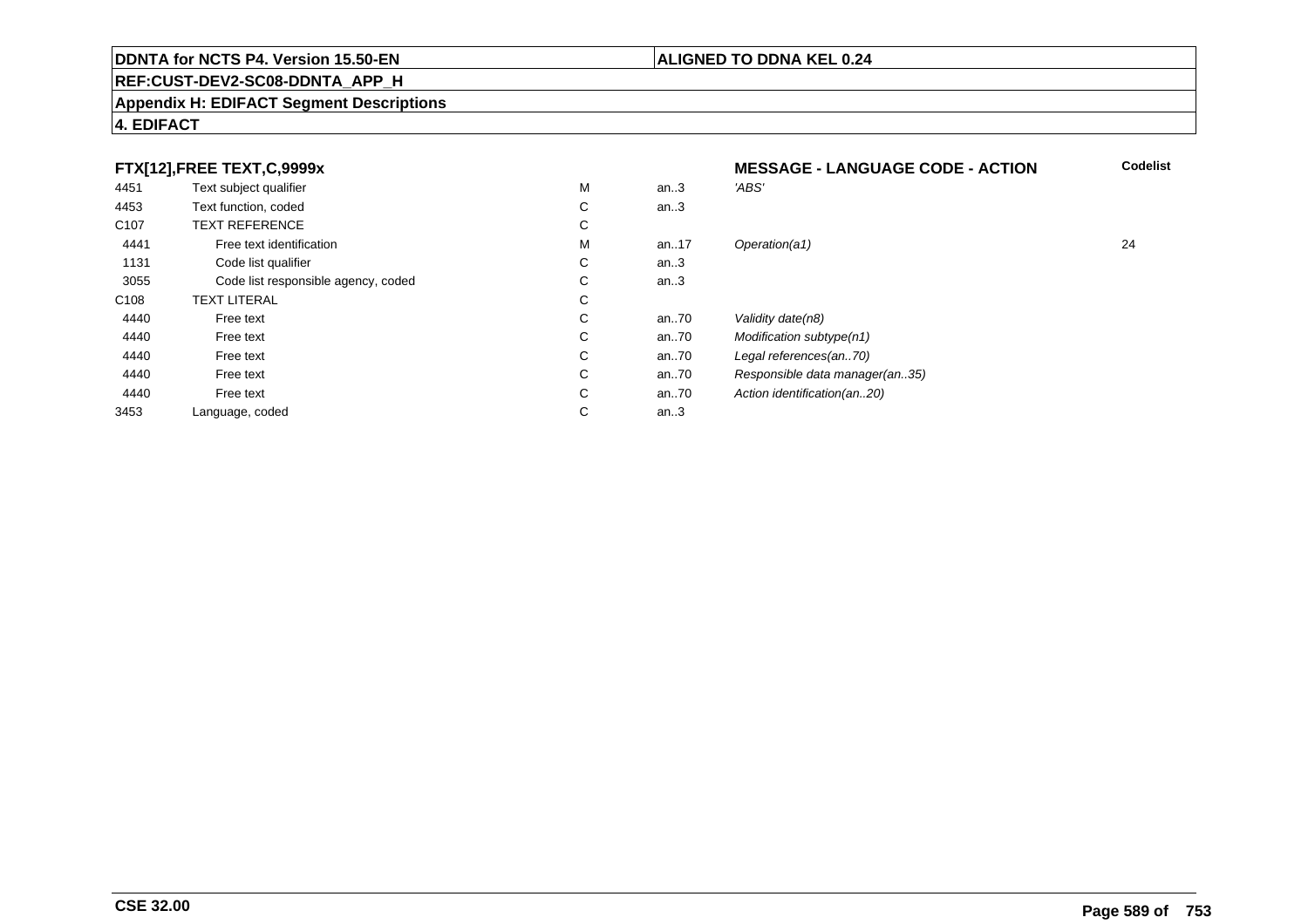### **REF:CUST-DEV2-SC08-DDNTA\_APP\_H**

#### **Appendix H: EDIFACT Segment Descriptions**

### **4. EDIFACT**

| FTX[12],FREE TEXT,C,9999x |                                     | <b>MESSAGE - LANGUAGE CODE - ACTION</b> | <b>Codelist</b> |                                |    |
|---------------------------|-------------------------------------|-----------------------------------------|-----------------|--------------------------------|----|
| 4451                      | Text subject qualifier              | M                                       | an.3            | 'ABS'                          |    |
| 4453                      | Text function, coded                | С                                       | an.3            |                                |    |
| C <sub>107</sub>          | <b>TEXT REFERENCE</b>               | С                                       |                 |                                |    |
| 4441                      | Free text identification            | M                                       | an17            | Operation(a1)                  | 24 |
| 1131                      | Code list qualifier                 | C                                       | an $3$          |                                |    |
| 3055                      | Code list responsible agency, coded | C                                       | an.3            |                                |    |
| C <sub>108</sub>          | <b>TEXT LITERAL</b>                 | С                                       |                 |                                |    |
| 4440                      | Free text                           | С                                       | an70            | Validity date(n8)              |    |
| 4440                      | Free text                           | C                                       | an70            | Modification subtype(n1)       |    |
| 4440                      | Free text                           | C                                       | an70            | Legal references(an70)         |    |
| 4440                      | Free text                           | С                                       | an70            | Responsible data manager(an35) |    |
| 4440                      | Free text                           | C                                       | an70            | Action identification(an20)    |    |
| 3453                      | Language, coded                     | С                                       | an.3            |                                |    |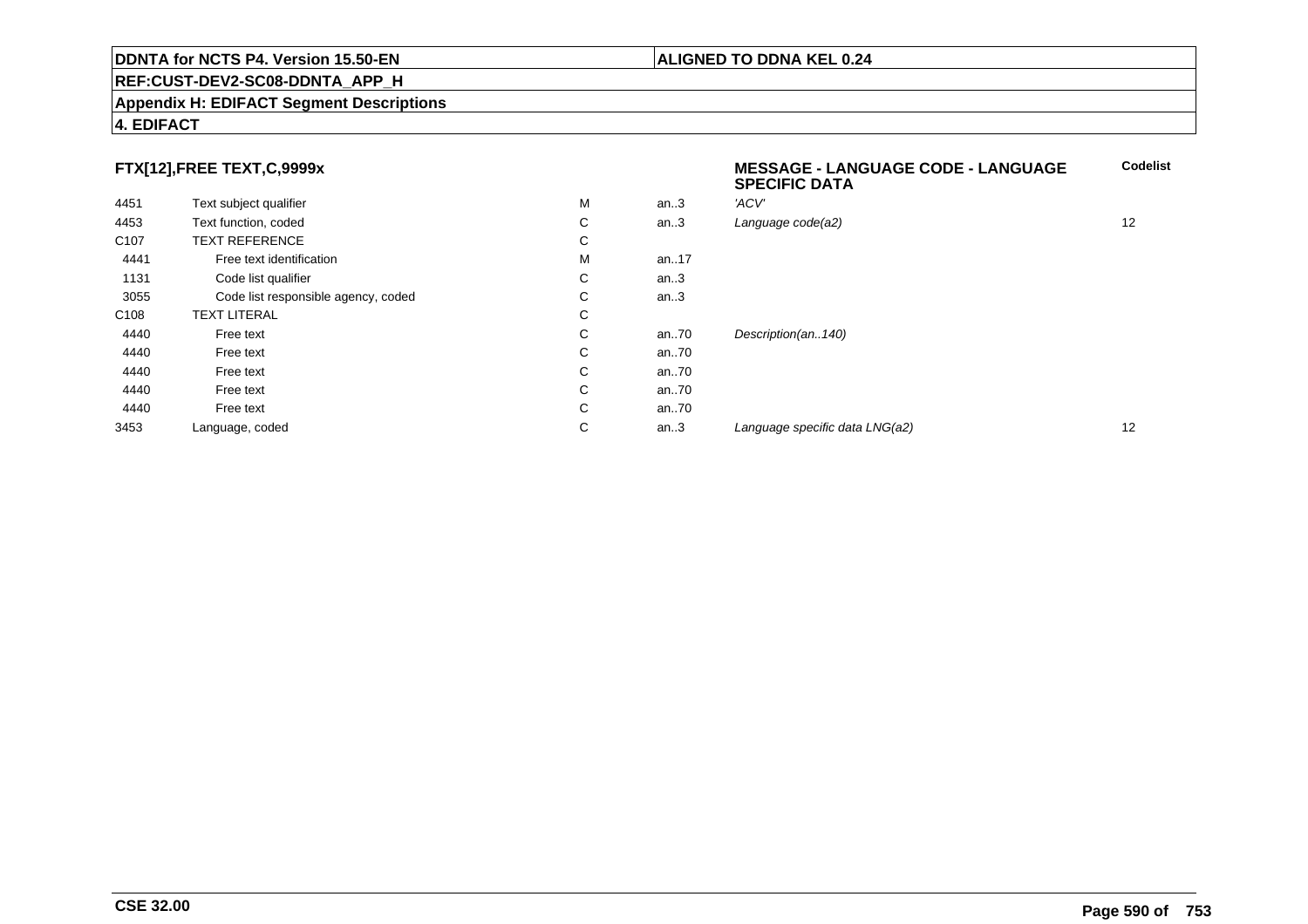#### **REF:CUST-DEV2-SC08-DDNTA\_APP\_H**

#### **Appendix H: EDIFACT Segment Descriptions**

#### **4. EDIFACT**

### **FTX[12],FREE TEXT,C,9999x**

|                  | FTX[12],FREE TEXT,C,9999x           |   |          | <b>MESSAGE - LANGUAGE CODE - LANGUAGE</b><br><b>SPECIFIC DATA</b> | Codelis |
|------------------|-------------------------------------|---|----------|-------------------------------------------------------------------|---------|
| 4451             | Text subject qualifier              | M | an.3     | 'ACV'                                                             |         |
| 4453             | Text function, coded                | С | an.3     | Language code(a2)                                                 | 12      |
| C <sub>107</sub> | <b>TEXT REFERENCE</b>               | С |          |                                                                   |         |
| 4441             | Free text identification            | M | an. $17$ |                                                                   |         |
| 1131             | Code list qualifier                 | С | an.3     |                                                                   |         |
| 3055             | Code list responsible agency, coded | С | an.3     |                                                                   |         |
| C <sub>108</sub> | <b>TEXT LITERAL</b>                 | С |          |                                                                   |         |
| 4440             | Free text                           | С | an $.70$ | Description(an140)                                                |         |
| 4440             | Free text                           | С | an $.70$ |                                                                   |         |
| 4440             | Free text                           | С | an70     |                                                                   |         |
| 4440             | Free text                           | С | an $.70$ |                                                                   |         |
| 4440             | Free text                           | С | an.70    |                                                                   |         |
| 3453             | Language, coded                     | С | an.3     | Language specific data LNG(a2)                                    | 12      |
|                  |                                     |   |          |                                                                   |         |

**ALIGNED TO DDNA KEL 0.24**

**Codelist**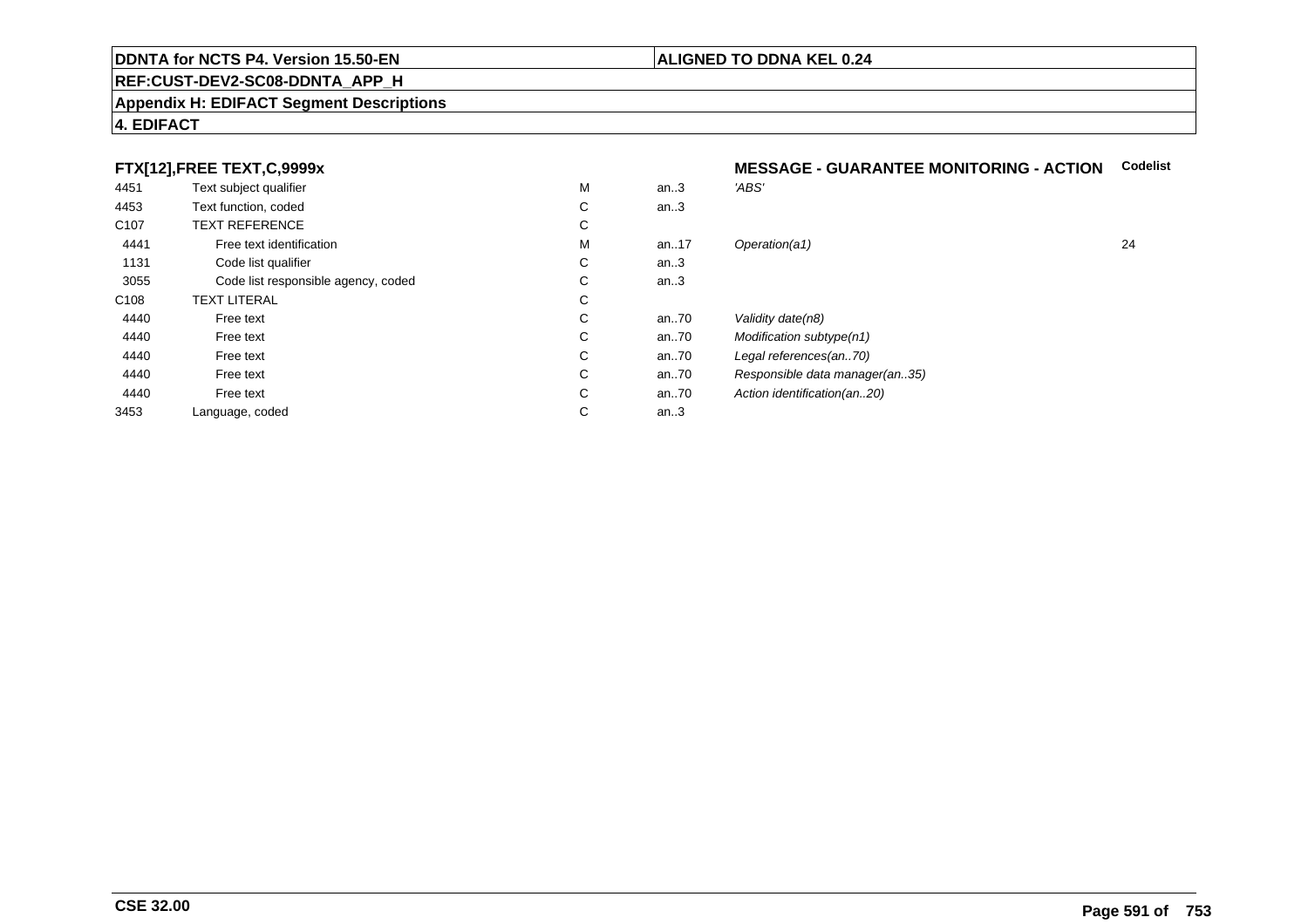#### **REF:CUST-DEV2-SC08-DDNTA\_APP\_H**

#### **Appendix H: EDIFACT Segment Descriptions**

#### **4. EDIFACT**

### **FTX[12],FREE TEXT,C,9999x**

| 4451             | Text subject qualifier              | M | an.3     | 'ABS'                          |
|------------------|-------------------------------------|---|----------|--------------------------------|
| 4453             | Text function, coded                | С | an.3     |                                |
| C <sub>107</sub> | <b>TEXT REFERENCE</b>               | C |          |                                |
| 4441             | Free text identification            | M | an. $17$ | Operation(a1)                  |
| 1131             | Code list qualifier                 | С | an.3     |                                |
| 3055             | Code list responsible agency, coded | С | an.3     |                                |
| C <sub>108</sub> | <b>TEXT LITERAL</b>                 | C |          |                                |
| 4440             | Free text                           | С | an70     | Validity date(n8)              |
| 4440             | Free text                           | С | an70     | Modification subtype(n1)       |
| 4440             | Free text                           | С | an70     | Legal references(an70)         |
| 4440             | Free text                           | C | an70     | Responsible data manager(an35) |
| 4440             | Free text                           | С | an70     | Action identification(an20)    |
| 3453             | Language, coded                     | С | an.3     |                                |
|                  |                                     |   |          |                                |

## **MESSAGE - GUARANTEE MONITORING - ACTION Codelist**

| М | an.3 | 'ABS'                          |    |
|---|------|--------------------------------|----|
| С | an.3 |                                |    |
| С |      |                                |    |
| М | an17 | Operation(a1)                  | 24 |
| С | an.3 |                                |    |
| С | an.3 |                                |    |
| С |      |                                |    |
| С | an70 | Validity date(n8)              |    |
| С | an70 | Modification subtype(n1)       |    |
| С | an70 | Legal references(an70)         |    |
| С | an70 | Responsible data manager(an35) |    |
| С | an70 | Action identification(an20)    |    |
| С | an.3 |                                |    |
|   |      |                                |    |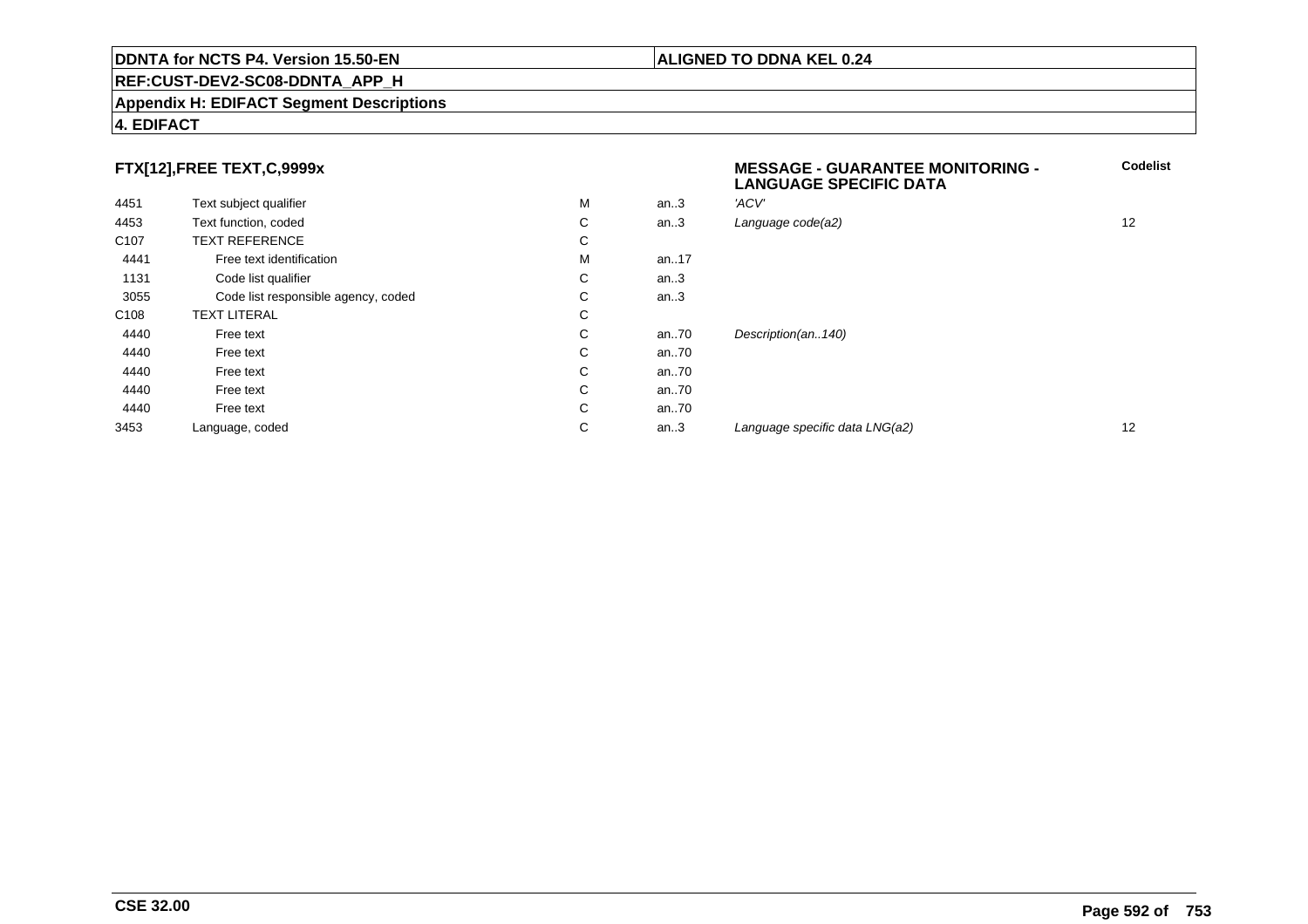#### **REF:CUST-DEV2-SC08-DDNTA\_APP\_H**

#### **Appendix H: EDIFACT Segment Descriptions**

#### **4. EDIFACT**

### **FTX[12],FREE TEXT,C,9999x**

| . .              |                                     |   |      | <b>LANGUAGE SPECIFIC DATA</b>  |    |
|------------------|-------------------------------------|---|------|--------------------------------|----|
| 4451             | Text subject qualifier              | M | an.3 | 'ACV'                          |    |
| 4453             | Text function, coded                | C | an.3 | Language code(a2)              | 12 |
| C <sub>107</sub> | <b>TEXT REFERENCE</b>               | C |      |                                |    |
| 4441             | Free text identification            | M | an17 |                                |    |
| 1131             | Code list qualifier                 | С | an.3 |                                |    |
| 3055             | Code list responsible agency, coded | C | an.3 |                                |    |
| C <sub>108</sub> | <b>TEXT LITERAL</b>                 | C |      |                                |    |
| 4440             | Free text                           | C | an70 | Description(an140)             |    |
| 4440             | Free text                           | C | an70 |                                |    |
| 4440             | Free text                           | C | an70 |                                |    |
| 4440             | Free text                           | C | an70 |                                |    |
| 4440             | Free text                           | C | an70 |                                |    |
| 3453             | Language, coded                     | C | an.3 | Language specific data LNG(a2) | 12 |
|                  |                                     |   |      |                                |    |

**CSE 32.00**

**Codelist**

**ALIGNED TO DDNA KEL 0.24**

**MESSAGE - GUARANTEE MONITORING -**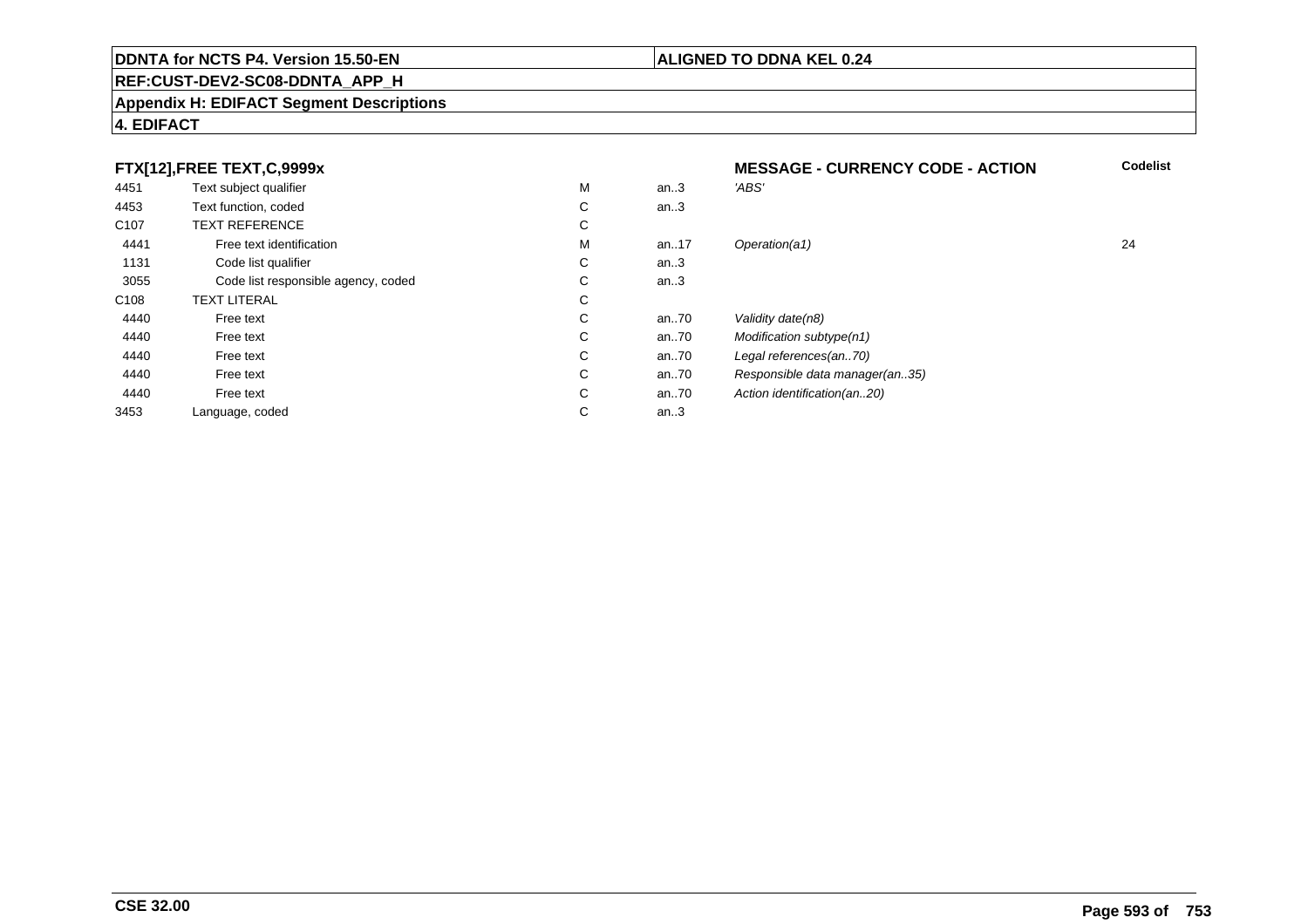#### **REF:CUST-DEV2-SC08-DDNTA\_APP\_H**

#### **Appendix H: EDIFACT Segment Descriptions**

#### **4. EDIFACT**

#### **FTX[12],FREE TEXT,C,9999xMESSAGE - CURRENCY CODE - ACTION**<br>M an..3 *'ABS'*  **Codelist** 4451Text subject qualifier M<br>
Text function, coded C M an..3 *'ABS'*<br>-4453Text function, coded C<br>
TEXT REFERENCE an..3 C107 TEXT REFERENCEE C  $\mathsf{M}% _{T}=\mathsf{M}_{T}\!\left( a,b\right) ,\ \mathsf{M}_{T}=\mathsf{M}_{T}$ 4441Free text identification M<br>Code list qualifier development of the code list qualifier development of  $\mathbf C$ M an..17 Operation(a1) 24 1131Code list qualifier C<br>Code list responsible agency, coded C an..3 3055Code list responsible agency, coded C<br>
XT LITERAL C an..3 C108TEXT LITERAL<br>Free text  $\mathbf C$ 44400 Free text C C an..70 Validity date(n8)<br>C an..70 Modification subt 44400 Free text C C an..70 Modification subtype(n1)<br>C an..70 Legal references(an..70) 44400 Free text C C an..70 Legal references(an..70)<br>C an..70 Responsible data manag 44400 Free text C C an..70 Responsible data manager(an..35)<br>C an..70 Action identification(an..20) 44400 Free text C C an..70 Action identification(an..20)<br>C an..3 3453Language, coded an..3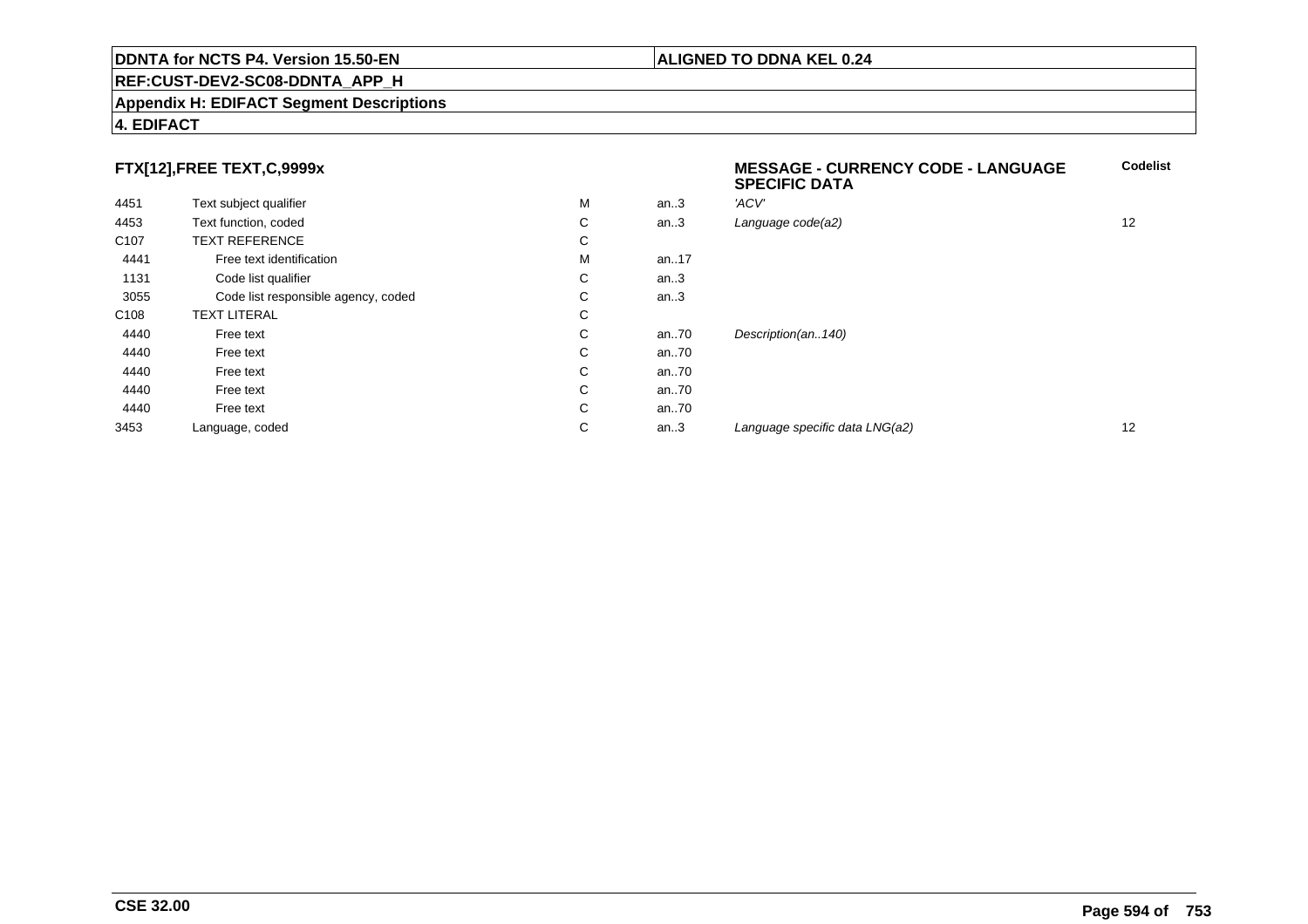#### **REF:CUST-DEV2-SC08-DDNTA\_APP\_H**

#### **Appendix H: EDIFACT Segment Descriptions**

#### **4. EDIFACT**

### **FTX[12],FREE TEXT,C,9999x**

|                  |                                     |   |      | <b>SPECIFIC DATA</b>           |                   |
|------------------|-------------------------------------|---|------|--------------------------------|-------------------|
| 4451             | Text subject qualifier              | М | an.3 | 'ACV'                          |                   |
| 4453             | Text function, coded                | C | an.3 | Language code(a2)              | 12                |
| C <sub>107</sub> | <b>TEXT REFERENCE</b>               | C |      |                                |                   |
| 4441             | Free text identification            | М | an17 |                                |                   |
| 1131             | Code list qualifier                 | C | an.3 |                                |                   |
| 3055             | Code list responsible agency, coded | C | an.3 |                                |                   |
| C <sub>108</sub> | <b>TEXT LITERAL</b>                 | C |      |                                |                   |
| 4440             | Free text                           | C | an70 | Description(an140)             |                   |
| 4440             | Free text                           | C | an70 |                                |                   |
| 4440             | Free text                           | C | an70 |                                |                   |
| 4440             | Free text                           | C | an70 |                                |                   |
| 4440             | Free text                           | C | an70 |                                |                   |
| 3453             | Language, coded                     | C | an.3 | Language specific data LNG(a2) | $12 \overline{ }$ |

**Codelist**

**ALIGNED TO DDNA KEL 0.24**

**MESSAGE - CURRENCY CODE - LANGUAGE**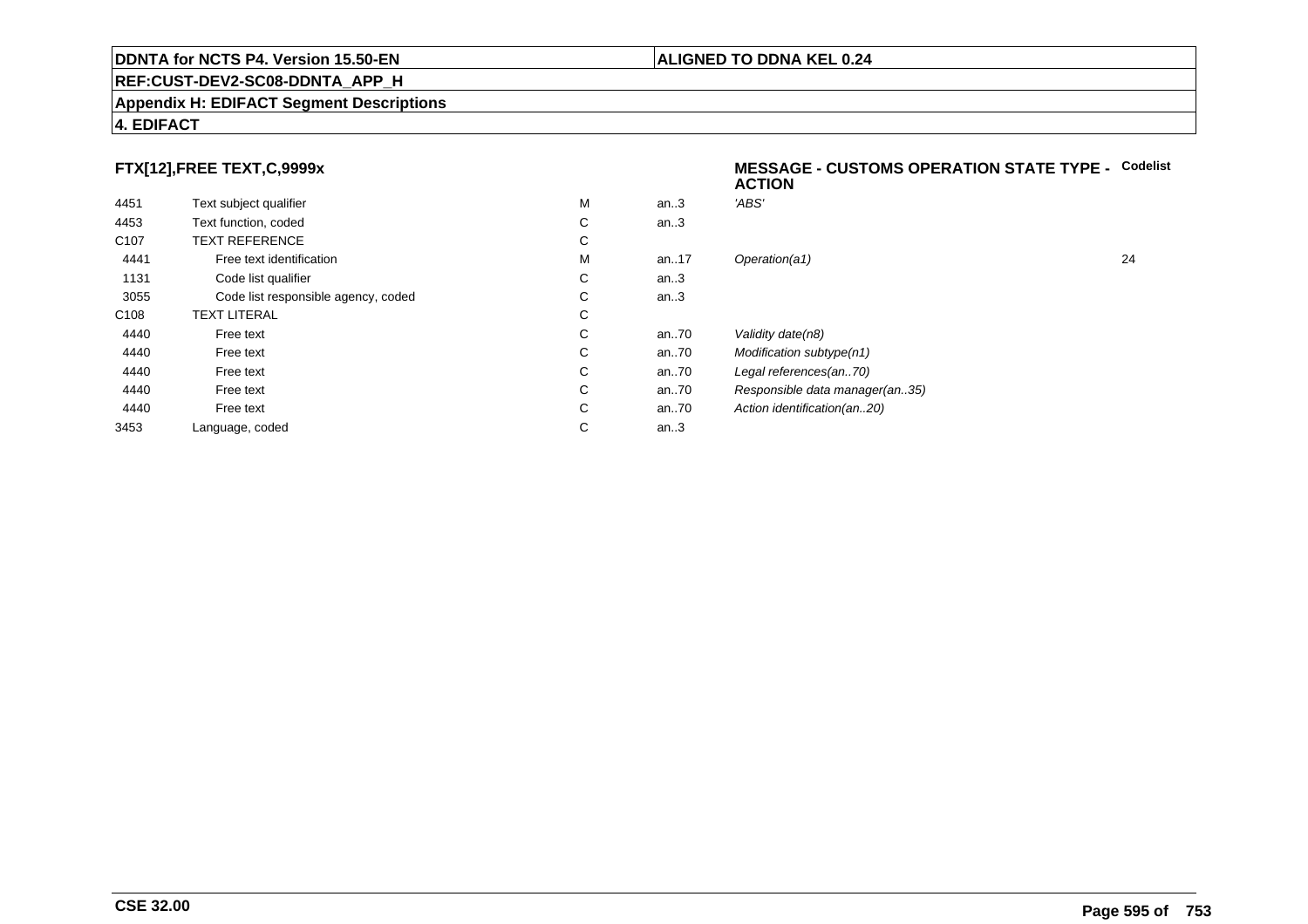#### **REF:CUST-DEV2-SC08-DDNTA\_APP\_H**

#### **Appendix H: EDIFACT Segment Descriptions**

#### **4. EDIFACT**

### **FTX[12],FREE TEXT,C,9999x**

| 4451             | Text subject qualifier              | M | an.3  | 'ABS'  |
|------------------|-------------------------------------|---|-------|--------|
| 4453             | Text function, coded                | С | an.3  |        |
| C <sub>107</sub> | <b>TEXT REFERENCE</b>               | С |       |        |
| 4441             | Free text identification            | M | an.17 | Opera  |
| 1131             | Code list qualifier                 | С | an.3  |        |
| 3055             | Code list responsible agency, coded | С | an.3  |        |
| C <sub>108</sub> | <b>TEXT LITERAL</b>                 | С |       |        |
| 4440             | Free text                           | C | an.70 | Validi |
| 4440             | Free text                           | C | an.70 | Modit  |
| 4440             | Free text                           | C | an70  | Legal  |
| 4440             | Free text                           | С | an70  | Resp   |
| 4440             | Free text                           | С | an70  | Action |
| 3453             | Language, coded                     | С | an.3  |        |
|                  |                                     |   |       |        |

#### **MESSAGE - CUSTOMS OPERATION STATE TYPE -** Codelist<br>ACTION **ACTION**

| М | an.3 | 'ABS'                          |    |
|---|------|--------------------------------|----|
| С | an.3 |                                |    |
| С |      |                                |    |
| М | an17 | Operation(a1)                  | 24 |
| С | an.3 |                                |    |
| С | an.3 |                                |    |
| С |      |                                |    |
| С | an70 | Validity date(n8)              |    |
| С | an70 | Modification subtype(n1)       |    |
| С | an70 | Legal references(an70)         |    |
| С | an70 | Responsible data manager(an35) |    |
| С | an70 | Action identification(an20)    |    |
| С | an.3 |                                |    |
|   |      |                                |    |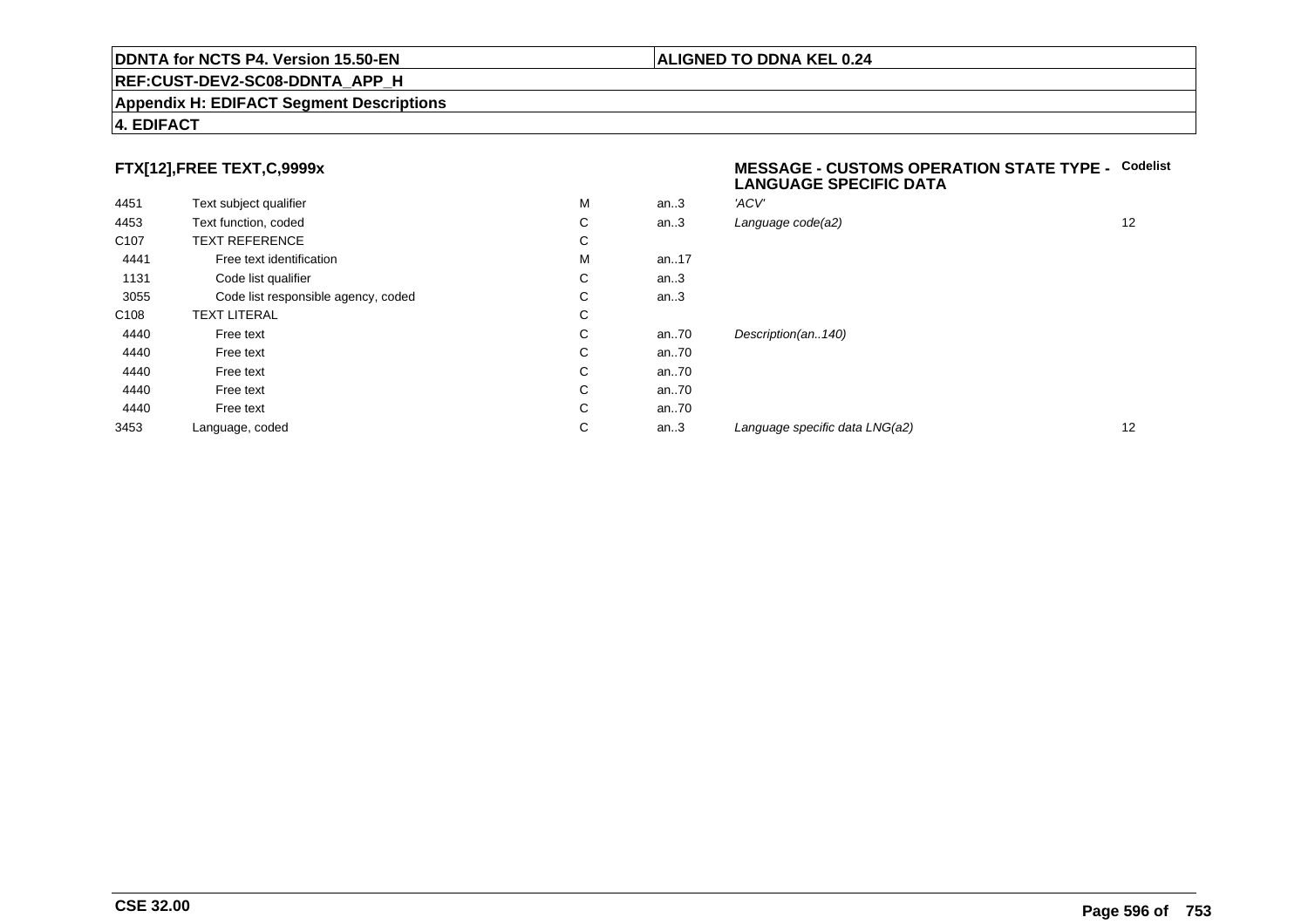#### **REF:CUST-DEV2-SC08-DDNTA\_APP\_H**

#### **Appendix H: EDIFACT Segment Descriptions**

#### **4. EDIFACT**

### **FTX[12],FREE TEXT,C,9999x**

| 4451             | Text subject qualifier              | M | an.3 | 'ACV' |
|------------------|-------------------------------------|---|------|-------|
| 4453             | Text function, coded                | С | an.3 | Langu |
| C <sub>107</sub> | <b>TEXT REFERENCE</b>               | C |      |       |
| 4441             | Free text identification            | M | an17 |       |
| 1131             | Code list qualifier                 | C | an.3 |       |
| 3055             | Code list responsible agency, coded | C | an.3 |       |
| C <sub>108</sub> | <b>TEXT LITERAL</b>                 | C |      |       |
| 4440             | Free text                           | C | an70 | Desci |
| 4440             | Free text                           | C | an70 |       |
| 4440             | Free text                           | C | an70 |       |
| 4440             | Free text                           | C | an70 |       |
| 4440             | Free text                           | C | an70 |       |
| 3453             | Language, coded                     | C | an.3 | Langı |
|                  |                                     |   |      |       |

#### **MESSAGE - CUSTOMS OPERATION STATE TYPE - CodelistLANGUAGE SPECIFIC DATA**

| M | an.3 | 'ACV'                          |    |
|---|------|--------------------------------|----|
| С | an.3 | Language code(a2)              | 12 |
| С |      |                                |    |
| М | an17 |                                |    |
| С | an.3 |                                |    |
| С | an.3 |                                |    |
| С |      |                                |    |
| С | an70 | Description(an140)             |    |
| С | an70 |                                |    |
| С | an70 |                                |    |
| С | an70 |                                |    |
| С | an70 |                                |    |
| С | an.3 | Language specific data LNG(a2) | 12 |
|   |      |                                |    |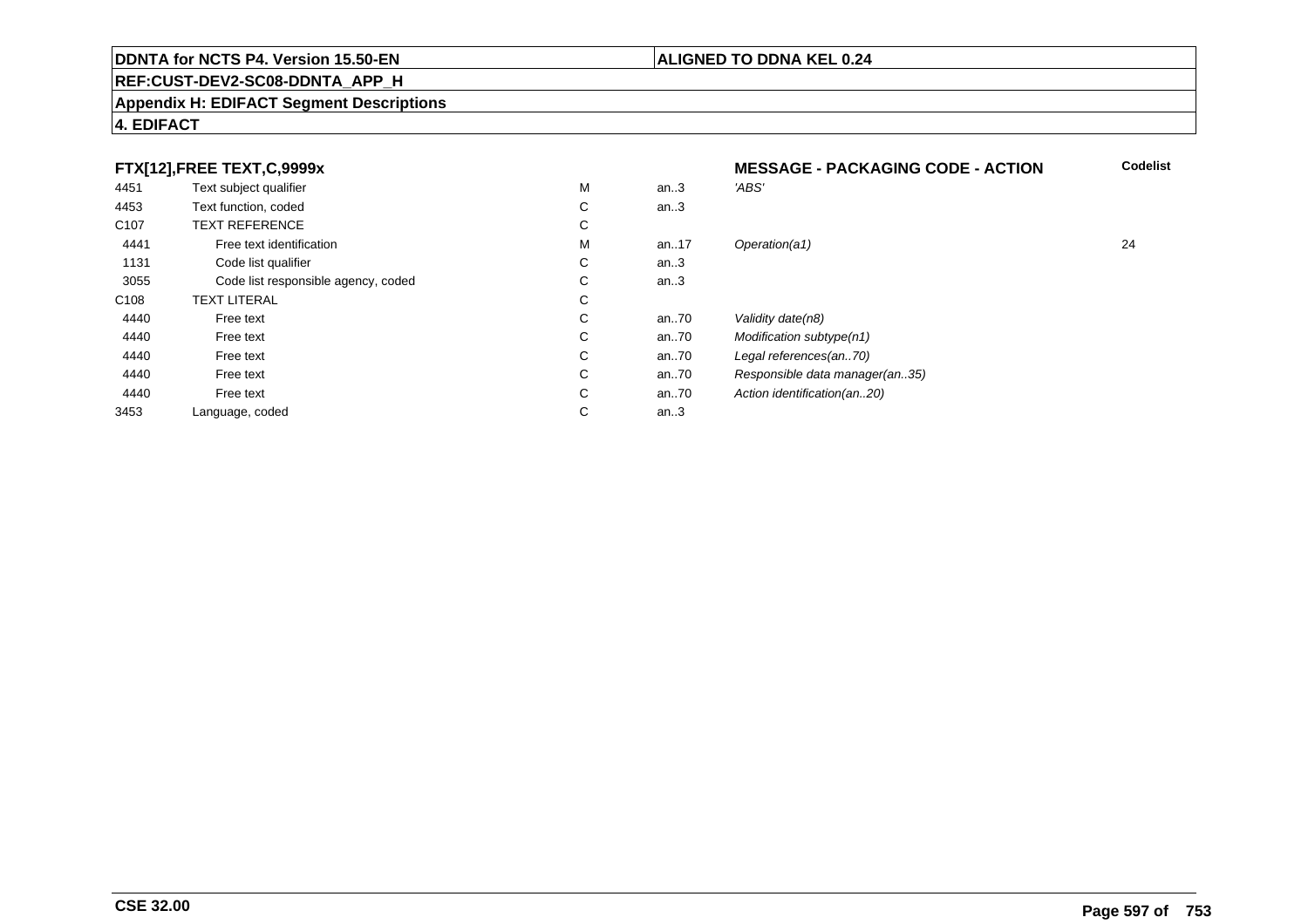#### **REF:CUST-DEV2-SC08-DDNTA\_APP\_H**

#### **Appendix H: EDIFACT Segment Descriptions**

#### **4. EDIFACT**

#### **FTX[12],FREE TEXT,C,9999xMESSAGE - PACKAGING CODE - ACTION**<br>M an..3 *'ABS'*  **Codelist** 4451Text subject qualifier M<br>
Text function, coded C M an..3 *'ABS'*<br>-4453Text function, coded C<br>
TEXT REFERENCE an..3 C107 TEXT REFERENCEE C  $\mathsf{M}% _{T}=\mathsf{M}_{T}\!\left( a,b\right) ,\ \mathsf{M}_{T}=\mathsf{M}_{T}$ 4441Free text identification M<br>Code list qualifier development of the code list qualifier development of  $\mathbf C$ M an..17 Operation(a1) 24 1131Code list qualifier C<br>Code list responsible agency, coded C an..3 3055Code list responsible agency, coded C<br>
XT LITERAL C an..3 C108TEXT LITERAL<br>Free text  $\mathbf C$ 44400 Free text C C an..70 Validity date(n8)<br>C an..70 Modification subt 44400 Free text C C an..70 Modification subtype(n1)<br>C an..70 Legal references(an..70) 44400 Free text C C an..70 Legal references(an..70)<br>C an..70 Responsible data manag 44400 Free text C C an..70 Responsible data manager(an..35)<br>C an..70 Action identification(an..20) 44400 Free text C C an..70 Action identification(an..20)<br>C an..3 3453Language, coded an..3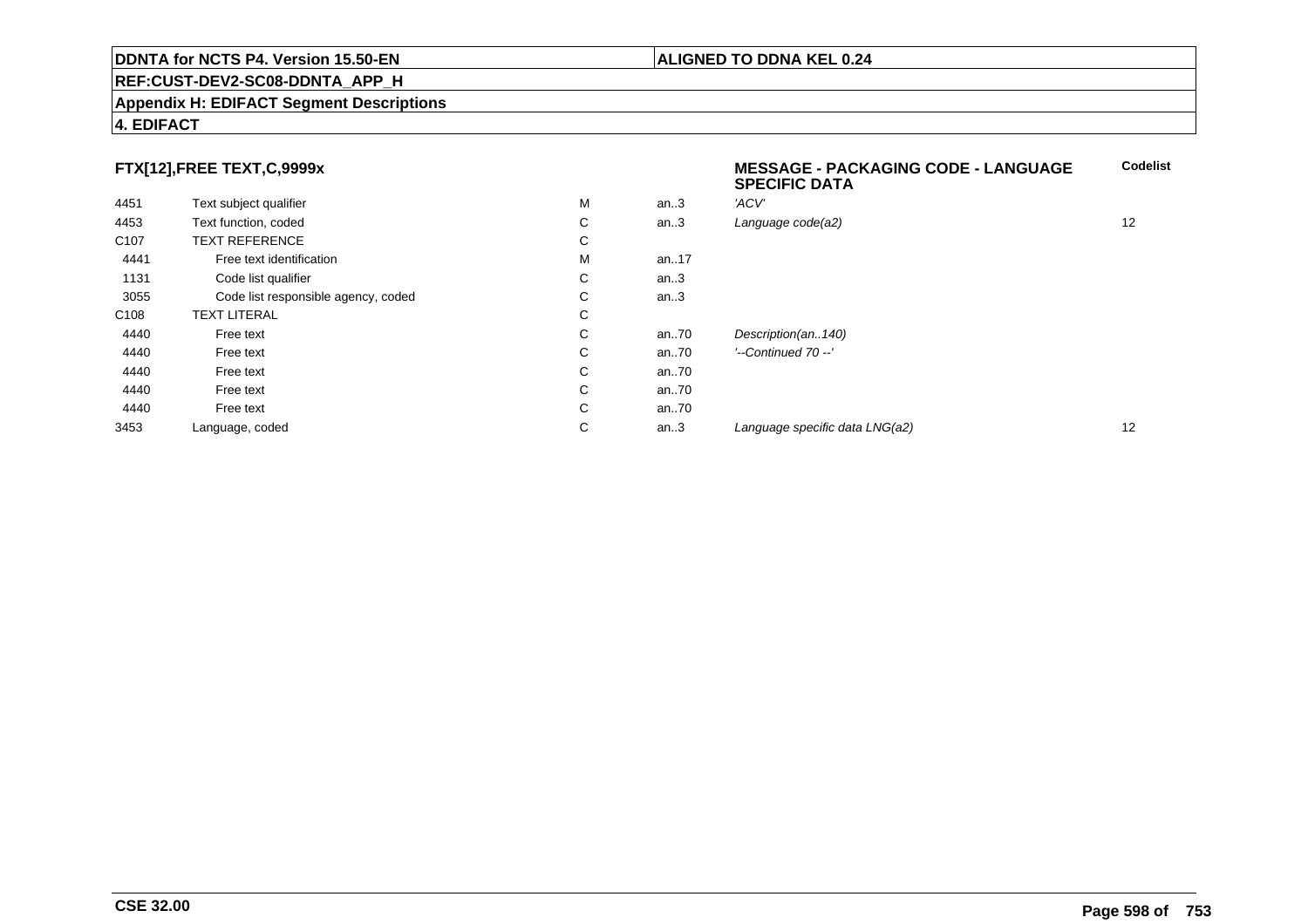#### **REF:CUST-DEV2-SC08-DDNTA\_APP\_H**

#### **Appendix H: EDIFACT Segment Descriptions**

### **FTX[12],FREE TEXT,C,9999x**

|                  |                                     |    |      | <b>SPECIFIC DATA</b>           |    |
|------------------|-------------------------------------|----|------|--------------------------------|----|
| 4451             | Text subject qualifier              | M  | an.3 | 'ACV'                          |    |
| 4453             | Text function, coded                | C  | an.3 | Language code(a2)              | 12 |
| C <sub>107</sub> | <b>TEXT REFERENCE</b>               | C  |      |                                |    |
| 4441             | Free text identification            | м  | an17 |                                |    |
| 1131             | Code list qualifier                 | C. | an.3 |                                |    |
| 3055             | Code list responsible agency, coded | C. | an.3 |                                |    |
| C <sub>108</sub> | <b>TEXT LITERAL</b>                 | C. |      |                                |    |
| 4440             | Free text                           | C  | an70 | Description(an140)             |    |
| 4440             | Free text                           | C  | an70 | '--Continued 70 --'            |    |
| 4440             | Free text                           | C. | an70 |                                |    |
| 4440             | Free text                           | C. | an70 |                                |    |
| 4440             | Free text                           | C  | an70 |                                |    |
| 3453             | Language, coded                     | C  | an.3 | Language specific data LNG(a2) | 12 |
|                  |                                     |    |      |                                |    |

## **4. EDIFACT**

**Codelist**

**ALIGNED TO DDNA KEL 0.24**

**MESSAGE - PACKAGING CODE - LANGUAGE**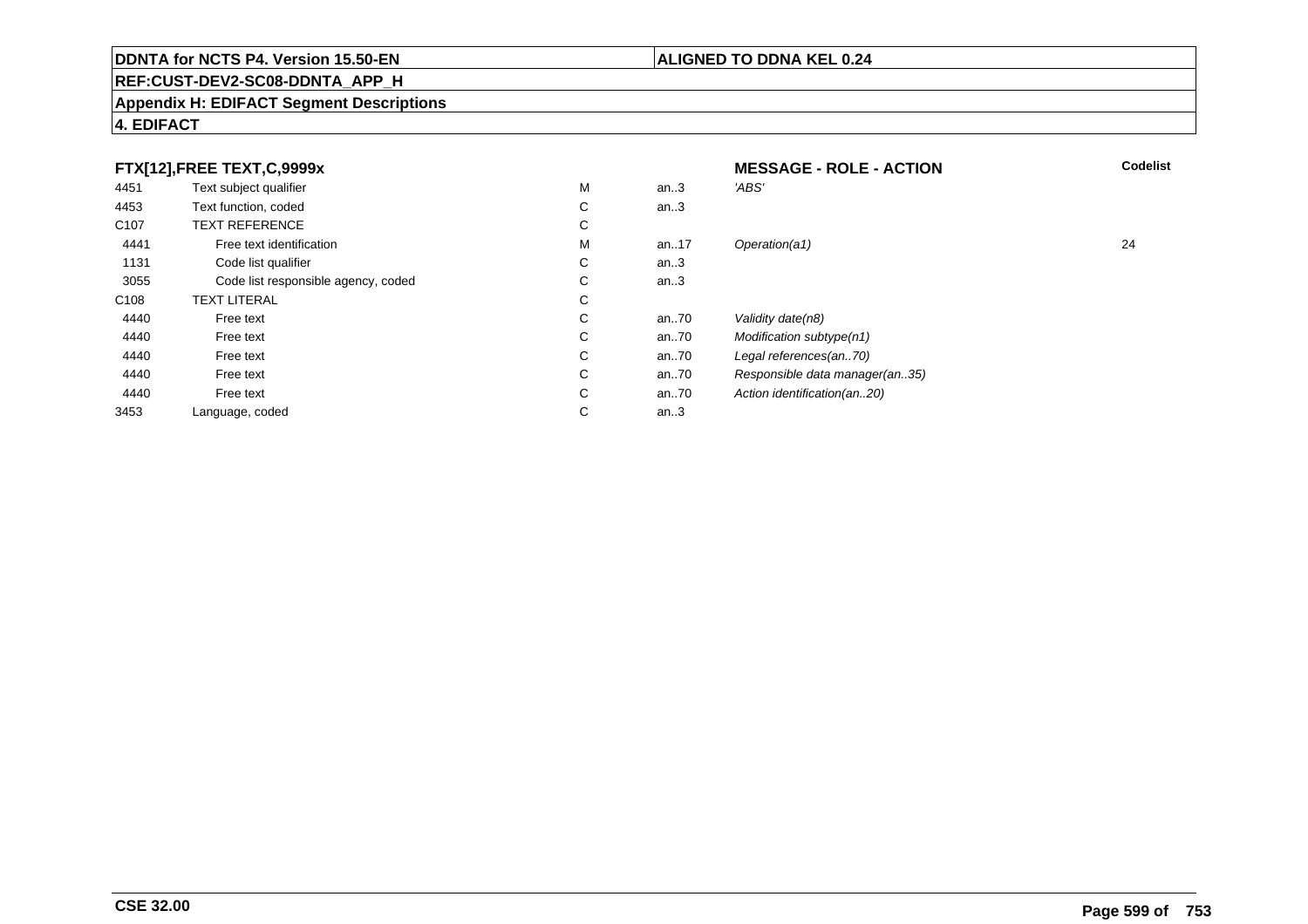### **REF:CUST-DEV2-SC08-DDNTA\_APP\_H**

#### **Appendix H: EDIFACT Segment Descriptions**

### **4. EDIFACT**

|                  | FTX[12],FREE TEXT,C,9999x           |   |      | <b>MESSAGE - ROLE - ACTION</b> | <b>Codelist</b> |
|------------------|-------------------------------------|---|------|--------------------------------|-----------------|
| 4451             | Text subject qualifier              | M | an3  | 'ABS'                          |                 |
| 4453             | Text function, coded                | С | an.3 |                                |                 |
| C <sub>107</sub> | <b>TEXT REFERENCE</b>               | С |      |                                |                 |
| 4441             | Free text identification            | M | an17 | Operation(a1)                  | 24              |
| 1131             | Code list qualifier                 | С | an.3 |                                |                 |
| 3055             | Code list responsible agency, coded | С | an.3 |                                |                 |
| C <sub>108</sub> | <b>TEXT LITERAL</b>                 | С |      |                                |                 |
| 4440             | Free text                           | С | an70 | Validity date(n8)              |                 |
| 4440             | Free text                           | С | an70 | Modification subtype(n1)       |                 |
| 4440             | Free text                           | C | an70 | Legal references(an70)         |                 |
| 4440             | Free text                           | С | an70 | Responsible data manager(an35) |                 |
| 4440             | Free text                           | С | an70 | Action identification(an20)    |                 |
| 3453             | Language, coded                     | С | an.3 |                                |                 |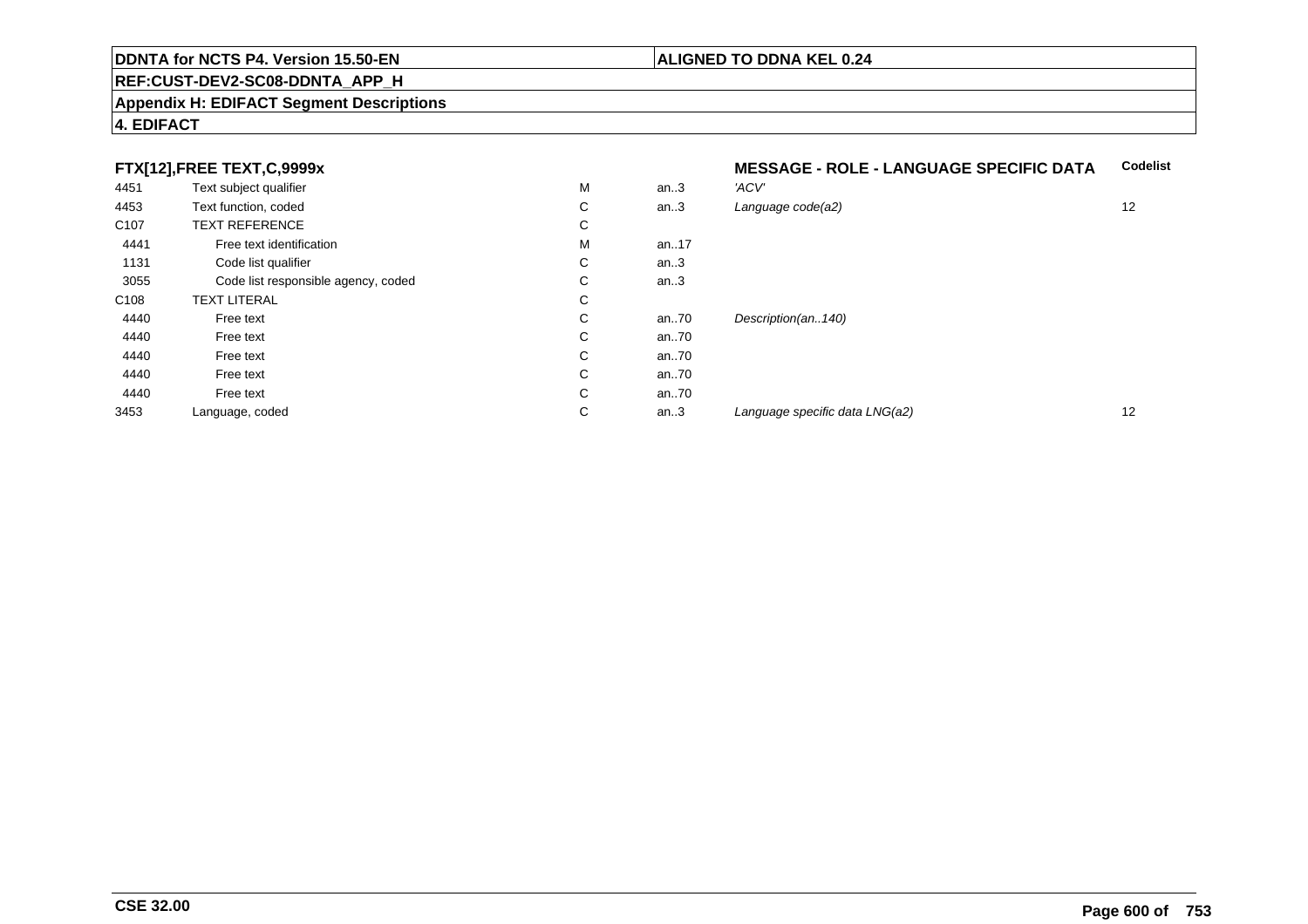#### **REF:CUST-DEV2-SC08-DDNTA\_APP\_H**

#### **Appendix H: EDIFACT Segment Descriptions**

#### **4. EDIFACT**

### **FTX[12],FREE TEXT,C,9999x**

| 4451             | Text subject qualifier              | M | an.3 | 'ACV' |
|------------------|-------------------------------------|---|------|-------|
| 4453             | Text function, coded                | С | an.3 | Langu |
| C <sub>107</sub> | <b>TEXT REFERENCE</b>               | С |      |       |
| 4441             | Free text identification            | M | an17 |       |
| 1131             | Code list qualifier                 | C | an.3 |       |
| 3055             | Code list responsible agency, coded | C | an.3 |       |
| C <sub>108</sub> | <b>TEXT LITERAL</b>                 | С |      |       |
| 4440             | Free text                           | С | an70 | Desci |
| 4440             | Free text                           | С | an70 |       |
| 4440             | Free text                           | С | an70 |       |
| 4440             | Free text                           | С | an70 |       |
| 4440             | Free text                           | С | an70 |       |
| 3453             | Language, coded                     | С | an.3 | Langı |
|                  |                                     |   |      |       |

#### **MESSAGE - ROLE - LANGUAGE SPECIFIC DATACodelist**

| М | an.3 | 'ACV'                          |    |
|---|------|--------------------------------|----|
| С | an.3 | Language code(a2)              | 12 |
| С |      |                                |    |
| М | an17 |                                |    |
| С | an.3 |                                |    |
| C | an.3 |                                |    |
| С |      |                                |    |
| С | an70 | Description(an140)             |    |
| С | an70 |                                |    |
| С | an70 |                                |    |
| С | an70 |                                |    |
| С | an70 |                                |    |
| С | an.3 | Language specific data LNG(a2) | 12 |
|   |      |                                |    |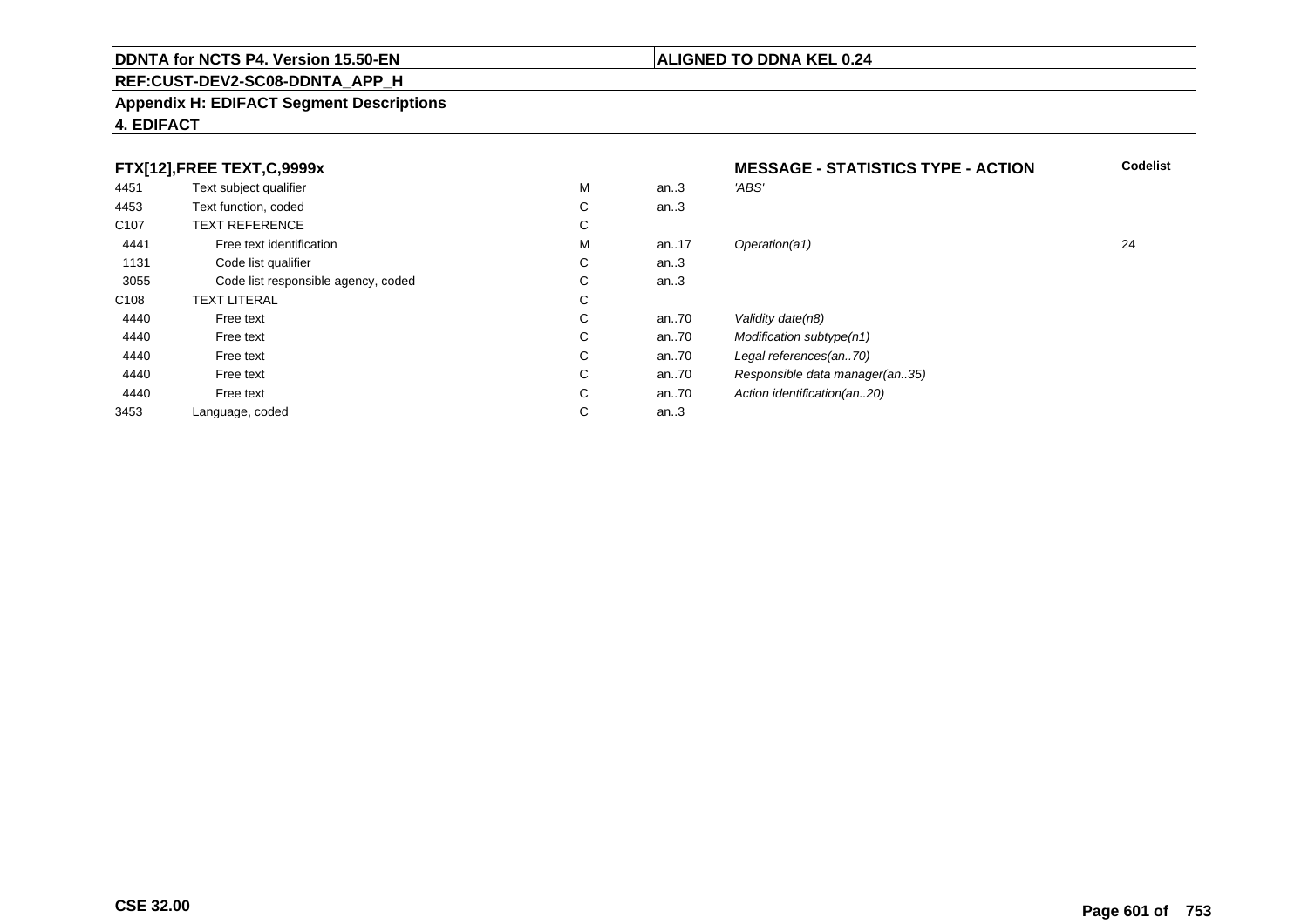#### **REF:CUST-DEV2-SC08-DDNTA\_APP\_H**

#### **Appendix H: EDIFACT Segment Descriptions**

#### **4. EDIFACT**

### **FTX[12],FREE TEXT,C,9999x**

| FTX[12], FREE TEXT, C, 9999x |                                     |    | <b>MESSAGE - STATISTICS TYPE - ACTION</b> |                                |    |
|------------------------------|-------------------------------------|----|-------------------------------------------|--------------------------------|----|
| 4451                         | Text subject qualifier              | М  | an.3                                      | 'ABS'                          |    |
| 4453                         | Text function, coded                | C  | an.3                                      |                                |    |
| C <sub>107</sub>             | <b>TEXT REFERENCE</b>               | C  |                                           |                                |    |
| 4441                         | Free text identification            | М  | an17                                      | Operation(a1)                  | 24 |
| 1131                         | Code list qualifier                 | C  | an.3                                      |                                |    |
| 3055                         | Code list responsible agency, coded | С  | an.3                                      |                                |    |
| C <sub>108</sub>             | <b>TEXT LITERAL</b>                 | C  |                                           |                                |    |
| 4440                         | Free text                           | C. | an70                                      | Validity date(n8)              |    |
| 4440                         | Free text                           | C  | an70                                      | Modification subtype(n1)       |    |
| 4440                         | Free text                           | C  | an70                                      | Legal references(an70)         |    |
| 4440                         | Free text                           | C  | an70                                      | Responsible data manager(an35) |    |
| 4440                         | Free text                           | C  | an70                                      | Action identification(an20)    |    |
| 3453                         | Language, coded                     | С  | an.3                                      |                                |    |

**Codelist**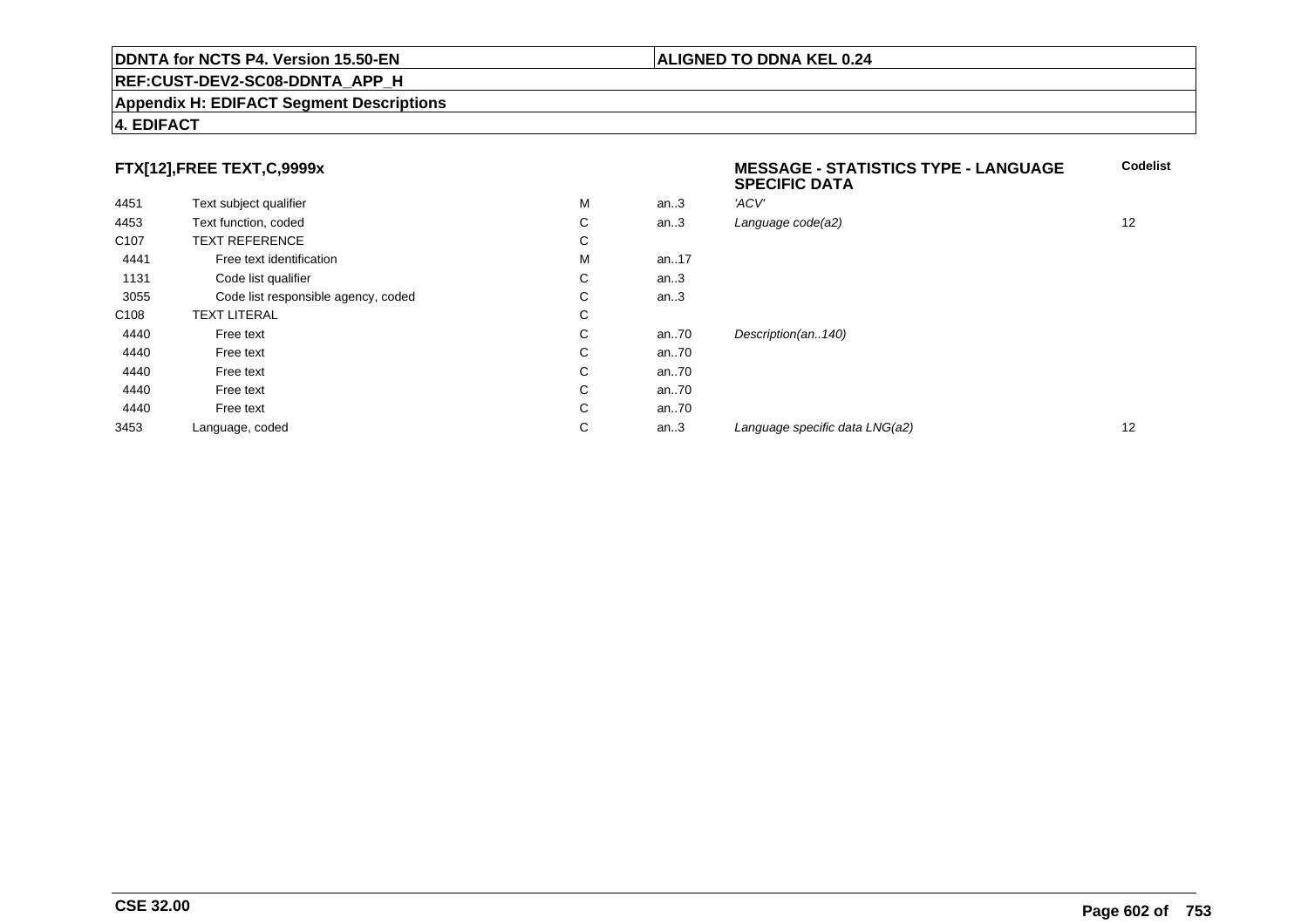#### **REF:CUST-DEV2-SC08-DDNTA\_APP\_H**

#### **Appendix H: EDIFACT Segment Descriptions**

#### **4. EDIFACT**

### **FTX[12],FREE TEXT,C,9999x**

| FTX[12],FREE TEXT,C,9999x |                                     |   |          | <b>MESSAGE - STATISTICS TYPE - LANGUAGE</b><br><b>SPECIFIC DATA</b> | <b>Codelist</b> |  |
|---------------------------|-------------------------------------|---|----------|---------------------------------------------------------------------|-----------------|--|
| 4451                      | Text subject qualifier              | М | an.3     | 'ACV'                                                               |                 |  |
| 4453                      | Text function, coded                | C | an.3     | Language code(a2)                                                   | 12              |  |
| C <sub>107</sub>          | <b>TEXT REFERENCE</b>               | C |          |                                                                     |                 |  |
| 4441                      | Free text identification            | М | an17     |                                                                     |                 |  |
| 1131                      | Code list qualifier                 | C | an.3     |                                                                     |                 |  |
| 3055                      | Code list responsible agency, coded | C | an.3     |                                                                     |                 |  |
| C <sub>108</sub>          | <b>TEXT LITERAL</b>                 | C |          |                                                                     |                 |  |
| 4440                      | Free text                           | C | an $.70$ | Description(an140)                                                  |                 |  |
| 4440                      | Free text                           | C | an $.70$ |                                                                     |                 |  |
| 4440                      | Free text                           | C | an $.70$ |                                                                     |                 |  |
| 4440                      | Free text                           | C | an $.70$ |                                                                     |                 |  |
| 4440                      | Free text                           | C | an $.70$ |                                                                     |                 |  |
| 3453                      | Language, coded                     | C | an.3     | Language specific data LNG(a2)                                      | 12              |  |
|                           |                                     |   |          |                                                                     |                 |  |

**Codelist**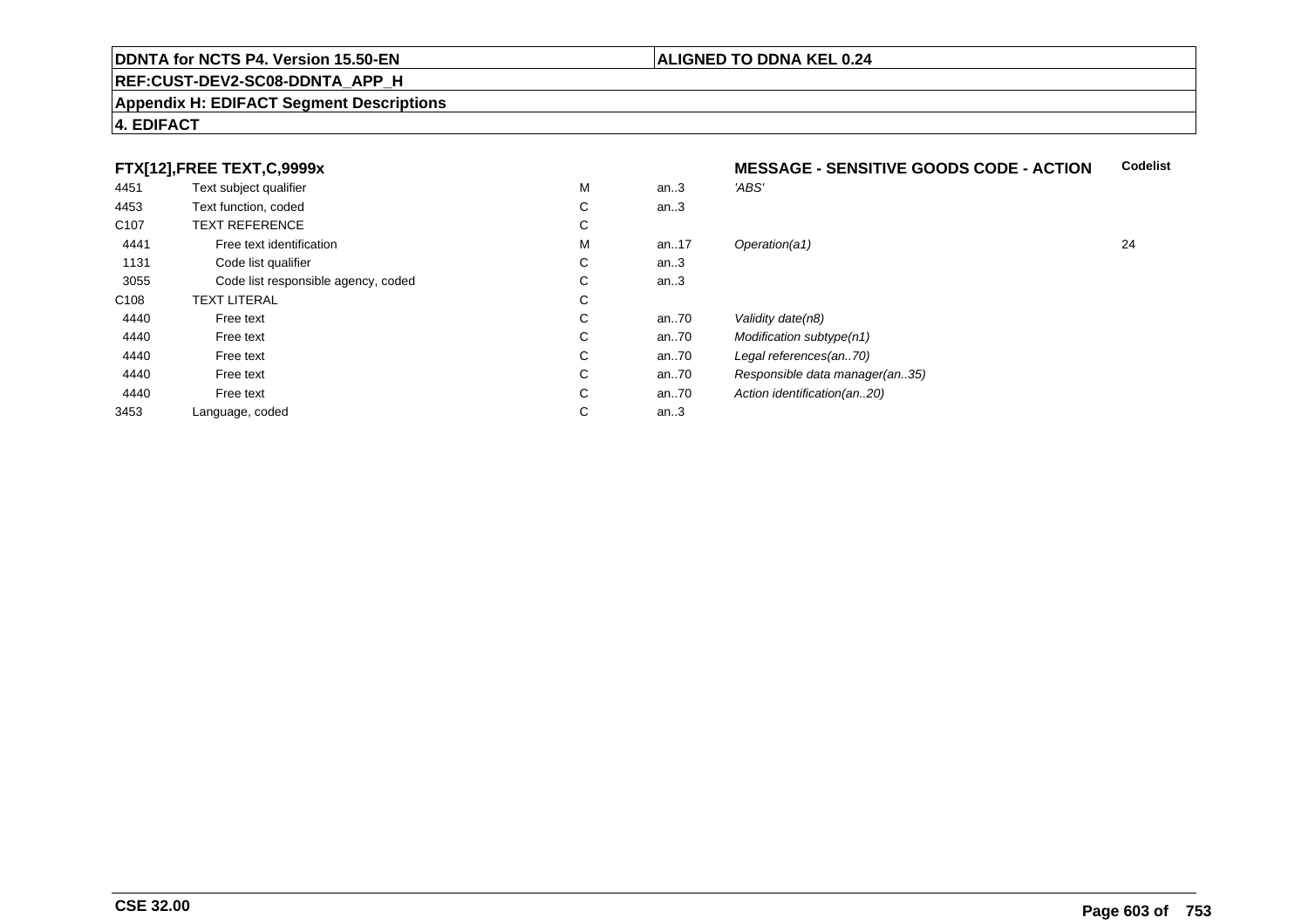#### **REF:CUST-DEV2-SC08-DDNTA\_APP\_H**

#### **Appendix H: EDIFACT Segment Descriptions**

#### **4. EDIFACT**

### **FTX[12],FREE TEXT,C,9999x**

| . .              |                                     |   |      |                                |    |
|------------------|-------------------------------------|---|------|--------------------------------|----|
| 4451             | Text subject qualifier              | M | an.3 | 'ABS'                          |    |
| 4453             | Text function, coded                | С | an.3 |                                |    |
| C <sub>107</sub> | <b>TEXT REFERENCE</b>               | С |      |                                |    |
| 4441             | Free text identification            | M | an17 | Operation(a1)                  | 24 |
| 1131             | Code list qualifier                 | С | an.3 |                                |    |
| 3055             | Code list responsible agency, coded | С | an.3 |                                |    |
| C108             | <b>TEXT LITERAL</b>                 | С |      |                                |    |
| 4440             | Free text                           | С | an70 | Validity date(n8)              |    |
| 4440             | Free text                           | С | an70 | Modification subtype(n1)       |    |
| 4440             | Free text                           | С | an70 | Legal references(an70)         |    |
| 4440             | Free text                           | С | an70 | Responsible data manager(an35) |    |
| 4440             | Free text                           | С | an70 | Action identification(an20)    |    |
| 3453             | Language, coded                     | С | an.3 |                                |    |
|                  |                                     |   |      |                                |    |

#### **MESSAGE - SENSITIVE GOODS CODE - ACTIONCodelist**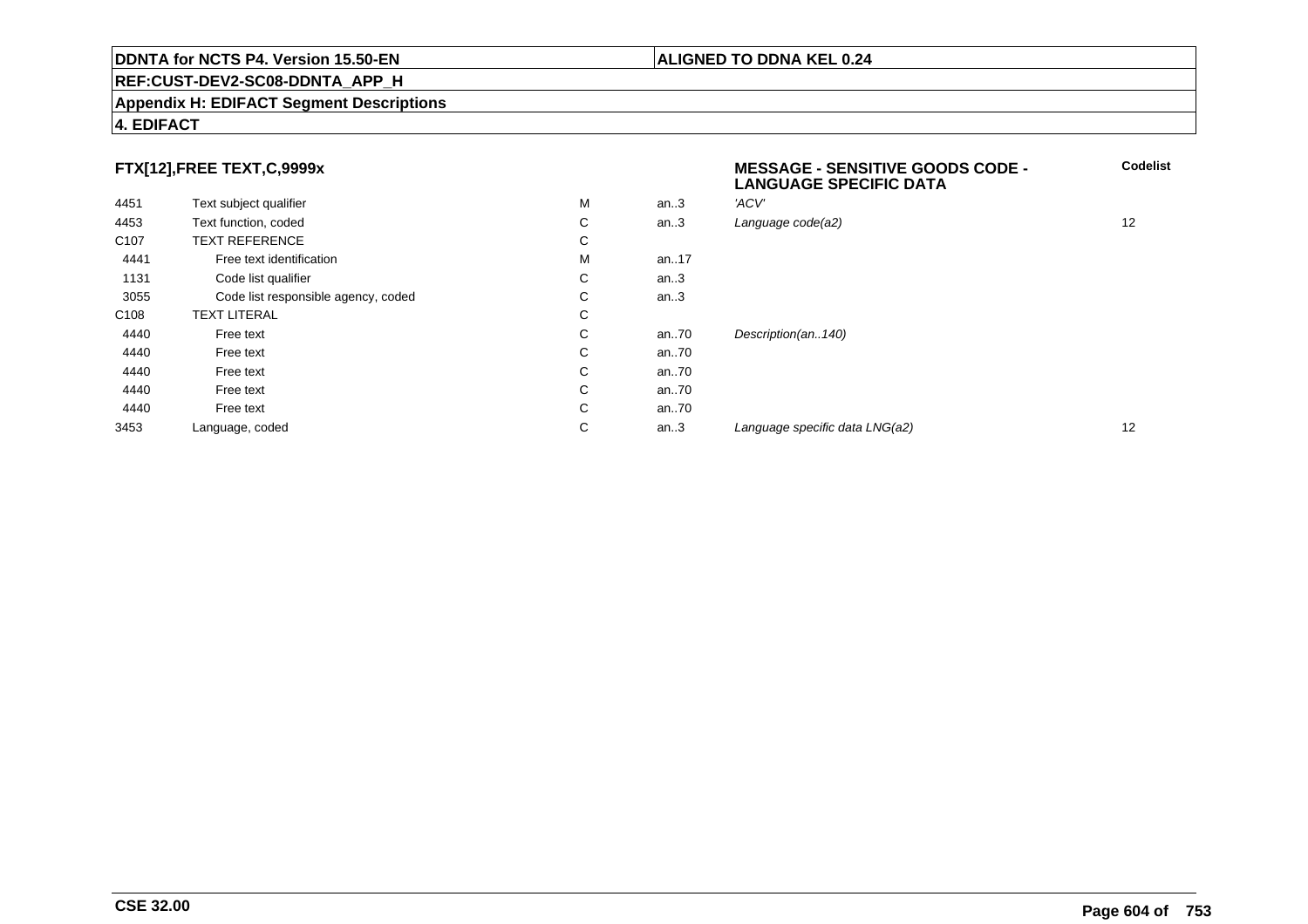#### **REF:CUST-DEV2-SC08-DDNTA\_APP\_H**

#### **Appendix H: EDIFACT Segment Descriptions**

#### **4. EDIFACT**

### **FTX[12],FREE TEXT,C,9999x**

| FTX[12],FREE TEXT,C,9999x |                                     |   |      | <b>MESSAGE - SENSITIVE GOODS CODE -</b><br><b>LANGUAGE SPECIFIC DATA</b> |    |
|---------------------------|-------------------------------------|---|------|--------------------------------------------------------------------------|----|
| 4451                      | Text subject qualifier              | M | an.3 | 'ACV'                                                                    |    |
| 4453                      | Text function, coded                | C | an.3 | Language code(a2)                                                        | 12 |
| C <sub>107</sub>          | <b>TEXT REFERENCE</b>               | C |      |                                                                          |    |
| 4441                      | Free text identification            | M | an17 |                                                                          |    |
| 1131                      | Code list qualifier                 | С | an.3 |                                                                          |    |
| 3055                      | Code list responsible agency, coded | С | an.3 |                                                                          |    |
| C <sub>108</sub>          | <b>TEXT LITERAL</b>                 | C |      |                                                                          |    |
| 4440                      | Free text                           | C | an70 | Description(an140)                                                       |    |
| 4440                      | Free text                           | С | an70 |                                                                          |    |
| 4440                      | Free text                           | С | an70 |                                                                          |    |
| 4440                      | Free text                           | С | an70 |                                                                          |    |
| 4440                      | Free text                           | С | an70 |                                                                          |    |
| 3453                      | Language, coded                     | C | an.3 | Language specific data LNG(a2)                                           | 12 |
|                           |                                     |   |      |                                                                          |    |

#### **ALIGNED TO DDNA KEL 0.24**

**Codelist**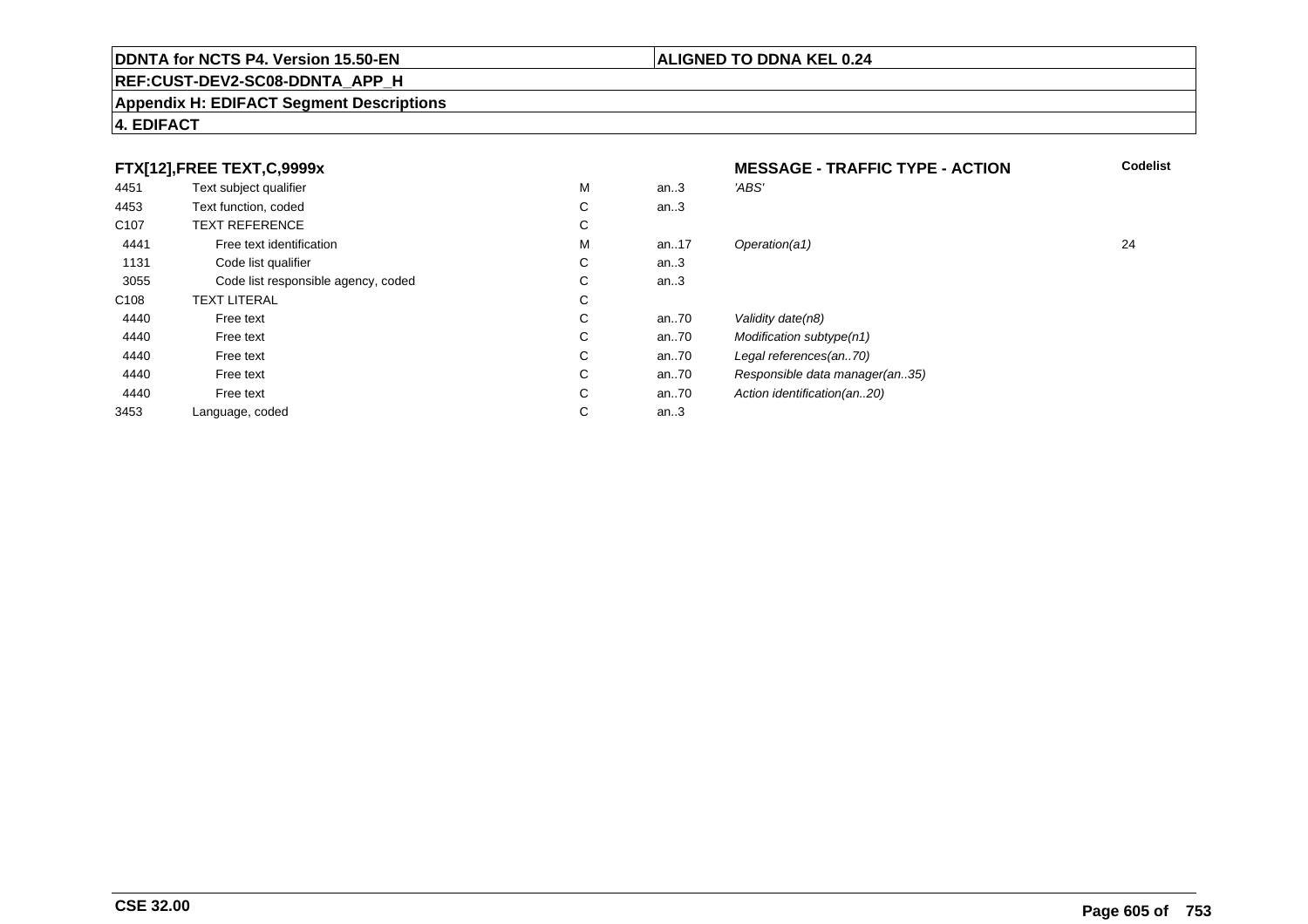#### **REF:CUST-DEV2-SC08-DDNTA\_APP\_H**

#### **Appendix H: EDIFACT Segment Descriptions**

#### **4. EDIFACT**

#### **FTX[12],FREE TEXT,C,9999xMESSAGE - TRAFFIC TYPE - ACTION**<br>M an..3 *'ABS'*  **Codelist** 4451Text subject qualifier M<br>
Text function, coded C M an..3 *'ABS'*<br>-4453Text function, coded C<br>
TEXT REFERENCE an..3 C107 TEXT REFERENCEE C  $\mathsf{M}% _{T}=\mathsf{M}_{T}\!\left( a,b\right) ,\ \mathsf{M}_{T}=\mathsf{M}_{T}$ 4441Free text identification M<br>Code list qualifier development of the code list qualifier development of  $\mathbf C$ M an..17 Operation(a1) 24 1131Code list qualifier C<br>Code list responsible agency, coded C an..3 3055Code list responsible agency, coded C<br>
XT LITERAL C an..3 C108TEXT LITERAL<br>Free text  $\mathbf C$ 44400 Free text C C an..70 Validity date(n8)<br>C an..70 Modification subt 44400 Free text C C an..70 Modification subtype(n1)<br>C an..70 Legal references(an..70) 44400 Free text C C an..70 Legal references(an..70)<br>C an..70 Responsible data manag 44400 Free text C C an..70 Responsible data manager(an..35)<br>C an..70 Action identification(an..20) 44400 Free text C C an..70 Action identification(an..20)<br>C an..3 3453Language, coded an..3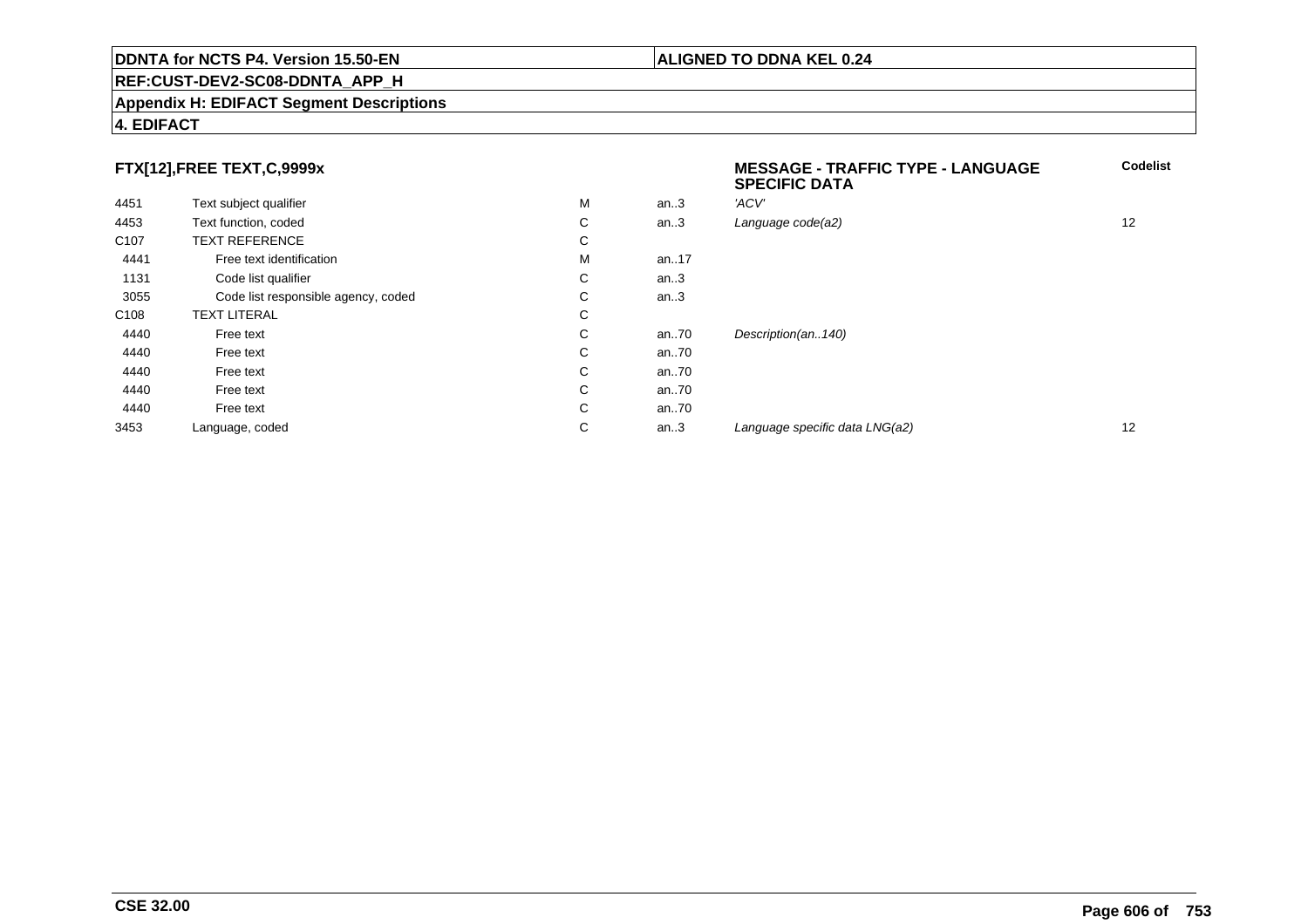#### **REF:CUST-DEV2-SC08-DDNTA\_APP\_H**

#### **Appendix H: EDIFACT Segment Descriptions**

#### **4. EDIFACT**

### **FTX[12],FREE TEXT,C,9999x**

|                  |                                     |   |          | <b>SPECIFIC DATA</b>           |    |
|------------------|-------------------------------------|---|----------|--------------------------------|----|
| 4451             | Text subject qualifier              | M | an.3     | 'ACV'                          |    |
| 4453             | Text function, coded                | C | an.3     | Language code(a2)              | 12 |
| C <sub>107</sub> | <b>TEXT REFERENCE</b>               | С |          |                                |    |
| 4441             | Free text identification            | М | an17     |                                |    |
| 1131             | Code list qualifier                 | C | an.3     |                                |    |
| 3055             | Code list responsible agency, coded | C | an.3     |                                |    |
| C <sub>108</sub> | <b>TEXT LITERAL</b>                 | C |          |                                |    |
| 4440             | Free text                           | C | an.70    | Description(an140)             |    |
| 4440             | Free text                           | С | an.70    |                                |    |
| 4440             | Free text                           | C | an $.70$ |                                |    |
| 4440             | Free text                           | C | an $.70$ |                                |    |
| 4440             | Free text                           | С | an $.70$ |                                |    |
| 3453             | Language, coded                     | С | an.3     | Language specific data LNG(a2) | 12 |
|                  |                                     |   |          |                                |    |

### **ALIGNED TO DDNA KEL 0.24**

**MESSAGE - TRAFFIC TYPE - LANGUAGE**

**Codelist**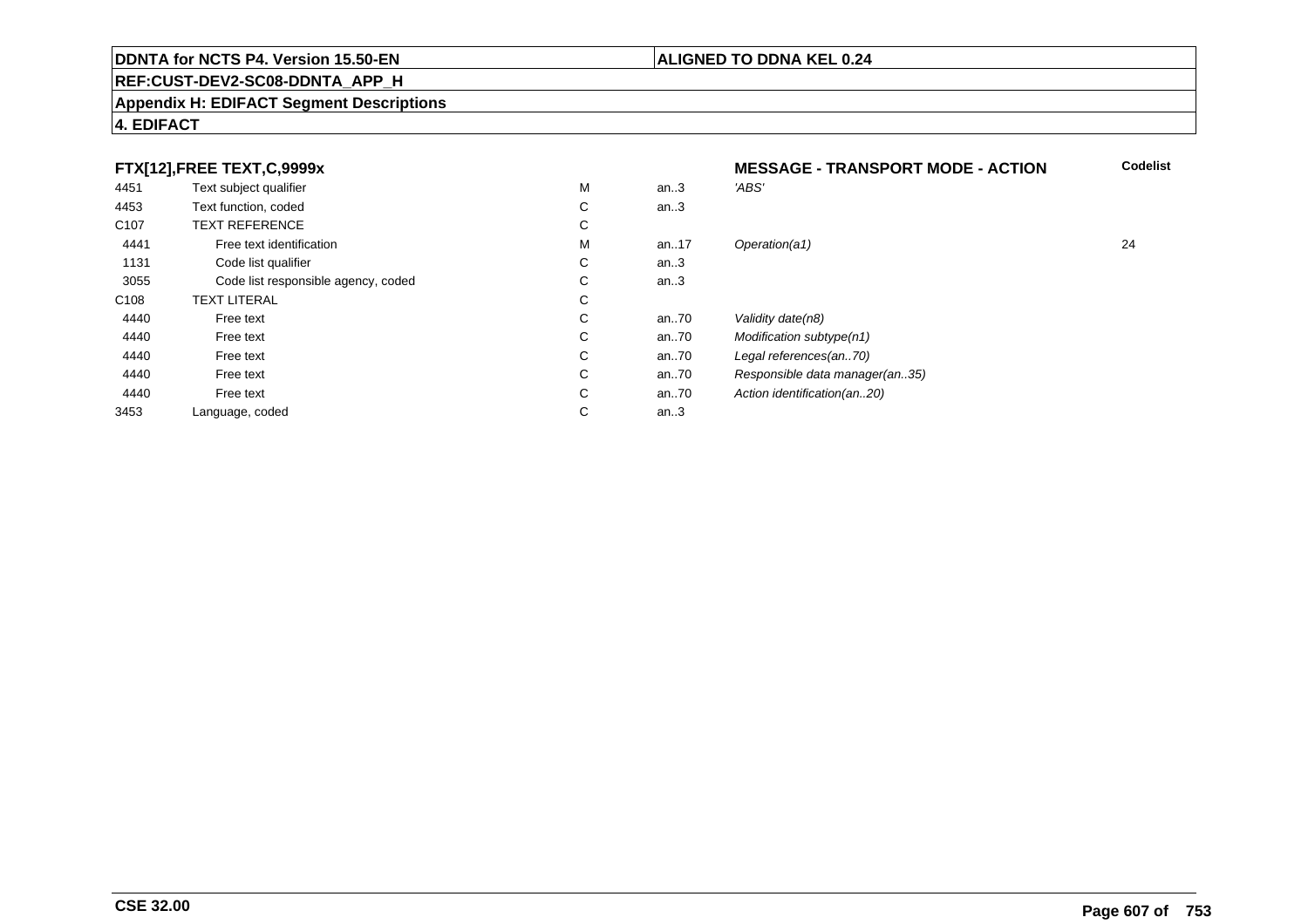#### **REF:CUST-DEV2-SC08-DDNTA\_APP\_H**

#### **Appendix H: EDIFACT Segment Descriptions**

#### **4. EDIFACT**

#### **FTX[12],FREE TEXT,C,9999xMESSAGE - TRANSPORT MODE - ACTION**<br>M an..3 *'ABS'*  **Codelist** 4451Text subject qualifier M<br>
Text function, coded C M an..3 *'ABS'*<br>-4453Text function, coded C<br>
TEXT REFERENCE an..3 C107 TEXT REFERENCEE C  $\mathsf{M}% _{T}=\mathsf{M}_{T}\!\left( a,b\right) ,\ \mathsf{M}_{T}=\mathsf{M}_{T}$ 4441Free text identification M<br>Code list qualifier development of the code list qualifier development of  $\mathbf C$ M an..17 Operation(a1) 24 1131Code list qualifier C<br>Code list responsible agency, coded C an..3 3055 Code list responsible agency, coded <sup>C</sup> an..3 C108TEXT LITERAL<br>Free text  $\mathbf C$ 44400 Free text C C an..70 Validity date(n8)<br>C an..70 Modification subt 44400 Free text C C an..70 Modification subtype(n1)<br>C an..70 Legal references(an..70) 44400 Free text C C an..70 Legal references(an..70)<br>C an..70 Responsible data manag 44400 Free text C C an..70 Responsible data manager(an..35)<br>C an..70 Action identification(an..20) 44400 Free text C C an..70 Action identification(an..20)<br>C an..3 3453Language, coded an..3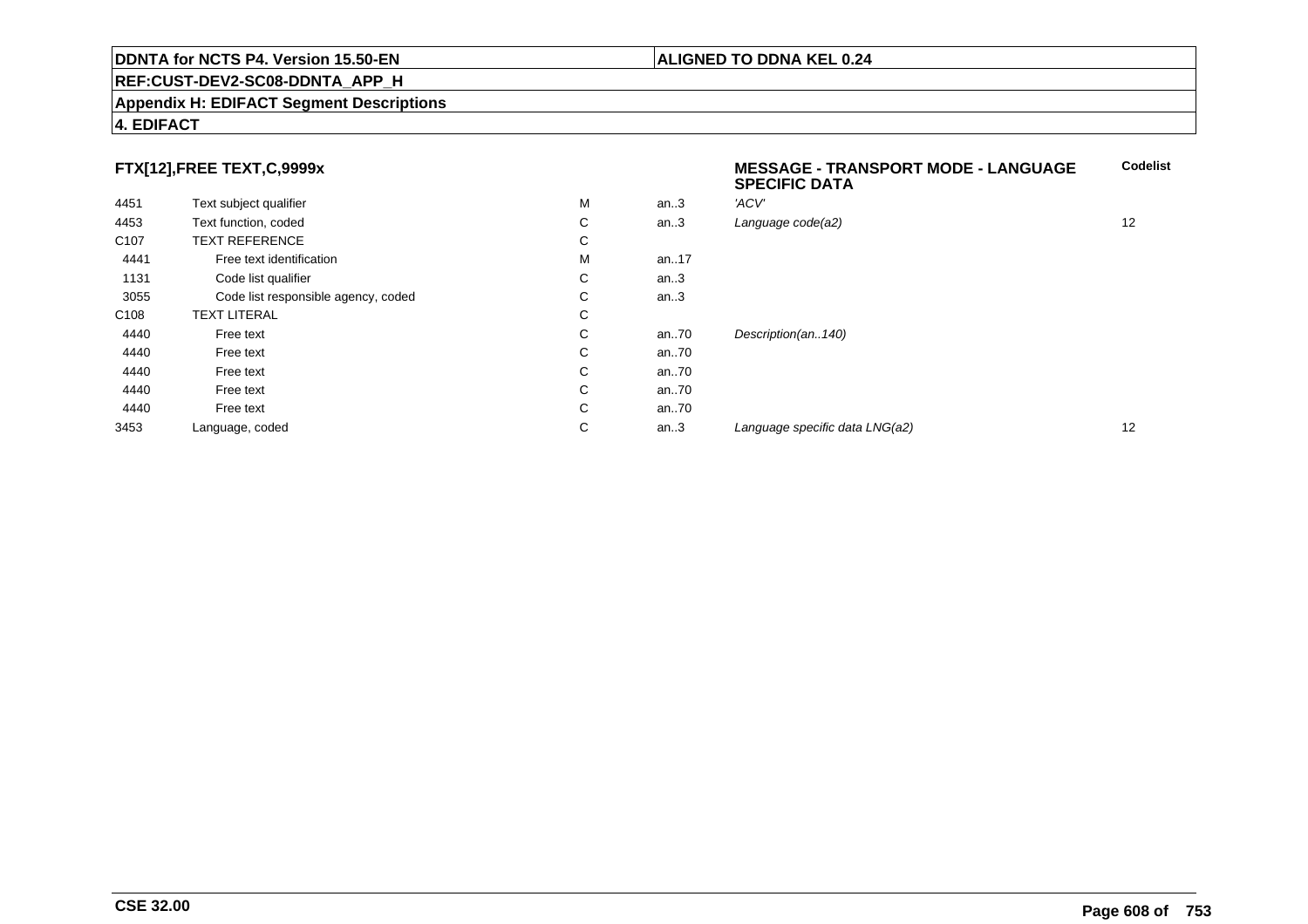#### **REF:CUST-DEV2-SC08-DDNTA\_APP\_H**

#### **Appendix H: EDIFACT Segment Descriptions**

#### **4. EDIFACT**

### **FTX[12],FREE TEXT,C,9999x**

| FTX[12],FREE TEXT,C,9999x |                                     |   |      | <b>MESSAGE - TRANSPORT MODE - LANGUAGE</b><br><b>SPECIFIC DATA</b> |    |  |
|---------------------------|-------------------------------------|---|------|--------------------------------------------------------------------|----|--|
| 4451                      | Text subject qualifier              | м | an.3 | 'ACV'                                                              |    |  |
| 4453                      | Text function, coded                | C | an.3 | Language code(a2)                                                  | 12 |  |
| C <sub>107</sub>          | <b>TEXT REFERENCE</b>               | С |      |                                                                    |    |  |
| 4441                      | Free text identification            | м | an17 |                                                                    |    |  |
| 1131                      | Code list qualifier                 | C | an.3 |                                                                    |    |  |
| 3055                      | Code list responsible agency, coded | С | an.3 |                                                                    |    |  |
| C <sub>108</sub>          | <b>TEXT LITERAL</b>                 | C |      |                                                                    |    |  |
| 4440                      | Free text                           | C | an70 | Description(an140)                                                 |    |  |
| 4440                      | Free text                           | C | an70 |                                                                    |    |  |
| 4440                      | Free text                           | C | an70 |                                                                    |    |  |
| 4440                      | Free text                           | C | an70 |                                                                    |    |  |
| 4440                      | Free text                           | C | an70 |                                                                    |    |  |
| 3453                      | Language, coded                     | С | an.3 | Language specific data LNG(a2)                                     | 12 |  |
|                           |                                     |   |      |                                                                    |    |  |

**Codelist**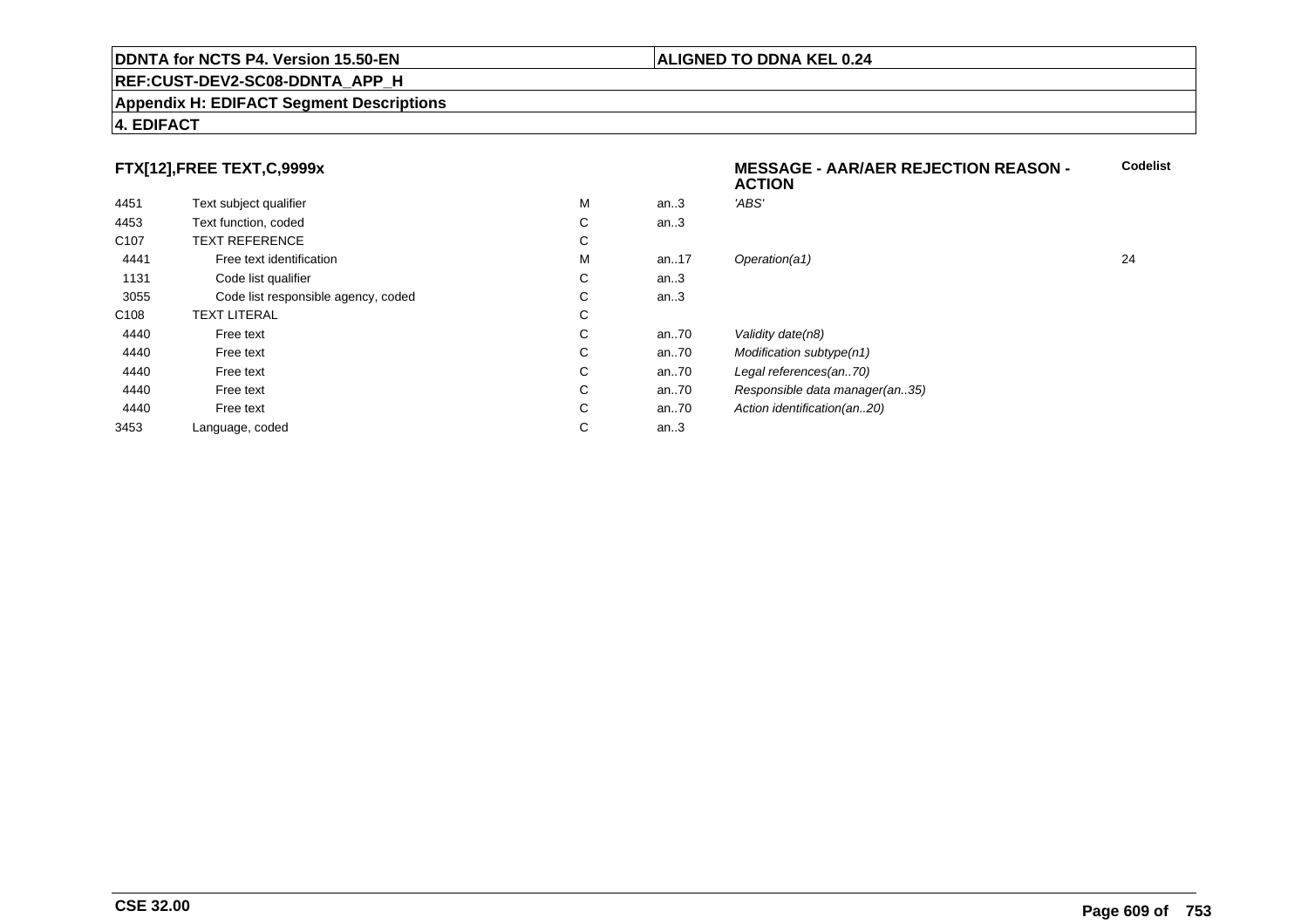#### **REF:CUST-DEV2-SC08-DDNTA\_APP\_H**

#### **Appendix H: EDIFACT Segment Descriptions**

#### **4. EDIFACT**

### **FTX[12],FREE TEXT,C,9999x**

|                  | $\ldots$                            |   |      | <b>ACTION</b>                  |    |
|------------------|-------------------------------------|---|------|--------------------------------|----|
| 4451             | Text subject qualifier              | M | an.3 | 'ABS'                          |    |
| 4453             | Text function, coded                | С | an.3 |                                |    |
| C <sub>107</sub> | <b>TEXT REFERENCE</b>               | С |      |                                |    |
| 4441             | Free text identification            | M | an17 | Operation(a1)                  | 24 |
| 1131             | Code list qualifier                 | С | an.3 |                                |    |
| 3055             | Code list responsible agency, coded | С | an.3 |                                |    |
| C108             | <b>TEXT LITERAL</b>                 | С |      |                                |    |
| 4440             | Free text                           | С | an70 | Validity date(n8)              |    |
| 4440             | Free text                           | С | an70 | Modification subtype(n1)       |    |
| 4440             | Free text                           | С | an70 | Legal references(an70)         |    |
| 4440             | Free text                           | С | an70 | Responsible data manager(an35) |    |
| 4440             | Free text                           | С | an70 | Action identification(an20)    |    |
| 3453             | Language, coded                     | С | an.3 |                                |    |
|                  |                                     |   |      |                                |    |

#### **ALIGNED TO DDNA KEL 0.24**

**MESSAGE - AAR/AER REJECTION REASON -**

**Codelist**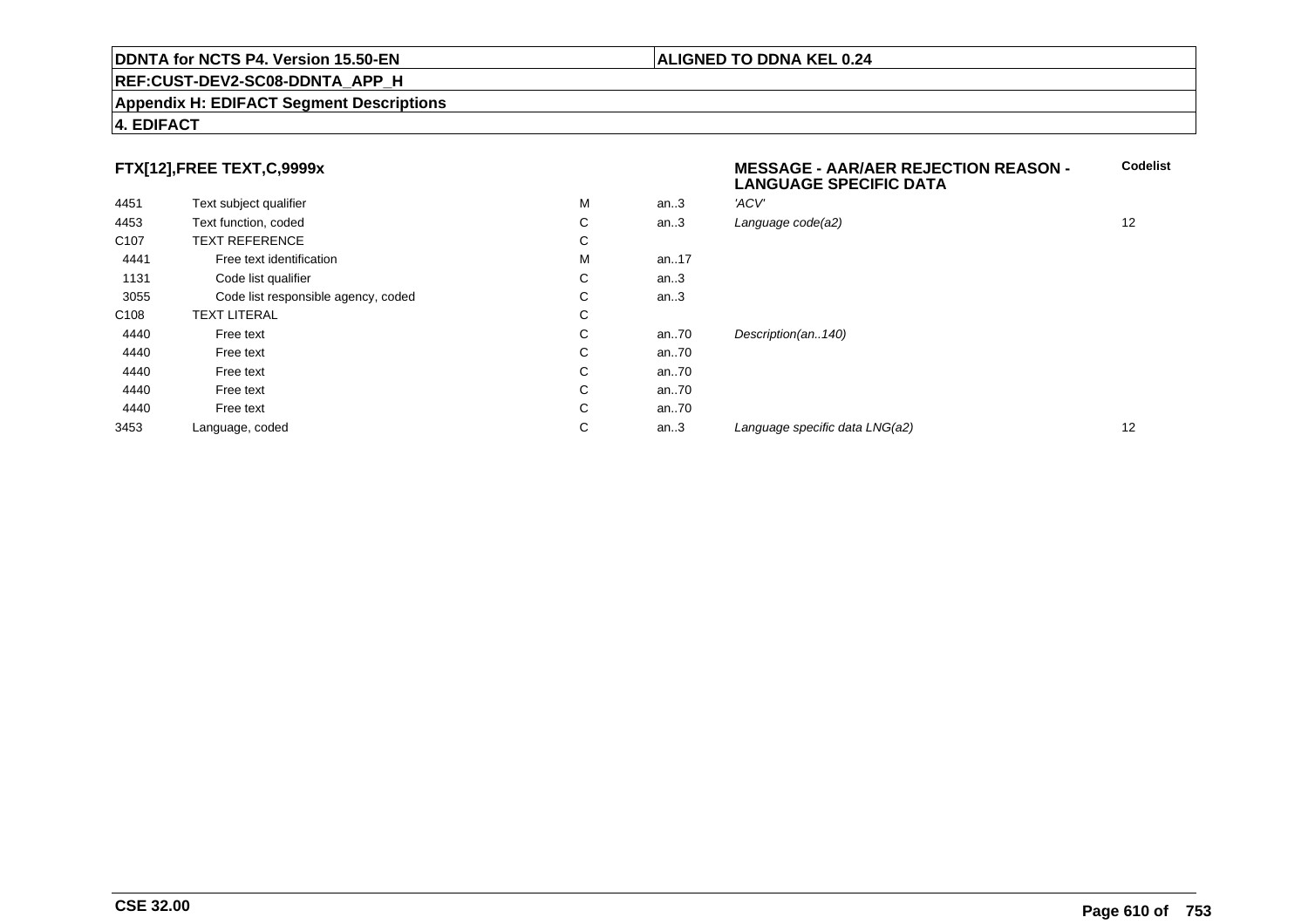#### **REF:CUST-DEV2-SC08-DDNTA\_APP\_H**

#### **Appendix H: EDIFACT Segment Descriptions**

### **4. EDIFACT**

### **FTX[12],FREE TEXT,C,9999x**

| 4451             | Text subject qualifier              | M | an.3    | 'ACV'               |
|------------------|-------------------------------------|---|---------|---------------------|
| 4453             | Text function, coded                | C | an $.3$ | Language code(a2)   |
| C <sub>107</sub> | <b>TEXT REFERENCE</b>               | С |         |                     |
| 4441             | Free text identification            | M | an17    |                     |
| 1131             | Code list qualifier                 | С | an.3    |                     |
| 3055             | Code list responsible agency, coded | С | an $.3$ |                     |
| C <sub>108</sub> | <b>TEXT LITERAL</b>                 | C |         |                     |
| 4440             | Free text                           | С | an70    | Description(an140)  |
| 4440             | Free text                           | C | an70    |                     |
| 4440             | Free text                           | С | an.70   |                     |
| 4440             | Free text                           | С | an70    |                     |
| 4440             | Free text                           | C | an70    |                     |
| 3453             | Language, coded                     | С | an.3    | Language specific d |

| x                 |   |      | <b>MESSAGE - AAR/AER REJECTION REASON -</b><br><b>LANGUAGE SPECIFIC DATA</b> | <b>Codelist</b> |
|-------------------|---|------|------------------------------------------------------------------------------|-----------------|
|                   | M | an.3 | 'ACV'                                                                        |                 |
|                   | C | an.3 | Language code(a2)                                                            | 12              |
|                   | С |      |                                                                              |                 |
| tion              | M | an17 |                                                                              |                 |
|                   | С | an.3 |                                                                              |                 |
| ole agency, coded | C | an.3 |                                                                              |                 |
|                   | С |      |                                                                              |                 |
|                   | C | an70 | Description(an140)                                                           |                 |
|                   | С | an70 |                                                                              |                 |
|                   | C | an70 |                                                                              |                 |
|                   | C | an70 |                                                                              |                 |
|                   | C | an70 |                                                                              |                 |
|                   | С | an.3 | Language specific data LNG(a2)                                               | 12              |
|                   |   |      |                                                                              |                 |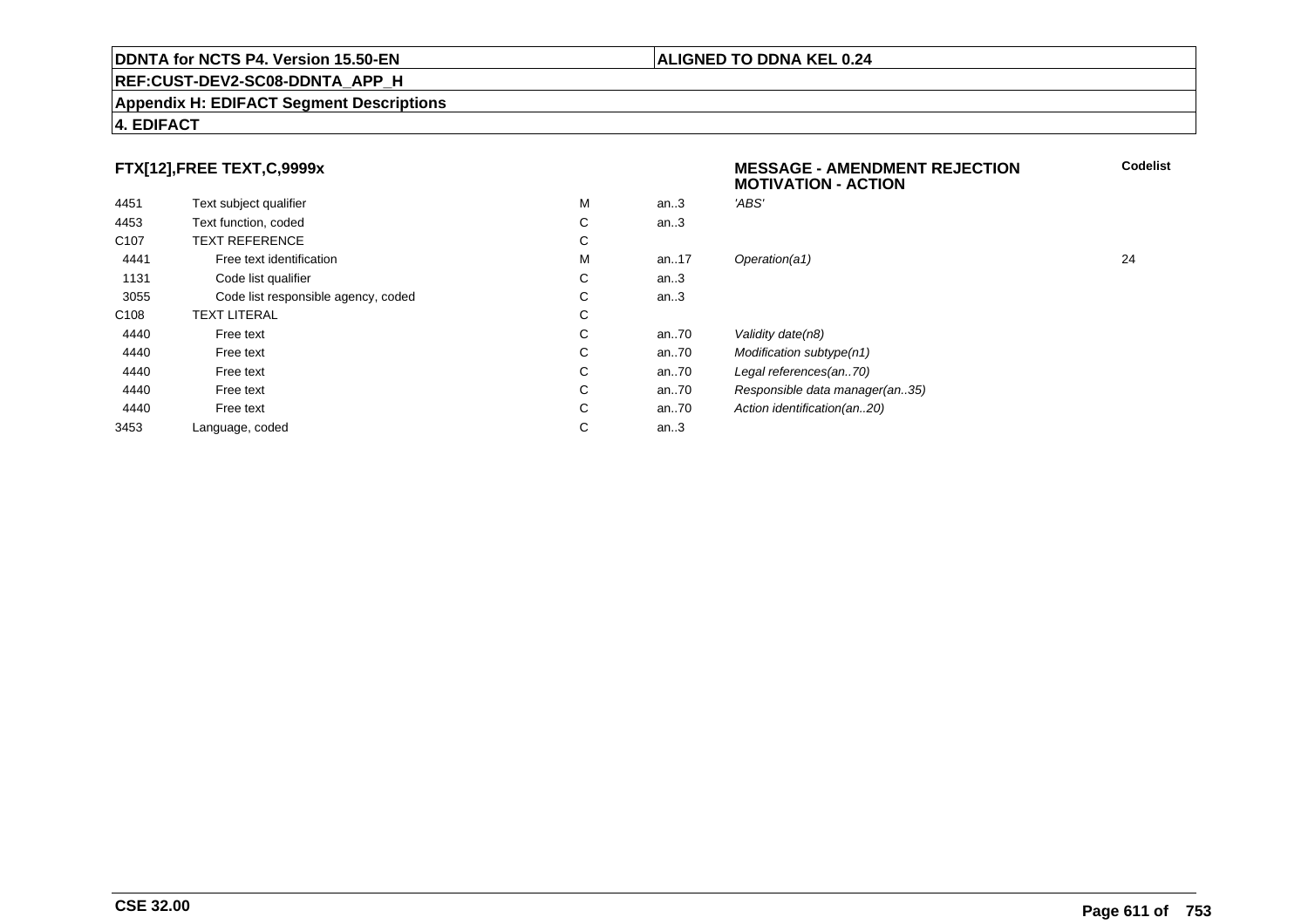#### **REF:CUST-DEV2-SC08-DDNTA\_APP\_H**

#### **Appendix H: EDIFACT Segment Descriptions**

#### **4. EDIFACT**

### **FTX[12],FREE TEXT,C,9999x**

| 4451             |                                     | M | an.3  | 'ABS'                   |
|------------------|-------------------------------------|---|-------|-------------------------|
|                  | Text subject qualifier              |   |       |                         |
| 4453             | Text function, coded                | С | an.3  |                         |
| C <sub>107</sub> | <b>TEXT REFERENCE</b>               | С |       |                         |
| 4441             | Free text identification            | M | an.17 | Operation(a1)           |
| 1131             | Code list qualifier                 | С | an.3  |                         |
| 3055             | Code list responsible agency, coded | С | an.3  |                         |
| C <sub>108</sub> | <b>TEXT LITERAL</b>                 | С |       |                         |
| 4440             | Free text                           | C | an70  | Validity date(n8)       |
| 4440             | Free text                           | С | an70  | <b>Modification sub</b> |
| 4440             | Free text                           | С | an70  | Legal references        |
| 4440             | Free text                           | С | an70  | Responsible dat         |
| 4440             | Free text                           | С | an70  | Action identificat      |
| 3453             | Language, coded                     | С | an.3  |                         |
|                  |                                     |   |       |                         |

## **MESSAGE - AMENDMENT REJECTIONMOTIVATION - ACTIONCodelist**M an..17 Operation(a1) 24 subtype(n1) nces(an..70) data manager(an..35) ification(an..20)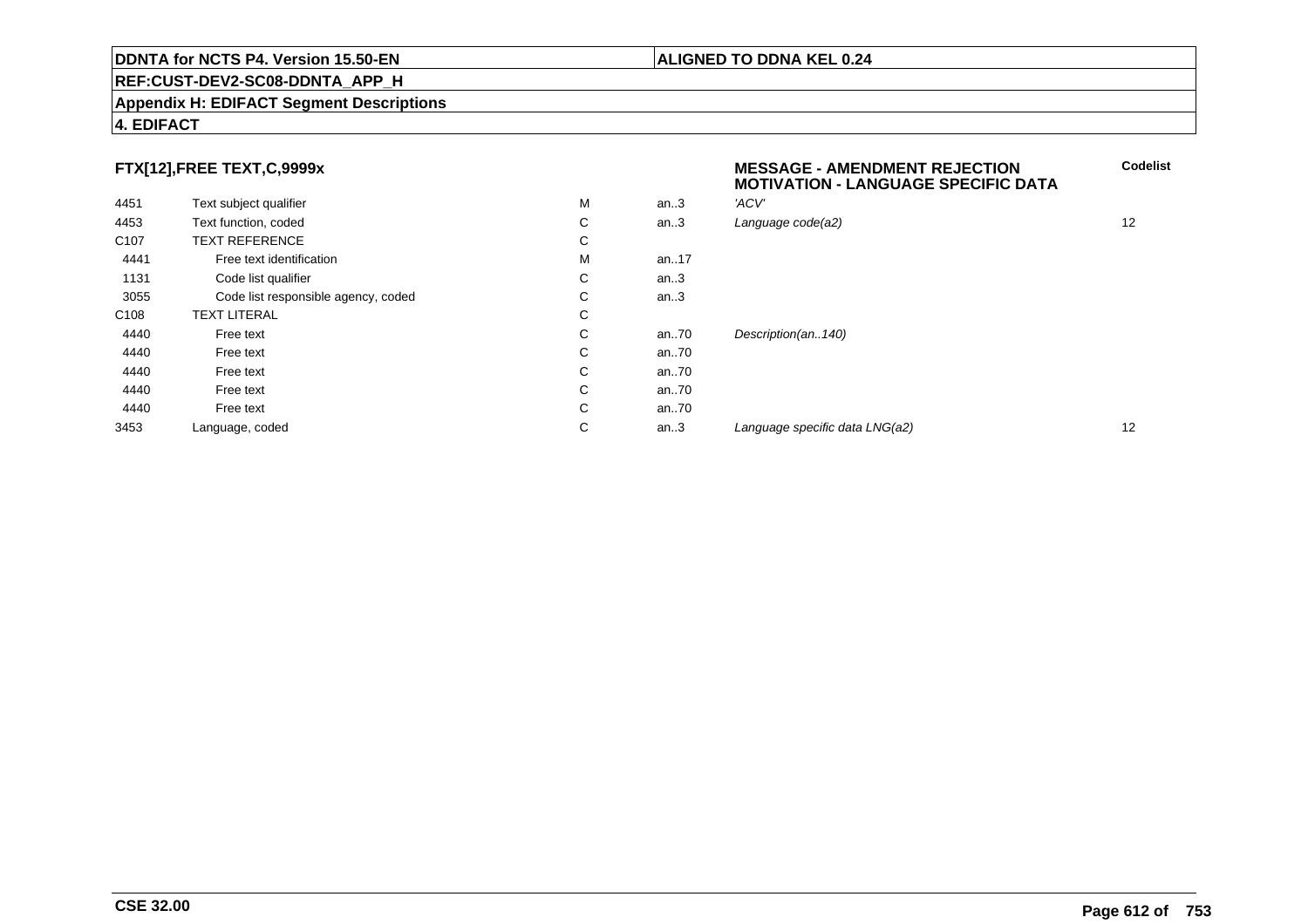#### **REF:CUST-DEV2-SC08-DDNTA\_APP\_H**

#### **Appendix H: EDIFACT Segment Descriptions**

#### **4. EDIFACT**

### **FTX[12],FREE TEXT,C,9999x**

| 4451             | Text subject qualifier              | M | an.3 | 'ACV'                 |
|------------------|-------------------------------------|---|------|-----------------------|
| 4453             | Text function, coded                | C | an.3 | Language code(a2)     |
| C <sub>107</sub> | <b>TEXT REFERENCE</b>               | С |      |                       |
| 4441             | Free text identification            | M | an17 |                       |
| 1131             | Code list qualifier                 | C | an.3 |                       |
| 3055             | Code list responsible agency, coded | C | an.3 |                       |
| C <sub>108</sub> | <b>TEXT LITERAL</b>                 | С |      |                       |
| 4440             | Free text                           | С | an70 | Description(an140)    |
| 4440             | Free text                           | C | an70 |                       |
| 4440             | Free text                           | C | an70 |                       |
| 4440             | Free text                           | C | an70 |                       |
| 4440             | Free text                           | C | an70 |                       |
| 3453             | Language, coded                     | C | an.3 | Language specific dat |

# **MESSAGE - AMENDMENT REJECTION MOTIVATION - LANGUAGE SPECIFIC DATACodelist** $C$  an..3 Language code(a2) and  $12$ C an..3 Language specific data LNG(a2) and the case of the control of the control of the control of the control of the control of the control of the control of the control of the control of the control of the control of th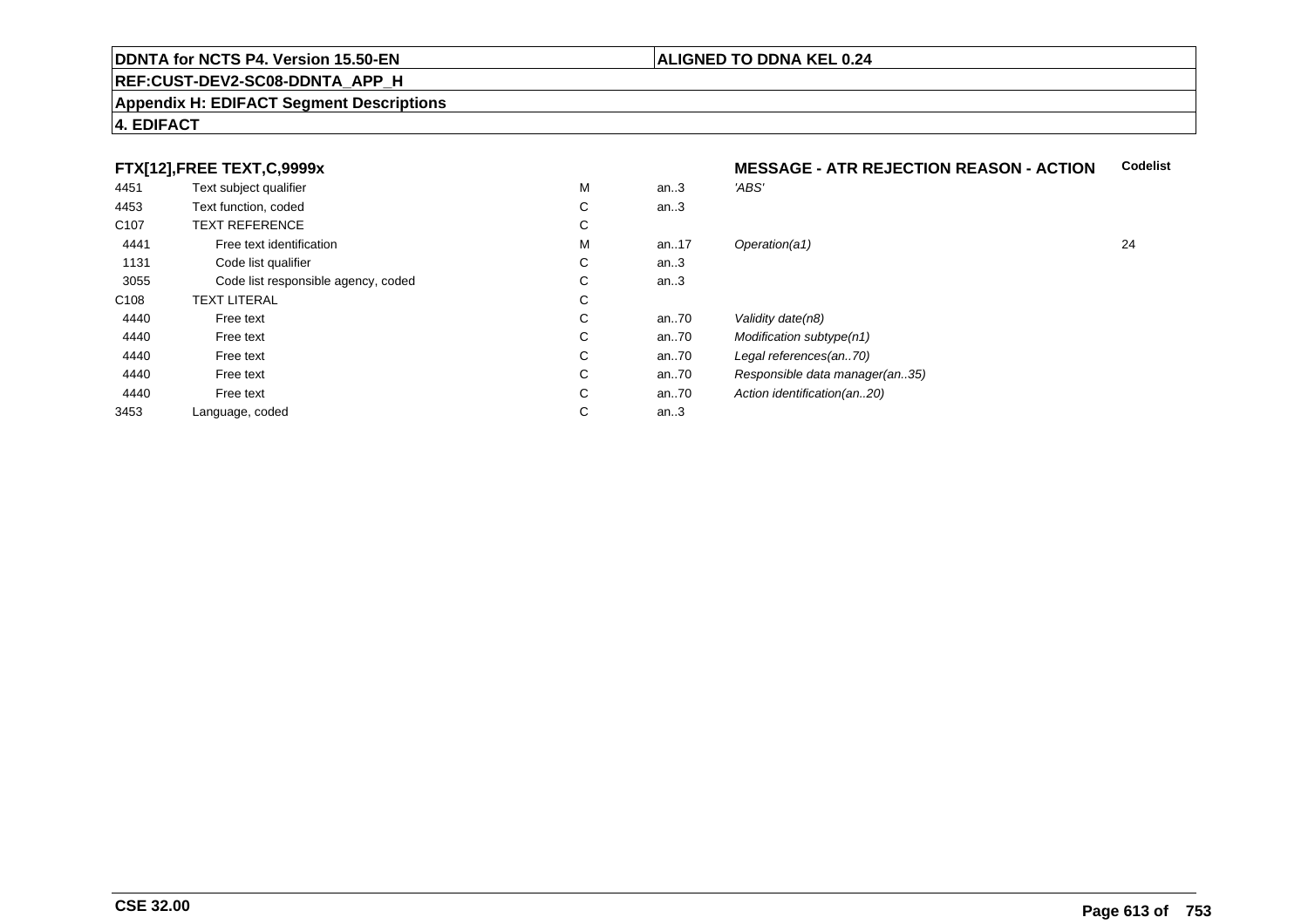## **REF:CUST-DEV2-SC08-DDNTA\_APP\_H**

#### **Appendix H: EDIFACT Segment Descriptions**

# **4. EDIFACT**

# **FTX[12],FREE TEXT,C,9999x**

| 4451             | Text subject qualifier              | M | an.3     | 'ABS'                       |
|------------------|-------------------------------------|---|----------|-----------------------------|
| 4453             | Text function, coded                | С | an.3     |                             |
| C <sub>107</sub> | <b>TEXT REFERENCE</b>               | С |          |                             |
| 4441             | Free text identification            | M | an. $17$ | Operation(a1)               |
| 1131             | Code list qualifier                 | C | an.3     |                             |
| 3055             | Code list responsible agency, coded | С | an.3     |                             |
| C <sub>108</sub> | <b>TEXT LITERAL</b>                 | С |          |                             |
| 4440             | Free text                           | C | an.70    | Validity date(n8)           |
| 4440             | Free text                           | C | an70     | Modification subtype(n1)    |
| 4440             | Free text                           | C | an70     | Legal references(an70)      |
| 4440             | Free text                           | С | an70     | Responsible data manager    |
| 4440             | Free text                           | C | an70     | Action identification(an20) |
| 3453             | Language, coded                     | С | an.3     |                             |
|                  |                                     |   |          |                             |

#### **MESSAGE - ATR REJECTION REASON - ACTIONCodelist**

M an..17 Operation(a1) 24 nager(an..35)<br>n..20)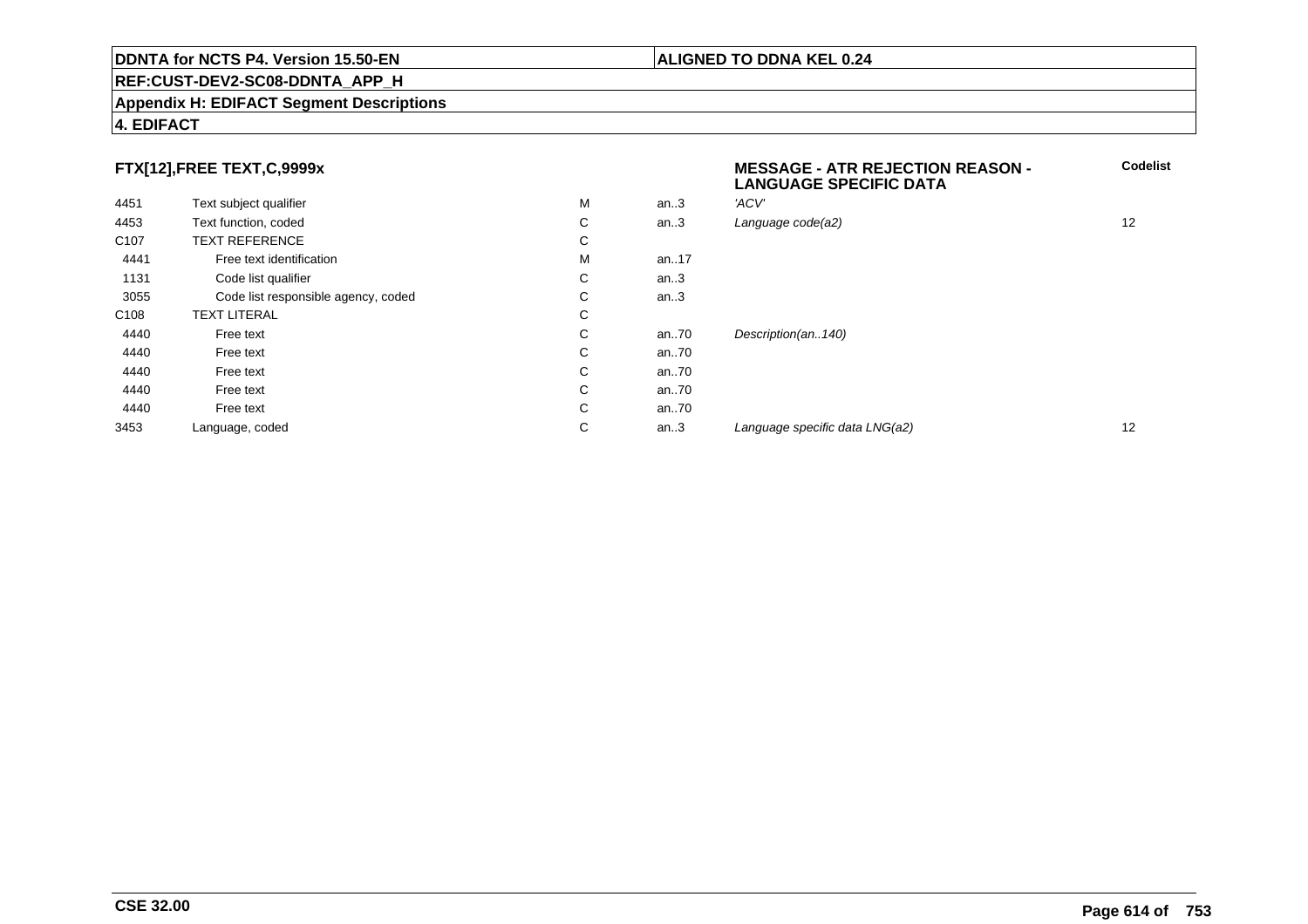## **REF:CUST-DEV2-SC08-DDNTA\_APP\_H**

#### **Appendix H: EDIFACT Segment Descriptions**

# **4. EDIFACT**

# **FTX[12],FREE TEXT,C,9999x**

|                  | FTX[12],FREE TEXT,C,9999x           |   |      | <b>MESSAGE - ATR REJECTION REASON -</b><br><b>LANGUAGE SPECIFIC DATA</b> |    |
|------------------|-------------------------------------|---|------|--------------------------------------------------------------------------|----|
| 4451             | Text subject qualifier              | M | an.3 | 'ACV'                                                                    |    |
| 4453             | Text function, coded                | C | an.3 | Language code(a2)                                                        | 12 |
| C <sub>107</sub> | <b>TEXT REFERENCE</b>               | C |      |                                                                          |    |
| 4441             | Free text identification            | M | an17 |                                                                          |    |
| 1131             | Code list qualifier                 | С | an.3 |                                                                          |    |
| 3055             | Code list responsible agency, coded | С | an.3 |                                                                          |    |
| C <sub>108</sub> | <b>TEXT LITERAL</b>                 | C |      |                                                                          |    |
| 4440             | Free text                           | C | an70 | Description(an140)                                                       |    |
| 4440             | Free text                           | C | an70 |                                                                          |    |
| 4440             | Free text                           | С | an70 |                                                                          |    |
| 4440             | Free text                           | С | an70 |                                                                          |    |
| 4440             | Free text                           | С | an70 |                                                                          |    |
| 3453             | Language, coded                     | C | an.3 | Language specific data LNG(a2)                                           | 12 |
|                  |                                     |   |      |                                                                          |    |

# **ALIGNED TO DDNA KEL 0.24**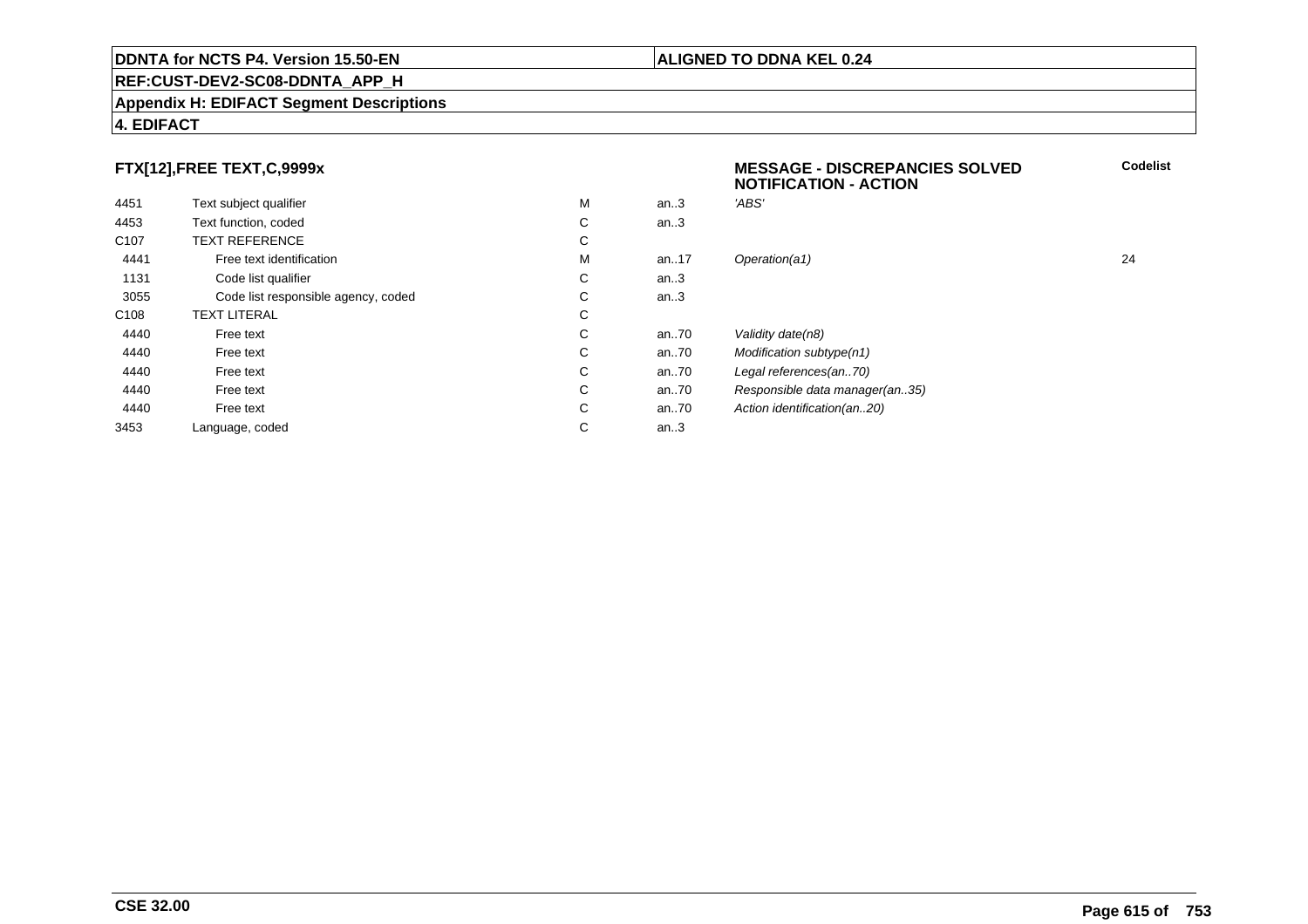## **REF:CUST-DEV2-SC08-DDNTA\_APP\_H**

#### **Appendix H: EDIFACT Segment Descriptions**

# **4. EDIFACT**

# **FTX[12],FREE TEXT,C,9999x**

| 4451             | Text subject qualifier              | M | an.3     | 'ABS'                          |
|------------------|-------------------------------------|---|----------|--------------------------------|
| 4453             | Text function, coded                | С | an.3     |                                |
| C <sub>107</sub> | <b>TEXT REFERENCE</b>               | С |          |                                |
| 4441             | Free text identification            | M | an. $17$ | Operation(a1)                  |
| 1131             | Code list qualifier                 | С | an.3     |                                |
| 3055             | Code list responsible agency, coded | С | an.3     |                                |
| C <sub>108</sub> | <b>TEXT LITERAL</b>                 | С |          |                                |
| 4440             | Free text                           | С | an70     | Validity date(n8)              |
| 4440             | Free text                           | С | an70     | Modification subtype(n1)       |
| 4440             | Free text                           | С | an70     | Legal references(an70)         |
| 4440             | Free text                           | C | an70     | Responsible data manager(an35) |
| 4440             | Free text                           | С | an70     | Action identification(an20)    |
| 3453             | Language, coded                     | С | an.3     |                                |
|                  |                                     |   |          |                                |

# **MESSAGE - DISCREPANCIES SOLVEDNOTIFICATION - ACTIONCodelist**M an..17 Operation(a1) 24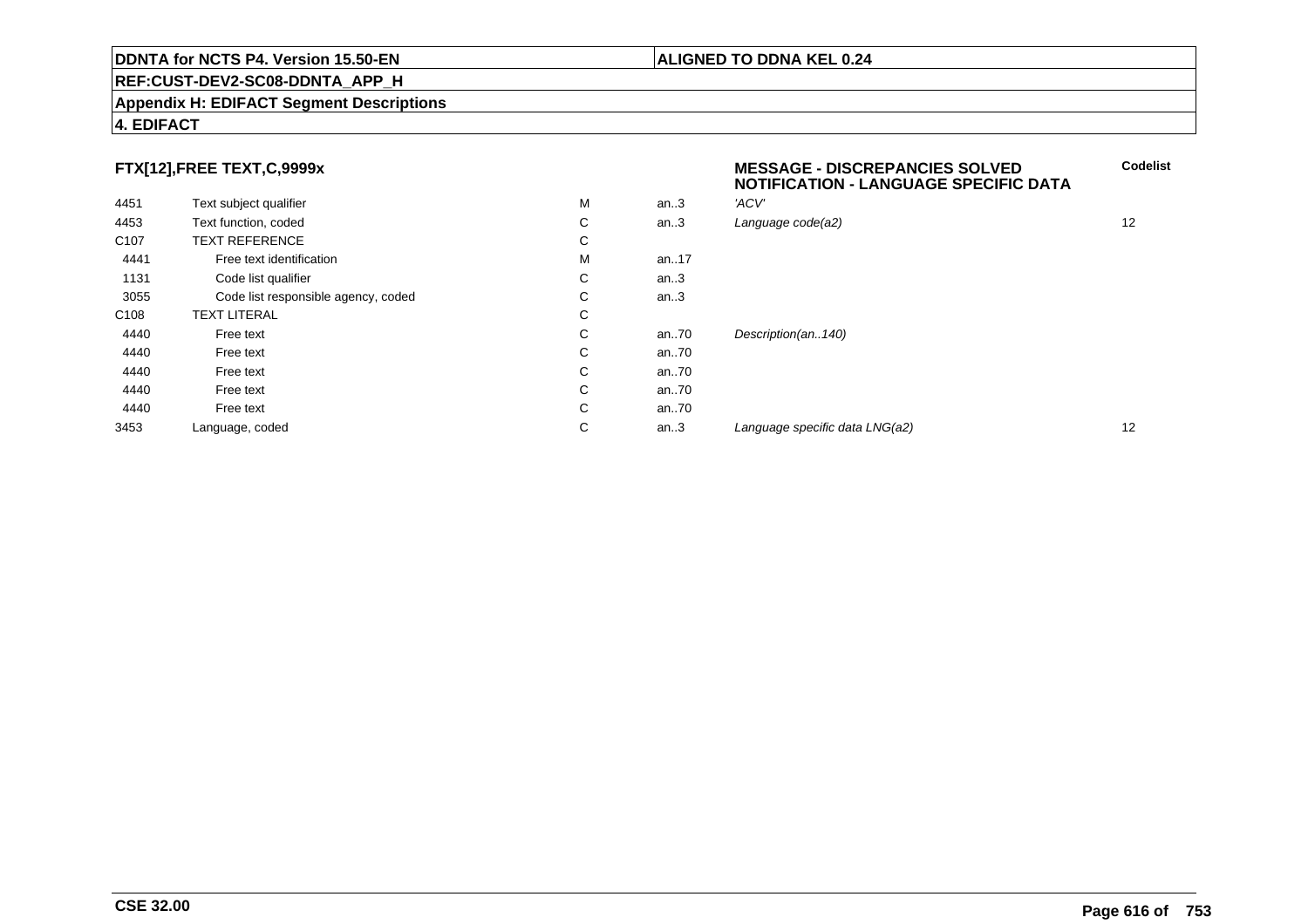## **REF:CUST-DEV2-SC08-DDNTA\_APP\_H**

#### **Appendix H: EDIFACT Segment Descriptions**

# **4. EDIFACT**

# **FTX[12],FREE TEXT,C,9999x**

|                  |                                     |   |       | NOTIFICATION - LANGUAGE SPECIFIC DATA |    |
|------------------|-------------------------------------|---|-------|---------------------------------------|----|
| 4451             | Text subject qualifier              | M | an.3  | 'ACV'                                 |    |
| 4453             | Text function, coded                | С | an.3  | Language code(a2)                     | 12 |
| C <sub>107</sub> | <b>TEXT REFERENCE</b>               | С |       |                                       |    |
| 4441             | Free text identification            | M | an17  |                                       |    |
| 1131             | Code list qualifier                 | С | an.3  |                                       |    |
| 3055             | Code list responsible agency, coded | С | an.3  |                                       |    |
| C <sub>108</sub> | <b>TEXT LITERAL</b>                 | С |       |                                       |    |
| 4440             | Free text                           | C | an.70 | Description(an140)                    |    |
| 4440             | Free text                           | С | an70  |                                       |    |
| 4440             | Free text                           | C | an70  |                                       |    |
| 4440             | Free text                           | С | an70  |                                       |    |
| 4440             | Free text                           | C | an70  |                                       |    |
| 3453             | Language, coded                     | С | an.3  | Language specific data LNG(a2)        | 12 |
|                  |                                     |   |       |                                       |    |

**ALIGNED TO DDNA KEL 0.24**

**MESSAGE - DISCREPANCIES SOLVED**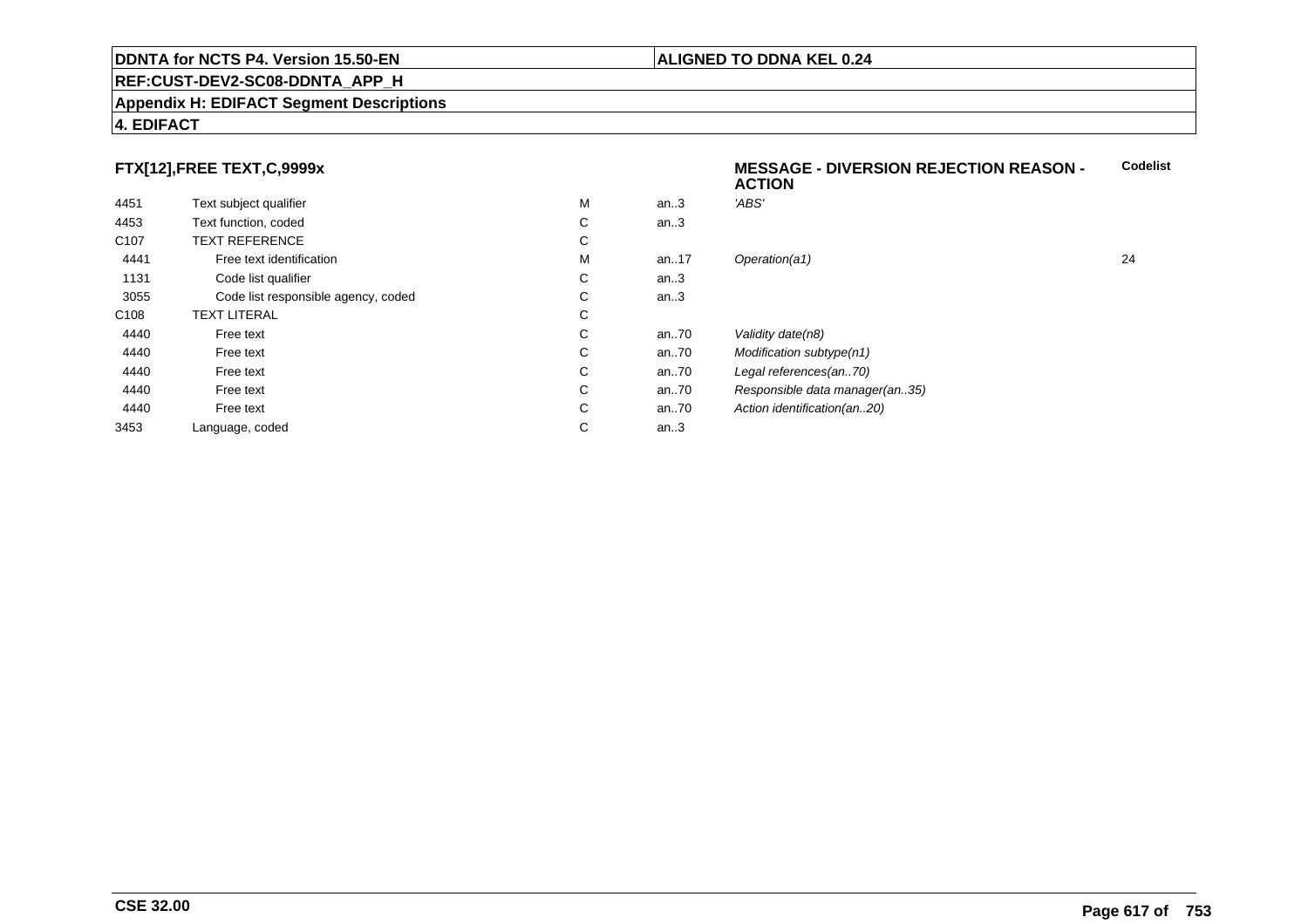## **REF:CUST-DEV2-SC08-DDNTA\_APP\_H**

#### **Appendix H: EDIFACT Segment Descriptions**

# **4. EDIFACT**

# **FTX[12],FREE TEXT,C,9999x**

|                  |                                     |   |      | 6911VII                        |    |
|------------------|-------------------------------------|---|------|--------------------------------|----|
| 4451             | Text subject qualifier              | M | an.3 | 'ABS'                          |    |
| 4453             | Text function, coded                | С | an.3 |                                |    |
| C <sub>107</sub> | <b>TEXT REFERENCE</b>               | С |      |                                |    |
| 4441             | Free text identification            | M | an17 | Operation(a1)                  | 24 |
| 1131             | Code list qualifier                 | С | an.3 |                                |    |
| 3055             | Code list responsible agency, coded | С | an.3 |                                |    |
| C <sub>108</sub> | TEXT LITERAL                        | С |      |                                |    |
| 4440             | Free text                           | С | an70 | Validity date(n8)              |    |
| 4440             | Free text                           | С | an70 | Modification subtype(n1)       |    |
| 4440             | Free text                           | С | an70 | Legal references(an70)         |    |
| 4440             | Free text                           | С | an70 | Responsible data manager(an35) |    |
| 4440             | Free text                           | С | an70 | Action identification(an20)    |    |
| 3453             | Language, coded                     | С | an.3 |                                |    |
|                  |                                     |   |      |                                |    |

# **ALIGNED TO DDNA KEL 0.24**

**ACTION**

**MESSAGE - DIVERSION REJECTION REASON -**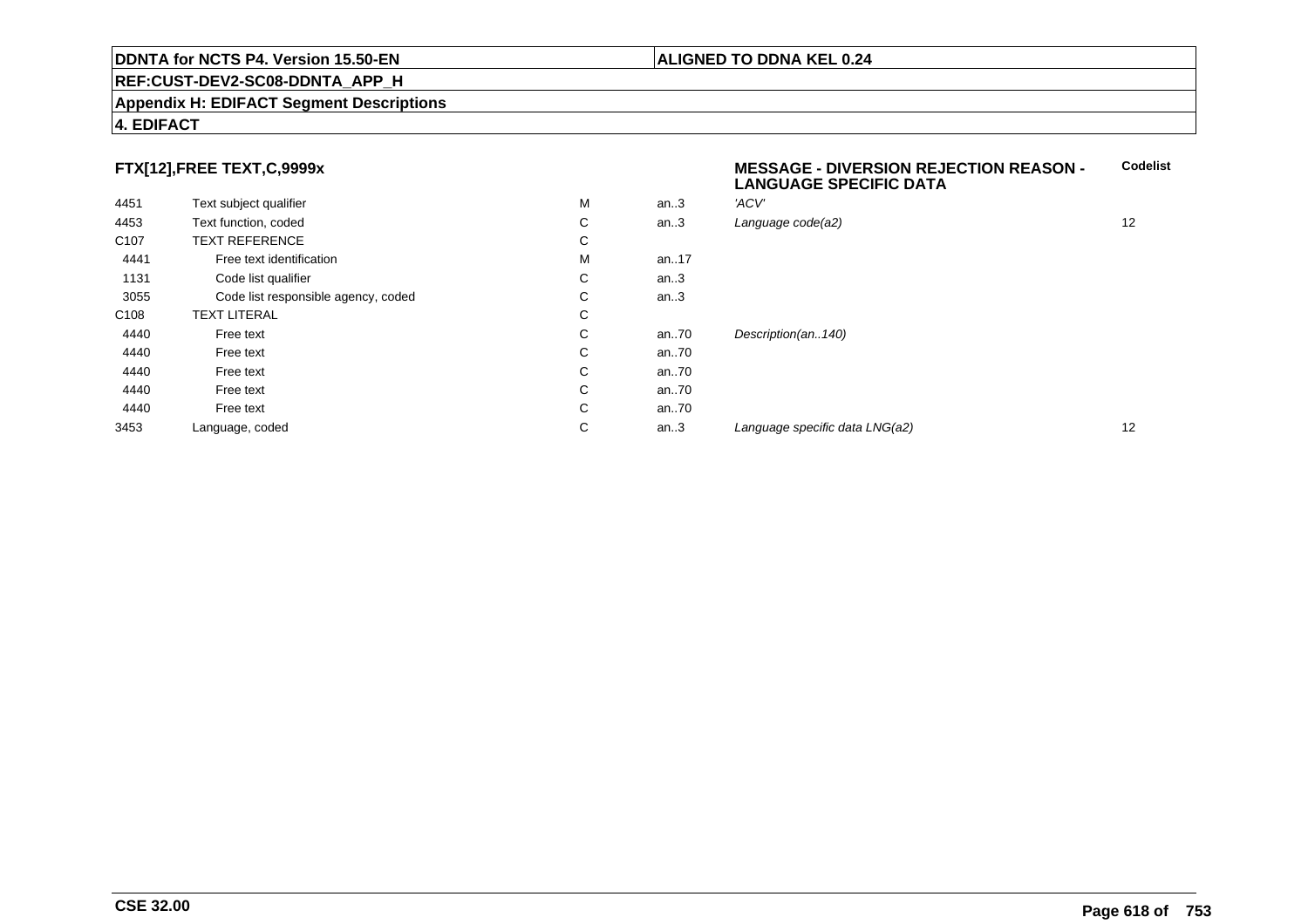## **REF:CUST-DEV2-SC08-DDNTA\_APP\_H**

#### **Appendix H: EDIFACT Segment Descriptions**

# **4. EDIFACT**

# **FTX[12],FREE TEXT,C,9999x**

| Text subject qualifier              | M | an.3     | 'ACV'               |
|-------------------------------------|---|----------|---------------------|
| Text function, coded                | С | an $.3$  | Language code(a2)   |
| <b>TEXT REFERENCE</b>               | С |          |                     |
| Free text identification            | M | an. $17$ |                     |
| Code list qualifier                 | С | an $.3$  |                     |
| Code list responsible agency, coded | C | an $.3$  |                     |
| <b>TEXT LITERAL</b>                 | С |          |                     |
| Free text                           | С | an70     | Description(an140)  |
| Free text                           | C | an70     |                     |
| Free text                           | С | an70     |                     |
| Free text                           | С | an70     |                     |
| Free text                           | C | an70     |                     |
| Language, coded                     | С | an $3$   | Language specific d |
|                                     |   |          |                     |

#### **MESSAGE - DIVERSION REJECTION REASON - LANGUAGE SPECIFIC DATACodelist**

| С | an.3 | Language code(a2)              | 12 |
|---|------|--------------------------------|----|
| С |      |                                |    |
| М | an17 |                                |    |
| С | an.3 |                                |    |
| С | an.3 |                                |    |
| С |      |                                |    |
| С | an70 | Description(an140)             |    |
| С | an70 |                                |    |
| С | an70 |                                |    |
| С | an70 |                                |    |
| С | an70 |                                |    |
| С | an.3 | Language specific data LNG(a2) | 12 |
|   |      |                                |    |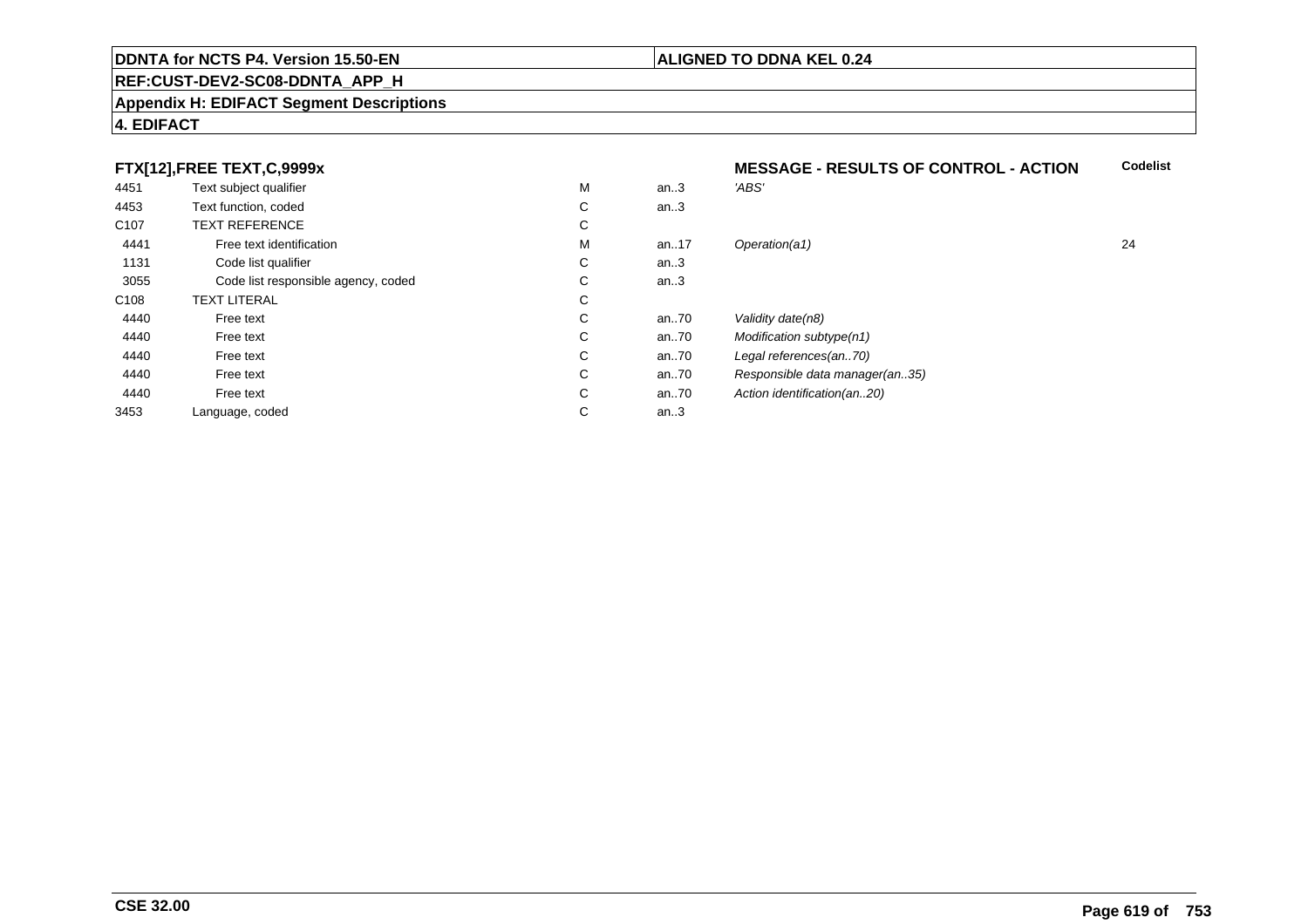## **REF:CUST-DEV2-SC08-DDNTA\_APP\_H**

#### **Appendix H: EDIFACT Segment Descriptions**

# **4. EDIFACT**

# **FTX[12],FREE TEXT,C,9999x**

|                  | FTX[12],FREE TEXT,C,9999x           |   |      | <b>MESSAGE - RESULTS OF CONTROL - ACTION</b> |    |
|------------------|-------------------------------------|---|------|----------------------------------------------|----|
| 4451             | Text subject qualifier              | M | an.3 | 'ABS'                                        |    |
| 4453             | Text function, coded                | С | an.3 |                                              |    |
| C <sub>107</sub> | <b>TEXT REFERENCE</b>               | С |      |                                              |    |
| 4441             | Free text identification            | M | an17 | Operation(a1)                                | 24 |
| 1131             | Code list qualifier                 | С | an.3 |                                              |    |
| 3055             | Code list responsible agency, coded | С | an.3 |                                              |    |
| C108             | <b>TEXT LITERAL</b>                 | С |      |                                              |    |
| 4440             | Free text                           | С | an70 | Validity date(n8)                            |    |
| 4440             | Free text                           | С | an70 | Modification subtype(n1)                     |    |
| 4440             | Free text                           | С | an70 | Legal references(an70)                       |    |
| 4440             | Free text                           | С | an70 | Responsible data manager(an35)               |    |
| 4440             | Free text                           | С | an70 | Action identification(an20)                  |    |
| 3453             | Language, coded                     | С | an.3 |                                              |    |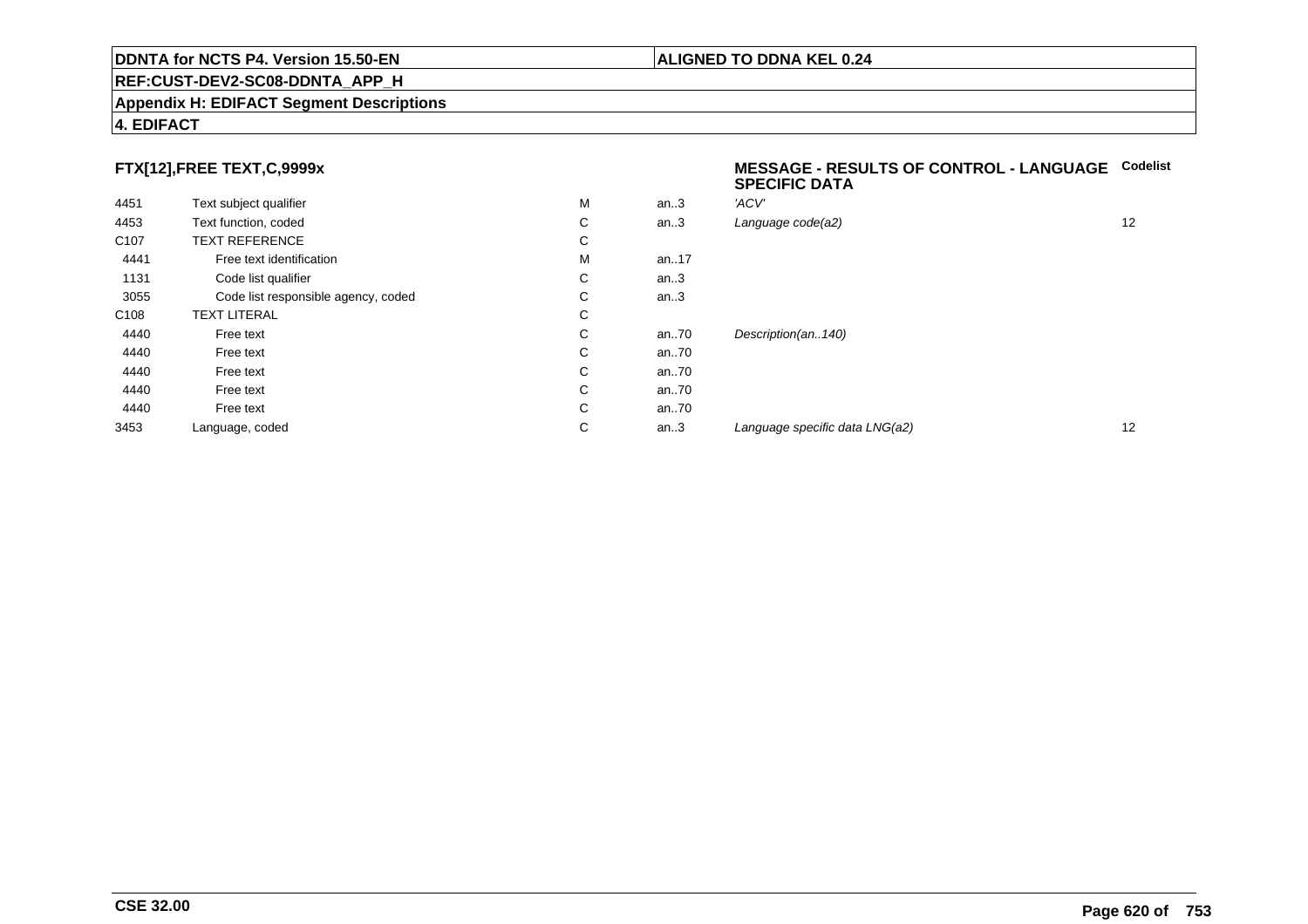## **REF:CUST-DEV2-SC08-DDNTA\_APP\_H**

#### **Appendix H: EDIFACT Segment Descriptions**

# **4. EDIFACT**

# **FTX[12],FREE TEXT,C,9999x**

| 4451             | Text subject qualifier              | M | an.3 | 'ACV' |
|------------------|-------------------------------------|---|------|-------|
| 4453             | Text function, coded                | С | an.3 | Langı |
| C <sub>107</sub> | <b>TEXT REFERENCE</b>               | С |      |       |
| 4441             | Free text identification            | M | an17 |       |
| 1131             | Code list qualifier                 | С | an.3 |       |
| 3055             | Code list responsible agency, coded | С | an.3 |       |
| C <sub>108</sub> | <b>TEXT LITERAL</b>                 | C |      |       |
| 4440             | Free text                           | С | an70 | Desci |
| 4440             | Free text                           | C | an70 |       |
| 4440             | Free text                           | С | an70 |       |
| 4440             | Free text                           | С | an70 |       |
| 4440             | Free text                           | С | an70 |       |
| 3453             | Language, coded                     | С | an.3 | Langu |
|                  |                                     |   |      |       |

#### **MESSAGE - RESULTS OF CONTROL - LANGUAGECodelistSPECIFIC DATA**

| М | an.3 | 'ACV'                          |    |
|---|------|--------------------------------|----|
| С | an.3 | Language code(a2)              | 12 |
| С |      |                                |    |
| М | an17 |                                |    |
| С | an.3 |                                |    |
| С | an.3 |                                |    |
| С |      |                                |    |
| С | an70 | Description(an140)             |    |
| С | an70 |                                |    |
| С | an70 |                                |    |
| С | an70 |                                |    |
| С | an70 |                                |    |
| С | an.3 | Language specific data LNG(a2) | 12 |
|   |      |                                |    |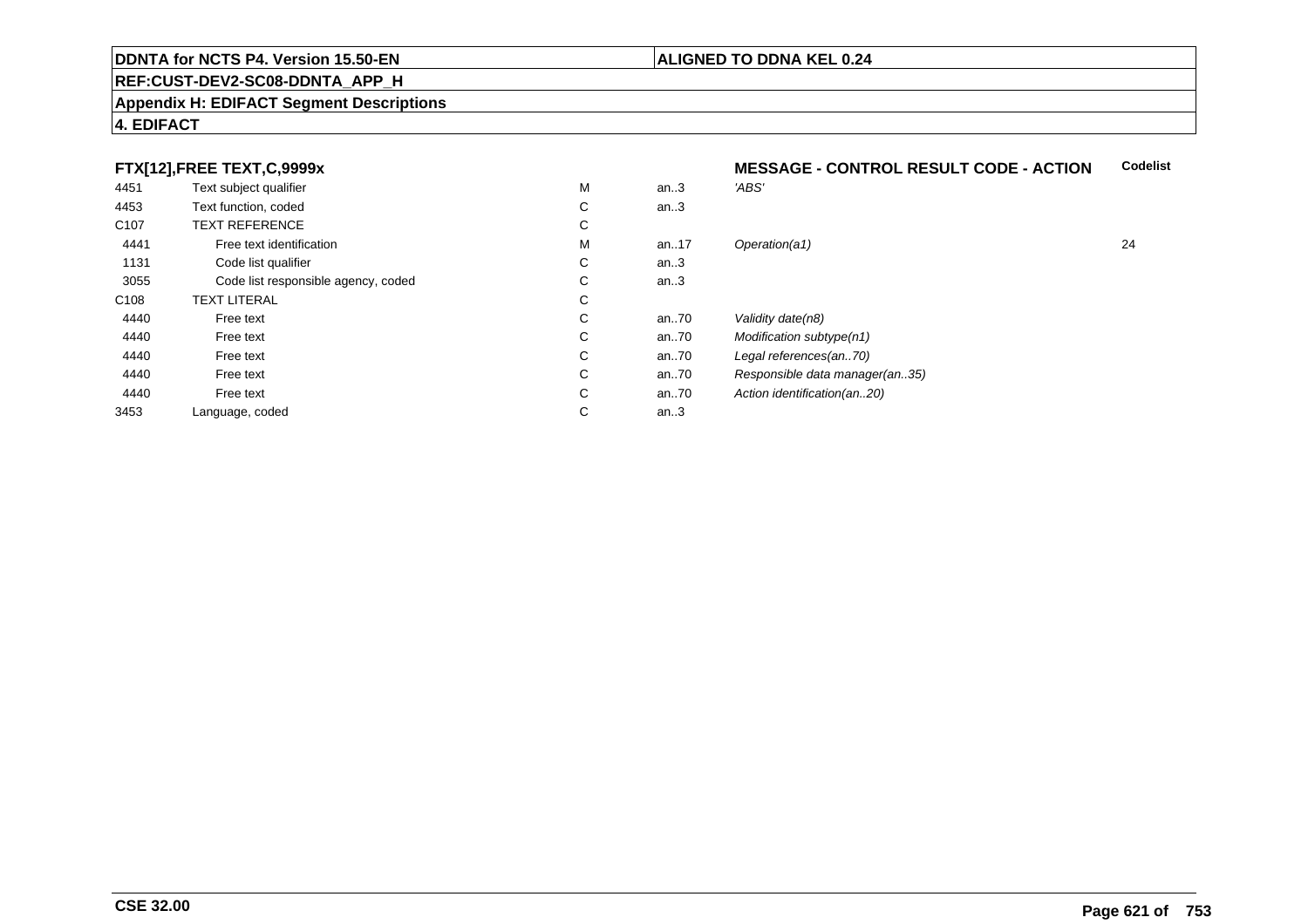## **REF:CUST-DEV2-SC08-DDNTA\_APP\_H**

#### **Appendix H: EDIFACT Segment Descriptions**

# **4. EDIFACT**

# **FTX[12],FREE TEXT,C,9999x**

| . .              |                                     |   |      |                                |    |
|------------------|-------------------------------------|---|------|--------------------------------|----|
| 4451             | Text subject qualifier              | M | an.3 | 'ABS'                          |    |
| 4453             | Text function, coded                | С | an.3 |                                |    |
| C <sub>107</sub> | <b>TEXT REFERENCE</b>               | С |      |                                |    |
| 4441             | Free text identification            | M | an17 | Operation(a1)                  | 24 |
| 1131             | Code list qualifier                 | С | an.3 |                                |    |
| 3055             | Code list responsible agency, coded | С | an.3 |                                |    |
| C108             | <b>TEXT LITERAL</b>                 | С |      |                                |    |
| 4440             | Free text                           | С | an70 | Validity date(n8)              |    |
| 4440             | Free text                           | С | an70 | Modification subtype(n1)       |    |
| 4440             | Free text                           | С | an70 | Legal references(an70)         |    |
| 4440             | Free text                           | С | an70 | Responsible data manager(an35) |    |
| 4440             | Free text                           | С | an70 | Action identification(an20)    |    |
| 3453             | Language, coded                     | С | an.3 |                                |    |
|                  |                                     |   |      |                                |    |

#### **MESSAGE - CONTROL RESULT CODE - ACTIONCodelist**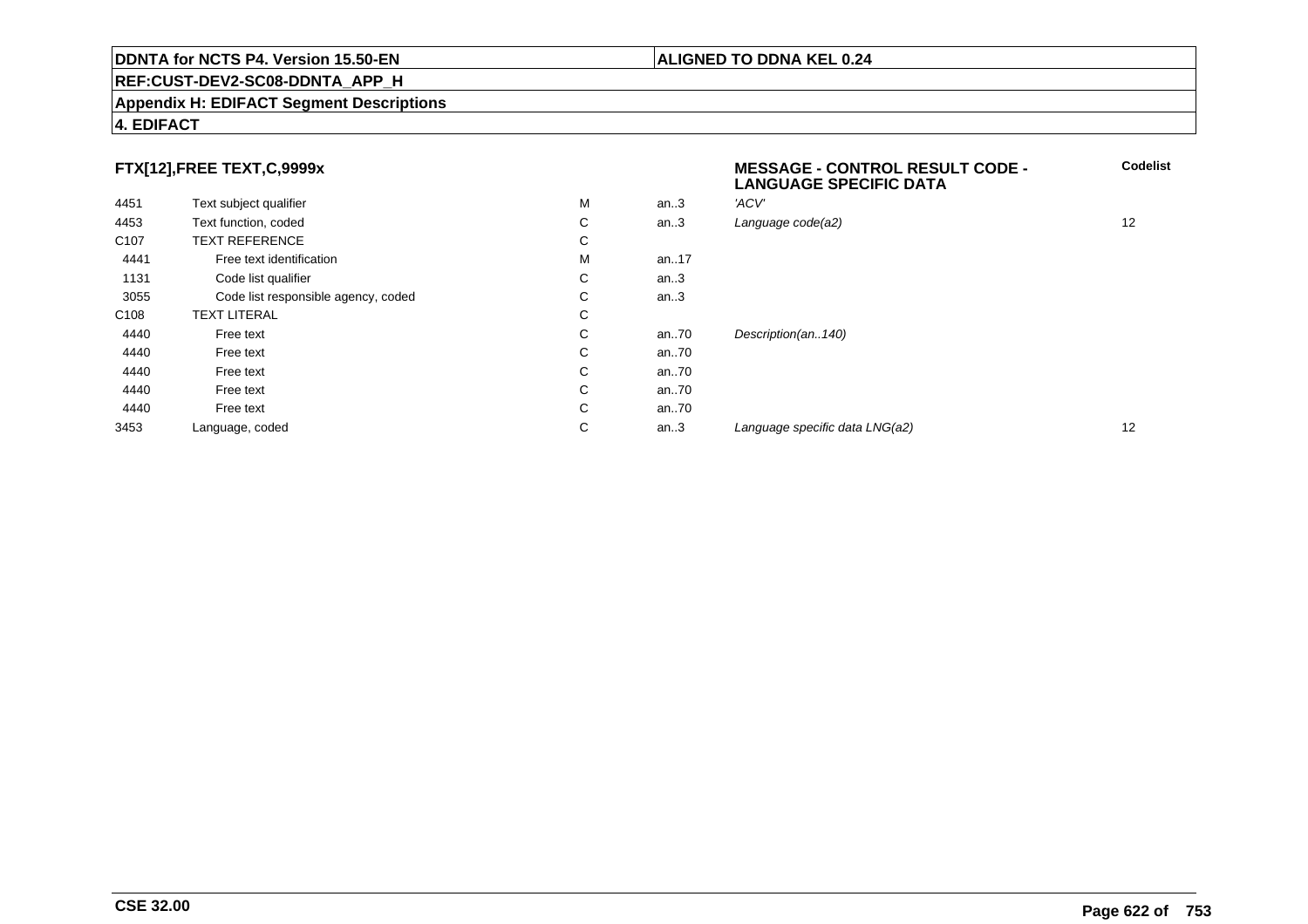## **REF:CUST-DEV2-SC08-DDNTA\_APP\_H**

#### **Appendix H: EDIFACT Segment Descriptions**

# **4. EDIFACT**

# **FTX[12],FREE TEXT,C,9999x**

|                  | FTX[12],FREE TEXT,C,9999x           |   |      | <b>MESSAGE - CONTROL RESULT CODE -</b><br><b>LANGUAGE SPECIFIC DATA</b> | Codeli            |
|------------------|-------------------------------------|---|------|-------------------------------------------------------------------------|-------------------|
| 4451             | Text subject qualifier              | м | an.3 | 'ACV'                                                                   |                   |
| 4453             | Text function, coded                | С | an.3 | Language code(a2)                                                       | $12 \overline{ }$ |
| C <sub>107</sub> | <b>TEXT REFERENCE</b>               | С |      |                                                                         |                   |
| 4441             | Free text identification            | M | an17 |                                                                         |                   |
| 1131             | Code list qualifier                 | C | an.3 |                                                                         |                   |
| 3055             | Code list responsible agency, coded | С | an.3 |                                                                         |                   |
| C <sub>108</sub> | <b>TEXT LITERAL</b>                 | C |      |                                                                         |                   |
| 4440             | Free text                           | C | an70 | Description(an140)                                                      |                   |
| 4440             | Free text                           | C | an70 |                                                                         |                   |
| 4440             | Free text                           | C | an70 |                                                                         |                   |
| 4440             | Free text                           | C | an70 |                                                                         |                   |
| 4440             | Free text                           | C | an70 |                                                                         |                   |
| 3453             | Language, coded                     | С | an.3 | Language specific data LNG(a2)                                          | 12                |
|                  |                                     |   |      |                                                                         |                   |

**Codelist**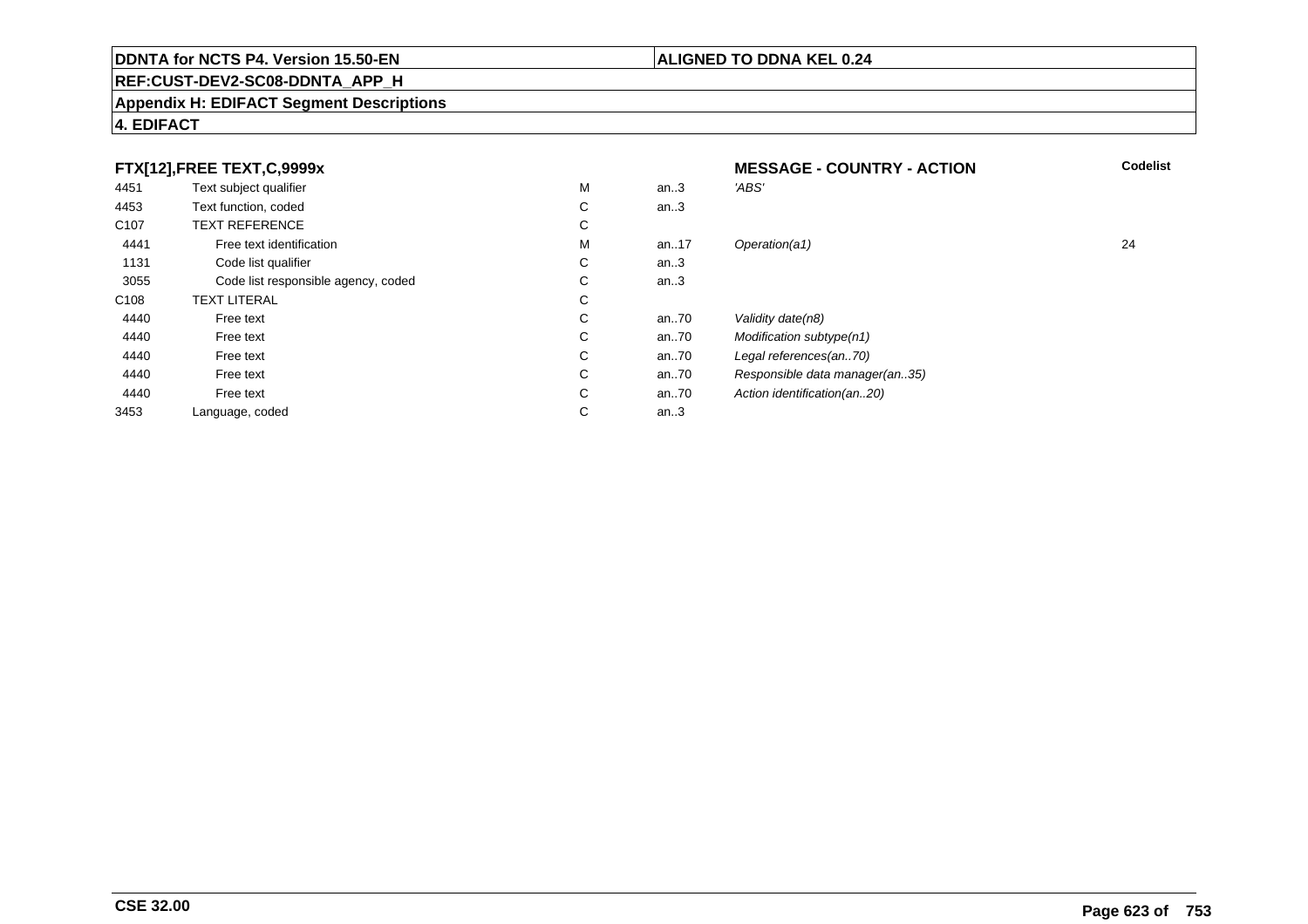# **REF:CUST-DEV2-SC08-DDNTA\_APP\_H**

#### **Appendix H: EDIFACT Segment Descriptions**

# **4. EDIFACT**

| FTX[12], FREE TEXT, C, 9999x |                                     |   | <b>MESSAGE - COUNTRY - ACTION</b> | <b>Codelist</b>                |    |
|------------------------------|-------------------------------------|---|-----------------------------------|--------------------------------|----|
| 4451                         | Text subject qualifier              | M | an.3                              | 'ABS'                          |    |
| 4453                         | Text function, coded                | С | an.3                              |                                |    |
| C <sub>107</sub>             | <b>TEXT REFERENCE</b>               | С |                                   |                                |    |
| 4441                         | Free text identification            | M | an17                              | Operation(a1)                  | 24 |
| 1131                         | Code list qualifier                 | С | an $3$                            |                                |    |
| 3055                         | Code list responsible agency, coded | C | an $3$                            |                                |    |
| C <sub>108</sub>             | <b>TEXT LITERAL</b>                 | C |                                   |                                |    |
| 4440                         | Free text                           | С | an70                              | Validity date(n8)              |    |
| 4440                         | Free text                           | C | an70                              | Modification subtype(n1)       |    |
| 4440                         | Free text                           | С | an70                              | Legal references(an70)         |    |
| 4440                         | Free text                           | C | an70                              | Responsible data manager(an35) |    |
| 4440                         | Free text                           | C | an70                              | Action identification(an20)    |    |
| 3453                         | Language, coded                     | С | an.3                              |                                |    |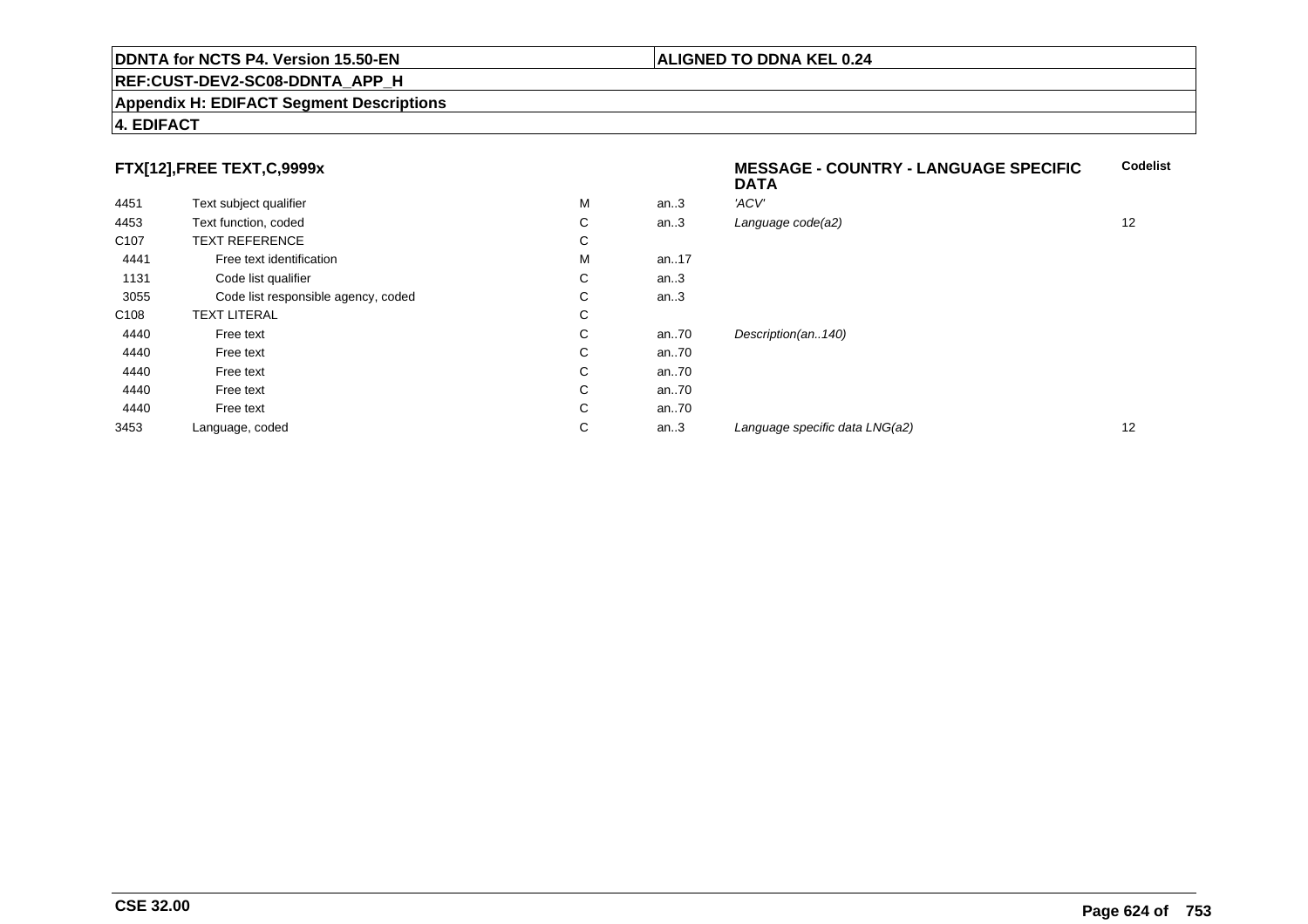# **REF:CUST-DEV2-SC08-DDNTA\_APP\_H**

#### **Appendix H: EDIFACT Segment Descriptions**

# **4. EDIFACT**

| FTX[12],FREE TEXT,C,9999x           |   |      | <b>MESSAGE - COUNTRY - LANGUAGE SPECIFIC</b><br><b>DATA</b> | <b>Codelist</b> |
|-------------------------------------|---|------|-------------------------------------------------------------|-----------------|
| Text subject qualifier              | М | an.3 | 'ACV'                                                       |                 |
| Text function, coded                | С | an.3 | Language code(a2)                                           | 12              |
| <b>TEXT REFERENCE</b>               | С |      |                                                             |                 |
| Free text identification            | M | an17 |                                                             |                 |
| Code list qualifier                 | С | an.3 |                                                             |                 |
| Code list responsible agency, coded | С | an.3 |                                                             |                 |
| <b>TEXT LITERAL</b>                 | С |      |                                                             |                 |
| Free text                           | С | an70 | Description(an140)                                          |                 |
| Free text                           | С | an70 |                                                             |                 |
| Free text                           | С | an70 |                                                             |                 |
| Free text                           | С | an70 |                                                             |                 |
| Free text                           | С | an70 |                                                             |                 |
| Language, coded                     | С | an.3 | Language specific data LNG(a2)                              | 12              |
|                                     |   |      |                                                             |                 |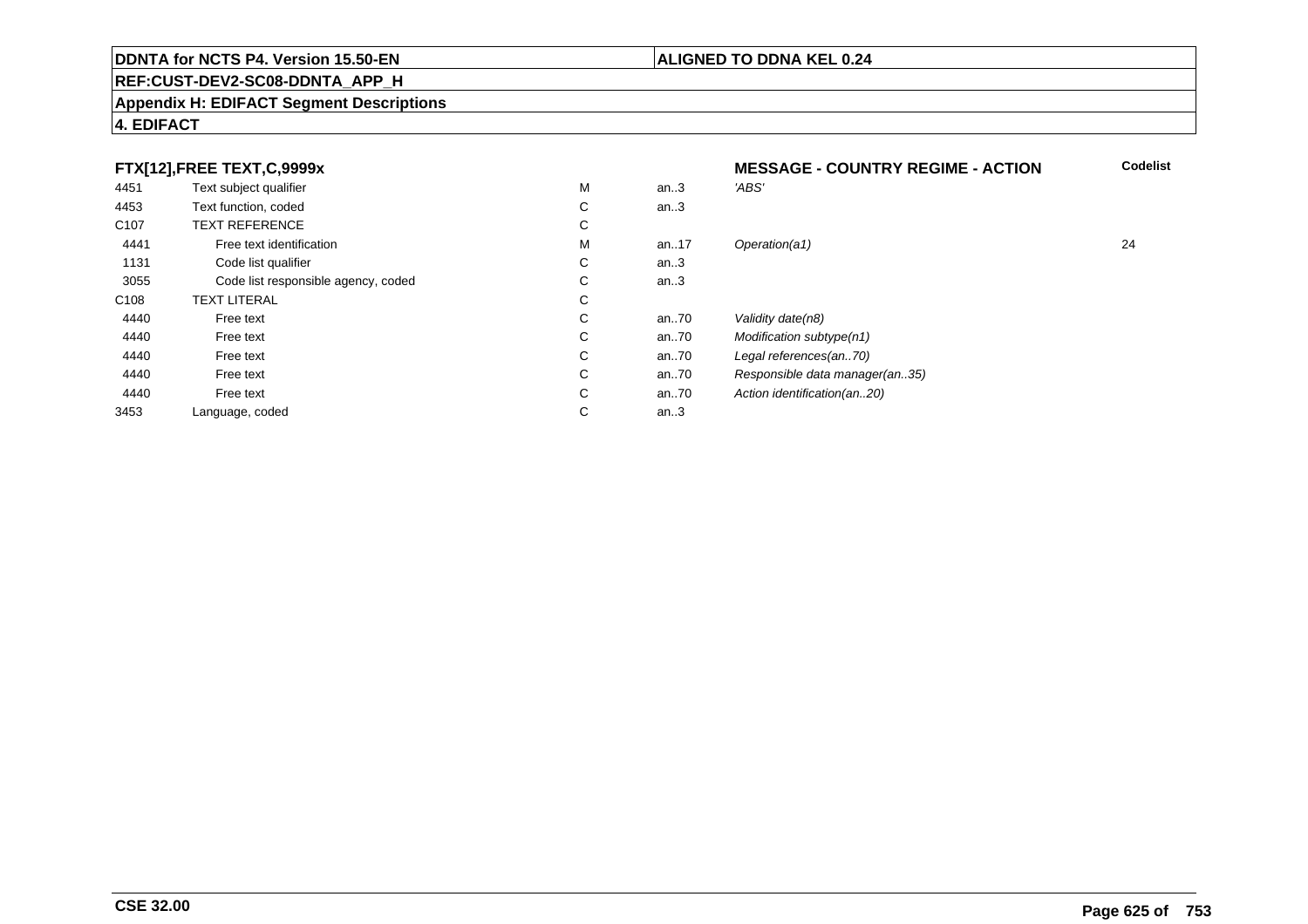# **REF:CUST-DEV2-SC08-DDNTA\_APP\_H**

#### **Appendix H: EDIFACT Segment Descriptions**

# **4. EDIFACT**

| FTX[12],FREE TEXT,C,9999x |                                     | <b>MESSAGE - COUNTRY REGIME - ACTION</b> | <b>Codelist</b> |                                |    |
|---------------------------|-------------------------------------|------------------------------------------|-----------------|--------------------------------|----|
| 4451                      | Text subject qualifier              | M                                        | an.3            | 'ABS'                          |    |
| 4453                      | Text function, coded                | С                                        | an.3            |                                |    |
| C <sub>107</sub>          | <b>TEXT REFERENCE</b>               | С                                        |                 |                                |    |
| 4441                      | Free text identification            | M                                        | an17            | Operation(a1)                  | 24 |
| 1131                      | Code list qualifier                 | C                                        | an $3$          |                                |    |
| 3055                      | Code list responsible agency, coded | C                                        | an.3            |                                |    |
| C <sub>108</sub>          | <b>TEXT LITERAL</b>                 | С                                        |                 |                                |    |
| 4440                      | Free text                           | С                                        | an70            | Validity date(n8)              |    |
| 4440                      | Free text                           | C                                        | an70            | Modification subtype(n1)       |    |
| 4440                      | Free text                           | C                                        | an70            | Legal references(an70)         |    |
| 4440                      | Free text                           | С                                        | an70            | Responsible data manager(an35) |    |
| 4440                      | Free text                           | C                                        | an70            | Action identification(an20)    |    |
| 3453                      | Language, coded                     | С                                        | an.3            |                                |    |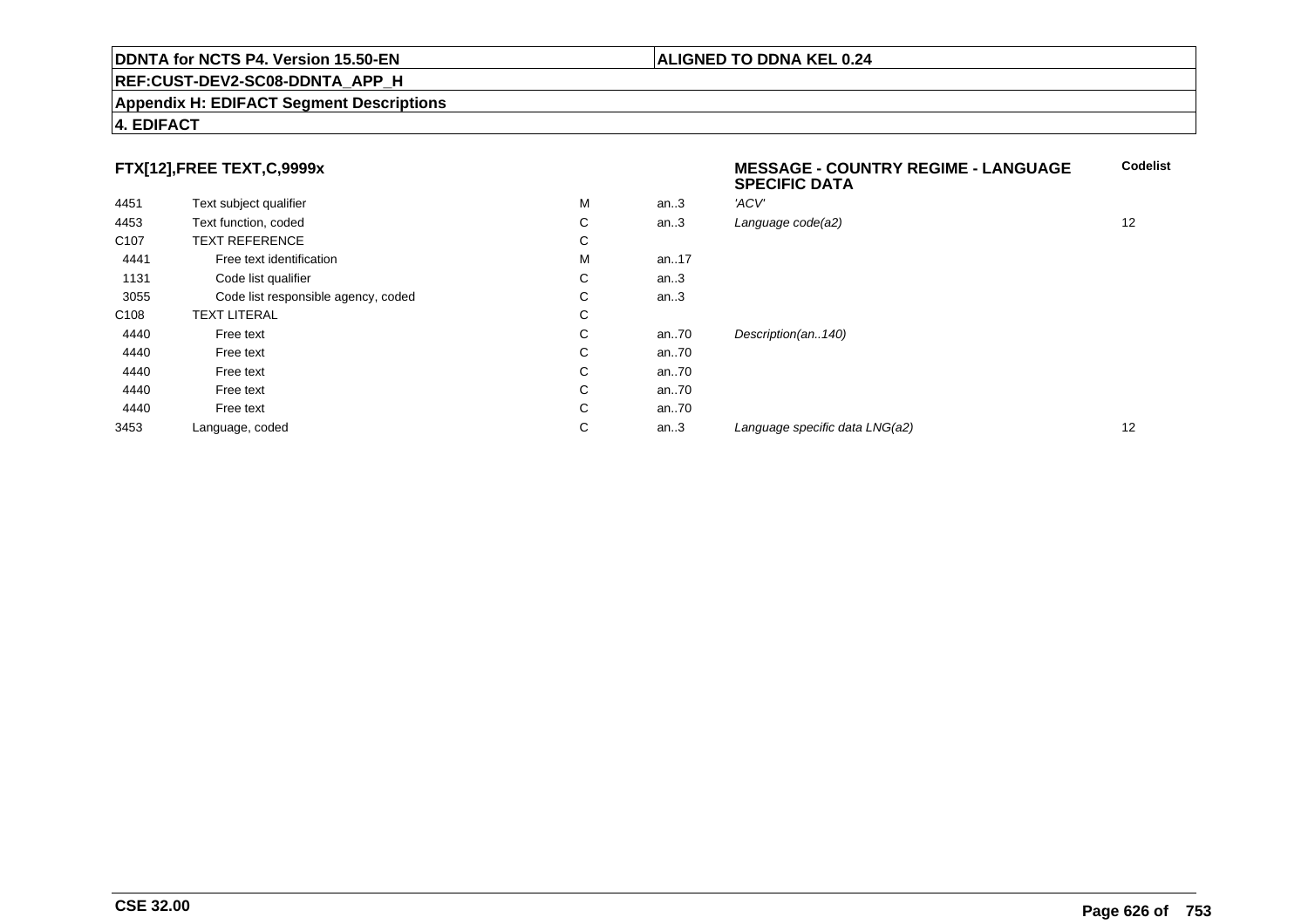## **REF:CUST-DEV2-SC08-DDNTA\_APP\_H**

#### **Appendix H: EDIFACT Segment Descriptions**

# **4. EDIFACT**

# **FTX[12],FREE TEXT,C,9999x**

| FTX[12],FREE TEXT,C,9999x |                                     |   |          | <b>MESSAGE - COUNTRY REGIME - LANGUAGE</b><br><b>SPECIFIC DATA</b> | <b>Codelist</b> |
|---------------------------|-------------------------------------|---|----------|--------------------------------------------------------------------|-----------------|
| 4451                      | Text subject qualifier              | М | an.3     | 'ACV'                                                              |                 |
| 4453                      | Text function, coded                | C | an.3     | Language code(a2)                                                  | 12              |
| C <sub>107</sub>          | <b>TEXT REFERENCE</b>               | C |          |                                                                    |                 |
| 4441                      | Free text identification            | М | an17     |                                                                    |                 |
| 1131                      | Code list qualifier                 | C | an.3     |                                                                    |                 |
| 3055                      | Code list responsible agency, coded | C | an.3     |                                                                    |                 |
| C <sub>108</sub>          | <b>TEXT LITERAL</b>                 | C |          |                                                                    |                 |
| 4440                      | Free text                           | C | an $.70$ | Description(an140)                                                 |                 |
| 4440                      | Free text                           | C | an $.70$ |                                                                    |                 |
| 4440                      | Free text                           | C | an $.70$ |                                                                    |                 |
| 4440                      | Free text                           | C | an $.70$ |                                                                    |                 |
| 4440                      | Free text                           | C | an $.70$ |                                                                    |                 |
| 3453                      | Language, coded                     | C | an.3     | Language specific data LNG(a2)                                     | 12              |
|                           |                                     |   |          |                                                                    |                 |

**Codelist**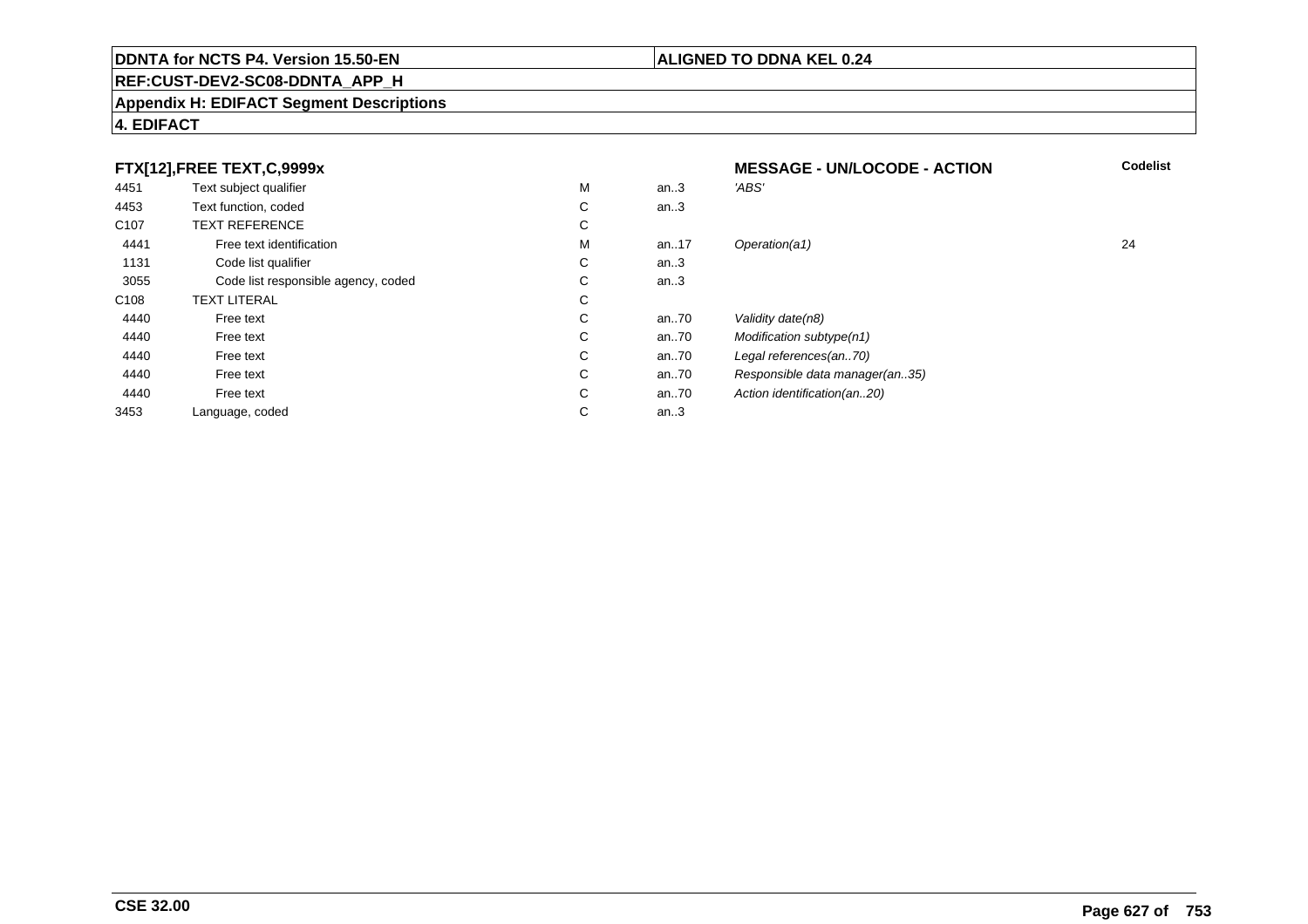# **REF:CUST-DEV2-SC08-DDNTA\_APP\_H**

#### **Appendix H: EDIFACT Segment Descriptions**

# **4. EDIFACT**

| FTX[12],FREE TEXT,C,9999x |                                     |   | <b>MESSAGE - UN/LOCODE - ACTION</b> | <b>Codelist</b>                |    |
|---------------------------|-------------------------------------|---|-------------------------------------|--------------------------------|----|
| 4451                      | Text subject qualifier              | M | an.3                                | 'ABS'                          |    |
| 4453                      | Text function, coded                | С | an.3                                |                                |    |
| C <sub>107</sub>          | <b>TEXT REFERENCE</b>               | С |                                     |                                |    |
| 4441                      | Free text identification            | M | an17                                | Operation(a1)                  | 24 |
| 1131                      | Code list qualifier                 | C | an $3$                              |                                |    |
| 3055                      | Code list responsible agency, coded | C | an.3                                |                                |    |
| C <sub>108</sub>          | <b>TEXT LITERAL</b>                 | С |                                     |                                |    |
| 4440                      | Free text                           | С | an70                                | Validity date(n8)              |    |
| 4440                      | Free text                           | C | an70                                | Modification subtype(n1)       |    |
| 4440                      | Free text                           | C | an70                                | Legal references(an70)         |    |
| 4440                      | Free text                           | С | an70                                | Responsible data manager(an35) |    |
| 4440                      | Free text                           | C | an70                                | Action identification(an20)    |    |
| 3453                      | Language, coded                     | С | an. $3$                             |                                |    |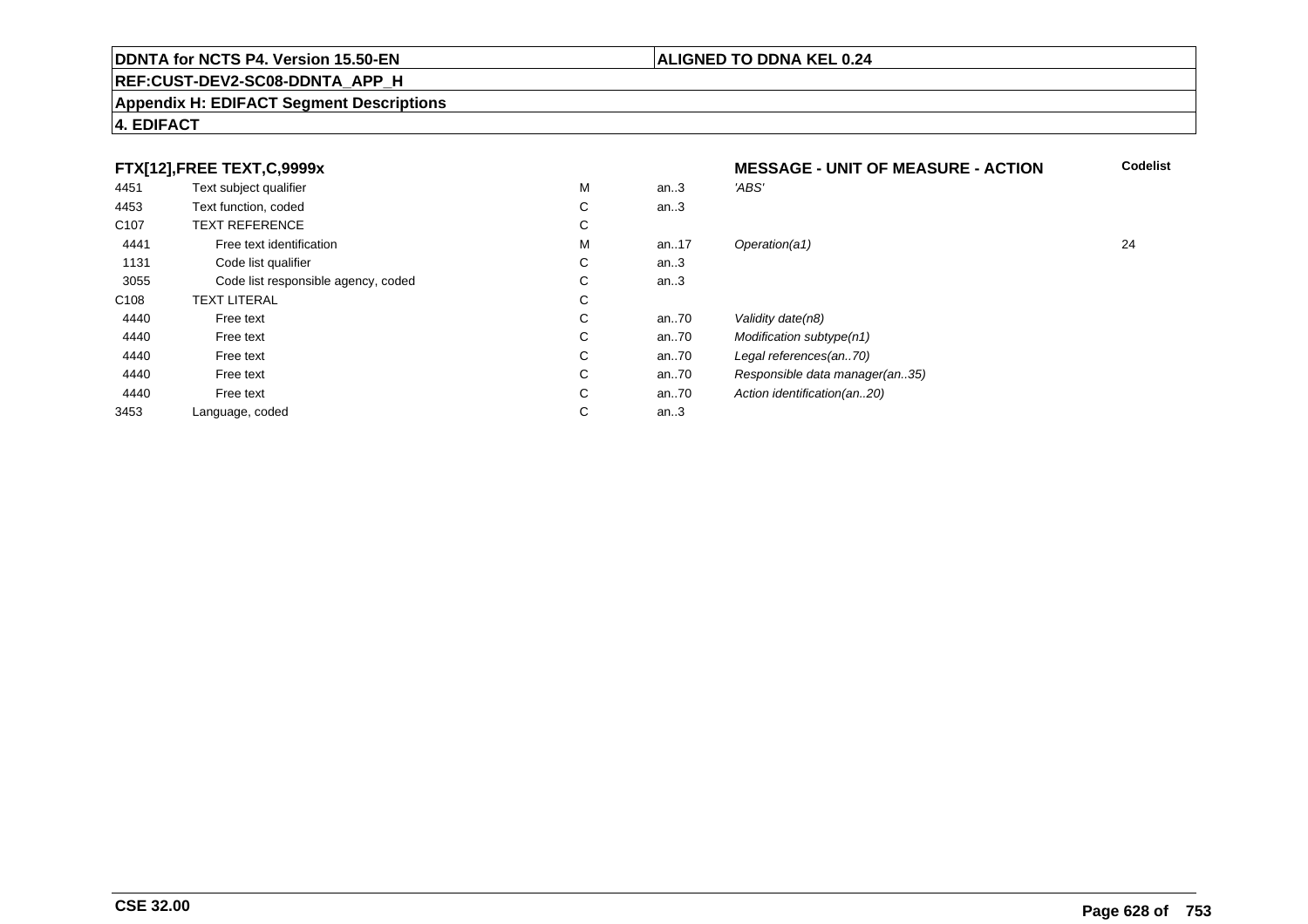## **REF:CUST-DEV2-SC08-DDNTA\_APP\_H**

#### **Appendix H: EDIFACT Segment Descriptions**

# **4. EDIFACT**

#### **FTX[12],FREE TEXT,C,9999xMESSAGE - UNIT OF MEASURE - ACTION**<br>M an..3 *'ABS'*  **Codelist** 4451Text subject qualifier M<br>
Text function, coded C M an..3 *'ABS'*<br>-4453Text function, coded C<br>
TEXT REFERENCE an..3 C107 TEXT REFERENCEE C  $\mathsf{M}% _{T}=\mathsf{M}_{T}\!\left( a,b\right) ,\ \mathsf{M}_{T}=\mathsf{M}_{T}$ 4441Free text identification M<br>Code list qualifier development of the code list qualifier development of  $\mathbf C$ M an..17 Operation(a1) 24 1131Code list qualifier C<br>Code list responsible agency, coded C an..3 3055 Code list responsible agency, coded <sup>C</sup> an..3 C108TEXT LITERAL<br>Free text  $\mathbf C$ 44400 Free text C C an..70 Validity date(n8)<br>C an..70 Modification subt 44400 Free text C C an..70 Modification subtype(n1)<br>C an..70 Legal references(an..70) 44400 Free text C C an..70 Legal references(an..70)<br>C an..70 Responsible data manag 44400 Free text C C an..70 Responsible data manager(an..35)<br>C an..70 Action identification(an..20) 44400 Free text C C an..70 Action identification(an..20)<br>C an..3 3453Language, coded an..3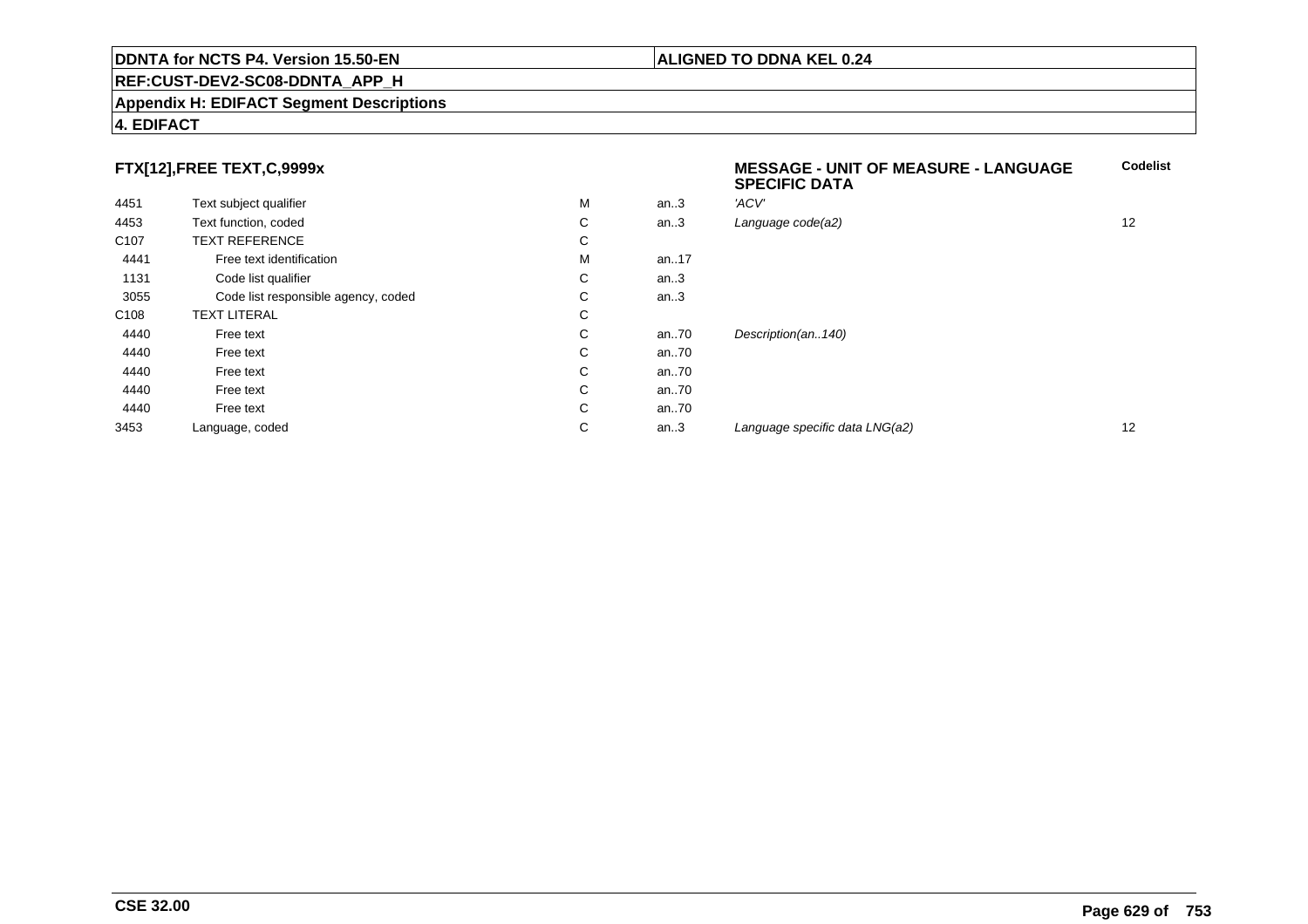## **REF:CUST-DEV2-SC08-DDNTA\_APP\_H**

#### **Appendix H: EDIFACT Segment Descriptions**

# **4. EDIFACT**

# **FTX[12],FREE TEXT,C,9999x**

| FTX[12],FREE TEXT,C,9999x |                                     |   |          | <b>MESSAGE - UNIT OF MEASURE - LANGUAGE</b><br><b>SPECIFIC DATA</b> | <b>Codelist</b> |
|---------------------------|-------------------------------------|---|----------|---------------------------------------------------------------------|-----------------|
| 4451                      | Text subject qualifier              | М | an.3     | 'ACV'                                                               |                 |
| 4453                      | Text function, coded                | C | an.3     | Language code(a2)                                                   | 12              |
| C <sub>107</sub>          | <b>TEXT REFERENCE</b>               | C |          |                                                                     |                 |
| 4441                      | Free text identification            | М | an17     |                                                                     |                 |
| 1131                      | Code list qualifier                 | C | an.3     |                                                                     |                 |
| 3055                      | Code list responsible agency, coded | C | an.3     |                                                                     |                 |
| C <sub>108</sub>          | <b>TEXT LITERAL</b>                 | C |          |                                                                     |                 |
| 4440                      | Free text                           | C | an $.70$ | Description(an140)                                                  |                 |
| 4440                      | Free text                           | C | an $.70$ |                                                                     |                 |
| 4440                      | Free text                           | C | an $.70$ |                                                                     |                 |
| 4440                      | Free text                           | C | an $.70$ |                                                                     |                 |
| 4440                      | Free text                           | C | an $.70$ |                                                                     |                 |
| 3453                      | Language, coded                     | C | an.3     | Language specific data LNG(a2)                                      | 12              |
|                           |                                     |   |          |                                                                     |                 |

**Codelist**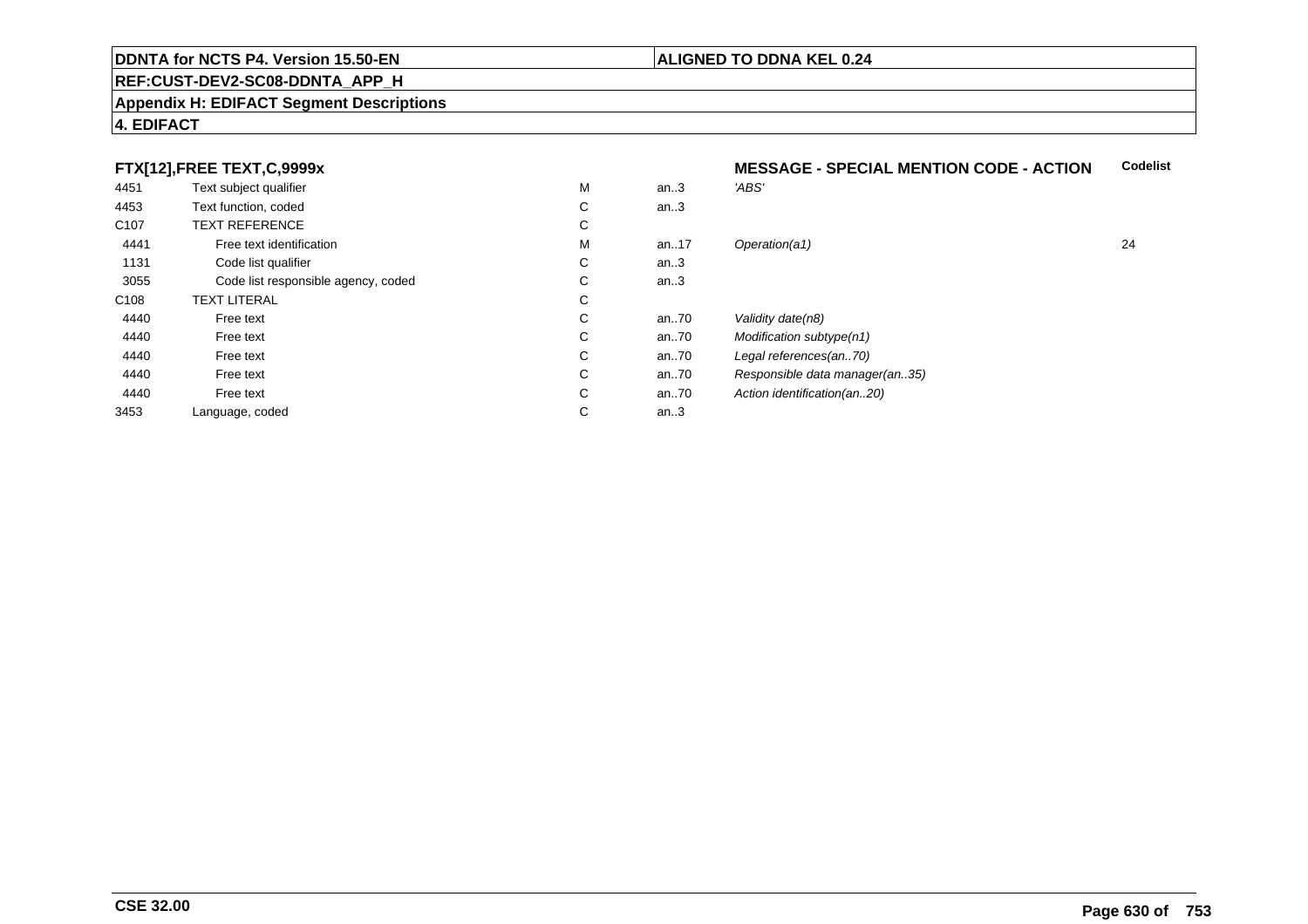## **REF:CUST-DEV2-SC08-DDNTA\_APP\_H**

#### **Appendix H: EDIFACT Segment Descriptions**

# **4. EDIFACT**

# **FTX[12],FREE TEXT,C,9999x**

| 4451             | Text subject qualifier              | M | an.3 | 'ABS'                          |    |
|------------------|-------------------------------------|---|------|--------------------------------|----|
| 4453             | Text function, coded                | C | an.3 |                                |    |
| C <sub>107</sub> | <b>TEXT REFERENCE</b>               | С |      |                                |    |
| 4441             | Free text identification            | M | an17 | Operation(a1)                  | 24 |
| 1131             | Code list qualifier                 | С | an.3 |                                |    |
| 3055             | Code list responsible agency, coded | C | an.3 |                                |    |
| C108             | <b>TEXT LITERAL</b>                 | С |      |                                |    |
| 4440             | Free text                           | C | an70 | Validity date(n8)              |    |
| 4440             | Free text                           | C | an70 | Modification subtype(n1)       |    |
| 4440             | Free text                           | C | an70 | Legal references(an70)         |    |
| 4440             | Free text                           | C | an70 | Responsible data manager(an35) |    |
| 4440             | Free text                           | C | an70 | Action identification(an20)    |    |
| 3453             | Language, coded                     | C | an.3 |                                |    |
|                  |                                     |   |      |                                |    |

#### **MESSAGE - SPECIAL MENTION CODE - ACTIONCodelist**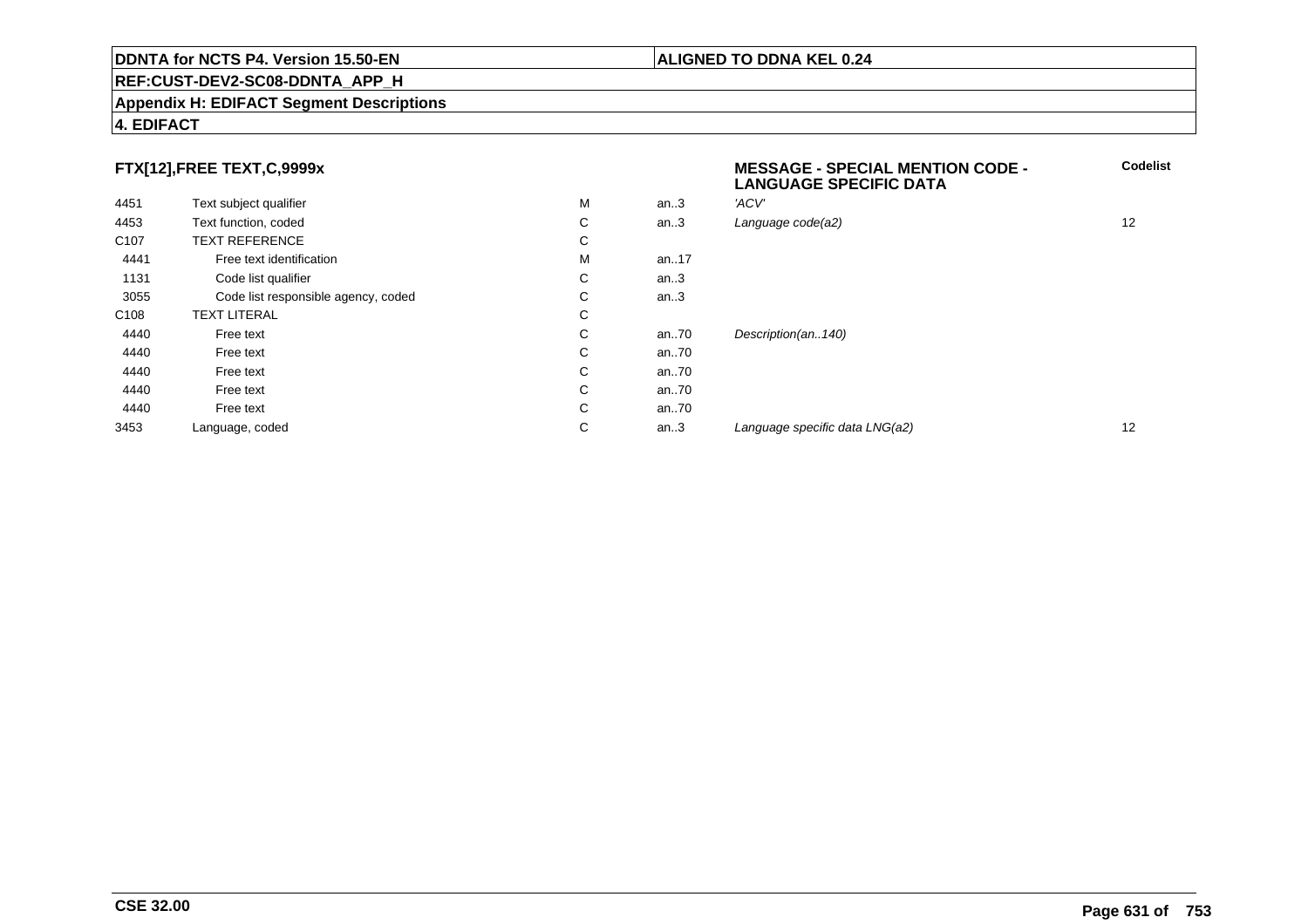## **REF:CUST-DEV2-SC08-DDNTA\_APP\_H**

#### **Appendix H: EDIFACT Segment Descriptions**

# **4. EDIFACT**

# **FTX[12],FREE TEXT,C,9999x**

| FTX[12],FREE TEXT,C,9999x |                                     |   |      | <b>MESSAGE - SPECIAL MENTION CODE -</b><br><b>LANGUAGE SPECIFIC DATA</b> | <b>C</b> |
|---------------------------|-------------------------------------|---|------|--------------------------------------------------------------------------|----------|
| 4451                      | Text subject qualifier              | M | an.3 | 'ACV'                                                                    |          |
| 4453                      | Text function, coded                | C | an.3 | Language code(a2)                                                        | 12       |
| C <sub>107</sub>          | <b>TEXT REFERENCE</b>               | C |      |                                                                          |          |
| 4441                      | Free text identification            | M | an17 |                                                                          |          |
| 1131                      | Code list qualifier                 | С | an.3 |                                                                          |          |
| 3055                      | Code list responsible agency, coded | С | an.3 |                                                                          |          |
| C <sub>108</sub>          | <b>TEXT LITERAL</b>                 | C |      |                                                                          |          |
| 4440                      | Free text                           | C | an70 | Description(an140)                                                       |          |
| 4440                      | Free text                           | C | an70 |                                                                          |          |
| 4440                      | Free text                           | С | an70 |                                                                          |          |
| 4440                      | Free text                           | С | an70 |                                                                          |          |
| 4440                      | Free text                           | С | an70 |                                                                          |          |
| 3453                      | Language, coded                     | C | an.3 | Language specific data LNG(a2)                                           | 12       |
|                           |                                     |   |      |                                                                          |          |

**Codelist**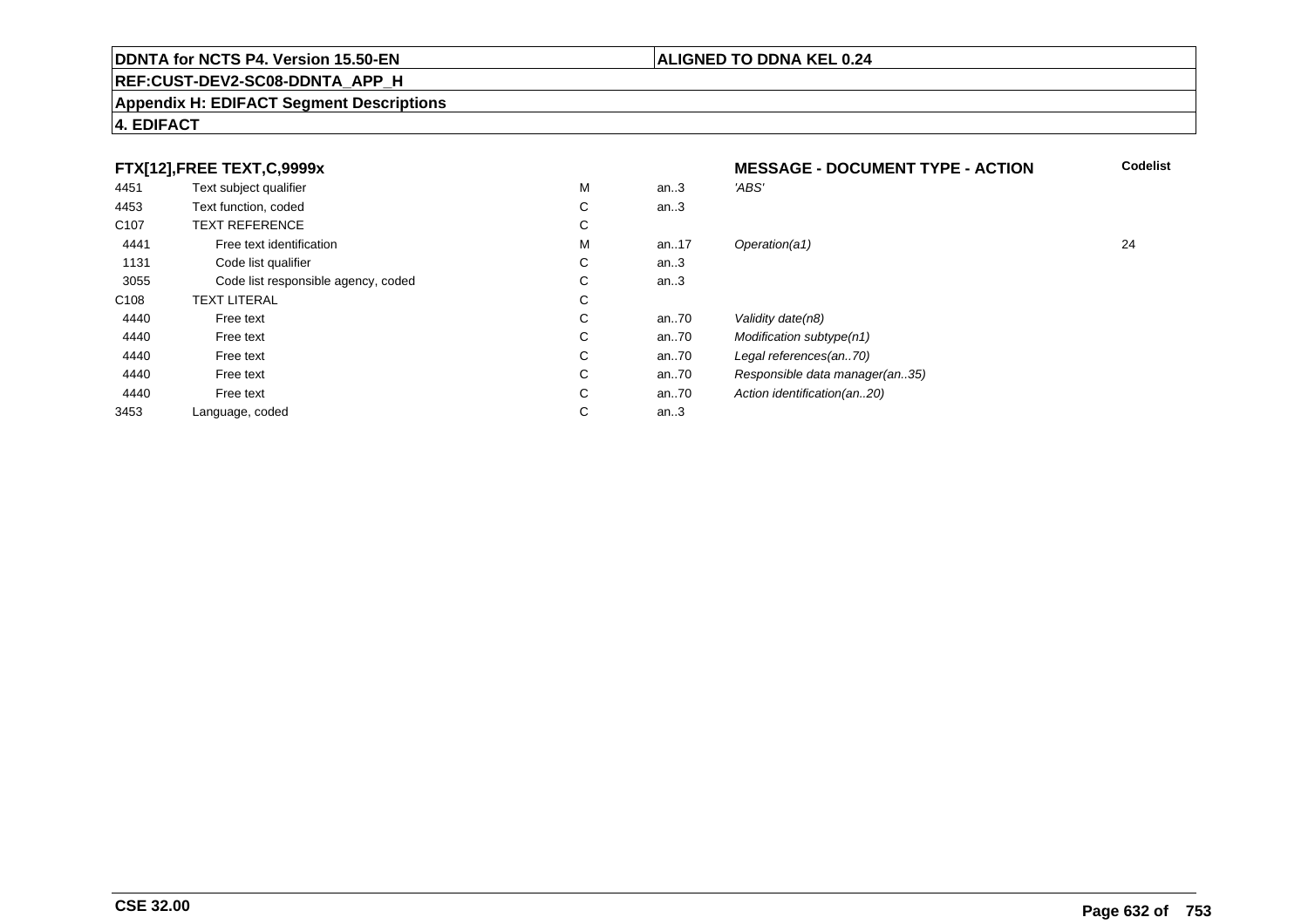## **REF:CUST-DEV2-SC08-DDNTA\_APP\_H**

#### **Appendix H: EDIFACT Segment Descriptions**

# **4. EDIFACT**

#### **FTX[12],FREE TEXT,C,9999xMESSAGE - DOCUMENT TYPE - ACTION**<br>M an..3 *'ABS'*  **Codelist** 4451Text subject qualifier M<br>
Text function, coded C M an..3 *'ABS'*<br>-4453Text function, coded C<br>
TEXT REFERENCE an..3 C107 TEXT REFERENCEE C  $\mathsf{M}% _{T}=\mathsf{M}_{T}\!\left( a,b\right) ,\ \mathsf{M}_{T}=\mathsf{M}_{T}$ 4441Free text identification M<br>Code list qualifier development of the code list qualifier development of  $\mathbf C$ M an..17 Operation(a1) 24 1131Code list qualifier C<br>Code list responsible agency, coded C an..3 3055Code list responsible agency, coded C<br>
XT LITERAL C an..3 C108TEXT LITERAL<br>Free text  $\mathbf C$ 44400 Free text C C an..70 Validity date(n8)<br>C an..70 Modification subt 44400 Free text C C an..70 Modification subtype(n1)<br>C an..70 Legal references(an..70) 44400 Free text C C an..70 Legal references(an..70)<br>C an..70 Responsible data manag 44400 Free text C C an..70 Responsible data manager(an..35)<br>C an..70 Action identification(an..20) 44400 Free text C C an..70 Action identification(an..20)<br>C an..3 3453Language, coded an..3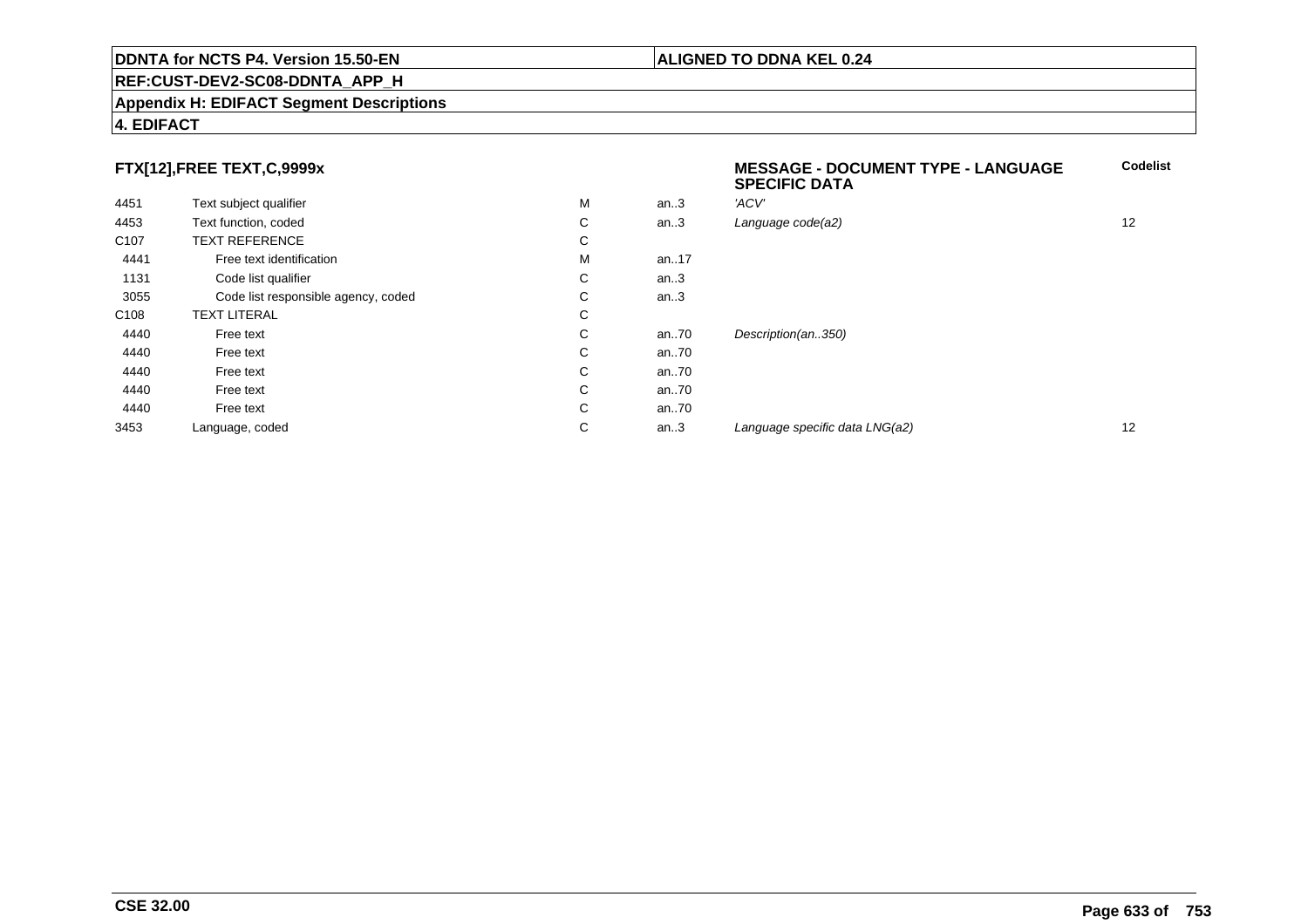## **REF:CUST-DEV2-SC08-DDNTA\_APP\_H**

#### **Appendix H: EDIFACT Segment Descriptions**

# **FTX[12],FREE TEXT,C,9999x**

|                  |                                     |   |      | <b>SPECIFIC DATA</b>           |    |
|------------------|-------------------------------------|---|------|--------------------------------|----|
| 4451             | Text subject qualifier              | M | an.3 | 'ACV'                          |    |
| 4453             | Text function, coded                | С | an.3 | Language code(a2)              | 12 |
| C <sub>107</sub> | <b>TEXT REFERENCE</b>               | C |      |                                |    |
| 4441             | Free text identification            | M | an17 |                                |    |
| 1131             | Code list qualifier                 | С | an.3 |                                |    |
| 3055             | Code list responsible agency, coded | С | an.3 |                                |    |
| C <sub>108</sub> | <b>TEXT LITERAL</b>                 | С |      |                                |    |
| 4440             | Free text                           | C | an70 | Description(an350)             |    |
| 4440             | Free text                           | C | an70 |                                |    |
| 4440             | Free text                           | С | an70 |                                |    |
| 4440             | Free text                           | C | an70 |                                |    |
| 4440             | Free text                           | C | an70 |                                |    |
| 3453             | Language, coded                     | С | an.3 | Language specific data LNG(a2) | 12 |

**4. EDIFACT**

**Codelist**

**ALIGNED TO DDNA KEL 0.24**

**MESSAGE - DOCUMENT TYPE - LANGUAGE**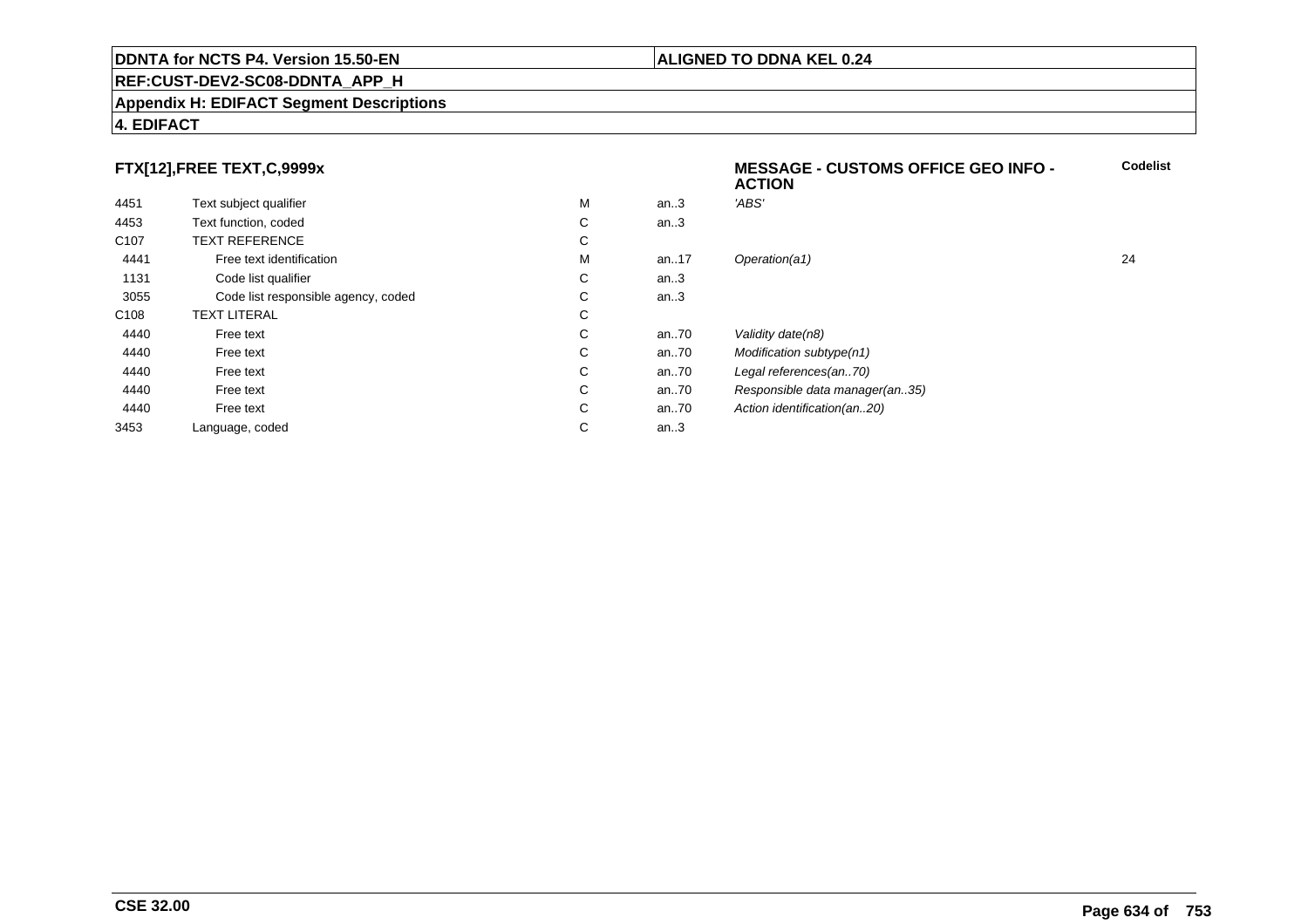## **REF:CUST-DEV2-SC08-DDNTA\_APP\_H**

#### **Appendix H: EDIFACT Segment Descriptions**

# **4. EDIFACT**

# **FTX[12],FREE TEXT,C,9999x**

|                                     |   |      | <b>ACTION</b>                  |    |
|-------------------------------------|---|------|--------------------------------|----|
| Text subject qualifier              | M | an.3 | 'ABS'                          |    |
| Text function, coded                | C | an.3 |                                |    |
| <b>TEXT REFERENCE</b>               | C |      |                                |    |
| Free text identification            | М | an17 | Operation(a1)                  | 24 |
| Code list qualifier                 | C | an.3 |                                |    |
| Code list responsible agency, coded | С | an.3 |                                |    |
| <b>TEXT LITERAL</b>                 | С |      |                                |    |
| Free text                           | C | an70 | Validity date(n8)              |    |
| Free text                           | С | an70 | Modification subtype(n1)       |    |
| Free text                           | C | an70 | Legal references(an70)         |    |
| Free text                           | C | an70 | Responsible data manager(an35) |    |
| Free text                           | С | an70 | Action identification(an20)    |    |
| Language, coded                     | С | an.3 |                                |    |
|                                     |   |      |                                |    |

**Codelist**

# **ALIGNED TO DDNA KEL 0.24**

**MESSAGE - CUSTOMS OFFICE GEO INFO -**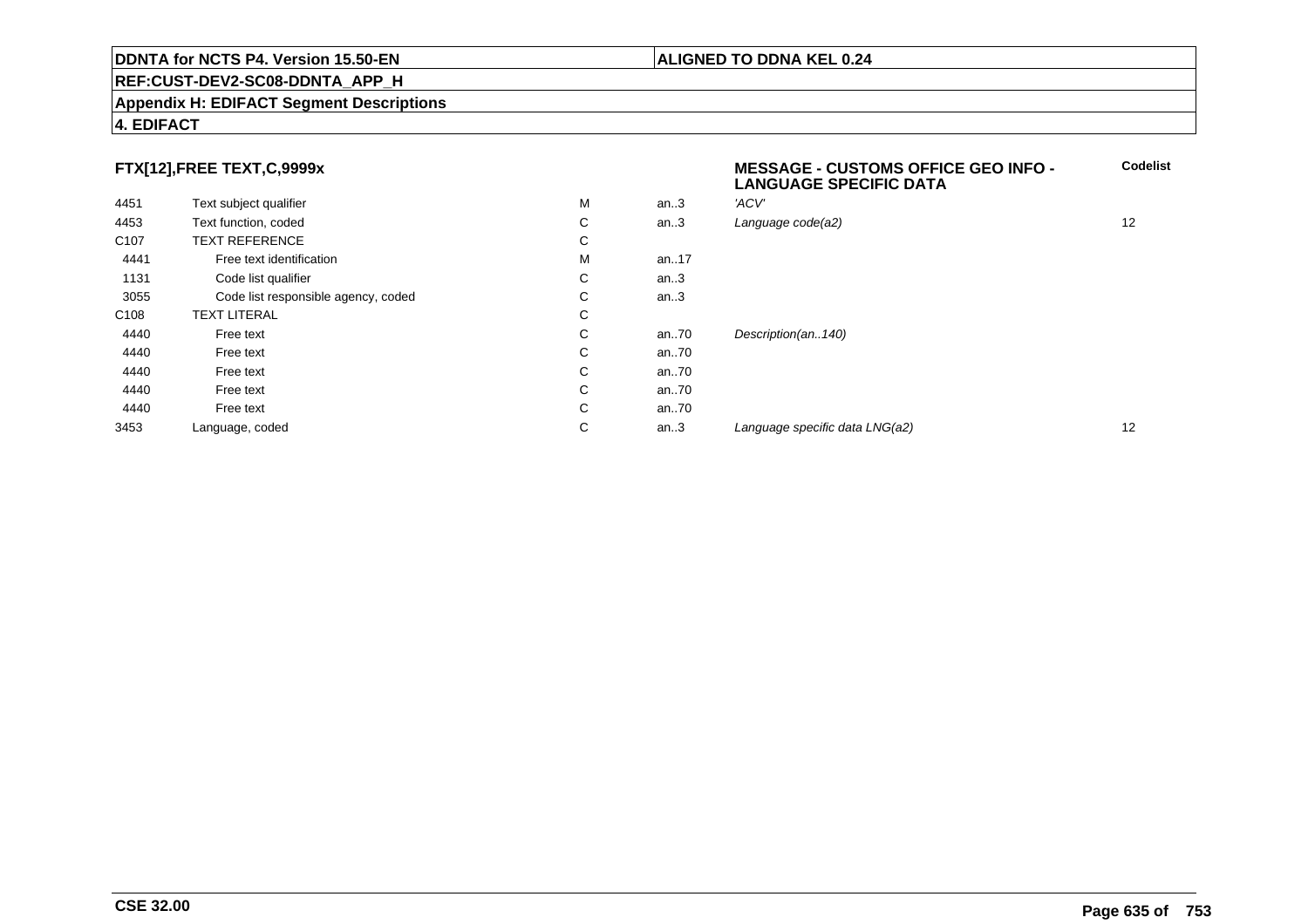## **REF:CUST-DEV2-SC08-DDNTA\_APP\_H**

#### **Appendix H: EDIFACT Segment Descriptions**

# **4. EDIFACT**

# **FTX[12],FREE TEXT,C,9999x**

| 4451             | Text subject qualifier              | M | an.3 | 'ACV'                          |    |
|------------------|-------------------------------------|---|------|--------------------------------|----|
| 4453             | Text function, coded                | C | an.3 | Language code(a2)              | 12 |
| C <sub>107</sub> | <b>TEXT REFERENCE</b>               | С |      |                                |    |
| 4441             | Free text identification            | M | an17 |                                |    |
| 1131             | Code list qualifier                 | С | an.3 |                                |    |
| 3055             | Code list responsible agency, coded | С | an.3 |                                |    |
| C108             | <b>TEXT LITERAL</b>                 | С |      |                                |    |
| 4440             | Free text                           | C | an70 | Description(an140)             |    |
| 4440             | Free text                           | С | an70 |                                |    |
| 4440             | Free text                           | C | an70 |                                |    |
| 4440             | Free text                           | С | an70 |                                |    |
| 4440             | Free text                           | C | an70 |                                |    |
| 3453             | Language, coded                     | C | an.3 | Language specific data LNG(a2) | 12 |
|                  |                                     |   |      |                                |    |

# **MESSAGE - CUSTOMS OFFICE GEO INFO - LANGUAGE SPECIFIC DATACodelist**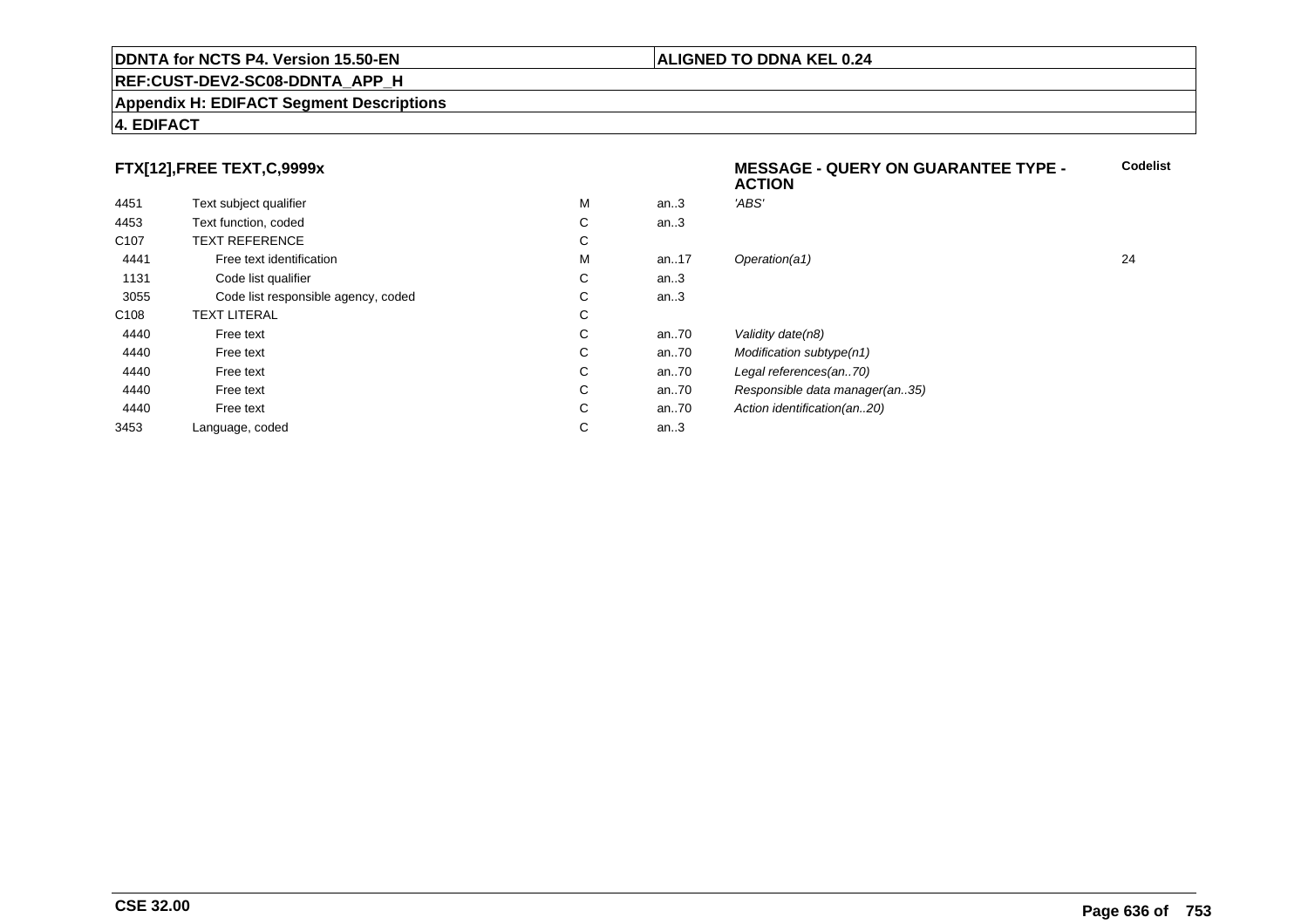## **REF:CUST-DEV2-SC08-DDNTA\_APP\_H**

#### **Appendix H: EDIFACT Segment Descriptions**

# **4. EDIFACT**

# **FTX[12],FREE TEXT,C,9999x**

| FTX[12],FREE TEXT,C,9999x |                                     |   |      | <b>MESSAGE - QUERY ON GUARANTEE TYPE -</b><br><b>ACTION</b> |    |
|---------------------------|-------------------------------------|---|------|-------------------------------------------------------------|----|
| 4451                      | Text subject qualifier              | M | an.3 | 'ABS'                                                       |    |
| 4453                      | Text function, coded                | C | an.3 |                                                             |    |
| C <sub>107</sub>          | <b>TEXT REFERENCE</b>               | C |      |                                                             |    |
| 4441                      | Free text identification            | M | an17 | Operation(a1)                                               | 24 |
| 1131                      | Code list qualifier                 | C | an.3 |                                                             |    |
| 3055                      | Code list responsible agency, coded | C | an.3 |                                                             |    |
| C <sub>108</sub>          | <b>TEXT LITERAL</b>                 | C |      |                                                             |    |
| 4440                      | Free text                           | C | an70 | Validity date(n8)                                           |    |
| 4440                      | Free text                           | C | an70 | Modification subtype(n1)                                    |    |
| 4440                      | Free text                           | C | an70 | Legal references(an70)                                      |    |
| 4440                      | Free text                           | C | an70 | Responsible data manager(an35)                              |    |
| 4440                      | Free text                           | C | an70 | Action identification(an20)                                 |    |
| 3453                      | Language, coded                     | С | an.3 |                                                             |    |
|                           |                                     |   |      |                                                             |    |

**Codelist**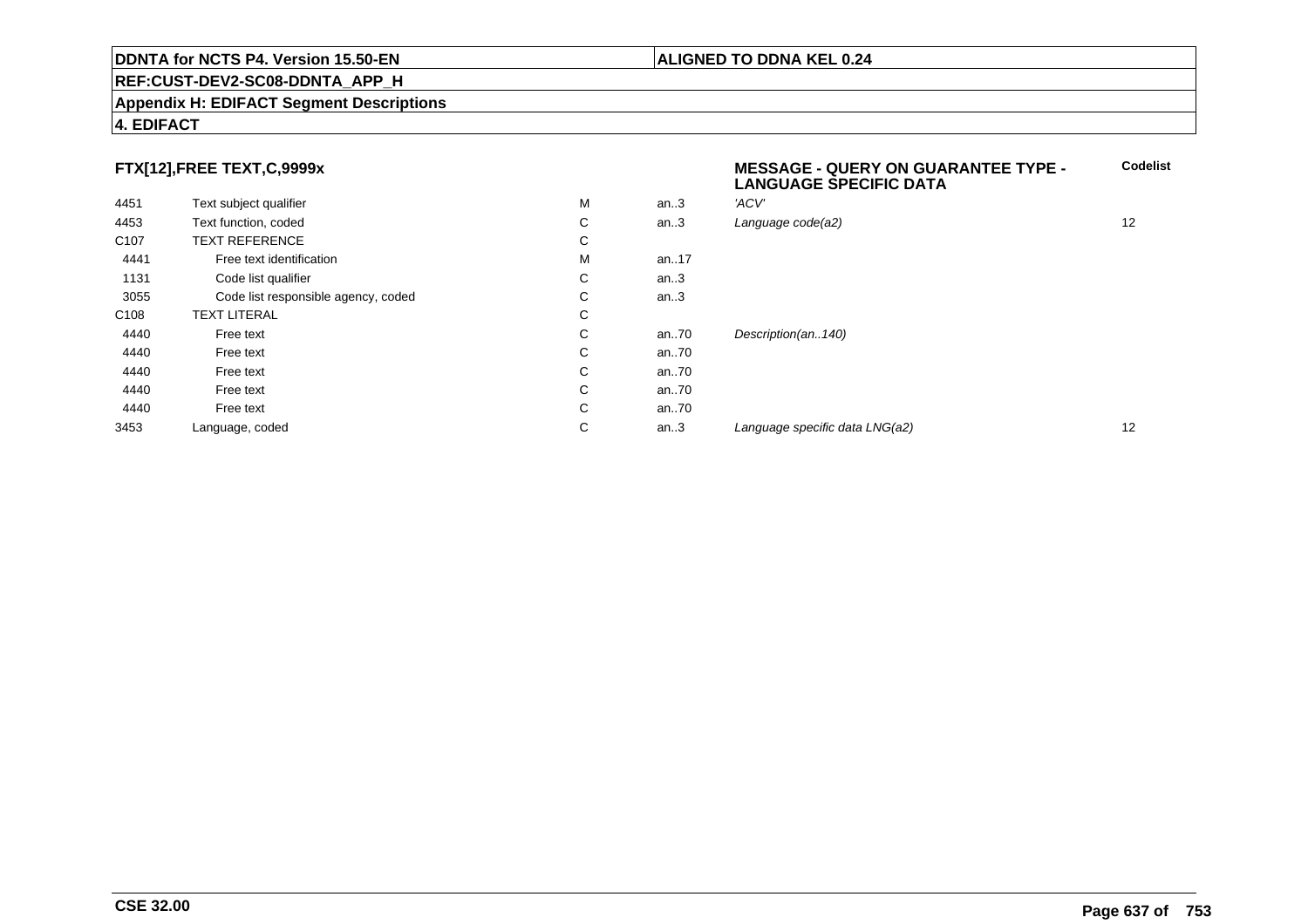## **REF:CUST-DEV2-SC08-DDNTA\_APP\_H**

#### **Appendix H: EDIFACT Segment Descriptions**

# **4. EDIFACT**

# **FTX[12],FREE TEXT,C,9999x**

|                  |                                     |   |      | <b>LANGUAGE SPECIFIC DATA</b>  |    |
|------------------|-------------------------------------|---|------|--------------------------------|----|
| 4451             | Text subject qualifier              | M | an.3 | 'ACV'                          |    |
| 4453             | Text function, coded                | С | an.3 | Language code(a2)              | 12 |
| C <sub>107</sub> | <b>TEXT REFERENCE</b>               | С |      |                                |    |
| 4441             | Free text identification            | M | an17 |                                |    |
| 1131             | Code list qualifier                 | С | an.3 |                                |    |
| 3055             | Code list responsible agency, coded | С | an.3 |                                |    |
| C <sub>108</sub> | <b>TEXT LITERAL</b>                 | С |      |                                |    |
| 4440             | Free text                           | С | an70 | Description(an140)             |    |
| 4440             | Free text                           | С | an70 |                                |    |
| 4440             | Free text                           | С | an70 |                                |    |
| 4440             | Free text                           | С | an70 |                                |    |
| 4440             | Free text                           | С | an70 |                                |    |
| 3453             | Language, coded                     | С | an.3 | Language specific data LNG(a2) | 12 |
|                  |                                     |   |      |                                |    |

**ALIGNED TO DDNA KEL 0.24**

**MESSAGE - QUERY ON GUARANTEE TYPE -**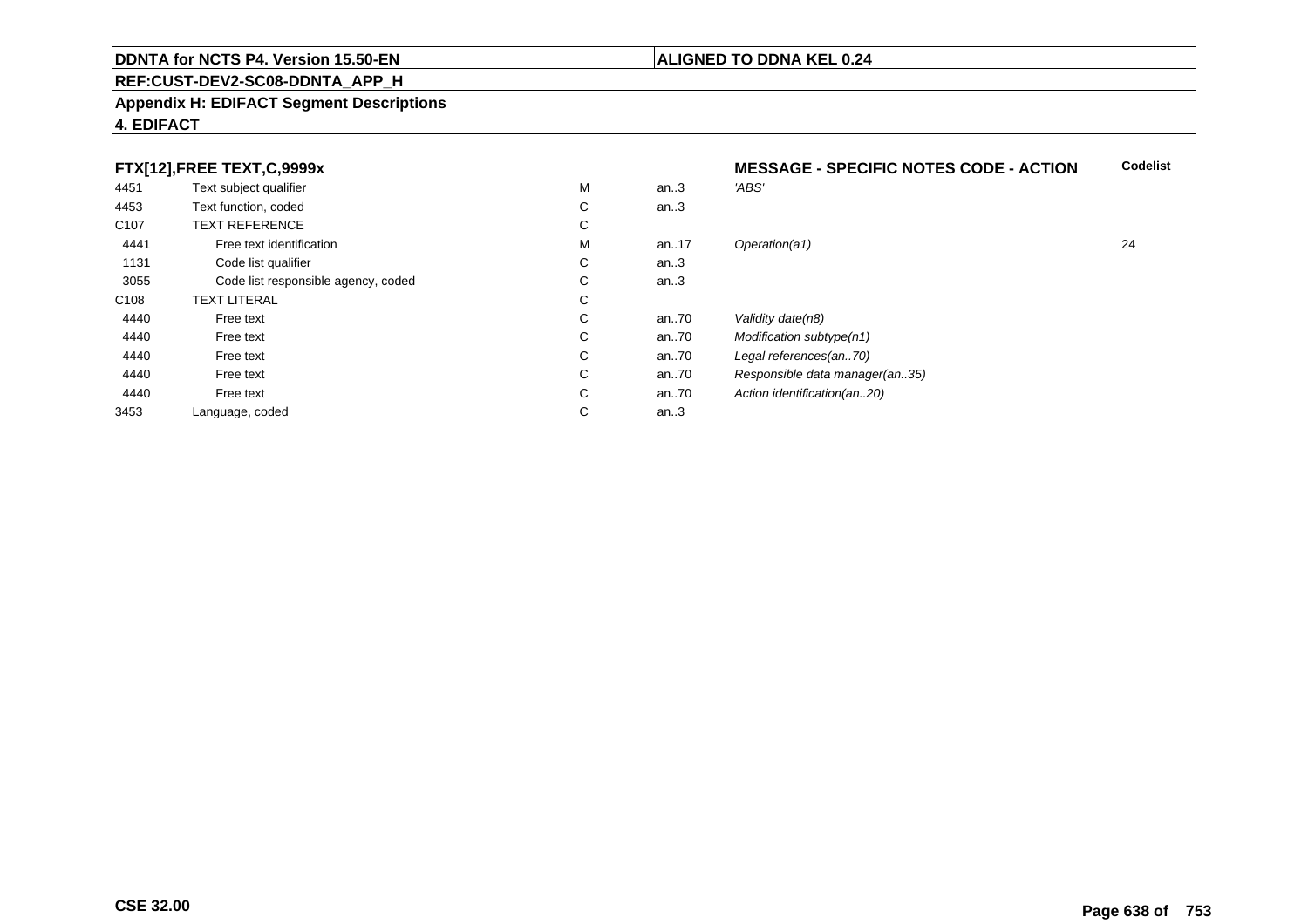## **REF:CUST-DEV2-SC08-DDNTA\_APP\_H**

#### **Appendix H: EDIFACT Segment Descriptions**

# **4. EDIFACT**

# **FTX[12],FREE TEXT,C,9999x**

|                  | FTX[12],FREE TEXT,C,9999x           |   |      | <b>MESSAGE - SPECIFIC NOTES CODE - ACTION</b> |    |
|------------------|-------------------------------------|---|------|-----------------------------------------------|----|
| 4451             | Text subject qualifier              | M | an.3 | 'ABS'                                         |    |
| 4453             | Text function, coded                | С | an.3 |                                               |    |
| C <sub>107</sub> | <b>TEXT REFERENCE</b>               | С |      |                                               |    |
| 4441             | Free text identification            | M | an17 | Operation(a1)                                 | 24 |
| 1131             | Code list qualifier                 | С | an.3 |                                               |    |
| 3055             | Code list responsible agency, coded | С | an.3 |                                               |    |
| C108             | <b>TEXT LITERAL</b>                 | С |      |                                               |    |
| 4440             | Free text                           | С | an70 | Validity date(n8)                             |    |
| 4440             | Free text                           | С | an70 | Modification subtype(n1)                      |    |
| 4440             | Free text                           | С | an70 | Legal references(an70)                        |    |
| 4440             | Free text                           | С | an70 | Responsible data manager(an35)                |    |
| 4440             | Free text                           | С | an70 | Action identification(an20)                   |    |
| 3453             | Language, coded                     | С | an.3 |                                               |    |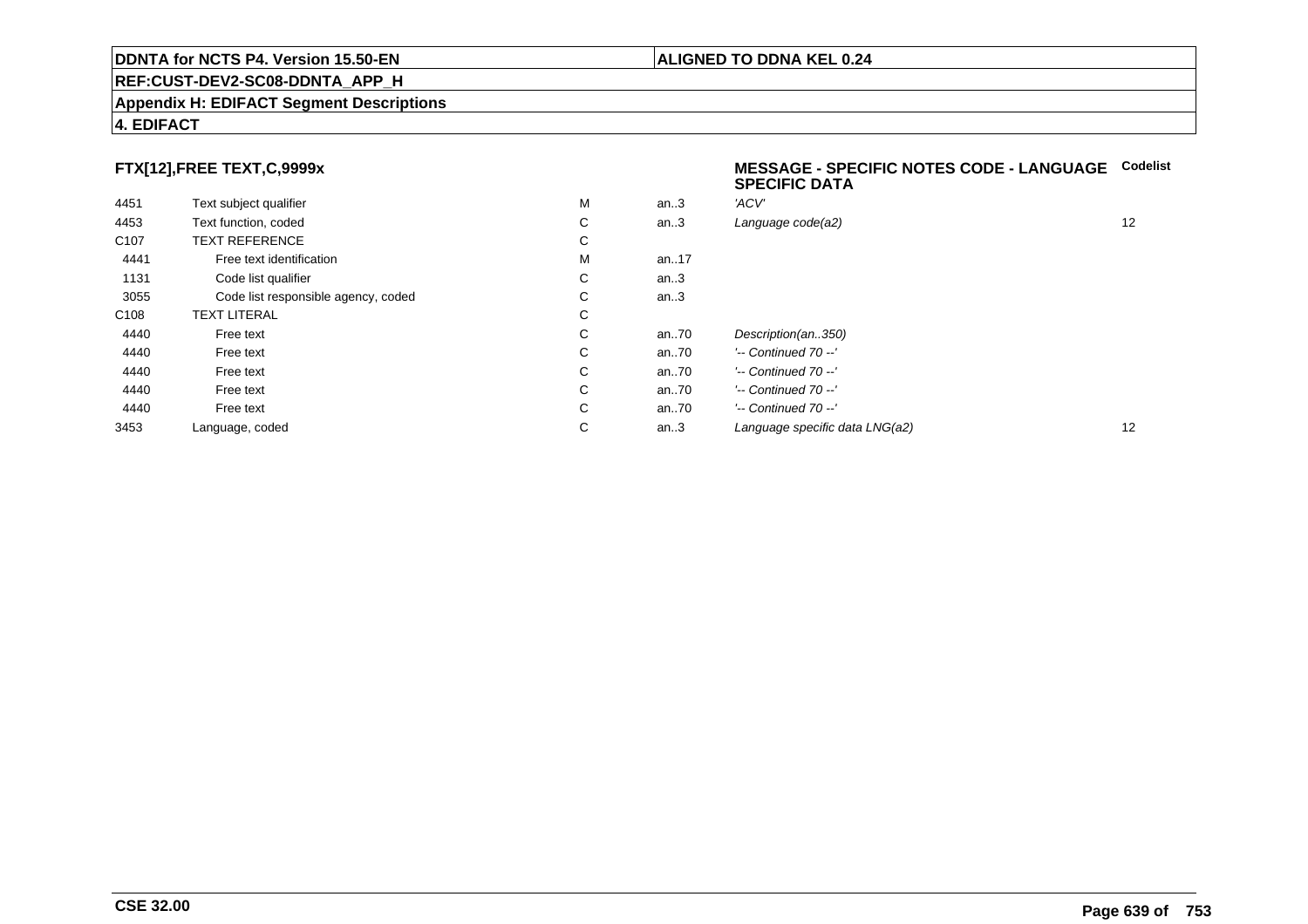## **REF:CUST-DEV2-SC08-DDNTA\_APP\_H**

#### **Appendix H: EDIFACT Segment Descriptions**

# **4. EDIFACT**

# **FTX[12],FREE TEXT,C,9999x**

| 4451             | Text subject qualifier              | M | an.3     | 'ACV'                      |
|------------------|-------------------------------------|---|----------|----------------------------|
| 4453             | Text function, coded                | С | an.3     | Language code(a2)          |
| C <sub>107</sub> | <b>TEXT REFERENCE</b>               | С |          |                            |
| 4441             | Free text identification            | M | an. $17$ |                            |
| 1131             | Code list qualifier                 | С | an.3     |                            |
| 3055             | Code list responsible agency, coded | С | an.3     |                            |
| C <sub>108</sub> | <b>TEXT LITERAL</b>                 | С |          |                            |
| 4440             | Free text                           | С | an.70    | Description(an350)         |
| 4440             | Free text                           | С | an.70    | $'-$ Continued 70 $-$ '    |
| 4440             | Free text                           | С | an.70    | $'-$ Continued 70 $-$ '    |
| 4440             | Free text                           | С | an.70    | $'-$ Continued 70 $-$ '    |
| 4440             | Free text                           | С | an.70    | $'-$ Continued 70 $-$ '    |
| 3453             | Language, coded                     | С | an.3     | Language specific data LNG |
|                  |                                     |   |          |                            |

#### **MESSAGE - SPECIFIC NOTES CODE - LANGUAGECodelistSPECIFIC DATA**

| М | an.3 | 'ACV'                          |    |
|---|------|--------------------------------|----|
| С | an.3 | Language code(a2)              | 12 |
| С |      |                                |    |
| М | an17 |                                |    |
| С | an.3 |                                |    |
| С | an.3 |                                |    |
| С |      |                                |    |
| С | an70 | Description(an350)             |    |
| С | an70 | $'-$ Continued 70 $-$ '        |    |
| С | an70 | $'-$ Continued 70 $-$ '        |    |
| С | an70 | $'-$ Continued 70 $-$ '        |    |
| С | an70 | $'-$ Continued 70 $-$ '        |    |
| С | an.3 | Language specific data LNG(a2) | 12 |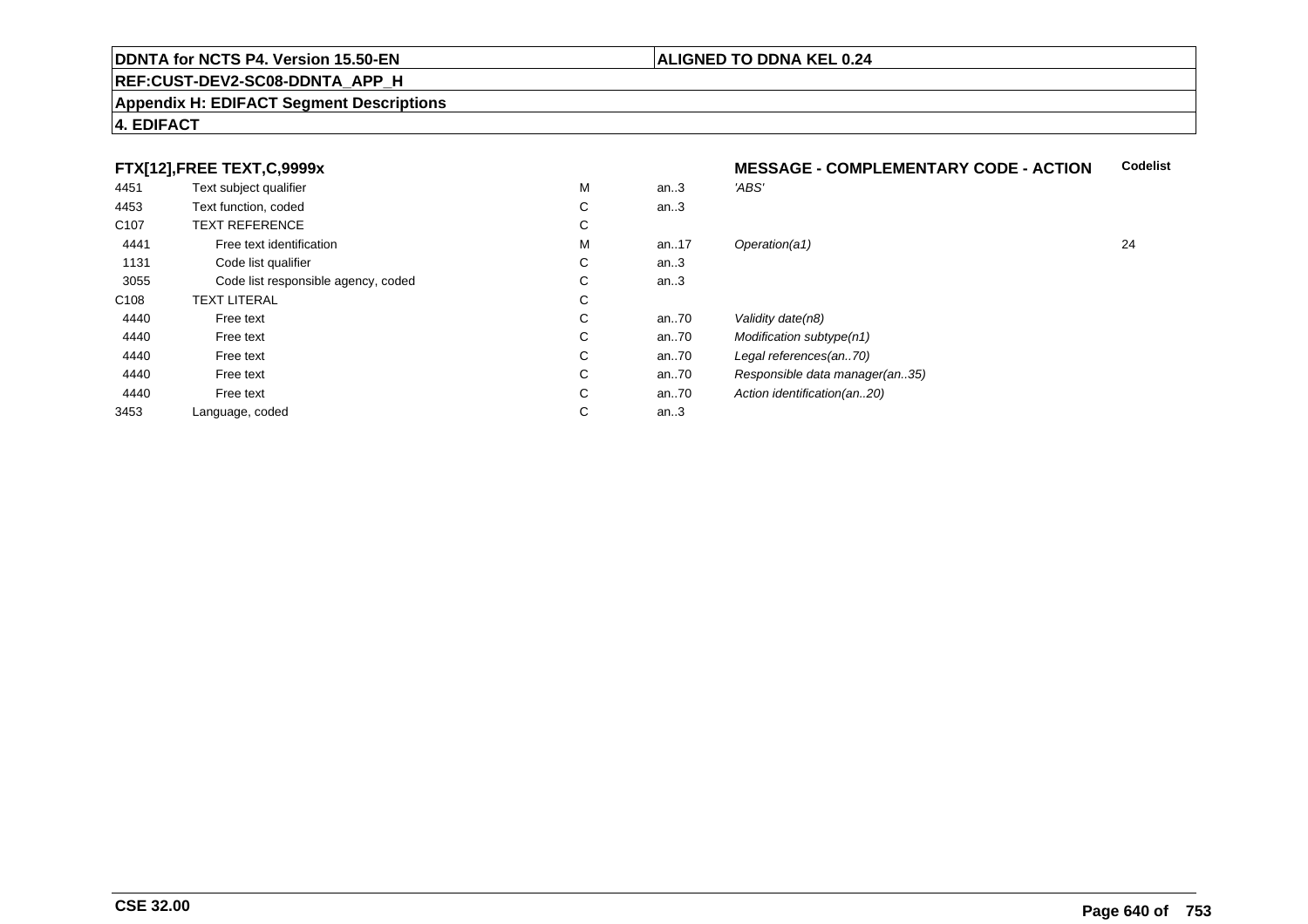## **REF:CUST-DEV2-SC08-DDNTA\_APP\_H**

#### **Appendix H: EDIFACT Segment Descriptions**

# **4. EDIFACT**

# **FTX[12],FREE TEXT,C,9999x**

| 4451             | Text subject qualifier              | M  | an.3 | 'ABS'                          |    |
|------------------|-------------------------------------|----|------|--------------------------------|----|
| 4453             | Text function, coded                | C  | an.3 |                                |    |
| C <sub>107</sub> | <b>TEXT REFERENCE</b>               | C  |      |                                |    |
| 4441             | Free text identification            | M  | an17 | Operation(a1)                  | 24 |
| 1131             | Code list qualifier                 | С  | an.3 |                                |    |
| 3055             | Code list responsible agency, coded | C. | an.3 |                                |    |
| C108             | <b>TEXT LITERAL</b>                 | C  |      |                                |    |
| 4440             | Free text                           | C  | an70 | Validity date(n8)              |    |
| 4440             | Free text                           | C  | an70 | Modification subtype(n1)       |    |
| 4440             | Free text                           | C  | an70 | Legal references(an70)         |    |
| 4440             | Free text                           | C  | an70 | Responsible data manager(an35) |    |
| 4440             | Free text                           | C  | an70 | Action identification(an20)    |    |
| 3453             | Language, coded                     | C  | an.3 |                                |    |
|                  |                                     |    |      |                                |    |

# **MESSAGE - COMPLEMENTARY CODE - ACTIONCodelist**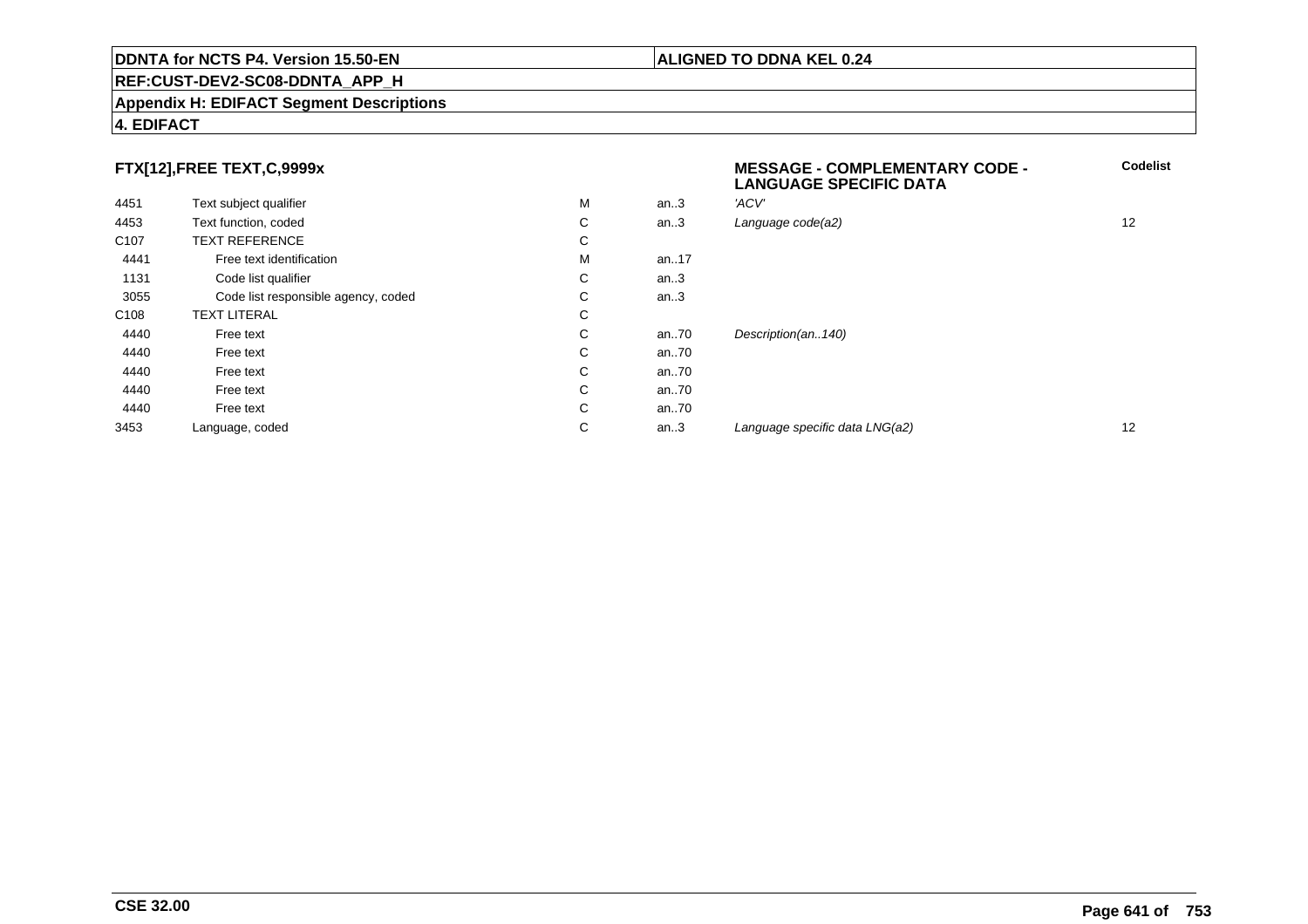## **REF:CUST-DEV2-SC08-DDNTA\_APP\_H**

#### **Appendix H: EDIFACT Segment Descriptions**

# **4. EDIFACT**

# **FTX[12],FREE TEXT,C,9999x**

| . .              |                                     |   |      | <b>LANGUAGE SPECIFIC DATA</b>  |    |
|------------------|-------------------------------------|---|------|--------------------------------|----|
| 4451             | Text subject qualifier              | M | an.3 | 'ACV'                          |    |
| 4453             | Text function, coded                | C | an.3 | Language code(a2)              | 12 |
| C <sub>107</sub> | <b>TEXT REFERENCE</b>               | C |      |                                |    |
| 4441             | Free text identification            | M | an17 |                                |    |
| 1131             | Code list qualifier                 | С | an.3 |                                |    |
| 3055             | Code list responsible agency, coded | C | an.3 |                                |    |
| C <sub>108</sub> | <b>TEXT LITERAL</b>                 | C |      |                                |    |
| 4440             | Free text                           | C | an70 | Description(an140)             |    |
| 4440             | Free text                           | C | an70 |                                |    |
| 4440             | Free text                           | C | an70 |                                |    |
| 4440             | Free text                           | C | an70 |                                |    |
| 4440             | Free text                           | C | an70 |                                |    |
| 3453             | Language, coded                     | C | an.3 | Language specific data LNG(a2) | 12 |
|                  |                                     |   |      |                                |    |

# **ALIGNED TO DDNA KEL 0.24**

**MESSAGE - COMPLEMENTARY CODE -**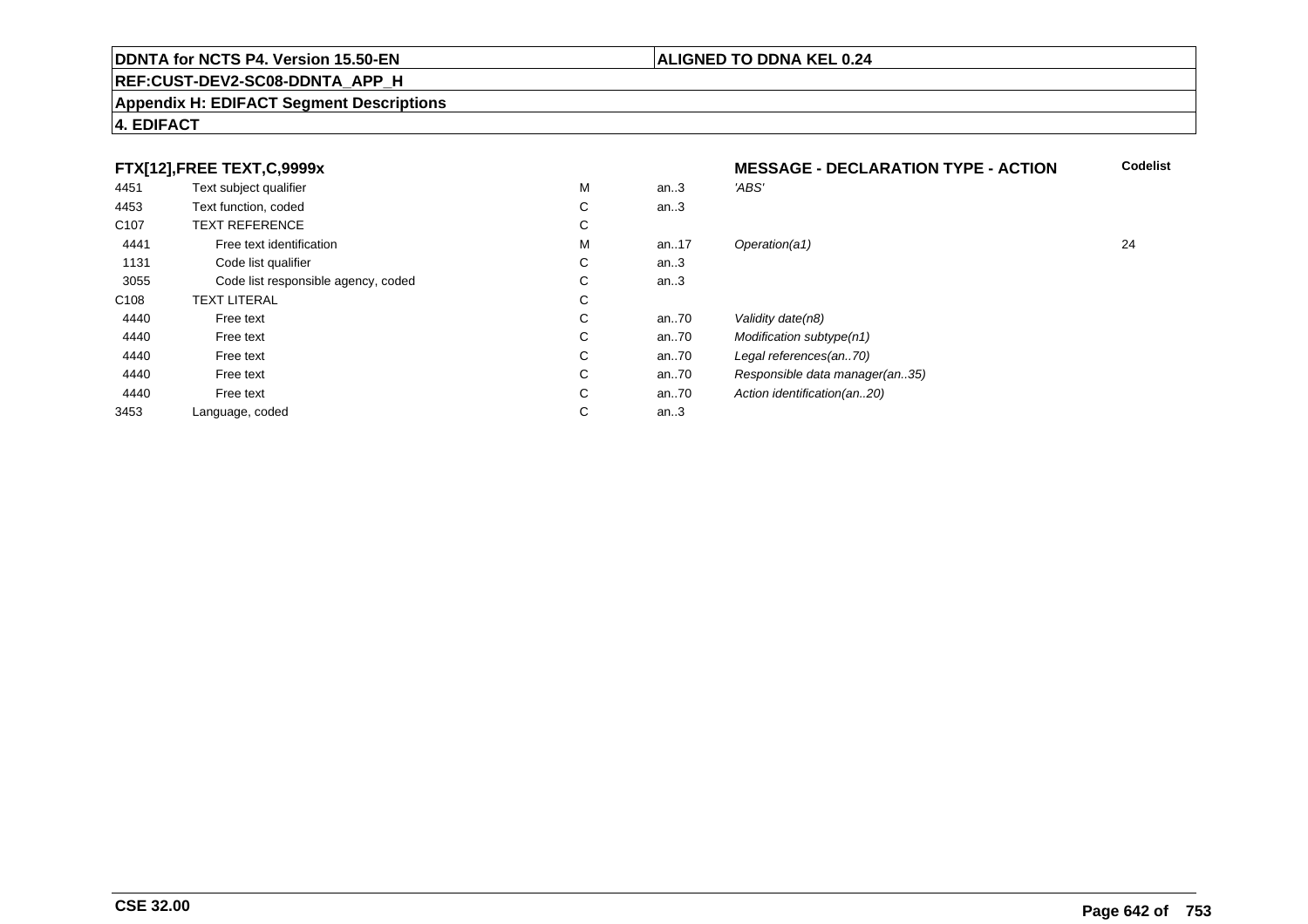## **REF:CUST-DEV2-SC08-DDNTA\_APP\_H**

#### **Appendix H: EDIFACT Segment Descriptions**

# **4. EDIFACT**

# **FTX[12],FREE TEXT,C,9999x**

| FTX[12],FREE TEXT,C,9999x           |   |      | <b>MESSAGE - DECLARATION TYPE - ACTION</b> |    |
|-------------------------------------|---|------|--------------------------------------------|----|
| Text subject qualifier              | M | an.3 | 'ABS'                                      |    |
| Text function, coded                | С | an.3 |                                            |    |
| <b>TEXT REFERENCE</b>               | С |      |                                            |    |
| Free text identification            | M | an17 | Operation(a1)                              | 24 |
| Code list qualifier                 | С | an.3 |                                            |    |
| Code list responsible agency, coded | С | an.3 |                                            |    |
| <b>TEXT LITERAL</b>                 | С |      |                                            |    |
| Free text                           | С | an70 | Validity date(n8)                          |    |
| Free text                           | С | an70 | Modification subtype(n1)                   |    |
| Free text                           | С | an70 | Legal references(an70)                     |    |
| Free text                           | С | an70 | Responsible data manager(an35)             |    |
| Free text                           | С | an70 | Action identification(an20)                |    |
| Language, coded                     | С | an.3 |                                            |    |
|                                     |   |      |                                            |    |

**ALIGNED TO DDNA KEL 0.24**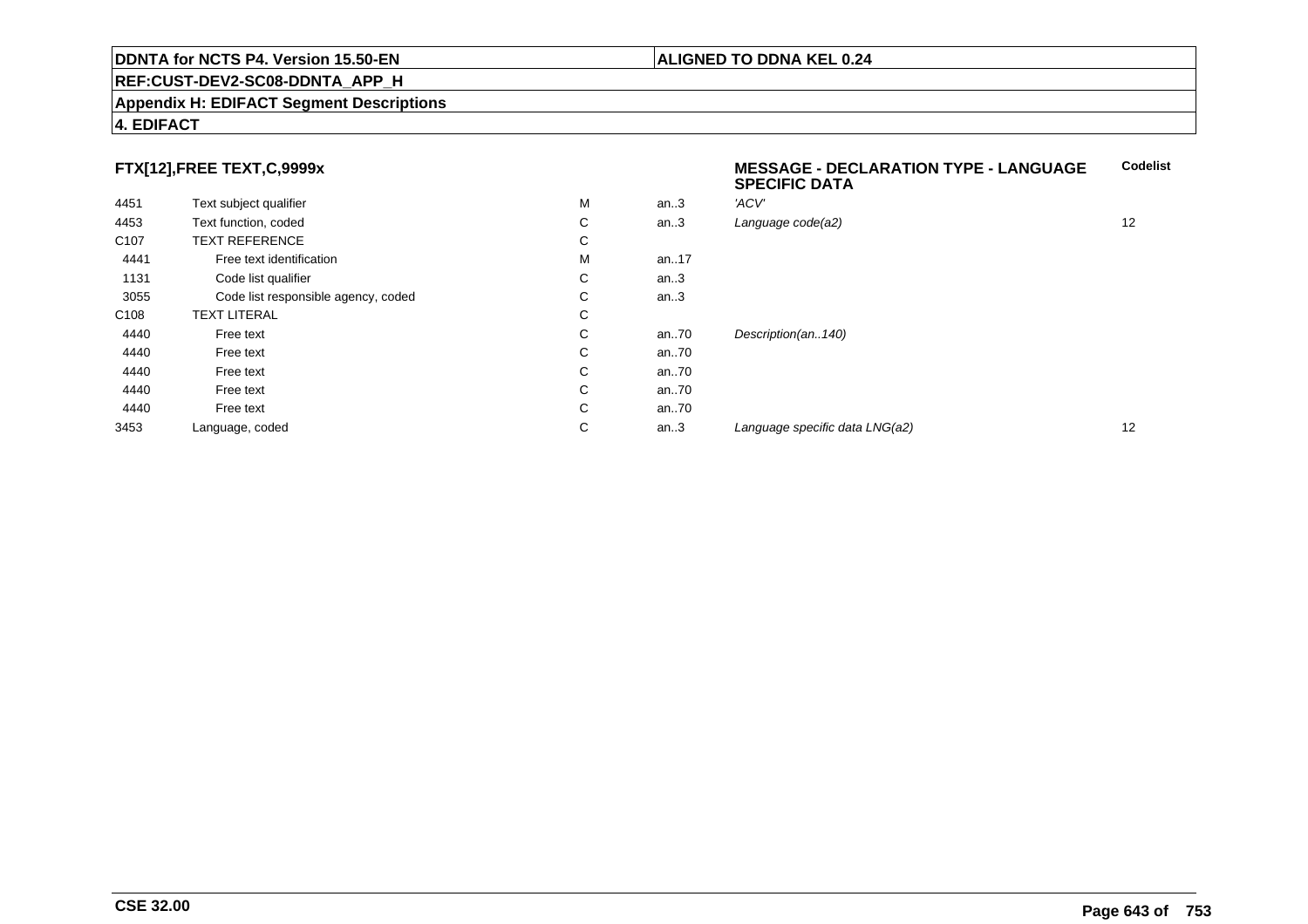## **REF:CUST-DEV2-SC08-DDNTA\_APP\_H**

#### **Appendix H: EDIFACT Segment Descriptions**

## **4. EDIFACT**

# **FTX[12],FREE TEXT,C,9999x**

| 4451             | Text subject qualifier              | M | an.3 | 'ACV'                          |    |
|------------------|-------------------------------------|---|------|--------------------------------|----|
| 4453             | Text function, coded                | С | an.3 | Language code(a2)              | 12 |
| C <sub>107</sub> | <b>TEXT REFERENCE</b>               | С |      |                                |    |
| 4441             | Free text identification            | M | an17 |                                |    |
| 1131             | Code list qualifier                 | С | an.3 |                                |    |
| 3055             | Code list responsible agency, coded | С | an.3 |                                |    |
| C108             | TEXT LITERAL                        | С |      |                                |    |
| 4440             | Free text                           | С | an70 | Description(an140)             |    |
| 4440             | Free text                           | С | an70 |                                |    |
| 4440             | Free text                           | С | an70 |                                |    |
| 4440             | Free text                           | С | an70 |                                |    |
| 4440             | Free text                           | С | an70 |                                |    |
| 3453             | Language, coded                     | С | an.3 | Language specific data LNG(a2) | 12 |
|                  |                                     |   |      |                                |    |

**SPECIFIC DATA**

**MESSAGE - DECLARATION TYPE - LANGUAGE**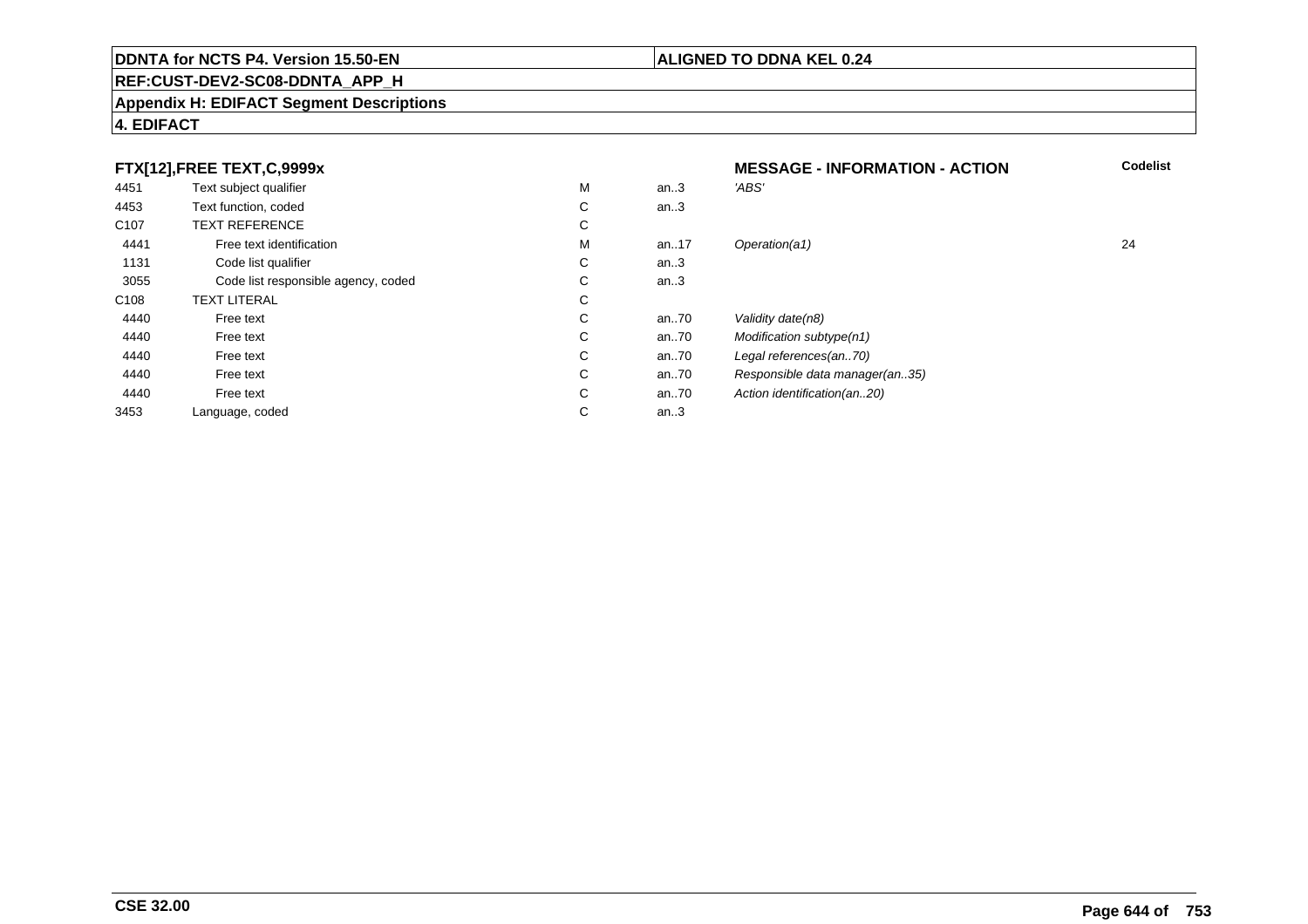## **REF:CUST-DEV2-SC08-DDNTA\_APP\_H**

#### **Appendix H: EDIFACT Segment Descriptions**

# **4. EDIFACT**

#### **FTX[12],FREE TEXT,C,9999xMESSAGE - INFORMATION - ACTION**<br>M an..3 *'ABS'*  **Codelist** 4451Text subject qualifier M<br>
Text function, coded C M an..3 *'ABS'*<br>-4453Text function, coded C<br>
TEXT REFERENCE an..3 C107 TEXT REFERENCEE C  $\mathsf{M}% _{T}=\mathsf{M}_{T}\!\left( a,b\right) ,\ \mathsf{M}_{T}=\mathsf{M}_{T}$ 4441Free text identification M<br>Code list qualifier development of the code list qualifier development of  $\mathbf C$ M an..17 Operation(a1) 24 1131Code list qualifier C<br>Code list responsible agency, coded C an..3 3055Code list responsible agency, coded C<br>
XT LITERAL C an..3 C108TEXT LITERAL<br>Free text  $\mathbf C$ 44400 Free text C C an..70 Validity date(n8)<br>C an..70 Modification subt 44400 Free text C C an..70 Modification subtype(n1)<br>C an..70 Legal references(an..70) 44400 Free text C C an..70 Legal references(an..70)<br>C an..70 Responsible data manag 44400 Free text C C an..70 Responsible data manager(an..35)<br>C an..70 Action identification(an..20) 44400 Free text C C an..70 Action identification(an..20)<br>C an..3 3453Language, coded an..3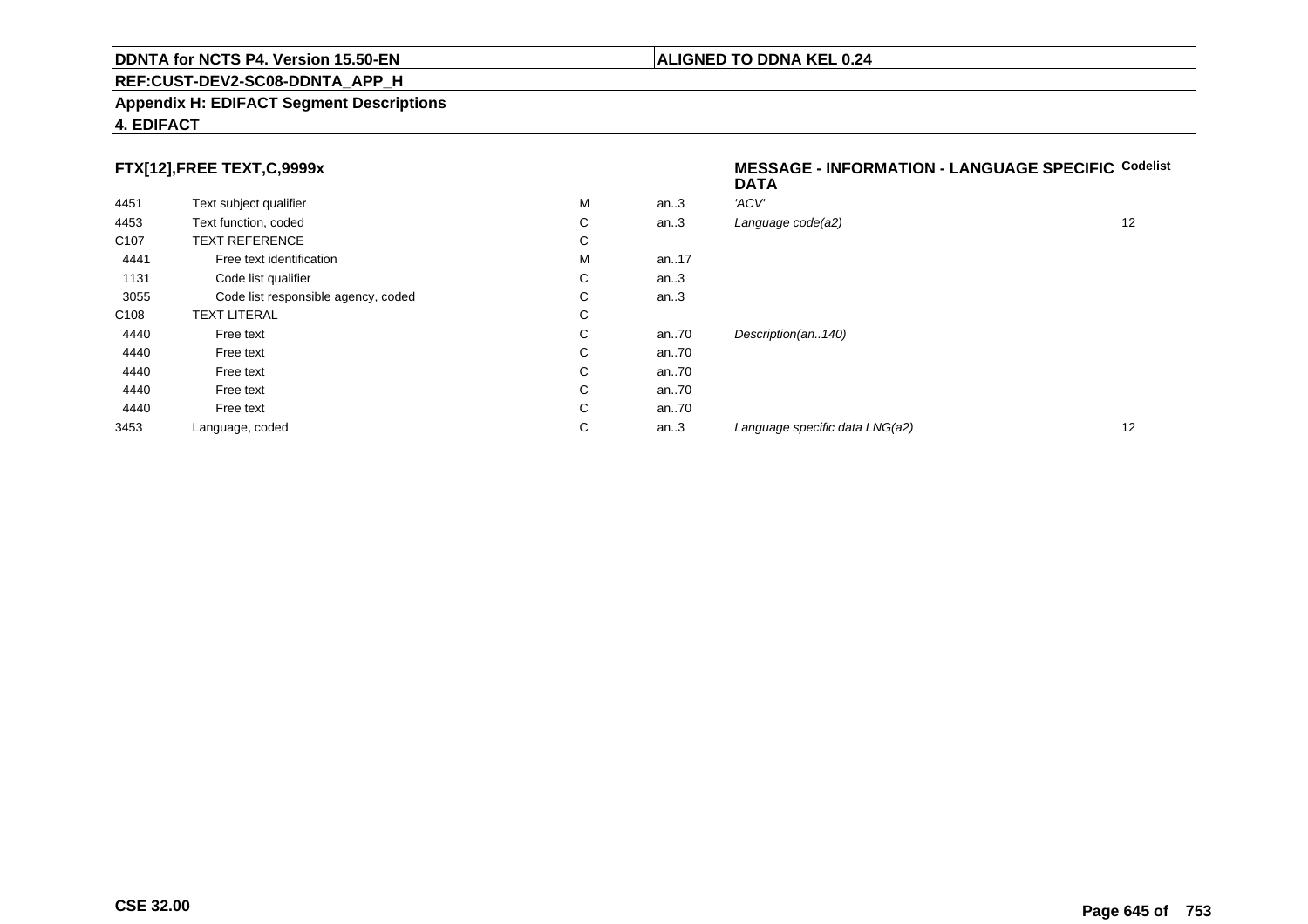## **REF:CUST-DEV2-SC08-DDNTA\_APP\_H**

#### **Appendix H: EDIFACT Segment Descriptions**

# **4. EDIFACT**

# **FTX[12],FREE TEXT,C,9999x**

| 4451             | Text subject qualifier              | M | an.3     | 'ACV'                |
|------------------|-------------------------------------|---|----------|----------------------|
| 4453             | Text function, coded                | С | an.3     | Language code(a2)    |
| C <sub>107</sub> | <b>TEXT REFERENCE</b>               | С |          |                      |
| 4441             | Free text identification            | M | an. $17$ |                      |
| 1131             | Code list qualifier                 | С | an.3     |                      |
| 3055             | Code list responsible agency, coded | С | an.3     |                      |
| C <sub>108</sub> | <b>TEXT LITERAL</b>                 | С |          |                      |
| 4440             | Free text                           | С | an70     | Description(an140)   |
| 4440             | Free text                           | С | an70     |                      |
| 4440             | Free text                           | С | an70     |                      |
| 4440             | Free text                           | С | an70     |                      |
| 4440             | Free text                           | C | an70     |                      |
| 3453             | Language, coded                     | С | an.3     | Language specific di |
|                  |                                     |   |          |                      |

#### **MESSAGE - INFORMATION - LANGUAGE SPECIFICCodelistDATA**

| M | an.3 | 'ACV'                          |    |
|---|------|--------------------------------|----|
| С | an.3 | Language code(a2)              | 12 |
| С |      |                                |    |
| М | an17 |                                |    |
| С | an.3 |                                |    |
| С | an.3 |                                |    |
| С |      |                                |    |
| С | an70 | Description(an140)             |    |
| С | an70 |                                |    |
| С | an70 |                                |    |
| С | an70 |                                |    |
| С | an70 |                                |    |
| С | an.3 | Language specific data LNG(a2) | 12 |
|   |      |                                |    |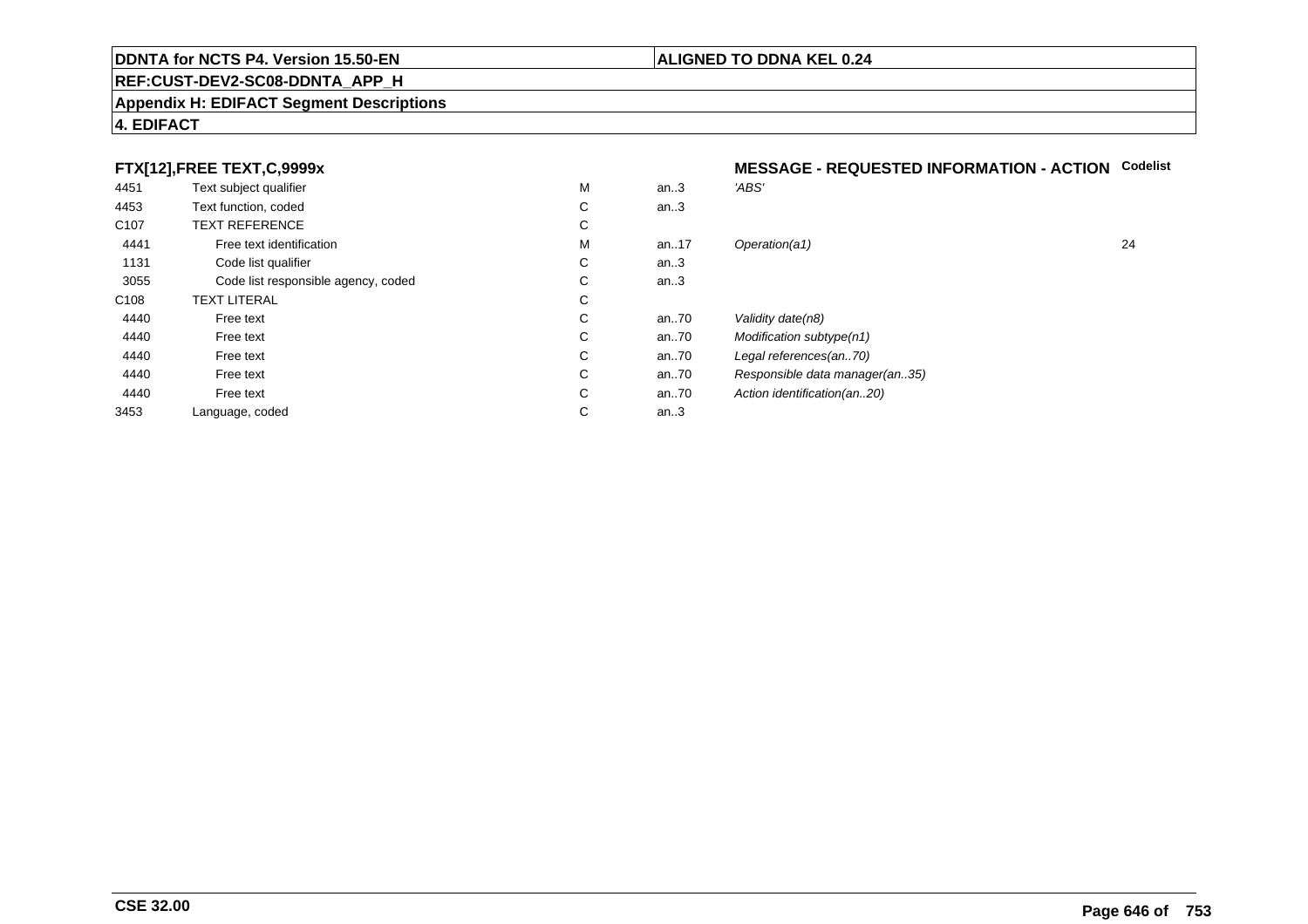## **REF:CUST-DEV2-SC08-DDNTA\_APP\_H**

#### **Appendix H: EDIFACT Segment Descriptions**

# **4. EDIFACT**

# **FTX[12],FREE TEXT,C,9999x**

| 4451             | Text subject qualifier              | M | an.3     | 'ABS'                       |
|------------------|-------------------------------------|---|----------|-----------------------------|
| 4453             | Text function, coded                | С | an.3     |                             |
| C <sub>107</sub> | <b>TEXT REFERENCE</b>               | С |          |                             |
| 4441             | Free text identification            | M | an. $17$ | Operation(a1)               |
| 1131             | Code list qualifier                 | C | an.3     |                             |
| 3055             | Code list responsible agency, coded | С | an.3     |                             |
| C <sub>108</sub> | <b>TEXT LITERAL</b>                 | С |          |                             |
| 4440             | Free text                           | C | an.70    | Validity date(n8)           |
| 4440             | Free text                           | C | an70     | Modification subtype(n1)    |
| 4440             | Free text                           | C | an70     | Legal references(an70)      |
| 4440             | Free text                           | С | an70     | Responsible data manager    |
| 4440             | Free text                           | C | an70     | Action identification(an20) |
| 3453             | Language, coded                     | С | an.3     |                             |
|                  |                                     |   |          |                             |

# **MESSAGE - REQUESTED INFORMATION - ACTION Codelist**

| М | an.3 | 'ABS'                          |    |
|---|------|--------------------------------|----|
| С | an.3 |                                |    |
| С |      |                                |    |
| М | an17 | Operation(a1)                  | 24 |
| С | an.3 |                                |    |
| С | an.3 |                                |    |
| С |      |                                |    |
| С | an70 | Validity date(n8)              |    |
| С | an70 | Modification subtype(n1)       |    |
| С | an70 | Legal references(an70)         |    |
| С | an70 | Responsible data manager(an35) |    |
| С | an70 | Action identification(an20)    |    |
| С | an.3 |                                |    |
|   |      |                                |    |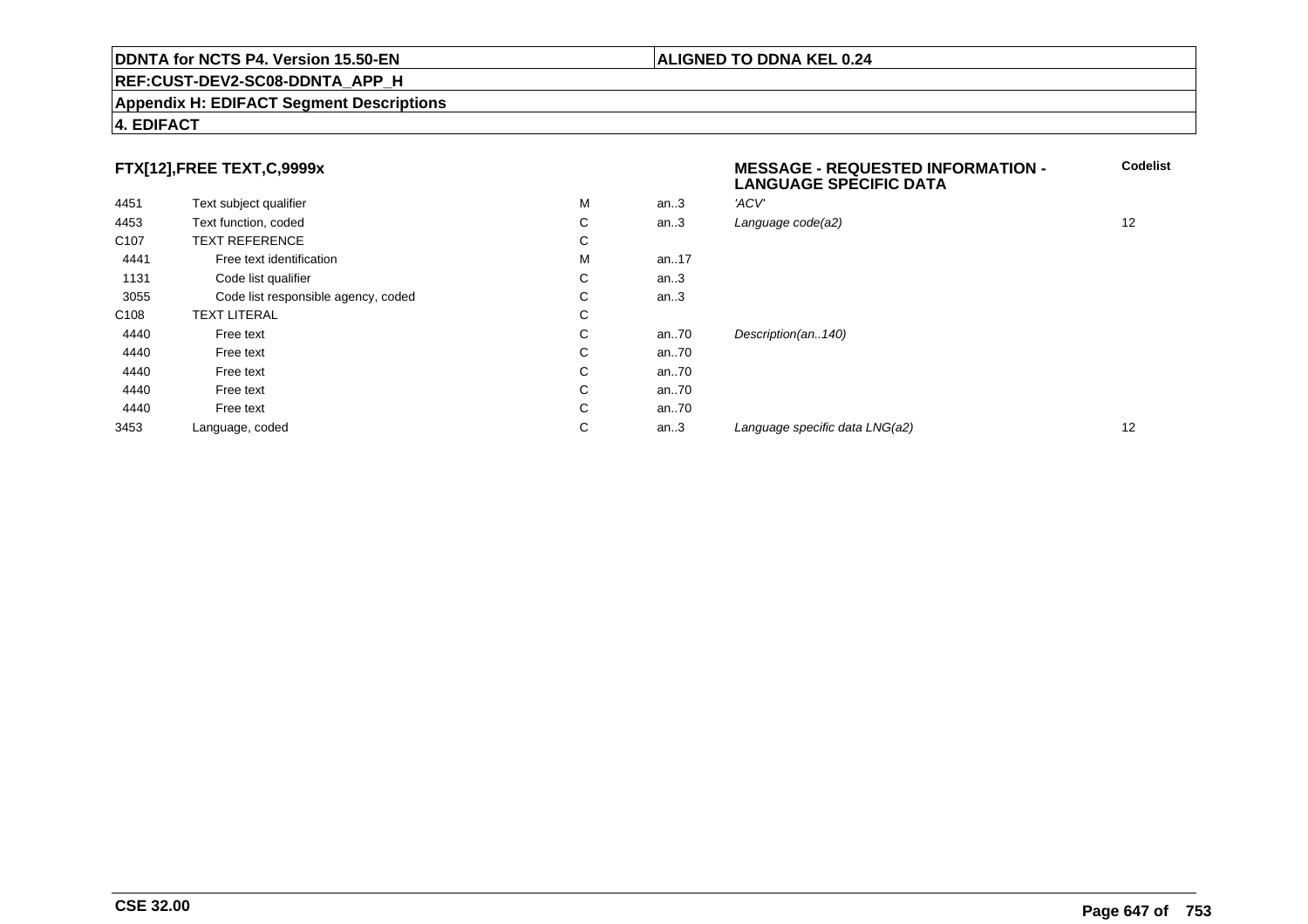## **REF:CUST-DEV2-SC08-DDNTA\_APP\_H**

#### **Appendix H: EDIFACT Segment Descriptions**

# **4. EDIFACT**

# **FTX[12],FREE TEXT,C,9999x**

|                  |                                     |   |      | ≃····ママ··マニ マ· ニマ… :マ レ/ 、'./ 、 |    |
|------------------|-------------------------------------|---|------|---------------------------------|----|
| 4451             | Text subject qualifier              | M | an.3 | 'ACV'                           |    |
| 4453             | Text function, coded                | C | an.3 | Language code(a2)               | 12 |
| C <sub>107</sub> | <b>TEXT REFERENCE</b>               | C |      |                                 |    |
| 4441             | Free text identification            | M | an17 |                                 |    |
| 1131             | Code list qualifier                 | C | an.3 |                                 |    |
| 3055             | Code list responsible agency, coded | C | an.3 |                                 |    |
| C <sub>108</sub> | <b>TEXT LITERAL</b>                 | C |      |                                 |    |
| 4440             | Free text                           | C | an70 | Description(an140)              |    |
| 4440             | Free text                           | C | an70 |                                 |    |
| 4440             | Free text                           | C | an70 |                                 |    |
| 4440             | Free text                           | C | an70 |                                 |    |
| 4440             | Free text                           | C | an70 |                                 |    |
| 3453             | Language, coded                     | C | an.3 | Language specific data LNG(a2)  | 12 |
|                  |                                     |   |      |                                 |    |

## **ALIGNED TO DDNA KEL 0.24**

**MESSAGE - REQUESTED INFORMATION -**

**LANGUAGE SPECIFIC DATA**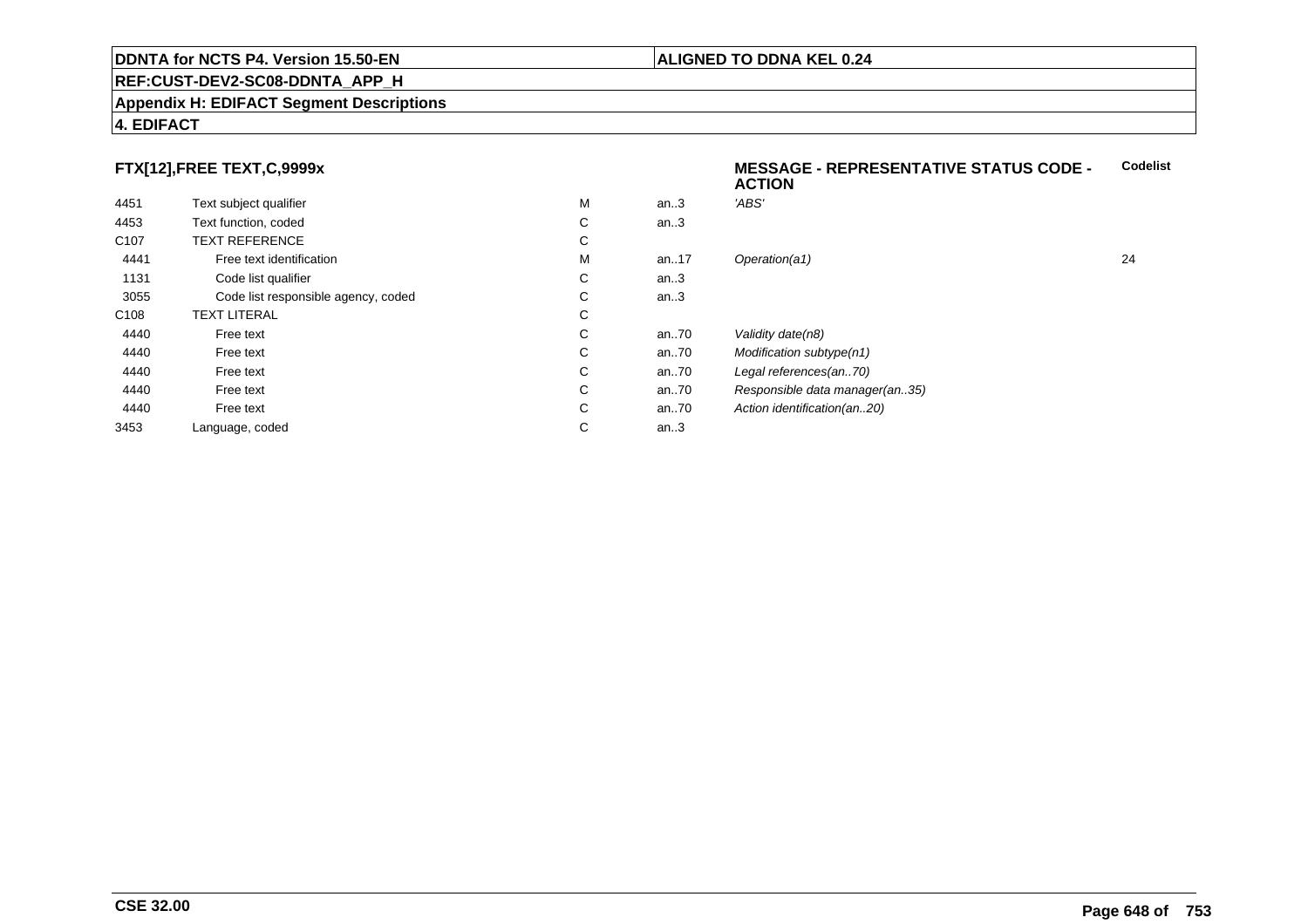## **REF:CUST-DEV2-SC08-DDNTA\_APP\_H**

#### **Appendix H: EDIFACT Segment Descriptions**

# **4. EDIFACT**

# **FTX[12],FREE TEXT,C,9999x**

| 4451             | Text subject qualifier              | M | an.3  | 'ABS'                     |
|------------------|-------------------------------------|---|-------|---------------------------|
| 4453             | Text function, coded                | C | an.3  |                           |
| C <sub>107</sub> | <b>TEXT REFERENCE</b>               | С |       |                           |
| 4441             | Free text identification            | M | an17  | Operation(a1)             |
| 1131             | Code list qualifier                 | C | an.3  |                           |
| 3055             | Code list responsible agency, coded | С | an.3  |                           |
| C <sub>108</sub> | <b>TEXT LITERAL</b>                 | C |       |                           |
| 4440             | Free text                           | C | an70  | Validity date(n8)         |
| 4440             | Free text                           | C | an.70 | Modification subtype(n1)  |
| 4440             | Free text                           | C | an70  | Legal references(an70)    |
| 4440             | Free text                           | C | an70  | Responsible data manag    |
| 4440             | Free text                           | C | an70  | Action identification(an2 |
| 3453             | Language, coded                     | С | an.3  |                           |

#### **MESSAGE - REPRESENTATIVE STATUS CODE - ACTIONCodelist**

M an..17 Operation(a1) 24 type(n1)<br>s(an..70) a manager(an..35)  $\lim(\tan.20)$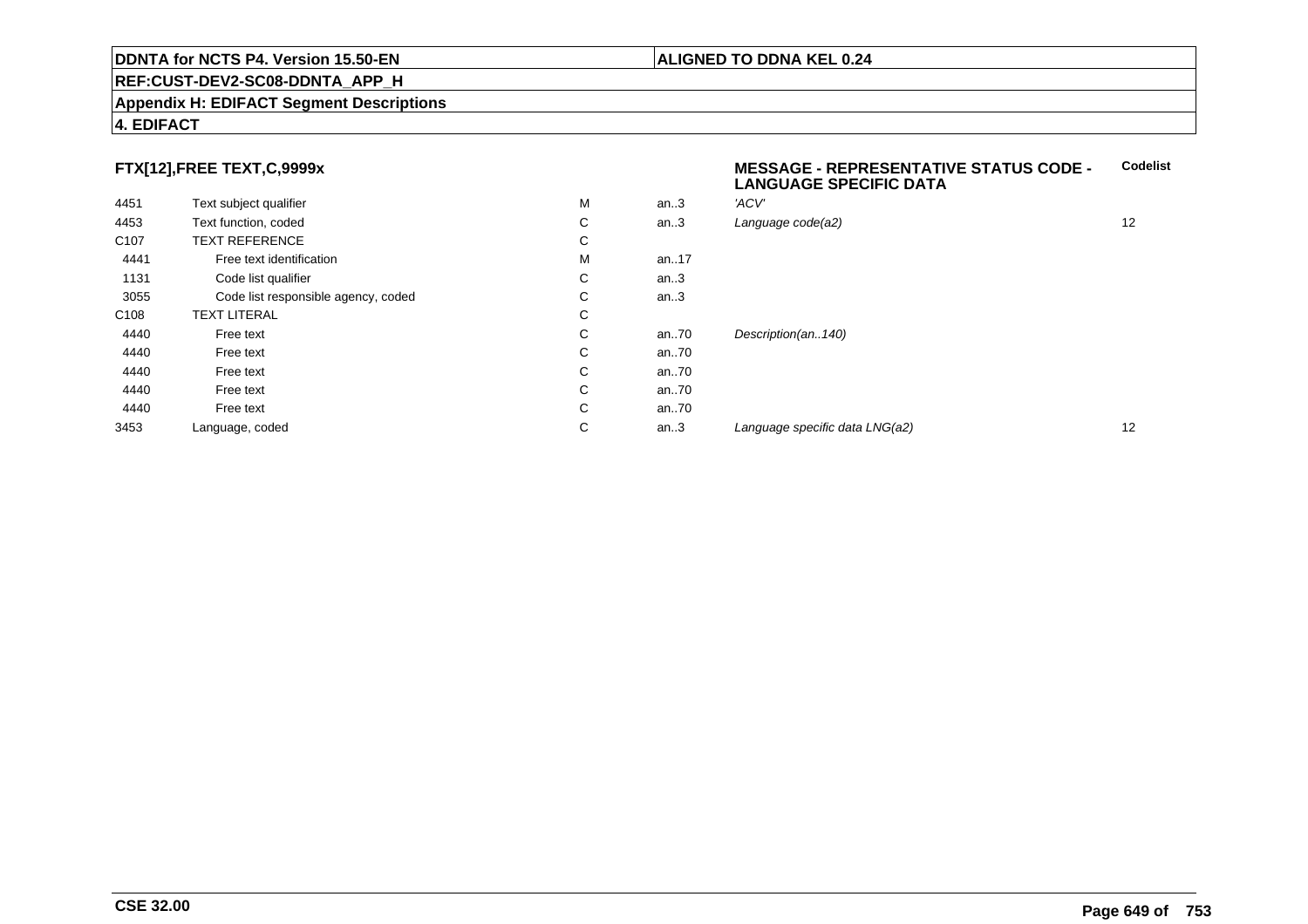#### **REF:CUST-DEV2-SC08-DDNTA\_APP\_H**

#### **Appendix H: EDIFACT Segment Descriptions**

### **4. EDIFACT**

# **FTX[12],FREE TEXT,C,9999x**

| 4451             | Text subject qualifier              | M | an.3 | 'ACV' |
|------------------|-------------------------------------|---|------|-------|
| 4453             | Text function, coded                | С | an.3 | Langu |
| C <sub>107</sub> | <b>TEXT REFERENCE</b>               | C |      |       |
| 4441             | Free text identification            | M | an17 |       |
| 1131             | Code list qualifier                 | C | an.3 |       |
| 3055             | Code list responsible agency, coded | C | an.3 |       |
| C <sub>108</sub> | <b>TEXT LITERAL</b>                 | C |      |       |
| 4440             | Free text                           | C | an70 | Desci |
| 4440             | Free text                           | C | an70 |       |
| 4440             | Free text                           | C | an70 |       |
| 4440             | Free text                           | C | an70 |       |
| 4440             | Free text                           | C | an70 |       |
| 3453             | Language, coded                     | C | an.3 | Langı |
|                  |                                     |   |      |       |

#### **MESSAGE - REPRESENTATIVE STATUS CODE - LANGUAGE SPECIFIC DATACodelist**

| М | an.3 | 'ACV'                          |    |
|---|------|--------------------------------|----|
| С | an.3 | Language code(a2)              | 12 |
| С |      |                                |    |
| М | an17 |                                |    |
| С | an.3 |                                |    |
| С | an.3 |                                |    |
| С |      |                                |    |
| С | an70 | Description(an140)             |    |
| С | an70 |                                |    |
| С | an70 |                                |    |
| С | an70 |                                |    |
| С | an70 |                                |    |
| С | an.3 | Language specific data LNG(a2) | 12 |
|   |      |                                |    |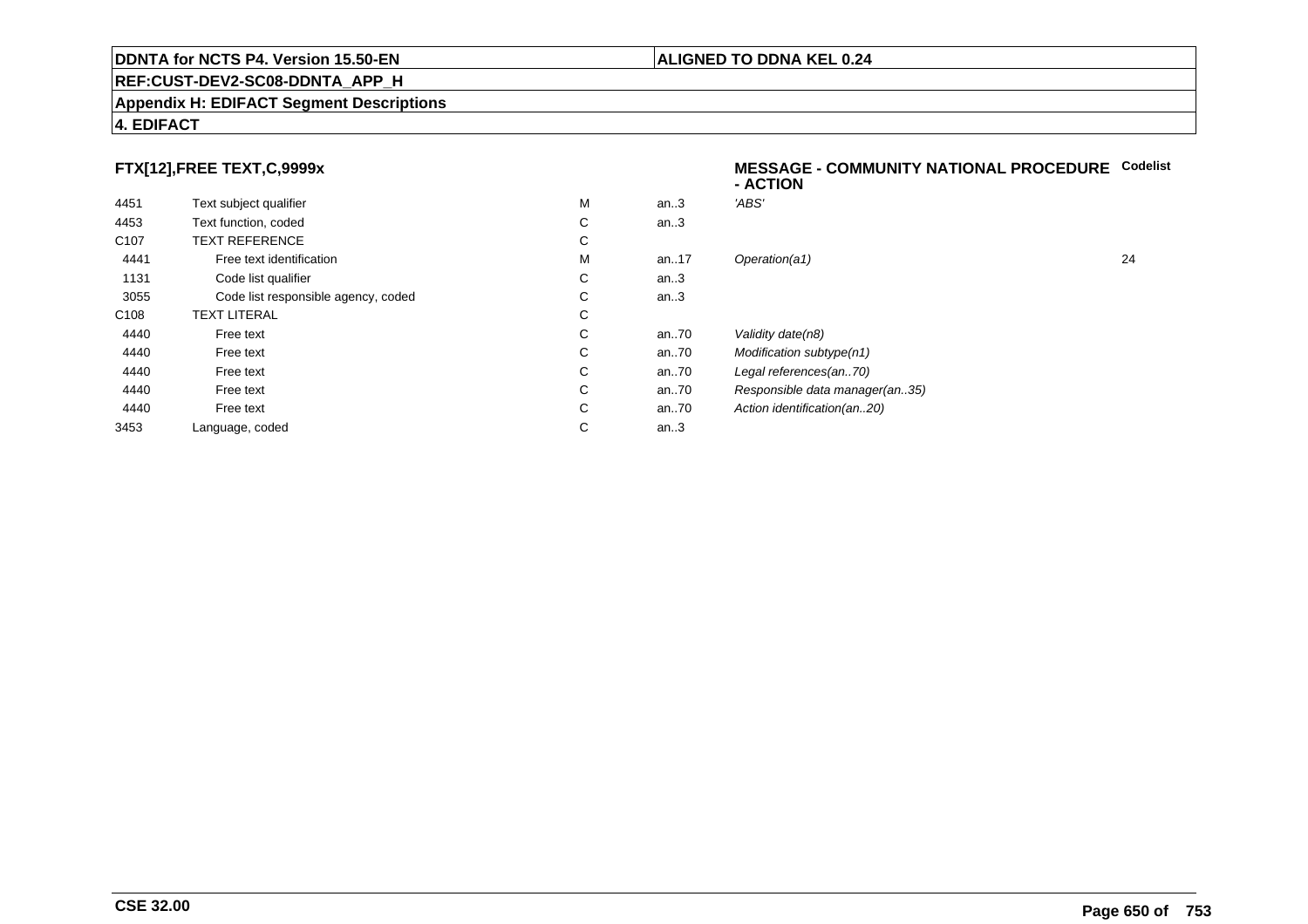#### **Appendix H: EDIFACT Segment Descriptions**

### **4. EDIFACT**

# **FTX[12],FREE TEXT,C,9999x**

| 4451             | Text subject qualifier              | М | an.3  | 'ABS'  |
|------------------|-------------------------------------|---|-------|--------|
| 4453             | Text function, coded                | С | an.3  |        |
| C <sub>107</sub> | <b>TEXT REFERENCE</b>               | С |       |        |
| 4441             | Free text identification            | M | an.17 | Opera  |
| 1131             | Code list qualifier                 | С | an.3  |        |
| 3055             | Code list responsible agency, coded | С | an.3  |        |
| C <sub>108</sub> | <b>TEXT LITERAL</b>                 | С |       |        |
| 4440             | Free text                           | C | an.70 | Validi |
| 4440             | Free text                           | C | an.70 | Modit  |
| 4440             | Free text                           | С | an70  | Legal  |
| 4440             | Free text                           | С | an70  | Resp   |
| 4440             | Free text                           | С | an70  | Action |
| 3453             | Language, coded                     | С | an.3  |        |
|                  |                                     |   |       |        |

#### **MESSAGE - COMMUNITY NATIONAL PROCEDURECodelist- ACTION**

| М | an.3     | 'ABS'                          |    |
|---|----------|--------------------------------|----|
| С | an.3     |                                |    |
| С |          |                                |    |
| М | an. $17$ | Operation(a1)                  | 24 |
| С | an.3     |                                |    |
| С | an.3     |                                |    |
| С |          |                                |    |
| С | an70     | Validity date(n8)              |    |
| С | an70     | Modification subtype(n1)       |    |
| С | an70     | Legal references(an70)         |    |
| С | an70     | Responsible data manager(an35) |    |
| С | an70     | Action identification(an20)    |    |
| С | an.3     |                                |    |
|   |          |                                |    |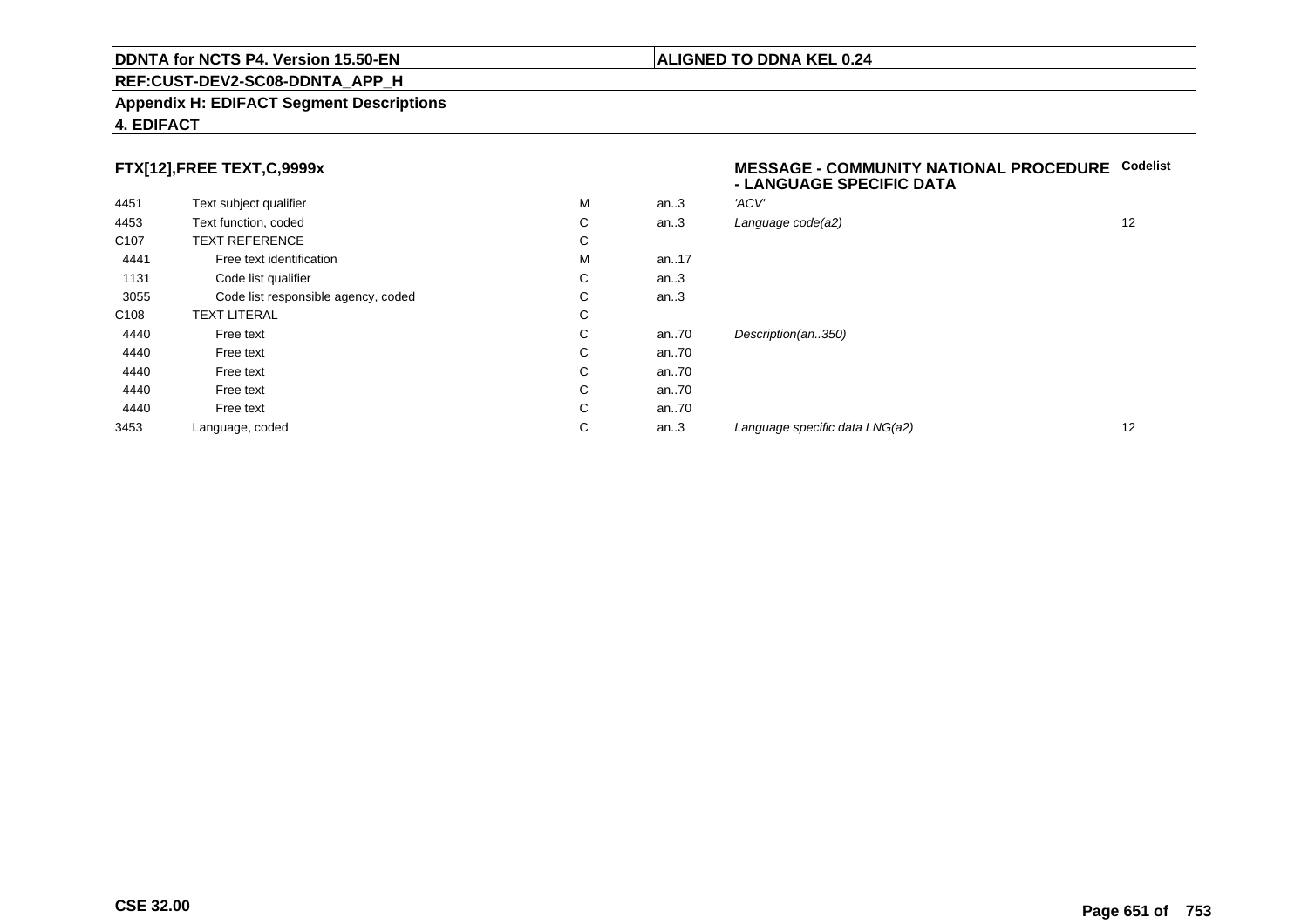#### **REF:CUST-DEV2-SC08-DDNTA\_APP\_H**

#### **Appendix H: EDIFACT Segment Descriptions**

### **4. EDIFACT**

# **FTX[12],FREE TEXT,C,9999x**

| 4451             | Text subject qualifier              | M | an.3 | 'ACV' |
|------------------|-------------------------------------|---|------|-------|
| 4453             | Text function, coded                | С | an.3 | Langu |
| C <sub>107</sub> | <b>TEXT REFERENCE</b>               | C |      |       |
| 4441             | Free text identification            | M | an17 |       |
| 1131             | Code list qualifier                 | С | an.3 |       |
| 3055             | Code list responsible agency, coded | С | an.3 |       |
| C <sub>108</sub> | <b>TEXT LITERAL</b>                 | C |      |       |
| 4440             | Free text                           | C | an70 | Desci |
| 4440             | Free text                           | C | an70 |       |
| 4440             | Free text                           | С | an70 |       |
| 4440             | Free text                           | С | an70 |       |
| 4440             | Free text                           | C | an70 |       |
| 3453             | Language, coded                     | С | an.3 | Langı |
|                  |                                     |   |      |       |

#### **MESSAGE - COMMUNITY NATIONAL PROCEDURECodelist - LANGUAGE SPECIFIC DATA**

| М | an.3 | 'ACV'                          |    |
|---|------|--------------------------------|----|
| С | an.3 | Language code(a2)              | 12 |
| С |      |                                |    |
| М | an17 |                                |    |
| С | an.3 |                                |    |
| С | an.3 |                                |    |
| С |      |                                |    |
| С | an70 | Description(an350)             |    |
| С | an70 |                                |    |
| С | an70 |                                |    |
| С | an70 |                                |    |
| С | an70 |                                |    |
| С | an.3 | Language specific data LNG(a2) | 12 |
|   |      |                                |    |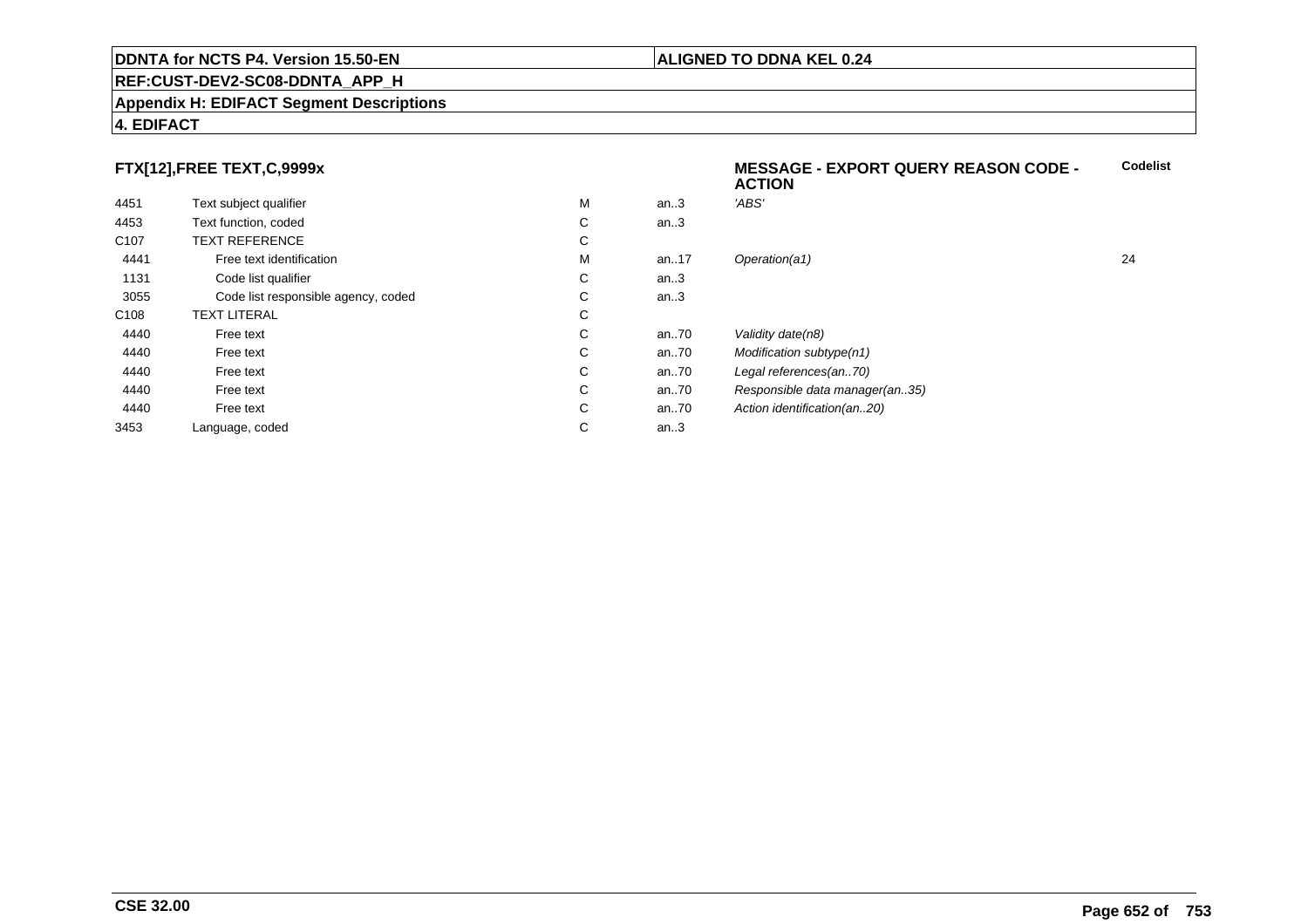#### **REF:CUST-DEV2-SC08-DDNTA\_APP\_H**

#### **Appendix H: EDIFACT Segment Descriptions**

### **4. EDIFACT**

# **FTX[12],FREE TEXT,C,9999x**

|                  |                                     |   |      | 6911VII                        |    |
|------------------|-------------------------------------|---|------|--------------------------------|----|
| 4451             | Text subject qualifier              | M | an.3 | 'ABS'                          |    |
| 4453             | Text function, coded                | С | an.3 |                                |    |
| C <sub>107</sub> | <b>TEXT REFERENCE</b>               | С |      |                                |    |
| 4441             | Free text identification            | M | an17 | Operation(a1)                  | 24 |
| 1131             | Code list qualifier                 | С | an.3 |                                |    |
| 3055             | Code list responsible agency, coded | С | an.3 |                                |    |
| C <sub>108</sub> | TEXT LITERAL                        | С |      |                                |    |
| 4440             | Free text                           | С | an70 | Validity date(n8)              |    |
| 4440             | Free text                           | С | an70 | Modification subtype(n1)       |    |
| 4440             | Free text                           | С | an70 | Legal references(an70)         |    |
| 4440             | Free text                           | С | an70 | Responsible data manager(an35) |    |
| 4440             | Free text                           | С | an70 | Action identification(an20)    |    |
| 3453             | Language, coded                     | С | an.3 |                                |    |
|                  |                                     |   |      |                                |    |

#### **ALIGNED TO DDNA KEL 0.24**

**ACTION**

**MESSAGE - EXPORT QUERY REASON CODE -**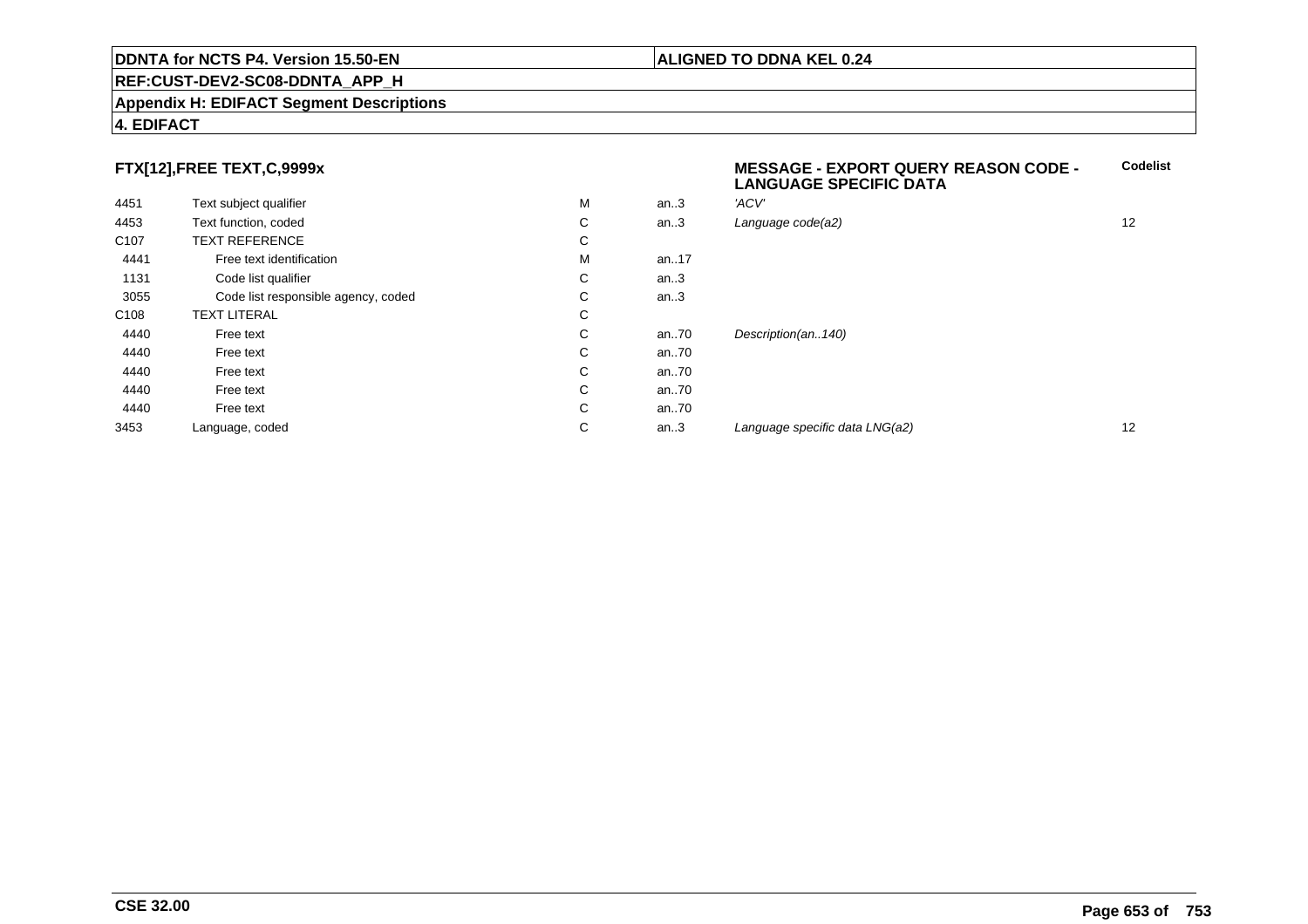#### **Appendix H: EDIFACT Segment Descriptions**

### **4. EDIFACT**

# **FTX[12],FREE TEXT,C,9999x**

| 4451             | Text subject qualifier              | M | an.3  | 'ACV'       |
|------------------|-------------------------------------|---|-------|-------------|
| 4453             | Text function, coded                | С | an.3  | Language d  |
| C <sub>107</sub> | <b>TEXT REFERENCE</b>               | С |       |             |
| 4441             | Free text identification            | M | an17  |             |
| 1131             | Code list qualifier                 | С | an.3  |             |
| 3055             | Code list responsible agency, coded | С | an.3  |             |
| C <sub>108</sub> | <b>TEXT LITERAL</b>                 | С |       |             |
| 4440             | Free text                           | С | an70  | Description |
| 4440             | Free text                           | C | an70  |             |
| 4440             | Free text                           | C | an70  |             |
| 4440             | Free text                           | С | an70  |             |
| 4440             | Free text                           | C | an.70 |             |
| 3453             | Language, coded                     | С | an.3  | Language s  |
|                  |                                     |   |       |             |

# **MESSAGE - EXPORT QUERY REASON CODE - LANGUAGE SPECIFIC DATACodelist** $C$  an..3 Language code(a2) and  $12$ n(an..140) an...<br>and the specific data LNG(a2) 12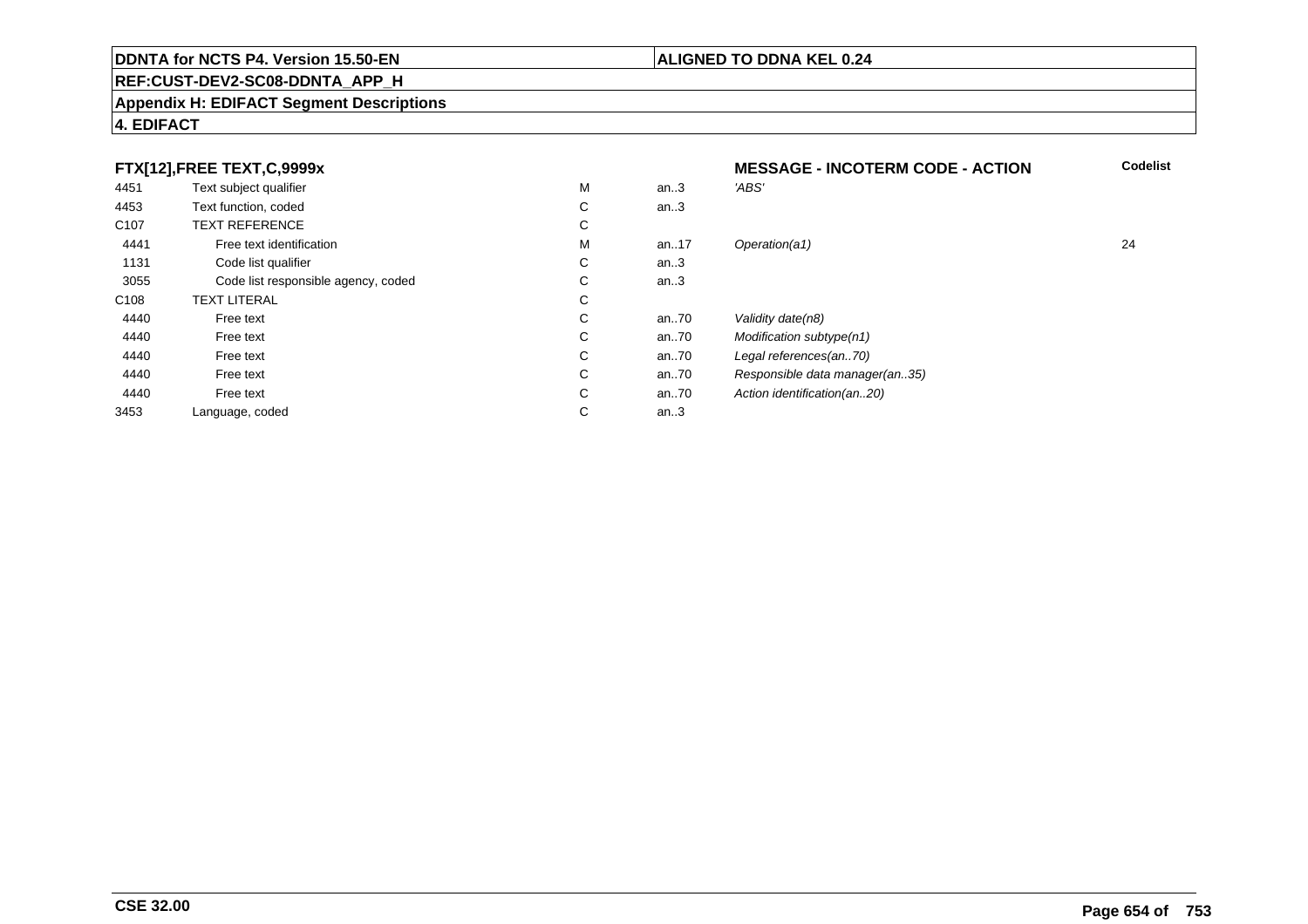# **REF:CUST-DEV2-SC08-DDNTA\_APP\_H**

#### **Appendix H: EDIFACT Segment Descriptions**

|                  | FTX[12], FREE TEXT, C, 9999x        |   | <b>Codelist</b><br><b>MESSAGE - INCOTERM CODE - ACTION</b> |                                |    |
|------------------|-------------------------------------|---|------------------------------------------------------------|--------------------------------|----|
| 4451             | Text subject qualifier              | M | an.3                                                       | 'ABS'                          |    |
| 4453             | Text function, coded                | C | an.3                                                       |                                |    |
| C <sub>107</sub> | <b>TEXT REFERENCE</b>               | С |                                                            |                                |    |
| 4441             | Free text identification            | M | an17                                                       | Operation(a1)                  | 24 |
| 1131             | Code list qualifier                 | С | an.3                                                       |                                |    |
| 3055             | Code list responsible agency, coded | C | an.3                                                       |                                |    |
| C <sub>108</sub> | <b>TEXT LITERAL</b>                 | С |                                                            |                                |    |
| 4440             | Free text                           | С | an70                                                       | Validity date(n8)              |    |
| 4440             | Free text                           | C | an70                                                       | Modification subtype(n1)       |    |
| 4440             | Free text                           | C | an70                                                       | Legal references(an70)         |    |
| 4440             | Free text                           | C | an70                                                       | Responsible data manager(an35) |    |
| 4440             | Free text                           | C | an70                                                       | Action identification(an20)    |    |
| 3453             | Language, coded                     | С | an.3                                                       |                                |    |

# **4. EDIFACT**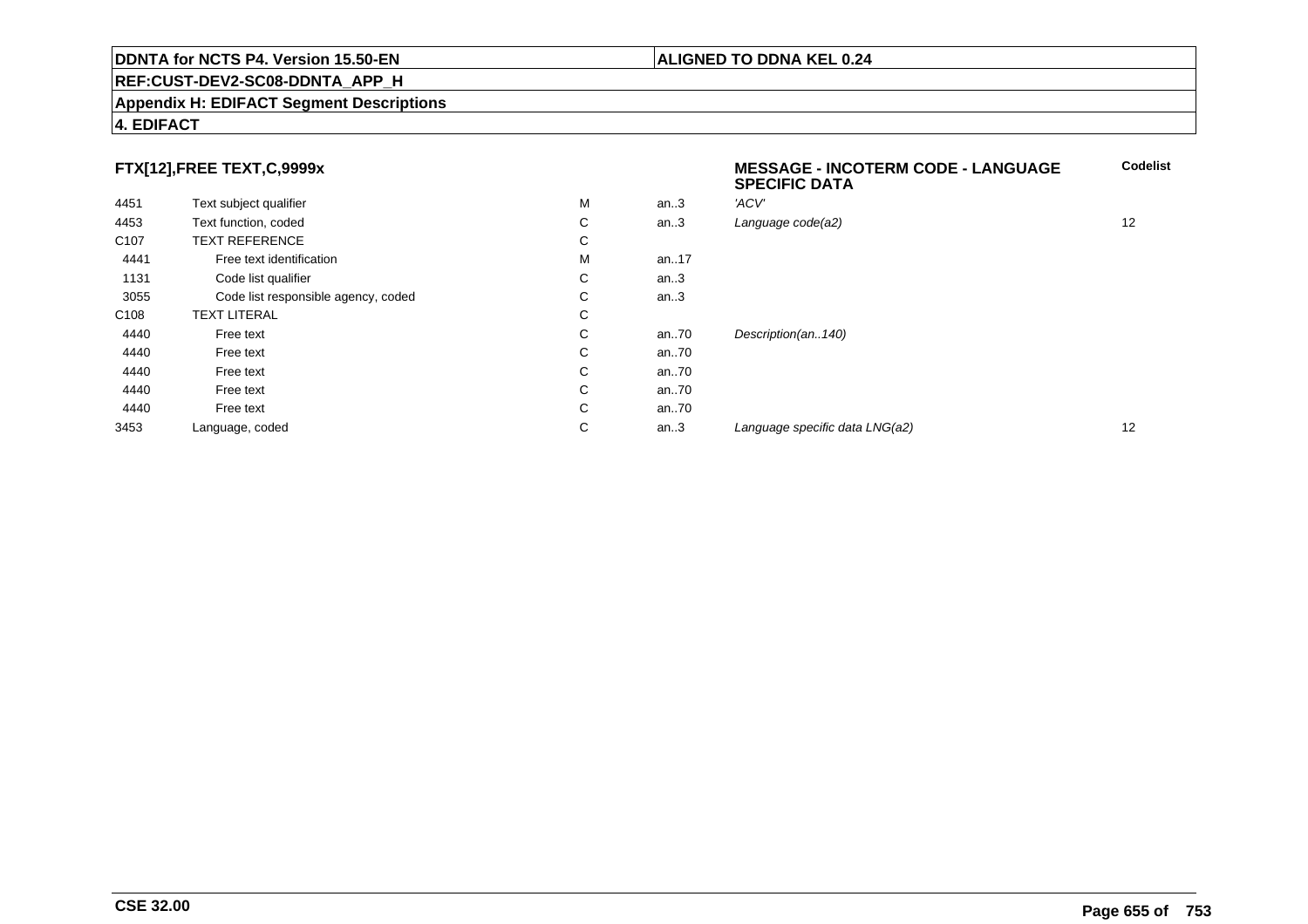#### **REF:CUST-DEV2-SC08-DDNTA\_APP\_H**

#### **Appendix H: EDIFACT Segment Descriptions**

### **4. EDIFACT**

# **FTX[12],FREE TEXT,C,9999x**

| FTX[12],FREE TEXT,C,9999x |                                     |    |      | <b>MESSAGE - INCOTERM CODE - LANGUAGE</b><br><b>SPECIFIC DATA</b> | <b>Codelist</b> |
|---------------------------|-------------------------------------|----|------|-------------------------------------------------------------------|-----------------|
| 4451                      | Text subject qualifier              | M  | an.3 | 'ACV'                                                             |                 |
| 4453                      | Text function, coded                | C  | an.3 | Language code(a2)                                                 | 12              |
| C <sub>107</sub>          | <b>TEXT REFERENCE</b>               | C  |      |                                                                   |                 |
| 4441                      | Free text identification            | м  | an17 |                                                                   |                 |
| 1131                      | Code list qualifier                 | C  | an.3 |                                                                   |                 |
| 3055                      | Code list responsible agency, coded | C  | an.3 |                                                                   |                 |
| C <sub>108</sub>          | <b>TEXT LITERAL</b>                 | C  |      |                                                                   |                 |
| 4440                      | Free text                           | C. | an70 | Description(an140)                                                |                 |
| 4440                      | Free text                           | C. | an70 |                                                                   |                 |
| 4440                      | Free text                           | C. | an70 |                                                                   |                 |
| 4440                      | Free text                           | C. | an70 |                                                                   |                 |
| 4440                      | Free text                           | C. | an70 |                                                                   |                 |
| 3453                      | Language, coded                     | С  | an.3 | Language specific data LNG(a2)                                    | 12              |
|                           |                                     |    |      |                                                                   |                 |

#### **ALIGNED TO DDNA KEL 0.24**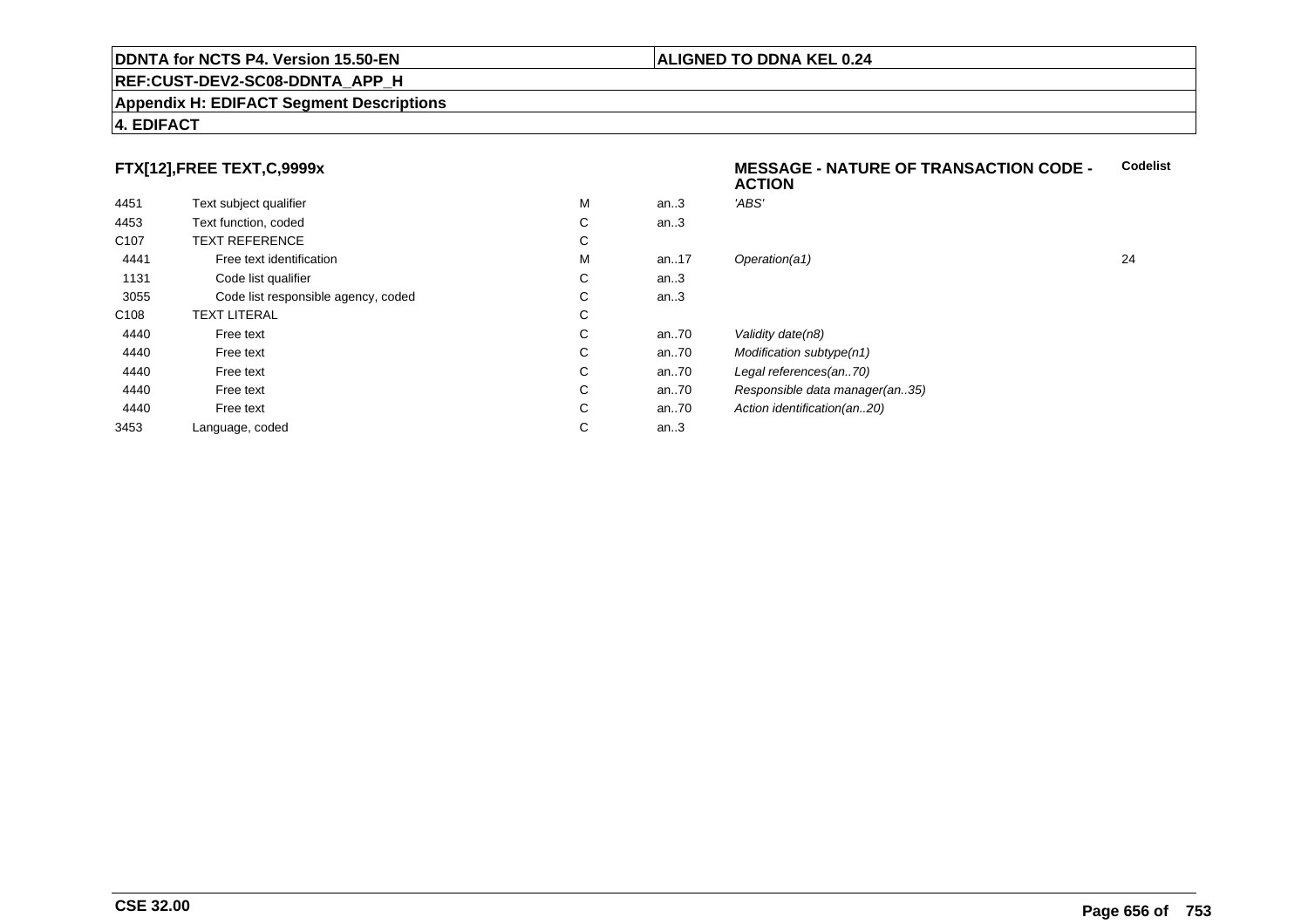#### **REF:CUST-DEV2-SC08-DDNTA\_APP\_H**

#### **Appendix H: EDIFACT Segment Descriptions**

### **4. EDIFACT**

# **FTX[12],FREE TEXT,C,9999x**

| 4451             | Text subject qualifier              | M | an.3  | 'ABS'       |
|------------------|-------------------------------------|---|-------|-------------|
| 4453             | Text function, coded                | C | an.3  |             |
| C <sub>107</sub> | <b>TEXT REFERENCE</b>               | С |       |             |
| 4441             | Free text identification            | M | an.17 | Operation   |
| 1131             | Code list qualifier                 | С | an.3  |             |
| 3055             | Code list responsible agency, coded | С | an.3  |             |
| C <sub>108</sub> | <b>TEXT LITERAL</b>                 | С |       |             |
| 4440             | Free text                           | C | an.70 | Validity da |
| 4440             | Free text                           | С | an70  | Modificati  |
| 4440             | Free text                           | C | an70  | Legal refe  |
| 4440             | Free text                           | С | an70  | Responsi    |
| 4440             | Free text                           | С | an70  | Action ide  |
| 3453             | Language, coded                     | С | an.3  |             |
|                  |                                     |   |       |             |

#### **MESSAGE - NATURE OF TRANSACTION CODE - ACTIONCodelist**

M an..17 Operation(a1) 24  $\text{ate}(n8)$ tion subtype(n1) erences(an..70) ible data manager(an..35) entification(an..20)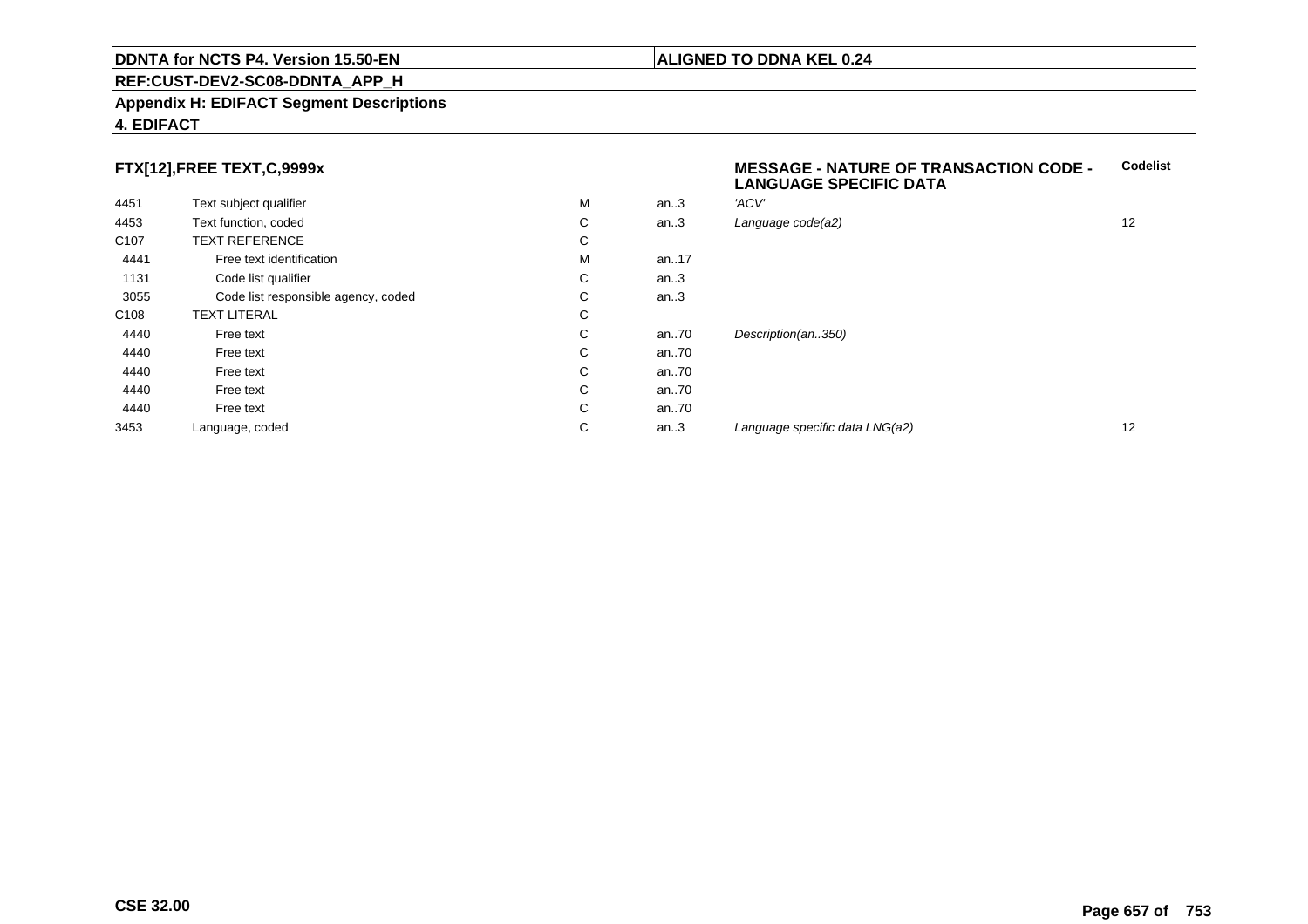#### **Appendix H: EDIFACT Segment Descriptions**

### **4. EDIFACT**

# **FTX[12],FREE TEXT,C,9999x**

| 4451             | Text subject qualifier              | М | an.3     | 'ACV'               |
|------------------|-------------------------------------|---|----------|---------------------|
| 4453             | Text function, coded                | С | an.3     | Language code(a2)   |
| C <sub>107</sub> | <b>TEXT REFERENCE</b>               | С |          |                     |
| 4441             | Free text identification            | M | an17     |                     |
| 1131             | Code list qualifier                 | С | an.3     |                     |
| 3055             | Code list responsible agency, coded | С | an.3     |                     |
| C <sub>108</sub> | <b>TEXT LITERAL</b>                 | С |          |                     |
| 4440             | Free text                           | С | an70     | Description(an350)  |
| 4440             | Free text                           | С | an70     |                     |
| 4440             | Free text                           | С | an $.70$ |                     |
| 4440             | Free text                           | С | an70     |                     |
| 4440             | Free text                           | С | an70     |                     |
| 3453             | Language, coded                     | С | an.3     | Language specific d |

#### **MESSAGE - NATURE OF TRANSACTION CODE - LANGUAGE SPECIFIC DATACodelist**

| an.3 | 'ACV'                          |    |
|------|--------------------------------|----|
| an.3 | Language code(a2)              | 12 |
|      |                                |    |
| an17 |                                |    |
| an.3 |                                |    |
| an.3 |                                |    |
|      |                                |    |
| an70 | Description(an350)             |    |
| an70 |                                |    |
| an70 |                                |    |
| an70 |                                |    |
| an70 |                                |    |
| an.3 | Language specific data LNG(a2) | 12 |
|      |                                |    |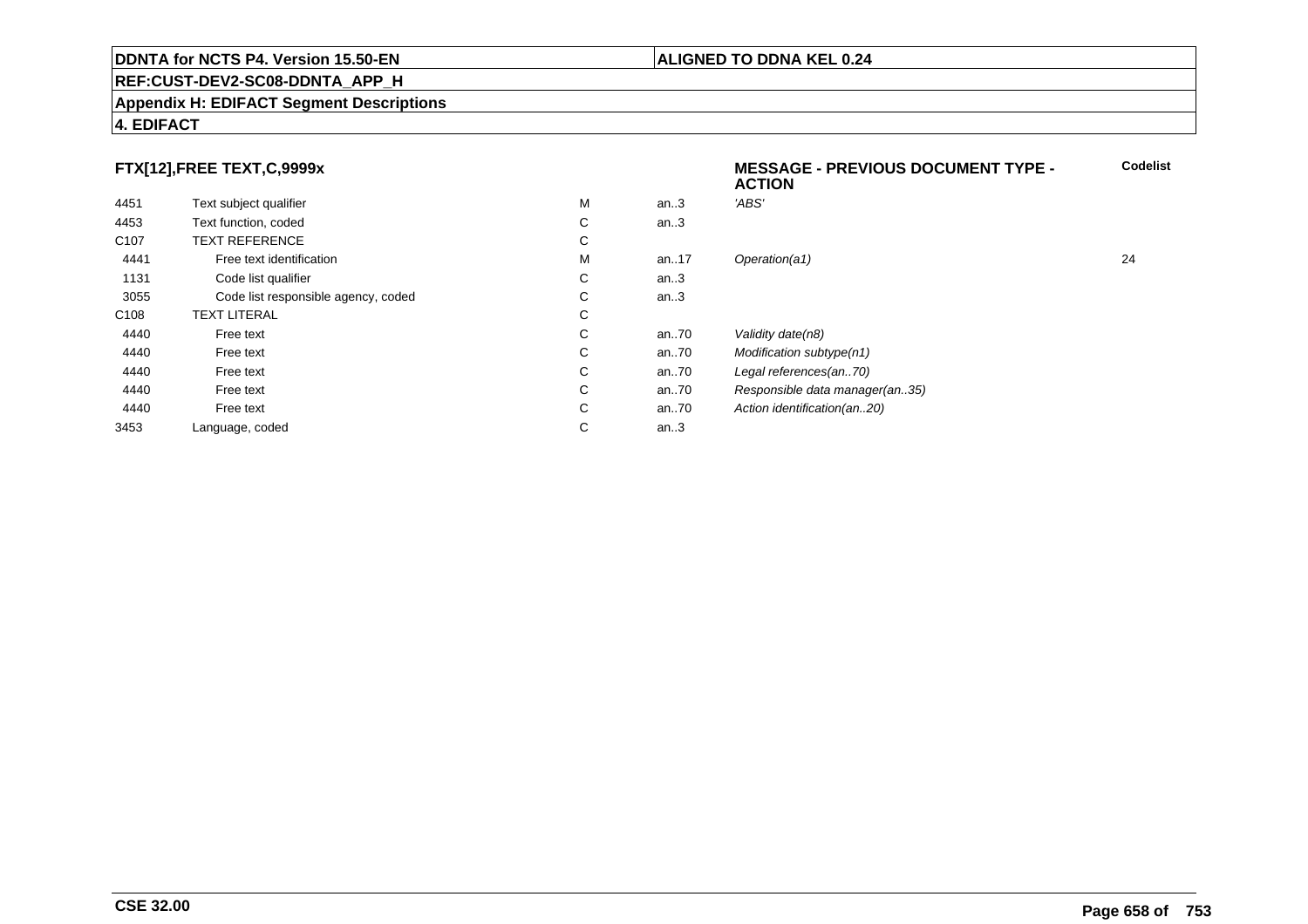#### **REF:CUST-DEV2-SC08-DDNTA\_APP\_H**

#### **Appendix H: EDIFACT Segment Descriptions**

### **4. EDIFACT**

# **FTX[12],FREE TEXT,C,9999x**

|                                     |    |      | <b>ACTION</b>                  |    |
|-------------------------------------|----|------|--------------------------------|----|
| Text subject qualifier              | М  | an.3 | 'ABS'                          |    |
| Text function, coded                | C  | an.3 |                                |    |
| <b>TEXT REFERENCE</b>               | C  |      |                                |    |
| Free text identification            | М  | an17 | Operation(a1)                  | 24 |
| Code list qualifier                 | C  | an.3 |                                |    |
| Code list responsible agency, coded | C. | an.3 |                                |    |
| <b>TEXT LITERAL</b>                 | C  |      |                                |    |
| Free text                           | C  | an70 | Validity date(n8)              |    |
| Free text                           | C  | an70 | Modification subtype(n1)       |    |
| Free text                           | C  | an70 | Legal references(an70)         |    |
| Free text                           | C  | an70 | Responsible data manager(an35) |    |
| Free text                           | C  | an70 | Action identification(an20)    |    |
| Language, coded                     | C  | an.3 |                                |    |
|                                     |    |      |                                |    |

**Codelist**

## **ALIGNED TO DDNA KEL 0.24**

**MESSAGE - PREVIOUS DOCUMENT TYPE -**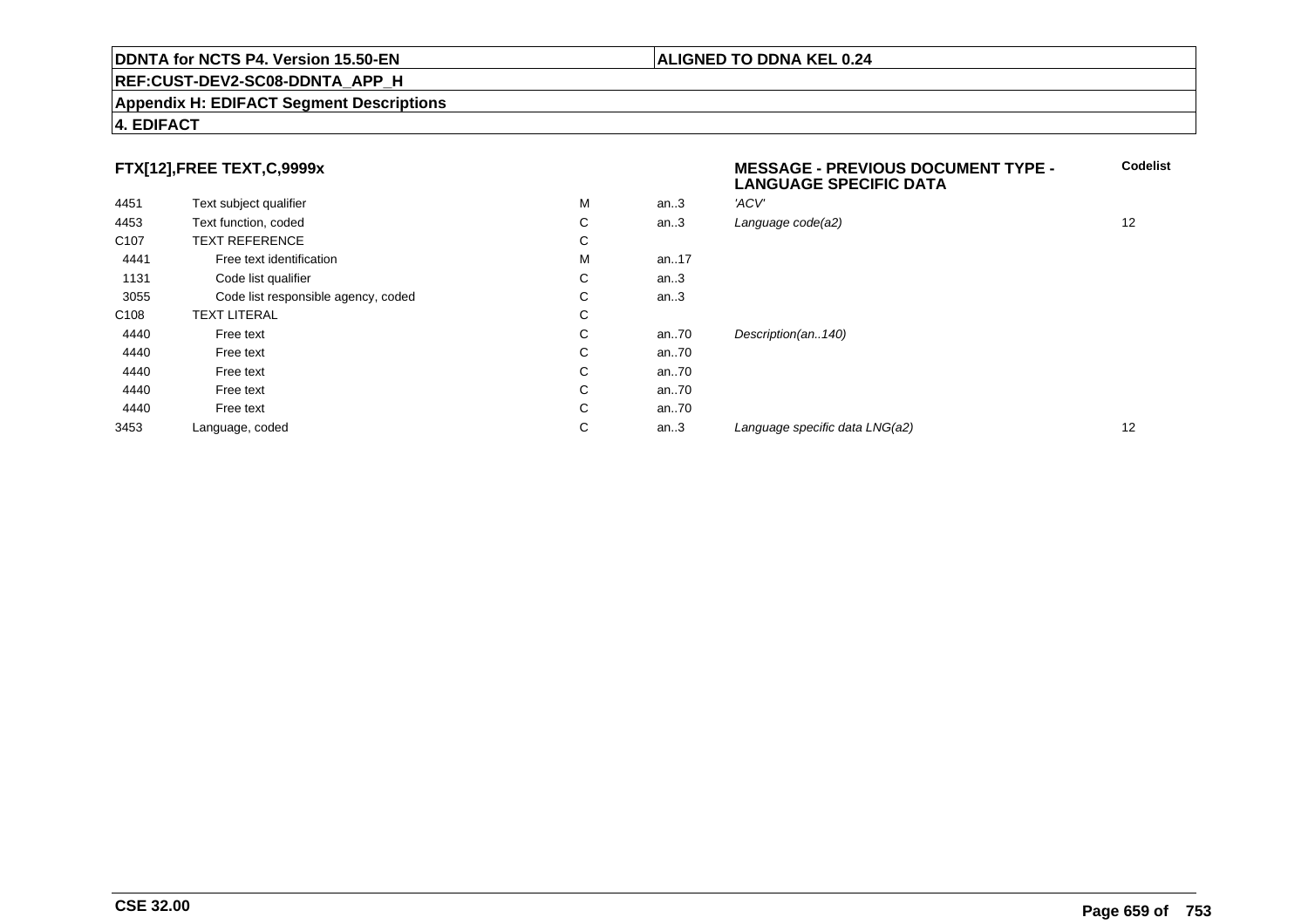#### **REF:CUST-DEV2-SC08-DDNTA\_APP\_H**

#### **Appendix H: EDIFACT Segment Descriptions**

### **4. EDIFACT**

# **FTX[12],FREE TEXT,C,9999x**

| 4451             | Text subject qualifier              | M | an.3 | 'ACV'                          |    |
|------------------|-------------------------------------|---|------|--------------------------------|----|
| 4453             | Text function, coded                | С | an.3 | Language code(a2)              | 12 |
| C <sub>107</sub> | <b>TEXT REFERENCE</b>               | С |      |                                |    |
| 4441             | Free text identification            | M | an17 |                                |    |
| 1131             | Code list qualifier                 | С | an.3 |                                |    |
| 3055             | Code list responsible agency, coded | С | an.3 |                                |    |
| C <sub>108</sub> | <b>TEXT LITERAL</b>                 | С |      |                                |    |
| 4440             | Free text                           | С | an70 | Description(an140)             |    |
| 4440             | Free text                           | С | an70 |                                |    |
| 4440             | Free text                           | С | an70 |                                |    |
| 4440             | Free text                           | С | an70 |                                |    |
| 4440             | Free text                           | С | an70 |                                |    |
| 3453             | Language, coded                     | С | an.3 | Language specific data LNG(a2) | 12 |

# **MESSAGE - PREVIOUS DOCUMENT TYPE - LANGUAGE SPECIFIC DATACodelist** $C$  an..3 Language code(a2) and  $12$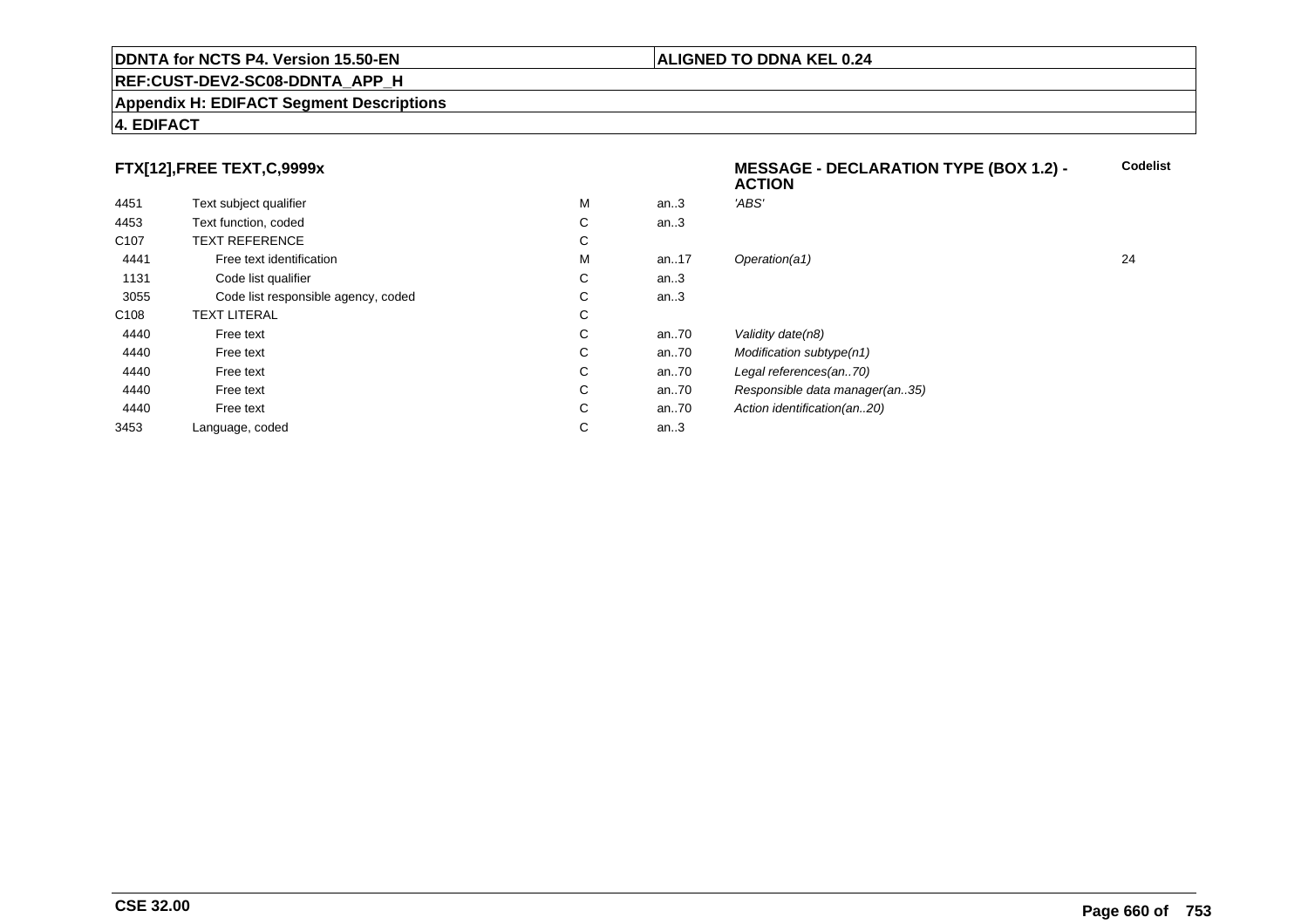#### **REF:CUST-DEV2-SC08-DDNTA\_APP\_H**

#### **Appendix H: EDIFACT Segment Descriptions**

# **4. EDIFACT**

# **FTX[12],FREE TEXT,C,9999x**

|                                     |   |         | <b>ACTION</b>                  |    |
|-------------------------------------|---|---------|--------------------------------|----|
| Text subject qualifier              | M | an.3    | 'ABS'                          |    |
| Text function, coded                | C | an.3    |                                |    |
| <b>TEXT REFERENCE</b>               | C |         |                                |    |
| Free text identification            | М | an17    | Operation(a1)                  | 24 |
| Code list qualifier                 | C | an.3    |                                |    |
| Code list responsible agency, coded | C | an.3    |                                |    |
| <b>TEXT LITERAL</b>                 | C |         |                                |    |
| Free text                           | C | an70    | Validity date(n8)              |    |
| Free text                           | C | an70    | Modification subtype(n1)       |    |
| Free text                           | C | an70    | Legal references(an70)         |    |
| Free text                           | C | an70    | Responsible data manager(an35) |    |
| Free text                           | C | an70    | Action identification(an20)    |    |
| Language, coded                     | C | an. $3$ |                                |    |
|                                     |   |         |                                |    |

# **ALIGNED TO DDNA KEL 0.24**

**MESSAGE - DECLARATION TYPE (BOX 1.2) -**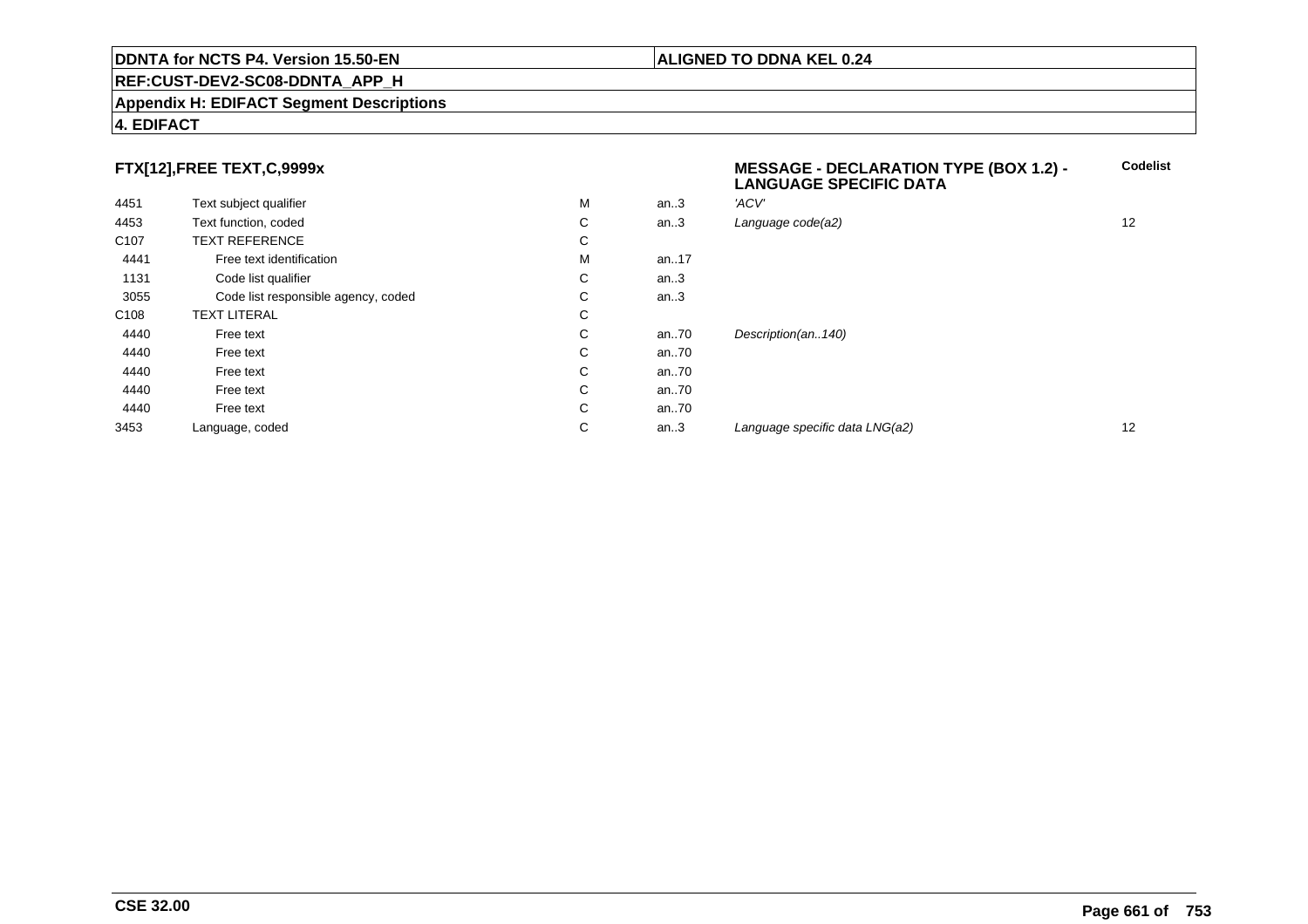#### **REF:CUST-DEV2-SC08-DDNTA\_APP\_H**

#### **Appendix H: EDIFACT Segment Descriptions**

# **4. EDIFACT**

# **FTX[12],FREE TEXT,C,9999x**

| 4451             | Text subject qualifier              | M | an.3 | 'ACV'                          |    |
|------------------|-------------------------------------|---|------|--------------------------------|----|
| 4453             | Text function, coded                | С | an.3 | Language code(a2)              | 12 |
| C <sub>107</sub> | <b>TEXT REFERENCE</b>               | С |      |                                |    |
| 4441             | Free text identification            | M | an17 |                                |    |
| 1131             | Code list qualifier                 | С | an.3 |                                |    |
| 3055             | Code list responsible agency, coded | С | an.3 |                                |    |
| C <sub>108</sub> | <b>TEXT LITERAL</b>                 | С |      |                                |    |
| 4440             | Free text                           | С | an70 | Description(an140)             |    |
| 4440             | Free text                           | С | an70 |                                |    |
| 4440             | Free text                           | С | an70 |                                |    |
| 4440             | Free text                           | С | an70 |                                |    |
| 4440             | Free text                           | С | an70 |                                |    |
| 3453             | Language, coded                     | С | an.3 | Language specific data LNG(a2) | 12 |

 **MESSAGE - DECLARATION TYPE (BOX 1.2) - LANGUAGE SPECIFIC DATACodelist** $C$  an..3 Language code(a2) and  $12$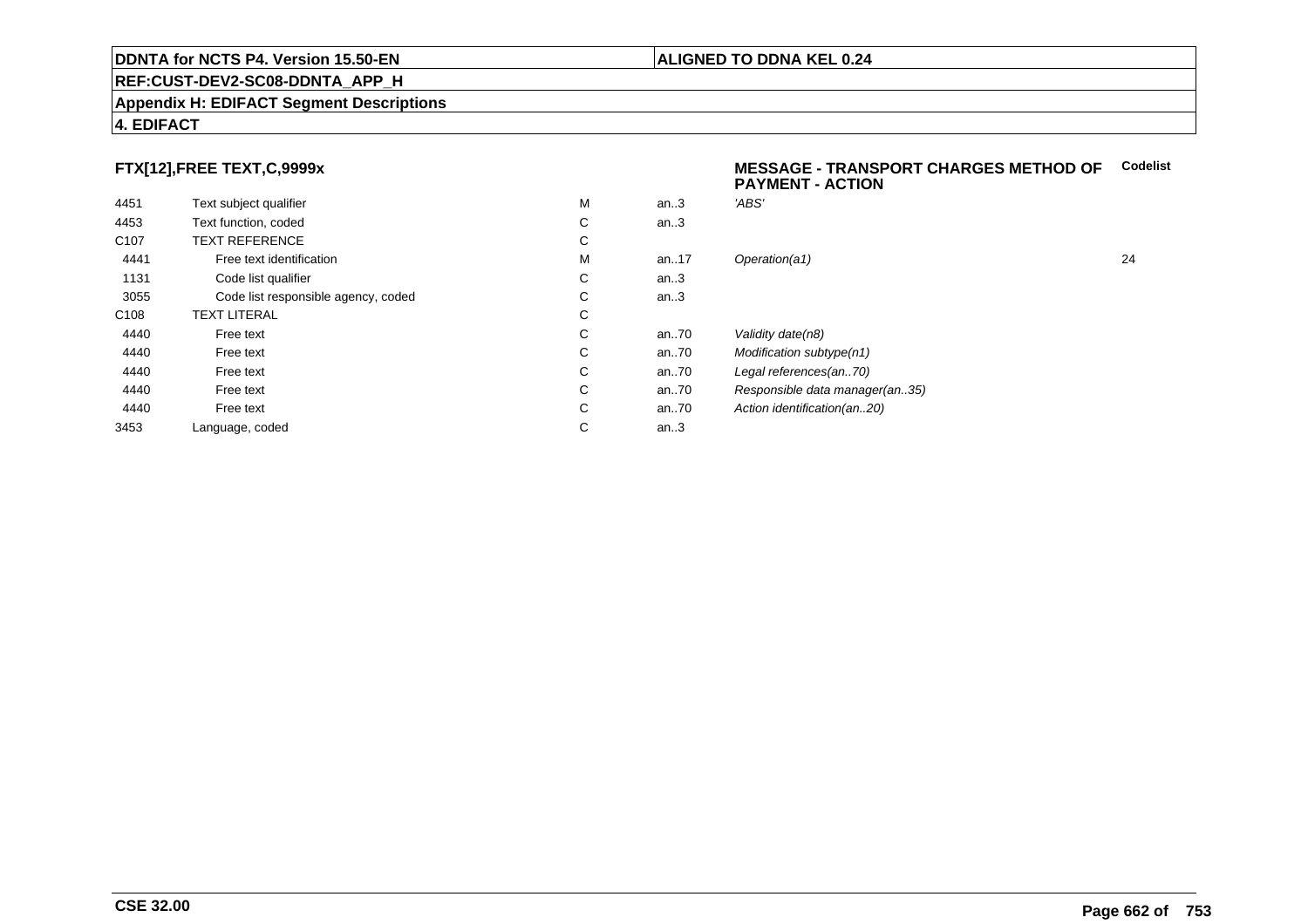#### **Appendix H: EDIFACT Segment Descriptions**

### **4. EDIFACT**

# **FTX[12],FREE TEXT,C,9999x**

| 4451             | Text subject qualifier              | M | an.3  | 'ABS'  |
|------------------|-------------------------------------|---|-------|--------|
| 4453             | Text function, coded                | C | an.3  |        |
| C <sub>107</sub> | <b>TEXT REFERENCE</b>               | C |       |        |
| 4441             | Free text identification            | M | an.17 | Opera  |
| 1131             | Code list qualifier                 | С | an.3  |        |
| 3055             | Code list responsible agency, coded | C | an.3  |        |
| C <sub>108</sub> | <b>TEXT LITERAL</b>                 | С |       |        |
| 4440             | Free text                           | C | an70  | Validi |
| 4440             | Free text                           | C | an70  | Modit  |
| 4440             | Free text                           | C | an70  | Legal  |
| 4440             | Free text                           | C | an70  | Resp   |
| 4440             | Free text                           | C | an70  | Action |
| 3453             | Language, coded                     | С | an.3  |        |
|                  |                                     |   |       |        |

#### **MESSAGE - TRANSPORT CHARGES METHOD OFCodelistPAYMENT - ACTION**

| М | an.3 | 'ABS'                          |    |
|---|------|--------------------------------|----|
| С | an.3 |                                |    |
| С |      |                                |    |
| М | an17 | Operation(a1)                  | 24 |
| С | an.3 |                                |    |
| С | an.3 |                                |    |
| С |      |                                |    |
| С | an70 | Validity date(n8)              |    |
| С | an70 | Modification subtype(n1)       |    |
| С | an70 | Legal references(an70)         |    |
| С | an70 | Responsible data manager(an35) |    |
| С | an70 | Action identification(an20)    |    |
| С | an.3 |                                |    |
|   |      |                                |    |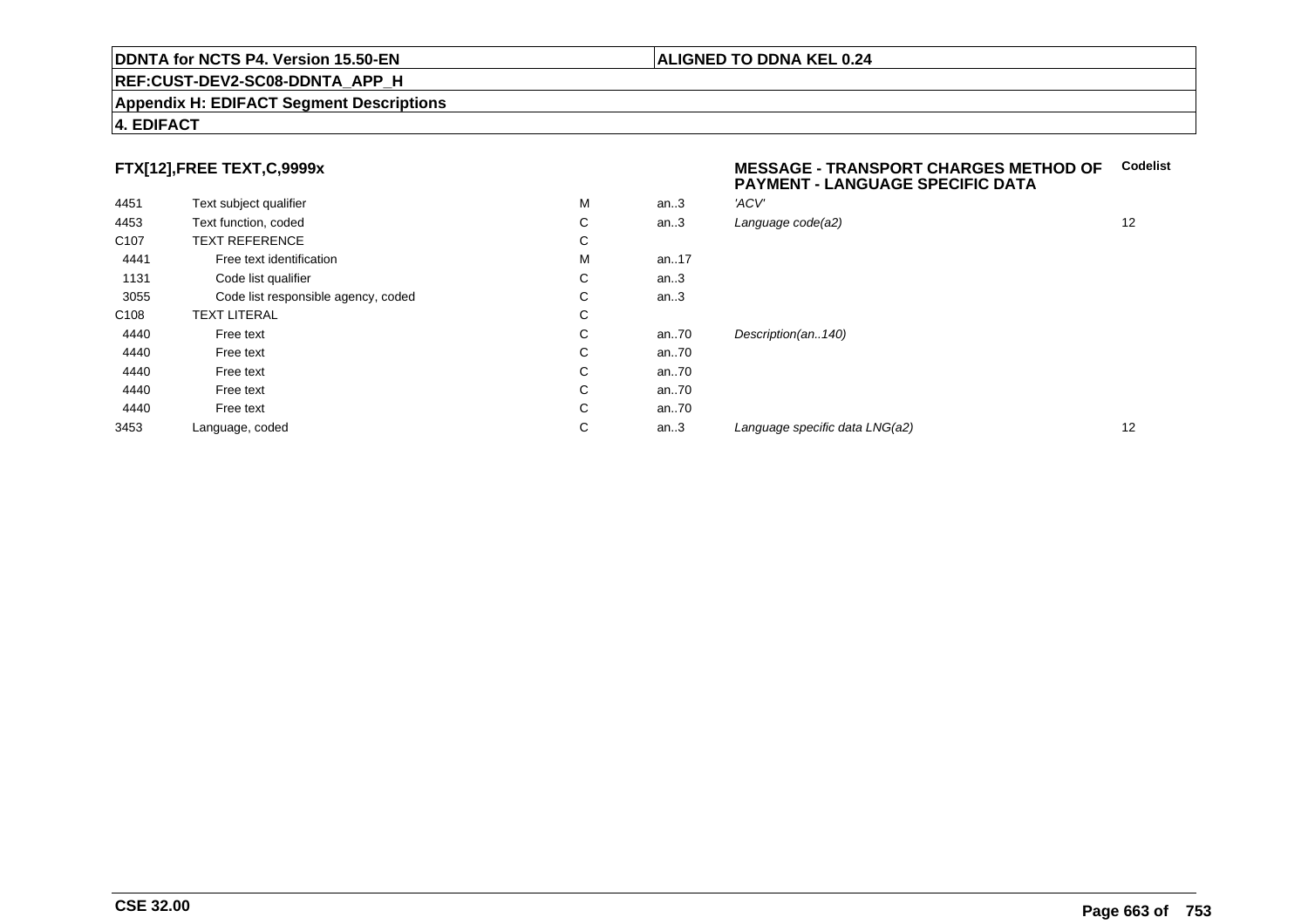#### **REF:CUST-DEV2-SC08-DDNTA\_APP\_H**

#### **Appendix H: EDIFACT Segment Descriptions**

### **4. EDIFACT**

# **FTX[12],FREE TEXT,C,9999x**

| 4451             | Text subject qualifier              | M | an.3 | 'ACV' |
|------------------|-------------------------------------|---|------|-------|
| 4453             | Text function, coded                | С | an.3 | Langı |
| C <sub>107</sub> | <b>TEXT REFERENCE</b>               | С |      |       |
| 4441             | Free text identification            | M | an17 |       |
| 1131             | Code list qualifier                 | С | an.3 |       |
| 3055             | Code list responsible agency, coded | С | an.3 |       |
| C <sub>108</sub> | <b>TEXT LITERAL</b>                 | С |      |       |
| 4440             | Free text                           | С | an70 | Desci |
| 4440             | Free text                           | С | an70 |       |
| 4440             | Free text                           | С | an70 |       |
| 4440             | Free text                           | С | an70 |       |
| 4440             | Free text                           | С | an70 |       |
| 3453             | Language, coded                     | С | an.3 | Langu |
|                  |                                     |   |      |       |

#### **MESSAGE - TRANSPORT CHARGES METHOD OFCodelist PAYMENT - LANGUAGE SPECIFIC DATA**

| М | an.3 | 'ACV'                          |    |
|---|------|--------------------------------|----|
| С | an.3 | Language code(a2)              | 12 |
| С |      |                                |    |
| М | an17 |                                |    |
| С | an.3 |                                |    |
| С | an.3 |                                |    |
| С |      |                                |    |
| С | an70 | Description(an140)             |    |
| С | an70 |                                |    |
| С | an70 |                                |    |
| С | an70 |                                |    |
| С | an70 |                                |    |
| С | an.3 | Language specific data LNG(a2) | 12 |
|   |      |                                |    |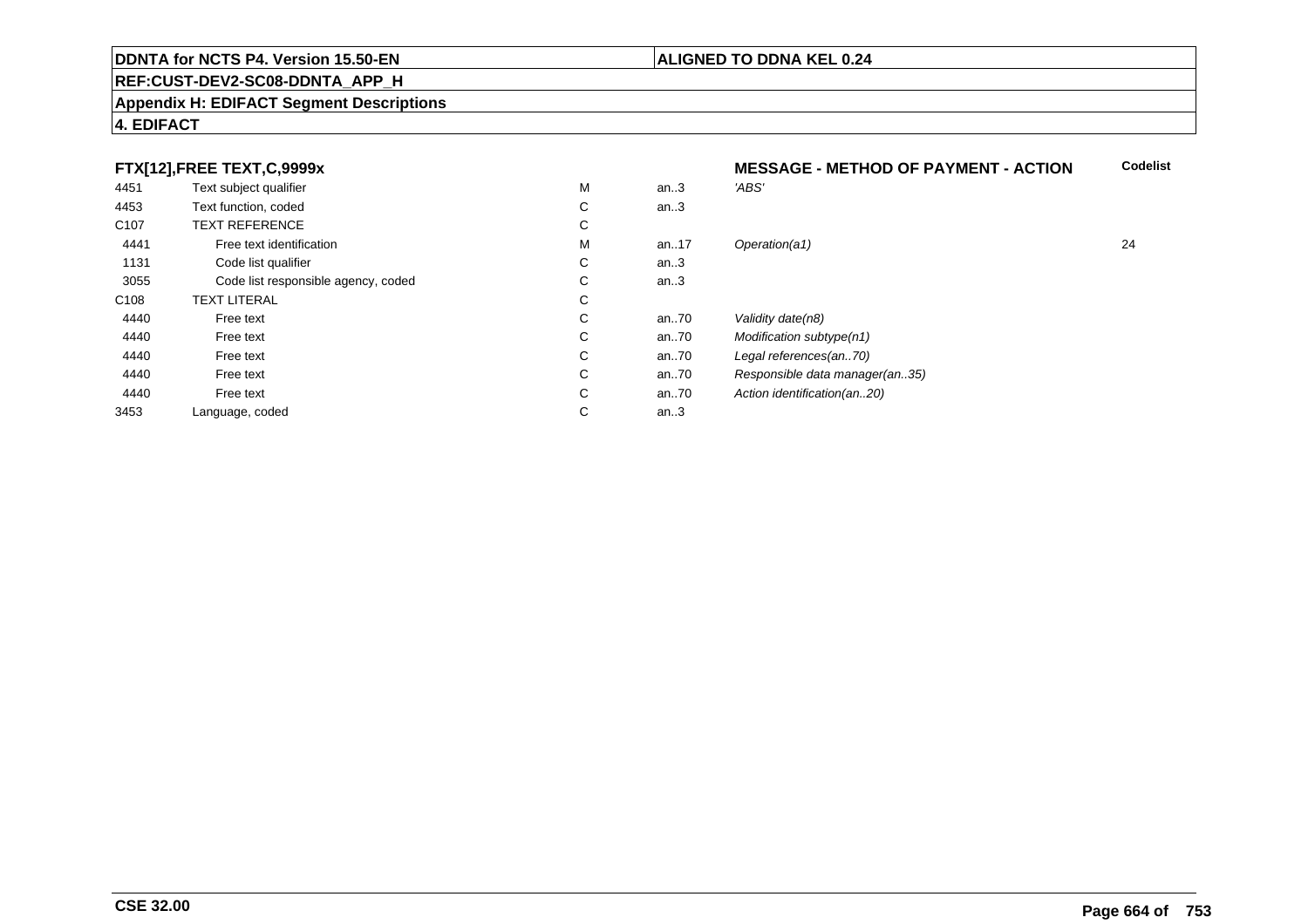#### **REF:CUST-DEV2-SC08-DDNTA\_APP\_H**

#### **Appendix H: EDIFACT Segment Descriptions**

## **4. EDIFACT**

# **FTX[12],FREE TEXT,C,9999x**

|                  | FTX[12],FREE TEXT,C,9999x           |   |          | <b>MESSAGE - METHOD OF PAYMENT - ACTION</b> | C. |
|------------------|-------------------------------------|---|----------|---------------------------------------------|----|
| 4451             | Text subject qualifier              | M | an.3     | 'ABS'                                       |    |
| 4453             | Text function, coded                | С | an.3     |                                             |    |
| C <sub>107</sub> | <b>TEXT REFERENCE</b>               | С |          |                                             |    |
| 4441             | Free text identification            | M | an. $17$ | Operation(a1)                               | 24 |
| 1131             | Code list qualifier                 | С | an.3     |                                             |    |
| 3055             | Code list responsible agency, coded | С | an.3     |                                             |    |
| C <sub>108</sub> | <b>TEXT LITERAL</b>                 | С |          |                                             |    |
| 4440             | Free text                           | С | an $.70$ | Validity date(n8)                           |    |
| 4440             | Free text                           | С | an $.70$ | Modification subtype(n1)                    |    |
| 4440             | Free text                           | С | an70     | Legal references(an70)                      |    |
| 4440             | Free text                           | С | an70     | Responsible data manager(an35)              |    |
| 4440             | Free text                           | С | an $.70$ | Action identification(an20)                 |    |
| 3453             | Language, coded                     | С | an.3     |                                             |    |
|                  |                                     |   |          |                                             |    |

**ALIGNED TO DDNA KEL 0.24**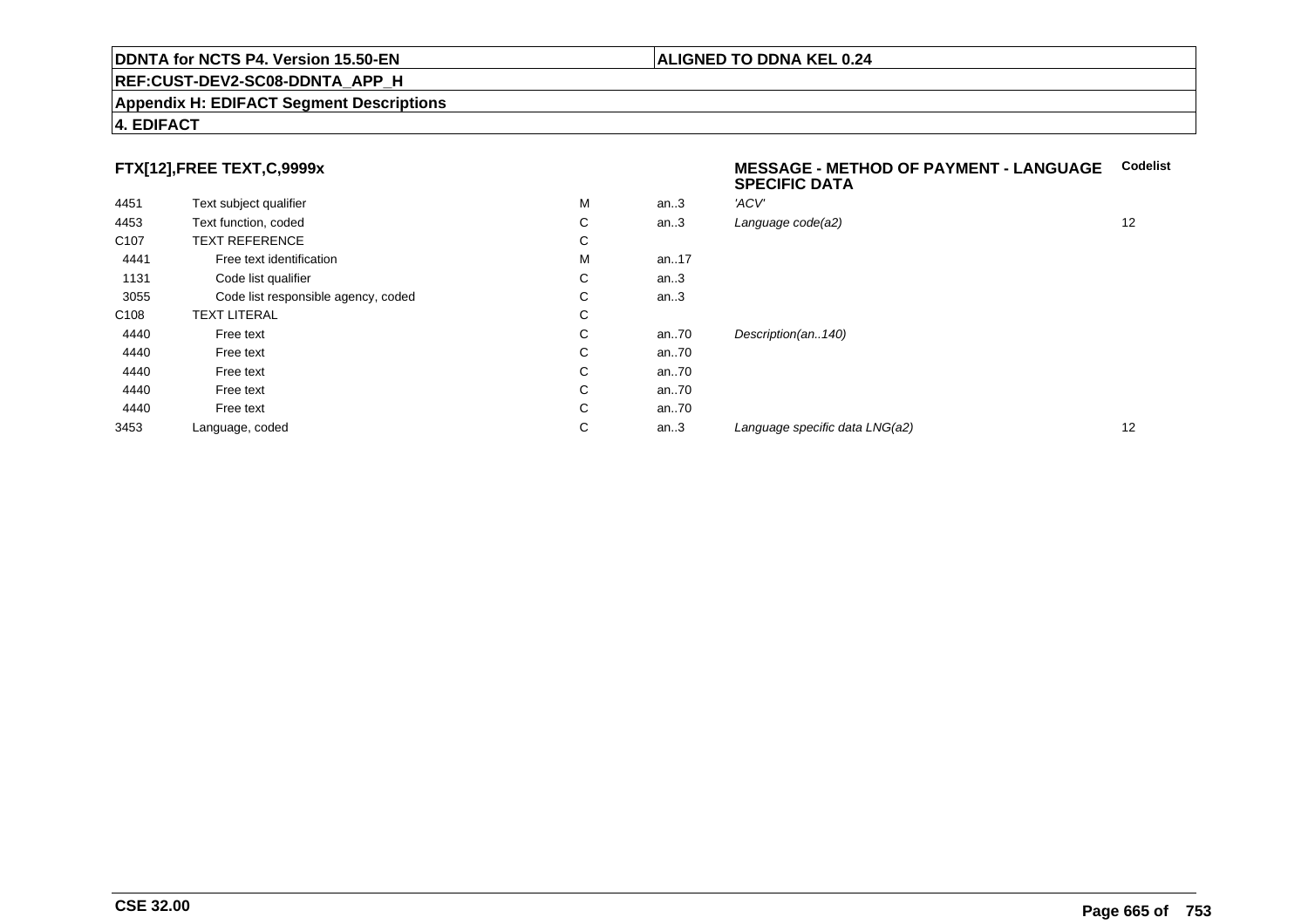#### **Appendix H: EDIFACT Segment Descriptions**

### **4. EDIFACT**

# **FTX[12],FREE TEXT,C,9999x**

| 4451             | Text subject qualifier              | M | an.3 | 'ACV' |
|------------------|-------------------------------------|---|------|-------|
| 4453             | Text function, coded                | С | an.3 | Langı |
| C <sub>107</sub> | <b>TEXT REFERENCE</b>               | С |      |       |
| 4441             | Free text identification            | M | an17 |       |
| 1131             | Code list qualifier                 | С | an.3 |       |
| 3055             | Code list responsible agency, coded | С | an.3 |       |
| C <sub>108</sub> | <b>TEXT LITERAL</b>                 | C |      |       |
| 4440             | Free text                           | С | an70 | Desci |
| 4440             | Free text                           | C | an70 |       |
| 4440             | Free text                           | С | an70 |       |
| 4440             | Free text                           | С | an70 |       |
| 4440             | Free text                           | С | an70 |       |
| 3453             | Language, coded                     | С | an.3 | Langu |
|                  |                                     |   |      |       |

#### **MESSAGE - METHOD OF PAYMENT - LANGUAGECodelistSPECIFIC DATA**

| М | an.3 | 'ACV'                          |    |
|---|------|--------------------------------|----|
| С | an.3 | Language code(a2)              | 12 |
| С |      |                                |    |
| М | an17 |                                |    |
| С | an.3 |                                |    |
| С | an.3 |                                |    |
| С |      |                                |    |
| С | an70 | Description(an140)             |    |
| С | an70 |                                |    |
| С | an70 |                                |    |
| С | an70 |                                |    |
| С | an70 |                                |    |
| С | an.3 | Language specific data LNG(a2) | 12 |
|   |      |                                |    |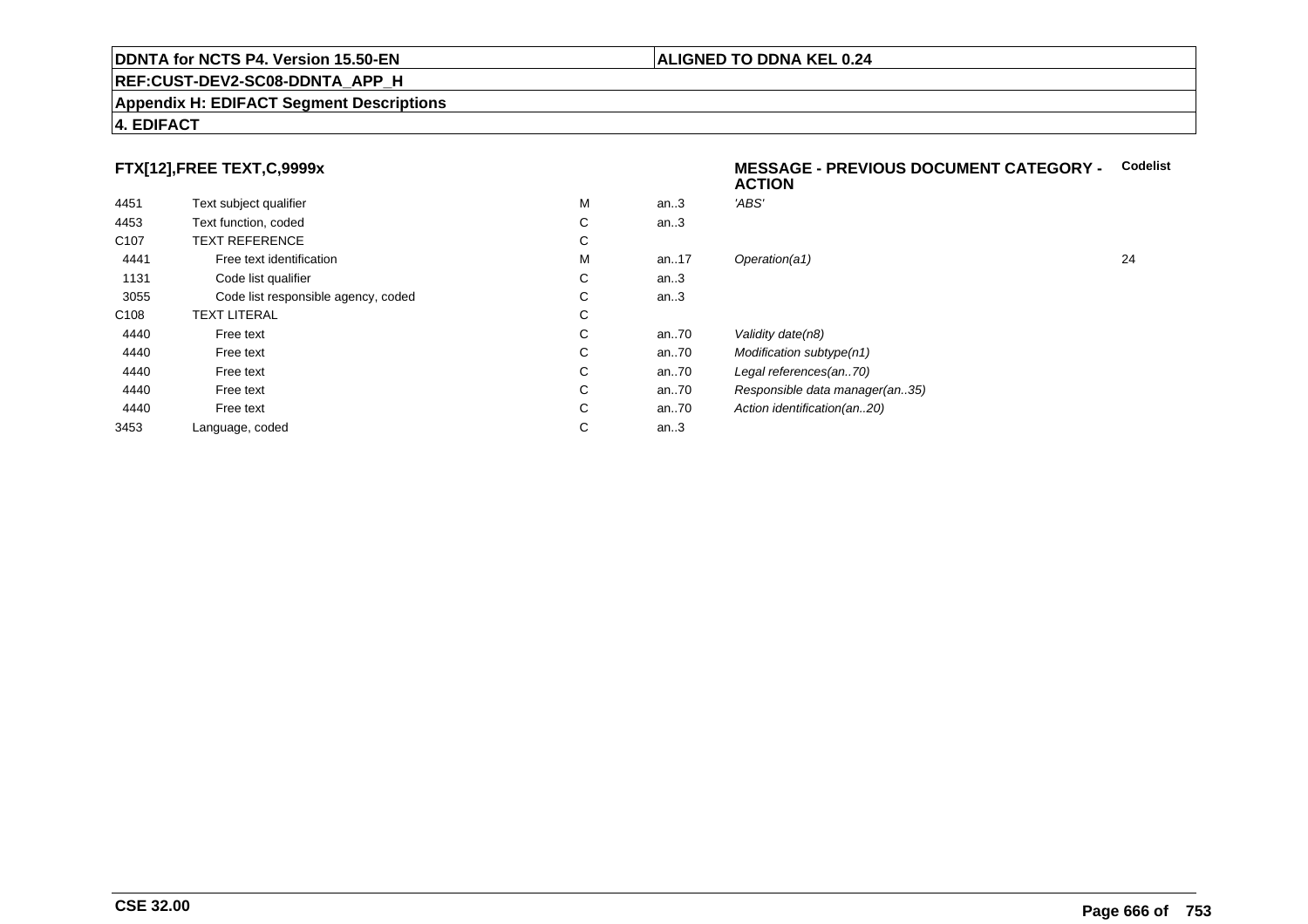#### **Appendix H: EDIFACT Segment Descriptions**

# **4. EDIFACT**

# **FTX[12],FREE TEXT,C,9999x**

| 4451             | Text subject qualifier              | M | an.3  | 'ABS'  |
|------------------|-------------------------------------|---|-------|--------|
| 4453             | Text function, coded                | С | an.3  |        |
| C <sub>107</sub> | <b>TEXT REFERENCE</b>               | С |       |        |
| 4441             | Free text identification            | M | an.17 | Opera  |
| 1131             | Code list qualifier                 | С | an.3  |        |
| 3055             | Code list responsible agency, coded | С | an.3  |        |
| C <sub>108</sub> | <b>TEXT LITERAL</b>                 | С |       |        |
| 4440             | Free text                           | C | an.70 | Validi |
| 4440             | Free text                           | C | an.70 | Modit  |
| 4440             | Free text                           | C | an70  | Legal  |
| 4440             | Free text                           | С | an70  | Resp   |
| 4440             | Free text                           | С | an70  | Action |
| 3453             | Language, coded                     | С | an.3  |        |
|                  |                                     |   |       |        |

#### **MESSAGE - PREVIOUS DOCUMENT CATEGORY -** Codelist<br>ACTION **ACTION**

| М | an.3 | 'ABS'                          |    |
|---|------|--------------------------------|----|
| С | an.3 |                                |    |
| С |      |                                |    |
| М | an17 | Operation(a1)                  | 24 |
| С | an.3 |                                |    |
| С | an.3 |                                |    |
| С |      |                                |    |
| С | an70 | Validity date(n8)              |    |
| С | an70 | Modification subtype(n1)       |    |
| С | an70 | Legal references(an70)         |    |
| С | an70 | Responsible data manager(an35) |    |
| С | an70 | Action identification(an20)    |    |
| С | an.3 |                                |    |
|   |      |                                |    |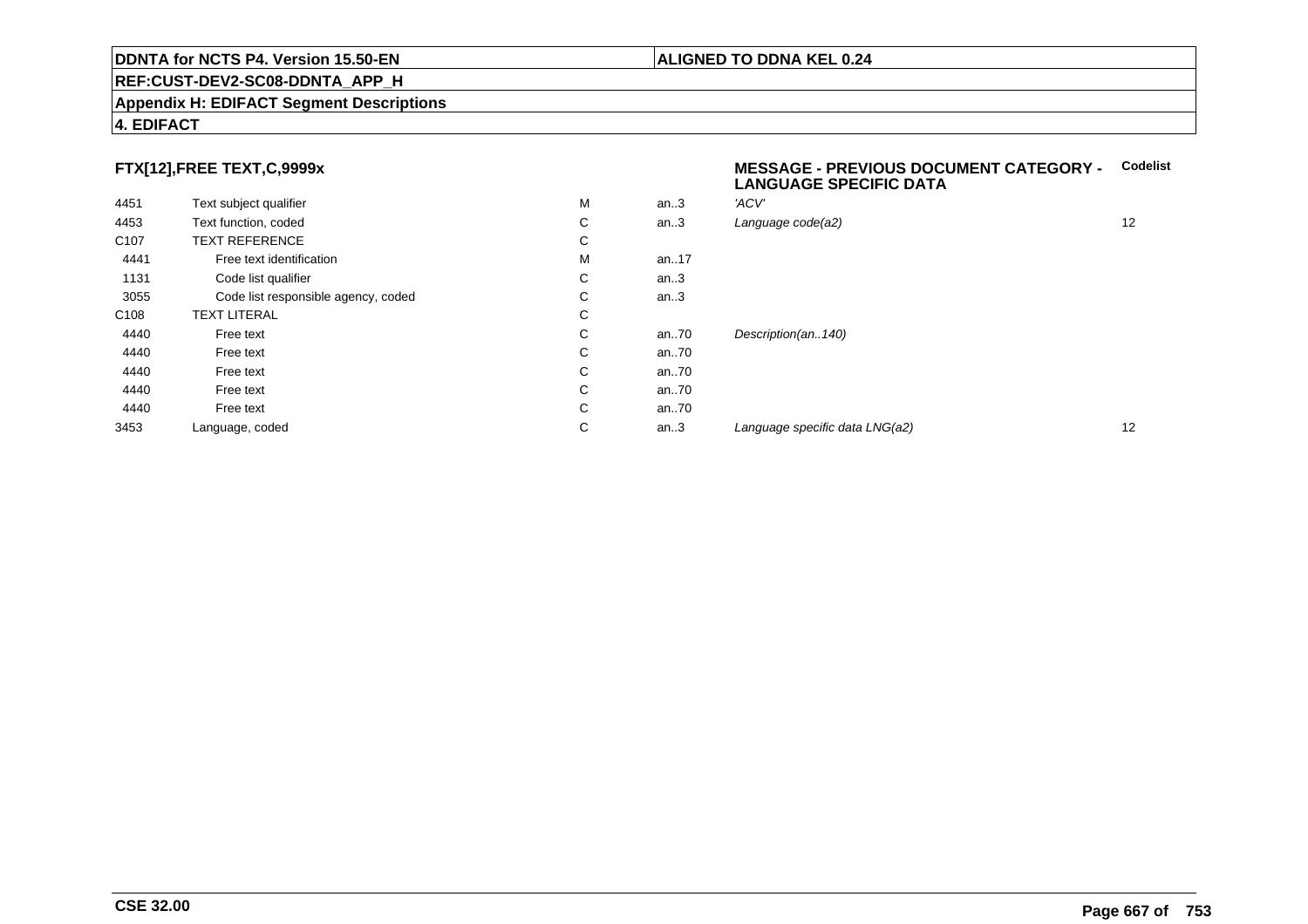#### **Appendix H: EDIFACT Segment Descriptions**

### **4. EDIFACT**

# **FTX[12],FREE TEXT,C,9999x**

| 4451             | Text subject qualifier              | M | an.3 | 'ACV' |
|------------------|-------------------------------------|---|------|-------|
| 4453             | Text function, coded                | С | an.3 | Langu |
| C <sub>107</sub> | <b>TEXT REFERENCE</b>               | C |      |       |
| 4441             | Free text identification            | M | an17 |       |
| 1131             | Code list qualifier                 | С | an.3 |       |
| 3055             | Code list responsible agency, coded | С | an.3 |       |
| C <sub>108</sub> | <b>TEXT LITERAL</b>                 | C |      |       |
| 4440             | Free text                           | C | an70 | Desci |
| 4440             | Free text                           | C | an70 |       |
| 4440             | Free text                           | С | an70 |       |
| 4440             | Free text                           | С | an70 |       |
| 4440             | Free text                           | C | an70 |       |
| 3453             | Language, coded                     | С | an.3 | Langı |
|                  |                                     |   |      |       |

#### **MESSAGE - PREVIOUS DOCUMENT CATEGORY - CodelistLANGUAGE SPECIFIC DATA**

| М | an.3 | 'ACV'                          |    |
|---|------|--------------------------------|----|
| С | an.3 | Language code(a2)              | 12 |
| С |      |                                |    |
| М | an17 |                                |    |
| С | an.3 |                                |    |
| С | an.3 |                                |    |
| С |      |                                |    |
| С | an70 | Description(an140)             |    |
| С | an70 |                                |    |
| С | an70 |                                |    |
| С | an70 |                                |    |
| С | an70 |                                |    |
| С | an.3 | Language specific data LNG(a2) | 12 |
|   |      |                                |    |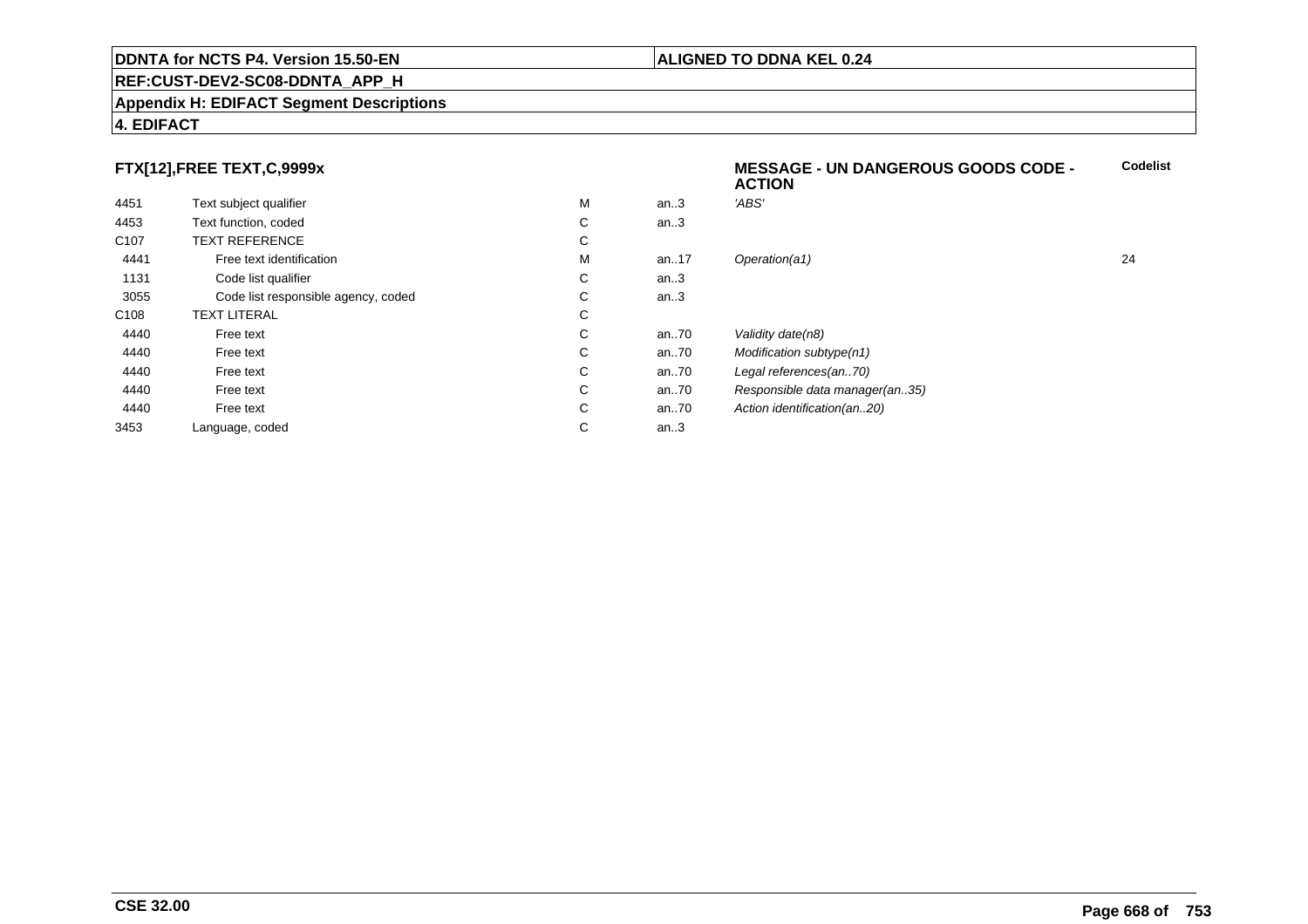#### **REF:CUST-DEV2-SC08-DDNTA\_APP\_H**

#### **Appendix H: EDIFACT Segment Descriptions**

# **4. EDIFACT**

# **FTX[12],FREE TEXT,C,9999x**

|                  |                                     |   |      | <b>ACTION</b>                  |    |
|------------------|-------------------------------------|---|------|--------------------------------|----|
| 4451             | Text subject qualifier              | М | an.3 | 'ABS'                          |    |
| 4453             | Text function, coded                | C | an.3 |                                |    |
| C <sub>107</sub> | <b>TEXT REFERENCE</b>               | С |      |                                |    |
| 4441             | Free text identification            | М | an17 | Operation(a1)                  | 24 |
| 1131             | Code list qualifier                 | C | an.3 |                                |    |
| 3055             | Code list responsible agency, coded | C | an.3 |                                |    |
| C108             | <b>TEXT LITERAL</b>                 | С |      |                                |    |
| 4440             | Free text                           | C | an70 | Validity date(n8)              |    |
| 4440             | Free text                           | C | an70 | Modification subtype(n1)       |    |
| 4440             | Free text                           | С | an70 | Legal references(an70)         |    |
| 4440             | Free text                           | C | an70 | Responsible data manager(an35) |    |
| 4440             | Free text                           | C | an70 | Action identification(an20)    |    |
| 3453             | Language, coded                     | С | an.3 |                                |    |

**Codelist**

### **ALIGNED TO DDNA KEL 0.24**

**MESSAGE - UN DANGEROUS GOODS CODE -**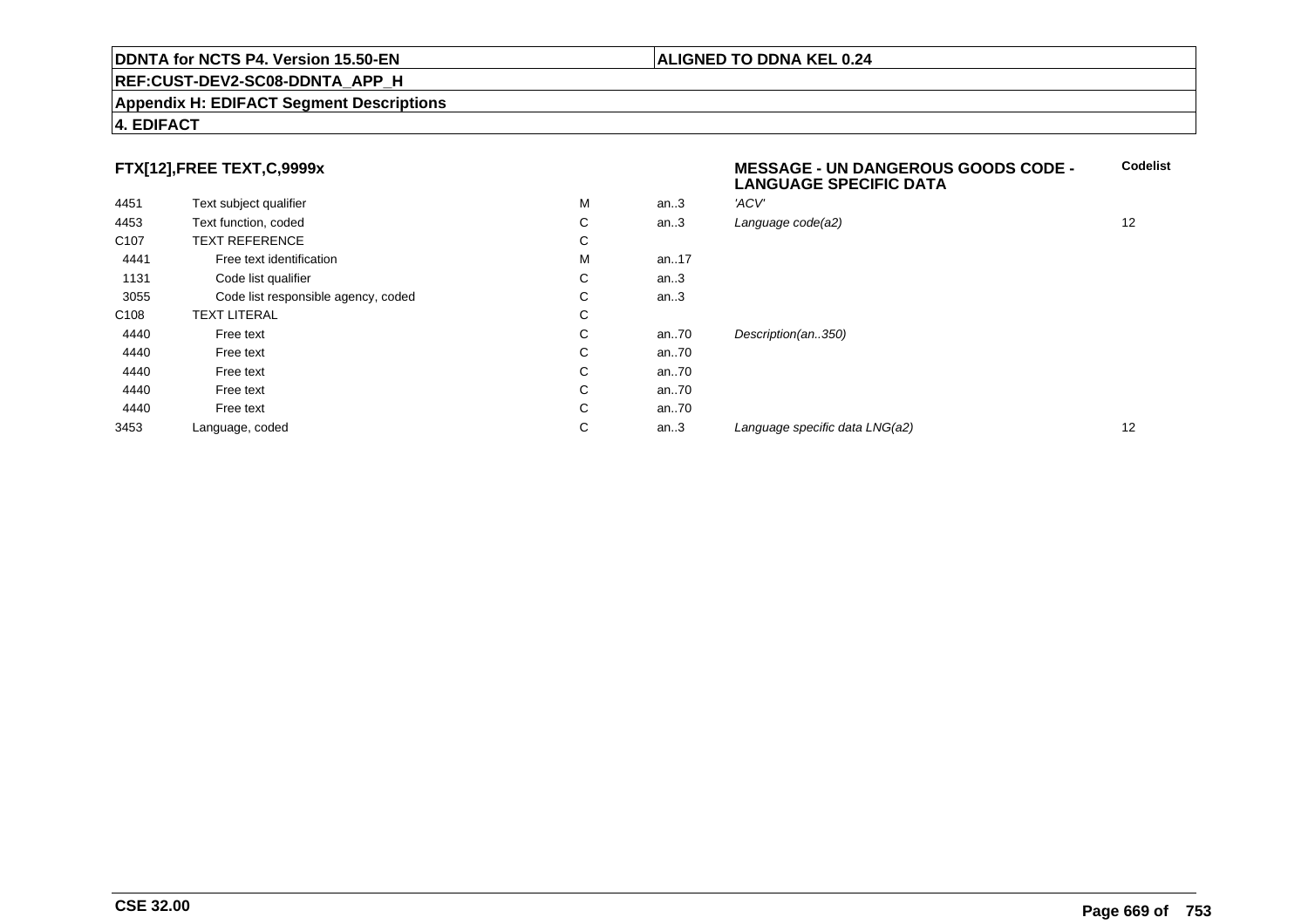#### **REF:CUST-DEV2-SC08-DDNTA\_APP\_H**

#### **Appendix H: EDIFACT Segment Descriptions**

### **4. EDIFACT**

# **FTX[12],FREE TEXT,C,9999x**

|                  |                                     |   |      | <b>LANGUAGE SPECIFIC DATA</b>  |    |
|------------------|-------------------------------------|---|------|--------------------------------|----|
| 4451             | Text subject qualifier              | M | an.3 | 'ACV'                          |    |
| 4453             | Text function, coded                | С | an.3 | Language code(a2)              | 12 |
| C <sub>107</sub> | <b>TEXT REFERENCE</b>               | С |      |                                |    |
| 4441             | Free text identification            | M | an17 |                                |    |
| 1131             | Code list qualifier                 | С | an.3 |                                |    |
| 3055             | Code list responsible agency, coded | С | an.3 |                                |    |
| C108             | <b>TEXT LITERAL</b>                 | С |      |                                |    |
| 4440             | Free text                           | С | an70 | Description(an350)             |    |
| 4440             | Free text                           | С | an70 |                                |    |
| 4440             | Free text                           | С | an70 |                                |    |
| 4440             | Free text                           | С | an70 |                                |    |
| 4440             | Free text                           | С | an70 |                                |    |
| 3453             | Language, coded                     | С | an.3 | Language specific data LNG(a2) | 12 |
|                  |                                     |   |      |                                |    |

# **ALIGNED TO DDNA KEL 0.24**

**MESSAGE - UN DANGEROUS GOODS CODE -**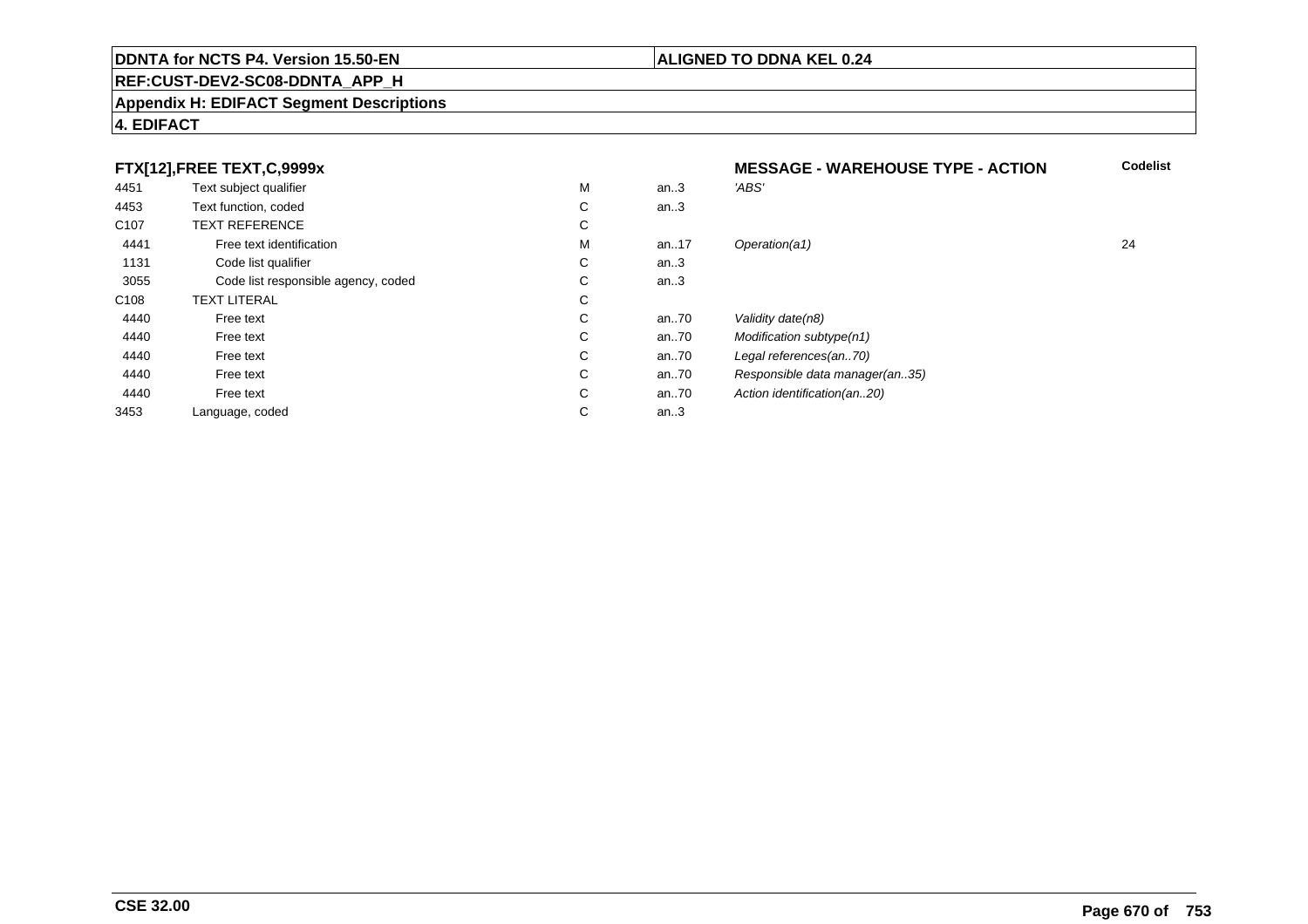#### **REF:CUST-DEV2-SC08-DDNTA\_APP\_H**

#### **Appendix H: EDIFACT Segment Descriptions**

## **4. EDIFACT**

#### **FTX[12],FREE TEXT,C,9999xMESSAGE - WAREHOUSE TYPE - ACTION**<br>M an..3 *'ABS'*  **Codelist** 4451Text subject qualifier M<br>
Text function, coded C M an..3 *'ABS'*<br>-4453Text function, coded C<br>
TEXT REFERENCE an..3 C107 TEXT REFERENCEE C  $\mathsf{M}% _{T}=\mathsf{M}_{T}\!\left( a,b\right) ,\ \mathsf{M}_{T}=\mathsf{M}_{T}$ 4441Free text identification M<br>Code list qualifier development of the code list qualifier development of  $\mathbf C$ M an..17 Operation(a1) 24 1131Code list qualifier C<br>Code list responsible agency, coded C an..3 3055 Code list responsible agency, coded <sup>C</sup> an..3 C108TEXT LITERAL<br>Free text  $\mathbf C$ 44400 Free text C C an..70 Validity date(n8)<br>C an..70 Modification subt 44400 Free text C C an..70 Modification subtype(n1)<br>C an..70 Legal references(an..70) 44400 Free text C C an..70 Legal references(an..70)<br>C an..70 Responsible data manag 44400 Free text C C an..70 Responsible data manager(an..35)<br>C an..70 Action identification(an..20) 44400 Free text C C an..70 Action identification(an..20)<br>C an..3 3453Language, coded an..3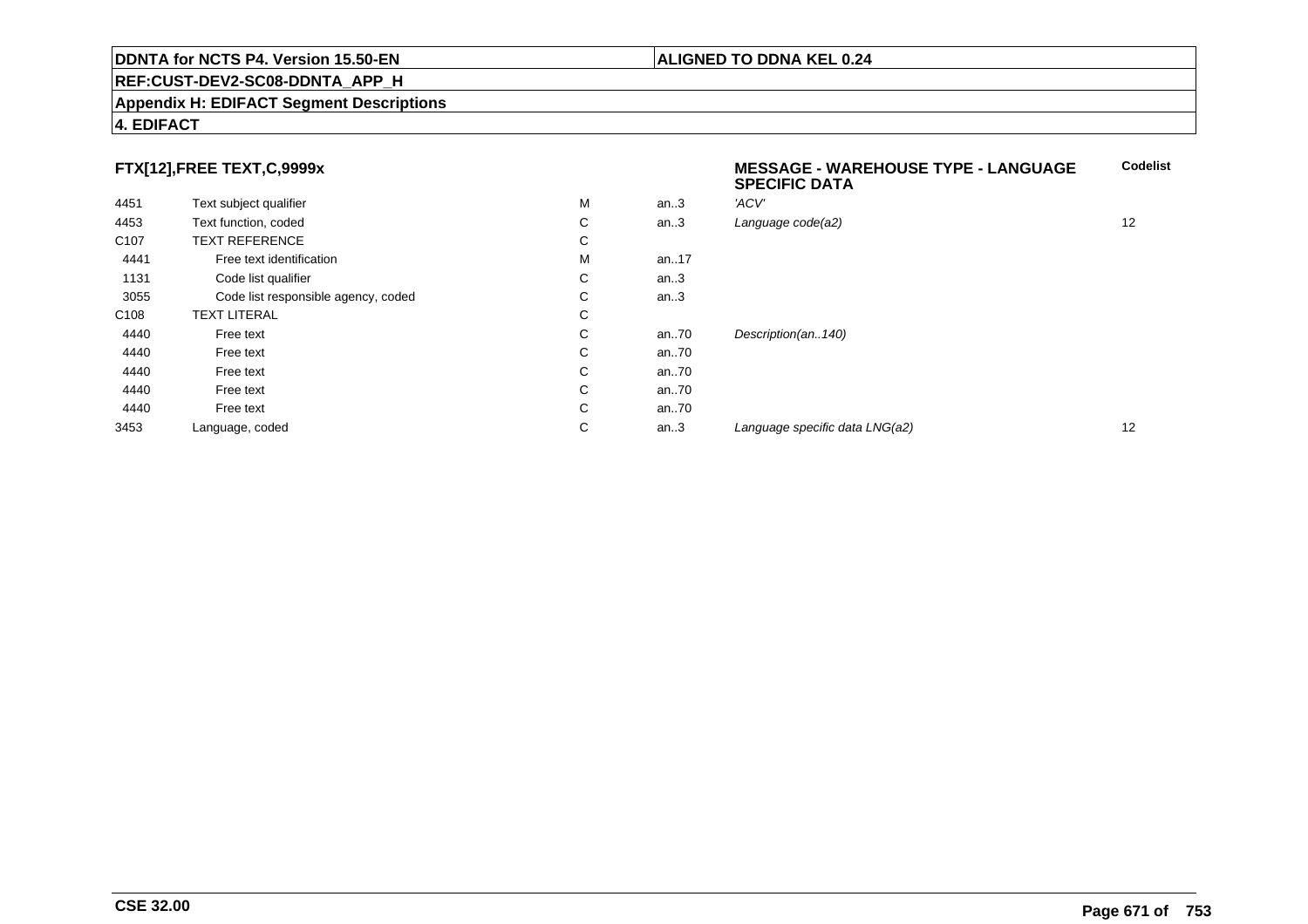#### **REF:CUST-DEV2-SC08-DDNTA\_APP\_H**

#### **Appendix H: EDIFACT Segment Descriptions**

### **4. EDIFACT**

# **FTX[12],FREE TEXT,C,9999x**

|                  | FTX[12],FREE TEXT,C,9999x           |   |      | <b>MESSAGE - WAREHOUSE TYPE - LANGUAGE</b><br><b>SPECIFIC DATA</b> |                   |
|------------------|-------------------------------------|---|------|--------------------------------------------------------------------|-------------------|
| 4451             | Text subject qualifier              | М | an.3 | 'ACV'                                                              |                   |
| 4453             | Text function, coded                | С | an.3 | Language code(a2)                                                  | 12                |
| C <sub>107</sub> | <b>TEXT REFERENCE</b>               | С |      |                                                                    |                   |
| 4441             | Free text identification            | М | an17 |                                                                    |                   |
| 1131             | Code list qualifier                 | С | an.3 |                                                                    |                   |
| 3055             | Code list responsible agency, coded | С | an.3 |                                                                    |                   |
| C <sub>108</sub> | <b>TEXT LITERAL</b>                 | C |      |                                                                    |                   |
| 4440             | Free text                           | С | an70 | Description(an140)                                                 |                   |
| 4440             | Free text                           | C | an70 |                                                                    |                   |
| 4440             | Free text                           | С | an70 |                                                                    |                   |
| 4440             | Free text                           | С | an70 |                                                                    |                   |
| 4440             | Free text                           | C | an70 |                                                                    |                   |
| 3453             | Language, coded                     | C | an.3 | Language specific data LNG(a2)                                     | $12 \overline{ }$ |
|                  |                                     |   |      |                                                                    |                   |

**Codelist**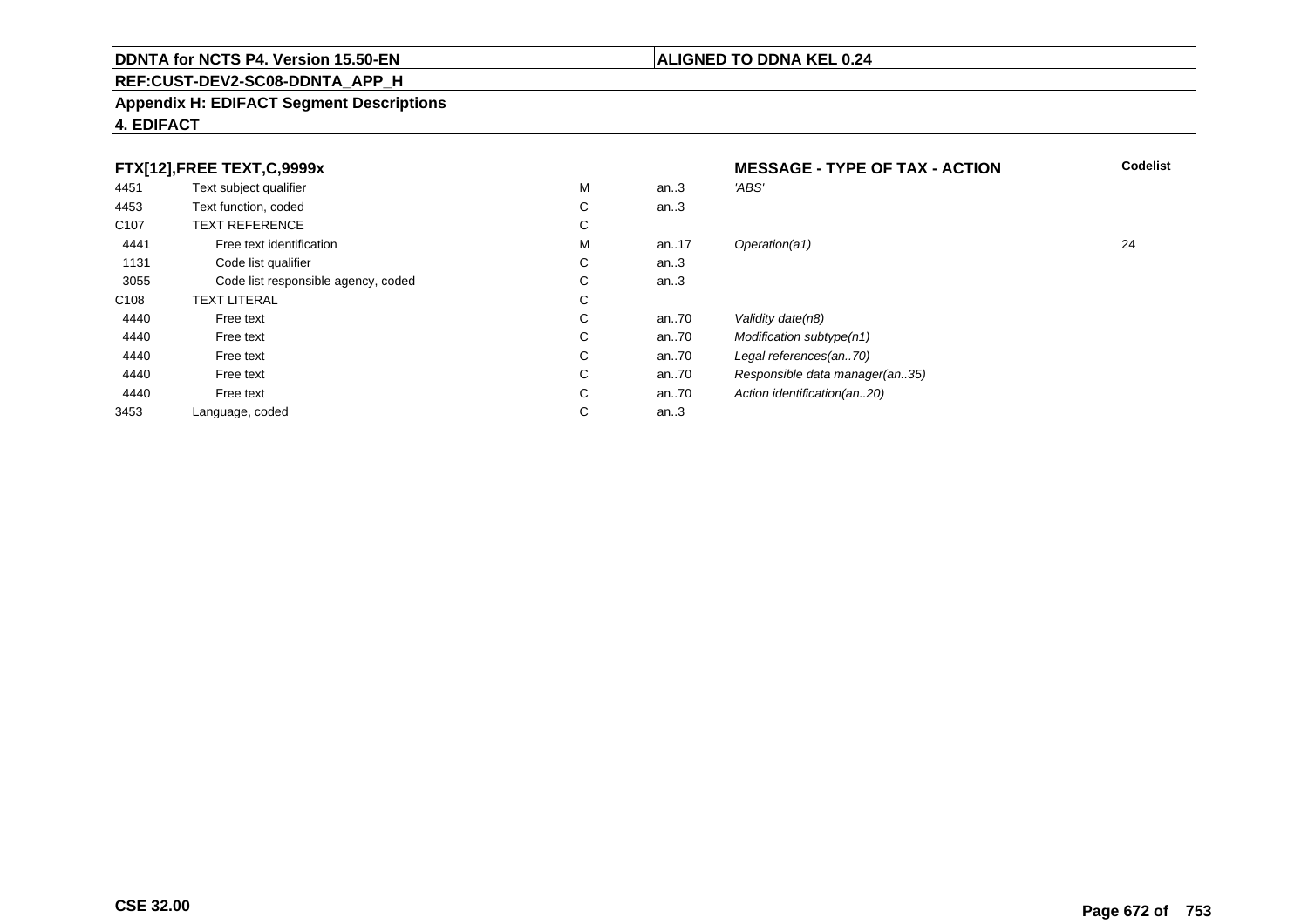# **REF:CUST-DEV2-SC08-DDNTA\_APP\_H**

#### **Appendix H: EDIFACT Segment Descriptions**

# **4. EDIFACT**

|                  | FTX[12],FREE TEXT,C,9999x           |        |         | <b>MESSAGE - TYPE OF TAX - ACTION</b> | <b>Codelist</b> |
|------------------|-------------------------------------|--------|---------|---------------------------------------|-----------------|
| 4451             | Text subject qualifier              | М      | an.3    | 'ABS'                                 |                 |
| 4453             | Text function, coded                | C.     | an.3    |                                       |                 |
| C <sub>107</sub> | <b>TEXT REFERENCE</b>               | ⌒<br>◡ |         |                                       |                 |
| 4441             | Free text identification            | м      | an17    | Operation(a1)                         | 24              |
| 1131             | Code list qualifier                 | C      | an $.3$ |                                       |                 |
| 3055             | Code list responsible agency, coded | C.     | an.3    |                                       |                 |
| C <sub>108</sub> | <b>TEXT LITERAL</b>                 | C.     |         |                                       |                 |
| 4440             | Free text                           | ⌒<br>Ü | an70    | Validity date(n8)                     |                 |
| 4440             | Free text                           | C.     | an70    | Modification subtype(n1)              |                 |
| 4440             | Free text                           | С      | an70    | Legal references(an70)                |                 |
| 4440             | Free text                           | C      | an70    | Responsible data manager(an35)        |                 |
| 4440             | Free text                           | C      | an70    | Action identification(an20)           |                 |
| 3453             | Language, coded                     | С      | an.3    |                                       |                 |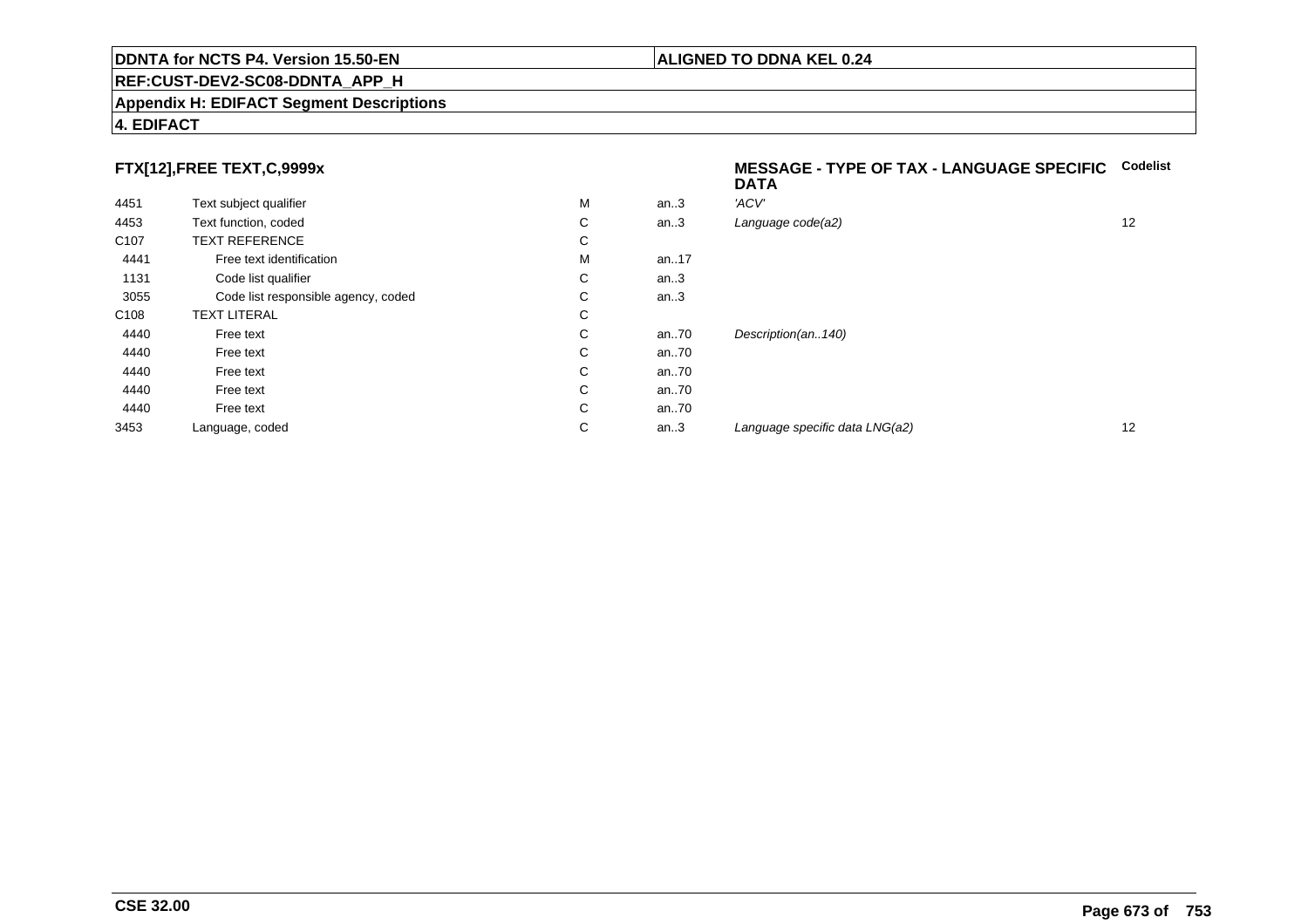#### **REF:CUST-DEV2-SC08-DDNTA\_APP\_H**

#### **Appendix H: EDIFACT Segment Descriptions**

# **4. EDIFACT**

# **FTX[12],FREE TEXT,C,9999x**

| 4451             | Text subject qualifier              | M | an.3  | 'ACV'                |
|------------------|-------------------------------------|---|-------|----------------------|
| 4453             | Text function, coded                | С | an.3  | Language code(a2)    |
| C <sub>107</sub> | <b>TEXT REFERENCE</b>               | С |       |                      |
| 4441             | Free text identification            | M | an17  |                      |
| 1131             | Code list qualifier                 | С | an.3  |                      |
| 3055             | Code list responsible agency, coded | С | an.3  |                      |
| C <sub>108</sub> | <b>TEXT LITERAL</b>                 | С |       |                      |
| 4440             | Free text                           | C | an70  | Description(an140)   |
| 4440             | Free text                           | С | an70  |                      |
| 4440             | Free text                           | C | an70  |                      |
| 4440             | Free text                           | C | an70  |                      |
| 4440             | Free text                           | C | an.70 |                      |
| 3453             | Language, coded                     | С | an.3  | Language specific di |
|                  |                                     |   |       |                      |

#### **MESSAGE - TYPE OF TAX - LANGUAGE SPECIFICCodelistDATA**

| М | an.3 | 'ACV'                          |    |
|---|------|--------------------------------|----|
| С | an.3 | Language code(a2)              | 12 |
| С |      |                                |    |
| М | an17 |                                |    |
| С | an.3 |                                |    |
| С | an.3 |                                |    |
| С |      |                                |    |
| С | an70 | Description(an140)             |    |
| С | an70 |                                |    |
| С | an70 |                                |    |
| С | an70 |                                |    |
| С | an70 |                                |    |
| С | an.3 | Language specific data LNG(a2) | 12 |
|   |      |                                |    |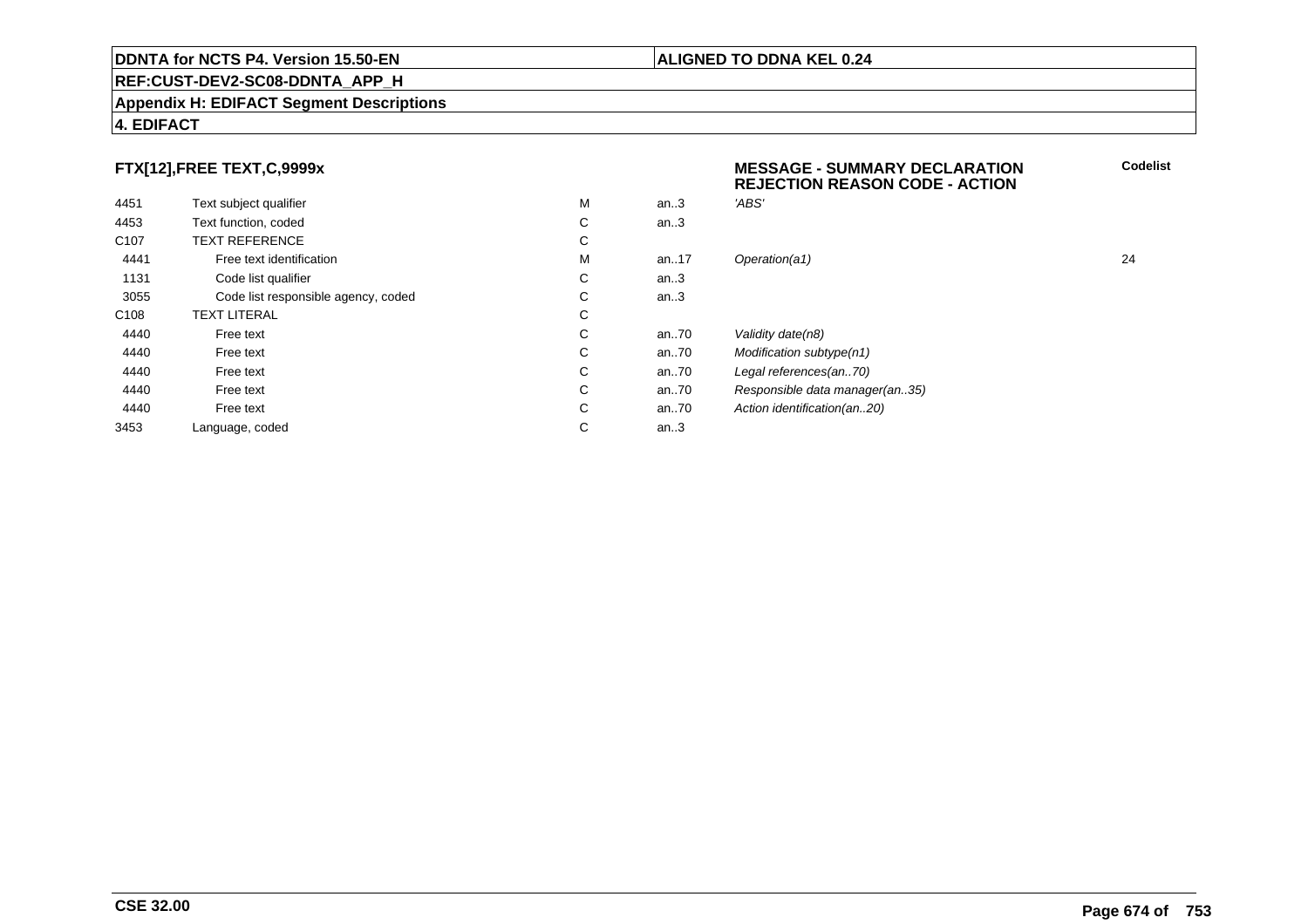#### **Appendix H: EDIFACT Segment Descriptions**

### **4. EDIFACT**

# **FTX[12],FREE TEXT,C,9999x**

| 4451             | Text subject qualifier              | M | an.3     | 'ABS'                          |    |
|------------------|-------------------------------------|---|----------|--------------------------------|----|
| 4453             | Text function, coded                | С | an.3     |                                |    |
| C <sub>107</sub> | <b>TEXT REFERENCE</b>               | C |          |                                |    |
| 4441             | Free text identification            | M | an17     | Operation(a1)                  | 24 |
| 1131             | Code list qualifier                 | C | an.3     |                                |    |
| 3055             | Code list responsible agency, coded | C | an.3     |                                |    |
| C <sub>108</sub> | <b>TEXT LITERAL</b>                 | C |          |                                |    |
| 4440             | Free text                           | C | an $.70$ | Validity date(n8)              |    |
| 4440             | Free text                           | С | an $.70$ | Modification subtype(n1)       |    |
| 4440             | Free text                           | C | an.70    | Legal references(an70)         |    |
| 4440             | Free text                           | C | an70     | Responsible data manager(an35) |    |
| 4440             | Free text                           | C | an $.70$ | Action identification(an20)    |    |
| 3453             | Language, coded                     | C | an.3     |                                |    |
|                  |                                     |   |          |                                |    |

# **MESSAGE - SUMMARY DECLARATION REJECTION REASON CODE - ACTIONCodelist**

# subtype(n1) ces(an..70) data manager(an..35) ication(an..20)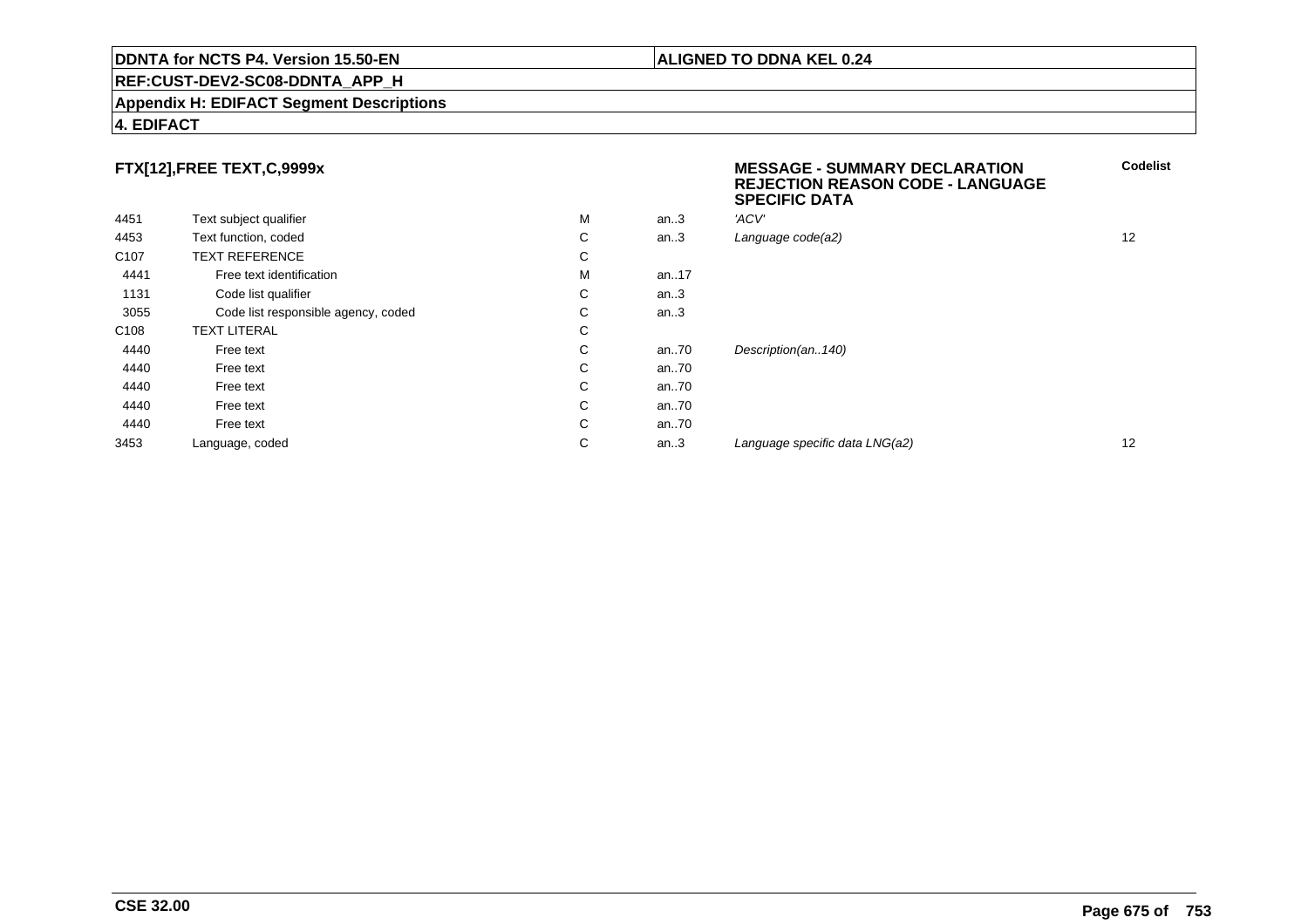#### **REF:CUST-DEV2-SC08-DDNTA\_APP\_H**

#### **Appendix H: EDIFACT Segment Descriptions**

#### **4. EDIFACT**

# **FTX[12],FREE TEXT,C,9999x**

|                  |                                     |   |       | ---   |
|------------------|-------------------------------------|---|-------|-------|
| 4451             | Text subject qualifier              | M | an.3  | 'ACV' |
| 4453             | Text function, coded                | C | an.3  | Langi |
| C <sub>107</sub> | <b>TEXT REFERENCE</b>               | С |       |       |
| 4441             | Free text identification            | М | an17  |       |
| 1131             | Code list qualifier                 | C | an.3  |       |
| 3055             | Code list responsible agency, coded | C | an.3  |       |
| C <sub>108</sub> | <b>TEXT LITERAL</b>                 | C |       |       |
| 4440             | Free text                           | С | an.70 | Desci |
| 4440             | Free text                           | С | an70  |       |
| 4440             | Free text                           | C | an70  |       |
| 4440             | Free text                           | C | an70  |       |
| 4440             | Free text                           | C | an70  |       |
| 3453             | Language, coded                     | С | an.3  | Langı |
|                  |                                     |   |       |       |

#### **MESSAGE - SUMMARY DECLARATION REJECTION REASON CODE - LANGUAGESPECIFIC DATACodelist**

| м | an3  | 'ACV'                          |    |
|---|------|--------------------------------|----|
| С | an.3 | Language code(a2)              | 12 |
| С |      |                                |    |
| М | an17 |                                |    |
| С | an.3 |                                |    |
| С | an.3 |                                |    |
| С |      |                                |    |
| С | an70 | Description(an140)             |    |
| С | an70 |                                |    |
| С | an70 |                                |    |
| С | an70 |                                |    |
| С | an70 |                                |    |
| С | an.3 | Language specific data LNG(a2) | 12 |
|   |      |                                |    |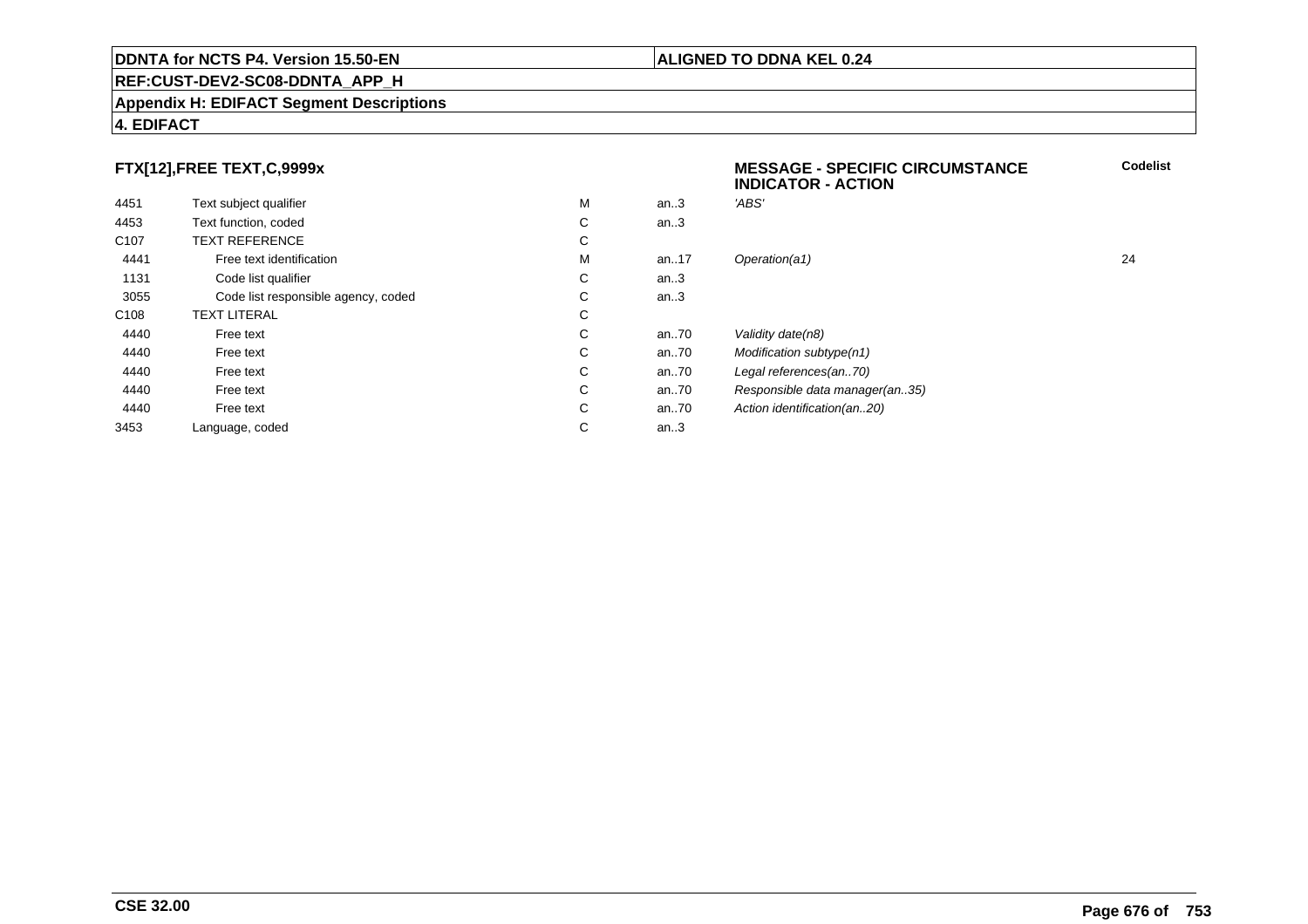#### **Appendix H: EDIFACT Segment Descriptions**

### **4. EDIFACT**

# **FTX[12],FREE TEXT,C,9999x**

|                  |                                     |   |      | <b>INDICATOR - ACTION</b>      |    |
|------------------|-------------------------------------|---|------|--------------------------------|----|
| 4451             | Text subject qualifier              | M | an.3 | 'ABS'                          |    |
| 4453             | Text function, coded                | С | an.3 |                                |    |
| C <sub>107</sub> | <b>TEXT REFERENCE</b>               | С |      |                                |    |
| 4441             | Free text identification            | M | an17 | Operation(a1)                  | 24 |
| 1131             | Code list qualifier                 | С | an.3 |                                |    |
| 3055             | Code list responsible agency, coded | С | an.3 |                                |    |
| C108             | <b>TEXT LITERAL</b>                 | С |      |                                |    |
| 4440             | Free text                           | С | an70 | Validity date(n8)              |    |
| 4440             | Free text                           | С | an70 | Modification subtype(n1)       |    |
| 4440             | Free text                           | С | an70 | Legal references(an70)         |    |
| 4440             | Free text                           | С | an70 | Responsible data manager(an35) |    |
| 4440             | Free text                           | С | an70 | Action identification (an20)   |    |
| 3453             | Language, coded                     | C | an.3 |                                |    |
|                  |                                     |   |      |                                |    |

### **ALIGNED TO DDNA KEL 0.24**

**MESSAGE - SPECIFIC CIRCUMSTANCE**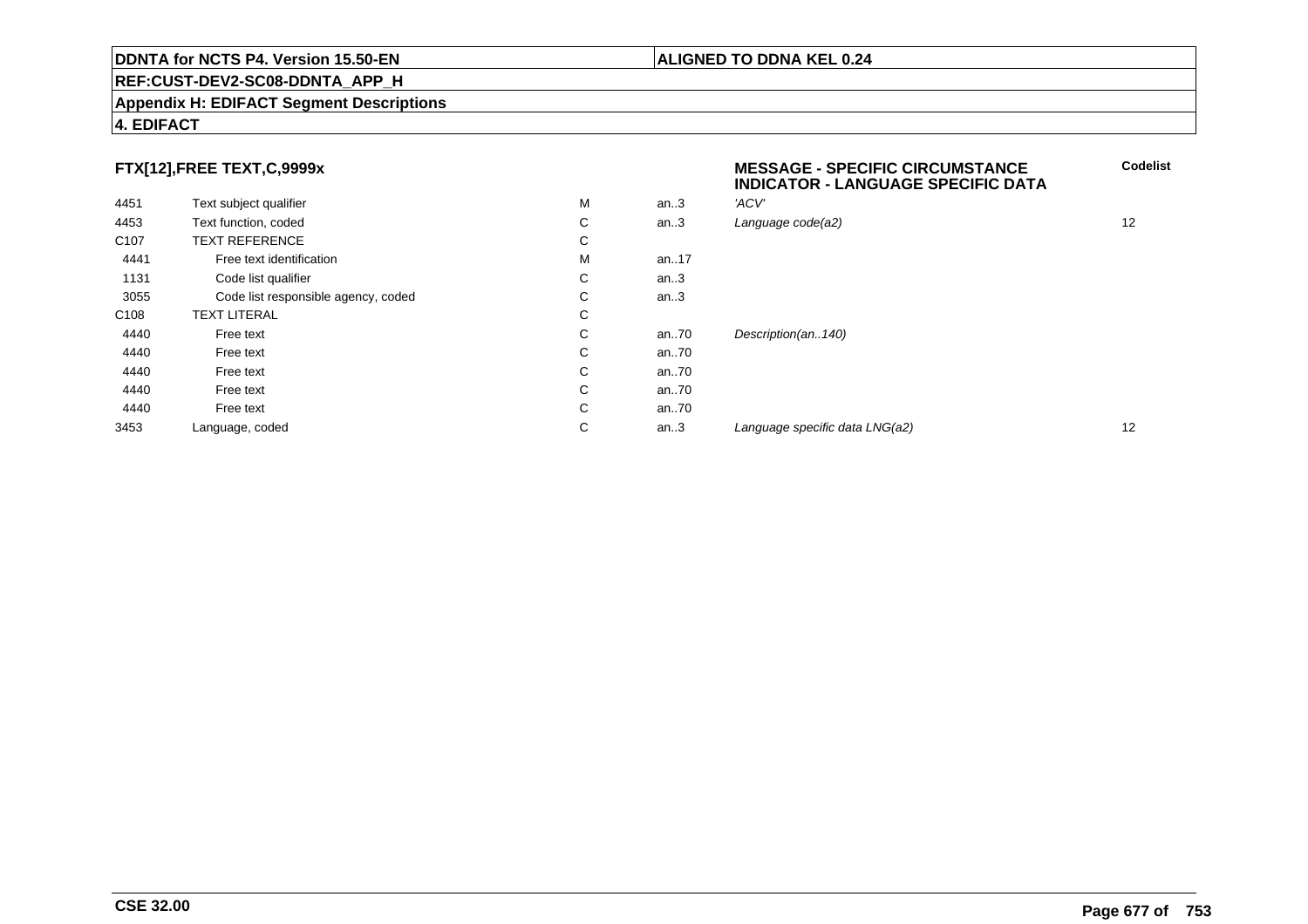#### **REF:CUST-DEV2-SC08-DDNTA\_APP\_H**

#### **Appendix H: EDIFACT Segment Descriptions**

# **FTX[12],FREE TEXT,C,9999x**

| FTX[12],FREE TEXT,C,9999x |                                     |   |      | <b>MESSAGE - SPECIFIC CIRCUMSTANCE</b><br><b>INDICATOR - LANGUAGE SPECIFIC DATA</b> |    |
|---------------------------|-------------------------------------|---|------|-------------------------------------------------------------------------------------|----|
| 4451                      | Text subject qualifier              | M | an.3 | 'ACV'                                                                               |    |
| 4453                      | Text function, coded                | С | an.3 | Language code(a2)                                                                   | 12 |
| C <sub>107</sub>          | <b>TEXT REFERENCE</b>               | С |      |                                                                                     |    |
| 4441                      | Free text identification            | M | an17 |                                                                                     |    |
| 1131                      | Code list qualifier                 | С | an.3 |                                                                                     |    |
| 3055                      | Code list responsible agency, coded | С | an.3 |                                                                                     |    |
| C <sub>108</sub>          | <b>TEXT LITERAL</b>                 | С |      |                                                                                     |    |
| 4440                      | Free text                           | С | an70 | Description(an140)                                                                  |    |
| 4440                      | Free text                           | С | an70 |                                                                                     |    |
| 4440                      | Free text                           | С | an70 |                                                                                     |    |
| 4440                      | Free text                           | С | an70 |                                                                                     |    |
| 4440                      | Free text                           | С | an70 |                                                                                     |    |
| 3453                      | Language, coded                     | С | an.3 | Language specific data LNG(a2)                                                      | 12 |
|                           |                                     |   |      |                                                                                     |    |

**4. EDIFACT**

# **ALIGNED TO DDNA KEL 0.24**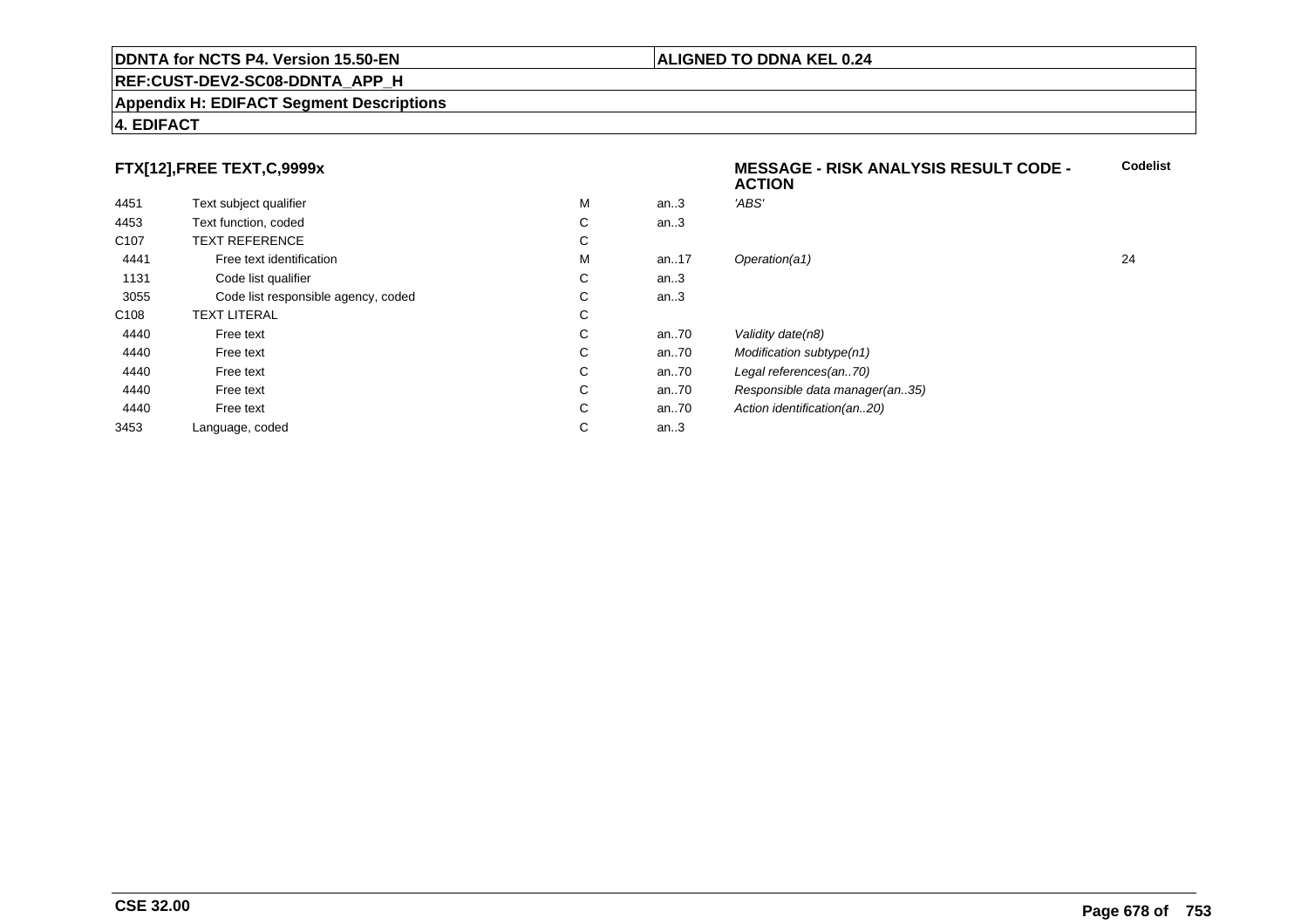#### **REF:CUST-DEV2-SC08-DDNTA\_APP\_H**

#### **Appendix H: EDIFACT Segment Descriptions**

### **4. EDIFACT**

# **FTX[12],FREE TEXT,C,9999x**

|                  |                                     |    |      | <b>ACTION</b>                  |    |
|------------------|-------------------------------------|----|------|--------------------------------|----|
| 4451             | Text subject qualifier              | М  | an.3 | 'ABS'                          |    |
| 4453             | Text function, coded                | C  | an.3 |                                |    |
| C <sub>107</sub> | <b>TEXT REFERENCE</b>               | C  |      |                                |    |
| 4441             | Free text identification            | М  | an17 | Operation(a1)                  | 24 |
| 1131             | Code list qualifier                 | C  | an.3 |                                |    |
| 3055             | Code list responsible agency, coded | C. | an.3 |                                |    |
| C <sub>108</sub> | <b>TEXT LITERAL</b>                 | C  |      |                                |    |
| 4440             | Free text                           | C  | an70 | Validity date(n8)              |    |
| 4440             | Free text                           | C  | an70 | Modification subtype(n1)       |    |
| 4440             | Free text                           | C  | an70 | Legal references(an70)         |    |
| 4440             | Free text                           | C  | an70 | Responsible data manager(an35) |    |
| 4440             | Free text                           | C  | an70 | Action identification(an20)    |    |
| 3453             | Language, coded                     | C  | an.3 |                                |    |
|                  |                                     |    |      |                                |    |

**Codelist**

### **ALIGNED TO DDNA KEL 0.24**

**MESSAGE - RISK ANALYSIS RESULT CODE -**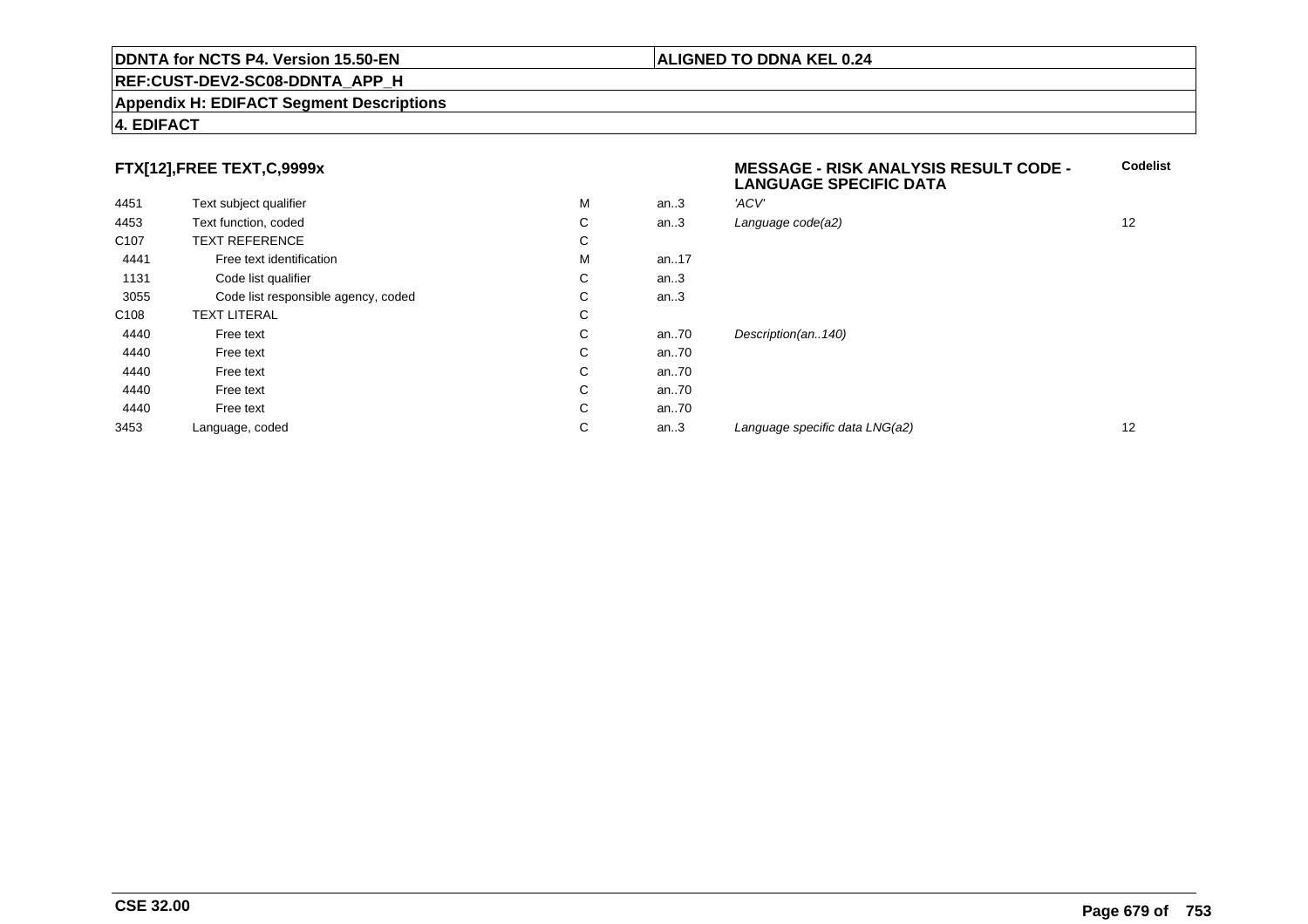#### **REF:CUST-DEV2-SC08-DDNTA\_APP\_H**

#### **Appendix H: EDIFACT Segment Descriptions**

### **4. EDIFACT**

# **FTX[12],FREE TEXT,C,9999x**

| 4451             | Text subject qualifier              | M | an.3 | 'ACV'                          |    |
|------------------|-------------------------------------|---|------|--------------------------------|----|
| 4453             | Text function, coded                | С | an.3 | Language code(a2)              | 12 |
| C <sub>107</sub> | <b>TEXT REFERENCE</b>               | С |      |                                |    |
| 4441             | Free text identification            | M | an17 |                                |    |
| 1131             | Code list qualifier                 | C | an.3 |                                |    |
| 3055             | Code list responsible agency, coded | С | an.3 |                                |    |
| C108             | <b>TEXT LITERAL</b>                 | С |      |                                |    |
| 4440             | Free text                           | С | an70 | Description(an140)             |    |
| 4440             | Free text                           | С | an70 |                                |    |
| 4440             | Free text                           | C | an70 |                                |    |
| 4440             | Free text                           | С | an70 |                                |    |
| 4440             | Free text                           | С | an70 |                                |    |
| 3453             | Language, coded                     | С | an.3 | Language specific data LNG(a2) | 12 |

# **MESSAGE - RISK ANALYSIS RESULT CODE - LANGUAGE SPECIFIC DATACodelist** $C$  an..3 Language code(a2) and  $12$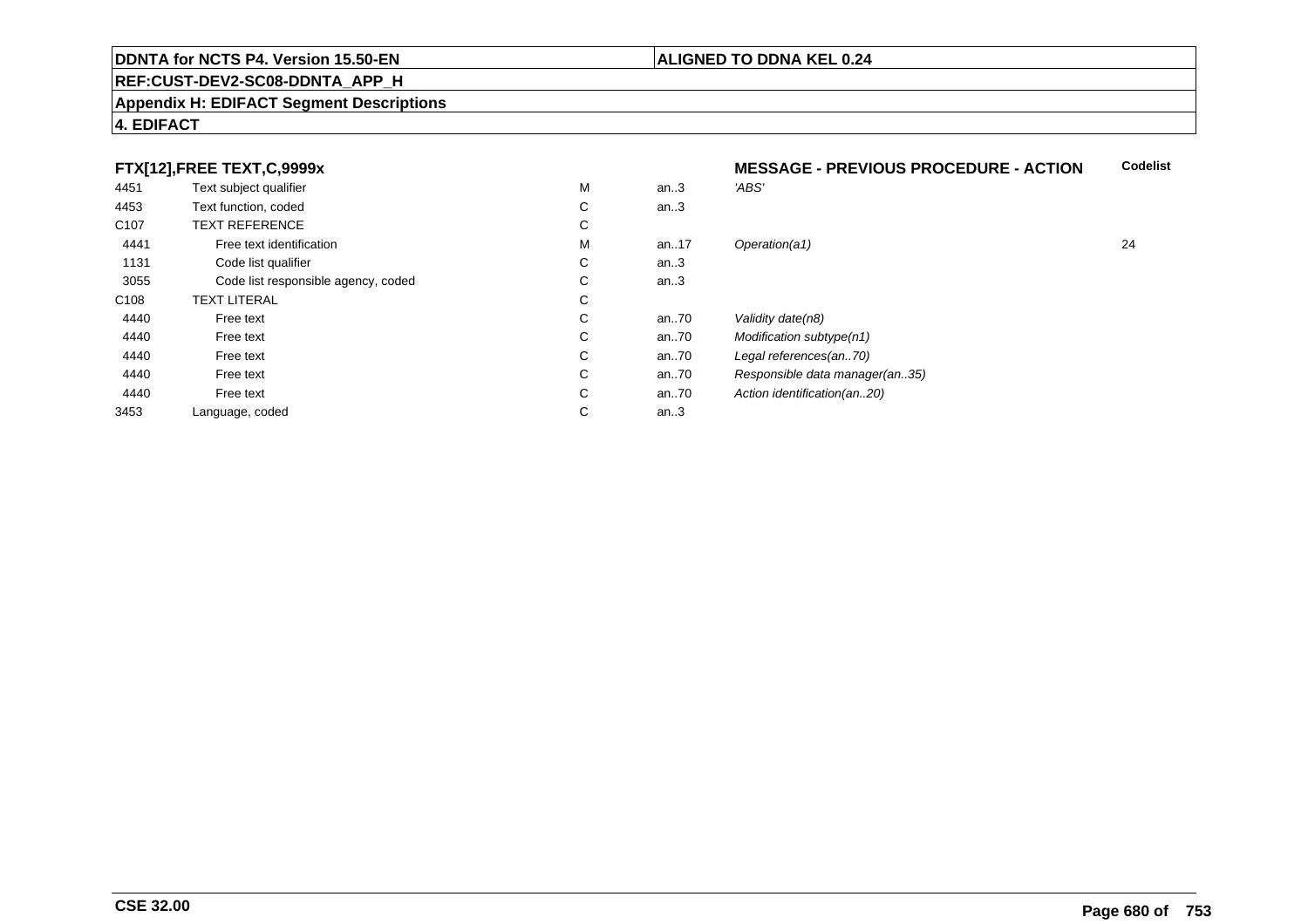#### **REF:CUST-DEV2-SC08-DDNTA\_APP\_H**

#### **Appendix H: EDIFACT Segment Descriptions**

## **4. EDIFACT**

# **FTX[12],FREE TEXT,C,9999x**

|                  | FTX[12],FREE TEXT,C,9999x           |   |      | <b>MESSAGE - PREVIOUS PROCEDURE - ACTION</b> | C. |
|------------------|-------------------------------------|---|------|----------------------------------------------|----|
| 4451             | Text subject qualifier              | M | an.3 | 'ABS'                                        |    |
| 4453             | Text function, coded                | С | an.3 |                                              |    |
| C <sub>107</sub> | <b>TEXT REFERENCE</b>               | С |      |                                              |    |
| 4441             | Free text identification            | M | an17 | Operation(a1)                                | 24 |
| 1131             | Code list qualifier                 | С | an.3 |                                              |    |
| 3055             | Code list responsible agency, coded | С | an.3 |                                              |    |
| C108             | <b>TEXT LITERAL</b>                 | С |      |                                              |    |
| 4440             | Free text                           | С | an70 | Validity date(n8)                            |    |
| 4440             | Free text                           | С | an70 | Modification subtype(n1)                     |    |
| 4440             | Free text                           | С | an70 | Legal references(an70)                       |    |
| 4440             | Free text                           | С | an70 | Responsible data manager(an35)               |    |
| 4440             | Free text                           | С | an70 | Action identification(an20)                  |    |
| 3453             | Language, coded                     | С | an.3 |                                              |    |
|                  |                                     |   |      |                                              |    |

### **ALIGNED TO DDNA KEL 0.24**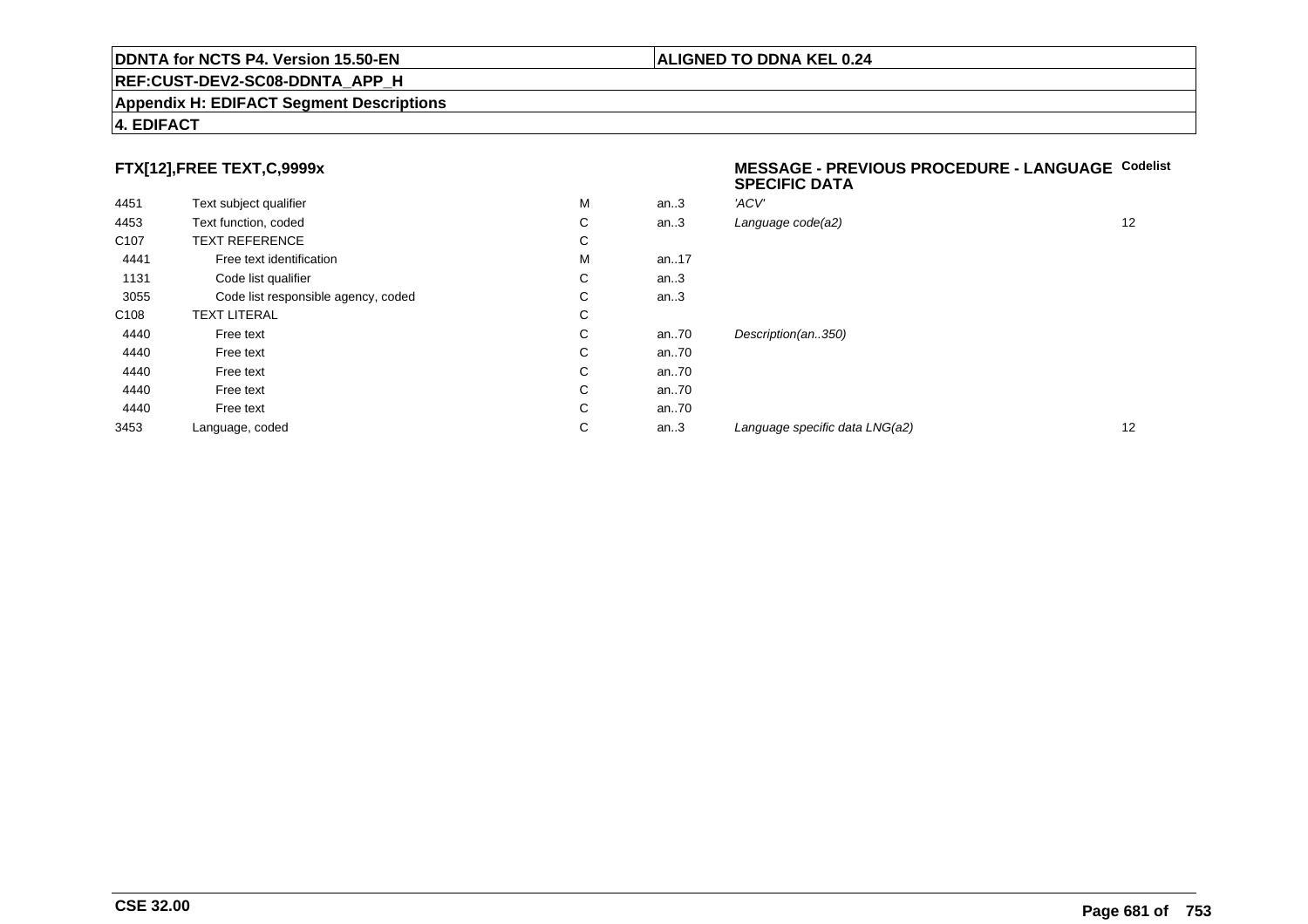#### **Appendix H: EDIFACT Segment Descriptions**

### **4. EDIFACT**

# **FTX[12],FREE TEXT,C,9999x**

| 4451             | Text subject qualifier              | M | an.3 | 'ACV' |
|------------------|-------------------------------------|---|------|-------|
| 4453             | Text function, coded                | С | an.3 | Langı |
| C <sub>107</sub> | <b>TEXT REFERENCE</b>               | С |      |       |
| 4441             | Free text identification            | M | an17 |       |
| 1131             | Code list qualifier                 | С | an.3 |       |
| 3055             | Code list responsible agency, coded | С | an.3 |       |
| C <sub>108</sub> | <b>TEXT LITERAL</b>                 | C |      |       |
| 4440             | Free text                           | С | an70 | Desci |
| 4440             | Free text                           | C | an70 |       |
| 4440             | Free text                           | С | an70 |       |
| 4440             | Free text                           | С | an70 |       |
| 4440             | Free text                           | С | an70 |       |
| 3453             | Language, coded                     | С | an.3 | Langu |
|                  |                                     |   |      |       |

#### **MESSAGE - PREVIOUS PROCEDURE - LANGUAGECodelistSPECIFIC DATA**

| М | an.3 | 'ACV'                          |    |
|---|------|--------------------------------|----|
| С | an.3 | Language code(a2)              | 12 |
| С |      |                                |    |
| M | an17 |                                |    |
| С | an.3 |                                |    |
| С | an.3 |                                |    |
| С |      |                                |    |
| С | an70 | Description(an350)             |    |
| С | an70 |                                |    |
| С | an70 |                                |    |
| С | an70 |                                |    |
| С | an70 |                                |    |
| С | an.3 | Language specific data LNG(a2) | 12 |
|   |      |                                |    |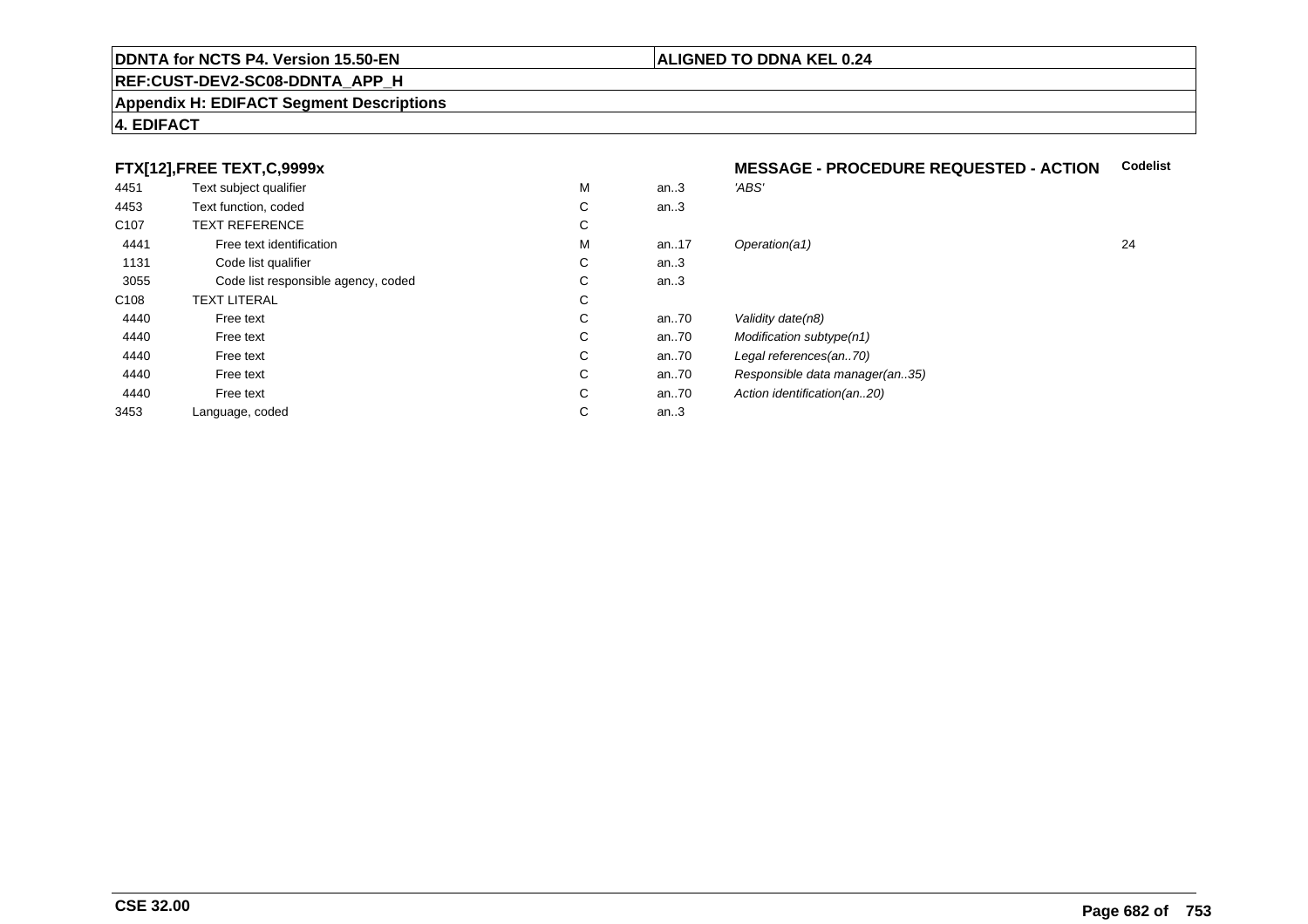#### **REF:CUST-DEV2-SC08-DDNTA\_APP\_H**

#### **Appendix H: EDIFACT Segment Descriptions**

## **4. EDIFACT**

# **FTX[12],FREE TEXT,C,9999x**

| 4451             | Text subject qualifier              | M | an.3   | 'ABS'                          |
|------------------|-------------------------------------|---|--------|--------------------------------|
| 4453             | Text function, coded                | С | an $3$ |                                |
| C <sub>107</sub> | <b>TEXT REFERENCE</b>               | С |        |                                |
| 4441             | Free text identification            | M | an17   | Operation(a1)                  |
| 1131             | Code list qualifier                 | С | an.3   |                                |
| 3055             | Code list responsible agency, coded | С | an.3   |                                |
| C <sub>108</sub> | <b>TEXT LITERAL</b>                 | С |        |                                |
| 4440             | Free text                           | С | an70   | Validity date(n8)              |
| 4440             | Free text                           | С | an70   | Modification subtype(n1)       |
| 4440             | Free text                           | С | an70   | Legal references(an70)         |
| 4440             | Free text                           | С | an70   | Responsible data manager(an35) |
| 4440             | Free text                           | С | an70   | Action identification(an20)    |
| 3453             | Language, coded                     | С | an.3   |                                |
|                  |                                     |   |        |                                |

# **MESSAGE - PROCEDURE REQUESTED - ACTION Codelist**

M an..17 Operation(a1) 24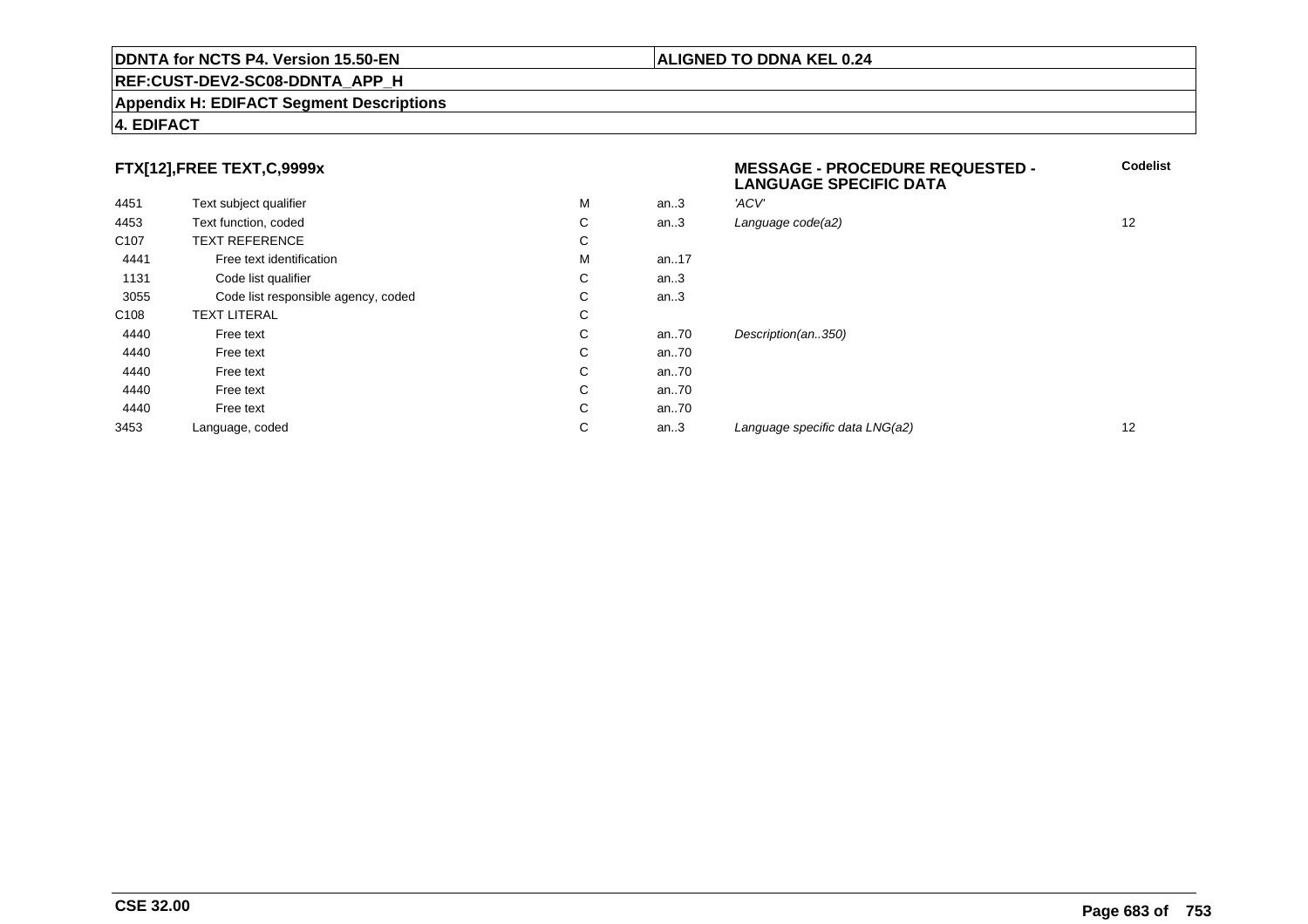#### **REF:CUST-DEV2-SC08-DDNTA\_APP\_H**

#### **Appendix H: EDIFACT Segment Descriptions**

### **4. EDIFACT**

# **FTX[12],FREE TEXT,C,9999x**

| FTX[12],FREE TEXT,C,9999x |                                     |   |      | <b>MESSAGE - PROCEDURE REQUESTED -</b><br><b>LANGUAGE SPECIFIC DATA</b> | Code              |
|---------------------------|-------------------------------------|---|------|-------------------------------------------------------------------------|-------------------|
| 4451                      | Text subject qualifier              | М | an.3 | 'ACV'                                                                   |                   |
| 4453                      | Text function, coded                | С | an.3 | Language code(a2)                                                       | $12 \overline{ }$ |
| C <sub>107</sub>          | <b>TEXT REFERENCE</b>               | С |      |                                                                         |                   |
| 4441                      | Free text identification            | М | an17 |                                                                         |                   |
| 1131                      | Code list qualifier                 | C | an.3 |                                                                         |                   |
| 3055                      | Code list responsible agency, coded | С | an.3 |                                                                         |                   |
| C <sub>108</sub>          | <b>TEXT LITERAL</b>                 | С |      |                                                                         |                   |
| 4440                      | Free text                           | С | an70 | Description(an350)                                                      |                   |
| 4440                      | Free text                           | C | an70 |                                                                         |                   |
| 4440                      | Free text                           | C | an70 |                                                                         |                   |
| 4440                      | Free text                           | С | an70 |                                                                         |                   |
| 4440                      | Free text                           | С | an70 |                                                                         |                   |
| 3453                      | Language, coded                     | С | an.3 | Language specific data LNG(a2)                                          | $12 \overline{ }$ |
|                           |                                     |   |      |                                                                         |                   |

**Codelist**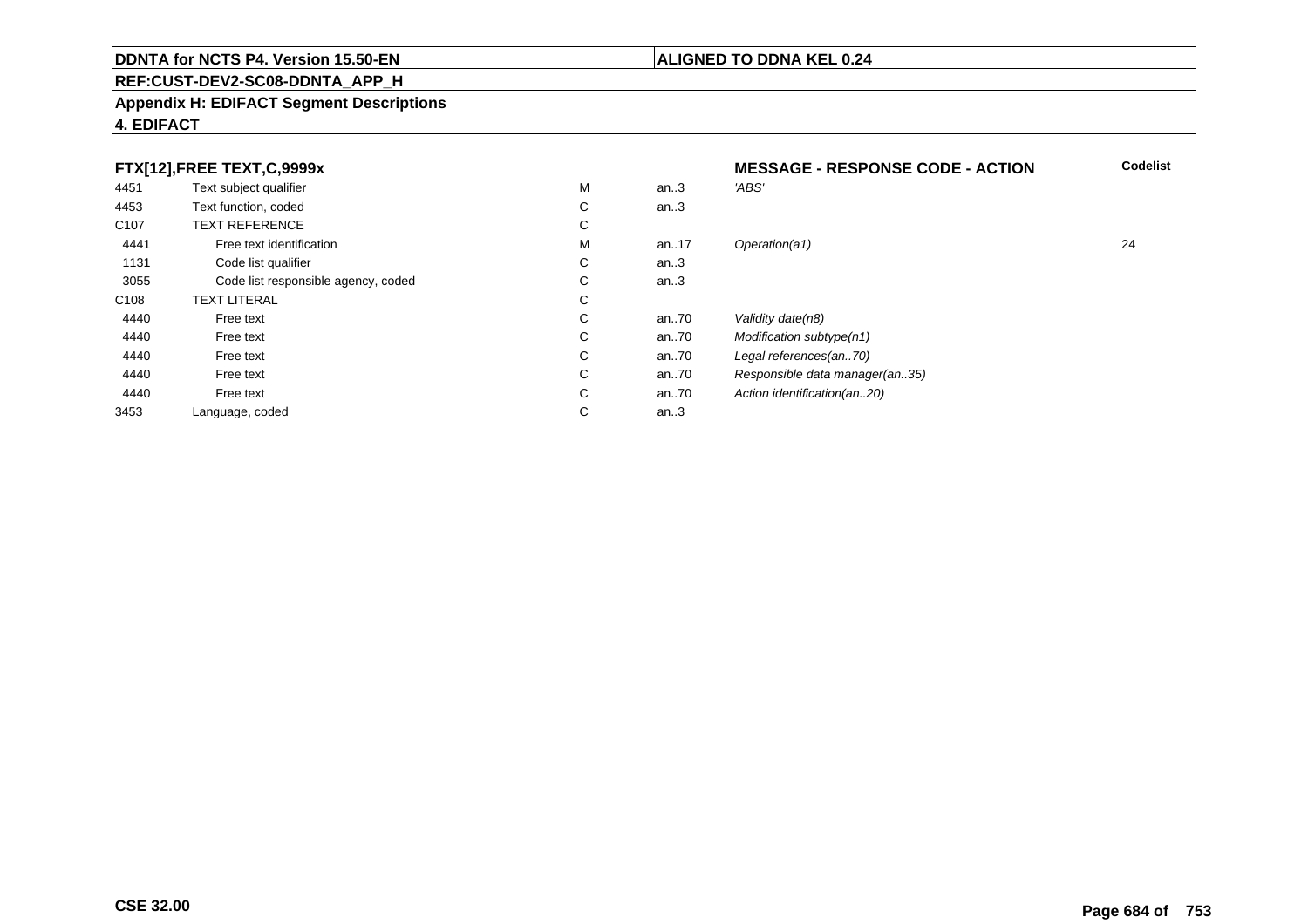### **REF:CUST-DEV2-SC08-DDNTA\_APP\_H**

#### **Appendix H: EDIFACT Segment Descriptions**

## **4. EDIFACT**

#### **FTX[12],FREE TEXT,C,9999xMESSAGE - RESPONSE CODE - ACTION**<br>M an..3 *'ABS'*  **Codelist** 4451Text subject qualifier M<br>
Text function, coded C M an..3 *'ABS'*<br>-4453Text function, coded C<br>
TEXT REFERENCE an..3 C107 TEXT REFERENCEE C  $\mathsf{M}% _{T}=\mathsf{M}_{T}\!\left( a,b\right) ,\ \mathsf{M}_{T}=\mathsf{M}_{T}$ 4441Free text identification M<br>Code list qualifier development of the code list qualifier development of  $\mathbf C$ M an..17 Operation(a1) 24 1131Code list qualifier C<br>Code list responsible agency, coded C an..3 3055Code list responsible agency, coded C<br>
XT LITERAL C an..3 C108TEXT LITERAL<br>Free text  $\mathbf C$ 44400 Free text C C an..70 Validity date(n8)<br>C an..70 Modification subt 44400 Free text C C an..70 Modification subtype(n1)<br>C an..70 Legal references(an..70) 44400 Free text C C an..70 Legal references(an..70)<br>C an..70 Responsible data manag 44400 Free text C C an..70 Responsible data manager(an..35)<br>C an..70 Action identification(an..20) 44400 Free text C C an..70 Action identification(an..20)<br>C an..3 3453Language, coded an..3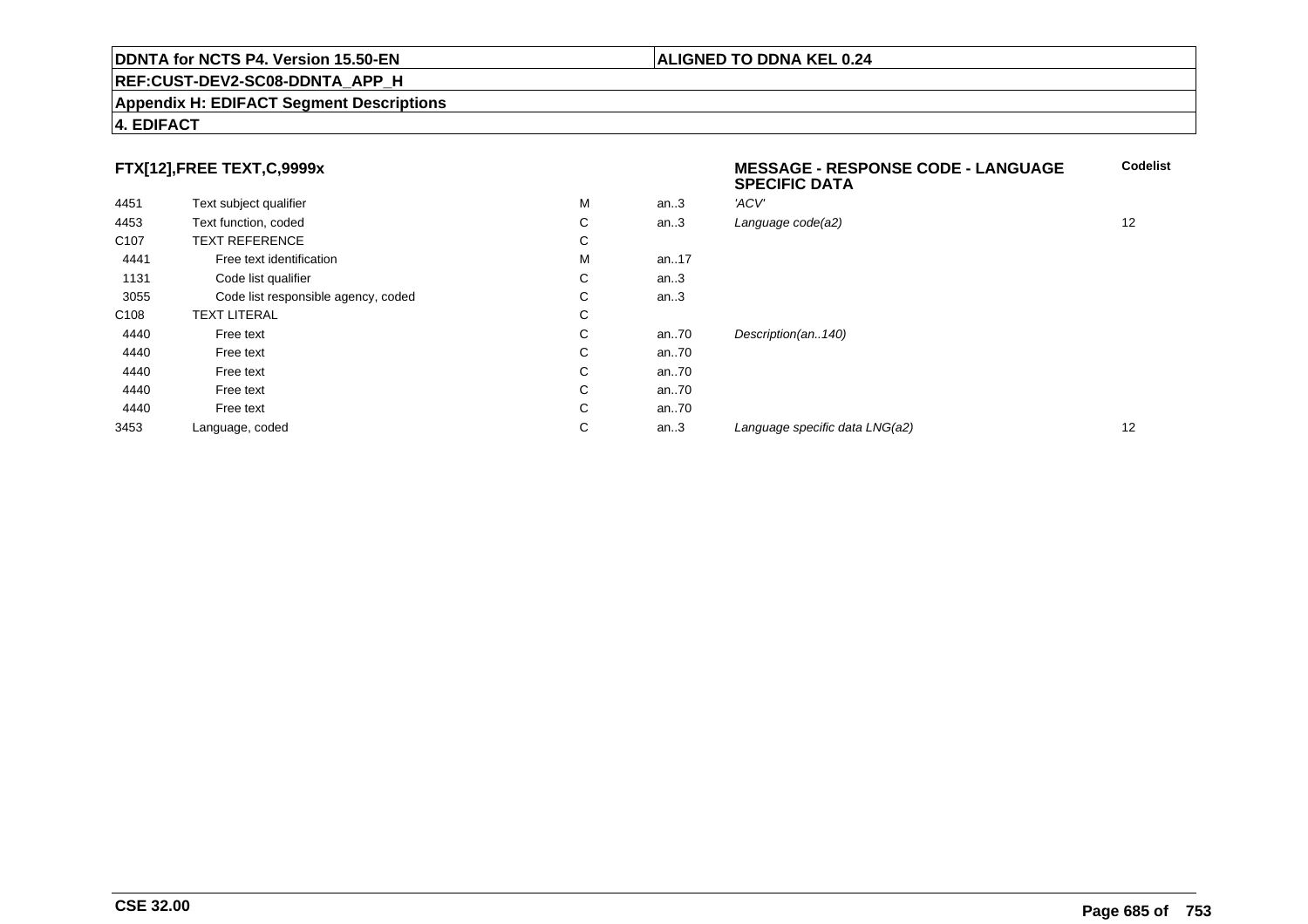## **REF:CUST-DEV2-SC08-DDNTA\_APP\_H**

## **Appendix H: EDIFACT Segment Descriptions**

## **4. EDIFACT**

## **FTX[12],FREE TEXT,C,9999x**

|                  |                                     |   |      | <b>SPECIFIC DATA</b>           |                   |
|------------------|-------------------------------------|---|------|--------------------------------|-------------------|
| 4451             | Text subject qualifier              | М | an.3 | 'ACV'                          |                   |
| 4453             | Text function, coded                | C | an.3 | Language code(a2)              | 12                |
| C <sub>107</sub> | <b>TEXT REFERENCE</b>               | C |      |                                |                   |
| 4441             | Free text identification            | М | an17 |                                |                   |
| 1131             | Code list qualifier                 | C | an.3 |                                |                   |
| 3055             | Code list responsible agency, coded | C | an.3 |                                |                   |
| C <sub>108</sub> | <b>TEXT LITERAL</b>                 | C |      |                                |                   |
| 4440             | Free text                           | C | an70 | Description(an140)             |                   |
| 4440             | Free text                           | C | an70 |                                |                   |
| 4440             | Free text                           | C | an70 |                                |                   |
| 4440             | Free text                           | C | an70 |                                |                   |
| 4440             | Free text                           | C | an70 |                                |                   |
| 3453             | Language, coded                     | C | an.3 | Language specific data LNG(a2) | $12 \overline{ }$ |

**Codelist**

**ALIGNED TO DDNA KEL 0.24**

**MESSAGE - RESPONSE CODE - LANGUAGE**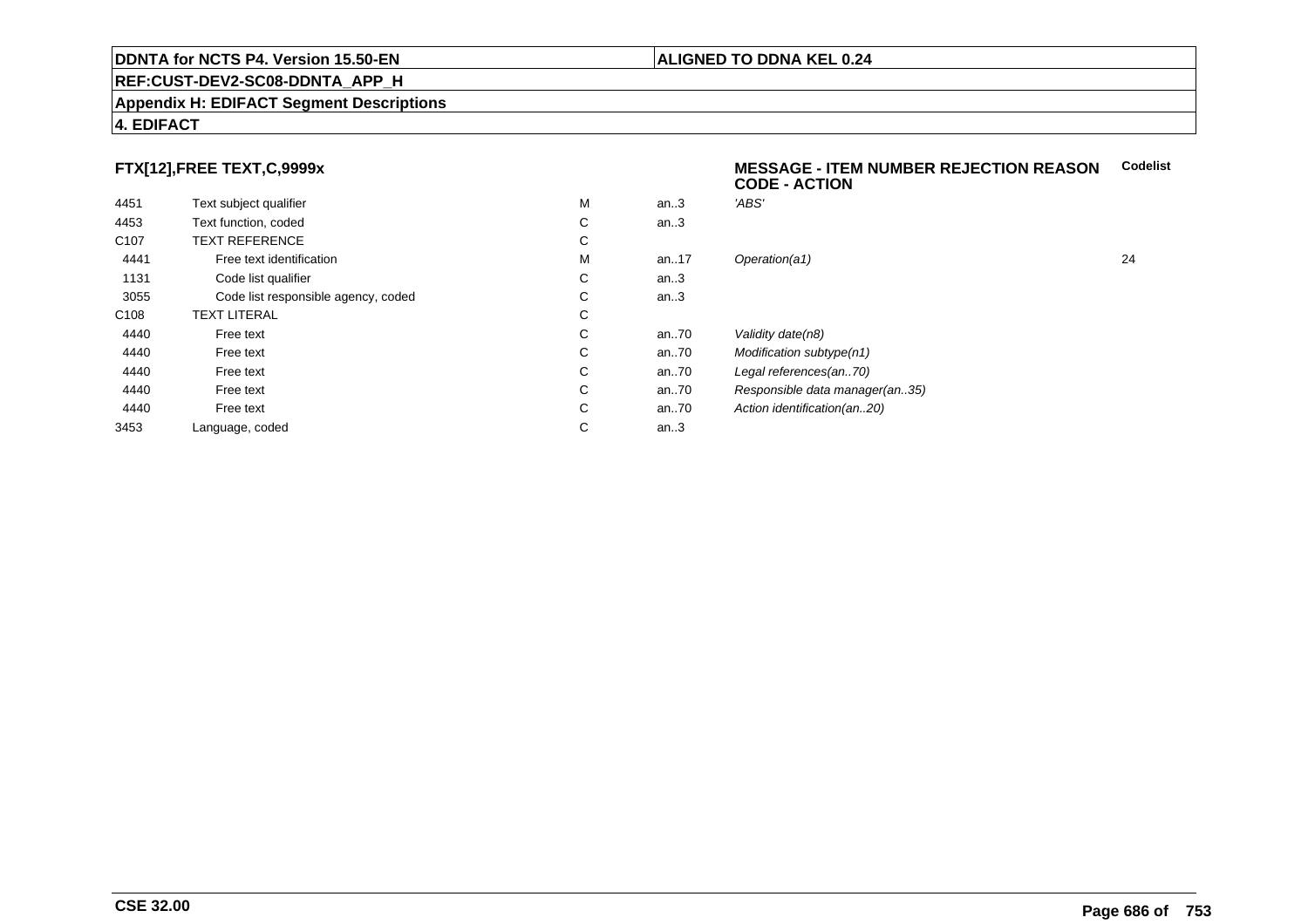## **REF:CUST-DEV2-SC08-DDNTA\_APP\_H**

## **Appendix H: EDIFACT Segment Descriptions**

## **4. EDIFACT**

## **FTX[12],FREE TEXT,C,9999x**

| 4451             | Text subject qualifier              | М | an.3  | 'ABS'  |
|------------------|-------------------------------------|---|-------|--------|
| 4453             | Text function, coded                | C | an.3  |        |
| C <sub>107</sub> | <b>TEXT REFERENCE</b>               | C |       |        |
| 4441             | Free text identification            | M | an.17 | Opera  |
| 1131             | Code list qualifier                 | C | an.3  |        |
| 3055             | Code list responsible agency, coded | C | an.3  |        |
| C <sub>108</sub> | <b>TEXT LITERAL</b>                 | C |       |        |
| 4440             | Free text                           | C | an70  | Validi |
| 4440             | Free text                           | C | an.70 | Modit  |
| 4440             | Free text                           | C | an70  | Legal  |
| 4440             | Free text                           | C | an70  | Resp   |
| 4440             | Free text                           | C | an70  | Action |
| 3453             | Language, coded                     | С | an.3  |        |
|                  |                                     |   |       |        |

## **MESSAGE - ITEM NUMBER REJECTION REASONCodelistCODE - ACTION**

| М | an.3 | 'ABS'                          |    |
|---|------|--------------------------------|----|
| С | an.3 |                                |    |
| С |      |                                |    |
| М | an17 | Operation(a1)                  | 24 |
| С | an.3 |                                |    |
| С | an.3 |                                |    |
| С |      |                                |    |
| С | an70 | Validity date(n8)              |    |
| С | an70 | Modification subtype(n1)       |    |
| С | an70 | Legal references(an70)         |    |
| С | an70 | Responsible data manager(an35) |    |
| С | an70 | Action identification(an20)    |    |
| С | an.3 |                                |    |
|   |      |                                |    |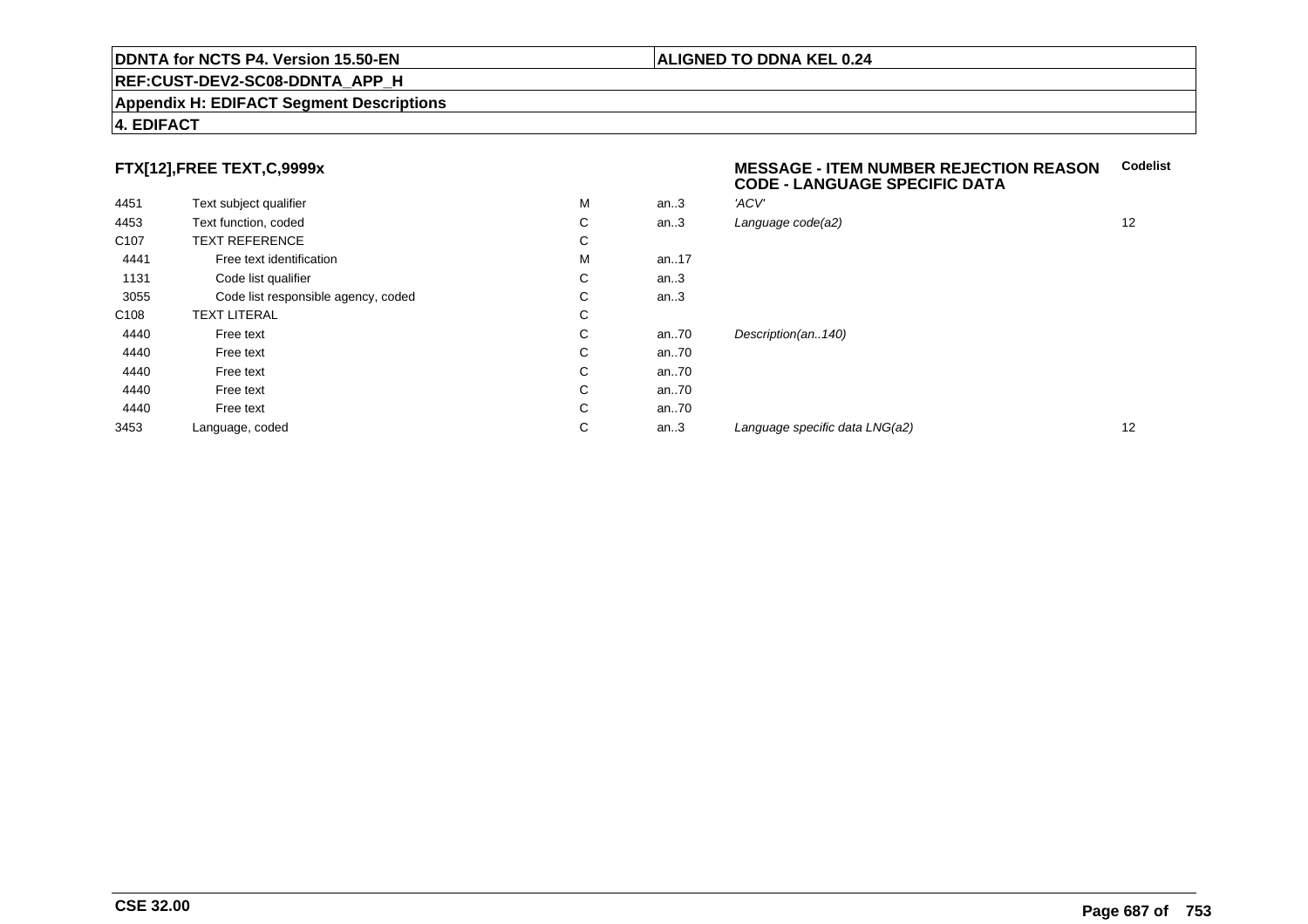## **REF:CUST-DEV2-SC08-DDNTA\_APP\_H**

## **Appendix H: EDIFACT Segment Descriptions**

## **4. EDIFACT**

## **FTX[12],FREE TEXT,C,9999x**

| 4451             | Text subject qualifier              | M | an.3 | 'ACV' |
|------------------|-------------------------------------|---|------|-------|
| 4453             | Text function, coded                | С | an.3 | Langu |
| C <sub>107</sub> | <b>TEXT REFERENCE</b>               | С |      |       |
| 4441             | Free text identification            | M | an17 |       |
| 1131             | Code list qualifier                 | С | an.3 |       |
| 3055             | Code list responsible agency, coded | С | an.3 |       |
| C <sub>108</sub> | <b>TEXT LITERAL</b>                 | С |      |       |
| 4440             | Free text                           | C | an70 | Desci |
| 4440             | Free text                           | C | an70 |       |
| 4440             | Free text                           | С | an70 |       |
| 4440             | Free text                           | С | an70 |       |
| 4440             | Free text                           | С | an70 |       |
| 3453             | Language, coded                     | С | an.3 | Langı |
|                  |                                     |   |      |       |

## **MESSAGE - ITEM NUMBER REJECTION REASONCodelistCODE - LANGUAGE SPECIFIC DATA**

| М | an.3 | 'ACV'                          |    |
|---|------|--------------------------------|----|
| С | an.3 | Language code(a2)              | 12 |
| С |      |                                |    |
| М | an17 |                                |    |
| С | an.3 |                                |    |
| С | an.3 |                                |    |
| С |      |                                |    |
| С | an70 | Description(an140)             |    |
| С | an70 |                                |    |
| С | an70 |                                |    |
| С | an70 |                                |    |
| С | an70 |                                |    |
| С | an.3 | Language specific data LNG(a2) | 12 |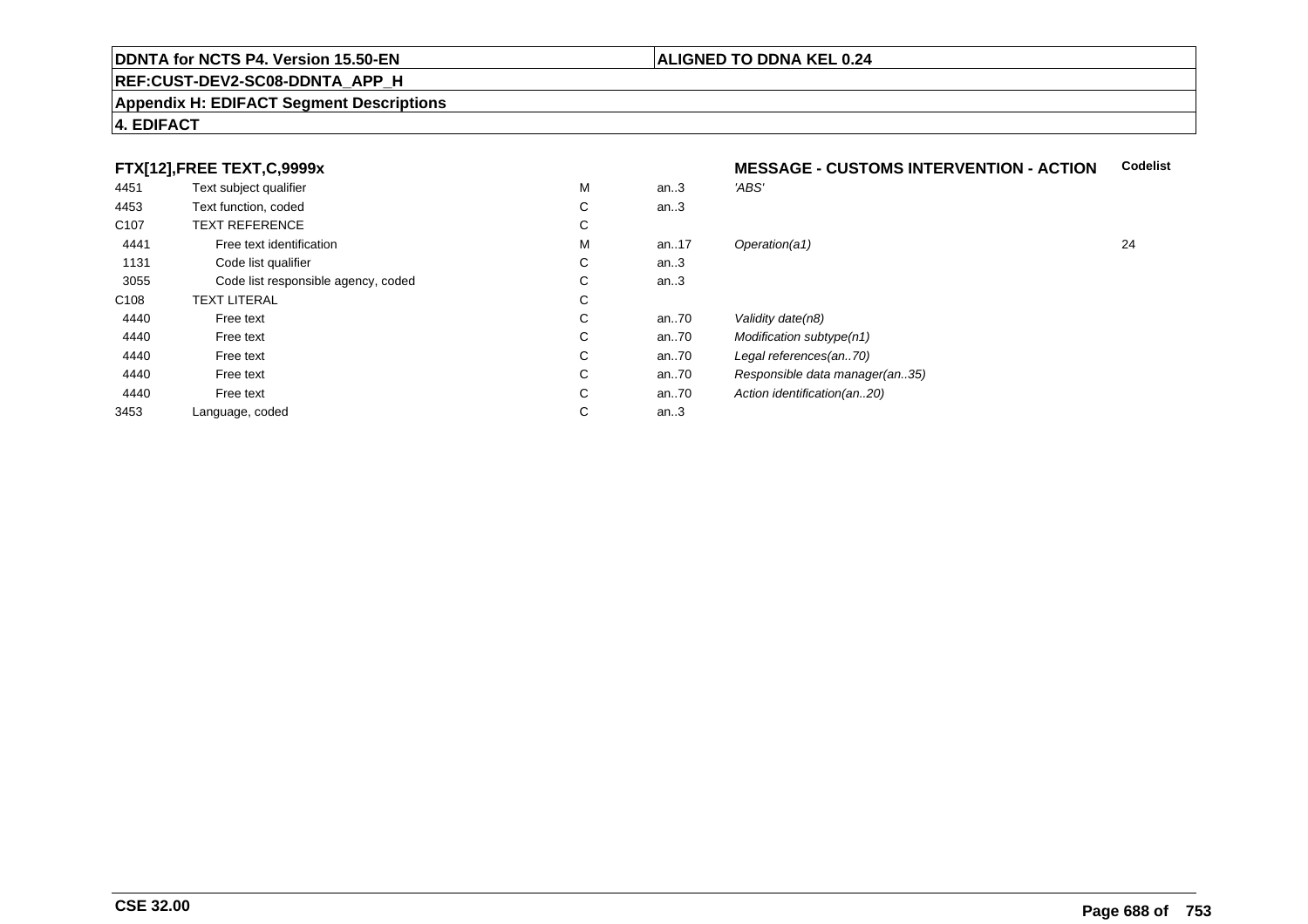## **REF:CUST-DEV2-SC08-DDNTA\_APP\_H**

## **Appendix H: EDIFACT Segment Descriptions**

## **4. EDIFACT**

## **FTX[12],FREE TEXT,C,9999x**

| 4451             | Text subject qualifier              | M  | an.3  | 'ABS'                          |    |
|------------------|-------------------------------------|----|-------|--------------------------------|----|
| 4453             | Text function, coded                | C  | an.3  |                                |    |
| C <sub>107</sub> | <b>TEXT REFERENCE</b>               | C  |       |                                |    |
| 4441             | Free text identification            | M  | an17  | Operation(a1)                  | 24 |
| 1131             | Code list qualifier                 | С  | an.3  |                                |    |
| 3055             | Code list responsible agency, coded | C. | an.3  |                                |    |
| C108             | <b>TEXT LITERAL</b>                 | C  |       |                                |    |
| 4440             | Free text                           | C  | an70  | Validity date(n8)              |    |
| 4440             | Free text                           | C  | an70  | Modification subtype(n1)       |    |
| 4440             | Free text                           | C  | an70  | Legal references(an70)         |    |
| 4440             | Free text                           | C  | an70  | Responsible data manager(an35) |    |
| 4440             | Free text                           | C  | an.70 | Action identification(an20)    |    |
| 3453             | Language, coded                     | C  | an.3  |                                |    |
|                  |                                     |    |       |                                |    |

## **ALIGNED TO DDNA KEL 0.24**

**MESSAGE - CUSTOMS INTERVENTION - ACTION**

**Codelist**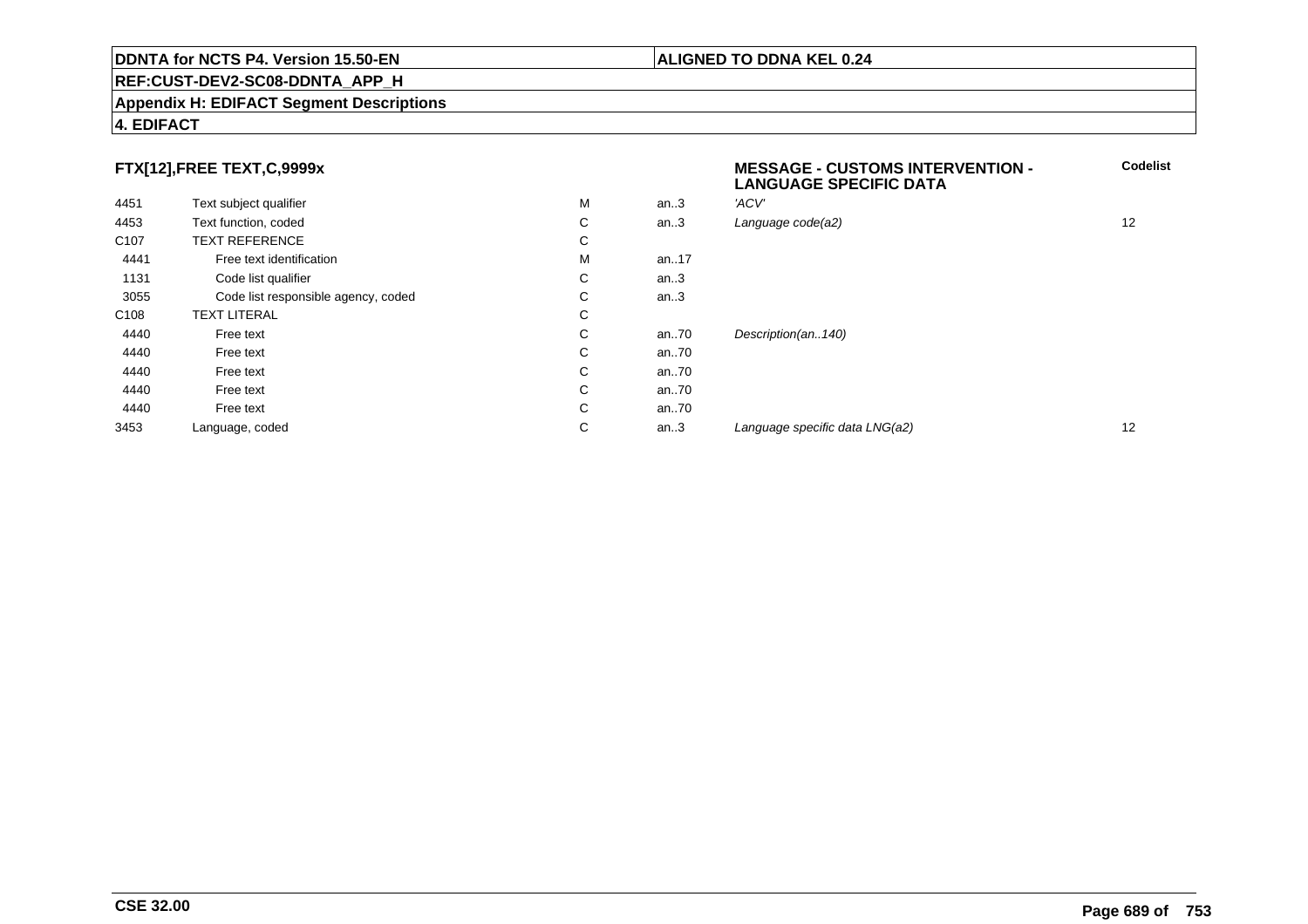## **REF:CUST-DEV2-SC08-DDNTA\_APP\_H**

## **Appendix H: EDIFACT Segment Descriptions**

## **4. EDIFACT**

## **FTX[12],FREE TEXT,C,9999x**

|                  | FTX[12],FREE TEXT,C,9999x           |   |      | <b>MESSAGE - CUSTOMS INTERVENTION -</b><br><b>LANGUAGE SPECIFIC DATA</b> | Cod               |
|------------------|-------------------------------------|---|------|--------------------------------------------------------------------------|-------------------|
| 4451             | Text subject qualifier              | М | an.3 | 'ACV'                                                                    |                   |
| 4453             | Text function, coded                | С | an.3 | Language code(a2)                                                        | $12 \overline{ }$ |
| C <sub>107</sub> | <b>TEXT REFERENCE</b>               | С |      |                                                                          |                   |
| 4441             | Free text identification            | М | an17 |                                                                          |                   |
| 1131             | Code list qualifier                 | С | an.3 |                                                                          |                   |
| 3055             | Code list responsible agency, coded | С | an.3 |                                                                          |                   |
| C <sub>108</sub> | <b>TEXT LITERAL</b>                 | С |      |                                                                          |                   |
| 4440             | Free text                           | С | an70 | Description(an140)                                                       |                   |
| 4440             | Free text                           | С | an70 |                                                                          |                   |
| 4440             | Free text                           | С | an70 |                                                                          |                   |
| 4440             | Free text                           | С | an70 |                                                                          |                   |
| 4440             | Free text                           | С | an70 |                                                                          |                   |
| 3453             | Language, coded                     | С | an.3 | Language specific data LNG(a2)                                           | $12 \overline{ }$ |
|                  |                                     |   |      |                                                                          |                   |

**Codelist**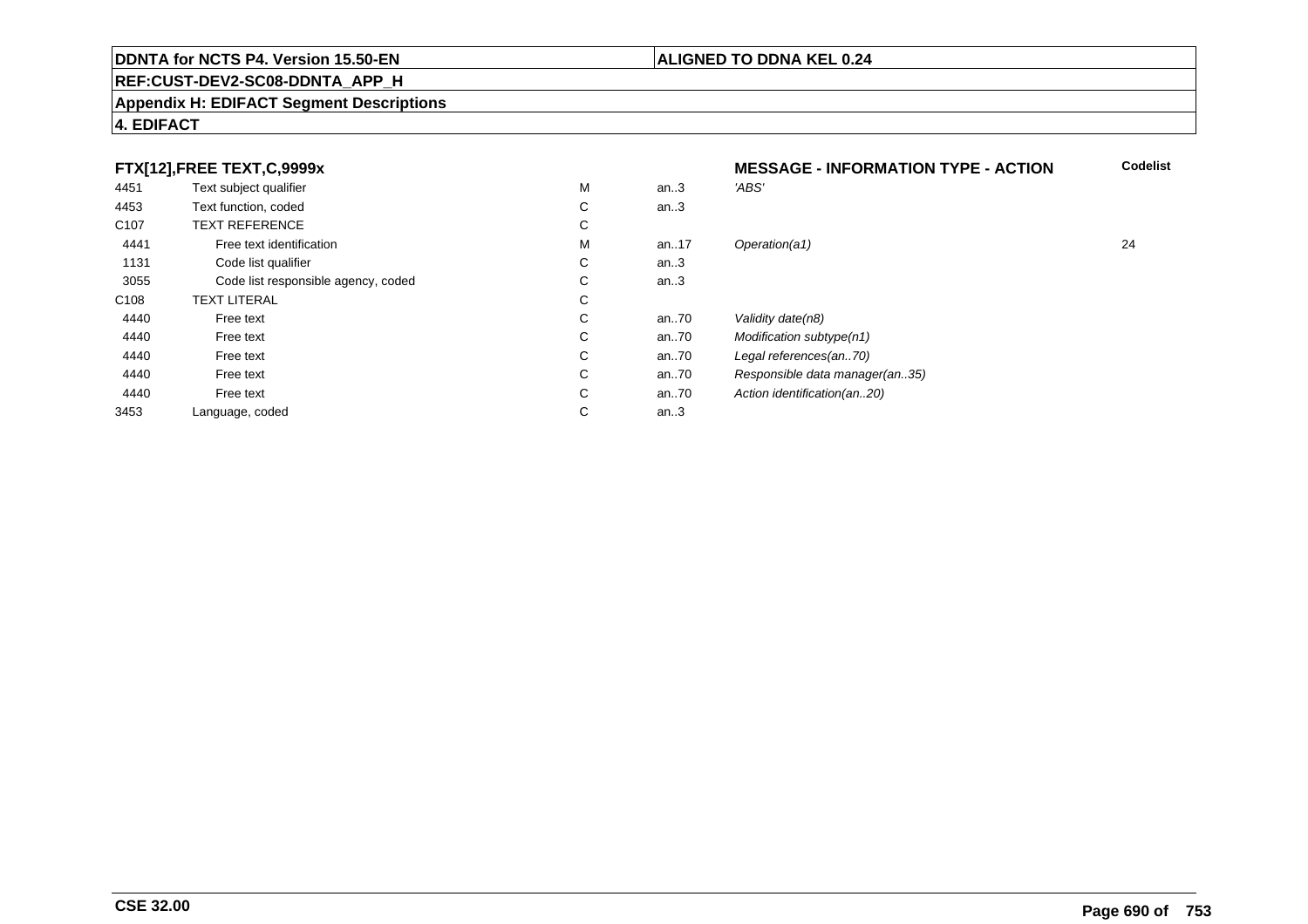## **REF:CUST-DEV2-SC08-DDNTA\_APP\_H**

## **Appendix H: EDIFACT Segment Descriptions**

## **4. EDIFACT**

## **FTX[12],FREE TEXT,C,9999x**  $4451$ 1 Text subject qualifier Month of the Month of Month of Month of Month of Month of Month of Month of Month of Month of Month of Month of Month of Month of Month of Month of Month of Month of Month of Month of Month of Mont

|                  | FTX[12],FREE TEXT,C,9999x           |   |      | <b>MESSAGE - INFORMATION TYPE - ACTION</b> | Code |
|------------------|-------------------------------------|---|------|--------------------------------------------|------|
| 4451             | Text subject qualifier              | M | an.3 | 'ABS'                                      |      |
| 4453             | Text function, coded                | С | an.3 |                                            |      |
| C <sub>107</sub> | <b>TEXT REFERENCE</b>               | С |      |                                            |      |
| 4441             | Free text identification            | M | an17 | Operation(a1)                              | 24   |
| 1131             | Code list qualifier                 | С | an.3 |                                            |      |
| 3055             | Code list responsible agency, coded | C | an.3 |                                            |      |
| C <sub>108</sub> | <b>TEXT LITERAL</b>                 | С |      |                                            |      |
| 4440             | Free text                           | С | an70 | Validity date(n8)                          |      |
| 4440             | Free text                           | С | an70 | Modification subtype(n1)                   |      |
| 4440             | Free text                           | С | an70 | Legal references(an70)                     |      |
| 4440             | Free text                           | С | an70 | Responsible data manager(an35)             |      |
| 4440             | Free text                           | С | an70 | Action identification(an20)                |      |
| 3453             | Language, coded                     | С | an.3 |                                            |      |

**Codelist**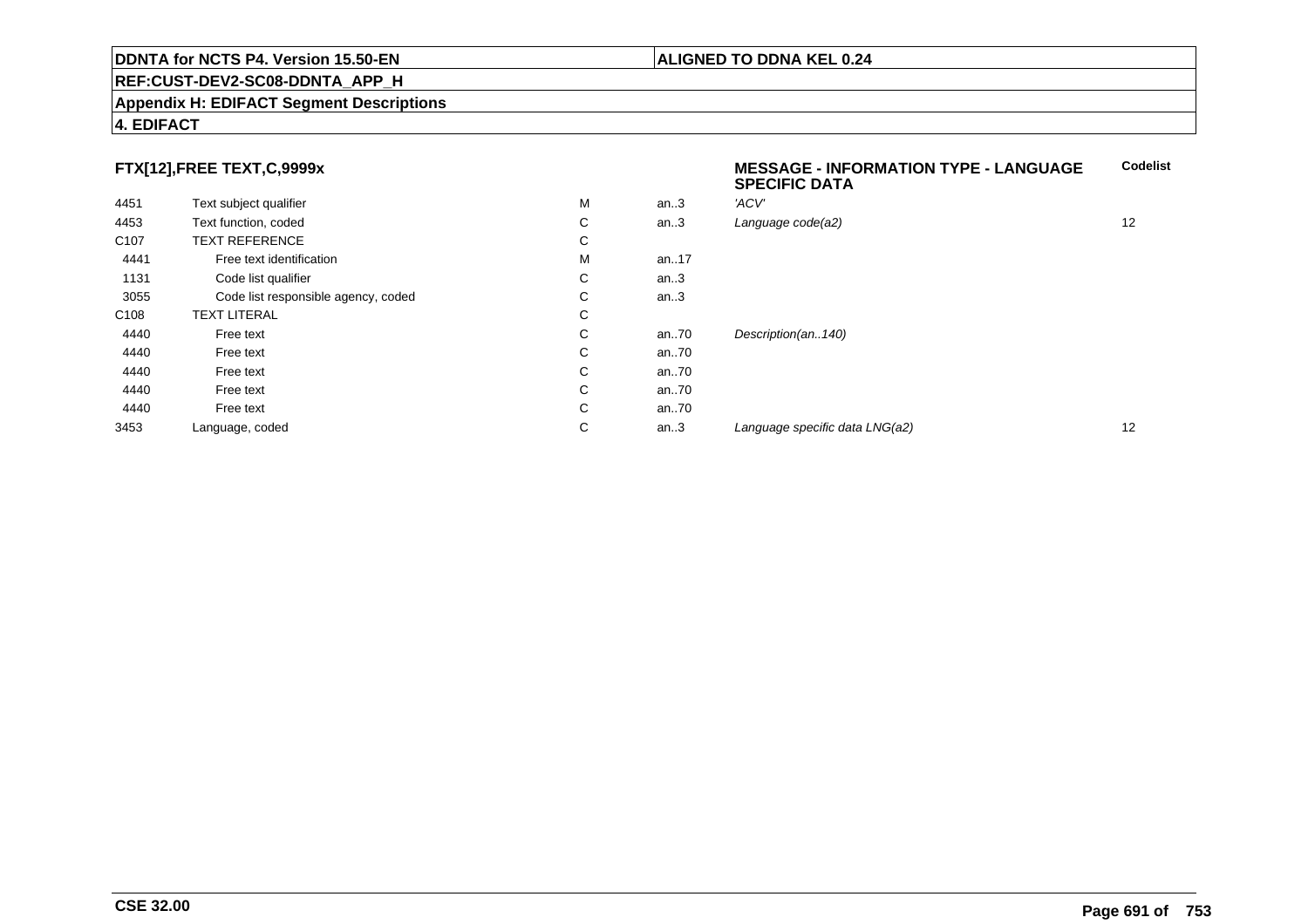## **REF:CUST-DEV2-SC08-DDNTA\_APP\_H**

## **Appendix H: EDIFACT Segment Descriptions**

## **4. EDIFACT**

**CSE 32.00**

## **FTX[12],FREE TEXT,C,9999x**

|                  |                                     |   |      | <u>u cui iu data n</u>         |    |
|------------------|-------------------------------------|---|------|--------------------------------|----|
| 4451             | Text subject qualifier              | M | an.3 | 'ACV'                          |    |
| 4453             | Text function, coded                | С | an.3 | Language code(a2)              | 12 |
| C <sub>107</sub> | <b>TEXT REFERENCE</b>               | С |      |                                |    |
| 4441             | Free text identification            | M | an17 |                                |    |
| 1131             | Code list qualifier                 | С | an.3 |                                |    |
| 3055             | Code list responsible agency, coded | С | an.3 |                                |    |
| C108             | <b>TEXT LITERAL</b>                 | С |      |                                |    |
| 4440             | Free text                           | С | an70 | Description(an140)             |    |
| 4440             | Free text                           | С | an70 |                                |    |
| 4440             | Free text                           | С | an70 |                                |    |
| 4440             | Free text                           | С | an70 |                                |    |
| 4440             | Free text                           | С | an70 |                                |    |
| 3453             | Language, coded                     | С | an.3 | Language specific data LNG(a2) | 12 |
|                  |                                     |   |      |                                |    |

## **MESSAGE - INFORMATION TYPE - LANGUAGESPECIFIC DATACodelist**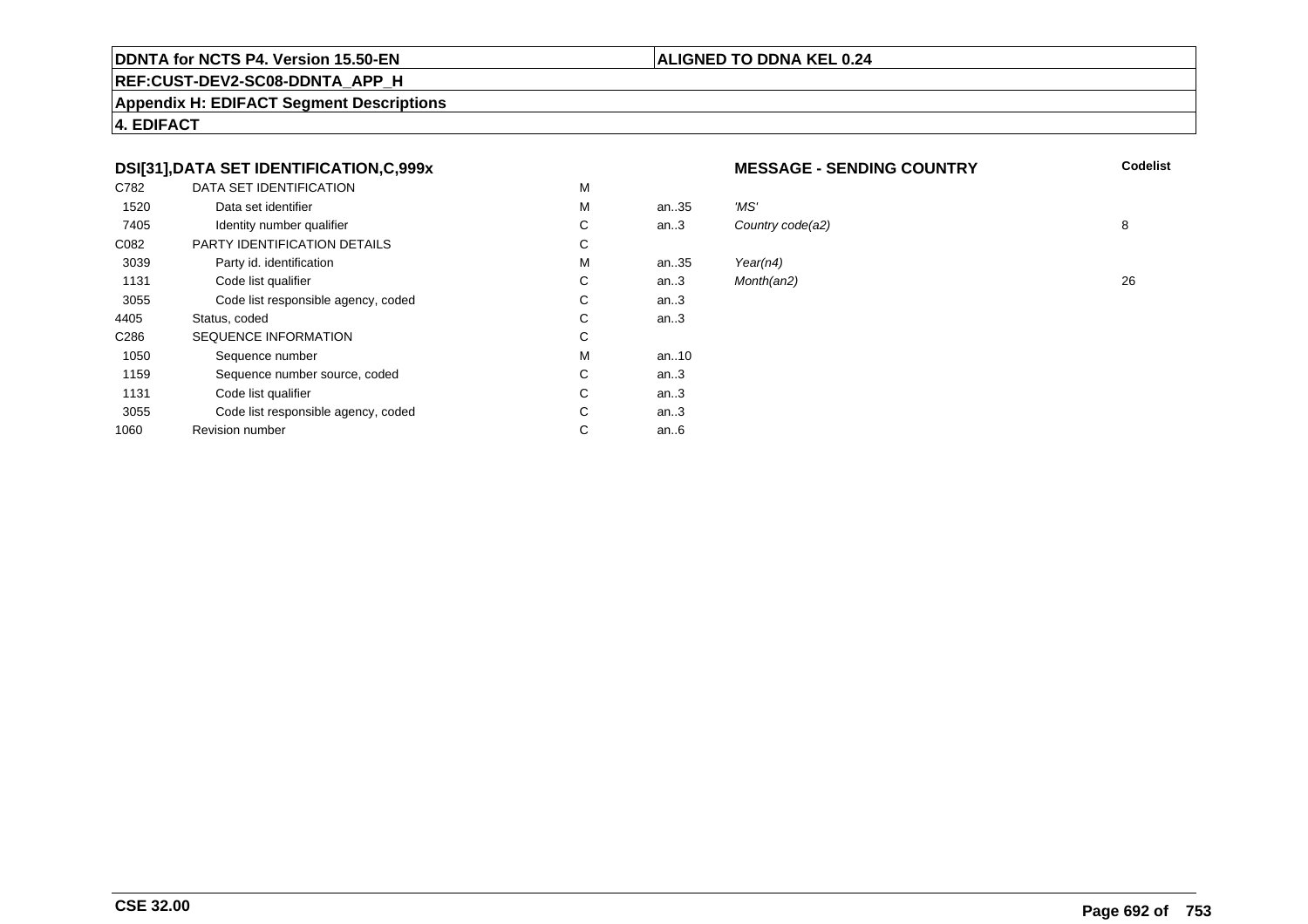## **REF:CUST-DEV2-SC08-DDNTA\_APP\_H**

**Appendix H: EDIFACT Segment Descriptions**

**4. EDIFACT**

## **DSI[31],DATA SET IDENTIFICATION,C,999x**

| C782             | DATA SET IDENTIFICATION             | M |        |          |
|------------------|-------------------------------------|---|--------|----------|
| 1520             | Data set identifier                 | M | an35   | 'MS'     |
| 7405             | Identity number qualifier           | С | an.3   | Country  |
| C082             | PARTY IDENTIFICATION DETAILS        | C |        |          |
| 3039             | Party id. identification            | M | an35   | Year(n4) |
| 1131             | Code list qualifier                 | C | an.3   | Month(al |
| 3055             | Code list responsible agency, coded | С | an $3$ |          |
| 4405             | Status, coded                       | С | an.3   |          |
| C <sub>286</sub> | <b>SEQUENCE INFORMATION</b>         | C |        |          |
| 1050             | Sequence number                     | М | an10   |          |
| 1159             | Sequence number source, coded       | C | an $3$ |          |
| 1131             | Code list qualifier                 | C | an $3$ |          |
| 3055             | Code list responsible agency, coded | С | an.3   |          |
| 1060             | <b>Revision number</b>              | С | an6    |          |
|                  |                                     |   |        |          |

## **MESSAGE - SENDING COUNTRY**

**Codelist**

| М  | an35 | 'MS'             |    |
|----|------|------------------|----|
| С  | an.3 | Country code(a2) | 8  |
| C. |      |                  |    |
| М  | an35 | Year( $n4$ )     |    |
| С  | an.3 | Month(an2)       | 26 |
| С  | an.3 |                  |    |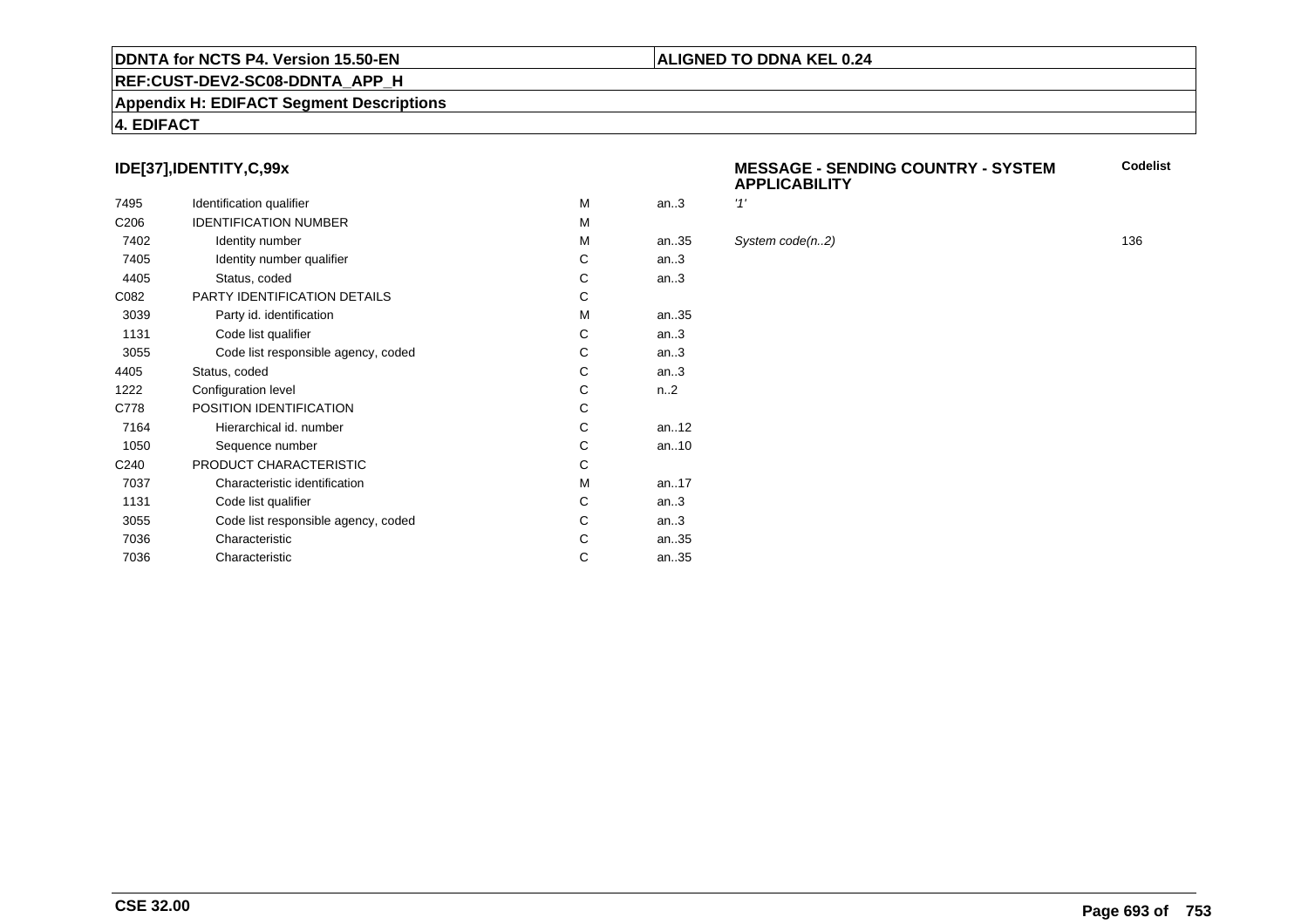## **REF:CUST-DEV2-SC08-DDNTA\_APP\_H**

## **Appendix H: EDIFACT Segment Descriptions**

## **4. EDIFACT**

## **IDE[37],IDENTITY,C,99x**

| 7495             | Identification qualifier            | M | an.3             | '1' |
|------------------|-------------------------------------|---|------------------|-----|
| C <sub>206</sub> | <b>IDENTIFICATION NUMBER</b>        | M |                  |     |
| 7402             | Identity number                     | M | an35             | S)  |
| 7405             | Identity number qualifier           | С | an.3             |     |
| 4405             | Status, coded                       | C | an.3             |     |
| C082             | <b>PARTY IDENTIFICATION DETAILS</b> | C |                  |     |
| 3039             | Party id. identification            | M | an35             |     |
| 1131             | Code list qualifier                 | C | an.3             |     |
| 3055             | Code list responsible agency, coded | С | an.3             |     |
| 4405             | Status, coded                       | C | an.3             |     |
| 1222             | Configuration level                 | C | n <sub>1</sub> 2 |     |
| C778             | POSITION IDENTIFICATION             | C |                  |     |
| 7164             | Hierarchical id. number             | C | an $.12$         |     |
| 1050             | Sequence number                     | C | an10             |     |
| C <sub>240</sub> | PRODUCT CHARACTERISTIC              | C |                  |     |
| 7037             | Characteristic identification       | м | an17             |     |
| 1131             | Code list qualifier                 | С | an.3             |     |
| 3055             | Code list responsible agency, coded | С | an.3             |     |
| 7036             | Characteristic                      | C | an35             |     |
| 7036             | Characteristic                      | С | an35             |     |
|                  |                                     |   |                  |     |

## **MESSAGE - SENDING COUNTRY - SYSTEMAPPLICABILITYCodelist**

## $System code(n.2)$  136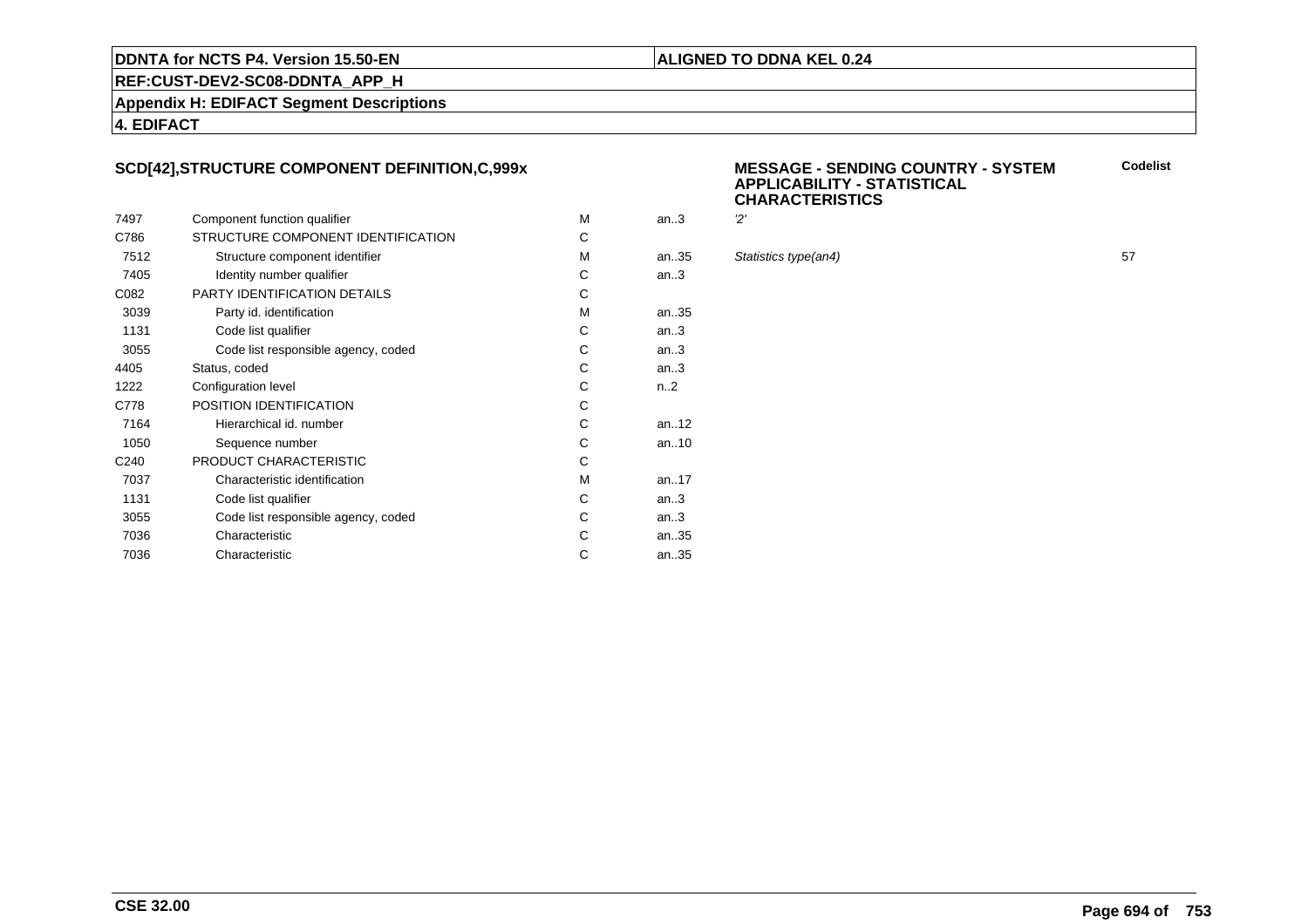## **ALIGNED TO DDNA KEL 0.24**

**REF:CUST-DEV2-SC08-DDNTA\_APP\_H**

**Appendix H: EDIFACT Segment Descriptions**

## **4. EDIFACT**

## **SCD[42],STRUCTURE COMPONENT DEFINITION,C,999x**

|                  |                                     |   |                  | ັ         |
|------------------|-------------------------------------|---|------------------|-----------|
| 7497             | Component function qualifier        | м | an.3             | 2'        |
| C786             | STRUCTURE COMPONENT IDENTIFICATION  | C |                  |           |
| 7512             | Structure component identifier      | M | an35             | <b>St</b> |
| 7405             | Identity number qualifier           | C | an.3             |           |
| C082             | <b>PARTY IDENTIFICATION DETAILS</b> | C |                  |           |
| 3039             | Party id. identification            | М | an.35            |           |
| 1131             | Code list qualifier                 | C | an.3             |           |
| 3055             | Code list responsible agency, coded | С | an.3             |           |
| 4405             | Status, coded                       | C | an.3             |           |
| 1222             | Configuration level                 | C | n <sub>1</sub> 2 |           |
| C778             | POSITION IDENTIFICATION             | C |                  |           |
| 7164             | Hierarchical id. number             | C | an. $.12$        |           |
| 1050             | Sequence number                     | C | an $.10$         |           |
| C <sub>240</sub> | PRODUCT CHARACTERISTIC              | C |                  |           |
| 7037             | Characteristic identification       | M | an. $17$         |           |
| 1131             | Code list qualifier                 | C | an.3             |           |
| 3055             | Code list responsible agency, coded | C | an.3             |           |
| 7036             | Characteristic                      | С | an35             |           |
| 7036             | Characteristic                      | С | an35             |           |
|                  |                                     |   |                  |           |

## **MESSAGE - SENDING COUNTRY - SYSTEMAPPLICABILITY - STATISTICALCHARACTERISTICSCodelist**

| М  | an.3 | 'יפ                  |    |
|----|------|----------------------|----|
| C. |      |                      |    |
| м  | an35 | Statistics type(an4) | 57 |
| С  | an.3 |                      |    |
| C. |      |                      |    |
| М  | an35 |                      |    |
|    |      |                      |    |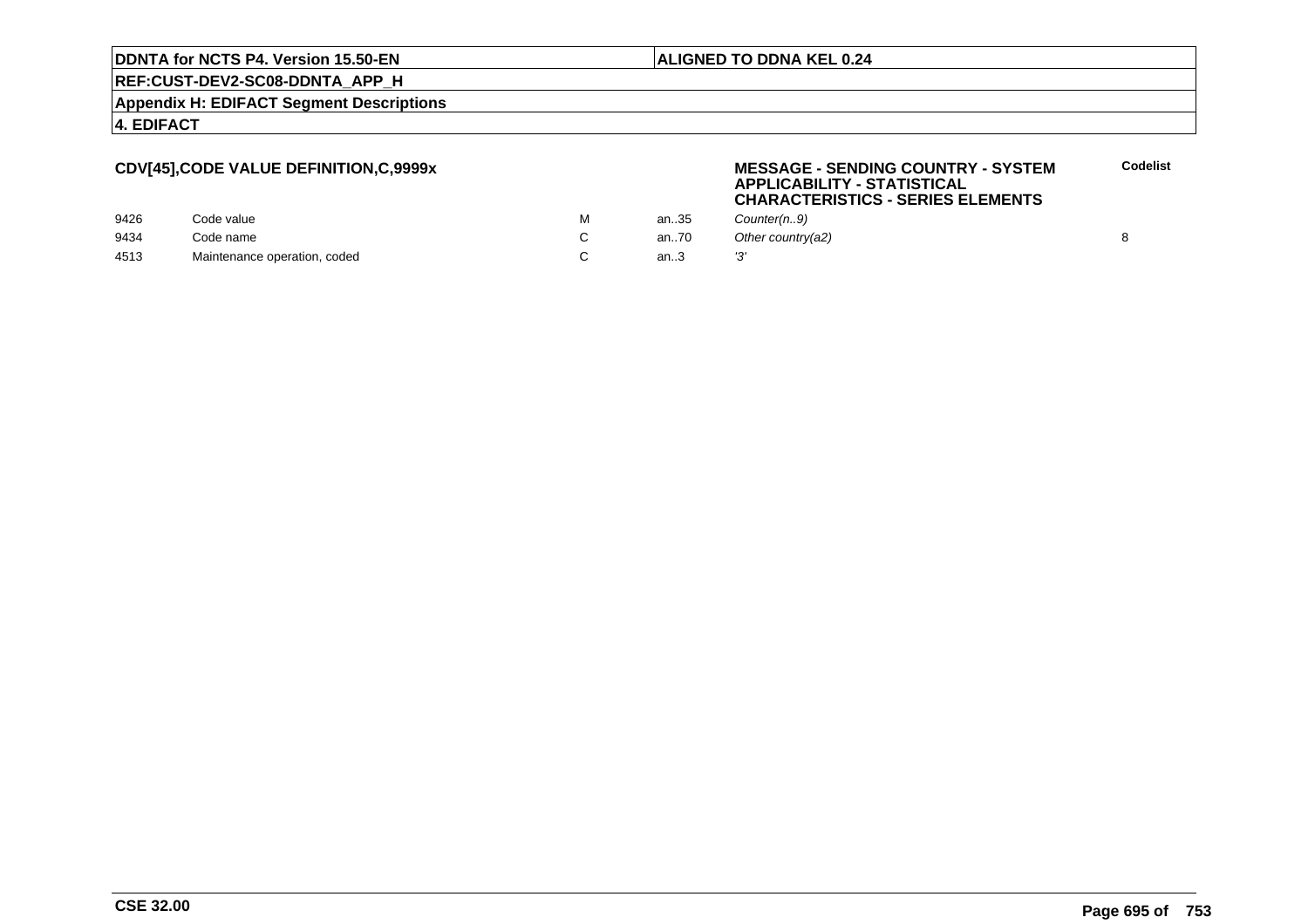## **ALIGNED TO DDNA KEL 0.24**

**MESSAGE - SENDING COUNTRY - SYSTEM**

**APPLICABILITY - STATISTICAL**

**REF:CUST-DEV2-SC08-DDNTA\_APP\_H**

**Appendix H: EDIFACT Segment Descriptions**

**4. EDIFACT**

## **CDV[45],CODE VALUE DEFINITION,C,9999x**

|      |                              |   |      | .<br>______________<br><b>CHARACTERISTICS - SERIES ELEMENTS</b> |  |
|------|------------------------------|---|------|-----------------------------------------------------------------|--|
| 9426 | Code value                   | м | an35 | Counter(n.,9)                                                   |  |
| 9434 | Code name                    |   | an70 | Other country(a2)                                               |  |
| 4513 | Maintenance operation, coded |   | an3  |                                                                 |  |

**Codelist**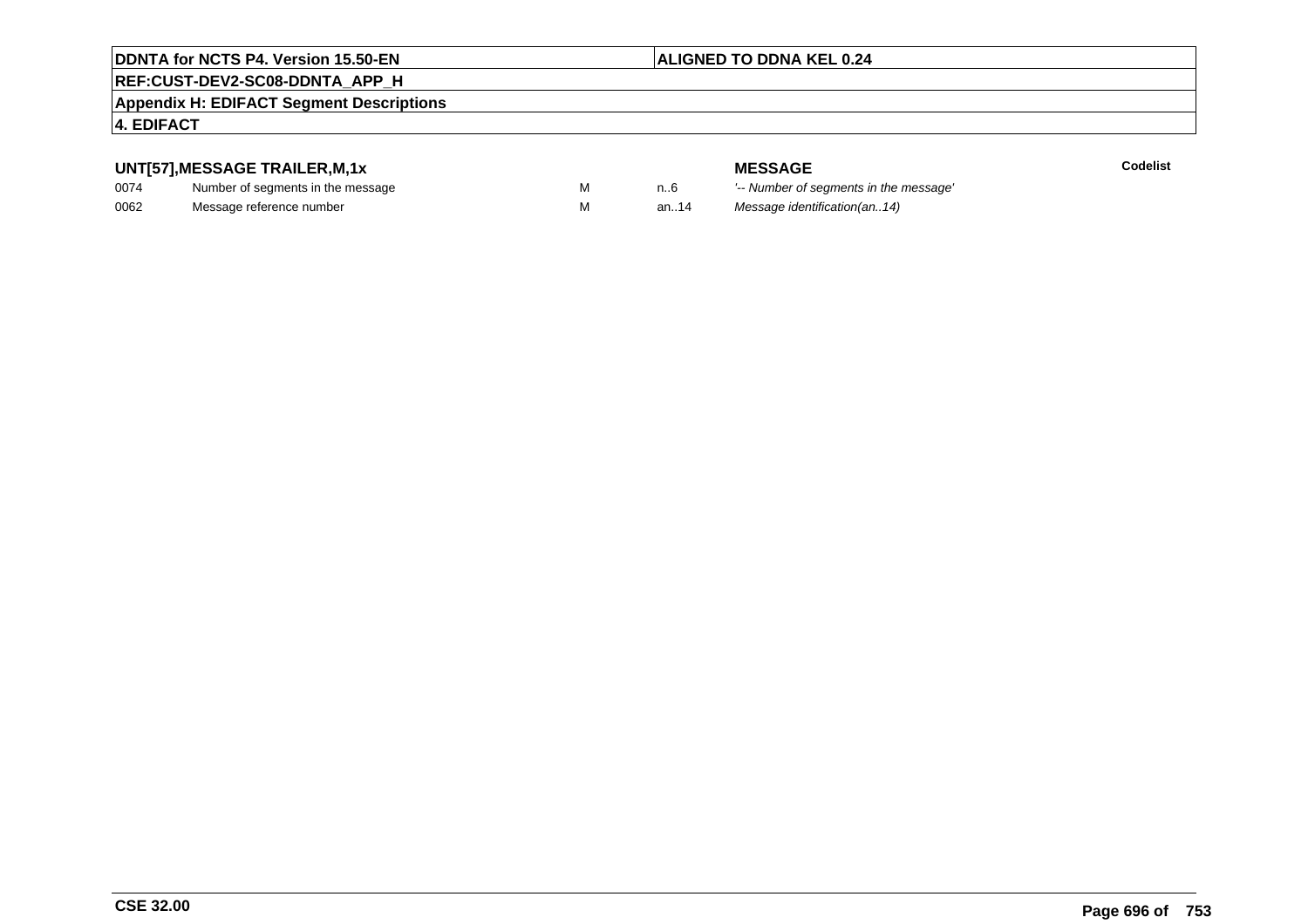## **ALIGNED TO DDNA KEL 0.24**

# **REF:CUST-DEV2-SC08-DDNTA\_APP\_H**

## **Appendix H: EDIFACT Segment Descriptions**

## **4. EDIFACT**

# **UNT[57],MESSAGE TRAILER,M,1x**

| 0074 | Number of segments in the message |  |
|------|-----------------------------------|--|
| 0062 | Message reference number          |  |

**MESSAGE**<br>M n.6 <sup>'--</sup> Number of s **Codelist** M carried manufacturer of segments in the message'<br>Carried manufacturer in the message's M an..14 Message identification(an..14)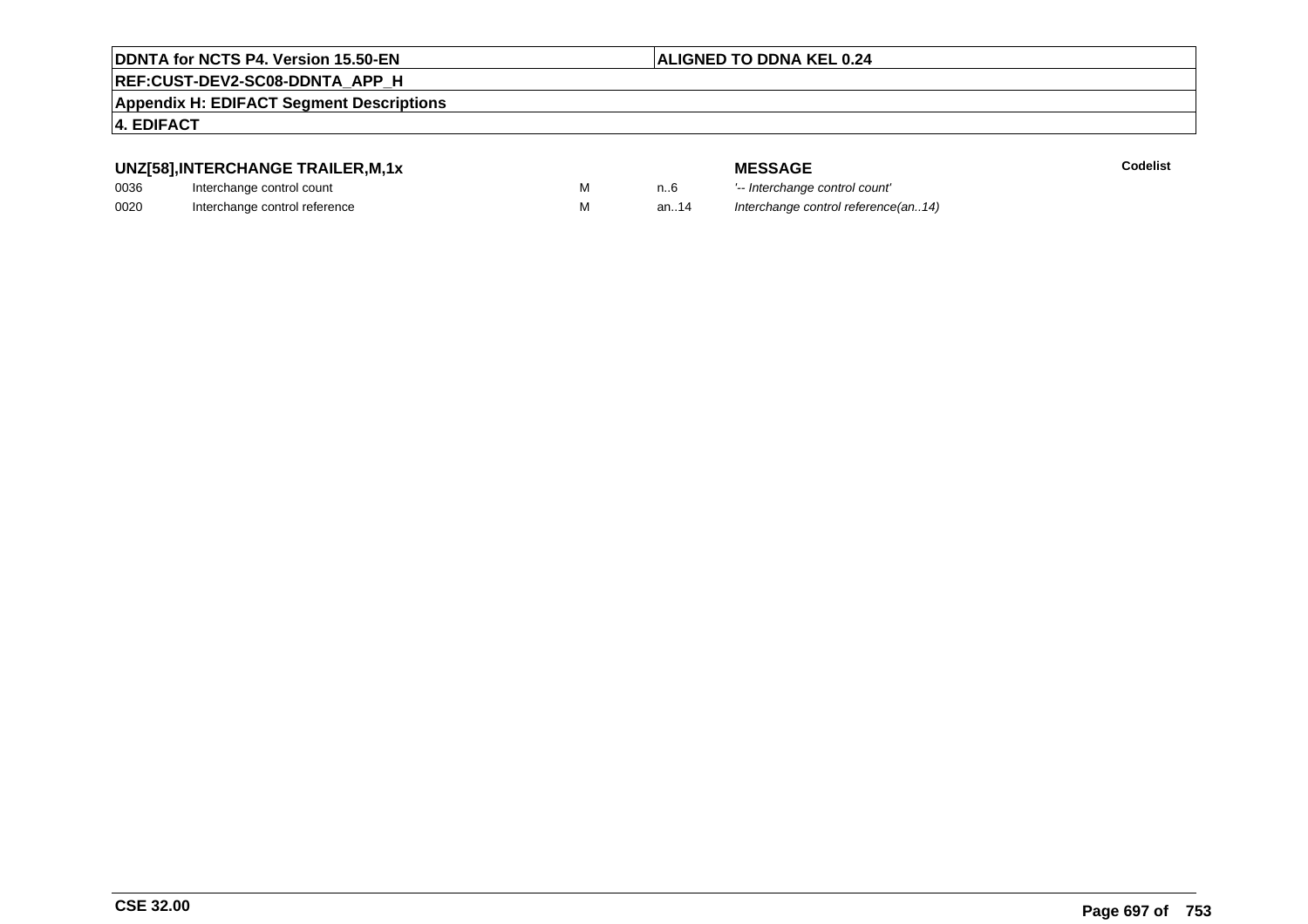## **ALIGNED TO DDNA KEL 0.24**

# **REF:CUST-DEV2-SC08-DDNTA\_APP\_H**

**Appendix H: EDIFACT Segment Descriptions**

## **4. EDIFACT**

# **UNZ[58],INTERCHANGE TRAILER,M,1x**

| 0036 | Interchange control count     |  |
|------|-------------------------------|--|
| 0020 | Interchange control reference |  |

|   |      | <b>MESSAGE</b>                      | Codelist |
|---|------|-------------------------------------|----------|
| M | n6   | '-- Interchange control count'      |          |
| M | an14 | Interchange control reference(an14) |          |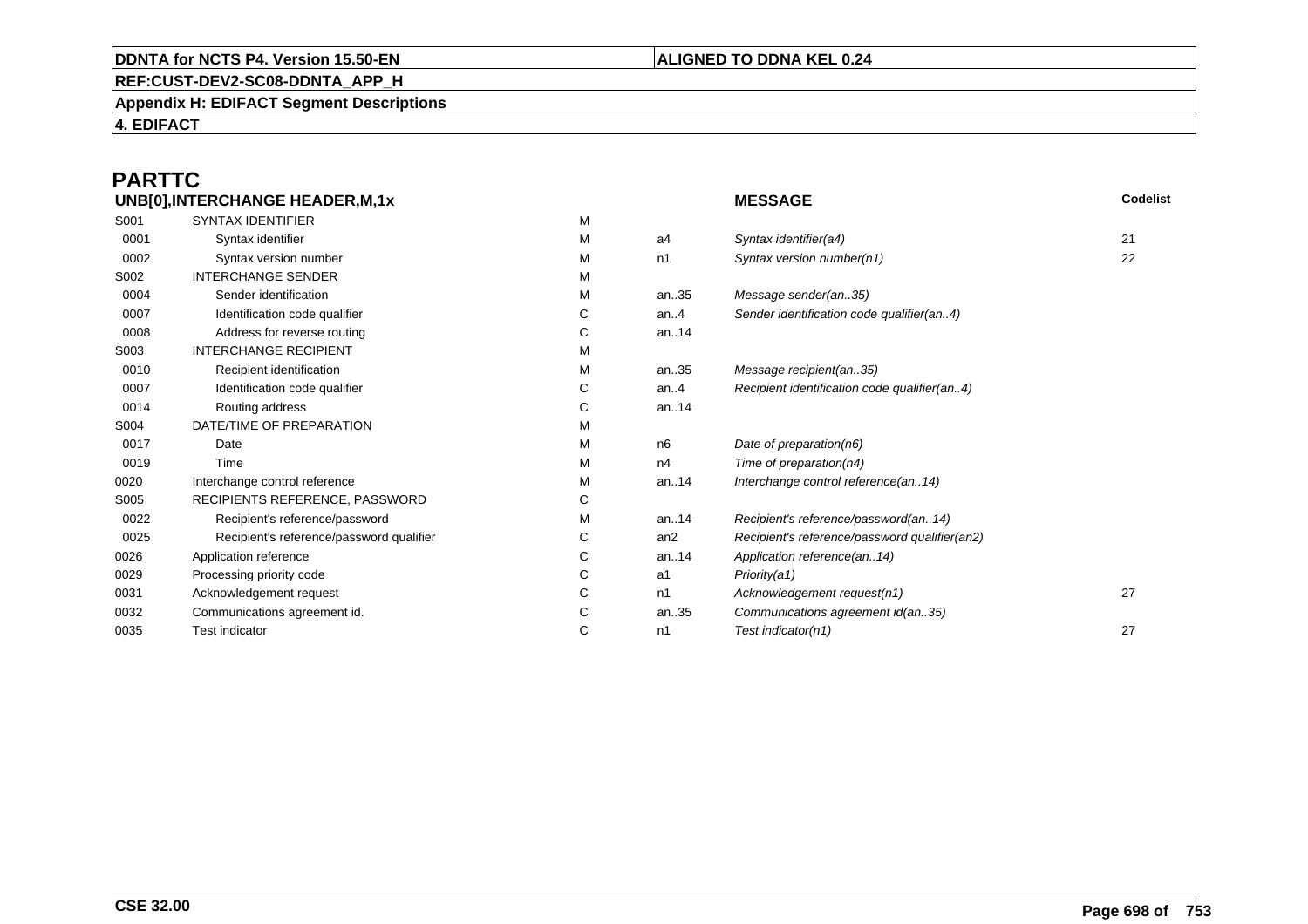## **REF:CUST-DEV2-SC08-DDNTA\_APP\_H**

**Appendix H: EDIFACT Segment Descriptions**

**4. EDIFACT**

# **PARTTC**

|      | UNB[0], INTERCHANGE HEADER, M, 1x        |   |      | <b>MESSAGE</b>                                | Codelist |
|------|------------------------------------------|---|------|-----------------------------------------------|----------|
| S001 | <b>SYNTAX IDENTIFIER</b>                 | М |      |                                               |          |
| 0001 | Syntax identifier                        | М | a4   | Syntax identifier(a4)                         | 21       |
| 0002 | Syntax version number                    | М | n1   | Syntax version number(n1)                     | 22       |
| S002 | <b>INTERCHANGE SENDER</b>                | М |      |                                               |          |
| 0004 | Sender identification                    | М | an35 | Message sender(an35)                          |          |
| 0007 | Identification code qualifier            | С | an.4 | Sender identification code qualifier(an4)     |          |
| 0008 | Address for reverse routing              | С | an14 |                                               |          |
| S003 | <b>INTERCHANGE RECIPIENT</b>             | M |      |                                               |          |
| 0010 | Recipient identification                 | М | an35 | Message recipient(an35)                       |          |
| 0007 | Identification code qualifier            | С | an.4 | Recipient identification code qualifier(an4)  |          |
| 0014 | Routing address                          | С | an14 |                                               |          |
| S004 | DATE/TIME OF PREPARATION                 | M |      |                                               |          |
| 0017 | Date                                     | М | n6   | Date of preparation(n6)                       |          |
| 0019 | Time                                     | м | n4   | Time of preparation(n4)                       |          |
| 0020 | Interchange control reference            | М | an14 | Interchange control reference(an14)           |          |
| S005 | RECIPIENTS REFERENCE, PASSWORD           | С |      |                                               |          |
| 0022 | Recipient's reference/password           | M | an14 | Recipient's reference/password(an14)          |          |
| 0025 | Recipient's reference/password qualifier | С | an2  | Recipient's reference/password qualifier(an2) |          |
| 0026 | Application reference                    | С | an14 | Application reference(an14)                   |          |
| 0029 | Processing priority code                 | С | a1   | Priority(a1)                                  |          |
| 0031 | Acknowledgement request                  | С | n1   | Acknowledgement request(n1)                   | 27       |
| 0032 | Communications agreement id.             | С | an35 | Communications agreement id(an35)             |          |
| 0035 | <b>Test indicator</b>                    | C | n1   | Test indicator(n1)                            | 27       |
|      |                                          |   |      |                                               |          |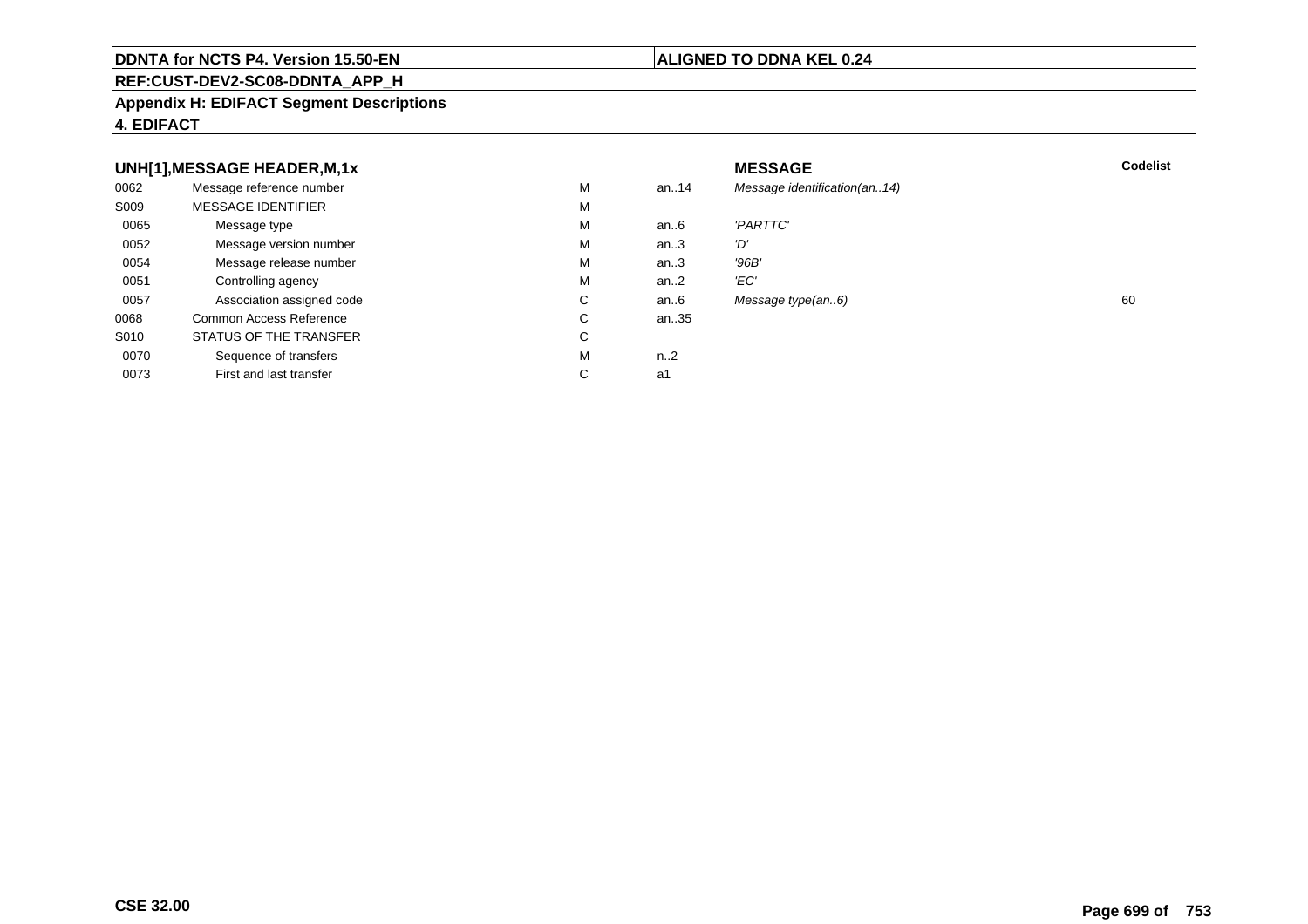## **REF:CUST-DEV2-SC08-DDNTA\_APP\_H**

## **Appendix H: EDIFACT Segment Descriptions**

## **4. EDIFACT**

## **UNH[1],MESSAGE HEADER,M,1xx** MESSAGE **Codelist** Codelist 0062 Message reference number <sup>M</sup> an..14 Message identification(an..14) S009 MESSAGE IDENTIFIERR M M 0065Message type Message version number and the Message version number and the Message of Message Message Message M an..6 'PARTTC'<br>an..3 'D' 0052 Message version number <sup>M</sup>an..3 'D'<br>an..3 '96B' 0054Message release number Market and the Market Market Market Market Market Market Market Market Market Market Ma<br>
Market Market Market Market Market Market Market Market Market Market Market Market Market Market Market Marke an..3 '96B'<br>an..2 'EC' 0051 Controlling agency <sup>M</sup>an $.2$ <br>an $.6$ 0057Association assigned code **C** C<br>
mmon Access Reference **C** C Message type(an..6) 60 0068Common Access Reference C<br>
STATUS OF THE TRANSFER
C an..35 S010 STATUS OF THE TRANSFERR C 0070Sequence of transfers M<br>
First and last transfer C n..2<br>a1 0073First and last transfer  $C \qquad \qquad$  a1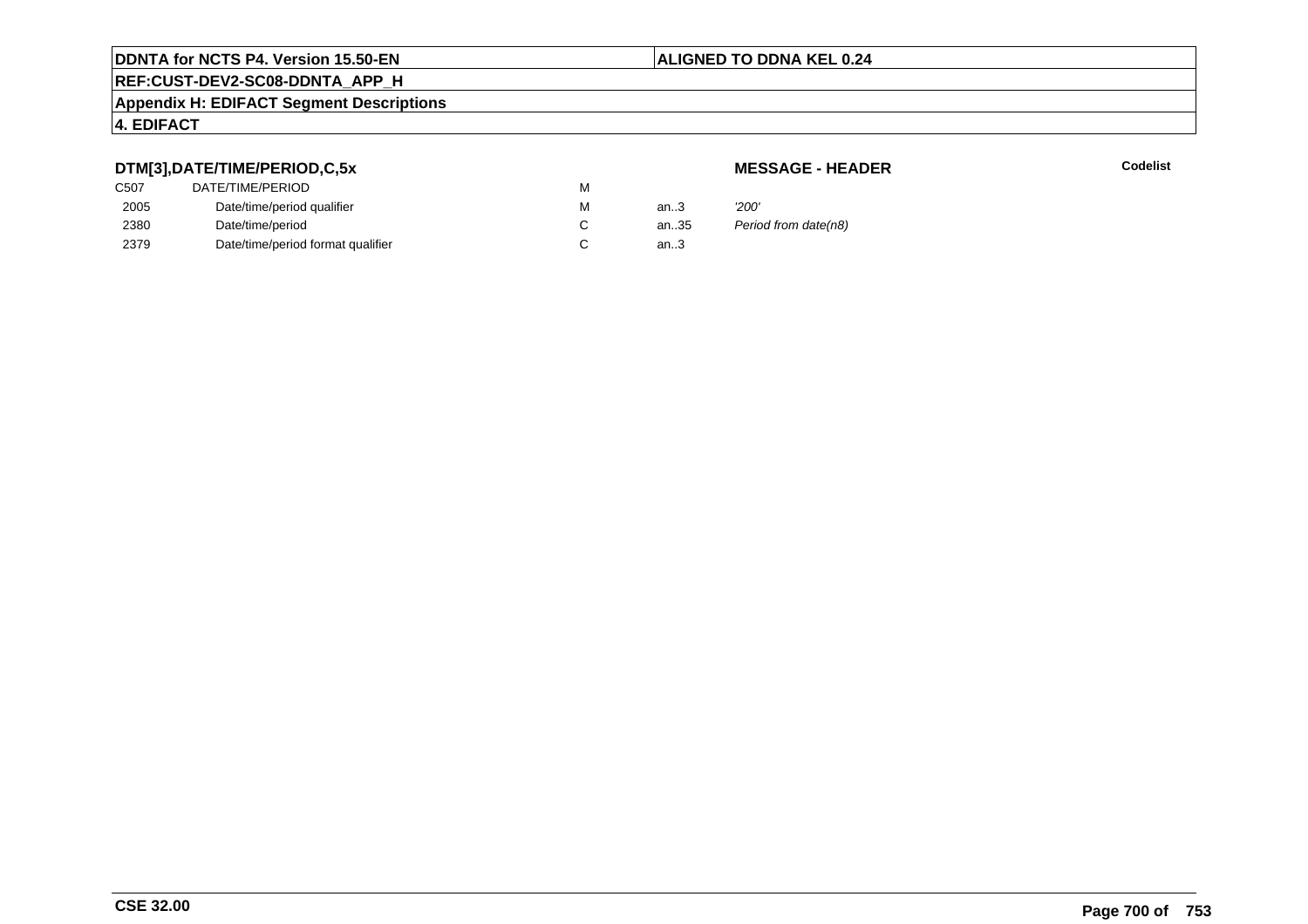## **ALIGNED TO DDNA KEL 0.24**

# **REF:CUST-DEV2-SC08-DDNTA\_APP\_H**

## **Appendix H: EDIFACT Segment Descriptions**

## **4. EDIFACT**

## **DTM[3],DATE/TIME/PERIOD,C,5x**

| <b>MESSAGE - HEADER</b> |  |
|-------------------------|--|
|-------------------------|--|

**R** Codelist

| DTM[3],DATE/TIME/PERIOD,C,5x | <b>MESSAGE - HEADER</b>           |   |      |                      |
|------------------------------|-----------------------------------|---|------|----------------------|
| C <sub>50</sub> 7            | DATE/TIME/PERIOD                  | м |      |                      |
| 2005                         | Date/time/period qualifier        | М | an3  | '200'                |
| 2380                         | Date/time/period                  |   | an35 | Period from date(n8) |
| 2379                         | Date/time/period format qualifier |   | an.3 |                      |
|                              |                                   |   |      |                      |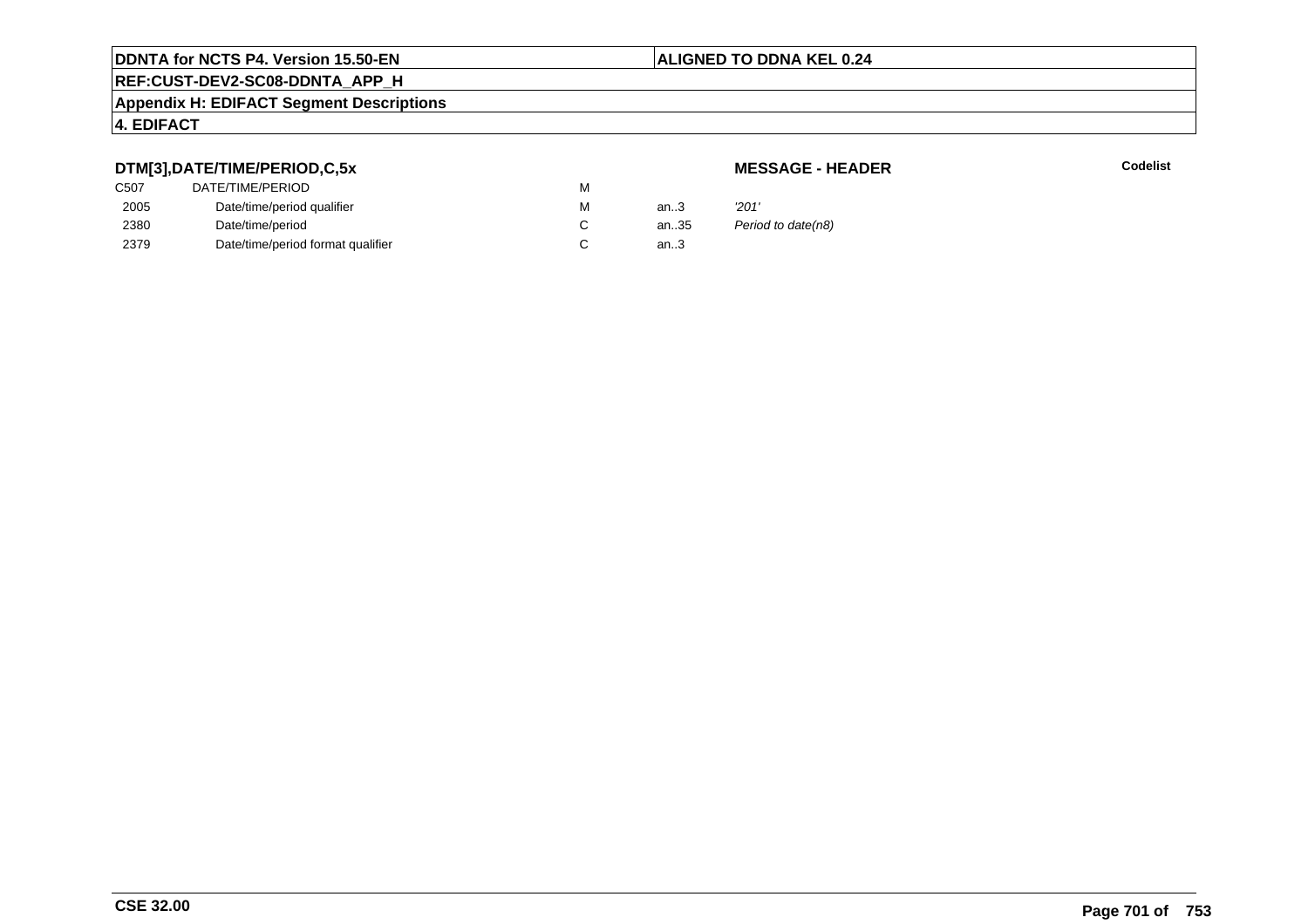## **ALIGNED TO DDNA KEL 0.24**

# **REF:CUST-DEV2-SC08-DDNTA\_APP\_H**

## **Appendix H: EDIFACT Segment Descriptions**

## **4. EDIFACT**

## **DTM[3],DATE/TIME/PERIOD,C,5x**

# **MESSAGE - HEADER**

**R** Codelist

| C <sub>50</sub> 7 | DATE/TIME/PERIOD                  | М |      |                    |
|-------------------|-----------------------------------|---|------|--------------------|
| 2005              | Date/time/period qualifier        | M | an.3 | '201'              |
| 2380              | Date/time/period                  |   | an35 | Period to date(n8) |
| 2379              | Date/time/period format qualifier |   | an.3 |                    |
|                   |                                   |   |      |                    |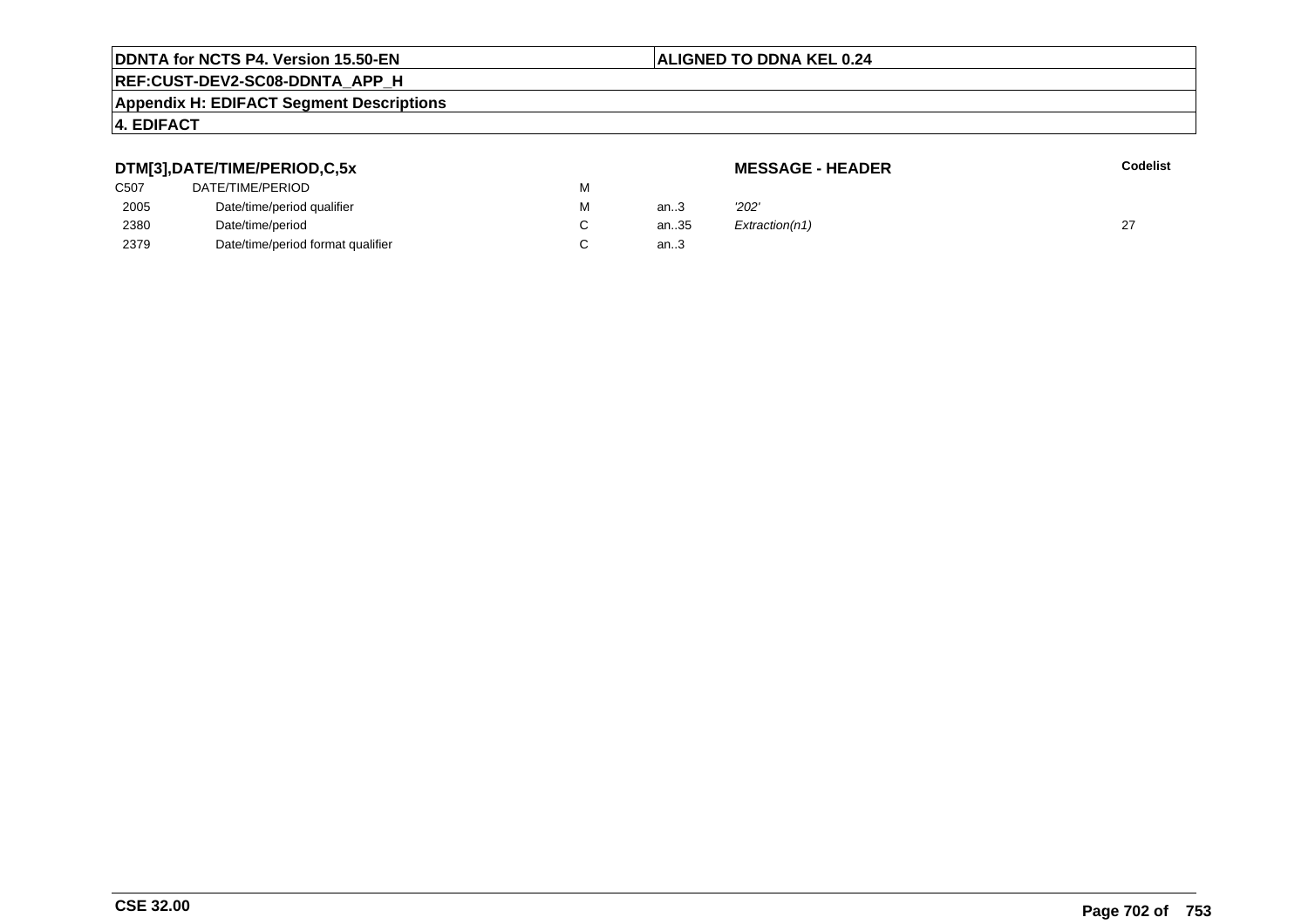## **ALIGNED TO DDNA KEL 0.24**

# **REF:CUST-DEV2-SC08-DDNTA\_APP\_H**

## **Appendix H: EDIFACT Segment Descriptions**

## **4. EDIFACT**

## **DTM[3],DATE/TIME/PERIOD,C,5xMESSAGE - HEADER R** Codelist C507 DATE/TIME/PERIODD<sub>N</sub> M 2005Date/time/period qualifier metals of the Material Material of the Material Material Material Material Material Material Material Material Material Material Material Material Material Material Material Material Material Mat M an..3 '2*02'* 2380Date/time/period<br>Date/time/period format qualifier example and contact C C an..35  $Extraction(n1)$  27 2379Date/time/period format qualifier an..3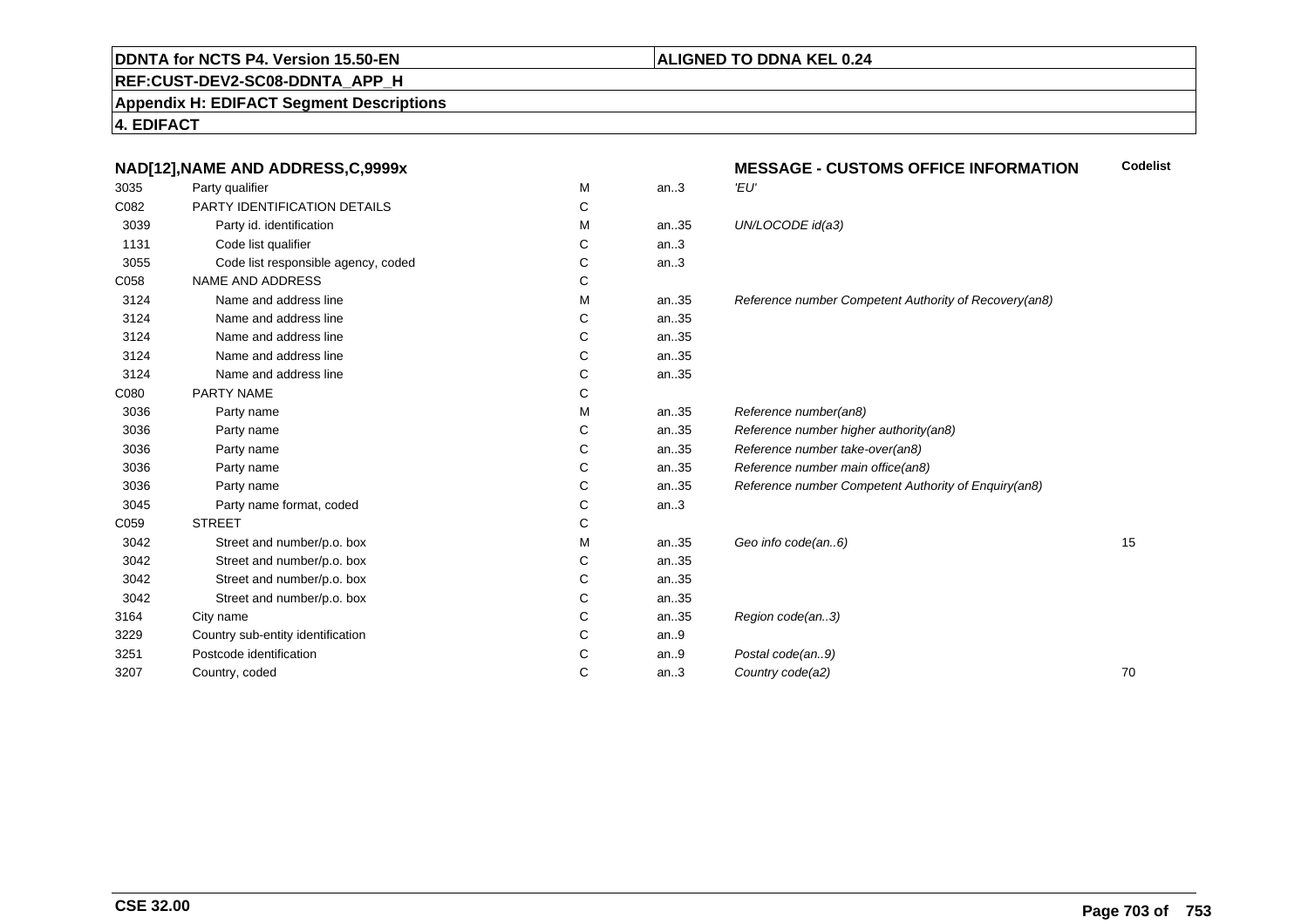## **ALIGNED TO DDNA KEL 0.24**

**REF:CUST-DEV2-SC08-DDNTA\_APP\_H**

**Appendix H: EDIFACT Segment Descriptions**

**4. EDIFACT**

|      | NAD[12], NAME AND ADDRESS, C, 9999x |   |      | <b>MESSAGE - CUSTOMS OFFICE INFORMATION</b>           | <b>Codelist</b> |
|------|-------------------------------------|---|------|-------------------------------------------------------|-----------------|
| 3035 | Party qualifier                     | М | an.3 | 'EU'                                                  |                 |
| C082 | PARTY IDENTIFICATION DETAILS        | C |      |                                                       |                 |
| 3039 | Party id. identification            | М | an35 | UN/LOCODE id(a3)                                      |                 |
| 1131 | Code list qualifier                 | C | an.3 |                                                       |                 |
| 3055 | Code list responsible agency, coded | C | an.3 |                                                       |                 |
| C058 | NAME AND ADDRESS                    | С |      |                                                       |                 |
| 3124 | Name and address line               | м | an35 | Reference number Competent Authority of Recovery(an8) |                 |
| 3124 | Name and address line               | C | an35 |                                                       |                 |
| 3124 | Name and address line               | С | an35 |                                                       |                 |
| 3124 | Name and address line               | C | an35 |                                                       |                 |
| 3124 | Name and address line               | C | an35 |                                                       |                 |
| C080 | PARTY NAME                          | С |      |                                                       |                 |
| 3036 | Party name                          | M | an35 | Reference number(an8)                                 |                 |
| 3036 | Party name                          | C | an35 | Reference number higher authority(an8)                |                 |
| 3036 | Party name                          | C | an35 | Reference number take-over(an8)                       |                 |
| 3036 | Party name                          | C | an35 | Reference number main office(an8)                     |                 |
| 3036 | Party name                          | С | an35 | Reference number Competent Authority of Enquiry(an8)  |                 |
| 3045 | Party name format, coded            | С | an.3 |                                                       |                 |
| C059 | <b>STREET</b>                       | C |      |                                                       |                 |
| 3042 | Street and number/p.o. box          | м | an35 | Geo info code(an6)                                    | 15              |
| 3042 | Street and number/p.o. box          | С | an35 |                                                       |                 |
| 3042 | Street and number/p.o. box          | C | an35 |                                                       |                 |
| 3042 | Street and number/p.o. box          | С | an35 |                                                       |                 |
| 3164 | City name                           | C | an35 | Region code(an3)                                      |                 |
| 3229 | Country sub-entity identification   | С | an.9 |                                                       |                 |
| 3251 | Postcode identification             | C | an.9 | Postal code(an9)                                      |                 |
| 3207 | Country, coded                      | C | an.3 | Country code(a2)                                      | 70              |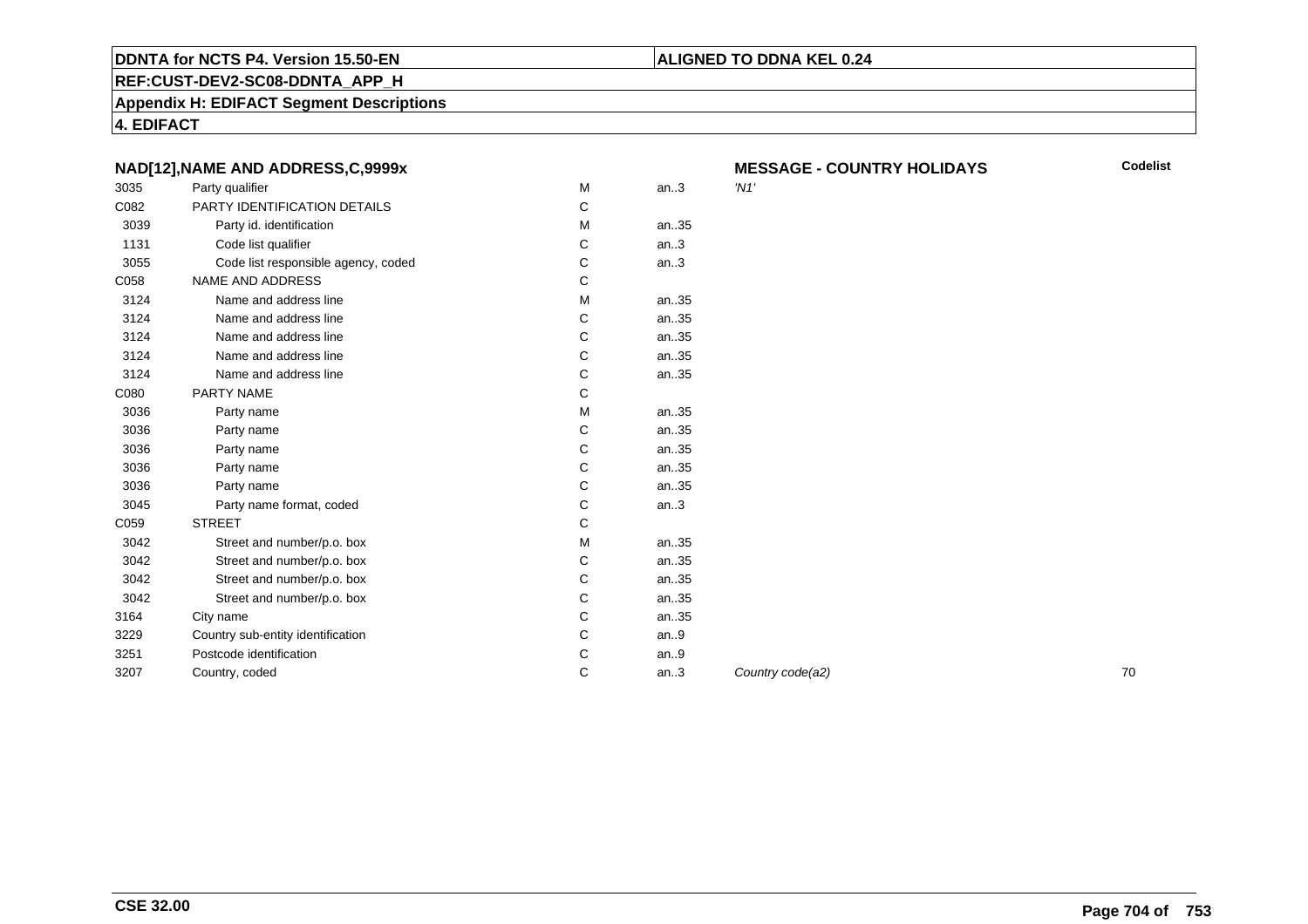## **REF:CUST-DEV2-SC08-DDNTA\_APP\_H**

**Appendix H: EDIFACT Segment Descriptions**

**4. EDIFACT**

|      | NAD[12], NAME AND ADDRESS, C, 9999x |   |       | ME      |
|------|-------------------------------------|---|-------|---------|
| 3035 | Party qualifier                     | M | an.3  | $'$ N1' |
| C082 | PARTY IDENTIFICATION DETAILS        | C |       |         |
| 3039 | Party id. identification            | м | an.35 |         |
| 1131 | Code list qualifier                 | С | an.3  |         |
| 3055 | Code list responsible agency, coded | C | an.3  |         |
| C058 | <b>NAME AND ADDRESS</b>             | C |       |         |
| 3124 | Name and address line               | M | an.35 |         |
| 3124 | Name and address line               | C | an35  |         |
| 3124 | Name and address line               | C | an.35 |         |
| 3124 | Name and address line               | C | an35  |         |
| 3124 | Name and address line               | C | an35  |         |
| C080 | PARTY NAME                          | C |       |         |
| 3036 | Party name                          | M | an35  |         |
| 3036 | Party name                          | C | an.35 |         |
| 3036 | Party name                          | C | an.35 |         |
| 3036 | Party name                          | C | an35  |         |
| 3036 | Party name                          | C | an35  |         |
| 3045 | Party name format, coded            | C | an.3  |         |
| C059 | <b>STREET</b>                       | C |       |         |
| 3042 | Street and number/p.o. box          | M | an35  |         |
| 3042 | Street and number/p.o. box          | С | an35  |         |
| 3042 | Street and number/p.o. box          | C | an35  |         |
| 3042 | Street and number/p.o. box          | C | an.35 |         |
| 3164 | City name                           | C | an.35 |         |
| 3229 | Country sub-entity identification   | C | an.9  |         |
| 3251 | Postcode identification             | C | an.9  |         |
| 3207 | Country, coded                      | C | an.3  | Cou     |
|      |                                     |   |       |         |

**MESSAGE - COUNTRY HOLIDAYS**

**ALIGNED TO DDNA KEL 0.24**

**Codelist**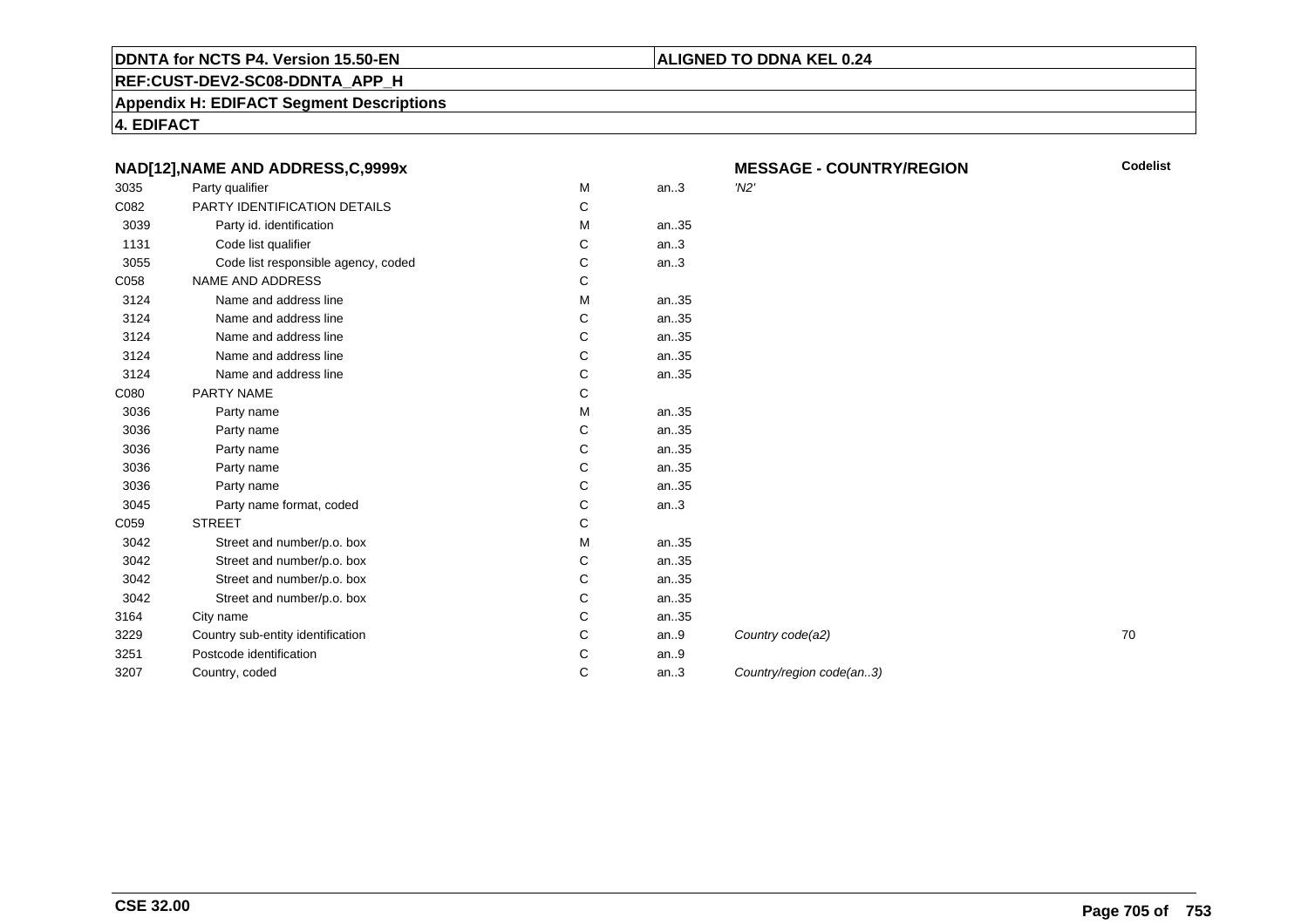## **REF:CUST-DEV2-SC08-DDNTA\_APP\_H**

**Appendix H: EDIFACT Segment Descriptions**

**4. EDIFACT**

|      | NAD[12], NAME AND ADDRESS, C, 9999x |   |      | <b>MESSAGE - COUNTRY/REGION</b> | C <sub>0</sub> |
|------|-------------------------------------|---|------|---------------------------------|----------------|
| 3035 | Party qualifier                     | M | an.3 | $'$ N2'                         |                |
| C082 | PARTY IDENTIFICATION DETAILS        | С |      |                                 |                |
| 3039 | Party id. identification            | м | an35 |                                 |                |
| 1131 | Code list qualifier                 | С | an.3 |                                 |                |
| 3055 | Code list responsible agency, coded | С | an.3 |                                 |                |
| C058 | <b>NAME AND ADDRESS</b>             | С |      |                                 |                |
| 3124 | Name and address line               | м | an35 |                                 |                |
| 3124 | Name and address line               | С | an35 |                                 |                |
| 3124 | Name and address line               | С | an35 |                                 |                |
| 3124 | Name and address line               | C | an35 |                                 |                |
| 3124 | Name and address line               | C | an35 |                                 |                |
| C080 | PARTY NAME                          | С |      |                                 |                |
| 3036 | Party name                          | M | an35 |                                 |                |
| 3036 | Party name                          | С | an35 |                                 |                |
| 3036 | Party name                          | C | an35 |                                 |                |
| 3036 | Party name                          | C | an35 |                                 |                |
| 3036 | Party name                          | C | an35 |                                 |                |
| 3045 | Party name format, coded            | С | an.3 |                                 |                |
| C059 | <b>STREET</b>                       | C |      |                                 |                |
| 3042 | Street and number/p.o. box          | М | an35 |                                 |                |
| 3042 | Street and number/p.o. box          | С | an35 |                                 |                |
| 3042 | Street and number/p.o. box          | C | an35 |                                 |                |
| 3042 | Street and number/p.o. box          | С | an35 |                                 |                |
| 3164 | City name                           | C | an35 |                                 |                |
| 3229 | Country sub-entity identification   | C | an.9 | Country code(a2)                | 70             |
| 3251 | Postcode identification             | C | an.9 |                                 |                |
| 3207 | Country, coded                      | С | an.3 | Country/region code(an3)        |                |
|      |                                     |   |      |                                 |                |

**E** - COUNTRY/REGION

**ALIGNED TO DDNA KEL 0.24**

**Codelist**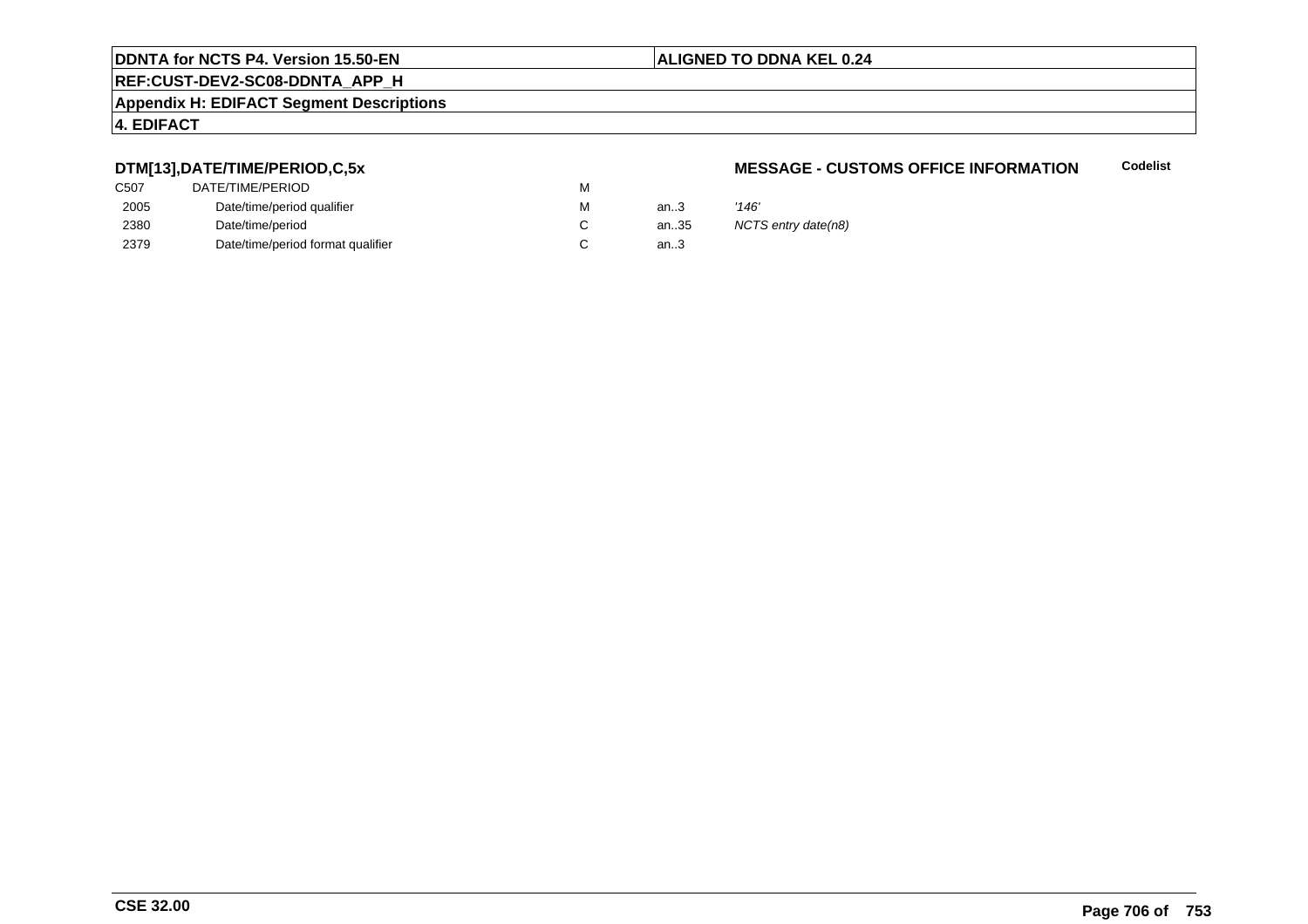## **ALIGNED TO DDNA KEL 0.24**

# **REF:CUST-DEV2-SC08-DDNTA\_APP\_H**

## **Appendix H: EDIFACT Segment Descriptions**

## **4. EDIFACT**

## **DTM[13],DATE/TIME/PERIOD,C,5x**

| DATE/TIME/PERIOD                  | М |          |            |
|-----------------------------------|---|----------|------------|
| Date/time/period qualifier        | М | an $3$   | '146'      |
| Date/time/period                  |   | an $.35$ | <b>NCT</b> |
| Date/time/period format qualifier |   | an.3     |            |
|                                   |   |          |            |

## **MESSAGE - CUSTOMS OFFICE INFORMATIONCodelist**

NCTS entry date(n8)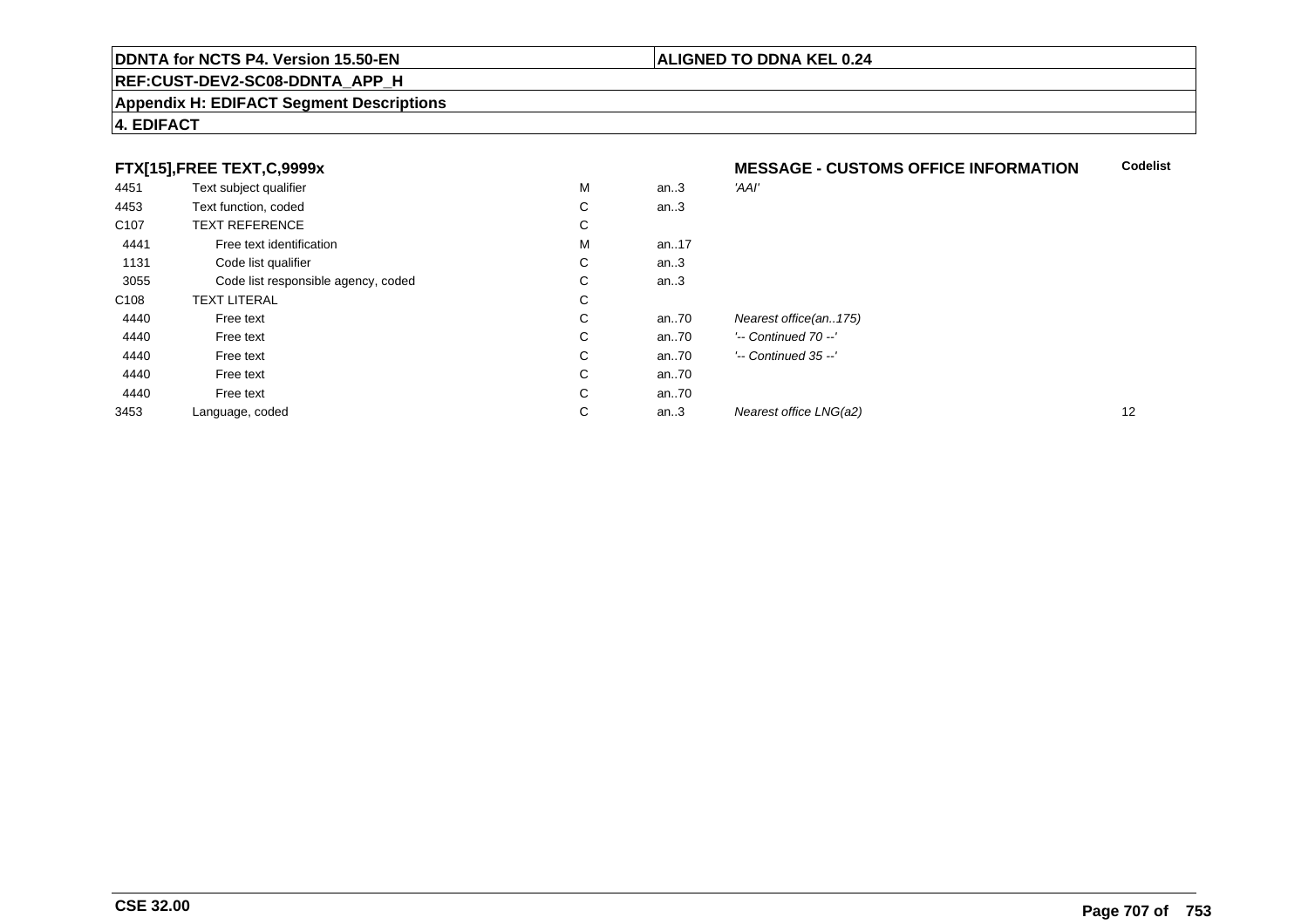## **REF:CUST-DEV2-SC08-DDNTA\_APP\_H**

## **Appendix H: EDIFACT Segment Descriptions**

## **4. EDIFACT**

## **FTX[15],FREE TEXT,C,9999x**

|                  | FTX[15], FREE TEXT, C, 9999x        |   |       | <b>MESSAGE - CUSTOMS OFFICE INFORMATION</b> |    |  |
|------------------|-------------------------------------|---|-------|---------------------------------------------|----|--|
| 4451             | Text subject qualifier              | M | an.3  | 'AAI'                                       |    |  |
| 4453             | Text function, coded                | С | an.3  |                                             |    |  |
| C <sub>107</sub> | <b>TEXT REFERENCE</b>               | С |       |                                             |    |  |
| 4441             | Free text identification            | M | an.17 |                                             |    |  |
| 1131             | Code list qualifier                 | С | an.3  |                                             |    |  |
| 3055             | Code list responsible agency, coded | C | an.3  |                                             |    |  |
| C <sub>108</sub> | <b>TEXT LITERAL</b>                 | С |       |                                             |    |  |
| 4440             | Free text                           | C | an70  | Nearest office(an175)                       |    |  |
| 4440             | Free text                           | C | an.70 | $'-$ Continued 70 $-$ '                     |    |  |
| 4440             | Free text                           | C | an70  | $'-$ Continued 35 $-$ '                     |    |  |
| 4440             | Free text                           | C | an70  |                                             |    |  |
| 4440             | Free text                           | C | an70  |                                             |    |  |
| 3453             | Language, coded                     | C | an.3  | Nearest office LNG(a2)                      | 12 |  |

**Codelist**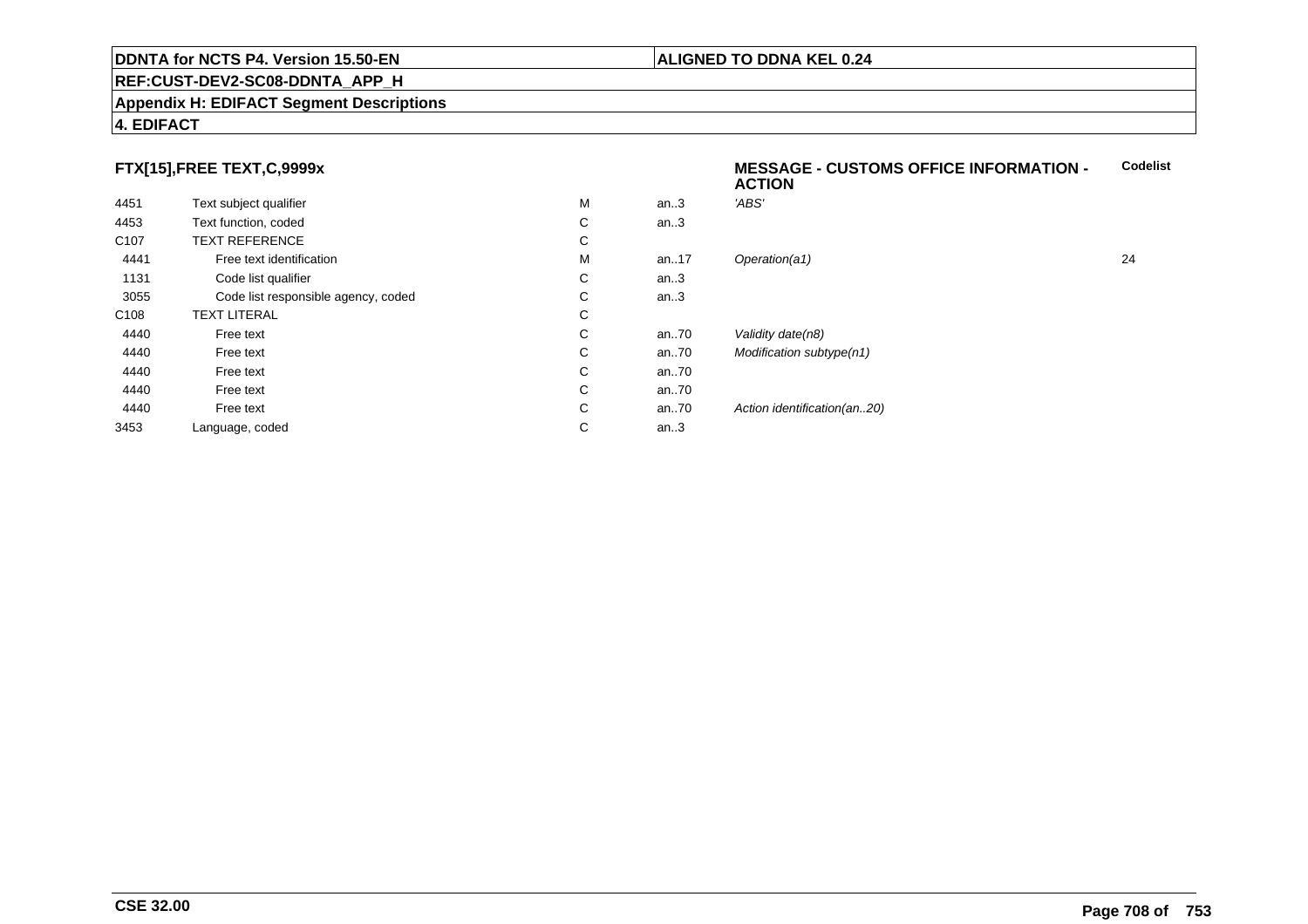## **REF:CUST-DEV2-SC08-DDNTA\_APP\_H**

## **Appendix H: EDIFACT Segment Descriptions**

# **4. EDIFACT**

## **FTX[15],FREE TEXT,C,9999x**

| 4451             | Text subject qualifier              | M           | an.3    | 'ABS'                       |    |
|------------------|-------------------------------------|-------------|---------|-----------------------------|----|
| 4453             | Text function, coded                | $\sim$<br>◡ | an.3    |                             |    |
| C <sub>107</sub> | <b>TEXT REFERENCE</b>               | С           |         |                             |    |
| 4441             | Free text identification            | M           | an17    | Operation(a1)               | 24 |
| 1131             | Code list qualifier                 | С           | an.3    |                             |    |
| 3055             | Code list responsible agency, coded | С           | an.3    |                             |    |
| C108             | <b>TEXT LITERAL</b>                 | С           |         |                             |    |
| 4440             | Free text                           | C           | an70    | Validity date(n8)           |    |
| 4440             | Free text                           | C           | an70    | Modification subtype(n1)    |    |
| 4440             | Free text                           | C           | an70    |                             |    |
| 4440             | Free text                           | C           | an70    |                             |    |
| 4440             | Free text                           | С           | an70    | Action identification(an20) |    |
| 3453             | Language, coded                     | С           | an $.3$ |                             |    |
|                  |                                     |             |         |                             |    |

 **MESSAGE - CUSTOMS OFFICE INFORMATION - ACTIONCodelist**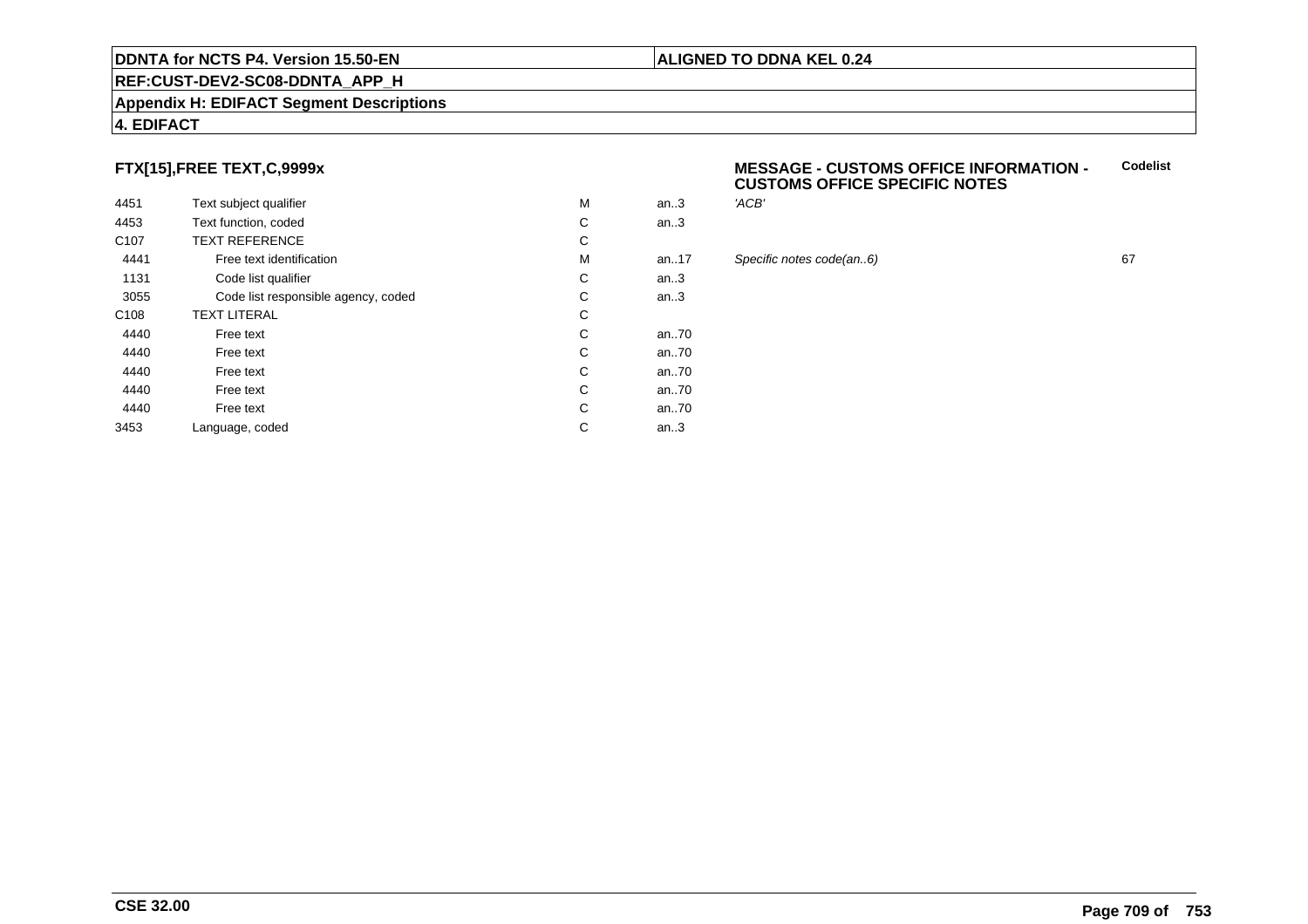## **REF:CUST-DEV2-SC08-DDNTA\_APP\_H**

## **Appendix H: EDIFACT Segment Descriptions**

## **4. EDIFACT**

## **FTX[15],FREE TEXT,C,9999x**

| 4451             | Text subject qualifier              | M | an.3  | 'ACB' |
|------------------|-------------------------------------|---|-------|-------|
| 4453             | Text function, coded                | С | an.3  |       |
| C <sub>107</sub> | <b>TEXT REFERENCE</b>               | С |       |       |
| 4441             | Free text identification            | M | an17  | Speci |
| 1131             | Code list qualifier                 | С | an.3  |       |
| 3055             | Code list responsible agency, coded | С | an.3  |       |
| C <sub>108</sub> | <b>TEXT LITERAL</b>                 | С |       |       |
| 4440             | Free text                           | С | an.70 |       |
| 4440             | Free text                           | С | an.70 |       |
| 4440             | Free text                           | С | an.70 |       |
| 4440             | Free text                           | С | an70  |       |
| 4440             | Free text                           | C | an70  |       |
| 3453             | Language, coded                     | С | an.3  |       |
|                  |                                     |   |       |       |

## **MESSAGE - CUSTOMS OFFICE INFORMATION - CUSTOMS OFFICE SPECIFIC NOTESCodelist**

**ALIGNED TO DDNA KEL 0.24**

# an..17 Specific notes code(an..6) <sup>67</sup>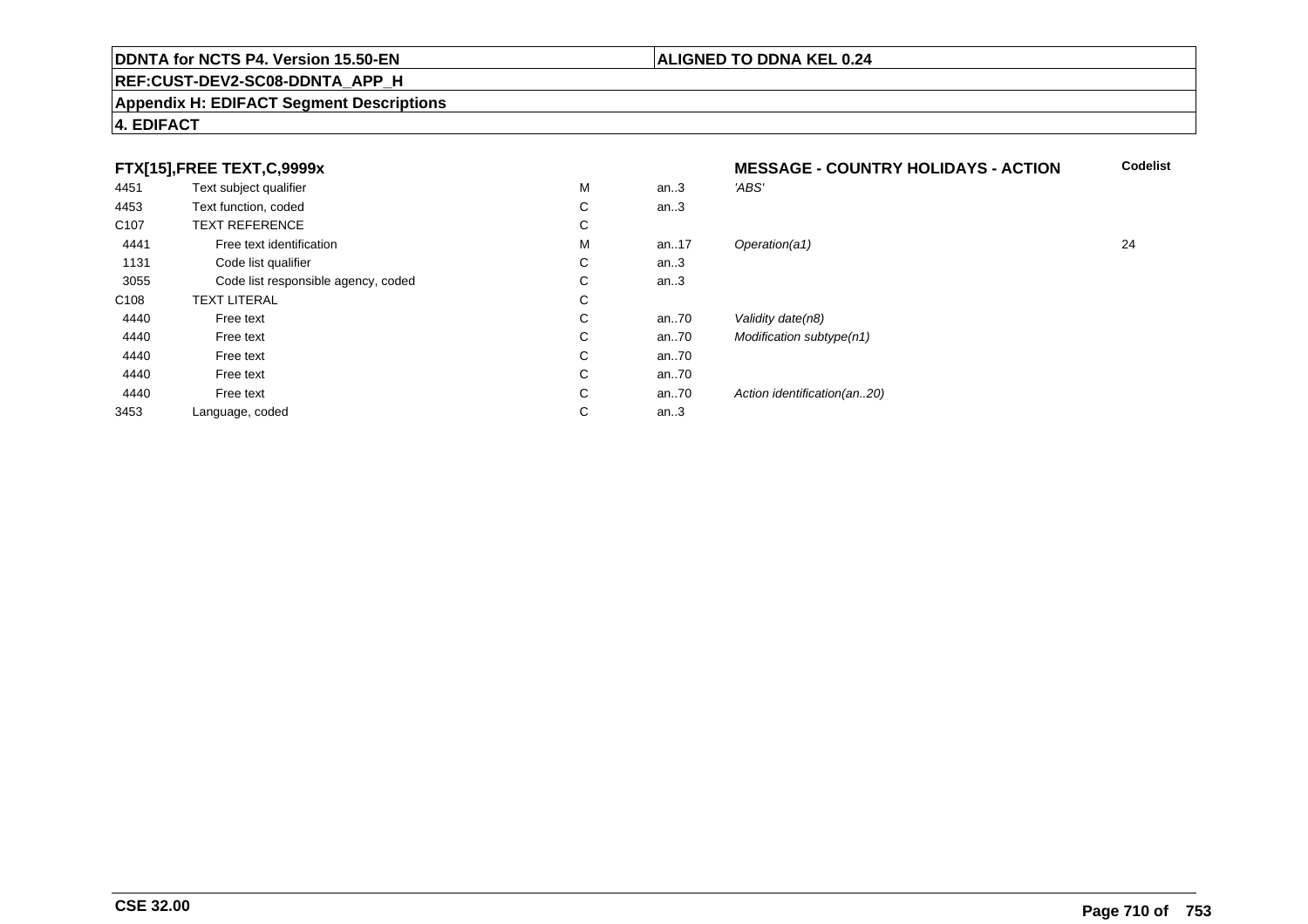## **REF:CUST-DEV2-SC08-DDNTA\_APP\_H**

## **Appendix H: EDIFACT Segment Descriptions**

## **4. EDIFACT**

## **FTX[15],FREE TEXT,C,9999x**

| 4451             | Text subject qualifier              | M | an.3     | 'ABS'                       |
|------------------|-------------------------------------|---|----------|-----------------------------|
| 4453             | Text function, coded                | С | an.3     |                             |
| C <sub>107</sub> | <b>TEXT REFERENCE</b>               | C |          |                             |
| 4441             | Free text identification            | M | an17     | Operation(a1)               |
| 1131             | Code list qualifier                 | С | an.3     |                             |
| 3055             | Code list responsible agency, coded | С | an.3     |                             |
| C <sub>108</sub> | <b>TEXT LITERAL</b>                 | С |          |                             |
| 4440             | Free text                           | С | an70     | Validity date(n8)           |
| 4440             | Free text                           | С | an70     | Modification subtype(n1)    |
| 4440             | Free text                           | С | an $.70$ |                             |
| 4440             | Free text                           | C | an70     |                             |
| 4440             | Free text                           | С | an70     | Action identification(an20) |
| 3453             | Language, coded                     | С | an.3     |                             |
|                  |                                     |   |          |                             |

# **MESSAGE - COUNTRY HOLIDAYS - ACTION Codelist** M an..17 Operation(a1) 24

## **CSE 32.00**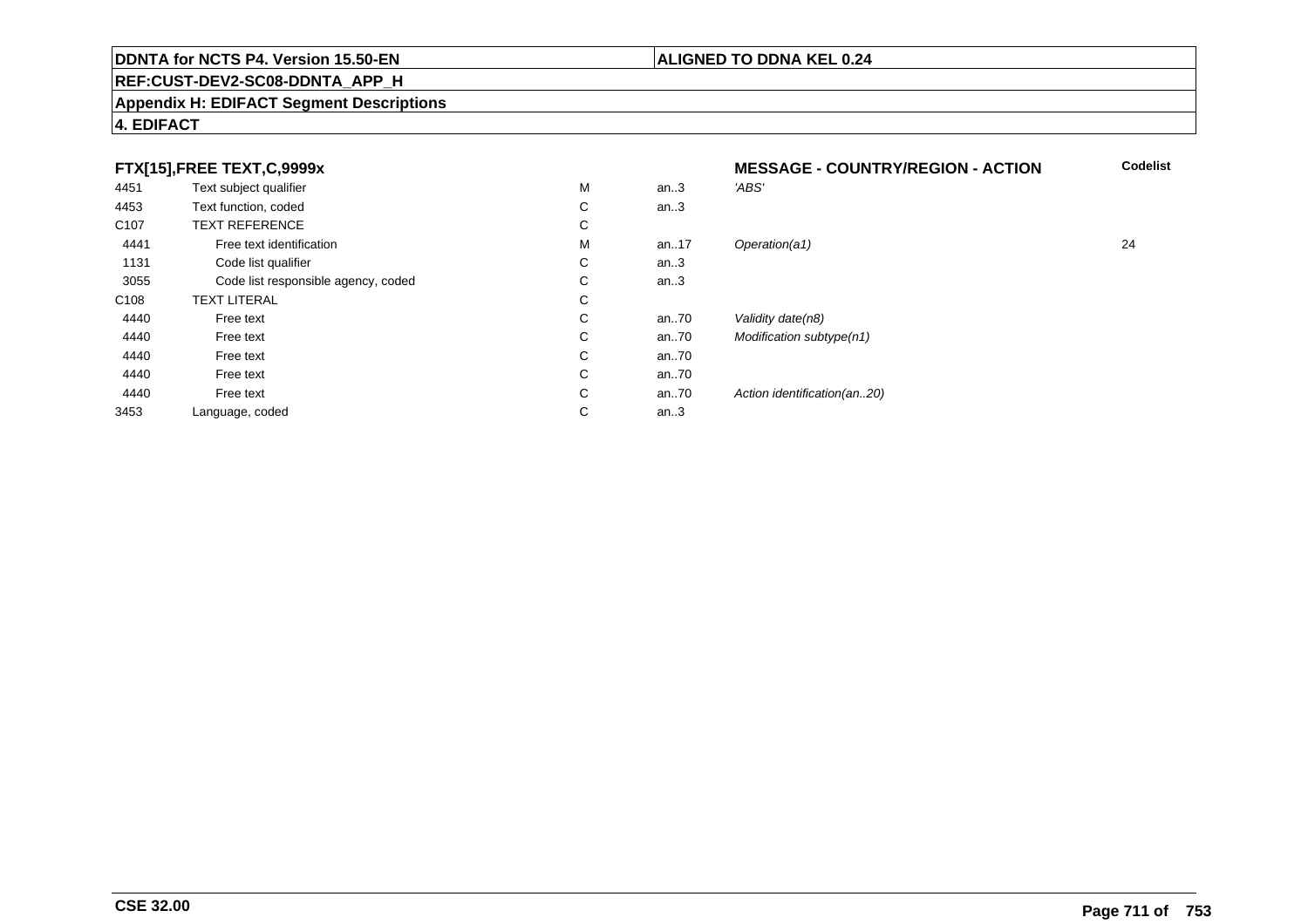## **REF:CUST-DEV2-SC08-DDNTA\_APP\_H**

## **Appendix H: EDIFACT Segment Descriptions**

## **4. EDIFACT**

## **FTX[15],FREE TEXT,C,9999x**

|                  | $\sqrt{2}$ , $\sqrt{2}$ , $\sqrt{2}$ |   |      |                              |    |
|------------------|--------------------------------------|---|------|------------------------------|----|
| 4451             | Text subject qualifier               | M | an.3 | 'ABS'                        |    |
| 4453             | Text function, coded                 | С | an.3 |                              |    |
| C <sub>107</sub> | <b>TEXT REFERENCE</b>                | С |      |                              |    |
| 4441             | Free text identification             | M | an17 | Operation(a1)                | 24 |
| 1131             | Code list qualifier                  | С | an.3 |                              |    |
| 3055             | Code list responsible agency, coded  | С | an.3 |                              |    |
| C108             | <b>TEXT LITERAL</b>                  | С |      |                              |    |
| 4440             | Free text                            | С | an70 | Validity date(n8)            |    |
| 4440             | Free text                            | С | an70 | Modification subtype(n1)     |    |
| 4440             | Free text                            | С | an70 |                              |    |
| 4440             | Free text                            | С | an70 |                              |    |
| 4440             | Free text                            | С | an70 | Action identification (an20) |    |
| 3453             | Language, coded                      | С | an.3 |                              |    |
|                  |                                      |   |      |                              |    |

# **MESSAGE - COUNTRY/REGION - ACTIONCodelist**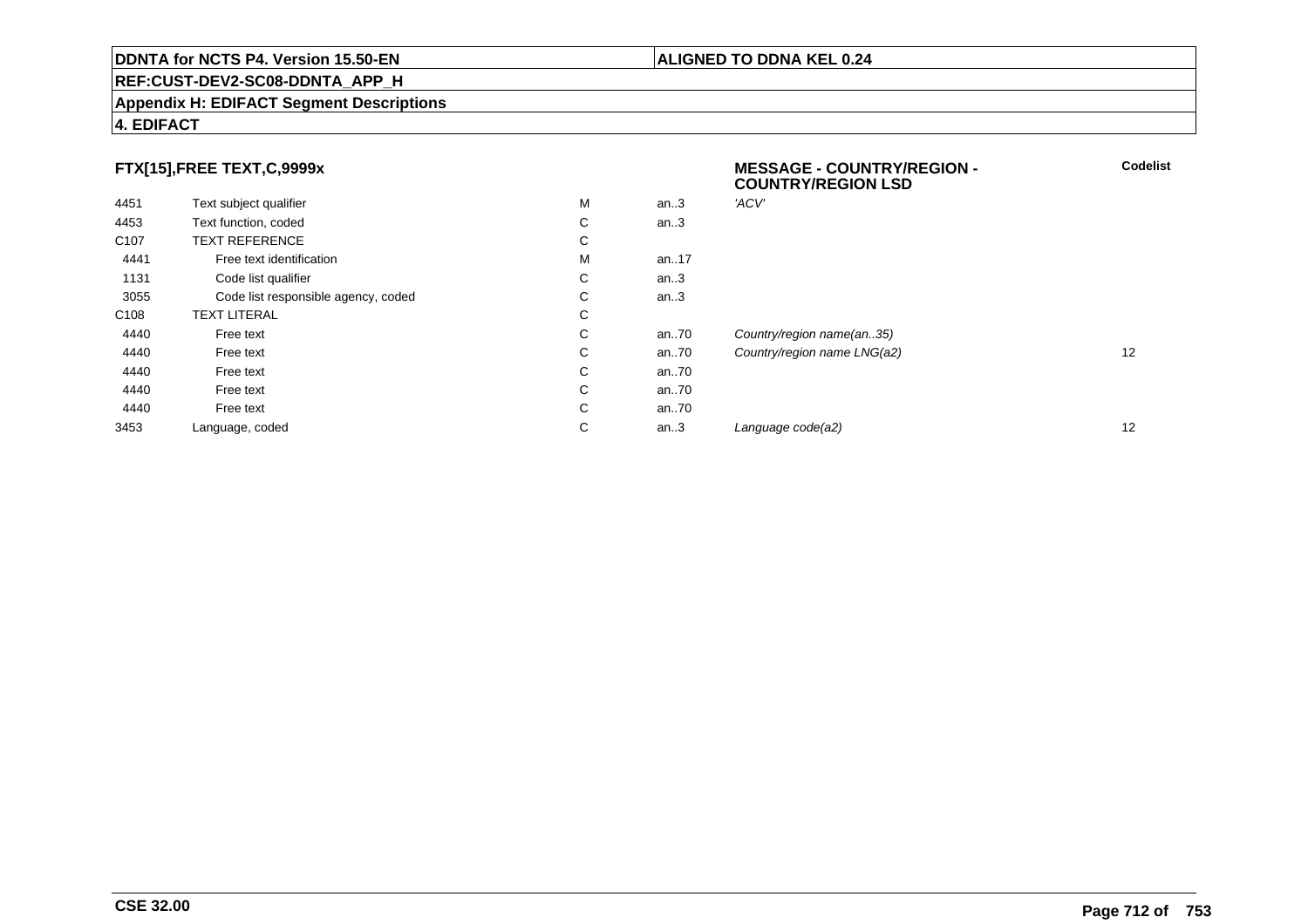## **REF:CUST-DEV2-SC08-DDNTA\_APP\_H**

## **Appendix H: EDIFACT Segment Descriptions**

## **4. EDIFACT**

# **FTX[15],FREE TEXT,C,9999x**

|                                     |   |      | <b>COUNTRY/REGION LSD</b>   |    |
|-------------------------------------|---|------|-----------------------------|----|
| Text subject qualifier              | М | an.3 | 'ACV'                       |    |
| Text function, coded                | C | an.3 |                             |    |
| <b>TEXT REFERENCE</b>               | С |      |                             |    |
| Free text identification            | м | an17 |                             |    |
| Code list qualifier                 | C | an.3 |                             |    |
| Code list responsible agency, coded | C | an.3 |                             |    |
| <b>TEXT LITERAL</b>                 | C |      |                             |    |
| Free text                           | C | an70 | Country/region name(an35)   |    |
| Free text                           | C | an70 | Country/region name LNG(a2) | 12 |
| Free text                           | C | an70 |                             |    |
| Free text                           | C | an70 |                             |    |
| Free text                           | C | an70 |                             |    |
| Language, coded                     | С | an.3 | Language code(a2)           | 12 |
|                                     |   |      |                             |    |

**Codelist**

## **ALIGNED TO DDNA KEL 0.24**

**MESSAGE - COUNTRY/REGION -**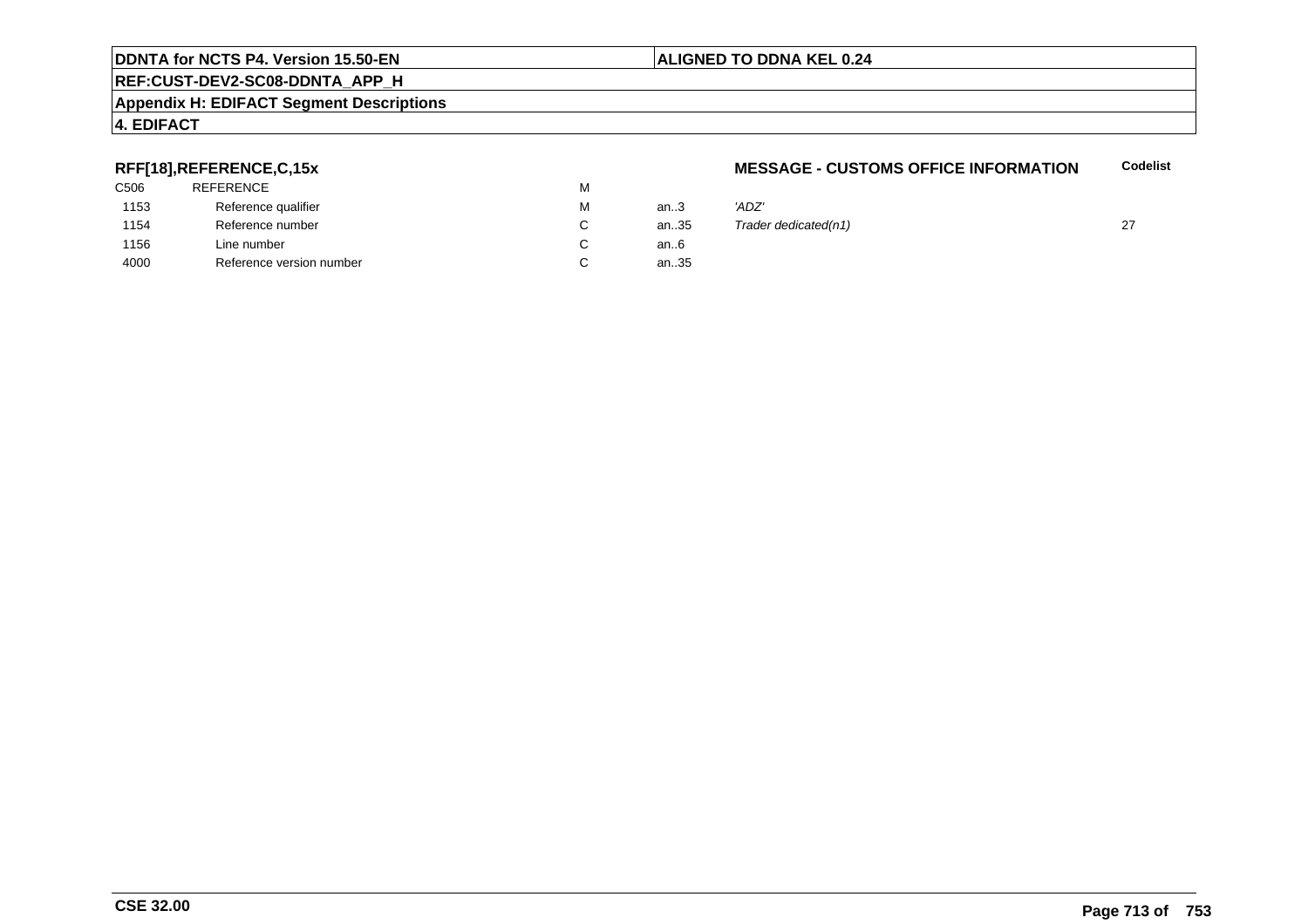## **REF:CUST-DEV2-SC08-DDNTA\_APP\_H**

## **Appendix H: EDIFACT Segment Descriptions**

# **4. EDIFACT**

## **RFF[18],REFERENCE,C,15x**

| C506 | <b>REFERENCE</b>         | М |        |       |
|------|--------------------------|---|--------|-------|
| 1153 | Reference qualifier      | М | an $3$ | 'ADZ' |
| 1154 | Reference number         | C | an35   | ™ade  |
| 1156 | Line number              | C | an6    |       |
| 4000 | Reference version number | C | an35   |       |
|      |                          |   |        |       |

## **MESSAGE - CUSTOMS OFFICE INFORMATIONCodelist**

| М  | an.3 | 'ADZ'                |  |
|----|------|----------------------|--|
| C. | an35 | Trader dedicated(n1) |  |
| C. | an6  |                      |  |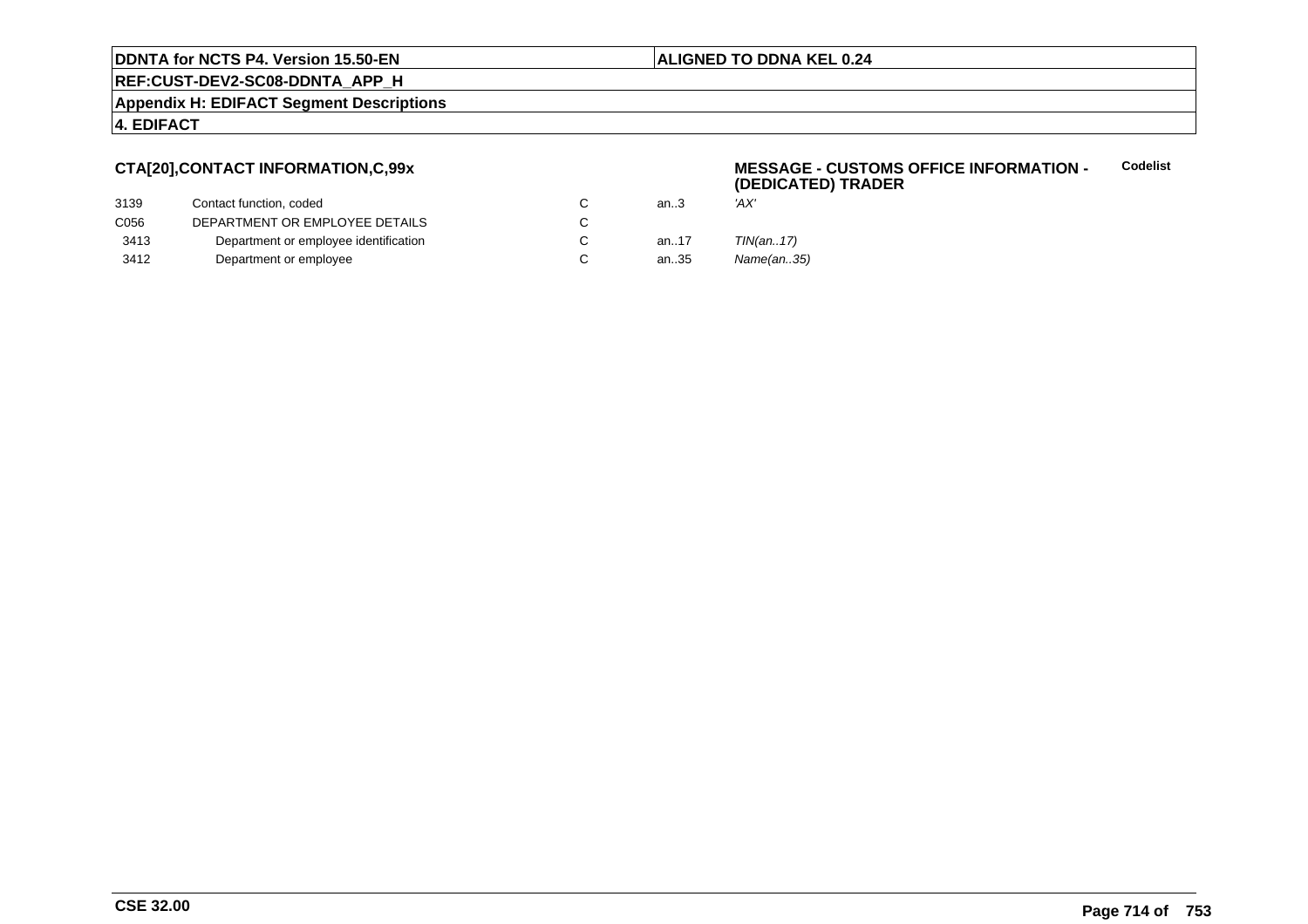## **ALIGNED TO DDNA KEL 0.24**

**REF:CUST-DEV2-SC08-DDNTA\_APP\_H**

**Appendix H: EDIFACT Segment Descriptions**

## **4. EDIFACT**

## **CTA[20],CONTACT INFORMATION,C,99x**

## 3139Contact function, coded<br>
DEPARTMENT OR EMPLOYEE DETAILS<br>
C an..3 'AX' C056 DEPARTMENT OR EMPLOYEE DETAILSs c  $\mathbf C$ 3413Department or employee identification C<br>
Department or employee C an..17 TIN(an..17) 3412Department or employee

## **MESSAGE - CUSTOMS OFFICE INFORMATION - (DEDICATED) TRADERCodelist**

- 
- Name(an..35)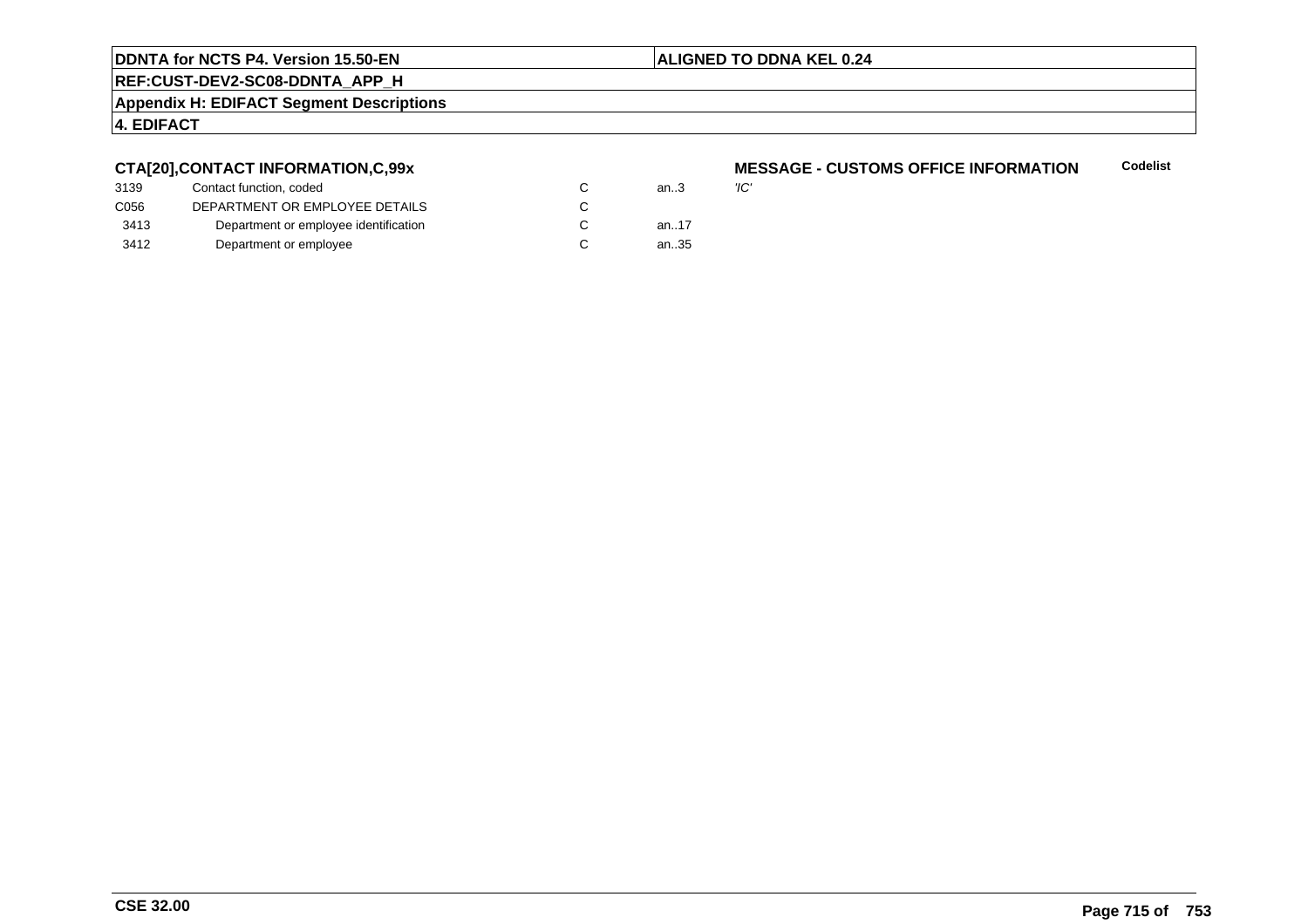## **ALIGNED TO DDNA KEL 0.24**

**REF:CUST-DEV2-SC08-DDNTA\_APP\_H**

**Appendix H: EDIFACT Segment Descriptions**

# **4. EDIFACT**

## **CTA[20],CONTACT INFORMATION,C,99x**

| 3139 | Contact function, coded               | an $3$ | 'IC' |
|------|---------------------------------------|--------|------|
| C056 | DEPARTMENT OR EMPLOYEE DETAILS        |        |      |
| 3413 | Department or employee identification | an17   |      |
| 3412 | Department or employee                | an35   |      |

## **MESSAGE - CUSTOMS OFFICE INFORMATION Codelist**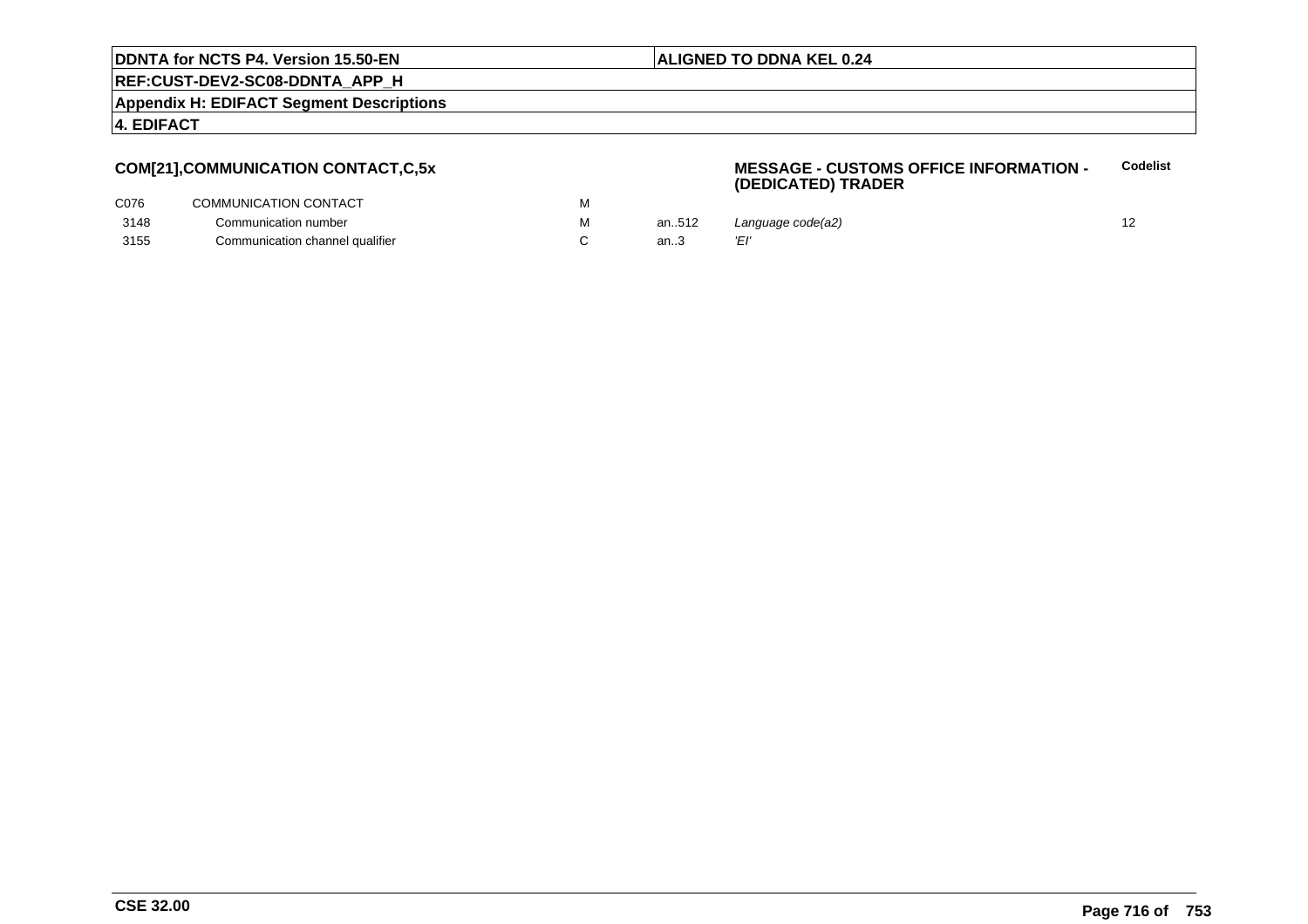## **ALIGNED TO DDNA KEL 0.24**

**REF:CUST-DEV2-SC08-DDNTA\_APP\_H**

**Appendix H: EDIFACT Segment Descriptions**

**4. EDIFACT**

## **COM[21],COMMUNICATION CONTACT,C,5x**

## **MESSAGE - CUSTOMS OFFICE INFORMATION - (DEDICATED) TRADERCodelist**

| C076 | COMMUNICATION CONTACT           |       |                   |  |
|------|---------------------------------|-------|-------------------|--|
| 3148 | Communication number            | an512 | Language code(a2) |  |
| 3155 | Communication channel qualifier |       |                   |  |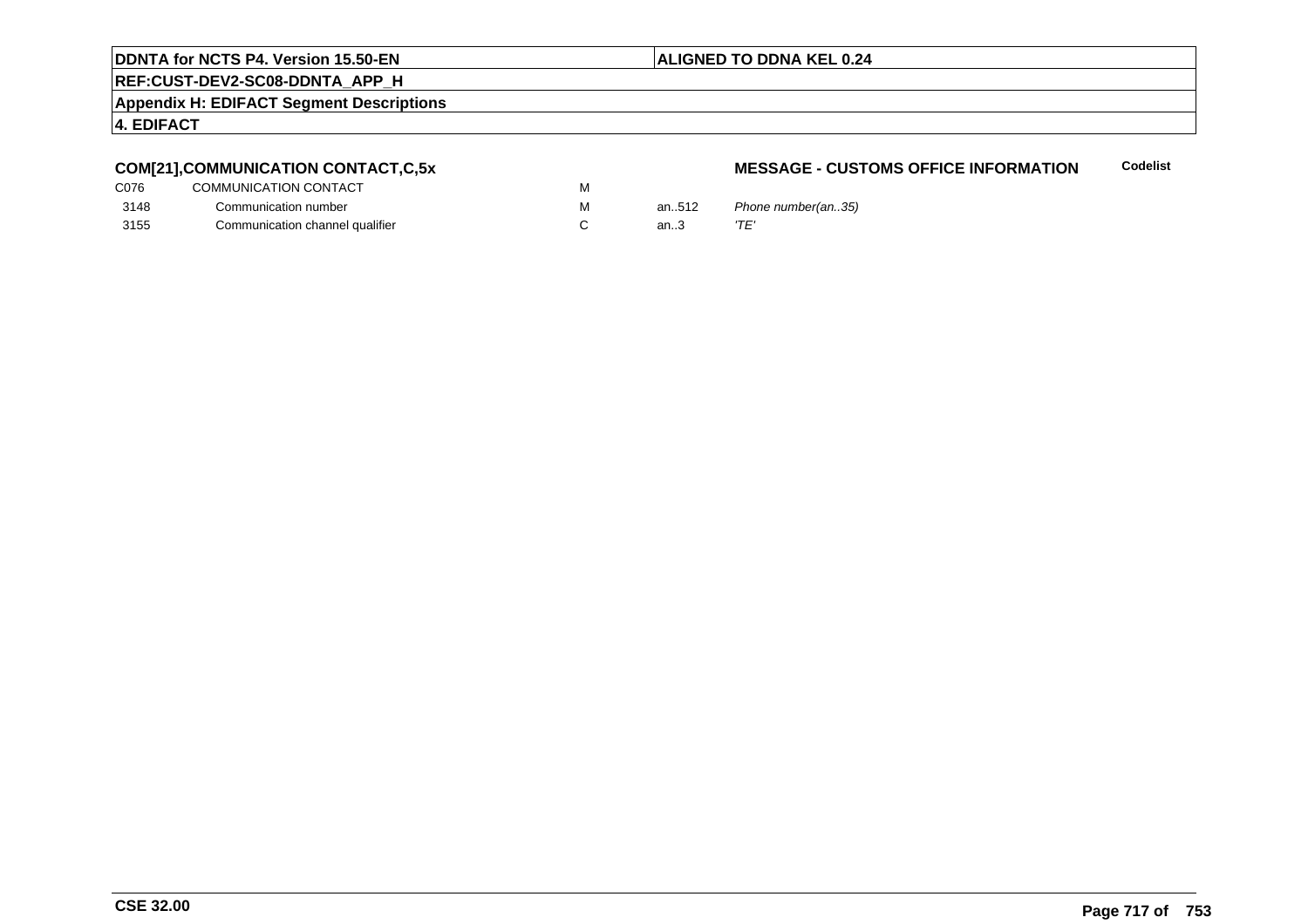## **ALIGNED TO DDNA KEL 0.24**

**REF:CUST-DEV2-SC08-DDNTA\_APP\_H**

**Appendix H: EDIFACT Segment Descriptions**

## **4. EDIFACT**

# **COM[21],COMMUNICATION CONTACT,C,5x**

| C076 | COMMUNICATION CONTACT           | м |
|------|---------------------------------|---|
| 3148 | Communication number            | м |
| 3155 | Communication channel qualifier |   |

## **MESSAGE - CUSTOMS OFFICE INFORMATIONCodelist**

an..512 Phone number(an..35)<br>an..3  $T E'$ an.. $3$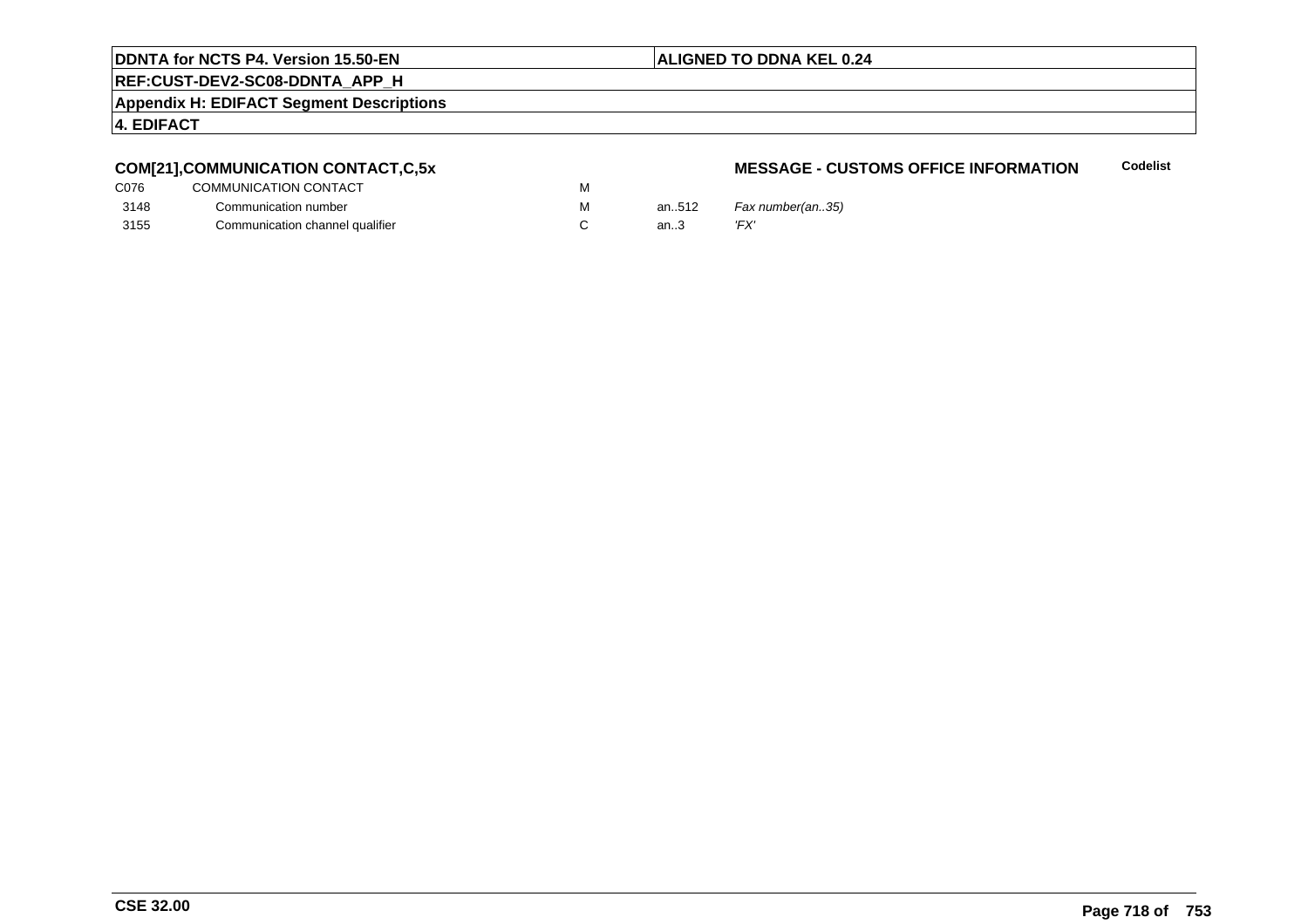## **ALIGNED TO DDNA KEL 0.24**

# **REF:CUST-DEV2-SC08-DDNTA\_APP\_H**

**Appendix H: EDIFACT Segment Descriptions**

## **4. EDIFACT**

# **COM[21],COMMUNICATION CONTACT,C,5x**

| C076 | COMMUNICATION CONTACT           | M |       |      |
|------|---------------------------------|---|-------|------|
| 3148 | Communication number            | м | an512 | Fax  |
| 3155 | Communication channel qualifier |   | an.3  | 'FX' |

## **MESSAGE - CUSTOMS OFFICE INFORMATIONCodelist**

.512 *Fax number(an..35)*<br>.3 *'FX'*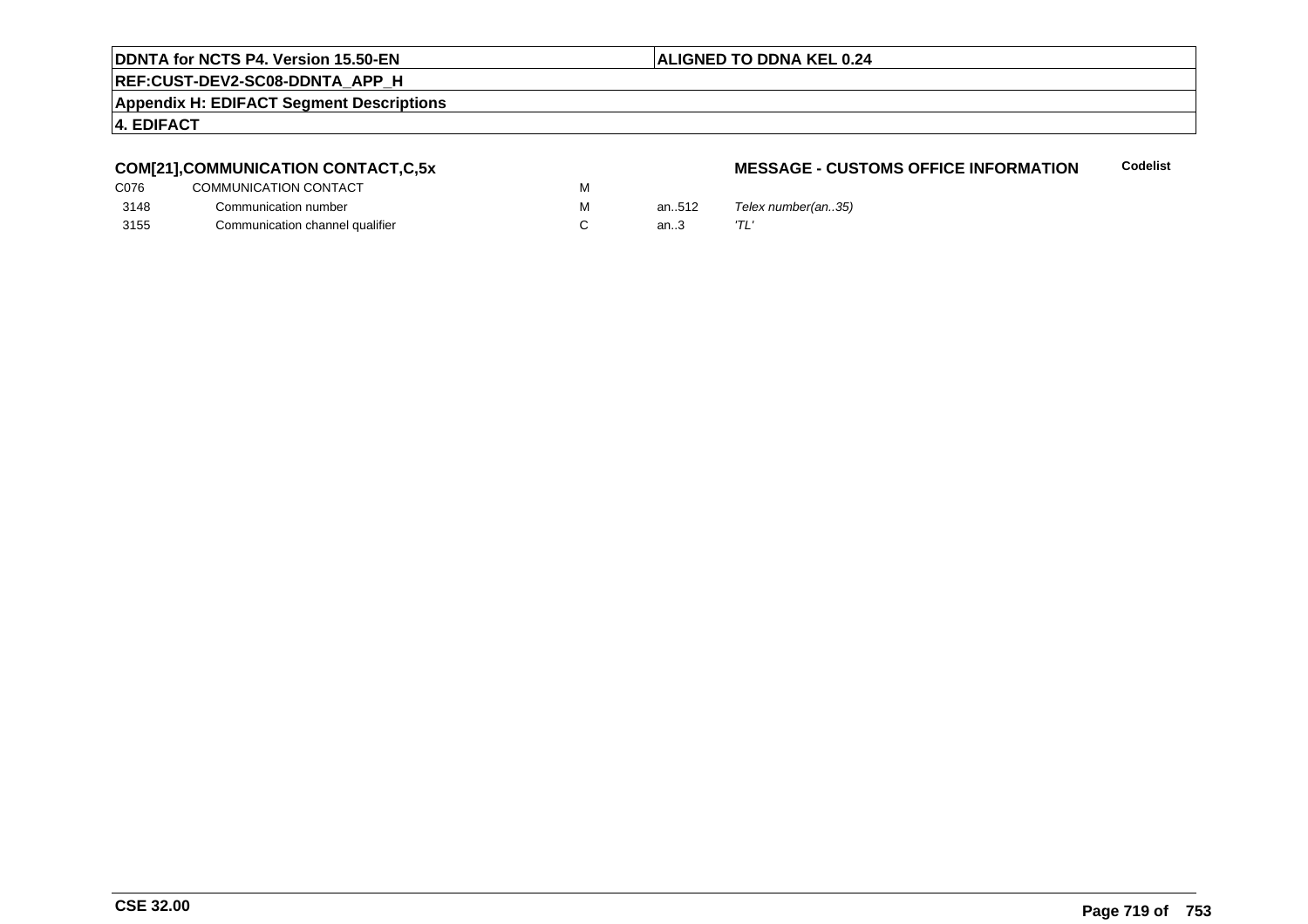## **ALIGNED TO DDNA KEL 0.24**

**REF:CUST-DEV2-SC08-DDNTA\_APP\_H**

**Appendix H: EDIFACT Segment Descriptions**

## **4. EDIFACT**

# **COM[21],COMMUNICATION CONTACT,C,5x**

| C076 | COMMUNICATION CONTACT           | М |
|------|---------------------------------|---|
| 3148 | Communication number            | м |
| 3155 | Communication channel qualifier |   |

## **MESSAGE - CUSTOMS OFFICE INFORMATIONCodelist**

an..512  $T$ elex number(an..35)<br>an..3  $T\text{L}'$ an.. $3$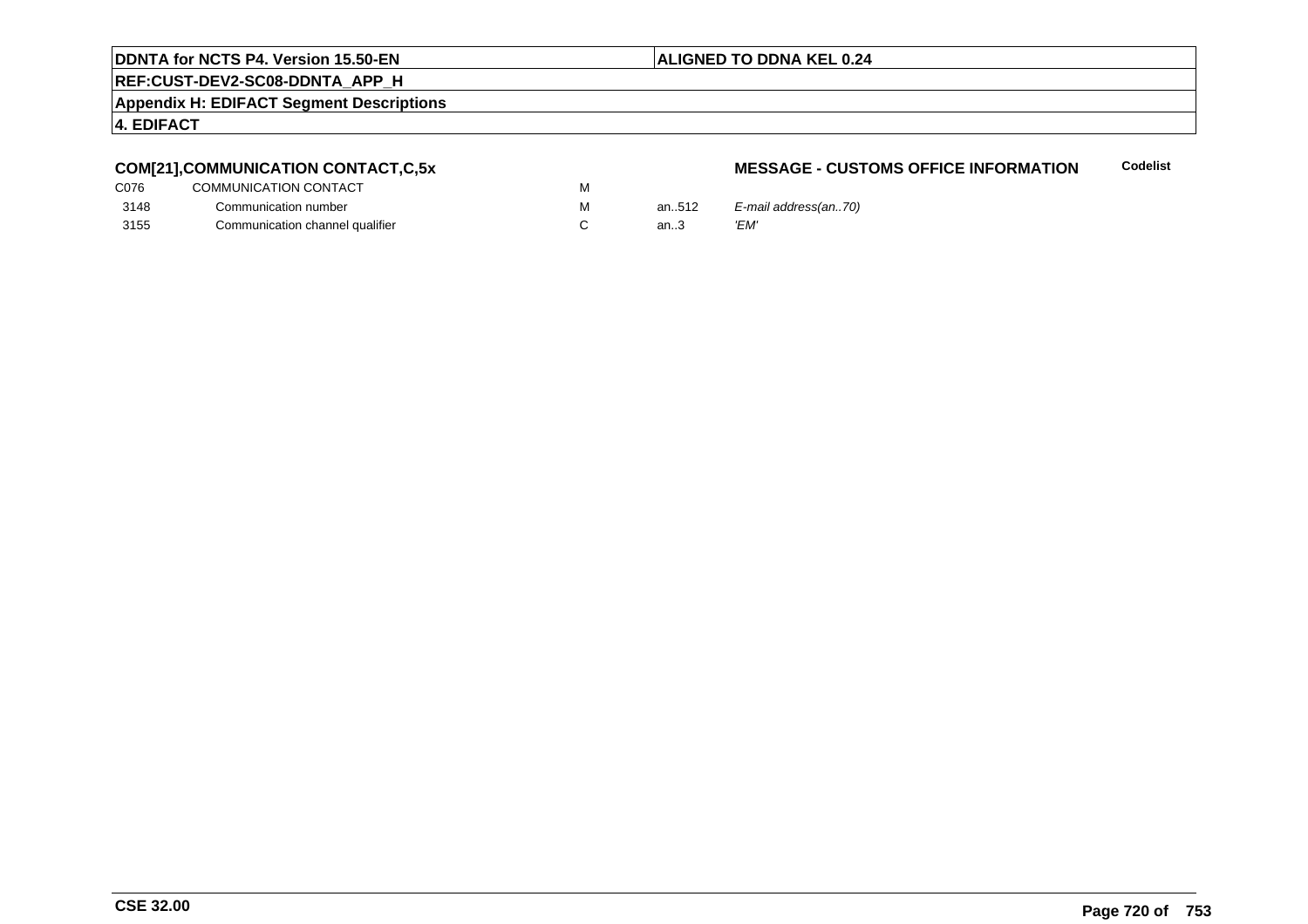## **ALIGNED TO DDNA KEL 0.24**

**REF:CUST-DEV2-SC08-DDNTA\_APP\_H**

**Appendix H: EDIFACT Segment Descriptions**

## **4. EDIFACT**

# **COM[21],COMMUNICATION CONTACT,C,5x**

| C <sub>076</sub> | COMMUNICATION CONTACT           | M |       |      |
|------------------|---------------------------------|---|-------|------|
| 3148             | Communication number            | м | an512 | E-m  |
| 3155             | Communication channel qualifier |   | an3   | 'EM' |

## **MESSAGE - CUSTOMS OFFICE INFORMATIONCodelist**

an..512  $E$ -mail address(an..70)<br>an..3  $'EM'$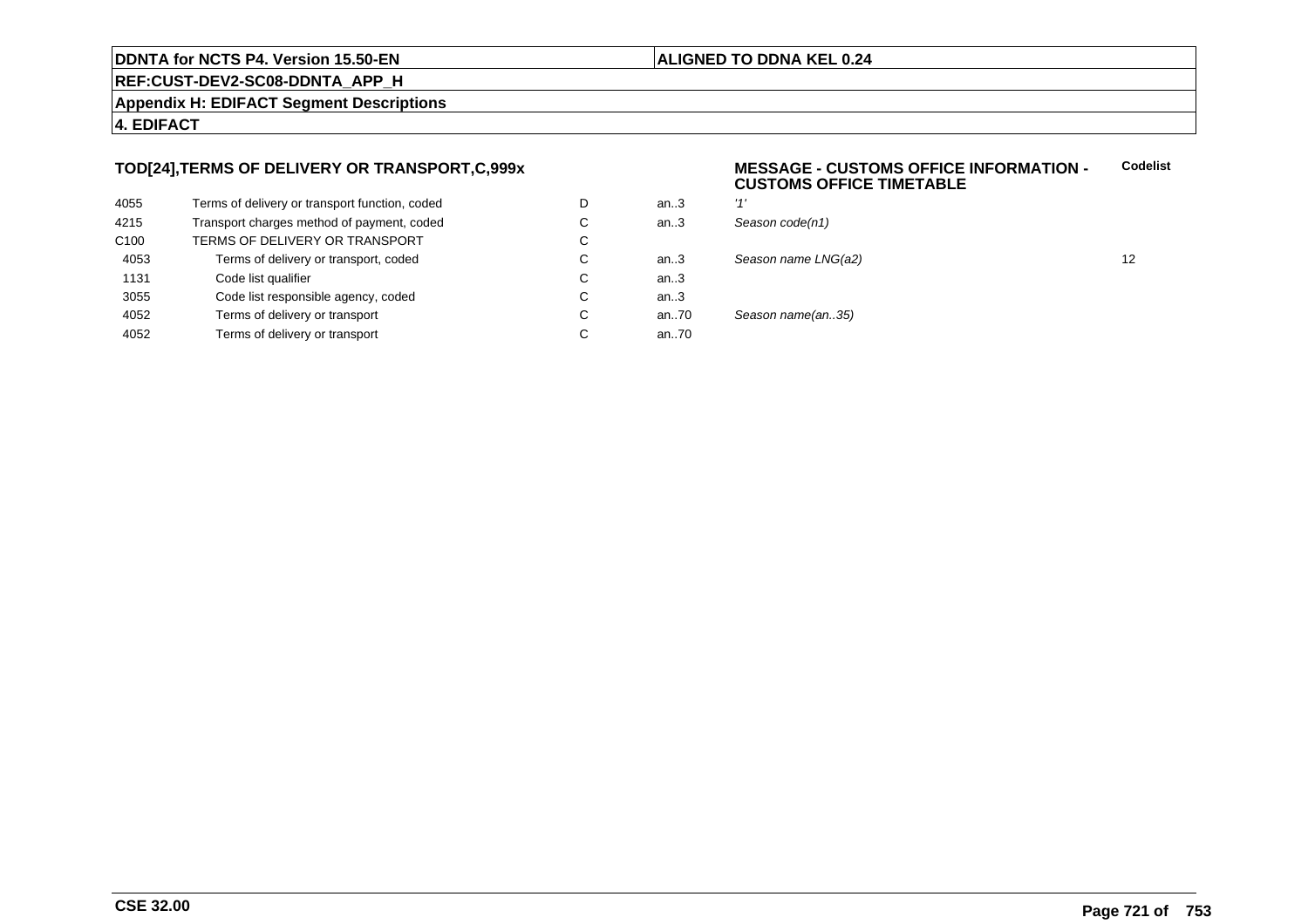#### **ALIGNED TO DDNA KEL 0.24**

**REF:CUST-DEV2-SC08-DDNTA\_APP\_H**

**Appendix H: EDIFACT Segment Descriptions**

#### **4. EDIFACT**

#### **TOD[24],TERMS OF DELIVERY OR TRANSPORT,C,999x**

| 4055             | Terms of delivery or transport function, coded | D | an.3 | '1'   |
|------------------|------------------------------------------------|---|------|-------|
| 4215             | Transport charges method of payment, coded     | С | an3  | $S_6$ |
| C <sub>100</sub> | TERMS OF DELIVERY OR TRANSPORT                 | C |      |       |
| 4053             | Terms of delivery or transport, coded          | С | an.3 | Sε    |
| 1131             | Code list qualifier                            | С | an.3 |       |
| 3055             | Code list responsible agency, coded            | С | an.3 |       |
| 4052             | Terms of delivery or transport                 | С | an70 | Sε    |
| 4052             | Terms of delivery or transport                 | С | an70 |       |
|                  |                                                |   |      |       |

#### **MESSAGE - CUSTOMS OFFICE INFORMATION - CUSTOMS OFFICE TIMETABLECodelist**

| D | an.3 | 141                 |    |
|---|------|---------------------|----|
| С | an.3 | Season code(n1)     |    |
| С |      |                     |    |
| С | an.3 | Season name LNG(a2) | 12 |
| С | an.3 |                     |    |
| С | an.3 |                     |    |
| С | an70 | Season name(an35)   |    |
| С | an70 |                     |    |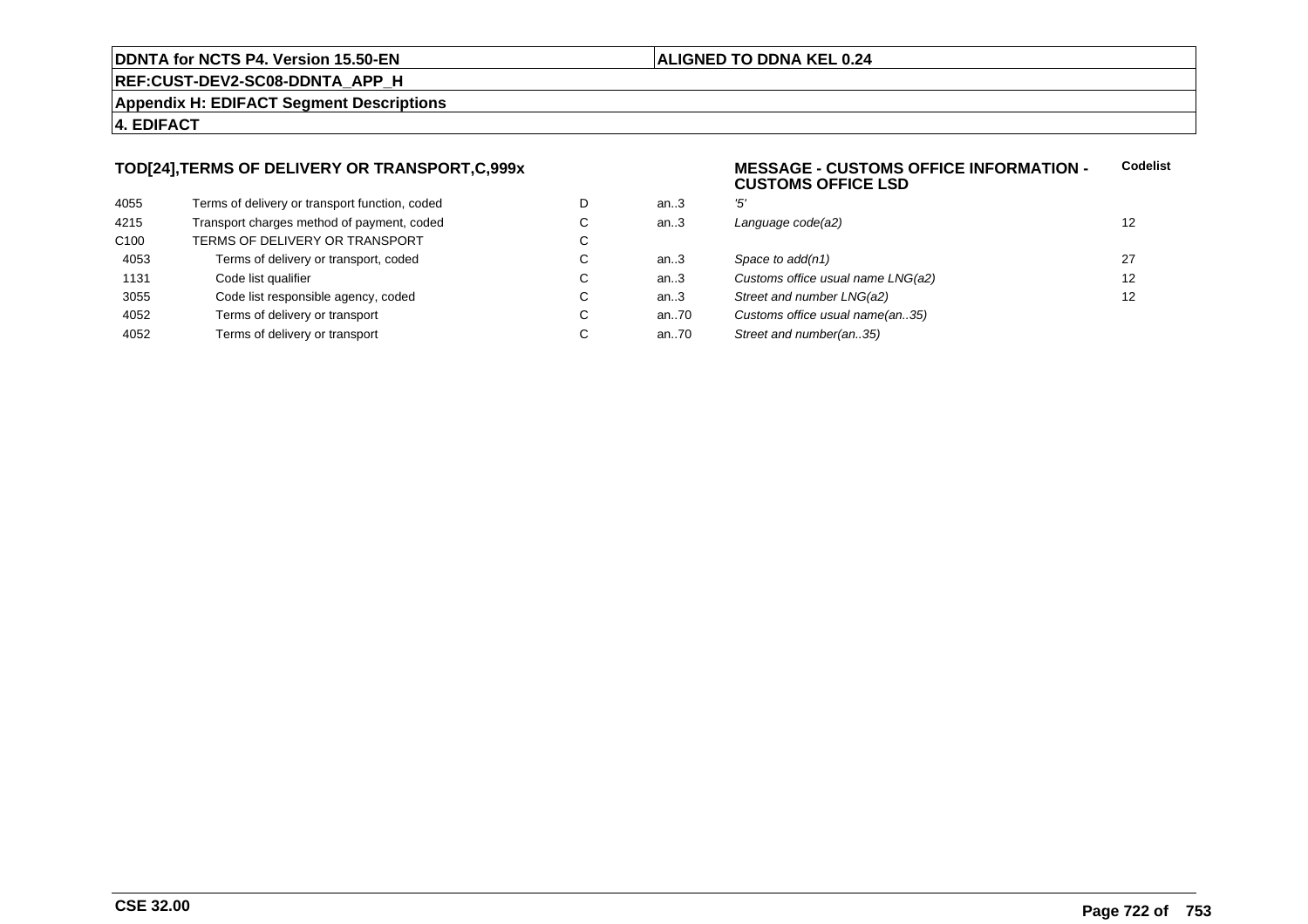#### **ALIGNED TO DDNA KEL 0.24**

**REF:CUST-DEV2-SC08-DDNTA\_APP\_H**

**Appendix H: EDIFACT Segment Descriptions**

#### **4. EDIFACT**

#### **TOD[24],TERMS OF DELIVERY OR TRANSPORT,C,999x**

| 4055             | Terms of delivery or transport function, coded | D |
|------------------|------------------------------------------------|---|
| 4215             | Transport charges method of payment, coded     | C |
| C <sub>100</sub> | TERMS OF DELIVERY OR TRANSPORT                 | C |
| 4053             | Terms of delivery or transport, coded          | C |
| 1131             | Code list qualifier                            | C |
| 3055             | Code list responsible agency, coded            | C |
| 4052             | Terms of delivery or transport                 | C |
| 4052             | Terms of delivery or transport                 | C |

#### **MESSAGE - CUSTOMS OFFICE INFORMATION - CUSTOMS OFFICE LSDCodelist**

| D  | an.3   | '5'                               |    |
|----|--------|-----------------------------------|----|
| С  | an.3   | Language code(a2)                 | 12 |
| C. |        |                                   |    |
| С  | an $3$ | Space to add(n1)                  | 27 |
| С  | an.3   | Customs office usual name LNG(a2) | 12 |
| С  | an.3   | Street and number LNG(a2)         | 12 |
| C. | an70   | Customs office usual name(an35)   |    |
| С  | an70   | Street and number(an35)           |    |
|    |        |                                   |    |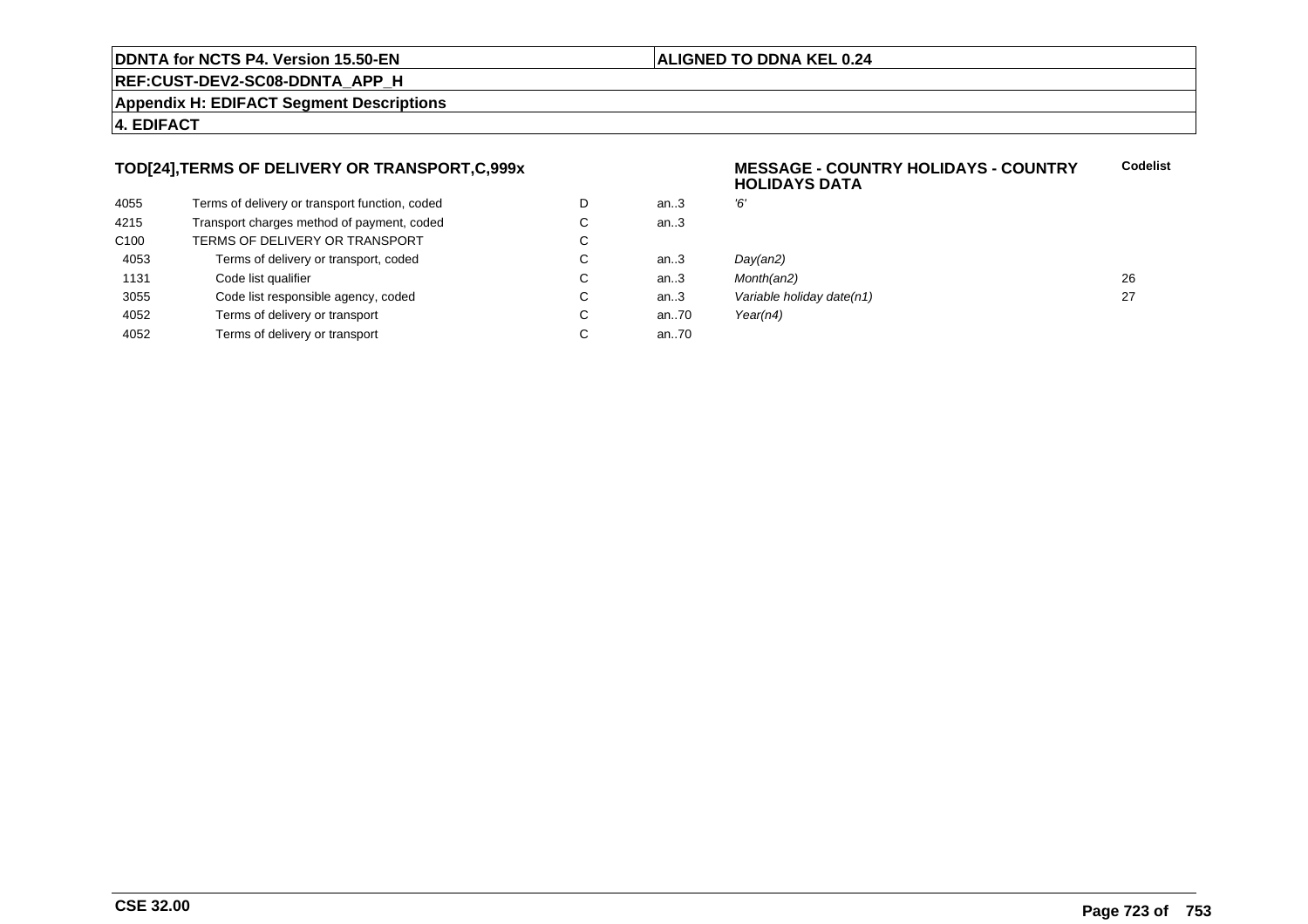#### **ALIGNED TO DDNA KEL 0.24**

**REF:CUST-DEV2-SC08-DDNTA\_APP\_H**

**Appendix H: EDIFACT Segment Descriptions**

#### **4. EDIFACT**

#### **TOD[24],TERMS OF DELIVERY OR TRANSPORT,C,999x**

| Terms of delivery or transport function, coded | D | an.3 |
|------------------------------------------------|---|------|
| Transport charges method of payment, coded     | C | an.3 |
| TERMS OF DELIVERY OR TRANSPORT                 | C |      |
| Terms of delivery or transport, coded          | C | an.3 |
| Code list qualifier                            | C | an.3 |
| Code list responsible agency, coded            | C | an.3 |
| Terms of delivery or transport                 | C | an70 |
| Terms of delivery or transport                 | C | an70 |
|                                                |   |      |

#### **MESSAGE - COUNTRY HOLIDAYS - COUNTRYHOLIDAYS DATACodelist**

| D  | an.3 | Έ                         |    |
|----|------|---------------------------|----|
| C. | an.3 |                           |    |
| C. |      |                           |    |
| С  | an.3 | Day(an2)                  |    |
| С  | an.3 | Month(an2)                | 26 |
| С  | an.3 | Variable holiday date(n1) | 27 |
| С  | an70 | Year( $n4$ )              |    |
|    |      |                           |    |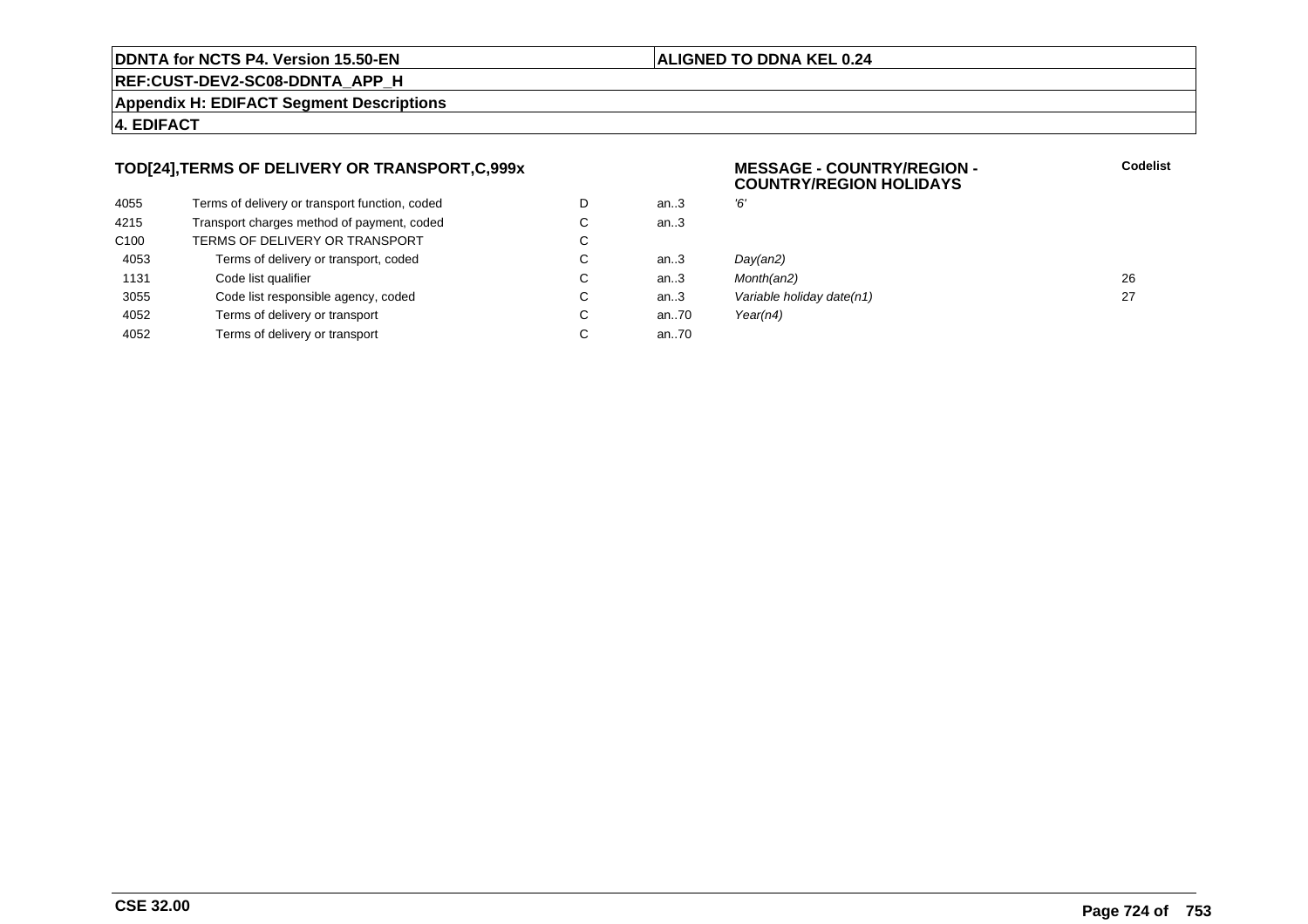#### **ALIGNED TO DDNA KEL 0.24**

**REF:CUST-DEV2-SC08-DDNTA\_APP\_H**

**Appendix H: EDIFACT Segment Descriptions**

#### **4. EDIFACT**

#### **TOD[24],TERMS OF DELIVERY OR TRANSPORT,C,999x**

| 4055             | Terms of delivery or transport function, coded | D | an.3 | Έ, |
|------------------|------------------------------------------------|---|------|----|
| 4215             | Transport charges method of payment, coded     | С | an.3 |    |
| C <sub>100</sub> | TERMS OF DELIVERY OR TRANSPORT                 | C |      |    |
| 4053             | Terms of delivery or transport, coded          | С | an3  | Di |
| 1131             | Code list qualifier                            | C | an3  | M  |
| 3055             | Code list responsible agency, coded            | С | an.3 | Vć |
| 4052             | Terms of delivery or transport                 | С | an70 | Yε |
| 4052             | Terms of delivery or transport                 | С | an70 |    |
|                  |                                                |   |      |    |

#### **MESSAGE - COUNTRY/REGION - COUNTRY/REGION HOLIDAYS**

| D  | an.3 | '6'                       |    |
|----|------|---------------------------|----|
| С  | an.3 |                           |    |
| C. |      |                           |    |
| C. | an.3 | Day(an2)                  |    |
| C. | an.3 | Month(an2)                | 26 |
| C. | an.3 | Variable holiday date(n1) | 27 |
| С  | an70 | Year(n4)                  |    |
|    |      |                           |    |

**Codelist**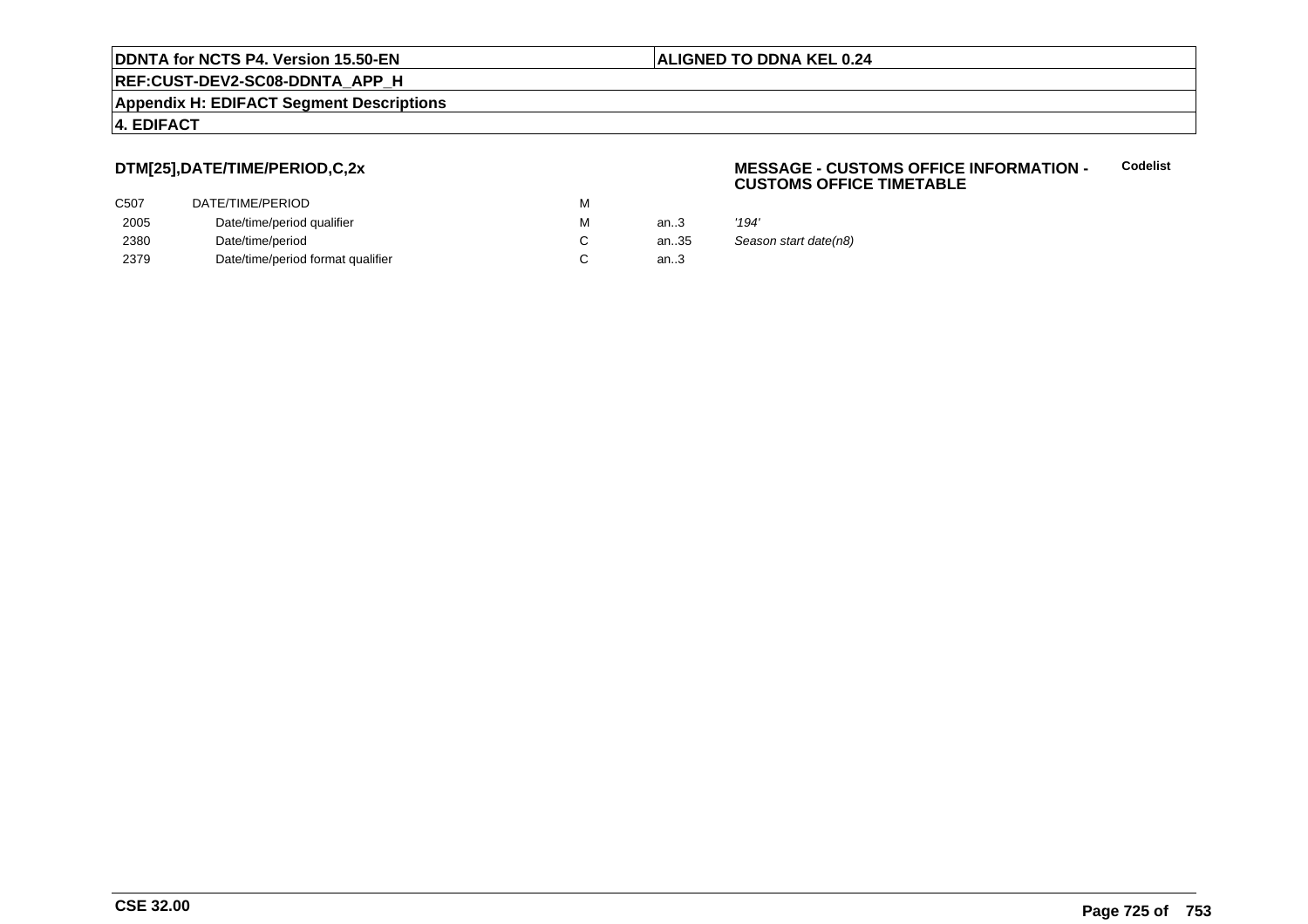#### **ALIGNED TO DDNA KEL 0.24**

**REF:CUST-DEV2-SC08-DDNTA\_APP\_H**

**Appendix H: EDIFACT Segment Descriptions**

#### **4. EDIFACT**

#### **DTM[25],DATE/TIME/PERIOD,C,2x**

| C507 | DATE/TIME/PERIOD                  | М |      |                       |
|------|-----------------------------------|---|------|-----------------------|
| 2005 | Date/time/period qualifier        | М | an.3 | '194'                 |
| 2380 | Date/time/period                  |   | an35 | Season start date(n8) |
| 2379 | Date/time/period format qualifier |   | an.3 |                       |

#### **MESSAGE - CUSTOMS OFFICE INFORMATION - CUSTOMS OFFICE TIMETABLECodelist**

|    | '194'             |
|----|-------------------|
| 35 | Season start date |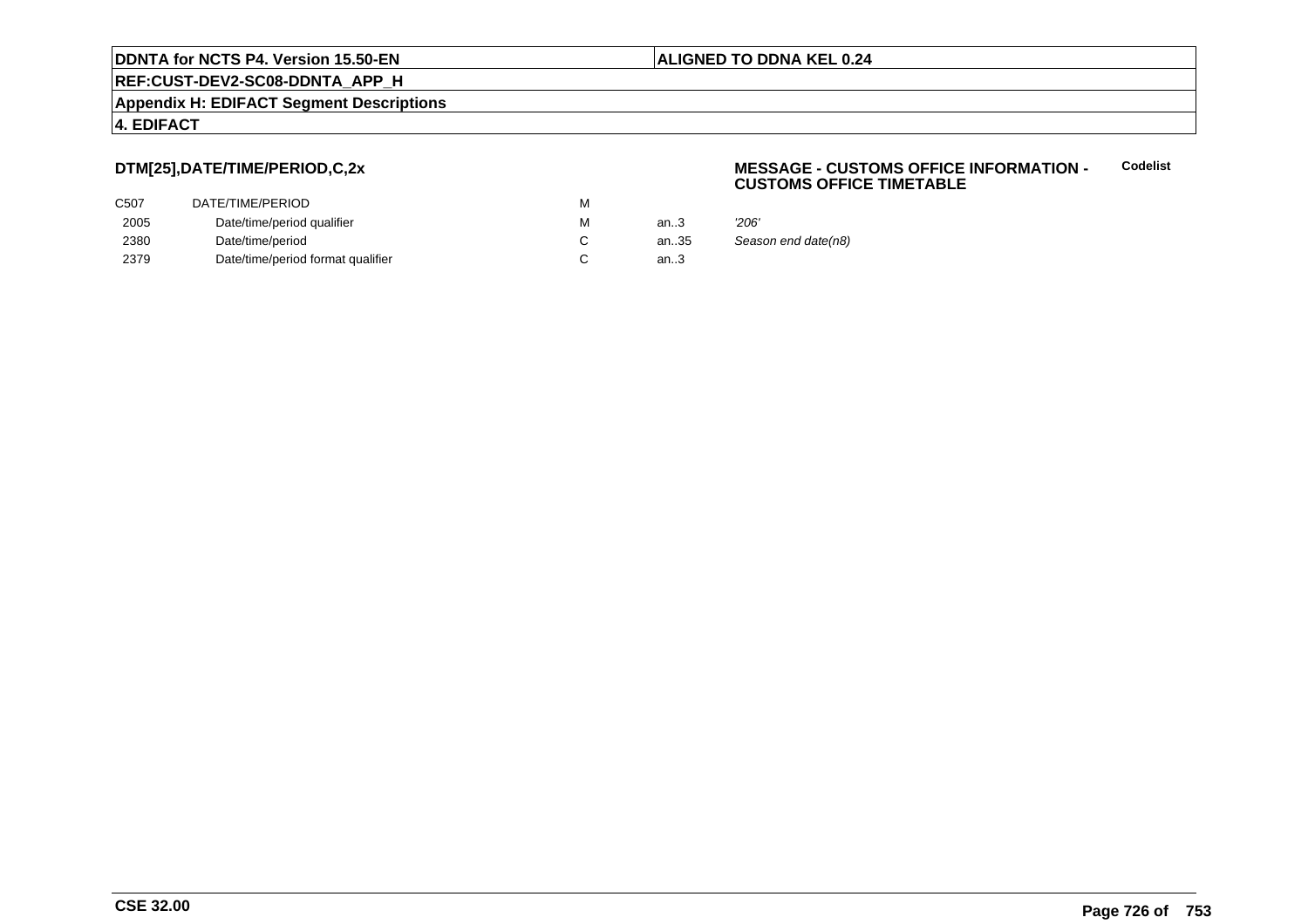#### **ALIGNED TO DDNA KEL 0.24**

**REF:CUST-DEV2-SC08-DDNTA\_APP\_H**

**Appendix H: EDIFACT Segment Descriptions**

#### **4. EDIFACT**

#### **DTM[25],DATE/TIME/PERIOD,C,2x**

| DATE/TIME/PERIOD                  | м |        |                     |
|-----------------------------------|---|--------|---------------------|
| Date/time/period qualifier        | м | an.3   | '206'               |
| Date/time/period                  |   | an35   | Season end date(n8) |
| Date/time/period format qualifier |   | an $3$ |                     |
|                                   |   |        |                     |

#### **MESSAGE - CUSTOMS OFFICE INFORMATION - CUSTOMS OFFICE TIMETABLECodelist**

| 3  | 206'            |
|----|-----------------|
| 35 | Season end date |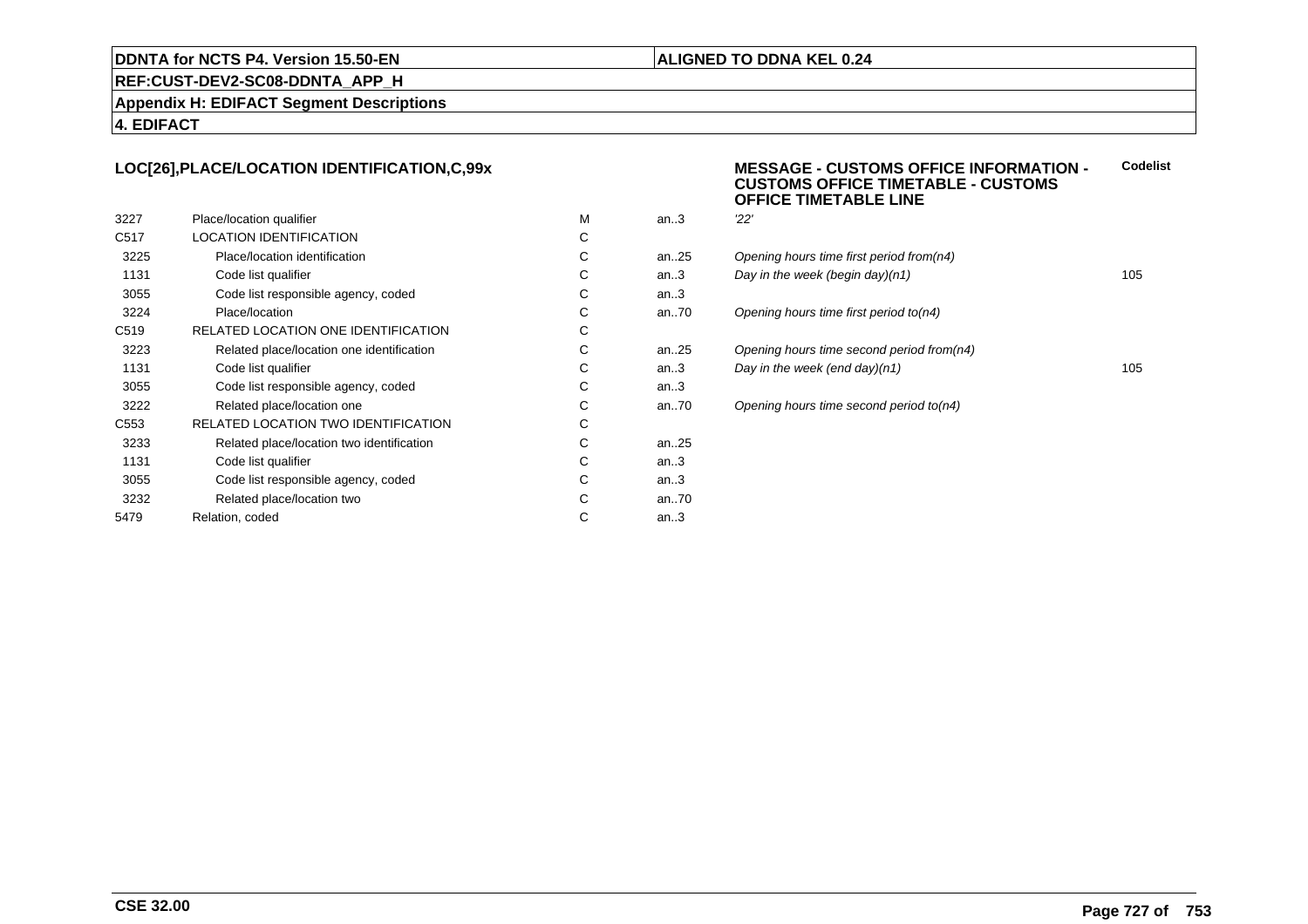#### **ALIGNED TO DDNA KEL 0.24**

#### **REF:CUST-DEV2-SC08-DDNTA\_APP\_H**

**Appendix H: EDIFACT Segment Descriptions**

#### **4. EDIFACT**

#### **LOC[26],PLACE/LOCATION IDENTIFICATION,C,99x**

| 3227             | Place/location qualifier                  | м | an.3      | 22' |
|------------------|-------------------------------------------|---|-----------|-----|
| C <sub>517</sub> | <b>LOCATION IDENTIFICATION</b>            | С |           |     |
| 3225             | Place/location identification             | С | an. $.25$ | Ope |
| 1131             | Code list qualifier                       | С | an.3      | Day |
| 3055             | Code list responsible agency, coded       | С | an.3      |     |
| 3224             | Place/location                            | С | an70      | Ope |
| C <sub>519</sub> | RELATED LOCATION ONE IDENTIFICATION       | С |           |     |
| 3223             | Related place/location one identification | С | an. $.25$ | Ope |
| 1131             | Code list qualifier                       | С | an.3      | Day |
| 3055             | Code list responsible agency, coded       | С | an.3      |     |
| 3222             | Related place/location one                | С | an70      | Ope |
| C <sub>553</sub> | RELATED LOCATION TWO IDENTIFICATION       | С |           |     |
| 3233             | Related place/location two identification | С | an. $.25$ |     |
| 1131             | Code list qualifier                       | C | an.3      |     |
| 3055             | Code list responsible agency, coded       | С | an.3      |     |
| 3232             | Related place/location two                | С | an70      |     |
| 5479             | Relation, coded                           | С | an.3      |     |
|                  |                                           |   |           |     |

#### **MESSAGE - CUSTOMS OFFICE INFORMATION - CUSTOMS OFFICE TIMETABLE - CUSTOMSOFFICE TIMETABLE LINECodelist**

| м | an3     | "22"                                      |     |
|---|---------|-------------------------------------------|-----|
| С |         |                                           |     |
| С | an25    | Opening hours time first period from(n4)  |     |
| С | an.3    | Day in the week (begin day) $(n1)$        | 105 |
| С | an.3    |                                           |     |
| С | an70    | Opening hours time first period to (n4)   |     |
| С |         |                                           |     |
| С | an25    | Opening hours time second period from(n4) |     |
| С | an $3$  | Day in the week (end day) $(n1)$          | 105 |
| С | an $.3$ |                                           |     |
| С | an70    | Opening hours time second period to(n4)   |     |
| С |         |                                           |     |
|   |         |                                           |     |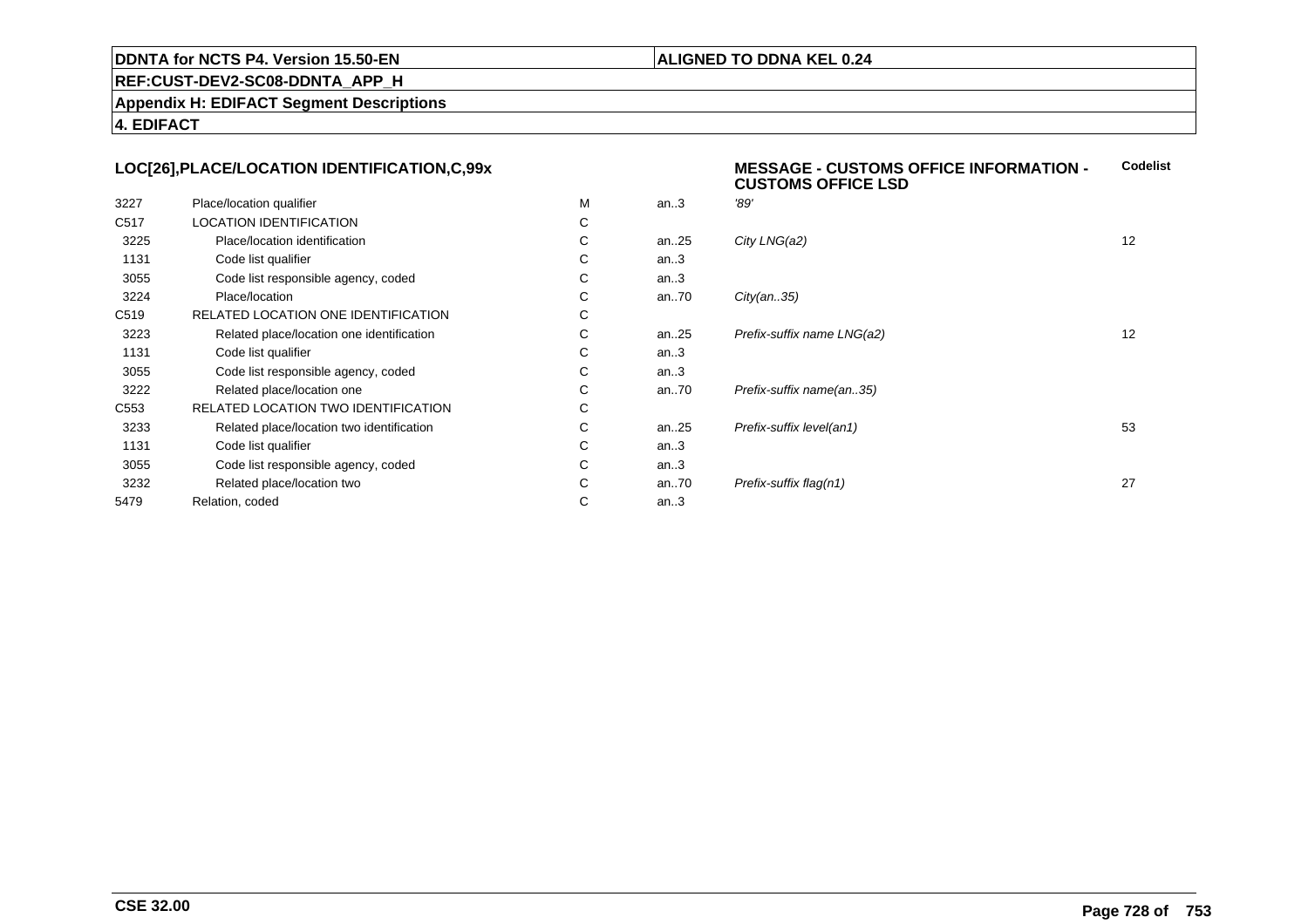#### **ALIGNED TO DDNA KEL 0.24**

**MESSAGE - CUSTOMS OFFICE INFORMATION -**

**REF:CUST-DEV2-SC08-DDNTA\_APP\_H**

**Appendix H: EDIFACT Segment Descriptions**

**4. EDIFACT**

#### **LOC[26],PLACE/LOCATION IDENTIFICATION,C,99x**

|                                            |    |          | <b>CUSTOMS OFFICE LSD</b>  |    |
|--------------------------------------------|----|----------|----------------------------|----|
| Place/location qualifier                   | М  | an.3     | '89'                       |    |
| <b>LOCATION IDENTIFICATION</b>             | C  |          |                            |    |
| Place/location identification              | C  | an25     | City LNG(a2)               | 12 |
| Code list qualifier                        | C  | an.3     |                            |    |
| Code list responsible agency, coded        | С  | an.3     |                            |    |
| Place/location                             | С  | an.70    | City(an35)                 |    |
| RELATED LOCATION ONE IDENTIFICATION        | C  |          |                            |    |
| Related place/location one identification  | C  | an $.25$ | Prefix-suffix name LNG(a2) | 12 |
| Code list qualifier                        | C  | an.3     |                            |    |
| Code list responsible agency, coded        | C. | an.3     |                            |    |
| Related place/location one                 | C  | an $.70$ | Prefix-suffix name(an35)   |    |
| <b>RELATED LOCATION TWO IDENTIFICATION</b> | C  |          |                            |    |
| Related place/location two identification  | C  | an $.25$ | Prefix-suffix level(an1)   | 53 |
| Code list qualifier                        | С  | an.3     |                            |    |
| Code list responsible agency, coded        | С  | an.3     |                            |    |
| Related place/location two                 | C  | an $.70$ | Prefix-suffix flag(n1)     | 27 |
| Relation, coded                            | С  | an.3     |                            |    |
|                                            |    |          |                            |    |

**Codelist**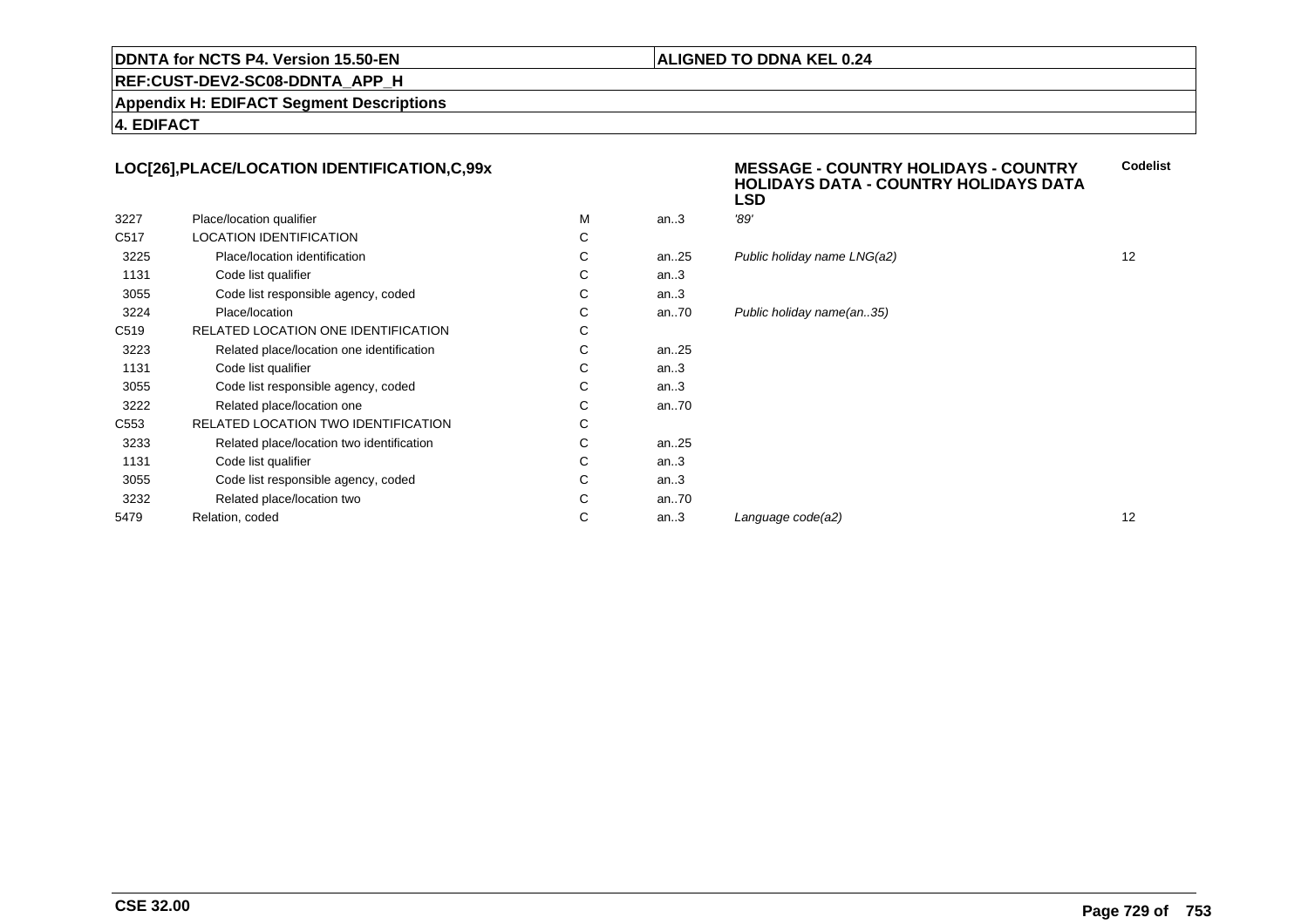#### **ALIGNED TO DDNA KEL 0.24**

**REF:CUST-DEV2-SC08-DDNTA\_APP\_H**

**Appendix H: EDIFACT Segment Descriptions**

**4. EDIFACT**

#### **LOC[26],PLACE/LOCATION IDENTIFICATION,C,99x**

|                  |                                           |   |         | ᄓ                           |    |
|------------------|-------------------------------------------|---|---------|-----------------------------|----|
| 3227             | Place/location qualifier                  | M | an.3    | '89'                        |    |
| C <sub>517</sub> | LOCATION IDENTIFICATION                   | С |         |                             |    |
| 3225             | Place/location identification             | С | an25    | Public holiday name LNG(a2) | 12 |
| 1131             | Code list qualifier                       | С | an $.3$ |                             |    |
| 3055             | Code list responsible agency, coded       | С | an.3    |                             |    |
| 3224             | Place/location                            | С | an70    | Public holiday name(an35)   |    |
| C <sub>519</sub> | RELATED LOCATION ONE IDENTIFICATION       | С |         |                             |    |
| 3223             | Related place/location one identification | С | an25    |                             |    |
| 1131             | Code list qualifier                       | С | an.3    |                             |    |
| 3055             | Code list responsible agency, coded       | С | an.3    |                             |    |
| 3222             | Related place/location one                | С | an70    |                             |    |
| C <sub>553</sub> | RELATED LOCATION TWO IDENTIFICATION       | С |         |                             |    |
| 3233             | Related place/location two identification | С | an25    |                             |    |
| 1131             | Code list qualifier                       | С | an.3    |                             |    |
| 3055             | Code list responsible agency, coded       | С | an.3    |                             |    |
| 3232             | Related place/location two                | С | an70    |                             |    |
| 5479             | Relation, coded                           | С | an.3    | Language code(a2)           | 12 |
|                  |                                           |   |         |                             |    |

# **MESSAGE - COUNTRY HOLIDAYS - COUNTRY HOLIDAYS DATA - COUNTRY HOLIDAYS DATA LSDCodelist**an...<br>21 Public holiday name LNG(a2) 12 oliday name(an..35)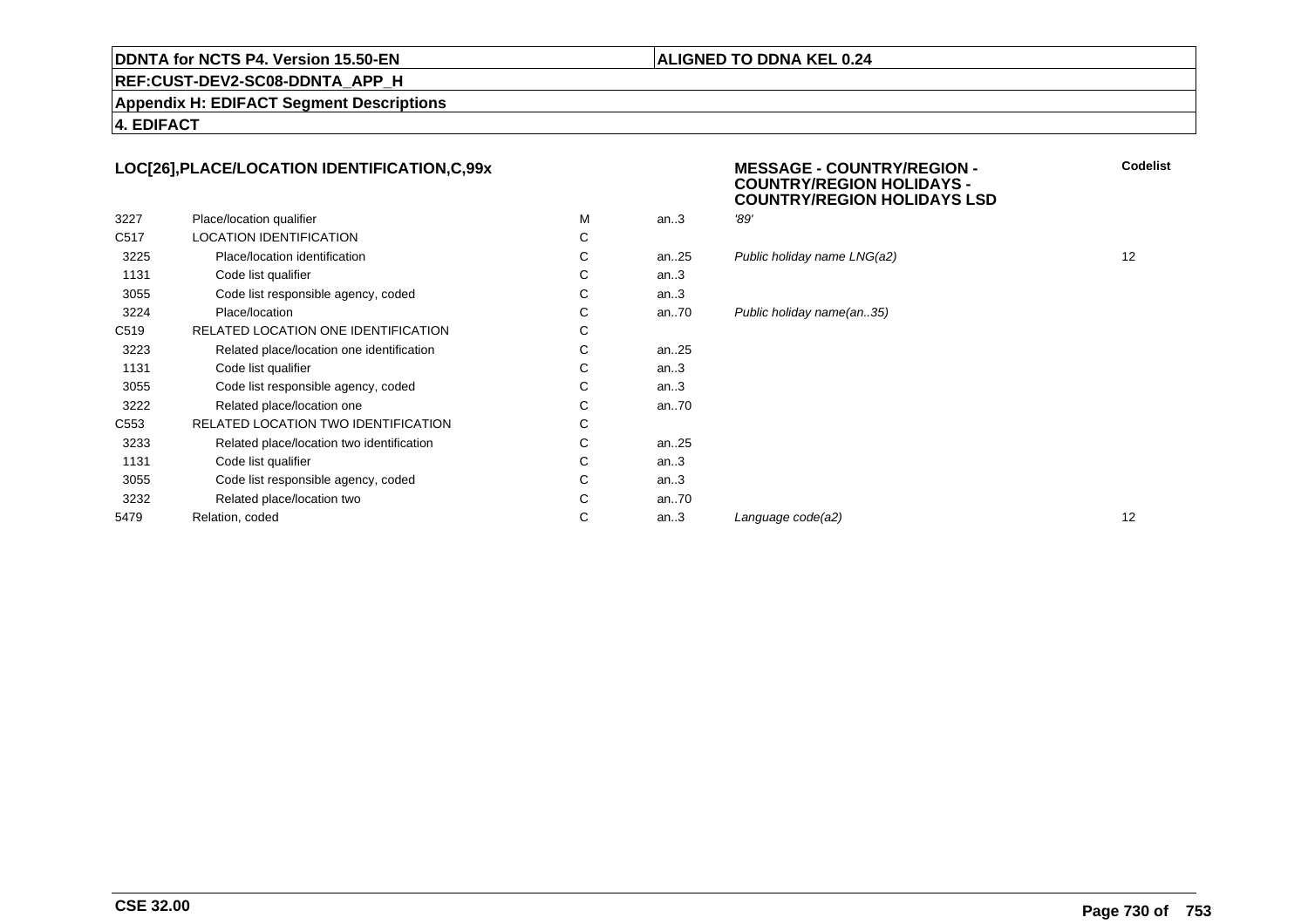#### **ALIGNED TO DDNA KEL 0.24**

**REF:CUST-DEV2-SC08-DDNTA\_APP\_H**

**Appendix H: EDIFACT Segment Descriptions**

**4. EDIFACT**

#### **LOC[26],PLACE/LOCATION IDENTIFICATION,C,99x**

|                  |                                           |   |           | --   |
|------------------|-------------------------------------------|---|-----------|------|
| 3227             | Place/location qualifier                  | м | an.3      | '89' |
| C <sub>517</sub> | <b>LOCATION IDENTIFICATION</b>            | С |           |      |
| 3225             | Place/location identification             | С | an25      | Put  |
| 1131             | Code list qualifier                       | C | an.3      |      |
| 3055             | Code list responsible agency, coded       | С | an.3      |      |
| 3224             | Place/location                            | С | an70      | Put  |
| C <sub>519</sub> | RELATED LOCATION ONE IDENTIFICATION       | С |           |      |
| 3223             | Related place/location one identification | C | an. $.25$ |      |
| 1131             | Code list qualifier                       | С | an.3      |      |
| 3055             | Code list responsible agency, coded       | С | an.3      |      |
| 3222             | Related place/location one                | С | an70      |      |
| C553             | RELATED LOCATION TWO IDENTIFICATION       | С |           |      |
| 3233             | Related place/location two identification | С | an25      |      |
| 1131             | Code list qualifier                       | С | an.3      |      |
| 3055             | Code list responsible agency, coded       | C | an.3      |      |
| 3232             | Related place/location two                | С | an70      |      |
| 5479             | Relation, coded                           | С | an.3      | Lar  |
|                  |                                           |   |           |      |

 **MESSAGE - COUNTRY/REGION - COUNTRY/REGION HOLIDAYS - COUNTRY/REGION HOLIDAYS LSDCodelist**

| С |      |                             |    |
|---|------|-----------------------------|----|
| С | an25 | Public holiday name LNG(a2) | 12 |
| С | an.3 |                             |    |
| С | an.3 |                             |    |
| С | an70 | Public holiday name(an35)   |    |
| С |      |                             |    |
| С | an25 |                             |    |
| С | an.3 |                             |    |
| С | an.3 |                             |    |
| С | an70 |                             |    |
| С |      |                             |    |
| С | an25 |                             |    |
| С | an.3 |                             |    |
| С | an.3 |                             |    |
| С | an70 |                             |    |
| С | an.3 | Language code(a2)           | 12 |
|   |      |                             |    |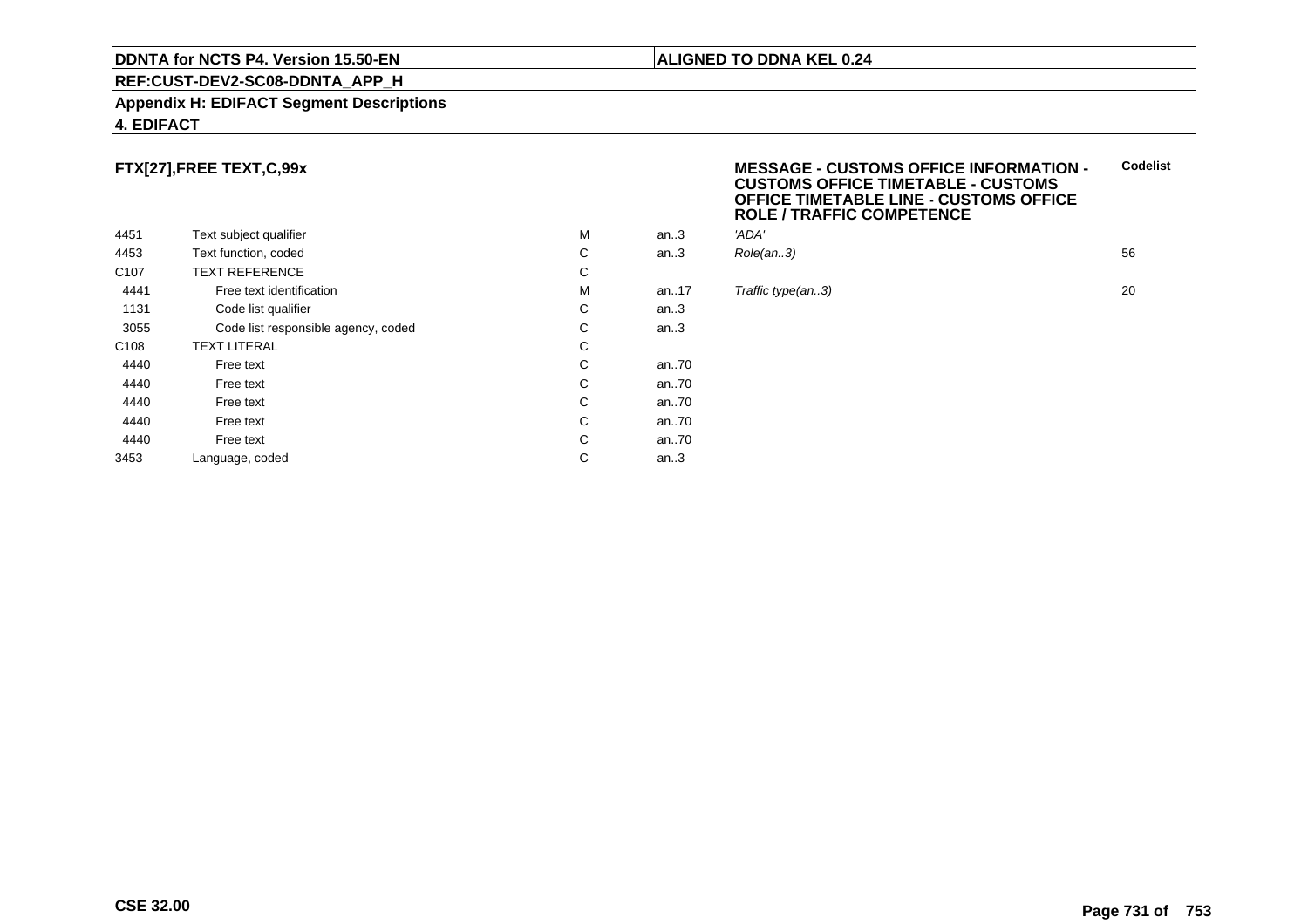#### **REF:CUST-DEV2-SC08-DDNTA\_APP\_H**

#### **Appendix H: EDIFACT Segment Descriptions**

#### **4. EDIFACT**

#### **FTX[27],FREE TEXT,C,99x**

|                  |                                     |   |       | בעב     |
|------------------|-------------------------------------|---|-------|---------|
| 4451             | Text subject qualifier              | М | an.3  | 'ADA'   |
| 4453             | Text function, coded                | C | an.3  | Role(   |
| C <sub>107</sub> | <b>TEXT REFERENCE</b>               | С |       |         |
| 4441             | Free text identification            | М | an.17 | Traffio |
| 1131             | Code list qualifier                 | C | an.3  |         |
| 3055             | Code list responsible agency, coded | С | an.3  |         |
| C <sub>108</sub> | <b>TEXT LITERAL</b>                 | С |       |         |
| 4440             | Free text                           | С | an70  |         |
| 4440             | Free text                           | С | an70  |         |
| 4440             | Free text                           | C | an70  |         |
| 4440             | Free text                           | С | an70  |         |
| 4440             | Free text                           | С | an70  |         |
| 3453             | Language, coded                     | С | an.3  |         |
|                  |                                     |   |       |         |

#### **MESSAGE - CUSTOMS OFFICE INFORMATION - CUSTOMS OFFICE TIMETABLE - CUSTOMS OFFICE TIMETABLE LINE - CUSTOMS OFFICEROLE / TRAFFIC COMPETENCECodelist**

| М | an3 | 'ADA'         |    |
|---|-----|---------------|----|
| C |     | an3 Role(an3) | 56 |
| ⌒ |     |               |    |

#### **Traffic type(an..3)** 20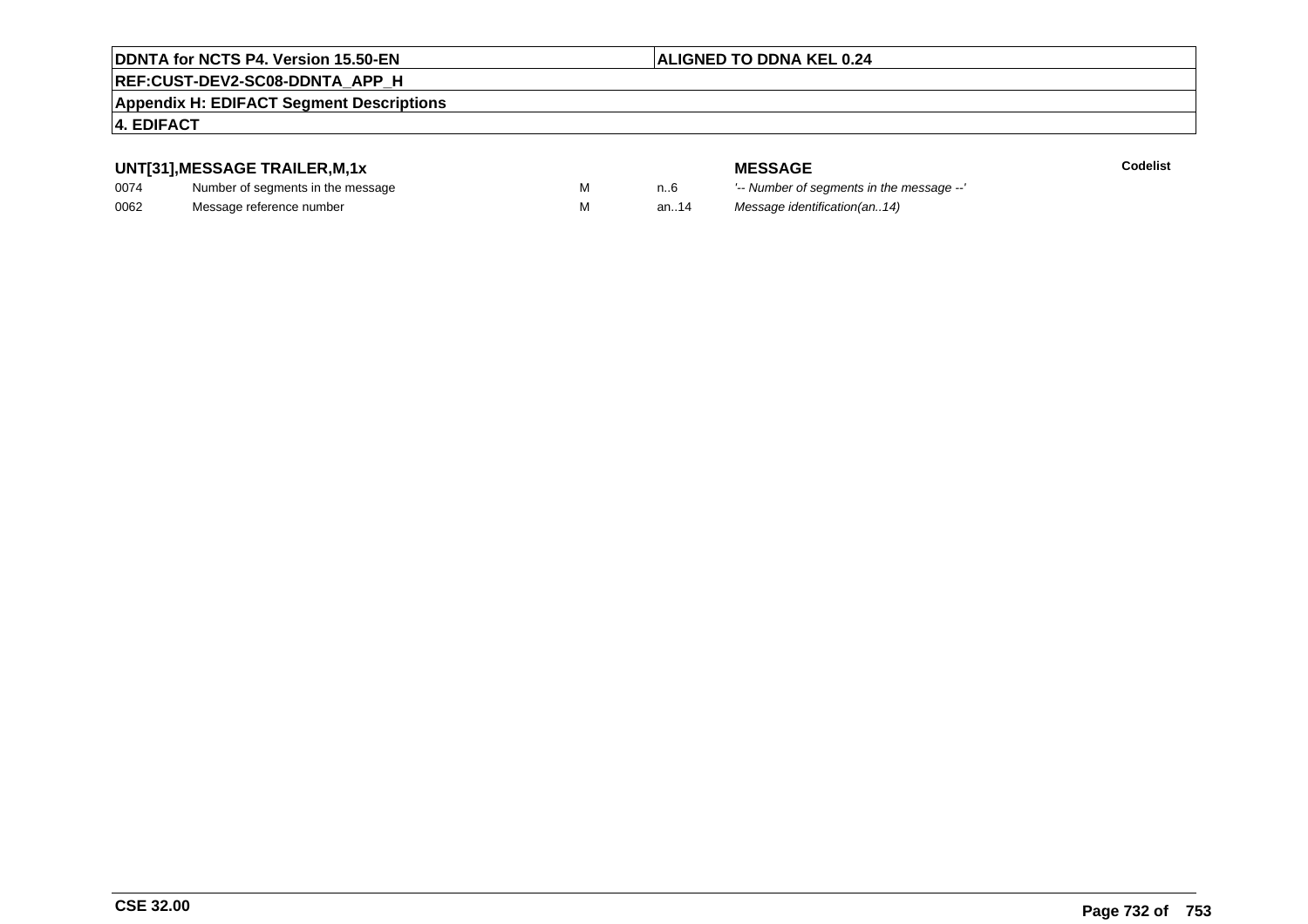#### **ALIGNED TO DDNA KEL 0.24**

### **REF:CUST-DEV2-SC08-DDNTA\_APP\_H**

#### **Appendix H: EDIFACT Segment Descriptions**

#### **4. EDIFACT**

#### **UNT[31],MESSAGE TRAILER,M,1x**

| 0074 | Number of segments in the message |  |
|------|-----------------------------------|--|
| 0062 | Message reference number          |  |

**MESSAGE**<br>M n.6 <sup>'--</sup> Number of s **Codelist** n..6 '-- Number of segments in the message --' M an..14 Message identification(an..14)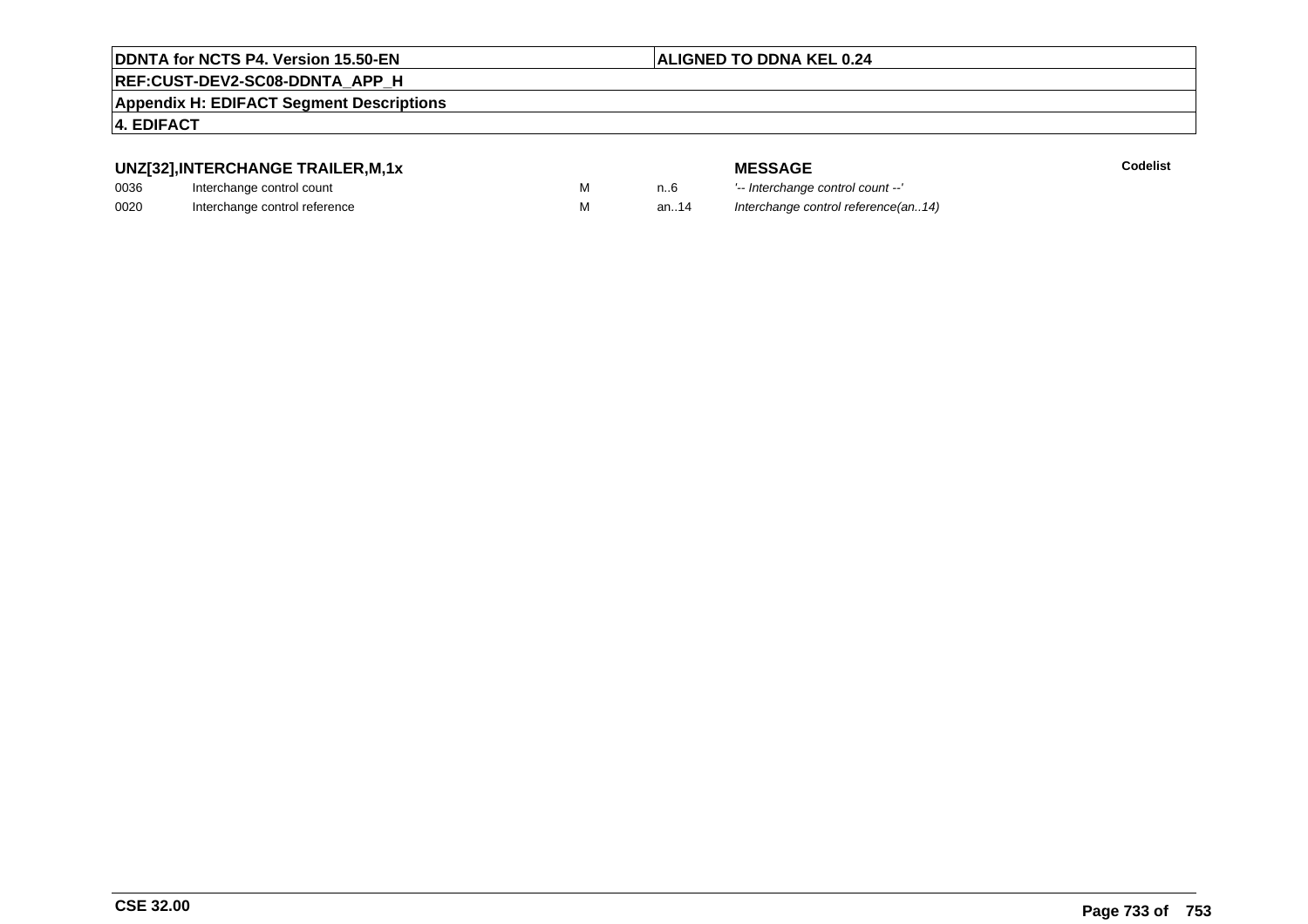#### **ALIGNED TO DDNA KEL 0.24**

#### **REF:CUST-DEV2-SC08-DDNTA\_APP\_H**

**Appendix H: EDIFACT Segment Descriptions**

#### **4. EDIFACT**

#### **UNZ[32],INTERCHANGE TRAILER,M,1x**

| 0036 | Interchange control count     |  |
|------|-------------------------------|--|
| 0020 | Interchange control reference |  |

**MESSAGE**<br>M n.6 <sup>1-</sup>- Interchange **E** m..6 <sup>1</sup>-- Interchange control count --'<br>
M an..14 *Interchange control reference (a* Interchange control reference(an..14)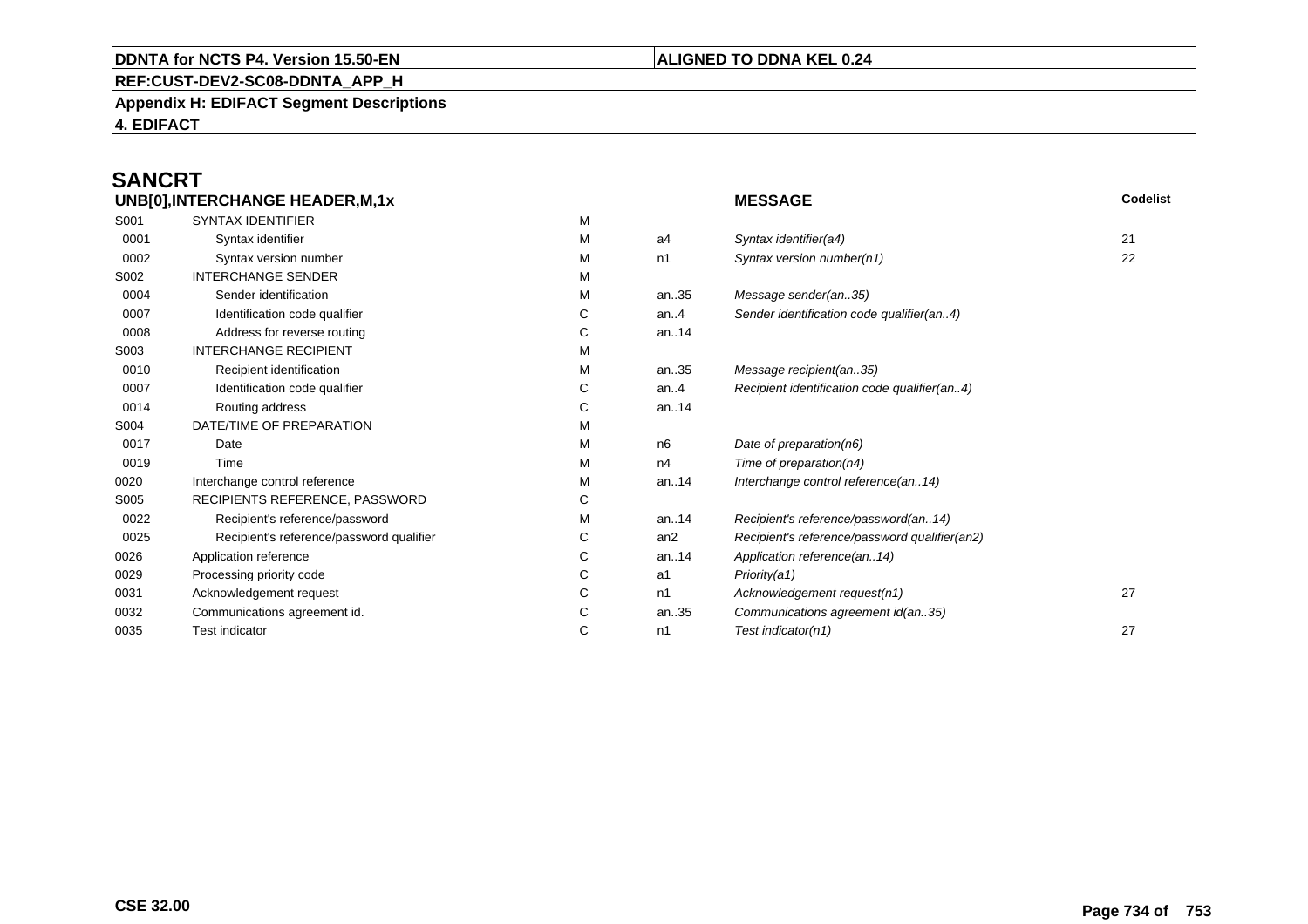#### **REF:CUST-DEV2-SC08-DDNTA\_APP\_H**

**Appendix H: EDIFACT Segment Descriptions**

**4. EDIFACT**

## **SANCRT**

|      | UNB[0], INTERCHANGE HEADER, M, 1x        |   |                | <b>MESSAGE</b>                                | Codelist |
|------|------------------------------------------|---|----------------|-----------------------------------------------|----------|
| S001 | <b>SYNTAX IDENTIFIER</b>                 | М |                |                                               |          |
| 0001 | Syntax identifier                        | М | a4             | Syntax identifier(a4)                         | 21       |
| 0002 | Syntax version number                    | м | n1             | Syntax version number(n1)                     | 22       |
| S002 | <b>INTERCHANGE SENDER</b>                | М |                |                                               |          |
| 0004 | Sender identification                    | М | an35           | Message sender(an35)                          |          |
| 0007 | Identification code qualifier            | С | an. $4$        | Sender identification code qualifier(an4)     |          |
| 0008 | Address for reverse routing              | С | an14           |                                               |          |
| S003 | <b>INTERCHANGE RECIPIENT</b>             | M |                |                                               |          |
| 0010 | Recipient identification                 | м | an35           | Message recipient(an35)                       |          |
| 0007 | Identification code qualifier            | С | an. $4$        | Recipient identification code qualifier(an4)  |          |
| 0014 | Routing address                          | С | an14           |                                               |          |
| S004 | DATE/TIME OF PREPARATION                 | М |                |                                               |          |
| 0017 | Date                                     | М | n <sub>6</sub> | Date of preparation(n6)                       |          |
| 0019 | Time                                     | м | n4             | Time of preparation(n4)                       |          |
| 0020 | Interchange control reference            | Μ | an14           | Interchange control reference(an14)           |          |
| S005 | RECIPIENTS REFERENCE, PASSWORD           | С |                |                                               |          |
| 0022 | Recipient's reference/password           | м | an14           | Recipient's reference/password(an14)          |          |
| 0025 | Recipient's reference/password qualifier | С | an2            | Recipient's reference/password qualifier(an2) |          |
| 0026 | Application reference                    | С | an14           | Application reference(an14)                   |          |
| 0029 | Processing priority code                 | С | a1             | Priority(a1)                                  |          |
| 0031 | Acknowledgement request                  | С | n1             | Acknowledgement request(n1)                   | 27       |
| 0032 | Communications agreement id.             | С | an35           | Communications agreement id(an35)             |          |
| 0035 | <b>Test indicator</b>                    | С | n1             | Test indicator(n1)                            | 27       |
|      |                                          |   |                |                                               |          |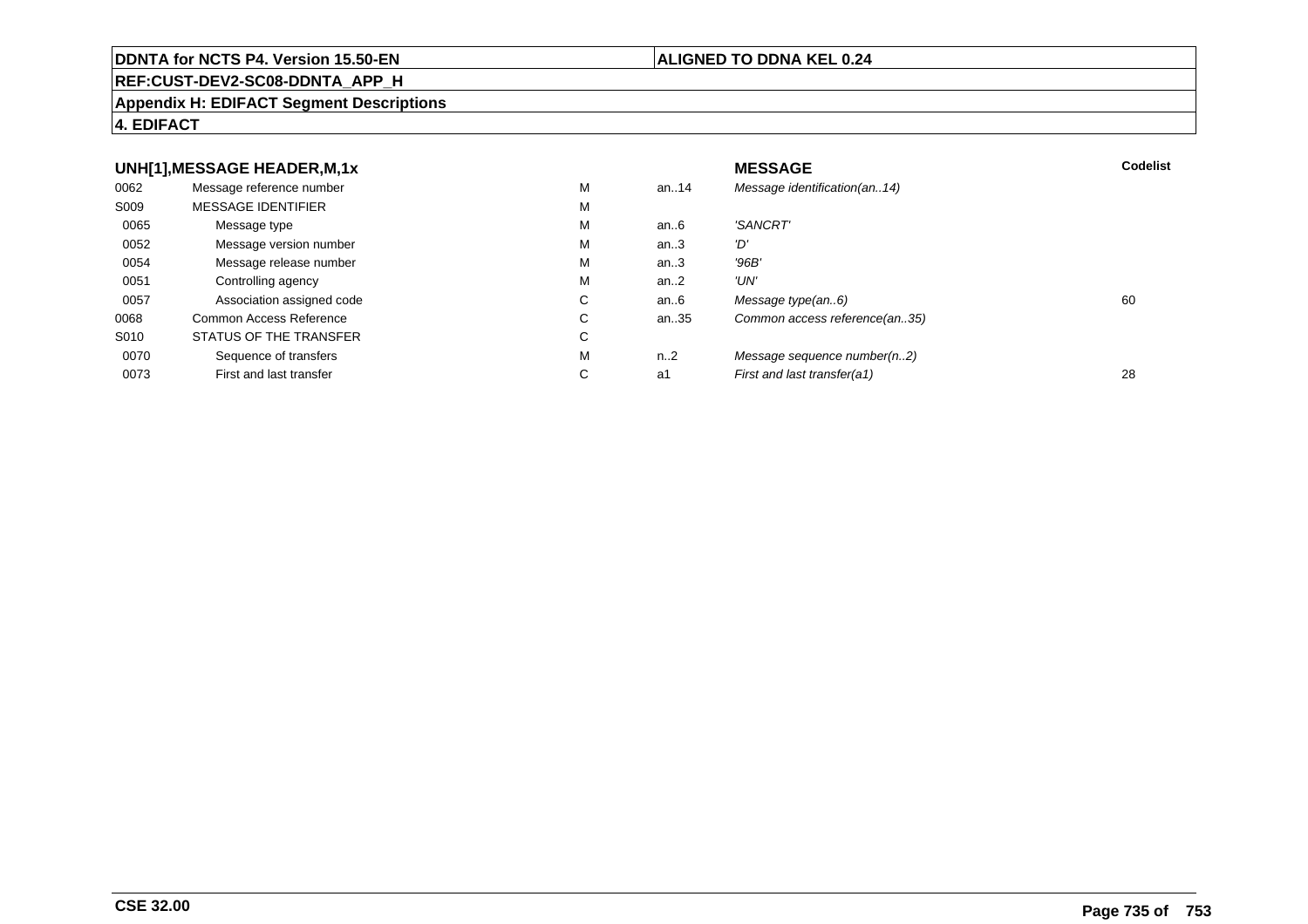#### **REF:CUST-DEV2-SC08-DDNTA\_APP\_H**

#### **Appendix H: EDIFACT Segment Descriptions**

#### **4. EDIFACT**

#### **UNH[1],MESSAGE HEADER,M,1xx** MESSAGE **Codelist** Codelist 0062 Message reference number <sup>M</sup> an..14 Message identification(an..14) S009 MESSAGE IDENTIFIERR M M 0065Message type Message version number and the Message version number and the Message of Message Message Message M an..6 'SANCRT'<br>an..3 'D' 0052 Message version number <sup>M</sup>an..3 '*D'*<br>an..3 '96*B'* 0054Message release number Message release number Message of the Message of the Message of Message of Message of Me<br>
Message release number of Message of Message of Message of Message of Message of Message of Message of Messag an..3 '96B'<br>an..2 'UN' 0051Controlling agency<br>
Association assigned code<br>
C an..2<br>an..6 0057Association assigned code **C** C<br>
mmon Access Reference **C** C an..6 Message type(an..6)<br>an..35 Common access reference(an..35) 0068Common Access Reference C<br>
STATUS OF THE TRANSFER
C Common access reference(an..35) S010 STATUS OF THE TRANSFERR C 0070Sequence of transfers M<br>
First and last transfer C n..2 Message sequence number(n..2)<br>a1 First and last transfer(a1) 0073First and last transfer First and last transfer(a1) 28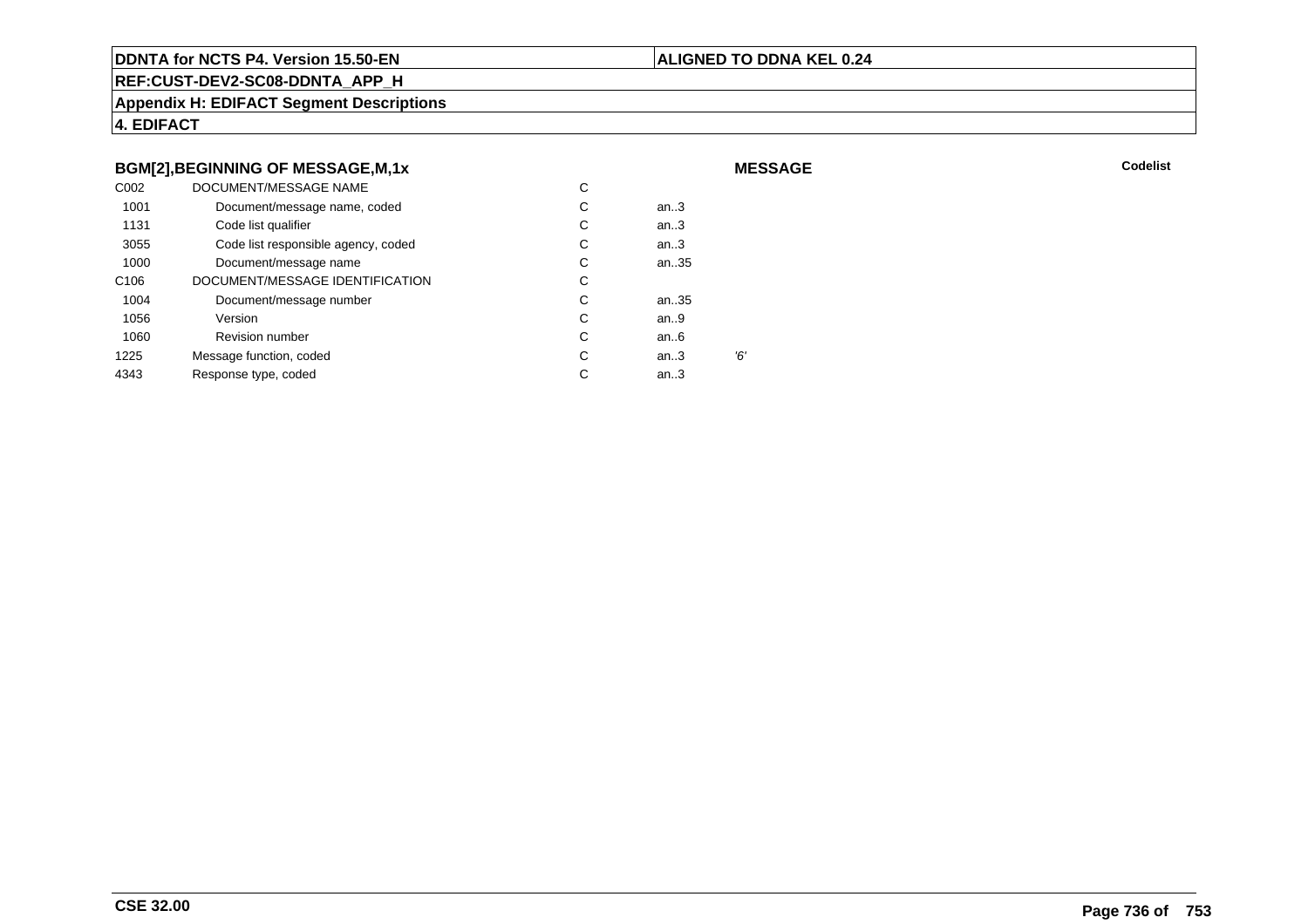#### **ALIGNED TO DDNA KEL 0.24**

**MESSAGE**

**REF:CUST-DEV2-SC08-DDNTA\_APP\_H**

**Appendix H: EDIFACT Segment Descriptions**

**4. EDIFACT**

#### **BGM[2],BEGINNING OF MESSAGE,M,1x**

| C <sub>0</sub> 02 | DOCUMENT/MESSAGE NAME               | С |        |    |
|-------------------|-------------------------------------|---|--------|----|
| 1001              | Document/message name, coded        | С | an $3$ |    |
| 1131              | Code list qualifier                 | С | an.3   |    |
| 3055              | Code list responsible agency, coded | С | an.3   |    |
| 1000              | Document/message name               | C | an35   |    |
| C <sub>106</sub>  | DOCUMENT/MESSAGE IDENTIFICATION     | С |        |    |
| 1004              | Document/message number             | С | an35   |    |
| 1056              | Version                             | С | an.9   |    |
| 1060              | <b>Revision number</b>              | С | an.6   |    |
| 1225              | Message function, coded             | C | an.3   | Έ, |
| 4343              | Response type, coded                | С | an $3$ |    |
|                   |                                     |   |        |    |

**Codelist** Codelist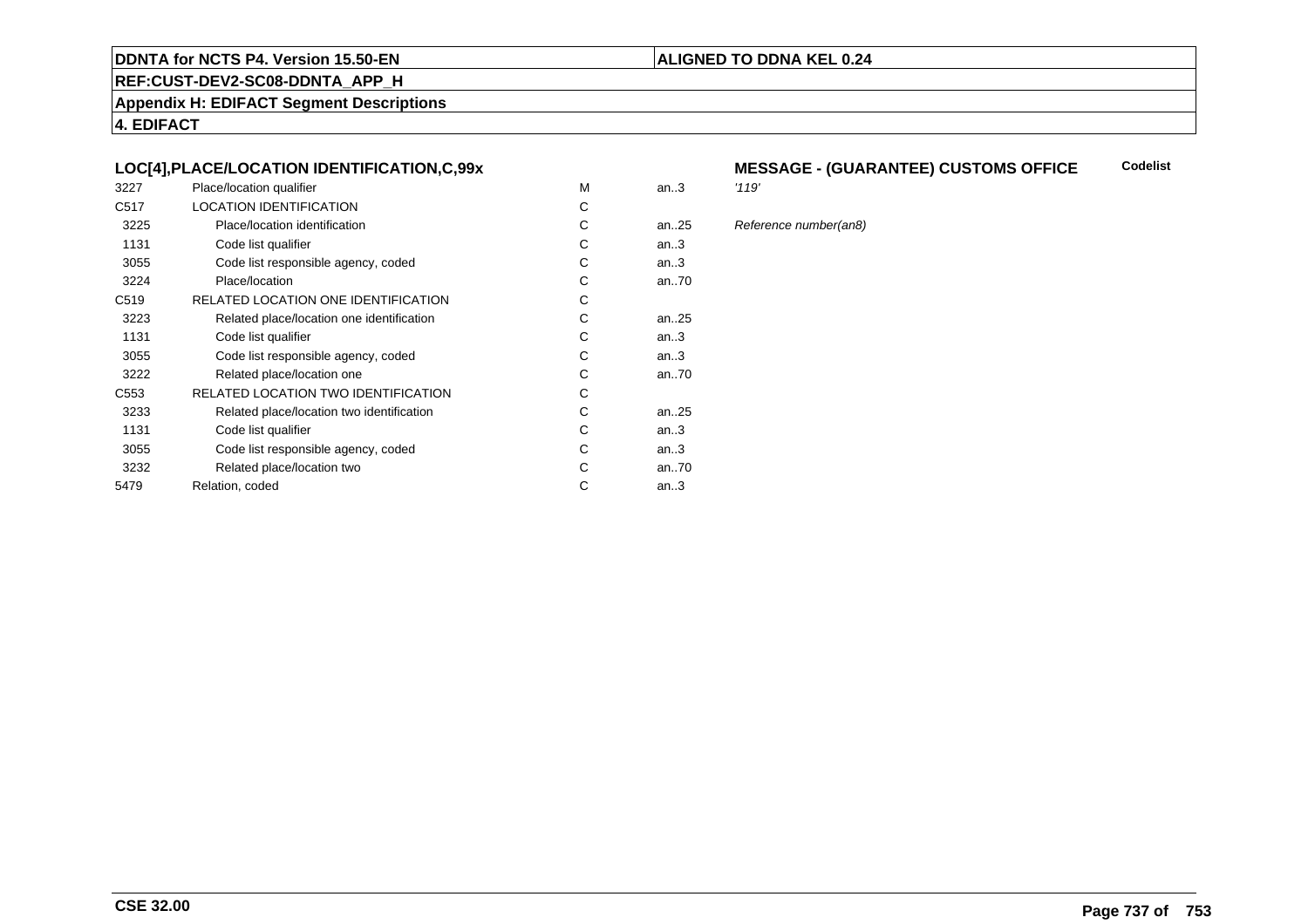#### **REF:CUST-DEV2-SC08-DDNTA\_APP\_H**

**Appendix H: EDIFACT Segment Descriptions**

**4. EDIFACT**

#### **LOC[4],PLACE/LOCATION IDENTIFICATION,C,99x**

| 3227             | Place/location qualifier                   | M | an.3 | '119' |
|------------------|--------------------------------------------|---|------|-------|
| C <sub>517</sub> | <b>LOCATION IDENTIFICATION</b>             | C |      |       |
| 3225             | Place/location identification              | C | an25 | Refe  |
| 1131             | Code list qualifier                        | С | an.3 |       |
| 3055             | Code list responsible agency, coded        | С | an.3 |       |
| 3224             | Place/location                             | C | an70 |       |
| C <sub>519</sub> | RELATED LOCATION ONE IDENTIFICATION        | С |      |       |
| 3223             | Related place/location one identification  | C | an25 |       |
| 1131             | Code list qualifier                        | C | an.3 |       |
| 3055             | Code list responsible agency, coded        | С | an.3 |       |
| 3222             | Related place/location one                 | C | an70 |       |
| C <sub>553</sub> | <b>RELATED LOCATION TWO IDENTIFICATION</b> | C |      |       |
| 3233             | Related place/location two identification  | С | an25 |       |
| 1131             | Code list qualifier                        | C | an.3 |       |
| 3055             | Code list responsible agency, coded        | C | an.3 |       |
| 3232             | Related place/location two                 | С | an70 |       |
| 5479             | Relation, coded                            | С | an.3 |       |
|                  |                                            |   |      |       |

#### **MESSAGE - (GUARANTEE) CUSTOMS OFFICE Codelist**

**ALIGNED TO DDNA KEL 0.24**

#### 25 Reference number(an8)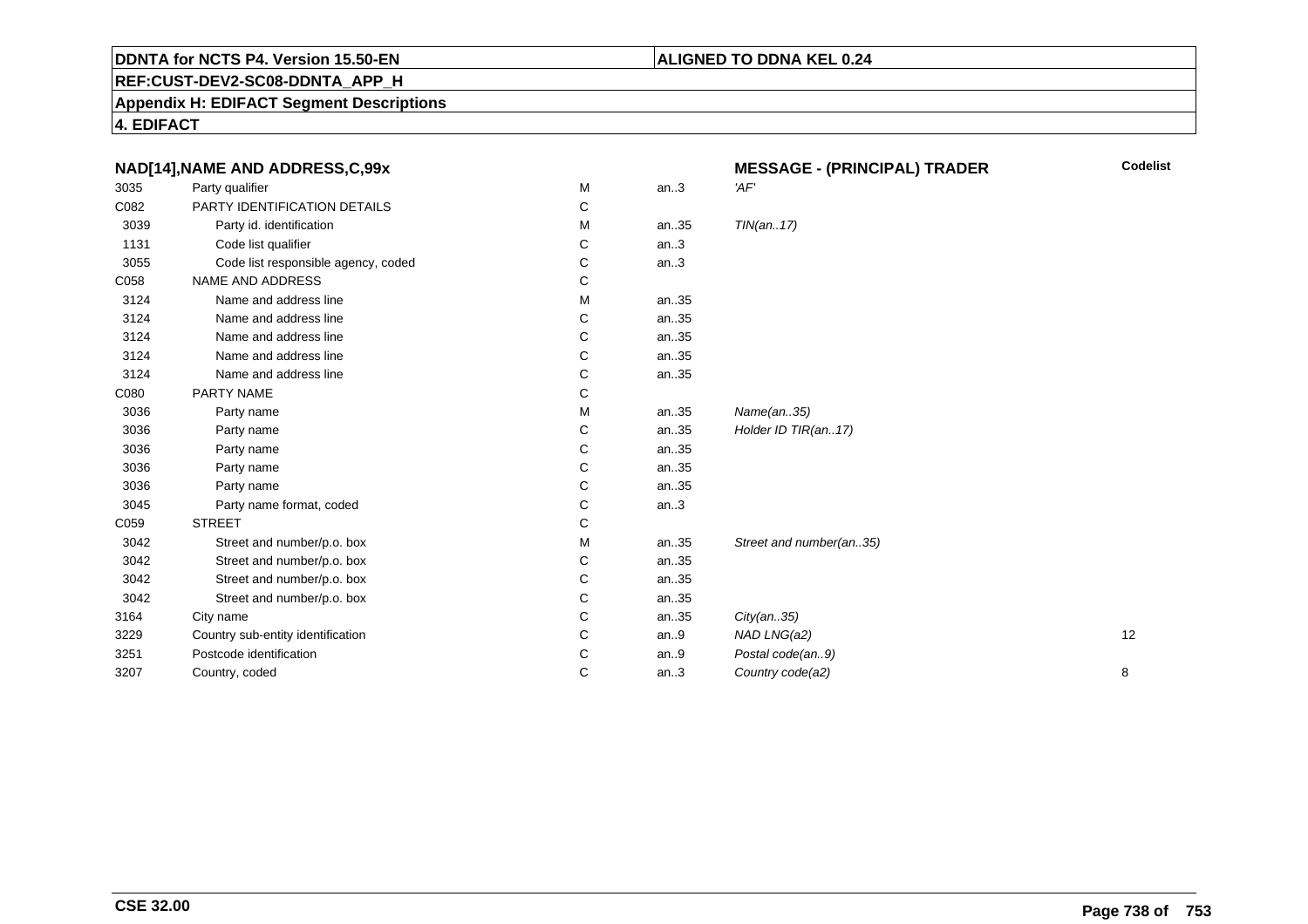### **REF:CUST-DEV2-SC08-DDNTA\_APP\_H**

#### **Appendix H: EDIFACT Segment Descriptions**

**4. EDIFACT**

| NAD[14], NAME AND ADDRESS, C, 99x |                                     |   |      | <b>MESSAGE - (PRINCIPAL) TRADER</b> | Codelist |
|-----------------------------------|-------------------------------------|---|------|-------------------------------------|----------|
| 3035                              | Party qualifier                     | M | an.3 | 'AF'                                |          |
| C082                              | PARTY IDENTIFICATION DETAILS        | С |      |                                     |          |
| 3039                              | Party id. identification            | М | an35 | TIN(an17)                           |          |
| 1131                              | Code list qualifier                 | С | an.3 |                                     |          |
| 3055                              | Code list responsible agency, coded | C | an.3 |                                     |          |
| C058                              | NAME AND ADDRESS                    | С |      |                                     |          |
| 3124                              | Name and address line               | М | an35 |                                     |          |
| 3124                              | Name and address line               | С | an35 |                                     |          |
| 3124                              | Name and address line               | С | an35 |                                     |          |
| 3124                              | Name and address line               | C | an35 |                                     |          |
| 3124                              | Name and address line               | С | an35 |                                     |          |
| C080                              | PARTY NAME                          | С |      |                                     |          |
| 3036                              | Party name                          | М | an35 | Name(an35)                          |          |
| 3036                              | Party name                          | С | an35 | Holder ID TIR(an17)                 |          |
| 3036                              | Party name                          | С | an35 |                                     |          |
| 3036                              | Party name                          | C | an35 |                                     |          |
| 3036                              | Party name                          | С | an35 |                                     |          |
| 3045                              | Party name format, coded            | С | an.3 |                                     |          |
| C059                              | <b>STREET</b>                       | C |      |                                     |          |
| 3042                              | Street and number/p.o. box          | М | an35 | Street and number(an35)             |          |
| 3042                              | Street and number/p.o. box          | С | an35 |                                     |          |
| 3042                              | Street and number/p.o. box          | С | an35 |                                     |          |
| 3042                              | Street and number/p.o. box          | С | an35 |                                     |          |
| 3164                              | City name                           | C | an35 | City(an35)                          |          |
| 3229                              | Country sub-entity identification   | С | an.9 | NAD LNG(a2)                         | 12       |
| 3251                              | Postcode identification             | С | an.9 | Postal code(an9)                    |          |
| 3207                              | Country, coded                      | С | an.3 | Country code(a2)                    | 8        |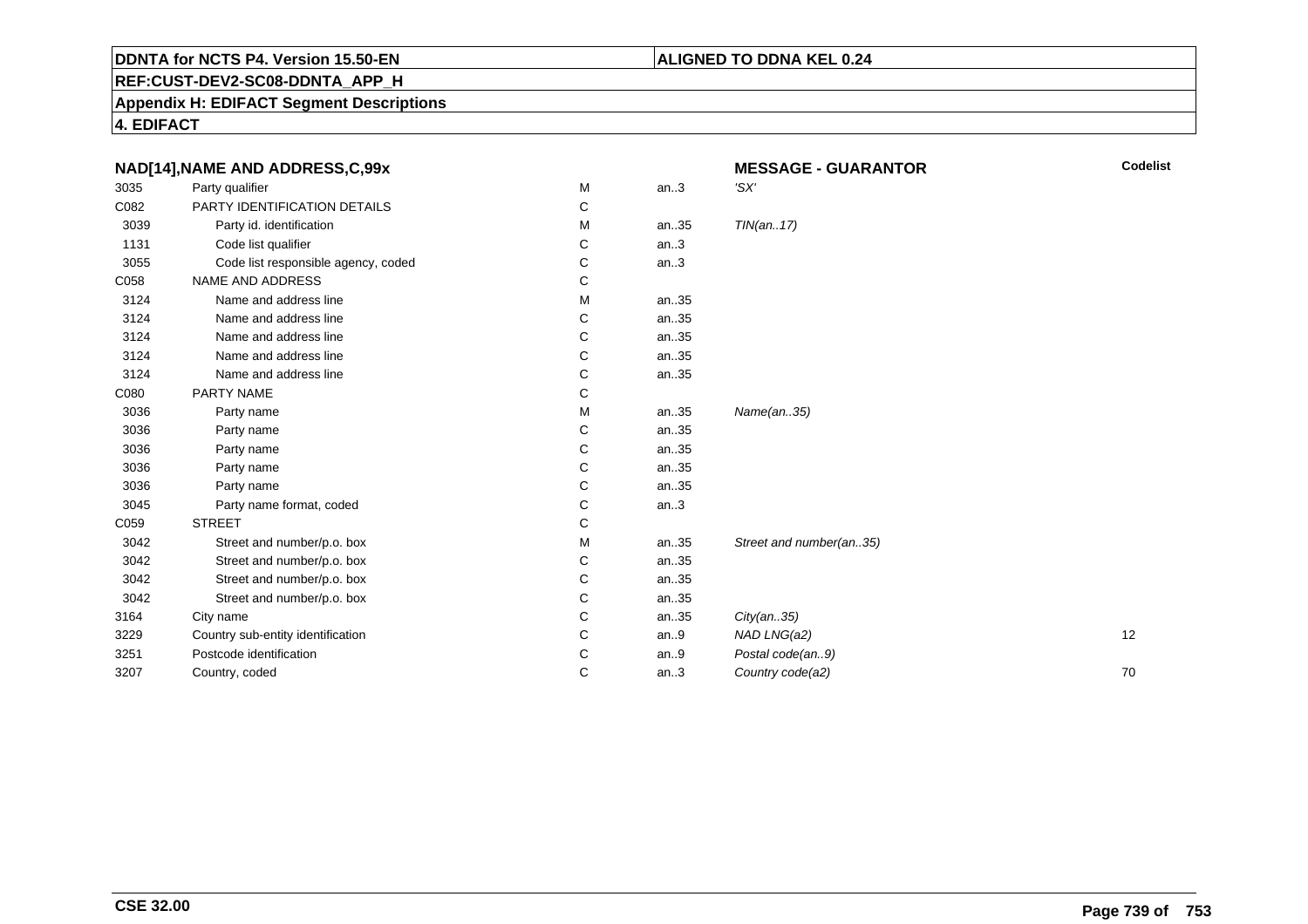#### **ALIGNED TO DDNA KEL 0.24**

**REF:CUST-DEV2-SC08-DDNTA\_APP\_H**

**Appendix H: EDIFACT Segment Descriptions**

**4. EDIFACT**

| NAD[14], NAME AND ADDRESS, C, 99x |                                     |   |      | <b>MESSAGE - GUARANTOR</b> | <b>Codelist</b> |
|-----------------------------------|-------------------------------------|---|------|----------------------------|-----------------|
| 3035                              | Party qualifier                     | М | an.3 | 'SX'                       |                 |
| C082                              | PARTY IDENTIFICATION DETAILS        | С |      |                            |                 |
| 3039                              | Party id. identification            | М | an35 | TIN(an17)                  |                 |
| 1131                              | Code list qualifier                 | С | an.3 |                            |                 |
| 3055                              | Code list responsible agency, coded | C | an.3 |                            |                 |
| C058                              | NAME AND ADDRESS                    | С |      |                            |                 |
| 3124                              | Name and address line               | M | an35 |                            |                 |
| 3124                              | Name and address line               | С | an35 |                            |                 |
| 3124                              | Name and address line               | C | an35 |                            |                 |
| 3124                              | Name and address line               | C | an35 |                            |                 |
| 3124                              | Name and address line               | C | an35 |                            |                 |
| C080                              | PARTY NAME                          | С |      |                            |                 |
| 3036                              | Party name                          | M | an35 | Name(an35)                 |                 |
| 3036                              | Party name                          | С | an35 |                            |                 |
| 3036                              | Party name                          | C | an35 |                            |                 |
| 3036                              | Party name                          | C | an35 |                            |                 |
| 3036                              | Party name                          | C | an35 |                            |                 |
| 3045                              | Party name format, coded            | C | an.3 |                            |                 |
| C059                              | <b>STREET</b>                       | C |      |                            |                 |
| 3042                              | Street and number/p.o. box          | М | an35 | Street and number(an35)    |                 |
| 3042                              | Street and number/p.o. box          | С | an35 |                            |                 |
| 3042                              | Street and number/p.o. box          | C | an35 |                            |                 |
| 3042                              | Street and number/p.o. box          | С | an35 |                            |                 |
| 3164                              | City name                           | C | an35 | City(an35)                 |                 |
| 3229                              | Country sub-entity identification   | C | an.9 | NAD LNG(a2)                | 12              |
| 3251                              | Postcode identification             | C | an.9 | Postal code(an9)           |                 |
| 3207                              | Country, coded                      | C | an.3 | Country code(a2)           | 70              |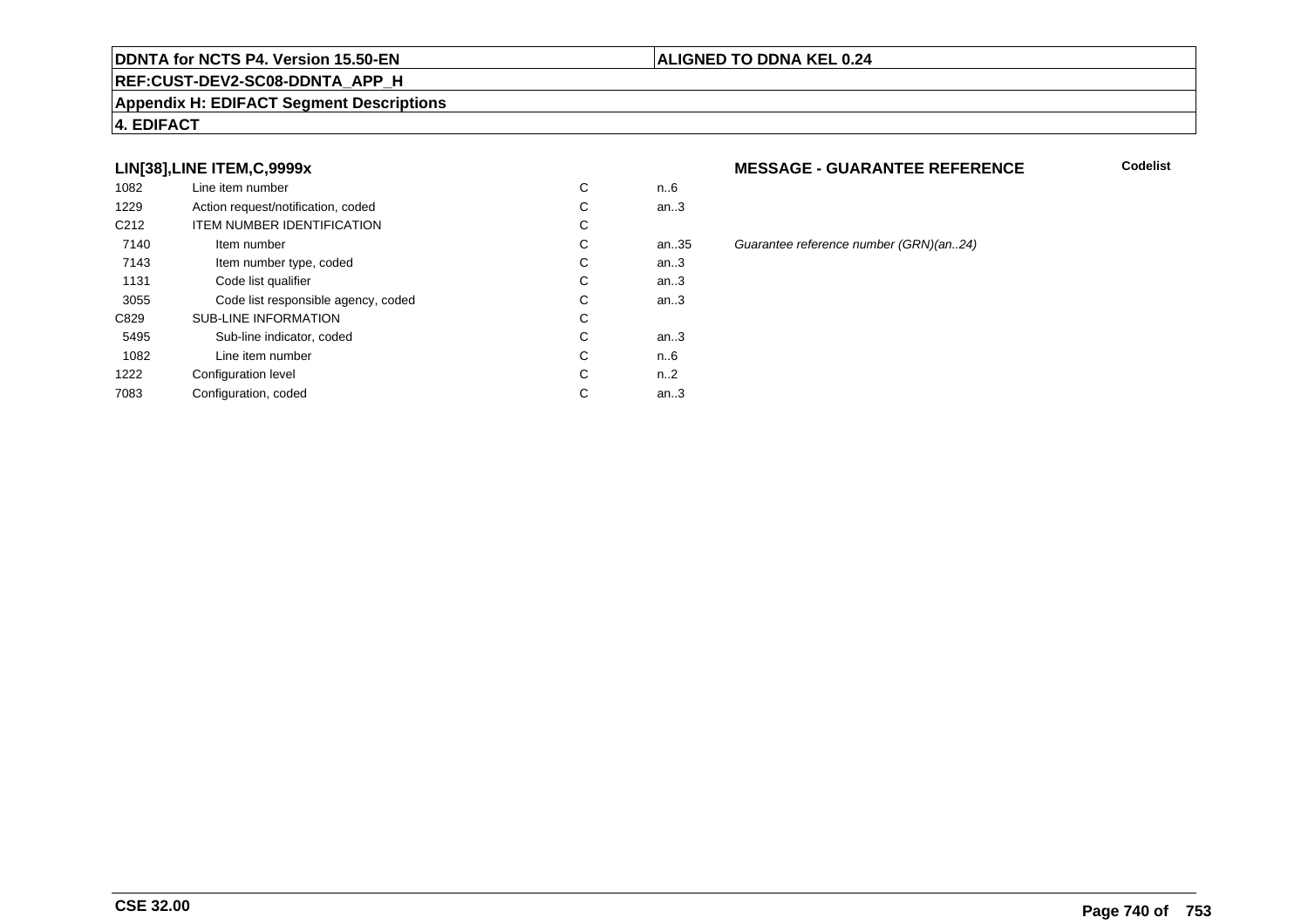#### **REF:CUST-DEV2-SC08-DDNTA\_APP\_H**

#### **Appendix H: EDIFACT Segment Descriptions**

#### **4. EDIFACT**

#### **LIN[38],LINE ITEM,C,9999x**

| 1082             | Line item number                    | С | n6   |
|------------------|-------------------------------------|---|------|
| 1229             | Action request/notification, coded  | С | an.3 |
| C <sub>212</sub> | <b>ITEM NUMBER IDENTIFICATION</b>   | С |      |
| 7140             | Item number                         | С | an.3 |
| 7143             | Item number type, coded             | С | an.3 |
| 1131             | Code list qualifier                 | С | an.3 |
| 3055             | Code list responsible agency, coded | C | an.3 |
| C829             | <b>SUB-LINE INFORMATION</b>         | С |      |
| 5495             | Sub-line indicator, coded           | C | an.3 |
| 1082             | Line item number                    | С | n6   |
| 1222             | Configuration level                 | C | n2   |
| 7083             | Configuration, coded                | С | an.3 |
|                  |                                     |   |      |

#### **MESSAGE - GUARANTEE REFERENCE**

**Codelist**

an.35 Guarantee reference number (GRN)(an..24)<br>.3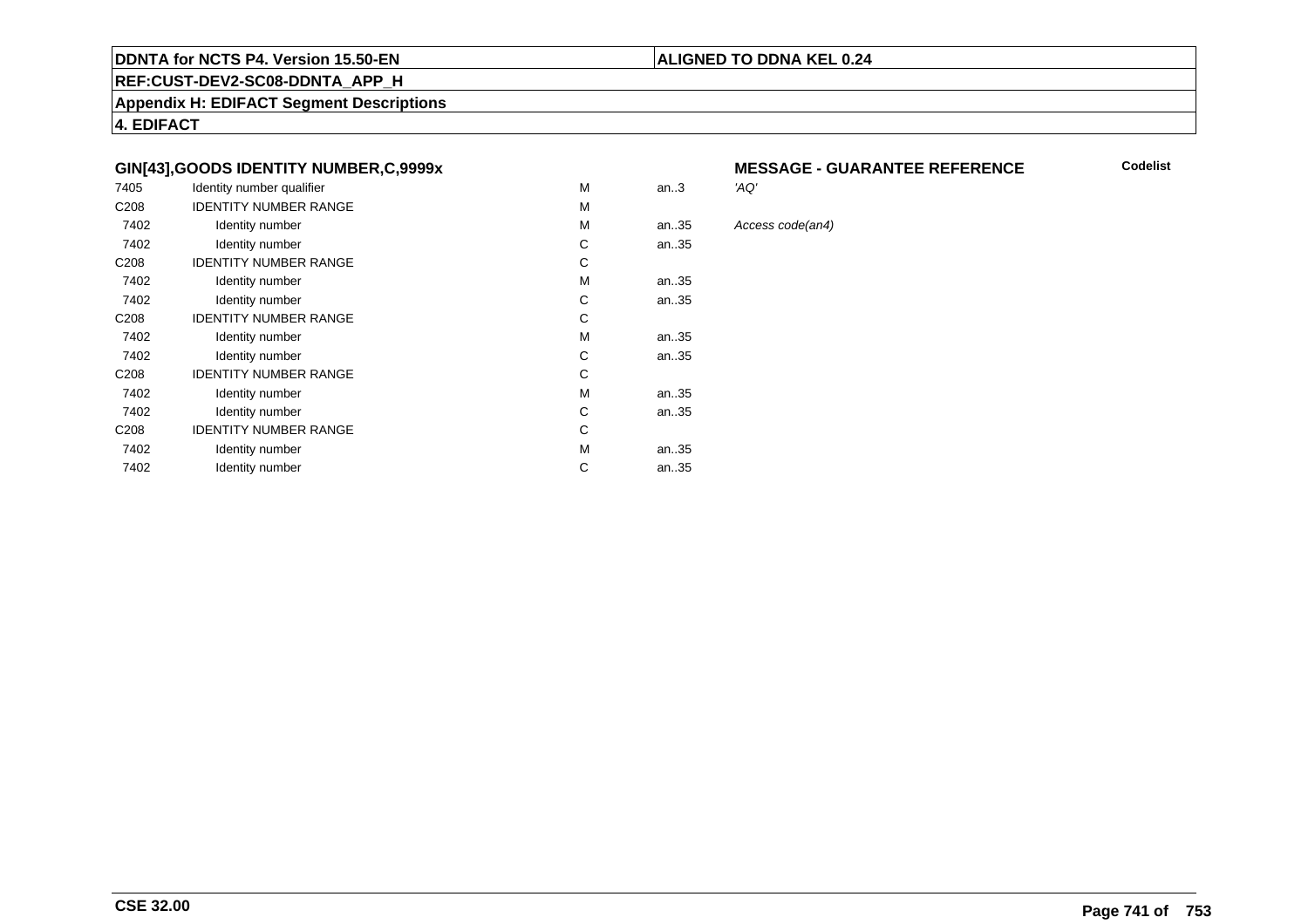#### **REF:CUST-DEV2-SC08-DDNTA\_APP\_H**

**Appendix H: EDIFACT Segment Descriptions**

**4. EDIFACT**

#### **GIN[43],GOODS IDENTITY NUMBER,C,9999x**

| 7405             | Identity number qualifier    | M | an.3 | 'AQ' |
|------------------|------------------------------|---|------|------|
| C <sub>208</sub> | <b>IDENTITY NUMBER RANGE</b> | M |      |      |
| 7402             | Identity number              | M | an35 | Асс  |
| 7402             | Identity number              | С | an35 |      |
| C <sub>208</sub> | <b>IDENTITY NUMBER RANGE</b> | С |      |      |
| 7402             | Identity number              | M | an35 |      |
| 7402             | Identity number              | С | an35 |      |
| C <sub>208</sub> | <b>IDENTITY NUMBER RANGE</b> | C |      |      |
| 7402             | Identity number              | M | an35 |      |
| 7402             | Identity number              | С | an35 |      |
| C <sub>208</sub> | <b>IDENTITY NUMBER RANGE</b> | C |      |      |
| 7402             | Identity number              | M | an35 |      |
| 7402             | Identity number              | C | an35 |      |
| C <sub>208</sub> | <b>IDENTITY NUMBER RANGE</b> | С |      |      |
| 7402             | Identity number              | M | an35 |      |
| 7402             | Identity number              | C | an35 |      |
|                  |                              |   |      |      |

## **MESSAGE - GUARANTEE REFERENCE**<br>'AQ'

**Codelist**

#### Access code(an4)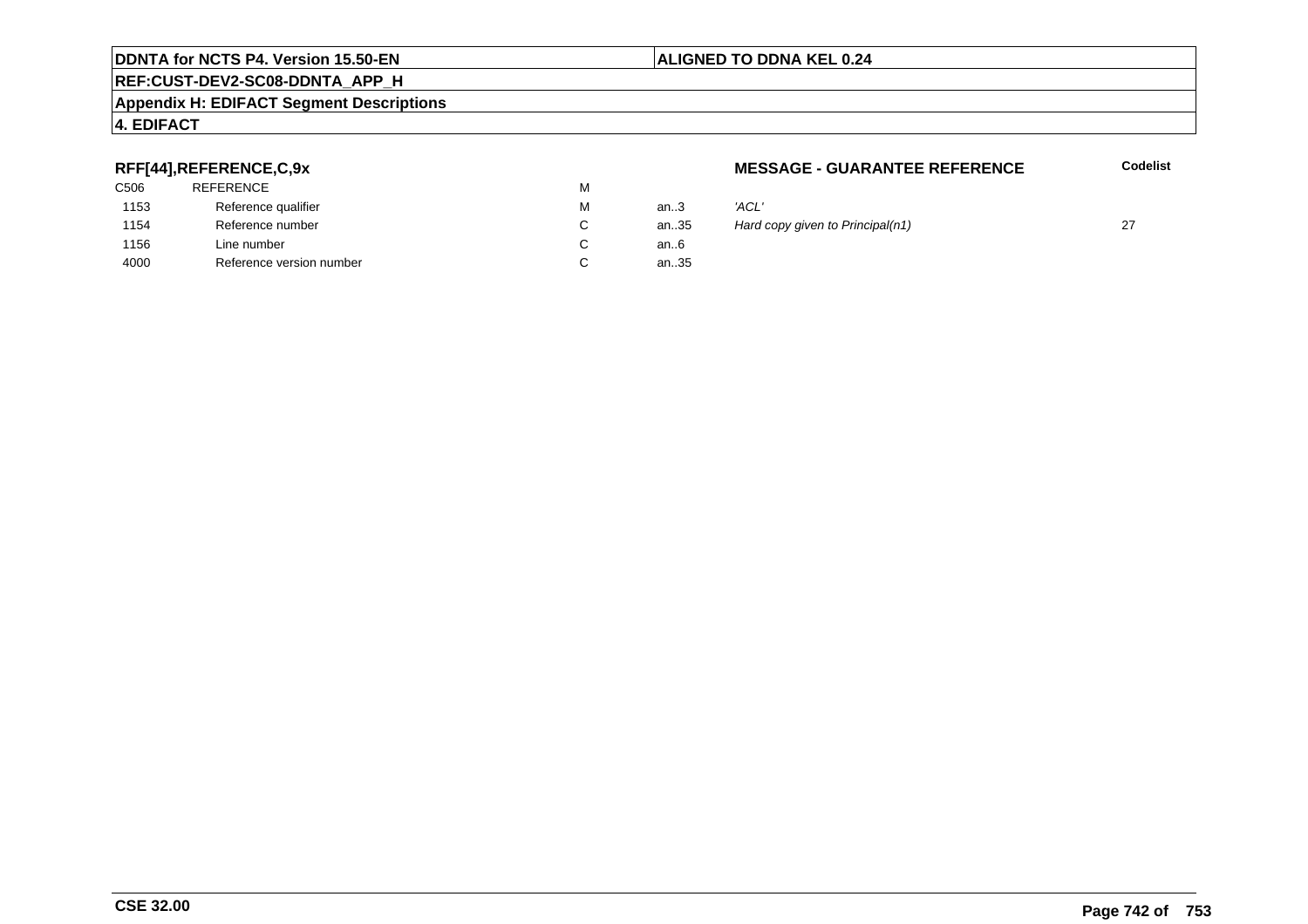#### **REF:CUST-DEV2-SC08-DDNTA\_APP\_H**

#### **Appendix H: EDIFACT Segment Descriptions**

#### **4. EDIFACT**

#### **RFF[44],REFERENCE,C,9x**

| <b>REFERENCE</b>         | М |          |       |
|--------------------------|---|----------|-------|
| Reference qualifier      | М | an $3$   | 'ACL' |
| Reference number         | С | an $.35$ | Hard  |
| Line number              | С | an6      |       |
| Reference version number |   | an35     |       |
|                          |   |          |       |

#### **MESSAGE - GUARANTEE REFERENCE**

**Codelist**

| М | an.3 | 'ACL'                            |  |
|---|------|----------------------------------|--|
| С | an35 | Hard copy given to Principal(n1) |  |
| C | an6  |                                  |  |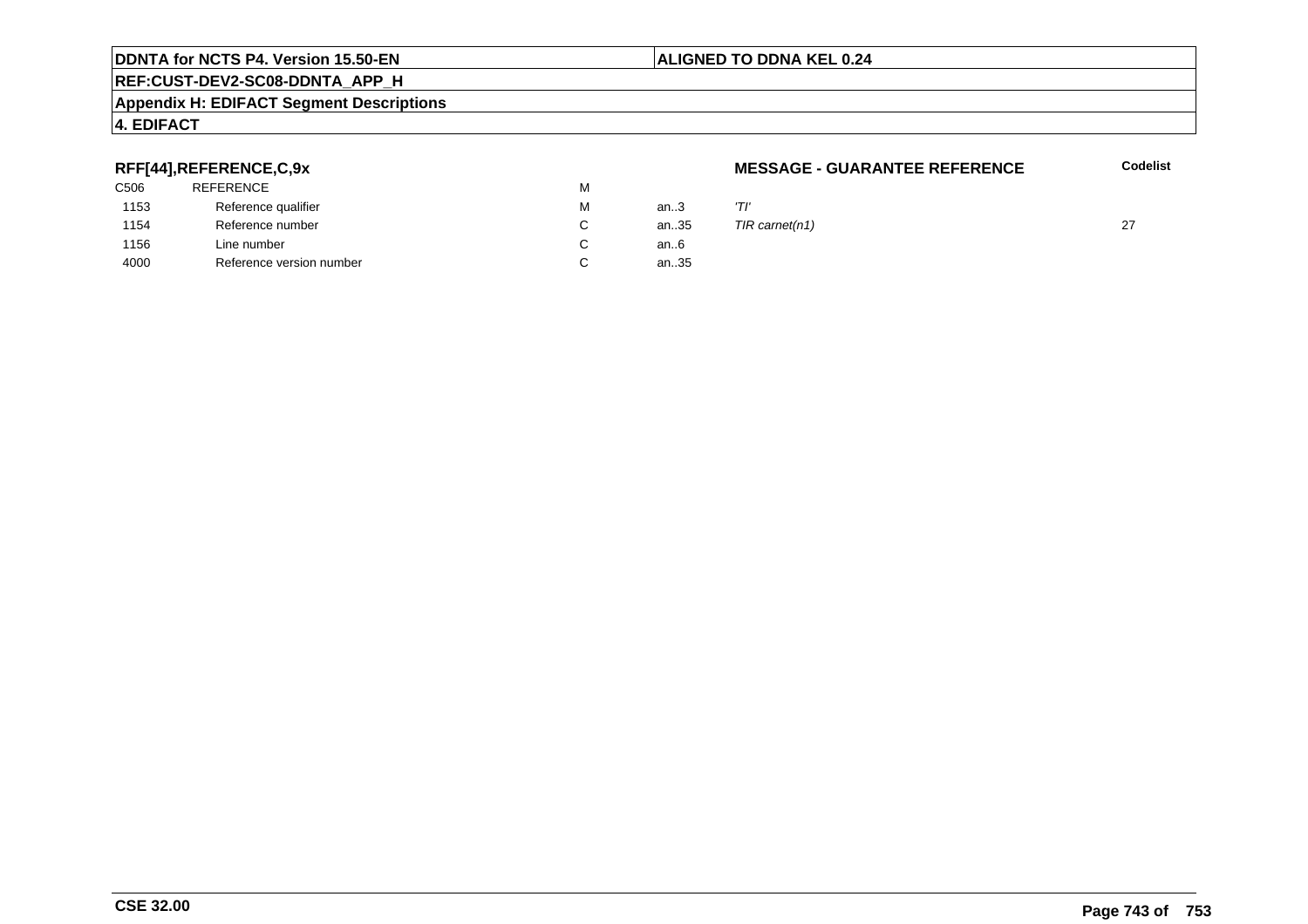#### **REF:CUST-DEV2-SC08-DDNTA\_APP\_H**

#### **Appendix H: EDIFACT Segment Descriptions**

#### **4. EDIFACT**

#### **RFF[44],REFERENCE,C,9x**

| C506 | <b>REFERENCE</b>         | м |      |     |
|------|--------------------------|---|------|-----|
| 1153 | Reference qualifier      | м | an3  | 'Tl |
| 1154 | Reference number         |   | an35 | TIF |
| 1156 | Line number              |   | an6  |     |
| 4000 | Reference version number |   | an35 |     |
|      |                          |   |      |     |

#### **MESSAGE - GUARANTEE REFERENCE**

**Codelist**

| M  | an3    | 'דו                 |  |
|----|--------|---------------------|--|
| C. |        | an35 TIR carnet(n1) |  |
| C  | an $6$ |                     |  |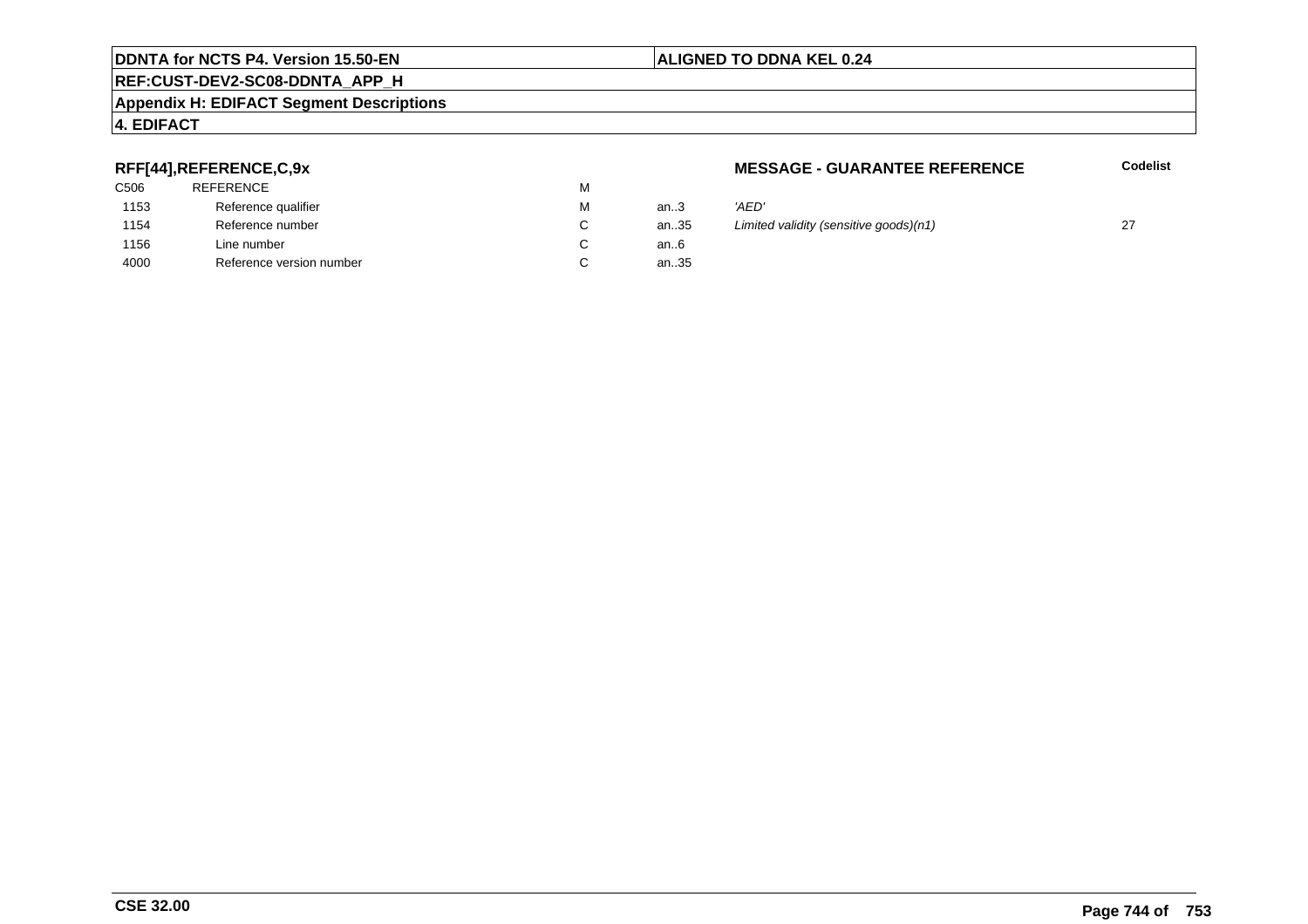#### **REF:CUST-DEV2-SC08-DDNTA\_APP\_H**

#### **Appendix H: EDIFACT Segment Descriptions**

#### **4. EDIFACT**

#### **RFF[44],REFERENCE,C,9x**

| 'AED'        |
|--------------|
| Limite       |
|              |
|              |
| an35<br>an35 |

#### **MESSAGE - GUARANTEE REFERENCE**

**Codelist**

| М      | an.3 | 'AED'                                  |  |
|--------|------|----------------------------------------|--|
| С      | an35 | Limited validity (sensitive goods)(n1) |  |
| С      | an6  |                                        |  |
| $\sim$ | $ -$ |                                        |  |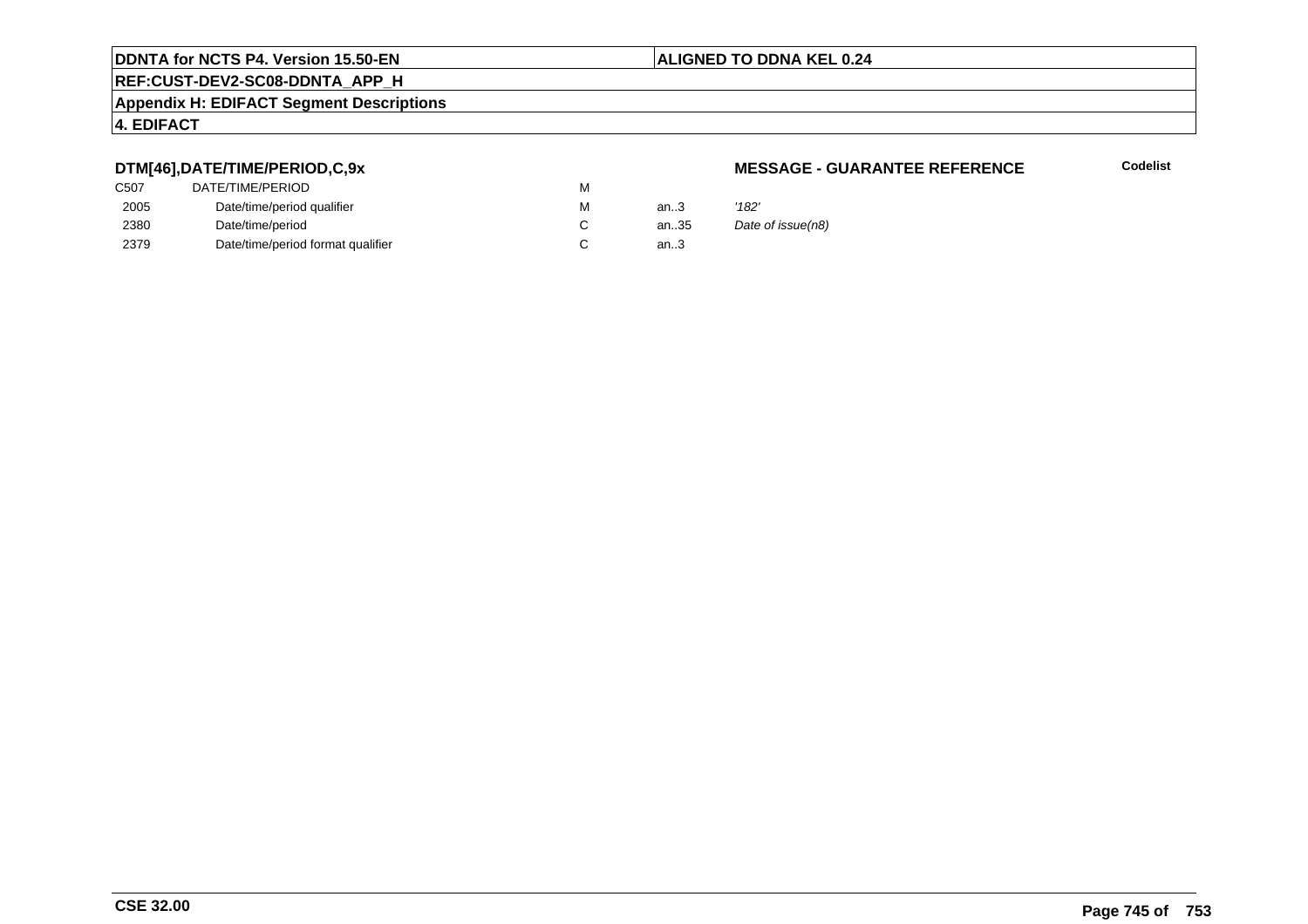#### **ALIGNED TO DDNA KEL 0.24**

### **REF:CUST-DEV2-SC08-DDNTA\_APP\_H**

#### **Appendix H: EDIFACT Segment Descriptions**

#### **4. EDIFACT**

#### **DTM[46],DATE/TIME/PERIOD,C,9x**

| C507 | DATE/TIME/PERIOD                  | М |        |       |
|------|-----------------------------------|---|--------|-------|
| 2005 | Date/time/period qualifier        | М | an $3$ | '182' |
| 2380 | Date/time/period                  |   | an35   | Date  |
| 2379 | Date/time/period format qualifier |   | an.3   |       |

#### **MESSAGE - GUARANTEE REFERENCE**

**Codelist**

Date of issue(n8)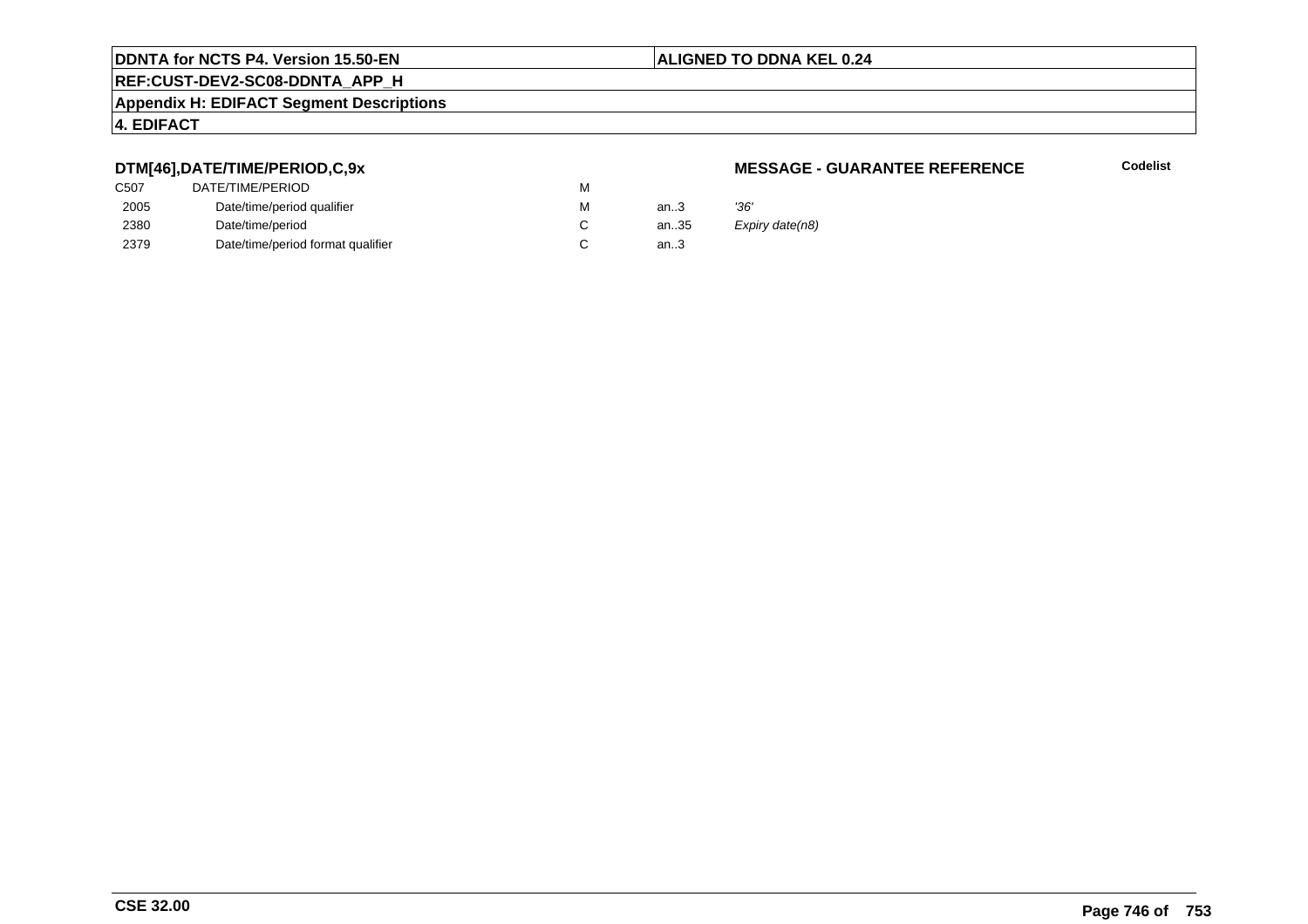#### **ALIGNED TO DDNA KEL 0.24**

## **REF:CUST-DEV2-SC08-DDNTA\_APP\_H**

#### **Appendix H: EDIFACT Segment Descriptions**

#### **4. EDIFACT**

#### **DTM[46],DATE/TIME/PERIOD,C,9x**

| DATE/TIME/PERIOD                  | м |       |      |
|-----------------------------------|---|-------|------|
| Date/time/period qualifier        | м | an.3  | '36' |
| Date/time/period                  |   | an.35 | Exp  |
| Date/time/period format qualifier |   | an.3  |      |
|                                   |   |       |      |

#### **MESSAGE - GUARANTEE REFERENCE**

**Codelist**

Expiry date(n8)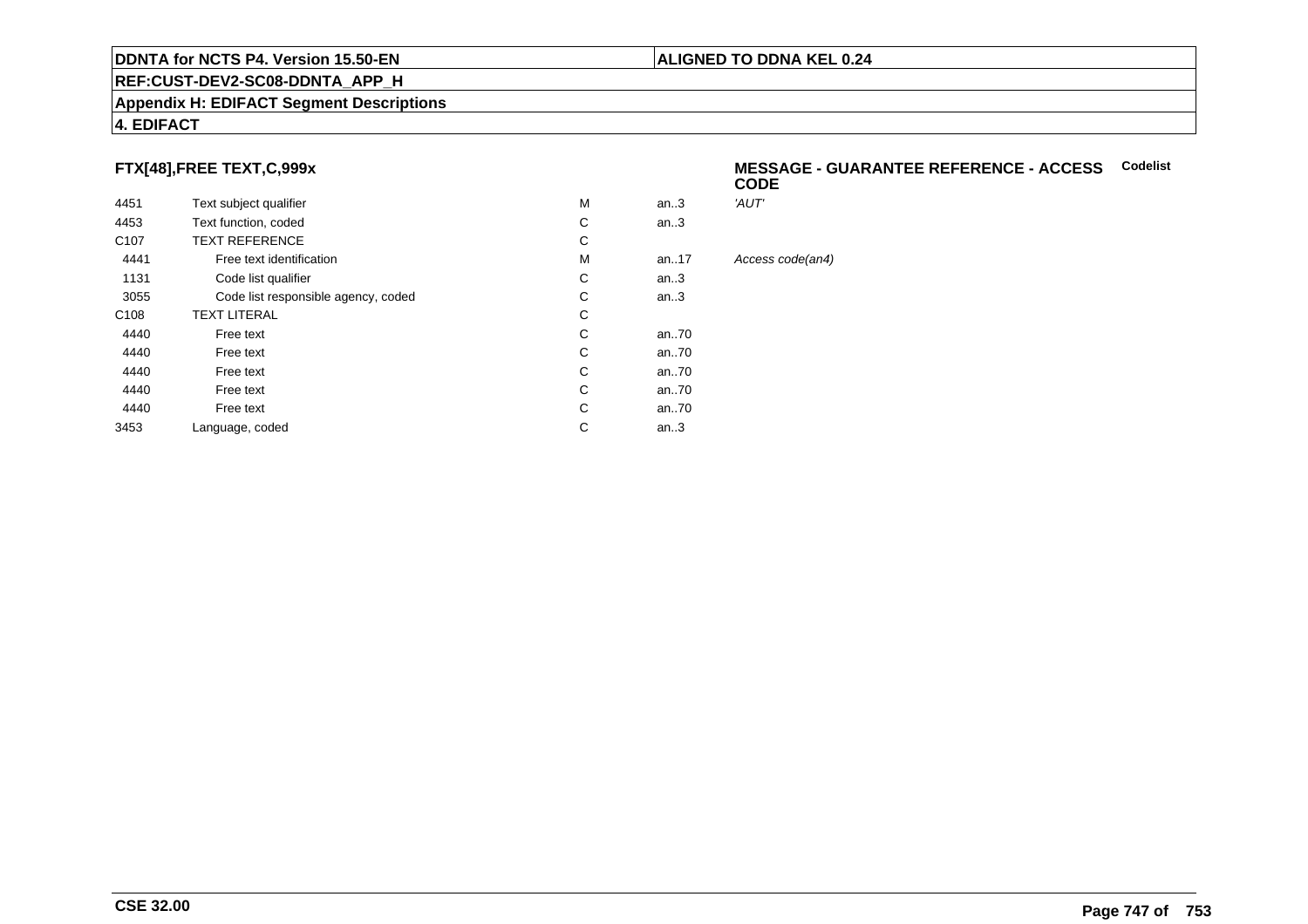#### **REF:CUST-DEV2-SC08-DDNTA\_APP\_H**

#### **Appendix H: EDIFACT Segment Descriptions**

#### **4. EDIFACT**

#### **FTX[48],FREE TEXT,C,999x**

| 4451             | Text subject qualifier              | M | an.3     | 'AUT'            |
|------------------|-------------------------------------|---|----------|------------------|
| 4453             | Text function, coded                | С | an.3     |                  |
| C <sub>107</sub> | <b>TEXT REFERENCE</b>               | С |          |                  |
| 4441             | Free text identification            | М | an.17    | Access code(an4) |
| 1131             | Code list qualifier                 | C | an.3     |                  |
| 3055             | Code list responsible agency, coded | С | an.3     |                  |
| C <sub>108</sub> | <b>TEXT LITERAL</b>                 | С |          |                  |
| 4440             | Free text                           | C | an $.70$ |                  |
| 4440             | Free text                           | С | an70     |                  |
| 4440             | Free text                           | С | an70     |                  |
| 4440             | Free text                           | C | an70     |                  |
| 4440             | Free text                           | C | an $.70$ |                  |
| 3453             | Language, coded                     | С | an.3     |                  |
|                  |                                     |   |          |                  |

#### **MESSAGE - GUARANTEE REFERENCE - ACCESSCodelistCODE**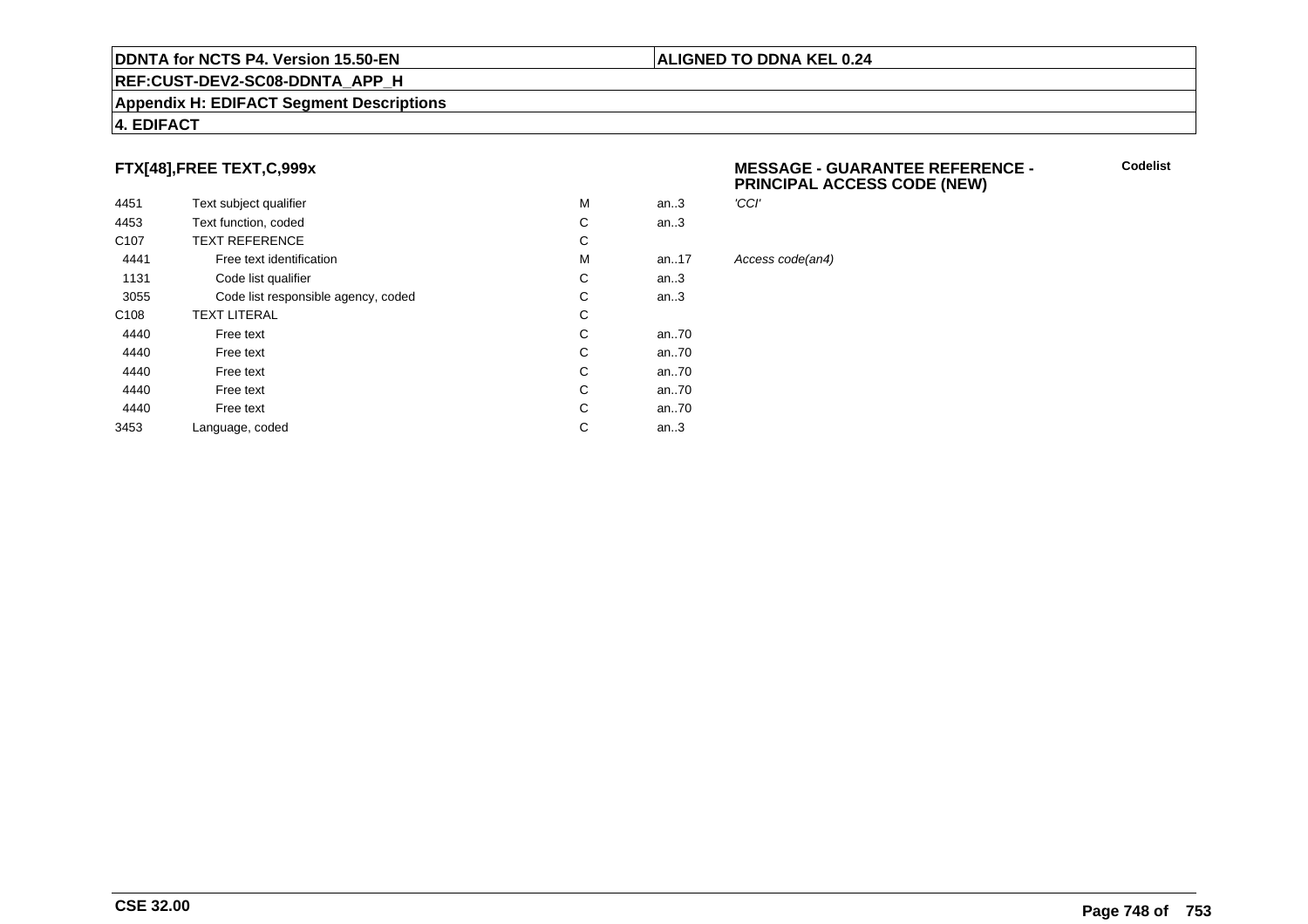#### **REF:CUST-DEV2-SC08-DDNTA\_APP\_H**

#### **Appendix H: EDIFACT Segment Descriptions**

#### **4. EDIFACT**

#### **FTX[48],FREE TEXT,C,999x**

| 4451             | Text subject qualifier              | M | 'CCI'<br>an.3 |      |
|------------------|-------------------------------------|---|---------------|------|
| 4453             | Text function, coded                | С | an.3          |      |
| C <sub>107</sub> | <b>TEXT REFERENCE</b>               | С |               |      |
| 4441             | Free text identification            | M | an. $17$      | Acce |
| 1131             | Code list qualifier                 | С | an.3          |      |
| 3055             | Code list responsible agency, coded | С | an.3          |      |
| C <sub>108</sub> | <b>TEXT LITERAL</b>                 | С |               |      |
| 4440             | Free text                           | C | an70          |      |
| 4440             | Free text                           | С | an70          |      |
| 4440             | Free text                           | С | an70          |      |
| 4440             | Free text                           | C | an70          |      |
| 4440             | Free text                           | С | an70          |      |
| 3453             | Language, coded                     | С | an.3          |      |
|                  |                                     |   |               |      |

#### **MESSAGE - GUARANTEE REFERENCE - PRINCIPAL ACCESS CODE (NEW)**

**Codelist**

Access code(an4)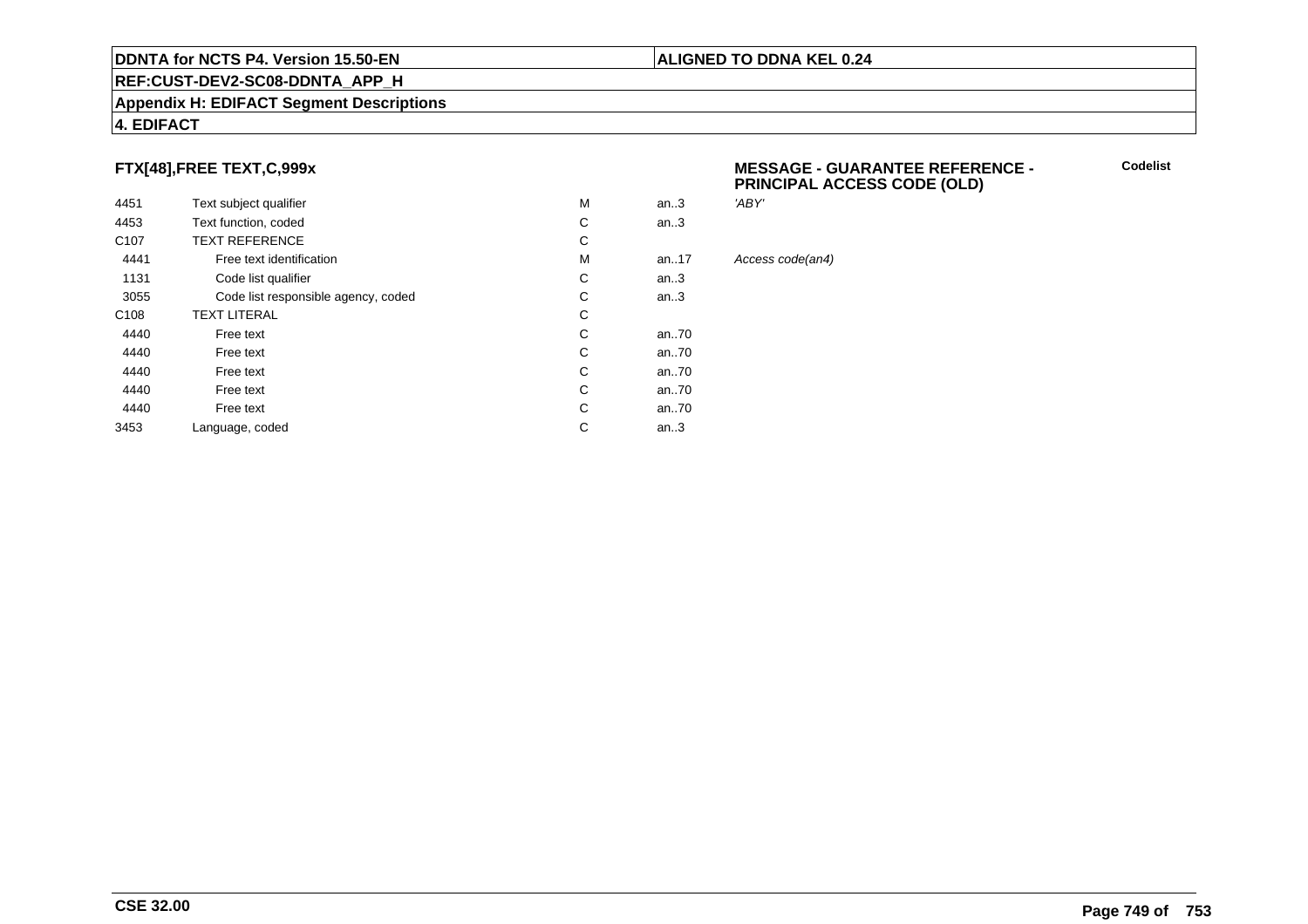#### **REF:CUST-DEV2-SC08-DDNTA\_APP\_H**

#### **Appendix H: EDIFACT Segment Descriptions**

#### **4. EDIFACT**

#### **FTX[48],FREE TEXT,C,999x**

| 4451             | Text subject qualifier              | M | an.3      |
|------------------|-------------------------------------|---|-----------|
| 4453             | Text function, coded                | С | an.3      |
| C <sub>107</sub> | <b>TEXT REFERENCE</b>               | С |           |
| 4441             | Free text identification            | M | an. $.17$ |
| 1131             | Code list qualifier                 | С | an.3      |
| 3055             | Code list responsible agency, coded | С | an.3      |
| C <sub>108</sub> | <b>TEXT LITERAL</b>                 | С |           |
| 4440             | Free text                           | С | an70      |
| 4440             | Free text                           | C | an70      |
| 4440             | Free text                           | С | an70      |
| 4440             | Free text                           | С | an70      |
| 4440             | Free text                           | С | an70      |
| 3453             | Language, coded                     | С | an.3      |

#### **MESSAGE - GUARANTEE REFERENCE - PRINCIPAL ACCESS CODE (OLD)**

**Codelist**

'ABY'

Access code(an4)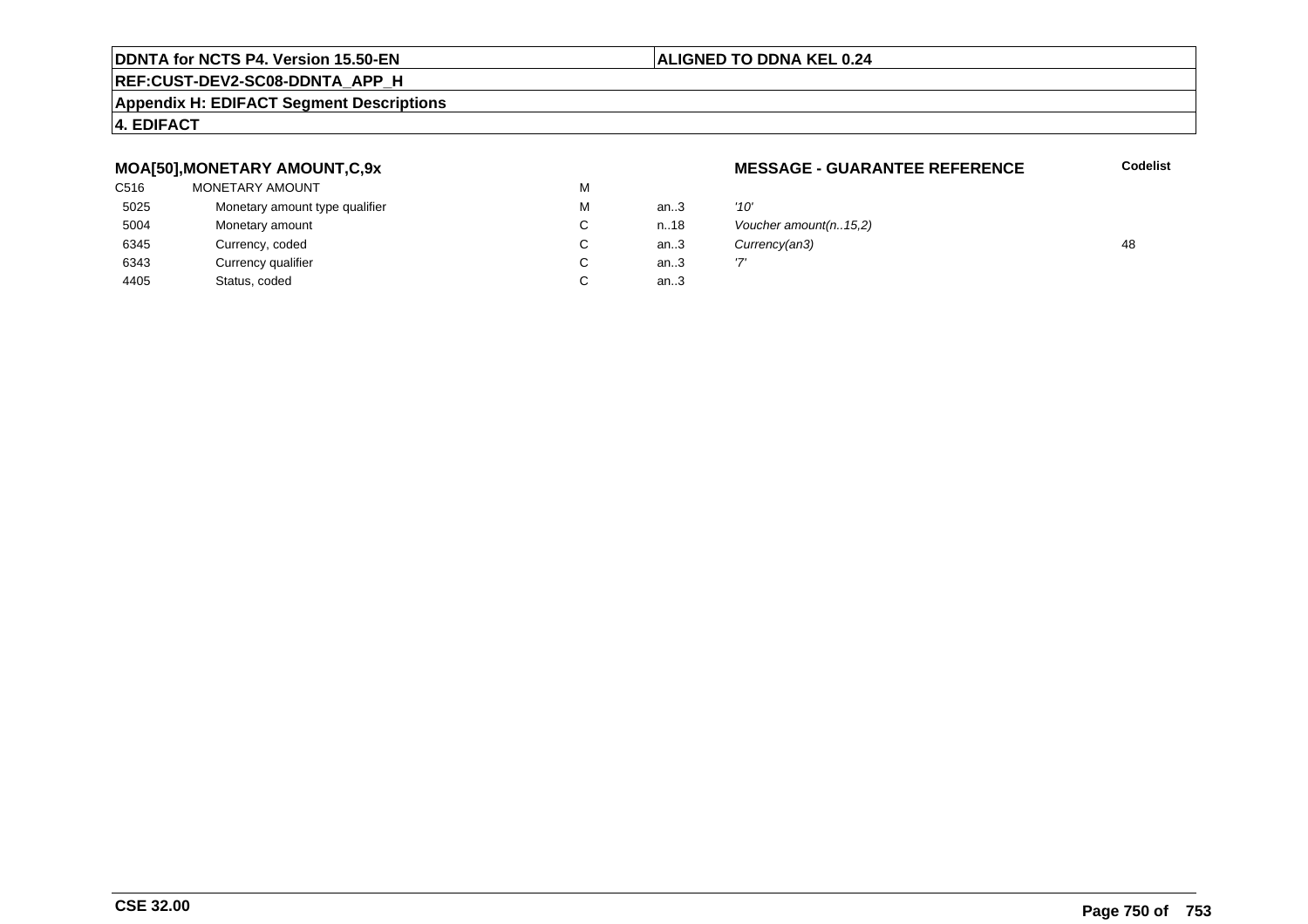#### **REF:CUST-DEV2-SC08-DDNTA\_APP\_H**

#### **Appendix H: EDIFACT Segment Descriptions**

#### **4. EDIFACT**

#### **MOA[50],MONETARY AMOUNT,C,9x**

| C516 | MONETARY AMOUNT                | М |      |      |
|------|--------------------------------|---|------|------|
| 5025 | Monetary amount type qualifier | м | an3  | '10' |
| 5004 | Monetary amount                | C | n.18 | Vοι  |
| 6345 | Currency, coded                | С | an.3 | Cuı  |
| 6343 | Currency qualifier             |   | an.3 | י7י  |
| 4405 | Status, coded                  |   | an.3 |      |

#### **MESSAGE - GUARANTEE REFERENCE**

**Codelist**

| М  | an.3   | '10'                    |    |
|----|--------|-------------------------|----|
| C. | n.18   | Voucher amount(n. 15,2) |    |
| С  | an.3   | Currency(an3)           | 48 |
| C. | an.3   |                         |    |
| С  | an $3$ |                         |    |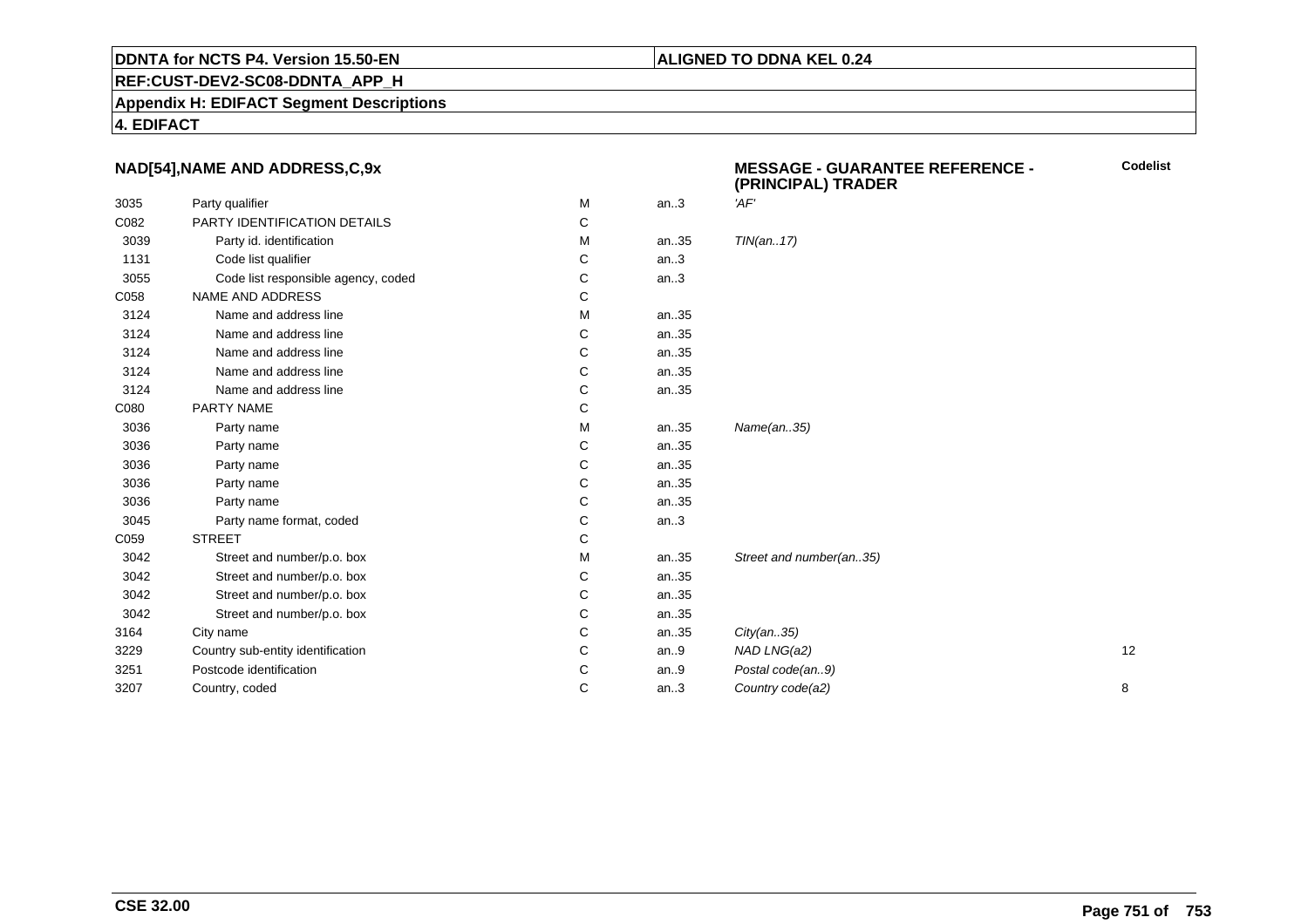#### **REF:CUST-DEV2-SC08-DDNTA\_APP\_H**

**Appendix H: EDIFACT Segment Descriptions**

**4. EDIFACT**

#### **NAD[54],NAME AND ADDRESS,C,9x**

|      |                                     |   |      | (FRINGIFAL) IRADER      |    |
|------|-------------------------------------|---|------|-------------------------|----|
| 3035 | Party qualifier                     | М | an.3 | 'AF'                    |    |
| C082 | PARTY IDENTIFICATION DETAILS        | С |      |                         |    |
| 3039 | Party id. identification            | М | an35 | TIN(an17)               |    |
| 1131 | Code list qualifier                 | С | an.3 |                         |    |
| 3055 | Code list responsible agency, coded | С | an.3 |                         |    |
| C058 | NAME AND ADDRESS                    | С |      |                         |    |
| 3124 | Name and address line               | М | an35 |                         |    |
| 3124 | Name and address line               | С | an35 |                         |    |
| 3124 | Name and address line               | С | an35 |                         |    |
| 3124 | Name and address line               | С | an35 |                         |    |
| 3124 | Name and address line               | С | an35 |                         |    |
| C080 | PARTY NAME                          | С |      |                         |    |
| 3036 | Party name                          | М | an35 | Name(an35)              |    |
| 3036 | Party name                          | С | an35 |                         |    |
| 3036 | Party name                          | С | an35 |                         |    |
| 3036 | Party name                          | С | an35 |                         |    |
| 3036 | Party name                          | С | an35 |                         |    |
| 3045 | Party name format, coded            | С | an.3 |                         |    |
| C059 | <b>STREET</b>                       | С |      |                         |    |
| 3042 | Street and number/p.o. box          | M | an35 | Street and number(an35) |    |
| 3042 | Street and number/p.o. box          | С | an35 |                         |    |
| 3042 | Street and number/p.o. box          | С | an35 |                         |    |
| 3042 | Street and number/p.o. box          | С | an35 |                         |    |
| 3164 | City name                           | С | an35 | City(an35)              |    |
| 3229 | Country sub-entity identification   | С | an.9 | NAD LNG(a2)             | 12 |
| 3251 | Postcode identification             | С | an.9 | Postal code(an9)        |    |
| 3207 | Country, coded                      | С | an.3 | Country code(a2)        | 8  |
|      |                                     |   |      |                         |    |

**MESSAGE - GUARANTEE REFERENCE - (PRINCIPAL) TRADER**

**Codelist**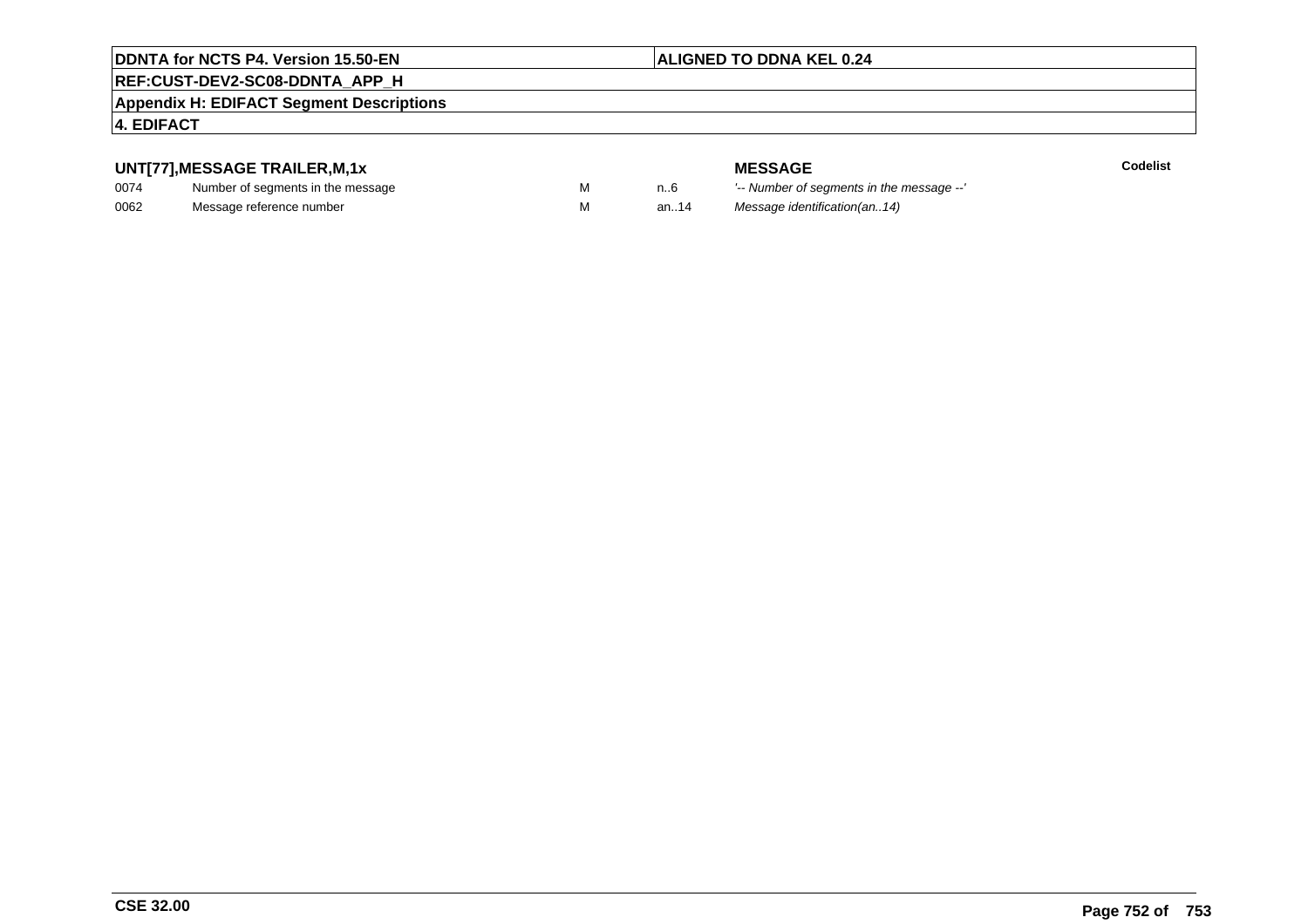#### **ALIGNED TO DDNA KEL 0.24**

### **REF:CUST-DEV2-SC08-DDNTA\_APP\_H**

#### **Appendix H: EDIFACT Segment Descriptions**

#### **4. EDIFACT**

#### **UNT[77],MESSAGE TRAILER,M,1x**

| 0074 | Number of segments in the message |  |
|------|-----------------------------------|--|
| 0062 | Message reference number          |  |

**Codelist**

**MESSAGE**<br>M n.6 <sup>'--</sup> Number of s n..6 '-- Number of segments in the message --' M an..14 Message identification(an..14)